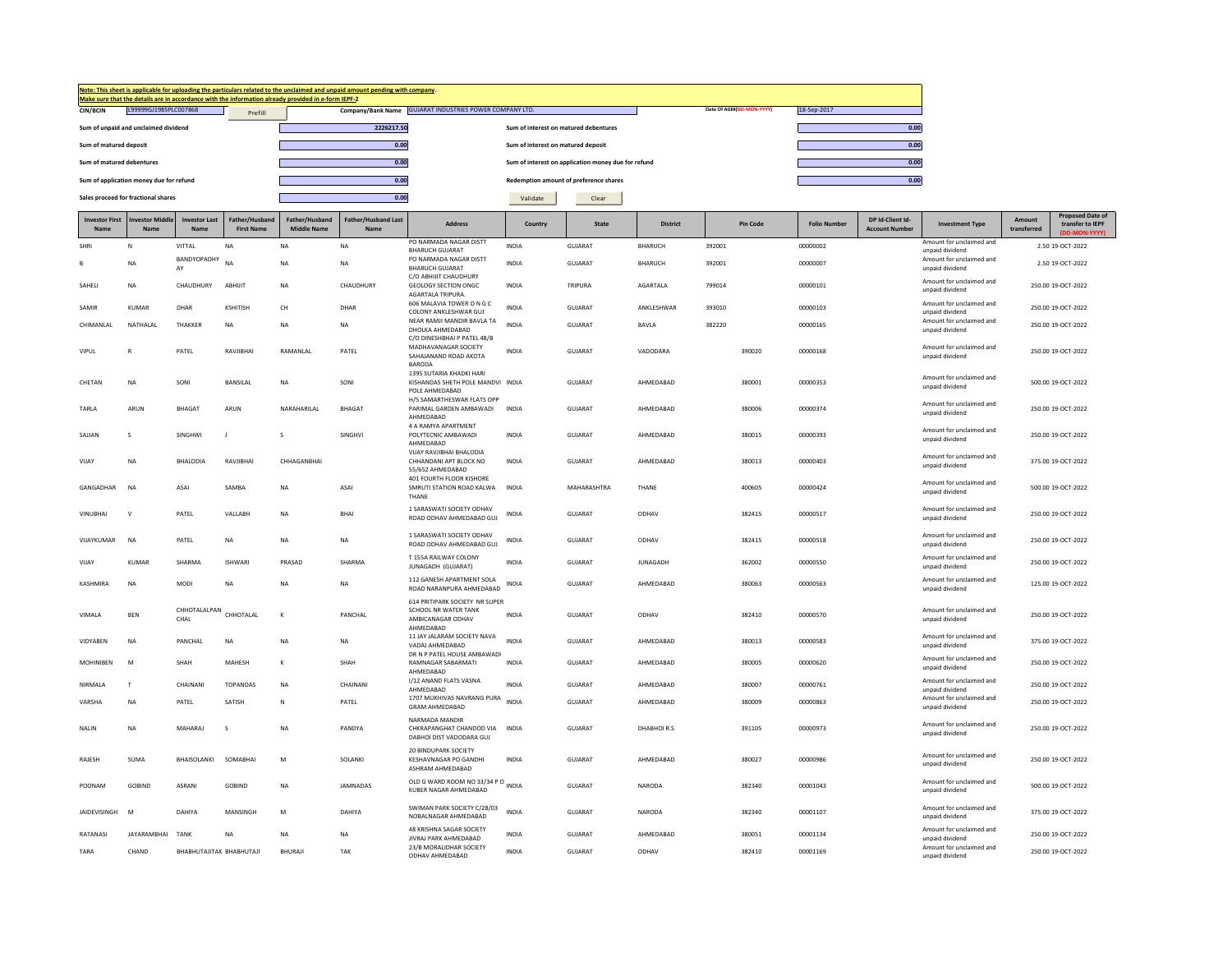|                               |                                         |                              |                                     | Make sure that the details are in accordance with the information already provided in e-form IEPF-2 | Note: This sheet is applicable for uploading the particulars related to the unclaimed and unpaid amount pending with company |                                                                                         |                                       |                                                     |                 |        |                          |                     |                                           |                                             |                       |                                                        |
|-------------------------------|-----------------------------------------|------------------------------|-------------------------------------|-----------------------------------------------------------------------------------------------------|------------------------------------------------------------------------------------------------------------------------------|-----------------------------------------------------------------------------------------|---------------------------------------|-----------------------------------------------------|-----------------|--------|--------------------------|---------------------|-------------------------------------------|---------------------------------------------|-----------------------|--------------------------------------------------------|
| CIN/BCIN                      | L99999GJ1985PLC007868                   |                              | Prefill                             |                                                                                                     |                                                                                                                              | Company/Bank Name GUJARAT INDUSTRIES POWER COMPANY LTD.                                 |                                       |                                                     |                 |        | Date Of AGM(DD-MON-YYYY) | 18-Sep-2017         |                                           |                                             |                       |                                                        |
|                               | Sum of unpaid and unclaimed dividend    |                              |                                     |                                                                                                     | 2226217.50                                                                                                                   |                                                                                         | Sum of interest on matured debentures |                                                     |                 |        |                          |                     | 0.00                                      |                                             |                       |                                                        |
| Sum of matured deposit        |                                         |                              |                                     |                                                                                                     | 0.00                                                                                                                         |                                                                                         | Sum of interest on matured deposit    |                                                     |                 |        |                          |                     | 0.00                                      |                                             |                       |                                                        |
| Sum of matured debentures     |                                         |                              |                                     |                                                                                                     | 0.00                                                                                                                         |                                                                                         |                                       | Sum of interest on application money due for refund |                 |        |                          |                     | 0.00                                      |                                             |                       |                                                        |
|                               | Sum of application money due for refund |                              |                                     |                                                                                                     | 0.00                                                                                                                         |                                                                                         |                                       | Redemption amount of preference shares              |                 |        |                          |                     | 0.00                                      |                                             |                       |                                                        |
|                               | Sales proceed for fractional shares     |                              |                                     |                                                                                                     | 0.00                                                                                                                         |                                                                                         | Validate                              | Clear                                               |                 |        |                          |                     |                                           |                                             |                       |                                                        |
| <b>Investor First</b><br>Name | nvestor Middle<br>Name                  | <b>Investor Last</b><br>Name | Father/Husband<br><b>First Name</b> | Father/Husband<br><b>Middle Name</b>                                                                | Father/Husband Last<br>Name                                                                                                  | <b>Address</b>                                                                          | Country                               | <b>State</b>                                        | <b>District</b> |        | Pin Code                 | <b>Folio Number</b> | DP Id-Client Id-<br><b>Account Number</b> | <b>Investment Type</b>                      | Amount<br>transferred | <b>Proposed Date of</b><br>transfer to IEPF<br>N-YYYY) |
| SHRI                          | N                                       | VITTAL                       | <b>NA</b>                           | NA                                                                                                  | NA                                                                                                                           | PO NARMADA NAGAR DISTT<br><b>BHARUCH GUJARAT</b>                                        | INDIA                                 | GUJARAT                                             | BHARUCH         | 392001 |                          | 00000002            |                                           | Amount for unclaimed and<br>unpaid dividend |                       | 2.50 19-OCT-2022                                       |
| R                             | <b>NA</b>                               | BANDYOPADHY<br>AY            | NA                                  | NA                                                                                                  | <b>NA</b>                                                                                                                    | PO NARMADA NAGAR DISTT<br><b>BHARUCH GUIARAT</b>                                        | <b>INDIA</b>                          | GUJARAT                                             | BHARUCH         | 392001 |                          | 00000007            |                                           | Amount for unclaimed and<br>unnaid dividend |                       | 2.50 19-OCT-2022                                       |
| SAHELI                        | NA                                      | CHAUDHURY                    | ABHIJIT                             | NA                                                                                                  | CHAUDHURY                                                                                                                    | C/O ABHIJIT CHAUDHURY<br>GEOLOGY SECTION ONGC<br>AGARTALA TRIPURA.                      | <b>INDIA</b>                          | TRIPURA                                             | AGARTALA        | 799014 |                          | 00000101            |                                           | Amount for unclaimed and<br>unpaid dividend |                       | 250.00 19-OCT-2022                                     |
| SAMIR                         | <b>KUMAR</b>                            | DHAR                         | <b>KSHITISH</b>                     | CH                                                                                                  | DHAR                                                                                                                         | 606 MALAVIA TOWER ON GC<br>COLONY ANKLESHWAR GUJ                                        | <b>INDIA</b>                          | <b>GUJARAT</b>                                      | ANKLESHWAR      | 393010 |                          | 00000103            |                                           | Amount for unclaimed and<br>unpaid dividend |                       | 250.00 19-OCT-2022                                     |
| CHIMANLAL                     | NATHALAL                                | THAKKER                      | <b>NA</b>                           | <b>NA</b>                                                                                           | <b>NA</b>                                                                                                                    | NEAR RAMJI MANDIR BAVLA TA<br>DHOLKA AHMEDABAD<br>C/O DINESHBHAI P PATEL 48/B           | INDIA                                 | GUJARAT                                             | <b>BAVLA</b>    | 382220 |                          | 00000165            |                                           | Amount for unclaimed and<br>unpaid dividend |                       | 250.00 19-OCT-2022                                     |
| VIPUL                         | R                                       | PATEL                        | RAVJIBHAI                           | RAMANLAL                                                                                            | PATEL                                                                                                                        | MADHAVANAGAR SOCIETY<br>SAHAJANAND ROAD AKOTA<br>BARODA                                 | INDIA                                 | GUJARAT                                             | VADODARA        |        | 390020                   | 00000168            |                                           | Amount for unclaimed and<br>unpaid dividend |                       | 250.00 19-OCT-2022                                     |
| CHETAN                        | <b>NA</b>                               | SONI                         | <b>BANSILAL</b>                     | <b>NA</b>                                                                                           | SONI                                                                                                                         | 1395 SUTARIA KHADKI HARI<br>KISHANDAS SHETH POLE MANDVI INDIA<br>POLE AHMEDABAD         |                                       | GUJARAT                                             | AHMEDABAD       |        | 380001                   | 00000353            |                                           | Amount for unclaimed and<br>unpaid dividend |                       | 500.00 19-OCT-2022                                     |
| TARLA                         | ARUN                                    | BHAGAT                       | ARUN                                | NARAHARILAL                                                                                         | BHAGAT                                                                                                                       | H/5 SAMARTHESWAR FLATS OPP<br>PARIMAL GARDEN AMBAWADI<br>AHMFDARAD                      | <b>INDIA</b>                          | GUJARAT                                             | AHMEDABAD       |        | 380006                   | 00000374            |                                           | Amount for unclaimed and<br>unpaid dividend |                       | 250.00 19-OCT-2022                                     |
| SAJJAN                        | $\mathbf{S}$                            | SINGHWI                      | $\mathbf{I}$                        | $\mathbf{s}$                                                                                        | SINGHVI                                                                                                                      | 4 A RAMYA APARTMENT<br>POLYTECNIC AMBAWADI<br>AHMFDARAD                                 | INDIA                                 | GUJARAT                                             | AHMEDABAD       |        | 380015                   | 00000393            |                                           | Amount for unclaimed and<br>unpaid dividend |                       | 250.00 19-OCT-2022                                     |
| VIIAY                         | <b>NA</b>                               | <b>BHAI ODIA</b>             | RAVIIRHAI                           | CHHAGANRHAI                                                                                         |                                                                                                                              | VIJAY RAVJIBHAI BHALODIA<br>CHHANDANI APT BLOCK NO<br>55/652 AHMEDABAD                  | <b>INDIA</b>                          | GUIARAT                                             | AHMEDARAD       |        | 380013                   | 00000403            |                                           | Amount for unclaimed and<br>unpaid dividend |                       | 375.00 19-OCT-2022                                     |
| GANGADHAR                     | <b>NA</b>                               | ASAI                         | SAMBA                               | <b>NA</b>                                                                                           | ASAI                                                                                                                         | 401 FOURTH FLOOR KISHORE<br>SMRUTI STATION ROAD KALWA<br>THANE                          | <b>INDIA</b>                          | MAHARASHTRA                                         | THANF           |        | 400605                   | 00000424            |                                           | Amount for unclaimed and<br>unpaid dividend |                       | 500.00 19-OCT-2022                                     |
| <b>VINUBHAI</b>               | $\mathsf{V}$                            | PATEL                        | VALLABH                             | <b>NA</b>                                                                                           | BHAI                                                                                                                         | 1 SARASWATI SOCIETY ODHAV<br>ROAD ODHAV AHMEDABAD GUJ                                   | INDIA                                 | GUJARAT                                             | ODHAV           |        | 382415                   | 00000517            |                                           | Amount for unclaimed and<br>unpaid dividend |                       | 250.00 19-OCT-2022                                     |
| VIIAYKUMAR                    | <b>NA</b>                               | PATEL                        | <b>NA</b>                           | NA                                                                                                  | NA                                                                                                                           | 1 SARASWATI SOCIETY ODHAV<br>ROAD ODHAV AHMEDABAD GUJ                                   | <b>INDIA</b>                          | GUJARAT                                             | ODHAV           |        | 382415                   | 00000518            |                                           | Amount for unclaimed and<br>unpaid dividend |                       | 250.00 19-OCT-2022                                     |
| VIJAY                         | <b>KUMAR</b>                            | SHARMA                       | <b>ISHWARI</b>                      | PRASAD                                                                                              | SHARMA                                                                                                                       | T 155A RAILWAY COLONY<br>JUNAGADH (GUJARAT)                                             | <b>INDIA</b>                          | GUJARAT                                             | <b>JUNAGADH</b> |        | 362002                   | 00000550            |                                           | Amount for unclaimed and<br>unpaid dividend |                       | 250.00 19-OCT-2022                                     |
| KASHMIRA                      | <b>NA</b>                               | MODI                         | <b>NA</b>                           | <b>NA</b>                                                                                           | <b>NA</b>                                                                                                                    | 112 GANESH APARTMENT SOLA<br>ROAD NARANPURA AHMEDABAD<br>614 PRITIPARK SOCIETY NR SUPER | <b>INDIA</b>                          | GUIARAT                                             | AHMFDARAD       |        | 380063                   | 00000563            |                                           | Amount for unclaimed and<br>unpaid dividend |                       | 125.00.19-OCT-2022                                     |
| VIMALA                        | <b>BEN</b>                              | CHHOTALALPAN<br>CHAL         | CHHOTALAL                           | К                                                                                                   | PANCHAL                                                                                                                      | SCHOOL NR WATER TANK<br>AMBICANAGAR ODHAV<br>AHMEDABAD                                  | INDIA                                 | <b>GUJARAT</b>                                      | ODHAV           |        | 382410                   | 00000570            |                                           | Amount for unclaimed and<br>unpaid dividend |                       | 250.00 19-OCT-2022                                     |
| VIDYABEN                      | <b>NA</b>                               | PANCHAL                      | <b>NA</b>                           | <b>NA</b>                                                                                           | <b>NA</b>                                                                                                                    | 11 JAY JALARAM SOCIETY NAVA<br>VADAJ AHMEDABAD<br>DR N P PATEL HOUSE AMBAWADI           | INDIA                                 | <b>GUJARAT</b>                                      | AHMEDABAD       |        | 380013                   | 00000583            |                                           | Amount for unclaimed and<br>unpaid dividend |                       | 375.00 19-OCT-2022                                     |
| <b>MOHINIBEN</b>              | M                                       | SHAH                         | MAHESH                              | κ                                                                                                   | SHAH                                                                                                                         | RAMNAGAR SABARMATI<br>AHMEDABAD                                                         | <b>INDIA</b>                          | GUJARAT                                             | AHMEDABAD       |        | 380005                   | 00000620            |                                           | Amount for unclaimed and<br>unpaid dividend |                       | 250.00 19-OCT-2022                                     |
| NIRMALA                       | T                                       | CHAINANI                     | TOPANDAS                            | NA                                                                                                  | CHAINANI                                                                                                                     | I/12 ANAND FLATS VASNA<br>AHMEDABAD                                                     | <b>INDIA</b>                          | GUJARAT                                             | AHMEDABAD       |        | 380007                   | 00000761            |                                           | Amount for unclaimed and<br>unpaid dividend |                       | 250.00 19-OCT-2022                                     |
| VARSHA                        | NA                                      | PATEL                        | SATISH                              | N                                                                                                   | PATEL                                                                                                                        | 1707 MUKHIVAS NAVRANG PURA<br><b>GRAM AHMEDABAD</b>                                     | <b>INDIA</b>                          | GUJARAT                                             | AHMEDABAD       |        | 380009                   | 00000863            |                                           | Amount for unclaimed and<br>unpaid dividend |                       | 250.00 19-OCT-2022                                     |
| NALIN                         | NA                                      | MAHARAJ                      | s                                   | NA                                                                                                  | PANDYA                                                                                                                       | NARMADA MANDIR<br>CHKRAPANGHAT CHANDOD VIA<br>DABHOI DIST VADODARA GUJ                  | INDIA                                 | GUJARAT                                             | DHABHOIR.S      |        | 391105                   | 00000973            |                                           | Amount for unclaimed and<br>unpaid dividend |                       | 250.00 19-OCT-2022                                     |
| RAJESH                        | SUMA                                    | BHAISOLANKI                  | SOMABHAI                            | M                                                                                                   | SOLANKI                                                                                                                      | 20 BINDUPARK SOCIETY<br>KESHAVNAGAR PO GANDHI<br>ASHRAM AHMEDABAD                       | INDIA                                 | GUJARAT                                             | AHMEDABAD       |        | 380027                   | 00000986            |                                           | Amount for unclaimed and<br>unpaid dividend |                       | 250.00 19-OCT-2022                                     |
| POONAM                        | GOBIND                                  | ASRANI                       | GOBIND                              | NA                                                                                                  | JAMNADAS                                                                                                                     | OLD G WARD ROOM NO 33/34 P O<br>KURER NAGAR AHMEDARAD                                   |                                       | GUJARAT                                             | NARODA          |        | 382340                   | 00001043            |                                           | Amount for unclaimed and<br>unpaid dividend |                       | 500.00 19-OCT-2022                                     |
| <b>JAIDEVISINGH</b>           | M                                       | DAHIYA                       | MANSINGH                            | M                                                                                                   | DAHIYA                                                                                                                       | SWIMAN PARK SOCIETY C/28/03<br>NOBALNAGAR AHMEDABAD                                     | INDIA                                 | GUJARAT                                             | NARODA          |        | 382340                   | 00001107            |                                           | Amount for unclaimed and<br>unpaid dividend |                       | 375.00 19-OCT-2022                                     |
| RATANASI                      | <b>IAYARAMBHAI</b>                      | <b>TANK</b>                  | <b>NA</b>                           | <b>NA</b>                                                                                           | <b>NA</b>                                                                                                                    | 48 KRISHNA SAGAR SOCIETY<br>JIVRAJ PARK AHMEDABAD                                       | <b>INDIA</b>                          | GUIARAT                                             | AHMFDARAD       |        | 380051                   | 00001134            |                                           | Amount for unclaimed and<br>unpaid dividend |                       | 250.00.19-OCT-2022                                     |
| TARA                          | CHAND                                   | BHABHUTAJITAK BHABHUTAJI     |                                     | <b>BHURAJI</b>                                                                                      | TAK                                                                                                                          | 23/B MORALIDHAR SOCIETY<br>ODHAV AHMEDABAD                                              | INDIA                                 | GUJARAT                                             | ODHAV           |        | 382410                   | 00001169            |                                           | Amount for unclaimed and<br>unpaid dividend |                       | 250.00 19-OCT-2022                                     |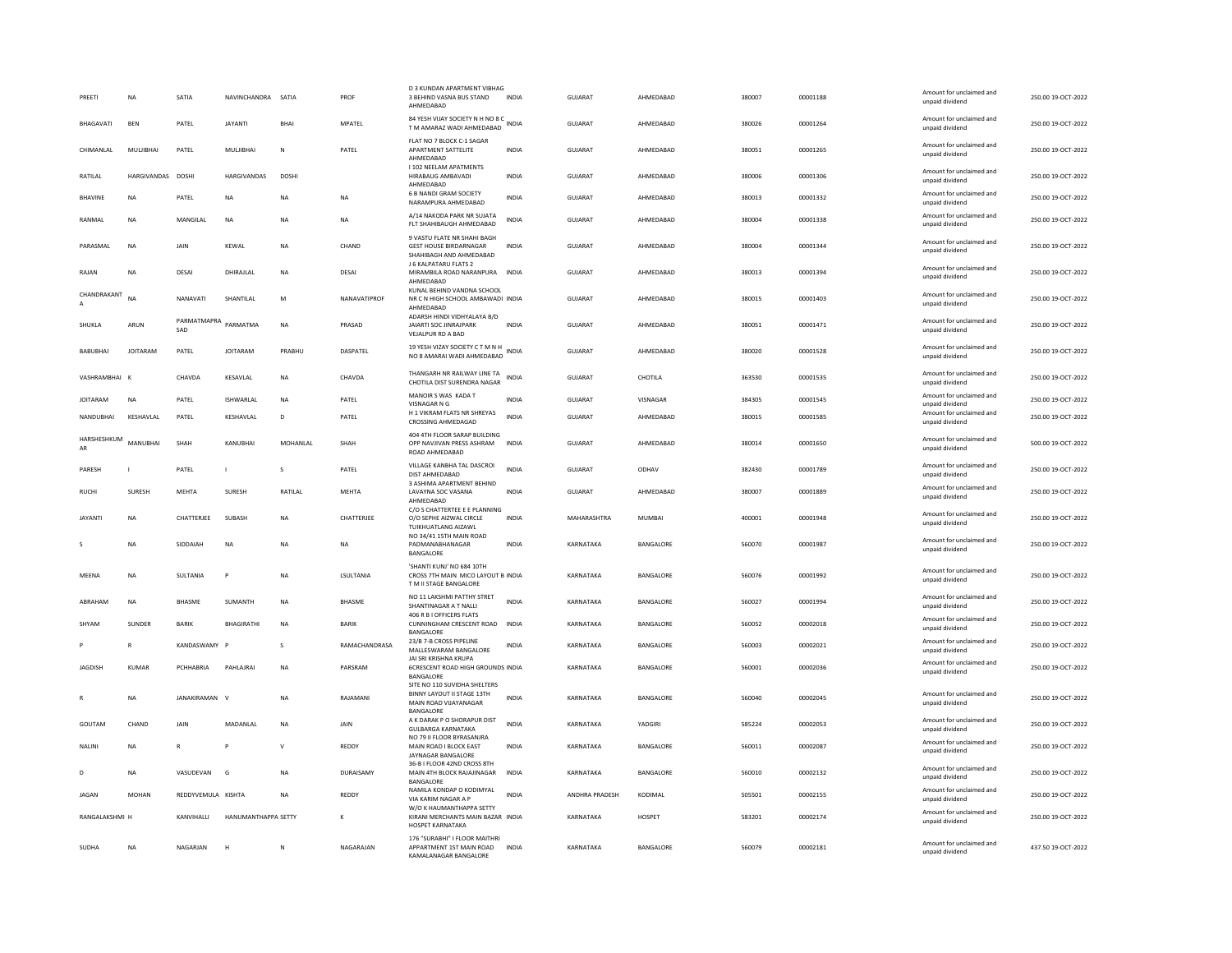| PREETI            | <b>NA</b>         | SATIA                | NAVINCHANDRA SATIA  |              | PROF          | D 3 KUNDAN APARTMENT VIBHAG<br>3 BEHIND VASNA BUS STAND<br>AHMFDARAD                             | <b>INDIA</b> | GUJARAT        | AHMEDABAD        | 380007 | 00001188 | Amount for unclaimed and<br>unpaid dividend | 250.00 19-OCT-2022 |
|-------------------|-------------------|----------------------|---------------------|--------------|---------------|--------------------------------------------------------------------------------------------------|--------------|----------------|------------------|--------|----------|---------------------------------------------|--------------------|
| BHAGAVATI         | <b>BEN</b>        | PATEL                | <b>JAYANTI</b>      | <b>BHAI</b>  | MPATEL        | 84 YESH VIJAY SOCIETY N H NO 8 C<br>T M AMARAZ WADI AHMEDABAD                                    |              | GUJARAT        | AHMEDABAD        | 380026 | 00001264 | Amount for unclaimed and<br>unpaid dividend | 250.00 19-OCT-2022 |
| CHIMANLAL         | MULJIBHAI         | PATEL                | <b>MULJIBHAI</b>    | N            | PATEL         | FLAT NO 7 BLOCK C-1 SAGAR<br>APARTMENT SATTELITE<br>AHMEDABAD                                    | <b>INDIA</b> | <b>GUJARAT</b> | AHMEDABAD        | 380051 | 00001265 | Amount for unclaimed and<br>unpaid dividend | 250.00 19-OCT-2022 |
| RATILAL           | HARGIVANDAS DOSHI |                      | <b>HARGIVANDAS</b>  | <b>DOSH</b>  |               | I 102 NEELAM APATMENTS<br>HIRABAUG AMBAVADI<br>AHMEDABAD                                         | <b>INDIA</b> | GUIARAT        | AHMEDARAD        | 380006 | 00001306 | Amount for unclaimed and<br>unpaid dividend | 250.00 19-OCT-2022 |
| <b>BHAVINE</b>    | NA                | PATEL                | <b>NA</b>           | NA           | <b>NA</b>     | 6 B NANDI GRAM SOCIETY<br>NARAMPURA AHMEDABAD                                                    | INDIA        | GUJARAT        | AHMEDABAD        | 380013 | 00001332 | Amount for unclaimed and<br>unpaid dividend | 250.00 19-OCT-2022 |
| RANMAI            | NA                | MANGIL AI            | <b>NA</b>           | <b>NA</b>    | <b>NA</b>     | A/14 NAKODA PARK NR SUJATA<br>FLT SHAHIBAUGH AHMEDABAD                                           | <b>INDIA</b> | GUIARAT        | AHMEDARAD        | 380004 | 00001338 | Amount for unclaimed and<br>unpaid dividend | 250.00.19-OCT-2022 |
| PARASMAL          | <b>NA</b>         | JAIN                 | KEWAL               | <b>NA</b>    | CHAND         | 9 VASTU FLATE NR SHAHI BAGH<br><b>GEST HOUSE BIRDARNAGAR</b><br>SHAHIBAGH AND AHMEDABAD          | <b>INDIA</b> | <b>GUJARAT</b> | AHMEDABAD        | 380004 | 00001344 | Amount for unclaimed and<br>unpaid dividend | 250.00 19-OCT-2022 |
| RAJAN             | <b>NA</b>         | DESAI                | DHIRAJLAL           | ΝA           | <b>DESAI</b>  | J 6 KALPATARU FLATS 2<br>MIRAMBILA ROAD NARANPURA INDIA<br>AHMEDABAD                             |              | GUJARAT        | AHMEDABAD        | 380013 | 00001394 | Amount for unclaimed and<br>unpaid dividend | 250.00 19-OCT-2022 |
| CHANDRAKANT       | NA                | NANAVATI             | SHANTILAL           | M            | NANAVATIPROF  | KUNAL BEHIND VANDNA SCHOOL<br>NR C N HIGH SCHOOL AMBAWADI INDIA<br>AHMEDABAD                     |              | <b>GUJARAT</b> | AHMEDABAD        | 380015 | 00001403 | Amount for unclaimed and<br>unpaid dividend | 250.00 19-OCT-2022 |
| SHUKLA            | ARUN              | PARMATMAPRA<br>SAD   | PARMATMA            | <b>NA</b>    | PRASAD        | ADARSH HINDI VIDHYALAYA B/D<br>JAIARTI SOC JINRAJPARK<br>VEJALPUR RD A BAD                       | <b>INDIA</b> | <b>GUJARAT</b> | AHMEDABAD        | 380051 | 00001471 | Amount for unclaimed and<br>unpaid dividend | 250.00 19-OCT-2022 |
| <b>BABURHAL</b>   | <b>IOITARAM</b>   | PATFI                | <b>IOITARAM</b>     | PRABHU       | DASPATEL      | 19 YESH VIZAY SOCIETY C T M N H<br>NO 8 AMARAI WADI AHMEDABAD                                    | <b>INDIA</b> | GUIARAT        | AHMEDARAD        | 380020 | 00001528 | Amount for unclaimed and<br>unpaid dividend | 250.00 19-QCT-2022 |
| VASHRAMBHAI K     |                   | CHAVDA               | KESAVLAL            | NA           | CHAVDA        | THANGARH NR RAILWAY LINE TA<br>CHOTILA DIST SURENDRA NAGAR                                       | <b>INDIA</b> | GUJARAT        | CHOTILA          | 363530 | 00001535 | Amount for unclaimed and<br>unpaid dividend | 250.00 19-OCT-2022 |
| <b>JOITARAM</b>   | <b>NA</b>         | PATEL                | <b>ISHWARLAL</b>    | <b>NA</b>    | PATEL         | MANOIR S WAS KADA T<br>VISNAGAR N G                                                              | <b>INDIA</b> | <b>GUJARAT</b> | VISNAGAR         | 384305 | 00001545 | Amount for unclaimed and<br>unpaid dividend | 250.00 19-OCT-2022 |
| NANDUBHAI         | KESHAVLAL         | PATEL                | KESHAVLAL           | D            | PATEL         | H 1 VIKRAM FLATS NR SHREYAS<br>CROSSING AHMEDAGAD                                                | <b>INDIA</b> | GUJARAT        | AHMEDABAD        | 380015 | 00001585 | Amount for unclaimed and<br>unpaid dividend | 250.00 19-OCT-2022 |
| HARSHESHKUM<br>AR | MANUBHAI          | SHAH                 | KANUBHAI            | MOHANLAL     | SHAH          | 404 4TH FLOOR SARAP BUILDING<br>OPP NAVJIVAN PRESS ASHRAM<br>ROAD AHMEDABAD                      | INDIA        | GUJARAT        | AHMEDABAD        | 380014 | 00001650 | Amount for unclaimed and<br>unpaid dividend | 500.00 19-OCT-2022 |
| PARESH            | $\blacksquare$    | PATEL                |                     | s            | PATEL         | VILLAGE KANBHA TAL DASCROI<br>DIST AHMEDABAD                                                     | <b>INDIA</b> | <b>GUJARAT</b> | ODHAV            | 382430 | 00001789 | Amount for unclaimed and<br>unpaid dividend | 250.00 19-OCT-2022 |
| <b>RUCHI</b>      | SURESH            | <b>MEHTA</b>         | SURESH              | RATILAL      | MEHTA         | 3 ASHIMA APARTMENT BEHIND<br>LAVAYNA SOC VASANA<br>AHMEDABAD                                     | <b>INDIA</b> | <b>GUJARAT</b> | AHMEDABAD        | 380007 | 00001889 | Amount for unclaimed and<br>unpaid dividend | 250.00 19-OCT-2022 |
| <b>JAYANTI</b>    | NA                | CHATTERJEE           | SUBASH              | <b>NA</b>    | CHATTERJEE    | C/O S CHATTERTEE E E PLANNING<br>O/O SEPHE AIZWAL CIRCLE<br>TUIKHUATLANG AIZAWL                  | <b>INDIA</b> | MAHARASHTRA    | <b>MUMBAI</b>    | 400001 | 00001948 | Amount for unclaimed and<br>unpaid dividend | 250.00 19-OCT-2022 |
| s                 | NA                | SIDDAIAH             | <b>NA</b>           | <b>NA</b>    | <b>NA</b>     | NO 34/41 15TH MAIN ROAD<br>PADMANABHANAGAR<br>BANGALORE                                          | INDIA        | KARNATAKA      | BANGALORE        | 560070 | 00001987 | Amount for unclaimed and<br>unpaid dividend | 250.00 19-OCT-2022 |
| MEENA             | NA                | SULTANIA             | $\mathsf{P}$        | <b>NA</b>    | LSULTANIA     | 'SHANTI KUNJ' NO 684 10TH<br>CROSS 7TH MAIN MICO LAYOUT B INDIA<br>T M II STAGE BANGALORE        |              | KARNATAKA      | BANGALORE        | 560076 | 00001992 | Amount for unclaimed and<br>unpaid dividend | 250.00 19-OCT-2022 |
| ABRAHAM           | NA                | <b>BHASME</b>        | SUMANTH             | NA           | <b>BHASME</b> | NO 11 LAKSHMI PATTHY STRET<br>SHANTINAGAR A T NALLI<br>406 R B I OFFICERS FLATS                  | <b>INDIA</b> | KARNATAKA      | BANGALORE        | 560027 | 00001994 | Amount for unclaimed and<br>unpaid dividend | 250.00 19-OCT-2022 |
| SHYAM             | SUNDER            | <b>BARIK</b>         | BHAGIRATHI          | <b>NA</b>    | <b>BARIK</b>  | CUNNINGHAM CRESCENT ROAD INDIA<br>BANGALORE                                                      |              | KARNATAKA      | BANGALORE        | 560052 | 00002018 | Amount for unclaimed and<br>unpaid dividend | 250.00 19-OCT-2022 |
|                   |                   | KANDASWAMY           |                     | Ś            | RAMACHANDRASA | 23/B 7-B CROSS PIPELINE<br>MALLESWARAM BANGALORE                                                 | <b>INDIA</b> | KARNATAKA      | BANGALORE        | 560003 | 00002021 | Amount for unclaimed and<br>unpaid dividend | 250.00 19-OCT-2022 |
| <b>JAGDISH</b>    | <b>KUMAR</b>      | PCHHABRIA            | <b>PAHLAIRAI</b>    | <b>NA</b>    | PARSRAM       | JAI SRI KRISHNA KRUPA<br>6CRESCENT ROAD HIGH GROUNDS INDIA<br>BANGALORE                          |              | KARNATAKA      | BANGALORE        | 560001 | 00002036 | Amount for unclaimed and<br>unpaid dividend | 250.00 19-OCT-2022 |
|                   | <b>NA</b>         | <b>IANAKIRAMAN V</b> |                     | <b>NA</b>    | RAIAMANI      | SITE NO 110 SUVIDHA SHELTERS<br>BINNY LAYOUT II STAGE 13TH<br>MAIN ROAD VIJAYANAGAR<br>BANGALORE | <b>INDIA</b> | KARNATAKA      | BANGALORE        | 560040 | 00002045 | Amount for unclaimed and<br>unpaid dividend | 250.00 19-OCT-2022 |
| GOUTAM            | CHAND             | <b>JAIN</b>          | MADANI AI           | <b>NA</b>    | <b>JAIN</b>   | A K DARAK P O SHORAPUR DIST<br><b>GULBARGA KARNATAKA</b>                                         | <b>INDIA</b> | KARNATAKA      | YADGIRI          | 585224 | 00002053 | Amount for unclaimed and<br>unpaid dividend | 250.00 19-OCT-2022 |
| NALINI            | <b>NA</b>         | $\mathbb{R}$         |                     | $\mathsf{V}$ | REDDY         | NO 79 II FLOOR BYRASANJRA<br>MAIN ROAD I BLOCK EAST<br>JAYNAGAR BANGALORE                        | <b>INDIA</b> | KARNATAKA      | BANGALORE        | 560011 | 00002087 | Amount for unclaimed and<br>unpaid dividend | 250.00 19-OCT-2022 |
| D.                | NA                | VASUDEVAN            | $\mathsf{G}$        | <b>NA</b>    | DURAISAMY     | 36-B I FLOOR 42ND CROSS 8TH<br>MAIN 4TH BLOCK RAJAJINAGAR                                        | <b>INDIA</b> | KARNATAKA      | <b>BANGALORE</b> | 560010 | 00002132 | Amount for unclaimed and<br>unpaid dividend | 250.00.19-OCT-2022 |
| JAGAN             | <b>MOHAN</b>      | REDDYVEMULA KISHTA   |                     | <b>NA</b>    | REDDY         | BANGALORE<br>NAMILA KONDAP O KODIMYAL<br>VIA KARIM NAGAR A P                                     | <b>INDIA</b> | ANDHRA PRADESH | KODIMAL          | 505501 | 00002155 | Amount for unclaimed and<br>unpaid dividend | 250.00 19-OCT-2022 |
| RANGALAKSHMI H    |                   | KANVIHALLI           | HANUMANTHAPPA SETTY |              | $\mathbf{K}$  | W/O K HAUMANTHAPPA SETTY<br>KIRANI MERCHANTS MAIN BAZAR INDIA<br>HOSPET KARNATAKA                |              | KARNATAKA      | <b>HOSPET</b>    | 583201 | 00002174 | Amount for unclaimed and<br>unpaid dividend | 250.00 19-OCT-2022 |
| SUDHA             | <b>NA</b>         | NAGARJAN             |                     | N            | NAGARAJAN     | 176 "SURABHI" I FLOOR MAITHRI<br>APPARTMENT 1ST MAIN ROAD<br>KAMAI ANAGAR BANGAI ORF             | <b>INDIA</b> | KARNATAKA      | BANGALORE        | 560079 | 00002181 | Amount for unclaimed and<br>unpaid dividend | 437.50 19-OCT-2022 |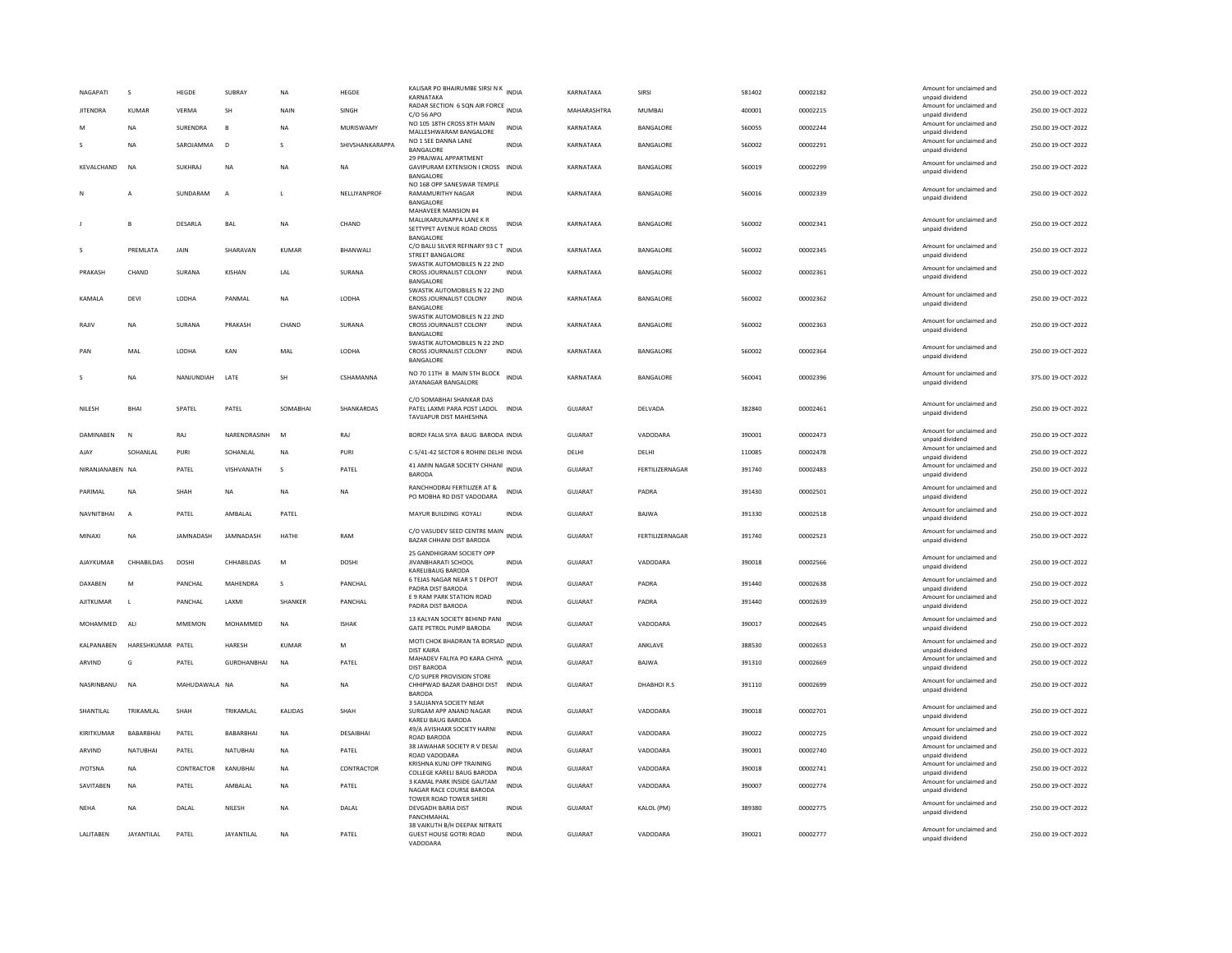| NAGAPATI        | $\mathbf{S}$      | HEGDE         | SUBRAY             | <b>NA</b>    | HEGDE           | KALISAR PO BHAIRUMBE SIRSI N K INDIA<br><b>KARNATAKA</b>                                    |              | KARNATAKA      | SIRSI           | 581402 | 00002182 | Amount for unclaimed and<br>unpaid dividend                    | 250.00 19-OCT-2022 |
|-----------------|-------------------|---------------|--------------------|--------------|-----------------|---------------------------------------------------------------------------------------------|--------------|----------------|-----------------|--------|----------|----------------------------------------------------------------|--------------------|
| <b>JITENDRA</b> | <b>KUMAR</b>      | VERMA         | <b>SH</b>          | NAIN         | SINGH           | RADAR SECTION 6 SQN AIR FORCE INDIA<br>C/O 56 APO                                           |              | MAHARASHTRA    | MUMBAI          | 400001 | 00002215 | Amount for unclaimed and<br>unpaid dividend                    | 250.00 19-OCT-2022 |
|                 | <b>NA</b>         | SURENDRA      | B                  | <b>NA</b>    | MURISWAMY       | NO 105 18TH CROSS 8TH MAIN<br>MALLESHWARAM BANGALORE                                        | <b>INDIA</b> | KARNATAKA      | BANGALORE       | 560055 | 00002244 | Amount for unclaimed and<br>unpaid dividend                    | 250.00 19-OCT-2022 |
|                 | <b>NA</b>         | SAROJAMMA     | D                  | s            | SHIVSHANKARAPPA | NO 1 SEE DANNA LANE<br>BANGALORE                                                            | INDIA        | KARNATAKA      | BANGALORE       | 560002 | 00002291 | Amount for unclaimed and<br>unpaid dividend                    | 250.00 19-OCT-2022 |
| KEVALCHAND      | <b>NA</b>         | SUKHRAI       | <b>NA</b>          | <b>NA</b>    | <b>NA</b>       | 29 PRAJWAL APPARTMENT<br>GAVIPURAM EXTENSION I CROSS INDIA<br><b>BANGALORE</b>              |              | KARNATAKA      | BANGALORE       | 560019 | 00002299 | Amount for unclaimed and<br>unpaid dividend                    | 250.00 19-OCT-2022 |
|                 | A                 | SUNDARAM      | A                  |              | NELLIYANPROF    | NO 168 OPP SANESWAR TEMPLE<br>RAMAMURITHY NAGAR<br>BANGALORE<br>MAHAVEER MANSION #4         | INDIA        | KARNATAKA      | BANGALORE       | 560016 | 00002339 | Amount for unclaimed and<br>unpaid dividend                    | 250.00 19-OCT-2022 |
|                 | B                 | DESARLA       | BAL                | NA           | CHAND           | MALLIKARJUNAPPA LANE K R<br>SETTYPET AVENUE ROAD CROSS<br>BANGALORE                         | INDIA        | KARNATAKA      | BANGALORE       | 560002 | 00002341 | Amount for unclaimed and<br>unpaid dividend                    | 250.00 19-OCT-2022 |
| s               | PREMLATA          | JAIN          | SHARAVAN           | KUMAR        | BHANWALI        | C/O BALU SILVER REFINARY 93 C T<br><b>STREET BANGALORE</b>                                  | <b>INDIA</b> | KARNATAKA      | BANGALORE       | 560002 | 00002345 | Amount for unclaimed and<br>unpaid dividend                    | 250.00 19-OCT-2022 |
| PRAKASH         | CHAND             | SURANA        | KISHAN             | LAL          | SURANA          | SWASTIK AUTOMOBILES N 22 2ND<br>CROSS JOURNALIST COLONY<br>BANGALORE                        | INDIA        | KARNATAKA      | BANGALORE       | 560002 | 00002361 | Amount for unclaimed and<br>unpaid dividend                    | 250.00 19-OCT-2022 |
| KAMALA          | DEVI              | LODHA         | PANMAL             | NA           | LODHA           | SWASTIK AUTOMOBILES N 22 2ND<br>CROSS JOURNALIST COLONY<br>BANGALORE                        | <b>INDIA</b> | KARNATAKA      | BANGALORE       | 560002 | 00002362 | Amount for unclaimed and<br>unpaid dividend                    | 250.00 19-OCT-2022 |
| RAJIV           | <b>NA</b>         | SURANA        | PRAKASH            | CHAND        | SURANA          | SWASTIK AUTOMOBILES N 22 2ND<br>CROSS JOURNALIST COLONY<br>BANGALORE                        | <b>INDIA</b> | KARNATAKA      | BANGALORE       | 560002 | 00002363 | Amount for unclaimed and<br>unpaid dividend                    | 250.00 19-OCT-2022 |
| PAN             | MAL               | LODHA         | KAN                | MAL          | LODHA           | SWASTIK AUTOMOBILES N 22 2ND<br>CROSS JOURNALIST COLONY<br><b>BANGALORE</b>                 | <b>INDIA</b> | KARNATAKA      | BANGALORE       | 560002 | 00002364 | Amount for unclaimed and<br>unpaid dividend                    | 250.00 19-OCT-2022 |
| -S              | <b>NA</b>         | NANJUNDIAH    | LATE               | SH           | CSHAMANNA       | NO 70 11TH B MAIN 5TH BLOCK<br>JAYANAGAR BANGALORE                                          | <b>INDIA</b> | KARNATAKA      | BANGALORE       | 560041 | 00002396 | Amount for unclaimed and<br>unpaid dividend                    | 375.00 19-OCT-2022 |
| NILESH          | <b>BHAI</b>       | SPATEL        | PATEL              | SOMABHAI     | SHANKARDAS      | C/O SOMABHAI SHANKAR DAS<br>PATEL LAXMI PARA POST LADOL<br><b>TAVIJAPUR DIST MAHESHNA</b>   | <b>INDIA</b> | <b>GUJARAT</b> | DELVADA         | 382840 | 00002461 | Amount for unclaimed and<br>unpaid dividend                    | 250.00 19-OCT-2022 |
| DAMINABEN       | <b>N</b>          | RAJ           | NARENDRASINH       | M            | RAJ             | BORDI FALIA SIYA BAUG BARODA INDIA                                                          |              | <b>GUJARAT</b> | VADODARA        | 390001 | 00002473 | Amount for unclaimed and<br>unnaid dividend                    | 250.00 19-OCT-2022 |
| AJAY            | SOHANLAL          | PURI          | SOHANLAL           | NA           | PURI            | C-5/41-42 SECTOR 6 ROHINI DELHI INDIA                                                       |              | DELHI          | DELHI           | 110085 | 00002478 | Amount for unclaimed and<br>unpaid dividend                    | 250.00 19-OCT-2022 |
|                 |                   |               |                    |              |                 |                                                                                             |              |                |                 |        |          |                                                                |                    |
| NIRANJANABEN NA |                   | PATEL         | VISHVANATH         | $\mathbf{S}$ | PATEL           | 41 AMIN NAGAR SOCIETY CHHANI<br>BARODA                                                      | <b>INDIA</b> | <b>GUJARAT</b> | FERTILIZERNAGAR | 391740 | 00002483 | Amount for unclaimed and<br>unpaid dividend                    | 250.00 19-OCT-2022 |
| PARIMAL         | <b>NA</b>         | SHAH          | <b>NA</b>          | <b>NA</b>    | NA              | RANCHHODRAI FERTILIZER AT &<br>PO MOBHA RD DIST VADODARA                                    | INDIA        | GUJARAT        | PADRA           | 391430 | 00002501 | Amount for unclaimed and<br>unpaid dividend                    | 250.00 19-OCT-2022 |
| NAVNITBHAI      | $\overline{A}$    | PATEL         | AMBALAL            | PATEL        |                 | MAYUR BUILDING KOYALI                                                                       | INDIA        | GUJARAT        | BAJWA           | 391330 | 00002518 | Amount for unclaimed and<br>unpaid dividend                    | 250.00 19-OCT-2022 |
| MINAXI          | <b>NA</b>         | JAMNADASH     | <b>IAMNADASH</b>   | HATHI        | RAM             | C/O VASUDEV SEED CENTRE MAIN<br>BAZAR CHHANI DIST BARODA                                    | <b>INDIA</b> | GUIARAT        | FERTILIZERNAGAR | 391740 | 00002523 | Amount for unclaimed and<br>unpaid dividend                    | 250.00 19-OCT-2022 |
| AJAYKUMAR       | CHHABILDAS        | DOSHI         | CHHABILDAS         | ${\sf M}$    | DOSHI           | 25 GANDHIGRAM SOCIETY OPP<br>JIVANBHARATI SCHOOL<br>KARELIBAUG BARODA                       | INDIA        | GUJARAT        | VADODARA        | 390018 | 00002566 | Amount for unclaimed and<br>unpaid dividend                    | 250.00 19-OCT-2022 |
| DAXABEN         | M                 | PANCHAL       | MAHENDRA           | s            | PANCHAL         | 6 TEJAS NAGAR NEAR S T DEPOT<br>PADRA DIST BARODA                                           | <b>INDIA</b> | <b>GUJARAT</b> | PADRA           | 391440 | 00002638 | Amount for unclaimed and<br>unpaid dividend                    | 250.00 19-OCT-2022 |
| AJITKUMAR       | $\mathbf{I}$      | PANCHAL       | LAXMI              | SHANKER      | PANCHAL         | E 9 RAM PARK STATION ROAD<br>PADRA DIST BARODA                                              | INDIA        | GUJARAT        | PADRA           | 391440 | 00002639 | Amount for unclaimed and<br>unpaid dividend                    | 250.00 19-OCT-2022 |
| MOHAMMED        | ALI               | MMEMON        | MOHAMMED           | NA           | <b>ISHAK</b>    | 13 KALYAN SOCIETY BEHIND PANI<br>GATE PETROL PUMP BARODA                                    | INDIA        | GUJARAT        | VADODARA        | 390017 | 00002645 | Amount for unclaimed and<br>unpaid dividend                    | 250.00 19-OCT-2022 |
| KALPANABEN      | HARESHKUMAR PATEL |               | HARESH             | KUMAR        | M               | MOTI CHOK BHADRAN TA BORSAD INDIA<br><b>DIST KAIRA</b>                                      |              | <b>GUJARAT</b> | ANKLAVE         | 388530 | 00002653 | Amount for unclaimed and<br>unpaid dividend                    | 250.00 19-OCT-2022 |
| ARVIND          | G                 | PATEL         | <b>GURDHANBHAI</b> | <b>NA</b>    | PATEL           | MAHADEV FALIYA PO KARA CHIYA INDIA<br>DIST BARODA                                           |              | GUJARAT        | BAJWA           | 391310 | 00002669 | Amount for unclaimed and<br>unpaid dividend                    | 250.00 19-OCT-2022 |
| NASRINBANU      | <b>NA</b>         | MAHUDAWALA NA |                    | <b>NA</b>    | <b>NA</b>       | C/O SUPER PROVISION STORE<br>CHHIPWAD BAZAR DABHOI DIST INDIA<br><b>BARODA</b>              |              | <b>GUJARAT</b> | DHABHOIR.S      | 391110 | 00002699 | Amount for unclaimed and<br>unpaid dividend                    | 250.00 19-OCT-2022 |
| SHANTILAL       | TRIKAMLAL         | SHAH          | TRIKAMLAL          | KALIDAS      | SHAH            | 3 SAUJANYA SOCIETY NEAR<br>SURGAM APP ANAND NAGAR                                           | <b>INDIA</b> | <b>GUJARAT</b> | VADODARA        | 390018 | 00002701 | Amount for unclaimed and<br>unpaid dividend                    | 250.00 19-OCT-2022 |
| KIRITKUMAR      | BABARBHAI         | PATEL         | BABARBHAI          | <b>NA</b>    | DESAIBHAI       | KARELI BAUG BARODA<br>49/A AVISHAKR SOCIETY HARNI<br>ROAD BARODA                            | <b>INDIA</b> | <b>GUJARAT</b> | VADODARA        | 390022 | 00002725 | Amount for unclaimed and<br>unpaid dividend                    | 250.00 19-OCT-2022 |
| ARVIND          | NATUBHAI          | PATEL         | NATUBHAI           | <b>NA</b>    | PATEL           | 38 JAWAHAR SOCIETY R V DESAI<br>ROAD VADODARA                                               | <b>INDIA</b> | GUJARAT        | VADODARA        | 390001 | 00002740 | Amount for unclaimed and                                       | 250.00 19-OCT-2022 |
| <b>JYOTSNA</b>  | NA                | CONTRACTOR    | KANUBHAI           | NA           | CONTRACTOR      | KRISHNA KUNJ OPP TRAINING<br>COLLEGE KARELI BAUG BARODA                                     | INDIA        | GUJARAT        | VADODARA        | 390018 | 00002741 | unpaid dividend<br>Amount for unclaimed and                    | 250.00 19-OCT-2022 |
| SAVITABEN       | <b>NA</b>         | PATEL         | AMBALAL            | <b>NA</b>    | PATEL           | 3 KAMAL PARK INSIDE GAUTAM<br>NAGAR RACE COURSE BARODA                                      | <b>INDIA</b> | <b>GUJARAT</b> | VADODARA        | 390007 | 00002774 | unpaid dividend<br>Amount for unclaimed and<br>unpaid dividend | 250.00 19-OCT-2022 |
| <b>NEHA</b>     | <b>NA</b>         | DALAL         | NILESH             | <b>NA</b>    | DALAL           | TOWER ROAD TOWER SHERI<br>DEVGADH BARIA DIST<br>PANCHMAHAL<br>38 VAIKUTH B/H DEEPAK NITRATE | <b>INDIA</b> | <b>GUJARAT</b> | KALOL (PM)      | 389380 | 00002775 | Amount for unclaimed and<br>unpaid dividend                    | 250.00 19-OCT-2022 |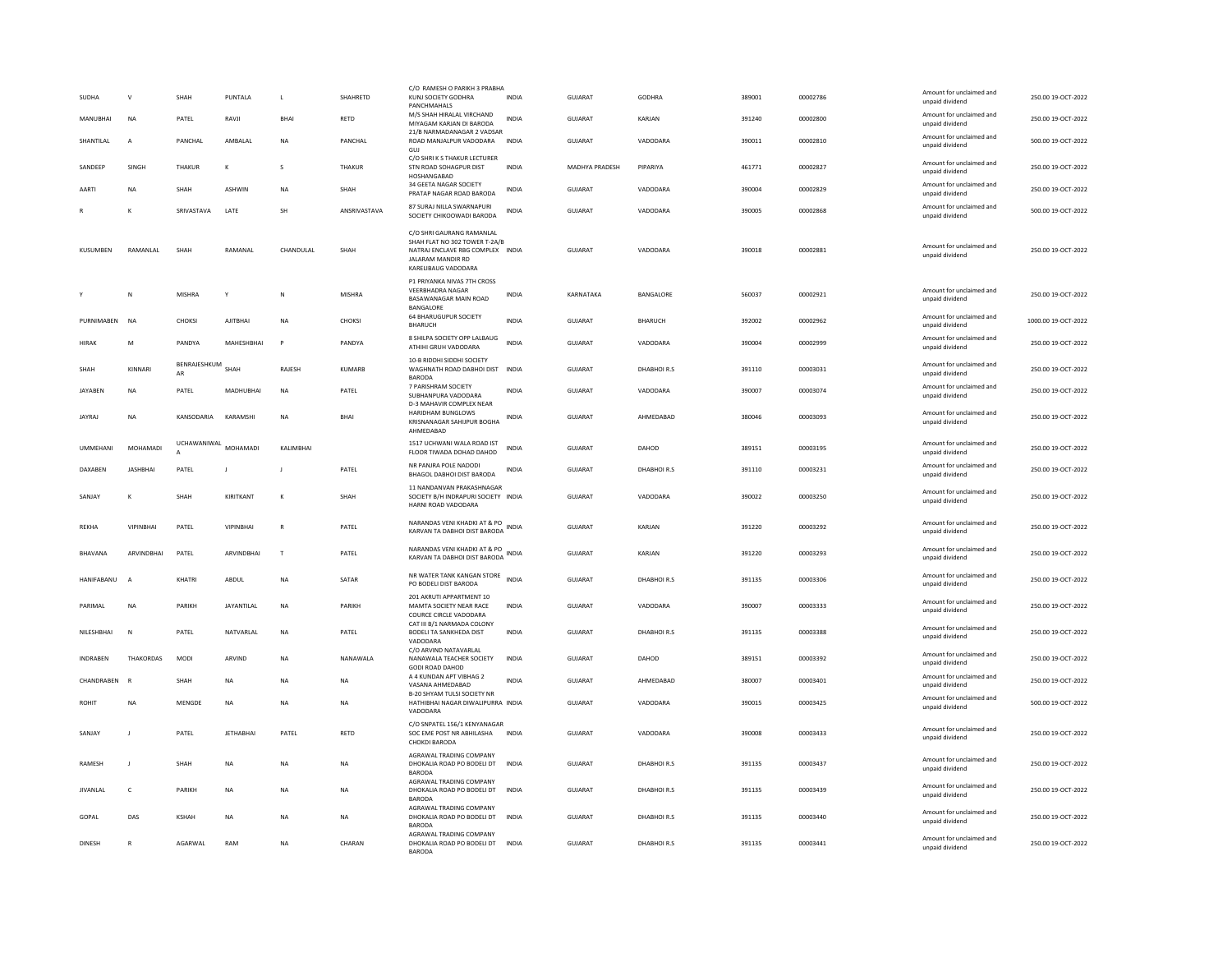| SUDHA<br>MANUBHAI | $\mathsf{V}$<br>NA | SHAH<br>PATEL      | PUNTALA<br>RAVJI | $\mathsf L$<br>BHAI | SHAHRETD<br><b>RETD</b> | C/O RAMESH O PARIKH 3 PRABHA<br>KUNJ SOCIETY GODHRA<br>PANCHMAHALS<br>M/S SHAH HIRALAL VIRCHAND                                            | <b>INDIA</b><br>INDIA | <b>GUJARAT</b><br>GUJARAT | <b>GODHRA</b><br>KARJAN | 389001<br>391240 | 00002786<br>00002800 | Amount for unclaimed and<br>unpaid dividend<br>Amount for unclaimed and | 250.00 19-OCT-2022<br>250.00 19-OCT-2022 |
|-------------------|--------------------|--------------------|------------------|---------------------|-------------------------|--------------------------------------------------------------------------------------------------------------------------------------------|-----------------------|---------------------------|-------------------------|------------------|----------------------|-------------------------------------------------------------------------|------------------------------------------|
|                   |                    |                    |                  |                     |                         | MIYAGAM KARJAN DI BARODA<br>21/B NARMADANAGAR 2 VADSAR                                                                                     |                       |                           |                         |                  |                      | unpaid dividend<br>Amount for unclaimed and                             |                                          |
| SHANTILAL         | $\overline{A}$     | PANCHAL            | AMBALAL          | <b>NA</b>           | PANCHAL                 | ROAD MANJALPUR VADODARA<br>GUJ                                                                                                             | <b>INDIA</b>          | GUJARAT                   | VADODARA                | 390011           | 00002810             | unpaid dividend                                                         | 500.00 19-OCT-2022                       |
| SANDEEF           | SINGH              | THAKUR             |                  | s                   | THAKUR                  | C/O SHRI K S THAKUR LECTURER<br>STN ROAD SOHAGPUR DIST<br>HOSHANGABAD                                                                      | <b>INDIA</b>          | MADHYA PRADESH            | PIPARIYA                | 461771           | 00002827             | Amount for unclaimed and<br>unpaid dividend                             | 250.00 19-OCT-2022                       |
| AARTI             | <b>NA</b>          | SHAH               | <b>ASHWIN</b>    | <b>NA</b>           | SHAH                    | 34 GEETA NAGAR SOCIETY<br>PRATAP NAGAR ROAD BARODA                                                                                         | <b>INDIA</b>          | <b>GUJARAT</b>            | VADODARA                | 390004           | 00002829             | Amount for unclaimed and<br>unpaid dividend                             | 250.00 19-OCT-2022                       |
|                   |                    | SRIVASTAVA         | LATE             | SH                  | ANSRIVASTAVA            | 87 SURAJ NILLA SWARNAPURI<br>SOCIETY CHIKOOWADI BARODA                                                                                     | <b>INDIA</b>          | GUJARAT                   | VADODARA                | 390005           | 00002868             | Amount for unclaimed and<br>unpaid dividend                             | 500.00 19-OCT-2022                       |
| KUSUMBEN          | RAMANLAL           | SHAH               | RAMANAL          | CHANDULAL           | SHAH                    | C/O SHRI GAURANG RAMANLAL<br>SHAH FLAT NO 302 TOWER T-2A/B<br>NATRAJ ENCLAVE RBG COMPLEX INDIA<br>JALARAM MANDIR RD<br>KARELIBAUG VADODARA |                       | GUJARAT                   | VADODARA                | 390018           | 00002881             | Amount for unclaimed and<br>unpaid dividend                             | 250.00 19-OCT-2022                       |
|                   | N                  | MISHRA             | Y                | N                   | <b>MISHRA</b>           | P1 PRIYANKA NIVAS 7TH CROSS<br><b>VEERBHADRA NAGAR</b><br>BASAWANAGAR MAIN ROAD<br>BANGALORE                                               | <b>INDIA</b>          | KARNATAKA                 | BANGALORE               | 560037           | 00002921             | Amount for unclaimed and<br>unpaid dividend                             | 250.00 19-OCT-2022                       |
| PURNIMAREN        | <b>NA</b>          | CHOKSI             | <b>AIITRHAI</b>  | <b>NA</b>           | CHOKSI                  | 64 BHARUGUPUR SOCIETY<br><b>BHARUCH</b>                                                                                                    | <b>INDIA</b>          | GUIARAT                   | BHARUCH                 | 392002           | 00002962             | Amount for unclaimed and<br>unpaid dividend                             | 1000.00 19-OCT-2022                      |
| HIRAK             | M                  | PANDYA             | MAHESHBHAI       | $\mathsf{P}$        | PANDYA                  | 8 SHILPA SOCIETY OPP LALBAUG<br>ATHIHI GRUH VADODARA                                                                                       | <b>INDIA</b>          | GUJARAT                   | VADODARA                | 390004           | 00002999             | Amount for unclaimed and<br>unpaid dividend                             | 250.00 19-OCT-2022                       |
| SHAH              | KINNARI            | BENRAJESHKUM<br>AR | SHAH             | RAJESH              | <b>KUMARB</b>           | 10-B RIDDHI SIDDHI SOCIETY<br>WAGHNATH ROAD DABHOI DIST INDIA<br><b>BARODA</b>                                                             |                       | <b>GUJARAT</b>            | DHABHOIR.S              | 391110           | 00003031             | Amount for unclaimed and<br>unpaid dividend                             | 250.00 19-OCT-2022                       |
| <b>JAYABEN</b>    | $_{\sf NA}$        | PATEL              | MADHUBHAI        | <b>NA</b>           | PATEL                   | 7 PARISHRAM SOCIETY<br>SUBHANPURA VADODARA                                                                                                 | <b>INDIA</b>          | <b>GUJARAT</b>            | VADODARA                | 390007           | 00003074             | Amount for unclaimed and<br>unpaid dividend                             | 250.00 19-OCT-2022                       |
| <b>JAYRAJ</b>     | NA                 | KANSODARIA         | KARAMSHI         | NA                  | BHAI                    | D-3 MAHAVIR COMPLEX NEAR<br>HARIDHAM BUNGLOWS<br>KRISNANAGAR SAHIJPUR BOGHA<br>AHMEDABAD                                                   | <b>INDIA</b>          | GUJARAT                   | AHMEDABAD               | 380046           | 00003093             | Amount for unclaimed and<br>unpaid dividend                             | 250.00 19-OCT-2022                       |
| <b>UMMEHANI</b>   | MOHAMADI           | UCHAWANIWAL        | MOHAMADI         | KALIMBHAI           |                         | 1517 UCHWANI WALA ROAD IST<br>FLOOR TIWADA DOHAD DAHOD                                                                                     | <b>INDIA</b>          | GUJARAT                   | DAHOD                   | 389151           | 00003195             | Amount for unclaimed and<br>unpaid dividend                             | 250.00 19-OCT-2022                       |
| <b>DAXABEN</b>    | <b>JASHBHAI</b>    | PATEL              | $\mathbf{J}$     |                     | PATEL                   | NR PANJRA POLE NADODI<br>BHAGOL DABHOI DIST BARODA                                                                                         | <b>INDIA</b>          | <b>GUJARAT</b>            | DHABHOIR.S              | 391110           | 00003231             | Amount for unclaimed and<br>unpaid dividend                             | 250.00 19-OCT-2022                       |
| SANJAY            |                    | SHAH               | KIRITKANT        | к                   | SHAH                    | 11 NANDANVAN PRAKASHNAGAR<br>SOCIETY B/H INDRAPURI SOCIETY INDIA<br>HARNI ROAD VADODARA                                                    |                       | <b>GUJARAT</b>            | VADODARA                | 390022           | 00003250             | Amount for unclaimed and<br>unpaid dividend                             | 250.00 19-OCT-2022                       |
| REKHA             | <b>VIPINBHAI</b>   | PATEL              | VIPINBHAI        | R                   | PATEL                   | NARANDAS VENI KHADKI AT & PO<br>KARVAN TA DABHOI DIST BARODA                                                                               | <b>INDIA</b>          | <b>GUJARAT</b>            | KARJAN                  | 391220           | 00003292             | Amount for unclaimed and<br>unpaid dividend                             | 250.00 19-OCT-2022                       |
| BHAVANA           | ARVINDBHAI         | PATEL              | ARVINDBHAI       | $\mathsf{T}$        | PATEL                   | NARANDAS VENI KHADKI AT & PO<br>KARVAN TA DABHOI DIST BARODA                                                                               | INDIA                 | <b>GUJARAT</b>            | KARJAN                  | 391220           | 00003293             | Amount for unclaimed and<br>unpaid dividend                             | 250.00 19-OCT-2022                       |
| HANIFABANU        | $\overline{ }$     | KHATRI             | ABDUL            | N <sub>A</sub>      | SATAR                   | NR WATER TANK KANGAN STORE<br>PO BODELI DIST BARODA                                                                                        | <b>INDIA</b>          | GUJARAT                   | DHABHOIR.S              | 391135           | 00003306             | Amount for unclaimed and<br>unpaid dividend                             | 250.00 19-OCT-2022                       |
| PARIMAL           | <b>NA</b>          | PARIKH             | JAYANTILAL       | <b>NA</b>           | PARIKH                  | 201 AKRUTI APPARTMENT 10<br>MAMTA SOCIETY NEAR RACE<br>COURCE CIRCLE VADODARA                                                              | <b>INDIA</b>          | GUJARAT                   | VADODARA                | 390007           | 00003333             | Amount for unclaimed and<br>unpaid dividend                             | 250.00 19-OCT-2022                       |
| NILESHBHAI        | $\mathbb N$        | PATEL              | NATVARI AI       | <b>NA</b>           | PATEL                   | CAT III B/1 NARMADA COLONY<br>BODELI TA SANKHEDA DIST                                                                                      | <b>INDIA</b>          | GUJARAT                   | DHABHOIR.S              | 391135           | 00003388             | Amount for unclaimed and<br>unpaid dividend                             | 250.00 19-OCT-2022                       |
| <b>INDRABEN</b>   | THAKORDAS          | MODI               | ARVIND           | NA                  | NANAWALA                | VADODARA<br>C/O ARVIND NATAVARLAL<br>NANAWALA TEACHER SOCIETY<br>GODI ROAD DAHOD                                                           | <b>INDIA</b>          | <b>GUJARAT</b>            | DAHOD                   | 389151           | 00003392             | Amount for unclaimed and<br>unpaid dividend                             | 250.00 19-OCT-2022                       |
| CHANDRABEN        | R                  | SHAH               | <b>NA</b>        | <b>NA</b>           | <b>NA</b>               | A 4 KUNDAN APT VIBHAG 2<br>VASANA AHMEDABAD                                                                                                | <b>INDIA</b>          | <b>GUJARAT</b>            | AHMEDABAD               | 380007           | 00003401             | Amount for unclaimed and<br>unpaid dividend                             | 250.00 19-OCT-2022                       |
| ROHIT             | <b>NA</b>          | MENGDE             | NA               | <b>NA</b>           | <b>NA</b>               | B-20 SHYAM TULSI SOCIETY NR<br>HATHIBHAI NAGAR DIWALIPURRA INDIA<br>VADODARA                                                               |                       | <b>GUJARAT</b>            | VADODARA                | 390015           | 00003425             | Amount for unclaimed and<br>unpaid dividend                             | 500.00 19-OCT-2022                       |
| SANJAY            | $\mathbf{I}$       | PATEL              | <b>JETHABHA</b>  | PATEL               | RETD                    | C/O SNPATEL 156/1 KENYANAGAR<br>SOC EME POST NR ABHILASHA<br>CHOKDI BARODA                                                                 | <b>INDIA</b>          | <b>GUJARAT</b>            | VADODARA                | 390008           | 00003433             | Amount for unclaimed and<br>unpaid dividend                             | 250.00 19-OCT-2022                       |
| <b>RAMESH</b>     |                    | SHAH               | NA               | NΑ                  | <b>NA</b>               | AGRAWAL TRADING COMPANY<br>DHOKALIA ROAD PO BODELI DT<br><b>BARODA</b>                                                                     | <b>INDIA</b>          | <b>GUJARAT</b>            | DHABHOIR.S              | 391135           | 00003437             | Amount for unclaimed and<br>unpaid dividend                             | 250.00 19-OCT-2022                       |
| <b>JIVANLAI</b>   | c                  | PARIKH             | NA               | NΑ                  | NA                      | AGRAWAL TRADING COMPANY<br>DHOKALIA ROAD PO BODELI DT<br><b>BARODA</b>                                                                     | <b>INDIA</b>          | <b>GUJARAT</b>            | DHABHOIR.S              | 391135           | 00003439             | Amount for unclaimed and<br>unpaid dividend                             | 250.00 19-OCT-2022                       |
| GOPAL             | DAS                | <b>KSHAH</b>       | <b>NA</b>        | <b>NA</b>           | NA                      | AGRAWAL TRADING COMPANY<br>DHOKALIA ROAD PO BODELI DT INDIA<br><b>BARODA</b>                                                               |                       | GUJARAT                   | DHABHOIR.S              | 391135           | 00003440             | Amount for unclaimed and<br>unpaid dividend                             | 250.00 19-OCT-2022                       |
| <b>DINESH</b>     | $\mathbb{R}$       | AGARWAL            | RAM              | <b>NA</b>           | CHARAN                  | AGRAWAL TRADING COMPANY<br>DHOKALIA ROAD PO BODELI DT<br><b>BARODA</b>                                                                     | <b>INDIA</b>          | GUJARAT                   | DHABHOIR.S              | 391135           | 00003441             | Amount for unclaimed and<br>unpaid dividend                             | 250.00 19-OCT-2022                       |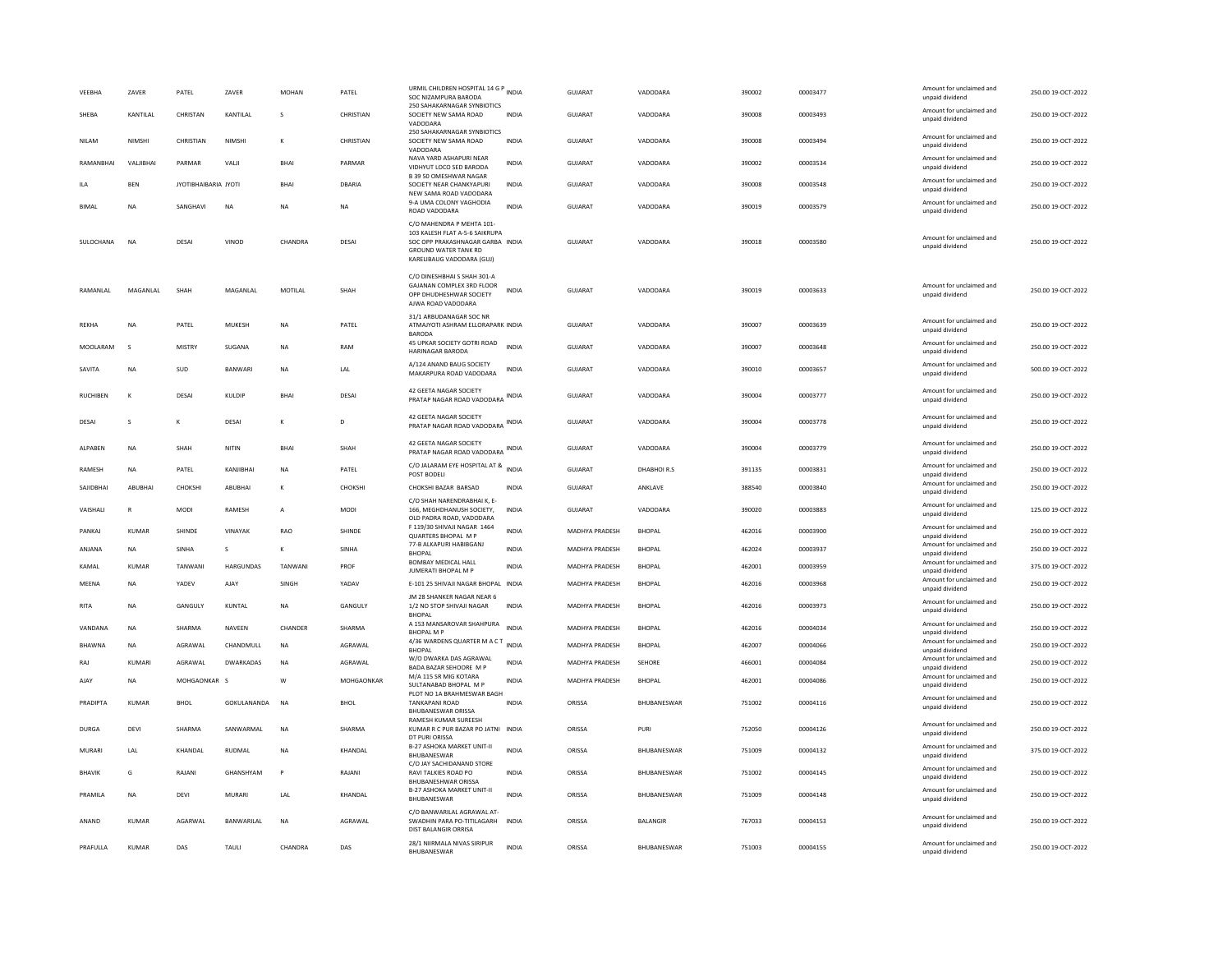| VEEBHA          | ZAVER           | PATEL                | ZAVER            | <b>MOHAN</b>   | PATEL        | URMIL CHILDREN HOSPITAL 14 G P INDIA<br>SOC NIZAMPURA BARODA<br>250 SAHAKARNAGAR SYNBIOTICS                                                          |              | <b>GUJARAT</b>        | VADODARA        | 390002 | 00003477 | Amount for unclaimed and<br>unpaid dividend<br>Amount for unclaimed and | 250.00 19-OCT-2022 |
|-----------------|-----------------|----------------------|------------------|----------------|--------------|------------------------------------------------------------------------------------------------------------------------------------------------------|--------------|-----------------------|-----------------|--------|----------|-------------------------------------------------------------------------|--------------------|
| SHEBA           | KANTILAL        | CHRISTAN             | KANTILAL         | s              | CHRISTIAN    | SOCIETY NEW SAMA ROAD<br>VADODARA                                                                                                                    | INDIA        | GUJARAT               | VADODARA        | 390008 | 00003493 | unpaid dividend                                                         | 250.00 19-OCT-2022 |
| <b>NILAM</b>    | NIMSHI          | CHRISTIAN            | <b>NIMSHI</b>    | K              | CHRISTIAN    | 250 SAHAKARNAGAR SYNBIOTICS<br>SOCIETY NEW SAMA ROAD<br>VADODARA                                                                                     | <b>INDIA</b> | <b>GUJARAT</b>        | VADODARA        | 390008 | 00003494 | Amount for unclaimed and<br>unpaid dividend                             | 250.00 19-OCT-2022 |
| RAMANBHAI       | VALIBHAI        | PARMAR               | VALI             | <b>BHAI</b>    | PARMAR       | NAVA YARD ASHAPURI NEAR<br>VIDHYUT LOCO SED BARODA                                                                                                   | <b>INDIA</b> | GUJARAT               | VADODARA        | 390002 | 00003534 | Amount for unclaimed and<br>unpaid dividend                             | 250.00 19-OCT-2022 |
| ILA             | <b>BEN</b>      | JYOTIBHAIBARIA JYOTI |                  | <b>BHAI</b>    | DBARIA       | B 39 50 OMESHWAR NAGAR<br>SOCIETY NEAR CHANKYAPURI<br>NEW SAMA ROAD VADODARA                                                                         | <b>INDIA</b> | GUJARAT               | VADODARA        | 390008 | 00003548 | Amount for unclaimed and<br>unpaid dividend                             | 250.00 19-OCT-2022 |
| <b>BIMAL</b>    | <b>NA</b>       | SANGHAVI             | <b>NA</b>        | <b>NA</b>      | <b>NA</b>    | 9-A UMA COLONY VAGHODIA<br>ROAD VADODARA                                                                                                             | <b>INDIA</b> | <b>GUJARAT</b>        | VADODARA        | 390019 | 00003579 | Amount for unclaimed and<br>unpaid dividend                             | 250.00 19-OCT-2022 |
| SULOCHANA       | <b>NA</b>       | DESAI                | VINOD            | CHANDRA        | DESAI        | C/O MAHENDRA P MEHTA 101-<br>103 KALESH FLAT A-5-6 SAIKRUPA<br>SOC OPP PRAKASHNAGAR GARBA INDIA<br>GROUND WATER TANK RD<br>KARELIBAUG VADODARA (GUJ) |              | <b>GUJARAT</b>        | VADODARA        | 390018 | 00003580 | Amount for unclaimed and<br>unpaid dividend                             | 250.00 19-OCT-2022 |
| RAMANI AI       | <b>MAGANIAI</b> | <b>SHAH</b>          | MAGANI AI        | MOTIL AL       | SHAH         | C/O DINESHBHAI S SHAH 301-A<br>GAJANAN COMPLEX 3RD FLOOR<br>OPP DHUDHESHWAR SOCIETY<br>AJWA ROAD VADODARA                                            | <b>INDIA</b> | GUIARAT               | VADODARA        | 390019 | 00003633 | Amount for unclaimed and<br>unpaid dividend                             | 250.00 19-OCT-2022 |
| <b>REKHA</b>    | <b>NA</b>       | PATEL                | MUKESH           | <b>NA</b>      | PATEL        | 31/1 ARBUDANAGAR SOC NR<br>ATMAJYOTI ASHRAM ELLORAPARK INDIA<br><b>BARODA</b>                                                                        |              | GUJARAT               | VADODARA        | 390007 | 00003639 | Amount for unclaimed and<br>unpaid dividend                             | 250.00 19-OCT-2022 |
| MOOLARAM        | s               | <b>MISTRY</b>        | SUGANA           | <b>NA</b>      | RAM          | 45 UPKAR SOCIETY GOTRI ROAD<br><b>HARINAGAR BARODA</b>                                                                                               | <b>INDIA</b> | <b>GUJARAT</b>        | VADODARA        | 390007 | 00003648 | Amount for unclaimed and<br>unpaid dividend                             | 250.00 19-OCT-2022 |
| SAVITA          | NA              | SUD                  | BANWARI          | NA             | LAL          | A/124 ANAND BAUG SOCIETY<br>MAKARPURA ROAD VADODARA                                                                                                  | <b>INDIA</b> | GUJARAT               | VADODARA        | 390010 | 00003657 | Amount for unclaimed and<br>unpaid dividend                             | 500.00 19-OCT-2022 |
| <b>RUCHIBEN</b> | K               | DESAI                | KULDIP           | <b>BHAI</b>    | DESAI        | 42 GEETA NAGAR SOCIETY<br>PRATAP NAGAR ROAD VADODARA INDIA                                                                                           |              | GUJARAT               | VADODARA        | 390004 | 00003777 | Amount for unclaimed and<br>unpaid dividend                             | 250.00 19-OCT-2022 |
| DESAI           | $\mathbf{S}$    | $\kappa$             | DESAI            | K              | D.           | 42 GEETA NAGAR SOCIETY<br>PRATAP NAGAR ROAD VADODARA INDIA                                                                                           |              | GUIARAT               | VADODARA        | 390004 | 00003778 | Amount for unclaimed and<br>unpaid dividend                             | 250.00 19-QCT-2022 |
| ALPABEN         | <b>NA</b>       | SHAH                 | NITIN            | <b>BHAI</b>    | SHAH         | 42 GEETA NAGAR SOCIETY<br>PRATAP NAGAR ROAD VADODARA INDIA                                                                                           |              | GUJARAT               | VADODARA        | 390004 | 00003779 | Amount for unclaimed and<br>unpaid dividend                             | 250.00 19-OCT-2022 |
| RAMESH          | NA              | PATEL                | KANJIBHAI        | <b>NA</b>      | PATEL        | C/O JALARAM EYE HOSPITAL AT &<br>POST BODELI                                                                                                         | <b>INDIA</b> | GUJARAT               | DHABHOIR.S      | 391135 | 00003831 | Amount for unclaimed and<br>unpaid dividend                             | 250.00 19-OCT-2022 |
| SAJIDBHAI       | ABUBHA          | CHOKSH               | ABUBHAI          | K              | CHOKSH       | CHOKSHI BAZAR BARSAD                                                                                                                                 | <b>INDIA</b> | GUJARAT               | ANKLAVE         | 388540 | 00003840 | Amount for unclaimed and<br>unpaid dividend                             | 250.00 19-OCT-2022 |
| VAISHALI        | R               | MODI                 | RAMESH           | $\overline{A}$ | <b>MODI</b>  | C/O SHAH NARENDRABHAI K, E-<br>166. MEGHDHANUSH SOCIETY.<br>OLD PADRA ROAD, VADODARA                                                                 | <b>INDIA</b> | GUJARAT               | VADODARA        | 390020 | 00003883 | Amount for unclaimed and<br>unpaid dividend                             | 125.00 19-OCT-2022 |
| PANKAJ          | <b>KUMAR</b>    | SHINDE               | VINAYAK          | RAO            | SHINDE       | F 119/30 SHIVAJI NAGAR 1464<br>QUARTERS BHOPAL M P                                                                                                   | INDIA        | MADHYA PRADESH        | <b>BHOPAL</b>   | 462016 | 00003900 | Amount for unclaimed and<br>unpaid dividend                             | 250.00 19-OCT-2022 |
| ANJANA          | <b>NA</b>       | <b>SINHA</b>         | s                | ĸ              | <b>SINHA</b> | 77-B ALKAPURI HABIBGANJ<br><b>BHOPAL</b>                                                                                                             | <b>INDIA</b> | <b>MADHYA PRADESH</b> | <b>RHOPAL</b>   | 462024 | 00003937 | Amount for unclaimed and<br>unpaid dividend                             | 250.00 19-OCT-2022 |
| KAMAL           | <b>KUMAR</b>    | TANWANI              | HARGUNDAS        | TANWANI        | PROF         | BOMBAY MEDICAL HALL<br>JUMERATI BHOPAL M P                                                                                                           | <b>INDIA</b> | MADHYA PRADESH        | <b>BHOPAL</b>   | 462001 | 00003959 | Amount for unclaimed and<br>unpaid dividend                             | 375.00 19-OCT-2022 |
| MEENA           | NA              | YADEV                | AJAY             | SINGH          | YADAV        | E-101 25 SHIVAJI NAGAR BHOPAL INDIA                                                                                                                  |              | MADHYA PRADESH        | <b>BHOPAL</b>   | 462016 | 00003968 | Amount for unclaimed and<br>unpaid dividend                             | 250.00 19-OCT-2022 |
| <b>RITA</b>     | <b>NA</b>       | GANGULY              | KUNTAL           | <b>NA</b>      | GANGULY      | JM 28 SHANKER NAGAR NEAR 6<br>1/2 NO STOP SHIVAJI NAGAR                                                                                              | <b>INDIA</b> | MADHYA PRADESH        | <b>BHOPAL</b>   | 462016 | 00003973 | Amount for unclaimed and<br>unpaid dividend                             | 250.00 19-OCT-2022 |
| VANDANA         | <b>NA</b>       | SHARMA               | <b>NAVEEN</b>    | CHANDER        | SHARMA       | <b>BHOPAL</b><br>A 153 MANSAROVAR SHAHPURA<br><b>BHOPAL MP</b>                                                                                       | <b>INDIA</b> | MADHYA PRADESH        | <b>BHOPAL</b>   | 462016 | 00004034 | Amount for unclaimed and<br>unpaid dividend                             | 250.00 19-OCT-2022 |
| BHAWNA          | NA              | AGRAWAL              | CHANDMULL        | NA             | AGRAWAL      | 4/36 WARDENS QUARTER M A C T INDIA<br><b>BHOPAL</b>                                                                                                  |              | MADHYA PRADESH        | <b>BHOPAL</b>   | 462007 | 00004066 | Amount for unclaimed and<br>unpaid dividend                             | 250.00 19-OCT-2022 |
| RAJ             | KUMARI          | AGRAWAL              | <b>DWARKADAS</b> | NA             | AGRAWAL      | W/O DWARKA DAS AGRAWAL<br>BADA BAZAR SEHOORE M P                                                                                                     | <b>INDIA</b> | MADHYA PRADESH        | SEHORE          | 466001 | 00004084 | Amount for unclaimed and<br>unpaid dividend                             | 250.00 19-OCT-2022 |
| AJAY            | <b>NA</b>       | MOHGAONKAR S         |                  | W              | MOHGAONKAR   | M/A 115 SR MIG KOTARA<br>SULTANABAD BHOPAL M P                                                                                                       | <b>INDIA</b> | <b>MADHYA PRADESH</b> | <b>BHOPAL</b>   | 462001 | 00004086 | Amount for unclaimed and<br>unpaid dividend                             | 250.00 19-OCT-2022 |
| PRADIPTA        | KUMAR           | BHOL                 | GOKULANANDA      | <b>NA</b>      | <b>BHOL</b>  | PLOT NO 1A BRAHMESWAR BAGH<br><b>TANKAPANI ROAD</b><br><b>BHUBANESWAR ORISSA</b>                                                                     | INDIA        | ORISSA                | BHUBANESWAR     | 751002 | 00004116 | Amount for unclaimed and<br>unpaid dividend                             | 250.00 19-OCT-2022 |
| <b>DURGA</b>    | DEVI            | SHARMA               | SANWARMAL        | <b>NA</b>      | SHARMA       | RAMESH KUMAR SUREESH<br>KUMAR R C PUR BAZAR PO JATNI INDIA<br>DT PURI ORISSA                                                                         |              | ORISSA                | PURI            | 752050 | 00004126 | Amount for unclaimed and<br>unpaid dividend                             | 250.00 19-OCT-2022 |
| MURARI          | LAL             | KHANDAL              | <b>RUDMAL</b>    | <b>NA</b>      | KHANDAL      | B-27 ASHOKA MARKET UNIT-II<br>BHUBANESWAR                                                                                                            | <b>INDIA</b> | ORISSA                | BHUBANESWAR     | 751009 | 00004132 | Amount for unclaimed and<br>unpaid dividend                             | 375.00 19-OCT-2022 |
| BHAVIK          | G               | RAJANI               | GHANSHYAM        | P              | RAJANI       | C/O JAY SACHIDANAND STORE<br>RAVI TALKIES ROAD PO<br><b>BHUBANESHWAR ORISSA</b>                                                                      | <b>INDIA</b> | ORISSA                | BHUBANESWAR     | 751002 | 00004145 | Amount for unclaimed and<br>unpaid dividend                             | 250.00 19-OCT-2022 |
| PRAMII A        | <b>NA</b>       | DFVI                 | MURARI           | 1 Al           | KHANDAI      | <b>B-27 ASHOKA MARKET UNIT-II</b><br>BHUBANESWAR                                                                                                     | <b>INDIA</b> | ORISSA                | BHUBANESWAR     | 751009 | 00004148 | Amount for unclaimed and<br>unpaid dividend                             | 250.00 19-OCT-2022 |
| ANAND           | KUMAR           | <b>AGARWAL</b>       | BANWARILAL       | N <sub>A</sub> | AGRAWAL      | C/O BANWARILAL AGRAWAL AT-<br>SWADHIN PARA PO-TITILAGARH<br>DIST BALANGIR ORRISA                                                                     | <b>INDIA</b> | ORISSA                | <b>BALANGIR</b> | 767033 | 00004153 | Amount for unclaimed and<br>unpaid dividend                             | 250.00 19-OCT-2022 |
| PRAFULLA        | <b>KUMAR</b>    | DAS                  | TAULI            | CHANDRA        | DAS          | 28/1 NIIRMALA NIVAS SIRIPUR<br>BHUBANESWAR                                                                                                           | <b>INDIA</b> | ORISSA                | BHUBANESWAR     | 751003 | 00004155 | Amount for unclaimed and<br>unpaid dividend                             | 250.00 19-OCT-2022 |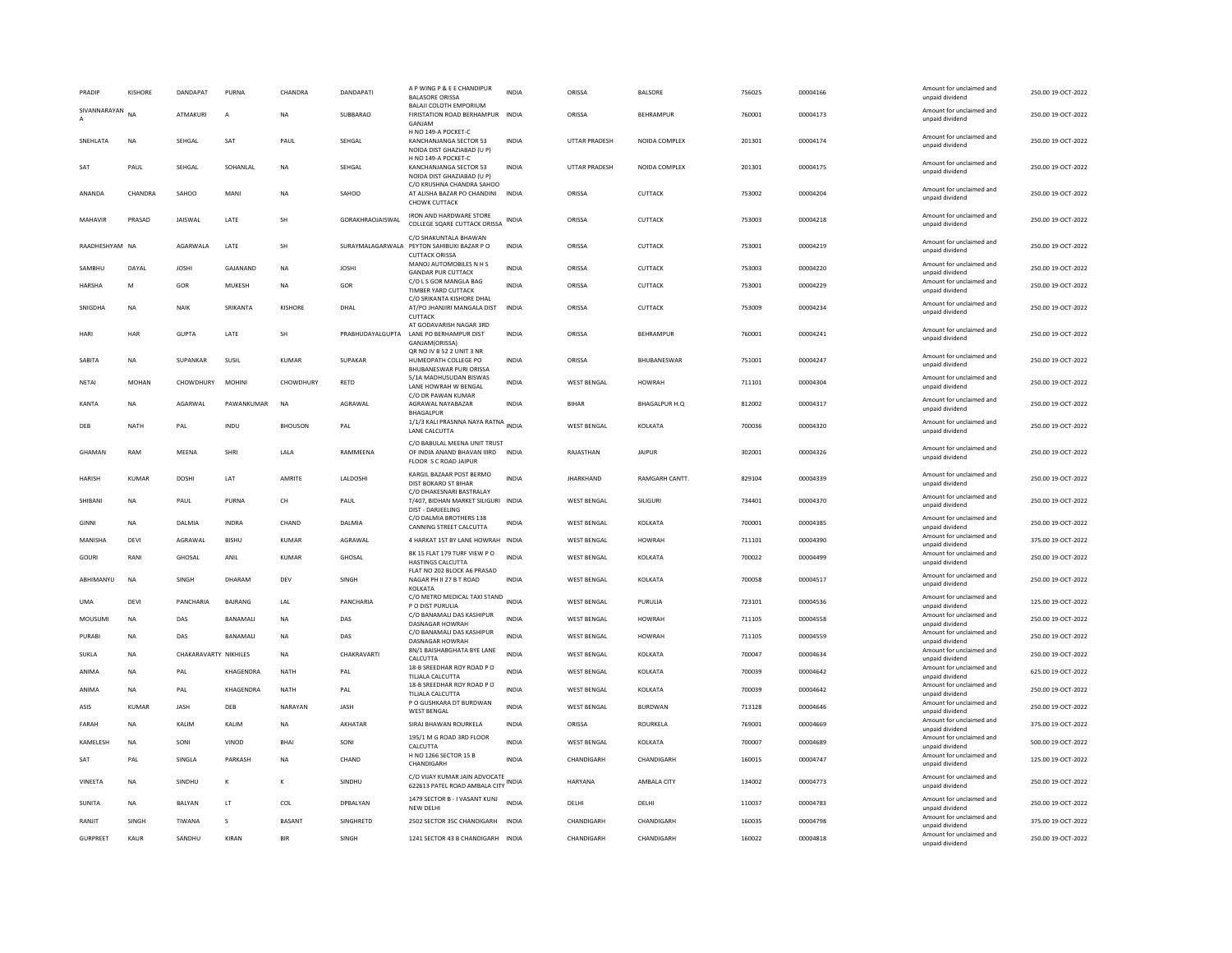| PRADIP                         | <b>KISHORE</b> | DANDAPAT              | PURNA         | CHANDRA                                               | <b>DANDAPATI</b> | A P WING P & E E CHANDIPUR<br><b>BALASORE ORISSA</b>                                        | <b>INDIA</b> | ORISSA               | <b>BALSORE</b>   | 756025 | 00004166 | Amount for unclaimed and<br>unpaid dividend | 250.00 19-OCT-2022 |
|--------------------------------|----------------|-----------------------|---------------|-------------------------------------------------------|------------------|---------------------------------------------------------------------------------------------|--------------|----------------------|------------------|--------|----------|---------------------------------------------|--------------------|
| SIVANNARAYAN<br>$\overline{A}$ | NΑ             | ATMAKURI              | A             | <b>NA</b>                                             | SUBBARAO         | <b>BALAILCOLOTH EMPORIUM</b><br>FIRISTATION ROAD BERHAMPUR INDIA<br>GANJAM                  |              | ORISSA               | BEHRAMPUR        | 760001 | 00004173 | Amount for unclaimed and<br>unpaid dividend | 250.00 19-OCT-2022 |
| SNEHLATA                       | NA             | SEHGAL                | SAT           | PAUL                                                  | SEHGAL           | H NO 149-A POCKET-C<br>KANCHANJANGA SECTOR 53<br>NOIDA DIST GHAZIABAD (U P)                 | <b>INDIA</b> | UTTAR PRADESH        | NOIDA COMPLEX    | 201301 | 00004174 | Amount for unclaimed and<br>unpaid dividend | 250.00 19-OCT-2022 |
| SAT                            | PAUL           | SEHGAL                | SOHANLAL      | <b>NA</b>                                             | SEHGAL           | H NO 149-A POCKET-C<br>KANCHANJANGA SECTOR 53<br>NOIDA DIST GHAZIABAD (U P)                 | <b>INDIA</b> | <b>UTTAR PRADESH</b> | NOIDA COMPLEX    | 201301 | 00004175 | Amount for unclaimed and<br>unpaid dividend | 250.00 19-OCT-2022 |
| ANANDA                         | CHANDRA        | SAHOO                 | MANI          | <b>NA</b>                                             | SAHOO            | C/O KRUSHNA CHANDRA SAHOO<br>AT ALISHA BAZAR PO CHANDINI<br>CHOWK CUTTACK                   | INDIA        | ORISSA               | CUTTACK          | 753002 | 00004204 | Amount for unclaimed and<br>unpaid dividend | 250.00 19-OCT-2022 |
| MAHAVIR                        | PRASAD         | <b>JAISWAL</b>        | LATE          | SH                                                    | GORAKHRAOJAISWAL | <b>IRON AND HARDWARE STORE</b><br>COLLEGE SQARE CUTTACK ORISSA                              | INDIA        | ORISSA               | <b>CUTTACK</b>   | 753003 | 00004218 | Amount for unclaimed and<br>unpaid dividend | 250.00 19-OCT-2022 |
| RAADHESHYAM NA                 |                | AGARWALA              | LATE          | SH                                                    | SURAYMALAGARWALA | C/O SHAKUNTALA BHAWAN<br>PEYTON SAHIBUXI BAZAR P O<br><b>CUTTACK ORISSA</b>                 | <b>INDIA</b> | ORISSA               | CUTTACK          | 753001 | 00004219 | Amount for unclaimed and<br>unpaid dividend | 250.00 19-OCT-2022 |
| SAMBHU                         | DAYAL          | <b>JOSHI</b>          | GAJANAND      | <b>NA</b>                                             | <b>JOSHI</b>     | MANOJ AUTOMOBILES N H S<br><b>GANDAR PUR CUTTACK</b>                                        | INDIA        | ORISSA               | CUTTACK          | 753003 | 00004220 | Amount for unclaimed and<br>unpaid dividend | 250.00 19-OCT-2022 |
| <b>HARSHA</b>                  | M              | GOR                   | MUKESH        | NA                                                    | GOR              | C/O L S GOR MANGLA BAG<br>TIMBER YARD CUTTACK                                               | <b>INDIA</b> | ORISSA               | CUTTACK          | 753001 | 00004229 | Amount for unclaimed and<br>unpaid dividend | 250.00 19-OCT-2022 |
| SNIGDHA                        | <b>NA</b>      | NAIK                  | SRIKANTA      | KISHORE                                               | DHAI             | C/O SRIKANTA KISHORE DHAL<br>AT/PO JHANJIRI MANGALA DIST                                    | <b>INDIA</b> | ORISSA               | <b>CUTTACK</b>   | 753009 | 00004234 | Amount for unclaimed and<br>unpaid dividend | 250.00.19-OCT-2022 |
| HARI                           | HAR            | <b>GUPTA</b>          | LATE          | SH                                                    | PRABHUDAYALGUPTA | <b>CUTTACK</b><br>AT GODAVARISH NAGAR 3RD<br>LANE PO BERHAMPUR DIST<br>GANJAM(ORISSA)       | <b>INDIA</b> | ORISSA               | <b>BEHRAMPUR</b> | 760001 | 00004241 | Amount for unclaimed and<br>unpaid dividend | 250.00 19-OCT-2022 |
| SABITA                         | <b>NA</b>      | SUPANKAR              | SUSIL         | <b>KUMAR</b>                                          | SUPAKAR          | QR NO IV B 52 2 UNIT 3 NR<br>HUMEOPATH COLLEGE PO                                           | <b>INDIA</b> | ORISSA               | BHUBANESWAR      | 751001 | 00004247 | Amount for unclaimed and<br>unpaid dividend | 250.00 19-OCT-2022 |
| NETAI                          | MOHAN          | CHOWDHURY             | <b>MOHINI</b> | CHOWDHURY                                             | <b>RFTD</b>      | <b>BHUBANESWAR PURI ORISSA</b><br>5/1A MADHUSUDAN BISWAS<br>LANE HOWRAH W BENGAL            | <b>INDIA</b> | <b>WEST BENGAL</b>   | HOWRAH           | 711101 | 00004304 | Amount for unclaimed and<br>unpaid dividend | 250.00.19-OCT-2022 |
| KANTA                          | <b>NA</b>      | AGARWAL               | PAWANKUMAR    | <b>NA</b>                                             | AGRAWAL          | C/O DR PAWAN KUMAR<br>AGRAWAL NAYABAZAR                                                     | <b>INDIA</b> | <b>BIHAR</b>         | BHAGALPUR H.Q    | 812002 | 00004317 | Amount for unclaimed and<br>unpaid dividend | 250.00 19-OCT-2022 |
| DEB                            | NATH           | PAL                   | INDU          | <b>BHOUSON</b>                                        | PAI              | <b>BHAGALPUR</b><br>1/1/3 KALI PRASNNA NAYA RATNA INDIA<br>LANE CALCUTTA                    |              | <b>WEST BENGAL</b>   | KOLKATA          | 700036 | 00004320 | Amount for unclaimed and<br>unpaid dividend | 250.00 19-OCT-2022 |
| GHAMAN                         | RAM            | MEENA                 | <b>SHRI</b>   | LALA                                                  | RAMMEENA         | C/O BABULAL MEENA UNIT TRUST<br>OF INDIA ANAND BHAVAN IIIRD<br>FLOOR S C ROAD JAIPUF        | <b>INDIA</b> | RAJASTHAN            | <b>JAIPUR</b>    | 302001 | 00004326 | Amount for unclaimed and<br>unpaid dividend | 250.00 19-OCT-2022 |
| <b>HARISH</b>                  | <b>KUMAR</b>   | <b>DOSHI</b>          | LAT           | AMRITE                                                | LALDOSHI         | KARGIL BAZAAR POST BERMO<br>DIST BOKARO ST BIHAR                                            | <b>INDIA</b> | <b>JHARKHAND</b>     | RAMGARH CANTT.   | 829104 | 00004339 | Amount for unclaimed and<br>unpaid dividend | 250.00 19-OCT-2022 |
| SHIBANI                        | ΝA             | PAUL                  | PURNA         | $\mathsf{CH}% _{\mathsf{C}}^{\mathsf{C}}(\mathsf{C})$ | PAUL             | C/O DHAKESNARI BASTRALAY<br>T/407, BIDHAN MARKET SILIGURI INDIA<br><b>DIST - DARJEELING</b> |              | <b>WEST BENGAL</b>   | SILIGURI         | 734401 | 00004370 | Amount for unclaimed and<br>unpaid dividend | 250.00 19-OCT-2022 |
| GINNI                          | <b>NA</b>      | DAI MIA               | <b>INDRA</b>  | CHAND                                                 | DAI MIA          | C/O DALMIA BROTHERS 138<br>CANNING STREET CALCUTTA                                          | <b>INDIA</b> | <b>WEST RENGAL</b>   | KOI KATA         | 700001 | 00004385 | Amount for unclaimed and<br>unpaid dividend | 250.00 19-OCT-2022 |
| MANISHA                        | DEVI           | AGRAWAL               | <b>BISHU</b>  | KUMAR                                                 | AGRAWAL          | 4 HARKAT 1ST BY LANE HOWRAH INDIA                                                           |              | <b>WEST BENGAL</b>   | <b>HOWRAH</b>    | 711101 | 00004390 | Amount for unclaimed and<br>unpaid dividend | 375.00 19-OCT-2022 |
| GOURI                          | RANI           | GHOSAL                | ANIL          | <b>KUMAR</b>                                          | GHOSAL           | BK 15 FLAT 179 TURF VIEW PO<br><b>HASTINGS CALCUTTA</b>                                     | <b>INDIA</b> | <b>WEST BENGAL</b>   | KOLKATA          | 700022 | 00004499 | Amount for unclaimed and<br>unpaid dividend | 250.00 19-OCT-2022 |
| ABHIMANYU                      | NA             | SINGH                 | DHARAM        | DEV                                                   | SINGH            | FLAT NO 202 BLOCK A6 PRASAD<br>NAGAR PH II 27 B T ROAD<br>KOLKATA                           | INDIA        | <b>WEST BENGAL</b>   | KOLKATA          | 700058 | 00004517 | Amount for unclaimed and<br>unpaid dividend | 250.00 19-OCT-2022 |
| <b>UMA</b>                     | DEVI           | PANCHARIA             | BAJRANG       | LAL                                                   | PANCHARIA        | C/O METRO MEDICAL TAXI STAND INDIA<br>P O DIST PURULIA                                      |              | <b>WEST BENGAL</b>   | PURULIA          | 723101 | 00004536 | Amount for unclaimed and<br>unpaid dividend | 125.00 19-OCT-2022 |
| MOUSUMI                        | NA             | DAS                   | BANAMALI      | NA                                                    | DAS              | C/O BANAMALI DAS KASHIPUR<br><b>DASNAGAR HOWRAH</b>                                         | <b>INDIA</b> | WEST BENGAL          | <b>HOWRAH</b>    | 711105 | 00004558 | Amount for unclaimed and<br>unpaid dividend | 250.00 19-OCT-2022 |
| PURABI                         | <b>NA</b>      | DAS                   | BANAMALI      | <b>NA</b>                                             | DAS              | C/O BANAMALI DAS KASHIPUR<br>DASNAGAR HOWRAH                                                | <b>INDIA</b> | <b>WEST BENGAL</b>   | <b>HOWRAH</b>    | 711105 | 00004559 | Amount for unclaimed and<br>unpaid dividend | 250.00 19-OCT-2022 |
| SUKLA                          | ΝA             | CHAKARAVARTY NIKHILES |               | NA                                                    | CHAKRAVARTI      | 8N/1 BAISHABGHATA BYE LANE<br>CALCUTTA                                                      | <b>INDIA</b> | <b>WEST BENGAL</b>   | KOLKATA          | 700047 | 00004634 | Amount for unclaimed and<br>unpaid dividend | 250.00 19-OCT-2022 |
| ANIMA                          | <b>NA</b>      | PAL                   | KHAGENDRA     | <b>NATH</b>                                           | PAL              | 18-B SREEDHAR ROY ROAD P O<br>TILJALA CALCUTTA                                              | <b>INDIA</b> | <b>WEST BENGAL</b>   | KOLKATA          | 700039 | 00004642 | Amount for unclaimed and<br>unpaid dividend | 625.00 19-OCT-2022 |
| ANIMA                          | <b>NA</b>      | PAL                   | KHAGENDRA     | NATH                                                  | PAL              | 18-B SREEDHAR ROY ROAD P O<br>TILIALA CALCUTTA                                              | <b>INDIA</b> | <b>WEST BENGAL</b>   | KOLKATA          | 700039 | 00004642 | Amount for unclaimed and<br>unpaid dividend | 250.00 19-OCT-2022 |
| ASIS                           | <b>KUMAR</b>   | <b>JASH</b>           | DEB           | NARAYAN                                               | <b>JASH</b>      | P O GUSHKARA DT BURDWAN<br><b>WEST BENGAL</b>                                               | <b>INDIA</b> | <b>WEST BENGAL</b>   | BURDWAN          | 713128 | 00004646 | Amount for unclaimed and<br>unpaid dividend | 250.00 19-OCT-2022 |
| FARAH                          | <b>NA</b>      | <b>KAIIM</b>          | KAIIM         | <b>NA</b>                                             | AKHATAR          | SIRAJ BHAWAN ROURKELA                                                                       | <b>INDIA</b> | ORISSA               | ROURKELA         | 769001 | 00004669 | Amount for unclaimed and<br>unpaid dividend | 375.00 19-OCT-2022 |
| KAMELESH                       | <b>NA</b>      | SONI                  | VINOD         | BHAI                                                  | SONI             | 195/1 M G ROAD 3RD FLOOR<br>CALCUTTA                                                        | <b>INDIA</b> | <b>WEST BENGAL</b>   | KOLKATA          | 700007 | 00004689 | Amount for unclaimed and<br>unpaid dividend | 500.00 19-OCT-2022 |
| SAT                            | PAL            | SINGLA                | PARKASH       | <b>NA</b>                                             | CHAND            | H NO 1266 SECTOR 15 B<br>CHANDIGARH                                                         | <b>INDIA</b> | CHANDIGARH           | CHANDIGARH       | 160015 | 00004747 | Amount for unclaimed and<br>unpaid dividend | 125.00 19-OCT-2022 |
| VINEETA                        | <b>NA</b>      | SINDHU                | к             |                                                       | SINDHU           | C/O VIJAY KUMAR JAIN ADVOCATE<br>622613 PATEL ROAD AMBALA CITY                              | INDIA        | HARYANA              | AMBALA CITY      | 134002 | 00004773 | Amount for unclaimed and<br>unpaid dividend | 250.00 19-OCT-2022 |
| SUNITA                         | <b>NA</b>      | BALYAN                | LT            | COL                                                   | DPBALYAN         | 1479 SECTOR B - I VASANT KUNJ<br>NEW DELHI                                                  | <b>INDIA</b> | DELHI                | DELHI            | 110037 | 00004783 | Amount for unclaimed and<br>unpaid dividend | 250.00 19-OCT-2022 |
| RANJIT                         | SINGH          | TIWANA                | s             | <b>BASANT</b>                                         | SINGHRETD        | 2502 SECTOR 35C CHANDIGARH                                                                  | <b>INDIA</b> | CHANDIGARH           | CHANDIGARH       | 160035 | 00004798 | Amount for unclaimed and<br>unpaid dividend | 375.00 19-OCT-2022 |
| <b>GURPREET</b>                | KAUF           | SANDHU                | KIRAN         | <b>BIR</b>                                            | SINGH            | 1241 SECTOR 43 B CHANDIGARH                                                                 | INDIA        | CHANDIGARH           | CHANDIGARH       | 160022 | 00004818 | Amount for unclaimed and<br>unpaid dividend | 250.00 19-OCT-2022 |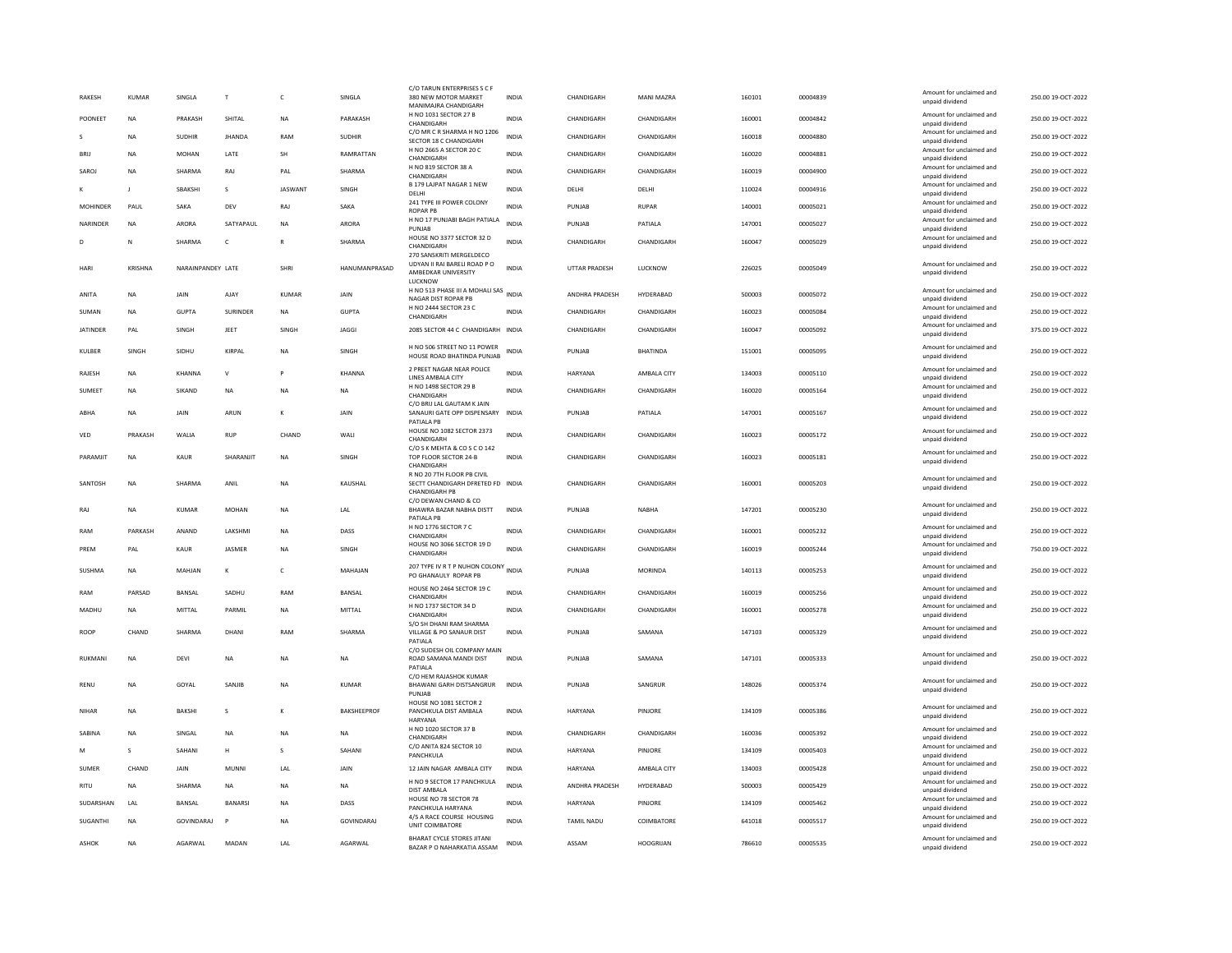| <b>RAKESH</b>   | <b>KUMAR</b>   | SINGLA            | $\mathsf{T}$    | $\mathsf{C}$   | SINGLA             | C/O TARUN ENTERPRISES S C F<br>380 NEW MOTOR MARKET<br>MANIMAIRA CHANDIGARH                | <b>INDIA</b> | CHANDIGARH           | <b>MANI MAZRA</b> | 160101 | 00004839 | Amount for unclaimed and<br>unpaid dividend | 250.00 19-OCT-2022 |
|-----------------|----------------|-------------------|-----------------|----------------|--------------------|--------------------------------------------------------------------------------------------|--------------|----------------------|-------------------|--------|----------|---------------------------------------------|--------------------|
| POONEET         | <b>NA</b>      | PRAKASH           | SHITAI          | <b>NA</b>      | PARAKASH           | H NO 1031 SECTOR 27 B                                                                      | <b>INDIA</b> | CHANDIGARH           | CHANDIGARH        | 160001 | 00004842 | Amount for unclaimed and                    | 250.00.19-OCT-2022 |
| -S              | <b>NA</b>      | <b>SUDHIR</b>     | <b>JHANDA</b>   | RAM            | <b>SUDHIR</b>      | CHANDIGARH<br>C/O MR C R SHARMA H NO 1206                                                  | <b>INDIA</b> | CHANDIGARH           | CHANDIGARH        | 160018 | 00004880 | unpaid dividend<br>Amount for unclaimed and | 250.00 19-OCT-2022 |
| BRIJ            | <b>NA</b>      |                   | LATE            | <b>SH</b>      | RAMRATTAN          | SECTOR 18 C CHANDIGARH<br>H NO 2665 A SECTOR 20 C                                          |              |                      |                   | 160020 |          | unpaid dividend<br>Amount for unclaimed and |                    |
|                 |                | MOHAN             |                 |                |                    | CHANDIGARH<br>H NO 819 SECTOR 38 A                                                         | <b>INDIA</b> | CHANDIGARH           | CHANDIGARH        |        | 00004881 | unpaid dividend<br>Amount for unclaimed and | 250.00 19-OCT-2022 |
| SAROJ           | <b>NA</b>      | SHARMA            | RAJ             | PAL            | SHARMA             | CHANDIGARH                                                                                 | <b>INDIA</b> | CHANDIGARH           | CHANDIGARH        | 160019 | 00004900 | unpaid dividend                             | 250.00 19-OCT-2022 |
|                 | $\mathbf{I}$   | SBAKSHI           | s               | <b>JASWANT</b> | SINGH              | B 179 LAJPAT NAGAR 1 NEW<br>DELHI                                                          | <b>INDIA</b> | DELHI                | DELHI             | 110024 | 00004916 | Amount for unclaimed and<br>unpaid dividend | 250.00 19-OCT-2022 |
| <b>MOHINDER</b> | PAUL           | SAKA              | DFV             | RAJ            | SAKA               | 241 TYPE III POWER COLONY                                                                  | <b>INDIA</b> | PUNIAR               | RUPAR             | 140001 | 00005021 | Amount for unclaimed and                    | 250.00 19-OCT-2022 |
| NARINDER        | <b>NA</b>      | <b>ARORA</b>      | SATYAPAUL       | <b>NA</b>      | <b>ARORA</b>       | <b>ROPAR PB</b><br>H NO 17 PUNJABI BAGH PATIALA                                            | <b>INDIA</b> | PUNJAB               | PATIALA           | 147001 | 00005027 | unpaid dividend<br>Amount for unclaimed and | 250.00 19-OCT-2022 |
|                 |                |                   |                 |                |                    | PUNJAB<br>HOUSE NO 3377 SECTOR 32 D                                                        |              |                      |                   |        |          | unpaid dividend<br>Amount for unclaimed and |                    |
| D               | N              | <b>SHARMA</b>     | $\mathsf{C}$    | $\mathbb{R}$   | SHARMA             | CHANDIGARH                                                                                 | <b>INDIA</b> | CHANDIGARH           | CHANDIGARH        | 160047 | 00005029 | unpaid dividend                             | 250.00 19-OCT-2022 |
| HARI            | <b>KRISHNA</b> | NARAINPANDEY LATE |                 | SHRI           | HANUMANPRASAD      | 270 SANSKRITI MERGELDECO<br>UDYAN II RAI BARELI ROAD P O<br>AMBEDKAR UNIVERSITY<br>LUCKNOW | <b>INDIA</b> | <b>UTTAR PRADESH</b> | LUCKNOW           | 226025 | 00005049 | Amount for unclaimed and<br>unpaid dividend | 250.00 19-OCT-2022 |
| ANITA           | <b>NA</b>      | JAIN              | AJAY            | KUMAR          | JAIN               | H NO 513 PHASE III A MOHALI SAS<br>NAGAR DIST ROPAR PR                                     | <b>INDIA</b> | ANDHRA PRADESH       | HYDERABAD         | 500003 | 00005072 | Amount for unclaimed and<br>unnaid dividend | 250.00 19-OCT-2022 |
| SUMAN           | <b>NA</b>      | <b>GUPTA</b>      | <b>SURINDER</b> | <b>NA</b>      | <b>GUPTA</b>       | H NO 2444 SECTOR 23 C                                                                      | <b>INDIA</b> | CHANDIGARH           | CHANDIGARH        | 160023 | 00005084 | Amount for unclaimed and                    | 250.00 19-OCT-2022 |
| <b>IATINDER</b> | PAI            | SINGH             | JEET            | SINGH          | <b>JAGGI</b>       | CHANDIGARH<br>2085 SECTOR 44 C. CHANDIGARH INDIA                                           |              | CHANDIGARH           | CHANDIGARH        | 160047 | 00005092 | unpaid dividend<br>Amount for unclaimed and | 375.00 19-OCT-2022 |
|                 |                |                   |                 |                |                    |                                                                                            |              |                      |                   |        |          | unpaid dividend                             |                    |
| KULBER          | SINGH          | SIDHU             | KIRPAL          | <b>NA</b>      | SINGH              | H NO 506 STREET NO 11 POWER<br>HOUSE ROAD BHATINDA PUNJAB                                  | <b>INDIA</b> | PUNJAB               | <b>BHATINDA</b>   | 151001 | 00005095 | Amount for unclaimed and<br>unpaid dividend | 250.00 19-OCT-2022 |
| <b>RAIFSH</b>   | <b>NA</b>      | KHANNA            | $\mathsf{v}$    | P              | KHANNA             | 2 PREET NAGAR NEAR POLICE<br>LINES AMBALA CITY                                             | <b>INDIA</b> | HARYANA              | AMBALA CITY       | 134003 | 00005110 | Amount for unclaimed and<br>unpaid dividend | 250.00.19-OCT-2022 |
| <b>SUMEET</b>   | <b>NA</b>      | SIKAND            | <b>NA</b>       | <b>NA</b>      | <b>NA</b>          | H NO 1498 SECTOR 29 B<br>CHANDIGARH                                                        | <b>INDIA</b> | CHANDIGARH           | CHANDIGARH        | 160020 | 00005164 | Amount for unclaimed and<br>unpaid dividend | 250.00 19-OCT-2022 |
|                 |                |                   |                 |                |                    | C/O BRIJ LAL GAUTAM K JAIN                                                                 |              |                      |                   |        |          | Amount for unclaimed and                    |                    |
| ABHA            | <b>NA</b>      | JAIN              | ARUN            | К              | JAIN               | SANAURI GATE OPP DISPENSARY<br>PATIALA PB                                                  | <b>INDIA</b> | PUNJAB               | PATIALA           | 147001 | 00005167 | unpaid dividend                             | 250.00 19-OCT-2022 |
| VED             | PRAKASH        | WALIA             | <b>RUP</b>      | CHAND          | WALI               | HOUSE NO 1082 SECTOR 2373<br>CHANDIGARH                                                    | <b>INDIA</b> | CHANDIGARH           | CHANDIGARH        | 160023 | 00005172 | Amount for unclaimed and<br>unpaid dividend | 250.00 19-OCT-2022 |
| PARAMJIT        | NA             | KAUR              | SHARANJIT       | <b>NA</b>      | SINGH              | C/O S K MEHTA & CO S C O 142<br>TOP FLOOR SECTOR 24-B<br>CHANDIGARH                        | <b>INDIA</b> | CHANDIGARH           | CHANDIGARH        | 160023 | 00005181 | Amount for unclaimed and<br>unpaid dividend | 250.00 19-OCT-2022 |
| SANTOSH         | NA             | SHARMA            | ANIL            | <b>NA</b>      | KAUSHAL            | R NO 20 7TH FLOOR PB CIVIL<br>SECTT CHANDIGARH DFRETED FD INDIA<br><b>CHANDIGARH PB</b>    |              | CHANDIGARH           | CHANDIGARH        | 160001 | 00005203 | Amount for unclaimed and<br>unpaid dividend | 250.00 19-OCT-2022 |
| RAJ             | <b>NA</b>      | KUMAR             | <b>MOHAN</b>    | <b>NA</b>      | LAL                | C/O DEWAN CHAND & CO<br>BHAWRA BAZAR NABHA DISTT<br>PATIALA PB                             | <b>INDIA</b> | PUNJAB               | <b>NABHA</b>      | 147201 | 00005230 | Amount for unclaimed and<br>unpaid dividend | 250.00 19-OCT-2022 |
| RAM             | PARKASH        | ANAND             | LAKSHMI         | <b>NA</b>      | DASS               | H NO 1776 SECTOR 7 C<br>CHANDIGARH                                                         | <b>INDIA</b> | CHANDIGARH           | CHANDIGARH        | 160001 | 00005232 | Amount for unclaimed and<br>unpaid dividend | 250.00 19-OCT-2022 |
| PREM            | PAL            | KAUR              | JASMER          | NA             | SINGH              | HOUSE NO 3066 SECTOR 19 D                                                                  | <b>INDIA</b> | CHANDIGARH           | CHANDIGARH        | 160019 | 00005244 | Amount for unclaimed and                    | 750.00 19-OCT-2022 |
|                 |                |                   |                 |                |                    | CHANDIGARH                                                                                 |              |                      |                   |        |          | unpaid dividend                             |                    |
| SUSHMA          | NA             | MAHIAN            | к               | $\epsilon$     | MAHAIAN            | 207 TYPE IV R T P NUHON COLONY<br>PO GHANAULY ROPAR PB                                     | <b>INDIA</b> | PUNJAR               | MORINDA           | 140113 | 00005253 | Amount for unclaimed and<br>unpaid dividend | 250.00.19-QCT-2022 |
| RAM             | PARSAD         | BANSAL            | SADHU           | RAM            | BANSAL             | HOUSE NO 2464 SECTOR 19 C<br>CHANDIGARH                                                    | INDIA        | CHANDIGARH           | CHANDIGARH        | 160019 | 00005256 | Amount for unclaimed and<br>unpaid dividend | 250.00 19-OCT-2022 |
| MADHU           | <b>NA</b>      | MITTAL            | PARMIL          | <b>NA</b>      | MITTAI             | H NO 1737 SECTOR 34 D<br>CHANDIGARH                                                        | <b>INDIA</b> | CHANDIGARH           | CHANDIGARH        | 160001 | 00005278 | Amount for unclaimed and<br>unpaid dividend | 250.00 19-OCT-2022 |
|                 |                |                   |                 |                |                    | S/O SH DHANI RAM SHARMA                                                                    |              |                      |                   |        |          | Amount for unclaimed and                    |                    |
| ROOF            | CHAND          | SHARMA            | DHAN            | RAM            | SHARMA             | VILLAGE & PO SANAUR DIST<br>PATIALA                                                        | <b>INDIA</b> | PUNJAB               | SAMANA            | 147103 | 00005329 | unpaid dividend                             | 250.00 19-OCT-2022 |
| RUKMAN          | <b>NA</b>      | DFVI              | <b>NA</b>       | <b>NA</b>      | <b>NA</b>          | C/O SUDESH OIL COMPANY MAIN<br>ROAD SAMANA MANDI DIST<br>PATIALA<br>C/O HEM RAJASHOK KUMAR | <b>INDIA</b> | PUNIAR               | SAMANA            | 147101 | 00005333 | Amount for unclaimed and<br>unpaid dividend | 250.00 19-OCT-2022 |
| RENU            | ΝA             | GOYAL             | SANJIB          | NA             | <b>KUMAR</b>       | BHAWANI GARH DISTSANGRUR<br>PUNJAB                                                         | <b>INDIA</b> | PUNJAB               | SANGRUR           | 148026 | 00005374 | Amount for unclaimed and<br>unpaid dividend | 250.00 19-OCT-2022 |
| <b>NIHAR</b>    | <b>NA</b>      | <b>BAKSHI</b>     | s               |                | <b>BAKSHEEPROF</b> | HOUSE NO 1081 SECTOR 2<br>PANCHKULA DIST AMBALA<br><b>HARYANA</b>                          | <b>INDIA</b> | HARYANA              | PINJORE           | 134109 | 00005386 | Amount for unclaimed and<br>unpaid dividend | 250.00 19-OCT-2022 |
| SARINA          | <b>NA</b>      | SINGAL            | <b>NA</b>       | <b>NA</b>      | NA                 | H NO 1020 SECTOR 37 B<br>CHANDIGARH                                                        | <b>INDIA</b> | CHANDIGARH           | CHANDIGARH        | 160036 | 00005392 | Amount for unclaimed and<br>unpaid dividend | 250.00 19-OCT-2022 |
| M               | $\mathbf{S}$   | SAHANI            | н               | $\mathbf{S}$   | SAHANI             | C/O ANITA 824 SECTOR 10<br>PANCHKULA                                                       | <b>INDIA</b> | HARYANA              | PINIORE           | 134109 | 00005403 | Amount for unclaimed and<br>unpaid dividend | 250.00.19-OCT-2022 |
| SUMER           | CHAND          | JAIN              | <b>MUNN</b>     | LAL            | JAIN               | 12 JAIN NAGAR AMBALA CITY                                                                  | <b>INDIA</b> | HARYANA              | AMBALA CITY       | 134003 | 00005428 | Amount for unclaimed and                    | 250.00 19-OCT-2022 |
|                 |                |                   |                 |                |                    | H NO 9 SECTOR 17 PANCHKULA                                                                 |              |                      |                   |        |          | unpaid dividend<br>Amount for unclaimed and |                    |
| <b>RITU</b>     | <b>NA</b>      | <b>SHARMA</b>     | <b>NA</b>       | <b>NA</b>      | <b>NA</b>          | DIST AMBALA<br>HOUSE NO 78 SECTOR 78                                                       | <b>INDIA</b> | ANDHRA PRADESH       | HYDERABAD         | 500003 | 00005429 | unpaid dividend<br>Amount for unclaimed and | 250.00 19-OCT-2022 |
| SUDARSHAN       | LAL            | BANSAL            | <b>BANARS</b>   | <b>NA</b>      | DASS               | PANCHKULA HARYANA                                                                          | <b>INDIA</b> | HARYANA              | PINJORE           | 134109 | 00005462 | unpaid dividend                             | 250.00 19-OCT-2022 |
| SUGANTHI        | <b>NA</b>      | GOVINDARAJ        | P               | <b>NA</b>      | <b>GOVINDARAJ</b>  | 4/5 A RACE COURSE HOUSING<br><b>UNIT COIMBATORE</b>                                        | <b>INDIA</b> | <b>TAMIL NADU</b>    | COIMBATORE        | 641018 | 00005517 | Amount for unclaimed and<br>unpaid dividend | 250.00 19-OCT-2022 |
| <b>ASHOK</b>    | <b>NA</b>      | AGARWAL           | MADAN           | LAL            | AGARWAL            | <b>BHARAT CYCLE STORES JITANI</b><br>BAZAR P O NAHARKATIA ASSAM                            | <b>INDIA</b> | ASSAM                | <b>HOOGRIJAN</b>  | 786610 | 00005535 | Amount for unclaimed and<br>unpaid dividend | 250.00 19-OCT-2022 |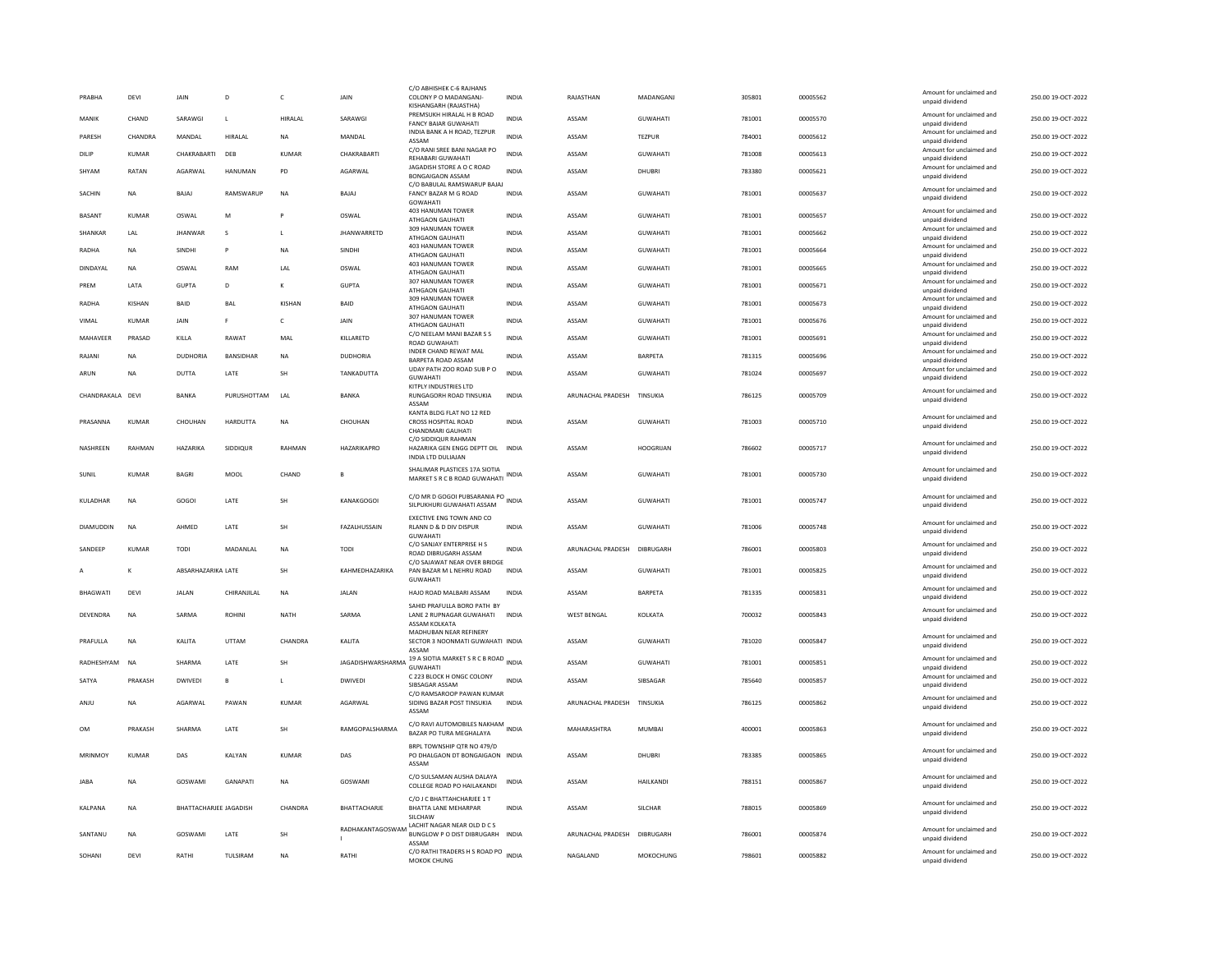| PRABHA           | <b>DEVI</b>  | <b>JAIN</b>                   | D                | $\mathsf{C}$ | <b>JAIN</b>        | C/O ABHISHEK C-6 RAJHANS<br>COLONY P O MADANGANJ-                                           | <b>INDIA</b> | RAJASTHAN          | MADANGANI        | 305801 | 00005562 | Amount for unclaimed and<br>unpaid dividend                    | 250.00 19-OCT-2022 |
|------------------|--------------|-------------------------------|------------------|--------------|--------------------|---------------------------------------------------------------------------------------------|--------------|--------------------|------------------|--------|----------|----------------------------------------------------------------|--------------------|
| MANIK            | CHAND        | SARAWGI                       | $\mathsf{L}$     | HIRALAL      | SARAWGI            | KISHANGARH (RAJASTHA)<br>PREMSUKH HIRALAL H B ROAD<br><b>FANCY BAIAR GUWAHATI</b>           | <b>INDIA</b> | ASSAM              | GUWAHATI         | 781001 | 00005570 | Amount for unclaimed and<br>unpaid dividend                    | 250.00 19-OCT-2022 |
| PARESH           | CHANDRA      | MANDAI                        | HIRAI AI         | <b>NA</b>    | MANDAI             | INDIA BANK A H ROAD, TEZPUR<br>ASSAM                                                        | <b>INDIA</b> | ASSAM              | <b>TEZPUR</b>    | 784001 | 00005612 | Amount for unclaimed and<br>unpaid dividend                    | 250.00 19-OCT-2022 |
| DILIP            | KUMAR        | CHAKRABARTI                   | DEB              | KUMAR        | CHAKRABARTI        | C/O RANI SREE BANI NAGAR PO<br><b>REHABARI GUWAHATI</b>                                     | INDIA        | ASSAM              | <b>GUWAHATI</b>  | 781008 | 00005613 | Amount for unclaimed and                                       | 250.00 19-OCT-2022 |
| SHYAN            | RATAN        | AGARWAL                       | HANUMAN          | PD           | AGARWAL            | JAGADISH STORE A O C ROAD<br>BONGAIGAON ASSAM                                               | INDIA        | ASSAM              | DHUBRI           | 783380 | 00005621 | unpaid dividend<br>Amount for unclaimed and<br>unpaid dividend | 250.00 19-OCT-2022 |
| <b>SACHIN</b>    | NA           | <b>BAIAI</b>                  | RAMSWARUP        | <b>NA</b>    | <b>BAIAI</b>       | C/O BABULAL RAMSWARUP BAJAJ<br>FANCY BAZAR M G ROAD<br>GOWAHATI                             | <b>INDIA</b> | ASSAM              | <b>GUWAHATI</b>  | 781001 | 00005637 | Amount for unclaimed and<br>unpaid dividend                    | 250.00 19-OCT-2022 |
| <b>BASANT</b>    | KUMAR        | OSWAL                         | M                | P            | OSWAL              | 403 HANUMAN TOWER<br>ATHGAON GAUHATI                                                        | INDIA        | ASSAM              | <b>GUWAHATI</b>  | 781001 | 00005657 | Amount for unclaimed and<br>unpaid dividend                    | 250.00 19-OCT-2022 |
| <b>SHANKAR</b>   | <b>IAI</b>   | <b>JHANWAF</b>                | s                | $\mathbf{I}$ | <b>JHANWARRETD</b> | 309 HANUMAN TOWER<br>ATHGAON GAUHATI                                                        | <b>INDIA</b> | ASSAM              | <b>GUWAHATI</b>  | 781001 | 00005662 | Amount for unclaimed and<br>unpaid dividend                    | 250.00 19-OCT-2022 |
| RADHA            | <b>NA</b>    | SINDHI                        | P                | <b>NA</b>    | SINDHI             | <b>403 HANUMAN TOWER</b><br>ATHGAON GAUHATI                                                 | <b>INDIA</b> | ASSAM              | <b>GUWAHATI</b>  | 781001 | 00005664 | Amount for unclaimed and<br>unpaid dividend                    | 250.00 19-OCT-2022 |
| DINDAYAL         | <b>NA</b>    | OSWAL                         | RAM              | LAL          | OSWAL              | <b>403 HANUMAN TOWER</b><br>ATHGAON GAUHATI                                                 | <b>INDIA</b> | ASSAM              | <b>GUWAHATI</b>  | 781001 | 00005665 | Amount for unclaimed and<br>unpaid dividend                    | 250.00 19-OCT-2022 |
| PREM             | LATA         | <b>GUPTA</b>                  | D                |              | <b>GUPTA</b>       | 307 HANUMAN TOWER<br>ATHGAON GAUHATI                                                        | <b>INDIA</b> | ASSAM              | GUWAHATI         | 781001 | 00005671 | Amount for unclaimed and<br>unpaid dividend                    | 250.00 19-OCT-2022 |
| RADHA            | KISHAN       | <b>BAID</b>                   | <b>BAI</b>       | KISHAN       | <b>BAID</b>        | 309 HANUMAN TOWER<br>ATHGAON GAUHATI                                                        | <b>INDIA</b> | ASSAM              | <b>GUWAHATI</b>  | 781001 | 00005673 | Amount for unclaimed and<br>unpaid dividend                    | 250.00 19-OCT-2022 |
| VIMAL            | <b>KUMAR</b> | JAIN                          | F                | $\mathsf{C}$ | JAIN               | 307 HANUMAN TOWER                                                                           | INDIA        | ASSAM              | GUWAHATI         | 781001 | 00005676 | Amount for unclaimed and                                       | 250.00 19-OCT-2022 |
| MAHAVEER         | PRASAD       | KILLA                         | RAWAT            | MAL          | KILLARETD          | ATHGAON GAUHATI<br>C/O NEELAM MANI BAZAR S S                                                | INDIA        | ASSAM              | GUWAHATI         | 781001 | 00005691 | unpaid dividend<br>Amount for unclaimed and                    | 250.00 19-OCT-2022 |
| RAJANI           | <b>NA</b>    | <b>DUDHORIA</b>               | <b>BANSIDHAR</b> | <b>NA</b>    | DUDHORIA           | ROAD GUWAHATI<br><b>INDER CHAND REWAT MAL</b>                                               | <b>INDIA</b> | ASSAM              | <b>BARPETA</b>   | 781315 | 00005696 | unpaid dividend<br>Amount for unclaimed and                    | 250.00 19-OCT-2022 |
|                  |              |                               |                  |              |                    | BARPETA ROAD ASSAM<br>UDAY PATH ZOO ROAD SUB P O                                            |              |                    |                  |        |          | unpaid dividend<br>Amount for unclaimed and                    |                    |
| ARUN             | <b>NA</b>    | <b>DUTTA</b>                  | LATE             | <b>SH</b>    | TANKADUTTA         | <b>GUWAHATI</b><br>KITPLY INDUSTRIES LTD                                                    | <b>INDIA</b> | ASSAM              | <b>GUWAHATI</b>  | 781024 | 00005697 | unpaid dividend                                                | 250.00 19-OCT-2022 |
| CHANDRAKALA DEVI |              | BANKA                         | PURUSHOTTAM      | LAI          | BANKA              | RUNGAGORH ROAD TINSUKIA<br>ASSAM                                                            | <b>INDIA</b> | ARUNACHAL PRADESH  | TINSUKIA         | 786125 | 00005709 | Amount for unclaimed and<br>unpaid dividend                    | 250.00 19-OCT-2022 |
| PRASANNA         | KUMAR        | CHOUHAN                       | HARDUTTA         | <b>NA</b>    | CHOUHAN            | KANTA BLDG FLAT NO 12 RED<br>CROSS HOSPITAL ROAD<br>CHANDMARI GAUHATI                       | INDIA        | ASSAM              | GUWAHATI         | 781003 | 00005710 | Amount for unclaimed and<br>unpaid dividend                    | 250.00 19-OCT-2022 |
| NASHREEN         | RAHMAN       | HAZARIKA                      | SIDDIQUR         | RAHMAN       | HAZARIKAPRO        | C/O SIDDIQUR RAHMAN<br>HAZARIKA GEN ENGG DEPTT OIL INDIA<br><b>INDIA LTD DULIAJAN</b>       |              | ASSAM              | <b>HOOGRIJAN</b> | 786602 | 00005717 | Amount for unclaimed and<br>unpaid dividend                    | 250.00 19-OCT-2022 |
| SUNIL            | <b>KUMAR</b> | <b>BAGRI</b>                  | MOOL             | CHAND        |                    | SHALIMAR PLASTICES 17A SIOTIA<br>MARKET S R C B ROAD GUWAHATI                               | INDIA        | ASSAM              | <b>GUWAHATI</b>  | 781001 | 00005730 | Amount for unclaimed and<br>unpaid dividend                    | 250.00 19-OCT-2022 |
| KULADHAR         | <b>NA</b>    | GOGOI                         | LATE             | <b>SH</b>    | <b>KANAKGOGOI</b>  | C/O MR D GOGOI PUBSARANIA PO INDIA<br>SILPUKHURI GUWAHATI ASSAM                             |              | ASSAM              | <b>GUWAHATI</b>  | 781001 | 00005747 | Amount for unclaimed and<br>unpaid dividend                    | 250.00 19-OCT-2022 |
| <b>DIAMUDDIN</b> | <b>NA</b>    | AHMED                         | LATE             | <b>SH</b>    | FAZALHUSSAIN       | <b>EXECTIVE ENG TOWN AND CO</b><br>RLANN D & D DIV DISPUR<br><b>GUWAHATI</b>                | <b>INDIA</b> | ASSAM              | <b>GUWAHATI</b>  | 781006 | 00005748 | Amount for unclaimed and<br>unpaid dividend                    | 250.00 19-OCT-2022 |
| SANDEEP          | KUMAR        | <b>TODI</b>                   | MADANLAL         | <b>NA</b>    | TODI               | C/O SANJAY ENTERPRISE H S<br>ROAD DIBRUGARH ASSAM                                           | <b>INDIA</b> | ARUNACHAL PRADESH  | DIBRUGARH        | 786001 | 00005803 | Amount for unclaimed and<br>unpaid dividend                    | 250.00 19-OCT-2022 |
|                  |              | ABSARHAZARIKA LATE            |                  | <b>SH</b>    | KAHMEDHAZARIKA     | C/O SAJAWAT NEAR OVER BRIDGE<br>PAN BAZAR M L NEHRU ROAD                                    | <b>INDIA</b> | ASSAM              | GUWAHATI         | 781001 | 00005825 | Amount for unclaimed and<br>unpaid dividend                    | 250.00 19-OCT-2022 |
| BHAGWATI         | <b>DEVI</b>  | <b>JALAN</b>                  | CHIRANJILAL      | <b>NA</b>    | <b>JALAN</b>       | <b>GUWAHATI</b><br>HAJO ROAD MALBARI ASSAM                                                  | <b>INDIA</b> | ASSAM              | <b>BARPETA</b>   | 781335 | 00005831 | Amount for unclaimed and                                       | 250.00 19-OCT-2022 |
|                  |              |                               |                  |              |                    | SAHID PRAFULLA BORO PATH BY                                                                 |              |                    |                  |        |          | unpaid dividend<br>Amount for unclaimed and                    |                    |
| <b>DEVENDRA</b>  | <b>NA</b>    | SARMA                         | <b>ROHINI</b>    | <b>NATH</b>  | SARMA              | LANE 2 RUPNAGAR GUWAHATI<br>ASSAM KOLKATA<br>MADHUBAN NEAR REFINERY                         | <b>INDIA</b> | <b>WEST BENGAL</b> | KOLKATA          | 700032 | 00005843 | unpaid dividend                                                | 250.00 19-OCT-2022 |
| PRAFULLA         | NA           | KALITA                        | UTTAM            | CHANDRA      | KALITA             | SECTOR 3 NOONMATI GUWAHATI INDIA<br>ASSAM                                                   |              | ASSAM              | GUWAHATI         | 781020 | 00005847 | Amount for unclaimed and<br>unpaid dividend                    | 250.00 19-OCT-2022 |
| RADHESHYAM       | <b>NA</b>    | SHARMA                        | LATE             | <b>SH</b>    |                    | JAGADISHWARSHARMA 19 A SIOTIA MARKET S R C B ROAD INDIA<br><b>GUWAHATI</b>                  |              | ASSAM              | GUWAHATI         | 781001 | 00005851 | Amount for unclaimed and<br>unpaid dividend                    | 250.00 19-OCT-2022 |
| SATYA            | PRAKASH      | DWIVEDI                       | $\overline{B}$   | L            | <b>DWIVEDI</b>     | C 223 BLOCK H ONGC COLONY<br>SIBSAGAR ASSAM                                                 | <b>INDIA</b> | ASSAM              | SIBSAGAR         | 785640 | 00005857 | Amount for unclaimed and<br>unpaid dividend                    | 250.00 19-OCT-2022 |
| ANJU             | <b>NA</b>    | AGARWAL                       | PAWAN            | KUMAR        | AGARWAL            | C/O RAMSAROOP PAWAN KUMAR<br>SIDING BAZAR POST TINSUKIA<br>ASSAM                            | <b>INDIA</b> | ARUNACHAL PRADESH  | TINSUKIA         | 786125 | 00005862 | Amount for unclaimed and<br>unpaid dividend                    | 250.00 19-OCT-2022 |
| OM               | PRAKASH      | SHARMA                        | LATE             | <b>SH</b>    | RAMGOPALSHARMA     | C/O RAVI AUTOMOBILES NAKHAM INDIA<br>BAZAR PO TURA MEGHALAYA                                |              | MAHARASHTRA        | <b>MUMBAI</b>    | 400001 | 00005863 | Amount for unclaimed and<br>unpaid dividend                    | 250.00 19-OCT-2022 |
| MRINMOY          | KUMAR        | DAS                           | KALYAN           | KUMAR        | DAS                | BRPL TOWNSHIP OTR NO 479/D<br>PO DHALGAON DT BONGAIGAON INDIA<br>ASSAM                      |              | ASSAM              | DHUBRI           | 783385 | 00005865 | Amount for unclaimed and<br>unpaid dividend                    | 250.00 19-OCT-2022 |
| <b>JABA</b>      | ΝA           | GOSWAMI                       | GANAPATI         | NA           | GOSWAMI            | C/O SULSAMAN AUSHA DALAYA<br>COLLEGE ROAD PO HAILAKANDI                                     | <b>INDIA</b> | ASSAM              | HAILKANDI        | 788151 | 00005867 | Amount for unclaimed and<br>unpaid dividend                    | 250.00 19-OCT-2022 |
| KALPANA          | <b>NA</b>    | <b>BHATTACHARJEE JAGADISH</b> |                  | CHANDRA      | BHATTACHARJE       | C/O I C BHATTAHCHARIFF 1 T<br>BHATTA LANE MEHARPAR                                          | INDIA        | ASSAM              | SILCHAR          | 788015 | 00005869 | Amount for unclaimed and<br>unpaid dividend                    | 250.00 19-OCT-2022 |
| SANTANL          | <b>NA</b>    | GOSWAMI                       | LATE             | SH           |                    | SILCHAW<br>RADHAKANTAGOSWAM LACHIT NAGAR NEAR OLD D C S<br>BUNGLOW P O DIST DIBRUGARH INDIA |              | ARUNACHAL PRADESH  | DIBRUGARH        | 786001 | 00005874 | Amount for unclaimed and<br>unnaid dividend                    | 250.00 19-OCT-2022 |
|                  |              | RATHI                         |                  | <b>NA</b>    | RATHI              | ASSAM<br>C/O RATHI TRADERS H S ROAD PO INDIA                                                |              |                    |                  | 798601 |          | Amount for unclaimed and                                       |                    |
| SOHANI           | DEVI         |                               | TULSIRAM         |              |                    | MOKOK CHUNG                                                                                 |              | NAGALAND           | MOKOCHUNG        |        | 00005882 | unpaid dividend                                                | 250.00 19-OCT-2022 |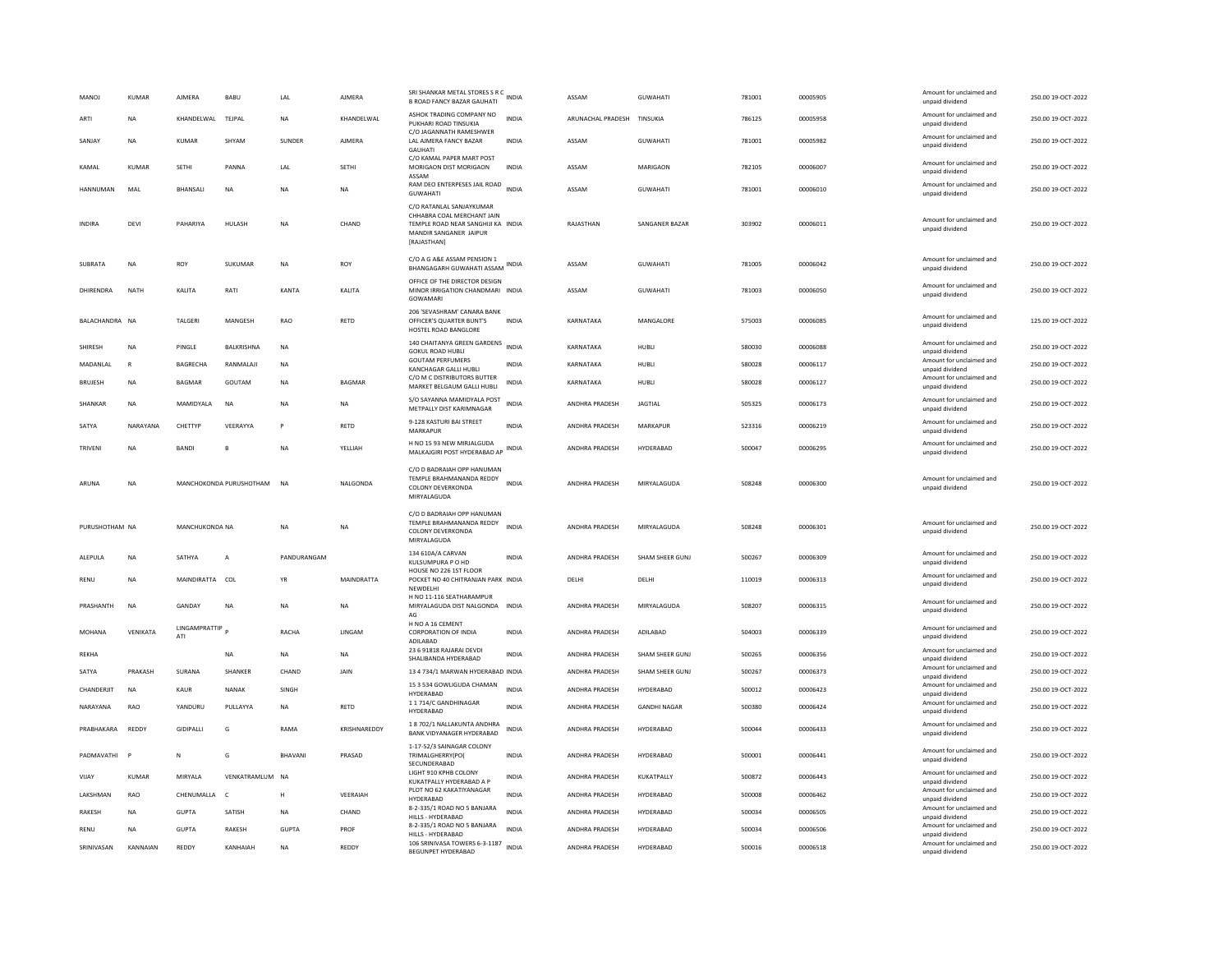| <b>MANOJ</b>    | <b>KUMAR</b> | <b>AJMERA</b>        | BABU                    | LAL         | <b>AJMERA</b> | SRI SHANKAR METAL STORES S R C<br><b>B ROAD FANCY BAZAR GAUHATI</b>                                                                   | INDIA        | ASSAM                      | <b>GUWAHATI</b>     | 781001 | 00005905 | Amount for unclaimed and<br>unpaid dividend                    | 250.00 19-OCT-2022 |
|-----------------|--------------|----------------------|-------------------------|-------------|---------------|---------------------------------------------------------------------------------------------------------------------------------------|--------------|----------------------------|---------------------|--------|----------|----------------------------------------------------------------|--------------------|
| ARTI            | <b>NA</b>    | KHANDELWAL TEJPAL    |                         | <b>NA</b>   | KHANDELWAL    | ASHOK TRADING COMPANY NO<br>PUKHARI ROAD TINSUKIA                                                                                     | <b>INDIA</b> | ARUNACHAL PRADESH TINSUKIA |                     | 786125 | 00005958 | Amount for unclaimed and<br>unpaid dividend                    | 250.00 19-OCT-2022 |
| SANJAY          | <b>NA</b>    | <b>KUMAR</b>         | SHYAM                   | SUNDER      | <b>AJMERA</b> | C/O JAGANNATH RAMESHWER<br>LAL AJMERA FANCY BAZAR<br><b>GAUHATI</b>                                                                   | INDIA        | ASSAM                      | <b>GUWAHATI</b>     | 781001 | 00005982 | Amount for unclaimed and<br>unpaid dividend                    | 250.00 19-OCT-2022 |
| KAMAL           | KUMAR        | SETHI                | PANNA                   | LAL         | SETHI         | C/O KAMAL PAPER MART POST<br>MORIGAON DIST MORIGAON<br>ASSAM                                                                          | <b>INDIA</b> | ASSAM                      | MARIGAON            | 782105 | 00006007 | Amount for unclaimed and<br>unpaid dividend                    | 250.00 19-OCT-2022 |
| <b>HANNUMAN</b> | MAL          | BHANSALI             | <b>NA</b>               | <b>NA</b>   | <b>NA</b>     | RAM DEO ENTERPESES JAIL ROAD<br><b>GUWAHATI</b>                                                                                       | <b>INDIA</b> | ASSAM                      | <b>GUWAHATI</b>     | 781001 | 00006010 | Amount for unclaimed and<br>unpaid dividend                    | 250.00 19-OCT-2022 |
| INDIRA          | DEVI         | PAHARIYA             | HULASH                  | NA          | CHAND         | C/O RATANLAL SANJAYKUMAR<br>CHHABRA COAL MERCHANT JAIN<br>TEMPLE ROAD NEAR SANGHIJI KA INDIA<br>MANDIR SANGANER JAIPUR<br>[RAJASTHAN] |              | RAJASTHAN                  | SANGANER BAZAR      | 303902 | 00006011 | Amount for unclaimed and<br>unpaid dividend                    | 250.00 19-OCT-2022 |
| SUBRATA         | <b>NA</b>    | ROY                  | SUKUMAR                 | <b>NA</b>   | ROY           | C/O A G A&E ASSAM PENSION 1<br>BHANGAGARH GUWAHATI ASSAM                                                                              | <b>INDIA</b> | ASSAM                      | <b>GUWAHATI</b>     | 781005 | 00006042 | Amount for unclaimed and<br>unpaid dividend                    | 250.00 19-OCT-2022 |
| DHIRFNDRA       | <b>NATH</b>  | <b>KAI ITA</b>       | RATI                    | KANTA       | <b>KALITA</b> | OFFICE OF THE DIRECTOR DESIGN<br>MINOR IRRIGATION CHANDMARI INDIA<br>GOWAMARI                                                         |              | ASSAM                      | <b>GUWAHATI</b>     | 781003 | 00006050 | Amount for unclaimed and<br>unpaid dividend                    | 250.00.19-OCT-2022 |
| BAI ACHANDRA NA |              | <b>TAI GERI</b>      | MANGESH                 | RAO         | RETD          | 206 'SEVASHRAM' CANARA BANK<br>OFFICER'S OUARTER BUNT'S<br>HOSTEL ROAD BANGLORE                                                       | <b>INDIA</b> | KARNATAKA                  | MANGALORE           | 575003 | 00006085 | Amount for unclaimed and<br>unpaid dividend                    | 125.00 19-OCT-2022 |
| SHIRESH         | <b>NA</b>    | PINGLE               | BALKRISHNA              | <b>NA</b>   |               | 140 CHAITANYA GREEN GARDENS INDIA<br><b>GOKUL ROAD HUBLI</b>                                                                          |              | KARNATAKA                  | HUBLI               | 580030 | 00006088 | Amount for unclaimed and<br>unnaid dividend                    | 250.00 19-OCT-2022 |
| MADANI AI       | $\mathbb{R}$ | <b>BAGRECHA</b>      | <b>RANMALAIL</b>        | <b>NA</b>   |               | <b>GOUTAM PERFUMERS</b><br>KANCHAGAR GALLI HUBLI                                                                                      | <b>INDIA</b> | KARNATAKA                  | <b>HUBLE</b>        | 580028 | 00006117 | Amount for unclaimed and<br>unpaid dividend                    | 250.00.19-QCT-2022 |
| <b>BRUJESH</b>  | <b>NA</b>    | BAGMAR               | GOUTAM                  | <b>NA</b>   | <b>BAGMAR</b> | C/O M C DISTRIBUTORS BUTTER<br>MARKET BELGAUM GALLI HUBLI                                                                             | <b>INDIA</b> | KARNATAKA                  | HUBLI               | 580028 | 00006127 | Amount for unclaimed and<br>unpaid dividend                    | 250.00 19-OCT-2022 |
| SHANKAR         | NA           | MAMIDYALA            | $_{\sf NA}$             | <b>NA</b>   | NA            | S/O SAYANNA MAMIDYALA POST<br>METPALLY DIST KARIMNAGAR                                                                                | INDIA        | ANDHRA PRADESH             | <b>JAGTIAL</b>      | 505325 | 00006173 | Amount for unclaimed and<br>unpaid dividend                    | 250.00 19-OCT-2022 |
| SATYA           | NARAYANA     | CHETTYP              | VEERAYYA                |             | RETD          | 9-128 KASTURI BAI STREET<br>MARKAPUR                                                                                                  | <b>INDIA</b> | ANDHRA PRADESH             | MARKAPUR            | 523316 | 00006219 | Amount for unclaimed and<br>unpaid dividend                    | 250.00 19-OCT-2022 |
| TRIVENI         | NA           | <b>BANDI</b>         |                         | <b>NA</b>   | YELLIAH       | H NO 15 93 NEW MIRJALGUDA<br>MALKAJGIRI POST HYDERABAD AP                                                                             | INDIA        | ANDHRA PRADESH             | HYDERABAD           | 500047 | 00006295 | Amount for unclaimed and<br>unpaid dividend                    | 250.00 19-OCT-2022 |
| ARUNA           |              |                      |                         |             |               | C/O D BADRAIAH OPP HANUMAN<br>TEMPLE BRAHMANANDA REDDY                                                                                |              |                            |                     |        |          |                                                                |                    |
|                 | <b>NA</b>    |                      | MANCHOKONDA PURUSHOTHAM | <b>NA</b>   | NALGONDA      | <b>COLONY DEVERKONDA</b><br>MIRYALAGUDA                                                                                               | <b>INDIA</b> | <b>ANDHRA PRADESH</b>      | MIRYAI AGUDA        | 508248 | 00006300 | Amount for unclaimed and<br>unpaid dividend                    | 250.00 19-OCT-2022 |
| PURUSHOTHAM NA  |              | MANCHUKONDA NA       |                         | <b>NA</b>   | NA            | C/O D BADRAIAH OPP HANUMAN<br>TEMPLE BRAHMANANDA REDDY<br><b>COLONY DEVERKONDA</b><br>MIRYALAGUDA                                     | <b>INDIA</b> | ANDHRA PRADESH             | MIRYALAGUDA         | 508248 | 00006301 | Amount for unclaimed and<br>unpaid dividend                    | 250.00 19-OCT-2022 |
| ALEPULA         | <b>NA</b>    | SATHYA               | $\overline{A}$          | PANDURANGAM |               | 134 610A/A CARVAN<br>KULSUMPURA P O HD                                                                                                | <b>INDIA</b> | <b>ANDHRA PRADESH</b>      | SHAM SHEER GUNI     | 500267 | 00006309 | Amount for unclaimed and<br>unpaid dividend                    | 250.00 19-OCT-2022 |
| RENU            | NA           | MAINDIRATTA COL      |                         | YR          | MAINDRATTA    | HOUSE NO 226 1ST FLOOR<br>POCKET NO 40 CHITRANJAN PARK INDIA<br>NEWDELHI                                                              |              | DELHI                      | DELHI               | 110019 | 00006313 | Amount for unclaimed and<br>unpaid dividend                    | 250.00 19-OCT-2022 |
| PRASHANTH       | <b>NA</b>    | GANDAY               | <b>NA</b>               | <b>NA</b>   | <b>NA</b>     | H NO 11-116 SEATHARAMPUR<br>MIRYALAGUDA DIST NALGONDA INDIA                                                                           |              | ANDHRA PRADESH             | MIRYALAGUDA         | 508207 | 00006315 | Amount for unclaimed and<br>unpaid dividend                    | 250.00 19-OCT-2022 |
| MOHANA          | VENIKATA     | LINGAMPRATTIP<br>ATI |                         | RACHA       | <b>IINGAM</b> | AG<br>H NO A 16 CEMENT<br><b>CORPORATION OF INDIA</b><br>ADILABAD                                                                     | <b>INDIA</b> | <b>ANDHRA PRADESH</b>      | ADII ARAD           | 504003 | 00006339 | Amount for unclaimed and<br>unpaid dividend                    | 250.00 19-OCT-2022 |
| REKHA           |              |                      | NA                      | <b>NA</b>   | NA            | 23 6 91818 RAJARAI DEVDI                                                                                                              | INDIA        | ANDHRA PRADESH             | SHAM SHEER GUNJ     | 500265 | 00006356 | Amount for unclaimed and                                       | 250.00 19-OCT-2022 |
| SATYA           | PRAKASH      | SURANA               | SHANKER                 | CHAND       | JAIN          | SHALIBANDA HYDERABAD<br>13 4 734/1 MARWAN HYDERABAD INDIA                                                                             |              | ANDHRA PRADESH             | SHAM SHEER GUNJ     | 500267 | 00006373 | unpaid dividend<br>Amount for unclaimed and                    | 250.00 19-OCT-2022 |
| CHANDERJIT      | NA           | KAUR                 | <b>NANAK</b>            | SINGH       |               | 15 3 534 GOWLIGUDA CHAMAN                                                                                                             | <b>INDIA</b> | ANDHRA PRADESH             | HYDERABAD           | 500012 | 00006423 | unpaid dividend<br>Amount for unclaimed and                    | 250.00 19-OCT-2022 |
| NARAYANA        | RAO          | YANDURU              | PULLAYYA                | <b>NA</b>   | RETD          | HYDERABAD<br>11714/C GANDHINAGAR<br>HYDERABAD                                                                                         | <b>INDIA</b> | ANDHRA PRADESH             | <b>GANDHI NAGAR</b> | 500380 | 00006424 | unpaid dividend<br>Amount for unclaimed and<br>unpaid dividend | 250.00 19-OCT-2022 |
| PRABHAKARA      | REDDY        | GIDIPALLI            | G                       | RAMA        | KRISHNAREDDY  | 1 8 702/1 NALLAKUNTA ANDHRA<br>BANK VIDYANAGER HYDERABAD                                                                              | <b>INDIA</b> | ANDHRA PRADESH             | HYDERABAD           | 500044 | 00006433 | Amount for unclaimed and<br>unpaid dividend                    | 250.00 19-OCT-2022 |
| PADMAVATHI      |              | N                    | G                       | BHAVANI     | PRASAD        | 1-17-52/3 SAINAGAR COLONY<br>TRIMALGHERRY(PO(<br>SECUNDERABAD                                                                         | <b>INDIA</b> | ANDHRA PRADESH             | HYDERABAD           | 500001 | 00006441 | Amount for unclaimed and<br>unpaid dividend                    | 250.00 19-OCT-2022 |
| VIJAY           | <b>KUMAR</b> | MIRYALA              | VENKATRAMLUM            | <b>NA</b>   |               | LIGHT 910 KPHB COLONY<br>KUKATPALLY HYDERABAD A P                                                                                     | INDIA        | ANDHRA PRADESH             | KUKATPALLY          | 500872 | 00006443 | Amount for unclaimed and<br>unpaid dividend                    | 250.00 19-OCT-2022 |
| LAKSHMAN        | RAO          | CHENUMALLA           | $\mathsf{C}$            | H           | VEERAIAH      | PLOT NO 62 KAKATIYANAGAR<br>HYDERABAD                                                                                                 | <b>INDIA</b> | ANDHRA PRADESH             | HYDERABAD           | 500008 | 00006462 | Amount for unclaimed and<br>unpaid dividend                    | 250.00 19-OCT-2022 |
| <b>RAKESH</b>   | <b>NA</b>    | <b>GUPTA</b>         | SATISH                  | <b>NA</b>   | CHAND         | 8-2-335/1 ROAD NO 5 BANJARA<br>HILLS - HYDERABAD                                                                                      | <b>INDIA</b> | ANDHRA PRADESH             | HYDERABAD           | 500034 | 00006505 | Amount for unclaimed and<br>unpaid dividend                    | 250.00 19-OCT-2022 |
| RENU            | NA           | <b>GUPTA</b>         | RAKESH                  | GUPTA       | PROF          | 8-2-335/1 ROAD NO 5 BANJARA<br>HILLS - HYDERABAD                                                                                      | <b>INDIA</b> | ANDHRA PRADESH             | HYDERABAD           | 500034 | 00006506 | Amount for unclaimed and<br>unpaid dividend                    | 250.00 19-OCT-2022 |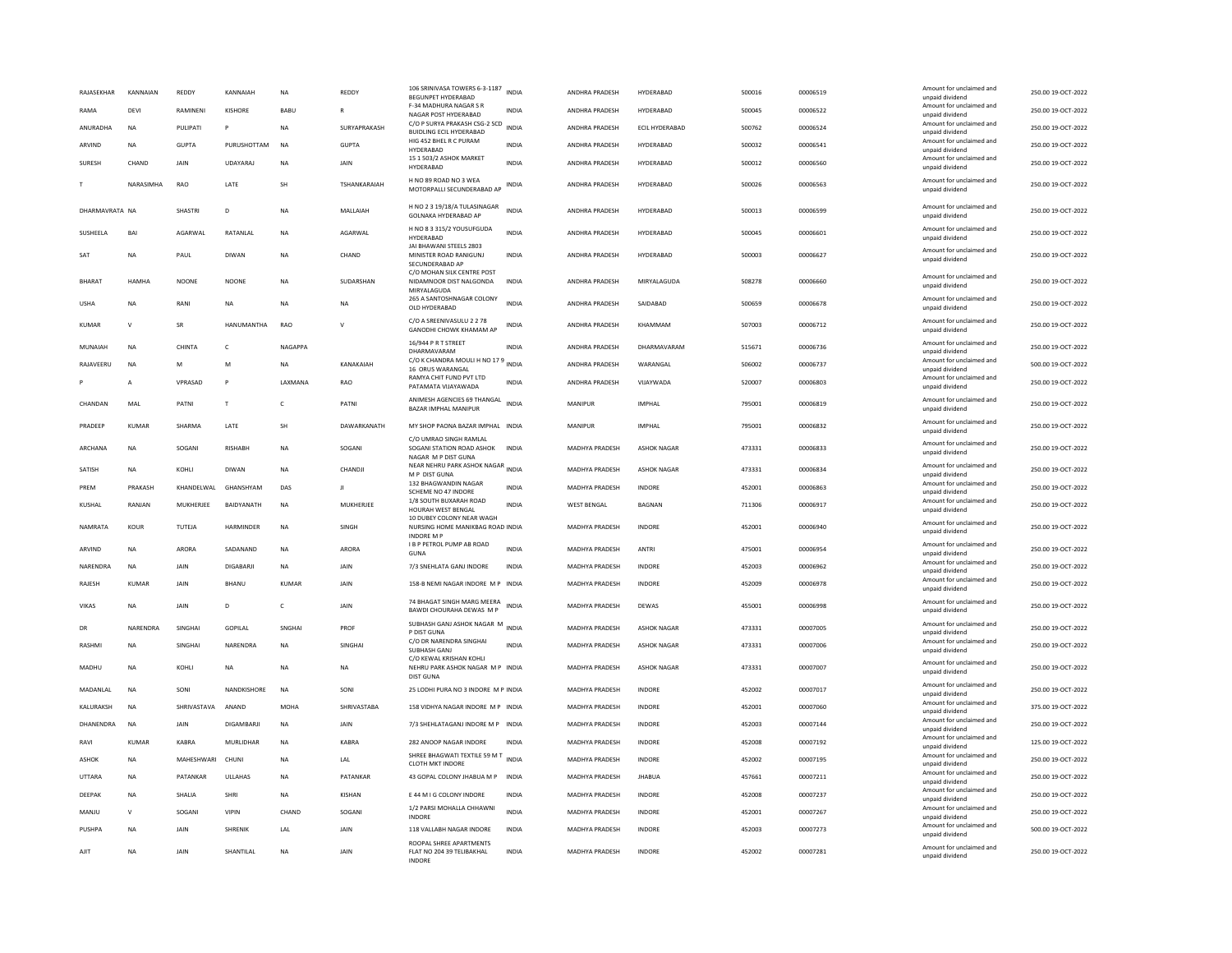| RAJASEKHAR      | KANNAIAN       | REDDY             | KANNAIAH          | <b>NA</b>   | REDDY               | 106 SRINIVASA TOWERS 6-3-1187<br>BEGUNPET HYDERABAD                             | <b>INDIA</b> | ANDHRA PRADESH        | HYDERABAD          | 500016 | 00006519 | Amount for unclaimed and<br>unpaid dividend | 250.00 19-OCT-2022 |
|-----------------|----------------|-------------------|-------------------|-------------|---------------------|---------------------------------------------------------------------------------|--------------|-----------------------|--------------------|--------|----------|---------------------------------------------|--------------------|
| RAMA            | DFVI           | RAMINENI          | <b>KISHORE</b>    | <b>BABU</b> | R                   | F-34 MADHURA NAGAR S R<br>NAGAR POST HYDERABAD                                  | <b>INDIA</b> | ANDHRA PRADESH        | HYDERABAD          | 500045 | 00006522 | Amount for unclaimed and<br>unpaid dividend | 250.00 19-OCT-2022 |
| ANURADHA        | <b>NA</b>      | PULIPATI          | P                 | <b>NA</b>   | SURYAPRAKASH        | C/O P SURYA PRAKASH CSG-2 SCD<br><b>BUIDLING ECIL HYDERABAD</b>                 | <b>INDIA</b> | ANDHRA PRADESH        | ECIL HYDERABAD     | 500762 | 00006524 | Amount for unclaimed and<br>unpaid dividend | 250.00 19-OCT-2022 |
| ARVIND          | <b>NA</b>      | <b>GUPTA</b>      | PURUSHOTTAM       | <b>NA</b>   | <b>GUPTA</b>        | HIG 452 BHFL R C PURAM<br>HYDERABAD                                             | <b>INDIA</b> | ANDHRA PRADESH        | <b>HYDERABAD</b>   | 500032 | 00006541 | Amount for unclaimed and<br>unpaid dividend | 250.00 19-OCT-2022 |
| SURESH          | CHAND          | <b>JAIN</b>       | <b>UDAYARAJ</b>   | <b>NA</b>   | <b>JAIN</b>         | 15 1 503/2 ASHOK MARKET<br><b>HYDERARAD</b>                                     | <b>INDIA</b> | ANDHRA PRADESH        | HYDERABAD          | 500012 | 00006560 | Amount for unclaimed and<br>unpaid dividend | 250.00 19-OCT-2022 |
|                 | NARASIMHA      | RAO               | LATE              | <b>SH</b>   | <b>TSHANKARAIAH</b> | H NO 89 ROAD NO 3 WFA<br>MOTORPALLI SECUNDERABAD AP                             | <b>INDIA</b> | ANDHRA PRADESH        | HYDERABAD          | 500026 | 00006563 | Amount for unclaimed and<br>unpaid dividend | 250.00 19-OCT-2022 |
| DHARMAVRATA NA  |                | SHASTRI           | D                 | <b>NA</b>   | MALLAIAH            | H NO 2 3 19/18/A TULASINAGAR<br><b>GOLNAKA HYDERABAD AP</b>                     | INDIA        | ANDHRA PRADESH        | HYDERABAD          | 500013 | 00006599 | Amount for unclaimed and<br>unpaid dividend | 250.00 19-OCT-2022 |
| SUSHEELA        | BAI            | AGARWAL           | RATANLAL          | NA          | AGARWAL             | H NO 8 3 315/2 YOUSUFGUDA<br><b>HYDERABAD</b><br>JAI BHAWANI STEELS 2803        | <b>INDIA</b> | ANDHRA PRADESH        | HYDERABAD          | 500045 | 00006601 | Amount for unclaimed and<br>unpaid dividend | 250.00 19-OCT-2022 |
| SAT             | <b>NA</b>      | PAUL              | DIWAN             | <b>NA</b>   | CHAND               | MINISTER ROAD RANIGUNJ<br>SECUNDERABAD AP                                       | <b>INDIA</b> | ANDHRA PRADESH        | HYDERABAD          | 500003 | 00006627 | Amount for unclaimed and<br>unpaid dividend | 250.00 19-OCT-2022 |
| BHARAT          | <b>HAMHA</b>   | <b>NOONE</b>      | <b>NOONE</b>      | NA          | SUDARSHAN           | C/O MOHAN SILK CENTRE POST<br>NIDAMNOOR DIST NALGONDA<br>MIRYALAGUDA            | <b>INDIA</b> | ANDHRA PRADESH        | MIRYALAGUDA        | 508278 | 00006660 | Amount for unclaimed and<br>unpaid dividend | 250.00 19-OCT-2022 |
| <b>USHA</b>     | NΑ             | RANI              | <b>NA</b>         | <b>NA</b>   | NA                  | 265 A SANTOSHNAGAR COLONY<br>OLD HYDERABAD                                      | <b>INDIA</b> | ANDHRA PRADESH        | SAIDABAD           | 500659 | 00006678 | Amount for unclaimed and<br>unpaid dividend | 250.00 19-OCT-2022 |
| <b>KUMAR</b>    |                | <b>SR</b>         | <b>HANUMANTHA</b> | RAO         |                     | C/O A SREENIVASULU 2 2 78<br>GANODHI CHOWK KHAMAM AP                            | INDIA        | ANDHRA PRADESH        | KHAMMAM            | 507003 | 00006712 | Amount for unclaimed and<br>unpaid dividend | 250.00 19-OCT-2022 |
| MUNAIAH         | <b>NA</b>      | CHINTA            | $\epsilon$        | NAGAPPA     |                     | 16/944 P R T STREET<br>DHARMAVARAM                                              | <b>INDIA</b> | ANDHRA PRADESH        | DHARMAVARAM        | 515671 | 00006736 | Amount for unclaimed and<br>unpaid dividend | 250.00 19-OCT-2022 |
| RAJAVEERU       | NA             | M                 | M                 | NA          | KANAKAIAH           | C/O K CHANDRA MOULI H NO 17 9 INDIA<br>16 ORUS WARANGAL                         |              | ANDHRA PRADESH        | WARANGAL           | 506002 | 00006737 | Amount for unclaimed and<br>unpaid dividend | 500.00 19-OCT-2022 |
|                 | $\overline{A}$ | VPRASAD           | P                 | LAXMANA     | RAO                 | RAMYA CHIT FUND PVT LTD<br>PATAMATA VIJAYAWADA                                  | INDIA        | ANDHRA PRADESH        | VIJAYWADA          | 520007 | 00006803 | Amount for unclaimed and<br>unpaid dividend | 250.00 19-OCT-2022 |
| CHANDAN         | MAL            | PATNI             | T                 | c           | PATNI               | ANIMESH AGENCIES 69 THANGAL<br>BAZAR IMPHAL MANIPUR                             | <b>INDIA</b> | MANIPUR               | <b>IMPHAL</b>      | 795001 | 00006819 | Amount for unclaimed and<br>unpaid dividend | 250.00 19-OCT-2022 |
| PRADEEP         | KUMAR          | SHARMA            | LATE              | SH          | DAWARKANATH         | MY SHOP PAONA BAZAR IMPHAL INDIA                                                |              | MANIPUR               | <b>IMPHAI</b>      | 795001 | 00006832 | Amount for unclaimed and<br>unpaid dividend | 250.00 19-OCT-2022 |
| ARCHANA         | <b>NA</b>      | SOGANI            | RISHABH           | <b>NA</b>   | SOGANI              | C/O UMRAO SINGH RAMLAL<br>SOGANI STATION ROAD ASHOK<br>NAGAR M P DIST GUNA      | <b>INDIA</b> | MADHYA PRADESH        | <b>ASHOK NAGAR</b> | 473331 | 00006833 | Amount for unclaimed and<br>unpaid dividend | 250.00 19-OCT-2022 |
| SATISH          | <b>NA</b>      | KOHI I            | <b>DIWAN</b>      | <b>NA</b>   | CHANDJI             | NEAR NEHRU PARK ASHOK NAGAR<br>M P DIST GUNA                                    | <b>INDIA</b> | <b>MADHYA PRADESH</b> | <b>ASHOK NAGAR</b> | 473331 | 00006834 | Amount for unclaimed and<br>unpaid dividend | 250.00 19-OCT-2022 |
| PREM            | PRAKASH        | KHANDELWAL        | GHANSHYAM         | DAS         | л                   | 132 BHAGWANDIN NAGAR<br>SCHEME NO 47 INDORE                                     | <b>INDIA</b> | MADHYA PRADESH        | <b>INDORE</b>      | 452001 | 00006863 | Amount for unclaimed and<br>unpaid dividend | 250.00 19-OCT-2022 |
| KUSHAL          | RANJAN         | MUKHERJEE         | BAIDYANATH        | <b>NA</b>   | MUKHERJEE           | 1/8 SOUTH BUXARAH ROAD<br>HOURAH WEST BENGAL<br>10 DUBEY COLONY NEAR WAGH       | <b>INDIA</b> | <b>WEST BENGAL</b>    | <b>BAGNAN</b>      | 711306 | 00006917 | Amount for unclaimed and<br>unpaid dividend | 250.00 19-OCT-2022 |
| NAMRATA         | KOUR           | TUTEJA            | <b>HARMINDER</b>  | <b>NA</b>   | SINGH               | NURSING HOME MANIKBAG ROAD INDIA<br><b>INDORE M F</b>                           |              | <b>MADHYA PRADESH</b> | <b>INDORF</b>      | 452001 | 00006940 | Amount for unclaimed and<br>unpaid dividend | 250.00 19-OCT-2022 |
| ARVIND          | <b>NA</b>      | ARORA             | SADANAND          | <b>NA</b>   | ARORA               | <b>I B P PETROL PUMP AB ROAD</b><br>GUNA                                        | <b>INDIA</b> | MADHYA PRADESH        | <b>ANTRI</b>       | 475001 | 00006954 | Amount for unclaimed and<br>unpaid dividend | 250.00 19-OCT-2022 |
| <b>NARFNDRA</b> | <b>NA</b>      | <b>JAIN</b>       | DIGARARII         | <b>NA</b>   | <b>JAIN</b>         | 7/3 SNEHLATA GANJ INDORE                                                        | <b>INDIA</b> | <b>MADHYA PRADESH</b> | <b>INDORF</b>      | 452003 | 00006962 | Amount for unclaimed and<br>unpaid dividend | 250.00 19-OCT-2022 |
| RAJESH          | <b>KUMAR</b>   | JAIN              | <b>BHANU</b>      | KUMAR       | JAIN                | 158-B NEMI NAGAR INDORE M P INDIA                                               |              | MADHYA PRADESH        | INDORE             | 452009 | 00006978 | Amount for unclaimed and<br>unpaid dividend | 250.00 19-OCT-2022 |
| VIKAS           | <b>NA</b>      | <b>JAIN</b>       | D                 | c           | <b>JAIN</b>         | 74 BHAGAT SINGH MARG MEERA<br>BAWDI CHOURAHA DEWAS M P                          | <b>INDIA</b> | MADHYA PRADESH        | DEWAS              | 455001 | 00006998 | Amount for unclaimed and<br>unpaid dividend | 250.00 19-OCT-2022 |
| DR              | NARENDRA       | <b>SINGHAI</b>    | <b>GOPILAL</b>    | SNGHAI      | PROF                | SUBHASH GANJ ASHOK NAGAR M<br>P DIST GUNA                                       | INDIA        | MADHYA PRADESH        | <b>ASHOK NAGAR</b> | 473331 | 00007005 | Amount for unclaimed and<br>unpaid dividend | 250.00 19-OCT-2022 |
| RASHMI          | NA             | SINGHAI           | <b>NARENDRA</b>   | <b>NA</b>   | SINGHAI             | C/O DR NARENDRA SINGHAI<br>SUBHASH GANJ                                         | <b>INDIA</b> | MADHYA PRADESH        | <b>ASHOK NAGAR</b> | 473331 | 00007006 | Amount for unclaimed and<br>unpaid dividend | 250.00 19-OCT-2022 |
| MADHU           | <b>NA</b>      | KOHLI             | <b>NA</b>         | <b>NA</b>   | <b>NA</b>           | C/O KEWAL KRISHAN KOHLI<br>NEHRU PARK ASHOK NAGAR M P INDIA<br><b>DIST GUNA</b> |              | MADHYA PRADESH        | <b>ASHOK NAGAR</b> | 473331 | 00007007 | Amount for unclaimed and<br>unpaid dividend | 250.00 19-OCT-2022 |
| MADANLAL        | <b>NA</b>      | SONI              | NANDKISHORE       | $_{\sf NA}$ | SONI                | 25 LODHI PURA NO 3 INDORE M P INDIA                                             |              | MADHYA PRADESH        | INDORE             | 452002 | 00007017 | Amount for unclaimed and<br>unpaid dividend | 250.00 19-OCT-2022 |
| KALURAKSH       | <b>NA</b>      | SHRIVASTAVA ANAND |                   | MOHA        | SHRIVASTARA         | 158 VIDHYA NAGAR INDORE M P INDIA                                               |              | <b>MADHYA PRADESH</b> | <b>INDORF</b>      | 452001 | 00007060 | Amount for unclaimed and<br>unpaid dividend | 375.00 19-OCT-2022 |
| DHANENDRA       | NA             | JAIN              | DIGAMBARJI        | NA          | JAIN                | 7/3 SHEHLATAGANJ INDORE M P INDIA                                               |              | MADHYA PRADESH        | INDORE             | 452003 | 00007144 | Amount for unclaimed and<br>unpaid dividend | 250.00 19-OCT-2022 |
| RAVI            | KUMAR          | KABRA             | MURLIDHAR         | <b>NA</b>   | KABRA               | 282 ANOOP NAGAR INDORE                                                          | INDIA        | MADHYA PRADESH        | INDORE             | 452008 | 00007192 | Amount for unclaimed and                    | 125.00 19-OCT-2022 |
| ASHOK           | <b>NA</b>      | MAHESHWARI        | CHUNI             | <b>NA</b>   | LAL                 | SHREE BHAGWATI TEXTILE 59 M T                                                   | <b>INDIA</b> | <b>MADHYA PRADESH</b> | <b>INDORF</b>      | 452002 | 00007195 | unpaid dividend<br>Amount for unclaimed and | 250.00 19-OCT-2022 |
| UTTARA          | <b>NA</b>      | PATANKAR          | ULLAHAS           | <b>NA</b>   | PATANKAR            | <b>CLOTH MKT INDORE</b><br>43 GOPAL COLONY JHABUA M P                           | <b>INDIA</b> | MADHYA PRADESH        | <b>JHABUA</b>      | 457661 | 00007211 | unpaid dividend<br>Amount for unclaimed and | 250.00 19-OCT-2022 |
| DEEPAK          | NA             | SHALIA            | <b>SHRI</b>       | <b>NA</b>   | <b>KISHAN</b>       | E 44 M I G COLONY INDORE                                                        | <b>INDIA</b> | MADHYA PRADESH        | INDORE             | 452008 | 00007237 | unpaid dividend<br>Amount for unclaimed and | 250.00 19-OCT-2022 |
| MANJU           | $\mathbf{v}$   | SOGANI            | <b>VIPIN</b>      | CHAND       | SOGANI              | 1/2 PARSI MOHALLA CHHAWNI                                                       | <b>INDIA</b> | MADHYA PRADESH        | <b>INDORE</b>      | 452001 | 00007267 | unpaid dividend<br>Amount for unclaimed and | 250.00 19-OCT-2022 |
| PUSHPA          | <b>NA</b>      | JAIN              | SHRENIK           | LAL         | JAIN                | <b>INDORF</b><br>118 VALLABH NAGAR INDORE                                       | <b>INDIA</b> | <b>MADHYA PRADESH</b> | <b>INDORE</b>      | 452003 | 00007273 | unpaid dividend<br>Amount for unclaimed and | 500.00 19-OCT-2022 |
|                 |                |                   |                   |             |                     | ROOPAL SHREE APARTMENTS                                                         |              |                       |                    |        |          | unpaid dividend<br>Amount for unclaimed and |                    |
| AJIT            | <b>NA</b>      | JAIN              | SHANTILAL         | <b>NA</b>   | JAIN                | FLAT NO 204 39 TELIBAKHAL<br>INDORE                                             | <b>INDIA</b> | MADHYA PRADESH        | INDORE             | 452002 | 00007281 | unpaid dividend                             | 250.00 19-OCT-2022 |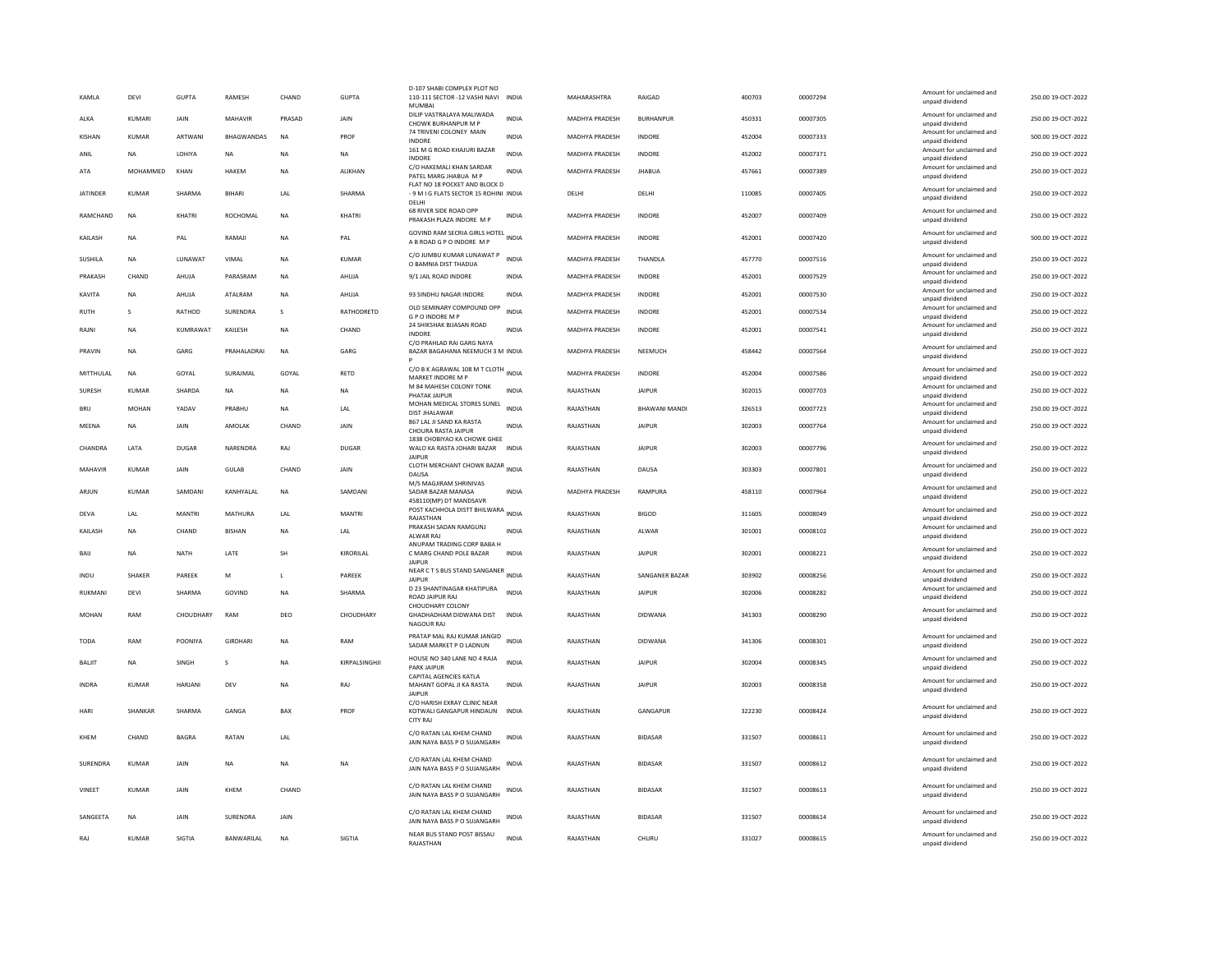| KAMLA           | DEVI          | <b>GUPTA</b>   | RAMESH            | CHAND       | <b>GUPTA</b>   | D-107 SHABI COMPLEX PLOT NO<br>110-111 SECTOR -12 VASHI NAVI INDIA<br>MUMBA      |              | MAHARASHTRA           | RAIGAD               | 400703 | 00007294 | Amount for unclaimed and<br>unpaid dividend                    | 250.00 19-OCT-2022 |
|-----------------|---------------|----------------|-------------------|-------------|----------------|----------------------------------------------------------------------------------|--------------|-----------------------|----------------------|--------|----------|----------------------------------------------------------------|--------------------|
| ALKA            | KUMARI        | <b>JAIN</b>    | MAHAVIR           | PRASAD      | <b>JAIN</b>    | DILIP VASTRALAYA MALIWADA<br>CHOWK BURHANPUR M P                                 | <b>INDIA</b> | <b>MADHYA PRADESH</b> | <b>BURHANPUR</b>     | 450331 | 00007305 | Amount for unclaimed and<br>unnaid dividend                    | 250.00 19-OCT-2022 |
| KISHAN          | KUMAR         | ARTWANI        | <b>RHAGWANDAS</b> | <b>NA</b>   | PROF           | 74 TRIVENI COLONEY MAIN<br><b>INDORE</b>                                         | <b>INDIA</b> | <b>MADHYA PRADESH</b> | <b>INDORF</b>        | 452004 | 00007333 | Amount for unclaimed and<br>unpaid dividend                    | 500.00 19-OCT-2022 |
| ANIL            | <b>NA</b>     | LOHIYA         | <b>NA</b>         | <b>NA</b>   | <b>NA</b>      | 161 M G ROAD KHAJURI BAZAR<br>INDORE                                             | <b>INDIA</b> | MADHYA PRADESH        | <b>INDORE</b>        | 452002 | 00007371 | Amount for unclaimed and<br>unpaid dividend                    | 250.00 19-OCT-2022 |
| ATA             | MOHAMMED      | KHAN           | HAKEM             | <b>NA</b>   | <b>ALIKHAN</b> | C/O HAKEMALI KHAN SARDAR<br>PATEL MARG JHABUA M P                                | <b>INDIA</b> | MADHYA PRADESH        | <b>JHABUA</b>        | 457661 | 00007389 | Amount for unclaimed and<br>unpaid dividend                    | 250.00 19-OCT-2022 |
| <b>JATINDER</b> | KUMAR         | SHARMA         | <b>BIHARI</b>     | LAI         | SHARMA         | FLAT NO 18 POCKET AND BLOCK D<br>- 9 M I G FLATS SECTOR 15 ROHINI INDIA<br>DELHI |              | DELHI                 | DELHI                | 110085 | 00007405 | Amount for unclaimed and<br>unpaid dividend                    | 250.00 19-OCT-2022 |
| RAMCHAND        | <b>NA</b>     | KHATRI         | ROCHOMAL          | <b>NA</b>   | KHATRI         | 68 RIVER SIDE ROAD OPP<br>PRAKASH PLAZA INDORE M P                               | INDIA        | MADHYA PRADESH        | <b>INDORE</b>        | 452007 | 00007409 | Amount for unclaimed and<br>unpaid dividend                    | 250.00 19-OCT-2022 |
| KAILASH         | <b>NA</b>     | PAL            | RAMAJI            | <b>NA</b>   | PAL            | GOVIND RAM SECRIA GIRLS HOTEL INDIA<br>A B ROAD G P O INDORE M P                 |              | <b>MADHYA PRADESH</b> | <b>INDORE</b>        | 452001 | 00007420 | Amount for unclaimed and<br>unpaid dividend                    | 500.00 19-OCT-2022 |
| SUSHILA         | <b>NA</b>     | LUNAWAT        | VIMAL             | <b>NA</b>   | <b>KUMAR</b>   | C/O JUMBU KUMAR LUNAWAT P<br>O BAMNIA DIST THADUA                                | <b>INDIA</b> | MADHYA PRADESH        | THANDLA              | 457770 | 00007516 | Amount for unclaimed and<br>unpaid dividend                    | 250.00 19-OCT-2022 |
| PRAKASH         | CHAND         | AHUJA          | PARASRAM          | <b>NA</b>   | AHUJA          | 9/1 JAIL ROAD INDORE                                                             | INDIA        | MADHYA PRADESH        | INDORE               | 452001 | 00007529 | Amount for unclaimed and<br>unpaid dividend                    | 250.00 19-OCT-2022 |
| KAVITA          | <b>NA</b>     | AHUJA          | ATALRAM           | <b>NA</b>   | AHUJA          | 93 SINDHU NAGAR INDORE                                                           | <b>INDIA</b> | <b>MADHYA PRADESH</b> | <b>INDORF</b>        | 452001 | 00007530 | Amount for unclaimed and<br>unpaid dividend                    | 250.00 19-OCT-2022 |
| <b>RUTH</b>     | s             | RATHOD         | SURENDRA          | s           | RATHODRETD     | OLD SEMINARY COMPOUND OPP<br><b>GPO INDORE MP</b>                                | <b>INDIA</b> | <b>MADHYA PRADESH</b> | <b>INDORE</b>        | 452001 | 00007534 | Amount for unclaimed and<br>unpaid dividend                    | 250.00 19-OCT-2022 |
| RAJN            | <b>NA</b>     | KUMRAWAT       | KAILESH           | <b>NA</b>   | CHAND          | 24 SHIKSHAK BIJASAN ROAD<br><b>INDORE</b>                                        | <b>INDIA</b> | MADHYA PRADESH        | <b>INDORE</b>        | 452001 | 00007541 | Amount for unclaimed and<br>unpaid dividend                    | 250.00 19-OCT-2022 |
| PRAVIN          | <b>NA</b>     | GARG           | PRAHALADRAI       | <b>NA</b>   | GARG           | C/O PRAHLAD RAI GARG NAYA<br>BAZAR BAGAHANA NEEMUCH 3 M INDIA                    |              | <b>MADHYA PRADESH</b> | NEEMUCH              | 458442 | 00007564 | Amount for unclaimed and<br>unpaid dividend                    | 250.00 19-OCT-2022 |
| MITTHULAL       | NA            | GOYAL          | SURAIMAL          | GOYAL       | <b>RETD</b>    | C/O B K AGRAWAL 108 M T CLOTH INDIA<br>MARKET INDORE M P                         |              | <b>MADHYA PRADESH</b> | <b>INDORF</b>        | 452004 | 00007586 | Amount for unclaimed and<br>unpaid dividend                    | 250.00 19-OCT-2022 |
| SURESH          | <b>KUMAR</b>  | SHARDA         | <b>NA</b>         | <b>NA</b>   | <b>NA</b>      | M 84 MAHESH COLONY TONK<br>PHATAK JAIPUR                                         | <b>INDIA</b> | RAJASTHAN             | <b>JAIPUR</b>        | 302015 | 00007703 | Amount for unclaimed and<br>unpaid dividend                    | 250.00 19-OCT-2022 |
| BRIJ            | MOHAN         | YADAV          | PRABHU            | <b>NA</b>   | LAL            | MOHAN MEDICAL STORES SUNEL<br><b>DIST JHALAWAR</b>                               | <b>INDIA</b> | RAJASTHAN             | <b>BHAWANI MANDI</b> | 326513 | 00007723 | Amount for unclaimed and                                       | 250.00 19-OCT-2022 |
| MEENA           | <b>NA</b>     | JAIN           | AMOLAK            | CHAND       | <b>JAIN</b>    | 867 LAL JI SAND KA RASTA                                                         | <b>INDIA</b> | RAJASTHAN             | <b>JAIPUR</b>        | 302003 | 00007764 | unpaid dividend<br>Amount for unclaimed and                    | 250.00 19-OCT-2022 |
| CHANDRA         | LATA          | <b>DUGAR</b>   | NARENDRA          | RAJ         | <b>DUGAR</b>   | CHOURA RASTA JAIPUR<br>1838 CHOBIYAO KA CHOWK GHEE<br>WALO KA RASTA JOHARI BAZAR | <b>INDIA</b> | RAJASTHAN             | <b>JAIPUR</b>        | 302003 | 00007796 | unpaid dividend<br>Amount for unclaimed and<br>unpaid dividend | 250.00 19-OCT-2022 |
|                 |               |                |                   |             |                | <b>JAIPUR</b><br>CLOTH MERCHANT CHOWK BAZAR INDIA                                |              | RAIASTHAN             |                      | 303303 |          | Amount for unclaimed and                                       |                    |
| MAHAVIR         | KUMAR         | <b>JAIN</b>    | GUIAR             | CHAND       | <b>JAIN</b>    | DAUSA<br>M/S MAGJIRAM SHRINIVAS                                                  |              |                       | DAUSA                |        | 00007801 | unpaid dividend                                                | 250.00 19-OCT-2022 |
| ARJUN           | KUMAR         | SAMDANI        | KANHYALAL         | <b>NA</b>   | SAMDANI        | SADAR BAZAR MANASA<br>458110(MP) DT MANDSAVR                                     | INDIA        | MADHYA PRADESH        | RAMPURA              | 458110 | 00007964 | Amount for unclaimed and<br>unpaid dividend                    | 250.00 19-OCT-2022 |
| DEVA            | LAL           | <b>MANTRI</b>  | <b>MATHURA</b>    | LAL         | <b>MANTRI</b>  | POST KACHHOLA DISTT BHILWARA<br>RAJASTHAN                                        | <b>INDIA</b> | RAJASTHAN             | <b>BIGOD</b>         | 311605 | 00008049 | Amount for unclaimed and<br>unpaid dividend                    | 250.00 19-OCT-2022 |
| <b>KAILASH</b>  | <b>NA</b>     | CHAND          | <b>RISHAN</b>     | <b>NA</b>   | LAL            | PRAKASH SADAN RAMGUNJ<br>ALWAR RAJ                                               | <b>INDIA</b> | RAJASTHAN             | AI WAR               | 301001 | 00008102 | Amount for unclaimed and<br>unpaid dividend                    | 250.00 19-OCT-2022 |
| BAIJ            | <b>NA</b>     | NATH           | LATE              | SH          | KIRORILAL      | ANUPAM TRADING CORP BABA H<br>C MARG CHAND POLE BAZAR<br><b>JAIPUR</b>           | <b>INDIA</b> | RAJASTHAN             | <b>JAIPUR</b>        | 302001 | 00008221 | Amount for unclaimed and<br>unpaid dividend                    | 250.00 19-OCT-2022 |
| INDU            | <b>SHAKER</b> | PAREEK         | M                 | L           | PAREEK         | NEAR C T S BUS STAND SANGANER<br><b>JAIPUR</b>                                   | <b>INDIA</b> | RAJASTHAN             | SANGANER BAZAF       | 303902 | 00008256 | Amount for unclaimed and<br>unpaid dividend                    | 250.00 19-OCT-2022 |
| RUKMANI         | DFVI          | SHARMA         | GOVIND            | <b>NA</b>   | SHARMA         | D 23 SHANTINAGAR KHATIPURA<br>ROAD JAIPUR RAJ                                    | <b>INDIA</b> | RAJASTHAN             | <b>JAIPUR</b>        | 302006 | 00008282 | Amount for unclaimed and<br>unpaid dividend                    | 250.00 19-OCT-2022 |
| <b>MOHAN</b>    | RAM           | CHOUDHARY      | RAM               | DEO         | CHOUDHARY      | CHOUDHARY COLONY<br>GHADHADHAM DIDWANA DIST<br>NAGOUR RAJ                        | <b>INDIA</b> | RAJASTHAN             | <b>DIDWANA</b>       | 341303 | 00008290 | Amount for unclaimed and<br>unpaid dividend                    | 250.00 19-OCT-2022 |
| <b>TODA</b>     | RAM           | POONIYA        | <b>GIRDHAR</b>    | <b>NA</b>   | RAM            | PRATAP MAL RAJ KUMAR JANGID<br>SADAR MARKET P O LADNUN                           | <b>INDIA</b> | RAJASTHAN             | DIDWANA              | 341306 | 00008301 | Amount for unclaimed and<br>unpaid dividend                    | 250.00 19-OCT-2022 |
| BALIT           | <b>NA</b>     | SINGH          | s                 | <b>NA</b>   | KIRPALSINGHJI  | HOUSE NO 340 LANE NO 4 RAJA<br>PARK JAIPUR                                       | <b>INDIA</b> | RAJASTHAN             | <b>JAIPUR</b>        | 302004 | 00008345 | Amount for unclaimed and<br>unpaid dividend                    | 250.00 19-OCT-2022 |
| <b>INDRA</b>    | <b>KUMAR</b>  | <b>HARJANI</b> | DEV               | <b>NA</b>   | RAJ            | CAPITAL AGENCIES KATLA<br>MAHANT GOPAL JI KA RASTA<br>JAIPUR                     | <b>INDIA</b> | RAJASTHAN             | <b>JAIPUR</b>        | 302003 | 00008358 | Amount for unclaimed and<br>unpaid dividend                    | 250.00 19-OCT-2022 |
| HARI            | SHANKAF       | SHARMA         | GANGA             | BAX         | PROF           | C/O HARISH EXRAY CLINIC NEAR<br>KOTWALI GANGAPUR HINDAUN<br><b>CITY RAI</b>      | <b>INDIA</b> | RAJASTHAN             | GANGAPUR             | 322230 | 00008424 | Amount for unclaimed and<br>unpaid dividend                    | 250.00 19-OCT-2022 |
| KHEM            | CHAND         | <b>BAGRA</b>   | RATAN             | LAL         |                | C/O RATAN LAL KHEM CHAND<br>JAIN NAYA BASS P O SUJANGARH                         | <b>INDIA</b> | RAJASTHAN             | <b>BIDASAR</b>       | 331507 | 00008611 | Amount for unclaimed and<br>unpaid dividend                    | 250.00 19-OCT-2022 |
| SURENDRA        | KUMAR         | JAIN           | NA                | <b>NA</b>   | NA             | C/O RATAN LAL KHEM CHAND<br>JAIN NAYA BASS P O SUJANGARH                         | INDIA        | RAJASTHAN             | <b>BIDASAR</b>       | 331507 | 00008612 | Amount for unclaimed and<br>unpaid dividend                    | 250.00 19-OCT-2022 |
| VINEET          | KUMAR         | JAIN           | KHEM              | CHAND       |                | C/O RATAN LAL KHEM CHAND<br>JAIN NAYA BASS P O SUJANGARH                         | INDIA        | RAJASTHAN             | <b>BIDASAR</b>       | 331507 | 00008613 | Amount for unclaimed and<br>unpaid dividend                    | 250.00 19-OCT-2022 |
| SANGEETA        | <b>NA</b>     | <b>JAIN</b>    | <b>SURFNDRA</b>   | <b>JAIN</b> |                | C/O RATAN LAL KHEM CHAND<br>JAIN NAYA BASS P O SUJANGARH                         | <b>INDIA</b> | RAIASTHAN             | <b>BIDASAR</b>       | 331507 | 00008614 | Amount for unclaimed and<br>unpaid dividend                    | 250.00.19-QCT-2022 |
| RAJ             | KUMAR         | SIGTIA         | BANWARILAL        | <b>NA</b>   | <b>SIGTIA</b>  | NEAR BUS STAND POST BISSAU<br>RAJASTHAN                                          | <b>INDIA</b> | RAJASTHAN             | CHURU                | 331027 | 00008615 | Amount for unclaimed and<br>unpaid dividend                    | 250.00 19-OCT-2022 |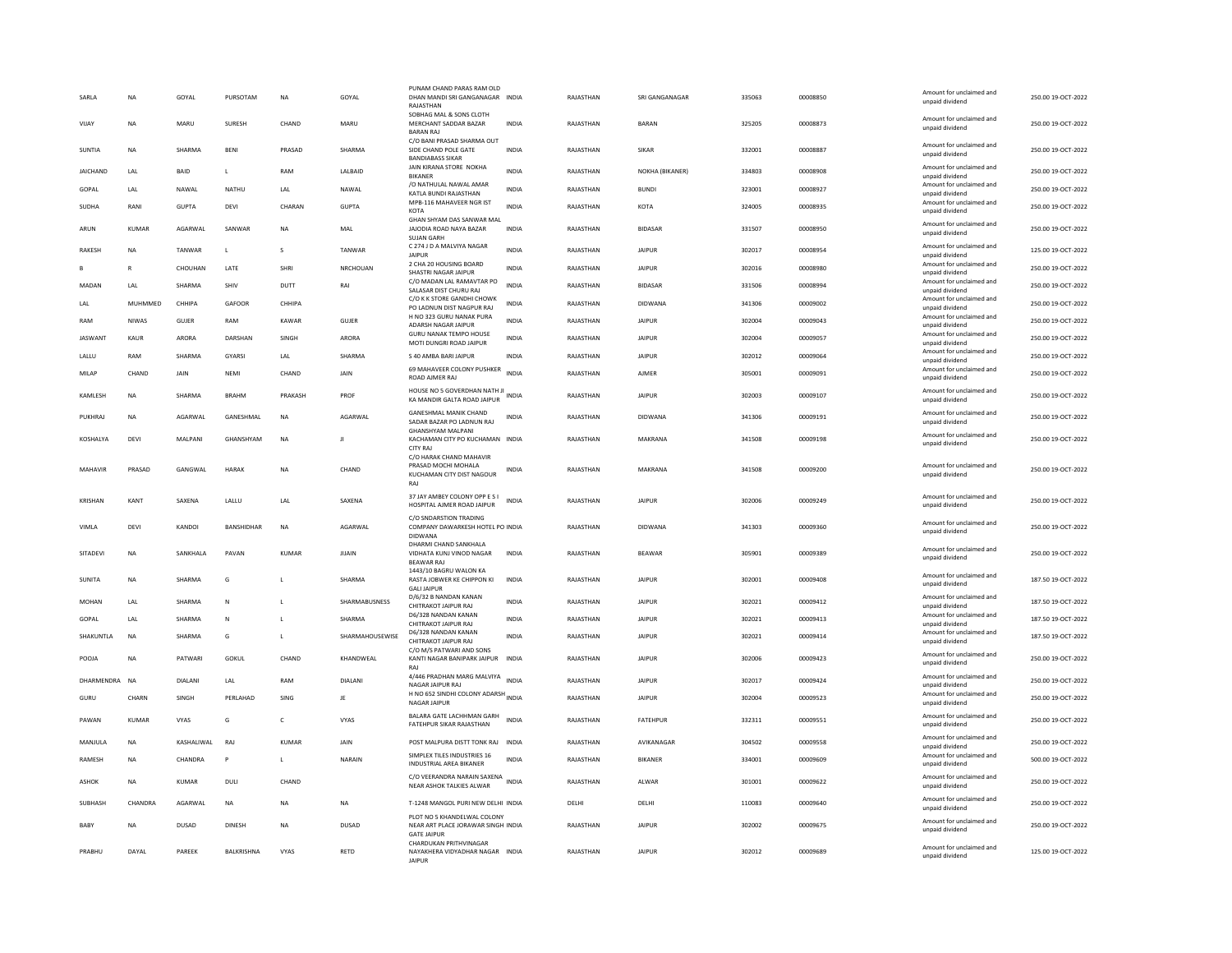| SARLA           | <b>NA</b>    | GOYAL        | PURSOTAM           | <b>NA</b>    | GOYAL           | PUNAM CHAND PARAS RAM OLD<br>DHAN MANDI SRI GANGANAGAR INDIA                                     |              | RAJASTHAN | SRI GANGANAGAR  | 335063 | 00008850 | Amount for unclaimed and<br>unpaid dividend                    | 250.00 19-OCT-2022 |
|-----------------|--------------|--------------|--------------------|--------------|-----------------|--------------------------------------------------------------------------------------------------|--------------|-----------|-----------------|--------|----------|----------------------------------------------------------------|--------------------|
|                 |              |              |                    |              |                 | RAJASTHAN<br>SOBHAG MAL & SONS CLOTH                                                             |              |           |                 |        |          |                                                                |                    |
| VIJAY           | NA           | MARU         | SURESH             | CHAND        | MARU            | MERCHANT SADDAR BAZAR<br><b>BARAN RAI</b>                                                        | <b>INDIA</b> | RAJASTHAN | <b>BARAN</b>    | 325205 | 00008873 | Amount for unclaimed and<br>unpaid dividend                    | 250.00 19-OCT-2022 |
| SUNTIA          | <b>NA</b>    | SHARMA       | BENI               | PRASAD       | SHARMA          | C/O BANI PRASAD SHARMA OUT<br>SIDE CHAND POLE GATE<br><b>BANDIARASS SIKAR</b>                    | INDIA        | RAJASTHAN | SIKAR           | 332001 | 00008887 | Amount for unclaimed and<br>unpaid dividend                    | 250.00 19-OCT-2022 |
| <b>IAICHAND</b> | <b>IAI</b>   | <b>BAID</b>  | $\mathbf{L}$       | RAM          | <b>LALBAID</b>  | JAIN KIRANA STORE NOKHA<br><b>BIKANER</b>                                                        | <b>INDIA</b> | RAJASTHAN | NOKHA (BIKANER) | 334803 | 00008908 | Amount for unclaimed and<br>unpaid dividend                    | 250.00 19-OCT-2022 |
| GOPAL           | LAL          | NAWAL        | NATHU              | LAL          | NAWAL           | /O NATHULAL NAWAL AMAR<br>KATLA BUNDI RAJASTHAN                                                  | INDIA        | RAJASTHAN | <b>BUNDI</b>    | 323001 | 00008927 | Amount for unclaimed and<br>unpaid dividend                    | 250.00 19-OCT-2022 |
| SUDHA           | RANI         | <b>GUPTA</b> | DEVI               | CHARAN       | <b>GUPTA</b>    | MPB-116 MAHAVEER NGR IST<br>KOTA                                                                 | <b>INDIA</b> | RAJASTHAN | KOTA            | 324005 | 00008935 | Amount for unclaimed and<br>unpaid dividend                    | 250.00 19-OCT-2022 |
| ARUN            | <b>KUMAR</b> | AGARWAL      | SANWAR             | <b>NA</b>    | MAL             | GHAN SHYAM DAS SANWAR MAL<br>JAJODIA ROAD NAYA BAZAR<br><b>SUJAN GARH</b>                        | <b>INDIA</b> | RAJASTHAN | <b>BIDASAR</b>  | 331507 | 00008950 | Amount for unclaimed and<br>unpaid dividend                    | 250.00 19-OCT-2022 |
| RAKESH          | <b>NA</b>    | TANWAR       | L                  | s            | TANWAR          | C 274 J D A MALVIYA NAGAR<br><b>JAIPUR</b>                                                       | INDIA        | RAJASTHAN | <b>JAIPUR</b>   | 302017 | 00008954 | Amount for unclaimed and<br>unpaid dividend                    | 125.00 19-OCT-2022 |
|                 | $\mathbb{R}$ | CHOUHAN      | LATE               | SHRI         | NRCHOUAN        | 2 CHA 20 HOUSING BOARD<br>SHASTRI NAGAR JAIPUR                                                   | <b>INDIA</b> | RAJASTHAN | <b>JAIPUR</b>   | 302016 | 00008980 | Amount for unclaimed and<br>unpaid dividend                    | 250.00 19-OCT-2022 |
| MADAN           | LAL          | SHARMA       | SHIV               | DUTT         | RAI             | C/O MADAN LAL RAMAVTAR PO<br>SALASAR DIST CHURU RAJ                                              | <b>INDIA</b> | RAJASTHAN | <b>BIDASAR</b>  | 331506 | 00008994 | Amount for unclaimed and<br>unpaid dividend                    | 250.00 19-OCT-2022 |
| LAL             | MUHMMED      | CHHIPA       | GAFOOF             | CHHIPA       |                 | C/O K K STORE GANDHI CHOWK<br>PO LADNUN DIST NAGPUR RAJ                                          | <b>INDIA</b> | RAJASTHAN | <b>DIDWANA</b>  | 341306 | 00009002 | Amount for unclaimed and<br>unpaid dividend                    | 250.00 19-OCT-2022 |
| RAM             | <b>NIWAS</b> | GUJER        | RAM                | KAWAR        | GUJER           | H NO 323 GURU NANAK PURA<br>ADARSH NAGAR JAIPUR                                                  | <b>INDIA</b> | RAJASTHAN | <b>JAIPUR</b>   | 302004 | 00009043 | Amount for unclaimed and<br>unpaid dividend                    | 250.00 19-OCT-2022 |
| <b>IASWANT</b>  | <b>KAUR</b>  | ARORA        | DARSHAN            | SINGH        | ARORA           | <b>GURU NANAK TEMPO HOUSE</b>                                                                    | <b>INDIA</b> | RAJASTHAN | <b>JAIPUR</b>   | 302004 | 00009057 | Amount for unclaimed and                                       | 250.00 19-OCT-2022 |
|                 |              |              |                    |              |                 | MOTI DUNGRI ROAD JAIPUR                                                                          |              |           |                 |        |          | unpaid dividend<br>Amount for unclaimed and                    |                    |
| LALLU           | RAM          | SHARMA       | GYARSI             | LAL          | SHARMA          | S 40 AMBA BARI JAIPUR<br>69 MAHAVEER COLONY PUSHKER                                              | INDIA        | RAJASTHAN | <b>JAIPUR</b>   | 302012 | 00009064 | unpaid dividend<br>Amount for unclaimed and                    | 250.00 19-OCT-2022 |
| MILAP           | CHAND        | JAIN         | NEMI               | CHAND        | JAIN            | ROAD AJMER RAJ                                                                                   | <b>INDIA</b> | RAJASTHAN | AJMER           | 305001 | 00009091 | unpaid dividend                                                | 250.00 19-OCT-2022 |
| KAMLESH         | <b>NA</b>    | SHARMA       | <b>BRAHM</b>       | PRAKASH      | PROF            | HOUSE NO 5 GOVERDHAN NATH JI<br>KA MANDIR GALTA ROAD JAIPUR                                      | <b>INDIA</b> | RAJASTHAN | <b>JAIPUR</b>   | 302003 | 00009107 | Amount for unclaimed and<br>unpaid dividend                    | 250.00 19-OCT-2022 |
| PUKHRAJ         | NA           | AGARWAI      | <b>GANESHMAL</b>   | NA           | AGARWAI         | <b>GANESHMAL MANIK CHAND</b><br>SADAR BAZAR PO LADNUN RAI                                        | INDIA        | RAJASTHAN | <b>DIDWANA</b>  | 341306 | 00009191 | Amount for unclaimed and<br>unpaid dividend                    | 250.00 19-OCT-2022 |
| KOSHALYA        | DEVI         | MALPANI      | GHANSHYAM          | NA           | ш               | <b>GHANSHYAM MALPANI</b><br>KACHAMAN CITY PO KUCHAMAN INDIA<br><b>CITY RAI</b>                   |              | RAJASTHAN | MAKRANA         | 341508 | 00009198 | Amount for unclaimed and<br>unpaid dividend                    | 250.00 19-OCT-2022 |
| MAHAVIR         | PRASAD       | GANGWAL      | <b>HARAK</b>       | <b>NA</b>    | CHAND           | C/O HARAK CHAND MAHAVIR<br>PRASAD MOCHI MOHALA<br>KUCHAMAN CITY DIST NAGOUR<br>RA                | <b>INDIA</b> | RAJASTHAN | MAKRANA         | 341508 | 00009200 | Amount for unclaimed and<br>unpaid dividend                    | 250.00 19-OCT-2022 |
| KRISHAN         | KANT         | SAXENA       | LALLU              | LAL          | SAXFNA          | 37 JAY AMBEY COLONY OPP E S I<br>HOSPITAL AIMER ROAD IAIPUR                                      | <b>INDIA</b> | RAJASTHAN | <b>JAIPUR</b>   | 302006 | 00009249 | Amount for unclaimed and<br>unpaid dividend                    | 250.00 19-OCT-2022 |
| VIMLA           | DEVI         | KANDOI       | BANSHIDHAR         | <b>NA</b>    | AGARWAL         | C/O SNDARSTION TRADING<br>COMPANY DAWARKESH HOTEL PO INDIA<br><b>DIDWANA</b>                     |              | RAJASTHAN | <b>DIDWANA</b>  | 341303 | 00009360 | Amount for unclaimed and<br>unpaid dividend                    | 250.00 19-OCT-2022 |
| SITADEVI        | NA           | SANKHALA     | PAVAN              | <b>KUMAR</b> | JUAIN           | DHARMI CHAND SANKHALA<br>VIDHATA KUNJ VINOD NAGAR<br><b>REAWAR RAI</b>                           | <b>INDIA</b> | RAJASTHAN | <b>BEAWAR</b>   | 305901 | 00009389 | Amount for unclaimed and<br>unpaid dividend                    | 250.00 19-OCT-2022 |
| SUNITA          | NA           | SHARMA       | G                  |              | SHARMA          | 1443/10 BAGRU WALON KA<br>RASTA JOBWER KE CHIPPON KI                                             | INDIA        | RAJASTHAN | <b>JAIPUR</b>   | 302001 | 00009408 | Amount for unclaimed and<br>unpaid dividend                    | 187.50 19-OCT-2022 |
| MOHAN           | 1 AI         | SHARMA       | N                  | $\mathbf{L}$ | SHARMABUSNESS   | <b>GALLIAIPUR</b><br>D/6/32 B NANDAN KANAN<br>CHITRAKOT JAIPUR RAJ                               | <b>INDIA</b> | RAJASTHAN | <b>JAIPUR</b>   | 302021 | 00009412 | Amount for unclaimed and<br>unpaid dividend                    | 187.50 19-OCT-2022 |
| GOPAL           | LAL          | SHARMA       | N                  | L            | SHARMA          | D6/328 NANDAN KANAN                                                                              | INDIA        | RAJASTHAN | <b>JAIPUR</b>   | 302021 | 00009413 | Amount for unclaimed and                                       | 187.50 19-OCT-2022 |
|                 |              |              |                    |              |                 | CHITRAKOT JAIPUR RAJ<br>D6/328 NANDAN KANAN                                                      |              |           |                 |        |          | unpaid dividend<br>Amount for unclaimed and                    |                    |
| SHAKUNTLA       | NA           | SHARMA       | G                  | L            | SHARMAHOUSEWISE | CHITRAKOT JAIPUR RAJ<br>C/O M/S PATWARI AND SONS                                                 | INDIA        | RAJASTHAN | <b>JAIPUR</b>   | 302021 | 00009414 | unpaid dividend                                                | 187.50 19-OCT-2022 |
| POOJA           | <b>NA</b>    | PATWARI      | GOKUL              | CHAND        | KHANDWEAL       | KANTI NAGAR BANIPARK JAIPUR<br>RAI                                                               | <b>INDIA</b> | RAJASTHAN | <b>JAIPUR</b>   | 302006 | 00009423 | Amount for unclaimed and<br>unpaid dividend                    | 250.00 19-OCT-2022 |
| DHARMENDRA NA   |              | DIALANI      | LAL                | RAM          | DIALANI         | 4/446 PRADHAN MARG MALVIYA<br><b>NAGAR JAIPUR RAI</b>                                            | <b>INDIA</b> | RAJASTHAN | <b>JAIPUR</b>   | 302017 | 00009424 | Amount for unclaimed and<br>unpaid dividend                    | 250.00 19-OCT-2022 |
| GURU            | CHARN        | SINGH        | PERLAHAD           | <b>SING</b>  | JE              | H NO 652 SINDHI COLONY ADARSH INDIA<br>NAGAR JAIPUR                                              |              | RAJASTHAN | <b>JAIPUR</b>   | 302004 | 00009523 | Amount for unclaimed and<br>unpaid dividend                    | 250.00 19-OCT-2022 |
| PAWAN           | <b>KUMAR</b> | VYAS         | G                  | c            | VYAS            | BALARA GATE LACHHMAN GARH<br>FATEHPUR SIKAR RAJASTHAN                                            | INDIA        | RAJASTHAN | FATEHPUR        | 332311 | 00009551 | Amount for unclaimed and<br>unpaid dividend                    | 250.00 19-OCT-2022 |
| MANJULA         | <b>NA</b>    | KASHALIWAL   | RAI                | <b>KUMAR</b> | JAIN            | POST MALPURA DISTT TONK RAJ                                                                      | <b>INDIA</b> | RAJASTHAN | AVIKANAGAR      | 304502 | 00009558 | Amount for unclaimed and                                       | 250.00 19-OCT-2022 |
| RAMESH          | NA           | CHANDRA      | P                  | L.           | NARAIN          | SIMPLEX TILES INDUSTRIES 16<br><b>INDUSTRIAL AREA BIKANER</b>                                    | <b>INDIA</b> | RAJASTHAN | BIKANER         | 334001 | 00009609 | unpaid dividend<br>Amount for unclaimed and<br>unpaid dividend | 500.00 19-OCT-2022 |
| <b>ASHOK</b>    | <b>NA</b>    | <b>KUMAR</b> | DULI               | CHAND        |                 | C/O VEERANDRA NARAIN SAXENA<br>NEAR ASHOK TALKIES ALWAR                                          | <b>INDIA</b> | RAJASTHAN | ALWAR           | 301001 | 00009622 | Amount for unclaimed and<br>unpaid dividend                    | 250.00 19-OCT-2022 |
| SUBHASH         | CHANDRA      | AGARWAL      | NA                 | <b>NA</b>    | NA              | T-1248 MANGOL PURI NEW DELHI INDIA                                                               |              | DELHI     | DELHI           | 110083 | 00009640 | Amount for unclaimed and<br>unpaid dividend                    | 250.00 19-OCT-2022 |
| BABY            | <b>NA</b>    | <b>DUSAD</b> | <b>DINESH</b>      | <b>NA</b>    | <b>DUSAD</b>    | PLOT NO 5 KHANDELWAL COLONY<br>NEAR ART PLACE JORAWAR SINGH INDIA                                |              | RAJASTHAN | <b>JAIPUR</b>   | 302002 | 00009675 | Amount for unclaimed and<br>unpaid dividend                    | 250.00 19-OCT-2022 |
| PRABHU          | DAYAI        | PARFFK       | <b>BAI KRISHNA</b> | <b>VYAS</b>  | <b>RFTD</b>     | <b>GATE JAIPUR</b><br>CHARDUKAN PRITHVINAGAR<br>NAYAKHERA VIDYADHAR NAGAR INDIA<br><b>JAIPUR</b> |              | RAIASTHAN | <b>JAIPUR</b>   | 302012 | 00009689 | Amount for unclaimed and<br>unpaid dividend                    | 125.00.19-OCT-2022 |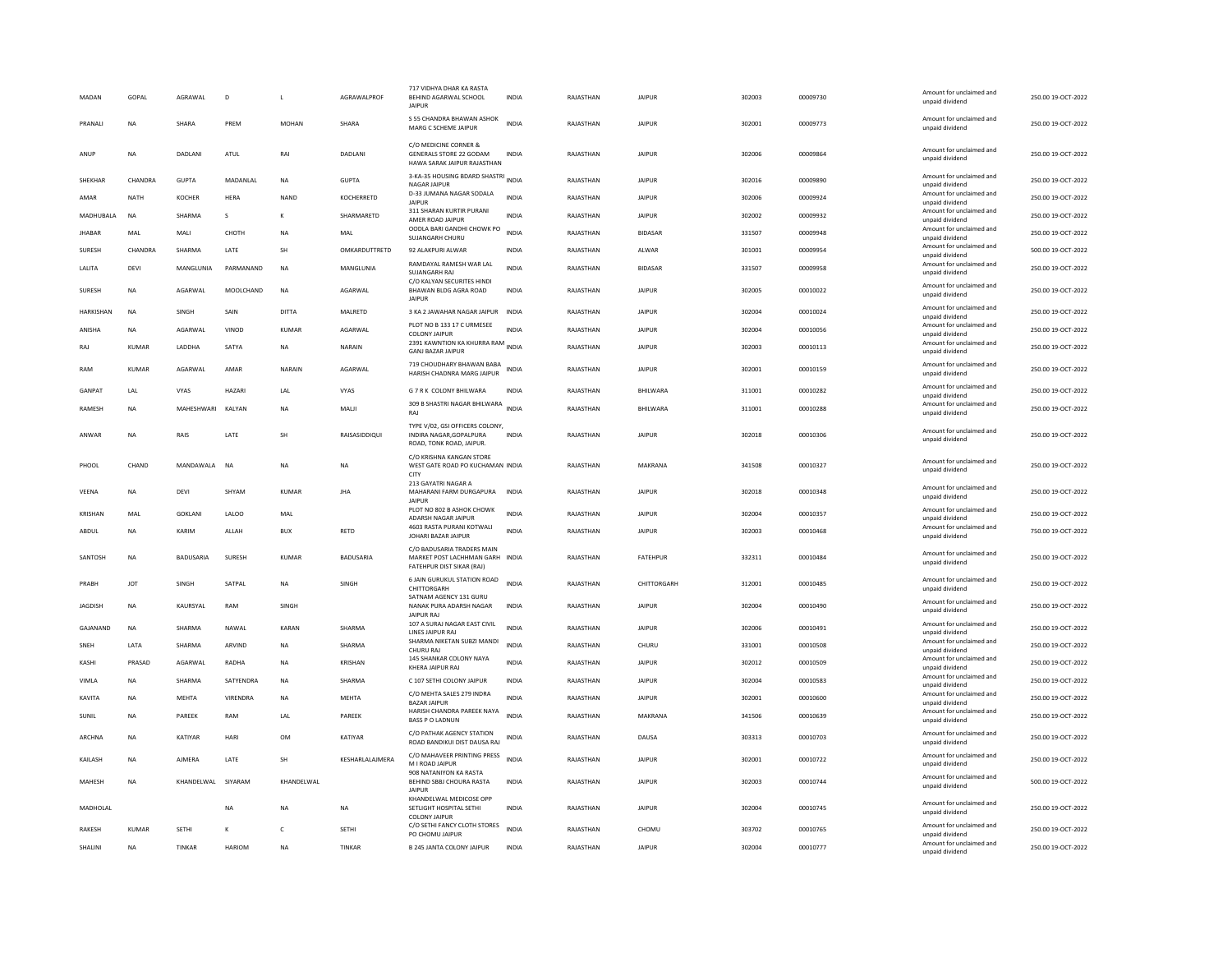| MADAN            | GOPAL        | AGRAWAL          | $\mathsf{D}$  | $\mathbf{I}$ | <b>AGRAWAI PROF</b> | 717 VIDHYA DHAR KA RASTA<br>BEHIND AGARWAL SCHOOL<br>JAIPUR                                | <b>INDIA</b> | RAJASTHAN | <b>JAIPUR</b>   | 302003 | 00009730 | Amount for unclaimed and<br>unpaid dividend | 250.00 19-OCT-2022 |
|------------------|--------------|------------------|---------------|--------------|---------------------|--------------------------------------------------------------------------------------------|--------------|-----------|-----------------|--------|----------|---------------------------------------------|--------------------|
| <b>PRANALL</b>   | <b>NA</b>    | SHARA            | PRFM          | MOHAN        | SHARA               | S 55 CHANDRA BHAWAN ASHOK<br>MARG C SCHEME JAIPUR                                          | <b>INDIA</b> | RAIASTHAN | <b>JAIPUR</b>   | 302001 | 00009773 | Amount for unclaimed and<br>unpaid dividend | 250.00 19-OCT-2022 |
| ANUF             | <b>NA</b>    | <b>DADI ANI</b>  | ATUL          | RAI          | <b>DADI ANI</b>     | C/O MEDICINE CORNER &<br>GENERALS STORE 22 GODAM<br>HAWA SARAK JAIPUR RAJASTHAN            | INDIA        | RAIASTHAN | <b>JAIPUR</b>   | 302006 | 00009864 | Amount for unclaimed and<br>unpaid dividend | 250.00.19-OCT-2022 |
| SHEKHAR          | CHANDRA      | <b>GUPTA</b>     | MADANLAL      | <b>NA</b>    | <b>GUPTA</b>        | 3-KA-35 HOUSING BDARD SHASTRI INDIA<br><b>NAGAR JAIPUR</b>                                 |              | RAJASTHAN | <b>JAIPUR</b>   | 302016 | 00009890 | Amount for unclaimed and<br>unpaid dividend | 250.00 19-OCT-2022 |
| AMAR             | <b>NATH</b>  | <b>KOCHER</b>    | <b>HERA</b>   | <b>NAND</b>  | KOCHERRETD          | D-33 JUMANA NAGAR SODALA<br>JAIPUR                                                         | <b>INDIA</b> | RAJASTHAN | <b>JAIPUR</b>   | 302006 | 00009924 | Amount for unclaimed and<br>unpaid dividend | 250.00 19-OCT-2022 |
| MADHUBALA        | <b>NA</b>    | SHARMA           | s             | K            | SHARMARETD          | 311 SHARAN KURTIR PURANI<br>AMER ROAD JAIPUR                                               | <b>INDIA</b> | RAJASTHAN | <b>JAIPUR</b>   | 302002 | 00009932 | Amount for unclaimed and<br>unpaid dividend | 250.00 19-OCT-2022 |
| <b>JHABAR</b>    | MAL          | MALI             | СНОТН         | <b>NA</b>    | MAL                 | OODLA BARI GANDHI CHOWK PO<br>SUJANGARH CHURU                                              | <b>INDIA</b> | RAJASTHAN | <b>BIDASAR</b>  | 331507 | 00009948 | Amount for unclaimed and<br>unpaid dividend | 250.00 19-OCT-2022 |
| SURESH           | CHANDRA      | SHARMA           | LATE          | SH           | OMKARDUTTRETD       | 92 ALAKPURI ALWAR                                                                          | <b>INDIA</b> | RAJASTHAN | ALWAR           | 301001 | 00009954 | Amount for unclaimed and<br>unpaid dividend | 500.00 19-OCT-2022 |
| LALITA           | DEVI         | MANGLUNIA        | PARMANAND     | <b>NA</b>    | MANGLUNIA           | RAMDAYAL RAMESH WAR LAL<br>SUJANGARH RAJ                                                   | <b>INDIA</b> | RAJASTHAN | <b>BIDASAR</b>  | 331507 | 00009958 | Amount for unclaimed and<br>unpaid dividend | 250.00 19-OCT-2022 |
| SURESH           | <b>NA</b>    | AGARWAL          | MOOLCHAND     | <b>NA</b>    | AGARWAL             | C/O KALYAN SECURITES HINDI<br>BHAWAN BLDG AGRA ROAD<br><b>JAIPUR</b>                       | <b>INDIA</b> | RAJASTHAN | <b>JAIPUR</b>   | 302005 | 00010022 | Amount for unclaimed and<br>unpaid dividend | 250.00 19-OCT-2022 |
| <b>HARKISHAN</b> | <b>NA</b>    | SINGH            | SAIN          | DITTA        | MALRETD             | 3 KA 2 JAWAHAR NAGAR JAIPUR                                                                | <b>INDIA</b> | RAJASTHAN | <b>JAIPUR</b>   | 302004 | 00010024 | Amount for unclaimed and<br>unpaid dividend | 250.00 19-OCT-2022 |
| ANISHA           | <b>NA</b>    | <b>AGARWAI</b>   | VINOD         | KUMAR        | AGARWAI             | PLOT NO B 133 17 C URMESEE<br><b>COLONY JAIPUR</b>                                         | <b>INDIA</b> | RAJASTHAN | <b>JAIPUR</b>   | 302004 | 00010056 | Amount for unclaimed and<br>unpaid dividend | 250.00 19-OCT-2022 |
| RAJ              | <b>KUMAR</b> | LADDHA           | SATYA         | <b>NA</b>    | NARAIN              | 2391 KAWNTION KA KHURRA RAM INDIA<br><b>GANJ BAZAR JAIPUR</b>                              |              | RAJASTHAN | <b>JAIPUR</b>   | 302003 | 00010113 | Amount for unclaimed and<br>unpaid dividend | 250.00 19-OCT-2022 |
| RAM              | KUMAR        | AGARWAL          | AMAR          | NARAIN       | AGARWAL             | 719 CHOUDHARY BHAWAN BABA<br>HARISH CHADNRA MARG IAIPUR                                    | INDIA        | RAJASTHAN | <b>JAIPUR</b>   | 302001 | 00010159 | Amount for unclaimed and<br>unpaid dividend | 250.00 19-OCT-2022 |
| GANPAT           | LAL          | <b>VYAS</b>      | HAZARI        | LAL          | VYAS                | G 7 R K COLONY BHILWARA                                                                    | <b>INDIA</b> | RAJASTHAN | BHILWARA        | 311001 | 00010282 | Amount for unclaimed and<br>unpaid dividend | 250.00 19-OCT-2022 |
| <b>RAMESH</b>    | <b>NA</b>    | MAHESHWARI       | KALYAN        | <b>NA</b>    | MALI                | 309 B SHASTRI NAGAR BHILWARA INDIA<br>RAJ                                                  |              | RAJASTHAN | BHILWARA        | 311001 | 00010288 | Amount for unclaimed and<br>unpaid dividend | 250.00 19-OCT-2022 |
| ANWAR            | <b>NA</b>    | RAIS             | LATE          | <b>SH</b>    | RAISASIDDIQUI       | TYPE V/02, GSI OFFICERS COLONY,<br>INDIRA NAGAR, GOPALPURA<br>ROAD, TONK ROAD, JAIPUR.     | INDIA        | RAJASTHAN | <b>JAIPUR</b>   | 302018 | 00010306 | Amount for unclaimed and<br>unpaid dividend | 250.00 19-OCT-2022 |
| PHOOL            | CHAND        | MANDAWALA        | <b>NA</b>     | <b>NA</b>    | <b>NA</b>           | C/O KRISHNA KANGAN STORE<br>WEST GATE ROAD PO KUCHAMAN INDIA<br><b>CITY</b>                |              | RAJASTHAN | MAKRANA         | 341508 | 00010327 | Amount for unclaimed and<br>unpaid dividend | 250.00 19-OCT-2022 |
| VEENA            | <b>NA</b>    | DEVI             | SHYAM         | KUMAR        | <b>JHA</b>          | 213 GAYATRI NAGAR A<br>MAHARANI FARM DURGAPURA<br><b>JAIPUR</b>                            | <b>INDIA</b> | RAJASTHAN | <b>JAIPUR</b>   | 302018 | 00010348 | Amount for unclaimed and<br>unpaid dividend | 250.00 19-OCT-2022 |
| KRISHAN          | MAL          | <b>GOKLAN</b>    | LALOO         | MAL          |                     | PLOT NO 802 B ASHOK CHOWK<br>ADARSH NAGAR JAIPUR                                           | INDIA        | RAJASTHAN | <b>JAIPUR</b>   | 302004 | 00010357 | Amount for unclaimed and<br>unpaid dividend | 250.00 19-OCT-2022 |
| ABDUL            | <b>NA</b>    | KARIM            | ALLAH         | <b>BUX</b>   | <b>RETD</b>         | 4603 RASTA PURANI KOTWALI<br>JOHARI BAZAR JAIPUR                                           | <b>INDIA</b> | RAJASTHAN | <b>JAIPUR</b>   | 302003 | 00010468 | Amount for unclaimed and<br>unpaid dividend | 750.00 19-OCT-2022 |
| SANTOSH          | <b>NA</b>    | <b>BADUSARIA</b> | SURESH        | KUMAR        | <b>BADUSARIA</b>    | C/O BADUSARIA TRADERS MAIN<br>MARKET POST LACHHMAN GARH INDIA<br>FATEHPUR DIST SIKAR (RAJ) |              | RAJASTHAN | <b>FATEHPUR</b> | 332311 | 00010484 | Amount for unclaimed and<br>unpaid dividend | 250.00 19-OCT-2022 |
| PRABH            | <b>JOT</b>   | SINGH            | SATPAL        | <b>NA</b>    | SINGH               | 6 JAIN GURUKUL STATION ROAD<br>CHITTORGARH                                                 | <b>INDIA</b> | RAJASTHAN | CHITTORGARH     | 312001 | 00010485 | Amount for unclaimed and<br>unpaid dividend | 250.00 19-OCT-2022 |
| <b>JAGDISH</b>   | <b>NA</b>    | KAURSYAL         | RAM           | SINGH        |                     | SATNAM AGENCY 131 GURU<br>NANAK PURA ADARSH NAGAR                                          | INDIA        | RAJASTHAN | <b>JAIPUR</b>   | 302004 | 00010490 | Amount for unclaimed and<br>unpaid dividend | 250.00 19-OCT-2022 |
| GAJANAND         | <b>NA</b>    | SHARMA           | NAWAL         | KARAN        | SHARMA              | <b>JAIPUR RAJ</b><br>107 A SURAJ NAGAR EAST CIVIL                                          | INDIA        | RAJASTHAN | <b>JAIPUR</b>   | 302006 | 00010491 | Amount for unclaimed and                    | 250.00 19-OCT-2022 |
| SNEH             | LATA         | SHARMA           | ARVIND        | <b>NA</b>    | SHARMA              | LINES JAIPUR RAJ<br>SHARMA NIKETAN SUBZI MANDI                                             | <b>INDIA</b> | RAJASTHAN | CHURU           | 331001 | 00010508 | unpaid dividend<br>Amount for unclaimed and | 250.00 19-OCT-2022 |
| KASHI            | PRASAD       | AGARWAI          | RADHA         | <b>NA</b>    | <b>KRISHAN</b>      | CHURU RAJ<br>145 SHANKAR COLONY NAYA                                                       | <b>INDIA</b> | RAJASTHAN | <b>JAIPUR</b>   | 302012 | 00010509 | unpaid dividend<br>Amount for unclaimed and | 250.00 19-OCT-2022 |
| VIMLA            | <b>NA</b>    | SHARMA           | SATYENDRA     | <b>NA</b>    | SHARMA              | KHERA JAIPUR RAJ<br>C 107 SETHI COLONY JAIPUR                                              | <b>INDIA</b> | RAJASTHAN | <b>JAIPUR</b>   | 302004 | 00010583 | unpaid dividend<br>Amount for unclaimed and | 250.00 19-OCT-2022 |
| KAVITA           | <b>NA</b>    | <b>MEHTA</b>     | VIRENDRA      | <b>NA</b>    | <b>MEHTA</b>        | C/O MEHTA SALES 279 INDRA                                                                  | <b>INDIA</b> | RAJASTHAN | <b>JAIPUR</b>   | 302001 | 00010600 | unpaid dividend<br>Amount for unclaimed and | 250.00 19-OCT-2022 |
| SUNIL            | <b>NA</b>    | PAREEK           | RAM           | LAL          | PAREEK              | <b>BAZAR JAIPUR</b><br>HARISH CHANDRA PAREEK NAYA                                          | <b>INDIA</b> | RAJASTHAN | MAKRANA         | 341506 | 00010639 | unpaid dividend<br>Amount for unclaimed and | 250.00 19-OCT-2022 |
|                  |              |                  |               |              |                     | BASS P O LADNUN<br>C/O PATHAK AGENCY STATION                                               |              |           |                 |        |          | unpaid dividend<br>Amount for unclaimed and |                    |
| ARCHNA           | <b>NA</b>    | KATIYAR          | HARI          | OM           | KATIYAR             | ROAD BANDIKUI DIST DAUSA RAJ                                                               | <b>INDIA</b> | RAJASTHAN | DAUSA           | 303313 | 00010703 | unpaid dividend                             | 250.00.19-OCT-2022 |
| KAILASH          | <b>NA</b>    | <b>AJMERA</b>    | LATE          | SH           | KESHARLALAJMERA     | C/O MAHAVEER PRINTING PRESS<br>M I ROAD JAIPUR                                             | <b>INDIA</b> | RAJASTHAN | <b>JAIPUR</b>   | 302001 | 00010722 | Amount for unclaimed and<br>unpaid dividend | 250.00 19-OCT-2022 |
| MAHESH           | <b>NA</b>    | KHANDELWAL       | SIYARAM       | KHANDELWAL   |                     | 908 NATANIYON KA RASTA<br>BEHIND SBBJ CHOURA RASTA<br><b>JAIPUR</b>                        | <b>INDIA</b> | RAJASTHAN | <b>JAIPUR</b>   | 302003 | 00010744 | Amount for unclaimed and<br>unpaid dividend | 500.00 19-OCT-2022 |
| MADHOLAL         |              |                  | NA            | <b>NA</b>    | NA                  | KHANDELWAL MEDICOSE OPP<br>SETLIGHT HOSPITAL SETHI<br><b>COLONY JAIPUR</b>                 | INDIA        | RAJASTHAN | <b>JAIPUR</b>   | 302004 | 00010745 | Amount for unclaimed and<br>unpaid dividend | 250.00 19-OCT-2022 |
| <b>RAKESH</b>    | <b>KUMAR</b> | <b>SETHI</b>     | к             | $\epsilon$   | <b>SETHI</b>        | C/O SETHI FANCY CLOTH STORES<br>PO CHOMU JAIPUR                                            | <b>INDIA</b> | RAJASTHAN | CHOMU           | 303702 | 00010765 | Amount for unclaimed and<br>unpaid dividend | 250.00 19-OCT-2022 |
| SHALINI          | <b>NA</b>    | TINKAR           | <b>HARIOM</b> | <b>NA</b>    | TINKAR              | <b>B 245 JANTA COLONY JAIPUR</b>                                                           | <b>INDIA</b> | RAJASTHAN | <b>JAIPUR</b>   | 302004 | 00010777 | Amount for unclaimed and<br>unpaid dividend | 250.00 19-OCT-2022 |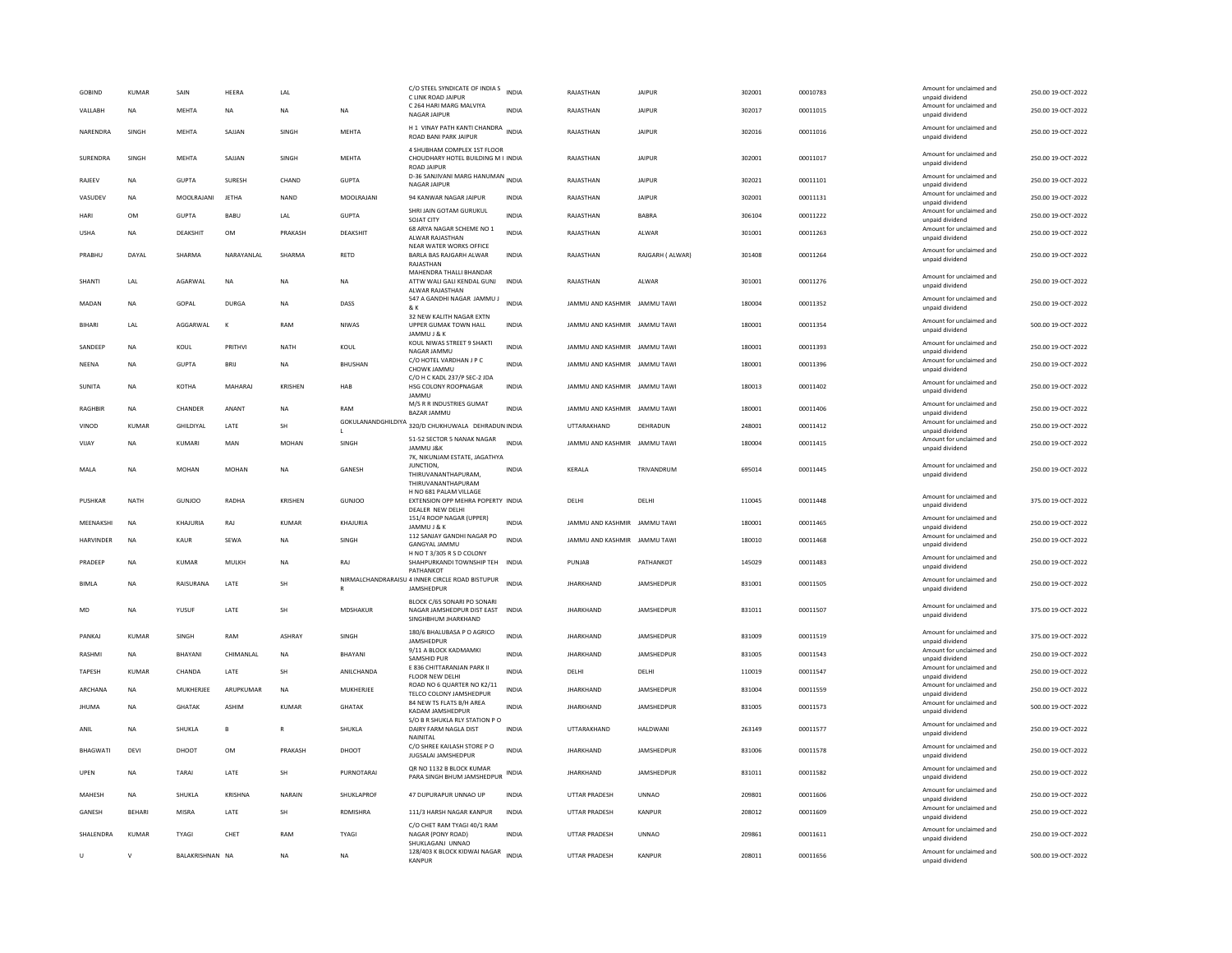| <b>GOBIND</b>    | <b>KUMAR</b>  | SAIN            | HEERA          | LAL            |                 | C/O STEEL SYNDICATE OF INDIA S<br>C LINK ROAD JAIPUR                                   | <b>INDIA</b> | RAJASTHAN                    | <b>JAIPUR</b>     | 302001 | 00010783 | Amount for unclaimed and<br>unpaid dividend | 250.00 19-OCT-2022 |
|------------------|---------------|-----------------|----------------|----------------|-----------------|----------------------------------------------------------------------------------------|--------------|------------------------------|-------------------|--------|----------|---------------------------------------------|--------------------|
| VALLABH          | <b>NA</b>     | <b>MEHTA</b>    | <b>NA</b>      | <b>NA</b>      | <b>NA</b>       | C 264 HARI MARG MALVIYA<br>NAGAR JAIPUR                                                | <b>INDIA</b> | RAJASTHAN                    | <b>JAIPUR</b>     | 302017 | 00011015 | Amount for unclaimed and<br>unpaid dividend | 250.00 19-OCT-2022 |
| NARENDRA         | SINGH         | MEHTA           | SAJJAN         | SINGH          | MEHTA           | H 1 VINAY PATH KANTI CHANDRA INDIA<br>ROAD BANI PARK JAIPUR                            |              | RAJASTHAN                    | <b>JAIPUR</b>     | 302016 | 00011016 | Amount for unclaimed and<br>unpaid dividend | 250.00 19-OCT-2022 |
| SURENDRA         | SINGH         | <b>MEHTA</b>    | SAJJAN         | SINGH          | MEHTA           | 4 SHUBHAM COMPLEX 1ST FLOOR<br>CHOUDHARY HOTEL BUILDING M I INDIA<br>ROAD JAIPUR       |              | RAJASTHAN                    | <b>JAIPUR</b>     | 302001 | 00011017 | Amount for unclaimed and<br>unpaid dividend | 250.00 19-OCT-2022 |
| RAJEEV           | <b>NA</b>     | <b>GUPTA</b>    | <b>SURESH</b>  | CHAND          | <b>GUPTA</b>    | D-36 SANJIVANI MARG HANUMAN INDIA<br>NAGAR JAIPUR                                      |              | RAJASTHAN                    | <b>JAIPUR</b>     | 302021 | 00011101 | Amount for unclaimed and<br>unpaid dividend | 250.00 19-OCT-2022 |
| VASUDEV          | <b>NA</b>     | MOOLRAJANI      | <b>JETHA</b>   | <b>NAND</b>    | MOOLRAJANI      | 94 KANWAR NAGAR JAIPUR                                                                 | INDIA        | RAJASTHAN                    | <b>JAIPUR</b>     | 302001 | 00011131 | Amount for unclaimed and<br>unpaid dividend | 250.00 19-OCT-2022 |
| HARI             | <b>OM</b>     | GUPTA           | <b>BABU</b>    | LAL            | <b>GUPTA</b>    | SHRI JAIN GOTAM GURUKUL<br>SOJAT CITY                                                  | <b>INDIA</b> | RAJASTHAN                    | <b>BARRA</b>      | 306104 | 00011222 | Amount for unclaimed and<br>unpaid dividend | 250.00 19-OCT-2022 |
| <b>USHA</b>      | <b>NA</b>     | DEAKSHIT        | <b>OM</b>      | PRAKASH        | DEAKSHIT        | 68 ARYA NAGAR SCHEME NO 1<br>ALWAR RAJASTHAN<br>NEAR WATER WORKS OFFICE                | <b>INDIA</b> | RAJASTHAN                    | ALWAR             | 301001 | 00011263 | Amount for unclaimed and<br>unpaid dividend | 250.00 19-OCT-2022 |
| PRABHU           | DAYAL         | SHARMA          | NARAYANLAL     | SHARMA         | <b>RETD</b>     | BARLA BAS RAJGARH ALWAR<br>RAJASTHAN                                                   | <b>INDIA</b> | RAJASTHAN                    | RAJGARH (ALWAR)   | 301408 | 00011264 | Amount for unclaimed and<br>unpaid dividend | 250.00 19-OCT-2022 |
| SHANTI           | LAL           | <b>AGARWAI</b>  | <b>NA</b>      | <b>NA</b>      | <b>NA</b>       | MAHENDRA THALLI BHANDAR<br>ATTW WALI GALI KENDAL GUNJ<br>ALWAR RAJASTHAN               | <b>INDIA</b> | RAJASTHAN                    | AI WAR            | 301001 | 00011276 | Amount for unclaimed and<br>unpaid dividend | 250.00 19-OCT-2022 |
| MADAN            | <b>NA</b>     | <b>GOPAL</b>    | <b>DURGA</b>   | <b>NA</b>      | DASS            | 547 A GANDHI NAGAR JAMMU J<br>& K                                                      | <b>INDIA</b> | JAMMU AND KASHMIR JAMMU TAWI |                   | 180004 | 00011352 | Amount for unclaimed and<br>unpaid dividend | 250.00 19-OCT-2022 |
| <b>BIHARI</b>    | <b>I</b> AI   | AGGARWAI        | $\kappa$       | RAM            | <b>NIWAS</b>    | 32 NEW KALITH NAGAR EXTN<br>UPPER GUMAK TOWN HALL<br>JAMMU J & K                       | <b>INDIA</b> | JAMMU AND KASHMIR JAMMU TAWI |                   | 180001 | 00011354 | Amount for unclaimed and<br>unpaid dividend | 500.00 19-OCT-2022 |
| SANDEEP          | <b>NA</b>     | KOUL            | PRITHVI        | <b>NATH</b>    | KOUL            | KOUL NIWAS STREET 9 SHAKTI<br>NAGAR JAMMU                                              | <b>INDIA</b> | JAMMU AND KASHMIR JAMMU TAWI |                   | 180001 | 00011393 | Amount for unclaimed and<br>unpaid dividend | 250.00 19-OCT-2022 |
| NEENA            | <b>NA</b>     | <b>GUPTA</b>    | <b>BRIL</b>    | <b>NA</b>      | <b>BHUSHAN</b>  | C/O HOTEL VARDHAN J P C<br>CHOWK JAMMU                                                 | <b>INDIA</b> | IAMMU AND KASHMIR IAMMU TAWI |                   | 180001 | 00011396 | Amount for unclaimed and<br>unpaid dividend | 250.00 19-OCT-2022 |
| <b>SUNITA</b>    | <b>NA</b>     | <b>КОТНА</b>    | MAHARAJ        | <b>KRISHEN</b> | HAB             | C/O H C KADL 237/P SEC-2 JDA<br><b>HSG COLONY ROOPNAGAR</b><br><b>JAMMU</b>            | <b>INDIA</b> | JAMMU AND KASHMIR JAMMU TAWI |                   | 180013 | 00011402 | Amount for unclaimed and<br>unpaid dividend | 250.00 19-OCT-2022 |
| RAGHBIR          | <b>NA</b>     | CHANDER         | ANANT          | <b>NA</b>      | RAM             | M/S R R INDUSTRIES GUMAT<br>BAZAR JAMMU                                                | INDIA        | JAMMU AND KASHMIR JAMMU TAWI |                   | 180001 | 00011406 | Amount for unclaimed and<br>unpaid dividend | 250.00 19-OCT-2022 |
| VINOD            | <b>KUMAR</b>  | GHILDIYAL       | LATE           | SH             | L               | GOKULANANDGHILDIYA 320/D CHUKHUWALA DEHRADUN INDIA                                     |              | UTTARAKHAND                  | DEHRADUN          | 248001 | 00011412 | Amount for unclaimed and<br>unpaid dividend | 250.00 19-OCT-2022 |
| VIJAY            | <b>NA</b>     | <b>KUMARI</b>   | MAN            | <b>MOHAN</b>   | SINGH           | 51-52 SECTOR 5 NANAK NAGAR<br>JAMMU J&K<br>7K, NIKUNJAM ESTATE, JAGATHYA               | <b>INDIA</b> | JAMMU AND KASHMIR JAMMU TAWI |                   | 180004 | 00011415 | Amount for unclaimed and<br>unpaid dividend | 250.00 19-OCT-2022 |
| MALA             | <b>NA</b>     | MOHAN           | MOHAN          | NA             | GANESH          | JUNCTION.<br>THIRUVANANTHAPURAM.<br>THIRUVANANTHAPURAM                                 | INDIA        | KERALA                       | TRIVANDRUM        | 695014 | 00011445 | Amount for unclaimed and<br>unpaid dividend | 250.00 19-OCT-2022 |
| PUSHKAR          | NATH          | GUNIOO          | RADHA          | KRISHEN        | GUNIOO          | H NO 681 PALAM VILLAGE<br>EXTENSION OPP MEHRA POPERTY INDIA<br>DEALER NEW DELHI        |              | <b>DELHI</b>                 | DELHI             | 110045 | 00011448 | Amount for unclaimed and<br>unpaid dividend | 375.00.19-OCT-2022 |
| MEENAKSHI        | <b>NA</b>     | KHAJURIA        | RAJ            | <b>KUMAR</b>   | KHAJURIA        | 151/4 ROOP NAGAR (UPPER)<br>JAMMU J & K                                                | INDIA        | JAMMU AND KASHMIR            | <b>JAMMU TAWI</b> | 180001 | 00011465 | Amount for unclaimed and<br>unpaid dividend | 250.00 19-OCT-2022 |
| <b>HARVINDER</b> | <b>NA</b>     | <b>KAUR</b>     | SEWA           | <b>NA</b>      | SINGH           | 112 SANJAY GANDHI NAGAR PO<br>GANGYAL JAMMU                                            | <b>INDIA</b> | JAMMU AND KASHMIR JAMMU TAWI |                   | 180010 | 00011468 | Amount for unclaimed and<br>unpaid dividend | 250.00 19-OCT-2022 |
| PRADEEP          | <b>NA</b>     | <b>KUMAR</b>    | MULKH          | <b>NA</b>      | RAJ             | H NO T 3/305 R S D COLONY<br>SHAHPURKANDI TOWNSHIP TEH<br>PATHANKOT                    | <b>INDIA</b> | PUNJAB                       | PATHANKOT         | 145029 | 00011483 | Amount for unclaimed and<br>unpaid dividend | 250.00 19-OCT-2022 |
| <b>BIMLA</b>     | <b>NA</b>     | RAISURANA       | LATE           | SH             |                 | NIRMALCHANDRARAISU 4 INNER CIRCLE ROAD BISTUPUR<br>JAMSHEDPUR                          | <b>INDIA</b> | <b>JHARKHAND</b>             | JAMSHEDPUR        | 831001 | 00011505 | Amount for unclaimed and<br>unpaid dividend | 250.00 19-OCT-2022 |
| MD               | <b>NA</b>     | YUSUF           | LATE           | SH             | <b>MDSHAKUR</b> | BLOCK C/65 SONARI PO SONARI<br>NAGAR JAMSHEDPUR DIST EAST INDIA<br>SINGHBHUM JHARKHAND |              | <b>JHARKHAND</b>             | JAMSHEDPUR        | 831011 | 00011507 | Amount for unclaimed and<br>unpaid dividend | 375.00 19-OCT-2022 |
| PANKAJ           | <b>KUMAR</b>  | SINGH           | RAM            | <b>ASHRAY</b>  | SINGH           | 180/6 BHALUBASA P O AGRICO<br>JAMSHEDPUR                                               | <b>INDIA</b> | <b>JHARKHAND</b>             | JAMSHEDPUR        | 831009 | 00011519 | Amount for unclaimed and<br>unpaid dividend | 375.00 19-OCT-2022 |
| RASHMI           | NA            | <b>BHAYANI</b>  | CHIMANLAL      | NA             | BHAYANI         | 9/11 A BLOCK KADMAMKI<br>SAMSHID PUR                                                   | <b>INDIA</b> | <b>JHARKHAND</b>             | <b>JAMSHEDPUR</b> | 831005 | 00011543 | Amount for unclaimed and<br>unpaid dividend | 250.00 19-OCT-2022 |
| <b>TAPESH</b>    | <b>KUMAR</b>  | CHANDA          | LATE           | SH             | ANILCHANDA      | E 836 CHITTARANJAN PARK II<br>FLOOR NEW DELHI                                          | <b>INDIA</b> | DELHI                        | DELHI             | 110019 | 00011547 | Amount for unclaimed and<br>unpaid dividend | 250.00 19-OCT-2022 |
| ARCHANA          | <b>NA</b>     | MUKHERJEE       | ARUPKUMAR      | <b>NA</b>      | MUKHERJEE       | ROAD NO 6 QUARTER NO K2/11<br>TELCO COLONY JAMSHEDPUR                                  | <b>INDIA</b> | <b>JHARKHAND</b>             | JAMSHEDPUR        | 831004 | 00011559 | Amount for unclaimed and<br>unpaid dividend | 250.00 19-OCT-2022 |
| <b>JHUMA</b>     | <b>NA</b>     | <b>GHATAK</b>   | <b>ASHIM</b>   | KUMAR          | <b>GHATAK</b>   | 84 NEW TS FLATS B/H AREA<br>KADAM JAMSHEDPUF                                           | <b>INDIA</b> | <b>JHARKHAND</b>             | JAMSHEDPUR        | 831005 | 00011573 | Amount for unclaimed and<br>unpaid dividend | 500.00 19-OCT-2022 |
| ANIL             | <b>NA</b>     | SHUKLA          | R.             | $\mathbb{R}$   | SHUKLA          | S/O B R SHUKLA RLY STATION P O<br>DAIRY FARM NAGLA DIST<br>NAINITAL                    | <b>INDIA</b> | UTTARAKHAND                  | HALDWANI          | 263149 | 00011577 | Amount for unclaimed and<br>unpaid dividend | 250.00 19-OCT-2022 |
| <b>BHAGWATI</b>  | DEVI          | DHOOT           | <b>OM</b>      | PRAKASH        | DHOOT           | C/O SHREE KAILASH STORE P O<br>JUGSALAI JAMSHEDPUR                                     | <b>INDIA</b> | <b>JHARKHAND</b>             | JAMSHEDPUR        | 831006 | 00011578 | Amount for unclaimed and<br>unpaid dividend | 250.00 19-OCT-2022 |
| UPEN             | <b>NA</b>     | TARAI           | LATE           | <b>SH</b>      | PURNOTARAL      | QR NO 1132 B BLOCK KUMAR<br>PARA SINGH BHUM JAMSHEDPUR                                 | <b>INDIA</b> | <b>IHARKHAND</b>             | JAMSHEDPUR        | 831011 | 00011582 | Amount for unclaimed and<br>unpaid dividend | 250.00 19-OCT-2022 |
| MAHESH           | <b>NA</b>     | SHUKLA          | <b>KRISHNA</b> | NARAIN         | SHUKLAPROF      | 47 DUPURAPUR UNNAO UP                                                                  | INDIA        | <b>UTTAR PRADESH</b>         | <b>UNNAO</b>      | 209801 | 00011606 | Amount for unclaimed and<br>unpaid dividend | 250.00 19-OCT-2022 |
| <b>GANESH</b>    | <b>REHARI</b> | MISRA           | <b>I ATF</b>   | <b>SH</b>      | RDMISHRA        | 111/3 HARSH NAGAR KANPUR                                                               | <b>INDIA</b> | <b>UTTAR PRADESH</b>         | KANPUR            | 208012 | 00011609 | Amount for unclaimed and<br>unpaid dividend | 250.00 19-OCT-2022 |
| SHALENDRA        | <b>KUMAR</b>  | TYAGI           | CHET           | RAM            | TYAGI           | C/O CHET RAM TYAGI 40/1 RAM<br>NAGAR (PONY ROAD)<br>SHUKLAGANJ UNNAO                   | <b>INDIA</b> | UTTAR PRADESH                | <b>UNNAO</b>      | 209861 | 00011611 | Amount for unclaimed and<br>unpaid dividend | 250.00 19-OCT-2022 |
| U                | $\mathsf{v}$  | BALAKRISHNAN NA |                | <b>NA</b>      | NA              | 128/403 K BLOCK KIDWAI NAGAR INDIA<br><b>KANPUR</b>                                    |              | UTTAR PRADESH                | KANPUR            | 208011 | 00011656 | Amount for unclaimed and<br>unpaid dividend | 500.00 19-OCT-2022 |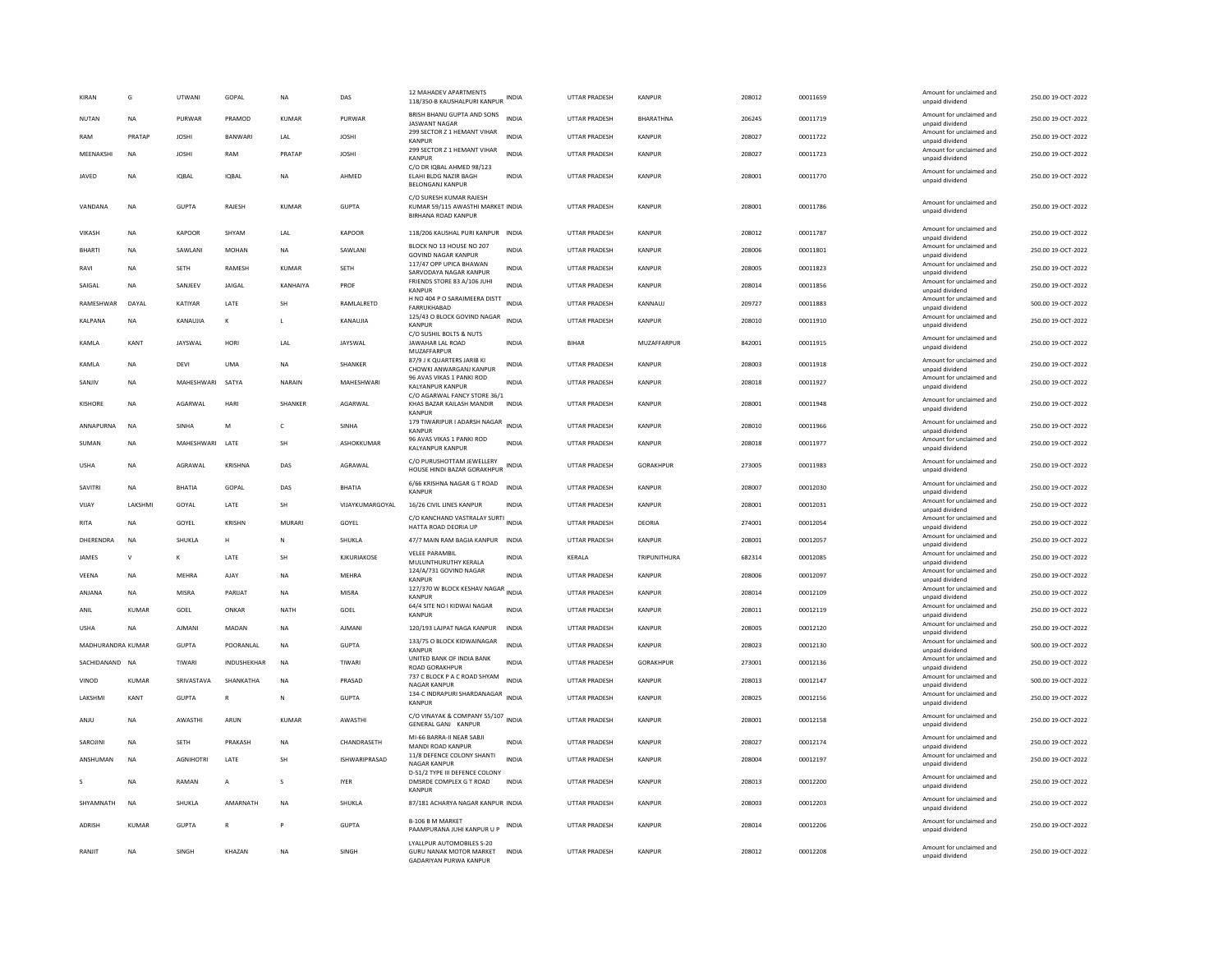| KIRAN             | G            | UTWAN            | GOPAL         | <b>NA</b>      | DAS                  | <b>12 MAHADEV APARTMENTS</b><br>118/350-B KAUSHALPURI KANPUR                        | INDIA        | UTTAR PRADESH        | <b>KANPUR</b>    | 208012 | 00011659 | Amount for unclaimed and<br>unpaid dividend                    | 250.00 19-OCT-2022 |
|-------------------|--------------|------------------|---------------|----------------|----------------------|-------------------------------------------------------------------------------------|--------------|----------------------|------------------|--------|----------|----------------------------------------------------------------|--------------------|
| NUTAN             | <b>NA</b>    | PURWAR           | PRAMOD        | <b>KUMAR</b>   | PURWAR               | BRISH BHANU GUPTA AND SONS<br><b>IASWANT NAGAR</b>                                  | <b>INDIA</b> | <b>UTTAR PRADESH</b> | <b>BHARATHNA</b> | 206245 | 00011719 | Amount for unclaimed and<br>unpaid dividend                    | 250.00 19-OCT-2022 |
| RAM               | PRATAP       | <b>JOSHI</b>     | <b>BANWAR</b> | LAL            | <b>JOSHI</b>         | 299 SECTOR Z 1 HEMANT VIHAR<br>KANPUR                                               | <b>INDIA</b> | UTTAR PRADESH        | <b>KANPUR</b>    | 208027 | 00011722 | Amount for unclaimed and<br>unpaid dividend                    | 250.00 19-OCT-2022 |
| MEENAKSHI         | NA           | <b>JOSHI</b>     | RAM           | PRATAP         | <b>JOSHI</b>         | 299 SECTOR Z 1 HEMANT VIHAR<br>KANPUF                                               | <b>INDIA</b> | UTTAR PRADESH        | KANPUR           | 208027 | 00011723 | Amount for unclaimed and<br>unpaid dividend                    | 250.00 19-OCT-2022 |
| JAVED             | NA           | <b>IQBAL</b>     | <b>IOBAI</b>  | NA             | AHMED                | C/O DR IOBAL AHMED 98/123<br>ELAHI BLDG NAZIR BAGH<br>BELONGANJ KANPUR              | <b>INDIA</b> | UTTAR PRADESH        | KANPUR           | 208001 | 00011770 | Amount for unclaimed and<br>unpaid dividend                    | 250.00 19-OCT-2022 |
| VANDANA           | <b>NA</b>    | <b>GUPTA</b>     | RAJESH        | <b>KUMAR</b>   | <b>GUPTA</b>         | C/O SURESH KUMAR RAJESH<br>KUMAR 59/115 AWASTHI MARKET INDIA<br>BIRHANA ROAD KANPUR |              | UTTAR PRADESH        | KANPUR           | 208001 | 00011786 | Amount for unclaimed and<br>unpaid dividend                    | 250.00 19-OCT-2022 |
| VIKASH            | <b>NA</b>    | KAPOOR           | SHYAM         | LAL            | <b>KAPOOR</b>        | 118/206 KAUSHAL PURI KANPUR INDIA                                                   |              | <b>UTTAR PRADESH</b> | <b>KANPUR</b>    | 208012 | 00011787 | Amount for unclaimed and<br>unpaid dividend                    | 250.00 19-OCT-2022 |
| <b>BHARTI</b>     | <b>NA</b>    | <b>SAWI ANI</b>  | MOHAN         | <b>NA</b>      | <b>SAWI ANI</b>      | BLOCK NO 13 HOUSE NO 207<br><b>GOVIND NAGAR KANPUR</b>                              | <b>INDIA</b> | <b>UTTAR PRADESH</b> | KANPUR           | 208006 | 00011801 | Amount for unclaimed and<br>unpaid dividend                    | 250.00.19-OCT-2022 |
| RAVI              | NA           | SETH             | RAMESH        | KUMAR          | SETH                 | 117/47 OPP UPICA BHAWAN<br>SARVODAYA NAGAR KANPUR                                   | <b>INDIA</b> | UTTAR PRADESH        | KANPUR           | 208005 | 00011823 | Amount for unclaimed and<br>unpaid dividend                    | 250.00 19-OCT-2022 |
| SAIGAL            | NA           | SANJEEV          | JAIGAL        | KANHAIYA       | PROF                 | FRIENDS STORE 83 A/106 JUHI<br>KANPUR                                               | <b>INDIA</b> | UTTAR PRADESH        | KANPUR           | 208014 | 00011856 | Amount for unclaimed and<br>unpaid dividend                    | 250.00 19-OCT-2022 |
| RAMESHWAR         | DAYAL        | KATIYAR          | LATE          | SH             | RAMLALRETD           | H NO 404 P O SARAIMEERA DISTT<br>FARRUKHARAD                                        | <b>INDIA</b> | <b>UTTAR PRADESH</b> | KANNAUJ          | 209727 | 00011883 | Amount for unclaimed and<br>unnaid dividend                    | 500.00 19-OCT-2022 |
| KALPANA           | <b>NA</b>    | KANAUJIA         | к             | -11            | KANAUJIA             | 125/43 O BLOCK GOVIND NAGAR<br>KANPUR                                               | <b>INDIA</b> | <b>UTTAR PRADESH</b> | KANPUR           | 208010 | 00011910 | Amount for unclaimed and<br>unpaid dividend                    | 250.00 19-OCT-2022 |
| KAMLA             | KANT         | JAYSWAL          | HORI          | LAL            | JAYSWAL              | C/O SUSHIL BOLTS & NUTS<br>JAWAHAR LAL ROAD<br>MUZAFFARPUR                          | INDIA        | BIHAR                | MUZAFFARPUR      | 842001 | 00011915 | Amount for unclaimed and<br>unpaid dividend                    | 250.00 19-OCT-2022 |
| KAMLA             | <b>NA</b>    | DEVI             | <b>UMA</b>    | <b>NA</b>      | SHANKER              | 87/9 J K QUARTERS JARIB KI                                                          | <b>INDIA</b> | UTTAR PRADESH        | KANPUR           | 208003 | 00011918 | Amount for unclaimed and                                       | 250.00 19-OCT-2022 |
| SANJIV            | <b>NA</b>    | MAHESHWARI       | SATYA         | NARAIN         | MAHESHWARI           | CHOWKI ANWARGANJ KANPUR<br>96 AVAS VIKAS 1 PANKI ROD<br><b>KALYANPUR KANPUR</b>     | <b>INDIA</b> | UTTAR PRADESH        | <b>KANPUR</b>    | 208018 | 00011927 | unpaid dividend<br>Amount for unclaimed and<br>unpaid dividend | 250.00 19-OCT-2022 |
| KISHORE           | <b>NA</b>    | AGARWAI          | HARI          | <b>SHANKER</b> | AGARWAI              | C/O AGARWAL FANCY STORE 36/1<br>KHAS BAZAR KAILASH MANDIR                           | <b>INDIA</b> | UTTAR PRADESH        | KANPUR           | 208001 | 00011948 | Amount for unclaimed and                                       | 250.00 19-OCT-2022 |
|                   |              |                  |               |                |                      | KANPUF<br>179 TIWARIPUR I ADARSH NAGAR                                              |              |                      |                  |        |          | unpaid dividend<br>Amount for unclaimed and                    |                    |
| ANNAPURNA         | <b>NA</b>    | SINHA            | M             | c              | SINHA                | KANPUR<br>96 AVAS VIKAS 1 PANKI ROD                                                 | <b>INDIA</b> | UTTAR PRADESH        | KANPUR           | 208010 | 00011966 | unpaid dividend<br>Amount for unclaimed and                    | 250.00 19-OCT-2022 |
| SUMAN             | <b>NA</b>    | MAHESHWARI LATE  |               | SH             | ASHOKKUMAR           | <b>KALYANPUR KANPUR</b>                                                             | <b>INDIA</b> | <b>UTTAR PRADESH</b> | <b>KANPUR</b>    | 208018 | 00011977 | unpaid dividend                                                | 250.00 19-OCT-2022 |
| <b>USHA</b>       | NA           | AGRAWAL          | KRISHNA       | DAS            | AGRAWAL              | C/O PURUSHOTTAM JEWELLERY<br>HOUSE HINDI BAZAR GORAKHPUR                            | <b>INDIA</b> | UTTAR PRADESH        | GORAKHPUR        | 273005 | 00011983 | Amount for unclaimed and<br>unpaid dividend                    | 250.00 19-OCT-2022 |
| SAVITRI           | NA           | RHATIA           | GOPAL         | DAS            | <b>BHATIA</b>        | 6/66 KRISHNA NAGAR G T ROAD<br><b>KANPUR</b>                                        | <b>INDIA</b> | UTTAR PRADESH        | KANPUR           | 208007 | 00012030 | Amount for unclaimed and<br>unpaid dividend                    | 250.00 19-OCT-2022 |
| VIJAY             | LAKSHMI      | GOYAL            | LATE          | <b>SH</b>      | VIJAYKUMARGOYAL      | 16/26 CIVIL LINES KANPUR                                                            | <b>INDIA</b> | UTTAR PRADESH        | <b>KANPUR</b>    | 208001 | 00012031 | Amount for unclaimed and<br>unpaid dividend                    | 250.00 19-OCT-2022 |
| RITA              | NA           | GOYEL            | KRISHN        | MURARI         | GOYEL                | C/O KANCHAND VASTRALAY SURTI INDIA<br>HATTA ROAD DEORIA UP                          |              | UTTAR PRADESH        | DEORIA           | 274001 | 00012054 | Amount for unclaimed and<br>unpaid dividend                    | 250.00 19-OCT-2022 |
| DHERENDRA         | <b>NA</b>    | SHUKLA           | н             | N              | SHUKLA               | 47/7 MAIN RAM BAGIA KANPUR INDIA                                                    |              | <b>UTTAR PRADESH</b> | KANPUR           | 208001 | 00012057 | Amount for unclaimed and<br>unpaid dividend                    | 250.00 19-OCT-2022 |
| JAMES             | $\mathbf{v}$ | к                | LATE          | SH             | KJKURIAKOSE          | <b>VELEE PARAMBIL</b><br>MULUNTHURUTHY KERALA                                       | INDIA        | KERALA               | TRIPUNITHURA     | 682314 | 00012085 | Amount for unclaimed and<br>hnebivib bisonu                    | 250.00 19-OCT-2022 |
| VEENA             | NA           | MEHRA            | AJAY          | <b>NA</b>      | <b>MEHRA</b>         | 124/A/731 GOVIND NAGAR<br>KANPUR                                                    | <b>INDIA</b> | UTTAR PRADESH        | KANPUR           | 208006 | 00012097 | Amount for unclaimed and<br>unpaid dividend                    | 250.00 19-OCT-2022 |
| ANJANA            | NA           | MISRA            | PARIJAT       | $_{\sf NA}$    | MISRA                | 127/370 W BLOCK KESHAV NAGAR INDIA<br>KANPUF                                        |              | UTTAR PRADESH        | KANPUR           | 208014 | 00012109 | Amount for unclaimed and<br>unpaid dividend                    | 250.00 19-OCT-2022 |
| ANIL              | KUMAR        | GOEL             | ONKAR         | NATH           | GOEL                 | 64/4 SITE NO I KIDWAI NAGAR<br><b>KANPUF</b>                                        | <b>INDIA</b> | UTTAR PRADESH        | KANPUR           | 208011 | 00012119 | Amount for unclaimed and<br>unpaid dividend                    | 250.00 19-OCT-2022 |
| <b>USHA</b>       | <b>NA</b>    | AIMANI           | MADAN         | <b>NA</b>      | <b>AJMANI</b>        | 120/193 LAJPAT NAGA KANPUR                                                          | INDIA        | UTTAR PRADESH        | <b>KANPUR</b>    | 208005 | 00012120 | Amount for unclaimed and<br>unpaid dividend                    | 250.00 19-OCT-2022 |
| MADHURANDRA KUMAR |              | <b>GUPTA</b>     | POORANLAL     | <b>NA</b>      | <b>GUPTA</b>         | 133/75 O BLOCK KIDWAINAGAR<br>KANPUR                                                | <b>INDIA</b> | UTTAR PRADESH        | KANPUR           | 208023 | 00012130 | Amount for unclaimed and<br>unpaid dividend                    | 500.00 19-OCT-2022 |
| SACHIDANAND NA    |              | <b>TIWAR</b>     | INDUSHEKHAR   | <b>NA</b>      | TIWARI               | UNITED BANK OF INDIA BANK                                                           | <b>INDIA</b> | UTTAR PRADESH        | GORAKHPUR        | 273001 | 00012136 | Amount for unclaimed and                                       | 250.00 19-OCT-2022 |
| VINOD             |              |                  |               |                |                      | <b>ROAD GORAKHPUF</b>                                                               |              |                      |                  |        |          | unpaid dividend                                                |                    |
|                   | <b>KUMAR</b> | SRIVASTAVA       | SHANKATHA     | <b>NA</b>      | PRASAD               | 737 C BLOCK P A C ROAD SHYAM<br><b>NAGAR KANPUR</b>                                 | <b>INDIA</b> | UTTAR PRADESH        | <b>KANPUR</b>    | 208013 | 00012147 | Amount for unclaimed and<br>unpaid dividend                    | 500.00 19-OCT-2022 |
| LAKSHMI           | KANT         | <b>GUPTA</b>     | $\mathsf{R}$  | ${\sf N}$      | <b>GUPTA</b>         | 134-C INDRAPURI SHARDANAGAR<br><b>KANPUR</b>                                        | <b>INDIA</b> | UTTAR PRADESH        | <b>KANPUR</b>    | 208025 | 00012156 | Amount for unclaimed and<br>unpaid dividend                    | 250.00 19-OCT-2022 |
| ANJU              | <b>NA</b>    | AWASTHI          | ARUN          | <b>KUMAR</b>   | AWASTHI              | C/O VINAYAK & COMPANY 55/107<br><b>GENERAL GANJ KANPUR</b>                          | <b>INDIA</b> | UTTAR PRADESH        | KANPUR           | 208001 | 00012158 | Amount for unclaimed and<br>unpaid dividend                    | 250.00 19-OCT-2022 |
| SAROJINI          | <b>NA</b>    | <b>SETH</b>      | PRAKASH       | <b>NA</b>      | CHANDRASETH          | MI-66 BARRA-II NEAR SABJI<br>MANDI ROAD KANPUR                                      | <b>INDIA</b> | UTTAR PRADESH        | <b>KANPUR</b>    | 208027 | 00012174 | Amount for unclaimed and<br>unpaid dividend                    | 250.00 19-OCT-2022 |
| ANSHUMAN          | <b>NA</b>    | <b>AGNIHOTRI</b> | LATE          | <b>SH</b>      | <b>ISHWARIPRASAD</b> | 11/8 DEFENCE COLONY SHANTI<br>NAGAR KANPUR                                          | <b>INDIA</b> | <b>UTTAR PRADESH</b> | KANPUR           | 208004 | 00012197 | Amount for unclaimed and<br>unpaid dividend                    | 250.00 19-OCT-2022 |
|                   | NA           | RAMAN            | А             | s              | <b>IYER</b>          | D-51/2 TYPE III DEFENCE COLONY<br>DMSRDE COMPLEX G T ROAD<br>KANPUR                 | INDIA        | UTTAR PRADESH        | KANPUR           | 208013 | 00012200 | Amount for unclaimed and<br>unpaid dividend                    | 250.00 19-OCT-2022 |
| SHYAMNATH         | <b>NA</b>    | SHUKLA           | AMARNATH      | <b>NA</b>      | SHUKLA               | 87/181 ACHARYA NAGAR KANPUR INDIA                                                   |              | <b>UTTAR PRADESH</b> | KANPUR           | 208003 | 00012203 | Amount for unclaimed and                                       | 250.00 19-OCT-2022 |
| <b>ADRISH</b>     | <b>KUMAR</b> | <b>GUPTA</b>     |               |                | <b>GUPTA</b>         | B-106 B M MARKET<br>PAAMPURANA JUHI KANPUR U P                                      | INDIA        | UTTAR PRADESH        | <b>KANPUR</b>    | 208014 | 00012206 | unpaid dividend<br>Amount for unclaimed and<br>unpaid dividend | 250.00 19-OCT-2022 |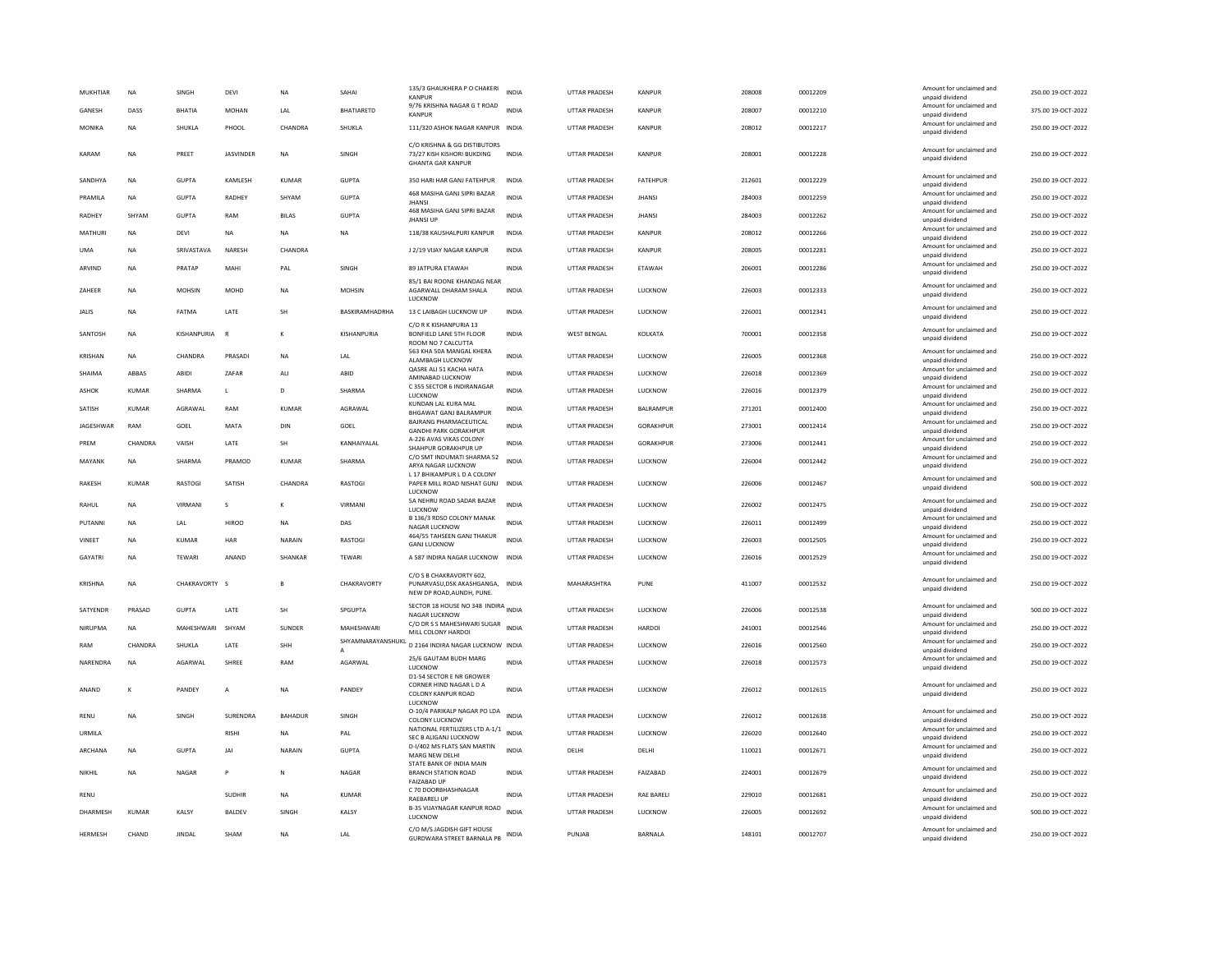| 9/76 KRISHNA NAGAR G T ROAD<br>Amount for unclaimed and<br>GANESH<br>DASS<br>BHATIA<br><b>MOHAN</b><br>LAL<br>BHATIARETD<br><b>INDIA</b><br>UTTAR PRADESH<br>KANPUR<br>208007<br>00012210<br>375.00 19-OCT-2022<br><b>KANPUR</b><br>unpaid dividend<br>Amount for unclaimed and<br>111/320 ASHOK NAGAR KANPUR INDIA<br>250.00 19-OCT-2022<br>MONIKA<br><b>NA</b><br>SHUKLA<br>PHOOL<br>CHANDRA<br><b>SHUKLA</b><br><b>UTTAR PRADESH</b><br>KANPUR<br>208012<br>00012217<br>unpaid dividend<br>C/O KRISHNA & GG DISTIBUTORS<br>Amount for unclaimed and<br><b>JASVINDER</b><br>SINGH<br>UTTAR PRADESH<br>208001<br>00012228<br>250.00 19-OCT-2022<br>KARAM<br><b>NA</b><br>PREET<br><b>NA</b><br>73/27 KISH KISHORI BUKDING<br><b>INDIA</b><br><b>KANPUR</b><br>unpaid dividend<br><b>GHANTA GAR KANPUR</b><br>Amount for unclaimed and<br><b>GUPTA</b><br><b>GUPTA</b><br><b>FATEHPUR</b><br>212601<br>00012229<br>250.00 19-OCT-2022<br>SANDHYA<br><b>NA</b><br>KAMLESH<br><b>KUMAR</b><br>350 HARI HAR GANJ FATEHPUR<br><b>INDIA</b><br><b>UTTAR PRADESH</b><br>unpaid dividend<br>468 MASIHA GANJ SIPRI BAZAR<br>Amount for unclaimed and<br>PRAMILA<br><b>NA</b><br><b>GUPTA</b><br>RADHEY<br>SHYAM<br><b>GUPTA</b><br><b>INDIA</b><br>UTTAR PRADESH<br><b>JHANSI</b><br>284003<br>00012259<br>250.00 19-OCT-2022<br><b>JHANSI</b><br>unpaid dividend<br>468 MASIHA GANJ SIPRI BAZAR<br>Amount for unclaimed and<br>RADHEY<br>SHYAM<br><b>GUPTA</b><br><b>RAM</b><br><b>BILAS</b><br><b>GUPTA</b><br><b>INDIA</b><br>UTTAR PRADESH<br><b>JHANSI</b><br>284003<br>00012262<br>250.00 19-OCT-2022<br><b>JHANSI UP</b><br>unpaid dividend<br>Amount for unclaimed and<br>MATHURI<br><b>NA</b><br>DEVI<br>NA<br>118/38 KAUSHALPURI KANPUR<br>INDIA<br>UTTAR PRADESH<br>KANPUR<br>208012<br>00012266<br>250.00 19-OCT-2022<br><b>NA</b><br><b>NA</b><br>unpaid dividend<br>Amount for unclaimed and<br>ΝA<br>SRIVASTAVA<br>NARESH<br>CHANDRA<br>J 2/19 VIJAY NAGAR KANPUR<br>INDIA<br>UTTAR PRADESH<br>KANPUR<br>208005<br>00012281<br>250.00 19-OCT-2022<br><b>UMA</b><br>unpaid dividend<br>Amount for unclaimed and<br>SINGH<br>ARVIND<br>NA<br>PRATAP<br>MAHI<br>PAL<br>89 JATPURA ETAWAH<br><b>INDIA</b><br><b>UTTAR PRADESH</b><br>ETAWAH<br>206001<br>00012286<br>250.00 19-OCT-2022<br>unpaid dividend<br>85/1 BAI ROONE KHANDAG NEAR<br>Amount for unclaimed and<br>LUCKNOW<br>226003<br>00012333<br>250.00 19-OCT-2022<br>ZAHEER<br><b>NA</b><br><b>MOHSIN</b><br>MOHD<br><b>NA</b><br><b>MOHSIN</b><br>AGARWALL DHARAM SHALA<br><b>INDIA</b><br><b>UTTAR PRADESH</b><br>unpaid dividend<br>LUCKNOW<br>Amount for unclaimed and<br>FATMA<br>LATE<br>SH<br>BASKIRAMHADRHA<br>13 C LAIBAGH LUCKNOW UP<br>LUCKNOW<br>226001<br>00012341<br>250.00 19-OCT-2022<br><b>NA</b><br><b>INDIA</b><br><b>UTTAR PRADESH</b><br><b>JALIS</b><br>unpaid dividend<br>C/O R K KISHANPURIA 13<br>Amount for unclaimed and<br>250.00 19-OCT-2022<br>SANTOSH<br><b>NA</b><br>KISHANPURIA<br>F<br>KISHANPURIA<br>BONFIELD LANE 5TH FLOOR<br><b>INDIA</b><br><b>WEST BENGAL</b><br>KOLKATA<br>700001<br>00012358<br>unpaid dividend<br>ROOM NO 7 CALCUTTA<br>563 KHA 50A MANGAL KHERA<br>Amount for unclaimed and<br><b>INDIA</b><br><b>UTTAR PRADESH</b><br>LUCKNOW<br>226005<br>00012368<br>250.00 19-OCT-2022<br>KRISHAN<br><b>NA</b><br>CHANDRA<br>PRASAD<br><b>NA</b><br>LAL<br>ALAMBAGH LUCKNOW<br>unpaid dividend<br>QASRE ALI 51 KACHA HATA<br>Amount for unclaimed and<br>226018<br>00012369<br>250.00 19-OCT-2022<br>ARRAS<br>ABIDI<br>7AFAR<br>AI1<br><b>INDIA</b><br>UTTAR PRADESH<br><b>ILICKNOW</b><br>SHAIMA<br>ARID<br>AMINABAD LUCKNOW<br>unpaid dividend<br>C 355 SECTOR 6 INDIRANAGAR<br>Amount for unclaimed and<br><b>SHARMA</b><br>D<br>SHARMA<br><b>INDIA</b><br><b>UTTAR PRADESH</b><br>LUCKNOW<br>226016<br>00012379<br>250.00 19-OCT-2022<br><b>ASHOK</b><br><b>KUMAR</b><br>T.<br>LUCKNOW<br>unpaid dividend<br>KUNDAN LAL KURA MAL<br>Amount for unclaimed and<br>SATISH<br>AGRAWAL<br>AGRAWAL<br>271201<br>00012400<br>250.00 19-OCT-2022<br><b>KUMAR</b><br>RAM<br><b>KUMAR</b><br><b>INDIA</b><br><b>UTTAR PRADESH</b><br>BALRAMPUR<br>BHGAWAT GANJ BALRAMPUR<br>unpaid dividend<br><b>BAJRANG PHARMACEUTICAL</b><br>Amount for unclaimed and<br>JAGESHWAR<br>RAM<br>GOEL<br>MATA<br>DIN<br>GOEL<br><b>INDIA</b><br>UTTAR PRADESH<br>GORAKHPUR<br>273001<br>00012414<br>250.00 19-OCT-2022<br><b>GANDHI PARK GORAKHPUR</b><br>unpaid dividend<br>A-226 AVAS VIKAS COLONY<br>Amount for unclaimed and<br>PREM<br>CHANDRA<br>VAISH<br>LATE<br>SH<br>KANHAIYALAL<br><b>INDIA</b><br>UTTAR PRADESH<br><b>GORAKHPUR</b><br>273006<br>00012441<br>250.00 19-OCT-2022<br>SHAHPUR GORAKHPUR UP<br>unpaid dividend<br>C/O SMT INDUMATI SHARMA 52<br>Amount for unclaimed and<br>MAYANK<br><b>NA</b><br>SHARMA<br>PRAMOD<br><b>KUMAR</b><br>SHARMA<br><b>INDIA</b><br>UTTAR PRADESH<br>LUCKNOW<br>226004<br>00012442<br>250.00 19-OCT-2022<br>ARYA NAGAR LUCKNOW<br>unpaid dividend<br>L 17 BHIKAMPUR L D A COLONY<br>Amount for unclaimed and<br>RAKESH<br>KUMAR<br><b>RASTOGI</b><br>SATISH<br>CHANDRA<br>RASTOGI<br>PAPER MILL ROAD NISHAT GUNJ<br><b>INDIA</b><br>UTTAR PRADESH<br>LUCKNOW<br>226006<br>00012467<br>500.00 19-OCT-2022<br>unpaid dividend<br>LUCKNOW<br>5A NEHRU ROAD SADAR BAZAR<br>Amount for unclaimed and<br><b>INDIA</b><br>226002<br>250.00 19-OCT-2022<br>VIRMANI<br>VIRMANI<br><b>UTTAR PRADESH</b><br><b>ILICKNOW</b><br>00012475<br>RAHUL<br><b>NA</b><br>$\mathcal{S}$<br>$\mathbf{K}$<br>LUCKNOW<br>unpaid dividend<br>B 136/3 RDSO COLONY MANAK<br>Amount for unclaimed and<br><b>HIROO</b><br><b>INDIA</b><br><b>UTTAR PRADESH</b><br>LUCKNOW<br>226011<br>00012499<br>250.00 19-OCT-2022<br>PUTANNI<br><b>NA</b><br>LAL<br><b>NA</b><br>DAS<br>NAGAR LUCKNOW<br>unpaid dividend<br>464/55 TAHSEEN GANJ THAKUR<br>Amount for unclaimed and<br>NARAIN<br>RASTOGI<br><b>INDIA</b><br>LUCKNOW<br>226003<br>00012505<br>250.00 19-OCT-2022<br>VINEET<br><b>NA</b><br>KUMAR<br>HAR<br><b>UTTAR PRADESH</b><br><b>GANJ LUCKNOW</b><br>unpaid dividend<br>Amount for unclaimed and<br><b>GAYATRI</b><br><b>NA</b><br>TEWARI<br>ANAND<br>SHANKAR<br>TEWARI<br>A 587 INDIRA NAGAR LUCKNOW INDIA<br><b>UTTAR PRADESH</b><br>LUCKNOW<br>226016<br>00012529<br>250.00 19-OCT-2022<br>unpaid dividend<br>C/O S B CHAKRAVORTY 602.<br>Amount for unclaimed and<br><b>NA</b><br>CHAKRAVORTY S<br>CHAKRAVORTY<br>PUNARVASU, DSK AKASHGANGA, INDIA<br>MAHARASHTRA<br>411007<br>00012532<br>250.00 19-OCT-2022<br>KRISHNA<br><b>R</b><br>PUNE<br>unpaid dividend<br>NEW DP ROAD, AUNDH, PUNE.<br>SECTOR 18 HOUSE NO 348 INDIRA INDIA<br>Amount for unclaimed and<br>PRASAD<br><b>GUPTA</b><br>LATE<br>SH<br>SPGUPTA<br>LUCKNOW<br>226006<br>00012538<br>500.00 19-OCT-2022<br>SATYENDR<br><b>UTTAR PRADESH</b><br>NAGAR LUCKNOW<br>unpaid dividend<br>C/O DR S S MAHESHWARI SUGAR<br>Amount for unclaimed and<br>NIRUPMA<br>NA<br>MAHESHWARI SHYAM<br>SUNDER<br>MAHESHWARI<br><b>INDIA</b><br><b>UTTAR PRADESH</b><br><b>HARDOI</b><br>241001<br>00012546<br>250.00 19-OCT-2022<br>MILL COLONY HARDOI<br>unpaid dividend<br>SHYAMNARAYANSHUKL<br>Amount for unclaimed and<br>D 2164 INDIRA NAGAR LUCKNOW INDIA<br><b>RAM</b><br>CHANDRA<br>SHUKLA<br>LATE<br><b>SHH</b><br>UTTAR PRADESH<br>LUCKNOW<br>226016<br>00012560<br>250.00 19-OCT-2022<br>unpaid dividend<br>25/6 GAUTAM BUDH MARG<br>Amount for unclaimed and<br>SHREE<br>226018<br>250.00 19-OCT-2022<br>NARENDRA<br><b>NA</b><br><b>AGARWAI</b><br>RAM<br>AGARWAI<br><b>INDIA</b><br><b>UTTAR PRADESH</b><br>LUCKNOW<br>00012573<br>LUCKNOW<br>unpaid dividend<br>D1-54 SECTOR E NR GROWER<br>CORNER HIND NAGAR L D A<br>Amount for unclaimed and<br>ANAND<br>PANDEY<br><b>NA</b><br>PANDEY<br><b>INDIA</b><br>UTTAR PRADESH<br>LUCKNOW<br>226012<br>00012615<br>250.00 19-OCT-2022<br>K<br>A<br>COLONY KANPUR ROAD<br>unpaid dividend<br><b>IUCKNOW</b><br>O-10/4 PARIKALP NAGAR PO LDA<br>Amount for unclaimed and<br>SURENDRA<br><b>BAHADUR</b><br><b>INDIA</b><br>UTTAR PRADESH<br>LUCKNOW<br>226012<br>00012638<br>250.00 19-OCT-2022<br>RENU<br><b>NA</b><br><b>SINGH</b><br><b>SINGH</b><br>COLONY LUCKNOW<br>unpaid dividend<br>NATIONAL FERTILIZERS LTD A-1/1<br>Amount for unclaimed and<br><b>INDIA</b><br>226020<br>250.00 19-OCT-2022<br><b>RISH</b><br><b>NA</b><br>PAL<br><b>UTTAR PRADESH</b><br>LUCKNOW<br>00012640<br>URMILA<br>SEC B ALIGANJ LUCKNOW<br>unpaid dividend<br>D-I/402 MS FLATS SAN MARTIN<br>Amount for unclaimed and<br><b>GUPTA</b><br><b>GUPTA</b><br><b>INDIA</b><br>110021<br>250.00 19-OCT-2022<br>ARCHANA<br><b>NA</b><br>JAI<br>NARAIN<br>DELHI<br>DELHI<br>00012671<br>MARG NEW DELHI<br>unpaid dividend<br>STATE BANK OF INDIA MAIN<br>Amount for unclaimed and<br>250.00 19-OCT-2022<br>NIKHIL<br>NA<br>NAGAR<br>P<br>N<br>NAGAR<br><b>BRANCH STATION ROAD</b><br><b>INDIA</b><br><b>UTTAR PRADESH</b><br>FAIZABAD<br>224001<br>00012679<br>unpaid dividend<br><b>FAIZABAD UP</b><br>C 70 DOORBHASHNAGAR<br>Amount for unclaimed and<br>RENU<br><b>SUDHIR</b><br><b>NA</b><br><b>KUMAR</b><br><b>INDIA</b><br><b>UTTAR PRADESH</b><br><b>RAE BARELI</b><br>229010<br>00012681<br>250.00 19-OCT-2022<br><b>RAEBARELI UP</b><br>unpaid dividend<br><b>B-35 VIJAYNAGAR KANPUR ROAD</b><br>Amount for unclaimed and<br><b>INDIA</b><br><b>DHARMESH</b><br>KUMAR<br><b>KAISY</b><br><b>BAI DEV</b><br>SINGH<br><b>UTTAR PRADESH</b><br><b>ILICKNOW</b><br>226005<br>00012692<br>500.00 19-OCT-2022<br><b>KAISY</b><br>LUCKNOW<br>unpaid dividend<br>C/O M/S JAGDISH GIFT HOUSE<br>Amount for unclaimed and<br>HERMESH<br>CHAND<br><b>IINDAI</b><br>SHAM<br><b>NA</b><br>LAL<br>INDIA<br>PUNJAR<br><b>BARNALA</b><br>148101<br>00012707<br>250.00 19-OCT-2022<br>GURDWARA STREET BARNALA PB<br>unpaid dividend | MUKHTIAR | <b>NA</b> | SINGH | DEVI | NA | SAHAI | 135/3 GHAUKHERA P O CHAKERI<br>KANPUR | <b>INDIA</b> | UTTAR PRADESH | KANPUF | 208008 | 00012209 | Amount for unclaimed and<br>unpaid dividend | 250.00 19-OCT-2022 |
|------------------------------------------------------------------------------------------------------------------------------------------------------------------------------------------------------------------------------------------------------------------------------------------------------------------------------------------------------------------------------------------------------------------------------------------------------------------------------------------------------------------------------------------------------------------------------------------------------------------------------------------------------------------------------------------------------------------------------------------------------------------------------------------------------------------------------------------------------------------------------------------------------------------------------------------------------------------------------------------------------------------------------------------------------------------------------------------------------------------------------------------------------------------------------------------------------------------------------------------------------------------------------------------------------------------------------------------------------------------------------------------------------------------------------------------------------------------------------------------------------------------------------------------------------------------------------------------------------------------------------------------------------------------------------------------------------------------------------------------------------------------------------------------------------------------------------------------------------------------------------------------------------------------------------------------------------------------------------------------------------------------------------------------------------------------------------------------------------------------------------------------------------------------------------------------------------------------------------------------------------------------------------------------------------------------------------------------------------------------------------------------------------------------------------------------------------------------------------------------------------------------------------------------------------------------------------------------------------------------------------------------------------------------------------------------------------------------------------------------------------------------------------------------------------------------------------------------------------------------------------------------------------------------------------------------------------------------------------------------------------------------------------------------------------------------------------------------------------------------------------------------------------------------------------------------------------------------------------------------------------------------------------------------------------------------------------------------------------------------------------------------------------------------------------------------------------------------------------------------------------------------------------------------------------------------------------------------------------------------------------------------------------------------------------------------------------------------------------------------------------------------------------------------------------------------------------------------------------------------------------------------------------------------------------------------------------------------------------------------------------------------------------------------------------------------------------------------------------------------------------------------------------------------------------------------------------------------------------------------------------------------------------------------------------------------------------------------------------------------------------------------------------------------------------------------------------------------------------------------------------------------------------------------------------------------------------------------------------------------------------------------------------------------------------------------------------------------------------------------------------------------------------------------------------------------------------------------------------------------------------------------------------------------------------------------------------------------------------------------------------------------------------------------------------------------------------------------------------------------------------------------------------------------------------------------------------------------------------------------------------------------------------------------------------------------------------------------------------------------------------------------------------------------------------------------------------------------------------------------------------------------------------------------------------------------------------------------------------------------------------------------------------------------------------------------------------------------------------------------------------------------------------------------------------------------------------------------------------------------------------------------------------------------------------------------------------------------------------------------------------------------------------------------------------------------------------------------------------------------------------------------------------------------------------------------------------------------------------------------------------------------------------------------------------------------------------------------------------------------------------------------------------------------------------------------------------------------------------------------------------------------------------------------------------------------------------------------------------------------------------------------------------------------------------------------------------------------------------------------------------------------------------------------------------------------------------------------------------------------------------------------------------------------------------------------------------------------------------------------------------------------------------------------------------------------------------------------------------------------------------------------------------------------------------------------------------------------------------------------------------------------------------------------------------------------------------------------------------------------------------------------------------------------------------------------------------------------------------------------------------------------------------------------------------------------------------------------------------------------------------------------------------------------------------------------------------------------------------------------------------------------------------------------------------------------------------------------------------------------------------------------------------------------------------------------------------------------------------------------------------------------------------------------------------------------------------------------------------------------------------------------------------------------------------------------------------------------------------------------------------------------------------------------------------------------------------------------------------------------------------------------------------------------------------------------------------------------------------------------------------------------------------------------------------------------------------------------------------------------------------------------------------------------------------------------------------------------------------------------------------------------------------------------------------------------------------------------------------------------------------------------------------------------------------------------------------------------------------------------------------------------------------------------------------------------------------------------------------------------------------------------------------------------------------------------------------------------------------------------------------------------------------------------------------------------------------------------------------------------------------------------------------------------------------------------------------------------------------------------------------------------------------------------------------------------------------------------------------------------------------------------------------------------------------------------------------------------------------------------------------------------------------------------------------------------------------------------|----------|-----------|-------|------|----|-------|---------------------------------------|--------------|---------------|--------|--------|----------|---------------------------------------------|--------------------|
|                                                                                                                                                                                                                                                                                                                                                                                                                                                                                                                                                                                                                                                                                                                                                                                                                                                                                                                                                                                                                                                                                                                                                                                                                                                                                                                                                                                                                                                                                                                                                                                                                                                                                                                                                                                                                                                                                                                                                                                                                                                                                                                                                                                                                                                                                                                                                                                                                                                                                                                                                                                                                                                                                                                                                                                                                                                                                                                                                                                                                                                                                                                                                                                                                                                                                                                                                                                                                                                                                                                                                                                                                                                                                                                                                                                                                                                                                                                                                                                                                                                                                                                                                                                                                                                                                                                                                                                                                                                                                                                                                                                                                                                                                                                                                                                                                                                                                                                                                                                                                                                                                                                                                                                                                                                                                                                                                                                                                                                                                                                                                                                                                                                                                                                                                                                                                                                                                                                                                                                                                                                                                                                                                                                                                                                                                                                                                                                                                                                                                                                                                                                                                                                                                                                                                                                                                                                                                                                                                                                                                                                                                                                                                                                                                                                                                                                                                                                                                                                                                                                                                                                                                                                                                                                                                                                                                                                                                                                                                                                                                                                                                                                                                                                                                                                                                                                                                                                                                                                                                                                                                                                                                                                                                                                                                                                                                                                                                                                                                                                                                                                                                                                                                                                                                                                                                                                                                                                                                                                                                                                                                                                                                                                                                                                                                                                                                                          |          |           |       |      |    |       |                                       |              |               |        |        |          |                                             |                    |
|                                                                                                                                                                                                                                                                                                                                                                                                                                                                                                                                                                                                                                                                                                                                                                                                                                                                                                                                                                                                                                                                                                                                                                                                                                                                                                                                                                                                                                                                                                                                                                                                                                                                                                                                                                                                                                                                                                                                                                                                                                                                                                                                                                                                                                                                                                                                                                                                                                                                                                                                                                                                                                                                                                                                                                                                                                                                                                                                                                                                                                                                                                                                                                                                                                                                                                                                                                                                                                                                                                                                                                                                                                                                                                                                                                                                                                                                                                                                                                                                                                                                                                                                                                                                                                                                                                                                                                                                                                                                                                                                                                                                                                                                                                                                                                                                                                                                                                                                                                                                                                                                                                                                                                                                                                                                                                                                                                                                                                                                                                                                                                                                                                                                                                                                                                                                                                                                                                                                                                                                                                                                                                                                                                                                                                                                                                                                                                                                                                                                                                                                                                                                                                                                                                                                                                                                                                                                                                                                                                                                                                                                                                                                                                                                                                                                                                                                                                                                                                                                                                                                                                                                                                                                                                                                                                                                                                                                                                                                                                                                                                                                                                                                                                                                                                                                                                                                                                                                                                                                                                                                                                                                                                                                                                                                                                                                                                                                                                                                                                                                                                                                                                                                                                                                                                                                                                                                                                                                                                                                                                                                                                                                                                                                                                                                                                                                                                          |          |           |       |      |    |       |                                       |              |               |        |        |          |                                             |                    |
|                                                                                                                                                                                                                                                                                                                                                                                                                                                                                                                                                                                                                                                                                                                                                                                                                                                                                                                                                                                                                                                                                                                                                                                                                                                                                                                                                                                                                                                                                                                                                                                                                                                                                                                                                                                                                                                                                                                                                                                                                                                                                                                                                                                                                                                                                                                                                                                                                                                                                                                                                                                                                                                                                                                                                                                                                                                                                                                                                                                                                                                                                                                                                                                                                                                                                                                                                                                                                                                                                                                                                                                                                                                                                                                                                                                                                                                                                                                                                                                                                                                                                                                                                                                                                                                                                                                                                                                                                                                                                                                                                                                                                                                                                                                                                                                                                                                                                                                                                                                                                                                                                                                                                                                                                                                                                                                                                                                                                                                                                                                                                                                                                                                                                                                                                                                                                                                                                                                                                                                                                                                                                                                                                                                                                                                                                                                                                                                                                                                                                                                                                                                                                                                                                                                                                                                                                                                                                                                                                                                                                                                                                                                                                                                                                                                                                                                                                                                                                                                                                                                                                                                                                                                                                                                                                                                                                                                                                                                                                                                                                                                                                                                                                                                                                                                                                                                                                                                                                                                                                                                                                                                                                                                                                                                                                                                                                                                                                                                                                                                                                                                                                                                                                                                                                                                                                                                                                                                                                                                                                                                                                                                                                                                                                                                                                                                                                                          |          |           |       |      |    |       |                                       |              |               |        |        |          |                                             |                    |
|                                                                                                                                                                                                                                                                                                                                                                                                                                                                                                                                                                                                                                                                                                                                                                                                                                                                                                                                                                                                                                                                                                                                                                                                                                                                                                                                                                                                                                                                                                                                                                                                                                                                                                                                                                                                                                                                                                                                                                                                                                                                                                                                                                                                                                                                                                                                                                                                                                                                                                                                                                                                                                                                                                                                                                                                                                                                                                                                                                                                                                                                                                                                                                                                                                                                                                                                                                                                                                                                                                                                                                                                                                                                                                                                                                                                                                                                                                                                                                                                                                                                                                                                                                                                                                                                                                                                                                                                                                                                                                                                                                                                                                                                                                                                                                                                                                                                                                                                                                                                                                                                                                                                                                                                                                                                                                                                                                                                                                                                                                                                                                                                                                                                                                                                                                                                                                                                                                                                                                                                                                                                                                                                                                                                                                                                                                                                                                                                                                                                                                                                                                                                                                                                                                                                                                                                                                                                                                                                                                                                                                                                                                                                                                                                                                                                                                                                                                                                                                                                                                                                                                                                                                                                                                                                                                                                                                                                                                                                                                                                                                                                                                                                                                                                                                                                                                                                                                                                                                                                                                                                                                                                                                                                                                                                                                                                                                                                                                                                                                                                                                                                                                                                                                                                                                                                                                                                                                                                                                                                                                                                                                                                                                                                                                                                                                                                                                          |          |           |       |      |    |       |                                       |              |               |        |        |          |                                             |                    |
|                                                                                                                                                                                                                                                                                                                                                                                                                                                                                                                                                                                                                                                                                                                                                                                                                                                                                                                                                                                                                                                                                                                                                                                                                                                                                                                                                                                                                                                                                                                                                                                                                                                                                                                                                                                                                                                                                                                                                                                                                                                                                                                                                                                                                                                                                                                                                                                                                                                                                                                                                                                                                                                                                                                                                                                                                                                                                                                                                                                                                                                                                                                                                                                                                                                                                                                                                                                                                                                                                                                                                                                                                                                                                                                                                                                                                                                                                                                                                                                                                                                                                                                                                                                                                                                                                                                                                                                                                                                                                                                                                                                                                                                                                                                                                                                                                                                                                                                                                                                                                                                                                                                                                                                                                                                                                                                                                                                                                                                                                                                                                                                                                                                                                                                                                                                                                                                                                                                                                                                                                                                                                                                                                                                                                                                                                                                                                                                                                                                                                                                                                                                                                                                                                                                                                                                                                                                                                                                                                                                                                                                                                                                                                                                                                                                                                                                                                                                                                                                                                                                                                                                                                                                                                                                                                                                                                                                                                                                                                                                                                                                                                                                                                                                                                                                                                                                                                                                                                                                                                                                                                                                                                                                                                                                                                                                                                                                                                                                                                                                                                                                                                                                                                                                                                                                                                                                                                                                                                                                                                                                                                                                                                                                                                                                                                                                                                                          |          |           |       |      |    |       |                                       |              |               |        |        |          |                                             |                    |
|                                                                                                                                                                                                                                                                                                                                                                                                                                                                                                                                                                                                                                                                                                                                                                                                                                                                                                                                                                                                                                                                                                                                                                                                                                                                                                                                                                                                                                                                                                                                                                                                                                                                                                                                                                                                                                                                                                                                                                                                                                                                                                                                                                                                                                                                                                                                                                                                                                                                                                                                                                                                                                                                                                                                                                                                                                                                                                                                                                                                                                                                                                                                                                                                                                                                                                                                                                                                                                                                                                                                                                                                                                                                                                                                                                                                                                                                                                                                                                                                                                                                                                                                                                                                                                                                                                                                                                                                                                                                                                                                                                                                                                                                                                                                                                                                                                                                                                                                                                                                                                                                                                                                                                                                                                                                                                                                                                                                                                                                                                                                                                                                                                                                                                                                                                                                                                                                                                                                                                                                                                                                                                                                                                                                                                                                                                                                                                                                                                                                                                                                                                                                                                                                                                                                                                                                                                                                                                                                                                                                                                                                                                                                                                                                                                                                                                                                                                                                                                                                                                                                                                                                                                                                                                                                                                                                                                                                                                                                                                                                                                                                                                                                                                                                                                                                                                                                                                                                                                                                                                                                                                                                                                                                                                                                                                                                                                                                                                                                                                                                                                                                                                                                                                                                                                                                                                                                                                                                                                                                                                                                                                                                                                                                                                                                                                                                                                          |          |           |       |      |    |       |                                       |              |               |        |        |          |                                             |                    |
|                                                                                                                                                                                                                                                                                                                                                                                                                                                                                                                                                                                                                                                                                                                                                                                                                                                                                                                                                                                                                                                                                                                                                                                                                                                                                                                                                                                                                                                                                                                                                                                                                                                                                                                                                                                                                                                                                                                                                                                                                                                                                                                                                                                                                                                                                                                                                                                                                                                                                                                                                                                                                                                                                                                                                                                                                                                                                                                                                                                                                                                                                                                                                                                                                                                                                                                                                                                                                                                                                                                                                                                                                                                                                                                                                                                                                                                                                                                                                                                                                                                                                                                                                                                                                                                                                                                                                                                                                                                                                                                                                                                                                                                                                                                                                                                                                                                                                                                                                                                                                                                                                                                                                                                                                                                                                                                                                                                                                                                                                                                                                                                                                                                                                                                                                                                                                                                                                                                                                                                                                                                                                                                                                                                                                                                                                                                                                                                                                                                                                                                                                                                                                                                                                                                                                                                                                                                                                                                                                                                                                                                                                                                                                                                                                                                                                                                                                                                                                                                                                                                                                                                                                                                                                                                                                                                                                                                                                                                                                                                                                                                                                                                                                                                                                                                                                                                                                                                                                                                                                                                                                                                                                                                                                                                                                                                                                                                                                                                                                                                                                                                                                                                                                                                                                                                                                                                                                                                                                                                                                                                                                                                                                                                                                                                                                                                                                                          |          |           |       |      |    |       |                                       |              |               |        |        |          |                                             |                    |
|                                                                                                                                                                                                                                                                                                                                                                                                                                                                                                                                                                                                                                                                                                                                                                                                                                                                                                                                                                                                                                                                                                                                                                                                                                                                                                                                                                                                                                                                                                                                                                                                                                                                                                                                                                                                                                                                                                                                                                                                                                                                                                                                                                                                                                                                                                                                                                                                                                                                                                                                                                                                                                                                                                                                                                                                                                                                                                                                                                                                                                                                                                                                                                                                                                                                                                                                                                                                                                                                                                                                                                                                                                                                                                                                                                                                                                                                                                                                                                                                                                                                                                                                                                                                                                                                                                                                                                                                                                                                                                                                                                                                                                                                                                                                                                                                                                                                                                                                                                                                                                                                                                                                                                                                                                                                                                                                                                                                                                                                                                                                                                                                                                                                                                                                                                                                                                                                                                                                                                                                                                                                                                                                                                                                                                                                                                                                                                                                                                                                                                                                                                                                                                                                                                                                                                                                                                                                                                                                                                                                                                                                                                                                                                                                                                                                                                                                                                                                                                                                                                                                                                                                                                                                                                                                                                                                                                                                                                                                                                                                                                                                                                                                                                                                                                                                                                                                                                                                                                                                                                                                                                                                                                                                                                                                                                                                                                                                                                                                                                                                                                                                                                                                                                                                                                                                                                                                                                                                                                                                                                                                                                                                                                                                                                                                                                                                                                          |          |           |       |      |    |       |                                       |              |               |        |        |          |                                             |                    |
|                                                                                                                                                                                                                                                                                                                                                                                                                                                                                                                                                                                                                                                                                                                                                                                                                                                                                                                                                                                                                                                                                                                                                                                                                                                                                                                                                                                                                                                                                                                                                                                                                                                                                                                                                                                                                                                                                                                                                                                                                                                                                                                                                                                                                                                                                                                                                                                                                                                                                                                                                                                                                                                                                                                                                                                                                                                                                                                                                                                                                                                                                                                                                                                                                                                                                                                                                                                                                                                                                                                                                                                                                                                                                                                                                                                                                                                                                                                                                                                                                                                                                                                                                                                                                                                                                                                                                                                                                                                                                                                                                                                                                                                                                                                                                                                                                                                                                                                                                                                                                                                                                                                                                                                                                                                                                                                                                                                                                                                                                                                                                                                                                                                                                                                                                                                                                                                                                                                                                                                                                                                                                                                                                                                                                                                                                                                                                                                                                                                                                                                                                                                                                                                                                                                                                                                                                                                                                                                                                                                                                                                                                                                                                                                                                                                                                                                                                                                                                                                                                                                                                                                                                                                                                                                                                                                                                                                                                                                                                                                                                                                                                                                                                                                                                                                                                                                                                                                                                                                                                                                                                                                                                                                                                                                                                                                                                                                                                                                                                                                                                                                                                                                                                                                                                                                                                                                                                                                                                                                                                                                                                                                                                                                                                                                                                                                                                                          |          |           |       |      |    |       |                                       |              |               |        |        |          |                                             |                    |
|                                                                                                                                                                                                                                                                                                                                                                                                                                                                                                                                                                                                                                                                                                                                                                                                                                                                                                                                                                                                                                                                                                                                                                                                                                                                                                                                                                                                                                                                                                                                                                                                                                                                                                                                                                                                                                                                                                                                                                                                                                                                                                                                                                                                                                                                                                                                                                                                                                                                                                                                                                                                                                                                                                                                                                                                                                                                                                                                                                                                                                                                                                                                                                                                                                                                                                                                                                                                                                                                                                                                                                                                                                                                                                                                                                                                                                                                                                                                                                                                                                                                                                                                                                                                                                                                                                                                                                                                                                                                                                                                                                                                                                                                                                                                                                                                                                                                                                                                                                                                                                                                                                                                                                                                                                                                                                                                                                                                                                                                                                                                                                                                                                                                                                                                                                                                                                                                                                                                                                                                                                                                                                                                                                                                                                                                                                                                                                                                                                                                                                                                                                                                                                                                                                                                                                                                                                                                                                                                                                                                                                                                                                                                                                                                                                                                                                                                                                                                                                                                                                                                                                                                                                                                                                                                                                                                                                                                                                                                                                                                                                                                                                                                                                                                                                                                                                                                                                                                                                                                                                                                                                                                                                                                                                                                                                                                                                                                                                                                                                                                                                                                                                                                                                                                                                                                                                                                                                                                                                                                                                                                                                                                                                                                                                                                                                                                                                          |          |           |       |      |    |       |                                       |              |               |        |        |          |                                             |                    |
|                                                                                                                                                                                                                                                                                                                                                                                                                                                                                                                                                                                                                                                                                                                                                                                                                                                                                                                                                                                                                                                                                                                                                                                                                                                                                                                                                                                                                                                                                                                                                                                                                                                                                                                                                                                                                                                                                                                                                                                                                                                                                                                                                                                                                                                                                                                                                                                                                                                                                                                                                                                                                                                                                                                                                                                                                                                                                                                                                                                                                                                                                                                                                                                                                                                                                                                                                                                                                                                                                                                                                                                                                                                                                                                                                                                                                                                                                                                                                                                                                                                                                                                                                                                                                                                                                                                                                                                                                                                                                                                                                                                                                                                                                                                                                                                                                                                                                                                                                                                                                                                                                                                                                                                                                                                                                                                                                                                                                                                                                                                                                                                                                                                                                                                                                                                                                                                                                                                                                                                                                                                                                                                                                                                                                                                                                                                                                                                                                                                                                                                                                                                                                                                                                                                                                                                                                                                                                                                                                                                                                                                                                                                                                                                                                                                                                                                                                                                                                                                                                                                                                                                                                                                                                                                                                                                                                                                                                                                                                                                                                                                                                                                                                                                                                                                                                                                                                                                                                                                                                                                                                                                                                                                                                                                                                                                                                                                                                                                                                                                                                                                                                                                                                                                                                                                                                                                                                                                                                                                                                                                                                                                                                                                                                                                                                                                                                                          |          |           |       |      |    |       |                                       |              |               |        |        |          |                                             |                    |
|                                                                                                                                                                                                                                                                                                                                                                                                                                                                                                                                                                                                                                                                                                                                                                                                                                                                                                                                                                                                                                                                                                                                                                                                                                                                                                                                                                                                                                                                                                                                                                                                                                                                                                                                                                                                                                                                                                                                                                                                                                                                                                                                                                                                                                                                                                                                                                                                                                                                                                                                                                                                                                                                                                                                                                                                                                                                                                                                                                                                                                                                                                                                                                                                                                                                                                                                                                                                                                                                                                                                                                                                                                                                                                                                                                                                                                                                                                                                                                                                                                                                                                                                                                                                                                                                                                                                                                                                                                                                                                                                                                                                                                                                                                                                                                                                                                                                                                                                                                                                                                                                                                                                                                                                                                                                                                                                                                                                                                                                                                                                                                                                                                                                                                                                                                                                                                                                                                                                                                                                                                                                                                                                                                                                                                                                                                                                                                                                                                                                                                                                                                                                                                                                                                                                                                                                                                                                                                                                                                                                                                                                                                                                                                                                                                                                                                                                                                                                                                                                                                                                                                                                                                                                                                                                                                                                                                                                                                                                                                                                                                                                                                                                                                                                                                                                                                                                                                                                                                                                                                                                                                                                                                                                                                                                                                                                                                                                                                                                                                                                                                                                                                                                                                                                                                                                                                                                                                                                                                                                                                                                                                                                                                                                                                                                                                                                                                          |          |           |       |      |    |       |                                       |              |               |        |        |          |                                             |                    |
|                                                                                                                                                                                                                                                                                                                                                                                                                                                                                                                                                                                                                                                                                                                                                                                                                                                                                                                                                                                                                                                                                                                                                                                                                                                                                                                                                                                                                                                                                                                                                                                                                                                                                                                                                                                                                                                                                                                                                                                                                                                                                                                                                                                                                                                                                                                                                                                                                                                                                                                                                                                                                                                                                                                                                                                                                                                                                                                                                                                                                                                                                                                                                                                                                                                                                                                                                                                                                                                                                                                                                                                                                                                                                                                                                                                                                                                                                                                                                                                                                                                                                                                                                                                                                                                                                                                                                                                                                                                                                                                                                                                                                                                                                                                                                                                                                                                                                                                                                                                                                                                                                                                                                                                                                                                                                                                                                                                                                                                                                                                                                                                                                                                                                                                                                                                                                                                                                                                                                                                                                                                                                                                                                                                                                                                                                                                                                                                                                                                                                                                                                                                                                                                                                                                                                                                                                                                                                                                                                                                                                                                                                                                                                                                                                                                                                                                                                                                                                                                                                                                                                                                                                                                                                                                                                                                                                                                                                                                                                                                                                                                                                                                                                                                                                                                                                                                                                                                                                                                                                                                                                                                                                                                                                                                                                                                                                                                                                                                                                                                                                                                                                                                                                                                                                                                                                                                                                                                                                                                                                                                                                                                                                                                                                                                                                                                                                                          |          |           |       |      |    |       |                                       |              |               |        |        |          |                                             |                    |
|                                                                                                                                                                                                                                                                                                                                                                                                                                                                                                                                                                                                                                                                                                                                                                                                                                                                                                                                                                                                                                                                                                                                                                                                                                                                                                                                                                                                                                                                                                                                                                                                                                                                                                                                                                                                                                                                                                                                                                                                                                                                                                                                                                                                                                                                                                                                                                                                                                                                                                                                                                                                                                                                                                                                                                                                                                                                                                                                                                                                                                                                                                                                                                                                                                                                                                                                                                                                                                                                                                                                                                                                                                                                                                                                                                                                                                                                                                                                                                                                                                                                                                                                                                                                                                                                                                                                                                                                                                                                                                                                                                                                                                                                                                                                                                                                                                                                                                                                                                                                                                                                                                                                                                                                                                                                                                                                                                                                                                                                                                                                                                                                                                                                                                                                                                                                                                                                                                                                                                                                                                                                                                                                                                                                                                                                                                                                                                                                                                                                                                                                                                                                                                                                                                                                                                                                                                                                                                                                                                                                                                                                                                                                                                                                                                                                                                                                                                                                                                                                                                                                                                                                                                                                                                                                                                                                                                                                                                                                                                                                                                                                                                                                                                                                                                                                                                                                                                                                                                                                                                                                                                                                                                                                                                                                                                                                                                                                                                                                                                                                                                                                                                                                                                                                                                                                                                                                                                                                                                                                                                                                                                                                                                                                                                                                                                                                                                          |          |           |       |      |    |       |                                       |              |               |        |        |          |                                             |                    |
|                                                                                                                                                                                                                                                                                                                                                                                                                                                                                                                                                                                                                                                                                                                                                                                                                                                                                                                                                                                                                                                                                                                                                                                                                                                                                                                                                                                                                                                                                                                                                                                                                                                                                                                                                                                                                                                                                                                                                                                                                                                                                                                                                                                                                                                                                                                                                                                                                                                                                                                                                                                                                                                                                                                                                                                                                                                                                                                                                                                                                                                                                                                                                                                                                                                                                                                                                                                                                                                                                                                                                                                                                                                                                                                                                                                                                                                                                                                                                                                                                                                                                                                                                                                                                                                                                                                                                                                                                                                                                                                                                                                                                                                                                                                                                                                                                                                                                                                                                                                                                                                                                                                                                                                                                                                                                                                                                                                                                                                                                                                                                                                                                                                                                                                                                                                                                                                                                                                                                                                                                                                                                                                                                                                                                                                                                                                                                                                                                                                                                                                                                                                                                                                                                                                                                                                                                                                                                                                                                                                                                                                                                                                                                                                                                                                                                                                                                                                                                                                                                                                                                                                                                                                                                                                                                                                                                                                                                                                                                                                                                                                                                                                                                                                                                                                                                                                                                                                                                                                                                                                                                                                                                                                                                                                                                                                                                                                                                                                                                                                                                                                                                                                                                                                                                                                                                                                                                                                                                                                                                                                                                                                                                                                                                                                                                                                                                                          |          |           |       |      |    |       |                                       |              |               |        |        |          |                                             |                    |
|                                                                                                                                                                                                                                                                                                                                                                                                                                                                                                                                                                                                                                                                                                                                                                                                                                                                                                                                                                                                                                                                                                                                                                                                                                                                                                                                                                                                                                                                                                                                                                                                                                                                                                                                                                                                                                                                                                                                                                                                                                                                                                                                                                                                                                                                                                                                                                                                                                                                                                                                                                                                                                                                                                                                                                                                                                                                                                                                                                                                                                                                                                                                                                                                                                                                                                                                                                                                                                                                                                                                                                                                                                                                                                                                                                                                                                                                                                                                                                                                                                                                                                                                                                                                                                                                                                                                                                                                                                                                                                                                                                                                                                                                                                                                                                                                                                                                                                                                                                                                                                                                                                                                                                                                                                                                                                                                                                                                                                                                                                                                                                                                                                                                                                                                                                                                                                                                                                                                                                                                                                                                                                                                                                                                                                                                                                                                                                                                                                                                                                                                                                                                                                                                                                                                                                                                                                                                                                                                                                                                                                                                                                                                                                                                                                                                                                                                                                                                                                                                                                                                                                                                                                                                                                                                                                                                                                                                                                                                                                                                                                                                                                                                                                                                                                                                                                                                                                                                                                                                                                                                                                                                                                                                                                                                                                                                                                                                                                                                                                                                                                                                                                                                                                                                                                                                                                                                                                                                                                                                                                                                                                                                                                                                                                                                                                                                                                          |          |           |       |      |    |       |                                       |              |               |        |        |          |                                             |                    |
|                                                                                                                                                                                                                                                                                                                                                                                                                                                                                                                                                                                                                                                                                                                                                                                                                                                                                                                                                                                                                                                                                                                                                                                                                                                                                                                                                                                                                                                                                                                                                                                                                                                                                                                                                                                                                                                                                                                                                                                                                                                                                                                                                                                                                                                                                                                                                                                                                                                                                                                                                                                                                                                                                                                                                                                                                                                                                                                                                                                                                                                                                                                                                                                                                                                                                                                                                                                                                                                                                                                                                                                                                                                                                                                                                                                                                                                                                                                                                                                                                                                                                                                                                                                                                                                                                                                                                                                                                                                                                                                                                                                                                                                                                                                                                                                                                                                                                                                                                                                                                                                                                                                                                                                                                                                                                                                                                                                                                                                                                                                                                                                                                                                                                                                                                                                                                                                                                                                                                                                                                                                                                                                                                                                                                                                                                                                                                                                                                                                                                                                                                                                                                                                                                                                                                                                                                                                                                                                                                                                                                                                                                                                                                                                                                                                                                                                                                                                                                                                                                                                                                                                                                                                                                                                                                                                                                                                                                                                                                                                                                                                                                                                                                                                                                                                                                                                                                                                                                                                                                                                                                                                                                                                                                                                                                                                                                                                                                                                                                                                                                                                                                                                                                                                                                                                                                                                                                                                                                                                                                                                                                                                                                                                                                                                                                                                                                                          |          |           |       |      |    |       |                                       |              |               |        |        |          |                                             |                    |
|                                                                                                                                                                                                                                                                                                                                                                                                                                                                                                                                                                                                                                                                                                                                                                                                                                                                                                                                                                                                                                                                                                                                                                                                                                                                                                                                                                                                                                                                                                                                                                                                                                                                                                                                                                                                                                                                                                                                                                                                                                                                                                                                                                                                                                                                                                                                                                                                                                                                                                                                                                                                                                                                                                                                                                                                                                                                                                                                                                                                                                                                                                                                                                                                                                                                                                                                                                                                                                                                                                                                                                                                                                                                                                                                                                                                                                                                                                                                                                                                                                                                                                                                                                                                                                                                                                                                                                                                                                                                                                                                                                                                                                                                                                                                                                                                                                                                                                                                                                                                                                                                                                                                                                                                                                                                                                                                                                                                                                                                                                                                                                                                                                                                                                                                                                                                                                                                                                                                                                                                                                                                                                                                                                                                                                                                                                                                                                                                                                                                                                                                                                                                                                                                                                                                                                                                                                                                                                                                                                                                                                                                                                                                                                                                                                                                                                                                                                                                                                                                                                                                                                                                                                                                                                                                                                                                                                                                                                                                                                                                                                                                                                                                                                                                                                                                                                                                                                                                                                                                                                                                                                                                                                                                                                                                                                                                                                                                                                                                                                                                                                                                                                                                                                                                                                                                                                                                                                                                                                                                                                                                                                                                                                                                                                                                                                                                                                          |          |           |       |      |    |       |                                       |              |               |        |        |          |                                             |                    |
|                                                                                                                                                                                                                                                                                                                                                                                                                                                                                                                                                                                                                                                                                                                                                                                                                                                                                                                                                                                                                                                                                                                                                                                                                                                                                                                                                                                                                                                                                                                                                                                                                                                                                                                                                                                                                                                                                                                                                                                                                                                                                                                                                                                                                                                                                                                                                                                                                                                                                                                                                                                                                                                                                                                                                                                                                                                                                                                                                                                                                                                                                                                                                                                                                                                                                                                                                                                                                                                                                                                                                                                                                                                                                                                                                                                                                                                                                                                                                                                                                                                                                                                                                                                                                                                                                                                                                                                                                                                                                                                                                                                                                                                                                                                                                                                                                                                                                                                                                                                                                                                                                                                                                                                                                                                                                                                                                                                                                                                                                                                                                                                                                                                                                                                                                                                                                                                                                                                                                                                                                                                                                                                                                                                                                                                                                                                                                                                                                                                                                                                                                                                                                                                                                                                                                                                                                                                                                                                                                                                                                                                                                                                                                                                                                                                                                                                                                                                                                                                                                                                                                                                                                                                                                                                                                                                                                                                                                                                                                                                                                                                                                                                                                                                                                                                                                                                                                                                                                                                                                                                                                                                                                                                                                                                                                                                                                                                                                                                                                                                                                                                                                                                                                                                                                                                                                                                                                                                                                                                                                                                                                                                                                                                                                                                                                                                                                                          |          |           |       |      |    |       |                                       |              |               |        |        |          |                                             |                    |
|                                                                                                                                                                                                                                                                                                                                                                                                                                                                                                                                                                                                                                                                                                                                                                                                                                                                                                                                                                                                                                                                                                                                                                                                                                                                                                                                                                                                                                                                                                                                                                                                                                                                                                                                                                                                                                                                                                                                                                                                                                                                                                                                                                                                                                                                                                                                                                                                                                                                                                                                                                                                                                                                                                                                                                                                                                                                                                                                                                                                                                                                                                                                                                                                                                                                                                                                                                                                                                                                                                                                                                                                                                                                                                                                                                                                                                                                                                                                                                                                                                                                                                                                                                                                                                                                                                                                                                                                                                                                                                                                                                                                                                                                                                                                                                                                                                                                                                                                                                                                                                                                                                                                                                                                                                                                                                                                                                                                                                                                                                                                                                                                                                                                                                                                                                                                                                                                                                                                                                                                                                                                                                                                                                                                                                                                                                                                                                                                                                                                                                                                                                                                                                                                                                                                                                                                                                                                                                                                                                                                                                                                                                                                                                                                                                                                                                                                                                                                                                                                                                                                                                                                                                                                                                                                                                                                                                                                                                                                                                                                                                                                                                                                                                                                                                                                                                                                                                                                                                                                                                                                                                                                                                                                                                                                                                                                                                                                                                                                                                                                                                                                                                                                                                                                                                                                                                                                                                                                                                                                                                                                                                                                                                                                                                                                                                                                                                          |          |           |       |      |    |       |                                       |              |               |        |        |          |                                             |                    |
|                                                                                                                                                                                                                                                                                                                                                                                                                                                                                                                                                                                                                                                                                                                                                                                                                                                                                                                                                                                                                                                                                                                                                                                                                                                                                                                                                                                                                                                                                                                                                                                                                                                                                                                                                                                                                                                                                                                                                                                                                                                                                                                                                                                                                                                                                                                                                                                                                                                                                                                                                                                                                                                                                                                                                                                                                                                                                                                                                                                                                                                                                                                                                                                                                                                                                                                                                                                                                                                                                                                                                                                                                                                                                                                                                                                                                                                                                                                                                                                                                                                                                                                                                                                                                                                                                                                                                                                                                                                                                                                                                                                                                                                                                                                                                                                                                                                                                                                                                                                                                                                                                                                                                                                                                                                                                                                                                                                                                                                                                                                                                                                                                                                                                                                                                                                                                                                                                                                                                                                                                                                                                                                                                                                                                                                                                                                                                                                                                                                                                                                                                                                                                                                                                                                                                                                                                                                                                                                                                                                                                                                                                                                                                                                                                                                                                                                                                                                                                                                                                                                                                                                                                                                                                                                                                                                                                                                                                                                                                                                                                                                                                                                                                                                                                                                                                                                                                                                                                                                                                                                                                                                                                                                                                                                                                                                                                                                                                                                                                                                                                                                                                                                                                                                                                                                                                                                                                                                                                                                                                                                                                                                                                                                                                                                                                                                                                                          |          |           |       |      |    |       |                                       |              |               |        |        |          |                                             |                    |
|                                                                                                                                                                                                                                                                                                                                                                                                                                                                                                                                                                                                                                                                                                                                                                                                                                                                                                                                                                                                                                                                                                                                                                                                                                                                                                                                                                                                                                                                                                                                                                                                                                                                                                                                                                                                                                                                                                                                                                                                                                                                                                                                                                                                                                                                                                                                                                                                                                                                                                                                                                                                                                                                                                                                                                                                                                                                                                                                                                                                                                                                                                                                                                                                                                                                                                                                                                                                                                                                                                                                                                                                                                                                                                                                                                                                                                                                                                                                                                                                                                                                                                                                                                                                                                                                                                                                                                                                                                                                                                                                                                                                                                                                                                                                                                                                                                                                                                                                                                                                                                                                                                                                                                                                                                                                                                                                                                                                                                                                                                                                                                                                                                                                                                                                                                                                                                                                                                                                                                                                                                                                                                                                                                                                                                                                                                                                                                                                                                                                                                                                                                                                                                                                                                                                                                                                                                                                                                                                                                                                                                                                                                                                                                                                                                                                                                                                                                                                                                                                                                                                                                                                                                                                                                                                                                                                                                                                                                                                                                                                                                                                                                                                                                                                                                                                                                                                                                                                                                                                                                                                                                                                                                                                                                                                                                                                                                                                                                                                                                                                                                                                                                                                                                                                                                                                                                                                                                                                                                                                                                                                                                                                                                                                                                                                                                                                                                          |          |           |       |      |    |       |                                       |              |               |        |        |          |                                             |                    |
|                                                                                                                                                                                                                                                                                                                                                                                                                                                                                                                                                                                                                                                                                                                                                                                                                                                                                                                                                                                                                                                                                                                                                                                                                                                                                                                                                                                                                                                                                                                                                                                                                                                                                                                                                                                                                                                                                                                                                                                                                                                                                                                                                                                                                                                                                                                                                                                                                                                                                                                                                                                                                                                                                                                                                                                                                                                                                                                                                                                                                                                                                                                                                                                                                                                                                                                                                                                                                                                                                                                                                                                                                                                                                                                                                                                                                                                                                                                                                                                                                                                                                                                                                                                                                                                                                                                                                                                                                                                                                                                                                                                                                                                                                                                                                                                                                                                                                                                                                                                                                                                                                                                                                                                                                                                                                                                                                                                                                                                                                                                                                                                                                                                                                                                                                                                                                                                                                                                                                                                                                                                                                                                                                                                                                                                                                                                                                                                                                                                                                                                                                                                                                                                                                                                                                                                                                                                                                                                                                                                                                                                                                                                                                                                                                                                                                                                                                                                                                                                                                                                                                                                                                                                                                                                                                                                                                                                                                                                                                                                                                                                                                                                                                                                                                                                                                                                                                                                                                                                                                                                                                                                                                                                                                                                                                                                                                                                                                                                                                                                                                                                                                                                                                                                                                                                                                                                                                                                                                                                                                                                                                                                                                                                                                                                                                                                                                                          |          |           |       |      |    |       |                                       |              |               |        |        |          |                                             |                    |
|                                                                                                                                                                                                                                                                                                                                                                                                                                                                                                                                                                                                                                                                                                                                                                                                                                                                                                                                                                                                                                                                                                                                                                                                                                                                                                                                                                                                                                                                                                                                                                                                                                                                                                                                                                                                                                                                                                                                                                                                                                                                                                                                                                                                                                                                                                                                                                                                                                                                                                                                                                                                                                                                                                                                                                                                                                                                                                                                                                                                                                                                                                                                                                                                                                                                                                                                                                                                                                                                                                                                                                                                                                                                                                                                                                                                                                                                                                                                                                                                                                                                                                                                                                                                                                                                                                                                                                                                                                                                                                                                                                                                                                                                                                                                                                                                                                                                                                                                                                                                                                                                                                                                                                                                                                                                                                                                                                                                                                                                                                                                                                                                                                                                                                                                                                                                                                                                                                                                                                                                                                                                                                                                                                                                                                                                                                                                                                                                                                                                                                                                                                                                                                                                                                                                                                                                                                                                                                                                                                                                                                                                                                                                                                                                                                                                                                                                                                                                                                                                                                                                                                                                                                                                                                                                                                                                                                                                                                                                                                                                                                                                                                                                                                                                                                                                                                                                                                                                                                                                                                                                                                                                                                                                                                                                                                                                                                                                                                                                                                                                                                                                                                                                                                                                                                                                                                                                                                                                                                                                                                                                                                                                                                                                                                                                                                                                                                          |          |           |       |      |    |       |                                       |              |               |        |        |          |                                             |                    |
|                                                                                                                                                                                                                                                                                                                                                                                                                                                                                                                                                                                                                                                                                                                                                                                                                                                                                                                                                                                                                                                                                                                                                                                                                                                                                                                                                                                                                                                                                                                                                                                                                                                                                                                                                                                                                                                                                                                                                                                                                                                                                                                                                                                                                                                                                                                                                                                                                                                                                                                                                                                                                                                                                                                                                                                                                                                                                                                                                                                                                                                                                                                                                                                                                                                                                                                                                                                                                                                                                                                                                                                                                                                                                                                                                                                                                                                                                                                                                                                                                                                                                                                                                                                                                                                                                                                                                                                                                                                                                                                                                                                                                                                                                                                                                                                                                                                                                                                                                                                                                                                                                                                                                                                                                                                                                                                                                                                                                                                                                                                                                                                                                                                                                                                                                                                                                                                                                                                                                                                                                                                                                                                                                                                                                                                                                                                                                                                                                                                                                                                                                                                                                                                                                                                                                                                                                                                                                                                                                                                                                                                                                                                                                                                                                                                                                                                                                                                                                                                                                                                                                                                                                                                                                                                                                                                                                                                                                                                                                                                                                                                                                                                                                                                                                                                                                                                                                                                                                                                                                                                                                                                                                                                                                                                                                                                                                                                                                                                                                                                                                                                                                                                                                                                                                                                                                                                                                                                                                                                                                                                                                                                                                                                                                                                                                                                                                                          |          |           |       |      |    |       |                                       |              |               |        |        |          |                                             |                    |
|                                                                                                                                                                                                                                                                                                                                                                                                                                                                                                                                                                                                                                                                                                                                                                                                                                                                                                                                                                                                                                                                                                                                                                                                                                                                                                                                                                                                                                                                                                                                                                                                                                                                                                                                                                                                                                                                                                                                                                                                                                                                                                                                                                                                                                                                                                                                                                                                                                                                                                                                                                                                                                                                                                                                                                                                                                                                                                                                                                                                                                                                                                                                                                                                                                                                                                                                                                                                                                                                                                                                                                                                                                                                                                                                                                                                                                                                                                                                                                                                                                                                                                                                                                                                                                                                                                                                                                                                                                                                                                                                                                                                                                                                                                                                                                                                                                                                                                                                                                                                                                                                                                                                                                                                                                                                                                                                                                                                                                                                                                                                                                                                                                                                                                                                                                                                                                                                                                                                                                                                                                                                                                                                                                                                                                                                                                                                                                                                                                                                                                                                                                                                                                                                                                                                                                                                                                                                                                                                                                                                                                                                                                                                                                                                                                                                                                                                                                                                                                                                                                                                                                                                                                                                                                                                                                                                                                                                                                                                                                                                                                                                                                                                                                                                                                                                                                                                                                                                                                                                                                                                                                                                                                                                                                                                                                                                                                                                                                                                                                                                                                                                                                                                                                                                                                                                                                                                                                                                                                                                                                                                                                                                                                                                                                                                                                                                                                          |          |           |       |      |    |       |                                       |              |               |        |        |          |                                             |                    |
|                                                                                                                                                                                                                                                                                                                                                                                                                                                                                                                                                                                                                                                                                                                                                                                                                                                                                                                                                                                                                                                                                                                                                                                                                                                                                                                                                                                                                                                                                                                                                                                                                                                                                                                                                                                                                                                                                                                                                                                                                                                                                                                                                                                                                                                                                                                                                                                                                                                                                                                                                                                                                                                                                                                                                                                                                                                                                                                                                                                                                                                                                                                                                                                                                                                                                                                                                                                                                                                                                                                                                                                                                                                                                                                                                                                                                                                                                                                                                                                                                                                                                                                                                                                                                                                                                                                                                                                                                                                                                                                                                                                                                                                                                                                                                                                                                                                                                                                                                                                                                                                                                                                                                                                                                                                                                                                                                                                                                                                                                                                                                                                                                                                                                                                                                                                                                                                                                                                                                                                                                                                                                                                                                                                                                                                                                                                                                                                                                                                                                                                                                                                                                                                                                                                                                                                                                                                                                                                                                                                                                                                                                                                                                                                                                                                                                                                                                                                                                                                                                                                                                                                                                                                                                                                                                                                                                                                                                                                                                                                                                                                                                                                                                                                                                                                                                                                                                                                                                                                                                                                                                                                                                                                                                                                                                                                                                                                                                                                                                                                                                                                                                                                                                                                                                                                                                                                                                                                                                                                                                                                                                                                                                                                                                                                                                                                                                                          |          |           |       |      |    |       |                                       |              |               |        |        |          |                                             |                    |
|                                                                                                                                                                                                                                                                                                                                                                                                                                                                                                                                                                                                                                                                                                                                                                                                                                                                                                                                                                                                                                                                                                                                                                                                                                                                                                                                                                                                                                                                                                                                                                                                                                                                                                                                                                                                                                                                                                                                                                                                                                                                                                                                                                                                                                                                                                                                                                                                                                                                                                                                                                                                                                                                                                                                                                                                                                                                                                                                                                                                                                                                                                                                                                                                                                                                                                                                                                                                                                                                                                                                                                                                                                                                                                                                                                                                                                                                                                                                                                                                                                                                                                                                                                                                                                                                                                                                                                                                                                                                                                                                                                                                                                                                                                                                                                                                                                                                                                                                                                                                                                                                                                                                                                                                                                                                                                                                                                                                                                                                                                                                                                                                                                                                                                                                                                                                                                                                                                                                                                                                                                                                                                                                                                                                                                                                                                                                                                                                                                                                                                                                                                                                                                                                                                                                                                                                                                                                                                                                                                                                                                                                                                                                                                                                                                                                                                                                                                                                                                                                                                                                                                                                                                                                                                                                                                                                                                                                                                                                                                                                                                                                                                                                                                                                                                                                                                                                                                                                                                                                                                                                                                                                                                                                                                                                                                                                                                                                                                                                                                                                                                                                                                                                                                                                                                                                                                                                                                                                                                                                                                                                                                                                                                                                                                                                                                                                                                          |          |           |       |      |    |       |                                       |              |               |        |        |          |                                             |                    |
|                                                                                                                                                                                                                                                                                                                                                                                                                                                                                                                                                                                                                                                                                                                                                                                                                                                                                                                                                                                                                                                                                                                                                                                                                                                                                                                                                                                                                                                                                                                                                                                                                                                                                                                                                                                                                                                                                                                                                                                                                                                                                                                                                                                                                                                                                                                                                                                                                                                                                                                                                                                                                                                                                                                                                                                                                                                                                                                                                                                                                                                                                                                                                                                                                                                                                                                                                                                                                                                                                                                                                                                                                                                                                                                                                                                                                                                                                                                                                                                                                                                                                                                                                                                                                                                                                                                                                                                                                                                                                                                                                                                                                                                                                                                                                                                                                                                                                                                                                                                                                                                                                                                                                                                                                                                                                                                                                                                                                                                                                                                                                                                                                                                                                                                                                                                                                                                                                                                                                                                                                                                                                                                                                                                                                                                                                                                                                                                                                                                                                                                                                                                                                                                                                                                                                                                                                                                                                                                                                                                                                                                                                                                                                                                                                                                                                                                                                                                                                                                                                                                                                                                                                                                                                                                                                                                                                                                                                                                                                                                                                                                                                                                                                                                                                                                                                                                                                                                                                                                                                                                                                                                                                                                                                                                                                                                                                                                                                                                                                                                                                                                                                                                                                                                                                                                                                                                                                                                                                                                                                                                                                                                                                                                                                                                                                                                                                                          |          |           |       |      |    |       |                                       |              |               |        |        |          |                                             |                    |
|                                                                                                                                                                                                                                                                                                                                                                                                                                                                                                                                                                                                                                                                                                                                                                                                                                                                                                                                                                                                                                                                                                                                                                                                                                                                                                                                                                                                                                                                                                                                                                                                                                                                                                                                                                                                                                                                                                                                                                                                                                                                                                                                                                                                                                                                                                                                                                                                                                                                                                                                                                                                                                                                                                                                                                                                                                                                                                                                                                                                                                                                                                                                                                                                                                                                                                                                                                                                                                                                                                                                                                                                                                                                                                                                                                                                                                                                                                                                                                                                                                                                                                                                                                                                                                                                                                                                                                                                                                                                                                                                                                                                                                                                                                                                                                                                                                                                                                                                                                                                                                                                                                                                                                                                                                                                                                                                                                                                                                                                                                                                                                                                                                                                                                                                                                                                                                                                                                                                                                                                                                                                                                                                                                                                                                                                                                                                                                                                                                                                                                                                                                                                                                                                                                                                                                                                                                                                                                                                                                                                                                                                                                                                                                                                                                                                                                                                                                                                                                                                                                                                                                                                                                                                                                                                                                                                                                                                                                                                                                                                                                                                                                                                                                                                                                                                                                                                                                                                                                                                                                                                                                                                                                                                                                                                                                                                                                                                                                                                                                                                                                                                                                                                                                                                                                                                                                                                                                                                                                                                                                                                                                                                                                                                                                                                                                                                                                          |          |           |       |      |    |       |                                       |              |               |        |        |          |                                             |                    |
|                                                                                                                                                                                                                                                                                                                                                                                                                                                                                                                                                                                                                                                                                                                                                                                                                                                                                                                                                                                                                                                                                                                                                                                                                                                                                                                                                                                                                                                                                                                                                                                                                                                                                                                                                                                                                                                                                                                                                                                                                                                                                                                                                                                                                                                                                                                                                                                                                                                                                                                                                                                                                                                                                                                                                                                                                                                                                                                                                                                                                                                                                                                                                                                                                                                                                                                                                                                                                                                                                                                                                                                                                                                                                                                                                                                                                                                                                                                                                                                                                                                                                                                                                                                                                                                                                                                                                                                                                                                                                                                                                                                                                                                                                                                                                                                                                                                                                                                                                                                                                                                                                                                                                                                                                                                                                                                                                                                                                                                                                                                                                                                                                                                                                                                                                                                                                                                                                                                                                                                                                                                                                                                                                                                                                                                                                                                                                                                                                                                                                                                                                                                                                                                                                                                                                                                                                                                                                                                                                                                                                                                                                                                                                                                                                                                                                                                                                                                                                                                                                                                                                                                                                                                                                                                                                                                                                                                                                                                                                                                                                                                                                                                                                                                                                                                                                                                                                                                                                                                                                                                                                                                                                                                                                                                                                                                                                                                                                                                                                                                                                                                                                                                                                                                                                                                                                                                                                                                                                                                                                                                                                                                                                                                                                                                                                                                                                                          |          |           |       |      |    |       |                                       |              |               |        |        |          |                                             |                    |
|                                                                                                                                                                                                                                                                                                                                                                                                                                                                                                                                                                                                                                                                                                                                                                                                                                                                                                                                                                                                                                                                                                                                                                                                                                                                                                                                                                                                                                                                                                                                                                                                                                                                                                                                                                                                                                                                                                                                                                                                                                                                                                                                                                                                                                                                                                                                                                                                                                                                                                                                                                                                                                                                                                                                                                                                                                                                                                                                                                                                                                                                                                                                                                                                                                                                                                                                                                                                                                                                                                                                                                                                                                                                                                                                                                                                                                                                                                                                                                                                                                                                                                                                                                                                                                                                                                                                                                                                                                                                                                                                                                                                                                                                                                                                                                                                                                                                                                                                                                                                                                                                                                                                                                                                                                                                                                                                                                                                                                                                                                                                                                                                                                                                                                                                                                                                                                                                                                                                                                                                                                                                                                                                                                                                                                                                                                                                                                                                                                                                                                                                                                                                                                                                                                                                                                                                                                                                                                                                                                                                                                                                                                                                                                                                                                                                                                                                                                                                                                                                                                                                                                                                                                                                                                                                                                                                                                                                                                                                                                                                                                                                                                                                                                                                                                                                                                                                                                                                                                                                                                                                                                                                                                                                                                                                                                                                                                                                                                                                                                                                                                                                                                                                                                                                                                                                                                                                                                                                                                                                                                                                                                                                                                                                                                                                                                                                                                          |          |           |       |      |    |       |                                       |              |               |        |        |          |                                             |                    |
|                                                                                                                                                                                                                                                                                                                                                                                                                                                                                                                                                                                                                                                                                                                                                                                                                                                                                                                                                                                                                                                                                                                                                                                                                                                                                                                                                                                                                                                                                                                                                                                                                                                                                                                                                                                                                                                                                                                                                                                                                                                                                                                                                                                                                                                                                                                                                                                                                                                                                                                                                                                                                                                                                                                                                                                                                                                                                                                                                                                                                                                                                                                                                                                                                                                                                                                                                                                                                                                                                                                                                                                                                                                                                                                                                                                                                                                                                                                                                                                                                                                                                                                                                                                                                                                                                                                                                                                                                                                                                                                                                                                                                                                                                                                                                                                                                                                                                                                                                                                                                                                                                                                                                                                                                                                                                                                                                                                                                                                                                                                                                                                                                                                                                                                                                                                                                                                                                                                                                                                                                                                                                                                                                                                                                                                                                                                                                                                                                                                                                                                                                                                                                                                                                                                                                                                                                                                                                                                                                                                                                                                                                                                                                                                                                                                                                                                                                                                                                                                                                                                                                                                                                                                                                                                                                                                                                                                                                                                                                                                                                                                                                                                                                                                                                                                                                                                                                                                                                                                                                                                                                                                                                                                                                                                                                                                                                                                                                                                                                                                                                                                                                                                                                                                                                                                                                                                                                                                                                                                                                                                                                                                                                                                                                                                                                                                                                                          |          |           |       |      |    |       |                                       |              |               |        |        |          |                                             |                    |
|                                                                                                                                                                                                                                                                                                                                                                                                                                                                                                                                                                                                                                                                                                                                                                                                                                                                                                                                                                                                                                                                                                                                                                                                                                                                                                                                                                                                                                                                                                                                                                                                                                                                                                                                                                                                                                                                                                                                                                                                                                                                                                                                                                                                                                                                                                                                                                                                                                                                                                                                                                                                                                                                                                                                                                                                                                                                                                                                                                                                                                                                                                                                                                                                                                                                                                                                                                                                                                                                                                                                                                                                                                                                                                                                                                                                                                                                                                                                                                                                                                                                                                                                                                                                                                                                                                                                                                                                                                                                                                                                                                                                                                                                                                                                                                                                                                                                                                                                                                                                                                                                                                                                                                                                                                                                                                                                                                                                                                                                                                                                                                                                                                                                                                                                                                                                                                                                                                                                                                                                                                                                                                                                                                                                                                                                                                                                                                                                                                                                                                                                                                                                                                                                                                                                                                                                                                                                                                                                                                                                                                                                                                                                                                                                                                                                                                                                                                                                                                                                                                                                                                                                                                                                                                                                                                                                                                                                                                                                                                                                                                                                                                                                                                                                                                                                                                                                                                                                                                                                                                                                                                                                                                                                                                                                                                                                                                                                                                                                                                                                                                                                                                                                                                                                                                                                                                                                                                                                                                                                                                                                                                                                                                                                                                                                                                                                                                          |          |           |       |      |    |       |                                       |              |               |        |        |          |                                             |                    |
|                                                                                                                                                                                                                                                                                                                                                                                                                                                                                                                                                                                                                                                                                                                                                                                                                                                                                                                                                                                                                                                                                                                                                                                                                                                                                                                                                                                                                                                                                                                                                                                                                                                                                                                                                                                                                                                                                                                                                                                                                                                                                                                                                                                                                                                                                                                                                                                                                                                                                                                                                                                                                                                                                                                                                                                                                                                                                                                                                                                                                                                                                                                                                                                                                                                                                                                                                                                                                                                                                                                                                                                                                                                                                                                                                                                                                                                                                                                                                                                                                                                                                                                                                                                                                                                                                                                                                                                                                                                                                                                                                                                                                                                                                                                                                                                                                                                                                                                                                                                                                                                                                                                                                                                                                                                                                                                                                                                                                                                                                                                                                                                                                                                                                                                                                                                                                                                                                                                                                                                                                                                                                                                                                                                                                                                                                                                                                                                                                                                                                                                                                                                                                                                                                                                                                                                                                                                                                                                                                                                                                                                                                                                                                                                                                                                                                                                                                                                                                                                                                                                                                                                                                                                                                                                                                                                                                                                                                                                                                                                                                                                                                                                                                                                                                                                                                                                                                                                                                                                                                                                                                                                                                                                                                                                                                                                                                                                                                                                                                                                                                                                                                                                                                                                                                                                                                                                                                                                                                                                                                                                                                                                                                                                                                                                                                                                                                                          |          |           |       |      |    |       |                                       |              |               |        |        |          |                                             |                    |
|                                                                                                                                                                                                                                                                                                                                                                                                                                                                                                                                                                                                                                                                                                                                                                                                                                                                                                                                                                                                                                                                                                                                                                                                                                                                                                                                                                                                                                                                                                                                                                                                                                                                                                                                                                                                                                                                                                                                                                                                                                                                                                                                                                                                                                                                                                                                                                                                                                                                                                                                                                                                                                                                                                                                                                                                                                                                                                                                                                                                                                                                                                                                                                                                                                                                                                                                                                                                                                                                                                                                                                                                                                                                                                                                                                                                                                                                                                                                                                                                                                                                                                                                                                                                                                                                                                                                                                                                                                                                                                                                                                                                                                                                                                                                                                                                                                                                                                                                                                                                                                                                                                                                                                                                                                                                                                                                                                                                                                                                                                                                                                                                                                                                                                                                                                                                                                                                                                                                                                                                                                                                                                                                                                                                                                                                                                                                                                                                                                                                                                                                                                                                                                                                                                                                                                                                                                                                                                                                                                                                                                                                                                                                                                                                                                                                                                                                                                                                                                                                                                                                                                                                                                                                                                                                                                                                                                                                                                                                                                                                                                                                                                                                                                                                                                                                                                                                                                                                                                                                                                                                                                                                                                                                                                                                                                                                                                                                                                                                                                                                                                                                                                                                                                                                                                                                                                                                                                                                                                                                                                                                                                                                                                                                                                                                                                                                                                          |          |           |       |      |    |       |                                       |              |               |        |        |          |                                             |                    |
|                                                                                                                                                                                                                                                                                                                                                                                                                                                                                                                                                                                                                                                                                                                                                                                                                                                                                                                                                                                                                                                                                                                                                                                                                                                                                                                                                                                                                                                                                                                                                                                                                                                                                                                                                                                                                                                                                                                                                                                                                                                                                                                                                                                                                                                                                                                                                                                                                                                                                                                                                                                                                                                                                                                                                                                                                                                                                                                                                                                                                                                                                                                                                                                                                                                                                                                                                                                                                                                                                                                                                                                                                                                                                                                                                                                                                                                                                                                                                                                                                                                                                                                                                                                                                                                                                                                                                                                                                                                                                                                                                                                                                                                                                                                                                                                                                                                                                                                                                                                                                                                                                                                                                                                                                                                                                                                                                                                                                                                                                                                                                                                                                                                                                                                                                                                                                                                                                                                                                                                                                                                                                                                                                                                                                                                                                                                                                                                                                                                                                                                                                                                                                                                                                                                                                                                                                                                                                                                                                                                                                                                                                                                                                                                                                                                                                                                                                                                                                                                                                                                                                                                                                                                                                                                                                                                                                                                                                                                                                                                                                                                                                                                                                                                                                                                                                                                                                                                                                                                                                                                                                                                                                                                                                                                                                                                                                                                                                                                                                                                                                                                                                                                                                                                                                                                                                                                                                                                                                                                                                                                                                                                                                                                                                                                                                                                                                                          |          |           |       |      |    |       |                                       |              |               |        |        |          |                                             |                    |
|                                                                                                                                                                                                                                                                                                                                                                                                                                                                                                                                                                                                                                                                                                                                                                                                                                                                                                                                                                                                                                                                                                                                                                                                                                                                                                                                                                                                                                                                                                                                                                                                                                                                                                                                                                                                                                                                                                                                                                                                                                                                                                                                                                                                                                                                                                                                                                                                                                                                                                                                                                                                                                                                                                                                                                                                                                                                                                                                                                                                                                                                                                                                                                                                                                                                                                                                                                                                                                                                                                                                                                                                                                                                                                                                                                                                                                                                                                                                                                                                                                                                                                                                                                                                                                                                                                                                                                                                                                                                                                                                                                                                                                                                                                                                                                                                                                                                                                                                                                                                                                                                                                                                                                                                                                                                                                                                                                                                                                                                                                                                                                                                                                                                                                                                                                                                                                                                                                                                                                                                                                                                                                                                                                                                                                                                                                                                                                                                                                                                                                                                                                                                                                                                                                                                                                                                                                                                                                                                                                                                                                                                                                                                                                                                                                                                                                                                                                                                                                                                                                                                                                                                                                                                                                                                                                                                                                                                                                                                                                                                                                                                                                                                                                                                                                                                                                                                                                                                                                                                                                                                                                                                                                                                                                                                                                                                                                                                                                                                                                                                                                                                                                                                                                                                                                                                                                                                                                                                                                                                                                                                                                                                                                                                                                                                                                                                                                          |          |           |       |      |    |       |                                       |              |               |        |        |          |                                             |                    |
|                                                                                                                                                                                                                                                                                                                                                                                                                                                                                                                                                                                                                                                                                                                                                                                                                                                                                                                                                                                                                                                                                                                                                                                                                                                                                                                                                                                                                                                                                                                                                                                                                                                                                                                                                                                                                                                                                                                                                                                                                                                                                                                                                                                                                                                                                                                                                                                                                                                                                                                                                                                                                                                                                                                                                                                                                                                                                                                                                                                                                                                                                                                                                                                                                                                                                                                                                                                                                                                                                                                                                                                                                                                                                                                                                                                                                                                                                                                                                                                                                                                                                                                                                                                                                                                                                                                                                                                                                                                                                                                                                                                                                                                                                                                                                                                                                                                                                                                                                                                                                                                                                                                                                                                                                                                                                                                                                                                                                                                                                                                                                                                                                                                                                                                                                                                                                                                                                                                                                                                                                                                                                                                                                                                                                                                                                                                                                                                                                                                                                                                                                                                                                                                                                                                                                                                                                                                                                                                                                                                                                                                                                                                                                                                                                                                                                                                                                                                                                                                                                                                                                                                                                                                                                                                                                                                                                                                                                                                                                                                                                                                                                                                                                                                                                                                                                                                                                                                                                                                                                                                                                                                                                                                                                                                                                                                                                                                                                                                                                                                                                                                                                                                                                                                                                                                                                                                                                                                                                                                                                                                                                                                                                                                                                                                                                                                                                                          |          |           |       |      |    |       |                                       |              |               |        |        |          |                                             |                    |
|                                                                                                                                                                                                                                                                                                                                                                                                                                                                                                                                                                                                                                                                                                                                                                                                                                                                                                                                                                                                                                                                                                                                                                                                                                                                                                                                                                                                                                                                                                                                                                                                                                                                                                                                                                                                                                                                                                                                                                                                                                                                                                                                                                                                                                                                                                                                                                                                                                                                                                                                                                                                                                                                                                                                                                                                                                                                                                                                                                                                                                                                                                                                                                                                                                                                                                                                                                                                                                                                                                                                                                                                                                                                                                                                                                                                                                                                                                                                                                                                                                                                                                                                                                                                                                                                                                                                                                                                                                                                                                                                                                                                                                                                                                                                                                                                                                                                                                                                                                                                                                                                                                                                                                                                                                                                                                                                                                                                                                                                                                                                                                                                                                                                                                                                                                                                                                                                                                                                                                                                                                                                                                                                                                                                                                                                                                                                                                                                                                                                                                                                                                                                                                                                                                                                                                                                                                                                                                                                                                                                                                                                                                                                                                                                                                                                                                                                                                                                                                                                                                                                                                                                                                                                                                                                                                                                                                                                                                                                                                                                                                                                                                                                                                                                                                                                                                                                                                                                                                                                                                                                                                                                                                                                                                                                                                                                                                                                                                                                                                                                                                                                                                                                                                                                                                                                                                                                                                                                                                                                                                                                                                                                                                                                                                                                                                                                                                          |          |           |       |      |    |       |                                       |              |               |        |        |          |                                             |                    |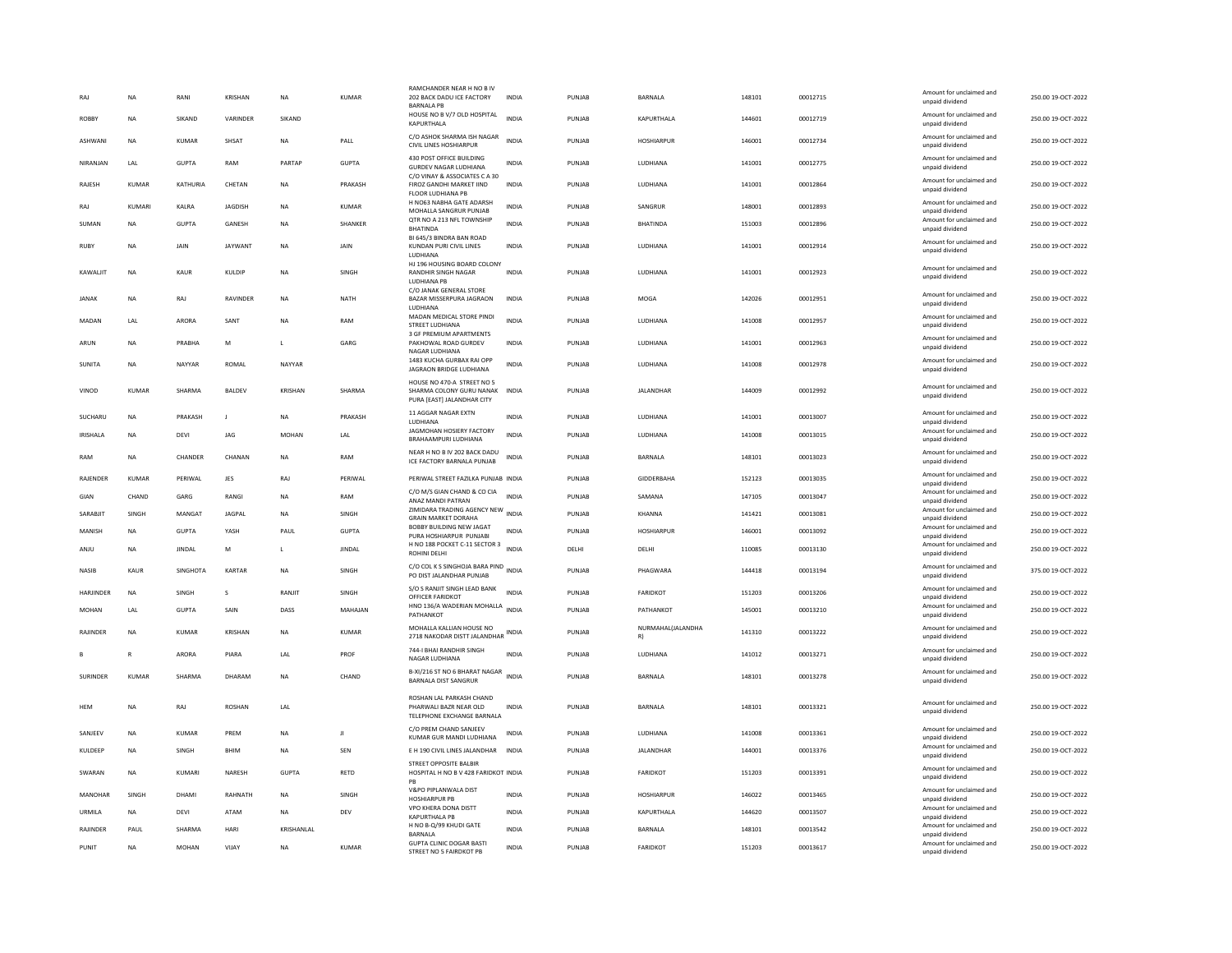| RA.             | <b>NA</b>    | RANI            | KRISHAN        | <b>NA</b>      | <b>KUMAR</b>                | RAMCHANDER NEAR H NO B IV<br>202 BACK DADU ICE FACTORY<br><b>BARNALA PB</b>                  | INDIA        | PUNJAB | BARNALA                 | 148101 | 00012715 | Amount for unclaimed and<br>unpaid dividend | 250.00 19-OCT-2022 |
|-----------------|--------------|-----------------|----------------|----------------|-----------------------------|----------------------------------------------------------------------------------------------|--------------|--------|-------------------------|--------|----------|---------------------------------------------|--------------------|
| ROBBY           | NA           | SIKAND          | VARINDER       | SIKAND         |                             | HOUSE NO B V/7 OLD HOSPITAL<br>KAPURTHALA                                                    | <b>INDIA</b> | PUNJAB | KAPURTHALA              | 144601 | 00012719 | Amount for unclaimed and<br>unpaid dividend | 250.00 19-OCT-2022 |
| ASHWANI         | <b>NA</b>    | <b>KUMAR</b>    | SHSAT          | <b>NA</b>      | PALL                        | C/O ASHOK SHARMA ISH NAGAR<br>CIVIL LINES HOSHIARPUR                                         | <b>INDIA</b> | PUNJAB | HOSHIARPUR              | 146001 | 00012734 | Amount for unclaimed and<br>unpaid dividend | 250.00 19-OCT-2022 |
| NIRANJAN        | LAL          | <b>GUPTA</b>    | RAM            | PARTAP         | GUPTA                       | 430 POST OFFICE BUILDING<br><b>GURDEV NAGAR LUDHIANA</b>                                     | INDIA        | PUNJAB | LUDHIANA                | 141001 | 00012775 | Amount for unclaimed and<br>unpaid dividend | 250.00 19-OCT-2022 |
| RAJESH          | KUMAR        | KATHURIA        | CHETAN         | <b>NA</b>      | PRAKASH                     | C/O VINAY & ASSOCIATES C A 30<br>FIROZ GANDHI MARKET IIND<br>FLOOR LUDHIANA PB               | <b>INDIA</b> | PUNJAB | LUDHIANA                | 141001 | 00012864 | Amount for unclaimed and<br>unpaid dividend | 250.00 19-OCT-2022 |
| RAJ             | KUMARI       | KALRA           | JAGDISH        | NA             | <b>KUMAR</b>                | H NO63 NABHA GATE ADARSH<br>MOHALLA SANGRUR PUNJAB                                           | <b>INDIA</b> | PUNJAB | SANGRUR                 | 148001 | 00012893 | Amount for unclaimed and<br>unpaid dividend | 250.00 19-OCT-2022 |
| SUMAN           | <b>NA</b>    | <b>GUPTA</b>    | GANESH         | <b>NA</b>      | SHANKER                     | QTR NO A 213 NFL TOWNSHIP<br><b>BHATINDA</b>                                                 | <b>INDIA</b> | PUNJAB | <b>BHATINDA</b>         | 151003 | 00012896 | Amount for unclaimed and<br>unpaid dividend | 250.00 19-OCT-2022 |
| <b>RUBY</b>     | <b>NA</b>    | <b>JAIN</b>     | JAYWANT        | <b>NA</b>      | <b>JAIN</b>                 | BI 645/3 BINDRA BAN ROAD<br>KUNDAN PURI CIVIL LINES<br><b>LUDHIANA</b>                       | <b>INDIA</b> | PUNJAR | LUDHIANA                | 141001 | 00012914 | Amount for unclaimed and<br>unpaid dividend | 250.00 19-OCT-2022 |
| KAWALJIT        | <b>NA</b>    | KAUR            | KULDIP         | <b>NA</b>      | SINGH                       | HJ 196 HOUSING BOARD COLONY<br>RANDHIR SINGH NAGAR<br>LUDHIANA PB<br>C/O JANAK GENERAL STORE | <b>INDIA</b> | PUNJAB | LUDHIANA                | 141001 | 00012923 | Amount for unclaimed and<br>unpaid dividend | 250.00 19-OCT-2022 |
| <b>JANAK</b>    | <b>NA</b>    | RAJ             | RAVINDER       | <b>NA</b>      | NATH                        | BAZAR MISSERPURA JAGRAON<br>LUDHIANA                                                         | <b>INDIA</b> | PUNJAB | MOGA                    | 142026 | 00012951 | Amount for unclaimed and<br>unpaid dividend | 250.00 19-OCT-2022 |
| MADAN           | LAL          | ARORA           | SANT           | <b>NA</b>      | RAM                         | MADAN MEDICAL STORE PINDI<br><b>STREET LUDHIANA</b><br>3 GF PREMIUM APARTMENTS               | <b>INDIA</b> | PUNJAR | LUDHIANA                | 141008 | 00012957 | Amount for unclaimed and<br>unpaid dividend | 250.00 19-OCT-2022 |
| ARUN            | <b>NA</b>    | PRABHA          | M              | L              | GARG                        | PAKHOWAL ROAD GURDEV<br>NAGAR LUDHIANA                                                       | <b>INDIA</b> | PUNJAB | LUDHIANA                | 141001 | 00012963 | Amount for unclaimed and<br>unpaid dividend | 250.00 19-OCT-2022 |
| SUNITA          | <b>NA</b>    | NAYYAR          | ROMAL          | NAYYAR         |                             | 1483 KUCHA GURBAX RAI OPP<br>JAGRAON BRIDGE LUDHIANA                                         | <b>INDIA</b> | PUNJAR | <b>IUDHIANA</b>         | 141008 | 00012978 | Amount for unclaimed and<br>unpaid dividend | 250.00 19-OCT-2022 |
| VINOD           | <b>KUMAR</b> | SHARMA          | <b>BALDEV</b>  | <b>KRISHAN</b> | SHARMA                      | HOUSE NO 470-A STREET NO 5<br>SHARMA COLONY GURU NANAK<br>PURA [EAST] JALANDHAR CITY         | <b>INDIA</b> | PUNJAB | JALANDHAR               | 144009 | 00012992 | Amount for unclaimed and<br>unpaid dividend | 250.00 19-OCT-2022 |
| SUCHARU         | <b>NA</b>    | PRAKASH         | J              | <b>NA</b>      | PRAKASH                     | 11 AGGAR NAGAR EXTN<br>LUDHIANA                                                              | INDIA        | PUNJAB | LUDHIANA                | 141001 | 00013007 | Amount for unclaimed and<br>unpaid dividend | 250.00 19-OCT-2022 |
| IRISHALA        | <b>NA</b>    | DEVI            | JAG            | <b>MOHAN</b>   | $\ensuremath{\mathsf{LAL}}$ | JAGMOHAN HOSIERY FACTORY<br><b>BRAHAAMPURI IUDHIANA</b>                                      | <b>INDIA</b> | PUNJAB | LUDHIANA                | 141008 | 00013015 | Amount for unclaimed and<br>unpaid dividend | 250.00 19-OCT-2022 |
| RAM             | <b>NA</b>    | CHANDER         | CHANAN         | <b>NA</b>      | RAM                         | NEAR H NO B IV 202 BACK DADU<br>ICE FACTORY BARNALA PUNJAB                                   | <b>INDIA</b> | PUNJAB | BARNALA                 | 148101 | 00013023 | Amount for unclaimed and<br>unpaid dividend | 250.00 19-OCT-2022 |
| RAJENDER        | <b>KUMAR</b> | PERIWAL         | JES            | RAJ            | PERIWAL                     | PERIWAL STREET FAZILKA PUNJAB INDIA                                                          |              | PUNJAB | GIDDERBAHA              | 152123 | 00013035 | Amount for unclaimed and<br>unpaid dividend | 250.00 19-OCT-2022 |
| GIAN            | CHAND        | GARG            | RANGI          | <b>NA</b>      | RAM                         | C/O M/S GIAN CHAND & CO CIA<br>ANAZ MANDI PATRAN                                             | <b>INDIA</b> | PUNJAB | SAMANA                  | 147105 | 00013047 | Amount for unclaimed and<br>unpaid dividend | 250.00 19-OCT-2022 |
| SARABIIT        | <b>SINGH</b> | MANGAT          | <b>IAGPAI</b>  | <b>NA</b>      | <b>SINGH</b>                | ZIMIDARA TRADING AGENCY NEW INDIA<br><b>GRAIN MARKET DORAHA</b>                              |              | PUNJAR | KHANNA                  | 141421 | 00013081 | Amount for unclaimed and<br>unpaid dividend | 250.00 19-OCT-2022 |
| MANISH          | <b>NA</b>    | <b>GUPTA</b>    | YASH           | PAUL           | <b>GUPTA</b>                | BOBBY BUILDING NEW JAGAT<br>PURA HOSHIARPUR PUNJABI                                          | <b>INDIA</b> | PUNJAB | <b>HOSHIARPUR</b>       | 146001 | 00013092 | Amount for unclaimed and<br>unpaid dividend | 250.00 19-OCT-2022 |
| ANJU            | <b>NA</b>    | <b>JINDAL</b>   | M              | $\mathsf{L}$   | JINDAL                      | H NO 188 POCKET C-11 SECTOR 3<br>ROHINI DELH                                                 | INDIA        | DELHI  | DELHI                   | 110085 | 00013130 | Amount for unclaimed and<br>unpaid dividend | 250.00 19-OCT-2022 |
| <b>NASIR</b>    | KAUR         | <b>SINGHOTA</b> | KARTAR         | <b>NA</b>      | SINGH                       | C/O COL K S SINGHOJA BARA PIND<br>PO DIST JALANDHAR PUNJAB                                   | <b>INDIA</b> | PUNJAB | PHAGWARA                | 144418 | 00013194 | Amount for unclaimed and<br>unpaid dividend | 375.00 19-OCT-2022 |
| HARJINDER       | <b>NA</b>    | SINGH           | s              | RANJIT         | SINGH                       | S/O S RANJIT SINGH LEAD BANK<br>OFFICER FARIDKOT                                             | <b>INDIA</b> | PUNJAB | FARIDKOT                | 151203 | 00013206 | Amount for unclaimed and<br>unpaid dividend | 250.00 19-OCT-2022 |
| MOHAN           | LAL          | <b>GUPTA</b>    | SAIN           | DASS           | MAHAJAN                     | HNO 136/A WADERIAN MOHALLA INDIA<br>PATHANKOT                                                |              | PUNJAB | PATHANKOT               | 145001 | 00013210 | Amount for unclaimed and<br>unpaid dividend | 250.00 19-OCT-2022 |
| <b>RAIINDER</b> | <b>NA</b>    | KUMAR           | <b>KRISHAN</b> | <b>NA</b>      | KUMAR                       | MOHALLA KALLIAN HOUSE NO<br>2718 NAKODAR DISTT JALANDHAR                                     | <b>INDIA</b> | PUNJAR | NURMAHAL(JALANDHA<br>R) | 141310 | 00013222 | Amount for unclaimed and<br>unpaid dividend | 250.00.19-OCT-2022 |
|                 | R            | ARORA           | PIARA          | LAL            | PROF                        | 744-I BHAI RANDHIR SINGH<br>NAGAR LUDHIANA                                                   | <b>INDIA</b> | PUNJAB | LUDHIANA                | 141012 | 00013271 | Amount for unclaimed and<br>unpaid dividend | 250.00 19-OCT-2022 |
| <b>SURINDER</b> | KUMAR        | SHARMA          | DHARAM         | <b>NA</b>      | CHAND                       | B-XI/216 ST NO 6 BHARAT NAGAR<br>BARNALA DIST SANGRUR                                        | <b>INDIA</b> | PUNJAR | <b>BARNALA</b>          | 148101 | 00013278 | Amount for unclaimed and<br>unpaid dividend | 250.00 19-OCT-2022 |
| <b>HFM</b>      | <b>NA</b>    | RAI             | <b>ROSHAN</b>  | 1 Al           |                             | ROSHAN LAL PARKASH CHAND<br>PHARWALLBAZR NEAR OLD<br>TELEPHONE EXCHANGE BARNALA              | INDIA        | PUNJAR | <b>BARNALA</b>          | 148101 | 00013321 | Amount for unclaimed and<br>unpaid dividend | 250.00 19-OCT-2022 |
| SANJEEV         | <b>NA</b>    | <b>KUMAR</b>    | PREM           | <b>NA</b>      | Л                           | C/O PREM CHAND SANJEEV<br>KUMAR GUR MANDI LUDHIANA                                           | INDIA        | PUNJAB | LUDHIANA                | 141008 | 00013361 | Amount for unclaimed and<br>unpaid dividend | 250.00 19-OCT-2022 |
| KULDEEP         | <b>NA</b>    | SINGH           | BHIM           | <b>NA</b>      | SEN                         | E H 190 CIVIL LINES JALANDHAR                                                                | <b>INDIA</b> | PUNJAB | <b>JALANDHAR</b>        | 144001 | 00013376 | Amount for unclaimed and<br>unpaid dividend | 250.00 19-OCT-2022 |
| SWARAN          | <b>NA</b>    | KUMARI          | <b>NARESH</b>  | <b>GUPTA</b>   | <b>RETD</b>                 | STREET OPPOSITE BALBIR<br>HOSPITAL H NO B V 428 FARIDKOT INDIA<br>PB                         |              | PUNJAB | <b>FARIDKOT</b>         | 151203 | 00013391 | Amount for unclaimed and<br>unpaid dividend | 250.00 19-OCT-2022 |
| MANOHAR         | SINGH        | DHAMI           | RAHNATH        | <b>NA</b>      | SINGH                       | V&PO PIPLANWALA DIST<br><b>HOSHIARPUR PB</b>                                                 | <b>INDIA</b> | PUNJAB | <b>HOSHIARPUR</b>       | 146022 | 00013465 | Amount for unclaimed and<br>unpaid dividend | 250.00 19-OCT-2022 |
| URMILA          | NA           | DEVI            | ATAM           | <b>NA</b>      | DEV                         | VPO KHERA DONA DISTT<br><b>KAPURTHALA PE</b>                                                 | <b>INDIA</b> | PUNJAB | KAPURTHALA              | 144620 | 00013507 | Amount for unclaimed and<br>unpaid dividend | 250.00 19-OCT-2022 |
| RAJINDER        | PAUL         | SHARMA          | HARI           | KRISHANLAL     |                             | H NO B-Q/99 KHUDI GATE<br><b>BARNALA</b>                                                     | <b>INDIA</b> | PUNJAB | <b>BARNALA</b>          | 148101 | 00013542 | Amount for unclaimed and<br>unpaid dividend | 250.00 19-OCT-2022 |
| PUNIT           | <b>NA</b>    | <b>MOHAN</b>    | VIJAY          | <b>NA</b>      | <b>KUMAR</b>                | <b>GUPTA CLINIC DOGAR BASTI</b><br>STREET NO 5 FAIRDKOT PB                                   | <b>INDIA</b> | PUNJAB | <b>FARIDKOT</b>         | 151203 | 00013617 | Amount for unclaimed and<br>unpaid dividend | 250.00 19-OCT-2022 |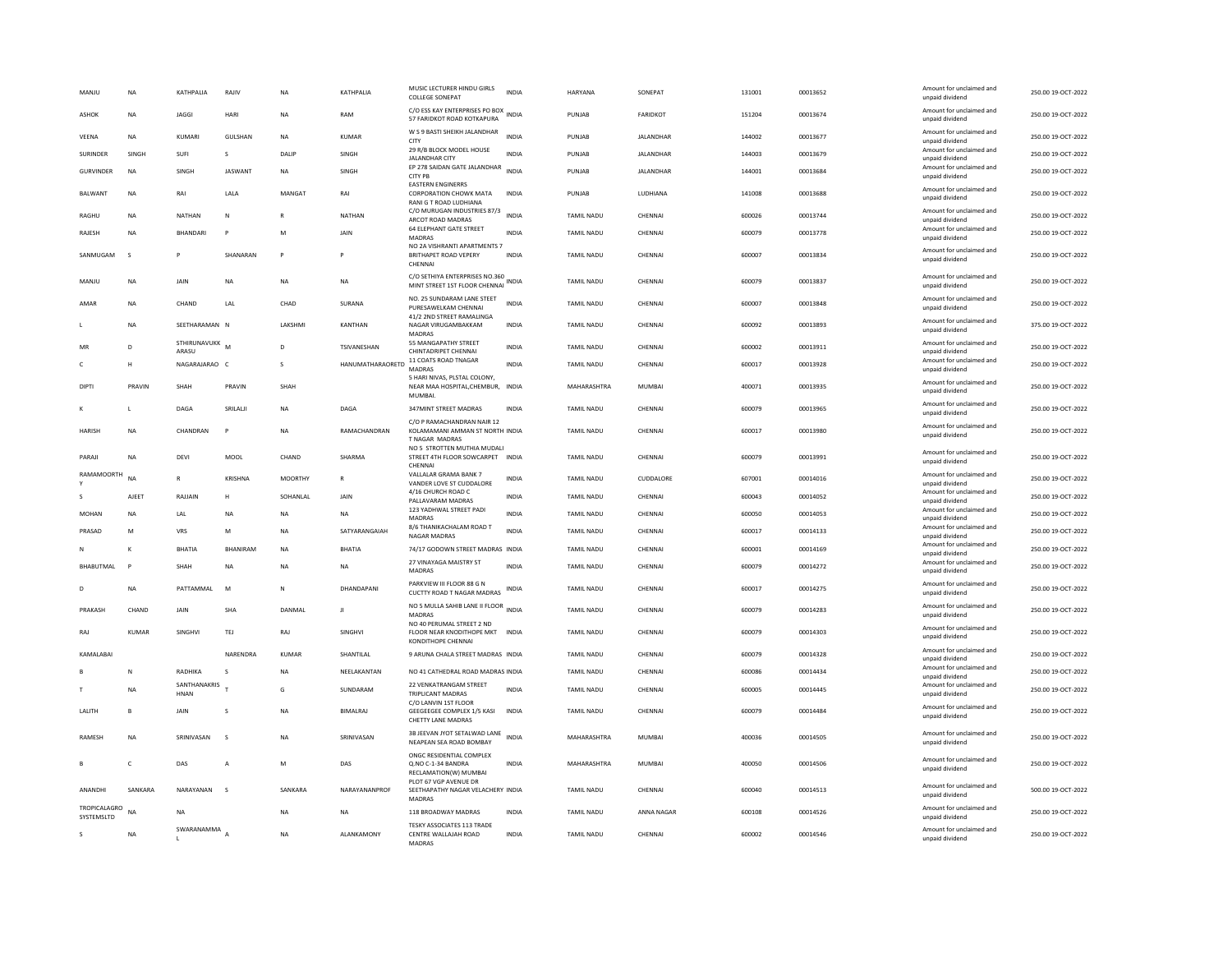| MANJU                      | <b>NA</b>      | KATHPALIA               | RAJIV                  | <b>NA</b>      | KATHPALIA         | MUSIC LECTURER HINDU GIRLS<br><b>COLLEGE SONEPAT</b>                                  | <b>INDIA</b> | <b>HARYANA</b>    | SONEPAT          | 131001 | 00013652 | Amount for unclaimed and<br>unpaid dividend | 250.00 19-OCT-2022 |
|----------------------------|----------------|-------------------------|------------------------|----------------|-------------------|---------------------------------------------------------------------------------------|--------------|-------------------|------------------|--------|----------|---------------------------------------------|--------------------|
| ASHOK                      | NA             | <b>JAGGI</b>            | HARI                   | NA             | RAM               | C/O ESS KAY ENTERPRISES PO BOX<br>57 FARIDKOT ROAD KOTKAPURA                          | INDIA        | PUNJAB            | FARIDKOT         | 151204 | 00013674 | Amount for unclaimed and<br>unpaid dividend | 250.00 19-OCT-2022 |
| VEENA                      | <b>NA</b>      | KUMARI                  | <b>GULSHAN</b>         | <b>NA</b>      | <b>KUMAR</b>      | W S 9 BASTI SHEIKH JALANDHAR<br><b>CITY</b>                                           | <b>INDIA</b> | PUNJAB            | JALANDHAR        | 144002 | 00013677 | Amount for unclaimed and<br>unpaid dividend | 250.00 19-OCT-2022 |
| <b>SURINDER</b>            | SINGH          | SUFI                    | s                      | DALIP          | SINGH             | 29 R/B BLOCK MODEL HOUSE<br><b>JALANDHAR CITY</b>                                     | <b>INDIA</b> | PUNJAB            | <b>JALANDHAR</b> | 144003 | 00013679 | Amount for unclaimed and<br>unpaid dividend | 250.00 19-OCT-2022 |
| <b>GURVINDER</b>           | NA             | SINGH                   | <b>JASWANT</b>         | NA             | SINGH             | EP 278 SAIDAN GATE JALANDHAR<br><b>CITY PB</b>                                        | <b>INDIA</b> | PUNJAB            | JALANDHAR        | 144001 | 00013684 | Amount for unclaimed and<br>unpaid dividend | 250.00 19-OCT-2022 |
| <b>BALWANT</b>             | NA             | RAI                     | LALA                   | MANGAT         | RAI               | <b>FASTERN ENGINERRS</b><br>CORPORATION CHOWK MATA<br>RANI G T ROAD LUDHIANA          | INDIA        | PUNJAB            | LUDHIANA         | 141008 | 00013688 | Amount for unclaimed and<br>unpaid dividend | 250.00 19-OCT-2022 |
| <b>RAGHU</b>               | <b>NA</b>      | <b>NATHAN</b>           | $\mathsf{N}$           | $\mathbb{R}$   | <b>NATHAN</b>     | C/O MURUGAN INDUSTRIES 87/3<br>ARCOT ROAD MADRAS                                      | <b>INDIA</b> | <b>TAMIL NADU</b> | CHENNAL          | 600026 | 00013744 | Amount for unclaimed and<br>unpaid dividend | 250.00 19-OCT-2022 |
| RAJESH                     | <b>NA</b>      | <b>RHANDARI</b>         | P                      | M              | <b>JAIN</b>       | <b>64 ELEPHANT GATE STREET</b><br>MADRAS                                              | <b>INDIA</b> | <b>TAMIL NADU</b> | CHENNAI          | 600079 | 00013778 | Amount for unclaimed and<br>unpaid dividend | 250.00 19-OCT-2022 |
| SANMUGAM                   | s              |                         | SHANARAN               | P              |                   | NO 2A VISHRANTI APARTMENTS 7<br>BRITHAPET ROAD VEPERY<br>CHENNAI                      | <b>INDIA</b> | TAMIL NADU        | CHENNAI          | 600007 | 00013834 | Amount for unclaimed and<br>unpaid dividend | 250.00 19-OCT-2022 |
| MANJU                      | <b>NA</b>      | JAIN                    | <b>NA</b>              | <b>NA</b>      | <b>NA</b>         | C/O SETHIYA ENTERPRISES NO.360<br>MINT STREET 1ST FLOOR CHENNAI                       | INDIA        | <b>TAMIL NADU</b> | CHENNAL          | 600079 | 00013837 | Amount for unclaimed and<br>unpaid dividend | 250.00 19-OCT-2022 |
| AMAR                       | <b>NA</b>      | CHAND                   | LAL                    | CHAD           | SURANA            | NO. 25 SUNDARAM LANE STEET<br>PURESAWELKAM CHENNAI<br>41/2 2ND STREET RAMALINGA       | <b>INDIA</b> | <b>TAMIL NADU</b> | CHENNAL          | 600007 | 00013848 | Amount for unclaimed and<br>unpaid dividend | 250.00 19-OCT-2022 |
|                            | <b>NA</b>      | SEETHARAMAN N           |                        | LAKSHMI        | <b>KANTHAN</b>    | NAGAR VIRUGAMBAKKAM<br>MADRAS                                                         | <b>INDIA</b> | <b>TAMIL NADU</b> | CHENNAI          | 600092 | 00013893 | Amount for unclaimed and<br>unpaid dividend | 375.00 19-OCT-2022 |
| MR                         | $\mathsf{D}$   | STHIRUNAVUKK M<br>ARASU |                        | D.             | TSIVANESHAN       | 55 MANGAPATHY STREET<br>CHINTADRIPET CHENNAI                                          | <b>INDIA</b> | <b>TAMIL NADU</b> | CHENNAI          | 600002 | 00013911 | Amount for unclaimed and<br>unpaid dividend | 250.00 19-OCT-2022 |
| c                          | н              | NAGARAJARAO C           |                        | s              | HANUMATHARAORETD  | 11 COATS ROAD TNAGAR<br><b>MADRAS</b>                                                 | <b>INDIA</b> | TAMIL NADU        | CHENNAI          | 600017 | 00013928 | Amount for unclaimed and<br>unpaid dividend | 250.00 19-OCT-2022 |
| DIPT                       | PRAVIN         | SHAH                    | PRAVIN                 | SHAH           |                   | 5 HARI NIVAS, PLSTAL COLONY,<br>NEAR MAA HOSPITAL, CHEMBUR,<br><b>MUMBAL</b>          | INDIA        | MAHARASHTRA       | MUMBAI           | 400071 | 00013935 | Amount for unclaimed and<br>unpaid dividend | 250.00 19-OCT-2022 |
| к                          | $\mathbf{L}$   | DAGA                    | SRILALI                | <b>NA</b>      | DAGA              | 347MINT STREET MADRAS                                                                 | <b>INDIA</b> | <b>TAMIL NADU</b> | CHENNAL          | 600079 | 00013965 | Amount for unclaimed and<br>unpaid dividend | 250.00 19-OCT-2022 |
| <b>HARISH</b>              | <b>NA</b>      | CHANDRAN                | p                      | <b>NA</b>      | RAMACHANDRAN      | C/O P RAMACHANDRAN NAIR 12<br>KOLAMAMANI AMMAN ST NORTH INDIA<br><b>TNAGAR MADRAS</b> |              | <b>TAMIL NADU</b> | CHENNAL          | 600017 | 00013980 | Amount for unclaimed and<br>unpaid dividend | 250.00 19-OCT-2022 |
| PARAJI                     | <b>NA</b>      | <b>DEVI</b>             | MOOL                   | CHAND          | SHARMA            | NO 5 STROTTEN MUTHIA MUDALI<br>STREET 4TH FLOOR SOWCARPET INDIA<br>CHENNA             |              | <b>TAMIL NADU</b> | CHENNAL          | 600079 | 00013991 | Amount for unclaimed and<br>unpaid dividend | 250.00 19-OCT-2022 |
| <b>RAMAMOORTH</b>          | NA             | $\overline{R}$          | <b>KRISHNA</b>         | <b>MOORTHY</b> |                   | VALLALAR GRAMA BANK 7<br>VANDER LOVE ST CUDDALORE                                     | <b>INDIA</b> | <b>TAMIL NADU</b> | CUDDALORE        | 607001 | 00014016 | Amount for unclaimed and<br>unpaid dividend | 250.00 19-OCT-2022 |
|                            | AJEET          | RAJJAIN                 | Η                      | SOHANLAL       | JAIN              | 4/16 CHURCH ROAD C<br>PALLAVARAM MADRAS                                               | INDIA        | <b>TAMIL NADU</b> | CHENNAI          | 600043 | 00014052 | Amount for unclaimed and<br>unpaid dividend | 250.00 19-OCT-2022 |
| MOHAN                      | NA             | LAL                     | NA                     | NA             | <b>NA</b>         | 123 YADHWAL STREET PADI<br>MADRAS                                                     | <b>INDIA</b> | TAMIL NADU        | CHENNAI          | 600050 | 00014053 | Amount for unclaimed and<br>unpaid dividend | 250.00 19-OCT-2022 |
| PRASAD                     | M              | VRS                     | M                      | <b>NA</b>      | SATYARANGAIAH     | 8/6 THANIKACHALAM ROAD T<br>NAGAR MADRAS                                              | <b>INDIA</b> | TAMIL NADU        | CHENNAI          | 600017 | 00014133 | Amount for unclaimed and<br>unpaid dividend | 250.00 19-OCT-2022 |
| N                          | $\kappa$       | <b>BHATIA</b>           | <b><i>RHANIRAM</i></b> | <b>NA</b>      | BHATIA            | 74/17 GODOWN STREET MADRAS INDIA                                                      |              | <b>TAMIL NADU</b> | CHENNAI          | 600001 | 00014169 | Amount for unclaimed and<br>unpaid dividend | 250.00 19-OCT-2022 |
| <b>BHABUTMAL</b>           | P              | SHAH                    | <b>NA</b>              | <b>NA</b>      | <b>NA</b>         | 27 VINAYAGA MAISTRY ST<br><b>MADRAS</b>                                               | <b>INDIA</b> | <b>TAMIL NADU</b> | CHENNAL          | 600079 | 00014272 | Amount for unclaimed and<br>unpaid dividend | 250.00 19-OCT-2022 |
| D                          | <b>NA</b>      | PATTAMMAL               | M                      | N              | DHANDAPANI        | PARKVIEW III FLOOR 88 G N<br><b>CUCTTY ROAD T NAGAR MADRAS</b>                        | INDIA        | TAMIL NADU        | CHENNAI          | 600017 | 00014275 | Amount for unclaimed and<br>unpaid dividend | 250.00 19-OCT-2022 |
| PRAKASH                    | CHAND          | JAIN                    | SHA                    | DANMAL         | Л                 | NO 5 MULLA SAHIB LANE II FLOOR INDIA<br>MADRAS                                        |              | <b>TAMIL NADU</b> | CHENNAI          | 600079 | 00014283 | Amount for unclaimed and<br>unpaid dividend | 250.00 19-OCT-2022 |
| RAJ                        | <b>KUMAR</b>   | SINGHVI                 | <b>TEJ</b>             | RAJ            | SINGHVI           | NO 40 PERUMAL STREET 2 ND<br>FLOOR NEAR KNODITHOPE MKT<br>KONDITHOPE CHENNAI          | <b>INDIA</b> | <b>TAMIL NADU</b> | CHENNAI          | 600079 | 00014303 | Amount for unclaimed and<br>unpaid dividend | 250.00 19-OCT-2022 |
| KAMALABAI                  |                |                         | NARENDRA               | KUMAR          | SHANTILAL         | 9 ARUNA CHALA STREET MADRAS INDIA                                                     |              | TAMIL NADU        | CHENNAI          | 600079 | 00014328 | Amount for unclaimed and<br>unpaid dividend | 250.00 19-OCT-2022 |
|                            | N              | RADHIKA                 | S                      | <b>NA</b>      | NEELAKANTAN       | NO 41 CATHEDRAL ROAD MADRAS INDIA                                                     |              | TAMIL NADU        | CHENNAI          | 600086 | 00014434 | Amount for unclaimed and<br>unpaid dividend | 250.00 19-OCT-2022 |
|                            | NA             | SANTHANAKRIS<br>HNAN    |                        | G              | SUNDARAM          | 22 VENKATRANGAM STREET<br>TRIPLICANT MADRAS                                           | <b>INDIA</b> | TAMIL NADU        | CHENNAI          | 600005 | 00014445 | Amount for unclaimed and<br>unpaid dividend | 250.00 19-OCT-2022 |
| LALITH                     | $\overline{B}$ | JAIN                    | s                      | <b>NA</b>      | <b>BIMALRAJ</b>   | C/O LANVIN 1ST FLOOR<br>GEEGEEGEE COMPLEX 1/5 KASI<br>CHETTY LANE MADRAS              | <b>INDIA</b> | <b>TAMIL NADU</b> | CHENNAL          | 600079 | 00014484 | Amount for unclaimed and<br>unpaid dividend | 250.00 19-OCT-2022 |
| RAMESH                     | <b>NA</b>      | SRINIVASAN              | $\mathsf{s}$           | <b>NA</b>      | SRINIVASAN        | 3B JEEVAN JYOT SETALWAD LANE<br>NEAPEAN SEA ROAD BOMBAY                               | <b>INDIA</b> | MAHARASHTRA       | <b>MUMBAI</b>    | 400036 | 00014505 | Amount for unclaimed and<br>unpaid dividend | 250.00 19-OCT-2022 |
|                            | $\epsilon$     | DAS                     | A                      | M              | DAS               | ONGC RESIDENTIAL COMPLEX<br>Q.NO C-1-34 BANDRA<br>RECLAMATION(W) MUMBAI               | <b>INDIA</b> | MAHARASHTRA       | MUMBAI           | 400050 | 00014506 | Amount for unclaimed and<br>unpaid dividend | 250.00 19-OCT-2022 |
| ANANDHI                    | SANKARA        | NARAYANAN               | $\sim$                 | SANKARA        | NARAYANANPROF     | PLOT 67 VGP AVENUE DR<br>SEETHAPATHY NAGAR VELACHERY INDIA<br><b>MADRAS</b>           |              | <b>TAMIL NADU</b> | CHENNAI          | 600040 | 00014513 | Amount for unclaimed and<br>unpaid dividend | 500.00 19-OCT-2022 |
| TROPICALAGRO<br>SYSTEMSLTD | <b>NA</b>      | <b>NA</b>               |                        | <b>NA</b>      | <b>NA</b>         | 118 BROADWAY MADRAS                                                                   | <b>INDIA</b> | <b>TAMIL NADU</b> | ANNA NAGAR       | 600108 | 00014526 | Amount for unclaimed and<br>unpaid dividend | 250.00 19-OCT-2022 |
| s                          | <b>NA</b>      | SWARANAMMA              |                        | <b>NA</b>      | <b>ALANKAMONY</b> | TESKY ASSOCIATES 113 TRADE<br>CENTRE WALLAJAH ROAD<br><b>MADRAS</b>                   | <b>INDIA</b> | <b>TAMIL NADU</b> | CHENNAL          | 600002 | 00014546 | Amount for unclaimed and<br>unpaid dividend | 250.00 19-OCT-2022 |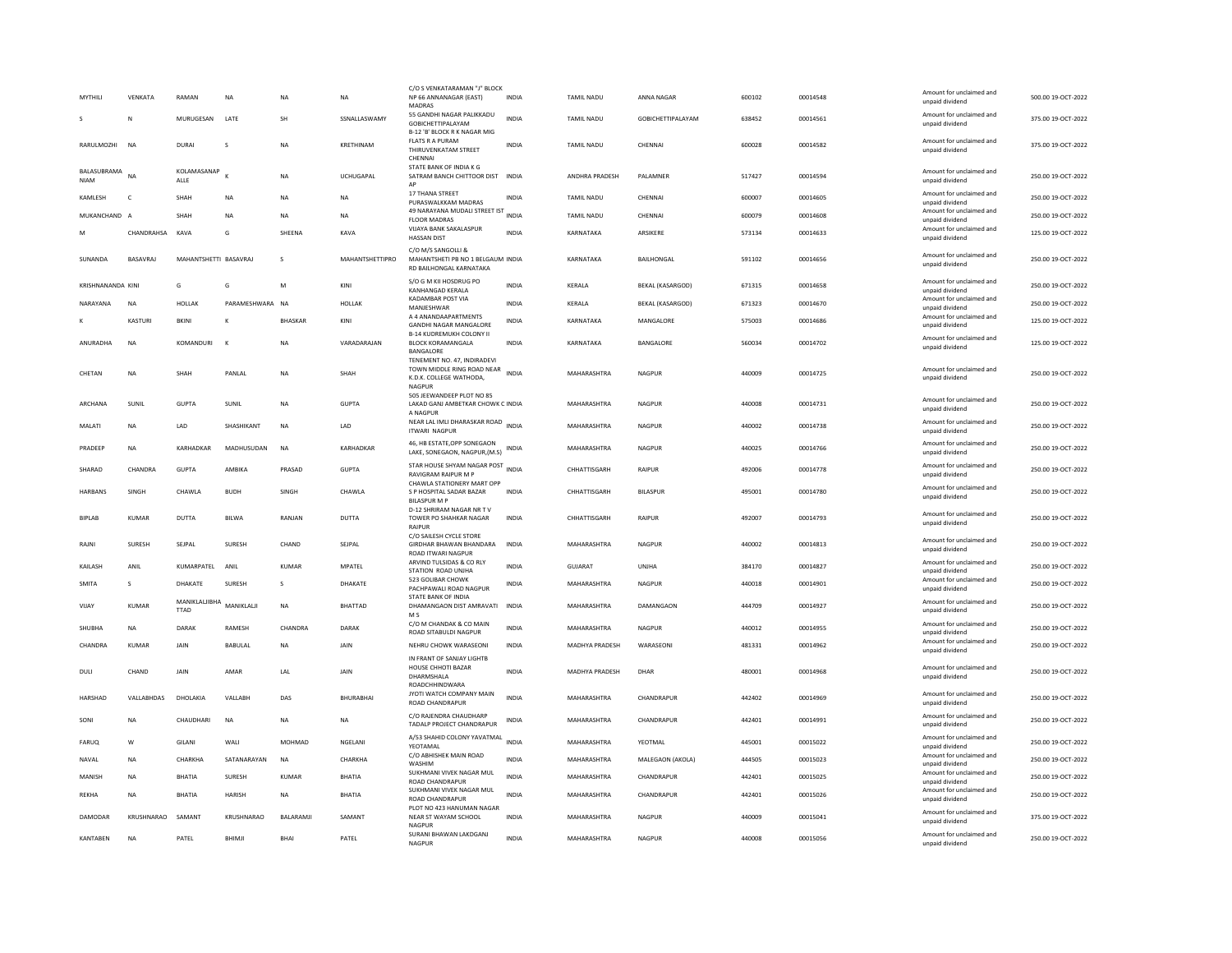| MYTHILI                    | VFNKATA        | RAMAN                        | <b>NA</b>       | <b>NA</b>        | <b>NA</b>        | C/O S VENKATARAMAN "J" BLOCK<br>NP 66 ANNANAGAR (EAST)<br>MADRAS                               | <b>INDIA</b> | <b>TAMIL NADU</b>     | ANNA NAGAR               | 600102 | 00014548 | Amount for unclaimed and<br>unpaid dividend                    | 500.00 19-OCT-2022 |
|----------------------------|----------------|------------------------------|-----------------|------------------|------------------|------------------------------------------------------------------------------------------------|--------------|-----------------------|--------------------------|--------|----------|----------------------------------------------------------------|--------------------|
|                            | N              | MURUGESAN                    | LATE            | <b>SH</b>        | SSNALLASWAMY     | 55 GANDHI NAGAR PALIKKADU<br>GOBICHETTIPALAYAM<br>B-12 'B' BLOCK R K NAGAR MIG                 | <b>INDIA</b> | TAMIL NADU            | <b>GOBICHETTIPALAYAM</b> | 638452 | 00014561 | Amount for unclaimed and<br>unpaid dividend                    | 375.00 19-OCT-2022 |
| RARULMOZHI                 | N <sub>A</sub> | <b>DURAI</b>                 | <sub>S</sub>    | <b>NA</b>        | KRETHINAM        | FLATS R A PURAM<br>THIRUVENKATAM STREET<br>CHENNAI                                             | <b>INDIA</b> | <b>TAMIL NADU</b>     | CHENNAL                  | 600028 | 00014582 | Amount for unclaimed and<br>unpaid dividend                    | 375.00 19-OCT-2022 |
| BALASUBRAMA<br><b>NIAM</b> | <b>NA</b>      | KOLAMASANAP<br>ALLE          | к               | <b>NA</b>        | <b>UCHUGAPAL</b> | STATE BANK OF INDIA K G<br>SATRAM BANCH CHITTOOR DIST<br>AP                                    | <b>INDIA</b> | <b>ANDHRA PRADESH</b> | PAI AMNER                | 517427 | 00014594 | Amount for unclaimed and<br>unpaid dividend                    | 250.00.19-OCT-2022 |
| KAMLESH                    | $\mathsf{C}$   | SHAH                         | NA              | <b>NA</b>        | NA               | 17 THANA STREET<br>PURASWALKKAM MADRAS                                                         | INDIA        | TAMIL NADU            | CHENNAI                  | 600007 | 00014605 | Amount for unclaimed and<br>unpaid dividend                    | 250.00 19-OCT-2022 |
| MUKANCHAND A               |                | <b>SHAH</b>                  | NA              | <b>NA</b>        | NA               | 49 NARAYANA MUDALI STREET IST INDIA<br><b>FLOOR MADRAS</b>                                     |              | TAMIL NADU            | CHENNAI                  | 600079 | 00014608 | Amount for unclaimed and<br>unpaid dividend                    | 250.00 19-OCT-2022 |
|                            | CHANDRAHSA     | KAVA                         | G               | SHEENA           | KAVA             | VIJAYA BANK SAKALASPUR<br><b>HASSAN DIST</b>                                                   | INDIA        | KARNATAKA             | ARSIKERE                 | 573134 | 00014633 | Amount for unclaimed and<br>unpaid dividend                    | 125.00 19-OCT-2022 |
| SUNANDA                    | BASAVRAJ       | MAHANTSHETTI BASAVRAJ        |                 | s                | MAHANTSHETTIPRO  | C/O M/S SANGOLLI &<br>MAHANTSHETI PB NO 1 BELGAUM INDIA<br>RD BAILHONGAL KARNATAKA             |              | KARNATAKA             | BAILHONGAL               | 591102 | 00014656 | Amount for unclaimed and<br>unpaid dividend                    | 250.00 19-OCT-2022 |
| <b>KRISHNANANDA KINI</b>   |                | G                            | G               | M                | KINI             | S/O G M KII HOSDRUG PO<br><b>KANHANGAD KERALA</b>                                              | <b>INDIA</b> | <b>KFRAIA</b>         | <b>BEKAL (KASARGOD)</b>  | 671315 | 00014658 | Amount for unclaimed and<br>unpaid dividend                    | 250.00 19-OCT-2022 |
| NARAYANA                   | <b>NA</b>      | <b>HOLLAK</b>                | PARAMESHWARA NA |                  | <b>HOLLAK</b>    | KADAMBAR POST VIA<br>MANJESHWAF                                                                | <b>INDIA</b> | KERALA                | <b>BEKAL (KASARGOD)</b>  | 671323 | 00014670 | Amount for unclaimed and<br>unpaid dividend                    | 250.00 19-OCT-2022 |
|                            | KASTURI        | <b>BKIN</b>                  | K               | <b>BHASKAR</b>   | KINI             | A 4 ANANDAAPARTMENTS                                                                           | <b>INDIA</b> | KARNATAKA             | MANGALORE                | 575003 | 00014686 | Amount for unclaimed and                                       | 125.00 19-OCT-2022 |
|                            |                |                              |                 |                  |                  | <b>GANDHI NAGAR MANGALORE</b><br><b>B-14 KUDREMUKH COLONY II</b>                               |              |                       |                          |        |          | unpaid dividend<br>Amount for unclaimed and                    |                    |
| ANURADHA                   | NA             | KOMANDURI                    | $\mathbf{K}$    | <b>NA</b>        | VARADARAJAN      | <b>BLOCK KORAMANGALA</b><br>BANGALORE                                                          | INDIA        | KARNATAKA             | BANGALORE                | 560034 | 00014702 | unpaid dividend                                                | 125.00 19-OCT-2022 |
| CHETAN                     | NA             | SHAH                         | PANLAL          | <b>NA</b>        | SHAH             | TENEMENT NO. 47, INDIRADEVI<br>TOWN MIDDLE RING ROAD NEAR<br>K.D.K. COLLEGE WATHODA,<br>NAGPUR | <b>INDIA</b> | MAHARASHTRA           | <b>NAGPUR</b>            | 440009 | 00014725 | Amount for unclaimed and<br>unpaid dividend                    | 250.00 19-OCT-2022 |
| ARCHANA                    | SUNIL          | <b>GUPTA</b>                 | SUNIL           | NA               | <b>GUPTA</b>     | 505 JEEWANDEEP PLOT NO 85<br>LAKAD GANJ AMBETKAR CHOWK C INDIA                                 |              | MAHARASHTRA           | NAGPUR                   | 440008 | 00014731 | Amount for unclaimed and<br>unpaid dividend                    | 250.00 19-OCT-2022 |
| MALATI                     | <b>NA</b>      | LAD                          | SHASHIKANT      | <b>NA</b>        | LAD              | A NAGPUR<br>NEAR LAL IMLI DHARASKAR ROAD INDIA<br><b>ITWARI NAGPUR</b>                         |              | MAHARASHTRA           | NAGPUR                   | 440002 | 00014738 | Amount for unclaimed and<br>unpaid dividend                    | 250.00 19-OCT-2022 |
| PRADEEP                    | <b>NA</b>      | KARHADKAR                    | MADHUSUDAN      | <b>NA</b>        | KARHADKAR        | 46, HB ESTATE, OPP SONEGAON<br>LAKE, SONEGAON, NAGPUR, (M.S)                                   | <b>INDIA</b> | MAHARASHTRA           | <b>NAGPUR</b>            | 440025 | 00014766 | Amount for unclaimed and<br>unpaid dividend                    | 250.00 19-OCT-2022 |
| SHARAD                     | CHANDRA        | <b>GUPTA</b>                 | <b>AMRIKA</b>   | PRASAD           | <b>GUPTA</b>     | STAR HOUSE SHYAM NAGAR POST INDIA<br><b>RAVIGRAM RAIPUR M P</b>                                |              | CHHATTISGARH          | RAIPUR                   | 492006 | 00014778 | Amount for unclaimed and<br>unpaid dividend                    | 250.00 19-OCT-2022 |
| HARBANS                    | SINGH          | CHAWLA                       | <b>BUDH</b>     | SINGH            | CHAWLA           | CHAWLA STATIONERY MART OPP<br>S P HOSPITAL SADAR BAZAR                                         | <b>INDIA</b> | CHHATTISGARH          | <b>BILASPUR</b>          | 495001 | 00014780 | Amount for unclaimed and<br>unpaid dividend                    | 250.00 19-OCT-2022 |
| <b>BIPLAR</b>              | KUMAR          | DUTTA                        | <b>BII WA</b>   | RANIAN           | <b>DUTTA</b>     | <b>BILASPUR M P</b><br>D-12 SHRIRAM NAGAR NR TV<br>TOWER PO SHAHKAR NAGAR                      | <b>INDIA</b> | CHHATTISGARH          | RAIPUR                   | 492007 | 00014793 | Amount for unclaimed and<br>unpaid dividend                    | 250.00.19-OCT-2022 |
| RAJN                       | SURESH         | SEJPAL                       | SURESH          | CHAND            | SEJPAL           | <b>RAIPUR</b><br>C/O SAILESH CYCLE STORE<br>GIRDHAR BHAWAN BHANDARA                            | <b>INDIA</b> | MAHARASHTRA           | <b>NAGPUR</b>            | 440002 | 00014813 | Amount for unclaimed and                                       | 250.00 19-OCT-2022 |
|                            |                |                              |                 |                  |                  | <b>ROAD ITWARI NAGPUR</b><br>ARVIND TULSIDAS & CO RLY                                          |              |                       |                          |        |          | unpaid dividend<br>Amount for unclaimed and                    |                    |
| KAILASH                    | ANIL           | KUMARPATEL                   | ANIL            | KUMAR            | MPATEL           | STATION ROAD UNJHA                                                                             | <b>INDIA</b> | GUJARAT               | UNJHA                    | 384170 | 00014827 | unpaid dividend                                                | 250.00 19-OCT-2022 |
| <b>SMITA</b>               | s              | DHAKATE                      | SURESH          | s                | DHAKATE          | 523 GOLIBAR CHOWK<br>PACHPAWALI ROAD NAGPUR                                                    | <b>INDIA</b> | MAHARASHTRA           | NAGPUR                   | 440018 | 00014901 | Amount for unclaimed and<br>unpaid dividend                    | 250.00 19-OCT-2022 |
| VIJAY                      | <b>KUMAR</b>   | MANIKLALJIBHA<br><b>TTAD</b> | MANIKLALJI      | <b>NA</b>        | BHATTAD          | STATE BANK OF INDIA<br>DHAMANGAON DIST AMRAVATI<br>M <sub>S</sub>                              | <b>INDIA</b> | MAHARASHTRA           | DAMANGAON                | 444709 | 00014927 | Amount for unclaimed and<br>unpaid dividend                    | 250.00 19-OCT-2022 |
| SHURHA                     | NA             | DARAK                        | RAMESH          | CHANDRA          | DARAK            | C/O M CHANDAK & CO MAIN<br>ROAD SITABULDI NAGPUR                                               | <b>INDIA</b> | MAHARASHTRA           | NAGPUR                   | 440012 | 00014955 | Amount for unclaimed and                                       | 250.00.19-QCT-2022 |
| CHANDRA                    | <b>KUMAR</b>   | JAIN                         | <b>BABULAL</b>  | <b>NA</b>        | JAIN             | NEHRU CHOWK WARASEONI                                                                          | <b>INDIA</b> | MADHYA PRADESH        | WARASEONI                | 481331 | 00014962 | unpaid dividend<br>Amount for unclaimed and                    | 250.00 19-OCT-2022 |
| DULI                       | CHAND          | JAIN                         | AMAR            | LAL              | JAIN             | IN FRANT OF SANJAY LIGHTB<br>HOUSE CHHOTI BAZAR<br>DHARMSHALA                                  | <b>INDIA</b> | MADHYA PRADESH        | DHAR                     | 480001 | 00014968 | unpaid dividend<br>Amount for unclaimed and<br>unpaid dividend | 250.00 19-OCT-2022 |
| <b>HARSHAD</b>             | VALLABHDAS     | DHOLAKIA                     | VALLABH         | DAS              | <b>BHURABHAI</b> | ROADCHHINDWARA<br>JYOTI WATCH COMPANY MAIN<br>ROAD CHANDRAPUR                                  | <b>INDIA</b> | MAHARASHTRA           | CHANDRAPUR               | 442402 | 00014969 | Amount for unclaimed and<br>unpaid dividend                    | 250.00 19-OCT-2022 |
| SONI                       | <b>NA</b>      | CHAUDHARI                    | <b>NA</b>       | <b>NA</b>        | <b>NA</b>        | C/O RAJENDRA CHAUDHARF<br>TADALP PROJECT CHANDRAPUR                                            | <b>INDIA</b> | MAHARASHTRA           | CHANDRAPUR               | 442401 | 00014991 | Amount for unclaimed and<br>unpaid dividend                    | 250.00 19-OCT-2022 |
| FARUO                      | W              | GILANI                       | WALI            | MOHMAD           | NGELANI          | A/53 SHAHID COLONY YAVATMAL                                                                    | <b>INDIA</b> | MAHARASHTRA           | YEOTMAL                  | 445001 | 00015022 | Amount for unclaimed and                                       | 250.00 19-OCT-2022 |
| NAVAL                      | <b>NA</b>      | CHARKHA                      | SATANARAYAN     | <b>NA</b>        | CHARKHA          | YEOTAMAL<br>C/O ABHISHEK MAIN ROAD                                                             | <b>INDIA</b> | MAHARASHTRA           | MALEGAON (AKOLA)         | 444505 | 00015023 | unpaid dividend<br>Amount for unclaimed and                    | 250.00 19-OCT-2022 |
| MANISH                     | <b>NA</b>      | <b>BHATIA</b>                | SURESH          | KUMAR            | <b>BHATIA</b>    | WASHIM<br>SUKHMANI VIVEK NAGAR MUL                                                             | INDIA        | MAHARASHTRA           | CHANDRAPUR               | 442401 | 00015025 | unpaid dividend<br>Amount for unclaimed and                    | 250.00 19-OCT-2022 |
| <b>REKHA</b>               | <b>NA</b>      | <b>BHATIA</b>                | <b>HARISH</b>   | NA               | BHATIA           | ROAD CHANDRAPUR<br>SUKHMANI VIVEK NAGAR MUL                                                    | <b>INDIA</b> | MAHARASHTRA           | CHANDRAPUR               | 442401 | 00015026 | unpaid dividend<br>Amount for unclaimed and                    | 250.00 19-OCT-2022 |
|                            |                |                              |                 |                  |                  | ROAD CHANDRAPUR<br>PLOT NO 423 HANUMAN NAGAR                                                   |              |                       |                          |        |          | unpaid dividend<br>Amount for unclaimed and                    |                    |
| DAMODAR                    | KRUSHNARAO     | SAMANT                       | KRUSHNARAO      | <b>BALARAMIL</b> | SAMANT           | NEAR ST WAYAM SCHOOL<br><b>NAGPUR</b>                                                          | <b>INDIA</b> | MAHARASHTRA           | NAGPUR                   | 440009 | 00015041 | unpaid dividend                                                | 375.00.19-QCT-2022 |
| KANTABEN                   | N <sub>A</sub> | PATEL                        | BHIMJI          | BHAI             | PATEL            | SURANI BHAWAN LAKDGANJ<br>NAGPUR                                                               | INDIA        | MAHARASHTRA           | <b>NAGPUR</b>            | 440008 | 00015056 | Amount for unclaimed and<br>unpaid dividend                    | 250.00 19-OCT-2022 |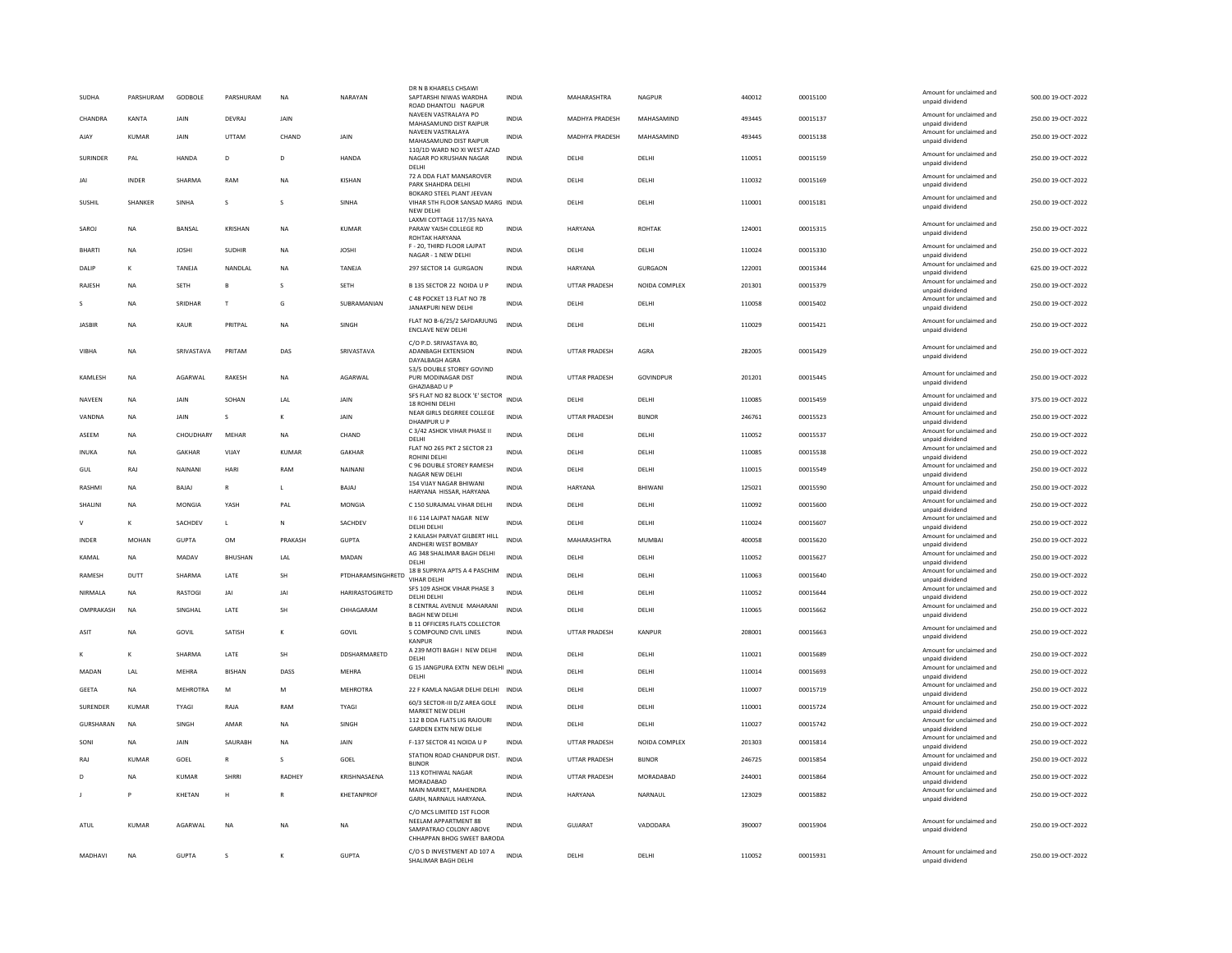| SUDHA         | PARSHURAM    | GODBOLE          | PARSHURAM     | <b>NA</b>    | NARAYAN           | DR N B KHARELS CHSAWI<br>SAPTARSHI NIWAS WARDHA<br>ROAD DHANTOLI NAGPUR      | <b>INDIA</b> | MAHARASHTRA    | NAGPUR        | 440012 | 00015100 | Amount for unclaimed and<br>unpaid dividend | 500.00 19-OCT-2022 |
|---------------|--------------|------------------|---------------|--------------|-------------------|------------------------------------------------------------------------------|--------------|----------------|---------------|--------|----------|---------------------------------------------|--------------------|
| CHANDRA       | KANTA        | JAIN             | DEVRAJ        | JAIN         |                   | NAVEEN VASTRALAYA PO<br>MAHASAMUND DIST RAIPUR                               | <b>INDIA</b> | MADHYA PRADESH | MAHASAMIND    | 493445 | 00015137 | Amount for unclaimed and<br>unpaid dividend | 250.00 19-OCT-2022 |
| AJAY          | KUMAR        | <b>JAIN</b>      | <b>UTTAM</b>  | CHAND        | <b>JAIN</b>       | NAVEEN VASTRALAYA<br>MAHASAMUND DIST RAIPUR                                  | <b>INDIA</b> | MADHYA PRADESH | MAHASAMIND    | 493445 | 00015138 | Amount for unclaimed and<br>unpaid dividend | 250.00 19-OCT-2022 |
| SURINDER      | PAL          | HANDA            | D             | D            | HANDA             | 110/1D WARD NO XI WEST AZAD<br>NAGAR PO KRUSHAN NAGAR<br>DELHI               | <b>INDIA</b> | DELHI          | DELHI         | 110051 | 00015159 | Amount for unclaimed and<br>unpaid dividend | 250.00 19-OCT-2022 |
| JAI           | <b>INDER</b> | SHARMA           | RAM           | <b>NA</b>    | KISHAN            | 72 A DDA FLAT MANSAROVER<br>PARK SHAHDRA DELHI                               | <b>INDIA</b> | DELHI          | DELHI         | 110032 | 00015169 | Amount for unclaimed and<br>unpaid dividend | 250.00 19-OCT-2022 |
| SUSHIL        | SHANKER      | SINHA            | s             | s            | SINHA             | BOKARO STEEL PLANT JEEVAN<br>VIHAR 5TH FLOOR SANSAD MARG INDIA<br>NEW DELHI  |              | DELHI          | DELHI         | 110001 | 00015181 | Amount for unclaimed and<br>unpaid dividend | 250.00 19-OCT-2022 |
| SAROJ         | NA           | BANSAL           | KRISHAN       | NA           | <b>KUMAR</b>      | LAXMI COTTAGE 117/35 NAYA<br>PARAW YAISH COLLEGE RD<br><b>ROHTAK HARYANA</b> | INDIA        | HARYANA        | <b>ROHTAK</b> | 124001 | 00015315 | Amount for unclaimed and<br>unpaid dividend | 250.00 19-OCT-2022 |
| <b>BHARTI</b> | <b>NA</b>    | <b>IOSHI</b>     | <b>SUDHIR</b> | <b>NA</b>    | <b>IOSHI</b>      | F - 20, THIRD FLOOR LAJPAT<br>NAGAR - 1 NEW DELHI                            | <b>INDIA</b> | <b>DELHI</b>   | <b>DELHI</b>  | 110024 | 00015330 | Amount for unclaimed and<br>unpaid dividend | 250.00 19-OCT-2022 |
| DALIP         | $\kappa$     | TANEJA           | NANDLAL       | NA           | TANEJA            | 297 SECTOR 14 GURGAON                                                        | INDIA        | HARYANA        | GURGAON       | 122001 | 00015344 | Amount for unclaimed and<br>unpaid dividend | 625.00 19-OCT-2022 |
| RAJESH        | NA           | <b>SETH</b>      | B             | s            | SETH              | B 135 SECTOR 22 NOIDA U P                                                    | INDIA        | UTTAR PRADESH  | NOIDA COMPLEX | 201301 | 00015379 | Amount for unclaimed and<br>unpaid dividend | 250.00 19-OCT-2022 |
|               | <b>NA</b>    | SRIDHAR          | $\mathbf{r}$  | G            | SUBRAMANIAN       | C 48 POCKET 13 FLAT NO 78<br>JANAKPURI NEW DELHI                             | <b>INDIA</b> | DELHI          | DELHI         | 110058 | 00015402 | Amount for unclaimed and<br>unpaid dividend | 250.00 19-OCT-2022 |
| <b>JASBIR</b> | <b>NA</b>    | KAUR             | PRITPAL       | <b>NA</b>    | SINGH             | FLAT NO B-6/25/2 SAFDARJUNG<br><b>ENCLAVE NEW DELHI</b>                      | <b>INDIA</b> | DELHI          | DELHI         | 110029 | 00015421 | Amount for unclaimed and<br>unpaid dividend | 250.00 19-OCT-2022 |
|               |              |                  |               |              |                   | C/O P.D. SRIVASTAVA 80,                                                      |              |                |               |        |          | Amount for unclaimed and                    |                    |
| VIBHA         | NA           | SRIVASTAVA       | PRITAM        | DAS          | SRIVASTAVA        | ADANBAGH EXTENSION<br>DAYALBAGH AGRA                                         | <b>INDIA</b> | UTTAR PRADESH  | AGRA          | 282005 | 00015429 | unpaid dividend                             | 250.00 19-OCT-2022 |
| KAMLESH       | <b>NA</b>    | AGARWAL          | <b>RAKESH</b> | <b>NA</b>    | AGARWAL           | 53/5 DOUBLE STOREY GOVIND<br>PURI MODINAGAR DIST<br><b>GHAZIABAD U P</b>     | <b>INDIA</b> | UTTAR PRADESH  | GOVINDPUR     | 201201 | 00015445 | Amount for unclaimed and<br>unpaid dividend | 250.00 19-OCT-2022 |
| <b>NAVFFN</b> | <b>NA</b>    | <b>JAIN</b>      | SOHAN         | LAL          | <b>JAIN</b>       | SFS FLAT NO 82 BLOCK 'E' SECTOR<br>18 ROHINI DELHI                           | <b>INDIA</b> | DELHI          | <b>DELHI</b>  | 110085 | 00015459 | Amount for unclaimed and<br>unpaid dividend | 375.00 19-OCT-2022 |
| VANDNA        | <b>NA</b>    | JAIN             | $\mathsf{s}$  | K            | JAIN              | NEAR GIRLS DEGRREE COLLEGE<br>DHAMPUR U P                                    | <b>INDIA</b> | UTTAR PRADESH  | <b>BIJNOR</b> | 246761 | 00015523 | Amount for unclaimed and<br>unpaid dividend | 250.00 19-OCT-2022 |
| ASEEM         | NA           | <b>CHOUDHARY</b> | MEHAR         | <b>NA</b>    | CHAND             | C 3/42 ASHOK VIHAR PHASE II<br>DELHI                                         | INDIA        | DELHI          | DELHI         | 110052 | 00015537 | Amount for unclaimed and<br>unpaid dividend | 250.00 19-OCT-2022 |
| INUKA         | NA           | GAKHAR           | VIJAY         | <b>KUMAR</b> | GAKHAR            | FLAT NO 265 PKT 2 SECTOR 23<br><b>ROHINI DELHI</b>                           | INDIA        | DELHI          | DELHI         | 110085 | 00015538 | Amount for unclaimed and<br>unpaid dividend | 250.00 19-OCT-2022 |
| GUL           | RAJ          | NAINANI          | HARI          | RAM          | NAINANI           | C 96 DOUBLE STOREY RAMESH<br>NAGAR NEW DELHI                                 | <b>INDIA</b> | DELHI          | DELHI         | 110015 | 00015549 | Amount for unclaimed and<br>unpaid dividend | 250.00 19-OCT-2022 |
| RASHMI        | <b>NA</b>    | BAJAJ            | $\mathbb{R}$  | L            | BAJAJ             | 154 VIJAY NAGAR BHIWANI<br>HARYANA HISSAR, HARYANA                           | <b>INDIA</b> | HARYANA        | BHIWANI       | 125021 | 00015590 | Amount for unclaimed and<br>unpaid dividend | 250.00 19-OCT-2022 |
| SHALINI       | <b>NA</b>    | MONGIA           | <b>YASH</b>   | PAL          | MONGIA            | C 150 SURAJMAL VIHAR DELHI                                                   | <b>INDIA</b> | DELHI          | DELHI         | 110092 | 00015600 | Amount for unclaimed and<br>unpaid dividend | 250.00 19-OCT-2022 |
| $\vee$        | К            | SACHDEV          | $\mathbf{L}$  | N            | SACHDEV           | II 6 114 LAJPAT NAGAR NEW                                                    | <b>INDIA</b> | DELHI          | DELHI         | 110024 | 00015607 | Amount for unclaimed and                    | 250.00 19-OCT-2022 |
| <b>INDER</b>  | MOHAN        | <b>GUPTA</b>     | OM            | PRAKASH      | <b>GUPTA</b>      | DELHI DELHI<br>2 KAILASH PARVAT GILBERT HILL                                 | <b>INDIA</b> | MAHARASHTRA    | MUMBAI        | 400058 | 00015620 | unpaid dividend<br>Amount for unclaimed and | 250.00 19-OCT-2022 |
| KAMAL         | NA           | MADAV            | BHUSHAN       | LAL          | MADAN             | ANDHERI WEST BOMBAY<br>AG 348 SHALIMAR BAGH DELHI                            | <b>INDIA</b> | DELHI          | DELHI         | 110052 | 00015627 | unpaid dividend<br>Amount for unclaimed and | 250.00 19-OCT-2022 |
| RAMESH        | DUTT         | SHARMA           | LATE          | SH           | PTDHARAMSINGHRETD | DELHI<br>18 B SUPRIYA APTS A 4 PASCHIM                                       | INDIA        | DELHI          | DELHI         | 110063 | 00015640 | unpaid dividend<br>Amount for unclaimed and | 250.00 19-OCT-2022 |
|               |              |                  |               | IAI          |                   | VIHAR DELHI<br>SFS 109 ASHOK VIHAR PHASE 3                                   | <b>INDIA</b> |                |               |        |          | unpaid dividend<br>Amount for unclaimed and |                    |
| NIRMALA       | <b>NA</b>    | RASTOGI          | JAI           |              | HARIRASTOGIRETD   | DELHI DELHI<br>8 CENTRAL AVENUE MAHARANI                                     |              | DELHI          | DELHI         | 110052 | 00015644 | unpaid dividend<br>Amount for unclaimed and | 250.00 19-OCT-2022 |
| OMPRAKASH     | <b>NA</b>    | SINGHAL          | LATE          | SH           | CHHAGARAM         | <b>BAGH NEW DELHI</b><br><b>B 11 OFFICERS FLATS COLLECTOR</b>                | <b>INDIA</b> | DELHI          | DELHI         | 110065 | 00015662 | unpaid dividend                             | 250.00 19-OCT-2022 |
| ASIT          | <b>NA</b>    | GOVIL            | SATISH        |              | GOVIL             | S COMPOUND CIVIL LINES<br>KANPUR                                             | <b>INDIA</b> | UTTAR PRADESH  | KANPUR        | 208001 | 00015663 | Amount for unclaimed and<br>unpaid dividend | 250.00 19-OCT-2022 |
|               | $\kappa$     | SHARMA           | LATE          | SH           | DDSHARMARETD      | A 239 MOTI BAGH I NEW DELHI<br>DELHI                                         | <b>INDIA</b> | DELHI          | DELHI         | 110021 | 00015689 | Amount for unclaimed and<br>unpaid dividend | 250.00 19-OCT-2022 |
| MADAN         | LAL          | MEHRA            | <b>BISHAN</b> | DASS         | MEHRA             | G 15 JANGPURA EXTN NEW DELHI INDIA<br>DELHI                                  |              | DELHI          | DELHI         | 110014 | 00015693 | Amount for unclaimed and<br>unpaid dividend | 250.00 19-OCT-2022 |
| GEETA         | NA           | <b>MEHROTRA</b>  | M             | M            | MEHROTRA          | 22 F KAMLA NAGAR DELHI DELHI                                                 | INDIA        | DELHI          | DELHI         | 110007 | 00015719 | Amount for unclaimed and<br>unpaid dividend | 250.00 19-OCT-2022 |
| SURENDER      | KUMAR        | TYAGI            | RAJA          | RAM          | TYAGI             | 60/3 SECTOR-III D/Z AREA GOLE<br>MARKET NEW DELHI                            | <b>INDIA</b> | DELHI          | <b>DELHI</b>  | 110001 | 00015724 | Amount for unclaimed and<br>unpaid dividend | 250.00 19-OCT-2022 |
| GURSHARAN     | <b>NA</b>    | SINGH            | AMAR          | <b>NA</b>    | SINGH             | 112 B DDA FLATS LIG RAIOURI<br><b>GARDEN EXTN NEW DELHI</b>                  | <b>INDIA</b> | DELHI          | DELHI         | 110027 | 00015742 | Amount for unclaimed and<br>unpaid dividend | 250.00 19-OCT-2022 |
| SON           | NA           | JAIN             | SAURABH       | NA           | JAIN              | F-137 SECTOR 41 NOIDA U P                                                    | <b>INDIA</b> | UTTAR PRADESH  | NOIDA COMPLEX | 201303 | 00015814 | Amount for unclaimed and<br>unpaid dividend | 250.00 19-OCT-2022 |
| RAJ           | KLIMAR       | GOEL             | $\mathsf{R}$  | s            | GOEL              | STATION ROAD CHANDPUR DIST.                                                  | <b>INDIA</b> | UTTAR PRADESH  | <b>BUNOR</b>  | 246725 | 00015854 | Amount for unclaimed and                    | 250.00 19-OCT-2022 |
| D             | <b>NA</b>    | <b>KUMAR</b>     | <b>SHRRI</b>  | RADHEY       | KRISHNASAENA      | <b>BUNOR</b><br>113 KOTHIWAL NAGAR                                           | <b>INDIA</b> | UTTAR PRADESH  | MORADABAD     | 244001 | 00015864 | unpaid dividend<br>Amount for unclaimed and | 250.00 19-OCT-2022 |
|               |              | KHETAN           | H             | $\mathbb{R}$ | KHETANPROF        | MORADABAD<br>MAIN MARKET, MAHENDRA                                           | <b>INDIA</b> | HARYANA        | NARNAUL       | 123029 | 00015882 | unpaid dividend<br>Amount for unclaimed and | 250.00 19-OCT-2022 |
|               |              |                  |               |              |                   | GARH, NARNAUL HARYANA.<br>C/O MCS LIMITED 1ST FLOOR                          |              |                |               |        |          | unpaid dividend                             |                    |
| ATUL          | KUMAR        | AGARWAL          | <b>NA</b>     | <b>NA</b>    | NA                | NEELAM APPARTMENT 88<br>SAMPATRAO COLONY ABOVE<br>CHHAPPAN BHOG SWEET BARODA | INDIA        | GUJARAT        | VADODARA      | 390007 | 00015904 | Amount for unclaimed and<br>unpaid dividend | 250.00 19-OCT-2022 |
| MADHAVI       | <b>NA</b>    | GUPTA            | s             | K            | <b>GUPTA</b>      | C/O S D INVESTMENT AD 107 A<br>SHALIMAR BAGH DELHI                           | <b>INDIA</b> | <b>DELHI</b>   | <b>DELHI</b>  | 110052 | 00015931 | Amount for unclaimed and<br>unpaid dividend | 250.00 19-OCT-2022 |
|               |              |                  |               |              |                   |                                                                              |              |                |               |        |          |                                             |                    |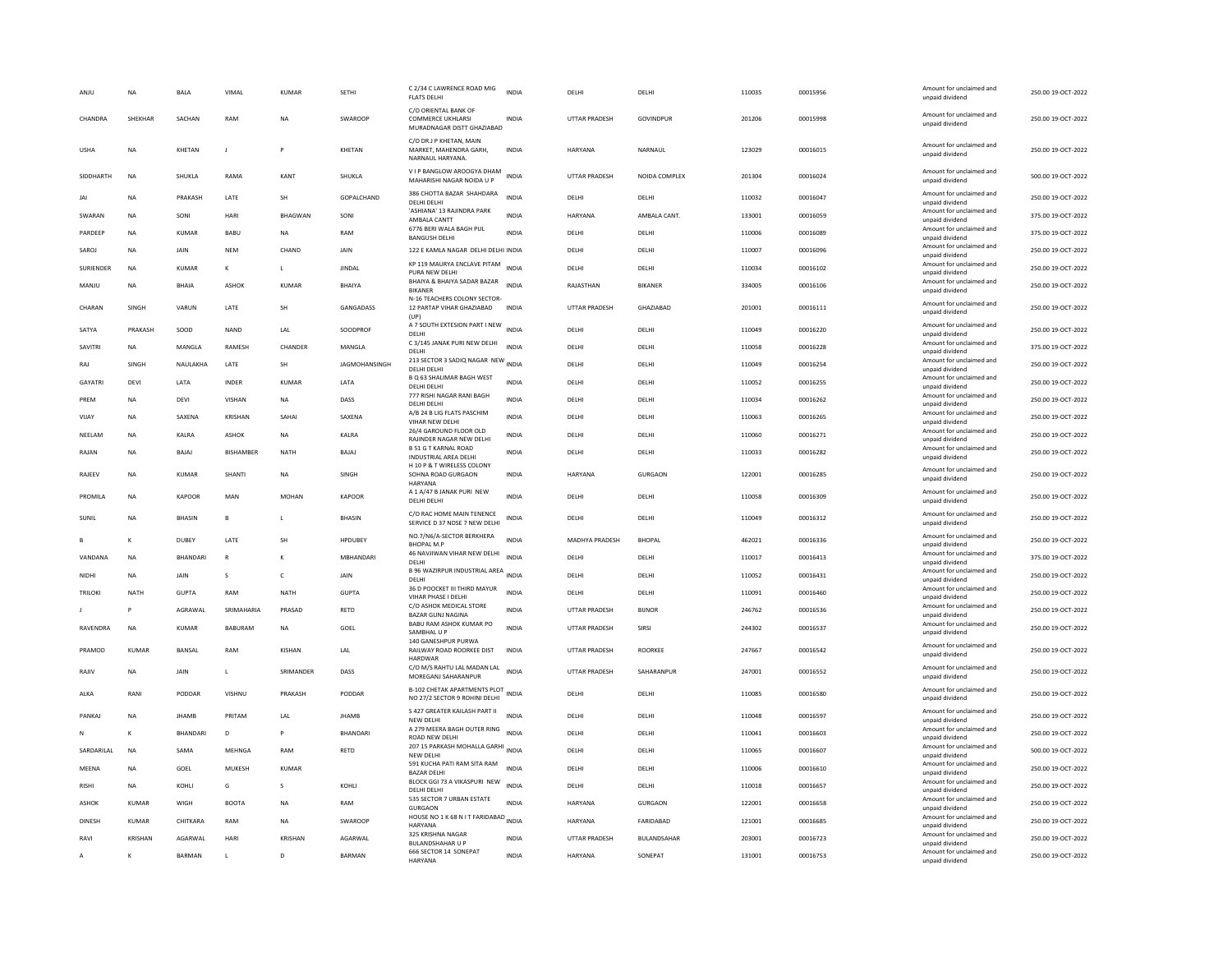|                | <b>NA</b>      | <b>BALA</b>     | VIMAL         | <b>KUMAR</b>   | SETHI             | C 2/34 C LAWRENCE ROAD MIG<br><b>FLATS DELHI</b>                        | <b>INDIA</b> | DELHI                | DELHI            | 110035 | 00015956 | Amount for unclaimed and<br>unpaid dividend | 250.00 19-OCT-2022 |
|----------------|----------------|-----------------|---------------|----------------|-------------------|-------------------------------------------------------------------------|--------------|----------------------|------------------|--------|----------|---------------------------------------------|--------------------|
| CHANDRA        | SHEKHAR        | SACHAN          | RAM           | <b>NA</b>      | SWAROOP           | C/O ORIENTAL BANK OF<br>COMMERCE UKHLARSI<br>MURADNAGAR DISTT GHAZIABAD | <b>INDIA</b> | <b>UTTAR PRADESH</b> | GOVINDPUR        | 201206 | 00015998 | Amount for unclaimed and<br>unpaid dividend | 250.00 19-OCT-2022 |
| <b>USHA</b>    | <b>NA</b>      | KHETAN          | J.            |                | KHETAN            | C/O DR.J P KHETAN, MAIN<br>MARKET, MAHENDRA GARH.<br>NARNAUL HARYANA.   | <b>INDIA</b> | HARYANA              | NARNAUL          | 123029 | 00016015 | Amount for unclaimed and<br>unpaid dividend | 250.00 19-OCT-2022 |
| SIDDHARTH      | <b>NA</b>      | SHUKLA          | RAMA          | KANT           | SHUKLA            | V I P BANGLOW AROOGYA DHAM<br>MAHARISHI NAGAR NOIDA U P                 | <b>INDIA</b> | <b>UTTAR PRADESH</b> | NOIDA COMPLEX    | 201304 | 00016024 | Amount for unclaimed and<br>unpaid dividend | 500.00 19-OCT-2022 |
| JAI            | <b>NA</b>      | PRAKASH         | LATE          | SH             | <b>GOPALCHAND</b> | 386 CHOTTA BAZAR SHAHDARA<br>DELHI DELHI                                | <b>INDIA</b> | DELHI                | DELHI            | 110032 | 00016047 | Amount for unclaimed and<br>unpaid dividend | 250.00 19-OCT-2022 |
| SWARAN         | <b>NA</b>      | SONI            | HARI          | <b>BHAGWAN</b> | SONI              | 'ASHIANA' 13 RAJINDRA PARK<br>AMBALA CANTT                              | INDIA        | HARYANA              | AMBALA CANT.     | 133001 | 00016059 | Amount for unclaimed and<br>unpaid dividend | 375.00 19-OCT-2022 |
| PARDEEP        | <b>NA</b>      | KUMAR           | BABU          | <b>NA</b>      | RAM               | 6776 BERI WALA BAGH PUL<br><b>BANGUSH DELHI</b>                         | INDIA        | DELHI                | DELHI            | 110006 | 00016089 | Amount for unclaimed and<br>unpaid dividend | 375.00 19-OCT-2022 |
| SAROJ          | <b>NA</b>      | <b>JAIN</b>     | <b>NEM</b>    | CHAND          | JAIN              | 122 E KAMLA NAGAR DELHI DELHI INDIA                                     |              | DELHI                | DELHI            | 110007 | 00016096 | Amount for unclaimed and<br>unpaid dividend | 250.00 19-OCT-2022 |
| SURIENDER      | <b>NA</b>      | <b>KUMAR</b>    | K             | $\mathbf{L}$   | <b>JINDAL</b>     | KP 119 MAURYA ENCLAVE PITAM<br>PURA NEW DELHI                           | <b>INDIA</b> | DELHI                | DELHI            | 110034 | 00016102 | Amount for unclaimed and<br>unpaid dividend | 250.00 19-OCT-2022 |
| MANJU          | <b>NA</b>      | <b>BHAIA</b>    | ASHOK         | <b>KUMAR</b>   | <b>BHAIYA</b>     | BHAIYA & BHAIYA SADAR BAZAR<br><b>RIKANER</b>                           | <b>INDIA</b> | RAJASTHAN            | <b>BIKANER</b>   | 334005 | 00016106 | Amount for unclaimed and<br>unpaid dividend | 250.00 19-OCT-2022 |
| CHARAN         | SINGH          | VARUN           | <b>I ATF</b>  | <b>SH</b>      | <b>GANGADASS</b>  | N-16 TEACHERS COLONY SECTOR<br>12 PARTAP VIHAR GHAZIABAD<br>(UP)        | <b>INDIA</b> | <b>UTTAR PRADESH</b> | <b>GHAZIARAD</b> | 201001 | 00016111 | Amount for unclaimed and<br>unpaid dividend | 250.00 19-OCT-2022 |
| SATYA          | PRAKASH        | SOOD            | <b>NAND</b>   | LAL            | SOODPROF          | A 7 SOUTH EXTESION PART I NEW INDIA<br>DELHI                            |              | DELHI                | DELHI            | 110049 | 00016220 | Amount for unclaimed and<br>unpaid dividend | 250.00 19-OCT-2022 |
| SAVITRI        | <b>NA</b>      | MANGLA          | RAMESH        | CHANDER        | MANGLA            | C 3/145 JANAK PURI NEW DELHI<br>DELHI                                   | <b>INDIA</b> | DELHI                | DELHI            | 110058 | 00016228 | Amount for unclaimed and<br>unpaid dividend | 375.00 19-OCT-2022 |
| RAJ            | SINGH          | NAULAKHA        | LATE          | SH             | JAGMOHANSINGH     | 213 SECTOR 3 SADIQ NAGAR NEW INDIA<br>DELHI DELH                        |              | DELHI                | DELHI            | 110049 | 00016254 | Amount for unclaimed and<br>unpaid dividend | 250.00 19-OCT-2022 |
| GAYATRI        | DEVI           | LATA            | INDER         | KUMAR          | LATA              | B Q 63 SHALIMAR BAGH WEST<br>DELHI DELHI                                | <b>INDIA</b> | DELHI                | DELHI            | 110052 | 00016255 | Amount for unclaimed and<br>unpaid dividend | 250.00 19-OCT-2022 |
| PREM           | <b>NA</b>      | <b>DEVI</b>     | <b>VISHAN</b> | <b>NA</b>      | DASS              | 777 RISHI NAGAR RANI BAGH<br>DELHI DELHI                                | <b>INDIA</b> | DELHI                | DELHI            | 110034 | 00016262 | Amount for unclaimed and<br>unpaid dividend | 250.00 19-OCT-2022 |
| VIJAY          | <b>NA</b>      | SAXENA          | KRISHAN       | SAHAI          | SAXENA            | A/B 24 B LIG FLATS PASCHIM<br><b>VIHAR NEW DELHI</b>                    | INDIA        | DELHI                | DELHI            | 110063 | 00016265 | Amount for unclaimed and<br>unpaid dividend | 250.00 19-OCT-2022 |
| NEELAN         | <b>NA</b>      | KALRA           | ASHOK         | <b>NA</b>      | KALRA             | 26/4 GAROUND FLOOR OLD<br>RAJINDER NAGAR NEW DELHI                      | <b>INDIA</b> | DELHI                | DELHI            | 110060 | 00016271 | Amount for unclaimed and<br>unpaid dividend | 250.00 19-OCT-2022 |
| RAJAN          | <b>NA</b>      | BAJAJ           | BISHAMBER     | <b>NATH</b>    | BAJAJ             | <b>B 51 G T KARNAL ROAD</b><br><b>INDUSTRIAL AREA DELHI</b>             | <b>INDIA</b> | DELHI                | DELHI            | 110033 | 00016282 | Amount for unclaimed and<br>unpaid dividend | 250.00 19-OCT-2022 |
| RAJEEV         | <b>NA</b>      | <b>KUMAR</b>    | <b>SHANTI</b> | <b>NA</b>      | SINGH             | H 10 P & T WIRELESS COLONY<br>SOHNA ROAD GURGAON<br>HARYANA             | <b>INDIA</b> | HARYANA              | <b>GURGAON</b>   | 122001 | 00016285 | Amount for unclaimed and<br>unpaid dividend | 250.00 19-OCT-2022 |
| PROMILA        | <b>NA</b>      | KAPOOR          | MAN           | MOHAN          | KAPOOR            | A 1 A/47 B JANAK PURI NEW<br>DELHI DELHI                                | <b>INDIA</b> | DELHI                | DELHI            | 110058 | 00016309 | Amount for unclaimed and<br>unpaid dividend | 250.00 19-OCT-2022 |
| SUNIL          | <b>NA</b>      | <b>BHASIN</b>   | B             |                | <b>BHASIN</b>     | C/O RAC HOME MAIN TENENCE<br>SERVICE D 37 NDSE 7 NEW DELHI              | <b>INDIA</b> | DELHI                | DELHI            | 110049 | 00016312 | Amount for unclaimed and<br>unpaid dividend | 250.00 19-OCT-2022 |
|                | к              | DUBEY           | LATE          | SH             | <b>HPDUBEY</b>    | NO.7/N6/A-SECTOR BERKHERA<br><b>BHOPAL M.P</b>                          | <b>INDIA</b> | MADHYA PRADESH       | <b>BHOPAL</b>    | 462021 | 00016336 | Amount for unclaimed and<br>unpaid dividend | 250.00 19-OCT-2022 |
| VANDANA        | <b>NA</b>      | <b>BHANDARI</b> | $\mathsf{R}$  |                | MBHANDARI         | 46 NAVJIWAN VIHAR NEW DELHI<br>DELHI                                    | <b>INDIA</b> | DELHI                | DELHI            | 110017 | 00016413 | Amount for unclaimed and<br>unpaid dividend | 375.00 19-OCT-2022 |
| NIDHI          | <b>NA</b>      | <b>JAIN</b>     | s             | c              | JAIN              | B 96 WAZIRPUR INDUSTRIAL AREA INDIA<br>DELHI                            |              | DELHI                | DELHI            | 110052 | 00016431 | Amount for unclaimed and<br>unpaid dividend | 250.00 19-OCT-2022 |
| <b>TRILOKI</b> | <b>NATH</b>    | <b>GUPTA</b>    | RAM           | <b>NATH</b>    | <b>GUPTA</b>      | 36 D POOCKET III THIRD MAYUR<br>VIHAR PHASE I DELHI                     | <b>INDIA</b> | DELHI                | DELHI            | 110091 | 00016460 | Amount for unclaimed and<br>unpaid dividend | 250.00 19-OCT-2022 |
|                |                | AGRAWAL         | SRIMAHARIA    | PRASAD         | RETD              | C/O ASHOK MEDICAL STORE<br><b>BAZAR GUNJ NAGINA</b>                     | <b>INDIA</b> | UTTAR PRADESH        | <b>BIJNOR</b>    | 246762 | 00016536 | Amount for unclaimed and<br>unpaid dividend | 250.00 19-OCT-2022 |
| RAVENDRA       | NA             | KUMAR           | BABURAM       | <b>NA</b>      | GOEL              | BABU RAM ASHOK KUMAR PO<br>SAMBHAL U F                                  | <b>INDIA</b> | <b>UTTAR PRADESH</b> | SIRSI            | 244302 | 00016537 | Amount for unclaimed and<br>unpaid dividend | 250.00 19-OCT-2022 |
| PRAMOD         | <b>KUMAR</b>   | <b>BANSAL</b>   | RAM           | KISHAN         | LAL               | 140 GANESHPUR PURWA<br>RAILWAY ROAD ROORKEE DIST<br><b>HARDWAR</b>      | <b>INDIA</b> | UTTAR PRADESH        | ROORKEE          | 247667 | 00016542 | Amount for unclaimed and<br>unpaid dividend | 250.00 19-OCT-2022 |
| RAJIV          | NA             | JAIN            | $\mathbf{I}$  | SRIMANDER      | DASS              | C/O M/S RAHTU LAL MADAN LAL<br>MOREGANJ SAHARANPUR                      | <b>INDIA</b> | <b>UTTAR PRADESH</b> | SAHARANPUR       | 247001 | 00016552 | Amount for unclaimed and<br>unpaid dividend | 250.00 19-OCT-2022 |
| ALKA           | RANI           | PODDAR          | VISHNU        | PRAKASH        | PODDAR            | B-102 CHETAK APARTMENTS PLOT<br>NO 27/2 SECTOR 9 ROHINI DELHI           |              | DELHI                | DELHI            | 110085 | 00016580 | Amount for unclaimed and<br>unpaid dividend | 250.00 19-OCT-2022 |
| PANKAI         | <b>NA</b>      | <b>IHAMR</b>    | PRITAM        | LAL            | <b>IHAMR</b>      | S 427 GREATER KAILASH PART II<br>NEW DELHI                              | <b>INDIA</b> | <b>DELHI</b>         | <b>DELHI</b>     | 110048 | 00016597 | Amount for unclaimed and<br>unpaid dividend | 250.00 19-OCT-2022 |
|                | K              | BHANDARI        | D             |                | BHANDARI          | A 279 MEERA BAGH OUTER RING<br>ROAD NEW DELHI                           | <b>INDIA</b> | DELHI                | DELHI            | 110041 | 00016603 | Amount for unclaimed and<br>unpaid dividend | 250.00 19-OCT-2022 |
| SARDARILAL     | <b>NA</b>      | SAMA            | MEHNGA        | RAM            | RETD              | 207 15 PARKASH MOHALLA GARHI INDIA<br>NEW DELHI                         |              | DELHI                | DELHI            | 110065 | 00016607 | Amount for unclaimed and<br>unpaid dividend | 500.00 19-OCT-2022 |
| MEENA          | <b>NA</b>      | GOEL            | <b>MUKESH</b> | KUMAR          |                   | 591 KUCHA PATI RAM SITA RAM<br><b>BAZAR DELHI</b>                       | <b>INDIA</b> | DELHI                | DELHI            | 110006 | 00016610 | Amount for unclaimed and<br>unpaid dividend | 250.00 19-OCT-2022 |
| <b>RISHI</b>   | <b>NA</b>      | KOHLI           | G             | s              | KOHLI             | BLOCK GGI 73 A VIKASPURI NEW<br>DELHI DELHI                             | <b>INDIA</b> | DELHI                | DELHI            | 110018 | 00016657 | Amount for unclaimed and<br>unpaid dividend | 250.00 19-OCT-2022 |
| <b>ASHOK</b>   | <b>KUMAR</b>   | WIGH            | <b>BOOTA</b>  | <b>NA</b>      | RAM               | 535 SECTOR 7 URBAN ESTATE<br>GURGAON                                    | <b>INDIA</b> | HARYANA              | <b>GURGAON</b>   | 122001 | 00016658 | Amount for unclaimed and<br>unpaid dividend | 250.00 19-OCT-2022 |
| DINESH         | <b>KUMAR</b>   | CHITKARA        | RAM           | <b>NA</b>      | SWAROOP           | HOUSE NO 1 K 68 N I T FARIDABAD INDIA<br>HARYANA                        |              | <b>HARYANA</b>       | FARIDABAD        | 121001 | 00016685 | Amount for unclaimed and<br>unpaid dividend | 250.00 19-OCT-2022 |
|                |                |                 |               |                |                   | 325 KRISHNA NAGAR                                                       | <b>INDIA</b> | <b>UTTAR PRADESH</b> | BULANDSAHAR      | 203001 | 00016723 | Amount for unclaimed and                    |                    |
| RAVI           | <b>KRISHAN</b> | AGARWAL         | HARI          | <b>KRISHAN</b> | AGARWAL           | <b>BULANDSHAHAR U P</b>                                                 |              |                      |                  |        |          | unpaid dividend                             | 250.00 19-OCT-2022 |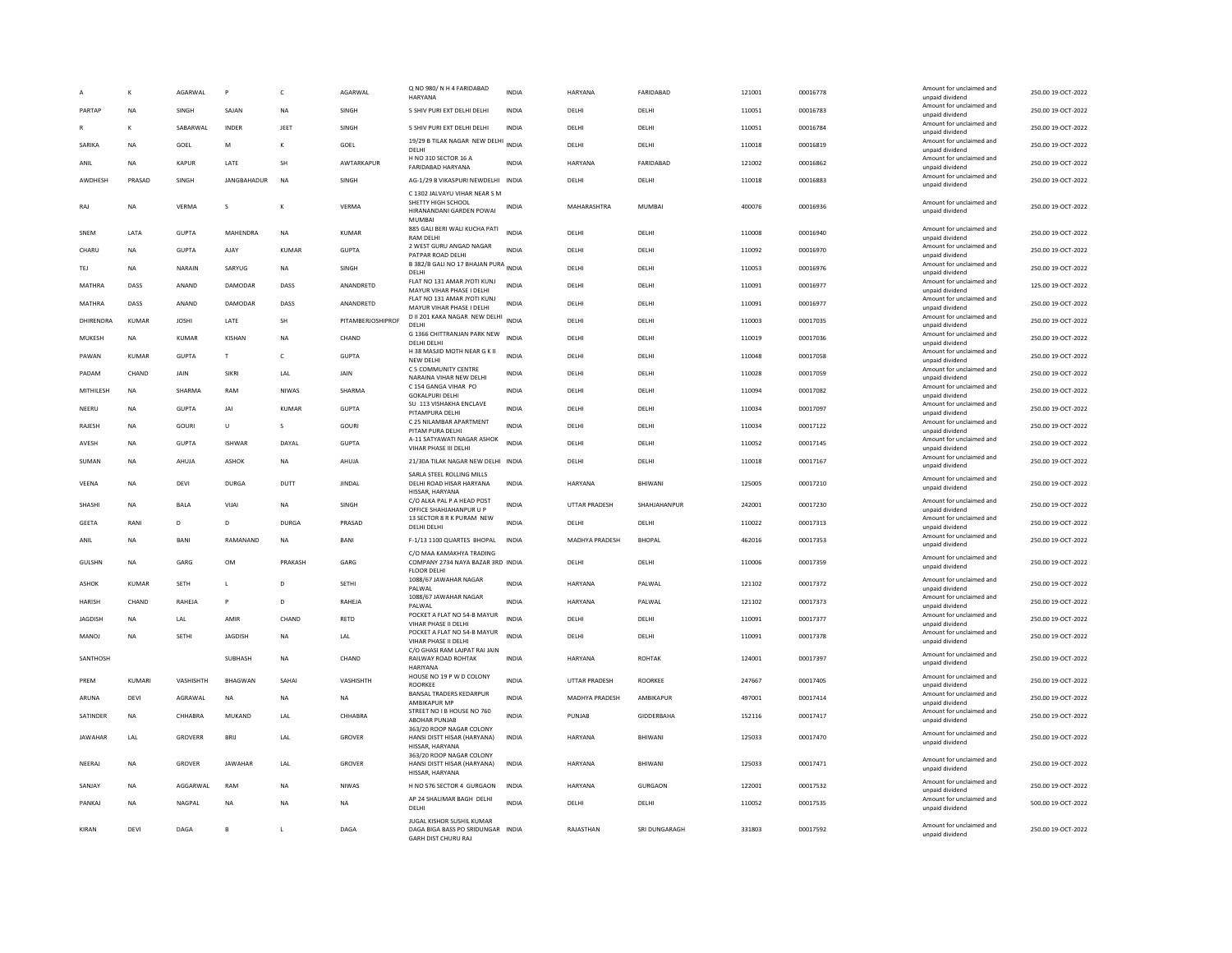|                |              | AGARWAL        | P                  | $\mathsf{C}$ | AGARWAL           | Q NO 980/N H 4 FARIDABAD<br><b>HARYANA</b>                                                      | <b>INDIA</b> | HARYANA        | FARIDABAD      | 121001 | 00016778 | Amount for unclaimed and<br>unpaid dividend | 250.00 19-OCT-2022 |
|----------------|--------------|----------------|--------------------|--------------|-------------------|-------------------------------------------------------------------------------------------------|--------------|----------------|----------------|--------|----------|---------------------------------------------|--------------------|
| PARTAP         | <b>NA</b>    | SINGH          | SAJAN              | <b>NA</b>    | SINGH             | 5 SHIV PURI EXT DELHI DELHI                                                                     | INDIA        | DELHI          | DELHI          | 110051 | 00016783 | Amount for unclaimed and<br>unpaid dividend | 250.00 19-OCT-2022 |
|                | K            | SABARWAL       | INDER              | JEET         | SINGH             | 5 SHIV PURI EXT DELHI DELHI                                                                     | <b>INDIA</b> | DELHI          | DELHI          | 110051 | 00016784 | Amount for unclaimed and<br>unpaid dividend | 250.00 19-OCT-2022 |
| SARIKA         | <b>NA</b>    | GOEL           | M                  | $\mathbf{K}$ | GOEL              | 19/29 B TILAK NAGAR NEW DELHI<br>DFI HI                                                         | <b>INDIA</b> | DELHI          | DELHI          | 110018 | 00016819 | Amount for unclaimed and<br>unpaid dividend | 250.00 19-OCT-2022 |
| ANIL           | <b>NA</b>    | <b>KAPUR</b>   | LATE               | <b>SH</b>    | AWTARKAPUR        | H NO 310 SECTOR 16 A<br><b>FARIDABAD HARYANA</b>                                                | <b>INDIA</b> | HARYANA        | FARIDABAD      | 121002 | 00016862 | Amount for unclaimed and<br>unpaid dividend | 250.00 19-OCT-2022 |
| <b>AWDHFSH</b> | PRASAD       | <b>SINGH</b>   | <b>IANGRAHADUR</b> | <b>NA</b>    | <b>SINGH</b>      | AG-1/29 B VIKASPURI NEWDELHI INDIA                                                              |              | DELHI          | <b>DELHI</b>   | 110018 | 00016883 | Amount for unclaimed and<br>unpaid dividend | 250.00 19-OCT-2022 |
| RAJ            | <b>NA</b>    | <b>VERMA</b>   | s                  | $\kappa$     | VERMA             | C 1302 JALVAYU VIHAR NEAR S M<br>SHETTY HIGH SCHOOL<br>HIRANANDANI GARDEN POWAI<br><b>MUMBA</b> | <b>INDIA</b> | MAHARASHTRA    | <b>MUMBAI</b>  | 400076 | 00016936 | Amount for unclaimed and<br>unpaid dividend | 250.00 19-OCT-2022 |
| SNEM           | LATA         | <b>GUPTA</b>   | MAHENDRA           | <b>NA</b>    | <b>KUMAR</b>      | 885 GALI BERI WALI KUCHA PATI<br><b>RAM DELHI</b>                                               | <b>INDIA</b> | DELHI          | DELHI          | 110008 | 00016940 | Amount for unclaimed and<br>unpaid dividend | 250.00 19-OCT-2022 |
| CHARU          | <b>NA</b>    | <b>GUPTA</b>   | AJAY               | KUMAR        | <b>GUPTA</b>      | 2 WEST GURU ANGAD NAGAR<br>PATPAR ROAD DELHI                                                    | <b>INDIA</b> | DELHI          | DELHI          | 110092 | 00016970 | Amount for unclaimed and<br>unpaid dividend | 250.00 19-OCT-2022 |
| TEJ            | <b>NA</b>    | NARAIN         | SARYUG             | NA           | SINGH             | B 382/B GALI NO 17 BHAJAN PURA<br>DELHI                                                         | <b>INDIA</b> | DELHI          | DELHI          | 110053 | 00016976 | Amount for unclaimed and<br>unpaid dividend | 250.00 19-OCT-2022 |
| MATHRA         | DASS         | ANAND          | DAMODAR            | DASS         | ANANDRETD         | FLAT NO 131 AMAR JYOTI KUNJ<br>MAYUR VIHAR PHASE I DELHI                                        | <b>INDIA</b> | DELHI          | DELHI          | 110091 | 00016977 | Amount for unclaimed and<br>unpaid dividend | 125.00 19-OCT-2022 |
| MATHRA         | DASS         | ANAND          | DAMODAR            | DASS         | ANANDRETD         | FLAT NO 131 AMAR JYOTI KUNJ<br>MAYUR VIHAR PHASE I DELHI                                        | INDIA        | DELHI          | DELHI          | 110091 | 00016977 | Amount for unclaimed and<br>unpaid dividend | 250.00 19-OCT-2022 |
| DHIRENDRA      | KUMAR        | <b>JOSHI</b>   | LATE               | SH           | PITAMBERJOSHIPROF | D II 201 KAKA NAGAR NEW DELHI<br>DELHI                                                          | <b>INDIA</b> | DELHI          | DELHI          | 110003 | 00017035 | Amount for unclaimed and<br>unpaid dividend | 250.00 19-OCT-2022 |
| MUKESH         | <b>NA</b>    | KUMAR          | KISHAN             | <b>NA</b>    | CHAND             | G 1366 CHITTRANJAN PARK NEW<br>DELHI DELHI                                                      | <b>INDIA</b> | DELHI          | DELHI          | 110019 | 00017036 | Amount for unclaimed and<br>unpaid dividend | 250.00 19-OCT-2022 |
| PAWAN          | <b>KUMAR</b> | <b>GUPTA</b>   | T                  | $\mathsf{C}$ | <b>GUPTA</b>      | H 38 MASJID MOTH NEAR G K II<br>NFW DFI HI                                                      | <b>INDIA</b> | DELHI          | DELHI          | 110048 | 00017058 | Amount for unclaimed and<br>unpaid dividend | 250.00 19-OCT-2022 |
| PADAM          | CHAND        | <b>JAIN</b>    | <b>SIKRI</b>       | <b>I</b> AI  | <b>JAIN</b>       | C 5 COMMUNITY CENTRE<br>NARAINA VIHAR NEW DELHI                                                 | <b>INDIA</b> | <b>DELHI</b>   | DELHI          | 110028 | 00017059 | Amount for unclaimed and<br>unpaid dividend | 250.00 19-OCT-2022 |
| MITHILESH      | <b>NA</b>    | SHARMA         | RAM                | NIWAS        | SHARMA            | C 154 GANGA VIHAR PO<br><b>GOKALPURI DELHI</b>                                                  | <b>INDIA</b> | DELHI          | DELHI          | 110094 | 00017082 | Amount for unclaimed and<br>unpaid dividend | 250.00 19-OCT-2022 |
| NEERU          | <b>NA</b>    | <b>GUPTA</b>   | JAI                | <b>KUMAR</b> | <b>GUPTA</b>      | SU 113 VISHAKHA ENCLAVE<br>PITAMPURA DELHI                                                      | <b>INDIA</b> | DELHI          | DELHI          | 110034 | 00017097 | Amount for unclaimed and<br>unpaid dividend | 250.00 19-OCT-2022 |
| RAJESH         | <b>NA</b>    | GOURI          | U                  | s            | GOURI             | C 25 NILAMBAR APARTMENT<br>PITAM PURA DELHI                                                     | <b>INDIA</b> | DELHI          | DELHI          | 110034 | 00017122 | Amount for unclaimed and<br>unpaid dividend | 250.00 19-OCT-2022 |
| AVESH          | <b>NA</b>    | <b>GUPTA</b>   | <b>ISHWAR</b>      | DAYAL        | <b>GUPTA</b>      | A-11 SATYAWATI NAGAR ASHOK<br>VIHAR PHASE III DELHI                                             | <b>INDIA</b> | DELHI          | DELHI          | 110052 | 00017145 | Amount for unclaimed and<br>unpaid dividend | 250.00 19-OCT-2022 |
| SUMAN          | <b>NA</b>    | AHUJA          | ASHOK              | <b>NA</b>    | AHUJA             | 21/30A TILAK NAGAR NEW DELHI INDIA                                                              |              | DELHI          | DELHI          | 110018 | 00017167 | Amount for unclaimed and<br>unpaid dividend | 250.00 19-OCT-2022 |
| VEENA          | <b>NA</b>    | DEVI           | <b>DURGA</b>       | DUTT         | <b>JINDAL</b>     | SARLA STEEL ROLLING MILLS<br>DELHI ROAD HISAR HARYANA<br>HISSAR, HARYANA                        | <b>INDIA</b> | <b>HARYANA</b> | BHIWANI        | 125005 | 00017210 | Amount for unclaimed and<br>unpaid dividend | 250.00 19-OCT-2022 |
| SHASHI         | <b>NA</b>    | <b>BALA</b>    | VIJAI              | <b>NA</b>    | SINGH             | C/O ALKA PAL P A HEAD POST<br>OFFICE SHAHJAHANPUR U P                                           | <b>INDIA</b> | UTTAR PRADESH  | SHAHJAHANPUR   | 242001 | 00017230 | Amount for unclaimed and<br>unpaid dividend | 250.00 19-OCT-2022 |
| <b>GEETA</b>   | RANI         | D              | D                  | <b>DURGA</b> | PRASAD            | 13 SECTOR 8 R K PURAM NEW<br>DELHI DELHI                                                        | <b>INDIA</b> | DELHI          | DELHI          | 110022 | 00017313 | Amount for unclaimed and<br>unpaid dividend | 250.00 19-OCT-2022 |
| ANIL           | <b>NA</b>    | <b>BANI</b>    | RAMANAND           | NA           | BANI              | F-1/13 1100 QUARTES BHOPAL                                                                      | INDIA        | MADHYA PRADESH | <b>BHOPAL</b>  | 462016 | 00017353 | Amount for unclaimed and<br>unpaid dividend | 250.00 19-OCT-2022 |
| GULSHN         | <b>NA</b>    | GARG           | OM                 | PRAKASH      | GARG              | C/O MAA KAMAKHYA TRADING<br>COMPANY 2734 NAYA BAZAR 3RD INDIA<br><b>FLOOR DELHI</b>             |              | DELHI          | DELHI          | 110006 | 00017359 | Amount for unclaimed and<br>unpaid dividend | 250.00 19-OCT-2022 |
| ASHOK          | <b>KUMAR</b> | <b>SETH</b>    | L                  | D            | <b>SETHI</b>      | 1088/67 JAWAHAR NAGAR<br>PALWAL                                                                 | <b>INDIA</b> | HARYANA        | PALWAL         | 121102 | 00017372 | Amount for unclaimed and<br>unpaid dividend | 250.00 19-OCT-2022 |
| <b>HARISH</b>  | CHAND        | RAHEJA         | P                  | D            | RAHEJA            | 1088/67 JAWAHAR NAGAR<br>PALWAL                                                                 | <b>INDIA</b> | HARYANA        | PALWAL         | 121102 | 00017373 | Amount for unclaimed and<br>unpaid dividend | 250.00 19-OCT-2022 |
| JAGDISH        | <b>NA</b>    | LAL            | AMIR               | CHAND        | RETD              | POCKET A FLAT NO 54-B MAYUR<br>VIHAR PHASE II DELHI                                             | <b>INDIA</b> | DELHI          | DELHI          | 110091 | 00017377 | Amount for unclaimed and<br>unpaid dividend | 250.00 19-OCT-2022 |
| MANOJ          | <b>NA</b>    | <b>SETHI</b>   | <b>JAGDISH</b>     | <b>NA</b>    | LAL               | POCKET A FLAT NO 54-B MAYUR<br>VIHAR PHASE II DELHI                                             | <b>INDIA</b> | DELHI          | DELHI          | 110091 | 00017378 | Amount for unclaimed and<br>unpaid dividend | 250.00 19-OCT-2022 |
| SANTHOSH       |              |                | SUBHASH            | NA           | CHAND             | C/O GHASI RAM LAJPAT RAI JAIN<br>RAILWAY ROAD ROHTAK<br><b>HARIYANA</b>                         | <b>INDIA</b> | HARYANA        | <b>ROHTAK</b>  | 124001 | 00017397 | Amount for unclaimed and<br>unpaid dividend | 250.00 19-OCT-2022 |
| PREM           | KUMARI       | VASHISHTH      | <b>RHAGWAN</b>     | SAHAI        | VASHISHTH         | HOUSE NO 19 P W D COLONY<br>ROORKEE                                                             | <b>INDIA</b> | UTTAR PRADESH  | <b>ROORKEE</b> | 247667 | 00017405 | Amount for unclaimed and<br>unpaid dividend | 250.00 19-OCT-2022 |
| ARUNA          | DFVI         | AGRAWAI        | NA                 | <b>NA</b>    | NA.               | <b>BANSAL TRADERS KEDARPUR</b><br>AMBIKAPUR MF                                                  | <b>INDIA</b> | MADHYA PRADESH | AMBIKAPUR      | 497001 | 00017414 | Amount for unclaimed and<br>unpaid dividend | 250.00 19-OCT-2022 |
| SATINDER       | <b>NA</b>    | CHHABRA        | MUKAND             | LAL          | CHHABRA           | STREET NO I B HOUSE NO 760<br><b>ABOHAR PUNJAB</b>                                              | <b>INDIA</b> | PUNJAB         | GIDDERBAHA     | 152116 | 00017417 | Amount for unclaimed and<br>unpaid dividend | 250.00 19-OCT-2022 |
| JAWAHAR        | LAL          | <b>GROVERR</b> | BRIJ               | LAL          | GROVER            | 363/20 ROOP NAGAR COLONY<br>HANSI DISTT HISAR (HARYANA)<br>HISSAR, HARYANA                      | INDIA        | HARYANA        | BHIWANI        | 125033 | 00017470 | Amount for unclaimed and<br>unpaid dividend | 250.00 19-OCT-2022 |
| NEERAJ         | <b>NA</b>    | <b>GROVER</b>  | <b>JAWAHAR</b>     | LAL          | <b>GROVER</b>     | 363/20 ROOP NAGAR COLONY<br>HANSI DISTT HISAR (HARYANA)<br>HISSAR, HARYANA                      | <b>INDIA</b> | HARYANA        | BHIWANI        | 125033 | 00017471 | Amount for unclaimed and<br>unpaid dividend | 250.00 19-OCT-2022 |
| SANJAY         | <b>NA</b>    | AGGARWAL       | RAM                | <b>NA</b>    | NIWAS             | H NO 576 SECTOR 4 GURGAON                                                                       | INDIA        | HARYANA        | <b>GURGAON</b> | 122001 | 00017532 | Amount for unclaimed and<br>unpaid dividend | 250.00 19-OCT-2022 |
| PANKAJ         | <b>NA</b>    | NAGPAL         | <b>NA</b>          | <b>NA</b>    | NA                | AP 24 SHALIMAR BAGH DELHI<br>DELHI                                                              | <b>INDIA</b> | DELHI          | DELHI          | 110052 | 00017535 | Amount for unclaimed and<br>unpaid dividend | 500.00 19-OCT-2022 |
| KIRAN          | DEVI         | DAGA           | B                  | L            | DAGA              | JUGAL KISHOR SUSHIL KUMAR<br>DAGA BIGA BASS PO SRIDUNGAR INDIA<br>GARH DIST CHURU RAJ           |              | RAJASTHAN      | SRI DUNGARAGH  | 331803 | 00017592 | Amount for unclaimed and<br>unpaid dividend | 250.00 19-OCT-2022 |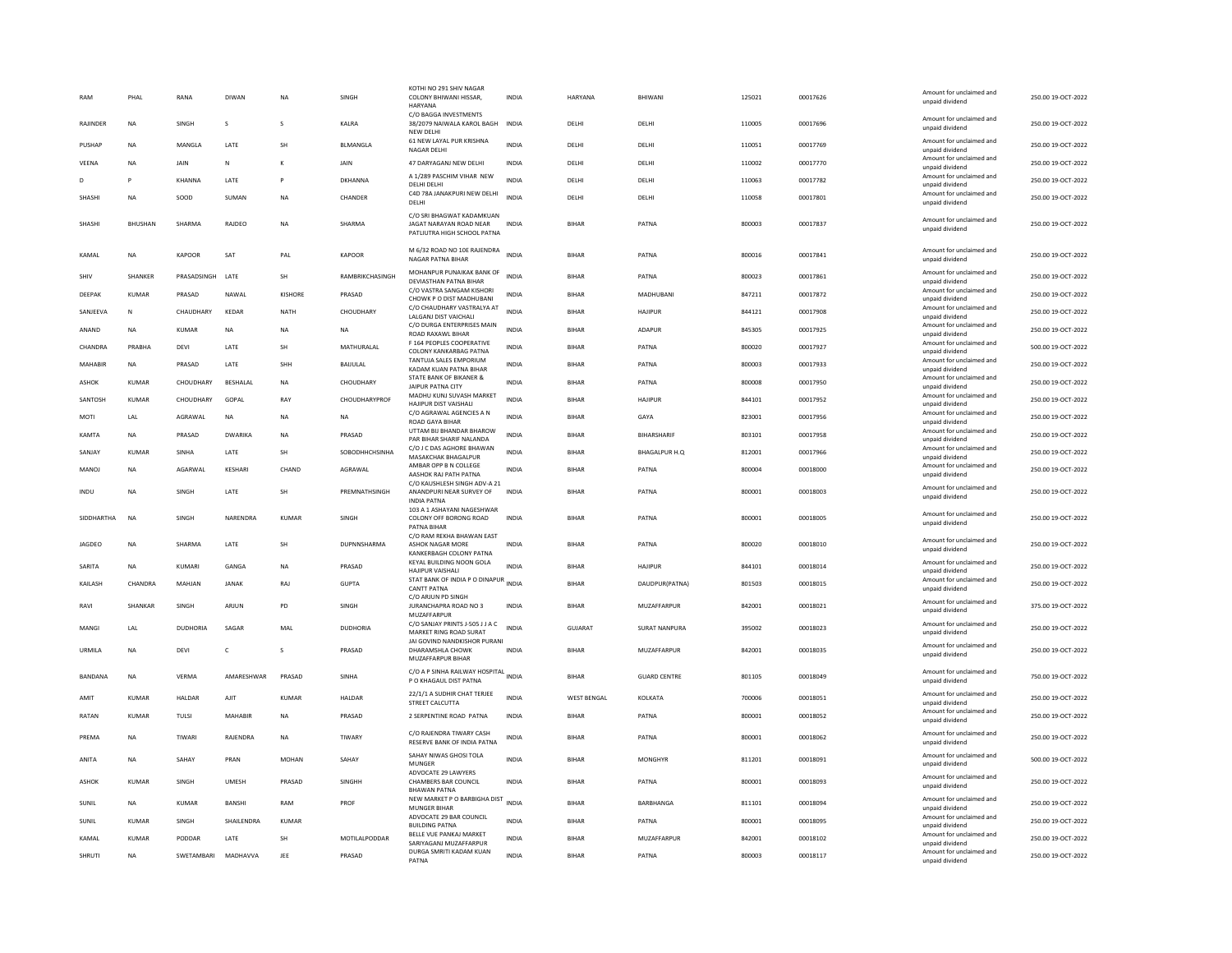| RAM            | PHAL           | RANA             | DIWAN         | <b>NA</b>      | SINGH           | KOTHI NO 291 SHIV NAGAR<br>COLONY BHIWANI HISSAR,<br><b>HARYANA</b>                              | INDIA        | HARYANA            | BHIWANI              | 125021 | 00017626 | Amount for unclaimed and<br>unpaid dividend | 250.00 19-OCT-2022 |
|----------------|----------------|------------------|---------------|----------------|-----------------|--------------------------------------------------------------------------------------------------|--------------|--------------------|----------------------|--------|----------|---------------------------------------------|--------------------|
| RAJINDEF       | <b>NA</b>      | SINGH            | s             | s              | KALRA           | C/O BAGGA INVESTMENTS<br>38/2079 NAIWALA KAROL BAGH<br>NEW DELHI                                 | INDIA        | DELHI              | DELHI                | 110005 | 00017696 | Amount for unclaimed and<br>unpaid dividend | 250.00 19-OCT-2022 |
| PUSHAP         | <b>NA</b>      | MANGLA           | LATE          | SH             | BLMANGLA        | 61 NEW LAYAL PUR KRISHNA<br>NAGAR DELHI                                                          | INDIA        | DELHI              | DELHI                | 110051 | 00017769 | Amount for unclaimed and<br>unpaid dividend | 250.00 19-OCT-2022 |
| VEENA          | <b>NA</b>      | JAIN             | N             |                | JAIN            | 47 DARYAGANJ NEW DELHI                                                                           | INDIA        | DELHI              | DELHI                | 110002 | 00017770 | Amount for unclaimed and<br>unpaid dividend | 250.00 19-OCT-2022 |
| D              |                | KHANNA           | LATE          | P              | <b>DKHANNA</b>  | A 1/289 PASCHIM VIHAR NEW<br>DELHI DELHI                                                         | <b>INDIA</b> | DELHI              | DELHI                | 110063 | 00017782 | Amount for unclaimed and<br>unpaid dividend | 250.00 19-OCT-2022 |
| SHASHI         | <b>NA</b>      | SOOD             | SUMAN         | <b>NA</b>      | CHANDER         | C4D 78A JANAKPURI NEW DELHI<br>DELHI                                                             | <b>INDIA</b> | DELHI              | DELHI                | 110058 | 00017801 | Amount for unclaimed and<br>unpaid dividend | 250.00 19-OCT-2022 |
| SHASHI         | <b>BHUSHAN</b> | SHARMA           | RAJDEO        | <b>NA</b>      | SHARMA          | C/O SRI BHAGWAT KADAMKUAN<br>JAGAT NARAYAN ROAD NEAR<br>PATLIUTRA HIGH SCHOOL PATNA              | <b>INDIA</b> | <b>BIHAR</b>       | PATNA                | 800003 | 00017837 | Amount for unclaimed and<br>unpaid dividend | 250.00 19-OCT-2022 |
| KAMAL          | <b>NA</b>      | <b>KAPOOR</b>    | SAT           | PAL            | KAPOOR          | M 6/32 ROAD NO 10E RAJENDRA<br>NAGAR PATNA BIHAR                                                 | <b>INDIA</b> | <b>BIHAR</b>       | PATNA                | 800016 | 00017841 | Amount for unclaimed and<br>unpaid dividend | 250.00 19-OCT-2022 |
| SHIV           | SHANKER        | PRASADSINGH LATE |               | SH             | RAMBRIKCHASINGH | MOHANPUR PUNAIKAK BANK OF<br>DEVIASTHAN PATNA BIHAR                                              | <b>INDIA</b> | <b>BIHAR</b>       | PATNA                | 800023 | 00017861 | Amount for unclaimed and<br>unpaid dividend | 250.00 19-OCT-2022 |
| DEEPAK         | <b>KUMAR</b>   | PRASAD           | NAWAL         | <b>KISHORE</b> | PRASAD          | C/O VASTRA SANGAM KISHORI<br>CHOWK P O DIST MADHUBANI                                            | <b>INDIA</b> | <b>BIHAR</b>       | MADHUBANI            | 847211 | 00017872 | Amount for unclaimed and<br>unpaid dividend | 250.00 19-OCT-2022 |
| SANJEEVA       | N              | CHAUDHARY        | KEDAR         | <b>NATH</b>    | CHOUDHARY       | C/O CHAUDHARY VASTRALYA AT<br>LALGANJ DIST VAICHALI                                              | INDIA        | <b>BIHAR</b>       | <b>HAJIPUR</b>       | 844121 | 00017908 | Amount for unclaimed and<br>unpaid dividend | 250.00 19-OCT-2022 |
| ANAND          | <b>NA</b>      | <b>KUMAR</b>     | <b>NA</b>     | <b>NA</b>      | <b>NA</b>       | C/O DURGA ENTERPRISES MAIN<br><b>ROAD RAXAWI BIHAR</b>                                           | <b>INDIA</b> | <b>BIHAR</b>       | <b>ADAPUR</b>        | 845305 | 00017925 | Amount for unclaimed and<br>unpaid dividend | 250.00 19-OCT-2022 |
| CHANDRA        | PRABHA         | <b>DEVI</b>      | LATE          | <b>SH</b>      | MATHURALAL      | F 164 PEOPLES COOPERATIVE                                                                        | INDIA        | <b>BIHAR</b>       | PATNA                | 800020 | 00017927 | Amount for unclaimed and                    | 500.00 19-OCT-2022 |
| <b>MAHABIR</b> | <b>NA</b>      | PRASAD           | LATE          | SHH            | BAIJULAL        | COLONY KANKARBAG PATNA<br>TANTUJA SALES EMPORIUM                                                 | <b>INDIA</b> | <b>BIHAR</b>       | PATNA                | 800003 | 00017933 | unpaid dividend<br>Amount for unclaimed and | 250.00 19-OCT-2022 |
|                |                |                  |               |                |                 | KADAM KUAN PATNA BIHAR<br>STATE BANK OF BIKANER &                                                |              |                    |                      |        |          | unpaid dividend<br>Amount for unclaimed and |                    |
| ASHOK          | KUMAR          | CHOUDHARY        | BESHALAL      | <b>NA</b>      | CHOUDHARY       | <b>JAIPUR PATNA CITY</b><br>MADHU KUNJ SUVASH MARKET                                             | <b>INDIA</b> | <b>BIHAR</b>       | PATNA                | 800008 | 00017950 | unpaid dividend<br>Amount for unclaimed and | 250.00 19-OCT-2022 |
| SANTOSH        | KUMAR          | CHOUDHARY        | GOPAL         | RAY            | CHOUDHARYPROF   | HAJIPUR DIST VAISHALI                                                                            | <b>INDIA</b> | <b>BIHAR</b>       | <b>HAIIPUR</b>       | 844101 | 00017952 | unpaid dividend                             | 250.00 19-OCT-2022 |
| MOTI           | LAL            | AGRAWAL          | NA            | NA             | <b>NA</b>       | C/O AGRAWAL AGENCIES A N<br><b>ROAD GAYA BIHAR</b>                                               | INDIA        | <b>BIHAR</b>       | GAYA                 | 823001 | 00017956 | Amount for unclaimed and<br>unpaid dividend | 250.00 19-OCT-2022 |
| KAMTA          | <b>NA</b>      | PRASAD           | DWARIKA       | <b>NA</b>      | PRASAD          | UTTAM BIJ BHANDAR BHAROW<br>PAR BIHAR SHARIF NALANDA                                             | <b>INDIA</b> | <b>BIHAR</b>       | BIHARSHARIF          | 803101 | 00017958 | Amount for unclaimed and<br>unpaid dividend | 250.00 19-OCT-2022 |
| SANJAY         | KUMAR          | SINHA            | LATE          | SH             | SOBODHHCHSINHA  | C/O J C DAS AGHORE BHAWAN                                                                        | <b>INDIA</b> | <b>BIHAR</b>       | <b>BHAGALPUR H.Q</b> | 812001 | 00017966 | Amount for unclaimed and                    | 250.00 19-OCT-2022 |
| <b>MANOI</b>   | <b>NA</b>      | <b>AGARWAI</b>   | KESHARI       | CHAND          | AGRAWAL         | MASAKCHAK BHAGALPUR<br>AMBAR OPP B N COLLEGE                                                     | <b>INDIA</b> | <b>BIHAR</b>       | PATNA                | 800004 | 00018000 | unpaid dividend<br>Amount for unclaimed and | 250.00.19-OCT-2022 |
|                |                |                  |               |                |                 | AASHOK RAJ PATH PATNA<br>C/O KAUSHLESH SINGH ADV-A 21                                            |              |                    |                      |        |          | unpaid dividend                             |                    |
| INDU           | <b>NA</b>      | SINGH            | LATE          | <b>SH</b>      | PREMNATHSINGH   | ANANDPURI NEAR SURVEY OF<br><b>INDIA PATNA</b>                                                   | <b>INDIA</b> | <b>BIHAR</b>       | PATNA                | 800001 | 00018003 | Amount for unclaimed and<br>unpaid dividend | 250.00 19-OCT-2022 |
| SIDDHARTHA     | NA             | SINGH            | NARENDRA      | KUMAR          | SINGH           | 103 A 1 ASHAYANI NAGESHWAR<br>COLONY OFF BORONG ROAD<br>PATNA BIHAR<br>C/O RAM REKHA BHAWAN EAST | INDIA        | <b>BIHAR</b>       | PATNA                | 800001 | 00018005 | Amount for unclaimed and<br>unpaid dividend | 250.00 19-OCT-2022 |
| JAGDEO         | <b>NA</b>      | SHARMA           | LATE          | SH             | DUPNNSHARMA     | ASHOK NAGAR MORE<br>KANKERBAGH COLONY PATNA                                                      | <b>INDIA</b> | <b>BIHAF</b>       | PATNA                | 800020 | 00018010 | Amount for unclaimed and<br>unpaid dividend | 250.00 19-OCT-2022 |
| SARITA         | <b>NA</b>      | KUMARI           | GANGA         | <b>NA</b>      | PRASAD          | KEYAL BUILDING NOON GOLA<br>HAJIPUR VAISHALI                                                     | <b>INDIA</b> | <b>BIHAR</b>       | <b>HAJIPUR</b>       | 844101 | 00018014 | Amount for unclaimed and<br>unpaid dividend | 250.00 19-OCT-2022 |
| KAILASH        | CHANDRA        | MAHJAN           | <b>JANAK</b>  | RAJ            | <b>GUPTA</b>    | STAT BANK OF INDIA P O DINAPUR<br><b>CANTT PATNA</b>                                             | INDIA        | <b>BIHAR</b>       | DAUDPUR(PATNA)       | 801503 | 00018015 | Amount for unclaimed and<br>unpaid dividend | 250.00 19-OCT-2022 |
| RAVI           | <b>SHANKAR</b> | <b>SINGH</b>     | ARIUN         | <b>PD</b>      | <b>SINGH</b>    | C/O ARJUN PD SINGH<br>JURANCHAPRA ROAD NO 3                                                      | <b>INDIA</b> | <b>BIHAR</b>       | MUZAFFARPUR          | 842001 | 00018021 | Amount for unclaimed and<br>unpaid dividend | 375.00 19-OCT-2022 |
| MANGI          | LAL            | <b>DUDHORIA</b>  | SAGAR         | MAL            | <b>DUDHORIA</b> | MUZAFFARPUR<br>C/O SANJAY PRINTS J-505 J J A C<br>MARKET RING ROAD SURAT                         | <b>INDIA</b> | GUJARAT            | <b>SURAT NANPURA</b> | 395002 | 00018023 | Amount for unclaimed and<br>unpaid dividend | 250.00 19-OCT-2022 |
| URMILA         | <b>NA</b>      | DEVI             | c             | s              | PRASAD          | JAI GOVIND NANDKISHOR PURANI<br>DHARAMSHLA CHOWK                                                 | <b>INDIA</b> | <b>BIHAR</b>       | MUZAFFARPUR          | 842001 | 00018035 | Amount for unclaimed and<br>unpaid dividend | 250.00 19-OCT-2022 |
|                |                |                  |               |                |                 | MUZAFFARPUR BIHAR                                                                                |              |                    |                      |        |          |                                             |                    |
| BANDANA        | <b>NA</b>      | <b>VERMA</b>     | AMARESHWAR    | PRASAD         | SINHA           | C/O A P SINHA RAILWAY HOSPITAL INDIA<br>P O KHAGAUL DIST PATNA                                   |              | <b>BIHAR</b>       | <b>GUARD CENTRE</b>  | 801105 | 00018049 | Amount for unclaimed and<br>unpaid dividend | 750.00 19-OCT-2022 |
| AMIT           | KUMAR          | HALDAR           | AJIT          | KUMAR          | HALDAR          | 22/1/1 A SUDHIR CHAT TERJEE<br>STREET CALCUTTA                                                   | <b>INDIA</b> | <b>WEST BENGAL</b> | KOLKATA              | 700006 | 00018051 | Amount for unclaimed and<br>unpaid dividend | 250.00 19-OCT-2022 |
| RATAN          | KUMAR          | <b>TULSI</b>     | MAHABIR       | <b>NA</b>      | PRASAD          | 2 SERPENTINE ROAD PATNA                                                                          | <b>INDIA</b> | <b>BIHAR</b>       | PATNA                | 800001 | 00018052 | Amount for unclaimed and<br>unpaid dividend | 250.00 19-OCT-2022 |
| PREMA          | <b>NA</b>      | TIWARI           | RAJENDRA      | <b>NA</b>      | TIWARY          | C/O RAJENDRA TIWARY CASH<br>RESERVE BANK OF INDIA PATNA                                          | INDIA        | <b>BIHAR</b>       | PATNA                | 800001 | 00018062 | Amount for unclaimed and<br>unpaid dividend | 250.00 19-OCT-2022 |
| ANITA          | <b>NA</b>      | SAHAY            | PRAN          | <b>MOHAN</b>   | SAHAY           | SAHAY NIWAS GHOSI TOLA<br>MUNGER                                                                 | INDIA        | <b>BIHAR</b>       | <b>MONGHYR</b>       | 811201 | 00018091 | Amount for unclaimed and<br>unpaid dividend | 500.00 19-OCT-2022 |
| ASHOK          | KUMAR          | SINGH            | <b>UMESH</b>  | PRASAD         | SINGHH          | ADVOCATE 29 LAWYERS<br>CHAMBERS BAR COUNCIL<br><b>BHAWAN PATNA</b>                               | INDIA        | BIHAR              | PATNA                | 800001 | 00018093 | Amount for unclaimed and<br>unpaid dividend | 250.00 19-OCT-2022 |
| SUNIL          | <b>NA</b>      | <b>KUMAR</b>     | <b>BANSHI</b> | RAM            | PROF            | NEW MARKET P O BARBIGHA DIST<br><b>MUNGER BIHAR</b>                                              | INDIA        | <b>BIHAR</b>       | BARBHANGA            | 811101 | 00018094 | Amount for unclaimed and<br>unpaid dividend | 250.00 19-OCT-2022 |
| SUNIL          | <b>KUMAR</b>   | SINGH            | SHAILENDRA    | KUMAR          |                 | ADVOCATE 29 BAR COUNCIL<br><b>BUILDING PATNA</b>                                                 | <b>INDIA</b> | <b>BIHAR</b>       | PATNA                | 800001 | 00018095 | Amount for unclaimed and<br>unpaid dividend | 250.00 19-OCT-2022 |
| KAMAL          | <b>KUMAR</b>   | PODDAR           | LATE          | SH             | MOTILALPODDAR   | BELLE VUE PANKAJ MARKET                                                                          | INDIA        | <b>BIHAR</b>       | MUZAFFARPUR          | 842001 | 00018102 | Amount for unclaimed and                    | 250.00 19-OCT-2022 |
| <b>SHRUTI</b>  | <b>NA</b>      | SWETAMBARI       | MADHAVVA      | JEE            | PRASAD          | SARIYAGANJ MUZAFFARPUR<br>DURGA SMRITI KADAM KUAN                                                | <b>INDIA</b> | <b>BIHAR</b>       | PATNA                | 800003 | 00018117 | unpaid dividend<br>Amount for unclaimed and | 250.00 19-OCT-2022 |
|                |                |                  |               |                |                 | PATNA                                                                                            |              |                    |                      |        |          | unpaid dividend                             |                    |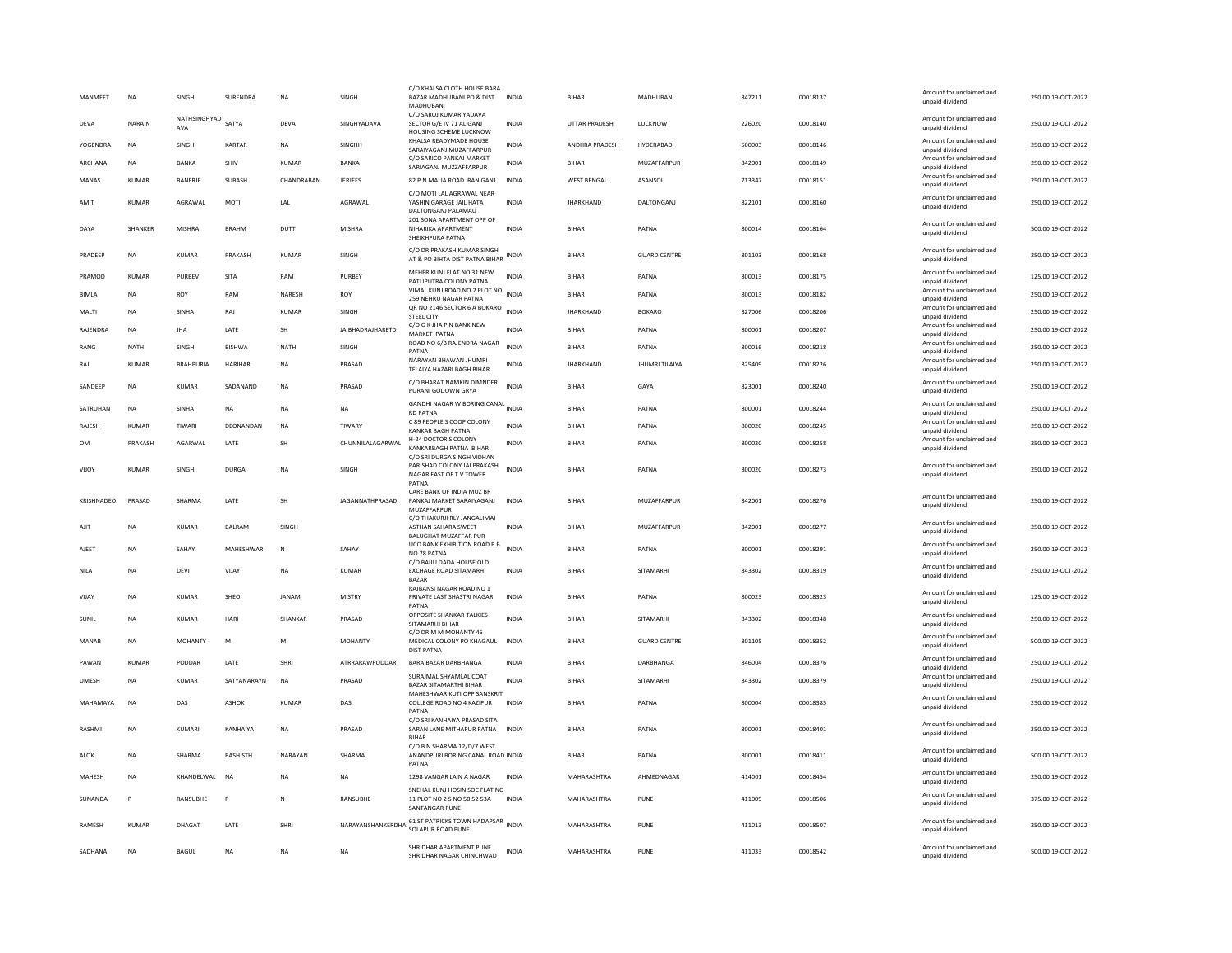| MANMEET       | <b>NA</b>    | SINGH               | SURENDRA        | <b>NA</b>    | SINGH                   | C/O KHALSA CLOTH HOUSE BARA<br>BAZAR MADHUBANI PO & DIST<br>MADHUBANI              | <b>INDIA</b> | <b>BIHAR</b>       | MADHUBANI             | 847211 | 00018137 | Amount for unclaimed and<br>unpaid dividend                    | 250.00 19-OCT-2022 |
|---------------|--------------|---------------------|-----------------|--------------|-------------------------|------------------------------------------------------------------------------------|--------------|--------------------|-----------------------|--------|----------|----------------------------------------------------------------|--------------------|
| <b>DEVA</b>   | NARAIN       | NATHSINGHYAD<br>AVA | SATYA           | <b>DEVA</b>  | SINGHYADAVA             | C/O SAROJ KUMAR YADAVA<br>SECTOR G/E IV 71 ALIGANJ<br>HOUSING SCHEME LUCKNOW       | <b>INDIA</b> | UTTAR PRADESH      | LUCKNOW               | 226020 | 00018140 | Amount for unclaimed and<br>unpaid dividend                    | 250.00 19-OCT-2022 |
| YOGENDRA      | <b>NA</b>    | SINGH               | KARTAR          | NA           | SINGHH                  | KHALSA READYMADE HOUSE<br>SARAIYAGANI MUZAFFARPUR                                  | INDIA        | ANDHRA PRADESH     | HYDERABAD             | 500003 | 00018146 | Amount for unclaimed and<br>unnaid dividend                    | 250.00 19-OCT-2022 |
| ARCHANA       | <b>NA</b>    | BANKA               | SHIV            | <b>KUMAR</b> | BANKA                   | C/O SARICO PANKAJ MARKET<br>SARIAGANJ MUZZAFFARPUR                                 | <b>INDIA</b> | <b>BIHAR</b>       | MUZAFFARPUR           | 842001 | 00018149 | Amount for unclaimed and<br>unpaid dividend                    | 250.00 19-OCT-2022 |
| MANAS         | KUMAR        | BANERJE             | SUBASH          | CHANDRABAN   | <b>JERJEES</b>          | 82 P N MALIA ROAD RANIGANJ                                                         | <b>INDIA</b> | <b>WEST BENGAL</b> | ASANSOL               | 713347 | 00018151 | Amount for unclaimed and<br>unpaid dividend                    | 250.00 19-OCT-2022 |
| AMIT          | <b>KUMAR</b> | AGRAWAI             | MOTI            | LAL          | AGRAWAL                 | C/O MOTI LAL AGRAWAL NEAR<br>YASHIN GARAGE JAIL HATA<br>DALTONGANJ PALAMAU         | <b>INDIA</b> | <b>JHARKHAND</b>   | DALTONGANJ            | 822101 | 00018160 | Amount for unclaimed and<br>unpaid dividend                    | 250.00 19-OCT-2022 |
| DAYA          | SHANKER      | <b>MISHRA</b>       | <b>BRAHM</b>    | DUTT         | <b>MISHRA</b>           | 201 SONA APARTMENT OPP OF<br>NIHARIKA APARTMENT<br>SHEIKHPURA PATNA                | <b>INDIA</b> | <b>BIHAR</b>       | PATNA                 | 800014 | 00018164 | Amount for unclaimed and<br>unpaid dividend                    | 500.00 19-OCT-2022 |
| PRADEEP       | <b>NA</b>    | KUMAR               | PRAKASH         | KUMAR        | SINGH                   | C/O DR PRAKASH KUMAR SINGH<br>AT & PO BIHTA DIST PATNA BIHAR                       | INDIA        | BIHAR              | <b>GUARD CENTRE</b>   | 801103 | 00018168 | Amount for unclaimed and<br>unpaid dividend                    | 250.00 19-OCT-2022 |
| PRAMOD        | <b>KUMAR</b> | PURBEV              | SITA            | RAM          | PURBEY                  | MEHER KUNJ FLAT NO 31 NEW<br>PATLIPUTRA COLONY PATNA                               | <b>INDIA</b> | <b>BIHAR</b>       | PATNA                 | 800013 | 00018175 | Amount for unclaimed and<br>unpaid dividend                    | 125.00 19-OCT-2022 |
| <b>BIMLA</b>  | <b>NA</b>    | ROY                 | RAM             | NARESH       | ROY                     | VIMAL KUNJ ROAD NO 2 PLOT NO<br>259 NEHRU NAGAR PATNA                              | <b>INDIA</b> | <b>BIHAR</b>       | PATNA                 | 800013 | 00018182 | Amount for unclaimed and<br>unpaid dividend                    | 250.00 19-OCT-2022 |
| MALTI         | <b>NA</b>    | SINHA               | RAJ             | KUMAR        | SINGH                   | QR NO 2146 SECTOR 6 A BOKARO<br><b>STEEL CITY</b>                                  | <b>INDIA</b> | <b>JHARKHAND</b>   | <b>BOKARO</b>         | 827006 | 00018206 | Amount for unclaimed and<br>unpaid dividend                    | 250.00 19-OCT-2022 |
| RAJENDRA      | <b>NA</b>    | <b>IHA</b>          | <b>I ATF</b>    | <b>SH</b>    | <b>IAIRHADRAIHARFTD</b> | C/O G K JHA P N BANK NEW<br><b>MARKET PATNA</b>                                    | <b>INDIA</b> | <b>BIHAR</b>       | PATNA                 | 800001 | 00018207 | Amount for unclaimed and<br>unpaid dividend                    | 250.00 19-OCT-2022 |
| RANG          | <b>NATH</b>  | SINGH               | <b>BISHWA</b>   | <b>NATH</b>  | SINGH                   | ROAD NO 6/B RAJENDRA NAGAR<br>PATNA                                                | <b>INDIA</b> | <b>BIHAR</b>       | PATNA                 | 800016 | 00018218 | Amount for unclaimed and                                       | 250.00 19-OCT-2022 |
| RAJ           | <b>KUMAR</b> | <b>BRAHPURIA</b>    | <b>HARIHAR</b>  | <b>NA</b>    | PRASAD                  | NARAYAN RHAWAN IHUMRI                                                              | <b>INDIA</b> | <b>JHARKHAND</b>   | <b>JHUMRI TILAIYA</b> | 825409 | 00018226 | unpaid dividend<br>Amount for unclaimed and                    | 250.00 19-OCT-2022 |
| SANDEEP       | <b>NA</b>    | KUMAR               | SADANAND        | <b>NA</b>    | PRASAD                  | TELAIYA HAZARI BAGH BIHAR<br>C/O BHARAT NAMKIN DIMNDER<br>PURANI GODOWN GRYA       | <b>INDIA</b> | <b>BIHAR</b>       | GAYA                  | 823001 | 00018240 | unpaid dividend<br>Amount for unclaimed and<br>unpaid dividend | 250.00 19-OCT-2022 |
| SATRUHAN      | <b>NA</b>    | SINHA               | NA              | NA           | NA                      | GANDHI NAGAR W BORING CANAL INDIA                                                  |              | <b>BIHAR</b>       | PATNA                 | 800001 | 00018244 | Amount for unclaimed and                                       | 250.00 19-OCT-2022 |
| RAJESH        | KUMAR        | TIWARI              | DEONANDAN       | <b>NA</b>    | TIWARY                  | <b>RD PATNA</b><br>C 89 PEOPLE S COOP COLONY                                       | <b>INDIA</b> | <b>BIHAR</b>       | PATNA                 | 800020 | 00018245 | unpaid dividend<br>Amount for unclaimed and                    | 250.00 19-OCT-2022 |
| <b>OM</b>     | PRAKASH      | AGARWAL             | LATE            | SH           | CHUNNILALAGARWAL        | <b>KANKAR BAGH PATNA</b><br>H-24 DOCTOR'S COLONY                                   | <b>INDIA</b> | <b>BIHAR</b>       | PATNA                 | 800020 | 00018258 | unpaid dividend<br>Amount for unclaimed and                    | 250.00 19-OCT-2022 |
|               |              |                     |                 |              |                         | KANKARBAGH PATNA BIHAR<br>C/O SRI DURGA SINGH VIDHAN                               |              |                    |                       |        |          | unpaid dividend                                                |                    |
| VIJOY         | KUMAR        | <b>SINGH</b>        | DURGA           | <b>NA</b>    | <b>SINGH</b>            | PARISHAD COLONY JAI PRAKASH<br>NAGAR EAST OF TV TOWER<br>PATNA                     | <b>INDIA</b> | <b>BIHAR</b>       | PATNA                 | 800020 | 00018273 | Amount for unclaimed and<br>unpaid dividend                    | 250.00 19-OCT-2022 |
| KRISHNADEO    | PRASAD       | SHARMA              | LATE            | SH           | JAGANNATHPRASAD         | CARE BANK OF INDIA MUZ BR<br>PANKAJ MARKET SARAIYAGANJ<br>MUZAFFARPUR              | <b>INDIA</b> | <b>BIHAR</b>       | MUZAFFARPUR           | 842001 | 00018276 | Amount for unclaimed and<br>unpaid dividend                    | 250.00 19-OCT-2022 |
| AJIT          | <b>NA</b>    | <b>KUMAR</b>        | <b>BALRAM</b>   | SINGH        |                         | C/O THAKURJI RLY JANGALIMAI<br>ASTHAN SAHARA SWEET<br><b>BALUGHAT MUZAFFAR PUR</b> | <b>INDIA</b> | <b>BIHAR</b>       | MUZAFFARPUR           | 842001 | 00018277 | Amount for unclaimed and<br>unpaid dividend                    | 250.00 19-OCT-2022 |
| AJEET         | <b>NA</b>    | SAHAY               | MAHESHWARI      | N            | SAHAY                   | UCO BANK EXHIBITION ROAD P B<br>NO 78 PATNA                                        | <b>INDIA</b> | <b>BIHAR</b>       | PATNA                 | 800001 | 00018291 | Amount for unclaimed and<br>unpaid dividend                    | 250.00 19-OCT-2022 |
| NILA          | <b>NA</b>    | DEVI                | VIIAY           | <b>NA</b>    | KUMAR                   | C/O BAIJU DADA HOUSE OLD<br>EXCHAGE ROAD SITAMARHI<br><b>BAZAR</b>                 | <b>INDIA</b> | <b>BIHAR</b>       | <b>SITAMARHI</b>      | 843302 | 00018319 | Amount for unclaimed and<br>unpaid dividend                    | 250.00.19-OCT-2022 |
| VIJAY         | <b>NA</b>    | KUMAR               | SHEO            | <b>JANAM</b> | <b>MISTRY</b>           | RAJBANSI NAGAR ROAD NO 1<br>PRIVATE LAST SHASTRI NAGAR                             | <b>INDIA</b> | <b>BIHAR</b>       | PATNA                 | 800023 | 00018323 | Amount for unclaimed and<br>unpaid dividend                    | 125.00 19-OCT-2022 |
|               |              |                     | HARI            |              |                         | PATNA<br>OPPOSITE SHANKAR TALKIES                                                  | <b>INDIA</b> | <b>BIHAR</b>       |                       |        |          | Amount for unclaimed and                                       |                    |
| SUNIL         | <b>NA</b>    | KUMAR               |                 | SHANKAR      | PRASAD                  | SITAMARHI BIHAR<br>C/O DR M M MOHANTY 45                                           |              |                    | SITAMARHI             | 843302 | 00018348 | unpaid dividend                                                | 250.00 19-OCT-2022 |
| <b>MANAB</b>  | <b>NA</b>    | <b>MOHANTY</b>      | M               | M            | <b>MOHANTY</b>          | MEDICAL COLONY PO KHAGAUL<br><b>DIST PATNA</b>                                     | <b>INDIA</b> | <b>BIHAR</b>       | <b>GUARD CENTRE</b>   | 801105 | 00018352 | Amount for unclaimed and<br>unpaid dividend                    | 500.00 19-OCT-2022 |
| PAWAN         | KUMAR        | PODDAR              | LATE            | SHRI         | ATRRARAWPODDAR          | BARA BAZAR DARBHANGA                                                               | <b>INDIA</b> | BIHAR              | DARBHANGA             | 846004 | 00018376 | Amount for unclaimed and<br>boobivib bisonu                    | 250.00 19-OCT-2022 |
| UMESH         | <b>NA</b>    | KUMAR               | SATYANARAYN     | <b>NA</b>    | PRASAD                  | SURAJMAL SHYAMLAL COAT<br>BAZAR SITAMARTHI BIHAR                                   | <b>INDIA</b> | <b>BIHAR</b>       | SITAMARHI             | 843302 | 00018379 | Amount for unclaimed and<br>unpaid dividend                    | 250.00 19-OCT-2022 |
| MAHAMAYA      | <b>NA</b>    | DAS                 | ASHOK           | KUMAR        | DAS                     | MAHESHWAR KUTI OPP SANSKRIT<br>COLLEGE ROAD NO 4 KAZIPUR<br>PATNA                  | INDIA        | <b>BIHAF</b>       | PATNA                 | 800004 | 00018385 | Amount for unclaimed and<br>unpaid dividend                    | 250.00 19-OCT-2022 |
| <b>RASHMI</b> | <b>NA</b>    | KUMARI              | KANHAIYA        | <b>NA</b>    | PRASAD                  | C/O SRI KANHAIYA PRASAD SITA<br>SARAN LANE MITHAPUR PATNA<br><b>BIHAR</b>          | <b>INDIA</b> | <b>BIHAR</b>       | PATNA                 | 800001 | 00018401 | Amount for unclaimed and<br>unpaid dividend                    | 250.00 19-OCT-2022 |
| ALOK          | <b>NA</b>    | SHARMA              | <b>BASHISTH</b> | NARAYAN      | SHARMA                  | C/O B N SHARMA 12/D/7 WEST<br>ANANDPURI BORING CANAL ROAD INDIA<br>PATNA           |              | <b>BIHAR</b>       | PATNA                 | 800001 | 00018411 | Amount for unclaimed and<br>unpaid dividend                    | 500.00 19-OCT-2022 |
| MAHESH        | <b>NA</b>    | KHANDELWAL          | <b>NA</b>       | NA           | <b>NA</b>               | 1298 VANGAR LAIN A NAGAR                                                           | INDIA        | MAHARASHTRA        | AHMEDNAGAR            | 414001 | 00018454 | Amount for unclaimed and<br>unpaid dividend                    | 250.00 19-OCT-2022 |
| SUNANDA       | P            | RANSUBHE            | $\mathsf{P}$    | N            | RANSUBHE                | SNEHAL KUNJ HOSIN SOC FLAT NO<br>11 PLOT NO 2 S NO 50 52 53A<br>SANTANGAR PUNE     | <b>INDIA</b> | MAHARASHTRA        | PUNE                  | 411009 | 00018506 | Amount for unclaimed and<br>unpaid dividend                    | 375.00 19-OCT-2022 |
| RAMESH        | <b>KUMAR</b> | DHAGAT              | LATE            | SHRI         | NARAYANSHANKERDHA       | 61 ST PATRICKS TOWN HADAPSAR<br>SOLAPUR ROAD PUNE                                  | <b>INDIA</b> | MAHARASHTRA        | PUNE                  | 411013 | 00018507 | Amount for unclaimed and<br>unpaid dividend                    | 250.00 19-OCT-2022 |
| SADHANA       | <b>NA</b>    | <b>BAGUL</b>        | <b>NA</b>       | <b>NA</b>    | <b>NA</b>               | SHRIDHAR APARTMENT PUNE<br>SHRIDHAR NAGAR CHINCHWAD                                | INDIA        | MAHARASHTRA        | PUNE                  | 411033 | 00018542 | Amount for unclaimed and<br>unpaid dividend                    | 500.00 19-OCT-2022 |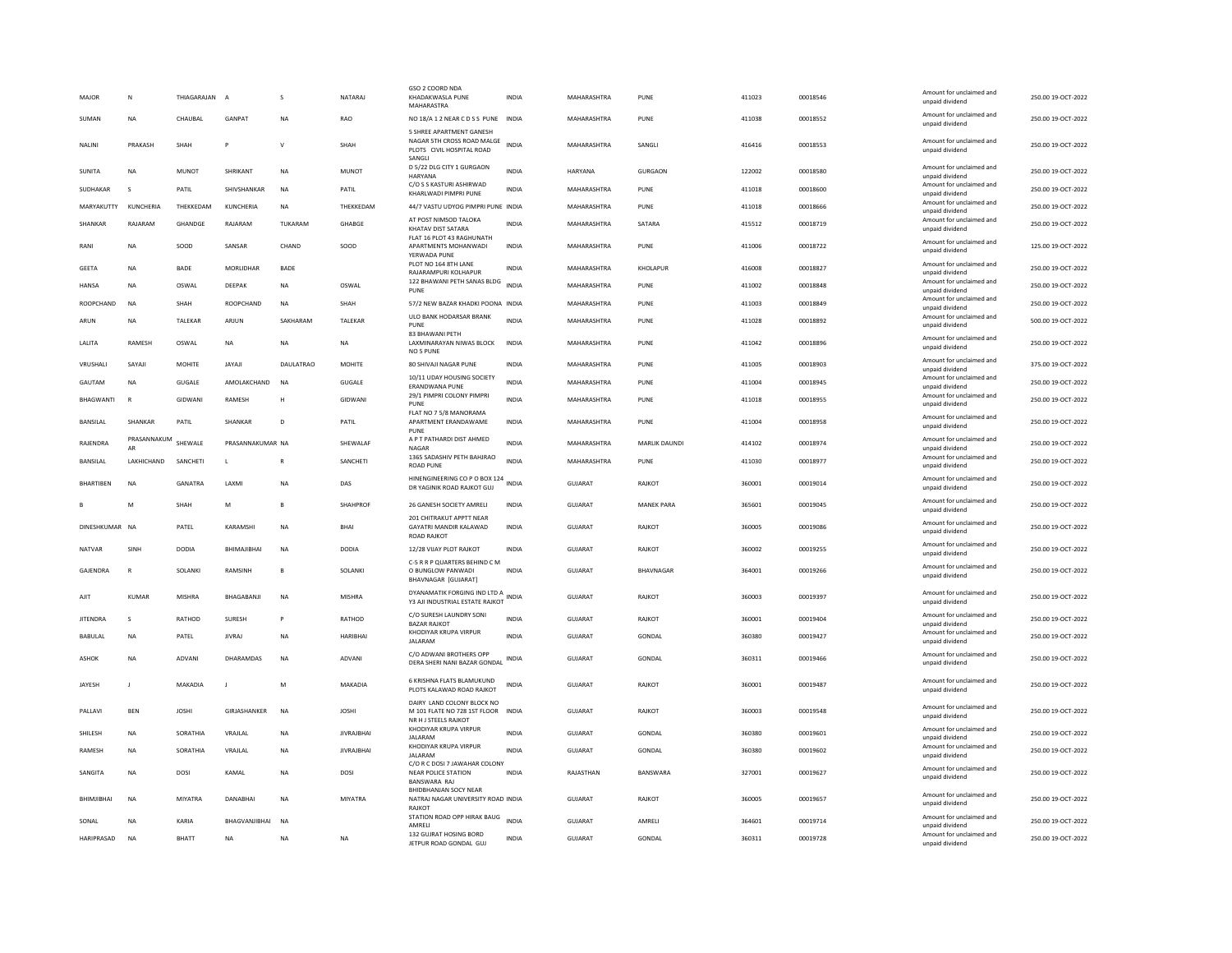| Amount for unclaimed and<br>SUMAN<br><b>NA</b><br>CHAUBAL<br><b>GANPAT</b><br><b>NA</b><br>RAO<br>NO 18/A 1 2 NEAR CD S S PUNE INDIA<br>MAHARASHTRA<br>PUNE<br>411038<br>00018552<br>unpaid dividend<br>5 SHREE APARTMENT GANESH<br>NAGAR 5TH CROSS ROAD MALGE<br>Amount for unclaimed and<br>SHAH<br>INDIA<br>MAHARASHTRA<br>SANGLI<br>416416<br>00018553<br>NALINI<br>PRAKASH<br>P<br>v<br>SHAH<br>PLOTS CIVIL HOSPITAL ROAD<br>unpaid dividend<br>SANGLI<br>D 5/22 DLG CITY 1 GURGAON<br>Amount for unclaimed and<br>SHRIKANT<br>$_{\sf NA}$<br><b>MUNOT</b><br><b>INDIA</b><br>HARYANA<br>GURGAON<br>122002<br>00018580<br><b>SUNITA</b><br><b>NA</b><br><b>MUNOT</b><br>HARYANA<br>unpaid dividend<br>C/O S S KASTURI ASHIRWAD<br>Amount for unclaimed and<br>SUDHAKAR<br>PATIL<br>SHIVSHANKAR<br><b>NA</b><br>PATIL<br><b>INDIA</b><br>MAHARASHTRA<br>PUNE<br>411018<br>00018600<br>KHARLWADI PIMPRI PUNE<br>unpaid dividend<br>Amount for unclaimed and<br>00018666<br>MARYAKUTTY<br>KUNCHERIA<br>THEKKEDAM<br>KUNCHERIA<br><b>NA</b><br>THEKKEDAM<br>44/7 VASTU UDYOG PIMPRI PUNE INDIA<br>MAHARASHTRA<br>PUNE<br>411018<br>unpaid dividend<br>AT POST NIMSOD TALOKA<br>Amount for unclaimed and<br>SHANKAR<br>RAJARAM<br>GHANDGE<br>RAJARAM<br>TUKARAM<br>GHABGE<br><b>INDIA</b><br>MAHARASHTRA<br>SATARA<br>415512<br>00018719 | 250.00 19-OCT-2022<br>250.00 19-OCT-2022<br>250.00 19-OCT-2022<br>250.00 19-OCT-2022<br>250.00 19-OCT-2022<br>250.00 19-OCT-2022<br>125.00 19-OCT-2022<br>250.00 19-OCT-2022<br>250.00 19-OCT-2022 |
|------------------------------------------------------------------------------------------------------------------------------------------------------------------------------------------------------------------------------------------------------------------------------------------------------------------------------------------------------------------------------------------------------------------------------------------------------------------------------------------------------------------------------------------------------------------------------------------------------------------------------------------------------------------------------------------------------------------------------------------------------------------------------------------------------------------------------------------------------------------------------------------------------------------------------------------------------------------------------------------------------------------------------------------------------------------------------------------------------------------------------------------------------------------------------------------------------------------------------------------------------------------------------------------------------------------------------------------|----------------------------------------------------------------------------------------------------------------------------------------------------------------------------------------------------|
|                                                                                                                                                                                                                                                                                                                                                                                                                                                                                                                                                                                                                                                                                                                                                                                                                                                                                                                                                                                                                                                                                                                                                                                                                                                                                                                                          |                                                                                                                                                                                                    |
|                                                                                                                                                                                                                                                                                                                                                                                                                                                                                                                                                                                                                                                                                                                                                                                                                                                                                                                                                                                                                                                                                                                                                                                                                                                                                                                                          |                                                                                                                                                                                                    |
|                                                                                                                                                                                                                                                                                                                                                                                                                                                                                                                                                                                                                                                                                                                                                                                                                                                                                                                                                                                                                                                                                                                                                                                                                                                                                                                                          |                                                                                                                                                                                                    |
|                                                                                                                                                                                                                                                                                                                                                                                                                                                                                                                                                                                                                                                                                                                                                                                                                                                                                                                                                                                                                                                                                                                                                                                                                                                                                                                                          |                                                                                                                                                                                                    |
|                                                                                                                                                                                                                                                                                                                                                                                                                                                                                                                                                                                                                                                                                                                                                                                                                                                                                                                                                                                                                                                                                                                                                                                                                                                                                                                                          |                                                                                                                                                                                                    |
| KHATAV DIST SATARA<br>unpaid dividend                                                                                                                                                                                                                                                                                                                                                                                                                                                                                                                                                                                                                                                                                                                                                                                                                                                                                                                                                                                                                                                                                                                                                                                                                                                                                                    |                                                                                                                                                                                                    |
| FLAT 16 PLOT 43 RAGHUNATH<br>Amount for unclaimed and<br>SOOD<br>SANSAR<br>CHAND<br>MAHARASHTRA<br>411006<br>00018722<br>RANI<br><b>NA</b><br>SOOD<br>APARTMENTS MOHANWADI<br><b>INDIA</b><br>PUNE<br>unpaid dividend<br>YERWADA PUNE                                                                                                                                                                                                                                                                                                                                                                                                                                                                                                                                                                                                                                                                                                                                                                                                                                                                                                                                                                                                                                                                                                    |                                                                                                                                                                                                    |
| PLOT NO 164 8TH LANE<br>Amount for unclaimed and<br>BADE<br>MORLIDHAR<br>BADE<br>MAHARASHTRA<br>KHOLAPUR<br>416008<br>00018827<br><b>GEETA</b><br><b>NA</b><br><b>INDIA</b><br>RAJARAMPURI KOLHAPUR<br>unpaid dividend                                                                                                                                                                                                                                                                                                                                                                                                                                                                                                                                                                                                                                                                                                                                                                                                                                                                                                                                                                                                                                                                                                                   |                                                                                                                                                                                                    |
| 122 BHAWANI PETH SANAS BLDG<br>Amount for unclaimed and<br><b>HANSA</b><br><b>NA</b><br>OSWAL<br>DEEPAK<br><b>NA</b><br>OSWAL<br><b>INDIA</b><br>MAHARASHTRA<br>PUNE<br>411002<br>00018848<br>unpaid dividend<br>PUNE                                                                                                                                                                                                                                                                                                                                                                                                                                                                                                                                                                                                                                                                                                                                                                                                                                                                                                                                                                                                                                                                                                                    |                                                                                                                                                                                                    |
| Amount for unclaimed and<br>ROOPCHAND<br>00018849<br><b>ROOPCHAND</b><br><b>NA</b><br>SHAH<br><b>NA</b><br>SHAH<br>57/2 NEW BAZAR KHADKI POONA INDIA<br>MAHARASHTRA<br>PUNE<br>411003<br>unpaid dividend                                                                                                                                                                                                                                                                                                                                                                                                                                                                                                                                                                                                                                                                                                                                                                                                                                                                                                                                                                                                                                                                                                                                 | 250.00 19-OCT-2022                                                                                                                                                                                 |
| ULO BANK HODARSAR BRANK<br>Amount for unclaimed and<br>TALEKAR<br>ARJUN<br>SAKHARAM<br>TALEKAR<br><b>INDIA</b><br>MAHARASHTRA<br>PUNE<br>411028<br>00018892<br>ARUN<br><b>NA</b><br>PUNE<br>unpaid dividend                                                                                                                                                                                                                                                                                                                                                                                                                                                                                                                                                                                                                                                                                                                                                                                                                                                                                                                                                                                                                                                                                                                              | 500.00 19-OCT-2022                                                                                                                                                                                 |
| 83 BHAWANI PETH<br>Amount for unclaimed and<br><b>RAMESH</b><br>411042<br>LALITA<br>OSWAL<br><b>NA</b><br><b>NA</b><br><b>NA</b><br>LAXMINARAYAN NIWAS BLOCK<br><b>INDIA</b><br>MAHARASHTRA<br>PUNF<br>00018896<br>unpaid dividend<br>NO <sub>5</sub> PUNE                                                                                                                                                                                                                                                                                                                                                                                                                                                                                                                                                                                                                                                                                                                                                                                                                                                                                                                                                                                                                                                                               | 250.00 19-OCT-2022                                                                                                                                                                                 |
| Amount for unclaimed and<br>VRUSHALI<br>SAYAJI<br><b>MOHITE</b><br>JAYAJI<br><b>DAULATRAO</b><br><b>MOHITE</b><br>80 SHIVAJI NAGAR PUNE<br><b>INDIA</b><br>MAHARASHTRA<br>PUNE<br>411005<br>00018903<br>unpaid dividend                                                                                                                                                                                                                                                                                                                                                                                                                                                                                                                                                                                                                                                                                                                                                                                                                                                                                                                                                                                                                                                                                                                  | 375.00 19-OCT-2022                                                                                                                                                                                 |
| 10/11 UDAY HOUSING SOCIETY<br>Amount for unclaimed and<br>GUGALE<br>AMOLAKCHAND<br><b>GUGALE</b><br>INDIA<br>MAHARASHTRA<br>411004<br>00018945<br>GAUTAM<br>NA<br>NA<br>PUNE<br><b>ERANDWANA PUNE</b><br>unpaid dividend                                                                                                                                                                                                                                                                                                                                                                                                                                                                                                                                                                                                                                                                                                                                                                                                                                                                                                                                                                                                                                                                                                                 | 250.00 19-OCT-2022                                                                                                                                                                                 |
| 29/1 PIMPRI COLONY PIMPRI<br>Amount for unclaimed and<br>BHAGWANTI<br>GIDWAN<br>RAMESH<br><b>GIDWANI</b><br><b>INDIA</b><br>MAHARASHTRA<br>PUNE<br>411018<br>00018955<br>$\mathbb{R}$<br>н<br>PUNF<br>unpaid dividend                                                                                                                                                                                                                                                                                                                                                                                                                                                                                                                                                                                                                                                                                                                                                                                                                                                                                                                                                                                                                                                                                                                    | 250.00 19-OCT-2022                                                                                                                                                                                 |
| FLAT NO 7 5/8 MANORAMA<br>Amount for unclaimed and<br>411004<br>SHANKAR<br>PATIL<br><b>SHANKAR</b><br>PATIL<br><b>INDIA</b><br>MAHARASHTRA<br>00018958<br><b>BANSILAI</b><br>D<br>APARTMENT ERANDAWAME<br>PUNF<br>unpaid dividend                                                                                                                                                                                                                                                                                                                                                                                                                                                                                                                                                                                                                                                                                                                                                                                                                                                                                                                                                                                                                                                                                                        | 250.00.19-OCT-2022                                                                                                                                                                                 |
| PUNE<br>A P T PATHARDI DIST AHMED<br>PRASANNAKUM<br>Amount for unclaimed and<br>SHEWALE<br>PRASANNAKUMAR NA<br>SHEWALAF<br><b>INDIA</b><br>MAHARASHTRA<br>MARLIK DAUNDI<br>414102<br>00018974<br>RAJENDRA                                                                                                                                                                                                                                                                                                                                                                                                                                                                                                                                                                                                                                                                                                                                                                                                                                                                                                                                                                                                                                                                                                                                | 250.00 19-OCT-2022                                                                                                                                                                                 |
| NAGAR<br>unpaid dividend<br>AR<br>1365 SADASHIV PETH BAHJRAO<br>Amount for unclaimed and<br><b>INDIA</b><br>BANSILAL<br>LAKHICHAND<br>SANCHETI<br>L<br>SANCHETI<br>MAHARASHTRA<br>PUNE<br>411030<br>00018977<br>$\mathsf{R}$                                                                                                                                                                                                                                                                                                                                                                                                                                                                                                                                                                                                                                                                                                                                                                                                                                                                                                                                                                                                                                                                                                             | 250.00 19-OCT-2022                                                                                                                                                                                 |
| <b>ROAD PUNE</b><br>unpaid dividend<br>HINENGINEERING CO P O BOX 124<br>Amount for unclaimed and<br><b>INDIA</b><br><b>GANATRA</b><br>GUIARAT<br>360001<br><b>BHARTIBEN</b><br>NA<br><b>I AXMI</b><br><b>NA</b><br>DAS<br>RAIKOT<br>00019014                                                                                                                                                                                                                                                                                                                                                                                                                                                                                                                                                                                                                                                                                                                                                                                                                                                                                                                                                                                                                                                                                             | 250.00 19-OCT-2022                                                                                                                                                                                 |
| DR YAGINIK ROAD RAJKOT GUJ<br>unpaid dividend                                                                                                                                                                                                                                                                                                                                                                                                                                                                                                                                                                                                                                                                                                                                                                                                                                                                                                                                                                                                                                                                                                                                                                                                                                                                                            |                                                                                                                                                                                                    |
| Amount for unclaimed and<br>SHAHPROF<br>26 GANESH SOCIETY AMRELI<br>INDIA<br>GUJARAT<br><b>MANEK PARA</b><br>365601<br>00019045<br>M<br>SHAH<br>M<br><b>B</b><br>unpaid dividend<br>201 CHITRAKUT APPTT NEAR                                                                                                                                                                                                                                                                                                                                                                                                                                                                                                                                                                                                                                                                                                                                                                                                                                                                                                                                                                                                                                                                                                                             | 250.00 19-OCT-2022                                                                                                                                                                                 |
| Amount for unclaimed and<br>DINESHKUMAR NA<br>INDIA<br>GUJARAT<br>360005<br>00019086<br>PATEL<br>KARAMSHI<br>NA<br>BHAI<br>GAYATRI MANDIR KALAWAD<br>RAJKOT<br>unpaid dividend<br><b>ROAD RAJKOT</b>                                                                                                                                                                                                                                                                                                                                                                                                                                                                                                                                                                                                                                                                                                                                                                                                                                                                                                                                                                                                                                                                                                                                     | 250.00 19-OCT-2022                                                                                                                                                                                 |
| Amount for unclaimed and<br><b>DODIA</b><br><b>DODIA</b><br><b>INDIA</b><br>GUJARAT<br>360002<br>00019255<br>SINH<br>BHIMAJIBHAI<br><b>NA</b><br>12/28 VIJAY PLOT RAJKOT<br>RAJKOT<br><b>NATVAR</b><br>unpaid dividend                                                                                                                                                                                                                                                                                                                                                                                                                                                                                                                                                                                                                                                                                                                                                                                                                                                                                                                                                                                                                                                                                                                   | 250.00 19-OCT-2022                                                                                                                                                                                 |
| C-5 R R P QUARTERS BEHIND C M<br>Amount for unclaimed and<br>GAJENDRA<br>$\mathbb{R}$<br>SOLANKI<br>RAMSINH<br>B<br>SOLANKI<br>O BUNGLOW PANWADI<br><b>INDIA</b><br><b>GUJARAT</b><br><b>BHAVNAGAR</b><br>364001<br>00019266<br>unpaid dividend<br>BHAVNAGAR [GUJARAT]                                                                                                                                                                                                                                                                                                                                                                                                                                                                                                                                                                                                                                                                                                                                                                                                                                                                                                                                                                                                                                                                   | 250.00 19-OCT-2022                                                                                                                                                                                 |
| DYANAMATIK FORGING IND LTD A<br>Amount for unclaimed and<br><b>GUJARAT</b><br>360003<br>00019397<br><b>KUMAR</b><br><b>MISHRA</b><br>BHAGABANJI<br><b>NA</b><br><b>MISHRA</b><br><b>INDIA</b><br>RAJKOT<br>AJIT<br>Y3 AJI INDUSTRIAL ESTATE RAJKOT<br>unpaid dividend                                                                                                                                                                                                                                                                                                                                                                                                                                                                                                                                                                                                                                                                                                                                                                                                                                                                                                                                                                                                                                                                    | 250.00 19-OCT-2022                                                                                                                                                                                 |
| C/O SURESH LAUNDRY SONI<br>Amount for unclaimed and<br><b>JITENDRA</b><br>RATHOD<br>SURESH<br>RATHOD<br>INDIA<br>GUJARAT<br>RAJKOT<br>360001<br>00019404<br>s<br>P                                                                                                                                                                                                                                                                                                                                                                                                                                                                                                                                                                                                                                                                                                                                                                                                                                                                                                                                                                                                                                                                                                                                                                       | 250.00 19-OCT-2022                                                                                                                                                                                 |
| <b>BAZAR RAJKOT</b><br>unpaid dividend<br>KHODIYAR KRUPA VIRPUR<br>Amount for unclaimed and<br>BABULAL<br><b>NA</b><br>PATEL<br><b>JIVRAJ</b><br><b>NA</b><br><b>HARIBHAI</b><br><b>INDIA</b><br>GUJARAT<br>GONDAL<br>360380<br>00019427<br><b>JALARAM</b><br>unpaid dividend                                                                                                                                                                                                                                                                                                                                                                                                                                                                                                                                                                                                                                                                                                                                                                                                                                                                                                                                                                                                                                                            | 250.00 19-OCT-2022                                                                                                                                                                                 |
| C/O ADWANI BROTHERS OPP<br>Amount for unclaimed and<br>360311<br>ADVANI<br>DHARAMDAS<br>GUIARAT<br>GONDAL<br>00019466<br>ASHOK<br><b>NA</b><br><b>NA</b><br>ADVANI<br>INDIA<br>DERA SHERI NANI BAZAR GONDAL<br>unpaid dividend                                                                                                                                                                                                                                                                                                                                                                                                                                                                                                                                                                                                                                                                                                                                                                                                                                                                                                                                                                                                                                                                                                           | 250.00.19-OCT-2022                                                                                                                                                                                 |
| 6 KRISHNA FLATS BLAMUKUND<br>Amount for unclaimed and                                                                                                                                                                                                                                                                                                                                                                                                                                                                                                                                                                                                                                                                                                                                                                                                                                                                                                                                                                                                                                                                                                                                                                                                                                                                                    |                                                                                                                                                                                                    |
| JAYESH<br>MAKADIA<br>M<br>MAKADIA<br>INDIA<br><b>GUJARAT</b><br>RAJKOT<br>360001<br>00019487<br>$\blacksquare$<br>J<br>PLOTS KALAWAD ROAD RAJKOT<br>unpaid dividend<br>DAIRY LAND COLONY BLOCK NO                                                                                                                                                                                                                                                                                                                                                                                                                                                                                                                                                                                                                                                                                                                                                                                                                                                                                                                                                                                                                                                                                                                                        | 250.00 19-OCT-2022                                                                                                                                                                                 |
| Amount for unclaimed and<br>PALLAVI<br><b>BEN</b><br><b>JOSHI</b><br>GIRJASHANKER<br><b>NA</b><br><b>JOSHI</b><br>M 101 FLATE NO 728 1ST FLOOR INDIA<br><b>GUJARAT</b><br>RAJKOT<br>360003<br>00019548<br>unpaid dividend<br>NR H I STEELS RAIKOT                                                                                                                                                                                                                                                                                                                                                                                                                                                                                                                                                                                                                                                                                                                                                                                                                                                                                                                                                                                                                                                                                        | 250.00 19-OCT-2022                                                                                                                                                                                 |
| KHODIYAR KRUPA VIRPUR<br>Amount for unclaimed and<br>SHILESH<br>SORATHIA<br>VRAJLAL<br><b>NA</b><br><b>JIVRAJBHAI</b><br><b>INDIA</b><br><b>GUJARAT</b><br>GONDAL<br>360380<br>00019601<br><b>NA</b><br><b>JALARAM</b><br>unpaid dividend                                                                                                                                                                                                                                                                                                                                                                                                                                                                                                                                                                                                                                                                                                                                                                                                                                                                                                                                                                                                                                                                                                | 250.00 19-OCT-2022                                                                                                                                                                                 |
| KHODIYAR KRUPA VIRPUR<br>Amount for unclaimed and<br><b>RAMESH</b><br><b>NA</b><br>SORATHIA<br>VRAJLAL<br><b>NA</b><br><b>JIVRAJBHAI</b><br><b>INDIA</b><br><b>GUJARAT</b><br>GONDAL<br>360380<br>00019602<br><b>JAI ARAM</b><br>unpaid dividend                                                                                                                                                                                                                                                                                                                                                                                                                                                                                                                                                                                                                                                                                                                                                                                                                                                                                                                                                                                                                                                                                         | 250.00 19-OCT-2022                                                                                                                                                                                 |
| C/O R C DOSI 7 JAWAHAR COLONY<br>Amount for unclaimed and<br>RAJASTHAN<br>327001<br><b>NA</b><br>DOSI<br>KAMAL<br>BANSWARA<br>00019627<br>SANGITA<br><b>NA</b><br>DOSI<br><b>NEAR POLICE STATION</b><br><b>INDIA</b><br>unpaid dividend<br><b>BANSWARA RAJ</b>                                                                                                                                                                                                                                                                                                                                                                                                                                                                                                                                                                                                                                                                                                                                                                                                                                                                                                                                                                                                                                                                           | 250.00 19-OCT-2022                                                                                                                                                                                 |
| BHIDBHANJAN SOCY NEAR<br>Amount for unclaimed and<br>BHIMJIBHAI<br><b>NA</b><br>MIYATRA<br><b>DANABHAI</b><br><b>NA</b><br>MIYATRA<br>NATRAJ NAGAR UNIVERSITY ROAD INDIA<br>GUJARAT<br>RAJKOT<br>360005<br>00019657<br>unpaid dividend<br><b>RAJKOT</b>                                                                                                                                                                                                                                                                                                                                                                                                                                                                                                                                                                                                                                                                                                                                                                                                                                                                                                                                                                                                                                                                                  | 250.00 19-OCT-2022                                                                                                                                                                                 |
| STATION ROAD OPP HIRAK BAUG<br>Amount for unclaimed and<br>SONAL<br><b>NA</b><br>KARIA<br>BHAGVANJIBHAI<br><b>NA</b><br><b>INDIA</b><br>GUJARAT<br>AMRELI<br>364601<br>00019714                                                                                                                                                                                                                                                                                                                                                                                                                                                                                                                                                                                                                                                                                                                                                                                                                                                                                                                                                                                                                                                                                                                                                          | 250.00 19-OCT-2022                                                                                                                                                                                 |
| AMRELI<br>unpaid dividend<br>132 GUJRAT HOSING BORD<br>Amount for unclaimed and<br>HARIPRASAD<br><b>BHATT</b><br>GUJARAT<br>GONDAL<br>360311<br>00019728<br><b>NA</b><br><b>NA</b><br><b>NA</b><br><b>NA</b><br><b>INDIA</b><br>JETPUR ROAD GONDAL GUJ<br>unpaid dividend                                                                                                                                                                                                                                                                                                                                                                                                                                                                                                                                                                                                                                                                                                                                                                                                                                                                                                                                                                                                                                                                | 250.00 19-OCT-2022                                                                                                                                                                                 |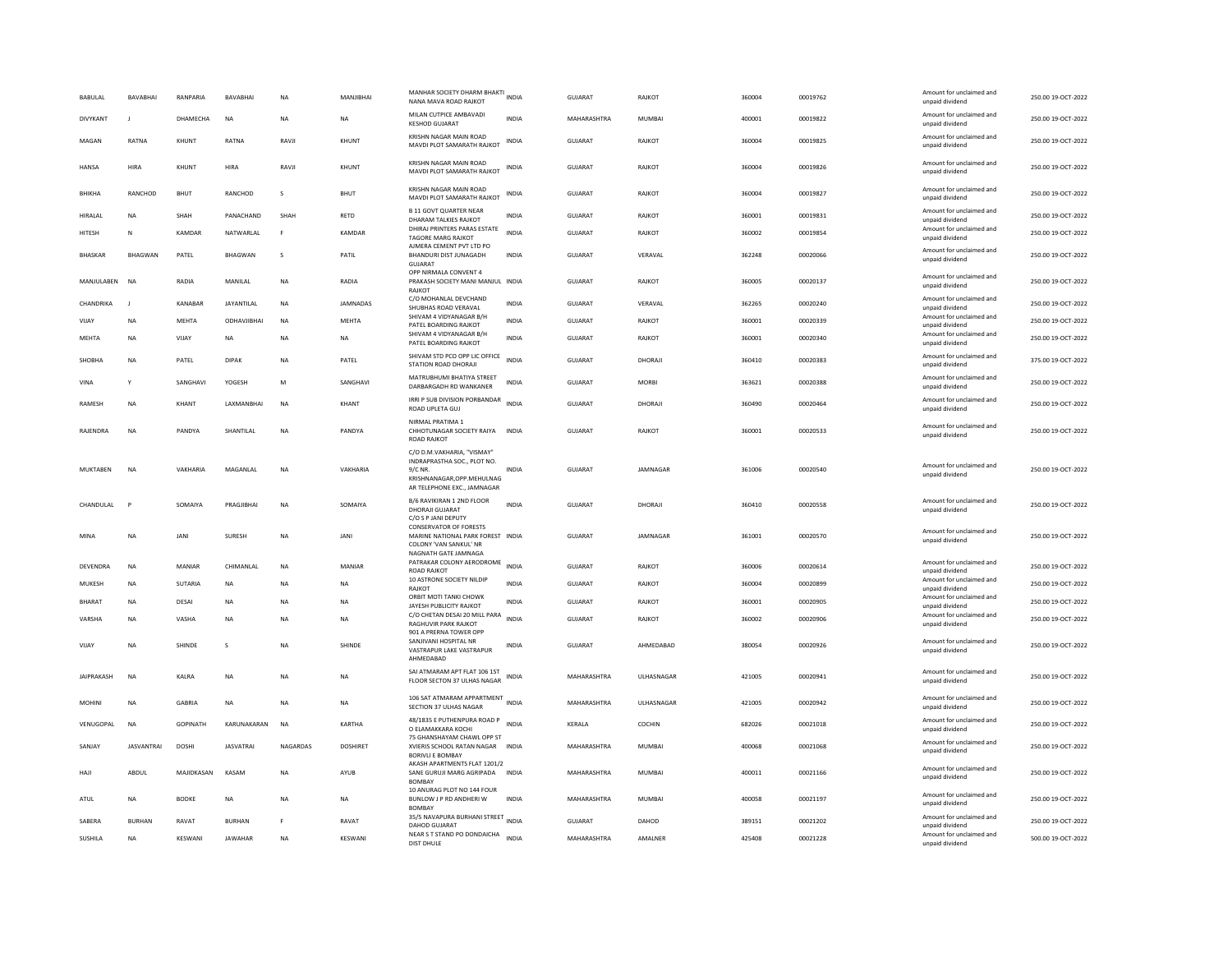| <b>BABULAL</b>    | <b>RAVARHAI</b>   | RANPARIA      | <b>RAVARHAI</b>   | <b>NA</b>    | MANIIRHAI       | MANHAR SOCIETY DHARM BHAKTI<br>NANA MAVA ROAD RAJKOT                                                                            | <b>INDIA</b> | GUIARAT        | RAIKOT            | 360004 | 00019762 | Amount for unclaimed and<br>unpaid dividend | 250.00.19-OCT-2022 |
|-------------------|-------------------|---------------|-------------------|--------------|-----------------|---------------------------------------------------------------------------------------------------------------------------------|--------------|----------------|-------------------|--------|----------|---------------------------------------------|--------------------|
| DIVYKANT          |                   | DHAMECHA      | <b>NA</b>         | <b>NA</b>    | <b>NA</b>       | MILAN CUTPICE AMBAVADI<br><b>KESHOD GUJARAT</b>                                                                                 | <b>INDIA</b> | MAHARASHTRA    | MUMBAI            | 400001 | 00019822 | Amount for unclaimed and<br>unpaid dividend | 250.00 19-OCT-2022 |
| MAGAN             | RATNA             | KHUNT         | RATNA             | RAVJI        | KHUNT           | KRISHN NAGAR MAIN ROAD<br>MAVDI PLOT SAMARATH RAJKOT                                                                            | INDIA        | GUJARAT        | RAJKOT            | 360004 | 00019825 | Amount for unclaimed and<br>unpaid dividend | 250.00 19-OCT-2022 |
| <b>HANSA</b>      | <b>HIRA</b>       | KHUNT         | HIRA              | RAVJI        | KHUNT           | KRISHN NAGAR MAIN ROAD<br>MAVDI PLOT SAMARATH RAJKOT                                                                            | INDIA        | <b>GUJARAT</b> | <b>RAJKOT</b>     | 360004 | 00019826 | Amount for unclaimed and<br>unpaid dividend | 250.00 19-OCT-2022 |
| BHIKHA            | RANCHOD           | <b>BHUT</b>   | RANCHOD           | $\mathsf{s}$ | BHUT            | KRISHN NAGAR MAIN ROAD<br>MAVDI PLOT SAMARATH RAJKOT                                                                            | INDIA        | GUJARAT        | RAJKOT            | 360004 | 00019827 | Amount for unclaimed and<br>unpaid dividend | 250.00 19-OCT-2022 |
| HIRALAL           | ΝA                | SHAH          | PANACHAND         | SHAH         | RETD            | <b>B 11 GOVT QUARTER NEAR</b><br>DHARAM TALKIES RAJKOT                                                                          | <b>INDIA</b> | GUJARAT        | RAJKOT            | 360001 | 00019831 | Amount for unclaimed and<br>unpaid dividend | 250.00 19-OCT-2022 |
| HITESH            | ${\sf N}$         | KAMDAR        | NATWARLAL         | F            | KAMDAR          | DHIRAJ PRINTERS PARAS ESTATE<br><b>TAGORE MARG RAJKOT</b><br>AJMERA CEMENT PVT LTD PO                                           | <b>INDIA</b> | GUJARAT        | RAJKOT            | 360002 | 00019854 | Amount for unclaimed and<br>unpaid dividend | 250.00 19-OCT-2022 |
| <b>BHASKAR</b>    | <b>BHAGWAN</b>    | PATEL         | <b>BHAGWAN</b>    | s            | PATIL           | BHANDURI DIST JUNAGADH<br>GUJARAT                                                                                               | INDIA        | GUIARAT        | VFRAVAL           | 362248 | 00020066 | Amount for unclaimed and<br>unpaid dividend | 250.00.19-OCT-2022 |
| MANJULABEN        | <b>NA</b>         | RADIA         | MANILAL           | <b>NA</b>    | RADIA           | OPP NIRMALA CONVENT 4<br>PRAKASH SOCIETY MANI MANJUL INDIA<br><b>RAJKOT</b>                                                     |              | GUJARAT        | RAJKOT            | 360005 | 00020137 | Amount for unclaimed and<br>unpaid dividend | 250.00 19-OCT-2022 |
| CHANDRIKA         | $\blacksquare$    | KANARAR       | <b>JAYANTILAL</b> | <b>NA</b>    | <b>IAMNADAS</b> | C/O MOHANLAL DEVCHAND<br>SHUBHAS ROAD VERAVAL                                                                                   | <b>INDIA</b> | GUJARAT        | VFRAVAL           | 362265 | 00020240 | Amount for unclaimed and<br>unpaid dividend | 250.00 19-OCT-2022 |
| VIJAY             | <b>NA</b>         | <b>MEHTA</b>  | ODHAVJIBHAI       | <b>NA</b>    | <b>MEHTA</b>    | SHIVAM 4 VIDYANAGAR B/H<br>PATEL BOARDING RAJKOT                                                                                | <b>INDIA</b> | <b>GUJARAT</b> | RAJKOT            | 360001 | 00020339 | Amount for unclaimed and<br>unpaid dividend | 250.00 19-OCT-2022 |
| MEHTA             | <b>NA</b>         | VIJAY         | <b>NA</b>         | <b>NA</b>    | <b>NA</b>       | SHIVAM 4 VIDYANAGAR B/H<br>PATEL BOARDING RAJKOT                                                                                | <b>INDIA</b> | GUJARAT        | RAJKOT            | 360001 | 00020340 | Amount for unclaimed and<br>unpaid dividend | 250.00 19-OCT-2022 |
| SHOBHA            | <b>NA</b>         | PATEL         | <b>DIPAK</b>      | <b>NA</b>    | PATEL           | SHIVAM STD PCO OPP LIC OFFICE<br>STATION ROAD DHORAJI                                                                           | <b>INDIA</b> | GUJARAT        | DHORAJI           | 360410 | 00020383 | Amount for unclaimed and<br>unpaid dividend | 375.00 19-OCT-2022 |
| VINA              | Y                 | SANGHAVI      | YOGESH            | M            | SANGHAVI        | MATRUBHUMI BHATIYA STREET<br>DARBARGADH RD WANKANER                                                                             | <b>INDIA</b> | GUIARAT        | <b>MORRI</b>      | 363621 | 00020388 | Amount for unclaimed and<br>unpaid dividend | 250.00.19-OCT-2022 |
| RAMESH            | <b>NA</b>         | KHANT         | LAXMANBHAI        | NA           | KHANT           | IRRI P SUB DIVISION PORBANDAR<br>ROAD UPLETA GUJ                                                                                | <b>INDIA</b> | GUJARAT        | DHORAJI           | 360490 | 00020464 | Amount for unclaimed and<br>unpaid dividend | 250.00 19-OCT-2022 |
| <b>RAIFNDRA</b>   | <b>NA</b>         | PANDYA        | <b>SHANTILAI</b>  | <b>NA</b>    | PANDYA          | NIRMAL PRATIMA 1<br>CHHOTUNAGAR SOCIETY RAIYA<br><b>ROAD RAJKOT</b>                                                             | <b>INDIA</b> | GUIARAT        | RAIKOT            | 360001 | 00020533 | Amount for unclaimed and<br>unpaid dividend | 250.00 19-OCT-2022 |
| MUKTABEN          | <b>NA</b>         | VAKHARIA      | MAGANLAL          | NA           | VAKHARIA        | C/O D.M.VAKHARIA. "VISMAY"<br>INDRAPRASTHA SOC., PLOT NO.<br>9/C NR<br>KRISHNANAGAR.OPP.MEHULNAG<br>AR TELEPHONE EXC., JAMNAGAR | <b>INDIA</b> | GUJARAT        | JAMNAGAR          | 361006 | 00020540 | Amount for unclaimed and<br>unpaid dividend | 250.00 19-OCT-2022 |
| CHANDULAL         | $\mathbf{D}$      | SOMAIYA       | PRAGJIBHAI        | NA           | SOMAIYA         | B/6 RAVIKIRAN 1 2ND FLOOR<br>DHORAIL GUIARAT<br>C/O S P JANI DEPUTY                                                             | INDIA        | GUJARAT        | DHORAJI           | 360410 | 00020558 | Amount for unclaimed and<br>unpaid dividend | 250.00 19-OCT-2022 |
| MINA              | <b>NA</b>         | <b>JANI</b>   | <b>SURESH</b>     | <b>NA</b>    | JANI            | <b>CONSERVATOR OF FORESTS</b><br>MARINE NATIONAL PARK FOREST INDIA<br>COLONY 'VAN SANKUL' NR                                    |              | <b>GUJARAT</b> | JAMNAGAR          | 361001 | 00020570 | Amount for unclaimed and<br>unpaid dividend | 250.00 19-OCT-2022 |
| DEVENDRA          | <b>NA</b>         | <b>MANIAR</b> | CHIMANLAL         | <b>NA</b>    | <b>MANIAR</b>   | NAGNATH GATE JAMNAGA<br>PATRAKAR COLONY AERODROME                                                                               | <b>INDIA</b> | <b>GUJARAT</b> | <b>RAJKOT</b>     | 360006 | 00020614 | Amount for unclaimed and                    | 250.00 19-OCT-2022 |
| MUKESH            | <b>NA</b>         | SUTARIA       | NA                | <b>NA</b>    | NA              | ROAD RAJKOT<br>10 ASTRONE SOCIETY NILDIP                                                                                        | INDIA        | GUJARAT        | RAJKOT            | 360004 | 00020899 | unpaid dividend<br>Amount for unclaimed and | 250.00 19-OCT-2022 |
| BHARAT            | <b>NA</b>         | DESAI         | NA                | <b>NA</b>    | NA              | RAJKOT<br>ORBIT MOTI TANKI CHOWK                                                                                                | INDIA        | GUJARAT        | RAJKOT            | 360001 | 00020905 | unpaid dividend<br>Amount for unclaimed and | 250.00 19-OCT-2022 |
| VARSHA            | <b>NA</b>         | VASHA         | NA                | <b>NA</b>    | <b>NA</b>       | <b>JAYESH PUBLICITY RAJKOT</b><br>C/O CHETAN DESAI 20 MILL PARA                                                                 | <b>INDIA</b> | GUJARAT        | RAJKOT            | 360002 | 00020906 | unpaid dividend<br>Amount for unclaimed and | 250.00 19-OCT-2022 |
|                   |                   |               |                   |              |                 | <b>RAGHUVIR PARK RAJKOT</b><br>901 A PRERNA TOWER OPP                                                                           |              |                |                   |        |          | unpaid dividend                             |                    |
| VIJAY             | <b>NA</b>         | SHINDE        | s                 | <b>NA</b>    | SHINDE          | SANJIVANI HOSPITAL NR<br>VASTRAPUR LAKE VASTRAPUR<br>AHMEDABAD                                                                  | <b>INDIA</b> | GUJARAT        | AHMEDABAD         | 380054 | 00020926 | Amount for unclaimed and<br>unpaid dividend | 250.00 19-OCT-2022 |
| <b>JAIPRAKASH</b> | NA                | KALRA         | NA                | NA           | <b>NA</b>       | SAI ATMARAM APT FLAT 106 1ST<br>FLOOR SECTON 37 ULHAS NAGAR                                                                     | <b>INDIA</b> | MAHARASHTRA    | ULHASNAGAR        | 421005 | 00020941 | Amount for unclaimed and<br>unpaid dividend | 250.00 19-OCT-2022 |
| <b>MOHINI</b>     | <b>NA</b>         | <b>GARRIA</b> | <b>NA</b>         | <b>NA</b>    | <b>NA</b>       | 106 SAT ATMARAM APPARTMENT INDIA<br>SECTION 37 ULHAS NAGAR                                                                      |              | MAHARASHTRA    | <b>ULHASNAGAR</b> | 421005 | 00020942 | Amount for unclaimed and<br>unpaid dividend | 250.00.19-OCT-2022 |
| VENUGOPAL         | NA                | GOPINATH      | KARUNAKARAN       | NA           | KARTHA          | 48/1835 E PUTHENPURA ROAD P<br>O ELAMAKKARA KOCHI<br>75 GHANSHAYAM CHAWL OPP ST                                                 | <b>INDIA</b> | KERALA         | COCHIN            | 682026 | 00021018 | Amount for unclaimed and<br>unpaid dividend | 250.00 19-OCT-2022 |
| SANJAY            | <b>JASVANTRAI</b> | <b>DOSHI</b>  | <b>JASVATRAI</b>  | NAGARDAS     | <b>DOSHIRET</b> | XVIERIS SCHOOL RATAN NAGAR<br><b>BORIVLI E BOMBAY</b>                                                                           | <b>INDIA</b> | MAHARASHTRA    | MUMBAI            | 400068 | 00021068 | Amount for unclaimed and<br>unpaid dividend | 250.00 19-OCT-2022 |
| HAJI              | ABDUL             | MAJIDKASAN    | KASAM             | <b>NA</b>    | AYUB            | AKASH APARTMENTS FLAT 1201/2<br>SANE GURUJI MARG AGRIPADA<br><b>BOMBAY</b>                                                      | <b>INDIA</b> | MAHARASHTRA    | <b>MUMBAI</b>     | 400011 | 00021166 | Amount for unclaimed and<br>unpaid dividend | 250.00 19-OCT-2022 |
| ATUL              | <b>NA</b>         | <b>BODKE</b>  | <b>NA</b>         | <b>NA</b>    | <b>NA</b>       | 10 ANURAG PLOT NO 144 FOUR<br>BUNLOW J P RD ANDHERI W<br><b>BOMBA</b>                                                           | <b>INDIA</b> | MAHARASHTRA    | MUMBAI            | 400058 | 00021197 | Amount for unclaimed and<br>unpaid dividend | 250.00 19-OCT-2022 |
| SABERA            | <b>BURHAN</b>     | RAVAT         | <b>BURHAN</b>     | F            | RAVAT           | 35/5 NAVAPURA BURHANI STREET INDIA<br><b>DAHOD GUJARAT</b>                                                                      |              | <b>GUJARAT</b> | DAHOD             | 389151 | 00021202 | Amount for unclaimed and<br>unpaid dividend | 250.00 19-OCT-2022 |
| SUSHILA           | ΝA                | KESWANI       | JAWAHAR           | NA           | KESWANI         | NEAR S T STAND PO DONDAICHA<br>DIST DHULE                                                                                       | <b>INDIA</b> | MAHARASHTRA    | AMALNER           | 425408 | 00021228 | Amount for unclaimed and<br>unpaid dividend | 500.00 19-OCT-2022 |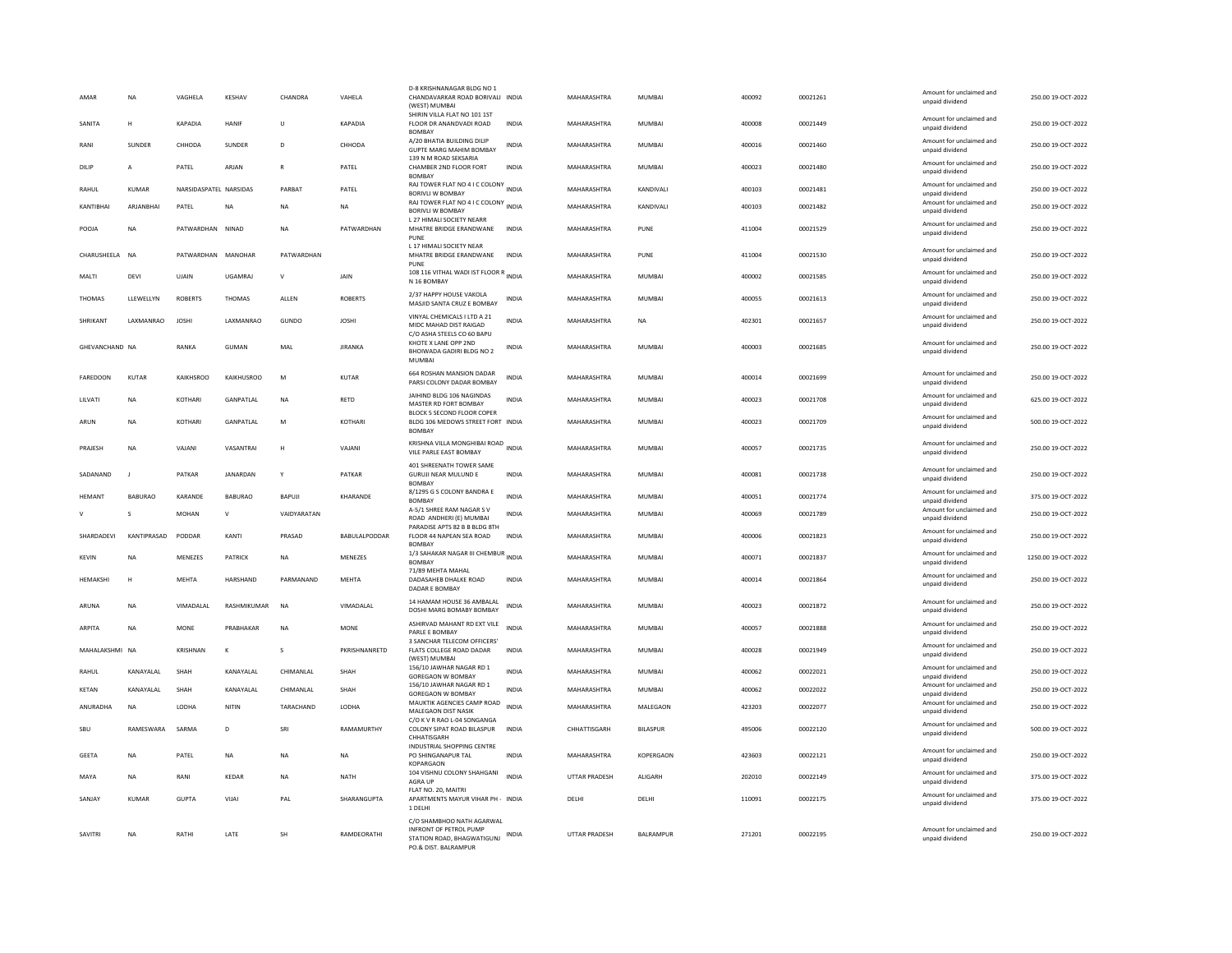| AMAR              | <b>NA</b>      | VAGHELA                | KESHAV            | CHANDRA      | VAHELA               | D-8 KRISHNANAGAR BLDG NO 1<br>CHANDAVARKAR ROAD BORIVALI INDIA<br>(WEST) MUMBAI                           |              | MAHARASHTRA          | MUMBAI          | 400092 | 00021261 | Amount for unclaimed and<br>unpaid dividend | 250.00 19-OCT-2022  |
|-------------------|----------------|------------------------|-------------------|--------------|----------------------|-----------------------------------------------------------------------------------------------------------|--------------|----------------------|-----------------|--------|----------|---------------------------------------------|---------------------|
| SANITA            | н              | KAPADIA                | HANIF             | $\cup$       | KAPADIA              | SHIRIN VILLA FLAT NO 101 1ST<br>FLOOR DR ANANDVADI ROAD<br><b>BOMBAY</b>                                  | <b>INDIA</b> | MAHARASHTRA          | <b>MUMBAI</b>   | 400008 | 00021449 | Amount for unclaimed and<br>unpaid dividend | 250.00 19-OCT-2022  |
| RANI              | SUNDER         | CHHODA                 | SUNDER            | $\mathbf{D}$ | CHHODA               | A/20 BHATIA BUILDING DILIP<br><b>GUPTE MARG MAHIM BOMBAY</b>                                              | INDIA        | MAHARASHTRA          | MUMBAI          | 400016 | 00021460 | Amount for unclaimed and<br>unpaid dividend | 250.00 19-OCT-2022  |
| DILIP             | $\overline{A}$ | PATEL                  | ARJAN             | $\mathbb{R}$ | PATEL                | 139 N M ROAD SEKSARIA<br>CHAMBER 2ND FLOOR FORT<br><b>BOMBAY</b>                                          | INDIA        | MAHARASHTRA          | MUMBAI          | 400023 | 00021480 | Amount for unclaimed and<br>unnaid dividend | 250.00 19-OCT-2022  |
| RAHUL             | <b>KUMAR</b>   | NARSIDASPATEL NARSIDAS |                   | PARBAT       | PATEL                | RAJ TOWER FLAT NO 4 I C COLONY INDIA<br>BORIVLI W BOMBAY                                                  |              | MAHARASHTRA          | KANDIVALI       | 400103 | 00021481 | Amount for unclaimed and<br>unpaid dividend | 250.00 19-OCT-2022  |
| KANTIBHAI         | ARJANBHAI      | PATEL                  | NA                | <b>NA</b>    | <b>NA</b>            | RAJ TOWER FLAT NO 4 I C COLONY INDIA<br><b>BORIVLI W BOMBAY</b>                                           |              | MAHARASHTRA          | KANDIVALI       | 400103 | 00021482 | Amount for unclaimed and<br>unpaid dividend | 250.00 19-OCT-2022  |
| POOJA             | <b>NA</b>      | PATWARDHAN NINAD       |                   | <b>NA</b>    | PATWARDHAN           | <b>L27 HIMALI SOCIETY NEARR</b><br>MHATRE BRIDGE ERANDWANE<br>PUNE                                        | <b>INDIA</b> | MAHARASHTRA          | PUNE            | 411004 | 00021529 | Amount for unclaimed and<br>unpaid dividend | 250.00 19-OCT-2022  |
| CHARUSHEELA NA    |                | PATWARDHAN MANOHAR     |                   | PATWARDHAN   |                      | L 17 HIMALI SOCIETY NEAR<br>MHATRE BRIDGE ERANDWANE<br>PUNE                                               | <b>INDIA</b> | MAHARASHTRA          | PUNE            | 411004 | 00021530 | Amount for unclaimed and<br>unpaid dividend | 250.00 19-OCT-2022  |
| MALTI             | DFVI           | UJAIN                  | <b>UGAMRAI</b>    | $\mathsf{v}$ | <b>JAIN</b>          | 108 116 VITHAL WADI IST FLOOR R<br>INDIA<br>N 16 BOMBAY                                                   |              | MAHARASHTRA          | MUMBAI          | 400002 | 00021585 | Amount for unclaimed and<br>unpaid dividend | 250.00 19-OCT-2022  |
| <b>THOMAS</b>     | LLEWELLYN      | <b>ROBERTS</b>         | <b>THOMAS</b>     | ALLEN        | <b>ROBERTS</b>       | 2/37 HAPPY HOUSE VAKOLA<br>MASJID SANTA CRUZ E BOMBAY                                                     | <b>INDIA</b> | MAHARASHTRA          | <b>MUMBAI</b>   | 400055 | 00021613 | Amount for unclaimed and<br>unpaid dividend | 250.00 19-OCT-2022  |
| SHRIKANT          | LAXMANRAO      | <b>JOSHI</b>           | LAXMANRAO         | GUNDO        | <b>JOSHI</b>         | VINYAL CHEMICALS I LTD A 21<br>MIDC MAHAD DIST RAIGAD<br>C/O ASHA STEELS CO 60 BAPU                       | <b>INDIA</b> | MAHARASHTRA          | <b>NA</b>       | 402301 | 00021657 | Amount for unclaimed and<br>unpaid dividend | 250.00 19-OCT-2022  |
| GHEVANCHAND NA    |                | RANKA                  | GUMAN             | MAL          | <b>JIRANKA</b>       | KHOTE X LANE OPP 2ND<br>BHOIWADA GADIRI BLDG NO 2<br><b>MUMBA</b>                                         | INDIA        | MAHARASHTRA          | MUMBAI          | 400003 | 00021685 | Amount for unclaimed and<br>unpaid dividend | 250.00 19-OCT-2022  |
| <b>FAREDOON</b>   | KUTAR          | KAIKHSROO              | <b>KAIKHUSROO</b> | M            | <b>KUTAR</b>         | 664 ROSHAN MANSION DADAR<br>PARSI COLONY DADAR BOMBAY                                                     | INDIA        | MAHARASHTRA          | MUMBAI          | 400014 | 00021699 | Amount for unclaimed and<br>unpaid dividend | 250.00 19-OCT-2022  |
| LILVATI           | <b>NA</b>      | KOTHARI                | GANPATLAL         | <b>NA</b>    | RETD                 | JAIHIND BLDG 106 NAGINDAS<br>MASTER RD FORT BOMBAY                                                        | <b>INDIA</b> | MAHARASHTRA          | <b>MUMBAI</b>   | 400023 | 00021708 | Amount for unclaimed and<br>unpaid dividend | 625.00 19-OCT-2022  |
| ARUN              | <b>NA</b>      | KOTHARI                | GANPATLAL         | M            | <b>KOTHARI</b>       | BLOCK 5 SECOND FLOOR COPER<br>BLDG 106 MEDOWS STREET FORT INDIA<br><b>BOMBAY</b>                          |              | MAHARASHTRA          | <b>MUMBAI</b>   | 400023 | 00021709 | Amount for unclaimed and<br>unpaid dividend | 500.00 19-OCT-2022  |
| PRAJESH           | <b>NA</b>      | VAJANI                 | VASANTRAI         | H            | VAJANI               | KRISHNA VILLA MONGHIBAI ROAD<br>VILE PARLE EAST BOMBAY                                                    | <b>INDIA</b> | MAHARASHTRA          | <b>MUMBAI</b>   | 400057 | 00021735 | Amount for unclaimed and<br>unpaid dividend | 250.00 19-OCT-2022  |
| SADANAND          | - 1            | PATKAR                 | <b>IANARDAN</b>   | Y            | PATKAR               | 401 SHREENATH TOWER SAME<br><b>GURUJI NEAR MULUND E</b><br><b>BOMBAY</b>                                  | <b>INDIA</b> | MAHARASHTRA          | MUMBAI          | 400081 | 00021738 | Amount for unclaimed and<br>unpaid dividend | 250.00 19-OCT-2022  |
| <b>HEMANT</b>     | <b>BABURAO</b> | KARANDE                | <b>BABURAO</b>    | BAPUJI       | KHARANDE             | 8/1295 G S COLONY BANDRA E<br><b>BOMBAY</b>                                                               | <b>INDIA</b> | MAHARASHTRA          | MUMBAI          | 400051 | 00021774 | Amount for unclaimed and<br>unpaid dividend | 375.00 19-OCT-2022  |
|                   | $\mathbf{S}$   | MOHAN                  | V                 | VAIDYARATAN  |                      | A-5/1 SHREE RAM NAGAR SV<br>ROAD ANDHERI (E) MUMBAI                                                       | INDIA        | MAHARASHTRA          | MUMBAI          | 400069 | 00021789 | Amount for unclaimed and<br>unpaid dividend | 250.00 19-OCT-2022  |
| <b>SHARDADEVI</b> | KANTIPRASAD    | PODDAR                 | KANTI             | PRASAD       | <b>BABULALPODDAR</b> | PARADISE APTS 82 B B BLDG 8TH<br>FLOOR 44 NAPEAN SEA ROAD<br><b>BOMBA</b>                                 | <b>INDIA</b> | MAHARASHTRA          | MUMBAI          | 400006 | 00021823 | Amount for unclaimed and<br>unpaid dividend | 250.00 19-OCT-2022  |
| <b>KEVIN</b>      | <b>NA</b>      | MENEZES                | PATRICK           | <b>NA</b>    | MENEZES              | 1/3 SAHAKAR NAGAR III CHEMBUR INDIA<br><b>BOMBAY</b>                                                      |              | MAHARASHTRA          | <b>MUMBAI</b>   | 400071 | 00021837 | Amount for unclaimed and<br>unpaid dividend | 1250.00 19-OCT-2022 |
| HEMAKSHI          | H              | <b>MEHTA</b>           | HARSHAND          | PARMANAND    | MEHTA                | 71/89 MEHTA MAHAL<br>DADASAHEB DHALKE ROAD<br>DADAR E BOMBAY                                              | <b>INDIA</b> | MAHARASHTRA          | <b>MUMBAI</b>   | 400014 | 00021864 | Amount for unclaimed and<br>unpaid dividend | 250.00 19-OCT-2022  |
| ARUNA             | <b>NA</b>      | VIMADALAL              | RASHMIKUMAR       | NA           | VIMADALAL            | 14 HAMAM HOUSE 36 AMBALAL<br>DOSHI MARG BOMABY BOMBAY                                                     | INDIA        | MAHARASHTRA          | MUMBAI          | 400023 | 00021872 | Amount for unclaimed and<br>unnaid dividend | 250.00 19-OCT-2022  |
| <b>ARPITA</b>     | <b>NA</b>      | <b>MONE</b>            | PRABHAKAR         | <b>NA</b>    | <b>MONE</b>          | ASHIRVAD MAHANT RD EXT VILE<br>PARLE E BOMBAY                                                             | <b>INDIA</b> | MAHARASHTRA          | <b>MUMBAI</b>   | 400057 | 00021888 | Amount for unclaimed and<br>unpaid dividend | 250.00 19-OCT-2022  |
| MAHALAKSHMI NA    |                | KRISHNAN               | К                 | s            | PKRISHNANRETD        | 3 SANCHAR TELECOM OFFICERS<br>FLATS COLLEGE ROAD DADAR<br>(WEST) MUMBAI                                   | INDIA        | MAHARASHTRA          | MUMBAI          | 400028 | 00021949 | Amount for unclaimed and<br>unpaid dividend | 250.00 19-OCT-2022  |
| RAHUL             | KANAYALAL      | SHAH                   | KANAYALAL         | CHIMANLAL    | SHAH                 | 156/10 JAWHAR NAGAR RD 1<br>GOREGAON W BOMBAY                                                             | <b>INDIA</b> | MAHARASHTRA          | <b>MUMBAI</b>   | 400062 | 00022021 | Amount for unclaimed and<br>unpaid dividend | 250.00 19-OCT-2022  |
| <b>KETAN</b>      | KANAYALAL      | SHAH                   | KANAYALAL         | CHIMANLAL    | SHAH                 | 156/10 JAWHAR NAGAR RD 1<br><b>GOREGAON W BOMBAY</b>                                                      | <b>INDIA</b> | MAHARASHTRA          | <b>MUMBAI</b>   | 400062 | 00022022 | Amount for unclaimed and<br>unpaid dividend | 250.00 19-OCT-2022  |
| ANURADHA          | <b>NA</b>      | LODHA                  | NITIN             | TARACHAND    | LODHA                | MAUKTIK AGENCIES CAMP ROAD<br>MALEGAON DIST NASIK                                                         | INDIA        | MAHARASHTRA          | MALEGAON        | 423203 | 00022077 | Amount for unclaimed and<br>unpaid dividend | 250.00 19-OCT-2022  |
| SBU               | RAMFSWARA      | SARMA                  | D                 | SRI          | RAMAMURTHY           | C/O K V R RAO L-04 SONGANGA<br>COLONY SIPAT ROAD BILASPUR<br>CHHATISGARH                                  | <b>INDIA</b> | CHHATTISGARH         | <b>BILASPUR</b> | 495006 | 00022120 | Amount for unclaimed and<br>unpaid dividend | 500.00 19-OCT-2022  |
| GEETA             | <b>NA</b>      | PATEL                  | NA                | <b>NA</b>    | <b>NA</b>            | INDUSTRIAL SHOPPING CENTRE<br>PO SHINGANAPUR TAL<br>KOPARGAON                                             | <b>INDIA</b> | MAHARASHTRA          | KOPERGAON       | 423603 | 00022121 | Amount for unclaimed and<br>unpaid dividend | 250.00 19-OCT-2022  |
| MAYA              | <b>NA</b>      | RANI                   | KFDAR             | <b>NA</b>    | <b>NATH</b>          | 104 VISHNU COLONY SHAHGANI<br><b>AGRA UP</b>                                                              | <b>INDIA</b> | <b>UTTAR PRADESH</b> | <b>ALIGARH</b>  | 202010 | 00022149 | Amount for unclaimed and<br>unpaid dividend | 375.00 19-OCT-2022  |
| SANJAY            | KUMAR          | <b>GUPTA</b>           | VIJAI             | PAL          | SHARANGUPTA          | FLAT NO. 20, MAITRI<br>APARTMENTS MAYUR VIHAR PH - INDIA<br>1 DELHI                                       |              | DELHI                | DELHI           | 110091 | 00022175 | Amount for unclaimed and<br>unpaid dividend | 375.00 19-OCT-2022  |
| SAVITRI           | <b>NA</b>      | RATHI                  | LATE              | <b>SH</b>    | RAMDEORATHI          | C/O SHAMBHOO NATH AGARWAL<br>INFRONT OF PETROL PUMP<br>STATION ROAD, BHAGWATIGUNJ<br>PO.& DIST. BALRAMPUR | INDIA        | UTTAR PRADESH        | BALRAMPUR       | 271201 | 00022195 | Amount for unclaimed and<br>unpaid dividend | 250.00 19-OCT-2022  |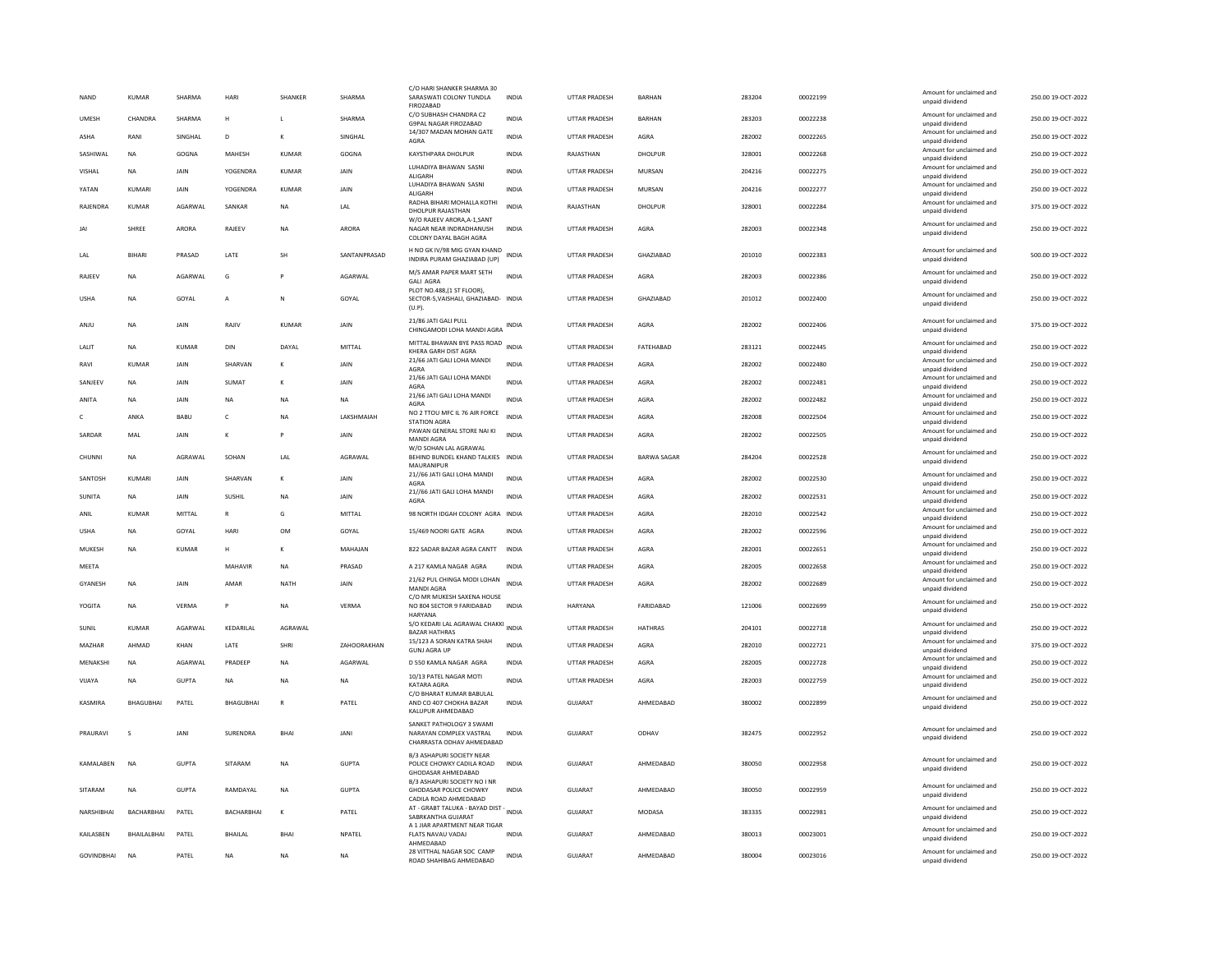| <b>NAND</b>    |                | <b>KUMAR</b>      | SHARMA       | HARI              | SHANKER      | SHARMA       | C/O HARI SHANKER SHARMA 30<br>SARASWATI COLONY TUNDLA<br>FIROZABAD                            | <b>INDIA</b> | <b>UTTAR PRADESH</b> | BARHAN             | 283204 | 00022199 | Amount for unclaimed and<br>unpaid dividend | 250.00 19-OCT-2022 |
|----------------|----------------|-------------------|--------------|-------------------|--------------|--------------|-----------------------------------------------------------------------------------------------|--------------|----------------------|--------------------|--------|----------|---------------------------------------------|--------------------|
| UMESH          |                | CHANDRA           | SHARMA       | н                 | L            | SHARMA       | C/O SUBHASH CHANDRA C2<br>G9PAL NAGAR FIROZARAD                                               | INDIA        | UTTAR PRADESH        | BARHAN             | 283203 | 00022238 | Amount for unclaimed and<br>unnaid dividend | 250.00 19-OCT-2022 |
| ASHA           |                | RANI              | SINGHAL      | D                 | к            | SINGHAL      | 14/307 MADAN MOHAN GATE<br>AGRA                                                               | <b>INDIA</b> | <b>UTTAR PRADESH</b> | AGRA               | 282002 | 00022265 | Amount for unclaimed and<br>unpaid dividend | 250.00 19-OCT-2022 |
|                | SASHIWAL       | <b>NA</b>         | GOGNA        | MAHESH            | <b>KUMAR</b> | GOGNA        | KAYSTHPARA DHOLPUR                                                                            | INDIA        | RAJASTHAN            | DHOLPUR            | 328001 | 00022268 | Amount for unclaimed and<br>unpaid dividend | 250.00 19-OCT-2022 |
| VISHAL         |                | <b>NA</b>         | JAIN         | <b>YOGENDRA</b>   | <b>KUMAR</b> | JAIN         | LUHADIYA BHAWAN SASNI<br><b>ALIGARH</b>                                                       | <b>INDIA</b> | <b>UTTAR PRADESH</b> | MURSAN             | 204216 | 00022275 | Amount for unclaimed and<br>unnaid dividend | 250.00 19-OCT-2022 |
| YATAN          |                | KUMARI            | <b>JAIN</b>  | <b>YOGENDRA</b>   | <b>KUMAR</b> | JAIN         | LUHADIYA BHAWAN SASNI<br>ALIGARH                                                              | <b>INDIA</b> | <b>UTTAR PRADESH</b> | MURSAN             | 204216 | 00022277 | Amount for unclaimed and<br>unpaid dividend | 250.00 19-OCT-2022 |
|                | RAJENDRA       | KUMAR             | AGARWAL      | SANKAR            | <b>NA</b>    | LAL          | RADHA BIHARI MOHALLA KOTHI<br>DHOLPUR RAJASTHAN                                               | <b>INDIA</b> | RAJASTHAN            | DHOLPUR            | 328001 | 00022284 | Amount for unclaimed and<br>unpaid dividend | 375.00 19-OCT-2022 |
| JAI            |                | SHREE             | ARORA        | RAJEEV            | <b>NA</b>    | <b>ARORA</b> | W/O RAJEEV ARORA, A-1, SANT<br>NAGAR NEAR INDRADHANUSH<br>COLONY DAYAL BAGH AGRA              | <b>INDIA</b> | <b>UTTAR PRADESH</b> | AGRA               | 282003 | 00022348 | Amount for unclaimed and<br>unpaid dividend | 250.00 19-OCT-2022 |
| LAL            |                | <b>BIHARI</b>     | PRASAD       | LATE              | <b>SH</b>    | SANTANPRASAD | H NO GK IV/98 MIG GYAN KHAND<br>INDIRA PURAM GHAZIABAD (UP)                                   | <b>INDIA</b> | <b>UTTAR PRADESH</b> | GHAZIABAD          | 201010 | 00022383 | Amount for unclaimed and<br>unpaid dividend | 500.00 19-OCT-2022 |
| RAJEEV         |                | <b>NA</b>         | AGARWAL      | G                 |              | AGARWAL      | M/S AMAR PAPER MART SETH<br><b>GALI AGRA</b><br>PLOT NO.488.(1 ST FLOOR).                     | <b>INDIA</b> | UTTAR PRADESH        | AGRA               | 282003 | 00022386 | Amount for unclaimed and<br>unpaid dividend | 250.00 19-OCT-2022 |
| <b>USHA</b>    |                | <b>NA</b>         | GOYAL        | $\overline{A}$    | N            | GOYAL        | SECTOR-5.VAISHALI, GHAZIABAD- INDIA<br>(U.P)                                                  |              | <b>UTTAR PRADESH</b> | GHAZIABAD          | 201012 | 00022400 | Amount for unclaimed and<br>unpaid dividend | 250.00 19-OCT-2022 |
| ANJU           |                | <b>NA</b>         | <b>JAIN</b>  | RAIIV             | KUMAR        | <b>JAIN</b>  | 21/86 JATI GALI PULL<br>CHINGAMODI LOHA MANDI AGRA                                            | INDIA        | <b>UTTAR PRADESH</b> | AGRA               | 282002 | 00022406 | Amount for unclaimed and<br>unpaid dividend | 375.00 19-OCT-2022 |
| LALIT          |                | NA                | KUMAR        | DIN               | DAYAL        | MITTAL       | MITTAL BHAWAN BYE PASS ROAD<br>KHERA GARH DIST AGRA                                           | <b>INDIA</b> | UTTAR PRADESH        | FATEHABAD          | 283121 | 00022445 | Amount for unclaimed and<br>unpaid dividend | 250.00 19-OCT-2022 |
| RAVI           |                | KUMAR             | <b>JAIN</b>  | SHARVAN           | к            | <b>JAIN</b>  | 21/66 JATI GALI LOHA MANDI<br>AGRA                                                            | <b>INDIA</b> | <b>UTTAR PRADESH</b> | AGRA               | 282002 | 00022480 | Amount for unclaimed and<br>unpaid dividend | 250.00 19-OCT-2022 |
|                | SANJEEV        | NA                | JAIN         | SUMAT             | к            | JAIN         | 21/66 JATI GALI LOHA MANDI<br>AGRA                                                            | <b>INDIA</b> | UTTAR PRADESH        | AGRA               | 282002 | 00022481 | Amount for unclaimed and<br>unpaid dividend | 250.00 19-OCT-2022 |
| ANITA          |                | NA                | JAIN         | NA                | <b>NA</b>    | NA           | 21/66 JATI GALI LOHA MANDI<br>AGRA                                                            | <b>INDIA</b> | UTTAR PRADESH        | AGRA               | 282002 | 00022482 | Amount for unclaimed and<br>unpaid dividend | 250.00 19-OCT-2022 |
| $\mathfrak{c}$ |                | ANKA              | <b>BABU</b>  | $\mathsf{C}$      | <b>NA</b>    | LAKSHMAIAH   | NO 2 TTOU MFC IL 76 AIR FORCE<br><b>STATION AGRA</b>                                          | <b>INDIA</b> | <b>UTTAR PRADESH</b> | AGRA               | 282008 | 00022504 | Amount for unclaimed and<br>unpaid dividend | 250.00 19-OCT-2022 |
|                | SARDAR         | MAL               | JAIN         | К                 | P            | JAIN         | PAWAN GENERAL STORE NAI KI<br>MANDI AGRA                                                      | <b>INDIA</b> | <b>UTTAR PRADESH</b> | AGRA               | 282002 | 00022505 | Amount for unclaimed and<br>unpaid dividend | 250.00 19-OCT-2022 |
|                | CHUNNI         | <b>NA</b>         | AGRAWAI      | SOHAN             | LAL          | AGRAWAL      | W/O SOHAN LAL AGRAWAL<br>BEHIND BUNDEL KHAND TALKIES INDIA<br>MAURANIPUR                      |              | <b>UTTAR PRADESH</b> | <b>BARWA SAGAR</b> | 284204 | 00022528 | Amount for unclaimed and<br>unpaid dividend | 250.00 19-OCT-2022 |
|                | SANTOSH        | KUMARI            | <b>JAIN</b>  | SHARVAN           | K            | JAIN         | 21//66 JATI GALI LOHA MANDI<br>AGRA                                                           | <b>INDIA</b> | UTTAR PRADESH        | AGRA               | 282002 | 00022530 | Amount for unclaimed and<br>unpaid dividend | 250.00 19-OCT-2022 |
| SUNITA         |                | NA                | JAIN         | <b>SUSHIL</b>     | NA           | JAIN         | 21//66 JATI GALI LOHA MANDI<br>AGRA                                                           | INDIA        | UTTAR PRADESH        | AGRA               | 282002 | 00022531 | Amount for unclaimed and<br>unnaid dividend | 250.00 19-OCT-2022 |
| ANIL           |                | KUMAR             | MITTAI       | $\mathbb{R}$      | G            | MITTAL       | 98 NORTH IDGAH COLONY AGRA INDIA                                                              |              | <b>UTTAR PRADESH</b> | AGRA               | 282010 | 00022542 | Amount for unclaimed and<br>unpaid dividend | 250.00 19-OCT-2022 |
| <b>USHA</b>    |                | <b>NA</b>         | GOYAL        | HARI              | <b>OM</b>    | GOYAL        | 15/469 NOORI GATE AGRA                                                                        | <b>INDIA</b> | <b>UTTAR PRADESH</b> | AGRA               | 282002 | 00022596 | Amount for unclaimed and<br>unpaid dividend | 250.00 19-OCT-2022 |
|                | MUKESH         | NA                | KUMAR        | н                 | к            | MAHAJAN      | 822 SADAR BAZAR AGRA CANTT                                                                    | INDIA        | UTTAR PRADESH        | AGRA               | 282001 | 00022651 | Amount for unclaimed and<br>unpaid dividend | 250.00 19-OCT-2022 |
| MEETA          |                |                   |              | MAHAVIR           | <b>NA</b>    | PRASAD       | A 217 KAMLA NAGAR AGRA                                                                        | <b>INDIA</b> | <b>UTTAR PRADESH</b> | AGRA               | 282005 | 00022658 | Amount for unclaimed and<br>unpaid dividend | 250.00 19-OCT-2022 |
|                | <b>GYANESH</b> | <b>NA</b>         | JAIN         | AMAR              | <b>NATH</b>  | JAIN         | 21/62 PUL CHINGA MODI LOHAN<br>MANDI AGRA                                                     | <b>INDIA</b> | <b>UTTAR PRADESH</b> | AGRA               | 282002 | 00022689 | Amount for unclaimed and<br>unpaid dividend | 250.00 19-OCT-2022 |
|                | YOGITA         | NA                | VERMA        | P                 | NA           | VERMA        | C/O MR MUKESH SAXENA HOUSE<br>NO 804 SECTOR 9 FARIDABAD<br><b>HARYANA</b>                     | INDIA        | HARYANA              | FARIDABAD          | 121006 | 00022699 | Amount for unclaimed and<br>unpaid dividend | 250.00 19-OCT-2022 |
| SUNIL          |                | KUMAR             | AGARWAL      | KEDARILAL         | AGRAWAL      |              | S/O KEDARI LAL AGRAWAL CHAKKI INDIA<br><b>BAZAR HATHRAS</b>                                   |              | <b>UTTAR PRADESH</b> | <b>HATHRAS</b>     | 204101 | 00022718 | Amount for unclaimed and<br>unpaid dividend | 250.00 19-OCT-2022 |
|                | MAZHAR         | AHMAD             | KHAN         | LATE              | <b>SHRI</b>  | ZAHOORAKHAN  | 15/123 A SORAN KATRA SHAH<br><b>GUNJ AGRA UP</b>                                              | <b>INDIA</b> | <b>UTTAR PRADESH</b> | AGRA               | 282010 | 00022721 | Amount for unclaimed and<br>unpaid dividend | 375.00 19-OCT-2022 |
|                | MENAKSHI       | <b>NA</b>         | AGARWAL      | PRADEEP           | <b>NA</b>    | AGARWAL      | D 550 KAMLA NAGAR AGRA                                                                        | INDIA        | UTTAR PRADESH        | AGRA               | 282005 | 00022728 | Amount for unclaimed and<br>unpaid dividend | 250.00 19-OCT-2022 |
| VIJAYA         |                | <b>NA</b>         | <b>GUPTA</b> | <b>NA</b>         | <b>NA</b>    | <b>NA</b>    | 10/13 PATEL NAGAR MOTI<br>KATARA AGRA                                                         | <b>INDIA</b> | <b>UTTAR PRADESH</b> | AGRA               | 282003 | 00022759 | Amount for unclaimed and<br>unpaid dividend | 250.00 19-OCT-2022 |
|                | KASMIRA        | BHAGUBHAI         | PATEL        | <b>BHAGUBHAI</b>  | $\mathbb{R}$ | PATEL        | C/O BHARAT KUMAR BABULAL<br>AND CO 407 CHOKHA BAZAR<br>KALUPUR AHMEDABAD                      | <b>INDIA</b> | GUIARAT              | AHMEDABAD          | 380002 | 00022899 | Amount for unclaimed and<br>unpaid dividend | 250.00 19-OCT-2022 |
|                | PRAURAVI       | s                 | <b>JANI</b>  | SURENDRA          | <b>BHA</b>   | JANI         | SANKET PATHOLOGY 3 SWAMI<br>NARAYAN COMPLEX VASTRAL<br>CHARRASTA ODHAV AHMEDABAD              | <b>INDIA</b> | GUJARAT              | ODHAV              | 382475 | 00022952 | Amount for unclaimed and<br>unpaid dividend | 250.00 19-OCT-2022 |
|                | KAMALABEN      | <b>NA</b>         | GUPTA        | SITARAM           | <b>NA</b>    | GUPTA        | B/3 ASHAPURI SOCIETY NEAR<br>POLICE CHOWKY CADILA ROAD<br>GHODASAR AHMEDABAD                  | <b>INDIA</b> | GUJARAT              | AHMEDABAD          | 380050 | 00022958 | Amount for unclaimed and<br>unpaid dividend | 250.00 19-OCT-2022 |
|                | SITARAM        | NA                | GUPTA        | RAMDAYAL          | NA           | GUPTA        | B/3 ASHAPURI SOCIETY NO I NR<br>GHODASAR POLICE CHOWKY<br>CADILA ROAD AHMEDABAD               | INDIA        | GUJARAT              | AHMEDABAD          | 380050 | 00022959 | Amount for unclaimed and<br>unpaid dividend | 250.00 19-OCT-2022 |
|                | NARSHIRHAI     | <b>BACHARBHAL</b> | PATFI        | <b>BACHARBHAI</b> | к            | PATFI        | AT - GRABT TALUKA - BAYAD DIST - INDIA<br>SABRKANTHA GUJARAT<br>A 1 JIAR APARTMENT NEAR TIGAR |              | GUIARAT              | MODASA             | 383335 | 00022981 | Amount for unclaimed and<br>unpaid dividend | 250.00.19-OCT-2022 |
|                | KAILASBEN      | BHAILALBHAI       | PATEL        | <b>BHAILAL</b>    | <b>BHA</b>   | NPATEL       | FLATS NAVAU VADAJ<br>AHMEDABAD                                                                | INDIA        | GUJARAT              | AHMEDABAD          | 380013 | 00023001 | Amount for unclaimed and<br>unnaid dividend | 250.00 19-OCT-2022 |
|                | GOVINDBHAI     | <b>NA</b>         | PATEL        | NA                | NA           | NA           | 28 VITTHAL NAGAR SOC CAMP<br>ROAD SHAHIBAG AHMEDABAD                                          | <b>INDIA</b> | GUJARAT              | AHMEDABAD          | 380004 | 00023016 | Amount for unclaimed and<br>unpaid dividend | 250.00 19-OCT-2022 |
|                |                |                   |              |                   |              |              |                                                                                               |              |                      |                    |        |          |                                             |                    |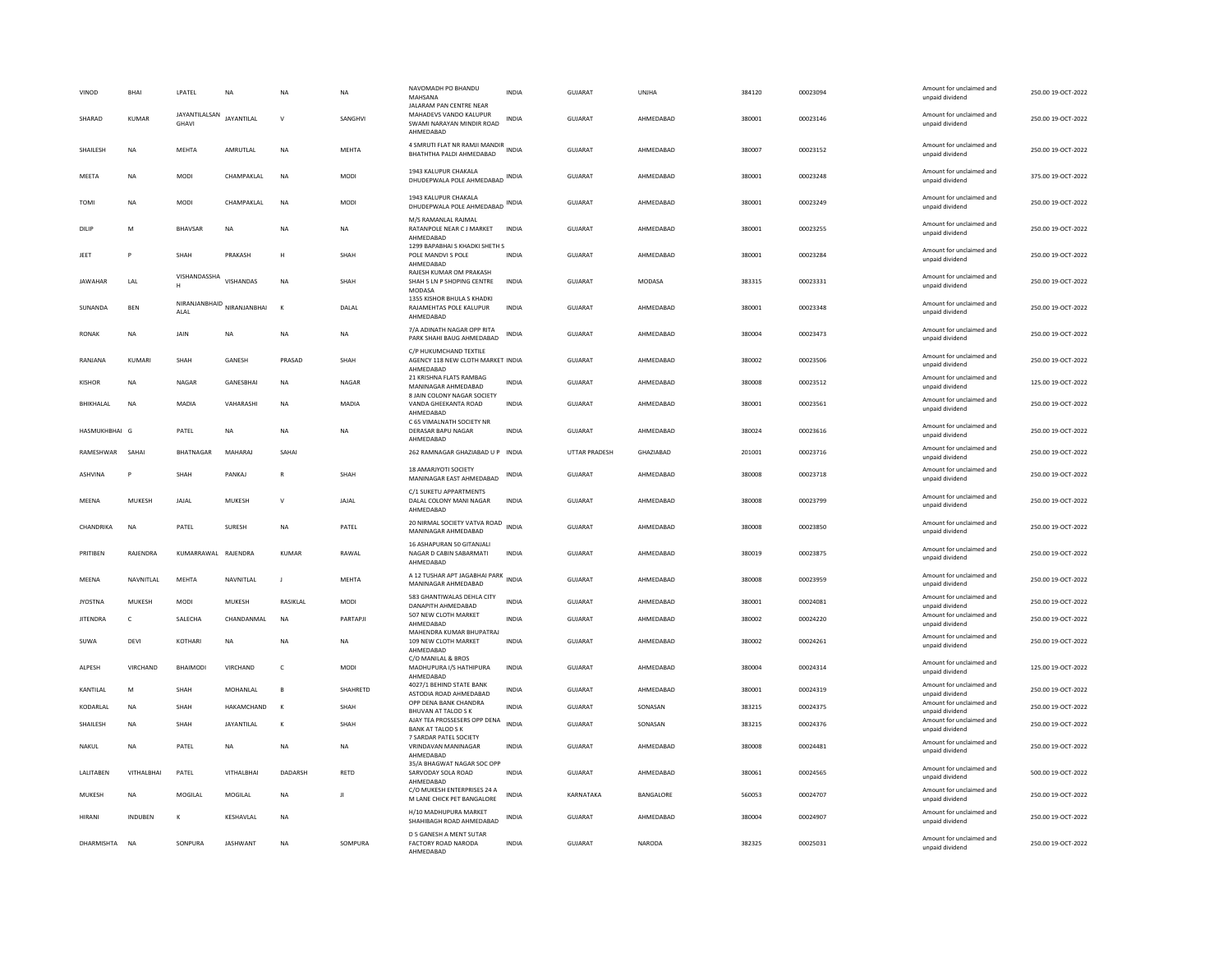| VINOD           | <b>BHAI</b>     | LPATEL                 | <b>NA</b>       | <b>NA</b>    | <b>NA</b>    | NAVOMADH PO BHANDU<br>MAHSANA<br>JALARAM PAN CENTRE NEAR                                     | <b>INDIA</b> | <b>GUJARAT</b> | UNJHA     | 384120 | 00023094 | Amount for unclaimed and<br>unpaid dividend | 250.00 19-OCT-2022 |
|-----------------|-----------------|------------------------|-----------------|--------------|--------------|----------------------------------------------------------------------------------------------|--------------|----------------|-----------|--------|----------|---------------------------------------------|--------------------|
| SHARAD          | KUMAR           | JAYANTILALSAN<br>GHAVI | JAYANTILAL      | $\mathsf{V}$ | SANGHVI      | MAHADEVS VANDO KALUPUR<br>SWAMI NARAYAN MINDIR ROAD<br>AHMEDABAD                             | <b>INDIA</b> | GUJARAT        | AHMEDABAD | 380001 | 00023146 | Amount for unclaimed and<br>unpaid dividend | 250.00 19-OCT-2022 |
| SHAILESH        | NA              | MEHTA                  | AMRUTLAL        | NA           | MEHTA        | 4 SMRUTI FLAT NR RAMJI MANDIR<br>BHATHTHA PALDI AHMEDABAD                                    |              | GUJARAT        | AHMEDABAD | 380007 | 00023152 | Amount for unclaimed and<br>unpaid dividend | 250.00 19-OCT-2022 |
| MEETA           | <b>NA</b>       | <b>MODI</b>            | CHAMPAKLAL      | <b>NA</b>    | <b>MODI</b>  | 1943 KALUPUR CHAKALA<br>DHUDEPWALA POLE AHMEDABAD INDIA                                      |              | GUJARAT        | AHMEDABAD | 380001 | 00023248 | Amount for unclaimed and<br>unpaid dividend | 375.00 19-OCT-2022 |
| <b>TOMI</b>     | NA              | MODI                   | CHAMPAKLAL      | <b>NA</b>    | MODI         | 1943 KALUPUR CHAKALA<br>DHUDEPWALA POLE AHMEDABAD INDIA                                      |              | GUJARAT        | AHMEDABAD | 380001 | 00023249 | Amount for unclaimed and<br>unpaid dividend | 250.00 19-OCT-2022 |
| DILIP           | M               | <b>BHAVSAR</b>         | <b>NA</b>       | <b>NA</b>    | <b>NA</b>    | M/S RAMANLAL RAJMAI<br>RATANPOLE NEAR CJ MARKET<br>AHMEDABAD                                 | <b>INDIA</b> | <b>GUJARAT</b> | AHMEDABAD | 380001 | 00023255 | Amount for unclaimed and<br>unpaid dividend | 250.00 19-OCT-2022 |
| JEET            | P               | SHAH                   | PRAKASH         | H            | SHAH         | 1299 BAPABHAI S KHADKI SHETH S<br>POLE MANDVI S POLE<br>AHMEDABAD<br>RAJESH KUMAR OM PRAKASH | <b>INDIA</b> | GUIARAT        | AHMEDARAD | 380001 | 00023284 | Amount for unclaimed and<br>unpaid dividend | 250.00.19-OCT-2022 |
| <b>JAWAHAR</b>  | LAL             | VISHANDASSHA<br>н      | VISHANDAS       | <b>NA</b>    | SHAH         | SHAH 5 LN P SHOPING CENTRE<br>MODASA                                                         | INDIA        | GUJARAT        | MODASA    | 383315 | 00023331 | Amount for unclaimed and<br>unpaid dividend | 250.00 19-OCT-2022 |
| SUNANDA         | <b>BEN</b>      | NIRANJANBHAID<br>ALAL  | NIRANJANBHAI    | $\mathbf{K}$ | DALAL        | 1355 KISHOR BHULA S KHADKI<br>RAJAMEHTAS POLE KALUPUR<br>AHMFDARAD                           | <b>INDIA</b> | <b>GUJARAT</b> | AHMEDABAD | 380001 | 00023348 | Amount for unclaimed and<br>unpaid dividend | 250.00 19-OCT-2022 |
| <b>RONAK</b>    | <b>NA</b>       | JAIN                   | <b>NA</b>       | <b>NA</b>    | <b>NA</b>    | 7/A ADINATH NAGAR OPP RITA<br>PARK SHAHI BAUG AHMEDABAD                                      | <b>INDIA</b> | <b>GUJARAT</b> | AHMEDABAD | 380004 | 00023473 | Amount for unclaimed and<br>unpaid dividend | 250.00 19-OCT-2022 |
| RANIANA         | KUMARI          | SHAH                   | <b>GANESH</b>   | PRASAD       | SHAH         | C/P HUKUMCHAND TEXTILE<br>AGENCY 118 NEW CLOTH MARKET INDIA<br>AHMEDABAD                     |              | GUIARAT        | AHMFDARAD | 380002 | 00023506 | Amount for unclaimed and<br>unpaid dividend | 250.00.19-OCT-2022 |
| <b>KISHOR</b>   | NA              | NAGAR                  | GANESBHAI       | <b>NA</b>    | NAGAR        | 21 KRISHNA FLATS RAMBAG<br>MANINAGAR AHMEDABAD<br>8 JAIN COLONY NAGAR SOCIETY                | INDIA        | GUJARAT        | AHMEDABAD | 380008 | 00023512 | Amount for unclaimed and<br>unpaid dividend | 125.00 19-OCT-2022 |
| BHIKHALAL       | <b>NA</b>       | <b>MADIA</b>           | VAHARASHI       | <b>NA</b>    | <b>MADIA</b> | VANDA GHEEKANTA ROAD<br>AHMEDABAD                                                            | INDIA        | GUJARAT        | AHMEDABAD | 380001 | 00023561 | Amount for unclaimed and<br>unpaid dividend | 250.00 19-OCT-2022 |
| HASMUKHBHAI G   |                 | PATEL                  | NA              | <b>NA</b>    | NA           | C 65 VIMALNATH SOCIETY NR<br>DERASAR BAPU NAGAR<br>AHMEDABAD                                 | <b>INDIA</b> | <b>GUJARAT</b> | AHMEDABAD | 380024 | 00023616 | Amount for unclaimed and<br>unpaid dividend | 250.00 19-OCT-2022 |
| RAMESHWAR       | SAHAI           | BHATNAGAR              | MAHARAJ         | SAHAI        |              | 262 RAMNAGAR GHAZIABAD U P INDIA                                                             |              | UTTAR PRADESH  | GHAZIABAD | 201001 | 00023716 | Amount for unclaimed and<br>unpaid dividend | 250.00 19-OCT-2022 |
| <b>ASHVINA</b>  | P               | SHAH                   | PANKAJ          | $\mathbb{R}$ | SHAH         | <b>18 AMARJYOTI SOCIETY</b><br>MANINAGAR EAST AHMEDABAD                                      | INDIA        | <b>GUJARAT</b> | AHMFDARAD | 380008 | 00023718 | Amount for unclaimed and<br>unpaid dividend | 250.00 19-OCT-2022 |
| MEENA           | <b>MUKESH</b>   | JAJAL                  | MUKESH          | $\mathsf{V}$ | JAJAL        | C/1 SUKETU APPARTMENTS<br>DALAL COLONY MANI NAGAR<br>AHMEDABAD                               | <b>INDIA</b> | GUJARAT        | AHMEDABAD | 380008 | 00023799 | Amount for unclaimed and<br>unpaid dividend | 250.00 19-OCT-2022 |
| CHANDRIKA       | <b>NA</b>       | PATEL                  | SURESH          | <b>NA</b>    | PATEL        | 20 NIRMAL SOCIETY VATVA ROAD<br>MANINAGAR AHMEDABAD                                          | <b>INDIA</b> | GUJARAT        | AHMEDABAD | 380008 | 00023850 | Amount for unclaimed and<br>unpaid dividend | 250.00 19-OCT-2022 |
| PRITIBEN        | RAJENDRA        | KUMARRAWAL RAJENDRA    |                 | <b>KUMAR</b> | RAWAL        | 16 ASHAPURAN 50 GITANJALI<br>NAGAR D CABIN SABARMATI<br>AHMEDABAD                            | <b>INDIA</b> | <b>GUJARAT</b> | AHMEDABAD | 380019 | 00023875 | Amount for unclaimed and<br>unpaid dividend | 250.00 19-OCT-2022 |
| MEENA           | NAVNITI AI      | MEHTA                  | NAVNITLAL       | $\mathbf{J}$ | MEHTA        | A 12 TUSHAR APT JAGABHAI PARK<br>MANINAGAR AHMEDABAD                                         | <b>INDIA</b> | GUIARAT        | AHMEDABAD | 380008 | 00023959 | Amount for unclaimed and<br>unpaid dividend | 250.00 19-OCT-2022 |
| <b>JYOSTNA</b>  | MUKESH          | MODI                   | MUKESH          | RASIKLAL     | MODI         | 583 GHANTIWALAS DEHLA CITY<br>DANAPITH AHMEDABAD                                             | <b>INDIA</b> | GUJARAT        | AHMEDABAD | 380001 | 00024081 | Amount for unclaimed and<br>unpaid dividend | 250.00 19-OCT-2022 |
| <b>JITENDRA</b> | $\mathsf{C}$    | SALECHA                | CHANDANMAL      | <b>NA</b>    | PARTAPIL     | 507 NEW CLOTH MARKET<br>AHMFDARAD                                                            | <b>INDIA</b> | <b>GUJARAT</b> | AHMEDABAD | 380002 | 00024220 | Amount for unclaimed and<br>unpaid dividend | 250.00 19-OCT-2022 |
| SUWA            | DEVI            | KOTHARI                | <b>NA</b>       | <b>NA</b>    | <b>NA</b>    | MAHENDRA KUMAR BHUPATRAJ<br>109 NEW CLOTH MARKET<br>AHMEDABAD                                | <b>INDIA</b> | <b>GUJARAT</b> | AHMEDABAD | 380002 | 00024261 | Amount for unclaimed and<br>unpaid dividend | 250.00 19-OCT-2022 |
| <b>AI PESH</b>  | <b>VIRCHAND</b> | <b>BHAIMODI</b>        | VIRCHAND        | $\epsilon$   | <b>MODI</b>  | C/O MANILAL & BROS<br>MADHUPURA I/S HATHIPURA<br>AHMEDABAD                                   | <b>INDIA</b> | GUIARAT        | AHMFDARAD | 380004 | 00024314 | Amount for unclaimed and<br>unpaid dividend | 125.00.19-OCT-2022 |
| KANTILAL        | M               | SHAH                   | MOHANLAL        | $\mathsf{B}$ | SHAHRETD     | 4027/1 BEHIND STATE BANK<br>ASTODIA ROAD AHMEDABAD                                           | <b>INDIA</b> | <b>GUJARAT</b> | AHMEDABAD | 380001 | 00024319 | Amount for unclaimed and<br>unpaid dividend | 250.00 19-OCT-2022 |
| KODARLAL        | NA              | SHAH                   | HAKAMCHAND      | К            | SHAH         | OPP DENA BANK CHANDRA<br><b>BHUVAN AT TALOD S K</b>                                          | INDIA        | GUJARAT        | SONASAN   | 383215 | 00024375 | Amount for unclaimed and<br>unpaid dividend | 250.00 19-OCT-2022 |
| SHAILESH        | <b>NA</b>       | SHAH                   | JAYANTILAL      | К            | SHAH         | AJAY TEA PROSSESERS OPP DENA<br><b>BANK AT TALOD S K</b>                                     | <b>INDIA</b> | GUJARAT        | SONASAN   | 383215 | 00024376 | Amount for unclaimed and<br>unpaid dividend | 250.00 19-OCT-2022 |
| NAKUL           | <b>NA</b>       | PATEL                  | <b>NA</b>       | <b>NA</b>    | <b>NA</b>    | 7 SARDAR PATEL SOCIETY<br><b>VRINDAVAN MANINAGAR</b><br>AHMEDABAD                            | <b>INDIA</b> | GUJARAT        | AHMEDABAD | 380008 | 00024481 | Amount for unclaimed and<br>unpaid dividend | 250.00 19-OCT-2022 |
| LALITABEN       | VITHALBHAI      | PATEL                  | VITHALBHAI      | DADARSH      | <b>RETD</b>  | 35/A BHAGWAT NAGAR SOC OPP<br>SARVODAY SOLA ROAD<br>AHMEDABAD                                | INDIA        | GUJARAT        | AHMEDABAD | 380061 | 00024565 | Amount for unclaimed and<br>unpaid dividend | 500.00 19-OCT-2022 |
| MUKESH          | <b>NA</b>       | MOGILAL                | MOGILAL         | <b>NA</b>    | Л            | C/O MUKESH ENTERPRISES 24 A<br>M LANE CHICK PET BANGALORE                                    | <b>INDIA</b> | KARNATAKA      | BANGALORE | 560053 | 00024707 | Amount for unclaimed and<br>unpaid dividend | 250.00 19-OCT-2022 |
| HIRANI          | <b>INDUBEN</b>  | K                      | KESHAVLAL       | <b>NA</b>    |              | H/10 MADHUPURA MARKET<br>SHAHIBAGH ROAD AHMEDABAD                                            | <b>INDIA</b> | GUJARAT        | AHMEDABAD | 380004 | 00024907 | Amount for unclaimed and<br>unpaid dividend | 250.00 19-OCT-2022 |
| DHARMISHTA NA   |                 | SONPURA                | <b>IASHWANT</b> | <b>NA</b>    | SOMPURA      | D 5 GANESH A MENT SUTAR<br>FACTORY ROAD NARODA<br>AHMFDARAD                                  | <b>INDIA</b> | GUIARAT        | NARODA    | 382325 | 00025031 | Amount for unclaimed and<br>unpaid dividend | 250.00 19-OCT-2022 |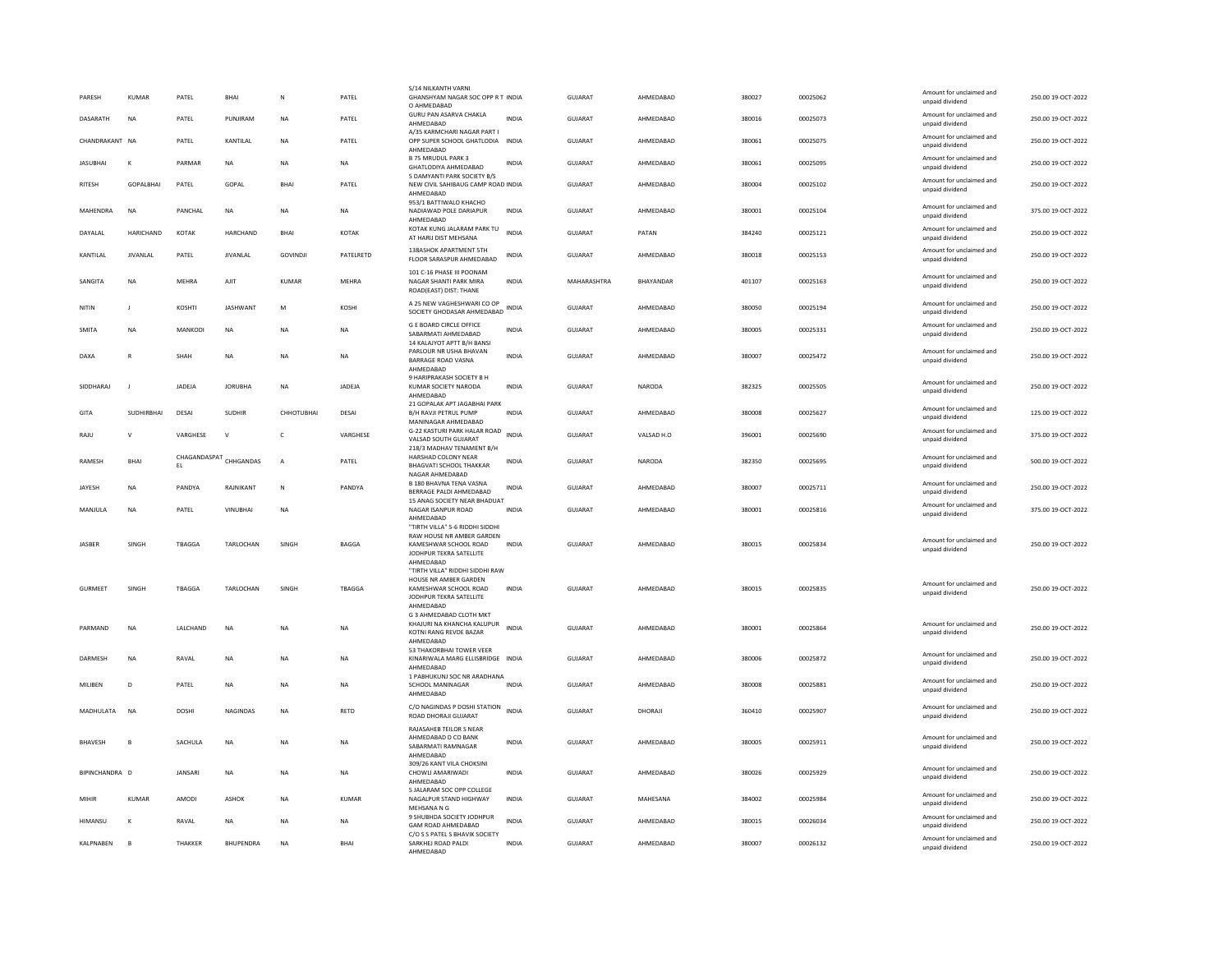| PARESH          | <b>KUMAR</b>     | PATEL                  | <b>BHAI</b>      | $\mathbb{N}$    | PATEL        | S/14 NILKANTH VARN<br>GHANSHYAM NAGAR SOC OPP R T INDIA                             |              | <b>GUJARAT</b> | AHMEDABAD  | 380027 | 00025062 | Amount for unclaimed and<br>unpaid dividend | 250.00 19-OCT-2022 |
|-----------------|------------------|------------------------|------------------|-----------------|--------------|-------------------------------------------------------------------------------------|--------------|----------------|------------|--------|----------|---------------------------------------------|--------------------|
| DASARATH        | <b>NA</b>        | PATEL                  | PUNJIRAM         | <b>NA</b>       | PATEL        | O AHMEDABAD<br>GURU PAN ASARVA CHAKLA<br>AHMEDABAD                                  | <b>INDIA</b> | GUJARAT        | AHMEDABAD  | 380016 | 00025073 | Amount for unclaimed and<br>unpaid dividend | 250.00 19-OCT-2022 |
| CHANDRAKANT NA  |                  | PATEL                  | KANTILAL         | <b>NA</b>       | PATEL        | A/35 KARMCHARI NAGAR PART I<br>OPP SUPER SCHOOL GHATLODIA INDIA                     |              | GUJARAT        | AHMEDABAD  | 380061 | 00025075 | Amount for unclaimed and<br>unpaid dividend | 250.00 19-OCT-2022 |
| <b>JASUBHAI</b> | $\mathbf{K}$     | PARMAR                 | <b>NA</b>        | <b>NA</b>       | <b>NA</b>    | AHMEDABAD<br><b>B 75 MRUDUL PARK 3</b><br><b>GHATLODIYA AHMEDABAD</b>               | <b>INDIA</b> | <b>GUJARAT</b> | AHMEDABAD  | 380061 | 00025095 | Amount for unclaimed and<br>unpaid dividend | 250.00 19-OCT-2022 |
| <b>RITESH</b>   | <b>GOPALBHAI</b> | PATEL                  | GOPAL            | BHAI            | PATEL        | 5 DAMYANTI PARK SOCIETY B/S<br>NEW CIVIL SAHIBAUG CAMP ROAD INDIA<br>AHMEDABAD      |              | <b>GUJARAT</b> | AHMEDABAD  | 380004 | 00025102 | Amount for unclaimed and<br>unpaid dividend | 250.00 19-OCT-2022 |
| MAHENDRA        | <b>NA</b>        | PANCHAL                | <b>NA</b>        | <b>NA</b>       | <b>NA</b>    | 953/1 BATTIWALO KHACHO<br>NADIAWAD POLE DARIAPUR                                    | <b>INDIA</b> | GUIARAT        | AHMFDARAD  | 380001 | 00025104 | Amount for unclaimed and<br>unpaid dividend | 375.00 19-OCT-2022 |
| DAYALAL         | HARICHAND        | KOTAK                  | HARCHAND         | BHAI            | KOTAK        | AHMEDABAD<br>KOTAK KUNG JALARAM PARK TU<br>AT HARIJ DIST MEHSANA                    | <b>INDIA</b> | GUJARAT        | PATAN      | 384240 | 00025121 | Amount for unclaimed and<br>unpaid dividend | 250.00 19-OCT-2022 |
| KANTILAL        | <b>JIVANLAL</b>  | PATEL                  | <b>JIVANLAL</b>  | <b>GOVINDJI</b> | PATELRETD    | 138ASHOK APARTMENT 5TH<br>FLOOR SARASPUR AHMEDABAD                                  | <b>INDIA</b> | GUJARAT        | AHMFDARAD  | 380018 | 00025153 | Amount for unclaimed and<br>unpaid dividend | 250.00 19-OCT-2022 |
| SANGITA         | NA               | MEHRA                  | AJIT             | <b>KUMAR</b>    | MEHRA        | 101 C-16 PHASE III POONAM<br>NAGAR SHANTI PARK MIRA                                 | <b>INDIA</b> | MAHARASHTRA    | BHAYANDAR  | 401107 | 00025163 | Amount for unclaimed and                    | 250.00 19-OCT-2022 |
|                 |                  |                        |                  |                 |              | ROAD(EAST) DIST: THANE<br>A 25 NEW VAGHESHWARI CO OP                                |              |                |            |        |          | unpaid dividend<br>Amount for unclaimed and |                    |
| NITIN           | -1               | KOSHTI                 | <b>JASHWANT</b>  | M               | KOSHI        | SOCIETY GHODASAR AHMEDABAD INDIA                                                    |              | GUJARAT        | AHMEDABAD  | 380050 | 00025194 | unpaid dividend                             | 250.00 19-OCT-2022 |
| SMITA           | NA               | MANKODI                | NA               | <b>NA</b>       | NA           | <b>G E BOARD CIRCLE OFFICE</b><br>SARARMATI AHMEDARAD<br>14 KALAJYOT APTT B/H BANSI | <b>INDIA</b> | GUJARAT        | AHMEDABAD  | 380005 | 00025331 | Amount for unclaimed and<br>unpaid dividend | 250.00 19-OCT-2022 |
| DAXA            | R                | SHAH                   | $_{\sf NA}$      | <b>NA</b>       | NA           | PARLOUR NR USHA BHAVAN<br><b>BARRAGE ROAD VASNA</b><br>AHMEDABAD                    | INDIA        | GUJARAT        | AHMEDABAD  | 380007 | 00025472 | Amount for unclaimed and<br>unpaid dividend | 250.00 19-OCT-2022 |
| SIDDHARAJ       | $\mathbf{J}$     | JADEJA                 | <b>JORUBHA</b>   | NA              | JADEJA       | 9 HARIPRAKASH SOCIETY B H<br>KUMAR SOCIETY NARODA                                   | INDIA        | GUJARAT        | NARODA     | 382325 | 00025505 | Amount for unclaimed and<br>unpaid dividend | 250.00 19-OCT-2022 |
| GITA            | SUDHIRBHAI       | DESAI                  | <b>SUDHIR</b>    | CHHOTUBHAI      | DESAI        | AHMEDABAD<br>21 GOPALAK APT JAGABHAI PARK<br>B/H RAVJI PETRUL PUMP                  | <b>INDIA</b> | GUJARAT        | AHMEDABAD  | 380008 | 00025627 | Amount for unclaimed and                    | 125.00 19-OCT-2022 |
|                 |                  |                        |                  |                 |              | MANINAGAR AHMEDARAD<br>G-22 KASTURI PARK HALAR ROAD                                 |              |                |            |        |          | unpaid dividend<br>Amount for unclaimed and |                    |
| RAIU            | $\mathsf{v}$     | VARGHESE               | $\mathsf{v}$     | $\epsilon$      | VARGHESE     | VALSAD SOUTH GUJARAT<br>218/3 MADHAV TENAMENT B/H                                   | <b>INDIA</b> | GUIARAT        | VALSAD H.O | 396001 | 00025690 | unpaid dividend                             | 375.00 19-OCT-2022 |
| RAMESH          | BHAI             | CHAGANDASPAT CHHGANDAS |                  | А               | PATEL        | HARSHAD COLONY NEAR<br><b>BHAGVATI SCHOOL THAKKAR</b><br>NAGAR AHMEDABAD            | INDIA        | GUJARAT        | NARODA     | 382350 | 00025695 | Amount for unclaimed and<br>unpaid dividend | 500.00 19-OCT-2022 |
| JAYESH          | NA               | PANDYA                 | RAJNIKANT        | N               | PANDYA       | <b>B 180 BHAVNA TENA VASNA</b><br>BERRAGE PALDI AHMEDABAD                           | <b>INDIA</b> | GUJARAT        | AHMEDABAD  | 380007 | 00025711 | Amount for unclaimed and<br>unpaid dividend | 250.00 19-OCT-2022 |
| MANJULA         | <b>NA</b>        | PATEL                  | VINURHAL         | <b>NA</b>       |              | 15 ANAG SOCIETY NEAR BHADUAT<br>NAGAR ISANPUR ROAD<br>AHMEDABAD                     | <b>INDIA</b> | GUIARAT        | AHMEDARAD  | 380001 | 00025816 | Amount for unclaimed and<br>unpaid dividend | 375.00 19-OCT-2022 |
|                 |                  |                        |                  |                 |              | "TIRTH VILLA" 5-6 RIDDHI SIDDHI<br>RAW HOUSE NR AMBER GARDEN                        |              |                |            |        |          | Amount for unclaimed and                    |                    |
| JASBER          | SINGH            | TBAGGA                 | TARLOCHAN        | SINGH           | <b>BAGGA</b> | KAMESHWAR SCHOOL ROAD<br>JODHPUR TEKRA SATELLITE                                    | <b>INDIA</b> | <b>GUJARAT</b> | AHMEDABAD  | 380015 | 00025834 | unpaid dividend                             | 250.00 19-OCT-2022 |
|                 |                  |                        |                  |                 |              | AHMEDABAD<br>"TIRTH VILLA" RIDDHI SIDDHI RAW<br>HOUSE NR AMBER GARDEN               |              |                |            |        |          |                                             |                    |
| <b>GURMEET</b>  | SINGH            | TBAGGA                 | TARLOCHAN        | SINGH           | TBAGGA       | KAMESHWAR SCHOOL ROAD<br>JODHPUR TEKRA SATELLITE                                    | <b>INDIA</b> | <b>GUJARAT</b> | AHMEDABAD  | 380015 | 00025835 | Amount for unclaimed and<br>unpaid dividend | 250.00 19-OCT-2022 |
|                 |                  |                        |                  |                 |              | AHMEDABAD<br>G 3 AHMEDABAD CLOTH MKT                                                |              |                |            |        |          |                                             |                    |
| PARMAND         | <b>NA</b>        | LALCHAND               | <b>NA</b>        | <b>NA</b>       | <b>NA</b>    | KHAJURI NA KHANCHA KALUPUR<br>KOTNI RANG REVDE BAZAR<br>AHMEDABAD                   | <b>INDIA</b> | <b>GUJARAT</b> | AHMEDABAD  | 380001 | 00025864 | Amount for unclaimed and<br>unpaid dividend | 250.00 19-OCT-2022 |
| DARMESH         | <b>NA</b>        | RAVAL                  | <b>NA</b>        | <b>NA</b>       | NA           | 53 THAKORBHAI TOWER VEER<br>KINARIWALA MARG ELLISBRIDGE INDIA<br>AHMEDABAD          |              | <b>GUJARAT</b> | AHMEDABAD  | 380006 | 00025872 | Amount for unclaimed and<br>unpaid dividend | 250.00 19-OCT-2022 |
| MILIBEN         | D                | PATEL                  | $_{\sf NA}$      | <b>NA</b>       | NA           | 1 PABHUKUNJ SOC NR ARADHANA<br>SCHOOL MANINAGAR                                     | <b>INDIA</b> | GUJARAT        | AHMEDABAD  | 380008 | 00025881 | Amount for unclaimed and<br>unpaid dividend | 250.00 19-OCT-2022 |
| MADHULATA       | <b>NA</b>        | <b>DOSHI</b>           | <b>NAGINDAS</b>  | <b>NA</b>       | RETD         | AHMEDABAD<br>C/O NAGINDAS P DOSHI STATION<br>ROAD DHORAJI GUJARAT                   | <b>INDIA</b> | <b>GUJARAT</b> | DHORAJI    | 360410 | 00025907 | Amount for unclaimed and<br>unpaid dividend | 250.00 19-OCT-2022 |
|                 |                  |                        |                  |                 |              | RAJASAHEB TEILOR S NEAR<br>AHMEDABAD D CO BANK                                      |              |                |            |        |          | Amount for unclaimed and                    |                    |
| <b>BHAVESH</b>  | B                | SACHULA                | $_{\sf NA}$      | <b>NA</b>       | NA           | SABARMATI RAMNAGAR<br>AHMEDABAD                                                     | <b>INDIA</b> | <b>GUJARAT</b> | AHMEDABAD  | 380005 | 00025911 | unpaid dividend                             | 250.00 19-OCT-2022 |
| BIPINCHANDRA D  |                  | JANSARI                | $_{\sf NA}$      | <b>NA</b>       | NA           | 309/26 KANT VILA CHOKSINI<br>CHOWLI AMARIWADI<br>AHMEDABAD                          | <b>INDIA</b> | GUJARAT        | AHMEDABAD  | 380026 | 00025929 | Amount for unclaimed and<br>unpaid dividend | 250.00 19-OCT-2022 |
| MIHIR           | <b>KUMAR</b>     | AMODI                  | <b>ASHOK</b>     | <b>NA</b>       | <b>KUMAR</b> | 5 JALARAM SOC OPP COLLEGE<br>NAGALPUR STAND HIGHWAY<br>MEHSANA N G                  | <b>INDIA</b> | <b>GUJARAT</b> | MAHESANA   | 384002 | 00025984 | Amount for unclaimed and<br>unpaid dividend | 250.00 19-OCT-2022 |
| HIMANSU         | К                | RAVAL                  | NA               | <b>NA</b>       | NA           | 9 SHUBHDA SOCIETY JODHPUR<br><b>GAM ROAD AHMEDABAD</b>                              | <b>INDIA</b> | <b>GUJARAT</b> | AHMEDABAD  | 380015 | 00026034 | Amount for unclaimed and<br>unpaid dividend | 250.00 19-OCT-2022 |
| KALPNABEN       | $\overline{B}$   | THAKKER                | <b>BHUPENDRA</b> | <b>NA</b>       | <b>BHAI</b>  | C/O S S PATEL S BHAVIK SOCIETY<br>SARKHEJ ROAD PALDI<br>AHMEDABAD                   | <b>INDIA</b> | GUJARAT        | AHMEDABAD  | 380007 | 00026132 | Amount for unclaimed and<br>unpaid dividend | 250.00 19-OCT-2022 |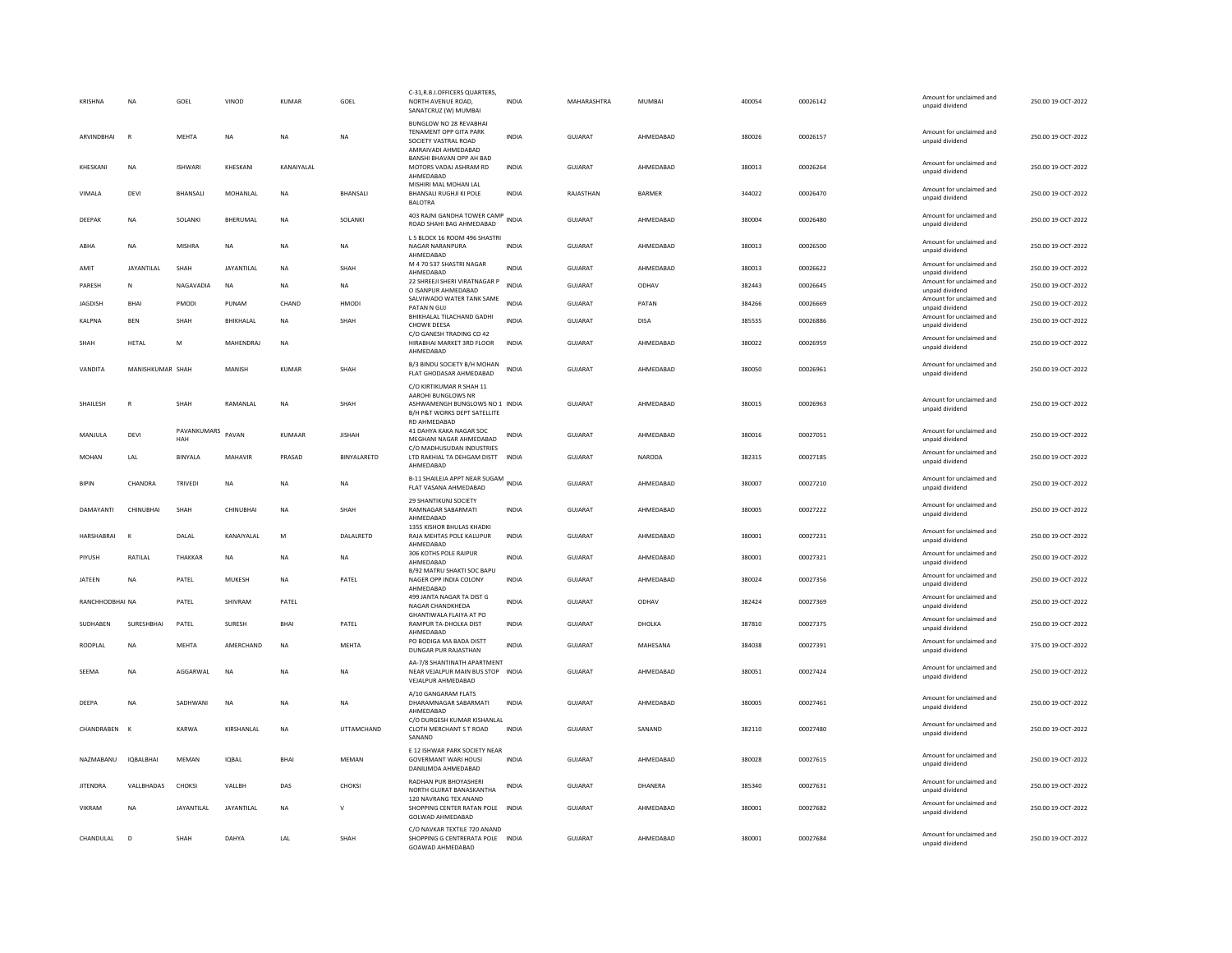| <b>KRISHNA</b>  | <b>NA</b>         | GOEL               | VINOD              | KUMAR        | GOEL              | C-31.R.B.I.OFFICERS QUARTERS.<br>NORTH AVENUE ROAD.<br>SANATCRUZ (W) MUMBAI                            | <b>INDIA</b> | MAHARASHTRA    | <b>MUMBAI</b> | 400054 | 00026142 | Amount for unclaimed and<br>unpaid dividend | 250.00 19-OCT-2022 |
|-----------------|-------------------|--------------------|--------------------|--------------|-------------------|--------------------------------------------------------------------------------------------------------|--------------|----------------|---------------|--------|----------|---------------------------------------------|--------------------|
| ARVINDBHAI      | R                 | MEHTA              | <b>NA</b>          | <b>NA</b>    | NA                | BUNGLOW NO 28 REVABHAI<br>TENAMENT OPP GITA PARK<br>SOCIETY VASTRAL ROAD<br>AMRAIVADI AHMEDABAD        | <b>INDIA</b> | <b>GUJARAT</b> | AHMEDABAD     | 380026 | 00026157 | Amount for unclaimed and<br>unpaid dividend | 250.00 19-OCT-2022 |
| KHESKANI        | NA                | <b>ISHWARI</b>     | KHESKANI           | KANAIYALAL   |                   | BANSHI BHAVAN OPP AH BAD<br>MOTORS VADAJ ASHRAM RD<br>AHMFDARAD                                        | INDIA        | GUJARAT        | AHMEDABAD     | 380013 | 00026264 | Amount for unclaimed and<br>unpaid dividend | 250.00 19-OCT-2022 |
| VIMALA          | DEVI              | BHANSALI           | MOHANLAL           | <b>NA</b>    | <b>BHANSALI</b>   | MISHIRI MAL MOHAN LAL<br><b>BHANSALI RUGHJI KI POLE</b><br><b>BALOTRA</b>                              | <b>INDIA</b> | RAJASTHAN      | BARMER        | 344022 | 00026470 | Amount for unclaimed and<br>unpaid dividend | 250.00 19-OCT-2022 |
| DEEPAK          | NA                | SOLANKI            | BHERUMAL           | <b>NA</b>    | SOLANKI           | 403 RAJNI GANDHA TOWER CAMP<br>ROAD SHAHI BAG AHMEDABAD                                                | INDIA        | <b>GUJARAT</b> | AHMEDABAD     | 380004 | 00026480 | Amount for unclaimed and<br>unpaid dividend | 250.00 19-OCT-2022 |
| ABHA            | NA                | MISHRA             | <b>NA</b>          | <b>NA</b>    | NA                | L 5 BLOCK 16 ROOM 496 SHASTRI<br>NAGAR NARANPURA<br>AHMEDABAD                                          | INDIA        | GUJARAT        | AHMEDABAD     | 380013 | 00026500 | Amount for unclaimed and<br>unpaid dividend | 250.00 19-OCT-2022 |
| AMIT            | <b>JAYANTILAL</b> | SHAH               | <b>JAYANTII AI</b> | <b>NA</b>    | SHAH              | M 4 70 537 SHASTRI NAGAR<br>AHMEDABAD                                                                  | <b>INDIA</b> | <b>GUJARAT</b> | AHMEDABAD     | 380013 | 00026622 | Amount for unclaimed and<br>unpaid dividend | 250.00 19-OCT-2022 |
| PARESH          | N                 | NAGAVADIA          | <b>NA</b>          | <b>NA</b>    | NA                | 22 SHREEJI SHERI VIRATNAGAR P<br>O ISANPUR AHMEDABAD                                                   | <b>INDIA</b> | <b>GUJARAT</b> | ODHAV         | 382443 | 00026645 | Amount for unclaimed and<br>unpaid dividend | 250.00 19-OCT-2022 |
| <b>JAGDISH</b>  | <b>BHAI</b>       | PMODI              | PUNAM              | CHAND        | HMODI             | SALVIWADO WATER TANK SAME                                                                              | <b>INDIA</b> | GUJARAT        | PATAN         | 384266 | 00026669 | Amount for unclaimed and                    | 250.00 19-OCT-2022 |
| KALPNA          | <b>BEN</b>        | SHAH               | <b>BHIKHALAL</b>   | <b>NA</b>    | SHAH              | PATAN N GUJ<br>BHIKHALAL TILACHAND GADHI                                                               | <b>INDIA</b> | GUJARAT        | <b>DISA</b>   | 385535 | 00026886 | unpaid dividend<br>Amount for unclaimed and | 250.00 19-OCT-2022 |
|                 |                   |                    |                    |              |                   | CHOWK DEESA<br>C/O GANESH TRADING CO 42                                                                |              |                |               |        |          | unpaid dividend                             |                    |
| SHAH            | <b>HETAL</b>      | M                  | MAHENDRAJ          | NA           |                   | HIRABHAI MARKET 3RD FLOOR<br>AHMEDABAD                                                                 | INDIA        | GUJARAT        | AHMEDABAD     | 380022 | 00026959 | Amount for unclaimed and<br>unpaid dividend | 250.00 19-OCT-2022 |
| VANDITA         | MANISHKUMAR SHAH  |                    | MANISH             | <b>KUMAR</b> | SHAH              | B/3 BINDU SOCIETY B/H MOHAN<br>FLAT GHODASAR AHMEDABAD                                                 | <b>INDIA</b> | <b>GUJARAT</b> | AHMEDABAD     | 380050 | 00026961 | Amount for unclaimed and<br>unpaid dividend | 250.00 19-OCT-2022 |
|                 |                   |                    |                    |              |                   | C/O KIRTIKUMAR R SHAH 11                                                                               |              |                |               |        |          |                                             |                    |
| SHAILESH        | $\mathbb{R}$      | SHAH               | RAMANLAL           | NA           | SHAH              | AAROHI BUNGLOWS NR<br>ASHWAMENGH BUNGLOWS NO 1 INDIA<br>B/H P&T WORKS DEPT SATELLITE                   |              | <b>GUJARAT</b> | AHMEDABAD     | 380015 | 00026963 | Amount for unclaimed and<br>unpaid dividend | 250.00 19-OCT-2022 |
| <b>MANIULA</b>  | DEVI              | PAVANKUMARS<br>HAH | PAVAN              | KUMAAR       | <b>IISHAH</b>     | <b>RD AHMEDARAD</b><br>41 DAHYA KAKA NAGAR SOC<br>MEGHANI NAGAR AHMEDABAD<br>C/O MADHUSUDAN INDUSTRIES | <b>INDIA</b> | <b>GUJARAT</b> | AHMFDARAD     | 380016 | 00027051 | Amount for unclaimed and<br>unpaid dividend | 250.00 19-OCT-2022 |
| <b>MOHAN</b>    | LAL               | BINYALA            | MAHAVIR            | PRASAD       | BINYALARETD       | LTD RAKHIAL TA DEHGAM DISTT<br>AHMEDABAD                                                               | <b>INDIA</b> | GUJARAT        | NARODA        | 382315 | 00027185 | Amount for unclaimed and<br>unpaid dividend | 250.00 19-OCT-2022 |
| <b>BIPIN</b>    | CHANDRA           | <b>TRIVEDI</b>     | <b>NA</b>          | <b>NA</b>    | <b>NA</b>         | B-11 SHAILEJA APPT NEAR SUGAM INDIA<br>FLAT VASANA AHMEDABAD                                           |              | GUIARAT        | AHMEDARAD     | 380007 | 00027210 | Amount for unclaimed and<br>unpaid dividend | 250.00.19-OCT-2022 |
| DAMAYANTI       | CHINUBHAI         | SHAH               | CHINUBHAI          | NA           | SHAH              | 29 SHANTIKUNJ SOCIETY<br>RAMNAGAR SABARMATI<br>AHMEDABAD                                               | <b>INDIA</b> | GUJARAT        | AHMEDABAD     | 380005 | 00027222 | Amount for unclaimed and<br>unpaid dividend | 250.00 19-OCT-2022 |
| HARSHABRAI      |                   | DALAL              | KANAIYALAL         | ${\sf M}$    | DALALRETD         | 1355 KISHOR BHULAS KHADKI<br>RAJA MEHTAS POLE KALUPUR<br>AHMEDABAD                                     | INDIA        | GUJARAT        | AHMEDABAD     | 380001 | 00027231 | Amount for unclaimed and<br>unpaid dividend | 250.00 19-OCT-2022 |
| PIYUSH          | RATILAL           | THAKKAR            | <b>NA</b>          | NA           | NA                | 306 KOTHS POLE RAIPUR<br>AHMFDARAD                                                                     | <b>INDIA</b> | GUJARAT        | AHMEDABAD     | 380001 | 00027321 | Amount for unclaimed and<br>unpaid dividend | 250.00 19-OCT-2022 |
| <b>JATEEN</b>   | <b>NA</b>         | PATEL              | MUKESH             | <b>NA</b>    | PATEL             | B/92 MATRU SHAKTI SOC BAPU<br>NAGER OPP INDIA COLONY<br>AHMEDABAD                                      | <b>INDIA</b> | <b>GUJARAT</b> | AHMEDABAD     | 380024 | 00027356 | Amount for unclaimed and<br>unpaid dividend | 250.00 19-OCT-2022 |
| RANCHHODBHAI NA |                   | PATEL              | SHIVRAM            | PATEL        |                   | 499 JANTA NAGAR TA DIST G<br>NAGAR CHANDKHEDA                                                          | <b>INDIA</b> | GUJARAT        | ODHAV         | 382424 | 00027369 | Amount for unclaimed and<br>unpaid dividend | 250.00 19-OCT-2022 |
| SUDHABEN        | SURESHBHAI        | PATEL              | SURESH             | <b>BHAI</b>  | PATEL             | GHANTIWALA FLAIYA AT PO<br>RAMPUR TA-DHOLKA DIST<br>AHMEDABAD                                          | <b>INDIA</b> | <b>GUJARAT</b> | DHOLKA        | 387810 | 00027375 | Amount for unclaimed and<br>unpaid dividend | 250.00 19-OCT-2022 |
| ROOPLAL         | NA                | MEHTA              | AMERCHAND          | NA           | MEHTA             | PO BODIGA MA BADA DISTT<br>DUNGAR PUR RAJASTHAN                                                        | INDIA        | GUJARAT        | MAHESANA      | 384038 | 00027391 | Amount for unclaimed and<br>unpaid dividend | 375.00 19-OCT-2022 |
| SEEMA           | <b>NA</b>         | AGGARWAL           | <b>NA</b>          | <b>NA</b>    | <b>NA</b>         | AA-7/8 SHANTINATH APARTMENT<br>NEAR VEJALPUR MAIN BUS STOP INDIA<br>VEJALPUR AHMEDABAD                 |              | <b>GUJARAT</b> | AHMEDABAD     | 380051 | 00027424 | Amount for unclaimed and<br>unpaid dividend | 250.00 19-OCT-2022 |
| DEEPA           | NA                | SADHWANI           | NA                 | NA           | NA                | A/10 GANGARAM FLATS<br>DHARAMNAGAR SABARMATI<br>AHMEDABAD                                              | INDIA        | GUJARAT        | AHMEDABAD     | 380005 | 00027461 | Amount for unclaimed and<br>unpaid dividend | 250.00 19-OCT-2022 |
| CHANDRAREN      | $\mathbf{K}$      | KARWA              | <b>KIRSHANI AI</b> | <b>NA</b>    | <b>UTTAMCHAND</b> | C/O DURGESH KUMAR KISHANLAL<br>CLOTH MERCHANT S T ROAD<br>SANAND                                       | <b>INDIA</b> | GUIARAT        | SANAND        | 382110 | 00027480 | Amount for unclaimed and<br>unpaid dividend | 250.00.19-OCT-2022 |
| NA7MARANU       | <b>IOBAI BHAI</b> | MFMAN              | <b>IOBAL</b>       | <b>RHAI</b>  | MFMAN             | E 12 ISHWAR PARK SOCIETY NEAR<br><b>GOVERMANT WARI HOUSI</b><br>DANILIMDA AHMEDABAD                    | <b>INDIA</b> | GUIARAT        | AHMEDARAD     | 380028 | 00027615 | Amount for unclaimed and<br>unpaid dividend | 250.00 19-OCT-2022 |
| <b>JITENDRA</b> | VALLBHADAS        | CHOKSI             | VALLBH             | DAS          | CHOKSI            | RADHAN PUR BHOYASHERI<br>NORTH GUJRAT BANASKANTHA                                                      | <b>INDIA</b> | GUJARAT        | DHANERA       | 385340 | 00027631 | Amount for unclaimed and<br>unpaid dividend | 250.00 19-OCT-2022 |
| <b>VIKRAM</b>   | <b>NA</b>         | <b>JAYANTILAI</b>  | <b>JAYANTII AI</b> | <b>NA</b>    | $\mathsf{v}$      | 120 NAVRANG TEX ANAND<br>SHOPPING CENTER RATAN POLE INDIA<br>GOLWAD AHMEDABAD                          |              | GUIARAT        | AHMEDARAD     | 380001 | 00027682 | Amount for unclaimed and<br>unpaid dividend | 250.00.19-OCT-2022 |
| CHANDULAL       | D                 | SHAH               | DAHYA              | LAL          | SHAH              | C/O NAVKAR TEXTILE 720 ANAND<br>SHOPPING G CENTRERATA POLE INDIA<br>GOAWAD AHMEDABAD                   |              | GUJARAT        | AHMEDABAD     | 380001 | 00027684 | Amount for unclaimed and<br>unpaid dividend | 250.00 19-OCT-2022 |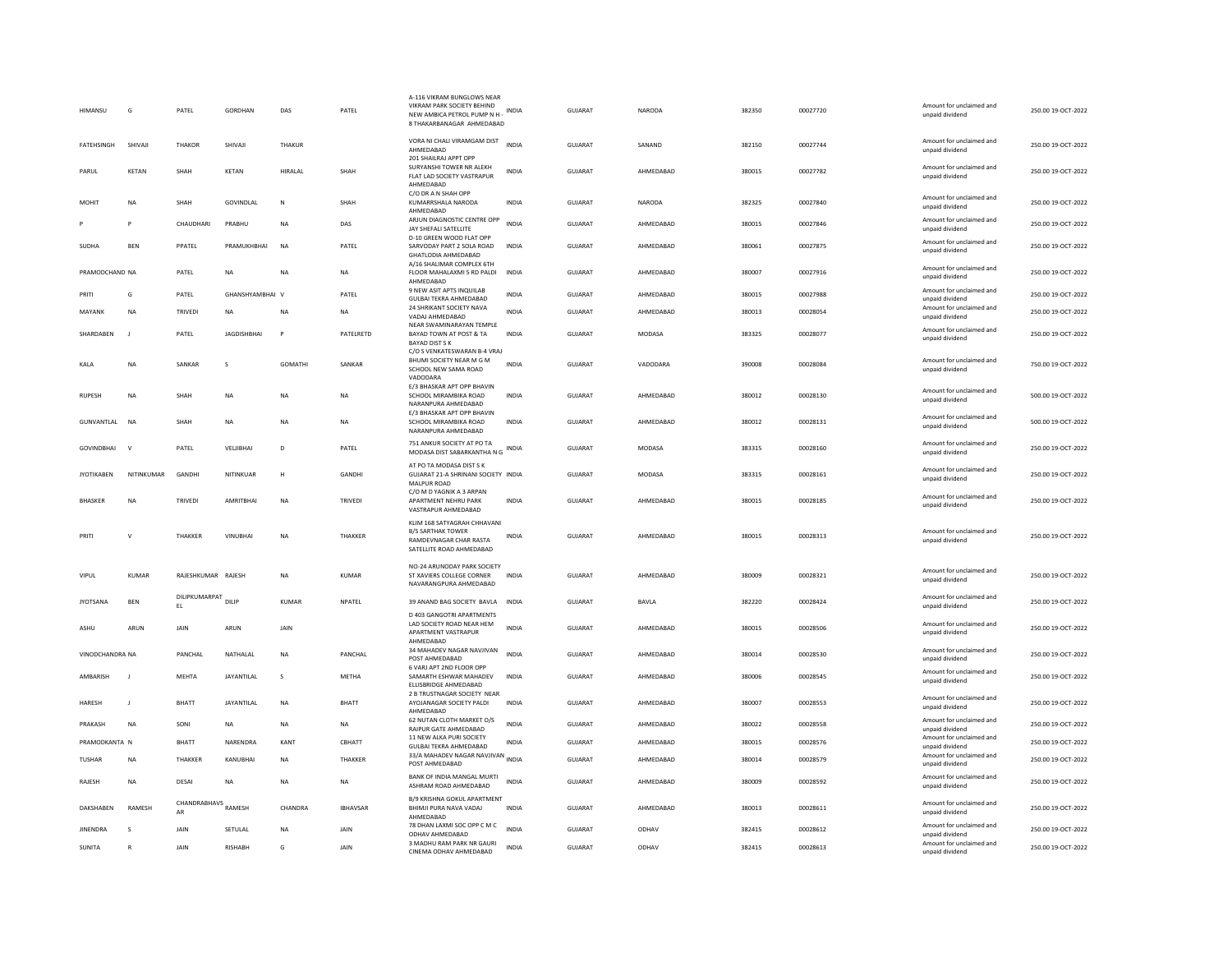| HIMANSU           | G              | PATEL                      | GORDHAN            | DAS       | PATEL           | A-116 VIKRAM BUNGLOWS NEAR<br>VIKRAM PARK SOCIETY BEHIND<br>NEW AMBICA PETROL PUMP N H -<br>8 THAKARBANAGAR AHMEDABAD | <b>INDIA</b> | GUJARAT        | <b>NARODA</b> | 382350 | 00027720 | Amount for unclaimed and<br>unpaid dividend | 250.00 19-OCT-2022 |
|-------------------|----------------|----------------------------|--------------------|-----------|-----------------|-----------------------------------------------------------------------------------------------------------------------|--------------|----------------|---------------|--------|----------|---------------------------------------------|--------------------|
| <b>FATEHSINGH</b> | SHIVAJI        | THAKOR                     | SHIVAJI            | THAKUR    |                 | VORA NI CHALI VIRAMGAM DIST<br>AHMEDABAD<br>201 SHAILRAJ APPT OPP                                                     | <b>INDIA</b> | GUJARAT        | SANAND        | 382150 | 00027744 | Amount for unclaimed and<br>unpaid dividend | 250.00 19-OCT-2022 |
| PARUL             | KETAN          | SHAH                       | KETAN              | HIRALAL   | SHAH            | SURYANSHI TOWER NR ALEKH<br>FLAT LAD SOCIETY VASTRAPUR<br>AHMEDABAD                                                   | INDIA        | GUJARAT        | AHMEDABAD     | 380015 | 00027782 | Amount for unclaimed and<br>unpaid dividend | 250.00 19-OCT-2022 |
| MOHIT             | <b>NA</b>      | SHAH                       | GOVINDLAL          | N         | SHAH            | C/O DR A N SHAH OPP<br>KUMARRSHALA NARODA<br>AHMEDABAD                                                                | <b>INDIA</b> | GUJARAT        | NARODA        | 382325 | 00027840 | Amount for unclaimed and<br>unpaid dividend | 250.00 19-OCT-2022 |
|                   | P              | CHAUDHARI                  | PRABHU             | <b>NA</b> | DAS             | ARJUN DIAGNOSTIC CENTRE OPP<br>JAY SHEFALI SATELLITE                                                                  | <b>INDIA</b> | GUJARAT        | AHMEDABAD     | 380015 | 00027846 | Amount for unclaimed and<br>unpaid dividend | 250.00 19-OCT-2022 |
| <b>SUDHA</b>      | <b>BEN</b>     | PPATEL                     | PRAMUKHBHAI        | <b>NA</b> | PATEL           | D-10 GREEN WOOD FLAT OPP<br>SARVODAY PART 2 SOLA ROAD<br>GHATLODIA AHMEDABAD                                          | <b>INDIA</b> | <b>GUJARAT</b> | AHMEDABAD     | 380061 | 00027875 | Amount for unclaimed and<br>unpaid dividend | 250.00 19-OCT-2022 |
| PRAMODCHAND NA    |                | PATEL                      | <b>NA</b>          | NA        | <b>NA</b>       | A/16 SHALIMAR COMPLEX 6TH<br>FLOOR MAHALAXMI 5 RD PALDI<br>AHMEDABAD                                                  | <b>INDIA</b> | GUJARAT        | AHMEDABAD     | 380007 | 00027916 | Amount for unclaimed and<br>unpaid dividend | 250.00 19-OCT-2022 |
| PRITI             | G              | PATEL                      | GHANSHYAMBHAI V    |           | PATEL           | 9 NEW ASIT APTS INQUILAB<br><b>GULBAI TEKRA AHMEDABAD</b>                                                             | <b>INDIA</b> | <b>GUJARAT</b> | AHMEDABAD     | 380015 | 00027988 | Amount for unclaimed and<br>unpaid dividend | 250.00 19-OCT-2022 |
| MAYANK            | <b>NA</b>      | TRIVEDI                    | <b>NA</b>          | NA        | <b>NA</b>       | 24 SHRIKANT SOCIETY NAVA<br>VADAJ AHMEDABAD                                                                           | <b>INDIA</b> | <b>GUJARAT</b> | AHMEDABAD     | 380013 | 00028054 | Amount for unclaimed and<br>unpaid dividend | 250.00 19-OCT-2022 |
| SHARDABEN         | J              | PATEL                      | <b>JAGDISHBHAI</b> |           | PATELRETD       | NEAR SWAMINARAYAN TEMPLE<br>BAYAD TOWN AT POST & TA<br><b>BAYAD DIST S K</b>                                          | <b>INDIA</b> | GUJARAT        | <b>MODASA</b> | 383325 | 00028077 | Amount for unclaimed and<br>unpaid dividend | 250.00 19-OCT-2022 |
| KALA              | NA             | SANKAR                     | s                  | GOMATHI   | SANKAR          | C/O S VENKATESWARAN B-4 VRAJ<br>BHUMI SOCIETY NEAR M G M<br>SCHOOL NEW SAMA ROAD                                      | INDIA        | GUJARAT        | VADODARA      | 390008 | 00028084 | Amount for unclaimed and<br>unpaid dividend | 750.00 19-OCT-2022 |
| <b>RUPESH</b>     | NA             | SHAH                       | <b>NA</b>          | <b>NA</b> | <b>NA</b>       | VADODARA<br>E/3 BHASKAR APT OPP BHAVIN<br>SCHOOL MIRAMBIKA ROAD<br>NARANPURA AHMEDARAD                                | <b>INDIA</b> | <b>GUJARAT</b> | AHMEDABAD     | 380012 | 00028130 | Amount for unclaimed and<br>unpaid dividend | 500.00 19-OCT-2022 |
| GUNVANTLAL        | <b>NA</b>      | SHAH                       | <b>NA</b>          | <b>NA</b> | <b>NA</b>       | E/3 BHASKAR APT OPP BHAVIN<br>SCHOOL MIRAMBIKA ROAD<br>NARANPURA AHMEDABAD                                            | <b>INDIA</b> | <b>GUJARAT</b> | AHMEDABAD     | 380012 | 00028131 | Amount for unclaimed and<br>unpaid dividend | 500.00 19-OCT-2022 |
| <b>GOVINDBHAI</b> | $\mathbf{v}$   | PATEL                      | VELJIBHAI          | D         | PATEL           | 751 ANKUR SOCIETY AT PO TA<br>MODASA DIST SABARKANTHA N G                                                             | <b>INDIA</b> | GUJARAT        | <b>MODASA</b> | 383315 | 00028160 | Amount for unclaimed and<br>unpaid dividend | 250.00 19-OCT-2022 |
| <b>JYOTIKABEN</b> | NITINKUMAR     | GANDHI                     | NITINKUAR          | Н         | GANDHI          | AT PO TA MODASA DIST S K<br>GUJARAT 21-A SHRINANI SOCIETY INDIA<br>MALPUR ROAD                                        |              | <b>GUJARAT</b> | <b>MODASA</b> | 383315 | 00028161 | Amount for unclaimed and<br>unpaid dividend | 250.00 19-OCT-2022 |
| <b>BHASKER</b>    | <b>NA</b>      | TRIVEDI                    | AMRITBHAI          | <b>NA</b> | TRIVEDI         | C/O M D YAGNIK A 3 ARPAN<br>APARTMENT NEHRU PARK<br>VASTRAPUR AHMEDABAD                                               | <b>INDIA</b> | GUJARAT        | AHMEDABAD     | 380015 | 00028185 | Amount for unclaimed and<br>unpaid dividend | 250.00 19-OCT-2022 |
| PRITI             | Ń              | THAKKER                    | VINUBHAI           | <b>NA</b> | THAKKER         | KLIM 168 SATYAGRAH CHHAVANI<br><b>B/S SARTHAK TOWER</b><br>RAMDEVNAGAR CHAR RASTA<br>SATELLITE ROAD AHMEDABAD         | <b>INDIA</b> | GUJARAT        | AHMEDABAD     | 380015 | 00028313 | Amount for unclaimed and<br>unpaid dividend | 250.00 19-OCT-2022 |
| VIPUL             | KUMAR          | RAJESHKUMAR RAJESH         |                    | <b>NA</b> | KUMAR           | NO-24 ARUNODAY PARK SOCIETY<br>ST XAVIERS COLLEGE CORNER<br>NAVARANGPURA AHMEDABAD                                    | <b>INDIA</b> | GUIARAT        | AHMEDARAD     | 380009 | 00028321 | Amount for unclaimed and<br>unpaid dividend | 250.00 19-OCT-2022 |
| <b>JYOTSANA</b>   | <b>BEN</b>     | DILIPKUMARPAT DILIP<br>EL. |                    | KUMAR     | NPATEL          | 39 ANAND BAG SOCIETY BAVLA INDIA                                                                                      |              | GUJARAT        | BAVLA         | 382220 | 00028424 | Amount for unclaimed and<br>unpaid dividend | 250.00 19-OCT-2022 |
| ASHU              | ARUN           | JAIN                       | ARUN               | JAIN      |                 | D 403 GANGOTRI APARTMENTS<br>LAD SOCIETY ROAD NEAR HEM<br>APARTMENT VASTRAPUR                                         | <b>INDIA</b> | GUJARAT        | AHMEDABAD     | 380015 | 00028506 | Amount for unclaimed and<br>unpaid dividend | 250.00 19-OCT-2022 |
| VINODCHANDRA NA   |                | <b>PANCHAI</b>             | NATHALAL           | <b>NA</b> | PANCHAI         | AHMFDARAD<br>34 MAHADEV NAGAR NAVJIVAN<br>POST AHMEDABAD                                                              | <b>INDIA</b> | GUIARAT        | AHMEDARAD     | 380014 | 00028530 | Amount for unclaimed and<br>unpaid dividend | 250.00 19-OCT-2022 |
| AMBARISH          | $\blacksquare$ | MEHTA                      | JAYANTILAL         | s         | METHA           | 6 VARJ APT 2ND FLOOR OPP<br>SAMARTH ESHWAR MAHADEV<br>ELLISBRIDGE AHMEDABAD                                           | <b>INDIA</b> | GUJARAT        | AHMEDABAD     | 380006 | 00028545 | Amount for unclaimed and<br>unpaid dividend | 250.00 19-OCT-2022 |
| <b>HARFSH</b>     | $\mathbf{I}$   | <b>BHATT</b>               | <b>JAYANTILAI</b>  | <b>NA</b> | <b>BHATT</b>    | 2 B TRUSTNAGAR SOCIETY NEAR<br>AYOJANAGAR SOCIETY PALDI<br>AHMEDABAD                                                  | <b>INDIA</b> | GUIARAT        | AHMEDARAD     | 380007 | 00028553 | Amount for unclaimed and<br>unpaid dividend | 250.00 19-OCT-2022 |
| PRAKASH           | <b>NA</b>      | SONI                       | NA                 | <b>NA</b> | NA              | 62 NUTAN CLOTH MARKET O/S<br>RAIPUR GATE AHMEDABAD                                                                    | <b>INDIA</b> | GUJARAT        | AHMEDABAD     | 380022 | 00028558 | Amount for unclaimed and<br>unpaid dividend | 250.00 19-OCT-2022 |
| PRAMODKANTA N     |                | <b>BHATT</b>               | NARENDRA           | KANT      | CBHATT          | 11 NEW ALKA PURI SOCIETY<br><b>GULBAI TEKRA AHMEDABAD</b>                                                             | INDIA        | GUJARAT        | AHMEDABAD     | 380015 | 00028576 | Amount for unclaimed and<br>unpaid dividend | 250.00 19-OCT-2022 |
| <b>TUSHAR</b>     | NA             | THAKKER                    | KANUBHAI           | NΑ        | THAKKER         | 33/A MAHADEV NAGAR NAVJIVAN INDIA<br>POST AHMEDABAD                                                                   |              | GUJARAT        | AHMEDABAD     | 380014 | 00028579 | Amount for unclaimed and<br>unpaid dividend | 250.00 19-OCT-2022 |
| RAJESH            | NA             | DESAI                      | NA                 | <b>NA</b> | <b>NA</b>       | BANK OF INDIA MANGAL MURTI<br>ASHRAM ROAD AHMEDABAD                                                                   | <b>INDIA</b> | GUJARAT        | AHMEDABAD     | 380009 | 00028592 | Amount for unclaimed and<br>unpaid dividend | 250.00 19-OCT-2022 |
| DAKSHABEN         | RAMESH         | CHANDRABHAVS RAMESH        |                    | CHANDRA   | <b>IBHAVSAR</b> | <b>B/9 KRISHNA GOKUL APARTMENT</b><br>BHIMJI PURA NAVA VADAJ<br>AHMEDABAD                                             | INDIA        | <b>GUJARAT</b> | AHMEDABAD     | 380013 | 00028611 | Amount for unclaimed and<br>unpaid dividend | 250.00 19-OCT-2022 |
| <b>JINENDRA</b>   | s              | JAIN                       | SETULAL            | <b>NA</b> | JAIN            | 78 DHAN LAXMI SOC OPP C M C<br>ODHAV AHMEDABAD                                                                        | <b>INDIA</b> | GUJARAT        | ODHAV         | 382415 | 00028612 | Amount for unclaimed and<br>unpaid dividend | 250.00 19-OCT-2022 |
| SUNITA            | R              | JAIN                       | <b>RISHABH</b>     | G         | JAIN            | 3 MADHU RAM PARK NR GAURI<br>CINEMA ODHAV AHMEDABAD                                                                   | <b>INDIA</b> | GUJARAT        | ODHAV         | 382415 | 00028613 | Amount for unclaimed and<br>unpaid dividend | 250.00 19-OCT-2022 |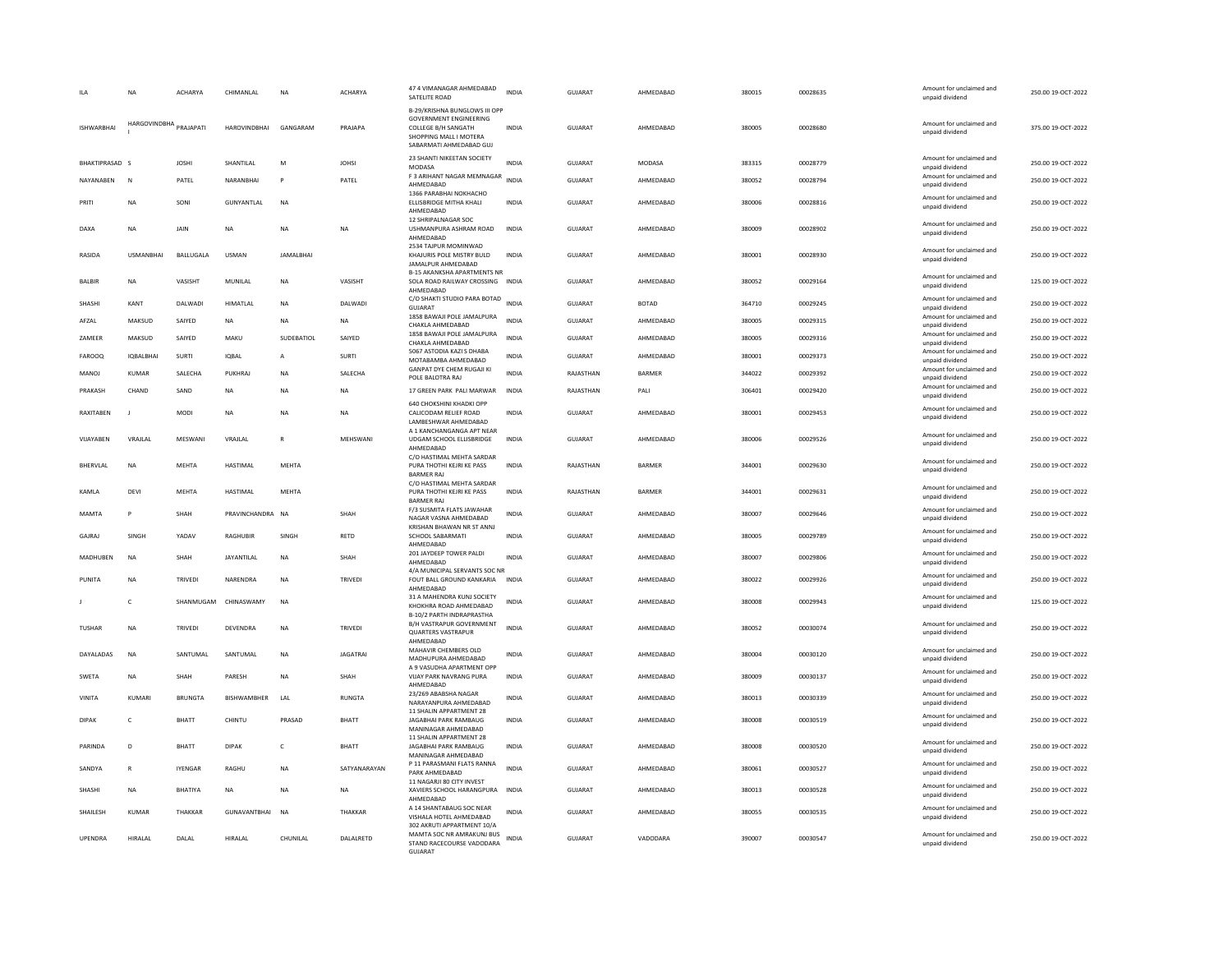|                   | NA                     | ACHARYA        | CHIMANLAL           | NA               | ACHARYA         | 47 4 VIMANAGAR AHMEDABAD<br>SATELITE ROAD                                                                                                  | <b>INDIA</b> | GUJARAT        | AHMEDABAD     | 380015 | 00028635 | Amount for unclaimed and<br>unpaid dividend | 250.00 19-OCT-2022 |
|-------------------|------------------------|----------------|---------------------|------------------|-----------------|--------------------------------------------------------------------------------------------------------------------------------------------|--------------|----------------|---------------|--------|----------|---------------------------------------------|--------------------|
| <b>ISHWARBHAI</b> | HARGOVINDBHA PRAJAPATI |                | <b>HAROVINDBHAI</b> | GANGARAM         | PRAJAPA         | B-29/KRISHNA BUNGLOWS III OPP<br><b>GOVERNMENT ENGINEERING</b><br>COLLEGE B/H SANGATH<br>SHOPPING MALL I MOTERA<br>SABARMATI AHMEDABAD GUJ | <b>INDIA</b> | <b>GUJARAT</b> | AHMEDABAD     | 380005 | 00028680 | Amount for unclaimed and<br>unpaid dividend | 375.00 19-OCT-2022 |
| BHAKTIPRASAD S    |                        | <b>JOSHI</b>   | SHANTILAL           | M                | <b>JOHSI</b>    | 23 SHANTI NIKEETAN SOCIETY<br>MODASA                                                                                                       | <b>INDIA</b> | GUJARAT        | MODASA        | 383315 | 00028779 | Amount for unclaimed and<br>unpaid dividend | 250.00 19-OCT-2022 |
| NAYANABEN         | $\mathbb N$            | PATEL          | NARANBHAI           | P                | PATEL           | F 3 ARIHANT NAGAR MEMNAGAR<br>AHMEDABAD                                                                                                    | INDIA        | GUJARAT        | AHMEDABAD     | 380052 | 00028794 | Amount for unclaimed and<br>unpaid dividend | 250.00 19-OCT-2022 |
| PRITI             | <b>NA</b>              | SONI           | GUNYANTLAL          | <b>NA</b>        |                 | 1366 PARABHAI NOKHACHO<br>ELLISBRIDGE MITHA KHALI<br>AHMEDABAD                                                                             | <b>INDIA</b> | GUIARAT        | AHMEDARAD     | 380006 | 00028816 | Amount for unclaimed and<br>unpaid dividend | 250.00 19-OCT-2022 |
| DAXA              | <b>NA</b>              | JAIN           | <b>NA</b>           | <b>NA</b>        | <b>NA</b>       | 12 SHRIPALNAGAR SOC<br>USHMANPURA ASHRAM ROAD<br>AHMEDABAD                                                                                 | <b>INDIA</b> | <b>GUJARAT</b> | AHMEDABAD     | 380009 | 00028902 | Amount for unclaimed and<br>unpaid dividend | 250.00 19-OCT-2022 |
| RASIDA            | <b>USMANBHAI</b>       | BALLUGALA      | <b>USMAN</b>        | <b>JAMALBHAI</b> |                 | 2534 TAJPUR MOMINWAD<br>KHAJURIS POLE MISTRY BULD<br>JAMALPUR AHMEDABAD                                                                    | INDIA        | GUJARAT        | AHMEDABAD     | 380001 | 00028930 | Amount for unclaimed and<br>unpaid dividend | 250.00 19-OCT-2022 |
| BALBIR            | NA                     | VASISHT        | MUNILAL             | NΑ               | VASISHT         | <b>B-15 AKANKSHA APARTMENTS NR</b><br>SOLA ROAD RAILWAY CROSSING INDIA<br>AHMEDABAD                                                        |              | <b>GUJARAT</b> | AHMEDABAD     | 380052 | 00029164 | Amount for unclaimed and<br>unpaid dividend | 125.00 19-OCT-2022 |
| SHASHI            | KANT                   | DALWADI        | <b>HIMATIAI</b>     | <b>NA</b>        | DAI WADI        | C/O SHAKTI STUDIO PARA BOTAD<br><b>GUJARAT</b>                                                                                             | <b>INDIA</b> | <b>GUJARAT</b> | <b>BOTAD</b>  | 364710 | 00029245 | Amount for unclaimed and<br>unpaid dividend | 250.00 19-OCT-2022 |
| AFZAL             | MAKSUD                 | SAIYED         | <b>NA</b>           | <b>NA</b>        | <b>NA</b>       | 1858 BAWAJI POLE JAMALPURA<br>CHAKLA AHMEDABAD                                                                                             | <b>INDIA</b> | GUJARAT        | AHMEDABAD     | 380005 | 00029315 | Amount for unclaimed and<br>unpaid dividend | 250.00 19-OCT-2022 |
| ZAMEER            | MAKSUD                 | SAIYED         | MAKU                | SUDEBATIOL       | SAIYED          | 1858 BAWAJI POLE JAMALPURA<br>CHAKLA AHMEDABAD                                                                                             | <b>INDIA</b> | <b>GUJARAT</b> | AHMEDABAD     | 380005 | 00029316 | Amount for unclaimed and<br>unpaid dividend | 250.00 19-OCT-2022 |
| FAROOQ            | IQBALBHAI              | SURTI          | IQBAL               | A                | SURTI           | 5067 ASTODIA KAZI S DHABA<br>MOTABAMBA AHMEDABAD                                                                                           | <b>INDIA</b> | GUJARAT        | AHMEDABAD     | 380001 | 00029373 | Amount for unclaimed and<br>unpaid dividend | 250.00 19-OCT-2022 |
| MANOJ             | KUMAR                  | SALECHA        | PUKHRAI             | <b>NA</b>        | SALECHA         | <b>GANPAT DYE CHEM RUGAJI KI</b><br>POLE BALOTRA RAJ                                                                                       | <b>INDIA</b> | RAJASTHAN      | <b>BARMER</b> | 344022 | 00029392 | Amount for unclaimed and<br>unpaid dividend | 250.00 19-OCT-2022 |
| PRAKASH           | CHAND                  | SAND           | <b>NA</b>           | <b>NA</b>        | <b>NA</b>       | 17 GREEN PARK PALI MARWAR                                                                                                                  | <b>INDIA</b> | RAJASTHAN      | PALI          | 306401 | 00029420 | Amount for unclaimed and<br>unpaid dividend | 250.00 19-OCT-2022 |
| RAXITABEN         |                        | MODI           | <b>NA</b>           | NΑ               | NA              | 640 CHOKSHINI KHADKI OPP<br>CALICODAM RELIEF ROAD<br>LAMBESHWAR AHMEDABAD                                                                  | INDIA        | GUJARAT        | AHMEDABAD     | 380001 | 00029453 | Amount for unclaimed and<br>unpaid dividend | 250.00 19-OCT-2022 |
| VIJAYABEN         | VRAJLAL                | MESWANI        | VRAJLAL             | $\mathsf{R}$     | MEHSWANI        | A 1 KANCHANGANGA APT NEAR<br>UDGAM SCHOOL ELLISBRIDGE<br>AHMEDABAD                                                                         | <b>INDIA</b> | <b>GUJARAT</b> | AHMEDABAD     | 380006 | 00029526 | Amount for unclaimed and<br>unpaid dividend | 250.00 19-OCT-2022 |
| BHERVLAL          | NA                     | MEHTA          | HASTIMAL            | MEHTA            |                 | C/O HASTIMAL MEHTA SARDAR<br>PURA THOTHI KEJRI KE PASS<br><b>BARMER RAJ</b>                                                                | INDIA        | RAJASTHAN      | <b>BARMER</b> | 344001 | 00029630 | Amount for unclaimed and<br>unpaid dividend | 250.00 19-OCT-2022 |
| KAMLA             | DEVI                   | <b>MEHTA</b>   | HASTIMAL            | <b>MEHTA</b>     |                 | C/O HASTIMAL MEHTA SARDAR<br>PURA THOTHI KEJRI KE PASS<br><b>BARMER RAJ</b>                                                                | <b>INDIA</b> | RAJASTHAN      | BARMER        | 344001 | 00029631 | Amount for unclaimed and<br>unpaid dividend | 250.00 19-OCT-2022 |
| MAMTA             | P                      | SHAH           | PRAVINCHANDRA NA    |                  | SHAH            | F/3 SUSMITA FLATS JAWAHAR<br>NAGAR VASNA AHMEDABAD<br>KRISHAN BHAWAN NR ST ANNJ                                                            | <b>INDIA</b> | GUJARAT        | AHMEDABAD     | 380007 | 00029646 | Amount for unclaimed and<br>unpaid dividend | 250.00 19-OCT-2022 |
| GAIRAI            | <b>SINGH</b>           | YADAV          | RAGHURIR            | <b>SINGH</b>     | <b>RETD</b>     | SCHOOL SABARMATI<br>AHMEDABAD                                                                                                              | <b>INDIA</b> | GUIARAT        | AHMEDARAD     | 380005 | 00029789 | Amount for unclaimed and<br>unpaid dividend | 250.00.19-OCT-2022 |
| MADHUBEN          | NA                     | SHAH           | JAYANTILAL          | NA               | SHAH            | 201 JAYDEEP TOWER PALDI<br>AHMEDABAD                                                                                                       | <b>INDIA</b> | GUJARAT        | AHMEDABAD     | 380007 | 00029806 | Amount for unclaimed and<br>unpaid dividend | 250.00 19-OCT-2022 |
| PUNITA            | <b>NA</b>              | TRIVEDI        | NARENDRA            | <b>NA</b>        | TRIVEDI         | 4/A MUNICIPAL SERVANTS SOC NR<br>FOUT BALL GROUND KANKARIA<br>AHMEDABAD                                                                    | <b>INDIA</b> | <b>GUJARAT</b> | AHMEDABAD     | 380022 | 00029926 | Amount for unclaimed and<br>unpaid dividend | 250.00 19-OCT-2022 |
|                   | c                      | SHANMUGAM      | CHINASWAMY          | <b>NA</b>        |                 | 31 A MAHENDRA KUNJ SOCIETY<br>KHOKHRA ROAD AHMEDABAD                                                                                       | <b>INDIA</b> | <b>GUJARAT</b> | AHMEDABAD     | 380008 | 00029943 | Amount for unclaimed and<br>unpaid dividend | 125.00 19-OCT-2022 |
| <b>TUSHAR</b>     | NA                     | TRIVEDI        | DEVENDRA            | <b>NA</b>        | TRIVEDI         | B-10/2 PARTH INDRAPRASTHA<br>B/H VASTRAPUR GOVERNMENT<br><b>QUARTERS VASTRAPUR</b><br>AHMEDABAD                                            | <b>INDIA</b> | GUJARAT        | AHMEDABAD     | 380052 | 00030074 | Amount for unclaimed and<br>unpaid dividend | 250.00 19-OCT-2022 |
| DAYALADAS         | <b>NA</b>              | SANTUMAL       | SANTUMAL            | NA               | <b>JAGATRAI</b> | MAHAVIR CHEMBERS OLD<br>MADHUPURA AHMEDABAD                                                                                                | <b>INDIA</b> | <b>GUJARAT</b> | AHMEDABAD     | 380004 | 00030120 | Amount for unclaimed and<br>unpaid dividend | 250.00 19-OCT-2022 |
| <b>SWETA</b>      | <b>NA</b>              | <b>SHAH</b>    | PARESH              | <b>NA</b>        | SHAH            | A 9 VASUDHA APARTMENT OPP<br><b>VUAY PARK NAVRANG PURA</b><br>AHMEDABAD                                                                    | <b>INDIA</b> | <b>GUJARAT</b> | AHMEDARAD     | 380009 | 00030137 | Amount for unclaimed and<br>unpaid dividend | 250.00 19-OCT-2022 |
| <b>VINITA</b>     | KUMARI                 | <b>BRUNGTA</b> | <b>BISHWAMBHER</b>  | LAL              | RUNGTA          | 23/269 ABABSHA NAGAR<br>NARAYANPURA AHMEDABAD<br>11 SHALIN APPARTMENT 28                                                                   | INDIA        | GUJARAT        | AHMEDABAD     | 380013 | 00030339 | Amount for unclaimed and<br>unpaid dividend | 250.00 19-OCT-2022 |
| DIPAK             | $\epsilon$             | <b>BHATT</b>   | CHINTU              | PRASAD           | <b>BHATT</b>    | <b>IAGARHAI PARK RAMBAUG</b><br>MANINAGAR AHMEDABAD                                                                                        | <b>INDIA</b> | GUIARAT        | AHMEDARAD     | 380008 | 00030519 | Amount for unclaimed and<br>unpaid dividend | 250.00.19-QCT-2022 |
| <b>PARINDA</b>    | D                      | <b>BHATT</b>   | <b>DIPAK</b>        | c                | BHATT           | 11 SHALIN APPARTMENT 28<br>JAGABHAI PARK RAMBAUG<br>MANINAGAR AHMEDABAD                                                                    | <b>INDIA</b> | GUJARAT        | AHMEDABAD     | 380008 | 00030520 | Amount for unclaimed and<br>unpaid dividend | 250.00 19-OCT-2022 |
| SANDYA            | R                      | <b>IYENGAR</b> | RAGHU               | NA               | SATYANARAYAN    | P 11 PARASMANI FLATS RANNA<br>PARK AHMEDABAD                                                                                               | <b>INDIA</b> | GUJARAT        | AHMEDABAD     | 380061 | 00030527 | Amount for unclaimed and<br>unpaid dividend | 250.00 19-OCT-2022 |
| SHASHI            | NA                     | BHATIYA        | $_{\sf NA}$         | NA               | <b>NA</b>       | 11 NAGARJI 80 CITY INVEST<br>XAVIERS SCHOOL HARANGPURA<br>AHMEDABAD                                                                        | <b>INDIA</b> | <b>GUJARAT</b> | AHMEDABAD     | 380013 | 00030528 | Amount for unclaimed and<br>unpaid dividend | 250.00 19-OCT-2022 |
| SHAILESH          | <b>KUMAR</b>           | THAKKAR        | GUNAVANTBHAI        | <b>NA</b>        | THAKKAR         | A 14 SHANTABAUG SOC NEAR<br>VISHALA HOTEL AHMEDABAD<br>302 AKRUTI APPARTMENT 10/A                                                          | <b>INDIA</b> | <b>GUJARAT</b> | AHMEDABAD     | 380055 | 00030535 | Amount for unclaimed and<br>unpaid dividend | 250.00 19-OCT-2022 |
| UPENDRA           | HIRALAL                | DALAL          | <b>HIRAI AI</b>     | CHUNILAL         | DALALRETD       | MAMTA SOC NR AMRAKUNJ BUS<br>STAND RACECOURSE VADODARA<br><b>GUJARAT</b>                                                                   | <b>INDIA</b> | GUJARAT        | VADODARA      | 390007 | 00030547 | Amount for unclaimed and<br>unpaid dividend | 250.00 19-OCT-2022 |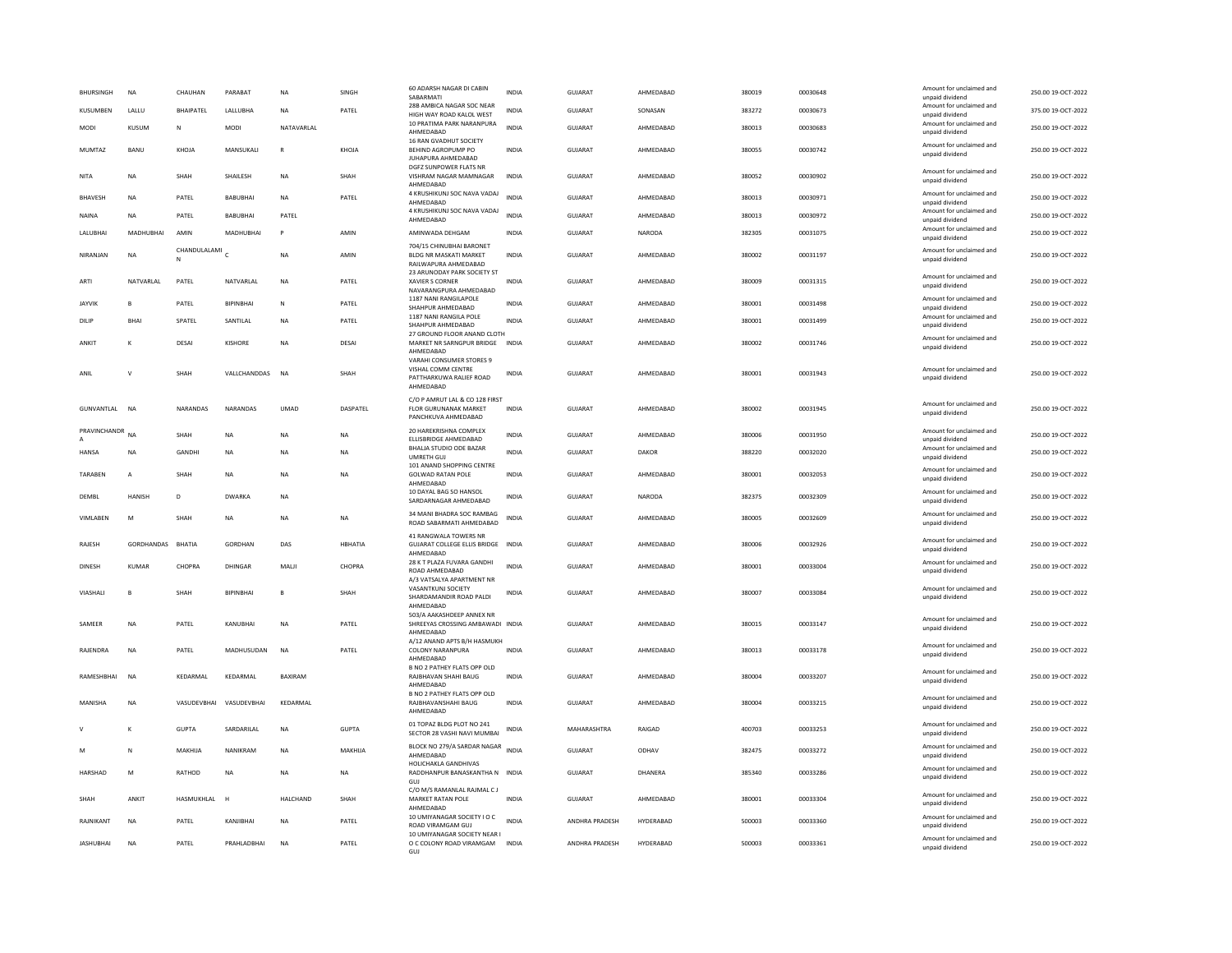| <b>BHURSINGH</b> | <b>NA</b>        | CHAUHAN           | PARARAT          | <b>NA</b>    | <b>SINGH</b> | 60 ADARSH NAGAR DI CABIN<br>SABARMATI                                         | <b>INDIA</b> | GUIARAT               | AHMEDARAD     | 380019 | 00030648 | Amount for unclaimed and<br>unpaid dividend | 250.00 19-OCT-2022 |
|------------------|------------------|-------------------|------------------|--------------|--------------|-------------------------------------------------------------------------------|--------------|-----------------------|---------------|--------|----------|---------------------------------------------|--------------------|
| KUSUMBEN         | LALLU            | BHAIPATEL         | LALLUBHA         | <b>NA</b>    | PATEL        | 28B AMBICA NAGAR SOC NEAR<br>HIGH WAY ROAD KALOL WEST                         | <b>INDIA</b> | GUJARAT               | SONASAN       | 383272 | 00030673 | Amount for unclaimed and<br>unpaid dividend | 375.00 19-OCT-2022 |
| MODI             | KUSUM            | N                 | <b>MODI</b>      | NATAVARLAI   |              | 10 PRATIMA PARK NARANPURA<br>AHMEDABAD                                        | <b>INDIA</b> | <b>GUJARAT</b>        | AHMEDABAD     | 380013 | 00030683 | Amount for unclaimed and<br>unpaid dividend | 250.00 19-OCT-2022 |
| <b>MUMTAZ</b>    | BANU             | KHOJA             | MANSUKALI        | $\mathsf{R}$ | KHOJA        | 16 RAN GVADHUT SOCIETY<br>BEHIND AGROPUMP PO                                  | <b>INDIA</b> | GUJARAT               | AHMEDABAD     | 380055 | 00030742 | Amount for unclaimed and<br>unpaid dividend | 250.00 19-OCT-2022 |
| NITA             | <b>NA</b>        | SHAH              | SHAILESH         | NA           | SHAH         | JUHAPURA AHMEDABAD<br>DGFZ SUNPOWER FLATS NR<br>VISHRAM NAGAR MAMNAGAR        | <b>INDIA</b> | GUJARAT               | AHMEDABAD     | 380052 | 00030902 | Amount for unclaimed and                    | 250.00 19-OCT-2022 |
| <b>BHAVESH</b>   | <b>NA</b>        | PATEL             | <b>BABUBHAI</b>  | <b>NA</b>    | PATEL        | AHMEDABAD<br>4 KRUSHIKUNJ SOC NAVA VADAJ                                      | INDIA        | GUJARAT               | AHMEDABAD     | 380013 | 00030971 | unpaid dividend<br>Amount for unclaimed and | 250.00 19-OCT-2022 |
| NAINA            | <b>NA</b>        | PATEL             | <b>BABUBHAI</b>  | PATEL        |              | AHMEDABAD<br>4 KRUSHIKUNJ SOC NAVA VADAJ                                      | <b>INDIA</b> | <b>GUJARAT</b>        | AHMEDABAD     | 380013 | 00030972 | unpaid dividend<br>Amount for unclaimed and | 250.00 19-OCT-2022 |
|                  |                  |                   |                  |              |              | AHMEDABAD                                                                     |              |                       |               |        |          | unpaid dividend<br>Amount for unclaimed and |                    |
| LALUBHAI         | <b>MADHUBHAI</b> | AMIN              | MADHUBHAI        | $\mathsf{p}$ | AMIN         | AMINWADA DEHGAM<br>704/15 CHINUBHAI BARONET                                   | <b>INDIA</b> | <b>GUJARAT</b>        | <b>NARODA</b> | 382305 | 00031075 | unpaid dividend                             | 250.00 19-OCT-2022 |
| NIRANJAN         | <b>NA</b>        | CHANDULALAMI<br>N |                  | <b>NA</b>    | AMIN         | BLDG NR MASKATI MARKET<br>RAILWAPURA AHMEDABAD<br>23 ARUNODAY PARK SOCIETY ST | <b>INDIA</b> | <b>GUJARAT</b>        | AHMEDABAD     | 380002 | 00031197 | Amount for unclaimed and<br>unpaid dividend | 250.00 19-OCT-2022 |
| ARTI             | NATVARLAL        | PATEL             | NATVARLAL        | <b>NA</b>    | PATEL        | XAVIER S CORNER<br>NAVARANGPURA AHMEDABAD                                     | <b>INDIA</b> | <b>GUJARAT</b>        | AHMEDABAD     | 380009 | 00031315 | Amount for unclaimed and<br>unpaid dividend | 250.00 19-OCT-2022 |
| <b>JAYVIK</b>    | B                | PATEL             | BIPINBHAI        | N            | PATEL        | 1187 NANI RANGILAPOLE<br>SHAHPUR AHMEDABAD                                    | INDIA        | GUJARAT               | AHMEDABAD     | 380001 | 00031498 | Amount for unclaimed and<br>unpaid dividend | 250.00 19-OCT-2022 |
| DILIP            | <b>BHAI</b>      | SPATEL            | SANTILAL         | <b>NA</b>    | PATEL        | 1187 NANI RANGILA POLE<br>SHAHPUR AHMEDABAD<br>27 GROUND FLOOR ANAND CLOTH    | <b>INDIA</b> | <b>GUJARAT</b>        | AHMEDABAD     | 380001 | 00031499 | Amount for unclaimed and<br>unpaid dividend | 250.00 19-OCT-2022 |
| ANKIT            | к                | DESAI             | KISHORE          | <b>NA</b>    | <b>DESAI</b> | MARKET NR SARNGPUR BRIDGE                                                     | <b>INDIA</b> | <b>GUJARAT</b>        | AHMEDARAD     | 380002 | 00031746 | Amount for unclaimed and<br>unpaid dividend | 250.00 19-OCT-2022 |
|                  |                  |                   |                  |              |              | AHMEDABAD<br>VARAHI CONSUMER STORES 9                                         |              |                       |               |        |          |                                             |                    |
| ANIL             | $\mathsf{V}$     | SHAH              | VALLCHANDDAS     | <b>NA</b>    | SHAH         | VISHAL COMM CENTRE<br>PATTHARKUWA RALIEF ROAD                                 | <b>INDIA</b> | <b>GUJARAT</b>        | AHMEDABAD     | 380001 | 00031943 | Amount for unclaimed and<br>unpaid dividend | 250.00 19-OCT-2022 |
|                  |                  |                   |                  |              |              | AHMEDABAD<br>C/O P AMRUT LAL & CO 128 FIRST                                   |              |                       |               |        |          |                                             |                    |
| GUNVANTLAL       | <b>NA</b>        | NARANDAS          | NARANDAS         | <b>UMAD</b>  | DASPATEL     | <b>FLOR GURUNANAK MARKET</b><br>PANCHKUVA AHMEDABAD                           | <b>INDIA</b> | GUJARAT               | AHMEDABAD     | 380002 | 00031945 | Amount for unclaimed and<br>unpaid dividend | 250.00 19-OCT-2022 |
| PRAVINCHANDR     | <b>NA</b>        | SHAH              | NA               | NA           | NA           | 20 HAREKRISHNA COMPLEX<br>ELLISBRIDGE AHMEDABAD                               | INDIA        | GUJARAT               | AHMEDABAD     | 380006 | 00031950 | Amount for unclaimed and<br>unpaid dividend | 250.00 19-OCT-2022 |
| <b>HANSA</b>     | NA               | GANDHI            | NA               | <b>NA</b>    | NA           | BHALIA STUDIO ODE BAZAR<br>UMRETH GUJ<br>101 ANAND SHOPPING CENTRE            | <b>INDIA</b> | GUJARAT               | DAKOR         | 388220 | 00032020 | Amount for unclaimed and<br>unpaid dividend | 250.00 19-OCT-2022 |
| TARAREN          | $\overline{A}$   | SHAH              | <b>NA</b>        | <b>NA</b>    | <b>NA</b>    | <b>GOLWAD RATAN POLE</b><br>AHMEDABAD                                         | <b>INDIA</b> | <b>GUJARAT</b>        | AHMEDARAD     | 380001 | 00032053 | Amount for unclaimed and<br>unpaid dividend | 250.00 19-OCT-2022 |
| DEMBL            | <b>HANISH</b>    | D                 | <b>DWARKA</b>    | NA           |              | 10 DAYAL BAG SO HANSOL<br>SARDARNAGAR AHMEDABAD                               | INDIA        | GUJARAT               | NARODA        | 382375 | 00032309 | Amount for unclaimed and<br>unpaid dividend | 250.00 19-OCT-2022 |
| VIMLABEN         | M                | <b>SHAH</b>       | <b>NA</b>        | <b>NA</b>    | <b>NA</b>    | 34 MANI BHADRA SOC RAMBAG<br>ROAD SABARMATI AHMEDABAD                         | <b>INDIA</b> | GUIARAT               | AHMEDABAD     | 380005 | 00032609 | Amount for unclaimed and<br>unpaid dividend | 250.00 19-OCT-2022 |
| RAJESH           | GORDHANDAS       | BHATIA            | GORDHAN          | DAS          | HBHATIA      | 41 RANGWALA TOWERS NR<br>GUJARAT COLLEGE ELLIS BRIDGE INDIA<br>AHMEDABAD      |              | <b>GUJARAT</b>        | AHMEDABAD     | 380006 | 00032926 | Amount for unclaimed and<br>unpaid dividend | 250.00 19-OCT-2022 |
| <b>DINESH</b>    | <b>KUMAR</b>     | CHOPRA            | DHINGAR          | MALI         | CHOPRA       | 28 K T PLAZA FUVARA GANDHI<br>ROAD AHMEDABAD                                  | <b>INDIA</b> | <b>GUJARAT</b>        | AHMEDABAD     | 380001 | 00033004 | Amount for unclaimed and<br>unpaid dividend | 250.00 19-OCT-2022 |
| VIASHALI         | R.               | SHAH              | <b>RIPINRHAI</b> | $\mathbf{B}$ | SHAH         | A/3 VATSALYA APARTMENT NR<br>VASANTKUNJ SOCIETY                               | <b>INDIA</b> | <b>GUJARAT</b>        | AHMEDARAD     | 380007 | 00033084 | Amount for unclaimed and                    | 250.00 19-OCT-2022 |
|                  |                  |                   |                  |              |              | SHARDAMANDIR ROAD PALDI<br>AHMEDABAD                                          |              |                       |               |        |          | unpaid dividend                             |                    |
| SAMFFR           | <b>NA</b>        | PATEL             | KANURHAI         | <b>NA</b>    | PATEL        | 503/A AAKASHDEEP ANNEX NR<br>SHREEYAS CROSSING AMBAWADI INDIA<br>AHMEDABAD    |              | GUIARAT               | AHMEDARAD     | 380015 | 00033147 | Amount for unclaimed and<br>unpaid dividend | 250.00 19-OCT-2022 |
| RAJENDRA         | <b>NA</b>        | PATEL             | MADHUSUDAN       | <b>NA</b>    | PATEL        | A/12 ANAND APTS B/H HASMUKH<br>COLONY NARANPURA                               | <b>INDIA</b> | <b>GUJARAT</b>        | AHMEDABAD     | 380013 | 00033178 | Amount for unclaimed and<br>unpaid dividend | 250.00 19-OCT-2022 |
| RAMESHBHAI       | NA               | KEDARMAL          | KEDARMAL         | BAXIRAM      |              | AHMEDABAD<br><b>B NO 2 PATHEY FLATS OPP OLD</b><br>RAJBHAVAN SHAHI BAUG       | INDIA        | GUJARAT               | AHMEDABAD     | 380004 | 00033207 | Amount for unclaimed and<br>unpaid dividend | 250.00 19-OCT-2022 |
|                  |                  |                   |                  |              |              | AHMEDABAD<br>B NO 2 PATHEY FLATS OPP OLD                                      |              |                       |               |        |          | Amount for unclaimed and                    |                    |
| MANISHA          | <b>NA</b>        | VASUDEVBHAI       | VASUDEVBHAI      | KEDARMAL     |              | RAJBHAVANSHAHI BAUG<br>AHMFDARAD                                              | <b>INDIA</b> | <b>GUJARAT</b>        | AHMEDABAD     | 380004 | 00033215 | unpaid dividend                             | 250.00 19-OCT-2022 |
|                  | K                | <b>GUPTA</b>      | SARDARILAL       | <b>NA</b>    | <b>GUPTA</b> | 01 TOPAZ BLDG PLOT NO 241<br>SECTOR 28 VASHI NAVI MUMBAI                      | <b>INDIA</b> | MAHARASHTRA           | RAIGAD        | 400703 | 00033253 | Amount for unclaimed and<br>unpaid dividend | 250.00 19-OCT-2022 |
| M                | N                | MAKHIJA           | NANIKRAM         | <b>NA</b>    | MAKHIJA      | BLOCK NO 279/A SARDAR NAGAR<br>AHMEDABAD                                      | <b>INDIA</b> | GUJARAT               | ODHAV         | 382475 | 00033272 | Amount for unclaimed and<br>unpaid dividend | 250.00 19-OCT-2022 |
| HARSHAD          | M                | RATHOD            | <b>NA</b>        | <b>NA</b>    | <b>NA</b>    | HOLICHAKLA GANDHIVAS<br>RADDHANPUR BANASKANTHA N INDIA<br><b>GUJ</b>          |              | GUIARAT               | DHANFRA       | 385340 | 00033286 | Amount for unclaimed and<br>unpaid dividend | 250.00 19-QCT-2022 |
| SHAH             | ANKIT            | HASMUKHLAL        | H                | HALCHAND     | SHAH         | C/O M/S RAMANLAL RAJMAL C J<br>MARKET RATAN POLE<br>AHMEDABAD                 | <b>INDIA</b> | <b>GUJARAT</b>        | AHMEDABAD     | 380001 | 00033304 | Amount for unclaimed and<br>unpaid dividend | 250.00 19-OCT-2022 |
| RAJNIKANT        | <b>NA</b>        | PATEL             | KANJIBHAI        | <b>NA</b>    | PATEL        | 10 UMIYANAGAR SOCIETY I O C<br>ROAD VIRAMGAM GUJ                              | <b>INDIA</b> | <b>ANDHRA PRADESH</b> | HYDERABAD     | 500003 | 00033360 | Amount for unclaimed and<br>unpaid dividend | 250.00 19-OCT-2022 |
| <b>JASHUBHAI</b> | <b>NA</b>        | PATEL             | PRAHLADBHAI      | <b>NA</b>    | PATEL        | 10 UMIYANAGAR SOCIETY NEAR I<br>O C COLONY ROAD VIRAMGAM                      | <b>INDIA</b> | ANDHRA PRADESH        | HYDERABAD     | 500003 | 00033361 | Amount for unclaimed and                    | 250.00 19-OCT-2022 |
|                  |                  |                   |                  |              |              | GUJ                                                                           |              |                       |               |        |          | unpaid dividend                             |                    |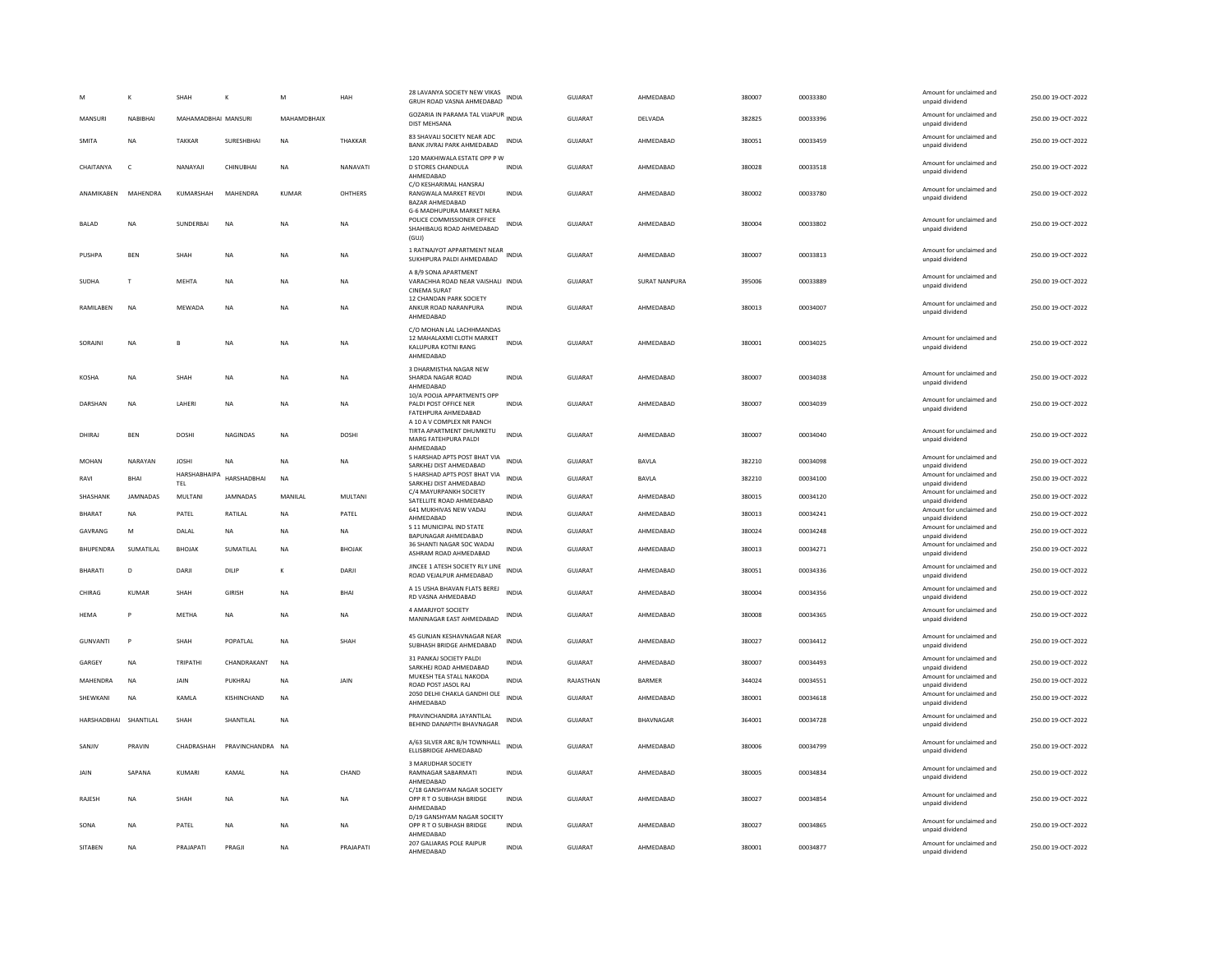|                       |                 | SHAH                | К                | М            | HAH            | 28 LAVANYA SOCIETY NEW VIKAS<br>GRUH ROAD VASNA AHMEDABAD                                               | INDIA        | <b>GUJARAT</b> | AHMEDABAD     | 380007 | 00033380 | Amount for unclaimed and<br>unpaid dividend                    | 250.00 19-OCT-2022 |
|-----------------------|-----------------|---------------------|------------------|--------------|----------------|---------------------------------------------------------------------------------------------------------|--------------|----------------|---------------|--------|----------|----------------------------------------------------------------|--------------------|
| MANSURI               | NABIBHAI        | MAHAMADBHAI MANSURI |                  | MAHAMDBHAIX  |                | GOZARIA IN PARAMA TAL VIJAPUR INDIA<br><b>DIST MEHSANA</b>                                              |              | <b>GUJARAT</b> | DELVADA       | 382825 | 00033396 | Amount for unclaimed and<br>unpaid dividend                    | 250.00 19-OCT-2022 |
| <b>SMITA</b>          | <b>NA</b>       | <b>TAKKAR</b>       | SURESHBHAI       | <b>NA</b>    | THAKKAR        | 83 SHAVALI SOCIETY NEAR ADC<br>BANK JIVRAJ PARK AHMEDABAD                                               | <b>INDIA</b> | <b>GUJARAT</b> | AHMEDABAD     | 380051 | 00033459 | Amount for unclaimed and<br>unpaid dividend                    | 250.00 19-OCT-2022 |
| CHAITANYA             | $\epsilon$      | NANAYAJI            | CHINUBHAI        | <b>NA</b>    | NANAVATI       | 120 MAKHIWALA ESTATE OPP P W<br><b>D STORES CHANDULA</b><br>AHMEDABAD                                   | INDIA        | GUJARAT        | AHMEDABAD     | 380028 | 00033518 | Amount for unclaimed and<br>unpaid dividend                    | 250.00 19-OCT-2022 |
| ANAMIKABEN            | MAHENDRA        | KUMARSHAH           | MAHENDRA         | <b>KUMAR</b> | OHTHERS        | C/O KESHARIMAL HANSRAJ<br>RANGWALA MARKET REVDI<br>BAZAR AHMEDABAD                                      | <b>INDIA</b> | <b>GUJARAT</b> | AHMEDABAD     | 380002 | 00033780 | Amount for unclaimed and<br>unpaid dividend                    | 250.00 19-OCT-2022 |
| <b>BALAD</b>          | <b>NA</b>       | SUNDERBAI           | <b>NA</b>        | <b>NA</b>    | <b>NA</b>      | <b>G-6 MADHUPURA MARKET NERA</b><br>POLICE COMMISSIONER OFFICE<br>SHAHIBAUG ROAD AHMEDABAD<br>(GUJ)     | <b>INDIA</b> | GUJARAT        | AHMEDABAD     | 380004 | 00033802 | Amount for unclaimed and<br>unpaid dividend                    | 250.00 19-OCT-2022 |
| PUSHPA                | <b>BEN</b>      | SHAH                | <b>NA</b>        | <b>NA</b>    | <b>NA</b>      | 1 RATNAJYOT APPARTMENT NEAR<br>SUKHIPURA PALDI AHMEDABAD                                                | <b>INDIA</b> | <b>GUJARAT</b> | AHMEDABAD     | 380007 | 00033813 | Amount for unclaimed and<br>unpaid dividend                    | 250.00 19-OCT-2022 |
| <b>SUDHA</b>          | T               | MFHTA               | <b>NA</b>        | <b>NA</b>    | <b>NA</b>      | A 8/9 SONA APARTMENT<br>VARACHHA ROAD NEAR VAISHALI INDIA<br><b>CINEMA SURAT</b>                        |              | GUIARAT        | SURAT NANPURA | 395006 | 00033889 | Amount for unclaimed and<br>unpaid dividend                    | 250.00.19-QCT-2022 |
| RAMILABEN             | NA              | MEWADA              | NA               | NA           | NA             | 12 CHANDAN PARK SOCIETY<br>ANKUR ROAD NARANPURA<br>AHMEDABAD                                            | INDIA        | GUJARAT        | AHMEDABAD     | 380013 | 00034007 | Amount for unclaimed and<br>unpaid dividend                    | 250.00 19-OCT-2022 |
| SORAJNI               | <b>NA</b>       | $\mathbf{R}$        | <b>NA</b>        | <b>NA</b>    | NA             | C/O MOHAN LAL LACHHMANDAS<br>12 MAHALAXMI CLOTH MARKET<br>KALUPURA KOTNI RANG<br>AHMEDABAD              | <b>INDIA</b> | <b>GUJARAT</b> | AHMEDABAD     | 380001 | 00034025 | Amount for unclaimed and<br>unpaid dividend                    | 250.00 19-OCT-2022 |
| KOSHA                 | NA              | SHAH                | <b>NA</b>        | NA           | NA             | 3 DHARMISTHA NAGAR NEW<br>SHARDA NAGAR ROAD<br>AHMEDABAD                                                | <b>INDIA</b> | GUJARAT        | AHMEDABAD     | 380007 | 00034038 | Amount for unclaimed and<br>unpaid dividend                    | 250.00 19-OCT-2022 |
| <b>DARSHAN</b>        | <b>NA</b>       | LAHERI              | <b>NA</b>        | <b>NA</b>    | <b>NA</b>      | 10/A POOJA APPARTMENTS OPF<br>PALDI POST OFFICE NER<br>FATEHPURA AHMEDABAD<br>A 10 A V COMPLEX NR PANCH | <b>INDIA</b> | <b>GUJARAT</b> | AHMEDABAD     | 380007 | 00034039 | Amount for unclaimed and<br>unpaid dividend                    | 250.00 19-OCT-2022 |
| DHIRAJ                | <b>BEN</b>      | DOSHI               | NAGINDAS         | NA           | <b>DOSHI</b>   | TIRTA APARTMENT DHUMKETU<br>MARG FATEHPURA PALDI<br>AHMFDARAD                                           | <b>INDIA</b> | GUJARAT        | AHMEDABAD     | 380007 | 00034040 | Amount for unclaimed and<br>unpaid dividend                    | 250.00 19-OCT-2022 |
| <b>MOHAN</b>          | NARAYAN         | <b>JOSHI</b>        | <b>NA</b>        | NA           | NA             | 5 HARSHAD APTS POST BHAT VIA<br>SARKHEJ DIST AHMEDABAD                                                  | <b>INDIA</b> | <b>GUJARAT</b> | BAVLA         | 382210 | 00034098 | Amount for unclaimed and<br>unpaid dividend                    | 250.00 19-OCT-2022 |
| RAVI                  | <b>RHAI</b>     | HARSHABHAIPA<br>TEL | HARSHADBHAI      | NA           |                | 5 HARSHAD APTS POST BHAT VIA<br>SARKHEJ DIST AHMEDABAD                                                  | <b>INDIA</b> | GUJARAT        | BAVLA         | 382210 | 00034100 | Amount for unclaimed and<br>unpaid dividend                    | 250.00 19-OCT-2022 |
| SHASHANK              | <b>JAMNADAS</b> | MULTANI             | <b>JAMNADAS</b>  | MANILAL      | <b>MULTANI</b> | C/4 MAYURPANKH SOCIETY<br>SATELLITE ROAD AHMEDABAD                                                      | <b>INDIA</b> | <b>GUJARAT</b> | AHMEDABAD     | 380015 | 00034120 | Amount for unclaimed and<br>unpaid dividend                    | 250.00 19-OCT-2022 |
| BHARAT                | NA              | PATEL               | RATILAL          | NA           | PATEL          | 641 MUKHIVAS NEW VADAJ<br>AHMFDARAD                                                                     | <b>INDIA</b> | GUJARAT        | AHMEDABAD     | 380013 | 00034241 | Amount for unclaimed and                                       | 250.00 19-OCT-2022 |
| GAVRANG               | M               | DALAL               | <b>NA</b>        | NA           | NA             | S 11 MUNICIPAL IND STATE                                                                                | INDIA        | GUJARAT        | AHMEDABAD     | 380024 | 00034248 | unpaid dividend<br>Amount for unclaimed and                    | 250.00 19-OCT-2022 |
| <b>BHUPENDRA</b>      | SUMATILAL       | <b>BHOJAK</b>       | SUMATILAL        | <b>NA</b>    | <b>BHOJAK</b>  | BAPUNAGAR AHMEDABAD<br>36 SHANTI NAGAR SOC WADAJ<br>ASHRAM ROAD AHMEDABAD                               | <b>INDIA</b> | <b>GUJARAT</b> | AHMEDABAD     | 380013 | 00034271 | unpaid dividend<br>Amount for unclaimed and<br>unpaid dividend | 250.00 19-OCT-2022 |
| <b>BHARATI</b>        | D               | DARJI               | DILIP            | К            | DARJI          | JINCEE 1 ATESH SOCIETY RLY LINE<br>ROAD VEJALPUR AHMEDABAD                                              | <b>INDIA</b> | <b>GUJARAT</b> | AHMEDABAD     | 380051 | 00034336 | Amount for unclaimed and<br>unpaid dividend                    | 250.00 19-OCT-2022 |
| CHIRAG                | <b>KUMAR</b>    | <b>SHAH</b>         | GIRISH           | <b>NA</b>    | <b>BHAI</b>    | A 15 USHA BHAVAN FLATS BEREJ<br>RD VASNA AHMEDABAD                                                      | <b>INDIA</b> | GUJARAT        | AHMEDABAD     | 380004 | 00034356 | Amount for unclaimed and<br>unpaid dividend                    | 250.00 19-OCT-2022 |
| <b>HEMA</b>           | P               | METHA               | <b>NA</b>        | <b>NA</b>    | <b>NA</b>      | 4 AMARJYOT SOCIETY<br>MANINAGAR EAST AHMEDABAD                                                          | INDIA        | <b>GUJARAT</b> | AHMEDABAD     | 380008 | 00034365 | Amount for unclaimed and<br>unpaid dividend                    | 250.00 19-OCT-2022 |
| <b>GUNVANTI</b>       | P               | SHAH                | POPATLAL         | <b>NA</b>    | SHAH           | 45 GUNJAN KESHAVNAGAR NEAR<br>SUBHASH BRIDGE AHMEDABAD                                                  | <b>INDIA</b> | <b>GUJARAT</b> | AHMEDABAD     | 380027 | 00034412 | Amount for unclaimed and<br>unpaid dividend                    | 250.00 19-OCT-2022 |
| GARGEY                | <b>NA</b>       | <b>TRIPATHI</b>     | CHANDRAKANT      | <b>NA</b>    |                | 31 PANKAJ SOCIETY PALDI<br>SARKHEJ ROAD AHMEDABAD                                                       | <b>INDIA</b> | <b>GUJARAT</b> | AHMEDABAD     | 380007 | 00034493 | Amount for unclaimed and<br>unpaid dividend                    | 250.00 19-OCT-2022 |
| MAHENDRA              | <b>NA</b>       | JAIN                | PUKHRAJ          | <b>NA</b>    | JAIN           | MUKESH TEA STALL NAKODA<br>ROAD POST JASOL RAJ                                                          | <b>INDIA</b> | RAJASTHAN      | <b>BARMER</b> | 344024 | 00034551 | Amount for unclaimed and<br>unpaid dividend                    | 250.00 19-OCT-2022 |
| SHEWKANI              | NA              | KAMLA               | KISHINCHAND      | <b>NA</b>    |                | 2050 DELHI CHAKLA GANDHI OLE<br>AHMFDARAD                                                               | <b>INDIA</b> | GUJARAT        | AHMEDABAD     | 380001 | 00034618 | Amount for unclaimed and<br>unpaid dividend                    | 250.00 19-OCT-2022 |
| HARSHADBHAI SHANTILAL |                 | SHAH                | SHANTILAL        | <b>NA</b>    |                | PRAVINCHANDRA JAYANTILAL<br>BEHIND DANAPITH BHAVNAGAR                                                   | <b>INDIA</b> | <b>GUJARAT</b> | BHAVNAGAR     | 364001 | 00034728 | Amount for unclaimed and<br>unpaid dividend                    | 250.00 19-OCT-2022 |
| SANJIV                | PRAVIN          | CHADRASHAH          | PRAVINCHANDRA NA |              |                | A/63 SILVER ARC B/H TOWNHALL<br>ELLISBRIDGE AHMEDABAD                                                   | <b>INDIA</b> | <b>GUJARAT</b> | AHMEDABAD     | 380006 | 00034799 | Amount for unclaimed and<br>unpaid dividend                    | 250.00 19-OCT-2022 |
| JAIN                  | SAPANA          | KUMARI              | KAMAL            | NA           | CHAND          | 3 MARUDHAR SOCIETY<br>RAMNAGAR SABARMATI<br>AHMEDABAD                                                   | INDIA        | <b>GUJARAT</b> | AHMEDABAD     | 380005 | 00034834 | Amount for unclaimed and<br>unpaid dividend                    | 250.00 19-OCT-2022 |
| RAJESH                | <b>NA</b>       | SHAH                | <b>NA</b>        | NA           | NA             | C/18 GANSHYAM NAGAR SOCIETY<br>OPP R T O SUBHASH BRIDGE<br>AHMFDARAD                                    | INDIA        | GUJARAT        | AHMEDABAD     | 380027 | 00034854 | Amount for unclaimed and<br>unpaid dividend                    | 250.00 19-OCT-2022 |
| SONA                  | <b>NA</b>       | PATEL               | <b>NA</b>        | <b>NA</b>    | <b>NA</b>      | D/19 GANSHYAM NAGAR SOCIETY<br>OPP R T O SUBHASH BRIDGE<br>AHMEDABAD                                    | <b>INDIA</b> | <b>GUJARAT</b> | AHMEDABAD     | 380027 | 00034865 | Amount for unclaimed and<br>unpaid dividend                    | 250.00 19-OCT-2022 |
| <b>SITABEN</b>        | <b>NA</b>       | PRAJAPATI           | PRAGIL           | ΝA           | PRAJAPATI      | 207 GALIARAS POLE RAIPUR<br>AHMEDABAD                                                                   | <b>INDIA</b> | <b>GUJARAT</b> | AHMEDABAD     | 380001 | 00034877 | Amount for unclaimed and<br>unpaid dividend                    | 250.00 19-OCT-2022 |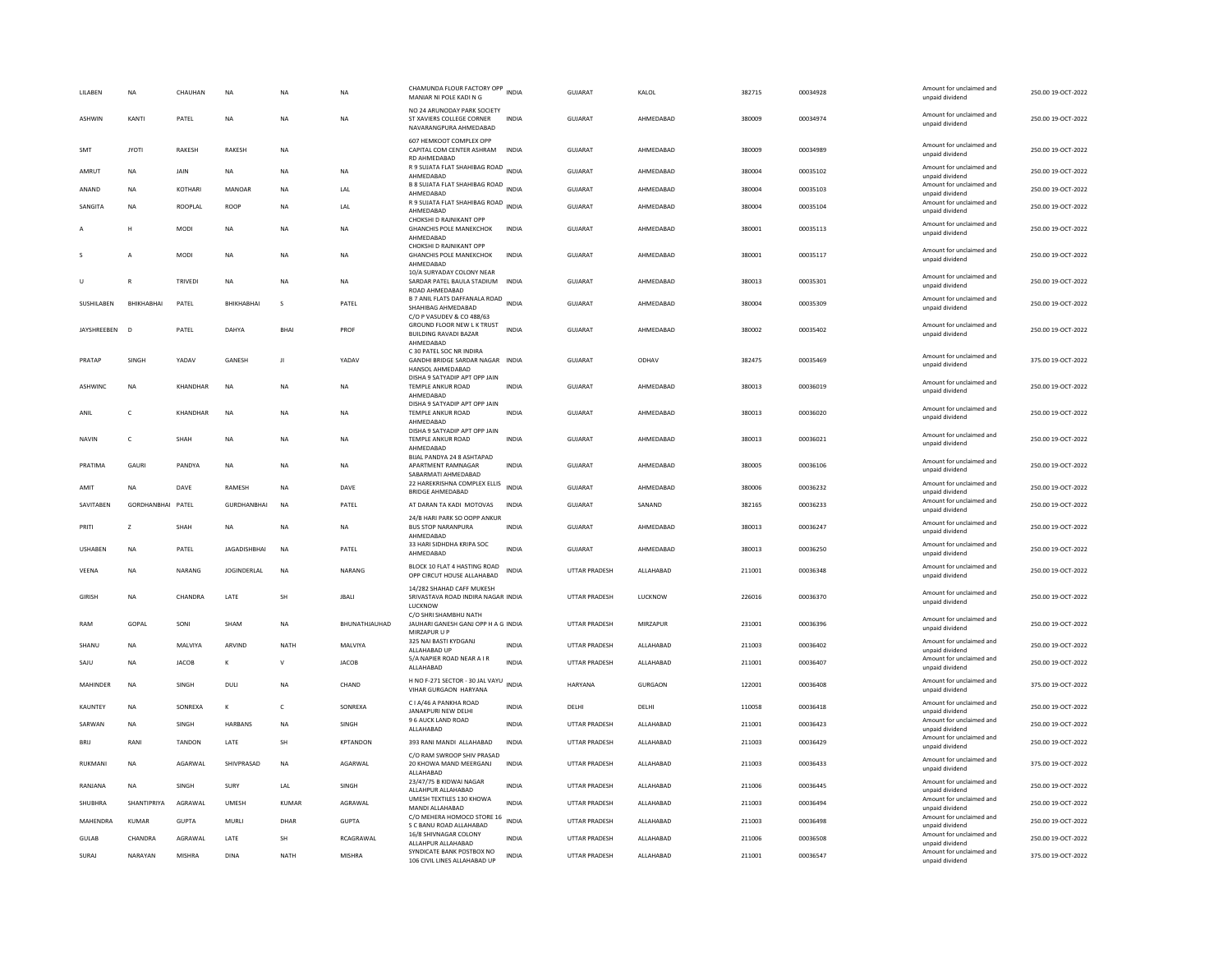| LILABEN         | <b>NA</b>         | CHAUHAN         | <b>NA</b>           | <b>NA</b>    | NA              | CHAMUNDA FLOUR FACTORY OPP INDIA<br>MANIAR NI POLE KADI N G                                          |              | GUJARAT              | KALOL          | 382715 | 00034928 | Amount for unclaimed and<br>unpaid dividend                             | 250.00 19-OCT-2022 |
|-----------------|-------------------|-----------------|---------------------|--------------|-----------------|------------------------------------------------------------------------------------------------------|--------------|----------------------|----------------|--------|----------|-------------------------------------------------------------------------|--------------------|
| <b>ASHWIN</b>   | KANTI             | PATEL           | NA                  | <b>NA</b>    | <b>NA</b>       | NO 24 ARUNODAY PARK SOCIETY<br>ST XAVIERS COLLEGE CORNER<br>NAVARANGPURA AHMEDABAD                   | <b>INDIA</b> | GUIARAT              | AHMEDARAD      | 380009 | 00034974 | Amount for unclaimed and<br>unpaid dividend                             | 250.00.19-OCT-2022 |
| SMT             | <b>JYOTI</b>      | RAKESH          | RAKESH              | <b>NA</b>    |                 | 607 HEMKOOT COMPLEX OPF<br>CAPITAL COM CENTER ASHRAM<br>RD AHMEDABAD                                 | <b>INDIA</b> | GUJARAT              | AHMEDABAD      | 380009 | 00034989 | Amount for unclaimed and<br>unpaid dividend                             | 250.00 19-OCT-2022 |
| AMRUT           | <b>NA</b>         | <b>JAIN</b>     | <b>NA</b>           | <b>NA</b>    | <b>NA</b>       | R 9 SUJATA FLAT SHAHIBAG ROAD INDIA<br>AHMEDABAD                                                     |              | GUJARAT              | AHMEDABAD      | 380004 | 00035102 | Amount for unclaimed and<br>unpaid dividend                             | 250.00 19-OCT-2022 |
| ANAND           | <b>NA</b>         | KOTHARI         | MANOAR              | <b>NA</b>    | LAL             | B 8 SUJATA FLAT SHAHIBAG ROAD INDIA<br>AHMEDABAD                                                     |              | GUJARAT              | AHMEDABAD      | 380004 | 00035103 | Amount for unclaimed and<br>unpaid dividend                             | 250.00 19-OCT-2022 |
| SANGITA         | <b>NA</b>         | ROOPLAL         | ROOP                | <b>NA</b>    | LAL             | R 9 SUJATA FLAT SHAHIBAG ROAD INDIA<br>AHMEDABAD                                                     |              | GUJARAT              | AHMEDABAD      | 380004 | 00035104 | Amount for unclaimed and<br>unpaid dividend                             | 250.00 19-OCT-2022 |
|                 | н                 | <b>MODI</b>     | NA                  | <b>NA</b>    | <b>NA</b>       | CHOKSHI D RAJNIKANT OPP<br><b>GHANCHIS POLE MANEKCHOK</b><br>AHMEDABAD                               | <b>INDIA</b> | <b>GUJARAT</b>       | AHMEDABAD      | 380001 | 00035113 | Amount for unclaimed and<br>unpaid dividend                             | 250.00 19-OCT-2022 |
|                 | A                 | <b>MODI</b>     | <b>NA</b>           | <b>NA</b>    | NA              | CHOKSHI D RAJNIKANT OPP<br><b>GHANCHIS POLE MANEKCHOK</b><br>AHMEDABAD                               | <b>INDIA</b> | GUJARAT              | AHMEDABAD      | 380001 | 00035117 | Amount for unclaimed and<br>unpaid dividend                             | 250.00 19-OCT-2022 |
| U               | $\mathbb{R}$      | <b>TRIVEDI</b>  | <b>NA</b>           | <b>NA</b>    | <b>NA</b>       | 10/A SURYADAY COLONY NEAR<br>SARDAR PATEL BAULA STADIUM<br>ROAD AHMEDABAD                            | <b>INDIA</b> | GUJARAT              | AHMEDABAD      | 380013 | 00035301 | Amount for unclaimed and<br>unpaid dividend                             | 250.00 19-OCT-2022 |
| SUSHILABEN      | ВНІКНАВНАІ        | PATEL           | BHIKHABHAI          | s            | PATEL           | B 7 ANIL FLATS DAFFANALA ROAD<br>SHAHIBAG AHMEDABAD                                                  | <b>INDIA</b> | GUJARAT              | AHMEDABAD      | 380004 | 00035309 | Amount for unclaimed and<br>unpaid dividend                             | 250.00 19-OCT-2022 |
| JAYSHREEBEN     | D                 | PATEL           | DAHYA               | BHAI         | PROF            | C/O P VASUDEV & CO 488/63<br>GROUND FLOOR NEW L K TRUST<br><b>BUILDING RAVADI BAZAR</b><br>AHMEDABAD | <b>INDIA</b> | GUJARAT              | AHMEDABAD      | 380002 | 00035402 | Amount for unclaimed and<br>unpaid dividend                             | 250.00 19-OCT-2022 |
| PRATAP          | SINGH             | YADAV           | GANESH              | $\mathbf{H}$ | YADAV           | C 30 PATEL SOC NR INDIRA<br>GANDHI BRIDGE SARDAR NAGAR INDIA<br>HANSOL AHMEDABAD                     |              | <b>GUJARAT</b>       | ODHAV          | 382475 | 00035469 | Amount for unclaimed and<br>unpaid dividend                             | 375.00 19-OCT-2022 |
| ASHWINC         | NA                | <b>KHANDHAR</b> | $_{\sf NA}$         | $_{\sf NA}$  | <b>NA</b>       | DISHA 9 SATYADIP APT OPP JAIN<br>TEMPLE ANKUR ROAD<br>AHMEDABAD                                      | <b>INDIA</b> | <b>GUJARAT</b>       | AHMEDABAD      | 380013 | 00036019 | Amount for unclaimed and<br>unpaid dividend                             | 250.00 19-OCT-2022 |
| ANIL            | $\mathsf{C}$      | KHANDHAR        | $_{\sf NA}$         | NA           | NA              | DISHA 9 SATYADIP APT OPP JAIN<br>TEMPLE ANKUR ROAD<br>AHMEDABAD                                      | INDIA        | GUJARAT              | AHMEDABAD      | 380013 | 00036020 | Amount for unclaimed and<br>unpaid dividend                             | 250.00 19-OCT-2022 |
| <b>NAVIN</b>    | c                 | SHAH            | NA                  | <b>NA</b>    | NA              | DISHA 9 SATYADIP APT OPP JAIN<br>TEMPLE ANKUR ROAD<br>AHMEDABAD                                      | INDIA        | GUJARAT              | AHMEDABAD      | 380013 | 00036021 | Amount for unclaimed and<br>unpaid dividend                             | 250.00 19-OCT-2022 |
| PRATIMA         | GAURI             | PANDYA          | NA                  | NA           | NA              | BIJAL PANDYA 24 8 ASHTAPAD<br>APARTMENT RAMNAGAR<br>SABARMATI AHMEDABAD                              | INDIA        | GUJARAT              | AHMEDABAD      | 380005 | 00036106 | Amount for unclaimed and<br>unpaid dividend                             | 250.00 19-OCT-2022 |
| AMIT            | <b>NA</b>         | DAVE            | RAMESH              | <b>NA</b>    | DAVE            | 22 HAREKRISHNA COMPLEX ELLIS<br><b>BRIDGE AHMEDABAD</b>                                              | <b>INDIA</b> | <b>GUJARAT</b>       | AHMEDABAD      | 380006 | 00036232 | Amount for unclaimed and<br>unpaid dividend                             | 250.00 19-OCT-2022 |
| SAVITABEN       | GORDHANBHAI PATEL |                 | <b>GURDHANBHAI</b>  | <b>NA</b>    | PATEL           | AT DARAN TA KADI MOTOVAS                                                                             | <b>INDIA</b> | <b>GUJARAT</b>       | SANAND         | 382165 | 00036233 | Amount for unclaimed and<br>unpaid dividend                             | 250.00 19-OCT-2022 |
| PRITI           | $\overline{7}$    | SHAH            | <b>NA</b>           | <b>NA</b>    | NA.             | 24/B HARI PARK SO OOPP ANKUR<br><b>BUS STOP NARANPURA</b><br>AHMEDABAD                               | <b>INDIA</b> | GUIARAT              | AHMEDARAD      | 380013 | 00036247 | Amount for unclaimed and<br>unpaid dividend                             | 250.00 19-OCT-2022 |
| <b>USHABEN</b>  | <b>NA</b>         | PATEL           | <b>JAGADISHBHAI</b> | <b>NA</b>    | PATEL           | 33 HARI SIDHDHA KRIPA SOC<br>AHMEDABAD                                                               | <b>INDIA</b> | <b>GUJARAT</b>       | AHMEDABAD      | 380013 | 00036250 | Amount for unclaimed and<br>unpaid dividend                             | 250.00 19-OCT-2022 |
| VEENA           |                   |                 |                     |              |                 |                                                                                                      |              |                      |                |        |          |                                                                         |                    |
|                 | <b>NA</b>         | NARANG          | <b>JOGINDERLAL</b>  | NA           | NARANG          | BLOCK 10 FLAT 4 HASTING ROAD<br>OPP CIRCUT HOUSE ALLAHABAD                                           | INDIA        | UTTAR PRADESH        | ALLAHABAD      | 211001 | 00036348 | Amount for unclaimed and<br>unpaid dividend                             | 250.00 19-OCT-2022 |
| <b>GIRISH</b>   | <b>NA</b>         | CHANDRA         | LATE                | SH           | <b>JBALI</b>    | 14/282 SHAHAD CAFF MUKESH<br>SRIVASTAVA ROAD INDIRA NAGAR INDIA<br>LUCKNOW                           |              | UTTAR PRADESH        | <b>LUCKNOW</b> | 226016 | 00036370 | Amount for unclaimed and<br>unpaid dividend                             | 250.00 19-OCT-2022 |
| RAM             | GOPAL             | SONI            | SHAM                | <b>NA</b>    | BHUNATHJAUHAD   | C/O SHRI SHAMBHU NATH<br>JAUHARI GANESH GANJ OPP H A G INDIA<br>MIRZAPUR U P                         |              | UTTAR PRADESH        | MIRZAPUR       | 231001 | 00036396 | Amount for unclaimed and<br>unpaid dividend                             | 250.00 19-OCT-2022 |
| SHANU           | <b>NA</b>         | MALVIYA         | ARVIND              | <b>NATH</b>  | <b>MAI VIYA</b> | 325 NAI BASTI KYDGANJ<br>ALLAHABAD UP                                                                | <b>INDIA</b> | UTTAR PRADESH        | ALLAHARAD      | 211003 | 00036402 | Amount for unclaimed and<br>unpaid dividend                             | 250.00 19-OCT-2022 |
| SAJU            | <b>NA</b>         | <b>JACOB</b>    | к                   | $\mathsf{V}$ | <b>JACOB</b>    | 5/A NAPIER ROAD NEAR A I R<br>ALLAHABAD                                                              | INDIA        | UTTAR PRADESH        | ALLAHABAD      | 211001 | 00036407 | Amount for unclaimed and<br>unpaid dividend                             | 250.00 19-OCT-2022 |
| <b>MAHINDER</b> | <b>NA</b>         | SINGH           | DULI                | <b>NA</b>    | CHAND           | H NO F-271 SECTOR - 30 JAL VAYU INDIA<br>VIHAR GURGAON HARYANA                                       |              | <b>HARYANA</b>       | <b>GURGAON</b> | 122001 | 00036408 | Amount for unclaimed and<br>unpaid dividend                             | 375.00 19-OCT-2022 |
| KAUNTEY         | NA                | SONREXA         | К                   | $\mathsf{C}$ | SONREXA         | C I A/46 A PANKHA ROAD<br>JANAKPURI NEW DELHI                                                        | <b>INDIA</b> | DELHI                | DELHI          | 110058 | 00036418 | Amount for unclaimed and<br>unpaid dividend                             | 250.00 19-OCT-2022 |
| SARWAN          | <b>NA</b>         | SINGH           | HARBANS             | NA           | SINGH           | 9 6 AUCK LAND ROAD<br>ALLAHABAD                                                                      | <b>INDIA</b> | UTTAR PRADESH        | ALLAHABAD      | 211001 | 00036423 | Amount for unclaimed and<br>unpaid dividend                             | 250.00 19-OCT-2022 |
| <b>BRIL</b>     | RANI              | <b>TANDON</b>   | LATE                | <b>SH</b>    | KPTANDON        | 393 RANI MANDI ALLAHABAD                                                                             | <b>INDIA</b> | UTTAR PRADESH        | ALLAHABAD      | 211003 | 00036429 | Amount for unclaimed and<br>unpaid dividend                             | 250.00 19-OCT-2022 |
| RUKMANI         | <b>NA</b>         | AGARWAL         | SHIVPRASAD          | <b>NA</b>    | AGARWAL         | C/O RAM SWROOP SHIV PRASAD<br>20 KHOWA MAND MEERGANJ<br>ALLAHABAD                                    | INDIA        | UTTAR PRADESH        | ALLAHABAD      | 211003 | 00036433 | Amount for unclaimed and<br>unpaid dividend                             | 375.00 19-OCT-2022 |
| RANJANA         | <b>NA</b>         | SINGH           | SURY                | LAL          | SINGH           | 23/47/75 B KIDWAI NAGAR<br>ALLAHPUR ALLAHABAD                                                        | INDIA        | UTTAR PRADESH        | ALLAHABAD      | 211006 | 00036445 | Amount for unclaimed and<br>unpaid dividend                             | 250.00 19-OCT-2022 |
| SHUBHRA         | SHANTIPRIYA       | AGRAWAL         | <b>UMESH</b>        | KUMAR        | AGRAWAL         | UMESH TEXTILES 130 KHOWA<br>MANDI ALLAHABAD                                                          | <b>INDIA</b> | UTTAR PRADESH        | ALLAHABAD      | 211003 | 00036494 | Amount for unclaimed and<br>unpaid dividend                             | 250.00 19-OCT-2022 |
| MAHENDRA        | KUMAR             | <b>GUPTA</b>    | MURLI               | DHAR         | <b>GUPTA</b>    | C/O MEHERA HOMOCO STORE 16 INDIA<br>S C BANU ROAD ALLAHABAD                                          |              | UTTAR PRADESH        | ALLAHABAD      | 211003 | 00036498 | Amount for unclaimed and<br>unpaid dividend                             | 250.00 19-OCT-2022 |
| <b>GULAB</b>    | CHANDRA           | AGRAWAL         | LATE                | <b>SH</b>    | RCAGRAWAL       | 16/8 SHIVNAGAR COLONY<br>ALLAHPUR ALLAHABAD<br>SYNDICATE BANK POSTBOX NO                             | <b>INDIA</b> | <b>UTTAR PRADESH</b> | ALLAHABAD      | 211006 | 00036508 | Amount for unclaimed and<br>unpaid dividend<br>Amount for unclaimed and | 250.00 19-OCT-2022 |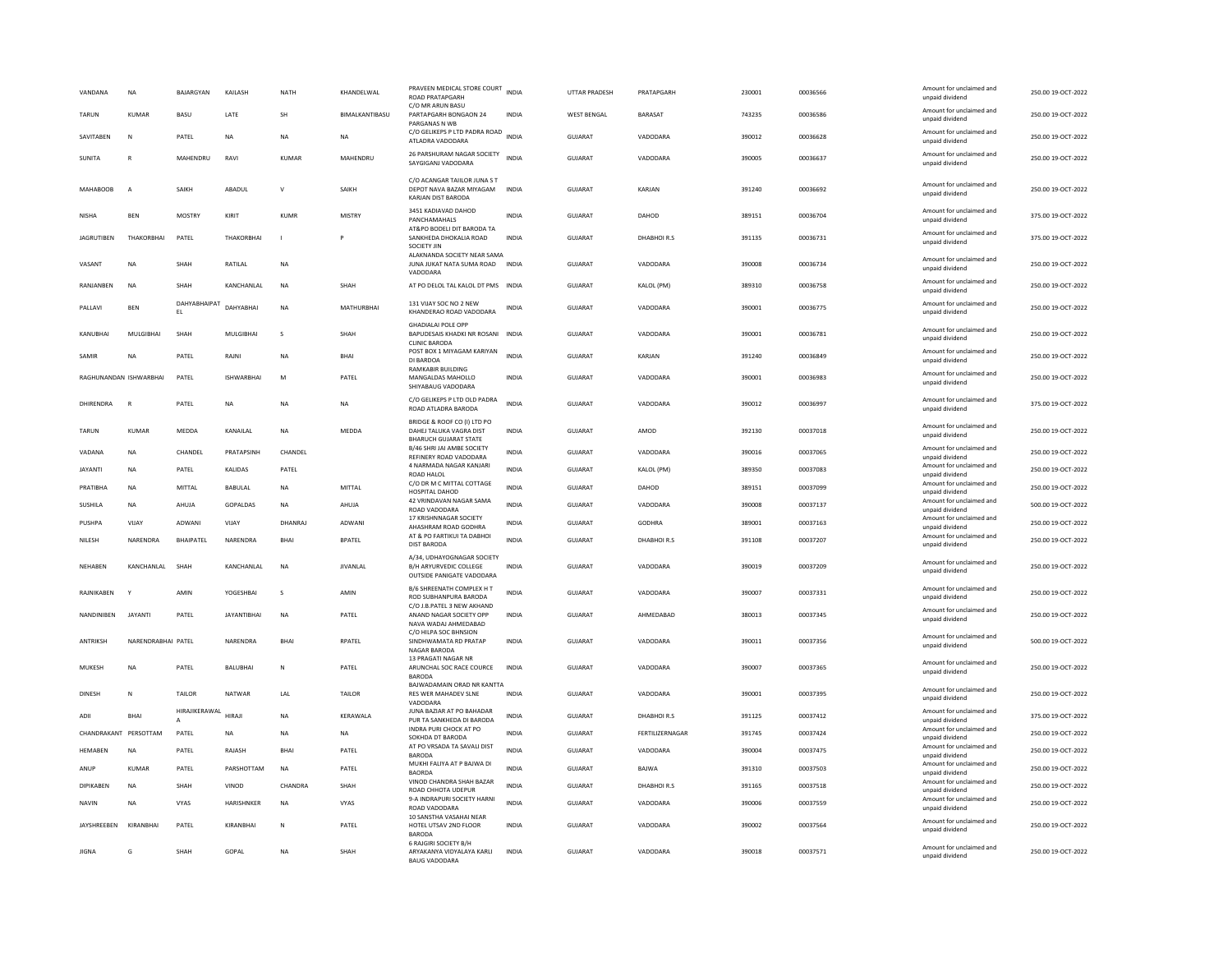| VANDANA               | <b>NA</b>              | BAJARGYAN           | KAILASH            | NATH         | KHANDELWAL      | PRAVEEN MEDICAL STORE COURT INDIA<br><b>ROAD PRATAPGARH</b>                            |              | <b>UTTAR PRADESH</b> | PRATAPGARH      | 230001 | 00036566 | Amount for unclaimed and<br>unpaid dividend | 250.00 19-OCT-2022 |
|-----------------------|------------------------|---------------------|--------------------|--------------|-----------------|----------------------------------------------------------------------------------------|--------------|----------------------|-----------------|--------|----------|---------------------------------------------|--------------------|
| TARUN                 | <b>KUMAR</b>           | BASU                | LATE               | SH           | BIMALKANTIBASU  | C/O MR ARUN BASU<br>PARTAPGARH BONGAON 24<br>PARGANAS N WB                             | <b>INDIA</b> | <b>WEST BENGAL</b>   | <b>BARASAT</b>  | 743235 | 00036586 | Amount for unclaimed and<br>unpaid dividend | 250.00 19-OCT-2022 |
| SAVITABEN             | N                      | PATEL               | <b>NA</b>          | <b>NA</b>    | <b>NA</b>       | C/O GELIKEPS P LTD PADRA ROAD<br>ATLADRA VADODARA                                      | <b>INDIA</b> | <b>GUJARAT</b>       | VADODARA        | 390012 | 00036628 | Amount for unclaimed and<br>unpaid dividend | 250.00 19-OCT-2022 |
| SUNITA                | R                      | MAHENDRU            | RAVI               | <b>KUMAR</b> | MAHENDRU        | 26 PARSHURAM NAGAR SOCIETY<br>SAYGIGANJ VADODARA                                       | <b>INDIA</b> | <b>GUJARAT</b>       | VADODARA        | 390005 | 00036637 | Amount for unclaimed and<br>unpaid dividend | 250.00 19-OCT-2022 |
| <b>MAHABOOB</b>       | $\overline{A}$         | SAIKH               | ABADUL             | $\mathsf{v}$ | SAIKH           | C/O ACANGAR TAIILOR JUNA S T<br>DEPOT NAVA BAZAR MIYAGAM<br>KARJAN DIST BARODA         | <b>INDIA</b> | <b>GUJARAT</b>       | KARJAN          | 391240 | 00036692 | Amount for unclaimed and<br>unpaid dividend | 250.00 19-OCT-2022 |
| <b>NISHA</b>          | <b>BEN</b>             | <b>MOSTRY</b>       | KIRIT              | KUMR         | <b>MISTRY</b>   | 3451 KADIAVAD DAHOD<br>PANCHAMAHALS                                                    | <b>INDIA</b> | GUJARAT              | DAHOD           | 389151 | 00036704 | Amount for unclaimed and<br>unpaid dividend | 375.00 19-OCT-2022 |
| <b>JAGRUTIBEN</b>     | THAKORBHAI             | PATEL               | THAKORBHAI         | $\mathbf{I}$ | P               | AT&PO BODELI DIT BARODA TA<br>SANKHEDA DHOKALIA ROAD<br>SOCIETY JIN                    | INDIA        | GUJARAT              | DHABHOIR.S      | 391135 | 00036731 | Amount for unclaimed and<br>unpaid dividend | 375.00 19-OCT-2022 |
| VASANT                | NA                     | SHAH                | RATILAL            | <b>NA</b>    |                 | ALAKNANDA SOCIETY NEAR SAMA<br>JUNA JUKAT NATA SUMA ROAD<br>VADODARA                   | INDIA        | GUJARAT              | VADODARA        | 390008 | 00036734 | Amount for unclaimed and<br>unpaid dividend | 250.00 19-OCT-2022 |
| RANJANBEN             | <b>NA</b>              | SHAH                | KANCHANLAL         | <b>NA</b>    | SHAH            | AT PO DELOL TAL KALOL DT PMS INDIA                                                     |              | GUJARAT              | KALOL (PM)      | 389310 | 00036758 | Amount for unclaimed and<br>unpaid dividend | 250.00 19-OCT-2022 |
| PALLAVI               | <b>BEN</b>             | DAHYABHAIPAT<br>EL. | DAHYABHAI          | <b>NA</b>    | MATHURBHAI      | 131 VIJAY SOC NO 2 NEW<br>KHANDERAO ROAD VADODARA                                      | INDIA        | GUJARAT              | VADODARA        | 390001 | 00036775 | Amount for unclaimed and<br>unpaid dividend | 250.00 19-OCT-2022 |
| KANUBHAI              | MULGIBHA               | SHAH                | MULGIBHAI          | s            | SHAH            | <b>GHADIALAI POLE OPP</b><br>BAPUDESAIS KHADKI NR ROSANI<br><b>CLINIC BARODA</b>       | <b>INDIA</b> | GUJARAT              | VADODARA        | 390001 | 00036781 | Amount for unclaimed and<br>unpaid dividend | 250.00 19-OCT-2022 |
| SAMIR                 | <b>NA</b>              | PATEL               | RAJNI              | <b>NA</b>    | BHAI            | POST BOX 1 MIYAGAM KARIYAN<br>DI BARDOA                                                | <b>INDIA</b> | GUJARAT              | KARJAN          | 391240 | 00036849 | Amount for unclaimed and<br>unpaid dividend | 250.00 19-OCT-2022 |
|                       | RAGHUNANDAN ISHWARBHAI | PATEL               | <b>ISHWARRHAI</b>  | M            | PATEL           | <b>RAMKABIR BUILDING</b><br>MANGALDAS MAHOLLO<br>SHIYABAUG VADODARA                    | INDIA        | GUJARAT              | VADODARA        | 390001 | 00036983 | Amount for unclaimed and<br>unpaid dividend | 250.00 19-OCT-2022 |
| DHIRENDRA             | R                      | PATEL               | NA                 | <b>NA</b>    | NA              | C/O GELIKEPS P LTD OLD PADRA<br>ROAD ATLADRA BARODA                                    | <b>INDIA</b> | <b>GUJARAT</b>       | VADODARA        | 390012 | 00036997 | Amount for unclaimed and<br>unpaid dividend | 375.00 19-OCT-2022 |
| TARUN                 | KUMAR                  | MEDDA               | KANAILAL           | NA           | MEDDA           | BRIDGE & ROOF CO (I) LTD PO<br>DAHEJ TALUKA VAGRA DIST<br><b>BHARUCH GUJARAT STATE</b> | INDIA        | GUJARAT              | AMOD            | 392130 | 00037018 | Amount for unclaimed and<br>unpaid dividend | 250.00 19-OCT-2022 |
| VADANA                | <b>NA</b>              | CHANDEL             | PRATAPSINH         | CHANDEL      |                 | <b>B/46 SHRI IAI AMRE SOCIETY</b><br>REFINERY ROAD VADODARA                            | <b>INDIA</b> | GUJARAT              | VADODARA        | 390016 | 00037065 | Amount for unclaimed and<br>unpaid dividend | 250.00 19-OCT-2022 |
| <b>JAYANTI</b>        | NA                     | PATEL               | KALIDAS            | PATEL        |                 | 4 NARMADA NAGAR KANJARI<br>ROAD HALOL                                                  | <b>INDIA</b> | GUJARAT              | KALOL (PM)      | 389350 | 00037083 | Amount for unclaimed and<br>unpaid dividend | 250.00 19-OCT-2022 |
| PRATIBHA              | <b>NA</b>              | MITTAL              | <b>BABULAL</b>     | <b>NA</b>    | MITTAL          | C/O DR M C MITTAL COTTAGE<br>HOSPITAL DAHOD                                            | <b>INDIA</b> | GUJARAT              | DAHOD           | 389151 | 00037099 | Amount for unclaimed and<br>unpaid dividend | 250.00 19-OCT-2022 |
| SUSHILA               | <b>NA</b>              | AHUJA               | GOPALDAS           | <b>NA</b>    | AHUJA           | 42 VRINDAVAN NAGAR SAMA<br>ROAD VADODARA                                               | <b>INDIA</b> | <b>GUJARAT</b>       | VADODARA        | 390008 | 00037137 | Amount for unclaimed and<br>unpaid dividend | 500.00 19-OCT-2022 |
| PUSHPA                | VIJAY                  | ADWANI              | VIJAY              | DHANRAJ      | <b>ADWAN</b>    | 17 KRISHNNAGAR SOCIETY<br>AHASHRAM ROAD GODHRA                                         | <b>INDIA</b> | <b>GUJARAT</b>       | GODHRA          | 389001 | 00037163 | Amount for unclaimed and<br>unpaid dividend | 250.00 19-OCT-2022 |
| NILESH                | NARFNDRA               | <b>BHAIPATEL</b>    | NARENDRA           | <b>BHAI</b>  | <b>BPATEL</b>   | AT & PO FARTIKUI TA DABHOI<br><b>DIST BARODA</b>                                       | <b>INDIA</b> | <b>GUJARAT</b>       | DHABHOIR.S      | 391108 | 00037207 | Amount for unclaimed and<br>unpaid dividend | 250.00 19-OCT-2022 |
| NEHABEN               | KANCHANLAL             | SHAH                | KANCHANLAL         | NA           | <b>JIVANLAL</b> | A/34. UDHAYOGNAGAR SOCIETY<br>B/H ARYURVEDIC COLLEGE<br>OUTSIDE PANIGATE VADODARA      | <b>INDIA</b> | GUJARAT              | VADODARA        | 390019 | 00037209 | Amount for unclaimed and<br>unpaid dividend | 250.00 19-OCT-2022 |
| RAJNIKABEN            |                        | AMIN                | YOGESHBAI          | s            | AMIN            | <b>B/6 SHREENATH COMPLEX H T</b><br>ROD SUBHANPURA BARODA                              | <b>INDIA</b> | GUJARAT              | VADODARA        | 390007 | 00037331 | Amount for unclaimed and<br>unpaid dividend | 250.00 19-OCT-2022 |
| NANDINIBEN            | <b>JAYANTI</b>         | PATEL               | <b>JAYANTIBHAI</b> | <b>NA</b>    | PATEL           | C/O J.B.PATEL 3 NEW AKHAND<br>ANAND NAGAR SOCIETY OPP<br>NAVA WADAJ AHMEDABAD          | <b>INDIA</b> | <b>GUJARAT</b>       | AHMEDABAD       | 380013 | 00037345 | Amount for unclaimed and<br>unpaid dividend | 250.00 19-OCT-2022 |
| <b>ANTRIKSH</b>       | NARENDRABHAI PATEL     |                     | NARENDRA           | <b>BHAI</b>  | RPATEL          | C/O HILPA SOC BHNSION<br>SINDHWAMATA RD PRATAP                                         | <b>INDIA</b> | <b>GUJARAT</b>       | VADODARA        | 390011 | 00037356 | Amount for unclaimed and                    | 500.00 19-OCT-2022 |
|                       |                        |                     |                    |              |                 | NAGAR BARODA<br>13 PRAGATI NAGAR NR                                                    |              |                      |                 |        |          | unpaid dividend                             |                    |
| MUKESH                | <b>NA</b>              | PATEL               | BALUBHAI           | N            | PATEL           | ARUNCHAL SOC RACE COURCE<br><b>BARODA</b>                                              | <b>INDIA</b> | GUJARAT              | VADODARA        | 390007 | 00037365 | Amount for unclaimed and<br>unpaid dividend | 250.00 19-OCT-2022 |
| <b>DINESH</b>         | N                      | <b>TAILOR</b>       | NATWAR             | 1 Al         | <b>TAILOR</b>   | BAJWADAMAIN ORAD NR KANTTA<br>RES WER MAHADEV SLNE<br>VADODARA                         | <b>INDIA</b> | GUIARAT              | VADODARA        | 390001 | 00037395 | Amount for unclaimed and<br>unpaid dividend | 250.00.19-QCT-2022 |
| ADII                  | BHAI                   | HIRAJIKERAWAL<br>А  | HIRAJI             | <b>NA</b>    | KERAWALA        | JUNA BAZIAR AT PO BAHADAR<br>PUR TA SANKHEDA DI BARODA                                 | INDIA        | GUJARAT              | DHABHOIR.S      | 391125 | 00037412 | Amount for unclaimed and<br>unpaid dividend | 375.00 19-OCT-2022 |
| CHANDRAKANT PERSOTTAM |                        | PATEL               | <b>NA</b>          | <b>NA</b>    | <b>NA</b>       | INDRA PURI CHOCK AT PO<br>SOKHDA DT BARODA                                             | <b>INDIA</b> | GUJARAT              | FERTILIZERNAGAR | 391745 | 00037424 | Amount for unclaimed and<br>unpaid dividend | 250.00 19-OCT-2022 |
| <b>HEMABEN</b>        | <b>NA</b>              | PATEL               | RAJASH             | BHAI         | PATEL           | AT PO VRSADA TA SAVALI DIST<br><b>BARODA</b>                                           | <b>INDIA</b> | <b>GUJARAT</b>       | VADODARA        | 390004 | 00037475 | Amount for unclaimed and<br>unpaid dividend | 250.00 19-OCT-2022 |
| ANUR                  | <b>KUMAR</b>           | PATEL               | PARSHOTTAM         | <b>NA</b>    | PATEL           | MUKHI FALIYA AT P BAJWA DI<br><b>BAORDA</b>                                            | <b>INDIA</b> | <b>GUJARAT</b>       | BAJWA           | 391310 | 00037503 | Amount for unclaimed and<br>unpaid dividend | 250.00 19-OCT-2022 |
| <b>DIPIKABEN</b>      | <b>NA</b>              | SHAH                | VINOD              | CHANDRA      | SHAH            | VINOD CHANDRA SHAH BAZAR<br>ROAD CHHOTA UDEPUR                                         | <b>INDIA</b> | <b>GUJARAT</b>       | DHABHOIR.S      | 391165 | 00037518 | Amount for unclaimed and<br>unpaid dividend | 250.00 19-OCT-2022 |
| <b>NAVIN</b>          | <b>NA</b>              | <b>VYAS</b>         | HARISHNKER         | <b>NA</b>    | <b>VYAS</b>     | 9-A INDRAPURI SOCIETY HARNI<br>ROAD VADODARA                                           | <b>INDIA</b> | <b>GUJARAT</b>       | VADODARA        | 390006 | 00037559 | Amount for unclaimed and<br>unpaid dividend | 250.00 19-OCT-2022 |
| JAYSHREEBEN           | KIRANBHAI              | PATEL               | KIRANBHAI          | N            | PATEL           | 10 SANSTHA VASAHAI NEAR<br>HOTEL UTSAV 2ND FLOOR<br><b>BARODA</b>                      | INDIA        | GUJARAT              | VADODARA        | 390002 | 00037564 | Amount for unclaimed and<br>unpaid dividend | 250.00 19-OCT-2022 |
| <b>JIGNA</b>          | G                      | SHAH                | GOPAL              | <b>NA</b>    | SHAH            | 6 RAJGIRI SOCIETY B/H<br>ARYAKANYA VIDYALAYA KARLI<br><b>BAUG VADODARA</b>             | INDIA        | GUJARAT              | VADODARA        | 390018 | 00037571 | Amount for unclaimed and<br>unpaid dividend | 250.00 19-OCT-2022 |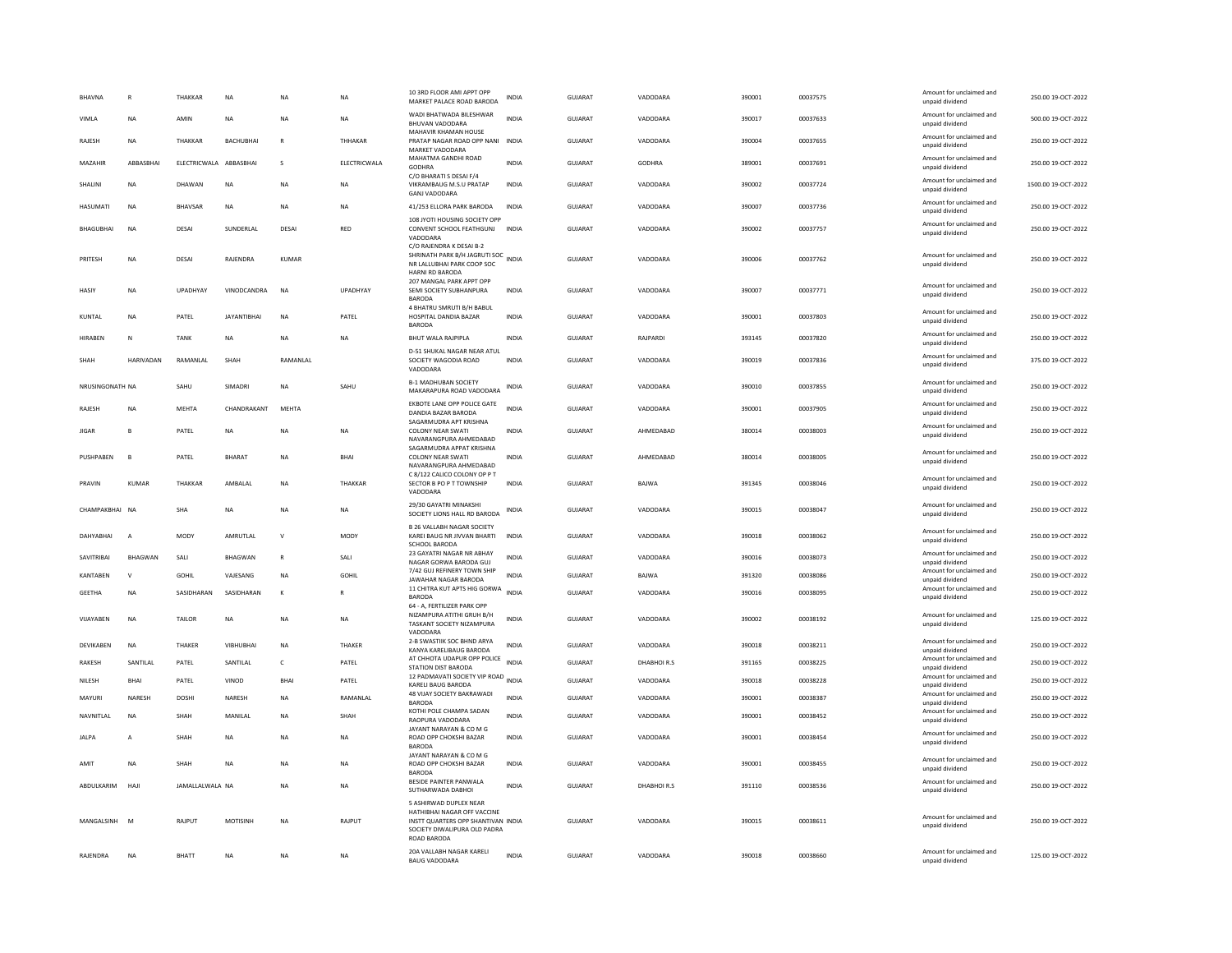| <b>BHAVNA</b>    | R              | THAKKAR                | <b>NA</b>          | <b>NA</b>      | <b>NA</b>    | 10 3RD FLOOR AMI APPT OPF<br>MARKET PALACE ROAD BARODA                                                                                     | <b>INDIA</b> | <b>GUJARAT</b> | VADODARA      | 390001 | 00037575 | Amount for unclaimed and<br>unpaid dividend | 250.00 19-OCT-2022  |
|------------------|----------------|------------------------|--------------------|----------------|--------------|--------------------------------------------------------------------------------------------------------------------------------------------|--------------|----------------|---------------|--------|----------|---------------------------------------------|---------------------|
| VIMLA            | <b>NA</b>      | AMIN                   | <b>NA</b>          | <b>NA</b>      | <b>NA</b>    | WADI BHATWADA BILESHWAR<br>BHUVAN VADODARA                                                                                                 | <b>INDIA</b> | GUJARAT        | VADODARA      | 390017 | 00037633 | Amount for unclaimed and<br>unpaid dividend | 500.00 19-OCT-2022  |
| RAJESH           | <b>NA</b>      | THAKKAR                | BACHUBHAI          | $\overline{R}$ | THHAKAR      | MAHAVIR KHAMAN HOUSE<br>PRATAP NAGAR ROAD OPP NANI INDIA<br>MARKET VADODARA                                                                |              | GUJARAT        | VADODARA      | 390004 | 00037655 | Amount for unclaimed and<br>unpaid dividend | 250.00 19-OCT-2022  |
| MAZAHIR          | ABBASBHAI      | ELECTRICWALA ABBASBHAI |                    | s              | ELECTRICWALA | MAHATMA GANDHI ROAD<br>GODHRA                                                                                                              | <b>INDIA</b> | <b>GUJARAT</b> | <b>GODHRA</b> | 389001 | 00037691 | Amount for unclaimed and<br>unpaid dividend | 250.00 19-OCT-2022  |
| SHALINI          | NA             | DHAWAN                 | <b>NA</b>          | NA             | NA           | C/O BHARATI S DESAI F/4<br>VIKRAMBAUG M.S.U PRATAP<br><b>GANJ VADODARA</b>                                                                 | <b>INDIA</b> | GUJARAT        | VADODARA      | 390002 | 00037724 | Amount for unclaimed and<br>unpaid dividend | 1500.00 19-OCT-2022 |
| <b>HASUMATI</b>  | <b>NA</b>      | BHAVSAR                | NA                 | <b>NA</b>      | NA           | 41/253 ELLORA PARK BARODA                                                                                                                  | INDIA        | GUJARAT        | VADODARA      | 390007 | 00037736 | Amount for unclaimed and<br>unpaid dividend | 250.00 19-OCT-2022  |
| <b>BHAGUBHAI</b> | <b>NA</b>      | DESA                   | SUNDERLAL          | DESA           | RED          | 108 JYOTI HOUSING SOCIETY OPF<br>CONVENT SCHOOL FEATHGUNJ INDIA<br>VADODARA<br>C/O RAJENDRA K DESAI B-2                                    |              | <b>GUJARAT</b> | VADODARA      | 390002 | 00037757 | Amount for unclaimed and<br>unpaid dividend | 250.00 19-OCT-2022  |
| PRITESH          | <b>NA</b>      | DESA                   | RAIFNDRA           | KUMAR          |              | SHRINATH PARK B/H JAGRUTI SOC<br>NR LALLUBHAI PARK COOP SOC<br><b>HARNI RD BARODA</b>                                                      |              | GUIARAT        | VADODARA      | 390006 | 00037762 | Amount for unclaimed and<br>unpaid dividend | 250.00 19-OCT-2022  |
| HASIY            | NA             | UPADHYAY               | VINODCANDRA        | <b>NA</b>      | UPADHYAY     | 207 MANGAL PARK APPT OPP<br>SEMI SOCIETY SUBHANPURA<br><b>BARODA</b>                                                                       | INDIA        | GUJARAT        | VADODARA      | 390007 | 00037771 | Amount for unclaimed and<br>unpaid dividend | 250.00 19-OCT-2022  |
| KUNTAL           | <b>NA</b>      | PATFI                  | <b>IAYANTIRHAI</b> | <b>NA</b>      | PATFI        | 4 BHATRU SMRUTI B/H BABUL<br>HOSPITAL DANDIA BAZAR<br><b>BARODA</b>                                                                        | <b>INDIA</b> | GUIARAT        | VADODARA      | 390001 | 00037803 | Amount for unclaimed and<br>unpaid dividend | 250.00.19-OCT-2022  |
| <b>HIRABEN</b>   | N              | <b>TANK</b>            | <b>NA</b>          | <b>NA</b>      | <b>NA</b>    | <b>BHUT WALA RAJPIPLA</b>                                                                                                                  | <b>INDIA</b> | <b>GUJARAT</b> | RAJPARDI      | 393145 | 00037820 | Amount for unclaimed and<br>unpaid dividend | 250.00 19-OCT-2022  |
| SHAH             | HARIVADAN      | RAMANLAL               | SHAH               | RAMANLAL       |              | D-51 SHUKAL NAGAR NEAR ATUL<br>SOCIETY WAGODIA ROAD<br>VADODARA                                                                            | <b>INDIA</b> | GUJARAT        | VADODARA      | 390019 | 00037836 | Amount for unclaimed and<br>unpaid dividend | 375.00 19-OCT-2022  |
| NRUSINGONATH NA  |                | SAHU                   | SIMADR             | <b>NA</b>      | SAHU         | <b>B-1 MADHUBAN SOCIETY</b><br>MAKARAPURA ROAD VADODARA                                                                                    | <b>INDIA</b> | <b>GUJARAT</b> | VADODARA      | 390010 | 00037855 | Amount for unclaimed and<br>unpaid dividend | 250.00 19-OCT-2022  |
| <b>RAIFSH</b>    | <b>NA</b>      | <b>MEHTA</b>           | CHANDRAKANT        | MFHTA          |              | EKBOTE LANE OPP POLICE GATE<br>DANDIA BAZAR BARODA                                                                                         | <b>INDIA</b> | GUJARAT        | VADODARA      | 390001 | 00037905 | Amount for unclaimed and<br>unpaid dividend | 250.00 19-OCT-2022  |
| <b>JIGAR</b>     | B              | PATEL                  | <b>NA</b>          | <b>NA</b>      | <b>NA</b>    | SAGARMUDRA APT KRISHNA<br><b>COLONY NEAR SWATI</b><br>NAVARANGPURA AHMEDABAD                                                               | <b>INDIA</b> | <b>GUJARAT</b> | AHMEDABAD     | 380014 | 00038003 | Amount for unclaimed and<br>unpaid dividend | 250.00 19-OCT-2022  |
| PUSHPABEN        | B              | PATEL                  | BHARAT             | <b>NA</b>      | BHAI         | SAGARMUDRA APPAT KRISHNA<br><b>COLONY NEAR SWATI</b><br>NAVARANGPURA AHMEDARAD                                                             | INDIA        | GUJARAT        | AHMEDABAD     | 380014 | 00038005 | Amount for unclaimed and<br>unpaid dividend | 250.00 19-OCT-2022  |
| PRAVIN           | KUMAR          | THAKKAR                | AMBALAL            | <b>NA</b>      | THAKKAR      | C 8/122 CALICO COLONY OP P T<br>SECTOR B PO P T TOWNSHIP<br>VADODARA                                                                       | INDIA        | GUJARAT        | BAJWA         | 391345 | 00038046 | Amount for unclaimed and<br>unpaid dividend | 250.00 19-OCT-2022  |
| CHAMPAKBHAI NA   |                | <b>SHA</b>             | <b>NA</b>          | <b>NA</b>      | <b>NA</b>    | 29/30 GAYATRI MINAKSHI<br>SOCIETY LIONS HALL RD BARODA                                                                                     | <b>INDIA</b> | GUJARAT        | VADODARA      | 390015 | 00038047 | Amount for unclaimed and<br>unpaid dividend | 250.00 19-OCT-2022  |
| DAHYARHAI        | $\overline{A}$ | MODY                   | AMRUTLAL           | $\mathsf{v}$   | MODY         | <b>B 26 VALLABH NAGAR SOCIETY</b><br>KAREI BAUG NR JIVVAN BHARTI<br><b>SCHOOL BARODA</b>                                                   | <b>INDIA</b> | <b>GUJARAT</b> | VADODARA      | 390018 | 00038062 | Amount for unclaimed and<br>unpaid dividend | 250.00 19-OCT-2022  |
| SAVITRIBAI       | BHAGWAN        | SALI                   | <b>BHAGWAN</b>     | $\mathsf{R}$   | SALI         | 23 GAYATRI NAGAR NR ABHAY<br>NAGAR GORWA BARODA GUJ                                                                                        | INDIA        | GUJARAT        | VADODARA      | 390016 | 00038073 | Amount for unclaimed and<br>unpaid dividend | 250.00 19-OCT-2022  |
| KANTAREN         | $\mathsf{v}$   | GOHIL                  | VAJESANG           | <b>NA</b>      | GOHIL        | 7/42 GUJ REFINERY TOWN SHIP<br>JAWAHAR NAGAR BARODA                                                                                        | <b>INDIA</b> | <b>GUJARAT</b> | BAJWA         | 391320 | 00038086 | Amount for unclaimed and<br>unpaid dividend | 250.00 19-OCT-2022  |
| <b>GEETHA</b>    | <b>NA</b>      | SASIDHARAN             | SASIDHARAN         | $\kappa$       |              | 11 CHITRA KUT APTS HIG GORWA<br><b>BARODA</b>                                                                                              | <b>INDIA</b> | GUJARAT        | VADODARA      | 390016 | 00038095 | Amount for unclaimed and<br>unpaid dividend | 250.00 19-OCT-2022  |
| VIJAYABEN        | <b>NA</b>      | TAILOR                 | <b>NA</b>          | <b>NA</b>      | <b>NA</b>    | 64 - A, FERTILIZER PARK OPP<br>NIZAMPURA ATITHI GRUH B/H<br>TASKANT SOCIETY NIZAMPURA<br>VADODARA                                          | <b>INDIA</b> | <b>GUJARAT</b> | VADODARA      | 390002 | 00038192 | Amount for unclaimed and<br>unpaid dividend | 125.00 19-OCT-2022  |
| <b>DEVIKABEN</b> | <b>NA</b>      | THAKER                 | VIBHUBHAI          | <b>NA</b>      | THAKER       | 2-B SWASTIIK SOC BHND ARYA<br>KANYA KARELIBAUG BARODA                                                                                      | <b>INDIA</b> | GUJARAT        | VADODARA      | 390018 | 00038211 | Amount for unclaimed and<br>unpaid dividend | 250.00 19-OCT-2022  |
| RAKESH           | SANTILAL       | PATEL                  | SANTILAL           | $\mathsf{C}$   | PATEL        | AT CHHOTA UDAPUR OPP POLICE<br>STATION DIST BARODA                                                                                         | <b>INDIA</b> | GUJARAT        | DHABHOIR.S    | 391165 | 00038225 | Amount for unclaimed and<br>unpaid dividend | 250.00 19-OCT-2022  |
| NILESH           | <b>BHAI</b>    | PATEL                  | VINOD              | <b>BHAI</b>    | PATEL        | 12 PADMAVATI SOCIETY VIP ROAD INDIA<br>KARELI BAUG BARODA                                                                                  |              | <b>GUJARAT</b> | VADODARA      | 390018 | 00038228 | Amount for unclaimed and<br>unpaid dividend | 250.00 19-OCT-2022  |
| MAYURI           | NARESH         | DOSHI                  | NARESH             | <b>NA</b>      | RAMANLAL     | 48 VIJAY SOCIETY BAKRAWADI<br><b>BARODA</b>                                                                                                | <b>INDIA</b> | GUJARAT        | VADODARA      | 390001 | 00038387 | Amount for unclaimed and<br>unpaid dividend | 250.00 19-OCT-2022  |
| NAVNITI AI       | <b>NA</b>      | SHAH                   | <b>MANII AI</b>    | <b>NA</b>      | SHAH         | KOTHI POLE CHAMPA SADAN<br>RAOPURA VADODARA                                                                                                | <b>INDIA</b> | GUIARAT        | VADODARA      | 390001 | 00038452 | Amount for unclaimed and<br>unpaid dividend | 250.00 19-OCT-2022  |
| <b>JALPA</b>     | A              | SHAH                   | NA                 | NA             | <b>NA</b>    | JAYANT NARAYAN & CO M G<br>ROAD OPP CHOKSHI BAZAR<br><b>BARODA</b>                                                                         | <b>INDIA</b> | <b>GUJARAT</b> | VADODARA      | 390001 | 00038454 | Amount for unclaimed and<br>unpaid dividend | 250.00 19-OCT-2022  |
| AMIT             | <b>NA</b>      | SHAH                   | <b>NA</b>          | <b>NA</b>      | <b>NA</b>    | JAYANT NARAYAN & CO M G<br>ROAD OPP CHOKSHI BAZAR<br><b>BARODA</b>                                                                         | <b>INDIA</b> | <b>GUJARAT</b> | VADODARA      | 390001 | 00038455 | Amount for unclaimed and<br>unpaid dividend | 250.00 19-OCT-2022  |
| ABDULKARIM       | HAJI           | JAMALLALWALA NA        |                    | <b>NA</b>      | <b>NA</b>    | BESIDE PAINTER PANWALA<br>SUTHARWADA DABHOI                                                                                                | <b>INDIA</b> | <b>GUJARAT</b> | DHABHOIR.S    | 391110 | 00038536 | Amount for unclaimed and<br>unpaid dividend | 250.00 19-OCT-2022  |
| MANGALSINH M     |                | RAJPUT                 | MOTISINH           | NA             | RAJPUT       | 5 ASHIRWAD DUPLEX NEAR<br>HATHIBHAI NAGAR OFF VACCINE<br>INSTT QUARTERS OPP SHANTIVAN INDIA<br>SOCIETY DIWALIPURA OLD PADRA<br>ROAD BARODA |              | <b>GUJARAT</b> | VADODARA      | 390015 | 00038611 | Amount for unclaimed and<br>unpaid dividend | 250.00 19-OCT-2022  |
| RAJENDRA         | NA             | BHATT                  | <b>NA</b>          | NA             | <b>NA</b>    | 20A VALLABH NAGAR KARELI<br><b>BAUG VADODARA</b>                                                                                           | <b>INDIA</b> | GUJARAT        | VADODARA      | 390018 | 00038660 | Amount for unclaimed and<br>unpaid dividend | 125.00 19-OCT-2022  |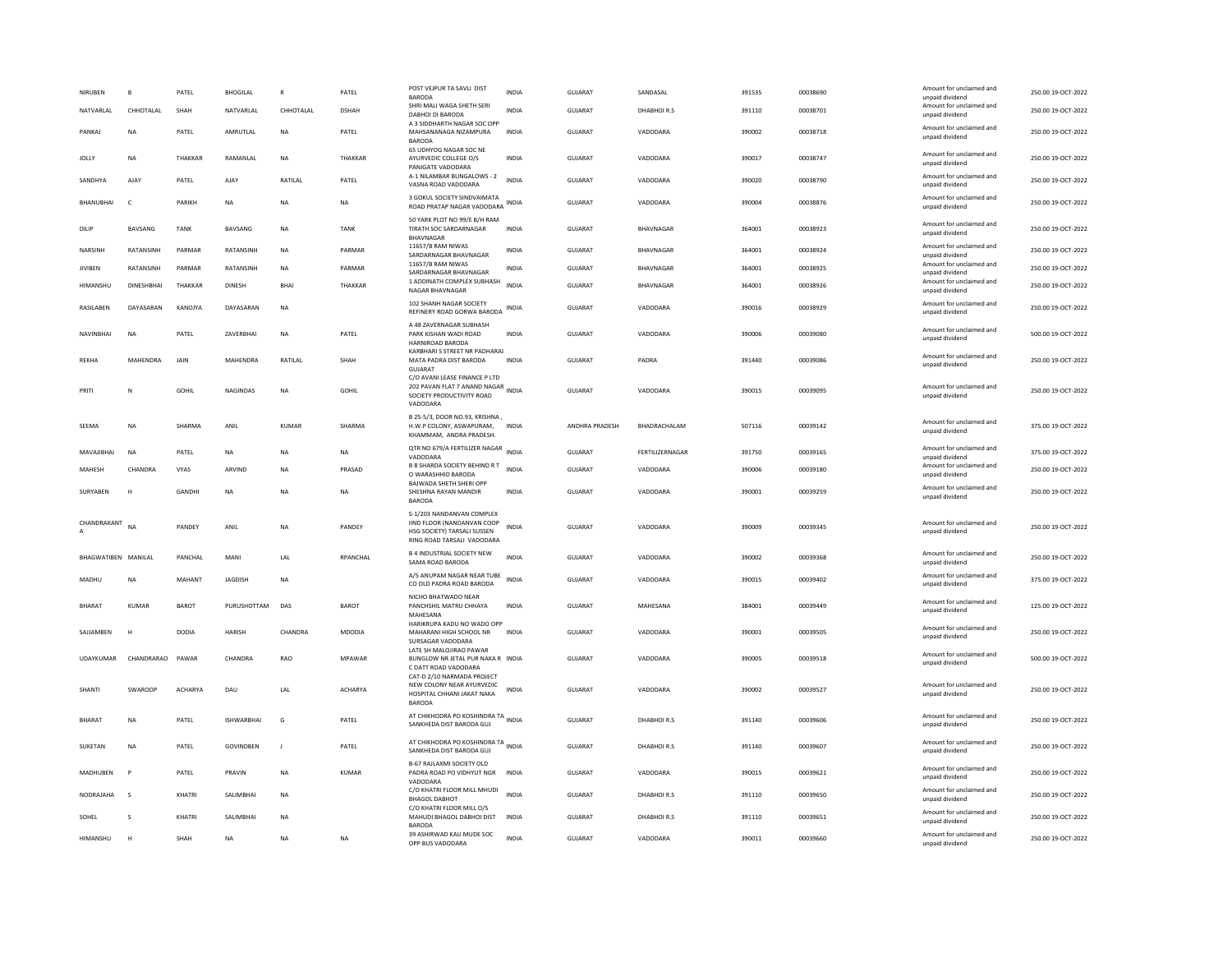| NIRUBEN             | $\mathbf{B}$   | PATEL         | <b>BHOGILAL</b>   | $\mathbb{R}$   | PATEL          | POST VEJPUR TA SAVLI DIST<br>BARODA                                                                                  | <b>INDIA</b> | <b>GUJARAT</b> | SANDASAL         | 391535 | 00038690 | Amount for unclaimed and<br>unpaid dividend | 250.00 19-OCT-2022 |
|---------------------|----------------|---------------|-------------------|----------------|----------------|----------------------------------------------------------------------------------------------------------------------|--------------|----------------|------------------|--------|----------|---------------------------------------------|--------------------|
| NATVARLAL           | CHHOTALAL      | SHAH          | NATVARLAL         | CHHOTALAL      | <b>DSHAH</b>   | SHRI MALI WAGA SHETH SERI<br>DABHOI DI BARODA                                                                        | <b>INDIA</b> | <b>GUJARAT</b> | DHABHOIR.S       | 391110 | 00038701 | Amount for unclaimed and<br>unpaid dividend | 250.00 19-OCT-2022 |
| PANKAJ              | NA             | PATEL         | AMRUTLAL          | NA             | PATEL          | A 3 SIDDHARTH NAGAR SOC OPP<br>MAHSANANAGA NIZAMPURA<br><b>BARODA</b>                                                | INDIA        | GUJARAT        | VADODARA         | 390002 | 00038718 | Amount for unclaimed and<br>unpaid dividend | 250.00 19-OCT-2022 |
| <b>JOLLY</b>        | <b>NA</b>      | THAKKAR       | RAMANLAL          | <b>NA</b>      | THAKKAR        | 65 UDHYOG NAGAR SOC NE<br>AYURVEDIC COLLEGE O/S<br>PANIGATE VADODARA                                                 | <b>INDIA</b> | <b>GUJARAT</b> | VADODARA         | 390017 | 00038747 | Amount for unclaimed and<br>unpaid dividend | 250.00 19-OCT-2022 |
| SANDHYA             | AJAY           | PATEL         | AJAY              | RATILAL        | PATEL          | A-1 NILAMBAR BUNGALOWS - 2<br>VASNA ROAD VADODARA                                                                    | <b>INDIA</b> | GUJARAT        | VADODARA         | 390020 | 00038790 | Amount for unclaimed and<br>unpaid dividend | 250.00 19-OCT-2022 |
| BHANUBHAI           | $\epsilon$     | PARIKH        | <b>NA</b>         | <b>NA</b>      | <b>NA</b>      | 3 GOKUL SOCIETY SINDVAIMATA<br>ROAD PRATAP NAGAR VADODARA                                                            |              | <b>GUJARAT</b> | VADODARA         | 390004 | 00038876 | Amount for unclaimed and<br>unpaid dividend | 250.00 19-OCT-2022 |
| DILIP               | BAVSANG        | <b>TANK</b>   | BAVSANG           | NA             | <b>TANK</b>    | 50 YARK PLOT NO 99/E B/H RAM<br>TIRATH SOC SARDARNAGAR<br><b>BHAVNAGAR</b>                                           | <b>INDIA</b> | GUJARAT        | BHAVNAGAR        | 364001 | 00038923 | Amount for unclaimed and<br>unpaid dividend | 250.00 19-OCT-2022 |
| NARSINH             | RATANSINH      | PARMAR        | RATANSINH         | <b>NA</b>      | PARMAR         | 11657/B RAM NIWAS<br>SARDARNAGAR BHAVNAGAR                                                                           | <b>INDIA</b> | <b>GUJARAT</b> | BHAVNAGAR        | 364001 | 00038924 | Amount for unclaimed and<br>unpaid dividend | 250.00 19-OCT-2022 |
| <b>JIVIBEN</b>      | RATANSINH      | PARMAR        | RATANSINH         | <b>NA</b>      | PARMAR         | 11657/B RAM NIWAS<br>SARDARNAGAR BHAVNAGAR                                                                           | <b>INDIA</b> | <b>GUJARAT</b> | BHAVNAGAR        | 364001 | 00038925 | Amount for unclaimed and<br>unpaid dividend | 250.00 19-OCT-2022 |
| HIMANSHU            | DINESHBHAI     | THAKKAR       | <b>DINESH</b>     | <b>BHAI</b>    | THAKKAR        | 1 ADDINATH COMPLEX SUBHASH<br>NAGAR BHAVNAGAR                                                                        | <b>INDIA</b> | <b>GUJARAT</b> | <b>BHAVNAGAR</b> | 364001 | 00038926 | Amount for unclaimed and<br>unpaid dividend | 250.00 19-OCT-2022 |
| RASILABEN           | DAYASARAN      | KANOJYA       | DAYASARAN         | <b>NA</b>      |                | 102 SHANH NAGAR SOCIETY<br>REFINERY ROAD GORWA BARODA                                                                | INDIA        | <b>GUJARAT</b> | VADODARA         | 390016 | 00038929 | Amount for unclaimed and<br>unpaid dividend | 250.00 19-OCT-2022 |
| NAVINBHAI           | <b>NA</b>      | PATEL         | ZAVERBHAI         | <b>NA</b>      | PATEL          | A 48 ZAVERNAGAR SUBHASH<br>PARK KISHAN WADI ROAD<br>HARNIROAD BARODA                                                 | <b>INDIA</b> | GUJARAT        | VADODARA         | 390006 | 00039080 | Amount for unclaimed and<br>unpaid dividend | 500.00 19-OCT-2022 |
| RFKHA               | MAHENDRA       | <b>JAIN</b>   | <b>MAHFNDRA</b>   | <b>RATILAI</b> | SHAH           | KARBHARI S STREET NR PADHARAI<br>MATA PADRA DIST BARODA<br><b>GUJARAT</b>                                            | <b>INDIA</b> | GUIARAT        | PADRA            | 391440 | 00039086 | Amount for unclaimed and<br>unpaid dividend | 250.00 19-OCT-2022 |
| PRITI               | $\mathbb N$    | GOHII         | <b>NAGINDAS</b>   | <b>NA</b>      | GOHIL          | C/O AVANI LEASE FINANCE P LTD<br>202 PAVAN FLAT 7 ANAND NAGAR INDIA<br>SOCIETY PRODUCTIVITY ROAD<br>VADODARA         |              | GUIARAT        | VADODARA         | 390015 | 00039095 | Amount for unclaimed and<br>unpaid dividend | 250.00.19-OCT-2022 |
| SEEMA               | NA             | SHARMA        | ANIL              | KUMAR          | SHARMA         | B 25-5/3, DOOR NO.93, KRISHNA,<br>H.W.P COLONY, ASWAPURAM,<br>KHAMMAM, ANDRA PRADESH                                 | <b>INDIA</b> | ANDHRA PRADESH | BHADRACHALAM     | 507116 | 00039142 | Amount for unclaimed and<br>unpaid dividend | 375.00 19-OCT-2022 |
| MAVAJIBHAI          | <b>NA</b>      | PATEL         | <b>NA</b>         | <b>NA</b>      | <b>NA</b>      | QTR NO 679/A FERTILIZER NAGAR<br>VADODARA                                                                            | <b>INDIA</b> | <b>GUJARAT</b> | FERTILIZERNAGAR  | 391750 | 00039165 | Amount for unclaimed and<br>unpaid dividend | 375.00 19-OCT-2022 |
| MAHESH              | CHANDRA        | VYAS          | ARVIND            | <b>NA</b>      | PRASAD         | <b>B 8 SHARDA SOCIETY BEHIND R T</b><br>O WARASHHID BARODA                                                           | <b>INDIA</b> | <b>GUJARAT</b> | VADODARA         | 390006 | 00039180 | Amount for unclaimed and<br>unpaid dividend | 250.00 19-OCT-2022 |
| SURYABEN            | н              | GANDHI        | <b>NA</b>         | <b>NA</b>      | <b>NA</b>      | BAJWADA SHETH SHERI OPP<br>SHESHNA RAYAN MANDIR<br><b>BARODA</b>                                                     | <b>INDIA</b> | <b>GUJARAT</b> | VADODARA         | 390001 | 00039259 | Amount for unclaimed and<br>unpaid dividend | 250.00 19-OCT-2022 |
| CHANDRAKANT         | <b>NA</b>      | PANDEY        | ANIL              | <b>NA</b>      | PANDEY         | S-1/203 NANDANVAN COMPLEX<br>IIND FLOOR (NANDANVAN COOP<br>HSG SOCIETY) TARSALI SUSSEN<br>RING ROAD TARSALI VADODARA | <b>INDIA</b> | <b>GUJARAT</b> | VADODARA         | 390009 | 00039345 | Amount for unclaimed and<br>unpaid dividend | 250.00 19-OCT-2022 |
| BHAGWATIBEN MANILAL |                | PANCHAL       | MANI              | LAL            | RPANCHAL       | <b>B 4 INDUSTRIAL SOCIETY NEW</b><br>SAMA ROAD BARODA                                                                | <b>INDIA</b> | GUJARAT        | VADODARA         | 390002 | 00039368 | Amount for unclaimed and<br>unpaid dividend | 250.00 19-OCT-2022 |
| MADHU               | NA             | <b>MAHANT</b> | JAGDISH           | <b>NA</b>      |                | A/5 ANUPAM NAGAR NEAR TUBE<br>CO OLD PADRA ROAD BARODA                                                               | <b>INDIA</b> | <b>GUJARAT</b> | VADODARA         | 390015 | 00039402 | Amount for unclaimed and<br>unpaid dividend | 375.00 19-OCT-2022 |
| <b>BHARAT</b>       | <b>KUMAR</b>   | BAROT         | PURUSHOTTAM       | DAS            | <b>BAROT</b>   | NICHO BHATWADO NEAR<br>PANCHSHIL MATRU CHHAYA<br>MAHESANA                                                            | <b>INDIA</b> | GUJARAT        | MAHESANA         | 384001 | 00039449 | Amount for unclaimed and<br>unpaid dividend | 125.00 19-OCT-2022 |
| SAJJAMBEN           | н              | <b>DODIA</b>  | HARISH            | CHANDRA        | MDODIA         | HARIKRUPA KADU NO WADO OPP<br>MAHARANI HIGH SCHOOL NR<br>SURSAGAR VADODARA                                           | <b>INDIA</b> | GUJARAT        | VADODARA         | 390001 | 00039505 | Amount for unclaimed and<br>unpaid dividend | 250.00 19-OCT-2022 |
| <b>UDAYKUMAR</b>    | CHANDRARAO     | PAWAR         | CHANDRA           | <b>RAO</b>     | <b>MPAWAR</b>  | LATE SH MALOJIRAO PAWAR<br>BUNGLOW NR JETAL PUR NAKA R INDIA<br>C DATT ROAD VADODARA                                 |              | GUIARAT        | VADODARA         | 390005 | 00039518 | Amount for unclaimed and<br>unpaid dividend | 500.00 19-OCT-2022 |
| SHANTI              | <b>SWAROOP</b> | ACHARYA       | DAU               | LAL            | <b>ACHARYA</b> | CAT-D 2/10 NARMADA PROJECT<br>NEW COLONY NEAR AYURVEDIC<br>HOSPITAL CHHANI JAKAT NAKA<br>BARODA                      | <b>INDIA</b> | <b>GUJARAT</b> | VADODARA         | 390002 | 00039527 | Amount for unclaimed and<br>unpaid dividend | 250.00 19-OCT-2022 |
| <b>RHARAT</b>       | <b>NA</b>      | PATEL         | <b>ISHWARRHAI</b> | G              | PATEL          | AT CHIKHODRA PO KOSHINDRA TA INDIA<br>SANKHEDA DIST BARODA GUJ                                                       |              | <b>GUJARAT</b> | DHABHOIR.S       | 391140 | 00039606 | Amount for unclaimed and<br>unpaid dividend | 250.00 19-OCT-2022 |
| SUKETAN             | <b>NA</b>      | PATEL         | <b>GOVINDBEN</b>  | $\mathbf{J}$   | PATEL          | AT CHIKHODRA PO KOSHINDRA TA INDIA<br>SANKHEDA DIST BARODA GUJ                                                       |              | <b>GUJARAT</b> | DHABHOIR.S       | 391140 | 00039607 | Amount for unclaimed and<br>unpaid dividend | 250.00 19-OCT-2022 |
| MADHUBEN            | P              | PATEL         | PRAVIN            | <b>NA</b>      | <b>KUMAR</b>   | B-67 RAJLAXMI SOCIETY OLD<br>PADRA ROAD PO VIDHYUT NGR<br>VADODARA                                                   | <b>INDIA</b> | <b>GUJARAT</b> | VADODARA         | 390015 | 00039621 | Amount for unclaimed and<br>unpaid dividend | 250.00 19-OCT-2022 |
| NODRAJAHA           | s              | KHATRI        | SALIMBHAI         | <b>NA</b>      |                | C/O KHATRI FLOOR MILL MHUDI<br><b>BHAGOL DABHOT</b>                                                                  | <b>INDIA</b> | GUJARAT        | DHABHOIR.S       | 391110 | 00039650 | Amount for unclaimed and<br>unpaid dividend | 250.00 19-OCT-2022 |
| SOHEL               | $\mathbf{S}$   | KHATRI        | <b>SAI IMBHAI</b> | <b>NA</b>      |                | C/O KHATRI FLOOR MILL O/S<br>MAHUDI BHAGOL DABHOI DIST<br><b>BARODA</b>                                              | <b>INDIA</b> | GUIARAT        | DHABHOIR.S       | 391110 | 00039651 | Amount for unclaimed and<br>unpaid dividend | 250.00 19-OCT-2022 |
| HIMANSHU            | н              | SHAH          | <b>NA</b>         | <b>NA</b>      | <b>NA</b>      | 39 ASHIRWAD KAU MUDE SOC<br>OPP BUS VADODARA                                                                         | <b>INDIA</b> | GUJARAT        | VADODARA         | 390011 | 00039660 | Amount for unclaimed and<br>unpaid dividend | 250.00 19-OCT-2022 |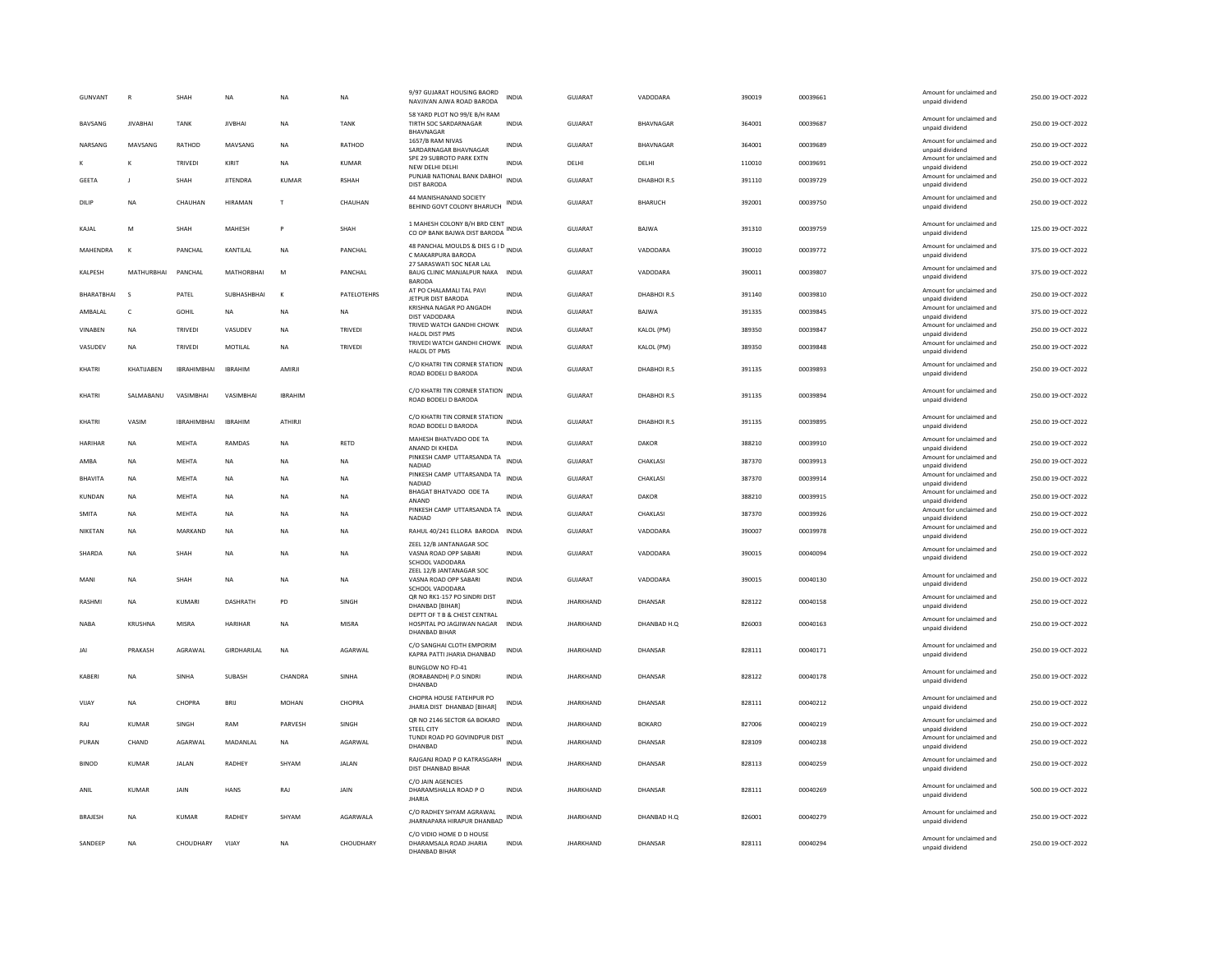| <b>GUNVANT</b> | $\mathbb{R}$      | SHAH               | NA              | <b>NA</b>      | <b>NA</b>     | 9/97 GUJARAT HOUSING BAORD<br>NAVJIVAN AJWA ROAD BARODA                     | INDIA        | GUJARAT          | VADODARA         | 390019 | 00039661 | Amount for unclaimed and<br>unpaid dividend                    | 250.00 19-OCT-2022 |
|----------------|-------------------|--------------------|-----------------|----------------|---------------|-----------------------------------------------------------------------------|--------------|------------------|------------------|--------|----------|----------------------------------------------------------------|--------------------|
| <b>BAVSANG</b> | <b>IIVARHAI</b>   | <b>TANK</b>        | <b>IIVRHAI</b>  | <b>NA</b>      | <b>TANK</b>   | 58 YARD PLOT NO 99/E B/H RAM<br>TIRTH SOC SARDARNAGAR<br>BHAVNAGAR          | <b>INDIA</b> | GUIARAT          | <b>RHAVNAGAR</b> | 364001 | 00039687 | Amount for unclaimed and<br>unpaid dividend                    | 250.00.19-OCT-2022 |
| NARSANG        | MAVSANG           | RATHOD             | MAVSANG         | <b>NA</b>      | RATHOD        | 1657/B RAM NIVAS<br>SARDARNAGAR BHAVNAGAR                                   | INDIA        | GUJARAT          | BHAVNAGAR        | 364001 | 00039689 | Amount for unclaimed and<br>unpaid dividend                    | 250.00 19-OCT-2022 |
|                | K                 | TRIVEDI            | KIRIT           | NA             | <b>KUMAR</b>  | SPE 29 SUBROTO PARK EXTN<br>NEW DELHI DELHI                                 | <b>INDIA</b> | DELHI            | DELHI            | 110010 | 00039691 | Amount for unclaimed and<br>unpaid dividend                    | 250.00 19-OCT-2022 |
| <b>GEETA</b>   |                   | SHAH               | <b>JITENDRA</b> | KUMAR          | <b>RSHAH</b>  | PUNJAB NATIONAL BANK DABHOI<br><b>DIST BARODA</b>                           | <b>INDIA</b> | GUIARAT          | DHARHOLR S       | 391110 | 00039729 | Amount for unclaimed and<br>unpaid dividend                    | 250.00 19-OCT-2022 |
| DILIP          | NΑ                | CHAUHAN            | <b>HIRAMAN</b>  | T              | CHAUHAN       | 44 MANISHANAND SOCIETY<br>BEHIND GOVT COLONY BHARUCH                        | INDIA        | GUJARAT          | BHARUCH          | 392001 | 00039750 | Amount for unclaimed and<br>unpaid dividend                    | 250.00 19-OCT-2022 |
| KAIAI          | M                 | SHAH               | <b>MAHFSH</b>   | P              | SHAH          | 1 MAHESH COLONY B/H BRD CENT<br>CO OP BANK BAJWA DIST BARODA                | INDIA        | GUIARAT          | <b>BAIWA</b>     | 391310 | 00039759 | Amount for unclaimed and<br>unpaid dividend                    | 125.00 19-OCT-2022 |
| MAHENDRA       |                   | PANCHAL            | KANTILAL        | <b>NA</b>      | PANCHAL       | 48 PANCHAL MOULDS & DIES G I D<br>INDIA<br>C MAKARPURA BARODA               |              | <b>GUJARAT</b>   | VADODARA         | 390010 | 00039772 | Amount for unclaimed and<br>unpaid dividend                    | 375.00 19-OCT-2022 |
| KALPESH        | MATHURRHAI        | PANCHAL            | MATHORRHAI      | M              | PANCHAL       | 27 SARASWATI SOC NEAR LAL<br>BAUG CLINIC MANJALPUR NAKA<br><b>BARODA</b>    | <b>INDIA</b> | <b>GUJARAT</b>   | VADODARA         | 390011 | 00039807 | Amount for unclaimed and<br>unpaid dividend                    | 375.00 19-OCT-2022 |
| BHARATBHAI     |                   | PATEL              | SUBHASHBHAI     | $\mathbf{K}$   | PATELOTEHRS   | AT PO CHALAMALI TAL PAVI<br>JETPUR DIST BARODA                              | INDIA        | GUJARAT          | DHABHOIR.S       | 391140 | 00039810 | Amount for unclaimed and<br>unpaid dividend                    | 250.00 19-OCT-2022 |
| AMBALAL        | $\mathsf{C}$      | <b>GOHIL</b>       | NA              | <b>NA</b>      | <b>NA</b>     | KRISHNA NAGAR PO ANGADH<br>DIST VADODARA                                    | <b>INDIA</b> | <b>GUJARAT</b>   | BAJWA            | 391335 | 00039845 | Amount for unclaimed and<br>unpaid dividend                    | 375.00 19-OCT-2022 |
| VINABEN        | <b>NA</b>         | TRIVEDI            | VASUDEV         | <b>NA</b>      | TRIVED        | TRIVED WATCH GANDHI CHOWK                                                   | <b>INDIA</b> | GUJARAT          | KALOL (PM)       | 389350 | 00039847 | Amount for unclaimed and                                       | 250.00 19-OCT-2022 |
| VASUDEV        | <b>NA</b>         | TRIVEDI            | MOTILAL         | <b>NA</b>      | TRIVED        | HALOL DIST PMS<br>TRIVEDI WATCH GANDHI CHOWK                                | <b>INDIA</b> | GUJARAT          | KALOL (PM)       | 389350 | 00039848 | unpaid dividend<br>Amount for unclaimed and                    | 250.00 19-OCT-2022 |
|                |                   |                    |                 |                |               | HALOL DT PMS                                                                |              |                  |                  |        |          | unpaid dividend                                                |                    |
| KHATRI         | KHATIJABEN        | <b>IBRAHIMBHAI</b> | <b>IBRAHIM</b>  | AMIRJI         |               | C/O KHATRI TIN CORNER STATION INDIA<br>ROAD BODELI D BARODA                 |              | <b>GUJARAT</b>   | DHABHOIR.S       | 391135 | 00039893 | Amount for unclaimed and<br>unpaid dividend                    | 250.00 19-OCT-2022 |
| KHATRI         | <b>SAI MARANU</b> | VASIMBHAI          | VASIMBHAI       | <b>IRRAHIM</b> |               | C/O KHATRI TIN CORNER STATION<br>ROAD BODELI D BARODA                       | <b>INDIA</b> | <b>GUJARAT</b>   | DHABHOIR.S       | 391135 | 00039894 | Amount for unclaimed and<br>unpaid dividend                    | 250.00 19-OCT-2022 |
| KHATRI         | VASIM             | <b>IBRAHIMBHAI</b> | <b>IBRAHIM</b>  | <b>ATHIRJ</b>  |               | C/O KHATRI TIN CORNER STATION INDIA<br>ROAD BODELI D BARODA                 |              | GUJARAT          | DHABHOIR.S       | 391135 | 00039895 | Amount for unclaimed and<br>unpaid dividend                    | 250.00 19-OCT-2022 |
| <b>HARIHAR</b> | <b>NA</b>         | MEHTA              | RAMDAS          | <b>NA</b>      | RETD          | MAHESH BHATVADO ODE TA<br>ANAND DI KHEDA                                    | <b>INDIA</b> | GUJARAT          | DAKOR            | 388210 | 00039910 | Amount for unclaimed and<br>unpaid dividend                    | 250.00 19-OCT-2022 |
| AMBA           | <b>NA</b>         | <b>MEHTA</b>       | NA              | <b>NA</b>      | <b>NA</b>     | PINKESH CAMP UTTARSANDA TA<br>NADIAD                                        | <b>INDIA</b> | <b>GUJARAT</b>   | CHAKLASI         | 387370 | 00039913 | Amount for unclaimed and<br>unpaid dividend                    | 250.00 19-OCT-2022 |
| <b>BHAVITA</b> | <b>NA</b>         | MEHTA              | NA              | <b>NA</b>      | NA            | PINKESH CAMP UTTARSANDA TA<br>NADIAD                                        | <b>INDIA</b> | GUJARAT          | CHAKLASI         | 387370 | 00039914 | Amount for unclaimed and<br>unpaid dividend                    | 250.00 19-OCT-2022 |
| KUNDAN         | <b>NA</b>         | <b>MEHTA</b>       | <b>NA</b>       | <b>NA</b>      | <b>NA</b>     | BHAGAT BHATVADO ODE TA                                                      | <b>INDIA</b> | <b>GUJARAT</b>   | DAKOR            | 388210 | 00039915 | Amount for unclaimed and                                       | 250.00 19-OCT-2022 |
| <b>SMITA</b>   | ΝA                | MEHTA              | NA              | <b>NA</b>      | NA            | ANAND<br>PINKESH CAMP UTTARSANDA TA                                         | <b>INDIA</b> | GUJARAT          | CHAKLASI         | 387370 | 00039926 | unpaid dividend<br>Amount for unclaimed and                    | 250.00 19-OCT-2022 |
|                |                   |                    |                 |                |               | <b>NADIAD</b>                                                               |              |                  |                  |        |          | unpaid dividend<br>Amount for unclaimed and                    |                    |
| NIKETAN        | <b>NA</b>         | MARKAND            | NA              | <b>NA</b>      | NA            | RAHUL 40/241 ELLORA BARODA INDIA                                            |              | GUJARAT          | VADODARA         | 390007 | 00039978 | unpaid dividend                                                | 250.00 19-OCT-2022 |
| SHARDA         | <b>NA</b>         | SHAH               | <b>NA</b>       | <b>NA</b>      | <b>NA</b>     | ZEEL 12/B JANTANAGAR SOC<br>VASNA ROAD OPP SABARI<br>SCHOOL VADODARA        | <b>INDIA</b> | <b>GUJARAT</b>   | VADODARA         | 390015 | 00040094 | Amount for unclaimed and<br>unpaid dividend                    | 250.00 19-OCT-2022 |
| MANI           | <b>NA</b>         | SHAH               | <b>NA</b>       | <b>NA</b>      | <b>NA</b>     | ZEEL 12/B JANTANAGAR SOC<br>VASNA ROAD OPP SABARI<br>SCHOOL VADODARA        | <b>INDIA</b> | <b>GUJARAT</b>   | VADODARA         | 390015 | 00040130 | Amount for unclaimed and<br>unpaid dividend                    | 250.00 19-OCT-2022 |
| <b>RASHM</b>   | NA                | KUMARI             | <b>DASHRATH</b> | PD             | SINGH         | QR NO RK1-157 PO SINDRI DIST<br>DHANBAD [BIHAR]                             | <b>INDIA</b> | <b>JHARKHAND</b> | DHANSAR          | 828122 | 00040158 | Amount for unclaimed and<br>unpaid dividend                    | 250.00 19-OCT-2022 |
| <b>NABA</b>    | KRUSHNA           | MISRA              | <b>HARIHAF</b>  | <b>NA</b>      | MISRA         | DEPTT OF T B & CHEST CENTRAL<br>HOSPITAL PO JAGJIWAN NAGAR<br>DHANBAD BIHAF | <b>INDIA</b> | <b>JHARKHAND</b> | DHANBAD H.Q      | 826003 | 00040163 | Amount for unclaimed and<br>unpaid dividend                    | 250.00 19-OCT-2022 |
| JAI            | PRAKASH           | AGRAWAL            | GIRDHARILAL     | <b>NA</b>      | AGARWAL       | C/O SANGHAI CLOTH EMPORIM<br>KAPRA PATTI JHARIA DHANBAD                     | INDIA        | <b>JHARKHAND</b> | DHANSAR          | 828111 | 00040171 | Amount for unclaimed and<br>unpaid dividend                    | 250.00 19-OCT-2022 |
| KABERI         | <b>NA</b>         | SINHA              | SUBASH          | CHANDRA        | SINHA         | BUNGLOW NO FD-41<br>(RORABANDH) P.O SINDRI<br>DHANRAD                       | <b>INDIA</b> | <b>JHARKHAND</b> | DHANSAR          | 828122 | 00040178 | Amount for unclaimed and<br>unpaid dividend                    | 250.00 19-OCT-2022 |
| VIJAY          | <b>NA</b>         | CHOPRA             | BRIJ            | <b>MOHAN</b>   | CHOPRA        | CHOPRA HOUSE FATEHPUR PO<br>JHARIA DIST DHANBAD [BIHAR]                     | <b>INDIA</b> | <b>JHARKHAND</b> | DHANSAR          | 828111 | 00040212 | Amount for unclaimed and<br>unpaid dividend                    | 250.00 19-OCT-2022 |
| RAJ            | KUMAR             | SINGH              | RAM             | PARVESH        | SINGH         | OR NO 2146 SECTOR 6A BOKARO<br><b>STEEL CITY</b>                            | <b>INDIA</b> | <b>JHARKHAND</b> | <b>BOKARO</b>    | 827006 | 00040219 | Amount for unclaimed and                                       | 250.00 19-OCT-2022 |
| PURAN          | CHAND             | AGARWAL            | MADANLAL        | <b>NA</b>      | AGARWAL       | TUNDI ROAD PO GOVINDPUR DIST<br>INDIA<br>DHANRAD                            |              | <b>JHARKHAND</b> | DHANSAR          | 828109 | 00040238 | unpaid dividend<br>Amount for unclaimed and<br>unpaid dividend | 250.00 19-OCT-2022 |
| <b>BINOD</b>   | KUMAR             | <b>JAI AN</b>      | <b>RADHEY</b>   | SHYAM          | <b>JAI AN</b> | RAJGANJ ROAD P O KATRASGARH<br>DIST DHANBAD BIHAR                           | <b>INDIA</b> | <b>IHARKHAND</b> | DHANSAR          | 828113 | 00040259 | Amount for unclaimed and<br>unpaid dividend                    | 250.00 19-OCT-2022 |
| ANIL           | <b>KUMAR</b>      | JAIN               | HANS            | RAJ            | JAIN          | C/O JAIN AGENCIES<br>DHARAMSHALLA ROAD PO<br><b>JHARIA</b>                  | <b>INDIA</b> | <b>JHARKHAND</b> | DHANSAR          | 828111 | 00040269 | Amount for unclaimed and<br>unpaid dividend                    | 500.00 19-OCT-2022 |
| <b>BRAJESH</b> | <b>NA</b>         | <b>KUMAR</b>       | <b>RADHEY</b>   | SHYAM          | AGARWALA      | C/O RADHEY SHYAM AGRAWAL<br>JHARNAPARA HIRAPUR DHANBAD                      | INDIA        | <b>JHARKHAND</b> | DHANBAD H.Q      | 826001 | 00040279 | Amount for unclaimed and<br>unpaid dividend                    | 250.00 19-OCT-2022 |
| SANDEEP        | <b>NA</b>         | CHOUDHARY          | VIJAY           | <b>NA</b>      | CHOUDHARY     | C/O VIDIO HOME D D HOUSE<br>DHARAMSALA ROAD JHARIA<br>DHANBAD BIHAR         | <b>INDIA</b> | <b>JHARKHAND</b> | DHANSAR          | 828111 | 00040294 | Amount for unclaimed and<br>unpaid dividend                    | 250.00 19-OCT-2022 |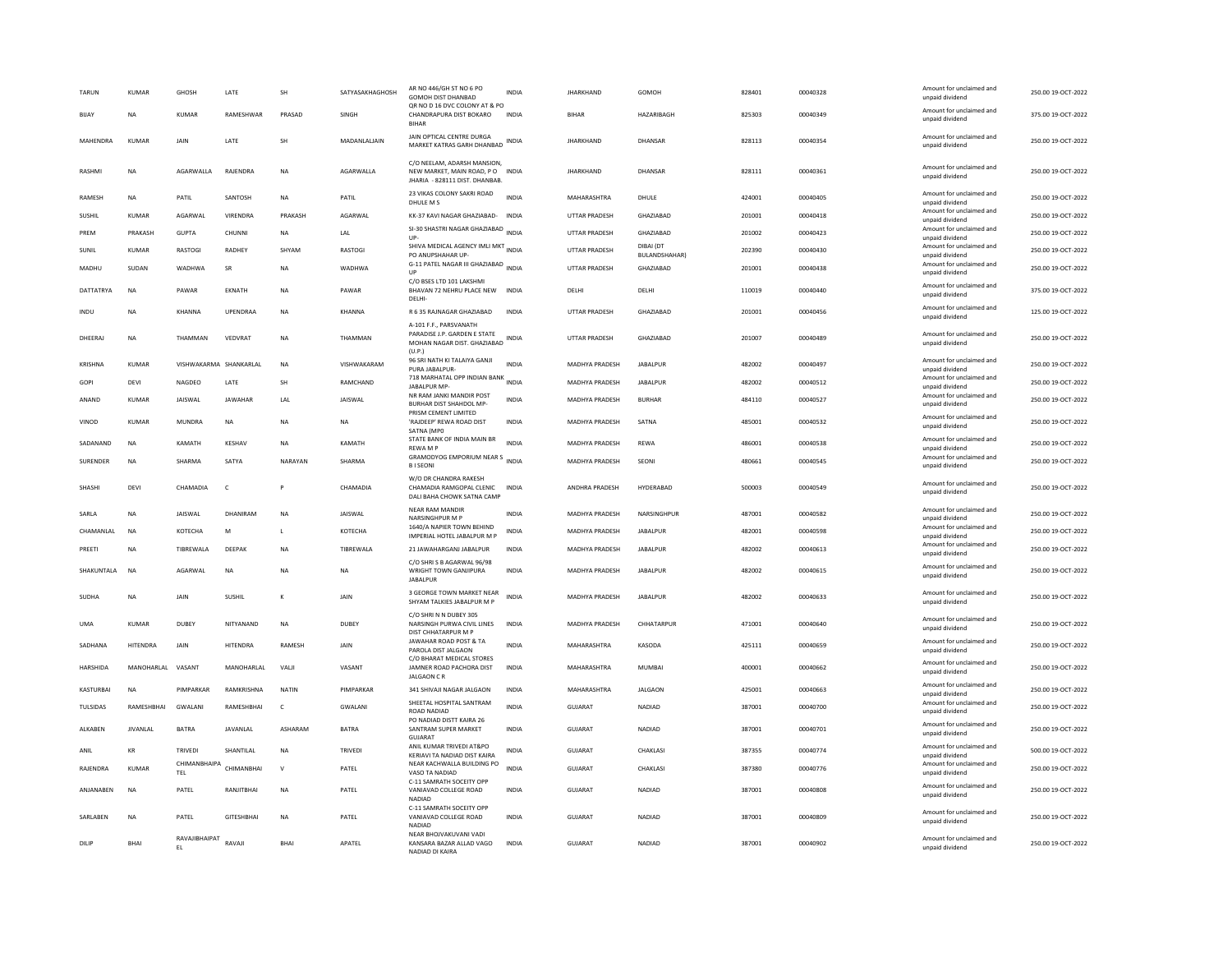| TARUN            | KUMAR           | GHOSH                      | LATE              | SH           | SATYASAKHAGHOSH | AR NO 446/GH ST NO 6 PO<br><b>GOMOH DIST DHANBAD</b><br>OR NO D 16 DVC COLONY AT & PO           | <b>INDIA</b> | <b>JHARKHAND</b>      | GOMOH                      | 828401 | 00040328 | Amount for unclaimed and<br>unpaid dividend | 250.00 19-OCT-2022 |
|------------------|-----------------|----------------------------|-------------------|--------------|-----------------|-------------------------------------------------------------------------------------------------|--------------|-----------------------|----------------------------|--------|----------|---------------------------------------------|--------------------|
| BIJAY            | <b>NA</b>       | <b>KUMAR</b>               | RAMESHWAR         | PRASAD       | SINGH           | CHANDRAPURA DIST BOKARO<br><b>BIHAR</b>                                                         | <b>INDIA</b> | <b>BIHAR</b>          | HAZARIBAGH                 | 825303 | 00040349 | Amount for unclaimed and<br>unpaid dividend | 375.00 19-OCT-2022 |
| MAHENDRA         | <b>KUMAR</b>    | JAIN                       | LATE              | SH           | MADANLALIAIN    | JAIN OPTICAL CENTRE DURGA<br>MARKET KATRAS GARH DHANBAD                                         | <b>INDIA</b> | <b>JHARKHAND</b>      | DHANSAR                    | 828113 | 00040354 | Amount for unclaimed and<br>unpaid dividend | 250.00 19-OCT-2022 |
| <b>RASHM</b>     | NA              | AGARWALLA                  | RAJENDRA          | <b>NA</b>    | AGARWALLA       | C/O NEELAM. ADARSH MANSION<br>NEW MARKET, MAIN ROAD, PO INDIA<br>JHARIA - 828111 DIST. DHANBAB. |              | <b>JHARKHAND</b>      | DHANSAR                    | 828111 | 00040361 | Amount for unclaimed and<br>unpaid dividend | 250.00 19-OCT-2022 |
| RAMESH           | NA              | PATIL                      | SANTOSH           | NA           | PATIL           | 23 VIKAS COLONY SAKRI ROAD<br>DHULE M S                                                         | INDIA        | MAHARASHTRA           | DHULE                      | 424001 | 00040405 | Amount for unclaimed and<br>unpaid dividend | 250.00 19-OCT-2022 |
| SUSHIL           | <b>KUMAR</b>    | AGARWAL                    | VIRENDRA          | PRAKASH      | AGARWAL         | KK-37 KAVI NAGAR GHAZIABAD-                                                                     | <b>INDIA</b> | <b>UTTAR PRADESH</b>  | GHAZIABAD                  | 201001 | 00040418 | Amount for unclaimed and<br>unpaid dividend | 250.00 19-OCT-2022 |
| PREM             | PRAKASH         | <b>GUPTA</b>               | CHUNNI            | $_{\sf NA}$  | LAL             | SI-30 SHASTRI NAGAR GHAZIABAD<br>UP-                                                            | <b>INDIA</b> | UTTAR PRADESH         | GHAZIABAD                  | 201002 | 00040423 | Amount for unclaimed and<br>unpaid dividend | 250.00 19-OCT-2022 |
| SUNIL            | <b>KUMAR</b>    | <b>RASTOGI</b>             | RADHEY            | SHYAM        | <b>RASTOGI</b>  | SHIVA MEDICAL AGENCY IMLI MKT<br>PO ANUPSHAHAR UP-                                              | <b>INDIA</b> | UTTAR PRADESH         | DIBAI (DT<br>BULANDSHAHAR) | 202390 | 00040430 | Amount for unclaimed and<br>unpaid dividend | 250.00 19-OCT-2022 |
| MADHU            | SUDAN           | <b>WADHWA</b>              | SR                | <b>NA</b>    | <b>WADHWA</b>   | G-11 PATEL NAGAR III GHAZIABAD                                                                  | INDIA        | <b>UTTAR PRADESH</b>  | GHAZIABAD                  | 201001 | 00040438 | Amount for unclaimed and<br>unpaid dividend | 250.00 19-OCT-2022 |
| DATTATRYA        | <b>NA</b>       | PAWAR                      | EKNATH            | <b>NA</b>    | PAWAR           | C/O BSES LTD 101 LAKSHMI<br>BHAVAN 72 NEHRU PLACE NEW<br>DELHI                                  | <b>INDIA</b> | DELHI                 | DELHI                      | 110019 | 00040440 | Amount for unclaimed and<br>unpaid dividend | 375.00 19-OCT-2022 |
| INDU             | <b>NA</b>       | KHANNA                     | <b>UPENDRAA</b>   | <b>NA</b>    | KHANNA          | R 6 35 RAJNAGAR GHAZIABAD                                                                       | <b>INDIA</b> | <b>UTTAR PRADESH</b>  | GHAZIABAD                  | 201001 | 00040456 | Amount for unclaimed and<br>unpaid dividend | 125.00 19-OCT-2022 |
|                  |                 |                            |                   |              |                 | A-101 F.F., PARSVANATH                                                                          |              |                       |                            |        |          |                                             |                    |
| DHEERAJ          | <b>NA</b>       | THAMMAN                    | VEDVRAT           | <b>NA</b>    | THAMMAN         | PARADISE J.P. GARDEN E STATE<br>MOHAN NAGAR DIST. GHAZIABAD<br>(U.P.)                           | <b>INDIA</b> | <b>UTTAR PRADESH</b>  | GHAZIABAD                  | 201007 | 00040489 | Amount for unclaimed and<br>unpaid dividend | 250.00 19-OCT-2022 |
| <b>KRISHNA</b>   | <b>KUMAR</b>    | VISHWAKARMA SHANKARLAL     |                   | <b>NA</b>    | VISHWAKARAM     | 96 SRI NATH KI TALAIYA GANJI<br>PURA JABALPUR-                                                  | <b>INDIA</b> | MADHYA PRADESH        | <b>JABALPUR</b>            | 482002 | 00040497 | Amount for unclaimed and<br>unpaid dividend | 250.00 19-OCT-2022 |
| GOPI             | DEVI            | NAGDEO                     | LATE              | <b>SH</b>    | RAMCHAND        | 718 MARHATAL OPP INDIAN BANK<br>JABALPUR MP-                                                    | <b>INDIA</b> | <b>MADHYA PRADESH</b> | <b>IARAI PUR</b>           | 482002 | 00040512 | Amount for unclaimed and<br>unpaid dividend | 250.00 19-OCT-2022 |
| ANAND            | <b>KUMAR</b>    | <b>JAISWAL</b>             | <b>JAWAHAR</b>    | LAL          | JAISWAL         | NR RAM JANKI MANDIR POST<br><b>BURHAR DIST SHAHDOL MP-</b><br>PRISM CEMENT LIMITED              | <b>INDIA</b> | <b>MADHYA PRADESH</b> | <b>BURHAR</b>              | 484110 | 00040527 | Amount for unclaimed and<br>unpaid dividend | 250.00 19-OCT-2022 |
| VINOD            | KUMAR           | <b>MUNDRA</b>              | <b>NA</b>         | <b>NA</b>    | <b>NA</b>       | 'RAJDEEP' REWA ROAD DIST<br>SATNA (MPO                                                          | <b>INDIA</b> | <b>MADHYA PRADESH</b> | SATNA                      | 485001 | 00040532 | Amount for unclaimed and<br>unpaid dividend | 250.00 19-OCT-2022 |
| SADANAND         | <b>NA</b>       | KAMATH                     | KESHAV            | <b>NA</b>    | KAMATH          | STATE BANK OF INDIA MAIN BR<br><b>REWAMP</b>                                                    | <b>INDIA</b> | <b>MADHYA PRADESH</b> | <b>REWA</b>                | 486001 | 00040538 | Amount for unclaimed and<br>unpaid dividend | 250.00 19-OCT-2022 |
| SURENDER         | <b>NA</b>       | SHARMA                     | SATYA             | NARAYAN      | SHARMA          | GRAMODYOG EMPORIUM NEAR S<br><b>BISEONI</b>                                                     | <b>INDIA</b> | <b>MADHYA PRADESH</b> | SEONI                      | 480661 | 00040545 | Amount for unclaimed and<br>unpaid dividend | 250.00 19-OCT-2022 |
| SHASHI           | DFVI            | CHAMADIA                   | $\mathsf{C}$      | P            | CHAMADIA        | W/O DR CHANDRA RAKESH<br>CHAMADIA RAMGOPAL CLENIC INDIA<br>DALI BAHA CHOWK SATNA CAMP           |              | ANDHRA PRADESH        | HYDERABAD                  | 500003 | 00040549 | Amount for unclaimed and<br>unpaid dividend | 250.00 19-OCT-2022 |
| SARLA            | NA              | <b>JAISWAL</b>             | DHANIRAM          | NA           | JAISWAL         | <b>NEAR RAM MANDIR</b><br>NARSINGHPUR M P                                                       | <b>INDIA</b> | MADHYA PRADESH        | NARSINGHPUR                | 487001 | 00040582 | Amount for unclaimed and<br>unpaid dividend | 250.00 19-OCT-2022 |
| CHAMANI AI       | <b>NA</b>       | KOTECHA                    | M                 | $\mathbf{L}$ | KOTECHA         | 1640/A NAPIER TOWN BEHIND<br>IMPERIAL HOTEL JABALPUR M P                                        | <b>INDIA</b> | <b>MADHYA PRADESH</b> | <b>IARAI PUR</b>           | 482001 | 00040598 | Amount for unclaimed and<br>unpaid dividend | 250.00 19-OCT-2022 |
| PREETI           | <b>NA</b>       | TIBREWALA                  | DEEPAK            | <b>NA</b>    | TIBREWALA       | 21 JAWAHARGANJ JABALPUR                                                                         | <b>INDIA</b> | <b>MADHYA PRADESH</b> | <b>JABALPUR</b>            | 482002 | 00040613 | Amount for unclaimed and                    | 250.00 19-OCT-2022 |
|                  |                 |                            |                   |              |                 | C/O SHRIS B AGARWAL 96/98                                                                       |              |                       |                            |        |          | unpaid dividend<br>Amount for unclaimed and |                    |
| SHAKUNTALA       | <b>NA</b>       | AGARWAL                    | <b>NA</b>         | <b>NA</b>    | <b>NA</b>       | WRIGHT TOWN GANJIPURA<br><b>JABALPUR</b><br>3 GEORGE TOWN MARKET NEAR                           | <b>INDIA</b> | <b>MADHYA PRADESH</b> | JABALPUR                   | 482002 | 00040615 | unpaid dividend                             | 250.00 19-OCT-2022 |
| SUDHA            | NA              | JAIN                       | SUSHIL            | $\mathbf{K}$ | JAIN            | SHYAM TALKIES JABALPUR M P                                                                      | <b>INDIA</b> | MADHYA PRADESH        | JABALPUR                   | 482002 | 00040633 | Amount for unclaimed and<br>unpaid dividend | 250.00 19-OCT-2022 |
| <b>UMA</b>       | <b>KUMAR</b>    | DUBEY                      | NITYANAND         | <b>NA</b>    | <b>DUBEY</b>    | C/O SHRI N N DUBEY 305<br>NARSINGH PURWA CIVIL LINES<br>DIST CHHATARPUR M P                     | <b>INDIA</b> | <b>MADHYA PRADESH</b> | CHHATARPUR                 | 471001 | 00040640 | Amount for unclaimed and<br>unpaid dividend | 250.00 19-OCT-2022 |
| SADHANA          | <b>HITENDRA</b> | JAIN                       | <b>HITENDRA</b>   | RAMESH       | JAIN            | JAWAHAR ROAD POST & TA<br>PAROLA DIST JALGAON                                                   | <b>INDIA</b> | MAHARASHTRA           | KASODA                     | 425111 | 00040659 | Amount for unclaimed and<br>unpaid dividend | 250.00 19-OCT-2022 |
| HARSHIDA         | MANOHARLAL      | VASANT                     | MANOHARLAL        | VALI         | VASANT          | C/O BHARAT MEDICAL STORES<br>JAMNER ROAD PACHORA DIST<br><b>JALGAON C R</b>                     | <b>INDIA</b> | MAHARASHTRA           | <b>MUMBAI</b>              | 400001 | 00040662 | Amount for unclaimed and<br>unpaid dividend | 250.00 19-OCT-2022 |
| <b>KASTURBAI</b> | <b>NA</b>       | PIMPARKAR                  | RAMKRISHNA        | <b>NATIN</b> | PIMPARKAR       | 341 SHIVAJI NAGAR JALGAON                                                                       | <b>INDIA</b> | MAHARASHTRA           | <b>JALGAON</b>             | 425001 | 00040663 | Amount for unclaimed and<br>unpaid dividend | 250.00 19-OCT-2022 |
| TULSIDAS         | RAMESHBHAI      | GWALANI                    | RAMESHBHAI        | $\mathsf{C}$ | GWALANI         | SHEETAL HOSPITAL SANTRAM<br>ROAD NADIAD                                                         | <b>INDIA</b> | GUJARAT               | NADIAD                     | 387001 | 00040700 | Amount for unclaimed and<br>unpaid dividend | 250.00 19-OCT-2022 |
| ALKABEN          | <b>JIVANLAI</b> | BATRA                      | JAVANLAL          | ASHARAM      | <b>BATRA</b>    | PO NADIAD DISTT KAIRA 26<br>SANTRAM SUPER MARKET<br>GUJARAT                                     | <b>INDIA</b> | GUJARAT               | NADIAD                     | 387001 | 00040701 | Amount for unclaimed and<br>unpaid dividend | 250.00 19-OCT-2022 |
| ANIL             | KR              | TRIVEDI                    | SHANTILAL         | NA           | TRIVEDI         | ANIL KUMAR TRIVEDI AT&PO<br>KERIAVI TA NADIAD DIST KAIRA                                        | INDIA        | <b>GUJARAT</b>        | CHAKLASI                   | 387355 | 00040774 | Amount for unclaimed and<br>unpaid dividend | 500.00 19-OCT-2022 |
| RAJENDRA         | KUMAR           | CHIMANBHAIPA<br><b>TEL</b> | CHIMANRHAI        | $\mathsf{v}$ | PATEL           | NEAR KACHWALLA BUILDING PO<br>VASO TA NADIAD                                                    | <b>INDIA</b> | <b>GUJARAT</b>        | CHAKLASI                   | 387380 | 00040776 | Amount for unclaimed and<br>unpaid dividend | 250.00 19-OCT-2022 |
| ANJANABEN        | NA              | PATEL                      | RANJITBHAI        | <b>NA</b>    | PATEL           | C-11 SAMRATH SOCEITY OPP<br>VANIAVAD COLLEGE ROAD<br><b>NADIAD</b>                              | INDIA        | GUJARAT               | NADIAD                     | 387001 | 00040808 | Amount for unclaimed and<br>unpaid dividend | 250.00 19-OCT-2022 |
| SARLABEN         | <b>NA</b>       | PATEL                      | <b>GITESHBHAI</b> | <b>NA</b>    | PATEL           | C-11 SAMRATH SOCEITY OPP<br>VANIAVAD COLLEGE ROAD<br>NADIAD                                     | <b>INDIA</b> | <b>GUJARAT</b>        | <b>NADIAD</b>              | 387001 | 00040809 | Amount for unclaimed and<br>unpaid dividend | 250.00 19-OCT-2022 |
| DILIP            | <b>BHAI</b>     | RAVAJIBHAIPAT              | RAVAIL            | <b>BHAI</b>  | <b>APATEL</b>   | NEAR BHOJVAKUVANI VADI<br>KANSARA BAZAR ALLAD VAGO<br>NADIAD DI KAIRA                           | <b>INDIA</b> | GUIARAT               | NADIAD                     | 387001 | 00040902 | Amount for unclaimed and<br>unpaid dividend | 250.00 19-OCT-2022 |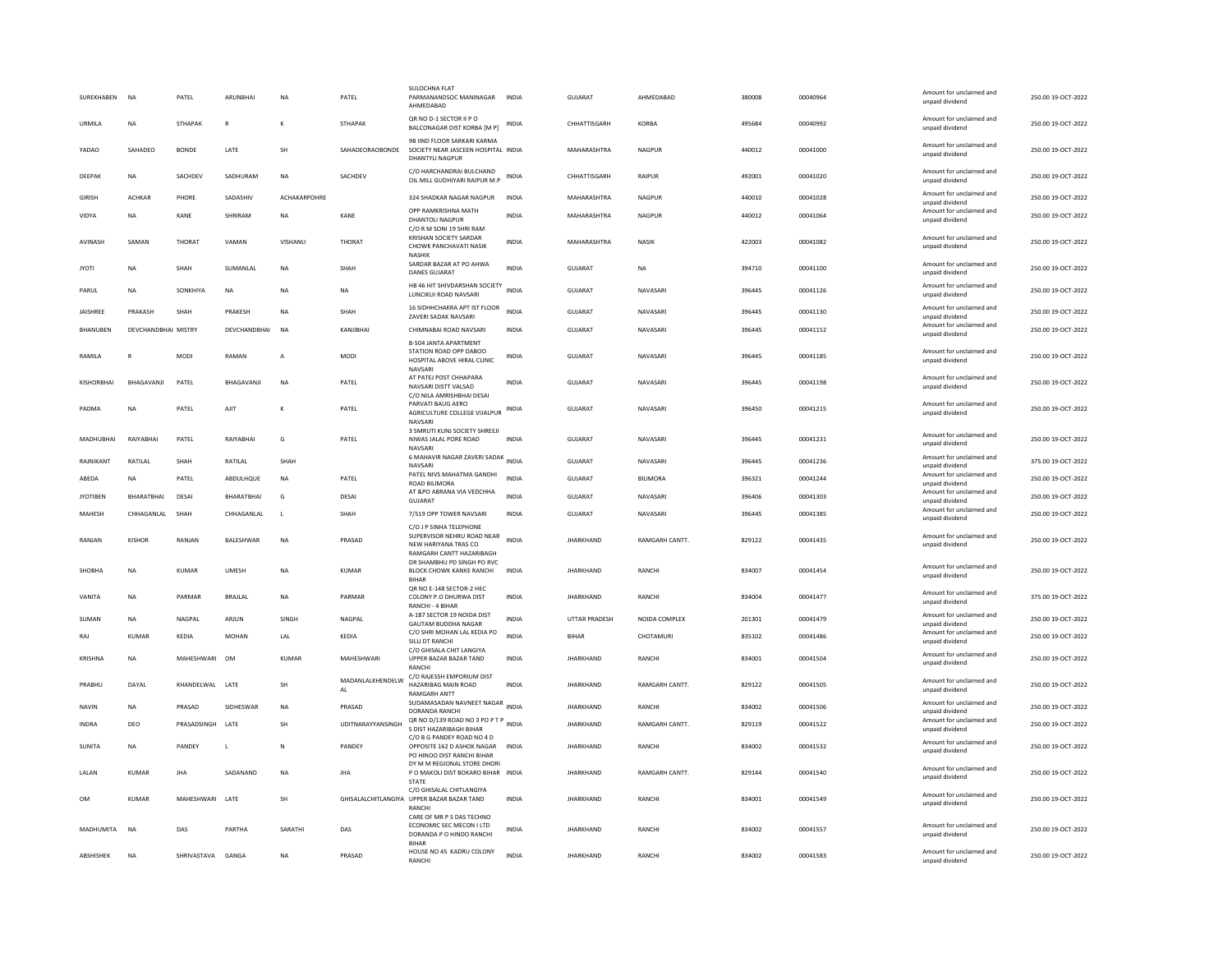| SUREKHABEN       | <b>NA</b>           | PATFI             | ARUNRHAI       | <b>NA</b>    | PATFI                  | <b>SULOCHNA FLAT</b><br>PARMANANDSOC MANINAGAR<br>AHMEDABAD                                               | <b>INDIA</b> | GUIARAT          | AHMFDARAD            | 380008 | 00040964 | Amount for unclaimed and<br>unpaid dividend                    | 250.00.19-OCT-2022 |
|------------------|---------------------|-------------------|----------------|--------------|------------------------|-----------------------------------------------------------------------------------------------------------|--------------|------------------|----------------------|--------|----------|----------------------------------------------------------------|--------------------|
| <b>URMILA</b>    | <b>NA</b>           | <b>STHAPAK</b>    | $\mathbb{R}$   | $\kappa$     | <b>STHAPAK</b>         | QR NO D-1 SECTOR II P O<br>BALCONAGAR DIST KORBA [M P]                                                    | INDIA        | CHHATTISGARH     | KORRA                | 495684 | 00040992 | Amount for unclaimed and<br>unpaid dividend                    | 250.00.19-OCT-2022 |
| YADAO            | SAHADEO             | <b>BONDE</b>      | LATE           | <b>SH</b>    | SAHADEORAOBONDE        | 9B IIND FLOOR SARKARI KARMA<br>SOCIETY NEAR JASCEEN HOSPITAL INDIA<br>DHANTYLI NAGPUR                     |              | MAHARASHTRA      | NAGPUR               | 440012 | 00041000 | Amount for unclaimed and<br>unpaid dividend                    | 250.00 19-OCT-2022 |
| DEEPAK           | <b>NA</b>           | SACHDEV           | SADHURAM       | <b>NA</b>    | SACHDEV                | C/O HARCHANDRAI BULCHAND<br>OIL MILL GUDHIYARI RAIPUR M.P                                                 | INDIA        | CHHATTISGARH     | <b>RAIPUR</b>        | 492001 | 00041020 | Amount for unclaimed and<br>unpaid dividend                    | 250.00 19-OCT-2022 |
| <b>GIRISH</b>    | <b>ACHKAR</b>       | PHORE             | SADASHIV       | ACHAKARPOHRE |                        | 324 SHADKAR NAGAR NAGPUR                                                                                  | INDIA        | MAHARASHTRA      | <b>NAGPUR</b>        | 440010 | 00041028 | Amount for unclaimed and<br>unpaid dividend                    | 250.00 19-OCT-2022 |
| VIDYA            | <b>NA</b>           | KANE              | SHRIRAM        | <b>NA</b>    | KANE                   | OPP RAMKRISHNA MATH<br><b>DHANTOLI NAGPUR</b>                                                             | <b>INDIA</b> | MAHARASHTRA      | NAGPUR               | 440012 | 00041064 | Amount for unclaimed and<br>unpaid dividend                    | 250.00 19-OCT-2022 |
| AVINASH          | SAMAN               | THORAT            | VAMAN          | VISHANU      | THORAT                 | C/O R M SONI 19 SHRI RAM<br>KRISHAN SOCIETY SARDAR<br>CHOWK PANCHAVATI NASIK<br><b>NASHIK</b>             | <b>INDIA</b> | MAHARASHTRA      | NASIK                | 422003 | 00041082 | Amount for unclaimed and<br>unpaid dividend                    | 250.00 19-OCT-2022 |
| <b>JYOTI</b>     | <b>NA</b>           | SHAH              | SUMANLAL       | <b>NA</b>    | SHAH                   | SARDAR BAZAR AT PO AHWA<br><b>DANES GUJARAT</b>                                                           | INDIA        | GUJARAT          | <b>NA</b>            | 394710 | 00041100 | Amount for unclaimed and<br>unpaid dividend                    | 250.00 19-OCT-2022 |
| PARUL            | <b>NA</b>           | SONKHIYA          | <b>NA</b>      | <b>NA</b>    | NA                     | HB 46 HIT SHIVDARSHAN SOCIETY<br>LUNCIKUI ROAD NAVSARI                                                    | <b>INDIA</b> | GUJARAT          | NAVASARI             | 396445 | 00041126 | Amount for unclaimed and<br>unpaid dividend                    | 250.00 19-OCT-2022 |
| JAISHREE         | PRAKASH             | SHAH              | PRAKESH        | <b>NA</b>    | SHAH                   | 16 SIDHHCHAKRA APT IST FLOOR<br><b>ZAVERI SADAK NAVSARI</b>                                               | <b>INDIA</b> | GUJARAT          | NAVASARI             | 396445 | 00041130 | Amount for unclaimed and<br>unnaid dividend                    | 250.00 19-OCT-2022 |
| BHANUBEN         | DEVCHANDBHAI MISTRY |                   | DEVCHANDBHAI   | <b>NA</b>    | KANJIBHAI              | CHIMNABAI ROAD NAVSARI                                                                                    | <b>INDIA</b> | GUJARAT          | NAVASARI             | 396445 | 00041152 | Amount for unclaimed and<br>unpaid dividend                    | 250.00 19-OCT-2022 |
| <b>RAMILA</b>    | R                   | <b>MODI</b>       | RAMAN          | $\mathsf{A}$ | MODI                   | <b>B-504 JANTA APARTMENT</b><br>STATION ROAD OPP DABOO<br>HOSPITAL ABOVE HIRAL CLINIC<br>NAVSARI          | <b>INDIA</b> | GUIARAT          | NAVASARI             | 396445 | 00041185 | Amount for unclaimed and<br>unpaid dividend                    | 250.00.19-OCT-2022 |
| KISHORRHAI       | BHAGAVANJI          | PATEL             | BHAGAVANJI     | <b>NA</b>    | PATEL                  | AT PATEJ POST CHHAPARA<br>NAVSARI DISTT VALSAD                                                            | <b>INDIA</b> | GUJARAT          | NAVASARI             | 396445 | 00041198 | Amount for unclaimed and<br>unpaid dividend                    | 250.00 19-OCT-2022 |
| PADMA            | <b>NA</b>           | PATEL             | AIIT           | $\mathbf{K}$ | PATEL                  | C/O NILA AMRISHBHAI DESAI<br>PARVATI BAUG AERO<br>AGRICULTURE COLLEGE VIJALPUR<br><b>NAVSAR</b>           | INDIA        | GUJARAT          | NAVASARI             | 396450 | 00041215 | Amount for unclaimed and<br>unpaid dividend                    | 250.00 19-OCT-2022 |
| MADHURHAI        | RAIYARHAI           | PATFI             | RAIYARHAI      | G            | PATEL                  | 3 SMRUTI KUNJ SOCIETY SHREEJI<br>NIWAS JALAL PORE ROAD<br><b>NAVSAR</b>                                   | <b>INDIA</b> | GUIARAT          | NAVASARI             | 396445 | 00041231 | Amount for unclaimed and<br>unpaid dividend                    | 250.00.19-OCT-2022 |
| RAJNIKANT        | RATILAL             | SHAH              | RATILAL        | SHAH         |                        | 6 MAHAVIR NAGAR ZAVERI SADAK<br>NAVSARI                                                                   | INDIA        | GUJARAT          | NAVASARI             | 396445 | 00041236 | Amount for unclaimed and<br>unpaid dividend                    | 375.00 19-OCT-2022 |
| ABEDA            | <b>NA</b>           | PATEL             | ABDULHQUE      | <b>NA</b>    | PATEL                  | PATEL NIVS MAHATMA GANDHI<br>ROAD BILIMORA                                                                | <b>INDIA</b> | GUJARAT          | <b>BILIMORA</b>      | 396321 | 00041244 | Amount for unclaimed and<br>unpaid dividend                    | 250.00 19-OCT-2022 |
| <b>JYOTIBEN</b>  | BHARATBHAI          | DESAI             | BHARATBHAI     | G            | DESAI                  | AT &PO ABRANA VIA VEDCHHA<br><b>GUJARAT</b>                                                               | <b>INDIA</b> | GUJARAT          | NAVASARI             | 396406 | 00041303 | Amount for unclaimed and<br>unpaid dividend                    | 250.00 19-OCT-2022 |
| MAHESH           | CHHAGANLAL          | SHAH              | CHHAGANLAL     | $\mathbf{L}$ | SHAH                   | 7/519 OPP TOWER NAVSARI                                                                                   | <b>INDIA</b> | <b>GUJARAT</b>   | NAVASARI             | 396445 | 00041385 | Amount for unclaimed and<br>unpaid dividend                    | 250.00 19-OCT-2022 |
| RANJAN           | KISHOR              | RANJAN            | BALESHWAR      | <b>NA</b>    | PRASAD                 | C/O J P SINHA TELEPHONE<br>SUPERVISOR NEHRU ROAD NEAR<br>NEW HARIYANA TRAS CO<br>RAMGARH CANTT HAZARIBAGH | <b>INDIA</b> | <b>JHARKHAND</b> | RAMGARH CANTT.       | 829122 | 00041435 | Amount for unclaimed and<br>unpaid dividend                    | 250.00 19-OCT-2022 |
| SHOBHA           | <b>NA</b>           | <b>KUMAR</b>      | <b>UMESH</b>   | <b>NA</b>    | <b>KUMAR</b>           | DR SHAMBHU PD SINGH PO RVC<br>BLOCK CHOWK KANKE RANCHI<br><b>BIHAR</b>                                    | <b>INDIA</b> | <b>JHARKHAND</b> | <b>RANCH</b>         | 834007 | 00041454 | Amount for unclaimed and<br>unpaid dividend                    | 250.00 19-OCT-2022 |
| VANITA           | <b>NA</b>           | PARMAR            | <b>BRAJLAL</b> | <b>NA</b>    | PARMAR                 | QR NO E-148 SECTOR-2 HEC<br>COLONY P.O DHURWA DIST<br>RANCHI - 4 BIHAR                                    | <b>INDIA</b> | <b>JHARKHAND</b> | <b>RANCHI</b>        | 834004 | 00041477 | Amount for unclaimed and<br>unpaid dividend                    | 375.00 19-OCT-2022 |
| SUMAN            | <b>NA</b>           | NAGPAL            | ARJUN          | SINGH        | NAGPAL                 | A-187 SECTOR 19 NOIDA DIST                                                                                | <b>INDIA</b> | UTTAR PRADESH    | NOIDA COMPLEX        | 201301 | 00041479 | Amount for unclaimed and                                       | 250.00 19-OCT-2022 |
| RAJ              | <b>KUMAR</b>        | KEDIA             | <b>MOHAN</b>   | LAL          | KEDIA                  | GAUTAM BUDDHA NAGAR<br>C/O SHRI MOHAN LAL KEDIA PO<br>SILLI DT RANCHI                                     | <b>INDIA</b> | <b>BIHAR</b>     | CHOTAMURI            | 835102 | 00041486 | unpaid dividend<br>Amount for unclaimed and<br>unpaid dividend | 250.00 19-OCT-2022 |
| KRISHNA          | <b>NA</b>           | <b>MAHFSHWARI</b> | OM             | KUMAR        | <b>MAHFSHWARI</b>      | C/O GHISALA CHIT LANGIYA<br>UPPER BAZAR BAZAR TAND                                                        | <b>INDIA</b> | <b>IHARKHAND</b> | RANCHI               | 834001 | 00041504 | Amount for unclaimed and<br>unpaid dividend                    | 250.00.19-OCT-2022 |
| PRABHU           | DAYAI               | KHANDELWAL LATE   |                | <b>SH</b>    | MADANLALKHENDELW<br>AL | RANCH<br>C/O RAJESSH EMPORIUM DIST<br>HAZARIBAG MAIN ROAD<br><b>RAMGARH ANTT</b>                          | <b>INDIA</b> | <b>IHARKHAND</b> | <b>RAMGARH CANTT</b> | 829122 | 00041505 | Amount for unclaimed and<br>unpaid dividend                    | 250.00 19-OCT-2022 |
| <b>NAVIN</b>     | <b>NA</b>           | PRASAD            | SIDHESWAR      | <b>NA</b>    | PRASAD                 | SUDAMASADAN NAVNEET NAGAR<br>INDIA<br>DORANDA RANCHI                                                      |              | <b>JHARKHAND</b> | <b>RANCHI</b>        | 834002 | 00041506 | Amount for unclaimed and<br>unpaid dividend                    | 250.00 19-OCT-2022 |
| INDRA            | DEO                 | PRASADSINGH       | LATE           | <b>SH</b>    | UDITNARAYYANSINGH      | QR NO D/139 ROAD NO 3 PO P T P<br>S DIST HAZARIBAGH BIHAR                                                 | <b>INDIA</b> | <b>JHARKHAND</b> | RAMGARH CANTT.       | 829119 | 00041522 | Amount for unclaimed and<br>unpaid dividend                    | 250.00 19-OCT-2022 |
| <b>SUNITA</b>    | <b>NA</b>           | PANDEY            | L.             | $\mathbb{N}$ | PANDEY                 | C/O B G PANDEY ROAD NO 4 D<br>OPPOSITE 162 D ASHOK NAGAR<br>PO HINOO DIST RANCHI BIHAR                    | <b>INDIA</b> | <b>JHARKHAND</b> | RANCHI               | 834002 | 00041532 | Amount for unclaimed and<br>unpaid dividend                    | 250.00 19-OCT-2022 |
| LALAN            | <b>KUMAR</b>        | <b>JHA</b>        | SADANAND       | <b>NA</b>    | <b>JHA</b>             | DY M M REGIONAL STORE DHORI<br>P O MAKOLI DIST BOKARO BIHAR INDIA<br><b>STATE</b>                         |              | <b>JHARKHAND</b> | <b>RAMGARH CANTT</b> | 829144 | 00041540 | Amount for unclaimed and<br>unpaid dividend                    | 250.00 19-OCT-2022 |
| OM               | <b>KUMAR</b>        | MAHESHWARI LATE   |                | SH           |                        | C/O GHISALAL CHITLANGIYA<br>GHISALALCHITLANGIYA UPPER BAZAR BAZAR TAND<br>RANCHI                          | <b>INDIA</b> | <b>JHARKHAND</b> | RANCHI               | 834001 | 00041549 | Amount for unclaimed and<br>unpaid dividend                    | 250.00 19-OCT-2022 |
| <b>MADHUMITA</b> | <b>NA</b>           | DAS               | PARTHA         | SARATHI      | DAS                    | CARE OF MR P S DAS TECHNO<br>ECONOMIC SEC MECON I LTD<br>DORANDA P O HINDO RANCHI<br><b>BIHAR</b>         | INDIA        | <b>JHARKHAND</b> | <b>RANCHI</b>        | 834002 | 00041557 | Amount for unclaimed and<br>unpaid dividend                    | 250.00 19-OCT-2022 |
| ABSHISHEK        | <b>NA</b>           | SHRIVASTAVA       | GANGA          | <b>NA</b>    | PRASAD                 | HOUSE NO 45 KADRU COLONY<br>RANCHI                                                                        | INDIA        | <b>JHARKHAND</b> | <b>RANCHI</b>        | 834002 | 00041583 | Amount for unclaimed and<br>unpaid dividend                    | 250.00 19-OCT-2022 |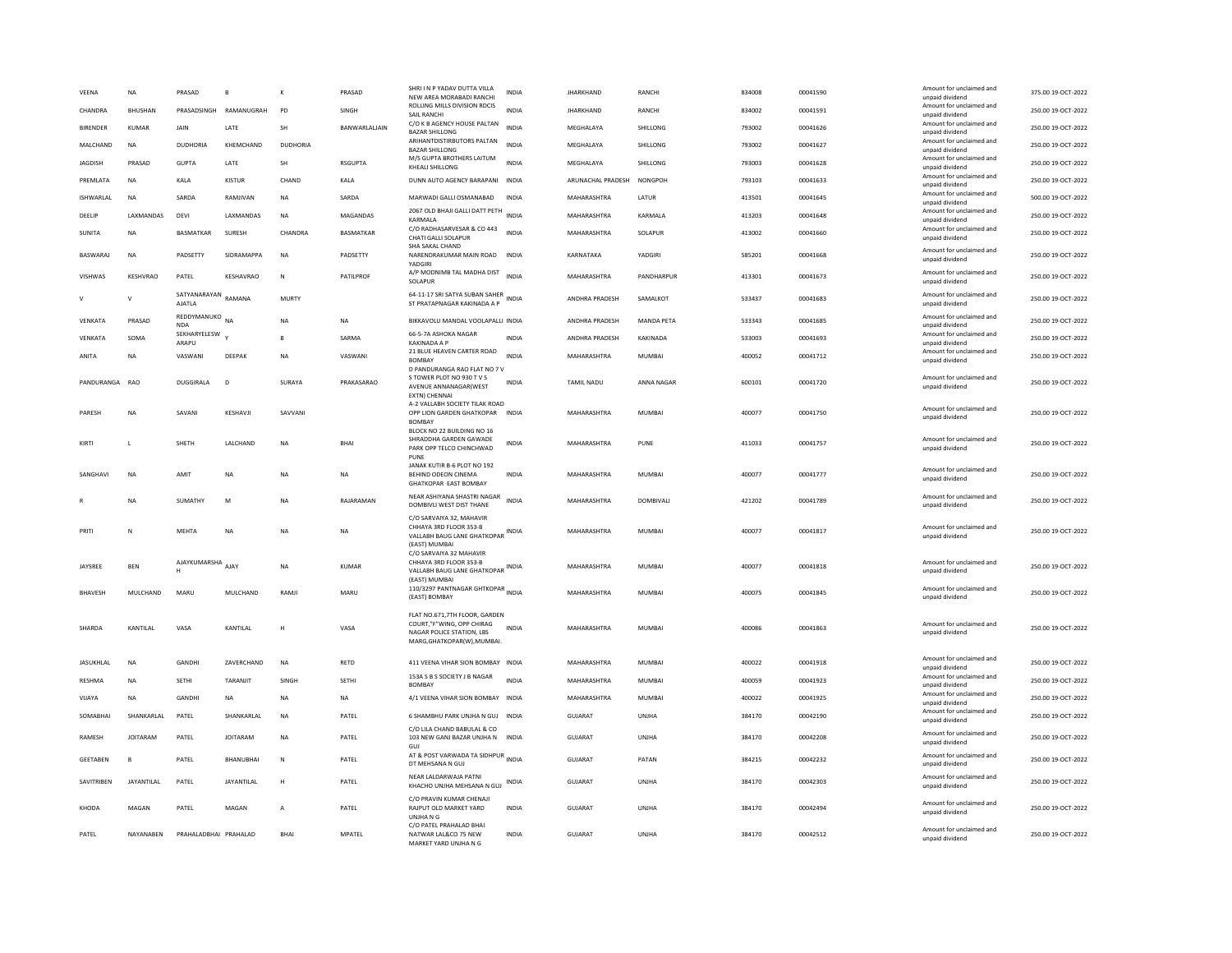| VEENA           | NA              | PRASAD                        | $\overline{B}$         | K              | PRASAD           | SHRI I N P YADAV DUTTA VILLA<br>NEW AREA MORABADI RANCHI                                                                      | INDIA        | <b>JHARKHAND</b>          | <b>RANCH</b>      | 834008 | 00041590 | Amount for unclaimed and<br>unpaid dividend | 375.00 19-OCT-2022 |
|-----------------|-----------------|-------------------------------|------------------------|----------------|------------------|-------------------------------------------------------------------------------------------------------------------------------|--------------|---------------------------|-------------------|--------|----------|---------------------------------------------|--------------------|
| CHANDRA         | BHUSHAN         |                               | PRASADSINGH RAMANUGRAH | PD             | SINGH            | ROLLING MILLS DIVISION RDCIS<br>SAIL RANCHI                                                                                   | <b>INDIA</b> | <b>JHARKHAND</b>          | RANCHI            | 834002 | 00041591 | Amount for unclaimed and<br>unpaid dividend | 250.00 19-OCT-2022 |
| <b>BIRENDER</b> | KUMAR           | <b>JAIN</b>                   | LATE                   | <b>SH</b>      | BANWARLALIAIN    | C/O K B AGENCY HOUSE PALTAN<br><b>BAZAR SHILLONG</b>                                                                          | <b>INDIA</b> | MEGHALAYA                 | SHILLONG          | 793002 | 00041626 | Amount for unclaimed and<br>unpaid dividend | 250.00 19-OCT-2022 |
| MAI CHAND       | <b>NA</b>       | DUDHORIA                      | KHEMCHAND              | DUDHORIA       |                  | ARIHANTDISTIRBUTORS PALTAN<br><b>BAZAR SHILLONG</b>                                                                           | <b>INDIA</b> | MFGHAI AYA                | SHILLONG          | 793002 | 00041627 | Amount for unclaimed and<br>unpaid dividend | 250.00.19-QCT-2022 |
| <b>JAGDISH</b>  | PRASAD          | <b>GUPTA</b>                  | LATE                   | SH             | <b>RSGUPTA</b>   | M/S GUPTA BROTHERS LAITUM<br>KHEALI SHILLONG                                                                                  | <b>INDIA</b> | MEGHALAYA                 | SHILLONG          | 793003 | 00041628 | Amount for unclaimed and<br>unpaid dividend | 250.00 19-OCT-2022 |
| PREMLATA        | <b>NA</b>       | KALA                          | <b>KISTUR</b>          | CHAND          | KALA             | DUNN AUTO AGENCY BARAPANI                                                                                                     | <b>INDIA</b> | ARUNACHAL PRADESH NONGPOH |                   | 793103 | 00041633 | Amount for unclaimed and<br>unpaid dividend | 250.00 19-OCT-2022 |
| ISHWARLAL       | <b>NA</b>       | SARDA                         | RAMJIVAN               | <b>NA</b>      | SARDA            | MARWADI GALLI OSMANABAD                                                                                                       | <b>INDIA</b> | MAHARASHTRA               | LATUR             | 413501 | 00041645 | Amount for unclaimed and<br>unpaid dividend | 500.00 19-OCT-2022 |
| DEELIP          | LAXMANDAS       | DEVI                          | LAXMANDAS              | <b>NA</b>      | <b>MAGANDAS</b>  | 2067 OLD BHAJI GALLI DATT PETH INDIA<br>KARMALA                                                                               |              | MAHARASHTRA               | KARMALA           | 413203 | 00041648 | Amount for unclaimed and<br>unpaid dividend | 250.00 19-OCT-2022 |
| SUNITA          | <b>NA</b>       | <b>BASMATKAR</b>              | SURESH                 | CHANDRA        | <b>BASMATKAR</b> | C/O RADHASARVESAR & CO 443<br>CHATI GALLI SOLAPUR                                                                             | <b>INDIA</b> | MAHARASHTRA               | SOLAPUR           | 413002 | 00041660 | Amount for unclaimed and<br>unpaid dividend | 250.00 19-OCT-2022 |
| BASWARAJ        | <b>NA</b>       | PADSETTY                      | SIDRAMAPPA             | <b>NA</b>      | PADSETTY         | SHA SAKAL CHAND<br>NARENDRAKUMAR MAIN ROAD<br>YADGIRI                                                                         | <b>INDIA</b> | KARNATAKA                 | YADGIRI           | 585201 | 00041668 | Amount for unclaimed and<br>unpaid dividend | 250.00 19-OCT-2022 |
| <b>VISHWAS</b>  | KESHVRAO        | PATEL                         | KESHAVRAO              | $\mathsf{N}$   | PATILPROF        | A/P MODNIMB TAL MADHA DIST<br>SOLAPUR                                                                                         | <b>INDIA</b> | MAHARASHTRA               | PANDHARPUR        | 413301 | 00041673 | Amount for unclaimed and<br>unpaid dividend | 250.00 19-OCT-2022 |
| $\mathsf{V}$    | $\mathsf{V}$    | SATYANARAYAN RAMANA<br>AJATLA |                        | MURTY          |                  | 64-11-17 SRI SATYA SUBAN SAHER<br>ST PRATAPNAGAR KAKINADA A P                                                                 | INDIA        | ANDHRA PRADESH            | SAMALKOT          | 533437 | 00041683 | Amount for unclaimed and<br>unpaid dividend | 250.00 19-OCT-2022 |
| VENKATA         | PRASAD          | REDDYMANUKO NA<br><b>NDA</b>  |                        | <b>NA</b>      | <b>NA</b>        | BIKKAVOLU MANDAL VOOLAPALLI INDIA                                                                                             |              | ANDHRA PRADESH            | <b>MANDA PETA</b> | 533343 | 00041685 | Amount for unclaimed and<br>unpaid dividend | 250.00 19-OCT-2022 |
| VFNKATA         | SOMA            | SEKHARYELESW<br>ARAPU         |                        | <b>B</b>       | SARMA            | 66-5-7A ASHOKA NAGAR<br><b>KAKINADA A P</b>                                                                                   | <b>INDIA</b> | <b>ANDHRA PRADESH</b>     | KAKINADA          | 533003 | 00041693 | Amount for unclaimed and<br>unpaid dividend | 250.00.19-OCT-2022 |
| ANITA           | <b>NA</b>       | VASWANI                       | DEEPAK                 | <b>NA</b>      | VASWANI          | 21 BLUE HEAVEN CARTER ROAD<br><b>BOMBAY</b>                                                                                   | <b>INDIA</b> | MAHARASHTRA               | <b>MUMBAI</b>     | 400052 | 00041712 | Amount for unclaimed and<br>unpaid dividend | 250.00 19-OCT-2022 |
| PANDURANGA      | <b>RAO</b>      | <b>DUGGIRALA</b>              | D                      | SURAYA         | PRAKASARAO       | D PANDURANGA RAO FLAT NO 7 V<br>S TOWER PLOT NO 930 TV S<br>AVENUE ANNANAGAR(WEST                                             | <b>INDIA</b> | <b>TAMIL NADU</b>         | ANNA NAGAR        | 600101 | 00041720 | Amount for unclaimed and<br>unpaid dividend | 250.00 19-OCT-2022 |
| PARESH          | <b>NA</b>       | SAVANI                        | KESHAVJI               | SAVVANI        |                  | EXTN) CHENNAI<br>A-2 VALLARH SOCIETY TILAK ROAD<br>OPP LION GARDEN GHATKOPAR<br><b>BOMBAY</b>                                 | <b>INDIA</b> | MAHARASHTRA               | MUMBAI            | 400077 | 00041750 | Amount for unclaimed and<br>unpaid dividend | 250.00 19-OCT-2022 |
| KIRTI           |                 | SHETH                         | LALCHAND               | NA             | BHAI             | BLOCK NO 22 BUILDING NO 16<br>SHRADDHA GARDEN GAWADE<br>PARK OPP TELCO CHINCHWAD<br>PUNE                                      | INDIA        | MAHARASHTRA               | PUNE              | 411033 | 00041757 | Amount for unclaimed and<br>unpaid dividend | 250.00 19-OCT-2022 |
| SANGHAVI        | <b>NA</b>       | AMIT                          | <b>NA</b>              | <b>NA</b>      | <b>NA</b>        | JANAK KUTIR B-6 PLOT NO 192<br>BEHIND ODEON CINEMA<br><b>GHATKOPAR EAST BOMBAY</b>                                            | <b>INDIA</b> | MAHARASHTRA               | <b>MUMBAI</b>     | 400077 | 00041777 | Amount for unclaimed and<br>unpaid dividend | 250.00 19-OCT-2022 |
|                 | <b>NA</b>       | SUMATHY                       | M                      | <b>NA</b>      | RAJARAMAN        | NEAR ASHIYANA SHASTRI NAGAR<br>DOMBIVLI WEST DIST THANE                                                                       | <b>INDIA</b> | MAHARASHTRA               | <b>DOMBIVALI</b>  | 421202 | 00041789 | Amount for unclaimed and<br>unpaid dividend | 250.00 19-OCT-2022 |
| PRITI           | N               | <b>MFHTA</b>                  | <b>NA</b>              | <b>NA</b>      | <b>NA</b>        | C/O SARVAIYA 32, MAHAVIR<br>CHHAYA 3RD FLOOR 353-B<br>VALLABH BAUG LANE GHATKOPAR<br>(EAST) MUMBAI<br>C/O SARVAIYA 32 MAHAVIR | <b>INDIA</b> | MAHARASHTRA               | MUMBAI            | 400077 | 00041817 | Amount for unclaimed and<br>unpaid dividend | 250.00 19-OCT-2022 |
| JAYSREE         | BEN             | AJAYKUMARSHA AJAY             |                        | <b>NA</b>      | <b>KUMAR</b>     | CHHAYA 3RD FLOOR 353-B<br>VALLABH BAUG LANE GHATKOPAR                                                                         | <b>INDIA</b> | MAHARASHTRA               | <b>MUMBAI</b>     | 400077 | 00041818 | Amount for unclaimed and<br>unpaid dividend | 250.00 19-OCT-2022 |
| BHAVESH         | MULCHAND        | MARU                          | MULCHAND               | RAMJI          | <b>MARU</b>      | (EAST) MUMBAI<br>110/3297 PANTNAGAR GHTKOPAR INDIA<br>(EAST) BOMBAY                                                           |              | MAHARASHTRA               | <b>MUMBAI</b>     | 400075 | 00041845 | Amount for unclaimed and<br>unnaid dividend | 250.00 19-OCT-2022 |
| SHARDA          | KANTILAL        | VASA                          | KANTILAL               | н              | VASA             | FLAT NO.671.7TH FLOOR, GARDEN<br>COURT,"F"WING, OPP CHIRAG<br>NAGAR POLICE STATION, LBS<br>MARG, GHATKOPAR(W), MUMBAI.        | <b>INDIA</b> | MAHARASHTRA               | <b>MUMBAI</b>     | 400086 | 00041863 | Amount for unclaimed and<br>unpaid dividend | 250.00 19-OCT-2022 |
| JASUKHLAL       | <b>NA</b>       | GANDHI                        | ZAVERCHAND             | NA             | RETD             | 411 VEENA VIHAR SION BOMBAY INDIA                                                                                             |              | MAHARASHTRA               | MUMBAI            | 400022 | 00041918 | Amount for unclaimed and<br>unpaid dividend | 250.00 19-OCT-2022 |
| <b>RESHMA</b>   | <b>NA</b>       | <b>SETHI</b>                  | TARANJIT               | SINGH          | <b>SETHI</b>     | 153A S B S SOCIETY J B NAGAR<br><b>BOMBAY</b>                                                                                 | <b>INDIA</b> | MAHARASHTRA               | <b>MUMBAI</b>     | 400059 | 00041923 | Amount for unclaimed and<br>unpaid dividend | 250.00 19-OCT-2022 |
| VIJAYA          | <b>NA</b>       | GANDHI                        | <b>NA</b>              | NA             | <b>NA</b>        | 4/1 VEENA VIHAR SION BOMBAY INDIA                                                                                             |              | MAHARASHTRA               | MUMBAI            | 400022 | 00041925 | Amount for unclaimed and<br>unpaid dividend | 250.00 19-OCT-2022 |
| SOMABHAI        | SHANKARLAL      | PATEL                         | SHANKARLAL             | <b>NA</b>      | PATEL            | 6 SHAMBHU PARK UNJHA N GUJ INDIA                                                                                              |              | GUJARAT                   | UNJHA             | 384170 | 00042190 | Amount for unclaimed and<br>unpaid dividend | 250.00 19-OCT-2022 |
| RAMESH          | <b>IOITARAM</b> | PATEL                         | <b>JOITARAM</b>        | <b>NA</b>      | PATEL            | C/O LILA CHAND BABULAL & CO<br>103 NEW GANJ BAZAR UNJHA N INDIA<br>GUJ                                                        |              | GUJARAT                   | UNIHA             | 384170 | 00042208 | Amount for unclaimed and<br>unpaid dividend | 250.00 19-OCT-2022 |
| <b>GEETABEN</b> | B               | PATEL                         | BHANUBHAI              | $\mathbb{N}$   | PATEL            | AT & POST VARWADA TA SIDHPUR INDIA<br>DT MEHSANA N GUJ                                                                        |              | GUJARAT                   | PATAN             | 384215 | 00042232 | Amount for unclaimed and<br>unpaid dividend | 250.00 19-OCT-2022 |
| SAVITRIBEN      | JAYANTILAL      | PATEL                         | JAYANTILAL             | H              | PATEL            | NEAR LALDARWAJA PATNI<br>KHACHO UNJHA MEHSANA N GUJ                                                                           | <b>INDIA</b> | <b>GUJARAT</b>            | <b>UNJHA</b>      | 384170 | 00042303 | Amount for unclaimed and<br>unpaid dividend | 250.00 19-OCT-2022 |
| KHODA           | MAGAN           | PATEL                         | MAGAN                  | $\overline{A}$ | PATEL            | C/O PRAVIN KUMAR CHENAJI<br>RAJPUT OLD MARKET YARD<br>UNJHANG                                                                 | <b>INDIA</b> | GUJARAT                   | UNJHA             | 384170 | 00042494 | Amount for unclaimed and<br>unpaid dividend | 250.00 19-OCT-2022 |
| PATEL           | NAYANABEN       | PRAHALADBHAI PRAHALAD         |                        | <b>BHAI</b>    | <b>MPATEL</b>    | C/O PATEL PRAHALAD BHAI<br>NATWAR LAL&CO 75 NEW<br>MARKET VARD UNIHA N G                                                      | <b>INDIA</b> | GUJARAT                   | UNIHA             | 384170 | 00042512 | Amount for unclaimed and<br>unpaid dividend | 250.00 19-OCT-2022 |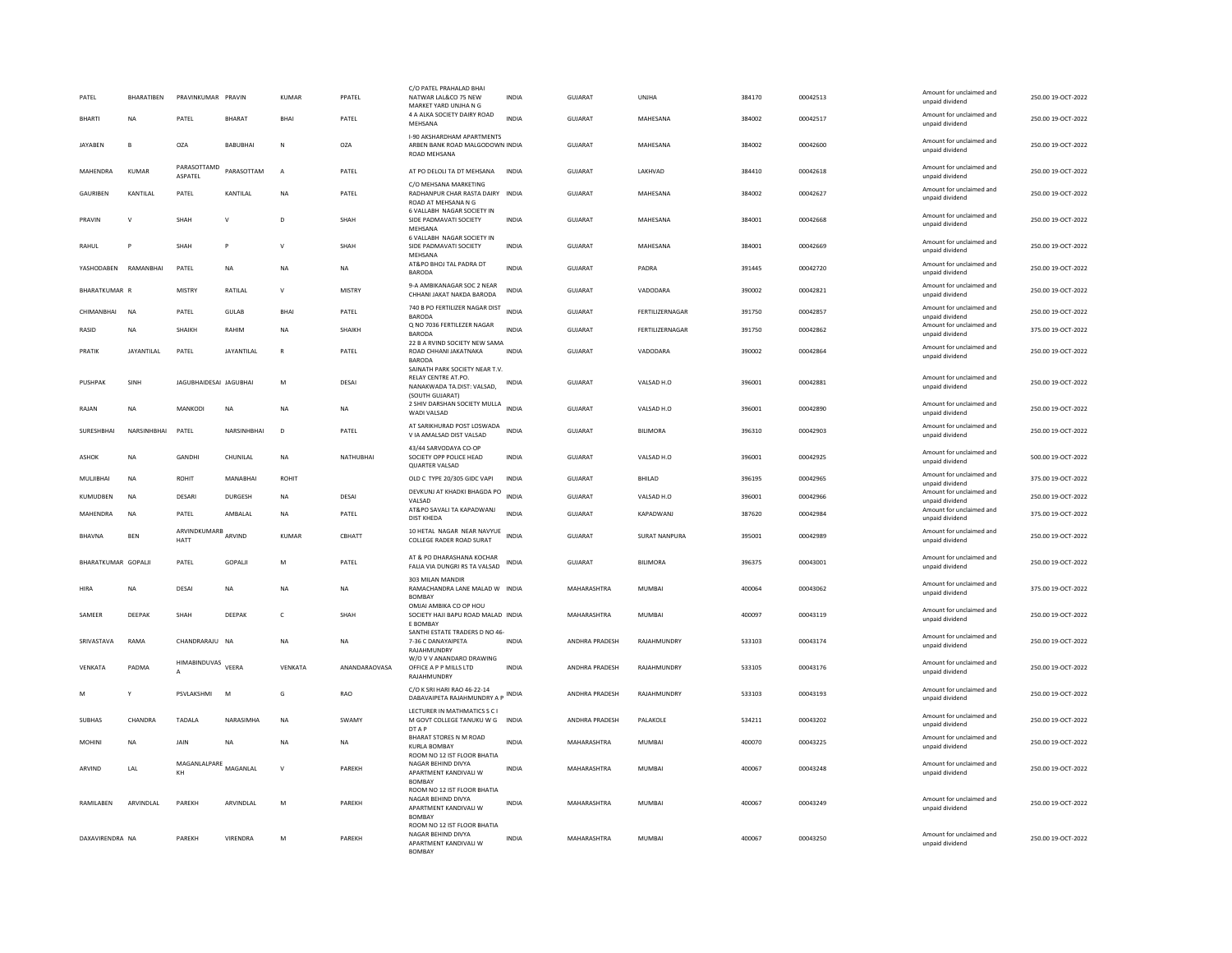| PATEL               | BHARATIBEN        | PRAVINKUMAR PRAVIN          |                 | KUMAR          | PPATEL        | C/O PATEL PRAHALAD RHAL<br>NATWAR LAL&CO 75 NEW<br>MARKET YARD UNJHA N G                               | INDIA        | GUJARAT               | UNJHA                  | 384170 | 00042513 | Amount for unclaimed and<br>unpaid dividend | 250.00 19-OCT-2022 |
|---------------------|-------------------|-----------------------------|-----------------|----------------|---------------|--------------------------------------------------------------------------------------------------------|--------------|-----------------------|------------------------|--------|----------|---------------------------------------------|--------------------|
| <b>BHARTI</b>       | <b>NA</b>         | PATEL                       | <b>BHARAT</b>   | BHAI           | PATEL         | 4 A ALKA SOCIETY DAIRY ROAD<br>MEHSANA                                                                 | <b>INDIA</b> | <b>GUJARAT</b>        | MAHESANA               | 384002 | 00042517 | Amount for unclaimed and<br>unpaid dividend | 250.00 19-OCT-2022 |
| <b>IAYAREN</b>      | R.                | OZA                         | <b>BABURHAL</b> | $\mathbb N$    | OZA           | <b>I-90 AKSHARDHAM APARTMENTS</b><br>ARBEN BANK ROAD MALGODOWN INDIA<br>ROAD MEHSANA                   |              | GUIARAT               | MAHESANA               | 384002 | 00042600 | Amount for unclaimed and<br>unpaid dividend | 250.00 19-OCT-2022 |
| MAHENDRA            | <b>KUMAR</b>      | PARASOTTAMD<br>ASPATEL      | PARASOTTAM      | $\overline{A}$ | PATEL         | AT PO DELOLI TA DT MEHSANA                                                                             | <b>INDIA</b> | GUJARAT               | LAKHVAD                | 384410 | 00042618 | Amount for unclaimed and<br>unpaid dividend | 250.00 19-OCT-2022 |
| GAURIBEN            | KANTILAL          | PATEL                       | KANTILAL        | <b>NA</b>      | PATEL         | C/O MEHSANA MARKETING<br>RADHANPUR CHAR RASTA DAIRY INDIA<br>ROAD AT MEHSANA N G                       |              | <b>GUJARAT</b>        | MAHESANA               | 384002 | 00042627 | Amount for unclaimed and<br>unpaid dividend | 250.00 19-OCT-2022 |
| PRAVIN              | $\mathsf{V}$      | SHAH                        | $\mathsf{v}$    | D              | SHAH          | 6 VALLABH NAGAR SOCIETY IN<br>SIDE PADMAVATI SOCIETY<br>MEHSANA                                        | <b>INDIA</b> | <b>GUJARAT</b>        | MAHESANA               | 384001 | 00042668 | Amount for unclaimed and<br>unpaid dividend | 250.00 19-OCT-2022 |
| RAHUL               | P                 | SHAH                        | P               | V              | SHAH          | 6 VALLABH NAGAR SOCIETY IN<br>SIDE PADMAVATI SOCIETY<br>MEHSANA                                        | INDIA        | GUJARAT               | MAHESANA               | 384001 | 00042669 | Amount for unclaimed and<br>unpaid dividend | 250.00 19-OCT-2022 |
| YASHODAREN          | RAMANRHAI         | PATEL                       | <b>NA</b>       | <b>NA</b>      | <b>NA</b>     | AT&PO BHOJ TAL PADRA DT<br><b>BARODA</b>                                                               | <b>INDIA</b> | GUIARAT               | PADRA                  | 391445 | 00042720 | Amount for unclaimed and<br>unpaid dividend | 250.00 19-OCT-2022 |
| BHARATKUMAR R       |                   | MISTRY                      | RATILAL         | ${\sf V}$      | MISTRY        | 9-A AMBIKANAGAR SOC 2 NEAR<br>CHHANI JAKAT NAKDA BARODA                                                | INDIA        | GUJARAT               | VADODARA               | 390002 | 00042821 | Amount for unclaimed and<br>unpaid dividend | 250.00 19-OCT-2022 |
| CHIMANRHAI          | <b>NA</b>         | PATEL                       | GUIAR           | <b>BHAI</b>    | PATEL         | 740 B PO FERTILIZER NAGAR DIST<br>BARODA                                                               | <b>INDIA</b> | GUJARAT               | <b>FERTILIZERNAGAR</b> | 391750 | 00042857 | Amount for unclaimed and<br>unpaid dividend | 250.00 19-OCT-2022 |
| RASID               | NA                | SHAIKH                      | RAHIM           | <b>NA</b>      | SHAIKH        | Q NO 7036 FERTILEZER NAGAR<br><b>BARODA</b>                                                            | <b>INDIA</b> | <b>GUJARAT</b>        | FERTILIZERNAGAR        | 391750 | 00042862 | Amount for unclaimed and<br>unpaid dividend | 375.00 19-OCT-2022 |
| PRATIK              | <b>JAYANTILAL</b> | PATEL                       | JAYANTILAL      | $\mathbb{R}$   | PATEL         | 22 B A RVIND SOCIETY NEW SAMA<br>ROAD CHHANI JAKATNAKA<br><b>BARODA</b>                                | <b>INDIA</b> | <b>GUJARAT</b>        | VADODARA               | 390002 | 00042864 | Amount for unclaimed and<br>unpaid dividend | 250.00 19-OCT-2022 |
| PUSHPAK             | SINH              | JAGUBHAIDESAI JAGUBHAI      |                 | ${\sf M}$      | DESAI         | SAINATH PARK SOCIETY NEAR T.V.<br>RELAY CENTRE AT.PO.<br>NANAKWADA TA.DIST: VALSAD,<br>(SOUTH GUJARAT) | INDIA        | GUJARAT               | VALSAD H.O             | 396001 | 00042881 | Amount for unclaimed and<br>unpaid dividend | 250.00 19-OCT-2022 |
| RAJAN               | <b>NA</b>         | MANKODI                     | <b>NA</b>       | <b>NA</b>      | NA            | 2 SHIV DARSHAN SOCIETY MULLA INDIA<br>WADI VALSAD                                                      |              | <b>GUJARAT</b>        | VALSAD H.O             | 396001 | 00042890 | Amount for unclaimed and<br>unpaid dividend | 250.00 19-OCT-2022 |
| SURESHBHAI          | NARSINHBHAI       | PATEL                       | NARSINHBHAI     | D              | PATEL         | AT SARIKHURAD POST LOSWADA<br>V IA AMALSAD DIST VALSAD                                                 | <b>INDIA</b> | <b>GUJARAT</b>        | <b>BILIMORA</b>        | 396310 | 00042903 | Amount for unclaimed and<br>unpaid dividend | 250.00 19-OCT-2022 |
| <b>ASHOK</b>        | <b>NA</b>         | GANDHI                      | CHUNILAL        | <b>NA</b>      | NATHUBHAI     | 43/44 SARVODAYA CO-OP<br>SOCIETY OPP POLICE HEAD<br><b>QUARTER VALSAD</b>                              | <b>INDIA</b> | <b>GUJARAT</b>        | VALSAD H.O             | 396001 | 00042925 | Amount for unclaimed and<br>unpaid dividend | 500.00 19-OCT-2022 |
| MULIBHAI            | <b>NA</b>         | ROHIT                       | MANABHAI        | <b>ROHIT</b>   |               | OLD C TYPE 20/305 GIDC VAPI                                                                            | <b>INDIA</b> | GUJARAT               | BHILAD                 | 396195 | 00042965 | Amount for unclaimed and<br>unpaid dividend | 375.00 19-OCT-2022 |
| KUMUDBEN            | <b>NA</b>         | DESARI                      | DURGESH         | <b>NA</b>      | DESAL         | DEVKUNJ AT KHADKI BHAGDA PO<br>VALSAD                                                                  | <b>INDIA</b> | GUIARAT               | VAISAD H.O.            | 396001 | 00042966 | Amount for unclaimed and<br>unpaid dividend | 250.00.19-OCT-2022 |
| MAHENDRA            | <b>NA</b>         | PATEL                       | AMBALAL         | <b>NA</b>      | PATEL         | AT&PO SAVALI TA KAPADWANJ<br><b>DIST KHEDA</b>                                                         | <b>INDIA</b> | GUJARAT               | KAPADWANJ              | 387620 | 00042984 | Amount for unclaimed and<br>unpaid dividend | 375.00 19-OCT-2022 |
| <b>BHAVNA</b>       | <b>BEN</b>        | ARVINDKUMARB ARVIND<br>HATT |                 | KUMAR          | CBHATT        | 10 HETAL NAGAR NEAR NAVYUE<br>COLLEGE RADER ROAD SURAT                                                 | <b>INDIA</b> | GUJARAT               | SURAT NANPURA          | 395001 | 00042989 | Amount for unclaimed and<br>unpaid dividend | 250.00 19-OCT-2022 |
| BHARATKUMAR GOPALJI |                   | PATEL                       | GOPALII         | M              | PATEL         | AT & PO DHARASHANA KOCHAR<br>FALIA VIA DUNGRI RS TA VALSAD                                             | INDIA        | GUJARAT               | BILIMORA               | 396375 | 00043001 | Amount for unclaimed and<br>unpaid dividend | 250.00 19-OCT-2022 |
| <b>HIRA</b>         | <b>NA</b>         | DESAI                       | <b>NA</b>       | <b>NA</b>      | <b>NA</b>     | 303 MILAN MANDIR<br>RAMACHANDRA LANE MALAD W INDIA<br><b>BOMBAY</b>                                    |              | MAHARASHTRA           | <b>MUMBAI</b>          | 400064 | 00043062 | Amount for unclaimed and<br>unpaid dividend | 375.00 19-OCT-2022 |
| SAMEER              | DEEPAK            | SHAH                        | DEEPAK          | $\mathsf{C}$   | SHAH          | OMJAI AMBIKA CO OP HOU<br>SOCIETY HAJI BAPU ROAD MALAD INDIA<br>E BOMBAY                               |              | MAHARASHTRA           | <b>MUMBAI</b>          | 400097 | 00043119 | Amount for unclaimed and<br>unpaid dividend | 250.00 19-OCT-2022 |
| SRIVASTAVA          | RAMA              | CHANDRARAJU NA              |                 | <b>NA</b>      | NA            | SANTHI ESTATE TRADERS D NO 46-<br>7-36 C DANAYAIPETA<br>RAJAHMUNDRY                                    | INDIA        | ANDHRA PRADESH        | RAJAHMUNDRY            | 533103 | 00043174 | Amount for unclaimed and<br>unnaid dividend | 250.00 19-OCT-2022 |
| VENKATA             | PADMA             | HIMABINDUVAS VEERA<br>A     |                 | VENKATA        | ANANDARAOVASA | W/O V V ANANDARO DRAWING<br>OFFICE A P P MILLS LTD<br>RAIAHMUNDRY                                      | <b>INDIA</b> | <b>ANDHRA PRADESH</b> | RAJAHMUNDRY            | 533105 | 00043176 | Amount for unclaimed and<br>unpaid dividend | 250.00 19-OCT-2022 |
| M                   | Y                 | PSVLAKSHMI                  | M               | G              | <b>RAO</b>    | C/O K SRI HARI RAO 46-22-14<br>DABAVAIPETA RAJAHMUNDRY A P                                             | <b>INDIA</b> | ANDHRA PRADESH        | RAJAHMUNDRY            | 533103 | 00043193 | Amount for unclaimed and<br>unpaid dividend | 250.00 19-OCT-2022 |
| <b>SUBHAS</b>       | CHANDRA           | <b>TADALA</b>               | NARASIMHA       | <b>NA</b>      | SWAMY         | LECTURER IN MATHMATICS S C I<br>M GOVT COLLEGE TANUKU W G<br>DT A P                                    | <b>INDIA</b> | ANDHRA PRADESH        | PALAKOLE               | 534211 | 00043202 | Amount for unclaimed and<br>unpaid dividend | 250.00 19-OCT-2022 |
| MOHINI              | NA                | JAIN                        | NA              | NA             | NA            | <b>BHARAT STORES N M ROAD</b><br><b>KURLA BOMBAY</b>                                                   | <b>INDIA</b> | MAHARASHTRA           | MUMBAI                 | 400070 | 00043225 | Amount for unclaimed and<br>unpaid dividend | 250.00 19-OCT-2022 |
| ARVIND              | LAL               | MAGANLALPARE MAGANLAL<br>KH |                 | $\mathsf{v}$   | PAREKH        | ROOM NO 12 IST FLOOR BHATIA<br>NAGAR BEHIND DIVYA<br>APARTMENT KANDIVALI W<br><b>BOMBAY</b>            | <b>INDIA</b> | MAHARASHTRA           | <b>MUMBAI</b>          | 400067 | 00043248 | Amount for unclaimed and<br>unpaid dividend | 250.00 19-OCT-2022 |
| RAMILABEN           | ARVINDLAL         | PAREKH                      | ARVINDLAL       | M              | PAREKH        | ROOM NO 12 IST FLOOR BHATIA<br>NAGAR REHIND DIVYA<br>APARTMENT KANDIVALI W<br><b>BOMBAY</b>            | <b>INDIA</b> | MAHARASHTRA           | MUMBAI                 | 400067 | 00043249 | Amount for unclaimed and<br>unpaid dividend | 250.00 19-OCT-2022 |
| DAXAVIRENDRA NA     |                   | PAREKH                      | VIRENDRA        | M              | PAREKH        | ROOM NO 12 IST FLOOR BHATIA<br>NAGAR BEHIND DIVYA<br>APARTMENT KANDIVALI W<br><b>BOMBAY</b>            | <b>INDIA</b> | MAHARASHTRA           | <b>MUMBAI</b>          | 400067 | 00043250 | Amount for unclaimed and<br>unpaid dividend | 250.00 19-OCT-2022 |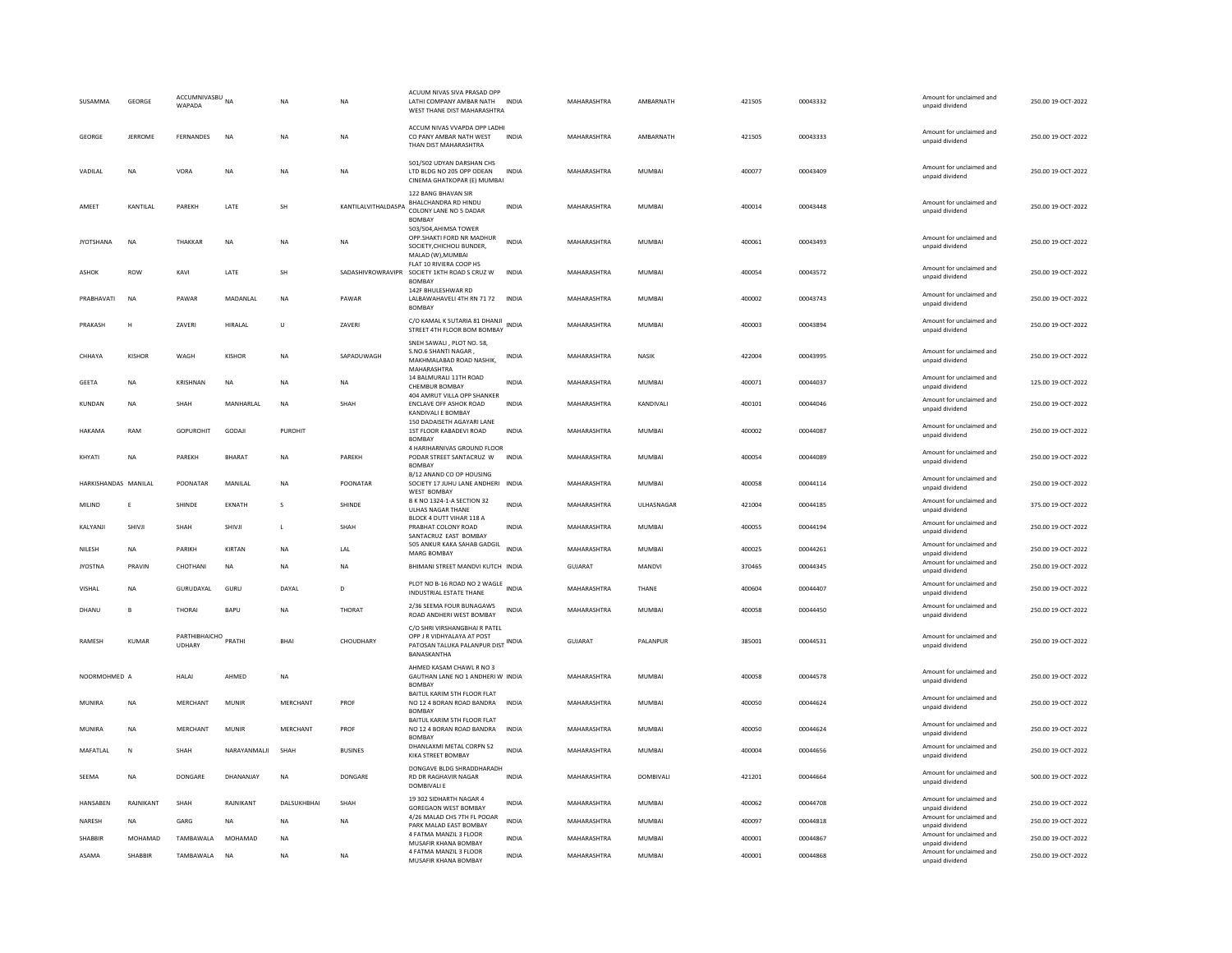| SUSAMMA              | GEORGE       | ACCUMNIVASBU NA<br>WAPADA      |               | N <sub>A</sub> | <b>NA</b>           | ACUUM NIVAS SIVA PRASAD OPF<br>LATHI COMPANY AMBAR NATH INDIA<br>WEST THANE DIST MAHARASHTRA                     |              | MAHARASHTRA | AMBARNATH        | 421505 | 00043332 | Amount for unclaimed and<br>unpaid dividend | 250.00 19-OCT-2022 |
|----------------------|--------------|--------------------------------|---------------|----------------|---------------------|------------------------------------------------------------------------------------------------------------------|--------------|-------------|------------------|--------|----------|---------------------------------------------|--------------------|
| GEORGE               | JERROME      | FERNANDES                      | <b>NA</b>     | <b>NA</b>      | <b>NA</b>           | ACCUM NIVAS VVAPDA OPP LADHI<br>CO PANY AMBAR NATH WEST<br>THAN DIST MAHARASHTRA                                 | <b>INDIA</b> | MAHARASHTRA | AMBARNATH        | 421505 | 00043333 | Amount for unclaimed and<br>unpaid dividend | 250.00 19-OCT-2022 |
| VADILAL              | <b>NA</b>    | VORA                           | <b>NA</b>     | <b>NA</b>      | <b>NA</b>           | 501/502 UDYAN DARSHAN CHS<br>LTD BLDG NO 205 OPP ODEAN<br>CINEMA GHATKOPAR (E) MUMBAI                            | <b>INDIA</b> | MAHARASHTRA | <b>MUMBAI</b>    | 400077 | 00043409 | Amount for unclaimed and<br>unpaid dividend | 250.00 19-OCT-2022 |
| AMEET                | KANTILAL     | PAREKH                         | LATE          | SH             | KANTILALVITHALDASPA | 122 BANG BHAVAN SIR<br>BHALCHANDRA RD HINDU<br>COLONY LANE NO 5 DADAR<br><b>BOMBAY</b>                           | <b>INDIA</b> | MAHARASHTRA | MUMBAI           | 400014 | 00043448 | Amount for unclaimed and<br>unpaid dividend | 250.00 19-OCT-2022 |
| <b>JYOTSHANA</b>     | <b>NA</b>    | THAKKAR                        | <b>NA</b>     | <b>NA</b>      | <b>NA</b>           | 503/504.AHIMSA TOWER<br>OPP.SHAKTI FORD NR MADHUR<br>SOCIETY, CHICHOLI BUNDER,<br>MALAD (W).MUMBAI               | <b>INDIA</b> | MAHARASHTRA | <b>MUMBAI</b>    | 400061 | 00043493 | Amount for unclaimed and<br>unpaid dividend | 250.00 19-OCT-2022 |
| <b>ASHOK</b>         | ROW          | KAVI                           | LATE          | SH             | SADASHIVROWRAVIPR   | FLAT 10 RIVIERA COOP HS<br>SOCIETY 1KTH ROAD S CRUZ W<br><b>BOMBAY</b>                                           | <b>INDIA</b> | MAHARASHTRA | MUMBAI           | 400054 | 00043572 | Amount for unclaimed and<br>unpaid dividend | 250.00 19-OCT-2022 |
| PRABHAVATI           | <b>NA</b>    | PAWAR                          | MADANLAL      | <b>NA</b>      | PAWAR               | 142F BHULESHWAR RD<br>LALBAWAHAVELI 4TH RN 71 72 INDIA<br><b>BOMBAY</b>                                          |              | MAHARASHTRA | MUMBAI           | 400002 | 00043743 | Amount for unclaimed and<br>unpaid dividend | 250.00 19-OCT-2022 |
| PRAKASH              | H            | <b>7AVFRI</b>                  | HIRALAL       | $\cup$         | <b>7AVFRI</b>       | C/O KAMAL K SUTARIA 81 DHANJI<br>STREET 4TH FLOOR BOM BOMBAY                                                     | <b>INDIA</b> | MAHARASHTRA | MUMBAI           | 400003 | 00043894 | Amount for unclaimed and<br>unpaid dividend | 250.00 19-OCT-2022 |
| CHHAYA               | KISHOR       | WAGH                           | KISHOR        | <b>NA</b>      | SAPADUWAGH          | SNEH SAWALI, PLOT NO. 58<br>S.NO.6 SHANTI NAGAR<br>MAKHMALABAD ROAD NASHIK,<br>MAHARASHTRA                       | <b>INDIA</b> | MAHARASHTRA | <b>NASIK</b>     | 422004 | 00043995 | Amount for unclaimed and<br>unpaid dividend | 250.00 19-OCT-2022 |
| <b>GEETA</b>         | <b>NA</b>    | KRISHNAN                       | <b>NA</b>     | <b>NA</b>      | <b>NA</b>           | 14 BALMURALI 11TH ROAD<br>CHEMBUR BOMBAY                                                                         | <b>INDIA</b> | MAHARASHTRA | <b>MUMBAI</b>    | 400071 | 00044037 | Amount for unclaimed and<br>unpaid dividend | 125.00 19-OCT-2022 |
| KUNDAN               | NA           | SHAH                           | MANHARLAL     | <b>NA</b>      | SHAH                | 404 AMRUT VILLA OPP SHANKER<br><b>ENCLAVE OFF ASHOK ROAD</b><br>KANDIVALI E BOMBAY                               | INDIA        | MAHARASHTRA | KANDIVALI        | 400101 | 00044046 | Amount for unclaimed and<br>unpaid dividend | 250.00 19-OCT-2022 |
| HAKAMA               | RAM          | <b>GOPUROHIT</b>               | GODAJI        | PUROHIT        |                     | 150 DADAISETH AGAYARI LANE<br>1ST FLOOR KABADEVI ROAD<br><b>BOMBAY</b>                                           | <b>INDIA</b> | MAHARASHTRA | <b>MUMBAI</b>    | 400002 | 00044087 | Amount for unclaimed and<br>unpaid dividend | 250.00 19-OCT-2022 |
| KHYATI               | NA           | PAREKH                         | <b>BHARAT</b> | <b>NA</b>      | PAREKH              | 4 HARIHARNIVAS GROUND FLOOR<br>PODAR STREET SANTACRUZ W<br><b>BOMBAY</b>                                         | <b>INDIA</b> | MAHARASHTRA | MUMBAI           | 400054 | 00044089 | Amount for unclaimed and<br>unpaid dividend | 250.00 19-OCT-2022 |
| HARKISHANDAS MANILAL |              | POONATAR                       | MANILAL       | <b>NA</b>      | POONATAR            | B/12 ANAND CO OP HOUSING<br>SOCIETY 17 JUHU LANE ANDHERI INDIA<br>WEST BOMBAY                                    |              | MAHARASHTRA | <b>MUMBAI</b>    | 400058 | 00044114 | Amount for unclaimed and<br>unpaid dividend | 250.00 19-OCT-2022 |
| MILIND               | F            | SHINDE                         | EKNATH        | s              | SHINDE              | B K NO 1324-1-A SECTION 32<br><b>ULHAS NAGAR THANE</b>                                                           | <b>INDIA</b> | MAHARASHTRA | ULHASNAGAR       | 421004 | 00044185 | Amount for unclaimed and<br>unpaid dividend | 375.00 19-OCT-2022 |
| KALYANJI             | SHIVJI       | SHAH                           | SHIVJI        | $\mathbf{L}$   | SHAH                | BLOCK 4 DUTT VIHAR 118 A<br>PRABHAT COLONY ROAD<br>SANTACRUZ EAST BOMBAY                                         | <b>INDIA</b> | MAHARASHTRA | <b>MUMBAI</b>    | 400055 | 00044194 | Amount for unclaimed and<br>unpaid dividend | 250.00 19-OCT-2022 |
| NILESH               | <b>NA</b>    | PARIKH                         | KIRTAN        | <b>NA</b>      | LAL                 | 505 ANKUR KAKA SAHAB GADGIL<br><b>MARG BOMBAY</b>                                                                | <b>INDIA</b> | MAHARASHTRA | <b>MUMBAI</b>    | 400025 | 00044261 | Amount for unclaimed and<br>unpaid dividend | 250.00 19-OCT-2022 |
| <b>JYOSTNA</b>       | PRAVIN       | CHOTHANI                       | <b>NA</b>     | <b>NA</b>      | <b>NA</b>           | BHIMANI STREET MANDVI KUTCH INDIA                                                                                |              | GUJARAT     | MANDVI           | 370465 | 00044345 | Amount for unclaimed and<br>unpaid dividend | 250.00 19-OCT-2022 |
| VISHAL               | NA           | GURUDAYAL                      | GURU          | DAYAL          | D                   | PLOT NO B-16 ROAD NO 2 WAGLE<br><b>INDUSTRIAL ESTATE THANE</b>                                                   | <b>INDIA</b> | MAHARASHTRA | THANE            | 400604 | 00044407 | Amount for unclaimed and<br>unpaid dividend | 250.00 19-OCT-2022 |
| DHANU                | B            | THORAI                         | BAPU          | <b>NA</b>      | THORAT              | 2/36 SEEMA FOUR BUNAGAWS<br>ROAD ANDHERI WEST BOMBAY                                                             | <b>INDIA</b> | MAHARASHTRA | MUMBAI           | 400058 | 00044450 | Amount for unclaimed and<br>unpaid dividend | 250.00 19-OCT-2022 |
| RAMESH               | <b>KUMAR</b> | PARTHIBHAICHO PRATHI<br>UDHARY |               | <b>BHAI</b>    | CHOUDHARY           | C/O SHRI VIRSHANGBHAI R PATEL<br>OPP J R VIDHYALAYA AT POST<br>PATOSAN TALUKA PALANPUR DIST INDIA<br>BANASKANTHA |              | GUJARAT     | PALANPUR         | 385001 | 00044531 | Amount for unclaimed and<br>unpaid dividend | 250.00 19-OCT-2022 |
| NOORMOHMED A         |              | <b>HALAI</b>                   | AHMED         | <b>NA</b>      |                     | AHMED KASAM CHAWL R NO 3<br>GAUTHAN LANE NO 1 ANDHERI W INDIA<br><b>BOMBAY</b>                                   |              | MAHARASHTRA | <b>MUMBAI</b>    | 400058 | 00044578 | Amount for unclaimed and<br>unpaid dividend | 250.00 19-OCT-2022 |
| MUNIRA               | <b>NA</b>    | MERCHANT                       | <b>MUNIR</b>  | MERCHANT       | PROF                | BAITUL KARIM 5TH FLOOR FLAT<br>NO 12 4 BORAN ROAD BANDRA<br><b>BOMBA</b>                                         | <b>INDIA</b> | MAHARASHTRA | MUMBAL           | 400050 | 00044624 | Amount for unclaimed and<br>unpaid dividend | 250.00 19-OCT-2022 |
| MUNIRA               | NA           | MERCHANT                       | <b>MUNIR</b>  | MERCHANT       | PROF                | BAITUL KARIM 5TH FLOOR FLAT<br>NO 12 4 BORAN ROAD BANDRA<br><b>ROMBA</b>                                         | INDIA        | MAHARASHTRA | MUMBAI           | 400050 | 00044624 | Amount for unclaimed and<br>unpaid dividend | 250.00 19-OCT-2022 |
| MAFATLAL             | N            | SHAH                           | NARAYANMALII  | SHAH           | <b>BUSINES</b>      | DHANLAXMI METAL CORPN 52<br>KIKA STREET BOMBAY                                                                   | <b>INDIA</b> | MAHARASHTRA | <b>MUMBAI</b>    | 400004 | 00044656 | Amount for unclaimed and<br>unpaid dividend | 250.00 19-OCT-2022 |
| <b>SFFMA</b>         | <b>NA</b>    | <b>DONGARE</b>                 | DHANANIAY     | <b>NA</b>      | <b>DONGARE</b>      | DONGAVE BLDG SHRADDHARADH<br><b>RD DR RAGHAVIR NAGAR</b><br>DOMBIVALI E                                          | <b>INDIA</b> | MAHARASHTRA | <b>DOMBIVALL</b> | 421201 | 00044664 | Amount for unclaimed and<br>unpaid dividend | 500.00 19-OCT-2022 |
| HANSABEN             | RAJNIKANT    | SHAH                           | RAJNIKANT     | DALSUKHBHAI    | SHAH                | 19 302 SIDHARTH NAGAR 4<br><b>GOREGAON WEST BOMBAY</b>                                                           | <b>INDIA</b> | MAHARASHTRA | <b>MUMBAI</b>    | 400062 | 00044708 | Amount for unclaimed and<br>unpaid dividend | 250.00 19-OCT-2022 |
| NARESH               | <b>NA</b>    | GARG                           | <b>NA</b>     | <b>NA</b>      | <b>NA</b>           | 4/26 MALAD CHS 7TH FL POOAR<br>PARK MALAD EAST BOMBAY                                                            | <b>INDIA</b> | MAHARASHTRA | <b>MUMBAI</b>    | 400097 | 00044818 | Amount for unclaimed and<br>unpaid dividend | 250.00 19-OCT-2022 |
| SHABBIR              | MOHAMAD      | TAMBAWALA                      | MOHAMAD       | NA             |                     | 4 FATMA MANZIL 3 FLOOR<br>MUSAFIR KHANA BOMBAY                                                                   | <b>INDIA</b> | MAHARASHTRA | MUMBAI           | 400001 | 00044867 | Amount for unclaimed and<br>unpaid dividend | 250.00 19-OCT-2022 |
| ASAMA                | SHABBIR      | TAMBAWALA                      | <b>NA</b>     | <b>NA</b>      | NA                  | 4 FATMA MANZIL 3 FLOOR<br>MUSAFIR KHANA BOMBAY                                                                   | <b>INDIA</b> | MAHARASHTRA | <b>MUMBAI</b>    | 400001 | 00044868 | Amount for unclaimed and<br>unpaid dividend | 250.00 19-OCT-2022 |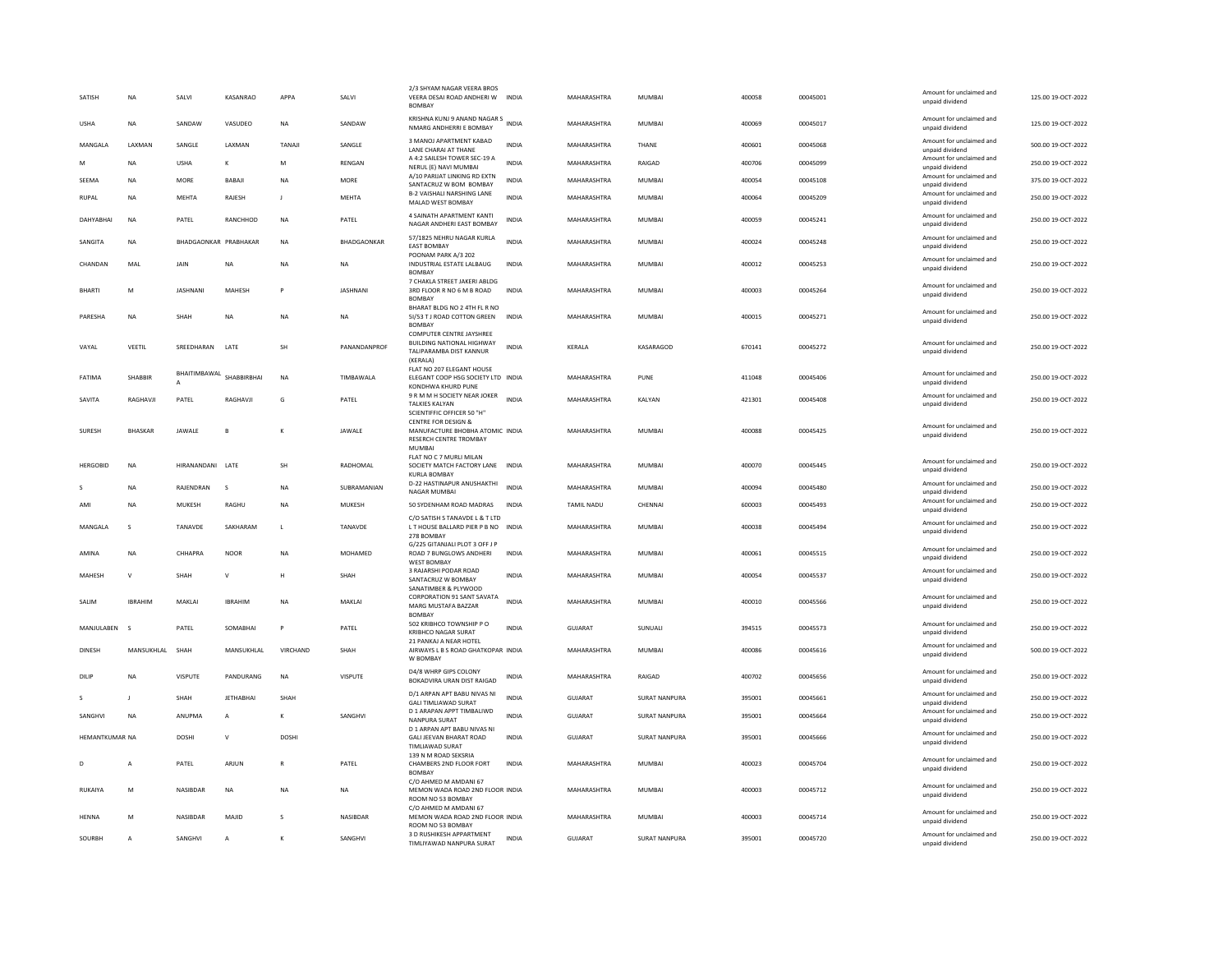| SATISH           | <b>NA</b>      | SALVI                 | KASANRAO         | APPA           | SALVI              | 2/3 SHYAM NAGAR VEERA BROS<br>VEERA DESAI ROAD ANDHERI W INDIA<br>BOMBAY                                     |              | MAHARASHTRA        | <b>MUMBAI</b>        | 400058 | 00045001 | Amount for unclaimed and<br>unpaid dividend | 125.00 19-OCT-2022 |
|------------------|----------------|-----------------------|------------------|----------------|--------------------|--------------------------------------------------------------------------------------------------------------|--------------|--------------------|----------------------|--------|----------|---------------------------------------------|--------------------|
| <b>USHA</b>      | <b>NA</b>      | SANDAW                | VASUDEO          | NA             | SANDAW             | KRISHNA KUNJ 9 ANAND NAGAR S<br>NMARG ANDHERRI E BOMBAY                                                      | <b>INDIA</b> | MAHARASHTRA        | <b>MUMBAI</b>        | 400069 | 00045017 | Amount for unclaimed and<br>unpaid dividend | 125.00 19-OCT-2022 |
| MANGALA          | LAXMAN         | SANGLE                | LAXMAN           | TANAJ          | SANGLE             | 3 MANOJ APARTMENT KABAD<br><b>LANE CHARAI AT THANE</b>                                                       | <b>INDIA</b> | MAHARASHTRA        | THANE                | 400601 | 00045068 | Amount for unclaimed and<br>unpaid dividend | 500.00 19-OCT-2022 |
| M                | <b>NA</b>      | <b>USHA</b>           | K                | M              | <b>RENGAN</b>      | A 4:2 SAILESH TOWER SEC-19 A<br>NERUL (E) NAVI MUMBAI                                                        | <b>INDIA</b> | MAHARASHTRA        | RAIGAD               | 400706 | 00045099 | Amount for unclaimed and<br>unpaid dividend | 250.00 19-OCT-2022 |
| SEEMA            | NA             | MORE                  | BABAJI           | NA             | MORE               | A/10 PARUAT LINKING RD EXTN<br>SANTACRUZ W BOM BOMBAY                                                        | <b>INDIA</b> | MAHARASHTRA        | MUMBAI               | 400054 | 00045108 | Amount for unclaimed and<br>unpaid dividend | 375.00 19-OCT-2022 |
| <b>RUPAL</b>     | <b>NA</b>      | <b>MEHTA</b>          | RAJESH           | $\blacksquare$ | <b>MEHTA</b>       | <b>B-2 VAISHALI NARSHING LANE</b><br>MALAD WEST BOMBAY                                                       | <b>INDIA</b> | MAHARASHTRA        | <b>MUMBAI</b>        | 400064 | 00045209 | Amount for unclaimed and<br>unpaid dividend | 250.00 19-OCT-2022 |
| <b>DAHYABHAI</b> | <b>NA</b>      | PATEL                 | RANCHHOD         | <b>NA</b>      | PATEL              | 4 SAINATH APARTMENT KANTI<br>NAGAR ANDHERI EAST BOMBAY                                                       | <b>INDIA</b> | MAHARASHTRA        | <b>MUMBAI</b>        | 400059 | 00045241 | Amount for unclaimed and<br>unpaid dividend | 250.00 19-OCT-2022 |
| SANGITA          | NA             | BHADGAONKAR PRABHAKAR |                  | <b>NA</b>      | <b>BHADGAONKAR</b> | 57/1825 NEHRU NAGAR KURLA<br><b>EAST BOMBAY</b><br>POONAM PARK A/3 202                                       | <b>INDIA</b> | MAHARASHTRA        | MUMBAI               | 400024 | 00045248 | Amount for unclaimed and<br>unpaid dividend | 250.00 19-OCT-2022 |
| CHANDAN          | MAL            | <b>JAIN</b>           | <b>NA</b>        | <b>NA</b>      | <b>NA</b>          | INDUSTRIAL ESTATE LALBAUG<br><b>BOMBA</b>                                                                    | <b>INDIA</b> | MAHARASHTRA        | <b>MUMBAI</b>        | 400012 | 00045253 | Amount for unclaimed and<br>unpaid dividend | 250.00 19-OCT-2022 |
| <b>BHARTI</b>    | M              | <b>JASHNANI</b>       | MAHESH           | Þ              | JASHNANI           | 7 CHAKLA STREET JAKERI ABLDG<br>3RD FLOOR R NO 6 M B ROAD<br>BOMBAY                                          | <b>INDIA</b> | MAHARASHTRA        | MUMBAI               | 400003 | 00045264 | Amount for unclaimed and<br>unpaid dividend | 250.00 19-OCT-2022 |
| PARESHA          | <b>NA</b>      | SHAH                  | <b>NA</b>        | <b>NA</b>      | <b>NA</b>          | BHARAT BLDG NO 2 4TH FL R NO<br>51/53 T J ROAD COTTON GREEN INDIA<br><b>BOMBAY</b>                           |              | MAHARASHTRA        | <b>MUMBAI</b>        | 400015 | 00045271 | Amount for unclaimed and<br>unpaid dividend | 250.00 19-OCT-2022 |
| VAYAL            | VEETIL         | SREEDHARAN            | LATE             | SH             | PANANDANPROF       | <b>COMPUTER CENTRE JAYSHREE</b><br>BUILDING NATIONAL HIGHWAY<br>TALIPARAMBA DIST KANNUR<br>(KERALA)          | <b>INDIA</b> | KERALA             | KASARAGOD            | 670141 | 00045272 | Amount for unclaimed and<br>unpaid dividend | 250.00 19-OCT-2022 |
| FATIMA           | SHABBIR        | BHAITIMBAWAL          | SHABBIRBHAI      | <b>NA</b>      | TIMBAWALA          | FLAT NO 207 ELEGANT HOUSE<br>ELEGANT COOP HSG SOCIETY LTD INDIA<br>KONDHWA KHURD PUNE                        |              | MAHARASHTRA        | PUNE                 | 411048 | 00045406 | Amount for unclaimed and<br>unpaid dividend | 250.00 19-OCT-2022 |
| SAVITA           | RAGHAVJI       | PATEL                 | RAGHAVJI         | G              | PATEL              | 9 R M M H SOCIETY NEAR JOKER<br>TALKIES KALYAN<br>SCIENTIFFIC OFFICER 50 "H"                                 | <b>INDIA</b> | MAHARASHTRA        | KALYAN               | 421301 | 00045408 | Amount for unclaimed and<br>unpaid dividend | 250.00 19-OCT-2022 |
| <b>SURESH</b>    | <b>BHASKAR</b> | JAWALE                | B                | K              | JAWALE             | <b>CENTRE FOR DESIGN &amp;</b><br>MANUFACTURE BHOBHA ATOMIC INDIA<br><b>RESERCH CENTRE TROMBAY</b><br>MUMBAI |              | MAHARASHTRA        | <b>MUMBAI</b>        | 400088 | 00045425 | Amount for unclaimed and<br>unpaid dividend | 250.00 19-OCT-2022 |
| <b>HERGOBID</b>  | NA             | HIRANANDANI LATE      |                  | <b>SH</b>      | RADHOMAL           | FLAT NO C 7 MURLI MILAN<br>SOCIETY MATCH FACTORY LANE INDIA<br><b>KURLA BOMBAY</b>                           |              | MAHARASHTRA        | <b>MUMBAI</b>        | 400070 | 00045445 | Amount for unclaimed and<br>unpaid dividend | 250.00 19-OCT-2022 |
| s                | <b>NA</b>      | RAIFNDRAN             | $\sim$           | <b>NA</b>      | SUBRAMANIAN        | D-22 HASTINAPUR ANUSHAKTHI<br>NAGAR MUMBAI                                                                   | <b>INDIA</b> | <b>MAHARASHTRA</b> | MUMBAI               | 400094 | 00045480 | Amount for unclaimed and<br>unpaid dividend | 250.00 19-OCT-2022 |
| AMI              | <b>NA</b>      | MUKESH                | RAGHU            | <b>NA</b>      | MUKESH             | 50 SYDENHAM ROAD MADRAS                                                                                      | <b>INDIA</b> | TAMIL NADU         | CHENNAL              | 600003 | 00045493 | Amount for unclaimed and<br>unpaid dividend | 250.00 19-OCT-2022 |
| MANGALA          | s              | TANAVDE               | SAKHARAM         | L              | TANAVDE            | C/O SATISH S TANAVDE L & T LTD<br>LT HOUSE BALLARD PIER P B NO INDIA<br>278 BOMBAY                           |              | MAHARASHTRA        | <b>MUMBAI</b>        | 400038 | 00045494 | Amount for unclaimed and<br>unpaid dividend | 250.00 19-OCT-2022 |
| AMINA            | <b>NA</b>      | CHHAPRA               | <b>NOOR</b>      | <b>NA</b>      | MOHAMED            | G/225 GITANJALI PLOT 3 OFF J P<br>ROAD 7 BUNGLOWS ANDHERI<br>WEST BOMBAY                                     | <b>INDIA</b> | MAHARASHTRA        | <b>MUMBAI</b>        | 400061 | 00045515 | Amount for unclaimed and<br>unpaid dividend | 250.00 19-OCT-2022 |
| MAHESH           | $\mathsf{v}$   | SHAH                  | $\vee$           | н              | SHAH               | 3 RAJARSHI PODAR ROAD<br>SANTACRUZ W BOMBAY<br>SANATIMBER & PLYWOOD                                          | <b>INDIA</b> | MAHARASHTRA        | <b>MUMBAI</b>        | 400054 | 00045537 | Amount for unclaimed and<br>unpaid dividend | 250.00 19-OCT-2022 |
| SALIM            | <b>IBRAHIM</b> | MAKLAI                | <b>IBRAHIM</b>   | <b>NA</b>      | MAKLAI             | CORPORATION 91 SANT SAVATA<br>MARG MUSTAFA BAZZAR<br><b>BOMBAY</b>                                           | <b>INDIA</b> | MAHARASHTRA        | <b>MUMBAI</b>        | 400010 | 00045566 | Amount for unclaimed and<br>unpaid dividend | 250.00 19-OCT-2022 |
| MANJULABEN       | - s            | PATEL                 | SOMABHAI         | P              | PATEL              | 502 KRIBHCO TOWNSHIP P O<br>KRIBHCO NAGAR SURAT                                                              | <b>INDIA</b> | <b>GUJARAT</b>     | SUNUALI              | 394515 | 00045573 | Amount for unclaimed and<br>unpaid dividend | 250.00 19-OCT-2022 |
| <b>DINESH</b>    | MANSUKHLAL     | SHAH                  | MANSUKHLAL       | VIRCHAND       | SHAH               | 21 PANKAJ A NEAR HOTEL<br>AIRWAYS L B S ROAD GHATKOPAR INDIA<br>W ROMRAY                                     |              | MAHARASHTRA        | <b>MUMBAI</b>        | 400086 | 00045616 | Amount for unclaimed and<br>unpaid dividend | 500.00 19-OCT-2022 |
| DILIF            | <b>NA</b>      | <b>VISPUTE</b>        | PANDURANG        | <b>NA</b>      | VISPUTE            | D4/8 WHRP GIPS COLONY<br>BOKADVIRA URAN DIST RAIGAD                                                          | <b>INDIA</b> | MAHARASHTRA        | RAIGAD               | 400702 | 00045656 | Amount for unclaimed and<br>unpaid dividend | 250.00 19-OCT-2022 |
| S                | J              | SHAH                  | <b>JETHABHAI</b> | SHAF           |                    | D/1 ARPAN APT BABU NIVAS NI<br><b>GALI TIMLIAWAD SURAT</b>                                                   | <b>INDIA</b> | GUJARAT            | SURAT NANPURA        | 395001 | 00045661 | Amount for unclaimed and<br>unpaid dividend | 250.00 19-OCT-2022 |
| SANGHVI          | NA             | ANUPMA                | A                | К              | SANGHVI            | D 1 ARAPAN APPT TIMBALIWD<br>NANPURA SURAT                                                                   | <b>INDIA</b> | GUJARAT            | <b>SURAT NANPURA</b> | 395001 | 00045664 | Amount for unclaimed and<br>unpaid dividend | 250.00 19-OCT-2022 |
| HEMANTKUMAR NA   |                | <b>DOSHI</b>          | $\vee$           | <b>DOSHI</b>   |                    | D 1 ARPAN APT BABU NIVAS NI<br>GALI JEEVAN BHARAT ROAD<br><b>TIMLIAWAD SURAT</b>                             | <b>INDIA</b> | <b>GUJARAT</b>     | <b>SURAT NANPURA</b> | 395001 | 00045666 | Amount for unclaimed and<br>unpaid dividend | 250.00 19-OCT-2022 |
| D                | A              | PATEL                 | ARJUN            | R              | PATEL              | 139 N M ROAD SEKSRIA<br>CHAMBERS 2ND FLOOR FORT<br>BOMBAY                                                    | <b>INDIA</b> | MAHARASHTRA        | MUMBAI               | 400023 | 00045704 | Amount for unclaimed and<br>unpaid dividend | 250.00 19-OCT-2022 |
| RUKAIYA          | M              | NASIBDAR              | <b>NA</b>        | <b>NA</b>      | <b>NA</b>          | C/O AHMED M AMDANI 67<br>MEMON WADA ROAD 2ND FLOOR INDIA<br>ROOM NO 53 BOMBAY                                |              | MAHARASHTRA        | MUMBAI               | 400003 | 00045712 | Amount for unclaimed and<br>unpaid dividend | 250.00 19-OCT-2022 |
| <b>HFNNA</b>     | M              | <b>NASIRDAR</b>       | MAIID            | s              | NASIBDAR           | C/O AHMED M AMDANI 67<br>MEMON WADA ROAD 2ND FLOOR INDIA<br>ROOM NO 53 BOMBAY                                |              | MAHARASHTRA        | MUMBAI               | 400003 | 00045714 | Amount for unclaimed and<br>unpaid dividend | 250.00.19-QCT-2022 |
| SOURBH           | $\overline{A}$ | SANGHVI               | $\overline{A}$   | K              | SANGHVI            | 3 D RUSHIKESH APPARTMENT<br>TIMLIYAWAD NANPURA SURAT                                                         | <b>INDIA</b> | GUJARAT            | SURAT NANPURA        | 395001 | 00045720 | Amount for unclaimed and<br>unpaid dividend | 250.00 19-OCT-2022 |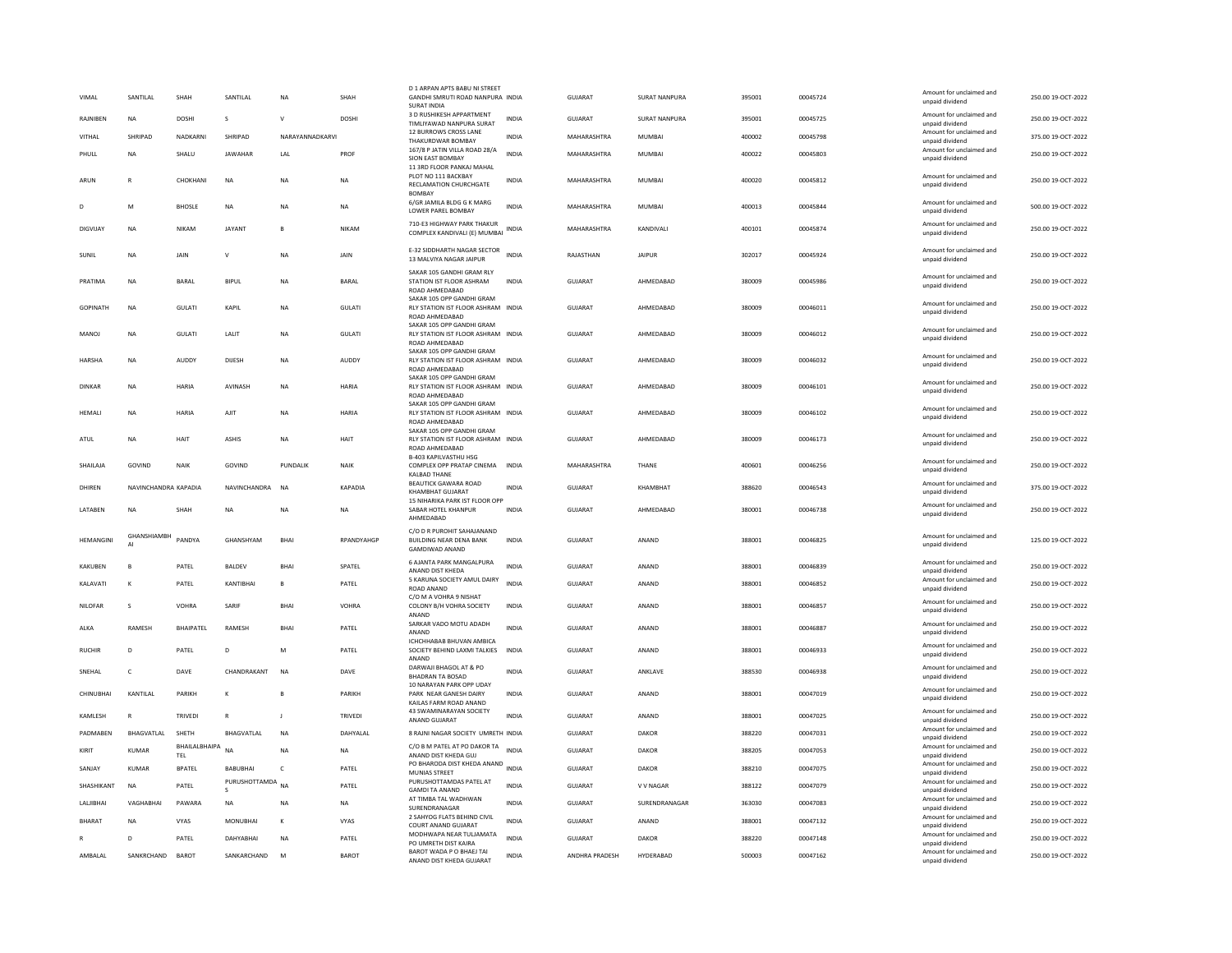| VIMAL              | SANTILAL             | SHAH                        | SANTILAL                          | <b>NA</b>       | SHAH           | D 1 ARPAN APTS BABU NI STREET<br>GANDHI SMRUTI ROAD NANPURA INDIA<br><b>SURAT INDIA</b>              |              | <b>GUJARAT</b> | SURAT NANPURA | 395001 | 00045724 | Amount for unclaimed and<br>unpaid dividend                             | 250.00 19-OCT-2022 |
|--------------------|----------------------|-----------------------------|-----------------------------------|-----------------|----------------|------------------------------------------------------------------------------------------------------|--------------|----------------|---------------|--------|----------|-------------------------------------------------------------------------|--------------------|
| RAJNIBEN           | NA                   | DOSHI                       | s                                 | $\mathsf{V}$    | DOSHI          | 3 D RUSHIKESH APPARTMENT<br>TIMLIYAWAD NANPURA SURAT                                                 | <b>INDIA</b> | GUJARAT        | SURAT NANPURA | 395001 | 00045725 | Amount for unclaimed and<br>unpaid dividend                             | 250.00 19-OCT-2022 |
| VITHAL             | SHRIPAD              | NADKARNI                    | SHRIPAD                           | NARAYANNADKARVI |                | 12 BURROWS CROSS LANE<br>THAKURDWAR BOMBAY                                                           | <b>INDIA</b> | MAHARASHTRA    | <b>MUMBAI</b> | 400002 | 00045798 | Amount for unclaimed and<br>unpaid dividend                             | 375.00 19-OCT-2022 |
| PHULL              | <b>NA</b>            | SHALU                       | <b>JAWAHAR</b>                    | LAL             | PROF           | 167/8 P JATIN VILLA ROAD 28/A<br>SION EAST BOMBAY                                                    | <b>INDIA</b> | MAHARASHTRA    | MUMBAI        | 400022 | 00045803 | Amount for unclaimed and<br>unpaid dividend                             | 250.00 19-OCT-2022 |
|                    |                      |                             |                                   |                 |                | 11 3RD FLOOR PANKAJ MAHAL<br>PLOT NO 111 BACKBAY                                                     |              |                |               |        |          | Amount for unclaimed and                                                |                    |
| ARUN               | $\mathbb{R}$         | CHOKHANI                    | <b>NA</b>                         | NA              | <b>NA</b>      | RECLAMATION CHURCHGATE<br><b>BOMBAY</b>                                                              | <b>INDIA</b> | MAHARASHTRA    | MUMBAI        | 400020 | 00045812 | unpaid dividend                                                         | 250.00 19-OCT-2022 |
| D                  | M                    | <b>BHOSLE</b>               | <b>NA</b>                         | <b>NA</b>       | <b>NA</b>      | 6/GR JAMILA BLDG G K MARG<br>LOWER PAREL BOMBAY                                                      | <b>INDIA</b> | MAHARASHTRA    | MUMBAI        | 400013 | 00045844 | Amount for unclaimed and<br>unpaid dividend                             | 500.00 19-OCT-2022 |
| DIGVIJAY           | NA                   | <b>NIKAM</b>                | <b>JAYANT</b>                     | B               | NIKAM          | 710-E3 HIGHWAY PARK THAKUR<br>COMPLEX KANDIVALI (E) MUMBAI                                           | INDIA        | MAHARASHTRA    | KANDIVALI     | 400101 | 00045874 | Amount for unclaimed and<br>unpaid dividend                             | 250.00 19-OCT-2022 |
| <b>SUNIL</b>       | <b>NA</b>            | JAIN                        | $\mathsf{v}$                      | NA              | JAIN           | E-32 SIDDHARTH NAGAR SECTOR<br>13 MALVIYA NAGAR JAIPUR                                               | <b>INDIA</b> | RAJASTHAN      | <b>JAIPUR</b> | 302017 | 00045924 | Amount for unclaimed and<br>unpaid dividend                             | 250.00 19-OCT-2022 |
| PRATIMA            | NA                   | <b>BARAL</b>                | <b>BIPUL</b>                      | NA              | BARAL          | SAKAR 105 GANDHI GRAM RLY<br>STATION IST FLOOR ASHRAM<br>ROAD AHMEDARAD<br>SAKAR 105 OPP GANDHI GRAM | <b>INDIA</b> | <b>GUJARAT</b> | AHMEDABAD     | 380009 | 00045986 | Amount for unclaimed and<br>unpaid dividend                             | 250.00 19-OCT-2022 |
| <b>GOPINATH</b>    | <b>NA</b>            | GULATI                      | KAPIL                             | NA              | <b>GULATI</b>  | RLY STATION IST FLOOR ASHRAM INDIA<br>ROAD AHMEDABAD                                                 |              | <b>GUJARAT</b> | AHMEDABAD     | 380009 | 00046011 | Amount for unclaimed and<br>unpaid dividend                             | 250.00 19-OCT-2022 |
| MANOI              | <b>NA</b>            | <b>GUI ATI</b>              | <b>I AI IT</b>                    | <b>NA</b>       | <b>GULATI</b>  | SAKAR 105 OPP GANDHI GRAM<br>RLY STATION IST FLOOR ASHRAM INDIA<br>ROAD AHMEDABAD                    |              | GUIARAT        | AHMEDARAD     | 380009 | 00046012 | Amount for unclaimed and<br>unpaid dividend                             | 250.00 19-OCT-2022 |
| <b>HARSHA</b>      | <b>NA</b>            | AUDDY                       | DIJESH                            | <b>NA</b>       | AUDDY          | SAKAR 105 OPP GANDHI GRAM<br>RLY STATION IST FLOOR ASHRAM INDIA<br>ROAD AHMEDABAD                    |              | GUIARAT        | AHMEDARAD     | 380009 | 00046032 | Amount for unclaimed and<br>unpaid dividend                             | 250.00 19-OCT-2022 |
| DINKAR             | <b>NA</b>            | HARIA                       | AVINASH                           | <b>NA</b>       | HARIA          | SAKAR 105 OPP GANDHI GRAM<br>RLY STATION IST FLOOR ASHRAM INDIA<br>ROAD AHMEDABAD                    |              | GUIARAT        | AHMEDARAD     | 380009 | 00046101 | Amount for unclaimed and<br>unpaid dividend                             | 250.00 19-OCT-2022 |
| HEMALI             | NA                   | HARIA                       | AJIT                              | NΑ              | <b>HARIA</b>   | SAKAR 105 OPP GANDHI GRAM<br>RLY STATION IST FLOOR ASHRAM INDIA                                      |              | GUJARAT        | AHMEDABAD     | 380009 | 00046102 | Amount for unclaimed and<br>unpaid dividend                             | 250.00 19-OCT-2022 |
|                    |                      |                             |                                   |                 |                | ROAD AHMEDABAD<br>SAKAR 105 OPP GANDHI GRAM                                                          |              |                |               |        |          | Amount for unclaimed and                                                |                    |
| ATUL               | NA                   | HAIT                        | <b>ASHIS</b>                      | <b>NA</b>       | <b>HAIT</b>    | RLY STATION IST FLOOR ASHRAM INDIA<br>ROAD AHMEDABAD                                                 |              | <b>GUJARAT</b> | AHMEDABAD     | 380009 | 00046173 | unpaid dividend                                                         | 250.00 19-OCT-2022 |
| SHAILAJA           | GOVIND               | NAIK                        | GOVIND                            | PUNDALIK        | NAIK           | <b>B-403 KAPILVASTHU HSG</b><br>COMPLEX OPP PRATAP CINEMA<br><b>KALBAD THANE</b>                     | <b>INDIA</b> | MAHARASHTRA    | THANE         | 400601 | 00046256 | Amount for unclaimed and<br>unpaid dividend                             | 250.00 19-OCT-2022 |
|                    |                      |                             |                                   |                 |                |                                                                                                      |              |                |               |        |          |                                                                         |                    |
| DHIREN             | NAVINCHANDRA KAPADIA |                             | NAVINCHANDRA                      | <b>NA</b>       | <b>KAPADIA</b> | <b>BEAUTICK GAWARA ROAD</b><br><b>KHAMBHAT GUJARAT</b>                                               | <b>INDIA</b> | <b>GUJARAT</b> | KHAMBHAT      | 388620 | 00046543 | Amount for unclaimed and<br>unpaid dividend                             | 375.00 19-OCT-2022 |
| LATABEN            | NA                   | SHAH                        | <b>NA</b>                         | <b>NA</b>       | <b>NA</b>      | 15 NIHARIKA PARK IST FLOOR OPP<br>SABAR HOTEL KHANPUR<br>AHMEDABAD                                   | <b>INDIA</b> | <b>GUJARAT</b> | AHMEDABAD     | 380001 | 00046738 | Amount for unclaimed and<br>unpaid dividend                             | 250.00 19-OCT-2022 |
| <b>HFMANGINI</b>   | GHANSHIAMBH<br>AI    | PANDYA                      | GHANSHYAM                         | <b>BHAI</b>     | RPANDYAHGP     | C/O D R PUROHIT SAHAJANAND<br><b>BUILDING NEAR DENA BANK</b><br>GAMDIWAD ANAND                       | <b>INDIA</b> | GUIARAT        | ANAND         | 388001 | 00046825 | Amount for unclaimed and<br>unpaid dividend                             | 125.00.19-QCT-2022 |
| KAKUREN            | B                    | PATEL                       | <b>BALDEV</b>                     | <b>BHAI</b>     | SPATEL         | 6 AJANTA PARK MANGALPURA<br>ANAND DIST KHEDA                                                         | <b>INDIA</b> | GUIARAT        | ANAND         | 388001 | 00046839 | Amount for unclaimed and<br>unpaid dividend                             | 250.00 19-OCT-2022 |
| KALAVATI           | K                    | PATEL                       | KANTIBHAI                         | $\mathbf{B}$    | PATEL          | 5 KARUNA SOCIETY AMUL DAIRY<br>ROAD ANAND                                                            | <b>INDIA</b> | GUJARAT        | ANAND         | 388001 | 00046852 | Amount for unclaimed and<br>unpaid dividend                             | 250.00 19-OCT-2022 |
| NILOFAR            | s                    | VOHRA                       | SARIF                             | <b>RHAI</b>     | <b>VOHRA</b>   | C/O M A VOHRA 9 NISHAT<br>COLONY B/H VOHRA SOCIETY                                                   | <b>INDIA</b> | <b>GUJARAT</b> | ANAND         | 388001 | 00046857 | Amount for unclaimed and<br>unpaid dividend                             | 250.00 19-OCT-2022 |
| ALKA               | RAMESH               | <b>BHAIPATEL</b>            | RAMESH                            | <b>BHAI</b>     | PATEL          | ANAND<br>SARKAR VADO MOTU ADADH<br>ANAND                                                             | <b>INDIA</b> | <b>GUJARAT</b> | ANAND         | 388001 | 00046887 | Amount for unclaimed and<br>unpaid dividend                             | 250.00 19-OCT-2022 |
| RUCHIR             | $\mathsf{D}$         | PATEL                       | D                                 | M               | PATEL          | ICHCHHABAB BHUVAN AMBICA<br>SOCIETY BEHIND LAXMI TALKIES                                             | <b>INDIA</b> | <b>GUJARAT</b> | ANAND         | 388001 | 00046933 | Amount for unclaimed and<br>unpaid dividend                             | 250.00 19-OCT-2022 |
| SNEHAL             | $\mathsf{C}$         | DAVE                        | CHANDRAKANT                       | N <sub>A</sub>  | DAVE           | ANAND<br>DARWAJI BHAGOL AT & PO<br><b>BHADRAN TA BOSAD</b>                                           | <b>INDIA</b> | GUJARAT        | ANKLAVE       | 388530 | 00046938 | Amount for unclaimed and<br>unpaid dividend                             | 250.00 19-OCT-2022 |
| CHINUBHAI          | KANTILAL             | PARIKH                      | $\kappa$                          | R               | PARIKH         | 10 NARAYAN PARK OPP UDAY<br>PARK NEAR GANESH DAIRY<br>KAILAS FARM ROAD ANAND                         | <b>INDIA</b> | GUJARAT        | ANAND         | 388001 | 00047019 | Amount for unclaimed and<br>unpaid dividend                             | 250.00 19-OCT-2022 |
| KAMLESH            | $\mathsf{R}$         | TRIVEDI                     | ${\sf R}$                         |                 | TRIVEDI        | 43 SWAMINARAYAN SOCIETY<br>ANAND GUJARAT                                                             | <b>INDIA</b> | GUJARAT        | ANAND         | 388001 | 00047025 | Amount for unclaimed and<br>unnaid dividend                             | 250.00 19-OCT-2022 |
| PADMABEN           | BHAGVATLAL           | SHETH                       | BHAGVATLAL                        | N <sub>A</sub>  | DAHYALAL       | 8 RAJNI NAGAR SOCIETY UMRETH INDIA                                                                   |              | <b>GUJARAT</b> | <b>DAKOR</b>  | 388220 | 00047031 | Amount for unclaimed and<br>unpaid dividend                             | 250.00 19-OCT-2022 |
| KIRIT              | <b>KUMAR</b>         | BHAILALBHAIPA<br><b>TEL</b> | <b>NA</b>                         | <b>NA</b>       | <b>NA</b>      | C/O B M PATEL AT PO DAKOR TA INDIA<br>ANAND DIST KHEDA GUJ                                           |              | GUJARAT        | <b>DAKOR</b>  | 388205 | 00047053 | Amount for unclaimed and<br>unpaid dividend                             | 250.00 19-OCT-2022 |
| SANJAY             | <b>KUMAR</b>         | <b>BPATEL</b>               | BABUBHAI                          | $\mathsf{C}$    | PATEL          | PO BHARODA DIST KHEDA ANAND INDIA<br>MUNIAS STREET                                                   |              | <b>GUJARAT</b> | <b>DAKOR</b>  | 388210 | 00047075 | Amount for unclaimed and<br>unpaid dividend                             | 250.00 19-OCT-2022 |
| SHASHIKANT         | <b>NA</b>            | PATEL                       | PURUSHOTTAMDA NA<br>$\mathcal{S}$ |                 | PATEL          | PURUSHOTTAMDAS PATEL AT<br><b>GAMDI TA ANAND</b>                                                     | <b>INDIA</b> | <b>GUJARAT</b> | V V NAGAR     | 388122 | 00047079 | Amount for unclaimed and<br>unpaid dividend                             | 250.00 19-OCT-2022 |
| <b>I AI IIRHAI</b> | VAGHARHAI            | PAWARA                      | <b>NA</b>                         | NA              | <b>NA</b>      | AT TIMBA TAL WADHWAN<br>SURENDRANAGAR                                                                | <b>INDIA</b> | GUIARAT        | SURENDRANAGAR | 363030 | 00047083 | Amount for unclaimed and<br>unpaid dividend                             | 250.00 19-OCT-2022 |
| <b>BHARAT</b>      | NA                   | VYAS                        | MONUBHAI                          | К               | VYAS           | 2 SAHYOG FLATS BEHIND CIVIL<br>COURT ANAND GUJARAT                                                   | <b>INDIA</b> | GUJARAT        | ANAND         | 388001 | 00047132 | Amount for unclaimed and<br>unpaid dividend                             | 250.00 19-OCT-2022 |
|                    | D                    | PATEL                       | DAHYABHAI                         | NA              | PATEL          | MODHWAPA NEAR TULJAMATA<br>PO UMRETH DIST KAIRA<br>BAROT WADA P O BHAEJ TAI                          | <b>INDIA</b> | GUJARAT        | DAKOR         | 388220 | 00047148 | Amount for unclaimed and<br>unpaid dividend<br>Amount for unclaimed and | 250.00 19-OCT-2022 |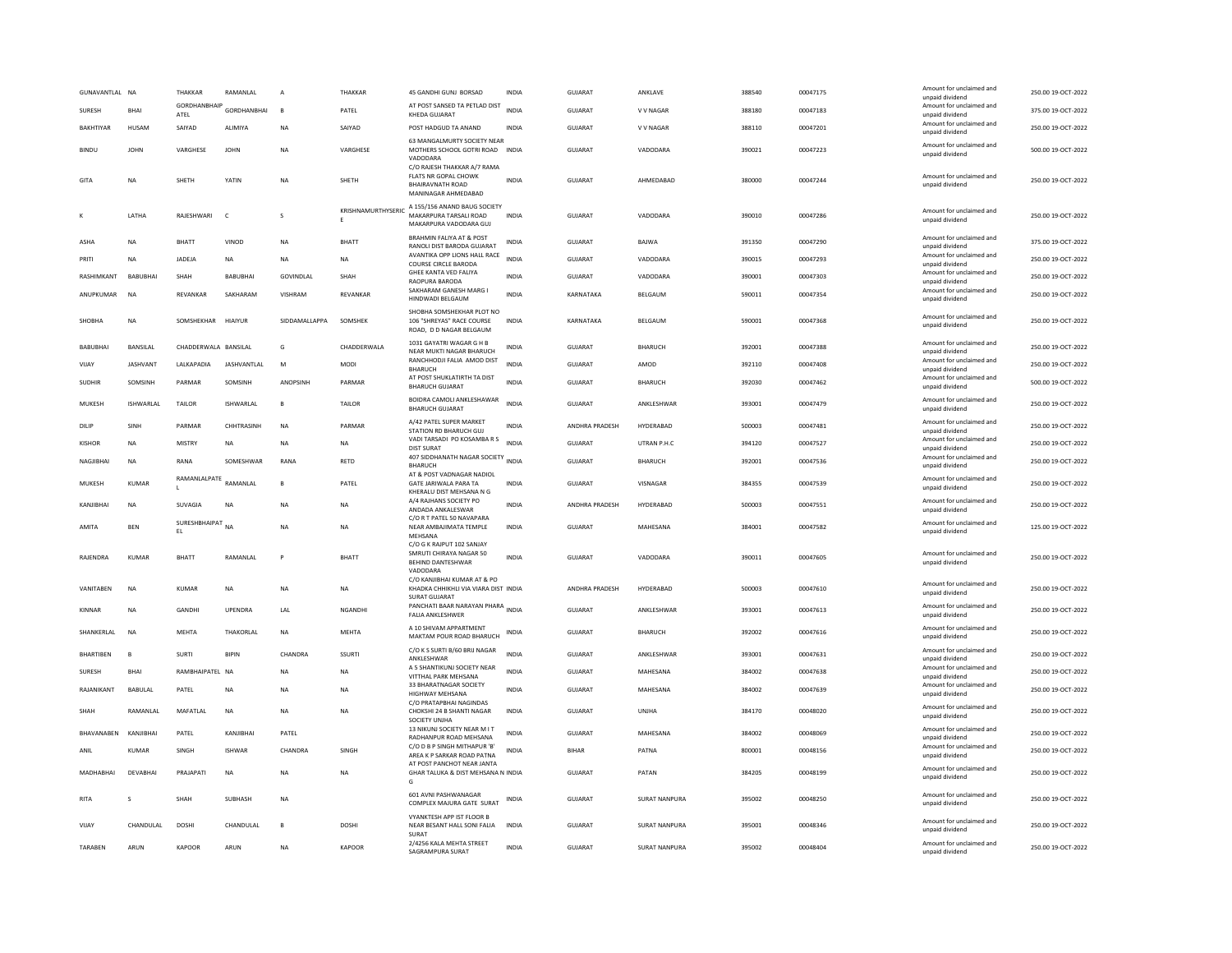| GUNAVANTLAL NA   |                 | THAKKAR               | RAMANLAL                 | A              | THAKKAR                 | 45 GANDHI GUNJ BORSAD                                                                                        | INDIA        | GUJARAT        | ANKLAVE              | 388540 | 00047175 | Amount for unclaimed and<br>unpaid dividend | 250.00 19-OCT-2022 |
|------------------|-----------------|-----------------------|--------------------------|----------------|-------------------------|--------------------------------------------------------------------------------------------------------------|--------------|----------------|----------------------|--------|----------|---------------------------------------------|--------------------|
| SURESH           | <b>BHAI</b>     | ATEL                  | GORDHANBHAIP GORDHANBHAI | $\mathbf{B}$   | PATEL                   | AT POST SANSED TA PETLAD DIST<br>KHEDA GUJARAT                                                               | <b>INDIA</b> | <b>GUJARAT</b> | V V NAGAR            | 388180 | 00047183 | Amount for unclaimed and<br>unpaid dividend | 375.00 19-OCT-2022 |
| <b>BAKHTIYAR</b> | HUSAM           | SAIYAD                | <b>ALIMIYA</b>           | NA             | SAIYAD                  | POST HADGUD TA ANAND                                                                                         | <b>INDIA</b> | GUIARAT        | V V NAGAR            | 388110 | 00047201 | Amount for unclaimed and<br>unpaid dividend | 250.00.19-QCT-2022 |
| <b>BINDU</b>     | JOHN            | VARGHESE              | <b>JOHN</b>              | <b>NA</b>      | VARGHESE                | 63 MANGALMURTY SOCIETY NEAR<br>MOTHERS SCHOOL GOTRI ROAD INDIA<br>VADODARA                                   |              | <b>GUJARAT</b> | VADODARA             | 390021 | 00047223 | Amount for unclaimed and<br>unpaid dividend | 500.00 19-OCT-2022 |
| GITA             | NA              | SHETH                 | YATIN                    | NA             | SHETH                   | C/O RAJESH THAKKAR A/7 RAMA<br><b>FLATS NR GOPAL CHOWK</b><br><b>BHAIRAVNATH ROAD</b><br>MANINAGAR AHMEDABAD | <b>INDIA</b> | GUJARAT        | AHMEDABAD            | 380000 | 00047244 | Amount for unclaimed and<br>unpaid dividend | 250.00 19-OCT-2022 |
|                  | LATHA           | RAJESHWARI            | $\mathsf{C}$             | $\mathbf{S}$   | KRISHNAMURTHYSERIC<br>E | A 155/156 ANAND BAUG SOCIETY<br>MAKARPURA TARSALI ROAD<br>MAKARPURA VADODARA GUJ                             | <b>INDIA</b> | <b>GUJARAT</b> | VADODARA             | 390010 | 00047286 | Amount for unclaimed and<br>unpaid dividend | 250.00 19-OCT-2022 |
| <b>ASHA</b>      | <b>NA</b>       | <b>BHATT</b>          | VINOD                    | NA             | <b>BHATT</b>            | <b>BRAHMIN FALIYA AT &amp; POST</b><br>RANOLI DIST BARODA GUJARAT                                            | <b>INDIA</b> | GUJARAT        | BAJWA                | 391350 | 00047290 | Amount for unclaimed and<br>unpaid dividend | 375.00 19-OCT-2022 |
| PRITI            | <b>NA</b>       | <b>IADEIA</b>         | <b>NA</b>                | <b>NA</b>      | <b>NA</b>               | AVANTIKA OPP LIONS HALL RACE<br>COURSE CIRCLE BARODA                                                         | <b>INDIA</b> | <b>GUJARAT</b> | VADODARA             | 390015 | 00047293 | Amount for unclaimed and<br>unpaid dividend | 250.00 19-OCT-2022 |
| RASHIMKANT       | BABUBHAI        | SHAH                  | BABUBHAI                 | GOVINDLAL      | SHAH                    | GHEE KANTA VED FALIYA<br>RAOPURA BARODA                                                                      | <b>INDIA</b> | <b>GUJARAT</b> | VADODARA             | 390001 | 00047303 | Amount for unclaimed and<br>unpaid dividend | 250.00 19-OCT-2022 |
| ANUPKUMAR        | <b>NA</b>       | REVANKAR              | SAKHARAM                 | <b>VISHRAM</b> | REVANKAR                | SAKHARAM GANESH MARG I<br>HINDWADI BELGAUM                                                                   | <b>INDIA</b> | KARNATAKA      | BELGAUM              | 590011 | 00047354 | Amount for unclaimed and<br>unpaid dividend | 250.00 19-OCT-2022 |
| SHOBHA           | <b>NA</b>       | SOMSHEKHAR            | HIAIYUR                  | SIDDAMALLAPPA  | SOMSHEK                 | SHOBHA SOMSHEKHAR PLOT NO<br>106 "SHREYAS" RACE COURSE<br>ROAD, D D NAGAR BELGAUM                            | <b>INDIA</b> | KARNATAKA      | BELGAUM              | 590001 | 00047368 | Amount for unclaimed and<br>unpaid dividend | 250.00 19-OCT-2022 |
| <b>BABUBHAI</b>  | <b>BANSILAL</b> | CHADDERWALA BANSILAL  |                          | G              | CHADDERWALA             | 1031 GAYATRI WAGAR G H B<br>NEAR MUKTI NAGAR BHARUCH                                                         | <b>INDIA</b> | <b>GUJARAT</b> | BHARUCH              | 392001 | 00047388 | Amount for unclaimed and<br>unpaid dividend | 250.00 19-OCT-2022 |
| VIJAY            | <b>JASHVANT</b> | LALKAPADIA            | <b>JASHVANTLAL</b>       | M              | <b>MODI</b>             | RANCHHODJI FALIA AMOD DIST<br><b>BHARUCH</b>                                                                 | <b>INDIA</b> | GUJARAT        | AMOD                 | 392110 | 00047408 | Amount for unclaimed and<br>unpaid dividend | 250.00 19-OCT-2022 |
| <b>SUDHIR</b>    | SOMSINH         | PARMAR                | SOMSINH                  | ANOPSINH       | PARMAR                  | AT POST SHUKLATIRTH TA DIST<br><b>BHARUCH GUJARAT</b>                                                        | <b>INDIA</b> | <b>GUJARAT</b> | BHARUCH              | 392030 | 00047462 | Amount for unclaimed and<br>unpaid dividend | 500.00 19-OCT-2022 |
| MUKESH           | ISHWARI AI      | <b>TAILOR</b>         | <b>ISHWARIAI</b>         | $\mathbf{B}$   | TAILOR                  | BOIDRA CAMOLI ANKLESHAWAR<br><b>BHARUCH GUJARAT</b>                                                          | <b>INDIA</b> | GUIARAT        | <b>ANKI FSHWAR</b>   | 393001 | 00047479 | Amount for unclaimed and<br>unpaid dividend | 250.00 19-OCT-2022 |
| DILIP            | SINH            | PARMAR                | CHHTRASINH               | NA             | PARMAR                  | A/42 PATEL SUPER MARKET<br>STATION RD BHARUCH GUJ                                                            | INDIA        | ANDHRA PRADESH | HYDERABAD            | 500003 | 00047481 | Amount for unclaimed and<br>unpaid dividend | 250.00 19-OCT-2022 |
| KISHOR           | NA              | MISTRY                | <b>NA</b>                | NA             | NA                      | VADI TARSADI PO KOSAMBA R S<br><b>DIST SURAT</b>                                                             | <b>INDIA</b> | <b>GUJARAT</b> | UTRAN P.H.C          | 394120 | 00047527 | Amount for unclaimed and<br>unpaid dividend | 250.00 19-OCT-2022 |
| NAGJIBHAI        | NA              | RANA                  | SOMESHWAR                | <b>RANA</b>    | RETD                    | 407 SIDDHANATH NAGAR SOCIETY<br><b>BHARUCH</b>                                                               | <b>INDIA</b> | <b>GUJARAT</b> | <b>BHARUCH</b>       | 392001 | 00047536 | Amount for unclaimed and<br>unpaid dividend | 250.00 19-OCT-2022 |
| MUKESH           | <b>KUMAR</b>    | RAMANLALPATE RAMANLAL |                          | B              | PATEL                   | AT & POST VADNAGAR NADIOL<br>GATE JARIWALA PARA TA                                                           | <b>INDIA</b> | <b>GUJARAT</b> | VISNAGAR             | 384355 | 00047539 | Amount for unclaimed and<br>unpaid dividend | 250.00 19-OCT-2022 |
| KANJIBHAI        | <b>NA</b>       | <b>SUVAGIA</b>        | <b>NA</b>                | NA             | NA                      | KHERALU DIST MEHSANA N G<br>A/4 RAJHANS SOCIETY PO                                                           | <b>INDIA</b> | ANDHRA PRADESH | HYDERABAD            | 500003 | 00047551 | Amount for unclaimed and                    | 250.00 19-OCT-2022 |
|                  |                 | SURESHBHAIPAT         |                          |                |                         | ANDADA ANKALESWAR<br>C/O R T PATEL 50 NAVAPARA                                                               |              |                |                      |        |          | unpaid dividend<br>Amount for unclaimed and |                    |
| AMITA            | <b>BEN</b>      | EL                    | <b>NA</b>                | <b>NA</b>      | <b>NA</b>               | NEAR AMBAJIMATA TEMPLE<br>MEHSANA<br>C/O G K RAJPUT 102 SANJAY                                               | <b>INDIA</b> | GUJARAT        | MAHESANA             | 384001 | 00047582 | unpaid dividend                             | 125.00 19-OCT-2022 |
| RAJENDRA         | <b>KUMAR</b>    | BHATT                 | RAMANLAL                 | P              | <b>BHATT</b>            | SMRUTI CHIRAYA NAGAR 50<br>BEHIND DANTESHWAR<br>VADODARA                                                     | <b>INDIA</b> | GUJARAT        | VADODARA             | 390011 | 00047605 | Amount for unclaimed and<br>unpaid dividend | 250.00 19-OCT-2022 |
| VANITABEN        | NA              | KUMAR                 | <b>NA</b>                | NA             | NA                      | C/O KANJIBHAI KUMAR AT & PO<br>KHADKA CHHIKHLI VIA VIARA DIST INDIA<br>SURAT GUJARAT                         |              | ANDHRA PRADESH | HYDERABAD            | 500003 | 00047610 | Amount for unclaimed and<br>unpaid dividend | 250.00 19-OCT-2022 |
| KINNAR           | <b>NA</b>       | <b>GANDHI</b>         | UPENDRA                  | LAL            | NGANDHI                 | PANCHATI BAAR NARAYAN PHARA INDIA<br>FALIA ANKLESHWER                                                        |              | <b>GUJARAT</b> | ANKLESHWAR           | 393001 | 00047613 | Amount for unclaimed and<br>unpaid dividend | 250.00 19-OCT-2022 |
| SHANKERLAL       | <b>NA</b>       | MEHTA                 | THAKORLAL                | <b>NA</b>      | MEHTA                   | A 10 SHIVAM APPARTMENT<br>MAKTAM POUR ROAD BHARUCH                                                           | INDIA        | GUJARAT        | BHARUCH              | 392002 | 00047616 | Amount for unclaimed and<br>unpaid dividend | 250.00 19-OCT-2022 |
| BHARTIBEN        | $\overline{B}$  | <b>SURTI</b>          | <b>BIPIN</b>             | CHANDRA        | <b>SSURTI</b>           | C/O K S SURTI B/60 BRIJ NAGAR<br>ANKLESHWAR                                                                  | <b>INDIA</b> | GUJARAT        | ANKLESHWAR           | 393001 | 00047631 | Amount for unclaimed and<br>unpaid dividend | 250.00 19-OCT-2022 |
| <b>SURESH</b>    | <b>BHAI</b>     | RAMBHAIPATEL NA       |                          | <b>NA</b>      | <b>NA</b>               | A 5 SHANTIKUNJ SOCIETY NEAR<br>VITTHAL PARK MEHSANA                                                          | <b>INDIA</b> | GUJARAT        | MAHESANA             | 384002 | 00047638 | Amount for unclaimed and<br>unpaid dividend | 250.00 19-OCT-2022 |
| RAJANIKANT       | <b>BABULAI</b>  | PATEL                 | <b>NA</b>                | <b>NA</b>      | <b>NA</b>               | 33 BHARATNAGAR SOCIETY<br><b>HIGHWAY MEHSANA</b>                                                             | <b>INDIA</b> | GUJARAT        | MAHESANA             | 384002 | 00047639 | Amount for unclaimed and<br>unpaid dividend | 250.00 19-OCT-2022 |
| SHAH             | RAMANLAL        | MAFATLAL              | <b>NA</b>                | <b>NA</b>      | <b>NA</b>               | C/O PRATAPBHAI NAGINDAS<br>CHOKSHI 24 B SHANTI NAGAR<br>SOCIETY UNJHA                                        | <b>INDIA</b> | <b>GUJARAT</b> | UNJHA                | 384170 | 00048020 | Amount for unclaimed and<br>unpaid dividend | 250.00 19-OCT-2022 |
| BHAVANABEN       | KANJIBHAI       | PATEL                 | KANJIBHAI                | PATEL          |                         | 13 NIKUNJ SOCIETY NEAR M I T<br>RADHANPUR ROAD MEHSANA                                                       | <b>INDIA</b> | <b>GUJARA1</b> | MAHESANA             | 384002 | 00048069 | Amount for unclaimed and<br>unpaid dividend | 250.00 19-OCT-2022 |
| ANIL             | <b>KUMAR</b>    | SINGH                 | <b>ISHWAR</b>            | CHANDRA        | SINGH                   | C/O D B P SINGH MITHAPUR 'B'<br>AREA K P SARKAR ROAD PATNA                                                   | <b>INDIA</b> | <b>BIHAR</b>   | PATNA                | 800001 | 00048156 | Amount for unclaimed and<br>unpaid dividend | 250.00 19-OCT-2022 |
| MADHABHAI        | DEVABHA         | PRAJAPATI             | <b>NA</b>                | <b>NA</b>      | <b>NA</b>               | AT POST PANCHOT NEAR JANTA<br>GHAR TALUKA & DIST MEHSANA N INDIA<br>G                                        |              | <b>GUJARAT</b> | PATAN                | 384205 | 00048199 | Amount for unclaimed and<br>unpaid dividend | 250.00 19-OCT-2022 |
| RITA             | $\mathbf{S}$    | SHAH                  | <b>SURHASE</b>           | <b>NA</b>      |                         | 601 AVNI PASHWANAGAR<br>COMPLEX MAJURA GATE SURAT                                                            | INDIA        | <b>GUJARAT</b> | SURAT NANPURA        | 395002 | 00048250 | Amount for unclaimed and<br>unpaid dividend | 250.00 19-OCT-2022 |
| VIJAY            | CHANDULAL       | <b>DOSH</b>           | CHANDULAL                | B              | <b>DOSHI</b>            | VYANKTESH APP IST FLOOR B<br>NEAR BESANT HALL SONI FALIA<br>SURAT                                            | <b>INDIA</b> | <b>GUJARAT</b> | <b>SURAT NANPURA</b> | 395001 | 00048346 | Amount for unclaimed and<br>unpaid dividend | 250.00 19-OCT-2022 |
| TARABEN          | ARUN            | KAPOOR                | ARUN                     | <b>NA</b>      | <b>KAPOOR</b>           | 2/4256 KALA MEHTA STREET<br>SAGRAMPURA SURAT                                                                 | <b>INDIA</b> | GUJARAT        | SURAT NANPURA        | 395002 | 00048404 | Amount for unclaimed and<br>unpaid dividend | 250.00 19-OCT-2022 |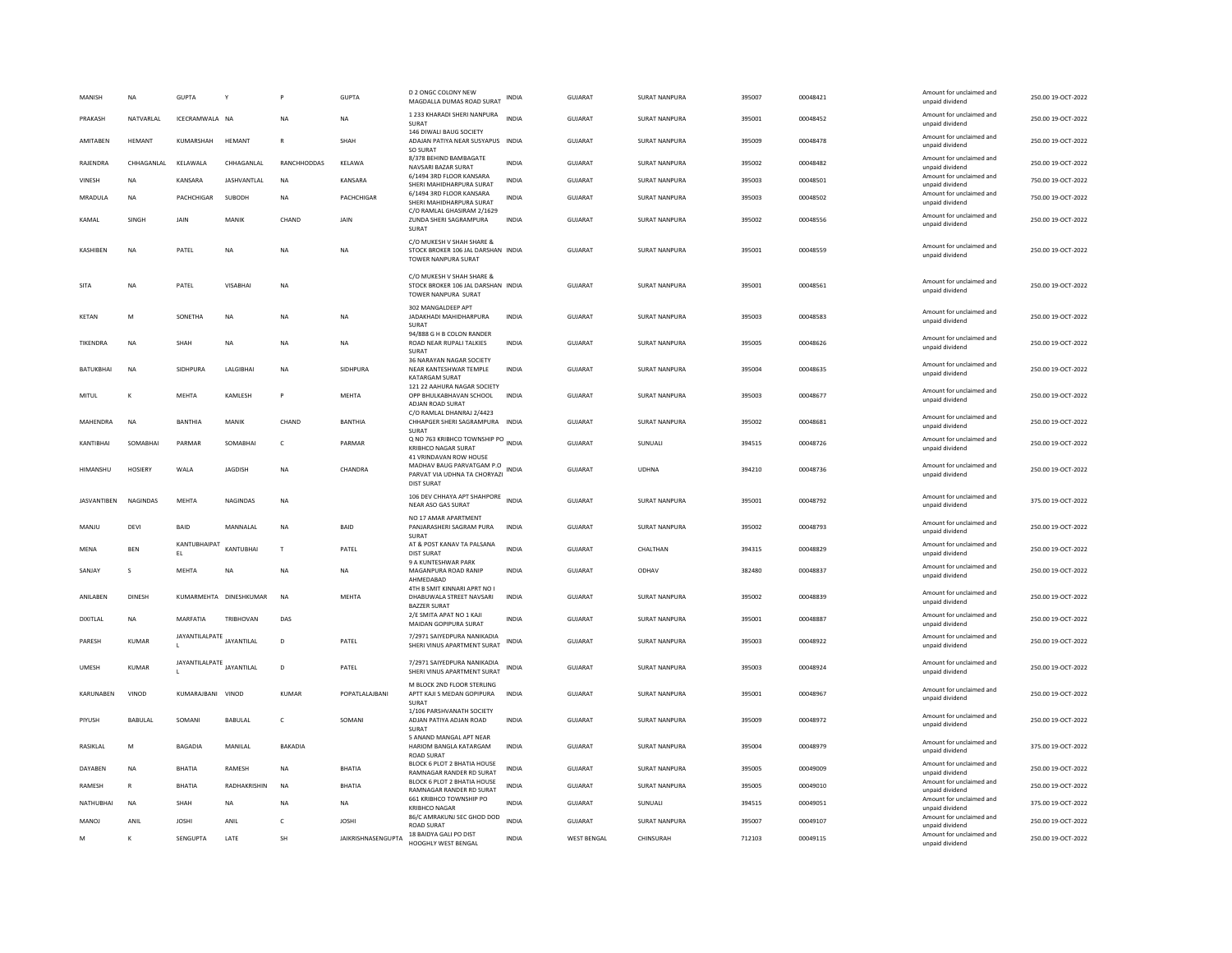| MANISH          | <b>NA</b>      | <b>GUPTA</b>              |                        |              | <b>GUPTA</b>       | <b>D 2 ONGC COLONY NEW</b><br>MAGDALLA DUMAS ROAD SURAT                                                  | <b>INDIA</b> | <b>GUJARAT</b>     | <b>SURAT NANPURA</b> | 395007 | 00048421 | Amount for unclaimed and<br>unpaid dividend | 250.00 19-OCT-2022 |
|-----------------|----------------|---------------------------|------------------------|--------------|--------------------|----------------------------------------------------------------------------------------------------------|--------------|--------------------|----------------------|--------|----------|---------------------------------------------|--------------------|
| PRAKASH         | NATVARI AI     | ICECRAMWAIA NA            |                        | <b>NA</b>    | <b>NA</b>          | 1 233 KHARADI SHERI NANPURA<br>SURAT                                                                     | <b>INDIA</b> | GUIARAT            | SURAT NANPURA        | 395001 | 00048452 | Amount for unclaimed and<br>unpaid dividend | 250.00.19-OCT-2022 |
| AMITABEN        | HEMANT         | KUMARSHAH                 | HEMANT                 | $\mathbb{R}$ | SHAH               | 146 DIWALI BAUG SOCIETY<br>ADAJAN PATIYA NEAR SUSYAPUS INDIA<br>SO SURAT                                 |              | GUJARAT            | SURAT NANPURA        | 395009 | 00048478 | Amount for unclaimed and<br>unpaid dividend | 250.00 19-OCT-2022 |
| RAJENDRA        | CHHAGANLAL     | KELAWALA                  | CHHAGANLAL             | RANCHHODDAS  | KELAWA             | 8/378 BEHIND BAMBAGATE<br>NAVSARI BAZAR SURAT                                                            | <b>INDIA</b> | GUJARAT            | <b>SURAT NANPURA</b> | 395002 | 00048482 | Amount for unclaimed and<br>unpaid dividend | 250.00 19-OCT-2022 |
| VINESH          | <b>NA</b>      | KANSARA                   | JASHVANTLAL            | NA           | KANSARA            | 6/1494 3RD FLOOR KANSARA<br>SHERI MAHIDHARPURA SURAT                                                     | <b>INDIA</b> | <b>GUJARAT</b>     | <b>SURAT NANPURA</b> | 395003 | 00048501 | Amount for unclaimed and<br>unpaid dividend | 750.00 19-OCT-2022 |
| MRADULA         | <b>NA</b>      | PACHCHIGAR                | SUBODH                 | <b>NA</b>    | PACHCHIGAR         | 6/1494 3RD FLOOR KANSARA<br>SHERI MAHIDHARPURA SURAT                                                     | <b>INDIA</b> | <b>GUJARAT</b>     | SURAT NANPURA        | 395003 | 00048502 | Amount for unclaimed and<br>unpaid dividend | 750.00 19-OCT-2022 |
| KAMAL           | SINGH          | JAIN                      | MANIK                  | CHAND        | JAIN               | C/O RAMLAL GHASIRAM 2/1629<br>ZUNDA SHERI SAGRAMPURA<br>SURAT                                            | <b>INDIA</b> | GUJARAT            | <b>SURAT NANPURA</b> | 395002 | 00048556 | Amount for unclaimed and<br>unpaid dividend | 250.00 19-OCT-2022 |
| <b>KASHIREN</b> | <b>NA</b>      | PATEL                     | <b>NA</b>              | <b>NA</b>    | <b>NA</b>          | C/O MUKESH V SHAH SHARE &<br>STOCK BROKER 106 JAL DARSHAN INDIA<br>TOWER NANPURA SURAT                   |              | GUIARAT            | SURAT NANPURA        | 395001 | 00048559 | Amount for unclaimed and<br>unpaid dividend | 250.00.19-OCT-2022 |
| SITA            | <b>NA</b>      | PATEL                     | VISABHAI               | <b>NA</b>    |                    | C/O MUKESH V SHAH SHARE &<br>STOCK BROKER 106 JAL DARSHAN INDIA<br>TOWER NANPURA SURAT                   |              | GUJARAT            | SURAT NANPURA        | 395001 | 00048561 | Amount for unclaimed and<br>unpaid dividend | 250.00 19-OCT-2022 |
| KFTAN           | M              | SONFTHA                   | <b>NA</b>              | <b>NA</b>    | <b>NA</b>          | 302 MANGALDEEP APT<br>JADAKHADI MAHIDHARPURA<br>SURAT                                                    | <b>INDIA</b> | GUIARAT            | SURAT NANPURA        | 395003 | 00048583 | Amount for unclaimed and<br>unpaid dividend | 250.00 19-OCT-2022 |
| TIKENDRA        | NA             | SHAH                      | NA                     | <b>NA</b>    | <b>NA</b>          | 94/888 G H B COLON RANDER<br>ROAD NEAR RUPALI TALKIES<br>SURAT                                           | <b>INDIA</b> | GUJARAT            | SURAT NANPURA        | 395005 | 00048626 | Amount for unclaimed and<br>unpaid dividend | 250.00 19-OCT-2022 |
| BATUKBHAI       | NA             | SIDHPURA                  | LALGIBHAI              | <b>NA</b>    | SIDHPURA           | 36 NARAYAN NAGAR SOCIETY<br>NEAR KANTESHWAR TEMPLE<br><b>KATARGAM SURAT</b>                              | <b>INDIA</b> | GUJARAT            | SURAT NANPURA        | 395004 | 00048635 | Amount for unclaimed and<br>unpaid dividend | 250.00 19-OCT-2022 |
| MITUL           | к              | MFHTA                     | KAMLESH                | <b>P</b>     | MFHTA              | 121 22 AAHURA NAGAR SOCIETY<br>OPP BHULKABHAVAN SCHOOL<br>ADJAN ROAD SURAT                               | <b>INDIA</b> | GUIARAT            | <b>SURAT NANPURA</b> | 395003 | 00048677 | Amount for unclaimed and<br>unpaid dividend | 250.00 19-OCT-2022 |
| MAHENDRA        | NA             | <b>BANTHIA</b>            | MANIK                  | CHAND        | <b>BANTHIA</b>     | C/O RAMLAL DHANRAJ 2/4423<br>CHHAPGER SHERI SAGRAMPURA<br>SURAT                                          | INDIA        | GUJARAT            | SURAT NANPURA        | 395002 | 00048681 | Amount for unclaimed and<br>unnaid dividend | 250.00 19-OCT-2022 |
| KANTIBHAI       | SOMABHAI       | PARMAR                    | SOMABHA                | $\mathsf{C}$ | PARMAR             | Q NO 763 KRIBHCO TOWNSHIP PO INDIA<br><b>KRIBHCO NAGAR SURAT</b>                                         |              | <b>GUJARAT</b>     | SUNUALI              | 394515 | 00048726 | Amount for unclaimed and<br>unpaid dividend | 250.00 19-OCT-2022 |
| HIMANSHU        | <b>HOSIERY</b> | WALA                      | JAGDISH                | NA           | CHANDRA            | 41 VRINDAVAN ROW HOUSE<br>MADHAV BAUG PARVATGAM P.O<br>PARVAT VIA UDHNA TA CHORYAZI<br><b>DIST SURAT</b> | INDIA        | GUJARAT            | <b>UDHNA</b>         | 394210 | 00048736 | Amount for unclaimed and<br>unpaid dividend | 250.00 19-OCT-2022 |
| JASVANTIBEN     | NAGINDAS       | MEHTA                     | NAGINDAS               | NA           |                    | 106 DEV CHHAYA APT SHAHPORE<br>NEAR ASO GAS SURAT                                                        | <b>INDIA</b> | GUJARAT            | SURAT NANPURA        | 395001 | 00048792 | Amount for unclaimed and<br>unpaid dividend | 375.00 19-OCT-2022 |
| MANIU           | DFVI           | <b>BAID</b>               | MANNAI AI              | <b>NA</b>    | <b>BAID</b>        | NO 17 AMAR APARTMENT<br>PANJARASHERI SAGRAM PURA<br>SURAT                                                | <b>INDIA</b> | GUIARAT            | SURAT NANPURA        | 395002 | 00048793 | Amount for unclaimed and<br>unpaid dividend | 250.00.19-OCT-2022 |
| MENA            | <b>BEN</b>     | KANTUBHAIPAT<br>EL        | KANTUBHAI              | T            | PATEL              | AT & POST KANAV TA PALSANA<br><b>DIST SURAT</b>                                                          | <b>INDIA</b> | GUJARAT            | CHALTHAN             | 394315 | 00048829 | Amount for unclaimed and<br>unpaid dividend | 250.00 19-OCT-2022 |
| SANJAY          | s              | MEHTA                     | NA                     | NA           | NA                 | 9 A KUNTESHWAR PARK<br>MAGANPURA ROAD RANIP<br>AHMEDABAD                                                 | <b>INDIA</b> | <b>GUJARAT</b>     | ODHAV                | 382480 | 00048837 | Amount for unclaimed and<br>unpaid dividend | 250.00 19-OCT-2022 |
| ANILABEN        | <b>DINESH</b>  |                           | KUMARMEHTA DINESHKUMAR | <b>NA</b>    | MEHTA              | 4TH B SMIT KINNARI APRT NO I<br>DHABUWALA STREET NAVSARI<br><b>BAZZER SURAT</b>                          | <b>INDIA</b> | <b>GUJARAT</b>     | SURAT NANPURA        | 395002 | 00048839 | Amount for unclaimed and<br>unpaid dividend | 250.00 19-OCT-2022 |
| DIXITLAL        | <b>NA</b>      | MARFATIA                  | <b>TRIBHOVAN</b>       | DAS          |                    | 2/E SMITA APAT NO 1 KAJI<br>MAIDAN GOPIPURA SURAT                                                        | <b>INDIA</b> | <b>GUJARAT</b>     | <b>SURAT NANPURA</b> | 395001 | 00048887 | Amount for unclaimed and<br>unpaid dividend | 250.00 19-OCT-2022 |
| PARESH          | KUMAR          | JAYANTILALPATE JAYANTILAL |                        | D            | PATEL              | 7/2971 SAIYEDPURA NANIKADIA<br>SHERI VINUS APARTMENT SURAT                                               | <b>INDIA</b> | GUJARAT            | SURAT NANPURA        | 395003 | 00048922 | Amount for unclaimed and<br>unpaid dividend | 250.00 19-OCT-2022 |
| UMESH           | <b>KUMAR</b>   | JAYANTILALPATE            | JAYANTILAL             | D            | PATEL              | 7/2971 SAIYEDPURA NANIKADIA<br>SHERI VINUS APARTMENT SURAT                                               | <b>INDIA</b> | <b>GUJARAT</b>     | <b>SURAT NANPURA</b> | 395003 | 00048924 | Amount for unclaimed and<br>unpaid dividend | 250.00 19-OCT-2022 |
| KARUNABEN       | VINOD          | KUMARAJBANI VINOD         |                        | KUMAR        | POPATLALAJBANI     | M BLOCK 2ND FLOOR STERLING<br>APTT KAJI S MEDAN GOPIPURA<br>SURAT                                        | INDIA        | GUJARAT            | <b>SURAT NANPURA</b> | 395001 | 00048967 | Amount for unclaimed and<br>unpaid dividend | 250.00 19-OCT-2022 |
| PIYUSH          | <b>BABULAL</b> | SOMANI                    | <b>BABULAL</b>         | $\mathsf{C}$ | SOMANI             | 1/106 PARSHVANATH SOCIETY<br>ADJAN PATIYA ADJAN ROAD<br>SURAT                                            | <b>INDIA</b> | <b>GUJARAT</b>     | SURAT NANPURA        | 395009 | 00048972 | Amount for unclaimed and<br>unpaid dividend | 250.00 19-OCT-2022 |
| RASIKLAL        | M              | BAGADIA                   | MANILAL                | BAKADIA      |                    | 5 ANAND MANGAL APT NEAR<br>HARIOM BANGLA KATARGAM<br><b>ROAD SURAT</b>                                   | <b>INDIA</b> | GUJARAT            | SURAT NANPURA        | 395004 | 00048979 | Amount for unclaimed and<br>unpaid dividend | 375.00 19-OCT-2022 |
| DAYABEN         | <b>NA</b>      | <b>BHATIA</b>             | RAMESH                 | <b>NA</b>    | <b>BHATIA</b>      | BLOCK 6 PLOT 2 BHATIA HOUSE<br>RAMNAGAR RANDER RD SURAT                                                  | <b>INDIA</b> | <b>GUJARAT</b>     | SURAT NANPURA        | 395005 | 00049009 | Amount for unclaimed and<br>unpaid dividend | 250.00 19-OCT-2022 |
| RAMESH          | $\mathbb{R}$   | <b>BHATIA</b>             | RADHAKRISHIN           | <b>NA</b>    | <b>BHATIA</b>      | BLOCK 6 PLOT 2 BHATIA HOUSE<br>RAMNAGAR RANDER RD SURAT                                                  | <b>INDIA</b> | GUJARAT            | SURAT NANPURA        | 395005 | 00049010 | Amount for unclaimed and<br>unpaid dividend | 250.00 19-OCT-2022 |
| NATHUBHAI       | NA             | SHAH                      | NA                     | <b>NA</b>    | NA                 | 661 KRIBHCO TOWNSHIP PO<br><b>KRIBHCO NAGAR</b>                                                          | INDIA        | GUJARAT            | SUNUALI              | 394515 | 00049051 | Amount for unclaimed and<br>unpaid dividend | 375.00 19-OCT-2022 |
| MANOJ           | ANIL           | <b>JOSHI</b>              | ANIL                   | c            | <b>JOSHI</b>       | 86/C AMRAKUNJ SEC GHOD DOD<br><b>ROAD SURAT</b>                                                          | <b>INDIA</b> | <b>GUJARAT</b>     | SURAT NANPURA        | 395007 | 00049107 | Amount for unclaimed and<br>unpaid dividend | 250.00 19-OCT-2022 |
| M               | K              | SENGUPTA                  | LATE                   | SH           | JAIKRISHNASENGUPTA | 18 BAIDYA GALI PO DIST<br>HOOGHLY WEST BENGAL                                                            | INDIA        | <b>WEST BENGAL</b> | CHINSURAH            | 712103 | 00049115 | Amount for unclaimed and<br>unpaid dividend | 250.00 19-OCT-2022 |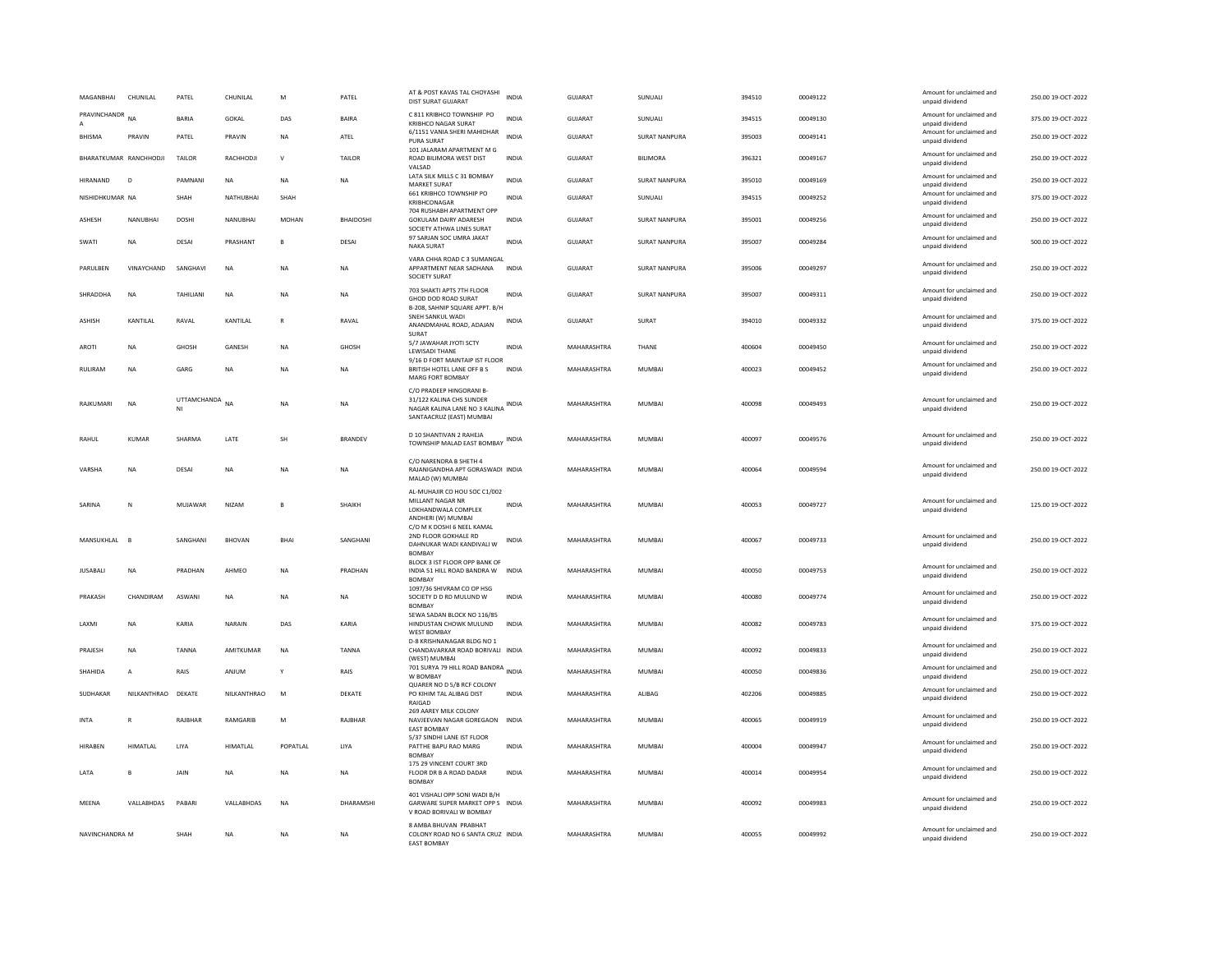| MAGANBHAI              | CHUNILAL          | PATEL             | CHUNILAL        | M              | PATEL            | AT & POST KAVAS TAL CHOYASHI<br>DIST SURAT GUJARAT                                                                          | <b>INDIA</b> | GUJARAT        | SUNUALI              | 394510 | 00049122 | Amount for unclaimed and<br>unpaid dividend | 250.00 19-OCT-2022 |
|------------------------|-------------------|-------------------|-----------------|----------------|------------------|-----------------------------------------------------------------------------------------------------------------------------|--------------|----------------|----------------------|--------|----------|---------------------------------------------|--------------------|
| PRAVINCHANDR           | <b>NA</b>         | <b>BARIA</b>      | GOKAL           | DAS            | <b>BAIRA</b>     | C 811 KRIBHCO TOWNSHIP PO<br><b>KRIBHCO NAGAR SURAT</b>                                                                     | <b>INDIA</b> | <b>GUJARAT</b> | SUNUALI              | 394515 | 00049130 | Amount for unclaimed and<br>unpaid dividend | 375.00 19-OCT-2022 |
| <b>BHISMA</b>          | PRAVIN            | PATEL             | PRAVIN          | <b>NA</b>      | ATEL             | 6/1151 VANIA SHERI MAHIDHAR<br>PURA SURAT                                                                                   | <b>INDIA</b> | <b>GUJARAT</b> | <b>SURAT NANPURA</b> | 395003 | 00049141 | Amount for unclaimed and<br>unpaid dividend | 250.00 19-OCT-2022 |
| BHARATKUMAR RANCHHODJI |                   | TAILOR            | RACHHODJI       | $\mathsf{v}$   | TAILOR           | 101 JALARAM APARTMENT M G<br>ROAD BILIMORA WEST DIST<br>VALSAD                                                              | <b>INDIA</b> | GUJARAT        | <b>BILIMORA</b>      | 396321 | 00049167 | Amount for unclaimed and<br>unpaid dividend | 250.00 19-OCT-2022 |
| HIRANAND               | $\mathsf D$       | PAMNANI           | NA              | <b>NA</b>      | NA               | LATA SILK MILLS C 31 BOMBAY<br><b>MARKET SURAT</b>                                                                          | <b>INDIA</b> | GUJARAT        | <b>SURAT NANPURA</b> | 395010 | 00049169 | Amount for unclaimed and<br>unpaid dividend | 250.00 19-OCT-2022 |
| NISHIDHKUMAR NA        |                   | SHAH              | NATHUBHAI       | SHAH           |                  | 661 KRIBHCO TOWNSHIP PO<br>KRIBHCONAGAR                                                                                     | <b>INDIA</b> | <b>GUJARAT</b> | SUNUALI              | 394515 | 00049252 | Amount for unclaimed and<br>unpaid dividend | 375.00 19-OCT-2022 |
| <b>ASHESH</b>          | NANURHAI          | <b>DOSHI</b>      | NANURHAI        | MOHAN          | <b>BHAIDOSHI</b> | 704 RUSHABH APARTMENT OPP<br>GOKULAM DAIRY ADARESH<br>SOCIETY ATHWA LINES SURAT                                             | <b>INDIA</b> | GUIARAT        | SURAT NANPURA        | 395001 | 00049256 | Amount for unclaimed and<br>unpaid dividend | 250.00.19-OCT-2022 |
| SWATI                  | <b>NA</b>         | DESAI             | PRASHANT        | $\overline{B}$ | DESAI            | 97 SARJAN SOC UMRA JAKAT<br><b>NAKA SURAT</b>                                                                               | <b>INDIA</b> | GUJARAT        | <b>SURAT NANPURA</b> | 395007 | 00049284 | Amount for unclaimed and<br>unpaid dividend | 500.00 19-OCT-2022 |
| PARULBEN               | <b>VINAYCHAND</b> | SANGHAVI          | <b>NA</b>       | <b>NA</b>      | NA               | VARA CHHA ROAD C 3 SUMANGAL<br>APPARTMENT NEAR SADHANA<br>SOCIETY SURAT                                                     | <b>INDIA</b> | <b>GUJARAT</b> | <b>SURAT NANPURA</b> | 395006 | 00049297 | Amount for unclaimed and<br>unpaid dividend | 250.00 19-OCT-2022 |
| SHRADDHA               | <b>NA</b>         | TAHILIANI         | <b>NA</b>       | <b>NA</b>      | <b>NA</b>        | 703 SHAKTI APTS 7TH FLOOR<br>GHOD DOD ROAD SURAT                                                                            | <b>INDIA</b> | <b>GUJARAT</b> | <b>SURAT NANPURA</b> | 395007 | 00049311 | Amount for unclaimed and<br>unpaid dividend | 250.00 19-OCT-2022 |
| <b>ASHISH</b>          | KANTILAL          | RAVAL             | KANTILAL        | R              | RAVAL            | B-208, SAHNIP SQUARE APPT. B/H<br>SNEH SANKUL WADI<br>ANANDMAHAL ROAD, ADAJAN<br>SURAT                                      | INDIA        | <b>GUJARAT</b> | SURAT                | 394010 | 00049332 | Amount for unclaimed and<br>unpaid dividend | 375.00 19-OCT-2022 |
| AROTI                  | NA                | GHOSH             | GANESH          | NA             | GHOSH            | 5/7 JAWAHAR JYOTI SCTY<br>LEWISADI THANE                                                                                    | <b>INDIA</b> | MAHARASHTRA    | THANE                | 400604 | 00049450 | Amount for unclaimed and<br>unpaid dividend | 250.00 19-OCT-2022 |
| <b>RULIRAM</b>         | <b>NA</b>         | GARG              | <b>NA</b>       | <b>NA</b>      | NA               | 9/16 D FORT MAINTAIP IST FLOOR<br>BRITISH HOTEL LANE OFF B S<br>MARG FORT BOMBAY                                            | <b>INDIA</b> | MAHARASHTRA    | <b>MUMBAI</b>        | 400023 | 00049452 | Amount for unclaimed and<br>unpaid dividend | 250.00 19-OCT-2022 |
| RAJKUMARI              | <b>NA</b>         | UTTAMCHANDA<br>NI | <b>NA</b>       | <b>NA</b>      | NA               | C/O PRADEEP HINGORANI B-<br>31/122 KALINA CHS SUNDER<br>NAGAR KALINA LANE NO 3 KALINA INDIA<br>SANTAACRUZ (EAST) MUMBAI     |              | MAHARASHTRA    | <b>MUMBAI</b>        | 400098 | 00049493 | Amount for unclaimed and<br>unpaid dividend | 250.00 19-OCT-2022 |
| RAHUL                  | <b>KUMAR</b>      | SHARMA            | LATE            | SH             | <b>BRANDEV</b>   | D 10 SHANTIVAN 2 RAHEJA<br>TOWNSHIP MALAD EAST BOMBAY                                                                       | <b>INDIA</b> | MAHARASHTRA    | <b>MUMBAI</b>        | 400097 | 00049576 | Amount for unclaimed and<br>unpaid dividend | 250.00 19-OCT-2022 |
| VARSHA                 | <b>NA</b>         | DESAI             | <b>NA</b>       | <b>NA</b>      | <b>NA</b>        | C/O NARENDRA B SHETH 4<br>RAJANIGANDHA APT GORASWADI INDIA<br>MALAD (W) MUMBAI                                              |              | MAHARASHTRA    | MUMBAI               | 400064 | 00049594 | Amount for unclaimed and<br>unpaid dividend | 250.00.19-OCT-2022 |
| SARINA                 | N                 | MUJAWAR           | NIZAM           | $\overline{B}$ | SHAIKH           | AL-MUHAJIR CO HOU SOC C1/002<br>MILLANT NAGAR NR<br>LOKHANDWALA COMPLEX<br>ANDHERI (W) MUMBAI<br>C/O M K DOSHI 6 NEEL KAMAL | <b>INDIA</b> | MAHARASHTRA    | <b>MUMBAI</b>        | 400053 | 00049727 | Amount for unclaimed and<br>unpaid dividend | 125.00 19-OCT-2022 |
| MANSUKHLAL             | B                 | SANGHANI          | <b>BHOVAN</b>   | BHAI           | SANGHANI         | 2ND FLOOR GOKHALE RD<br>DAHNUKAR WADI KANDIVALI W<br><b>BOMBAY</b>                                                          | INDIA        | MAHARASHTRA    | MUMBAI               | 400067 | 00049733 | Amount for unclaimed and<br>unpaid dividend | 250.00 19-OCT-2022 |
| <b>JUSABALI</b>        | <b>NA</b>         | PRADHAN           | AHMEO           | <b>NA</b>      | PRADHAN          | BLOCK 3 IST FLOOR OPP BANK OF<br>INDIA 51 HILL ROAD BANDRA W INDIA<br><b>BOMBAY</b>                                         |              | MAHARASHTRA    | <b>MUMBAI</b>        | 400050 | 00049753 | Amount for unclaimed and<br>unpaid dividend | 250.00 19-OCT-2022 |
| PRAKASH                | CHANDIRAM         | ASWANI            | NA              | NA             | NA               | 1097/36 SHIVRAM CO OP HSG<br>SOCIETY D D RD MULUND W<br>BOMBAY                                                              | <b>INDIA</b> | MAHARASHTRA    | <b>MUMBAI</b>        | 400080 | 00049774 | Amount for unclaimed and<br>unpaid dividend | 250.00 19-OCT-2022 |
| LAXMI                  | NA                | KARIA             | NARAIN          | DAS            | KARIA            | SEWA SADAN BLOCK NO 116/85<br>HINDUSTAN CHOWK MULUND<br><b>WEST BOMBAY</b>                                                  | <b>INDIA</b> | MAHARASHTRA    | MUMBAI               | 400082 | 00049783 | Amount for unclaimed and<br>unpaid dividend | 375.00 19-OCT-2022 |
| PRAJESH                | <b>NA</b>         | <b>TANNA</b>      | AMITKUMAR       | <b>NA</b>      | <b>TANNA</b>     | D-8 KRISHNANAGAR BLDG NO 1<br>CHANDAVARKAR ROAD BORIVALI INDIA<br>(WEST) MUMBA                                              |              | MAHARASHTRA    | <b>MUMBAI</b>        | 400092 | 00049833 | Amount for unclaimed and<br>unpaid dividend | 250.00 19-OCT-2022 |
| SHAHIDA                | $\overline{A}$    | RAIS              | ANJUM           | Y              | RAIS             | 701 SURYA 79 HILL ROAD BANDRA INDIA<br>W BOMBAY                                                                             |              | MAHARASHTRA    | <b>MUMBAI</b>        | 400050 | 00049836 | Amount for unclaimed and<br>unpaid dividend | 250.00 19-OCT-2022 |
| SUDHAKAR               | NILKANTHRAO       | DEKATE            | NILKANTHRAO     | ${\sf M}$      | DEKATE           | QUARER NO D 5/B RCF COLONY<br>PO KIHIM TAL ALIBAG DIST<br>RAIGAD                                                            | INDIA        | MAHARASHTRA    | ALIBAG               | 402206 | 00049885 | Amount for unclaimed and<br>unpaid dividend | 250.00 19-OCT-2022 |
| <b>INTA</b>            | R                 | RAJBHAR           | RAMGARIB        | ${\sf M}$      | RAJBHAR          | 269 AAREY MILK COLONY<br>NAVJEEVAN NAGAR GOREGAON<br><b>EAST BOMBAY</b>                                                     | <b>INDIA</b> | MAHARASHTRA    | <b>MUMBAI</b>        | 400065 | 00049919 | Amount for unclaimed and<br>unpaid dividend | 250.00 19-OCT-2022 |
| HIRABEN                | HIMATLAL          | LIYA              | <b>HIMATLAL</b> | POPATLAL       | LIYA             | 5/37 SINDHI LANE IST FLOOR<br>PATTHE BAPU RAO MARG<br><b>BOMBAY</b>                                                         | INDIA        | MAHARASHTRA    | MUMBAI               | 400004 | 00049947 | Amount for unclaimed and<br>unpaid dividend | 250.00 19-OCT-2022 |
| LATA                   | B                 | JAIN              | <b>NA</b>       | <b>NA</b>      | <b>NA</b>        | 175 29 VINCENT COURT 3RD<br>FLOOR DR B A ROAD DADAR<br><b>BOMBAY</b>                                                        | <b>INDIA</b> | MAHARASHTRA    | MUMBAI               | 400014 | 00049954 | Amount for unclaimed and<br>unpaid dividend | 250.00 19-OCT-2022 |
| MEENA                  | VALLABHDAS        | PABARI            | VALLABHDAS      | <b>NA</b>      | DHARAMSHI        | 401 VISHALI OPP SONI WADI B/H<br>GARWARE SUPER MARKET OPP S INDIA<br>V ROAD BORIVALI W BOMBAY                               |              | MAHARASHTRA    | <b>MUMBAI</b>        | 400092 | 00049983 | Amount for unclaimed and<br>unpaid dividend | 250.00 19-OCT-2022 |
| NAVINCHANDRA M         |                   | <b>SHAH</b>       | <b>NA</b>       | <b>NA</b>      | <b>NA</b>        | 8 AMBA BHUVAN PRABHAT<br>COLONY ROAD NO 6 SANTA CRUZ INDIA<br><b>FAST ROMBAY</b>                                            |              | MAHARASHTRA    | MUMBAI               | 400055 | 00049992 | Amount for unclaimed and<br>unpaid dividend | 250.00 19-QCT-2022 |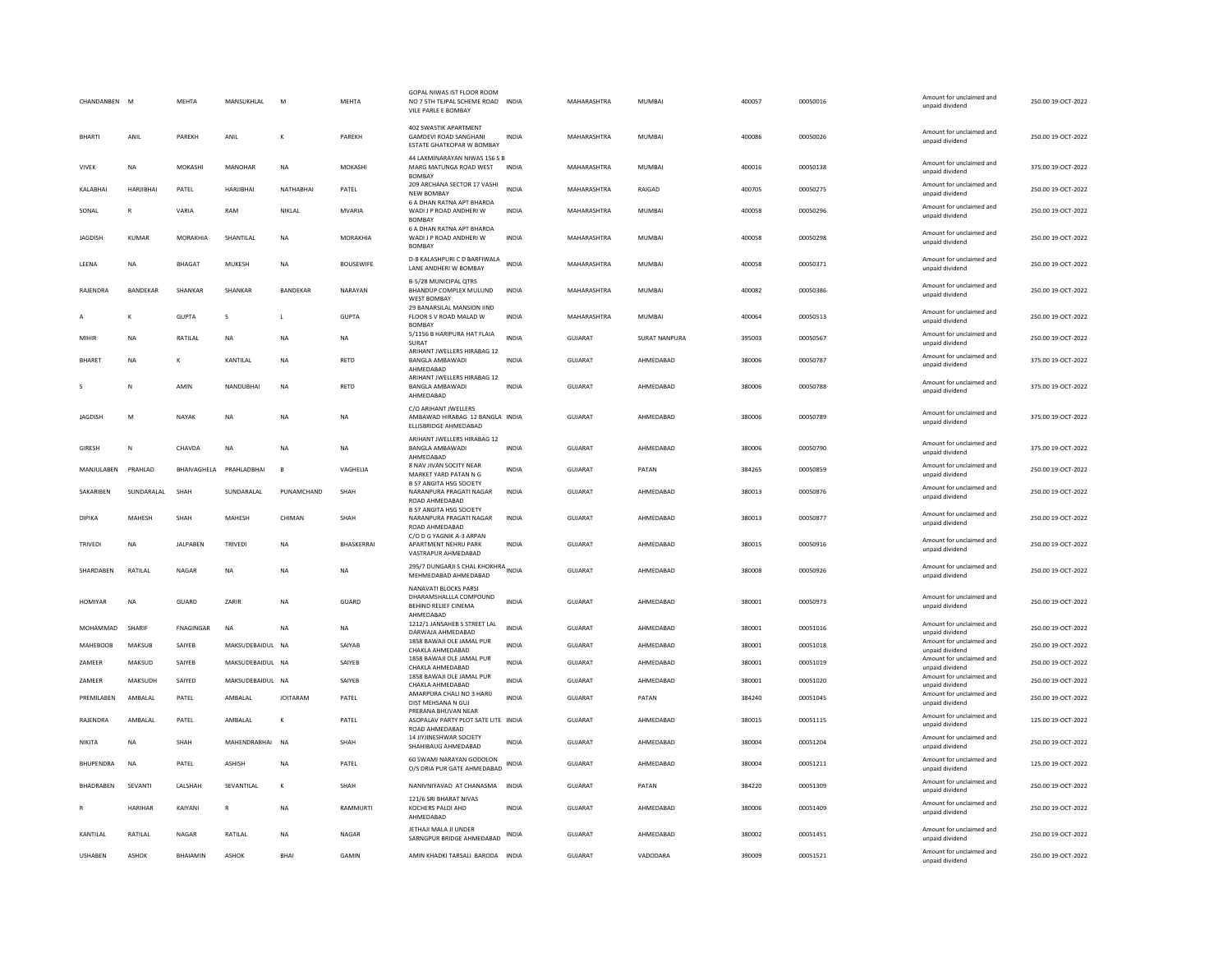| CHANDANBEN M     |                | <b>MEHTA</b>    | MANSUKHLAL              | M               | <b>MEHTA</b>     | GOPAL NIWAS IST FLOOR ROON<br>NO 7 5TH TEJPAL SCHEME ROAD<br>VILE PARLE E BOMBAY     | <b>INDIA</b> | MAHARASHTRA    | <b>MUMBAI</b>        | 400057 | 00050016 | Amount for unclaimed and<br>unpaid dividend | 250.00 19-OCT-2022 |
|------------------|----------------|-----------------|-------------------------|-----------------|------------------|--------------------------------------------------------------------------------------|--------------|----------------|----------------------|--------|----------|---------------------------------------------|--------------------|
| <b>BHARTI</b>    | ANIL           | PAREKH          | ANIL                    |                 | PAREKH           | 402 SWASTIK APARTMENT<br><b>GAMDEVI ROAD SANGHANI</b><br>ESTATE GHATKOPAR W BOMBAY   | INDIA        | MAHARASHTRA    | MUMBAI               | 400086 | 00050026 | Amount for unclaimed and<br>unpaid dividend | 250.00 19-OCT-2022 |
| <b>VIVEK</b>     | NA             | MOKASHI         | MANOHAR                 | NA              | MOKASHI          | 44 LAXMINARAYAN NIWAS 156 S B<br>MARG MATUNGA ROAD WEST<br><b>BOMBAY</b>             | <b>INDIA</b> | MAHARASHTRA    | MUMBAI               | 400016 | 00050138 | Amount for unclaimed and<br>unpaid dividend | 375.00 19-OCT-2022 |
| KALABHAI         | HARJIBHAI      | PATEL           | HARJIBHAI               | NATHABHAI       | PATEL            | 209 ARCHANA SECTOR 17 VASHI<br><b>NEW BOMBAY</b>                                     | <b>INDIA</b> | MAHARASHTRA    | RAIGAD               | 400705 | 00050275 | Amount for unclaimed and<br>unpaid dividend | 250.00 19-OCT-2022 |
| SONAL            | R              | VARIA           | RAM                     | NIKLAL          | <b>MVARIA</b>    | <b>6 A DHAN RATNA APT BHARDA</b><br>WADI J P ROAD ANDHERI W<br><b>BOMBA</b>          | INDIA        | MAHARASHTRA    | <b>MUMBAI</b>        | 400058 | 00050296 | Amount for unclaimed and<br>unpaid dividend | 250.00 19-OCT-2022 |
| JAGDISH          | <b>KUMAR</b>   | MORAKHIA        | SHANTILAL               | NA              | MORAKHIA         | <b>6 A DHAN RATNA APT BHARDA</b><br>WADI J P ROAD ANDHERI W<br><b>BOMBA</b>          | INDIA        | MAHARASHTRA    | MUMBAI               | 400058 | 00050298 | Amount for unclaimed and<br>unpaid dividend | 250.00 19-OCT-2022 |
| LEENA            | NA             | BHAGAT          | MUKESH                  | <b>NA</b>       | <b>BOUSEWIFE</b> | D-8 KALASHPURI C D BARFIWALA<br>LANE ANDHERI W BOMBAY                                | <b>INDIA</b> | MAHARASHTRA    | MUMBAI               | 400058 | 00050371 | Amount for unclaimed and<br>unpaid dividend | 250.00 19-OCT-2022 |
| RAJENDRA         | BANDEKAR       | SHANKAR         | SHANKAR                 | BANDEKAR        | NARAYAN          | B-5/28 MUNICIPAL QTRS<br>BHANDUP COMPLEX MULUND<br><b>WEST BOMBAY</b>                | <b>INDIA</b> | MAHARASHTRA    | <b>MUMBAI</b>        | 400082 | 00050386 | Amount for unclaimed and<br>unpaid dividend | 250.00 19-OCT-2022 |
|                  | K              | <b>GUPTA</b>    | s                       | $\mathsf{L}$    | <b>GUPTA</b>     | 29 BANARSILAL MANSION IIND<br>FLOOR S V ROAD MALAD W<br><b>BOMBA</b>                 | <b>INDIA</b> | MAHARASHTRA    | <b>MUMBAI</b>        | 400064 | 00050513 | Amount for unclaimed and<br>unpaid dividend | 250.00 19-OCT-2022 |
| MIHIR            | NA             | RATILAL         | NA                      | NA              | NA               | 5/1156 B HARIPURA HAT FLAIA<br>SURAT                                                 | <b>INDIA</b> | <b>GUJARAT</b> | <b>SURAT NANPURA</b> | 395003 | 00050567 | Amount for unclaimed and<br>unpaid dividend | 250.00 19-OCT-2022 |
| <b>BHARFT</b>    | <b>NA</b>      | к               | KANTILAL                | <b>NA</b>       | <b>RFTD</b>      | ARIHANT JWELLERS HIRABAG 12<br><b>BANGLA AMBAWADI</b><br>AHMEDABAD                   | <b>INDIA</b> | GUIARAT        | AHMFDARAD            | 380006 | 00050787 | Amount for unclaimed and<br>unpaid dividend | 375.00.19-QCT-2022 |
|                  | Ν              | AMIN            | NANDUBHAI               | NA              | RETD             | ARIHANT JWELLERS HIRABAG 12<br><b>BANGLA AMBAWADI</b><br>AHMEDABAD                   | <b>INDIA</b> | <b>GUJARAT</b> | AHMEDABAD            | 380006 | 00050788 | Amount for unclaimed and<br>unpaid dividend | 375.00 19-OCT-2022 |
| <b>JAGDISH</b>   | M              | NAYAK           | <b>NA</b>               | <b>NA</b>       | <b>NA</b>        | C/O ARIHANT JWELLERS<br>AMBAWAD HIRABAG 12 BANGLA INDIA<br>ELLISBRIDGE AHMEDABAD     |              | GUJARAT        | AHMEDABAD            | 380006 | 00050789 | Amount for unclaimed and<br>unpaid dividend | 375.00 19-OCT-2022 |
| <b>GIRESH</b>    | N              | CHAVDA          | <b>NA</b>               | <b>NA</b>       | <b>NA</b>        | ARIHANT JWELLERS HIRABAG 12<br><b>BANGLA AMBAWADI</b><br>AHMEDABAD                   | <b>INDIA</b> | <b>GUJARAT</b> | AHMEDABAD            | 380006 | 00050790 | Amount for unclaimed and<br>unpaid dividend | 375.00 19-OCT-2022 |
| MANJULABEN       | PRAHLAD        |                 | BHAIVAGHELA PRAHLADBHAI | $\overline{B}$  | VAGHELIA         | 8 NAV JIVAN SOCITY NEAR<br>MARKET YARD PATAN N G                                     | INDIA        | GUJARAT        | PATAN                | 384265 | 00050859 | Amount for unclaimed and<br>unpaid dividend | 250.00 19-OCT-2022 |
| SAKARIBEN        | SUNDARALAL     | SHAH            | SUNDARALAI              | PUNAMCHAND      | SHAH             | <b>B 57 ANGITA HSG SOCIETY</b><br>NARANPURA PRAGATI NAGAR<br>ROAD AHMEDABAD          | <b>INDIA</b> | GUJARAT        | AHMEDABAD            | 380013 | 00050876 | Amount for unclaimed and<br>unpaid dividend | 250.00 19-OCT-2022 |
| <b>DIPIKA</b>    | <b>MAHESH</b>  | SHAH            | MAHESH                  | CHIMAN          | SHAH             | <b>B 57 ANGITA HSG SOCIETY</b><br>NARANPURA PRAGATI NAGAR<br>ROAD AHMEDABAD          | <b>INDIA</b> | GUJARAT        | AHMEDABAD            | 380013 | 00050877 | Amount for unclaimed and<br>unpaid dividend | 250.00 19-OCT-2022 |
| TRIVEDI          | NA             | JALPABEN        | TRIVEDI                 | <b>NA</b>       | BHASKERRAI       | C/O D G YAGNIK A-3 ARPAN<br>APARTMENT NEHRU PARK<br>VASTRAPUR AHMEDABAD              | INDIA        | GUJARAT        | AHMEDABAD            | 380015 | 00050916 | Amount for unclaimed and<br>unpaid dividend | 250.00 19-OCT-2022 |
| SHARDABEN        | RATILAL        | NAGAR           | NA                      | NA              | NA               | 295/7 DUNGARJI S CHAL KHOKHRA<br>MEHMEDABAD AHMEDABAD                                |              | GUJARAT        | AHMEDABAD            | 380008 | 00050926 | Amount for unclaimed and<br>unpaid dividend | 250.00 19-OCT-2022 |
| HOMIYAR          | NA             | GUARD           | ZARIR                   | NA              | GUARD            | NANAVATI BLOCKS PARSI<br>DHARAMSHALLLA COMPOUND<br>BEHIND RELIEF CINEMA<br>AHMEDABAD | <b>INDIA</b> | GUJARAT        | AHMEDABAD            | 380001 | 00050973 | Amount for unclaimed and<br>unpaid dividend | 250.00 19-OCT-2022 |
| MOHAMMAD         | SHARIF         | FNAGINGAR       | NA                      | <b>NA</b>       | NA               | 1212/1 JANSAHEB S STREET LAL<br>DARWAJA AHMEDABAD                                    | <b>INDIA</b> | GUJARAT        | AHMEDABAD            | 380001 | 00051016 | Amount for unclaimed and<br>unpaid dividend | 250.00 19-OCT-2022 |
| MAHEBOOB         | MAKSUB         | SAIYEB          | MAKSUDEBAIDUL NA        |                 | SAIYAR           | 1858 BAWAJI OLE JAMAL PUR<br>CHAKLA AHMEDABAD                                        | <b>INDIA</b> | GUJARAT        | AHMEDABAD            | 380001 | 00051018 | Amount for unclaimed and<br>unpaid dividend | 250.00 19-OCT-2022 |
| ZAMEER           | MAKSUD         | SAIYEB          | MAKSUDEBAIDUL NA        |                 | SAIYEB           | 1858 BAWAJI OLE JAMAL PUR<br>CHAKLA AHMEDABAD                                        | <b>INDIA</b> | GUJARAT        | AHMEDABAD            | 380001 | 00051019 | Amount for unclaimed and<br>unpaid dividend | 250.00 19-OCT-2022 |
| ZAMEER           | MAKSUDH        | SAIYED          | MAKSUDEBAIDUL NA        |                 | SAIYEB           | 1858 BAWAJI OLE JAMAL PUR<br>CHAKLA AHMEDABAD                                        | <b>INDIA</b> | <b>GUJARAT</b> | AHMEDABAD            | 380001 | 00051020 | Amount for unclaimed and<br>unpaid dividend | 250.00 19-OCT-2022 |
| PREMILABEN       | AMBALAL        | PATEL           | AMBALAL                 | <b>JOITARAM</b> | PATEL            | AMARPURA CHALI NO 3 HARIJ<br>DIST MEHSANA N GUJ                                      | <b>INDIA</b> | GUJARAT        | PATAN                | 384240 | 00051045 | Amount for unclaimed and<br>unpaid dividend | 250.00 19-OCT-2022 |
| <b>RAIFNDRA</b>  | AMRAI AI       | PATEL           | AMBAI AI                | $\kappa$        | PATEL            | PRERANA BHUVAN NEAR<br>ASOPALAV PARTY PLOT SATE LITE INDIA<br>ROAD AHMEDABAD         |              | GUIARAT        | AHMEDARAD            | 380015 | 00051115 | Amount for unclaimed and<br>unpaid dividend | 125.00 19-OCT-2022 |
| NIKITA           | <b>NA</b>      | SHAH            | MAHENDRABHAI            | <b>NA</b>       | SHAH             | 14 JIYJINESHWAR SOCIETY<br>SHAHIBAUG AHMEDABAD                                       | <b>INDIA</b> | GUJARAT        | AHMEDABAD            | 380004 | 00051204 | Amount for unclaimed and<br>unpaid dividend | 250.00 19-OCT-2022 |
| <b>BHUPENDRA</b> | <b>NA</b>      | PATEL           | ASHISH                  | <b>NA</b>       | PATEL            | 60 SWAMI NARAYAN GODOLON<br>O/S DRIA PUR GATE AHMEDABAD                              | INDIA        | GUJARAT        | AHMEDABAD            | 380004 | 00051211 | Amount for unclaimed and<br>unpaid dividend | 125.00 19-OCT-2022 |
| BHADRABEN        | SEVANTI        | LALSHAH         | SEVANTILAL              | К               | SHAH             | NANIVNIYAVAD AT CHANASMA INDIA                                                       |              | GUJARAT        | PATAN                | 384220 | 00051309 | Amount for unclaimed and<br>unpaid dividend | 250.00 19-OCT-2022 |
|                  | <b>HARIHAR</b> | KAIYANI         | $\mathbb{R}$            | <b>NA</b>       | <b>RAMMURTI</b>  | 121/6 SRI BHARAT NIVAS<br>KOCHERS PALDI AHD<br>AHMEDABAD                             | <b>INDIA</b> | GUJARAT        | AHMEDABAD            | 380006 | 00051409 | Amount for unclaimed and<br>unpaid dividend | 250.00 19-OCT-2022 |
| KANTILAL         | RATILAL        | <b>NAGAR</b>    | RATILAL                 | NA              | NAGAR            | JETHAJI MALA JI UNDER<br>SARNGPUR BRIDGE AHMEDABAD                                   | <b>INDIA</b> | <b>GUJARAT</b> | AHMEDABAD            | 380002 | 00051451 | Amount for unclaimed and<br>unpaid dividend | 250.00 19-OCT-2022 |
| <b>USHABEN</b>   | <b>ASHOK</b>   | <b>BHAIAMIN</b> | ASHOK                   | <b>BHA</b>      | GAMIN            | AMIN KHADKI TARSALI BARODA INDIA                                                     |              | GUJARAT        | VADODARA             | 390009 | 00051521 | Amount for unclaimed and<br>unpaid dividend | 250.00 19-OCT-2022 |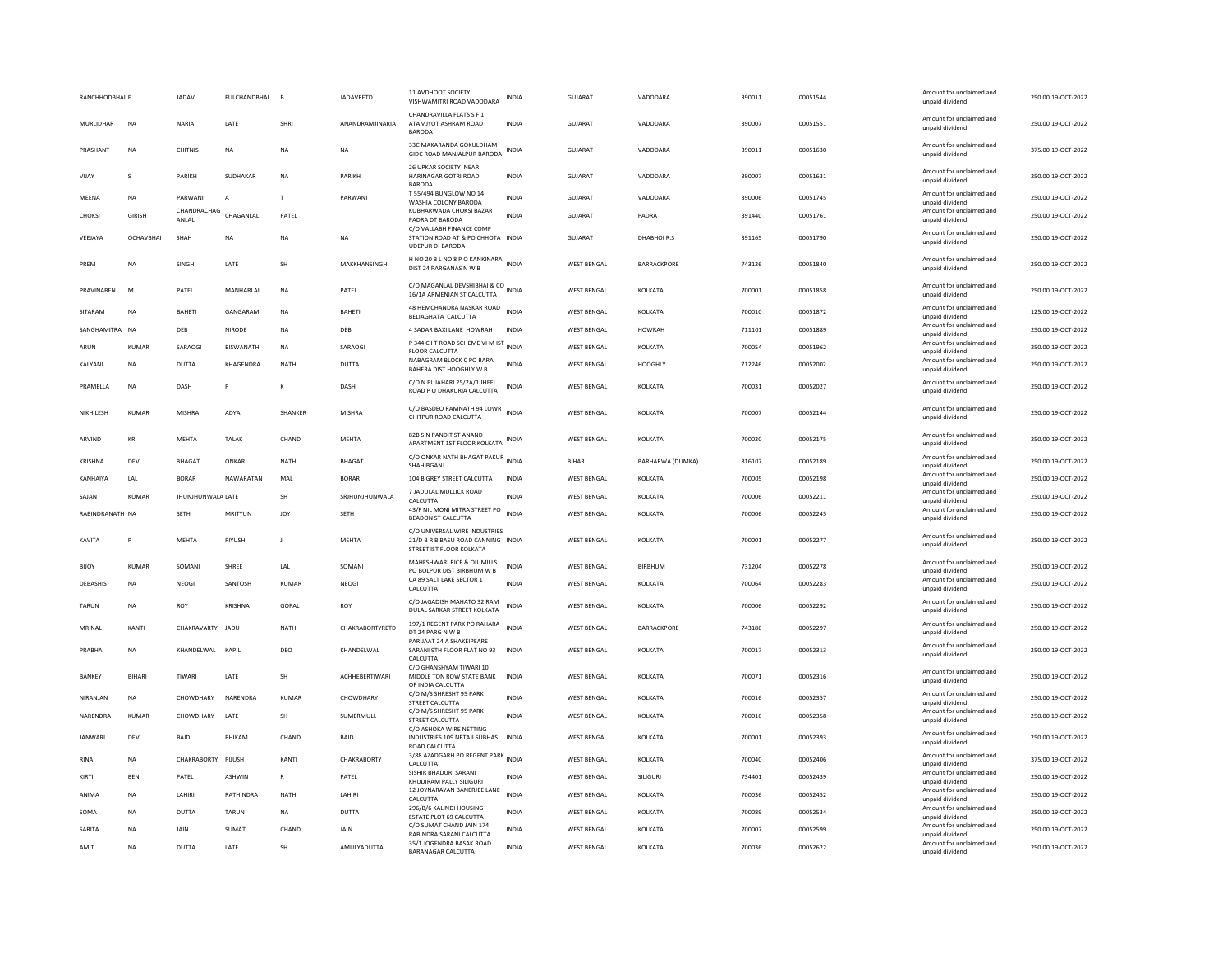| RANCHHODBHAI F  |                        | <b>JADAV</b>         | <b>FULCHANDBHAI</b> | <b>E</b>        | <b>JADAVRETD</b>      | 11 AVDHOOT SOCIETY<br>VISHWAMITRI ROAD VADODARA                                                 | INDIA                        | GUJARAT                                  | VADODARA           | 390011           | 00051544             | Amount for unclaimed and<br>unpaid dividend                    | 250.00 19-OCT-2022                       |
|-----------------|------------------------|----------------------|---------------------|-----------------|-----------------------|-------------------------------------------------------------------------------------------------|------------------------------|------------------------------------------|--------------------|------------------|----------------------|----------------------------------------------------------------|------------------------------------------|
| MURLIDHAR       | <b>NA</b>              | NARIA                | LATE                | SHRI            | ANANDRAMJINARIA       | CHANDRAVILLA FLATS S F 1<br>ATAMJYOT ASHRAM ROAD<br><b>BARODA</b>                               | <b>INDIA</b>                 | GUJARAT                                  | VADODARA           | 390007           | 00051551             | Amount for unclaimed and<br>unpaid dividend                    | 250.00 19-OCT-2022                       |
| PRASHANT        | <b>NA</b>              | <b>CHITNIS</b>       | <b>NA</b>           | <b>NA</b>       | <b>NA</b>             | 33C MAKARANDA GOKULDHAM<br>GIDC ROAD MANJALPUR BARODA                                           | INDIA                        | <b>GUJARAT</b>                           | VADODARA           | 390011           | 00051630             | Amount for unclaimed and<br>unpaid dividend                    | 375.00 19-OCT-2022                       |
| VIJAY           | $\mathbf{s}$           | PARIKH               | SUDHAKAR            | <b>NA</b>       | PARIKH                | 26 UPKAR SOCIETY NEAR<br>HARINAGAR GOTRI ROAD<br><b>BARODA</b>                                  | <b>INDIA</b>                 | GUJARAT                                  | VADODARA           | 390007           | 00051631             | Amount for unclaimed and<br>unpaid dividend                    | 250.00 19-OCT-2022                       |
| MEENA           | <b>NA</b>              | PARWANI              | A                   | T               | PARWANI               | T 55/494 BUNGLOW NO 14<br>WASHIA COLONY BARODA                                                  | <b>INDIA</b>                 | GUJARAT                                  | VADODARA           | 390006           | 00051745             | Amount for unclaimed and<br>unpaid dividend                    | 250.00 19-OCT-2022                       |
| <b>CHOKSI</b>   | <b>GIRISH</b>          | CHANDRACHAG<br>ANLAL | CHAGANLAL           | PATEL           |                       | KUBHARWADA CHOKSI BAZAR<br>PADRA DT BARODA                                                      | <b>INDIA</b>                 | <b>GUJARAT</b>                           | PADRA              | 391440           | 00051761             | Amount for unclaimed and<br>unpaid dividend                    | 250.00 19-OCT-2022                       |
| VEEJAYA         | OCHAVBHA               | SHAH                 | $_{\sf NA}$         | <b>NA</b>       | <b>NA</b>             | C/O VALLABH FINANCE COMP<br>STATION ROAD AT & PO CHHOTA INDIA<br>UDEPUR DI BARODA               |                              | <b>GUJARAT</b>                           | DHABHOIR.S         | 391165           | 00051790             | Amount for unclaimed and<br>unpaid dividend                    | 250.00 19-OCT-2022                       |
| PREM            | <b>NA</b>              | SINGH                | LATE                | <b>SH</b>       | MAKKHANSINGH          | H NO 20 B L NO 8 P O KANKINARA INDIA<br>DIST 24 PARGANAS N W B                                  |                              | <b>WEST BENGAL</b>                       | <b>BARRACKPORE</b> | 743126           | 00051840             | Amount for unclaimed and<br>unpaid dividend                    | 250.00 19-OCT-2022                       |
| PRAVINAREN      | M                      | PATFI                | MANHARI AI          | <b>NA</b>       | PATEL                 | C/O MAGANLAL DEVSHIBHAI & CO INDIA<br>16/1A ARMENIAN ST CALCUTTA                                |                              | <b>WEST RENGAL</b>                       | KOI KATA           | 700001           | 00051858             | Amount for unclaimed and<br>unpaid dividend                    | 250.00.19-QCT-2022                       |
| SITARAM         | <b>NA</b>              | <b>BAHETI</b>        | GANGARAM            | <b>NA</b>       | <b>BAHETI</b>         | 48 HEMCHANDRA NASKAR ROAD<br>BELIAGHATA CALCUTTA                                                | <b>INDIA</b>                 | <b>WEST BENGAL</b>                       | KOLKATA            | 700010           | 00051872             | Amount for unclaimed and<br>unpaid dividend                    | 125.00 19-OCT-2022                       |
| SANGHAMITRA NA  |                        | DEB                  | NIRODE              | NA              | DEB                   | 4 SADAR BAXI LANE HOWRAH                                                                        | INDIA                        | <b>WEST BENGAL</b>                       | <b>HOWRAH</b>      | 711101           | 00051889             | Amount for unclaimed and<br>unpaid dividend                    | 250.00 19-OCT-2022                       |
| ARUN            | <b>KUMAR</b>           | SARAOGI              | BISWANATH           | <b>NA</b>       | SARAOGI               | P 344 C I T ROAD SCHEME VI M IST INDIA                                                          |                              | <b>WEST BENGAL</b>                       | KOLKATA            | 700054           | 00051962             | Amount for unclaimed and                                       | 250.00 19-OCT-2022                       |
| <b>KAI YANI</b> | <b>NA</b>              | DUTTA                | KHAGFNDRA           | <b>NATH</b>     | DUTTA                 | <b>FLOOR CALCUTTA</b><br>NABAGRAM BLOCK C PO BARA                                               | <b>INDIA</b>                 | <b>WEST BENGAL</b>                       | HOOGHI Y           | 712246           | 00052002             | unpaid dividend<br>Amount for unclaimed and                    | 250.00.19-OCT-2022                       |
|                 |                        |                      |                     |                 |                       | BAHERA DIST HOOGHLY W B<br>C/O N PUJAHARI 25/2A/1 JHEEL                                         |                              |                                          |                    |                  |                      | unpaid dividend<br>Amount for unclaimed and                    |                                          |
| PRAMELLA        | <b>NA</b>              | DASH                 |                     | К               | DASH                  | ROAD P O DHAKURIA CALCUTTA                                                                      | INDIA                        | <b>WEST BENGAL</b>                       | KOLKATA            | 700031           | 00052027             | unpaid dividend                                                | 250.00 19-OCT-2022                       |
| NIKHILESH       | <b>KUMAR</b>           | <b>MISHRA</b>        | ADYA                | SHANKER         | <b>MISHRA</b>         | C/O BASDEO RAMNATH 94 LOWR<br>CHITPUR ROAD CALCUTTA                                             | <b>INDIA</b>                 | <b>WEST BENGAL</b>                       | KOLKATA            | 700007           | 00052144             | Amount for unclaimed and<br>unpaid dividend                    | 250.00 19-OCT-2022                       |
| ARVIND          | KR                     | <b>MFHTA</b>         | <b>TAI AK</b>       | CHAND           | <b>MFHTA</b>          | 82B S N PANDIT ST ANAND<br>APARTMENT 1ST FLOOR KOLKATA                                          | INDIA                        | <b>WEST BENGAL</b>                       | KOLKATA            | 700020           | 00052175             | Amount for unclaimed and<br>unpaid dividend                    | 250.00 19-OCT-2022                       |
| KRISHNA         | DEVI                   | BHAGAT               | ONKAR               | <b>NATH</b>     | BHAGAT                | C/O ONKAR NATH BHAGAT PAKUR INDIA<br>SHAHIBGANJ                                                 |                              | <b>BIHAR</b>                             | BARHARWA (DUMKA)   | 816107           | 00052189             | Amount for unclaimed and<br>unpaid dividend                    | 250.00 19-OCT-2022                       |
|                 |                        |                      |                     |                 |                       |                                                                                                 |                              |                                          |                    |                  |                      |                                                                |                                          |
| KANHAIYA        | LAL                    | <b>BORAR</b>         | NAWARATAN           | MAL             | <b>BORAR</b>          | 104 B GREY STREET CALCUTTA                                                                      | <b>INDIA</b>                 | <b>WEST BENGAL</b>                       | KOLKATA            | 700005           | 00052198             | Amount for unclaimed and                                       | 250.00 19-OCT-2022                       |
| SAJAN           | KUMAR                  | JHUNJHUNWALA LATE    |                     | <b>SH</b>       | SRJHUNJHUNWALA        | 7 JADULAL MULLICK ROAD                                                                          | <b>INDIA</b>                 | <b>WEST BENGAL</b>                       | KOLKATA            | 700006           | 00052211             | unpaid dividend<br>Amount for unclaimed and                    | 250.00 19-OCT-2022                       |
| RABINDRANATH NA |                        | <b>SFTH</b>          | MRITYUN             | 10 <sub>Y</sub> | <b>SFTH</b>           | CALCUTTA<br>43/F NIL MONI MITRA STREET PO<br>BEADON ST CALCUTTA                                 | <b>INDIA</b>                 | <b>WEST BENGAL</b>                       | KOLKATA            | 700006           | 00052245             | unpaid dividend<br>Amount for unclaimed and<br>unpaid dividend | 250.00 19-OCT-2022                       |
| KAVITA          | D                      | <b>MEHTA</b>         | PIYUSH              | J.              | MEHTA                 | C/O UNIVERSAL WIRE INDUSTRIES<br>21/D B R B BASU ROAD CANNING INDIA<br>STREET IST FLOOR KOLKATA |                              | <b>WEST BENGAL</b>                       | KOLKATA            | 700001           | 00052277             | Amount for unclaimed and<br>unpaid dividend                    | 250.00 19-OCT-2022                       |
| <b>BIJOY</b>    | <b>KUMAR</b>           | SOMANI               | SHREE               | LAL             | SOMANI                | MAHESHWARI RICE & OIL MILLS                                                                     | INDIA                        | <b>WEST BENGAL</b>                       | BIRBHUM            | 731204           | 00052278             | Amount for unclaimed and                                       | 250.00 19-OCT-2022                       |
| <b>DEBASHIS</b> | <b>NA</b>              | NEOGI                | SANTOSH             | KUMAR           | NEOGI                 | PO BOLPUR DIST BIRBHUM W B<br>CA 89 SALT LAKE SECTOR 1<br>CALCUTTA                              | <b>INDIA</b>                 | <b>WEST BENGAL</b>                       | KOLKATA            | 700064           | 00052283             | unpaid dividend<br>Amount for unclaimed and                    | 250.00 19-OCT-2022                       |
|                 |                        |                      |                     |                 |                       | C/O JAGADISH MAHATO 32 RAM                                                                      |                              |                                          |                    |                  |                      | unpaid dividend<br>Amount for unclaimed and                    |                                          |
| <b>TARUN</b>    | <b>NA</b>              | ROY                  | <b>KRISHNA</b>      | GOPAL           | ROY                   | DULAL SARKAR STREET KOLKATA                                                                     | <b>INDIA</b>                 | <b>WEST BENGAL</b>                       | KOLKATA            | 700006           | 00052292             | unpaid dividend                                                | 250.00 19-OCT-2022                       |
| MRINAL          | KANTI                  | CHAKRAVARTY JADU     |                     | <b>NATH</b>     | CHAKRABORTYRETD       | 197/1 REGENT PARK PO RAHARA<br>DT 24 PARG N W B                                                 | <b>INDIA</b>                 | <b>WEST BENGAL</b>                       | <b>BARRACKPORE</b> | 743186           | 00052297             | Amount for unclaimed and<br>unpaid dividend                    | 250.00 19-OCT-2022                       |
| PRABHA          | <b>NA</b>              | KHANDELWAL KAPIL     |                     | DEO             | KHANDELWAL            | PARIJAAT 24 A SHAKEIPEARE<br>SARANI 9TH FLOOR FLAT NO 93<br>CALCUTTA                            | <b>INDIA</b>                 | <b>WEST BENGAL</b>                       | KOLKATA            | 700017           | 00052313             | Amount for unclaimed and<br>unpaid dividend                    | 250.00 19-OCT-2022                       |
| <b>BANKEY</b>   | <b>BIHARI</b>          | TIWARI               | LATE                | <b>SH</b>       | <b>ACHHEBERTIWARI</b> | C/O GHANSHYAM TIWARI 10<br>MIDDLE TON ROW STATE BANK<br>OF INDIA CALCUTTA                       | <b>INDIA</b>                 | <b>WEST BENGAL</b>                       | KOLKATA            | 700071           | 00052316             | Amount for unclaimed and<br>unpaid dividend                    | 250.00 19-OCT-2022                       |
| NIRANJAN        | NA                     | CHOWDHARY            | NARENDRA            | KUMAR           | CHOWDHARY             | C/O M/S SHRESHT 95 PARK<br>STREET CALCUTTA                                                      | <b>INDIA</b>                 | <b>WEST BENGAL</b>                       | KOLKATA            | 700016           | 00052357             | Amount for unclaimed and<br>unpaid dividend                    | 250.00 19-OCT-2022                       |
| NARENDRA        | <b>KUMAR</b>           | CHOWDHARY            | LATE                | SH              | SUMERMULL             | C/O M/S SHRESHT 95 PARK<br>STREET CALCUTTA                                                      | <b>INDIA</b>                 | <b>WEST BENGAL</b>                       | KOLKATA            | 700016           | 00052358             | Amount for unclaimed and<br>unpaid dividend                    | 250.00 19-OCT-2022                       |
| <b>JANWARI</b>  | DEVI                   | BAID                 | BHIKAM              | CHAND           | BAID                  | C/O ASHOKA WIRE NETTING<br>INDUSTRIES 109 NETAJI SUBHAS INDIA<br>ROAD CALCUTTA                  |                              | <b>WEST BENGAL</b>                       | KOLKATA            | 700001           | 00052393             | Amount for unclaimed and<br>unpaid dividend                    | 250.00 19-OCT-2022                       |
| <b>RINA</b>     | <b>NA</b>              | CHAKRABORTY PIJUSH   |                     | KANT            | CHAKRABORTY           | 3/88 AZADGARH PO REGENT PARK INDIA<br>CALCUTTA                                                  |                              | <b>WEST BENGAL</b>                       | KOLKATA            | 700040           | 00052406             | Amount for unclaimed and<br>unpaid dividend                    | 375.00 19-OCT-2022                       |
| KIRTI           | <b>BEN</b>             | PATEL                | ASHWIN              | $\mathbb{R}$    | PATEL                 | SISHIR BHADURI SARANI<br>KHUDIRAM PALLY SILIGURI                                                | <b>INDIA</b>                 | <b>WEST BENGAL</b>                       | SILIGURI           | 734401           | 00052439             | Amount for unclaimed and                                       | 250.00 19-OCT-2022                       |
| ANIMA           | <b>NA</b>              | <b>I AHIRI</b>       | RATHINDRA           | <b>NATH</b>     | <b>I AHIRI</b>        | 12 JOYNARAYAN BANERJEE LANE                                                                     | <b>INDIA</b>                 | <b>WEST BENGAL</b>                       | KOLKATA            | 700036           | 00052452             | unpaid dividend<br>Amount for unclaimed and                    | 250.00 19-OCT-2022                       |
| SOMA            | <b>NA</b>              | <b>DUTTA</b>         | <b>TARUN</b>        | <b>NA</b>       | <b>DUTTA</b>          | CALCUTTA<br>296/B/6 KALINDI HOUSING                                                             | <b>INDIA</b>                 | <b>WEST BENGAL</b>                       | KOLKATA            | 700089           | 00052534             | unpaid dividend<br>Amount for unclaimed and                    | 250.00 19-OCT-2022                       |
| SARITA          |                        |                      |                     |                 | <b>JAIN</b>           | ESTATE PLOT 69 CALCUTTA<br>C/O SUMAT CHAND JAIN 174                                             |                              |                                          |                    |                  |                      | unpaid dividend<br>Amount for unclaimed and                    |                                          |
| AMIT            | <b>NA</b><br><b>NA</b> | JAIN<br>DUTTA        | SUMAT<br>LATE       | CHAND<br>SH     | AMULYADUTTA           | RABINDRA SARANI CALCUTTA<br>35/1 JOGENDRA BASAK ROAD                                            | <b>INDIA</b><br><b>INDIA</b> | <b>WEST BENGAL</b><br><b>WEST BENGAL</b> | KOLKATA<br>KOLKATA | 700007<br>700036 | 00052599<br>00052622 | unpaid dividend<br>Amount for unclaimed and                    | 250.00 19-OCT-2022<br>250.00 19-OCT-2022 |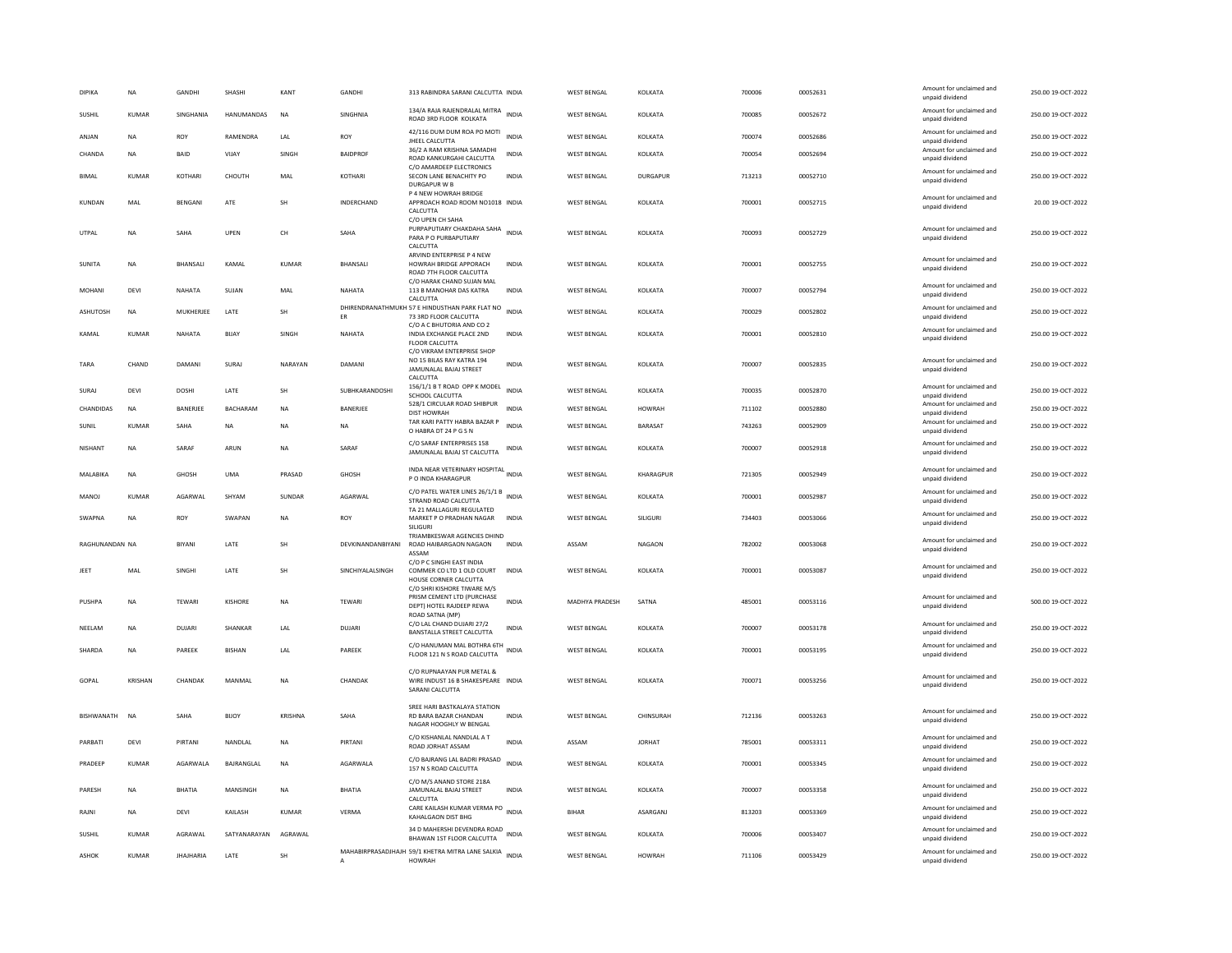| DIPIKA            | NA             | GANDHI           | SHASHI          | KANT          | GANDHI            | 313 RABINDRA SARANI CALCUTTA INDIA                                                                             |              | <b>WEST BENGAL</b> | KOLKATA         | 700006 | 00052631 | Amount for unclaimed and<br>unpaid dividend | 250.00 19-OCT-2022 |
|-------------------|----------------|------------------|-----------------|---------------|-------------------|----------------------------------------------------------------------------------------------------------------|--------------|--------------------|-----------------|--------|----------|---------------------------------------------|--------------------|
| SUSHIL            | <b>KUMAR</b>   | SINGHANIA        | HANUMANDAS      | <b>NA</b>     | SINGHNIA          | 134/A RAJA RAJENDRALAL MITRA<br>ROAD 3RD FLOOR KOLKATA                                                         | <b>INDIA</b> | <b>WEST BENGAL</b> | KOLKATA         | 700085 | 00052672 | Amount for unclaimed and<br>unpaid dividend | 250.00 19-OCT-2022 |
| ANJAN             | <b>NA</b>      | ROY              | RAMENDRA        | LAL           | ROY               | 42/116 DUM DUM ROA PO MOTI<br>JHEEL CALCUTTA                                                                   | <b>INDIA</b> | <b>WEST BENGAL</b> | KOLKATA         | 700074 | 00052686 | Amount for unclaimed and<br>unpaid dividend | 250.00 19-OCT-2022 |
| CHANDA            | <b>NA</b>      | BAID             | VIJAY           | SINGH         | <b>BAIDPROF</b>   | 36/2 A RAM KRISHNA SAMADHI<br>ROAD KANKURGAHI CALCUTTA                                                         | <b>INDIA</b> | <b>WEST BENGAL</b> | KOLKATA         | 700054 | 00052694 | Amount for unclaimed and<br>unpaid dividend | 250.00 19-OCT-2022 |
| <b>BIMAL</b>      | KUMAR          | KOTHARI          | CHOUTH          | MAL           | KOTHARI           | C/O AMARDEEP ELECTRONICS<br>SECON LANE BENACHITY PO<br>DURGAPUR W B                                            | INDIA        | <b>WEST BENGAL</b> | DURGAPUR        | 713213 | 00052710 | Amount for unclaimed and<br>unpaid dividend | 250.00 19-OCT-2022 |
| KUNDAN            | MAL            | BENGANI          | ATE             | SH            | INDERCHAND        | P 4 NEW HOWRAH BRIDGE<br>APPROACH ROAD ROOM NO1018 INDIA<br>CALCUTTA                                           |              | <b>WEST BENGAL</b> | KOLKATA         | 700001 | 00052715 | Amount for unclaimed and<br>unpaid dividend | 20.00 19-OCT-2022  |
| UTPAL             | <b>NA</b>      | SAHA             | UPEN            | CH            | SAHA              | C/O UPEN CH SAHA<br>PURPAPUTIARY CHAKDAHA SAHA<br>PARA P O PURBAPUTIARY<br>CALCUTTA                            | <b>INDIA</b> | <b>WEST BENGAL</b> | KOLKATA         | 700093 | 00052729 | Amount for unclaimed and<br>unpaid dividend | 250.00 19-OCT-2022 |
| SUNITA            | <b>NA</b>      | <b>BHANSALI</b>  | KAMAL           | KUMAR         | <b>BHANSALI</b>   | ARVIND ENTERPRISE P 4 NEW<br>HOWRAH BRIDGE APPORACH<br>ROAD 7TH FLOOR CALCUTTA                                 | <b>INDIA</b> | <b>WEST BENGAL</b> | KOLKATA         | 700001 | 00052755 | Amount for unclaimed and<br>unpaid dividend | 250.00 19-OCT-2022 |
| <b>MOHANI</b>     | <b>DEVI</b>    | NAHATA           | SUJAN           | MAL           | NAHATA            | C/O HARAK CHAND SUJAN MAL<br>113 B MANOHAR DAS KATRA<br>CALCUTTA                                               | <b>INDIA</b> | <b>WEST BENGAL</b> | KOLKATA         | 700007 | 00052794 | Amount for unclaimed and<br>unpaid dividend | 250.00 19-OCT-2022 |
| ASHUTOSH          | NA             | MUKHERJEE        | LATE            | SH            | ER                | DHIRENDRANATHMUKH 57 E HINDUSTHAN PARK FLAT NO<br>73 3RD FLOOR CALCUTTA                                        | <b>INDIA</b> | <b>WEST BENGAL</b> | KOLKATA         | 700029 | 00052802 | Amount for unclaimed and<br>unpaid dividend | 250.00 19-OCT-2022 |
| KAMAL             | <b>KUMAR</b>   | NAHATA           | BIJAY           | SINGH         | NAHATA            | C/O A C BHUTORIA AND CO 2<br>INDIA EXCHANGE PLACE 2ND<br>FLOOR CALCUTTA                                        | <b>INDIA</b> | <b>WEST BENGAL</b> | KOLKATA         | 700001 | 00052810 | Amount for unclaimed and<br>unpaid dividend | 250.00 19-OCT-2022 |
| TARA              | CHAND          | <b>DAMAN</b>     | SURAJ           | NARAYAN       | DAMANI            | C/O VIKRAM ENTERPRISE SHOP<br>NO 15 BILAS RAY KATRA 194<br>JAMUNALAL BAJAJ STREET<br>CALCUTTA                  | <b>INDIA</b> | <b>WEST BENGAL</b> | KOLKATA         | 700007 | 00052835 | Amount for unclaimed and<br>unpaid dividend | 250.00 19-OCT-2022 |
| SURAJ             | DEVI           | <b>DOSHI</b>     | LATE            | SH            | SUBHKARANDOSHI    | 156/1/1 B T ROAD OPP K MODEL<br>SCHOOL CALCUTTA                                                                | <b>INDIA</b> | WEST BENGAL        | KOLKATA         | 700035 | 00052870 | Amount for unclaimed and<br>unpaid dividend | 250.00 19-OCT-2022 |
| CHANDIDAS         | <b>NA</b>      | BANERJEE         | <b>BACHARAM</b> | <b>NA</b>     | BANERJEE          | 528/1 CIRCULAR ROAD SHIBPUR<br><b>DIST HOWRAH</b>                                                              | <b>INDIA</b> | <b>WEST BENGAL</b> | <b>HOWRAH</b>   | 711102 | 00052880 | Amount for unclaimed and<br>unpaid dividend | 250.00 19-OCT-2022 |
| SUNIL             | <b>KUMAR</b>   | SAHA             | NA              | <b>NA</b>     | NA                | TAR KARI PATTY HABRA BAZAR P<br>O HABRA DT 24 P G S N                                                          | <b>INDIA</b> | <b>WEST BENGAL</b> | BARASAT         | 743263 | 00052909 | Amount for unclaimed and<br>unpaid dividend | 250.00 19-OCT-2022 |
| NISHANT           | NA             | SARAF            | ARUN            | NA            | SARAF             | C/O SARAF ENTERPRISES 158<br>JAMUNALAL BAJAJ ST CALCUTTA                                                       | INDIA        | <b>WEST BENGAL</b> | KOLKATA         | 700007 | 00052918 | Amount for unclaimed and<br>unpaid dividend | 250.00 19-OCT-2022 |
| MALABIKA          | <b>NA</b>      | <b>GHOSH</b>     | <b>UMA</b>      | PRASAD        | <b>GHOSH</b>      | INDA NEAR VETERINARY HOSPITAL INDIA<br>P O INDA KHARAGPUR                                                      |              | <b>WEST BENGAL</b> | KHARAGPUR       | 721305 | 00052949 | Amount for unclaimed and<br>unpaid dividend | 250.00 19-OCT-2022 |
| MANOI             | KUMAR          | AGARWAI          | SHYAM           | <b>SUNDAR</b> | AGARWAI           | C/O PATEL WATER LINES 26/1/1 B INDIA<br>STRAND ROAD CALCUTTA<br>TA 21 MALLAGURI REGULATED                      |              | WEST BENGAL        | <b>KOI KATA</b> | 700001 | 00052987 | Amount for unclaimed and<br>unpaid dividend | 250.00 19-OCT-2022 |
| SWAPNA            | NA             | ROY              | SWAPAN          | NA            | ROY               | MARKET P O PRADHAN NAGAR<br>SILIGURI                                                                           | <b>INDIA</b> | <b>WEST BENGAL</b> | SILIGURI        | 734403 | 00053066 | Amount for unclaimed and<br>unpaid dividend | 250.00 19-OCT-2022 |
| RAGHUNANDAN NA    |                | BIYANI           | LATE            | <b>SH</b>     | DEVKINANDANBIYANI | TRIAMBKESWAR AGENCIES DHIND<br>ROAD HAIBARGAON NAGAON<br>ASSAM                                                 | <b>INDIA</b> | ASSAM              | <b>NAGAON</b>   | 782002 | 00053068 | Amount for unclaimed and<br>unpaid dividend | 250.00 19-OCT-2022 |
| JEET              | MAL            | SINGHI           | LATE            | SH            | SINCHIYALALSINGH  | C/O P C SINGHI EAST INDIA<br>COMMER CO LTD 1 OLD COURT<br>HOUSE CORNER CALCUTTA<br>C/O SHRI KISHORE TIWARE M/S | <b>INDIA</b> | <b>WEST BENGAL</b> | KOLKATA         | 700001 | 00053087 | Amount for unclaimed and<br>unpaid dividend | 250.00 19-OCT-2022 |
| PUSHPA            | NA             | TEWARI           | KISHORE         | NA            | TEWARI            | PRISM CEMENT LTD (PURCHASE<br>DEPT) HOTEL RAJDEEP REWA<br>ROAD SATNA (MP                                       | <b>INDIA</b> | MADHYA PRADESH     | SATNA           | 485001 | 00053116 | Amount for unclaimed and<br>unpaid dividend | 500.00 19-OCT-2022 |
| NEELAM            | <b>NA</b>      | <b>DUJARI</b>    | SHANKAR         | LAL           | DUJARI            | C/O LAL CHAND DUJARI 27/2<br>BANSTALLA STREET CALCUTTA                                                         | <b>INDIA</b> | <b>WEST BENGAL</b> | KOLKATA         | 700007 | 00053178 | Amount for unclaimed and<br>unpaid dividend | 250.00 19-OCT-2022 |
| SHARDA            | NA             | PAREEK           | <b>BISHAN</b>   | LAL           | PAREEK            | C/O HANUMAN MAL BOTHRA 6TH<br>FLOOR 121 N S ROAD CALCUTTA                                                      | <b>INDIA</b> | <b>WEST BENGAL</b> | KOLKATA         | 700001 | 00053195 | Amount for unclaimed and<br>unpaid dividend | 250.00 19-OCT-2022 |
| GOPAL             | <b>KRISHAN</b> | CHANDAK          | MANMAL          | <b>NA</b>     | CHANDAK           | C/O RUPNAAYAN PUR METAL &<br>WIRE INDUST 16 B SHAKESPEARE INDIA<br>SARANI CALCUTTA                             |              | <b>WEST BENGAL</b> | KOLKATA         | 700071 | 00053256 | Amount for unclaimed and<br>unpaid dividend | 250.00 19-OCT-2022 |
| <b>BISHWANATH</b> | <b>NA</b>      | SAHA             | <b>BIJOY</b>    | KRISHNA       | SAHA              | SREE HARI BASTKALAYA STATION<br>RD BARA BAZAR CHANDAN<br>NAGAR HOOGHLY W BENGAL                                | <b>INDIA</b> | WEST BENGAL        | CHINSURAH       | 712136 | 00053263 | Amount for unclaimed and<br>unpaid dividend | 250.00 19-OCT-2022 |
| PARRATI           | DFVI           | PIRTANI          | NANDI AI        | <b>NA</b>     | PIRTANI           | C/O KISHANLAL NANDLAL A T<br>ROAD JORHAT ASSAM                                                                 | <b>INDIA</b> | ASSAM              | <b>IORHAT</b>   | 785001 | 00053311 | Amount for unclaimed and<br>unpaid dividend | 250.00 19-OCT-2022 |
| PRADEEP           | <b>KUMAR</b>   | AGARWALA         | BAJRANGLAL      | <b>NA</b>     | AGARWALA          | C/O BAJRANG LAL BADRI PRASAD<br>157 N S ROAD CALCUTTA                                                          | <b>INDIA</b> | <b>WEST BENGAL</b> | KOLKATA         | 700001 | 00053345 | Amount for unclaimed and<br>unpaid dividend | 250.00 19-OCT-2022 |
| PARESH            | <b>NA</b>      | <b>BHATIA</b>    | MANSINGH        | <b>NA</b>     | <b>BHATIA</b>     | C/O M/S ANAND STORE 218A<br>JAMUNALAL BAJAJ STREET<br>CALCUTTA                                                 | <b>INDIA</b> | <b>WEST BENGAL</b> | KOLKATA         | 700007 | 00053358 | Amount for unclaimed and<br>unpaid dividend | 250.00 19-OCT-2022 |
| RAJNI             | NA             | DEVI             | KAILASH         | <b>KUMAR</b>  | VERMA             | CARE KAILASH KUMAR VERMA PO<br>KAHALGAON DIST BHG                                                              | <b>INDIA</b> | <b>BIHAR</b>       | ASARGANJ        | 813203 | 00053369 | Amount for unclaimed and<br>unpaid dividend | 250.00 19-OCT-2022 |
| <b>SUSHIL</b>     | <b>KUMAR</b>   | AGRAWAL          | SATYANARAYAN    | AGRAWAL       |                   | 34 D MAHERSHI DEVENDRA ROAD<br>BHAWAN 1ST FLOOR CALCUTTA                                                       | <b>INDIA</b> | <b>WEST BENGAL</b> | KOLKATA         | 700006 | 00053407 | Amount for unclaimed and<br>unpaid dividend | 250.00 19-OCT-2022 |
| <b>ASHOK</b>      | <b>KUMAR</b>   | <b>JHAJHARIA</b> | LATE            | SH            |                   | MAHABIRPRASADJHAJH 59/1 KHETRA MITRA LANE SALKIA INDIA<br><b>HOWRAH</b>                                        |              | <b>WEST BENGAL</b> | <b>HOWRAH</b>   | 711106 | 00053429 | Amount for unclaimed and<br>unpaid dividend | 250.00 19-OCT-2022 |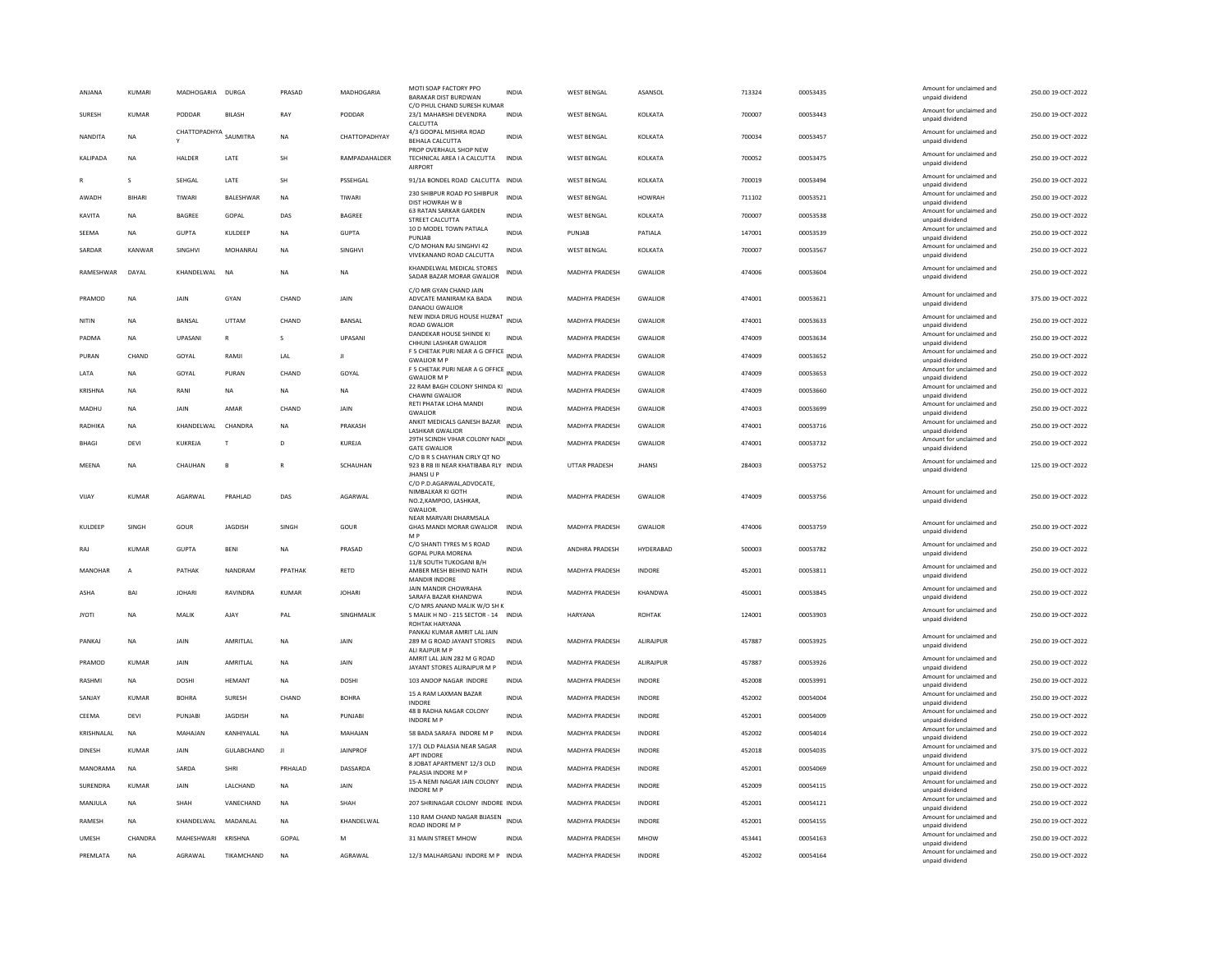| ANJANA          | KUMARI         | MADHOGARIA            | <b>DURGA</b>    | PRASAD       | MADHOGARIA      | MOTI SOAP FACTORY PPO<br><b>BARAKAR DIST BURDWAN</b>                             | INDIA        | <b>WEST BENGAL</b>    | ASANSOL          | 713324 | 00053435 | Amount for unclaimed and<br>unnaid dividend | 250.00 19-OCT-2022 |
|-----------------|----------------|-----------------------|-----------------|--------------|-----------------|----------------------------------------------------------------------------------|--------------|-----------------------|------------------|--------|----------|---------------------------------------------|--------------------|
| SURESH          | <b>KUMAR</b>   | PODDAR                | <b>BILASH</b>   | RAY          | PODDAR          | C/O PHUL CHAND SURESH KUMAR<br>23/1 MAHARSHI DEVENDRA<br>CALCUTTA                | <b>INDIA</b> | <b>WEST BENGAL</b>    | KOLKATA          | 700007 | 00053443 | Amount for unclaimed and<br>unpaid dividend | 250.00 19-OCT-2022 |
| NANDITA         | <b>NA</b>      | CHATTOPADHYA SAUMITRA |                 | <b>NA</b>    | CHATTOPADHYAY   | 4/3 GOOPAL MISHRA ROAD<br><b>BEHALA CALCUTTA</b>                                 | <b>INDIA</b> | <b>WEST BENGAL</b>    | KOLKATA          | 700034 | 00053457 | Amount for unclaimed and<br>unpaid dividend | 250.00 19-OCT-2022 |
| <b>KALIPADA</b> | <b>NA</b>      | HALDER                | LATE            | SH           | RAMPADAHALDER   | PROP OVERHAUL SHOP NEW<br>TECHNICAL AREA I A CALCUTTA<br><b>AIRPORT</b>          | <b>INDIA</b> | <b>WEST BENGAL</b>    | KOLKATA          | 700052 | 00053475 | Amount for unclaimed and<br>unpaid dividend | 250.00 19-OCT-2022 |
|                 | $\mathbf{S}$   | SEHGAL                | LATE            | <b>SH</b>    | PSSEHGAL        | 91/1A BONDEL ROAD CALCUTTA INDIA                                                 |              | <b>WEST BENGAL</b>    | KOLKATA          | 700019 | 00053494 | Amount for unclaimed and<br>unpaid dividend | 250.00 19-OCT-2022 |
| AWADH           | <b>BIHAR</b>   | TIWARI                | BALESHWAR       | NA           | TIWARI          | 230 SHIBPUR ROAD PO SHIBPUR<br>DIST HOWRAH W B                                   | <b>INDIA</b> | <b>WEST BENGAL</b>    | <b>HOWRAH</b>    | 711102 | 00053521 | Amount for unclaimed and<br>unpaid dividend | 250.00 19-OCT-2022 |
| KAVITA          | <b>NA</b>      | <b>BAGREE</b>         | GOPAL           | DAS          | BAGREE          | <b>63 RATAN SARKAR GARDEN</b><br>STREET CALCUTTA                                 | <b>INDIA</b> | <b>WEST BENGAL</b>    | KOLKATA          | 700007 | 00053538 | Amount for unclaimed and<br>unpaid dividend | 250.00 19-OCT-2022 |
| SEEMA           | <b>NA</b>      | <b>GUPTA</b>          | KULDEEP         | <b>NA</b>    | <b>GUPTA</b>    | 10 D MODEL TOWN PATIALA<br>PUNJAB                                                | <b>INDIA</b> | PUNIAR                | PATIALA          | 147001 | 00053539 | Amount for unclaimed and<br>unpaid dividend | 250.00 19-OCT-2022 |
| SARDAR          | KANWAR         | <b>SINGHVI</b>        | <b>MOHANRAJ</b> | <b>NA</b>    | SINGHVI         | C/O MOHAN RAI SINGHVI 42<br>VIVEKANAND ROAD CALCUTTA                             | <b>INDIA</b> | <b>WEST BENGAL</b>    | KOLKATA          | 700007 | 00053567 | Amount for unclaimed and<br>unpaid dividend | 250.00 19-OCT-2022 |
| RAMESHWAR       | DAYAI          | KHANDELWAL            | <b>NA</b>       | <b>NA</b>    | <b>NA</b>       | KHANDELWAL MEDICAL STORES<br>SADAR BAZAR MORAR GWALIOR                           | <b>INDIA</b> | <b>MADHYA PRADESH</b> | <b>GWALIOR</b>   | 474006 | 00053604 | Amount for unclaimed and<br>unpaid dividend | 250.00.19-OCT-2022 |
| PRAMOD          | <b>NA</b>      | <b>JAIN</b>           | GYAN            | CHAND        | <b>JAIN</b>     | C/O MR GYAN CHAND JAIN<br>ADVCATE MANIRAM KA BADA<br><b>DANAOLI GWALIOR</b>      | <b>INDIA</b> | <b>MADHYA PRADESH</b> | <b>GWALIOR</b>   | 474001 | 00053621 | Amount for unclaimed and<br>unpaid dividend | 375.00 19-OCT-2022 |
| NITIN           | <b>NA</b>      | BANSAL                | UTTAM           | CHAND        | BANSAL          | NEW INDIA DRUG HOUSE HUZRAT INDIA<br><b>ROAD GWALIOR</b>                         |              | MADHYA PRADESH        | <b>GWALIOR</b>   | 474001 | 00053633 | Amount for unclaimed and<br>unpaid dividend | 250.00 19-OCT-2022 |
| PADMA           | <b>NA</b>      | UPASANI               | $\, {\bf R}$    | s            | UPASANI         | DANDEKAR HOUSE SHINDE KI<br>CHHUNI LASHKAR GWALIOR                               | <b>INDIA</b> | MADHYA PRADESH        | <b>GWALIOR</b>   | 474009 | 00053634 | Amount for unclaimed and<br>unpaid dividend | 250.00 19-OCT-2022 |
| PURAN           | CHAND          | GOYAL                 | RAMII           | LAL          | $\mathbf{H}$    | F 5 CHETAK PURI NEAR A G OFFICE INDIA<br><b>GWALIOR M P</b>                      |              | <b>MADHYA PRADESH</b> | <b>GWALIOR</b>   | 474009 | 00053652 | Amount for unclaimed and<br>unpaid dividend | 250.00.19-OCT-2022 |
| LATA            | NA             | GOYAL                 | PURAN           | CHAND        | GOYAL           | F 5 CHETAK PURI NEAR A G OFFICE INDIA                                            |              | MADHYA PRADESH        | GWALIOR          | 474009 | 00053653 | Amount for unclaimed and                    | 250.00 19-OCT-2022 |
| KRISHNA         | <b>NA</b>      | RANI                  | NA              | <b>NA</b>    | NA              | <b>GWALIOR M P</b><br>22 RAM BAGH COLONY SHINDA KI INDIA                         |              | MADHYA PRADESH        | <b>GWALIOR</b>   | 474009 | 00053660 | unpaid dividend<br>Amount for unclaimed and | 250.00 19-OCT-2022 |
| MADHU           | <b>NA</b>      | <b>JAIN</b>           | AMAR            | CHAND        | <b>JAIN</b>     | CHAWNI GWALIOR<br>RETI PHATAK LOHA MANDI                                         | <b>INDIA</b> | <b>MADHYA PRADESH</b> | <b>GWALIOR</b>   | 474003 | 00053699 | unpaid dividend<br>Amount for unclaimed and | 250.00 19-OCT-2022 |
| RADHIKA         | <b>NA</b>      | KHANDELWAL            | <b>CHANDRA</b>  | <b>NA</b>    | PRAKASH         | <b>GWALIOR</b><br>ANKIT MEDICALS GANESH BAZAR                                    | <b>INDIA</b> | MADHYA PRADESH        | <b>GWALIOR</b>   | 474001 | 00053716 | unpaid dividend<br>Amount for unclaimed and | 250.00 19-OCT-2022 |
|                 |                |                       |                 |              |                 | <b>LASHKAR GWALIOR</b><br>29TH SCINDH VIHAR COLONY NADI INDIA                    |              |                       |                  |        |          | unpaid dividend<br>Amount for unclaimed and |                    |
| <b>BHAGI</b>    | DEVI           | KUKREJA               | T               | D            | <b>KUREJA</b>   | <b>GATE GWALIOR</b><br>C/O B R S CHAYHAN CIRLY QT NO                             |              | <b>MADHYA PRADESH</b> | <b>GWALIOR</b>   | 474001 | 00053732 | unpaid dividend                             | 250.00 19-OCT-2022 |
| MFFNA           | <b>NA</b>      | CHAUHAN               | $\mathbf{B}$    | $\mathbb{R}$ | SCHAUHAN        | 923 B RB III NEAR KHATIBABA RLY INDIA<br><b>JHANSI U P</b>                       |              | <b>UTTAR PRADESH</b>  | <b>IHANSI</b>    | 284003 | 00053752 | Amount for unclaimed and<br>unpaid dividend | 125.00.19-OCT-2022 |
|                 |                |                       |                 |              |                 | C/O P.D.AGARWAL,ADVOCATE,                                                        |              |                       |                  |        |          |                                             |                    |
| VIJAY           | <b>KUMAR</b>   | AGARWAL               | PRAHLAD         | DAS          | AGARWAL         | NIMBALKAR KI GOTH<br>NO.2, KAMPOO, LASHKAR,                                      | <b>INDIA</b> | MADHYA PRADESH        | <b>GWALIOR</b>   | 474009 | 00053756 | Amount for unclaimed and<br>unpaid dividend | 250.00 19-OCT-2022 |
|                 |                |                       |                 |              |                 | <b>GWALIOR</b><br>NEAR MARVARI DHARMSALA                                         |              |                       |                  |        |          | Amount for unclaimed and                    |                    |
| KULDEEP         | SINGH          | GOUR                  | <b>JAGDISH</b>  | SINGH        | GOUR            | GHAS MANDI MORAR GWALIOR<br>M P                                                  | <b>INDIA</b> | MADHYA PRADESH        | GWALIOR          | 474006 | 00053759 | unpaid dividend                             | 250.00 19-OCT-2022 |
| RAI             | KUMAR          | GUPTA                 | <b>RFNI</b>     | <b>NA</b>    | PRASAD          | C/O SHANTI TYRES M S ROAD<br><b>GOPAL PURA MORENA</b><br>11/8 SOUTH TUKOGANI B/H | <b>INDIA</b> | <b>ANDHRA PRADESH</b> | HYDFRARAD        | 500003 | 00053782 | Amount for unclaimed and<br>unpaid dividend | 250.00.19-OCT-2022 |
| MANOHAR         | $\overline{A}$ | PATHAK                | NANDRAM         | PPATHAK      | RETD            | AMBER MESH BEHIND NATH<br><b>MANDIR INDORE</b>                                   | <b>INDIA</b> | MADHYA PRADESH        | <b>INDORE</b>    | 452001 | 00053811 | Amount for unclaimed and<br>unpaid dividend | 250.00 19-OCT-2022 |
| ASHA            | BAI            | <b>JOHARI</b>         | RAVINDRA        | KUMAR        | <b>JOHARI</b>   | JAIN MANDIR CHOWRAHA<br>SARAFA BAZAR KHANDWA                                     | <b>INDIA</b> | MADHYA PRADESH        | KHANDWA          | 450001 | 00053845 | Amount for unclaimed and<br>unpaid dividend | 250.00 19-OCT-2022 |
| <b>JYOTI</b>    | <b>NA</b>      | MALIK                 | AJAY            | PAL          | SINGHMALIK      | C/O MRS ANAND MALIK W/O SH K<br>S MALIK H NO - 215 SECTOR - 14                   | <b>INDIA</b> | <b>HARYANA</b>        | <b>ROHTAK</b>    | 124001 | 00053903 | Amount for unclaimed and<br>unpaid dividend | 250.00 19-OCT-2022 |
|                 |                |                       |                 |              |                 | ROHTAK HARYANA<br>PANKAI KUMAR AMRIT LAL JAIN                                    |              |                       |                  |        |          |                                             |                    |
| PANKAJ          | <b>NA</b>      | JAIN                  | AMRITLAL        | NA           | JAIN            | 289 M G ROAD JAYANT STORES<br>ALI RAJPUR M P                                     | INDIA        | MADHYA PRADESH        | <b>ALIRAJPUR</b> | 457887 | 00053925 | Amount for unclaimed and<br>unpaid dividend | 250.00 19-OCT-2022 |
| PRAMOD          | <b>KUMAR</b>   | JAIN                  | AMRITLAL        | <b>NA</b>    | JAIN            | AMRIT LAL JAIN 282 M G ROAD<br>JAYANT STORES ALIRAJPUR M P                       | <b>INDIA</b> | MADHYA PRADESH        | <b>ALIRAJPUR</b> | 457887 | 00053926 | Amount for unclaimed and<br>unpaid dividend | 250.00 19-OCT-2022 |
| RASHMI          | <b>NA</b>      | <b>DOSHI</b>          | <b>HEMANT</b>   | <b>NA</b>    | <b>DOSHI</b>    | 103 ANOOP NAGAR INDORE                                                           | <b>INDIA</b> | <b>MADHYA PRADESH</b> | INDORE           | 452008 | 00053991 | Amount for unclaimed and<br>unpaid dividend | 250.00 19-OCT-2022 |
| SANJAY          | KUMAR          | <b>BOHRA</b>          | SURESH          | CHAND        | <b>ROHRA</b>    | 15 A RAM LAXMAN BAZAR<br><b>INDORE</b>                                           | <b>INDIA</b> | MADHYA PRADESH        | INDORE           | 452002 | 00054004 | Amount for unclaimed and<br>unpaid dividend | 250.00 19-OCT-2022 |
| CEEMA           | <b>DEVI</b>    | <b>PUNJABI</b>        | <b>JAGDISH</b>  | <b>NA</b>    | PUNJABI         | 48 B RADHA NAGAR COLONY<br><b>INDORE M</b>                                       | <b>INDIA</b> | <b>MADHYA PRADESH</b> | <b>INDORE</b>    | 452001 | 00054009 | Amount for unclaimed and<br>unpaid dividend | 250.00 19-OCT-2022 |
| KRISHNALAL      | <b>NA</b>      | MAHAJAN               | KANHIYALAL      | <b>NA</b>    | MAHAJAN         | 58 BADA SARAFA INDORE M P                                                        | INDIA        | MADHYA PRADESH        | INDORE           | 452002 | 00054014 | Amount for unclaimed and<br>unpaid dividend | 250.00 19-OCT-2022 |
| <b>DINESH</b>   | <b>KUMAR</b>   | JAIN                  | GULABCHAND      | л            | <b>JAINPROF</b> | 17/1 OLD PALASIA NEAR SAGAR                                                      | <b>INDIA</b> | MADHYA PRADESH        | INDORE           | 452018 | 00054035 | Amount for unclaimed and                    | 375.00 19-OCT-2022 |
| MANORAMA        | <b>NA</b>      | SARDA                 | SHRI            | PRHAI AD     | DASSARDA        | <b>APT INDORE</b><br>8 JOBAT APARTMENT 12/3 OLD                                  | <b>INDIA</b> | <b>MADHYA PRADESH</b> | <b>INDORF</b>    | 452001 | 00054069 | unpaid dividend<br>Amount for unclaimed and | 250.00 19-OCT-2022 |
| SURENDRA        | <b>KUMAR</b>   | JAIN                  | LALCHAND        | <b>NA</b>    | <b>JAIN</b>     | PALASIA INDORE M F<br>15-A NEMI NAGAR JAIN COLONY                                | <b>INDIA</b> | MADHYA PRADESH        | <b>INDORE</b>    | 452009 | 00054115 | unpaid dividend<br>Amount for unclaimed and | 250.00 19-OCT-2022 |
| MANJULA         | <b>NA</b>      | SHAH                  | VANECHAND       | <b>NA</b>    | SHAH            | <b>INDORE M P</b><br>207 SHRINAGAR COLONY INDORE INDIA                           |              | MADHYA PRADESH        | INDORE           | 452001 | 00054121 | unpaid dividend<br>Amount for unclaimed and | 250.00 19-OCT-2022 |
| RAMESH          | <b>NA</b>      | KHANDELWAL            | MADANLAL        | <b>NA</b>    | KHANDELWAL      | 110 RAM CHAND NAGAR BUASEN INDIA                                                 |              | MADHYA PRADESH        | INDORE           | 452001 | 00054155 | unpaid dividend<br>Amount for unclaimed and | 250.00 19-OCT-2022 |
| UMESH           | CHANDRA        | MAHESHWARI            | KRISHNA         | GOPAL        |                 | ROAD INDORE M P<br>31 MAIN STREET MHOW                                           | <b>INDIA</b> | <b>MADHYA PRADESH</b> | <b>MHOW</b>      | 453441 | 00054163 | unpaid dividend<br>Amount for unclaimed and | 250.00 19-OCT-2022 |
|                 |                |                       |                 |              | м               |                                                                                  |              |                       |                  |        |          | unpaid dividend<br>Amount for unclaimed and |                    |
| PREMLATA        | <b>NA</b>      | AGRAWAL               | TIKAMCHAND      | <b>NA</b>    | AGRAWAL         | 12/3 MALHARGANJ INDORE M P INDIA                                                 |              | <b>MADHYA PRADESH</b> | INDORE           | 452002 | 00054164 | unpaid dividend                             | 250.00 19-OCT-2022 |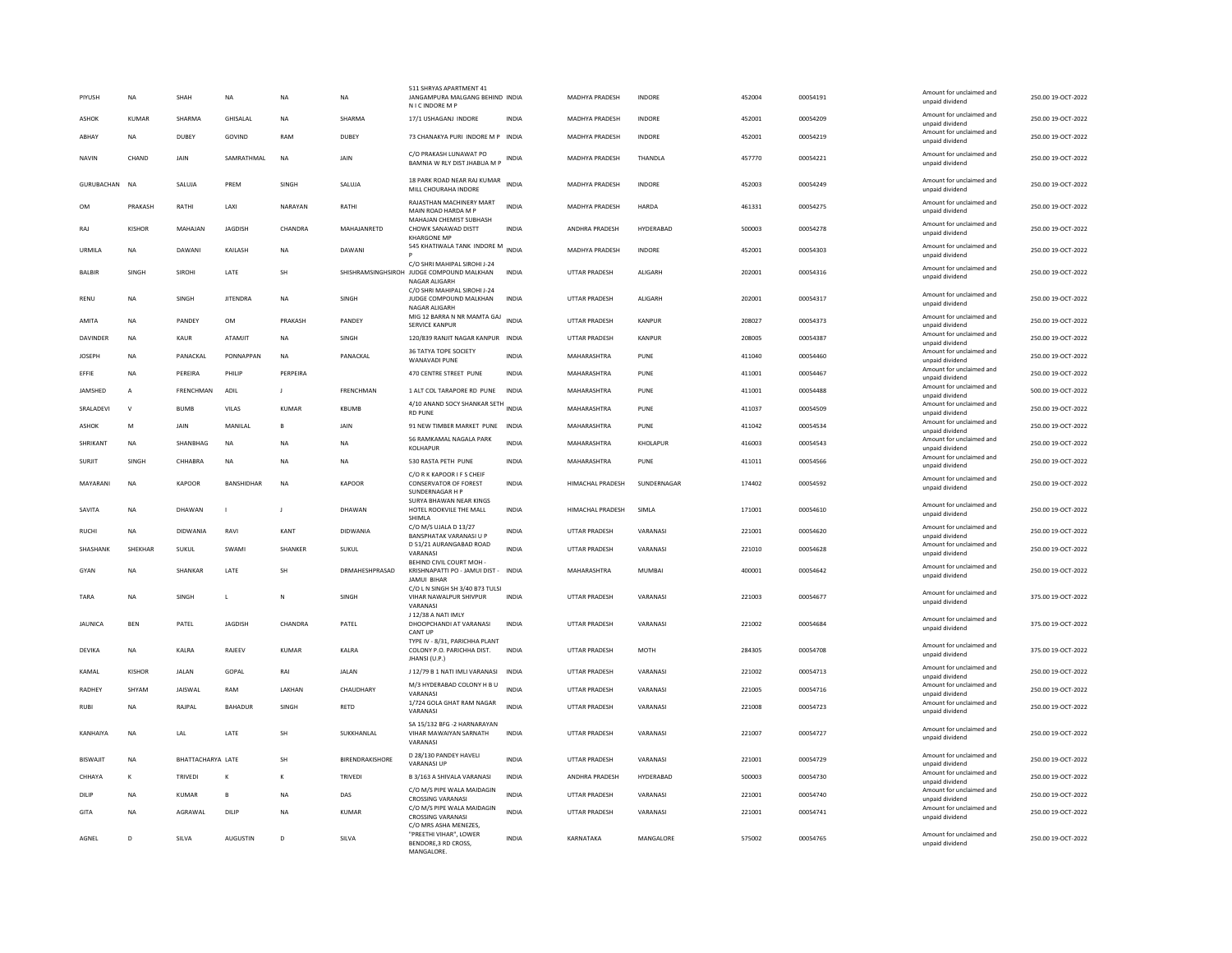| PIYUSH          | <b>NA</b>      | SHAH                     | NA                | <b>NA</b>    | <b>NA</b>              | 511 SHRYAS APARTMENT 41<br>JANGAMPURA MALGANG BEHIND INDIA<br>N I C INDORE M P                                             |              | MADHYA PRADESH        | INDORE         | 452004 | 00054191 | Amount for unclaimed and<br>unpaid dividend | 250.00 19-OCT-2022 |
|-----------------|----------------|--------------------------|-------------------|--------------|------------------------|----------------------------------------------------------------------------------------------------------------------------|--------------|-----------------------|----------------|--------|----------|---------------------------------------------|--------------------|
| ASHOK           | KUMAR          | SHARMA                   | <b>GHISALAI</b>   | <b>NA</b>    | SHARMA                 | 17/1 USHAGANJ INDORE                                                                                                       | <b>INDIA</b> | <b>MADHYA PRADESH</b> | <b>INDORF</b>  | 452001 | 00054209 | Amount for unclaimed and<br>unpaid dividend | 250.00.19-QCT-2022 |
| ABHAY           | <b>NA</b>      | DUBEY                    | GOVIND            | RAM          | <b>DUBEY</b>           | 73 CHANAKYA PURI INDORE M P INDIA                                                                                          |              | MADHYA PRADESH        | INDORE         | 452001 | 00054219 | Amount for unclaimed and<br>unpaid dividend | 250.00 19-OCT-2022 |
| <b>NAVIN</b>    | CHAND          | JAIN                     | SAMRATHMAL        | <b>NA</b>    | JAIN                   | C/O PRAKASH LUNAWAT PO<br>BAMNIA W RLY DIST JHABUA M P                                                                     | INDIA        | MADHYA PRADESH        | THANDLA        | 457770 | 00054221 | Amount for unclaimed and<br>unpaid dividend | 250.00 19-OCT-2022 |
| GURUBACHAN      | <b>NA</b>      | SALUJA                   | PREM              | SINGH        | SALUJA                 | 18 PARK ROAD NEAR RAJ KUMAR<br>MILL CHOURAHA INDORE                                                                        | <b>INDIA</b> | MADHYA PRADESH        | INDORE         | 452003 | 00054249 | Amount for unclaimed and<br>unpaid dividend | 250.00 19-OCT-2022 |
| <b>OM</b>       | PRAKASH        | RATHI                    | LAXI              | NARAYAN      | RATHI                  | RAJASTHAN MACHINERY MART<br>MAIN ROAD HARDA M P                                                                            | <b>INDIA</b> | <b>MADHYA PRADESH</b> | HARDA          | 461331 | 00054275 | Amount for unclaimed and<br>unpaid dividend | 250.00 19-OCT-2022 |
| RAJ             | <b>KISHOR</b>  | MAHAJAN                  | <b>JAGDISH</b>    | CHANDRA      | MAHAJANRETD            | MAHAJAN CHEMIST SUBHASH<br>CHOWK SANAWAD DISTT<br><b>KHARGONE MP</b>                                                       | <b>INDIA</b> | ANDHRA PRADESH        | HYDERABAD      | 500003 | 00054278 | Amount for unclaimed and<br>unpaid dividend | 250.00 19-OCT-2022 |
| URMILA          | <b>NA</b>      | DAWANI                   | KAILASH           | <b>NA</b>    | DAWANI                 | 545 KHATIWALA TANK INDORE M                                                                                                | <b>INDIA</b> | MADHYA PRADESH        | INDORE         | 452001 | 00054303 | Amount for unclaimed and<br>unpaid dividend | 250.00 19-OCT-2022 |
| BALBIR          | SINGH          | SIROHI                   | LATE              | <b>SH</b>    |                        | C/O SHRI MAHIPAL SIROHI J-24<br>SHISHRAMSINGHSIROH JUDGE COMPOUND MALKHAN<br>NAGAR ALIGARH<br>C/O SHRI MAHIPAL SIROHI J-24 | <b>INDIA</b> | UTTAR PRADESH         | <b>ALIGARH</b> | 202001 | 00054316 | Amount for unclaimed and<br>unpaid dividend | 250.00 19-OCT-2022 |
| RENU            | <b>NA</b>      | <b>SINGH</b>             | <b>IITENDRA</b>   | <b>NA</b>    | <b>SINGH</b>           | JUDGE COMPOUND MALKHAN<br>NAGAR ALIGARH                                                                                    | <b>INDIA</b> | <b>UTTAR PRADESH</b>  | <b>ALIGARH</b> | 202001 | 00054317 | Amount for unclaimed and<br>unpaid dividend | 250.00.19-OCT-2022 |
| AMITA           | <b>NA</b>      | PANDEY                   | OM                | PRAKASH      | PANDEY                 | MIG 12 BARRA N NR MAMTA GAJ<br><b>SERVICE KANPUR</b>                                                                       | INDIA        | <b>UTTAR PRADESH</b>  | KANPUR         | 208027 | 00054373 | Amount for unclaimed and<br>unpaid dividend | 250.00 19-OCT-2022 |
| DAVINDER        | <b>NA</b>      | KAUR                     | ATAMJIT           | <b>NA</b>    | SINGH                  | 120/839 RANJIT NAGAR KANPUR INDIA                                                                                          |              | UTTAR PRADESH         | KANPUR         | 208005 | 00054387 | Amount for unclaimed and<br>unpaid dividend | 250.00 19-OCT-2022 |
| JOSEPH          | <b>NA</b>      | PANACKAL                 | PONNAPPAN         | NA           | PANACKAL               | 36 TATYA TOPE SOCIETY<br><b>WANAVADI PUNE</b>                                                                              | <b>INDIA</b> | MAHARASHTRA           | PUNE           | 411040 | 00054460 | Amount for unclaimed and<br>unpaid dividend | 250.00 19-OCT-2022 |
| FFFIF           | <b>NA</b>      | PERFIRA                  | PHILIP            | PERPEIRA     |                        | 470 CENTRE STREET PUNE                                                                                                     | <b>INDIA</b> | MAHARASHTRA           | PUNE           | 411001 | 00054467 | Amount for unclaimed and<br>unpaid dividend | 250.00 19-OCT-2022 |
| JAMSHED         | $\overline{A}$ | <b>FRENCHMAN</b>         | ADIL              | $\mathbf{J}$ | <b>FRENCHMAN</b>       | 1 ALT COL TARAPORE RD PUNE                                                                                                 | <b>INDIA</b> | MAHARASHTRA           | PUNE           | 411001 | 00054488 | Amount for unclaimed and<br>unpaid dividend | 500.00 19-OCT-2022 |
| SRALADEVI       | $\mathsf{V}$   | <b>BUMB</b>              | VILAS             | KUMAR        | <b>KBUMB</b>           | 4/10 ANAND SOCY SHANKAR SETH INDIA<br><b>RD PUNE</b>                                                                       |              | MAHARASHTRA           | PUNE           | 411037 | 00054509 | Amount for unclaimed and<br>unpaid dividend | 250.00 19-OCT-2022 |
| <b>ASHOK</b>    | M              | JAIN                     | MANILAL           |              | JAIN                   | 91 NEW TIMBER MARKET PUNE                                                                                                  | <b>INDIA</b> | MAHARASHTRA           | PUNE           | 411042 | 00054534 | Amount for unclaimed and<br>unpaid dividend | 250.00 19-OCT-2022 |
| SHRIKANT        | NA             | SHANBHAG                 | NA                | NA           | NA                     | 56 RAMKAMAL NAGALA PARK                                                                                                    | <b>INDIA</b> | MAHARASHTRA           | KHOLAPUR       | 416003 | 00054543 | Amount for unclaimed and                    | 250.00 19-OCT-2022 |
| SURJIT          | SINGH          | CHHABRA                  | NA                | <b>NA</b>    | NA                     | <b>KOLHAPUR</b><br>530 RASTA PETH PUNE                                                                                     | INDIA        | MAHARASHTRA           | PUNE           | 411011 | 00054566 | unpaid dividend<br>Amount for unclaimed and | 250.00 19-OCT-2022 |
|                 |                |                          |                   |              |                        | C/O R K KAPOOR I F S CHEIF                                                                                                 |              |                       |                |        |          | unpaid dividend<br>Amount for unclaimed and |                    |
| MAYARANI        | <b>NA</b>      | KAPOOR                   | <b>BANSHIDHAR</b> | <b>NA</b>    | <b>KAPOOR</b>          | CONSERVATOR OF FOREST<br>SUNDERNAGAR H P<br>SURYA BHAWAN NEAR KINGS                                                        | <b>INDIA</b> | HIMACHAL PRADESH      | SUNDERNAGAR    | 174402 | 00054592 | unpaid dividend                             | 250.00 19-OCT-2022 |
| SAVITA          | <b>NA</b>      | DHAWAN                   | $\mathbf{I}$      | $\mathbf{I}$ | DHAWAN                 | HOTEL ROOKVILE THE MALL<br>SHIMLA                                                                                          | <b>INDIA</b> | HIMACHAL PRADESH      | SIMLA          | 171001 | 00054610 | Amount for unclaimed and<br>unpaid dividend | 250.00 19-OCT-2022 |
| <b>RUCHI</b>    | <b>NA</b>      | <b>DIDWANIA</b>          | RAVI              | KANT         | DIDWANIA               | C/O M/S UJALA D 13/27<br><b>BANSPHATAK VARANASI U P</b>                                                                    | INDIA        | UTTAR PRADESH         | VARANASI       | 221001 | 00054620 | Amount for unclaimed and<br>unpaid dividend | 250.00 19-OCT-2022 |
| SHASHANK        | SHEKHAF        | <b>SUKUL</b>             | SWAMI             | SHANKER      | SUKUL                  | D 51/21 AURANGABAD ROAD<br>VARANASI                                                                                        | <b>INDIA</b> | UTTAR PRADESH         | VARANASI       | 221010 | 00054628 | Amount for unclaimed and<br>unpaid dividend | 250.00 19-OCT-2022 |
| GYAN            | <b>NA</b>      | <b>SHANKAR</b>           | LATE              | <b>SH</b>    | DRMAHESHPRASAD         | BEHIND CIVIL COURT MOH<br>KRISHNAPATTI PO - JAMUI DIST - INDIA                                                             |              | MAHARASHTRA           | MUMBAI         | 400001 | 00054642 | Amount for unclaimed and<br>unpaid dividend | 250.00 19-OCT-2022 |
|                 |                |                          |                   |              |                        | <b>JAMUI BIHAF</b><br>C/O L N SINGH SH 3/40 B73 TULSI                                                                      |              |                       |                |        |          | Amount for unclaimed and                    |                    |
| TARA            | NA             | SINGH                    | L                 | ${\sf N}$    | SINGH                  | VIHAR NAWALPUR SHIVPUR<br>VARANASI                                                                                         | INDIA        | UTTAR PRADESH         | VARANASI       | 221003 | 00054677 | unpaid dividend                             | 375.00 19-OCT-2022 |
| JAUNICA         | <b>BEN</b>     | PATEL                    | JAGDISH           | CHANDRA      | PATEL                  | J 12/38 A NATI IMLY<br>DHOOPCHANDI AT VARANASI<br><b>CANT UP</b>                                                           | <b>INDIA</b> | UTTAR PRADESH         | VARANASI       | 221002 | 00054684 | Amount for unclaimed and<br>unpaid dividend | 375.00 19-OCT-2022 |
| DEVIKA          | <b>NA</b>      | KALRA                    | RAJEEV            | <b>KUMAR</b> | KALRA                  | TYPE IV - 8/31, PARICHHA PLANT<br>COLONY P.O. PARICHHA DIST.<br>JHANSI (U.P.)                                              | <b>INDIA</b> | <b>UTTAR PRADESH</b>  | <b>MOTH</b>    | 284305 | 00054708 | Amount for unclaimed and<br>unpaid dividend | 375.00 19-OCT-2022 |
| KAMAL           | KISHOR         | <b>JALAN</b>             | GOPAL             | RAI          | JALAN                  | J 12/79 B 1 NATI IMLI VARANASI                                                                                             | INDIA        | UTTAR PRADESH         | VARANASI       | 221002 | 00054713 | Amount for unclaimed and<br>unpaid dividend | 250.00 19-OCT-2022 |
| RADHEY          | SHYAM          | <b>JAISWAL</b>           | RAM               | LAKHAN       | CHAUDHARY              | M/3 HYDERABAD COLONY H B U<br>VARANASI                                                                                     | INDIA        | UTTAR PRADESH         | VARANASI       | 221005 | 00054716 | Amount for unclaimed and<br>unpaid dividend | 250.00 19-OCT-2022 |
| <b>RUBI</b>     | <b>NA</b>      | RAJPAL                   | <b>BAHADUR</b>    | SINGH        | RETD                   | 1/724 GOLA GHAT RAM NAGAR<br>VARANASI                                                                                      | <b>INDIA</b> | UTTAR PRADESH         | VARANASI       | 221008 | 00054723 | Amount for unclaimed and<br>unpaid dividend | 250.00 19-OCT-2022 |
|                 |                |                          |                   |              |                        | SA 15/132 BFG -2 HARNARAYAN                                                                                                |              |                       |                |        |          |                                             |                    |
| KANHAIYA        | NA             | LAL                      | LATE              | <b>SH</b>    | SUKKHANLAL             | VIHAR MAWAIYAN SARNATH<br>VARANASI                                                                                         | INDIA        | UTTAR PRADESH         | VARANASI       | 221007 | 00054727 | Amount for unclaimed and<br>unpaid dividend | 250.00 19-OCT-2022 |
| <b>BISWAJIT</b> | <b>NA</b>      | <b>BHATTACHARYA LATE</b> |                   | SH           | <b>BIRENDRAKISHORE</b> | D 28/130 PANDEY HAVELI<br><b>VARANASI UF</b>                                                                               | <b>INDIA</b> | <b>UTTAR PRADESH</b>  | VARANASI       | 221001 | 00054729 | Amount for unclaimed and<br>unpaid dividend | 250.00 19-OCT-2022 |
| CHHAYA          | K              | TRIVEDI                  | К                 | К            | TRIVEDI                | B 3/163 A SHIVALA VARANASI                                                                                                 | INDIA        | ANDHRA PRADESH        | HYDERABAD      | 500003 | 00054730 | Amount for unclaimed and<br>unpaid dividend | 250.00 19-OCT-2022 |
| DILIP           | <b>NA</b>      | KUMAR                    | B                 | <b>NA</b>    | DAS                    | C/O M/S PIPE WALA MAIDAGIN<br><b>CROSSING VARANASI</b>                                                                     | <b>INDIA</b> | <b>UTTAR PRADESH</b>  | VARANASI       | 221001 | 00054740 | Amount for unclaimed and<br>unpaid dividend | 250.00.19-OCT-2022 |
| GITA            | <b>NA</b>      | AGRAWAI                  | DIL IP            | <b>NA</b>    | KUMAR                  | C/O M/S PIPE WALA MAIDAGIN<br><b>CROSSING VARANASI</b>                                                                     | <b>INDIA</b> | <b>UTTAR PRADESH</b>  | VARANASI       | 221001 | 00054741 | Amount for unclaimed and<br>unpaid dividend | 250.00.19-QCT-2022 |
|                 |                |                          |                   |              |                        |                                                                                                                            |              |                       |                |        |          |                                             |                    |
| AGNEL           | D              | SILVA                    | <b>AUGUSTIN</b>   | D            | SILVA                  | C/O MRS ASHA MENEZES,<br>"PREETHI VIHAR", LOWER<br>BENDORE.3 RD CROSS.<br><b>MANGALORE</b>                                 | <b>INDIA</b> | KARNATAKA             | MANGALORE      | 575002 | 00054765 | Amount for unclaimed and<br>unpaid dividend | 250.00 19-OCT-2022 |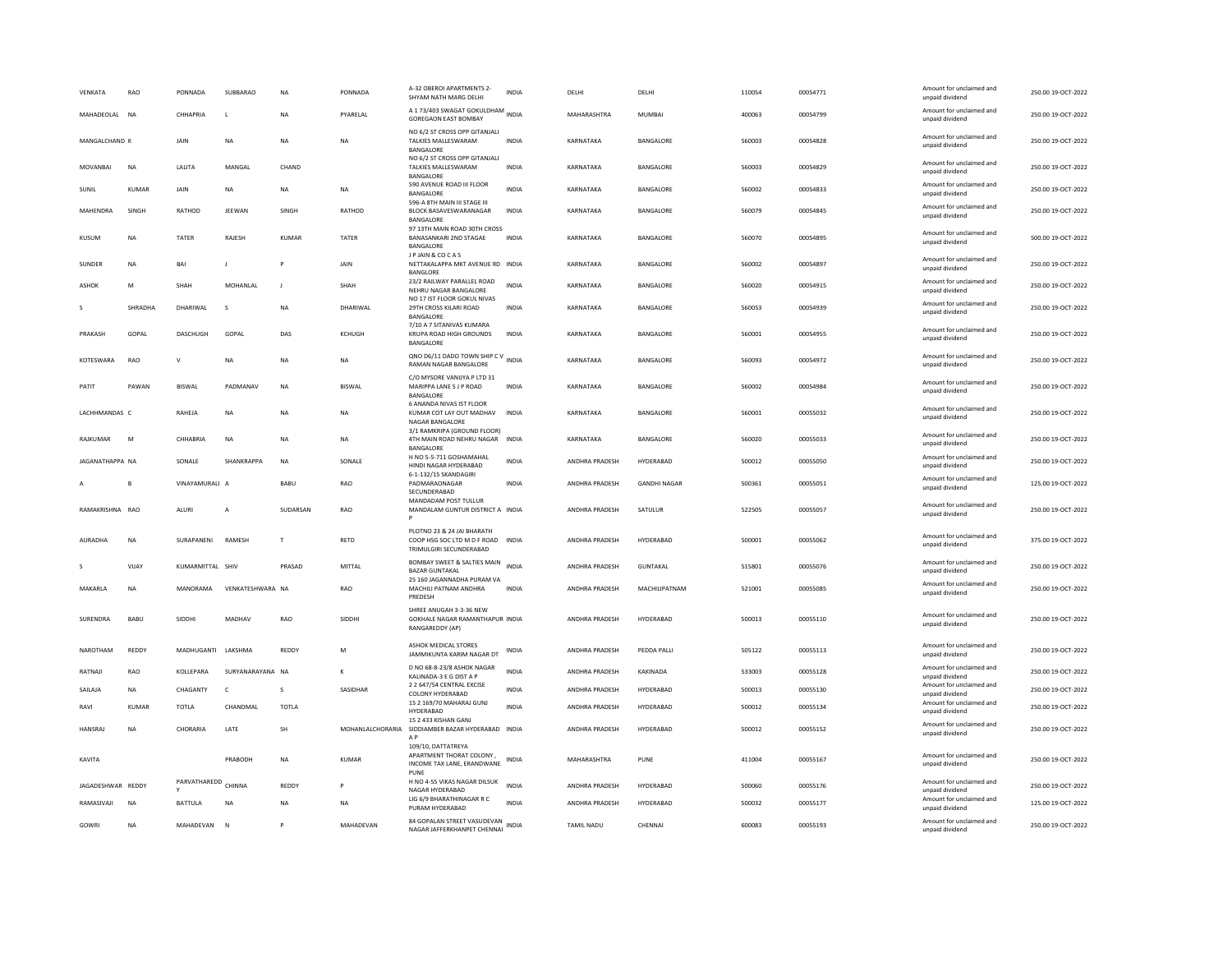| VENKATA           | RAO          | PONNADA             | SUBBARAC         | <b>NA</b>    | PONNADA       | A-32 OBEROI APARTMENTS 2-<br>SHYAM NATH MARG DELHI                                          | <b>INDIA</b> | DELHI                 | DELHI               | 110054 | 00054771 | Amount for unclaimed and<br>unpaid dividend | 250.00 19-OCT-2022 |
|-------------------|--------------|---------------------|------------------|--------------|---------------|---------------------------------------------------------------------------------------------|--------------|-----------------------|---------------------|--------|----------|---------------------------------------------|--------------------|
| MAHADEOLAL NA     |              | CHHAPRIA            | L                | <b>NA</b>    | PYARELAL      | A 1 73/403 SWAGAT GOKULDHAM<br><b>GOREGAON EAST BOMBAY</b>                                  | <b>INDIA</b> | MAHARASHTRA           | MUMBAI              | 400063 | 00054799 | Amount for unclaimed and<br>unpaid dividend | 250.00 19-OCT-2022 |
| MANGALCHAND K     |              | JAIN                | <b>NA</b>        | <b>NA</b>    | <b>NA</b>     | NO 6/2 ST CROSS OPP GITANJALI<br>TALKIES MALLESWARAM<br>BANGALORE                           | <b>INDIA</b> | KARNATAKA             | BANGALORE           | 560003 | 00054828 | Amount for unclaimed and<br>unpaid dividend | 250.00 19-OCT-2022 |
| MOVANBAI          | NA           | LALITA              | MANGAL           | CHAND        |               | NO 6/2 ST CROSS OPP GITANJALI<br>TALKIES MALLESWARAM<br>BANGALORE                           | INDIA        | KARNATAKA             | BANGALORE           | 560003 | 00054829 | Amount for unclaimed and<br>unpaid dividend | 250.00 19-OCT-2022 |
| SUNIL             | KUMAR        | <b>JAIN</b>         | <b>NA</b>        | NA           | <b>NA</b>     | 590 AVENUE ROAD III FLOOR<br>BANGALORE                                                      | <b>INDIA</b> | KARNATAKA             | <b>BANGALORE</b>    | 560002 | 00054833 | Amount for unclaimed and<br>unpaid dividend | 250.00.19-QCT-2022 |
| MAHENDRA          | SINGH        | RATHOD              | JEEWAN           | SINGH        | RATHOD        | 596-A 8TH MAIN III STAGE III<br>BLOCK BASAVESWARANAGAR<br>BANGALORE                         | <b>INDIA</b> | KARNATAKA             | BANGALORE           | 560079 | 00054845 | Amount for unclaimed and<br>unpaid dividend | 250.00 19-OCT-2022 |
| KUSUM             | <b>NA</b>    | TATER               | RAJESH           | <b>KUMAR</b> | TATER         | 97 13TH MAIN ROAD 30TH CROSS<br>BANASANKARI 2ND STAGAE<br>BANGALORE                         | <b>INDIA</b> | KARNATAKA             | BANGALORE           | 560070 | 00054895 | Amount for unclaimed and<br>unpaid dividend | 500.00 19-OCT-2022 |
| SUNDER            | <b>NA</b>    | <b>BAI</b>          | п                |              | JAIN          | J P JAIN & COCAS<br>NETTAKALAPPA MKT AVENUE RD INDIA<br><b>BANGLORE</b>                     |              | KARNATAKA             | BANGALORE           | 560002 | 00054897 | Amount for unclaimed and<br>unpaid dividend | 250.00 19-OCT-2022 |
| <b>ASHOK</b>      | M            | SHAH                | MOHANLAL         | $\mathbf{J}$ | SHAH          | 23/2 RAILWAY PARALLEL ROAD<br>NEHRU NAGAR BANGALORE<br>NO 17 IST FLOOR GOKUL NIVAS          | <b>INDIA</b> | KARNATAKA             | BANGALORE           | 560020 | 00054915 | Amount for unclaimed and<br>unpaid dividend | 250.00 19-OCT-2022 |
|                   | SHRADHA      | DHARIWAL            | s                | <b>NA</b>    | DHARIWAL      | 29TH CROSS KILARI ROAD<br>BANGALORE                                                         | INDIA        | KARNATAKA             | BANGALORE           | 560053 | 00054939 | Amount for unclaimed and<br>unpaid dividend | 250.00 19-OCT-2022 |
| PRAKASH           | GOPAL        | DASCHUGH            | GOPAL            | DAS          | KCHUGH        | 7/10 A 7 SITANIVAS KUMARA<br>KRUPA ROAD HIGH GROUNDS<br>BANGALORE                           | <b>INDIA</b> | KARNATAKA             | BANGALORE           | 560001 | 00054955 | Amount for unclaimed and<br>unpaid dividend | 250.00 19-OCT-2022 |
| KOTESWARA         | RAO          | V                   | NA               | <b>NA</b>    | NA            | QNO D6/11 DADO TOWN SHIP C V<br>RAMAN NAGAR BANGALORE                                       | <b>INDIA</b> | KARNATAKA             | BANGALORE           | 560093 | 00054972 | Amount for unclaimed and<br>unpaid dividend | 250.00 19-OCT-2022 |
| PATIT             | PAWAN        | <b>BISWAL</b>       | PADMANAV         | <b>NA</b>    | <b>BISWAL</b> | C/O MYSORE VANIJYA P LTD 31<br>MARIPPA LANE S J P ROAD<br>BANGALORE                         | <b>INDIA</b> | KARNATAKA             | BANGALORE           | 560002 | 00054984 | Amount for unclaimed and<br>unpaid dividend | 250.00 19-OCT-2022 |
| LACHHMANDAS C     |              | RAHEJA              | NA               | NA           | NA            | 6 ANANDA NIVAS IST FLOOR<br>KUMAR COT LAY OUT MADHAV<br>NAGAR BANGALORE                     | <b>INDIA</b> | KARNATAKA             | BANGALORE           | 560001 | 00055032 | Amount for unclaimed and<br>unpaid dividend | 250.00 19-OCT-2022 |
| RAJKUMAR          | M            | CHHABRIA            | NA               | <b>NA</b>    | <b>NA</b>     | 3/1 RAMKRIPA (GROUND FLOOR)<br>4TH MAIN ROAD NEHRU NAGAR<br><b>BANGALORE</b>                | <b>INDIA</b> | KARNATAKA             | BANGALORE           | 560020 | 00055033 | Amount for unclaimed and<br>unpaid dividend | 250.00 19-OCT-2022 |
| JAGANATHAPPA NA   |              | SONALE              | SHANKRAPPA       | <b>NA</b>    | SONALE        | H NO 5-5-711 GOSHAMAHAL<br>HINDI NAGAR HYDERABAD                                            | <b>INDIA</b> | <b>ANDHRA PRADESH</b> | HYDERABAD           | 500012 | 00055050 | Amount for unclaimed and<br>unpaid dividend | 250.00 19-OCT-2022 |
|                   | B            | VINAYAMURALI A      |                  | BABU         | RAO           | 6-1-132/15 SKANDAGIRI<br>PADMARAONAGAR<br>SECUNDERABAD                                      | <b>INDIA</b> | ANDHRA PRADESH        | <b>GANDHI NAGAR</b> | 500361 | 00055051 | Amount for unclaimed and<br>unpaid dividend | 125.00 19-OCT-2022 |
| RAMAKRISHNA RAO   |              | ALURI               | A                | SUDARSAN     | RAO           | MANDADAM POST TULLUR<br>MANDALAM GUNTUR DISTRICT A INDIA                                    |              | ANDHRA PRADESH        | SATULUR             | 522505 | 00055057 | Amount for unclaimed and<br>unpaid dividend | 250.00 19-OCT-2022 |
| AURADHA           | <b>NA</b>    | SURAPANENI          | <b>RAMESH</b>    | T            | <b>RFTD</b>   | PLOTNO 23 & 24 JAI BHARATH<br>COOP HSG SOC LTD M D E ROAD INDIA<br>TRIMULGIRI SECUNDERABAD  |              | <b>ANDHRA PRADESH</b> | HYDERARAD           | 500001 | 00055062 | Amount for unclaimed and<br>unpaid dividend | 375.00.19-QCT-2022 |
|                   | VIJAY        | KUMARMITTAL SHIV    |                  | PRASAD       | MITTAL        | <b>BOMBAY SWEET &amp; SALTIES MAIN</b><br><b>BAZAR GUNTAKAL</b>                             | <b>INDIA</b> | ANDHRA PRADESH        | <b>GUNTAKAL</b>     | 515801 | 00055076 | Amount for unclaimed and<br>unpaid dividend | 250.00 19-OCT-2022 |
| MAKARLA           | NA           | <b>MANORAMA</b>     | VENKATESHWARA NA |              | RAO           | 25 160 JAGANNADHA PURAM VA<br>MACHILI PATNAM ANDHRA<br>PREDESH                              | <b>INDIA</b> | ANDHRA PRADESH        | MACHILIPATNAM       | 521001 | 00055085 | Amount for unclaimed and<br>unpaid dividend | 250.00 19-OCT-2022 |
| SURENDRA          | BABU         | SIDDHI              | MADHAV           | RAO          | SIDDHI        | SHREE ANUGAH 3-3-36 NEW<br>GOKHALE NAGAR RAMANTHAPUR INDIA<br>RANGAREDDY (AP)               |              | ANDHRA PRADESH        | HYDERABAD           | 500013 | 00055110 | Amount for unclaimed and<br>unpaid dividend | 250.00 19-OCT-2022 |
| NAROTHAM          | REDDY        | MADHUGANTI LAKSHMA  |                  | REDDY        | M             | ASHOK MEDICAL STORES<br>JAMMIKUNTA KARIM NAGAR DT                                           | <b>INDIA</b> | ANDHRA PRADESH        | PEDDA PALLI         | 505122 | 00055113 | Amount for unclaimed and<br>unpaid dividend | 250.00 19-OCT-2022 |
| RATNAJI           | RAO          | KOLLEPARA           | SURYANARAYANA NA |              | К             | D NO 68-8-23/8 ASHOK NAGAR<br>KALINADA-3 E G DIST A P                                       | <b>INDIA</b> | ANDHRA PRADESH        | KAKINADA            | 533003 | 00055128 | Amount for unclaimed and<br>unpaid dividend | 250.00 19-OCT-2022 |
| SAILAJA           | <b>NA</b>    | CHAGANTY            | $\mathsf{C}$     | s            | SASIDHAR      | 2 2 647/54 CENTRAL EXCISE<br>COLONY HYDERABAD                                               | <b>INDIA</b> | ANDHRA PRADESH        | HYDERABAD           | 500013 | 00055130 | Amount for unclaimed and<br>unpaid dividend | 250.00 19-OCT-2022 |
| RAVI              | <b>KUMAR</b> | <b>TOTLA</b>        | CHANDMAL         | <b>TOTLA</b> |               | 15 2 169/70 MAHARAJ GUNJ<br>HYDERABAD                                                       | INDIA        | ANDHRA PRADESH        | HYDERABAD           | 500012 | 00055134 | Amount for unclaimed and<br>unpaid dividend | 250.00 19-OCT-2022 |
| <b>HANSRAJ</b>    | <b>NA</b>    | CHORARIA            | LATE             | <b>SH</b>    |               | 15 2 433 KISHAN GANJ<br>MOHANLALCHORARIA SIDDIAMBER BAZAR HYDERABAD INDIA<br>A <sub>P</sub> |              | ANDHRA PRADESH        | HYDERABAD           | 500012 | 00055152 | Amount for unclaimed and<br>unpaid dividend | 250.00 19-OCT-2022 |
| KAVITA            |              |                     | PRABODH          | NA           | KUMAR         | 109/10, DATTATREYA<br>APARTMENT THORAT COLONY.<br>INCOME TAX LANE, ERANDWANE<br>PUNE        | INDIA        | MAHARASHTRA           | PUNE                | 411004 | 00055167 | Amount for unclaimed and<br>unpaid dividend | 250.00 19-OCT-2022 |
| JAGADESHWAR REDDY |              | PARVATHAREDD CHINNA |                  | REDDY        |               | H NO 4-55 VIKAS NAGAR DILSUK<br>NAGAR HYDERABAD                                             | <b>INDIA</b> | ANDHRA PRADESH        | HYDERABAD           | 500060 | 00055176 | Amount for unclaimed and<br>unpaid dividend | 250.00 19-OCT-2022 |
| RAMASIVAJI        | <b>NA</b>    | <b>BATTULA</b>      | <b>NA</b>        | <b>NA</b>    | <b>NA</b>     | LIG 6/9 BHARATHINAGAR R C<br>PURAM HYDERABAD                                                | <b>INDIA</b> | ANDHRA PRADESH        | HYDERABAD           | 500032 | 00055177 | Amount for unclaimed and<br>unpaid dividend | 125.00 19-OCT-2022 |
| GOWRI             | <b>NA</b>    | MAHADEVAN           | $\mathsf{N}$     |              | MAHADEVAN     | 84 GOPALAN STREET VASUDEVAN<br>NAGAR JAFFERKHANPET CHENNAI                                  | <b>INDIA</b> | <b>TAMIL NADU</b>     | CHENNAL             | 600083 | 00055193 | Amount for unclaimed and<br>unpaid dividend | 250.00 19-OCT-2022 |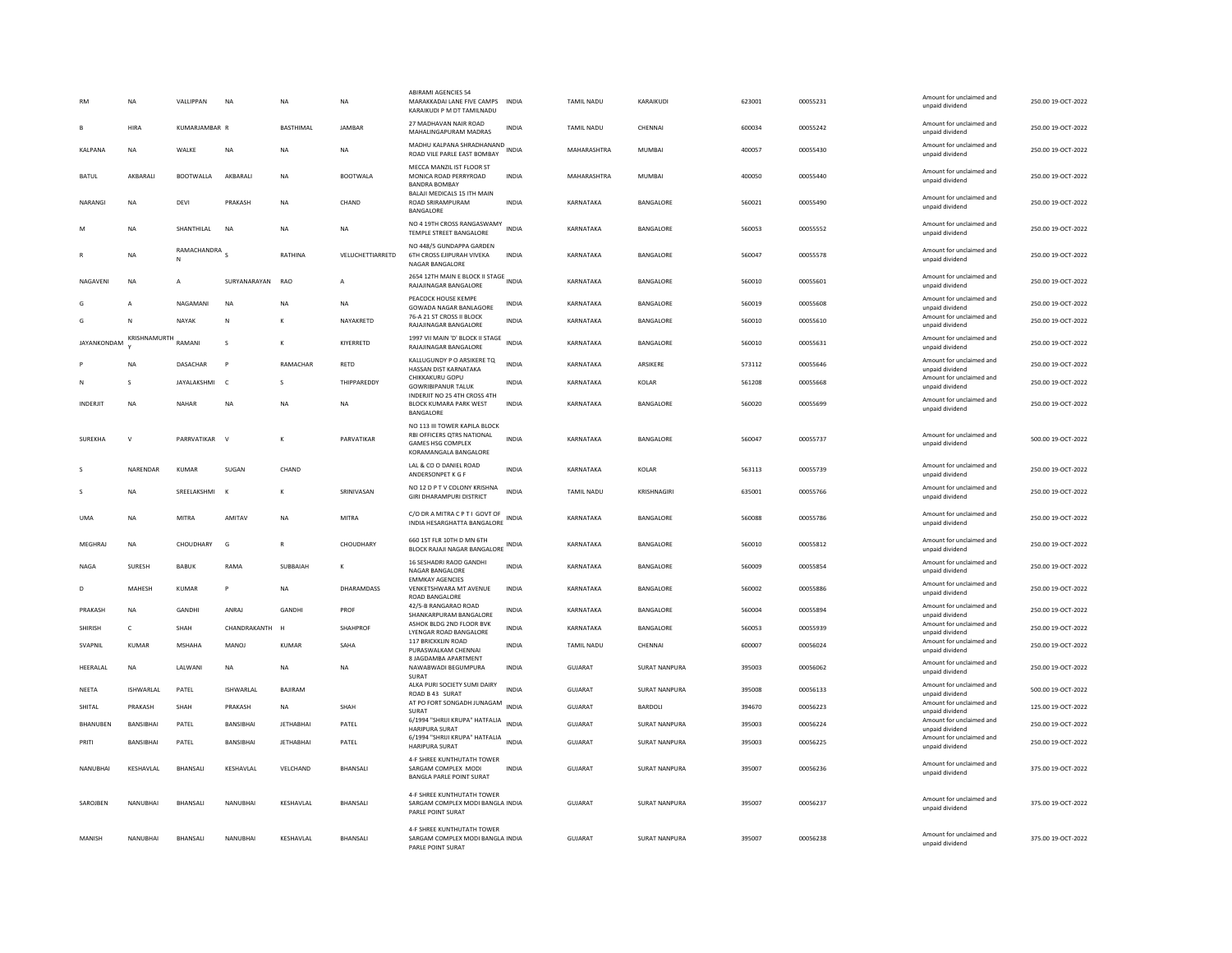|                 | NA               | VALLIPPAN        | <b>NA</b>       | NA               | NA               | <b>ABIRAMI AGENCIES 54</b><br>MARAKKADAI LANE FIVE CAMPS INDIA<br>KARAIKUDI P M DT TAMILNADU                     |              | TAMIL NADU        | KARAIKUDI            | 623001 | 00055231 | Amount for unclaimed and<br>unpaid dividend | 250.00 19-OCT-2022 |
|-----------------|------------------|------------------|-----------------|------------------|------------------|------------------------------------------------------------------------------------------------------------------|--------------|-------------------|----------------------|--------|----------|---------------------------------------------|--------------------|
|                 | HIRA             | KUMARJAMBAR R    |                 | BASTHIMAL        | JAMBAR           | 27 MADHAVAN NAIR ROAD<br>MAHALINGAPURAM MADRAS                                                                   | <b>INDIA</b> | <b>TAMIL NADU</b> | CHENNAI              | 600034 | 00055242 | Amount for unclaimed and<br>unpaid dividend | 250.00 19-OCT-2022 |
| <b>KALPANA</b>  | <b>NA</b>        | WALKE            | <b>NA</b>       | <b>NA</b>        | <b>NA</b>        | MADHU KALPANA SHRADHANAND<br>ROAD VILE PARLE EAST BOMBAY                                                         |              | MAHARASHTRA       | <b>MUMBAI</b>        | 400057 | 00055430 | Amount for unclaimed and<br>unpaid dividend | 250.00 19-OCT-2022 |
| <b>BATUL</b>    | AKBARALI         | <b>BOOTWALLA</b> | AKBARALI        | <b>NA</b>        | <b>BOOTWALA</b>  | MECCA MANZIL IST FLOOR ST<br>MONICA ROAD PERRYROAD<br><b>BANDRA BOMBAY</b>                                       | <b>INDIA</b> | MAHARASHTRA       | <b>MUMBAI</b>        | 400050 | 00055440 | Amount for unclaimed and<br>unpaid dividend | 250.00 19-OCT-2022 |
| NARANGI         | <b>NA</b>        | DEVI             | PRAKASH         | <b>NA</b>        | CHAND            | BALAJI MEDICALS 15 ITH MAIN<br>ROAD SRIRAMPURAM<br>BANGALORE                                                     | <b>INDIA</b> | KARNATAKA         | BANGALORE            | 560021 | 00055490 | Amount for unclaimed and<br>unpaid dividend | 250.00 19-OCT-2022 |
|                 | <b>NA</b>        | SHANTHILAL       | <b>NA</b>       | <b>NA</b>        | <b>NA</b>        | NO 4 19TH CROSS RANGASWAMY<br>TEMPLE STREET BANGALORE                                                            | <b>INDIA</b> | KARNATAKA         | BANGALORE            | 560053 | 00055552 | Amount for unclaimed and<br>unpaid dividend | 250.00 19-OCT-2022 |
|                 | <b>NA</b>        | RAMACHANDRA S    |                 | RATHINA          | VELUCHETTIARRETD | NO 448/5 GUNDAPPA GARDEN<br><b>6TH CROSS EJIPURAH VIVEKA</b><br><b>NAGAR BANGALORE</b>                           | <b>INDIA</b> | KARNATAKA         | BANGALORE            | 560047 | 00055578 | Amount for unclaimed and<br>unpaid dividend | 250.00 19-OCT-2022 |
| NAGAVENI        | <b>NA</b>        | А                | SURYANARAYAN    | <b>RAO</b>       | A                | 2654 12TH MAIN E BLOCK II STAGE INDIA<br>RAJAJINAGAR BANGALORE                                                   |              | KARNATAKA         | BANGALORE            | 560010 | 00055601 | Amount for unclaimed and<br>unpaid dividend | 250.00 19-OCT-2022 |
| G               | A                | NAGAMANI         | <b>NA</b>       | <b>NA</b>        | <b>NA</b>        | PEACOCK HOUSE KEMPE<br>GOWADA NAGAR BANLAGORE                                                                    | <b>INDIA</b> | KARNATAKA         | BANGALORE            | 560019 | 00055608 | Amount for unclaimed and<br>unpaid dividend | 250.00 19-OCT-2022 |
| G               | N                | NAYAK            | N               |                  | NAYAKRETD        | 76-A 21 ST CROSS II BLOCK<br>RAJAJINAGAR BANGALORE                                                               | INDIA        | KARNATAKA         | BANGALORE            | 560010 | 00055610 | Amount for unclaimed and<br>unpaid dividend | 250.00 19-OCT-2022 |
| JAYANKONDAM     | KRISHNAMURTH     | RAMANI           | s               | К                | KIYERRETD        | 1997 VII MAIN 'D' BLOCK II STAGE<br>RAJAJINAGAR BANGALORE                                                        | <b>INDIA</b> | KARNATAKA         | BANGALORE            | 560010 | 00055631 | Amount for unclaimed and<br>unpaid dividend | 250.00 19-OCT-2022 |
|                 | <b>NA</b>        | DASACHAR         | P               | RAMACHAR         | <b>RFTD</b>      | KALLUGUNDY P O ARSIKERE TQ<br>HASSAN DIST KARNATAKA                                                              | <b>INDIA</b> | KARNATAKA         | <b>ARSIKERE</b>      | 573112 | 00055646 | Amount for unclaimed and<br>unpaid dividend | 250.00.19-OCT-2022 |
|                 | s                | JAYALAKSHMI      | $\mathsf{C}$    | $\mathbf{S}$     | THIPPAREDDY      | CHIKKAKURU GOPU<br><b>GOWRIBIPANUR TALUK</b>                                                                     | <b>INDIA</b> | KARNATAKA         | KOLAR                | 561208 | 00055668 | Amount for unclaimed and<br>unpaid dividend | 250.00 19-OCT-2022 |
| <b>INDERJIT</b> | <b>NA</b>        | <b>NAHAR</b>     | <b>NA</b>       | <b>NA</b>        | <b>NA</b>        | INDERJIT NO 25 4TH CROSS 4TH<br><b>BLOCK KUMARA PARK WEST</b><br>BANGALORE                                       | <b>INDIA</b> | KARNATAKA         | BANGALORE            | 560020 | 00055699 | Amount for unclaimed and<br>unpaid dividend | 250.00 19-OCT-2022 |
| <b>SUREKHA</b>  | V                | PARRVATIKAR      | $\mathsf{v}$    | K                | PARVATIKAR       | NO 113 III TOWER KAPILA BLOCK<br>RBI OFFICERS OTRS NATIONAL<br><b>GAMES HSG COMPLEX</b><br>KORAMANGALA BANGALORE | <b>INDIA</b> | KARNATAKA         | BANGALORE            | 560047 | 00055737 | Amount for unclaimed and<br>unpaid dividend | 500.00 19-OCT-2022 |
|                 | NARENDAR         | <b>KUMAR</b>     | SUGAN           | CHAND            |                  | LAL & CO O DANIEL ROAD<br>ANDERSONPET K G F                                                                      | INDIA        | KARNATAKA         | <b>KOLAR</b>         | 563113 | 00055739 | Amount for unclaimed and<br>unpaid dividend | 250.00 19-OCT-2022 |
| s               | <b>NA</b>        | SREELAKSHML      | <b>K</b>        | к                | SRINIVASAN       | NO 12 D P T V COLONY KRISHNA<br><b>GIRI DHARAMPURI DISTRICT</b>                                                  | <b>INDIA</b> | <b>TAMIL NADU</b> | KRISHNAGIRI          | 635001 | 00055766 | Amount for unclaimed and<br>unpaid dividend | 250.00.19-OCT-2022 |
| <b>UMA</b>      | NA               | MITRA            | AMITAV          | <b>NA</b>        | <b>MITRA</b>     | C/O DR A MITRA C P T I GOVT OF<br>INDIA HESARGHATTA BANGALORE                                                    | INDIA        | KARNATAKA         | BANGALORE            | 560088 | 00055786 | Amount for unclaimed and<br>unpaid dividend | 250.00 19-OCT-2022 |
| <b>MEGHRAJ</b>  | <b>NA</b>        | CHOUDHARY        | G               | $\mathbb{R}$     | CHOUDHARY        | 660 1ST FLR 10TH D MN 6TH<br>BLOCK RAJAJI NAGAR BANGALORE INDIA                                                  |              | KARNATAKA         | BANGALORE            | 560010 | 00055812 | Amount for unclaimed and<br>unpaid dividend | 250.00 19-OCT-2022 |
| NAGA            | SURESH           | <b>BABUK</b>     | RAMA            | SUBBAIAH         |                  | 16 SESHADRI RAOD GANDHI<br>NAGAR BANGALORE                                                                       | <b>INDIA</b> | KARNATAKA         | BANGALORE            | 560009 | 00055854 | Amount for unclaimed and<br>unpaid dividend | 250.00 19-OCT-2022 |
| D               | MAHESH           | KUMAR            | P               | <b>NA</b>        | DHARAMDASS       | <b>EMMKAY AGENCIES</b><br>VENKETSHWARA MT AVENUE<br><b>ROAD BANGALORE</b>                                        | <b>INDIA</b> | KARNATAKA         | BANGALORE            | 560002 | 00055886 | Amount for unclaimed and<br>unpaid dividend | 250.00 19-OCT-2022 |
| PRAKASH         | <b>NA</b>        | GANDHI           | ANRAJ           | GANDH            | PROF             | 42/5-B RANGARAO ROAD<br>SHANKARPURAM BANGALORE                                                                   | INDIA        | KARNATAKA         | BANGALORE            | 560004 | 00055894 | Amount for unclaimed and<br>unpaid dividend | 250.00 19-OCT-2022 |
| <b>SHIRISH</b>  | c                | SHAH             | CHANDRAKANTH    |                  | SHAHPROF         | ASHOK BLDG 2ND FLOOR BVK<br>LYENGAR ROAD BANGALORE                                                               | INDIA        | KARNATAKA         | BANGALORE            | 560053 | 00055939 | Amount for unclaimed and<br>unpaid dividend | 250.00 19-OCT-2022 |
| SVAPNIL         | KUMAR            | MSHAHA           | MANOJ           | KUMAR            | SAHA             | 117 BRICKKLIN ROAD<br>PURASWALKAM CHENNAI                                                                        | INDIA        | TAMIL NADU        | CHENNAI              | 600007 | 00056024 | Amount for unclaimed and<br>unpaid dividend | 250.00 19-OCT-2022 |
| HEERALAL        | <b>NA</b>        | LALWANI          | <b>NA</b>       | <b>NA</b>        | <b>NA</b>        | 8 JAGDAMBA APARTMENT<br>NAWABWADI BEGUMPURA<br>SURAT                                                             | <b>INDIA</b> | <b>GUJARAT</b>    | <b>SURAT NANPURA</b> | 395003 | 00056062 | Amount for unclaimed and<br>unpaid dividend | 250.00 19-OCT-2022 |
| <b>NEETA</b>    | <b>ISHWARLAL</b> | PATEL            | ISHWARLAL       | BAJIRAM          |                  | ALKA PURI SOCIETY SUMI DAIRY<br>ROAD B 43 SURAT                                                                  | <b>INDIA</b> | <b>GUJARAT</b>    | <b>SURAT NANPURA</b> | 395008 | 00056133 | Amount for unclaimed and<br>unpaid dividend | 500.00 19-OCT-2022 |
| SHITAL          | PRAKASH          | SHAH             | PRAKASH         | NA               | SHAH             | AT PO FORT SONGADH JUNAGAM INDIA<br>SURAT                                                                        |              | GUJARAT           | BARDOLI              | 394670 | 00056223 | Amount for unclaimed and<br>unpaid dividend | 125.00 19-OCT-2022 |
| BHANUBEN        | BANSIBHAI        | PATEL            | BANSIBHAI       | <b>JETHABHAI</b> | PATEL            | 6/1994 "SHRIJI KRUPA" HATFALIA INDIA<br><b>HARIPURA SURAT</b>                                                    |              | GUJARAT           | <b>SURAT NANPURA</b> | 395003 | 00056224 | Amount for unclaimed and<br>unpaid dividend | 250.00 19-OCT-2022 |
| PRITI           | BANSIBHAI        | PATEL            | BANSIBHAI       | <b>JETHABHAI</b> | PATEL            | 6/1994 "SHRIJI KRUPA" HATFALIA<br>HARIPURA SURAT                                                                 | <b>INDIA</b> | GUJARAT           | <b>SURAT NANPURA</b> | 395003 | 00056225 | Amount for unclaimed and<br>unpaid dividend | 250.00 19-OCT-2022 |
| NANUBHAI        | KESHAVLAL        | BHANSALI         | KESHAVLAL       | VELCHAND         | BHANSALI         | 4-F SHREE KUNTHUTATH TOWER<br>SARGAM COMPLEX MODI<br><b>BANGLA PARLE POINT SURAT</b>                             | <b>INDIA</b> | GUJARAT           | <b>SURAT NANPURA</b> | 395007 | 00056236 | Amount for unclaimed and<br>unpaid dividend | 375.00 19-OCT-2022 |
| SAROJBEN        | NANUBHAI         | BHANSALI         | <b>NANUBHAI</b> | KESHAVLAL        | <b>BHANSALI</b>  | 4-F SHREE KUNTHUTATH TOWER<br>SARGAM COMPLEX MODI BANGLA INDIA<br>PARLE POINT SURAT                              |              | <b>GUJARAT</b>    | <b>SURAT NANPURA</b> | 395007 | 00056237 | Amount for unclaimed and<br>unpaid dividend | 375.00 19-OCT-2022 |
| MANISH          | NANUBHAI         | BHANSALI         | NANUBHAI        | KESHAVLAL        | <b>BHANSALI</b>  | 4-F SHREE KUNTHUTATH TOWER<br>SARGAM COMPLEX MODI BANGLA INDIA<br>PARLE POINT SURAT                              |              | GUJARAT           | SURAT NANPURA        | 395007 | 00056238 | Amount for unclaimed and<br>unpaid dividend | 375.00 19-OCT-2022 |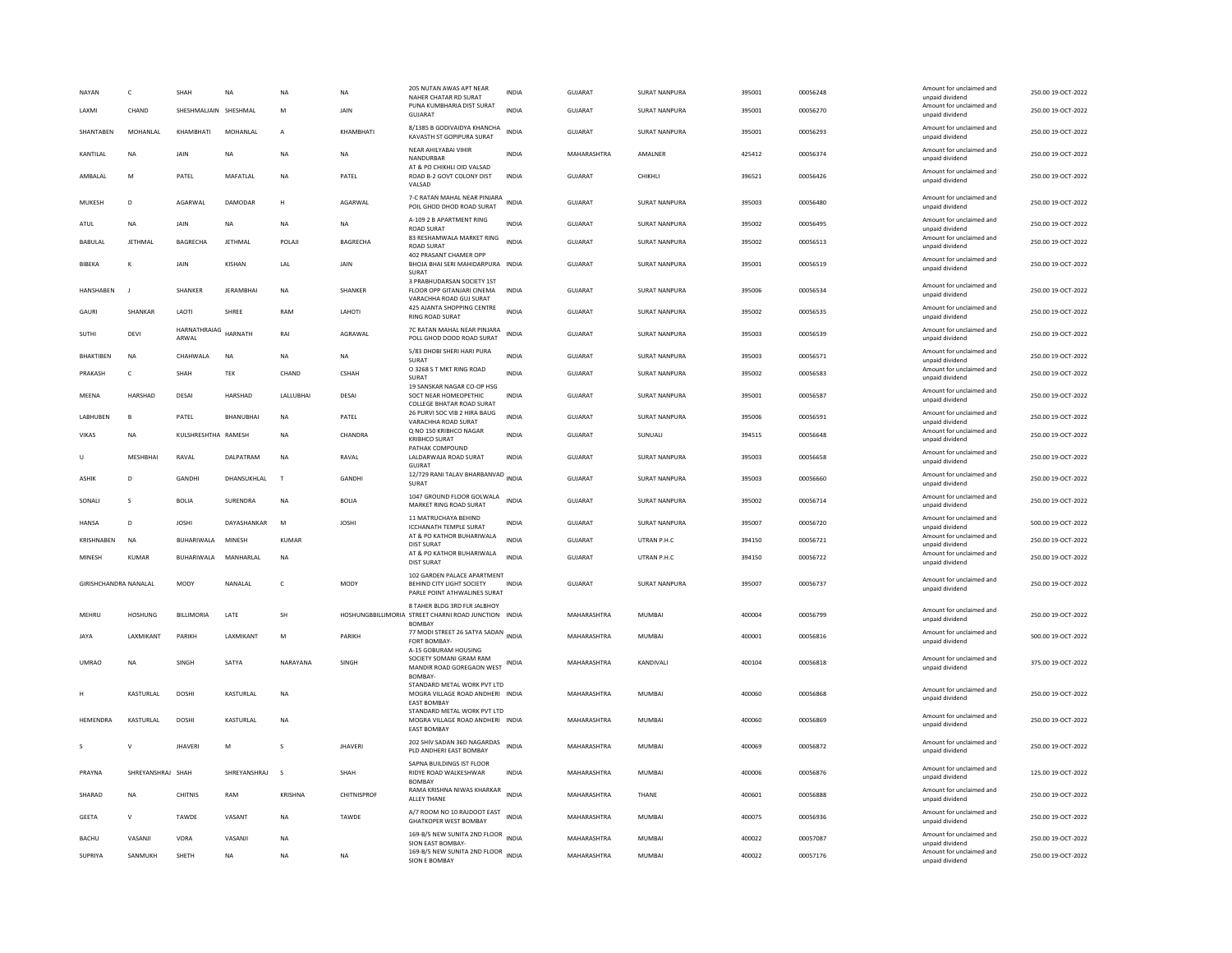| NAYAN                 | $\mathfrak{c}$     | SHAH                  | <b>NA</b>           | NA              | <b>NA</b>       | 205 NUTAN AWAS APT NEAR<br>NAHER CHATAR RD SURAT                                                | INDIA        | GUJARAT                    | <b>SURAT NANPURA</b>    | 395001           | 00056248             | Amount for unclaimed and<br>unpaid dividend | 250.00 19-OCT-2022                       |
|-----------------------|--------------------|-----------------------|---------------------|-----------------|-----------------|-------------------------------------------------------------------------------------------------|--------------|----------------------------|-------------------------|------------------|----------------------|---------------------------------------------|------------------------------------------|
| LAXMI                 | CHAND              | SHESHMALJAIN SHESHMAL |                     | M               | JAIN            | PUNA KUMBHARIA DIST SURAT<br>GUJARAT                                                            | <b>INDIA</b> | GUJARAT                    | <b>SURAT NANPURA</b>    | 395001           | 00056270             | Amount for unclaimed and<br>unpaid dividend | 250.00 19-OCT-2022                       |
| SHANTABEN             | MOHANLAL           | KHAMBHATI             | MOHANLAL            | $\overline{A}$  | KHAMBHATI       | 8/1385 B GODIVAIDYA KHANCHA<br>KAVASTH ST GOPIPURA SURAT                                        | <b>INDIA</b> | <b>GUJARAT</b>             | <b>SURAT NANPURA</b>    | 395001           | 00056293             | Amount for unclaimed and<br>unpaid dividend | 250.00 19-OCT-2022                       |
| KANTILAL              | NA                 | JAIN                  | <b>NA</b>           | NA              | <b>NA</b>       | NEAR AHILYABAI VIHIR<br>NANDURBAR                                                               | <b>INDIA</b> | MAHARASHTRA                | AMALNER                 | 425412           | 00056374             | Amount for unclaimed and<br>unpaid dividend | 250.00 19-OCT-2022                       |
| AMBALAL               | M                  | PATEL                 | MAFATLAL            | NA              | PATEL           | AT & PO CHIKHLI OID VALSAD<br>ROAD B-2 GOVT COLONY DIST<br>VALSAD                               | <b>INDIA</b> | GUJARAT                    | CHIKHLI                 | 396521           | 00056426             | Amount for unclaimed and<br>unpaid dividend | 250.00 19-OCT-2022                       |
| MUKESH                | $\mathbf{D}$       | AGARWAL               | DAMODAR             | H               | AGARWAL         | 7-C RATAN MAHAL NEAR PINJARA<br>POIL GHOD DHOD ROAD SURAT                                       | <b>INDIA</b> | GUJARAT                    | SURAT NANPURA           | 395003           | 00056480             | Amount for unclaimed and<br>unpaid dividend | 250.00 19-OCT-2022                       |
| <b>ATUL</b>           | <b>NA</b>          | <b>JAIN</b>           | <b>NA</b>           | <b>NA</b>       | <b>NA</b>       | A-109 2 B APARTMENT RING<br><b>ROAD SURAT</b>                                                   | <b>INDIA</b> | <b>GUJARAT</b>             | SURAT NANPURA           | 395002           | 00056495             | Amount for unclaimed and<br>unpaid dividend | 250.00 19-OCT-2022                       |
| <b>BABULAI</b>        | <b>IFTHMAI</b>     | <b>BAGRECHA</b>       | <b>IFTHMAI</b>      | POLAI           | <b>BAGRECHA</b> | 83 RESHAMWALA MARKET RING<br><b>ROAD SURAT</b>                                                  | <b>INDIA</b> | GUIARAT                    | SURAT NANPURA           | 395002           | 00056513             | Amount for unclaimed and<br>unpaid dividend | 250.00.19-OCT-2022                       |
| BIBEKA                | к                  | <b>JAIN</b>           | KISHAN              | <b>IAI</b>      | <b>JAIN</b>     | 402 PRASANT CHAMER OPP<br>BHOJA BHAI SERI MAHIDARPURA INDIA<br>SURAT                            |              | GUJARAT                    | <b>SURAT NANPURA</b>    | 395001           | 00056519             | Amount for unclaimed and<br>unpaid dividend | 250.00 19-OCT-2022                       |
| HANSHABEN             | $\blacksquare$     | SHANKER               | <b>JERAMBHAI</b>    | <b>NA</b>       | SHANKER         | 3 PRABHUDARSAN SOCIETY 1ST<br>FLOOR OPP GITANJARI CINEMA<br>VARACHHA ROAD GUJ SURAT             | <b>INDIA</b> | <b>GUJARAT</b>             | SURAT NANPURA           | 395006           | 00056534             | Amount for unclaimed and<br>unpaid dividend | 250.00 19-OCT-2022                       |
| GAURI                 | SHANKAR            | LAOTI                 | SHREE               | RAM             | LAHOTI          | 425 AJANTA SHOPPING CENTRE<br>RING ROAD SURAT                                                   | <b>INDIA</b> | GUJARAT                    | <b>SURAT NANPURA</b>    | 395002           | 00056535             | Amount for unclaimed and<br>unpaid dividend | 250.00 19-OCT-2022                       |
| SUTHI                 | DEVI               | HARNATHRAIAG<br>ARWAL | <b>HARNATH</b>      | RAI             | AGRAWAL         | 7C RATAN MAHAL NEAR PINJARA<br>POLL GHOD DOOD ROAD SURAT                                        | <b>INDIA</b> | <b>GUJARAT</b>             | SURAT NANPURA           | 395003           | 00056539             | Amount for unclaimed and<br>unpaid dividend | 250.00 19-OCT-2022                       |
| <b>BHAKTIBEN</b>      | <b>NA</b>          | CHAHWALA              | <b>NA</b>           | <b>NA</b>       | <b>NA</b>       | 5/83 DHOBI SHERI HARI PURA<br>SURAT                                                             | <b>INDIA</b> | <b>GUJARAT</b>             | <b>SURAT NANPURA</b>    | 395003           | 00056571             | Amount for unclaimed and<br>unpaid dividend | 250.00 19-OCT-2022                       |
| PRAKASH               | $\mathsf{C}$       | <b>SHAH</b>           | TEK                 | CHAND           | <b>CSHAH</b>    | O 3268 S T MKT RING ROAD<br>SURAT                                                               | <b>INDIA</b> | <b>GUJARAT</b>             | <b>SURAT NANPURA</b>    | 395002           | 00056583             | Amount for unclaimed and<br>unpaid dividend | 250.00 19-OCT-2022                       |
| MEENA                 | HARSHAD            | DESAI                 | HARSHAD             | LALLUBHAI       | DESAI           | 19 SANSKAR NAGAR CO-OP HSG<br>SOCT NEAR HOMEOPETHIC<br>COLLEGE BHATAR ROAD SURAT                | <b>INDIA</b> | GUJARAT                    | <b>SURAT NANPURA</b>    | 395001           | 00056587             | Amount for unclaimed and<br>unpaid dividend | 250.00 19-OCT-2022                       |
| <b>I ARHUREN</b>      | $\overline{B}$     | PATFI                 | RHANURHAI           | <b>NA</b>       | PATFI           | 26 PURVI SOC VIB 2 HIRA BAUG<br>VARACHHA ROAD SURAT                                             | <b>INDIA</b> | GUIARAT                    | SURAT NANPURA           | 395006           | 00056591             | Amount for unclaimed and<br>unpaid dividend | 250.00 19-OCT-2022                       |
| VIKAS                 | NA                 | KULSHRESHTHA RAMESH   |                     | <b>NA</b>       | CHANDRA         | Q NO 150 KRIBHCO NAGAR<br><b>KRIBHCO SURAT</b>                                                  | <b>INDIA</b> | GUJARAT                    | SUNUALI                 | 394515           | 00056648             | Amount for unclaimed and<br>unpaid dividend | 250.00 19-OCT-2022                       |
| U                     | MESHBHAI           | RAVAL                 | DALPATRAM           | NΑ              | RAVAL           | PATHAK COMPOUND<br>LALDARWAJA ROAD SURAT<br><b>GUJRAT</b>                                       | <b>INDIA</b> | GUJARAT                    | <b>SURAT NANPURA</b>    | 395003           | 00056658             | Amount for unclaimed and<br>unpaid dividend | 250.00 19-OCT-2022                       |
| <b>ASHIK</b>          | D                  | GANDHI                | DHANSUKHLAL         | T               | GANDHI          | 12/729 RANI TALAV BHARBANVAD INDIA<br>SURAT                                                     |              | GUJARAT                    | SURAT NANPURA           | 395003           | 00056660             | Amount for unclaimed and<br>unpaid dividend | 250.00 19-OCT-2022                       |
| SONALL                | $\mathbf{S}$       | <b>BOLIA</b>          | SURENDRA            | <b>NA</b>       | <b>BOLIA</b>    | 1047 GROUND FLOOR GOLWALA<br>MARKET RING ROAD SURAT                                             | <b>INDIA</b> | GUIARAT                    | SURAT NANPURA           | 395002           | 00056714             | Amount for unclaimed and<br>unpaid dividend | 250.00 19-OCT-2022                       |
| <b>HANSA</b>          | D                  | <b>JOSHI</b>          | DAYASHANKAR         | M               | <b>JOSHI</b>    | 11 MATRUCHAYA BEHIND<br><b>ICCHANATH TEMPLE SURAT</b>                                           | <b>INDIA</b> | GUJARAT                    | <b>SURAT NANPURA</b>    | 395007           | 00056720             | Amount for unclaimed and<br>unpaid dividend | 500.00 19-OCT-2022                       |
| KRISHNABEN            | NA                 | BUHARIWALA            | MINESH              | KUMAR           |                 | AT & PO KATHOR BUHARIWALA<br>DIST SURAT                                                         | <b>INDIA</b> | GUJARAT                    | UTRAN P.H.C             | 394150           | 00056721             | Amount for unclaimed and<br>unnaid dividend | 250.00 19-OCT-2022                       |
| MINESH                | <b>KUMAR</b>       | BUHARIWALA            | MANHARLAL           | <b>NA</b>       |                 | AT & PO KATHOR BUHARIWALA<br><b>DIST SURAT</b>                                                  | <b>INDIA</b> | <b>GUJARAT</b>             | UTRAN P.H.C             | 394150           | 00056722             | Amount for unclaimed and<br>unpaid dividend | 250.00 19-OCT-2022                       |
| GIRISHCHANDRA NANALAL |                    | MODY                  | NANAI AI            | $\epsilon$      | MODY            | 102 GARDEN PALACE APARTMENT<br><b>BEHIND CITY LIGHT SOCIETY</b><br>PARLE POINT ATHWALINES SURAT | <b>INDIA</b> | GUIARAT                    | SURAT NANPURA           | 395007           | 00056737             | Amount for unclaimed and<br>unpaid dividend | 250.00.19-OCT-2022                       |
| MEHRU                 | <b>HOSHUNG</b>     | <b>BILLIMORIA</b>     | LATE                | <b>SH</b>       |                 | 8 TAHER BLDG 3RD FLR JALBHOY<br>HOSHUNGBBILLIMORIA STREET CHARNI ROAD JUNCTION INDIA            |              | MAHARASHTRA                | MUMBAI                  | 400004           | 00056799             | Amount for unclaimed and<br>unpaid dividend | 250.00 19-OCT-2022                       |
| <b>JAYA</b>           | <b>I AXMIKANT</b>  | PARIKH                | <b>I AXMIKANT</b>   | M               | PARIKH          | <b>BOMBAY</b><br>77 MODI STREET 26 SATYA SADAN INDIA<br>FORT BOMBAY-                            |              | MAHARASHTRA                | <b>MUMBAI</b>           | 400001           | 00056816             | Amount for unclaimed and<br>unpaid dividend | 500.00 19-OCT-2022                       |
| <b>UMRAO</b>          | <b>NA</b>          | SINGH                 | SATYA               | NARAYANA        | SINGH           | A-15 GOBURAM HOUSING<br>SOCIETY SOMANI GRAM RAM<br>MANDIR ROAD GOREGAON WEST                    | INDIA        | MAHARASHTRA                | KANDIVALI               | 400104           | 00056818             | Amount for unclaimed and<br>unpaid dividend | 375.00 19-OCT-2022                       |
|                       | <b>KASTURIAI</b>   | <b>DOSHI</b>          | <b>KASTURIAI</b>    | <b>NA</b>       |                 | <b>BOMBAY</b><br>STANDARD METAL WORK PVT LTD<br>MOGRA VILLAGE ROAD ANDHERI INDIA                |              | MAHARASHTRA                | MUMBAI                  | 400060           | 00056868             | Amount for unclaimed and<br>unpaid dividend | 250.00 19-OCT-2022                       |
| <b>HEMENDRA</b>       | <b>KASTURIAI</b>   | DOSHI                 | <b>KASTURIAI</b>    | N <sub>A</sub>  |                 | <b>EAST BOMBAY</b><br>STANDARD METAL WORK PVT LTD<br>MOGRA VILLAGE ROAD ANDHERI INDIA           |              | MAHARASHTRA                | MUMBAI                  | 400060           | 00056869             | Amount for unclaimed and<br>unpaid dividend | 250.00 19-OCT-2022                       |
| s                     | V                  | <b>JHAVERI</b>        | M                   | s               | <b>JHAVERI</b>  | <b>EAST BOMBAY</b><br>202 SHIV SADAN 36D NAGARDAS                                               | <b>INDIA</b> | MAHARASHTRA                | MUMBAI                  | 400069           | 00056872             | Amount for unclaimed and                    | 250.00 19-OCT-2022                       |
| PRAYNA                | SHREYANSHRAJ       | SHAH                  | SHREYANSHRAJ        | s.              | SHAH            | PLD ANDHERI EAST BOMBAY<br>SAPNA BUILDINGS IST FLOOR<br>RIDYE ROAD WALKESHWAR                   | <b>INDIA</b> | MAHARASHTRA                | MUMBAI                  | 400006           | 00056876             | unpaid dividend<br>Amount for unclaimed and | 125.00 19-OCT-2022                       |
| SHARAD                | <b>NA</b>          | CHITNIS               | RAM                 | <b>KRISHNA</b>  | CHITNISPROF     | BOMBAY<br>RAMA KRISHNA NIWAS KHARKAR                                                            | <b>INDIA</b> | MAHARASHTRA                | THANE                   | 400601           | 00056888             | unpaid dividend<br>Amount for unclaimed and | 250.00 19-OCT-2022                       |
| <b>GEETA</b>          | $\mathsf{V}$       | TAWDE                 | VASANT              | <b>NA</b>       | TAWDE           | <b>ALLEY THANE</b><br>A/7 ROOM NO 10 RAJDOOT EAST                                               | <b>INDIA</b> | MAHARASHTRA                | <b>MUMBAI</b>           | 400075           | 00056936             | unpaid dividend<br>Amount for unclaimed and | 250.00 19-OCT-2022                       |
|                       |                    |                       |                     |                 |                 | <b>GHATKOPER WEST BOMBAY</b><br>169-B/5 NEW SUNITA 2ND FLOOR                                    |              |                            |                         |                  |                      | unpaid dividend<br>Amount for unclaimed and |                                          |
| BACHU<br>SUPRIYA      | VASANJI<br>SANMUKH | VORA<br>SHFTH         | VASANJ<br><b>NA</b> | NΑ<br><b>NA</b> | <b>NA</b>       | SION EAST BOMBAY-<br>169-B/5 NEW SUNITA 2ND FLOOR INDIA                                         | <b>INDIA</b> | MAHARASHTRA<br>MAHARASHTRA | MUMBAI<br><b>MUMBAI</b> | 400022<br>400022 | 00057087<br>00057176 | unpaid dividend<br>Amount for unclaimed and | 250.00 19-OCT-2022<br>250.00 19-OCT-2022 |
|                       |                    |                       |                     |                 |                 | SION E BOMBAY                                                                                   |              |                            |                         |                  |                      | unpaid dividend                             |                                          |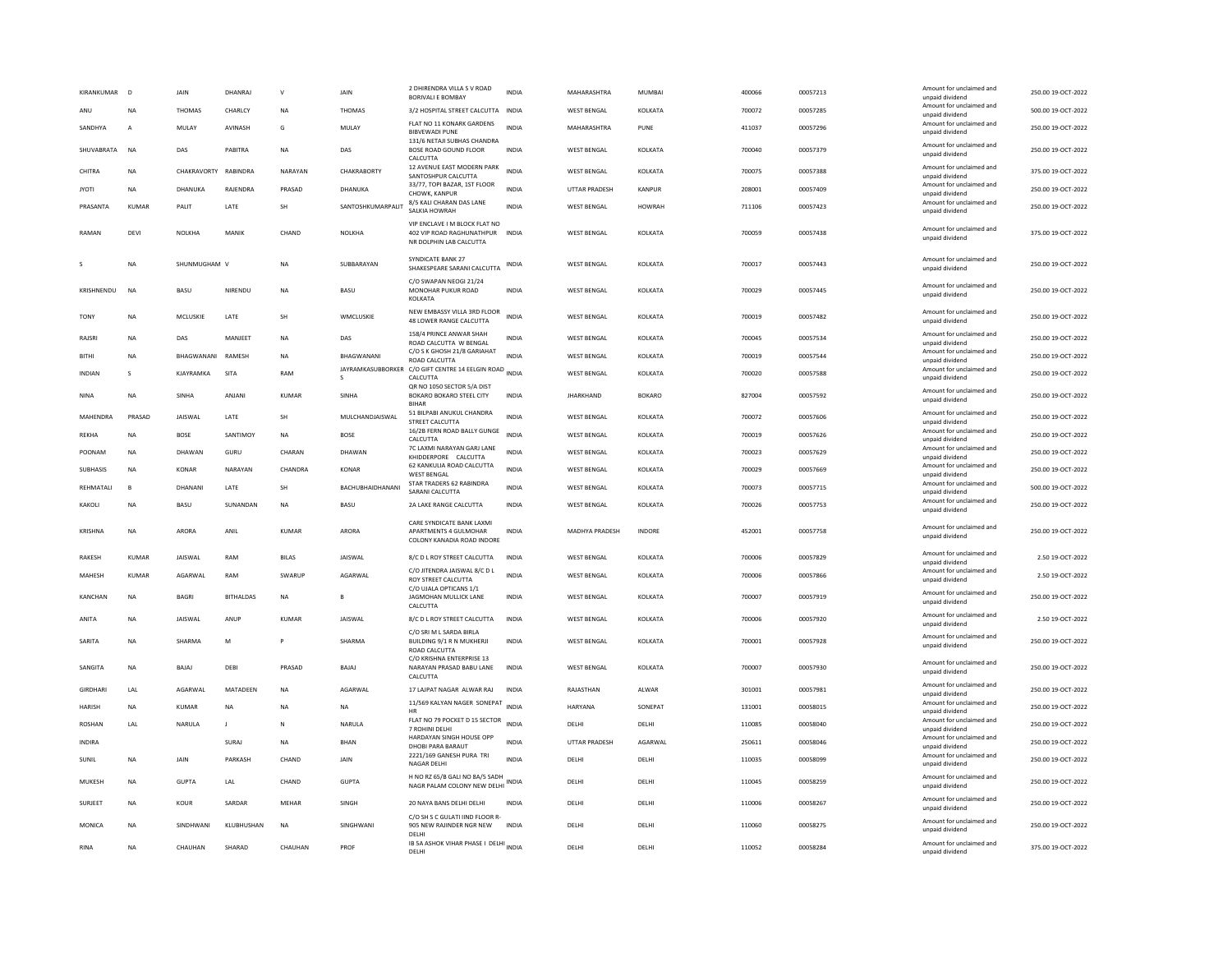| KIRANKUMAR      | $\overline{D}$ | <b>JAIN</b>          | DHANRAJ          | $\mathsf{v}$ | <b>JAIN</b>            | 2 DHIRENDRA VILLA S V ROAD<br><b>BORIVALLE BOMBAY</b>                                       | <b>INDIA</b> | MAHARASHTRA          | MUMBAI          | 400066 | 00057213 | Amount for unclaimed and<br>unpaid dividend | 250.00 19-OCT-2022 |
|-----------------|----------------|----------------------|------------------|--------------|------------------------|---------------------------------------------------------------------------------------------|--------------|----------------------|-----------------|--------|----------|---------------------------------------------|--------------------|
| ANU             | <b>NA</b>      | <b>THOMAS</b>        | CHARLCY          | <b>NA</b>    | <b>THOMAS</b>          | 3/2 HOSPITAL STREET CALCUTTA INDIA                                                          |              | <b>WEST BENGAL</b>   | KOLKATA         | 700072 | 00057285 | Amount for unclaimed and<br>unpaid dividend | 500.00 19-OCT-2022 |
| SANDHYA         | $\mathsf{A}$   | MULAY                | AVINASH          | G            | MULAY                  | FLAT NO 11 KONARK GARDENS<br><b>BIBVEWADI PUNE</b>                                          | <b>INDIA</b> | MAHARASHTRA          | PUNE            | 411037 | 00057296 | Amount for unclaimed and<br>unpaid dividend | 250.00 19-OCT-2022 |
| SHUVABRATA      | NA             | DAS                  | PABITRA          | NA           | DAS                    | 131/6 NETAJI SUBHAS CHANDRA<br>BOSE ROAD GOUND FLOOR<br>CALCUTTA                            | <b>INDIA</b> | <b>WEST BENGAL</b>   | KOLKATA         | 700040 | 00057379 | Amount for unclaimed and<br>unpaid dividend | 250.00 19-OCT-2022 |
| CHITRA          | <b>NA</b>      | CHAKRAVORTY RABINDRA |                  | NARAYAN      | CHAKRABORTY            | 12 AVENUE EAST MODERN PARK<br>SANTOSHPUR CALCUTTA                                           | <b>INDIA</b> | WEST BENGAL          | KOLKATA         | 700075 | 00057388 | Amount for unclaimed and<br>unpaid dividend | 375.00 19-OCT-2022 |
| <b>JYOTI</b>    | <b>NA</b>      | DHANUKA              | RAJENDRA         | PRASAD       | DHANUKA                | 33/77, TOPI BAZAR, 1ST FLOOR<br>CHOWK, KANPUR                                               | <b>INDIA</b> | <b>UTTAR PRADESH</b> | KANPUR          | 208001 | 00057409 | Amount for unclaimed and<br>unpaid dividend | 250.00 19-OCT-2022 |
| PRASANTA        | <b>KUMAR</b>   | PALIT                | LATE             | SH           | SANTOSHKUMARPALIT      | 8/5 KALI CHARAN DAS LANE<br>SALKIA HOWRAH                                                   | <b>INDIA</b> | <b>WEST BENGAL</b>   | <b>HOWRAH</b>   | 711106 | 00057423 | Amount for unclaimed and<br>unpaid dividend | 250.00 19-OCT-2022 |
| RAMAN           | DEVI           | NOLKHA               | MANIK            | CHAND        | NOLKHA                 | VIP ENCLAVE I M BLOCK FLAT NO<br>402 VIP ROAD RAGHUNATHPUR INDIA<br>NR DOLPHIN LAB CALCUTTA |              | WEST BENGAL          | KOLKATA         | 700059 | 00057438 | Amount for unclaimed and<br>unpaid dividend | 375.00 19-OCT-2022 |
|                 | NΑ             | SHUNMUGHAM V         |                  | NA           | SUBBARAYAN             | SYNDICATE BANK 27<br>SHAKESPEARE SARANI CALCUTTA                                            | INDIA        | <b>WEST BENGAL</b>   | KOLKATA         | 700017 | 00057443 | Amount for unclaimed and<br>unpaid dividend | 250.00 19-OCT-2022 |
| KRISHNENDU      | N <sub>A</sub> | BASU                 | NIRENDU          | <b>NA</b>    | <b>BASU</b>            | C/O SWAPAN NEOGI 21/24<br>MONOHAR PUKUR ROAD<br><b>KOI KATA</b>                             | <b>INDIA</b> | <b>WEST BENGAL</b>   | KOLKATA         | 700029 | 00057445 | Amount for unclaimed and<br>unpaid dividend | 250.00 19-OCT-2022 |
| <b>TONY</b>     | <b>NA</b>      | <b>MCLUSKIE</b>      | <b>I ATF</b>     | <b>SH</b>    | <b>WMCLUSKIE</b>       | NEW EMBASSY VILLA 3RD FLOOR<br>48 LOWER RANGE CALCUTTA                                      | <b>INDIA</b> | <b>WEST BENGAL</b>   | <b>KOI KATA</b> | 700019 | 00057482 | Amount for unclaimed and<br>unpaid dividend | 250.00.19-OCT-2022 |
| RAJSRI          | <b>NA</b>      | DAS                  | MANJEET          | NA           | DAS                    | 158/4 PRINCE ANWAR SHAH<br>ROAD CALCUTTA W BENGAL                                           | <b>INDIA</b> | <b>WEST BENGAL</b>   | KOLKATA         | 700045 | 00057534 | Amount for unclaimed and<br>unpaid dividend | 250.00 19-OCT-2022 |
| <b>BITHI</b>    | <b>NA</b>      | BHAGWANANI RAMESH    |                  | <b>NA</b>    | BHAGWANANI             | C/O S K GHOSH 21/8 GARIAHAT<br>ROAD CALCUTTA                                                | <b>INDIA</b> | <b>WEST BENGAL</b>   | KOLKATA         | 700019 | 00057544 | Amount for unclaimed and<br>unpaid dividend | 250.00 19-OCT-2022 |
| <b>INDIAN</b>   | -S             | KJAYRAMKA            | SITA             | RAM          | JAYRAMKASUBBORKER<br>s | C/O GIFT CENTRE 14 EELGIN ROAD INDIA<br>CALCUTTA                                            |              | <b>WEST BENGAL</b>   | KOLKATA         | 700020 | 00057588 | Amount for unclaimed and<br>unpaid dividend | 250.00 19-OCT-2022 |
| NINA            | NΑ             | SINHA                | ANJAN            | <b>KUMAR</b> | SINHA                  | QR NO 1050 SECTOR 5/A DIST<br>BOKARO BOKARO STEEL CITY<br><b>BIHAR</b>                      | INDIA        | <b>JHARKHAND</b>     | <b>BOKARO</b>   | 827004 | 00057592 | Amount for unclaimed and<br>unpaid dividend | 250.00 19-OCT-2022 |
| MAHENDRA        | PRASAD         | <b>JAISWAL</b>       | LATE             | SH           | MULCHANDJAISWAL        | 51 BILPABI ANUKUL CHANDRA<br>STREET CALCUTTA                                                | <b>INDIA</b> | <b>WEST BENGAL</b>   | KOLKATA         | 700072 | 00057606 | Amount for unclaimed and<br>unpaid dividend | 250.00 19-OCT-2022 |
| <b>REKHA</b>    | <b>NA</b>      | <b>BOSE</b>          | SANTIMOY         | <b>NA</b>    | <b>BOSE</b>            | 16/2B FERN ROAD BALLY GUNGE<br>CALCUTTA                                                     | <b>INDIA</b> | <b>WEST BENGAL</b>   | KOLKATA         | 700019 | 00057626 | Amount for unclaimed and<br>unpaid dividend | 250.00 19-OCT-2022 |
| POONAM          | <b>NA</b>      | DHAWAN               | GURU             | CHARAN       | DHAWAN                 | 7C LAXMI NARAYAN GARJ LANE<br>KHIDDERPORE CALCUTTA                                          | <b>INDIA</b> | <b>WEST BENGAL</b>   | KOLKATA         | 700023 | 00057629 | Amount for unclaimed and<br>unpaid dividend | 250.00 19-OCT-2022 |
| <b>SUBHASIS</b> | <b>NA</b>      | KONAR                | NARAYAN          | CHANDRA      | KONAR                  | 62 KANKULIA ROAD CALCUTTA<br><b>WEST RENGAL</b>                                             | <b>INDIA</b> | <b>WEST BENGAL</b>   | KOLKATA         | 700029 | 00057669 | Amount for unclaimed and<br>unpaid dividend | 250.00 19-OCT-2022 |
| REHMATALI       | B              | DHANANI              | LATE             | <b>SH</b>    | BACHUBHAIDHANANI       | STAR TRADERS 62 RABINDRA<br>SARANI CALCUTTA                                                 | <b>INDIA</b> | <b>WEST BENGAL</b>   | KOLKATA         | 700073 | 00057715 | Amount for unclaimed and<br>unpaid dividend | 500.00 19-OCT-2022 |
| KAKOLI          | <b>NA</b>      | BASU                 | SUNANDAN         | <b>NA</b>    | BASU                   | 2A LAKE RANGE CALCUTTA                                                                      | <b>INDIA</b> | <b>WEST BENGAL</b>   | KOLKATA         | 700026 | 00057753 | Amount for unclaimed and<br>unpaid dividend | 250.00 19-OCT-2022 |
| KRISHNA         | <b>NA</b>      | ARORA                | ANIL             | KUMAR        | ARORA                  | CARE SYNDICATE BANK LAXMI<br>APARTMENTS 4 GULMOHAR<br>COLONY KANADIA ROAD INDORE            | <b>INDIA</b> | MADHYA PRADESH       | <b>INDORF</b>   | 452001 | 00057758 | Amount for unclaimed and<br>unpaid dividend | 250.00 19-OCT-2022 |
| <b>RAKESH</b>   | <b>KUMAR</b>   | <b>JAISWAL</b>       | <b>RAM</b>       | <b>BILAS</b> | <b>JAISWAL</b>         | 8/C D L ROY STREET CALCUTTA                                                                 | <b>INDIA</b> | <b>WEST BENGAL</b>   | KOLKATA         | 700006 | 00057829 | Amount for unclaimed and<br>unpaid dividend | 2.50 19-OCT-2022   |
| MAHESH          | KUMAR          | <b>AGARWAI</b>       | RAM              | SWARLIF      | AGARWAI                | C/O JITENDRA JAISWAL 8/C D L<br><b>ROY STREET CALCUTTA</b>                                  | <b>INDIA</b> | <b>WEST BENGAL</b>   | KOLKATA         | 700006 | 00057866 | Amount for unclaimed and<br>unpaid dividend | 2.50 19-OCT-2022   |
| KANCHAN         | <b>NA</b>      | <b>BAGRI</b>         | <b>BITHALDAS</b> | <b>NA</b>    |                        | C/O UJALA OPTICANS 1/1<br>JAGMOHAN MULLICK LANE<br>CALCUTTA                                 | INDIA        | <b>WEST BENGAL</b>   | KOLKATA         | 700007 | 00057919 | Amount for unclaimed and<br>unpaid dividend | 250.00 19-OCT-2022 |
| ANITA           | <b>NA</b>      | <b>IAISWAI</b>       | ANUP             | KUMAR        | <b>IAISWAI</b>         | 8/C D L ROY STREET CALCUTTA                                                                 | <b>INDIA</b> | <b>WEST RENGAL</b>   | <b>KOI KATA</b> | 700006 | 00057920 | Amount for unclaimed and<br>unpaid dividend | 2.50 19-OCT-2022   |
| SARITA          | <b>NA</b>      | <b>SHARMA</b>        | M                |              | SHARMA                 | C/O SRI M L SARDA BIRLA<br>BUILDING 9/1 R N MUKHERJI<br>ROAD CALCUTTA                       | <b>INDIA</b> | <b>WEST BENGAL</b>   | KOLKATA         | 700001 | 00057928 | Amount for unclaimed and<br>unpaid dividend | 250.00 19-OCT-2022 |
| SANGITA         | <b>NA</b>      | BAJAJ                | DEBI             | PRASAD       | BAJAJ                  | C/O KRISHNA ENTERPRISE 13<br>NARAYAN PRASAD BABU LANE<br>CALCUTTA                           | <b>INDIA</b> | <b>WEST BENGAL</b>   | KOLKATA         | 700007 | 00057930 | Amount for unclaimed and<br>unpaid dividend | 250.00 19-OCT-2022 |
| GIRDHARI        | LAL            | AGARWAL              | MATADEEN         | NA           | AGARWAL                | 17 LAJPAT NAGAR ALWAR RAJ                                                                   | <b>INDIA</b> | RAJASTHAN            | ALWAR           | 301001 | 00057981 | Amount for unclaimed and<br>unpaid dividend | 250.00 19-OCT-2022 |
| <b>HARISH</b>   | <b>NA</b>      | KUMAR                | <b>NA</b>        | <b>NA</b>    | <b>NA</b>              | 11/569 KALYAN NAGER SONEPAT<br>HR                                                           | <b>INDIA</b> | <b>HARYANA</b>       | SONEPAT         | 131001 | 00058015 | Amount for unclaimed and<br>unpaid dividend | 250.00 19-OCT-2022 |
| <b>ROSHAN</b>   | LAL            | NARULA               | J.               | N            | NARULA                 | FLAT NO 79 POCKET D 15 SECTOR<br>7 ROHINI DELHI                                             | INDIA        | DELHI                | DELHI           | 110085 | 00058040 | Amount for unclaimed and<br>unpaid dividend | 250.00 19-OCT-2022 |
| INDIRA          |                |                      | SURAJ            | <b>NA</b>    | BHAN                   | HARDAYAN SINGH HOUSE OPP<br>DHOBI PARA BARAUT                                               | <b>INDIA</b> | UTTAR PRADESH        | AGARWAL         | 250611 | 00058046 | Amount for unclaimed and<br>unpaid dividend | 250.00 19-OCT-2022 |
| SUNIL           | <b>NA</b>      | JAIN                 | PARKASH          | CHAND        | JAIN                   | 2221/169 GANESH PURA TRI<br><b>NAGAR DELHI</b>                                              | <b>INDIA</b> | DELH                 | DELHI           | 110035 | 00058099 | Amount for unclaimed and<br>unpaid dividend | 250.00 19-OCT-2022 |
| MUKESH          | <b>NA</b>      | GUPTA                | <b>IAI</b>       | CHAND        | <b>GUPTA</b>           | H NO RZ 65/B GALI NO 8A/5 SADH<br>NAGR PALAM COLONY NEW DELHI INDIA                         |              | <b>DELHI</b>         | DELHI           | 110045 | 00058259 | Amount for unclaimed and<br>unpaid dividend | 250.00.19-OCT-2022 |
| SURJEET         | <b>NA</b>      | KOUR                 | SARDAR           | MEHAR        | SINGH                  | 20 NAYA BANS DELHI DELHI<br>C/O SH S C GULATI IIND FLOOR R                                  | <b>INDIA</b> | DELHI                | DELHI           | 110006 | 00058267 | Amount for unclaimed and<br>unpaid dividend | 250.00 19-OCT-2022 |
| MONICA          | <b>NA</b>      | SINDHWANI            | KILIBHUSHAN      | <b>NA</b>    | SINGHWANI              | 905 NEW RAJINDER NGR NEW<br>DELHI                                                           | <b>INDIA</b> | <b>DELHI</b>         | <b>DELHI</b>    | 110060 | 00058275 | Amount for unclaimed and<br>unpaid dividend | 250.00.19-OCT-2022 |
| <b>RINA</b>     | <b>NA</b>      | CHAUHAN              | SHARAD           | CHAUHAN      | PROF                   | IB SA ASHOK VIHAR PHASE I DELHI INDIA<br>DELHI                                              |              | DELHI                | DELHI           | 110052 | 00058284 | Amount for unclaimed and<br>unpaid dividend | 375.00 19-OCT-2022 |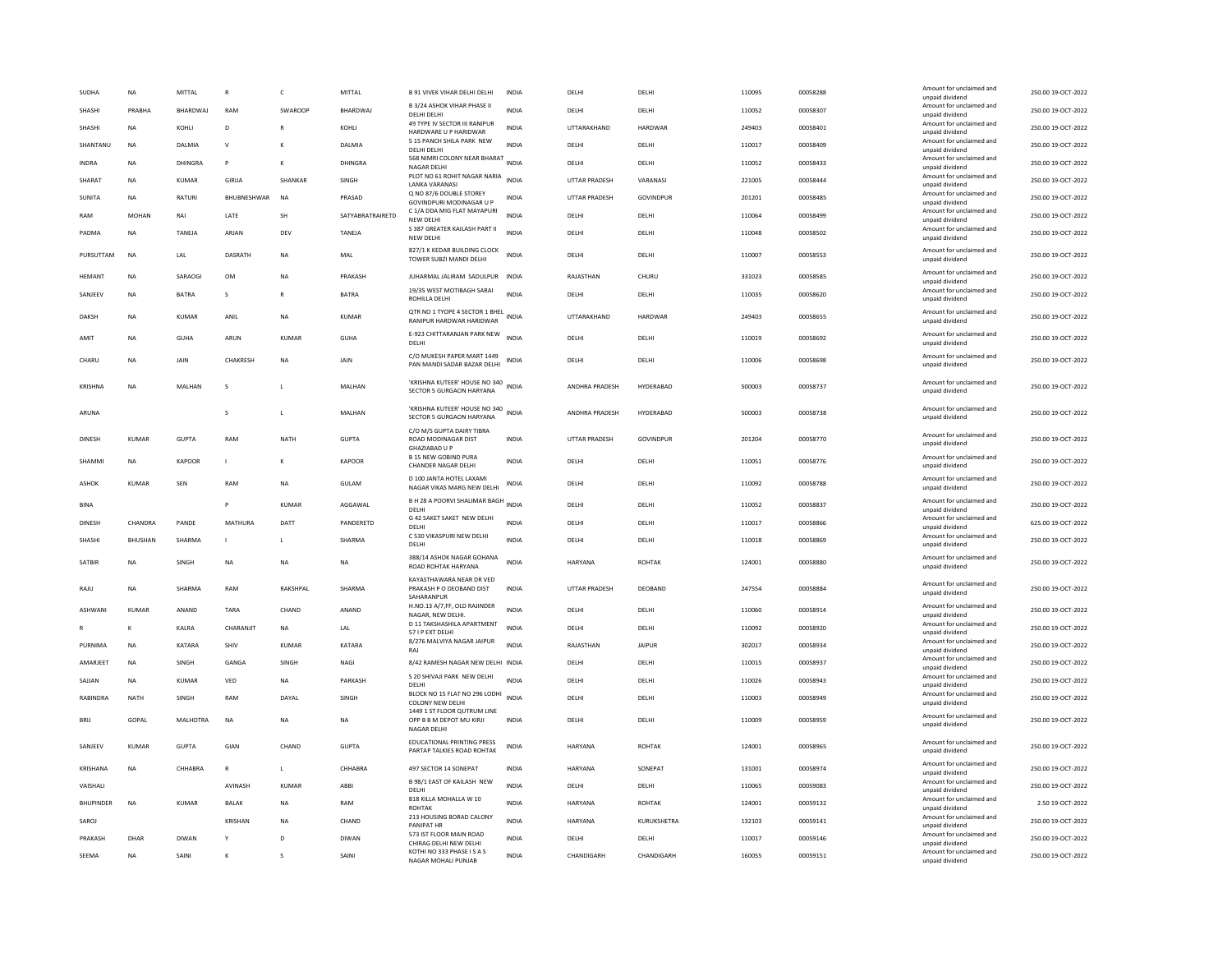| <b>SUDHA</b>     | <b>NA</b>      | MITTAL          | $\mathsf{R}$   | $\mathsf{C}$   | MITTAL                      | <b>B 91 VIVEK VIHAR DELHI DELHI</b>                                    | <b>INDIA</b> | DELHI                | DELHI               | 110095           | 00058288             | Amount for unclaimed and<br>unpaid dividend | 250.00 19-OCT-2022                       |
|------------------|----------------|-----------------|----------------|----------------|-----------------------------|------------------------------------------------------------------------|--------------|----------------------|---------------------|------------------|----------------------|---------------------------------------------|------------------------------------------|
| SHASHI           | PRARHA         | <b>BHARDWAI</b> | RAM            | <b>SWAROOP</b> | <b>BHARDWAI</b>             | B 3/24 ASHOK VIHAR PHASE II<br>DELHI DELHI                             | <b>INDIA</b> | DELHI                | DELHI               | 110052           | 00058307             | Amount for unclaimed and<br>unpaid dividend | 250.00 19-OCT-2022                       |
| SHASHI           | <b>NA</b>      | KOHLI           | D              | $\mathbb{R}$   | KOHLI                       | 49 TYPE IV SECTOR III RANIPUR                                          | <b>INDIA</b> | UTTARAKHAND          | <b>HARDWAR</b>      | 249403           | 00058401             | Amount for unclaimed and                    | 250.00 19-OCT-2022                       |
| SHANTANU         | <b>NA</b>      | DALMIA          | $\vee$         |                | DALMIA                      | HARDWARE U P HARIDWAR<br>5 15 PANCH SHILA PARK NEW                     | <b>INDIA</b> | DELHI                | DELHI               | 110017           | 00058409             | unpaid dividend<br>Amount for unclaimed and | 250.00 19-OCT-2022                       |
| INDRA            | NA             | DHINGRA         | P              | К              | DHINGRA                     | DELHI DELHI<br>568 NIMRI COLONY NEAR BHARAT                            | <b>INDIA</b> | DELHI                | DELHI               | 110052           | 00058433             | unpaid dividend<br>Amount for unclaimed and | 250.00 19-OCT-2022                       |
|                  |                |                 |                |                |                             | NAGAR DELHI<br>PLOT NO 61 ROHIT NAGAR NARIA                            |              |                      |                     |                  |                      | unpaid dividend<br>Amount for unclaimed and |                                          |
| SHARAT           | <b>NA</b>      | KUMAR           | GIRIJA         | <b>SHANKAR</b> | SINGH                       | <b>LANKA VARANASI</b><br>Q NO 87/6 DOUBLE STOREY                       | <b>INDIA</b> | <b>UTTAR PRADESH</b> | VARANASI            | 221005           | 00058444             | unpaid dividend<br>Amount for unclaimed and | 250.00 19-OCT-2022                       |
| <b>SUNITA</b>    | <b>NA</b>      | <b>RATURI</b>   | BHUBNESHWAR    | <b>NA</b>      | PRASAD                      | GOVINDPURI MODINAGAR U P                                               | <b>INDIA</b> | <b>UTTAR PRADESH</b> | GOVINDPUR           | 201201           | 00058485             | unpaid dividend                             | 250.00 19-OCT-2022                       |
| RAM              | <b>MOHAN</b>   | RAI             | LATE           | SH             | SATYABRATRAIRETD            | C 1/A DDA MIG FLAT MAYAPURI<br>NEW DELHI                               | <b>INDIA</b> | DELHI                | DELHI               | 110064           | 00058499             | Amount for unclaimed and<br>unpaid dividend | 250.00 19-OCT-2022                       |
| PADMA            | <b>NA</b>      | TANEJA          | ARJAN          | DEV            | TANEJA                      | S 387 GREATER KAILASH PART II<br>NEW DELHI                             | <b>INDIA</b> | DELHI                | DELHI               | 110048           | 00058502             | Amount for unclaimed and<br>unpaid dividend | 250.00 19-OCT-2022                       |
| PURSUTTAM        | <b>NA</b>      | LAL             | <b>DASRATH</b> | <b>NA</b>      | MAL                         | 827/1 K KEDAR BUILDING CLOCK<br>TOWER SUBZI MANDI DELHI                | <b>INDIA</b> | DELHI                | DELHI               | 110007           | 00058553             | Amount for unclaimed and<br>unpaid dividend | 250.00 19-OCT-2022                       |
| <b>HFMANT</b>    | <b>NA</b>      | SARAOGI         | <b>OM</b>      | <b>NA</b>      | PRAKASH                     | JUHARMAL JALIRAM SADULPUR                                              | <b>INDIA</b> | RAJASTHAN            | CHURU               | 331023           | 00058585             | Amount for unclaimed and<br>unpaid dividend | 250.00 19-OCT-2022                       |
| SANJEEV          | <b>NA</b>      | <b>BATRA</b>    | s              | $\mathbb{R}$   | <b>BATRA</b>                | 19/35 WEST MOTIBAGH SARAI<br>ROHILLA DELH                              | <b>INDIA</b> | DELHI                | DELHI               | 110035           | 00058620             | Amount for unclaimed and                    | 250.00 19-OCT-2022                       |
|                  |                |                 |                |                |                             | QTR NO 1 TYOPE 4 SECTOR 1 BHEL                                         |              |                      |                     |                  |                      | unpaid dividend<br>Amount for unclaimed and |                                          |
| DAKSH            | <b>NA</b>      | KUMAR           | ANIL           | <b>NA</b>      | KUMAR                       | RANIPUR HARDWAR HARIDWAR                                               | INDIA        | UTTARAKHAND          | HARDWAR             | 249403           | 00058655             | unpaid dividend                             | 250.00 19-OCT-2022                       |
| AMIT             | <b>NA</b>      | <b>GUHA</b>     | ARUN           | <b>KUMAR</b>   | <b>GUHA</b>                 | E-923 CHITTARANJAN PARK NEW<br>DELHI                                   | <b>INDIA</b> | DELHI                | DELHI               | 110019           | 00058692             | Amount for unclaimed and<br>unpaid dividend | 250.00 19-OCT-2022                       |
| CHARU            | <b>NA</b>      | <b>JAIN</b>     | CHAKRESH       | <b>NA</b>      | <b>JAIN</b>                 | C/O MUKESH PAPER MART 1449<br>PAN MANDI SADAR BAZAR DELHI              | <b>INDIA</b> | DELHI                | DELHI               | 110006           | 00058698             | Amount for unclaimed and<br>unpaid dividend | 250.00 19-OCT-2022                       |
|                  |                |                 |                |                |                             |                                                                        |              |                      |                     |                  |                      |                                             |                                          |
| <b>KRISHNA</b>   | <b>NA</b>      | MALHAN          | s              | $\mathbf{L}$   | MALHAN                      | 'KRISHNA KUTEER' HOUSE NO 340<br>SECTOR 5 GURGAON HARYANA              | <b>INDIA</b> | ANDHRA PRADESH       | HYDERABAD           | 500003           | 00058737             | Amount for unclaimed and<br>unpaid dividend | 250.00 19-OCT-2022                       |
| ARUNA            |                |                 | s              | $\mathbf{L}$   | MALHAN                      | 'KRISHNA KUTEER' HOUSE NO 340                                          | <b>INDIA</b> | ANDHRA PRADESH       | HYDERABAD           | 500003           | 00058738             | Amount for unclaimed and                    | 250.00 19-OCT-2022                       |
|                  |                |                 |                |                |                             | SECTOR 5 GURGAON HARYANA<br>C/O M/S GUPTA DAIRY TIBRA                  |              |                      |                     |                  |                      | unpaid dividend                             |                                          |
| <b>DINESH</b>    | <b>KUMAR</b>   | <b>GUPTA</b>    | RAM            | <b>NATH</b>    | <b>GUPTA</b>                | ROAD MODINAGAR DIST                                                    | <b>INDIA</b> | <b>UTTAR PRADESH</b> | GOVINDPUR           | 201204           | 00058770             | Amount for unclaimed and<br>unpaid dividend | 250.00 19-OCT-2022                       |
| SHAMMI           | <b>NA</b>      | KAPOOR          | L.             | к              | <b>KAPOOR</b>               | GHAZIABAD U P<br><b>B 15 NEW GOBIND PURA</b>                           | <b>INDIA</b> | DELHI                | DELHI               | 110051           | 00058776             | Amount for unclaimed and                    | 250.00 19-OCT-2022                       |
|                  |                |                 |                |                |                             | CHANDER NAGAR DELHI<br>D 100 JANTA HOTEL LAXAMI                        |              |                      |                     |                  |                      | unpaid dividend<br>Amount for unclaimed and |                                          |
| ASHOK            | KUMAR          | SFN             | RAM            | <b>NA</b>      | <b>GUI AM</b>               | NAGAR VIKAS MARG NEW DELHI                                             | <b>INDIA</b> | DELHI                | DELHI               | 110092           | 00058788             | unpaid dividend                             | 250.00 19-OCT-2022                       |
| <b>BINA</b>      |                |                 |                | KUMAR          | AGGAWAL                     | B H 28 A POORVI SHALIMAR BAGH<br>DELHI                                 | <b>INDIA</b> | DELHI                | DELHI               | 110052           | 00058837             | Amount for unclaimed and<br>unpaid dividend | 250.00 19-OCT-2022                       |
| DINESH           | CHANDRA        | PANDE           | <b>MATHURA</b> | DATT           | PANDERETD                   | G 42 SAKET SAKET NEW DELHI<br>DELHI                                    | <b>INDIA</b> | DELHI                | DELHI               | 110017           | 00058866             | Amount for unclaimed and<br>unpaid dividend | 625.00 19-OCT-2022                       |
| SHASHI           | <b>BHUSHAN</b> | SHARMA          | $\mathbf{L}$   | $\mathbf{L}$   | SHARMA                      | C 530 VIKASPURI NEW DELHI                                              | <b>INDIA</b> | <b>DELHI</b>         | DELHI               | 110018           | 00058869             | Amount for unclaimed and                    | 250.00.19-OCT-2022                       |
|                  |                |                 |                |                |                             | DELHI<br>388/14 ASHOK NAGAR GOHANA                                     |              |                      |                     |                  |                      | unpaid dividend<br>Amount for unclaimed and |                                          |
| SATBIF           | NA             | SINGH           | NA             | NA             | NA                          | ROAD ROHTAK HARYANA                                                    | INDIA        | HARYANA              | <b>ROHTAK</b>       | 124001           | 00058880             | unpaid dividend                             | 250.00 19-OCT-2022                       |
| RAJU             | <b>NA</b>      | <b>SHARMA</b>   | RAM            |                |                             | KAYASTHAWARA NEAR DR VED                                               |              |                      |                     |                  |                      |                                             |                                          |
| ASHWANI          |                |                 |                | RAKSHPAL       | SHARMA                      | PRAKASH P O DEOBAND DIST                                               | <b>INDIA</b> | <b>UTTAR PRADESH</b> | DEOBAND             | 247554           | 00058884             | Amount for unclaimed and<br>unpaid dividend | 250.00 19-OCT-2022                       |
|                  | <b>KUMAR</b>   | ANAND           | TARA           | CHAND          | ANAND                       | SAHARANPUR<br>H.NO.13 A/7,FF, OLD RAJINDER                             | <b>INDIA</b> | DELHI                | DELHI               | 110060           | 00058914             | Amount for unclaimed and                    | 250.00 19-OCT-2022                       |
|                  | K              | KALRA           | CHARANJIT      | <b>NA</b>      |                             | NAGAR, NEW DELHI.<br>D 11 TAKSHASHILA APARTMENT                        | <b>INDIA</b> | DELHI                | DELHI               | 110092           |                      | unpaid dividend<br>Amount for unclaimed and |                                          |
|                  |                |                 |                |                | $\ensuremath{\mathsf{LAL}}$ | 57 I P EXT DELHI<br>8/276 MALVIYA NAGAR JAIPUR                         |              |                      |                     |                  | 00058920             | unpaid dividend<br>Amount for unclaimed and | 250.00 19-OCT-2022                       |
| PURNIMA          | <b>NA</b>      | KATARA          | SHIV           | <b>KUMAR</b>   | KATARA                      | RAI                                                                    | <b>INDIA</b> | RAJASTHAN            | <b>JAIPUR</b>       | 302017           | 00058934             | unpaid dividend<br>Amount for unclaimed and | 250.00 19-OCT-2022                       |
| AMARJEET         | <b>NA</b>      | SINGH           | GANGA          | SINGH          | NAGI                        | 8/42 RAMESH NAGAR NEW DELHI INDIA                                      |              | DELHI                | DELHI               | 110015           | 00058937             | unpaid dividend                             | 250.00 19-OCT-2022                       |
| SAJJAN           | NA             | <b>KUMAR</b>    | VED            | <b>NA</b>      | PARKASH                     | S 20 SHIVAJI PARK NEW DELHI<br>DELHI                                   | <b>INDIA</b> | DELHI                | DELHI               | 110026           | 00058943             | Amount for unclaimed and<br>unpaid dividend | 250.00 19-OCT-2022                       |
| RABINDRA         | <b>NATH</b>    | SINGH           | RAM            | DAYAL          | SINGH                       | BLOCK NO 15 FLAT NO 296 LODHI<br><b>COLONY NEW DELHI</b>               | <b>INDIA</b> | DELHI                | DELHI               | 110003           | 00058949             | Amount for unclaimed and<br>unpaid dividend | 250.00 19-OCT-2022                       |
| <b>BRU</b>       | GOPAL          | <b>MALHOTRA</b> | <b>NA</b>      | <b>NA</b>      | <b>NA</b>                   | 1449 1 ST FLOOR QUTRUM LINE<br>OPP B B M DEPOT MU KIRJI<br>NAGAR DELHI | <b>INDIA</b> | DELHI                | DELHI               | 110009           | 00058959             | Amount for unclaimed and<br>unpaid dividend | 250.00 19-OCT-2022                       |
| SANJEEV          | KUMAR          | <b>GUPTA</b>    | GIAN           | CHAND          | <b>GUPTA</b>                | <b>EDUCATIONAL PRINTING PRESS</b><br>PARTAP TALKIES ROAD ROHTAK        | <b>INDIA</b> | <b>HARYANA</b>       | <b>ROHTAK</b>       | 124001           | 00058965             | Amount for unclaimed and<br>unpaid dividend | 250.00 19-OCT-2022                       |
| KRISHANA         | <b>NA</b>      | CHHABRA         | ${\sf R}$      | L              | CHHABRA                     | 497 SECTOR 14 SONEPAT                                                  | INDIA        | HARYANA              | SONEPAT             | 131001           | 00058974             | Amount for unclaimed and<br>unpaid dividend | 250.00 19-OCT-2022                       |
| VAISHALL         |                |                 | <b>AVINASH</b> | KUMAR          | ABBI                        | B 98/1 EAST OF KAILASH NEW<br>DELHI                                    | <b>INDIA</b> | DELHI                | DELHI               | 110065           | 00059083             | Amount for unclaimed and<br>unpaid dividend | 250.00 19-OCT-2022                       |
| <b>BHUPINDER</b> | <b>NA</b>      | <b>KUMAR</b>    | <b>BALAK</b>   | <b>NA</b>      | RAM                         | 818 KILLA MOHALLA W 10                                                 | <b>INDIA</b> | <b>HARYANA</b>       | <b>ROHTAK</b>       | 124001           | 00059132             | Amount for unclaimed and                    | 2.50 19-OCT-2022                         |
| SAROJ            |                |                 | KRISHAN        | <b>NA</b>      | CHAND                       | <b>ROHTAK</b><br>213 HOUSING BORAD CALONY                              | <b>INDIA</b> | HARYANA              | KURUKSHETRA         | 132103           | 00059141             | unpaid dividend<br>Amount for unclaimed and | 250.00 19-OCT-2022                       |
|                  | DHAR           | <b>DIWAN</b>    |                | D              | <b>DIWAN</b>                | PANIPAT HF<br>573 IST FLOOR MAIN ROAD                                  | <b>INDIA</b> |                      |                     |                  |                      | unpaid dividend<br>Amount for unclaimed and |                                          |
| PRAKASH<br>SEEMA | <b>NA</b>      | SAINI           | к              | s              | SAINI                       | CHIRAG DELHI NEW DELHI<br>KOTHI NO 333 PHASE I S A S                   | <b>INDIA</b> | DELHI<br>CHANDIGARH  | DELHI<br>CHANDIGARH | 110017<br>160055 | 00059146<br>00059151 | unpaid dividend<br>Amount for unclaimed and | 250.00 19-OCT-2022<br>250.00 19-OCT-2022 |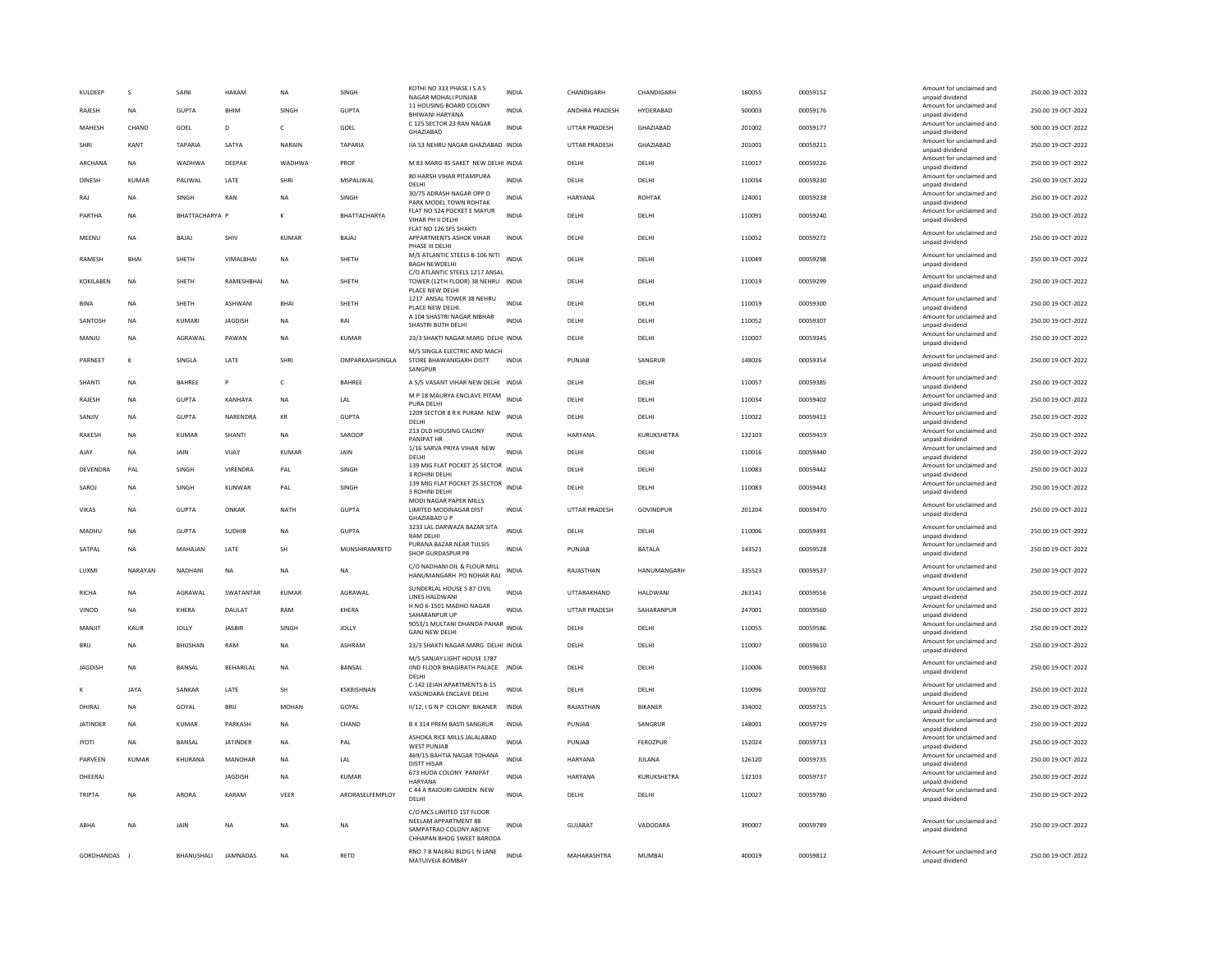| KULDEEP         | $\mathbf{S}$ | SAIN           | HAKAN             | NA           | SINGH           | KOTHI NO 333 PHASE IS A S<br>NAGAR MOHALI PUNJAB                                                         | <b>INDIA</b> | CHANDIGARH           | CHANDIGARH     | 160055 | 00059152 | Amount for unclaimed and<br>unnaid dividend                             | 250.00 19-OCT-2022 |
|-----------------|--------------|----------------|-------------------|--------------|-----------------|----------------------------------------------------------------------------------------------------------|--------------|----------------------|----------------|--------|----------|-------------------------------------------------------------------------|--------------------|
| RAJESH          | <b>NA</b>    | <b>GUPTA</b>   | BHIM              | SINGH        | <b>GUPTA</b>    | 11 HOUSING BOARD COLONY<br>BHIWANI HARYANA                                                               | <b>INDIA</b> | ANDHRA PRADESH       | HYDERABAD      | 500003 | 00059176 | Amount for unclaimed and<br>unpaid dividend                             | 250.00 19-OCT-2022 |
| MAHESH          | CHAND        | GOEL           | D                 | $\mathsf{C}$ | GOEL            | C 125 SECTOR 23 RAN NAGAR<br>GHAZIABAD                                                                   | <b>INDIA</b> | <b>UTTAR PRADESH</b> | GHAZIABAD      | 201002 | 00059177 | Amount for unclaimed and<br>unpaid dividend                             | 500.00 19-OCT-2022 |
| SHRI            | KANT         | <b>TAPARIA</b> | SATYA             | NARAIN       | <b>TAPARIA</b>  | IIA 53 NEHRU NAGAR GHAZIABAD INDIA                                                                       |              | <b>UTTAR PRADESH</b> | GHAZIABAD      | 201001 | 00059211 | Amount for unclaimed and<br>unpaid dividend                             | 250.00 19-OCT-2022 |
| ARCHANA         | <b>NA</b>    | WADHWA         | DEEPAK            | WADHWA       | PROF            | M 83 MARG 45 SAKET NEW DELHI INDIA                                                                       |              | DELHI                | DELHI          | 110017 | 00059226 | Amount for unclaimed and<br>unpaid dividend                             | 250.00 19-OCT-2022 |
| <b>DINESH</b>   | KUMAR        | PALIWAL        | LATE              | SHRI         | MSPALIWAL       | 80 HARSH VIHAR PITAMPURA<br>DELHI                                                                        | <b>INDIA</b> | DELHI                | DELHI          | 110034 | 00059230 | Amount for unclaimed and<br>unpaid dividend                             | 250.00 19-OCT-2022 |
| RAJ             | NA           | SINGH          | RAN               | NA           | SINGH           | 30/75 ADRASH NAGAR OPP D<br>PARK MODEL TOWN ROHTAK                                                       | INDIA        | HARYANA              | ROHTAK         | 124001 | 00059238 | Amount for unclaimed and<br>unpaid dividend                             | 250.00 19-OCT-2022 |
| PARTHA          | <b>NA</b>    | BHATTACHARYA P |                   | к            | BHATTACHARYA    | FLAT NO 524 POCKET E MAYUR<br>VIHAR PH II DELHI                                                          | <b>INDIA</b> | <b>DELHI</b>         | <b>DELHI</b>   | 110091 | 00059240 | Amount for unclaimed and<br>unpaid dividend                             | 250.00 19-OCT-2022 |
| MEENU           | <b>NA</b>    | BAJAJ          | SHIV              | <b>KUMAR</b> | BAJAJ           | FLAT NO 126 SFS SHAKTI<br>APPARTMENTS ASHOK VIHAR                                                        | <b>INDIA</b> | DELHI                | DELHI          | 110052 | 00059272 | Amount for unclaimed and                                                | 250.00 19-OCT-2022 |
|                 |              |                |                   |              |                 | PHASE III DELHI<br>M/S ATLANTIC STEELS B-106 NITI                                                        |              |                      |                |        |          | unpaid dividend<br>Amount for unclaimed and                             |                    |
| <b>RAMESH</b>   | <b>BHAI</b>  | <b>SHETH</b>   | <b>VIMAI RHAI</b> | <b>NA</b>    | SHETH           | <b>BAGH NEWDELHI</b><br>C/O ATLANTIC STEELS 1217 ANSAL                                                   | <b>INDIA</b> | <b>DELHI</b>         | <b>DELHI</b>   | 110049 | 00059298 | unpaid dividend                                                         | 250.00 19-OCT-2022 |
| KOKILABEN       | <b>NA</b>    | SHETH          | RAMESHBHAI        | <b>NA</b>    | SHETH           | TOWER (12TH FLOOR) 38 NEHRU INDIA<br>PLACE NEW DELHI                                                     |              | DELHI                | DELHI          | 110019 | 00059299 | Amount for unclaimed and<br>unpaid dividend                             | 250.00 19-OCT-2022 |
| <b>BINA</b>     | <b>NA</b>    | SHETH          | ASHWANI           | <b>BHA</b>   | SHETH           | 1217 ANSAL TOWER 38 NEHRU<br>PLACE NEW DELHI.                                                            | <b>INDIA</b> | DELHI                | DELHI          | 110019 | 00059300 | Amount for unclaimed and<br>unpaid dividend                             | 250.00 19-OCT-2022 |
| SANTOSH         | NA           | KUMARI         | <b>JAGDISH</b>    | NA           | RAI             | A 104 SHASTRI NAGAR NIBHAR                                                                               | INDIA        | DELHI                | DELHI          | 110052 | 00059307 | Amount for unclaimed and                                                | 250.00 19-OCT-2022 |
| MANJU           | <b>NA</b>    | AGRAWAL        | PAWAN             | <b>NA</b>    | KUMAR           | SHASTRI BUTH DELHI<br>23/3 SHAKTI NAGAR MARG DELHI INDIA                                                 |              | DELHI                | DELHI          | 110007 | 00059345 | unpaid dividend<br>Amount for unclaimed and                             | 250.00 19-OCT-2022 |
|                 |              |                |                   |              |                 | M/S SINGLA ELECTRIC AND MACH                                                                             |              |                      |                |        |          | unpaid dividend<br>Amount for unclaimed and                             |                    |
| PARNEET         | $\kappa$     | SINGLA         | LATE              | SHRI         | OMPARKASHSINGLA | STORE BHAWANIGARH DISTT<br>SANGPUR                                                                       | <b>INDIA</b> | PUNJAB               | SANGRUR        | 148026 | 00059354 | unpaid dividend                                                         | 250.00 19-OCT-2022 |
| SHANTI          | <b>NA</b>    | BAHREE         | P                 | $\mathsf{C}$ | <b>BAHREE</b>   | A 5/5 VASANT VIHAR NEW DELHI INDIA                                                                       |              | DELHI                | DELHI          | 110057 | 00059385 | Amount for unclaimed and<br>unpaid dividend                             | 250.00 19-OCT-2022 |
| RAJESH          | <b>NA</b>    | <b>GUPTA</b>   | KANHAYA           | <b>NA</b>    | LAL             | M P 18 MAURYA ENCLAVE PITAM<br>PURA DELHI                                                                | <b>INDIA</b> | DELHI                | DELHI          | 110034 | 00059402 | Amount for unclaimed and<br>unpaid dividend                             | 250.00 19-OCT-2022 |
| SANJIV          | <b>NA</b>    | <b>GUPTA</b>   | NARENDRA          | KR           | GUPTA           | 1209 SECTOR 8 R K PURAM NEW<br>DELHI                                                                     | <b>INDIA</b> | DELHI                | DELHI          | 110022 | 00059413 | Amount for unclaimed and<br>unpaid dividend                             | 250.00 19-OCT-2022 |
| <b>RAKESH</b>   | <b>NA</b>    | KUMAR          | SHANTI            | NA           | SAROOP          | 213 OLD HOUSING CALONY<br><b>PANIPAT HR</b>                                                              | <b>INDIA</b> | <b>HARYANA</b>       | KURUKSHETRA    | 132103 | 00059419 | Amount for unclaimed and<br>unpaid dividend                             | 250.00 19-OCT-2022 |
| AJAY            | <b>NA</b>    | <b>JAIN</b>    | VIJAY             | <b>KUMAR</b> | JAIN            | 1/16 SARVA PRIYA VIHAR NEW<br>DELHI                                                                      | <b>INDIA</b> | DELHI                | DELHI          | 110016 | 00059440 | Amount for unclaimed and<br>unpaid dividend                             | 250.00 19-OCT-2022 |
| DEVENDRA        | PAL          | SINGH          | VIRENDRA          | PAL          | SINGH           | 139 MIG FLAT POCKET 25 SECTOR<br>3 ROHINI DELHI                                                          | <b>INDIA</b> | DELHI                | DELHI          | 110083 | 00059442 | Amount for unclaimed and<br>unpaid dividend                             | 250.00 19-OCT-2022 |
| SAROJ           | <b>NA</b>    | SINGH          | KUNWAR            | PAL          | SINGH           | 139 MIG FLAT POCKET 25 SECTOR<br>3 ROHINI DELHI                                                          | <b>INDIA</b> | DELHI                | DELHI          | 110083 | 00059443 | Amount for unclaimed and<br>unpaid dividend                             | 250.00 19-OCT-2022 |
| <b>VIKAS</b>    | <b>NA</b>    | <b>GUPTA</b>   | ONKAR             | <b>NATH</b>  | <b>GUPTA</b>    | MODI NAGAR PAPER MILLS<br>LIMITED MODINAGAR DIST<br><b>GHAZIABAD U P</b>                                 | <b>INDIA</b> | <b>UTTAR PRADESH</b> | GOVINDPUR      | 201204 | 00059470 | Amount for unclaimed and<br>unpaid dividend                             | 250.00 19-OCT-2022 |
| <b>MADHU</b>    | <b>NA</b>    | GUPTA          | <b>SUDHIR</b>     | <b>NA</b>    | <b>GUPTA</b>    | 3233 LAL DARWAZA BAZAR SITA<br><b>RAM DELHI</b>                                                          | <b>INDIA</b> | <b>DELHI</b>         | <b>DELHI</b>   | 110006 | 00059493 | Amount for unclaimed and<br>unpaid dividend                             | 250.00 19-OCT-2022 |
| SATPAL          | NA           | MAHAJAN        | LATE              | <b>SH</b>    | MUNSHIRAMRETD   | PURANA BAZAR NEAR TULSIS<br>SHOP GURDASPUR PB                                                            | <b>INDIA</b> | PUNJAB               | <b>BATALA</b>  | 143521 | 00059528 | Amount for unclaimed and<br>unpaid dividend                             | 250.00 19-OCT-2022 |
| LUXMI           | NARAYAN      | NADHANI        | NA                | NA           | NA              | C/O NADHANI OIL & FLOUR MILL                                                                             | INDIA        | RAJASTHAN            | HANUMANGARH    | 335523 | 00059537 | Amount for unclaimed and                                                | 250.00 19-OCT-2022 |
|                 |              |                |                   |              |                 | HANUMANGARH PO NOHAR RAJ<br>SUNDERLAL HOUSE 5 87 CIVIL                                                   |              |                      |                |        |          | unpaid dividend<br>Amount for unclaimed and                             |                    |
| RICHA           | NA           | AGRAWAL        | SWATANTAR         | <b>KUMAR</b> | AGRAWAL         | LINES HALDWANI<br>H NO 6-1501 MADHO NAGAR                                                                | <b>INDIA</b> | UTTARAKHAND          | HALDWANI       | 263141 | 00059556 | unpaid dividend<br>Amount for unclaimed and                             | 250.00 19-OCT-2022 |
| VINOD           | <b>NA</b>    | KHERA          | DAULAT            | RAM          | KHERA           | SAHARANPUR UP<br>9053/1 MULTANI DHANDA PAHAR<br>INDIA                                                    | <b>INDIA</b> | <b>UTTAR PRADESH</b> | SAHARANPUR     | 247001 | 00059560 | unpaid dividend<br>Amount for unclaimed and                             | 250.00 19-OCT-2022 |
| MANJIT          | KAUR         | <b>JOLLY</b>   | <b>JASBIR</b>     | SINGH        | <b>JOLLY</b>    | <b>GANJ NEW DELHI</b>                                                                                    |              | DELHI                | DELHI          | 110055 | 00059586 | unpaid dividend<br>Amount for unclaimed and                             | 250.00 19-OCT-2022 |
| <b>BRIJ</b>     | <b>NA</b>    | <b>BHUSHAN</b> | RAM               | <b>NA</b>    | <b>ASHRAM</b>   | 23/3 SHAKTI NAGAR MARG DELHI INDIA<br>M/S SANJAY LIGHT HOUSE 1787                                        |              | DELHI                | DELHI          | 110007 | 00059610 | unpaid dividend                                                         | 250.00 19-OCT-2022 |
| <b>IAGDISH</b>  | <b>NA</b>    | <b>BANSAI</b>  | <b>REHARILAI</b>  | <b>NA</b>    | <b>BANSAI</b>   | IIND FLOOR BHAGIRATH PALACE<br>DELHI<br>C-142 LEIAH APARTMENTS B-15                                      | <b>INDIA</b> | <b>DELHI</b>         | <b>DELHI</b>   | 110006 | 00059683 | Amount for unclaimed and<br>unpaid dividend<br>Amount for unclaimed and | 250.00 19-OCT-2022 |
| к               | <b>JAYA</b>  | SANKAR         | LATE              | SH           | KSKRISHNAN      | VASUNDARA ENCLAVE DELHI                                                                                  | <b>INDIA</b> | DELHI                | DELHI          | 110096 | 00059702 | unpaid dividend<br>Amount for unclaimed and                             | 250.00 19-OCT-2022 |
| DHIRAJ          | NA           | GOYAL          | <b>BRIL</b>       | <b>MOHAN</b> | GOYAL           | II/12, I G N P COLONY BIKANER                                                                            | INDIA        | RAJASTHAN            | <b>BIKANER</b> | 334002 | 00059715 | unpaid dividend<br>Amount for unclaimed and                             | 250.00 19-OCT-2022 |
| <b>JATINDER</b> | <b>NA</b>    | <b>KUMAR</b>   | PARKASH           | <b>NA</b>    | CHAND           | B X 314 PREM BASTI SANGRUR<br>ASHOKA RICE MILLS JALALABAD                                                | <b>INDIA</b> | PUNJAB               | SANGRUR        | 148001 | 00059729 | unpaid dividend<br>Amount for unclaimed and                             | 250.00 19-OCT-2022 |
| <b>JYOTI</b>    | <b>NA</b>    | BANSAL         | <b>JATINDER</b>   | NA           | PAL             | <b>WEST PUNJAB</b>                                                                                       | <b>INDIA</b> | PUNJAB               | FEROZPUR       | 152024 | 00059733 | unpaid dividend                                                         | 250.00 19-OCT-2022 |
| PARVEEN         | <b>KUMAR</b> | KHURANA        | MANOHAR           | <b>NA</b>    | LAL             | 469/15 BAHTIA NAGAR TOHANA<br><b>DISTT HISAR</b>                                                         | <b>INDIA</b> | HARYANA              | JULANA         | 126120 | 00059735 | Amount for unclaimed and<br>unpaid dividend                             | 250.00 19-OCT-2022 |
| DHEERAJ         |              |                | <b>IAGDISH</b>    | <b>NA</b>    | KUMAR           | 673 HUDA COLONY PANIPAT<br><b>HARYANA</b>                                                                | <b>INDIA</b> | <b>HARYANA</b>       | KURUKSHETRA    | 132103 | 00059737 | Amount for unclaimed and<br>unpaid dividend                             | 250.00 19-OCT-2022 |
| TRIPTA          | NA           | ARORA          | KARAM             | VEER         | ARORASELFEMPLOY | C 44 A RAJOURI GARDEN NEW<br>DELHI                                                                       | <b>INDIA</b> | DELHI                | DELHI          | 110027 | 00059780 | Amount for unclaimed and<br>unpaid dividend                             | 250.00 19-OCT-2022 |
| ABHA            | <b>NA</b>    | JAIN           | <b>NA</b>         | <b>NA</b>    | <b>NA</b>       | C/O MCS LIMITED 1ST FLOOR<br>NEELAM APPARTMENT 88<br>SAMPATRAO COLONY ABOVE<br>CHHAPAN BHOG SWEET BARODA | <b>INDIA</b> | <b>GUJARAT</b>       | VADODARA       | 390007 | 00059789 | Amount for unclaimed and<br>unpaid dividend                             | 250.00 19-OCT-2022 |
| GORDHANDAS J    |              | BHANUSHALI     | <b>IAMNADAS</b>   | <b>NA</b>    | <b>RFTD</b>     | RNO 7 B NALRAJ BLDG L N LANE<br>MATUIVEIA BOMBAY                                                         | <b>INDIA</b> | MAHARASHTRA          | MUMBAI         | 400019 | 00059812 | Amount for unclaimed and<br>unpaid dividend                             | 250.00 19-OCT-2022 |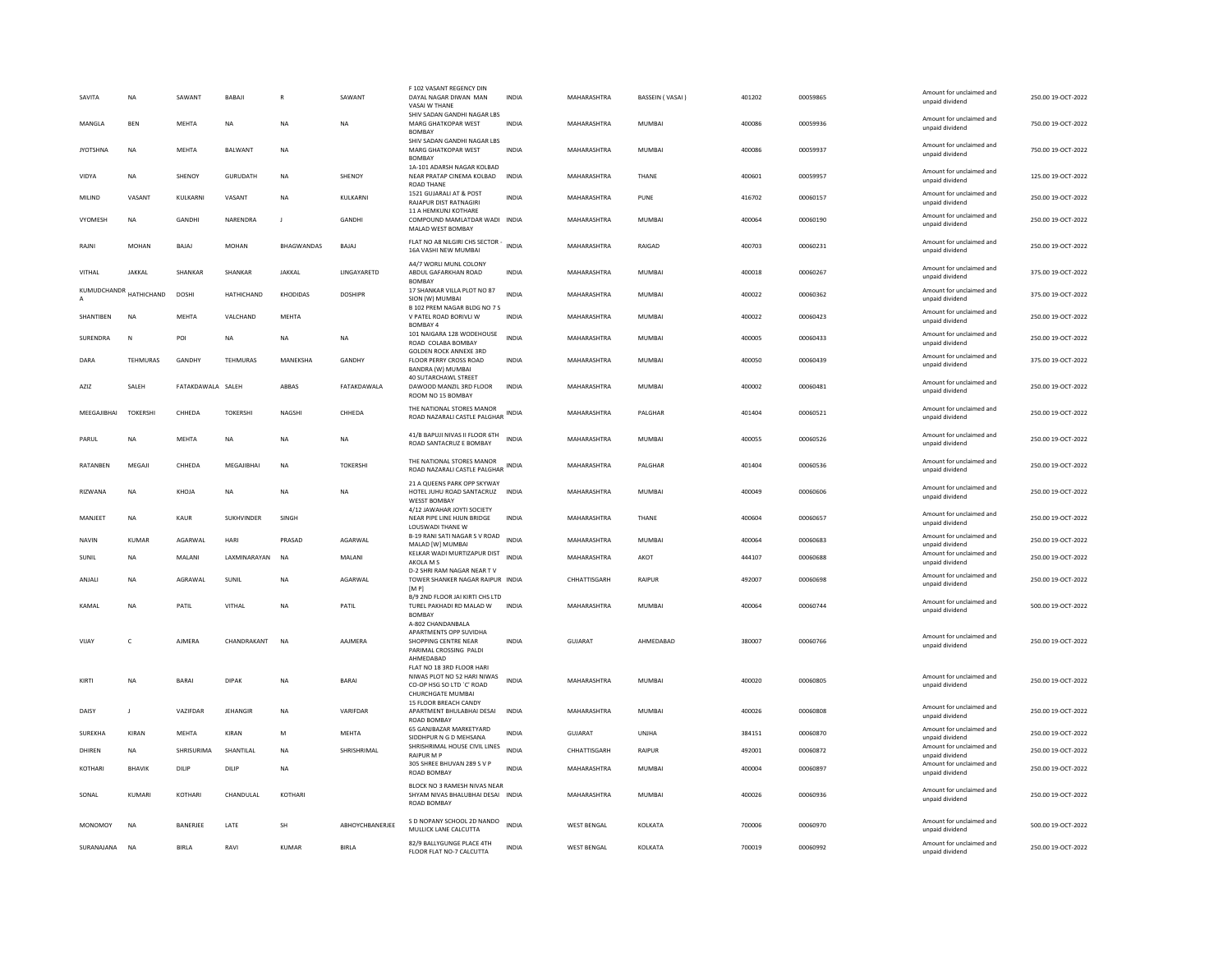| SAVITA          | <b>NA</b>         | SAWANT            | BABAJI            |               | SAWANT                 | F 102 VASANT REGENCY DIN<br>DAYAL NAGAR DIWAN MAN<br>VASAI W THANE                                         | <b>INDIA</b> | MAHARASHTRA        | <b>BASSEIN (VASAI)</b> | 401202 | 00059865 | Amount for unclaimed and<br>unpaid dividend | 250.00 19-OCT-2022 |
|-----------------|-------------------|-------------------|-------------------|---------------|------------------------|------------------------------------------------------------------------------------------------------------|--------------|--------------------|------------------------|--------|----------|---------------------------------------------|--------------------|
| <b>MANGLA</b>   | <b>RFN</b>        | <b>MFHTA</b>      | <b>NA</b>         | <b>NA</b>     | <b>NA</b>              | SHIV SADAN GANDHI NAGAR LBS<br><b>MARG GHATKOPAR WEST</b><br><b>BOMBAY</b>                                 | <b>INDIA</b> | MAHARASHTRA        | MUMBAI                 | 400086 | 00059936 | Amount for unclaimed and<br>unpaid dividend | 750.00 19-OCT-2022 |
| <b>JYOTSHNA</b> | <b>NA</b>         | <b>MEHTA</b>      | BALWANT           | <b>NA</b>     |                        | SHIV SADAN GANDHI NAGAR LBS<br>MARG GHATKOPAR WEST<br><b>BOMBAY</b>                                        | <b>INDIA</b> | MAHARASHTRA        | <b>MUMBAI</b>          | 400086 | 00059937 | Amount for unclaimed and<br>unpaid dividend | 750.00 19-OCT-2022 |
| VIDYA           | NA                | SHENOY            | GURUDATH          | NA            | SHENOY                 | 1A-101 ADARSH NAGAR KOLBAD<br>NEAR PRATAP CINEMA KOLBAD<br><b>ROAD THANE</b>                               | INDIA        | MAHARASHTRA        | THANE                  | 400601 | 00059957 | Amount for unclaimed and<br>unpaid dividend | 125.00 19-OCT-2022 |
| MILIND          | VASANT            | KULKARNI          | VASANT            | NA            | KULKARNI               | 1521 GUJARALI AT & POST<br><b>RAJAPUR DIST RATNAGIRI</b>                                                   | <b>INDIA</b> | MAHARASHTRA        | PUNE                   | 416702 | 00060157 | Amount for unclaimed and<br>unpaid dividend | 250.00 19-OCT-2022 |
| VYOMESH         | NA                | <b>GANDHI</b>     | NARENDRA          | $\mathbf{J}$  | <b>GANDHI</b>          | 11 A HEMKUNJ KOTHARE<br>COMPOUND MAMLATDAR WADI INDIA<br>MALAD WEST BOMBAY                                 |              | MAHARASHTRA        | MUMBAI                 | 400064 | 00060190 | Amount for unclaimed and<br>unpaid dividend | 250.00 19-OCT-2022 |
| RAJNI           | <b>MOHAN</b>      | BAJAJ             | <b>MOHAN</b>      | BHAGWANDAS    | BAJAJ                  | FLAT NO A8 NILGIRI CHS SECTOR - INDIA<br>16A VASHI NEW MUMBAI                                              |              | MAHARASHTRA        | RAIGAD                 | 400703 | 00060231 | Amount for unclaimed and<br>unpaid dividend | 250.00 19-OCT-2022 |
| VITHAL          | JAKKAL            | SHANKAR           | SHANKAR           | <b>JAKKAL</b> | LINGAYARETD            | A4/7 WORLI MUNL COLONY<br>ABDUL GAFARKHAN ROAD<br><b>BOMBAY</b>                                            | INDIA        | MAHARASHTRA        | MUMBAI                 | 400018 | 00060267 | Amount for unclaimed and<br>unpaid dividend | 375.00 19-OCT-2022 |
| KUMUDCHANDR     | <b>HATHICHAND</b> | DOSHI             | HATHICHAND        | KHODIDAS      | <b>DOSHIPR</b>         | 17 SHANKAR VILLA PLOT NO 87<br>SION (W) MUMBAI                                                             | <b>INDIA</b> | MAHARASHTRA        | <b>MUMBAI</b>          | 400022 | 00060362 | Amount for unclaimed and<br>unpaid dividend | 375.00 19-OCT-2022 |
| SHANTIBEN       | <b>NA</b>         | <b>MEHTA</b>      | VALCHAND          | <b>MEHTA</b>  |                        | B 102 PREM NAGAR BLDG NO 7 S<br>V PATEL ROAD BORIVLI W<br><b>BOMBAY 4</b>                                  | <b>INDIA</b> | MAHARASHTRA        | <b>MUMBAI</b>          | 400022 | 00060423 | Amount for unclaimed and<br>unpaid dividend | 250.00 19-OCT-2022 |
| SURENDRA        | N                 | POI               | $_{\sf NA}$       | NA            | <b>NA</b>              | 101 NAIGARA 128 WODEHOUSE<br>ROAD COLABA BOMBAY                                                            | <b>INDIA</b> | MAHARASHTRA        | <b>MUMBAI</b>          | 400005 | 00060433 | Amount for unclaimed and<br>unpaid dividend | 250.00 19-OCT-2022 |
| DARA            | TEHMURAS          | <b>GANDHY</b>     | <b>TEHMURAS</b>   | MANEKSHA      | GANDHY                 | <b>GOLDEN ROCK ANNEXE 3RD</b><br>FLOOR PERRY CROSS ROAD<br>BANDRA (W) MUMBAI                               | <b>INDIA</b> | MAHARASHTRA        | <b>MUMBAI</b>          | 400050 | 00060439 | Amount for unclaimed and<br>unpaid dividend | 375.00 19-OCT-2022 |
| AZIZ            | SALEH             | FATAKDAWALA SALEH |                   | <b>ARRAS</b>  | FATAKDAWALA            | 40 SUTARCHAWL STREET<br>DAWOOD MANZIL 3RD FLOOR<br>ROOM NO 15 BOMBAY                                       | <b>INDIA</b> | MAHARASHTRA        | MUMBAI                 | 400002 | 00060481 | Amount for unclaimed and<br>unpaid dividend | 250.00 19-OCT-2022 |
| MEEGAJIBHAI     | <b>TOKERSHI</b>   | CHHEDA            | <b>TOKERSHI</b>   | NAGSHI        | CHHEDA                 | THE NATIONAL STORES MANOR<br>ROAD NAZARALI CASTLE PALGHAR INDIA                                            |              | MAHARASHTRA        | PALGHAR                | 401404 | 00060521 | Amount for unclaimed and<br>unpaid dividend | 250.00 19-OCT-2022 |
| PARUL           | NA                | MEHTA             | NA                | <b>NA</b>     | NA                     | 41/B BAPUJI NIVAS II FLOOR 6TH<br><b>ROAD SANTACRUZE BOMBAY</b>                                            | INDIA        | MAHARASHTRA        | MUMBAI                 | 400055 | 00060526 | Amount for unclaimed and<br>unpaid dividend | 250.00 19-OCT-2022 |
| RATANBEN        | MEGAJI            | CHHEDA            | MEGAJIBHAI        | <b>NA</b>     | <b>TOKERSHI</b>        | THE NATIONAL STORES MANOR<br>ROAD NAZARALI CASTLE PALGHAR                                                  | <b>INDIA</b> | MAHARASHTRA        | PALGHAR                | 401404 | 00060536 | Amount for unclaimed and<br>unpaid dividend | 250.00 19-OCT-2022 |
| RIZWANA         | <b>NA</b>         | KHOJA             | <b>NA</b>         | <b>NA</b>     | <b>NA</b>              | 21 A QUEENS PARK OPP SKYWAY<br>HOTEL JUHU ROAD SANTACRUZ INDIA<br><b>WESST BOMBAY</b>                      |              | MAHARASHTRA        | <b>MUMBAI</b>          | 400049 | 00060606 | Amount for unclaimed and<br>unpaid dividend | 250.00 19-OCT-2022 |
| MANJEET         | <b>NA</b>         | <b>KAUR</b>       | <b>SUKHVINDER</b> | SINGH         |                        | 4/12 JAWAHAR JOYTI SOCIETY<br>NEAR PIPE LINE HJUN BRIDGE<br>LOUSWADI THANE W                               | <b>INDIA</b> | MAHARASHTRA        | THANE                  | 400604 | 00060657 | Amount for unclaimed and<br>unpaid dividend | 250.00 19-OCT-2022 |
| <b>NAVIN</b>    | <b>KUMAR</b>      | AGARWAL           | HARI              | PRASAD        | AGARWAL                | B-19 RANI SATI NAGAR S V ROAD<br>MALAD [W] MUMBAI                                                          | <b>INDIA</b> | MAHARASHTRA        | <b>MUMBAI</b>          | 400064 | 00060683 | Amount for unclaimed and<br>unpaid dividend | 250.00 19-OCT-2022 |
| SUNIL           | NA                | MALANI            | LAXMINARAYAN      | <b>NA</b>     | MALANI                 | KELKAR WADI MURTIZAPUR DIST<br>AKOLA M S                                                                   | <b>INDIA</b> | MAHARASHTRA        | AKOT                   | 444107 | 00060688 | Amount for unclaimed and<br>unpaid dividend | 250.00 19-OCT-2022 |
| ANJALI          | <b>NA</b>         | AGRAWAL           | SUNIL             | <b>NA</b>     | AGARWAL                | D-2 SHRI RAM NAGAR NEAR TV<br>TOWER SHANKER NAGAR RAIPUR INDIA<br>[M P]                                    |              | CHHATTISGARH       | <b>RAIPUR</b>          | 492007 | 00060698 | Amount for unclaimed and<br>unpaid dividend | 250.00 19-OCT-2022 |
| KAMAI           | <b>NA</b>         | PATIL             | VITHAI            | <b>NA</b>     | PATIL                  | B/9 2ND FLOOR JAI KIRTI CHS LTD<br>TUREL PAKHADI RD MALAD W<br><b>BOMBA</b>                                | <b>INDIA</b> | MAHARASHTRA        | MUMBAI                 | 400064 | 00060744 | Amount for unclaimed and<br>unpaid dividend | 500.00 19-OCT-2022 |
|                 |                   |                   |                   |               |                        | A-802 CHANDANBALA<br>APARTMENTS OPP SUVIDHA                                                                |              |                    |                        |        |          |                                             |                    |
| VIJAY           | c                 | <b>AJMERA</b>     | CHANDRAKANT       | <b>NA</b>     | AAJMERA                | SHOPPING CENTRE NEAR<br>PARIMAL CROSSING PALDI<br>AHMEDABAD                                                | <b>INDIA</b> | <b>GUJARAT</b>     | AHMEDABAD              | 380007 | 00060766 | Amount for unclaimed and<br>unpaid dividend | 250.00 19-OCT-2022 |
| KIRTI           | <b>NA</b>         | <b>BARAI</b>      | DIPAK             | <b>NA</b>     | BARAI                  | FLAT NO 18 3RD FLOOR HARI<br>NIWAS PLOT NO 52 HARI NIWAS<br>CO-OP HSG SO LTD `C' ROAD<br>CHURCHGATE MUMBAI | <b>INDIA</b> | MAHARASHTRA        | MUMBAI                 | 400020 | 00060805 | Amount for unclaimed and<br>unpaid dividend | 250.00 19-OCT-2022 |
| DAISY           | $\mathbf{I}$      | VAZIFDAR          | <b>JEHANGIR</b>   | <b>NA</b>     | VARIFDAR               | 15 FLOOR BREACH CANDY<br>APARTMENT BHULABHAI DESAI<br><b>ROAD BOMBAY</b>                                   | <b>INDIA</b> | MAHARASHTRA        | <b>MUMBAI</b>          | 400026 | 00060808 | Amount for unclaimed and<br>unpaid dividend | 250.00 19-OCT-2022 |
| <b>SUREKHA</b>  | KIRAN             | <b>MEHTA</b>      | KIRAN             | M             | MEHTA                  | 65 GANJBAZAR MARKETYARD<br>SIDDHPUR N G D MEHSANA                                                          | INDIA        | GUJARAT            | UNJHA                  | 384151 | 00060870 | Amount for unclaimed and<br>unnaid dividend | 250.00 19-OCT-2022 |
| DHIREN          | NA                | SHRISURIMA        | SHANTILAL         | <b>NA</b>     | SHRISHRIMAL            | SHRISHRIMAL HOUSE CIVIL LINES<br><b>RAIPURMP</b>                                                           | <b>INDIA</b> | CHHATTISGARH       | RAIPUR                 | 492001 | 00060872 | Amount for unclaimed and<br>unpaid dividend | 250.00 19-OCT-2022 |
| KOTHARI         | <b>RHAVIK</b>     | DILIP             | DILIP             | <b>NA</b>     |                        | 305 SHREE BHUVAN 289 S V P<br>ROAD BOMBAY                                                                  | <b>INDIA</b> | MAHARASHTRA        | MUMBAI                 | 400004 | 00060897 | Amount for unclaimed and<br>unpaid dividend | 250.00.19-OCT-2022 |
| SONAL           | <b>KUMARI</b>     | KOTHARI           | CHANDULAL         | KOTHARI       |                        | BLOCK NO 3 RAMESH NIVAS NEAR<br>SHYAM NIVAS BHALUBHAI DESAI INDIA<br>ROAD BOMBAY                           |              | MAHARASHTRA        | <b>MUMBAI</b>          | 400026 | 00060936 | Amount for unclaimed and<br>unpaid dividend | 250.00 19-OCT-2022 |
| MONOMOY         | <b>NA</b>         | BANERJEE          | LATE              | SH            | <b>ABHOYCHBANERJEE</b> | S D NOPANY SCHOOL 2D NANDO<br>MULLICK LANE CALCUTTA                                                        | <b>INDIA</b> | <b>WEST BENGAL</b> | KOLKATA                | 700006 | 00060970 | Amount for unclaimed and<br>unpaid dividend | 500.00 19-OCT-2022 |
| SURANAJANA      | <b>NA</b>         | <b>BIRLA</b>      | RAVI              | <b>KUMAR</b>  | <b>BIRLA</b>           | 82/9 BALLYGUNGE PLACE 4TH<br>FLOOR FLAT NO-7 CALCUTTA                                                      | <b>INDIA</b> | <b>WEST BENGAL</b> | KOLKATA                | 700019 | 00060992 | Amount for unclaimed and<br>unpaid dividend | 250.00 19-OCT-2022 |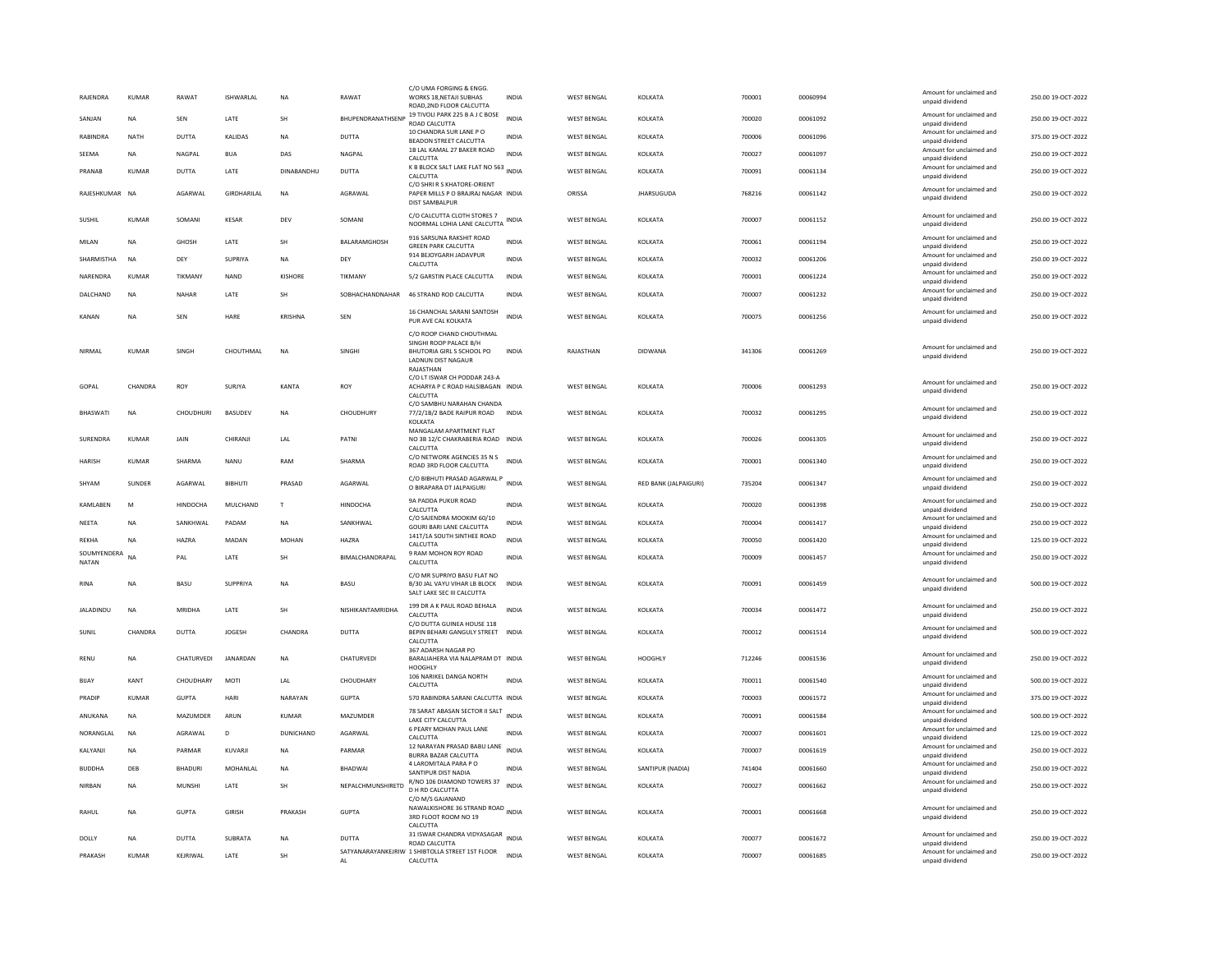| RAJENDRA                    | <b>KUMAR</b> | RAWAT           | ISHWARLAL      | <b>NA</b>    | RAWAT             | C/O UMA FORGING & ENGG<br>WORKS 18.NETAJI SUBHAS<br>ROAD, 2ND FLOOR CALCUTTA                    | INDIA        | <b>WEST BENGAL</b> | KOLKATA               | 700001 | 00060994 | Amount for unclaimed and<br>unpaid dividend                             | 250.00 19-OCT-2022 |
|-----------------------------|--------------|-----------------|----------------|--------------|-------------------|-------------------------------------------------------------------------------------------------|--------------|--------------------|-----------------------|--------|----------|-------------------------------------------------------------------------|--------------------|
| SANJAN                      | NA           | SEN             | LATE           | <b>SH</b>    | BHUPENDRANATHSENP | 19 TIVOLI PARK 225 B A J C BOSE<br>ROAD CALCUTTA                                                | <b>INDIA</b> | <b>WEST BENGAL</b> | KOLKATA               | 700020 | 00061092 | Amount for unclaimed and<br>unnaid dividend                             | 250.00 19-OCT-2022 |
| RABINDRA                    | <b>NATH</b>  | <b>DUTTA</b>    | KALIDAS        | <b>NA</b>    | <b>DUTTA</b>      | 10 CHANDRA SUR LANE PO<br>BEADON STREET CALCUTTA                                                | <b>INDIA</b> | <b>WEST BENGAL</b> | KOLKATA               | 700006 | 00061096 | Amount for unclaimed and<br>unpaid dividend                             | 375.00 19-OCT-2022 |
| SEEMA                       | <b>NA</b>    | NAGPAL          | <b>BUA</b>     | DAS          | NAGPAL            | 1B LAL KAMAL 27 BAKER ROAD<br>CALCUTTA                                                          | <b>INDIA</b> | <b>WEST BENGAL</b> | KOLKATA               | 700027 | 00061097 | Amount for unclaimed and<br>unpaid dividend                             | 250.00 19-OCT-2022 |
| PRANAB                      | <b>KUMAR</b> | DUTTA           | LATE           | DINABANDHU   | DUTTA             | K B BLOCK SALT LAKE FLAT NO 563 INDIA<br>CALCUTTA                                               |              | <b>WEST BENGAL</b> | KOLKATA               | 700091 | 00061134 | Amount for unclaimed and<br>unpaid dividend                             | 250.00 19-OCT-2022 |
| RAJESHKUMAR NA              |              | AGARWAL         | GIRDHARILAL    | <b>NA</b>    | AGRAWAL           | C/O SHRI R S KHATORE-ORIENT<br>PAPER MILLS P O BRAJRAJ NAGAR INDIA<br>DIST SAMBALPUR            |              | ORISSA             | <b>JHARSUGUDA</b>     | 768216 | 00061142 | Amount for unclaimed and<br>unpaid dividend                             | 250.00 19-OCT-2022 |
| SUSHIL                      | <b>KUMAR</b> | SOMANI          | <b>KESAR</b>   | DEV          | SOMANI            | C/O CALCUTTA CLOTH STORES 7<br>NOORMAL LOHIA LANE CALCUTTA                                      | <b>INDIA</b> | <b>WEST BENGAL</b> | KOLKATA               | 700007 | 00061152 | Amount for unclaimed and<br>unpaid dividend                             | 250.00 19-OCT-2022 |
| MILAN                       | <b>NA</b>    | <b>GHOSH</b>    | LATE           | SH           | BALARAMGHOSH      | 916 SARSUNA RAKSHIT ROAD<br><b>GREEN PARK CALCUTTA</b>                                          | <b>INDIA</b> | <b>WEST BENGAL</b> | KOLKATA               | 700061 | 00061194 | Amount for unclaimed and<br>unpaid dividend                             | 250.00 19-OCT-2022 |
| <b>SHARMISTHA</b>           | <b>NA</b>    | DFY             | SUPRIYA        | <b>NA</b>    | DEY               | 914 BEJOYGARH JADAVPUR<br>CALCUTTA                                                              | <b>INDIA</b> | <b>WEST BENGAL</b> | KOLKATA               | 700032 | 00061206 | Amount for unclaimed and<br>unpaid dividend                             | 250.00 19-OCT-2022 |
| NARENDRA                    | KUMAR        | TIKMANY         | NAND           | KISHORE      | TIKMANY           | 5/2 GARSTIN PLACE CALCUTTA                                                                      | INDIA        | <b>WEST BENGAL</b> | KOLKATA               | 700001 | 00061224 | Amount for unclaimed and<br>unpaid dividend                             | 250.00 19-OCT-2022 |
| DALCHAND                    | NA           | NAHAR           | LATE           | SH           | SOBHACHANDNAHAR   | 46 STRAND ROD CALCUTTA                                                                          | INDIA        | <b>WEST BENGAL</b> | KOLKATA               | 700007 | 00061232 | Amount for unclaimed and<br>unpaid dividend                             | 250.00 19-OCT-2022 |
| <b>KANAN</b>                | <b>NA</b>    | SEN             | HARE           | KRISHNA      | SEN               | 16 CHANCHAL SARANI SANTOSH<br>PUR AVE CAL KOLKATA                                               | <b>INDIA</b> | <b>WEST BENGAL</b> | KOLKATA               | 700075 | 00061256 | Amount for unclaimed and<br>unpaid dividend                             | 250.00 19-OCT-2022 |
|                             |              |                 |                |              |                   | C/O ROOP CHAND CHOUTHMAL<br>SINGHI ROOP PALACE B/H                                              |              |                    |                       |        |          |                                                                         |                    |
| NIRMAL                      | <b>KUMAR</b> | SINGH           | CHOUTHMAL      | $_{\sf NA}$  | SINGHI            | BHUTORIA GIRL S SCHOOL PO<br>LADNUN DIST NAGAUR<br>RAIASTHAN                                    | <b>INDIA</b> | RAJASTHAN          | <b>DIDWANA</b>        | 341306 | 00061269 | Amount for unclaimed and<br>unpaid dividend                             | 250.00 19-OCT-2022 |
| GOPAL                       | CHANDRA      | ROY             | SURJYA         | KANTA        | ROY               | C/O LT ISWAR CH PODDAR 243-A<br>ACHARYA P C ROAD HALSIBAGAN INDIA<br>CALCUTTA                   |              | <b>WEST BENGAL</b> | KOLKATA               | 700006 | 00061293 | Amount for unclaimed and<br>unpaid dividend                             | 250.00 19-OCT-2022 |
| <b>BHASWATI</b>             | <b>NA</b>    | CHOUDHURI       | BASUDEV        | <b>NA</b>    | CHOUDHURY         | C/O SAMBHU NARAHAN CHANDA<br>77/2/1B/2 BADE RAIPUR ROAD INDIA<br><b>KOI KATA</b>                |              | <b>WEST BENGAL</b> | KOLKATA               | 700032 | 00061295 | Amount for unclaimed and<br>unpaid dividend                             | 250.00 19-OCT-2022 |
| SURENDRA                    | <b>KUMAR</b> | JAIN            | CHIRANJI       | LAL          | PATNI             | MANGALAM APARTMENT FLAT<br>NO 3B 12/C CHAKRABERIA ROAD INDIA<br>CALCUTTA                        |              | <b>WEST BENGAL</b> | KOLKATA               | 700026 | 00061305 | Amount for unclaimed and<br>unpaid dividend                             | 250.00 19-OCT-2022 |
| <b>HARISH</b>               | <b>KUMAR</b> | SHARMA          | <b>NANU</b>    | RAM          | SHARMA            | C/O NETWORK AGENCIES 35 N S<br>ROAD 3RD FLOOR CALCUTTA                                          | <b>INDIA</b> | <b>WEST BENGAL</b> | KOLKATA               | 700001 | 00061340 | Amount for unclaimed and<br>unpaid dividend                             | 250.00 19-OCT-2022 |
| SHYAM                       | SUNDER       | AGARWAL         | <b>BIBHUTI</b> | PRASAD       | AGARWAL           | C/O BIBHUTI PRASAD AGARWAL P<br>O BIRAPARA DT JALPAIGURI                                        | INDIA        | <b>WEST BENGAL</b> | RED BANK (JALPAIGURI) | 735204 | 00061347 | Amount for unclaimed and<br>unpaid dividend                             | 250.00 19-OCT-2022 |
| <b>KAMI ARFN</b>            | M            | <b>HINDOCHA</b> | MULCHAND       | $\mathbf{T}$ | <b>HINDOCHA</b>   | 9A PADDA PUKUR ROAD<br>CALCUTTA                                                                 | <b>INDIA</b> | <b>WEST BENGAL</b> | <b>KOLKATA</b>        | 700020 | 00061398 | Amount for unclaimed and<br>unpaid dividend                             | 250.00 19-OCT-2022 |
| NEETA                       | <b>NA</b>    | SANKHWAL        | PADAM          | NA           | SANKHWAL          | C/O SAJENDRA MOOKIM 60/10<br>GOURI BARI LANE CALCUTTA                                           | <b>INDIA</b> | <b>WEST BENGAL</b> | KOLKATA               | 700004 | 00061417 | Amount for unclaimed and<br>unpaid dividend                             | 250.00 19-OCT-2022 |
| <b>REKHA</b>                | <b>NA</b>    | HAZRA           | MADAN          | <b>MOHAN</b> | HAZRA             | 141T/1A SOUTH SINTHEE ROAD<br>CALCUTTA                                                          | <b>INDIA</b> | WEST BENGAL        | KOLKATA               | 700050 | 00061420 | Amount for unclaimed and<br>unpaid dividend                             | 125.00 19-OCT-2022 |
| SOUMYENDERA<br><b>NATAN</b> | <b>NA</b>    | PAI             | LATE           | <b>SH</b>    | BIMALCHANDRAPAL   | 9 RAM MOHON ROY ROAD<br>CALCUTTA                                                                | <b>INDIA</b> | <b>WEST BENGAL</b> | KOLKATA               | 700009 | 00061457 | Amount for unclaimed and<br>unpaid dividend                             | 250.00 19-OCT-2022 |
| RINA                        | <b>NA</b>    | BASU            | SUPPRIYA       | <b>NA</b>    | BASU              | C/O MR SUPRIYO BASU FLAT NO<br>B/30 JAL VAYU VIHAR LB BLOCK<br>SALT LAKE SEC III CALCUTTA       | <b>INDIA</b> | <b>WEST BENGAL</b> | KOLKATA               | 700091 | 00061459 | Amount for unclaimed and<br>unpaid dividend                             | 500.00 19-OCT-2022 |
| <b>JALADINDU</b>            | <b>NA</b>    | <b>MRIDHA</b>   | LATE           | <b>SH</b>    | NISHIKANTAMRIDHA  | 199 DR A K PAUL ROAD BEHALA<br>CALCUTTA                                                         | <b>INDIA</b> | <b>WEST BENGAL</b> | KOLKATA               | 700034 | 00061472 | Amount for unclaimed and<br>unpaid dividend                             | 250.00 19-OCT-2022 |
| SUNIL                       | CHANDRA      | DUTTA           | JOGESH         | CHANDRA      | <b>DUTTA</b>      | C/O DUTTA GUINEA HOUSE 118<br>BEPIN BEHARI GANGULY STREET INDIA                                 |              | <b>WEST BENGAL</b> | KOLKATA               | 700012 | 00061514 | Amount for unclaimed and                                                | 500.00 19-OCT-2022 |
|                             |              |                 |                |              |                   | <b>CALCUTTA</b><br>367 ADARSH NAGAR PO                                                          |              |                    |                       |        |          | unpaid dividend                                                         |                    |
| RENU                        | <b>NA</b>    | CHATURVEDI      | JANARDAN       | NA           | CHATURVEDI        | BARALIAHERA VIA NALAPRAM DT INDIA<br>HOOGHI Y                                                   |              | <b>WEST BENGAL</b> | HOOGHLY               | 712246 | 00061536 | Amount for unclaimed and<br>unpaid dividend                             | 250.00 19-OCT-2022 |
| <b>BIJAY</b>                | KANT         | CHOUDHARY       | MOTI           | LAL          | CHOUDHARY         | 106 NARIKEL DANGA NORTH<br>CALCUTTA                                                             | <b>INDIA</b> | <b>WEST BENGAL</b> | KOLKATA               | 700011 | 00061540 | Amount for unclaimed and<br>unpaid dividend                             | 500.00 19-OCT-2022 |
| PRADIP                      | <b>KUMAR</b> | <b>GUPTA</b>    | HARI           | NARAYAN      | <b>GUPTA</b>      | 570 RABINDRA SARANI CALCUTTA INDIA                                                              |              | <b>WEST BENGAL</b> | KOLKATA               | 700003 | 00061572 | Amount for unclaimed and<br>unpaid dividend                             | 375.00 19-OCT-2022 |
| ANUKANA                     | <b>NA</b>    | MAZUMDER        | ARUN           | <b>KUMAR</b> | MAZUMDER          | 78 SARAT ABASAN SECTOR II SALT<br>LAKE CITY CALCUTTA                                            | <b>INDIA</b> | <b>WEST BENGAL</b> | KOLKATA               | 700091 | 00061584 | Amount for unclaimed and<br>unpaid dividend                             | 500.00 19-OCT-2022 |
| NORANGLAL                   | <b>NA</b>    | AGRAWAL         | D              | DUNICHAND    | AGARWAL           | 6 PEARY MOHAN PAUL LANE<br>CALCUTTA                                                             | <b>INDIA</b> | <b>WEST BENGAL</b> | KOLKATA               | 700007 | 00061601 | Amount for unclaimed and<br>unpaid dividend                             | 125.00 19-OCT-2022 |
| KALYANJI                    | <b>NA</b>    | PARMAR          | KUVARJI        | <b>NA</b>    | PARMAR            | 12 NARAYAN PRASAD BABU LANE<br>BURRA BAZAR CALCUTTA                                             | <b>INDIA</b> | <b>WEST BENGAL</b> | KOLKATA               | 700007 | 00061619 | Amount for unclaimed and<br>unpaid dividend                             | 250.00 19-OCT-2022 |
| <b>BUDDHA</b>               | DEB          | BHADURI         | MOHANLAL       | NA           | BHADWAI           | 4 LAROMITALA PARA PO<br>SANTIPUR DIST NADIA                                                     | <b>INDIA</b> | <b>WEST BENGAL</b> | SANTIPUR (NADIA)      | 741404 | 00061660 | Amount for unclaimed and<br>unpaid dividend                             | 250.00 19-OCT-2022 |
| NIRBAN                      | <b>NA</b>    | MUNSHI          | LATE           | <b>SH</b>    | NEPALCHMUNSHIRETD | R/NO 106 DIAMOND TOWERS 37<br>D H RD CALCUTTA<br>C/O M/S GAJANAND                               | <b>INDIA</b> | <b>WEST BENGAL</b> | KOLKATA               | 700027 | 00061662 | Amount for unclaimed and<br>unpaid dividend                             | 250.00 19-OCT-2022 |
| RAHUL                       |              |                 |                |              |                   | NAWALKISHORE 36 STRAND ROAD INDIA                                                               |              | WEST BENGAL        | KOLKATA               | 700001 | 00061668 | Amount for unclaimed and                                                | 250.00 19-OCT-2022 |
|                             | <b>NA</b>    | <b>GUPTA</b>    | GIRISH         | PRAKASH      | <b>GUPTA</b>      | 3RD FLOOT ROOM NO 19<br>CALCUTTA                                                                |              |                    |                       |        |          | unpaid dividend                                                         |                    |
| DOLLY                       | <b>NA</b>    | DUTTA           | SUBRATA        | <b>NA</b>    | <b>DUTTA</b>      | 31 ISWAR CHANDRA VIDYASAGAR<br>ROAD CALCUTTA<br>SATYANARAYANKEJRIW 1 SHIBTOLLA STREET 1ST FLOOR | INDIA        | <b>WEST BENGAL</b> | KOLKATA               | 700077 | 00061672 | Amount for unclaimed and<br>unpaid dividend<br>Amount for unclaimed and | 250.00 19-OCT-2022 |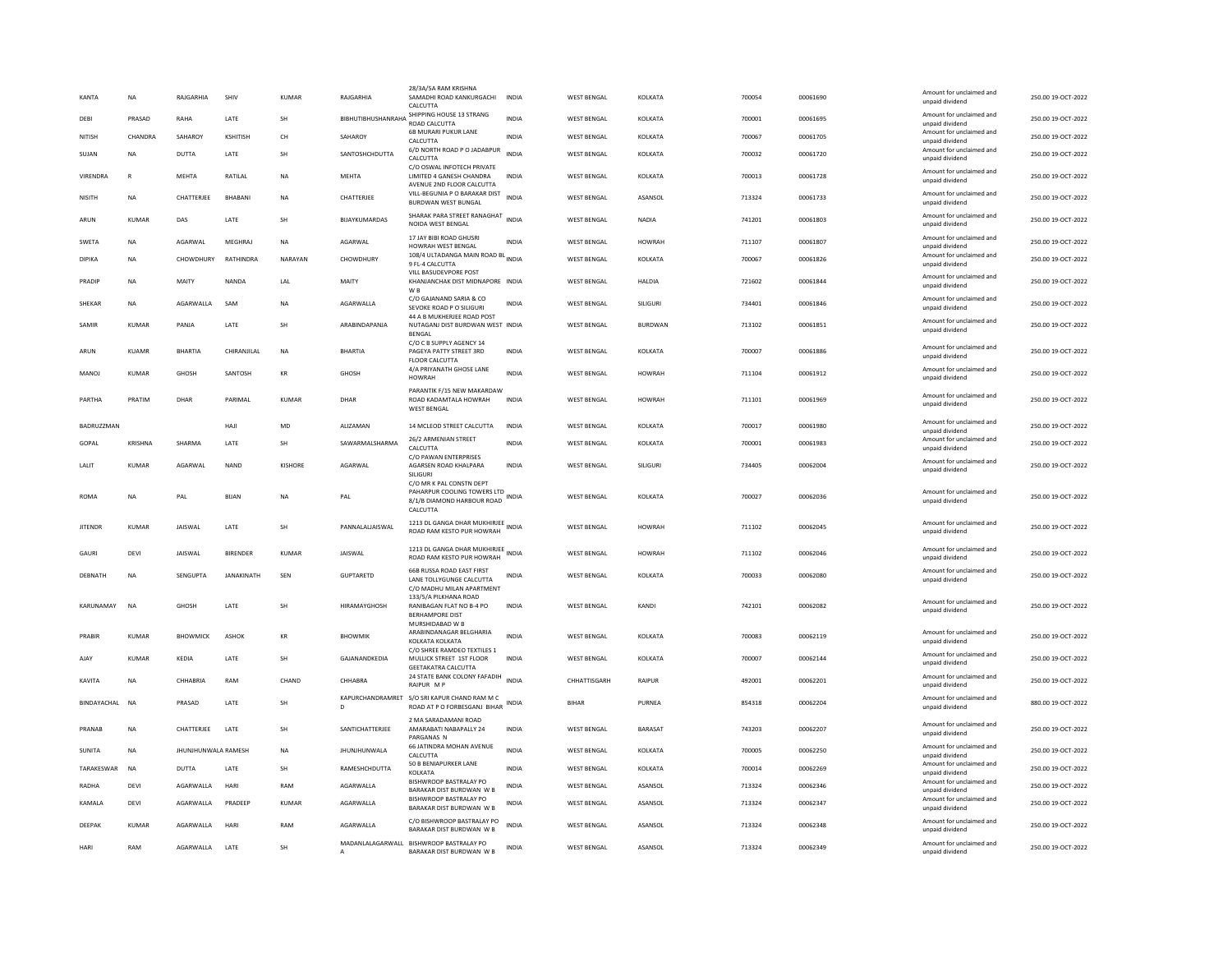| KANTA          | <b>NA</b>      | RAJGARHIA                  | SHIV              | <b>KUMAR</b>         | RAJGARHIA                        | 28/3A/5A RAM KRISHN<br>SAMADHI ROAD KANKURGACHI<br>CALCUTTA                                       | <b>INDIA</b> | <b>WEST BENGAL</b> | KOLKATA         | 700054 | 00061690 | Amount for unclaimed and<br>unpaid dividend | 250.00 19-OCT-2022 |
|----------------|----------------|----------------------------|-------------------|----------------------|----------------------------------|---------------------------------------------------------------------------------------------------|--------------|--------------------|-----------------|--------|----------|---------------------------------------------|--------------------|
| DEBI           | PRASAD         | RAHA                       | LATE              | SH                   | BIBHUTIBHUSHANRAHA               | SHIPPING HOUSE 13 STRANG<br>ROAD CALCUTTA                                                         | <b>INDIA</b> | <b>WEST BENGAL</b> | KOLKATA         | 700001 | 00061695 | Amount for unclaimed and<br>unnaid dividend | 250.00 19-OCT-2022 |
| NITISH         | CHANDRA        | SAHAROY                    | KSHITISH          | CH                   | SAHAROY                          | 6B MURARI PUKUR LANE<br>CALCUTTA                                                                  | <b>INDIA</b> | <b>WEST RENGAL</b> | <b>KOI KATA</b> | 700067 | 00061705 | Amount for unclaimed and<br>unpaid dividend | 250.00.19-OCT-2022 |
| SUJAN          | <b>NA</b>      | DUTTA                      | LATE              | SH                   | SANTOSHCHDUTTA                   | 6/D NORTH ROAD P O JADABPUR<br>CALCUTTA                                                           | INDIA        | <b>WEST BENGAL</b> | KOLKATA         | 700032 | 00061720 | Amount for unclaimed and<br>unpaid dividend | 250.00 19-OCT-2022 |
| VIRENDRA       | ${\sf R}$      | MEHTA                      | RATILAL           | NA                   | MEHTA                            | C/O OSWAL INFOTECH PRIVATE<br>LIMITED 4 GANESH CHANDRA<br>AVENUE 2ND FLOOR CALCUTTA               | INDIA        | <b>WEST BENGAL</b> | KOLKATA         | 700013 | 00061728 | Amount for unclaimed and<br>unpaid dividend | 250.00 19-OCT-2022 |
| NISITH         | <b>NA</b>      | CHATTERJEE                 | BHABANI           | NA                   | CHATTERJEE                       | VILL-BEGUNIA P O BARAKAR DIST<br><b>BURDWAN WEST BUNGAL</b>                                       | <b>INDIA</b> | <b>WEST BENGAL</b> | ASANSOL         | 713324 | 00061733 | Amount for unclaimed and<br>unpaid dividend | 250.00 19-OCT-2022 |
| ARUN           | <b>KUMAR</b>   | DAS                        | LATE              | <b>SH</b>            | BUAYKUMARDAS                     | SHARAK PARA STREET RANAGHAT<br>NOIDA WEST BENGAL                                                  | <b>INDIA</b> | <b>WEST BENGAL</b> | <b>NADIA</b>    | 741201 | 00061803 | Amount for unclaimed and<br>unpaid dividend | 250.00 19-OCT-2022 |
| <b>SWETA</b>   | <b>NA</b>      | AGARWAL                    | MEGHRAL           | <b>NA</b>            | AGARWAL                          | 17 JAY BIBI ROAD GHUSRI<br>HOWRAH WEST BENGAL                                                     | <b>INDIA</b> | <b>WEST BENGAL</b> | <b>HOWRAH</b>   | 711107 | 00061807 | Amount for unclaimed and<br>unpaid dividend | 250.00 19-OCT-2022 |
| DIPIKA         | <b>NA</b>      | CHOWDHURY                  | RATHINDRA         | NARAYAN              | CHOWDHURY                        | 108/4 ULTADANGA MAIN ROAD BL<br>9 FL-4 CALCUTTA                                                   | <b>INDIA</b> | <b>WEST BENGAL</b> | KOLKATA         | 700067 | 00061826 | Amount for unclaimed and<br>unpaid dividend | 250.00 19-OCT-2022 |
| PRADIP         | <b>NA</b>      | MAITY                      | NANDA             | 1 Al                 | MAITY                            | VILL BASUDEVPORE POST<br>KHANIANCHAK DIST MIDNAPORE INDIA<br>W B                                  |              | <b>WEST BENGAL</b> | <b>HAIDIA</b>   | 721602 | 00061844 | Amount for unclaimed and<br>unpaid dividend | 250.00.19-QCT-2022 |
| SHEKAR         | <b>NA</b>      | AGARWALLA                  | SAM               | <b>NA</b>            | AGARWALLA                        | C/O GAJANAND SARIA & CO<br>SEVOKE ROAD P O SILIGURI                                               | <b>INDIA</b> | <b>WEST BENGAL</b> | SILIGURI        | 734401 | 00061846 | Amount for unclaimed and<br>unpaid dividend | 250.00 19-OCT-2022 |
| SAMIR          | <b>KUMAR</b>   | PANJA                      | LATE              | SH                   | ARABINDAPANJA                    | 44 A B MUKHERJEE ROAD POST<br>NUTAGANJ DIST BURDWAN WEST INDIA<br>BENGAL                          |              | <b>WEST BENGAL</b> | <b>BURDWAN</b>  | 713102 | 00061851 | Amount for unclaimed and<br>unpaid dividend | 250.00 19-OCT-2022 |
| ARUN           | KUAMR          | <b>BHARTIA</b>             | CHIRANJILAL       | NA                   | <b>BHARTIA</b>                   | C/O C B SUPPLY AGENCY 14<br>PAGEYA PATTY STREET 3RD                                               | INDIA        | <b>WEST BENGAL</b> | KOLKATA         | 700007 | 00061886 | Amount for unclaimed and                    | 250.00 19-OCT-2022 |
|                |                |                            |                   |                      |                                  | <b>FLOOR CALCUTTA</b>                                                                             |              |                    |                 |        |          | unpaid dividend                             |                    |
| MANOJ          | <b>KUMAR</b>   | GHOSH                      | SANTOSH           | $\mathsf{KR}\xspace$ | GHOSH                            | 4/A PRIYANATH GHOSE LANE<br><b>HOWRAH</b>                                                         | INDIA        | <b>WEST BENGAL</b> | <b>HOWRAH</b>   | 711104 | 00061912 | Amount for unclaimed and<br>unpaid dividend | 250.00 19-OCT-2022 |
| PARTHA         | PRATIM         | <b>DHAR</b>                | PARIMAL           | KUMAR                | DHAR                             | PARANTIK F/15 NEW MAKARDAW<br>ROAD KADAMTALA HOWRAH<br><b>WEST BENGAL</b>                         | <b>INDIA</b> | <b>WEST BENGAL</b> | <b>HOWRAH</b>   | 711101 | 00061969 | Amount for unclaimed and<br>unpaid dividend | 250.00 19-OCT-2022 |
| BADRUZZMAN     |                |                            | HAJI              | MD                   | ALIZAMAN                         | 14 MCLEOD STREET CALCUTTA                                                                         | <b>INDIA</b> | <b>WEST RENGAL</b> | KOLKATA         | 700017 | 00061980 | Amount for unclaimed and<br>unpaid dividend | 250.00 19-OCT-2022 |
| GOPAL          | <b>KRISHNA</b> | SHARMA                     | LATE              | SH                   | SAWARMALSHARMA                   | 26/2 ARMENIAN STREET<br>CALCUTTA                                                                  | <b>INDIA</b> | <b>WEST BENGAL</b> | KOLKATA         | 700001 | 00061983 | Amount for unclaimed and<br>unpaid dividend | 250.00 19-OCT-2022 |
| LALIT          | <b>KUMAR</b>   | AGARWAL                    | <b>NAND</b>       | KISHORE              | AGARWAL                          | C/O PAWAN ENTERPRISES<br>AGARSEN ROAD KHALPARA<br>SILIGURI                                        | INDIA        | <b>WEST BENGAL</b> | <b>SILIGUR</b>  | 734405 | 00062004 | Amount for unclaimed and<br>unpaid dividend | 250.00 19-OCT-2022 |
| <b>ROMA</b>    | <b>NA</b>      | PAL                        | <b>BIJAN</b>      | <b>NA</b>            | PAL                              | C/O MR K PAL CONSTN DEPT<br>PAHARPUR COOLING TOWERS LTD<br>8/1/B DIAMOND HARBOUR ROAD<br>CALCUTTA | INDIA        | <b>WEST BENGAL</b> | KOLKATA         | 700027 | 00062036 | Amount for unclaimed and<br>unpaid dividend | 250.00 19-OCT-2022 |
| <b>JITENDR</b> | KUMAR          | <b>JAISWAL</b>             | LATE              | SH                   | PANNALALJAISWAL                  | 1213 DL GANGA DHAR MUKHIRJEE<br>ROAD RAM KESTO PUR HOWRAH                                         | <b>INDIA</b> | <b>WEST BENGAL</b> | <b>HOWRAH</b>   | 711102 | 00062045 | Amount for unclaimed and<br>unpaid dividend | 250.00 19-OCT-2022 |
| GAURI          | DEVI           | JAISWAL                    | <b>BIRENDER</b>   | KUMAR                | JAISWAL                          | 1213 DL GANGA DHAR MUKHIRJEE<br>ROAD RAM KESTO PUR HOWRAH                                         | <b>INDIA</b> | <b>WEST BENGAL</b> | <b>HOWRAH</b>   | 711102 | 00062046 | Amount for unclaimed and<br>unpaid dividend | 250.00 19-OCT-2022 |
| DERNATH        | <b>NA</b>      | SENGUPTA                   | <b>IANAKINATH</b> | SFN                  | <b>GUPTARFTD</b>                 | 66B RUSSA ROAD EAST FIRST<br>LANE TOLLYGUNGE CALCUTTA<br>C/O MADHU MILAN APARTMENT                | INDIA        | <b>WEST RENGAL</b> | KOI KATA        | 700033 | 00062080 | Amount for unclaimed and<br>unpaid dividend | 250.00.19-OCT-2022 |
| KARUNAMAY      | <b>NA</b>      | GHOSH                      | LATE              | SH                   | HIRAMAYGHOSH                     | 133/5/A PILKHANA ROAD<br>RANIBAGAN FLAT NO B-4 PO                                                 | <b>INDIA</b> | <b>WEST BENGAL</b> | KANDI           | 742101 | 00062082 | Amount for unclaimed and                    | 250.00 19-OCT-2022 |
|                |                |                            |                   |                      |                                  | BERHAMPORE DIST<br>MURSHIDABAD W B                                                                |              |                    |                 |        |          | unpaid dividend                             |                    |
| PRABIR         | KUMAR          | BHOWMICK                   | ASHOK             | $\mathsf{KR}\xspace$ | BHOWMIK                          | ARABINDANAGAR BELGHARIA<br>KOLKATA KOLKATA                                                        | <b>INDIA</b> | WEST BENGAL        | KOLKATA         | 700083 | 00062119 | Amount for unclaimed and<br>unpaid dividend | 250.00 19-OCT-2022 |
| AJAY           | <b>KUMAR</b>   | KEDIA                      | LATE              | SH                   | GAJANANDKEDIA                    | C/O SHREE RAMDEO TEXTILES 1<br>MULLICK STREET 1ST FLOOR<br><b>GEETAKATRA CALCUTTA</b>             | INDIA        | <b>WEST BENGAL</b> | KOLKATA         | 700007 | 00062144 | Amount for unclaimed and<br>unpaid dividend | 250.00 19-OCT-2022 |
| KAVITA         | <b>NA</b>      | CHHABRIA                   | RAM               | CHAND                | CHHABRA                          | 24 STATE BANK COLONY FAFADIH<br>RAIPUR MP                                                         | <b>INDIA</b> | CHHATTISGARH       | RAIPUR          | 492001 | 00062201 | Amount for unclaimed and<br>unpaid dividend | 250.00 19-OCT-2022 |
| BINDAYACHAL    | <b>NA</b>      | PRASAD                     | LATE              | <b>SH</b>            | KAPURCHANDRAMRET<br>$\mathsf{D}$ | S/O SRI KAPUR CHAND RAM M C<br>ROAD AT P O FORBESGANJ BIHAR                                       | <b>INDIA</b> | <b>BIHAR</b>       | PURNEA          | 854318 | 00062204 | Amount for unclaimed and<br>unpaid dividend | 880.00 19-OCT-2022 |
| PRANAE         | NA             | CHATTERJEE                 | LATE              | SH                   | SANTICHATTERJEE                  | 2 MA SARADAMANI ROAD<br>AMARABATI NABAPALLY 24<br>PARGANAS N                                      | <b>INDIA</b> | WEST BENGAL        | BARASAT         | 743203 | 00062207 | Amount for unclaimed and<br>unpaid dividend | 250.00 19-OCT-2022 |
| SUNITA         | <b>NA</b>      | <b>IHUNIHUNWALA RAMESH</b> |                   | <b>NA</b>            | <b>JHUNJHUNWALA</b>              | 66 JATINDRA MOHAN AVENUE                                                                          | <b>INDIA</b> | <b>WEST BENGAL</b> | KOI KATA        | 700005 | 00062250 | Amount for unclaimed and                    | 250.00 19-OCT-2022 |
| TARAKESWAR     | <b>NA</b>      | <b>DUTTA</b>               | LATE              | SH                   | RAMESHCHDUTTA                    | CALCUTTA<br>50 B BENIAPURKER LANE                                                                 | <b>INDIA</b> | <b>WEST BENGAL</b> | KOLKATA         | 700014 | 00062269 | unpaid dividend<br>Amount for unclaimed and | 250.00 19-OCT-2022 |
| <b>RADHA</b>   | DEVI           | AGARWALLA                  | HARI              | RAM                  | AGARWALLA                        | KOLKATA<br>BISHWROOP BASTRALAY PO                                                                 | <b>INDIA</b> | <b>WEST BENGAL</b> | ASANSOL         | 713324 | 00062346 | unpaid dividend<br>Amount for unclaimed and | 250.00 19-OCT-2022 |
| KAMALA         | DEVI           | AGARWALLA                  | PRADEEP           | KUMAR                | AGARWALLA                        | BARAKAR DIST BURDWAN W B<br>BISHWROOP BASTRALAY PO                                                | INDIA        | <b>WEST BENGAL</b> | ASANSOL         | 713324 | 00062347 | unpaid dividend<br>Amount for unclaimed and | 250.00 19-OCT-2022 |
| DEEPAK         | <b>KUMAR</b>   | AGARWALLA                  | HARI              | RAM                  | AGARWALLA                        | BARAKAR DIST BURDWAN W B<br>C/O BISHWROOP BASTRALAY PO                                            | <b>INDIA</b> | <b>WEST BENGAL</b> | ASANSOL         | 713324 | 00062348 | unpaid dividend<br>Amount for unclaimed and | 250.00 19-OCT-2022 |
|                |                |                            |                   |                      |                                  | BARAKAR DIST BURDWAN W B                                                                          |              |                    |                 |        |          | unpaid dividend                             |                    |
| HARI           | RAM            | AGARWALLA                  | LATE              | <b>SH</b>            | MADANLALAGARWALL<br>Δ            | BISHWROOP BASTRALAY PO<br>BARAKAR DIST BURDWAN W B                                                | <b>INDIA</b> | <b>WEST BENGAL</b> | ASANSOL         | 713324 | 00062349 | Amount for unclaimed and<br>unpaid dividend | 250.00 19-OCT-2022 |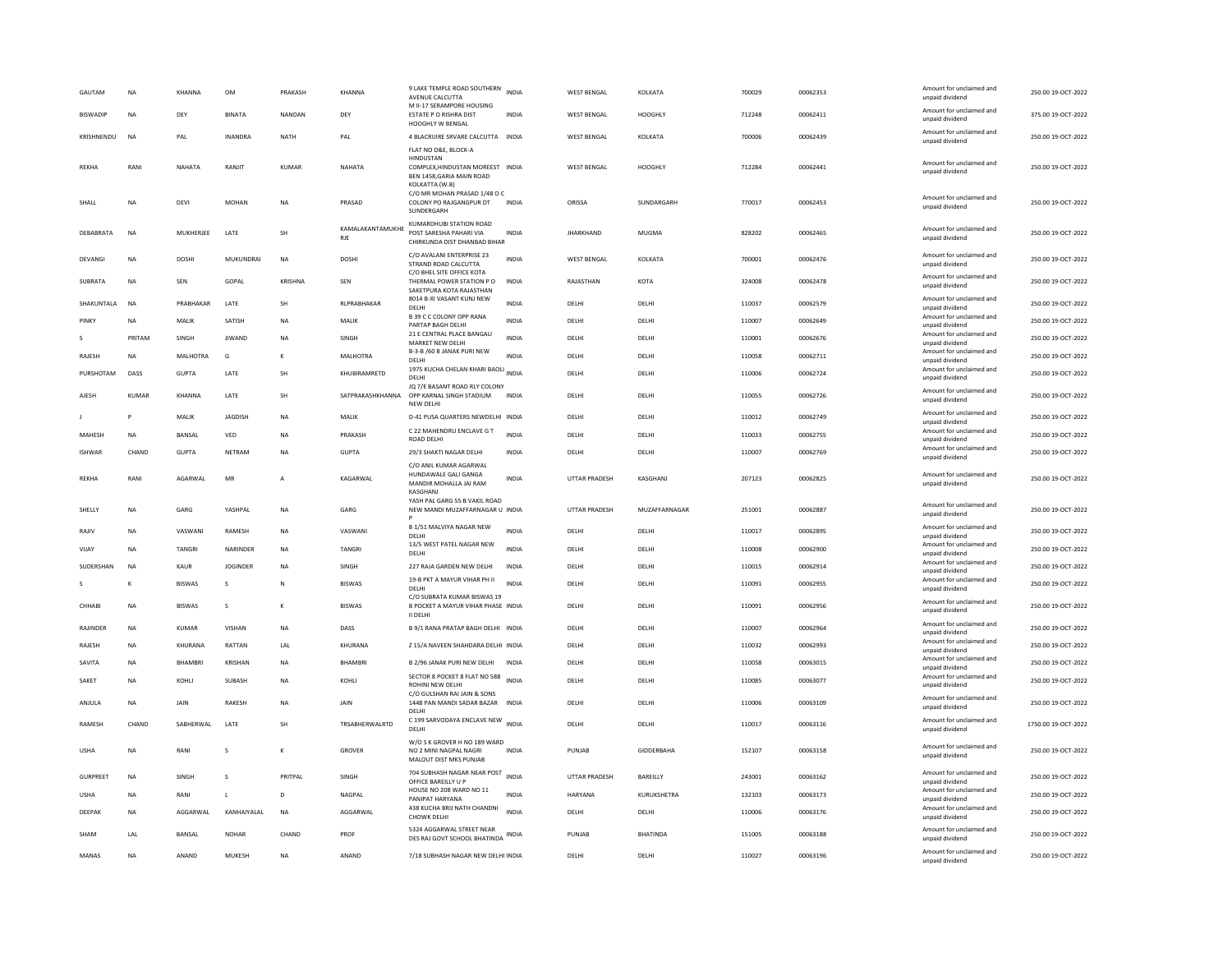| <b>BISWADIF</b><br><b>NA</b><br>DEY<br><b>BINATA</b><br>NANDAN<br>DEY<br>ESTATE P O RISHRA DIST<br><b>INDIA</b><br>WEST BENGAL<br>HOOGHLY<br>712248<br>00062411<br>375.00 19-OCT-2022<br>unpaid dividend<br>HOOGHLY W BENGAL<br>Amount for unclaimed and<br>KRISHNENDU<br>250.00 19-OCT-2022<br><b>NA</b><br><b>INANDRA</b><br><b>NATH</b><br>4 BLACRUIRE SRVARE CALCUTTA INDIA<br><b>WEST BENGAL</b><br>KOLKATA<br>700006<br>00062439<br>PAL<br>PAL<br>unpaid dividend<br>FLAT NO D&E, BLOCK-A<br><b>HINDUSTAN</b><br>Amount for unclaimed and<br><b>REKHA</b><br>RANI<br>NAHATA<br>RANJIT<br><b>KUMAR</b><br>NAHATA<br>COMPLEX, HINDUSTAN MOREEST INDIA<br><b>WEST BENGAL</b><br>HOOGHLY<br>712284<br>00062441<br>250.00 19-OCT-2022<br>unpaid dividend<br>BEN 1458, GARIA MAIN ROAD<br>KOLKATTA (W.B)<br>C/O MR MOHAN PRASAD 1/48 O C<br>Amount for unclaimed and<br>770017<br>250.00.19-OCT-2022<br>DFV<br>MOHAN<br><b>NA</b><br>PRASAD<br>COLONY PO RAJGANGPUR DT<br><b>INDIA</b><br>ORISSA<br>SUNDARGARH<br>00062453<br><b>SHALL</b><br><b>NA</b><br>unpaid dividend<br>SUNDERGARI<br>KUMARDHUBI STATION ROAD<br>KAMALAKANTAMUKHE<br>Amount for unclaimed and<br>LATE<br>POST SARESHA PAHARI VIA<br><b>JHARKHAND</b><br>828202<br>250.00 19-OCT-2022<br>DEBABRATA<br><b>NA</b><br>MUKHERJEE<br>SH<br><b>INDIA</b><br>MUGMA<br>00062465<br><b>RJE</b><br>unpaid dividend<br>CHIRKUNDA DIST DHANBAD BIHAR<br>C/O AVALANI ENTERPRISE 23<br>Amount for unclaimed and<br>250.00 19-OCT-2022<br><b>DOSHI</b><br>MUKUNDRAI<br><b>NA</b><br><b>DOSHI</b><br><b>INDIA</b><br><b>WEST BENGAL</b><br>KOLKATA<br>700001<br>00062476<br>DEVANGI<br><b>NA</b><br>STRAND ROAD CALCUTTA<br>unpaid dividend<br>C/O BHEL SITE OFFICE KOTA<br>Amount for unclaimed and<br>250.00 19-OCT-2022<br><b>SURRATA</b><br><b>NA</b><br>SFN<br>GOPAL<br>KRISHNA<br>SEN<br>THERMAL POWER STATION PO<br><b>INDIA</b><br>RAJASTHAN<br>KOTA<br>324008<br>00062478<br>unpaid dividend<br>SAKETPURA KOTA RAJASTHAN<br>8014 B-XI VASANT KUNJ NEW<br>Amount for unclaimed and<br>SHAKUNTALA<br><b>NA</b><br>PRABHAKAR<br>LATE<br>SH<br>RLPRABHAKAR<br><b>INDIA</b><br>DELHI<br>DELHI<br>110037<br>00062579<br>250.00 19-OCT-2022<br>unpaid dividend<br>DELHI<br>B 39 C C COLONY OPP RANA<br>Amount for unclaimed and<br>NA<br>MALIK<br>SATISH<br>NA<br>MALIK<br><b>INDIA</b><br>DELHI<br>DELHI<br>110007<br>00062649<br>250.00 19-OCT-2022<br>PINKY<br>PARTAP BAGH DELHI<br>unpaid dividend<br>21 E CENTRAL PLACE BANGALI<br>Amount for unclaimed and<br>110001<br>00062676<br>250.00 19-OCT-2022<br>PRITAM<br><b>JIWAND</b><br><b>NA</b><br>SINGH<br><b>INDIA</b><br>DELHI<br>s<br>SINGH<br>DELHI<br>MARKET NEW DELHI<br>unpaid dividend<br>B-3-B /60 B JANAK PURI NEW<br>Amount for unclaimed and<br>RAJESH<br><b>NA</b><br>MALHOTRA<br>MALHOTRA<br><b>INDIA</b><br>DELHI<br>DELHI<br>110058<br>00062711<br>250.00 19-OCT-2022<br>G<br>DELHI<br>unpaid dividend<br>1975 KUCHA CHELAN KHARI BAOLI INDIA<br>Amount for unclaimed and<br>PURSHOTAM<br>DASS<br><b>GUPTA</b><br>LATE<br>SH<br>KHUBIRAMRETD<br>DELHI<br>DELHI<br>110006<br>00062724<br>250.00 19-OCT-2022<br><b>DELHI</b><br>unpaid dividend<br>JQ 7/E BASANT ROAD RLY COLONY<br>Amount for unclaimed and<br>LATE<br>SH<br>SATPRAKASHKHANNA<br>OPP KARNAL SINGH STADIUM<br>110055<br>00062726<br>250.00 19-OCT-2022<br>AJESH<br>KUMAR<br>KHANNA<br><b>INDIA</b><br>DELHI<br>DELHI<br>unpaid dividend<br>NEW DELHI<br>Amount for unclaimed and<br><b>IAGDISH</b><br>D-41 PUSA QUARTERS NEWDELHI INDIA<br>110012<br>00062749<br>250.00 19-OCT-2022<br>P<br>MAIIK<br><b>NA</b><br>MAIIK<br>DFI HI<br>DELHI<br>unpaid dividend<br>C 22 MAHENDRU ENCLAVE G T<br>Amount for unclaimed and<br>MAHESH<br>NA<br>BANSAL<br>VED<br>NA<br>PRAKASH<br><b>INDIA</b><br>DELHI<br>110033<br>00062755<br>250.00 19-OCT-2022<br>DELHI<br><b>ROAD DELHI</b><br>unpaid dividend<br>Amount for unclaimed and<br><b>ISHWAR</b><br>CHAND<br><b>GUPTA</b><br>NETRAN<br>NA<br><b>GUPTA</b><br>29/3 SHAKTI NAGAR DELHI<br>INDIA<br>DELHI<br>DELHI<br>110007<br>00062769<br>250.00 19-OCT-2022<br>unpaid dividend<br>C/O ANIL KUMAR AGARWAL<br>HUNDAWALE GALI GANGA<br>Amount for unclaimed and<br>REKHA<br>RANI<br>AGARWAL<br>MR<br>KAGARWAL<br><b>INDIA</b><br>UTTAR PRADESH<br>KASGHANJ<br>207123<br>00062825<br>250.00 19-OCT-2022<br>$\overline{A}$<br>MANDIR MOHALLA JAI RAM<br>unpaid dividend<br>KASGHANJ<br>YASH PAL GARG 55 B VAKIL ROAD<br>Amount for unclaimed and<br>SHELLY<br>NA<br>GARG<br>YASHPAL<br><b>NA</b><br>GARG<br>NEW MANDI MUZAFFARNAGAR U INDIA<br><b>UTTAR PRADESH</b><br>MUZAFFARNAGAR<br>251001<br>00062887<br>250.00 19-OCT-2022<br>unpaid dividend<br>B 1/51 MALVIYA NAGAR NEW<br>Amount for unclaimed and<br>VASWANI<br>RAMESH<br>NA<br>VASWANI<br><b>INDIA</b><br>DELHI<br>DELHI<br>110017<br>00062895<br>250.00 19-OCT-2022<br>RAJIV<br>NA<br>DELHI<br>unpaid dividend<br>13/5 WEST PATEL NAGAR NEW<br>Amount for unclaimed and<br>TANGRI<br>NARINDER<br>NA<br>TANGRI<br><b>INDIA</b><br>110008<br>00062900<br>250.00 19-OCT-2022<br>VIJAY<br>NA<br>DELHI<br>DELHI<br>DELHI<br>unpaid dividend<br>Amount for unclaimed and<br>227 RAJA GARDEN NEW DELHI<br>250.00 19-OCT-2022<br><b>SUDERSHAN</b><br><b>NA</b><br>KAUR<br><b>IOGINDER</b><br><b>NA</b><br>SINGH<br><b>INDIA</b><br>DELHI<br>DELHI<br>110015<br>00062914<br>unpaid dividend<br>19-B PKT A MAYUR VIHAR PH II<br>Amount for unclaimed and<br>BISWAS<br><b>INDIA</b><br>110091<br>00062955<br>250.00 19-OCT-2022<br><b>BISWAS</b><br>DELHI<br>DELHI<br>к<br>s<br>N<br>DELHI<br>unpaid dividend<br>C/O SUBRATA KUMAR BISWAS 19<br>Amount for unclaimed and<br>CHHABI<br>NA<br><b>BISWAS</b><br>s<br>к<br><b>BISWAS</b><br>B POCKET A MAYUR VIHAR PHASE INDIA<br>DELHI<br>DELHI<br>110091<br>00062956<br>250.00 19-OCT-2022<br>unpaid dividend<br>II DELH<br>Amount for unclaimed and<br>B 9/1 RANA PRATAP BAGH DELHI INDIA<br>110007<br>00062964<br>250.00 19-OCT-2022<br>RAJINDER<br>NA<br>KUMAR<br>VISHAN<br>NA<br>DASS<br>DELHI<br>DELHI<br>unpaid dividend<br>Amount for unclaimed and<br>RAJESH<br><b>NA</b><br>KHURANA<br>RATTAN<br>LAL<br>KHURANA<br>Z 15/A NAVEEN SHAHDARA DELHI INDIA<br>DELHI<br>DELHI<br>110032<br>00062993<br>250.00 19-OCT-2022<br>unpaid dividend<br>Amount for unclaimed and<br>B 2/96 JANAK PURI NEW DELHI<br>DELHI<br>110058<br>00063015<br>250.00 19-OCT-2022<br>SAVITA<br>BHAMBRI<br><b>KRISHAN</b><br><b>NA</b><br>BHAMBRI<br><b>INDIA</b><br>DELHI<br><b>NA</b><br>unpaid dividend<br>SECTOR 8 POCKET 8 FLAT NO 588<br>Amount for unclaimed and<br>110085<br>00063077<br>250.00 19-OCT-2022<br>SAKET<br>KOHL<br>SUBASH<br>NA<br>KOHLI<br>DELHI<br>DELHI<br>NA<br>ROHINI NEW DELHI<br>unpaid dividend<br>C/O GULSHAN RAI JAIN & SONS<br>Amount for unclaimed and<br>RAKESH<br>1448 PAN MANDI SADAR BAZAR INDIA<br>DELHI<br>110006<br>00063109<br>250.00 19-OCT-2022<br>ANJULA<br><b>NA</b><br><b>JAIN</b><br><b>NA</b><br><b>JAIN</b><br>DELHI<br>unpaid dividend<br>DELHI<br>C 199 SARVODAYA ENCLAVE NEW INDIA<br>Amount for unclaimed and<br>CHAND<br>SABHERWAL<br>LATE<br>TRSABHERWALRTD<br>110017<br>00063116<br>1750.00 19-OCT-2022<br>RAMESH<br>SH<br>DELHI<br>DELHI<br><b>DELHI</b><br>unpaid dividend<br>W/O S K GROVER H NO 189 WARD<br>Amount for unclaimed and<br>GIDDERBAHA<br>152107<br>250.00 19-OCT-2022<br><b>USHA</b><br>NA<br>RANI<br>K<br>GROVER<br>NO 2 MINI NAGPAL NAGRI<br>INDIA<br>PUNJAB<br>00063158<br>s<br>unpaid dividend<br>MALOUT DIST MKS PUNJAB<br>704 SUBHASH NAGAR NEAR POST<br>Amount for unclaimed and<br>INDIA<br>BAREILLY<br>243001<br>00063162<br>250.00 19-OCT-2022<br><b>GURPREET</b><br><b>NA</b><br>SINGH<br>s<br>PRITPAL<br>SINGH<br><b>UTTAR PRADESH</b><br>OFFICE BAREILLY U P<br>unpaid dividend<br>HOUSE NO 208 WARD NO 11<br>Amount for unclaimed and<br><b>USHA</b><br>NA<br>RANI<br>D<br>NAGPAL<br><b>INDIA</b><br>HARYANA<br>KURUKSHETRA<br>132103<br>00063173<br>250.00 19-OCT-2022<br>L<br>PANIPAT HARYANA<br>unpaid dividend<br>438 KUCHA BRIJ NATH CHANDNI<br>Amount for unclaimed and<br>KANHAIYALAL<br><b>NA</b><br><b>INDIA</b><br>110006<br>250.00 19-OCT-2022<br>DEEPAK<br>AGGARWAL<br>AGGARWAL<br>DELHI<br>DELHI<br>00063176<br><b>NA</b><br>CHOWK DELH<br>unpaid dividend<br>5324 AGGARWAL STREET NEAR<br>Amount for unclaimed and<br>LAL<br>BANSAL<br><b>NOHAR</b><br>CHAND<br><b>BHATINDA</b><br>151005<br>00063188<br>250.00 19-OCT-2022<br>SHAM<br>PROF<br>INDIA<br>PUNJAB<br>DES RAJ GOVT SCHOOL BHATINDA<br>unpaid dividend<br>Amount for unclaimed and<br>00063196<br>MANAS<br><b>NA</b><br>ANAND<br><b>MUKESH</b><br><b>NA</b><br>ANAND<br>7/18 SUBHASH NAGAR NEW DELHI INDIA<br>DELHI<br>DELHI<br>110027<br>250.00 19-OCT-2022<br>unpaid dividend | GAUTAM | <b>NA</b> | KHANNA | OM | PRAKASH | KHANNA | 9 LAKE TEMPLE ROAD SOUTHERN<br>AVENUE CALCUTTA<br>M II-17 SERAMPORE HOUSING | <b>INDIA</b> | <b>WEST BENGAL</b> | KOLKATA | 700029 | 00062353 | Amount for unclaimed and<br>unpaid dividend | 250.00 19-OCT-2022 |
|--------------------------------------------------------------------------------------------------------------------------------------------------------------------------------------------------------------------------------------------------------------------------------------------------------------------------------------------------------------------------------------------------------------------------------------------------------------------------------------------------------------------------------------------------------------------------------------------------------------------------------------------------------------------------------------------------------------------------------------------------------------------------------------------------------------------------------------------------------------------------------------------------------------------------------------------------------------------------------------------------------------------------------------------------------------------------------------------------------------------------------------------------------------------------------------------------------------------------------------------------------------------------------------------------------------------------------------------------------------------------------------------------------------------------------------------------------------------------------------------------------------------------------------------------------------------------------------------------------------------------------------------------------------------------------------------------------------------------------------------------------------------------------------------------------------------------------------------------------------------------------------------------------------------------------------------------------------------------------------------------------------------------------------------------------------------------------------------------------------------------------------------------------------------------------------------------------------------------------------------------------------------------------------------------------------------------------------------------------------------------------------------------------------------------------------------------------------------------------------------------------------------------------------------------------------------------------------------------------------------------------------------------------------------------------------------------------------------------------------------------------------------------------------------------------------------------------------------------------------------------------------------------------------------------------------------------------------------------------------------------------------------------------------------------------------------------------------------------------------------------------------------------------------------------------------------------------------------------------------------------------------------------------------------------------------------------------------------------------------------------------------------------------------------------------------------------------------------------------------------------------------------------------------------------------------------------------------------------------------------------------------------------------------------------------------------------------------------------------------------------------------------------------------------------------------------------------------------------------------------------------------------------------------------------------------------------------------------------------------------------------------------------------------------------------------------------------------------------------------------------------------------------------------------------------------------------------------------------------------------------------------------------------------------------------------------------------------------------------------------------------------------------------------------------------------------------------------------------------------------------------------------------------------------------------------------------------------------------------------------------------------------------------------------------------------------------------------------------------------------------------------------------------------------------------------------------------------------------------------------------------------------------------------------------------------------------------------------------------------------------------------------------------------------------------------------------------------------------------------------------------------------------------------------------------------------------------------------------------------------------------------------------------------------------------------------------------------------------------------------------------------------------------------------------------------------------------------------------------------------------------------------------------------------------------------------------------------------------------------------------------------------------------------------------------------------------------------------------------------------------------------------------------------------------------------------------------------------------------------------------------------------------------------------------------------------------------------------------------------------------------------------------------------------------------------------------------------------------------------------------------------------------------------------------------------------------------------------------------------------------------------------------------------------------------------------------------------------------------------------------------------------------------------------------------------------------------------------------------------------------------------------------------------------------------------------------------------------------------------------------------------------------------------------------------------------------------------------------------------------------------------------------------------------------------------------------------------------------------------------------------------------------------------------------------------------------------------------------------------------------------------------------------------------------------------------------------------------------------------------------------------------------------------------------------------------------------------------------------------------------------------------------------------------------------------------------------------------------------------------------------------------------------------------------------------------------------------------------------------------------------------------------------------------------------------------------------------------------------------------------------------------------------------------------------------------------------------------------------------------------------------------------------------------------------------------------------------------------------------------------------------------------------------------------------------------------------------------------------------------------------------------------------------------------------------------------------------------------------------------------------------------------------------------------------------------------------------------------------------------------------------------------------------------------------------------------------------------------------------------------------------------------------------------------------------------------------------------------------------------------------------------------------------------------------------------------------------------------------------------------------------------------------------------------------------------------------------------------------------------------------------|--------|-----------|--------|----|---------|--------|-----------------------------------------------------------------------------|--------------|--------------------|---------|--------|----------|---------------------------------------------|--------------------|
|                                                                                                                                                                                                                                                                                                                                                                                                                                                                                                                                                                                                                                                                                                                                                                                                                                                                                                                                                                                                                                                                                                                                                                                                                                                                                                                                                                                                                                                                                                                                                                                                                                                                                                                                                                                                                                                                                                                                                                                                                                                                                                                                                                                                                                                                                                                                                                                                                                                                                                                                                                                                                                                                                                                                                                                                                                                                                                                                                                                                                                                                                                                                                                                                                                                                                                                                                                                                                                                                                                                                                                                                                                                                                                                                                                                                                                                                                                                                                                                                                                                                                                                                                                                                                                                                                                                                                                                                                                                                                                                                                                                                                                                                                                                                                                                                                                                                                                                                                                                                                                                                                                                                                                                                                                                                                                                                                                                                                                                                                                                                                                                                                                                                                                                                                                                                                                                                                                                                                                                                                                                                                                                                                                                                                                                                                                                                                                                                                                                                                                                                                                                                                                                                                                                                                                                                                                                                                                                                                                                                                                                                                                                                                                                                                                                                                                                                                                                                                                                                                                                                                                                                                                                                                                                                                                                                                                                                                                                                                                                                                                                                                                                                                                                                                                                                                                                                                                                                                                                                                                                                                                                                                                                                                                                                                              |        |           |        |    |         |        |                                                                             |              |                    |         |        |          | Amount for unclaimed and                    |                    |
|                                                                                                                                                                                                                                                                                                                                                                                                                                                                                                                                                                                                                                                                                                                                                                                                                                                                                                                                                                                                                                                                                                                                                                                                                                                                                                                                                                                                                                                                                                                                                                                                                                                                                                                                                                                                                                                                                                                                                                                                                                                                                                                                                                                                                                                                                                                                                                                                                                                                                                                                                                                                                                                                                                                                                                                                                                                                                                                                                                                                                                                                                                                                                                                                                                                                                                                                                                                                                                                                                                                                                                                                                                                                                                                                                                                                                                                                                                                                                                                                                                                                                                                                                                                                                                                                                                                                                                                                                                                                                                                                                                                                                                                                                                                                                                                                                                                                                                                                                                                                                                                                                                                                                                                                                                                                                                                                                                                                                                                                                                                                                                                                                                                                                                                                                                                                                                                                                                                                                                                                                                                                                                                                                                                                                                                                                                                                                                                                                                                                                                                                                                                                                                                                                                                                                                                                                                                                                                                                                                                                                                                                                                                                                                                                                                                                                                                                                                                                                                                                                                                                                                                                                                                                                                                                                                                                                                                                                                                                                                                                                                                                                                                                                                                                                                                                                                                                                                                                                                                                                                                                                                                                                                                                                                                                                              |        |           |        |    |         |        |                                                                             |              |                    |         |        |          |                                             |                    |
|                                                                                                                                                                                                                                                                                                                                                                                                                                                                                                                                                                                                                                                                                                                                                                                                                                                                                                                                                                                                                                                                                                                                                                                                                                                                                                                                                                                                                                                                                                                                                                                                                                                                                                                                                                                                                                                                                                                                                                                                                                                                                                                                                                                                                                                                                                                                                                                                                                                                                                                                                                                                                                                                                                                                                                                                                                                                                                                                                                                                                                                                                                                                                                                                                                                                                                                                                                                                                                                                                                                                                                                                                                                                                                                                                                                                                                                                                                                                                                                                                                                                                                                                                                                                                                                                                                                                                                                                                                                                                                                                                                                                                                                                                                                                                                                                                                                                                                                                                                                                                                                                                                                                                                                                                                                                                                                                                                                                                                                                                                                                                                                                                                                                                                                                                                                                                                                                                                                                                                                                                                                                                                                                                                                                                                                                                                                                                                                                                                                                                                                                                                                                                                                                                                                                                                                                                                                                                                                                                                                                                                                                                                                                                                                                                                                                                                                                                                                                                                                                                                                                                                                                                                                                                                                                                                                                                                                                                                                                                                                                                                                                                                                                                                                                                                                                                                                                                                                                                                                                                                                                                                                                                                                                                                                                                              |        |           |        |    |         |        |                                                                             |              |                    |         |        |          |                                             |                    |
|                                                                                                                                                                                                                                                                                                                                                                                                                                                                                                                                                                                                                                                                                                                                                                                                                                                                                                                                                                                                                                                                                                                                                                                                                                                                                                                                                                                                                                                                                                                                                                                                                                                                                                                                                                                                                                                                                                                                                                                                                                                                                                                                                                                                                                                                                                                                                                                                                                                                                                                                                                                                                                                                                                                                                                                                                                                                                                                                                                                                                                                                                                                                                                                                                                                                                                                                                                                                                                                                                                                                                                                                                                                                                                                                                                                                                                                                                                                                                                                                                                                                                                                                                                                                                                                                                                                                                                                                                                                                                                                                                                                                                                                                                                                                                                                                                                                                                                                                                                                                                                                                                                                                                                                                                                                                                                                                                                                                                                                                                                                                                                                                                                                                                                                                                                                                                                                                                                                                                                                                                                                                                                                                                                                                                                                                                                                                                                                                                                                                                                                                                                                                                                                                                                                                                                                                                                                                                                                                                                                                                                                                                                                                                                                                                                                                                                                                                                                                                                                                                                                                                                                                                                                                                                                                                                                                                                                                                                                                                                                                                                                                                                                                                                                                                                                                                                                                                                                                                                                                                                                                                                                                                                                                                                                                                              |        |           |        |    |         |        |                                                                             |              |                    |         |        |          |                                             |                    |
|                                                                                                                                                                                                                                                                                                                                                                                                                                                                                                                                                                                                                                                                                                                                                                                                                                                                                                                                                                                                                                                                                                                                                                                                                                                                                                                                                                                                                                                                                                                                                                                                                                                                                                                                                                                                                                                                                                                                                                                                                                                                                                                                                                                                                                                                                                                                                                                                                                                                                                                                                                                                                                                                                                                                                                                                                                                                                                                                                                                                                                                                                                                                                                                                                                                                                                                                                                                                                                                                                                                                                                                                                                                                                                                                                                                                                                                                                                                                                                                                                                                                                                                                                                                                                                                                                                                                                                                                                                                                                                                                                                                                                                                                                                                                                                                                                                                                                                                                                                                                                                                                                                                                                                                                                                                                                                                                                                                                                                                                                                                                                                                                                                                                                                                                                                                                                                                                                                                                                                                                                                                                                                                                                                                                                                                                                                                                                                                                                                                                                                                                                                                                                                                                                                                                                                                                                                                                                                                                                                                                                                                                                                                                                                                                                                                                                                                                                                                                                                                                                                                                                                                                                                                                                                                                                                                                                                                                                                                                                                                                                                                                                                                                                                                                                                                                                                                                                                                                                                                                                                                                                                                                                                                                                                                                                              |        |           |        |    |         |        |                                                                             |              |                    |         |        |          |                                             |                    |
|                                                                                                                                                                                                                                                                                                                                                                                                                                                                                                                                                                                                                                                                                                                                                                                                                                                                                                                                                                                                                                                                                                                                                                                                                                                                                                                                                                                                                                                                                                                                                                                                                                                                                                                                                                                                                                                                                                                                                                                                                                                                                                                                                                                                                                                                                                                                                                                                                                                                                                                                                                                                                                                                                                                                                                                                                                                                                                                                                                                                                                                                                                                                                                                                                                                                                                                                                                                                                                                                                                                                                                                                                                                                                                                                                                                                                                                                                                                                                                                                                                                                                                                                                                                                                                                                                                                                                                                                                                                                                                                                                                                                                                                                                                                                                                                                                                                                                                                                                                                                                                                                                                                                                                                                                                                                                                                                                                                                                                                                                                                                                                                                                                                                                                                                                                                                                                                                                                                                                                                                                                                                                                                                                                                                                                                                                                                                                                                                                                                                                                                                                                                                                                                                                                                                                                                                                                                                                                                                                                                                                                                                                                                                                                                                                                                                                                                                                                                                                                                                                                                                                                                                                                                                                                                                                                                                                                                                                                                                                                                                                                                                                                                                                                                                                                                                                                                                                                                                                                                                                                                                                                                                                                                                                                                                                              |        |           |        |    |         |        |                                                                             |              |                    |         |        |          |                                             |                    |
|                                                                                                                                                                                                                                                                                                                                                                                                                                                                                                                                                                                                                                                                                                                                                                                                                                                                                                                                                                                                                                                                                                                                                                                                                                                                                                                                                                                                                                                                                                                                                                                                                                                                                                                                                                                                                                                                                                                                                                                                                                                                                                                                                                                                                                                                                                                                                                                                                                                                                                                                                                                                                                                                                                                                                                                                                                                                                                                                                                                                                                                                                                                                                                                                                                                                                                                                                                                                                                                                                                                                                                                                                                                                                                                                                                                                                                                                                                                                                                                                                                                                                                                                                                                                                                                                                                                                                                                                                                                                                                                                                                                                                                                                                                                                                                                                                                                                                                                                                                                                                                                                                                                                                                                                                                                                                                                                                                                                                                                                                                                                                                                                                                                                                                                                                                                                                                                                                                                                                                                                                                                                                                                                                                                                                                                                                                                                                                                                                                                                                                                                                                                                                                                                                                                                                                                                                                                                                                                                                                                                                                                                                                                                                                                                                                                                                                                                                                                                                                                                                                                                                                                                                                                                                                                                                                                                                                                                                                                                                                                                                                                                                                                                                                                                                                                                                                                                                                                                                                                                                                                                                                                                                                                                                                                                                              |        |           |        |    |         |        |                                                                             |              |                    |         |        |          |                                             |                    |
|                                                                                                                                                                                                                                                                                                                                                                                                                                                                                                                                                                                                                                                                                                                                                                                                                                                                                                                                                                                                                                                                                                                                                                                                                                                                                                                                                                                                                                                                                                                                                                                                                                                                                                                                                                                                                                                                                                                                                                                                                                                                                                                                                                                                                                                                                                                                                                                                                                                                                                                                                                                                                                                                                                                                                                                                                                                                                                                                                                                                                                                                                                                                                                                                                                                                                                                                                                                                                                                                                                                                                                                                                                                                                                                                                                                                                                                                                                                                                                                                                                                                                                                                                                                                                                                                                                                                                                                                                                                                                                                                                                                                                                                                                                                                                                                                                                                                                                                                                                                                                                                                                                                                                                                                                                                                                                                                                                                                                                                                                                                                                                                                                                                                                                                                                                                                                                                                                                                                                                                                                                                                                                                                                                                                                                                                                                                                                                                                                                                                                                                                                                                                                                                                                                                                                                                                                                                                                                                                                                                                                                                                                                                                                                                                                                                                                                                                                                                                                                                                                                                                                                                                                                                                                                                                                                                                                                                                                                                                                                                                                                                                                                                                                                                                                                                                                                                                                                                                                                                                                                                                                                                                                                                                                                                                                              |        |           |        |    |         |        |                                                                             |              |                    |         |        |          |                                             |                    |
|                                                                                                                                                                                                                                                                                                                                                                                                                                                                                                                                                                                                                                                                                                                                                                                                                                                                                                                                                                                                                                                                                                                                                                                                                                                                                                                                                                                                                                                                                                                                                                                                                                                                                                                                                                                                                                                                                                                                                                                                                                                                                                                                                                                                                                                                                                                                                                                                                                                                                                                                                                                                                                                                                                                                                                                                                                                                                                                                                                                                                                                                                                                                                                                                                                                                                                                                                                                                                                                                                                                                                                                                                                                                                                                                                                                                                                                                                                                                                                                                                                                                                                                                                                                                                                                                                                                                                                                                                                                                                                                                                                                                                                                                                                                                                                                                                                                                                                                                                                                                                                                                                                                                                                                                                                                                                                                                                                                                                                                                                                                                                                                                                                                                                                                                                                                                                                                                                                                                                                                                                                                                                                                                                                                                                                                                                                                                                                                                                                                                                                                                                                                                                                                                                                                                                                                                                                                                                                                                                                                                                                                                                                                                                                                                                                                                                                                                                                                                                                                                                                                                                                                                                                                                                                                                                                                                                                                                                                                                                                                                                                                                                                                                                                                                                                                                                                                                                                                                                                                                                                                                                                                                                                                                                                                                                              |        |           |        |    |         |        |                                                                             |              |                    |         |        |          |                                             |                    |
|                                                                                                                                                                                                                                                                                                                                                                                                                                                                                                                                                                                                                                                                                                                                                                                                                                                                                                                                                                                                                                                                                                                                                                                                                                                                                                                                                                                                                                                                                                                                                                                                                                                                                                                                                                                                                                                                                                                                                                                                                                                                                                                                                                                                                                                                                                                                                                                                                                                                                                                                                                                                                                                                                                                                                                                                                                                                                                                                                                                                                                                                                                                                                                                                                                                                                                                                                                                                                                                                                                                                                                                                                                                                                                                                                                                                                                                                                                                                                                                                                                                                                                                                                                                                                                                                                                                                                                                                                                                                                                                                                                                                                                                                                                                                                                                                                                                                                                                                                                                                                                                                                                                                                                                                                                                                                                                                                                                                                                                                                                                                                                                                                                                                                                                                                                                                                                                                                                                                                                                                                                                                                                                                                                                                                                                                                                                                                                                                                                                                                                                                                                                                                                                                                                                                                                                                                                                                                                                                                                                                                                                                                                                                                                                                                                                                                                                                                                                                                                                                                                                                                                                                                                                                                                                                                                                                                                                                                                                                                                                                                                                                                                                                                                                                                                                                                                                                                                                                                                                                                                                                                                                                                                                                                                                                                              |        |           |        |    |         |        |                                                                             |              |                    |         |        |          |                                             |                    |
|                                                                                                                                                                                                                                                                                                                                                                                                                                                                                                                                                                                                                                                                                                                                                                                                                                                                                                                                                                                                                                                                                                                                                                                                                                                                                                                                                                                                                                                                                                                                                                                                                                                                                                                                                                                                                                                                                                                                                                                                                                                                                                                                                                                                                                                                                                                                                                                                                                                                                                                                                                                                                                                                                                                                                                                                                                                                                                                                                                                                                                                                                                                                                                                                                                                                                                                                                                                                                                                                                                                                                                                                                                                                                                                                                                                                                                                                                                                                                                                                                                                                                                                                                                                                                                                                                                                                                                                                                                                                                                                                                                                                                                                                                                                                                                                                                                                                                                                                                                                                                                                                                                                                                                                                                                                                                                                                                                                                                                                                                                                                                                                                                                                                                                                                                                                                                                                                                                                                                                                                                                                                                                                                                                                                                                                                                                                                                                                                                                                                                                                                                                                                                                                                                                                                                                                                                                                                                                                                                                                                                                                                                                                                                                                                                                                                                                                                                                                                                                                                                                                                                                                                                                                                                                                                                                                                                                                                                                                                                                                                                                                                                                                                                                                                                                                                                                                                                                                                                                                                                                                                                                                                                                                                                                                                                              |        |           |        |    |         |        |                                                                             |              |                    |         |        |          |                                             |                    |
|                                                                                                                                                                                                                                                                                                                                                                                                                                                                                                                                                                                                                                                                                                                                                                                                                                                                                                                                                                                                                                                                                                                                                                                                                                                                                                                                                                                                                                                                                                                                                                                                                                                                                                                                                                                                                                                                                                                                                                                                                                                                                                                                                                                                                                                                                                                                                                                                                                                                                                                                                                                                                                                                                                                                                                                                                                                                                                                                                                                                                                                                                                                                                                                                                                                                                                                                                                                                                                                                                                                                                                                                                                                                                                                                                                                                                                                                                                                                                                                                                                                                                                                                                                                                                                                                                                                                                                                                                                                                                                                                                                                                                                                                                                                                                                                                                                                                                                                                                                                                                                                                                                                                                                                                                                                                                                                                                                                                                                                                                                                                                                                                                                                                                                                                                                                                                                                                                                                                                                                                                                                                                                                                                                                                                                                                                                                                                                                                                                                                                                                                                                                                                                                                                                                                                                                                                                                                                                                                                                                                                                                                                                                                                                                                                                                                                                                                                                                                                                                                                                                                                                                                                                                                                                                                                                                                                                                                                                                                                                                                                                                                                                                                                                                                                                                                                                                                                                                                                                                                                                                                                                                                                                                                                                                                                              |        |           |        |    |         |        |                                                                             |              |                    |         |        |          |                                             |                    |
|                                                                                                                                                                                                                                                                                                                                                                                                                                                                                                                                                                                                                                                                                                                                                                                                                                                                                                                                                                                                                                                                                                                                                                                                                                                                                                                                                                                                                                                                                                                                                                                                                                                                                                                                                                                                                                                                                                                                                                                                                                                                                                                                                                                                                                                                                                                                                                                                                                                                                                                                                                                                                                                                                                                                                                                                                                                                                                                                                                                                                                                                                                                                                                                                                                                                                                                                                                                                                                                                                                                                                                                                                                                                                                                                                                                                                                                                                                                                                                                                                                                                                                                                                                                                                                                                                                                                                                                                                                                                                                                                                                                                                                                                                                                                                                                                                                                                                                                                                                                                                                                                                                                                                                                                                                                                                                                                                                                                                                                                                                                                                                                                                                                                                                                                                                                                                                                                                                                                                                                                                                                                                                                                                                                                                                                                                                                                                                                                                                                                                                                                                                                                                                                                                                                                                                                                                                                                                                                                                                                                                                                                                                                                                                                                                                                                                                                                                                                                                                                                                                                                                                                                                                                                                                                                                                                                                                                                                                                                                                                                                                                                                                                                                                                                                                                                                                                                                                                                                                                                                                                                                                                                                                                                                                                                                              |        |           |        |    |         |        |                                                                             |              |                    |         |        |          |                                             |                    |
|                                                                                                                                                                                                                                                                                                                                                                                                                                                                                                                                                                                                                                                                                                                                                                                                                                                                                                                                                                                                                                                                                                                                                                                                                                                                                                                                                                                                                                                                                                                                                                                                                                                                                                                                                                                                                                                                                                                                                                                                                                                                                                                                                                                                                                                                                                                                                                                                                                                                                                                                                                                                                                                                                                                                                                                                                                                                                                                                                                                                                                                                                                                                                                                                                                                                                                                                                                                                                                                                                                                                                                                                                                                                                                                                                                                                                                                                                                                                                                                                                                                                                                                                                                                                                                                                                                                                                                                                                                                                                                                                                                                                                                                                                                                                                                                                                                                                                                                                                                                                                                                                                                                                                                                                                                                                                                                                                                                                                                                                                                                                                                                                                                                                                                                                                                                                                                                                                                                                                                                                                                                                                                                                                                                                                                                                                                                                                                                                                                                                                                                                                                                                                                                                                                                                                                                                                                                                                                                                                                                                                                                                                                                                                                                                                                                                                                                                                                                                                                                                                                                                                                                                                                                                                                                                                                                                                                                                                                                                                                                                                                                                                                                                                                                                                                                                                                                                                                                                                                                                                                                                                                                                                                                                                                                                                              |        |           |        |    |         |        |                                                                             |              |                    |         |        |          |                                             |                    |
|                                                                                                                                                                                                                                                                                                                                                                                                                                                                                                                                                                                                                                                                                                                                                                                                                                                                                                                                                                                                                                                                                                                                                                                                                                                                                                                                                                                                                                                                                                                                                                                                                                                                                                                                                                                                                                                                                                                                                                                                                                                                                                                                                                                                                                                                                                                                                                                                                                                                                                                                                                                                                                                                                                                                                                                                                                                                                                                                                                                                                                                                                                                                                                                                                                                                                                                                                                                                                                                                                                                                                                                                                                                                                                                                                                                                                                                                                                                                                                                                                                                                                                                                                                                                                                                                                                                                                                                                                                                                                                                                                                                                                                                                                                                                                                                                                                                                                                                                                                                                                                                                                                                                                                                                                                                                                                                                                                                                                                                                                                                                                                                                                                                                                                                                                                                                                                                                                                                                                                                                                                                                                                                                                                                                                                                                                                                                                                                                                                                                                                                                                                                                                                                                                                                                                                                                                                                                                                                                                                                                                                                                                                                                                                                                                                                                                                                                                                                                                                                                                                                                                                                                                                                                                                                                                                                                                                                                                                                                                                                                                                                                                                                                                                                                                                                                                                                                                                                                                                                                                                                                                                                                                                                                                                                                                              |        |           |        |    |         |        |                                                                             |              |                    |         |        |          |                                             |                    |
|                                                                                                                                                                                                                                                                                                                                                                                                                                                                                                                                                                                                                                                                                                                                                                                                                                                                                                                                                                                                                                                                                                                                                                                                                                                                                                                                                                                                                                                                                                                                                                                                                                                                                                                                                                                                                                                                                                                                                                                                                                                                                                                                                                                                                                                                                                                                                                                                                                                                                                                                                                                                                                                                                                                                                                                                                                                                                                                                                                                                                                                                                                                                                                                                                                                                                                                                                                                                                                                                                                                                                                                                                                                                                                                                                                                                                                                                                                                                                                                                                                                                                                                                                                                                                                                                                                                                                                                                                                                                                                                                                                                                                                                                                                                                                                                                                                                                                                                                                                                                                                                                                                                                                                                                                                                                                                                                                                                                                                                                                                                                                                                                                                                                                                                                                                                                                                                                                                                                                                                                                                                                                                                                                                                                                                                                                                                                                                                                                                                                                                                                                                                                                                                                                                                                                                                                                                                                                                                                                                                                                                                                                                                                                                                                                                                                                                                                                                                                                                                                                                                                                                                                                                                                                                                                                                                                                                                                                                                                                                                                                                                                                                                                                                                                                                                                                                                                                                                                                                                                                                                                                                                                                                                                                                                                                              |        |           |        |    |         |        |                                                                             |              |                    |         |        |          |                                             |                    |
|                                                                                                                                                                                                                                                                                                                                                                                                                                                                                                                                                                                                                                                                                                                                                                                                                                                                                                                                                                                                                                                                                                                                                                                                                                                                                                                                                                                                                                                                                                                                                                                                                                                                                                                                                                                                                                                                                                                                                                                                                                                                                                                                                                                                                                                                                                                                                                                                                                                                                                                                                                                                                                                                                                                                                                                                                                                                                                                                                                                                                                                                                                                                                                                                                                                                                                                                                                                                                                                                                                                                                                                                                                                                                                                                                                                                                                                                                                                                                                                                                                                                                                                                                                                                                                                                                                                                                                                                                                                                                                                                                                                                                                                                                                                                                                                                                                                                                                                                                                                                                                                                                                                                                                                                                                                                                                                                                                                                                                                                                                                                                                                                                                                                                                                                                                                                                                                                                                                                                                                                                                                                                                                                                                                                                                                                                                                                                                                                                                                                                                                                                                                                                                                                                                                                                                                                                                                                                                                                                                                                                                                                                                                                                                                                                                                                                                                                                                                                                                                                                                                                                                                                                                                                                                                                                                                                                                                                                                                                                                                                                                                                                                                                                                                                                                                                                                                                                                                                                                                                                                                                                                                                                                                                                                                                                              |        |           |        |    |         |        |                                                                             |              |                    |         |        |          |                                             |                    |
|                                                                                                                                                                                                                                                                                                                                                                                                                                                                                                                                                                                                                                                                                                                                                                                                                                                                                                                                                                                                                                                                                                                                                                                                                                                                                                                                                                                                                                                                                                                                                                                                                                                                                                                                                                                                                                                                                                                                                                                                                                                                                                                                                                                                                                                                                                                                                                                                                                                                                                                                                                                                                                                                                                                                                                                                                                                                                                                                                                                                                                                                                                                                                                                                                                                                                                                                                                                                                                                                                                                                                                                                                                                                                                                                                                                                                                                                                                                                                                                                                                                                                                                                                                                                                                                                                                                                                                                                                                                                                                                                                                                                                                                                                                                                                                                                                                                                                                                                                                                                                                                                                                                                                                                                                                                                                                                                                                                                                                                                                                                                                                                                                                                                                                                                                                                                                                                                                                                                                                                                                                                                                                                                                                                                                                                                                                                                                                                                                                                                                                                                                                                                                                                                                                                                                                                                                                                                                                                                                                                                                                                                                                                                                                                                                                                                                                                                                                                                                                                                                                                                                                                                                                                                                                                                                                                                                                                                                                                                                                                                                                                                                                                                                                                                                                                                                                                                                                                                                                                                                                                                                                                                                                                                                                                                                              |        |           |        |    |         |        |                                                                             |              |                    |         |        |          |                                             |                    |
|                                                                                                                                                                                                                                                                                                                                                                                                                                                                                                                                                                                                                                                                                                                                                                                                                                                                                                                                                                                                                                                                                                                                                                                                                                                                                                                                                                                                                                                                                                                                                                                                                                                                                                                                                                                                                                                                                                                                                                                                                                                                                                                                                                                                                                                                                                                                                                                                                                                                                                                                                                                                                                                                                                                                                                                                                                                                                                                                                                                                                                                                                                                                                                                                                                                                                                                                                                                                                                                                                                                                                                                                                                                                                                                                                                                                                                                                                                                                                                                                                                                                                                                                                                                                                                                                                                                                                                                                                                                                                                                                                                                                                                                                                                                                                                                                                                                                                                                                                                                                                                                                                                                                                                                                                                                                                                                                                                                                                                                                                                                                                                                                                                                                                                                                                                                                                                                                                                                                                                                                                                                                                                                                                                                                                                                                                                                                                                                                                                                                                                                                                                                                                                                                                                                                                                                                                                                                                                                                                                                                                                                                                                                                                                                                                                                                                                                                                                                                                                                                                                                                                                                                                                                                                                                                                                                                                                                                                                                                                                                                                                                                                                                                                                                                                                                                                                                                                                                                                                                                                                                                                                                                                                                                                                                                                              |        |           |        |    |         |        |                                                                             |              |                    |         |        |          |                                             |                    |
|                                                                                                                                                                                                                                                                                                                                                                                                                                                                                                                                                                                                                                                                                                                                                                                                                                                                                                                                                                                                                                                                                                                                                                                                                                                                                                                                                                                                                                                                                                                                                                                                                                                                                                                                                                                                                                                                                                                                                                                                                                                                                                                                                                                                                                                                                                                                                                                                                                                                                                                                                                                                                                                                                                                                                                                                                                                                                                                                                                                                                                                                                                                                                                                                                                                                                                                                                                                                                                                                                                                                                                                                                                                                                                                                                                                                                                                                                                                                                                                                                                                                                                                                                                                                                                                                                                                                                                                                                                                                                                                                                                                                                                                                                                                                                                                                                                                                                                                                                                                                                                                                                                                                                                                                                                                                                                                                                                                                                                                                                                                                                                                                                                                                                                                                                                                                                                                                                                                                                                                                                                                                                                                                                                                                                                                                                                                                                                                                                                                                                                                                                                                                                                                                                                                                                                                                                                                                                                                                                                                                                                                                                                                                                                                                                                                                                                                                                                                                                                                                                                                                                                                                                                                                                                                                                                                                                                                                                                                                                                                                                                                                                                                                                                                                                                                                                                                                                                                                                                                                                                                                                                                                                                                                                                                                                              |        |           |        |    |         |        |                                                                             |              |                    |         |        |          |                                             |                    |
|                                                                                                                                                                                                                                                                                                                                                                                                                                                                                                                                                                                                                                                                                                                                                                                                                                                                                                                                                                                                                                                                                                                                                                                                                                                                                                                                                                                                                                                                                                                                                                                                                                                                                                                                                                                                                                                                                                                                                                                                                                                                                                                                                                                                                                                                                                                                                                                                                                                                                                                                                                                                                                                                                                                                                                                                                                                                                                                                                                                                                                                                                                                                                                                                                                                                                                                                                                                                                                                                                                                                                                                                                                                                                                                                                                                                                                                                                                                                                                                                                                                                                                                                                                                                                                                                                                                                                                                                                                                                                                                                                                                                                                                                                                                                                                                                                                                                                                                                                                                                                                                                                                                                                                                                                                                                                                                                                                                                                                                                                                                                                                                                                                                                                                                                                                                                                                                                                                                                                                                                                                                                                                                                                                                                                                                                                                                                                                                                                                                                                                                                                                                                                                                                                                                                                                                                                                                                                                                                                                                                                                                                                                                                                                                                                                                                                                                                                                                                                                                                                                                                                                                                                                                                                                                                                                                                                                                                                                                                                                                                                                                                                                                                                                                                                                                                                                                                                                                                                                                                                                                                                                                                                                                                                                                                                              |        |           |        |    |         |        |                                                                             |              |                    |         |        |          |                                             |                    |
|                                                                                                                                                                                                                                                                                                                                                                                                                                                                                                                                                                                                                                                                                                                                                                                                                                                                                                                                                                                                                                                                                                                                                                                                                                                                                                                                                                                                                                                                                                                                                                                                                                                                                                                                                                                                                                                                                                                                                                                                                                                                                                                                                                                                                                                                                                                                                                                                                                                                                                                                                                                                                                                                                                                                                                                                                                                                                                                                                                                                                                                                                                                                                                                                                                                                                                                                                                                                                                                                                                                                                                                                                                                                                                                                                                                                                                                                                                                                                                                                                                                                                                                                                                                                                                                                                                                                                                                                                                                                                                                                                                                                                                                                                                                                                                                                                                                                                                                                                                                                                                                                                                                                                                                                                                                                                                                                                                                                                                                                                                                                                                                                                                                                                                                                                                                                                                                                                                                                                                                                                                                                                                                                                                                                                                                                                                                                                                                                                                                                                                                                                                                                                                                                                                                                                                                                                                                                                                                                                                                                                                                                                                                                                                                                                                                                                                                                                                                                                                                                                                                                                                                                                                                                                                                                                                                                                                                                                                                                                                                                                                                                                                                                                                                                                                                                                                                                                                                                                                                                                                                                                                                                                                                                                                                                                              |        |           |        |    |         |        |                                                                             |              |                    |         |        |          |                                             |                    |
|                                                                                                                                                                                                                                                                                                                                                                                                                                                                                                                                                                                                                                                                                                                                                                                                                                                                                                                                                                                                                                                                                                                                                                                                                                                                                                                                                                                                                                                                                                                                                                                                                                                                                                                                                                                                                                                                                                                                                                                                                                                                                                                                                                                                                                                                                                                                                                                                                                                                                                                                                                                                                                                                                                                                                                                                                                                                                                                                                                                                                                                                                                                                                                                                                                                                                                                                                                                                                                                                                                                                                                                                                                                                                                                                                                                                                                                                                                                                                                                                                                                                                                                                                                                                                                                                                                                                                                                                                                                                                                                                                                                                                                                                                                                                                                                                                                                                                                                                                                                                                                                                                                                                                                                                                                                                                                                                                                                                                                                                                                                                                                                                                                                                                                                                                                                                                                                                                                                                                                                                                                                                                                                                                                                                                                                                                                                                                                                                                                                                                                                                                                                                                                                                                                                                                                                                                                                                                                                                                                                                                                                                                                                                                                                                                                                                                                                                                                                                                                                                                                                                                                                                                                                                                                                                                                                                                                                                                                                                                                                                                                                                                                                                                                                                                                                                                                                                                                                                                                                                                                                                                                                                                                                                                                                                                              |        |           |        |    |         |        |                                                                             |              |                    |         |        |          |                                             |                    |
|                                                                                                                                                                                                                                                                                                                                                                                                                                                                                                                                                                                                                                                                                                                                                                                                                                                                                                                                                                                                                                                                                                                                                                                                                                                                                                                                                                                                                                                                                                                                                                                                                                                                                                                                                                                                                                                                                                                                                                                                                                                                                                                                                                                                                                                                                                                                                                                                                                                                                                                                                                                                                                                                                                                                                                                                                                                                                                                                                                                                                                                                                                                                                                                                                                                                                                                                                                                                                                                                                                                                                                                                                                                                                                                                                                                                                                                                                                                                                                                                                                                                                                                                                                                                                                                                                                                                                                                                                                                                                                                                                                                                                                                                                                                                                                                                                                                                                                                                                                                                                                                                                                                                                                                                                                                                                                                                                                                                                                                                                                                                                                                                                                                                                                                                                                                                                                                                                                                                                                                                                                                                                                                                                                                                                                                                                                                                                                                                                                                                                                                                                                                                                                                                                                                                                                                                                                                                                                                                                                                                                                                                                                                                                                                                                                                                                                                                                                                                                                                                                                                                                                                                                                                                                                                                                                                                                                                                                                                                                                                                                                                                                                                                                                                                                                                                                                                                                                                                                                                                                                                                                                                                                                                                                                                                                              |        |           |        |    |         |        |                                                                             |              |                    |         |        |          |                                             |                    |
|                                                                                                                                                                                                                                                                                                                                                                                                                                                                                                                                                                                                                                                                                                                                                                                                                                                                                                                                                                                                                                                                                                                                                                                                                                                                                                                                                                                                                                                                                                                                                                                                                                                                                                                                                                                                                                                                                                                                                                                                                                                                                                                                                                                                                                                                                                                                                                                                                                                                                                                                                                                                                                                                                                                                                                                                                                                                                                                                                                                                                                                                                                                                                                                                                                                                                                                                                                                                                                                                                                                                                                                                                                                                                                                                                                                                                                                                                                                                                                                                                                                                                                                                                                                                                                                                                                                                                                                                                                                                                                                                                                                                                                                                                                                                                                                                                                                                                                                                                                                                                                                                                                                                                                                                                                                                                                                                                                                                                                                                                                                                                                                                                                                                                                                                                                                                                                                                                                                                                                                                                                                                                                                                                                                                                                                                                                                                                                                                                                                                                                                                                                                                                                                                                                                                                                                                                                                                                                                                                                                                                                                                                                                                                                                                                                                                                                                                                                                                                                                                                                                                                                                                                                                                                                                                                                                                                                                                                                                                                                                                                                                                                                                                                                                                                                                                                                                                                                                                                                                                                                                                                                                                                                                                                                                                                              |        |           |        |    |         |        |                                                                             |              |                    |         |        |          |                                             |                    |
|                                                                                                                                                                                                                                                                                                                                                                                                                                                                                                                                                                                                                                                                                                                                                                                                                                                                                                                                                                                                                                                                                                                                                                                                                                                                                                                                                                                                                                                                                                                                                                                                                                                                                                                                                                                                                                                                                                                                                                                                                                                                                                                                                                                                                                                                                                                                                                                                                                                                                                                                                                                                                                                                                                                                                                                                                                                                                                                                                                                                                                                                                                                                                                                                                                                                                                                                                                                                                                                                                                                                                                                                                                                                                                                                                                                                                                                                                                                                                                                                                                                                                                                                                                                                                                                                                                                                                                                                                                                                                                                                                                                                                                                                                                                                                                                                                                                                                                                                                                                                                                                                                                                                                                                                                                                                                                                                                                                                                                                                                                                                                                                                                                                                                                                                                                                                                                                                                                                                                                                                                                                                                                                                                                                                                                                                                                                                                                                                                                                                                                                                                                                                                                                                                                                                                                                                                                                                                                                                                                                                                                                                                                                                                                                                                                                                                                                                                                                                                                                                                                                                                                                                                                                                                                                                                                                                                                                                                                                                                                                                                                                                                                                                                                                                                                                                                                                                                                                                                                                                                                                                                                                                                                                                                                                                                              |        |           |        |    |         |        |                                                                             |              |                    |         |        |          |                                             |                    |
|                                                                                                                                                                                                                                                                                                                                                                                                                                                                                                                                                                                                                                                                                                                                                                                                                                                                                                                                                                                                                                                                                                                                                                                                                                                                                                                                                                                                                                                                                                                                                                                                                                                                                                                                                                                                                                                                                                                                                                                                                                                                                                                                                                                                                                                                                                                                                                                                                                                                                                                                                                                                                                                                                                                                                                                                                                                                                                                                                                                                                                                                                                                                                                                                                                                                                                                                                                                                                                                                                                                                                                                                                                                                                                                                                                                                                                                                                                                                                                                                                                                                                                                                                                                                                                                                                                                                                                                                                                                                                                                                                                                                                                                                                                                                                                                                                                                                                                                                                                                                                                                                                                                                                                                                                                                                                                                                                                                                                                                                                                                                                                                                                                                                                                                                                                                                                                                                                                                                                                                                                                                                                                                                                                                                                                                                                                                                                                                                                                                                                                                                                                                                                                                                                                                                                                                                                                                                                                                                                                                                                                                                                                                                                                                                                                                                                                                                                                                                                                                                                                                                                                                                                                                                                                                                                                                                                                                                                                                                                                                                                                                                                                                                                                                                                                                                                                                                                                                                                                                                                                                                                                                                                                                                                                                                                              |        |           |        |    |         |        |                                                                             |              |                    |         |        |          |                                             |                    |
|                                                                                                                                                                                                                                                                                                                                                                                                                                                                                                                                                                                                                                                                                                                                                                                                                                                                                                                                                                                                                                                                                                                                                                                                                                                                                                                                                                                                                                                                                                                                                                                                                                                                                                                                                                                                                                                                                                                                                                                                                                                                                                                                                                                                                                                                                                                                                                                                                                                                                                                                                                                                                                                                                                                                                                                                                                                                                                                                                                                                                                                                                                                                                                                                                                                                                                                                                                                                                                                                                                                                                                                                                                                                                                                                                                                                                                                                                                                                                                                                                                                                                                                                                                                                                                                                                                                                                                                                                                                                                                                                                                                                                                                                                                                                                                                                                                                                                                                                                                                                                                                                                                                                                                                                                                                                                                                                                                                                                                                                                                                                                                                                                                                                                                                                                                                                                                                                                                                                                                                                                                                                                                                                                                                                                                                                                                                                                                                                                                                                                                                                                                                                                                                                                                                                                                                                                                                                                                                                                                                                                                                                                                                                                                                                                                                                                                                                                                                                                                                                                                                                                                                                                                                                                                                                                                                                                                                                                                                                                                                                                                                                                                                                                                                                                                                                                                                                                                                                                                                                                                                                                                                                                                                                                                                                                              |        |           |        |    |         |        |                                                                             |              |                    |         |        |          |                                             |                    |
|                                                                                                                                                                                                                                                                                                                                                                                                                                                                                                                                                                                                                                                                                                                                                                                                                                                                                                                                                                                                                                                                                                                                                                                                                                                                                                                                                                                                                                                                                                                                                                                                                                                                                                                                                                                                                                                                                                                                                                                                                                                                                                                                                                                                                                                                                                                                                                                                                                                                                                                                                                                                                                                                                                                                                                                                                                                                                                                                                                                                                                                                                                                                                                                                                                                                                                                                                                                                                                                                                                                                                                                                                                                                                                                                                                                                                                                                                                                                                                                                                                                                                                                                                                                                                                                                                                                                                                                                                                                                                                                                                                                                                                                                                                                                                                                                                                                                                                                                                                                                                                                                                                                                                                                                                                                                                                                                                                                                                                                                                                                                                                                                                                                                                                                                                                                                                                                                                                                                                                                                                                                                                                                                                                                                                                                                                                                                                                                                                                                                                                                                                                                                                                                                                                                                                                                                                                                                                                                                                                                                                                                                                                                                                                                                                                                                                                                                                                                                                                                                                                                                                                                                                                                                                                                                                                                                                                                                                                                                                                                                                                                                                                                                                                                                                                                                                                                                                                                                                                                                                                                                                                                                                                                                                                                                                              |        |           |        |    |         |        |                                                                             |              |                    |         |        |          |                                             |                    |
|                                                                                                                                                                                                                                                                                                                                                                                                                                                                                                                                                                                                                                                                                                                                                                                                                                                                                                                                                                                                                                                                                                                                                                                                                                                                                                                                                                                                                                                                                                                                                                                                                                                                                                                                                                                                                                                                                                                                                                                                                                                                                                                                                                                                                                                                                                                                                                                                                                                                                                                                                                                                                                                                                                                                                                                                                                                                                                                                                                                                                                                                                                                                                                                                                                                                                                                                                                                                                                                                                                                                                                                                                                                                                                                                                                                                                                                                                                                                                                                                                                                                                                                                                                                                                                                                                                                                                                                                                                                                                                                                                                                                                                                                                                                                                                                                                                                                                                                                                                                                                                                                                                                                                                                                                                                                                                                                                                                                                                                                                                                                                                                                                                                                                                                                                                                                                                                                                                                                                                                                                                                                                                                                                                                                                                                                                                                                                                                                                                                                                                                                                                                                                                                                                                                                                                                                                                                                                                                                                                                                                                                                                                                                                                                                                                                                                                                                                                                                                                                                                                                                                                                                                                                                                                                                                                                                                                                                                                                                                                                                                                                                                                                                                                                                                                                                                                                                                                                                                                                                                                                                                                                                                                                                                                                                                              |        |           |        |    |         |        |                                                                             |              |                    |         |        |          |                                             |                    |
|                                                                                                                                                                                                                                                                                                                                                                                                                                                                                                                                                                                                                                                                                                                                                                                                                                                                                                                                                                                                                                                                                                                                                                                                                                                                                                                                                                                                                                                                                                                                                                                                                                                                                                                                                                                                                                                                                                                                                                                                                                                                                                                                                                                                                                                                                                                                                                                                                                                                                                                                                                                                                                                                                                                                                                                                                                                                                                                                                                                                                                                                                                                                                                                                                                                                                                                                                                                                                                                                                                                                                                                                                                                                                                                                                                                                                                                                                                                                                                                                                                                                                                                                                                                                                                                                                                                                                                                                                                                                                                                                                                                                                                                                                                                                                                                                                                                                                                                                                                                                                                                                                                                                                                                                                                                                                                                                                                                                                                                                                                                                                                                                                                                                                                                                                                                                                                                                                                                                                                                                                                                                                                                                                                                                                                                                                                                                                                                                                                                                                                                                                                                                                                                                                                                                                                                                                                                                                                                                                                                                                                                                                                                                                                                                                                                                                                                                                                                                                                                                                                                                                                                                                                                                                                                                                                                                                                                                                                                                                                                                                                                                                                                                                                                                                                                                                                                                                                                                                                                                                                                                                                                                                                                                                                                                                              |        |           |        |    |         |        |                                                                             |              |                    |         |        |          |                                             |                    |
|                                                                                                                                                                                                                                                                                                                                                                                                                                                                                                                                                                                                                                                                                                                                                                                                                                                                                                                                                                                                                                                                                                                                                                                                                                                                                                                                                                                                                                                                                                                                                                                                                                                                                                                                                                                                                                                                                                                                                                                                                                                                                                                                                                                                                                                                                                                                                                                                                                                                                                                                                                                                                                                                                                                                                                                                                                                                                                                                                                                                                                                                                                                                                                                                                                                                                                                                                                                                                                                                                                                                                                                                                                                                                                                                                                                                                                                                                                                                                                                                                                                                                                                                                                                                                                                                                                                                                                                                                                                                                                                                                                                                                                                                                                                                                                                                                                                                                                                                                                                                                                                                                                                                                                                                                                                                                                                                                                                                                                                                                                                                                                                                                                                                                                                                                                                                                                                                                                                                                                                                                                                                                                                                                                                                                                                                                                                                                                                                                                                                                                                                                                                                                                                                                                                                                                                                                                                                                                                                                                                                                                                                                                                                                                                                                                                                                                                                                                                                                                                                                                                                                                                                                                                                                                                                                                                                                                                                                                                                                                                                                                                                                                                                                                                                                                                                                                                                                                                                                                                                                                                                                                                                                                                                                                                                                              |        |           |        |    |         |        |                                                                             |              |                    |         |        |          |                                             |                    |
|                                                                                                                                                                                                                                                                                                                                                                                                                                                                                                                                                                                                                                                                                                                                                                                                                                                                                                                                                                                                                                                                                                                                                                                                                                                                                                                                                                                                                                                                                                                                                                                                                                                                                                                                                                                                                                                                                                                                                                                                                                                                                                                                                                                                                                                                                                                                                                                                                                                                                                                                                                                                                                                                                                                                                                                                                                                                                                                                                                                                                                                                                                                                                                                                                                                                                                                                                                                                                                                                                                                                                                                                                                                                                                                                                                                                                                                                                                                                                                                                                                                                                                                                                                                                                                                                                                                                                                                                                                                                                                                                                                                                                                                                                                                                                                                                                                                                                                                                                                                                                                                                                                                                                                                                                                                                                                                                                                                                                                                                                                                                                                                                                                                                                                                                                                                                                                                                                                                                                                                                                                                                                                                                                                                                                                                                                                                                                                                                                                                                                                                                                                                                                                                                                                                                                                                                                                                                                                                                                                                                                                                                                                                                                                                                                                                                                                                                                                                                                                                                                                                                                                                                                                                                                                                                                                                                                                                                                                                                                                                                                                                                                                                                                                                                                                                                                                                                                                                                                                                                                                                                                                                                                                                                                                                                                              |        |           |        |    |         |        |                                                                             |              |                    |         |        |          |                                             |                    |
|                                                                                                                                                                                                                                                                                                                                                                                                                                                                                                                                                                                                                                                                                                                                                                                                                                                                                                                                                                                                                                                                                                                                                                                                                                                                                                                                                                                                                                                                                                                                                                                                                                                                                                                                                                                                                                                                                                                                                                                                                                                                                                                                                                                                                                                                                                                                                                                                                                                                                                                                                                                                                                                                                                                                                                                                                                                                                                                                                                                                                                                                                                                                                                                                                                                                                                                                                                                                                                                                                                                                                                                                                                                                                                                                                                                                                                                                                                                                                                                                                                                                                                                                                                                                                                                                                                                                                                                                                                                                                                                                                                                                                                                                                                                                                                                                                                                                                                                                                                                                                                                                                                                                                                                                                                                                                                                                                                                                                                                                                                                                                                                                                                                                                                                                                                                                                                                                                                                                                                                                                                                                                                                                                                                                                                                                                                                                                                                                                                                                                                                                                                                                                                                                                                                                                                                                                                                                                                                                                                                                                                                                                                                                                                                                                                                                                                                                                                                                                                                                                                                                                                                                                                                                                                                                                                                                                                                                                                                                                                                                                                                                                                                                                                                                                                                                                                                                                                                                                                                                                                                                                                                                                                                                                                                                                              |        |           |        |    |         |        |                                                                             |              |                    |         |        |          |                                             |                    |
|                                                                                                                                                                                                                                                                                                                                                                                                                                                                                                                                                                                                                                                                                                                                                                                                                                                                                                                                                                                                                                                                                                                                                                                                                                                                                                                                                                                                                                                                                                                                                                                                                                                                                                                                                                                                                                                                                                                                                                                                                                                                                                                                                                                                                                                                                                                                                                                                                                                                                                                                                                                                                                                                                                                                                                                                                                                                                                                                                                                                                                                                                                                                                                                                                                                                                                                                                                                                                                                                                                                                                                                                                                                                                                                                                                                                                                                                                                                                                                                                                                                                                                                                                                                                                                                                                                                                                                                                                                                                                                                                                                                                                                                                                                                                                                                                                                                                                                                                                                                                                                                                                                                                                                                                                                                                                                                                                                                                                                                                                                                                                                                                                                                                                                                                                                                                                                                                                                                                                                                                                                                                                                                                                                                                                                                                                                                                                                                                                                                                                                                                                                                                                                                                                                                                                                                                                                                                                                                                                                                                                                                                                                                                                                                                                                                                                                                                                                                                                                                                                                                                                                                                                                                                                                                                                                                                                                                                                                                                                                                                                                                                                                                                                                                                                                                                                                                                                                                                                                                                                                                                                                                                                                                                                                                                                              |        |           |        |    |         |        |                                                                             |              |                    |         |        |          |                                             |                    |
|                                                                                                                                                                                                                                                                                                                                                                                                                                                                                                                                                                                                                                                                                                                                                                                                                                                                                                                                                                                                                                                                                                                                                                                                                                                                                                                                                                                                                                                                                                                                                                                                                                                                                                                                                                                                                                                                                                                                                                                                                                                                                                                                                                                                                                                                                                                                                                                                                                                                                                                                                                                                                                                                                                                                                                                                                                                                                                                                                                                                                                                                                                                                                                                                                                                                                                                                                                                                                                                                                                                                                                                                                                                                                                                                                                                                                                                                                                                                                                                                                                                                                                                                                                                                                                                                                                                                                                                                                                                                                                                                                                                                                                                                                                                                                                                                                                                                                                                                                                                                                                                                                                                                                                                                                                                                                                                                                                                                                                                                                                                                                                                                                                                                                                                                                                                                                                                                                                                                                                                                                                                                                                                                                                                                                                                                                                                                                                                                                                                                                                                                                                                                                                                                                                                                                                                                                                                                                                                                                                                                                                                                                                                                                                                                                                                                                                                                                                                                                                                                                                                                                                                                                                                                                                                                                                                                                                                                                                                                                                                                                                                                                                                                                                                                                                                                                                                                                                                                                                                                                                                                                                                                                                                                                                                                                              |        |           |        |    |         |        |                                                                             |              |                    |         |        |          |                                             |                    |
|                                                                                                                                                                                                                                                                                                                                                                                                                                                                                                                                                                                                                                                                                                                                                                                                                                                                                                                                                                                                                                                                                                                                                                                                                                                                                                                                                                                                                                                                                                                                                                                                                                                                                                                                                                                                                                                                                                                                                                                                                                                                                                                                                                                                                                                                                                                                                                                                                                                                                                                                                                                                                                                                                                                                                                                                                                                                                                                                                                                                                                                                                                                                                                                                                                                                                                                                                                                                                                                                                                                                                                                                                                                                                                                                                                                                                                                                                                                                                                                                                                                                                                                                                                                                                                                                                                                                                                                                                                                                                                                                                                                                                                                                                                                                                                                                                                                                                                                                                                                                                                                                                                                                                                                                                                                                                                                                                                                                                                                                                                                                                                                                                                                                                                                                                                                                                                                                                                                                                                                                                                                                                                                                                                                                                                                                                                                                                                                                                                                                                                                                                                                                                                                                                                                                                                                                                                                                                                                                                                                                                                                                                                                                                                                                                                                                                                                                                                                                                                                                                                                                                                                                                                                                                                                                                                                                                                                                                                                                                                                                                                                                                                                                                                                                                                                                                                                                                                                                                                                                                                                                                                                                                                                                                                                                                              |        |           |        |    |         |        |                                                                             |              |                    |         |        |          |                                             |                    |
|                                                                                                                                                                                                                                                                                                                                                                                                                                                                                                                                                                                                                                                                                                                                                                                                                                                                                                                                                                                                                                                                                                                                                                                                                                                                                                                                                                                                                                                                                                                                                                                                                                                                                                                                                                                                                                                                                                                                                                                                                                                                                                                                                                                                                                                                                                                                                                                                                                                                                                                                                                                                                                                                                                                                                                                                                                                                                                                                                                                                                                                                                                                                                                                                                                                                                                                                                                                                                                                                                                                                                                                                                                                                                                                                                                                                                                                                                                                                                                                                                                                                                                                                                                                                                                                                                                                                                                                                                                                                                                                                                                                                                                                                                                                                                                                                                                                                                                                                                                                                                                                                                                                                                                                                                                                                                                                                                                                                                                                                                                                                                                                                                                                                                                                                                                                                                                                                                                                                                                                                                                                                                                                                                                                                                                                                                                                                                                                                                                                                                                                                                                                                                                                                                                                                                                                                                                                                                                                                                                                                                                                                                                                                                                                                                                                                                                                                                                                                                                                                                                                                                                                                                                                                                                                                                                                                                                                                                                                                                                                                                                                                                                                                                                                                                                                                                                                                                                                                                                                                                                                                                                                                                                                                                                                                                              |        |           |        |    |         |        |                                                                             |              |                    |         |        |          |                                             |                    |
|                                                                                                                                                                                                                                                                                                                                                                                                                                                                                                                                                                                                                                                                                                                                                                                                                                                                                                                                                                                                                                                                                                                                                                                                                                                                                                                                                                                                                                                                                                                                                                                                                                                                                                                                                                                                                                                                                                                                                                                                                                                                                                                                                                                                                                                                                                                                                                                                                                                                                                                                                                                                                                                                                                                                                                                                                                                                                                                                                                                                                                                                                                                                                                                                                                                                                                                                                                                                                                                                                                                                                                                                                                                                                                                                                                                                                                                                                                                                                                                                                                                                                                                                                                                                                                                                                                                                                                                                                                                                                                                                                                                                                                                                                                                                                                                                                                                                                                                                                                                                                                                                                                                                                                                                                                                                                                                                                                                                                                                                                                                                                                                                                                                                                                                                                                                                                                                                                                                                                                                                                                                                                                                                                                                                                                                                                                                                                                                                                                                                                                                                                                                                                                                                                                                                                                                                                                                                                                                                                                                                                                                                                                                                                                                                                                                                                                                                                                                                                                                                                                                                                                                                                                                                                                                                                                                                                                                                                                                                                                                                                                                                                                                                                                                                                                                                                                                                                                                                                                                                                                                                                                                                                                                                                                                                                              |        |           |        |    |         |        |                                                                             |              |                    |         |        |          |                                             |                    |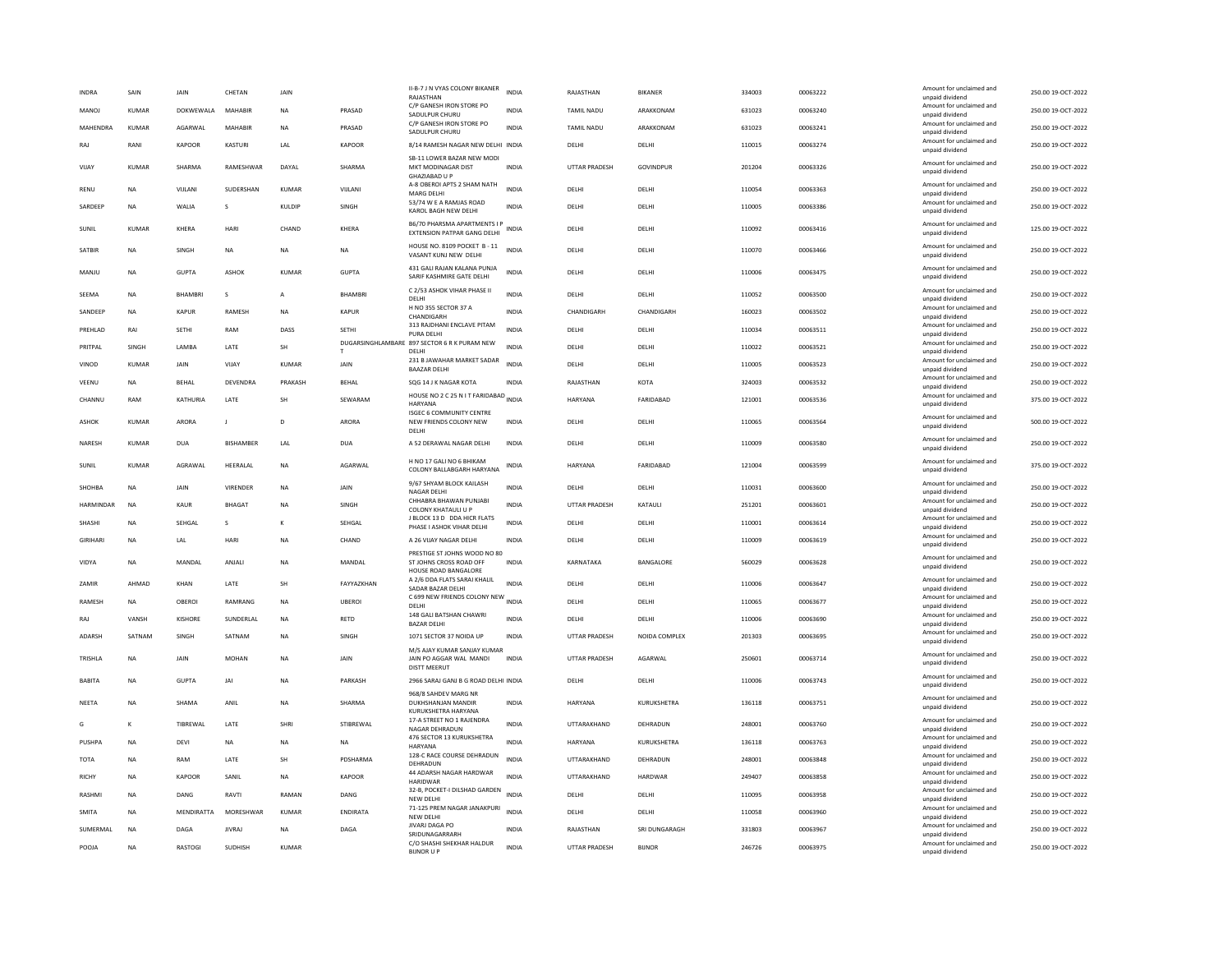| <b>INDRA</b>   | SAIN         | <b>JAIN</b>    | CHETAN           | <b>JAIN</b>  |                  | II-B-7 J N VYAS COLONY BIKANER<br>RAJASTHAN                                     | <b>INDIA</b> | RAIASTHAN            | <b>BIKANER</b> | 334003 | 00063222 | Amount for unclaimed and<br>unpaid dividend                    | 250.00 19-OCT-2022 |
|----------------|--------------|----------------|------------------|--------------|------------------|---------------------------------------------------------------------------------|--------------|----------------------|----------------|--------|----------|----------------------------------------------------------------|--------------------|
| <b>MANOJ</b>   | <b>KUMAR</b> | DOKWEWALA      | MAHABIR          | <b>NA</b>    | PRASAD           | C/P GANESH IRON STORE PO<br>SADULPUR CHURU                                      | <b>INDIA</b> | <b>TAMIL NADU</b>    | ARAKKONAM      | 631023 | 00063240 | Amount for unclaimed and<br>unpaid dividend                    | 250.00 19-OCT-2022 |
| MAHENDRA       | <b>KUMAR</b> | AGARWAL        | MAHABIR          | <b>NA</b>    | PRASAD           | C/P GANESH IRON STORE PO                                                        | <b>INDIA</b> | <b>TAMIL NADU</b>    | ARAKKONAM      | 631023 | 00063241 | Amount for unclaimed and                                       | 250.00 19-OCT-2022 |
| RAJ            | RANI         | KAPOOR         | KASTURI          | LAL          | KAPOOR           | SADULPUR CHURU<br>8/14 RAMESH NAGAR NEW DELHI INDIA                             |              | DELHI                | DELHI          | 110015 | 00063274 | unpaid dividend<br>Amount for unclaimed and                    | 250.00 19-OCT-2022 |
| VIIAY          | KUMAR        | SHARMA         | RAMFSHWAR        | DAYAI        | SHARMA           | SB-11 LOWER BAZAR NEW MODI<br>MKT MODINAGAR DIST                                | <b>INDIA</b> | <b>UTTAR PRADESH</b> | GOVINDPUR      | 201204 | 00063326 | unpaid dividend<br>Amount for unclaimed and<br>unpaid dividend | 250.00.19-OCT-2022 |
| RENU           | NA           | VIJLANI        | SUDERSHAN        | <b>KUMAR</b> | VIJLANI          | GHAZIABAD U P<br>A-8 OBEROI APTS 2 SHAM NATH                                    | <b>INDIA</b> | DELHI                | DELHI          | 110054 | 00063363 | Amount for unclaimed and                                       | 250.00 19-OCT-2022 |
|                |              |                |                  |              |                  | MARG DELHI<br>53/74 W E A RAMJAS ROAD                                           |              |                      |                |        |          | unpaid dividend<br>Amount for unclaimed and                    |                    |
| <b>SARDEEP</b> | <b>NA</b>    | WALIA          | s                | KULDIP       | SINGH            | KAROL BAGH NEW DELHI                                                            | <b>INDIA</b> | DELHI                | DELHI          | 110005 | 00063386 | unpaid dividend                                                | 250.00 19-OCT-2022 |
| SUNIL          | KUMAR        | KHERA          | HARI             | CHAND        | KHERA            | B6/70 PHARSMA APARTMENTS I P<br>EXTENSION PATPAR GANG DELHI                     | <b>INDIA</b> | DELHI                | DELHI          | 110092 | 00063416 | Amount for unclaimed and<br>unpaid dividend                    | 125.00 19-OCT-2022 |
| SATBIR         | <b>NA</b>    | SINGH          | NA               | <b>NA</b>    | <b>NA</b>        | HOUSE NO. 8109 POCKET B - 11<br>VASANT KUNJ NEW DELHI                           | <b>INDIA</b> | DELHI                | DELHI          | 110070 | 00063466 | Amount for unclaimed and<br>unpaid dividend                    | 250.00 19-OCT-2022 |
| MANJU          | <b>NA</b>    | GUPTA          | <b>ASHOP</b>     | KUMAR        | <b>GUPTA</b>     | 431 GALI RAJAN KALANA PUNJA<br>SARIF KASHMIRE GATE DELHI                        | INDIA        | DELHI                | DELHI          | 110006 | 00063475 | Amount for unclaimed and<br>unpaid dividend                    | 250.00 19-OCT-2022 |
| SEEMA          | NA           | <b>BHAMBR</b>  | s                | A            | <b>BHAMBRI</b>   | C 2/53 ASHOK VIHAR PHASE II<br>DELHI                                            | <b>INDIA</b> | DELHI                | DELHI          | 110052 | 00063500 | Amount for unclaimed and<br>unpaid dividend                    | 250.00 19-OCT-2022 |
| SANDFFP        | <b>NA</b>    | KAPUR          | <b>RAMESH</b>    | <b>NA</b>    | KAPUR            | H NO 355 SECTOR 37 A<br>CHANDIGARH                                              | <b>INDIA</b> | CHANDIGARH           | CHANDIGARH     | 160023 | 00063502 | Amount for unclaimed and<br>unpaid dividend                    | 250.00 19-OCT-2022 |
| PREHLAD        | RAI          | SETHI          | RAM              | DASS         | SETHI            | 313 RAJDHANI ENCLAVE PITAM                                                      | <b>INDIA</b> | DELHI                | DELHI          | 110034 | 00063511 | Amount for unclaimed and                                       | 250.00 19-OCT-2022 |
| PRITPAL        | SINGH        | LAMBA          | LATE             | SH           |                  | PURA DELHI<br>DUGARSINGHLAMBARE 897 SECTOR 6 R K PURAM NEW                      | <b>INDIA</b> | DELHI                | DELHI          | 110022 | 00063521 | unpaid dividend<br>Amount for unclaimed and                    | 250.00 19-OCT-2022 |
| VINOD          | <b>KUMAR</b> | JAIN           | VIJAY            | KUMAR        | JAIN             | DELHI<br>231 B JAWAHAR MARKET SADAR                                             | <b>INDIA</b> | DELHI                | DELHI          | 110005 | 00063523 | unpaid dividend<br>Amount for unclaimed and                    | 250.00 19-OCT-2022 |
|                |              |                |                  |              |                  | <b>BAAZAR DELHI</b>                                                             |              |                      |                |        |          | unpaid dividend<br>Amount for unclaimed and                    |                    |
| VEENU          | <b>NA</b>    | BEHAL          | DEVENDRA         | PRAKASH      | <b>BEHAL</b>     | SQG 14 J K NAGAR KOTA<br>HOUSE NO 2 C 25 N IT FARIDABAD INDIA                   | INDIA        | RAJASTHAN            | KOTA           | 324003 | 00063532 | unpaid dividend<br>Amount for unclaimed and                    | 250.00 19-OCT-2022 |
| CHANNU         | RAM          | KATHURIA       | <b>LATE</b>      | <b>SH</b>    | SEWARAM          | <b>HARYANA</b><br><b>ISGEC 6 COMMUNITY CENTRE</b>                               |              | <b>HARYANA</b>       | FARIDARAD      | 121001 | 00063536 | unpaid dividend                                                | 375.00.19-OCT-2022 |
| ASHOK          | <b>KUMAR</b> | ARORA          | $\mathbf{I}$     | D            | <b>ARORA</b>     | NEW FRIENDS COLONY NEW<br>DELHI                                                 | <b>INDIA</b> | DELHI                | DELHI          | 110065 | 00063564 | Amount for unclaimed and<br>unpaid dividend                    | 500.00 19-OCT-2022 |
| <b>NARFSH</b>  | KUMAR        | DUA            | <b>RISHAMREE</b> | <b>IAI</b>   | DUA              | A 52 DERAWAL NAGAR DELHI                                                        | <b>INDIA</b> | <b>DELHI</b>         | DELHI          | 110009 | 00063580 | Amount for unclaimed and<br>unpaid dividend                    | 250.00.19-OCT-2022 |
| SUNIL          | <b>KUMAR</b> | AGRAWAL        | HEERALAL         | <b>NA</b>    | AGARWAL          | H NO 17 GALI NO 6 BHIKAM<br>COLONY BALLABGARH HARYANA                           | INDIA        | HARYANA              | FARIDABAD      | 121004 | 00063599 | Amount for unclaimed and<br>unpaid dividend                    | 375.00 19-OCT-2022 |
| SHOHBA         | <b>NA</b>    | JAIN           | VIRENDER         | NA           | JAIN             | 9/67 SHYAM BLOCK KAILASH<br><b>NAGAR DELHI</b>                                  | <b>INDIA</b> | DELHI                | DELHI          | 110031 | 00063600 | Amount for unclaimed and<br>unpaid dividend                    | 250.00 19-OCT-2022 |
| HARMINDAR      | <b>NA</b>    | KAUR           | <b>BHAGAT</b>    | <b>NA</b>    | <b>SINGH</b>     | CHHABRA BHAWAN PUNJABI<br>COLONY KHATAULI U P                                   | <b>INDIA</b> | <b>UTTAR PRADESH</b> | KATAULI        | 251201 | 00063601 | Amount for unclaimed and<br>unpaid dividend                    | 250.00 19-OCT-2022 |
| SHASHI         | <b>NA</b>    | SEHGAL         | s                | к            | SEHGAL           | J BLOCK 13 D DDA HICR FLATS                                                     | <b>INDIA</b> | DELHI                | DELHI          | 110001 | 00063614 | Amount for unclaimed and                                       | 250.00 19-OCT-2022 |
| <b>GIRIHAR</b> | <b>NA</b>    | LAL            | <b>HARI</b>      | <b>NA</b>    | CHAND            | PHASE I ASHOK VIHAR DELHI<br>A 26 VIJAY NAGAR DELHI                             | <b>INDIA</b> | DELHI                | DELHI          | 110009 | 00063619 | unpaid dividend<br>Amount for unclaimed and                    | 250.00 19-OCT-2022 |
|                |              |                |                  |              |                  | PRESTIGE ST JOHNS WOOD NO 80                                                    |              |                      |                |        |          | unpaid dividend<br>Amount for unclaimed and                    |                    |
| VIDYA          | <b>NA</b>    | MANDAL         | ANJAL            | <b>NA</b>    | MANDAL           | ST JOHNS CROSS ROAD OFF<br>HOUSE ROAD BANGALORE<br>A 2/6 DDA FLATS SARAI KHALIL | <b>INDIA</b> | KARNATAKA            | BANGALORE      | 560029 | 00063628 | unpaid dividend<br>Amount for unclaimed and                    | 250.00 19-OCT-2022 |
| ZAMIR          | AHMAD        | KHAN           | LATE             | SH           | FAYYAZKHAN       | SADAR BAZAR DELHI                                                               | INDIA        | DELHI                | DELHI          | 110006 | 00063647 | unpaid dividend                                                | 250.00 19-OCT-2022 |
| RAMESH         | <b>NA</b>    | OBEROI         | RAMRANG          | <b>NA</b>    | <b>UBEROI</b>    | C 699 NEW FRIENDS COLONY NEW INDIA<br>DELHI                                     |              | DELHI                | DELHI          | 110065 | 00063677 | Amount for unclaimed and<br>unpaid dividend                    | 250.00 19-OCT-2022 |
| RAJ            | VANSH        | KISHORF        | SUNDERLAL        | <b>NA</b>    | <b>RETD</b>      | 148 GALI BATSHAN CHAWRI<br><b>BAZAR DELHI</b>                                   | <b>INDIA</b> | <b>DELHI</b>         | DELHI          | 110006 | 00063690 | Amount for unclaimed and<br>unpaid dividend                    | 250.00 19-OCT-2022 |
| ADARSH         | SATNAM       | SINGH          | SATNAM           | <b>NA</b>    | SINGH            | 1071 SECTOR 37 NOIDA UP                                                         | <b>INDIA</b> | <b>UTTAR PRADESH</b> | NOIDA COMPLEX  | 201303 | 00063695 | Amount for unclaimed and<br>unpaid dividend                    | 250.00 19-OCT-2022 |
| TRISHLA        | <b>NA</b>    | JAIN           | <b>MOHAN</b>     | NA           | JAIN             | M/S AJAY KUMAR SANJAY KUMAR<br>JAIN PO AGGAR WAL MANDI<br><b>DISTT MEERUT</b>   | <b>INDIA</b> | UTTAR PRADESH        | AGARWAL        | 250601 | 00063714 | Amount for unclaimed and<br>unpaid dividend                    | 250.00 19-OCT-2022 |
| <b>BARITA</b>  | <b>NA</b>    | GUPTA          | IAI              | <b>NA</b>    | PARKASH          | 2966 SARAJ GANJ B G ROAD DELHI INDIA                                            |              | DELHI                | <b>DELHI</b>   | 110006 | 00063743 | Amount for unclaimed and<br>unpaid dividend                    | 250.00 19-OCT-2022 |
| NEETA          | <b>NA</b>    | SHAMA          | ANIL             | NA           | SHARMA           | 968/8 SAHDEV MARG NR<br>DUKHSHANJAN MANDIR                                      | INDIA        | HARYANA              | KURUKSHETRA    | 136118 | 00063751 | Amount for unclaimed and                                       | 250.00 19-OCT-2022 |
| G              | $\kappa$     | TIBREWAL       | <b>I ATF</b>     | SHRI         | <b>STIRRFWAI</b> | KURUKSHETRA HARYANA<br>17-A STREET NO 1 RAJENDRA                                | <b>INDIA</b> | <b>UTTARAKHAND</b>   | DEHRADUN       | 248001 | 00063760 | unpaid dividend<br>Amount for unclaimed and                    | 250.00 19-OCT-2022 |
| <b>PUSHPA</b>  | <b>NA</b>    | DEVI           | <b>NA</b>        | <b>NA</b>    | <b>NA</b>        | NAGAR DEHRADUN<br>476 SECTOR 13 KURUKSHETRA                                     | <b>INDIA</b> | <b>HARYANA</b>       | KURUKSHETRA    | 136118 | 00063763 | unpaid dividend<br>Amount for unclaimed and                    | 250.00 19-OCT-2022 |
|                |              |                |                  |              |                  | <b>HARYANA</b><br>128-C RACE COURSE DEHRADUN                                    |              |                      |                |        |          | unpaid dividend<br>Amount for unclaimed and                    |                    |
| TOTA           | <b>NA</b>    | RAM            | LATE             | SH           | PDSHARMA         | DEHRADUN<br>44 ADARSH NAGAR HARDWAR                                             | <b>INDIA</b> | UTTARAKHAND          | DEHRADUN       | 248001 | 00063848 | unpaid dividend<br>Amount for unclaimed and                    | 250.00 19-OCT-2022 |
| RICHY          | <b>NA</b>    | KAPOOR         | SANIL            | NA           | KAPOOR           | <b>HARIDWAR</b><br>32-B, POCKET-I DILSHAD GARDEN                                | <b>INDIA</b> | UTTARAKHAND          | HARDWAR        | 249407 | 00063858 | unpaid dividend<br>Amount for unclaimed and                    | 250.00 19-OCT-2022 |
| RASHMI         | <b>NA</b>    | DANG           | RAVTI            | RAMAN        | DANG             | NFW DFI HI                                                                      | <b>INDIA</b> | DELHI                | DELHI          | 110095 | 00063958 | unnaid dividend                                                | 250.00 19-OCT-2022 |
| <b>SMITA</b>   | <b>NA</b>    | MENDIRATTA     | <b>MORESHWAR</b> | KUMAR        | <b>FNDIRATA</b>  | 71-125 PREM NAGAR JANAKPURI<br>NEW DELHI                                        | <b>INDIA</b> | <b>DELHI</b>         | DFI HI         | 110058 | 00063960 | Amount for unclaimed and<br>unpaid dividend                    | 250.00 19-OCT-2022 |
| SUMERMAL       | <b>NA</b>    | DAGA           | <b>JIVRAJ</b>    | <b>NA</b>    | DAGA             | JIVARJ DAGA PO<br>SRIDUNAGARRARH                                                | <b>INDIA</b> | RAJASTHAN            | SRI DUNGARAGH  | 331803 | 00063967 | Amount for unclaimed and<br>unpaid dividend                    | 250.00 19-OCT-2022 |
| POOJA          | <b>NA</b>    | <b>RASTOGI</b> | SUDHISH          | <b>KUMAR</b> |                  | C/O SHASHI SHEKHAR HALDUR<br><b>BUNOR U P</b>                                   | <b>INDIA</b> | UTTAR PRADESH        | <b>BIJNOR</b>  | 246726 | 00063975 | Amount for unclaimed and<br>unpaid dividend                    | 250.00 19-OCT-2022 |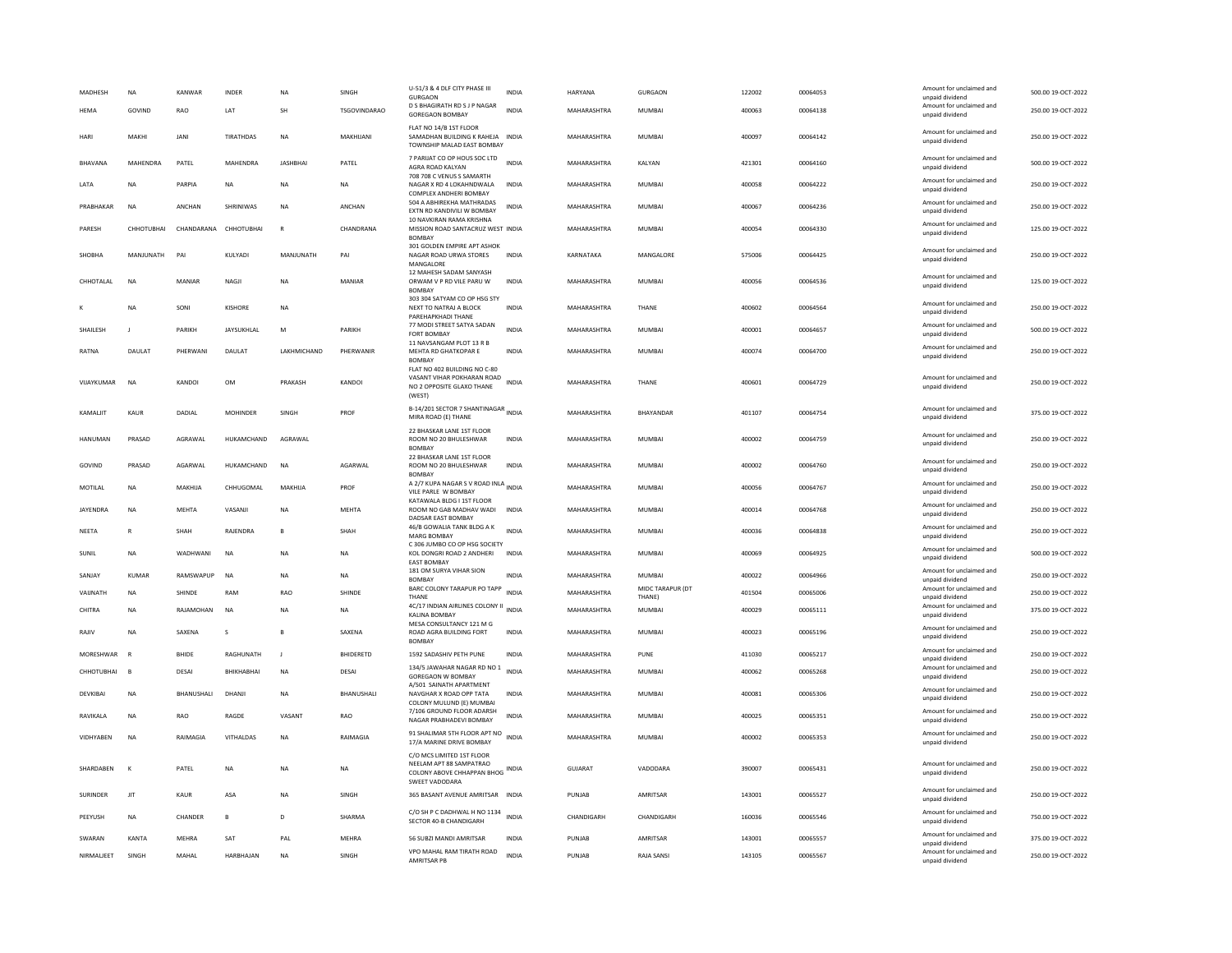| <b>MADHESH</b> | <b>NA</b>       | KANWAR       | INDER            | <b>NA</b>       | SINGH               | U-51/3 & 4 DLF CITY PHASE III<br><b>GURGAON</b>                                                            | INDIA        | HARYANA     | GURGAON                    | 122002 | 00064053 | Amount for unclaimed and<br>unpaid dividend | 500.00 19-OCT-2022 |
|----------------|-----------------|--------------|------------------|-----------------|---------------------|------------------------------------------------------------------------------------------------------------|--------------|-------------|----------------------------|--------|----------|---------------------------------------------|--------------------|
| <b>HFMA</b>    | GOVIND          | RAO          | LAT              | SH              | <b>TSGOVINDARAO</b> | D S BHAGIRATH RD S J P NAGAR<br><b>GOREGAON BOMBAY</b>                                                     | <b>INDIA</b> | MAHARASHTRA | MUMBAI                     | 400063 | 00064138 | Amount for unclaimed and<br>unpaid dividend | 250.00 19-OCT-2022 |
| HARI           | MAKHI           | <b>JANI</b>  | <b>TIRATHDAS</b> | <b>NA</b>       | MAKHIJANI           | FLAT NO 14/B 1ST FLOOR<br>SAMADHAN BUILDING K RAHEJA INDIA<br>TOWNSHIP MALAD EAST BOMBAY                   |              | MAHARASHTRA | MUMBAI                     | 400097 | 00064142 | Amount for unclaimed and<br>unpaid dividend | 250.00 19-OCT-2022 |
| BHAVANA        | <b>MAHENDRA</b> | PATEL        | MAHENDRA         | <b>JASHBHAI</b> | PATEL               | 7 PARIJAT CO OP HOUS SOC LTD<br>AGRA ROAD KALYAN                                                           | <b>INDIA</b> | MAHARASHTRA | KALYAN                     | 421301 | 00064160 | Amount for unclaimed and<br>unpaid dividend | 500.00 19-OCT-2022 |
| LATA           | <b>NA</b>       | PARPIA       | <b>NA</b>        | <b>NA</b>       | NA                  | 708 708 C VENUS S SAMARTH<br>NAGAR X RD 4 LOKAHNDWALA<br>COMPLEX ANDHERLBOMBAY                             | <b>INDIA</b> | MAHARASHTRA | MUMBAI                     | 400058 | 00064222 | Amount for unclaimed and<br>unpaid dividend | 250.00 19-OCT-2022 |
| PRABHAKAR      | <b>NA</b>       | ANCHAN       | SHRINIWAS        | <b>NA</b>       | ANCHAN              | 504 A ABHIREKHA MATHRADAS<br>EXTN RD KANDIVILI W BOMBAY                                                    | <b>INDIA</b> | MAHARASHTRA | <b>MUMBAI</b>              | 400067 | 00064236 | Amount for unclaimed and<br>unpaid dividend | 250.00 19-OCT-2022 |
| PARESH         | СННОТИВНАІ      | CHANDARANA   | CHHOTUBHAI       | $\mathsf{R}$    | CHANDRANA           | 10 NAVKIRAN RAMA KRISHNA<br>MISSION ROAD SANTACRUZ WEST INDIA<br>BOMBAY                                    |              | MAHARASHTRA | <b>MUMBAI</b>              | 400054 | 00064330 | Amount for unclaimed and<br>unpaid dividend | 125.00 19-OCT-2022 |
| SHOBHA         | MANJUNATH       | PAI          | KULYADI          | MANJUNATH       | PAI                 | 301 GOLDEN EMPIRE APT ASHOK<br>NAGAR ROAD URWA STORES<br>MANGALORE                                         | INDIA        | KARNATAKA   | MANGALORE                  | 575006 | 00064425 | Amount for unclaimed and<br>unpaid dividend | 250.00 19-OCT-2022 |
| CHHOTALAI      | <b>NA</b>       | MANIAR       | NAGJI            | NA              | MANIAR              | 12 MAHESH SADAM SANYASH<br>ORWAM V P RD VILE PARU W<br><b>BOMBAY</b>                                       | INDIA        | MAHARASHTRA | MUMBAI                     | 400056 | 00064536 | Amount for unclaimed and<br>unpaid dividend | 125.00 19-OCT-2022 |
|                | <b>NA</b>       | SONI         | KISHORE          | NA              |                     | 303 304 SATYAM CO OP HSG STY<br>NEXT TO NATRAJ A BLOCK<br>PARFHAPKHADI THANF                               | <b>INDIA</b> | MAHARASHTRA | THANE                      | 400602 | 00064564 | Amount for unclaimed and<br>unpaid dividend | 250.00 19-OCT-2022 |
| SHAILESH       | $\mathbf{J}$    | PARIKH       | JAYSUKHLAL       | M               | PARIKH              | 77 MODI STREET SATYA SADAN<br>FORT BOMBAY                                                                  | <b>INDIA</b> | MAHARASHTRA | <b>MUMBAI</b>              | 400001 | 00064657 | Amount for unclaimed and<br>unpaid dividend | 500.00 19-OCT-2022 |
| RATNA          | <b>DAULAT</b>   | PHERWANI     | DAULAT           | LAKHMICHAND     | PHERWANIR           | 11 NAVSANGAM PLOT 13 R B<br>MEHTA RD GHATKOPAR E<br><b>BOMBAY</b>                                          | INDIA        | MAHARASHTRA | MUMBAI                     | 400074 | 00064700 | Amount for unclaimed and<br>unpaid dividend | 250.00 19-OCT-2022 |
| VIIAYKUMAR     | <b>NA</b>       | KANDOI       | OM               | PRAKASH         | KANDOL              | FLAT NO 402 BUILDING NO C-80<br>VASANT VIHAR POKHARAN ROAD<br>NO 2 OPPOSITE GLAXO THANE<br>(WEST)          | <b>INDIA</b> | MAHARASHTRA | <b>THANE</b>               | 400601 | 00064729 | Amount for unclaimed and<br>unpaid dividend | 250.00.19-QCT-2022 |
| KAMALIT        | <b>KAUR</b>     | DADIAL       | <b>MOHINDER</b>  | SINGH           | PROF                | B-14/201 SECTOR 7 SHANTINAGAR INDIA<br>MIRA ROAD (E) THANE                                                 |              | MAHARASHTRA | BHAYANDAR                  | 401107 | 00064754 | Amount for unclaimed and<br>unpaid dividend | 375.00 19-OCT-2022 |
| <b>HANUMAN</b> | PRASAD          | AGRAWAL      | HUKAMCHAND       | AGRAWAL         |                     | 22 BHASKAR LANE 1ST FLOOR<br>ROOM NO 20 BHULESHWAR<br><b>BOMBAY</b>                                        | <b>INDIA</b> | MAHARASHTRA | <b>MUMBAI</b>              | 400002 | 00064759 | Amount for unclaimed and<br>unpaid dividend | 250.00 19-OCT-2022 |
| GOVIND         | PRASAD          | AGARWAL      | HUKAMCHAND       | <b>NA</b>       | AGARWAL             | 22 BHASKAR LANE 1ST FLOOR<br>ROOM NO 20 BHULESHWAR<br><b>BOMBAY</b>                                        | <b>INDIA</b> | MAHARASHTRA | <b>MUMBAI</b>              | 400002 | 00064760 | Amount for unclaimed and<br>unpaid dividend | 250.00 19-OCT-2022 |
| MOTILAL        | NA              | MAKHIJA      | CHHUGOMAL        | MAKHIJA         | PROF                | A 2/7 KUPA NAGAR S V ROAD INLA INDIA<br>VILE PARLE W BOMBAY                                                |              | MAHARASHTRA | MUMBAI                     | 400056 | 00064767 | Amount for unclaimed and<br>unpaid dividend | 250.00 19-OCT-2022 |
| JAYENDRA       | NA              | MEHTA        | VASANJI          | <b>NA</b>       | MEHTA               | KATAWALA BLDG I 1ST FLOOR<br>ROOM NO GAB MADHAV WADI<br>DADSAR EAST BOMBAY                                 | <b>INDIA</b> | MAHARASHTRA | <b>MUMBAI</b>              | 400014 | 00064768 | Amount for unclaimed and<br>unpaid dividend | 250.00 19-OCT-2022 |
| NEETA          | $\mathbb{R}$    | SHAH         | RAJENDRA         | $\mathbf{B}$    | SHAH                | 46/B GOWALIA TANK BLDG A K<br>MARG BOMBAY                                                                  | <b>INDIA</b> | MAHARASHTRA | <b>MUMBAI</b>              | 400036 | 00064838 | Amount for unclaimed and<br>unpaid dividend | 250.00 19-OCT-2022 |
| SUNIL          | <b>NA</b>       | WADHWANI     | <b>NA</b>        | <b>NA</b>       | NA                  | C 306 JUMBO CO OP HSG SOCIETY<br>KOL DONGRI ROAD 2 ANDHERI<br><b>EAST BOMBAY</b>                           | <b>INDIA</b> | MAHARASHTRA | MUMBAI                     | 400069 | 00064925 | Amount for unclaimed and<br>unpaid dividend | 500.00 19-OCT-2022 |
| SANJAY         | <b>KUMAR</b>    | RAMSWAPUP    | <b>NA</b>        | <b>NA</b>       | <b>NA</b>           | 181 OM SURYA VIHAR SION<br><b>BOMBAY</b>                                                                   | <b>INDIA</b> | MAHARASHTRA | <b>MUMBAI</b>              | 400022 | 00064966 | Amount for unclaimed and<br>unpaid dividend | 250.00 19-OCT-2022 |
| VAIJNATH       | <b>NA</b>       | SHINDE       | <b>RAM</b>       | RAO             | SHINDE              | BARC COLONY TARAPUR PO TAPP<br>THANE                                                                       | <b>INDIA</b> | MAHARASHTRA | MIDC TARAPUR (DT<br>THANE) | 401504 | 00065006 | Amount for unclaimed and<br>unpaid dividend | 250.00 19-OCT-2022 |
| CHITRA         | <b>NA</b>       | RAJAMOHAN    | <b>NA</b>        | NA              | <b>NA</b>           | 4C/17 INDIAN AIRLINES COLONY II<br>KALINA ROMBAY                                                           | <b>INDIA</b> | MAHARASHTRA | <b>MUMBAI</b>              | 400029 | 00065111 | Amount for unclaimed and<br>unpaid dividend | 375.00 19-OCT-2022 |
| RAJIV          | <b>NA</b>       | SAXENA       | $\mathbf{s}$     | $\overline{B}$  | SAXENA              | MESA CONSULTANCY 121 M G<br>ROAD AGRA BUILDING FORT<br><b>BOMBAY</b>                                       | <b>INDIA</b> | MAHARASHTRA | MUMBAI                     | 400023 | 00065196 | Amount for unclaimed and<br>unpaid dividend | 250.00 19-OCT-2022 |
| MORESHWAR      | R               | <b>BHIDE</b> | RAGHUNATH        | $\blacksquare$  | <b>BHIDERETD</b>    | 1592 SADASHIV PETH PUNE                                                                                    | <b>INDIA</b> | MAHARASHTRA | PUNE                       | 411030 | 00065217 | Amount for unclaimed and<br>unpaid dividend | 250.00 19-OCT-2022 |
| CHHOTUBHAI     | B               | DESAI        | BHIKHABHAI       | <b>NA</b>       | <b>DESAI</b>        | 134/5 JAWAHAR NAGAR RD NO 1<br><b>GOREGAON W BOMBAY</b><br>A/501 SAINATH APARTMENT                         | <b>INDIA</b> | MAHARASHTRA | <b>MUMBAI</b>              | 400062 | 00065268 | Amount for unclaimed and<br>unpaid dividend | 250.00 19-OCT-2022 |
| <b>DEVKIBA</b> | <b>NA</b>       | BHANUSHALI   | DHANJI           | <b>NA</b>       | BHANUSHALI          | NAVGHAR X ROAD OPP TATA<br>COLONY MULUND (E) MUMBAI                                                        | <b>INDIA</b> | MAHARASHTRA | <b>MUMBAI</b>              | 400081 | 00065306 | Amount for unclaimed and<br>unpaid dividend | 250.00 19-OCT-2022 |
| RAVIKALA       | NA              | RAO          | RAGDE            | VASANT          | RAO                 | 7/106 GROUND FLOOR ADARSH<br>NAGAR PRABHADEVI BOMBAY                                                       | <b>INDIA</b> | MAHARASHTRA | <b>MUMBAI</b>              | 400025 | 00065351 | Amount for unclaimed and<br>unpaid dividend | 250.00 19-OCT-2022 |
| VIDHYABEN      | <b>NA</b>       | RAIMAGIA     | VITHALDAS        | <b>NA</b>       | RAIMAGIA            | 91 SHALIMAR 5TH FLOOR APT NO<br>17/A MARINE DRIVE BOMBAY                                                   | <b>INDIA</b> | MAHARASHTRA | <b>MUMBAI</b>              | 400002 | 00065353 | Amount for unclaimed and<br>unpaid dividend | 250.00 19-OCT-2022 |
| SHARDABEN      | $\mathbf{K}$    | PATEL        | NA               | <b>NA</b>       | NA                  | C/O MCS LIMITED 1ST FLOOR<br>NEELAM APT 88 SAMPATRAO<br>COLONY ABOVE CHHAPPAN BHOG INDIA<br>SWEET VADODARA |              | GUJARAT     | VADODARA                   | 390007 | 00065431 | Amount for unclaimed and<br>unpaid dividend | 250.00 19-OCT-2022 |
| SURINDER       | JIT             | KAUR         | ASA              | NA              | SINGH               | 365 BASANT AVENUE AMRITSAR                                                                                 | <b>INDIA</b> | PUNJAB      | AMRITSAR                   | 143001 | 00065527 | Amount for unclaimed and<br>unpaid dividend | 250.00 19-OCT-2022 |
| PEEYUSH        | <b>NA</b>       | CHANDER      | B                | D               | SHARMA              | C/O SH P C DADHWAL H NO 1134<br>SECTOR 40-B CHANDIGARH                                                     | <b>INDIA</b> | CHANDIGARH  | CHANDIGARH                 | 160036 | 00065546 | Amount for unclaimed and<br>unpaid dividend | 750.00 19-OCT-2022 |
| SWARAN         | <b>KANTA</b>    | MEHRA        | SAT              | PAL             | MEHRA               | 56 SUBZI MANDI AMRITSAR                                                                                    | INDIA        | PUNJAB      | AMRITSAR                   | 143001 | 00065557 | Amount for unclaimed and<br>unpaid dividend | 375.00 19-OCT-2022 |
| NIRMALIEET     | <b>SINGH</b>    | MAHAI        | HARBHAJAN        | <b>NA</b>       | <b>SINGH</b>        | VPO MAHAL RAM TIRATH ROAD<br>AMRITSAR PB                                                                   | <b>INDIA</b> | PUNIAR      | <b>RAJA SANSI</b>          | 143105 | 00065567 | Amount for unclaimed and<br>unpaid dividend | 250.00 19-OCT-2022 |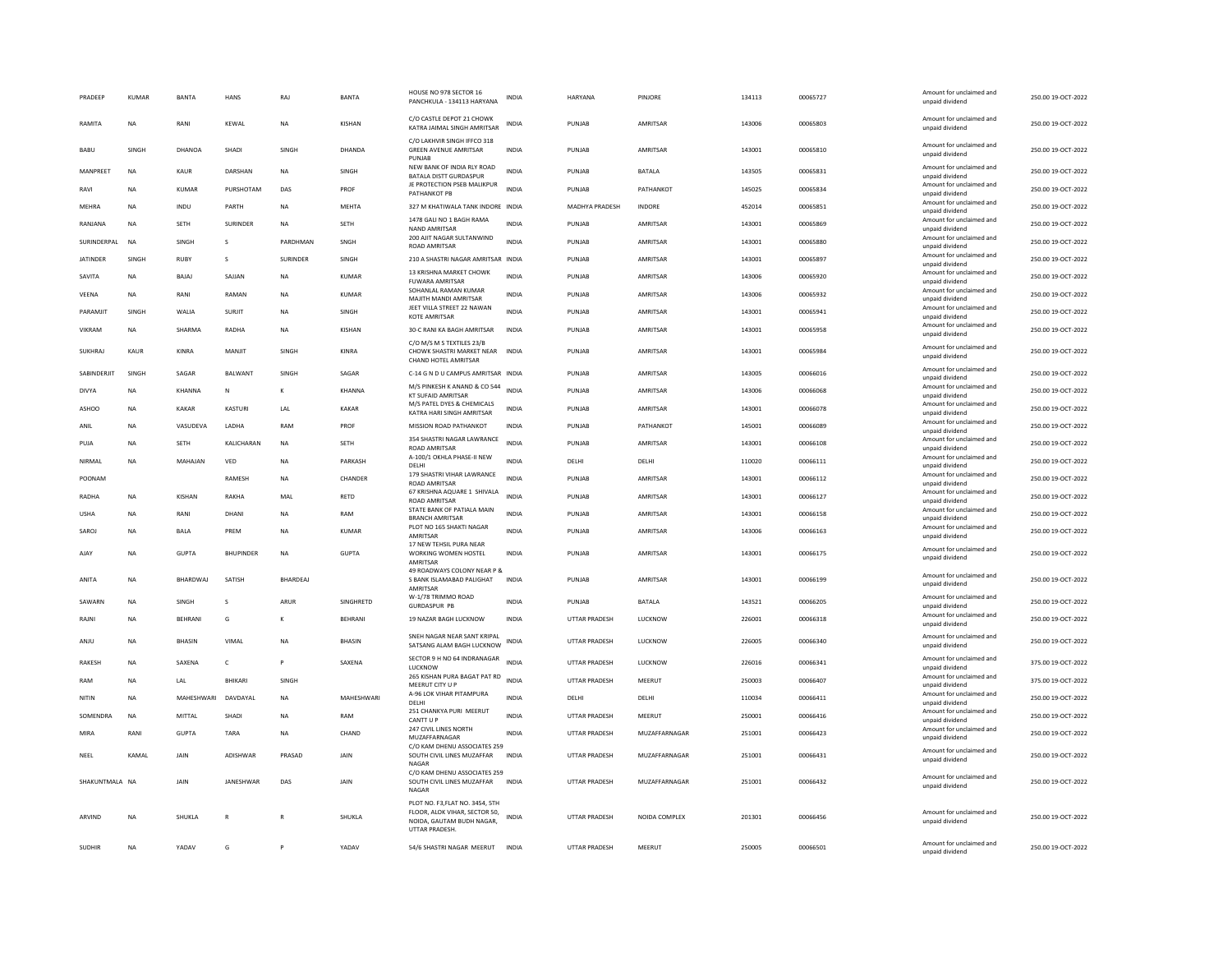| PRADEEP         | <b>KUMAR</b> | <b>BANTA</b>        | <b>HANS</b>      | RAJ             | <b>BANTA</b>  | HOUSE NO 978 SECTOR 16<br>PANCHKULA - 134113 HARYANA                                                            | INDIA        | HARYANA              | PINJORE        | 134113 | 00065727 | Amount for unclaimed and<br>unpaid dividend | 250.00 19-OCT-2022 |
|-----------------|--------------|---------------------|------------------|-----------------|---------------|-----------------------------------------------------------------------------------------------------------------|--------------|----------------------|----------------|--------|----------|---------------------------------------------|--------------------|
| RAMITA          | <b>NA</b>    | RANI                | KEWAL            | NA              | <b>KISHAN</b> | C/O CASTLE DEPOT 21 CHOWK<br>KATRA JAIMAL SINGH AMRITSAR                                                        | INDIA        | PUNJAB               | AMRITSAR       | 143006 | 00065803 | Amount for unclaimed and<br>unpaid dividend | 250.00 19-OCT-2022 |
| BABU            | SINGH        | DHANOA              | SHADI            | SINGH           | DHANDA        | C/O LAKHVIR SINGH IFFCO 318<br><b>GREEN AVENUE AMRITSAR</b><br>PUNJAB                                           | INDIA        | PUNJAB               | AMRITSAR       | 143001 | 00065810 | Amount for unclaimed and<br>unpaid dividend | 250.00 19-OCT-2022 |
| MANPREET        | <b>NA</b>    | KAUR                | DARSHAN          | <b>NA</b>       | SINGH         | NEW BANK OF INDIA RLY ROAD<br><b>BATALA DISTT GURDASPUR</b>                                                     | <b>INDIA</b> | PUNJAB               | <b>BATALA</b>  | 143505 | 00065831 | Amount for unclaimed and<br>unpaid dividend | 250.00 19-OCT-2022 |
| RAVI            | <b>NA</b>    | <b>KUMAR</b>        | PURSHOTAM        | DAS             | PROF          | JE PROTECTION PSEB MALIKPUR<br>PATHANKOT PB                                                                     | <b>INDIA</b> | PUNJAB               | PATHANKOT      | 145025 | 00065834 | Amount for unclaimed and<br>unpaid dividend | 250.00 19-OCT-2022 |
| MEHRA           | <b>NA</b>    | INDU                | PARTH            | NA              | MEHTA         | 327 M KHATIWALA TANK INDORE INDIA                                                                               |              | MADHYA PRADESH       | INDORE         | 452014 | 00065851 | Amount for unclaimed and<br>unpaid dividend | 250.00 19-OCT-2022 |
| RANJANA         | <b>NA</b>    | SETH                | SURINDER         | NA              | SETH          | 1478 GALI NO 1 BAGH RAMA<br>NAND AMRITSAR                                                                       | <b>INDIA</b> | PUNJAB               | AMRITSAR       | 143001 | 00065869 | Amount for unclaimed and<br>unpaid dividend | 250.00 19-OCT-2022 |
| SURINDERPAL     | <b>NA</b>    | SINGH               | s                | PARDHMAN        | SNGH          | 200 AJIT NAGAR SULTANWIND<br><b>ROAD AMRITSAR</b>                                                               | <b>INDIA</b> | PUNJAB               | AMRITSAR       | 143001 | 00065880 | Amount for unclaimed and<br>unpaid dividend | 250.00 19-OCT-2022 |
| <b>JATINDER</b> | SINGH        | RUBY                | $\mathbf{S}$     | <b>SURINDER</b> | SINGH         | 210 A SHASTRI NAGAR AMRITSAR INDIA                                                                              |              | PUNJAR               | AMRITSAR       | 143001 | 00065897 | Amount for unclaimed and<br>unpaid dividend | 250.00 19-OCT-2022 |
| SAVITA          | <b>NA</b>    | BAJAJ               | SAJJAN           | <b>NA</b>       | <b>KUMAR</b>  | 13 KRISHNA MARKET CHOWK<br><b>FUWARA AMRITSAF</b>                                                               | <b>INDIA</b> | PUNJAB               | AMRITSAR       | 143006 | 00065920 | Amount for unclaimed and<br>unpaid dividend | 250.00 19-OCT-2022 |
| VEENA           | <b>NA</b>    | RANI                | RAMAN            | NA              | <b>KUMAR</b>  | SOHANLAL RAMAN KUMAR<br>MAJITH MANDI AMRITSAR                                                                   | INDIA        | PUNJAB               | AMRITSAR       | 143006 | 00065932 | Amount for unclaimed and<br>unpaid dividend | 250.00 19-OCT-2022 |
| PARAMJIT        | SINGH        | WALIA               | SURJIT           | NA              | SINGH         | JEET VILLA STREET 22 NAWAN<br><b>KOTE AMRITSAR</b>                                                              | INDIA        | PUNJAB               | AMRITSAR       | 143001 | 00065941 | Amount for unclaimed and<br>unpaid dividend | 250.00 19-OCT-2022 |
| <b>VIKRAM</b>   | <b>NA</b>    | SHARMA              | RADHA            | <b>NA</b>       | <b>KISHAN</b> | 30-C RANI KA BAGH AMRITSAR                                                                                      | <b>INDIA</b> | PUNJAB               | AMRITSAR       | 143001 | 00065958 | Amount for unclaimed and<br>unpaid dividend | 250.00 19-OCT-2022 |
| <b>SUKHRAJ</b>  | KAUR         | KINRA               | MANJIT           | SINGH           | KINRA         | C/O M/S M S TEXTILES 23/B<br>CHOWK SHASTRI MARKET NEAR                                                          | <b>INDIA</b> | PUNJAB               | AMRITSAR       | 143001 | 00065984 | Amount for unclaimed and                    | 250.00 19-OCT-2022 |
|                 |              |                     |                  |                 |               | CHAND HOTEL AMRITSAR                                                                                            |              |                      |                |        |          | unpaid dividend<br>Amount for unclaimed and |                    |
| SABINDERJIT     | SINGH        | SAGAR               | <b>BALWANT</b>   | SINGH           | SAGAR         | C-14 G N D U CAMPUS AMRITSAR INDIA                                                                              |              | PUNJAB               | AMRITSAR       | 143005 | 00066016 | unpaid dividend                             | 250.00 19-OCT-2022 |
| DIVYA           | <b>NA</b>    | KHANNA              | N                | к               | <b>KHANNA</b> | M/S PINKESH K ANAND & CO 544<br><b>KT SUFAID AMRITSAR</b>                                                       | <b>INDIA</b> | PUNJAR               | AMRITSAR       | 143006 | 8808000  | Amount for unclaimed and<br>unpaid dividend | 250.00 19-OCT-2022 |
| <b>ASHOO</b>    | <b>NA</b>    | <b>KAKAR</b>        | KASTURI          | LAL             | <b>KAKAR</b>  | M/S PATEL DYES & CHEMICALS<br>KATRA HARI SINGH AMRITSAR                                                         | <b>INDIA</b> | PUNJAB               | AMRITSAR       | 143001 | 00066078 | Amount for unclaimed and<br>unpaid dividend | 250.00 19-OCT-2022 |
| ANIL            | NA           | VASUDEVA            | LADHA            | RAM             | PROF          | MISSION ROAD PATHANKOT                                                                                          | INDIA        | PUNJAB               | PATHANKOT      | 145001 | 00066089 | Amount for unclaimed and<br>unpaid dividend | 250.00 19-OCT-2022 |
| PUJA            | <b>NA</b>    | <b>SETH</b>         | KALICHARAN       | <b>NA</b>       | <b>SETH</b>   | 354 SHASTRI NAGAR LAWRANCE<br>ROAD AMRITSAR                                                                     | <b>INDIA</b> | PUNJAB               | AMRITSAR       | 143001 | 00066108 | Amount for unclaimed and<br>unpaid dividend | 250.00 19-OCT-2022 |
| NIRMAL          | <b>NA</b>    | MAHAJAN             | VED              | <b>NA</b>       | PARKASH       | A-100/1 OKHLA PHASE-II NEW<br>DELHI                                                                             | <b>INDIA</b> | DELHI                | DELHI          | 110020 | 00066111 | Amount for unclaimed and<br>unpaid dividend | 250.00 19-OCT-2022 |
| POONAM          |              |                     | RAMESH           | NA              | CHANDER       | 179 SHASTRI VIHAR LAWRANCE<br><b>ROAD AMRITSAR</b>                                                              | <b>INDIA</b> | PUNJAB               | AMRITSAR       | 143001 | 00066112 | Amount for unclaimed and<br>unpaid dividend | 250.00 19-OCT-2022 |
| RADHA           | <b>NA</b>    | KISHAN              | RAKHA            | MAI             | RETD          | 67 KRISHNA AQUARE 1 SHIVALA<br>ROAD AMRITSAR                                                                    | <b>INDIA</b> | PUNJAB               | AMRITSAR       | 143001 | 00066127 | Amount for unclaimed and<br>unpaid dividend | 250.00 19-OCT-2022 |
| <b>USHA</b>     | <b>NA</b>    | RANI                | DHANI            | NA              | RAM           | STATE BANK OF PATIALA MAIN<br><b>BRANCH AMRITSAR</b>                                                            | <b>INDIA</b> | PUNJAB               | AMRITSAR       | 143001 | 00066158 | Amount for unclaimed and<br>unpaid dividend | 250.00 19-OCT-2022 |
| SAROJ           | <b>NA</b>    | <b>BALA</b>         | PREM             | <b>NA</b>       | <b>KUMAR</b>  | PLOT NO 165 SHAKTI NAGAR<br>AMRITSAR                                                                            | <b>INDIA</b> | PUNJAB               | AMRITSAR       | 143006 | 00066163 | Amount for unclaimed and<br>unpaid dividend | 250.00 19-OCT-2022 |
| AJAY            | NA           | GUPTA               | <b>BHUPINDER</b> | NA              | <b>GUPTA</b>  | 17 NEW TEHSIL PURA NEAR<br>WORKING WOMEN HOSTEL                                                                 | INDIA        | PUNJAB               | AMRITSAR       | 143001 | 00066175 | Amount for unclaimed and<br>unpaid dividend | 250.00 19-OCT-2022 |
|                 |              |                     |                  |                 |               | AMRITSAR<br>49 ROADWAYS COLONY NEAR P &                                                                         |              |                      |                |        |          | Amount for unclaimed and                    |                    |
| ANITA           | <b>NA</b>    | <b>BHARDWAJ</b>     | SATISH           | <b>BHARDEAJ</b> |               | S BANK ISLAMABAD PALIGHAT<br>AMRITSAR                                                                           | <b>INDIA</b> | PUNJAB               | AMRITSAR       | 143001 | 00066199 | unpaid dividend                             | 250.00 19-OCT-2022 |
| SAWARN          | <b>NA</b>    | <b>SINGH</b>        | $\mathbf{S}$     | ARUR            | SINGHRETD     | W-1/78 TRIMMO ROAD<br><b>GURDASPUR PB</b>                                                                       | <b>INDIA</b> | PUNJAB               | <b>BATALA</b>  | 143521 | 00066205 | Amount for unclaimed and<br>unpaid dividend | 250.00 19-OCT-2022 |
| RAJNI           | <b>NA</b>    | <b>BEHRANI</b>      | G                | к               | BEHRANI       | 19 NAZAR BAGH LUCKNOW                                                                                           | <b>INDIA</b> | <b>UTTAR PRADESH</b> | LUCKNOW        | 226001 | 00066318 | Amount for unclaimed and<br>unpaid dividend | 250.00 19-OCT-2022 |
| ANJU            | <b>NA</b>    | <b>BHASIN</b>       | VIMAL            | NA              | BHASIN        | SNEH NAGAR NEAR SANT KRIPAL<br>SATSANG ALAM BAGH LUCKNOW                                                        | INDIA        | UTTAR PRADESH        | LUCKNOW        | 226005 | 00066340 | Amount for unclaimed and<br>unpaid dividend | 250.00 19-OCT-2022 |
| <b>RAKESH</b>   | <b>NA</b>    | SAXENA              | $\mathsf{C}$     | P               | SAXENA        | SECTOR 9 H NO 64 INDRANAGAR<br>LUCKNOW                                                                          | <b>INDIA</b> | <b>UTTAR PRADESH</b> | <b>LUCKNOW</b> | 226016 | 00066341 | Amount for unclaimed and<br>unpaid dividend | 375.00 19-OCT-2022 |
| RAM             | <b>NA</b>    | LAL                 | <b>BHIKARI</b>   | SINGH           |               | 265 KISHAN PURA BAGAT PAT RD<br>MEERUT CITY U P                                                                 | <b>INDIA</b> | <b>UTTAR PRADESH</b> | MEERUT         | 250003 | 00066407 | Amount for unclaimed and<br>unpaid dividend | 375.00 19-OCT-2022 |
| NITIN           | <b>NA</b>    | MAHESHWARI DAVDAYAL |                  | <b>NA</b>       | MAHESHWARI    | A-96 LOK VIHAR PITAMPURA<br>DELHI                                                                               | INDIA        | DELHI                | DELHI          | 110034 | 00066411 | Amount for unclaimed and<br>unpaid dividend | 250.00 19-OCT-2022 |
| SOMENDRA        | <b>NA</b>    | MITTAL              | SHADI            | NA              | RAM           | 251 CHANKYA PURI MEERUT<br>CANTT UP                                                                             | INDIA        | UTTAR PRADESH        | MEERUT         | 250001 | 00066416 | Amount for unclaimed and<br>unpaid dividend | 250.00 19-OCT-2022 |
| MIRA            | RANI         | <b>GUPTA</b>        | TARA             | NA              | CHAND         | 247 CIVIL LINES NORTH<br>MUZAFFARNAGAR                                                                          | <b>INDIA</b> | <b>UTTAR PRADESH</b> | MUZAFFARNAGAR  | 251001 | 00066423 | Amount for unclaimed and<br>unpaid dividend | 250.00 19-OCT-2022 |
| NEEL            | KAMAL        | JAIN                | ADISHWAR         | PRASAD          | JAIN          | C/O KAM DHENU ASSOCIATES 259<br>SOUTH CIVIL LINES MUZAFFAR                                                      | <b>INDIA</b> | <b>UTTAR PRADESH</b> | MUZAFFARNAGAR  | 251001 | 00066431 | Amount for unclaimed and<br>unpaid dividend | 250.00 19-OCT-2022 |
|                 |              |                     |                  |                 |               | NAGAR<br>C/O KAM DHENU ASSOCIATES 259                                                                           |              |                      |                |        |          | Amount for unclaimed and                    |                    |
| SHAKUNTMALA NA  |              | JAIN                | JANESHWAR        | DAS             | <b>JAIN</b>   | SOUTH CIVIL LINES MUZAFFAR<br>NAGAR                                                                             | <b>INDIA</b> | <b>UTTAR PRADESH</b> | MUZAFFARNAGAR  | 251001 | 00066432 | unpaid dividend                             | 250.00 19-OCT-2022 |
| ARVIND          | <b>NA</b>    | SHUKLA              |                  | R               | SHUKLA        | PLOT NO. F3, FLAT NO. 3454, 5TH<br>FLOOR, ALOK VIHAR, SECTOR 50.<br>NOIDA, GAUTAM BUDH NAGAR,<br>UTTAR PRADESH. | INDIA        | UTTAR PRADESH        | NOIDA COMPLEX  | 201301 | 00066456 | Amount for unclaimed and<br>unpaid dividend | 250.00 19-OCT-2022 |
|                 |              |                     |                  |                 |               |                                                                                                                 |              |                      |                |        |          |                                             |                    |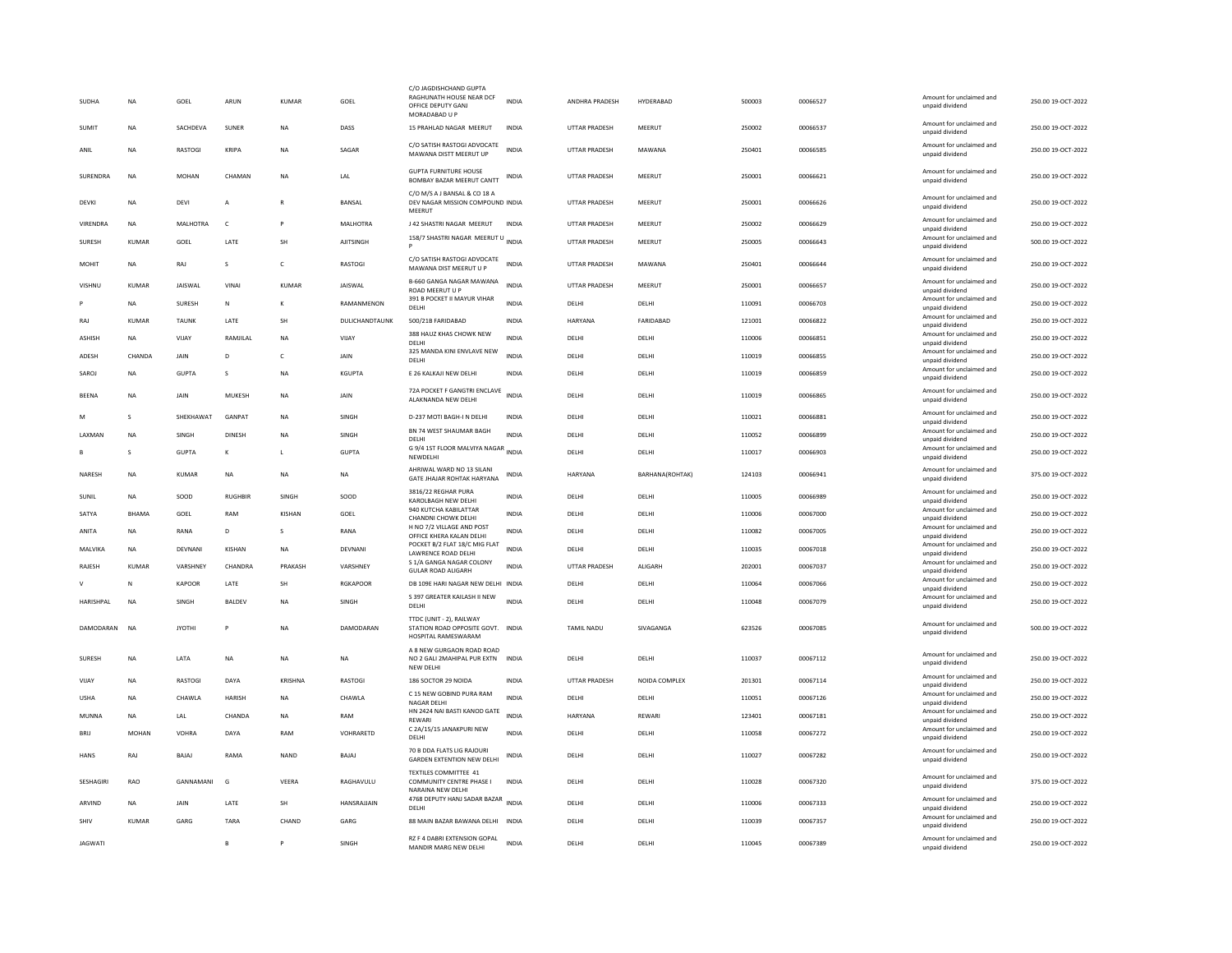| SUDHA          | <b>NA</b>    | GOEL           | ARUN           | <b>KUMAR</b>  | GOEL               | C/O JAGDISHCHAND GUPTA<br>RAGHUNATH HOUSE NEAR DCF<br>OFFICE DEPUTY GANJ<br>MORADABAD U P | <b>INDIA</b> | ANDHRA PRADESH       | HYDERABAD       | 500003 | 00066527 | Amount for unclaimed and<br>unpaid dividend | 250.00 19-OCT-2022 |
|----------------|--------------|----------------|----------------|---------------|--------------------|-------------------------------------------------------------------------------------------|--------------|----------------------|-----------------|--------|----------|---------------------------------------------|--------------------|
| SUMIT          | <b>NA</b>    | SACHDEVA       | <b>SUNFR</b>   | <b>NA</b>     | DASS               | 15 PRAHLAD NAGAR MEERUT                                                                   | <b>INDIA</b> | <b>UTTAR PRADESH</b> | MEERUT          | 250002 | 00066537 | Amount for unclaimed and<br>unpaid dividend | 250.00 19-OCT-2022 |
| ANIL           | <b>NA</b>    | RASTOGI        | KRIPA          | <b>NA</b>     | SAGAR              | C/O SATISH RASTOGI ADVOCATE<br>MAWANA DISTT MEERUT UP                                     | <b>INDIA</b> | UTTAR PRADESH        | MAWANA          | 250401 | 00066585 | Amount for unclaimed and<br>unpaid dividend | 250.00 19-OCT-2022 |
| SURENDRA       | <b>NA</b>    | <b>MOHAN</b>   | CHAMAN         | <b>NA</b>     | LAL                | <b>GUPTA FURNITURE HOUSE</b><br>BOMBAY BAZAR MEERUT CANTT                                 | INDIA        | <b>UTTAR PRADESH</b> | MEERUT          | 250001 | 00066621 | Amount for unclaimed and<br>unpaid dividend | 250.00 19-OCT-2022 |
| DEVKI          | <b>NA</b>    | DEVI           | Α              | $\mathbb{R}$  | BANSAL             | C/O M/S A J BANSAL & CO 18 A<br>DEV NAGAR MISSION COMPOUND INDIA<br>MEERUT                |              | UTTAR PRADESH        | MEERUT          | 250001 | 00066626 | Amount for unclaimed and<br>unpaid dividend | 250.00 19-OCT-2022 |
| VIRENDRA       | NA           | MALHOTRA       | $\mathsf{C}$   |               | MALHOTRA           | J 42 SHASTRI NAGAR MEERUT                                                                 | <b>INDIA</b> | UTTAR PRADESH        | MEERUT          | 250002 | 00066629 | Amount for unclaimed and<br>unpaid dividend | 250.00 19-OCT-2022 |
| SURESH         | <b>KUMAR</b> | GOEL           | LATE           | <b>SH</b>     | AJITSINGH          | 158/7 SHASTRI NAGAR MEERUT U INDIA<br>Þ                                                   |              | UTTAR PRADESH        | MEERUT          | 250005 | 00066643 | Amount for unclaimed and<br>unpaid dividend | 500.00 19-OCT-2022 |
| MOHIT          | <b>NA</b>    | RAJ            | s              | $\mathsf{C}$  | RASTOGI            | C/O SATISH RASTOGI ADVOCATE<br>MAWANA DIST MEERUT U P                                     | <b>INDIA</b> | <b>UTTAR PRADESH</b> | MAWANA          | 250401 | 00066644 | Amount for unclaimed and<br>unpaid dividend | 250.00 19-OCT-2022 |
| VISHNU         | <b>KUMAR</b> | <b>JAISWAL</b> | VINAI          | KUMAR         | JAISWAL            | B-660 GANGA NAGAR MAWANA<br>ROAD MEERUT U P                                               | <b>INDIA</b> | UTTAR PRADESH        | MEERUT          | 250001 | 00066657 | Amount for unclaimed and<br>unpaid dividend | 250.00 19-OCT-2022 |
|                | <b>NA</b>    | SURESH         | N              | к             | RAMANMENON         | 391 B POCKET II MAYUR VIHAR<br>DELHI                                                      | <b>INDIA</b> | DELHI                | DELHI           | 110091 | 00066703 | Amount for unclaimed and<br>unpaid dividend | 250.00 19-OCT-2022 |
| RAJ            | KUMAR        | <b>TAUNK</b>   | LATE           | SH            | DULICHANDTAUNK     | 500/21B FARIDABAD                                                                         | <b>INDIA</b> | HARYANA              | FARIDABAD       | 121001 | 00066822 | Amount for unclaimed and<br>unpaid dividend | 250.00 19-OCT-2022 |
| ASHISH         | NA           | VIJAY          | RAMJILAL       | NA            | VIJAY              | 388 HAUZ KHAS CHOWK NEW<br>DELHI                                                          | <b>INDIA</b> | DELHI                | DELHI           | 110006 | 00066851 | Amount for unclaimed and<br>unpaid dividend | 250.00 19-OCT-2022 |
| ADESH          | CHANDA       | <b>JAIN</b>    | D.             | $\mathsf{C}$  | <b>JAIN</b>        | 325 MANDA KINI ENVLAVE NEW                                                                | <b>INDIA</b> | DELHI                | DELHI           | 110019 | 00066855 | Amount for unclaimed and                    | 250.00 19-OCT-2022 |
| SAROL          | <b>NA</b>    | <b>GUPTA</b>   | $\mathbf{S}$   | <b>NA</b>     | KGUPTA             | <b>DELHI</b><br>E 26 KALKAJI NEW DELHI                                                    | <b>INDIA</b> | DELHI                | <b>DELHI</b>    | 110019 | 00066859 | unpaid dividend<br>Amount for unclaimed and | 250.00.19-OCT-2022 |
|                |              |                |                |               |                    |                                                                                           |              |                      |                 |        |          | unpaid dividend                             |                    |
| BEENA          | NA           | JAIN           | MUKESH         | <b>NA</b>     | JAIN               | 72A POCKET F GANGTRI ENCLAVE<br>ALAKNANDA NEW DELHI                                       | <b>INDIA</b> | DELHI                | DELHI           | 110019 | 00066865 | Amount for unclaimed and<br>unpaid dividend | 250.00 19-OCT-2022 |
| M              | $\mathbf{s}$ | SHEKHAWAT      | GANPAT         | <b>NA</b>     | SINGH              | D-237 MOTI BAGH-I N DELHI                                                                 | <b>INDIA</b> | DELHI                | DELHI           | 110021 | 00066881 | Amount for unclaimed and<br>unpaid dividend | 250.00 19-OCT-2022 |
| LAXMAN         | <b>NA</b>    | SINGH          | <b>DINESH</b>  | <b>NA</b>     | SINGH              | BN 74 WEST SHAUMAR BAGH<br>DELHI                                                          | <b>INDIA</b> | DELHI                | DELHI           | 110052 | 00066899 | Amount for unclaimed and<br>unpaid dividend | 250.00 19-OCT-2022 |
|                | $\mathbf{S}$ | <b>GUPTA</b>   | к              | $\mathbf{L}$  | <b>GUPTA</b>       | G 9/4 1ST FLOOR MALVIYA NAGAR<br>NEWDELHI                                                 | INDIA        | DELHI                | DELHI           | 110017 | 8098000  | Amount for unclaimed and<br>unpaid dividend | 250.00 19-OCT-2022 |
| NARESH         | NA           | KUMAR          | NA             | <b>NA</b>     | NA                 | AHRIWAL WARD NO 13 SILANI<br>GATE JHAJAR ROHTAK HARYANA                                   | INDIA        | HARYANA              | BARHANA(ROHTAK) | 124103 | 00066941 | Amount for unclaimed and<br>unpaid dividend | 375.00 19-OCT-2022 |
| SUNIL          | <b>NA</b>    | SOOD           | <b>RUGHBIR</b> | SINGH         | SOOD               | 3816/22 REGHAR PURA<br>KAROLBAGH NEW DELHI                                                | <b>INDIA</b> | DELHI                | DELHI           | 110005 | 00066989 | Amount for unclaimed and<br>unpaid dividend | 250.00 19-OCT-2022 |
| SATYA          | BHAMA        | GOEL           | RAM            | <b>KISHAN</b> | GOEL               | 940 KUTCHA KABILATTAR                                                                     | <b>INDIA</b> | DELHI                | DELHI           | 110006 | 00067000 | Amount for unclaimed and                    | 250.00 19-OCT-2022 |
| ANITA          | <b>NA</b>    | RANA           | D              | s             | RANA               | CHANDNI CHOWK DELHI<br>H NO 7/2 VILLAGE AND POST                                          | <b>INDIA</b> | DELHI                | DELHI           | 110082 | 00067005 | unpaid dividend<br>Amount for unclaimed and | 250.00 19-OCT-2022 |
|                |              |                |                |               |                    | OFFICE KHERA KALAN DELHI<br>POCKET B/2 FLAT 18/C MIG FLAT                                 |              |                      |                 |        |          | unpaid dividend<br>Amount for unclaimed and |                    |
| MALVIKA        | <b>NA</b>    | DEVNANI        | <b>KISHAN</b>  | <b>NA</b>     | DEVNANI            | LAWRENCE ROAD DELHI                                                                       | <b>INDIA</b> | DELHI                | DELHI           | 110035 | 00067018 | unpaid dividend                             | 250.00 19-OCT-2022 |
| RAJESH         | KUMAR        | VARSHNEY       | CHANDRA        | PRAKASH       | VARSHNEY           | S 1/A GANGA NAGAR COLONY<br><b>GULAR ROAD ALIGARH</b>                                     | INDIA        | UTTAR PRADESH        | ALIGARH         | 202001 | 00067037 | Amount for unclaimed and<br>unpaid dividend | 250.00 19-OCT-2022 |
| $\vee$         | N            | <b>KAPOOR</b>  | LATE           | SH            | <b>RGKAPOOR</b>    | DB 109E HARI NAGAR NEW DELHI INDIA                                                        |              | DELHI                | DELHI           | 110064 | 00067066 | Amount for unclaimed and<br>unpaid dividend | 250.00 19-OCT-2022 |
| HARISHPAL      | <b>NA</b>    | SINGH          | <b>BALDEV</b>  | <b>NA</b>     | SINGH              | S 397 GREATER KAILASH II NEW<br><b>DELHI</b>                                              | <b>INDIA</b> | DELHI                | DELHI           | 110048 | 00067079 | Amount for unclaimed and<br>unpaid dividend | 250.00 19-OCT-2022 |
|                |              |                |                |               |                    | TTDC (UNIT - 2), RAILWAY                                                                  |              |                      |                 |        |          |                                             |                    |
| DAMODARAN      | <b>NA</b>    | <b>JYOTHI</b>  | P              | NA            | DAMODARAN          | STATION ROAD OPPOSITE GOVT. INDIA<br>HOSPITAL RAMESWARAM                                  |              | TAMIL NADU           | SIVAGANGA       | 623526 | 00067085 | Amount for unclaimed and<br>unpaid dividend | 500.00 19-OCT-2022 |
| SURESH         | NA           | LATA           | NA             | <b>NA</b>     | NA                 | A 8 NEW GURGAON ROAD ROAD<br>NO 2 GALI 2MAHIPAL PUR EXTN<br>NEW DELHI                     | <b>INDIA</b> | DELHI                | DELHI           | 110037 | 00067112 | Amount for unclaimed and<br>unpaid dividend | 250.00 19-OCT-2022 |
| VIJAY          | <b>NA</b>    | <b>RASTOGI</b> | DAYA           | KRISHNA       | RASTOGI            | 186 SOCTOR 29 NOIDA                                                                       | <b>INDIA</b> | UTTAR PRADESH        | NOIDA COMPLEX   | 201301 | 00067114 | Amount for unclaimed and<br>unpaid dividend | 250.00 19-OCT-2022 |
| <b>USHA</b>    | <b>NA</b>    | <b>CHAWIA</b>  | <b>HARISH</b>  | <b>NA</b>     | <b>CHAWLA</b>      | C 15 NEW GOBIND PURA RAM<br><b>NAGAR DELHI</b>                                            | <b>INDIA</b> | <b>DELHI</b>         | <b>DELHI</b>    | 110051 | 00067126 | Amount for unclaimed and                    | 250.00 19-OCT-2022 |
| MUNNA          | <b>NA</b>    | LAL            | CHANDA         | <b>NA</b>     | RAM                | HN 2424 NAI BASTI KANOD GATE                                                              | <b>INDIA</b> | HARYANA              | <b>REWARI</b>   | 123401 | 00067181 | unpaid dividend<br>Amount for unclaimed and | 250.00 19-OCT-2022 |
|                |              |                |                |               |                    | REWARI<br>C 2A/15/15 JANAKPURI NEW                                                        |              |                      |                 |        |          | unpaid dividend<br>Amount for unclaimed and |                    |
| BRIJ           | MOHAN        | VOHRA          | DAYA           | RAM           | VOHRARETD          | DELHI                                                                                     | <b>INDIA</b> | DELHI                | DELHI           | 110058 | 00067272 | unpaid dividend                             | 250.00 19-OCT-2022 |
| <b>HANS</b>    | RAJ          | BAJAJ          | RAMA           | NAND          | BAJAJ              | 70 B DDA FLATS LIG RAJOURI<br>GARDEN EXTENTION NEW DELHI                                  | INDIA        | DELHI                | DELHI           | 110027 | 00067282 | Amount for unclaimed and<br>unpaid dividend | 250.00 19-OCT-2022 |
| SESHAGIRI      | <b>RAO</b>   | GANNAMANI      | G              | VEERA         | RAGHAVULU          | TEXTILES COMMITTEE 41<br>COMMUNITY CENTRE PHASE I<br>NARAINA NFW DFI HI                   | <b>INDIA</b> | DELHI                | DELHI           | 110028 | 00067320 | Amount for unclaimed and<br>unpaid dividend | 375.00 19-OCT-2022 |
| ARVIND         | <b>NA</b>    | <b>JAIN</b>    | <b>I ATF</b>   | <b>SH</b>     | <b>HANSRAIIAIN</b> | 4768 DEPUTY HANJ SADAR BAZAR INDIA<br>DELHI                                               |              | <b>DELHI</b>         | <b>DELHI</b>    | 110006 | 00067333 | Amount for unclaimed and<br>unpaid dividend | 250.00 19-OCT-2022 |
| SHIV           | <b>KUMAR</b> | GARG           | TARA           | CHAND         | GARG               | 88 MAIN BAZAR BAWANA DELHI INDIA                                                          |              | DELHI                | DELHI           | 110039 | 00067357 | Amount for unclaimed and                    | 250.00 19-OCT-2022 |
|                |              |                |                |               |                    | RZ F 4 DABRI EXTENSION GOPAL                                                              |              |                      |                 |        |          | unpaid dividend<br>Amount for unclaimed and |                    |
| <b>JAGWATI</b> |              |                | B              | P             | SINGH              | MANDIR MARG NEW DELHI                                                                     | <b>INDIA</b> | DELHI                | DELHI           | 110045 | 00067389 | unpaid dividend                             | 250.00 19-OCT-2022 |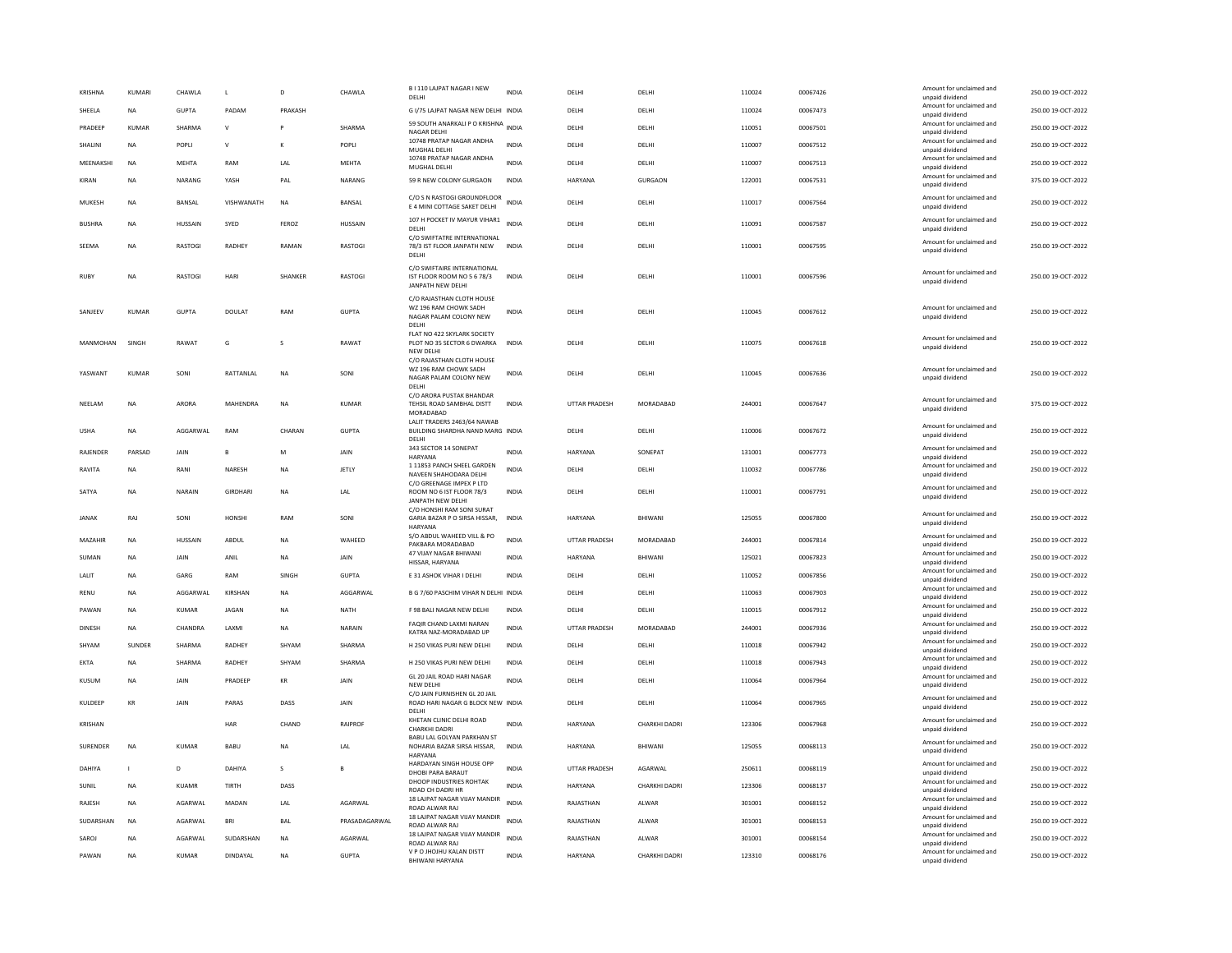| KRISHNA       | <b>KUMARI</b> | CHAWLA        | $\mathsf L$     | D         | CHAWLA         | B I 110 LAJPAT NAGAR I NEW<br>DELHI                                                   | <b>INDIA</b> | DELHI                | DELHI         | 110024 | 00067426 | Amount for unclaimed and<br>unpaid dividend | 250.00 19-OCT-2022 |
|---------------|---------------|---------------|-----------------|-----------|----------------|---------------------------------------------------------------------------------------|--------------|----------------------|---------------|--------|----------|---------------------------------------------|--------------------|
| SHEELA        | NA            | <b>GUPTA</b>  | PADAM           | PRAKASH   |                | G I/75 LAJPAT NAGAR NEW DELHI INDIA                                                   |              | DELHI                | DELHI         | 110024 | 00067473 | Amount for unclaimed and<br>unpaid dividend | 250.00 19-OCT-2022 |
| PRADEEP       | <b>KUMAR</b>  | <b>SHARMA</b> | $\mathsf{v}$    |           | SHARMA         | 59 SOUTH ANARKALI P O KRISHNA INDIA<br>NAGAR DELHI                                    |              | DELHI                | DELHI         | 110051 | 00067501 | Amount for unclaimed and<br>unpaid dividend | 250.00 19-OCT-2022 |
| SHALINI       | <b>NA</b>     | <b>POPLI</b>  | $\mathsf{v}$    | к         | POPLI          | 10748 PRATAP NAGAR ANDHA<br>MUGHAL DELHI                                              | <b>INDIA</b> | <b>DELHI</b>         | <b>DELHI</b>  | 110007 | 00067512 | Amount for unclaimed and<br>unpaid dividend | 250.00 19-OCT-2022 |
| MEENAKSHI     | NA            | MEHTA         | RAM             | LAL       | MEHTA          | 10748 PRATAP NAGAR ANDHA<br>MUGHAL DELHI                                              | <b>INDIA</b> | DELHI                | DELHI         | 110007 | 00067513 | Amount for unclaimed and<br>unpaid dividend | 250.00 19-OCT-2022 |
| KIRAN         | <b>NA</b>     | NARANG        | YASH            | PAL       | NARANG         | 59 R NEW COLONY GURGAON                                                               | INDIA        | HARYANA              | GURGAON       | 122001 | 00067531 | Amount for unclaimed and<br>unpaid dividend | 375.00 19-OCT-2022 |
| MUKESH        | <b>NA</b>     | <b>BANSAL</b> | VISHWANATH      | <b>NA</b> | <b>BANSAL</b>  | C/O S N RASTOGI GROUNDFLOOR<br>E 4 MINI COTTAGE SAKET DELHI                           | <b>INDIA</b> | DELHI                | DELHI         | 110017 | 00067564 | Amount for unclaimed and<br>unpaid dividend | 250.00 19-OCT-2022 |
| <b>BUSHRA</b> | <b>NA</b>     | HUSSAIN       | SYED            | FEROZ     | <b>HUSSAIN</b> | 107 H POCKET IV MAYUR VIHAR1 INDIA<br>DELHI                                           |              | DELHI                | DELHI         | 110091 | 00067587 | Amount for unclaimed and<br>unpaid dividend | 250.00 19-OCT-2022 |
| SEEMA         | <b>NA</b>     | RASTOGI       | RADHEY          | RAMAN     | RASTOGI        | C/O SWIFTATRE INTERNATIONAL<br>78/3 IST FLOOR JANPATH NEW<br>DELHI                    | <b>INDIA</b> | DELHI                | DELHI         | 110001 | 00067595 | Amount for unclaimed and<br>unpaid dividend | 250.00 19-OCT-2022 |
| <b>RUBY</b>   | NA            | RASTOGI       | HARI            | SHANKER   | RASTOGI        | C/O SWIFTAIRE INTERNATIONAL<br>IST FLOOR ROOM NO 5 6 78/3<br>JANPATH NEW DELHI        | INDIA        | DELHI                | DELHI         | 110001 | 00067596 | Amount for unclaimed and<br>unpaid dividend | 250.00 19-OCT-2022 |
| SANJEEV       | <b>KUMAR</b>  | <b>GUPTA</b>  | DOULAT          | RAM       | <b>GUPTA</b>   | C/O RAJASTHAN CLOTH HOUSE<br>WZ 196 RAM CHOWK SADH<br>NAGAR PALAM COLONY NEW<br>DELHI | <b>INDIA</b> | DELHI                | DELHI         | 110045 | 00067612 | Amount for unclaimed and<br>unpaid dividend | 250.00 19-OCT-2022 |
| MANMOHAN      | SINGH         | RAWAT         | G               | s         | RAWAT          | FLAT NO 422 SKYLARK SOCIETY<br>PLOT NO 35 SECTOR 6 DWARKA<br>NEW DELH                 | <b>INDIA</b> | DELHI                | DELHI         | 110075 | 00067618 | Amount for unclaimed and<br>unpaid dividend | 250.00 19-OCT-2022 |
| YASWANT       | KUMAR         | SONI          | RATTANLAL       | NA        | SONI           | C/O RAJASTHAN CLOTH HOUSE<br>WZ 196 RAM CHOWK SADH<br>NAGAR PALAM COLONY NEW<br>DELH  | <b>INDIA</b> | DELHI                | DELHI         | 110045 | 00067636 | Amount for unclaimed and<br>unpaid dividend | 250.00 19-OCT-2022 |
| NEELAM        | <b>NA</b>     | ARORA         | <b>MAHFNDRA</b> | <b>NA</b> | KUMAR          | C/O ARORA PUSTAK BHANDAR<br>TEHSIL ROAD SAMBHAL DISTT<br>MORADABAD                    | <b>INDIA</b> | <b>UTTAR PRADESH</b> | MORADARAD     | 244001 | 00067647 | Amount for unclaimed and<br>unpaid dividend | 375.00 19-OCT-2022 |
| <b>USHA</b>   | <b>NA</b>     | AGGARWAL      | RAM             | CHARAN    | <b>GUPTA</b>   | LALIT TRADERS 2463/64 NAWAB<br>BUILDING SHARDHA NAND MARG INDIA<br>DELH               |              | DELHI                | DELHI         | 110006 | 00067672 | Amount for unclaimed and<br>unpaid dividend | 250.00 19-OCT-2022 |
| RAJENDER      | PARSAD        | JAIN          | B               | M         | JAIN           | 343 SECTOR 14 SONEPAT<br>HARYANA                                                      | <b>INDIA</b> | HARYANA              | SONEPAT       | 131001 | 00067773 | Amount for unclaimed and<br>unpaid dividend | 250.00 19-OCT-2022 |
| RAVITA        | ΝA            | RANI          | NARESH          | NA        | JETLY          | 1 11853 PANCH SHEEL GARDEN<br>NAVEEN SHAHODARA DELHI                                  | INDIA        | DELHI                | DELHI         | 110032 | 00067786 | Amount for unclaimed and<br>unpaid dividend | 250.00 19-OCT-2022 |
| SATYA         | <b>NA</b>     | NARAIN        | <b>GIRDHAR</b>  | <b>NA</b> | LAL            | C/O GREENAGE IMPEX P LTD<br>ROOM NO 6 IST FLOOR 78/3<br><b>JANPATH NEW DELHI</b>      | INDIA        | DELHI                | DELHI         | 110001 | 00067791 | Amount for unclaimed and<br>unpaid dividend | 250.00 19-OCT-2022 |
| <b>JANAK</b>  | RAJ           | SONI          | HONSHI          | RAM       | SONI           | C/O HONSHI RAM SONI SURAT<br>GARIA BAZAR P O SIRSA HISSAR,<br>HARYANA                 | INDIA        | HARYANA              | BHIWANI       | 125055 | 00067800 | Amount for unclaimed and<br>unpaid dividend | 250.00 19-OCT-2022 |
| MAZAHIR       | NA            | HUSSAIN       | ABDUL           | <b>NA</b> | WAHEED         | S/O ABDUL WAHEED VILL & PO<br>PAKBARA MORADABAD                                       | <b>INDIA</b> | UTTAR PRADESH        | MORADABAD     | 244001 | 00067814 | Amount for unclaimed and<br>unpaid dividend | 250.00 19-OCT-2022 |
| SUMAN         | <b>NA</b>     | JAIN          | ANIL            | <b>NA</b> | JAIN           | 47 VIJAY NAGAR BHIWAN<br>HISSAR, HARYANA                                              | <b>INDIA</b> | HARYANA              | BHIWANI       | 125021 | 00067823 | Amount for unclaimed and<br>unpaid dividend | 250.00 19-OCT-2022 |
| LALIT         | <b>NA</b>     | GARG          | <b>RAM</b>      | SINGH     | <b>GUPTA</b>   | E 31 ASHOK VIHAR I DELHI                                                              | <b>INDIA</b> | DELHI                | DELHI         | 110052 | 00067856 | Amount for unclaimed and<br>unpaid dividend | 250.00 19-OCT-2022 |
| <b>RENU</b>   | <b>NA</b>     | AGGARWAL      | KIRSHAN         | <b>NA</b> | AGGARWAL       | B G 7/60 PASCHIM VIHAR N DELHI INDIA                                                  |              | DELHI                | DELHI         | 110063 | 00067903 | Amount for unclaimed and<br>unpaid dividend | 250.00 19-OCT-2022 |
| PAWAN         | <b>NA</b>     | KUMAR         | <b>JAGAN</b>    | <b>NA</b> | <b>NATH</b>    | F 98 BALI NAGAR NEW DELHI                                                             | <b>INDIA</b> | DELHI                | DELHI         | 110015 | 00067912 | Amount for unclaimed and<br>unpaid dividend | 250.00 19-OCT-2022 |
| DINESH        | <b>NA</b>     | CHANDRA       | LAXMI           | <b>NA</b> | NARAIN         | FAQIR CHAND LAXMI NARAN<br>KATRA NAZ-MORADABAD UP                                     | INDIA        | <b>UTTAR PRADESH</b> | MORADABAD     | 244001 | 00067936 | Amount for unclaimed and<br>unpaid dividend | 250.00 19-OCT-2022 |
| SHYAM         | SUNDER        | <b>SHARMA</b> | <b>RADHEY</b>   | SHYAM     | SHARMA         | H 250 VIKAS PURI NEW DELHI                                                            | <b>INDIA</b> | DELH                 | DELHI         | 110018 | 00067942 | Amount for unclaimed and<br>unpaid dividend | 250.00 19-OCT-2022 |
| EKTA          | <b>NA</b>     | SHARMA        | <b>RADHEY</b>   | SHYAM     | SHARMA         | H 250 VIKAS PURI NEW DELHI                                                            | <b>INDIA</b> | DELHI                | <b>DELHI</b>  | 110018 | 00067943 | Amount for unclaimed and<br>unpaid dividend | 250.00 19-OCT-2022 |
| <b>KUSUM</b>  | <b>NA</b>     | JAIN          | PRADEEP         | KR        | JAIN           | GL 20 JAIL ROAD HARI NAGAR<br>NEW DELH                                                | <b>INDIA</b> | DELHI                | DELHI         | 110064 | 00067964 | Amount for unclaimed and<br>unpaid dividend | 250.00 19-OCT-2022 |
| KULDEEP       | KR            | <b>IAIN</b>   | PARAS           | DASS      | JAIN           | C/O JAIN FURNISHEN GL 20 JAIL<br>ROAD HARI NAGAR G BLOCK NEW INDIA<br>DELH            |              | DELHI                | DELHI         | 110064 | 00067965 | Amount for unclaimed and<br>unpaid dividend | 250.00 19-OCT-2022 |
| KRISHAN       |               |               | HAR             | CHAND     | <b>RAIPROF</b> | KHETAN CLINIC DELHI ROAD<br>CHARKHI DADRI                                             | <b>INDIA</b> | HARYANA              | CHARKHI DADRI | 123306 | 00067968 | Amount for unclaimed and<br>unpaid dividend | 250.00 19-OCT-2022 |
| SURENDER      | <b>NA</b>     | <b>KUMAR</b>  | <b>BABU</b>     | <b>NA</b> | LAL            | BABU LAL GOLYAN PARKHAN ST<br>NOHARIA BAZAR SIRSA HISSAR,<br>HARYANA                  | <b>INDIA</b> | <b>HARYANA</b>       | BHIWANI       | 125055 | 00068113 | Amount for unclaimed and<br>unpaid dividend | 250.00 19-OCT-2022 |
| DAHIYA        |               | D             | DAHIYA          | s         | E              | HARDAYAN SINGH HOUSE OPP<br>DHOBI PARA BARAUT                                         | INDIA        | UTTAR PRADESH        | AGARWAL       | 250611 | 00068119 | Amount for unclaimed and<br>unpaid dividend | 250.00 19-OCT-2022 |
| SUNIL         | <b>NA</b>     | KUAMR         | TIRTH           | DASS      |                | DHOOP INDUSTRIES ROHTAK<br>ROAD CH DADRI HR                                           | <b>INDIA</b> | <b>HARYANA</b>       | CHARKHI DADRI | 123306 | 00068137 | Amount for unclaimed and<br>unpaid dividend | 250.00 19-OCT-2022 |
| RAJESH        | <b>NA</b>     | AGARWAL       | MADAN           | LAL       | AGARWAL        | 18 LAJPAT NAGAR VIJAY MANDIR<br>ROAD ALWAR RAJ                                        | <b>INDIA</b> | RAJASTHAN            | ALWAR         | 301001 | 00068152 | Amount for unclaimed and<br>unpaid dividend | 250.00 19-OCT-2022 |
| SUDARSHAN     | <b>NA</b>     | AGARWAL       | <b>BRI</b>      | BAL       | PRASADAGARWAL  | 18 LAJPAT NAGAR VIJAY MANDIR<br>ROAD ALWAR RAJ                                        | <b>INDIA</b> | RAJASTHAN            | ALWAR         | 301001 | 00068153 | Amount for unclaimed and<br>unpaid dividend | 250.00 19-OCT-2022 |
| SAROJ         | NΑ            | AGARWAL       | SUDARSHAN       | <b>NA</b> | AGARWAL        | 18 LAJPAT NAGAR VIJAY MANDIR<br>ROAD AI WAR RAI                                       | <b>INDIA</b> | RAJASTHAN            | ALWAR         | 301001 | 00068154 | Amount for unclaimed and<br>unpaid dividend | 250.00 19-OCT-2022 |
| PAWAN         | <b>NA</b>     | <b>KUMAR</b>  | DINDAYAL        | <b>NA</b> | <b>GUPTA</b>   | V P O JHOJHU KALAN DISTT<br><b>BHIWANI HARYANA</b>                                    | <b>INDIA</b> | <b>HARYANA</b>       | CHARKHI DADRI | 123310 | 00068176 | Amount for unclaimed and<br>unpaid dividend | 250.00 19-OCT-2022 |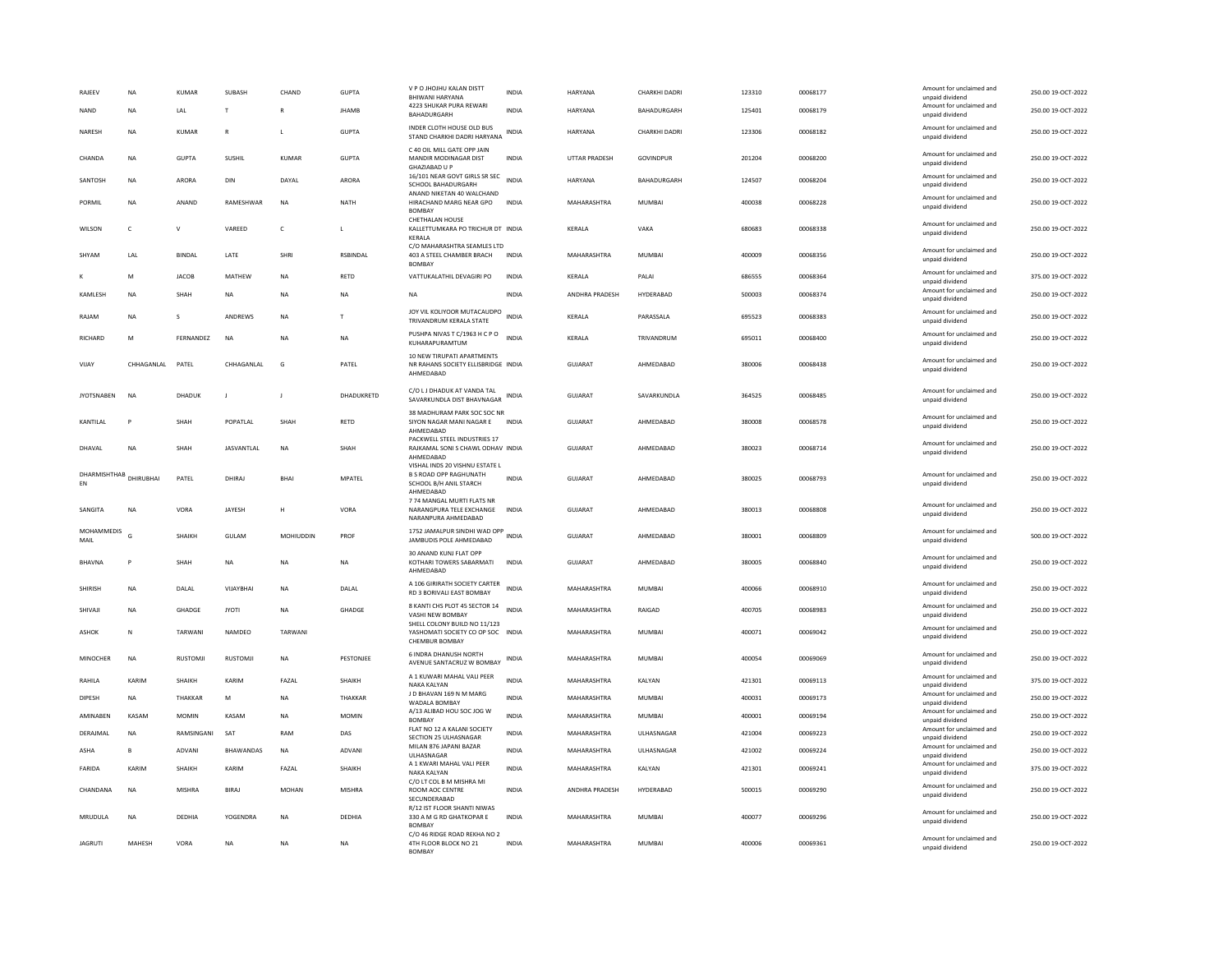| RAJEEV<br>NAND            | NA<br>NA      | KUMAR<br>$\ensuremath{\mathsf{LAL}}$ | SUBASH<br>$\ensuremath{\mathsf{T}}$ | CHAND<br>$\mathbb{R}$ | <b>GUPTA</b><br><b>JHAMB</b> | V P O JHOJHU KALAN DISTT<br><b>BHIWANI HARYANA</b><br>4223 SHUKAR PURA REWARI<br>BAHADURGARH           | INDIA<br><b>INDIA</b> | HARYANA<br><b>HARYANA</b> | CHARKHI DADRI<br>BAHADURGARH | 123310<br>125401 | 00068177<br>00068179 | Amount for unclaimed and<br>unpaid dividend<br>Amount for unclaimed and<br>unpaid dividend | 250.00 19-OCT-2022<br>250.00 19-OCT-2022 |
|---------------------------|---------------|--------------------------------------|-------------------------------------|-----------------------|------------------------------|--------------------------------------------------------------------------------------------------------|-----------------------|---------------------------|------------------------------|------------------|----------------------|--------------------------------------------------------------------------------------------|------------------------------------------|
| NARESH                    | <b>NA</b>     | <b>KUMAR</b>                         | R                                   | L.                    | <b>GUPTA</b>                 | INDER CLOTH HOUSE OLD BUS<br>STAND CHARKHI DADRI HARYANA                                               | <b>INDIA</b>          | <b>HARYANA</b>            | CHARKHI DADRI                | 123306           | 00068182             | Amount for unclaimed and<br>unpaid dividend                                                | 250.00 19-OCT-2022                       |
| CHANDA                    | <b>NA</b>     | GUPTA                                | SUSHIL                              | KUMAR                 | <b>GUPTA</b>                 | C 40 OIL MILL GATE OPP JAIN<br>MANDIR MODINAGAR DIST<br>GHAZIABAD U P                                  | <b>INDIA</b>          | <b>UTTAR PRADESH</b>      | GOVINDPUR                    | 201204           | 00068200             | Amount for unclaimed and<br>unpaid dividend                                                | 250.00 19-OCT-2022                       |
| SANTOSH                   | <b>NA</b>     | ARORA                                | DIN                                 | DAYAL                 | ARORA                        | 16/101 NEAR GOVT GIRLS SR SEC<br>SCHOOL BAHADURGARH                                                    | <b>INDIA</b>          | HARYANA                   | BAHADURGARH                  | 124507           | 00068204             | Amount for unclaimed and<br>unpaid dividend                                                | 250.00 19-OCT-2022                       |
| PORMIL                    | <b>NA</b>     | ANAND                                | RAMESHWAR                           | <b>NA</b>             | <b>NATH</b>                  | ANAND NIKETAN 40 WALCHAND<br>HIRACHAND MARG NEAR GPO<br><b>BOMBAY</b>                                  | <b>INDIA</b>          | MAHARASHTRA               | MUMBAI                       | 400038           | 00068228             | Amount for unclaimed and<br>unpaid dividend                                                | 250.00 19-OCT-2022                       |
| WILSON                    | $\mathsf{C}$  | $\vee$                               | VAREED                              | $\mathsf{C}$          | $\mathbf{I}$                 | <b>CHETHALAN HOUSE</b><br>KALLETTUMKARA PO TRICHUR DT INDIA<br>KERALA                                  |                       | KERALA                    | VAKA                         | 680683           | 00068338             | Amount for unclaimed and<br>unpaid dividend                                                | 250.00 19-OCT-2022                       |
| SHYAM                     | LAL           | <b>BINDAL</b>                        | LATE                                | SHRI                  | <b>RSBINDAL</b>              | C/O MAHARASHTRA SEAMLES LTD<br>403 A STEEL CHAMBER BRACH<br><b>BOMBAY</b>                              | <b>INDIA</b>          | MAHARASHTRA               | <b>MUMBAI</b>                | 400009           | 00068356             | Amount for unclaimed and<br>unpaid dividend                                                | 250.00 19-OCT-2022                       |
|                           | M             | <b>JACOB</b>                         | MATHEW                              | <b>NA</b>             | RETD                         | VATTUKALATHIL DEVAGIRI PO                                                                              | <b>INDIA</b>          | KERALA                    | PALAI                        | 686555           | 00068364             | Amount for unclaimed and<br>unpaid dividend                                                | 375.00 19-OCT-2022                       |
| KAMLESH                   | <b>NA</b>     | SHAH                                 | <b>NA</b>                           | <b>NA</b>             | <b>NA</b>                    | <b>NA</b>                                                                                              | <b>INDIA</b>          | ANDHRA PRADESH            | HYDERABAD                    | 500003           | 00068374             | Amount for unclaimed and<br>unpaid dividend                                                | 250.00 19-OCT-2022                       |
| RAJAM                     | <b>NA</b>     | S                                    | ANDREWS                             | <b>NA</b>             | T                            | JOY VIL KOLIYOOR MUTACAUDPO<br>TRIVANDRUM KERALA STATE                                                 | <b>INDIA</b>          | KERALA                    | PARASSALA                    | 695523           | 00068383             | Amount for unclaimed and<br>unpaid dividend                                                | 250.00 19-OCT-2022                       |
| <b>RICHARD</b>            | M             | FERNANDEZ                            | <b>NA</b>                           | <b>NA</b>             | NA                           | PUSHPA NIVAS T C/1963 H C P O<br>KUHARAPURAMTUM                                                        | <b>INDIA</b>          | KERALA                    | TRIVANDRUM                   | 695011           | 00068400             | Amount for unclaimed and<br>unpaid dividend                                                | 250.00 19-OCT-2022                       |
| VIJAY                     | CHHAGANLAL    | PATEL                                | CHHAGANLAL                          | G                     | PATEL                        | 10 NEW TIRUPATI APARTMENTS<br>NR RAHANS SOCIETY ELLISBRIDGE INDIA<br>AHMEDABAD                         |                       | <b>GUJARAT</b>            | AHMEDABAD                    | 380006           | 00068438             | Amount for unclaimed and<br>unpaid dividend                                                | 250.00 19-OCT-2022                       |
| <b>JYOTSNABEN</b>         | <b>NA</b>     | <b>DHADUR</b>                        | $\mathbf{J}$                        | $\mathbf{J}$          | DHADUKRETD                   | C/O L J DHADUK AT VANDA TAL<br>SAVARKUNDLA DIST BHAVNAGAR                                              | INDIA                 | <b>GUJARAT</b>            | SAVARKUNDLA                  | 364525           | 00068485             | Amount for unclaimed and<br>unpaid dividend                                                | 250.00 19-OCT-2022                       |
| KANTILAI                  | P             | SHAH                                 | POPATLAL                            | SHAH                  | RETD                         | 38 MADHURAM PARK SOC SOC NR<br>SIYON NAGAR MANI NAGAR E<br>AHMEDABAD                                   | <b>INDIA</b>          | GUJARAT                   | AHMEDABAD                    | 380008           | 00068578             | Amount for unclaimed and<br>unpaid dividend                                                | 250.00 19-OCT-2022                       |
| DHAVAL                    | <b>NA</b>     | SHAH                                 | <b>JASVANTLAL</b>                   | NA                    | SHAH                         | PACKWELL STEEL INDUSTRIES 17<br>RAJKAMAL SONI S CHAWL ODHAV INDIA<br>AHMFDARAD                         |                       | GUJARAT                   | AHMEDABAD                    | 380023           | 00068714             | Amount for unclaimed and<br>unpaid dividend                                                | 250.00 19-OCT-2022                       |
| DHARMISHTHAB<br>EN        | DHIRUBHAI     | PATEL                                | DHIRA                               | <b>BHAI</b>           | <b>MPATEL</b>                | VISHAL INDS 20 VISHNU ESTATE L<br><b>B S ROAD OPP RAGHUNATH</b><br>SCHOOL B/H ANIL STARCH<br>AHMEDABAD | <b>INDIA</b>          | GUJARAT                   | AHMEDABAD                    | 380025           | 00068793             | Amount for unclaimed and<br>unpaid dividend                                                | 250.00 19-OCT-2022                       |
| SANGITA                   | NA            | VORA                                 | JAYESH                              | Н                     | VORA                         | 7 74 MANGAL MURTLELATS NR<br>NARANGPURA TELE EXCHANGE<br>NARANPURA AHMEDABAD                           | INDIA                 | GUJARAT                   | AHMEDABAD                    | 380013           | 00068808             | Amount for unclaimed and<br>unpaid dividend                                                | 250.00 19-OCT-2022                       |
| <b>MOHAMMEDIS</b><br>MAIL | G             | SHAIKH                               | GULAM                               | MOHIUDDIN             | PROF                         | 1752 JAMALPUR SINDHI WAD OPP<br>JAMBUDIS POLE AHMEDABAD                                                | <b>INDIA</b>          | <b>GUJARAT</b>            | AHMEDABAD                    | 380001           | 00068809             | Amount for unclaimed and<br>unpaid dividend                                                | 500.00 19-OCT-2022                       |
| <b>RHAVNA</b>             | P             | SHAH                                 | <b>NA</b>                           | <b>NA</b>             | <b>NA</b>                    | 30 ANAND KUNJ FLAT OPP<br>KOTHARI TOWERS SABARMATI<br>AHMEDABAD                                        | <b>INDIA</b>          | GUIARAT                   | AHMFDARAD                    | 380005           | 00068840             | Amount for unclaimed and<br>unpaid dividend                                                | 250.00 19-OCT-2022                       |
| SHIRISH                   | NA            | DALAL                                | VIIAYRHAI                           | NA                    | DALAL                        | A 106 GIRIRATH SOCIETY CARTER<br>RD 3 BORIVALI EAST BOMBAY                                             | <b>INDIA</b>          | MAHARASHTRA               | MUMBAI                       | 400066           | 00068910             | Amount for unclaimed and<br>unpaid dividend                                                | 250.00 19-OCT-2022                       |
| SHIVAJI                   | <b>NA</b>     | GHADGE                               | <b>JYOTI</b>                        | <b>NA</b>             | <b>GHADGE</b>                | 8 KANTI CHS PLOT 45 SECTOR 14<br>VASHI NEW BOMBAY                                                      | <b>INDIA</b>          | MAHARASHTRA               | RAIGAD                       | 400705           | 00068983             | Amount for unclaimed and<br>unpaid dividend                                                | 250.00 19-OCT-2022                       |
| ASHOK                     | N             | TARWANI                              | NAMDEO                              | TARWANI               |                              | SHELL COLONY BUILD NO 11/123<br>YASHOMATI SOCIETY CO OP SOC INDIA<br>CHEMBUR BOMBAY                    |                       | MAHARASHTRA               | MUMBAI                       | 400071           | 00069042             | Amount for unclaimed and<br>unpaid dividend                                                | 250.00 19-OCT-2022                       |
| MINOCHER                  | <b>NA</b>     | RUSTOMJI                             | RUSTOMJI                            | NA                    | PESTONJEE                    | 6 INDRA DHANUSH NORTH<br>AVENUE SANTACRUZ W BOMBAY                                                     | INDIA                 | MAHARASHTRA               | MUMBAI                       | 400054           | 00069069             | Amount for unclaimed and<br>unpaid dividend                                                | 250.00 19-OCT-2022                       |
| RAHILA                    | KARIM         | <b>SHAIKH</b>                        | KARIM                               | <b>FAZAI</b>          | SHAIKH                       | A 1 KUWARI MAHAL VALI PEER<br>NAKA KALYAN                                                              | <b>INDIA</b>          | MAHARASHTRA               | KALYAN                       | 421301           | 00069113             | Amount for unclaimed and<br>unpaid dividend                                                | 375.00 19-OCT-2022                       |
| <b>DIPESH</b>             | <b>NA</b>     | THAKKAR                              | M                                   | <b>NA</b>             | THAKKAR                      | J D BHAVAN 169 N M MARG<br>WADALA BOMBAY                                                               | <b>INDIA</b>          | MAHARASHTRA               | <b>MUMBAI</b>                | 400031           | 00069173             | Amount for unclaimed and<br>unpaid dividend                                                | 250.00 19-OCT-2022                       |
| AMINABEN                  | KASAM         | MOMIN                                | KASAM                               | $_{\sf NA}$           | MOMIN                        | A/13 ALIBAD HOU SOC JOG W<br><b>BOMBAY</b>                                                             | <b>INDIA</b>          | MAHARASHTRA               | MUMBAI                       | 400001           | 00069194             | Amount for unclaimed and<br>unpaid dividend                                                | 250.00 19-OCT-2022                       |
| DERAJMAL                  | <b>NA</b>     | RAMSINGANI                           | SAT                                 | RAM                   | DAS                          | FLAT NO 12 A KALANI SOCIETY<br>SECTION 25 ULHASNAGAR                                                   | INDIA                 | MAHARASHTRA               | ULHASNAGAR                   | 421004           | 00069223             | Amount for unclaimed and<br>unpaid dividend                                                | 250.00 19-OCT-2022                       |
| ASHA                      | в             | ADVANI                               | BHAWANDAS                           | NA                    | ADVANI                       | MILAN 876 JAPANI BAZAR<br>ULHASNAGAR                                                                   | <b>INDIA</b>          | MAHARASHTRA               | ULHASNAGAR                   | 421002           | 00069224             | Amount for unclaimed and<br>unpaid dividend                                                | 250.00 19-OCT-2022                       |
| FARIDA                    | KARIM         | <b>SHAIKH</b>                        | KARIM                               | FAZAL                 | SHAIKH                       | A 1 KWARI MAHAL VALI PEER<br>NAKA KALYAN                                                               | <b>INDIA</b>          | MAHARASHTRA               | KALYAN                       | 421301           | 00069241             | Amount for unclaimed and<br>unpaid dividend                                                | 375.00 19-OCT-2022                       |
| CHANDANA                  | NA            | MISHRA                               | BIRAJ                               | MOHAN                 | MISHRA                       | C/O LT COL B M MISHRA MI<br>ROOM AOC CENTRE<br>SECUNDERABAD                                            | <b>INDIA</b>          | ANDHRA PRADESH            | HYDERABAD                    | 500015           | 00069290             | Amount for unclaimed and<br>unpaid dividend                                                | 250.00 19-OCT-2022                       |
| MRUDULA                   | <b>NA</b>     | DEDHIA                               | YOGENDRA                            | <b>NA</b>             | DEDHIA                       | R/12 IST FLOOR SHANTI NIWAS<br>330 A M G RD GHATKOPAR E<br><b>BOMBAY</b>                               | <b>INDIA</b>          | MAHARASHTRA               | <b>MUMBAI</b>                | 400077           | 00069296             | Amount for unclaimed and<br>unpaid dividend                                                | 250.00 19-OCT-2022                       |
| <b>IAGRUTI</b>            | <b>MAHESH</b> | VORA                                 | <b>NA</b>                           | <b>NA</b>             | <b>NA</b>                    | C/O 46 RIDGE ROAD REKHA NO 2<br>4TH FLOOR BLOCK NO 21<br><b>BOMBAY</b>                                 | <b>INDIA</b>          | MAHARASHTRA               | MUMBAI                       | 400006           | 00069361             | Amount for unclaimed and<br>unpaid dividend                                                | 250.00 19-OCT-2022                       |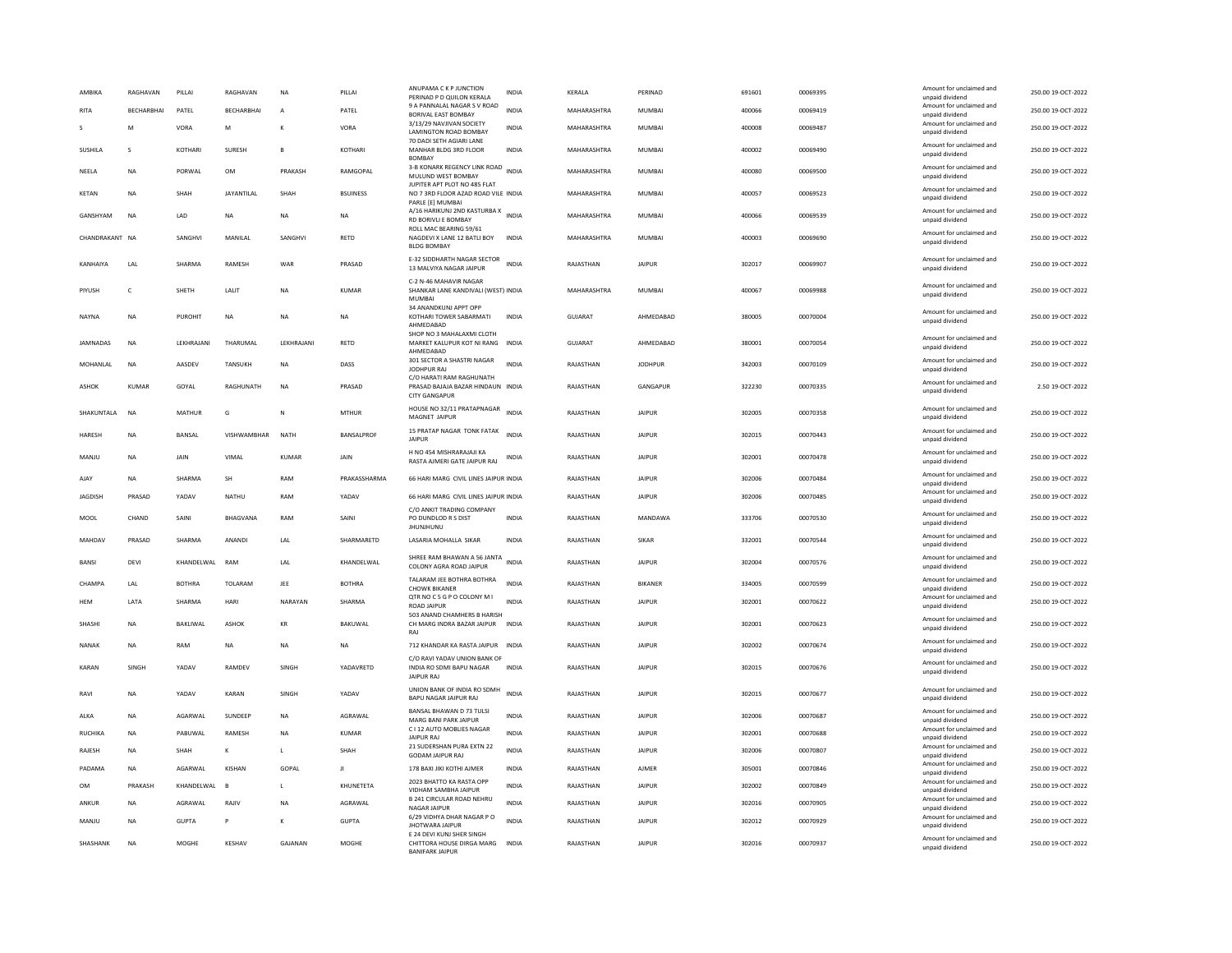| AMBIKA          | RAGHAVAN   | PILLAI         | RAGHAVAN          | <b>NA</b>      | PILLAI            | ANUPAMA C K P JUNCTION<br>PERINAD P D QUILON KERALA                                   | INDIA        | KERALA      | PERINAD        | 691601 | 00069395 | Amount for unclaimed and<br>unpaid dividend                    | 250.00 19-OCT-2022 |
|-----------------|------------|----------------|-------------------|----------------|-------------------|---------------------------------------------------------------------------------------|--------------|-------------|----------------|--------|----------|----------------------------------------------------------------|--------------------|
| RITA            | BECHARBHAI | PATEL          | BECHARBHAI        | $\overline{A}$ | PATEL             | 9 A PANNALAL NAGAR S V ROAD<br><b>BORIVAL EAST BOMBAY</b>                             | <b>INDIA</b> | MAHARASHTRA | MUMBAI         | 400066 | 00069419 | Amount for unclaimed and<br>unpaid dividend                    | 250.00 19-OCT-2022 |
|                 | M          | VORA           | M                 | К              | VORA              | 3/13/29 NAVJIVAN SOCIETY<br>LAMINGTON ROAD BOMBAY                                     | <b>INDIA</b> | MAHARASHTRA | <b>MUMBAI</b>  | 400008 | 00069487 | Amount for unclaimed and<br>unpaid dividend                    | 250.00 19-OCT-2022 |
| SUSHILA         | s          | <b>KOTHARI</b> | <b>SURESH</b>     | B              | <b>KOTHAR</b>     | 70 DADI SETH AGIARI LANE<br>MANHAR BLDG 3RD FLOOR                                     | <b>INDIA</b> | MAHARASHTRA | MUMBAI         | 400002 | 00069490 | Amount for unclaimed and<br>unpaid dividend                    | 250.00 19-OCT-2022 |
| NEELA           | <b>NA</b>  | PORWAL         | <b>OM</b>         | PRAKASH        | RAMGOPAL          | <b>BOMBAY</b><br>3-B KONARK REGENCY LINK ROAD INDIA<br>MULUND WEST BOMBAY             |              | MAHARASHTRA | <b>MUMBAI</b>  | 400080 | 00069500 | Amount for unclaimed and<br>unpaid dividend                    | 250.00 19-OCT-2022 |
| <b>KETAN</b>    | <b>NA</b>  | SHAH           | <b>JAYANTILAL</b> | SHAH           | <b>BSUINESS</b>   | JUPITER APT PLOT NO 485 FLAT<br>NO 7 3RD FLOOR AZAD ROAD VILE INDIA                   |              | MAHARASHTRA | <b>MUMBAI</b>  | 400057 | 00069523 | Amount for unclaimed and<br>unpaid dividend                    | 250.00 19-OCT-2022 |
| GANSHYAM        | <b>NA</b>  | LAD            | <b>NA</b>         | <b>NA</b>      | <b>NA</b>         | PARLE [E] MUMBAI<br>A/16 HARIKUNJ 2ND KASTURBA X<br>INDIA<br>RD BORIVLI E BOMBAY      |              | MAHARASHTRA | <b>MUMBAI</b>  | 400066 | 00069539 | Amount for unclaimed and<br>unpaid dividend                    | 250.00 19-OCT-2022 |
| CHANDRAKANT NA  |            | SANGHVI        | MANILAL           | SANGHVI        | RETD              | ROLL MAC BEARING 59/61<br>NAGDEVI X LANE 12 BATLI BOY<br><b>BLDG BOMBAY</b>           | <b>INDIA</b> | MAHARASHTRA | <b>MUMBAI</b>  | 400003 | 00069690 | Amount for unclaimed and<br>unpaid dividend                    | 250.00 19-OCT-2022 |
| KANHAIYA        | LAL        | SHARMA         | RAMESH            | WAR            | PRASAD            | E-32 SIDDHARTH NAGAR SECTOR<br>13 MALVIYA NAGAR JAIPUR                                | <b>INDIA</b> | RAJASTHAN   | <b>JAIPUR</b>  | 302017 | 00069907 | Amount for unclaimed and<br>unpaid dividend                    | 250.00 19-OCT-2022 |
| PIYUSH          | $\epsilon$ | SHETH          | LALIT             | <b>NA</b>      | <b>KUMAR</b>      | C-2 N-46 MAHAVIR NAGAR<br>SHANKAR LANE KANDIVALI (WEST) INDIA<br><b>MUMBAI</b>        |              | MAHARASHTRA | <b>MUMBAI</b>  | 400067 | 00069988 | Amount for unclaimed and<br>unpaid dividend                    | 250.00 19-OCT-2022 |
| NAYNA           | NA         | PUROHIT        | NA                | NA             | NA                | 34 ANANDKUNJ APPT OPP<br>KOTHARI TOWER SABARMATI<br>AHMEDABAD                         | INDIA        | GUJARAT     | AHMEDABAD      | 380005 | 00070004 | Amount for unclaimed and<br>unpaid dividend                    | 250.00 19-OCT-2022 |
| <b>JAMNADAS</b> | <b>NA</b>  | LEKHRAJANI     | THARUMAL          | LEKHRAJANI     | <b>RETD</b>       | SHOP NO 3 MAHALAXMI CLOTH<br>MARKET KALUPUR KOT NI RANG INDIA<br>AHMFDARAD            |              | GUJARAT     | AHMEDABAD      | 380001 | 00070054 | Amount for unclaimed and<br>unpaid dividend                    | 250.00 19-OCT-2022 |
| MOHANI AI       | <b>NA</b>  | AASDEV         | <b>TANSUKH</b>    | <b>NA</b>      | DASS              | 301 SECTOR A SHASTRI NAGAR<br>JODHPUR RAJ                                             | <b>INDIA</b> | RAIASTHAN   | <b>IODHPUR</b> | 342003 | 00070109 | Amount for unclaimed and<br>unpaid dividend                    | 250.00.19-OCT-2022 |
| ASHOK           | KUMAR      | GOYAL          | RAGHUNATH         | <b>NA</b>      | PRASAD            | C/O HARATI RAM RAGHUNATH<br>PRASAD BAJAJA BAZAR HINDAUN INDIA<br><b>CITY GANGAPUR</b> |              | RAJASTHAN   | GANGAPUR       | 322230 | 00070335 | Amount for unclaimed and<br>unpaid dividend                    | 2.50 19-OCT-2022   |
| SHAKUNTALA      | <b>NA</b>  | MATHUR         | G                 | N              | <b>MTHUR</b>      | HOUSE NO 32/11 PRATAPNAGAR<br>MAGNET JAIPUR                                           | <b>INDIA</b> | RAJASTHAN   | <b>JAIPUR</b>  | 302005 | 00070358 | Amount for unclaimed and<br>unpaid dividend                    | 250.00 19-OCT-2022 |
| HARESH          | <b>NA</b>  | BANSAL         | VISHWAMBHAR       | <b>NATH</b>    | <b>BANSALPROF</b> | 15 PRATAP NAGAR TONK FATAK<br><b>JAIPUR</b>                                           | <b>INDIA</b> | RAJASTHAN   | <b>JAIPUR</b>  | 302015 | 00070443 | Amount for unclaimed and<br>unpaid dividend                    | 250.00 19-OCT-2022 |
| MANJU           | <b>NA</b>  | JAIN           | VIMA              | KUMAR          | JAIN              | H NO 454 MISHRARAJAJI KA<br>RASTA AJMERI GATE JAIPUR RAJ                              | INDIA        | RAJASTHAN   | <b>JAIPUR</b>  | 302001 | 00070478 | Amount for unclaimed and<br>unpaid dividend                    | 250.00 19-OCT-2022 |
|                 |            |                |                   |                |                   |                                                                                       |              |             |                |        |          |                                                                |                    |
| AJAY            | NA         | SHARMA         | SH                | RAM            | PRAKASSHARMA      | 66 HARI MARG CIVIL LINES JAIPUR INDIA                                                 |              | RAJASTHAN   | <b>JAIPUR</b>  | 302006 | 00070484 | Amount for unclaimed and<br>unpaid dividend                    | 250.00 19-OCT-2022 |
| <b>JAGDISH</b>  | PRASAD     | YADAV          | NATHU             | RAM            | YADAV             | 66 HARI MARG CIVIL LINES JAIPUR INDIA                                                 |              | RAJASTHAN   | <b>JAIPUR</b>  | 302006 | 00070485 | Amount for unclaimed and<br>unpaid dividend                    | 250.00 19-OCT-2022 |
| MOOL            | CHAND      | SAIN           | BHAGVANA          | RAM            | SAINI             | C/O ANKIT TRADING COMPANY<br>PO DUNDLOD R S DIST<br><b>JHUNJHUNU</b>                  | <b>INDIA</b> | RAJASTHAN   | MANDAWA        | 333706 | 00070530 | Amount for unclaimed and<br>unpaid dividend                    | 250.00 19-OCT-2022 |
| MAHDAV          | PRASAD     | SHARMA         | ANANDI            | LAL            | SHARMARETD        | LASARIA MOHALLA SIKAR                                                                 | INDIA        | RAJASTHAN   | <b>SIKAR</b>   | 332001 | 00070544 | Amount for unclaimed and<br>unpaid dividend                    | 250.00 19-OCT-2022 |
| <b>BANSI</b>    | DEVI       | KHANDELWAL RAM |                   | LAL            | KHANDELWAL        | SHREE RAM BHAWAN A 56 JANTA<br>COLONY AGRA ROAD JAIPUR                                | <b>INDIA</b> | RAJASTHAN   | <b>JAIPUR</b>  | 302004 | 00070576 | Amount for unclaimed and<br>unpaid dividend                    | 250.00 19-OCT-2022 |
| CHAMPA          | LAL        | <b>BOTHRA</b>  | TOLARAM           | JEE            | <b>BOTHRA</b>     | TALARAM JEE BOTHRA BOTHRA<br><b>CHOWK BIKANER</b>                                     | <b>INDIA</b> | RAJASTHAN   | BIKANER        | 334005 | 00070599 | Amount for unclaimed and<br>unpaid dividend                    | 250.00 19-OCT-2022 |
| HEM             | LATA       | SHARMA         | <b>HARI</b>       | NARAYAN        | SHARMA            | QTR NO C 5 G P O COLONY M I<br><b>ROAD JAIPUR</b>                                     | <b>INDIA</b> | RAJASTHAN   | <b>JAIPUR</b>  | 302001 | 00070622 | Amount for unclaimed and<br>unpaid dividend                    | 250.00 19-OCT-2022 |
| SHASHI          | <b>NA</b>  | BAKLIWAL       | ASHOK             | KR             | BAKUWAL           | 503 ANAND CHAMHERS B HARISH<br>CH MARG INDRA BAZAR JAIPUR<br>RAI                      | <b>INDIA</b> | RAJASTHAN   | JAIPUR         | 302001 | 00070623 | Amount for unclaimed and<br>unpaid dividend                    | 250.00 19-OCT-2022 |
| <b>NANAK</b>    | <b>NA</b>  | RAM            | NA                | <b>NA</b>      | <b>NA</b>         | 712 KHANDAR KA RASTA JAIPUR                                                           | <b>INDIA</b> | RAJASTHAN   | <b>JAIPUR</b>  | 302002 | 00070674 | Amount for unclaimed and<br>unpaid dividend                    | 250.00 19-OCT-2022 |
| KARAN           | SINGH      | YADAV          | RAMDEV            | SINGH          | YADAVRETD         | C/O RAVI YADAV UNION BANK OF<br>INDIA RO SDMI BAPU NAGAR<br><b>JAIPUR RAJ</b>         | <b>INDIA</b> | RAJASTHAN   | <b>JAIPUR</b>  | 302015 | 00070676 | Amount for unclaimed and<br>unpaid dividend                    | 250.00 19-OCT-2022 |
| RAVI            | <b>NA</b>  | YADAV          | KARAN             | SINGH          | YADAV             | UNION BANK OF INDIA RO SDMH<br>BAPU NAGAR JAIPUR RAJ                                  | <b>INDIA</b> | RAIASTHAN   | <b>JAIPUR</b>  | 302015 | 00070677 | Amount for unclaimed and<br>unpaid dividend                    | 250.00 19-OCT-2022 |
| ALKA            | NA         | AGARWAL        | SUNDEEP           | NA             | AGRAWAL           | BANSAL BHAWAN D 73 TULSI<br>MARG BANI PARK JAIPUR                                     | <b>INDIA</b> | RAJASTHAN   | <b>JAIPUR</b>  | 302006 | 00070687 | Amount for unclaimed and<br>unpaid dividend                    | 250.00 19-OCT-2022 |
| <b>RUCHIKA</b>  | NA         | PABUWAL        | RAMESH            | NA             | <b>KUMAR</b>      | C I 12 AUTO MOBLIES NAGAR<br><b>JAIPUR RAI</b>                                        | INDIA        | RAJASTHAN   | <b>JAIPUR</b>  | 302001 | 00070688 | Amount for unclaimed and<br>unpaid dividend                    | 250.00 19-OCT-2022 |
| RAJESH          | <b>NA</b>  | SHAH           | К                 | г              | SHAH              | 21 SUDERSHAN PURA EXTN 22<br><b>GODAM JAIPUR RAJ</b>                                  | <b>INDIA</b> | RAJASTHAN   | <b>JAIPUR</b>  | 302006 | 00070807 | Amount for unclaimed and<br>unpaid dividend                    | 250.00 19-OCT-2022 |
| PADAMA          | <b>NA</b>  | AGARWAI        | KISHAN            | GOPAL          | $\mathbf{H}$      | 178 BAXI JIKI KOTHI AJMER                                                             | <b>INDIA</b> | RAJASTHAN   | AIMFR          | 305001 | 00070846 | Amount for unclaimed and                                       | 250.00 19-OCT-2022 |
| <b>OM</b>       | PRAKASH    | KHANDELWAL     | $\overline{B}$    | L.             | KHUNETETA         | 2023 BHATTO KA RASTA OPP<br>VIDHAM SAMBHA JAIPUR                                      | <b>INDIA</b> | RAJASTHAN   | <b>JAIPUR</b>  | 302002 | 00070849 | unpaid dividend<br>Amount for unclaimed and<br>unpaid dividend | 250.00 19-OCT-2022 |
| ANKUR           | NA         | AGRAWAL        | RAJIV             | <b>NA</b>      | AGRAWAL           | B 241 CIRCULAR ROAD NEHRU<br><b>NAGAR JAIPUR</b>                                      | <b>INDIA</b> | RAJASTHAN   | <b>JAIPUR</b>  | 302016 | 00070905 | Amount for unclaimed and<br>unpaid dividend                    | 250.00 19-OCT-2022 |
| MANJU           | NA         | <b>GUPTA</b>   | P                 | к              | <b>GUPTA</b>      | 6/29 VIDHYA DHAR NAGAR P O<br><b>JHOTWARA JAIPUR</b><br>E 24 DEVI KUNJ SHER SINGH     | <b>INDIA</b> | RAJASTHAN   | <b>JAIPUR</b>  | 302012 | 00070929 | Amount for unclaimed and<br>unpaid dividend                    | 250.00 19-OCT-2022 |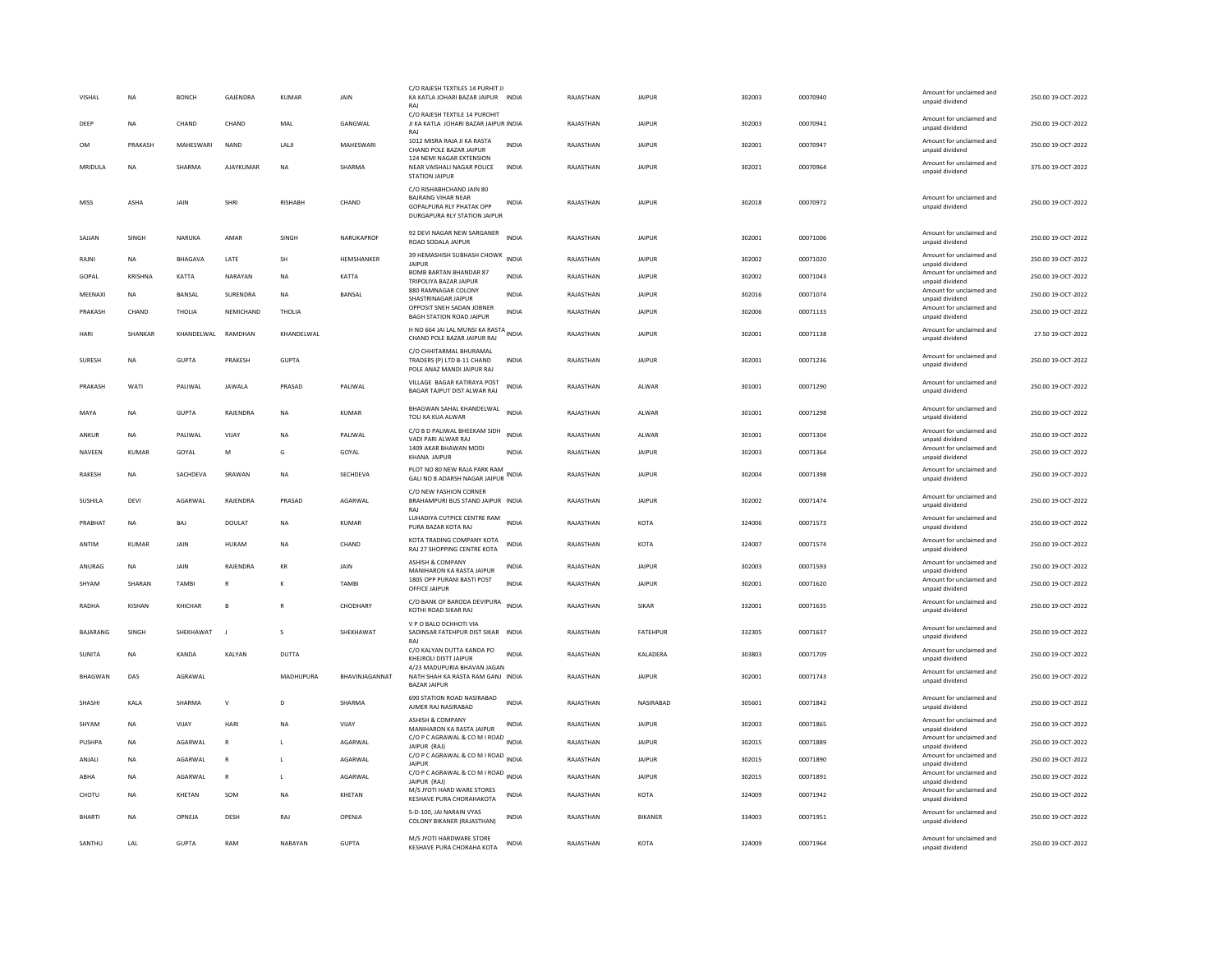| VISHAL         | <b>NA</b>     | <b>BONCH</b>       | <b>GAJENDRA</b> | <b>KUMAR</b>   | <b>JAIN</b>    | C/O RAJESH TEXTILES 14 PURHIT JI<br>KA KATLA JOHARI BAZAR JAIPUR INDIA<br>RAJ                                     |              | RAJASTHAN | <b>JAIPUR</b>   | 302003 | 00070940 | Amount for unclaimed and<br>unpaid dividend | 250.00 19-OCT-2022 |
|----------------|---------------|--------------------|-----------------|----------------|----------------|-------------------------------------------------------------------------------------------------------------------|--------------|-----------|-----------------|--------|----------|---------------------------------------------|--------------------|
| DEEP           | <b>NA</b>     | CHAND              | CHAND           | MAL            | GANGWAL        | C/O RAJESH TEXTILE 14 PUROHIT<br>JI KA KATLA JOHARI BAZAR JAIPUR INDIA<br>RAJ                                     |              | RAJASTHAN | <b>JAIPUR</b>   | 302003 | 00070941 | Amount for unclaimed and<br>unpaid dividend | 250.00 19-OCT-2022 |
| OM             | PRAKASH       | MAHESWARI          | <b>NAND</b>     | LALJI          | MAHESWARI      | 1012 MISRA RAJA JI KA RASTA<br>CHAND POLE BAZAR JAIPUR                                                            | <b>INDIA</b> | RAJASTHAN | <b>JAIPUR</b>   | 302001 | 00070947 | Amount for unclaimed and<br>unpaid dividend | 250.00 19-OCT-2022 |
| MRIDULA        | NA            | SHARMA             | AJAYKUMAR       | <b>NA</b>      | SHARMA         | 124 NEMI NAGAR EXTENSION<br>NEAR VAISHALI NAGAR POLICE<br><b>STATION JAIPUR</b>                                   | INDIA        | RAJASTHAN | <b>JAIPUR</b>   | 302021 | 00070964 | Amount for unclaimed and<br>unpaid dividend | 375.00 19-OCT-2022 |
| MISS           | ASHA          | <b>JAIN</b>        | SHRI            | <b>RISHARH</b> | CHAND          | C/O RISHABHCHAND JAIN 80<br><b>BAJRANG VIHAR NEAR</b><br>GOPALPURA RLY PHATAK OPP<br>DURGAPURA RLY STATION JAIPUR | INDIA        | RAJASTHAN | <b>JAIPUR</b>   | 302018 | 00070972 | Amount for unclaimed and<br>unpaid dividend | 250.00.19-OCT-2022 |
| SAJJAN         | SINGH         | NARUKA             | AMAR            | SINGH          | NARUKAPROF     | 92 DEVI NAGAR NEW SARGANER<br>ROAD SODALA JAIPUR                                                                  | <b>INDIA</b> | RAJASTHAN | <b>JAIPUR</b>   | 302001 | 00071006 | Amount for unclaimed and<br>unpaid dividend | 250.00 19-OCT-2022 |
| RAJNI          | <b>NA</b>     | BHAGAVA            | LATE            | SH             | HEMSHANKER     | 39 HEMASHISH SUBHASH CHOWK<br><b>JAIPUR</b>                                                                       | <b>INDIA</b> | RAJASTHAN | <b>JAIPUR</b>   | 302002 | 00071020 | Amount for unclaimed and<br>unpaid dividend | 250.00 19-OCT-2022 |
| GOPAL          | KRISHNA       | KATTA              | NARAYAN         | <b>NA</b>      | KATTA          | <b>BOMB BARTAN BHANDAR 87</b><br>TRIPOLIYA BAZAR JAIPUR                                                           | <b>INDIA</b> | RAJASTHAN | <b>JAIPUR</b>   | 302002 | 00071043 | Amount for unclaimed and<br>unpaid dividend | 250.00 19-OCT-2022 |
| MEENAXI        | <b>NA</b>     | <b>BANSAL</b>      | SURENDRA        | <b>NA</b>      | <b>BANSAL</b>  | 880 RAMNAGAR COLONY<br>SHASTRINAGAR JAIPUR                                                                        | <b>INDIA</b> | RAJASTHAN | <b>JAIPUR</b>   | 302016 | 00071074 | Amount for unclaimed and<br>unpaid dividend | 250.00 19-OCT-2022 |
| PRAKASH        | CHAND         | THOLIA             | NEMICHAND       | THOLIA         |                | OPPOSIT SNEH SADAN JOBNER<br>BAGH STATION ROAD JAIPUR                                                             | <b>INDIA</b> | RAJASTHAN | <b>JAIPUR</b>   | 302006 | 00071133 | Amount for unclaimed and<br>unpaid dividend | 250.00 19-OCT-2022 |
| HARI           | SHANKAR       | KHANDELWAL RAMDHAN |                 | KHANDELWAL     |                | H NO 664 JAI LAL MUNSI KA RASTA<br>CHAND POLE BAZAR JAIPUR RAJ                                                    |              | RAJASTHAN | <b>JAIPUR</b>   | 302001 | 00071138 | Amount for unclaimed and<br>unpaid dividend | 27.50 19-OCT-2022  |
| SURESH         | <b>NA</b>     | <b>GUPTA</b>       | PRAKESH         | <b>GUPTA</b>   |                | C/O CHHITARMAL BHURAMAL<br>TRADERS (P) LTD B-11 CHAND<br>POLE ANAZ MANDI JAIPUR RAJ                               | <b>INDIA</b> | RAJASTHAN | <b>JAIPUR</b>   | 302001 | 00071236 | Amount for unclaimed and<br>unpaid dividend | 250.00 19-OCT-2022 |
| PRAKASH        | WATI          | PALIWAL            | <b>JAWALA</b>   | PRASAD         | PALIWAL        | VILLAGE BAGAR KATIRAYA POST<br>BAGAR TAJPUT DIST ALWAR RAJ                                                        | <b>INDIA</b> | RAJASTHAN | ALWAR           | 301001 | 00071290 | Amount for unclaimed and<br>unpaid dividend | 250.00 19-OCT-2022 |
| MAYA           | <b>NA</b>     | GUPTA              | RAIFNDRA        | <b>NA</b>      | KUMAR          | BHAGWAN SAHAL KHANDELWAL<br>TOLI KA KUA ALWAR                                                                     | <b>INDIA</b> | RAIASTHAN | AI WAR          | 301001 | 00071298 | Amount for unclaimed and<br>unpaid dividend | 250.00 19-OCT-2022 |
| ANKUR          | NA            | PALIWAL            | VIJAY           | <b>NA</b>      | PALIWAL        | C/O B D PALIWAL BHEEKAM SIDH<br>VADI PARI ALWAR RAJ                                                               | <b>INDIA</b> | RAJASTHAN | ALWAR           | 301001 | 00071304 | Amount for unclaimed and<br>unpaid dividend | 250.00 19-OCT-2022 |
| NAVEEN         | KUMAR         | GOYAL              | M               | G              | GOYAL          | 1409 AKAR BHAWAN MODI<br><b>KHANA JAIPUR</b>                                                                      | INDIA        | RAJASTHAN | <b>JAIPUR</b>   | 302003 | 00071364 | Amount for unclaimed and<br>unpaid dividend | 250.00 19-OCT-2022 |
| RAKESH         | <b>NA</b>     | SACHDEVA           | SRAWAN          | <b>NA</b>      | SECHDEVA       | PLOT NO 80 NEW RAJA PARK RAM<br>GALI NO 8 ADARSH NAGAR JAIPUR                                                     | <b>INDIA</b> | RAJASTHAN | <b>JAIPUR</b>   | 302004 | 00071398 | Amount for unclaimed and<br>unpaid dividend | 250.00 19-OCT-2022 |
| SUSHILA        | DEVI          | <b>AGARWAI</b>     | RAJENDRA        | PRASAD         | AGARWAI        | C/O NEW FASHION CORNER<br>BRAHAMPURI BUS STAND JAIPUR INDIA                                                       |              | RAJASTHAN | <b>JAIPUR</b>   | 302002 | 00071474 | Amount for unclaimed and<br>unpaid dividend | 250.00 19-OCT-2022 |
| PRABHAT        | <b>NA</b>     | BAJ                | DOULAT          | <b>NA</b>      | <b>KUMAR</b>   | LUHADIYA CUTPICE CENTRE RAM<br>PURA BAZAR KOTA RAJ                                                                | <b>INDIA</b> | RAJASTHAN | KOTA            | 324006 | 00071573 | Amount for unclaimed and<br>unpaid dividend | 250.00 19-OCT-2022 |
| ANTIM          | KUMAR         | JAIN               | HUKAM           | $_{\sf NA}$    | CHAND          | KOTA TRADING COMPANY KOTA<br>RAJ 27 SHOPPING CENTRE KOTA                                                          | INDIA        | RAJASTHAN | KOTA            | 324007 | 00071574 | Amount for unclaimed and<br>unpaid dividend | 250.00 19-OCT-2022 |
| ANURAG         | <b>NA</b>     | JAIN               | RAJENDRA        | KR             | JAIN           | ASHISH & COMPANY<br>MANIHARON KA RASTA JAIPUR                                                                     | <b>INDIA</b> | RAJASTHAN | <b>JAIPUR</b>   | 302003 | 00071593 | Amount for unclaimed and<br>unpaid dividend | 250.00 19-OCT-2022 |
| SHYAM          | SHARAN        | <b>TAMBI</b>       | $\overline{R}$  | К              | <b>TAMBI</b>   | 1805 OPP PURANI BASTI POST<br>OFFICE JAIPUR                                                                       | <b>INDIA</b> | RAJASTHAN | <b>JAIPUR</b>   | 302001 | 00071620 | Amount for unclaimed and<br>unpaid dividend | 250.00 19-OCT-2022 |
| RADHA          | <b>KISHAN</b> | KHICHAR            | B               | R              | CHODHARY       | C/O BANK OF BARODA DEVIPURA<br>KOTHI ROAD SIKAR RAJ                                                               | <b>INDIA</b> | RAJASTHAN | SIKAR           | 332001 | 00071635 | Amount for unclaimed and<br>unpaid dividend | 250.00 19-OCT-2022 |
| BAJARANG       | SINGH         | SHEKHAWAT          |                 | s              | SHEKHAWAT      | V P O BALO DCHHOTI VIA<br>SADINSAR FATEHPUR DIST SIKAR INDIA<br>RAJ                                               |              | RAJASTHAN | <b>FATEHPUR</b> | 332305 | 00071637 | Amount for unclaimed and<br>unpaid dividend | 250.00 19-OCT-2022 |
| <b>SUNITA</b>  | <b>NA</b>     | KANDA              | KALYAN          | DUTTA          |                | C/O KALYAN DUTTA KANDA PO<br>KHEJROLI DISTT JAIPUR                                                                | <b>INDIA</b> | RAJASTHAN | KALADERA        | 303803 | 00071709 | Amount for unclaimed and<br>unpaid dividend | 250.00 19-OCT-2022 |
| <b>BHAGWAN</b> | DAS           | AGRAWAL            |                 | MADHUPURA      | BHAVINJAGANNAT | 4/23 MADUPURIA BHAVAN JAGAN<br>NATH SHAH KA RASTA RAM GANJ INDIA<br><b>BAZAR JAIPUR</b>                           |              | RAJASTHAN | <b>JAIPUR</b>   | 302001 | 00071743 | Amount for unclaimed and<br>unpaid dividend | 250.00 19-OCT-2022 |
| SHASHI         | KALA          | SHARMA             | $\mathsf{v}$    | $\mathsf{D}$   | SHARMA         | 690 STATION ROAD NASIRABAD<br>AJMER RAJ NASIRABAD                                                                 | <b>INDIA</b> | RAJASTHAN | NASIRABAD       | 305601 | 00071842 | Amount for unclaimed and<br>unpaid dividend | 250.00 19-OCT-2022 |
| SHYAM          | NA            | VIJAY              | HARI            | NA             | VIJAY          | <b>ASHISH &amp; COMPANY</b><br>MANIHARON KA RASTA JAIPUR                                                          | INDIA        | RAJASTHAN | <b>JAIPUR</b>   | 302003 | 00071865 | Amount for unclaimed and<br>unpaid dividend | 250.00 19-OCT-2022 |
| PUSHPA         | NA            | AGARWAL            | $\mathsf{R}$    | L              | AGARWAL        | C/O P C AGRAWAL & CO M I ROAD INDIA<br>JAIPUR (RAJ)                                                               |              | RAJASTHAN | <b>JAIPUR</b>   | 302015 | 00071889 | Amount for unclaimed and<br>unpaid dividend | 250.00 19-OCT-2022 |
| ANJALI         | <b>NA</b>     | AGARWAL            | $\mathbb{R}$    | $\mathbf{L}$   | AGARWAI        | C/O P C AGRAWAL & CO M I ROAD INDIA<br><b>JAIPUR</b>                                                              |              | RAJASTHAN | <b>JAIPUR</b>   | 302015 | 00071890 | Amount for unclaimed and<br>unpaid dividend | 250.00 19-OCT-2022 |
| ABHA           | <b>NA</b>     | AGARWAL            | R               | L              | AGARWAL        | C/O P C AGRAWAL & CO M I ROAD INDIA<br>JAIPUR (RAJ)                                                               |              | RAJASTHAN | <b>JAIPUR</b>   | 302015 | 00071891 | Amount for unclaimed and<br>unpaid dividend | 250.00 19-OCT-2022 |
| CHOTU          | <b>NA</b>     | KHETAN             | SOM             | <b>NA</b>      | KHETAN         | M/S JYOTI HARD WARE STORES<br>KESHAVE PURA CHORAHAKOTA                                                            | INDIA        | RAJASTHAN | KOTA            | 324009 | 00071942 | Amount for unclaimed and<br>unpaid dividend | 250.00 19-OCT-2022 |
| <b>BHART</b>   | NA            | OPNEJA             | DESH            | RAJ            | OPENJA         | 5-D-100, JAI NARAIN VYAS<br>COLONY BIKANER (RAJASTHAN)                                                            | <b>INDIA</b> | RAJASTHAN | BIKANER         | 334003 | 00071951 | Amount for unclaimed and<br>unpaid dividend | 250.00 19-OCT-2022 |
| SANTHU         | LAL           | <b>GUPTA</b>       | RAM             | NARAYAN        | <b>GUPTA</b>   | M/S JYOTI HARDWARE STORE<br>KESHAVE PURA CHORAHA KOTA                                                             | <b>INDIA</b> | RAJASTHAN | KOTA            | 324009 | 00071964 | Amount for unclaimed and<br>unpaid dividend | 250.00 19-OCT-2022 |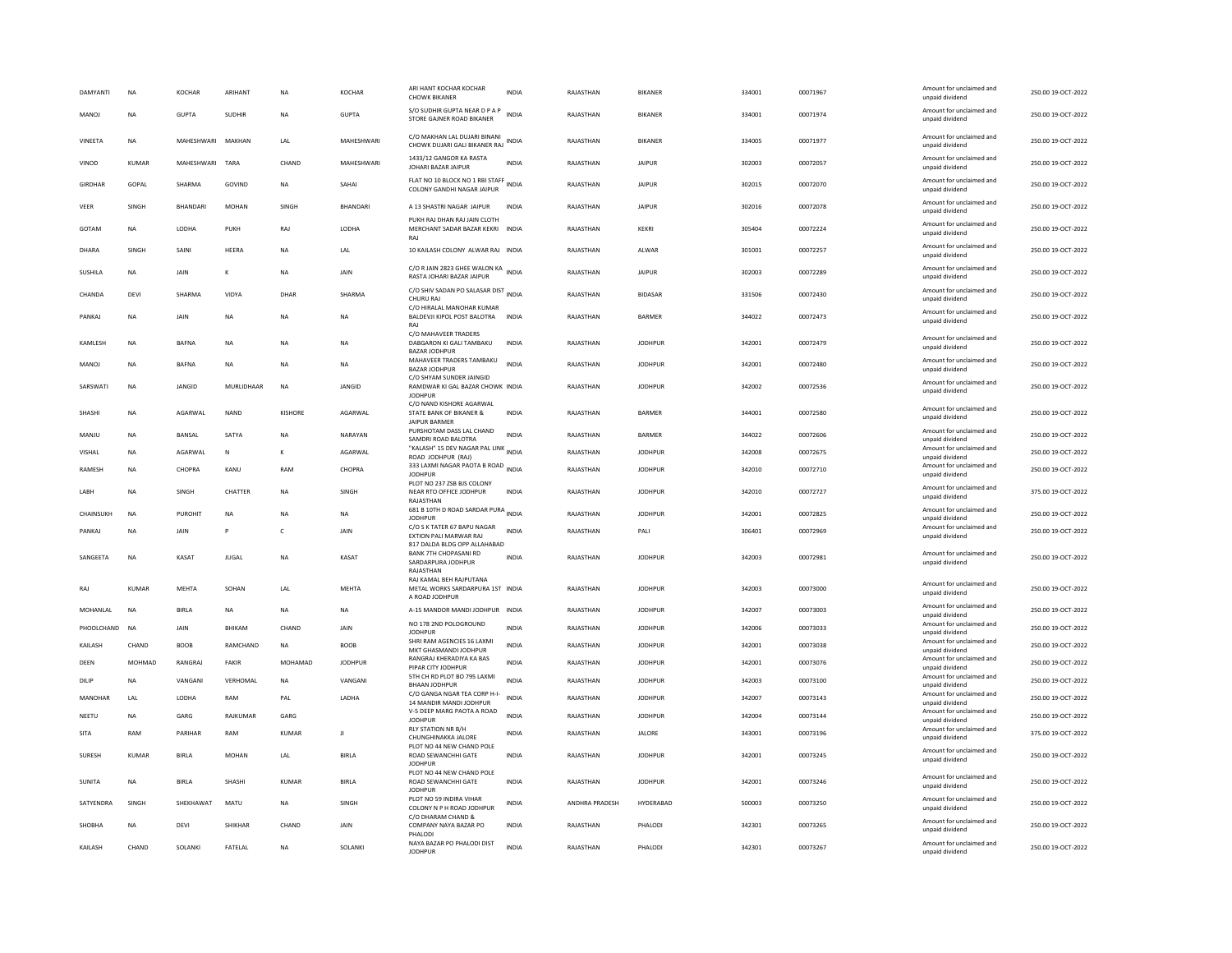| S/O SUDHIR GUPTA NEAR D P A P<br>Amount for unclaimed and<br>MANOJ<br><b>NA</b><br>GUPTA<br><b>SUDHIR</b><br><b>NA</b><br><b>GUPTA</b><br><b>INDIA</b><br>RAJASTHAN<br><b>BIKANER</b><br>334001<br>00071974<br>250.00 19-OCT-2022<br>STORE GAJNER ROAD BIKANER<br>unpaid dividend<br>C/O MAKHAN LAL DUJARI BINANI<br>Amount for unclaimed and<br>VINEETA<br>MAHESHWARI<br>MAKHAN<br>LAL<br>MAHESHWARI<br>RAJASTHAN<br>BIKANER<br>334005<br>00071977<br>250.00 19-OCT-2022<br><b>NA</b><br>CHOWK DUJARI GALI BIKANER RAJ INDIA<br>unpaid dividend<br>1433/12 GANGOR KA RASTA<br>Amount for unclaimed and<br>KUMAR<br>MAHESHWARI<br>MAHESHWARI<br><b>INDIA</b><br>RAJASTHAN<br><b>JAIPUR</b><br>302003<br>00072057<br>250.00 19-OCT-2022<br>VINOD<br>TARA<br>CHAND<br>JOHARI BAZAR JAIPUF<br>unpaid dividend<br>FLAT NO 10 BLOCK NO 1 RBI STAFF<br>Amount for unclaimed and<br><b>GIRDHAR</b><br>GOPAL<br><b>SHARMA</b><br>GOVIND<br>NA<br>SAHAI<br>RAJASTHAN<br><b>JAIPUR</b><br>302015<br>00072070<br>250.00 19-OCT-2022<br>COLONY GANDHI NAGAR JAIPUR<br>unpaid dividend<br>Amount for unclaimed and<br>SINGH<br>BHANDARI<br>MOHAN<br>SINGH<br>BHANDARI<br>A 13 SHASTRI NAGAR JAIPUR<br>RAJASTHAN<br><b>JAIPUR</b><br>302016<br>00072078<br>250.00 19-OCT-2022<br>VEER<br>INDIA<br>unpaid dividend<br>PUKH RAJ DHAN RAJ JAIN CLOTH<br>Amount for unclaimed and<br>GOTAM<br>LODHA<br>PUKH<br>RAJ<br>LODHA<br>MERCHANT SADAR BAZAR KEKRI<br><b>INDIA</b><br>RAJASTHAN<br>KEKRI<br>305404<br>00072224<br>250.00 19-OCT-2022<br><b>NA</b><br>unpaid dividend<br>RAJ<br>Amount for unclaimed and<br>HEERA<br>10 KAILASH COLONY ALWAR RAJ INDIA<br>RAJASTHAN<br>301001<br>00072257<br>250.00 19-OCT-2022<br>DHARA<br>SINGH<br>SAINI<br><b>NA</b><br>LAL<br>ALWAR<br>unpaid dividend<br>C/O R JAIN 2823 GHEE WALON KA INDIA<br>Amount for unclaimed and<br>SUSHILA<br><b>NA</b><br>JAIN<br><b>NA</b><br>JAIN<br>RAJASTHAN<br><b>JAIPUR</b><br>302003<br>00072289<br>250.00 19-OCT-2022<br>ĸ<br>RASTA JOHARI BAZAR JAIPUR<br>unpaid dividend<br>C/O SHIV SADAN PO SALASAR DIST INDIA<br>Amount for unclaimed and<br>SHARMA<br>VIDYA<br>SHARMA<br>RAJASTHAN<br>00072430<br>250.00 19-OCT-2022<br>CHANDA<br>DEVI<br>DHAR<br><b>BIDASAR</b><br>331506<br>CHURU RA<br>unpaid dividend<br>C/O HIRALAL MANOHAR KUMAR<br>Amount for unclaimed and<br>ΝA<br>JAIN<br>BALDEVJI KIPOL POST BALOTRA<br>RAJASTHAN<br><b>BARMER</b><br>344022<br>00072473<br>250.00 19-OCT-2022<br>PANKAJ<br>NA<br><b>NA</b><br>NA<br><b>INDIA</b><br>unpaid dividend<br>RA<br>C/O MAHAVEER TRADERS<br>Amount for unclaimed and<br>250.00 19-OCT-2022<br>KAMLESH<br><b>NA</b><br><b>BAFNA</b><br><b>NA</b><br><b>NA</b><br><b>NA</b><br>DABGARON KI GALI TAMBAKU<br><b>INDIA</b><br>RAJASTHAN<br><b>JODHPUR</b><br>342001<br>00072479<br>unpaid dividend<br><b>BAZAR JODHPUR</b><br>MAHAVEER TRADERS TAMBAKU<br>Amount for unclaimed and<br><b>BAFNA</b><br><b>INDIA</b><br>RAJASTHAN<br><b>JODHPUR</b><br>342001<br>00072480<br>250.00 19-OCT-2022<br>MANOJ<br><b>NA</b><br><b>NA</b><br><b>NA</b><br><b>NA</b><br><b>BAZAR JODHPUR</b><br>unpaid dividend<br>C/O SHYAM SUNDER JAINGID<br>Amount for unclaimed and<br>JANGID<br>MURLIDHAAR<br>JANGID<br>RAJASTHAN<br><b>JODHPUR</b><br>342002<br>00072536<br>250.00 19-OCT-2022<br>SARSWATI<br><b>NA</b><br><b>NA</b><br>RAMDWAR KI GAL BAZAR CHOWK INDIA<br>unpaid dividend<br><b>JODHPUR</b><br>C/O NAND KISHORE AGARWAL<br>Amount for unclaimed and<br>SHASHI<br><b>NA</b><br>AGARWAL<br><b>NAND</b><br><b>KISHORE</b><br>AGARWAL<br>STATE BANK OF BIKANER &<br><b>INDIA</b><br>RAJASTHAN<br><b>BARMER</b><br>344001<br>00072580<br>250.00 19-OCT-2022<br>unpaid dividend<br><b>JAIPUR BARMER</b><br>Amount for unclaimed and<br>PURSHOTAM DASS LAL CHAND<br>BANSAL<br>SATYA<br>NARAYAN<br><b>INDIA</b><br>RAJASTHAN<br><b>BARMER</b><br>344022<br>00072606<br>250.00 19-OCT-2022<br>MANJU<br><b>NA</b><br><b>NA</b><br>SAMDRI ROAD BALOTRA<br>unpaid dividend<br>"KALASH" 15 DEV NAGAR PAL LINK<br>INDIA<br>Amount for unclaimed and<br>AGARWAL<br>AGARWAL<br>RAJASTHAN<br><b>JODHPUR</b><br>342008<br>00072675<br>250.00 19-OCT-2022<br>VISHAL<br><b>NA</b><br>N<br>$\mathbf{K}$<br>ROAD JODHPUR (RAJ)<br>unpaid dividend<br>333 LAXMI NAGAR PAOTA B ROAD INDIA<br>Amount for unclaimed and<br>CHOPRA<br>CHOPRA<br>RAJASTHAN<br><b>JODHPUR</b><br>342010<br>00072710<br>250.00 19-OCT-2022<br>RAMESH<br><b>NA</b><br>KANU<br>RAM<br><b>JODHPUR</b><br>unpaid dividend<br>PLOT NO 237 ZSB BJS COLONY<br>Amount for unclaimed and<br>342010<br>375.00 19-OCT-2022<br><b>I ARH</b><br><b>NA</b><br><b>SINGH</b><br>CHATTER<br><b>NA</b><br><b>SINGH</b><br>NEAR RTO OFFICE JODHPUR<br><b>INDIA</b><br>RAJASTHAN<br><b>IODHPUR</b><br>00072727<br>unpaid dividend<br>RAJASTHAM<br>681 B 10TH D ROAD SARDAR PURA<br>Amount for unclaimed and<br>CHAINSUKH<br><b>NA</b><br><b>PUROHIT</b><br><b>NA</b><br>RAJASTHAN<br><b>JODHPUR</b><br>342001<br>00072825<br>250.00 19-OCT-2022<br>NA<br><b>NA</b><br><b>JODHPUR</b><br>unpaid dividend<br>C/O S K TATER 67 BAPU NAGAR<br>Amount for unclaimed and<br>INDIA<br>RAJASTHAN<br>306401<br>00072969<br>250.00 19-OCT-2022<br>PANKAJ<br><b>NA</b><br>JAIN<br>P<br>c<br>JAIN<br>PALI<br>EXTION PALI MARWAR RAJ<br>unpaid dividend<br>817 DALDA BLDG OPP ALLAHABAD<br>BANK 7TH CHOPASANI RD<br>Amount for unclaimed and<br>SANGEETA<br><b>NA</b><br>KASAT<br><b>JUGAL</b><br><b>NA</b><br>KASAT<br><b>INDIA</b><br>RAJASTHAN<br><b>JODHPUR</b><br>342003<br>00072981<br>250.00 19-OCT-2022<br>SARDARPURA JODHPUR<br>unpaid dividend<br>RAJASTHAN<br>RAJ KAMAL BEH RAJPUTANA<br>Amount for unclaimed and<br>250.00 19-OCT-2022<br>RAJ<br><b>KUMAR</b><br>MEHTA<br>SOHAN<br>LAL<br><b>MEHTA</b><br>METAL WORKS SARDARPURA 1ST INDIA<br>RAJASTHAN<br><b>JODHPUR</b><br>342003<br>00073000<br>unpaid dividend<br>A ROAD JODHPUR<br>Amount for unclaimed and<br>RAJASTHAN<br>342007<br>00073003<br>250.00 19-OCT-2022<br>MOHANLAL<br><b>NA</b><br><b>BIRLA</b><br><b>NA</b><br>A-15 MANDOR MANDI JODHPUR INDIA<br><b>JODHPUR</b><br><b>NA</b><br><b>NA</b><br>unpaid dividend<br>NO 178 2ND POLOGROUND<br>Amount for unclaimed and<br>PHOOLCHAND<br><b>NA</b><br>JAIN<br>BHIKAM<br>CHAND<br>JAIN<br><b>INDIA</b><br>RAJASTHAN<br><b>JODHPUR</b><br>342006<br>00073033<br>250.00 19-OCT-2022<br><b>JODHPUR</b><br>unpaid dividend<br>SHRI RAM AGENCIES 16 LAXMI<br>Amount for unclaimed and<br>RAMCHAND<br>RAJASTHAN<br><b>JODHPUR</b><br>342001<br>00073038<br>250.00 19-OCT-2022<br>KAILASH<br>CHAND<br><b>BOOB</b><br><b>NA</b><br><b>BOOB</b><br><b>INDIA</b><br>MKT GHASMANDI JODHPUR<br>unpaid dividend<br>RANGRAJ KHERADIYA KA BAS<br>Amount for unclaimed and<br>DEEN<br><b>MOHMAD</b><br>RANGRAJ<br>FAKIR<br>MOHAMAD<br><b>JODHPUR</b><br><b>INDIA</b><br>RAJASTHAN<br><b>JODHPUR</b><br>342001<br>00073076<br>250.00 19-OCT-2022<br>PIPAR CITY JODHPUR<br>unpaid dividend<br>5TH CH RD PLOT BO 795 LAXMI<br>Amount for unclaimed and<br>DILIP<br><b>NA</b><br>VANGANI<br>VERHOMAL<br><b>NA</b><br>VANGANI<br><b>INDIA</b><br>RAJASTHAN<br><b>JODHPUR</b><br>342003<br>00073100<br>250.00 19-OCT-2022<br><b>BHAAN JODHPUR</b><br>unpaid dividend<br>C/O GANGA NGAR TEA CORP H-I-<br>Amount for unclaimed and<br>PAI<br><b>INDIA</b><br>RAJASTHAN<br><b>IODHPUR</b><br>342007<br>00073143<br>250.00 19-OCT-2022<br>MANOHAR<br>I AI<br><b>IODHA</b><br>RAM<br><b>I ADHA</b><br>14 MANDIR MANDI JODHPUR<br>unpaid dividend<br>V-5 DEEP MARG PAOTA A ROAD<br>Amount for unclaimed and<br>GARG<br><b>INDIA</b><br>RAJASTHAN<br><b>JODHPUR</b><br>00073144<br>250.00 19-OCT-2022<br>NEETU<br><b>NA</b><br>RAJKUMAR<br>GARG<br>342004<br><b>JODHPUR</b><br>unpaid dividend<br>RLY STATION NR B/H<br>Amount for unclaimed and<br>375.00 19-OCT-2022<br><b>SITA</b><br>RAM<br>PARIHAR<br><b>RAM</b><br><b>KUMAR</b><br>л<br><b>INDIA</b><br>RAJASTHAN<br><b>JALORE</b><br>343001<br>00073196<br>CHUNGHINAKKA JALORE<br>unpaid dividend<br>PLOT NO 44 NEW CHAND POLE<br>Amount for unclaimed and<br>SURESH<br>KUMAR<br><b>BIRIA</b><br>MOHAN<br>LAL<br><b>BIRLA</b><br>ROAD SEWANCHHI GATE<br><b>INDIA</b><br>RAJASTHAN<br><b>IODHPUR</b><br>342001<br>00073245<br>250.00 19-OCT-2022<br>unpaid dividend<br><b>JODHPUR</b><br>PLOT NO 44 NEW CHAND POLE<br>Amount for unclaimed and<br>SUNITA<br>NA<br><b>BIRLA</b><br><b>SHASHI</b><br><b>KUMAR</b><br><b>BIRLA</b><br>ROAD SEWANCHHI GATE<br><b>INDIA</b><br>RAJASTHAN<br><b>JODHPUR</b><br>342001<br>00073246<br>250.00 19-OCT-2022<br>unpaid dividend<br><b>JODHPUR</b><br>PLOT NO 59 INDIRA VIHAR<br>Amount for unclaimed and<br>SATYENDRA<br>SINGH<br>SHEKHAWAT<br>MATU<br><b>NA</b><br>SINGH<br><b>INDIA</b><br>ANDHRA PRADESH<br>HYDERABAD<br>500003<br>00073250<br>250.00 19-OCT-2022<br>COLONY N P H ROAD JODHPUR<br>unpaid dividend<br>C/O DHARAM CHAND &<br>Amount for unclaimed and<br><b>SHOBHA</b><br><b>NA</b><br>DEVI<br>SHIKHAR<br>CHAND<br>JAIN<br>COMPANY NAYA BAZAR PO<br><b>INDIA</b><br>RAJASTHAN<br>PHALODI<br>342301<br>00073265<br>250.00 19-OCT-2022<br>unpaid dividend<br>PHALODI<br>NAYA BAZAR PO PHALODI DIST<br>Amount for unclaimed and<br>FATELAL<br><b>INDIA</b><br>RAJASTHAN<br>342301<br>00073267<br>250.00 19-OCT-2022<br>KAILASH<br>CHAND<br>SOLANKI<br><b>NA</b><br>SOLANKI<br>PHALODI<br><b>JODHPUR</b><br>unpaid dividend | <b>DAMYANTI</b> | NA | KOCHAR | ARIHANT | <b>NA</b> | KOCHAR | ARI HANT KOCHAR KOCHAR<br><b>CHOWK BIKANER</b> | <b>INDIA</b> | RAJASTHAN | <b>BIKANER</b> | 334001 | 00071967 | Amount for unclaimed and<br>unpaid dividend | 250.00 19-OCT-2022 |
|------------------------------------------------------------------------------------------------------------------------------------------------------------------------------------------------------------------------------------------------------------------------------------------------------------------------------------------------------------------------------------------------------------------------------------------------------------------------------------------------------------------------------------------------------------------------------------------------------------------------------------------------------------------------------------------------------------------------------------------------------------------------------------------------------------------------------------------------------------------------------------------------------------------------------------------------------------------------------------------------------------------------------------------------------------------------------------------------------------------------------------------------------------------------------------------------------------------------------------------------------------------------------------------------------------------------------------------------------------------------------------------------------------------------------------------------------------------------------------------------------------------------------------------------------------------------------------------------------------------------------------------------------------------------------------------------------------------------------------------------------------------------------------------------------------------------------------------------------------------------------------------------------------------------------------------------------------------------------------------------------------------------------------------------------------------------------------------------------------------------------------------------------------------------------------------------------------------------------------------------------------------------------------------------------------------------------------------------------------------------------------------------------------------------------------------------------------------------------------------------------------------------------------------------------------------------------------------------------------------------------------------------------------------------------------------------------------------------------------------------------------------------------------------------------------------------------------------------------------------------------------------------------------------------------------------------------------------------------------------------------------------------------------------------------------------------------------------------------------------------------------------------------------------------------------------------------------------------------------------------------------------------------------------------------------------------------------------------------------------------------------------------------------------------------------------------------------------------------------------------------------------------------------------------------------------------------------------------------------------------------------------------------------------------------------------------------------------------------------------------------------------------------------------------------------------------------------------------------------------------------------------------------------------------------------------------------------------------------------------------------------------------------------------------------------------------------------------------------------------------------------------------------------------------------------------------------------------------------------------------------------------------------------------------------------------------------------------------------------------------------------------------------------------------------------------------------------------------------------------------------------------------------------------------------------------------------------------------------------------------------------------------------------------------------------------------------------------------------------------------------------------------------------------------------------------------------------------------------------------------------------------------------------------------------------------------------------------------------------------------------------------------------------------------------------------------------------------------------------------------------------------------------------------------------------------------------------------------------------------------------------------------------------------------------------------------------------------------------------------------------------------------------------------------------------------------------------------------------------------------------------------------------------------------------------------------------------------------------------------------------------------------------------------------------------------------------------------------------------------------------------------------------------------------------------------------------------------------------------------------------------------------------------------------------------------------------------------------------------------------------------------------------------------------------------------------------------------------------------------------------------------------------------------------------------------------------------------------------------------------------------------------------------------------------------------------------------------------------------------------------------------------------------------------------------------------------------------------------------------------------------------------------------------------------------------------------------------------------------------------------------------------------------------------------------------------------------------------------------------------------------------------------------------------------------------------------------------------------------------------------------------------------------------------------------------------------------------------------------------------------------------------------------------------------------------------------------------------------------------------------------------------------------------------------------------------------------------------------------------------------------------------------------------------------------------------------------------------------------------------------------------------------------------------------------------------------------------------------------------------------------------------------------------------------------------------------------------------------------------------------------------------------------------------------------------------------------------------------------------------------------------------------------------------------------------------------------------------------------------------------------------------------------------------------------------------------------------------------------------------------------------------------------------------------------------------------------------------------------------------------------------------------------------------------------------------------------------------------------------------------------------------------------------------------------------------------------------------------------------------------------------------------------------------------------------------------------------------------------------------------------------------------------------------------------------------------------------------------------------------------------------------------------------------------------------------------------------------------------------------------------------------------------------------------------------------------------------------------------------------------------------------------------------------------------------------------------------------------------------------------------------------------------------------------------------------------------------------------------------------------------------------------------------------------------------------------------------------------------------------------------------------------------------------------------------------------------------------------------------|-----------------|----|--------|---------|-----------|--------|------------------------------------------------|--------------|-----------|----------------|--------|----------|---------------------------------------------|--------------------|
|                                                                                                                                                                                                                                                                                                                                                                                                                                                                                                                                                                                                                                                                                                                                                                                                                                                                                                                                                                                                                                                                                                                                                                                                                                                                                                                                                                                                                                                                                                                                                                                                                                                                                                                                                                                                                                                                                                                                                                                                                                                                                                                                                                                                                                                                                                                                                                                                                                                                                                                                                                                                                                                                                                                                                                                                                                                                                                                                                                                                                                                                                                                                                                                                                                                                                                                                                                                                                                                                                                                                                                                                                                                                                                                                                                                                                                                                                                                                                                                                                                                                                                                                                                                                                                                                                                                                                                                                                                                                                                                                                                                                                                                                                                                                                                                                                                                                                                                                                                                                                                                                                                                                                                                                                                                                                                                                                                                                                                                                                                                                                                                                                                                                                                                                                                                                                                                                                                                                                                                                                                                                                                                                                                                                                                                                                                                                                                                                                                                                                                                                                                                                                                                                                                                                                                                                                                                                                                                                                                                                                                                                                                                                                                                                                                                                                                                                                                                                                                                                                                                                                                                                                                                                                                                                                                                                                                                                                                                                                                                                                                                                                                                                                                                                                                                                                                                                                                                                                                                                                                                                                                                                                                                                                                                                                                                                                                                                                                                                                                                                                                                                                                                                                                                                                                                                                                                                                                  |                 |    |        |         |           |        |                                                |              |           |                |        |          |                                             |                    |
|                                                                                                                                                                                                                                                                                                                                                                                                                                                                                                                                                                                                                                                                                                                                                                                                                                                                                                                                                                                                                                                                                                                                                                                                                                                                                                                                                                                                                                                                                                                                                                                                                                                                                                                                                                                                                                                                                                                                                                                                                                                                                                                                                                                                                                                                                                                                                                                                                                                                                                                                                                                                                                                                                                                                                                                                                                                                                                                                                                                                                                                                                                                                                                                                                                                                                                                                                                                                                                                                                                                                                                                                                                                                                                                                                                                                                                                                                                                                                                                                                                                                                                                                                                                                                                                                                                                                                                                                                                                                                                                                                                                                                                                                                                                                                                                                                                                                                                                                                                                                                                                                                                                                                                                                                                                                                                                                                                                                                                                                                                                                                                                                                                                                                                                                                                                                                                                                                                                                                                                                                                                                                                                                                                                                                                                                                                                                                                                                                                                                                                                                                                                                                                                                                                                                                                                                                                                                                                                                                                                                                                                                                                                                                                                                                                                                                                                                                                                                                                                                                                                                                                                                                                                                                                                                                                                                                                                                                                                                                                                                                                                                                                                                                                                                                                                                                                                                                                                                                                                                                                                                                                                                                                                                                                                                                                                                                                                                                                                                                                                                                                                                                                                                                                                                                                                                                                                                                                  |                 |    |        |         |           |        |                                                |              |           |                |        |          |                                             |                    |
|                                                                                                                                                                                                                                                                                                                                                                                                                                                                                                                                                                                                                                                                                                                                                                                                                                                                                                                                                                                                                                                                                                                                                                                                                                                                                                                                                                                                                                                                                                                                                                                                                                                                                                                                                                                                                                                                                                                                                                                                                                                                                                                                                                                                                                                                                                                                                                                                                                                                                                                                                                                                                                                                                                                                                                                                                                                                                                                                                                                                                                                                                                                                                                                                                                                                                                                                                                                                                                                                                                                                                                                                                                                                                                                                                                                                                                                                                                                                                                                                                                                                                                                                                                                                                                                                                                                                                                                                                                                                                                                                                                                                                                                                                                                                                                                                                                                                                                                                                                                                                                                                                                                                                                                                                                                                                                                                                                                                                                                                                                                                                                                                                                                                                                                                                                                                                                                                                                                                                                                                                                                                                                                                                                                                                                                                                                                                                                                                                                                                                                                                                                                                                                                                                                                                                                                                                                                                                                                                                                                                                                                                                                                                                                                                                                                                                                                                                                                                                                                                                                                                                                                                                                                                                                                                                                                                                                                                                                                                                                                                                                                                                                                                                                                                                                                                                                                                                                                                                                                                                                                                                                                                                                                                                                                                                                                                                                                                                                                                                                                                                                                                                                                                                                                                                                                                                                                                                                  |                 |    |        |         |           |        |                                                |              |           |                |        |          |                                             |                    |
|                                                                                                                                                                                                                                                                                                                                                                                                                                                                                                                                                                                                                                                                                                                                                                                                                                                                                                                                                                                                                                                                                                                                                                                                                                                                                                                                                                                                                                                                                                                                                                                                                                                                                                                                                                                                                                                                                                                                                                                                                                                                                                                                                                                                                                                                                                                                                                                                                                                                                                                                                                                                                                                                                                                                                                                                                                                                                                                                                                                                                                                                                                                                                                                                                                                                                                                                                                                                                                                                                                                                                                                                                                                                                                                                                                                                                                                                                                                                                                                                                                                                                                                                                                                                                                                                                                                                                                                                                                                                                                                                                                                                                                                                                                                                                                                                                                                                                                                                                                                                                                                                                                                                                                                                                                                                                                                                                                                                                                                                                                                                                                                                                                                                                                                                                                                                                                                                                                                                                                                                                                                                                                                                                                                                                                                                                                                                                                                                                                                                                                                                                                                                                                                                                                                                                                                                                                                                                                                                                                                                                                                                                                                                                                                                                                                                                                                                                                                                                                                                                                                                                                                                                                                                                                                                                                                                                                                                                                                                                                                                                                                                                                                                                                                                                                                                                                                                                                                                                                                                                                                                                                                                                                                                                                                                                                                                                                                                                                                                                                                                                                                                                                                                                                                                                                                                                                                                                                  |                 |    |        |         |           |        |                                                |              |           |                |        |          |                                             |                    |
|                                                                                                                                                                                                                                                                                                                                                                                                                                                                                                                                                                                                                                                                                                                                                                                                                                                                                                                                                                                                                                                                                                                                                                                                                                                                                                                                                                                                                                                                                                                                                                                                                                                                                                                                                                                                                                                                                                                                                                                                                                                                                                                                                                                                                                                                                                                                                                                                                                                                                                                                                                                                                                                                                                                                                                                                                                                                                                                                                                                                                                                                                                                                                                                                                                                                                                                                                                                                                                                                                                                                                                                                                                                                                                                                                                                                                                                                                                                                                                                                                                                                                                                                                                                                                                                                                                                                                                                                                                                                                                                                                                                                                                                                                                                                                                                                                                                                                                                                                                                                                                                                                                                                                                                                                                                                                                                                                                                                                                                                                                                                                                                                                                                                                                                                                                                                                                                                                                                                                                                                                                                                                                                                                                                                                                                                                                                                                                                                                                                                                                                                                                                                                                                                                                                                                                                                                                                                                                                                                                                                                                                                                                                                                                                                                                                                                                                                                                                                                                                                                                                                                                                                                                                                                                                                                                                                                                                                                                                                                                                                                                                                                                                                                                                                                                                                                                                                                                                                                                                                                                                                                                                                                                                                                                                                                                                                                                                                                                                                                                                                                                                                                                                                                                                                                                                                                                                                                                  |                 |    |        |         |           |        |                                                |              |           |                |        |          |                                             |                    |
|                                                                                                                                                                                                                                                                                                                                                                                                                                                                                                                                                                                                                                                                                                                                                                                                                                                                                                                                                                                                                                                                                                                                                                                                                                                                                                                                                                                                                                                                                                                                                                                                                                                                                                                                                                                                                                                                                                                                                                                                                                                                                                                                                                                                                                                                                                                                                                                                                                                                                                                                                                                                                                                                                                                                                                                                                                                                                                                                                                                                                                                                                                                                                                                                                                                                                                                                                                                                                                                                                                                                                                                                                                                                                                                                                                                                                                                                                                                                                                                                                                                                                                                                                                                                                                                                                                                                                                                                                                                                                                                                                                                                                                                                                                                                                                                                                                                                                                                                                                                                                                                                                                                                                                                                                                                                                                                                                                                                                                                                                                                                                                                                                                                                                                                                                                                                                                                                                                                                                                                                                                                                                                                                                                                                                                                                                                                                                                                                                                                                                                                                                                                                                                                                                                                                                                                                                                                                                                                                                                                                                                                                                                                                                                                                                                                                                                                                                                                                                                                                                                                                                                                                                                                                                                                                                                                                                                                                                                                                                                                                                                                                                                                                                                                                                                                                                                                                                                                                                                                                                                                                                                                                                                                                                                                                                                                                                                                                                                                                                                                                                                                                                                                                                                                                                                                                                                                                                                  |                 |    |        |         |           |        |                                                |              |           |                |        |          |                                             |                    |
|                                                                                                                                                                                                                                                                                                                                                                                                                                                                                                                                                                                                                                                                                                                                                                                                                                                                                                                                                                                                                                                                                                                                                                                                                                                                                                                                                                                                                                                                                                                                                                                                                                                                                                                                                                                                                                                                                                                                                                                                                                                                                                                                                                                                                                                                                                                                                                                                                                                                                                                                                                                                                                                                                                                                                                                                                                                                                                                                                                                                                                                                                                                                                                                                                                                                                                                                                                                                                                                                                                                                                                                                                                                                                                                                                                                                                                                                                                                                                                                                                                                                                                                                                                                                                                                                                                                                                                                                                                                                                                                                                                                                                                                                                                                                                                                                                                                                                                                                                                                                                                                                                                                                                                                                                                                                                                                                                                                                                                                                                                                                                                                                                                                                                                                                                                                                                                                                                                                                                                                                                                                                                                                                                                                                                                                                                                                                                                                                                                                                                                                                                                                                                                                                                                                                                                                                                                                                                                                                                                                                                                                                                                                                                                                                                                                                                                                                                                                                                                                                                                                                                                                                                                                                                                                                                                                                                                                                                                                                                                                                                                                                                                                                                                                                                                                                                                                                                                                                                                                                                                                                                                                                                                                                                                                                                                                                                                                                                                                                                                                                                                                                                                                                                                                                                                                                                                                                                                  |                 |    |        |         |           |        |                                                |              |           |                |        |          |                                             |                    |
|                                                                                                                                                                                                                                                                                                                                                                                                                                                                                                                                                                                                                                                                                                                                                                                                                                                                                                                                                                                                                                                                                                                                                                                                                                                                                                                                                                                                                                                                                                                                                                                                                                                                                                                                                                                                                                                                                                                                                                                                                                                                                                                                                                                                                                                                                                                                                                                                                                                                                                                                                                                                                                                                                                                                                                                                                                                                                                                                                                                                                                                                                                                                                                                                                                                                                                                                                                                                                                                                                                                                                                                                                                                                                                                                                                                                                                                                                                                                                                                                                                                                                                                                                                                                                                                                                                                                                                                                                                                                                                                                                                                                                                                                                                                                                                                                                                                                                                                                                                                                                                                                                                                                                                                                                                                                                                                                                                                                                                                                                                                                                                                                                                                                                                                                                                                                                                                                                                                                                                                                                                                                                                                                                                                                                                                                                                                                                                                                                                                                                                                                                                                                                                                                                                                                                                                                                                                                                                                                                                                                                                                                                                                                                                                                                                                                                                                                                                                                                                                                                                                                                                                                                                                                                                                                                                                                                                                                                                                                                                                                                                                                                                                                                                                                                                                                                                                                                                                                                                                                                                                                                                                                                                                                                                                                                                                                                                                                                                                                                                                                                                                                                                                                                                                                                                                                                                                                                                  |                 |    |        |         |           |        |                                                |              |           |                |        |          |                                             |                    |
|                                                                                                                                                                                                                                                                                                                                                                                                                                                                                                                                                                                                                                                                                                                                                                                                                                                                                                                                                                                                                                                                                                                                                                                                                                                                                                                                                                                                                                                                                                                                                                                                                                                                                                                                                                                                                                                                                                                                                                                                                                                                                                                                                                                                                                                                                                                                                                                                                                                                                                                                                                                                                                                                                                                                                                                                                                                                                                                                                                                                                                                                                                                                                                                                                                                                                                                                                                                                                                                                                                                                                                                                                                                                                                                                                                                                                                                                                                                                                                                                                                                                                                                                                                                                                                                                                                                                                                                                                                                                                                                                                                                                                                                                                                                                                                                                                                                                                                                                                                                                                                                                                                                                                                                                                                                                                                                                                                                                                                                                                                                                                                                                                                                                                                                                                                                                                                                                                                                                                                                                                                                                                                                                                                                                                                                                                                                                                                                                                                                                                                                                                                                                                                                                                                                                                                                                                                                                                                                                                                                                                                                                                                                                                                                                                                                                                                                                                                                                                                                                                                                                                                                                                                                                                                                                                                                                                                                                                                                                                                                                                                                                                                                                                                                                                                                                                                                                                                                                                                                                                                                                                                                                                                                                                                                                                                                                                                                                                                                                                                                                                                                                                                                                                                                                                                                                                                                                                                  |                 |    |        |         |           |        |                                                |              |           |                |        |          |                                             |                    |
|                                                                                                                                                                                                                                                                                                                                                                                                                                                                                                                                                                                                                                                                                                                                                                                                                                                                                                                                                                                                                                                                                                                                                                                                                                                                                                                                                                                                                                                                                                                                                                                                                                                                                                                                                                                                                                                                                                                                                                                                                                                                                                                                                                                                                                                                                                                                                                                                                                                                                                                                                                                                                                                                                                                                                                                                                                                                                                                                                                                                                                                                                                                                                                                                                                                                                                                                                                                                                                                                                                                                                                                                                                                                                                                                                                                                                                                                                                                                                                                                                                                                                                                                                                                                                                                                                                                                                                                                                                                                                                                                                                                                                                                                                                                                                                                                                                                                                                                                                                                                                                                                                                                                                                                                                                                                                                                                                                                                                                                                                                                                                                                                                                                                                                                                                                                                                                                                                                                                                                                                                                                                                                                                                                                                                                                                                                                                                                                                                                                                                                                                                                                                                                                                                                                                                                                                                                                                                                                                                                                                                                                                                                                                                                                                                                                                                                                                                                                                                                                                                                                                                                                                                                                                                                                                                                                                                                                                                                                                                                                                                                                                                                                                                                                                                                                                                                                                                                                                                                                                                                                                                                                                                                                                                                                                                                                                                                                                                                                                                                                                                                                                                                                                                                                                                                                                                                                                                                  |                 |    |        |         |           |        |                                                |              |           |                |        |          |                                             |                    |
|                                                                                                                                                                                                                                                                                                                                                                                                                                                                                                                                                                                                                                                                                                                                                                                                                                                                                                                                                                                                                                                                                                                                                                                                                                                                                                                                                                                                                                                                                                                                                                                                                                                                                                                                                                                                                                                                                                                                                                                                                                                                                                                                                                                                                                                                                                                                                                                                                                                                                                                                                                                                                                                                                                                                                                                                                                                                                                                                                                                                                                                                                                                                                                                                                                                                                                                                                                                                                                                                                                                                                                                                                                                                                                                                                                                                                                                                                                                                                                                                                                                                                                                                                                                                                                                                                                                                                                                                                                                                                                                                                                                                                                                                                                                                                                                                                                                                                                                                                                                                                                                                                                                                                                                                                                                                                                                                                                                                                                                                                                                                                                                                                                                                                                                                                                                                                                                                                                                                                                                                                                                                                                                                                                                                                                                                                                                                                                                                                                                                                                                                                                                                                                                                                                                                                                                                                                                                                                                                                                                                                                                                                                                                                                                                                                                                                                                                                                                                                                                                                                                                                                                                                                                                                                                                                                                                                                                                                                                                                                                                                                                                                                                                                                                                                                                                                                                                                                                                                                                                                                                                                                                                                                                                                                                                                                                                                                                                                                                                                                                                                                                                                                                                                                                                                                                                                                                                                                  |                 |    |        |         |           |        |                                                |              |           |                |        |          |                                             |                    |
|                                                                                                                                                                                                                                                                                                                                                                                                                                                                                                                                                                                                                                                                                                                                                                                                                                                                                                                                                                                                                                                                                                                                                                                                                                                                                                                                                                                                                                                                                                                                                                                                                                                                                                                                                                                                                                                                                                                                                                                                                                                                                                                                                                                                                                                                                                                                                                                                                                                                                                                                                                                                                                                                                                                                                                                                                                                                                                                                                                                                                                                                                                                                                                                                                                                                                                                                                                                                                                                                                                                                                                                                                                                                                                                                                                                                                                                                                                                                                                                                                                                                                                                                                                                                                                                                                                                                                                                                                                                                                                                                                                                                                                                                                                                                                                                                                                                                                                                                                                                                                                                                                                                                                                                                                                                                                                                                                                                                                                                                                                                                                                                                                                                                                                                                                                                                                                                                                                                                                                                                                                                                                                                                                                                                                                                                                                                                                                                                                                                                                                                                                                                                                                                                                                                                                                                                                                                                                                                                                                                                                                                                                                                                                                                                                                                                                                                                                                                                                                                                                                                                                                                                                                                                                                                                                                                                                                                                                                                                                                                                                                                                                                                                                                                                                                                                                                                                                                                                                                                                                                                                                                                                                                                                                                                                                                                                                                                                                                                                                                                                                                                                                                                                                                                                                                                                                                                                                                  |                 |    |        |         |           |        |                                                |              |           |                |        |          |                                             |                    |
|                                                                                                                                                                                                                                                                                                                                                                                                                                                                                                                                                                                                                                                                                                                                                                                                                                                                                                                                                                                                                                                                                                                                                                                                                                                                                                                                                                                                                                                                                                                                                                                                                                                                                                                                                                                                                                                                                                                                                                                                                                                                                                                                                                                                                                                                                                                                                                                                                                                                                                                                                                                                                                                                                                                                                                                                                                                                                                                                                                                                                                                                                                                                                                                                                                                                                                                                                                                                                                                                                                                                                                                                                                                                                                                                                                                                                                                                                                                                                                                                                                                                                                                                                                                                                                                                                                                                                                                                                                                                                                                                                                                                                                                                                                                                                                                                                                                                                                                                                                                                                                                                                                                                                                                                                                                                                                                                                                                                                                                                                                                                                                                                                                                                                                                                                                                                                                                                                                                                                                                                                                                                                                                                                                                                                                                                                                                                                                                                                                                                                                                                                                                                                                                                                                                                                                                                                                                                                                                                                                                                                                                                                                                                                                                                                                                                                                                                                                                                                                                                                                                                                                                                                                                                                                                                                                                                                                                                                                                                                                                                                                                                                                                                                                                                                                                                                                                                                                                                                                                                                                                                                                                                                                                                                                                                                                                                                                                                                                                                                                                                                                                                                                                                                                                                                                                                                                                                                                  |                 |    |        |         |           |        |                                                |              |           |                |        |          |                                             |                    |
|                                                                                                                                                                                                                                                                                                                                                                                                                                                                                                                                                                                                                                                                                                                                                                                                                                                                                                                                                                                                                                                                                                                                                                                                                                                                                                                                                                                                                                                                                                                                                                                                                                                                                                                                                                                                                                                                                                                                                                                                                                                                                                                                                                                                                                                                                                                                                                                                                                                                                                                                                                                                                                                                                                                                                                                                                                                                                                                                                                                                                                                                                                                                                                                                                                                                                                                                                                                                                                                                                                                                                                                                                                                                                                                                                                                                                                                                                                                                                                                                                                                                                                                                                                                                                                                                                                                                                                                                                                                                                                                                                                                                                                                                                                                                                                                                                                                                                                                                                                                                                                                                                                                                                                                                                                                                                                                                                                                                                                                                                                                                                                                                                                                                                                                                                                                                                                                                                                                                                                                                                                                                                                                                                                                                                                                                                                                                                                                                                                                                                                                                                                                                                                                                                                                                                                                                                                                                                                                                                                                                                                                                                                                                                                                                                                                                                                                                                                                                                                                                                                                                                                                                                                                                                                                                                                                                                                                                                                                                                                                                                                                                                                                                                                                                                                                                                                                                                                                                                                                                                                                                                                                                                                                                                                                                                                                                                                                                                                                                                                                                                                                                                                                                                                                                                                                                                                                                                                  |                 |    |        |         |           |        |                                                |              |           |                |        |          |                                             |                    |
|                                                                                                                                                                                                                                                                                                                                                                                                                                                                                                                                                                                                                                                                                                                                                                                                                                                                                                                                                                                                                                                                                                                                                                                                                                                                                                                                                                                                                                                                                                                                                                                                                                                                                                                                                                                                                                                                                                                                                                                                                                                                                                                                                                                                                                                                                                                                                                                                                                                                                                                                                                                                                                                                                                                                                                                                                                                                                                                                                                                                                                                                                                                                                                                                                                                                                                                                                                                                                                                                                                                                                                                                                                                                                                                                                                                                                                                                                                                                                                                                                                                                                                                                                                                                                                                                                                                                                                                                                                                                                                                                                                                                                                                                                                                                                                                                                                                                                                                                                                                                                                                                                                                                                                                                                                                                                                                                                                                                                                                                                                                                                                                                                                                                                                                                                                                                                                                                                                                                                                                                                                                                                                                                                                                                                                                                                                                                                                                                                                                                                                                                                                                                                                                                                                                                                                                                                                                                                                                                                                                                                                                                                                                                                                                                                                                                                                                                                                                                                                                                                                                                                                                                                                                                                                                                                                                                                                                                                                                                                                                                                                                                                                                                                                                                                                                                                                                                                                                                                                                                                                                                                                                                                                                                                                                                                                                                                                                                                                                                                                                                                                                                                                                                                                                                                                                                                                                                                                  |                 |    |        |         |           |        |                                                |              |           |                |        |          |                                             |                    |
|                                                                                                                                                                                                                                                                                                                                                                                                                                                                                                                                                                                                                                                                                                                                                                                                                                                                                                                                                                                                                                                                                                                                                                                                                                                                                                                                                                                                                                                                                                                                                                                                                                                                                                                                                                                                                                                                                                                                                                                                                                                                                                                                                                                                                                                                                                                                                                                                                                                                                                                                                                                                                                                                                                                                                                                                                                                                                                                                                                                                                                                                                                                                                                                                                                                                                                                                                                                                                                                                                                                                                                                                                                                                                                                                                                                                                                                                                                                                                                                                                                                                                                                                                                                                                                                                                                                                                                                                                                                                                                                                                                                                                                                                                                                                                                                                                                                                                                                                                                                                                                                                                                                                                                                                                                                                                                                                                                                                                                                                                                                                                                                                                                                                                                                                                                                                                                                                                                                                                                                                                                                                                                                                                                                                                                                                                                                                                                                                                                                                                                                                                                                                                                                                                                                                                                                                                                                                                                                                                                                                                                                                                                                                                                                                                                                                                                                                                                                                                                                                                                                                                                                                                                                                                                                                                                                                                                                                                                                                                                                                                                                                                                                                                                                                                                                                                                                                                                                                                                                                                                                                                                                                                                                                                                                                                                                                                                                                                                                                                                                                                                                                                                                                                                                                                                                                                                                                                                  |                 |    |        |         |           |        |                                                |              |           |                |        |          |                                             |                    |
|                                                                                                                                                                                                                                                                                                                                                                                                                                                                                                                                                                                                                                                                                                                                                                                                                                                                                                                                                                                                                                                                                                                                                                                                                                                                                                                                                                                                                                                                                                                                                                                                                                                                                                                                                                                                                                                                                                                                                                                                                                                                                                                                                                                                                                                                                                                                                                                                                                                                                                                                                                                                                                                                                                                                                                                                                                                                                                                                                                                                                                                                                                                                                                                                                                                                                                                                                                                                                                                                                                                                                                                                                                                                                                                                                                                                                                                                                                                                                                                                                                                                                                                                                                                                                                                                                                                                                                                                                                                                                                                                                                                                                                                                                                                                                                                                                                                                                                                                                                                                                                                                                                                                                                                                                                                                                                                                                                                                                                                                                                                                                                                                                                                                                                                                                                                                                                                                                                                                                                                                                                                                                                                                                                                                                                                                                                                                                                                                                                                                                                                                                                                                                                                                                                                                                                                                                                                                                                                                                                                                                                                                                                                                                                                                                                                                                                                                                                                                                                                                                                                                                                                                                                                                                                                                                                                                                                                                                                                                                                                                                                                                                                                                                                                                                                                                                                                                                                                                                                                                                                                                                                                                                                                                                                                                                                                                                                                                                                                                                                                                                                                                                                                                                                                                                                                                                                                                                                  |                 |    |        |         |           |        |                                                |              |           |                |        |          |                                             |                    |
|                                                                                                                                                                                                                                                                                                                                                                                                                                                                                                                                                                                                                                                                                                                                                                                                                                                                                                                                                                                                                                                                                                                                                                                                                                                                                                                                                                                                                                                                                                                                                                                                                                                                                                                                                                                                                                                                                                                                                                                                                                                                                                                                                                                                                                                                                                                                                                                                                                                                                                                                                                                                                                                                                                                                                                                                                                                                                                                                                                                                                                                                                                                                                                                                                                                                                                                                                                                                                                                                                                                                                                                                                                                                                                                                                                                                                                                                                                                                                                                                                                                                                                                                                                                                                                                                                                                                                                                                                                                                                                                                                                                                                                                                                                                                                                                                                                                                                                                                                                                                                                                                                                                                                                                                                                                                                                                                                                                                                                                                                                                                                                                                                                                                                                                                                                                                                                                                                                                                                                                                                                                                                                                                                                                                                                                                                                                                                                                                                                                                                                                                                                                                                                                                                                                                                                                                                                                                                                                                                                                                                                                                                                                                                                                                                                                                                                                                                                                                                                                                                                                                                                                                                                                                                                                                                                                                                                                                                                                                                                                                                                                                                                                                                                                                                                                                                                                                                                                                                                                                                                                                                                                                                                                                                                                                                                                                                                                                                                                                                                                                                                                                                                                                                                                                                                                                                                                                                                  |                 |    |        |         |           |        |                                                |              |           |                |        |          |                                             |                    |
|                                                                                                                                                                                                                                                                                                                                                                                                                                                                                                                                                                                                                                                                                                                                                                                                                                                                                                                                                                                                                                                                                                                                                                                                                                                                                                                                                                                                                                                                                                                                                                                                                                                                                                                                                                                                                                                                                                                                                                                                                                                                                                                                                                                                                                                                                                                                                                                                                                                                                                                                                                                                                                                                                                                                                                                                                                                                                                                                                                                                                                                                                                                                                                                                                                                                                                                                                                                                                                                                                                                                                                                                                                                                                                                                                                                                                                                                                                                                                                                                                                                                                                                                                                                                                                                                                                                                                                                                                                                                                                                                                                                                                                                                                                                                                                                                                                                                                                                                                                                                                                                                                                                                                                                                                                                                                                                                                                                                                                                                                                                                                                                                                                                                                                                                                                                                                                                                                                                                                                                                                                                                                                                                                                                                                                                                                                                                                                                                                                                                                                                                                                                                                                                                                                                                                                                                                                                                                                                                                                                                                                                                                                                                                                                                                                                                                                                                                                                                                                                                                                                                                                                                                                                                                                                                                                                                                                                                                                                                                                                                                                                                                                                                                                                                                                                                                                                                                                                                                                                                                                                                                                                                                                                                                                                                                                                                                                                                                                                                                                                                                                                                                                                                                                                                                                                                                                                                                                  |                 |    |        |         |           |        |                                                |              |           |                |        |          |                                             |                    |
|                                                                                                                                                                                                                                                                                                                                                                                                                                                                                                                                                                                                                                                                                                                                                                                                                                                                                                                                                                                                                                                                                                                                                                                                                                                                                                                                                                                                                                                                                                                                                                                                                                                                                                                                                                                                                                                                                                                                                                                                                                                                                                                                                                                                                                                                                                                                                                                                                                                                                                                                                                                                                                                                                                                                                                                                                                                                                                                                                                                                                                                                                                                                                                                                                                                                                                                                                                                                                                                                                                                                                                                                                                                                                                                                                                                                                                                                                                                                                                                                                                                                                                                                                                                                                                                                                                                                                                                                                                                                                                                                                                                                                                                                                                                                                                                                                                                                                                                                                                                                                                                                                                                                                                                                                                                                                                                                                                                                                                                                                                                                                                                                                                                                                                                                                                                                                                                                                                                                                                                                                                                                                                                                                                                                                                                                                                                                                                                                                                                                                                                                                                                                                                                                                                                                                                                                                                                                                                                                                                                                                                                                                                                                                                                                                                                                                                                                                                                                                                                                                                                                                                                                                                                                                                                                                                                                                                                                                                                                                                                                                                                                                                                                                                                                                                                                                                                                                                                                                                                                                                                                                                                                                                                                                                                                                                                                                                                                                                                                                                                                                                                                                                                                                                                                                                                                                                                                                                  |                 |    |        |         |           |        |                                                |              |           |                |        |          |                                             |                    |
|                                                                                                                                                                                                                                                                                                                                                                                                                                                                                                                                                                                                                                                                                                                                                                                                                                                                                                                                                                                                                                                                                                                                                                                                                                                                                                                                                                                                                                                                                                                                                                                                                                                                                                                                                                                                                                                                                                                                                                                                                                                                                                                                                                                                                                                                                                                                                                                                                                                                                                                                                                                                                                                                                                                                                                                                                                                                                                                                                                                                                                                                                                                                                                                                                                                                                                                                                                                                                                                                                                                                                                                                                                                                                                                                                                                                                                                                                                                                                                                                                                                                                                                                                                                                                                                                                                                                                                                                                                                                                                                                                                                                                                                                                                                                                                                                                                                                                                                                                                                                                                                                                                                                                                                                                                                                                                                                                                                                                                                                                                                                                                                                                                                                                                                                                                                                                                                                                                                                                                                                                                                                                                                                                                                                                                                                                                                                                                                                                                                                                                                                                                                                                                                                                                                                                                                                                                                                                                                                                                                                                                                                                                                                                                                                                                                                                                                                                                                                                                                                                                                                                                                                                                                                                                                                                                                                                                                                                                                                                                                                                                                                                                                                                                                                                                                                                                                                                                                                                                                                                                                                                                                                                                                                                                                                                                                                                                                                                                                                                                                                                                                                                                                                                                                                                                                                                                                                                                  |                 |    |        |         |           |        |                                                |              |           |                |        |          |                                             |                    |
|                                                                                                                                                                                                                                                                                                                                                                                                                                                                                                                                                                                                                                                                                                                                                                                                                                                                                                                                                                                                                                                                                                                                                                                                                                                                                                                                                                                                                                                                                                                                                                                                                                                                                                                                                                                                                                                                                                                                                                                                                                                                                                                                                                                                                                                                                                                                                                                                                                                                                                                                                                                                                                                                                                                                                                                                                                                                                                                                                                                                                                                                                                                                                                                                                                                                                                                                                                                                                                                                                                                                                                                                                                                                                                                                                                                                                                                                                                                                                                                                                                                                                                                                                                                                                                                                                                                                                                                                                                                                                                                                                                                                                                                                                                                                                                                                                                                                                                                                                                                                                                                                                                                                                                                                                                                                                                                                                                                                                                                                                                                                                                                                                                                                                                                                                                                                                                                                                                                                                                                                                                                                                                                                                                                                                                                                                                                                                                                                                                                                                                                                                                                                                                                                                                                                                                                                                                                                                                                                                                                                                                                                                                                                                                                                                                                                                                                                                                                                                                                                                                                                                                                                                                                                                                                                                                                                                                                                                                                                                                                                                                                                                                                                                                                                                                                                                                                                                                                                                                                                                                                                                                                                                                                                                                                                                                                                                                                                                                                                                                                                                                                                                                                                                                                                                                                                                                                                                                  |                 |    |        |         |           |        |                                                |              |           |                |        |          |                                             |                    |
|                                                                                                                                                                                                                                                                                                                                                                                                                                                                                                                                                                                                                                                                                                                                                                                                                                                                                                                                                                                                                                                                                                                                                                                                                                                                                                                                                                                                                                                                                                                                                                                                                                                                                                                                                                                                                                                                                                                                                                                                                                                                                                                                                                                                                                                                                                                                                                                                                                                                                                                                                                                                                                                                                                                                                                                                                                                                                                                                                                                                                                                                                                                                                                                                                                                                                                                                                                                                                                                                                                                                                                                                                                                                                                                                                                                                                                                                                                                                                                                                                                                                                                                                                                                                                                                                                                                                                                                                                                                                                                                                                                                                                                                                                                                                                                                                                                                                                                                                                                                                                                                                                                                                                                                                                                                                                                                                                                                                                                                                                                                                                                                                                                                                                                                                                                                                                                                                                                                                                                                                                                                                                                                                                                                                                                                                                                                                                                                                                                                                                                                                                                                                                                                                                                                                                                                                                                                                                                                                                                                                                                                                                                                                                                                                                                                                                                                                                                                                                                                                                                                                                                                                                                                                                                                                                                                                                                                                                                                                                                                                                                                                                                                                                                                                                                                                                                                                                                                                                                                                                                                                                                                                                                                                                                                                                                                                                                                                                                                                                                                                                                                                                                                                                                                                                                                                                                                                                                  |                 |    |        |         |           |        |                                                |              |           |                |        |          |                                             |                    |
|                                                                                                                                                                                                                                                                                                                                                                                                                                                                                                                                                                                                                                                                                                                                                                                                                                                                                                                                                                                                                                                                                                                                                                                                                                                                                                                                                                                                                                                                                                                                                                                                                                                                                                                                                                                                                                                                                                                                                                                                                                                                                                                                                                                                                                                                                                                                                                                                                                                                                                                                                                                                                                                                                                                                                                                                                                                                                                                                                                                                                                                                                                                                                                                                                                                                                                                                                                                                                                                                                                                                                                                                                                                                                                                                                                                                                                                                                                                                                                                                                                                                                                                                                                                                                                                                                                                                                                                                                                                                                                                                                                                                                                                                                                                                                                                                                                                                                                                                                                                                                                                                                                                                                                                                                                                                                                                                                                                                                                                                                                                                                                                                                                                                                                                                                                                                                                                                                                                                                                                                                                                                                                                                                                                                                                                                                                                                                                                                                                                                                                                                                                                                                                                                                                                                                                                                                                                                                                                                                                                                                                                                                                                                                                                                                                                                                                                                                                                                                                                                                                                                                                                                                                                                                                                                                                                                                                                                                                                                                                                                                                                                                                                                                                                                                                                                                                                                                                                                                                                                                                                                                                                                                                                                                                                                                                                                                                                                                                                                                                                                                                                                                                                                                                                                                                                                                                                                                                  |                 |    |        |         |           |        |                                                |              |           |                |        |          |                                             |                    |
|                                                                                                                                                                                                                                                                                                                                                                                                                                                                                                                                                                                                                                                                                                                                                                                                                                                                                                                                                                                                                                                                                                                                                                                                                                                                                                                                                                                                                                                                                                                                                                                                                                                                                                                                                                                                                                                                                                                                                                                                                                                                                                                                                                                                                                                                                                                                                                                                                                                                                                                                                                                                                                                                                                                                                                                                                                                                                                                                                                                                                                                                                                                                                                                                                                                                                                                                                                                                                                                                                                                                                                                                                                                                                                                                                                                                                                                                                                                                                                                                                                                                                                                                                                                                                                                                                                                                                                                                                                                                                                                                                                                                                                                                                                                                                                                                                                                                                                                                                                                                                                                                                                                                                                                                                                                                                                                                                                                                                                                                                                                                                                                                                                                                                                                                                                                                                                                                                                                                                                                                                                                                                                                                                                                                                                                                                                                                                                                                                                                                                                                                                                                                                                                                                                                                                                                                                                                                                                                                                                                                                                                                                                                                                                                                                                                                                                                                                                                                                                                                                                                                                                                                                                                                                                                                                                                                                                                                                                                                                                                                                                                                                                                                                                                                                                                                                                                                                                                                                                                                                                                                                                                                                                                                                                                                                                                                                                                                                                                                                                                                                                                                                                                                                                                                                                                                                                                                                                  |                 |    |        |         |           |        |                                                |              |           |                |        |          |                                             |                    |
|                                                                                                                                                                                                                                                                                                                                                                                                                                                                                                                                                                                                                                                                                                                                                                                                                                                                                                                                                                                                                                                                                                                                                                                                                                                                                                                                                                                                                                                                                                                                                                                                                                                                                                                                                                                                                                                                                                                                                                                                                                                                                                                                                                                                                                                                                                                                                                                                                                                                                                                                                                                                                                                                                                                                                                                                                                                                                                                                                                                                                                                                                                                                                                                                                                                                                                                                                                                                                                                                                                                                                                                                                                                                                                                                                                                                                                                                                                                                                                                                                                                                                                                                                                                                                                                                                                                                                                                                                                                                                                                                                                                                                                                                                                                                                                                                                                                                                                                                                                                                                                                                                                                                                                                                                                                                                                                                                                                                                                                                                                                                                                                                                                                                                                                                                                                                                                                                                                                                                                                                                                                                                                                                                                                                                                                                                                                                                                                                                                                                                                                                                                                                                                                                                                                                                                                                                                                                                                                                                                                                                                                                                                                                                                                                                                                                                                                                                                                                                                                                                                                                                                                                                                                                                                                                                                                                                                                                                                                                                                                                                                                                                                                                                                                                                                                                                                                                                                                                                                                                                                                                                                                                                                                                                                                                                                                                                                                                                                                                                                                                                                                                                                                                                                                                                                                                                                                                                                  |                 |    |        |         |           |        |                                                |              |           |                |        |          |                                             |                    |
|                                                                                                                                                                                                                                                                                                                                                                                                                                                                                                                                                                                                                                                                                                                                                                                                                                                                                                                                                                                                                                                                                                                                                                                                                                                                                                                                                                                                                                                                                                                                                                                                                                                                                                                                                                                                                                                                                                                                                                                                                                                                                                                                                                                                                                                                                                                                                                                                                                                                                                                                                                                                                                                                                                                                                                                                                                                                                                                                                                                                                                                                                                                                                                                                                                                                                                                                                                                                                                                                                                                                                                                                                                                                                                                                                                                                                                                                                                                                                                                                                                                                                                                                                                                                                                                                                                                                                                                                                                                                                                                                                                                                                                                                                                                                                                                                                                                                                                                                                                                                                                                                                                                                                                                                                                                                                                                                                                                                                                                                                                                                                                                                                                                                                                                                                                                                                                                                                                                                                                                                                                                                                                                                                                                                                                                                                                                                                                                                                                                                                                                                                                                                                                                                                                                                                                                                                                                                                                                                                                                                                                                                                                                                                                                                                                                                                                                                                                                                                                                                                                                                                                                                                                                                                                                                                                                                                                                                                                                                                                                                                                                                                                                                                                                                                                                                                                                                                                                                                                                                                                                                                                                                                                                                                                                                                                                                                                                                                                                                                                                                                                                                                                                                                                                                                                                                                                                                                                  |                 |    |        |         |           |        |                                                |              |           |                |        |          |                                             |                    |
|                                                                                                                                                                                                                                                                                                                                                                                                                                                                                                                                                                                                                                                                                                                                                                                                                                                                                                                                                                                                                                                                                                                                                                                                                                                                                                                                                                                                                                                                                                                                                                                                                                                                                                                                                                                                                                                                                                                                                                                                                                                                                                                                                                                                                                                                                                                                                                                                                                                                                                                                                                                                                                                                                                                                                                                                                                                                                                                                                                                                                                                                                                                                                                                                                                                                                                                                                                                                                                                                                                                                                                                                                                                                                                                                                                                                                                                                                                                                                                                                                                                                                                                                                                                                                                                                                                                                                                                                                                                                                                                                                                                                                                                                                                                                                                                                                                                                                                                                                                                                                                                                                                                                                                                                                                                                                                                                                                                                                                                                                                                                                                                                                                                                                                                                                                                                                                                                                                                                                                                                                                                                                                                                                                                                                                                                                                                                                                                                                                                                                                                                                                                                                                                                                                                                                                                                                                                                                                                                                                                                                                                                                                                                                                                                                                                                                                                                                                                                                                                                                                                                                                                                                                                                                                                                                                                                                                                                                                                                                                                                                                                                                                                                                                                                                                                                                                                                                                                                                                                                                                                                                                                                                                                                                                                                                                                                                                                                                                                                                                                                                                                                                                                                                                                                                                                                                                                                                                  |                 |    |        |         |           |        |                                                |              |           |                |        |          |                                             |                    |
|                                                                                                                                                                                                                                                                                                                                                                                                                                                                                                                                                                                                                                                                                                                                                                                                                                                                                                                                                                                                                                                                                                                                                                                                                                                                                                                                                                                                                                                                                                                                                                                                                                                                                                                                                                                                                                                                                                                                                                                                                                                                                                                                                                                                                                                                                                                                                                                                                                                                                                                                                                                                                                                                                                                                                                                                                                                                                                                                                                                                                                                                                                                                                                                                                                                                                                                                                                                                                                                                                                                                                                                                                                                                                                                                                                                                                                                                                                                                                                                                                                                                                                                                                                                                                                                                                                                                                                                                                                                                                                                                                                                                                                                                                                                                                                                                                                                                                                                                                                                                                                                                                                                                                                                                                                                                                                                                                                                                                                                                                                                                                                                                                                                                                                                                                                                                                                                                                                                                                                                                                                                                                                                                                                                                                                                                                                                                                                                                                                                                                                                                                                                                                                                                                                                                                                                                                                                                                                                                                                                                                                                                                                                                                                                                                                                                                                                                                                                                                                                                                                                                                                                                                                                                                                                                                                                                                                                                                                                                                                                                                                                                                                                                                                                                                                                                                                                                                                                                                                                                                                                                                                                                                                                                                                                                                                                                                                                                                                                                                                                                                                                                                                                                                                                                                                                                                                                                                                  |                 |    |        |         |           |        |                                                |              |           |                |        |          |                                             |                    |
|                                                                                                                                                                                                                                                                                                                                                                                                                                                                                                                                                                                                                                                                                                                                                                                                                                                                                                                                                                                                                                                                                                                                                                                                                                                                                                                                                                                                                                                                                                                                                                                                                                                                                                                                                                                                                                                                                                                                                                                                                                                                                                                                                                                                                                                                                                                                                                                                                                                                                                                                                                                                                                                                                                                                                                                                                                                                                                                                                                                                                                                                                                                                                                                                                                                                                                                                                                                                                                                                                                                                                                                                                                                                                                                                                                                                                                                                                                                                                                                                                                                                                                                                                                                                                                                                                                                                                                                                                                                                                                                                                                                                                                                                                                                                                                                                                                                                                                                                                                                                                                                                                                                                                                                                                                                                                                                                                                                                                                                                                                                                                                                                                                                                                                                                                                                                                                                                                                                                                                                                                                                                                                                                                                                                                                                                                                                                                                                                                                                                                                                                                                                                                                                                                                                                                                                                                                                                                                                                                                                                                                                                                                                                                                                                                                                                                                                                                                                                                                                                                                                                                                                                                                                                                                                                                                                                                                                                                                                                                                                                                                                                                                                                                                                                                                                                                                                                                                                                                                                                                                                                                                                                                                                                                                                                                                                                                                                                                                                                                                                                                                                                                                                                                                                                                                                                                                                                                                  |                 |    |        |         |           |        |                                                |              |           |                |        |          |                                             |                    |
|                                                                                                                                                                                                                                                                                                                                                                                                                                                                                                                                                                                                                                                                                                                                                                                                                                                                                                                                                                                                                                                                                                                                                                                                                                                                                                                                                                                                                                                                                                                                                                                                                                                                                                                                                                                                                                                                                                                                                                                                                                                                                                                                                                                                                                                                                                                                                                                                                                                                                                                                                                                                                                                                                                                                                                                                                                                                                                                                                                                                                                                                                                                                                                                                                                                                                                                                                                                                                                                                                                                                                                                                                                                                                                                                                                                                                                                                                                                                                                                                                                                                                                                                                                                                                                                                                                                                                                                                                                                                                                                                                                                                                                                                                                                                                                                                                                                                                                                                                                                                                                                                                                                                                                                                                                                                                                                                                                                                                                                                                                                                                                                                                                                                                                                                                                                                                                                                                                                                                                                                                                                                                                                                                                                                                                                                                                                                                                                                                                                                                                                                                                                                                                                                                                                                                                                                                                                                                                                                                                                                                                                                                                                                                                                                                                                                                                                                                                                                                                                                                                                                                                                                                                                                                                                                                                                                                                                                                                                                                                                                                                                                                                                                                                                                                                                                                                                                                                                                                                                                                                                                                                                                                                                                                                                                                                                                                                                                                                                                                                                                                                                                                                                                                                                                                                                                                                                                                                  |                 |    |        |         |           |        |                                                |              |           |                |        |          |                                             |                    |
|                                                                                                                                                                                                                                                                                                                                                                                                                                                                                                                                                                                                                                                                                                                                                                                                                                                                                                                                                                                                                                                                                                                                                                                                                                                                                                                                                                                                                                                                                                                                                                                                                                                                                                                                                                                                                                                                                                                                                                                                                                                                                                                                                                                                                                                                                                                                                                                                                                                                                                                                                                                                                                                                                                                                                                                                                                                                                                                                                                                                                                                                                                                                                                                                                                                                                                                                                                                                                                                                                                                                                                                                                                                                                                                                                                                                                                                                                                                                                                                                                                                                                                                                                                                                                                                                                                                                                                                                                                                                                                                                                                                                                                                                                                                                                                                                                                                                                                                                                                                                                                                                                                                                                                                                                                                                                                                                                                                                                                                                                                                                                                                                                                                                                                                                                                                                                                                                                                                                                                                                                                                                                                                                                                                                                                                                                                                                                                                                                                                                                                                                                                                                                                                                                                                                                                                                                                                                                                                                                                                                                                                                                                                                                                                                                                                                                                                                                                                                                                                                                                                                                                                                                                                                                                                                                                                                                                                                                                                                                                                                                                                                                                                                                                                                                                                                                                                                                                                                                                                                                                                                                                                                                                                                                                                                                                                                                                                                                                                                                                                                                                                                                                                                                                                                                                                                                                                                                                  |                 |    |        |         |           |        |                                                |              |           |                |        |          |                                             |                    |
|                                                                                                                                                                                                                                                                                                                                                                                                                                                                                                                                                                                                                                                                                                                                                                                                                                                                                                                                                                                                                                                                                                                                                                                                                                                                                                                                                                                                                                                                                                                                                                                                                                                                                                                                                                                                                                                                                                                                                                                                                                                                                                                                                                                                                                                                                                                                                                                                                                                                                                                                                                                                                                                                                                                                                                                                                                                                                                                                                                                                                                                                                                                                                                                                                                                                                                                                                                                                                                                                                                                                                                                                                                                                                                                                                                                                                                                                                                                                                                                                                                                                                                                                                                                                                                                                                                                                                                                                                                                                                                                                                                                                                                                                                                                                                                                                                                                                                                                                                                                                                                                                                                                                                                                                                                                                                                                                                                                                                                                                                                                                                                                                                                                                                                                                                                                                                                                                                                                                                                                                                                                                                                                                                                                                                                                                                                                                                                                                                                                                                                                                                                                                                                                                                                                                                                                                                                                                                                                                                                                                                                                                                                                                                                                                                                                                                                                                                                                                                                                                                                                                                                                                                                                                                                                                                                                                                                                                                                                                                                                                                                                                                                                                                                                                                                                                                                                                                                                                                                                                                                                                                                                                                                                                                                                                                                                                                                                                                                                                                                                                                                                                                                                                                                                                                                                                                                                                                                  |                 |    |        |         |           |        |                                                |              |           |                |        |          |                                             |                    |
|                                                                                                                                                                                                                                                                                                                                                                                                                                                                                                                                                                                                                                                                                                                                                                                                                                                                                                                                                                                                                                                                                                                                                                                                                                                                                                                                                                                                                                                                                                                                                                                                                                                                                                                                                                                                                                                                                                                                                                                                                                                                                                                                                                                                                                                                                                                                                                                                                                                                                                                                                                                                                                                                                                                                                                                                                                                                                                                                                                                                                                                                                                                                                                                                                                                                                                                                                                                                                                                                                                                                                                                                                                                                                                                                                                                                                                                                                                                                                                                                                                                                                                                                                                                                                                                                                                                                                                                                                                                                                                                                                                                                                                                                                                                                                                                                                                                                                                                                                                                                                                                                                                                                                                                                                                                                                                                                                                                                                                                                                                                                                                                                                                                                                                                                                                                                                                                                                                                                                                                                                                                                                                                                                                                                                                                                                                                                                                                                                                                                                                                                                                                                                                                                                                                                                                                                                                                                                                                                                                                                                                                                                                                                                                                                                                                                                                                                                                                                                                                                                                                                                                                                                                                                                                                                                                                                                                                                                                                                                                                                                                                                                                                                                                                                                                                                                                                                                                                                                                                                                                                                                                                                                                                                                                                                                                                                                                                                                                                                                                                                                                                                                                                                                                                                                                                                                                                                                                  |                 |    |        |         |           |        |                                                |              |           |                |        |          |                                             |                    |
|                                                                                                                                                                                                                                                                                                                                                                                                                                                                                                                                                                                                                                                                                                                                                                                                                                                                                                                                                                                                                                                                                                                                                                                                                                                                                                                                                                                                                                                                                                                                                                                                                                                                                                                                                                                                                                                                                                                                                                                                                                                                                                                                                                                                                                                                                                                                                                                                                                                                                                                                                                                                                                                                                                                                                                                                                                                                                                                                                                                                                                                                                                                                                                                                                                                                                                                                                                                                                                                                                                                                                                                                                                                                                                                                                                                                                                                                                                                                                                                                                                                                                                                                                                                                                                                                                                                                                                                                                                                                                                                                                                                                                                                                                                                                                                                                                                                                                                                                                                                                                                                                                                                                                                                                                                                                                                                                                                                                                                                                                                                                                                                                                                                                                                                                                                                                                                                                                                                                                                                                                                                                                                                                                                                                                                                                                                                                                                                                                                                                                                                                                                                                                                                                                                                                                                                                                                                                                                                                                                                                                                                                                                                                                                                                                                                                                                                                                                                                                                                                                                                                                                                                                                                                                                                                                                                                                                                                                                                                                                                                                                                                                                                                                                                                                                                                                                                                                                                                                                                                                                                                                                                                                                                                                                                                                                                                                                                                                                                                                                                                                                                                                                                                                                                                                                                                                                                                                                  |                 |    |        |         |           |        |                                                |              |           |                |        |          |                                             |                    |
|                                                                                                                                                                                                                                                                                                                                                                                                                                                                                                                                                                                                                                                                                                                                                                                                                                                                                                                                                                                                                                                                                                                                                                                                                                                                                                                                                                                                                                                                                                                                                                                                                                                                                                                                                                                                                                                                                                                                                                                                                                                                                                                                                                                                                                                                                                                                                                                                                                                                                                                                                                                                                                                                                                                                                                                                                                                                                                                                                                                                                                                                                                                                                                                                                                                                                                                                                                                                                                                                                                                                                                                                                                                                                                                                                                                                                                                                                                                                                                                                                                                                                                                                                                                                                                                                                                                                                                                                                                                                                                                                                                                                                                                                                                                                                                                                                                                                                                                                                                                                                                                                                                                                                                                                                                                                                                                                                                                                                                                                                                                                                                                                                                                                                                                                                                                                                                                                                                                                                                                                                                                                                                                                                                                                                                                                                                                                                                                                                                                                                                                                                                                                                                                                                                                                                                                                                                                                                                                                                                                                                                                                                                                                                                                                                                                                                                                                                                                                                                                                                                                                                                                                                                                                                                                                                                                                                                                                                                                                                                                                                                                                                                                                                                                                                                                                                                                                                                                                                                                                                                                                                                                                                                                                                                                                                                                                                                                                                                                                                                                                                                                                                                                                                                                                                                                                                                                                                                  |                 |    |        |         |           |        |                                                |              |           |                |        |          |                                             |                    |
|                                                                                                                                                                                                                                                                                                                                                                                                                                                                                                                                                                                                                                                                                                                                                                                                                                                                                                                                                                                                                                                                                                                                                                                                                                                                                                                                                                                                                                                                                                                                                                                                                                                                                                                                                                                                                                                                                                                                                                                                                                                                                                                                                                                                                                                                                                                                                                                                                                                                                                                                                                                                                                                                                                                                                                                                                                                                                                                                                                                                                                                                                                                                                                                                                                                                                                                                                                                                                                                                                                                                                                                                                                                                                                                                                                                                                                                                                                                                                                                                                                                                                                                                                                                                                                                                                                                                                                                                                                                                                                                                                                                                                                                                                                                                                                                                                                                                                                                                                                                                                                                                                                                                                                                                                                                                                                                                                                                                                                                                                                                                                                                                                                                                                                                                                                                                                                                                                                                                                                                                                                                                                                                                                                                                                                                                                                                                                                                                                                                                                                                                                                                                                                                                                                                                                                                                                                                                                                                                                                                                                                                                                                                                                                                                                                                                                                                                                                                                                                                                                                                                                                                                                                                                                                                                                                                                                                                                                                                                                                                                                                                                                                                                                                                                                                                                                                                                                                                                                                                                                                                                                                                                                                                                                                                                                                                                                                                                                                                                                                                                                                                                                                                                                                                                                                                                                                                                                                  |                 |    |        |         |           |        |                                                |              |           |                |        |          |                                             |                    |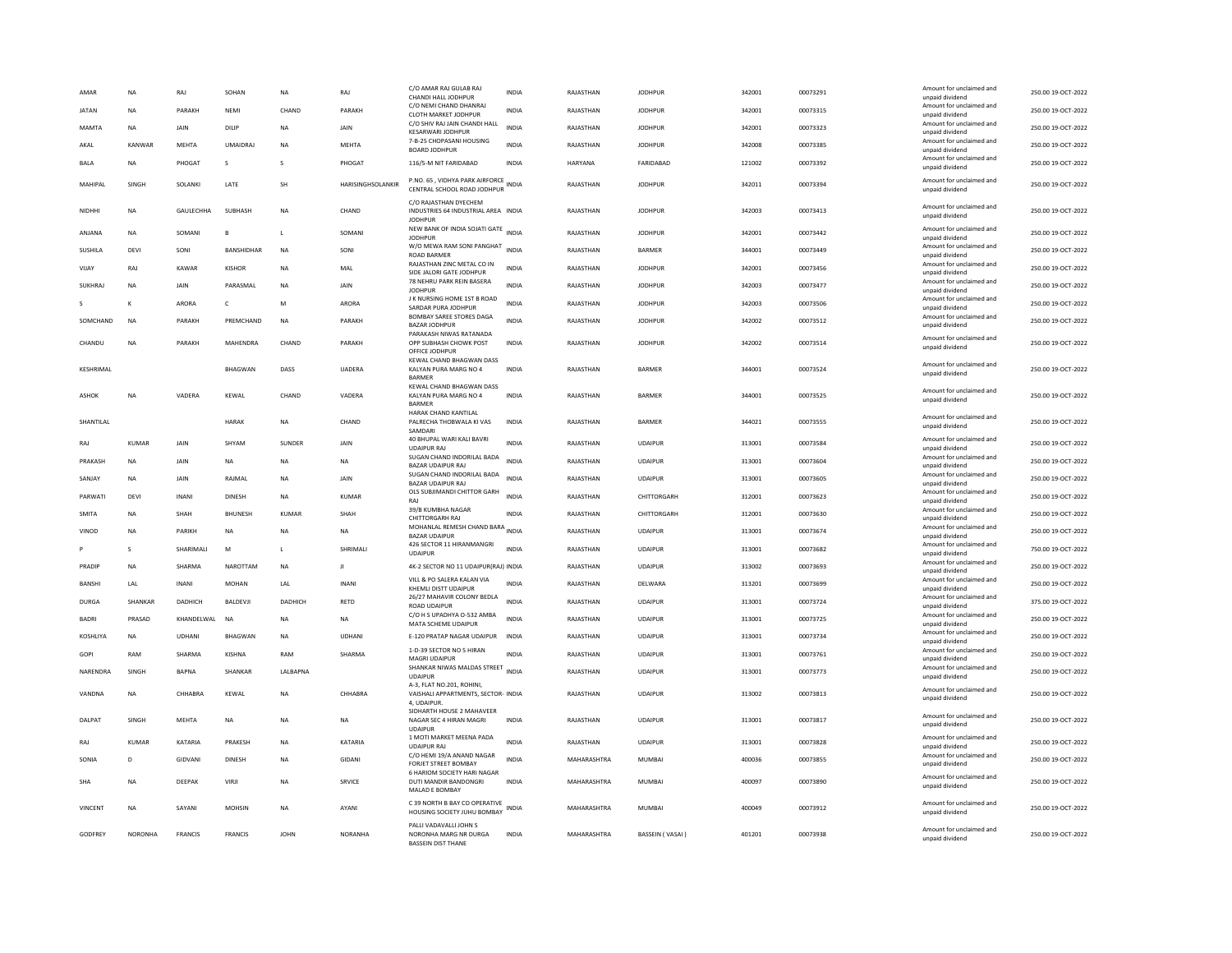| AMAR           | <b>NA</b>    | RAJ            | SOHAN           | <b>NA</b>    | RAJ                      | C/O AMAR RAJ GULAB RAJ<br>CHANDI HALL JODHPUR                                       | <b>INDIA</b> | RAJASTHAN   | <b>JODHPUR</b>  | 342001 | 00073291 | Amount for unclaimed and<br>unpaid dividend                    | 250.00 19-OCT-2022 |
|----------------|--------------|----------------|-----------------|--------------|--------------------------|-------------------------------------------------------------------------------------|--------------|-------------|-----------------|--------|----------|----------------------------------------------------------------|--------------------|
| <b>JATAN</b>   | <b>NA</b>    | PARAKH         | NEMI            | CHAND        | PARAKH                   | C/O NEMI CHAND DHANRAJ<br>CLOTH MARKET JODHPUR                                      | <b>INDIA</b> | RAJASTHAN   | <b>JODHPUR</b>  | 342001 | 00073315 | Amount for unclaimed and<br>unpaid dividend                    | 250.00 19-OCT-2022 |
| MAMTA          | <b>NA</b>    | JAIN           | DILIP           | <b>NA</b>    | JAIN                     | C/O SHIV RAJ JAIN CHANDI HALL<br>KESARWARI JODHPUR                                  | <b>INDIA</b> | RAJASTHAN   | <b>JODHPUR</b>  | 342001 | 00073323 | Amount for unclaimed and<br>unpaid dividend                    | 250.00 19-OCT-2022 |
| AKAL           | KANWAR       | MEHTA          | <b>UMAIDRAJ</b> | <b>NA</b>    | MEHTA                    | 7-B-25 CHOPASANI HOUSING<br><b>BOARD JODHPUR</b>                                    | <b>INDIA</b> | RAJASTHAN   | <b>JODHPUR</b>  | 342008 | 00073385 | Amount for unclaimed and<br>unpaid dividend                    | 250.00 19-OCT-2022 |
| <b>BALA</b>    | ΝA           | PHOGAT         | s               | s            | PHOGAT                   | 116/5-M NIT FARIDABAD                                                               | <b>INDIA</b> | HARYANA     | FARIDABAD       | 121002 | 00073392 | Amount for unclaimed and<br>unpaid dividend                    | 250.00 19-OCT-2022 |
| MAHIPAI        | <b>SINGH</b> | SOLANKI        | <b>I ATF</b>    | <b>SH</b>    | <b>HARISINGHSOLANKIR</b> | P.NO. 65, VIDHYA PARK AIRFORCE<br>CENTRAL SCHOOL ROAD JODHPUR                       | INDIA        | RAIASTHAN   | <b>IODHPUR</b>  | 342011 | 00073394 | Amount for unclaimed and<br>unpaid dividend                    | 250.00 19-OCT-2022 |
| NIDHHI         | ΝA           | GAULECHHA      | SUBHASH         | <b>NA</b>    | CHAND                    | C/O RAJASTHAN DYECHEM<br>INDUSTRIES 64 INDUSTRIAL AREA INDIA<br><b>JODHPUR</b>      |              | RAJASTHAN   | <b>JODHPUR</b>  | 342003 | 00073413 | Amount for unclaimed and<br>unpaid dividend                    | 250.00 19-OCT-2022 |
| ANJANA         | NA           | SOMANI         | R.              | $\mathbf{L}$ | SOMANI                   | NEW BANK OF INDIA SOJATI GATE<br><b>JODHPUR</b>                                     |              | RAJASTHAN   | <b>IODHPUR</b>  | 342001 | 00073442 | Amount for unclaimed and<br>unpaid dividend                    | 250.00 19-OCT-2022 |
| <b>SUSHILA</b> | <b>DEVI</b>  | SONI           | BANSHIDHAR      | <b>NA</b>    | SONI                     | W/O MEWA RAM SONI PANGHAT<br><b>ROAD BARMER</b>                                     | <b>INDIA</b> | RAJASTHAN   | <b>BARMER</b>   | 344001 | 00073449 | Amount for unclaimed and<br>unpaid dividend                    | 250.00 19-OCT-2022 |
| VIJAY          | RAJ          | KAWAR          | <b>KISHOR</b>   | <b>NA</b>    | MAL                      | RAJASTHAN ZINC METAL CO IN<br>SIDE JALORI GATE JODHPUR                              | <b>INDIA</b> | RAJASTHAN   | <b>JODHPUR</b>  | 342001 | 00073456 | Amount for unclaimed and<br>unpaid dividend                    | 250.00 19-OCT-2022 |
| SUKHRAJ        | NA           | JAIN           | PARASMAL        | <b>NA</b>    | JAIN                     | 78 NEHRU PARK REIN BASERA<br><b>JODHPUR</b>                                         | <b>INDIA</b> | RAJASTHAN   | <b>JODHPUR</b>  | 342003 | 00073477 | Amount for unclaimed and<br>unpaid dividend                    | 250.00 19-OCT-2022 |
|                |              | ARORA          | $\mathsf{C}$    | M            | <b>ARORA</b>             | J K NURSING HOME 1ST B ROAD<br>SARDAR PURA JODHPUR                                  | <b>INDIA</b> | RAJASTHAN   | <b>JODHPUR</b>  | 342003 | 00073506 | Amount for unclaimed and<br>unpaid dividend                    | 250.00 19-OCT-2022 |
| SOMCHAND       | NA           | PARAKH         | PREMCHAND       | <b>NA</b>    | PARAKH                   | <b>BOMBAY SAREE STORES DAGA</b><br><b>BAZAR JODHPUR</b>                             | <b>INDIA</b> | RAJASTHAN   | <b>JODHPUR</b>  | 342002 | 00073512 | Amount for unclaimed and<br>unpaid dividend                    | 250.00 19-OCT-2022 |
| CHANDU         | <b>NA</b>    | PARAKH         | MAHENDRA        | CHAND        | PARAKH                   | PARAKASH NIWAS RATANADA<br>OPP SUBHASH CHOWK POST                                   | <b>INDIA</b> | RAJASTHAN   | <b>IODHPUR</b>  | 342002 | 00073514 | Amount for unclaimed and<br>unpaid dividend                    | 250.00 19-OCT-2022 |
|                |              |                |                 |              |                          | OFFICE JODHPUR<br>KEWAL CHAND BHAGWAN DASS                                          |              |             |                 |        |          |                                                                |                    |
| KESHRIMAL      |              |                | <b>BHAGWAN</b>  | DASS         | <b>UADERA</b>            | KALYAN PURA MARG NO 4<br><b>BARMER</b>                                              | INDIA        | RAJASTHAN   | <b>BARMER</b>   | 344001 | 00073524 | Amount for unclaimed and<br>unpaid dividend                    | 250.00 19-OCT-2022 |
| ASHOK          | <b>NA</b>    | VADERA         | KEWAL           | CHAND        | VADERA                   | KEWAL CHAND BHAGWAN DASS<br>KALYAN PURA MARG NO 4<br><b>BARMER</b>                  | <b>INDIA</b> | RAJASTHAN   | BARMER          | 344001 | 00073525 | Amount for unclaimed and<br>unpaid dividend                    | 250.00 19-OCT-2022 |
| SHANTILAL      |              |                | <b>HARAK</b>    | <b>NA</b>    | CHAND                    | HARAK CHAND KANTILAL<br>PALRECHA THOBWALA KI VAS<br>SAMDARI                         | <b>INDIA</b> | RAJASTHAN   | <b>BARMER</b>   | 344021 | 00073555 | Amount for unclaimed and<br>unpaid dividend                    | 250.00 19-OCT-2022 |
| RAJ            | <b>KUMAR</b> | JAIN           | SHYAM           | SUNDER       | JAIN                     | 40 BHUPAL WARI KALI BAVRI<br><b>UDAIPUR RA</b>                                      | <b>INDIA</b> | RAJASTHAN   | <b>UDAIPUR</b>  | 313001 | 00073584 | Amount for unclaimed and<br>unpaid dividend                    | 250.00 19-OCT-2022 |
| PRAKASH        | <b>NA</b>    | JAIN           | NA              | <b>NA</b>    | <b>NA</b>                | SUGAN CHAND INDORILAL BADA<br>BAZAR UDAIPUR RAJ                                     | <b>INDIA</b> | RAJASTHAN   | <b>UDAIPUR</b>  | 313001 | 00073604 | Amount for unclaimed and<br>unpaid dividend                    | 250.00 19-OCT-2022 |
| SANJAY         | <b>NA</b>    | JAIN           | RAJMAL          | <b>NA</b>    | JAIN                     | SUGAN CHAND INDORILAL BADA<br><b>BAZAR UDAIPUR RAJ</b>                              | <b>INDIA</b> | RAJASTHAN   | <b>UDAIPUR</b>  | 313001 | 00073605 | Amount for unclaimed and<br>unpaid dividend                    | 250.00 19-OCT-2022 |
| PARWATI        | DEVI         | <b>INANI</b>   | DINESH          | <b>NA</b>    | <b>KUMAR</b>             | OLS SUBJIMANDI CHITTOR GARH<br>RAI                                                  | <b>INDIA</b> | RAJASTHAN   | CHITTORGARH     | 312001 | 00073623 | Amount for unclaimed and<br>unpaid dividend                    | 250.00 19-OCT-2022 |
| SMITA          | <b>NA</b>    | SHAH           | <b>BHUNESH</b>  | KUMAR        | SHAH                     | 39/B KUMBHA NAGAR                                                                   | <b>INDIA</b> | RAJASTHAN   | CHITTORGARH     | 312001 | 00073630 | Amount for unclaimed and                                       | 250.00 19-OCT-2022 |
| VINOD          | <b>NA</b>    | <b>PARIKH</b>  | <b>NA</b>       | <b>NA</b>    | <b>NA</b>                | <b>CHITTORGARH RAJ</b><br>MOHANLAL REMESH CHAND BARA INDIA                          |              | RAJASTHAN   | <b>UDAIPUR</b>  | 313001 | 00073674 | unpaid dividend<br>Amount for unclaimed and                    | 250.00 19-OCT-2022 |
|                | $\mathbf{S}$ | SHARIMALI      | M               | $\mathbf{L}$ | SHRIMALI                 | <b>BAZAR UDAIPUR</b><br>426 SECTOR 11 HIRANMANGRI                                   | <b>INDIA</b> | RAJASTHAN   | <b>UDAIPUR</b>  | 313001 | 00073682 | unpaid dividend<br>Amount for unclaimed and                    | 750.00 19-OCT-2022 |
| PRADIP         | <b>NA</b>    | SHARMA         | <b>NAROTTAM</b> | <b>NA</b>    | $\mathbf{H}$             | <b>UDAIPUR</b><br>4K-2 SECTOR NO 11 UDAIPUR(RAJ) INDIA                              |              | RAJASTHAN   | <b>UDAIPUR</b>  | 313002 | 00073693 | unpaid dividend<br>Amount for unclaimed and                    | 250.00 19-OCT-2022 |
| <b>BANSHI</b>  | LAL          | <b>INANI</b>   | <b>MOHAN</b>    | LAL          | <b>INANI</b>             | VILL & PO SALERA KALAN VIA                                                          | <b>INDIA</b> | RAJASTHAN   | DELWARA         | 313201 | 00073699 | unpaid dividend<br>Amount for unclaimed and                    | 250.00 19-OCT-2022 |
|                |              |                |                 |              |                          | KHEMLI DISTT UDAIPUR<br>26/27 MAHAVIR COLONY BEDLA                                  |              |             |                 |        |          | unpaid dividend<br>Amount for unclaimed and                    |                    |
| <b>DURGA</b>   | SHANKAR      | DADHICH        | BALDEVJI        | DADHICH      | RETD                     | <b>ROAD UDAIPUR</b><br>C/O H S UPADHYA O-532 AMBA                                   | <b>INDIA</b> | RAJASTHAN   | <b>UDAIPUR</b>  | 313001 | 00073724 | unpaid dividend<br>Amount for unclaimed and                    | 375.00 19-OCT-2022 |
| <b>BADRI</b>   | PRASAD       | KHANDELWAL     | <b>NA</b>       | <b>NA</b>    | <b>NA</b>                | MATA SCHEME UDAIPUR                                                                 | <b>INDIA</b> | RAJASTHAN   | <b>UDAIPUR</b>  | 313001 | 00073725 | unpaid dividend<br>Amount for unclaimed and                    | 250.00 19-OCT-2022 |
| KOSHLIYA       | <b>NA</b>    | <b>UDHANI</b>  | BHAGWAN         | <b>NA</b>    | <b>UDHANI</b>            | E-120 PRATAP NAGAR UDAIPUR<br>1-D-39 SECTOR NO 5 HIRAN                              | <b>INDIA</b> | RAJASTHAN   | <b>UDAIPUR</b>  | 313001 | 00073734 | unpaid dividend                                                | 250.00 19-OCT-2022 |
| GOPI           | RAM          | SHARMA         | KISHNA          | RAM          | SHARMA                   | MAGRI UDAIPUR                                                                       | <b>INDIA</b> | RAJASTHAN   | <b>UDAIPUR</b>  | 313001 | 00073761 | Amount for unclaimed and<br>unpaid dividend                    | 250.00 19-OCT-2022 |
| NARENDRA       | SINGH        | <b>BAPNA</b>   | SHANKAR         | LALBAPNA     |                          | SHANKAR NIWAS MALDAS STREET<br><b>UDAIPUR</b>                                       | <b>INDIA</b> | RAJASTHAN   | <b>UDAIPUR</b>  | 313001 | 00073773 | Amount for unclaimed and<br>unpaid dividend                    | 250.00 19-OCT-2022 |
| VANDNA         | <b>NA</b>    | CHHARRA        | KEWAL           | <b>NA</b>    | CHHARRA                  | A-3, FLAT NO.201, ROHINI,<br>VAISHALI APPARTMENTS, SECTOR- INDIA<br>4, UDAIPUF      |              | RAIASTHAN   | <b>UDAIPUR</b>  | 313002 | 00073813 | Amount for unclaimed and<br>unpaid dividend                    | 250.00.19-OCT-2022 |
| DALPAT         | SINGH        | MEHTA          | NA              | NA           | NA                       | SIDHARTH HOUSE 2 MAHAVEER<br>NAGAR SEC 4 HIRAN MAGRI<br><b>UDAIPUR</b>              | INDIA        | RAJASTHAN   | <b>UDAIPUR</b>  | 313001 | 00073817 | Amount for unclaimed and<br>unpaid dividend                    | 250.00 19-OCT-2022 |
| RAJ            | KUMAR        | KATARIA        | PRAKESH         | <b>NA</b>    | KATARIA                  | 1 MOTI MARKET MEENA PADA                                                            | <b>INDIA</b> | RAJASTHAN   | <b>UDAIPUR</b>  | 313001 | 00073828 | Amount for unclaimed and                                       | 250.00 19-OCT-2022 |
| SONIA          | D            | GIDVANI        | <b>DINESH</b>   | <b>NA</b>    | <b>GIDANI</b>            | <b>UDAIPUR RAJ</b><br>C/O HEMI 19/A ANAND NAGAR                                     | <b>INDIA</b> | MAHARASHTRA | <b>MUMBAI</b>   | 400036 | 00073855 | unpaid dividend<br>Amount for unclaimed and                    | 250.00 19-OCT-2022 |
| <b>SHA</b>     | <b>NA</b>    | DEEPAK         | VIRJI           | <b>NA</b>    | <b>SRVICE</b>            | <b>FORJET STREET BOMBAY</b><br>6 HARIOM SOCIETY HARI NAGAR<br>DUTI MANDIR BANDONGRI | <b>INDIA</b> | MAHARASHTRA | <b>MUMBAI</b>   | 400097 | 00073890 | unpaid dividend<br>Amount for unclaimed and<br>unpaid dividend | 250.00 19-OCT-2022 |
| VINCENT        | <b>NA</b>    | SAYANI         | <b>MOHSIN</b>   | <b>NA</b>    | AYANI                    | MALAD E BOMBAY<br>C 39 NORTH B BAY CO OPERATIVE                                     | <b>INDIA</b> | MAHARASHTRA | <b>MUMBAI</b>   | 400049 | 00073912 | Amount for unclaimed and                                       | 250.00 19-OCT-2022 |
|                |              |                |                 |              |                          | HOUSING SOCIETY JUHU BOMBAY<br>PALLI VADAVALLI JOHN S                               |              |             |                 |        |          | unpaid dividend                                                |                    |
| GODFREY        | NORONHA      | <b>FRANCIS</b> | <b>FRANCIS</b>  | <b>IOHN</b>  | <b>NORANHA</b>           | NORONHA MARG NR DURGA<br><b>RASSEIN DIST THANE</b>                                  | <b>INDIA</b> | MAHARASHTRA | BASSEIN (VASAI) | 401201 | 00073938 | Amount for unclaimed and<br>unpaid dividend                    | 250.00 19-OCT-2022 |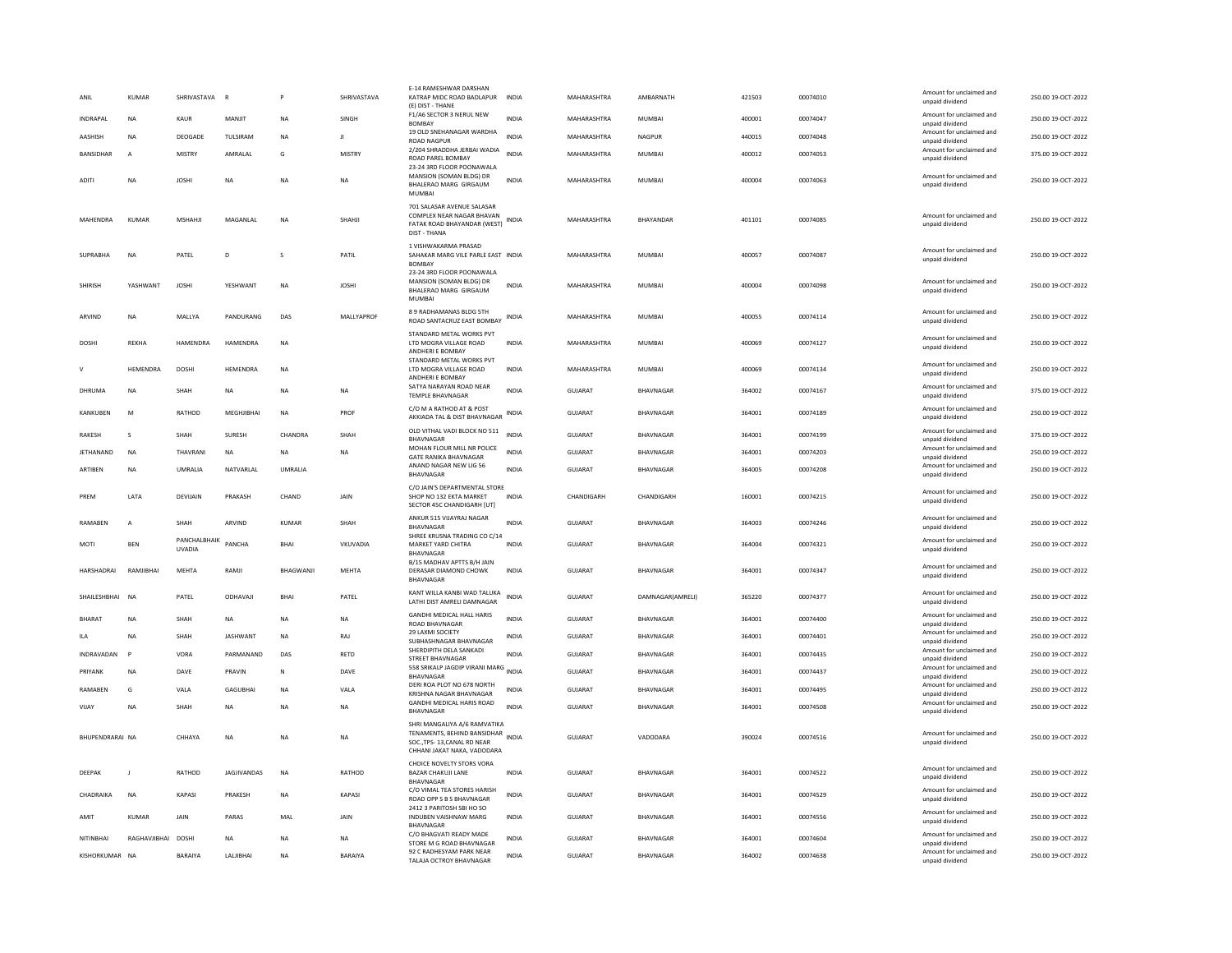| ANIL             | <b>KUMAR</b>   | SHRIVASTAVA R                 |                    |                | SHRIVASTAVA   | E-14 RAMESHWAR DARSHAN<br>KATRAP MIDC ROAD BADLAPUR<br>(E) DIST - THANE                                                   | <b>INDIA</b> | MAHARASHTRA    | AMBARNATH        | 421503 | 00074010 | Amount for unclaimed and<br>unpaid dividend | 250.00 19-OCT-2022 |
|------------------|----------------|-------------------------------|--------------------|----------------|---------------|---------------------------------------------------------------------------------------------------------------------------|--------------|----------------|------------------|--------|----------|---------------------------------------------|--------------------|
| INDRAPAL         | <b>NA</b>      | KAUR                          | MANJIT             | <b>NA</b>      | SINGH         | F1/A6 SECTOR 3 NERUL NEW<br><b>BOMBAY</b>                                                                                 | <b>INDIA</b> | MAHARASHTRA    | MUMBAI           | 400001 | 00074047 | Amount for unclaimed and                    | 250.00 19-OCT-2022 |
| AASHISH          | NA             | DEOGADE                       | TULSIRAM           | <b>NA</b>      | $\mathbf{H}$  | 19 OLD SNEHANAGAR WARDHA                                                                                                  | INDIA        | MAHARASHTRA    | NAGPUR           | 440015 | 00074048 | unpaid dividend<br>Amount for unclaimed and | 250.00 19-OCT-2022 |
| <b>BANSIDHAR</b> | $\overline{A}$ | MISTRY                        | AMRALAL            | G              | <b>MISTRY</b> | <b>ROAD NAGPUR</b><br>2/204 SHRADDHA JERBAI WADIA                                                                         | <b>INDIA</b> | MAHARASHTRA    | <b>MUMBAI</b>    | 400012 | 00074053 | unpaid dividend<br>Amount for unclaimed and | 375.00 19-OCT-2022 |
|                  |                |                               |                    |                |               | ROAD PAREL BOMBAY<br>23-24 3RD FLOOR POONAWALA                                                                            |              |                |                  |        |          | unpaid dividend                             |                    |
| <b>ADITI</b>     | <b>NA</b>      | <b>JOSHI</b>                  | <b>NA</b>          | <b>NA</b>      | <b>NA</b>     | MANSION (SOMAN BLDG) DR<br>BHALERAO MARG GIRGAUM<br>MUMBAI                                                                | <b>INDIA</b> | MAHARASHTRA    | MUMBAL           | 400004 | 00074063 | Amount for unclaimed and<br>unpaid dividend | 250.00 19-OCT-2022 |
| MAHENDRA         | KUMAR          | MSHAHJ                        | MAGANLAL           | NA             | SHAHJI        | 701 SALASAR AVENUE SALASAR<br>COMPLEX NEAR NAGAR BHAVAN<br>FATAK ROAD BHAYANDAR (WEST)<br>DIST - THANA                    | <b>INDIA</b> | MAHARASHTRA    | BHAYANDAR        | 401101 | 00074085 | Amount for unclaimed and<br>unpaid dividend | 250.00 19-OCT-2022 |
| <b>SUPRABHA</b>  | <b>NA</b>      | PATEL                         | D <sub>1</sub>     | $\mathbf{S}$   | PATIL         | 1 VISHWAKARMA PRASAD<br>SAHAKAR MARG VILE PARLE EAST INDIA<br><b>BOMBAY</b>                                               |              | MAHARASHTRA    | <b>MUMBAI</b>    | 400057 | 00074087 | Amount for unclaimed and<br>unpaid dividend | 250.00 19-OCT-2022 |
| SHIRISH          | YASHWANT       | <b>JOSHI</b>                  | YESHWANT           | NA             | <b>JOSHI</b>  | 23-24 3RD FLOOR POONAWALA<br>MANSION (SOMAN BLDG) DR<br>BHALERAO MARG GIRGAUM<br><b>MUMBA</b>                             | <b>INDIA</b> | MAHARASHTRA    | <b>MUMBAI</b>    | 400004 | 00074098 | Amount for unclaimed and<br>unpaid dividend | 250.00 19-OCT-2022 |
| ARVIND           | NA             | MALLYA                        | PANDURANG          | DAS            | MALLYAPROF    | 89 RADHAMANAS BLDG 5TH<br>ROAD SANTACRUZ EAST BOMBAY                                                                      | INDIA        | MAHARASHTRA    | MUMBAI           | 400055 | 00074114 | Amount for unclaimed and<br>unpaid dividend | 250.00 19-OCT-2022 |
| DOSHI            | REKHA          | HAMENDRA                      | HAMENDRA           | <b>NA</b>      |               | STANDARD METAL WORKS PVT<br>LTD MOGRA VILLAGE ROAD<br>ANDHERI E BOMBAY                                                    | <b>INDIA</b> | MAHARASHTRA    | MUMBAI           | 400069 | 00074127 | Amount for unclaimed and<br>unpaid dividend | 250.00 19-OCT-2022 |
|                  | HEMENDRA       | <b>DOSH</b>                   | HEMENDRA           | NA             |               | STANDARD METAL WORKS PVT<br>LTD MOGRA VILLAGE ROAD<br>ANDHERI E BOMBAY                                                    | <b>INDIA</b> | MAHARASHTRA    | MUMBAI           | 400069 | 00074134 | Amount for unclaimed and<br>unpaid dividend | 250.00 19-OCT-2022 |
| DHRUMA           | <b>NA</b>      | <b>SHAH</b>                   | <b>NA</b>          | <b>NA</b>      | <b>NA</b>     | SATYA NARAYAN ROAD NEAR<br>TEMPLE BHAVNAGAR                                                                               | <b>INDIA</b> | <b>GUJARAT</b> | BHAVNAGAR        | 364002 | 00074167 | Amount for unclaimed and<br>unpaid dividend | 375.00 19-OCT-2022 |
| KANKUBEN         | M              | RATHOD                        | MEGHJIBHAI         | NA             | PROF          | C/O M A RATHOD AT & POST<br>AKKIADA TAL & DIST BHAVNAGAR                                                                  | INDIA        | <b>GUJARAT</b> | BHAVNAGAR        | 364001 | 00074189 | Amount for unclaimed and<br>unpaid dividend | 250.00 19-OCT-2022 |
| <b>RAKESH</b>    | s              | SHAH                          | SURESH             | CHANDRA        | SHAH          | OLD VITHAL VADI BLOCK NO 511<br>BHAVNAGAR                                                                                 | <b>INDIA</b> | <b>GUJARAT</b> | BHAVNAGAR        | 364001 | 00074199 | Amount for unclaimed and<br>unpaid dividend | 375.00 19-OCT-2022 |
| JETHANAND        | NA             | THAVRANI                      | <b>NA</b>          | <b>NA</b>      | NA            | MOHAN FLOUR MILL NR POLICE<br><b>GATE RANIKA BHAVNAGAR</b>                                                                | INDIA        | GUJARAT        | BHAVNAGAR        | 364001 | 00074203 | Amount for unclaimed and<br>unpaid dividend | 250.00 19-OCT-2022 |
| ARTIBEN          | <b>NA</b>      | UMRALIA                       | NATVARLAL          | <b>UMRALIA</b> |               | ANAND NAGAR NEW LIG 56<br>BHAVNAGAR                                                                                       | <b>INDIA</b> | <b>GUJARAT</b> | BHAVNAGAR        | 364005 | 00074208 | Amount for unclaimed and<br>unpaid dividend | 250.00 19-OCT-2022 |
| PREM             | LATA           | DEVIJAIN                      | PRAKASH            | CHAND          | JAIN          | C/O JAIN'S DEPARTMENTAL STORE<br>SHOP NO 132 EKTA MARKET<br>SECTOR 45C CHANDIGARH [UT]                                    | <b>INDIA</b> | CHANDIGARH     | CHANDIGARH       | 160001 | 00074215 | Amount for unclaimed and<br>unpaid dividend | 250.00 19-OCT-2022 |
| RAMAREN          | $\overline{A}$ | SHAH                          | ARVIND             | KUMAR          | SHAH          | ANKUR 515 VIJAYRAJ NAGAR<br><b>BHAVNAGAR</b>                                                                              | <b>INDIA</b> | GUJARAT        | BHAVNAGAR        | 364003 | 00074246 | Amount for unclaimed and<br>unpaid dividend | 250.00 19-OCT-2022 |
| MOTI             | BEN            | PANCHALBHAIK<br><b>UVADIA</b> | PANCHA             | BHAI           | VKUVADIA      | SHREE KRUSNA TRADING CO C/14<br>MARKET YARD CHITRA<br><b>BHAVNAGAR</b>                                                    | <b>INDIA</b> | GUJARAT        | BHAVNAGAR        | 364004 | 00074321 | Amount for unclaimed and<br>unpaid dividend | 250.00 19-OCT-2022 |
| HARSHADRAI       | RAMJIBHAI      | MEHTA                         | RAMJI              | BHAGWANJI      | MEHTA         | B/15 MADHAV APTTS B/H JAIN<br>DERASAR DIAMOND CHOWK<br>BHAVNAGAR                                                          | <b>INDIA</b> | GUJARAT        | BHAVNAGAR        | 364001 | 00074347 | Amount for unclaimed and<br>unpaid dividend | 250.00 19-OCT-2022 |
| SHAILESHBHAI     | <b>NA</b>      | PATEL                         | ODHAVAJI           | <b>BHAI</b>    | PATEL         | KANT WILLA KANBI WAD TALUKA<br>LATHI DIST AMRELI DAMNAGAR                                                                 | <b>INDIA</b> | <b>GUJARAT</b> | DAMNAGAR(AMRELI) | 365220 | 00074377 | Amount for unclaimed and<br>unpaid dividend | 250.00 19-OCT-2022 |
| <b>RHARAT</b>    | <b>NA</b>      | <b>SHAH</b>                   | <b>NA</b>          | <b>NA</b>      | <b>NA</b>     | <b>GANDHI MEDICAL HALL HARIS</b><br>ROAD BHAVNAGAR                                                                        | <b>INDIA</b> | <b>GUJARAT</b> | <b>RHAVNAGAR</b> | 364001 | 00074400 | Amount for unclaimed and<br>unpaid dividend | 250.00 19-OCT-2022 |
| <b>ILA</b>       | <b>NA</b>      | SHAH                          | JASHWANT           | NA             | RAJ           | 29 LAXMI SOCIETY<br>SUBHASHNAGAR BHAVNAGAR                                                                                | <b>INDIA</b> | GUJARAT        | BHAVNAGAR        | 364001 | 00074401 | Amount for unclaimed and<br>unpaid dividend | 250.00 19-OCT-2022 |
| INDRAVADAN       | $\mathsf{P}$   | VORA                          | PARMANAND          | DAS            | RETD          | SHERDIPITH DELA SANKADI<br>STREET BHAVNAGAR                                                                               | INDIA        | GUJARAT        | BHAVNAGAR        | 364001 | 00074435 | Amount for unclaimed and<br>unpaid dividend | 250.00 19-OCT-2022 |
| PRIYANK          | NA             | DAVE                          | PRAVIN             | N              | DAVE          | 558 SRIKALP JAGDIP VIRANI MARG INDIA<br><b>BHAVNAGAR</b>                                                                  |              | GUJARAT        | BHAVNAGAR        | 364001 | 00074437 | Amount for unclaimed and<br>unpaid dividend | 250.00 19-OCT-2022 |
| RAMARFN          | G              | VALA                          | <b>GAGUBHAI</b>    | <b>NA</b>      | VALA          | DERI ROA PLOT NO 678 NORTH                                                                                                | <b>INDIA</b> | <b>GUJARAT</b> | BHAVNAGAR        | 364001 | 00074495 | Amount for unclaimed and                    | 250.00 19-OCT-2022 |
| VIJAY            | <b>NA</b>      | SHAH                          | <b>NA</b>          | <b>NA</b>      | <b>NA</b>     | KRISHNA NAGAR BHAVNAGAR<br>GANDHI MEDICAL HARIS ROAD                                                                      | <b>INDIA</b> | GUJARAT        | BHAVNAGAR        | 364001 | 00074508 | unpaid dividend<br>Amount for unclaimed and | 250.00 19-OCT-2022 |
|                  |                |                               |                    |                |               | BHAVNAGAR                                                                                                                 |              |                |                  |        |          | unpaid dividend                             |                    |
| BHUPENDRARAI NA  |                | CHHAYA                        | NA                 | <b>NA</b>      | NA            | SHRI MANGALIYA A/6 RAMVATIKA<br>TENAMENTS, BEHIND BANSIDHAR<br>SOC., TPS-13, CANAL RD NEAR<br>CHHANI JAKAT NAKA, VADODARA | <b>INDIA</b> | GUJARAT        | VADODARA         | 390024 | 00074516 | Amount for unclaimed and<br>unpaid dividend | 250.00 19-OCT-2022 |
| DEEPAK           | - 11           | RATHOD                        | <b>IAGIIVANDAS</b> | <b>NA</b>      | RATHOD        | CHOICE NOVELTY STORS VORA<br><b>BAZAR CHAKUJI LANE</b><br>BHAVNAGAR                                                       | <b>INDIA</b> | GUIARAT        | <b>BHAVNAGAR</b> | 364001 | 00074522 | Amount for unclaimed and<br>unpaid dividend | 250.00.19-QCT-2022 |
| CHADRAIKA        |                | KAPASI                        | PRAKESH            | NA             | <b>KAPASI</b> | C/O VIMAL TEA STORES HARISH                                                                                               | <b>INDIA</b> | <b>GUJARAT</b> | BHAVNAGAR        | 364001 | 00074529 | Amount for unclaimed and                    | 250.00 19-OCT-2022 |
|                  | $_{\sf NA}$    |                               |                    |                |               | ROAD OPP S B S BHAVNAGAR                                                                                                  |              |                |                  |        |          | unpaid dividend                             |                    |
| AMIT             | KUMAR          | JAIN                          | PARAS              | MAI            | JAIN          | 2412 3 PARITOSH SBI HO SO<br>INDUBEN VAISHNAW MARG<br><b>BHAVNAGAR</b>                                                    | <b>INDIA</b> | GUJARAT        | BHAVNAGAR        | 364001 | 00074556 | Amount for unclaimed and<br>unpaid dividend | 250.00 19-OCT-2022 |
| NITINRHAI        | RAGHAVIIBHAI   | <b>DOSHI</b>                  | <b>NA</b>          | <b>NA</b>      | <b>NA</b>     | C/O BHAGVATI READY MADE<br>STORE M G ROAD BHAVNAGAR                                                                       | <b>INDIA</b> | GUIARAT        | <b>BHAVNAGAR</b> | 364001 | 00074604 | Amount for unclaimed and<br>unpaid dividend | 250.00.19-QCT-2022 |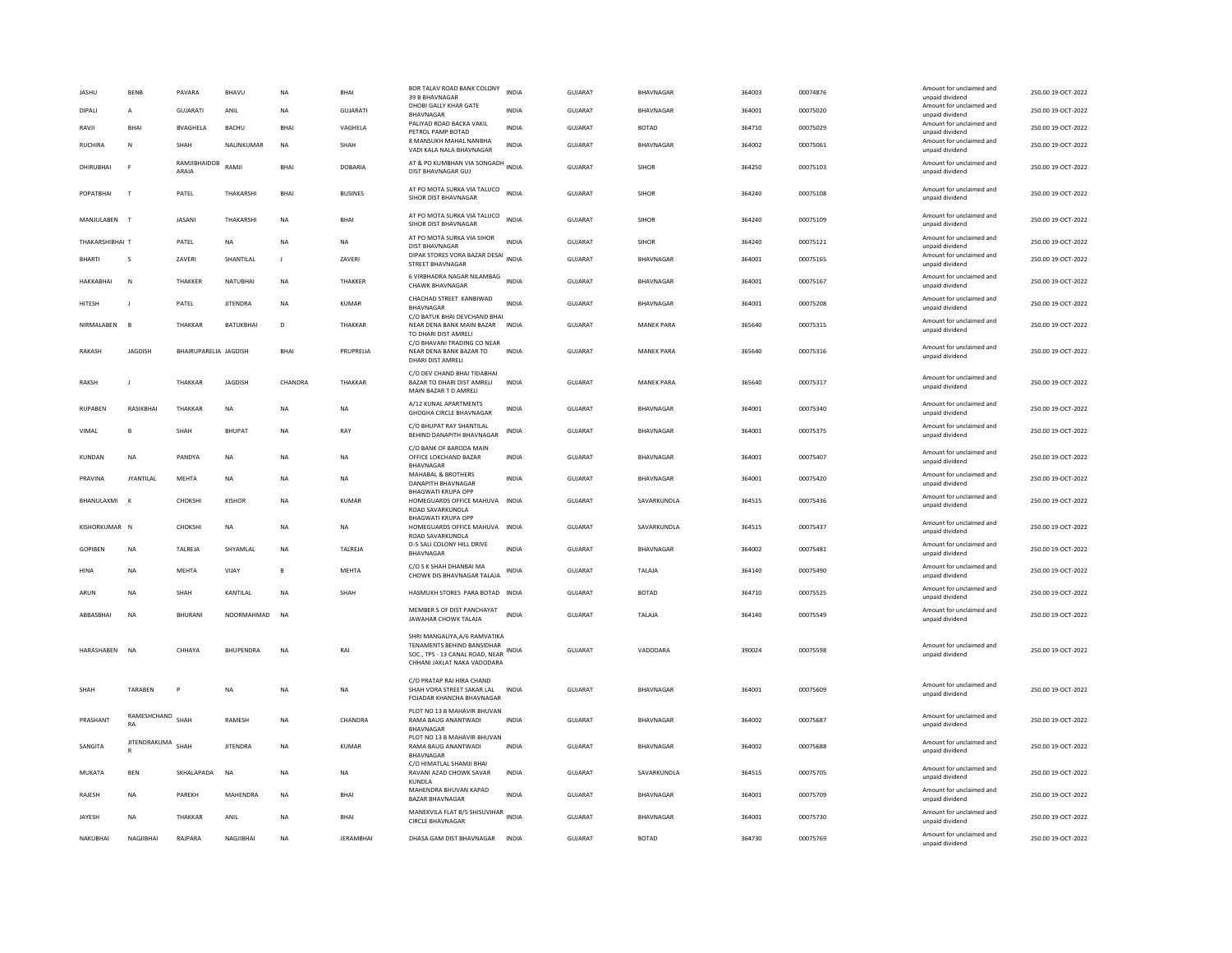| <b>JASHU</b>     | <b>BENB</b>            | PAVARA                | <b>BHAVL</b>       | <b>NA</b>      | <b>BHA</b>       | BOR TALAV ROAD BANK COLONY<br>39 B BHAVNAGAR                                                                                        | <b>INDIA</b> | <b>GUJARAT</b> | BHAVNAGAR         | 364003 | 00074876 | Amount for unclaimed and<br>unpaid dividend | 250.00 19-OCT-2022 |
|------------------|------------------------|-----------------------|--------------------|----------------|------------------|-------------------------------------------------------------------------------------------------------------------------------------|--------------|----------------|-------------------|--------|----------|---------------------------------------------|--------------------|
| DIPALI           | A                      | <b>GUJARATI</b>       | ANIL               | <b>NA</b>      | <b>GUJARATI</b>  | DHOBI GALLY KHAR GATE<br>BHAVNAGAR                                                                                                  | <b>INDIA</b> | GUJARAT        | BHAVNAGAR         | 364001 | 00075020 | Amount for unclaimed and<br>unpaid dividend | 250.00 19-OCT-2022 |
| RAVJI            | BHAI                   | <b>BVAGHELA</b>       | BACHU              | <b>BHAI</b>    | VAGHELA          | PALIYAD ROAD BACKA VAKIL<br>PETROL PAMP BOTAD                                                                                       | INDIA        | <b>GUJARAT</b> | <b>BOTAD</b>      | 364710 | 00075029 | Amount for unclaimed and<br>unpaid dividend | 250.00 19-OCT-2022 |
| RUCHIRA          | N                      | SHAH                  | <b>NAI INKUMAR</b> | <b>NA</b>      | SHAH             | 8 MANSUKH MAHAL NANBHA<br>VADI KALA NALA BHAVNAGAR                                                                                  | <b>INDIA</b> | GUJARAT        | BHAVNAGAR         | 364002 | 00075061 | Amount for unclaimed and<br>unpaid dividend | 250.00 19-OCT-2022 |
| DHIRUBHAI        | E                      | RAMJIBHAIDOB<br>ARAIA | RAMJI              | BHAI           | <b>DOBARIA</b>   | AT & PO KUMBHAN VIA SONGADH<br>DIST BHAVNAGAR GUJ                                                                                   | <b>INDIA</b> | GUJARAT        | SIHOR             | 364250 | 00075103 | Amount for unclaimed and<br>unpaid dividend | 250.00 19-OCT-2022 |
| POPATRHAI        | T                      | PATEL                 | THAKARSH           | <b>BHAI</b>    | <b>BUSINES</b>   | AT PO MOTA SURKA VIA TALUCO<br>SIHOR DIST BHAVNAGAR                                                                                 | <b>INDIA</b> | GUIARAT        | <b>SIHOR</b>      | 364240 | 00075108 | Amount for unclaimed and<br>unpaid dividend | 250.00 19-OCT-2022 |
| MANJULABEN       | $\mathbf{L}$           | JASANI                | THAKARSH           | <b>NA</b>      | BHAI             | AT PO MOTA SURKA VIA TALUCO<br>SIHOR DIST BHAVNAGAR                                                                                 | <b>INDIA</b> | GUJARAT        | <b>SIHOR</b>      | 364240 | 00075109 | Amount for unclaimed and<br>unpaid dividend | 250.00 19-OCT-2022 |
| THAKARSHIRHAI T  |                        | PATEL                 | <b>NA</b>          | <b>NA</b>      | <b>NA</b>        | AT PO MOTA SURKA VIA SIHOR<br><b>DIST BHAVNAGAR</b>                                                                                 | <b>INDIA</b> | GUIARAT        | <b>SIHOR</b>      | 364240 | 00075121 | Amount for unclaimed and<br>unpaid dividend | 250.00 19-OCT-2022 |
| <b>BHARTI</b>    | $\mathsf{s}$           | ZAVERI                | SHANTILAL          | $\blacksquare$ | ZAVERI           | DIPAK STORES VORA BAZAR DESAI<br>STREET BHAVNAGAR                                                                                   | <b>INDIA</b> | <b>GUJARAT</b> | BHAVNAGAR         | 364001 | 00075165 | Amount for unclaimed and<br>unpaid dividend | 250.00 19-OCT-2022 |
| <b>HAKKABHAI</b> | $\overline{N}$         | THAKKER               | NATUBHAI           | <b>NA</b>      | THAKKER          | 6 VIRBHADRA NAGAR NILAMBAG<br><b>CHAWK BHAVNAGAR</b>                                                                                | <b>INDIA</b> | GUJARAT        | BHAVNAGAR         | 364001 | 00075167 | Amount for unclaimed and<br>unpaid dividend | 250.00 19-OCT-2022 |
| <b>HITESH</b>    | $\mathbf{I}$           | PATEL                 | <b>IITENDRA</b>    | <b>NA</b>      | KUMAR            | CHACHAD STREET KANBIWAD<br><b>BHAVNAGAR</b>                                                                                         | <b>INDIA</b> | GUIARAT        | <b>BHAVNAGAR</b>  | 364001 | 00075208 | Amount for unclaimed and<br>unpaid dividend | 250.00 19-OCT-2022 |
| NIRMALABEN       |                        | THAKKAR               | BATUKBHAI          | $\mathsf D$    | THAKKAR          | C/O BATUK BHAI DEVCHAND BHAI<br>NEAR DENA BANK MAIN BAZAR<br>TO DHARI DIST AMRELI                                                   | <b>INDIA</b> | GUJARAT        | <b>MANEK PARA</b> | 365640 | 00075315 | Amount for unclaimed and<br>unpaid dividend | 250.00 19-OCT-2022 |
| <b>RAKASH</b>    | <b>JAGDISH</b>         | BHAIRUPARELIA JAGDISH |                    | BHAI           | PRUPRELIA        | C/O BHAVANI TRADING CO NEAR<br>NEAR DENA BANK BAZAR TO<br>DHARI DIST AMRELI                                                         | <b>INDIA</b> | <b>GUJARAT</b> | <b>MANEK PARA</b> | 365640 | 00075316 | Amount for unclaimed and<br>unpaid dividend | 250.00 19-OCT-2022 |
| <b>RAKSH</b>     | L.                     | THAKKAR               | <b>JAGDISH</b>     | CHANDRA        | THAKKAR          | C/O DEV CHAND BHAI TIDABHAI<br>BAZAR TO DHARI DIST AMRELI<br>MAIN BAZAR T D AMRELI                                                  | <b>INDIA</b> | GUJARAT        | <b>MANEK PARA</b> | 365640 | 00075317 | Amount for unclaimed and<br>unpaid dividend | 250.00 19-OCT-2022 |
| <b>RUPABEN</b>   | RASIKRHAI              | <b>THAKKAR</b>        | <b>NA</b>          | <b>NA</b>      | <b>NA</b>        | A/12 KUNAL APARTMENTS<br><b>GHOGHA CIRCLE BHAVNAGAR</b>                                                                             | <b>INDIA</b> | <b>GUJARAT</b> | BHAVNAGAR         | 364001 | 00075340 | Amount for unclaimed and<br>unpaid dividend | 250.00 19-OCT-2022 |
| VIMAL            | R                      | SHAH                  | <b>BHUPAT</b>      | <b>NA</b>      | RAY              | C/O BHUPAT RAY SHANTILAL<br>BEHIND DANAPITH BHAVNAGAR                                                                               | <b>INDIA</b> | GUJARAT        | BHAVNAGAR         | 364001 | 00075375 | Amount for unclaimed and<br>unpaid dividend | 250.00 19-OCT-2022 |
| <b>KUNDAN</b>    | <b>NA</b>              | PANDYA                | <b>NA</b>          | <b>NA</b>      | <b>NA</b>        | C/O BANK OF BARODA MAIN<br>OFFICE LOKCHAND BAZAR<br>BHAVNAGAR                                                                       | <b>INDIA</b> | <b>GUJARAT</b> | BHAVNAGAR         | 364001 | 00075407 | Amount for unclaimed and<br>unpaid dividend | 250.00 19-OCT-2022 |
| PRAVINA          | <b>JYANTILAL</b>       | MEHTA                 | <b>NA</b>          | <b>NA</b>      | <b>NA</b>        | <b>MAHABAL &amp; BROTHERS</b><br>DANAPITH BHAVNAGAR<br><b>BHAGWATI KRUPA OPP</b>                                                    | <b>INDIA</b> | GUJARAT        | BHAVNAGAR         | 364001 | 00075420 | Amount for unclaimed and<br>unpaid dividend | 250.00 19-OCT-2022 |
| BHANULAXMI       | $\mathbf{k}$           | CHOKSHI               | KISHOR             | NA             | KUMAR            | HOMEGUARDS OFFICE MAHUVA INDIA<br>ROAD SAVARKUNDLA                                                                                  |              | <b>GUJARAT</b> | SAVARKUNDLA       | 364515 | 00075436 | Amount for unclaimed and<br>unpaid dividend | 250.00 19-OCT-2022 |
| KISHORKUMAR N    |                        | CHOKSHI               | <b>NA</b>          | NA             | NA               | <b>BHAGWATI KRUPA OPF</b><br>HOMEGUARDS OFFICE MAHUVA INDIA                                                                         |              | GUJARAT        | SAVARKUNDLA       | 364515 | 00075437 | Amount for unclaimed and<br>unpaid dividend | 250.00 19-OCT-2022 |
| <b>GOPIBEN</b>   | <b>NA</b>              | TALREJA               | SHYAMLAL           | NA             | TALREJA          | ROAD SAVARKUNDLA<br>D-5 SALI COLONY HILL DRIVE<br><b>BHAVNAGAR</b>                                                                  | <b>INDIA</b> | <b>GUJARAT</b> | BHAVNAGAR         | 364002 | 00075481 | Amount for unclaimed and<br>unpaid dividend | 250.00 19-OCT-2022 |
| <b>HINA</b>      | <b>NA</b>              | <b>MEHTA</b>          | VIJAY              | B              | MEHTA            | C/O S K SHAH DHANBAI MA<br>CHOWK DIS BHAVNAGAR TALAJA                                                                               | <b>INDIA</b> | <b>GUJARAT</b> | TALAJA            | 364140 | 00075490 | Amount for unclaimed and<br>unpaid dividend | 250.00 19-OCT-2022 |
| ARUN             | NA                     | SHAH                  | KANTILAL           | NA             | SHAH             | HASMUKH STORES PARA BOTAD INDIA                                                                                                     |              | GUJARAT        | <b>BOTAD</b>      | 364710 | 00075525 | Amount for unclaimed and<br>unpaid dividend | 250.00 19-OCT-2022 |
| ARRASRHAI        | <b>NA</b>              | <b>BHURANI</b>        | NOORMAHMAD         | <b>NA</b>      |                  | MEMBER S OF DIST PANCHAYAT<br>JAWAHAR CHOWK TALAJA                                                                                  | <b>INDIA</b> | GUIARAT        | <b>TAI AIA</b>    | 364140 | 00075549 | Amount for unclaimed and<br>unpaid dividend | 250.00 19-OCT-2022 |
| HARASHABEN NA    |                        | CHHAYA                | BHUPENDRA          | NA             | RAI              | SHRI MANGALIYA, A/6 RAMVATIKA<br>TENAMENTS BEHIND BANSIDHAR<br>SOC., TPS - 13 CANAL ROAD, NEAR INDIA<br>CHHANI JAKLAT NAKA VADODARA |              | GUJARAT        | VADODARA          | 390024 | 00075598 | Amount for unclaimed and<br>unpaid dividend | 250.00 19-OCT-2022 |
| SHAH             | <b>TARABEN</b>         | P                     | <b>NA</b>          | <b>NA</b>      | NA               | C/O PRATAP RAI HIRA CHAND<br>SHAH VORA STREET SAKAR LAL<br>FOJADAR KHANCHA BHAVNAGAR                                                | <b>INDIA</b> | <b>GUJARAT</b> | BHAVNAGAR         | 364001 | 00075609 | Amount for unclaimed and<br>unpaid dividend | 250.00 19-OCT-2022 |
| PRASHANT         | RAMESHCHAND SHAH<br>RA |                       | RAMESH             | NA             | CHANDRA          | PLOT NO 13 B MAHAVIR BHUVAN<br>RAMA BAUG ANANTWADI<br><b>BHAVNAGAR</b>                                                              | <b>INDIA</b> | <b>GUJARAT</b> | BHAVNAGAR         | 364002 | 00075687 | Amount for unclaimed and<br>unpaid dividend | 250.00 19-OCT-2022 |
| SANGITA          | JITENDRAKUMA           | SHAH                  | <b>JITENDRA</b>    | NA             | <b>KUMAR</b>     | PLOT NO 13 B MAHAVIR BHUVAN<br>RAMA BAUG ANANTWADI<br>BHAVNAGAR                                                                     | <b>INDIA</b> | <b>GUJARAT</b> | <b>BHAVNAGAR</b>  | 364002 | 00075688 | Amount for unclaimed and<br>unpaid dividend | 250.00 19-OCT-2022 |
| MUKATA           | <b>BEN</b>             | SKHALAPADA            | <b>NA</b>          | <b>NA</b>      | <b>NA</b>        | C/O HIMATLAL SHAMJI BHAI<br>RAVANI AZAD CHOWK SAVAR<br>KUNDLA                                                                       | <b>INDIA</b> | <b>GUJARAT</b> | SAVARKUNDLA       | 364515 | 00075705 | Amount for unclaimed and<br>unpaid dividend | 250.00 19-OCT-2022 |
| RAJESH           | NA                     | PAREKH                | MAHENDRA           | <b>NA</b>      | <b>BHAI</b>      | MAHENDRA BHUVAN KAPAD<br><b>BAZAR BHAVNAGAR</b>                                                                                     | INDIA        | GUJARAT        | BHAVNAGAR         | 364001 | 00075709 | Amount for unclaimed and<br>unpaid dividend | 250.00 19-OCT-2022 |
| <b>IAYESH</b>    | <b>NA</b>              | THAKKAR               | ANII               | <b>NA</b>      | <b>BHAI</b>      | MANEKVILA FLAT B/5 SHISUVIHAR<br><b>CIRCLE BHAVNAGAR</b>                                                                            | <b>INDIA</b> | GUIARAT        | BHAVNAGAR         | 364001 | 00075730 | Amount for unclaimed and<br>unpaid dividend | 250.00 19-OCT-2022 |
| NAKUBHAI         | NAGJIBHAI              | RAJPARA               | NAGJIBHAI          | <b>NA</b>      | <b>JERAMBHAI</b> | DHASA GAM DIST BHAVNAGAR                                                                                                            | <b>INDIA</b> | GUJARAT        | <b>BOTAD</b>      | 364730 | 00075769 | Amount for unclaimed and<br>unpaid dividend | 250.00 19-OCT-2022 |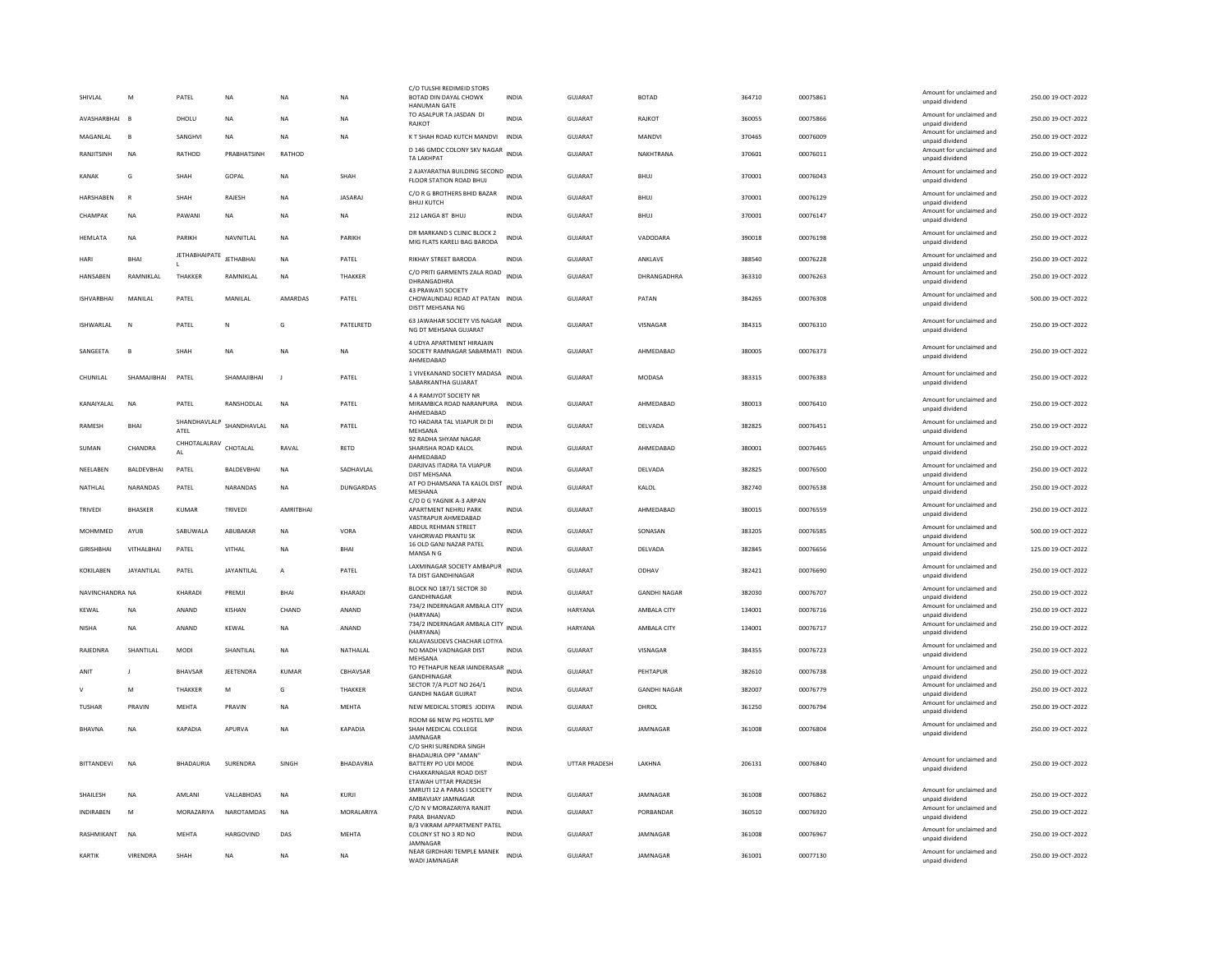| SHIVI AI          | M                 | PATFI                | <b>NA</b>        | <b>NA</b>   | <b>NA</b>        | C/O TULSHI REDIMEID STORS<br>BOTAD DIN DAYAL CHOWK<br>HANUMAN GATE                                                              | <b>INDIA</b> | GUIARAT              | <b>BOTAD</b>        | 364710 | 00075861 | Amount for unclaimed and<br>unpaid dividend | 250.00.19-OCT-2022 |
|-------------------|-------------------|----------------------|------------------|-------------|------------------|---------------------------------------------------------------------------------------------------------------------------------|--------------|----------------------|---------------------|--------|----------|---------------------------------------------|--------------------|
| AVASHARBHAI       | <b>R</b>          | DHOLU                | NA               | <b>NA</b>   | NA               | TO ASALPUR TA JASDAN DI<br>RAIKOT                                                                                               | <b>INDIA</b> | <b>GUJARAT</b>       | RAJKOT              | 360055 | 00075866 | Amount for unclaimed and<br>unnaid dividend | 250.00 19-OCT-2022 |
| MAGANLAL          | B                 | SANGHVI              | <b>NA</b>        | <b>NA</b>   | <b>NA</b>        | K T SHAH ROAD KUTCH MANDVI                                                                                                      | INDIA        | <b>GUJARAT</b>       | MANDVI              | 370465 | 00076009 | Amount for unclaimed and<br>unpaid dividend | 250.00 19-OCT-2022 |
| RANJITSINH        | <b>NA</b>         | RATHOD               | PRABHATSINH      | RATHOD      |                  | D 146 GMDC COLONY SKV NAGAR INDIA<br><b>TA LAKHPAT</b>                                                                          |              | GUJARAT              | NAKHTRANA           | 370601 | 00076011 | Amount for unclaimed and<br>unpaid dividend | 250.00 19-OCT-2022 |
| <b>KANAK</b>      | G                 | SHAH                 | GOPAL            | <b>NA</b>   | SHAH             | 2 AJAYARATNA BUILDING SECOND INDIA<br>FLOOR STATION ROAD BHUJ                                                                   |              | <b>GUJARAT</b>       | <b>BHUJ</b>         | 370001 | 00076043 | Amount for unclaimed and<br>unpaid dividend | 250.00 19-OCT-2022 |
| HARSHABEN         | $\mathbb{R}$      | SHAH                 | RAJESH           | <b>NA</b>   | JASARAJ          | C/O R G BROTHERS BHID BAZAR<br><b>BHUJ KUTCH</b>                                                                                | <b>INDIA</b> | GUJARAT              | <b>BHUJ</b>         | 370001 | 00076129 | Amount for unclaimed and<br>unpaid dividend | 250.00 19-OCT-2022 |
| CHAMPAK           | <b>NA</b>         | PAWANI               | <b>NA</b>        | <b>NA</b>   | <b>NA</b>        | 212 LANGA 8T BHUJ                                                                                                               | <b>INDIA</b> | GUJARAT              | <b>BHUI</b>         | 370001 | 00076147 | Amount for unclaimed and<br>unpaid dividend | 250.00 19-OCT-2022 |
| <b>HEMLATA</b>    | <b>NA</b>         | PARIKH               | NAVNITLAI        | <b>NA</b>   | PARIKH           | DR MARKAND S CLINIC BLOCK 2<br>MIG FLATS KARELI BAG BARODA                                                                      | <b>INDIA</b> | <b>GUJARAT</b>       | VADODARA            | 390018 | 00076198 | Amount for unclaimed and<br>unpaid dividend | 250.00 19-OCT-2022 |
| HARI              | <b>BHAI</b>       | <b>JETHABHAIPATE</b> | <b>IFTHARHAI</b> | <b>NA</b>   | PATEL            | <b>RIKHAY STREET BARODA</b>                                                                                                     | <b>INDIA</b> | GUIARAT              | ANKLAVE             | 388540 | 00076228 | Amount for unclaimed and<br>unpaid dividend | 250.00 19-OCT-2022 |
| HANSABEN          | RAMNIKLAL         | THAKKER              | RAMNIKLAL        | <b>NA</b>   | THAKKER          | C/O PRITI GARMENTS ZALA ROAD INDIA<br>DHRANGADHRA                                                                               |              | GUJARAT              | DHRANGADHRA         | 363310 | 00076263 | Amount for unclaimed and<br>unpaid dividend | 250.00 19-OCT-2022 |
| <b>ISHVARRHAI</b> | MANII AI          | PATEL                | MANII AI         | AMARDAS     | PATEL            | 43 PRAWATI SOCIETY<br>CHOWAUNDALI ROAD AT PATAN INDIA<br>DISTT MEHSANA NG                                                       |              | GUIARAT              | PATAN               | 384265 | 00076308 | Amount for unclaimed and<br>unpaid dividend | 500.00 19-OCT-2022 |
| <b>ISHWARLAL</b>  | N                 | PATEL                | N                | G           | PATELRETD        | 63 JAWAHAR SOCIETY VIS NAGAR<br>NG DT MEHSANA GUJARAT                                                                           | <b>INDIA</b> | <b>GUJARAT</b>       | VISNAGAR            | 384315 | 00076310 | Amount for unclaimed and<br>unpaid dividend | 250.00 19-OCT-2022 |
| SANGEETA          | B                 | SHAH                 | NA               | <b>NA</b>   | NA               | 4 UDYA APARTMENT HIRAIAIN<br>SOCIETY RAMNAGAR SABARMATI INDIA<br>AHMEDABAD                                                      |              | GUJARAT              | AHMEDABAD           | 380005 | 00076373 | Amount for unclaimed and<br>unpaid dividend | 250.00 19-OCT-2022 |
| CHUNILAL          | SHAMAJIBHAI       | PATEL                | SHAMAJIBHAI      | J           | PATEL            | 1 VIVEKANAND SOCIETY MADASA<br>SABARKANTHA GUJARAT                                                                              | <b>INDIA</b> | GUJARAT              | MODASA              | 383315 | 00076383 | Amount for unclaimed and<br>unnaid dividend | 250.00 19-OCT-2022 |
| KANAIYALAL        | NA                | PATEL                | RANSHODLAL       | <b>NA</b>   | PATEL            | 4 A RAMJYOT SOCIETY NR<br>MIRAMBICA ROAD NARANPURA<br>AHMEDABAD                                                                 | <b>INDIA</b> | GUJARAT              | AHMEDABAD           | 380013 | 00076410 | Amount for unclaimed and<br>unpaid dividend | 250.00 19-OCT-2022 |
| RAMESH            | BHAI              | SHANDHAVLALP<br>ATEL | SHANDHAVLAL      | NA          | PATEL            | TO HADARA TAL VIJAPUR DI DI<br>MEHSANA                                                                                          | INDIA        | GUJARAT              | DELVADA             | 382825 | 00076451 | Amount for unclaimed and<br>unpaid dividend | 250.00 19-OCT-2022 |
| SUMAN             | CHANDRA           | CHHOTALALRAV<br>AI   | CHOTALAL         | RAVAI       | RETD             | 92 RADHA SHYAM NAGAR<br>SHARISHA ROAD KALOL<br>AHMEDABAD                                                                        | INDIA        | GUJARAT              | AHMFDARAD           | 380001 | 00076465 | Amount for unclaimed and<br>unpaid dividend | 250.00 19-OCT-2022 |
| NEELABEN          | BALDEVBHAI        | PATEL                | BALDEVBHAI       | NA          | SADHAVLAL        | DARJIVAS ITADRA TA VIJAPUR<br>DIST MEHSANA                                                                                      | <b>INDIA</b> | GUJARAT              | DELVADA             | 382825 | 00076500 | Amount for unclaimed and<br>unpaid dividend | 250.00 19-OCT-2022 |
| NATHLAL           | NARANDAS          | PATEL                | NARANDAS         | NA          | <b>DUNGARDAS</b> | AT PO DHAMSANA TA KALOL DIST<br>MFSHANA                                                                                         | <b>INDIA</b> | GUJARAT              | KALOL               | 382740 | 00076538 | Amount for unclaimed and<br>unnaid dividend | 250.00 19-OCT-2022 |
| TRIVEDI           | BHASKER           | KUMAR                | TRIVEDI          | AMRITBHAI   |                  | C/O D G YAGNIK A-3 ARPAN<br>APARTMENT NEHRU PARK<br>VASTRAPUR AHMEDARAD                                                         | INDIA        | GUJARAT              | AHMEDABAD           | 380015 | 00076559 | Amount for unclaimed and<br>unpaid dividend | 250.00 19-OCT-2022 |
| MOHMMED           | AYUB              | SABUWALA             | ABUBAKAF         | <b>NA</b>   | VORA             | ABDUL REHMAN STREET<br>VAHORWAD PRANTIJ SK                                                                                      | <b>INDIA</b> | <b>GUJARAT</b>       | SONASAN             | 383205 | 00076585 | Amount for unclaimed and<br>unpaid dividend | 500.00 19-OCT-2022 |
| <b>GIRISHBHAI</b> | VITHALBHAI        | PATEL                | VITHAL           | <b>NA</b>   | <b>BHAI</b>      | 16 OLD GANJ NAZAR PATEL<br>MANSA N G                                                                                            | <b>INDIA</b> | <b>GUJARAT</b>       | DELVADA             | 382845 | 00076656 | Amount for unclaimed and<br>unpaid dividend | 125.00 19-OCT-2022 |
| KOKILABEN         | <b>JAYANTILAL</b> | PATEL                | JAYANTILAL       | А           | PATEL            | LAXMINAGAR SOCIETY AMBAPUR                                                                                                      | <b>INDIA</b> | GUJARAT              | ODHAV               | 382421 | 00076690 | Amount for unclaimed and                    | 250.00 19-OCT-2022 |
|                   |                   |                      |                  |             |                  | TA DIST GANDHINAGAR<br>BLOCK NO 187/1 SECTOR 30                                                                                 |              |                      |                     |        |          | unpaid dividend<br>Amount for unclaimed and |                    |
| NAVINCHANDRA NA   |                   | KHARADI              | PREMJI           | <b>BHAI</b> | KHARADI          | GANDHINAGAR<br>734/2 INDERNAGAR AMBALA CITY                                                                                     | <b>INDIA</b> | <b>GUJARAT</b>       | <b>GANDHI NAGAR</b> | 382030 | 00076707 | unpaid dividend<br>Amount for unclaimed and | 250.00 19-OCT-2022 |
| KEWAL             | <b>NA</b>         | ANAND                | KISHAN           | CHAND       | ANAND            | (HARYANA)                                                                                                                       | <b>INDIA</b> | HARYANA              | AMBALA CITY         | 134001 | 00076716 | unpaid dividend                             | 250.00 19-OCT-2022 |
| <b>NISHA</b>      | <b>NA</b>         | ANAND                | KFWAI            | <b>NA</b>   | ANAND            | 734/2 INDERNAGAR AMBALA CITY<br>INDIA<br>(HARYANA)                                                                              |              | <b>HARYANA</b>       | AMBALA CITY         | 134001 | 00076717 | Amount for unclaimed and<br>unpaid dividend | 250.00 19-OCT-2022 |
| RAJEDNRA          | SHANTILAL         | <b>MODI</b>          | SHANTILAL        | <b>NA</b>   | NATHALAL         | KALAVASUDEVS CHACHAR LOTIYA<br>NO MADH VADNAGAR DIST<br>MEHSANA                                                                 | <b>INDIA</b> | <b>GUJARAT</b>       | VISNAGAR            | 384355 | 00076723 | Amount for unclaimed and<br>unpaid dividend | 250.00 19-OCT-2022 |
| ANIT              |                   | <b>BHAVSAR</b>       | <b>IFFTENDRA</b> | KUMAR       | CRHAVSAR         | TO PETHAPUR NEAR IAINDERASAR<br>GANDHINAGAR                                                                                     | INDIA        | GUIARAT              | PEHTAPUR            | 382610 | 00076738 | Amount for unclaimed and<br>unpaid dividend | 250.00 19-OCT-2022 |
|                   | M                 | THAKKER              | M                | G           | THAKKER          | SECTOR 7/A PLOT NO 264/1<br><b>GANDHI NAGAR GUJRAT</b>                                                                          | <b>INDIA</b> | GUJARAT              | <b>GANDHI NAGAR</b> | 382007 | 00076779 | Amount for unclaimed and<br>unpaid dividend | 250.00 19-OCT-2022 |
| <b>TUSHAR</b>     | PRAVIN            | MEHTA                | PRAVIN           | <b>NA</b>   | MEHTA            | NEW MEDICAL STORES JODIYA                                                                                                       | INDIA        | GUJARAT              | DHROL               | 361250 | 00076794 | Amount for unclaimed and<br>unnaid dividend | 250.00 19-OCT-2022 |
| BHAVNA            | NA                | KAPADIA              | APURVA           | <b>NA</b>   | KAPADIA          | ROOM 66 NEW PG HOSTEL MP<br>SHAH MEDICAL COLLEGE<br><b>IAMNAGAR</b>                                                             | INDIA        | GUJARAT              | JAMNAGAR            | 361008 | 00076804 | Amount for unclaimed and<br>unpaid dividend | 250.00 19-OCT-2022 |
| <b>BITTANDEVI</b> | <b>NA</b>         | <b>BHADAURIA</b>     | SURENDRA         | SINGH       | <b>BHADAVRIA</b> | C/O SHRI SURENDRA SINGH<br>BHADAURIA OPP "AMAN"<br>BATTERY PO UDI MODE<br>CHAKKARNAGAR ROAD DIST<br><b>FTAWAH UTTAR PRADESH</b> | <b>INDIA</b> | <b>UTTAR PRADESH</b> | LAKHNA              | 206131 | 00076840 | Amount for unclaimed and<br>unpaid dividend | 250.00 19-OCT-2022 |
| SHAILESH          | <b>NA</b>         | AMLANI               | VALLABHDAS       | <b>NA</b>   | KURJI            | SMRUTI 12 A PARAS I SOCIETY<br>AMBAVIJAY JAMNAGAR                                                                               | <b>INDIA</b> | <b>GUJARAT</b>       | JAMNAGAR            | 361008 | 00076862 | Amount for unclaimed and<br>unpaid dividend | 250.00 19-OCT-2022 |
| INDIRABEN         | M                 | MORAZARIYA           | NAROTAMDAS       | <b>NA</b>   | MORALARIYA       | C/O N V MORAZARIYA RANJIT<br>PARA BHANVAD                                                                                       | <b>INDIA</b> | <b>GUJARAT</b>       | PORBANDAR           | 360510 | 00076920 | Amount for unclaimed and<br>unpaid dividend | 250.00 19-OCT-2022 |
| RASHMIKANT        | <b>NA</b>         | MFHTA                | <b>HARGOVIND</b> | DAS         | MEHTA            | B/3 VIKRAM APPARTMENT PATEL<br>COLONY ST NO 3 RD NO                                                                             | <b>INDIA</b> | GUIARAT              | JAMNAGAR            | 361008 | 00076967 | Amount for unclaimed and<br>unpaid dividend | 250.00 19-OCT-2022 |
| KARTIK            | VIRENDRA          | SHAH                 | NA               | <b>NA</b>   | NA               | JAMNAGAR<br>NEAR GIRDHARI TEMPLE MANEK                                                                                          | <b>INDIA</b> | <b>GUJARAT</b>       | JAMNAGAR            | 361001 | 00077130 | Amount for unclaimed and                    | 250.00 19-OCT-2022 |
|                   |                   |                      |                  |             |                  | WADI JAMNAGAR                                                                                                                   |              |                      |                     |        |          | unpaid dividend                             |                    |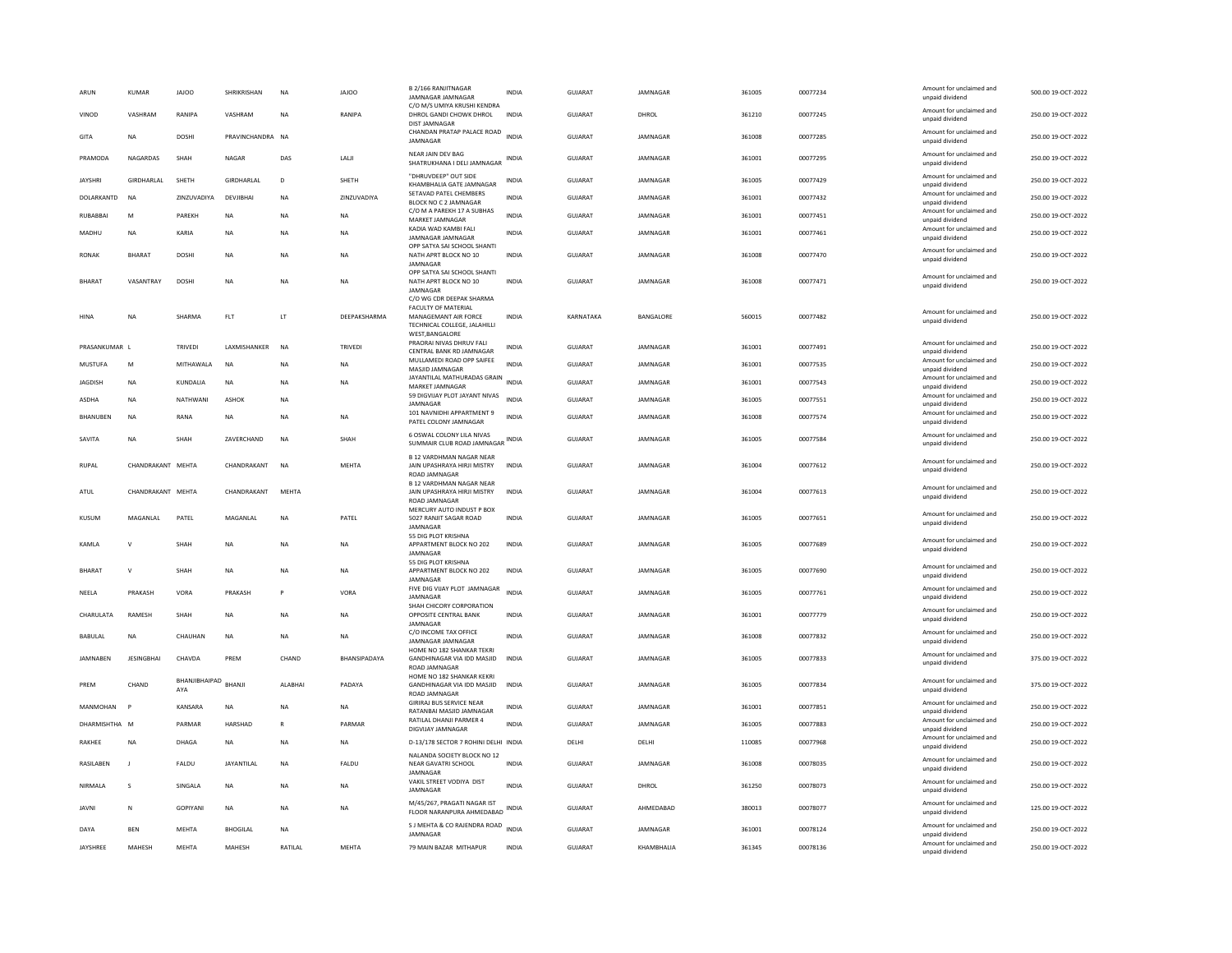| C/O M/S UMIYA KRUSHI KENDRA<br>Amount for unclaimed and<br>GUIARAT<br>361210<br>00077245<br>250.00.19-OCT-2022<br>VINOD<br>VASHRAM<br>RANIPA<br>VASHRAM<br><b>NA</b><br>RANIPA<br>DHROL GANDI CHOWK DHROL<br><b>INDIA</b><br>DHROL<br>unpaid dividend<br><b>DIST JAMNAGAR</b><br>CHANDAN PRATAP PALACE ROAD<br>Amount for unclaimed and<br>DOSHI<br>PRAVINCHANDRA NA<br><b>INDIA</b><br>GUJARAT<br>JAMNAGAR<br>361008<br>00077285<br>250.00 19-OCT-2022<br>GITA<br>NA<br>JAMNAGAR<br>unpaid dividend<br>NEAR JAIN DEV BAG<br>Amount for unclaimed and<br>250.00 19-OCT-2022<br><b>NAGARDAS</b><br>DAS<br><b>IAII</b><br>GUIARAT<br><b>IAMNAGAR</b><br>361001<br>00077295<br>PRAMODA<br>SHAH<br>NAGAR<br>INDIA<br>SHATRUKHANA I DELI JAMNAGAR<br>unpaid dividend<br>"DHRUVDEEP" OUT SIDE<br>Amount for unclaimed and<br>JAYSHRI<br>GIRDHARLAL<br>SHETH<br>GIRDHARLAL<br>$\mathsf D$<br>SHETH<br>GUJARAT<br>JAMNAGAR<br>361005<br>00077429<br>250.00 19-OCT-2022<br>INDIA<br>KHAMBHALIA GATE JAMNAGAR<br>unpaid dividend<br>SETAVAD PATEL CHEMBERS<br>Amount for unclaimed and<br>DOLARKANTD<br><b>NA</b><br>ZINZUVADIYA<br>DEVJIBHAI<br><b>NA</b><br>ZINZUVADIYA<br><b>INDIA</b><br><b>GUJARAT</b><br>JAMNAGAR<br>361001<br>00077432<br>250.00 19-OCT-2022<br>BLOCK NO C 2 JAMNAGAR<br>unpaid dividend<br>C/O M A PAREKH 17 A SUBHAS<br>Amount for unclaimed and<br>PAREKH<br><b>INDIA</b><br><b>GUJARAT</b><br>JAMNAGAR<br>361001<br>00077451<br>250.00 19-OCT-2022<br>RUBABBAI<br>M<br><b>NA</b><br><b>NA</b><br>NA<br>MARKET JAMNAGAR<br>unpaid dividend<br>KADIA WAD KAMBI FALI<br>Amount for unclaimed and<br><b>GUJARAT</b><br>361001<br>00077461<br>250.00 19-OCT-2022<br>KARIA<br><b>INDIA</b><br>JAMNAGAR<br>MADHU<br><b>NA</b><br><b>NA</b><br><b>NA</b><br><b>NA</b><br>JAMNAGAR JAMNAGAR<br>unpaid dividend<br>OPP SATYA SAI SCHOOL SHANTI<br>Amount for unclaimed and<br><b>RONAK</b><br><b>BHARAT</b><br><b>DOSHI</b><br><b>NA</b><br><b>NA</b><br>NATH APRT BLOCK NO 10<br><b>INDIA</b><br><b>GUJARAT</b><br>JAMNAGAR<br>361008<br>00077470<br>250.00 19-OCT-2022<br><b>NA</b><br>unpaid dividend<br>JAMNAGAR<br>OPP SATYA SAI SCHOOL SHANTI<br>Amount for unclaimed and<br>VASANTRAY<br>DOSHI<br>INDIA<br>GUJARAT<br>JAMNAGAR<br>361008<br>00077471<br>250.00 19-OCT-2022<br><b>BHARAT</b><br>NA<br>NA<br>NA<br>NATH APRT BLOCK NO 10<br>unpaid dividend<br>JAMNAGAR<br>C/O WG CDR DEEPAK SHARMA<br><b>FACULTY OF MATERIAL</b><br>Amount for unclaimed and<br>HINA<br>NA<br>SHARMA<br>FLT<br>LT<br>DEEPAKSHARMA<br>MANAGEMANT AIR FORCE<br><b>INDIA</b><br>KARNATAKA<br>BANGALORE<br>560015<br>00077482<br>250.00 19-OCT-2022<br>unpaid dividend<br>TECHNICAL COLLEGE, JALAHILLI<br>WEST, BANGALORE<br>PRAORAI NIVAS DHRUV FALI<br>Amount for unclaimed and<br>361001<br>250.00 19-OCT-2022<br>PRASANKUMAR L<br><b>TRIVEDI</b><br>LAXMISHANKER<br><b>NA</b><br><b>GUJARAT</b><br>JAMNAGAR<br>00077491<br><b>TRIVEDI</b><br><b>INDIA</b><br>CENTRAL BANK RD JAMNAGAR<br>unpaid dividend<br>MULLAMEDI ROAD OPP SAIFEE<br>Amount for unclaimed and<br>MITHAWALA<br><b>INDIA</b><br>GUJARAT<br>JAMNAGAR<br>361001<br>00077535<br>250.00 19-OCT-2022<br><b>MUSTUFA</b><br>M<br><b>NA</b><br>NA<br><b>NA</b><br>MASJID JAMNAGAR<br>unpaid dividend<br>JAYANTILAL MATHURADAS GRAIN<br>Amount for unclaimed and<br>INDIA<br>250.00 19-OCT-2022<br><b>JAGDISH</b><br><b>NA</b><br>KUNDALIA<br><b>NA</b><br><b>NA</b><br><b>NA</b><br><b>GUJARAT</b><br>JAMNAGAR<br>361001<br>00077543<br>MARKET JAMNAGAR<br>unpaid dividend<br>59 DIGVIJAY PLOT JAYANT NIVAS<br>Amount for unclaimed and<br>ASDHA<br><b>NA</b><br>NATHWANI<br>ASHOK<br>NA<br><b>INDIA</b><br>GUJARAT<br>JAMNAGAR<br>361005<br>00077551<br>250.00 19-OCT-2022<br>JAMNAGAR<br>unpaid dividend<br>101 NAVNIDHI APPARTMENT 9<br>Amount for unclaimed and<br>250.00 19-OCT-2022<br><b>BHANUREN</b><br><b>NA</b><br>RANA<br><b>NA</b><br><b>NA</b><br><b>NA</b><br><b>INDIA</b><br><b>GUJARAT</b><br><b>IAMNAGAR</b><br>361008<br>00077574<br>PATEL COLONY JAMNAGAR<br>unpaid dividend<br>6 OSWAL COLONY LILA NIVAS<br>Amount for unclaimed and<br>SAVITA<br>NA<br>SHAH<br>ZAVERCHAND<br><b>NA</b><br>SHAH<br>GUJARAT<br>JAMNAGAR<br>361005<br>00077584<br>250.00 19-OCT-2022<br>SUMMAIR CLUB ROAD JAMNAGAR INDIA<br>unpaid dividend<br><b>B 12 VARDHMAN NAGAR NEAR</b><br>Amount for unclaimed and<br>CHANDRAKANT MEHTA<br>CHANDRAKANT<br><b>NA</b><br><b>MEHTA</b><br>JAIN UPASHRAYA HIRJI MISTRY<br><b>GUJARAT</b><br>JAMNAGAR<br>361004<br>00077612<br>250.00 19-OCT-2022<br><b>RUPAL</b><br><b>INDIA</b><br>unpaid dividend<br>ROAD JAMNAGAR<br><b>B 12 VARDHMAN NAGAR NEAR</b><br>Amount for unclaimed and<br>CHANDRAKANT MEHTA<br>CHANDRAKANT<br>MFHTA<br>GUIARAT<br><b>IAMNAGAR</b><br>361004<br>00077613<br>250.00.19-OCT-2022<br>ATUL<br>JAIN UPASHRAYA HIRJI MISTRY<br><b>INDIA</b><br>unpaid dividend<br>ROAD JAMNAGAR<br>MERCURY AUTO INDUST P BOX<br>Amount for unclaimed and<br>KUSUM<br>MAGANLAL<br>PATEL<br>MAGANLAL<br><b>NA</b><br>PATEL<br>5027 RANJIT SAGAR ROAD<br><b>INDIA</b><br><b>GUJARAT</b><br>JAMNAGAR<br>361005<br>00077651<br>250.00 19-OCT-2022<br>unpaid dividend<br>JAMNAGAR<br>55 DIG PLOT KRISHNA<br>Amount for unclaimed and<br>250.00 19-OCT-2022<br>KAMLA<br>$\mathsf{v}$<br>SHAH<br><b>NA</b><br><b>NA</b><br><b>NA</b><br>APPARTMENT BLOCK NO 202<br><b>INDIA</b><br><b>GUJARAT</b><br>JAMNAGAR<br>361005<br>00077689<br>unpaid dividend<br>JAMNAGAR<br>55 DIG PLOT KRISHNA<br>Amount for unclaimed and<br><b>BHARAT</b><br>$\mathsf{v}$<br>SHAH<br>NA<br>APPARTMENT BLOCK NO 202<br>INDIA<br>GUJARAT<br>JAMNAGAR<br>361005<br>00077690<br>250.00 19-OCT-2022<br>NA<br><b>NA</b><br>unpaid dividend<br>JAMNAGAR<br>FIVE DIG VIJAY PLOT JAMNAGAR<br>Amount for unclaimed and<br><b>INDIA</b><br><b>GUJARAT</b><br>00077761<br>250.00 19-OCT-2022<br>NEELA<br>PRAKASH<br>VORA<br>PRAKASH<br>P<br>VORA<br>JAMNAGAR<br>361005<br>JAMNAGAR<br>unpaid dividend<br>SHAH CHICORY CORPORATION<br>Amount for unclaimed and<br>CHARULATA<br>RAMESH<br>SHAH<br>$_{\sf NA}$<br><b>NA</b><br>OPPOSITE CENTRAL BANK<br><b>INDIA</b><br>GUJARAT<br>JAMNAGAR<br>361001<br>00077779<br>250.00 19-OCT-2022<br><b>NA</b><br>unpaid dividend<br><b>IAMNAGAR</b><br>C/O INCOME TAX OFFICE<br>Amount for unclaimed and<br>GUIARAT<br>361008<br>00077832<br>250.00 19-OCT-2022<br>BABULAL<br><b>NA</b><br>CHAUHAN<br><b>NA</b><br><b>NA</b><br>NA.<br><b>INDIA</b><br><b>IAMNAGAR</b><br>JAMNAGAR JAMNAGAR<br>unpaid dividend<br>HOME NO 182 SHANKAR TEKRI<br>Amount for unclaimed and<br><b>JAMNABEN</b><br><b>JESINGBHAI</b><br>CHAVDA<br>PREM<br>CHAND<br>BHANSIPADAYA<br>GANDHINAGAR VIA IDD MASJID<br><b>INDIA</b><br><b>GUJARAT</b><br>JAMNAGAR<br>361005<br>00077833<br>375.00 19-OCT-2022<br>unpaid dividend<br>ROAD IAMNAGAR<br>HOME NO 182 SHANKAR KEKRI<br>BHANJIBHAIPAD<br>Amount for unclaimed and<br>CHAND<br>BHANJI<br>GUJARAT<br>361005<br>00077834<br>375.00 19-OCT-2022<br>PREM<br>ALABHA<br>PADAYA<br>GANDHINAGAR VIA IDD MASJID<br><b>INDIA</b><br>JAMNAGAR<br>AYA<br>unpaid dividend<br>ROAD JAMNAGAR<br><b>GIRIRAJ BUS SERVICE NEAR</b><br>Amount for unclaimed and<br>MANMOHAN<br>KANSARA<br>INDIA<br>GUJARAT<br>JAMNAGAR<br>361001<br>00077851<br>250.00 19-OCT-2022<br><b>P</b><br>NA<br><b>NA</b><br>NA<br>RATANBAI MASJID JAMNAGAR<br>unpaid dividend<br>RATILAL DHANJI PARMER 4<br>Amount for unclaimed and<br>DHARMISHTHA M<br>PARMAR<br>HARSHAD<br>$\mathbb{R}$<br>PARMAR<br><b>INDIA</b><br><b>GUJARAT</b><br>JAMNAGAR<br>361005<br>00077883<br>250.00 19-OCT-2022<br>DIGVIJAY JAMNAGAR<br>unpaid dividend<br>Amount for unclaimed and<br>D-13/178 SECTOR 7 ROHINI DELHI INDIA<br>110085<br>250.00 19-OCT-2022<br>RAKHEE<br><b>NA</b><br>DHAGA<br><b>NA</b><br><b>NA</b><br>DELHI<br>DELHI<br>00077968<br>NA<br>unpaid dividend<br>NALANDA SOCIETY BLOCK NO 12<br>Amount for unclaimed and<br>FALDU<br>GUJARAT<br>JAMNAGAR<br>00078035<br>250.00 19-OCT-2022<br>RASILABEN<br>FALDU<br>JAYANTILAL<br>NA<br>NEAR GAVATRI SCHOOL<br>INDIA<br>361008<br>unpaid dividend<br>JAMNAGAR<br>VAKIL STREET VODIYA DIST<br>Amount for unclaimed and<br>SINGALA<br><b>INDIA</b><br><b>GUJARAT</b><br>DHROL<br>361250<br>00078073<br>250.00 19-OCT-2022<br>NIRMALA<br><b>NA</b><br><b>NA</b><br>s<br>NA<br>JAMNAGAR<br>unpaid dividend<br>M/45/267, PRAGATI NAGAR IST<br>Amount for unclaimed and<br>GOPIYANI<br>GUJARAT<br>AHMEDABAD<br>380013<br>00078077<br>125.00 19-OCT-2022<br><b>JAVNI</b><br>N<br><b>NA</b><br>NA<br>NA<br>INDIA<br>FLOOR NARANPURA AHMEDABAD<br>unpaid dividend<br>S J MEHTA & CO RAJENDRA ROAD<br>Amount for unclaimed and<br><b>INDIA</b><br>00078124<br><b>BEN</b><br><b>MEHTA</b><br><b>BHOGILAL</b><br><b>GUJARAT</b><br>JAMNAGAR<br>361001<br>250.00 19-OCT-2022<br>DAYA<br><b>NA</b><br>JAMNAGAR<br>unpaid dividend<br>Amount for unclaimed and<br>MEHTA<br>GUJARAT<br>KHAMBHALIA<br>00078136<br>250.00 19-OCT-2022<br>JAYSHREE<br>MAHESH<br><b>MEHTA</b><br>MAHESH<br>RATILAL<br>79 MAIN BAZAR MITHAPUR<br><b>INDIA</b><br>361345<br>unpaid dividend | ARUN | <b>KUMAR</b> | <b>JAJOO</b> | SHRIKRISHAN | <b>NA</b> | <b>JAJOO</b> | <b>B 2/166 RANJITNAGAR</b><br><b>JAMNAGAR JAMNAGAR</b> | <b>INDIA</b> | <b>GUJARA1</b> | JAMNAGAR | 361005 | 00077234 | Amount for unclaimed and<br>unpaid dividend | 500.00 19-OCT-2022 |
|-----------------------------------------------------------------------------------------------------------------------------------------------------------------------------------------------------------------------------------------------------------------------------------------------------------------------------------------------------------------------------------------------------------------------------------------------------------------------------------------------------------------------------------------------------------------------------------------------------------------------------------------------------------------------------------------------------------------------------------------------------------------------------------------------------------------------------------------------------------------------------------------------------------------------------------------------------------------------------------------------------------------------------------------------------------------------------------------------------------------------------------------------------------------------------------------------------------------------------------------------------------------------------------------------------------------------------------------------------------------------------------------------------------------------------------------------------------------------------------------------------------------------------------------------------------------------------------------------------------------------------------------------------------------------------------------------------------------------------------------------------------------------------------------------------------------------------------------------------------------------------------------------------------------------------------------------------------------------------------------------------------------------------------------------------------------------------------------------------------------------------------------------------------------------------------------------------------------------------------------------------------------------------------------------------------------------------------------------------------------------------------------------------------------------------------------------------------------------------------------------------------------------------------------------------------------------------------------------------------------------------------------------------------------------------------------------------------------------------------------------------------------------------------------------------------------------------------------------------------------------------------------------------------------------------------------------------------------------------------------------------------------------------------------------------------------------------------------------------------------------------------------------------------------------------------------------------------------------------------------------------------------------------------------------------------------------------------------------------------------------------------------------------------------------------------------------------------------------------------------------------------------------------------------------------------------------------------------------------------------------------------------------------------------------------------------------------------------------------------------------------------------------------------------------------------------------------------------------------------------------------------------------------------------------------------------------------------------------------------------------------------------------------------------------------------------------------------------------------------------------------------------------------------------------------------------------------------------------------------------------------------------------------------------------------------------------------------------------------------------------------------------------------------------------------------------------------------------------------------------------------------------------------------------------------------------------------------------------------------------------------------------------------------------------------------------------------------------------------------------------------------------------------------------------------------------------------------------------------------------------------------------------------------------------------------------------------------------------------------------------------------------------------------------------------------------------------------------------------------------------------------------------------------------------------------------------------------------------------------------------------------------------------------------------------------------------------------------------------------------------------------------------------------------------------------------------------------------------------------------------------------------------------------------------------------------------------------------------------------------------------------------------------------------------------------------------------------------------------------------------------------------------------------------------------------------------------------------------------------------------------------------------------------------------------------------------------------------------------------------------------------------------------------------------------------------------------------------------------------------------------------------------------------------------------------------------------------------------------------------------------------------------------------------------------------------------------------------------------------------------------------------------------------------------------------------------------------------------------------------------------------------------------------------------------------------------------------------------------------------------------------------------------------------------------------------------------------------------------------------------------------------------------------------------------------------------------------------------------------------------------------------------------------------------------------------------------------------------------------------------------------------------------------------------------------------------------------------------------------------------------------------------------------------------------------------------------------------------------------------------------------------------------------------------------------------------------------------------------------------------------------------------------------------------------------------------------------------------------------------------------------------------------------------------------------------------------------------------------------------------------------------------------------------------------------------------------------------------------------------------------------------------------------------------------------------------------------------------------------------------------------------------------------------------------------------------------------------------------------------------------------------------------------------------------------------------------------------------------------------------------------------------------------------------------------------------------------------------------------------------------------------------------------------------------------------------------------------------------------------------------------------------------------------------------------------------------------------------------------------------------------------------------------------------------------------------------------------------------------------------------------------------------------------------------------------------------------------------------------------------------------------------------------------------------------------------------------------------------------------------------------------------------------------------------------------------------------------------------------------------------------------------------------------------------------------------------------------|------|--------------|--------------|-------------|-----------|--------------|--------------------------------------------------------|--------------|----------------|----------|--------|----------|---------------------------------------------|--------------------|
|                                                                                                                                                                                                                                                                                                                                                                                                                                                                                                                                                                                                                                                                                                                                                                                                                                                                                                                                                                                                                                                                                                                                                                                                                                                                                                                                                                                                                                                                                                                                                                                                                                                                                                                                                                                                                                                                                                                                                                                                                                                                                                                                                                                                                                                                                                                                                                                                                                                                                                                                                                                                                                                                                                                                                                                                                                                                                                                                                                                                                                                                                                                                                                                                                                                                                                                                                                                                                                                                                                                                                                                                                                                                                                                                                                                                                                                                                                                                                                                                                                                                                                                                                                                                                                                                                                                                                                                                                                                                                                                                                                                                                                                                                                                                                                                                                                                                                                                                                                                                                                                                                                                                                                                                                                                                                                                                                                                                                                                                                                                                                                                                                                                                                                                                                                                                                                                                                                                                                                                                                                                                                                                                                                                                                                                                                                                                                                                                                                                                                                                                                                                                                                                                                                                                                                                                                                                                                                                                                                                                                                                                                                                                                                                                                                                                                                                                                                                                                                                                                                                                                                                                                                                                                                                                                                                                                                                                                                                                                                                                                                                                                                                                                                                                                                                                                                                                                                                                                                                                                                                                                                                                                                                                                                                                                                                                                                                                                                                                                                                                                                                                                         |      |              |              |             |           |              |                                                        |              |                |          |        |          |                                             |                    |
|                                                                                                                                                                                                                                                                                                                                                                                                                                                                                                                                                                                                                                                                                                                                                                                                                                                                                                                                                                                                                                                                                                                                                                                                                                                                                                                                                                                                                                                                                                                                                                                                                                                                                                                                                                                                                                                                                                                                                                                                                                                                                                                                                                                                                                                                                                                                                                                                                                                                                                                                                                                                                                                                                                                                                                                                                                                                                                                                                                                                                                                                                                                                                                                                                                                                                                                                                                                                                                                                                                                                                                                                                                                                                                                                                                                                                                                                                                                                                                                                                                                                                                                                                                                                                                                                                                                                                                                                                                                                                                                                                                                                                                                                                                                                                                                                                                                                                                                                                                                                                                                                                                                                                                                                                                                                                                                                                                                                                                                                                                                                                                                                                                                                                                                                                                                                                                                                                                                                                                                                                                                                                                                                                                                                                                                                                                                                                                                                                                                                                                                                                                                                                                                                                                                                                                                                                                                                                                                                                                                                                                                                                                                                                                                                                                                                                                                                                                                                                                                                                                                                                                                                                                                                                                                                                                                                                                                                                                                                                                                                                                                                                                                                                                                                                                                                                                                                                                                                                                                                                                                                                                                                                                                                                                                                                                                                                                                                                                                                                                                                                                                                                         |      |              |              |             |           |              |                                                        |              |                |          |        |          |                                             |                    |
|                                                                                                                                                                                                                                                                                                                                                                                                                                                                                                                                                                                                                                                                                                                                                                                                                                                                                                                                                                                                                                                                                                                                                                                                                                                                                                                                                                                                                                                                                                                                                                                                                                                                                                                                                                                                                                                                                                                                                                                                                                                                                                                                                                                                                                                                                                                                                                                                                                                                                                                                                                                                                                                                                                                                                                                                                                                                                                                                                                                                                                                                                                                                                                                                                                                                                                                                                                                                                                                                                                                                                                                                                                                                                                                                                                                                                                                                                                                                                                                                                                                                                                                                                                                                                                                                                                                                                                                                                                                                                                                                                                                                                                                                                                                                                                                                                                                                                                                                                                                                                                                                                                                                                                                                                                                                                                                                                                                                                                                                                                                                                                                                                                                                                                                                                                                                                                                                                                                                                                                                                                                                                                                                                                                                                                                                                                                                                                                                                                                                                                                                                                                                                                                                                                                                                                                                                                                                                                                                                                                                                                                                                                                                                                                                                                                                                                                                                                                                                                                                                                                                                                                                                                                                                                                                                                                                                                                                                                                                                                                                                                                                                                                                                                                                                                                                                                                                                                                                                                                                                                                                                                                                                                                                                                                                                                                                                                                                                                                                                                                                                                                                                         |      |              |              |             |           |              |                                                        |              |                |          |        |          |                                             |                    |
|                                                                                                                                                                                                                                                                                                                                                                                                                                                                                                                                                                                                                                                                                                                                                                                                                                                                                                                                                                                                                                                                                                                                                                                                                                                                                                                                                                                                                                                                                                                                                                                                                                                                                                                                                                                                                                                                                                                                                                                                                                                                                                                                                                                                                                                                                                                                                                                                                                                                                                                                                                                                                                                                                                                                                                                                                                                                                                                                                                                                                                                                                                                                                                                                                                                                                                                                                                                                                                                                                                                                                                                                                                                                                                                                                                                                                                                                                                                                                                                                                                                                                                                                                                                                                                                                                                                                                                                                                                                                                                                                                                                                                                                                                                                                                                                                                                                                                                                                                                                                                                                                                                                                                                                                                                                                                                                                                                                                                                                                                                                                                                                                                                                                                                                                                                                                                                                                                                                                                                                                                                                                                                                                                                                                                                                                                                                                                                                                                                                                                                                                                                                                                                                                                                                                                                                                                                                                                                                                                                                                                                                                                                                                                                                                                                                                                                                                                                                                                                                                                                                                                                                                                                                                                                                                                                                                                                                                                                                                                                                                                                                                                                                                                                                                                                                                                                                                                                                                                                                                                                                                                                                                                                                                                                                                                                                                                                                                                                                                                                                                                                                                                         |      |              |              |             |           |              |                                                        |              |                |          |        |          |                                             |                    |
|                                                                                                                                                                                                                                                                                                                                                                                                                                                                                                                                                                                                                                                                                                                                                                                                                                                                                                                                                                                                                                                                                                                                                                                                                                                                                                                                                                                                                                                                                                                                                                                                                                                                                                                                                                                                                                                                                                                                                                                                                                                                                                                                                                                                                                                                                                                                                                                                                                                                                                                                                                                                                                                                                                                                                                                                                                                                                                                                                                                                                                                                                                                                                                                                                                                                                                                                                                                                                                                                                                                                                                                                                                                                                                                                                                                                                                                                                                                                                                                                                                                                                                                                                                                                                                                                                                                                                                                                                                                                                                                                                                                                                                                                                                                                                                                                                                                                                                                                                                                                                                                                                                                                                                                                                                                                                                                                                                                                                                                                                                                                                                                                                                                                                                                                                                                                                                                                                                                                                                                                                                                                                                                                                                                                                                                                                                                                                                                                                                                                                                                                                                                                                                                                                                                                                                                                                                                                                                                                                                                                                                                                                                                                                                                                                                                                                                                                                                                                                                                                                                                                                                                                                                                                                                                                                                                                                                                                                                                                                                                                                                                                                                                                                                                                                                                                                                                                                                                                                                                                                                                                                                                                                                                                                                                                                                                                                                                                                                                                                                                                                                                                                         |      |              |              |             |           |              |                                                        |              |                |          |        |          |                                             |                    |
|                                                                                                                                                                                                                                                                                                                                                                                                                                                                                                                                                                                                                                                                                                                                                                                                                                                                                                                                                                                                                                                                                                                                                                                                                                                                                                                                                                                                                                                                                                                                                                                                                                                                                                                                                                                                                                                                                                                                                                                                                                                                                                                                                                                                                                                                                                                                                                                                                                                                                                                                                                                                                                                                                                                                                                                                                                                                                                                                                                                                                                                                                                                                                                                                                                                                                                                                                                                                                                                                                                                                                                                                                                                                                                                                                                                                                                                                                                                                                                                                                                                                                                                                                                                                                                                                                                                                                                                                                                                                                                                                                                                                                                                                                                                                                                                                                                                                                                                                                                                                                                                                                                                                                                                                                                                                                                                                                                                                                                                                                                                                                                                                                                                                                                                                                                                                                                                                                                                                                                                                                                                                                                                                                                                                                                                                                                                                                                                                                                                                                                                                                                                                                                                                                                                                                                                                                                                                                                                                                                                                                                                                                                                                                                                                                                                                                                                                                                                                                                                                                                                                                                                                                                                                                                                                                                                                                                                                                                                                                                                                                                                                                                                                                                                                                                                                                                                                                                                                                                                                                                                                                                                                                                                                                                                                                                                                                                                                                                                                                                                                                                                                                         |      |              |              |             |           |              |                                                        |              |                |          |        |          |                                             |                    |
|                                                                                                                                                                                                                                                                                                                                                                                                                                                                                                                                                                                                                                                                                                                                                                                                                                                                                                                                                                                                                                                                                                                                                                                                                                                                                                                                                                                                                                                                                                                                                                                                                                                                                                                                                                                                                                                                                                                                                                                                                                                                                                                                                                                                                                                                                                                                                                                                                                                                                                                                                                                                                                                                                                                                                                                                                                                                                                                                                                                                                                                                                                                                                                                                                                                                                                                                                                                                                                                                                                                                                                                                                                                                                                                                                                                                                                                                                                                                                                                                                                                                                                                                                                                                                                                                                                                                                                                                                                                                                                                                                                                                                                                                                                                                                                                                                                                                                                                                                                                                                                                                                                                                                                                                                                                                                                                                                                                                                                                                                                                                                                                                                                                                                                                                                                                                                                                                                                                                                                                                                                                                                                                                                                                                                                                                                                                                                                                                                                                                                                                                                                                                                                                                                                                                                                                                                                                                                                                                                                                                                                                                                                                                                                                                                                                                                                                                                                                                                                                                                                                                                                                                                                                                                                                                                                                                                                                                                                                                                                                                                                                                                                                                                                                                                                                                                                                                                                                                                                                                                                                                                                                                                                                                                                                                                                                                                                                                                                                                                                                                                                                                                         |      |              |              |             |           |              |                                                        |              |                |          |        |          |                                             |                    |
|                                                                                                                                                                                                                                                                                                                                                                                                                                                                                                                                                                                                                                                                                                                                                                                                                                                                                                                                                                                                                                                                                                                                                                                                                                                                                                                                                                                                                                                                                                                                                                                                                                                                                                                                                                                                                                                                                                                                                                                                                                                                                                                                                                                                                                                                                                                                                                                                                                                                                                                                                                                                                                                                                                                                                                                                                                                                                                                                                                                                                                                                                                                                                                                                                                                                                                                                                                                                                                                                                                                                                                                                                                                                                                                                                                                                                                                                                                                                                                                                                                                                                                                                                                                                                                                                                                                                                                                                                                                                                                                                                                                                                                                                                                                                                                                                                                                                                                                                                                                                                                                                                                                                                                                                                                                                                                                                                                                                                                                                                                                                                                                                                                                                                                                                                                                                                                                                                                                                                                                                                                                                                                                                                                                                                                                                                                                                                                                                                                                                                                                                                                                                                                                                                                                                                                                                                                                                                                                                                                                                                                                                                                                                                                                                                                                                                                                                                                                                                                                                                                                                                                                                                                                                                                                                                                                                                                                                                                                                                                                                                                                                                                                                                                                                                                                                                                                                                                                                                                                                                                                                                                                                                                                                                                                                                                                                                                                                                                                                                                                                                                                                                         |      |              |              |             |           |              |                                                        |              |                |          |        |          |                                             |                    |
|                                                                                                                                                                                                                                                                                                                                                                                                                                                                                                                                                                                                                                                                                                                                                                                                                                                                                                                                                                                                                                                                                                                                                                                                                                                                                                                                                                                                                                                                                                                                                                                                                                                                                                                                                                                                                                                                                                                                                                                                                                                                                                                                                                                                                                                                                                                                                                                                                                                                                                                                                                                                                                                                                                                                                                                                                                                                                                                                                                                                                                                                                                                                                                                                                                                                                                                                                                                                                                                                                                                                                                                                                                                                                                                                                                                                                                                                                                                                                                                                                                                                                                                                                                                                                                                                                                                                                                                                                                                                                                                                                                                                                                                                                                                                                                                                                                                                                                                                                                                                                                                                                                                                                                                                                                                                                                                                                                                                                                                                                                                                                                                                                                                                                                                                                                                                                                                                                                                                                                                                                                                                                                                                                                                                                                                                                                                                                                                                                                                                                                                                                                                                                                                                                                                                                                                                                                                                                                                                                                                                                                                                                                                                                                                                                                                                                                                                                                                                                                                                                                                                                                                                                                                                                                                                                                                                                                                                                                                                                                                                                                                                                                                                                                                                                                                                                                                                                                                                                                                                                                                                                                                                                                                                                                                                                                                                                                                                                                                                                                                                                                                                                         |      |              |              |             |           |              |                                                        |              |                |          |        |          |                                             |                    |
|                                                                                                                                                                                                                                                                                                                                                                                                                                                                                                                                                                                                                                                                                                                                                                                                                                                                                                                                                                                                                                                                                                                                                                                                                                                                                                                                                                                                                                                                                                                                                                                                                                                                                                                                                                                                                                                                                                                                                                                                                                                                                                                                                                                                                                                                                                                                                                                                                                                                                                                                                                                                                                                                                                                                                                                                                                                                                                                                                                                                                                                                                                                                                                                                                                                                                                                                                                                                                                                                                                                                                                                                                                                                                                                                                                                                                                                                                                                                                                                                                                                                                                                                                                                                                                                                                                                                                                                                                                                                                                                                                                                                                                                                                                                                                                                                                                                                                                                                                                                                                                                                                                                                                                                                                                                                                                                                                                                                                                                                                                                                                                                                                                                                                                                                                                                                                                                                                                                                                                                                                                                                                                                                                                                                                                                                                                                                                                                                                                                                                                                                                                                                                                                                                                                                                                                                                                                                                                                                                                                                                                                                                                                                                                                                                                                                                                                                                                                                                                                                                                                                                                                                                                                                                                                                                                                                                                                                                                                                                                                                                                                                                                                                                                                                                                                                                                                                                                                                                                                                                                                                                                                                                                                                                                                                                                                                                                                                                                                                                                                                                                                                                         |      |              |              |             |           |              |                                                        |              |                |          |        |          |                                             |                    |
|                                                                                                                                                                                                                                                                                                                                                                                                                                                                                                                                                                                                                                                                                                                                                                                                                                                                                                                                                                                                                                                                                                                                                                                                                                                                                                                                                                                                                                                                                                                                                                                                                                                                                                                                                                                                                                                                                                                                                                                                                                                                                                                                                                                                                                                                                                                                                                                                                                                                                                                                                                                                                                                                                                                                                                                                                                                                                                                                                                                                                                                                                                                                                                                                                                                                                                                                                                                                                                                                                                                                                                                                                                                                                                                                                                                                                                                                                                                                                                                                                                                                                                                                                                                                                                                                                                                                                                                                                                                                                                                                                                                                                                                                                                                                                                                                                                                                                                                                                                                                                                                                                                                                                                                                                                                                                                                                                                                                                                                                                                                                                                                                                                                                                                                                                                                                                                                                                                                                                                                                                                                                                                                                                                                                                                                                                                                                                                                                                                                                                                                                                                                                                                                                                                                                                                                                                                                                                                                                                                                                                                                                                                                                                                                                                                                                                                                                                                                                                                                                                                                                                                                                                                                                                                                                                                                                                                                                                                                                                                                                                                                                                                                                                                                                                                                                                                                                                                                                                                                                                                                                                                                                                                                                                                                                                                                                                                                                                                                                                                                                                                                                                         |      |              |              |             |           |              |                                                        |              |                |          |        |          |                                             |                    |
|                                                                                                                                                                                                                                                                                                                                                                                                                                                                                                                                                                                                                                                                                                                                                                                                                                                                                                                                                                                                                                                                                                                                                                                                                                                                                                                                                                                                                                                                                                                                                                                                                                                                                                                                                                                                                                                                                                                                                                                                                                                                                                                                                                                                                                                                                                                                                                                                                                                                                                                                                                                                                                                                                                                                                                                                                                                                                                                                                                                                                                                                                                                                                                                                                                                                                                                                                                                                                                                                                                                                                                                                                                                                                                                                                                                                                                                                                                                                                                                                                                                                                                                                                                                                                                                                                                                                                                                                                                                                                                                                                                                                                                                                                                                                                                                                                                                                                                                                                                                                                                                                                                                                                                                                                                                                                                                                                                                                                                                                                                                                                                                                                                                                                                                                                                                                                                                                                                                                                                                                                                                                                                                                                                                                                                                                                                                                                                                                                                                                                                                                                                                                                                                                                                                                                                                                                                                                                                                                                                                                                                                                                                                                                                                                                                                                                                                                                                                                                                                                                                                                                                                                                                                                                                                                                                                                                                                                                                                                                                                                                                                                                                                                                                                                                                                                                                                                                                                                                                                                                                                                                                                                                                                                                                                                                                                                                                                                                                                                                                                                                                                                                         |      |              |              |             |           |              |                                                        |              |                |          |        |          |                                             |                    |
|                                                                                                                                                                                                                                                                                                                                                                                                                                                                                                                                                                                                                                                                                                                                                                                                                                                                                                                                                                                                                                                                                                                                                                                                                                                                                                                                                                                                                                                                                                                                                                                                                                                                                                                                                                                                                                                                                                                                                                                                                                                                                                                                                                                                                                                                                                                                                                                                                                                                                                                                                                                                                                                                                                                                                                                                                                                                                                                                                                                                                                                                                                                                                                                                                                                                                                                                                                                                                                                                                                                                                                                                                                                                                                                                                                                                                                                                                                                                                                                                                                                                                                                                                                                                                                                                                                                                                                                                                                                                                                                                                                                                                                                                                                                                                                                                                                                                                                                                                                                                                                                                                                                                                                                                                                                                                                                                                                                                                                                                                                                                                                                                                                                                                                                                                                                                                                                                                                                                                                                                                                                                                                                                                                                                                                                                                                                                                                                                                                                                                                                                                                                                                                                                                                                                                                                                                                                                                                                                                                                                                                                                                                                                                                                                                                                                                                                                                                                                                                                                                                                                                                                                                                                                                                                                                                                                                                                                                                                                                                                                                                                                                                                                                                                                                                                                                                                                                                                                                                                                                                                                                                                                                                                                                                                                                                                                                                                                                                                                                                                                                                                                                         |      |              |              |             |           |              |                                                        |              |                |          |        |          |                                             |                    |
|                                                                                                                                                                                                                                                                                                                                                                                                                                                                                                                                                                                                                                                                                                                                                                                                                                                                                                                                                                                                                                                                                                                                                                                                                                                                                                                                                                                                                                                                                                                                                                                                                                                                                                                                                                                                                                                                                                                                                                                                                                                                                                                                                                                                                                                                                                                                                                                                                                                                                                                                                                                                                                                                                                                                                                                                                                                                                                                                                                                                                                                                                                                                                                                                                                                                                                                                                                                                                                                                                                                                                                                                                                                                                                                                                                                                                                                                                                                                                                                                                                                                                                                                                                                                                                                                                                                                                                                                                                                                                                                                                                                                                                                                                                                                                                                                                                                                                                                                                                                                                                                                                                                                                                                                                                                                                                                                                                                                                                                                                                                                                                                                                                                                                                                                                                                                                                                                                                                                                                                                                                                                                                                                                                                                                                                                                                                                                                                                                                                                                                                                                                                                                                                                                                                                                                                                                                                                                                                                                                                                                                                                                                                                                                                                                                                                                                                                                                                                                                                                                                                                                                                                                                                                                                                                                                                                                                                                                                                                                                                                                                                                                                                                                                                                                                                                                                                                                                                                                                                                                                                                                                                                                                                                                                                                                                                                                                                                                                                                                                                                                                                                                         |      |              |              |             |           |              |                                                        |              |                |          |        |          |                                             |                    |
|                                                                                                                                                                                                                                                                                                                                                                                                                                                                                                                                                                                                                                                                                                                                                                                                                                                                                                                                                                                                                                                                                                                                                                                                                                                                                                                                                                                                                                                                                                                                                                                                                                                                                                                                                                                                                                                                                                                                                                                                                                                                                                                                                                                                                                                                                                                                                                                                                                                                                                                                                                                                                                                                                                                                                                                                                                                                                                                                                                                                                                                                                                                                                                                                                                                                                                                                                                                                                                                                                                                                                                                                                                                                                                                                                                                                                                                                                                                                                                                                                                                                                                                                                                                                                                                                                                                                                                                                                                                                                                                                                                                                                                                                                                                                                                                                                                                                                                                                                                                                                                                                                                                                                                                                                                                                                                                                                                                                                                                                                                                                                                                                                                                                                                                                                                                                                                                                                                                                                                                                                                                                                                                                                                                                                                                                                                                                                                                                                                                                                                                                                                                                                                                                                                                                                                                                                                                                                                                                                                                                                                                                                                                                                                                                                                                                                                                                                                                                                                                                                                                                                                                                                                                                                                                                                                                                                                                                                                                                                                                                                                                                                                                                                                                                                                                                                                                                                                                                                                                                                                                                                                                                                                                                                                                                                                                                                                                                                                                                                                                                                                                                                         |      |              |              |             |           |              |                                                        |              |                |          |        |          |                                             |                    |
|                                                                                                                                                                                                                                                                                                                                                                                                                                                                                                                                                                                                                                                                                                                                                                                                                                                                                                                                                                                                                                                                                                                                                                                                                                                                                                                                                                                                                                                                                                                                                                                                                                                                                                                                                                                                                                                                                                                                                                                                                                                                                                                                                                                                                                                                                                                                                                                                                                                                                                                                                                                                                                                                                                                                                                                                                                                                                                                                                                                                                                                                                                                                                                                                                                                                                                                                                                                                                                                                                                                                                                                                                                                                                                                                                                                                                                                                                                                                                                                                                                                                                                                                                                                                                                                                                                                                                                                                                                                                                                                                                                                                                                                                                                                                                                                                                                                                                                                                                                                                                                                                                                                                                                                                                                                                                                                                                                                                                                                                                                                                                                                                                                                                                                                                                                                                                                                                                                                                                                                                                                                                                                                                                                                                                                                                                                                                                                                                                                                                                                                                                                                                                                                                                                                                                                                                                                                                                                                                                                                                                                                                                                                                                                                                                                                                                                                                                                                                                                                                                                                                                                                                                                                                                                                                                                                                                                                                                                                                                                                                                                                                                                                                                                                                                                                                                                                                                                                                                                                                                                                                                                                                                                                                                                                                                                                                                                                                                                                                                                                                                                                                                         |      |              |              |             |           |              |                                                        |              |                |          |        |          |                                             |                    |
|                                                                                                                                                                                                                                                                                                                                                                                                                                                                                                                                                                                                                                                                                                                                                                                                                                                                                                                                                                                                                                                                                                                                                                                                                                                                                                                                                                                                                                                                                                                                                                                                                                                                                                                                                                                                                                                                                                                                                                                                                                                                                                                                                                                                                                                                                                                                                                                                                                                                                                                                                                                                                                                                                                                                                                                                                                                                                                                                                                                                                                                                                                                                                                                                                                                                                                                                                                                                                                                                                                                                                                                                                                                                                                                                                                                                                                                                                                                                                                                                                                                                                                                                                                                                                                                                                                                                                                                                                                                                                                                                                                                                                                                                                                                                                                                                                                                                                                                                                                                                                                                                                                                                                                                                                                                                                                                                                                                                                                                                                                                                                                                                                                                                                                                                                                                                                                                                                                                                                                                                                                                                                                                                                                                                                                                                                                                                                                                                                                                                                                                                                                                                                                                                                                                                                                                                                                                                                                                                                                                                                                                                                                                                                                                                                                                                                                                                                                                                                                                                                                                                                                                                                                                                                                                                                                                                                                                                                                                                                                                                                                                                                                                                                                                                                                                                                                                                                                                                                                                                                                                                                                                                                                                                                                                                                                                                                                                                                                                                                                                                                                                                                         |      |              |              |             |           |              |                                                        |              |                |          |        |          |                                             |                    |
|                                                                                                                                                                                                                                                                                                                                                                                                                                                                                                                                                                                                                                                                                                                                                                                                                                                                                                                                                                                                                                                                                                                                                                                                                                                                                                                                                                                                                                                                                                                                                                                                                                                                                                                                                                                                                                                                                                                                                                                                                                                                                                                                                                                                                                                                                                                                                                                                                                                                                                                                                                                                                                                                                                                                                                                                                                                                                                                                                                                                                                                                                                                                                                                                                                                                                                                                                                                                                                                                                                                                                                                                                                                                                                                                                                                                                                                                                                                                                                                                                                                                                                                                                                                                                                                                                                                                                                                                                                                                                                                                                                                                                                                                                                                                                                                                                                                                                                                                                                                                                                                                                                                                                                                                                                                                                                                                                                                                                                                                                                                                                                                                                                                                                                                                                                                                                                                                                                                                                                                                                                                                                                                                                                                                                                                                                                                                                                                                                                                                                                                                                                                                                                                                                                                                                                                                                                                                                                                                                                                                                                                                                                                                                                                                                                                                                                                                                                                                                                                                                                                                                                                                                                                                                                                                                                                                                                                                                                                                                                                                                                                                                                                                                                                                                                                                                                                                                                                                                                                                                                                                                                                                                                                                                                                                                                                                                                                                                                                                                                                                                                                                                         |      |              |              |             |           |              |                                                        |              |                |          |        |          |                                             |                    |
|                                                                                                                                                                                                                                                                                                                                                                                                                                                                                                                                                                                                                                                                                                                                                                                                                                                                                                                                                                                                                                                                                                                                                                                                                                                                                                                                                                                                                                                                                                                                                                                                                                                                                                                                                                                                                                                                                                                                                                                                                                                                                                                                                                                                                                                                                                                                                                                                                                                                                                                                                                                                                                                                                                                                                                                                                                                                                                                                                                                                                                                                                                                                                                                                                                                                                                                                                                                                                                                                                                                                                                                                                                                                                                                                                                                                                                                                                                                                                                                                                                                                                                                                                                                                                                                                                                                                                                                                                                                                                                                                                                                                                                                                                                                                                                                                                                                                                                                                                                                                                                                                                                                                                                                                                                                                                                                                                                                                                                                                                                                                                                                                                                                                                                                                                                                                                                                                                                                                                                                                                                                                                                                                                                                                                                                                                                                                                                                                                                                                                                                                                                                                                                                                                                                                                                                                                                                                                                                                                                                                                                                                                                                                                                                                                                                                                                                                                                                                                                                                                                                                                                                                                                                                                                                                                                                                                                                                                                                                                                                                                                                                                                                                                                                                                                                                                                                                                                                                                                                                                                                                                                                                                                                                                                                                                                                                                                                                                                                                                                                                                                                                                         |      |              |              |             |           |              |                                                        |              |                |          |        |          |                                             |                    |
|                                                                                                                                                                                                                                                                                                                                                                                                                                                                                                                                                                                                                                                                                                                                                                                                                                                                                                                                                                                                                                                                                                                                                                                                                                                                                                                                                                                                                                                                                                                                                                                                                                                                                                                                                                                                                                                                                                                                                                                                                                                                                                                                                                                                                                                                                                                                                                                                                                                                                                                                                                                                                                                                                                                                                                                                                                                                                                                                                                                                                                                                                                                                                                                                                                                                                                                                                                                                                                                                                                                                                                                                                                                                                                                                                                                                                                                                                                                                                                                                                                                                                                                                                                                                                                                                                                                                                                                                                                                                                                                                                                                                                                                                                                                                                                                                                                                                                                                                                                                                                                                                                                                                                                                                                                                                                                                                                                                                                                                                                                                                                                                                                                                                                                                                                                                                                                                                                                                                                                                                                                                                                                                                                                                                                                                                                                                                                                                                                                                                                                                                                                                                                                                                                                                                                                                                                                                                                                                                                                                                                                                                                                                                                                                                                                                                                                                                                                                                                                                                                                                                                                                                                                                                                                                                                                                                                                                                                                                                                                                                                                                                                                                                                                                                                                                                                                                                                                                                                                                                                                                                                                                                                                                                                                                                                                                                                                                                                                                                                                                                                                                                                         |      |              |              |             |           |              |                                                        |              |                |          |        |          |                                             |                    |
|                                                                                                                                                                                                                                                                                                                                                                                                                                                                                                                                                                                                                                                                                                                                                                                                                                                                                                                                                                                                                                                                                                                                                                                                                                                                                                                                                                                                                                                                                                                                                                                                                                                                                                                                                                                                                                                                                                                                                                                                                                                                                                                                                                                                                                                                                                                                                                                                                                                                                                                                                                                                                                                                                                                                                                                                                                                                                                                                                                                                                                                                                                                                                                                                                                                                                                                                                                                                                                                                                                                                                                                                                                                                                                                                                                                                                                                                                                                                                                                                                                                                                                                                                                                                                                                                                                                                                                                                                                                                                                                                                                                                                                                                                                                                                                                                                                                                                                                                                                                                                                                                                                                                                                                                                                                                                                                                                                                                                                                                                                                                                                                                                                                                                                                                                                                                                                                                                                                                                                                                                                                                                                                                                                                                                                                                                                                                                                                                                                                                                                                                                                                                                                                                                                                                                                                                                                                                                                                                                                                                                                                                                                                                                                                                                                                                                                                                                                                                                                                                                                                                                                                                                                                                                                                                                                                                                                                                                                                                                                                                                                                                                                                                                                                                                                                                                                                                                                                                                                                                                                                                                                                                                                                                                                                                                                                                                                                                                                                                                                                                                                                                                         |      |              |              |             |           |              |                                                        |              |                |          |        |          |                                             |                    |
|                                                                                                                                                                                                                                                                                                                                                                                                                                                                                                                                                                                                                                                                                                                                                                                                                                                                                                                                                                                                                                                                                                                                                                                                                                                                                                                                                                                                                                                                                                                                                                                                                                                                                                                                                                                                                                                                                                                                                                                                                                                                                                                                                                                                                                                                                                                                                                                                                                                                                                                                                                                                                                                                                                                                                                                                                                                                                                                                                                                                                                                                                                                                                                                                                                                                                                                                                                                                                                                                                                                                                                                                                                                                                                                                                                                                                                                                                                                                                                                                                                                                                                                                                                                                                                                                                                                                                                                                                                                                                                                                                                                                                                                                                                                                                                                                                                                                                                                                                                                                                                                                                                                                                                                                                                                                                                                                                                                                                                                                                                                                                                                                                                                                                                                                                                                                                                                                                                                                                                                                                                                                                                                                                                                                                                                                                                                                                                                                                                                                                                                                                                                                                                                                                                                                                                                                                                                                                                                                                                                                                                                                                                                                                                                                                                                                                                                                                                                                                                                                                                                                                                                                                                                                                                                                                                                                                                                                                                                                                                                                                                                                                                                                                                                                                                                                                                                                                                                                                                                                                                                                                                                                                                                                                                                                                                                                                                                                                                                                                                                                                                                                                         |      |              |              |             |           |              |                                                        |              |                |          |        |          |                                             |                    |
|                                                                                                                                                                                                                                                                                                                                                                                                                                                                                                                                                                                                                                                                                                                                                                                                                                                                                                                                                                                                                                                                                                                                                                                                                                                                                                                                                                                                                                                                                                                                                                                                                                                                                                                                                                                                                                                                                                                                                                                                                                                                                                                                                                                                                                                                                                                                                                                                                                                                                                                                                                                                                                                                                                                                                                                                                                                                                                                                                                                                                                                                                                                                                                                                                                                                                                                                                                                                                                                                                                                                                                                                                                                                                                                                                                                                                                                                                                                                                                                                                                                                                                                                                                                                                                                                                                                                                                                                                                                                                                                                                                                                                                                                                                                                                                                                                                                                                                                                                                                                                                                                                                                                                                                                                                                                                                                                                                                                                                                                                                                                                                                                                                                                                                                                                                                                                                                                                                                                                                                                                                                                                                                                                                                                                                                                                                                                                                                                                                                                                                                                                                                                                                                                                                                                                                                                                                                                                                                                                                                                                                                                                                                                                                                                                                                                                                                                                                                                                                                                                                                                                                                                                                                                                                                                                                                                                                                                                                                                                                                                                                                                                                                                                                                                                                                                                                                                                                                                                                                                                                                                                                                                                                                                                                                                                                                                                                                                                                                                                                                                                                                                                         |      |              |              |             |           |              |                                                        |              |                |          |        |          |                                             |                    |
|                                                                                                                                                                                                                                                                                                                                                                                                                                                                                                                                                                                                                                                                                                                                                                                                                                                                                                                                                                                                                                                                                                                                                                                                                                                                                                                                                                                                                                                                                                                                                                                                                                                                                                                                                                                                                                                                                                                                                                                                                                                                                                                                                                                                                                                                                                                                                                                                                                                                                                                                                                                                                                                                                                                                                                                                                                                                                                                                                                                                                                                                                                                                                                                                                                                                                                                                                                                                                                                                                                                                                                                                                                                                                                                                                                                                                                                                                                                                                                                                                                                                                                                                                                                                                                                                                                                                                                                                                                                                                                                                                                                                                                                                                                                                                                                                                                                                                                                                                                                                                                                                                                                                                                                                                                                                                                                                                                                                                                                                                                                                                                                                                                                                                                                                                                                                                                                                                                                                                                                                                                                                                                                                                                                                                                                                                                                                                                                                                                                                                                                                                                                                                                                                                                                                                                                                                                                                                                                                                                                                                                                                                                                                                                                                                                                                                                                                                                                                                                                                                                                                                                                                                                                                                                                                                                                                                                                                                                                                                                                                                                                                                                                                                                                                                                                                                                                                                                                                                                                                                                                                                                                                                                                                                                                                                                                                                                                                                                                                                                                                                                                                                         |      |              |              |             |           |              |                                                        |              |                |          |        |          |                                             |                    |
|                                                                                                                                                                                                                                                                                                                                                                                                                                                                                                                                                                                                                                                                                                                                                                                                                                                                                                                                                                                                                                                                                                                                                                                                                                                                                                                                                                                                                                                                                                                                                                                                                                                                                                                                                                                                                                                                                                                                                                                                                                                                                                                                                                                                                                                                                                                                                                                                                                                                                                                                                                                                                                                                                                                                                                                                                                                                                                                                                                                                                                                                                                                                                                                                                                                                                                                                                                                                                                                                                                                                                                                                                                                                                                                                                                                                                                                                                                                                                                                                                                                                                                                                                                                                                                                                                                                                                                                                                                                                                                                                                                                                                                                                                                                                                                                                                                                                                                                                                                                                                                                                                                                                                                                                                                                                                                                                                                                                                                                                                                                                                                                                                                                                                                                                                                                                                                                                                                                                                                                                                                                                                                                                                                                                                                                                                                                                                                                                                                                                                                                                                                                                                                                                                                                                                                                                                                                                                                                                                                                                                                                                                                                                                                                                                                                                                                                                                                                                                                                                                                                                                                                                                                                                                                                                                                                                                                                                                                                                                                                                                                                                                                                                                                                                                                                                                                                                                                                                                                                                                                                                                                                                                                                                                                                                                                                                                                                                                                                                                                                                                                                                                         |      |              |              |             |           |              |                                                        |              |                |          |        |          |                                             |                    |
|                                                                                                                                                                                                                                                                                                                                                                                                                                                                                                                                                                                                                                                                                                                                                                                                                                                                                                                                                                                                                                                                                                                                                                                                                                                                                                                                                                                                                                                                                                                                                                                                                                                                                                                                                                                                                                                                                                                                                                                                                                                                                                                                                                                                                                                                                                                                                                                                                                                                                                                                                                                                                                                                                                                                                                                                                                                                                                                                                                                                                                                                                                                                                                                                                                                                                                                                                                                                                                                                                                                                                                                                                                                                                                                                                                                                                                                                                                                                                                                                                                                                                                                                                                                                                                                                                                                                                                                                                                                                                                                                                                                                                                                                                                                                                                                                                                                                                                                                                                                                                                                                                                                                                                                                                                                                                                                                                                                                                                                                                                                                                                                                                                                                                                                                                                                                                                                                                                                                                                                                                                                                                                                                                                                                                                                                                                                                                                                                                                                                                                                                                                                                                                                                                                                                                                                                                                                                                                                                                                                                                                                                                                                                                                                                                                                                                                                                                                                                                                                                                                                                                                                                                                                                                                                                                                                                                                                                                                                                                                                                                                                                                                                                                                                                                                                                                                                                                                                                                                                                                                                                                                                                                                                                                                                                                                                                                                                                                                                                                                                                                                                                                         |      |              |              |             |           |              |                                                        |              |                |          |        |          |                                             |                    |
|                                                                                                                                                                                                                                                                                                                                                                                                                                                                                                                                                                                                                                                                                                                                                                                                                                                                                                                                                                                                                                                                                                                                                                                                                                                                                                                                                                                                                                                                                                                                                                                                                                                                                                                                                                                                                                                                                                                                                                                                                                                                                                                                                                                                                                                                                                                                                                                                                                                                                                                                                                                                                                                                                                                                                                                                                                                                                                                                                                                                                                                                                                                                                                                                                                                                                                                                                                                                                                                                                                                                                                                                                                                                                                                                                                                                                                                                                                                                                                                                                                                                                                                                                                                                                                                                                                                                                                                                                                                                                                                                                                                                                                                                                                                                                                                                                                                                                                                                                                                                                                                                                                                                                                                                                                                                                                                                                                                                                                                                                                                                                                                                                                                                                                                                                                                                                                                                                                                                                                                                                                                                                                                                                                                                                                                                                                                                                                                                                                                                                                                                                                                                                                                                                                                                                                                                                                                                                                                                                                                                                                                                                                                                                                                                                                                                                                                                                                                                                                                                                                                                                                                                                                                                                                                                                                                                                                                                                                                                                                                                                                                                                                                                                                                                                                                                                                                                                                                                                                                                                                                                                                                                                                                                                                                                                                                                                                                                                                                                                                                                                                                                                         |      |              |              |             |           |              |                                                        |              |                |          |        |          |                                             |                    |
|                                                                                                                                                                                                                                                                                                                                                                                                                                                                                                                                                                                                                                                                                                                                                                                                                                                                                                                                                                                                                                                                                                                                                                                                                                                                                                                                                                                                                                                                                                                                                                                                                                                                                                                                                                                                                                                                                                                                                                                                                                                                                                                                                                                                                                                                                                                                                                                                                                                                                                                                                                                                                                                                                                                                                                                                                                                                                                                                                                                                                                                                                                                                                                                                                                                                                                                                                                                                                                                                                                                                                                                                                                                                                                                                                                                                                                                                                                                                                                                                                                                                                                                                                                                                                                                                                                                                                                                                                                                                                                                                                                                                                                                                                                                                                                                                                                                                                                                                                                                                                                                                                                                                                                                                                                                                                                                                                                                                                                                                                                                                                                                                                                                                                                                                                                                                                                                                                                                                                                                                                                                                                                                                                                                                                                                                                                                                                                                                                                                                                                                                                                                                                                                                                                                                                                                                                                                                                                                                                                                                                                                                                                                                                                                                                                                                                                                                                                                                                                                                                                                                                                                                                                                                                                                                                                                                                                                                                                                                                                                                                                                                                                                                                                                                                                                                                                                                                                                                                                                                                                                                                                                                                                                                                                                                                                                                                                                                                                                                                                                                                                                                                         |      |              |              |             |           |              |                                                        |              |                |          |        |          |                                             |                    |
|                                                                                                                                                                                                                                                                                                                                                                                                                                                                                                                                                                                                                                                                                                                                                                                                                                                                                                                                                                                                                                                                                                                                                                                                                                                                                                                                                                                                                                                                                                                                                                                                                                                                                                                                                                                                                                                                                                                                                                                                                                                                                                                                                                                                                                                                                                                                                                                                                                                                                                                                                                                                                                                                                                                                                                                                                                                                                                                                                                                                                                                                                                                                                                                                                                                                                                                                                                                                                                                                                                                                                                                                                                                                                                                                                                                                                                                                                                                                                                                                                                                                                                                                                                                                                                                                                                                                                                                                                                                                                                                                                                                                                                                                                                                                                                                                                                                                                                                                                                                                                                                                                                                                                                                                                                                                                                                                                                                                                                                                                                                                                                                                                                                                                                                                                                                                                                                                                                                                                                                                                                                                                                                                                                                                                                                                                                                                                                                                                                                                                                                                                                                                                                                                                                                                                                                                                                                                                                                                                                                                                                                                                                                                                                                                                                                                                                                                                                                                                                                                                                                                                                                                                                                                                                                                                                                                                                                                                                                                                                                                                                                                                                                                                                                                                                                                                                                                                                                                                                                                                                                                                                                                                                                                                                                                                                                                                                                                                                                                                                                                                                                                                         |      |              |              |             |           |              |                                                        |              |                |          |        |          |                                             |                    |
|                                                                                                                                                                                                                                                                                                                                                                                                                                                                                                                                                                                                                                                                                                                                                                                                                                                                                                                                                                                                                                                                                                                                                                                                                                                                                                                                                                                                                                                                                                                                                                                                                                                                                                                                                                                                                                                                                                                                                                                                                                                                                                                                                                                                                                                                                                                                                                                                                                                                                                                                                                                                                                                                                                                                                                                                                                                                                                                                                                                                                                                                                                                                                                                                                                                                                                                                                                                                                                                                                                                                                                                                                                                                                                                                                                                                                                                                                                                                                                                                                                                                                                                                                                                                                                                                                                                                                                                                                                                                                                                                                                                                                                                                                                                                                                                                                                                                                                                                                                                                                                                                                                                                                                                                                                                                                                                                                                                                                                                                                                                                                                                                                                                                                                                                                                                                                                                                                                                                                                                                                                                                                                                                                                                                                                                                                                                                                                                                                                                                                                                                                                                                                                                                                                                                                                                                                                                                                                                                                                                                                                                                                                                                                                                                                                                                                                                                                                                                                                                                                                                                                                                                                                                                                                                                                                                                                                                                                                                                                                                                                                                                                                                                                                                                                                                                                                                                                                                                                                                                                                                                                                                                                                                                                                                                                                                                                                                                                                                                                                                                                                                                                         |      |              |              |             |           |              |                                                        |              |                |          |        |          |                                             |                    |
|                                                                                                                                                                                                                                                                                                                                                                                                                                                                                                                                                                                                                                                                                                                                                                                                                                                                                                                                                                                                                                                                                                                                                                                                                                                                                                                                                                                                                                                                                                                                                                                                                                                                                                                                                                                                                                                                                                                                                                                                                                                                                                                                                                                                                                                                                                                                                                                                                                                                                                                                                                                                                                                                                                                                                                                                                                                                                                                                                                                                                                                                                                                                                                                                                                                                                                                                                                                                                                                                                                                                                                                                                                                                                                                                                                                                                                                                                                                                                                                                                                                                                                                                                                                                                                                                                                                                                                                                                                                                                                                                                                                                                                                                                                                                                                                                                                                                                                                                                                                                                                                                                                                                                                                                                                                                                                                                                                                                                                                                                                                                                                                                                                                                                                                                                                                                                                                                                                                                                                                                                                                                                                                                                                                                                                                                                                                                                                                                                                                                                                                                                                                                                                                                                                                                                                                                                                                                                                                                                                                                                                                                                                                                                                                                                                                                                                                                                                                                                                                                                                                                                                                                                                                                                                                                                                                                                                                                                                                                                                                                                                                                                                                                                                                                                                                                                                                                                                                                                                                                                                                                                                                                                                                                                                                                                                                                                                                                                                                                                                                                                                                                                         |      |              |              |             |           |              |                                                        |              |                |          |        |          |                                             |                    |
|                                                                                                                                                                                                                                                                                                                                                                                                                                                                                                                                                                                                                                                                                                                                                                                                                                                                                                                                                                                                                                                                                                                                                                                                                                                                                                                                                                                                                                                                                                                                                                                                                                                                                                                                                                                                                                                                                                                                                                                                                                                                                                                                                                                                                                                                                                                                                                                                                                                                                                                                                                                                                                                                                                                                                                                                                                                                                                                                                                                                                                                                                                                                                                                                                                                                                                                                                                                                                                                                                                                                                                                                                                                                                                                                                                                                                                                                                                                                                                                                                                                                                                                                                                                                                                                                                                                                                                                                                                                                                                                                                                                                                                                                                                                                                                                                                                                                                                                                                                                                                                                                                                                                                                                                                                                                                                                                                                                                                                                                                                                                                                                                                                                                                                                                                                                                                                                                                                                                                                                                                                                                                                                                                                                                                                                                                                                                                                                                                                                                                                                                                                                                                                                                                                                                                                                                                                                                                                                                                                                                                                                                                                                                                                                                                                                                                                                                                                                                                                                                                                                                                                                                                                                                                                                                                                                                                                                                                                                                                                                                                                                                                                                                                                                                                                                                                                                                                                                                                                                                                                                                                                                                                                                                                                                                                                                                                                                                                                                                                                                                                                                                                         |      |              |              |             |           |              |                                                        |              |                |          |        |          |                                             |                    |
|                                                                                                                                                                                                                                                                                                                                                                                                                                                                                                                                                                                                                                                                                                                                                                                                                                                                                                                                                                                                                                                                                                                                                                                                                                                                                                                                                                                                                                                                                                                                                                                                                                                                                                                                                                                                                                                                                                                                                                                                                                                                                                                                                                                                                                                                                                                                                                                                                                                                                                                                                                                                                                                                                                                                                                                                                                                                                                                                                                                                                                                                                                                                                                                                                                                                                                                                                                                                                                                                                                                                                                                                                                                                                                                                                                                                                                                                                                                                                                                                                                                                                                                                                                                                                                                                                                                                                                                                                                                                                                                                                                                                                                                                                                                                                                                                                                                                                                                                                                                                                                                                                                                                                                                                                                                                                                                                                                                                                                                                                                                                                                                                                                                                                                                                                                                                                                                                                                                                                                                                                                                                                                                                                                                                                                                                                                                                                                                                                                                                                                                                                                                                                                                                                                                                                                                                                                                                                                                                                                                                                                                                                                                                                                                                                                                                                                                                                                                                                                                                                                                                                                                                                                                                                                                                                                                                                                                                                                                                                                                                                                                                                                                                                                                                                                                                                                                                                                                                                                                                                                                                                                                                                                                                                                                                                                                                                                                                                                                                                                                                                                                                                         |      |              |              |             |           |              |                                                        |              |                |          |        |          |                                             |                    |
|                                                                                                                                                                                                                                                                                                                                                                                                                                                                                                                                                                                                                                                                                                                                                                                                                                                                                                                                                                                                                                                                                                                                                                                                                                                                                                                                                                                                                                                                                                                                                                                                                                                                                                                                                                                                                                                                                                                                                                                                                                                                                                                                                                                                                                                                                                                                                                                                                                                                                                                                                                                                                                                                                                                                                                                                                                                                                                                                                                                                                                                                                                                                                                                                                                                                                                                                                                                                                                                                                                                                                                                                                                                                                                                                                                                                                                                                                                                                                                                                                                                                                                                                                                                                                                                                                                                                                                                                                                                                                                                                                                                                                                                                                                                                                                                                                                                                                                                                                                                                                                                                                                                                                                                                                                                                                                                                                                                                                                                                                                                                                                                                                                                                                                                                                                                                                                                                                                                                                                                                                                                                                                                                                                                                                                                                                                                                                                                                                                                                                                                                                                                                                                                                                                                                                                                                                                                                                                                                                                                                                                                                                                                                                                                                                                                                                                                                                                                                                                                                                                                                                                                                                                                                                                                                                                                                                                                                                                                                                                                                                                                                                                                                                                                                                                                                                                                                                                                                                                                                                                                                                                                                                                                                                                                                                                                                                                                                                                                                                                                                                                                                                         |      |              |              |             |           |              |                                                        |              |                |          |        |          |                                             |                    |
|                                                                                                                                                                                                                                                                                                                                                                                                                                                                                                                                                                                                                                                                                                                                                                                                                                                                                                                                                                                                                                                                                                                                                                                                                                                                                                                                                                                                                                                                                                                                                                                                                                                                                                                                                                                                                                                                                                                                                                                                                                                                                                                                                                                                                                                                                                                                                                                                                                                                                                                                                                                                                                                                                                                                                                                                                                                                                                                                                                                                                                                                                                                                                                                                                                                                                                                                                                                                                                                                                                                                                                                                                                                                                                                                                                                                                                                                                                                                                                                                                                                                                                                                                                                                                                                                                                                                                                                                                                                                                                                                                                                                                                                                                                                                                                                                                                                                                                                                                                                                                                                                                                                                                                                                                                                                                                                                                                                                                                                                                                                                                                                                                                                                                                                                                                                                                                                                                                                                                                                                                                                                                                                                                                                                                                                                                                                                                                                                                                                                                                                                                                                                                                                                                                                                                                                                                                                                                                                                                                                                                                                                                                                                                                                                                                                                                                                                                                                                                                                                                                                                                                                                                                                                                                                                                                                                                                                                                                                                                                                                                                                                                                                                                                                                                                                                                                                                                                                                                                                                                                                                                                                                                                                                                                                                                                                                                                                                                                                                                                                                                                                                                         |      |              |              |             |           |              |                                                        |              |                |          |        |          |                                             |                    |
|                                                                                                                                                                                                                                                                                                                                                                                                                                                                                                                                                                                                                                                                                                                                                                                                                                                                                                                                                                                                                                                                                                                                                                                                                                                                                                                                                                                                                                                                                                                                                                                                                                                                                                                                                                                                                                                                                                                                                                                                                                                                                                                                                                                                                                                                                                                                                                                                                                                                                                                                                                                                                                                                                                                                                                                                                                                                                                                                                                                                                                                                                                                                                                                                                                                                                                                                                                                                                                                                                                                                                                                                                                                                                                                                                                                                                                                                                                                                                                                                                                                                                                                                                                                                                                                                                                                                                                                                                                                                                                                                                                                                                                                                                                                                                                                                                                                                                                                                                                                                                                                                                                                                                                                                                                                                                                                                                                                                                                                                                                                                                                                                                                                                                                                                                                                                                                                                                                                                                                                                                                                                                                                                                                                                                                                                                                                                                                                                                                                                                                                                                                                                                                                                                                                                                                                                                                                                                                                                                                                                                                                                                                                                                                                                                                                                                                                                                                                                                                                                                                                                                                                                                                                                                                                                                                                                                                                                                                                                                                                                                                                                                                                                                                                                                                                                                                                                                                                                                                                                                                                                                                                                                                                                                                                                                                                                                                                                                                                                                                                                                                                                                         |      |              |              |             |           |              |                                                        |              |                |          |        |          |                                             |                    |
|                                                                                                                                                                                                                                                                                                                                                                                                                                                                                                                                                                                                                                                                                                                                                                                                                                                                                                                                                                                                                                                                                                                                                                                                                                                                                                                                                                                                                                                                                                                                                                                                                                                                                                                                                                                                                                                                                                                                                                                                                                                                                                                                                                                                                                                                                                                                                                                                                                                                                                                                                                                                                                                                                                                                                                                                                                                                                                                                                                                                                                                                                                                                                                                                                                                                                                                                                                                                                                                                                                                                                                                                                                                                                                                                                                                                                                                                                                                                                                                                                                                                                                                                                                                                                                                                                                                                                                                                                                                                                                                                                                                                                                                                                                                                                                                                                                                                                                                                                                                                                                                                                                                                                                                                                                                                                                                                                                                                                                                                                                                                                                                                                                                                                                                                                                                                                                                                                                                                                                                                                                                                                                                                                                                                                                                                                                                                                                                                                                                                                                                                                                                                                                                                                                                                                                                                                                                                                                                                                                                                                                                                                                                                                                                                                                                                                                                                                                                                                                                                                                                                                                                                                                                                                                                                                                                                                                                                                                                                                                                                                                                                                                                                                                                                                                                                                                                                                                                                                                                                                                                                                                                                                                                                                                                                                                                                                                                                                                                                                                                                                                                                                         |      |              |              |             |           |              |                                                        |              |                |          |        |          |                                             |                    |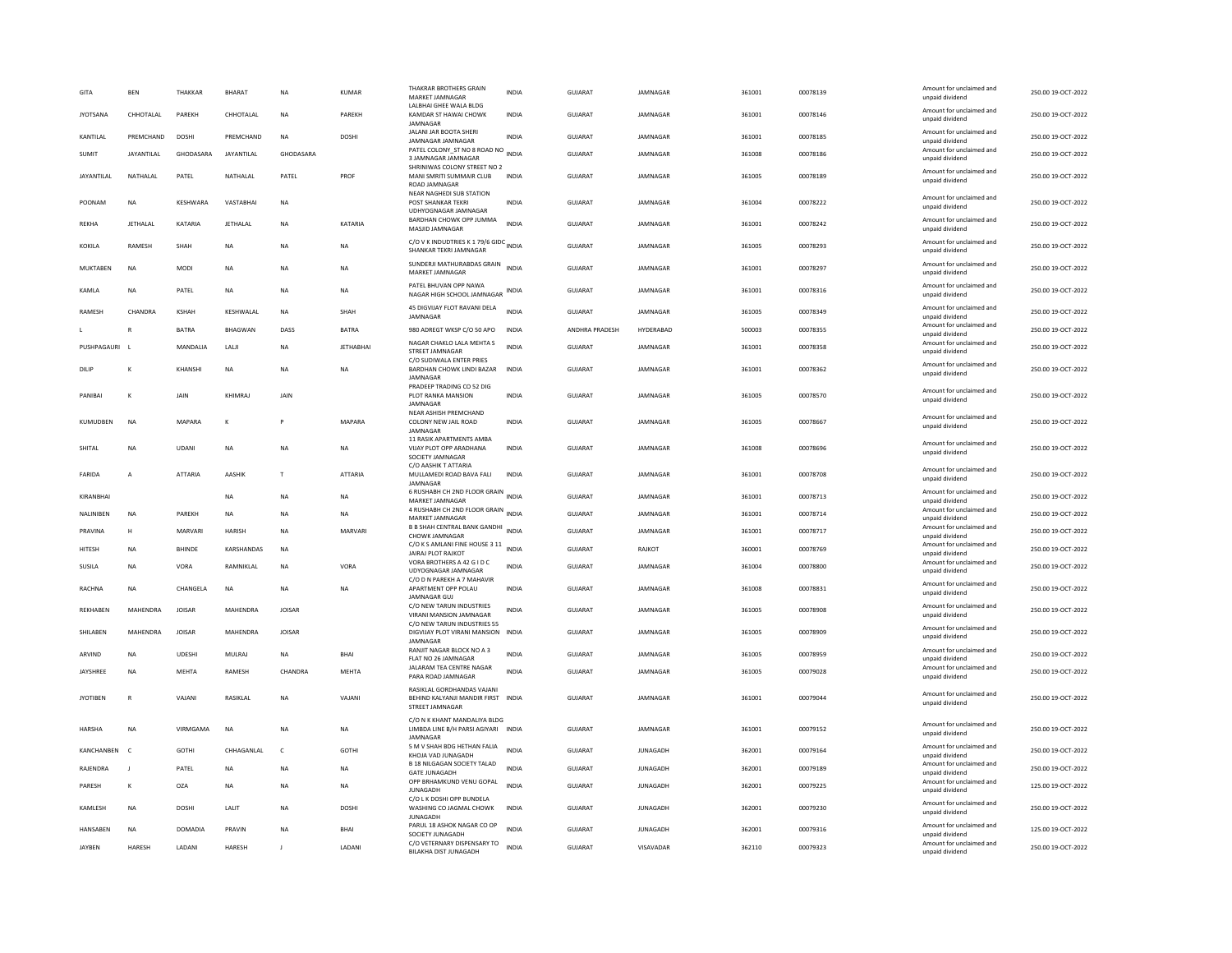| GITA            | <b>RFN</b>        | THAKKAR         | <b>BHARAT</b>     | <b>NA</b>     | KUMAR            | THAKRAR BROTHERS GRAIN<br>MARKET JAMNAGAR                                           | <b>INDIA</b> | GUIARAT        | <b>IAMNAGAR</b> | 361001 | 00078139 | Amount for unclaimed and<br>unpaid dividend | 250.00 19-OCT-2022 |
|-----------------|-------------------|-----------------|-------------------|---------------|------------------|-------------------------------------------------------------------------------------|--------------|----------------|-----------------|--------|----------|---------------------------------------------|--------------------|
| <b>JYOTSANA</b> | CHHOTALAL         | PAREKH          | CHHOTALAL         | <b>NA</b>     | PAREKH           | LALBHAI GHEE WALA BLDG<br>KAMDAR ST HAWAI CHOWK<br><b>IAMNAGAR</b>                  | <b>INDIA</b> | <b>GUJARAT</b> | JAMNAGAR        | 361001 | 00078146 | Amount for unclaimed and<br>unpaid dividend | 250.00 19-OCT-2022 |
| <b>KANTILAI</b> | PREMCHAND         | DOSHI           | PREMCHAND         | <b>NA</b>     | <b>DOSHI</b>     | JALANI JAR BOOTA SHERI<br>JAMNAGAR JAMNAGAR                                         | <b>INDIA</b> | GUIARAT        | <b>IAMNAGAR</b> | 361001 | 00078185 | Amount for unclaimed and<br>unpaid dividend | 250.00.19-OCT-2022 |
| SUMIT           | <b>JAYANTILAL</b> | GHODASARA       | JAYANTILAL        | GHODASARA     |                  | PATEL COLONY_ST NO 8 ROAD NO INDIA<br>3 JAMNAGAR JAMNAGAR                           |              | GUJARAT        | JAMNAGAR        | 361008 | 00078186 | Amount for unclaimed and<br>unpaid dividend | 250.00 19-OCT-2022 |
| JAYANTILAL      | NATHALAL          | PATEL           | NATHALAL          | PATEL         | PROF             | SHRINIWAS COLONY STREET NO 2<br>MANI SMRITI SUMMAIR CLUB<br>ROAD JAMNAGAR           | <b>INDIA</b> | GUJARAT        | JAMNAGAR        | 361005 | 00078189 | Amount for unclaimed and<br>unpaid dividend | 250.00 19-OCT-2022 |
| POONAM          | <b>NA</b>         | <b>KESHWARA</b> | VASTABHA          | <b>NA</b>     |                  | <b>NEAR NAGHEDI SUB STATION</b><br>POST SHANKAR TEKRI<br>UDHYOGNAGAR JAMNAGAR       | <b>INDIA</b> | GUJARAT        | JAMNAGAR        | 361004 | 00078222 | Amount for unclaimed and<br>unpaid dividend | 250.00 19-OCT-2022 |
| <b>REKHA</b>    | <b>JETHALAL</b>   | KATARIA         | JETHALAL          | <b>NA</b>     | KATARIA          | BARDHAN CHOWK OPP JUMMA<br>MASJID JAMNAGAR                                          | <b>INDIA</b> | <b>GUJARAT</b> | JAMNAGAR        | 361001 | 00078242 | Amount for unclaimed and<br>unpaid dividend | 250.00 19-OCT-2022 |
| KOKILA          | RAMESH            | SHAH            | NA                | <b>NA</b>     | NA               | C/O V K INDUDTRIES K 1 79/6 GIDC INDIA<br>SHANKAR TEKRI JAMNAGAR                    |              | GUJARAT        | JAMNAGAR        | 361005 | 00078293 | Amount for unclaimed and<br>unpaid dividend | 250.00 19-OCT-2022 |
| MUKTAREN        | <b>NA</b>         | MODI            | <b>NA</b>         | <b>NA</b>     | <b>NA</b>        | SUNDERJI MATHURABDAS GRAIN<br>MARKET JAMNAGAR                                       | <b>INDIA</b> | GUIARAT        | <b>IAMNAGAR</b> | 361001 | 00078297 | Amount for unclaimed and<br>unpaid dividend | 250.00 19-OCT-2022 |
| KAMLA           | <b>NA</b>         | PATEL           | NA                | <b>NA</b>     | NA               | PATEL BHUVAN OPP NAWA<br>NAGAR HIGH SCHOOL JAMNAGAR                                 |              | GUJARAT        | JAMNAGAR        | 361001 | 00078316 | Amount for unclaimed and<br>unpaid dividend | 250.00 19-OCT-2022 |
| <b>RAMESH</b>   | CHANDRA           | <b>KSHAH</b>    | <b>KFSHWAI AI</b> | <b>NA</b>     | SHAH             | 45 DIGVIJAY FLOT RAVANI DELA<br>JAMNAGAR                                            | <b>INDIA</b> | GUIARAT        | <b>IAMNAGAR</b> | 361005 | 00078349 | Amount for unclaimed and<br>unpaid dividend | 250.00 19-OCT-2022 |
|                 | R                 | <b>BATRA</b>    | <b>BHAGWAN</b>    | DASS          | <b>BATRA</b>     | 980 ADREGT WKSP C/O 50 APO                                                          | <b>INDIA</b> | ANDHRA PRADESH | HYDERABAD       | 500003 | 00078355 | Amount for unclaimed and<br>unpaid dividend | 250.00 19-OCT-2022 |
| PUSHPAGAURI     |                   | MANDALIA        | LALI              | <b>NA</b>     | <b>JETHABHAI</b> | NAGAR CHAKLO LALA MEHTA S<br>STREET JAMNAGAR                                        | <b>INDIA</b> | <b>GUJARAT</b> | JAMNAGAR        | 361001 | 00078358 | Amount for unclaimed and<br>unpaid dividend | 250.00 19-OCT-2022 |
| DILIF           | K                 | KHANSHI         | NA                | <b>NA</b>     | NA               | C/O SUDIWALA ENTER PRIES<br>BARDHAN CHOWK LINDI BAZAR<br>JAMNAGAI                   | <b>INDIA</b> | <b>GUJARAT</b> | JAMNAGAR        | 361001 | 00078362 | Amount for unclaimed and<br>unpaid dividend | 250.00 19-OCT-2022 |
| PANIBAI         | K                 | JAIN            | KHIMRA            | JAIN          |                  | PRADEEP TRADING CO 52 DIG<br>PLOT RANKA MANSION<br>JAMNAGAR                         | INDIA        | GUJARAT        | JAMNAGAR        | 361005 | 00078570 | Amount for unclaimed and<br>unpaid dividend | 250.00 19-OCT-2022 |
| KUMUDBEN        | <b>NA</b>         | MAPARA          | K                 |               | MAPARA           | NEAR ASHISH PREMCHAND<br>COLONY NEW JAIL ROAD<br>JAMNAGAR                           | <b>INDIA</b> | <b>GUJARAT</b> | JAMNAGAR        | 361005 | 00078667 | Amount for unclaimed and<br>unpaid dividend | 250.00 19-OCT-2022 |
| SHITAL          | NA                | UDANI           | NA                | <b>NA</b>     | <b>NA</b>        | 11 RASIK APARTMENTS AMBA<br>VIJAY PLOT OPP ARADHANA<br>SOCIETY JAMNAGAR             | <b>INDIA</b> | GUJARAT        | JAMNAGAR        | 361008 | 00078696 | Amount for unclaimed and<br>unpaid dividend | 250.00 19-OCT-2022 |
| FARIDA          | $\overline{A}$    | ATTARIA         | AASHIK            | $\mathsf{T}$  | <b>ATTARIA</b>   | C/O AASHIK T ATTARIA<br>MULLAMEDI ROAD BAVA FALI<br>JAMNAGAR                        | <b>INDIA</b> | <b>GUJARAT</b> | JAMNAGAR        | 361001 | 00078708 | Amount for unclaimed and<br>unpaid dividend | 250.00 19-OCT-2022 |
| KIRANBHAI       |                   |                 | NA                | <b>NA</b>     | NA               | 6 RUSHABH CH 2ND FLOOR GRAIN INDIA<br>MARKET JAMNAGAR                               |              | GUJARAT        | JAMNAGAR        | 361001 | 00078713 | Amount for unclaimed and<br>unpaid dividend | 250.00 19-OCT-2022 |
| NALINIBEN       | NA                | PAREKH          | NA                | <b>NA</b>     | NA               | 4 RUSHABH CH 2ND FLOOR GRAIN INDIA<br>MARKET JAMNAGAR                               |              | <b>GUJARAT</b> | JAMNAGAR        | 361001 | 00078714 | Amount for unclaimed and<br>unpaid dividend | 250.00 19-OCT-2022 |
| PRAVINA         | H                 | MARVARI         | <b>HARISH</b>     | <b>NA</b>     | MARVARI          | B B SHAH CENTRAL BANK GANDHI INDIA<br>CHOWK JAMNAGAR                                |              | GUIARAT        | <b>IAMNAGAR</b> | 361001 | 00078717 | Amount for unclaimed and<br>unpaid dividend | 250.00 19-OCT-2022 |
| HITESH          | <b>NA</b>         | <b>BHINDE</b>   | KARSHANDAS        | <b>NA</b>     |                  | C/O K S AMLANI FINE HOUSE 3 11 INDIA<br><b>JAIRAJ PLOT RAJKOT</b>                   |              | GUJARAT        | RAJKOT          | 360001 | 00078769 | Amount for unclaimed and<br>unpaid dividend | 250.00 19-OCT-2022 |
| <b>SUSILA</b>   | <b>NA</b>         | VORA            | RAMNIKLAL         | <b>NA</b>     | VORA             | VORA BROTHERS A 42 G I D C<br>UDYOGNAGAR JAMNAGAR<br>C/O D N PAREKH A 7 MAHAVIR     | <b>INDIA</b> | <b>GUJARAT</b> | JAMNAGAR        | 361004 | 00078800 | Amount for unclaimed and<br>unpaid dividend | 250.00 19-OCT-2022 |
| RACHNA          | <b>NA</b>         | CHANGELA        | NA                | <b>NA</b>     | NA               | APARTMENT OPP POLAU<br>JAMNAGAR GUJ                                                 | <b>INDIA</b> | <b>GUJARAT</b> | JAMNAGAR        | 361008 | 00078831 | Amount for unclaimed and<br>unpaid dividend | 250.00 19-OCT-2022 |
| <b>REKHABEN</b> | MAHENDRA          | <b>JOISAR</b>   | MAHENDRA          | <b>JOISAR</b> |                  | C/O NEW TARUN INDUSTRIES<br>VIRANI MANSION JAMNAGAR<br>C/O NEW TARUN INDUSTRIES 55  | <b>INDIA</b> | <b>GUJARAT</b> | JAMNAGAR        | 361005 | 00078908 | Amount for unclaimed and<br>unpaid dividend | 250.00 19-OCT-2022 |
| SHILABEN        | MAHENDRA          | <b>JOISAR</b>   | MAHENDRA          | <b>JOISAR</b> |                  | DIGVIJAY PLOT VIRANI MANSION INDIA<br>JAMNAGAI                                      |              | <b>GUJARAT</b> | JAMNAGAR        | 361005 | 00078909 | Amount for unclaimed and<br>unpaid dividend | 250.00 19-OCT-2022 |
| ARVIND          | NΑ                | <b>UDESHI</b>   | MULRAJ            | <b>NA</b>     | BHAI             | RANJIT NAGAR BLOCK NO A 3<br>FLAT NO 26 JAMNAGAR                                    | INDIA        | GUJARAT        | JAMNAGAR        | 361005 | 00078959 | Amount for unclaimed and<br>unpaid dividend | 250.00 19-OCT-2022 |
| JAYSHREE        | <b>NA</b>         | MEHTA           | RAMESH            | CHANDRA       | <b>MEHTA</b>     | JALARAM TEA CENTRE NAGAR<br>PARA ROAD JAMNAGAR                                      | <b>INDIA</b> | GUJARAT        | JAMNAGAR        | 361005 | 00079028 | Amount for unclaimed and<br>unpaid dividend | 250.00 19-OCT-2022 |
| <b>JYOTIBEN</b> | $\mathsf{R}$      | VAJANI          | RASIKLAL          | NA            | VAJANI           | RASIKLAL GORDHANDAS VAJANI<br>BEHIND KALYANJI MANDIR FIRST INDIA<br>STREET JAMNAGAR |              | <b>GUJARAT</b> | JAMNAGAR        | 361001 | 00079044 | Amount for unclaimed and<br>unpaid dividend | 250.00 19-OCT-2022 |
| HARSHA          | NΑ                | VIRMGAMA        | NA                | <b>NA</b>     | NA               | C/O N K KHANT MANDALIYA BLDG<br>LIMBDA LINE B/H PARSI AGIYARI INDIA<br>JAMNAGAR     |              | GUJARAT        | JAMNAGAR        | 361001 | 00079152 | Amount for unclaimed and<br>unpaid dividend | 250.00 19-OCT-2022 |
| KANCHANBEN      | $\epsilon$        | <b>GOTHI</b>    | CHHAGANI AI       | $\epsilon$    | GOTHI            | 5 M V SHAH BDG HETHAN FALIA<br>KHOJA VAD JUNAGADH                                   | <b>INDIA</b> | GUIARAT        | <b>IUNAGADH</b> | 362001 | 00079164 | Amount for unclaimed and<br>unpaid dividend | 250.00 19-OCT-2022 |
| RAJENDRA        | $\blacksquare$    | PATEL           | <b>NA</b>         | <b>NA</b>     | <b>NA</b>        | B 18 NILGAGAN SOCIETY TALAD<br><b>GATE JUNAGADH</b>                                 | <b>INDIA</b> | GUJARAT        | <b>JUNAGADH</b> | 362001 | 00079189 | Amount for unclaimed and<br>unpaid dividend | 250.00 19-OCT-2022 |
| PARESH          | K                 | <b>OZA</b>      | NA                | <b>NA</b>     | <b>NA</b>        | OPP BRHAMKUND VENU GOPAL<br><b>JUNAGADH</b>                                         | <b>INDIA</b> | <b>GUJARAT</b> | <b>JUNAGADH</b> | 362001 | 00079225 | Amount for unclaimed and<br>unpaid dividend | 125.00 19-OCT-2022 |
| KAMLESH         | NA                | <b>DOSHI</b>    | LALIT             | <b>NA</b>     | <b>DOSHI</b>     | C/O L K DOSHI OPP BUNDELA<br>WASHING CO JAGMAL CHOWK<br><b>JUNAGADE</b>             | <b>INDIA</b> | <b>GUJARAT</b> | <b>JUNAGADH</b> | 362001 | 00079230 | Amount for unclaimed and<br>unpaid dividend | 250.00 19-OCT-2022 |
| HANSABEN        | NA                | <b>DOMADIA</b>  | PRAVIN            | <b>NA</b>     | <b>BHAI</b>      | PARUL 18 ASHOK NAGAR CO OP<br>SOCIETY JUNAGADH                                      | <b>INDIA</b> | <b>GUJARAT</b> | <b>JUNAGADH</b> | 362001 | 00079316 | Amount for unclaimed and<br>unpaid dividend | 125.00 19-OCT-2022 |
| <b>JAYBEN</b>   | <b>HARESH</b>     | LADAN           | <b>HARESH</b>     | J             | LADANI           | C/O VETERNARY DISPENSARY TO<br><b>BILAKHA DIST JUNAGADH</b>                         | <b>INDIA</b> | <b>GUJARAT</b> | VISAVADAR       | 362110 | 00079323 | Amount for unclaimed and<br>unpaid dividend | 250.00 19-OCT-2022 |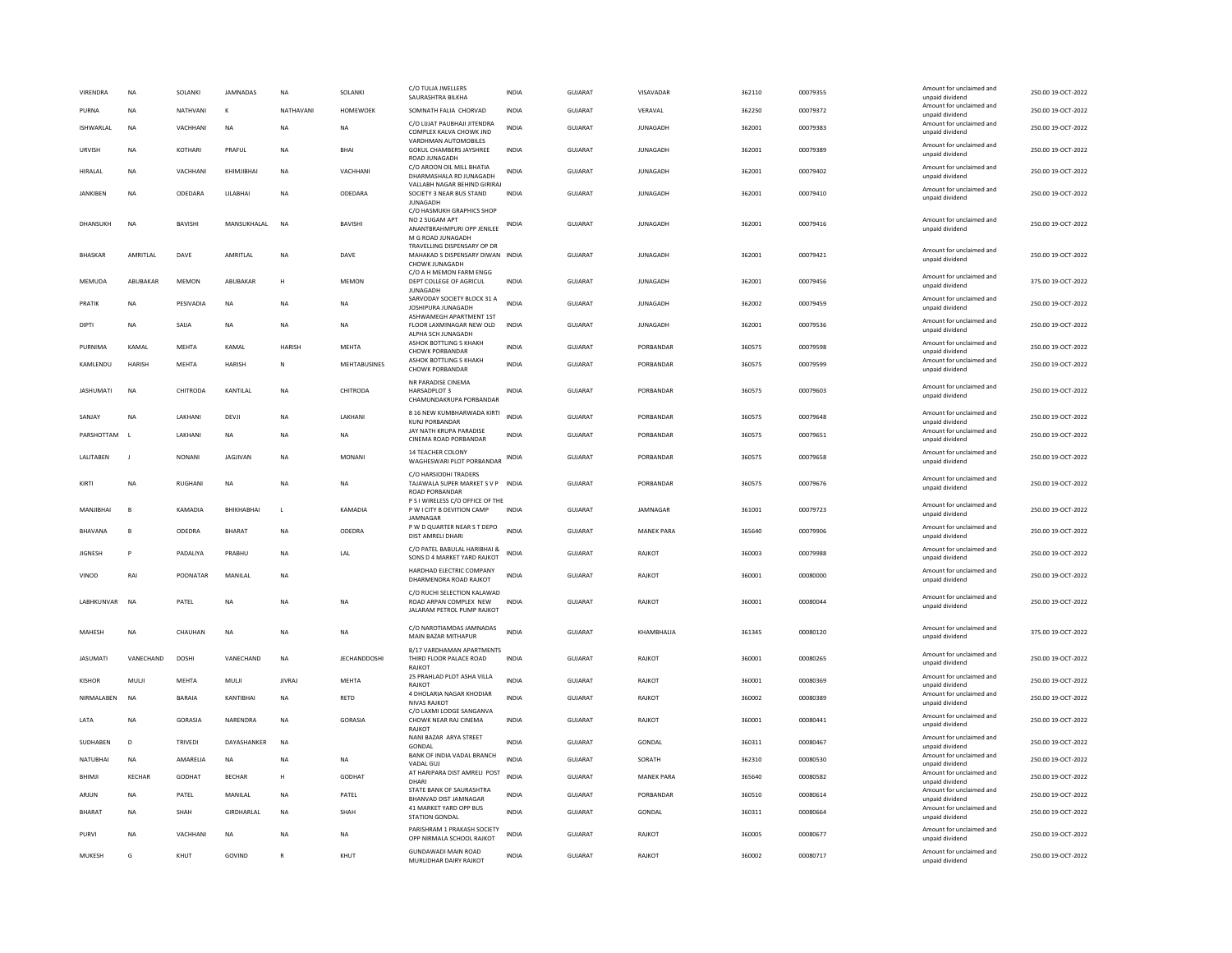| <b>VIRENDRA</b>   | NA             | SOLANKI        | JAMNADAS        | <b>NA</b>     | SOLANKI             | C/O TULJA JWELLERS<br>SAURASHTRA BILKHA                                                        | <b>INDIA</b> | <b>GUJARAT</b> | VISAVADAR         | 362110 | 00079355 | Amount for unclaimed and<br>unnaid dividend | 250.00 19-OCT-2022 |
|-------------------|----------------|----------------|-----------------|---------------|---------------------|------------------------------------------------------------------------------------------------|--------------|----------------|-------------------|--------|----------|---------------------------------------------|--------------------|
| PURNA             | <b>NA</b>      | NATHVANI       | к               | NATHAVANI     | <b>HOMEWOEK</b>     | SOMNATH FALIA CHORVAD                                                                          | <b>INDIA</b> | <b>GUJARAT</b> | VERAVAL           | 362250 | 00079372 | Amount for unclaimed and<br>unpaid dividend | 250.00 19-OCT-2022 |
| ISHWARLAL         | <b>NA</b>      | VACHHANI       | <b>NA</b>       | <b>NA</b>     | <b>NA</b>           | C/O I IIIAT PAURHAIL IITENDRA<br>COMPLEX KALVA CHOWK JND                                       | <b>INDIA</b> | <b>GUJARAT</b> | <b>JUNAGADH</b>   | 362001 | 00079383 | Amount for unclaimed and<br>unpaid dividend | 250.00 19-OCT-2022 |
| LIRVISH           | <b>NA</b>      | KOTHARI        | PRAFIJI         | <b>NA</b>     | <b>BHAI</b>         | VARDHMAN AUTOMOBILES<br><b>GOKUL CHAMBERS JAYSHREE</b><br>ROAD JUNAGADH                        | <b>INDIA</b> | GUIARAT        | <b>JUNAGADH</b>   | 362001 | 00079389 | Amount for unclaimed and<br>unpaid dividend | 250.00 19-OCT-2022 |
| HIRALAL           | <b>NA</b>      | VACHHANI       | KHIMJIBHAI      | <b>NA</b>     | VACHHANI            | C/O AROON OIL MILL BHATIA<br>DHARMASHALA RD JUNAGADH                                           | INDIA        | GUJARAT        | <b>JUNAGADH</b>   | 362001 | 00079402 | Amount for unclaimed and<br>unpaid dividend | 250.00 19-OCT-2022 |
| <b>JANKIBEN</b>   | <b>NA</b>      | ODEDARA        | LILABHAI        | <b>NA</b>     | ODEDARA             | VALLABH NAGAR BEHIND GIRIRAJ<br>SOCIETY 3 NEAR BUS STAND<br><b>JUNAGADH</b>                    | <b>INDIA</b> | <b>GUJARAT</b> | <b>JUNAGADH</b>   | 362001 | 00079410 | Amount for unclaimed and<br>unpaid dividend | 250.00 19-OCT-2022 |
| DHANSUKH          | NA             | BAVISHI        | MANSUKHALAL     | <b>NA</b>     | BAVISHI             | C/O HASMUKH GRAPHICS SHOP<br>NO 2 SUGAM APT<br>ANANTBRAHMPURI OPP JENILEE<br>M G ROAD JUNAGADH | INDIA        | GUJARAT        | <b>JUNAGADH</b>   | 362001 | 00079416 | Amount for unclaimed and<br>unpaid dividend | 250.00 19-OCT-2022 |
| <b>BHASKAF</b>    | AMRITLAL       | DAVE           | AMRITLAL        | NA            | DAVE                | TRAVELLING DISPENSARY OP DR<br>MAHAKAD S DISPENSARY DIWAN INDIA<br>CHOWK JUNAGADH              |              | <b>GUJARAT</b> | <b>JUNAGADH</b>   | 362001 | 00079421 | Amount for unclaimed and<br>unpaid dividend | 250.00 19-OCT-2022 |
| MEMUDA            | ABUBAKAR       | MEMON          | ABUBAKAR        | H             | MEMON               | C/O A H MEMON FARM ENGG<br>DEPT COLLEGE OF AGRICUL<br><b>JUNAGADH</b>                          | <b>INDIA</b> | GUJARAT        | <b>JUNAGADH</b>   | 362001 | 00079456 | Amount for unclaimed and<br>unpaid dividend | 375.00 19-OCT-2022 |
| PRATIK            | <b>NA</b>      | PESIVADIA      | <b>NA</b>       | <b>NA</b>     | <b>NA</b>           | SARVODAY SOCIETY BLOCK 31 A<br>JOSHIPURA JUNAGADH                                              | <b>INDIA</b> | <b>GUJARAT</b> | <b>JUNAGADH</b>   | 362002 | 00079459 | Amount for unclaimed and<br>unpaid dividend | 250.00 19-OCT-2022 |
| <b>DIPTI</b>      | NA             | SAIJA          | NA              | <b>NA</b>     | NA                  | ASHWAMEGH APARTMENT 1ST<br>FLOOR LAXMINAGAR NEW OLD<br>ALPHA SCH JUNAGADH                      | INDIA        | GUJARAT        | <b>JUNAGADH</b>   | 362001 | 00079536 | Amount for unclaimed and<br>unpaid dividend | 250.00 19-OCT-2022 |
| PURNIMA           | KAMAL          | MEHTA          | KAMAL           | <b>HARISH</b> | <b>MEHTA</b>        | ASHOK BOTTLING 5 KHAKH<br>CHOWK PORBANDAR                                                      | <b>INDIA</b> | <b>GUJARAT</b> | PORBANDAR         | 360575 | 00079598 | Amount for unclaimed and<br>unpaid dividend | 250.00 19-OCT-2022 |
| KAMLENDU          | <b>HARISH</b>  | MEHTA          | <b>HARISH</b>   | ${\sf N}$     | MEHTABUSINES        | ASHOK BOTTLING 5 KHAKH<br><b>CHOWK PORBANDAR</b>                                               | <b>INDIA</b> | <b>GUJARAT</b> | PORBANDAR         | 360575 | 00079599 | Amount for unclaimed and<br>unpaid dividend | 250.00 19-OCT-2022 |
| <b>JASHUMATI</b>  | NA             | CHITRODA       | KANTILAL        | NA            | CHITRODA            | NR PARADISE CINEMA<br>HARSADPLOT 3<br>CHAMUNDAKRUPA PORBANDAR                                  | <b>INDIA</b> | GUJARAT        | PORBANDAR         | 360575 | 00079603 | Amount for unclaimed and<br>unpaid dividend | 250.00 19-OCT-2022 |
| SANJAY            | <b>NA</b>      | LAKHANI        | DEVJI           | <b>NA</b>     | LAKHANI             | 8 16 NEW KUMBHARWADA KIRTI<br><b>KUNJ PORBANDAR</b>                                            | <b>INDIA</b> | GUJARAT        | PORBANDAR         | 360575 | 00079648 | Amount for unclaimed and<br>unpaid dividend | 250.00 19-OCT-2022 |
| PARSHOTTAM        | $\blacksquare$ | LAKHANI        | <b>NA</b>       | <b>NA</b>     | <b>NA</b>           | JAY NATH KRUPA PARADISE<br>CINEMA ROAD PORBANDAR                                               | <b>INDIA</b> | GUJARAT        | PORRANDAR         | 360575 | 00079651 | Amount for unclaimed and<br>unpaid dividend | 250.00 19-OCT-2022 |
| LALITABEN         | $\mathbf{J}$   | <b>NONANI</b>  | <b>JAGJIVAN</b> | <b>NA</b>     | <b>MONANI</b>       | 14 TEACHER COLONY<br>WAGHESWARI PLOT PORBANDAR                                                 | INDIA        | <b>GUJARAT</b> | PORBANDAR         | 360575 | 00079658 | Amount for unclaimed and<br>unpaid dividend | 250.00 19-OCT-2022 |
| KIRTI             | <b>NA</b>      | RUGHANI        | <b>NA</b>       | <b>NA</b>     | <b>NA</b>           | C/O HARSIODHI TRADERS<br>TAJAWALA SUPER MARKET S V P INDIA<br>ROAD PORBANDAR                   |              | GUJARAT        | PORBANDAR         | 360575 | 00079676 | Amount for unclaimed and<br>unpaid dividend | 250.00 19-OCT-2022 |
| MANJIBHAI         | B              | KAMADIA        | BHIKHABHAI      | $\mathsf L$   | KAMADIA             | P S I WIRELESS C/O OFFICE OF THE<br>P W I CITY B DEVITION CAMP                                 | <b>INDIA</b> | GUJARAT        | JAMNAGAR          | 361001 | 00079723 | Amount for unclaimed and<br>unpaid dividend | 250.00 19-OCT-2022 |
| <b>BHAVANA</b>    | B              | ODEDRA         | BHARAT          | <b>NA</b>     | ODEDRA              | <b>IAMNAGAR</b><br>P W D QUARTER NEAR S T DEPO<br>DIST AMRELI DHARI                            | <b>INDIA</b> | GUJARAT        | <b>MANEK PARA</b> | 365640 | 00079906 | Amount for unclaimed and<br>unpaid dividend | 250.00 19-OCT-2022 |
| <b>JIGNESH</b>    |                | PADALIYA       | PRABHU          | NA            | LAL                 | C/O PATEL BABULAL HARIBHAI &<br>SONS D 4 MARKET YARD RAJKOT                                    | <b>INDIA</b> | <b>GUJARAT</b> | RAJKOT            | 360003 | 00079988 | Amount for unclaimed and<br>unpaid dividend | 250.00 19-OCT-2022 |
| <b>VINOD</b>      | RAI            | POONATAR       | MANILAL         | <b>NA</b>     |                     | HARDHAD ELECTRIC COMPANY<br>DHARMENDRA ROAD RAJKOT                                             | <b>INDIA</b> | <b>GUJARAT</b> | RAJKOT            | 360001 | 00080000 | Amount for unclaimed and<br>unpaid dividend | 250.00 19-OCT-2022 |
| <b>LARHKUNVAR</b> | <b>NA</b>      | PATEL          | <b>NA</b>       | <b>NA</b>     | <b>NA</b>           | C/O RUCHI SELECTION KALAWAD<br>ROAD ARPAN COMPLEX NEW<br>JALARAM PETROL PUMP RAJKOT            | <b>INDIA</b> | GUIARAT        | RAIKOT            | 360001 | 00080044 | Amount for unclaimed and<br>unpaid dividend | 250.00.19-OCT-2022 |
| MAHESH            | <b>NA</b>      | CHAUHAN        | <b>NA</b>       | <b>NA</b>     | <b>NA</b>           | C/O NAROTIAMDAS JAMNADAS<br>MAIN BAZAR MITHAPUR                                                | <b>INDIA</b> | GUJARAT        | KHAMBHALIA        | 361345 | 00080120 | Amount for unclaimed and<br>unpaid dividend | 375.00 19-OCT-2022 |
| <b>JASUMATI</b>   | VANECHAND      | <b>DOSHI</b>   | VANECHAND       | <b>NA</b>     | <b>JECHANDDOSHI</b> | B/17 VARDHAMAN APARTMENTS<br>THIRD FLOOR PALACE ROAD<br>RAJKOT                                 | <b>INDIA</b> | <b>GUJARAT</b> | RAJKOT            | 360001 | 00080265 | Amount for unclaimed and<br>unpaid dividend | 250.00 19-OCT-2022 |
| <b>KISHOR</b>     | MULJI          | MEHTA          | MULJI           | <b>JIVRAJ</b> | MEHTA               | 25 PRAHLAD PLOT ASHA VILLA<br>RAJKOT                                                           | <b>INDIA</b> | GUJARAT        | RAJKOT            | 360001 | 00080369 | Amount for unclaimed and<br>unpaid dividend | 250.00 19-OCT-2022 |
| NIRMAI AREN       | <b>NA</b>      | <b>BARAIA</b>  | KANTIRHAI       | <b>NA</b>     | RETD                | 4 DHOLARIA NAGAR KHODIAR<br><b>NIVAS RAJKOT</b>                                                | <b>INDIA</b> | GUIARAT        | RAIKOT            | 360002 | 00080389 | Amount for unclaimed and<br>unpaid dividend | 250.00 19-OCT-2022 |
| LATA              | NA             | GORASIA        | NARENDRA        | NA            | GORASIA             | C/O LAXMLI ODGE SANGANVA<br>CHOWK NEAR RAJ CINEMA<br>RAJKOT                                    | <b>INDIA</b> | GUJARAT        | RAJKOT            | 360001 | 00080441 | Amount for unclaimed and<br>unpaid dividend | 250.00 19-OCT-2022 |
| SUDHABEN          | D              | <b>TRIVEDI</b> | DAYASHANKER     | <b>NA</b>     |                     | NANI BAZAR ARYA STREET<br>GONDAL                                                               | <b>INDIA</b> | GUJARAT        | <b>GONDAL</b>     | 360311 | 00080467 | Amount for unclaimed and<br>unpaid dividend | 250.00 19-OCT-2022 |
| NATUBHAI          | <b>NA</b>      | AMARELIA       | <b>NA</b>       | <b>NA</b>     | <b>NA</b>           | BANK OF INDIA VADAL BRANCH<br>VADAL GUJ                                                        | INDIA        | GUJARAT        | SORATH            | 362310 | 00080530 | Amount for unclaimed and<br>unpaid dividend | 250.00 19-OCT-2022 |
| BHIMJI            | <b>KECHAR</b>  | GODHAT         | <b>BECHAR</b>   | н             | GODHAT              | AT HARIPARA DIST AMRELI POST<br>DHARI                                                          | <b>INDIA</b> | <b>GUJARAT</b> | <b>MANEK PARA</b> | 365640 | 00080582 | Amount for unclaimed and<br>unnaid dividend | 250.00 19-OCT-2022 |
| ARJUN             | <b>NA</b>      | PATEL          | MANILAL         | <b>NA</b>     | PATEL               | STATE BANK OF SAURASHTRA<br><b>BHANVAD DIST JAMNAGAR</b>                                       | <b>INDIA</b> | <b>GUJARAT</b> | PORBANDAR         | 360510 | 00080614 | Amount for unclaimed and<br>unpaid dividend | 250.00 19-OCT-2022 |
| <b>BHARAT</b>     | <b>NA</b>      | SHAH           | GIRDHARLAL      | <b>NA</b>     | SHAH                | 41 MARKET YARD OPP BUS<br><b>STATION GONDAL</b>                                                | <b>INDIA</b> | <b>GUJARAT</b> | GONDAL            | 360311 | 00080664 | Amount for unclaimed and<br>unpaid dividend | 250.00 19-OCT-2022 |
| PURVI             | <b>NA</b>      | VACHHANI       | <b>NA</b>       | <b>NA</b>     | <b>NA</b>           | PARISHRAM 1 PRAKASH SOCIETY<br>OPP NIRMALA SCHOOL RAJKOT                                       | <b>INDIA</b> | GUIARAT        | RAJKOT            | 360005 | 00080677 | Amount for unclaimed and<br>unpaid dividend | 250.00 19-OCT-2022 |
| MUKESH            | G              | KHUT           | GOVIND          |               | KHUT                | <b>GUNDAWADI MAIN ROAD</b><br>MURLIDHAR DAIRY RAIKOT                                           | <b>INDIA</b> | <b>GUJARAT</b> | RAJKOT            | 360002 | 00080717 | Amount for unclaimed and<br>unpaid dividend | 250.00 19-OCT-2022 |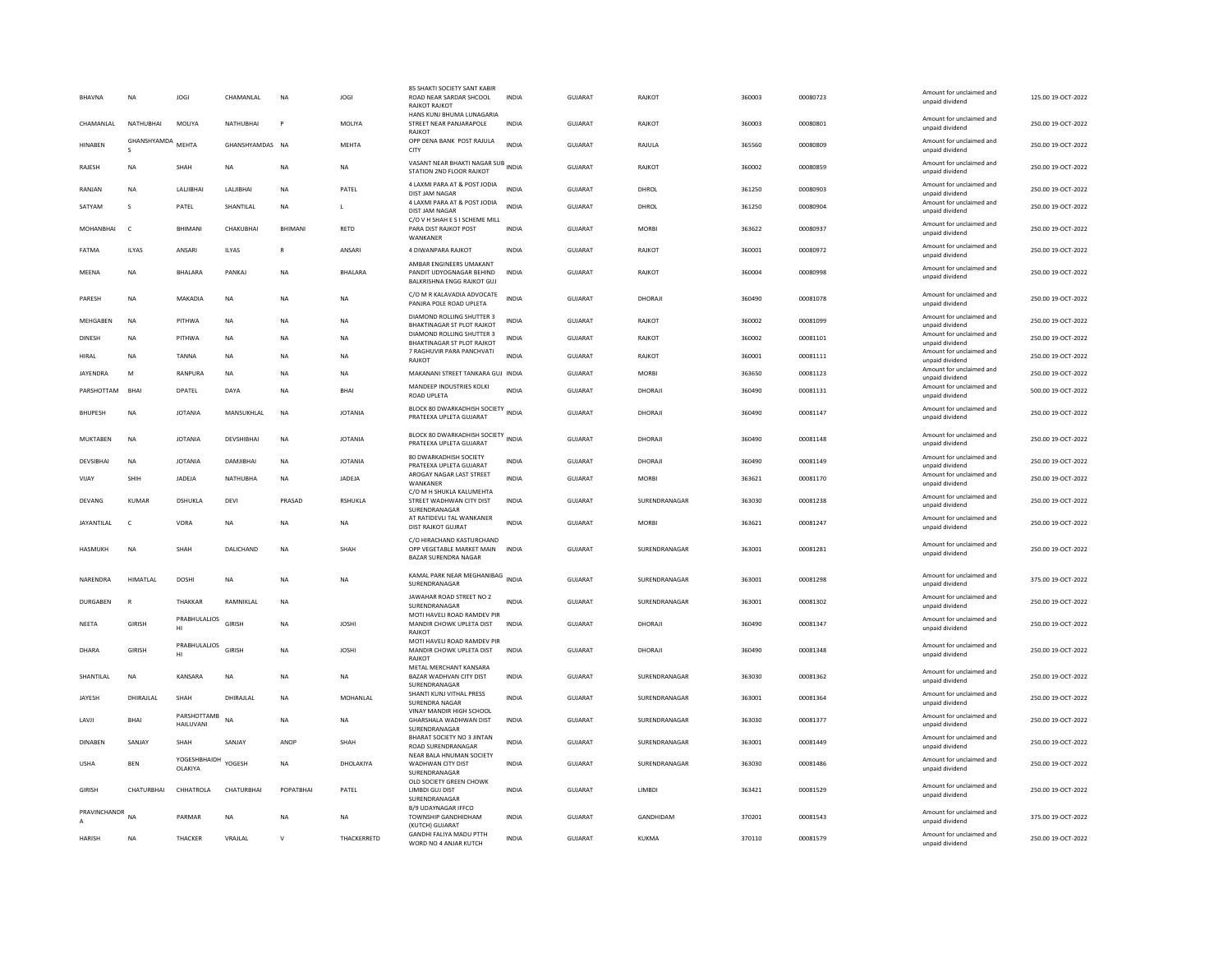| BHAVNA            | <b>NA</b>       | JOGI                            | CHAMANLAL       | <b>NA</b>    | JOGI           | 85 SHAKTI SOCIETY SANT KABIF<br>ROAD NEAR SARDAR SHCOOL<br><b>RAJKOT RAJKOT</b>   | <b>INDIA</b> | GUJARAT        | RAJKOT        | 360003 | 00080723 | Amount for unclaimed and<br>unpaid dividend                    | 125.00 19-OCT-2022 |
|-------------------|-----------------|---------------------------------|-----------------|--------------|----------------|-----------------------------------------------------------------------------------|--------------|----------------|---------------|--------|----------|----------------------------------------------------------------|--------------------|
| CHAMANI AI        | NATHURHAI       | MOLIYA                          | NATHURHAI       | P            | <b>MOLIYA</b>  | HANS KUNJ BHUMA LUNAGARIA<br>STREET NEAR PANJARAPOLE<br>RAJKOT                    | <b>INDIA</b> | GUIARAT        | <b>RAIKOT</b> | 360003 | 00080801 | Amount for unclaimed and<br>unpaid dividend                    | 250.00.19-QCT-2022 |
| HINABEN           | GHANSHYAMDA     | MEHTA                           | GHANSHYAMDAS NA |              | MEHTA          | OPP DENA BANK POST RAJULA<br>CITY                                                 | <b>INDIA</b> | GUJARAT        | RAJULA        | 365560 | 00080809 | Amount for unclaimed and<br>unpaid dividend                    | 250.00 19-OCT-2022 |
| RAJESH            | <b>NA</b>       | SHAH                            | <b>NA</b>       | <b>NA</b>    | <b>NA</b>      | VASANT NEAR BHAKTI NAGAR SUB<br>STATION 2ND FLOOR RAJKOT                          | <b>INDIA</b> | <b>GUJARAT</b> | RAJKOT        | 360002 | 00080859 | Amount for unclaimed and<br>unpaid dividend                    | 250.00 19-OCT-2022 |
| RANJAN            | <b>NA</b>       | LALJIBHAI                       | LALIBHA         | <b>NA</b>    | PATEL          | 4 LAXMI PARA AT & POST JODIA<br>DIST JAM NAGAR                                    | <b>INDIA</b> | <b>GUJARAT</b> | DHROL         | 361250 | 00080903 | Amount for unclaimed and<br>unpaid dividend                    | 250.00 19-OCT-2022 |
| SATYAM            | s               | PATEL                           | SHANTILAL       | <b>NA</b>    | L              | 4 LAXMI PARA AT & POST JODIA<br>DIST JAM NAGAR                                    | INDIA        | GUJARAT        | DHROL         | 361250 | 00080904 | Amount for unclaimed and<br>unpaid dividend                    | 250.00 19-OCT-2022 |
| MOHANBHAI         | $\mathsf{C}$    | BHIMANI                         | CHAKUBHAI       | RHIMANI      | RETD           | C/O V H SHAH E S I SCHEME MILL<br>PARA DIST RAJKOT POST<br>WANKANER               | <b>INDIA</b> | <b>GUJARAT</b> | <b>MORBI</b>  | 363622 | 00080937 | Amount for unclaimed and<br>unpaid dividend                    | 250.00 19-OCT-2022 |
| FATMA             | <b>ILYAS</b>    | ANSARI                          | <b>ILYAS</b>    |              | <b>ANSAR</b>   | 4 DIWANPARA RAJKOT                                                                | <b>INDIA</b> | <b>GUJARAT</b> | RAJKOT        | 360001 | 00080972 | Amount for unclaimed and                                       | 250.00 19-OCT-2022 |
| MEENA             | NA              | BHALARA                         | PANKAJ          | <b>NA</b>    | BHALARA        | AMBAR ENGINEERS UMAKANT<br>PANDIT UDYOGNAGAR BEHIND<br>BALKRISHNA ENGG RAJKOT GUJ | <b>INDIA</b> | GUJARAT        | RAJKOT        | 360004 | 00080998 | unpaid dividend<br>Amount for unclaimed and<br>unpaid dividend | 250.00 19-OCT-2022 |
| PARESH            | NA              | MAKADIA                         | $_{\sf NA}$     | <b>NA</b>    | NA             | C/O M R KALAVADIA ADVOCATE<br>PANJRA POLE ROAD UPLETA                             | <b>INDIA</b> | <b>GUJARAT</b> | DHORAJI       | 360490 | 00081078 | Amount for unclaimed and<br>unpaid dividend                    | 250.00 19-OCT-2022 |
| MEHGABEN          | NA              | PITHWA                          | NA              | NA           | NA             | DIAMOND ROLLING SHUTTER 3                                                         | INDIA        | GUJARAT        | RAJKOT        | 360002 | 00081099 | Amount for unclaimed and                                       | 250.00 19-OCT-2022 |
| <b>DINESH</b>     | <b>NA</b>       | PITHWA                          | <b>NA</b>       | <b>NA</b>    | NA             | <b>BHAKTINAGAR ST PLOT RAJKOT</b><br>DIAMOND ROLLING SHUTTER 3                    | <b>INDIA</b> | <b>GUJARAT</b> | RAJKOT        | 360002 | 00081101 | unpaid dividend<br>Amount for unclaimed and                    | 250.00 19-OCT-2022 |
| <b>HIRAL</b>      | <b>NA</b>       | <b>TANNA</b>                    | <b>NA</b>       | <b>NA</b>    | <b>NA</b>      | <b>BHAKTINAGAR ST PLOT RAJKOT</b><br>7 RAGHUVIR PARA PANCHVATI                    | <b>INDIA</b> | GUJARAT        | RAJKOT        | 360001 | 00081111 | unpaid dividend<br>Amount for unclaimed and                    | 250.00 19-OCT-2022 |
|                   |                 |                                 |                 |              |                | RAJKOT                                                                            |              |                |               |        |          | unpaid dividend<br>Amount for unclaimed and                    |                    |
| <b>IAYENDRA</b>   | M               | RANPURA                         | <b>NA</b>       | <b>NA</b>    | NA.            | MAKANANI STREET TANKARA GUJ INDIA                                                 |              | GUIARAT        | <b>MORRI</b>  | 363650 | 00081123 | unpaid dividend                                                | 250.00 19-OCT-2022 |
| PARSHOTTAM        | BHAI            | <b>DPATEL</b>                   | DAYA            | <b>NA</b>    | <b>BHAI</b>    | MANDEEP INDUSTRIES KOLKI<br>ROAD UPLETA                                           | <b>INDIA</b> | <b>GUJARAT</b> | DHORAJI       | 360490 | 00081131 | Amount for unclaimed and<br>unpaid dividend                    | 500.00 19-OCT-2022 |
| <b>BHUPESH</b>    | <b>NA</b>       | <b>JOTANIA</b>                  | MANSUKHLAL      | <b>NA</b>    | <b>JOTANIA</b> | BLOCK 80 DWARKADHISH SOCIETY<br>PRATEEXA UPLETA GUJARAT                           | <b>INDIA</b> | <b>GUJARAT</b> | DHORAJI       | 360490 | 00081147 | Amount for unclaimed and<br>unpaid dividend                    | 250.00 19-OCT-2022 |
| MUKTABEN          | <b>NA</b>       | <b>JOTANIA</b>                  | DEVSHIBHAI      | <b>NA</b>    | <b>JOTANIA</b> | BLOCK 80 DWARKADHISH SOCIETY INDIA<br>PRATEEXA UPLETA GUJARAT                     |              | GUJARAT        | DHORAJI       | 360490 | 00081148 | Amount for unclaimed and<br>unpaid dividend                    | 250.00 19-OCT-2022 |
| DEVSIBHAI         | <b>NA</b>       | <b>JOTANIA</b>                  | DAMJIBHAI       | <b>NA</b>    | <b>JOTANIA</b> | 80 DWARKADHISH SOCIETY<br>PRATEEXA UPLETA GUJARAT                                 | <b>INDIA</b> | <b>GUJARAT</b> | DHORAJI       | 360490 | 00081149 | Amount for unclaimed and<br>unpaid dividend                    | 250.00 19-OCT-2022 |
| VIJAY             | SHIH            | JADEJA                          | NATHUBHA        | NA           | JADEJA         | AROGAY NAGAR LAST STREET<br>WANKANFR                                              | <b>INDIA</b> | GUJARAT        | <b>MORBI</b>  | 363621 | 00081170 | Amount for unclaimed and<br>unpaid dividend                    | 250.00 19-OCT-2022 |
| DEVANG            | <b>KUMAR</b>    | DSHUKLA                         | DEVI            | PRASAD       | <b>RSHUKLA</b> | C/O M H SHUKLA KALUMEHTA<br>STREET WADHWAN CITY DIST<br>SURENDRANAGAR             | <b>INDIA</b> | <b>GUJARAT</b> | SURENDRANAGAR | 363030 | 00081238 | Amount for unclaimed and<br>unpaid dividend                    | 250.00 19-OCT-2022 |
| <b>JAYANTILAL</b> | $\mathsf{C}$    | VORA                            | <b>NA</b>       | <b>NA</b>    | <b>NA</b>      | AT RATIDEVLI TAL WANKANER<br><b>DIST RAJKOT GUJRAT</b>                            | <b>INDIA</b> | <b>GUJARAT</b> | <b>MORBI</b>  | 363621 | 00081247 | Amount for unclaimed and<br>unpaid dividend                    | 250.00 19-OCT-2022 |
| HASMUKH           | <b>NA</b>       | SHAH                            | DALICHAND       | <b>NA</b>    | SHAH           | C/O HIRACHAND KASTURCHAND<br>OPP VEGETABLE MARKET MAIN<br>BAZAR SURENDRA NAGAR    | <b>INDIA</b> | <b>GUJARAT</b> | SURENDRANAGAR | 363001 | 00081281 | Amount for unclaimed and<br>unpaid dividend                    | 250.00 19-OCT-2022 |
| NARENDRA          | <b>HIMATLAL</b> | <b>DOSHI</b>                    | <b>NA</b>       | <b>NA</b>    | <b>NA</b>      | KAMAL PARK NEAR MEGHANIBAG<br>SURENDRANAGAR                                       | <b>INDIA</b> | GUIARAT        | SURENDRANAGAR | 363001 | 00081298 | Amount for unclaimed and<br>unpaid dividend                    | 375.00 19-OCT-2022 |
| <b>DURGABEN</b>   | $\overline{R}$  | THAKKAR                         | RAMNIKLAL       | <b>NA</b>    |                | JAWAHAR ROAD STREET NO 2                                                          | <b>INDIA</b> | GUJARAT        | SURENDRANAGAR | 363001 | 00081302 | Amount for unclaimed and                                       | 250.00 19-OCT-2022 |
| NEETA             | <b>GIRISH</b>   | PRABHULALIOS                    | GIRISH          | <b>NA</b>    | <b>JOSHI</b>   | SURENDRANAGAR<br>MOTI HAVELI ROAD RAMDEV PIR<br>MANDIR CHOWK UPLETA DIST          | INDIA        | GUJARAT        | DHORAJI       | 360490 | 00081347 | unpaid dividend<br>Amount for unclaimed and                    | 250.00 19-OCT-2022 |
|                   |                 | HI                              |                 |              |                | RAJKOT<br>MOTI HAVELI ROAD RAMDEV PIR                                             |              |                |               |        |          | unpaid dividend                                                |                    |
| DHARA             | <b>GIRISH</b>   | PRABHULALIOS<br>HI              | GIRISH          | <b>NA</b>    | <b>JOSHI</b>   | MANDIR CHOWK UPLETA DIST<br>RAIKOT                                                | <b>INDIA</b> | GUJARAT        | DHORAJI       | 360490 | 00081348 | Amount for unclaimed and<br>unpaid dividend                    | 250.00 19-OCT-2022 |
| SHANTILAL         | <b>NA</b>       | KANSARA                         | <b>NA</b>       | <b>NA</b>    | <b>NA</b>      | METAL MERCHANT KANSARA<br><b>BAZAR WADHVAN CITY DIST</b><br>SURENDRANAGAR         | <b>INDIA</b> | <b>GUJARAT</b> | SURENDRANAGAR | 363030 | 00081362 | Amount for unclaimed and<br>unpaid dividend                    | 250.00 19-OCT-2022 |
| JAYESH            | DHIRAJLAL       | SHAH                            | DHIRAJLAL       | <b>NA</b>    | MOHANLAL       | SHANTI KUNJ VITHAL PRESS<br><b>SURENDRA NAGAR</b>                                 | <b>INDIA</b> | <b>GUJARAT</b> | SURENDRANAGAR | 363001 | 00081364 | Amount for unclaimed and<br>unpaid dividend                    | 250.00 19-OCT-2022 |
| LAVJI             | <b>RHAI</b>     | PARSHOTTAMB<br><b>HAILUVANI</b> | <b>NA</b>       | <b>NA</b>    | NA.            | <b>VINAY MANDIR HIGH SCHOOL</b><br>GHARSHALA WADHWAN DIST<br>SURENDRANAGAR        | <b>INDIA</b> | GUIARAT        | SURENDRANAGAR | 363030 | 00081377 | Amount for unclaimed and<br>unpaid dividend                    | 250.00 19-OCT-2022 |
| DINABEN           | SANJAY          | SHAH                            | <b>SANJAY</b>   | ANOP         | SHAH           | BHARAT SOCIETY NO 3 JINTAN<br><b>ROAD SURENDRANAGAR</b>                           | INDIA        | GUJARAT        | SURENDRANAGAR | 363001 | 00081449 | Amount for unclaimed and<br>unpaid dividend                    | 250.00 19-OCT-2022 |
| <b>USHA</b>       | <b>BEN</b>      | YOGESHBHAIDH<br><b>OLAKIYA</b>  | YOGESH          | <b>NA</b>    | DHOLAKIYA      | NEAR BALA HNUMAN SOCIETY<br>WADHWAN CITY DIST<br>SURENDRANAGAR                    | INDIA        | GUJARAT        | SURENDRANAGAR | 363030 | 00081486 | Amount for unclaimed and<br>unpaid dividend                    | 250.00 19-OCT-2022 |
| GIRISH            | CHATURBHAI      | CHHATROLA                       | CHATURBHAI      | POPATBHAI    | PATEL          | OLD SOCIETY GREEN CHOWK<br>LIMBDI GUJ DIST                                        | <b>INDIA</b> | GUJARAT        | LIMBDI        | 363421 | 00081529 | Amount for unclaimed and                                       | 250.00 19-OCT-2022 |
|                   |                 |                                 |                 |              |                | SURENDRANAGAR<br><b>B/9 UDAYNAGAR IFFCO</b>                                       |              |                |               |        |          | unpaid dividend                                                |                    |
| PRAVINCHANDR      | <b>NA</b>       | PARMAR                          | <b>NA</b>       | <b>NA</b>    | <b>NA</b>      | TOWNSHIP GANDHIDHAM<br>(KUTCH) GUJARAT                                            | <b>INDIA</b> | GUIARAT        | GANDHIDAM     | 370201 | 00081543 | Amount for unclaimed and<br>unpaid dividend                    | 375.00.19-QCT-2022 |
| <b>HARISH</b>     | <b>NA</b>       | THACKER                         | VRAJLAL         | $\mathbf{v}$ | THACKERRETD    | <b>GANDHI FALIYA MADU PTTH</b><br>WORD NO 4 ANJAR KUTCH                           | INDIA        | GUJARAT        | KUKMA         | 370110 | 00081579 | Amount for unclaimed and<br>unpaid dividend                    | 250.00 19-OCT-2022 |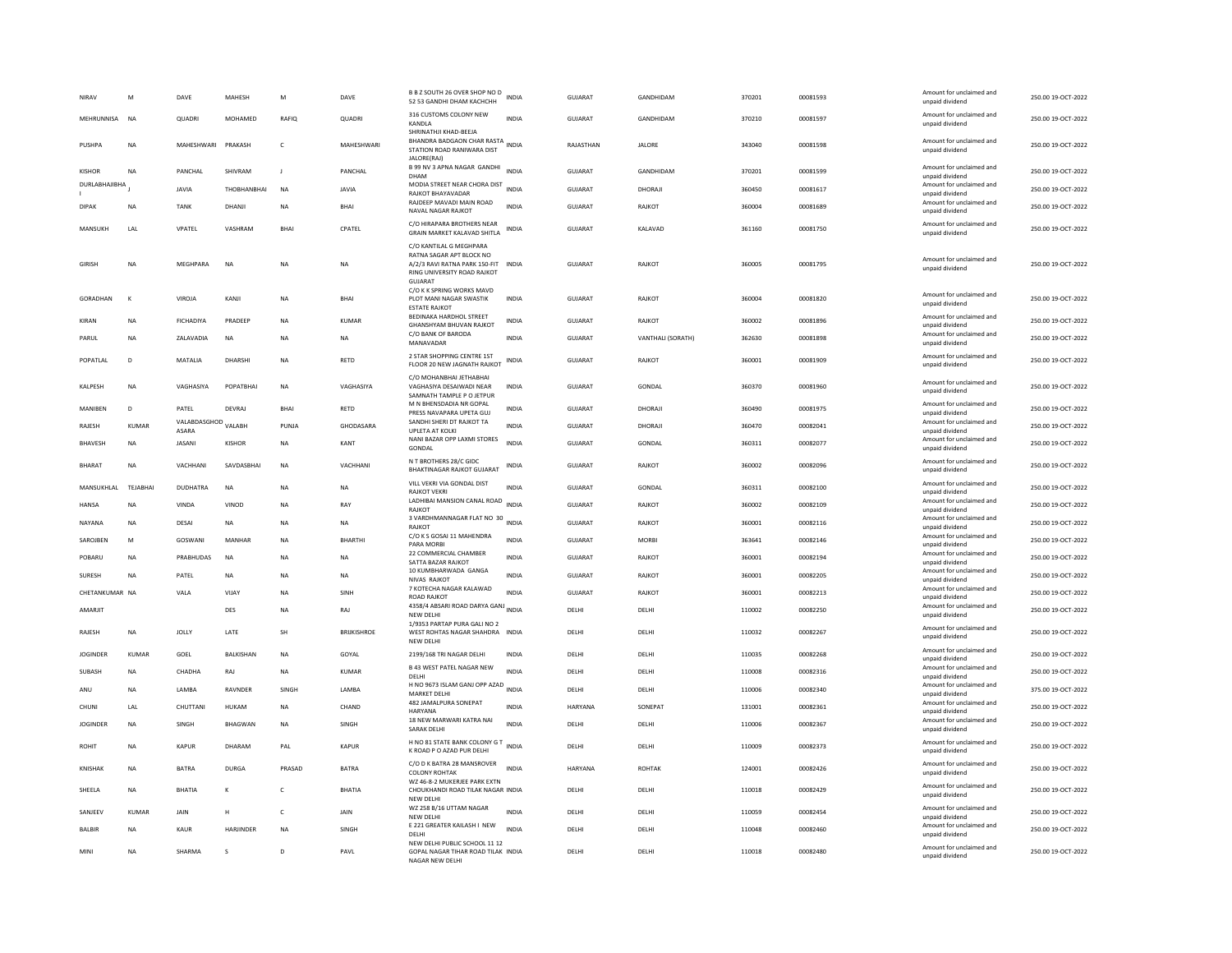| NIRAV           | M                         | DAVE                                | MAHESH           | M            | DAVE                 | B B Z SOUTH 26 OVER SHOP NO D<br>52 53 GANDHI DHAM KACHCHH                                                                            | <b>INDIA</b> | GUJARAT        | GANDHIDAM         | 370201           | 00081593             | Amount for unclaimed and<br>unpaid dividend                    | 250.00 19-OCT-2022                       |
|-----------------|---------------------------|-------------------------------------|------------------|--------------|----------------------|---------------------------------------------------------------------------------------------------------------------------------------|--------------|----------------|-------------------|------------------|----------------------|----------------------------------------------------------------|------------------------------------------|
| MEHRUNNISA      | <b>NA</b>                 | OUADRI                              | <b>MOHAMED</b>   | <b>RAFIO</b> | OUADRI               | 316 CUSTOMS COLONY NEW<br>KANDLA                                                                                                      | <b>INDIA</b> | GUIARAT        | GANDHIDAM         | 370210           | 00081597             | Amount for unclaimed and<br>unpaid dividend                    | 250.00 19-QCT-2022                       |
| PUSHPA          | <b>NA</b>                 | MAHESHWARI PRAKASH                  |                  | $\mathsf{C}$ | MAHESHWARI           | SHRINATHJI KHAD-BEEJA<br>BHANDRA BADGAON CHAR RASTA INDIA<br>STATION ROAD RANIWARA DIST<br>JALORE(RAJ)                                |              | RAJASTHAN      | <b>JALORE</b>     | 343040           | 00081598             | Amount for unclaimed and<br>unpaid dividend                    | 250.00 19-OCT-2022                       |
| KISHOR          | <b>NA</b>                 | PANCHAI                             | SHIVRAM          | $\mathbf{I}$ | PANCHAL              | B 99 NV 3 APNA NAGAR GANDHI<br>DHAM                                                                                                   | <b>INDIA</b> | <b>GUJARAT</b> | GANDHIDAM         | 370201           | 00081599             | Amount for unclaimed and<br>unpaid dividend                    | 250.00 19-OCT-2022                       |
| DURLABHAJIBHA   |                           | <b>JAVIA</b>                        | THORHANRHAI      | <b>NA</b>    | <b>JAVIA</b>         | MODIA STREET NEAR CHORA DIST<br>RAJKOT BHAYAVADAR                                                                                     | <b>INDIA</b> | GUIARAT        | DHORAIL           | 360450           | 00081617             | Amount for unclaimed and<br>unpaid dividend                    | 250.00 19-OCT-2022                       |
| <b>DIPAK</b>    | <b>NA</b>                 | <b>TANK</b>                         | DHANJI           | NA           | <b>BHAI</b>          | RAJDEEP MAVADI MAIN ROAD<br>NAVAL NAGAR RAJKOT                                                                                        | <b>INDIA</b> | GUJARAT        | RAJKOT            | 360004           | 00081689             | Amount for unclaimed and<br>unpaid dividend                    | 250.00 19-OCT-2022                       |
| MANSUKH         | LAL                       | VPATEL                              | VASHRAM          | <b>BHAI</b>  | CPATEL               | C/O HIRAPARA BROTHERS NEAR<br>GRAIN MARKET KALAVAD SHITLA                                                                             | <b>INDIA</b> | <b>GUJARAT</b> | KALAVAD           | 361160           | 00081750             | Amount for unclaimed and<br>unpaid dividend                    | 250.00 19-OCT-2022                       |
| <b>GIRISH</b>   | <b>NA</b>                 | MEGHPARA                            | <b>NA</b>        | <b>NA</b>    | <b>NA</b>            | C/O KANTILAL G MEGHPARA<br>RATNA SAGAR APT BLOCK NO<br>A/2/3 RAVI RATNA PARK 150-FIT<br>RING UNIVERSITY ROAD RAJKOT<br><b>GUJARA1</b> | <b>INDIA</b> | GUJARAT        | RAJKOT            | 360005           | 00081795             | Amount for unclaimed and<br>unpaid dividend                    | 250.00 19-OCT-2022                       |
| GORADHAN        | К                         | VIROJA                              | KANJI            | <b>NA</b>    | <b>BHAI</b>          | C/O K K SPRING WORKS MAVD<br>PLOT MANI NAGAR SWASTIK<br><b>ESTATE RAJKOT</b>                                                          | INDIA        | GUJARAT        | RAJKOT            | 360004           | 00081820             | Amount for unclaimed and<br>unpaid dividend                    | 250.00 19-OCT-2022                       |
| KIRAN           | <b>NA</b>                 | <b>FICHADIYA</b>                    | PRADEEP          | <b>NA</b>    | <b>KUMAR</b>         | BEDINAKA HARDHOL STREET<br>GHANSHYAM BHUVAN RAJKOT                                                                                    | <b>INDIA</b> | <b>GUJARAT</b> | RAJKOT            | 360002           | 00081896             | Amount for unclaimed and<br>unpaid dividend                    | 250.00 19-OCT-2022                       |
| PARUL           | <b>NA</b>                 | ZALAVADIA                           | <b>NA</b>        | <b>NA</b>    | <b>NA</b>            | C/O BANK OF BARODA<br>MANAVADAR                                                                                                       | <b>INDIA</b> | GUJARAT        | VANTHALI (SORATH) | 362630           | 00081898             | Amount for unclaimed and<br>unpaid dividend                    | 250.00 19-OCT-2022                       |
| POPATLAL        | D                         | MATALIA                             | DHARSHI          | <b>NA</b>    | RETD                 | 2 STAR SHOPPING CENTRE 1ST<br>FLOOR 20 NEW JAGNATH RAJKOT                                                                             | INDIA        | GUJARAT        | RAJKOT            | 360001           | 00081909             | Amount for unclaimed and<br>unpaid dividend                    | 250.00 19-OCT-2022                       |
| KALPESH         | NA                        | VAGHASIYA                           | POPATBHAI        | NA           | VAGHASIYA            | C/O MOHANBHAI JETHABHAI<br>VAGHASIYA DESAIWADI NEAR                                                                                   | <b>INDIA</b> | <b>GUJARAT</b> | GONDAL            | 360370           | 00081960             | Amount for unclaimed and<br>unpaid dividend                    | 250.00 19-OCT-2022                       |
| MANIBEN         | D                         | PATEL                               | DEVRAJ           | <b>BHAI</b>  | RETD                 | SAMNATH TAMPLE P O JETPUR<br>M N BHENSDADIA NR GOPAL<br>PRESS NAVAPARA UPETA GUJ                                                      | <b>INDIA</b> | <b>GUJARAT</b> | DHORAJI           | 360490           | 00081975             | Amount for unclaimed and<br>unpaid dividend                    | 250.00 19-OCT-2022                       |
| RAJESH          | <b>KUMAR</b>              | VALABDASGHOD VALABH<br><b>ASARA</b> |                  | PUNJA        | GHODASARA            | SANDHI SHERI DT RAJKOT TA                                                                                                             | INDIA        | GUJARAT        | DHORAJI           | 360470           | 00082041             | Amount for unclaimed and                                       | 250.00 19-OCT-2022                       |
| <b>BHAVESH</b>  | <b>NA</b>                 | <b>JASANI</b>                       | KISHOR           | <b>NA</b>    | KANT                 | UPLETA AT KOLKI<br>NANI BAZAR OPP LAXMI STORES<br>GONDAL                                                                              | <b>INDIA</b> | <b>GUJARAT</b> | GONDAL            | 360311           | 00082077             | unpaid dividend<br>Amount for unclaimed and<br>unpaid dividend | 250.00 19-OCT-2022                       |
| <b>BHARAT</b>   | <b>NA</b>                 | VACHHANI                            | SAVDASBHAI       | NA           | VACHHANI             | N T BROTHERS 28/C GIDC<br><b>BHAKTINAGAR RAJKOT GUJARAT</b>                                                                           | <b>INDIA</b> | GUJARAT        | RAJKOT            | 360002           | 00082096             | Amount for unclaimed and<br>unpaid dividend                    | 250.00 19-OCT-2022                       |
| MANSUKHLAL      | TEJABHAI                  | <b>DUDHATRA</b>                     | NA               | NA           | NA                   | VILL VEKRI VIA GONDAL DIST<br><b>RAJKOT VEKRI</b>                                                                                     | <b>INDIA</b> | <b>GUJARAT</b> | GONDAL            | 360311           | 00082100             | Amount for unclaimed and<br>unpaid dividend                    | 250.00 19-OCT-2022                       |
| <b>HANSA</b>    | <b>NA</b>                 | VINDA                               | VINOD            | <b>NA</b>    | RAY                  | LADHIBAI MANSION CANAL ROAD<br>RAJKOT                                                                                                 | <b>INDIA</b> | GUIARAT        | RAIKOT            | 360002           | 00082109             | Amount for unclaimed and<br>unpaid dividend                    | 250.00 19-OCT-2022                       |
| NAYANA          | NA                        | DESAI                               | NA               | NA           | NA                   | 3 VARDHMANNAGAR FLAT NO 30<br><b>RAJKOT</b>                                                                                           | INDIA        | GUJARAT        | RAJKOT            | 360001           | 00082116             | Amount for unclaimed and<br>unpaid dividend                    | 250.00 19-OCT-2022                       |
| SAROJBEN        | M                         | GOSWANI                             | MANHAR           | NA           | BHARTHI              | C/O K S GOSAI 11 MAHENDRA<br>PARA MORB                                                                                                | INDIA        | GUJARAT        | <b>MORBI</b>      | 363641           | 00082146             | Amount for unclaimed and<br>unpaid dividend                    | 250.00 19-OCT-2022                       |
| POBARU          | <b>NA</b>                 | PRABHUDAS                           | NA               | <b>NA</b>    | NA                   | 22 COMMERCIAL CHAMBER<br>SATTA BAZAR RAJKOT                                                                                           | INDIA        | <b>GUJARAT</b> | RAJKOT            | 360001           | 00082194             | Amount for unclaimed and<br>unpaid dividend                    | 250.00 19-OCT-2022                       |
| <b>SURFSH</b>   | <b>NA</b>                 | PATFI                               | <b>NA</b>        | <b>NA</b>    | <b>NA</b>            | 10 KUMBHARWADA GANGA                                                                                                                  | <b>INDIA</b> | GUIARAT        | RAIKOT            | 360001           | 00082205             | Amount for unclaimed and                                       | 250.00.19-OCT-2022                       |
| CHETANKUMAR NA  |                           | VALA                                | VIJAY            | NA           | SINH                 | NIVAS RAJKOT<br>7 KOTECHA NAGAR KALAWAD                                                                                               | INDIA        | GUJARAT        | RAJKOT            | 360001           | 00082213             | unpaid dividend<br>Amount for unclaimed and                    | 250.00 19-OCT-2022                       |
| AMARJIT         |                           |                                     | DES              | <b>NA</b>    | RAJ                  | ROAD RAJKOT<br>4358/4 ABSARI ROAD DARYA GANJ INDIA                                                                                    |              | DELHI          | DELHI             | 110002           | 00082250             | unpaid dividend<br>Amount for unclaimed and                    | 250.00 19-OCT-2022                       |
|                 |                           |                                     |                  |              |                      | NEW DELHI<br>1/9353 PARTAP PURA GALI NO 2                                                                                             |              |                |                   |                  |                      | unpaid dividend<br>Amount for unclaimed and                    |                                          |
| RAJESH          | <b>NA</b>                 | <b>JOLLY</b>                        | <b>I ATF</b>     | <b>SH</b>    | <b>BRIIKISHROF</b>   | WEST ROHTAS NAGAR SHAHDRA INDIA<br>NEW DELH                                                                                           |              | DELHI          | DELHI             | 110032           | 00082267             | unpaid dividend                                                | 250.00 19-OCT-2022                       |
| <b>JOGINDER</b> | KUMAR                     | GOEL                                | BALKISHAN        | NA           | GOYAL                | 2199/168 TRI NAGAR DELHI                                                                                                              | INDIA        | DELHI          | DELHI             | 110035           | 00082268             | Amount for unclaimed and<br>unpaid dividend                    | 250.00 19-OCT-2022                       |
| SUBASH          | NA                        | CHADHA                              | RAJ              | NA           | KUMAR                | <b>B 43 WEST PATEL NAGAR NEW</b><br>DELHI                                                                                             | <b>INDIA</b> | DELHI          | DELHI             | 110008           | 00082316             | Amount for unclaimed and<br>unpaid dividend                    | 250.00 19-OCT-2022                       |
| ANU             | <b>NA</b>                 | LAMBA                               | RAVNDER          | <b>SINGH</b> | <b>I AMBA</b>        | H NO 9673 ISLAM GANJ OPP AZAD<br><b>MARKET DELHI</b>                                                                                  | <b>INDIA</b> | DELHI          | DELHI             | 110006           | 00082340             | Amount for unclaimed and<br>unpaid dividend                    | 375.00 19-OCT-2022                       |
| CHUNI           | LAL                       | CHUTTANI                            | <b>HUKAM</b>     | <b>NA</b>    | CHAND                | 482 JAMALPURA SONEPAT<br>HARYANA                                                                                                      | <b>INDIA</b> | <b>HARYANA</b> | SONEPAT           | 131001           | 00082361             | Amount for unclaimed and<br>unpaid dividend                    | 250.00 19-OCT-2022                       |
| <b>JOGINDER</b> | NA                        | SINGH                               | <b>BHAGWAN</b>   | <b>NA</b>    | SINGH                | 18 NEW MARWARI KATRA NAI<br><b>SARAK DELHI</b>                                                                                        | <b>INDIA</b> | DELHI          | DELHI             | 110006           | 00082367             | Amount for unclaimed and<br>unpaid dividend                    | 250.00 19-OCT-2022                       |
| ROHIT           | <b>NA</b>                 | <b>KAPUR</b>                        | DHARAM           | PAI          | <b>KAPUR</b>         | H NO 81 STATE BANK COLONY G T<br>K ROAD P O AZAD PUR DELHI                                                                            | <b>INDIA</b> | DELHI          | DELHI             | 110009           | 00082373             | Amount for unclaimed and<br>unpaid dividend                    | 250.00 19-OCT-2022                       |
| KNISHAK         | NA                        | <b>BATRA</b>                        | DURG/            | PRASAD       | <b>BATRA</b>         | C/O D K BATRA 28 MANSROVER<br><b>COLONY ROHTAK</b>                                                                                    | <b>INDIA</b> | HARYANA        | <b>ROHTAK</b>     | 124001           | 00082426             | Amount for unclaimed and<br>unpaid dividend                    | 250.00 19-OCT-2022                       |
| SHEELA          | <b>NA</b>                 | <b>BHATIA</b>                       | $\kappa$         | $\epsilon$   | <b>BHATIA</b>        | WZ 46-8-2 MUKERJEE PARK EXTN<br>CHOUKHANDI ROAD TILAK NAGAR INDIA                                                                     |              | DELHI          | DELHI             | 110018           | 00082429             | Amount for unclaimed and<br>unpaid dividend                    | 250.00 19-OCT-2022                       |
| SANJEEV         |                           |                                     |                  |              |                      | NEW DELH                                                                                                                              |              |                |                   |                  |                      | Amount for unclaimed and                                       |                                          |
|                 |                           | JAIN                                |                  | $\mathsf{C}$ |                      | WZ 258 B/16 UTTAM NAGAR                                                                                                               | <b>INDIA</b> |                | DELHI             |                  |                      |                                                                |                                          |
| <b>BALBIR</b>   | <b>KUMAR</b><br><b>NA</b> | KAUR                                | <b>HARIINDER</b> | <b>NA</b>    | JAIN<br><b>SINGH</b> | NEW DELHI<br>E 221 GREATER KAILASH I NEW<br>DELHI                                                                                     | <b>INDIA</b> | DELHI<br>DELHI | DELHI             | 110059<br>110048 | 00082454<br>00082460 | unpaid dividend<br>Amount for unclaimed and<br>unpaid dividend | 250.00 19-OCT-2022<br>250.00 19-OCT-2022 |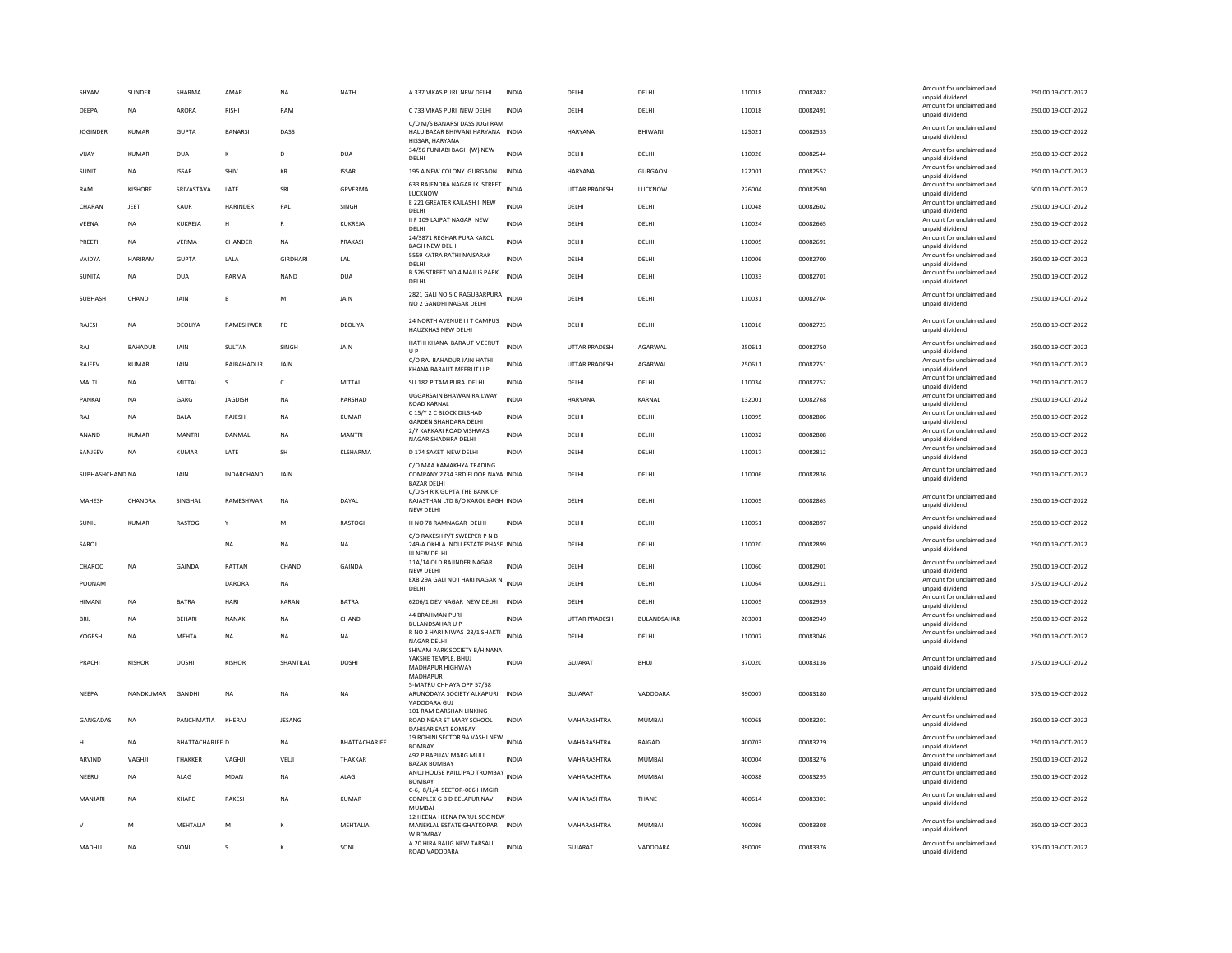| SHYAM           | SUNDER         | SHARMA                 | AMAR             | <b>NA</b>       | <b>NATH</b>     | A 337 VIKAS PURI NEW DELHI                                                                                          | <b>INDIA</b> | DELHI                | DELHI          | 110018 | 00082482 | Amount for unclaimed and<br>unpaid dividend | 250.00 19-OCT-2022 |
|-----------------|----------------|------------------------|------------------|-----------------|-----------------|---------------------------------------------------------------------------------------------------------------------|--------------|----------------------|----------------|--------|----------|---------------------------------------------|--------------------|
| DEEPA           | NA             | ARORA                  | RISHI            | RAM             |                 | C 733 VIKAS PURI NEW DELHI                                                                                          | <b>INDIA</b> | DELHI                | DELHI          | 110018 | 00082491 | Amount for unclaimed and<br>unpaid dividend | 250.00 19-OCT-2022 |
| <b>IOGINDER</b> | KUMAR          | GUPTA                  | <b>BANARSI</b>   | DASS            |                 | C/O M/S BANARSI DASS JOGI RAM<br>HALU BAZAR BHIWANI HARYANA INDIA                                                   |              | <b>HARYANA</b>       | <b>BHIWANI</b> | 125021 | 00082535 | Amount for unclaimed and<br>unpaid dividend | 250.00 19-OCT-2022 |
| VIJAY           | KUMAR          | <b>DUA</b>             | Κ                | D               | <b>DUA</b>      | HISSAR, HARYANA<br>34/56 FUNJABI BAGH (W) NEW                                                                       | <b>INDIA</b> | DELHI                | DELHI          | 110026 | 00082544 | Amount for unclaimed and                    | 250.00 19-OCT-2022 |
| SUNIT           | <b>NA</b>      | <b>ISSAR</b>           | SHIV             | KR              | <b>ISSAR</b>    | DELHI<br>195 A NEW COLONY GURGAON                                                                                   | <b>INDIA</b> | HARYANA              | GURGAON        | 122001 | 00082552 | unpaid dividend<br>Amount for unclaimed and | 250.00 19-OCT-2022 |
|                 |                |                        |                  |                 |                 | 633 RAJENDRA NAGAR IX STREET                                                                                        |              |                      |                |        |          | unpaid dividend<br>Amount for unclaimed and |                    |
| RAM             | KISHORE        | SRIVASTAVA             | LATE             | SRI             | GPVERMA         | LUCKNOW<br>E 221 GREATER KAILASH I NEW                                                                              | <b>INDIA</b> | <b>UTTAR PRADESH</b> | LUCKNOW        | 226004 | 00082590 | unpaid dividend<br>Amount for unclaimed and | 500.00 19-OCT-2022 |
| CHARAN          | JEET           | KAUR                   | HARINDER         | PAL             | SINGH           | DELHI                                                                                                               | INDIA        | DELHI                | DELHI          | 110048 | 00082602 | unpaid dividend                             | 250.00 19-OCT-2022 |
| VEENA           | <b>NA</b>      | KUKREJA                | H                | $\mathsf{R}$    | KUKREJA         | II F 109 LAJPAT NAGAR NEW<br>DELHI                                                                                  | <b>INDIA</b> | DELHI                | DELHI          | 110024 | 00082665 | Amount for unclaimed and<br>unpaid dividend | 250.00 19-OCT-2022 |
| PREETI          | <b>NA</b>      | <b>VERMA</b>           | CHANDER          | <b>NA</b>       | PRAKASH         | 24/3871 REGHAR PURA KAROL<br><b>BAGH NEW DELHI</b>                                                                  | <b>INDIA</b> | DELHI                | DELHI          | 110005 | 00082691 | Amount for unclaimed and<br>unpaid dividend | 250.00 19-OCT-2022 |
| VAIDYA          | <b>HARIRAM</b> | <b>GUPTA</b>           | LALA             | <b>GIRDHARI</b> | LAL             | 5559 KATRA RATHI NAISARAK<br>DELHI                                                                                  | <b>INDIA</b> | DELHI                | DELHI          | 110006 | 00082700 | Amount for unclaimed and<br>unpaid dividend | 250.00 19-OCT-2022 |
| SUNITA          | <b>NA</b>      | <b>DUA</b>             | PARMA            | <b>NAND</b>     | <b>DUA</b>      | B 526 STREET NO 4 MAJLIS PARK<br>DELHI                                                                              | <b>INDIA</b> | DELHI                | DELHI          | 110033 | 00082701 | Amount for unclaimed and<br>unpaid dividend | 250.00 19-OCT-2022 |
| SUBHASH         | CHAND          | JAIN                   | $\overline{B}$   | M               | JAIN            | 2821 GALI NO 5 C RAGUBARPURA INDIA<br>NO 2 GANDHI NAGAR DELHI                                                       |              | DELHI                | DELHI          | 110031 | 00082704 | Amount for unclaimed and<br>unpaid dividend | 250.00 19-OCT-2022 |
| <b>RAIFSH</b>   | <b>NA</b>      | <b>DEOLIYA</b>         | <b>RAMESHWER</b> | <b>PD</b>       | DEOLIVA         | 24 NORTH AVENUE I I T CAMPUS<br>HAUZKHAS NEW DELHI                                                                  | <b>INDIA</b> | <b>DELHI</b>         | DELHI          | 110016 | 00082723 | Amount for unclaimed and<br>unpaid dividend | 250.00 19-OCT-2022 |
| RAJ             | BAHADUR        | JAIN                   | SULTAN           | SINGH           | <b>JAIN</b>     | HATHI KHANA BARAUT MEERUT<br>$\cup P$                                                                               | <b>INDIA</b> | UTTAR PRADESH        | AGARWAL        | 250611 | 00082750 | Amount for unclaimed and<br>unpaid dividend | 250.00 19-OCT-2022 |
| RAJEEV          | KUMAR          | <b>JAIN</b>            | RAJBAHADUR       | <b>JAIN</b>     |                 | C/O RAJ BAHADUR JAIN HATHI                                                                                          | <b>INDIA</b> | <b>UTTAR PRADESH</b> | AGARWAL        | 250611 | 00082751 | Amount for unclaimed and                    | 250.00 19-OCT-2022 |
| MALTI           | <b>NA</b>      | MITTAL                 | s                | $\mathsf{C}$    | MITTAL          | KHANA BARAUT MEERUT U P<br>SU 182 PITAM PURA DELHI                                                                  | <b>INDIA</b> | DELHI                | DELHI          | 110034 | 00082752 | unpaid dividend<br>Amount for unclaimed and | 250.00 19-OCT-2022 |
| PANKAJ          | <b>NA</b>      | GARG                   | <b>JAGDISH</b>   | <b>NA</b>       | PARSHAD         | UGGARSAIN BHAWAN RAILWAY                                                                                            | <b>INDIA</b> | HARYANA              | KARNAL         | 132001 | 00082768 | unpaid dividend<br>Amount for unclaimed and | 250.00 19-OCT-2022 |
| RAJ             | <b>NA</b>      | <b>BALA</b>            | RAJESH           | <b>NA</b>       | <b>KUMAR</b>    | <b>ROAD KARNAL</b><br>C 15/Y 2 C BLOCK DILSHAD                                                                      | <b>INDIA</b> | DELHI                | DELHI          | 110095 | 00082806 | unpaid dividend<br>Amount for unclaimed and | 250.00 19-OCT-2022 |
|                 |                |                        |                  |                 |                 | <b>GARDEN SHAHDARA DELHI</b><br>2/7 KARKARI ROAD VISHWAS                                                            |              |                      |                |        |          | unpaid dividend<br>Amount for unclaimed and |                    |
| ANAND           | <b>KUMAR</b>   | MANTRI                 | DANMAI           | $_{\sf NA}$     | <b>MANTRI</b>   | NAGAR SHADHRA DELHI                                                                                                 | <b>INDIA</b> | DELHI                | DELHI          | 110032 | 00082808 | unpaid dividend<br>Amount for unclaimed and | 250.00 19-OCT-2022 |
| SANJEEV         | NA             | KUMAR                  | LATE             | SH              | KLSHARMA        | D 174 SAKET NEW DELHI                                                                                               | <b>INDIA</b> | DELHI                | DELHI          | 110017 | 00082812 | unpaid dividend                             | 250.00 19-OCT-2022 |
| SUBHASHCHAND NA |                | JAIN                   | INDARCHAND       | JAIN            |                 | C/O MAA KAMAKHYA TRADING<br>COMPANY 2734 3RD FLOOR NAYA INDIA<br><b>BAZAR DELHI</b><br>C/O SH R K GUPTA THE BANK OF |              | DELHI                | DELHI          | 110006 | 00082836 | Amount for unclaimed and<br>unpaid dividend | 250.00 19-OCT-2022 |
| MAHESH          | CHANDRA        | SINGHAL                | RAMESHWAR        | <b>NA</b>       | DAYAL           | RAJASTHAN LTD B/O KAROL BAGH INDIA<br>NEW DELHI                                                                     |              | DELHI                | DELHI          | 110005 | 00082863 | Amount for unclaimed and<br>unpaid dividend | 250.00 19-OCT-2022 |
| SUNIL           | KUMAR          | RASTOGI                |                  | M               | <b>RASTOGI</b>  | H NO 78 RAMNAGAR DELHI                                                                                              | <b>INDIA</b> | DELHI                | DELHI          | 110051 | 00082897 | Amount for unclaimed and<br>unpaid dividend | 250.00 19-OCT-2022 |
| SAROJ           |                |                        | <b>NA</b>        | <b>NA</b>       | <b>NA</b>       | C/O RAKESH P/T SWEEPER P N B<br>249-A OKHLA INDU ESTATE PHASE INDIA<br><b>III NEW DELH</b>                          |              | DELHI                | DELHI          | 110020 | 00082899 | Amount for unclaimed and<br>unpaid dividend | 250.00 19-OCT-2022 |
| CHAROO          | <b>NA</b>      | GAINDA                 | RATTAN           | CHAND           | GAINDA          | 11A/14 OLD RAJINDER NAGAR<br>NEW DELHI                                                                              | <b>INDIA</b> | DELHI                | DELHI          | 110060 | 00082901 | Amount for unclaimed and<br>unpaid dividend | 250.00 19-OCT-2022 |
| POONAM          |                |                        | DARORA           | NA              |                 | EXB 29A GALI NO I HARI NAGAR N INDIA<br>DELHI                                                                       |              | DELHI                | DELHI          | 110064 | 00082911 | Amount for unclaimed and<br>unpaid dividend | 375.00 19-OCT-2022 |
| <b>HIMANI</b>   | <b>NA</b>      | <b>BATRA</b>           | <b>HARI</b>      | KARAN           | <b>BATRA</b>    | 6206/1 DEV NAGAR NEW DELHI                                                                                          | <b>INDIA</b> | DELHI                | DELHI          | 110005 | 00082939 | Amount for unclaimed and<br>unpaid dividend | 250.00 19-OCT-2022 |
| <b>BRIJ</b>     | <b>NA</b>      | <b>BEHARI</b>          | <b>NANAK</b>     | <b>NA</b>       | CHAND           | 44 BRAHMAN PURI                                                                                                     | <b>INDIA</b> | <b>UTTAR PRADESH</b> | BULANDSAHAR    | 203001 | 00082949 | Amount for unclaimed and                    | 250.00 19-OCT-2022 |
| YOGESH          | <b>NA</b>      | <b>MEHTA</b>           | <b>NA</b>        | <b>NA</b>       | <b>NA</b>       | <b>BULANDSAHAR U P</b><br>R NO 2 HARI NIWAS 23/1 SHAKTI                                                             | <b>INDIA</b> | DELHI                | DELHI          | 110007 | 00083046 | unpaid dividend<br>Amount for unclaimed and | 250.00 19-OCT-2022 |
|                 |                |                        |                  |                 |                 | NAGAR DELH<br>SHIVAM PARK SOCIETY B/H NANA                                                                          |              |                      |                |        |          | unpaid dividend                             |                    |
| PRACHI          | <b>KISHOR</b>  | <b>DOSHI</b>           | <b>KISHOR</b>    | SHANTILAL       | <b>DOSHI</b>    | YAKSHE TEMPLE, BHUJ<br>MADHAPUR HIGHWAY<br>MADHAPUR                                                                 | <b>INDIA</b> | GUJARAT              | BHUJ           | 370020 | 00083136 | Amount for unclaimed and<br>unpaid dividend | 375.00 19-OCT-2022 |
| <b>NEEPA</b>    | NANDKUMAR      | GANDHI                 | <b>NA</b>        | <b>NA</b>       | <b>NA</b>       | 5-MATRU CHHAYA OPP 57/58<br>ARUNODAYA SOCIETY ALKAPURI<br>VADODARA GUJ                                              | <b>INDIA</b> | <b>GUJARAT</b>       | VADODARA       | 390007 | 00083180 | Amount for unclaimed and<br>unpaid dividend | 375.00 19-OCT-2022 |
| GANGADAS        | <b>NA</b>      | PANCHMATIA KHERAJ      |                  | <b>JESANG</b>   |                 | 101 RAM DARSHAN LINKING<br>ROAD NEAR ST MARY SCHOOL<br>DAHISAR EAST BOMBAY                                          | <b>INDIA</b> | MAHARASHTRA          | MUMBAI         | 400068 | 00083201 | Amount for unclaimed and<br>unpaid dividend | 250.00 19-OCT-2022 |
|                 | <b>NA</b>      | <b>BHATTACHARJEE D</b> |                  | <b>NA</b>       | BHATTACHARJEE   | 19 ROHINI SECTOR 9A VASHI NEW INDIA<br><b>BOMBAY</b>                                                                |              | MAHARASHTRA          | RAIGAD         | 400703 | 00083229 | Amount for unclaimed and<br>unpaid dividend | 250.00 19-OCT-2022 |
| ARVIND          | VAGHJ          | THAKKER                | VAGHJI           | VELJI           | THAKKAR         | 492 P BAPUAV MARG MULL<br><b>BAZAR BOMBAY</b>                                                                       | <b>INDIA</b> | MAHARASHTRA          | <b>MUMBAI</b>  | 400004 | 00083276 | Amount for unclaimed and<br>unpaid dividend | 250.00 19-OCT-2022 |
| NEERU           | <b>NA</b>      | ALAG                   | MDAN             | <b>NA</b>       | ALAG            | ANUJ HOUSE PAILLIPAD TROMBAY INDIA<br><b>BOMBAY</b>                                                                 |              | MAHARASHTRA          | MUMBAI         | 400088 | 00083295 | Amount for unclaimed and<br>unpaid dividend | 250.00 19-OCT-2022 |
|                 |                | KHARE                  | RAKESH           | <b>NA</b>       |                 | C-6, 8/1/4 SECTOR-006 HIMGIRI                                                                                       |              | MAHARASHTRA          | THANE          | 400614 | 00083301 | Amount for unclaimed and                    | 250.00 19-OCT-2022 |
| MANJARI         | <b>NA</b>      |                        |                  |                 | <b>KUMAR</b>    | COMPLEX G B D BELAPUR NAVI INDIA<br>MUMBA<br>12 HEENA HEENA PARUL SOC NEW                                           |              |                      |                |        |          | unpaid dividend                             |                    |
| $\mathsf{v}$    | M              | MEHTALIA               | M                | к               | <b>MEHTALIA</b> | MANEKLAL ESTATE GHATKOPAR<br>W BOMBAY                                                                               | <b>INDIA</b> | MAHARASHTRA          | MUMBAI         | 400086 | 00083308 | Amount for unclaimed and<br>unpaid dividend | 250.00 19-OCT-2022 |
| MADHU           | <b>NA</b>      | SONI                   | Ś                | K               | SONI            | A 20 HIRA BAUG NEW TARSALI<br>ROAD VADODARA                                                                         | <b>INDIA</b> | GUJARAT              | VADODARA       | 390009 | 00083376 | Amount for unclaimed and<br>unpaid dividend | 375.00 19-OCT-2022 |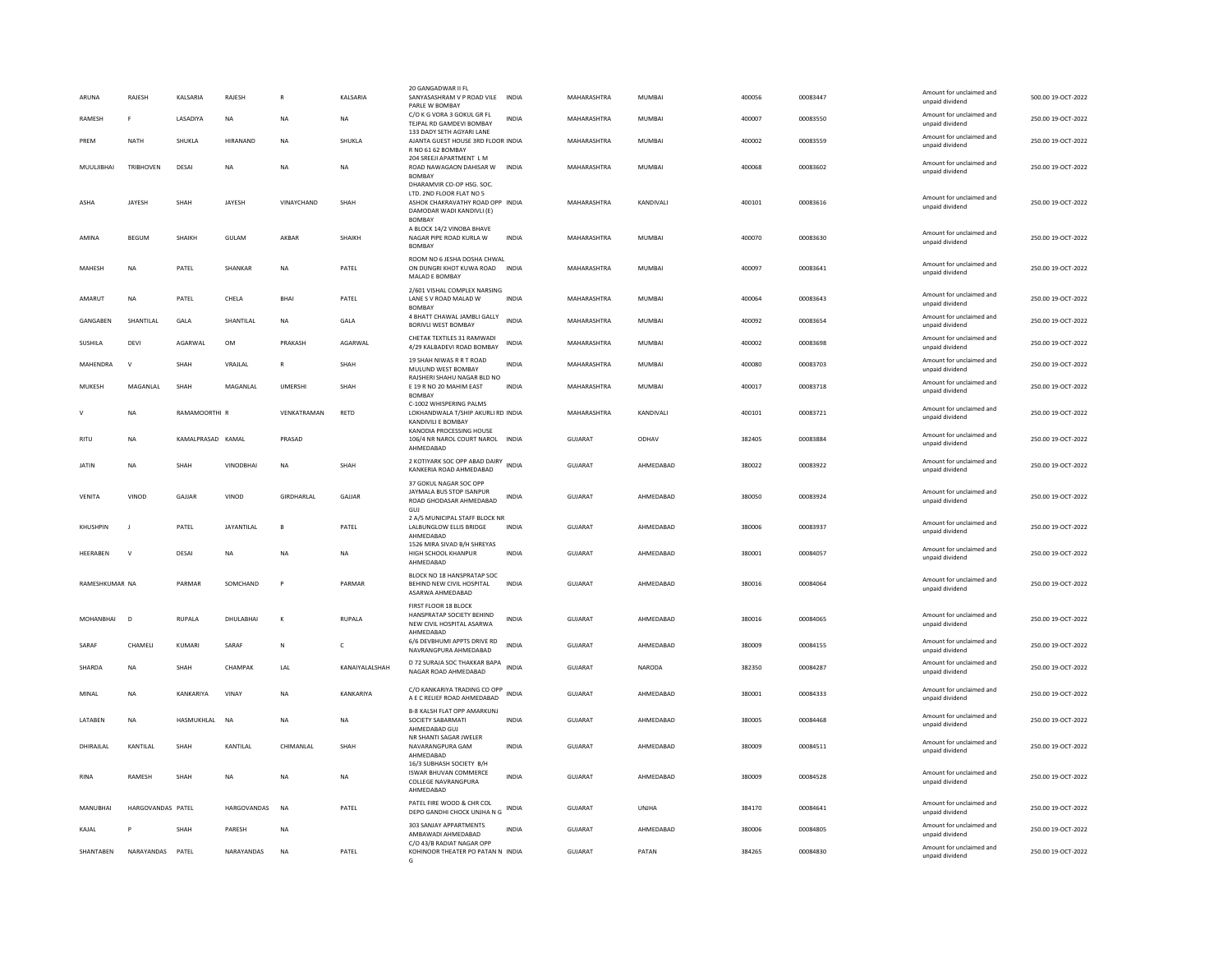| ARUNA           | RAJESH            | <b>KALSARIA</b>   | <b>RAIFSH</b>     | $\mathbb{R}$   | <b>KAI SARIA</b> | 20 GANGADWAR II FL<br>SANYASASHRAM V P ROAD VILE                                                                                        | <b>INDIA</b> | MAHARASHTRA    | MUMBAL        | 400056 | 00083447 | Amount for unclaimed and<br>unpaid dividend | 500.00 19-QCT-2022 |
|-----------------|-------------------|-------------------|-------------------|----------------|------------------|-----------------------------------------------------------------------------------------------------------------------------------------|--------------|----------------|---------------|--------|----------|---------------------------------------------|--------------------|
| RAMESH          | F                 | LASADIYA          | $_{\sf NA}$       | <b>NA</b>      | NA               | PARLE W BOMBAY<br>C/O K G VORA 3 GOKUL GR FL<br>TEJPAL RD GAMDEVI BOMBAY                                                                | <b>INDIA</b> | MAHARASHTRA    | <b>MUMBAI</b> | 400007 | 00083550 | Amount for unclaimed and<br>unpaid dividend | 250.00 19-OCT-2022 |
| PREM            | <b>NATH</b>       | SHUKLA            | HIRANAND          | <b>NA</b>      | SHUKLA           | 133 DADY SETH AGYARI LANE<br>AJANTA GUEST HOUSE 3RD FLOOR INDIA<br>R NO 61 62 BOMBAY                                                    |              | MAHARASHTRA    | <b>MUMBAI</b> | 400002 | 00083559 | Amount for unclaimed and<br>unpaid dividend | 250.00 19-OCT-2022 |
| MUULJIBHAI      | <b>TRIBHOVEN</b>  | DESAI             | <b>NA</b>         | <b>NA</b>      | <b>NA</b>        | 204 SREEJI APARTMENT L M<br>ROAD NAWAGAON DAHISAR W<br>BOMBAY                                                                           | <b>INDIA</b> | MAHARASHTRA    | <b>MUMBAI</b> | 400068 | 00083602 | Amount for unclaimed and<br>unpaid dividend | 250.00 19-OCT-2022 |
| ASHA            | JAYESH            | SHAH              | JAYESH            | VINAYCHAND     | SHAH             | DHARAMVIR CO-OP HSG. SOC.<br>LTD. 2ND FLOOR FLAT NO 5<br>ASHOK CHAKRAVATHY ROAD OPP INDIA<br>DAMODAR WADI KANDIVLI (E)<br><b>BOMBAY</b> |              | MAHARASHTRA    | KANDIVALI     | 400101 | 00083616 | Amount for unclaimed and<br>unpaid dividend | 250.00 19-OCT-2022 |
| AMINA           | BEGUM             | SHAIKH            | GULAM             | AKBAR          | SHAIKH           | A BLOCK 14/2 VINOBA BHAVE<br>NAGAR PIPE ROAD KURLA W<br>BOMBAY                                                                          | <b>INDIA</b> | MAHARASHTRA    | MUMBAI        | 400070 | 00083630 | Amount for unclaimed and<br>unpaid dividend | 250.00 19-OCT-2022 |
| MAHESH          | NA                | PATEL             | SHANKAR           | <b>NA</b>      | PATEL            | ROOM NO 6 JESHA DOSHA CHWAL<br>ON DUNGRI KHOT KUWA ROAD<br>MALAD E BOMBAY                                                               | <b>INDIA</b> | MAHARASHTRA    | <b>MUMBAI</b> | 400097 | 00083641 | Amount for unclaimed and<br>unpaid dividend | 250.00 19-OCT-2022 |
| AMARUT          | NA                | PATEL             | CHELA             | <b>BHAI</b>    | PATEL            | 2/601 VISHAL COMPLEX NARSING<br>LANE S V ROAD MALAD W<br><b>BOMBAY</b>                                                                  | <b>INDIA</b> | MAHARASHTRA    | MUMBAI        | 400064 | 00083643 | Amount for unclaimed and<br>unpaid dividend | 250.00 19-OCT-2022 |
| GANGABEN        | SHANTILAL         | GALA              | SHANTILAL         | NA             | GALA             | 4 BHATT CHAWAL JAMBLI GALLY<br><b>BORIVLI WEST BOMBAY</b>                                                                               | <b>INDIA</b> | MAHARASHTRA    | MUMBAI        | 400092 | 00083654 | Amount for unclaimed and<br>unpaid dividend | 250.00 19-OCT-2022 |
| SUSHILA         | DEVI              | AGARWAL           | OM                | PRAKASH        | AGARWAL          | CHETAK TEXTILES 31 RAMWADI<br>4/29 KALBADEVI ROAD BOMBAY                                                                                | INDIA        | MAHARASHTRA    | MUMBAI        | 400002 | 00083698 | Amount for unclaimed and<br>unpaid dividend | 250.00 19-OCT-2022 |
| MAHENDRA        | $\mathbf{v}$      | SHAH              | VRAJLAL           | $\mathbb{R}$   | SHAH             | 19 SHAH NIWAS R R T ROAD<br>MULUND WEST BOMBAY                                                                                          | <b>INDIA</b> | MAHARASHTRA    | <b>MUMBAI</b> | 400080 | 00083703 | Amount for unclaimed and<br>unpaid dividend | 250.00 19-OCT-2022 |
| MUKESH          | <b>MAGANIAI</b>   | SHAH              | <b>MAGANIAI</b>   | <b>UMFRSHI</b> | SHAH             | RAJSHERI SHAHU NAGAR BLD NO<br>E 19 R NO 20 MAHIM EAST<br><b>BOMBAY</b>                                                                 | <b>INDIA</b> | MAHARASHTRA    | MUMBAI        | 400017 | 00083718 | Amount for unclaimed and<br>unpaid dividend | 250.00 19-QCT-2022 |
| $\mathsf{V}$    | <b>NA</b>         | RAMAMOORTHI R     |                   | VENKATRAMAN    | RETD             | C-1002 WHISPERING PALMS<br>LOKHANDWALA T/SHIP AKURLI RD INDIA<br>KANDIVILI E BOMBAY                                                     |              | MAHARASHTRA    | KANDIVALI     | 400101 | 00083721 | Amount for unclaimed and<br>unpaid dividend | 250.00 19-OCT-2022 |
| <b>RITU</b>     | NA                | KAMALPRASAD KAMAL |                   | PRASAD         |                  | KANODIA PROCESSING HOUSE<br>106/4 NR NAROL COURT NAROL<br>AHMEDABAD                                                                     | <b>INDIA</b> | <b>GUJARAT</b> | ODHAV         | 382405 | 00083884 | Amount for unclaimed and<br>unpaid dividend | 250.00 19-OCT-2022 |
| <b>JATIN</b>    | NA                | SHAH              | <b>VINODBHAI</b>  | $_{\sf NA}$    | SHAH             | 2 KOTIYARK SOC OPP ABAD DAIRY<br>KANKERIA ROAD AHMEDABAD                                                                                | <b>INDIA</b> | <b>GUJARAT</b> | AHMEDABAD     | 380022 | 00083922 | Amount for unclaimed and<br>unpaid dividend | 250.00 19-OCT-2022 |
| <b>VENITA</b>   | VINOD             | GAJJAR            | VINOD             | GIRDHARLAL     | GAJJAR           | 37 GOKUL NAGAR SOC OPP<br>JAYMALA BUS STOP ISANPUR<br>ROAD GHODASAR AHMEDABAD<br>GUI                                                    | <b>INDIA</b> | <b>GUJARAT</b> | AHMEDABAD     | 380050 | 00083924 | Amount for unclaimed and<br>unpaid dividend | 250.00 19-OCT-2022 |
| KHUSHPIN        | $\blacksquare$    | PATFI             | <b>JAYANTILAI</b> | $\overline{B}$ | PATFI            | 2 A/5 MUNICIPAL STAFF BLOCK NR<br>LALBUNGLOW ELLIS BRIDGE<br>AHMEDABAD                                                                  | <b>INDIA</b> | GUIARAT        | AHMEDARAD     | 380006 | 00083937 | Amount for unclaimed and<br>unpaid dividend | 250.00 19-OCT-2022 |
| <b>HEFRAREN</b> | $\mathbf{v}$      | DESAI             | <b>NA</b>         | <b>NA</b>      | <b>NA</b>        | 1526 MIRA SIVAD B/H SHREYAS<br>HIGH SCHOOL KHANPUR<br>AHMEDABAD                                                                         | <b>INDIA</b> | GUIARAT        | AHMEDARAD     | 380001 | 00084057 | Amount for unclaimed and<br>unpaid dividend | 250.00 19-OCT-2022 |
| RAMESHKUMAR NA  |                   | PARMAR            | SOMCHAND          |                | PARMAR           | BLOCK NO 18 HANSPRATAP SOC<br>BEHIND NEW CIVIL HOSPITAL<br>ASARWA AHMEDABAD                                                             | INDIA        | GUJARAT        | AHMEDABAD     | 380016 | 00084064 | Amount for unclaimed and<br>unpaid dividend | 250.00 19-OCT-2022 |
| MOHANBHAI       | $\overline{D}$    | <b>RUPALA</b>     | DHULABHAI         | $\mathbf{K}$   | <b>RUPALA</b>    | FIRST FLOOR 18 BLOCK<br>HANSPRATAP SOCIETY BEHIND<br>NEW CIVIL HOSPITAL ASARWA<br>AHMEDABAD                                             | <b>INDIA</b> | GUJARAT        | AHMEDABAD     | 380016 | 00084065 | Amount for unclaimed and<br>unpaid dividend | 250.00 19-OCT-2022 |
| SARAF           | CHAMELI           | KUMARI            | SARAF             | ${\sf N}$      | c                | 6/6 DEVBHUMI APPTS DRIVE RD<br>NAVRANGPURA AHMEDARAD                                                                                    | <b>INDIA</b> | <b>GUJARAT</b> | AHMEDABAD     | 380009 | 00084155 | Amount for unclaimed and<br>unnaid dividend | 250.00 19-OCT-2022 |
| SHARDA          | NA                | SHAH              | CHAMPAK           | LAL            | KANAIYALALSHAH   | D 72 SURAJA SOC THAKKAR BAPA<br>NAGAR ROAD AHMEDABAD                                                                                    | <b>INDIA</b> | GUJARAT        | NARODA        | 382350 | 00084287 | Amount for unclaimed and<br>unpaid dividend | 250.00 19-OCT-2022 |
| MINAL           | <b>NA</b>         | KANKARIYA         | VINAY             | <b>NA</b>      | KANKARIYA        | C/O KANKARIYA TRADING CO OPP<br>A E C RELIEF ROAD AHMEDABAD                                                                             | <b>INDIA</b> | GUJARAT        | AHMEDABAD     | 380001 | 00084333 | Amount for unclaimed and<br>unpaid dividend | 250.00 19-OCT-2022 |
| LATABEN         | <b>NA</b>         | HASMUKHLAL        | <b>NA</b>         | <b>NA</b>      | <b>NA</b>        | <b>B-8 KALSH FLAT OPP AMARKUNJ</b><br>SOCIETY SABARMATI<br>AHMEDABAD GUJ                                                                | <b>INDIA</b> | <b>GUJARAT</b> | AHMEDABAD     | 380005 | 00084468 | Amount for unclaimed and<br>unpaid dividend | 250.00 19-OCT-2022 |
| DHIRAJLAL       | KANTILAL          | SHAH              | KANTILAL          | CHIMANLAL      | SHAH             | NR SHANTI SAGAR JWELER<br>NAVARANGPURA GAM<br>AHMEDABAD<br>16/3 SUBHASH SOCIETY B/H                                                     | <b>INDIA</b> | <b>GUJARAT</b> | AHMEDABAD     | 380009 | 00084511 | Amount for unclaimed and<br>unpaid dividend | 250.00 19-OCT-2022 |
| <b>RINA</b>     | RAMESH            | SHAH              | <b>NA</b>         | <b>NA</b>      | <b>NA</b>        | ISWAR BHUVAN COMMERCE<br><b>COLLEGE NAVRANGPURA</b><br>AHMEDABAD                                                                        | <b>INDIA</b> | GUJARAT        | AHMEDABAD     | 380009 | 00084528 | Amount for unclaimed and<br>unpaid dividend | 250.00 19-OCT-2022 |
| MANUBHAI        | HARGOVANDAS PATEL |                   | HARGOVANDAS       | <b>NA</b>      | PATEL            | PATEL FIRE WOOD & CHR COL<br>DEPO GANDHI CHOCK UNJHA N G                                                                                | <b>INDIA</b> | GUJARAT        | UNJHA         | 384170 | 00084641 | Amount for unclaimed and<br>unpaid dividend | 250.00 19-OCT-2022 |
| KAJAL           | P                 | SHAH              | PARESH            | <b>NA</b>      |                  | 303 SANJAY APPARTMENTS<br>AMBAWADI AHMEDABAD                                                                                            | <b>INDIA</b> | GUJARAT        | AHMEDABAD     | 380006 | 00084805 | Amount for unclaimed and<br>unpaid dividend | 250.00 19-OCT-2022 |
| SHANTABEN       | NARAYANDAS PATEL  |                   | NARAYANDAS        | NA             | PATEL            | C/O 43/B RADIAT NAGAR OPP<br>KOHINOOR THEATER PO PATAN N INDIA                                                                          |              | GUJARAT        | PATAN         | 384265 | 00084830 | Amount for unclaimed and<br>unpaid dividend | 250.00 19-OCT-2022 |
|                 |                   |                   |                   |                |                  |                                                                                                                                         |              |                |               |        |          |                                             |                    |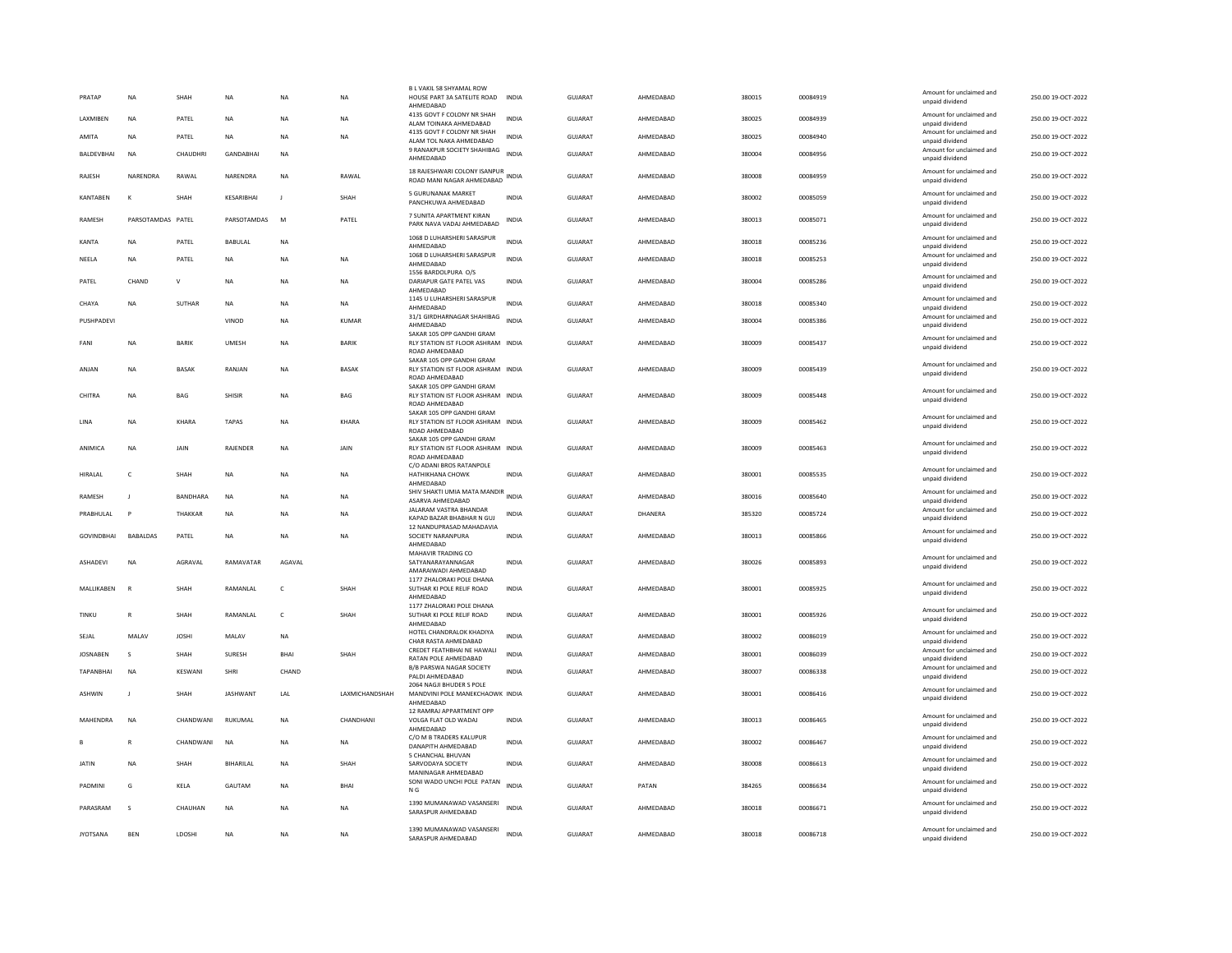| PRATAP             | NA                | SHAH            | NA               | <b>NA</b>    | NA             | B L VAKIL 58 SHYAMAL ROW<br>HOUSE PART 3A SATELITE ROAD INDIA<br>AHMEDABAD        |              | GUJARAT        | AHMEDABAD | 380015 | 00084919 | Amount for unclaimed and<br>unpaid dividend | 250.00 19-OCT-2022 |
|--------------------|-------------------|-----------------|------------------|--------------|----------------|-----------------------------------------------------------------------------------|--------------|----------------|-----------|--------|----------|---------------------------------------------|--------------------|
| LAXMIBEN           | <b>NA</b>         | PATEL           | NA               | <b>NA</b>    | NA             | 4135 GOVT F COLONY NR SHAH<br>ALAM TOINAKA AHMEDABAD                              | <b>INDIA</b> | <b>GUJARAT</b> | AHMEDABAD | 380025 | 00084939 | Amount for unclaimed and<br>unpaid dividend | 250.00 19-OCT-2022 |
| AMITA              | <b>NA</b>         | PATEL           | <b>NA</b>        | <b>NA</b>    | <b>NA</b>      | 4135 GOVT F COLONY NR SHAH<br>ALAM TOL NAKA AHMEDABAD                             | <b>INDIA</b> | <b>GUJARAT</b> | AHMEDABAD | 380025 | 00084940 | Amount for unclaimed and<br>unpaid dividend | 250.00 19-OCT-2022 |
| <b>BAI DEVBHAI</b> | <b>NA</b>         | CHAUDHRI        | <b>GANDARHAI</b> | <b>NA</b>    |                | 9 RANAKPUR SOCIETY SHAHIBAG<br>AHMEDABAD                                          | <b>INDIA</b> | GUIARAT        | AHMEDARAD | 380004 | 00084956 | Amount for unclaimed and<br>unpaid dividend | 250.00 19-OCT-2022 |
| RAJESH             | NARENDRA          | RAWAL           | NARENDRA         | <b>NA</b>    | RAWAL          | 18 RAJESHWARI COLONY ISANPUR<br>ROAD MANI NAGAR AHMEDABAD                         | INDIA        | GUJARAT        | AHMEDABAD | 380008 | 00084959 | Amount for unclaimed and<br>unpaid dividend | 250.00 19-OCT-2022 |
| <b>KANTABEN</b>    | к                 | SHAH            | KESARIBHAI       | $\mathbf{J}$ | SHAH           | 5 GURUNANAK MARKET<br>PANCHKUWA AHMEDABAD                                         | <b>INDIA</b> | GUJARAT        | AHMEDABAD | 380002 | 00085059 | Amount for unclaimed and<br>unpaid dividend | 250.00 19-OCT-2022 |
| RAMESH             | PARSOTAMDAS PATEL |                 | PARSOTAMDAS      | M            | PATEL          | 7 SUNITA APARTMENT KIRAN<br>PARK NAVA VADAJ AHMEDABAD                             | <b>INDIA</b> | GUIARAT        | AHMEDARAD | 380013 | 00085071 | Amount for unclaimed and<br>unpaid dividend | 250.00 19-OCT-2022 |
| <b>KANTA</b>       | <b>NA</b>         | PATEL           | BABULAL          | <b>NA</b>    |                | 1068 D LUHARSHERI SARASPUR<br>AHMEDABAD                                           | <b>INDIA</b> | GUJARAT        | AHMEDABAD | 380018 | 00085236 | Amount for unclaimed and<br>unpaid dividend | 250.00 19-OCT-2022 |
| NEELA              | <b>NA</b>         | PATEL           | <b>NA</b>        | <b>NA</b>    | NA             | 1068 D LUHARSHERI SARASPUR<br>AHMEDABAD<br>1556 BARDOLPURA O/S                    | <b>INDIA</b> | GUJARAT        | AHMEDABAD | 380018 | 00085253 | Amount for unclaimed and<br>unpaid dividend | 250.00 19-OCT-2022 |
| PATEL              | CHAND             | v               | <b>NA</b>        | <b>NA</b>    | NA             | DARIAPUR GATE PATEL VAS<br>AHMEDABAD                                              | INDIA        | <b>GUJARAT</b> | AHMEDABAD | 380004 | 00085286 | Amount for unclaimed and<br>unpaid dividend | 250.00 19-OCT-2022 |
| CHAYA              | <b>NA</b>         | <b>SUTHAR</b>   | <b>NA</b>        | <b>NA</b>    | <b>NA</b>      | 1145 U LUHARSHERI SARASPUR<br>AHMEDABAD                                           | <b>INDIA</b> | <b>GUJARAT</b> | AHMEDABAD | 380018 | 00085340 | Amount for unclaimed and<br>unpaid dividend | 250.00 19-OCT-2022 |
| PUSHPADEVI         |                   |                 | VINOD            | <b>NA</b>    | <b>KUMAR</b>   | 31/1 GIRDHARNAGAR SHAHIBAG<br>AHMEDABAD<br>SAKAR 105 OPP GANDHI GRAM              | <b>INDIA</b> | GUJARAT        | AHMEDABAD | 380004 | 00085386 | Amount for unclaimed and<br>unpaid dividend | 250.00 19-OCT-2022 |
| FANI               | <b>NA</b>         | <b>BARIK</b>    | <b>UMESH</b>     | <b>NA</b>    | <b>BARIK</b>   | RLY STATION IST FLOOR ASHRAM INDIA<br>ROAD AHMEDABAD                              |              | <b>GUJARAT</b> | AHMEDABAD | 380009 | 00085437 | Amount for unclaimed and<br>unpaid dividend | 250.00 19-OCT-2022 |
| ANJAN              | <b>NA</b>         | <b>BASAK</b>    | RANJAN           | <b>NA</b>    | <b>BASAK</b>   | SAKAR 105 OPP GANDHI GRAM<br>RLY STATION IST FLOOR ASHRAM INDIA<br>ROAD AHMEDABAD |              | <b>GUJARAT</b> | AHMEDABAD | 380009 | 00085439 | Amount for unclaimed and<br>unpaid dividend | 250.00 19-OCT-2022 |
| CHITRA             | NA                | <b>BAG</b>      | SHISIR           | <b>NA</b>    | BAG            | SAKAR 105 OPP GANDHI GRAM<br>RLY STATION IST FLOOR ASHRAM INDIA<br>ROAD AHMEDABAD |              | GUJARAT        | AHMEDABAD | 380009 | 00085448 | Amount for unclaimed and<br>unpaid dividend | 250.00 19-OCT-2022 |
| LINA               | <b>NA</b>         | KHARA           | <b>TAPAS</b>     | <b>NA</b>    | KHARA          | SAKAR 105 OPP GANDHI GRAM<br>RLY STATION IST FLOOR ASHRAM INDIA<br>ROAD AHMEDABAD |              | GUJARAT        | AHMEDABAD | 380009 | 00085462 | Amount for unclaimed and<br>unpaid dividend | 250.00 19-OCT-2022 |
| ANIMICA            | <b>NA</b>         | JAIN            | RAJENDER         | <b>NA</b>    | JAIN           | SAKAR 105 OPP GANDHI GRAM<br>RLY STATION IST FLOOR ASHRAM INDIA<br>ROAD AHMEDABAD |              | <b>GUJARAT</b> | AHMEDABAD | 380009 | 00085463 | Amount for unclaimed and<br>unpaid dividend | 250.00 19-OCT-2022 |
| HIRALAL            | $\mathsf{C}$      | SHAH            | NA               | <b>NA</b>    | NA             | C/O ADANI BROS RATANPOLE<br>HATHIKHANA CHOWK<br>AHMEDABAD                         | <b>INDIA</b> | GUJARAT        | AHMEDABAD | 380001 | 00085535 | Amount for unclaimed and<br>unpaid dividend | 250.00 19-OCT-2022 |
| RAMESH             | $\blacksquare$    | <b>RANDHARA</b> | <b>NA</b>        | <b>NA</b>    | <b>NA</b>      | SHIV SHAKTI UMIA MATA MANDIR<br>ASARVA AHMEDABAD                                  | <b>INDIA</b> | <b>GUJARAT</b> | AHMEDABAD | 380016 | 00085640 | Amount for unclaimed and<br>unpaid dividend | 250.00 19-OCT-2022 |
| PRABHULAL          | P                 | <b>THAKKAR</b>  | <b>NA</b>        | <b>NA</b>    | <b>NA</b>      | JALARAM VASTRA BHANDAR<br>KAPAD BAZAR BHABHAR N GUJ                               | <b>INDIA</b> | GUJARAT        | DHANERA   | 385320 | 00085724 | Amount for unclaimed and<br>unpaid dividend | 250.00 19-OCT-2022 |
| GOVINDBHAI         | <b>BABALDAS</b>   | PATEL           | NA               | <b>NA</b>    | NA             | 12 NANDUPRASAD MAHADAVIA<br>SOCIETY NARANPURA<br>AHMEDABAD                        | INDIA        | GUJARAT        | AHMEDABAD | 380013 | 00085866 | Amount for unclaimed and<br>unpaid dividend | 250.00 19-OCT-2022 |
| <b>ASHADEVI</b>    | <b>NA</b>         |                 |                  |              |                | MAHAVIR TRADING CO                                                                |              |                |           |        |          |                                             |                    |
|                    |                   | AGRAVAL         | RAMAVATAR        | AGAVAL       |                | SATYANARAYANNAGAR                                                                 | <b>INDIA</b> | GUIARAT        | AHMEDARAD | 380026 | 00085893 | Amount for unclaimed and<br>unpaid dividend | 250.00 19-OCT-2022 |
|                    | $\mathbb{R}$      |                 |                  |              |                | AMARAIWADI AHMEDABAD<br>1177 ZHALORAKI POLE DHANA                                 |              |                |           |        |          | Amount for unclaimed and                    |                    |
| MALLIKABEN         |                   | SHAH            | RAMANLAL         | $\mathsf{C}$ | SHAH           | SUTHAR KI POLE RELIF ROAD<br>AHMEDABAD<br>1177 ZHALORAKI POLE DHANA               | <b>INDIA</b> | GUJARAT        | AHMEDABAD | 380001 | 00085925 | unpaid dividend                             | 250.00 19-OCT-2022 |
| <b>TINKU</b>       | R                 | SHAH            | RAMANLAL         | $\epsilon$   | SHAH           | SUTHAR KI POLE RELIF ROAD<br>AHMEDABAD                                            | INDIA        | GUJARAT        | AHMEDABAD | 380001 | 00085926 | Amount for unclaimed and<br>unpaid dividend | 250.00 19-OCT-2022 |
| SEJAL              | MALAV             | JOSHI           | MALAV            | NA           |                | HOTEL CHANDRALOK KHADIYA<br>CHAR RASTA AHMEDABAD                                  | <b>INDIA</b> | GUJARAT        | AHMEDABAD | 380002 | 00086019 | Amount for unclaimed and<br>unpaid dividend | 250.00 19-OCT-2022 |
| <b>JOSNABEN</b>    | $\mathbf{s}$      | SHAH            | SURESH           | BHAI         | SHAH           | CREDET FEATHBHAI NE HAWALI<br>RATAN POLE AHMEDABAD                                | <b>INDIA</b> | <b>GUJARAT</b> | AHMEDABAD | 380001 | 00086039 | Amount for unclaimed and<br>unpaid dividend | 250.00 19-OCT-2022 |
| TAPANBHAI          | <b>NA</b>         | KESWANI         | SHRI             | CHAND        |                | <b>B/B PARSWA NAGAR SOCIETY</b><br>PALDI AHMEDABAD                                | <b>INDIA</b> | GUJARAT        | AHMEDABAD | 380007 | 00086338 | Amount for unclaimed and<br>unpaid dividend | 250.00 19-OCT-2022 |
| <b>ASHWIN</b>      |                   | SHAH            | <b>JASHWANT</b>  | LAL          | LAXMICHANDSHAH | 2064 NAGJI BHUDER S POLE<br>MANDVINI POLE MANEKCHAOWK INDIA<br>AHMEDABAD          |              | <b>GUJARAT</b> | AHMEDABAD | 380001 | 00086416 | Amount for unclaimed and<br>unpaid dividend | 250.00 19-OCT-2022 |
| MAHENDRA           | <b>NA</b>         | CHANDWANI       | RUKUMAL          | NA           | CHANDHANI      | 12 RAMRAJ APPARTMENT OPP<br>VOLGA FLAT OLD WADAJ<br>AHMEDABAD                     | <b>INDIA</b> | <b>GUJARAT</b> | AHMEDABAD | 380013 | 00086465 | Amount for unclaimed and<br>unpaid dividend | 250.00 19-OCT-2022 |
|                    | R                 | CHANDWANI       | <b>NA</b>        | <b>NA</b>    | <b>NA</b>      | C/O M B TRADERS KALUPUR<br>DANAPITH AHMEDABAD                                     | <b>INDIA</b> | <b>GUJARAT</b> | AHMEDABAD | 380002 | 00086467 | Amount for unclaimed and<br>unpaid dividend | 250.00 19-OCT-2022 |
| <b>JATIN</b>       | NA                | SHAH            | BIHARILAL        | NA           | SHAH           | 5 CHANCHAL BHUVAN<br>SARVODAYA SOCIETY<br>MANINAGAR AHMEDABAD                     | <b>INDIA</b> | GUJARAT        | AHMEDABAD | 380008 | 00086613 | Amount for unclaimed and<br>unpaid dividend | 250.00 19-OCT-2022 |
| PADMINI            | G                 | KELA            | GAUTAM           | <b>NA</b>    | <b>BHAI</b>    | SONI WADO UNCHI POLE PATAN<br>N G                                                 | <b>INDIA</b> | <b>GUJARAT</b> | PATAN     | 384265 | 00086634 | Amount for unclaimed and<br>unpaid dividend | 250.00 19-OCT-2022 |
| PARASRAM           | s                 | CHAUHAN         | <b>NA</b>        | <b>NA</b>    | <b>NA</b>      | 1390 MUMANAWAD VASANSERI<br>SARASPUR AHMEDABAD                                    | <b>INDIA</b> | <b>GUJARAT</b> | AHMEDABAD | 380018 | 00086671 | Amount for unclaimed and<br>unpaid dividend | 250.00 19-OCT-2022 |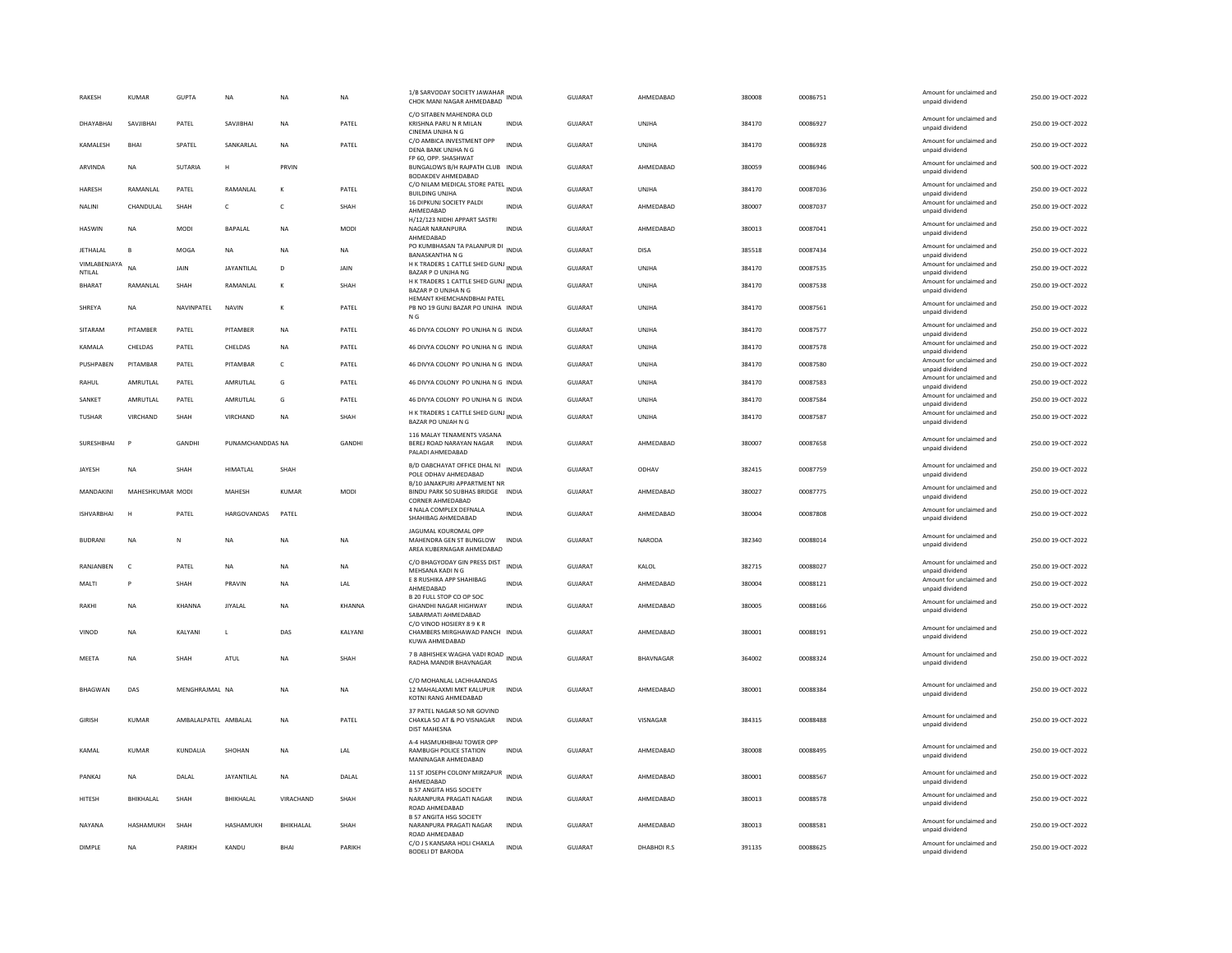| RAKESH                 | KUMAR            | GUPTA                 | NA                 | NA                | <b>NA</b>     | 1/B SARVODAY SOCIETY JAWAHAR<br>CHOK MANI NAGAR AHMEDABAD                                            | INDIA        | GUJARAT        | AHMEDABAD    | 380008 | 00086751 | Amount for unclaimed and<br>unpaid dividend | 250.00 19-OCT-2022 |
|------------------------|------------------|-----------------------|--------------------|-------------------|---------------|------------------------------------------------------------------------------------------------------|--------------|----------------|--------------|--------|----------|---------------------------------------------|--------------------|
| DHAYABHAI              | SAVJIBHAI        | PATEL                 | SAVJIBHAI          | <b>NA</b>         | PATEL         | C/O SITABEN MAHENDRA OLD<br>KRISHNA PARU N R MILAN                                                   | <b>INDIA</b> | <b>GUJARAT</b> | UNJHA        | 384170 | 00086927 | Amount for unclaimed and<br>unpaid dividend | 250.00 19-OCT-2022 |
| KAMALESH               | BHAI             | SPATEL                | SANKARLAL          | <b>NA</b>         | PATEL         | CINEMA UNJHA N G<br>C/O AMBICA INVESTMENT OPP<br>DENA BANK UNJHA N G                                 | <b>INDIA</b> | GUJARAT        | <b>UNJHA</b> | 384170 | 00086928 | Amount for unclaimed and<br>unpaid dividend | 250.00 19-OCT-2022 |
| <b>ARVINDA</b>         | <b>NA</b>        | SUTARIA               | H                  | PRVIN             |               | FP 60, OPP, SHASHWAT<br>BUNGALOWS B/H RAJPATH CLUB INDIA<br>BODAKDEV AHMEDABAD                       |              | <b>GUJARAT</b> | AHMEDABAD    | 380059 | 00086946 | Amount for unclaimed and<br>unpaid dividend | 500.00 19-OCT-2022 |
| HARESH                 | RAMANLAL         | PATEL                 | RAMANLAL           | к                 | PATEL         | C/O NILAM MEDICAL STORE PATEL INDIA<br><b>BUILDING UNJHA</b>                                         |              | GUJARAT        | UNJHA        | 384170 | 00087036 | Amount for unclaimed and<br>unpaid dividend | 250.00 19-OCT-2022 |
| NALINI                 | CHANDULAL        | SHAH                  | c                  | c                 | SHAH          | 16 DIPKUNJ SOCIETY PALDI<br>AHMFDARAD                                                                | <b>INDIA</b> | GUJARAT        | AHMEDABAD    | 380007 | 00087037 | Amount for unclaimed and<br>unpaid dividend | 250.00 19-OCT-2022 |
| <b>HASWIN</b>          | <b>NA</b>        | MODI                  | <b>BAPALAL</b>     | <b>NA</b>         | <b>MODI</b>   | H/12/123 NIDHI APPART SASTRI<br>NAGAR NARANPURA<br>AHMEDABAD                                         | <b>INDIA</b> | GUJARAT        | AHMEDABAD    | 380013 | 00087041 | Amount for unclaimed and<br>unpaid dividend | 250.00 19-OCT-2022 |
| JETHALAL               | B                | MOGA                  | NA                 | NA                | NA            | PO KUMBHASAN TA PALANPUR DI<br><b>BANASKANTHA N G</b>                                                | <b>INDIA</b> | GUJARAT        | DISA         | 385518 | 00087434 | Amount for unclaimed and<br>unnaid dividend | 250.00 19-OCT-2022 |
| VIMLABENJAYA<br>NTILAL | NΔ               | <b>JAIN</b>           | <b>JAYANTILAL</b>  | D                 | JAIN          | H K TRADERS 1 CATTLE SHED GUNJ INDIA<br>BAZAR P O UNJHA NG                                           |              | GUJARAT        | UNJHA        | 384170 | 00087535 | Amount for unclaimed and<br>unpaid dividend | 250.00 19-OCT-2022 |
| <b>BHARAT</b>          | RAMANLAL         | SHAH                  | RAMANLAL           | к                 | SHAH          | H K TRADERS 1 CATTLE SHED GUNJ<br>BAZAR P O UNJHA N G<br>HEMANT KHEMCHANDBHAI PATEL                  |              | <b>GUJARAT</b> | UNIHA        | 384170 | 00087538 | Amount for unclaimed and<br>unpaid dividend | 250.00 19-OCT-2022 |
| SHREYA                 | NA               | NAVINPATEL            | <b>NAVIN</b>       | K                 | PATEL         | PB NO 19 GUNJ BAZAR PO UNJHA INDIA<br>N <sub>G</sub>                                                 |              | GUJARAT        | UNJHA        | 384170 | 00087561 | Amount for unclaimed and<br>unpaid dividend | 250.00 19-OCT-2022 |
| SITARAM                | PITAMBER         | PATEL                 | PITAMBER           | <b>NA</b>         | PATEL         | 46 DIVYA COLONY PO UNJHA N G INDIA                                                                   |              | GUJARAT        | UNIHA        | 384170 | 00087577 | Amount for unclaimed and<br>unpaid dividend | 250.00 19-OCT-2022 |
| KAMALA                 | CHELDAS          | PATEL                 | CHELDAS            | <b>NA</b>         | PATEL         | 46 DIVYA COLONY PO UNJHA N G INDIA                                                                   |              | <b>GUJARAT</b> | UNJHA        | 384170 | 00087578 | Amount for unclaimed and<br>unpaid dividend | 250.00 19-OCT-2022 |
| PUSHPABEN              | PITAMBAR         | PATEL                 | PITAMBAR           | $\mathsf{C}$      | PATEL         | 46 DIVYA COLONY PO UNJHA N G INDIA                                                                   |              | GUJARAT        | UNJHA        | 384170 | 00087580 | Amount for unclaimed and<br>unpaid dividend | 250.00 19-OCT-2022 |
| RAHUL                  | AMRUTLAL         | PATEL                 | AMRUTLAL           | G                 | PATEL         | 46 DIVYA COLONY PO UNJHA N G INDIA                                                                   |              | <b>GUJARAT</b> | <b>UNJHA</b> | 384170 | 00087583 | Amount for unclaimed and<br>unpaid dividend | 250.00 19-OCT-2022 |
| SANKET                 | AMRUTLAL         | PATEL                 | AMRUTLAL           | G                 | PATEL         | 46 DIVYA COLONY PO UNJHA N G INDIA                                                                   |              | GUJARAT        | UNJHA        | 384170 | 00087584 | Amount for unclaimed and<br>unpaid dividend | 250.00 19-OCT-2022 |
| <b>TUSHAR</b>          | VIRCHAND         | SHAH                  | VIRCHAND           | <b>NA</b>         | SHAH          | H K TRADERS 1 CATTLE SHED GUNJ INDIA<br>BAZAR PO UNJAH N G                                           |              | <b>GUJARAT</b> | UNJHA        | 384170 | 00087587 | Amount for unclaimed and<br>unpaid dividend | 250.00 19-OCT-2022 |
| SURESHBHAI             | <b>P</b>         | GANDHI                | PUNAMCHANDDAS NA   |                   | GANDHI        | 116 MAI AY TENAMENTS VASANA<br>BEREJ ROAD NARAYAN NAGAR<br>PALADI AHMEDABAD                          | <b>INDIA</b> | GUJARAT        | AHMEDABAD    | 380007 | 00087658 | Amount for unclaimed and<br>unpaid dividend | 250.00 19-OCT-2022 |
| JAYESH                 | <b>NA</b>        | SHAH                  | <b>HIMATLAL</b>    | SHAH              |               | B/D OABCHAYAT OFFICE DHAL NI<br>POLE ODHAV AHMEDABAD<br>B/10 JANAKPURI APPARTMENT NR                 | <b>INDIA</b> | <b>GUJARAT</b> | ODHAV        | 382415 | 00087759 | Amount for unclaimed and<br>unpaid dividend | 250.00 19-OCT-2022 |
| MANDAKINI              | MAHESHKUMAR MODI |                       | MAHESH             | KUMAR             | MODI          | BINDU PARK 50 SUBHAS BRIDGE INDIA<br>CORNER AHMEDABAD                                                |              | <b>GUJARAT</b> | AHMEDABAD    | 380027 | 00087775 | Amount for unclaimed and<br>unpaid dividend | 250.00 19-OCT-2022 |
| <b>ISHVARBHAI</b>      | H                | PATEL                 | <b>HARGOVANDAS</b> | PATEL             |               | 4 NALA COMPLEX DEFNALA<br>SHAHIBAG AHMEDABAD                                                         | <b>INDIA</b> | <b>GUJARAT</b> | AHMEDABAD    | 380004 | 00087808 | Amount for unclaimed and<br>unpaid dividend | 250.00 19-OCT-2022 |
| <b>BUDRANI</b>         | <b>NA</b>        | N                     | <b>NA</b>          | <b>NA</b>         | <b>NA</b>     | JAGUMAL KOUROMAL OPP<br>MAHENDRA GEN ST BUNGLOW<br>AREA KUBERNAGAR AHMEDABAD                         | <b>INDIA</b> | GUIARAT        | NARODA       | 382340 | 00088014 | Amount for unclaimed and<br>unpaid dividend | 250.00 19-OCT-2022 |
| RANJANBEN              | $\mathsf{C}$     | PATEL                 | NA                 | <b>NA</b>         | NA            | C/O BHAGYODAY GIN PRESS DIST<br>MEHSANA KADI N G                                                     | <b>INDIA</b> | <b>GUJARAT</b> | KALOL        | 382715 | 00088027 | Amount for unclaimed and<br>unpaid dividend | 250.00 19-OCT-2022 |
| MALTI                  | P                | <b>SHAH</b>           | PRAVIN             | <b>NA</b>         | LAL           | E 8 RUSHIKA APP SHAHIBAG<br>AHMEDABAD                                                                | <b>INDIA</b> | GUJARAT        | AHMEDABAD    | 380004 | 00088121 | Amount for unclaimed and<br>unpaid dividend | 250.00 19-OCT-2022 |
| RAKHI                  | <b>NA</b>        | KHANNA                | <b>JIYALAL</b>     | <b>NA</b>         | <b>KHANNA</b> | B 20 FULL STOP CO OP SOC<br><b>GHANDHI NAGAR HIGHWAY</b>                                             | <b>INDIA</b> | GUJARAT        | AHMEDABAD    | 380005 | 00088166 | Amount for unclaimed and<br>unpaid dividend | 250.00 19-OCT-2022 |
| VINOD                  | <b>NA</b>        | KALYANI               | L                  | DAS               | KALYANI       | SABARMATI AHMEDABAD<br>C/O VINOD HOSIERY 8 9 K R<br>CHAMBERS MIRGHAWAD PANCH INDIA<br>KUWA AHMEDABAD |              | GUJARAT        | AHMEDABAD    | 380001 | 00088191 | Amount for unclaimed and<br>unpaid dividend | 250.00 19-OCT-2022 |
| MEETA                  | <b>NA</b>        | <b>SHAH</b>           | ATUL               | <b>NA</b>         | SHAH          | 7 B ABHISHEK WAGHA VADI ROAD<br>RADHA MANDIR BHAVNAGAR                                               |              | <b>GUJARAT</b> | BHAVNAGAR    | 364002 | 00088324 | Amount for unclaimed and<br>unpaid dividend | 250.00 19-OCT-2022 |
|                        |                  |                       |                    |                   |               | C/O MOHANLAL LACHHAANDAS                                                                             |              |                |              |        |          |                                             |                    |
| <b>BHAGWAN</b>         | DAS              | MENGHRAJMAL NA        |                    | NA                | NA            | 12 MAHALAXMI MKT KALUPUR<br>KOTNI RANG AHMEDABAD                                                     | <b>INDIA</b> | GUJARAT        | AHMEDABAD    | 380001 | 00088384 | Amount for unclaimed and<br>unpaid dividend | 250.00 19-OCT-2022 |
| <b>GIRISH</b>          | KUMAR            | AMBALAI PATEL AMBALAI |                    | <b>NA</b>         | PATEL         | 37 PATEL NAGAR SO NR GOVIND<br>CHAKLA SO AT & PO VISNAGAR<br><b>DIST MAHESNA</b>                     | <b>INDIA</b> | GUIARAT        | VISNAGAR     | 384315 | 00088488 | Amount for unclaimed and<br>unpaid dividend | 250.00 19-OCT-2022 |
| KAMAI                  | KUMAR            | <b>KUNDALIA</b>       | SHOHAN             | <b>NA</b>         | LAL           | A-4 HASMUKHBHAI TOWER OPP<br><b>RAMBUGH POLICE STATION</b><br>MANINAGAR AHMEDABAD                    | <b>INDIA</b> | <b>GUJARAT</b> | AHMEDABAD    | 380008 | 00088495 | Amount for unclaimed and<br>unpaid dividend | 250.00 19-OCT-2022 |
| PANKAJ                 | <b>NA</b>        | DALAL                 | <b>JAYANTILAL</b>  | <b>NA</b>         | DALAL         | 11 ST JOSEPH COLONY MIRZAPUR INDIA<br>AHMEDABAD                                                      |              | <b>GUJARAT</b> | AHMEDABAD    | 380001 | 00088567 | Amount for unclaimed and<br>unpaid dividend | 250.00 19-OCT-2022 |
| HITESH                 | BHIKHALAL        | SHAH                  | BHIKHALAL          | VIRACHAND         | SHAH          | <b>B 57 ANGITA HSG SOCIETY</b><br>NARANPURA PRAGATI NAGAR<br>ROAD AHMEDABAD                          | <b>INDIA</b> | <b>GUJARAT</b> | AHMEDABAD    | 380013 | 00088578 | Amount for unclaimed and<br>unpaid dividend | 250.00 19-OCT-2022 |
| NAYANA                 | HASHAMUKH        | SHAH                  | <b>HASHAMUKH</b>   | <b>BHIKHAI AI</b> | SHAH          | <b>B 57 ANGITA HSG SOCIETY</b><br>NARANPURA PRAGATI NAGAR<br>ROAD AHMEDABAD                          | <b>INDIA</b> | GUJARAT        | AHMEDABAD    | 380013 | 00088581 | Amount for unclaimed and<br>unpaid dividend | 250.00 19-OCT-2022 |
| DIMPLE                 | <b>NA</b>        | PARIKH                | KANDU              | <b>BHA</b>        | PARIKH        | C/O J S KANSARA HOLI CHAKLA<br><b>BODELI DT BARODA</b>                                               | <b>INDIA</b> | GUJARAT        | DHABHOIR.S   | 391135 | 00088625 | Amount for unclaimed and<br>unpaid dividend | 250.00 19-OCT-2022 |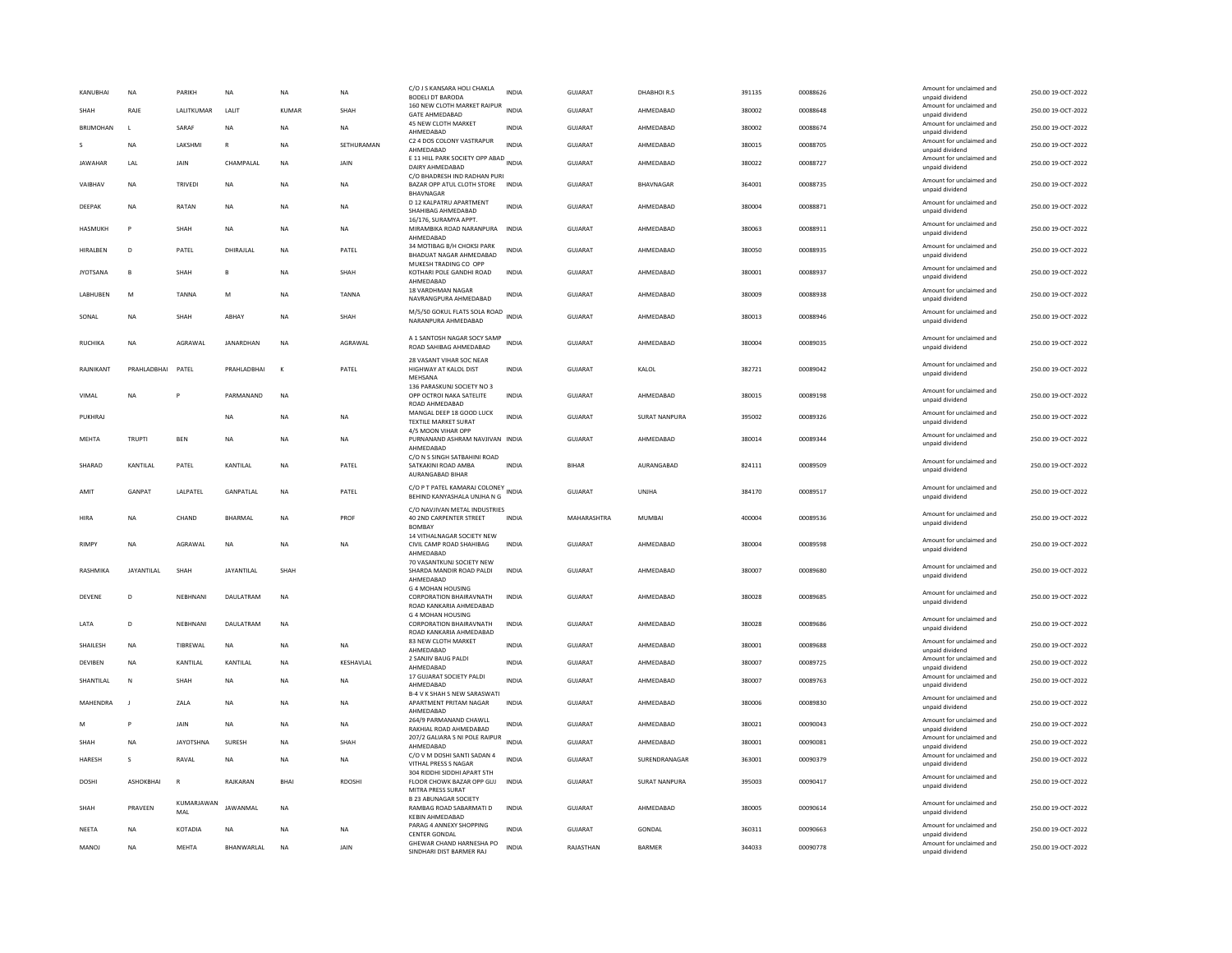| KANUBHAI         | NA               | PARIKH            | NA               | <b>NA</b>   | NA            | C/O J S KANSARA HOLI CHAKLA<br><b>BODELI DT BARODA</b>                                | <b>INDIA</b> | <b>GUJARAT</b> | DHABHOIR.S    | 391135 | 00088626 | Amount for unclaimed and<br>unpaid dividend | 250.00 19-OCT-2022 |
|------------------|------------------|-------------------|------------------|-------------|---------------|---------------------------------------------------------------------------------------|--------------|----------------|---------------|--------|----------|---------------------------------------------|--------------------|
| <b>SHAH</b>      | RAIF             | LALITKUMAR        | <b>JAIT</b>      | KUMAR       | SHAH          | 160 NEW CLOTH MARKET RAIPUR<br><b>GATE AHMEDABAD</b>                                  | <b>INDIA</b> | GUIARAT        | AHMEDARAD     | 380002 | 00088648 | Amount for unclaimed and<br>unpaid dividend | 250.00 19-OCT-2022 |
| <b>BRIJMOHAN</b> | $\mathbf{I}$     | SARAF             | <b>NA</b>        | <b>NA</b>   | NA.           | 45 NEW CLOTH MARKET<br>AHMEDABAD                                                      | <b>INDIA</b> | GUJARAT        | AHMEDABAD     | 380002 | 00088674 | Amount for unclaimed and<br>unpaid dividend | 250.00 19-OCT-2022 |
|                  | <b>NA</b>        | LAKSHMI           | $\mathsf{R}$     | <b>NA</b>   | SETHURAMAN    | C2 4 DOS COLONY VASTRAPUR<br>AHMEDABAD                                                | <b>INDIA</b> | <b>GUJARAT</b> | AHMEDABAD     | 380015 | 00088705 | Amount for unclaimed and<br>unpaid dividend | 250.00 19-OCT-2022 |
| <b>JAWAHAR</b>   | LAL              | JAIN              | CHAMPALAL        | NA          | JAIN          | E 11 HILL PARK SOCIETY OPP ABAD INDIA<br>DAIRY AHMEDABAD                              |              | GUJARAT        | AHMEDABAD     | 380022 | 00088727 | Amount for unclaimed and<br>unpaid dividend | 250.00 19-OCT-2022 |
| VAIBHAV          | <b>NA</b>        | TRIVEDI           | <b>NA</b>        | <b>NA</b>   | <b>NA</b>     | C/O BHADRESH IND RADHAN PURI<br>BAZAR OPP ATUL CLOTH STORE INDIA<br>BHAVNAGAR         |              | <b>GUJARAT</b> | BHAVNAGAR     | 364001 | 00088735 | Amount for unclaimed and<br>unpaid dividend | 250.00 19-OCT-2022 |
| DEEPAK           | NA               | RATAN             | $_{\sf NA}$      | <b>NA</b>   | NA            | D 12 KALPATRU APARTMENT<br>SHAHIBAG AHMEDABAD                                         | <b>INDIA</b> | GUJARAT        | AHMEDABAD     | 380004 | 00088871 | Amount for unclaimed and<br>unpaid dividend | 250.00 19-OCT-2022 |
| HASMUKH          | P                | SHAH              | <b>NA</b>        | <b>NA</b>   | <b>NA</b>     | 16/176, SURAMYA APPT.<br>MIRAMBIKA ROAD NARANPURA<br>AHMEDABAD                        | <b>INDIA</b> | <b>GUJARAT</b> | AHMEDABAD     | 380063 | 00088911 | Amount for unclaimed and<br>unpaid dividend | 250.00 19-OCT-2022 |
| <b>HIRALBEN</b>  | D                | PATEL             | DHIRAJLAL        | <b>NA</b>   | PATEL         | 34 MOTIBAG B/H CHOKSI PARK<br>BHADUAT NAGAR AHMEDABAD                                 | INDIA        | <b>GUJARAT</b> | AHMEDABAD     | 380050 | 00088935 | Amount for unclaimed and<br>unpaid dividend | 250.00 19-OCT-2022 |
| <b>JYOTSANA</b>  | $\mathbf{B}$     | SHAH              | $\mathbf{B}$     | <b>NA</b>   | SHAH          | MUKESH TRADING CO OPP<br>KOTHARI POLE GANDHI ROAD<br>AHMEDABAD                        | <b>INDIA</b> | <b>GUJARAT</b> | AHMEDABAD     | 380001 | 00088937 | Amount for unclaimed and<br>unpaid dividend | 250.00 19-OCT-2022 |
| LABHUBEN         | M                | TANNA             | M                | <b>NA</b>   | TANNA         | 18 VARDHMAN NAGAR<br>NAVRANGPURA AHMEDABAD                                            | INDIA        | GUJARAT        | AHMEDABAD     | 380009 | 00088938 | Amount for unclaimed and<br>unpaid dividend | 250.00 19-OCT-2022 |
| SONAL            | <b>NA</b>        | <b>SHAH</b>       | ARHAY            | <b>NA</b>   | SHAH          | M/5/50 GOKUL FLATS SOLA ROAD<br>NARANPURA AHMEDABAD                                   | <b>INDIA</b> | GUIARAT        | AHMEDARAD     | 380013 | 00088946 | Amount for unclaimed and<br>unpaid dividend | 250.00.19-OCT-2022 |
| <b>RUCHIKA</b>   | <b>NA</b>        | AGRAWAI           | <b>IANARDHAN</b> | <b>NA</b>   | AGRAWAL       | A 1 SANTOSH NAGAR SOCY SAMP<br>ROAD SAHIBAG AHMEDABAD                                 | <b>INDIA</b> | <b>GUJARAT</b> | AHMEDARAD     | 380004 | 00089035 | Amount for unclaimed and<br>unpaid dividend | 250.00 19-OCT-2022 |
| RAJNIKANT        | PRAHLADBHAI      | PATEL             | PRAHLADBHAI      | $\kappa$    | PATEL         | 28 VASANT VIHAR SOC NEAR<br>HIGHWAY AT KALOL DIST<br>MEHSANA                          | <b>INDIA</b> | GUJARAT        | KALOL         | 382721 | 00089042 | Amount for unclaimed and<br>unpaid dividend | 250.00 19-OCT-2022 |
| VIMAL            | NΑ               |                   | PARMANAND        | <b>NA</b>   |               | 136 PARASKUNJ SOCIETY NO 3<br>OPP OCTROI NAKA SATELITE<br>ROAD AHMEDABAD              | INDIA        | <b>GUJARAT</b> | AHMEDABAD     | 380015 | 00089198 | Amount for unclaimed and<br>unpaid dividend | 250.00 19-OCT-2022 |
| PUKHRAJ          |                  |                   | <b>NA</b>        | <b>NA</b>   | <b>NA</b>     | MANGAL DEEP 18 GOOD LUCK<br>TEXTILE MARKET SURAT                                      | <b>INDIA</b> | <b>GUJARAT</b> | SURAT NANPURA | 395002 | 00089326 | Amount for unclaimed and<br>unpaid dividend | 250.00 19-OCT-2022 |
| MEHTA            | TRUPTI           | <b>BEN</b>        | NA               | <b>NA</b>   | NA            | 4/5 MOON VIHAR OPP<br>PURNANAND ASHRAM NAVJIVAN INDIA<br>AHMEDABAD                    |              | GUJARAT        | AHMEDABAD     | 380014 | 00089344 | Amount for unclaimed and<br>unpaid dividend | 250.00 19-OCT-2022 |
| SHARAD           | KANTILAL         | PATEL             | KANTILAL         | <b>NA</b>   | PATEL         | C/O N S SINGH SATBAHINI ROAD<br>SATKAKINI ROAD AMBA<br>AURANGABAD BIHAR               | <b>INDIA</b> | <b>BIHAR</b>   | AURANGABAD    | 824111 | 00089509 | Amount for unclaimed and<br>unpaid dividend | 250.00 19-OCT-2022 |
| AMIT             | GANPAT           | LALPATEL          | GANPATLAL        | NA          | PATEL         | C/O P T PATEL KAMARAJ COLONEY INDIA<br>BEHIND KANYASHALA UNJHA N G                    |              | GUJARAT        | UNJHA         | 384170 | 00089517 | Amount for unclaimed and<br>unpaid dividend | 250.00 19-OCT-2022 |
| HIRA             | <b>NA</b>        | CHAND             | BHARMAL          | <b>NA</b>   | PROF          | C/O NAVJIVAN METAL INDUSTRIES<br>40 2ND CARPENTER STREET<br><b>BOMBA</b>              | <b>INDIA</b> | MAHARASHTRA    | <b>MUMBAI</b> | 400004 | 00089536 | Amount for unclaimed and<br>unpaid dividend | 250.00 19-OCT-2022 |
| <b>RIMPY</b>     | ΝA               | AGRAWAL           | NA               | <b>NA</b>   | NA            | 14 VITHALNAGAR SOCIETY NEW<br>CIVIL CAMP ROAD SHAHIBAG<br>AHMEDABAD                   | <b>INDIA</b> | GUJARAT        | AHMEDABAD     | 380004 | 00089598 | Amount for unclaimed and<br>unpaid dividend | 250.00 19-OCT-2022 |
| RASHMIKA         | JAYANTILAL       | SHAH              | JAYANTILAL       | SHAH        |               | 70 VASANTKUNJ SOCIETY NEW<br>SHARDA MANDIR ROAD PALDI<br>AHMEDABAD                    | INDIA        | <b>GUJARAT</b> | AHMEDABAD     | 380007 | 00089680 | Amount for unclaimed and<br>unpaid dividend | 250.00 19-OCT-2022 |
| DEVENE           | D                | NEBHNANI          | DAULATRAM        | <b>NA</b>   |               | G 4 MOHAN HOUSING<br>CORPORATION BHAIRAVNATH<br>ROAD KANKARIA AHMEDARAD               | <b>INDIA</b> | GUJARAT        | AHMEDABAD     | 380028 | 00089685 | Amount for unclaimed and<br>unpaid dividend | 250.00 19-OCT-2022 |
| LATA             | $\mathbf{D}$     | NEBHNANI          | DAULATRAM        | <b>NA</b>   |               | <b>G 4 MOHAN HOUSING</b><br><b>CORPORATION BHAIRAVNATH</b><br>ROAD KANKARIA AHMEDABAD | <b>INDIA</b> | <b>GUJARAT</b> | AHMEDABAD     | 380028 | 00089686 | Amount for unclaimed and<br>unpaid dividend | 250.00 19-OCT-2022 |
| SHAILESH         | <b>NA</b>        | TIBREWAL          | NA               | <b>NA</b>   | NA            | 83 NEW CLOTH MARKET<br>AHMFDARAD                                                      | <b>INDIA</b> | <b>GUJARAT</b> | AHMEDABAD     | 380001 | 00089688 | Amount for unclaimed and<br>unnaid dividend | 250.00 19-OCT-2022 |
| <b>DEVIBEN</b>   | <b>NA</b>        | KANTILAL          | KANTILAL         | <b>NA</b>   | KESHAVLAL     | 2 SANJIV BAUG PALDI<br>AHMEDABAD                                                      | <b>INDIA</b> | <b>GUJARAT</b> | AHMEDABAD     | 380007 | 00089725 | Amount for unclaimed and<br>unpaid dividend | 250.00 19-OCT-2022 |
| SHANTILAL        | $\mathbb{N}$     | SHAH              | <b>NA</b>        | <b>NA</b>   | <b>NA</b>     | 17 GUJARAT SOCIETY PALDI<br>AHMEDABAD<br><b>B-4 V K SHAH S NEW SARASWATI</b>          | <b>INDIA</b> | <b>GUJARAT</b> | AHMEDABAD     | 380007 | 00089763 | Amount for unclaimed and<br>unpaid dividend | 250.00 19-OCT-2022 |
| MAHENDRA         | $\mathbf{I}$     | ZALA              | NA               | <b>NA</b>   | NA            | APARTMENT PRITAM NAGAR<br>AHMEDABAD                                                   | <b>INDIA</b> | GUJARAT        | AHMEDABAD     | 380006 | 00089830 | Amount for unclaimed and<br>unpaid dividend | 250.00 19-OCT-2022 |
| M                | P                | JAIN              | <b>NA</b>        | <b>NA</b>   | <b>NA</b>     | 264/9 PARMANAND CHAWLL<br>RAKHIAL ROAD AHMEDABAD                                      | <b>INDIA</b> | <b>GUJARAT</b> | AHMEDABAD     | 380021 | 00090043 | Amount for unclaimed and<br>unpaid dividend | 250.00 19-OCT-2022 |
| SHAH             | <b>NA</b>        | <b>JAYOTSHNA</b>  | SURESH           | <b>NA</b>   | SHAH          | 207/2 GALIARA S NI POLE RAIPUR<br>AHMEDABAD                                           | <b>INDIA</b> | GUJARAT        | AHMEDABAD     | 380001 | 00090081 | Amount for unclaimed and<br>unpaid dividend | 250.00 19-OCT-2022 |
| HARESH           | s                | RAVAL             | NA               | <b>NA</b>   | NA            | C/O V M DOSHI SANTI SADAN 4<br>VITHAL PRESS S NAGAR                                   | <b>INDIA</b> | GUJARAT        | SURENDRANAGAR | 363001 | 00090379 | Amount for unclaimed and<br>unpaid dividend | 250.00 19-OCT-2022 |
| <b>DOSHI</b>     | <b>ASHOKRHAI</b> | R                 | RAIKARAN         | <b>BHAI</b> | <b>RDOSHI</b> | 304 RIDDHI SIDDHI APART 5TH<br>FLOOR CHOWK BAZAR OPP GUJ<br>MITRA PRESS SURAT         | <b>INDIA</b> | GUIARAT        | SURAT NANPURA | 395003 | 00090417 | Amount for unclaimed and<br>unpaid dividend | 250.00.19-OCT-2022 |
| SHAH             | PRAVEEN          | KUMARJAWAN<br>MAL | JAWANMAL         | <b>NA</b>   |               | <b>B 23 ABUNAGAR SOCIETY</b><br>RAMBAG ROAD SABARMATI D<br>KEBIN AHMEDABAD            | <b>INDIA</b> | <b>GUJARAT</b> | AHMEDABAD     | 380005 | 00090614 | Amount for unclaimed and<br>unpaid dividend | 250.00 19-OCT-2022 |
| NEETA            | <b>NA</b>        | KOTADIA           | <b>NA</b>        | <b>NA</b>   | <b>NA</b>     | PARAG 4 ANNEXY SHOPPING<br><b>CENTER GONDAL</b>                                       | <b>INDIA</b> | GUJARAT        | <b>GONDAL</b> | 360311 | 00090663 | Amount for unclaimed and<br>unpaid dividend | 250.00 19-OCT-2022 |
| MANOJ            | <b>NA</b>        | MEHTA             | BHANWARLAL       | <b>NA</b>   | JAIN          | GHEWAR CHAND HARNESHA PO<br>SINDHARI DIST BARMER RAJ                                  | <b>INDIA</b> | RAJASTHAN      | <b>BARMER</b> | 344033 | 00090778 | Amount for unclaimed and<br>unpaid dividend | 250.00 19-OCT-2022 |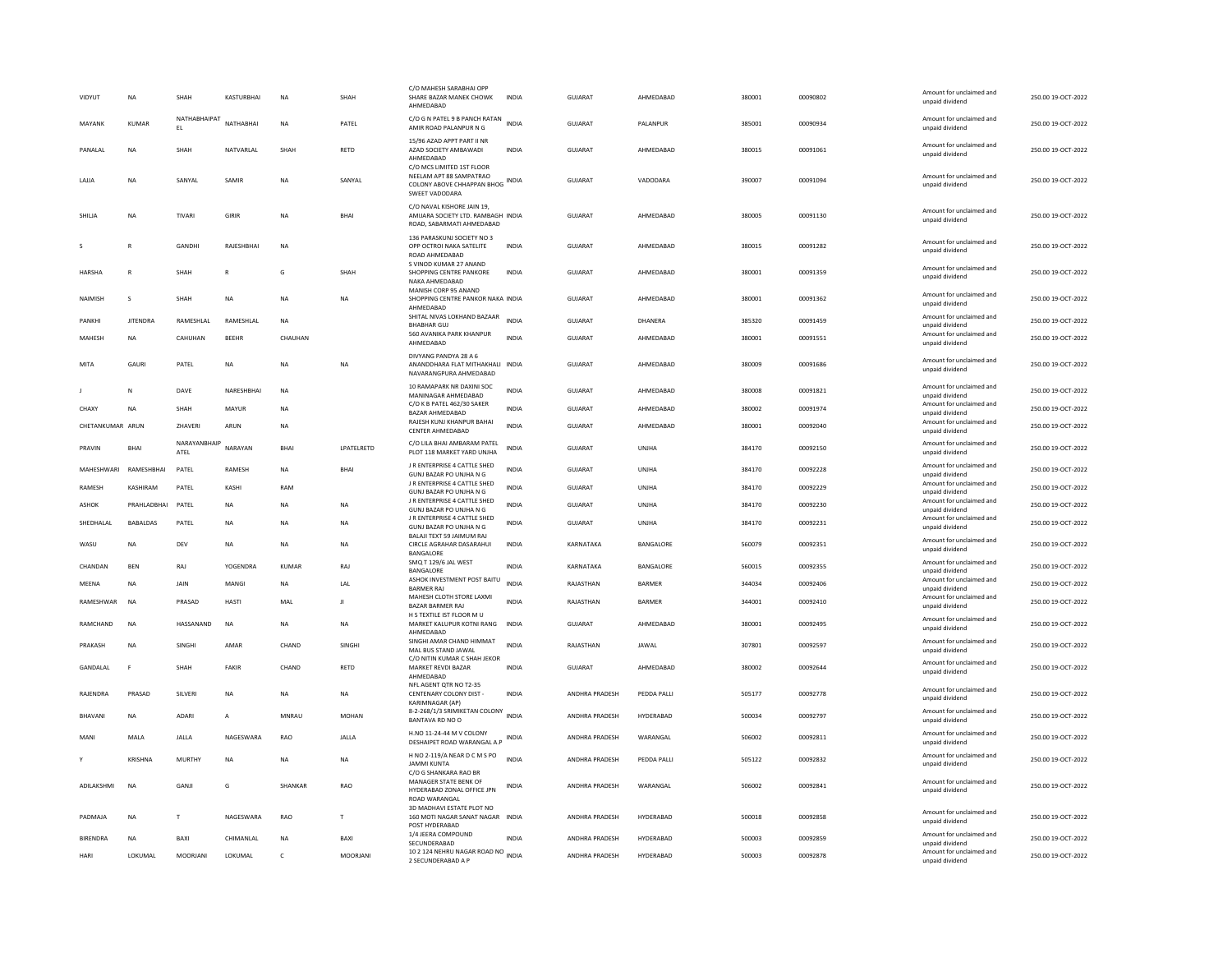|   | <b>VIDYUT</b>    | <b>NA</b>       | <b>SHAH</b>         | KASTURBHAI   | <b>NA</b>    | SHAH          | C/O MAHESH SARABHAI OPI<br>SHARE BAZAR MANEK CHOWK<br>AHMEDABAD                               | <b>INDIA</b> | <b>GUJARAT</b>        | AHMEDABAD        | 380001 | 00090802 | Amount for unclaimed and<br>unpaid dividend | 250.00 19-OCT-2022 |
|---|------------------|-----------------|---------------------|--------------|--------------|---------------|-----------------------------------------------------------------------------------------------|--------------|-----------------------|------------------|--------|----------|---------------------------------------------|--------------------|
|   | MAYANK           | <b>KUMAR</b>    | NATHABHAIPAT<br>EL. | NATHABHAI    | <b>NA</b>    | PATEL         | C/O G N PATEL 9 B PANCH RATAN<br>AMIR ROAD PALANPUR N G                                       | <b>INDIA</b> | <b>GUJARAT</b>        | PALANPUR         | 385001 | 00090934 | Amount for unclaimed and<br>unpaid dividend | 250.00 19-OCT-2022 |
|   | PANALAL          | <b>NA</b>       | SHAH                | NATVARLAL    | SHAH         | RETD          | 15/96 AZAD APPT PART II NF<br>AZAD SOCIETY AMBAWADI<br>AHMEDABAD<br>C/O MCS LIMITED 1ST FLOOR | <b>INDIA</b> | <b>GUJARAT</b>        | AHMEDABAD        | 380015 | 00091061 | Amount for unclaimed and<br>unpaid dividend | 250.00 19-OCT-2022 |
|   | LAJJA            | <b>NA</b>       | SANYAL              | SAMIF        | NA           | SANYAL        | NEELAM APT 88 SAMPATRAO<br>COLONY ABOVE CHHAPPAN BHOG INDIA<br>SWEET VADODARA                 |              | <b>GUJARAT</b>        | VADODARA         | 390007 | 00091094 | Amount for unclaimed and<br>unpaid dividend | 250.00 19-OCT-2022 |
|   | SHILJA           | NA              | TIVARI              | GIRIR        | <b>NA</b>    | <b>BHAI</b>   | C/O NAVAL KISHORE JAIN 19,<br>AMIJARA SOCIETY LTD. RAMBAGH INDIA<br>ROAD, SABARMATI AHMEDABAD |              | GUJARAT               | AHMEDABAD        | 380005 | 00091130 | Amount for unclaimed and<br>unpaid dividend | 250.00 19-OCT-2022 |
| s |                  |                 | GANDHI              | RAJESHBHAI   | NA           |               | 136 PARASKUNJ SOCIETY NO 3<br>OPP OCTROI NAKA SATELITE<br>ROAD AHMEDABAD                      | <b>INDIA</b> | GUJARAT               | AHMEDABAD        | 380015 | 00091282 | Amount for unclaimed and<br>unpaid dividend | 250.00 19-OCT-2022 |
|   | HARSHA           |                 | SHAH                | $\mathsf R$  | G            | SHAH          | S VINOD KUMAR 27 ANAND<br>SHOPPING CENTRE PANKORE<br>NAKA AHMEDABAD                           | INDIA        | GUJARAT               | AHMEDABAD        | 380001 | 00091359 | Amount for unclaimed and<br>unpaid dividend | 250.00 19-OCT-2022 |
|   | NAIMISH          | s               | SHAH                | <b>NA</b>    | <b>NA</b>    | NA            | MANISH CORP 95 ANAND<br>SHOPPING CENTRE PANKOR NAKA INDIA<br>AHMEDABAD                        |              | <b>GUJARAT</b>        | AHMEDABAD        | 380001 | 00091362 | Amount for unclaimed and<br>unpaid dividend | 250.00 19-OCT-2022 |
|   | PANKHI           | <b>IITENDRA</b> | RAMESHLAL           | RAMESHLAL    | <b>NA</b>    |               | SHITAL NIVAS LOKHAND BAZAAR<br><b>BHABHAR GUJ</b>                                             | <b>INDIA</b> | GUIARAT               | DHANFRA          | 385320 | 00091459 | Amount for unclaimed and<br>unpaid dividend | 250.00 19-OCT-2022 |
|   | MAHESH           | <b>NA</b>       | CAHUHAN             | <b>BEEHR</b> | CHAUHAN      |               | 560 AVANIKA PARK KHANPUR<br>AHMEDABAD                                                         | <b>INDIA</b> | GUJARAT               | AHMEDABAD        | 380001 | 00091551 | Amount for unclaimed and<br>unpaid dividend | 250.00 19-OCT-2022 |
|   | MITA             | GAURI           | PATEL               | <b>NA</b>    | <b>NA</b>    | <b>NA</b>     | DIVYANG PANDYA 28 A 6<br>ANANDDHARA FLAT MITHAKHALI INDIA<br>NAVARANGPURA AHMEDABAD           |              | GUJARAT               | AHMEDABAD        | 380009 | 00091686 | Amount for unclaimed and<br>unpaid dividend | 250.00 19-OCT-2022 |
|   |                  | $\mathbb N$     | DAVE                | NARESHBHAI   | <b>NA</b>    |               | 10 RAMAPARK NR DAXINI SOC                                                                     | <b>INDIA</b> | <b>GUJARAT</b>        | AHMEDABAD        | 380008 | 00091821 | Amount for unclaimed and                    | 250.00 19-OCT-2022 |
|   | CHAXY            | <b>NA</b>       | SHAH                | MAYUR        | NA           |               | MANINAGAR AHMEDABAD<br>C/O K B PATEL 462/30 SAKER                                             | INDIA        | GUJARAT               | AHMEDABAD        | 380002 | 00091974 | unpaid dividend<br>Amount for unclaimed and | 250.00 19-OCT-2022 |
|   | CHETANKUMAR ARUN |                 | ZHAVERI             | ARUN         | <b>NA</b>    |               | BAZAR AHMEDABAD<br>RAJESH KUNJ KHANPUR BAHAI                                                  | <b>INDIA</b> | GUJARAT               | AHMEDABAD        | 380001 | 00092040 | unpaid dividend<br>Amount for unclaimed and | 250.00 19-OCT-2022 |
|   |                  |                 | NARAYANBHAIP        |              |              |               | CENTER AHMEDARAD<br>C/O LILA BHAI AMBARAM PATEL                                               |              |                       |                  |        |          | unpaid dividend<br>Amount for unclaimed and |                    |
|   | PRAVIN           | <b>BHAI</b>     | ATEL                | NARAYAN      | <b>BHAI</b>  | LPATELRETD    | PLOT 118 MARKET YARD UNJHA<br>J R ENTERPRISE 4 CATTLE SHED                                    | <b>INDIA</b> | GUJARAT               | <b>UNJHA</b>     | 384170 | 00092150 | unpaid dividend<br>Amount for unclaimed and | 250.00 19-OCT-2022 |
|   | MAHESHWARI       | RAMESHBHAI      | PATEL               | RAMESH       | NA           | <b>BHAI</b>   | GUNJ BAZAR PO UNJHA N G<br>J R ENTERPRISE 4 CATTLE SHED                                       | <b>INDIA</b> | <b>GUJARAT</b>        | UNJHA            | 384170 | 00092228 | unpaid dividend<br>Amount for unclaimed and | 250.00 19-OCT-2022 |
|   | <b>RAMESH</b>    | KASHIRAM        | PATEL               | KASHI        | RAM          |               | GUNJ BAZAR PO UNJHA N G                                                                       | <b>INDIA</b> | <b>GUJARAT</b>        | UNJHA            | 384170 | 00092229 | unpaid dividend                             | 250.00 19-OCT-2022 |
|   | <b>ASHOK</b>     | PRAHLADBHAI     | PATEL               | <b>NA</b>    | <b>NA</b>    | <b>NA</b>     | J R ENTERPRISE 4 CATTLE SHED<br>GUNJ BAZAR PO UNJHA N G                                       | <b>INDIA</b> | <b>GUJARAT</b>        | UNJHA            | 384170 | 00092230 | Amount for unclaimed and<br>unpaid dividend | 250.00 19-OCT-2022 |
|   | SHEDHALAL        | <b>BABALDAS</b> | PATEL               | NA           | NA           | NA            | J R ENTERPRISE 4 CATTLE SHED<br>GUNJ BAZAR PO UNJHA N G<br>BALAJI TEXT 59 JAIMUM RAJ          | <b>INDIA</b> | GUJARAT               | UNJHA            | 384170 | 00092231 | Amount for unclaimed and<br>unpaid dividend | 250.00 19-OCT-2022 |
|   | WASU             | <b>NA</b>       | DEV                 | NA           | NA           | NA            | CIRCLE AGRAHAR DASARAHUI<br>BANGALORE                                                         | <b>INDIA</b> | KARNATAKA             | BANGALORE        | 560079 | 00092351 | Amount for unclaimed and<br>unpaid dividend | 250.00 19-OCT-2022 |
|   | CHANDAN          | <b>BFN</b>      | RAI                 | YOGENDRA     | KUMAR        | RAI           | SMQ T 129/6 JAL WEST<br><b>BANGALORE</b>                                                      | <b>INDIA</b> | KARNATAKA             | <b>BANGALORE</b> | 560015 | 00092355 | Amount for unclaimed and<br>unpaid dividend | 250.00.19-QCT-2022 |
|   | MEENA            | <b>NA</b>       | JAIN                | MANGI        | <b>NA</b>    | LAL           | ASHOK INVESTMENT POST BAITU<br><b>BARMER RAJ</b>                                              | <b>INDIA</b> | RAJASTHAN             | BARMER           | 344034 | 00092406 | Amount for unclaimed and<br>unpaid dividend | 250.00 19-OCT-2022 |
|   | RAMESHWAR        | <b>NA</b>       | PRASAD              | HASTI        | MAL          | Л             | MAHESH CLOTH STORE LAXMI<br><b>BAZAR BARMER RAJ</b>                                           | <b>INDIA</b> | RAJASTHAN             | BARMER           | 344001 | 00092410 | Amount for unclaimed and<br>unpaid dividend | 250.00 19-OCT-2022 |
|   | RAMCHAND         | <b>NA</b>       | HASSANAND           | <b>NA</b>    | <b>NA</b>    | <b>NA</b>     | H S TEXTILE IST FLOOR M U<br>MARKET KALUPUR KOTNI RANG                                        | <b>INDIA</b> | <b>GUJARAT</b>        | AHMEDABAD        | 380001 | 00092495 | Amount for unclaimed and                    | 250.00 19-OCT-2022 |
|   |                  |                 |                     |              |              |               | AHMEDABAD<br>SINGHI AMAR CHAND HIMMAT                                                         |              |                       |                  |        |          | unpaid dividend<br>Amount for unclaimed and |                    |
|   | PRAKASH          | <b>NA</b>       | <b>SINGHI</b>       | AMAR         | CHAND        | <b>SINGHI</b> | MAL BUS STAND JAWAL<br>C/O NITIN KUMAR C SHAH JEKOR                                           | <b>INDIA</b> | RAJASTHAN             | <b>JAWAI</b>     | 307801 | 00092597 | unpaid dividend                             | 250.00 19-OCT-2022 |
|   | GANDALAL         | F               | SHAH                | FAKIR        | CHAND        | RETD          | MARKET REVDI BAZAR<br>AHMEDABAD                                                               | <b>INDIA</b> | <b>GUJARAT</b>        | AHMEDABAD        | 380002 | 00092644 | Amount for unclaimed and<br>unpaid dividend | 250.00 19-OCT-2022 |
|   | RAJENDRA         | PRASAD          | SILVERI             | <b>NA</b>    | <b>NA</b>    | <b>NA</b>     | NFL AGENT QTR NO T2-35<br>CENTENARY COLONY DIST -<br><b>KARIMNAGAR (AP)</b>                   | <b>INDIA</b> | ANDHRA PRADESH        | PEDDA PALLI      | 505177 | 00092778 | Amount for unclaimed and<br>unpaid dividend | 250.00 19-OCT-2022 |
|   | <b>BHAVANI</b>   | <b>NA</b>       | <b>ADARI</b>        | A            | MNRAU        | <b>MOHAN</b>  | 8-2-268/1/3 SRIMIKETAN COLONY<br>BANTAVA RD NO O                                              | <b>INDIA</b> | ANDHRA PRADESH        | HYDERABAD        | 500034 | 00092797 | Amount for unclaimed and<br>unpaid dividend | 250.00 19-OCT-2022 |
|   | MANI             | MALA            | JALLA               | NAGESWARA    | RAO          | JALLA         | H.NO 11-24-44 M V COLONY<br>DESHAIPET ROAD WARANGAL A.P                                       | INDIA        | ANDHRA PRADESH        | WARANGAL         | 506002 | 00092811 | Amount for unclaimed and<br>unpaid dividend | 250.00 19-OCT-2022 |
|   |                  | KRISHNA         | <b>MURTHY</b>       | <b>NA</b>    | <b>NA</b>    | <b>NA</b>     | H NO 2-119/A NEAR D C M S PO<br><b>JAMMI KUNTA</b>                                            | <b>INDIA</b> | ANDHRA PRADESH        | PEDDA PALLI      | 505122 | 00092832 | Amount for unclaimed and<br>unpaid dividend | 250.00 19-OCT-2022 |
|   | ADILAKSHMI       | <b>NA</b>       | GANJI               | G            | SHANKAR      | RAO           | C/O G SHANKARA RAO BR<br>MANAGER STATE BENK OF<br>HYDERABAD ZONAL OFFICE JPN<br>ROAD WARANGAL | <b>INDIA</b> | ANDHRA PRADESH        | WARANGAL         | 506002 | 00092841 | Amount for unclaimed and<br>unpaid dividend | 250.00 19-OCT-2022 |
|   | PADMAJA          | NA              | T                   | NAGESWARA    | RAO          | T             | 3D MADHAVI ESTATE PLOT NO<br>160 MOTI NAGAR SANAT NAGAR<br>POST HYDERABAD                     | <b>INDIA</b> | ANDHRA PRADESH        | HYDERABAD        | 500018 | 00092858 | Amount for unclaimed and<br>unpaid dividend | 250.00 19-OCT-2022 |
|   | <b>BIRENDRA</b>  | <b>NA</b>       | RAXI                | CHIMANI AI   | <b>NA</b>    | <b>BAXI</b>   | 1/4 JEERA COMPOUND<br>SECUNDERABAD                                                            | <b>INDIA</b> | <b>ANDHRA PRADESH</b> | <b>HYDERABAD</b> | 500003 | 00092859 | Amount for unclaimed and<br>unpaid dividend | 250.00 19-OCT-2022 |
|   | HARI             | LOKUMAL         | MOORJANI            | LOKUMAL      | $\mathsf{C}$ | MOORJANI      | 10 2 124 NEHRU NAGAR ROAD NO INDIA<br>2 SECUNDERABAD A P                                      |              | ANDHRA PRADESH        | HYDERABAD        | 500003 | 00092878 | Amount for unclaimed and<br>unpaid dividend | 250.00 19-OCT-2022 |
|   |                  |                 |                     |              |              |               |                                                                                               |              |                       |                  |        |          |                                             |                    |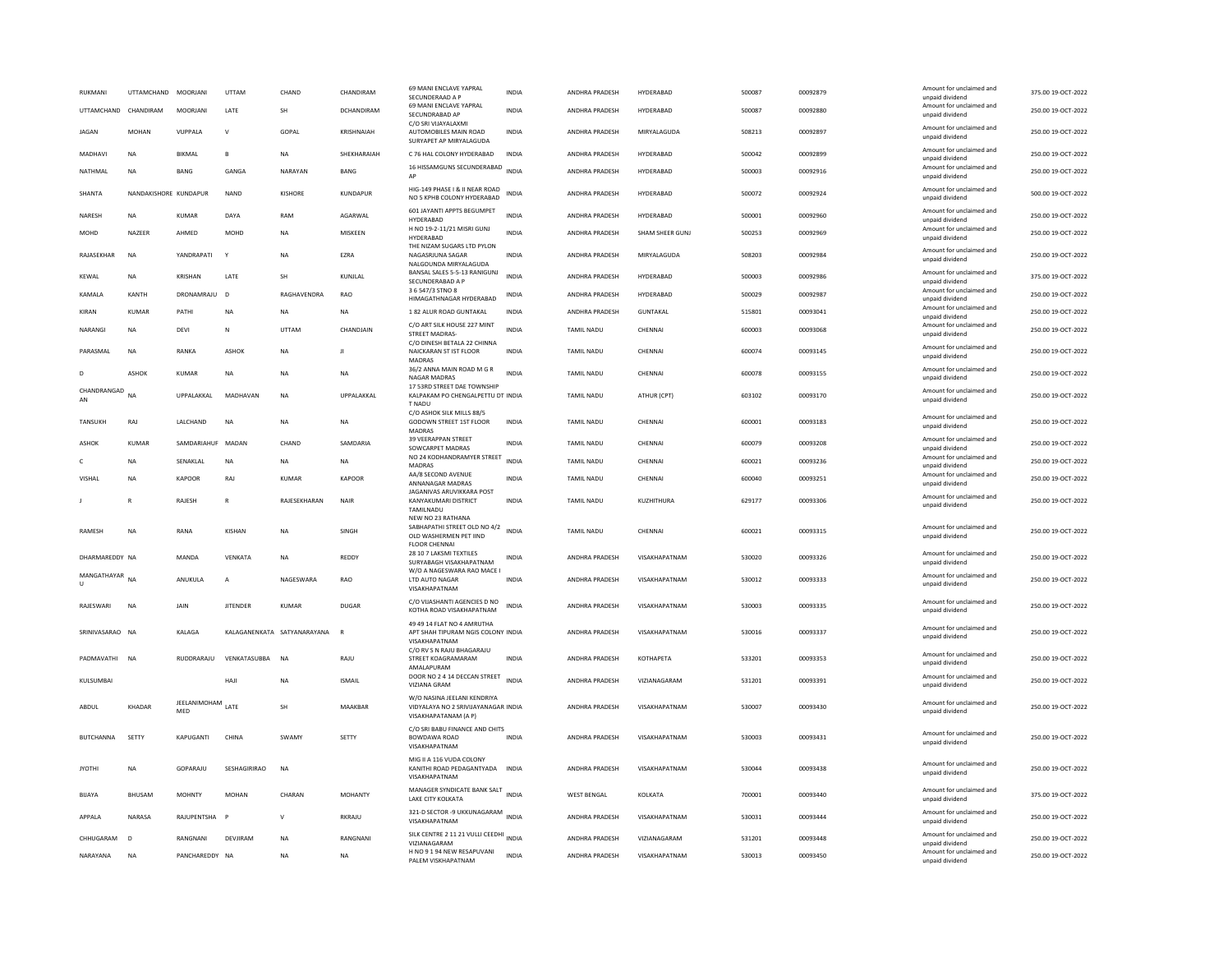| RUKMANI<br>UTTAMCHAND CHANDIRAM | UTTAMCHAND            | MOORJANI<br><b>MOORIANI</b> | UTTAM<br><b>I ATF</b> | CHAND<br><b>SH</b>          | CHANDIRAM<br>DCHANDIRAM | 69 MANI ENCLAVE YAPRAL<br>SECUNDERAAD A P<br>69 MANI ENCLAVE YAPRAL<br>SECUNDRABAD AP      | INDIA<br><b>INDIA</b> | ANDHRA PRADESH<br>ANDHRA PRADESH | HYDERABAD<br>HYDFRARAD | 500087<br>500087 | 00092879<br>00092880 | Amount for unclaimed and<br>unpaid dividend<br>Amount for unclaimed and<br>unpaid dividend | 375.00 19-OCT-2022<br>250.00 19-OCT-2022 |
|---------------------------------|-----------------------|-----------------------------|-----------------------|-----------------------------|-------------------------|--------------------------------------------------------------------------------------------|-----------------------|----------------------------------|------------------------|------------------|----------------------|--------------------------------------------------------------------------------------------|------------------------------------------|
| <b>JAGAN</b>                    | <b>MOHAN</b>          | VUPPALA                     | $\vee$                | GOPAL                       | <b>KRISHNAIAH</b>       | C/O SRI VIJAYALAXMI<br>AUTOMOBILES MAIN ROAD<br>SURYAPET AP MIRYALAGUDA                    | <b>INDIA</b>          | ANDHRA PRADESH                   | MIRYALAGUDA            | 508213           | 00092897             | Amount for unclaimed and<br>unpaid dividend                                                | 250.00 19-OCT-2022                       |
| MADHAVI                         | <b>NA</b>             | <b>BIKMAL</b>               | $\mathbf{B}$          | <b>NA</b>                   | SHEKHARAIAH             | C 76 HAL COLONY HYDERABAD                                                                  | INDIA                 | ANDHRA PRADESH                   | HYDERABAD              | 500042           | 00092899             | Amount for unclaimed and<br>unpaid dividend                                                | 250.00 19-OCT-2022                       |
| NATHMAL                         | NA                    | BANG                        | GANGA                 | NARAYAN                     | BANG                    | 16 HISSAMGUNS SECUNDERABAD INDIA<br>AP                                                     |                       | ANDHRA PRADESH                   | HYDERABAD              | 500003           | 00092916             | Amount for unclaimed and<br>unpaid dividend                                                | 250.00 19-OCT-2022                       |
| SHANTA                          | NANDAKISHORE KUNDAPUR |                             | <b>NAND</b>           | KISHORE                     | <b>KUNDAPUR</b>         | HIG-149 PHASE I & II NEAR ROAD<br>NO 5 KPHB COLONY HYDERABAD                               | <b>INDIA</b>          | ANDHRA PRADESH                   | HYDERABAD              | 500072           | 00092924             | Amount for unclaimed and<br>unpaid dividend                                                | 500.00 19-OCT-2022                       |
| NARESH                          | <b>NA</b>             | KUMAR                       | DAYA                  | RAM                         | AGARWAL                 | 601 JAYANTI APPTS BEGUMPET<br>HYDERABAD                                                    | <b>INDIA</b>          | ANDHRA PRADESH                   | HYDERABAD              | 500001           | 00092960             | Amount for unclaimed and<br>unpaid dividend                                                | 250.00 19-OCT-2022                       |
| MOHD                            | <b>NA7FFR</b>         | AHMED                       | <b>MOHD</b>           | <b>NA</b>                   | MISKEEN                 | H NO 19-2-11/21 MISRI GUNJ<br>HYDERABAD                                                    | <b>INDIA</b>          | ANDHRA PRADESH                   | SHAM SHEER GUNJ        | 500253           | 00092969             | Amount for unclaimed and<br>unpaid dividend                                                | 250.00 19-OCT-2022                       |
| RAJASEKHAR                      | <b>NA</b>             | YANDRAPATI                  | $\mathbf{Y}$          | <b>NA</b>                   | EZRA                    | THE NIZAM SUGARS ITD PYLON<br>NAGASRJUNA SAGAR<br>NALGOUNDA MIRYALAGUDA                    | INDIA                 | ANDHRA PRADESH                   | MIRYALAGUDA            | 508203           | 00092984             | Amount for unclaimed and<br>unpaid dividend                                                | 250.00 19-OCT-2022                       |
| KEWAL                           | <b>NA</b>             | KRISHAN                     | LATE                  | SH                          | KUNJLAL                 | BANSAL SALES 5-5-13 RANIGUNJ<br>SECUNDERABAD A P                                           | <b>INDIA</b>          | ANDHRA PRADESH                   | HYDERABAD              | 500003           | 00092986             | Amount for unclaimed and<br>unpaid dividend                                                | 375.00 19-OCT-2022                       |
| KAMALA                          | KANTH                 | DRONAMRAJU                  | $\mathbf{D}$          | RAGHAVENDRA                 | RAO                     | 3 6 547/3 STNO 8<br>HIMAGATHNAGAR HYDERABAD                                                | INDIA                 | ANDHRA PRADESH                   | HYDERABAD              | 500029           | 00092987             | Amount for unclaimed and<br>unpaid dividend                                                | 250.00 19-OCT-2022                       |
| KIRAN                           | KUMAR                 | PATHI                       | <b>NA</b>             | <b>NA</b>                   | <b>NA</b>               | 1 82 ALUR ROAD GUNTAKAL                                                                    | INDIA                 | ANDHRA PRADESH                   | <b>GUNTAKAL</b>        | 515801           | 00093041             | Amount for unclaimed and<br>unpaid dividend                                                | 250.00 19-OCT-2022                       |
| NARANGI                         | <b>NA</b>             | <b>DEVI</b>                 | N                     | UTTAM                       | CHANDJAIN               | C/O ART SILK HOUSE 227 MINT<br><b>STREET MADRAS-</b><br>C/O DINESH BETALA 22 CHINNA        | <b>INDIA</b>          | <b>TAMIL NADU</b>                | CHENNAI                | 600003           | 00093068             | Amount for unclaimed and<br>unpaid dividend                                                | 250.00 19-OCT-2022                       |
| PARASMAL                        | <b>NA</b>             | RANKA                       | <b>ASHOK</b>          | <b>NA</b>                   | $\mathbf{H}$            | NAICKARAN ST IST FLOOR<br>MADRAS                                                           | <b>INDIA</b>          | TAMIL NADU                       | CHENNAI                | 600074           | 00093145             | Amount for unclaimed and<br>unpaid dividend                                                | 250.00 19-OCT-2022                       |
| D                               | <b>ASHOK</b>          | <b>KUMAR</b>                | <b>NA</b>             | <b>NA</b>                   | <b>NA</b>               | 36/2 ANNA MAIN ROAD M G R<br><b>NAGAR MADRAS</b>                                           | <b>INDIA</b>          | <b>TAMIL NADU</b>                | CHENNAI                | 600078           | 00093155             | Amount for unclaimed and<br>unpaid dividend                                                | 250.00 19-OCT-2022                       |
| CHANDRANGAD<br>AN               | $N\Delta$             | <b>UPPALAKKAL</b>           | MADHAVAN              | <b>NA</b>                   | <b>UPPALAKKAL</b>       | 17 53RD STREET DAE TOWNSHIP<br>KAI PAKAM PO CHENGAI PETTU DT INDIA<br>T NADU               |                       | <b>TAMIL NADU</b>                | ATHUR (CPT)            | 603102           | 00093170             | Amount for unclaimed and<br>unpaid dividend                                                | 250.00.19-OCT-2022                       |
| TANSUKH                         | RAI                   | <b>I ALCHAND</b>            | <b>NA</b>             | <b>NA</b>                   | <b>NA</b>               | C/O ASHOK SILK MILLS 88/5<br><b>GODOWN STREET 1ST FLOOR</b><br>MADRAS                      | <b>INDIA</b>          | <b>TAMIL NADU</b>                | CHENNAL                | 600001           | 00093183             | Amount for unclaimed and<br>unpaid dividend                                                | 250.00.19-OCT-2022                       |
| <b>ASHOK</b>                    | <b>KUMAR</b>          | SAMDARIAHUF MADAN           |                       | CHAND                       | SAMDARIA                | 39 VEERAPPAN STREET<br>SOWCARPET MADRAS                                                    | <b>INDIA</b>          | TAMIL NADU                       | CHENNAI                | 600079           | 00093208             | Amount for unclaimed and<br>unpaid dividend                                                | 250.00 19-OCT-2022                       |
| c                               | <b>NA</b>             | SENAKLAL                    | <b>NA</b>             | <b>NA</b>                   | <b>NA</b>               | NO 24 KODHANDRAMYER STREET<br>MADRAS                                                       | <b>INDIA</b>          | TAMIL NADU                       | CHENNAI                | 600021           | 00093236             | Amount for unclaimed and<br>unpaid dividend                                                | 250.00 19-OCT-2022                       |
| VISHAL                          | <b>NA</b>             | <b>KAPOOR</b>               | RAJ                   | <b>KUMAR</b>                | <b>KAPOOR</b>           | AA/8 SECOND AVENUE<br>ANNANAGAR MADRAS                                                     | <b>INDIA</b>          | <b>TAMIL NADU</b>                | CHENNAI                | 600040           | 00093251             | Amount for unclaimed and<br>unpaid dividend                                                | 250.00 19-OCT-2022                       |
|                                 | $\mathbb{R}$          | RAJESH                      | $\mathbb{R}$          | RAJESEKHARAN                | NAIR                    | JAGANIVAS ARUVIKKARA POST<br>KANYAKUMARI DISTRICT<br>TAMILNADU                             | <b>INDIA</b>          | <b>TAMIL NADU</b>                | KUZHITHURA             | 629177           | 00093306             | Amount for unclaimed and<br>unpaid dividend                                                | 250.00 19-OCT-2022                       |
| <b>RAMESH</b>                   | <b>NA</b>             | RANA                        | KISHAN                | <b>NA</b>                   | SINGH                   | NEW NO 23 RATHANA<br>SABHAPATHI STREET OLD NO 4/2                                          | <b>INDIA</b>          | <b>TAMIL NADU</b>                | CHENNAI                | 600021           | 00093315             | Amount for unclaimed and                                                                   | 250.00 19-OCT-2022                       |
|                                 |                       |                             |                       |                             |                         | OLD WASHERMEN PET IIND<br><b>FLOOR CHENNAL</b>                                             |                       |                                  |                        |                  |                      | unpaid dividend                                                                            |                                          |
| DHARMAREDDY NA                  |                       | MANDA                       | VENKATA               | <b>NA</b>                   | <b>REDDY</b>            | 28 10 7 LAKSMI TEXTILES<br>SURYABAGH VISAKHAPATNAM<br>W/O A NAGESWARA RAO MACE I           | INDIA                 | ANDHRA PRADESH                   | VISAKHAPATNAM          | 530020           | 00093326             | Amount for unclaimed and<br>unpaid dividend                                                | 250.00 19-OCT-2022                       |
| MANGATHAYAR NA                  |                       | ANUKULA                     | А                     | NAGESWARA                   | RAO                     | LTD AUTO NAGAR<br>VISAKHAPATNAM                                                            | INDIA                 | ANDHRA PRADESH                   | VISAKHAPATNAM          | 530012           | 00093333             | Amount for unclaimed and<br>unpaid dividend                                                | 250.00 19-OCT-2022                       |
| RAJESWARI                       | NA                    | JAIN                        | <b>JITENDER</b>       | KUMAR                       | <b>DUGAR</b>            | C/O VIJASHANTI AGENCIES D NO<br>KOTHA ROAD VISAKHAPATNAM                                   | INDIA                 | ANDHRA PRADESH                   | VISAKHAPATNAM          | 530003           | 00093335             | Amount for unclaimed and<br>unpaid dividend                                                | 250.00 19-OCT-2022                       |
| SRINIVASARAO NA                 |                       | KALAGA                      |                       | KALAGANENKATA SATYANARAYANA | $\mathsf{R}$            | 49 49 14 FLAT NO 4 AMRUTHA<br>APT SHAH TIPURAM NGIS COLONY INDIA<br>VISAKHAPATNAM          |                       | ANDHRA PRADESH                   | VISAKHAPATNAM          | 530016           | 00093337             | Amount for unclaimed and<br>unpaid dividend                                                | 250.00 19-OCT-2022                       |
| PADMAVATHI                      | <b>NA</b>             | RUDDRARAJU                  | VENKATASUBBA          | <b>NA</b>                   | RAJU                    | C/O RV S N RAJU BHAGARAJU<br>STREET KOAGRAMARAM<br>AMALAPURAM                              | INDIA                 | ANDHRA PRADESH                   | KOTHAPETA              | 533201           | 00093353             | Amount for unclaimed and<br>unnaid dividend                                                | 250.00 19-OCT-2022                       |
| KULSUMBAI                       |                       |                             | HAJI                  | <b>NA</b>                   | <b>ISMAIL</b>           | DOOR NO 2 4 14 DECCAN STREET<br>VIZIANA GRAM                                               | <b>INDIA</b>          | ANDHRA PRADESH                   | VIZIANAGARAM           | 531201           | 00093391             | Amount for unclaimed and<br>unpaid dividend                                                | 250.00 19-OCT-2022                       |
| ABDUL                           | KHADAR                | JEELANIMOHAM<br>MED         | LATE                  | SH                          | MAAKBAR                 | W/O NASINA JEELANI KENDRIYA<br>VIDYALAYA NO 2 SRIVIJAYANAGAR INDIA<br>VISAKHAPATANAM (A P) |                       | ANDHRA PRADESH                   | VISAKHAPATNAM          | 530007           | 00093430             | Amount for unclaimed and<br>unpaid dividend                                                | 250.00 19-OCT-2022                       |
| <b>BUTCHANNA</b>                | SETTY                 | <b>KAPUGANTI</b>            | CHINA                 | SWAMY                       | SETTY                   | C/O SRI BABU FINANCE AND CHITS<br><b>BOWDAWA ROAD</b><br>VISAKHAPATNAM                     | <b>INDIA</b>          | ANDHRA PRADESH                   | VISAKHAPATNAM          | 530003           | 00093431             | Amount for unclaimed and<br>unpaid dividend                                                | 250.00 19-OCT-2022                       |
| <b>JYOTHI</b>                   | <b>NA</b>             | GOPARAJU                    | SESHAGIRIRAO          | <b>NA</b>                   |                         | MIG II A 116 VUDA COLONY<br>KANITHI ROAD PEDAGANTYADA<br>VISAKHAPATNAM                     | <b>INDIA</b>          | ANDHRA PRADESH                   | VISAKHAPATNAM          | 530044           | 00093438             | Amount for unclaimed and<br>unpaid dividend                                                | 250.00 19-OCT-2022                       |
| BIJAYA                          | BHUSAM                | <b>MOHNTY</b>               | MOHAN                 | CHARAN                      | <b>MOHANTY</b>          | MANAGER SYNDICATE BANK SALT INDIA<br>LAKE CITY KOLKATA                                     |                       | <b>WEST BENGAL</b>               | KOLKATA                | 700001           | 00093440             | Amount for unclaimed and<br>unpaid dividend                                                | 375.00 19-OCT-2022                       |
| APPALA                          | NARASA                | RAJUPENTSHA                 | $\mathbf{P}$          | $\mathsf{v}$                | <b>RKRAJU</b>           | 321-D SECTOR -9 UKKUNAGARAM<br>VISAKHAPATNAM                                               | <b>INDIA</b>          | ANDHRA PRADESH                   | VISAKHAPATNAM          | 530031           | 00093444             | Amount for unclaimed and<br>unpaid dividend                                                | 250.00 19-OCT-2022                       |
| CHHUGARAM                       | $\mathsf{D}$          | RANGNANI                    | DEVIIRAM              | <b>NA</b>                   | RANGNANI                | SILK CENTRE 2 11 21 VULLI CEEDHI INDIA<br>VIZIANAGARAM                                     |                       | <b>ANDHRA PRADESH</b>            | <b>VIZIANAGARAM</b>    | 531201           | 00093448             | Amount for unclaimed and<br>unpaid dividend                                                | 250.00 19-QCT-2022                       |
| NARAYANA                        | <b>NA</b>             | PANCHAREDDY NA              |                       | <b>NA</b>                   | <b>NA</b>               | H NO 9 1 94 NEW RESAPUVANI<br>PALEM VISKHAPATNAM                                           | <b>INDIA</b>          | ANDHRA PRADESH                   | VISAKHAPATNAM          | 530013           | 00093450             | Amount for unclaimed and<br>unpaid dividend                                                | 250.00 19-OCT-2022                       |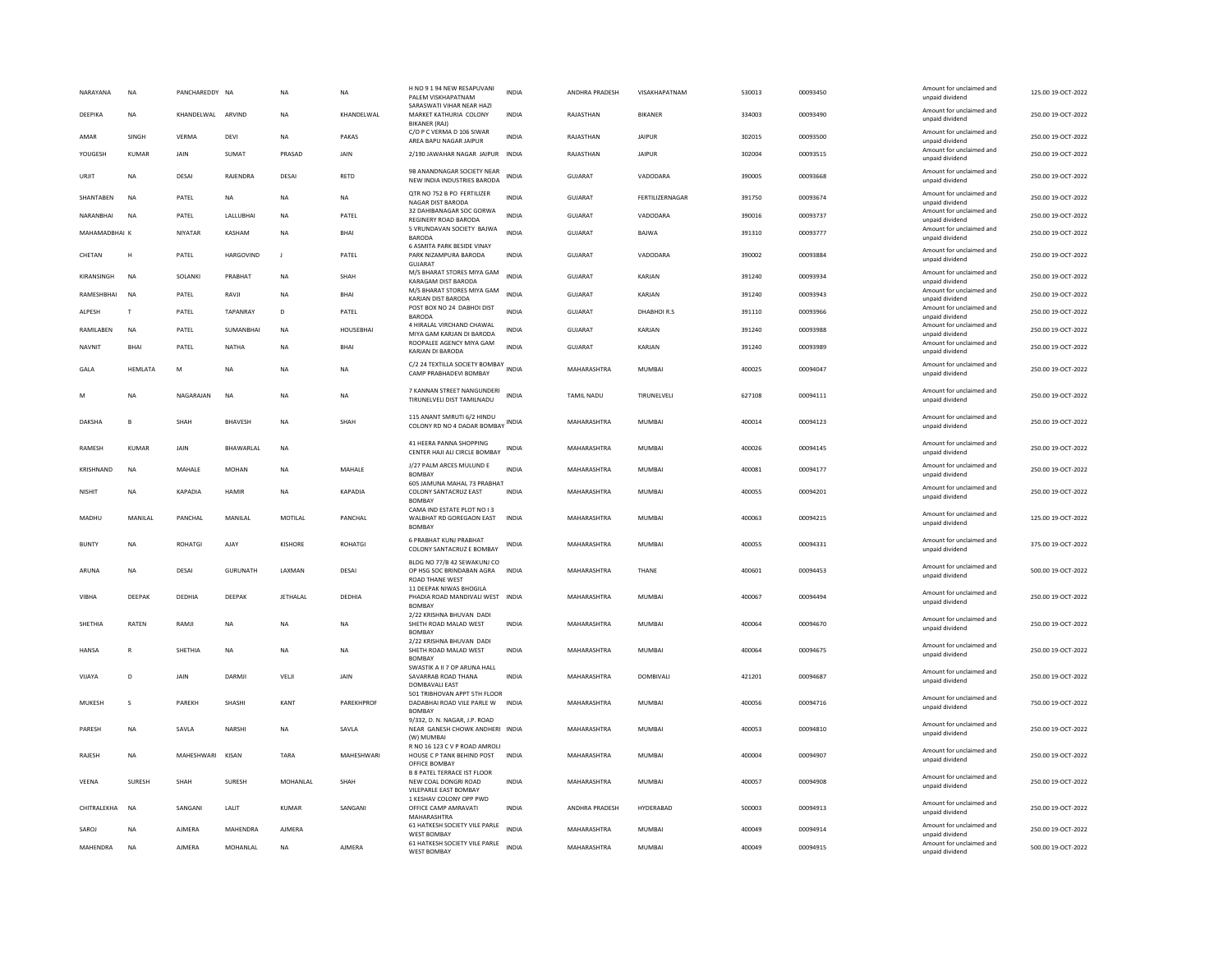| NARAYANA      | <b>NA</b>      | PANCHAREDDY NA    |                   | <b>NA</b>      | NA                | H NO 9 1 94 NEW RESAPUVANI<br>PALEM VISKHAPATNAM                                                | INDIA        | ANDHRA PRADESH     | VISAKHAPATNAM   | 530013 | 00093450 | Amount for unclaimed and<br>unpaid dividend | 125.00 19-OCT-2022 |
|---------------|----------------|-------------------|-------------------|----------------|-------------------|-------------------------------------------------------------------------------------------------|--------------|--------------------|-----------------|--------|----------|---------------------------------------------|--------------------|
| DEEPIKA       | <b>NA</b>      | KHANDELWAL ARVIND |                   | <b>NA</b>      | KHANDELWAL        | SARASWATI VIHAR NEAR HAZI<br>MARKET KATHURIA COLONY<br><b>BIKANER (RAJ)</b>                     | <b>INDIA</b> | RAJASTHAN          | <b>BIKANER</b>  | 334003 | 00093490 | Amount for unclaimed and<br>unpaid dividend | 250.00 19-OCT-2022 |
| AMAR          | SINGH          | VERMA             | DEVI              | NA             | PAKAS             | C/O P C VERMA D 106 SIWAR<br>AREA BAPU NAGAR JAIPUR                                             | <b>INDIA</b> | RAJASTHAN          | <b>JAIPUR</b>   | 302015 | 00093500 | Amount for unclaimed and<br>unpaid dividend | 250.00 19-OCT-2022 |
| YOUGESH       | <b>KUMAR</b>   | JAIN              | SUMAT             | PRASAD         | JAIN              | 2/190 JAWAHAR NAGAR JAIPUR                                                                      | INDIA        | RAJASTHAN          | <b>JAIPUR</b>   | 302004 | 00093515 | Amount for unclaimed and<br>unpaid dividend | 250.00 19-OCT-2022 |
| URJIT         | <b>NA</b>      | DESAI             | RAJENDRA          | DESAI          | RETD              | 9B ANANDNAGAR SOCIETY NEAR<br>NEW INDIA INDUSTRIES BARODA                                       | <b>INDIA</b> | GUJARAT            | VADODARA        | 390005 | 00093668 | Amount for unclaimed and<br>unpaid dividend | 250.00 19-OCT-2022 |
| SHANTABEN     | <b>NA</b>      | PATEL             | <b>NA</b>         | <b>NA</b>      | <b>NA</b>         | QTR NO 752 B PO FERTILIZER<br>NAGAR DIST BARODA                                                 | <b>INDIA</b> | <b>GUJARAT</b>     | FERTILIZERNAGAR | 391750 | 00093674 | Amount for unclaimed and<br>unpaid dividend | 250.00 19-OCT-2022 |
| NARANBHAI     | <b>NA</b>      | PATEL             | LALLUBHAI         | <b>NA</b>      | PATEL             | 32 DAHIBANAGAR SOC GORWA<br>REGINERY ROAD BARODA                                                | <b>INDIA</b> | <b>GUJARAT</b>     | VADODARA        | 390016 | 00093737 | Amount for unclaimed and<br>unpaid dividend | 250.00 19-OCT-2022 |
| MAHAMADBHAI K |                | NIYATAR           | KASHAM            | <b>NA</b>      | BHAI              | 5 VRUNDAVAN SOCIETY BAJWA<br><b>BARODA</b><br><b>6 ASMITA PARK BESIDE VINAY</b>                 | <b>INDIA</b> | <b>GUJARAT</b>     | BAJWA           | 391310 | 00093777 | Amount for unclaimed and<br>unpaid dividend | 250.00 19-OCT-2022 |
| CHETAN        | H              | PATEL             | <b>HARGOVIND</b>  | $\mathbf{J}$   | PATEL             | PARK NIZAMPURA BARODA<br><b>GUJARAT</b>                                                         | <b>INDIA</b> | <b>GUJARAT</b>     | VADODARA        | 390002 | 00093884 | Amount for unclaimed and<br>unpaid dividend | 250.00 19-OCT-2022 |
| KIRANSINGH    | <b>NA</b>      | SOLANKI           | PRABHAT           | <b>NA</b>      | SHAH              | M/S BHARAT STORES MIYA GAM<br>KARAGAM DIST BARODA                                               | <b>INDIA</b> | <b>GUJARAT</b>     | KARJAN          | 391240 | 00093934 | Amount for unclaimed and<br>unpaid dividend | 250.00 19-OCT-2022 |
| RAMESHBHAI    | N <sub>A</sub> | PATEL             | RAVJI             | NA             | BHAI              | M/S BHARAT STORES MIYA GAM<br>KARJAN DIST BARODA                                                | <b>INDIA</b> | GUJARAT            | KARJAN          | 391240 | 00093943 | Amount for unclaimed and<br>unpaid dividend | 250.00 19-OCT-2022 |
| ALPESH        | $\mathsf{T}$   | PATEL             | TAPANRAY          | D              | PATEL             | POST BOX NO 24 DABHOI DIST<br><b>BARODA</b>                                                     | <b>INDIA</b> | GUJARAT            | DHABHOIR.S      | 391110 | 00093966 | Amount for unclaimed and<br>unpaid dividend | 250.00 19-OCT-2022 |
| RAMILABEN     | <b>NA</b>      | PATEL             | SUMANBHAI         | <b>NA</b>      | <b>HOUSEBHAI</b>  | 4 HIRALAL VIRCHAND CHAWAL<br>MIYA GAM KARIAN DI BARODA                                          | INDIA        | <b>GUJARAT</b>     | KARJAN          | 391240 | 00093988 | Amount for unclaimed and<br>unnaid dividend | 250.00 19-OCT-2022 |
| <b>NAVNIT</b> | <b>BHAI</b>    | PATEL             | NATHA             | <b>NA</b>      | BHAI              | ROOPALEE AGENCY MIYA GAM                                                                        | <b>INDIA</b> | <b>GUJARAT</b>     | KARJAN          | 391240 | 00093989 | Amount for unclaimed and                    | 250.00 19-OCT-2022 |
|               |                |                   |                   |                |                   | KARJAN DI BARODA                                                                                |              |                    |                 |        |          | unpaid dividend                             |                    |
| GALA          | <b>HEMLATA</b> | M                 | <b>NA</b>         | <b>NA</b>      | <b>NA</b>         | C/2 24 TEXTILLA SOCIETY BOMBAY<br>INDIA<br>CAMP PRABHADEVI BOMBAY                               |              | MAHARASHTRA        | <b>MUMBAI</b>   | 400025 | 00094047 | Amount for unclaimed and<br>unpaid dividend | 250.00 19-OCT-2022 |
| M             | NΑ             | NAGARAJAN         | <b>NA</b>         | <b>NA</b>      | <b>NA</b>         | 7 KANNAN STREET NANGUNDERI<br>TIRUNELVELI DIST TAMILNADU                                        | <b>INDIA</b> | TAMIL NADU         | TIRUNELVELI     | 627108 | 00094111 | Amount for unclaimed and<br>unpaid dividend | 250.00 19-OCT-2022 |
| DAKSHA        | B              | SHAH              | <b>BHAVESH</b>    | <b>NA</b>      | SHAH              | 115 ANANT SMRUTI 6/2 HINDU<br>COLONY RD NO 4 DADAR BOMBAY INDIA                                 |              | MAHARASHTRA        | MUMBAI          | 400014 | 00094123 | Amount for unclaimed and<br>unpaid dividend | 250.00 19-OCT-2022 |
| <b>RAMESH</b> | KUMAR          | <b>JAIN</b>       | <b>RHAWARI AI</b> | <b>NA</b>      |                   | 41 HEERA PANNA SHOPPING<br>CENTER HAJI ALI CIRCLE BOMBAY                                        | <b>INDIA</b> | MAHARASHTRA        | MUMBAI          | 400026 | 00094145 | Amount for unclaimed and<br>unpaid dividend | 250.00 19-OCT-2022 |
| KRISHNAND     | <b>NA</b>      | MAHALE            | <b>MOHAN</b>      | <b>NA</b>      | MAHALE            | J/27 PALM ARCES MULUND E<br><b>BOMBAY</b>                                                       | <b>INDIA</b> | MAHARASHTRA        | MUMBAI          | 400081 | 00094177 | Amount for unclaimed and<br>unpaid dividend | 250.00 19-OCT-2022 |
| <b>NISHIT</b> | <b>NA</b>      | KAPADIA           | HAMIR             | <b>NA</b>      | KAPADIA           | 605 JAMUNA MAHAL 73 PRABHAT<br>COLONY SANTACRUZ EAST<br><b>BOMBAY</b>                           | <b>INDIA</b> | <b>MAHARASHTRA</b> | MUMBAI          | 400055 | 00094201 | Amount for unclaimed and<br>unpaid dividend | 250.00.19-OCT-2022 |
| MADHU         | MANILAL        | PANCHAL           | MANII AI          | MOTILAL        | PANCHAL           | CAMA IND ESTATE PLOT NO I 3<br>WALBHAT RD GOREGAON EAST<br><b>BOMBAY</b>                        | <b>INDIA</b> | MAHARASHTRA        | MUMBAI          | 400063 | 00094215 | Amount for unclaimed and<br>unpaid dividend | 125.00 19-OCT-2022 |
| <b>BUNTY</b>  | <b>NA</b>      | <b>ROHATGI</b>    | AJAY              | <b>KISHORE</b> | <b>ROHATGI</b>    | 6 PRABHAT KUNJ PRABHAT<br>COLONY SANTACRUZ E BOMBAY                                             | INDIA        | MAHARASHTRA        | <b>MUMBAI</b>   | 400055 | 00094331 | Amount for unclaimed and<br>unpaid dividend | 375.00 19-OCT-2022 |
| ARUNA         | <b>NA</b>      | DESAI             | GURUNATH          | LAXMAN         | DESAI             | BLDG NO 77/B 42 SEWAKUNJ CO<br>OP HSG SOC BRINDABAN AGRA INDIA<br><b>ROAD THANE WEST</b>        |              | MAHARASHTRA        | THANE           | 400601 | 00094453 | Amount for unclaimed and<br>unpaid dividend | 500.00 19-OCT-2022 |
| VIBHA         | DEEPAK         | DEDHIA            | DEEPAK            | JETHALAL       | DEDHIA            | 11 DEEPAK NIWAS BHOGILA<br>PHADIA ROAD MANDIVALI WEST INDIA<br><b>BOMBAY</b>                    |              | MAHARASHTRA        | MUMBAI          | 400067 | 00094494 | Amount for unclaimed and<br>unpaid dividend | 250.00 19-OCT-2022 |
| SHETHIA       | <b>RATEN</b>   | RAMII             | <b>NA</b>         | <b>NA</b>      | <b>NA</b>         | 2/22 KRISHNA BHUVAN DADI<br>SHETH ROAD MALAD WEST                                               | <b>INDIA</b> | <b>MAHARASHTRA</b> | MUMBAI          | 400064 | 00094670 | Amount for unclaimed and<br>unpaid dividend | 250.00 19-OCT-2022 |
| <b>HANSA</b>  | R              | SHETHIA           | NA                | <b>NA</b>      | NA                | <b>BOMBAY</b><br>2/22 KRISHNA BHUVAN DADI<br>SHETH ROAD MALAD WEST                              | <b>INDIA</b> | MAHARASHTRA        | <b>MUMBAI</b>   | 400064 | 00094675 | Amount for unclaimed and<br>unpaid dividend | 250.00 19-OCT-2022 |
| VIJAYA        | D              | JAIN              | DARMJI            | VELJI          | JAIN              | <b>BOMBAY</b><br>SWASTIK A II 7 OP ARUNA HALL<br>SAVARRAB ROAD THANA<br>DOMBAVALI EAST          | INDIA        | MAHARASHTRA        | DOMBIVALI       | 421201 | 00094687 | Amount for unclaimed and<br>unpaid dividend | 250.00 19-OCT-2022 |
| MUKESH        |                | PAREKH            | <b>SHASHI</b>     | KANT           | PAREKHPROF        | 501 TRIBHOVAN APPT 5TH FLOOR<br>DADABHAI ROAD VILE PARLE W                                      | <b>INDIA</b> | MAHARASHTRA        | <b>MUMBAI</b>   | 400056 | 00094716 | Amount for unclaimed and<br>unpaid dividend | 750.00 19-OCT-2022 |
| PARESH        | <b>NA</b>      | SAVLA             | NARSHI            | NA             | SAVLA             | <b>BOMBAY</b><br>9/332, D. N. NAGAR, J.P. ROAD<br>NEAR GANESH CHOWK ANDHERI INDIA<br>(W) MUMBAI |              | MAHARASHTRA        | MUMBAI          | 400053 | 00094810 | Amount for unclaimed and<br>unpaid dividend | 250.00 19-OCT-2022 |
| <b>RAIFSH</b> | <b>NA</b>      | MAHESHWARI        | KISAN             | TARA           | <b>MAHFSHWARI</b> | R NO 16 123 C V P ROAD AMROLI<br>HOUSE C P TANK BEHIND POST<br>OFFICE BOMBAY                    | <b>INDIA</b> | <b>MAHARASHTRA</b> | MUMBAI          | 400004 | 00094907 | Amount for unclaimed and<br>unpaid dividend | 250.00 19-OCT-2022 |
| VEENA         | SURESH         | SHAH              | <b>SURESH</b>     | MOHANLAL       | SHAH              | <b>B 8 PATEL TERRACE IST FLOOR</b><br>NEW COAL DONGRI ROAD                                      | <b>INDIA</b> | MAHARASHTRA        | MUMBAI          | 400057 | 00094908 | Amount for unclaimed and<br>unpaid dividend | 250.00 19-OCT-2022 |
| CHITRALEKHA   | NA             | SANGANI           | LALIT             | KUMAR          | SANGANI           | VILEPARLE EAST BOMBAY<br>1 KESHAV COLONY OPP PWD<br>OFFICE CAMP AMRAVATI                        | INDIA        | ANDHRA PRADESH     | HYDERABAD       | 500003 | 00094913 | Amount for unclaimed and<br>unpaid dividend | 250.00 19-OCT-2022 |
| SAROJ         | <b>NA</b>      | <b>AJMERA</b>     | MAHENDRA          | <b>AJMERA</b>  |                   | MAHARASHTRA<br>61 HATKESH SOCIETY VILE PARLE                                                    | <b>INDIA</b> | MAHARASHTRA        | MUMBAI          | 400049 | 00094914 | Amount for unclaimed and                    | 250.00 19-OCT-2022 |
|               |                |                   |                   |                |                   | <b>WEST BOMBAY</b><br>61 HATKESH SOCIETY VILE PARLE                                             |              |                    |                 |        |          | unpaid dividend<br>Amount for unclaimed and |                    |
| MAHENDRA      | N <sub>A</sub> | AJMERA            | MOHANLAL          | <b>NA</b>      | AJMERA            | <b>WEST BOMBAY</b>                                                                              | <b>INDIA</b> | MAHARASHTRA        | <b>MUMBAI</b>   | 400049 | 00094915 | unpaid dividend                             | 500.00 19-OCT-2022 |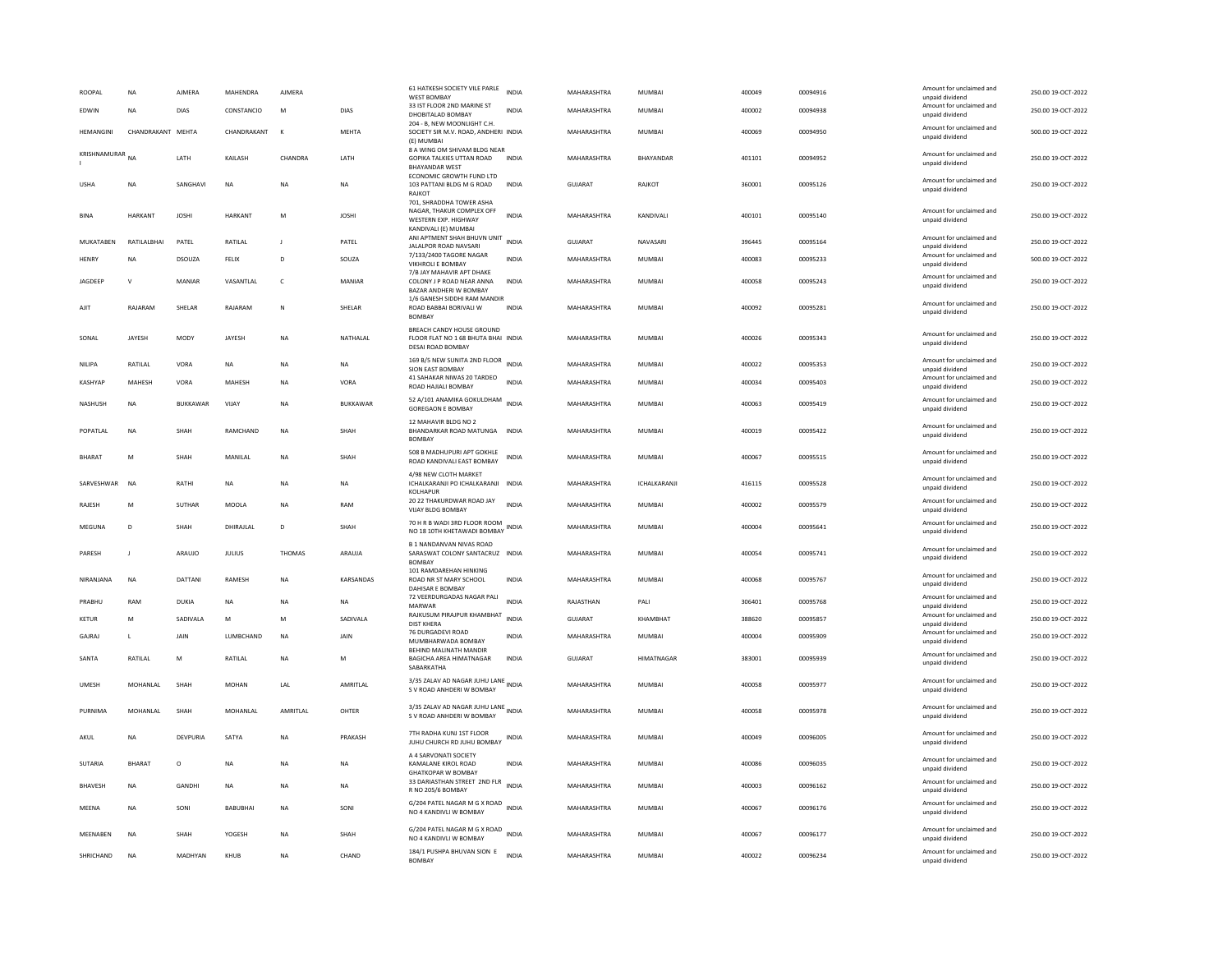| ROOPAL           | NA                | AJMERA       | MAHENDRA       | AJMERA        |               | 61 HATKESH SOCIETY VILE PARLE<br><b>WEST BOMBAY</b>                                                   | <b>INDIA</b> | MAHARASHTRA    | MUMBAI            | 400049 | 00094916 | Amount for unclaimed and<br>unpaid dividend | 250.00 19-OCT-2022 |
|------------------|-------------------|--------------|----------------|---------------|---------------|-------------------------------------------------------------------------------------------------------|--------------|----------------|-------------------|--------|----------|---------------------------------------------|--------------------|
| EDWIN            | <b>NA</b>         | DIAS         | CONSTANCIO     | M             | DIAS          | 33 IST FLOOR 2ND MARINE ST<br>DHOBITALAD BOMBAY                                                       | <b>INDIA</b> | MAHARASHTRA    | MUMBAI            | 400002 | 00094938 | Amount for unclaimed and<br>unpaid dividend | 250.00 19-OCT-2022 |
| <b>HEMANGINI</b> | CHANDRAKANT MEHTA |              | CHANDRAKANT    | $\mathbf{k}$  | <b>MEHTA</b>  | 204 - B, NEW MOONLIGHT C.H.<br>SOCIETY SIR M.V. ROAD, ANDHERI INDIA<br>(E) MUMBAI                     |              | MAHARASHTRA    | <b>MUMBAI</b>     | 400069 | 00094950 | Amount for unclaimed and<br>unpaid dividend | 500.00 19-OCT-2022 |
| KRISHNAMURAR     | <b>NA</b>         | LATH         | KAILASH        | CHANDRA       | LATH          | 8 A WING OM SHIVAM BLDG NEAR<br>GOPIKA TALKIES UTTAN ROAD<br><b>BHAYANDAR WEST</b>                    | <b>INDIA</b> | MAHARASHTRA    | BHAYANDAR         | 401101 | 00094952 | Amount for unclaimed and<br>unpaid dividend | 250.00 19-OCT-2022 |
| <b>USHA</b>      | NA                | SANGHAVI     | NA             | NA            | NA            | ECONOMIC GROWTH FUND LTD<br>103 PATTANI BLDG M G ROAD<br>RAIKOT                                       | <b>INDIA</b> | GUJARAT        | RAJKOT            | 360001 | 00095126 | Amount for unclaimed and<br>unpaid dividend | 250.00 19-OCT-2022 |
| <b>BINA</b>      | HARKANT           | <b>JOSHI</b> | <b>HARKANT</b> | ${\sf M}$     | <b>IHZOL</b>  | 701, SHRADDHA TOWER ASHA<br>NAGAR, THAKUR COMPLEX OFF<br>WESTERN EXP. HIGHWAY<br>KANDIVALI (E) MUMBAI | <b>INDIA</b> | MAHARASHTRA    | KANDIVALI         | 400101 | 00095140 | Amount for unclaimed and<br>unpaid dividend | 250.00 19-OCT-2022 |
| MUKATABEN        | RATILALBHAI       | PATEL        | RATILAL        | J             | PATEL         | ANI APTMENT SHAH BHUVN UNIT<br>JALALPOR ROAD NAVSARI                                                  | <b>INDIA</b> | <b>GUJARAT</b> | NAVASARI          | 396445 | 00095164 | Amount for unclaimed and<br>unpaid dividend | 250.00 19-OCT-2022 |
| HENRY            | <b>NA</b>         | DSOUZA       | FELIX          | D             | SOUZA         | 7/133/2400 TAGORE NAGAR<br>VIKHROLI E BOMBAY                                                          | <b>INDIA</b> | MAHARASHTRA    | <b>MUMBAI</b>     | 400083 | 00095233 | Amount for unclaimed and<br>unpaid dividend | 500.00 19-OCT-2022 |
| JAGDEEP          | $\mathbf{v}$      | MANIAR       | VASANTLAL      | $\mathsf{C}$  | <b>MANIAR</b> | 7/B JAY MAHAVIR APT DHAKE<br>COLONY J P ROAD NEAR ANNA<br>BAZAR ANDHERI W BOMBAY                      | <b>INDIA</b> | MAHARASHTRA    | <b>MUMBAI</b>     | 400058 | 00095243 | Amount for unclaimed and<br>unpaid dividend | 250.00 19-OCT-2022 |
| AJIT             | RAJARAM           | SHELAR       | RAJARAM        | N             | SHELAR        | 1/6 GANESH SIDDHI RAM MANDIR<br>ROAD BABBAI BORIVALI W<br><b>BOMBAY</b>                               | <b>INDIA</b> | MAHARASHTRA    | MUMBAI            | 400092 | 00095281 | Amount for unclaimed and<br>unpaid dividend | 250.00 19-OCT-2022 |
| SONAL            | JAYESH            | MODY         | JAYESH         | NA            | NATHALAL      | BREACH CANDY HOUSE GROUND<br>FLOOR FLAT NO 1 68 BHUTA BHAI INDIA<br>DESAI ROAD BOMBAY                 |              | MAHARASHTRA    | MUMBAI            | 400026 | 00095343 | Amount for unclaimed and<br>unpaid dividend | 250.00 19-OCT-2022 |
| NILIPA           | RATILAL           | VORA         | <b>NA</b>      | <b>NA</b>     | <b>NA</b>     | 169 B/5 NEW SUNITA 2ND FLOOR<br>SION EAST BOMBAY                                                      | <b>INDIA</b> | MAHARASHTRA    | <b>MUMBAI</b>     | 400022 | 00095353 | Amount for unclaimed and<br>unpaid dividend | 250.00 19-OCT-2022 |
| KASHYAP          | MAHESH            | VORA         | MAHESH         | NA            | VORA          | 41 SAHAKAR NIWAS 20 TARDEO<br>ROAD HAJIALI BOMBAY                                                     | INDIA        | MAHARASHTRA    | MUMBAI            | 400034 | 00095403 | Amount for unclaimed and<br>unpaid dividend | 250.00 19-OCT-2022 |
| NASHUSH          | NA                | BUKKAWAR     | VIJAY          | $_{\sf NA}$   | BUKKAWAR      | 52 A/101 ANAMIKA GOKULDHAM<br><b>GOREGAON E BOMBAY</b>                                                | <b>INDIA</b> | MAHARASHTRA    | MUMBAI            | 400063 | 00095419 | Amount for unclaimed and<br>unpaid dividend | 250.00 19-OCT-2022 |
| POPATLAL         | <b>NA</b>         | <b>SHAH</b>  | RAMCHAND       | <b>NA</b>     | SHAH          | 12 MAHAVIR BLDG NO 2<br>BHANDARKAR ROAD MATUNGA INDIA<br><b>BOMBAY</b>                                |              | MAHARASHTRA    | <b>MUMBAI</b>     | 400019 | 00095422 | Amount for unclaimed and<br>unpaid dividend | 250.00 19-OCT-2022 |
| <b>BHARAT</b>    | M                 | SHAH         | MANILAL        | <b>NA</b>     | SHAH          | 508 B MADHUPURI APT GOKHLE<br>ROAD KANDIVALI EAST BOMBAY                                              | <b>INDIA</b> | MAHARASHTRA    | <b>MUMBAI</b>     | 400067 | 00095515 | Amount for unclaimed and<br>unpaid dividend | 250.00 19-OCT-2022 |
| SARVESHWAR       | <b>NA</b>         | RATHI        | <b>NA</b>      | <b>NA</b>     | <b>NA</b>     | 4/98 NEW CLOTH MARKET<br>ICHALKARANJI PO ICHALKARANJI INDIA<br>KOLHAPUR                               |              | MAHARASHTRA    | ICHALKARANJI      | 416115 | 00095528 | Amount for unclaimed and<br>unpaid dividend | 250.00 19-OCT-2022 |
| RAJESH           | M                 | SUTHAR       | MOOLA          | NA            | RAM           | 20 22 THAKURDWAR ROAD JAY<br>VIJAY BLDG BOMBAY                                                        | <b>INDIA</b> | MAHARASHTRA    | MUMBAI            | 400002 | 00095579 | Amount for unclaimed and<br>unpaid dividend | 250.00 19-OCT-2022 |
| MEGUNA           | D                 | SHAH         | DHIRAJLAL      | D             | SHAH          | 70 H R B WADI 3RD FLOOR ROOM<br>NO 18 10TH KHETAWADI BOMBAY                                           | <b>INDIA</b> | MAHARASHTRA    | MUMBAI            | 400004 | 00095641 | Amount for unclaimed and<br>unpaid dividend | 250.00 19-OCT-2022 |
| PARESH           | $\mathbf{J}$      | ARAUJO       | <b>JULIUS</b>  | <b>THOMAS</b> | ARAUJA        | <b>B 1 NANDANVAN NIVAS ROAD</b><br>SARASWAT COLONY SANTACRUZ INDIA<br><b>BOMBAY</b>                   |              | MAHARASHTRA    | MUMBAI            | 400054 | 00095741 | Amount for unclaimed and<br>unpaid dividend | 250.00 19-OCT-2022 |
| NIRANJANA        | <b>NA</b>         | DATTANI      | RAMESH         | <b>NA</b>     | KARSANDAS     | 101 RAMDAREHAN HINKING<br>ROAD NR ST MARY SCHOOL<br>DAHISAR E BOMBAY                                  | <b>INDIA</b> | MAHARASHTRA    | MUMBAI            | 400068 | 00095767 | Amount for unclaimed and<br>unpaid dividend | 250.00 19-OCT-2022 |
| PRABHU           | RAM               | DUKIA        | NA             | <b>NA</b>     | NA            | 72 VEERDURGADAS NAGAR PALI<br>MARWAR                                                                  | <b>INDIA</b> | RAJASTHAN      | PALI              | 306401 | 00095768 | Amount for unclaimed and<br>unnaid dividend | 250.00 19-OCT-2022 |
| <b>KETUR</b>     | M                 | SADIVALA     | M              | M             | SADIVALA      | RAJKUSUM PIRAJPUR KHAMBHAT INDIA<br><b>DIST KHERA</b>                                                 |              | <b>GUJARAT</b> | KHAMBHAT          | 388620 | 00095857 | Amount for unclaimed and<br>unpaid dividend | 250.00 19-OCT-2022 |
| GAJRAJ           | $\mathsf{L}$      | JAIN         | LUMBCHAND      | NA            | JAIN          | 76 DURGADEVI ROAD<br>MUMBHARWADA BOMBAY                                                               | <b>INDIA</b> | MAHARASHTRA    | <b>MUMBAI</b>     | 400004 | 00095909 | Amount for unclaimed and<br>unpaid dividend | 250.00 19-OCT-2022 |
| SANTA            | RATILAL           | M            | RATILAI        | <b>NA</b>     | M             | BEHIND MALINATH MANDIR<br>BAGICHA AREA HIMATNAGAR<br>SABARKATHA                                       | <b>INDIA</b> | GUIARAT        | <b>HIMATNAGAR</b> | 383001 | 00095939 | Amount for unclaimed and<br>unpaid dividend | 250.00 19-OCT-2022 |
| <b>UMESH</b>     | MOHANLAL          | SHAH         | <b>MOHAN</b>   | LAL           | AMRITLAL      | 3/35 ZALAV AD NAGAR JUHU LANE INDIA<br>S V ROAD ANHDERI W BOMBAY                                      |              | MAHARASHTRA    | MUMBAI            | 400058 | 00095977 | Amount for unclaimed and<br>unpaid dividend | 250.00 19-OCT-2022 |
| PURNIMA          | MOHANLAL          | SHAH         | MOHANLAI       | AMRITLAL      | OHTER         | 3/35 ZALAV AD NAGAR JUHU LANE INDIA<br>S V ROAD ANHDERI W ROMRAY                                      |              | MAHARASHTRA    | MUMBAI            | 400058 | 00095978 | Amount for unclaimed and<br>unnaid dividend | 250.00 19-OCT-2022 |
| AKUL             | NA                | DEVPURIA     | SATYA          | NA            | PRAKASH       | 7TH RADHA KUNJ 1ST FLOOR<br>JUHU CHURCH RD JUHU BOMBAY                                                | INDIA        | MAHARASHTRA    | MUMBAI            | 400049 | 00096005 | Amount for unclaimed and<br>unpaid dividend | 250.00 19-OCT-2022 |
| SUTARIA          | <b>BHARAT</b>     | $\circ$      | <b>NA</b>      | <b>NA</b>     | <b>NA</b>     | A 4 SARVONATI SOCIETY<br>KAMALANE KIROL ROAD<br><b>GHATKOPAR W BOMBAY</b>                             | <b>INDIA</b> | MAHARASHTRA    | <b>MUMBAI</b>     | 400086 | 00096035 | Amount for unclaimed and<br>unpaid dividend | 250.00 19-OCT-2022 |
| <b>BHAVESH</b>   | <b>NA</b>         | GANDHI       | <b>NA</b>      | <b>NA</b>     | <b>NA</b>     | 33 DARIASTHAN STREET 2ND FLR<br>R NO 205/6 BOMBAY                                                     | <b>INDIA</b> | MAHARASHTRA    | <b>MUMBAI</b>     | 400003 | 00096162 | Amount for unclaimed and<br>unpaid dividend | 250.00 19-OCT-2022 |
| MEENA            | <b>NA</b>         | SONI         | BABUBHAI       | $_{\sf NA}$   | SONI          | G/204 PATEL NAGAR M G X ROAD<br>NO 4 KANDIVLI W BOMBAY                                                | <b>INDIA</b> | MAHARASHTRA    | <b>MUMBAI</b>     | 400067 | 00096176 | Amount for unclaimed and<br>unpaid dividend | 250.00 19-OCT-2022 |
| MEENABEN         | <b>NA</b>         | SHAH         | YOGESH         | NA            | SHAH          | G/204 PATEL NAGAR M G X ROAD<br>NO 4 KANDIVLI W BOMBAY                                                | <b>INDIA</b> | MAHARASHTRA    | <b>MUMBAI</b>     | 400067 | 00096177 | Amount for unclaimed and<br>unpaid dividend | 250.00 19-OCT-2022 |
| SHRICHAND        | <b>NA</b>         | MADHYAN      | KHUB           | <b>NA</b>     | CHAND         | 184/1 PUSHPA BHUVAN SION E<br><b>BOMBAY</b>                                                           | <b>INDIA</b> | MAHARASHTRA    | <b>MUMBAI</b>     | 400022 | 00096234 | Amount for unclaimed and<br>unpaid dividend | 250.00 19-OCT-2022 |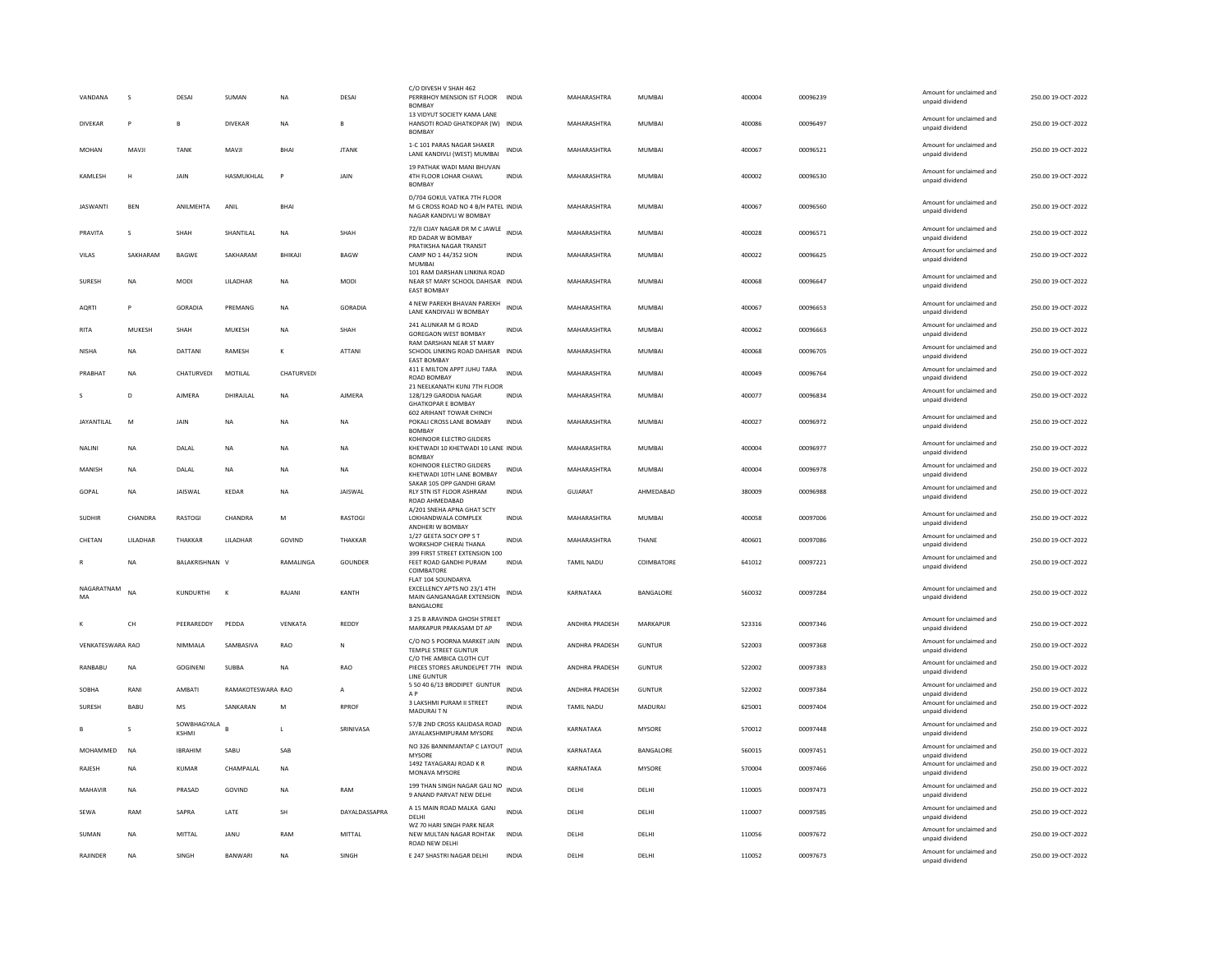| VANDANA          | s             | DESAI                       | SUMAN             | <b>NA</b>        | DESAI          | C/O DIVESH V SHAH 462<br>PERRBHOY MENSION IST FLOOR INDIA<br><b>BOMBAY</b>                     |              | MAHARASHTRA        | MUMBAI        | 400004 | 00096239 | Amount for unclaimed and<br>unpaid dividend | 250.00 19-OCT-2022 |
|------------------|---------------|-----------------------------|-------------------|------------------|----------------|------------------------------------------------------------------------------------------------|--------------|--------------------|---------------|--------|----------|---------------------------------------------|--------------------|
| <b>DIVEKAR</b>   | P             | B                           | <b>DIVEKAR</b>    | <b>NA</b>        | B              | 13 VIDYUT SOCIETY KAMA LANE<br>HANSOTI ROAD GHATKOPAR (W) INDIA<br><b>BOMBAY</b>               |              | MAHARASHTRA        | <b>MUMBAI</b> | 400086 | 00096497 | Amount for unclaimed and<br>unpaid dividend | 250.00 19-OCT-2022 |
| <b>MOHAN</b>     | MAVJI         | <b>TANK</b>                 | MAVJI             | BHAI             | <b>JTANK</b>   | 1-C 101 PARAS NAGAR SHAKER<br>LANE KANDIVLI (WEST) MUMBAI                                      | <b>INDIA</b> | MAHARASHTRA        | <b>MUMBAI</b> | 400067 | 00096521 | Amount for unclaimed and<br>unpaid dividend | 250.00 19-OCT-2022 |
| KAMLESH          | H             | JAIN                        | HASMUKHLAL        | P                | JAIN           | 19 PATHAK WADI MANI BHUVAN<br>4TH FLOOR LOHAR CHAWL<br><b>BOMBAY</b>                           | <b>INDIA</b> | MAHARASHTRA        | <b>MUMBAI</b> | 400002 | 00096530 | Amount for unclaimed and<br>unpaid dividend | 250.00 19-OCT-2022 |
| <b>JASWANTI</b>  | <b>BEN</b>    | ANILMEHTA                   | ANIL              | <b>BHAI</b>      |                | D/704 GOKUL VATIKA 7TH FLOOR<br>M G CROSS ROAD NO 4 B/H PATEL INDIA<br>NAGAR KANDIVLI W BOMBAY |              | MAHARASHTRA        | MUMBAI        | 400067 | 00096560 | Amount for unclaimed and<br>unpaid dividend | 250.00 19-OCT-2022 |
| PRAVITA          | <b>S</b>      | SHAH                        | SHANTILAL         | <b>NA</b>        | SHAH           | 72/II CIJAY NAGAR DR M C JAWLE<br>RD DADAR W BOMBAY                                            | <b>INDIA</b> | MAHARASHTRA        | <b>MUMBAI</b> | 400028 | 00096571 | Amount for unclaimed and<br>unpaid dividend | 250.00 19-OCT-2022 |
| VILAS            | SAKHARAM      | <b>BAGWE</b>                | SAKHARAM          | BHIKAJI          | <b>BAGW</b>    | PRATIKSHA NAGAR TRANSIT<br>CAMP NO 1 44/352 SION<br><b>MUMBAI</b>                              | <b>INDIA</b> | MAHARASHTRA        | <b>MUMBAI</b> | 400022 | 00096625 | Amount for unclaimed and<br>unpaid dividend | 250.00 19-OCT-2022 |
| SURESH           | NA            | <b>MODI</b>                 | <b>I II ADHAR</b> | NA               | <b>MODI</b>    | 101 RAM DARSHAN LINKINA ROAD<br>NEAR ST MARY SCHOOL DAHISAR INDIA<br><b>EAST BOMBAY</b>        |              | MAHARASHTRA        | MUMBAI        | 400068 | 00096647 | Amount for unclaimed and<br>unpaid dividend | 250.00 19-OCT-2022 |
| <b>AORTI</b>     | P             | GORADIA                     | PREMANG           | <b>NA</b>        | <b>GORADIA</b> | 4 NEW PAREKH BHAVAN PAREKH<br>LANE KANDIVALI W BOMBAY                                          | <b>INDIA</b> | MAHARASHTRA        | <b>MUMBAI</b> | 400067 | 00096653 | Amount for unclaimed and<br>unpaid dividend | 250.00 19-OCT-2022 |
| <b>RITA</b>      | <b>MUKESH</b> | SHAH                        | MUKESH            | <b>NA</b>        | SHAH           | 241 ALUNKAR M G ROAD<br><b>GOREGAON WEST BOMBAY</b><br>RAM DARSHAN NEAR ST MARY                | <b>INDIA</b> | MAHARASHTRA        | <b>MUMBAI</b> | 400062 | 00096663 | Amount for unclaimed and<br>unpaid dividend | 250.00 19-OCT-2022 |
| <b>NISHA</b>     | <b>NA</b>     | DATTANI                     | RAMESH            | $\kappa$         | <b>ATTANI</b>  | SCHOOL LINKING ROAD DAHISAR INDIA<br><b>EAST BOMBAY</b>                                        |              | MAHARASHTRA        | <b>MUMBAI</b> | 400068 | 00096705 | Amount for unclaimed and<br>unpaid dividend | 250.00 19-OCT-2022 |
| <b>PRABHAT</b>   | <b>NA</b>     | CHATURVEDI                  | MOTILAL           | CHATURVEDI       |                | 411 E MILTON APPT JUHU TARA<br>ROAD BOMBAY<br>21 NEELKANATH KUNJ 7TH FLOOR                     | <b>INDIA</b> | MAHARASHTRA        | <b>MUMBAI</b> | 400049 | 00096764 | Amount for unclaimed and<br>unpaid dividend | 250.00 19-OCT-2022 |
|                  | D             | AIMFRA                      | DHIRAJLAL         | <b>NA</b>        | <b>AIMFRA</b>  | 128/129 GARODIA NAGAR<br><b>GHATKOPAR E BOMBAY</b>                                             | <b>INDIA</b> | MAHARASHTRA        | MUMBAI        | 400077 | 00096834 | Amount for unclaimed and<br>unpaid dividend | 250.00 19-OCT-2022 |
| JAYANTILAL       | M             | <b>JAIN</b>                 | <b>NA</b>         | <b>NA</b>        | <b>NA</b>      | <b>602 ARIHANT TOWAR CHINCH</b><br>POKALI CROSS LANE BOMABY<br><b>BOMBAY</b>                   | <b>INDIA</b> | MAHARASHTRA        | MUMBAI        | 400027 | 00096972 | Amount for unclaimed and<br>unpaid dividend | 250.00 19-OCT-2022 |
| <b>NALIN</b>     | NA            | DALAL                       | NA                | NA               | NA             | KOHINOOR ELECTRO GILDERS<br>KHETWADI 10 KHETWADI 10 LANE INDIA<br><b>BOMBAY</b>                |              | MAHARASHTRA        | <b>MUMBAI</b> | 400004 | 00096977 | Amount for unclaimed and<br>unpaid dividend | 250.00 19-OCT-2022 |
| MANISH           | NA            | DALAL                       | NA                | NA               | NA             | KOHINOOR ELECTRO GILDERS<br>KHETWADI 10TH LANE BOMBAY                                          | <b>INDIA</b> | MAHARASHTRA        | MUMBAI        | 400004 | 00096978 | Amount for unclaimed and<br>unpaid dividend | 250.00 19-OCT-2022 |
| GOPAL            | <b>NA</b>     | <b>IAISWAI</b>              | KFDAR             | <b>NA</b>        | <b>IAISWAI</b> | SAKAR 105 OPP GANDHI GRAM<br>RLY STN IST FLOOR ASHRAM<br>ROAD AHMEDABAD                        | <b>INDIA</b> | GUIARAT            | AHMFDARAD     | 380009 | 00096988 | Amount for unclaimed and<br>unpaid dividend | 250.00.19-QCT-2022 |
| <b>SUDHIR</b>    | CHANDRA       | <b>RASTOGI</b>              | CHANDRA           | M                | <b>RASTOGI</b> | A/201 SNEHA APNA GHAT SCTY<br>LOKHANDWALA COMPLEX<br>ANDHERI W BOMBAY                          | <b>INDIA</b> | <b>MAHARASHTRA</b> | MUMBAI        | 400058 | 00097006 | Amount for unclaimed and<br>unpaid dividend | 250.00 19-OCT-2022 |
| CHETAN           | LILADHAR      | THAKKAR                     | LILADHAR          | GOVIND           | THAKKAR        | 1/27 GEETA SOCY OPP S T<br>WORKSHOP CHERAI THANA                                               | <b>INDIA</b> | MAHARASHTRA        | THANE         | 400601 | 00097086 | Amount for unclaimed and<br>unpaid dividend | 250.00 19-OCT-2022 |
|                  | <b>NA</b>     | <b>BALAKRISHNAN V</b>       |                   | <b>RAMALINGA</b> | <b>GOUNDER</b> | 399 FIRST STREET EXTENSION 100<br>FEET ROAD GANDHI PURAM<br>COIMBATORE                         | <b>INDIA</b> | TAMII NADU         | COIMBATORE    | 641012 | 00097221 | Amount for unclaimed and<br>unpaid dividend | 250.00 19-OCT-2022 |
| NAGARATNAM       | <b>NA</b>     | KUNDURTHI                   | К                 | RAJANI           | KANTH          | FLAT 104 SOUNDARYA<br>EXCELLENCY APTS NO 23/1 4TH<br>MAIN GANGANAGAR EXTENSION<br>BANGALORE    | <b>INDIA</b> | KARNATAKA          | BANGALORE     | 560032 | 00097284 | Amount for unclaimed and<br>unpaid dividend | 250.00 19-OCT-2022 |
|                  | CH            | PEERAREDDY                  | PEDDA             | VENKATA          | REDDY          | 3 25 B ARAVINDA GHOSH STREET<br>MARKAPUR PRAKASAM DT AP                                        | <b>INDIA</b> | ANDHRA PRADESH     | MARKAPUR      | 523316 | 00097346 | Amount for unclaimed and<br>unpaid dividend | 250.00 19-OCT-2022 |
| VENKATESWARA RAO |               | NIMMALA                     | SAMBASIVA         | RAO              | N              | C/O NO 5 POORNA MARKET JAIN<br><b>TEMPLE STREET GUNTUR</b>                                     | <b>INDIA</b> | ANDHRA PRADESH     | <b>GUNTUR</b> | 522003 | 00097368 | Amount for unclaimed and<br>unpaid dividend | 250.00 19-OCT-2022 |
| RANBABU          | NA            | <b>GOGINENI</b>             | <b>SUBBA</b>      | <b>NA</b>        | RAO            | C/O THE AMBICA CLOTH CUT<br>PIECES STORES ARUNDELPET 7TH INDIA                                 |              | ANDHRA PRADESH     | <b>GUNTUR</b> | 522002 | 00097383 | Amount for unclaimed and<br>unpaid dividend | 250.00 19-OCT-2022 |
| SOBHA            | RANI          | AMBATI                      | RAMAKOTESWARA RAO |                  | A              | <b>LINE GUNTUR</b><br>5 50 40 6/13 BRODIPET GUNTUR<br>A <sub>P</sub>                           | <b>INDIA</b> | ANDHRA PRADESH     | <b>GUNTUR</b> | 522002 | 00097384 | Amount for unclaimed and<br>unpaid dividend | 250.00 19-OCT-2022 |
| <b>SURESH</b>    | <b>BABU</b>   | <b>MS</b>                   | SANKARAN          | M                | <b>RPROF</b>   | 3 LAKSHMI PURAM II STREET<br>MADURAIT N                                                        | <b>INDIA</b> | <b>TAMIL NADU</b>  | MADURAI       | 625001 | 00097404 | Amount for unclaimed and<br>unpaid dividend | 250.00 19-OCT-2022 |
|                  | s             | SOWBHAGYALA<br><b>KSHMI</b> |                   | $\mathbf{L}$     | SRINIVASA      | 57/B 2ND CROSS KALIDASA ROAD<br>JAYALAKSHMIPURAM MYSORE                                        | <b>INDIA</b> | KARNATAKA          | MYSORE        | 570012 | 00097448 | Amount for unclaimed and<br>unpaid dividend | 250.00 19-OCT-2022 |
| MOHAMMED         | <b>NA</b>     | <b>IBRAHIM</b>              | SABU              | SAB              |                | NO 326 BANNIMANTAP C LAYOUT INDIA<br>MYSORE                                                    |              | KARNATAKA          | BANGALORE     | 560015 | 00097451 | Amount for unclaimed and<br>unpaid dividend | 250.00 19-OCT-2022 |
| RAJESH           | <b>NA</b>     | KUMAR                       | <b>CHAMPALAI</b>  | <b>NA</b>        |                | 1492 TAYAGARAJ ROAD K R<br><b>MONAVA MYSORE</b>                                                | <b>INDIA</b> | KARNATAKA          | <b>MYSORE</b> | 570004 | 00097466 | Amount for unclaimed and<br>unpaid dividend | 250.00 19-OCT-2022 |
| MAHAVIR          | <b>NA</b>     | PRASAD                      | GOVIND            | <b>NA</b>        | RAM            | 199 THAN SINGH NAGAR GALI NO<br>9 ANAND PARVAT NEW DELHI                                       | <b>INDIA</b> | DELHI              | DELHI         | 110005 | 00097473 | Amount for unclaimed and<br>unpaid dividend | 250.00 19-OCT-2022 |
| SEWA             | RAM           | SAPRA                       | LATE              | SH               | DAYALDASSAPRA  | A 15 MAIN ROAD MALKA GANJ<br>DELHI                                                             | <b>INDIA</b> | DELHI              | DELHI         | 110007 | 00097585 | Amount for unclaimed and<br>unpaid dividend | 250.00 19-OCT-2022 |
| SUMAN            | <b>NA</b>     | MITTAL                      | JANU              | RAM              | MITTAL         | WZ 70 HARI SINGH PARK NEAR<br>NEW MULTAN NAGAR ROHTAK<br>ROAD NEW DELHI                        | <b>INDIA</b> | DELHI              | DELHI         | 110056 | 00097672 | Amount for unclaimed and<br>unpaid dividend | 250.00 19-OCT-2022 |
| RAJINDER         | <b>NA</b>     | SINGH                       | BANWARI           | <b>NA</b>        | SINGH          | E 247 SHASTRI NAGAR DELHI                                                                      | <b>INDIA</b> | DELH               | DELHI         | 110052 | 00097673 | Amount for unclaimed and<br>unpaid dividend | 250.00 19-OCT-2022 |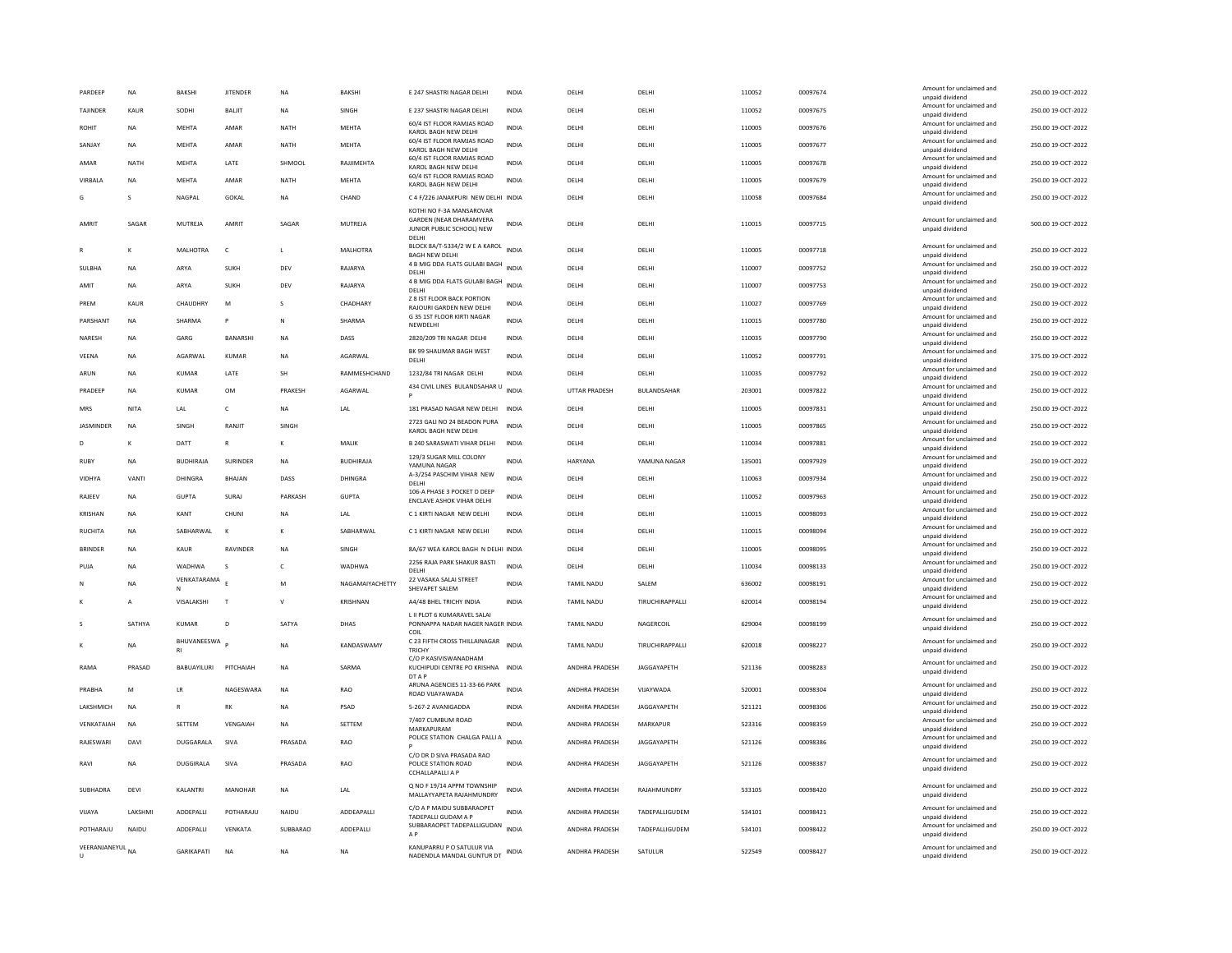| PARDEEP          | <b>NA</b>       | BAKSHI                   | <b>JITENDER</b> | <b>NA</b>    | BAKSHI           | E 247 SHASTRI NAGAR DELHI                                               | INDIA        | DELHI             | DELHI              | 110052 | 00097674 | Amount for unclaimed and<br>unpaid dividend                    | 250.00 19-OCT-2022 |
|------------------|-----------------|--------------------------|-----------------|--------------|------------------|-------------------------------------------------------------------------|--------------|-------------------|--------------------|--------|----------|----------------------------------------------------------------|--------------------|
| TAJINDER         | KAUR            | SODHI                    | <b>BALJIT</b>   | <b>NA</b>    | SINGH            | E 237 SHASTRI NAGAR DELHI                                               | <b>INDIA</b> | DELHI             | DELHI              | 110052 | 00097675 | Amount for unclaimed and<br>unpaid dividend                    | 250.00 19-OCT-2022 |
| <b>ROHIT</b>     | <b>NA</b>       | MEHTA                    | AMAR            | <b>NATH</b>  | <b>MEHTA</b>     | 60/4 IST FLOOR RAMJAS ROAD<br>KAROL BAGH NEW DELHI                      | <b>INDIA</b> | DELHI             | DELHI              | 110005 | 00097676 | Amount for unclaimed and<br>unpaid dividend                    | 250.00 19-OCT-2022 |
| SANIAY           | <b>NA</b>       | <b>MFHTA</b>             | AMAR            | <b>NATH</b>  | MFHTA            | 60/4 IST FLOOR RAMJAS ROAD<br>KAROL BAGH NEW DELHI                      | <b>INDIA</b> | <b>DELHI</b>      | DELHI              | 110005 | 00097677 | Amount for unclaimed and<br>unpaid dividend                    | 250.00 19-OCT-2022 |
| AMAR             | <b>NATH</b>     | <b>MEHTA</b>             | LATE            | SHMOOL       | RAJJIMEHTA       | 60/4 IST FLOOR RAMJAS ROAD<br>KAROL BAGH NEW DELHI                      | <b>INDIA</b> | DELHI             | DELHI              | 110005 | 00097678 | Amount for unclaimed and<br>unpaid dividend                    | 250.00 19-OCT-2022 |
| VIRBALA          | NA              | MEHTA                    | AMAR            | <b>NATH</b>  | <b>MEHTA</b>     | 60/4 IST FLOOR RAMJAS ROAD                                              | INDIA        | DELH              | DELHI              | 110005 | 00097679 | Amount for unclaimed and                                       | 250.00 19-OCT-2022 |
| G                | $\mathbf{S}$    | NAGPAL                   | GOKAL           | NA           | CHAND            | KAROL BAGH NEW DELHI<br>C 4 F/226 JANAKPURI NEW DELHI INDIA             |              | DELHI             | DELHI              | 110058 | 00097684 | unpaid dividend<br>Amount for unclaimed and                    | 250.00 19-OCT-2022 |
|                  |                 |                          |                 |              |                  | KOTHI NO F-3A MANSAROVAR                                                |              |                   |                    |        |          | unpaid dividend                                                |                    |
| AMRIT            | SAGAR           | MUTREJA                  | AMRIT           | SAGAR        | MUTREJA          | <b>GARDEN (NEAR DHARAMVERA</b><br>JUNIOR PUBLIC SCHOOL) NEW<br>DELH     | INDIA        | DELHI             | DELHI              | 110015 | 00097715 | Amount for unclaimed and<br>unpaid dividend                    | 500.00 19-OCT-2022 |
|                  | K               | MALHOTRA                 | $\mathsf{C}$    | L            | MALHOTRA         | BLOCK 8A/T-5334/2 W E A KAROL<br><b>BAGH NEW DELHI</b>                  | <b>INDIA</b> | DELHI             | DELHI              | 110005 | 00097718 | Amount for unclaimed and<br>unpaid dividend                    | 250.00 19-OCT-2022 |
| SULBHA           | <b>NA</b>       | ARYA                     | SUKH            | DEV          | RAJARYA          | 4 B MIG DDA FLATS GULABI BAGH INDIA<br>DELHI                            |              | DELHI             | DELHI              | 110007 | 00097752 | Amount for unclaimed and<br>unpaid dividend                    | 250.00 19-OCT-2022 |
| AMIT             | <b>NA</b>       | ARYA                     | <b>SUKH</b>     | DEV          | RAJARYA          | 4 B MIG DDA FLATS GULABI BAGH<br>DELHI                                  | INDIA        | DELHI             | DELHI              | 110007 | 00097753 | Amount for unclaimed and<br>unpaid dividend                    | 250.00 19-OCT-2022 |
| PREM             | <b>KAUR</b>     | CHAUDHRY                 | M               | s            | CHADHARY         | Z 8 IST FLOOR BACK PORTION<br>RAJOURI GARDEN NEW DELHI                  | <b>INDIA</b> | DELHI             | DELHI              | 110027 | 00097769 | Amount for unclaimed and<br>unpaid dividend                    | 250.00 19-OCT-2022 |
| PARSHANT         | <b>NA</b>       | SHARMA                   |                 | N            | SHARMA           | G 35 1ST FLOOR KIRTI NAGAR                                              | <b>INDIA</b> | DELHI             | DELHI              | 110015 | 00097780 | Amount for unclaimed and                                       | 250.00 19-OCT-2022 |
| NARESH           | <b>NA</b>       | GARG                     | BANARSHI        | <b>NA</b>    | DASS             | NEWDELH<br>2820/209 TRI NAGAR DELHI                                     | INDIA        | DELHI             | DELHI              | 110035 | 00097790 | unpaid dividend<br>Amount for unclaimed and                    | 250.00 19-OCT-2022 |
| VEENA            | <b>NA</b>       | AGARWAL                  | <b>KUMAR</b>    | <b>NA</b>    | AGARWAL          | BK 99 SHALIMAR BAGH WEST                                                | <b>INDIA</b> | DELHI             | DELHI              | 110052 | 00097791 | unpaid dividend<br>Amount for unclaimed and                    | 375.00 19-OCT-2022 |
|                  |                 |                          |                 |              |                  | DFI HI                                                                  |              |                   |                    |        |          | unpaid dividend<br>Amount for unclaimed and                    |                    |
| ARUN             | <b>NA</b>       | KUMAR                    | LATE            | SH           | RAMMESHCHAND     | 1232/84 TRI NAGAR DELHI<br>434 CIVIL LINES BULANDSAHAR U                | <b>INDIA</b> | DELHI             | DELHI              | 110035 | 00097792 | unpaid dividend<br>Amount for unclaimed and                    | 250.00 19-OCT-2022 |
| PRADEEP          | <b>NA</b>       | <b>KUMAR</b>             | OM              | PRAKESH      | AGARWAL          |                                                                         | <b>INDIA</b> | UTTAR PRADESH     | BULANDSAHAR        | 203001 | 00097822 | unpaid dividend                                                | 250.00 19-OCT-2022 |
| MRS              | NITA            | LAL                      | c               | <b>NA</b>    | LAL              | 181 PRASAD NAGAR NEW DELHI INDIA                                        |              | DELH              | DELHI              | 110005 | 00097831 | Amount for unclaimed and<br>unpaid dividend                    | 250.00 19-OCT-2022 |
| <b>JASMINDER</b> | <b>NA</b>       | SINGH                    | RANJIT          | SINGH        |                  | 2723 GALI NO 24 BEADON PURA<br>KAROL BAGH NEW DELHI                     | <b>INDIA</b> | DELHI             | DELHI              | 110005 | 00097865 | Amount for unclaimed and<br>unpaid dividend                    | 250.00 19-OCT-2022 |
| D                | К               | DATT                     | R               | к            | MALIK            | B 240 SARASWATI VIHAR DELHI                                             | <b>INDIA</b> | DELHI             | DELHI              | 110034 | 00097881 | Amount for unclaimed and<br>unpaid dividend                    | 250.00 19-OCT-2022 |
| <b>RUBY</b>      | <b>NA</b>       | <b>BUDHIRAJA</b>         | SURINDER        | <b>NA</b>    | <b>BUDHIRAJA</b> | 129/3 SUGAR MILL COLONY<br>YAMUNA NAGAR                                 | <b>INDIA</b> | HARYANA           | YAMUNA NAGAR       | 135001 | 00097929 | Amount for unclaimed and<br>unpaid dividend                    | 250.00 19-OCT-2022 |
| VIDHYA           | VANTI           | DHINGRA                  | <b>BHAJAN</b>   | DASS         | DHINGRA          | A-3/254 PASCHIM VIHAR NEW<br>DELHI                                      | <b>INDIA</b> | DELHI             | DELHI              | 110063 | 00097934 | Amount for unclaimed and<br>unpaid dividend                    | 250.00 19-OCT-2022 |
| RAJEEV           | <b>NA</b>       | <b>GUPTA</b>             | SURAJ           | PARKASH      | <b>GUPTA</b>     | 106-A PHASE 3 POCKET D DEEP                                             | INDIA        | DELHI             | DELHI              | 110052 | 00097963 | Amount for unclaimed and                                       | 250.00 19-OCT-2022 |
| KRISHAN          | <b>NA</b>       | KANT                     | CHUNI           | <b>NA</b>    | LAL              | ENCLAVE ASHOK VIHAR DELHI<br>C 1 KIRTI NAGAR NEW DELHI                  | <b>INDIA</b> | DELHI             | DELHI              | 110015 | 00098093 | unpaid dividend<br>Amount for unclaimed and                    | 250.00 19-OCT-2022 |
| <b>RUCHITA</b>   | <b>NA</b>       | SABHARWAL                | K               | к            | SABHARWAL        | C 1 KIRTI NAGAR NEW DELHI                                               | <b>INDIA</b> | DELHI             | DELHI              | 110015 | 00098094 | unpaid dividend<br>Amount for unclaimed and                    | 250.00 19-OCT-2022 |
|                  |                 |                          |                 |              |                  |                                                                         |              |                   |                    |        |          | unpaid dividend<br>Amount for unclaimed and                    |                    |
| <b>BRINDER</b>   | <b>NA</b>       | KAUR                     | RAVINDER        | <b>NA</b>    | SINGH            | 8A/67 WEA KAROL BAGH N DELHI INDIA<br>2256 RAJA PARK SHAKUR BASTI       |              | DELHI             | DELHI              | 110005 | 00098095 | unpaid dividend<br>Amount for unclaimed and                    | 250.00 19-OCT-2022 |
| PUJA             | <b>NA</b>       | WADHWA                   | s               | $\mathsf{C}$ | WADHWA           | DELHI<br>22 VASAKA SALAI STREET                                         | <b>INDIA</b> | DELHI             | DELHI              | 110034 | 00098133 | unpaid dividend                                                | 250.00 19-OCT-2022 |
| N                | <b>NA</b>       | VENKATARAMA<br>N         |                 | M            | NAGAMAIYACHETTY  | SHEVAPET SALEM                                                          | <b>INDIA</b> | <b>TAMIL NADU</b> | SALEM              | 636002 | 00098191 | Amount for unclaimed and<br>unpaid dividend                    | 250.00 19-OCT-2022 |
|                  | $\overline{A}$  | VISALAKSHI               | T               | $\mathsf{v}$ | <b>KRISHNAN</b>  | A4/48 BHEL TRICHY INDIA                                                 | <b>INDIA</b> | <b>TAMIL NADU</b> | TIRUCHIRAPPALLI    | 620014 | 00098194 | Amount for unclaimed and<br>unpaid dividend                    | 250.00 19-OCT-2022 |
|                  | SATHYA          | KUMAR                    | D               | SATYA        | DHAS             | L II PLOT 6 KUMARAVEL SALAI<br>PONNAPPA NADAR NAGER NAGER INDIA<br>COIL |              | TAMIL NADU        | NAGERCOIL          | 629004 | 00098199 | Amount for unclaimed and<br>unpaid dividend                    | 250.00 19-OCT-2022 |
|                  | NΑ              | BHUVANEESWA <sub>p</sub> |                 | NA           | KANDASWAMY       | C 23 FIFTH CROSS THILLAINAGAR<br><b>TRICHY</b>                          | <b>INDIA</b> | <b>TAMIL NADU</b> | TIRUCHIRAPPALLI    | 620018 | 00098227 | Amount for unclaimed and<br>unpaid dividend                    | 250.00 19-OCT-2022 |
| RAMA             | PRASAD          | BABUAYILURI              | PITCHAIAH       | <b>NA</b>    | SARMA            | C/O P KASIVISWANADHAM<br>KUCHIPUDI CENTRE PO KRISHNA INDIA<br>DT A F    |              | ANDHRA PRADESH    | JAGGAYAPETH        | 521136 | 00098283 | Amount for unclaimed and<br>unpaid dividend                    | 250.00 19-OCT-2022 |
| PRABHA           | M               | LR                       | NAGESWARA       | <b>NA</b>    | RAO              | ARUNA AGENCIES 11-33-66 PARK<br>ROAD VIJAYAWADA                         | INDIA        | ANDHRA PRADESH    | VIJAYWADA          | 520001 | 00098304 | Amount for unclaimed and<br>unpaid dividend                    | 250.00 19-OCT-2022 |
| LAKSHMICH        | <b>NA</b>       | R                        | RK              | <b>NA</b>    | PSAD             | 5-267-2 AVANIGADDA                                                      | <b>INDIA</b> | ANDHRA PRADESH    | JAGGAYAPETH        | 521121 | 00098306 | Amount for unclaimed and<br>unpaid dividend                    | 250.00 19-OCT-2022 |
| VENKATAIAH       | <b>NA</b>       | SETTEM                   | VENGAIAH        | NA           | SETTEM           | 7/407 CUMBUM ROAD<br>MARKAPURAM                                         | <b>INDIA</b> | ANDHRA PRADESH    | MARKAPUR           | 523316 | 00098359 | Amount for unclaimed and                                       | 250.00 19-OCT-2022 |
| RAIFSWARI        | DAVI            | <b>DUGGARALA</b>         | SIVA            | PRASADA      | RAO              | POLICE STATION CHALGA PALLI A                                           | <b>INDIA</b> | ANDHRA PRADESH    | <b>IAGGAYAPETH</b> | 521126 | 00098386 | unpaid dividend<br>Amount for unclaimed and                    | 250.00 19-OCT-2022 |
| RAVI             | NA              | <b>DUGGIRALA</b>         | SIVA            | PRASADA      | <b>RAO</b>       | C/O DR D SIVA PRASADA RAO<br>POLICE STATION ROAD<br>CCHALLAPALLLA P     | <b>INDIA</b> | ANDHRA PRADESH    | JAGGAYAPETH        | 521126 | 00098387 | unpaid dividend<br>Amount for unclaimed and<br>unpaid dividend | 250.00 19-OCT-2022 |
| SUBHADRA         | DEVI            | KALANTRI                 | MANOHAR         | <b>NA</b>    | LAL              | Q NO F 19/14 APPM TOWNSHIP<br>MALLAYYAPETA RAJAHMUNDRY                  | INDIA        | ANDHRA PRADESH    | RAJAHMUNDRY        | 533105 | 00098420 | Amount for unclaimed and<br>unpaid dividend                    | 250.00 19-OCT-2022 |
| VIIAYA           | <b>I AKSHMI</b> | <b>ADDEPAILI</b>         | POTHARAILI      | NAIDU        | <b>ADDEAPALL</b> | C/O A P MAIDU SUBBARAOPET                                               | <b>INDIA</b> | ANDHRA PRADESH    | TADEPALLIGUDEM     | 534101 | 00098421 | Amount for unclaimed and                                       | 250.00 19-OCT-2022 |
| POTHARAJU        | NAIDU           | ADDEPALLI                | VENKATA         | SUBBARAO     | ADDEPALLI        | TADEPALLI GUDAM A P<br>SUBBARAOPET TADEPALLIGUDAN                       | <b>INDIA</b> | ANDHRA PRADESH    | TADEPALLIGUDEM     | 534101 | 00098422 | unpaid dividend<br>Amount for unclaimed and                    | 250.00 19-OCT-2022 |
| VEERANJANEYUL NA |                 |                          |                 |              |                  | A <sub>P</sub><br>KANUPARRU P O SATULUR VIA                             |              |                   |                    |        |          | unpaid dividend<br>Amount for unclaimed and                    |                    |
| $\mathbf{U}$     |                 | <b>GARIKAPATI</b>        | <b>NA</b>       | <b>NA</b>    | <b>NA</b>        | NADENDLA MANDAL GUNTUR DT INDIA                                         |              | ANDHRA PRADESH    | SATULUR            | 522549 | 00098427 | unpaid dividend                                                | 250.00 19-OCT-2022 |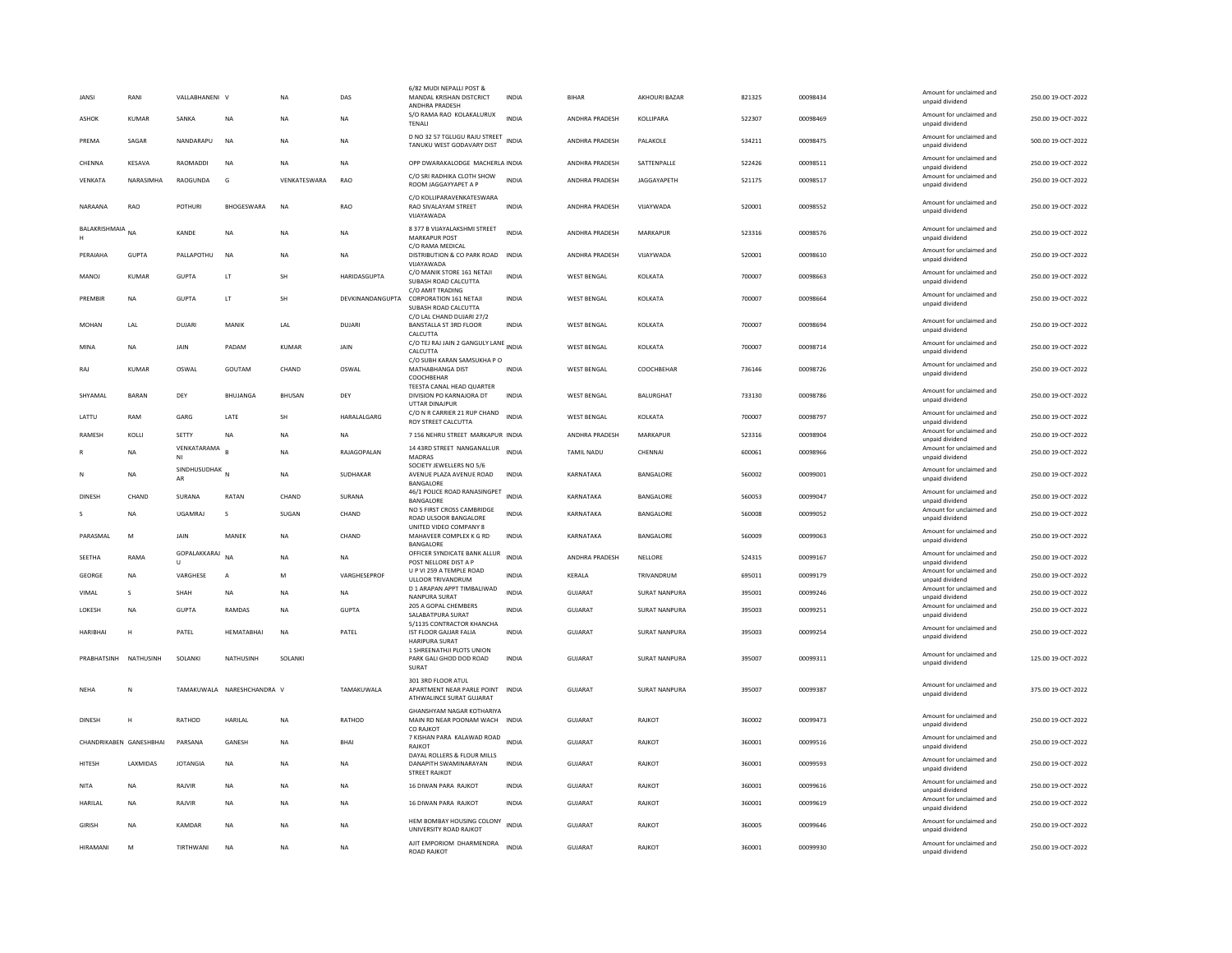| JANSI                   | RANI         | VALLABHANENI V       |                            | <b>NA</b>     | DAS              | 6/82 MUDI NEPALLI POST &<br>MANDAL KRISHAN DISTCRICT<br>ANDHRA PRADESH             | <b>INDIA</b> | <b>BIHAR</b>          | AKHOURI BAZAR        | 821325 | 00098434 | Amount for unclaimed and<br>unpaid dividend | 250.00 19-OCT-2022 |
|-------------------------|--------------|----------------------|----------------------------|---------------|------------------|------------------------------------------------------------------------------------|--------------|-----------------------|----------------------|--------|----------|---------------------------------------------|--------------------|
| ASHOK                   | KUMAR        | SANKA                | NA                         | <b>NA</b>     | NA               | S/O RAMA RAO KOLAKALURUX<br><b>TFNALL</b>                                          | <b>INDIA</b> | ANDHRA PRADESH        | KOLLIPARA            | 522307 | 00098469 | Amount for unclaimed and<br>unpaid dividend | 250.00 19-OCT-2022 |
| PREMA                   | SAGAR        | NANDARAPU            | <b>NA</b>                  | <b>NA</b>     | NA.              | D NO 32 57 TGLUGU RAJU STREET<br>TANUKU WEST GODAVARY DIST                         | <b>INDIA</b> | <b>ANDHRA PRADESH</b> | PAI AKOLE            | 534211 | 00098475 | Amount for unclaimed and<br>unpaid dividend | 500.00.19-QCT-2022 |
| CHENNA                  | KESAVA       | RAOMADDI             | <b>NA</b>                  | <b>NA</b>     | NA               | OPP DWARAKALODGE MACHERLA INDIA                                                    |              | ANDHRA PRADESH        | SATTENPALLE          | 522426 | 00098511 | Amount for unclaimed and<br>unpaid dividend | 250.00 19-OCT-2022 |
| VENKATA                 | NARASIMHA    | RAOGUNDA             | G                          | VENKATESWARA  | RAO              | C/O SRI RADHIKA CLOTH SHOW<br>ROOM JAGGAYYAPET A P                                 | <b>INDIA</b> | ANDHRA PRADESH        | JAGGAYAPETH          | 521175 | 00098517 | Amount for unclaimed and<br>unpaid dividend | 250.00 19-OCT-2022 |
| NARAANA                 | RAO          | <b>POTHUR</b>        | <b>BHOGESWARA</b>          | <b>NA</b>     | RAO              | C/O KOLLIPARAVENKATESWARA<br>RAO SIVALAYAM STREET<br>VIJAYAWADA                    | <b>INDIA</b> | <b>ANDHRA PRADESH</b> | VIJAYWADA            | 520001 | 00098552 | Amount for unclaimed and<br>unpaid dividend | 250.00 19-OCT-2022 |
| BALAKRISHMAIA<br>H      | <b>NA</b>    | KANDE                | NA                         | <b>NA</b>     | NA               | 8 377 B VIJAYALAKSHMI STREET<br>MARKAPUR POST                                      | <b>INDIA</b> | ANDHRA PRADESH        | MARKAPUR             | 523316 | 00098576 | Amount for unclaimed and<br>unpaid dividend | 250.00 19-OCT-2022 |
| PFRAIAHA                | GUPTA        | PALLAPOTHU           | <b>NA</b>                  | <b>NA</b>     | <b>NA</b>        | C/O RAMA MEDICAL<br>DISTRIBUTION & CO PARK ROAD<br>VIJAYAWADA                      | <b>INDIA</b> | ANDHRA PRADESH        | VIIAYWADA            | 520001 | 00098610 | Amount for unclaimed and<br>unpaid dividend | 250.00 19-OCT-2022 |
| MANOJ                   | KUMAR        | <b>GUPTA</b>         | LT                         | SH            | HARIDASGUPTA     | C/O MANIK STORE 161 NETAJI<br>SUBASH ROAD CALCUTTA<br>C/O AMIT TRADING             | <b>INDIA</b> | <b>WEST BENGAL</b>    | KOLKATA              | 700007 | 00098663 | Amount for unclaimed and<br>unpaid dividend | 250.00 19-OCT-2022 |
| PREMBIR                 | <b>NA</b>    | GUPTA                | <b>IT</b>                  | <b>SH</b>     | DEVKINANDANGUPTA | <b>CORPORATION 161 NETAJI</b><br>SUBASH ROAD CALCUTTA                              | <b>INDIA</b> | <b>WEST BENGAL</b>    | <b>KOLKATA</b>       | 700007 | 00098664 | Amount for unclaimed and<br>unpaid dividend | 250.00 19-OCT-2022 |
| MOHAN                   | LAL          | <b>DUJARI</b>        | MANIK                      | LAL           | <b>DUJARI</b>    | C/O LAL CHAND DUJARI 27/2<br>BANSTALLA ST 3RD FLOOR<br>CALCUTTA                    | INDIA        | <b>WEST BENGAL</b>    | KOLKATA              | 700007 | 00098694 | Amount for unclaimed and<br>unpaid dividend | 250.00 19-OCT-2022 |
| MINA                    | <b>NA</b>    | JAIN                 | PADAM                      | <b>KUMAR</b>  | JAIN             | C/O TEJ RAJ JAIN 2 GANGULY LANE INDIA<br>CALCUTTA                                  |              | <b>WEST BENGAL</b>    | KOLKATA              | 700007 | 00098714 | Amount for unclaimed and<br>unpaid dividend | 250.00 19-OCT-2022 |
| RAJ                     | KUMAR        | OSWAL                | GOUTAM                     | CHAND         | OSWAL            | C/O SUBH KARAN SAMSUKHA P O<br>MATHABHANGA DIST<br>COOCHBEHAF                      | INDIA        | <b>WEST BENGAL</b>    | COOCHBEHAR           | 736146 | 00098726 | Amount for unclaimed and<br>unpaid dividend | 250.00 19-OCT-2022 |
| SHYAMAI                 | <b>BARAN</b> | DEY                  | <b>BHUJANGA</b>            | <b>BHUSAN</b> | DEY              | TEESTA CANAL HEAD QUARTER<br>DIVISION PO KARNAJORA DT<br><b>UTTAR DINAJPUR</b>     | <b>INDIA</b> | <b>WEST BENGAL</b>    | <b>BALURGHAT</b>     | 733130 | 00098786 | Amount for unclaimed and<br>unpaid dividend | 250.00 19-OCT-2022 |
| LATTU                   | RAM          | GARG                 | LATE                       | SH            | HARALALGARG      | C/O N R CARRIER 21 RUP CHAND<br>ROY STREET CALCUTTA                                | <b>INDIA</b> | <b>WEST BENGAL</b>    | KOLKATA              | 700007 | 00098797 | Amount for unclaimed and<br>unpaid dividend | 250.00 19-OCT-2022 |
| RAMESH                  | KOLLI        | SETTY                | NA                         | <b>NA</b>     | <b>NA</b>        | 7 156 NEHRU STREET MARKAPUR INDIA                                                  |              | ANDHRA PRADESH        | MARKAPUR             | 523316 | 00098904 | Amount for unclaimed and<br>unpaid dividend | 250.00 19-OCT-2022 |
|                         | <b>NA</b>    | VENKATARAMA<br>NI    |                            | <b>NA</b>     | RAJAGOPALAN      | 14 43RD STREET NANGANALLUR<br>MADRAS                                               | <b>INDIA</b> | TAMIL NADU            | CHENNAI              | 600061 | 00098966 | Amount for unclaimed and<br>unpaid dividend | 250.00 19-OCT-2022 |
| N                       | <b>NA</b>    | SINDHUSUDHAK N<br>AR |                            | <b>NA</b>     | <b>SUDHAKAR</b>  | SOCIETY JEWELLERS NO 5/6<br>AVENUE PLAZA AVENUE ROAD<br>BANGALORE                  | <b>INDIA</b> | KARNATAKA             | BANGALORE            | 560002 | 00099001 | Amount for unclaimed and<br>unpaid dividend | 250.00 19-OCT-2022 |
| DINESH                  | CHAND        | SURANA               | RATAN                      | CHAND         | SURANA           | 46/1 POLICE ROAD RANASINGPET<br>BANGALORE                                          | <b>INDIA</b> | KARNATAKA             | BANGALORE            | 560053 | 00099047 | Amount for unclaimed and<br>unpaid dividend | 250.00 19-OCT-2022 |
|                         | <b>NA</b>    | <b>UGAMRAJ</b>       | s                          | SUGAN         | CHAND            | NO 5 FIRST CROSS CAMBRIDGE<br>ROAD ULSOOR BANGALORE                                | INDIA        | KARNATAKA             | BANGALORE            | 560008 | 00099052 | Amount for unclaimed and<br>unpaid dividend | 250.00 19-OCT-2022 |
| PARASMAI                | M            | <b>JAIN</b>          | MANFK                      | <b>NA</b>     | CHAND            | UNITED VIDEO COMPANY 8<br>MAHAVEER COMPLEX K G RD<br>BANGALORE                     | <b>INDIA</b> | KARNATAKA             | BANGALORE            | 560009 | C0099063 | Amount for unclaimed and<br>unpaid dividend | 250.00 19-OCT-2022 |
| SEETHA                  | RAMA         | GOPALAKKARAJ         | <b>NA</b>                  | <b>NA</b>     | NA               | OFFICER SYNDICATE BANK ALLUR<br>POST NELLORE DIST A P                              | <b>INDIA</b> | ANDHRA PRADESH        | NELLORE              | 524315 | 00099167 | Amount for unclaimed and<br>unpaid dividend | 250.00 19-OCT-2022 |
| <b>GEORGE</b>           | <b>NA</b>    | VARGHESE             | A                          | M             | VARGHESEPROF     | U P VI 259 A TEMPLE ROAD<br>ULLOOR TRIVANDRUM                                      | INDIA        | KERALA                | TRIVANDRUM           | 695011 | 00099179 | Amount for unclaimed and<br>unpaid dividend | 250.00 19-OCT-2022 |
| VIMAL                   | $\mathbf{S}$ | SHAH                 | NA                         | <b>NA</b>     | NA.              | D 1 ARAPAN APPT TIMBALIWAD<br>NANPURA SURAT                                        | <b>INDIA</b> | GUIARAT               | <b>SURAT NANPURA</b> | 395001 | 00099246 | Amount for unclaimed and<br>unpaid dividend | 250.00 19-OCT-2022 |
| LOKESH                  | <b>NA</b>    | <b>GUPTA</b>         | RAMDAS                     | <b>NA</b>     | <b>GUPTA</b>     | 205 A GOPAL CHEMBERS<br>SALABATPURA SURAT                                          | <b>INDIA</b> | GUJARAT               | SURAT NANPURA        | 395003 | 00099251 | Amount for unclaimed and<br>unpaid dividend | 250.00 19-OCT-2022 |
| HARIBHAI                | H            | PATEL                | HEMATABHAI                 | NA            | PATEL            | 5/1135 CONTRACTOR KHANCHA<br>IST FLOOR GAJJAR FALIA                                | INDIA        | GUJARAT               | SURAT NANPURA        | 395003 | 00099254 | Amount for unclaimed and                    | 250.00 19-OCT-2022 |
|                         |              |                      |                            |               |                  | <b>HARIPURA SURAT</b><br>1 SHREENATHJI PLOTS UNION                                 |              |                       |                      |        |          | unpaid dividend                             |                    |
| PRABHATSINH             | NATHUSINH    | SOLANKI              | NATHUSINH                  | SOLANK        |                  | PARK GALI GHOD DOD ROAD<br>SURAT                                                   | <b>INDIA</b> | <b>GUJARAT</b>        | <b>SURAT NANPURA</b> | 395007 | 00099311 | Amount for unclaimed and<br>unpaid dividend | 125.00 19-OCT-2022 |
| NEHA                    | N            |                      | TAMAKUWALA NARESHCHANDRA V |               | TAMAKUWALA       | 301 3RD FLOOR ATUL<br>APARTMENT NEAR PARLE POINT INDIA<br>ATHWALINCE SURAT GUJARAT |              | <b>GUJARAT</b>        | <b>SURAT NANPURA</b> | 395007 | 00099387 | Amount for unclaimed and<br>unpaid dividend | 375.00 19-OCT-2022 |
| <b>DINESH</b>           | H            | RATHOD               | HARILAL                    | <b>NA</b>     | RATHOD           | <b>GHANSHYAM NAGAR KOTHARIYA</b><br>MAIN RD NEAR POONAM WACH INDIA<br>CO RAJKOT    |              | <b>GUJARAT</b>        | RAJKOT               | 360002 | 00099473 | Amount for unclaimed and<br>unpaid dividend | 250.00 19-OCT-2022 |
| CHANDRIKABEN GANESHBHAI |              | PARSANA              | GANESH                     | <b>NA</b>     | <b>BHAI</b>      | 7 KISHAN PARA KALAWAD ROAD<br>RAJKOT                                               | <b>INDIA</b> | GUJARAT               | RAJKOT               | 360001 | 00099516 | Amount for unclaimed and<br>unpaid dividend | 250.00 19-OCT-2022 |
| <b>HITESH</b>           | LAXMIDAS     | <b>JOTANGIA</b>      | NA                         | <b>NA</b>     | NA               | DAYAL ROLLERS & FLOUR MILLS<br>DANAPITH SWAMINARAYAN<br><b>STREET RAJKOT</b>       | INDIA        | GUJARAT               | RAJKOT               | 360001 | 00099593 | Amount for unclaimed and<br>unpaid dividend | 250.00 19-OCT-2022 |
| <b>NITA</b>             | <b>NA</b>    | RAJVIR               | <b>NA</b>                  | <b>NA</b>     | <b>NA</b>        | 16 DIWAN PARA RAJKOT                                                               | <b>INDIA</b> | <b>GUJARAT</b>        | RAJKOT               | 360001 | 00099616 | Amount for unclaimed and<br>unpaid dividend | 250.00 19-OCT-2022 |
| HARILAL                 | <b>NA</b>    | RAJVIR               | NA                         | <b>NA</b>     | <b>NA</b>        | 16 DIWAN PARA RAJKOT                                                               | <b>INDIA</b> | <b>GUJARAT</b>        | RAJKOT               | 360001 | 00099619 | Amount for unclaimed and<br>unpaid dividend | 250.00 19-OCT-2022 |
| <b>GIRISH</b>           | <b>NA</b>    | KAMDAR               | <b>NA</b>                  | <b>NA</b>     | <b>NA</b>        | HEM BOMBAY HOUSING COLONY<br>UNIVERSITY ROAD RAJKOT                                | <b>INDIA</b> | <b>GUJARAT</b>        | <b>RAJKOT</b>        | 360005 | 00099646 | Amount for unclaimed and<br>unpaid dividend | 250.00 19-OCT-2022 |
| <b>HIRAMANI</b>         | M            | TIRTHWANI            | <b>NA</b>                  | <b>NA</b>     | <b>NA</b>        | AJIT EMPORIOM DHARMENDRA<br><b>ROAD RAJKOT</b>                                     | <b>INDIA</b> | GUJARAT               | <b>RAJKOT</b>        | 360001 | 00099930 | Amount for unclaimed and<br>unpaid dividend | 250.00 19-OCT-2022 |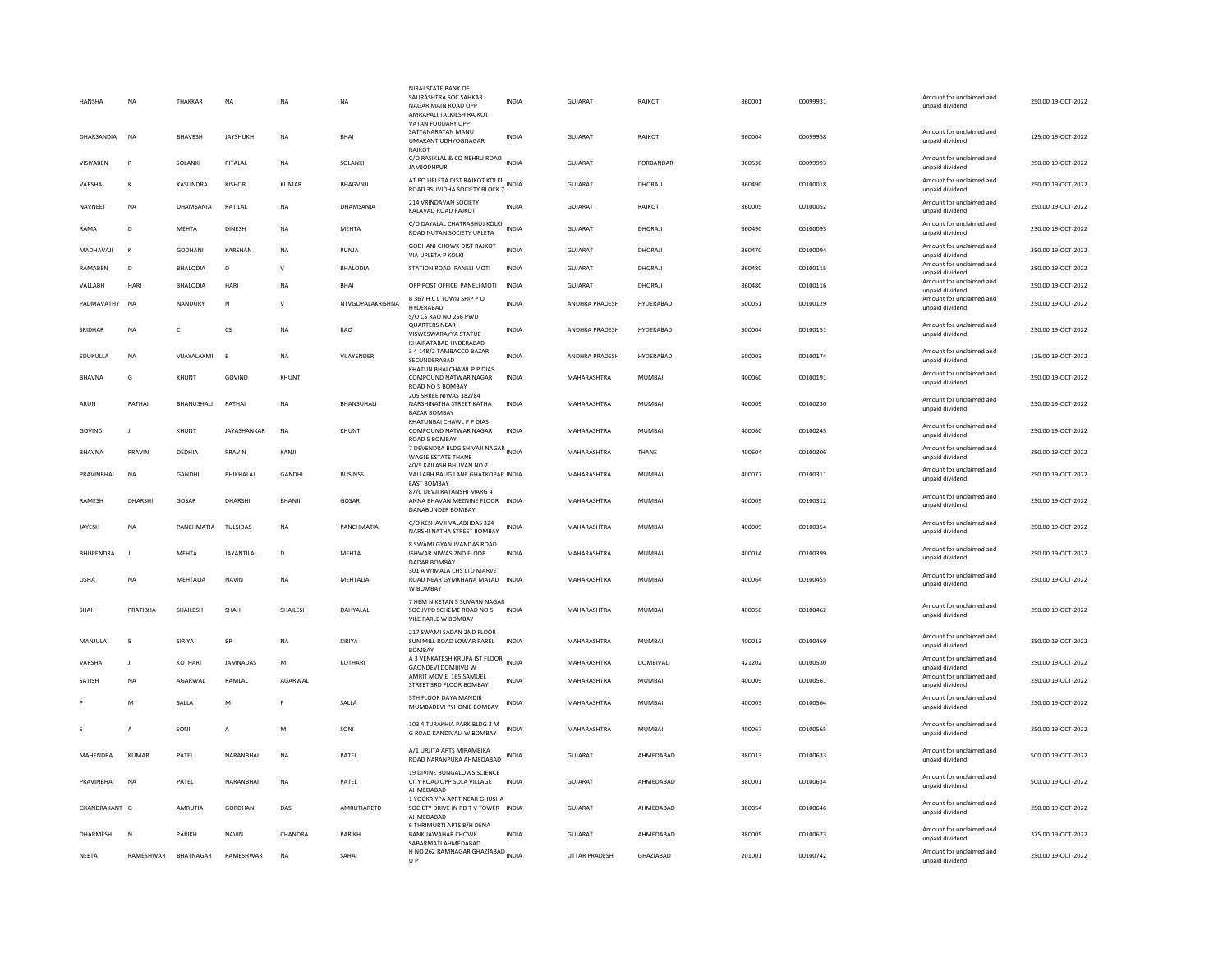| HANSHA         |                         | NA             | THAKKAR         | NA                | <b>NA</b>    | NA               | NIRAJ STATE BANK OF<br>SAURASHTRA SOC SAHKAR<br>NAGAR MAIN ROAD OPP<br>AMRAPALI TALKIESH RAJKOT<br>VATAN FOUDARY OPP | INDIA        | GUJARAT              | <b>RAJKOT</b>    | 360001 | 00099931 | Amount for unclaimed and<br>unpaid dividend | 250.00 19-OCT-2022 |
|----------------|-------------------------|----------------|-----------------|-------------------|--------------|------------------|----------------------------------------------------------------------------------------------------------------------|--------------|----------------------|------------------|--------|----------|---------------------------------------------|--------------------|
|                | DHARSANDIA              | <b>NA</b>      | <b>BHAVESH</b>  | <b>JAYSHUKH</b>   | <b>NA</b>    | BHAI             | SATYANARAYAN MANU<br>UMAKANT UDHYOGNAGAR<br>RAIKOT                                                                   | <b>INDIA</b> | <b>GUJARAT</b>       | <b>RAJKOT</b>    | 360004 | 00099958 | Amount for unclaimed and<br>unpaid dividend | 125.00 19-OCT-2022 |
| VISIYABEN      |                         | $\mathbb{R}$   | SOLANKI         | RITALAL           | <b>NA</b>    | SOLANKI          | C/O RASIKLAL & CO NEHRU ROAD INDIA<br><b>JAMJODHPUR</b>                                                              |              | GUJARAT              | PORBANDAR        | 360530 | 00099993 | Amount for unclaimed and<br>unpaid dividend | 250.00 19-OCT-2022 |
| VARSHA         |                         | K              | KASUNDRA        | KISHOR            | KUMAR        | BHAGVNJI         | AT PO UPLETA DIST RAJKOT KOLKI<br>ROAD 3SUVIDHA SOCIETY BLOCK 7 INDIA                                                |              | GUJARAT              | DHORAJI          | 360490 | 00100018 | Amount for unclaimed and<br>unpaid dividend | 250.00 19-OCT-2022 |
| <b>NAVNEET</b> |                         | <b>NA</b>      | DHAMSANIA       | RATILAL           | <b>NA</b>    | DHAMSANIA        | 214 VRINDAVAN SOCIETY<br>KALAVAD ROAD RAJKOT                                                                         | <b>INDIA</b> | GUJARAT              | RAJKOT           | 360005 | 00100052 | Amount for unclaimed and<br>unpaid dividend | 250.00 19-OCT-2022 |
| RAMA           |                         | D              | <b>MEHTA</b>    | <b>DINESH</b>     | <b>NA</b>    | MEHTA            | C/O DAYALAL CHATRABHUJ KOLKI<br>ROAD NUTAN SOCIETY UPLETA                                                            | <b>INDIA</b> | <b>GUJARAT</b>       | DHORAJI          | 360490 | 00100093 | Amount for unclaimed and<br>unpaid dividend | 250.00 19-OCT-2022 |
|                | MADHAVAJI               | K              | <b>GODHANI</b>  | KARSHAN           | <b>NA</b>    | PUNJA            | GODHANI CHOWK DIST RAJKOT<br>VIA UPLETA P KOLKI                                                                      | <b>INDIA</b> | <b>GUJARAT</b>       | DHORAJI          | 360470 | 00100094 | Amount for unclaimed and<br>unpaid dividend | 250.00 19-OCT-2022 |
| RAMABEN        |                         | D              | <b>BHALODIA</b> | D                 | $\mathbf{v}$ | <b>BHALODIA</b>  | STATION ROAD PANELI MOTI                                                                                             | <b>INDIA</b> | <b>GUJARAT</b>       | DHORAJI          | 360480 | 00100115 | Amount for unclaimed and<br>unpaid dividend | 250.00 19-OCT-2022 |
| VALLABH        |                         | HARI           | BHALODIA        | HARI              | NA           | <b>BHAI</b>      | OPP POST OFFICE PANELI MOTI                                                                                          | INDIA        | GUJARAT              | DHORAJI          | 360480 | 00100116 | Amount for unclaimed and<br>unpaid dividend | 250.00 19-OCT-2022 |
|                | PADMAVATHY              | <b>NA</b>      | NANDURY         | N                 | v            | NTVGOPALAKRISHNA | B 367 H C L TOWN SHIP P O<br>HYDERABAD                                                                               | <b>INDIA</b> | ANDHRA PRADESH       | HYDERABAD        | 500051 | 00100129 | Amount for unclaimed and<br>unpaid dividend | 250.00 19-OCT-2022 |
| SRIDHAR        |                         | <b>NA</b>      | $\mathsf{C}$    | <b>CS</b>         | <b>NA</b>    | RAO              | S/O CS RAO NO 256 PWD<br><b>QUARTERS NEAR</b><br>VISWESWARAYYA STATUE<br>KHAIRATABAD HYDERABAD                       | <b>INDIA</b> | ANDHRA PRADESH       | HYDERABAD        | 500004 | 00100151 | Amount for unclaimed and<br>unpaid dividend | 250.00 19-OCT-2022 |
| EDUKULLA       |                         | <b>NA</b>      | VIJAYALAXMI     | F                 | <b>NA</b>    | VIJAYENDER       | 3 4 148/2 TAMBACCO BAZAR<br>SECUNDERABAD                                                                             | <b>INDIA</b> | ANDHRA PRADESH       | HYDERABAD        | 500003 | 00100174 | Amount for unclaimed and<br>unpaid dividend | 125.00 19-OCT-2022 |
| <b>BHAVNA</b>  |                         | G              | KHUNT           | GOVIND            | KHUNT        |                  | KHATUN BHAI CHAWL P P DIAS<br>COMPOUND NATWAR NAGAR<br>ROAD NO 5 BOMBAY                                              | <b>INDIA</b> | MAHARASHTRA          | <b>MUMBAI</b>    | 400060 | 00100191 | Amount for unclaimed and<br>unpaid dividend | 250.00 19-OCT-2022 |
| ARUN           |                         | PATHAI         | BHANUSHALI      | PATHAI            | NA           | BHANSUHALI       | 205 SHREE NIWAS 382/84<br>NARSHINATHA STREET KATHA<br><b>BAZAR BOMBAY</b>                                            | <b>INDIA</b> | MAHARASHTRA          | MUMBAI           | 400009 | 00100230 | Amount for unclaimed and<br>unpaid dividend | 250.00 19-OCT-2022 |
| GOVIND         |                         | J.             | KHUNT           | JAYASHANKAR       | <b>NA</b>    | KHUNT            | KHATUNBAI CHAWL P P DIAS<br>COMPOUND NATWAR NAGAR<br>ROAD 5 BOMBAY                                                   | <b>INDIA</b> | MAHARASHTRA          | <b>MUMBAI</b>    | 400060 | 00100245 | Amount for unclaimed and<br>unpaid dividend | 250.00 19-OCT-2022 |
| <b>BHAVNA</b>  |                         | PRAVIN         | DEDHIA          | PRAVIN            | KANJI        |                  | 7 DEVENDRA BLDG SHIVAJI NAGAR<br>INDIA<br><b>WAGLE ESTATE THANE</b>                                                  |              | MAHARASHTRA          | THANE            | 400604 | 00100306 | Amount for unclaimed and<br>unpaid dividend | 250.00 19-OCT-2022 |
|                | PRAVINBHAI              | <b>NA</b>      | GANDHI          | BHIKHALAL         | GANDHI       | <b>BUSINSS</b>   | 40/5 KAILASH BHUVAN NO 2<br>VALLABH BAUG LANE GHATKOPAR INDIA<br><b>EAST BOMBAY</b>                                  |              | MAHARASHTRA          | <b>MUMBAI</b>    | 400077 | 00100311 | Amount for unclaimed and<br>unpaid dividend | 250.00 19-OCT-2022 |
| RAMESH         |                         | DHARSHI        | GOSAR           | DHARSHI           | BHANJI       | GOSAR            | 87/C DEVJI RATANSHI MARG 4<br>ANNA BHAVAN MEZNINE FLOOR INDIA<br>DANABUNDER BOMBAY                                   |              | MAHARASHTRA          | MUMBAI           | 400009 | 00100312 | Amount for unclaimed and<br>unpaid dividend | 250.00 19-OCT-2022 |
| <b>IAYFSH</b>  |                         | <b>NA</b>      | PANCHMATIA      | <b>TULSIDAS</b>   | <b>NA</b>    | PANCHMATIA       | C/O KESHAVJI VALABHDAS 324<br>NARSHI NATHA STREET BOMBAY                                                             | <b>INDIA</b> | MAHARASHTRA          | MUMBAL           | 400009 | 00100354 | Amount for unclaimed and<br>unpaid dividend | 250.00 19-OCT-2022 |
|                | <b><i>RHUPFNDRA</i></b> | $\blacksquare$ | MFHTA           | <b>JAYANTILAI</b> | D            | <b>MFHTA</b>     | 8 SWAMI GYANJIVANDAS ROAD<br>ISHWAR NIWAS 2ND FLOOR<br>DADAR BOMBAY                                                  | <b>INDIA</b> | MAHARASHTRA          | MUMBAI           | 400014 | 00100399 | Amount for unclaimed and<br>unpaid dividend | 250.00.19-QCT-2022 |
| <b>USHA</b>    |                         | <b>NA</b>      | MEHTALIA        | <b>NAVIN</b>      | <b>NA</b>    | MEHTALIA         | 301 A WIMALA CHS LTD MARVE<br>ROAD NEAR GYMKHANA MALAD INDIA<br>W BOMBAY                                             |              | MAHARASHTRA          | MUMBAI           | 400064 | 00100455 | Amount for unclaimed and<br>unpaid dividend | 250.00 19-OCT-2022 |
| SHAH           |                         | PRATIBHA       | SHAILESH        | SHAH              | SHAILESH     | DAHYALAL         | 7 HEM NIKETAN 5 SUVARN NAGAR<br>SOC JVPD SCHEME ROAD NO 5<br>VILE PARLE W BOMBAY                                     | <b>INDIA</b> | MAHARASHTRA          | <b>MUMBAI</b>    | 400056 | 00100462 | Amount for unclaimed and<br>unpaid dividend | 250.00 19-OCT-2022 |
| MANJULA        |                         | B              | SIRIYA          | <b>BP</b>         | <b>NA</b>    | SIRIYA           | 217 SWAMI SADAN 2ND FLOOR<br>SUN MILL ROAD LOWAR PAREL<br><b>BOMBAY</b>                                              | <b>INDIA</b> | MAHARASHTRA          | MUMBAI           | 400013 | 00100469 | Amount for unclaimed and<br>unpaid dividend | 250.00 19-OCT-2022 |
| VARSHA         |                         | $\blacksquare$ | KOTHARI         | <b>IAMNADAS</b>   | M            | KOTHARI          | A 3 VENKATESH KRUPA IST FLOOR INDIA<br><b>GAONDEVI DOMBIVLI W</b>                                                    |              | MAHARASHTRA          | <b>DOMBIVALL</b> | 421202 | 00100530 | Amount for unclaimed and<br>unpaid dividend | 250.00 19-OCT-2022 |
| <b>SATISH</b>  |                         | <b>NA</b>      | AGARWAL         | RAMLAL            | AGARWAL      |                  | AMRIT MOVIE 165 SAMUEL<br>STREET 3RD FLOOR BOMBAY                                                                    | <b>INDIA</b> | MAHARASHTRA          | <b>MUMBAI</b>    | 400009 | 00100561 | Amount for unclaimed and<br>unpaid dividend | 250.00 19-OCT-2022 |
|                |                         | M              | SALLA           | M                 |              | SALLA            | 5TH FLOOR DAYA MANDIR<br>MUMBADEVI PYHONIE BOMBAY                                                                    | INDIA        | MAHARASHTRA          | <b>MUMBAI</b>    | 400003 | 00100564 | Amount for unclaimed and<br>unpaid dividend | 250.00 19-OCT-2022 |
|                |                         | A              | SONI            | A                 | M            | SONI             | 103 4 TURAKHIA PARK BLDG 2 M<br>G ROAD KANDIVALI W BOMBAY                                                            | <b>INDIA</b> | MAHARASHTRA          | <b>MUMBAI</b>    | 400067 | 00100565 | Amount for unclaimed and<br>unpaid dividend | 250.00 19-OCT-2022 |
|                | MAHENDRA                | KUMAR          | PATEL           | NARANBHAI         | <b>NA</b>    | PATEL            | A/1 URJITA APTS MIRAMBIKA<br>ROAD NARANPURA AHMEDABAD                                                                | INDIA        | GUJARAT              | AHMEDABAD        | 380013 | 00100633 | Amount for unclaimed and<br>unpaid dividend | 500.00 19-OCT-2022 |
|                | PRAVINBHAI              | <b>NA</b>      | PATEL           | NARANBHAI         | <b>NA</b>    | PATEL            | 19 DIVINE BUNGALOWS SCIENCE<br>CITY ROAD OPP SOLA VILLAGE<br>AHMFDARAD                                               | <b>INDIA</b> | GUJARAT              | AHMEDABAD        | 380001 | 00100634 | Amount for unclaimed and<br>unpaid dividend | 500.00 19-OCT-2022 |
|                | CHANDRAKANT G           |                | AMRUTIA         | GORDHAN           | DAS          | AMRUTIARETD      | 1 YOGKRIYPA APPT NEAR GHUSHA<br>SOCIETY DRIVE IN RD TV TOWER INDIA<br>AHMEDABAD                                      |              | GUJARAT              | AHMEDABAD        | 380054 | 00100646 | Amount for unclaimed and<br>unpaid dividend | 250.00 19-OCT-2022 |
|                | DHARMESH                | $\mathbb N$    | PARIKH          | <b>NAVIN</b>      | CHANDRA      | PARIKH           | 6 THRIMURTI APTS B/H DENA<br><b>BANK JAWAHAR CHOWK</b><br>SABARMATI AHMEDABAD                                        | <b>INDIA</b> | <b>GUJARAT</b>       | AHMEDABAD        | 380005 | 00100673 | Amount for unclaimed and<br>unpaid dividend | 375.00 19-OCT-2022 |
| <b>NEETA</b>   |                         | RAMESHWAR      | BHATNAGAR       | <b>RAMESHWAR</b>  | <b>NA</b>    | SAHAI            | H NO 262 RAMNAGAR GHAZIABAD INDIA<br>U P                                                                             |              | <b>UTTAR PRADESH</b> | <b>GHAZIARAD</b> | 201001 | 00100742 | Amount for unclaimed and<br>unpaid dividend | 250.00 19-OCT-2022 |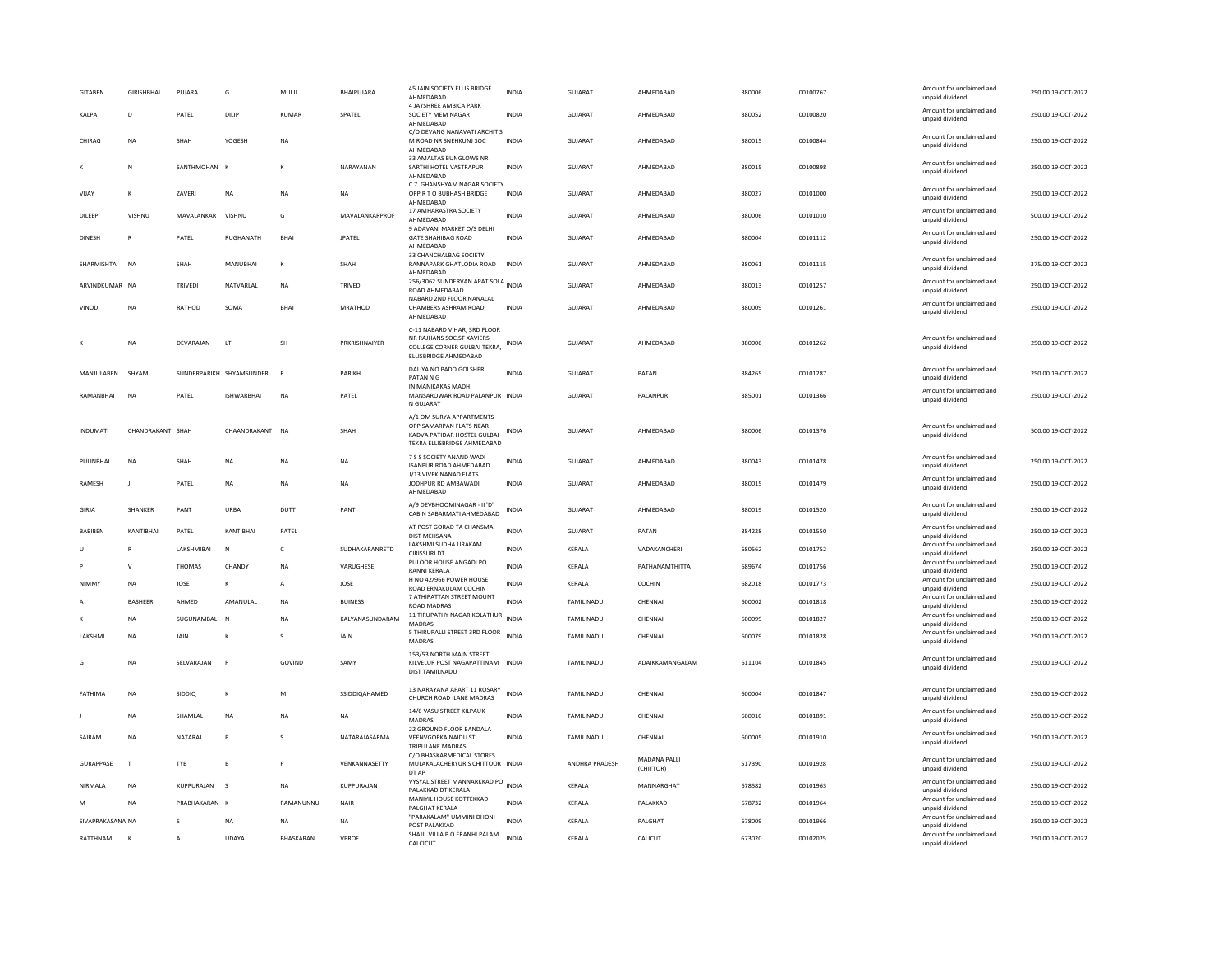| <b>GITABEN</b>   | <b>GIRISHBHAI</b> | PUJARA            | G                        | MULJI        | BHAIPUJARA        | 45 JAIN SOCIETY ELLIS BRIDGE<br>AHMFDARAD<br>4 JAYSHREE AMBICA PARK                                               | <b>INDIA</b> | <b>GUJARAT</b>    | AHMEDABAD                 | 380006 | 00100767 | Amount for unclaimed and<br>unpaid dividend | 250.00 19-OCT-2022 |
|------------------|-------------------|-------------------|--------------------------|--------------|-------------------|-------------------------------------------------------------------------------------------------------------------|--------------|-------------------|---------------------------|--------|----------|---------------------------------------------|--------------------|
| KALPA            | D                 | PATEL             | DILIP                    | <b>KUMAR</b> | SPATEL            | SOCIETY MEM NAGAR<br>AHMEDABAD                                                                                    | <b>INDIA</b> | <b>GUJARAT</b>    | AHMEDABAD                 | 380052 | 00100820 | Amount for unclaimed and<br>unpaid dividend | 250.00 19-OCT-2022 |
| CHIRAG           | <b>NA</b>         | SHAH              | YOGESH                   | <b>NA</b>    |                   | C/O DEVANG NANAVATI ARCHIT S<br>M ROAD NR SNEHKUNJ SOC<br>AHMEDABAD                                               | <b>INDIA</b> | <b>GUJARAT</b>    | AHMEDABAD                 | 380015 | 00100844 | Amount for unclaimed and<br>unpaid dividend | 250.00 19-OCT-2022 |
|                  | N                 | SANTHMOHAN K      |                          |              | NARAYANAN         | 33 AMALTAS BUNGLOWS NR<br>SARTHI HOTEL VASTRAPUR<br>AHMEDABAD                                                     | INDIA        | GUJARAT           | AHMEDABAD                 | 380015 | 00100898 | Amount for unclaimed and<br>unpaid dividend | 250.00 19-OCT-2022 |
| VIJAY            | K                 | ZAVERI            | NA                       | NA           | <b>NA</b>         | C 7 GHANSHYAM NAGAR SOCIETY<br>OPP R T O BUBHASH BRIDGE<br>AHMEDABAD                                              | <b>INDIA</b> | <b>GUJARAT</b>    | AHMEDABAD                 | 380027 | 00101000 | Amount for unclaimed and<br>unpaid dividend | 250.00 19-OCT-2022 |
| DILEEP           | VISHNU            | MAVALANKAR VISHNU |                          | G            | MAVAI ANKARPROF   | 17 AMHARASTRA SOCIETY<br>AHMEDABAD                                                                                | <b>INDIA</b> | GUIARAT           | AHMFDARAD                 | 380006 | 00101010 | Amount for unclaimed and<br>unpaid dividend | 500.00 19-OCT-2022 |
| DINESH           |                   | PATEL             | RUGHANATH                | BHAI         | <b>JPATEL</b>     | 9 ADAVANI MARKET O/S DELHI<br><b>GATE SHAHIBAG ROAD</b><br>AHMEDABAD                                              | INDIA        | GUJARAT           | AHMEDABAD                 | 380004 | 00101112 | Amount for unclaimed and<br>unpaid dividend | 250.00 19-OCT-2022 |
| SHARMISHTA       | <b>NA</b>         | SHAH              | MANURHAI                 | к            | SHAH              | 33 CHANCHALBAG SOCIETY<br>RANNAPARK GHATLODIA ROAD<br>AHMEDABAD                                                   | <b>INDIA</b> | GUIARAT           | AHMFDARAD                 | 380061 | 00101115 | Amount for unclaimed and<br>unpaid dividend | 375.00.19-OCT-2022 |
| ARVINDKUMAR NA   |                   | TRIVEDI           | NATVARLAL                | NA           | TRIVEDI           | 256/3062 SUNDERVAN APAT SOLA INDIA<br>ROAD AHMEDABAD                                                              |              | GUJARAT           | AHMEDABAD                 | 380013 | 00101257 | Amount for unclaimed and<br>unpaid dividend | 250.00 19-OCT-2022 |
| VINOD            | <b>NA</b>         | RATHOD            | <b>SOMA</b>              | <b>BHA</b>   | MRATHOD           | NABARD 2ND FLOOR NANALAL<br>CHAMBERS ASHRAM ROAD<br>AHMEDABAD                                                     | <b>INDIA</b> | GUJARAT           | AHMEDABAD                 | 380009 | 00101261 | Amount for unclaimed and<br>unpaid dividend | 250.00 19-OCT-2022 |
|                  |                   |                   |                          |              |                   | C-11 NABARD VIHAR, 3RD FLOOR<br>NR RAJHANS SOC, ST XAVIERS                                                        |              |                   |                           |        |          | Amount for unclaimed and                    |                    |
|                  | <b>NA</b>         | DEVARAIAN         | $\mathsf{I}$ T           | <b>SH</b>    | PRKRISHNAIYER     | COLLEGE CORNER GULBAI TEKRA,<br>ELLISBRIDGE AHMEDABAD                                                             | <b>INDIA</b> | GUIARAT           | AHMEDARAD                 | 380006 | 00101262 | unpaid dividend                             | 250.00.19-OCT-2022 |
| MANJULABEN       | SHYAM             |                   | SUNDERPARIKH SHYAMSUNDER | $\mathbb{R}$ | PARIKH            | DALIYA NO PADO GOLSHERI<br>PATAN N G                                                                              | <b>INDIA</b> | <b>GUJARAT</b>    | PATAN                     | 384265 | 00101287 | Amount for unclaimed and<br>unpaid dividend | 250.00 19-OCT-2022 |
| RAMANBHAI        | N <sub>A</sub>    | PATEL             | <b>ISHWARBHAI</b>        | <b>NA</b>    | PATEL             | IN MANIKAKAS MADH<br>MANSAROWAR ROAD PALANPUR INDIA<br>N GUJARAT                                                  |              | GUJARAT           | PALANPUR                  | 385001 | 00101366 | Amount for unclaimed and<br>unpaid dividend | 250.00 19-OCT-2022 |
| <b>INDUMATI</b>  | CHANDRAKANT SHAH  |                   | CHAANDRAKANT             | <b>NA</b>    | SHAH              | A/1 OM SURYA APPARTMENTS<br>OPP SAMARPAN FLATS NEAR<br>KADVA PATIDAR HOSTEL GULBAI<br>TEKRA ELLISBRIDGE AHMEDABAD | INDIA        | <b>GUJARAT</b>    | AHMEDABAD                 | 380006 | 00101376 | Amount for unclaimed and<br>unpaid dividend | 500.00 19-OCT-2022 |
| PULINBHAI        | N <sub>A</sub>    | SHAH              | <b>NA</b>                | <b>NA</b>    | <b>NA</b>         | 7 S S SOCIETY ANAND WADI<br><b>ISANPUR ROAD AHMEDABAD</b>                                                         | <b>INDIA</b> | <b>GUJARAT</b>    | AHMEDABAD                 | 380043 | 00101478 | Amount for unclaimed and<br>unpaid dividend | 250.00 19-OCT-2022 |
| RAMESH           | J.                | PATEL             | NA                       | <b>NA</b>    | NA                | J/13 VIVEK NANAD FLATS<br>JODHPUR RD AMBAWADI<br>AHMEDABAD                                                        | INDIA        | GUJARAT           | AHMEDABAD                 | 380015 | 00101479 | Amount for unclaimed and<br>unpaid dividend | 250.00 19-OCT-2022 |
| GIRJA            | SHANKER           | PANT              | URBA                     | DUTT         | PANT              | A/9 DEVBHOOMINAGAR - II 'D'<br>CABIN SABARMATI AHMEDABAD                                                          | <b>INDIA</b> | <b>GUJARAT</b>    | AHMEDABAD                 | 380019 | 00101520 | Amount for unclaimed and<br>unpaid dividend | 250.00 19-OCT-2022 |
| <b>BABIBEN</b>   | KANTIBHAI         | PATEL             | KANTIBHAI                | PATEL        |                   | AT POST GORAD TA CHANSMA<br>DIST MEHSANA                                                                          | <b>INDIA</b> | <b>GUJARAT</b>    | PATAN                     | 384228 | 00101550 | Amount for unclaimed and<br>unpaid dividend | 250.00 19-OCT-2022 |
|                  |                   | LAKSHMIBAI        | N                        | c            | SUDHAKARANRETD    | LAKSHMI SUDHA URAKAM<br><b>CIRISSURI DT</b>                                                                       | <b>INDIA</b> | KERALA            | VADAKANCHERI              | 680562 | 00101752 | Amount for unclaimed and<br>unpaid dividend | 250.00 19-OCT-2022 |
|                  | $\mathbf{v}$      | THOMAS            | CHANDY                   | NA           | VARUGHESE         | PULOOR HOUSE ANGADI PO<br><b>RANNI KERALA</b>                                                                     | <b>INDIA</b> | KERALA            | PATHANAMTHITTA            | 689674 | 00101756 | Amount for unclaimed and<br>unpaid dividend | 250.00 19-OCT-2022 |
| <b>NIMMY</b>     | <b>NA</b>         | JOSE              | к                        | $\mathsf{A}$ | JOSE              | H NO 42/966 POWER HOUSE                                                                                           | <b>INDIA</b> | KERALA            | COCHIN                    | 682018 | 00101773 | Amount for unclaimed and                    | 250.00 19-OCT-2022 |
|                  | <b>BASHEER</b>    | AHMFD             | AMANULAI                 | <b>NA</b>    | <b>BUINESS</b>    | ROAD ERNAKULAM COCHIN<br>7 ATHIPATTAN STREET MOUNT                                                                | <b>INDIA</b> | <b>TAMIL NADU</b> | CHENNAL                   | 600002 | 00101818 | unpaid dividend<br>Amount for unclaimed and | 250.00.19-OCT-2022 |
|                  | <b>NA</b>         | SUGUNAMBAL        | - N                      | <b>NA</b>    | KALYANASUNDARAM   | ROAD MADRAS<br>11 TIRUPATHY NAGAR KOLATHUR                                                                        | <b>INDIA</b> | <b>TAMIL NADU</b> | CHENNAI                   | 600099 | 00101827 | unpaid dividend<br>Amount for unclaimed and | 250.00 19-OCT-2022 |
| LAKSHMI          | <b>NA</b>         | JAIN              |                          | s            | JAIN              | MADRAS<br>5 THIRUPALLI STREET 3RD FLOOR                                                                           | <b>INDIA</b> | TAMIL NADU        | CHENNAL                   | 600079 | 00101828 | unpaid dividend<br>Amount for unclaimed and | 250.00 19-OCT-2022 |
|                  |                   |                   |                          |              |                   | MADRAS                                                                                                            |              |                   |                           |        |          | unpaid dividend                             |                    |
| G                | <b>NA</b>         | SELVARAJAN        | $\mathsf{P}$             | GOVIND       | SAMY              | 153/53 NORTH MAIN STREET<br>KILVELUR POST NAGAPATTINAM INDIA<br>DIST TAMILNADU                                    |              | <b>TAMIL NADU</b> | ADAIKKAMANGALAM           | 611104 | 00101845 | Amount for unclaimed and<br>unpaid dividend | 250.00 19-OCT-2022 |
| FATHIMA          | <b>NA</b>         | SIDDIO            | к                        | M            | SSIDDIOAHAMED     | 13 NARAYANA APART 11 ROSARY<br>CHURCH ROAD ILANE MADRAS                                                           | <b>INDIA</b> | <b>TAMIL NADU</b> | CHENNAL                   | 600004 | 00101847 | Amount for unclaimed and<br>unpaid dividend | 250.00 19-OCT-2022 |
|                  | ΝA                | SHAMLAL           | NA                       | NA           | <b>NA</b>         | 14/6 VASU STREET KILPAUK<br><b>MADRAS</b>                                                                         | <b>INDIA</b> | TAMIL NADU        | CHENNAI                   | 600010 | 00101891 | Amount for unclaimed and<br>unpaid dividend | 250.00 19-OCT-2022 |
| SAIRAM           | <b>NA</b>         | NATARAI           | P                        | $\mathbf{S}$ | NATARAIASARMA     | 22 GROUND FLOOR BANDALA<br>VEENVGOPKA NAIDU ST<br>TRIPLILANE MADRAS                                               | <b>INDIA</b> | <b>TAMIL NADU</b> | CHENNAI                   | 600005 | 00101910 | Amount for unclaimed and<br>unpaid dividend | 250.00 19-OCT-2022 |
| <b>GURAPPASE</b> | $\mathbf{T}$      | <b>TYB</b>        | B                        | P            | VENKANNASETTY     | C/O BHASKARMEDICAL STORES<br>MULAKALACHERYUR S CHITTOOR INDIA<br>DT AP                                            |              | ANDHRA PRADESH    | MADANA PALLI<br>(CHITTOR) | 517390 | 00101928 | Amount for unclaimed and<br>unpaid dividend | 250.00 19-OCT-2022 |
| <b>NIRMAIA</b>   | <b>NA</b>         | <b>KUPPURAJAN</b> | $\sim$                   | <b>NA</b>    | <b>KUPPURAJAN</b> | VYSYAL STREET MANNARKKAD PO INDIA<br>PALAKKAD DT KERALA                                                           |              | <b>KFRAIA</b>     | MANNARGHAT                | 678582 | 00101963 | Amount for unclaimed and<br>unpaid dividend | 250.00 19-OCT-2022 |
| M                | <b>NA</b>         | PRABHAKARAN K     |                          | RAMANUNNU    | NAIR              | MANIYIL HOUSE KOTTEKKAD<br>PALGHAT KERALA                                                                         | <b>INDIA</b> | KERALA            | PALAKKAD                  | 678732 | 00101964 | Amount for unclaimed and<br>unpaid dividend | 250.00 19-OCT-2022 |
| SIVAPRAKASANA NA |                   |                   | NA                       | <b>NA</b>    | NA                | "PARAKALAM" UMMINI DHONI                                                                                          | <b>INDIA</b> | KERALA            | PALGHAT                   | 678009 | 00101966 | Amount for unclaimed and                    | 250.00 19-OCT-2022 |
| RATTHNAM         |                   | A                 | UDAYA                    | BHASKARAN    | VPROF             | POST PALAKKAD<br>SHAJIL VILLA P O ERANHI PALAM                                                                    | <b>INDIA</b> | KERALA            | CALICUT                   | 673020 | 00102025 | unpaid dividend<br>Amount for unclaimed and | 250.00 19-OCT-2022 |
|                  |                   |                   |                          |              |                   | CALCICUT                                                                                                          |              |                   |                           |        |          | unpaid dividend                             |                    |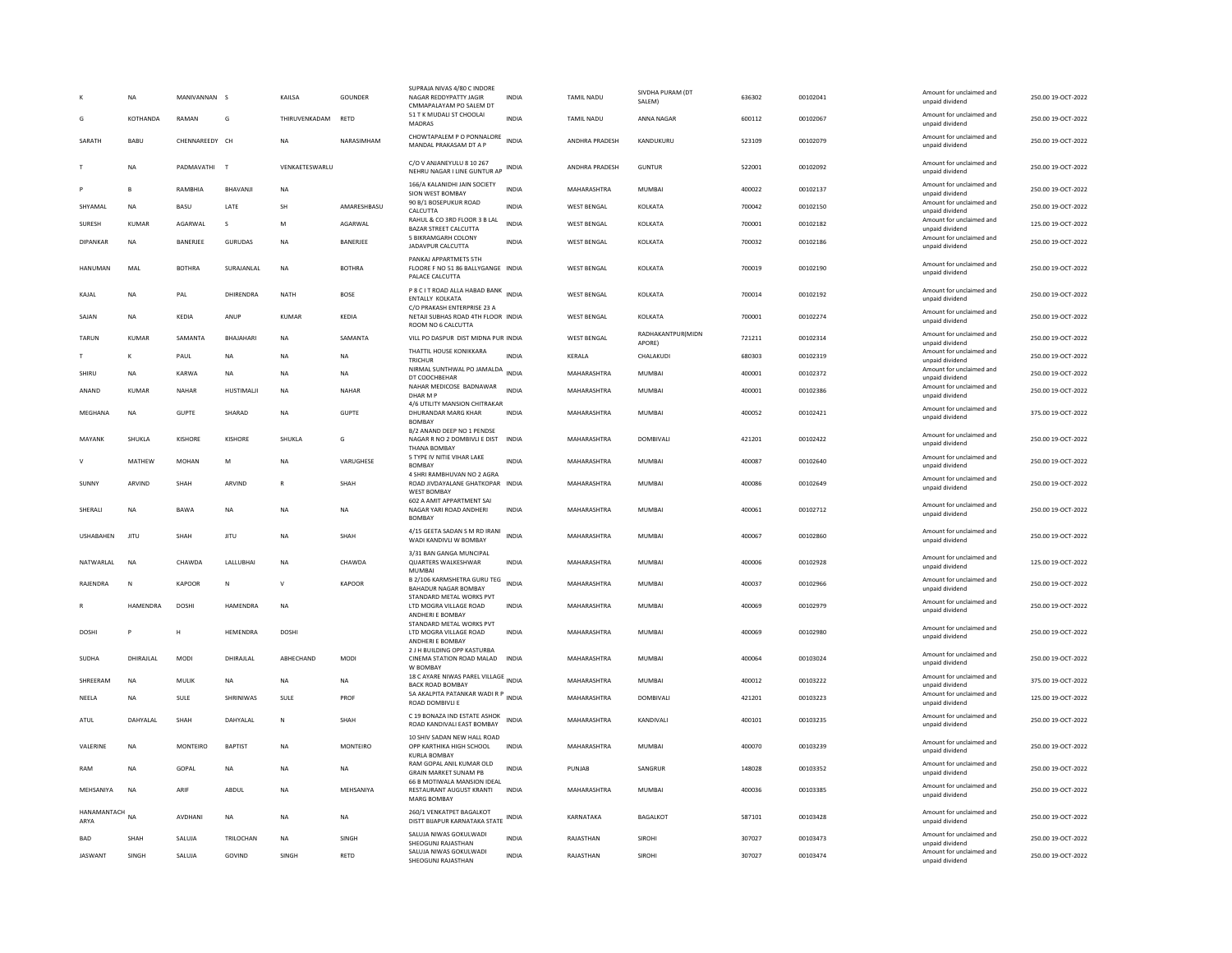|                     | <b>NA</b>    | MANIVANNAN S   |                | KAILSA                | GOUNDER       | SUPRAJA NIVAS 4/80 C INDORE<br>NAGAR REDDYPATTY JAGIR<br>CMMAPALAYAM PO SALEM DT            | <b>INDIA</b> | <b>TAMIL NADU</b>     | SIVDHA PURAM (DT<br>SALEM)  | 636302 | 00102041 | Amount for unclaimed and<br>unpaid dividend | 250.00 19-OCT-2022 |
|---------------------|--------------|----------------|----------------|-----------------------|---------------|---------------------------------------------------------------------------------------------|--------------|-----------------------|-----------------------------|--------|----------|---------------------------------------------|--------------------|
| G                   | KOTHANDA     | RAMAN          | G              | THIRUVENKADAM         | RETD          | 51 T K MUDALI ST CHOOLAI<br>MADRAS                                                          | <b>INDIA</b> | TAMIL NADU            | ANNA NAGAR                  | 600112 | 00102067 | Amount for unclaimed and<br>unpaid dividend | 250.00 19-OCT-2022 |
| SARATH              | BABU         | CHENNAREEDY CH |                | <b>NA</b>             | NARASIMHAM    | CHOWTAPALEM P O PONNALORE<br>MANDAL PRAKASAM DT A P                                         | <b>INDIA</b> | ANDHRA PRADESH        | KANDUKURU                   | 523109 | 00102079 | Amount for unclaimed and<br>unpaid dividend | 250.00 19-OCT-2022 |
|                     | <b>NA</b>    | PADMAVATHI T   |                | <b>VENKAFTESWARLU</b> |               | C/O V ANJANEYULU 8 10 267<br>NEHRU NAGAR I LINE GUNTUR AP                                   | INDIA        | <b>ANDHRA PRADESH</b> | GUNTUR                      | 522001 | 00102092 | Amount for unclaimed and<br>unpaid dividend | 250.00 19-OCT-2022 |
|                     | B            | RAMBHIA        | BHAVANJ        | NA                    |               | 166/A KALANIDHI JAIN SOCIETY<br>SION WEST BOMBAY                                            | <b>INDIA</b> | MAHARASHTRA           | <b>MUMBAI</b>               | 400022 | 00102137 | Amount for unclaimed and<br>unpaid dividend | 250.00 19-OCT-2022 |
| SHYAMAI             | <b>NA</b>    | <b>BASU</b>    | <b>I ATF</b>   | <b>SH</b>             | AMARESHRASU   | 90 B/1 BOSEPUKUR ROAD<br>CALCUTTA                                                           | <b>INDIA</b> | WEST BENGAL           | <b>KOLKATA</b>              | 700042 | 00102150 | Amount for unclaimed and<br>unpaid dividend | 250.00 19-OCT-2022 |
| SURESH              | <b>KUMAR</b> | AGARWAL        | s              | M                     | AGARWAL       | RAHUL & CO 3RD FLOOR 3 B LAL<br>BAZAR STREET CALCUTTA                                       | <b>INDIA</b> | <b>WEST BENGAL</b>    | KOLKATA                     | 700001 | 00102182 | Amount for unclaimed and<br>unpaid dividend | 125.00 19-OCT-2022 |
| <b>DIPANKAR</b>     | <b>NA</b>    | BANERJEE       | <b>GURUDAS</b> | <b>NA</b>             | BANERJEE      | 5 BIKRAMGARH COLONY<br>JADAVPUR CALCUTTA                                                    | <b>INDIA</b> | WEST BENGAL           | KOLKATA                     | 700032 | 00102186 | Amount for unclaimed and<br>unpaid dividend | 250.00 19-OCT-2022 |
| HANUMAN             | MAL          | <b>BOTHRA</b>  | SURAJANLAL     | NA                    | <b>BOTHRA</b> | PANKAJ APPARTMETS 5TH<br>FLOORE F NO 51 86 BALLYGANGE INDIA<br>PALACE CALCUTTA              |              | WEST BENGAL           | KOLKATA                     | 700019 | 00102190 | Amount for unclaimed and<br>unpaid dividend | 250.00 19-OCT-2022 |
| KAJAL               | NA           | PAL            | DHIRENDRA      | <b>NATH</b>           | <b>BOSE</b>   | P 8 C I T ROAD ALLA HABAD BANK<br>ENTALLY KOLKATA<br>C/O PRAKASH ENTERPRISE 23 A            | <b>INDIA</b> | <b>WEST BENGAL</b>    | KOLKATA                     | 700014 | 00102192 | Amount for unclaimed and<br>unpaid dividend | 250.00 19-OCT-2022 |
| SAJAN               | NA           | KEDIA          | ANUP           | KUMAR                 | KEDIA         | NETAJI SUBHAS ROAD 4TH FLOOR INDIA<br>ROOM NO 6 CALCUTTA                                    |              | <b>WEST BENGAL</b>    | KOLKATA                     | 700001 | 00102274 | Amount for unclaimed and<br>unpaid dividend | 250.00 19-OCT-2022 |
| TARUN               | KUMAR        | SAMANTA        | BHAJAHARI      | <b>NA</b>             | SAMANTA       | VILL PO DASPUR DIST MIDNA PUR INDIA                                                         |              | <b>WEST BENGAL</b>    | RADHAKANTPUR(MIDN<br>APORE) | 721211 | 00102314 | Amount for unclaimed and<br>unpaid dividend | 250.00 19-OCT-2022 |
|                     | K            | PAUL           | <b>NA</b>      | NA                    | NA            | THATTIL HOUSE KONIKKARA<br><b>TRICHUR</b>                                                   | <b>INDIA</b> | KERALA                | CHALAKUDI                   | 680303 | 00102319 | Amount for unclaimed and<br>unpaid dividend | 250.00 19-OCT-2022 |
| SHIRLI              | <b>NA</b>    | KARWA          | <b>NA</b>      | <b>NA</b>             | <b>NA</b>     | NIRMAL SUNTHWAL PO JAMALDA INDIA<br>DT COOCHBEHAR                                           |              | MAHARASHTRA           | MUMBAI                      | 400001 | 00102372 | Amount for unclaimed and<br>unpaid dividend | 250.00 19-OCT-2022 |
| ANAND               | <b>KUMAR</b> | <b>NAHAR</b>   | HUSTIMALI      | <b>NA</b>             | NAHAR         | NAHAR MEDICOSE BADNAWAR<br>DHAR M F                                                         | <b>INDIA</b> | MAHARASHTRA           | <b>MUMBAI</b>               | 400001 | 00102386 | Amount for unclaimed and<br>unpaid dividend | 250.00 19-OCT-2022 |
| MEGHANA             | NA           | <b>GUPTE</b>   | SHARAD         | NA                    | <b>GUPTE</b>  | 4/6 UTILITY MANSION CHITRAKAR<br>DHURANDAR MARG KHAR                                        | <b>INDIA</b> | MAHARASHTRA           | MUMBAI                      | 400052 | 00102421 | Amount for unclaimed and<br>unpaid dividend | 375.00 19-OCT-2022 |
| MAYANK              | SHUKLA       | KISHORE        | KISHORE        | SHUKLA                | G             | <b>BOMBAY</b><br>B/2 ANAND DEEP NO 1 PENDSE<br>NAGAR R NO 2 DOMBIVLI E DIST<br>THANA BOMBAY | <b>INDIA</b> | MAHARASHTRA           | DOMBIVALI                   | 421201 | 00102422 | Amount for unclaimed and<br>unpaid dividend | 250.00 19-OCT-2022 |
| v                   | MATHEW       | <b>MOHAN</b>   | M              | <b>NA</b>             | VARUGHESE     | 5 TYPE IV NITIE VIHAR LAKE<br><b>BOMBAY</b>                                                 | <b>INDIA</b> | MAHARASHTRA           | <b>MUMBAI</b>               | 400087 | 00102640 | Amount for unclaimed and<br>unpaid dividend | 250.00 19-OCT-2022 |
| SUNNY               | ARVIND       | SHAH           | ARVIND         | R                     | SHAH          | 4 SHRI RAMBHUVAN NO 2 AGRA<br>ROAD JIVDAYALANE GHATKOPAR INDIA<br><b>WEST BOMBAY</b>        |              | MAHARASHTRA           | <b>MUMBAI</b>               | 400086 | 00102649 | Amount for unclaimed and<br>unpaid dividend | 250.00 19-OCT-2022 |
| SHERALI             | NA           | BAWA           | $_{\sf NA}$    | <b>NA</b>             | <b>NA</b>     | 602 A AMIT APPARTMENT SAI<br>NAGAR YARI ROAD ANDHERI<br><b>BOMBAY</b>                       | <b>INDIA</b> | MAHARASHTRA           | MUMBAI                      | 400061 | 00102712 | Amount for unclaimed and<br>unpaid dividend | 250.00 19-OCT-2022 |
| <b>USHABAHEN</b>    | <b>JITU</b>  | <b>SHAH</b>    | <b>JITU</b>    | <b>NA</b>             | SHAH          | 4/15 GEETA SADAN S M RD IRANI<br>WADI KANDIVLI W BOMBAY                                     | <b>INDIA</b> | MAHARASHTRA           | MUMBAI                      | 400067 | 00102860 | Amount for unclaimed and<br>unpaid dividend | 250.00 19-OCT-2022 |
| NATWARLAL           | <b>NA</b>    | CHAWDA         | LALLUBHAI      | <b>NA</b>             | CHAWDA        | 3/31 BAN GANGA MUNCIPAL<br>QUARTERS WALKESHWAR<br>MUMBAI                                    | <b>INDIA</b> | MAHARASHTRA           | MUMBAI                      | 400006 | 00102928 | Amount for unclaimed and<br>unpaid dividend | 125.00 19-OCT-2022 |
| RAJENDRA            | N            | KAPOOR         | N              | V                     | <b>KAPOOR</b> | B 2/106 KARMSHETRA GURU TEG INDIA<br>BAHADUR NAGAR BOMBAY                                   |              | MAHARASHTRA           | <b>MUMBAI</b>               | 400037 | 00102966 | Amount for unclaimed and<br>unpaid dividend | 250.00 19-OCT-2022 |
|                     | HAMENDRA     | DOSHI          | HAMENDRA       | <b>NA</b>             |               | STANDARD METAL WORKS PVT<br>LTD MOGRA VILLAGE ROAD<br>ANDHERI E BOMBAY                      | <b>INDIA</b> | MAHARASHTRA           | MUMBAI                      | 400069 | 00102979 | Amount for unclaimed and<br>unpaid dividend | 250.00 19-OCT-2022 |
| DOSHI               |              | Н              | HEMENDRA       | <b>DOSHI</b>          |               | STANDARD METAL WORKS PVT<br>LTD MOGRA VILLAGE ROAD<br>ANDHERI E BOMBAY                      | <b>INDIA</b> | MAHARASHTRA           | MUMBAI                      | 400069 | 00102980 | Amount for unclaimed and<br>unpaid dividend | 250.00 19-OCT-2022 |
| SUDHA               | DHIRAJLAL    | MODI           | DHIRAJLAL      | ABHECHAND             | <b>MODI</b>   | 2 J H BUILDING OPP KASTURBA<br>CINEMA STATION ROAD MALAD<br>W ROMRAY                        | <b>INDIA</b> | MAHARASHTRA           | MUMBAI                      | 400064 | 00103024 | Amount for unclaimed and<br>unpaid dividend | 250.00 19-OCT-2022 |
| SHREERAM            | <b>NA</b>    | MULIK          | <b>NA</b>      | <b>NA</b>             | NA            | 18 C AYARE NIWAS PAREL VILLAGE<br><b>BACK ROAD BOMBAY</b>                                   | <b>INDIA</b> | MAHARASHTRA           | <b>MUMBAI</b>               | 400012 | 00103222 | Amount for unclaimed and<br>unpaid dividend | 375.00 19-OCT-2022 |
| NEELA               | <b>NA</b>    | SULE           | SHRINIWAS      | SULE                  | PROF          | 5A AKALPITA PATANKAR WADI R P<br>ROAD DOMBIVLI E                                            | <b>INDIA</b> | MAHARASHTRA           | DOMBIVALI                   | 421201 | 00103223 | Amount for unclaimed and<br>unpaid dividend | 125.00 19-OCT-2022 |
| ATUL                | DAHYALAL     | SHAH           | DAHYALAL       | ${\sf N}$             | SHAH          | C 19 BONAZA IND ESTATE ASHOK<br>ROAD KANDIVALI EAST BOMBAY                                  | <b>INDIA</b> | MAHARASHTRA           | KANDIVALI                   | 400101 | 00103235 | Amount for unclaimed and<br>unpaid dividend | 250.00 19-OCT-2022 |
| VALERINE            | NA           | MONTEIRO       | <b>BAPTIST</b> | NA                    | MONTEIRO      | 10 SHIV SADAN NEW HALL ROAD<br>OPP KARTHIKA HIGH SCHOOL<br><b>KURLA BOMBAY</b>              | INDIA        | MAHARASHTRA           | MUMBAI                      | 400070 | 00103239 | Amount for unclaimed and<br>unpaid dividend | 250.00 19-OCT-2022 |
| RAM                 | <b>NA</b>    | GOPAL          | <b>NA</b>      | <b>NA</b>             | <b>NA</b>     | RAM GOPAL ANIL KUMAR OLD<br><b>GRAIN MARKET SUNAM PB</b>                                    | <b>INDIA</b> | PUNJAB                | SANGRUR                     | 148028 | 00103352 | Amount for unclaimed and<br>unpaid dividend | 250.00 19-OCT-2022 |
| MEHSANIYA           | <b>NA</b>    | ARIF           | ABDUL          | <b>NA</b>             | MEHSANIYA     | 66 B MOTIWALA MANSION IDEAL<br>RESTAURANT AUGUST KRANTI<br>MARG BOMBAY                      | <b>INDIA</b> | MAHARASHTRA           | MUMBAI                      | 400036 | 00103385 | Amount for unclaimed and<br>unpaid dividend | 250.00 19-OCT-2022 |
| HANAMANTACH<br>ARYA | <b>NA</b>    | AVDHANI        | <b>NA</b>      | NA                    | NA            | 260/1 VENKATPET BAGALKOT<br>DISTT BIJAPUR KARNATAKA STATE                                   | <b>INDIA</b> | KARNATAKA             | <b>BAGALKOT</b>             | 587101 | 00103428 | Amount for unclaimed and<br>unpaid dividend | 250.00 19-OCT-2022 |
| BAD                 | SHAH         | SALUJA         | TRILOCHAN      | <b>NA</b>             | SINGH         | SALUJA NIWAS GOKULWADI<br>SHEOGUNJ RAJASTHAN                                                | <b>INDIA</b> | RAJASTHAN             | SIROHI                      | 307027 | 00103473 | Amount for unclaimed and<br>unpaid dividend | 250.00 19-OCT-2022 |
| <b>JASWANT</b>      | SINGH        | SALUJA         | GOVIND         | SINGH                 | RETD          | SALUJA NIWAS GOKULWADI<br>SHEOGUNJ RAJASTHAN                                                | <b>INDIA</b> | RAJASTHAN             | SIROHI                      | 307027 | 00103474 | Amount for unclaimed and<br>unpaid dividend | 250.00 19-OCT-2022 |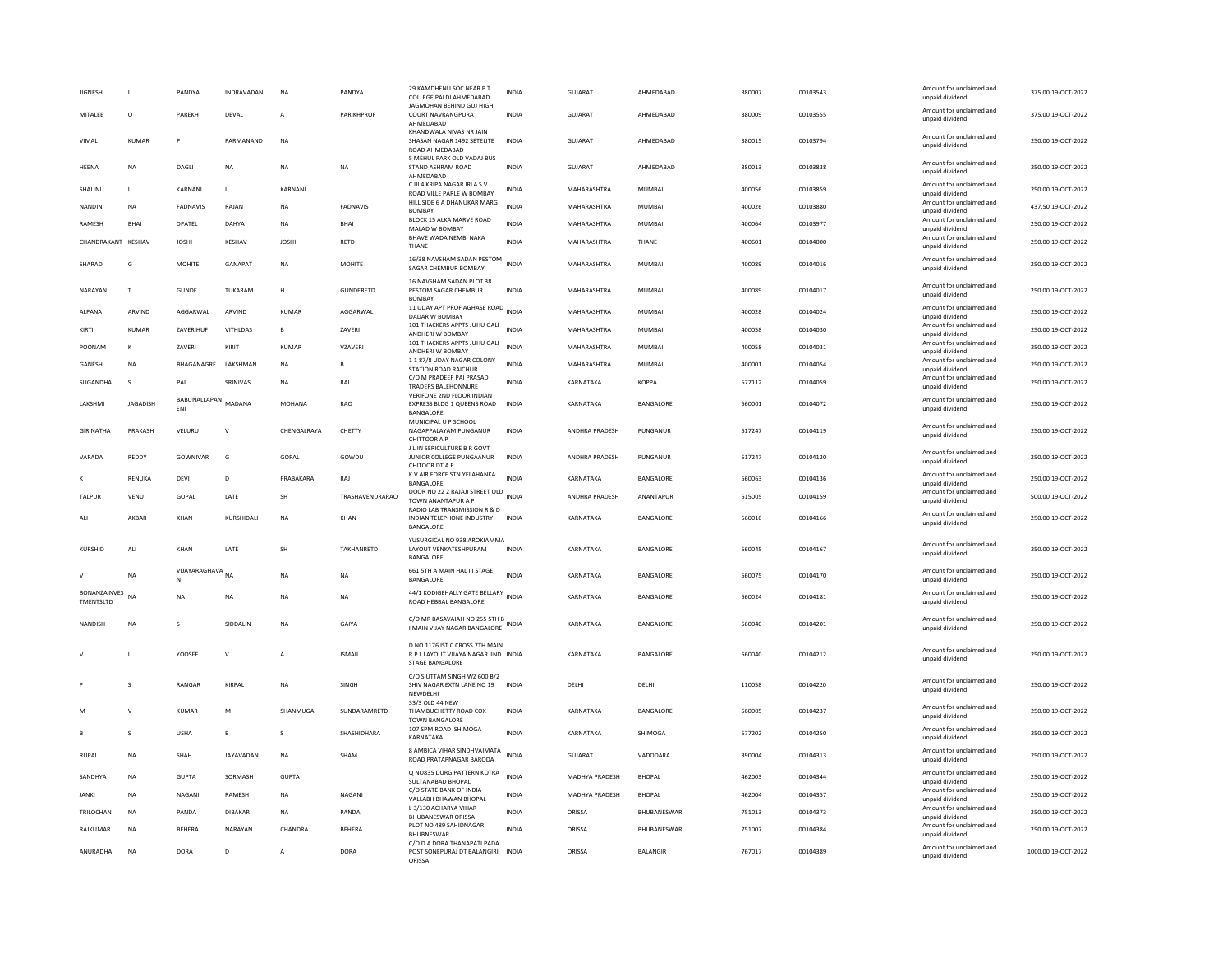| <b>JIGNESH</b>                   |                 | PANDYA                     | INDRAVADAN       | NA            | PANDYA            | 29 KAMDHENU SOC NEAR P T<br>COLLEGE PALDI AHMEDARAD                                               | INDIA        | <b>GUJARAT</b>        | AHMEDABAD       | 380007 | 00103543 | Amount for unclaimed and<br>unpaid dividend | 375.00 19-OCT-2022  |
|----------------------------------|-----------------|----------------------------|------------------|---------------|-------------------|---------------------------------------------------------------------------------------------------|--------------|-----------------------|-----------------|--------|----------|---------------------------------------------|---------------------|
| MITALEE                          | $\circ$         | PAREKH                     | DEVAL            | $\mathsf{A}$  | PARIKHPROF        | JAGMOHAN BEHIND GUJ HIGH<br>COURT NAVRANGPURA<br>AHMEDABAD                                        | <b>INDIA</b> | GUJARAT               | AHMEDABAD       | 380009 | 00103555 | Amount for unclaimed and<br>unpaid dividend | 375.00 19-OCT-2022  |
| VIMAL                            | <b>KUMAR</b>    | P                          | PARMANAND        | <b>NA</b>     |                   | KHANDWALA NIVAS NR JAIN<br>SHASAN NAGAR 1492 SETELITE<br>ROAD AHMEDABAD                           | <b>INDIA</b> | GUJARAT               | AHMEDABAD       | 380015 | 00103794 | Amount for unclaimed and<br>unpaid dividend | 250.00 19-OCT-2022  |
| HEENA                            | <b>NA</b>       | DAGLI                      | <b>NA</b>        | <b>NA</b>     | <b>NA</b>         | 5 MEHUL PARK OLD VADAJ BUS<br>STAND ASHRAM ROAD<br>AHMEDABAD                                      | <b>INDIA</b> | <b>GUJARAT</b>        | AHMEDABAD       | 380013 | 00103838 | Amount for unclaimed and<br>unpaid dividend | 250.00 19-OCT-2022  |
| SHALINI                          | $\mathbf{L}$    | KARNANI                    | $\mathbf{I}$     | KARNANI       |                   | C III 4 KRIPA NAGAR IRLA S V<br>ROAD VILLE PARLE W BOMBAY                                         | <b>INDIA</b> | MAHARASHTRA           | MUMBAI          | 400056 | 00103859 | Amount for unclaimed and<br>unpaid dividend | 250.00 19-OCT-2022  |
| <b>NANDINI</b>                   | <b>NA</b>       | <b>FADNAVIS</b>            | RAJAN            | <b>NA</b>     | FADNAVIS          | HILL SIDE 6 A DHANUKAR MARG<br><b>BOMBAY</b>                                                      | <b>INDIA</b> | MAHARASHTRA           | MUMBAI          | 400026 | 00103880 | Amount for unclaimed and<br>unpaid dividend | 437.50 19-OCT-2022  |
| RAMESH                           | <b>BHAI</b>     | DPATEL                     | DAHYA            | <b>NA</b>     | BHAI              | BLOCK 15 ALKA MARVE ROAD<br>MALAD W BOMBAY                                                        | <b>INDIA</b> | MAHARASHTRA           | <b>MUMBAI</b>   | 400064 | 00103977 | Amount for unclaimed and<br>unpaid dividend | 250.00 19-OCT-2022  |
| CHANDRAKANT KESHAV               |                 | <b>JOSHI</b>               | KESHAV           | <b>JOSHI</b>  | RETD              | BHAVE WADA NEMBI NAKA<br>THANE                                                                    | INDIA        | MAHARASHTRA           | THANE           | 400601 | 00104000 | Amount for unclaimed and<br>unpaid dividend | 250.00 19-OCT-2022  |
| SHARAD                           | G               | MOHITE                     | GANAPAT          | NA            | MOHITE            | 16/38 NAVSHAM SADAN PESTOM<br>SAGAR CHEMBUR BOMBAY                                                | <b>INDIA</b> | MAHARASHTRA           | MUMBAI          | 400089 | 00104016 | Amount for unclaimed and<br>unpaid dividend | 250.00 19-OCT-2022  |
| NARAYAN                          | T               | <b>GUNDE</b>               | TUKARAM          | H             | GUNDERETD         | 16 NAVSHAM SADAN PLOT 38<br>PESTOM SAGAR CHEMBUR<br><b>BOMBAY</b>                                 | <b>INDIA</b> | MAHARASHTRA           | MUMBAI          | 400089 | 00104017 | Amount for unclaimed and<br>unpaid dividend | 250.00 19-OCT-2022  |
| ALPANA                           | ARVIND          | AGGARWAL                   | ARVIND           | <b>KUMAR</b>  | AGGARWAL          | 11 UDAY APT PROF AGHASE ROAD INDIA<br>DADAR W BOMBAY                                              |              | MAHARASHTRA           | <b>MUMBAI</b>   | 400028 | 00104024 | Amount for unclaimed and<br>unpaid dividend | 250.00 19-OCT-2022  |
| KIRTI                            | KUMAR           | <b>7AVERIHUE</b>           | <b>VITHI DAS</b> | $\mathbf{B}$  | <b>7AVFRI</b>     | 101 THACKERS APPTS JUHU GALI<br>ANDHERI W BOMBAY                                                  | <b>INDIA</b> | MAHARASHTRA           | MUMBAL          | 400058 | 00104030 | Amount for unclaimed and<br>unpaid dividend | 250.00 19-OCT-2022  |
| POONAM                           | к               | ZAVERI                     | KIRIT            | KUMAR         | VZAVERI           | 101 THACKERS APPTS JUHU GALI<br>ANDHERI W BOMBAY                                                  | <b>INDIA</b> | MAHARASHTRA           | MUMBAI          | 400058 | 00104031 | Amount for unclaimed and<br>unpaid dividend | 250.00 19-OCT-2022  |
| GANESH                           | <b>NA</b>       | BHAGANAGRE                 | LAKSHMAN         | <b>NA</b>     | E                 | 1187/8 UDAY NAGAR COLONY                                                                          | INDIA        | MAHARASHTRA           | MUMBAI          | 400001 | 00104054 | Amount for unclaimed and                    | 250.00 19-OCT-2022  |
| SUGANDHA                         | $\mathbf{S}$    | PAI                        | SRINIVAS         | <b>NA</b>     | RAI               | STATION ROAD RAICHUR<br>C/O M PRADEEP PAI PRASAD                                                  | <b>INDIA</b> | KARNATAKA             | <b>KOPPA</b>    | 577112 | 00104059 | unpaid dividend<br>Amount for unclaimed and | 250.00 19-OCT-2022  |
|                                  |                 |                            |                  |               |                   | <b>TRADERS BALEHONNURE</b><br>VERIFONE 2ND FLOOR INDIAN                                           |              |                       |                 |        |          | unpaid dividend<br>Amount for unclaimed and |                     |
| LAKSHMI                          | <b>JAGADISH</b> | BABUNALLAPAN<br><b>FNI</b> | MADANA           | <b>MOHANA</b> | <b>RAO</b>        | EXPRESS BLDG 1 QUEENS ROAD<br><b>BANGALORE</b><br>MUNICIPAL U P SCHOOL                            | <b>INDIA</b> | KARNATAKA             | BANGALORE       | 560001 | 00104072 | unpaid dividend                             | 250.00 19-OCT-2022  |
| GIRINATHA                        | PRAKASH         | VELURU                     | $\mathsf{V}$     | CHENGALRAYA   | CHETTY            | NAGAPPALAYAM PUNGANUR<br>CHITTOOR A P<br>J L IN SERICULTURE B R GOVT                              | <b>INDIA</b> | ANDHRA PRADESH        | PUNGANUR        | 517247 | 00104119 | Amount for unclaimed and<br>unpaid dividend | 250.00 19-OCT-2022  |
| VARADA                           | REDDY           | GOWNIVAR                   | G                | GOPAL         | GOWDU             | JUNIOR COLLEGE PUNGAANUR<br>CHITOOR DT A P                                                        | <b>INDIA</b> | ANDHRA PRADESH        | PUNGANUR        | 517247 | 00104120 | Amount for unclaimed and<br>unpaid dividend | 250.00 19-OCT-2022  |
|                                  | RENUKA          | DEVI                       | D                | PRABAKARA     | RAJ               | K V AIR FORCE STN YELAHANKA<br>BANGALORE                                                          | <b>INDIA</b> | KARNATAKA             | BANGALORE       | 560063 | 00104136 | Amount for unclaimed and<br>unpaid dividend | 250.00 19-OCT-2022  |
| <b>TAIPUR</b>                    | VENU            | GOPAL                      | <b>I ATF</b>     | <b>SH</b>     | TRASHAVENDRARAO   | DOOR NO 22 2 RAJAJI STREET OLD INDIA<br><b>TOWN ANANTAPUR A F</b><br>RADIO LAB TRANSMISSION R & D |              | <b>ANDHRA PRADESH</b> | ANANTAPUR       | 515005 | 00104159 | Amount for unclaimed and<br>unpaid dividend | 500.00 19-OCT-2022  |
| ALI                              | AKBAR           | KHAN                       | KURSHIDALI       | <b>NA</b>     | KHAN              | INDIAN TELEPHONE INDUSTRY<br>BANGALORE                                                            | <b>INDIA</b> | KARNATAKA             | BANGALORE       | 560016 | 00104166 | Amount for unclaimed and<br>unpaid dividend | 250.00 19-OCT-2022  |
| <b>KURSHID</b>                   | ALI             | KHAN                       | LATE             | SH            | <b>TAKHANRFTD</b> | YUSURGICAL NO 938 AROKIAMMA<br>LAYOUT VENKATESHPURAM<br>BANGALORE                                 | <b>INDIA</b> | KARNATAKA             | BANGALORE       | 560045 | 00104167 | Amount for unclaimed and<br>unpaid dividend | 250.00 19-OCT-2022  |
| $\mathbf{v}$                     | <b>NA</b>       | VIJAYARAGHAVA NA<br>N      |                  | <b>NA</b>     | <b>NA</b>         | 661 5TH A MAIN HAL III STAGE<br>BANGALORE                                                         | <b>INDIA</b> | KARNATAKA             | BANGALORE       | 560075 | 00104170 | Amount for unclaimed and<br>unpaid dividend | 250.00 19-OCT-2022  |
| <b>BONANZAINVES</b><br>TMENTSLTD | <b>NA</b>       | <b>NA</b>                  | NA               | <b>NA</b>     | NA                | 44/1 KODIGEHALLY GATE BELLARY<br>ROAD HEBBAL BANGALORE                                            | <b>INDIA</b> | KARNATAKA             | BANGALORE       | 560024 | 00104181 | Amount for unclaimed and<br>unpaid dividend | 250.00 19-OCT-2022  |
| NANDISH                          | <b>NA</b>       | $\mathbf{s}$               | SIDDALIN         | <b>NA</b>     | GAIYA             | C/O MR BASAVAIAH NO 255 STH B<br>I MAIN VIJAY NAGAR BANGALORE                                     |              | KARNATAKA             | BANGALORE       | 560040 | 00104201 | Amount for unclaimed and<br>unpaid dividend | 250.00 19-OCT-2022  |
|                                  |                 | YOOSEF                     | $\vee$           | A             | <b>ISMAIL</b>     | D NO 1176 IST C CROSS 7TH MAIN<br>R P L LAYOUT VIJAYA NAGAR IIND INDIA<br>STAGE BANGALORE         |              | KARNATAKA             | BANGALORE       | 560040 | 00104212 | Amount for unclaimed and<br>unpaid dividend | 250.00 19-OCT-2022  |
|                                  | S               | RANGAR                     | KIRPAI           | <b>NA</b>     | SINGH             | C/O S UTTAM SINGH WZ 600 B/2<br>SHIV NAGAR EXTN LANE NO 19<br>NEWDELH                             | <b>INDIA</b> | DELHI                 | DELHI           | 110058 | 00104220 | Amount for unclaimed and<br>unpaid dividend | 250.00 19-OCT-2022  |
| M                                | v               | KUMAR                      | M                | SHANMUGA      | SUNDARAMRETD      | 33/3 OLD 44 NEW<br>THAMBUCHETTY ROAD COX<br><b>TOWN BANGALORE</b>                                 | INDIA        | KARNATAKA             | BANGALORE       | 560005 | 00104237 | Amount for unclaimed and<br>unpaid dividend | 250.00 19-OCT-2022  |
|                                  | $\mathbf{S}$    | <b>USHA</b>                | $\mathbf{B}$     | $\mathbf{S}$  | SHASHIDHARA       | 107 SPM ROAD SHIMOGA<br>KARNATAKA                                                                 | <b>INDIA</b> | KARNATAKA             | SHIMOGA         | 577202 | 00104250 | Amount for unclaimed and<br>unpaid dividend | 250.00 19-OCT-2022  |
| <b>RUPAL</b>                     | <b>NA</b>       | SHAH                       | JAYAVADAN        | <b>NA</b>     | SHAM              | 8 AMBICA VIHAR SINDHVAIMATA<br>ROAD PRATAPNAGAR BARODA                                            | INDIA        | <b>GUJARAT</b>        | VADODARA        | 390004 | 00104313 | Amount for unclaimed and<br>unpaid dividend | 250.00 19-OCT-2022  |
| SANDHYA                          | NA              | <b>GUPTA</b>               | SORMASH          | <b>GUPTA</b>  |                   | Q NO835 DURG PATTERN KOTRA<br>SULTANABAD BHOPAL                                                   | <b>INDIA</b> | MADHYA PRADESH        | <b>BHOPAL</b>   | 462003 | 00104344 | Amount for unclaimed and<br>unpaid dividend | 250.00 19-OCT-2022  |
| <b>JANKI</b>                     | NA              | NAGANI                     | RAMESH           | <b>NA</b>     | NAGANI            | C/O STATE BANK OF INDIA<br>VALLABH BHAWAN BHOPAL                                                  | INDIA        | MADHYA PRADESH        | <b>BHOPAL</b>   | 462004 | 00104357 | Amount for unclaimed and<br>unpaid dividend | 250.00 19-OCT-2022  |
| TRII OCHAN                       | <b>NA</b>       | PANDA                      | DIBAKAR          | <b>NA</b>     | PANDA             | L 3/130 ACHARYA VIHAR<br><b>BHUBANESWAR ORISSA</b>                                                | <b>INDIA</b> | ORISSA                | BHUBANESWAR     | 751013 | 00104373 | Amount for unclaimed and<br>unpaid dividend | 250.00 19-OCT-2022  |
| RAJKUMAR                         | NA              | BEHERA                     | NARAYAN          | CHANDRA       | BEHERA            | PLOT NO 489 SAHIDNAGAR<br><b>BHUBNESWAR</b>                                                       | <b>INDIA</b> | ORISSA                | BHUBANESWAR     | 751007 | 00104384 | Amount for unclaimed and<br>unpaid dividend | 250.00 19-OCT-2022  |
| ANURADHA                         | <b>NA</b>       | DORA                       | D                | $\mathsf{A}$  | DORA              | C/O D A DORA THANAPATI PADA<br>POST SONEPURAJ DT BALANGIRI INDIA<br>ORISSA                        |              | ORISSA                | <b>BALANGIR</b> | 767017 | 00104389 | Amount for unclaimed and<br>unpaid dividend | 1000.00 19-OCT-2022 |
|                                  |                 |                            |                  |               |                   |                                                                                                   |              |                       |                 |        |          |                                             |                     |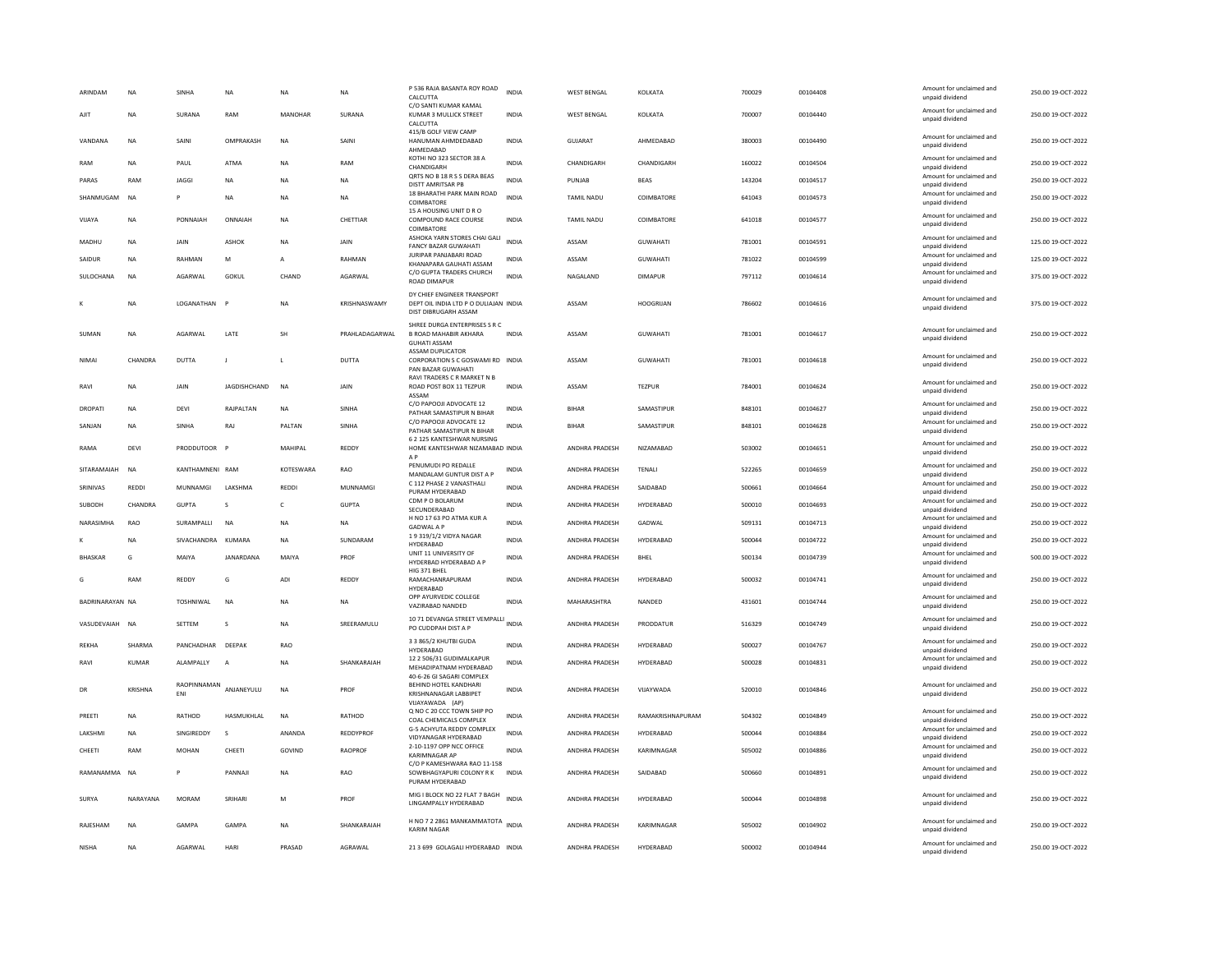| ARINDAM         | <b>NA</b>    | SINHA              | <b>NA</b>    | <b>NA</b>   | <b>NA</b>      | P 536 RAJA BASANTA ROY ROAD<br>CALCUTTA                                                      | <b>INDIA</b> | <b>WEST BENGAL</b> | KOLKATA          | 700029 | 00104408 | Amount for unclaimed and<br>unpaid dividend                    | 250.00 19-OCT-2022 |
|-----------------|--------------|--------------------|--------------|-------------|----------------|----------------------------------------------------------------------------------------------|--------------|--------------------|------------------|--------|----------|----------------------------------------------------------------|--------------------|
| AJIT            | NA           | SURANA             | RAM          | MANOHAR     | SURANA         | C/O SANTI KUMAR KAMAL<br>KUMAR 3 MULLICK STREET<br>CALCUTTA                                  | <b>INDIA</b> | <b>WEST BENGAL</b> | KOLKATA          | 700007 | 00104440 | Amount for unclaimed and<br>unpaid dividend                    | 250.00 19-OCT-2022 |
| VANDANA         | <b>NA</b>    | SAINI              | OMPRAKASH    | <b>NA</b>   | SAINI          | 415/B GOLF VIEW CAMP<br>HANUMAN AHMDEDABAD<br>AHMFDARAD                                      | <b>INDIA</b> | <b>GUJARAT</b>     | AHMEDABAD        | 380003 | 00104490 | Amount for unclaimed and<br>unpaid dividend                    | 250.00 19-OCT-2022 |
| RAM             | <b>NA</b>    | PAUL               | <b>ATMA</b>  | <b>NA</b>   | RAM            | KOTHI NO 323 SECTOR 38 A<br>CHANDIGARH                                                       | <b>INDIA</b> | CHANDIGARH         | CHANDIGARH       | 160022 | 00104504 | Amount for unclaimed and<br>unpaid dividend                    | 250.00 19-OCT-2022 |
| PARAS           | RAM          | JAGGI              | NA           | <b>NA</b>   | NA             | QRTS NO B 18 R S S DERA BEAS<br>DISTT AMRITSAR PB                                            | INDIA        | PUNJAB             | <b>BEAS</b>      | 143204 | 00104517 | Amount for unclaimed and<br>unpaid dividend                    | 250.00 19-OCT-2022 |
| SHANMUGAM       | <b>NA</b>    | p                  | <b>NA</b>    | <b>NA</b>   | <b>NA</b>      | 18 BHARATHI PARK MAIN ROAD<br>COIMBATORE                                                     | INDIA        | TAMIL NADU         | COIMBATORE       | 641043 | 00104573 | Amount for unclaimed and<br>unpaid dividend                    | 250.00 19-OCT-2022 |
| VIIAYA          | <b>NA</b>    | PONNAIAH           | ONNAIAH      | <b>NA</b>   | CHETTIAR       | 15 A HOUSING UNIT D R O<br><b>COMPOUND RACE COURSE</b><br>COIMBATORE                         | <b>INDIA</b> | <b>TAMIL NADU</b>  | COIMBATORE       | 641018 | 00104577 | Amount for unclaimed and<br>unpaid dividend                    | 250.00 19-OCT-2022 |
| MADHU           | NA           | JAIN               | <b>ASHOK</b> | <b>NA</b>   | JAIN           | ASHOKA YARN STORES CHAI GALI<br>FANCY BAZAR GUWAHATI                                         | <b>INDIA</b> | ASSAM              | GUWAHATI         | 781001 | 00104591 | Amount for unclaimed and<br>unpaid dividend                    | 125.00 19-OCT-2022 |
| SAIDUR          | NA           | RAHMAN             | M            | A           | RAHMAN         | <b>JURIPAR PANJABARI ROAD</b><br>KHANAPARA GAUHATI ASSAM                                     | INDI/        | ASSAM              | GUWAHATI         | 781022 | 00104599 | Amount for unclaimed and<br>unpaid dividend                    | 125.00 19-OCT-2022 |
| SULOCHANA       | <b>NA</b>    | AGARWAL            | GOKUL        | CHAND       | AGARWAL        | C/O GUPTA TRADERS CHURCH<br><b>ROAD DIMAPUR</b>                                              | <b>INDIA</b> | NAGALAND           | <b>DIMAPUR</b>   | 797112 | 00104614 | Amount for unclaimed and<br>unpaid dividend                    | 375.00 19-OCT-2022 |
|                 | NA           | LOGANATHAN         | $\mathsf{P}$ | <b>NA</b>   | KRISHNASWAMY   | DY CHIEF ENGINEER TRANSPORT<br>DEPT OIL INDIA LTD P O DULIAJAN INDIA<br>DIST DIBRUGARH ASSAM |              | ASSAM              | <b>HOOGRIJAN</b> | 786602 | 00104616 | Amount for unclaimed and<br>unpaid dividend                    | 375.00 19-OCT-2022 |
| SUMAN           | <b>NA</b>    | AGARWAL            | LATE         | <b>SH</b>   | PRAHLADAGARWAL | SHREE DURGA ENTERPRISES S R C<br>B ROAD MAHABIR AKHARA<br><b>GUHATI ASSAM</b>                | <b>INDIA</b> | ASSAM              | <b>GUWAHATI</b>  | 781001 | 00104617 | Amount for unclaimed and<br>unpaid dividend                    | 250.00 19-OCT-2022 |
| NIMAI           | CHANDRA      | DUTTA              |              | L           | DUTTA          | <b>ASSAM DUPLICATOR</b><br>CORPORATION S C GOSWAMI RD INDIA<br>PAN BAZAR GUWAHATI            |              | ASSAM              | <b>GUWAHATI</b>  | 781001 | 00104618 | Amount for unclaimed and<br>unpaid dividend                    | 250.00 19-OCT-2022 |
| RAVI            | <b>NA</b>    | JAIN               | JAGDISHCHAND | <b>NA</b>   | JAIN           | RAVI TRADERS C R MARKET N B<br>ROAD POST BOX 11 TEZPUR<br>ASSAM                              | <b>INDIA</b> | ASSAM              | <b>TEZPUR</b>    | 784001 | 00104624 | Amount for unclaimed and<br>unpaid dividend                    | 250.00 19-OCT-2022 |
| <b>DROPATI</b>  | <b>NA</b>    | DEVI               | RAJPALTAN    | <b>NA</b>   | SINHA          | C/O PAPOOJI ADVOCATE 12<br>PATHAR SAMASTIPUR N BIHAR                                         | <b>INDIA</b> | <b>BIHAR</b>       | SAMASTIPUR       | 848101 | 00104627 | Amount for unclaimed and<br>unpaid dividend                    | 250.00 19-OCT-2022 |
| SANJAN          | NA           | SINHA              | RA           | PALTAN      | SINHA          | C/O PAPOOJI ADVOCATE 12<br>PATHAR SAMASTIPUR N BIHAR                                         | INDIA        | BIHAF              | SAMASTIPUR       | 848101 | 00104628 | Amount for unclaimed and<br>unpaid dividend                    | 250.00 19-OCT-2022 |
| RAMA            | DEVI         | PRODDUTOOR P       |              | MAHIPAL     | REDDY          | 6 2 125 KANTESHWAR NURSING<br>HOME KANTESHWAR NIZAMABAD INDIA<br>A <sub>P</sub>              |              | ANDHRA PRADESH     | NIZAMABAD        | 503002 | 00104651 | Amount for unclaimed and<br>unpaid dividend                    | 250.00 19-OCT-2022 |
| SITARAMAIAH     | <b>NA</b>    | KANTHAMNENI RAM    |              | KOTESWARA   | RAO            | PENUMUDI PO REDALLE<br>MANDALAM GUNTUR DIST A P                                              | <b>INDIA</b> | ANDHRA PRADESH     | TENALI           | 522265 | 00104659 | Amount for unclaimed and<br>unpaid dividend                    | 250.00 19-OCT-2022 |
| SRINIVAS        | <b>REDDI</b> | MUNNAMGI           | LAKSHMA      | <b>REDD</b> | MUNNAMGI       | C 112 PHASE 2 VANASTHALI<br>PURAM HYDERABAD                                                  | <b>INDIA</b> | ANDHRA PRADESH     | SAIDABAD         | 500661 | 00104664 | Amount for unclaimed and<br>unpaid dividend                    | 250.00 19-OCT-2022 |
| SUBODH          | CHANDRA      | <b>GUPTA</b>       | s            | c           | <b>GUPTA</b>   | CDM P O BOLARUM<br>SECUNDERABAD                                                              | INDIA        | ANDHRA PRADESH     | HYDERABAD        | 500010 | 00104693 | Amount for unclaimed and<br>unpaid dividend                    | 250.00 19-OCT-2022 |
| NARASIMHA       | RAO          | SURAMPALLI         | <b>NA</b>    | <b>NA</b>   | <b>NA</b>      | H NO 17 63 PO ATMA KUR A<br><b>GADWAL A P</b>                                                | <b>INDIA</b> | ANDHRA PRADESH     | GADWAL           | 509131 | 00104713 | Amount for unclaimed and<br>unpaid dividend                    | 250.00 19-OCT-2022 |
|                 | <b>NA</b>    | SIVACHANDRA KUMARA |              | <b>NA</b>   | SUNDARAM       | 19319/1/2 VIDYA NAGAR<br>HYDERABAD                                                           | <b>INDIA</b> | ANDHRA PRADESH     | HYDERABAD        | 500044 | 00104722 | Amount for unclaimed and<br>unpaid dividend                    | 250.00 19-OCT-2022 |
| <b>BHASKAR</b>  | G            | MAIYA              | JANARDANA    | MAIYA       | PROF           | UNIT 11 UNIVERSITY OF<br>HYDERBAD HYDERABAD A P                                              | <b>INDIA</b> | ANDHRA PRADESH     | <b>BHEL</b>      | 500134 | 00104739 | Amount for unclaimed and<br>unpaid dividend                    | 500.00 19-OCT-2022 |
| G               | RAM          | REDDY              | G            | ADI         | REDDY          | HIG 371 BHEL<br>RAMACHANRAPURAM<br>HYDERABAD                                                 | <b>INDIA</b> | ANDHRA PRADESH     | HYDERABAD        | 500032 | 00104741 | Amount for unclaimed and<br>unpaid dividend                    | 250.00 19-OCT-2022 |
| BADRINARAYAN NA |              | <b>TOSHNIWAL</b>   | <b>NA</b>    | <b>NA</b>   | <b>NA</b>      | OPP AYURVEDIC COLLEGE<br>VAZIRABAD NANDED                                                    | <b>INDIA</b> | MAHARASHTRA        | NANDED           | 431601 | 00104744 | Amount for unclaimed and<br>unpaid dividend                    | 250.00 19-OCT-2022 |
| VASUDEVAIAH NA  |              | SETTEM             | <sub>S</sub> | <b>NA</b>   | SREERAMULU     | 10 71 DEVANGA STREET VEMPALLI<br>PO CUDDPAH DIST A P                                         | <b>INDIA</b> | ANDHRA PRADESH     | PRODDATUR        | 516329 | 00104749 | Amount for unclaimed and<br>unpaid dividend                    | 250.00 19-OCT-2022 |
| <b>REKHA</b>    | SHARMA       | PANCHADHAR DEEPAK  |              | <b>RAO</b>  |                | 3 3 865/2 KHUTBI GUDA                                                                        | <b>INDIA</b> | ANDHRA PRADESH     | HYDERABAD        | 500027 | 00104767 | Amount for unclaimed and                                       | 250.00 19-OCT-2022 |
| RAVI            | KUMAR        | ALAMPALLY          |              | <b>NA</b>   | SHANKARAIAH    | HYDERABAD<br>12 2 506/31 GUDIMALKAPUR<br>MEHADIPATNAM HYDERABAD                              | <b>INDIA</b> | ANDHRA PRADESH     | HYDERABAD        | 500028 | 00104831 | unpaid dividend<br>Amount for unclaimed and<br>unpaid dividend | 250.00 19-OCT-2022 |
| DR              | KRISHNA      | RAOPINNAMAN<br>ENI | ANJANEYULU   | NA          | PROF           | 40-6-26 GI SAGARI COMPLEX<br>BEHIND HOTEL KANDHARI<br>KRISHNANAGAR LABBIPET                  | <b>INDIA</b> | ANDHRA PRADESH     | VIJAYWADA        | 520010 | 00104846 | Amount for unclaimed and<br>unpaid dividend                    | 250.00 19-OCT-2022 |
| PREETI          | <b>NA</b>    | RATHOD             | HASMUKHLAL   | <b>NA</b>   | RATHOD         | VIJAYAWADA (AP)<br>Q NO C 20 CCC TOWN SHIP PO<br>COAL CHEMICALS COMPLEX                      | <b>INDIA</b> | ANDHRA PRADESH     | RAMAKRISHNAPURAM | 504302 | 00104849 | Amount for unclaimed and<br>unpaid dividend                    | 250.00 19-OCT-2022 |
| LAKSHMI         | <b>NA</b>    | SINGIREDDY         | s            | ANANDA      | REDDYPROF      | G-5 ACHYUTA REDDY COMPLEX<br>VIDYANAGAR HYDERABAD                                            | <b>INDIA</b> | ANDHRA PRADESH     | <b>HYDERABAD</b> | 500044 | 00104884 | Amount for unclaimed and<br>unpaid dividend                    | 250.00 19-OCT-2022 |
| CHEETI          | RAM          | MOHAN              | CHEETI       | GOVIND      | RAOPROF        | 2-10-1197 OPP NCC OFFICE<br><b>KARIMNAGAR AP</b>                                             | <b>INDIA</b> | ANDHRA PRADESH     | KARIMNAGAR       | 505002 | 00104886 | Amount for unclaimed and                                       | 250.00 19-OCT-2022 |
| RAMANAMMA NA    |              | P                  | PANNAJI      | <b>NA</b>   | RAO            | C/O P KAMESHWARA RAO 11-158<br>SOWBHAGYAPURI COLONY R K<br>PURAM HYDERABAD                   | <b>INDIA</b> | ANDHRA PRADESH     | SAIDABAD         | 500660 | 00104891 | unpaid dividend<br>Amount for unclaimed and<br>unpaid dividend | 250.00 19-OCT-2022 |
| SURYA           | NARAYANA     | <b>MORAM</b>       | SRIHARI      | M           | PROF           | MIG I BLOCK NO 22 FLAT 7 BAGH<br>LINGAMPALLY HYDERABAD                                       | <b>INDIA</b> | ANDHRA PRADESH     | <b>HYDERARAD</b> | 500044 | 00104898 | Amount for unclaimed and<br>unpaid dividend                    | 250.00 19-OCT-2022 |
| RAJESHAM        | <b>NA</b>    | GAMPA              | GAMPA        | <b>NA</b>   | SHANKARAIAH    | H NO 7 2 2861 MANKAMMATOTA INDIA<br><b>KARIM NAGAR</b>                                       |              | ANDHRA PRADESH     | KARIMNAGAR       | 505002 | 00104902 | Amount for unclaimed and<br>unpaid dividend                    | 250.00 19-OCT-2022 |
| <b>NISHA</b>    | <b>NA</b>    | AGARWAL            | HARI         | PRASAD      | AGRAWAL        | 21 3 699 GOLAGALI HYDERABAD INDIA                                                            |              | ANDHRA PRADESH     | HYDERABAD        | 500002 | 00104944 | Amount for unclaimed and<br>unpaid dividend                    | 250.00 19-OCT-2022 |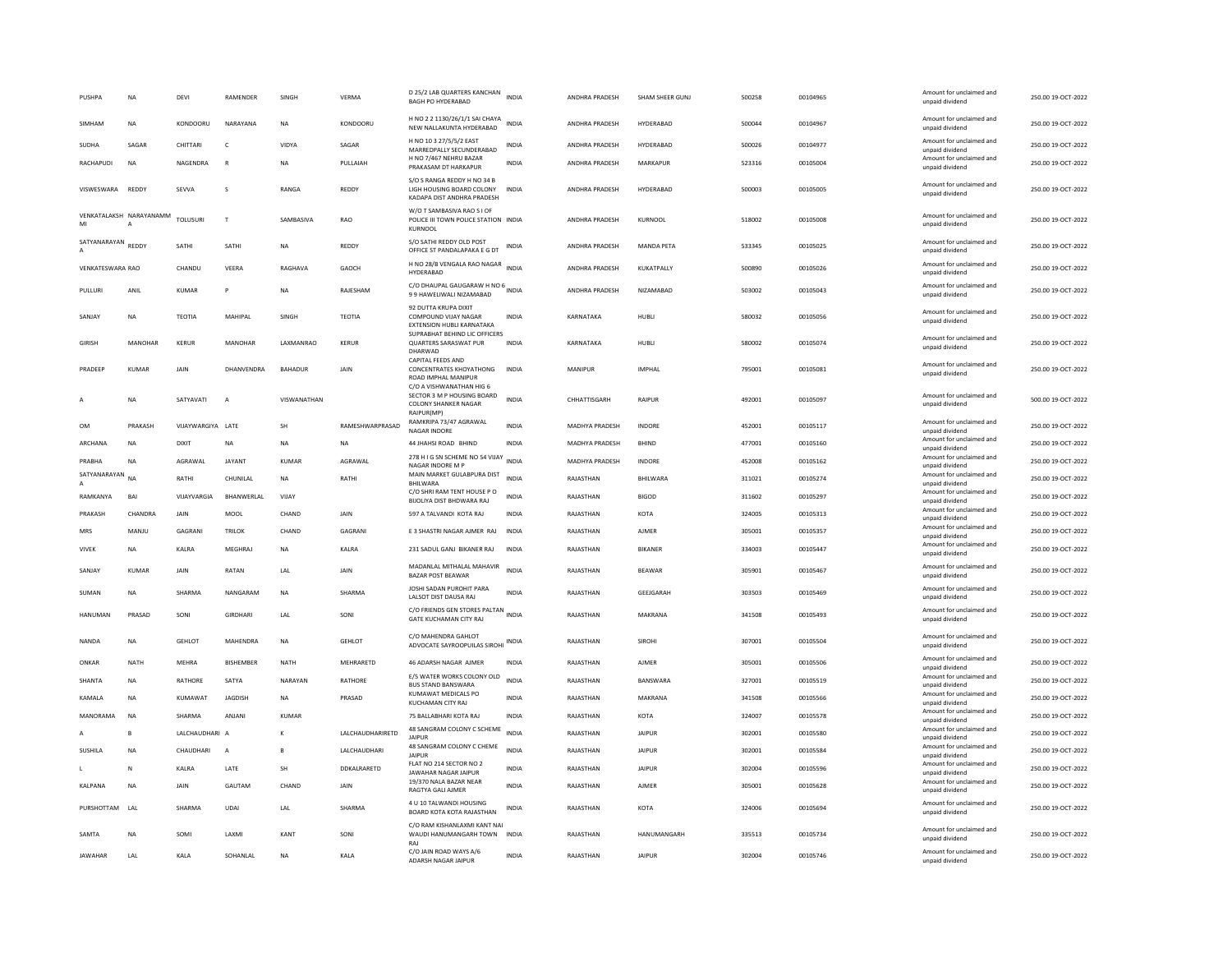| PUSHPA             | <b>NA</b>               | <b>DEVI</b>       | RAMENDER         | SINGH          | <b>VERMA</b>     | D 25/2 LAB QUARTERS KANCHAN<br><b>BAGH PO HYDERABAD</b>                                             | <b>INDIA</b> | ANDHRA PRADESH        | SHAM SHEER GUNJ   | 500258 | 00104965 | Amount for unclaimed and<br>unpaid dividend | 250.00 19-OCT-2022 |
|--------------------|-------------------------|-------------------|------------------|----------------|------------------|-----------------------------------------------------------------------------------------------------|--------------|-----------------------|-------------------|--------|----------|---------------------------------------------|--------------------|
| SIMHAM             | <b>NA</b>               | KONDOORU          | NARAYANA         | <b>NA</b>      | KONDOORU         | H NO 2 2 1130/26/1/1 SAI CHAYA<br>NEW NALLAKUNTA HYDERABAD                                          | <b>INDIA</b> | ANDHRA PRADESH        | HYDERABAD         | 500044 | 00104967 | Amount for unclaimed and<br>unpaid dividend | 250.00 19-OCT-2022 |
| <b>SUDHA</b>       | SAGAR                   | CHITTARI          | c                | VIDYA          | SAGAR            | H NO 10 3 27/5/5/2 EAST<br>MARREDPALLY SECUNDERABAD                                                 | <b>INDIA</b> | ANDHRA PRADESH        | HYDERARAD         | 500026 | 00104977 | Amount for unclaimed and<br>unpaid dividend | 250.00 19-OCT-2022 |
| <b>RACHAPUDI</b>   | <b>NA</b>               | NAGENDRA          | $\mathbb{R}$     | <b>NA</b>      | PULLAIAH         | H NO 7/467 NEHRU BAZAR<br>PRAKASAM DT HARKAPUR                                                      | <b>INDIA</b> | ANDHRA PRADESH        | MARKAPUR          | 523316 | 00105004 | Amount for unclaimed and<br>unpaid dividend | 250.00 19-OCT-2022 |
| VISWESWARA REDDY   |                         | SEVVA             | <sub>S</sub>     | RANGA          | REDDY            | S/O S RANGA REDDY H NO 34 B<br>LIGH HOUSING BOARD COLONY<br>KADAPA DIST ANDHRA PRADESH              | <b>INDIA</b> | ANDHRA PRADESH        | HYDERABAD         | 500003 | 00105005 | Amount for unclaimed and<br>unpaid dividend | 250.00 19-OCT-2022 |
| MI                 | VENKATALAKSH NARAYANAMM | <b>TOLUSURI</b>   | $\mathbf{r}$     | SAMBASIVA      | RAO              | W/O T SAMBASIVA RAO S I OF<br>POLICE III TOWN POLICE STATION INDIA<br>KURNOOL                       |              | ANDHRA PRADESH        | KURNOOL           | 518002 | 00105008 | Amount for unclaimed and<br>unpaid dividend | 250.00 19-OCT-2022 |
| SATYANARAYAN REDDY |                         | SATHI             | SATHI            | <b>NA</b>      | REDDY            | S/O SATHI REDDY OLD POST<br>OFFICE ST PANDALAPAKA E G DT                                            | INDIA        | ANDHRA PRADESH        | <b>MANDA PETA</b> | 533345 | 00105025 | Amount for unclaimed and<br>unpaid dividend | 250.00 19-OCT-2022 |
| VENKATESWARA RAO   |                         | CHANDU            | VEERA            | RAGHAVA        | GAOCH            | H NO 28/B VENGALA RAO NAGAR INDIA<br><b>HYDERABAD</b>                                               |              | ANDHRA PRADESH        | KUKATPALLY        | 500890 | 00105026 | Amount for unclaimed and<br>unpaid dividend | 250.00 19-OCT-2022 |
| PULLURI            | ANIL                    | KUMAR             | P                | <b>NA</b>      | RAJESHAM         | C/O DHAUPAL GAUGARAW H NO 6 INDIA<br>99 HAWELIWALI NIZAMABAD                                        |              | ANDHRA PRADESH        | NIZAMABAD         | 503002 | 00105043 | Amount for unclaimed and<br>unpaid dividend | 250.00 19-OCT-2022 |
| SANIAY             | <b>NA</b>               | TEOTIA            | MAHIPAI          | SINGH          | <b>TFOTIA</b>    | 92 DUTTA KRUPA DIXIT<br>COMPOUND VIJAY NAGAR<br>EXTENSION HUBLI KARNATAKA                           | <b>INDIA</b> | KARNATAKA             | HUBLI             | 580032 | 00105056 | Amount for unclaimed and<br>unpaid dividend | 250.00 19-OCT-2022 |
| GIRISH             | <b>MANOHAR</b>          | KERUR             | MANOHAR          | LAXMANRAO      | <b>KERUR</b>     | SUPRABHAT BEHIND LIC OFFICERS<br>QUARTERS SARASWAT PUR<br>DHARWAD                                   | INDIA        | KARNATAKA             | HUBLI             | 580002 | 00105074 | Amount for unclaimed and<br>unpaid dividend | 250.00 19-OCT-2022 |
| PRADEEP            | <b>KUMAR</b>            | JAIN              | DHANVENDRA       | <b>BAHADUR</b> | JAIN             | CAPITAL FEEDS AND<br>CONCENTRATES KHOYATHONG<br><b>ROAD IMPHAL MANIPUR</b>                          | <b>INDIA</b> | MANIPUR               | <b>IMPHAI</b>     | 795001 | 00105081 | Amount for unclaimed and<br>unpaid dividend | 250.00 19-OCT-2022 |
| A                  | <b>NA</b>               | SATYAVATI         | A                | VISWANATHAN    |                  | C/O A VISHWANATHAN HIG 6<br>SECTOR 3 M P HOUSING BOARD<br><b>COLONY SHANKER NAGAR</b><br>RAIPUR(MP) | <b>INDIA</b> | CHHATTISGARH          | RAIPUR            | 492001 | 00105097 | Amount for unclaimed and<br>unpaid dividend | 500.00 19-OCT-2022 |
| <b>OM</b>          | PRAKASH                 | VIJAYWARGIYA LATE |                  | SH             | RAMESHWARPRASAD  | RAMKRIPA 73/47 AGRAWAL<br><b>NAGAR INDORE</b>                                                       | <b>INDIA</b> | <b>MADHYA PRADESH</b> | <b>INDORF</b>     | 452001 | 00105117 | Amount for unclaimed and<br>unpaid dividend | 250.00 19-OCT-2022 |
| ARCHANA            | <b>NA</b>               | <b>DIXIT</b>      | <b>NA</b>        | <b>NA</b>      | <b>NA</b>        | 44 JHAHSI ROAD BHIND                                                                                | <b>INDIA</b> | MADHYA PRADESH        | <b>BHIND</b>      | 477001 | 00105160 | Amount for unclaimed and<br>unpaid dividend | 250.00 19-OCT-2022 |
| PRABHA             | <b>NA</b>               | AGRAWAL           | JAYANT           | <b>KUMAR</b>   | AGRAWAL          | 278 H I G SN SCHEME NO 54 VIJAY<br>NAGAR INDORE M P                                                 | <b>INDIA</b> | MADHYA PRADESH        | INDORE            | 452008 | 00105162 | Amount for unclaimed and<br>unpaid dividend | 250.00 19-OCT-2022 |
| SATYANARAYAN<br>A  | <b>NA</b>               | RATHI             | CHUNILAL         | <b>NA</b>      | RATHI            | MAIN MARKET GULABPURA DIST<br><b>BHILWARA</b>                                                       | INDIA        | RAJASTHAN             | <b>BHILWARA</b>   | 311021 | 00105274 | Amount for unclaimed and<br>unpaid dividend | 250.00 19-OCT-2022 |
| RAMKANYA           | BAI                     | VIJAYVARGIA       | BHANWERLAL       | VIJAY          |                  | C/O SHRI RAM TENT HOUSE PO<br>BIJOLIYA DIST BHDWARA RAJ                                             | <b>INDIA</b> | RAJASTHAN             | <b>BIGOD</b>      | 311602 | 00105297 | Amount for unclaimed and<br>unpaid dividend | 250.00 19-OCT-2022 |
| PRAKASH            | CHANDRA                 | <b>JAIN</b>       | MOOI             | CHAND          | <b>JAIN</b>      | 597 A TALVANDI KOTA RAJ                                                                             | <b>INDIA</b> | RAJASTHAN             | KOTA              | 324005 | 00105313 | Amount for unclaimed and<br>unpaid dividend | 250.00.19-OCT-2022 |
| MRS                | MANJU                   | GAGRANI           | TRILOK           | CHAND          | GAGRANI          | E 3 SHASTRI NAGAR AJMER RAJ                                                                         | INDIA        | RAJASTHAN             | AJMER             | 305001 | 00105357 | Amount for unclaimed and                    | 250.00 19-OCT-2022 |
| VIVEK              | NA                      | KALRA             | MEGHRAJ          | NA             | KALRA            | 231 SADUL GANJ BIKANER RAJ                                                                          | INDIA        | RAJASTHAN             | BIKANER           | 334003 | 00105447 | unpaid dividend<br>Amount for unclaimed and | 250.00 19-OCT-2022 |
|                    |                         |                   | RATAN            | <b>IAI</b>     |                  | MADANLAL MITHALAL MAHAVIR                                                                           | <b>INDIA</b> | RAIASTHAN             | <b>RFAWAR</b>     | 305901 | 00105467 | unpaid dividend<br>Amount for unclaimed and | 250.00.19-OCT-2022 |
| SANIAY             | KUMAR                   | <b>JAIN</b>       |                  |                | <b>JAIN</b>      | <b>BAZAR POST BEAWAR</b>                                                                            |              |                       |                   |        |          | unpaid dividend                             |                    |
| SUMAN              | <b>NA</b>               | SHARMA            | NANGARAM         | <b>NA</b>      | SHARMA           | JOSHI SADAN PUROHIT PARA<br>LALSOT DIST DAUSA RAJ                                                   | <b>INDIA</b> | RAJASTHAN             | GEEJGARAH         | 303503 | 00105469 | Amount for unclaimed and<br>unpaid dividend | 250.00 19-OCT-2022 |
| <b>HANUMAN</b>     | PRASAD                  | SONI              | <b>GIRDHARI</b>  | LAL            | SONI             | C/O FRIENDS GEN STORES PALTAN INDIA<br>GATE KUCHAMAN CITY RAJ                                       |              | RAJASTHAN             | MAKRANA           | 341508 | 00105493 | Amount for unclaimed and<br>unpaid dividend | 250.00 19-OCT-2022 |
| <b>NANDA</b>       | <b>NA</b>               | <b>GEHLOT</b>     | MAHENDRA         | <b>NA</b>      | <b>GEHLOT</b>    | C/O MAHENDRA GAHLOT<br>ADVOCATE SAYROOPUILAS SIROHI INDIA                                           |              | RAJASTHAN             | <b>SIROHI</b>     | 307001 | 00105504 | Amount for unclaimed and<br>unpaid dividend | 250.00 19-OCT-2022 |
| ONKAR              | NATH                    | <b>MEHRA</b>      | <b>BISHEMBER</b> | NATH           | MEHRARETD        | 46 ADARSH NAGAR AJMER                                                                               | INDIA        | RAJASTHAN             | <b>AJMER</b>      | 305001 | 00105506 | Amount for unclaimed and<br>unpaid dividend | 250.00 19-OCT-2022 |
| SHANTA             | <b>NA</b>               | RATHORE           | SATYA            | NARAYAN        | <b>RATHORE</b>   | E/5 WATER WORKS COLONY OLD<br><b>BUS STAND BANSWARA</b>                                             | <b>INDIA</b> | RAJASTHAN             | BANSWARA          | 327001 | 00105519 | Amount for unclaimed and<br>unpaid dividend | 250.00 19-OCT-2022 |
| KAMALA             | <b>NA</b>               | KUMAWAT           | <b>JAGDISH</b>   | <b>NA</b>      | PRASAD           | KUMAWAT MEDICALS PO<br>KUCHAMAN CITY RAJ                                                            | <b>INDIA</b> | RAJASTHAN             | MAKRANA           | 341508 | 00105566 | Amount for unclaimed and<br>unpaid dividend | 250.00 19-OCT-2022 |
| MANORAMA           | NA                      | SHARMA            | ANJANI           | KUMAR          |                  | 75 BALLABHARI KOTA RAJ                                                                              | INDIA        | RAJASTHAN             | KOTA              | 324007 | 00105578 | Amount for unclaimed and<br>unpaid dividend | 250.00 19-OCT-2022 |
|                    |                         | LALCHAUDHARI A    |                  |                | LALCHAUDHARIRETD | 48 SANGRAM COLONY C SCHEME<br><b>JAIPUR</b>                                                         | INDIA        | RAJASTHAN             | <b>JAIPUR</b>     | 302001 | 00105580 | Amount for unclaimed and<br>unpaid dividend | 250.00 19-OCT-2022 |
| SUSHILA            | <b>NA</b>               | CHAUDHARI         | $\overline{A}$   | $\mathbf{B}$   | LALCHAUDHARI     | 48 SANGRAM COLONY C CHEME<br><b>JAIPUR</b>                                                          | <b>INDIA</b> | RAJASTHAN             | <b>JAIPUR</b>     | 302001 | 00105584 | Amount for unclaimed and<br>unpaid dividend | 250.00 19-OCT-2022 |
| т.                 | N                       | KALRA             | LATE             | SH             | DDKALRARETD      | FLAT NO 214 SECTOR NO 2<br>JAWAHAR NAGAR JAIPUR                                                     | <b>INDIA</b> | RAJASTHAN             | <b>JAIPUR</b>     | 302004 | 00105596 | Amount for unclaimed and<br>unpaid dividend | 250.00 19-OCT-2022 |
| KALPANA            | <b>NA</b>               | JAIN              | GAUTAM           | CHAND          | JAIN             | 19/370 NALA BAZAR NEAR<br>RAGTYA GALI AJMER                                                         | <b>INDIA</b> | RAJASTHAN             | <b>AJMER</b>      | 305001 | 00105628 | Amount for unclaimed and<br>unpaid dividend | 250.00 19-OCT-2022 |
| PURSHOTTAM LAL     |                         | SHARMA            | <b>UDAI</b>      | LAL            | SHARMA           | 4 U 10 TALWANDI HOUSING<br>BOARD KOTA KOTA RAJASTHAN                                                | <b>INDIA</b> | RAJASTHAN             | KOTA              | 324006 | 00105694 | Amount for unclaimed and<br>unpaid dividend | 250.00 19-OCT-2022 |
| SAMTA              | <b>NA</b>               | SOMI              | <b>LAXMI</b>     | KANT           | SONI             | C/O RAM KISHANLAXMI KANT NAI<br>WAUDI HANUMANGARH TOWN<br>RAJ                                       | <b>INDIA</b> | RAIASTHAN             | HANUMANGARH       | 335513 | 00105734 | Amount for unclaimed and<br>unpaid dividend | 250.00 19-OCT-2022 |
| <b>JAWAHAR</b>     | LAL                     | KALA              | SOHANLAL         | <b>NA</b>      | KALA             | C/O JAIN ROAD WAYS A/6<br>ADARSH NAGAR JAIPUR                                                       | <b>INDIA</b> | RAJASTHAN             | <b>JAIPUR</b>     | 302004 | 00105746 | Amount for unclaimed and<br>unpaid dividend | 250.00 19-OCT-2022 |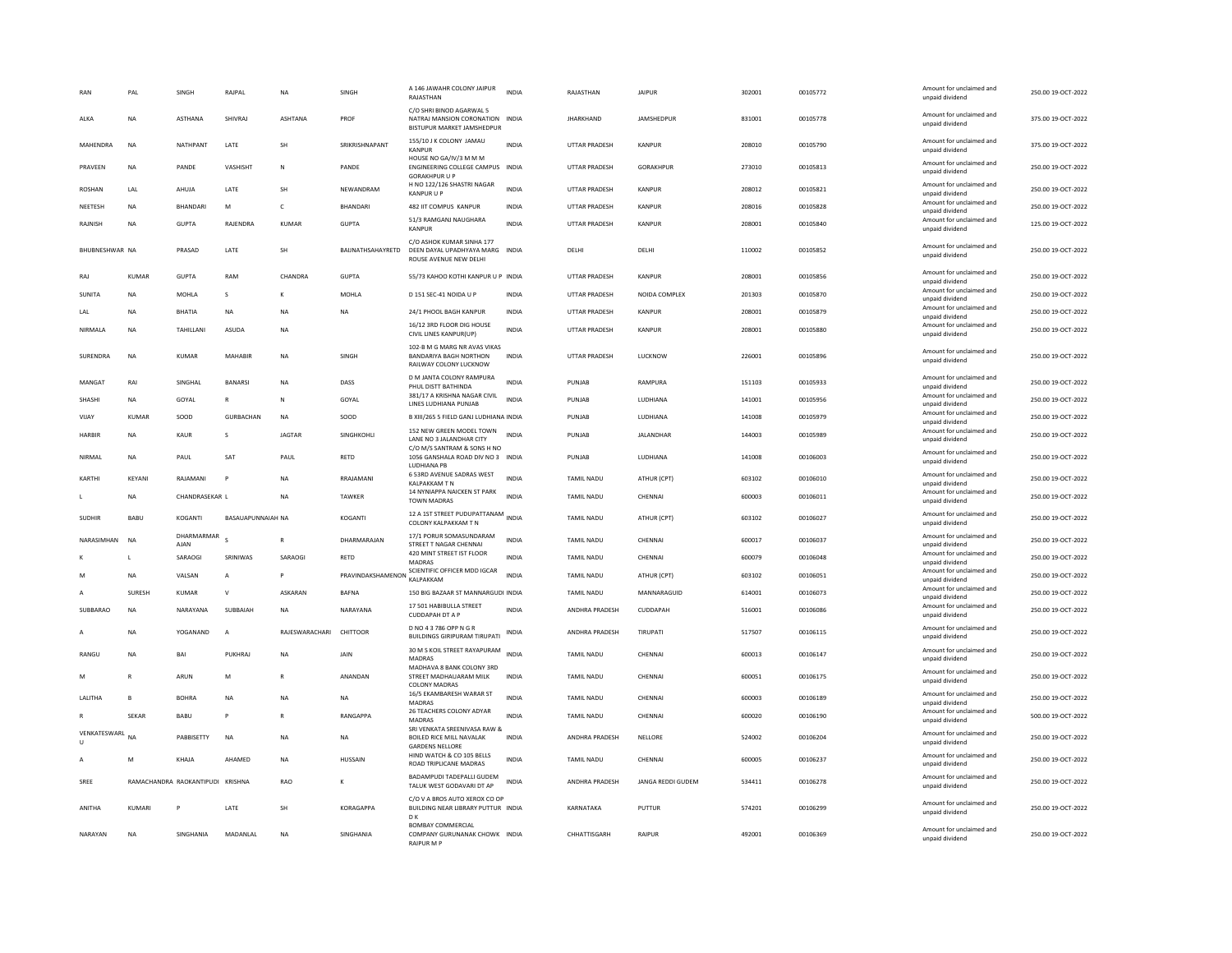|                        | PAL           | SINGH                            | RAJPAL                   | NA             | SINGH             | A 146 JAWAHR COLONY JAIPUR<br>RAJASTHAN                                                   | <b>INDIA</b> | RAJASTHAN             | <b>JAIPUR</b>     | 302001 | 00105772 | Amount for unclaimed and<br>unpaid dividend | 250.00 19-OCT-2022 |
|------------------------|---------------|----------------------------------|--------------------------|----------------|-------------------|-------------------------------------------------------------------------------------------|--------------|-----------------------|-------------------|--------|----------|---------------------------------------------|--------------------|
| ALKA                   | <b>NA</b>     | <b>ASTHANA</b>                   | SHIVRAL                  | <b>ASHTANA</b> | PROF              | C/O SHRI BINOD AGARWAL 5<br>NATRAJ MANSION CORONATION INDIA<br>BISTUPUR MARKET JAMSHEDPUR |              | <b>JHARKHAND</b>      | <b>JAMSHEDPUR</b> | 831001 | 00105778 | Amount for unclaimed and<br>unpaid dividend | 375.00 19-OCT-2022 |
| MAHENDRA               | <b>NA</b>     | NATHPANT                         | LATE                     | SH             | SRIKRISHNAPANT    | 155/10 J K COLONY JAMAU<br>KANPUR                                                         | <b>INDIA</b> | <b>UTTAR PRADESH</b>  | <b>KANPUR</b>     | 208010 | 00105790 | Amount for unclaimed and<br>unpaid dividend | 375.00 19-OCT-2022 |
| PRAVEEN                | <b>NA</b>     | PANDE                            | VASHISHT                 | N              | PANDE             | HOUSE NO GA/IV/3 M M M<br>ENGINEERING COLLEGE CAMPUS INDIA<br><b>GORAKHPUR U P</b>        |              | <b>UTTAR PRADESH</b>  | GORAKHPUR         | 273010 | 00105813 | Amount for unclaimed and<br>unpaid dividend | 250.00 19-OCT-2022 |
| ROSHAN                 | LAL           | AHUJA                            | <b>I ATF</b>             | <b>SH</b>      | NFWANDRAM         | H NO 122/126 SHASTRI NAGAR<br><b>KANPUR U P</b>                                           | <b>INDIA</b> | <b>UTTAR PRADESH</b>  | KANPUR            | 208012 | 00105821 | Amount for unclaimed and<br>unpaid dividend | 250.00 19-OCT-2022 |
| NEETESH                | <b>NA</b>     | <b>BHANDARI</b>                  | M                        | $\epsilon$     | <b>BHANDARI</b>   | 482 IIT COMPUS KANPUR                                                                     | <b>INDIA</b> | UTTAR PRADESH         | <b>KANPUR</b>     | 208016 | 00105828 | Amount for unclaimed and<br>unpaid dividend | 250.00 19-OCT-2022 |
| RAJNISH                | <b>NA</b>     | <b>GUPTA</b>                     | RAJENDRA                 | KUMAR          | <b>GUPTA</b>      | 51/3 RAMGANJ NAUGHARA<br><b>KANPUF</b>                                                    | <b>INDIA</b> | <b>UTTAR PRADESH</b>  | KANPUR            | 208001 | 00105840 | Amount for unclaimed and<br>unpaid dividend | 125.00 19-OCT-2022 |
| BHUBNESHWAR NA         |               | PRASAD                           | LATE                     | SH             | BAIJNATHSAHAYRETD | C/O ASHOK KUMAR SINHA 177<br>DEEN DAYAL UPADHYAYA MARG INDIA<br>ROUSE AVENUE NEW DELHI    |              | DELHI                 | DELHI             | 110002 | 00105852 | Amount for unclaimed and<br>unpaid dividend | 250.00 19-OCT-2022 |
| RAJ                    | <b>KUMAR</b>  | <b>GUPTA</b>                     | RAM                      | CHANDRA        | <b>GUPTA</b>      | 55/73 KAHOO KOTHI KANPUR U P INDIA                                                        |              | <b>UTTAR PRADESH</b>  | <b>KANPUR</b>     | 208001 | 00105856 | Amount for unclaimed and<br>unpaid dividend | 250.00 19-OCT-2022 |
| SUNITA                 | NA            | MOHLA                            | s                        | K              | MOHLA             | D 151 SEC-41 NOIDA U P                                                                    | INDIA        | UTTAR PRADESH         | NOIDA COMPLEX     | 201303 | 00105870 | Amount for unclaimed and<br>unpaid dividend | 250.00 19-OCT-2022 |
| LAL                    | NA            | <b>BHATIA</b>                    | <b>NA</b>                | ΝA             | NA                | 24/1 PHOOL BAGH KANPUR                                                                    | <b>INDIA</b> | UTTAR PRADESH         | <b>KANPUR</b>     | 208001 | 00105879 | Amount for unclaimed and<br>unpaid dividend | 250.00 19-OCT-2022 |
| NIRMALA                | NA            | TAHILLANI                        | ASUDA                    | NΑ             |                   | 16/12 3RD FLOOR DIG HOUSE<br>CIVIL LINES KANPUR(UP)                                       | <b>INDIA</b> | UTTAR PRADESH         | <b>KANPUR</b>     | 208001 | 00105880 | Amount for unclaimed and<br>unpaid dividend | 250.00 19-OCT-2022 |
| SURENDRA               | NA            | <b>KUMAR</b>                     | MAHABIR                  | <b>NA</b>      | SINGH             | 102-B M G MARG NR AVAS VIKAS<br><b>BANDARIYA BAGH NORTHON</b><br>RAILWAY COLONY LUCKNOW   | <b>INDIA</b> | <b>UTTAR PRADESH</b>  | LUCKNOW           | 226001 | 00105896 | Amount for unclaimed and<br>unpaid dividend | 250.00 19-OCT-2022 |
| MANGA1                 | RAI           | SINGHAL                          | <b>BANARSI</b>           | <b>NA</b>      | DASS              | D M JANTA COLONY RAMPURA                                                                  | <b>INDIA</b> | PUNJAB                | RAMPURA           | 151103 | 00105933 | Amount for unclaimed and                    | 250.00 19-OCT-2022 |
| SHASHI                 | NA            | GOYAL                            |                          | N              | GOYAL             | PHUL DISTT BATHINDA<br>381/17 A KRISHNA NAGAR CIVIL                                       | <b>INDIA</b> | PUNJAB                | LUDHIANA          | 141001 | 00105956 | unpaid dividend<br>Amount for unclaimed and | 250.00 19-OCT-2022 |
| VIJAY                  | <b>KUMAR</b>  | SOOD                             | <b>GURBACHAN</b>         | <b>NA</b>      | SOOD              | LINES LUDHIANA PUNJAB<br>B XIII/265 5 FIELD GANJ LUDHIANA INDIA                           |              | PUNJAB                | LUDHIANA          | 141008 | 00105979 | unpaid dividend<br>Amount for unclaimed and | 250.00 19-OCT-2022 |
| HARBIR                 | NA            | KAUR                             | s                        | <b>JAGTAR</b>  | SINGHKOHLI        | 152 NEW GREEN MODEL TOWN                                                                  | <b>INDIA</b> | PUNJAB                | <b>JALANDHAR</b>  | 144003 | 00105989 | unpaid dividend<br>Amount for unclaimed and | 250.00 19-OCT-2022 |
|                        |               |                                  |                          |                |                   | LANE NO 3 JALANDHAR CITY<br>C/O M/S SANTRAM & SONS H NO                                   |              |                       |                   |        |          | unpaid dividend                             |                    |
| <b>NIRMAI</b>          | <b>NA</b>     | PAUL                             | SAT                      | PAUL           | RETD              | 1056 GANSHALA ROAD DIV NO 3 INDIA<br>LUDHIANA PB                                          |              | PUNJAB                | LUDHIANA          | 141008 | 00106003 | Amount for unclaimed and<br>unpaid dividend | 250.00 19-OCT-2022 |
| KARTHI                 | KEYANI        | RAJAMANI                         | P                        | N <sub>A</sub> | RRAJAMANI         | 6 53RD AVENUE SADRAS WEST<br><b>KALPAKKAM T N</b>                                         | <b>INDIA</b> | TAMIL NADU            | ATHUR (CPT)       | 603102 | 00106010 | Amount for unclaimed and<br>unpaid dividend | 250.00 19-OCT-2022 |
|                        | NA            | CHANDRASEKAR L                   |                          | NA             | TAWKER            | 14 NYNIAPPA NAICKEN ST PARK<br>TOWN MADRAS                                                | <b>INDIA</b> | TAMIL NADU            | CHENNAI           | 600003 | 00106011 | Amount for unclaimed and<br>unpaid dividend | 250.00 19-OCT-2022 |
| SUDHIR                 | BABU          | KOGANTI                          | <b>BASAUAPUNNAIAH NA</b> |                | KOGANTI           | 12 A 1ST STREET PUDUPATTANAM INDIA<br>COLONY KALPAKKAM T N                                |              | TAMIL NADU            | ATHUR (CPT)       | 603102 | 00106027 | Amount for unclaimed and<br>unpaid dividend | 250.00 19-OCT-2022 |
| NARASIMHAN             | <b>NA</b>     | DHARMARMAR                       |                          | $\mathsf{R}$   | DHARMARAJAN       | 17/1 PORUR SOMASUNDARAM                                                                   | <b>INDIA</b> | <b>TAMIL NADU</b>     | CHENNAL           | 600017 | 00106037 | Amount for unclaimed and                    | 250.00 19-OCT-2022 |
|                        | $\mathbf{I}$  | AJAN<br>SARAOGI                  | SRINIWAS                 | SARAOGI        | RETD              | STREET T NAGAR CHENNA<br>420 MINT STREET IST FLOOR                                        | INDIA        | TAMIL NADU            | CHENNAI           | 600079 | 00106048 | unpaid dividend<br>Amount for unclaimed and | 250.00 19-OCT-2022 |
|                        | <b>NA</b>     | VALSAN                           | $\overline{A}$           |                | PRAVINDAKSHAMENON | <b>MADRAS</b><br>SCIENTIFIC OFFICER MDD IGCAR                                             | <b>INDIA</b> | TAMIL NADU            | ATHUR (CPT)       | 603102 | 00106051 | unpaid dividend<br>Amount for unclaimed and | 250.00 19-OCT-2022 |
|                        | <b>SURESH</b> | <b>KUMAR</b>                     | $\mathsf{v}$             | ASKARAN        | <b>BAFNA</b>      | KALPAKKAM<br>150 BIG BAZAAR ST MANNARGUDI INDIA                                           |              | TAMIL NADU            | MANNARAGUID       | 614001 | 00106073 | unpaid dividend<br>Amount for unclaimed and | 250.00 19-OCT-2022 |
|                        |               |                                  |                          |                |                   | 17 501 HABIBULLA STREET                                                                   |              |                       |                   |        |          | unpaid dividend<br>Amount for unclaimed and |                    |
| SUBBARAO               | NA            | NARAYANA                         | SUBBAIAH                 | NA             | NARAYANA          | <b>CUDDAPAH DT A P</b>                                                                    | <b>INDIA</b> | ANDHRA PRADESH        | CUDDAPAH          | 516001 | 00106086 | unpaid dividend                             | 250.00 19-OCT-2022 |
|                        | <b>NA</b>     | YOGANAND                         | A                        | RAJESWARACHARI | CHITTOOR          | D NO 4 3 786 OPP N G R<br><b>BUILDINGS GIRIPURAM TIRUPATI</b>                             | INDIA        | <b>ANDHRA PRADESH</b> | TIRUPATI          | 517507 | 00106115 | Amount for unclaimed and<br>unpaid dividend | 250.00 19-OCT-2022 |
| RANGU                  | <b>NA</b>     | BAI                              | PUKHRAJ                  | NA             | JAIN              | 30 M S KOIL STREET RAYAPURAM<br>MADRAS                                                    | <b>INDIA</b> | <b>TAMIL NADU</b>     | CHENNA            | 600013 | 00106147 | Amount for unclaimed and<br>unpaid dividend | 250.00 19-OCT-2022 |
| M                      | R             | ARUN                             | M                        |                | ANANDAN           | MADHAVA 8 BANK COLONY 3RD<br>STREET MADHAUARAM MILK<br><b>COLONY MADRAS</b>               | INDIA        | TAMIL NADU            | CHENNA            | 600051 | 00106175 | Amount for unclaimed and<br>unpaid dividend | 250.00 19-OCT-2022 |
| LALITHA                | B             | <b>BOHRA</b>                     | <b>NA</b>                | <b>NA</b>      | <b>NA</b>         | 16/5 EKAMBARESH WARAR ST<br>MADRAS                                                        | <b>INDIA</b> | <b>TAMIL NADU</b>     | CHENNA            | 600003 | 00106189 | Amount for unclaimed and<br>unpaid dividend | 250.00 19-OCT-2022 |
|                        | <b>SEKAR</b>  | <b>BABU</b>                      |                          |                | RANGAPPA          | 26 TEACHERS COLONY ADYAR<br>MADRAS                                                        | <b>INDIA</b> | TAMIL NADU            | CHENNA            | 600020 | 00106190 | Amount for unclaimed and<br>unpaid dividend | 500.00 19-OCT-2022 |
| VENKATESWARL<br>$\cup$ | <b>NA</b>     | PABBISETTY                       | <b>NA</b>                | <b>NA</b>      | <b>NA</b>         | SRI VENKATA SREENIVASA RAW &<br>BOILED RICE MILL NAVALAK                                  | <b>INDIA</b> | ANDHRA PRADESH        | NELLORE           | 524002 | 00106204 | Amount for unclaimed and<br>unpaid dividend | 250.00 19-OCT-2022 |
| А                      | M             | KHAIA                            | AHAMED                   | <b>NA</b>      | <b>HUSSAIN</b>    | <b>GARDENS NELLORE</b><br>HIND WATCH & CO 105 BELLS<br><b>ROAD TRIPLICANE MADRAS</b>      | <b>INDIA</b> | TAMII NADU            | CHENNAL           | 600005 | 00106237 | Amount for unclaimed and<br>unpaid dividend | 250.00.19-OCT-2022 |
| SREE                   |               | RAMACHANDRA RAOKANTIPUDI KRISHNA |                          | <b>RAO</b>     |                   | BADAMPUDI TADEPALLI GUDEM<br>TALUK WEST GODAVARI DT AP                                    | <b>INDIA</b> | ANDHRA PRADESH        | JANGA REDDI GUDEM | 534411 | 00106278 | Amount for unclaimed and<br>unpaid dividend | 250.00 19-OCT-2022 |
| ANITHA                 | KUMARI        | P                                | <b>I ATF</b>             | <b>SH</b>      | KORAGAPPA         | C/O V A BROS AUTO XEROX CO OP<br>BUILDING NEAR LIBRARY PUTTUR INDIA                       |              | KARNATAKA             | PUTTUR            | 574201 | 00106299 | Amount for unclaimed and<br>unpaid dividend | 250.00 19-QCT-2022 |
| NARAYAN                | <b>NA</b>     | SINGHANIA                        | MADANLAL                 | N <sub>A</sub> | SINGHANIA         | D K<br><b>BOMBAY COMMERCIAL</b><br>COMPANY GURUNANAK CHOWK INDIA<br>RAIPLIR M P           |              | CHHATTISGARH          | RAIPUR            | 492001 | 00106369 | Amount for unclaimed and<br>unpaid dividend | 250.00 19-OCT-2022 |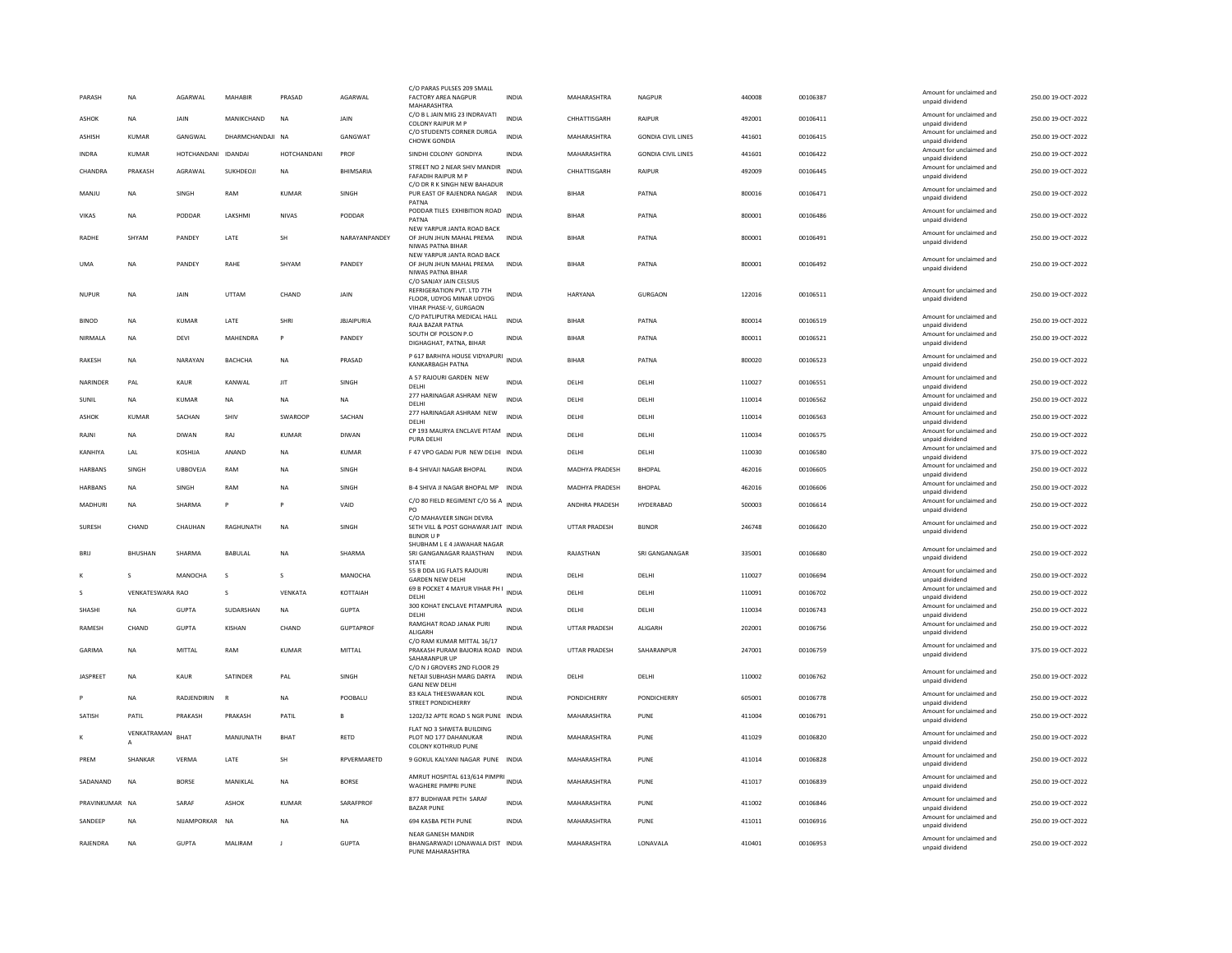| PARASH          | <b>NA</b>        | AGARWAL             | MAHABIR          | PRASAD       | AGARWAL           | C/O PARAS PULSES 209 SMALL<br><b>FACTORY AREA NAGPUR</b><br>MAHARASHTRA              | <b>INDIA</b> | MAHARASHTRA          | <b>NAGPUR</b>             | 440008 | 00106387 | Amount for unclaimed and<br>unpaid dividend | 250.00 19-OCT-2022 |
|-----------------|------------------|---------------------|------------------|--------------|-------------------|--------------------------------------------------------------------------------------|--------------|----------------------|---------------------------|--------|----------|---------------------------------------------|--------------------|
| <b>ASHOK</b>    | <b>NA</b>        | <b>JAIN</b>         | MANIKCHAND       | <b>NA</b>    | JAIN              | C/O B L JAIN MIG 23 INDRAVATI<br><b>COLONY RAIPUR M P</b>                            | <b>INDIA</b> | CHHATTISGARH         | RAIPUR                    | 492001 | 00106411 | Amount for unclaimed and<br>unpaid dividend | 250.00 19-OCT-2022 |
| <b>ASHISH</b>   | KUMAR            | GANGWAI             | DHARMCHANDAJI NA |              | GANGWAT           | C/O STUDENTS CORNER DURGA<br><b>CHOWK GONDIA</b>                                     | <b>INDIA</b> | MAHARASHTRA          | <b>GONDIA CIVIL LINES</b> | 441601 | 00106415 | Amount for unclaimed and<br>unpaid dividend | 250.00 19-OCT-2022 |
| <b>INDRA</b>    | <b>KUMAR</b>     | HOTCHANDANI IDANDAI |                  | HOTCHANDANI  | PROF              | SINDHI COLONY GONDIYA                                                                | <b>INDIA</b> | MAHARASHTRA          | <b>GONDIA CIVIL LINES</b> | 441601 | 00106422 | Amount for unclaimed and<br>unpaid dividend | 250.00 19-OCT-2022 |
| CHANDRA         | PRAKASH          | AGRAWAL             | SUKHDEOJI        | NA           | <b>BHIMSARIA</b>  | STREET NO 2 NEAR SHIV MANDIR<br>FAFADIH RAIPUR M F                                   | <b>INDIA</b> | CHHATTISGARH         | RAIPUR                    | 492009 | 00106445 | Amount for unclaimed and<br>unpaid dividend | 250.00 19-OCT-2022 |
| MANJU           | NA               | SINGH               | RAM              | <b>KUMAR</b> | SINGH             | C/O DR R K SINGH NEW BAHADUR<br>PUR EAST OF RAJENDRA NAGAR INDIA<br>PATNA            |              | <b>BIHAR</b>         | PATNA                     | 800016 | 00106471 | Amount for unclaimed and<br>unpaid dividend | 250.00 19-OCT-2022 |
| VIKAS           | NA               | PODDAR              | LAKSHMI          | NIVAS        | PODDAR            | PODDAR TILES EXHIBITION ROAD INDIA                                                   |              | <b>BIHAR</b>         | PATNA                     | 800001 | 00106486 | Amount for unclaimed and                    | 250.00 19-OCT-2022 |
|                 |                  |                     |                  |              |                   | PATNA<br>NEW YARPUR JANTA ROAD BACK                                                  |              |                      |                           |        |          | unpaid dividend<br>Amount for unclaimed and |                    |
| RADHE           | SHYAM            | PANDEY              | LATE             | SH           | NARAYANPANDEY     | OF JHUN JHUN MAHAL PREMA<br>NIWAS PATNA BIHAR                                        | <b>INDIA</b> | <b>BIHAR</b>         | PATNA                     | 800001 | 00106491 | unpaid dividend                             | 250.00 19-OCT-2022 |
| <b>UMA</b>      | <b>NA</b>        | PANDEY              | RAHE             | SHYAN        | PANDEY            | NEW YARPUR JANTA ROAD BACK<br>OF JHUN JHUN MAHAL PREMA<br>NIWAS PATNA BIHAR          | <b>INDIA</b> | <b>BIHAR</b>         | PATNA                     | 800001 | 00106492 | Amount for unclaimed and<br>unpaid dividend | 250.00 19-OCT-2022 |
| <b>NUPUR</b>    | <b>NA</b>        | JAIN                | UTTAM            | CHAND        | JAIN              | C/O SANJAY JAIN CELSIUS<br>REFRIGERATION PVT. LTD 7TH<br>FLOOR, UDYOG MINAR UDYOG    | <b>INDIA</b> | HARYANA              | <b>GURGAON</b>            | 122016 | 00106511 | Amount for unclaimed and<br>unpaid dividend | 250.00 19-OCT-2022 |
| <b>BINOD</b>    | <b>NA</b>        | <b>KUMAR</b>        | LATE             | SHRI         | <b>JBJAIPURIA</b> | VIHAR PHASE-V. GURGAON<br>C/O PATLIPUTRA MEDICAL HALL<br>RAJA BAZAR PATNA            | INDIA        | BIHAR                | PATNA                     | 800014 | 00106519 | Amount for unclaimed and<br>unpaid dividend | 250.00 19-OCT-2022 |
| NIRMALA         | <b>NA</b>        | <b>DEVI</b>         | MAHENDRA         | $\mathsf{P}$ | PANDEY            | SOUTH OF POLSON P.O<br>DIGHAGHAT, PATNA, BIHAR                                       | <b>INDIA</b> | <b>BIHAR</b>         | PATNA                     | 800011 | 00106521 | Amount for unclaimed and<br>unpaid dividend | 250.00 19-OCT-2022 |
| <b>RAKESH</b>   | <b>NA</b>        | NARAYAN             | BACHCHA          | <b>NA</b>    | PRASAD            | P 617 BARHIYA HOUSE VIDYAPURI                                                        | <b>INDIA</b> | <b>BIHAR</b>         | PATNA                     | 800020 | 00106523 | Amount for unclaimed and                    | 250.00 19-OCT-2022 |
|                 |                  |                     |                  |              |                   | <b>KANKARBAGH PATNA</b>                                                              |              |                      |                           |        |          | unpaid dividend                             |                    |
| NARINDER        | PAL              | <b>KAUR</b>         | KANWAL           | <b>JIT</b>   | SINGH             | A 57 RAJOURI GARDEN NEW<br>DELHI                                                     | <b>INDIA</b> | DELHI                | DELHI                     | 110027 | 00106551 | Amount for unclaimed and<br>unpaid dividend | 250.00 19-OCT-2022 |
| SUNIL           | NA               | KUMAR               | NA               | NA           | NA                | 277 HARINAGAR ASHRAM NEW<br>DELHI                                                    | <b>INDIA</b> | DELHI                | DELHI                     | 110014 | 00106562 | Amount for unclaimed and<br>unpaid dividend | 250.00 19-OCT-2022 |
| ASHOK           | <b>KUMAR</b>     | SACHAN              | SHIV             | SWAROOF      | SACHAN            | 277 HARINAGAR ASHRAM NEW<br>DELHI                                                    | <b>INDIA</b> | DELHI                | DELHI                     | 110014 | 00106563 | Amount for unclaimed and<br>unpaid dividend | 250.00 19-OCT-2022 |
| RAINI           | <b>NA</b>        | <b>DIWAN</b>        | RAI              | KUMAR        | <b>DIWAN</b>      | CP 193 MAURYA ENCLAVE PITAM<br>PURA DELHI                                            | <b>INDIA</b> | <b>DELHI</b>         | <b>DELHI</b>              | 110034 | 00106575 | Amount for unclaimed and<br>unpaid dividend | 250.00 19-OCT-2022 |
| KANHIYA         | <b>I</b> AI      | <b>KOSHUA</b>       | ANAND            | <b>NA</b>    | KUMAR             | F 47 VPO GADAI PUR NEW DELHI INDIA                                                   |              | DELHI                | DELHI                     | 110030 | 00106580 | Amount for unclaimed and<br>unpaid dividend | 375.00 19-OCT-2022 |
| <b>HARBANS</b>  | SINGH            | <b>UBBOVEJA</b>     | RAM              | <b>NA</b>    | SINGH             | <b>B-4 SHIVAJI NAGAR BHOPAL</b>                                                      | <b>INDIA</b> | MADHYA PRADESH       | <b>BHOPAL</b>             | 462016 | 00106605 | Amount for unclaimed and<br>unpaid dividend | 250.00 19-OCT-2022 |
| <b>HARBANS</b>  | <b>NA</b>        | SINGH               | RAM              | <b>NA</b>    | SINGH             | B-4 SHIVA JI NAGAR BHOPAL MP                                                         | <b>INDIA</b> | MADHYA PRADESH       | <b>BHOPAL</b>             | 462016 | 00106606 | Amount for unclaimed and<br>unpaid dividend | 250.00 19-OCT-2022 |
| MADHURI         | NA               | SHARMA              | P                | $\mathsf{P}$ | VAID              | C/O 80 FIELD REGIMENT C/O 56 A INDIA<br>PO.                                          |              | ANDHRA PRADESH       | HYDERABAD                 | 500003 | 00106614 | Amount for unclaimed and<br>unpaid dividend | 250.00 19-OCT-2022 |
| <b>SURFSH</b>   | CHAND            | CHAUHAN             | RAGHUNATH        | <b>NA</b>    | <b>SINGH</b>      | C/O MAHAVEER SINGH DEVRA<br>SETH VILL & POST GOHAWAR JAIT INDIA<br><b>BIJNOR U F</b> |              | <b>UTTAR PRADESH</b> | <b>BUNOR</b>              | 246748 | 00106620 | Amount for unclaimed and<br>unpaid dividend | 250.00 19-OCT-2022 |
| <b>BRII</b>     | <b>BHUSHAN</b>   | SHARMA              | <b>BABULAL</b>   | <b>NA</b>    | SHARMA            | SHUBHAM L E 4 JAWAHAR NAGAR<br>SRI GANGANAGAR RAJASTHAN<br><b>STATE</b>              | <b>INDIA</b> | RAJASTHAN            | SRI GANGANAGAR            | 335001 | 00106680 | Amount for unclaimed and<br>unpaid dividend | 250.00 19-OCT-2022 |
|                 | s                | MANOCHA             | s                | s            | MANOCHA           | 55 B DDA LIG FLATS RAJOURI<br><b>GARDEN NEW DELHI</b>                                | <b>INDIA</b> | DELHI                | DELHI                     | 110027 | 00106694 | Amount for unclaimed and<br>unpaid dividend | 250.00 19-OCT-2022 |
|                 | VENKATESWARA RAO |                     | s                | VENKATA      | KOTTAIAH          | 69 B POCKET 4 MAYUR VIHAR PH I<br>DELHI                                              | INDIA        | DELHI                | DELHI                     | 110091 | 00106702 | Amount for unclaimed and<br>unpaid dividend | 250.00 19-OCT-2022 |
| SHASHI          | <b>NA</b>        | <b>GUPTA</b>        | SUDARSHAN        | NA           | <b>GUPTA</b>      | 300 KOHAT ENCLAVE PITAMPURA<br>DELHI                                                 | <b>INDIA</b> | DELHI                | DELHI                     | 110034 | 00106743 | Amount for unclaimed and<br>unpaid dividend | 250.00 19-OCT-2022 |
| RAMESH          | CHAND            | <b>GUPTA</b>        | KISHAN           | CHAND        | <b>GUPTAPROF</b>  | RAMGHAT ROAD JANAK PURI<br>ALIGARH                                                   | <b>INDIA</b> | <b>UTTAR PRADESH</b> | ALIGARH                   | 202001 | 00106756 | Amount for unclaimed and<br>unpaid dividend | 250.00 19-OCT-2022 |
| GARIMA          | <b>NA</b>        | MITTAL              | RAM              | KUMAR        | MITTAL            | C/O RAM KUMAR MITTAL 16/17<br>PRAKASH PURAM BAJORIA ROAD INDIA<br>SAHARANPUR UP      |              | UTTAR PRADESH        | SAHARANPUR                | 247001 | 00106759 | Amount for unclaimed and<br>unpaid dividend | 375.00 19-OCT-2022 |
| <b>JASPREET</b> | <b>NA</b>        | <b>KAUR</b>         | SATINDER         | PAL          | SINGH             | C/O N J GROVERS 2ND FLOOR 29<br>NETAJI SUBHASH MARG DARYA<br><b>GANJ NEW DELH</b>    | <b>INDIA</b> | DELHI                | DELHI                     | 110002 | 00106762 | Amount for unclaimed and<br>unpaid dividend | 250.00 19-OCT-2022 |
|                 | <b>NA</b>        | RADJENDIRIN         |                  | <b>NA</b>    | POOBALU           | 83 KALA THEESWARAN KOL<br><b>STREET PONDICHERRY</b>                                  | <b>INDIA</b> | PONDICHERRY          | <b>PONDICHERRY</b>        | 605001 | 00106778 | Amount for unclaimed and<br>unpaid dividend | 250.00 19-OCT-2022 |
| SATISH          | PATIL            | PRAKASH             | PRAKASH          | PATIL        |                   | 1202/32 APTE ROAD S NGR PUNE INDIA                                                   |              | MAHARASHTRA          | PUNE                      | 411004 | 00106791 | Amount for unclaimed and<br>unpaid dividend | 250.00 19-OCT-2022 |
|                 | VENKATRAMAN      | <b>BHAT</b>         | MANJUNATH        | <b>BHAT</b>  | RETD              | FLAT NO 3 SHWETA BUILDING<br>PLOT NO 177 DAHANUKAR<br>COLONY KOTHRUD PUNE            | <b>INDIA</b> | MAHARASHTRA          | PUNE                      | 411029 | 00106820 | Amount for unclaimed and<br>unpaid dividend | 250.00 19-OCT-2022 |
| PREM            | SHANKAR          | VERMA               | LATE             | SH           | RPVERMARETD       | 9 GOKUL KALYANI NAGAR PUNE INDIA                                                     |              | MAHARASHTRA          | PUNE                      | 411014 | 00106828 | Amount for unclaimed and<br>unpaid dividend | 250.00 19-OCT-2022 |
| SADANAND        | <b>NA</b>        | <b>BORSE</b>        | <b>MANIKI AI</b> | <b>NA</b>    | <b>BORSE</b>      | AMRUT HOSPITAL 613/614 PIMPRI<br><b>WAGHERE PIMPRI PUNE</b>                          |              | MAHARASHTRA          | PUNE                      | 411017 | 00106839 | Amount for unclaimed and<br>unpaid dividend | 250.00 19-OCT-2022 |
| PRAVINKUMAR NA  |                  | SARAF               | ASHOK            | KUMAR        | SARAFPROF         | 877 BUDHWAR PETH SARAF<br><b>BAZAR PUNE</b>                                          | INDIA        | MAHARASHTRA          | PUNE                      | 411002 | 00106846 | Amount for unclaimed and<br>unpaid dividend | 250.00 19-OCT-2022 |
| SANDEEP         | <b>NA</b>        | NIJAMPORKAR         | <b>NA</b>        | <b>NA</b>    | NA                | 694 KASBA PETH PUNE                                                                  | INDIA        | MAHARASHTRA          | PUNE                      | 411011 | 00106916 | Amount for unclaimed and<br>unpaid dividend | 250.00 19-OCT-2022 |
| RAJENDRA        | <b>NA</b>        | <b>GUPTA</b>        | MALIRAM          | - 11         | <b>GUPTA</b>      | NEAR GANESH MANDIR<br>BHANGARWADI LONAWALA DIST INDIA<br>PUNE MAHARASHTRA            |              | MAHARASHTRA          | LONAVALA                  | 410401 | 00106953 | Amount for unclaimed and<br>unpaid dividend | 250.00 19-OCT-2022 |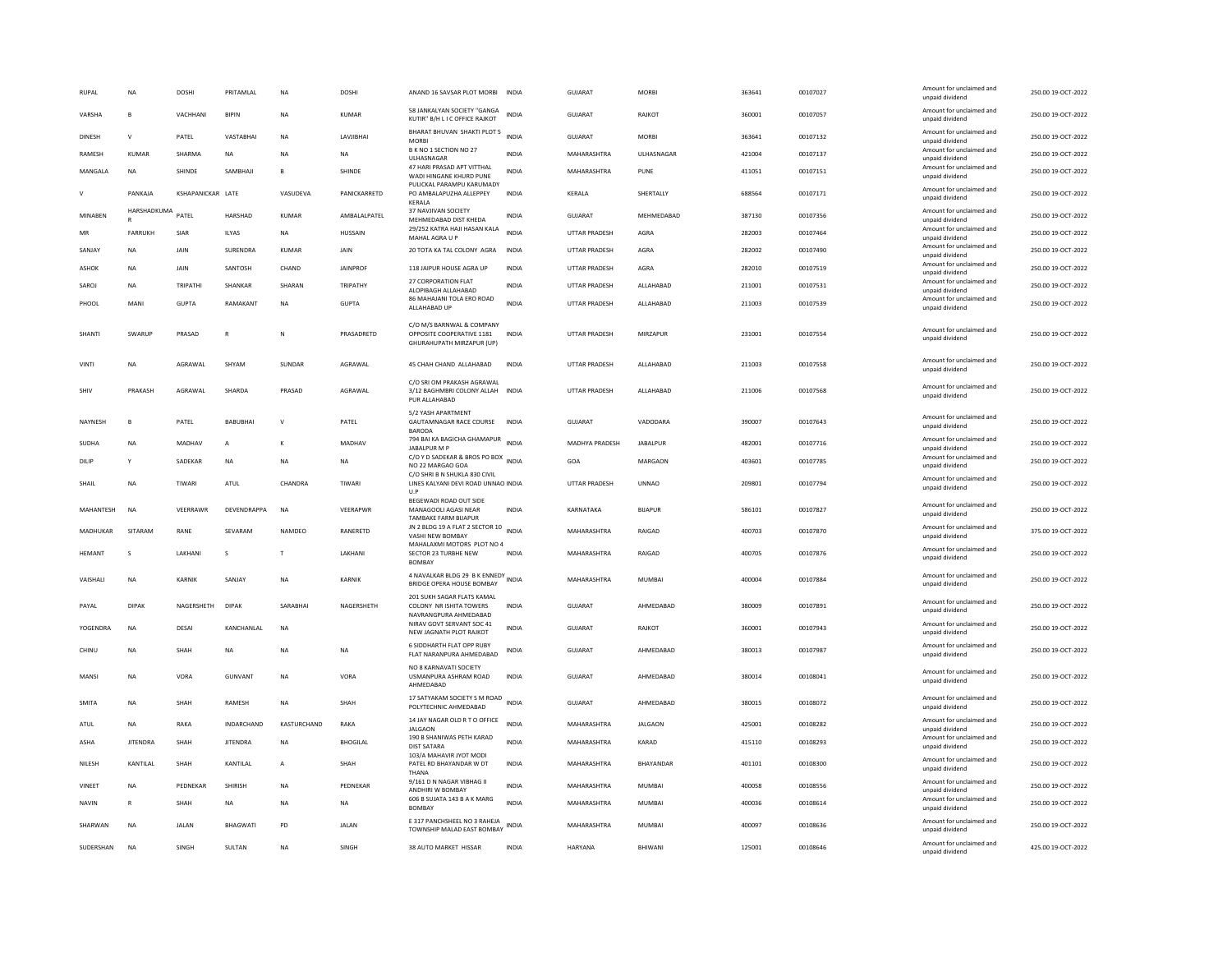| <b>RUPAL</b>    | NA              | <b>DOSHI</b>      | PRITAMLAL         | NA           | DOSHI           | ANAND 16 SAVSAR PLOT MORBI                                                          | <b>INDIA</b> | <b>GUJARAT</b>        | <b>MORBI</b>       | 363641 | 00107027 | Amount for unclaimed and<br>unpaid dividend | 250.00 19-OCT-2022 |
|-----------------|-----------------|-------------------|-------------------|--------------|-----------------|-------------------------------------------------------------------------------------|--------------|-----------------------|--------------------|--------|----------|---------------------------------------------|--------------------|
| VARSHA          | $\overline{B}$  | VACHHANI          | <b>BIPIN</b>      | <b>NA</b>    | <b>KUMAR</b>    | 58 JANKALYAN SOCIETY "GANGA<br>KUTIR" B/H L I C OFFICE RAJKOT                       | <b>INDIA</b> | <b>GUJARAT</b>        | RAJKOT             | 360001 | 00107057 | Amount for unclaimed and<br>unpaid dividend | 250.00 19-OCT-2022 |
| <b>DINESH</b>   | $\mathbf{v}$    | PATEL             | VASTABHAI         | <b>NA</b>    | LAVJIBHAI       | BHARAT BHUVAN SHAKTI PLOT 5<br><b>MORBI</b>                                         | <b>INDIA</b> | <b>GUJARAT</b>        | <b>MORBI</b>       | 363641 | 00107132 | Amount for unclaimed and<br>unpaid dividend | 250.00 19-OCT-2022 |
| <b>RAMESH</b>   | KUMAR           | SHARMA            | NA                | <b>NA</b>    | <b>NA</b>       | B K NO 1 SECTION NO 27<br>ULHASNAGAR                                                | <b>INDIA</b> | MAHARASHTRA           | <b>UI HASNAGAR</b> | 421004 | 00107137 | Amount for unclaimed and<br>unpaid dividend | 250.00 19-OCT-2022 |
| MANGALA         | <b>NA</b>       | SHINDE            | SAMBHAJI          | в            | SHINDE          | 47 HARI PRASAD APT VITTHAL<br>WADI HINGANE KHURD PUNE                               | <b>INDIA</b> | MAHARASHTRA           | PUNE               | 411051 | 00107151 | Amount for unclaimed and<br>unpaid dividend | 250.00 19-OCT-2022 |
| $\mathsf{V}$    | PANKAJA         | KSHAPANICKAR LATE |                   | VASUDEVA     | PANICKARRETD    | PULICKAL PARAMPU KARUMADY<br>PO AMBALAPUZHA ALLEPPEY<br>KERALA                      | INDIA        | KERALA                | SHERTALLY          | 688564 | 00107171 | Amount for unclaimed and<br>unpaid dividend | 250.00 19-OCT-2022 |
| MINABEN         | HARSHADKUMA     | PATEL             | HARSHAD           | KUMAR        | AMBALALPATEL    | 37 NAVJIVAN SOCIETY<br>MEHMEDABAD DIST KHEDA                                        | INDIA        | GUJARAT               | MEHMEDABAD         | 387130 | 00107356 | Amount for unclaimed and<br>unpaid dividend | 250.00 19-OCT-2022 |
| MR              | FARRUKH         | SIAR              | ILYAS             | NA           | HUSSAIN         | 29/252 KATRA HAJI HASAN KALA<br>MAHAL AGRA U P                                      | <b>INDIA</b> | UTTAR PRADESH         | AGRA               | 282003 | 00107464 | Amount for unclaimed and<br>unpaid dividend | 250.00 19-OCT-2022 |
| <b>SANJAY</b>   | <b>NA</b>       | JAIN              | SURENDRA          | <b>KUMAR</b> | JAIN            | 20 TOTA KA TAL COLONY AGRA                                                          | <b>INDIA</b> | UTTAR PRADESH         | AGRA               | 282002 | 00107490 | Amount for unclaimed and<br>unpaid dividend | 250.00 19-OCT-2022 |
| ASHOK           | <b>NA</b>       | JAIN              | SANTOSH           | CHAND        | <b>JAINPROF</b> | 118 JAIPUR HOUSE AGRA UP                                                            | <b>INDIA</b> | UTTAR PRADESH         | AGRA               | 282010 | 00107519 | Amount for unclaimed and<br>unpaid dividend | 250.00 19-OCT-2022 |
| SAROJ           | <b>NA</b>       | TRIPATHI          | SHANKAR           | SHARAN       | TRIPATHY        | 27 CORPORATION FLAT<br>ALOPIBAGH ALLAHABAD                                          | <b>INDIA</b> | <b>UTTAR PRADESH</b>  | ALLAHABAD          | 211001 | 00107531 | Amount for unclaimed and<br>unpaid dividend | 250.00 19-OCT-2022 |
| PHOOL           | MANI            | <b>GUPTA</b>      | <b>RAMAKANT</b>   | <b>NA</b>    | <b>GUPTA</b>    | 86 MAHAJANI TOLA ERO ROAD<br>ALLAHABAD UP                                           | <b>INDIA</b> | <b>UTTAR PRADESH</b>  | ALLAHABAD          | 211003 | 00107539 | Amount for unclaimed and<br>unpaid dividend | 250.00 19-OCT-2022 |
| SHANTI          | SWARUP          | PRASAD            | $\mathbb{R}$      | $\mathbb N$  | PRASADRETD      | C/O M/S BARNWAL & COMPANY<br>OPPOSITE COOPERATIVE 1181<br>GHURAHUPATH MIRZAPUR (UP) | <b>INDIA</b> | <b>UTTAR PRADESH</b>  | MIRZAPUR           | 231001 | 00107554 | Amount for unclaimed and<br>unpaid dividend | 250.00 19-OCT-2022 |
| <b>VINTI</b>    | <b>NA</b>       | AGRAWAL           | SHYAM             | SUNDAR       | AGRAWAL         | 45 CHAH CHAND ALLAHABAD                                                             | <b>INDIA</b> | <b>UTTAR PRADESH</b>  | ALLAHABAD          | 211003 | 00107558 | Amount for unclaimed and<br>unpaid dividend | 250.00 19-OCT-2022 |
| SHIV            | PRAKASH         | AGRAWAL           | SHARDA            | PRASAD       | AGRAWAL         | C/O SRI OM PRAKASH AGRAWAL<br>3/12 BAGHMBRI COLONY ALLAH INDIA<br>PUR ALLAHABAD     |              | UTTAR PRADESH         | ALLAHABAD          | 211006 | 00107568 | Amount for unclaimed and<br>unpaid dividend | 250.00 19-OCT-2022 |
| NAYNESH         | $\mathbf{B}$    | PATEL             | BABUBHAI          | $\mathbf{v}$ | PATEL           | 5/2 YASH APARTMENT<br>GAUTAMNAGAR RACE COURSE<br><b>BARODA</b>                      | <b>INDIA</b> | GUJARAT               | VADODARA           | 390007 | 00107643 | Amount for unclaimed and<br>unpaid dividend | 250.00 19-OCT-2022 |
| SUDHA           | <b>NA</b>       | MADHAV            | A                 | к            | MADHAV          | 794 BAI KA BAGICHA GHAMAPUR<br>JABALPUR M P                                         | <b>INDIA</b> | <b>MADHYA PRADESH</b> | <b>JABALPUR</b>    | 482001 | 00107716 | Amount for unclaimed and<br>unpaid dividend | 250.00 19-OCT-2022 |
| <b>DILIP</b>    | Y               | SADEKAR           | <b>NA</b>         | <b>NA</b>    | <b>NA</b>       | C/O Y D SADEKAR & BROS PO BOX INDIA<br>NO 22 MARGAO GOA                             |              | GOA                   | MARGAON            | 403601 | 00107785 | Amount for unclaimed and<br>unpaid dividend | 250.00 19-OCT-2022 |
| SHAIL           | NA              | TIWARI            | ATUL              | CHANDRA      | TIWARI          | C/O SHRI B N SHUKLA 830 CIVIL<br>LINES KALYANI DEVI ROAD UNNAO INDIA<br>ILP         |              | UTTAR PRADESH         | <b>UNNAO</b>       | 209801 | 00107794 | Amount for unclaimed and<br>unpaid dividend | 250.00 19-OCT-2022 |
| MAHANTESH       | <b>NA</b>       | VEERRAWR          | DEVENDRAPPA       | <b>NA</b>    | VEERAPWR        | BEGEWADI ROAD OUT SIDE<br>MANAGOOLI AGASI NEAR<br><b>TAMBAKE FARM BIJAPUR</b>       | <b>INDIA</b> | KARNATAKA             | <b>BIJAPUR</b>     | 586101 | 00107827 | Amount for unclaimed and<br>unpaid dividend | 250.00 19-OCT-2022 |
| MADHUKAR        | SITARAM         | RANE              | SEVARAM           | NAMDEO       | RANERETD        | JN 2 BLDG 19 A FLAT 2 SECTOR 10 INDIA<br>VASHI NEW BOMBAY                           |              | MAHARASHTRA           | RAIGAD             | 400703 | 00107870 | Amount for unclaimed and<br>unpaid dividend | 375.00 19-OCT-2022 |
| <b>HEMANT</b>   | s               | LAKHANI           | s                 | $\top$       | LAKHANI         | MAHALAXMI MOTORS PLOT NO 4<br>SECTOR 23 TURBHE NEW<br><b>BOMBAY</b>                 | <b>INDIA</b> | MAHARASHTRA           | RAIGAD             | 400705 | 00107876 | Amount for unclaimed and<br>unpaid dividend | 250.00 19-OCT-2022 |
| <b>VAISHALL</b> | <b>NA</b>       | <b>KARNIK</b>     | SANIAY            | <b>NA</b>    | KARNIK          | 4 NAVALKAR BLDG 29 B K ENNEDY<br>BRIDGE OPERA HOUSE BOMBAY                          | <b>INDIA</b> | MAHARASHTRA           | MUMBAL             | 400004 | 00107884 | Amount for unclaimed and<br>unpaid dividend | 250.00 19-OCT-2022 |
| PAYAL           | <b>DIPAK</b>    | NAGERSHETH        | <b>DIPAK</b>      | SARABHAI     | NAGERSHETH      | 201 SUKH SAGAR FLATS KAMAL<br>COLONY NR ISHITA TOWERS                               | <b>INDIA</b> | <b>GUJARAT</b>        | AHMEDABAD          | 380009 | 00107891 | Amount for unclaimed and<br>unpaid dividend | 250.00 19-OCT-2022 |
| YOGENDRA        | <b>NA</b>       | DESAI             | KANCHANLAL        | <b>NA</b>    |                 | NAVRANGPURA AHMEDABAD<br>NIRAV GOVT SERVANT SOC 41<br>NEW JAGNATH PLOT RAJKOT       | <b>INDIA</b> | <b>GUJARAT</b>        | RAJKOT             | 360001 | 00107943 | Amount for unclaimed and<br>unpaid dividend | 250.00 19-OCT-2022 |
| CHINU           | <b>NA</b>       | SHAH              | NA                | <b>NA</b>    | <b>NA</b>       | 6 SIDDHARTH FLAT OPP RUBY<br>FLAT NARANPURA AHMEDABAD                               | INDIA        | GUJARAT               | AHMEDABAD          | 380013 | 00107987 | Amount for unclaimed and<br>unpaid dividend | 250.00 19-OCT-2022 |
| MANSI           | NA              | VORA              | <b>GUNVANT</b>    | NA           | VORA            | NO 8 KARNAVATI SOCIETY<br>USMANPURA ASHRAM ROAD<br>AHMEDABAD                        | <b>INDIA</b> | GUJARAT               | AHMEDABAD          | 380014 | 00108041 | Amount for unclaimed and<br>unpaid dividend | 250.00 19-OCT-2022 |
| SMITA           | NA              | SHAH              | RAMESH            | NA           | SHAH            | 17 SATYAKAM SOCIETY S M ROAD<br>POLYTECHNIC AHMEDABAD                               | <b>INDIA</b> | <b>GUJARAT</b>        | AHMEDABAD          | 380015 | 00108072 | Amount for unclaimed and<br>unpaid dividend | 250.00 19-OCT-2022 |
| ATUL            | <b>NA</b>       | RAKA              | <b>INDARCHAND</b> | KASTURCHAND  | RAKA            | 14 JAY NAGAR OLD R T O OFFICE<br><b>JALGAON</b>                                     | <b>INDIA</b> | MAHARASHTRA           | <b>JALGAON</b>     | 425001 | 00108282 | Amount for unclaimed and<br>unpaid dividend | 250.00 19-OCT-2022 |
| ASHA            | <b>JITENDRA</b> | <b>SHAH</b>       | <b>JITENDRA</b>   | <b>NA</b>    | <b>BHOGILAL</b> | 190 B SHANIWAS PETH KARAD<br><b>DIST SATARA</b>                                     | <b>INDIA</b> | MAHARASHTRA           | KARAD              | 415110 | 00108293 | Amount for unclaimed and<br>unpaid dividend | 250.00 19-OCT-2022 |
| NILESH          | KANTILAL        | SHAH              | KANTILAL          | А            | SHAH            | 103/A MAHAVIR JYOT MODI<br>PATEL RD BHAYANDAR W DT<br>THANA                         | INDIA        | MAHARASHTRA           | BHAYANDAR          | 401101 | 00108300 | Amount for unclaimed and<br>unpaid dividend | 250.00 19-OCT-2022 |
| VINEET          | <b>NA</b>       | PEDNEKAR          | SHIRISH           | <b>NA</b>    | PEDNEKAR        | 9/161 D N NAGAR VIBHAG II<br>ANDHIRI W BOMBAY                                       | <b>INDIA</b> | MAHARASHTRA           | <b>MUMBAI</b>      | 400058 | 00108556 | Amount for unclaimed and<br>unpaid dividend | 250.00 19-OCT-2022 |
| <b>NAVIN</b>    | $\mathsf{R}$    | SHAH              | <b>NA</b>         | <b>NA</b>    | <b>NA</b>       | 606 B SUJATA 143 B A K MARG<br><b>BOMBAY</b>                                        | <b>INDIA</b> | MAHARASHTRA           | <b>MUMBAI</b>      | 400036 | 00108614 | Amount for unclaimed and<br>unpaid dividend | 250.00 19-OCT-2022 |
| SHARWAN         | <b>NA</b>       | <b>JALAN</b>      | <b>BHAGWATI</b>   | PD           | <b>JALAN</b>    | E 317 PANCHSHEEL NO 3 RAHEJA<br>TOWNSHIP MALAD EAST BOMBAY                          | INDIA        | MAHARASHTRA           | <b>MUMBAI</b>      | 400097 | 00108636 | Amount for unclaimed and<br>unpaid dividend | 250.00 19-OCT-2022 |
| SUDERSHAN       | <b>NA</b>       | SINGH             | SULTAN            | <b>NA</b>    | SINGH           | 38 AUTO MARKET HISSAR                                                               | INDIA        | HARYANA               | BHIWANI            | 125001 | 00108646 | Amount for unclaimed and<br>unpaid dividend | 425.00 19-OCT-2022 |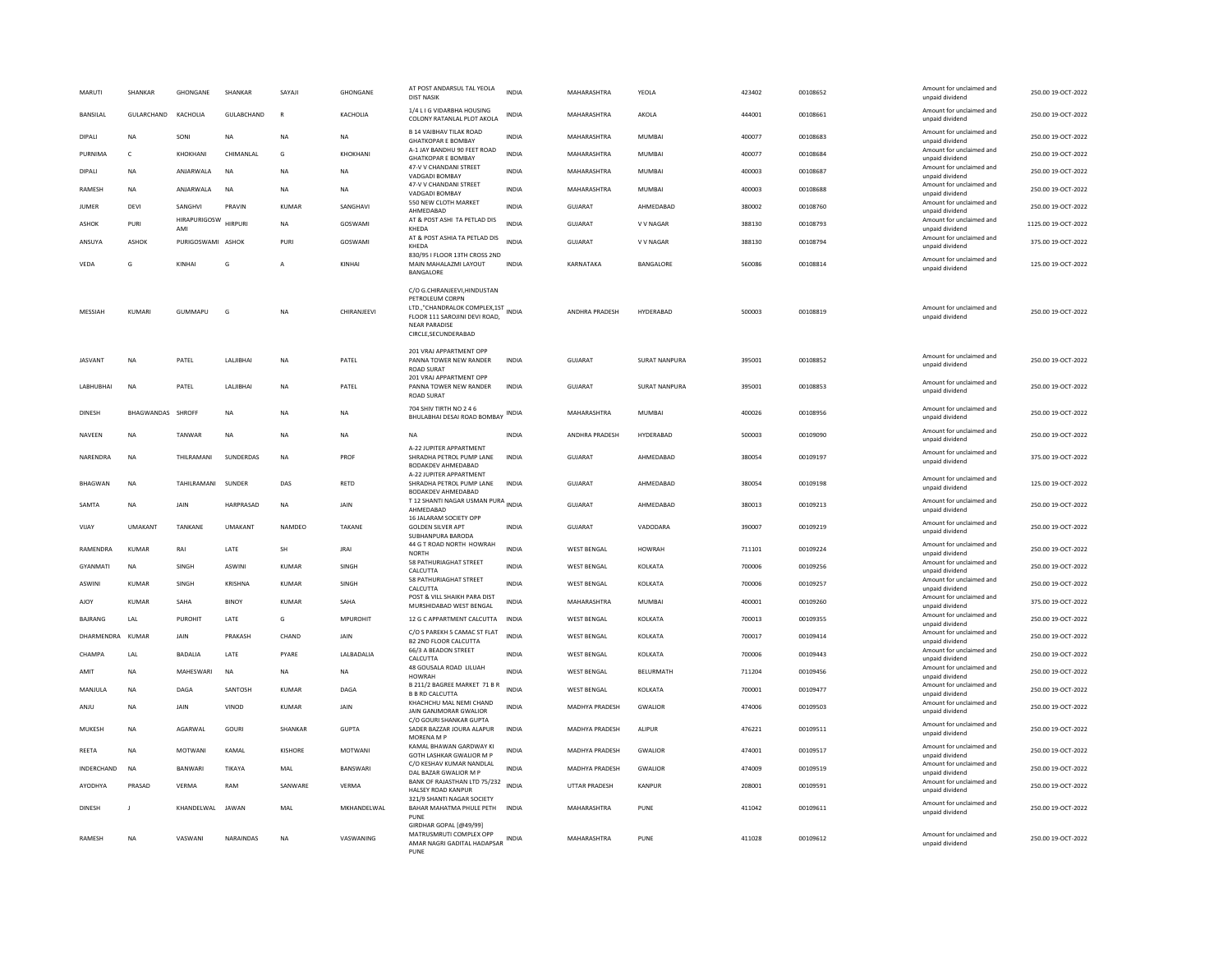| MARUTI            | SHANKAR                  | GHONGANE                   | SHANKAR           | SAYAJI       | GHONGANE       | AT POST ANDARSUL TAL YEOLA<br><b>DIST NASIK</b>                                                                                                                        | <b>INDIA</b> | MAHARASHTRA           | YEOLA                | 423402 | 00108652 | Amount for unclaimed and<br>unpaid dividend | 250.00 19-OCT-2022  |
|-------------------|--------------------------|----------------------------|-------------------|--------------|----------------|------------------------------------------------------------------------------------------------------------------------------------------------------------------------|--------------|-----------------------|----------------------|--------|----------|---------------------------------------------|---------------------|
| <b>BANSILAL</b>   | GULARCHAND               | KACHOLIA                   | <b>GULABCHAND</b> | $\mathbb{R}$ | KACHOLIA       | 1/4 L I G VIDARBHA HOUSING<br>COLONY RATANLAL PLOT AKOLA                                                                                                               | <b>INDIA</b> | MAHARASHTRA           | AKOLA                | 444001 | 00108661 | Amount for unclaimed and<br>unpaid dividend | 250.00.19-QCT-2022  |
| DIPALI            | <b>NA</b>                | SONI                       | NA                | NA           | NA             | <b>B 14 VAIBHAV TILAK ROAD</b><br><b>GHATKOPAR E BOMBAY</b>                                                                                                            | INDIA        | MAHARASHTRA           | MUMBAI               | 400077 | 00108683 | Amount for unclaimed and<br>unpaid dividend | 250.00 19-OCT-2022  |
| PURNIMA           | $\mathsf{C}$             | KHOKHANI                   | CHIMANLAL         | G            | KHOKHANI       | A-1 JAY BANDHU 90 FEET ROAD<br><b>GHATKOPAR E BOMBAY</b>                                                                                                               | <b>INDIA</b> | MAHARASHTRA           | <b>MUMBAI</b>        | 400077 | 00108684 | Amount for unclaimed and<br>unpaid dividend | 250.00 19-OCT-2022  |
| DIPALL            | <b>NA</b>                | ANJARWALA                  | <b>NA</b>         | <b>NA</b>    | <b>NA</b>      | 47-V V CHANDANI STREET<br>VADGADI BOMBAY                                                                                                                               | <b>INDIA</b> | MAHARASHTRA           | MUMBAL               | 400003 | 00108687 | Amount for unclaimed and<br>unpaid dividend | 250.00 19-OCT-2022  |
| RAMESH            | <b>NA</b>                | ANJARWALA                  | <b>NA</b>         | <b>NA</b>    | <b>NA</b>      | 47-V V CHANDANI STREET<br>VADGADI BOMBAY                                                                                                                               | <b>INDIA</b> | MAHARASHTRA           | MUMBAI               | 400003 | 00108688 | Amount for unclaimed and<br>unpaid dividend | 250.00 19-OCT-2022  |
| <b>JUMER</b>      | DEVI                     | SANGHVI                    | PRAVIN            | KUMAR        | SANGHAVI       | 550 NEW CLOTH MARKET<br>AHMEDABAD                                                                                                                                      | INDIA        | GUJARAT               | AHMEDABAD            | 380002 | 00108760 | Amount for unclaimed and<br>unpaid dividend | 250.00 19-OCT-2022  |
| <b>ASHOK</b>      | PURI                     | <b>HIRAPURIGOSW</b><br>AMI | <b>HIRPURI</b>    | <b>NA</b>    | GOSWAMI        | AT & POST ASHI TA PETLAD DIS<br>KHEDA                                                                                                                                  | <b>INDIA</b> | GUJARAT               | <b>V V NAGAR</b>     | 388130 | 00108793 | Amount for unclaimed and<br>unpaid dividend | 1125.00 19-OCT-2022 |
| ANSUYA            | ASHOK                    | PURIGOSWAMI ASHOK          |                   | PURI         | <b>GOSWAMI</b> | AT & POST ASHIA TA PETLAD DIS<br>KHFDA                                                                                                                                 | <b>INDIA</b> | <b>GUJARAT</b>        | V V NAGAR            | 388130 | 00108794 | Amount for unclaimed and<br>unpaid dividend | 375.00 19-OCT-2022  |
| VEDA              | G                        | KINHAI                     | G                 | A            | KINHAI         | 830/95 I FLOOR 13TH CROSS 2ND<br>MAIN MAHALAZMI LAYOUT<br>BANGALORE                                                                                                    | <b>INDIA</b> | KARNATAKA             | BANGALORE            | 560086 | 00108814 | Amount for unclaimed and<br>unpaid dividend | 125.00 19-OCT-2022  |
| MESSIAH           | <b>KUMAR</b>             | GUMMAPU                    | G                 | NA           | CHIRANJEEVI    | C/O G.CHIRANJEEVI, HINDUSTAN<br>PETROLEUM CORPN<br>LTD.,"CHANDRALOK COMPLEX,1ST INDIA<br>FLOOR 111 SAROJINI DEVI ROAD,<br><b>NEAR PARADISE</b><br>CIRCLE, SECUNDERABAD |              | ANDHRA PRADESH        | HYDERABAD            | 500003 | 00108819 | Amount for unclaimed and<br>unpaid dividend | 250.00 19-OCT-2022  |
| <b>JASVANT</b>    | <b>NA</b>                | PATEL                      | LALIBHAI          | <b>NA</b>    | PATEL          | 201 VRAJ APPARTMENT OPP<br>PANNA TOWER NEW RANDER<br><b>ROAD SURAT</b>                                                                                                 | <b>INDIA</b> | <b>GUJARAT</b>        | <b>SURAT NANPURA</b> | 395001 | 00108852 | Amount for unclaimed and<br>unpaid dividend | 250.00 19-OCT-2022  |
| <b>LABHUBHAI</b>  | <b>NA</b>                | PATEL                      | LALJIBHAI         | <b>NA</b>    | PATEL          | 201 VRAJ APPARTMENT OPP<br>PANNA TOWER NEW RANDER<br><b>ROAD SURAT</b>                                                                                                 | <b>INDIA</b> | GUJARAT               | <b>SURAT NANPURA</b> | 395001 | 00108853 | Amount for unclaimed and<br>unpaid dividend | 250.00 19-OCT-2022  |
| <b>DINESH</b>     | <b>BHAGWANDAS SHROFF</b> |                            | <b>NA</b>         | <b>NA</b>    | <b>NA</b>      | 704 SHIV TIRTH NO 2 4 6<br>BHULABHAI DESAI ROAD BOMBAY INDIA                                                                                                           |              | MAHARASHTRA           | MUMBAI               | 400026 | 00108956 | Amount for unclaimed and<br>unpaid dividend | 250.00.19-QCT-2022  |
| NAVEEN            | <b>NA</b>                | TANWAR                     | NA                | <b>NA</b>    | <b>NA</b>      | NA                                                                                                                                                                     | <b>INDIA</b> | ANDHRA PRADESH        | HYDERABAD            | 500003 | 00109090 | Amount for unclaimed and<br>unpaid dividend | 250.00 19-OCT-2022  |
| NARFNDRA          | <b>NA</b>                | THII RAMANI                | <b>SUNDERDAS</b>  | <b>NA</b>    | PROF           | A-22 JUPITER APPARTMENT<br>SHRADHA PETROL PUMP LANE<br>BODAKDEV AHMEDABAD                                                                                              | <b>INDIA</b> | GUIARAT               | AHMEDARAD            | 380054 | 00109197 | Amount for unclaimed and<br>unpaid dividend | 375.00.19-QCT-2022  |
| <b>BHAGWAN</b>    | <b>NA</b>                | <b>TAHII RAMANI</b>        | SUNDER            | DAS          | RETD           | A-22 JUPITER APPARTMENT<br>SHRADHA PETROL PUMP LANE<br>BODAKDEV AHMEDABAD                                                                                              | <b>INDIA</b> | GUJARAT               | AHMEDABAD            | 380054 | 00109198 | Amount for unclaimed and<br>unnaid dividend | 125.00 19-OCT-2022  |
| SAMTA             | <b>NA</b>                | JAIN                       | HARPRASAD         | <b>NA</b>    | JAIN           | T 12 SHANTI NAGAR USMAN PURA INDIA<br>AHMEDABAD                                                                                                                        |              | GUJARAT               | AHMEDABAD            | 380013 | 00109213 | Amount for unclaimed and<br>unpaid dividend | 250.00 19-OCT-2022  |
| VIJAY             | <b>UMAKANT</b>           | TANKANE                    | <b>UMAKANT</b>    | NAMDEO       | TAKANE         | 16 JALARAM SOCIETY OPF<br><b>GOLDEN SILVER APT</b><br>SUBHANPURA BARODA                                                                                                | INDIA        | GUJARAT               | VADODARA             | 390007 | 00109219 | Amount for unclaimed and<br>unpaid dividend | 250.00 19-OCT-2022  |
| RAMENDRA          | <b>KUMAR</b>             | RAI                        | LATE              | SH           | <b>JRAI</b>    | 44 G T ROAD NORTH HOWRAH<br><b>NORTH</b>                                                                                                                               | <b>INDIA</b> | <b>WEST BENGAL</b>    | HOWRAH               | 711101 | 00109224 | Amount for unclaimed and<br>unpaid dividend | 250.00 19-OCT-2022  |
| <b>GYANMATI</b>   | <b>NA</b>                | SINGH                      | <b>ASWIN</b>      | <b>KUMAR</b> | SINGH          | <b>58 PATHURIAGHAT STREET</b><br>CALCUTTA                                                                                                                              | <b>INDIA</b> | <b>WEST BENGAL</b>    | KOLKATA              | 700006 | 00109256 | Amount for unclaimed and<br>unpaid dividend | 250.00 19-OCT-2022  |
| <b>ASWINI</b>     | KUMAR                    | SINGH                      | <b>KRISHNA</b>    | KUMAR        | SINGH          | <b>58 PATHURIAGHAT STREET</b><br>CALCUTTA                                                                                                                              | <b>INDIA</b> | WEST BENGAL           | KOLKATA              | 700006 | 00109257 | Amount for unclaimed and<br>unpaid dividend | 250.00 19-OCT-2022  |
| AJOY              | <b>KUMAR</b>             | SAHA                       | <b>BINOY</b>      | KUMAR        | SAHA           | POST & VILL SHAIKH PARA DIST<br>MURSHIDABAD WEST BENGAL                                                                                                                | INDIA        | MAHARASHTRA           | MUMBAI               | 400001 | 00109260 | Amount for unclaimed and<br>hnebivib bisonu | 375.00 19-OCT-2022  |
| <b>BAIRANG</b>    | 1 AI                     | PUROHIT                    | <b>I ATF</b>      | G            | MPUROHIT       | 12 G C APPARTMENT CALCUTTA                                                                                                                                             | <b>INDIA</b> | WEST BENGAL           | <b>KOLKATA</b>       | 700013 | 00109355 | Amount for unclaimed and<br>unpaid dividend | 250.00.19-QCT-2022  |
| DHARMENDRA        | KUMAR                    | JAIN                       | PRAKASH           | CHAND        | JAIN           | C/O S PAREKH 5 CAMAC ST FLAT<br><b>B2 2ND FLOOR CALCUTTA</b>                                                                                                           | <b>INDIA</b> | <b>WEST BENGAL</b>    | KOLKATA              | 700017 | 00109414 | Amount for unclaimed and<br>unpaid dividend | 250.00 19-OCT-2022  |
| CHAMPA            | LAL                      | <b>BADALIA</b>             | LATE              | PYARE        | LALBADALIA     | 66/3 A BEADON STREET<br>CALCUTTA                                                                                                                                       | INDIA        | <b>WEST BENGAL</b>    | KOLKATA              | 700006 | 00109443 | Amount for unclaimed and<br>unpaid dividend | 250.00 19-OCT-2022  |
| AMIT              | <b>NA</b>                | MAHESWARI                  | <b>NA</b>         | NA           | <b>NA</b>      | 48 GOUSALA ROAD LILUAH<br><b>HOWRAH</b>                                                                                                                                | INDIA        | <b>WEST BENGAL</b>    | BELURMATH            | 711204 | 00109456 | Amount for unclaimed and<br>unpaid dividend | 250.00 19-OCT-2022  |
| MANJULA           | <b>NA</b>                | DAGA                       | SANTOSH           | KUMAR        | DAGA           | B 211/2 BAGREE MARKET 71 B R<br><b>B B RD CALCUTTA</b>                                                                                                                 | <b>INDIA</b> | <b>WEST BENGAL</b>    | KOLKATA              | 700001 | 00109477 | Amount for unclaimed and<br>unnaid dividend | 250.00 19-OCT-2022  |
| ANJU              | <b>NA</b>                | <b>JAIN</b>                | VINOD             | <b>KUMAR</b> | <b>JAIN</b>    | KHACHCHU MAL NEMI CHAND<br>JAIN GANJMORAR GWALIOR<br>C/O GOURI SHANKAR GUPTA                                                                                           | <b>INDIA</b> | MADHYA PRADESH        | GWALIOR              | 474006 | 00109503 | Amount for unclaimed and<br>unpaid dividend | 250.00 19-OCT-2022  |
| MUKESH            | <b>NA</b>                | AGARWAL                    | GOURI             | SHANKAR      | <b>GUPTA</b>   | SADER BAZZAR JOURA ALAPUR<br><b>MORENA M P</b>                                                                                                                         | INDIA        | MADHYA PRADESH        | <b>ALIPUR</b>        | 476221 | 00109511 | Amount for unclaimed and<br>unpaid dividend | 250.00 19-OCT-2022  |
| REETA             | <b>NA</b>                | <b>MOTWANI</b>             | KAMAL             | KISHORE      | <b>MOTWANI</b> | KAMAL BHAWAN GARDWAY KI<br>GOTH LASHKAR GWALIOR M P                                                                                                                    | <b>INDIA</b> | MADHYA PRADESH        | <b>GWALIOR</b>       | 474001 | 00109517 | Amount for unclaimed and<br>unnaid dividend | 250.00 19-OCT-2022  |
| <b>INDERCHAND</b> | <b>NA</b>                | <b>BANWARI</b>             | TIKAYA            | MAI          | BANSWARI       | C/O KESHAV KUMAR NANDLAL<br>DAL BAZAR GWALIOR M F                                                                                                                      | <b>INDIA</b> | <b>MADHYA PRADESH</b> | <b>GWALIOR</b>       | 474009 | 00109519 | Amount for unclaimed and<br>unpaid dividend | 250.00.19-QCT-2022  |
| AYODHYA           | PRASAD                   | VERMA                      | RAM               | SANWARE      | VERMA          | BANK OF RAJASTHAN LTD 75/232<br>HALSEY ROAD KANPUR                                                                                                                     | <b>INDIA</b> | <b>UTTAR PRADESH</b>  | KANPUR               | 208001 | 00109591 | Amount for unclaimed and<br>unpaid dividend | 250.00 19-OCT-2022  |
| DINESH            | $\mathsf J$              | KHANDELWAL JAWAN           |                   | MAL          | MKHANDELWAL    | 321/9 SHANTI NAGAR SOCIETY<br>BAHAR MAHATMA PHULE PETH<br>PUNE                                                                                                         | <b>INDIA</b> | MAHARASHTRA           | PUNE                 | 411042 | 00109611 | Amount for unclaimed and<br>unpaid dividend | 250.00 19-OCT-2022  |
| RAMESH            | <b>NA</b>                | VASWANI                    | <b>NARAINDAS</b>  | <b>NA</b>    | VASWANING      | GIRDHAR GOPAL [@49/99]<br>MATRUSMRUTI COMPLEX OPP<br>AMAR NAGRI GADITAL HADAPSAR INDIA<br>PUNF                                                                         |              | MAHARASHTRA           | PUNE                 | 411028 | 00109612 | Amount for unclaimed and<br>unpaid dividend | 250.00 19-OCT-2022  |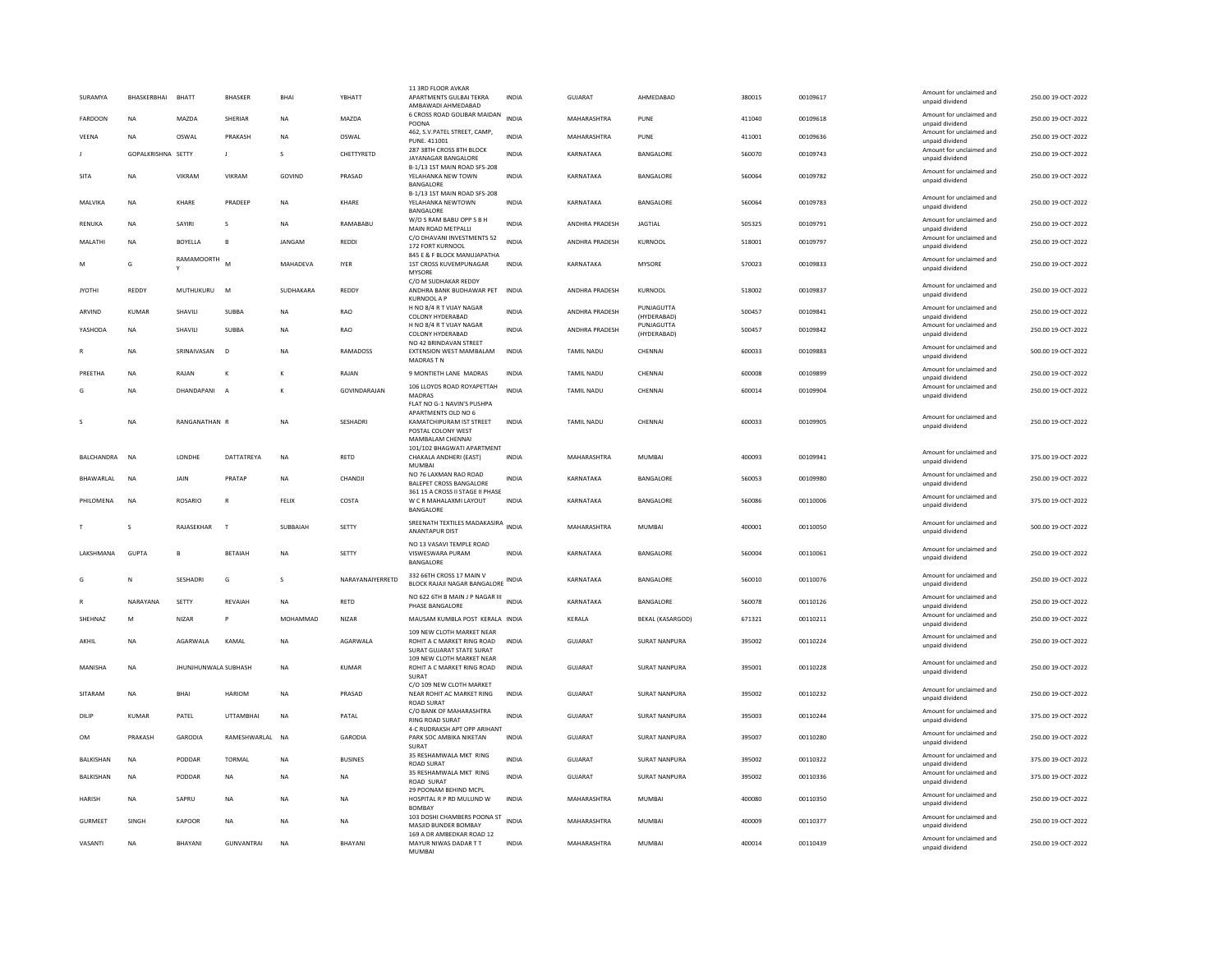| SURAMYA           | BHASKERBHAI        | BHATT                       | <b>BHASKER</b>    | <b>BHA</b>   | YBHATT           | 11 3RD FLOOR AVKAR<br>APARTMENTS GULBAI TEKRA<br>AMBAWADI AHMEDABAD                                                     | INDIA        | <b>GUJARAT</b>    | AHMEDABAD                 | 380015 | 00109617 | Amount for unclaimed and<br>unpaid dividend | 250.00 19-OCT-2022 |
|-------------------|--------------------|-----------------------------|-------------------|--------------|------------------|-------------------------------------------------------------------------------------------------------------------------|--------------|-------------------|---------------------------|--------|----------|---------------------------------------------|--------------------|
| <b>FARDOON</b>    | NA                 | MAZDA                       | SHERIAR           | <b>NA</b>    | MAZDA            | 6 CROSS ROAD GOLIBAR MAIDAN<br>POONA                                                                                    | <b>INDIA</b> | MAHARASHTRA       | PUNE                      | 411040 | 00109618 | Amount for unclaimed and<br>unpaid dividend | 250.00 19-OCT-2022 |
| VEENA             | <b>NA</b>          | OSWAL                       | PRAKASH           | NA           | OSWAL            | 462, S.V.PATEL STREET, CAMP,<br>PUNE. 411001                                                                            | INDIA        | MAHARASHTRA       | PUNE                      | 411001 | 00109636 | Amount for unclaimed and<br>unpaid dividend | 250.00 19-OCT-2022 |
|                   | GOPALKRISHNA SETTY |                             | J                 | s            | CHETTYRETD       | 287 38TH CROSS 8TH BLOCK<br>JAYANAGAR BANGALORE                                                                         | <b>INDIA</b> | KARNATAKA         | BANGALORE                 | 560070 | 00109743 | Amount for unclaimed and<br>unpaid dividend | 250.00 19-OCT-2022 |
| SITA              | <b>NA</b>          | VIKRAM                      | VIKRAM            | GOVIND       | PRASAD           | B-1/13 1ST MAIN ROAD SFS-208<br>YELAHANKA NEW TOWN                                                                      | <b>INDIA</b> | KARNATAKA         | BANGALORE                 | 560064 | 00109782 | Amount for unclaimed and<br>unpaid dividend | 250.00 19-OCT-2022 |
| MALVIKA           | <b>NA</b>          | KHARF                       | PRADEEP           | <b>NA</b>    | KHARF            | BANGALORE<br>B-1/13 1ST MAIN ROAD SFS-208<br>YELAHANKA NEWTOWN                                                          | <b>INDIA</b> | KARNATAKA         | <b>BANGALORE</b>          | 560064 | 00109783 | Amount for unclaimed and<br>unpaid dividend | 250.00 19-OCT-2022 |
| RENUKA            | <b>NA</b>          | SAYIRI                      | s                 | <b>NA</b>    | RAMABABU         | BANGALORE<br>W/O S RAM BABU OPP S B H                                                                                   | INDIA        | ANDHRA PRADESH    | <b>JAGTIAL</b>            | 505325 | 00109791 | Amount for unclaimed and                    | 250.00 19-OCT-2022 |
| MALATHI           | NA                 | <b>BOYELLA</b>              |                   | JANGAM       | <b>REDDI</b>     | MAIN ROAD METPALLI<br>C/O DHAVANI INVESTMENTS 52                                                                        | INDIA        | ANDHRA PRADESH    | KURNOOL                   | 518001 | 00109797 | unpaid dividend<br>Amount for unclaimed and | 250.00 19-OCT-2022 |
| M                 | G                  | <b>RAMAMOORTH</b>           |                   | MAHADEVA     | <b>IYER</b>      | 172 FORT KURNOOL<br>845 E & F BLOCK MANUJAPATHA<br>1ST CROSS KUVEMPUNAGAR                                               | <b>INDIA</b> | KARNATAKA         | MYSORE                    | 570023 | 00109833 | unpaid dividend<br>Amount for unclaimed and | 250.00 19-OCT-2022 |
|                   |                    |                             |                   |              |                  | MYSORE<br>C/O M SUDHAKAR REDDY                                                                                          |              |                   |                           |        |          | unpaid dividend                             |                    |
| <b>JYOTHI</b>     | REDDY              | MUTHUKURU                   | M                 | SUDHAKARA    | REDDY            | ANDHRA BANK BUDHAWAR PET<br>KURNOOL A P                                                                                 | <b>INDIA</b> | ANDHRA PRADESH    | KURNOOL                   | 518002 | 00109837 | Amount for unclaimed and<br>unpaid dividend | 250.00 19-OCT-2022 |
| ARVIND            | <b>KUMAR</b>       | SHAVILI                     | <b>SUBBA</b>      | <b>NA</b>    | RAO              | H NO 8/4 R T VIJAY NAGAR<br>COLONY HYDERABAD                                                                            | <b>INDIA</b> | ANDHRA PRADESH    | PUNJAGUTTA<br>(HYDERABAD) | 500457 | 00109841 | Amount for unclaimed and<br>unpaid dividend | 250.00 19-OCT-2022 |
| YASHODA           | <b>NA</b>          | SHAVILI                     | <b>SUBBA</b>      | <b>NA</b>    | RAO              | H NO 8/4 R T VIJAY NAGAR<br>COLONY HYDERABAD                                                                            | <b>INDIA</b> | ANDHRA PRADESH    | PUNJAGUTTA<br>(HYDERABAD) | 500457 | 00109842 | Amount for unclaimed and<br>unpaid dividend | 250.00 19-OCT-2022 |
|                   | <b>NA</b>          | SRINAIVASAN                 | D                 | <b>NA</b>    | <b>RAMADOSS</b>  | NO 42 BRINDAVAN STREET<br>EXTENSION WEST MAMBALAM<br>MADRAS T N                                                         | <b>INDIA</b> | <b>TAMIL NADU</b> | CHENNAI                   | 600033 | 00109883 | Amount for unclaimed and<br>unpaid dividend | 500.00 19-OCT-2022 |
| PREETHA           | <b>NA</b>          | RAJAN                       | к                 | К            | RAJAN            | 9 MONTIETH LANE MADRAS                                                                                                  | INDIA        | TAMIL NADU        | CHENNAI                   | 600008 | 00109899 | Amount for unclaimed and<br>unpaid dividend | 250.00 19-OCT-2022 |
|                   | <b>NA</b>          | DHANDAPANI                  | - A               |              | GOVINDARAJAN     | 106 LLOYDS ROAD ROYAPETTAH<br><b>MADRAS</b>                                                                             | <b>INDIA</b> | TAMIL NADU        | CHENNAI                   | 600014 | 00109904 | Amount for unclaimed and<br>unpaid dividend | 250.00 19-OCT-2022 |
|                   | <b>NA</b>          | RANGANATHAN F               |                   | <b>NA</b>    | SESHADRI         | FLAT NO G-1 NAVIN'S PUSHPA<br>APARTMENTS OLD NO 6<br>KAMATCHIPURAM IST STREET<br>POSTAL COLONY WEST<br>MAMBALAM CHENNAI | <b>INDIA</b> | <b>TAMIL NADU</b> | CHENNAL                   | 600033 | 00109905 | Amount for unclaimed and<br>unpaid dividend | 250.00 19-OCT-2022 |
| <b>BALCHANDRA</b> | <b>NA</b>          | LONDHE                      | DATTATREYA        | <b>NA</b>    | RETD             | 101/102 BHAGWATI APARTMENT<br>CHAKALA ANDHERI (EAST)<br><b>MUMBA</b>                                                    | <b>INDIA</b> | MAHARASHTRA       | MUMBAI                    | 400093 | 00109941 | Amount for unclaimed and<br>unpaid dividend | 375.00 19-OCT-2022 |
| BHAWARLAL         | <b>NA</b>          | JAIN                        | PRATAP            | <b>NA</b>    | CHANDJ           | NO 76 LAXMAN RAO ROAD<br><b>BALEPET CROSS BANGALORE</b>                                                                 | <b>INDIA</b> | KARNATAKA         | BANGALORE                 | 560053 | 00109980 | Amount for unclaimed and<br>unpaid dividend | 250.00 19-OCT-2022 |
| PHILOMENA         | <b>NA</b>          | <b>ROSARIO</b>              | $\mathsf{R}$      | FELIX        | COSTA            | 361 15 A CROSS II STAGE II PHASE<br>W C R MAHALAXMI LAYOUT<br>BANGALORE                                                 | <b>INDIA</b> | KARNATAKA         | BANGALORE                 | 560086 | 00110006 | Amount for unclaimed and<br>unpaid dividend | 375.00 19-OCT-2022 |
|                   | s                  | RAJASEKHAR                  | $\mathsf{T}$      | SUBBAIAH     | SETTY            | SREENATH TEXTILES MADAKASIRA<br>ANANTAPUR DIST                                                                          | <b>INDIA</b> | MAHARASHTRA       | <b>MUMBAI</b>             | 400001 | 00110050 | Amount for unclaimed and<br>unpaid dividend | 500.00 19-OCT-2022 |
| LAKSHMANA         | <b>GUPTA</b>       | R                           | <b>BETAIAH</b>    | <b>NA</b>    | SETTY            | NO 13 VASAVI TEMPLE ROAD<br>VISWESWARA PURAM                                                                            | <b>INDIA</b> | KARNATAKA         | BANGALORE                 | 560004 | 00110061 | Amount for unclaimed and<br>unpaid dividend | 250.00 19-OCT-2022 |
| G                 | N                  | <b>SESHADRI</b>             | G                 | $\mathbf{S}$ | NARAYANAIYERRETD | BANGALORE<br>332 66TH CROSS 17 MAIN V<br>BLOCK RAJAJI NAGAR BANGALORE INDIA                                             |              | KARNATAKA         | BANGALORE                 | 560010 | 00110076 | Amount for unclaimed and<br>unpaid dividend | 250.00 19-OCT-2022 |
|                   | NARAYANA           | SETTY                       | REVAIAH           | <b>NA</b>    | <b>RETD</b>      | NO 622 6TH B MAIN J P NAGAR III                                                                                         | <b>INDIA</b> | KARNATAKA         | BANGALORE                 | 560078 | 00110126 | Amount for unclaimed and                    | 250.00 19-OCT-2022 |
| SHEHNAZ           | M                  | NIZAR                       | P                 | MOHAMMAD     | NIZAR            | PHASE BANGALORE<br>MAUSAM KUMBLA POST KERALA INDIA                                                                      |              | KERALA            | <b>BEKAL (KASARGOD)</b>   | 671321 | 00110211 | unpaid dividend<br>Amount for unclaimed and | 250.00 19-OCT-2022 |
|                   |                    |                             |                   |              |                  | 109 NEW CLOTH MARKET NEAR                                                                                               |              |                   |                           |        |          | unpaid dividend<br>Amount for unclaimed and |                    |
| AKHII             | <b>NA</b>          | <b>AGARWAI A</b>            | KAMAI             | <b>NA</b>    | <b>AGARWAI A</b> | ROHIT A C MARKET RING ROAD<br>SURAT GUJARAT STATE SURAT                                                                 | <b>INDIA</b> | GUIARAT           | <b>SURAT NANPURA</b>      | 395002 | 00110224 | unpaid dividend                             | 250.00.19-OCT-2022 |
| MANISHA           | <b>NA</b>          | <b>JHUNJHUNWALA SUBHASH</b> |                   | <b>NA</b>    | <b>KUMAR</b>     | 109 NEW CLOTH MARKET NEAR<br>ROHIT A C MARKET RING ROAD<br><b>SURAT</b>                                                 | <b>INDIA</b> | <b>GUJARAT</b>    | <b>SURAT NANPURA</b>      | 395001 | 00110228 | Amount for unclaimed and<br>unpaid dividend | 250.00 19-OCT-2022 |
| SITARAM           | <b>NA</b>          | BHAI                        | HARIOM            | NA           | PRASAD           | C/O 109 NEW CLOTH MARKET<br>NEAR ROHIT AC MARKET RING<br><b>ROAD SURAT</b>                                              | INDIA        | GUJARAT           | SURAT NANPURA             | 395002 | 00110232 | Amount for unclaimed and<br>unpaid dividend | 250.00 19-OCT-2022 |
| DILIP             | KUMAR              | PATEL                       | <b>UTTAMBHAI</b>  | <b>NA</b>    | PATAI            | C/O BANK OF MAHARASHTRA<br>RING ROAD SURAT                                                                              | <b>INDIA</b> | <b>GUJARAT</b>    | <b>SURAT NANPURA</b>      | 395003 | 00110244 | Amount for unclaimed and<br>unpaid dividend | 375.00 19-OCT-2022 |
| OM                | PRAKASH            | GARODIA                     | RAMESHWARLAL      | <b>NA</b>    | GARODIA          | 4-C RUDRAKSH APT OPP ARIHANT<br>PARK SOC AMBIKA NIKETAN<br>SURAT                                                        | <b>INDIA</b> | GUJARAT           | SURAT NANPURA             | 395007 | 00110280 | Amount for unclaimed and<br>unpaid dividend | 250.00 19-OCT-2022 |
| BALKISHAN         | <b>NA</b>          | PODDAR                      | <b>TORMAL</b>     | <b>NA</b>    | <b>BUSINES</b>   | 35 RESHAMWALA MKT RING<br><b>ROAD SURAT</b>                                                                             | <b>INDIA</b> | <b>GUJARAT</b>    | <b>SURAT NANPURA</b>      | 395002 | 00110322 | Amount for unclaimed and<br>unpaid dividend | 375.00 19-OCT-2022 |
| BALKISHAN         | <b>NA</b>          | PODDAR                      | <b>NA</b>         | <b>NA</b>    | <b>NA</b>        | 35 RESHAMWALA MKT RING<br>ROAD SURAT                                                                                    | <b>INDIA</b> | <b>GUJARAT</b>    | <b>SURAT NANPURA</b>      | 395002 | 00110336 | Amount for unclaimed and<br>unpaid dividend | 375.00 19-OCT-2022 |
| <b>HARISH</b>     | <b>NA</b>          | SAPRU                       | <b>NA</b>         | <b>NA</b>    | <b>NA</b>        | 29 POONAM BEHIND MCPL<br>HOSPITAL R P RD MULUND W<br><b>BOMBAY</b>                                                      | <b>INDIA</b> | MAHARASHTRA       | <b>MUMBAI</b>             | 400080 | 00110350 | Amount for unclaimed and<br>unpaid dividend | 250.00 19-OCT-2022 |
| GURMEET           | SINGH              | KAPOOR                      | <b>NA</b>         | <b>NA</b>    | <b>NA</b>        | 103 DOSHI CHAMBERS POONA ST INDIA<br>MASJID BUNDER BOMBAY                                                               |              | MAHARASHTRA       | MUMBAI                    | 400009 | 00110377 | Amount for unclaimed and<br>unpaid dividend | 250.00.19-OCT-2022 |
| VASANTI           | <b>NA</b>          | <b>BHAYANI</b>              | <b>GUNVANTRAI</b> | <b>NA</b>    | BHAYANI          | 169 A DR AMBEDKAR ROAD 12<br>MAYUR NIWAS DADAR TT<br>MUMBAL                                                             | <b>INDIA</b> | MAHARASHTRA       | <b>MUMBAI</b>             | 400014 | 00110439 | Amount for unclaimed and<br>unpaid dividend | 250.00 19-OCT-2022 |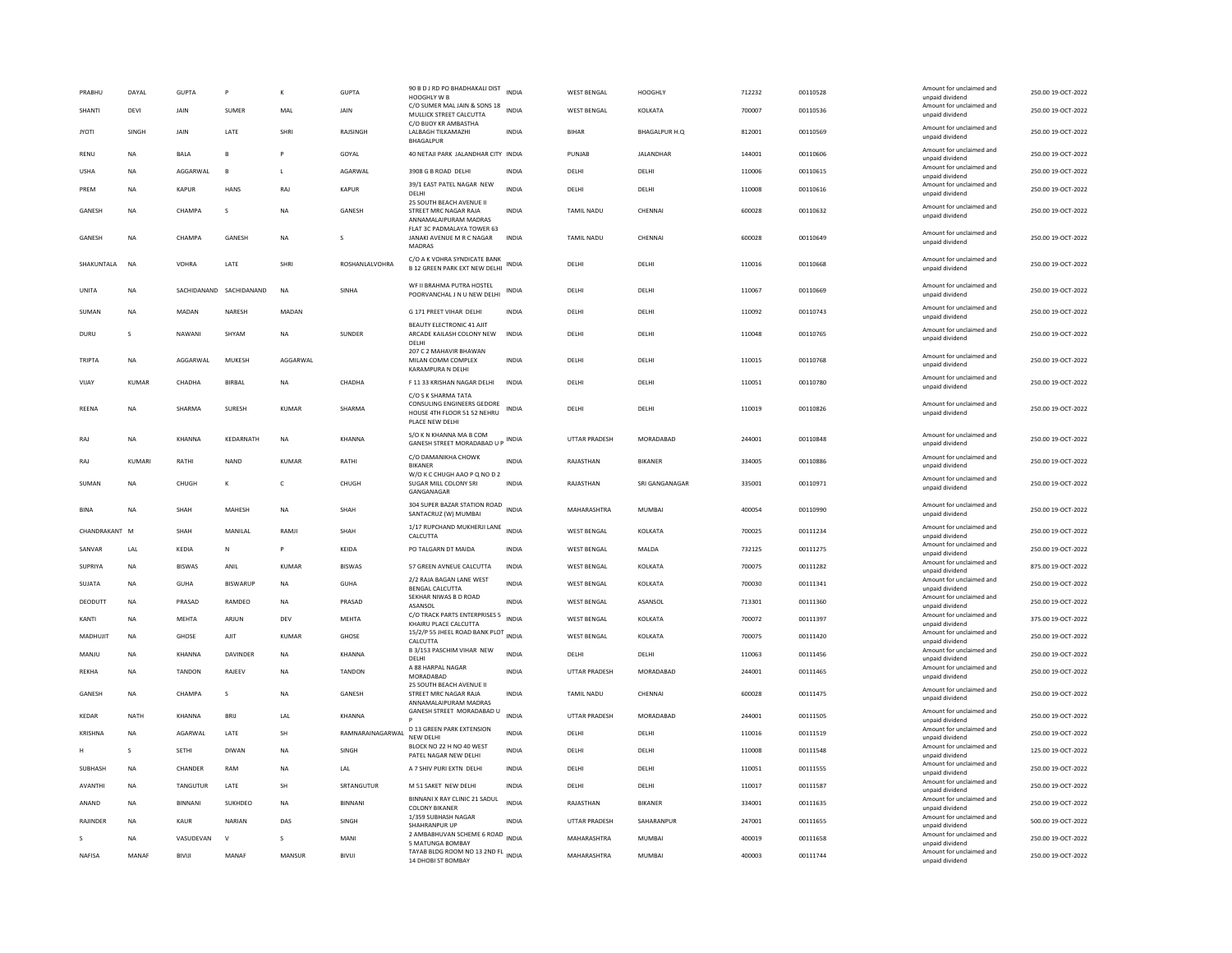| PRABHU        | DAYAL        | <b>GUPTA</b>   | P                       | Κ              | <b>GUPTA</b>     | 90 B D J RD PO BHADHAKALI DIST INDIA<br>HOOGHLY W B                          |              | <b>WEST BENGAL</b>   | <b>HOOGHLY</b> | 712232 | 00110528 | Amount for unclaimed and<br>unpaid dividend | 250.00 19-OCT-2022 |
|---------------|--------------|----------------|-------------------------|----------------|------------------|------------------------------------------------------------------------------|--------------|----------------------|----------------|--------|----------|---------------------------------------------|--------------------|
| <b>SHANTI</b> | DEVI         | JAIN           | SUMER                   | MAL            | JAIN             | C/O SUMER MAL JAIN & SONS 18 INDIA<br>MULLICK STREET CALCUTTA                |              | <b>WEST BENGAL</b>   | KOLKATA        | 700007 | 00110536 | Amount for unclaimed and<br>unpaid dividend | 250.00 19-OCT-2022 |
| <b>JYOTI</b>  | SINGH        | JAIN           | LATE                    | SHRI           | RAJSINGH         | C/O BIJOY KR AMBASTHA<br>LALBAGH TILKAMAZHI<br><b>BHAGALPUR</b>              | <b>INDIA</b> | <b>BIHAR</b>         | BHAGALPUR H.Q  | 812001 | 00110569 | Amount for unclaimed and<br>unpaid dividend | 250.00 19-OCT-2022 |
| RENU          | NA           | <b>BALA</b>    |                         |                | GOYAL            | 40 NETAJI PARK JALANDHAR CITY INDIA                                          |              | PUNJAB               | JALANDHAR      | 144001 | 00110606 | Amount for unclaimed and<br>unpaid dividend | 250.00 19-OCT-2022 |
| <b>USHA</b>   | NA           | AGGARWAL       | $\mathbf{R}$            | $\mathsf L$    | AGARWAL          | 3908 G B ROAD DELHI                                                          | <b>INDIA</b> | DELHI                | DELHI          | 110006 | 00110615 | Amount for unclaimed and<br>unpaid dividend | 250.00 19-OCT-2022 |
| PRFM          | <b>NA</b>    | KAPUR          | HANS                    | RAI            | KAPUR            | 39/1 EAST PATEL NAGAR NEW                                                    | <b>INDIA</b> | <b>DELHI</b>         | DELHI          | 110008 | 00110616 | Amount for unclaimed and                    | 250.00 19-QCT-2022 |
|               |              |                |                         |                |                  | DELHI<br>25 SOUTH BEACH AVENUE II                                            |              |                      |                |        |          | unpaid dividend<br>Amount for unclaimed and |                    |
| GANESH        | NA           | CHAMPA         | s                       | NΑ             | GANESH           | STREET MRC NAGAR RAJA<br>ANNAMALAIPURAM MADRAS                               | INDIA        | TAMIL NADU           | CHENNA         | 600028 | 00110632 | unpaid dividend                             | 250.00 19-OCT-2022 |
| GANESH        | <b>NA</b>    | CHAMPA         | GANESH                  | NA             | s                | FLAT 3C PADMALAYA TOWER 63<br>JANAKI AVENUE M R C NAGAR<br><b>MADRAS</b>     | <b>INDIA</b> | <b>TAMIL NADU</b>    | CHENNA         | 600028 | 00110649 | Amount for unclaimed and<br>unpaid dividend | 250.00 19-OCT-2022 |
| SHAKUNTALA    | <b>NA</b>    | <b>VOHRA</b>   | LATE                    | SHRI           | ROSHANLALVOHRA   | C/O A K VOHRA SYNDICATE BANK<br><b>B 12 GREEN PARK EXT NEW DELHI</b>         | <b>INDIA</b> | DELHI                | DELHI          | 110016 | 00110668 | Amount for unclaimed and<br>unpaid dividend | 250.00 19-OCT-2022 |
| UNITA         | <b>NA</b>    |                | SACHIDANAND SACHIDANAND | N <sub>A</sub> | SINHA            | WF II BRAHMA PUTRA HOSTEL<br>POORVANCHAL J N U NEW DELHI                     | <b>INDIA</b> | DELHI                | DELHI          | 110067 | 00110669 | Amount for unclaimed and<br>unpaid dividend | 250.00 19-OCT-2022 |
| SUMAN         | <b>NA</b>    | MADAN          | NARESH                  | MADAN          |                  | G 171 PREET VIHAR DELHI                                                      | <b>INDIA</b> | DELHI                | DELHI          | 110092 | 00110743 | Amount for unclaimed and<br>unpaid dividend | 250.00 19-OCT-2022 |
| DURU          | S            | NAWANI         | SHYAM                   | <b>NA</b>      | SUNDER           | BEAUTY ELECTRONIC 41 AJIT<br>ARCADE KAILASH COLONY NEW<br>DELHI              | <b>INDIA</b> | DELHI                | DELHI          | 110048 | 00110765 | Amount for unclaimed and<br>unpaid dividend | 250.00 19-OCT-2022 |
| TRIPTA        | <b>NA</b>    | AGGARWAL       | MUKESH                  | AGGARWAL       |                  | 207 C 2 MAHAVIR BHAWAN<br>MILAN COMM COMPLEX                                 | <b>INDIA</b> | DELHI                | DELHI          | 110015 | 00110768 | Amount for unclaimed and<br>unpaid dividend | 250.00 19-OCT-2022 |
| VIJAY         | <b>KUMAR</b> | CHADHA         | <b>BIRBAL</b>           | <b>NA</b>      | CHADHA           | KARAMPURA N DELHI<br>F 11 33 KRISHAN NAGAR DELHI                             | <b>INDIA</b> | DELHI                | DELHI          | 110051 | 00110780 | Amount for unclaimed and                    | 250.00 19-OCT-2022 |
|               |              |                |                         |                |                  | C/O S K SHARMA TATA                                                          |              |                      |                |        |          | unpaid dividend                             |                    |
| <b>REENA</b>  | <b>NA</b>    | SHARMA         | <b>SURESH</b>           | <b>KUMAR</b>   | SHARMA           | CONSULING ENGINEERS GEDORE<br>HOUSE 4TH FLOOR 51 52 NEHRU<br>PLACE NEW DELHI | <b>INDIA</b> | DELHI                | DELHI          | 110019 | 00110826 | Amount for unclaimed and<br>unpaid dividend | 250.00 19-OCT-2022 |
| RAJ           | <b>NA</b>    | KHANNA         | KEDARNATH               | <b>NA</b>      | KHANNA           | S/O K N KHANNA MA B COM<br>GANESH STREET MORADABAD U P INDIA                 |              | UTTAR PRADESH        | MORADABAD      | 244001 | 00110848 | Amount for unclaimed and<br>unpaid dividend | 250.00 19-OCT-2022 |
| RAJ           | KUMARI       | RATHI          | <b>NAND</b>             | <b>KUMAR</b>   | RATHI            | C/O DAMANIKHA CHOWK<br><b>BIKANER</b><br>W/O K C CHUGH AAO P Q NO D 2        | <b>INDIA</b> | RAJASTHAN            | <b>BIKANER</b> | 334005 | 00110886 | Amount for unclaimed and<br>unpaid dividend | 250.00 19-OCT-2022 |
| SUMAN         | <b>NA</b>    | CHUGH          |                         | c              | CHUGH            | SUGAR MILL COLONY SRI<br>GANGANAGAR                                          | <b>INDIA</b> | RAJASTHAN            | SRI GANGANAGAR | 335001 | 00110971 | Amount for unclaimed and<br>unpaid dividend | 250.00 19-OCT-2022 |
| <b>BINA</b>   | <b>NA</b>    | SHAH           | MAHESH                  | <b>NA</b>      | SHAH             | 304 SUPER BAZAR STATION ROAD<br>SANTACRUZ (W) MUMBAI                         | <b>INDIA</b> | MAHARASHTRA          | <b>MUMBAI</b>  | 400054 | 00110990 | Amount for unclaimed and<br>unpaid dividend | 250.00 19-OCT-2022 |
| CHANDRAKANT M |              | <b>SHAH</b>    | MANII AI                | RAMII          | SHAH             | 1/17 RUPCHAND MUKHERJI LANE INDIA<br>CALCUTTA                                |              | <b>WEST BENGAL</b>   | KOLKATA        | 700025 | 00111234 | Amount for unclaimed and<br>unpaid dividend | 250.00 19-OCT-2022 |
| SANVAR        | LAL          | KEDIA          | N                       | P              | KEIDA            | PO TALGARN DT MAIDA                                                          | INDIA        | <b>WEST BENGAL</b>   | MALDA          | 732125 | 00111275 | Amount for unclaimed and<br>unpaid dividend | 250.00 19-OCT-2022 |
| SUPRIYA       | NA           | <b>BISWAS</b>  | ANIL                    | KUMAR          | <b>BISWAS</b>    | 57 GREEN AVNEUE CALCUTTA                                                     | INDIA        | WEST BENGAL          | KOLKATA        | 700075 | 00111282 | Amount for unclaimed and<br>unpaid dividend | 875.00 19-OCT-2022 |
| <b>SUJATA</b> | <b>NA</b>    | GUHA           | <b>RISWARUF</b>         | <b>NA</b>      | <b>GUHA</b>      | 2/2 RAJA BAGAN LANE WEST                                                     | <b>INDIA</b> | <b>WEST BENGAL</b>   | KOLKATA        | 700030 | 00111341 | Amount for unclaimed and                    | 250.00 19-OCT-2022 |
| DEODUTT       | <b>NA</b>    | PRASAD         | RAMDEO                  | <b>NA</b>      | PRASAD           | <b>BENGAL CALCUTTA</b><br>SEKHAR NIWAS B D ROAD                              | <b>INDIA</b> | <b>WEST BENGAL</b>   | ASANSOL        | 713301 | 00111360 | unpaid dividend<br>Amount for unclaimed and | 250.00 19-OCT-2022 |
|               |              |                |                         |                |                  | ASANSOL<br>C/O TRACK PARTS ENTERPRISES 5                                     |              |                      |                |        |          | unpaid dividend<br>Amount for unclaimed and |                    |
| KANTI         | <b>NA</b>    | <b>MEHTA</b>   | ARJUN                   | DEV            | <b>MEHTA</b>     | KHAIRU PLACE CALCUTTA                                                        | <b>INDIA</b> | <b>WEST BENGAL</b>   | KOLKATA        | 700072 | 00111397 | unpaid dividend                             | 375.00 19-OCT-2022 |
| MADHUJIT      | NA           | GHOSE          | AJIT                    | KUMAR          | GHOSE            | 15/2/P 55 JHEEL ROAD BANK PLOT INDIA<br>CALCUTTA                             |              | <b>WEST BENGAL</b>   | KOLKATA        | 700075 | 00111420 | Amount for unclaimed and<br>unpaid dividend | 250.00 19-OCT-2022 |
| MANJU         | <b>NA</b>    | KHANNA         | DAVINDER                | <b>NA</b>      | KHANNA           | B 3/153 PASCHIM VIHAR NEW<br>DELHI                                           | <b>INDIA</b> | DELHI                | DELHI          | 110063 | 00111456 | Amount for unclaimed and<br>unpaid dividend | 250.00 19-OCT-2022 |
| <b>REKHA</b>  | <b>NA</b>    | <b>TANDON</b>  | RAJEEV                  | NΑ             | <b>TANDON</b>    | A 88 HARPAL NAGAR<br>MORADABAD                                               | <b>INDIA</b> | <b>UTTAR PRADESH</b> | MORADABAD      | 244001 | 00111465 | Amount for unclaimed and<br>unpaid dividend | 250.00 19-OCT-2022 |
| GANESH        | <b>NA</b>    | CHAMPA         | $\mathcal{S}$           | NΑ             | <b>GANESH</b>    | 25 SOUTH BEACH AVENUE II<br>STREET MRC NAGAR RAJA<br>ANNAMALAIPURAM MADRAS   | <b>INDIA</b> | <b>TAMIL NADU</b>    | CHENNAL        | 600028 | 00111475 | Amount for unclaimed and<br>unpaid dividend | 250.00 19-OCT-2022 |
| KEDAR         | <b>NATH</b>  | KHANNA         | BRIJ                    | LAL            | <b>KHANNA</b>    | GANESH STREET MORADABAD U                                                    | <b>INDIA</b> | <b>UTTAR PRADESH</b> | MORADABAD      | 244001 | 00111505 | Amount for unclaimed and<br>unpaid dividend | 250.00 19-OCT-2022 |
| KRISHNA       | <b>NA</b>    | AGARWAL        | LATE                    | <b>SH</b>      | RAMNARAINAGARWAL | <b>D 13 GREEN PARK EXTENSION</b><br>NEW DELHI                                | <b>INDIA</b> | DELHI                | DELHI          | 110016 | 00111519 | Amount for unclaimed and<br>unpaid dividend | 250.00 19-OCT-2022 |
| н             | s            | <b>SETHI</b>   | <b>DIWAN</b>            | <b>NA</b>      | SINGH            | BLOCK NO 22 H NO 40 WEST                                                     | <b>INDIA</b> | DELHI                | DELHI          | 110008 | 00111548 | Amount for unclaimed and                    | 125.00 19-OCT-2022 |
| SUBHASH       | NA           | CHANDER        | RAM                     | ΝA             | LAL              | PATEL NAGAR NEW DELHI<br>A 7 SHIV PURI EXTN DELHI                            | <b>INDIA</b> | DELHI                | DELHI          | 110051 | 00111555 | unpaid dividend<br>Amount for unclaimed and | 250.00 19-OCT-2022 |
|               |              |                |                         |                |                  |                                                                              |              |                      |                |        |          | unpaid dividend<br>Amount for unclaimed and |                    |
| AVANTHI       | NA           | TANGUTUR       | LATE                    | SH             | SRTANGUTUR       | M 51 SAKET NEW DELHI                                                         | <b>INDIA</b> | DELHI                | DELHI          | 110017 | 00111587 | unpaid dividend                             | 250.00 19-OCT-2022 |
| ANAND         | <b>NA</b>    | <b>BINNANI</b> | SUKHDEO                 | <b>NA</b>      | <b>BINNAN</b>    | BINNANI X RAY CLINIC 21 SADUL<br><b>COLONY BIKANER</b>                       | <b>INDIA</b> | RAJASTHAN            | <b>BIKANER</b> | 334001 | 00111635 | Amount for unclaimed and<br>unpaid dividend | 250.00 19-OCT-2022 |
| RAJINDER      | <b>NA</b>    | KAUR           | NARIAN                  | DAS            | SINGH            | 1/359 SUBHASH NAGAR<br>SHAHRANPUR UF                                         | <b>INDIA</b> | UTTAR PRADESH        | SAHARANPUR     | 247001 | 00111655 | Amount for unclaimed and<br>unpaid dividend | 500.00 19-OCT-2022 |
|               | NA           | VASUDEVAN      | $\mathbf{v}$            | s              | MANI             | 2 AMBABHUVAN SCHEME 6 ROAD<br>5 MATUNGA BOMBAY                               | <b>INDIA</b> | MAHARASHTRA          | MUMBAI         | 400019 | 00111658 | Amount for unclaimed and<br>unpaid dividend | 250.00 19-OCT-2022 |
| <b>NAFISA</b> | MANAF        | <b>BIVIII</b>  | MANAF                   | MANSUR         | <b>BIVIII</b>    | TAYAB BLDG ROOM NO 13 2ND FL INDIA                                           |              | MAHARASHTRA          | <b>MUMBAI</b>  | 400003 | 00111744 | Amount for unclaimed and                    | 250.00 19-OCT-2022 |
|               |              |                |                         |                |                  | 14 DHOBI ST BOMBAY                                                           |              |                      |                |        |          | unpaid dividend                             |                    |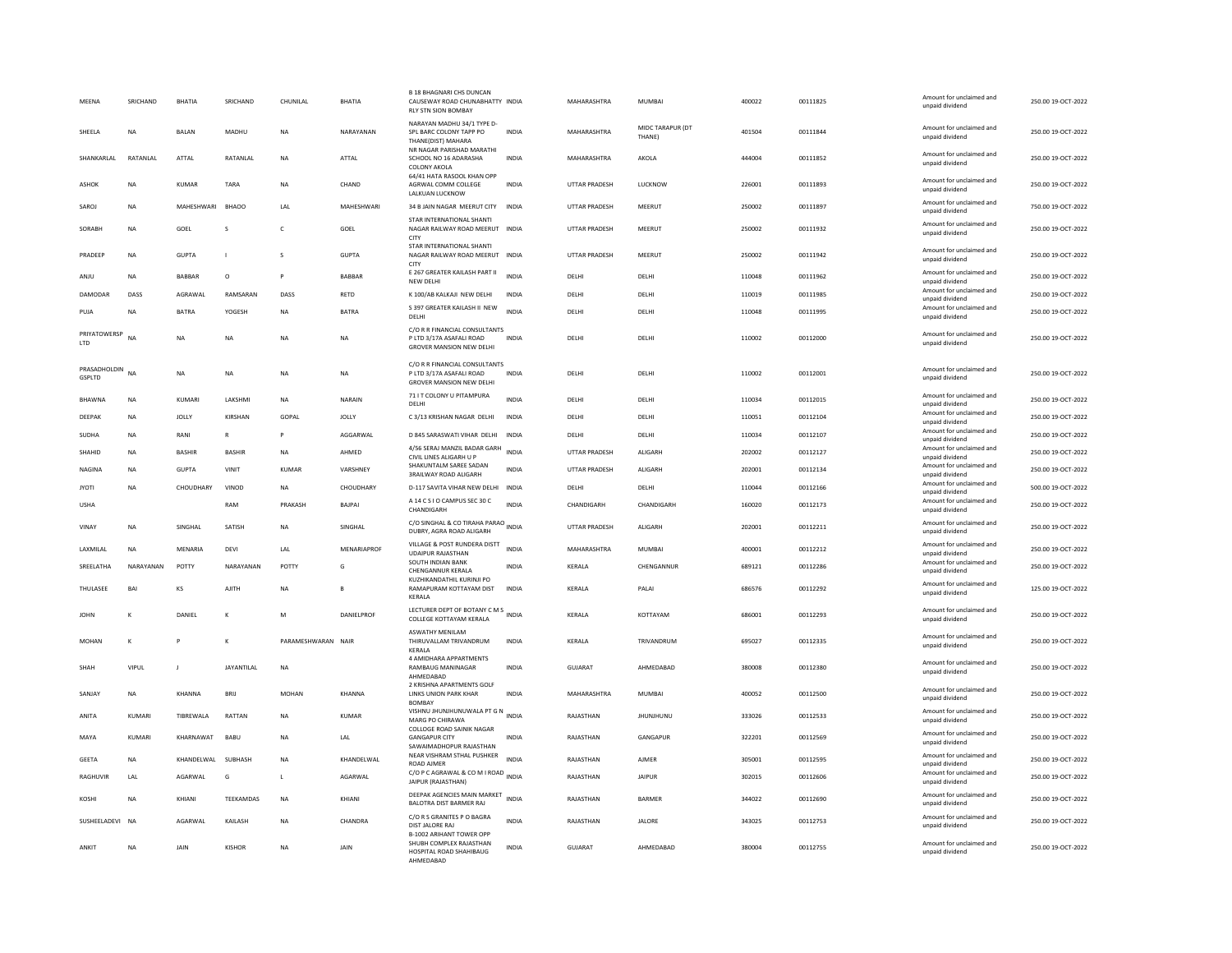| MEENA                         | SRICHAND       | <b>BHATIA</b>  | SRICHAND          | CHUNILAL           | <b>BHATIA</b>      | <b>B 18 BHAGNARI CHS DUNCAN</b><br>CAUSEWAY ROAD CHUNABHATTY INDIA<br><b>RLY STN SION BOMBAY</b> |              | MAHARASHTRA   | <b>MUMBAI</b>              | 400022 | 00111825 | Amount for unclaimed and<br>unpaid dividend | 250.00 19-OCT-2022 |
|-------------------------------|----------------|----------------|-------------------|--------------------|--------------------|--------------------------------------------------------------------------------------------------|--------------|---------------|----------------------------|--------|----------|---------------------------------------------|--------------------|
| SHEELA                        | <b>NA</b>      | <b>BALAN</b>   | MADHU             | <b>NA</b>          | NARAYANAN          | NARAYAN MADHU 34/1 TYPE D-<br>SPL BARC COLONY TAPP PO<br>THANE(DIST) MAHARA                      | <b>INDIA</b> | MAHARASHTRA   | MIDC TARAPUR (DT<br>THANE) | 401504 | 00111844 | Amount for unclaimed and<br>unpaid dividend | 250.00 19-OCT-2022 |
| SHANKARI AI                   | RATANLAL       | ATTAL          | RATANLAL          | <b>NA</b>          | ATTAL              | NR NAGAR PARISHAD MARATHI<br>SCHOOL NO 16 ADARASHA<br><b>COLONY AKOLA</b>                        | <b>INDIA</b> | MAHARASHTRA   | AKOLA                      | 444004 | 00111852 | Amount for unclaimed and<br>unpaid dividend | 250.00 19-OCT-2022 |
| <b>ASHOK</b>                  | <b>NA</b>      | KUMAR          | TARA              | <b>NA</b>          | CHAND              | 64/41 HATA RASOOL KHAN OPP<br>AGRWAL COMM COLLEGE<br>LALKUAN LUCKNOW                             | <b>INDIA</b> | UTTAR PRADESH | <b>LUCKNOW</b>             | 226001 | 00111893 | Amount for unclaimed and<br>unpaid dividend | 250.00 19-OCT-2022 |
| SAROJ                         | <b>NA</b>      | MAHESHWARI     | <b>BHAOO</b>      | LAL                | MAHESHWARI         | 34 B JAIN NAGAR MEERUT CITY                                                                      | <b>INDIA</b> | UTTAR PRADESH | MEERUT                     | 250002 | 00111897 | Amount for unclaimed and<br>unpaid dividend | 750.00 19-OCT-2022 |
| SORABH                        | <b>NA</b>      | GOEL           | s                 | $\mathsf{C}$       | GOEL               | STAR INTERNATIONAL SHANTI<br>NAGAR RAILWAY ROAD MEERUT INDIA<br>CITY                             |              | UTTAR PRADESH | MEERUT                     | 250002 | 00111932 | Amount for unclaimed and<br>unpaid dividend | 250.00 19-OCT-2022 |
| PRADEEP                       | <b>NA</b>      | <b>GUPTA</b>   |                   | s                  | <b>GUPTA</b>       | STAR INTERNATIONAL SHANTI<br>NAGAR RAILWAY ROAD MEERUT<br>CITY                                   | <b>INDIA</b> | UTTAR PRADESH | MEERUT                     | 250002 | 00111942 | Amount for unclaimed and<br>unpaid dividend | 250.00 19-OCT-2022 |
| ANIU                          | <b>NA</b>      | <b>BARRAR</b>  | $\Omega$          | P                  | <b>BARRAR</b>      | E 267 GREATER KAILASH PART II<br>NEW DELHI                                                       | <b>INDIA</b> | DELHI         | <b>DELHI</b>               | 110048 | 00111962 | Amount for unclaimed and<br>unpaid dividend | 250.00.19-OCT-2022 |
| DAMODAR                       | DASS           | AGRAWAL        | RAMSARAN          | DASS               | RETD               | K 100/AB KALKAJI NEW DELHI                                                                       | INDIA        | DELHI         | DELHI                      | 110019 | 00111985 | Amount for unclaimed and<br>unpaid dividend | 250.00 19-OCT-2022 |
| PUJA                          | <b>NA</b>      | <b>BATRA</b>   | YOGESH            | <b>NA</b>          | <b>BATRA</b>       | S 397 GREATER KAILASH II NEW<br>DELHI                                                            | <b>INDIA</b> | DELHI         | DELHI                      | 110048 | 00111995 | Amount for unclaimed and<br>unpaid dividend | 250.00 19-OCT-2022 |
| PRIYATOWERSP<br><b>LTD</b>    | N <sub>A</sub> | <b>NA</b>      | <b>NA</b>         | <b>NA</b>          | NA                 | C/O R R FINANCIAL CONSULTANTS<br>P LTD 3/17A ASAFALI ROAD<br><b>GROVER MANSION NEW DELHI</b>     | INDIA        | DELHI         | DELHI                      | 110002 | 00112000 | Amount for unclaimed and<br>unpaid dividend | 250.00 19-OCT-2022 |
| PRASADHOLDIN<br><b>GSPLTD</b> | <b>NA</b>      | NA             | NA                | NA                 | NA                 | C/O R R FINANCIAL CONSULTANTS<br>P LTD 3/17A ASAFALI ROAD<br><b>GROVER MANSION NEW DELHI</b>     | <b>INDIA</b> | DELHI         | DELHI                      | 110002 | 00112001 | Amount for unclaimed and<br>unpaid dividend | 250.00 19-OCT-2022 |
| <b>BHAWNA</b>                 | <b>NA</b>      | KUMARI         | LAKSHMI           | <b>NA</b>          | NARAIN             | 71 I T COLONY U PITAMPURA<br>DELHI                                                               | <b>INDIA</b> | DELHI         | DELHI                      | 110034 | 00112015 | Amount for unclaimed and<br>unpaid dividend | 250.00 19-OCT-2022 |
| DEEPAK                        | ΝA             | <b>JOLLY</b>   | KIRSHAN           | GOPAL              | <b>JOLLY</b>       | C 3/13 KRISHAN NAGAR DELHI                                                                       | <b>INDIA</b> | DELHI         | DELHI                      | 110051 | 00112104 | Amount for unclaimed and<br>unpaid dividend | 250.00 19-OCT-2022 |
| SUDHA                         | <b>NA</b>      | RANI           | $\mathbb{R}$      | P                  | AGGARWAI           | D 845 SARASWATI VIHAR DELHI                                                                      | <b>INDIA</b> | DELHI         | DELHI                      | 110034 | 00112107 | Amount for unclaimed and<br>unpaid dividend | 250.00 19-OCT-2022 |
| SHAHID                        | <b>NA</b>      | <b>BASHIR</b>  | <b>BASHIR</b>     | <b>NA</b>          | <b>AHMFD</b>       | 4/56 SERAJ MANZIL BADAR GARH<br>CIVIL LINES ALIGARH U P                                          | <b>INDIA</b> | UTTAR PRADESH | ALIGARH                    | 202002 | 00112127 | Amount for unclaimed and<br>unpaid dividend | 250.00 19-OCT-2022 |
| <b>NAGINA</b>                 | <b>NA</b>      | <b>GUPTA</b>   | VINIT             | KUMAR              | VARSHNEY           | SHAKUNTALM SAREE SADAN<br><b>3RAILWAY ROAD ALIGARH</b>                                           | <b>INDIA</b> | UTTAR PRADESH | ALIGARH                    | 202001 | 00112134 | Amount for unclaimed and<br>unpaid dividend | 250.00 19-OCT-2022 |
| <b>JYOTI</b>                  | NA             | CHOUDHARY      | VINOD             | NA                 | CHOUDHARY          | D-117 SAVITA VIHAR NEW DELHI                                                                     | <b>INDIA</b> | DELHI         | DELHI                      | 110044 | 00112166 | Amount for unclaimed and<br>unpaid dividend | 500.00 19-OCT-2022 |
| <b>USHA</b>                   |                |                | RAM               | PRAKASH            | BAJPAI             | A 14 C S I O CAMPUS SEC 30 C<br>CHANDIGARH                                                       | INDIA        | CHANDIGARH    | CHANDIGARH                 | 160020 | 00112173 | Amount for unclaimed and<br>unpaid dividend | 250.00 19-OCT-2022 |
| VINAY                         | <b>NA</b>      | <b>SINGHAI</b> | SATISH            | <b>NA</b>          | SINGHAL            | C/O SINGHAL & CO TIRAHA PARAO<br>DUBRY, AGRA ROAD ALIGARH                                        |              | UTTAR PRADESH | <b>ALIGARH</b>             | 202001 | 00112211 | Amount for unclaimed and<br>unpaid dividend | 250.00 19-OCT-2022 |
| LAXMILAL                      | <b>NA</b>      | MENARIA        | DEVI              | LAL                | MENARIAPROF        | VILLAGE & POST RUNDERA DISTT<br><b>UDAIPUR RAJASTHAN</b>                                         | INDIA        | MAHARASHTRA   | MUMBAI                     | 400001 | 00112212 | Amount for unclaimed and<br>unpaid dividend | 250.00 19-OCT-2022 |
| SREELATHA                     | NARAYANAN      | POTTY          | NARAYANAN         | POTTY              | G                  | SOUTH INDIAN BANK<br>CHENGANNUR KERALA                                                           | INDIA        | KERALA        | CHENGANNUR                 | 689121 | 00112286 | Amount for unclaimed and<br>unpaid dividend | 250.00 19-OCT-2022 |
| THULASEE                      | BAI            | KS             | AJITH             | <b>NA</b>          |                    | KUZHIKANDATHIL KURINJI PO<br>RAMAPURAM KOTTAYAM DIST<br>KERALA                                   | <b>INDIA</b> | KERALA        | PALAI                      | 686576 | 00112292 | Amount for unclaimed and<br>unpaid dividend | 125.00 19-OCT-2022 |
| <b>JOHN</b>                   | к              | DANIFI         | к                 | M                  | <b>DANIFI PROF</b> | LECTURER DEPT OF BOTANY C M S<br>INDIA<br>COLLEGE KOTTAYAM KERALA                                |              | <b>KFRAIA</b> | KOTTAYAM                   | 686001 | 00112293 | Amount for unclaimed and<br>unpaid dividend | 250.00.19-QCT-2022 |
| MOHAN                         | $\kappa$       | p              | к                 | PARAMESHWARAN NAIR |                    | <b>ASWATHY MENILAM</b><br>THIRUVALLAM TRIVANDRUM<br>KERALA                                       | INDIA        | KERALA        | TRIVANDRUM                 | 695027 | 00112335 | Amount for unclaimed and<br>unpaid dividend | 250.00 19-OCT-2022 |
| SHAH                          | VIPUL          |                | <b>JAYANTILAL</b> | NA                 |                    | 4 AMIDHARA APPARTMENTS<br>RAMBAUG MANINAGAR<br>AHMEDABAD                                         | INDIA        | GUJARAT       | AHMEDABAD                  | 380008 | 00112380 | Amount for unclaimed and<br>unpaid dividend | 250.00 19-OCT-2022 |
| SANJAY                        | <b>NA</b>      | KHANNA         | BRIJ              | <b>MOHAN</b>       | KHANNA             | 2 KRISHNA APARTMENTS GOLF<br>LINKS UNION PARK KHAR<br><b>BOMBAY</b>                              | <b>INDIA</b> | MAHARASHTRA   | <b>MUMBAI</b>              | 400052 | 00112500 | Amount for unclaimed and<br>unpaid dividend | 250.00 19-OCT-2022 |
| ANITA                         | KUMARI         | TIBREWALA      | RATTAN            | <b>NA</b>          | KUMAR              | VISHNU JHUNJHUNUWALA PT G N<br>INDIA<br>MARG PO CHIRAWA<br>COLLOGE ROAD SAINIK NAGAR             |              | RAJASTHAN     | <b>JHUNJHUNU</b>           | 333026 | 00112533 | Amount for unclaimed and<br>unpaid dividend | 250.00 19-OCT-2022 |
| MAYA                          | KUMARI         | KHARNAWAT      | <b>BABU</b>       | <b>NA</b>          | LAL                | <b>GANGAPUR CITY</b><br>SAWAIMADHOPUR RAJASTHAN                                                  | <b>INDIA</b> | RAJASTHAN     | GANGAPUR                   | 322201 | 00112569 | Amount for unclaimed and<br>unpaid dividend | 250.00 19-OCT-2022 |
| <b>GEETA</b>                  | <b>NA</b>      | KHANDELWAL     | SUBHASH           | <b>NA</b>          | KHANDELWAL         | NEAR VISHRAM STHAL PUSHKER<br><b>ROAD AIMER</b>                                                  | <b>INDIA</b> | RAJASTHAN     | <b>AJMER</b>               | 305001 | 00112595 | Amount for unclaimed and<br>unpaid dividend | 250.00 19-OCT-2022 |
| <b>RAGHUVIR</b>               | LAL            | AGARWAL        | G                 | L.                 | AGARWAL            | C/O P C AGRAWAL & CO M I ROAD INDIA<br>JAIPUR (RAJASTHAN)                                        |              | RAJASTHAN     | <b>JAIPUR</b>              | 302015 | 00112606 | Amount for unclaimed and<br>unpaid dividend | 250.00 19-OCT-2022 |
| KOSHI                         | <b>NA</b>      | KHIANI         | TEEKAMDAS         | <b>NA</b>          | KHIANI             | DEEPAK AGENCIES MAIN MARKET<br>BALOTRA DIST BARMER RAJ                                           | INDIA        | RAJASTHAN     | BARMER                     | 344022 | 00112690 | Amount for unclaimed and<br>unpaid dividend | 250.00 19-OCT-2022 |
| SUSHEELADEVI NA               |                | AGARWAL        | KAILASH           | <b>NA</b>          | CHANDRA            | C/O R S GRANITES P O BAGRA<br>DIST JALORE RAJ<br><b>B-1002 ARIHANT TOWER OPP</b>                 | <b>INDIA</b> | RAJASTHAN     | <b>JALORE</b>              | 343025 | 00112753 | Amount for unclaimed and<br>unpaid dividend | 250.00 19-OCT-2022 |
| ANKIT                         | <b>NA</b>      | <b>JAIN</b>    | KISHOR            | <b>NA</b>          | <b>JAIN</b>        | SHUBH COMPLEX RAJASTHAN<br>HOSPITAL ROAD SHAHIBAUG<br>AHMEDABAD                                  | <b>INDIA</b> | GUIARAT       | AHMEDARAD                  | 380004 | 00112755 | Amount for unclaimed and<br>unpaid dividend | 250.00 19-OCT-2022 |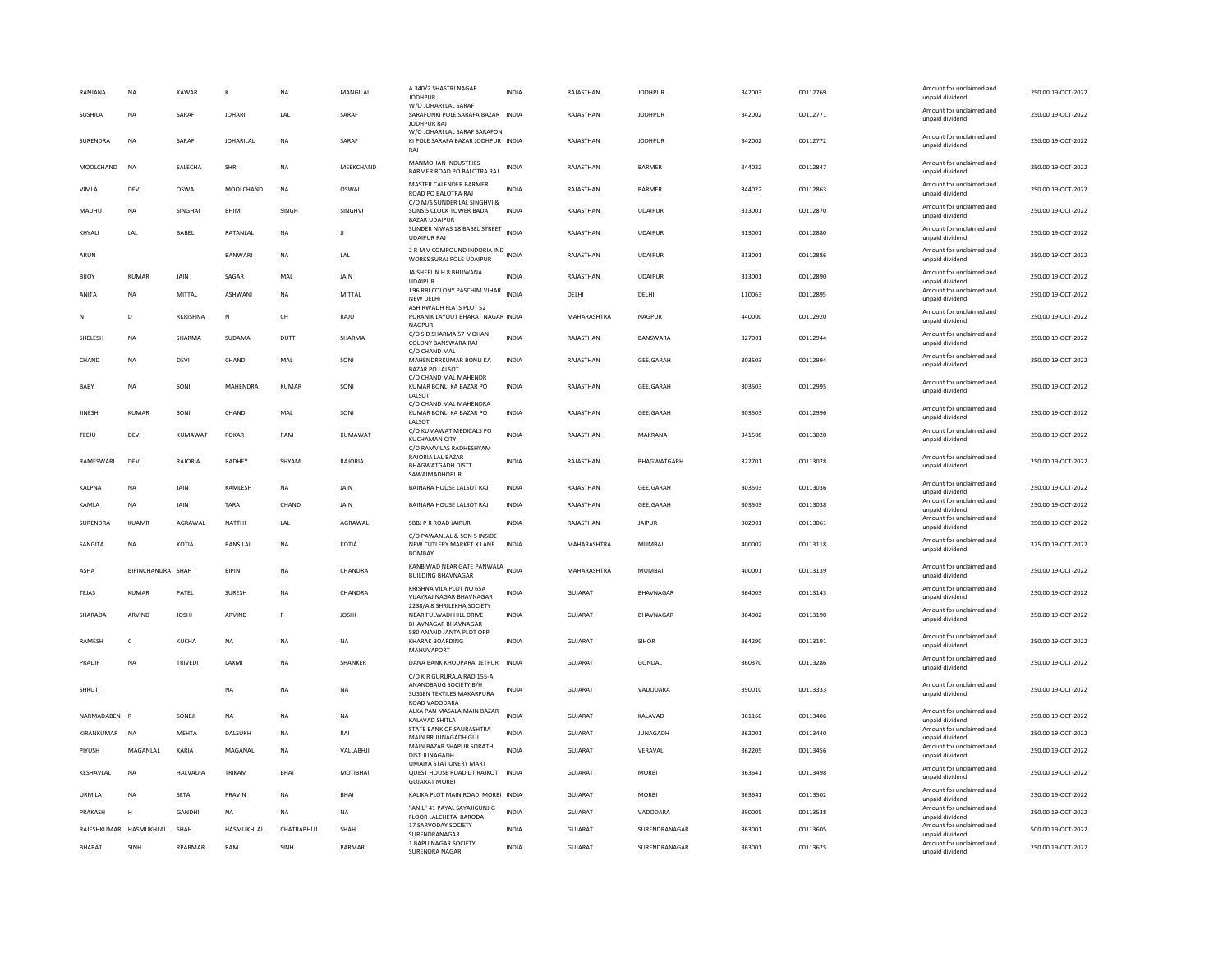| RANJANA                | <b>NA</b>         | KAWAR           | K                | NA                                                    | MANGILAL     | A 340/2 SHASTRI NAGAR<br><b>JODHPUR</b><br>W/O JOHARI LAL SARAF                           | <b>INDIA</b> | RAJASTHAN      | <b>JODHPUR</b>   | 342003 | 00112769 | Amount for unclaimed and<br>unpaid dividend | 250.00 19-OCT-2022 |
|------------------------|-------------------|-----------------|------------------|-------------------------------------------------------|--------------|-------------------------------------------------------------------------------------------|--------------|----------------|------------------|--------|----------|---------------------------------------------|--------------------|
| SUSHILA                | <b>NA</b>         | SARAF           | <b>JOHARI</b>    | LAL                                                   | SARAF        | SARAFONKI POLE SARAFA BAZAR INDIA<br>JODHPUR RAJ                                          |              | RAJASTHAN      | <b>IODHPUR</b>   | 342002 | 00112771 | Amount for unclaimed and<br>unpaid dividend | 250.00 19-OCT-2022 |
| SURENDRA               | NA                | SARAF           | <b>JOHARILAL</b> | NA                                                    | SARAF        | W/O JOHARI LAL SARAF SARAFON<br>KI POLE SARAFA BAZAR JODHPUR INDIA<br>RAI                 |              | RAJASTHAN      | <b>JODHPUR</b>   | 342002 | 00112772 | Amount for unclaimed and<br>unpaid dividend | 250.00 19-OCT-2022 |
| MOOLCHAND              | <b>NA</b>         | SALECHA         | <b>SHRI</b>      | <b>NA</b>                                             | MEEKCHAND    | <b>MANMOHAN INDUSTRIES</b><br>BARMER ROAD PO BALOTRA RAJ                                  | <b>INDIA</b> | RAJASTHAN      | <b>BARMER</b>    | 344022 | 00112847 | Amount for unclaimed and<br>unpaid dividend | 250.00 19-OCT-2022 |
| VIMLA                  | <b>DEVI</b>       | OSWAL           | MOOLCHAND        | <b>NA</b>                                             | OSWAL        | MASTER CALENDER BARMER<br>ROAD PO BALOTRA RAJ                                             | <b>INDIA</b> | RAJASTHAN      | <b>BARMER</b>    | 344022 | 00112863 | Amount for unclaimed and<br>unpaid dividend | 250.00 19-OCT-2022 |
| MADHU                  | <b>NA</b>         | SINGHAI         | <b>BHIM</b>      | SINGH                                                 | SINGHVI      | C/O M/S SUNDER LAL SINGHVI &<br>SONS 5 CLOCK TOWER BADA<br><b>BAZAR UDAIPUR</b>           | <b>INDIA</b> | RAJASTHAN      | <b>UDAIPUR</b>   | 313001 | 00112870 | Amount for unclaimed and<br>unpaid dividend | 250.00 19-OCT-2022 |
| KHYALL                 | <b>IAI</b>        | BABEL           | RATANI AI        | <b>NA</b>                                             | $\mathbf{H}$ | SUNDER NIWAS 18 BABEL STREET INDIA<br><b>UDAIPUR RAJ</b>                                  |              | RAJASTHAN      | <b>UDAIPUR</b>   | 313001 | 00112880 | Amount for unclaimed and<br>unpaid dividend | 250.00 19-OCT-2022 |
| ARUN                   |                   |                 | BANWARI          | <b>NA</b>                                             | LAL          | 2 R M V COMPOUND INDORIA IND INDIA<br>WORKS SURAJ POLE UDAIPUR                            |              | RAJASTHAN      | <b>UDAIPUR</b>   | 313001 | 00112886 | Amount for unclaimed and<br>unpaid dividend | 250.00 19-OCT-2022 |
| BIJOY                  | KUMAR             | <b>JAIN</b>     | SAGAR            | MAI                                                   | <b>JAIN</b>  | JAISHEEL N H 8 BHUWANA<br><b>UDAIPUR</b>                                                  | <b>INDIA</b> | RAJASTHAN      | <b>UDAIPUR</b>   | 313001 | 00112890 | Amount for unclaimed and<br>unpaid dividend | 250.00 19-OCT-2022 |
| ANITA                  | <b>NA</b>         | <b>MITTAL</b>   | ASHWANI          | <b>NA</b>                                             | MITTAL       | J 96 RBI COLONY PASCHIM VIHAR<br>NEW DELH                                                 | <b>INDIA</b> | DELHI          | DELHI            | 110063 | 00112895 | Amount for unclaimed and<br>unpaid dividend | 250.00 19-OCT-2022 |
| N                      | D                 | RKRISHNA        | ${\sf N}$        | $\mathsf{CH}% _{\mathsf{C}}^{\mathsf{C}}(\mathsf{C})$ | RAJU         | ASHIRWADH FLATS PLOT 52<br>PURANIK LAYOUT BHARAT NAGAR INDIA<br>NAGPUR                    |              | MAHARASHTRA    | NAGPUR           | 440000 | 00112920 | Amount for unclaimed and<br>unpaid dividend | 250.00 19-OCT-2022 |
| SHELESH                | NA                | SHARMA          | SUDAMA           | DUTT                                                  | SHARMA       | C/O S D SHARMA 57 MOHAN<br>COLONY BANSWARA RAJ                                            | <b>INDIA</b> | RAJASTHAN      | BANSWARA         | 327001 | 00112944 | Amount for unclaimed and<br>unpaid dividend | 250.00 19-OCT-2022 |
| CHAND                  | <b>NA</b>         | DEVI            | CHAND            | MAL                                                   | SONI         | C/O CHAND MAL<br>MAHENDRRKUMAR BONLI KA<br><b>BAZAR PO LALSOT</b>                         | <b>INDIA</b> | RAJASTHAN      | GEEJGARAH        | 303503 | 00112994 | Amount for unclaimed and<br>unpaid dividend | 250.00 19-OCT-2022 |
| BABY                   | <b>NA</b>         | SONI            | MAHENDRA         | KUMAR                                                 | SONI         | C/O CHAND MAL MAHENDR<br>KUMAR BONLI KA BAZAR PO<br>LALSOT                                | <b>INDIA</b> | RAJASTHAN      | GEEJGARAH        | 303503 | 00112995 | Amount for unclaimed and<br>unpaid dividend | 250.00 19-OCT-2022 |
| JINESH                 | <b>KUMAR</b>      | SONI            | CHAND            | MAL                                                   | SONI         | C/O CHAND MAL MAHENDRA<br>KUMAR BONLI KA BAZAR PO<br><b>JAISOT</b>                        | <b>INDIA</b> | RAJASTHAN      | GEEJGARAH        | 303503 | 00112996 | Amount for unclaimed and<br>unpaid dividend | 250.00 19-OCT-2022 |
| TEEJU                  | DEVI              | KUMAWAT         | POKAR            | RAM                                                   | KUMAWAT      | C/O KUMAWAT MEDICALS PO<br><b>KUCHAMAN CITY</b>                                           | <b>INDIA</b> | RAJASTHAN      | MAKRANA          | 341508 | 00113020 | Amount for unclaimed and<br>unpaid dividend | 250.00 19-OCT-2022 |
| RAMESWARI              | DEVI              | RAJORIA         | RADHEY           | SHYAM                                                 | RAJORIA      | C/O RAMVILAS RADHESHYAM<br>RAJORIA LAL BAZAR<br><b>BHAGWATGADH DISTT</b><br>SAWAIMADHOPUR | INDIA        | RAJASTHAN      | BHAGWATGARH      | 322701 | 00113028 | Amount for unclaimed and<br>unpaid dividend | 250.00 19-OCT-2022 |
| <b>KALPNA</b>          | <b>NA</b>         | JAIN            | KAMLESH          | <b>NA</b>                                             | JAIN         | BAINARA HOUSE LALSOT RAJ                                                                  | <b>INDIA</b> | RAJASTHAN      | GEEJGARAH        | 303503 | 00113036 | Amount for unclaimed and<br>unpaid dividend | 250.00 19-OCT-2022 |
| KAMLA                  | <b>NA</b>         | <b>JAIN</b>     | TARA             | CHAND                                                 | JAIN         | BAINARA HOUSE LALSOT RAJ                                                                  | <b>INDIA</b> | RAJASTHAN      | GEEJGARAH        | 303503 | 00113038 | Amount for unclaimed and<br>unpaid dividend | 250.00 19-OCT-2022 |
| <b>SURENDRA</b>        | KUAMR             | AGRAWAI         | <b>NATTHI</b>    | <b>IAI</b>                                            | AGRAWAL      | SBBJ P R ROAD JAIPUR                                                                      | <b>INDIA</b> | RAJASTHAN      | <b>JAIPUR</b>    | 302001 | 00113061 | Amount for unclaimed and<br>unpaid dividend | 250.00 19-OCT-2022 |
| SANGITA                | <b>NA</b>         | KOTIA           | BANSILAL         | <b>NA</b>                                             | KOTIA        | C/O PAWANLAL & SON 5 INSIDE<br>NEW CUTLERY MARKET X LANE<br><b>BOMBAY</b>                 | <b>INDIA</b> | MAHARASHTRA    | <b>MUMBAI</b>    | 400002 | 00113118 | Amount for unclaimed and<br>unpaid dividend | 375.00 19-OCT-2022 |
| ASHA                   | BIPINCHANDRA SHAH |                 | <b>BIPIN</b>     | <b>NA</b>                                             | CHANDRA      | KANBIWAD NEAR GATE PANWALA INDIA<br><b>BUILDING BHAVNAGAR</b>                             |              | MAHARASHTRA    | <b>MUMBAI</b>    | 400001 | 00113139 | Amount for unclaimed and<br>unpaid dividend | 250.00 19-OCT-2022 |
| TEJAS                  | KUMAR             | PATEL           | SURESH           | <b>NA</b>                                             | CHANDRA      | KRISHNA VILA PLOT NO 65A<br><b>VUAYRAJ NAGAR BHAVNAGAR</b>                                | INDIA        | GUJARAT        | <b>BHAVNAGAR</b> | 364003 | 00113143 | Amount for unclaimed and<br>unpaid dividend | 250.00 19-OCT-2022 |
| SHARADA                | ARVIND            | <b>JOSHI</b>    | ARVIND           | P                                                     | <b>JOSHI</b> | 2238/A 8 SHRILEKHA SOCIETY<br>NEAR FULWADI HILL DRIVE<br><b>BHAVNAGAR BHAVNAGAR</b>       | <b>INDIA</b> | GUJARAT        | BHAVNAGAR        | 364002 | 00113190 | Amount for unclaimed and<br>unpaid dividend | 250.00 19-OCT-2022 |
| <b>RAMESH</b>          | $\mathsf{C}$      | <b>KUCHA</b>    | <b>NA</b>        | <b>NA</b>                                             | NA           | 580 ANAND JANTA PLOT OPP<br><b>KHARAK BOARDING</b><br>MAHUVAPORT                          | <b>INDIA</b> | <b>GUJARAT</b> | SIHOR            | 364290 | 00113191 | Amount for unclaimed and<br>unpaid dividend | 250.00 19-OCT-2022 |
| PRADIP                 | <b>NA</b>         | TRIVEDI         | <b>I AXMI</b>    | <b>NA</b>                                             | SHANKER      | DANA BANK KHODPARA JETPUR                                                                 | <b>INDIA</b> | <b>GUJARAT</b> | GONDAL           | 360370 | 00113286 | Amount for unclaimed and<br>unpaid dividend | 250.00 19-OCT-2022 |
| <b>SHRUTI</b>          |                   |                 | NA               | NA                                                    | <b>NA</b>    | C/O K R GURURAJA RAO 155-A<br>ANANDBAUG SOCIETY B/H<br>SUSSEN TEXTILES MAKARPURA          | <b>INDIA</b> | GUJARAT        | VADODARA         | 390010 | 00113333 | Amount for unclaimed and<br>unpaid dividend | 250.00 19-OCT-2022 |
| NARMADABEN             |                   | SONEJI          | <b>NA</b>        | <b>NA</b>                                             | <b>NA</b>    | ROAD VADODARA<br>ALKA PAN MASALA MAIN BAZAR<br>KALAVAD SHITLA                             | <b>INDIA</b> | GUJARAT        | KALAVAD          | 361160 | 00113406 | Amount for unclaimed and<br>unpaid dividend | 250.00 19-OCT-2022 |
| KIRANKUMAR             | <b>NA</b>         | <b>MEHTA</b>    | DALSUKH          | <b>NA</b>                                             | RAI          | STATE BANK OF SAURASHTRA<br>MAIN BR JUNAGADH GUJ                                          | <b>INDIA</b> | <b>GUJARAT</b> | <b>JUNAGADH</b>  | 362001 | 00113440 | Amount for unclaimed and<br>unpaid dividend | 250.00 19-OCT-2022 |
| PIYUSH                 | MAGANLAL          | KARIA           | MAGANAL          | <b>NA</b>                                             | VALLABHJI    | MAIN BAZAR SHAPUR SORATH<br><b>DIST JUNAGADH</b>                                          | <b>INDIA</b> | GUJARAT        | VERAVAL          | 362205 | 00113456 | Amount for unclaimed and<br>unpaid dividend | 250.00 19-OCT-2022 |
| KESHAVLAL              | <b>NA</b>         | <b>HALVADIA</b> | TRIKAM           | BHAI                                                  | MOTIBHAI     | <b>UMAIYA STATIONERY MART</b><br>QUEST HOUSE ROAD DT RAJKOT                               | <b>INDIA</b> | GUJARAT        | <b>MORBI</b>     | 363641 | 00113498 | Amount for unclaimed and<br>unpaid dividend | 250.00 19-OCT-2022 |
| URMILA                 | <b>NA</b>         | <b>SETA</b>     | PRAVIN           | <b>NA</b>                                             | BHAI         | <b>GUJARAT MORBI</b><br>KALIKA PLOT MAIN ROAD MORBI INDIA                                 |              | <b>GUJARAT</b> | <b>MORBI</b>     | 363641 | 00113502 | Amount for unclaimed and                    | 250.00 19-OCT-2022 |
| PRAKASH                | H                 | <b>GANDHI</b>   | <b>NA</b>        | <b>NA</b>                                             | NA.          | "ANIL" 41 PAYAL SAYAJIGUNJ G                                                              | <b>INDIA</b> | <b>GUJARAT</b> | VADODARA         | 390005 | 00113538 | unpaid dividend<br>Amount for unclaimed and | 250.00 19-OCT-2022 |
| RAJESHKUMAR HASMUKHLAL |                   | SHAH            | HASMUKHLAL       | CHATRABHUJ                                            | SHAH         | FLOOR LALCHETA BARODA<br>17 SARVODAY SOCIETY                                              | <b>INDIA</b> | GUJARAT        | SURENDRANAGAR    | 363001 | 00113605 | unpaid dividend<br>Amount for unclaimed and | 500.00 19-OCT-2022 |
| <b>BHARAT</b>          | SINH              | RPARMAR         | RAM              | SINH                                                  | PARMAR       | SURENDRANAGAR<br>1 BAPU NAGAR SOCIETY                                                     | <b>INDIA</b> | GUJARAT        | SURENDRANAGAR    | 363001 | 00113625 | unpaid dividend<br>Amount for unclaimed and | 250.00 19-OCT-2022 |
|                        |                   |                 |                  |                                                       |              | SURENDRA NAGAR                                                                            |              |                |                  |        |          | unpaid dividend                             |                    |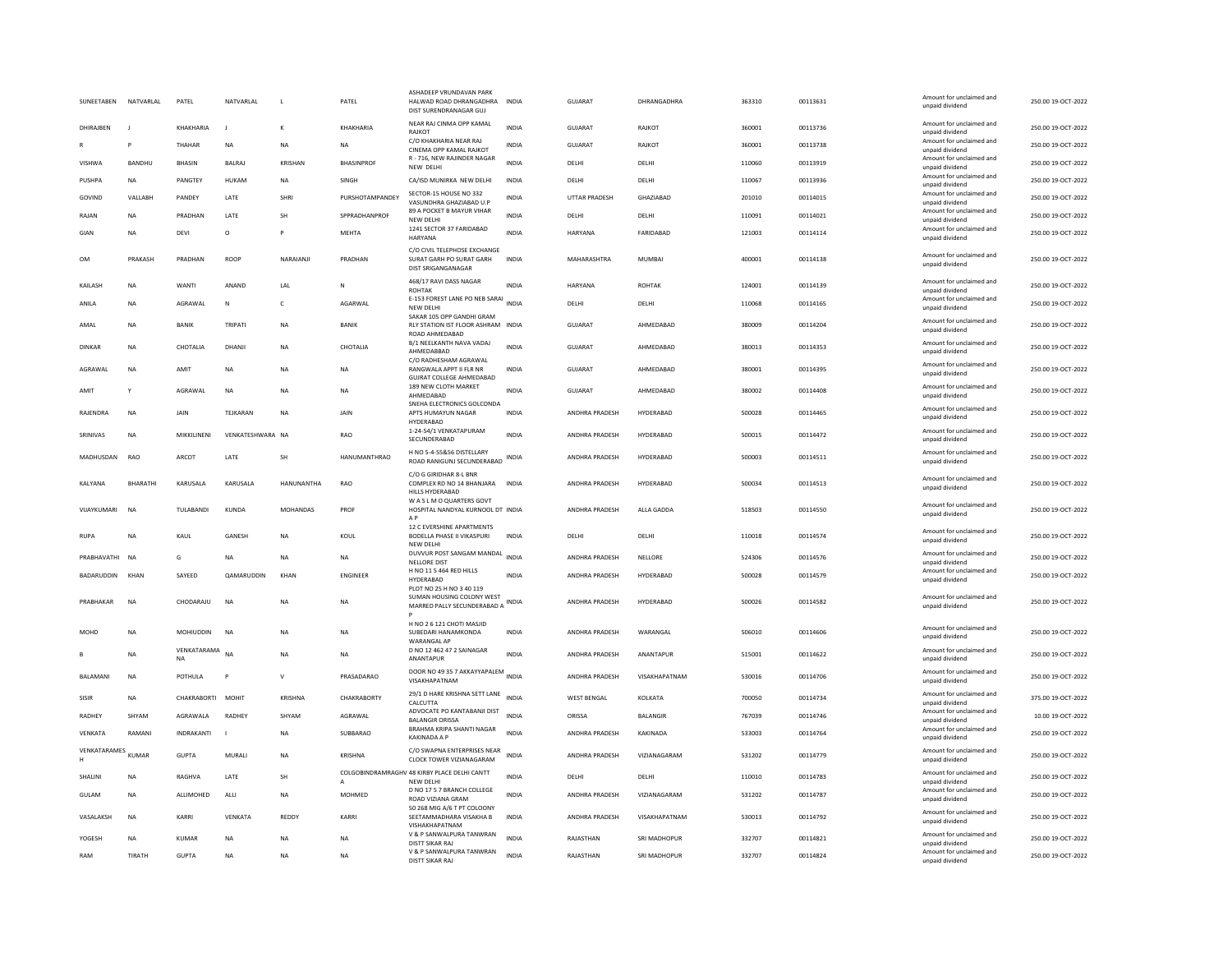| SUNEETABEN        | NATVARLAL      | PATEL                    | NATVARLAL         | <b>L</b>        | PATEL               | ASHADEEP VRUNDAVAN PARK<br>HALWAD ROAD DHRANGADHRA<br>DIST SURENDRANAGAR GUJ    | <b>INDIA</b> | <b>GUJARAT</b>        | DHRANGADHRA   | 363310 | 00113631 | Amount for unclaimed and<br>unpaid dividend | 250.00 19-OCT-2022 |
|-------------------|----------------|--------------------------|-------------------|-----------------|---------------------|---------------------------------------------------------------------------------|--------------|-----------------------|---------------|--------|----------|---------------------------------------------|--------------------|
| DHIRAJBEN         | $\blacksquare$ | KHAKHARIA                | - 11              | K               | KHAKHARIA           | NEAR RAJ CINMA OPP KAMAL<br><b>RAJKOT</b>                                       | <b>INDIA</b> | GUIARAT               | RAJKOT        | 360001 | 00113736 | Amount for unclaimed and<br>unpaid dividend | 250.00 19-OCT-2022 |
|                   |                | THAHAR                   | <b>NA</b>         | <b>NA</b>       | <b>NA</b>           | C/O KHAKHARIA NEAR RAJ<br>CINEMA OPP KAMAL RAJKOT                               | <b>INDIA</b> | <b>GUJARAT</b>        | RAJKOT        | 360001 | 00113738 | Amount for unclaimed and<br>unpaid dividend | 250.00 19-OCT-2022 |
| VISHWA            | <b>BANDHU</b>  | BHASIN                   | <b>BALRAJ</b>     | <b>KRISHAN</b>  | <b>BHASINPROF</b>   | R - 716, NEW RAJINDER NAGAR<br>NEW DELHI                                        | <b>INDIA</b> | DELHI                 | DELHI         | 110060 | 00113919 | Amount for unclaimed and<br>unpaid dividend | 250.00 19-OCT-2022 |
| PUSHPA            | NA             | PANGTEY                  | HUKAM             | NA              | SINGH               | CA/ISD MUNIRKA NEW DELHI                                                        | INDIA        | DELHI                 | DELHI         | 110067 | 00113936 | Amount for unclaimed and<br>unpaid dividend | 250.00 19-OCT-2022 |
| GOVIND            | VALLABH        | PANDEY                   | LATE              | SHRI            | PURSHOTAMPANDEY     | SECTOR-15 HOUSE NO 332<br>VASUNDHRA GHAZIABAD U.P                               | <b>INDIA</b> | <b>UTTAR PRADESH</b>  | GHAZIABAD     | 201010 | 00114015 | Amount for unclaimed and<br>unpaid dividend | 250.00 19-OCT-2022 |
| RAJAN             | <b>NA</b>      | PRADHAN                  | LATE              | <b>SH</b>       | SPPRADHANPROF       | 89 A POCKET B MAYUR VIHAR<br>NEW DELH                                           | <b>INDIA</b> | DELHI                 | DELHI         | 110091 | 00114021 | Amount for unclaimed and<br>unpaid dividend | 250.00 19-OCT-2022 |
| GIAN              | <b>NA</b>      | DEVI                     | $\circ$           | P               | <b>MEHTA</b>        | 1241 SECTOR 37 FARIDABAD<br>HARYANA                                             | <b>INDIA</b> | HARYANA               | FARIDABAD     | 121003 | 00114114 | Amount for unclaimed and<br>unpaid dividend | 250.00 19-OCT-2022 |
| <b>OM</b>         | PRAKASH        | PRADHAN                  | ROOP              | NARAIANII       | PRADHAN             | C/O CIVIL TELEPHOSE EXCHANGE<br>SURAT GARH PO SURAT GARH<br>DIST SRIGANGANAGAR  | <b>INDIA</b> | MAHARASHTRA           | MUMBAI        | 400001 | 00114138 | Amount for unclaimed and<br>unpaid dividend | 250.00 19-OCT-2022 |
| KAILASH           | <b>NA</b>      | WANTI                    | ANAND             | LAL             | N                   | 468/17 RAVI DASS NAGAR<br>ROHTAK                                                | <b>INDIA</b> | HARYANA               | <b>ROHTAK</b> | 124001 | 00114139 | Amount for unclaimed and<br>unpaid dividend | 250.00 19-OCT-2022 |
| ANILA             | <b>NA</b>      | AGRAWAL                  | N                 | c               | AGARWAL             | E-153 FOREST LANE PO NEB SARAI<br>NEW DELHI                                     | <b>INDIA</b> | DELHI                 | DELHI         | 110068 | 00114165 | Amount for unclaimed and<br>unpaid dividend | 250.00 19-OCT-2022 |
| AMAL              | <b>NA</b>      | <b>BANIK</b>             | TRIPATI           | <b>NA</b>       | <b>BANIK</b>        | SAKAR 105 OPP GANDHI GRAM<br>RLY STATION IST FLOOR ASHRAM INDIA                 |              | <b>GUJARAT</b>        | AHMEDABAD     | 380009 | 00114204 | Amount for unclaimed and<br>unpaid dividend | 250.00 19-OCT-2022 |
| <b>DINKAR</b>     | <b>NA</b>      | CHOTALIA                 | DHANJI            | <b>NA</b>       | CHOTALIA            | ROAD AHMEDABAD<br>B/1 NEELKANTH NAVA VADAJ                                      | <b>INDIA</b> | <b>GUJARAT</b>        | AHMEDABAD     | 380013 | 00114353 | Amount for unclaimed and                    | 250.00 19-OCT-2022 |
|                   |                |                          |                   |                 |                     | AHMEDABBAD<br>C/O RADHESHAM AGRAWAL                                             |              |                       |               |        |          | unpaid dividend<br>Amount for unclaimed and |                    |
| AGRAWAL           | <b>NA</b>      | AMIT                     | NA                | NA              | NA                  | RANGWALA APPT II FLR NR<br><b>GUJRAT COLLEGE AHMEDABAD</b>                      | INDIA        | GUJARAT               | AHMEDABAD     | 380001 | 00114395 | unpaid dividend                             | 250.00 19-OCT-2022 |
| AMIT              | Y              | AGRAWAL                  | <b>NA</b>         | <b>NA</b>       | <b>NA</b>           | 189 NEW CLOTH MARKET<br>AHMEDABAD<br>SNEHA ELECTRONICS GOLCONDA                 | <b>INDIA</b> | GUJARAT               | AHMEDABAD     | 380002 | 00114408 | Amount for unclaimed and<br>unpaid dividend | 250.00 19-OCT-2022 |
| RAJENDRA          | <b>NA</b>      | JAIN                     | TEJKARAN          | NA              | JAIN                | APTS HUMAYUN NAGAR<br>HYDERABAD                                                 | INDIA        | ANDHRA PRADESH        | HYDERABAD     | 500028 | 00114465 | Amount for unclaimed and<br>unpaid dividend | 250.00 19-OCT-2022 |
| SRINIVAS          | <b>NA</b>      | MIKKILINENI              | VENKATESHWARA NA  |                 | RAO                 | 1-24-54/1 VENKATAPURAM<br>SECUNDERABAD                                          | <b>INDIA</b> | ANDHRA PRADESH        | HYDERABAD     | 500015 | 00114472 | Amount for unclaimed and<br>unpaid dividend | 250.00 19-OCT-2022 |
| MADHUSDAN         | RAO            | ARCO <sub>T</sub>        | LATE              | <b>SH</b>       | <b>HANUMANTHRAO</b> | H NO 5-4-55&56 DISTELLARY<br>ROAD RANIGUNJ SECUNDERABAD                         | INDIA        | ANDHRA PRADESH        | HYDERABAD     | 500003 | 00114511 | Amount for unclaimed and<br>unpaid dividend | 250.00 19-OCT-2022 |
| KALYANA           | BHARATHI       | KARUSALA                 | KARUSALA          | HANUNANTHA      | RAO                 | C/O G GIRIDHAR 8-L BNR<br>COMPLEX RD NO 14 BHANJARA<br>HILLS HYDERABAD          | INDIA        | ANDHRA PRADESH        | HYDERABAD     | 500034 | 00114513 | Amount for unclaimed and<br>unpaid dividend | 250.00 19-OCT-2022 |
| VIJAYKUMARI       | <b>NA</b>      | TULABANDI                | <b>KUNDA</b>      | <b>MOHANDAS</b> | PROF                | W A S L M O QUARTERS GOVT<br>HOSPITAL NANDYAL KURNOOL DT INDIA<br>$\triangle$ P |              | ANDHRA PRADESH        | ALLA GADDA    | 518503 | 00114550 | Amount for unclaimed and<br>unpaid dividend | 250.00 19-OCT-2022 |
| <b>RUPA</b>       | <b>NA</b>      | KAUL                     | GANESH            | <b>NA</b>       | KOUL                | 12 C EVERSHINE APARTMENTS<br>BODELLA PHASE II VIKASPURI<br>NEW DELHI            | <b>INDIA</b> | DELHI                 | DELHI         | 110018 | 00114574 | Amount for unclaimed and<br>unpaid dividend | 250.00 19-OCT-2022 |
| PRABHAVATHI       | <b>NA</b>      | G                        | <b>NA</b>         | <b>NA</b>       | <b>NA</b>           | DUVVUR POST SANGAM MANDAL<br><b>NELLORE DIST</b>                                | <b>INDIA</b> | ANDHRA PRADESH        | NELLORE       | 524306 | 00114576 | Amount for unclaimed and<br>unpaid dividend | 250.00 19-OCT-2022 |
| <b>BADARUDDIN</b> | KHAN           | SAYEED                   | <b>OAMARUDDIN</b> | KHAN            | <b>FNGINFFR</b>     | H NO 11 5 464 RED HILLS<br>HYDERABAD                                            | <b>INDIA</b> | ANDHRA PRADESH        | HYDFRABAD     | 500028 | 00114579 | Amount for unclaimed and<br>unpaid dividend | 250.00 19-OCT-2022 |
| PRABHAKAR         | <b>NA</b>      | CHODARAJU                | <b>NA</b>         | NA              | NA                  | PLOT NO 25 H NO 3 40 119<br>SUMAN HOUSING COLONY WEST                           | <b>INDIA</b> | ANDHRA PRADESH        | HYDERABAD     | 500026 | 00114582 | Amount for unclaimed and                    | 250.00 19-OCT-2022 |
|                   |                |                          |                   |                 |                     | MARRED PALLY SECUNDERABAD A                                                     |              |                       |               |        |          | unpaid dividend                             |                    |
| <b>MOHD</b>       | <b>NA</b>      | MOHIUDDIN                | <b>NA</b>         | <b>NA</b>       | NA                  | H NO 2 6 121 CHOTI MASJID<br>SUBEDARI HANAMKONDA<br><b>WARANGAL AF</b>          | <b>INDIA</b> | ANDHRA PRADESH        | WARANGAL      | 506010 | 00114606 | Amount for unclaimed and<br>unpaid dividend | 250.00 19-OCT-2022 |
| B                 | <b>NA</b>      | VENKATARAMA<br><b>NA</b> | NA                | <b>NA</b>       | <b>NA</b>           | D NO 12 462 47 2 SAINAGAR<br>ANANTAPUR                                          | <b>INDIA</b> | ANDHRA PRADESH        | ANANTAPUR     | 515001 | 00114622 | Amount for unclaimed and<br>unpaid dividend | 250.00 19-OCT-2022 |
| <b>BALAMANI</b>   | <b>NA</b>      | <b>POTHULA</b>           | P                 | $\mathsf{v}$    | PRASADARAO          | DOOR NO 49 35 7 AKKAYYAPALEM INDIA<br>VISAKHAPATNAM                             |              | <b>ANDHRA PRADESH</b> | VISAKHAPATNAM | 530016 | 00114706 | Amount for unclaimed and<br>unpaid dividend | 250.00 19-OCT-2022 |
| SISIR             | <b>NA</b>      | CHAKRABORTI              | MOHIT             | <b>KRISHNA</b>  | CHAKRABORTY         | 29/1 D HARE KRISHNA SETT LANE<br>CALCUTTA                                       | <b>INDIA</b> | <b>WEST BENGAL</b>    | KOLKATA       | 700050 | 00114734 | Amount for unclaimed and<br>unpaid dividend | 375.00 19-OCT-2022 |
| RADHEY            | SHYAM          | AGRAWALA                 | <b>RADHEY</b>     | SHYAM           | AGRAWAL             | ADVOCATE PO KANTABANJI DIST<br><b>BALANGIR ORISSA</b>                           | INDIA        | ORISSA                | BALANGIR      | 767039 | 00114746 | Amount for unclaimed and<br>unnaid dividend | 10.00 19-OCT-2022  |
| VENKATA           | RAMANI         | <b>INDRAKANTI</b>        |                   | <b>NA</b>       | SUBBARAO            | BRAHMA KRIPA SHANTI NAGAR<br><b>KAKINADA A P</b>                                | <b>INDIA</b> | ANDHRA PRADESH        | KAKINADA      | 533003 | 00114764 | Amount for unclaimed and<br>unpaid dividend | 250.00 19-OCT-2022 |
| VENKATARAMES      | KUMAR          | <b>GUPTA</b>             | MURALI            | <b>NA</b>       | KRISHNA             | C/O SWAPNA ENTERPRISES NEAR                                                     | <b>INDIA</b> | ANDHRA PRADESH        | VIZIANAGARAM  | 531202 | 00114779 | Amount for unclaimed and                    | 250.00 19-OCT-2022 |
|                   |                |                          |                   |                 |                     | CLOCK TOWER VIZIANAGARAM<br>COLGOBINDRAMRAGHV 48 KIRBY PLACE DELHI CANTT        |              |                       |               |        |          | unpaid dividend<br>Amount for unclaimed and |                    |
| SHALINI           | <b>NA</b>      | RAGHVA                   | LATE              | <b>SH</b>       |                     | <b>NEW DELHI</b><br>D NO 17 5 7 BRANCH COLLEGE                                  | <b>INDIA</b> | DELHI                 | DELHI         | 110010 | 00114783 | unpaid dividend<br>Amount for unclaimed and | 250.00 19-OCT-2022 |
| <b>GULAM</b>      | <b>NA</b>      | ALLIMOHED                | ALLI              | <b>NA</b>       | MOHMED              | ROAD VIZIANA GRAM<br>50 268 MIG A/6 T PT COLOONY                                | <b>INDIA</b> | ANDHRA PRADESH        | VIZIANAGARAM  | 531202 | 00114787 | unpaid dividend                             | 250.00 19-OCT-2022 |
| VASALAKSH         | <b>NA</b>      | KARRI                    | <b>VENKATA</b>    | <b>REDDY</b>    | KARRI               | SEETAMMADHARA VISAKHA B<br>VISHAKHAPATNAM                                       | INDIA        | ANDHRA PRADESH        | VISAKHAPATNAM | 530013 | 00114792 | Amount for unclaimed and<br>unpaid dividend | 250.00 19-OCT-2022 |
| YOGESH            | <b>NA</b>      | <b>KUMAR</b>             | <b>NA</b>         | <b>NA</b>       | <b>NA</b>           | V & P SANWALPURA TANWRAN<br>DISTT SIKAR RAJ                                     | <b>INDIA</b> | RAJASTHAN             | SRI MADHOPUR  | 332707 | 00114821 | Amount for unclaimed and<br>unpaid dividend | 250.00 19-OCT-2022 |
| RAM               | TIRATH         | <b>GUPTA</b>             | <b>NA</b>         | <b>NA</b>       | <b>NA</b>           | V & P SANWALPURA TANWRAN<br>DISTT SIKAR RAJ                                     | <b>INDIA</b> | RAJASTHAN             | SRI MADHOPUR  | 332707 | 00114824 | Amount for unclaimed and<br>unpaid dividend | 250.00 19-OCT-2022 |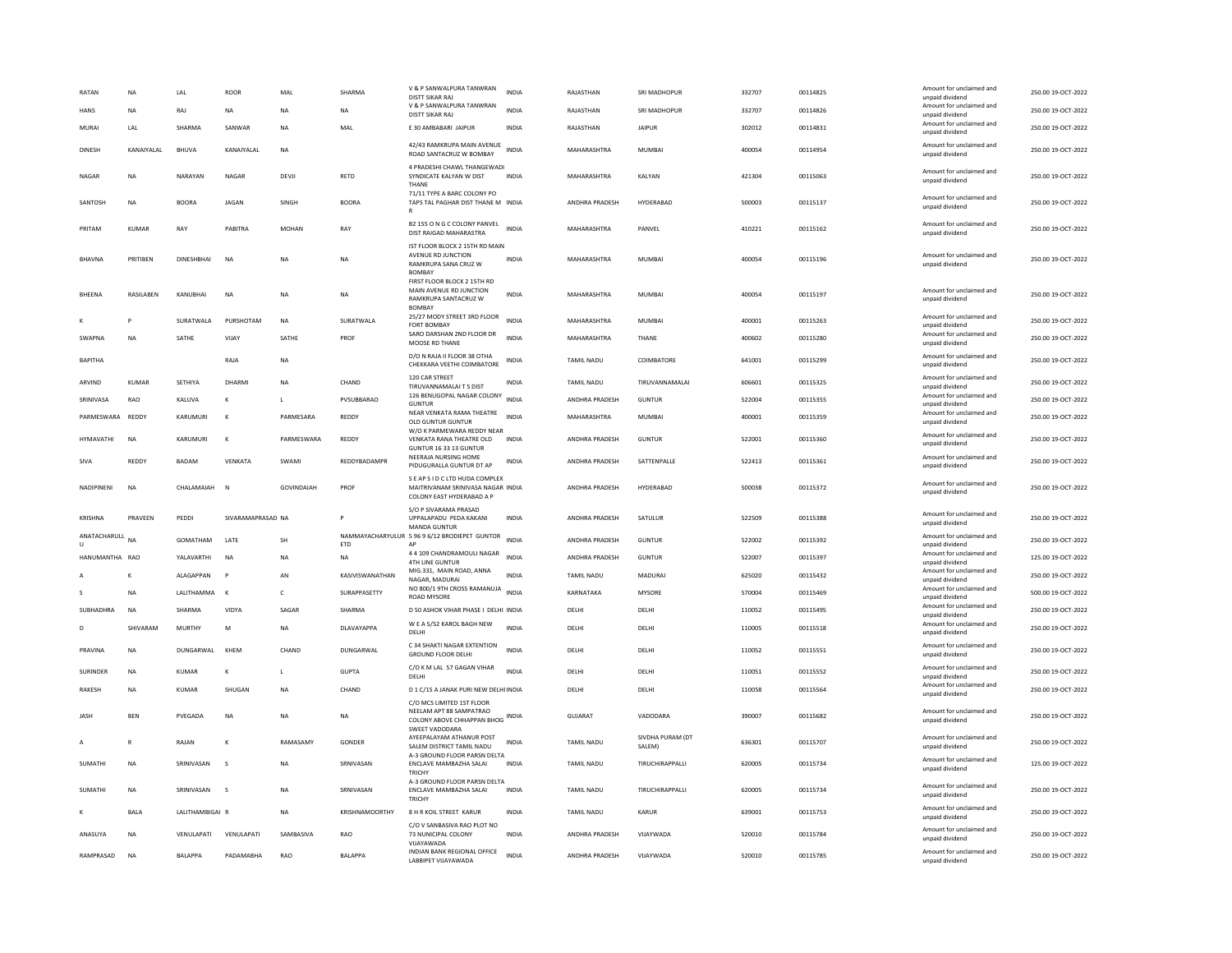| RATAN                        | <b>NA</b>    | LAL                      | ROOR               | MAL               | SHARMA           | V & P SANWALPURA TANWRAN<br>DISTT SIKAR RAJ                                                                                  | <b>INDIA</b> | RAJASTHAN             | SRI MADHOPUR               | 332707 | 00114825 | Amount for unclaimed and<br>unpaid dividend | 250.00 19-OCT-2022 |
|------------------------------|--------------|--------------------------|--------------------|-------------------|------------------|------------------------------------------------------------------------------------------------------------------------------|--------------|-----------------------|----------------------------|--------|----------|---------------------------------------------|--------------------|
| <b>HANS</b>                  | <b>NA</b>    | RAJ                      | <b>NA</b>          | <b>NA</b>         | <b>NA</b>        | V & P SANWALPURA TANWRAN<br>DISTT SIKAR RAJ                                                                                  | <b>INDIA</b> | RAJASTHAN             | SRI MADHOPUR               | 332707 | 00114826 | Amount for unclaimed and<br>unpaid dividend | 250.00 19-OCT-2022 |
| <b>MURA</b>                  | LAL          | <b>SHARMA</b>            | SANWAR             | <b>NA</b>         | MAL              | E 30 AMBABARI JAIPUR                                                                                                         | <b>INDIA</b> | RAJASTHAN             | <b>JAIPUR</b>              | 302012 | 00114831 | Amount for unclaimed and<br>unpaid dividend | 250.00 19-OCT-2022 |
| DINESH                       | KANAIYAI AI  | RHUVA                    | <b>KANAIYAI AI</b> | <b>NA</b>         |                  | 42/43 RAMKRUPA MAIN AVENUE<br>ROAD SANTACRUZ W BOMBAY                                                                        | <b>INDIA</b> | MAHARASHTRA           | MUMBAI                     | 400054 | 00114954 | Amount for unclaimed and<br>unpaid dividend | 250.00.19-OCT-2022 |
| NAGAR                        | <b>NA</b>    | NARAYAN                  | NAGAR              | DFVII             | RETD             | 4 PRADESHI CHAWL THANGEWADI<br>SYNDICATE KALYAN W DIST<br>THANE                                                              | <b>INDIA</b> | MAHARASHTRA           | <b>KAI YAN</b>             | 421304 | 00115063 | Amount for unclaimed and<br>unpaid dividend | 250.00.19-OCT-2022 |
| SANTOSH                      | <b>NA</b>    | <b>BOORA</b>             | <b>IAGAN</b>       | <b>SINGH</b>      | <b>BOORA</b>     | 71/11 TYPE A BARC COLONY PO<br>TAPS TAL PAGHAR DIST THANE M INDIA                                                            |              | ANDHRA PRADESH        | HYDERABAD                  | 500003 | 00115137 | Amount for unclaimed and<br>unpaid dividend | 250.00 19-OCT-2022 |
| PRITAM                       | KUMAR        | RAY                      | PABITRA            | <b>MOHAN</b>      | RAY              | B2 155 O N G C COLONY PANVEL<br>DIST RAIGAD MAHARASTRA                                                                       | <b>INDIA</b> | MAHARASHTRA           | PANVEL                     | 410221 | 00115162 | Amount for unclaimed and<br>unpaid dividend | 250.00 19-OCT-2022 |
| <b>BHAVNA</b>                | PRITIBEN     | <b>DINESHBHAI</b>        | <b>NA</b>          | <b>NA</b>         | <b>NA</b>        | IST FLOOR BLOCK 2 15TH RD MAIN<br>AVENUE RD JUNCTION<br>RAMKRUPA SANA CRUZ W<br><b>BOMBAY</b><br>FIRST FLOOR BLOCK 2 15TH RD | <b>INDIA</b> | MAHARASHTRA           | <b>MUMBAI</b>              | 400054 | 00115196 | Amount for unclaimed and<br>unpaid dividend | 250.00 19-OCT-2022 |
| BHEENA                       | RASILABEN    | KANUBHAI                 | <b>NA</b>          | <b>NA</b>         | <b>NA</b>        | MAIN AVENUE RD JUNCTION<br>RAMKRUPA SANTACRUZ W<br>BOMBAY                                                                    | <b>INDIA</b> | MAHARASHTRA           | <b>MUMBAI</b>              | 400054 | 00115197 | Amount for unclaimed and<br>unpaid dividend | 250.00 19-OCT-2022 |
|                              |              | SURATWALA                | PURSHOTAM          | NA                | SURATWALA        | 25/27 MODY STREET 3RD FLOOR<br>FORT BOMBAY                                                                                   | <b>INDIA</b> | MAHARASHTRA           | MUMBAI                     | 400001 | 00115263 | Amount for unclaimed and<br>unpaid dividend | 250.00 19-OCT-2022 |
| <b>SWAPNA</b>                | <b>NA</b>    | SATHE                    | VIIAY              | SATHE             | PROF             | SARO DARSHAN 2ND FLOOR DR<br>MOOSE RD THANE                                                                                  | <b>INDIA</b> | MAHARASHTRA           | THANF                      | 400602 | 00115280 | Amount for unclaimed and<br>unpaid dividend | 250.00 19-OCT-2022 |
| <b>BAPITHA</b>               |              |                          | RAJA               | <b>NA</b>         |                  | D/O N RAJA II FLOOR 38 OTHA<br>CHEKKARA VEETHI COIMBATORE                                                                    | INDIA        | TAMIL NADU            | COIMBATORE                 | 641001 | 00115299 | Amount for unclaimed and<br>unpaid dividend | 250.00 19-OCT-2022 |
| ARVIND                       | KUMAR        | SETHIYA                  | DHARMI             | <b>NA</b>         | CHAND            | 120 CAR STREET<br>TIRUVANNAMALAI T S DIST                                                                                    | INDIA        | TAMIL NADU            | TIRUVANNAMALAI             | 606601 | 00115325 | Amount for unclaimed and<br>unpaid dividend | 250.00 19-OCT-2022 |
| SRINIVASA                    | RAO          | KALUVA                   |                    |                   | PVSUBBARAO       | 126 BENUGOPAL NAGAR COLONY<br><b>GUNTUR</b>                                                                                  | <b>INDIA</b> | ANDHRA PRADESH        | <b>GUNTUR</b>              | 522004 | 00115355 | Amount for unclaimed and<br>unpaid dividend | 250.00 19-OCT-2022 |
| PARMESWARA                   | <b>REDDY</b> | KARUMURI                 | $\kappa$           | PARMESARA         | REDDY            | NEAR VENKATA RAMA THEATRE<br>OLD GUNTUR GUNTUR                                                                               | <b>INDIA</b> | MAHARASHTRA           | MUMBAI                     | 400001 | 00115359 | Amount for unclaimed and<br>unpaid dividend | 250.00 19-OCT-2022 |
| <b>HYMAVATHI</b>             | <b>NA</b>    | KARUMURI                 | K                  | PARMESWARA        | REDDY            | W/O K PARMEWARA REDDY NEAR<br>VENKATA RANA THEATRE OLD<br>GUNTUR 16 33 13 GUNTUR                                             | <b>INDIA</b> | <b>ANDHRA PRADESH</b> | <b>GUNTUR</b>              | 522001 | 00115360 | Amount for unclaimed and<br>unpaid dividend | 250.00 19-OCT-2022 |
| SIVA                         | REDDY        | <b>BADAM</b>             | VFNKATA            | SWAMI             | REDDYBADAMPR     | NEERAJA NURSING HOME<br>PIDUGURALLA GUNTUR DT AP                                                                             | <b>INDIA</b> | <b>ANDHRA PRADESH</b> | SATTENPALLE                | 522413 | 00115361 | Amount for unclaimed and<br>unpaid dividend | 250.00.19-OCT-2022 |
| <b>NADIPINENI</b>            | <b>NA</b>    | CHAI AMAIAH              | $\mathbb{N}$       | <b>GOVINDAIAH</b> | PROF             | S E AP S I D C LTD HUDA COMPLEX<br>MAITRIVANAM SRINIVASA NAGAR INDIA<br>COLONY EAST HYDERABAD A F                            |              | ANDHRA PRADESH        | HYDERABAD                  | 500038 | 00115372 | Amount for unclaimed and<br>unpaid dividend | 250.00.19-OCT-2022 |
| KRISHNA                      | PRAVEEN      | PEDDI                    | SIVARAMAPRASAD NA  |                   | P                | S/O P SIVARAMA PRASAD<br>UPPALAPADU PEDA KAKANI<br>MANDA GUNTUR                                                              | <b>INDIA</b> | ANDHRA PRADESH        | SATULUR                    | 522509 | 00115388 | Amount for unclaimed and<br>unpaid dividend | 250.00 19-OCT-2022 |
| ANATACHARULL<br>$\mathbf{U}$ | NΑ           | GOMATHAM                 | LATE               | SH                | ETD              | NAMMAYACHARYULUR 5 96 9 6/12 BRODIEPET GUNTOR<br>AP                                                                          | <b>INDIA</b> | ANDHRA PRADESH        | <b>GUNTUR</b>              | 522002 | 00115392 | Amount for unclaimed and<br>unpaid dividend | 250.00 19-OCT-2022 |
| HANUMANTHA RAO               |              | YALAVARTHI               | <b>NA</b>          | <b>NA</b>         | <b>NA</b>        | 4 4 109 CHANDRAMOULI NAGAR<br><b>4TH LINE GUNTUR</b>                                                                         | <b>INDIA</b> | ANDHRA PRADESH        | <b>GUNTUR</b>              | 522007 | 00115397 | Amount for unclaimed and<br>unpaid dividend | 125.00 19-OCT-2022 |
|                              |              | <b>ALAGAPPAN</b>         | p                  | AN                | KASIVISWANATHAN  | MIG.331, MAIN ROAD, ANNA<br>NAGAR, MADURAI                                                                                   | <b>INDIA</b> | TAMIL NADU            | <b>MADURAI</b>             | 625020 | 00115432 | Amount for unclaimed and<br>unpaid dividend | 250.00 19-OCT-2022 |
|                              | <b>NA</b>    | LALITHAMMA               | K                  | $\mathsf{C}$      | SURAPPASETTY     | NO 800/1 9TH CROSS RAMANUJA INDIA<br><b>ROAD MYSORE</b>                                                                      |              | KARNATAKA             | <b>MYSORE</b>              | 570004 | 00115469 | Amount for unclaimed and<br>unpaid dividend | 500.00 19-OCT-2022 |
| SUBHADHRA                    | <b>NA</b>    | SHARMA                   | VIDYA              | SAGAR             | SHARMA           | D 50 ASHOK VIHAR PHASE I DELHI INDIA                                                                                         |              | DELHI                 | DELHI                      | 110052 | 00115495 | Amount for unclaimed and<br>unpaid dividend | 250.00 19-OCT-2022 |
|                              | SHIVARAM     | <b>MURTHY</b>            | M                  | <b>NA</b>         | DLAVAYAPPA       | W E A 5/52 KAROL BAGH NEW<br>DELHI                                                                                           | <b>INDIA</b> | DELHI                 | DELHI                      | 110005 | 00115518 | Amount for unclaimed and<br>unpaid dividend | 250.00 19-OCT-2022 |
| PRAVINA                      | <b>NA</b>    | DUNGARWAL                | KHFM               | CHAND             | <b>DUNGARWAL</b> | C 34 SHAKTI NAGAR EXTENTION<br><b>GROUND FLOOR DELHI</b>                                                                     | <b>INDIA</b> | <b>DELHI</b>          | DELHI                      | 110052 | 00115551 | Amount for unclaimed and<br>unpaid dividend | 250.00 19-OCT-2022 |
| SURINDER                     | <b>NA</b>    | <b>KUMAR</b>             | K                  | L                 | GUPTA            | C/O K M LAL 57 GAGAN VIHAR<br>DELHI                                                                                          | INDIA        | DELHI                 | DELHI                      | 110051 | 00115552 | Amount for unclaimed and<br>unpaid dividend | 250.00 19-OCT-2022 |
| RAKESH                       | <b>NA</b>    | KUMAR                    | SHUGAN             | <b>NA</b>         | CHAND            | D 1 C/15 A JANAK PURI NEW DELHI INDIA                                                                                        |              | DELHI                 | DELHI                      | 110058 | 00115564 | Amount for unclaimed and<br>unpaid dividend | 250.00 19-OCT-2022 |
| JASH                         | <b>BEN</b>   | PVEGADA                  | NA                 | <b>NA</b>         | NA               | C/O MCS LIMITED 1ST FLOOR<br>NEELAM APT 88 SAMPATRAO<br>COLONY ABOVE CHHAPPAN BHOG INDIA<br><b>SWEET VADODARA</b>            |              | GUJARAT               | VADODARA                   | 390007 | 00115682 | Amount for unclaimed and<br>unpaid dividend | 250.00 19-OCT-2022 |
|                              |              |                          |                    | RAMASAMY          | GONDER           | AYEEPALAYAM ATHANUR POST<br>SALEM DISTRICT TAMIL NADU                                                                        | <b>INDIA</b> | <b>TAMIL NADU</b>     | SIVDHA PURAM (DT<br>SALEM) | 636301 | 00115707 | Amount for unclaimed and<br>unpaid dividend | 250.00 19-OCT-2022 |
|                              | R            | RAJAN                    | к                  |                   |                  |                                                                                                                              |              |                       |                            |        |          |                                             |                    |
| SUMATHI                      | <b>NA</b>    | SRINIVASAN               | s                  | <b>NA</b>         | SRNIVASAN        | A-3 GROUND FLOOR PARSN DELTA<br>ENCLAVE MAMBAZHA SALAI<br>TRICHY                                                             | <b>INDIA</b> | TAMIL NADU            | TIRUCHIRAPPALLI            | 620005 | 00115734 | Amount for unclaimed and<br>unpaid dividend | 125.00 19-OCT-2022 |
| SUMATHI                      | <b>NA</b>    | SRINIVASAN               | s                  | <b>NA</b>         | SRNIVASAN        | A-3 GROUND FLOOR PARSN DELTA<br>ENCLAVE MAMBAZHA SALAI<br>TRICHY                                                             | INDIA        | TAMIL NADU            | TIRUCHIRAPPALLI            | 620005 | 00115734 | Amount for unclaimed and<br>unpaid dividend | 250.00 19-OCT-2022 |
|                              | <b>BAI A</b> | <b>I AI ITHAMRIGAL R</b> |                    | <b>NA</b>         | KRISHNAMOORTHY   | 8 H R KOIL STREET KARUR                                                                                                      | <b>INDIA</b> | TAMII NADU            | KARUR                      | 639001 | 00115753 | Amount for unclaimed and<br>unpaid dividend | 250.00 19-OCT-2022 |
| ANASUYA                      | <b>NA</b>    | VENULAPATI               | VENULAPATI         | SAMBASIVA         | RAO              | C/O V SANBASIVA RAO PLOT NO<br>73 NUNICIPAL COLONY<br>VUAYAWADA                                                              | INDIA        | ANDHRA PRADESH        | VIJAYWADA                  | 520010 | 00115784 | Amount for unclaimed and<br>unpaid dividend | 250.00 19-OCT-2022 |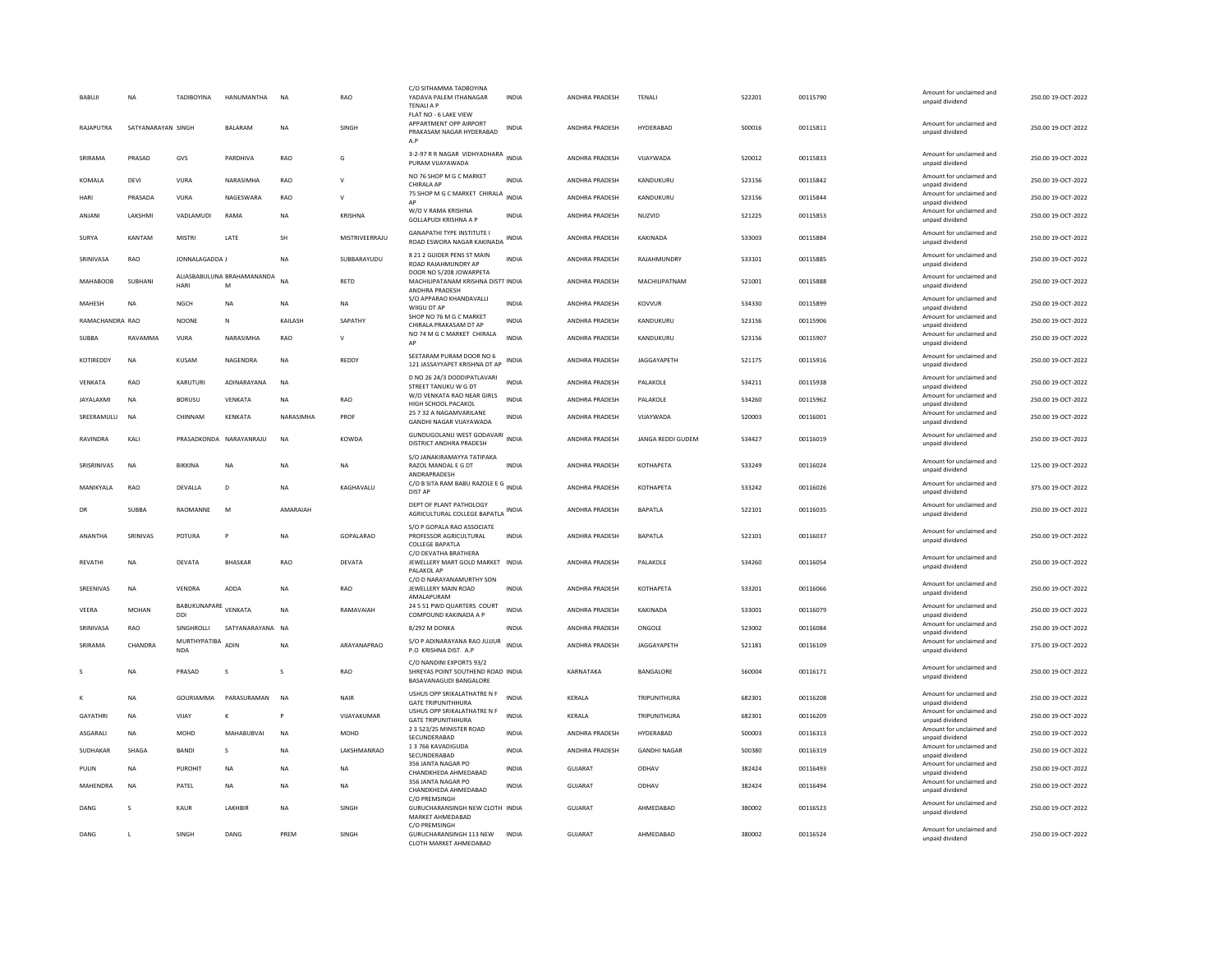| <b>BABUJ</b>     | <b>NA</b>          | <b>TADIBOYINA</b>          | HANUMANTHA                      | N <sub>A</sub> | RAO            | C/O SITHAMMA TADBOYINA<br>YADAVA PALEM ITHANAGAR<br><b>TFNAILAP</b>                     | <b>INDIA</b> | ANDHRA PRADESH        | TENAL               | 522201 | 00115790 | Amount for unclaimed and<br>unpaid dividend | 250.00 19-OCT-2022 |
|------------------|--------------------|----------------------------|---------------------------------|----------------|----------------|-----------------------------------------------------------------------------------------|--------------|-----------------------|---------------------|--------|----------|---------------------------------------------|--------------------|
| RAJAPUTRA        | SATYANARAYAN SINGH |                            | BALARAM                         | N <sub>A</sub> | SINGH          | FLAT NO - 6 LAKE VIEW<br>APPARTMENT OPP AIRPORT<br>PRAKASAM NAGAR HYDERABAD<br>A.P      | <b>INDIA</b> | ANDHRA PRADESH        | HYDERABAD           | 500016 | 00115811 | Amount for unclaimed and<br>unpaid dividend | 250.00 19-OCT-2022 |
| SRIRAMA          | PRASAD             | GVS                        | PARDHIVA                        | RAO            | G              | 3-2-97 R R NAGAR VIDHYADHARA<br>PURAM VIJAYAWADA                                        | <b>INDIA</b> | ANDHRA PRADESH        | VIJAYWADA           | 520012 | 00115833 | Amount for unclaimed and<br>unpaid dividend | 250.00 19-OCT-2022 |
| KOMALA           | DEVI               | VURA                       | NARASIMHA                       | <b>RAO</b>     | $\mathbf{v}$   | NO 76 SHOP M G C MARKET<br>CHIRALA AP                                                   | <b>INDIA</b> | ANDHRA PRADESH        | KANDUKURU           | 523156 | 00115842 | Amount for unclaimed and<br>unpaid dividend | 250.00 19-OCT-2022 |
| <b>HARI</b>      | PRASADA            | VURA                       | NAGESWARA                       | RAO            | $\mathsf{V}$   | 75 SHOP M G C MARKET CHIRALA<br>AP                                                      | <b>INDIA</b> | ANDHRA PRADESH        | KANDUKURU           | 523156 | 00115844 | Amount for unclaimed and<br>unpaid dividend | 250.00 19-OCT-2022 |
| ANJANI           | LAKSHMI            | VADLAMUDI                  | RAMA                            | <b>NA</b>      | KRISHNA        | W/O V RAMA KRISHNA<br><b>GOLLAPUDI KRISHNA A P</b>                                      | <b>INDIA</b> | ANDHRA PRADESH        | NUZVID              | 521225 | 00115853 | Amount for unclaimed and<br>unpaid dividend | 250.00 19-OCT-2022 |
| SURYA            | KANTAM             | MISTRI                     | LATE                            | SH             | MISTRIVEERRAJU | <b>GANAPATHI TYPE INSTITUTE I</b><br>ROAD ESWORA NAGAR KAKINADA                         | INDIA        | ANDHRA PRADESH        | KAKINADA            | 533003 | 00115884 | Amount for unclaimed and<br>unpaid dividend | 250.00 19-OCT-2022 |
| SRINIVASA        | RAO                | JONNALAGADDA J             |                                 | <b>NA</b>      | SUBBARAYUDU    | 8 21 2 GUIDER PENS ST MAIN<br>ROAD RAJAHMUNDRY AP                                       | <b>INDIA</b> | <b>ANDHRA PRADESH</b> | RAIAHMUNDRY         | 533101 | 00115885 | Amount for unclaimed and<br>unpaid dividend | 250.00 19-OCT-2022 |
| <b>MAHABOOB</b>  | SUBHAN             | HARI                       | ALIASBABULUNA BRAHAMANANDA<br>M | N <sub>A</sub> | <b>RETD</b>    | DOOR NO 5/208 JOWARPETA<br>MACHILIPATANAM KRISHNA DISTT INDIA<br><b>ANDHRA PRADESH</b>  |              | <b>ANDHRA PRADESH</b> | MACHILIPATNAM       | 521001 | 00115888 | Amount for unclaimed and<br>unpaid dividend | 250.00 19-OCT-2022 |
| MAHESH           | <b>NA</b>          | NGCH                       | <b>NA</b>                       | NA             | <b>NA</b>      | S/O APPARAO KHANDAVALLI<br>WIIGU DT AP                                                  | <b>INDIA</b> | ANDHRA PRADESH        | KOVVUR              | 534330 | 00115899 | Amount for unclaimed and<br>unpaid dividend | 250.00 19-OCT-2022 |
| RAMACHANDRA RAO  |                    | <b>NOONE</b>               | N                               | KAILASH        | SAPATHY        | SHOP NO 76 M G C MARKET<br>CHIRALA PRAKASAM DT AP                                       | <b>INDIA</b> | ANDHRA PRADESH        | KANDUKURU           | 523156 | 00115906 | Amount for unclaimed and<br>unpaid dividend | 250.00 19-OCT-2022 |
| <b>SUBBA</b>     | RAVAMMA            | VURA                       | NARASIMHA                       | RAO            | $\mathsf{V}$   | NO 74 M G C MARKET CHIRALA                                                              | <b>INDIA</b> | ANDHRA PRADESH        | KANDUKURU           | 523156 | 00115907 | Amount for unclaimed and<br>unpaid dividend | 250.00 19-OCT-2022 |
| KOTIREDDY        | <b>NA</b>          | KUSAM                      | NAGENDRA                        | <b>NA</b>      | REDDY          | SEETARAM PURAM DOOR NO 6<br>121 JASSAYYAPET KRISHNA DT AP                               | <b>INDIA</b> | <b>ANDHRA PRADESH</b> | JAGGAYAPETH         | 521175 | 00115916 | Amount for unclaimed and<br>unpaid dividend | 250.00 19-OCT-2022 |
| <b>VENKATA</b>   | RAO                | KARUTURI                   | ADINARAYANA                     | <b>NA</b>      |                | D NO 26 24/3 DODDIPATLAVARI<br>STREET TANUKU W G DT                                     | <b>INDIA</b> | <b>ANDHRA PRADESH</b> | PALAKOLE            | 534211 | 00115938 | Amount for unclaimed and<br>unpaid dividend | 250.00 19-OCT-2022 |
| <b>JAYALAXMI</b> | <b>NA</b>          | <b>BORUSU</b>              | VENKATA                         | <b>NA</b>      | RAO            | W/O VENKATA RAO NEAR GIRLS<br>HIGH SCHOOL PACAKOL                                       | <b>INDIA</b> | ANDHRA PRADESH        | PALAKOLE            | 534260 | 00115962 | Amount for unclaimed and<br>unpaid dividend | 250.00 19-OCT-2022 |
| SREERAMULU       | <b>NA</b>          | CHINNAM                    | KENKATA                         | NARASIMHA      | PROF           | 25 7 32 A NAGAMVARILANE<br><b>GANDHI NAGAR VIJAYAWADA</b>                               | <b>INDIA</b> | ANDHRA PRADESH        | VIJAYWADA           | 520003 | 00116001 | Amount for unclaimed and<br>unpaid dividend | 250.00 19-OCT-2022 |
| RAVINDRA         | KALI               | PRASADKONDA NARAYANRAJU    |                                 | <b>NA</b>      | KOWDA          | GUNDUGOLANU WEST GODAVARI<br>DISTRICT ANDHRA PRADESH                                    | <b>INDIA</b> | ANDHRA PRADESH        | JANGA REDDI GUDEM   | 534427 | 00116019 | Amount for unclaimed and<br>unpaid dividend | 250.00 19-OCT-2022 |
| SRISRINIVAS      | <b>NA</b>          | BIKKINA                    | <b>NA</b>                       | N <sub>A</sub> | <b>NA</b>      | S/O JANAKIRAMAYYA TATIPAKA<br>RAZOL MANDAL E G DT<br>ANDRAPRADESH                       | <b>INDIA</b> | ANDHRA PRADESH        | <b>КОТНАРЕТА</b>    | 533249 | 00116024 | Amount for unclaimed and<br>unpaid dividend | 125.00 19-OCT-2022 |
| MANIKYALA        | RAO                | DEVALLA                    | D                               | <b>NA</b>      | KAGHAVALU      | C/O B SITA RAM BABU RAZOLE E G INDIA<br>DIST AP                                         |              | ANDHRA PRADESH        | KOTHAPETA           | 533242 | 00116026 | Amount for unclaimed and<br>unpaid dividend | 375.00 19-OCT-2022 |
| DR               | <b>SUBBA</b>       | RAOMANNE                   | M                               | AMARAIAH       |                | DEPT OF PLANT PATHOLOGY<br>AGRICULTURAL COLLEGE BAPATLA                                 | <b>INDIA</b> | ANDHRA PRADESH        | <b>BAPATLA</b>      | 522101 | 00116035 | Amount for unclaimed and<br>unpaid dividend | 250.00 19-OCT-2022 |
| ANANTHA          | SRINIVAS           | POTURA                     |                                 | N <sub>A</sub> | GOPALARAO      | S/O P GOPALA RAO ASSOCIATE<br>PROFESSOR AGRICULTURAL<br><b>COLLEGE BAPATLA</b>          | <b>INDIA</b> | <b>ANDHRA PRADESH</b> | BAPATLA             | 522101 | 00116037 | Amount for unclaimed and<br>unpaid dividend | 250.00 19-OCT-2022 |
| REVATHI          | NA                 | DEVATA                     | <b>BHASKAR</b>                  | RAO            | DEVATA         | C/O DEVATHA BRATHERA<br>JEWELLERY MART GOLD MARKET INDIA<br>PALAKOL AP                  |              | ANDHRA PRADESH        | PALAKOLE            | 534260 | 00116054 | Amount for unclaimed and<br>unpaid dividend | 250.00 19-OCT-2022 |
| SREENIVAS        | <b>NA</b>          | VENDRA                     | ADDA                            | <b>NA</b>      | RAO            | C/O D NARAYANAMURTHY SON<br>JEWELLERY MAIN ROAD                                         | <b>INDIA</b> | ANDHRA PRADESH        | <b>КОТНАРЕТА</b>    | 533201 | 00116066 | Amount for unclaimed and                    | 250.00 19-OCT-2022 |
| VEERA            | MOHAN              | BABUKUNAPARE VENKATA       |                                 | NA             | RAMAVAIAH      | AMALAPURAM<br>24 5 51 PWD QUARTERS COURT                                                | <b>INDIA</b> | ANDHRA PRADESH        | KAKINADA            | 533001 | 00116079 | unpaid dividend<br>Amount for unclaimed and | 250.00 19-OCT-2022 |
|                  |                    | DDI                        |                                 |                |                | COMPOUND KAKINADA A P                                                                   |              |                       |                     |        |          | unpaid dividend<br>Amount for unclaimed and |                    |
| SRINIVASA        | RAO                | SINGHROLLI<br>MURTHYPATIBA | SATYANARAYANA NA                |                |                | 8/292 M DONKA<br>S/O P ADINARAYANA RAO JUJJUR                                           | <b>INDIA</b> | ANDHRA PRADESH        | ONGOLE              | 523002 | 00116084 | unpaid dividend<br>Amount for unclaimed and | 250.00 19-OCT-2022 |
| SRIRAMA          | CHANDRA            | <b>NDA</b>                 | ADIN                            | <b>NA</b>      | ARAYANAPRAO    | P.O. KRISHNA DIST. A.P.                                                                 | <b>INDIA</b> | <b>ANDHRA PRADESH</b> | JAGGAYAPETH         | 521181 | 00116109 | unpaid dividend                             | 375.00 19-OCT-2022 |
|                  | <b>NA</b>          | PRASAD                     | <sub>S</sub>                    | s              | RAO            | C/O NANDINI EXPORTS 93/2<br>SHREYAS POINT SOUTHEND ROAD INDIA<br>BASAVANAGUDI BANGALORE |              | KARNATAKA             | BANGALORE           | 560004 | 00116171 | Amount for unclaimed and<br>unpaid dividend | 250.00 19-OCT-2022 |
|                  | <b>NA</b>          | GOURIAMMA                  | PARASURAMAN                     | N <sub>A</sub> | <b>NAIR</b>    | USHUS OPP SRIKALATHATRE N F<br><b>GATE TRIPUNITHHURA</b>                                | <b>INDIA</b> | KERALA                | TRIPUNITHURA        | 682301 | 00116208 | Amount for unclaimed and<br>unpaid dividend | 250.00 19-OCT-2022 |
| <b>GAYATHRI</b>  | NA                 | VIJAY                      |                                 |                | VIJAYAKUMAR    | USHUS OPP SRIKALATHATRE N F<br><b>GATE TRIPUNITHHURA</b>                                | <b>INDIA</b> | KERALA                | TRIPUNITHURA        | 682301 | 00116209 | Amount for unclaimed and<br>unpaid dividend | 250.00 19-OCT-2022 |
| ASGARALI         | <b>NA</b>          | MOHD                       | MAHABUBVAI                      | N <sub>A</sub> | <b>MOHD</b>    | 2 3 523/25 MINISTER ROAD<br>SECUNDERABAD                                                | <b>INDIA</b> | ANDHRA PRADESH        | HYDERABAD           | 500003 | 00116313 | Amount for unclaimed and<br>unpaid dividend | 250.00 19-OCT-2022 |
| SUDHAKAR         | SHAGA              | <b>BANDI</b>               | s                               | NA             | LAKSHMANRAO    | 13766 KAVADIGUDA                                                                        | <b>INDIA</b> | <b>ANDHRA PRADESH</b> | <b>GANDHI NAGAR</b> | 500380 | 00116319 | Amount for unclaimed and                    | 250.00 19-OCT-2022 |
| PULIN            | NA                 | PUROHIT                    | NA                              | NΑ             | NA             | SECUNDERABAD<br>356 JANTA NAGAR PC                                                      | INDIA        | <b>GUJARAT</b>        | ODHAV               | 382424 | 00116493 | unpaid dividend<br>Amount for unclaimed and | 250.00 19-OCT-2022 |
| <b>MAHFNDRA</b>  | <b>NA</b>          | PATEL                      | <b>NA</b>                       | <b>NA</b>      | <b>NA</b>      | CHANDKHEDA AHMEDARAD<br>356 JANTA NAGAR PO                                              | <b>INDIA</b> | GUIARAT               | ODHAV               | 382424 | 00116494 | unpaid dividend<br>Amount for unclaimed and | 250.00 19-OCT-2022 |
|                  |                    |                            |                                 |                |                | CHANDKHEDA AHMEDABAD<br>C/O PREMSINGH                                                   |              |                       |                     |        |          | unpaid dividend<br>Amount for unclaimed and |                    |
| DANG             | <sub>S</sub>       | KAUR                       | <b>LAKHRIF</b>                  | <b>NA</b>      | SINGH          | GURUCHARANSINGH NEW CLOTH INDIA<br>MARKET AHMEDABAD                                     |              | GUJARAT               | AHMEDABAD           | 380002 | 00116523 | unpaid dividend                             | 250.00 19-OCT-2022 |
| DANG             | $\blacksquare$     | <b>SINGH</b>               | DANG                            | PRFM           | SINGH          | C/O PREMSINGH<br>GURUCHARANSINGH 113 NEW<br>CLOTH MARKET AHMEDABAD                      | <b>INDIA</b> | GUIARAT               | AHMEDARAD           | 380002 | 00116524 | Amount for unclaimed and<br>unpaid dividend | 250.00.19-OCT-2022 |
|                  |                    |                            |                                 |                |                |                                                                                         |              |                       |                     |        |          |                                             |                    |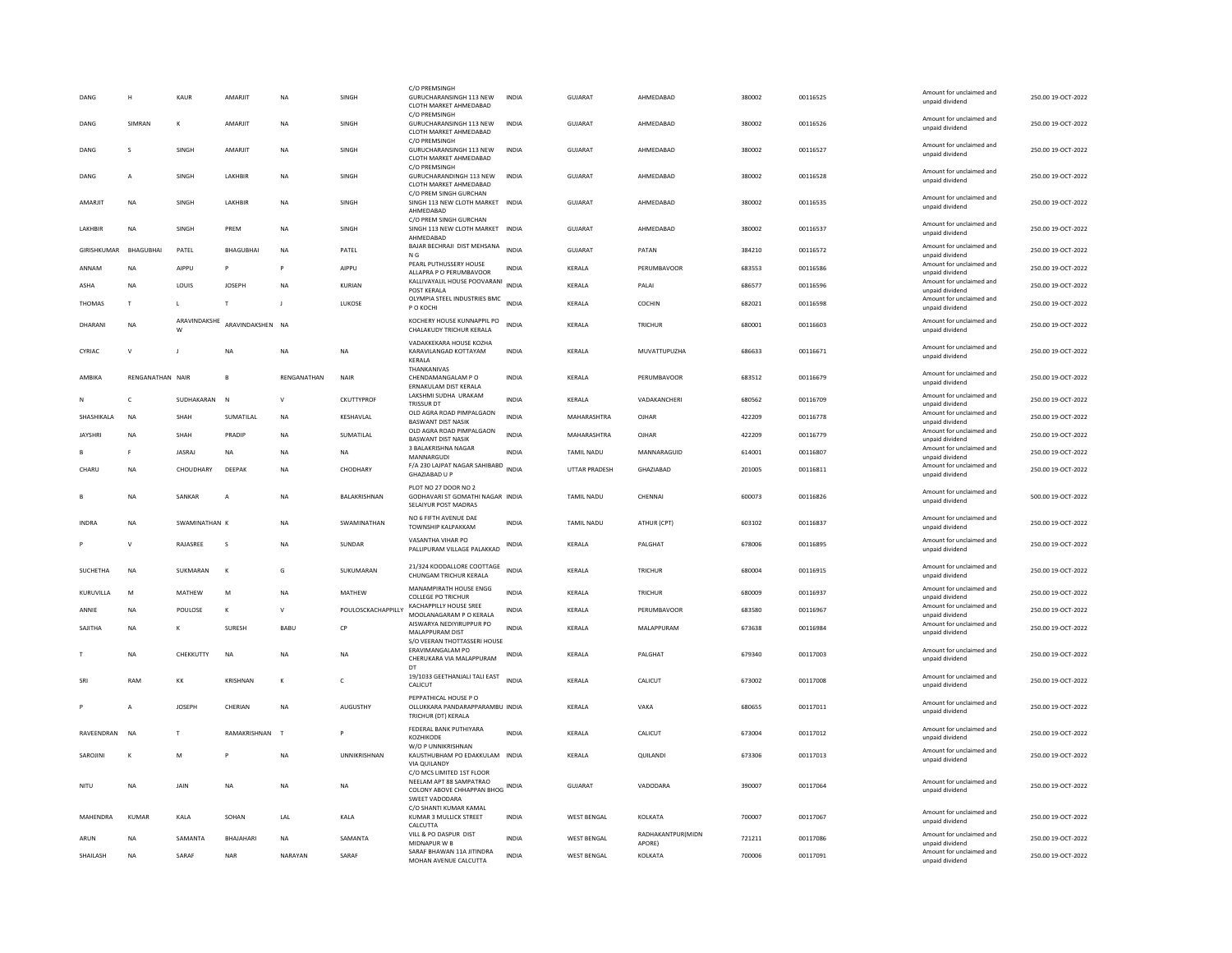| DANG            | н                | KAUR              | AMARJIT          | <b>NA</b>    | SINGH              | C/O PREMSINGH<br>GURUCHARANSINGH 113 NEW                                                             | <b>INDIA</b> | <b>GUJARAT</b>       | AHMEDABAD         | 380002 | 00116525 | Amount for unclaimed and<br>unpaid dividend | 250.00 19-OCT-2022 |
|-----------------|------------------|-------------------|------------------|--------------|--------------------|------------------------------------------------------------------------------------------------------|--------------|----------------------|-------------------|--------|----------|---------------------------------------------|--------------------|
|                 |                  |                   |                  |              |                    | CLOTH MARKET AHMEDABAD<br>C/O PREMSINGH                                                              |              |                      |                   |        |          |                                             |                    |
| DANG            | SIMRAN           | ĸ                 | <b>AMARIIT</b>   | <b>NA</b>    | SINGH              | GURUCHARANSINGH 113 NEW<br>CLOTH MARKET AHMEDABAD<br>C/O PREMSINGH                                   | <b>INDIA</b> | GUIARAT              | AHMEDARAD         | 380002 | 00116526 | Amount for unclaimed and<br>unpaid dividend | 250.00.19-OCT-2022 |
| DANG            | <sub>S</sub>     | <b>SINGH</b>      | <b>AMARIIT</b>   | <b>NA</b>    | <b>SINGH</b>       | GURUCHARANSINGH 113 NEW<br>CLOTH MARKET AHMEDABAD                                                    | <b>INDIA</b> | GUIARAT              | AHMEDARAD         | 380002 | 00116527 | Amount for unclaimed and<br>unpaid dividend | 250.00 19-OCT-2022 |
| DANG            | A                | <b>SINGH</b>      | <b>LAKHBIR</b>   | <b>NA</b>    | SINGH              | C/O PREMSINGH<br>GURUCHARANDINGH 113 NEW<br>CLOTH MARKET AHMEDABAD                                   | <b>INDIA</b> | <b>GUJARAT</b>       | AHMEDABAD         | 380002 | 00116528 | Amount for unclaimed and<br>unpaid dividend | 250.00 19-OCT-2022 |
| AMARJIT         | <b>NA</b>        | <b>SINGH</b>      | <b>LAKHBIR</b>   | <b>NA</b>    | SINGH              | C/O PREM SINGH GURCHAN<br>SINGH 113 NEW CLOTH MARKET INDIA<br>AHMEDABAD                              |              | <b>GUJARAT</b>       | AHMEDARAD         | 380002 | 00116535 | Amount for unclaimed and<br>unpaid dividend | 250.00 19-OCT-2022 |
| <b>LAKHRIR</b>  | <b>NA</b>        | <b>SINGH</b>      | PRFM             | <b>NA</b>    | SINGH              | C/O PREM SINGH GURCHAN<br>SINGH 113 NEW CLOTH MARKET INDIA<br>AHMEDABAD                              |              | <b>GUJARAT</b>       | AHMEDARAD         | 380002 | 00116537 | Amount for unclaimed and<br>unpaid dividend | 250.00 19-OCT-2022 |
| GIRISHKUMAR     | BHAGUBHAI        | PATEL             | <b>BHAGUBHAI</b> | <b>NA</b>    | PATEL              | BAJAR BECHRAJI DIST MEHSANA<br>N <sub>G</sub>                                                        | <b>INDIA</b> | <b>GUJARAT</b>       | PATAN             | 384210 | 00116572 | Amount for unclaimed and<br>unpaid dividend | 250.00 19-OCT-2022 |
| ANNAM           | NA               | AIPPU             | <b>P</b>         | P            | AIPPU              | PEARL PUTHUSSERY HOUSE<br>ALLAPRA P O PERUMBAVOOR                                                    | <b>INDIA</b> | KERALA               | PERUMBAVOOR       | 683553 | 00116586 | Amount for unclaimed and<br>unpaid dividend | 250.00 19-OCT-2022 |
| ASHA            | <b>NA</b>        | <b>LOUIS</b>      | <b>IOSEPH</b>    | <b>NA</b>    | KURIAN             | KALLIVAYALIL HOUSE POOVARANI<br>POST KERALA                                                          | <b>INDIA</b> | <b>KFRAIA</b>        | PAI AI            | 686577 | 00116596 | Amount for unclaimed and<br>unpaid dividend | 250.00 19-OCT-2022 |
| THOMAS          | T                | L.                | T                |              | LUKOSE             | OLYMPIA STEEL INDUSTRIES BMC<br>P O KOCHI                                                            | <b>INDIA</b> | KERALA               | COCHIN            | 682021 | 00116598 | Amount for unclaimed and<br>unpaid dividend | 250.00 19-OCT-2022 |
| DHARANI         | <b>NA</b>        | ARAVINDAKSHE<br>W | ARAVINDAKSHEN NA |              |                    | KOCHERY HOUSE KUNNAPPIL PO<br>CHALAKUDY TRICHUR KERALA                                               | <b>INDIA</b> | KERALA               | <b>TRICHUR</b>    | 680001 | 00116603 | Amount for unclaimed and<br>unpaid dividend | 250.00 19-OCT-2022 |
| CYRIAC          | $\mathsf{v}$     | J                 | NA               | <b>NA</b>    | <b>NA</b>          | VADAKKEKARA HOUSE KOZHA<br>KARAVILANGAD KOTTAYAM<br>KERALA                                           | <b>INDIA</b> | KERALA               | MUVATTUPUZHA      | 686633 | 00116671 | Amount for unclaimed and<br>unpaid dividend | 250.00 19-OCT-2022 |
| AMBIKA          | RENGANATHAN NAIR |                   | $\mathbf{B}$     | RENGANATHAN  | NAIR               | THANKANIVAS<br>CHENDAMANGALAM P O<br>ERNAKULAM DIST KERALA                                           | <b>INDIA</b> | KERALA               | PERUMBAVOOR       | 683512 | 00116679 | Amount for unclaimed and<br>unpaid dividend | 250.00 19-OCT-2022 |
|                 | $\mathsf{C}$     | SUDHAKARAN        | $\mathbb{N}$     | $\mathbf{v}$ | CKUTTYPROF         | LAKSHMI SUDHA URAKAM<br>TRISSUR DT                                                                   | <b>INDIA</b> | KERALA               | VADAKANCHERI      | 680562 | 00116709 | Amount for unclaimed and<br>unpaid dividend | 250.00 19-OCT-2022 |
| SHASHIKALA      | NA               | SHAH              | SUMATILAL        | <b>NA</b>    | KESHAVLAL          | OLD AGRA ROAD PIMPALGAON<br><b>BASWANT DIST NASIK</b>                                                | <b>INDIA</b> | MAHARASHTRA          | OJHAR             | 422209 | 00116778 | Amount for unclaimed and<br>unnaid dividend | 250.00 19-OCT-2022 |
| <b>JAYSHRI</b>  | <b>NA</b>        | SHAH              | PRADIE           | <b>NA</b>    | SUMATILAL          | OLD AGRA ROAD PIMPALGAON<br><b>BASWANT DIST NASIK</b>                                                | <b>INDIA</b> | MAHARASHTRA          | OJHAR             | 422209 | 00116779 | Amount for unclaimed and<br>unpaid dividend | 250.00 19-OCT-2022 |
|                 | F                | <b>JASRAJ</b>     | <b>NA</b>        | <b>NA</b>    | <b>NA</b>          | 3 BALAKRISHNA NAGAR<br>MANNARGUDI                                                                    | <b>INDIA</b> | TAMIL NADU           | MANNARAGUID       | 614001 | 00116807 | Amount for unclaimed and<br>unpaid dividend | 250.00 19-OCT-2022 |
| CHARU           | NA               | CHOUDHARY         | DEEPAK           | <b>NA</b>    | CHODHARY           | F/A 230 LAJPAT NAGAR SAHIBABD                                                                        | INDIA        | <b>UTTAR PRADESH</b> | GHAZIABAD         | 201005 | 00116811 | Amount for unclaimed and                    | 250.00 19-OCT-2022 |
|                 |                  |                   |                  |              |                    | GHAZIABAD U P                                                                                        |              |                      |                   |        |          | unpaid dividend                             |                    |
|                 | <b>NA</b>        | SANKAR            | $\overline{A}$   | <b>NA</b>    | BALAKRISHNAN       | PLOT NO 27 DOOR NO 2<br>GODHAVARI ST GOMATHI NAGAR INDIA<br>SELAIYUR POST MADRAS                     |              | TAMIL NADU           | CHENNAL           | 600073 | 00116826 | Amount for unclaimed and<br>unpaid dividend | 500.00 19-OCT-2022 |
| <b>INDRA</b>    | NA               | SWAMINATHAN K     |                  | <b>NA</b>    | SWAMINATHAN        | NO 6 FIFTH AVENUE DAE<br>TOWNSHIP KALPAKKAM                                                          | <b>INDIA</b> | <b>TAMIL NADU</b>    | ATHUR (CPT)       | 603102 | 00116837 | Amount for unclaimed and<br>unpaid dividend | 250.00 19-OCT-2022 |
|                 | $\mathsf{v}$     | <b>RAIASREE</b>   | $\mathbf{s}$     | <b>NA</b>    | SUNDAR             | VASANTHA VIHAR PO<br>PALLIPURAM VILLAGE PALAKKAD                                                     | <b>INDIA</b> | <b>KFRAIA</b>        | <b>PAI GHAT</b>   | 678006 | 00116895 | Amount for unclaimed and<br>unpaid dividend | 250.00 19-OCT-2022 |
| <b>SUCHETHA</b> | <b>NA</b>        | SUKMARAN          | $\kappa$         | G            | SUKUMARAN          | 21/324 KOODALLORE COOTTAGE<br>CHUNGAM TRICHUR KERALA                                                 | <b>INDIA</b> | <b>KFRAIA</b>        | TRICHUR           | 680004 | 00116915 | Amount for unclaimed and<br>unpaid dividend | 250.00 19-OCT-2022 |
| KURUVILLA       | M                | MATHEW            | M                | <b>NA</b>    | <b>MATHEW</b>      | MANAMPIRATH HOUSE ENGG<br><b>COLLEGE PO TRICHUR</b>                                                  | <b>INDIA</b> | KERALA               | <b>TRICHUR</b>    | 680009 | 00116937 | Amount for unclaimed and<br>unpaid dividend | 250.00 19-OCT-2022 |
| ANNIF           | <b>NA</b>        | POULOSE           | $\kappa$         | $\mathsf{V}$ | POULOSCKACHAPPILLY | <b>KACHAPPILLY HOUSE SREE</b><br>MOOLANAGARAM P O KERALA                                             | <b>INDIA</b> | KERALA               | PERUMBAVOOR       | 683580 | 00116967 | Amount for unclaimed and<br>unpaid dividend | 250.00 19-OCT-2022 |
| SAJITHA         | NA               |                   | SURESH           | BABU         | CP                 | AISWARYA NEDIYIRUPPUR PO<br>MALAPPURAM DIST<br>S/O VEERAN THOTTASSERI HOUSE                          | <b>INDIA</b> | KERALA               | MALAPPURAM        | 673638 | 00116984 | Amount for unclaimed and<br>unpaid dividend | 250.00 19-OCT-2022 |
|                 | <b>NA</b>        | CHEKKUTTY         | <b>NA</b>        | <b>NA</b>    | <b>NA</b>          | <b>ERAVIMANGALAM PO</b><br>CHERUKARA VIA MALAPPURAM                                                  | <b>INDIA</b> | KERALA               | PALGHAT           | 679340 | 00117003 | Amount for unclaimed and<br>unpaid dividend | 250.00 19-OCT-2022 |
| SRI             | RAM              | KK                | KRISHNAN         | $\kappa$     | $\epsilon$         | DT<br>19/1033 GEETHANJALI TALI EAST<br>CALICUT                                                       | <b>INDIA</b> | <b>KFRAIA</b>        | CALICUT           | 673002 | 00117008 | Amount for unclaimed and<br>unpaid dividend | 250.00.19-OCT-2022 |
|                 | A                | <b>IOSEPH</b>     | CHERIAN          | <b>NA</b>    | <b>AUGUSTHY</b>    | PEPPATHICAL HOUSE PO<br>OLLUKKARA PANDARAPPARAMBU INDIA<br>TRICHUR (DT) KERALA                       |              | <b>KFRAIA</b>        | VAKA              | 680655 | 00117011 | Amount for unclaimed and<br>unpaid dividend | 250.00.19-OCT-2022 |
| RAVEENDRAN      | <b>NA</b>        | T                 | RAMAKRISHNAN     | T            | P                  | FEDERAL BANK PUTHIYARA<br>KOZHIKODE                                                                  | <b>INDIA</b> | KERALA               | CALICUT           | 673004 | 00117012 | Amount for unclaimed and<br>unpaid dividend | 250.00 19-OCT-2022 |
| SAROJIN         | K                | M                 |                  | NA           | UNNIKRISHNAN       | W/O P UNNIKRISHNAN<br>KAUSTHUBHAM PO EDAKKULAM INDIA<br><b>VIA QUILANDY</b>                          |              | KERALA               | QUILANDI          | 673306 | 00117013 | Amount for unclaimed and<br>unpaid dividend | 250.00 19-OCT-2022 |
| NITU            | <b>NA</b>        | JAIN              | <b>NA</b>        | <b>NA</b>    | <b>NA</b>          | C/O MCS LIMITED 1ST FLOOR<br>NEELAM APT 88 SAMPATRAO<br>COLONY ABOVE CHHAPPAN BHOG<br>SWEET VADODARA | INDIA        | <b>GUJARAT</b>       | VADODARA          | 390007 | 00117064 | Amount for unclaimed and<br>unpaid dividend | 250.00 19-OCT-2022 |
| MAHENDRA        | KUMAR            | KAI A             | SOHAN            | I AI         | KAI A              | C/O SHANTI KUMAR KAMAL<br>KUMAR 3 MULLICK STREET                                                     | <b>INDIA</b> | <b>WEST BENGAL</b>   | KOI KATA          | 700007 | 00117067 | Amount for unclaimed and<br>unpaid dividend | 250.00.19-QCT-2022 |
| ARUN            | NA               | SAMANTA           | BHAJAHARI        | <b>NA</b>    | SAMANTA            | CALCUTTA<br>VILL & PO DASPUR DIST                                                                    | <b>INDIA</b> | <b>WEST BENGAL</b>   | RADHAKANTPUR(MIDN | 721211 | 00117086 | Amount for unclaimed and                    | 250.00 19-OCT-2022 |
|                 | <b>NA</b>        | SARAF             | <b>NAR</b>       | NARAYAN      | SARAF              | MIDNAPUR W B<br>SARAF BHAWAN 11A JITINDRA                                                            | <b>INDIA</b> | <b>WEST BENGAL</b>   | APORE)<br>KOLKATA | 700006 | 00117091 | unnaid dividend<br>Amount for unclaimed and | 250.00 19-OCT-2022 |
| SHAILASH        |                  |                   |                  |              |                    | MOHAN AVENUE CALCUTTA                                                                                |              |                      |                   |        |          | unpaid dividend                             |                    |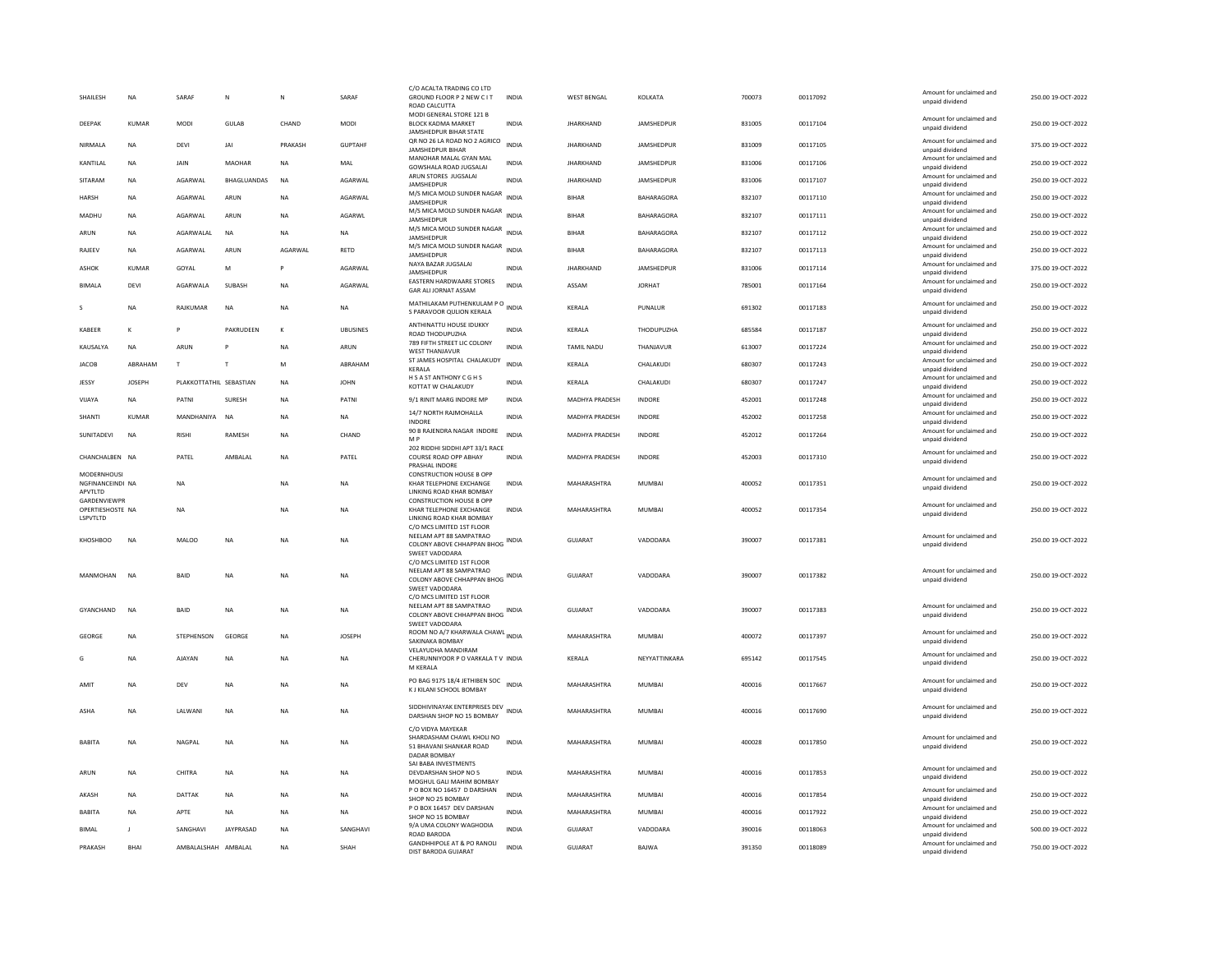| SHAILESH                                          | <b>NA</b>     | SARAF                   | N             | $\mathsf{N}$ | SARAF           | C/O ACALTA TRADING CO LTD<br>GROUND FLOOR P 2 NEW C IT<br>ROAD CALCUTTA                               | <b>INDIA</b> | <b>WEST BENGAL</b>    | KOLKATA           | 700073 | 00117092 | Amount for unclaimed and<br>unpaid dividend                    | 250.00 19-OCT-2022 |
|---------------------------------------------------|---------------|-------------------------|---------------|--------------|-----------------|-------------------------------------------------------------------------------------------------------|--------------|-----------------------|-------------------|--------|----------|----------------------------------------------------------------|--------------------|
| DEEPAK                                            | <b>KUMAR</b>  | <b>MODI</b>             | <b>GULAB</b>  | CHAND        | <b>MODI</b>     | MODI GENERAL STORE 121 B<br>BLOCK KADMA MARKET<br>JAMSHEDPUR BIHAR STATE                              | <b>INDIA</b> | <b>JHARKHAND</b>      | JAMSHEDPUR        | 831005 | 00117104 | Amount for unclaimed and<br>unpaid dividend                    | 250.00 19-OCT-2022 |
| NIRMALA                                           | <b>NA</b>     | DEVI                    | JAI           | PRAKASH      | <b>GUPTAHF</b>  | QR NO 26 LA ROAD NO 2 AGRICO<br><b>IAMSHEDPUR BIHAR</b>                                               | <b>INDIA</b> | <b>JHARKHAND</b>      | JAMSHEDPUR        | 831009 | 00117105 | Amount for unclaimed and<br>unnaid dividend                    | 375.00 19-OCT-2022 |
| KANTILAL                                          | <b>NA</b>     | JAIN                    | <b>MAOHAR</b> | <b>NA</b>    | MAL             | MANOHAR MALAL GYAN MAL<br>GOWSHALA ROAD JUGSALAI                                                      | <b>INDIA</b> | <b>JHARKHAND</b>      | <b>JAMSHEDPUR</b> | 831006 | 00117106 | Amount for unclaimed and<br>unpaid dividend                    | 250.00 19-OCT-2022 |
| SITARAM                                           | <b>NA</b>     | AGARWAL                 | BHAGLUANDAS   | <b>NA</b>    | AGARWAL         | ARUN STORES JUGSALAI<br>JAMSHEDPUR                                                                    | INDIA        | <b>JHARKHAND</b>      | JAMSHEDPUR        | 831006 | 00117107 | Amount for unclaimed and<br>unpaid dividend                    | 250.00 19-OCT-2022 |
| <b>HARSH</b>                                      | <b>NA</b>     | AGARWAL                 | ARUN          | <b>NA</b>    | AGARWAL         | M/S MICA MOLD SUNDER NAGAR<br>JAMSHEDPUR                                                              | INDIA        | <b>BIHAR</b>          | <b>BAHARAGORA</b> | 832107 | 00117110 | Amount for unclaimed and<br>unpaid dividend                    | 250.00 19-OCT-2022 |
| MADHU                                             | <b>NA</b>     | AGARWAL                 | ARUN          | <b>NA</b>    | AGARWL          | M/S MICA MOLD SUNDER NAGAR INDIA<br>JAMSHEDPUR                                                        |              | <b>BIHAR</b>          | BAHARAGORA        | 832107 | 00117111 | Amount for unclaimed and<br>unpaid dividend                    | 250.00 19-OCT-2022 |
| ARUN                                              | <b>NA</b>     | AGARWALAL               | <b>NA</b>     | NA           | NA              | M/S MICA MOLD SUNDER NAGAR<br>JAMSHEDPUR                                                              | <b>INDIA</b> | <b>BIHAR</b>          | BAHARAGORA        | 832107 | 00117112 | Amount for unclaimed and<br>unpaid dividend                    | 250.00 19-OCT-2022 |
| RAJEEV                                            | <b>NA</b>     | AGARWAL                 | ARUN          | AGARWAL      | RETD            | M/S MICA MOLD SUNDER NAGAR<br>JAMSHEDPUF                                                              | <b>INDIA</b> | <b>BIHAR</b>          | BAHARAGORA        | 832107 | 00117113 | Amount for unclaimed and<br>unpaid dividend                    | 250.00 19-OCT-2022 |
| ASHOK                                             | <b>KUMAR</b>  | GOYAL                   | M             | P            | AGARWAL         | NAYA BAZAR JUGSALAI<br>JAMSHEDPUR                                                                     | <b>INDIA</b> | <b>JHARKHAND</b>      | JAMSHEDPUR        | 831006 | 00117114 | Amount for unclaimed and<br>unpaid dividend                    | 375.00 19-OCT-2022 |
| <b>BIMALA</b>                                     | DEVI          | AGARWALA                | SUBASH        | NA           | AGARWAL         | EASTERN HARDWAARE STORES<br>GAR ALI JORNAT ASSAM                                                      | INDIA        | ASSAM                 | <b>JORHAT</b>     | 785001 | 00117164 | Amount for unclaimed and<br>unpaid dividend                    | 250.00 19-OCT-2022 |
| s                                                 | <b>NA</b>     | RAJKUMAR                | NA            | NA           | NA              | MATHILAKAM PUTHENKULAM PO                                                                             |              | KERALA                | PUNALUR           | 691302 | 00117183 | Amount for unclaimed and                                       | 250.00 19-OCT-2022 |
|                                                   |               |                         |               |              |                 | S PARAVOOR QULION KERALA<br>ANTHINATTU HOUSE IDUKKY                                                   |              |                       |                   |        |          | unpaid dividend<br>Amount for unclaimed and                    |                    |
| KABEER                                            | $\kappa$      |                         | PAKRUDEEN     | $\kappa$     | <b>UBUSINES</b> | ROAD THODUPUZHA                                                                                       | <b>INDIA</b> | KERALA                | THODUPUZHA        | 685584 | 00117187 | unpaid dividend                                                | 250.00 19-OCT-2022 |
| KAUSALYA                                          | <b>NA</b>     | ARUN                    |               | NA           | ARUN            | 789 FIFTH STREET LIC COLONY<br><b>WEST THANJAVUR</b>                                                  | <b>INDIA</b> | TAMIL NADU            | THANJAVUR         | 613007 | 00117224 | Amount for unclaimed and<br>unpaid dividend                    | 250.00 19-OCT-2022 |
| <b>JACOB</b>                                      | ABRAHAM       | T                       | $\mathsf{T}$  | M            | ABRAHAM         | ST JAMES HOSPITAL CHALAKUDY<br><b>KFRAIA</b>                                                          | <b>INDIA</b> | KERALA                | CHALAKUDI         | 680307 | 00117243 | Amount for unclaimed and<br>unpaid dividend                    | 250.00 19-OCT-2022 |
| JESSY                                             | <b>JOSEPH</b> | PLAKKOTTATHIL SEBASTIAN |               | <b>NA</b>    | <b>JOHN</b>     | H S A ST ANTHONY C G H S<br>KOTTAT W CHALAKUDY                                                        | <b>INDIA</b> | <b>KFRAIA</b>         | CHALAKUDI         | 680307 | 00117247 | Amount for unclaimed and<br>unpaid dividend                    | 250.00 19-OCT-2022 |
| VIJAYA                                            | <b>NA</b>     | PATNI                   | SURESH        | <b>NA</b>    | PATNI           | 9/1 RINIT MARG INDORE MP                                                                              | <b>INDIA</b> | MADHYA PRADESH        | <b>INDORE</b>     | 452001 | 00117248 | Amount for unclaimed and<br>unpaid dividend                    | 250.00 19-OCT-2022 |
| SHANTI                                            | KUMAR         | MANDHANIYA NA           |               | <b>NA</b>    | <b>NA</b>       | 14/7 NORTH RAJMOHALLA<br>INDORE                                                                       | <b>INDIA</b> | MADHYA PRADESH        | INDORE            | 452002 | 00117258 | Amount for unclaimed and<br>unpaid dividend                    | 250.00 19-OCT-2022 |
| SUNITADEVI                                        | <b>NA</b>     | <b>RISHI</b>            | RAMESH        | <b>NA</b>    | CHAND           | 90 B RAJENDRA NAGAR INDORE<br>M P                                                                     | INDIA        | MADHYA PRADESH        | INDORE            | 452012 | 00117264 | Amount for unclaimed and<br>unpaid dividend                    | 250.00 19-OCT-2022 |
| CHANCHALBEN NA                                    |               | PATEL                   | AMBALAL       | <b>NA</b>    | PATEL           | 202 RIDDHI SIDDHI APT 33/1 RACE<br>COURSE ROAD OPP ABHAY<br>PRASHAL INDORE                            | <b>INDIA</b> | <b>MADHYA PRADESH</b> | <b>INDORF</b>     | 452003 | 00117310 | Amount for unclaimed and<br>unpaid dividend                    | 250.00 19-OCT-2022 |
| <b>MODERNHOUSI</b><br>NGFINANCEINDI NA<br>APVTLTD |               | <b>NA</b>               |               | <b>NA</b>    | NA              | <b>CONSTRUCTION HOUSE B OPP</b><br>KHAR TELEPHONE EXCHANGE<br>LINKING ROAD KHAR BOMBAY                | INDIA        | MAHARASHTRA           | <b>MUMBAI</b>     | 400052 | 00117351 | Amount for unclaimed and<br>unpaid dividend                    | 250.00 19-OCT-2022 |
|                                                   |               |                         |               |              |                 |                                                                                                       |              |                       |                   |        |          |                                                                |                    |
| GARDENVIEWPR<br>OPERTIESHOSTE NA<br>LSPVTLTD      |               | <b>NA</b>               |               | <b>NA</b>    | NA              | <b>CONSTRUCTION HOUSE B OPP</b><br>KHAR TELEPHONE EXCHANGE<br>LINKING ROAD KHAR BOMBAY                | INDIA        | MAHARASHTRA           | MUMBAI            | 400052 | 00117354 | Amount for unclaimed and<br>unpaid dividend                    | 250.00 19-OCT-2022 |
| KHOSHBOO                                          | NA            | MALOO                   | <b>NA</b>     | <b>NA</b>    | NA              | C/O MCS LIMITED 1ST FLOOR<br>NEELAM APT 88 SAMPATRAO<br>COLONY ABOVE CHHAPPAN BHOG<br>SWEET VADODARA  | INDIA        | GUJARAT               | VADODARA          | 390007 | 00117381 | Amount for unclaimed and<br>unpaid dividend                    | 250.00 19-OCT-2022 |
| MANMOHAN                                          | <b>NA</b>     | <b>BAID</b>             | <b>NA</b>     | <b>NA</b>    | <b>NA</b>       | C/O MCS LIMITED 1ST FLOOR<br>NEELAM APT 88 SAMPATRAO<br>COLONY ABOVE CHHAPPAN BHOG<br>SWEET VADODARA  | <b>INDIA</b> | GUIARAT               | VADODARA          | 390007 | 00117382 | Amount for unclaimed and<br>unpaid dividend                    | 250.00.19-QCT-2022 |
| GYANCHAND                                         | <b>NA</b>     | BAID                    | NA            | <b>NA</b>    | NA              | C/O MCS LIMITED 1ST FLOOR<br>NFFI AM APT 88 SAMPATRAO<br>COLONY ABOVE CHHAPPAN BHOG<br>SWEET VADODARA | INDIA        | GUJARAT               | VADODARA          | 390007 | 00117383 | Amount for unclaimed and<br>unpaid dividend                    | 250.00 19-OCT-2022 |
| GEORGE                                            | <b>NA</b>     | STEPHENSON              | GEORGE        | <b>NA</b>    | <b>JOSEPH</b>   | ROOM NO A/7 KHARWALA CHAWL INDIA                                                                      |              | MAHARASHTRA           | <b>MUMBAI</b>     | 400072 | 00117397 | Amount for unclaimed and                                       | 250.00 19-OCT-2022 |
|                                                   | <b>NA</b>     | AJAYAN                  | NA            | <b>NA</b>    | NA              | SAKINAKA BOMBAY<br>VELAYUDHA MANDIRAM<br>CHERUNNIYOOR P O VARKALA T V INDIA                           |              | KERALA                | NEYYATTINKARA     | 695142 | 00117545 | unpaid dividend<br>Amount for unclaimed and<br>unpaid dividend | 250.00 19-OCT-2022 |
| AMIT                                              | <b>NA</b>     | DEV                     | <b>NA</b>     | <b>NA</b>    | <b>NA</b>       | M KERALA<br>PO BAG 9175 18/4 JETHIBEN SOC<br>K J KILANI SCHOOL BOMBAY                                 | <b>INDIA</b> | MAHARASHTRA           | <b>MUMBAI</b>     | 400016 | 00117667 | Amount for unclaimed and<br>unpaid dividend                    | 250.00 19-OCT-2022 |
| ASHA                                              | <b>NA</b>     | LALWANI                 | <b>NA</b>     | <b>NA</b>    | <b>NA</b>       | SIDDHIVINAYAK ENTERPRISES DEV INDIA<br>DARSHAN SHOP NO 15 BOMBAY                                      |              | MAHARASHTRA           | MUMBAI            | 400016 | 00117690 | Amount for unclaimed and<br>unpaid dividend                    | 250.00 19-OCT-2022 |
| <b>BABITA</b>                                     | <b>NA</b>     | NAGPAL                  | <b>NA</b>     | <b>NA</b>    | <b>NA</b>       | C/O VIDYA MAYEKAR<br>SHARDASHAM CHAWL KHOLI NO<br>51 BHAVANI SHANKAR ROAD<br>DADAR ROMBAY             | <b>INDIA</b> | MAHARASHTRA           | MUMBAI            | 400028 | 00117850 | Amount for unclaimed and<br>unpaid dividend                    | 250.00 19-OCT-2022 |
| ARUN                                              | <b>NA</b>     | CHITRA                  | <b>NA</b>     | <b>NA</b>    | <b>NA</b>       | SAI BABA INVESTMENTS<br>DEVDARSHAN SHOP NO 5<br>MOGHUL GALI MAHIM BOMBAY                              | <b>INDIA</b> | MAHARASHTRA           | MUMBAI            | 400016 | 00117853 | Amount for unclaimed and<br>unpaid dividend                    | 250.00 19-OCT-2022 |
| AKASH                                             | <b>NA</b>     | DATTAK                  | NA            | <b>NA</b>    | NA              | P O BOX NO 16457 D DARSHAN<br>SHOP NO 25 BOMBAY                                                       | <b>INDIA</b> | MAHARASHTRA           | <b>MUMBAI</b>     | 400016 | 00117854 | Amount for unclaimed and<br>unnaid dividend                    | 250.00 19-OCT-2022 |
| <b>BABITA</b>                                     | <b>NA</b>     | APTE                    | <b>NA</b>     | <b>NA</b>    | <b>NA</b>       | P O BOX 16457 DEV DARSHAN                                                                             | <b>INDIA</b> | MAHARASHTRA           | <b>MUMBAI</b>     | 400016 | 00117922 | Amount for unclaimed and                                       | 250.00 19-OCT-2022 |
| <b>BIMAL</b>                                      | $\mathbf{I}$  | SANGHAVI                | JAYPRASAD     | <b>NA</b>    | SANGHAVI        | SHOP NO 15 BOMBAY<br>9/A UMA COLONY WAGHODIA                                                          | INDIA        | GUJARAT               | VADODARA          | 390016 | 00118063 | unpaid dividend<br>Amount for unclaimed and                    | 500.00 19-OCT-2022 |
| PRAKASH                                           | BHAI          | AMBALALSHAH AMBALAL     |               | <b>NA</b>    | SHAH            | ROAD BARODA<br><b>GANDHHIPOLE AT &amp; PO RANOLI</b><br>DIST BARODA GUJARAT                           | <b>INDIA</b> | GUJARAT               | <b>BAJWA</b>      | 391350 | 00118089 | unpaid dividend<br>Amount for unclaimed and<br>unpaid dividend | 750.00 19-OCT-2022 |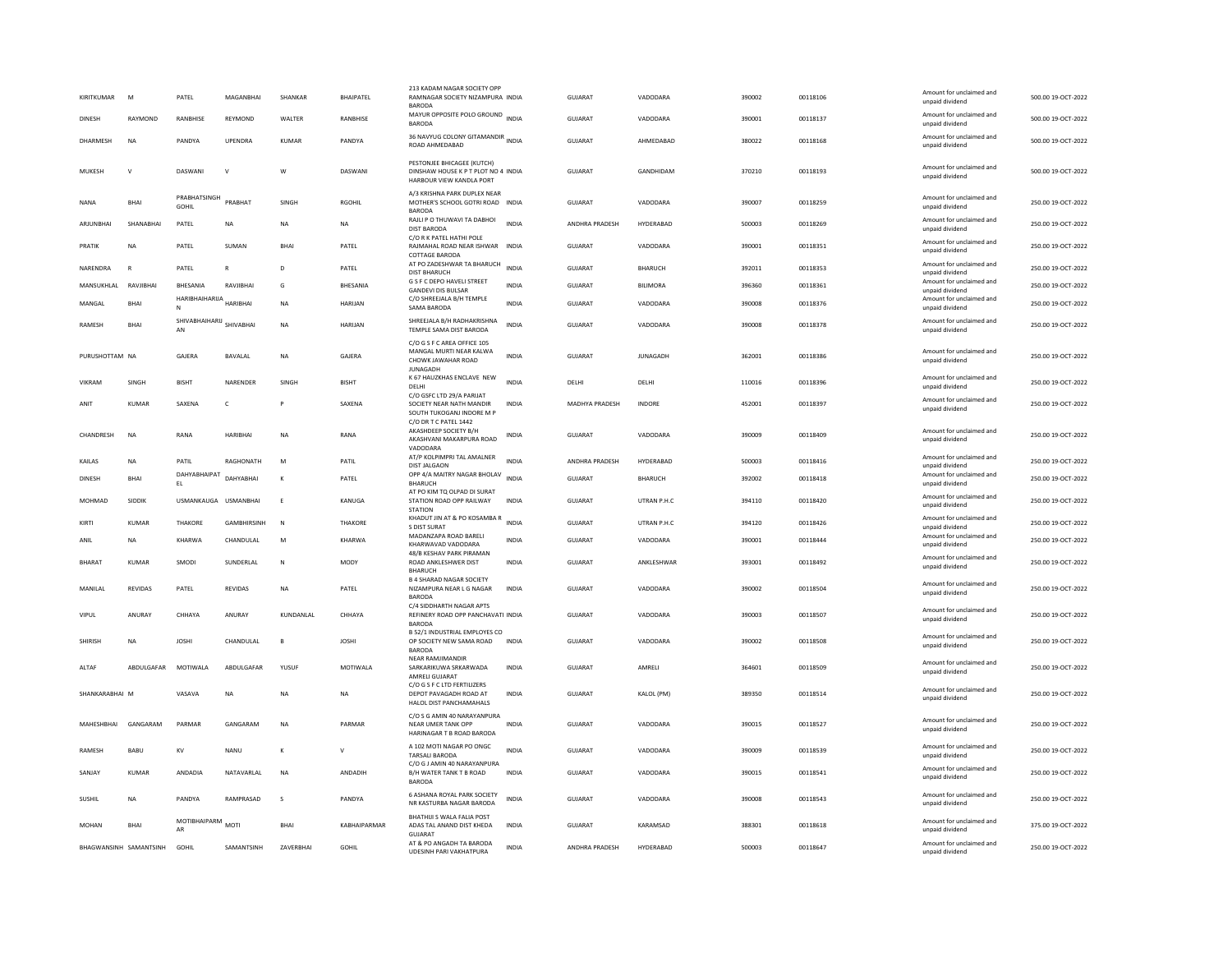| KIRITKUMAR     | M              | PATEL                                 | MAGANBHAI          | SHANKAR        | <b>BHAIPATEL</b> | 213 KADAM NAGAR SOCIETY OPF<br>RAMNAGAR SOCIETY NIZAMPURA INDIA<br><b>BARODA</b>                      |              | <b>GUJARAT</b> | VADODARA        | 390002 | 00118106 | Amount for unclaimed and<br>unpaid dividend                             | 500.00 19-OCT-2022 |
|----------------|----------------|---------------------------------------|--------------------|----------------|------------------|-------------------------------------------------------------------------------------------------------|--------------|----------------|-----------------|--------|----------|-------------------------------------------------------------------------|--------------------|
| <b>DINESH</b>  | RAYMOND        | <b>RANBHISE</b>                       | REYMOND            | <b>WAITER</b>  | <b>RANBHISE</b>  | MAYUR OPPOSITE POLO GROUND INDIA<br>BARODA                                                            |              | GUIARAT        | VADODARA        | 390001 | 00118137 | Amount for unclaimed and<br>unpaid dividend                             | 500.00 19-OCT-2022 |
| DHARMESH       | <b>NA</b>      | PANDYA                                | UPENDRA            | <b>KUMAR</b>   | PANDYA           | 36 NAVYUG COLONY GITAMANDIR INDIA<br>ROAD AHMEDABAD                                                   |              | GUJARAT        | AHMEDABAD       | 380022 | 00118168 | Amount for unclaimed and<br>unpaid dividend                             | 500.00 19-OCT-2022 |
| MUKESH         | V              | DASWANI                               | $\mathsf{v}$       | W              | DASWANI          | PESTONJEE BHICAGEE (KUTCH)<br>DINSHAW HOUSE K P T PLOT NO 4 INDIA<br>HARBOUR VIEW KANDLA PORT         |              | GUJARAT        | GANDHIDAM       | 370210 | 00118193 | Amount for unclaimed and<br>unpaid dividend                             | 500.00 19-OCT-2022 |
| <b>NANA</b>    | <b>BHAI</b>    | PRABHATSINGH<br>GOHIL                 | PRARHAT            | SINGH          | RGOHIL           | A/3 KRISHNA PARK DUPLEX NEAR<br>MOTHER'S SCHOOL GOTRI ROAD INDIA<br><b>BARODA</b>                     |              | <b>GUJARAT</b> | VADODARA        | 390007 | 00118259 | Amount for unclaimed and<br>unpaid dividend                             | 250.00 19-OCT-2022 |
| ARJUNBHAI      | SHANABHAI      | PATEL                                 | NA                 | <b>NA</b>      | NA               | RAJLI P O THUWAVI TA DABHOI<br>DIST BARODA                                                            | <b>INDIA</b> | ANDHRA PRADESH | HYDERABAD       | 500003 | 00118269 | Amount for unclaimed and<br>unpaid dividend                             | 250.00 19-OCT-2022 |
| PRATIK         | NA             | PATEL                                 | SUMAN              | <b>BHAI</b>    | PATEL            | C/O R K PATEL HATHI POLE<br>RAJMAHAL ROAD NEAR ISHWAR INDIA<br>COTTAGE BARODA                         |              | <b>GUJARAT</b> | VADODARA        | 390001 | 00118351 | Amount for unclaimed and<br>unpaid dividend                             | 250.00 19-OCT-2022 |
| NARENDRA       | $\mathbb{R}$   | PATEL                                 |                    | D              | PATEL            | AT PO ZADESHWAR TA BHARUCH<br><b>DIST BHARUCH</b>                                                     | <b>INDIA</b> | <b>GUJARAT</b> | <b>BHARUCH</b>  | 392011 | 00118353 | Amount for unclaimed and<br>unpaid dividend                             | 250.00 19-OCT-2022 |
| MANSUKHLAL     | RAVJIBHAI      | BHESANIA                              | RAVJIBHAI          | G              | BHESANIA         | <b>G S F C DEPO HAVELI STREET</b><br><b>GANDEVI DIS BULSAR</b>                                        | <b>INDIA</b> | GUJARAT        | BILIMORA        | 396360 | 00118361 | Amount for unclaimed and<br>unpaid dividend                             | 250.00 19-OCT-2022 |
| MANGAL         | BHAI           | HARIBHAIHARUA<br>N                    | HARIBHAI           | NΑ             | HARIJAN          | C/O SHREEJALA B/H TEMPLE<br>SAMA BARODA                                                               | INDIA        | GUJARAT        | VADODARA        | 390008 | 00118376 | Amount for unclaimed and<br>unpaid dividend                             | 250.00 19-OCT-2022 |
| RAMESH         | <b>BHAI</b>    | SHIVABHAIHARIJ<br>SHIVABHAI<br>AN     |                    | <b>NA</b>      | <b>HARIJAN</b>   | SHREEJALA B/H RADHAKRISHNA<br>TEMPLE SAMA DIST BARODA                                                 | <b>INDIA</b> | GUIARAT        | VADODARA        | 390008 | 00118378 | Amount for unclaimed and<br>unpaid dividend                             | 250.00 19-OCT-2022 |
| PURUSHOTTAM NA |                | GAJERA                                | BAVALAL            | <b>NA</b>      | GAJERA           | C/O G S F C AREA OFFICE 105<br>MANGAL MURTI NEAR KALWA<br>CHOWK JAWAHAR ROAD<br><b>IUNAGADH</b>       | <b>INDIA</b> | <b>GUJARAT</b> | <b>JUNAGADH</b> | 362001 | 00118386 | Amount for unclaimed and<br>unpaid dividend                             | 250.00 19-OCT-2022 |
| <b>VIKRAM</b>  | <b>SINGH</b>   | <b>BISHT</b>                          | NARENDER           | <b>SINGH</b>   | <b>BISHT</b>     | K 67 HAUZKHAS ENCLAVE NEW<br>DELHI                                                                    | <b>INDIA</b> | <b>DELHI</b>   | DELHI           | 110016 | 00118396 | Amount for unclaimed and<br>unpaid dividend                             | 250.00 19-OCT-2022 |
| ANIT           | <b>KUMAR</b>   | SAXENA                                | $\mathsf{C}$       |                | SAXENA           | C/O GSFC LTD 29/A PARIJAT<br>SOCIETY NEAR NATH MANDIR<br>SOUTH TUKOGAN UNDORE M P                     | <b>INDIA</b> | MADHYA PRADESH | <b>INDORE</b>   | 452001 | 00118397 | Amount for unclaimed and<br>unpaid dividend                             | 250.00 19-OCT-2022 |
| CHANDRESH      | NA             | RANA                                  | HARIBHAI           | NA             | RANA             | C/O DR T C PATEL 1442<br>AKASHDEEP SOCIETY B/H<br>AKASHVANI MAKARPURA ROAD<br>VADODARA                | INDIA        | GUJARAT        | VADODARA        | 390009 | 00118409 | Amount for unclaimed and<br>unpaid dividend                             | 250.00 19-OCT-2022 |
| KAILAS         | <b>NA</b>      | PATIL                                 | RAGHONATH          | M              | PATIL            | AT/P KOLPIMPRI TAL AMALNER<br><b>DIST JALGAON</b>                                                     | <b>INDIA</b> | ANDHRA PRADESH | HYDERABAD       | 500003 | 00118416 | Amount for unclaimed and<br>unpaid dividend                             | 250.00 19-OCT-2022 |
|                |                |                                       |                    |                |                  |                                                                                                       |              |                |                 |        |          |                                                                         |                    |
| <b>DINESH</b>  | <b>BHAI</b>    | DAHYABHAIPAT                          | DAHYABHAI          | $\kappa$       | PATEL            | OPP 4/A MAITRY NAGAR BHOLAV                                                                           | <b>INDIA</b> | <b>GUJARAT</b> | <b>BHARUCH</b>  | 392002 | 00118418 | Amount for unclaimed and                                                | 250.00 19-OCT-2022 |
| MOHMAD         | <b>SIDDIK</b>  | $\mathsf{EL}$<br>USMANKAUGA USMANBHAI |                    | E              | KANUGA           | BHARUCH<br>AT PO KIM TO OLPAD DI SURAT<br>STATION ROAD OPP RAILWAY                                    | <b>INDIA</b> | <b>GUJARAT</b> | UTRAN P.H.C     | 394110 | 00118420 | unpaid dividend<br>Amount for unclaimed and<br>unpaid dividend          | 250.00 19-OCT-2022 |
| KIRTI          | KUMAR          | <b>THAKORE</b>                        | <b>GAMBHIRSINH</b> | N              | <b>THAKORE</b>   | <b>STATION</b><br>KHADUT JIN AT & PO KOSAMBA R                                                        | <b>INDIA</b> | GUJARAT        | UTRAN P.H.C     | 394120 | 00118426 | Amount for unclaimed and                                                | 250.00 19-OCT-2022 |
| ANIL           | NA             | KHARWA                                | CHANDULAL          | M              | KHARWA           | S DIST SURAT<br>MADANZAPA ROAD BARELI<br>KHARWAVAD VADODARA                                           | <b>INDIA</b> | GUJARAT        | VADODARA        | 390001 | 00118444 | unpaid dividend<br>Amount for unclaimed and<br>unpaid dividend          | 250.00 19-OCT-2022 |
| BHARAT         | <b>KUMAR</b>   | SMODI                                 | SUNDERLAL          | N              | <b>MODY</b>      | 48/B KESHAV PARK PIRAMAN<br>ROAD ANKLESHWER DIST<br><b>BHARUCH</b>                                    | <b>INDIA</b> | <b>GUJARAT</b> | ANKLESHWAR      | 393001 | 00118492 | Amount for unclaimed and<br>unpaid dividend                             | 250.00 19-OCT-2022 |
| MANILAL        | <b>REVIDAS</b> | PATEL                                 | <b>REVIDAS</b>     | <b>NA</b>      | PATEL            | <b>B 4 SHARAD NAGAR SOCIETY</b><br>NIZAMPURA NEAR L G NAGAR<br><b>BARODA</b>                          | <b>INDIA</b> | GUIARAT        | VADODARA        | 390002 | 00118504 | Amount for unclaimed and<br>unpaid dividend                             | 250.00 19-OCT-2022 |
| VIPUL          | ANURAY         | CHHAYA                                | ANURAY             | KUNDANLAL      | CHHAYA           | C/4 SIDDHARTH NAGAR APTS<br>REFINERY ROAD OPP PANCHAVATI INDIA<br><b>BARODA</b>                       |              | <b>GUJARAT</b> | VADODARA        | 390003 | 00118507 | Amount for unclaimed and<br>unpaid dividend                             | 250.00 19-OCT-2022 |
| SHIRISH        | NA             | <b>JOSHI</b>                          | CHANDULAL          | B              | <b>JOSHI</b>     | B 52/1 INDUSTRIAL EMPLOYES CO<br>OP SOCIETY NEW SAMA ROAD<br><b>BARODA</b>                            | INDIA        | GUJARAT        | VADODARA        | 390002 | 00118508 | Amount for unclaimed and<br>unpaid dividend                             | 250.00 19-OCT-2022 |
| ALTAF          | ABDULGAFAR     | MOTIWALA                              | ABDULGAFAR         | YUSUF          | MOTIWALA         | <b>NEAR RAMJIMANDIE</b><br>SARKARIKUWA SRKARWADA<br>AMRELI GUJARAT                                    | <b>INDIA</b> | GUJARAT        | AMRELI          | 364601 | 00118509 | Amount for unclaimed and<br>unpaid dividend                             | 250.00 19-OCT-2022 |
| SHANKARABHAI M |                | VASAVA                                | <b>NA</b>          | NA             | <b>NA</b>        | C/O G S F C LTD FERTILIZERS<br>DEPOT PAVAGADH ROAD AT<br>HALOL DIST PANCHAMAHALS                      | <b>INDIA</b> | <b>GUJARAT</b> | KALOL (PM)      | 389350 | 00118514 | Amount for unclaimed and<br>unpaid dividend                             | 250.00 19-OCT-2022 |
| MAHESHBHAI     | GANGARAM       | PARMAR                                | GANGARAM           | N <sub>A</sub> | PARMAR           | C/O S G AMIN 40 NARAYANPURA<br><b>NEAR UMER TANK OPP</b><br>HARINAGAR T B ROAD BARODA                 | <b>INDIA</b> | <b>GUJARAT</b> | VADODARA        | 390015 | 00118527 | Amount for unclaimed and<br>unpaid dividend                             | 250.00 19-OCT-2022 |
| <b>RAMFSH</b>  | <b>BABU</b>    | KV                                    | <b>NANU</b>        | к              | $\mathsf{V}$     | A 102 MOTI NAGAR PO ONGC<br><b>TARSALI BARODA</b>                                                     | <b>INDIA</b> | GUIARAT        | VADODARA        | 390009 | 00118539 | Amount for unclaimed and<br>unpaid dividend                             | 250.00.19-OCT-2022 |
| SANJAY         | <b>KUMAR</b>   | ANDADIA                               | NATAVARLAL         | N <sub>A</sub> | ANDADIH          | C/O G J AMIN 40 NARAYANPURA<br>B/H WATER TANK T B ROAD<br><b>BARODA</b>                               | <b>INDIA</b> | <b>GUJARAT</b> | VADODARA        | 390015 | 00118541 | Amount for unclaimed and<br>unpaid dividend                             | 250.00 19-OCT-2022 |
| SUSHIL         | <b>NA</b>      | PANDYA                                | RAMPRASAD          | $\mathbf{s}$   | PANDYA           | 6 ASHANA ROYAL PARK SOCIETY<br>NR KASTURBA NAGAR BARODA                                               | <b>INDIA</b> | GUJARAT        | VADODARA        | 390008 | 00118543 | Amount for unclaimed and<br>unpaid dividend                             | 250.00 19-OCT-2022 |
| <b>MOHAN</b>   | BHAI           | MOTIBHAIPARM<br>AR                    | MOTI               | <b>BHAI</b>    | KABHAIPARMAR     | BHATHIJI S WALA FALIA POST<br>ADAS TAL ANAND DIST KHEDA<br><b>GUJARAT</b><br>AT & PO ANGADH TA BARODA | <b>INDIA</b> | <b>GUJARAT</b> | KARAMSAD        | 388301 | 00118618 | Amount for unclaimed and<br>unpaid dividend<br>Amount for unclaimed and | 375.00 19-OCT-2022 |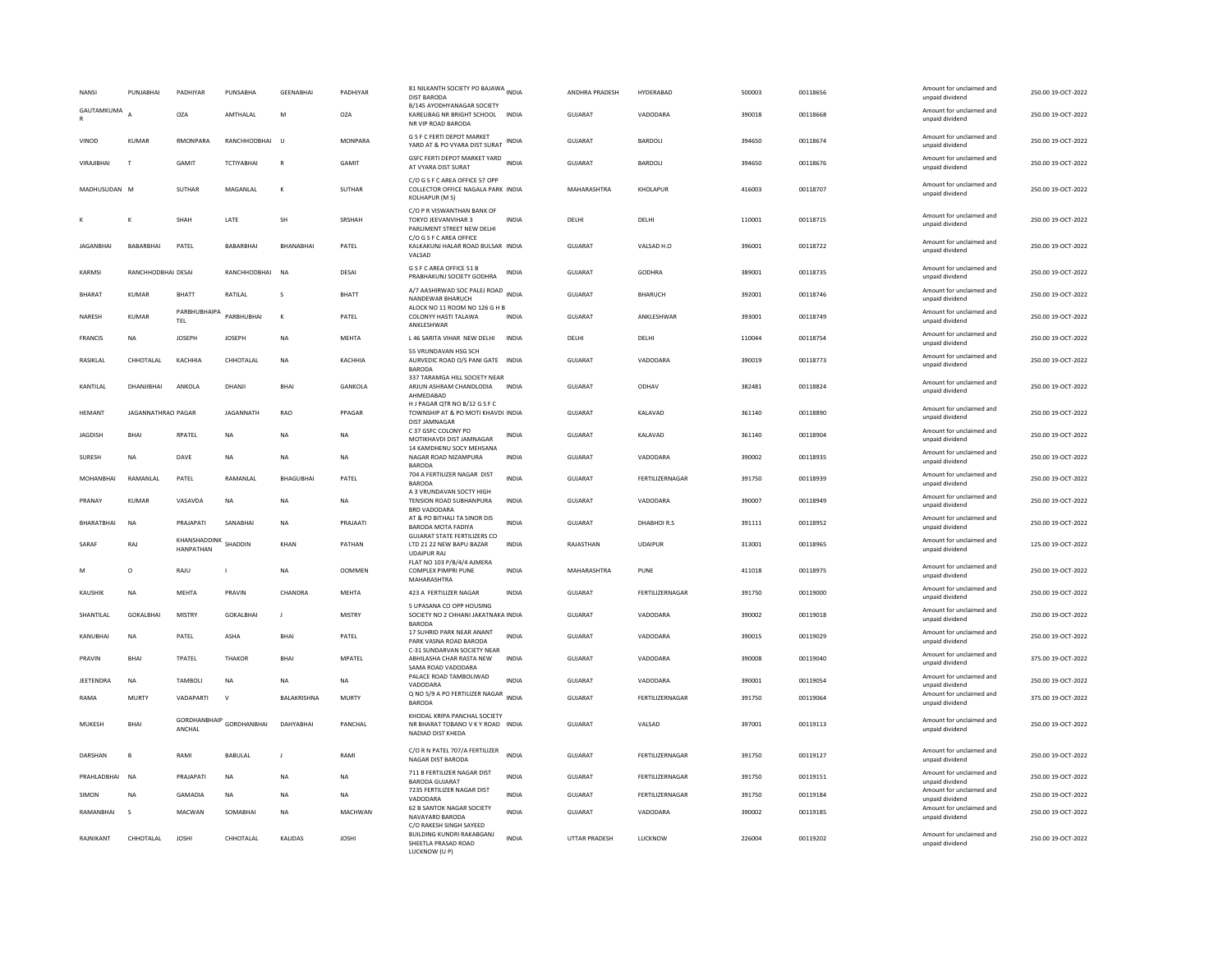| <b>NANSI</b>     | PUNJABHAI          | PADHIYAR                      | PUNSABHA           | <b>GEENABHAI</b> | PADHIYAR       | 81 NILKANTH SOCIETY PO BAJAWA INDIA<br><b>DIST BARODA</b>                                   |              | ANDHRA PRADESH | HYDERABAD       | 500003 | 00118656 | Amount for unclaimed and<br>unpaid dividend | 250.00 19-OCT-2022 |
|------------------|--------------------|-------------------------------|--------------------|------------------|----------------|---------------------------------------------------------------------------------------------|--------------|----------------|-----------------|--------|----------|---------------------------------------------|--------------------|
| GAUTAMKUMA       |                    | <b>OZA</b>                    | AMTHALAL           | M                | OZA            | B/145 AYODHYANAGAR SOCIETY<br>KARELIBAG NR BRIGHT SCHOOL INDIA<br>NR VIP ROAD BARODA        |              | GUJARAT        | VADODARA        | 390018 | 00118668 | Amount for unclaimed and<br>unpaid dividend | 250.00 19-OCT-2022 |
| VINOD            | KUMAR              | RMONPARA                      | RANCHHODBHAI       | <b>U</b>         | <b>MONPARA</b> | <b>G S F C FERTI DEPOT MARKET</b><br>YARD AT & PO VYARA DIST SURAT INDIA                    |              | GUJARAT        | BARDOLI         | 394650 | 00118674 | Amount for unclaimed and<br>unpaid dividend | 250.00 19-OCT-2022 |
| VIRAIIRHAI       | T                  | <b>GAMIT</b>                  | <b>TCTIYARHAI</b>  | $\mathbb{R}$     | <b>GAMIT</b>   | GSFC FERTI DEPOT MARKET YARD INDIA<br>AT VYARA DIST SURAT                                   |              | GUIARAT        | <b>BARDOLL</b>  | 394650 | 00118676 | Amount for unclaimed and<br>unpaid dividend | 250.00 19-OCT-2022 |
| MADHUSUDAN M     |                    | <b>SUTHAR</b>                 | MAGANLAL           | $\mathbf{K}$     | SUTHAR         | C/O G S F C AREA OFFICE 57 OPP<br>COLLECTOR OFFICE NAGALA PARK INDIA<br>KOLHAPUR (M S)      |              | MAHARASHTRA    | KHOLAPUR        | 416003 | 00118707 | Amount for unclaimed and<br>unpaid dividend | 250.00 19-OCT-2022 |
|                  | К                  | SHAH                          | LATE               | SH               | SRSHAH         | C/O P R VISWANTHAN BANK OF<br>TOKYO JEEVANVIHAR 3<br>PARLIMENT STREET NEW DELHI             | <b>INDIA</b> | DELHI          | DELHI           | 110001 | 00118715 | Amount for unclaimed and<br>unpaid dividend | 250.00 19-OCT-2022 |
| <b>JAGANBHAI</b> | BABARBHA           | PATEL                         | BABARBHAI          | BHANABHAI        | PATEL          | C/O G S F C AREA OFFICE<br>KALKAKUNJ HALAR ROAD BULSAR INDIA<br>VALSAD                      |              | GUJARAT        | VALSAD H.O      | 396001 | 00118722 | Amount for unclaimed and<br>unpaid dividend | 250.00 19-OCT-2022 |
| KARMSI           | RANCHHODBHAI DESAI |                               | RANCHHODBHAI       | <b>NA</b>        | DESAI          | G S F C AREA OFFICE 51 B<br>PRABHAKUNJ SOCIETY GODHRA                                       | <b>INDIA</b> | GUJARAT        | <b>GODHRA</b>   | 389001 | 00118735 | Amount for unclaimed and<br>unpaid dividend | 250.00 19-OCT-2022 |
| <b>BHARAT</b>    | <b>KUMAR</b>       | <b>BHATT</b>                  | RATILAL            | s                | <b>BHATT</b>   | A/7 AASHIRWAD SOC PALEJ ROAD<br>NANDEWAR BHARUCH                                            | <b>INDIA</b> | GUJARAT        | <b>BHARUCH</b>  | 392001 | 00118746 | Amount for unclaimed and<br>unpaid dividend | 250.00 19-OCT-2022 |
| NARESH           | KUMAR              | PARBHUBHAIPA<br>TEL           | PARBHUBHAI         | $\mathbf{K}$     | PATEL          | ALOCK NO 11 ROOM NO 126 G H B<br>COLONYY HASTI TALAWA<br>ANKLESHWAR                         | <b>INDIA</b> | GUJARAT        | ANKLESHWAR      | 393001 | 00118749 | Amount for unclaimed and<br>unpaid dividend | 250.00 19-OCT-2022 |
| <b>FRANCIS</b>   | NA                 | JOSEPH                        | <b>JOSEPH</b>      | <b>NA</b>        | MEHTA          | L 46 SARITA VIHAR NEW DELHI                                                                 | <b>INDIA</b> | DELHI          | DELHI           | 110044 | 00118754 | Amount for unclaimed and<br>unpaid dividend | 250.00 19-OCT-2022 |
| RASIKLAL         | CHHOTALAL          | KACHHIA                       | CHHOTALAL          | <b>NA</b>        | KACHHIA        | 55 VRUNDAVAN HSG SCH<br>AURVEDIC ROAD O/S PANI GATE INDIA<br><b>BARODA</b>                  |              | GUJARAT        | VADODARA        | 390019 | 00118773 | Amount for unclaimed and<br>unpaid dividend | 250.00 19-OCT-2022 |
| KANTILAL         | DHANJIBHAI         | ANKOLA                        | DHANJI             | <b>BHAI</b>      | GANKOLA        | 337 TARAMGA HILL SOCIETY NEAR<br>ARJUN ASHRAM CHANDLODIA<br>AHMEDABAD                       | <b>INDIA</b> | <b>GUJARAT</b> | ODHAV           | 382481 | 00118824 | Amount for unclaimed and<br>unpaid dividend | 250.00 19-OCT-2022 |
| <b>HFMANT</b>    | JAGANNATHRAO PAGAR |                               | JAGANNATH          | <b>RAO</b>       | PPAGAR         | H J PAGAR QTR NO B/12 G S F C<br>TOWNSHIP AT & PO MOTI KHAVDI INDIA<br><b>DIST JAMNAGAR</b> |              | <b>GUJARAT</b> | KALAVAD         | 361140 | 00118890 | Amount for unclaimed and<br>unpaid dividend | 250.00 19-OCT-2022 |
| <b>JAGDISH</b>   | BHAI               | RPATEL                        | <b>NA</b>          | <b>NA</b>        | <b>NA</b>      | C 37 GSFC COLONY PO<br>MOTIKHAVDI DIST JAMNAGAR<br>14 KAMDHENU SOCY MEHSANA                 | <b>INDIA</b> | <b>GUJARAT</b> | KALAVAD         | 361140 | 00118904 | Amount for unclaimed and<br>unpaid dividend | 250.00 19-OCT-2022 |
| SURESH           | <b>NA</b>          | DAVE                          | <b>NA</b>          | <b>NA</b>        | <b>NA</b>      | NAGAR ROAD NIZAMPURA<br><b>BARODA</b>                                                       | <b>INDIA</b> | <b>GUJARAT</b> | VADODARA        | 390002 | 00118935 | Amount for unclaimed and<br>unpaid dividend | 250.00 19-OCT-2022 |
|                  |                    |                               |                    |                  |                |                                                                                             |              |                |                 |        |          |                                             |                    |
| MOHANBHAI        | RAMANLAL           | PATEL                         | RAMANLAL           | BHAGUBHAI        | PATEL          | 704 A FERTILIZER NAGAR DIST<br><b>BARODA</b>                                                | <b>INDIA</b> | GUJARAT        | FERTILIZERNAGAR | 391750 | 00118939 | Amount for unclaimed and<br>unpaid dividend | 250.00 19-OCT-2022 |
| PRANAY           | KUMAR              | VASAVDA                       | <b>NA</b>          | <b>NA</b>        | <b>NA</b>      | A 3 VRUNDAVAN SOCTY HIGH<br>TENSION ROAD SUBHANPURA<br>BRD VADODARA                         | <b>INDIA</b> | GUIARAT        | VADODARA        | 390007 | 00118949 | Amount for unclaimed and<br>unpaid dividend | 250.00.19-QCT-2022 |
| BHARATBHAI       | NA                 | PRAJAPATI                     | SANABHAI           | <b>NA</b>        | PRAJAATI       | AT & PO BITHALI TA SINOR DIS<br>BARODA MOTA FADIYA                                          | <b>INDIA</b> | GUJARAT        | DHABHOIR.S      | 391111 | 00118952 | Amount for unclaimed and<br>unpaid dividend | 250.00 19-OCT-2022 |
| SARAF            | RAJ                | KHANSHADDINK<br>HANPATHAN     | SHADDIN            | KHAN             | PATHAN         | <b>GUJARAT STATE FERTILIZERS CO</b><br>LTD 21 22 NEW BAPU BAZAR<br><b>UDAIPUR RAJ</b>       | <b>INDIA</b> | RAJASTHAN      | UDAIPUR         | 313001 | 00118965 | Amount for unclaimed and<br>unpaid dividend | 125.00 19-OCT-2022 |
|                  | $\circ$            | RAJU                          |                    | <b>NA</b>        | <b>OOMMEN</b>  | FLAT NO 103 P/B/4/4 AJMERA<br><b>COMPLEX PIMPRI PUNE</b><br>MAHARASHTRA                     | INDIA        | MAHARASHTRA    | PUNE            | 411018 | 00118975 | Amount for unclaimed and<br>unpaid dividend | 250.00 19-OCT-2022 |
| <b>KAUSHIK</b>   | <b>NA</b>          | MEHTA                         | PRAVIN             | CHANDRA          | <b>MEHTA</b>   | 423 A FERTILIZER NAGAR                                                                      | <b>INDIA</b> | GUJARAT        | FERTILIZERNAGAR | 391750 | 00119000 | Amount for unclaimed and<br>unpaid dividend | 250.00 19-OCT-2022 |
| SHANTILAL        | GOKALBHAI          | MISTRY                        | GOKALBHAI          | $\mathbf{J}$     | <b>MISTRY</b>  | 5 UPASANA CO OPP HOUSING<br>SOCIETY NO 2 CHHANI JAKATNAKA INDIA<br><b>BARODA</b>            |              | GUJARAT        | VADODARA        | 390002 | 00119018 | Amount for unclaimed and<br>unpaid dividend | 250.00 19-OCT-2022 |
| KANUBHAI         | <b>NA</b>          | PATEL                         | ASHA               | BHAI             | PATEL          | 17 SUHRID PARK NEAR ANANT<br>PARK VASNA ROAD BARODA                                         | <b>INDIA</b> | GUJARAT        | VADODARA        | 390015 | 00119029 | Amount for unclaimed and<br>unpaid dividend | 250.00 19-OCT-2022 |
| PRAVIN           | <b>BHAI</b>        | TPATEL                        | THAKOR             | <b>BHAI</b>      | MPATEL         | C-31 SUNDARVAN SOCIETY NEAR<br>ABHILASHA CHAR RASTA NEW<br>SAMA ROAD VADODARA               | <b>INDIA</b> | GUJARAT        | VADODARA        | 390008 | 00119040 | Amount for unclaimed and<br>unpaid dividend | 375.00 19-OCT-2022 |
| <b>IFFTFNDRA</b> | <b>NA</b>          | <b>TAMBOLI</b>                | <b>NA</b>          | <b>NA</b>        | <b>NA</b>      | PALACE ROAD TAMBOLIWAD<br>VADODARA                                                          | <b>INDIA</b> | GUIARAT        | VADODARA        | 390001 | 00119054 | Amount for unclaimed and<br>unpaid dividend | 250.00.19-OCT-2022 |
| RAMA             | MURTY              | VADAPARTI                     | $\mathsf{v}$       | BALAKRISHNA      | <b>MURTY</b>   | Q NO 5/9 A PO FERTILIZER NAGAR<br><b>BARODA</b>                                             | <b>INDIA</b> | GUJARAT        | FERTILIZERNAGAR | 391750 | 00119064 | Amount for unclaimed and<br>unpaid dividend | 375.00 19-OCT-2022 |
| MUKESH           | <b>BHAI</b>        | <b>GORDHANBHAIP</b><br>ANCHAL | <b>GORDHANBHAI</b> | DAHYABHAI        | PANCHAL        | KHODAL KRIPA PANCHAL SOCIETY<br>NR BHARAT TOBANO V K Y ROAD INDIA<br>NADIAD DIST KHEDA      |              | <b>GUJARAT</b> | VALSAD          | 397001 | 00119113 | Amount for unclaimed and<br>unpaid dividend | 250.00 19-OCT-2022 |
| DARSHAN          | B                  | RAMI                          | BABULAL            | $\mathbf{J}$     | RAMI           | C/O R N PATEL 707/A FERTILIZER<br>NAGAR DIST BARODA                                         | <b>INDIA</b> | <b>GUJARAT</b> | FERTILIZERNAGAR | 391750 | 00119127 | Amount for unclaimed and<br>unpaid dividend | 250.00 19-OCT-2022 |
| PRAHLADBHAI      | <b>NA</b>          | PRAJAPATI                     | NA                 | NA               | NA             | 711 B FERTILIZER NAGAR DIST<br><b>BARODA GUJARAT</b>                                        | <b>INDIA</b> | GUJARAT        | FERTILIZERNAGAR | 391750 | 00119151 | Amount for unclaimed and<br>unpaid dividend | 250.00 19-OCT-2022 |
| SIMON            | <b>NA</b>          | GAMADIA                       | <b>NA</b>          | <b>NA</b>        | <b>NA</b>      | 7235 FERTILIZER NAGAR DIST<br>VADODARA                                                      | <b>INDIA</b> | <b>GUJARAT</b> | FERTILIZERNAGAR | 391750 | 00119184 | Amount for unclaimed and<br>unpaid dividend | 250.00 19-OCT-2022 |
| RAMANBHAI        | $\mathsf{s}$       | MACWAN                        | SOMABHAI           | <b>NA</b>        | <b>MACHWAN</b> | 62 B SANTOK NAGAR SOCIETY<br>NAVAYARD BARODA<br>C/O RAKESH SINGH SAYEED                     | <b>INDIA</b> | <b>GUJARAT</b> | VADODARA        | 390002 | 00119185 | Amount for unclaimed and<br>unpaid dividend | 250.00 19-OCT-2022 |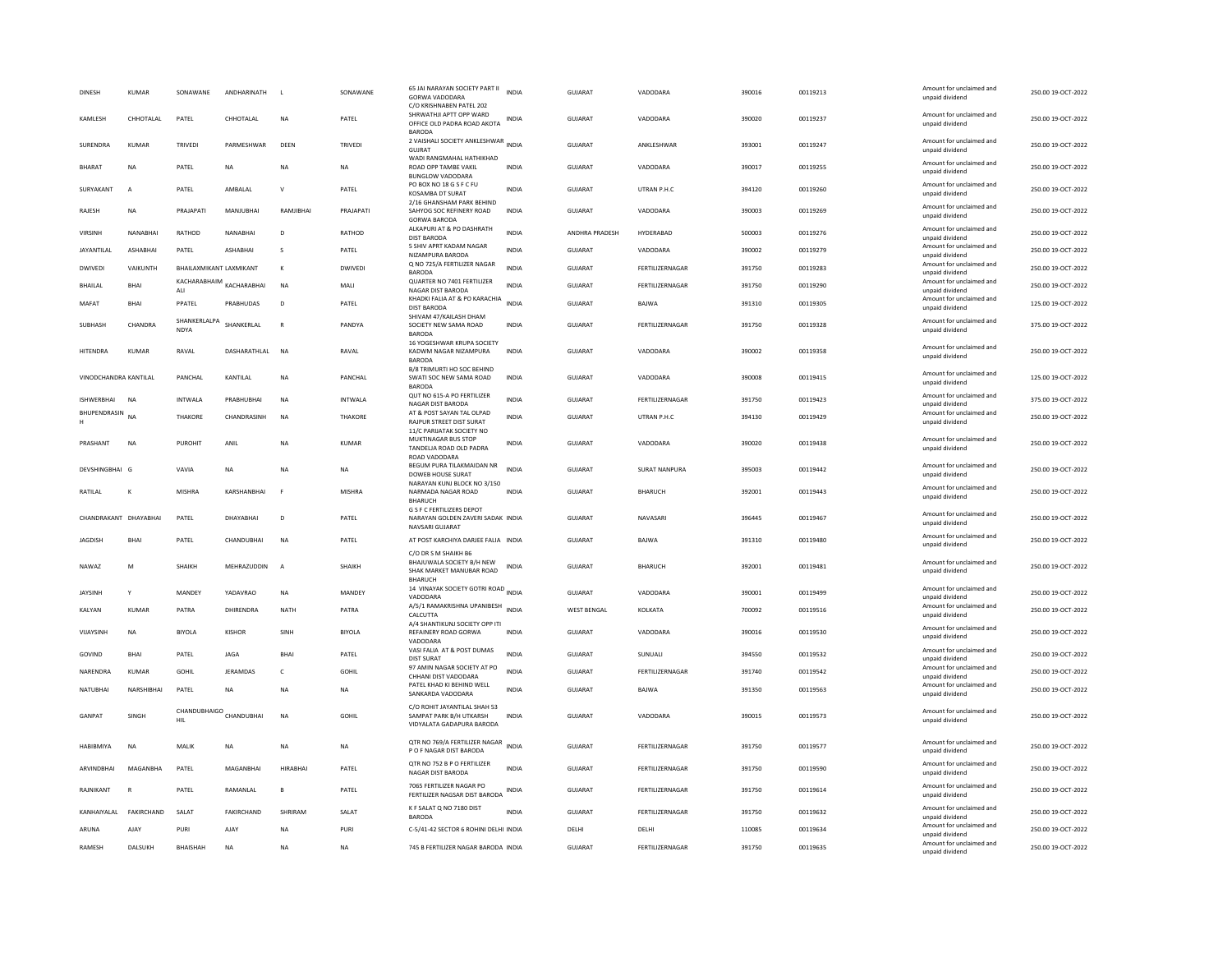| <b>DINESH</b>         | KUMAR           | SONAWANE                    | ANDHARINATH             |                | SONAWANE       | 65 JAI NARAYAN SOCIETY PART II<br>GORWA VADODARA<br>C/O KRISHNABEN PATEL 202                    | <b>INDIA</b> | GUJARAT            | VADODARA           | 390016 | 00119213 | Amount for unclaimed and<br>unpaid dividend                    | 250.00 19-OCT-2022 |
|-----------------------|-----------------|-----------------------------|-------------------------|----------------|----------------|-------------------------------------------------------------------------------------------------|--------------|--------------------|--------------------|--------|----------|----------------------------------------------------------------|--------------------|
| KAMLESH               | CHHOTALAL       | PATEL                       | CHHOTALAL               | <b>NA</b>      | PATEL          | SHRWATHJI APTT OPP WARD<br>OFFICE OLD PADRA ROAD AKOTA<br><b>BARODA</b>                         | <b>INDIA</b> | <b>GUJARAT</b>     | VADODARA           | 390020 | 00119237 | Amount for unclaimed and<br>unpaid dividend                    | 250.00 19-OCT-2022 |
| <b>SURENDRA</b>       | KUMAR           | <b>TRIVEDI</b>              | PARMESHWAR              | DEEN           | <b>TRIVEDI</b> | 2 VAISHALI SOCIETY ANKLESHWAR INDIA<br>GUJRAT<br>WADI RANGMAHAL HATHIKHAD                       |              | GUIARAT            | <b>ANKI FSHWAR</b> | 393001 | 00119247 | Amount for unclaimed and<br>unpaid dividend                    | 250.00 19-OCT-2022 |
| <b>BHARAT</b>         | <b>NA</b>       | PATEL                       | <b>NA</b>               | <b>NA</b>      | NA             | ROAD OPP TAMBE VAKIL<br><b>BUNGLOW VADODARA</b>                                                 | <b>INDIA</b> | <b>GUJARAT</b>     | VADODARA           | 390017 | 00119255 | Amount for unclaimed and<br>unpaid dividend                    | 250.00 19-OCT-2022 |
| SURYAKANT             | $\overline{A}$  | PATEL                       | AMBALAL                 | $\mathsf{v}$   | PATEL          | PO BOX NO 18 G S F C FU<br>KOSAMBA DT SURAT                                                     | <b>INDIA</b> | <b>GUJARAT</b>     | UTRAN P.H.C        | 394120 | 00119260 | Amount for unclaimed and<br>unpaid dividend                    | 250.00 19-OCT-2022 |
| RAJESH                | <b>NA</b>       | PRAJAPATI                   | MANJUBHAI               | RAMJIBHAI      | PRAJAPATI      | 2/16 GHANSHAM PARK BEHIND<br>SAHYOG SOC REFINERY ROAD<br><b>GORWA BARODA</b>                    | <b>INDIA</b> | <b>GUJARAT</b>     | VADODARA           | 390003 | 00119269 | Amount for unclaimed and<br>unpaid dividend                    | 250.00 19-OCT-2022 |
| <b>VIRSINH</b>        | <b>NANARHAI</b> | RATHOD                      | NANARHAI                | D <sub>1</sub> | RATHOD         | ALKAPURI AT & PO DASHRATH<br><b>DIST BARODA</b>                                                 | <b>INDIA</b> | ANDHRA PRADESH     | HYDERABAD          | 500003 | 00119276 | Amount for unclaimed and<br>unpaid dividend                    | 250.00 19-OCT-2022 |
| JAYANTILAL            | <b>ASHABHAI</b> | PATEL                       | ASHABHAI                | s              | PATEL          | 5 SHIV APRT KADAM NAGAR<br>NIZAMPURA BARODA                                                     | <b>INDIA</b> | <b>GUJARAT</b>     | VADODARA           | 390002 | 00119279 | Amount for unclaimed and<br>unpaid dividend                    | 250.00 19-OCT-2022 |
| <b>DWIVEDI</b>        | VAIKUNTH        | BHAILAXMIKANT LAXMIKANT     |                         | $\mathbf{K}$   | DWIVEDI        | Q NO 725/A FERTILIZER NAGAR<br><b>BARODA</b>                                                    | <b>INDIA</b> | GUJARAT            | FERTILIZERNAGAR    | 391750 | 00119283 | Amount for unclaimed and<br>unpaid dividend                    | 250.00 19-OCT-2022 |
| <b>BHAILAL</b>        | BHAI            | KACHARABHAIM<br>ALL         | KACHARABHAI             | NA             | MALI           | QUARTER NO 7401 FERTILIZER<br>NAGAR DIST BARODA                                                 | INDIA        | GUJARAT            | FERTILIZERNAGAR    | 391750 | 00119290 | Amount for unclaimed and<br>unpaid dividend                    | 250.00 19-OCT-2022 |
| MAFAT                 | <b>BHAI</b>     | PPATEL                      | PRABHUDAS               | D              | PATEL          | KHADKI FALIA AT & PO KARACHIA<br>DIST BARODA                                                    | <b>INDIA</b> | <b>GUJARAT</b>     | BAJWA              | 391310 | 00119305 | Amount for unclaimed and<br>unpaid dividend                    | 125.00 19-OCT-2022 |
| SUBHASH               | CHANDRA         | SHANKERLALPA<br><b>NDYA</b> | SHANKERLAL              | $\mathbb{R}$   | PANDYA         | SHIVAM 47/KAILASH DHAM<br>SOCIETY NEW SAMA ROAD<br><b>BARODA</b>                                | <b>INDIA</b> | GUJARAT            | FERTILIZERNAGAR    | 391750 | 00119328 | Amount for unclaimed and<br>unpaid dividend                    | 375.00 19-OCT-2022 |
| HITENDRA              | <b>KUMAR</b>    | RAVAL                       | DASHARATHLAL            | <b>NA</b>      | RAVAL          | 16 YOGESHWAR KRUPA SOCIETY<br>KADWM NAGAR NIZAMPURA<br><b>BARODA</b>                            | <b>INDIA</b> | <b>GUJARAT</b>     | VADODARA           | 390002 | 00119358 | Amount for unclaimed and<br>unpaid dividend                    | 250.00 19-OCT-2022 |
| VINODCHANDRA KANTILAI |                 | <b>PANCHAI</b>              | KANTILAL                | <b>NA</b>      | PANCHAL        | B/8 TRIMURTI HO SOC BEHIND<br>SWATI SOC NEW SAMA ROAD                                           | <b>INDIA</b> | <b>GUJARAT</b>     | VADODARA           | 390008 | 00119415 | Amount for unclaimed and<br>unpaid dividend                    | 125.00 19-OCT-2022 |
| <b>ISHWERBHAI</b>     | NA              | INTWALA                     | PRABHUBHAI              | <b>NA</b>      | <b>INTWALA</b> | <b>BARODA</b><br>QUT NO 615-A PO FERTILIZER<br>NAGAR DIST BARODA                                | INDIA        | GUJARAT            | FERTILIZERNAGAR    | 391750 | 00119423 | Amount for unclaimed and                                       | 375.00 19-OCT-2022 |
| BHUPENDRASIN          | <b>NA</b>       | THAKORE                     | CHANDRASINH             | <b>NA</b>      | THAKORE        | AT & POST SAYAN TAL OLPAD<br><b>RAJPUR STREET DIST SURAT</b>                                    | <b>INDIA</b> | <b>GUJARAT</b>     | UTRAN P.H.C        | 394130 | 00119429 | unpaid dividend<br>Amount for unclaimed and<br>unpaid dividend | 250.00 19-OCT-2022 |
| PRASHANT              | NA              | PUROHIT                     | ANIL                    | <b>NA</b>      | <b>KUMAR</b>   | 11/C PARIJATAK SOCIETY NO<br>MUKTINAGAR BUS STOP<br>TANDELJA ROAD OLD PADRA                     | INDIA        | GUJARAT            | VADODARA           | 390020 | 00119438 | Amount for unclaimed and<br>unpaid dividend                    | 250.00 19-OCT-2022 |
| DEVSHINGBHAI G        |                 | VAVIA                       | NA                      | NA             | NA             | ROAD VADODARA<br>BEGUM PURA TILAKMAIDAN NR<br>DOWEB HOUSE SURAT                                 | <b>INDIA</b> | GUJARAT            | SURAT NANPURA      | 395003 | 00119442 | Amount for unclaimed and<br>unpaid dividend                    | 250.00 19-OCT-2022 |
| RATILAL               | $\mathbf{K}$    | <b>MISHRA</b>               | KARSHANBHAI             | E              | <b>MISHRA</b>  | NARAYAN KUNJ BLOCK NO 3/150<br>NARMADA NAGAR ROAD<br><b>BHARUCH</b>                             | <b>INDIA</b> | <b>GUJARAT</b>     | BHARUCH            | 392001 | 00119443 | Amount for unclaimed and<br>unpaid dividend                    | 250.00 19-OCT-2022 |
| CHANDRAKANT DHAYABHAI |                 | PATEL                       | DHAYABHAI               | D              | PATEL          | <b>G S F C FERTILIZERS DEPOT</b><br>NARAYAN GOLDEN ZAVERI SADAK INDIA<br>NAVSARI GUJARAT        |              | <b>GUJARAT</b>     | NAVASARI           | 396445 | 00119467 | Amount for unclaimed and<br>unpaid dividend                    | 250.00 19-OCT-2022 |
| <b>JAGDISH</b>        | <b>BHAI</b>     | PATEL                       | CHANDUBHAI              | <b>NA</b>      | PATEL          | AT POST KARCHIYA DARJEE FALIA INDIA                                                             |              | <b>GUJARAT</b>     | BAJWA              | 391310 | 00119480 | Amount for unclaimed and<br>unpaid dividend                    | 250.00 19-OCT-2022 |
| NAWA7                 | M               | <b>SHAIKH</b>               | MFHRAZUDDIN             | A              | SHAIKH         | C/O DR S M SHAIKH B6<br>BHAJUWALA SOCIETY B/H NEW<br>SHAK MARKET MANUBAR ROAD<br><b>BHARUCH</b> | <b>INDIA</b> | GUIARAT            | <b>BHARUCH</b>     | 392001 | 00119481 | Amount for unclaimed and<br>unpaid dividend                    | 250.00.19-OCT-2022 |
| <b>JAYSINH</b>        | Y               | MANDEY                      | YADAVRAO                | NA             | MANDEY         | 14 VINAYAK SOCIETY GOTRI ROAD INDIA<br>VADODARA                                                 |              | GUJARAT            | VADODARA           | 390001 | 00119499 | Amount for unclaimed and<br>unpaid dividend                    | 250.00 19-OCT-2022 |
| KALYAN                | <b>KUMAR</b>    | PATRA                       | DHIRENDRA               | NATH           | PATRA          | A/5/1 RAMAKRISHNA UPANIBESH<br>CALCUTTA                                                         | <b>INDIA</b> | <b>WEST BENGAL</b> | KOLKATA            | 700092 | 00119516 | Amount for unclaimed and<br>unpaid dividend                    | 250.00 19-OCT-2022 |
| VIJAYSINH             | NA              | <b>BIYOLA</b>               | KISHOP                  | SINH           | <b>BIYOLA</b>  | A/4 SHANTIKUNJ SOCIETY OPP ITI<br>REFAINERY ROAD GORWA<br>VADODARA                              | INDIA        | GUJARAT            | VADODARA           | 390016 | 00119530 | Amount for unclaimed and<br>unpaid dividend                    | 250.00 19-OCT-2022 |
| GOVIND                | <b>BHAI</b>     | PATEL                       | <b>JAGA</b>             | <b>BHAI</b>    | PATEL          | VASI FALIA AT & POST DUMAS<br><b>DIST SURAT</b>                                                 | <b>INDIA</b> | <b>GUJARAT</b>     | SUNUALI            | 394550 | 00119532 | Amount for unclaimed and<br>unpaid dividend                    | 250.00 19-OCT-2022 |
| NARENDRA              | <b>KUMAR</b>    | GOHIL                       | JERAMDAS                | $\epsilon$     | <b>GOHIL</b>   | 97 AMIN NAGAR SOCIETY AT PO<br>CHHANI DIST VADODARA                                             | <b>INDIA</b> | <b>GUJARAT</b>     | FERTILIZERNAGAR    | 391740 | 00119542 | Amount for unclaimed and<br>unpaid dividend                    | 250.00 19-OCT-2022 |
| NATUBHAI              | NARSHIBHAI      | PATEL                       | <b>NA</b>               | <b>NA</b>      | NA             | PATEL KHAD KI BEHIND WELL<br>SANKARDA VADODARA                                                  | <b>INDIA</b> | GUJARAT            | BAJWA              | 391350 | 00119563 | Amount for unclaimed and<br>unpaid dividend                    | 250.00 19-OCT-2022 |
| GANPAT                | SINGH           | HIL                         | CHANDUBHAIGO CHANDUBHAI | NA             | <b>GOHIL</b>   | C/O ROHIT JAYANTILAL SHAH 53<br>SAMPAT PARK B/H UTKARSH<br>VIDYALATA GADAPURA BARODA            | <b>INDIA</b> | GUJARAT            | VADODARA           | 390015 | 00119573 | Amount for unclaimed and<br>unpaid dividend                    | 250.00 19-OCT-2022 |
| HABIBMIYA             | <b>NA</b>       | MALIK                       | NA                      | <b>NA</b>      | NA             | OTR NO 769/A FERTILIZER NAGAR<br>P O F NAGAR DIST BARODA                                        | INDIA        | GUJARAT            | FERTILIZERNAGAR    | 391750 | 00119577 | Amount for unclaimed and<br>unpaid dividend                    | 250.00 19-OCT-2022 |
| <b>ARVINDRHAI</b>     | MAGANRHA        | PATEL                       | MAGANRHAI               | HIRARHAI       | PATEL          | QTR NO 752 B P O FERTILIZER<br>NAGAR DIST BARODA                                                | <b>INDIA</b> | GUJARAT            | FERTILIZERNAGAR    | 391750 | 00119590 | Amount for unclaimed and<br>unpaid dividend                    | 250.00 19-OCT-2022 |
| RAJNIKANT             | R               | PATEL                       | RAMANLAL                | $\overline{B}$ | PATEL          | 7065 FERTILIZER NAGAR PO<br>FERTILIZER NAGSAR DIST BARODA                                       | <b>INDIA</b> | GUJARAT            | FERTILIZERNAGAR    | 391750 | 00119614 | Amount for unclaimed and<br>unpaid dividend                    | 250.00 19-OCT-2022 |
| KANHAIYALAL           | FAKIRCHAND      | SALAT                       | <b>FAKIRCHAND</b>       | SHRIRAM        | SALAT          | K F SALAT Q NO 7180 DIST<br>BARODA                                                              | <b>INDIA</b> | <b>GUJARAT</b>     | FERTILIZERNAGAR    | 391750 | 00119632 | Amount for unclaimed and<br>unpaid dividend                    | 250.00 19-OCT-2022 |
| ARUNA                 | AJAY            | PURI                        | <b>AJAY</b>             | <b>NA</b>      | PURI           | C-5/41-42 SECTOR 6 ROHINI DELHI INDIA                                                           |              | DELHI              | DELHI              | 110085 | 00119634 | Amount for unclaimed and<br>unpaid dividend                    | 250.00 19-OCT-2022 |
| RAMESH                | DALSUKH         | <b>BHAISHAH</b>             | <b>NA</b>               | <b>NA</b>      | <b>NA</b>      | 745 B FERTILIZER NAGAR BARODA INDIA                                                             |              | GUJARAT            | FERTILIZERNAGAR    | 391750 | 00119635 | Amount for unclaimed and<br>unpaid dividend                    | 250.00 19-OCT-2022 |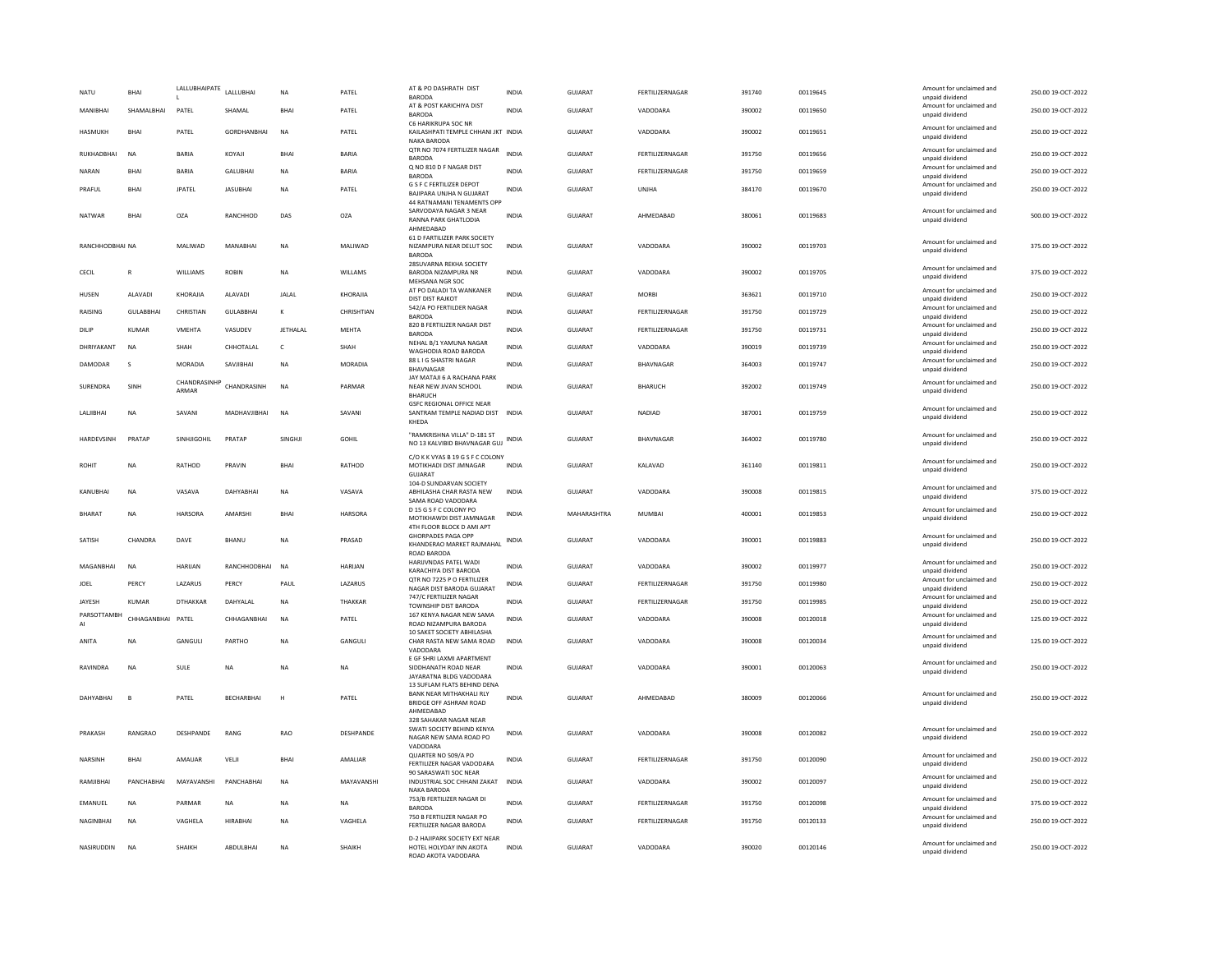| NATU             | <b>BHAI</b>       | LALLUBHAIPATE         | LALLUBHAI        | <b>NA</b>       | PATEL        | AT & PO DASHRATH DIST<br><b>BARODA</b>                                                   | INDIA        | GUJARAT        | FERTILIZERNAGAR | 391740 | 00119645 | Amount for unclaimed and<br>unpaid dividend | 250.00 19-OCT-2022 |
|------------------|-------------------|-----------------------|------------------|-----------------|--------------|------------------------------------------------------------------------------------------|--------------|----------------|-----------------|--------|----------|---------------------------------------------|--------------------|
| MANIBHAI         | SHAMALBHAI        | PATEL                 | SHAMAL           | BHAI            | PATEL        | AT & POST KARICHIYA DIST<br><b>BARODA</b>                                                | <b>INDIA</b> | <b>GUJARAT</b> | VADODARA        | 390002 | 00119650 | Amount for unclaimed and<br>unpaid dividend | 250.00 19-OCT-2022 |
| HASMUKH          | BHAI              | PATEL                 | GORDHANBHAI      | NA              | PATEL        | C6 HARIKRUPA SOC NR<br>KAILASHPATI TEMPLE CHHANI JKT INDIA<br>NAKA BARODA                |              | GUJARAT        | VADODARA        | 390002 | 00119651 | Amount for unclaimed and<br>unpaid dividend | 250.00 19-OCT-2022 |
| RUKHADBHAI       | <b>NA</b>         | <b>BARIA</b>          | KOYAJI           | <b>RHAI</b>     | BARIA        | QTR NO 7074 FERTILIZER NAGAR<br><b>BARODA</b>                                            | <b>INDIA</b> | <b>GUJARAT</b> | FERTILIZERNAGAR | 391750 | 00119656 | Amount for unclaimed and<br>unpaid dividend | 250.00 19-OCT-2022 |
| <b>NARAN</b>     | <b>BHAI</b>       | <b>BARIA</b>          | <b>GALUBHAI</b>  | <b>NA</b>       | <b>BARIA</b> | Q NO 810 D F NAGAR DIST<br><b>BARODA</b>                                                 | <b>INDIA</b> | <b>GUJARAT</b> | FERTILIZERNAGAR | 391750 | 00119659 | Amount for unclaimed and<br>unpaid dividend | 250.00 19-OCT-2022 |
| PRAFUL           | <b>BHAI</b>       | <b>JPATEL</b>         | <b>JASUBHAI</b>  | <b>NA</b>       | PATEL        | <b>G S F C FERTILIZER DEPOT</b><br>BAJIPARA UNJHA N GUJARAT                              | <b>INDIA</b> | GUJARAT        | UNJHA           | 384170 | 00119670 | Amount for unclaimed and<br>unpaid dividend | 250.00 19-OCT-2022 |
|                  |                   |                       |                  |                 |              | 44 RATNAMANI TENAMENTS OPP<br>SARVODAYA NAGAR 3 NEAR                                     |              |                |                 |        |          | Amount for unclaimed and                    |                    |
| NATWAR           | BHAI              | OZA                   | RANCHHOD         | DAS             | OZA          | <b>RANNA PARK GHATLODIA</b><br>AHMEDABAD                                                 | <b>INDIA</b> | GUJARAT        | AHMEDABAD       | 380061 | 00119683 | unpaid dividend                             | 500.00 19-OCT-2022 |
| RANCHHODBHAI NA  |                   | MALIWAD               | MANABHAI         | <b>NA</b>       | MALIWAD      | 61 D FARTILIZER PARK SOCIETY<br>NIZAMPURA NEAR DELUT SOC                                 | INDIA        | GUJARAT        | VADODARA        | 390002 | 00119703 | Amount for unclaimed and<br>unpaid dividend | 375.00 19-OCT-2022 |
|                  |                   |                       |                  |                 |              | <b>BARODA</b><br>28SUVARNA REKHA SOCIETY                                                 |              |                |                 |        |          | Amount for unclaimed and                    |                    |
| CECIL            | R                 | WILLIAMS              | <b>ROBIN</b>     | <b>NA</b>       | WILLAMS      | BARODA NIZAMPURA NR<br>MEHSANA NGR SOC                                                   | <b>INDIA</b> | <b>GUJARAT</b> | VADODARA        | 390002 | 00119705 | unpaid dividend                             | 375.00 19-OCT-2022 |
| HUSEN            | ALAVADI           | KHORAJIA              | ALAVADI          | <b>JALAL</b>    | KHORAJIA     | AT PO DALADI TA WANKANER<br><b>DIST DIST RAJKOT</b>                                      | <b>INDIA</b> | GUJARAT        | MORBI           | 363621 | 00119710 | Amount for unclaimed and<br>unpaid dividend | 250.00 19-OCT-2022 |
| <b>RAISING</b>   | <b>GULABBHAI</b>  | CHRISTIAN             | <b>GULABBHAI</b> | $\kappa$        | CHRISHTIAN   | 542/A PO FERTILDER NAGAR<br><b>BARODA</b>                                                | <b>INDIA</b> | <b>GUJARAT</b> | FERTILIZERNAGAR | 391750 | 00119729 | Amount for unclaimed and<br>unpaid dividend | 250.00 19-OCT-2022 |
| DILIP            | <b>KUMAR</b>      | <b>VMEHTA</b>         | VASUDEV          | <b>JETHALAL</b> | <b>MEHTA</b> | 820 B FERTILIZER NAGAR DIST<br><b>BARODA</b>                                             | <b>INDIA</b> | <b>GUJARAT</b> | FERTILIZERNAGAR | 391750 | 00119731 | Amount for unclaimed and<br>unpaid dividend | 250.00 19-OCT-2022 |
| DHRIYAKANT       | <b>NA</b>         | SHAH                  | CHHOTALAL        | $\mathsf{C}$    | SHAH         | NEHAL B/1 YAMUNA NAGAR                                                                   | INDIA        | GUJARAT        | VADODARA        | 390019 | 00119739 | Amount for unclaimed and                    | 250.00 19-OCT-2022 |
| DAMODAR          | s                 | MORADIA               | SAVJIBHAI        | NA              | MORADIA      | WAGHODIA ROAD BARODA<br>88 L I G SHASTRI NAGAR                                           | <b>INDIA</b> | GUJARAT        | BHAVNAGAR       | 364003 | 00119747 | unpaid dividend<br>Amount for unclaimed and | 250.00 19-OCT-2022 |
|                  |                   |                       |                  |                 |              | BHAVNAGAR<br>JAY MATAJI 6 A RACHANA PARK                                                 |              |                |                 |        |          | unpaid dividend                             |                    |
| SURENDRA         | SINH              | CHANDRASINHF<br>ARMAR | CHANDRASINH      | <b>NA</b>       | PARMAR       | NEAR NEW JIVAN SCHOOL<br><b>BHARUCH</b><br><b>GSFC REGIONAL OFFICE NEAR</b>              | <b>INDIA</b> | <b>GUJARAT</b> | <b>BHARUCH</b>  | 392002 | 00119749 | Amount for unclaimed and<br>unpaid dividend | 250.00 19-OCT-2022 |
| <b>LALIIBHAI</b> | <b>NA</b>         | SAVANI                | MADHAVIIRHAI     | <b>NA</b>       | SAVANI       | SANTRAM TEMPLE NADIAD DIST INDIA<br>KHEDA                                                |              | GUIARAT        | NADIAD          | 387001 | 00119759 | Amount for unclaimed and<br>unpaid dividend | 250.00 19-OCT-2022 |
| HARDEVSINH       | PRATAP            | SINHJIGOHIL           | PRATAP           | SINGHIL         | GOHIL        | "RAMKRISHNA VILLA" D-181 ST<br>NO 13 KALVIBID BHAVNAGAR GUJ                              | <b>INDIA</b> | <b>GUJARAT</b> | BHAVNAGAR       | 364002 | 00119780 | Amount for unclaimed and<br>unpaid dividend | 250.00 19-OCT-2022 |
| ROHIT            | NA                | RATHOD                | PRAVIN           | BHAI            | RATHOD       | C/O K K VYAS B 19 G S F C COLONY<br>MOTIKHADI DIST JMNAGAR<br>GUJARAT                    | <b>INDIA</b> | GUJARAT        | KALAVAD         | 361140 | 00119811 | Amount for unclaimed and<br>unpaid dividend | 250.00 19-OCT-2022 |
| KANUBHAI         | <b>NA</b>         | VASAVA                | DAHYABHAI        | <b>NA</b>       | VASAVA       | 104-D SUNDARVAN SOCIETY<br>ABHILASHA CHAR RASTA NEW<br>SAMA ROAD VADODARA                | <b>INDIA</b> | GUJARAT        | VADODARA        | 390008 | 00119815 | Amount for unclaimed and<br>unpaid dividend | 375.00 19-OCT-2022 |
| <b>BHARAT</b>    | <b>NA</b>         | HARSORA               | AMARSHI          | <b>BHAI</b>     | HARSORA      | D 15 G S F C COLONY PO<br>MOTIKHAWDI DIST JAMNAGAR<br>4TH FLOOR BLOCK D AMI APT          | <b>INDIA</b> | MAHARASHTRA    | MUMBAI          | 400001 | 00119853 | Amount for unclaimed and<br>unpaid dividend | 250.00 19-OCT-2022 |
| SATISH           | CHANDRA           | DAVE                  | BHANU            | <b>NA</b>       | PRASAD       | <b>GHORPADES PAGA OPP</b><br>KHANDERAO MARKET RAJMAHAL<br>ROAD BARODA                    | <b>INDIA</b> | <b>GUJARAT</b> | VADODARA        | 390001 | 00119883 | Amount for unclaimed and<br>unpaid dividend | 250.00 19-OCT-2022 |
| MAGANBHAI        | NA                | HARIJAN               | RANCHHODBHAI     | <b>NA</b>       | HARUAN       | HARIJVNDAS PATEL WADI<br>KARACHIYA DIST BARODA                                           | <b>INDIA</b> | GUJARAT        | VADODARA        | 390002 | 00119977 | Amount for unclaimed and<br>unpaid dividend | 250.00 19-OCT-2022 |
| JOEL             | PERCY             | LAZARUS               | PERCY            | PAUL            | LAZARUS      | OTR NO 7225 P O FERTILIZER<br>NAGAR DIST BARODA GUJARAT                                  | <b>INDIA</b> | <b>GUJARAT</b> | FERTILIZERNAGAR | 391750 | 00119980 | Amount for unclaimed and<br>unpaid dividend | 250.00 19-OCT-2022 |
| JAYESH           | <b>KUMAR</b>      | <b>DTHAKKAR</b>       | DAHYALAL         | <b>NA</b>       | THAKKAR      | 747/C FERTILIZER NAGAR                                                                   | <b>INDIA</b> | <b>GUJARAT</b> | FERTILIZERNAGAR | 391750 | 00119985 | Amount for unclaimed and                    | 250.00 19-OCT-2022 |
| PARSOTTAMBH      | CHHAGANBHAI PATEL |                       | CHHAGANBHAI      | <b>NA</b>       | PATEL        | <b>TOWNSHIP DIST BARODA</b><br>167 KENYA NAGAR NEW SAMA                                  | <b>INDIA</b> | GUJARAT        | VADODARA        | 390008 | 00120018 | unpaid dividend<br>Amount for unclaimed and | 125.00 19-OCT-2022 |
| AI               |                   |                       |                  |                 |              | ROAD NIZAMPURA BARODA<br>10 SAKET SOCIETY ABHILASHA                                      |              |                |                 |        |          | unpaid dividend                             |                    |
| ANITA            | <b>NA</b>         | GANGUL                | PARTHO           | NA              | GANGULI      | CHAR RASTA NEW SAMA ROAD<br>VADODARA                                                     | <b>INDIA</b> | <b>GUJARAT</b> | VADODARA        | 390008 | 00120034 | Amount for unclaimed and<br>unpaid dividend | 125.00 19-OCT-2022 |
| RAVINDRA         | <b>NA</b>         | SULE                  | NA               | NA              | <b>NA</b>    | E GF SHRI LAXMI APARTMENT<br>SIDDHANATH ROAD NEAR                                        | <b>INDIA</b> | <b>GUJARAT</b> | VADODARA        | 390001 | 00120063 | Amount for unclaimed and                    | 250.00 19-OCT-2022 |
|                  |                   |                       |                  |                 |              | JAYARATNA BLDG VADODARA                                                                  |              |                |                 |        |          | unpaid dividend                             |                    |
| DAHYABHAI        | $\overline{B}$    | PATEL                 | BECHARBHAI       | H               | PATEL        | 13 SUFLAM FLATS BEHIND DENA<br><b>BANK NEAR MITHAKHALI RLY</b><br>BRIDGE OFF ASHRAM ROAD | <b>INDIA</b> | <b>GUJARAT</b> | AHMEDABAD       | 380009 | 00120066 | Amount for unclaimed and<br>unpaid dividend | 250.00 19-OCT-2022 |
|                  |                   |                       |                  |                 |              | AHMEDABAD<br>328 SAHAKAR NAGAR NEAR                                                      |              |                |                 |        |          |                                             |                    |
| PRAKASH          | RANGRAO           | DESHPANDE             | RANG             | RAO             | DESHPANDE    | SWATI SOCIETY BEHIND KENYA<br>NAGAR NEW SAMA ROAD PO<br>VADODARA                         | INDIA        | GUJARAT        | VADODARA        | 390008 | 00120082 | Amount for unclaimed and<br>unpaid dividend | 250.00 19-OCT-2022 |
| NARSINH          | <b>BHAI</b>       | AMAUAR                | VELJI            | BHAI            | AMALIAR      | QUARTER NO 509/A PO<br>FERTILIZER NAGAR VADODARA<br>90 SARASWATI SOC NEAR                | INDIA        | <b>GUJARAT</b> | FERTILIZERNAGAR | 391750 | 00120090 | Amount for unclaimed and<br>unpaid dividend | 250.00 19-OCT-2022 |
| RAMJIBHAI        | PANCHABHAI        | MAYAVANSHI            | PANCHABHAI       | <b>NA</b>       | MAYAVANSHI   | INDUSTRIAL SOC CHHANI ZAKAT INDIA<br><b>NAKA BARODA</b>                                  |              | GUJARAT        | VADODARA        | 390002 | 00120097 | Amount for unclaimed and<br>unpaid dividend | 250.00 19-OCT-2022 |
| EMANUEL          | <b>NA</b>         | PARMAR                | <b>NA</b>        | <b>NA</b>       | <b>NA</b>    | 753/B FERTILIZER NAGAR DI<br><b>BARODA</b>                                               | <b>INDIA</b> | GUJARAT        | FERTILIZERNAGAR | 391750 | 00120098 | Amount for unclaimed and                    | 375.00 19-OCT-2022 |
| NAGINBHAI        | <b>NA</b>         | VAGHELA               | <b>HIRABHAI</b>  | <b>NA</b>       | VAGHELA      | 750 B FERTILIZER NAGAR PO                                                                | <b>INDIA</b> | <b>GUJARAT</b> | FERTILIZERNAGAR | 391750 | 00120133 | unpaid dividend<br>Amount for unclaimed and | 250.00 19-OCT-2022 |
| NASIRUDDIN       | <b>NA</b>         | SHAIKH                | ABDULBHAI        | <b>NA</b>       | SHAIKH       | FERTILIZER NAGAR BARODA<br>D-2 HAJIPARK SOCIETY EXT NEAR<br>HOTEL HOLYDAY INN AKOTA      | <b>INDIA</b> | <b>GUJARAT</b> | VADODARA        | 390020 | 00120146 | unpaid dividend<br>Amount for unclaimed and | 250.00 19-OCT-2022 |
|                  |                   |                       |                  |                 |              | ROAD AKOTA VADODARA                                                                      |              |                |                 |        |          | unpaid dividend                             |                    |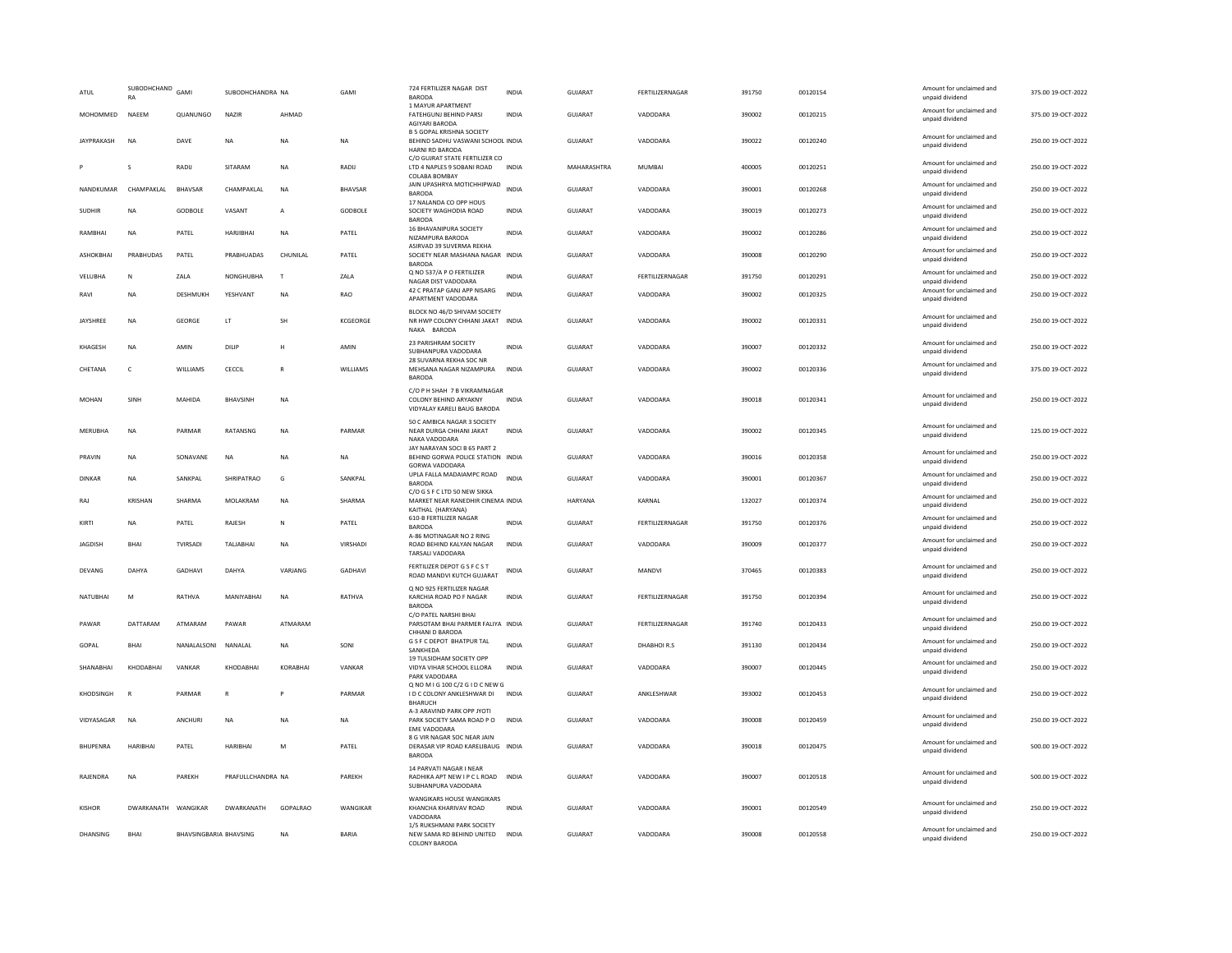| ATUI              | SUBODHCHAND<br>RA   | GAMI                          | SURODHCHANDRA NA  |                         | GAMI           | 724 FERTILIZER NAGAR DIST<br><b>BARODA</b>                                               | <b>INDIA</b> | GUIARAT        | FERTILIZERNAGAR    | 391750 | 00120154 | Amount for unclaimed and<br>unpaid dividend | 375.00.19-OCT-2022 |
|-------------------|---------------------|-------------------------------|-------------------|-------------------------|----------------|------------------------------------------------------------------------------------------|--------------|----------------|--------------------|--------|----------|---------------------------------------------|--------------------|
| MOHOMMED          | NAEEM               | QUANUNGO                      | NAZIR             | AHMAD                   |                | 1 MAYUR APARTMENT<br>FATEHGUNJ BEHIND PARSI<br>AGIYARI BARODA                            | INDIA        | GUJARAT        | VADODARA           | 390002 | 00120215 | Amount for unclaimed and<br>unpaid dividend | 375.00 19-OCT-2022 |
| <b>IAYPRAKASH</b> | <b>NA</b>           | DAVE                          | <b>NA</b>         | <b>NA</b>               | <b>NA</b>      | <b>B 5 GOPAL KRISHNA SOCIETY</b><br>BEHIND SADHU VASWANI SCHOOL INDIA<br>HARNI RD BARODA |              | GUIARAT        | VADODARA           | 390022 | 00120240 | Amount for unclaimed and<br>unpaid dividend | 250.00.19-OCT-2022 |
|                   | s                   | RADIJ                         | SITARAM           | NA                      | RADIJ          | C/O GUJRAT STATE FERTILIZER CO<br>LTD 4 NAPLES 9 SOBANI ROAD<br>COLABA BOMBAY            | <b>INDIA</b> | MAHARASHTRA    | <b>MUMBAI</b>      | 400005 | 00120251 | Amount for unclaimed and<br>unpaid dividend | 250.00 19-OCT-2022 |
| NANDKUMAR         | CHAMPAKLAL          | <b>BHAVSAR</b>                | CHAMPAKLAL        | <b>NA</b>               | <b>BHAVSAR</b> | JAIN UPASHRYA MOTICHHIPWAD INDIA<br><b>BARODA</b>                                        |              | GUJARAT        | VADODARA           | 390001 | 00120268 | Amount for unclaimed and<br>unpaid dividend | 250.00 19-OCT-2022 |
| <b>SUDHIR</b>     | <b>NA</b>           | GODBOLE                       | VASANT            | $\overline{A}$          | GODBOLE        | 17 NALANDA CO OPP HOUS<br>SOCIETY WAGHODIA ROAD<br><b>BARODA</b>                         | <b>INDIA</b> | GUJARAT        | VADODARA           | 390019 | 00120273 | Amount for unclaimed and<br>unpaid dividend | 250.00 19-OCT-2022 |
| RAMBHAI           | NA                  | PATEL                         | HARJIBHAI         | <b>NA</b>               | PATEL          | 16 BHAVANIPURA SOCIETY<br>NIZAMPURA BARODA                                               | <b>INDIA</b> | <b>GUJARAT</b> | VADODARA           | 390002 | 00120286 | Amount for unclaimed and<br>unpaid dividend | 250.00 19-OCT-2022 |
| ASHOKBHAI         | PRABHUDAS           | PATEL                         | PRABHUADAS        | CHUNILAL                | PATEL          | ASIRVAD 39 SUVERMA REKHA<br>SOCIETY NEAR MASHANA NAGAR INDIA<br><b>BARODA</b>            |              | GUJARAT        | VADODARA           | 390008 | 00120290 | Amount for unclaimed and<br>unpaid dividend | 250.00 19-OCT-2022 |
| VELUBHA           | $\mathsf N$         | ZALA                          | NONGHUBHA         | T                       | ZALA           | Q NO 537/A P O FERTILIZER<br>NAGAR DIST VADODARA                                         | INDIA        | GUJARAT        | FERTILIZERNAGAR    | 391750 | 00120291 | Amount for unclaimed and<br>unpaid dividend | 250.00 19-OCT-2022 |
| RAVI              | <b>NA</b>           | DESHMUKH                      | YESHVANT          | <b>NA</b>               | RAO            | 42 C PRATAP GANJ APP NISARG<br>APARTMENT VADODARA                                        | <b>INDIA</b> | GUJARAT        | VADODARA           | 390002 | 00120325 | Amount for unclaimed and<br>unpaid dividend | 250.00 19-OCT-2022 |
| JAYSHREE          | <b>NA</b>           | GEORGE                        | LT.               | SH                      | KCGEORGE       | BLOCK NO 46/D SHIVAM SOCIETY<br>NR HWP COLONY CHHANI JAKAT INDIA<br>NAKA RARODA          |              | <b>GUJARAT</b> | VADODARA           | 390002 | 00120331 | Amount for unclaimed and<br>unpaid dividend | 250.00 19-OCT-2022 |
| <b>KHAGESH</b>    | <b>NA</b>           | AMIN                          | DILIP             | H                       | AMIN           | 23 PARISHRAM SOCIETY<br>SUBHANPURA VADODARA                                              | <b>INDIA</b> | <b>GUJARAT</b> | VADODARA           | 390007 | 00120332 | Amount for unclaimed and<br>unpaid dividend | 250.00 19-OCT-2022 |
| CHETANA           | $\mathsf{C}$        | WILLIAMS                      | CECCIL            | $\overline{\mathsf{R}}$ | WILLIAMS       | 28 SUVARNA REKHA SOC NR<br>MEHSANA NAGAR NIZAMPURA<br><b>BARODA</b>                      | <b>INDIA</b> | <b>GUJARAT</b> | VADODARA           | 390002 | 00120336 | Amount for unclaimed and<br>unpaid dividend | 375.00 19-OCT-2022 |
| MOHAN             | SINH                | MAHIDA                        | <b>BHAVSINH</b>   | <b>NA</b>               |                | C/O P H SHAH 7 B VIKRAMNAGAR<br>COLONY BEHIND ARYAKNY<br>VIDYALAY KARELI BAUG BARODA     | <b>INDIA</b> | <b>GUJARAT</b> | VADODARA           | 390018 | 00120341 | Amount for unclaimed and<br>unpaid dividend | 250.00 19-OCT-2022 |
| MERUBHA           | NA                  | PARMAR                        | RATANSNG          | <b>NA</b>               | PARMAR         | 50 C AMBICA NAGAR 3 SOCIETY<br>NEAR DURGA CHHANI JAKAT<br>NAKA VADODARA                  | <b>INDIA</b> | GUJARAT        | VADODARA           | 390002 | 00120345 | Amount for unclaimed and<br>unpaid dividend | 125.00 19-OCT-2022 |
| PRAVIN            | <b>NA</b>           | SONAVANE                      | <b>NA</b>         | <b>NA</b>               | <b>NA</b>      | JAY NARAYAN SOCI B 65 PART 2<br>BEHIND GORWA POLICE STATION INDIA<br>GORWA VADODARA      |              | GUIARAT        | VADODARA           | 390016 | 00120358 | Amount for unclaimed and<br>unpaid dividend | 250.00.19-QCT-2022 |
| DINKAR            | NA                  | SANKPAL                       | SHRIPATRAO        | G                       | SANKPAL        | UPLA FALLA MADAIAMPC ROAD<br><b>BARODA</b>                                               | <b>INDIA</b> | GUJARAT        | VADODARA           | 390001 | 00120367 | Amount for unclaimed and<br>unpaid dividend | 250.00 19-OCT-2022 |
| RAJ               | KRISHAN             | SHARMA                        | MOLAKRAM          | NA                      | SHARMA         | C/O G S F C LTD 50 NEW SIKKA<br>MARKET NEAR RANEDHIR CINEMA INDIA<br>KAITHAL (HARYANA)   |              | <b>HARYANA</b> | KARNAL             | 132027 | 00120374 | Amount for unclaimed and<br>unpaid dividend | 250.00 19-OCT-2022 |
| KIRTI             | NA                  | PATEL                         | RAJESH            | $\mathsf{N}$            | PATEL          | 610-B FERTILIZER NAGAR<br><b>BARODA</b>                                                  | <b>INDIA</b> | <b>GUJARAT</b> | FERTILIZERNAGAR    | 391750 | 00120376 | Amount for unclaimed and<br>unpaid dividend | 250.00 19-OCT-2022 |
| JAGDISH           | <b>BHAI</b>         | TVIRSADI                      | TALJABHAI         | NA                      | VIRSHADI       | A-86 MOTINAGAR NO 2 RING<br>ROAD BEHIND KALYAN NAGAR<br>TARSALL VADODARA                 | <b>INDIA</b> | <b>GUJARAT</b> | VADODARA           | 390009 | 00120377 | Amount for unclaimed and<br>unpaid dividend | 250.00 19-OCT-2022 |
| <b>DEVANG</b>     | <b>DAHYA</b>        | GADHAVI                       | DAHYA             | VARJANG                 | <b>GADHAVI</b> | FERTILIZER DEPOT G S F C S T<br>ROAD MANDVI KUTCH GUJARAT                                | INDIA        | <b>GUJARAT</b> | <b>MANDVI</b>      | 370465 | 00120383 | Amount for unclaimed and<br>unpaid dividend | 250.00 19-OCT-2022 |
| NATUBHAI          | M                   | RATHVA                        | MANIYARHAI        | <b>NA</b>               | RATHVA         | Q NO 925 FERTILIZER NAGAR<br>KARCHIA ROAD PO F NAGAR<br><b>BARODA</b>                    | <b>INDIA</b> | <b>GUJARAT</b> | FERTILIZERNAGAR    | 391750 | 00120394 | Amount for unclaimed and<br>unpaid dividend | 250.00 19-OCT-2022 |
| PAWAR             | DATTARAM            | ATMARAM                       | PAWAR             | ATMARAM                 |                | C/O PATEL NARSHI BHAI<br>PARSOTAM BHAI PARMER FALIYA INDIA<br>CHHANI D BARODA            |              | <b>GUJARAT</b> | FERTILIZERNAGAR    | 391740 | 00120433 | Amount for unclaimed and<br>unpaid dividend | 250.00 19-OCT-2022 |
| GOPAL             | <b>RHAI</b>         | NANAI ALSONI                  | <b>NANALAI</b>    | <b>NA</b>               | SONI           | G S F C DEPOT BHATPUR TAL<br>SANKHEDA                                                    | <b>INDIA</b> | GUIARAT        | DHARHOLR.S         | 391130 | 00120434 | Amount for unclaimed and<br>unpaid dividend | 250.00 19-OCT-2022 |
| SHANABHAI         | KHODABHAI           | VANKAR                        | KHODABHAI         | KORABHAI                | VANKAR         | 19 TULSIDHAM SOCIETY OPP<br>VIDYA VIHAR SCHOOL ELLORA<br>PARK VADODARA                   | <b>INDIA</b> | GUJARAT        | VADODARA           | 390007 | 00120445 | Amount for unclaimed and<br>unpaid dividend | 250.00 19-OCT-2022 |
| KHODSINGH         | R                   | PARMAR                        | $\mathbb{R}$      |                         | PARMAR         | Q NO M I G 100 C/2 G I D C NEW G<br>I D C COLONY ANKLESHWAR DI<br><b>BHARUCH</b>         | INDIA        | GUIARAT        | <b>ANKI FSHWAR</b> | 393002 | 00120453 | Amount for unclaimed and<br>unpaid dividend | 250.00.19-OCT-2022 |
| VIDYASAGAR        | NA                  | ANCHURI                       | NA                | <b>NA</b>               | NA             | A-3 ARAVIND PARK OPP JYOTI<br>PARK SOCIETY SAMA ROAD PO<br><b>EME VADODARA</b>           | <b>INDIA</b> | GUJARAT        | VADODARA           | 390008 | 00120459 | Amount for unclaimed and<br>unpaid dividend | 250.00 19-OCT-2022 |
| <b>BHUPENRA</b>   | <b>HARIBHAI</b>     | PATEL                         | HARIBHAI          | M                       | PATEL          | 8 G VIR NAGAR SOC NEAR JAIN<br>DERASAR VIP ROAD KARELIBAUG INDIA<br><b>BARODA</b>        |              | <b>GUJARAT</b> | VADODARA           | 390018 | 00120475 | Amount for unclaimed and<br>unpaid dividend | 500.00 19-OCT-2022 |
| RAJENDRA          | <b>NA</b>           | PAREKH                        | PRAFULLCHANDRA NA |                         | PAREKH         | 14 PARVATI NAGAR I NEAR<br>RADHIKA APT NEW I P C L ROAD INDIA<br>SUBHANPURA VADODARA     |              | <b>GUJARAT</b> | VADODARA           | 390007 | 00120518 | Amount for unclaimed and<br>unpaid dividend | 500.00 19-OCT-2022 |
| <b>KISHOR</b>     | DWARKANATH WANGIKAR |                               | DWARKANATH        | GOPALRAO                | WANGIKAR       | WANGIKARS HOUSE WANGIKARS<br>KHANCHA KHARIVAV ROAD<br>VADODARA                           | <b>INDIA</b> | <b>GUJARAT</b> | VADODARA           | 390001 | 00120549 | Amount for unclaimed and<br>unpaid dividend | 250.00 19-OCT-2022 |
| <b>DHANSING</b>   | BHAI                | <b>BHAVSINGBARIA BHAVSING</b> |                   | <b>NA</b>               | <b>BARIA</b>   | 1/5 RUKSHMANI PARK SOCIETY<br>NEW SAMA RD BEHIND UNITED<br>COLONY RARODA                 | <b>INDIA</b> | <b>GUJARAT</b> | VADODARA           | 390008 | 00120558 | Amount for unclaimed and<br>unpaid dividend | 250.00 19-OCT-2022 |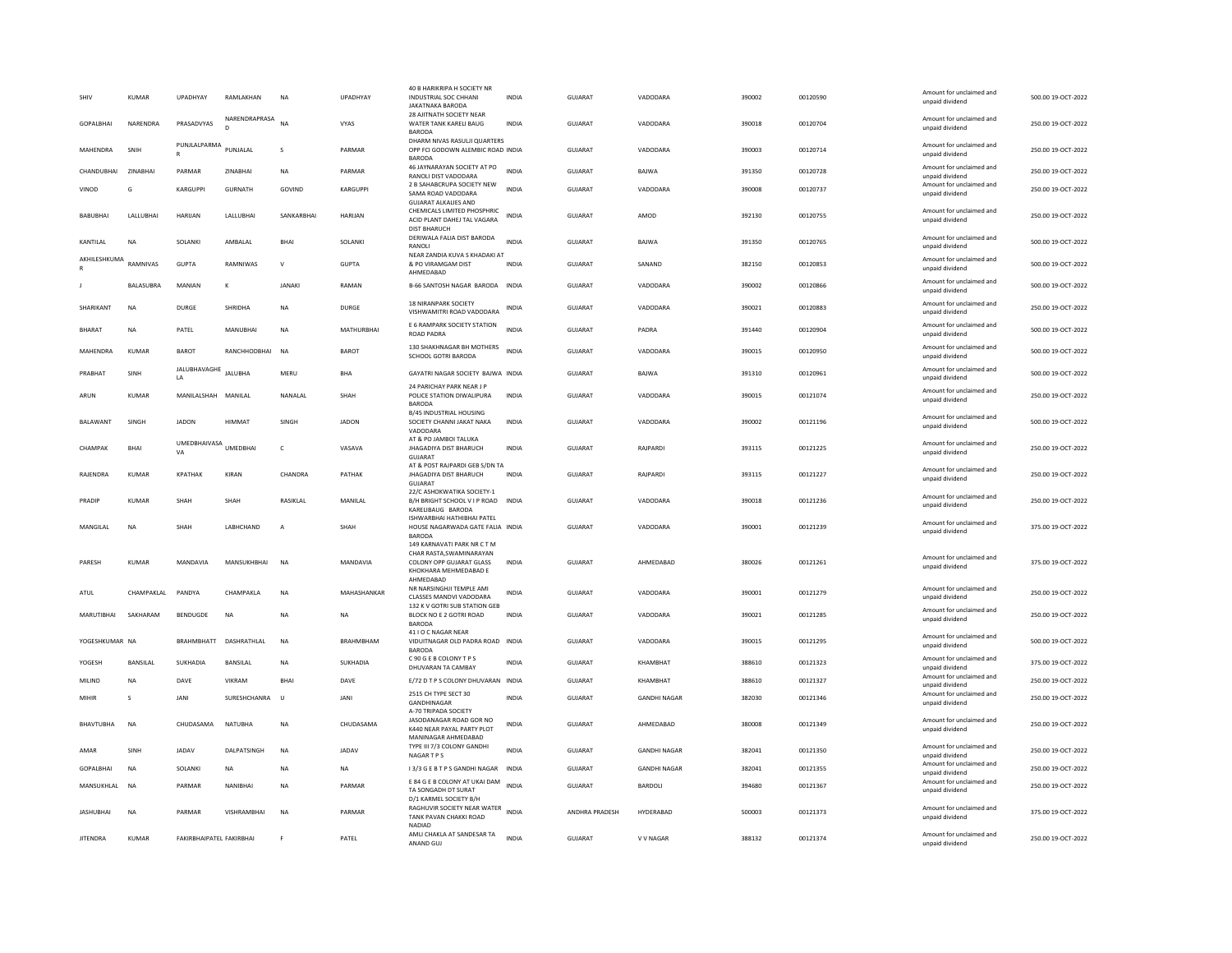| SHIV             | KUMAR           | UPADHYAY                 | RAMLAKHAN              | <b>NA</b>     | UPADHYAY         | 40 B HARIKRIPA H SOCIETY NF<br>INDUSTRIAL SOC CHHANI<br><b>JAKATNAKA BARODA</b>                                          | <b>INDIA</b> | GUJARAT        | VADODARA            | 390002 | 00120590 | Amount for unclaimed and<br>unpaid dividend | 500.00 19-OCT-2022 |
|------------------|-----------------|--------------------------|------------------------|---------------|------------------|--------------------------------------------------------------------------------------------------------------------------|--------------|----------------|---------------------|--------|----------|---------------------------------------------|--------------------|
| <b>GOPALBHAL</b> | NARENDRA        | PRASADVYAS               | NARENDRAPRASA          | $N\Delta$     | <b>VYAS</b>      | 28 AJITNATH SOCIETY NEAR<br>WATER TANK KARELL BAUG<br><b>BARODA</b>                                                      | <b>INDIA</b> | GUIARAT        | VADODARA            | 390018 | 00120704 | Amount for unclaimed and<br>unpaid dividend | 250.00.19-OCT-2022 |
| MAHENDRA         | SNIH            | PUNJLALPARMA             | PUNJALAI               | s             | PARMAR           | DHARM NIVAS RASULJI QUARTERS<br>OPP FCI GODOWN ALEMBIC ROAD INDIA<br><b>BARODA</b>                                       |              | <b>GUJARAT</b> | VADODARA            | 390003 | 00120714 | Amount for unclaimed and<br>unpaid dividend | 250.00 19-OCT-2022 |
| CHANDUBHAI       | ZINABHAI        | PARMAR                   | ZINABHAI               | <b>NA</b>     | PARMAR           | 46 JAYNARAYAN SOCIETY AT PO<br>RANOLI DIST VADODARA                                                                      | <b>INDIA</b> | GUJARAT        | BAJWA               | 391350 | 00120728 | Amount for unclaimed and<br>unpaid dividend | 250.00 19-OCT-2022 |
| VINOD            | G               | KARGUPPI                 | <b>GURNATH</b>         | GOVIND        | <b>KARGUPPI</b>  | 2 B SAHABCRUPA SOCIETY NEW<br>SAMA ROAD VADODARA                                                                         | <b>INDIA</b> | GUJARAT        | VADODARA            | 390008 | 00120737 | Amount for unclaimed and<br>unpaid dividend | 250.00 19-OCT-2022 |
| <b>BABUBHAI</b>  | LALLUBHAI       | HARIJAN                  | LALLUBHAI              | SANKARBHAI    | <b>HARUAN</b>    | <b>GUJARAT ALKALIES AND</b><br>CHEMICALS LIMITED PHOSPHRIC<br>ACID PLANT DAHEJ TAL VAGARA<br><b>DIST BHARUCH</b>         | <b>INDIA</b> | <b>GUJARAT</b> | AMOD                | 392130 | 00120755 | Amount for unclaimed and<br>unpaid dividend | 250.00 19-OCT-2022 |
| KANTILAL         | NA              | SOLANKI                  | AMBALAL                | BHAI          | SOLANKI          | DERIWALA FALIA DIST BARODA<br><b>RANOLI</b>                                                                              | <b>INDIA</b> | GUJARAT        | BAJWA               | 391350 | 00120765 | Amount for unclaimed and<br>unpaid dividend | 500.00 19-OCT-2022 |
| AKHILESHKUMA     | RAMNIVAS        | <b>GUPTA</b>             | RAMNIWAS               | $\vee$        | <b>GUPTA</b>     | NEAR ZANDIA KUVA S KHADAKI AT<br>& PO VIRAMGAM DIST<br>AHMEDABAD                                                         | <b>INDIA</b> | <b>GUJARAT</b> | SANAND              | 382150 | 00120853 | Amount for unclaimed and<br>unpaid dividend | 500.00 19-OCT-2022 |
|                  | BALASUBRA       | MANIAN                   | к                      | <b>JANAKI</b> | RAMAN            | B-66 SANTOSH NAGAR BARODA INDIA                                                                                          |              | GUJARAT        | VADODARA            | 390002 | 00120866 | Amount for unclaimed and<br>unpaid dividend | 500.00 19-OCT-2022 |
| SHARIKANT        | NA              | DURGE                    | <b>SHRIDHA</b>         | NA            | DURGE            | <b>18 NIRANPARK SOCIETY</b><br>VISHWAMITRI ROAD VADODARA                                                                 | INDIA        | GUJARAT        | VADODARA            | 390021 | 00120883 | Amount for unclaimed and<br>unpaid dividend | 250.00 19-OCT-2022 |
| <b>BHARAT</b>    | <b>NA</b>       | PATEL                    | MANUBHAI               | <b>NA</b>     | MATHURBHAI       | E 6 RAMPARK SOCIETY STATION<br>ROAD PADRA                                                                                | <b>INDIA</b> | <b>GUJARAT</b> | PADRA               | 391440 | 00120904 | Amount for unclaimed and<br>unpaid dividend | 500.00 19-OCT-2022 |
| MAHENDRA         | <b>KUMAR</b>    | <b>BAROT</b>             | RANCHHODBHAI           | <b>NA</b>     | <b>BAROT</b>     | 130 SHAKHNAGAR BH MOTHERS<br>SCHOOL GOTRI BARODA                                                                         | INDIA        | <b>GUJARAT</b> | VADODARA            | 390015 | 00120950 | Amount for unclaimed and<br>unpaid dividend | 500.00 19-OCT-2022 |
| PRABHAT          | SINH            | JALUBHAVAGHE<br>1A       | <b>JALUBHA</b>         | MFRU          | <b>RHA</b>       | GAYATRI NAGAR SOCIETY BAJWA INDIA                                                                                        |              | GUIARAT        | <b>BAIWA</b>        | 391310 | 00120961 | Amount for unclaimed and<br>unpaid dividend | 500.00 19-OCT-2022 |
| ARUN             | <b>KUMAR</b>    | MANILALSHAH MANILAL      |                        | NANALAL       | SHAH             | 24 PARICHAY PARK NEAR J P<br>POLICE STATION DIWALIPURA<br><b>BARODA</b>                                                  | INDIA        | GUJARAT        | VADODARA            | 390015 | 00121074 | Amount for unclaimed and<br>unpaid dividend | 250.00 19-OCT-2022 |
| <b>BALAWANT</b>  | <b>SINGH</b>    | <b>IADON</b>             | HIMMA1                 | SINGH         | <b>IADON</b>     | B/45 INDUSTRIAL HOUSING<br>SOCIETY CHANNI JAKAT NAKA<br>VADODARA                                                         | <b>INDIA</b> | GUIARAT        | VADODARA            | 390002 | 00121196 | Amount for unclaimed and<br>unpaid dividend | 500.00 19-OCT-2022 |
| CHAMPAK          | <b>BHAI</b>     | UMEDBHAIVASA<br>VA       | <b>UMEDBHA</b>         | $\mathsf{C}$  | VASAVA           | AT & PO JAMBOI TALUKA<br><b>JHAGADIYA DIST BHARUCH</b><br><b>GUIARA</b>                                                  | <b>INDIA</b> | GUJARAT        | RAJPARDI            | 393115 | 00121225 | Amount for unclaimed and<br>unpaid dividend | 250.00 19-OCT-2022 |
| RAJENDRA         | KUMAR           | <b>KPATHAK</b>           | KIRAN                  | CHANDRA       | PATHAK           | AT & POST RAJPARDI GEB S/DN TA<br><b>JHAGADIYA DIST BHARUCH</b><br>GUIARAT                                               | <b>INDIA</b> | <b>GUJARAT</b> | RAJPARDI            | 393115 | 00121227 | Amount for unclaimed and<br>unpaid dividend | 250.00 19-OCT-2022 |
| PRADIP           | <b>KUMAR</b>    | SHAH                     | SHAH                   | RASIKLAL      | MANILAL          | 22/C ASHOKWATIKA SOCIETY-1<br>B/H BRIGHT SCHOOL V I P ROAD INDIA<br>KARELIBAUG BARODA                                    |              | <b>GUJARAT</b> | VADODARA            | 390018 | 00121236 | Amount for unclaimed and<br>unpaid dividend | 250.00 19-OCT-2022 |
| MANGILAL         | <b>NA</b>       | SHAH                     | LABHCHAND              | А             | SHAH             | ISHWARBHAI HATHIBHAI PATEL<br>HOUSE NAGARWADA GATE FALIA INDIA<br><b>BARODA</b>                                          |              | GUJARAT        | VADODARA            | 390001 | 00121239 | Amount for unclaimed and<br>unpaid dividend | 375.00 19-OCT-2022 |
| PARESH           | KUMAR           | MANDAVIA                 | MANSUKHBHAI            | <b>NA</b>     | MANDAVIA         | 149 KARNAVATI PARK NR C T M<br>CHAR RASTA.SWAMINARAYAN<br>COLONY OPP GUJARAT GLASS<br>KHOKHARA MEHMEDABAD E<br>AHMFDARAD | <b>INDIA</b> | <b>GUJARAT</b> | AHMEDABAD           | 380026 | 00121261 | Amount for unclaimed and<br>unpaid dividend | 375.00 19-OCT-2022 |
| ATUL             | CHAMPAKI AI     | PANDYA                   | <b>CHAMPAKIA</b>       | <b>NA</b>     | MAHASHANKAR      | NR NARSINGHJI TEMPLE AMI<br>CLASSES MANDVI VADODARA                                                                      | <b>INDIA</b> | GUIARAT        | VADODARA            | 390001 | 00121279 | Amount for unclaimed and<br>unpaid dividend | 250.00 19-OCT-2022 |
| MARUTIBHAI       | SAKHARAM        | <b>BENDUGDE</b>          | <b>NA</b>              | <b>NA</b>     | <b>NA</b>        | 132 K V GOTRI SUB STATION GEB<br>BLOCK NO E 2 GOTRI ROAD<br><b>BARODA</b>                                                | <b>INDIA</b> | GUJARAT        | VADODARA            | 390021 | 00121285 | Amount for unclaimed and<br>unpaid dividend | 250.00 19-OCT-2022 |
| YOGESHKUMAR NA   |                 |                          | BRAHMBHATT DASHRATHLAL | <b>NA</b>     | <b>BRAHMBHAM</b> | 41 I O C NAGAR NEAR<br>VIDUITNAGAR OLD PADRA ROAD INDIA<br><b>BARODA</b>                                                 |              | <b>GUJARAT</b> | VADODARA            | 390015 | 00121295 | Amount for unclaimed and<br>unpaid dividend | 500.00 19-OCT-2022 |
| YOGESH           | <b>BANSILAL</b> | SUKHADIA                 | <b>BANSILAL</b>        | <b>NA</b>     | SUKHADIA         | C 90 G E B COLONY T P S<br>DHUVARAN TA CAMBAY                                                                            | <b>INDIA</b> | <b>GUJARAT</b> | KHAMBHAT            | 388610 | 00121323 | Amount for unclaimed and<br>unpaid dividend | 375.00 19-OCT-2022 |
| MILIND           | NΑ              | DAVE                     | VIKRAM                 | <b>BHA</b>    | DAVE             | E/72 D T P S COLONY DHUVARAN INDIA                                                                                       |              | GUJARAT        | KHAMBHAT            | 388610 | 00121327 | Amount for unclaimed and<br>unpaid dividend | 250.00 19-OCT-2022 |
| MIHIR            | $\mathbf{S}$    | JANI                     | SURESHCHANRA           | $\cup$        | JANI             | 2515 CH TYPE SECT 30<br>GANDHINAGAR<br>A-70 TRIPADA SOCIETY                                                              | <b>INDIA</b> | <b>GUJARAT</b> | <b>GANDHI NAGAR</b> | 382030 | 00121346 | Amount for unclaimed and<br>unpaid dividend | 250.00 19-OCT-2022 |
| <b>BHAVTUBHA</b> | <b>NA</b>       | CHUDASAMA                | <b>NATUBHA</b>         | <b>NA</b>     | CHUDASAMA        | JASODANAGAR ROAD GOR NO<br>K440 NEAR PAYAL PARTY PLOT<br>MANINAGAR AHMEDABAD                                             | <b>INDIA</b> | <b>GUJARAT</b> | AHMEDABAD           | 380008 | 00121349 | Amount for unclaimed and<br>unpaid dividend | 250.00 19-OCT-2022 |
| AMAR             | SINH            | <b>JADAV</b>             | DALPATSINGH            | <b>NA</b>     | <b>JADAV</b>     | TYPE III 7/3 COLONY GANDHI<br><b>NAGARTPS</b>                                                                            | <b>INDIA</b> | <b>GUJARAT</b> | <b>GANDHI NAGAR</b> | 382041 | 00121350 | Amount for unclaimed and<br>unnaid dividend | 250.00 19-OCT-2022 |
| <b>GOPALBHAL</b> | <b>NA</b>       | SOLANKI                  | <b>NA</b>              | <b>NA</b>     | <b>NA</b>        | I 3/3 G E B T P S GANDHI NAGAR                                                                                           | <b>INDIA</b> | GUIARAT        | <b>GANDHI NAGAR</b> | 382041 | 00121355 | Amount for unclaimed and<br>unpaid dividend | 250.00.19-OCT-2022 |
| MANSUKHLAL       | <b>NA</b>       | PARMAR                   | NANIBHAI               | <b>NA</b>     | PARMAR           | E 84 G E B COLONY AT UKAI DAM INDIA<br>TA SONGADH DT SURAT<br>D/1 KARMEL SOCIETY B/H                                     |              | <b>GUJARAT</b> | <b>BARDOLI</b>      | 394680 | 00121367 | Amount for unclaimed and<br>unpaid dividend | 250.00 19-OCT-2022 |
| <b>JASHUBHAI</b> | <b>NA</b>       | PARMAR                   | VISHRAMBHAI            | <b>NA</b>     | PARMAR           | RAGHUVIR SOCIETY NEAR WATER INDIA<br>TANK PAVAN CHAKKI ROAD<br>NADIAD                                                    |              | ANDHRA PRADESH | HYDERABAD           | 500003 | 00121373 | Amount for unclaimed and<br>unpaid dividend | 375.00 19-OCT-2022 |
| <b>JITENDRA</b>  | <b>KUMAR</b>    | FAKIRBHAIPATEL FAKIRBHAI |                        |               | PATEL            | AMLI CHAKLA AT SANDESAR TA<br>ANAND GUJ                                                                                  | <b>INDIA</b> | GUJARAT        | V V NAGAR           | 388132 | 00121374 | Amount for unclaimed and<br>unpaid dividend | 250.00 19-OCT-2022 |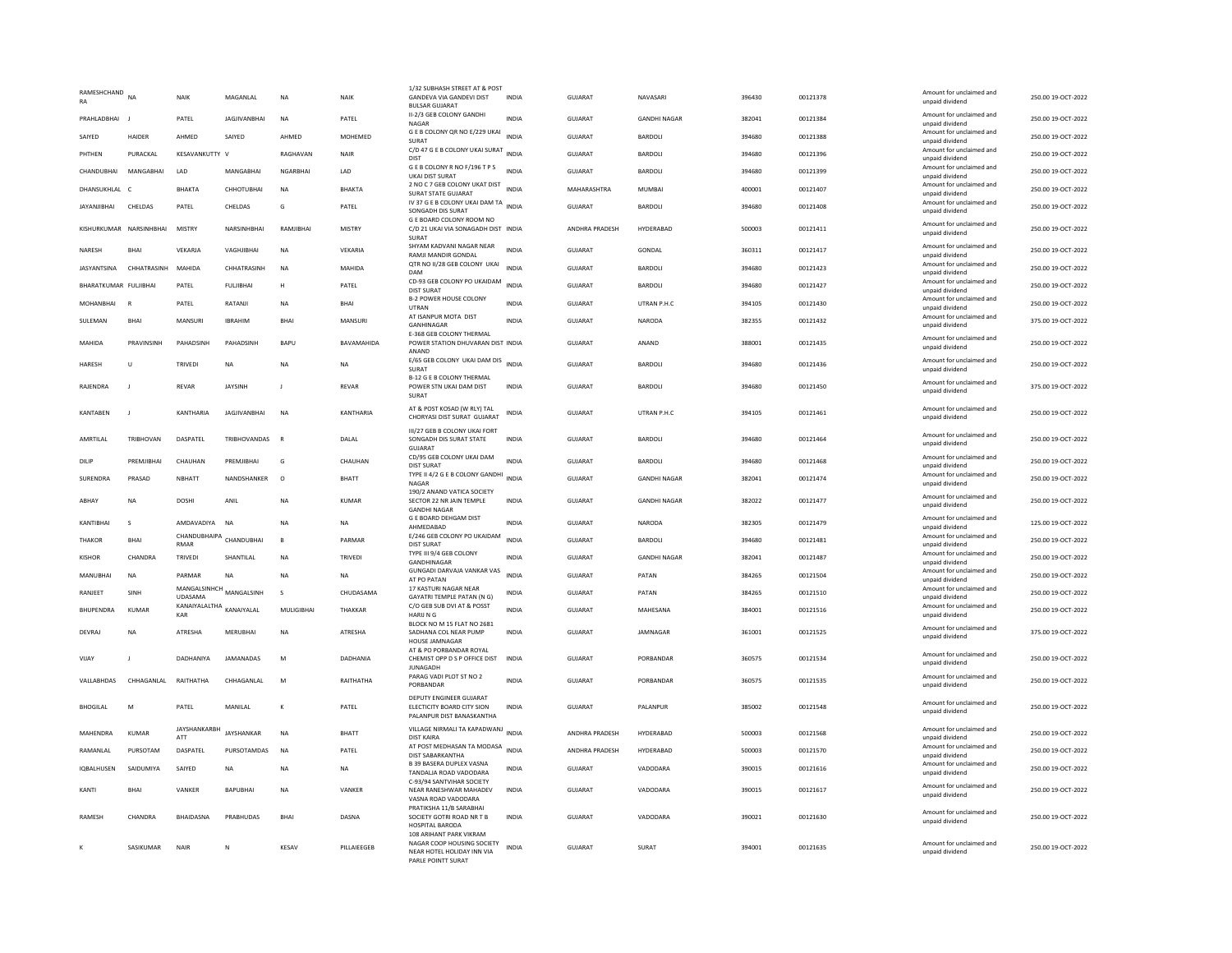| RAMESHCHAND<br>RA       | <b>NA</b>               | NAIK                    | MAGANLAI            | <b>NA</b>         | NAIK           | 1/32 SUBHASH STREET AT & POST<br><b>GANDEVA VIA GANDEVI DIST</b><br><b>BULSAR GUJARAT</b>                 | <b>INDIA</b> | <b>GUJARAT</b> | NAVASARI            | 396430 | 00121378 | Amount for unclaimed and<br>unpaid dividend | 250.00 19-OCT-2022 |
|-------------------------|-------------------------|-------------------------|---------------------|-------------------|----------------|-----------------------------------------------------------------------------------------------------------|--------------|----------------|---------------------|--------|----------|---------------------------------------------|--------------------|
| PRAHLADBHAI             |                         | PATEL                   | <b>JAGJIVANBHAI</b> | <b>NA</b>         | PATEL          | II-2/3 GEB COLONY GANDHI<br>NAGAR                                                                         | <b>INDIA</b> | GUJARAT        | <b>GANDHI NAGAR</b> | 382041 | 00121384 | Amount for unclaimed and<br>unpaid dividend | 250.00 19-OCT-2022 |
| SAIYED                  | <b>HAIDER</b>           | AHMED                   | SAIYED              | AHMED             | MOHEMED        | G E B COLONY QR NO E/229 UKAI<br><b>SURAT</b>                                                             | INDIA        | GUJARAT        | BARDOLI             | 394680 | 00121388 | Amount for unclaimed and<br>unpaid dividend | 250.00 19-OCT-2022 |
| PHTHEN                  | PURACKAL                | KESAVANKUTTY V          |                     | RAGHAVAN          | NAIR           | C/D 47 G E B COLONY UKAI SURAT INDIA                                                                      |              | <b>GUJARAT</b> | BARDOLI             | 394680 | 00121396 | Amount for unclaimed and                    | 250.00 19-OCT-2022 |
| CHANDUBHAI              | MANGABHAI               | LAD                     | MANGABHAI           | <b>NGARBHAI</b>   | LAD            | DIST<br>GEB COLONY R NO F/196 TPS                                                                         | <b>INDIA</b> | GUJARAT        | BARDOLI             | 394680 | 00121399 | unnaid dividend<br>Amount for unclaimed and | 250.00 19-OCT-2022 |
| DHANSUKHLAL C           |                         | <b>BHAKTA</b>           | СННОТИВНАІ          | <b>NA</b>         | <b>BHAKTA</b>  | UKAI DIST SURAT<br>2 NO C 7 GEB COLONY UKAT DIST                                                          | <b>INDIA</b> | MAHARASHTRA    | <b>MUMBAI</b>       | 400001 | 00121407 | unpaid dividend<br>Amount for unclaimed and | 250.00 19-OCT-2022 |
| <b>JAYANJIBHAI</b>      | CHELDAS                 | PATEL                   | CHELDAS             | G                 | PATEL          | <b>SURAT STATE GUJARAT</b><br>IV 37 G E B COLONY UKAI DAM TA INDIA                                        |              | <b>GUJARAT</b> | BARDOLI             | 394680 | 00121408 | unpaid dividend<br>Amount for unclaimed and | 250.00 19-OCT-2022 |
|                         |                         |                         |                     |                   |                | SONGADH DIS SURAT<br>G E BOARD COLONY ROOM NO                                                             |              |                |                     |        |          | unpaid dividend<br>Amount for unclaimed and |                    |
|                         | KISHURKUMAR NARSINHBHAI | <b>MISTRY</b>           | NARSINHBHAI         | RAMJIBHAI         | <b>MISTRY</b>  | C/D 21 UKAI VIA SONAGADH DIST INDIA<br>SURAT<br>SHYAM KADVANI NAGAR NEAR                                  |              | ANDHRA PRADESH | HYDERABAD           | 500003 | 00121411 | unpaid dividend<br>Amount for unclaimed and | 250.00 19-OCT-2022 |
| NARESH                  | BHAI                    | VEKARJA                 | VAGHJIBHAI          | NA                | VEKARIA        | <b>RAMJI MANDIR GONDAL</b>                                                                                | <b>INDIA</b> | <b>GUJARAT</b> | GONDAL              | 360311 | 00121417 | unpaid dividend                             | 250.00 19-OCT-2022 |
|                         | IASYANTSINA CHHATRASINH | MAHIDA                  | CHHATRASINH         | <b>NA</b>         | MAHIDA         | QTR NO II/28 GEB COLONY UKAI<br>DAM                                                                       | <b>INDIA</b> | GUIARAT        | <b>BARDOLL</b>      | 394680 | 00121423 | Amount for unclaimed and<br>unpaid dividend | 250.00 19-OCT-2022 |
| BHARATKUMAR FULJIBHAI   |                         | PATEL                   | <b>FULJIBHAI</b>    | H                 | PATEL          | CD-93 GEB COLONY PO UKAIDAM<br><b>DIST SURAT</b>                                                          | <b>INDIA</b> | GUJARAT        | BARDOLI             | 394680 | 00121427 | Amount for unclaimed and<br>unpaid dividend | 250.00 19-OCT-2022 |
| MOHANBHAI               | $\mathbb{R}$            | PATEL                   | RATANJI             | NA                | BHAI           | <b>B-2 POWER HOUSE COLONY</b><br><b>LITRAN</b>                                                            | <b>INDIA</b> | GUJARAT        | UTRAN P.H.C         | 394105 | 00121430 | Amount for unclaimed and<br>unpaid dividend | 250.00 19-OCT-2022 |
| SULEMAN                 | <b>BHAI</b>             | MANSURI                 | <b>IBRAHIM</b>      | <b>BHA</b>        | <b>MANSURI</b> | AT ISANPUR MOTA DIST<br>GANHINAGAR                                                                        | <b>INDIA</b> | GUJARAT        | <b>NARODA</b>       | 382355 | 00121432 | Amount for unclaimed and<br>unpaid dividend | 375.00 19-OCT-2022 |
| MAHIDA                  | PRAVINSINH              | PAHADSINH               | PAHADSINE           | <b>BAPU</b>       | BAVAMAHIDA     | E-368 GEB COLONY THERMAL<br>POWER STATION DHUVARAN DIST INDIA                                             |              | <b>GUJARAT</b> | ANAND               | 388001 | 00121435 | Amount for unclaimed and<br>unpaid dividend | 250.00 19-OCT-2022 |
| <b>HARESH</b>           | U                       | TRIVEDI                 | <b>NA</b>           | <b>NA</b>         | <b>NA</b>      | ANAND<br>E/65 GEB COLONY UKAI DAM DIS INDIA                                                               |              | <b>GUJARAT</b> | BARDOLI             | 394680 | 00121436 | Amount for unclaimed and                    | 250.00 19-OCT-2022 |
|                         |                         |                         |                     |                   |                | SURAT<br>B-12 G F B COLONY THERMAL                                                                        |              |                |                     |        |          | unpaid dividend                             |                    |
| RAJENDRA                | J                       | REVAR                   | <b>JAYSINH</b>      |                   | REVAR          | POWER STN UKAI DAM DIST<br><b>SURAT</b>                                                                   | INDIA        | GUJARAT        | BARDOLI             | 394680 | 00121450 | Amount for unclaimed and<br>unnaid dividend | 375.00 19-OCT-2022 |
| KANTABEN                | $\mathsf J$             | KANTHARIA               | <b>JAGJIVANBHAI</b> | <b>NA</b>         | KANTHARIA      | AT & POST KOSAD (W RLY) TAL<br>CHORYASI DIST SURAT GUIARAT                                                | INDIA        | GUJARAT        | UTRAN P.H.C         | 394105 | 00121461 | Amount for unclaimed and<br>unpaid dividend | 250.00 19-OCT-2022 |
| AMRTILAL                | TRIBHOVAN               | DASPATEL                | <b>TRIBHOVANDAS</b> | $\overline{B}$    | DALAL          | III/27 GEB B COLONY UKAI FORT<br>SONGADH DIS SURAT STATE                                                  | <b>INDIA</b> | <b>GUJARAT</b> | <b>BARDOLI</b>      | 394680 | 00121464 | Amount for unclaimed and<br>unpaid dividend | 250.00 19-OCT-2022 |
| DILIP                   | PREMIIRHAI              | CHAUHAN                 | PREMIIRHAI          | G                 | CHAUHAN        | <b>GUJARAT</b><br>CD/95 GEB COLONY UKAI DAM                                                               | <b>INDIA</b> | GUIARAT        | <b>BARDOLL</b>      | 394680 | 00121468 | Amount for unclaimed and                    | 250.00.19-OCT-2022 |
|                         |                         |                         |                     |                   |                | <b>DIST SURAT</b><br>TYPE II 4/2 G E B COLONY GANDHI                                                      |              |                |                     |        |          | unpaid dividend<br>Amount for unclaimed and |                    |
| SURENDRA                | PRASAD                  | NBHATT                  | NANDSHANKER         | $\Omega$          | BHATT          | <b>NAGAR</b><br>190/2 ANAND VATICA SOCIETY                                                                | <b>INDIA</b> | GUJARAT        | <b>GANDHI NAGAR</b> | 382041 | 00121474 | unpaid dividend                             | 250.00 19-OCT-2022 |
| ARHAY                   | <b>NA</b>               | <b>DOSHI</b>            | ANII                | <b>NA</b>         | KUMAR          | SECTOR 22 NR JAIN TEMPLE<br><b>GANDHI NAGAR</b>                                                           | <b>INDIA</b> | GUIARAT        | <b>GANDHI NAGAR</b> | 382022 | 00121477 | Amount for unclaimed and<br>unpaid dividend | 250.00.19-OCT-2022 |
| KANTIBHAI               | s                       | AMDAVADIYA              | <b>NA</b>           | <b>NA</b>         | <b>NA</b>      | <b>G E BOARD DEHGAM DIST</b><br>AHMEDABAD                                                                 | <b>INDIA</b> | GUJARAT        | NARODA              | 382305 | 00121479 | Amount for unclaimed and<br>unpaid dividend | 125.00 19-OCT-2022 |
| <b>THAKOR</b>           | BHAI                    | CHANDUBHAIPA<br>RMAR    | CHANDUBHAI          | B                 | PARMAR         | E/246 GEB COLONY PO UKAIDAM<br>DIST SURAT                                                                 | <b>INDIA</b> | GUJARAT        | BARDOLI             | 394680 | 00121481 | Amount for unclaimed and<br>unnaid dividend | 250.00 19-OCT-2022 |
| <b>KISHOR</b>           | CHANDRA                 | TRIVEDI                 | SHANTILAL           | <b>NA</b>         | <b>TRIVEDI</b> | TYPE III 9/4 GEB COLONY<br>GANDHINAGAR                                                                    | <b>INDIA</b> | GUJARAT        | <b>GANDHI NAGAR</b> | 382041 | 00121487 | Amount for unclaimed and<br>unpaid dividend | 250.00 19-OCT-2022 |
| MANUBHAI                | <b>NA</b>               | PARMAR                  | <b>NA</b>           | <b>NA</b>         | <b>NA</b>      | <b>GUNGADI DARVAJA VANKAR VAS</b><br>AT PO PATAN                                                          | <b>INDIA</b> | <b>GUJARAT</b> | PATAN               | 384265 | 00121504 | Amount for unclaimed and<br>unpaid dividend | 250.00 19-OCT-2022 |
| RANJEET                 | SINH                    | MANGALSINHCH MANGALSINH |                     | s                 | CHUDASAMA      | 17 KASTURI NAGAR NEAR<br>GAYATRI TEMPLE PATAN (N G)                                                       | <b>INDIA</b> | GUJARAT        | PATAN               | 384265 | 00121510 | Amount for unclaimed and<br>unpaid dividend | 250.00 19-OCT-2022 |
| <b><i>RHUPFNDRA</i></b> | KUMAR                   | KANAIYALALTHA           | KANAIYAI AI         | <b>MULIGIRHAI</b> | THAKKAR        | C/O GEB SUB DVI AT & POSST                                                                                | <b>INDIA</b> | GUIARAT        | MAHESANA            | 384001 | 00121516 | Amount for unclaimed and                    | 250.00.19-OCT-2022 |
|                         |                         | KAR                     |                     |                   |                | <b>HARUNG</b><br>BLOCK NO M 15 FLAT NO 2681                                                               |              |                |                     |        |          | unpaid dividend<br>Amount for unclaimed and |                    |
| DEVRAJ                  | <b>NA</b>               | ATRESHA                 | <b>MERUBHAI</b>     | <b>NA</b>         | ATRESHA        | SADHANA COL NEAR PUMP<br>HOUSE JAMNAGAR                                                                   | <b>INDIA</b> | GUJARAT        | JAMNAGAR            | 361001 | 00121525 | unpaid dividend                             | 375.00 19-OCT-2022 |
| VIJAY                   | J                       | DADHANIYA               | <b>JAMANADAS</b>    | M                 | DADHANIA       | AT & PO PORBANDAR ROYAL<br>CHEMIST OPP D S P OFFICE DIST<br><b>JUNAGADH</b>                               | <b>INDIA</b> | <b>GUJARAT</b> | PORBANDAR           | 360575 | 00121534 | Amount for unclaimed and<br>unpaid dividend | 250.00 19-OCT-2022 |
| <b>VALLABHDAS</b>       | CHHAGANI AI             | RAITHATHA               | CHHAGANI AI         | M                 | RAITHATHA      | PARAG VADI PLOT ST NO 2<br>PORBANDAR                                                                      | <b>INDIA</b> | GUIARAT        | PORRANDAR           | 360575 | 00121535 | Amount for unclaimed and<br>unpaid dividend | 250.00.19-OCT-2022 |
| <b>BHOGILAL</b>         | M                       | PATEL                   | MANII AI            | $\kappa$          | PATEL          | DEPUTY ENGINEER GUJARAT<br>ELECTICITY BOARD CITY SION<br>PALANPUR DIST BANASKANTHA                        | <b>INDIA</b> | GUIARAT        | <b>PALANPUR</b>     | 385002 | 00121548 | Amount for unclaimed and<br>unpaid dividend | 250.00 19-OCT-2022 |
| MAHENDRA                | KIIMAR                  | JAYSHANKARBH<br>ATT     | JAYSHANKAR          | <b>NA</b>         | <b>BHATT</b>   | VILLAGE NIRMALI TA KAPADWANJ INDIA<br><b>DIST KAIRA</b>                                                   |              | ANDHRA PRADESH | HYDERABAD           | 500003 | 00121568 | Amount for unclaimed and<br>unpaid dividend | 250.00 19-OCT-2022 |
| RAMANLAL                | PURSOTAM                | DASPATEL                | PURSOTAMDAS         | <b>NA</b>         | PATEL          | AT POST MEDHASAN TA MODASA INDIA<br>DIST SABARKANTHA                                                      |              | ANDHRA PRADESH | HYDERABAD           | 500003 | 00121570 | Amount for unclaimed and<br>unpaid dividend | 250.00 19-OCT-2022 |
| <b>IOBALHUSEN</b>       | SAIDUMIYA               | SAIYED                  | <b>NA</b>           | <b>NA</b>         | <b>NA</b>      | <b>B 39 BASERA DUPLEX VASNA</b><br>TANDALJA ROAD VADODARA                                                 | <b>INDIA</b> | <b>GUJARAT</b> | VADODARA            | 390015 | 00121616 | Amount for unclaimed and<br>unpaid dividend | 250.00 19-OCT-2022 |
| KANTI                   | <b>BHAI</b>             | VANKER                  | <b>RAPURHAL</b>     | <b>NA</b>         | VANKFR         | C-93/94 SANTVIHAR SOCIETY<br>NEAR RANESHWAR MAHADEV<br>VASNA ROAD VADODARA                                | <b>INDIA</b> | GUIARAT        | VADODARA            | 390015 | 00121617 | Amount for unclaimed and<br>unpaid dividend | 250.00 19-OCT-2022 |
| <b>RAMESH</b>           | CHANDRA                 | <b>BHAIDASNA</b>        | PRARHUDAS           | <b>BHA</b>        | DASNA          | PRATIKSHA 11/B SARABHAI<br>SOCIETY GOTRI ROAD NR T B<br>HOSPITAL BARODA                                   | <b>INDIA</b> | <b>GUJARAT</b> | VADODARA            | 390021 | 00121630 | Amount for unclaimed and<br>unpaid dividend | 250.00 19-OCT-2022 |
| к                       | SASIKUMAR               | <b>NAIR</b>             | N                   | KESAV             | PILLAIEEGEB    | 108 ARIHANT PARK VIKRAM<br>NAGAR COOP HOUSING SOCIETY<br>NEAR HOTEL HOLIDAY INN VIA<br>PARLE POINTT SURAT | <b>INDIA</b> | GUJARAT        | SURAT               | 394001 | 00121635 | Amount for unclaimed and<br>unpaid dividend | 250.00 19-OCT-2022 |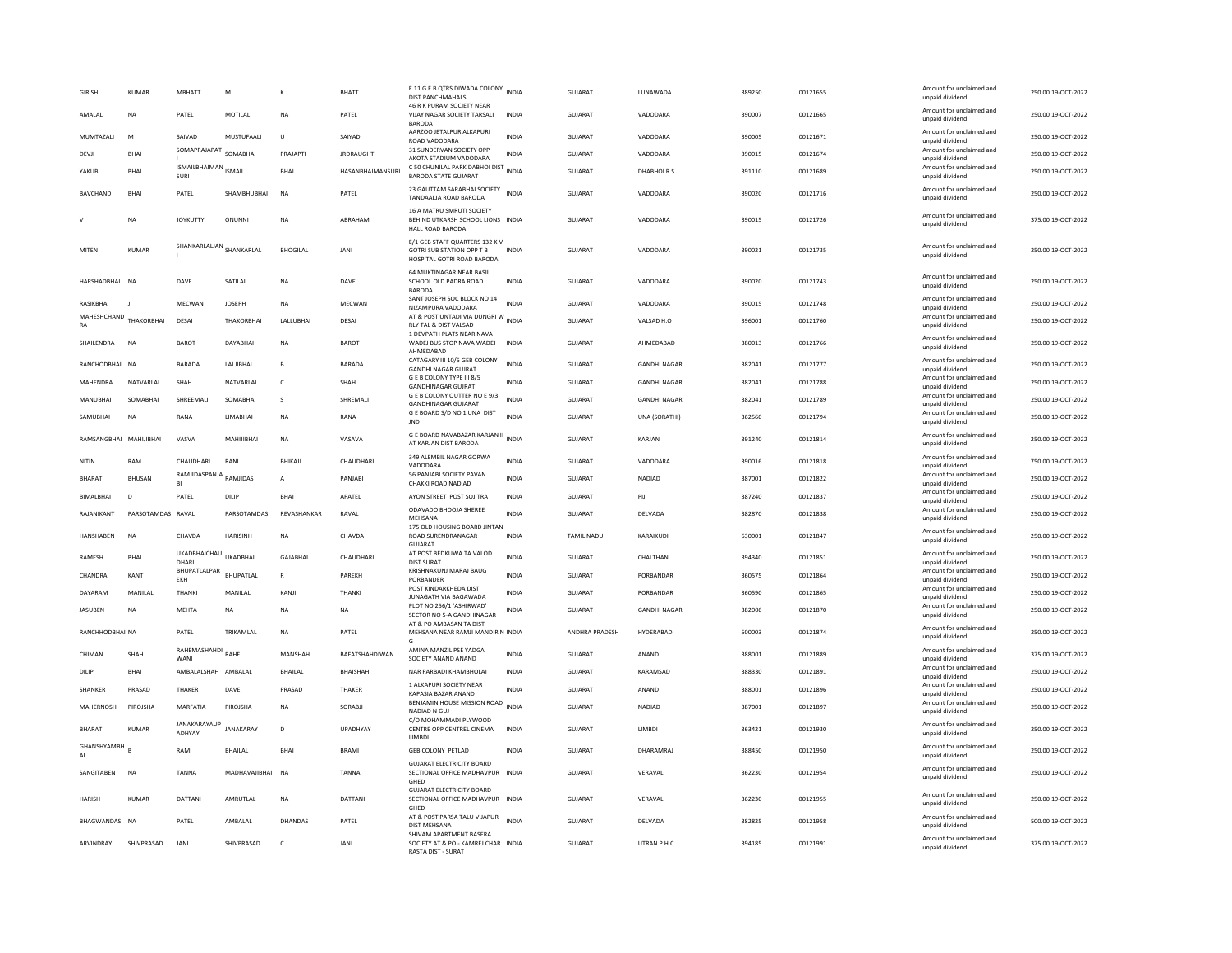| <b>GIRISH</b>          | KUMAR             | MBHATT                         | M                | К               | <b>BHATT</b>     | E 11 G E B QTRS DIWADA COLONY INDIA<br><b>DIST PANCHMAHALS</b><br>46 R K PURAM SOCIETY NEAR      |              | GUJARAT        | LUNAWADA            | 389250 | 00121655 | Amount for unclaimed and<br>unpaid dividend | 250.00 19-OCT-2022 |
|------------------------|-------------------|--------------------------------|------------------|-----------------|------------------|--------------------------------------------------------------------------------------------------|--------------|----------------|---------------------|--------|----------|---------------------------------------------|--------------------|
| AMALAL                 | <b>NA</b>         | PATEL                          | MOTILAL          | <b>NA</b>       | PATEL            | VIJAY NAGAR SOCIETY TARSALI<br><b>BARODA</b>                                                     | <b>INDIA</b> | <b>GUJARAT</b> | VADODARA            | 390007 | 00121665 | Amount for unclaimed and<br>unpaid dividend | 250.00 19-OCT-2022 |
| MUMTAZALI              | M                 | SAIVAD                         | MUSTUFAALI       | U               | SAIYAD           | AARZOO JETALPUR ALKAPURI<br>ROAD VADODARA                                                        | <b>INDIA</b> | GUJARAT        | VADODARA            | 390005 | 00121671 | Amount for unclaimed and<br>unpaid dividend | 250.00 19-OCT-2022 |
| DEVJI                  | BHAI              | SOMAPRAJAPAT                   | SOMABHAI         | PRAJAPTI        | <b>JRDRAUGHT</b> | 31 SUNDERVAN SOCIETY OPP<br>AKOTA STADIUM VADODARA                                               | <b>INDIA</b> | GUJARAT        | VADODARA            | 390015 | 00121674 | Amount for unclaimed and<br>unpaid dividend | 250.00 19-OCT-2022 |
| YAKUB                  | <b>BHAI</b>       | ISMAILBHAIMAN ISMAIL<br>SURI   |                  | <b>RHAI</b>     | HASANBHAIMANSURI | C 50 CHUNILAL PARK DABHOI DIST INDIA<br><b>BARODA STATE GUJARAT</b>                              |              | <b>GUJARAT</b> | DHABHOIR.S          | 391110 | 00121689 | Amount for unclaimed and<br>unpaid dividend | 250.00 19-OCT-2022 |
| <b>BAVCHAND</b>        | <b>BHAI</b>       | PATEL                          | SHAMBHUBHAI      | N <sub>A</sub>  | PATEL            | 23 GAUTTAM SARABHAI SOCIETY<br>TANDAALJA ROAD BARODA                                             | <b>INDIA</b> | <b>GUJARAT</b> | VADODARA            | 390020 | 00121716 | Amount for unclaimed and<br>unpaid dividend | 250.00 19-OCT-2022 |
|                        | <b>NA</b>         | <b>JOYKUTTY</b>                | ONUNNI           | <b>NA</b>       | ARRAHAM          | 16 A MATRU SMRUTI SOCIETY<br>BEHIND UTKARSH SCHOOL LIONS INDIA<br>HALL ROAD BARODA               |              | GUIARAT        | VADODARA            | 390015 | 00121726 | Amount for unclaimed and<br>unpaid dividend | 375.00 19-OCT-2022 |
| MITEN                  | KUMAR             | SHANKARLALJAN<br>SHANKARLAL    |                  | <b>BHOGILAL</b> | <b>JANI</b>      | E/1 GEB STAFF QUARTERS 132 K V<br><b>GOTRI SUB STATION OPP T B</b><br>HOSPITAL GOTRI ROAD BARODA | <b>INDIA</b> | GUIARAT        | VADODARA            | 390021 | 00121735 | Amount for unclaimed and<br>unpaid dividend | 250.00.19-OCT-2022 |
| HARSHADBHAI NA         |                   | DAVE                           | SATILAL          | NA              | DAVE             | 64 MUKTINAGAR NEAR BASIL<br>SCHOOL OLD PADRA ROAD<br><b>BARODA</b>                               | <b>INDIA</b> | <b>GUJARAT</b> | VADODARA            | 390020 | 00121743 | Amount for unclaimed and<br>unpaid dividend | 250.00 19-OCT-2022 |
| RASIKBHAI              |                   | MECWAN                         | <b>JOSEPH</b>    | <b>NA</b>       | MECWAN           | SANT JOSEPH SOC BLOCK NO 14<br>NIZAMPURA VADODARA                                                | INDIA        | GUJARAT        | VADODARA            | 390015 | 00121748 | Amount for unclaimed and<br>unpaid dividend | 250.00 19-OCT-2022 |
| MAHESHCHAND<br>RA      | THAKORRHAI        | DESAL                          | THAKORRHAI       | LALLUBHAI       | DESAI            | AT & POST UNTADI VIA DUNGRI W<br>INDIA<br>RLY TAL & DIST VALSAD                                  |              | GUIARAT        | VALSAD H.O          | 396001 | 00121760 | Amount for unclaimed and<br>unpaid dividend | 250.00 19-OCT-2022 |
| SHAILENDRA             | <b>NA</b>         | <b>BAROT</b>                   | DAYABHAI         | NA              | <b>BAROT</b>     | 1 DEVPATH PLATS NEAR NAVA<br>WADEJ BUS STOP NAVA WADEJ INDIA<br>AHMEDABAD                        |              | <b>GUJARAT</b> | AHMEDABAD           | 380013 | 00121766 | Amount for unclaimed and<br>unpaid dividend | 250.00 19-OCT-2022 |
| RANCHODBHAI NA         |                   | BARADA                         | LALJIBHAI        | B               | BARADA           | CATAGARY III 10/5 GEB COLONY<br><b>GANDHI NAGAR GUIRAT</b>                                       | <b>INDIA</b> | GUJARAT        | <b>GANDHI NAGAR</b> | 382041 | 00121777 | Amount for unclaimed and<br>unpaid dividend | 250.00 19-OCT-2022 |
| MAHFNDRA               | NATVARI AI        | <b>SHAH</b>                    | NATVARI AI       | $\epsilon$      | SHAH             | <b>GEB COLONY TYPE III 8/5</b><br><b>GANDHINAGAR GUJRAT</b>                                      | <b>INDIA</b> | GUIARAT        | <b>GANDHI NAGAR</b> | 382041 | 00121788 | Amount for unclaimed and<br>unpaid dividend | 250.00.19-OCT-2022 |
| MANUBHAI               | SOMABHAI          | SHREEMALI                      | SOMABHAI         | $\mathbf{s}$    | SHREMALI         | G E B COLONY QUTTER NO E 9/3<br><b>GANDHINAGAR GUJARAT</b>                                       | <b>INDIA</b> | GUJARAT        | <b>GANDHI NAGAR</b> | 382041 | 00121789 | Amount for unclaimed and<br>unpaid dividend | 250.00 19-OCT-2022 |
| SAMUBHAI               | <b>NA</b>         | RANA                           | LIMABHAI         | <b>NA</b>       | RANA             | G E BOARD S/D NO 1 UNA DIST<br><b>JND</b>                                                        | <b>INDIA</b> | <b>GUJARAT</b> | UNA (SORATHI)       | 362560 | 00121794 | Amount for unclaimed and<br>unpaid dividend | 250.00 19-OCT-2022 |
| RAMSANGBHAI MAHIJIBHAI |                   | VASVA                          | MAHUIBHAI        | <b>NA</b>       | VASAVA           | G E BOARD NAVABAZAR KARJAN II INDIA<br>AT KARJAN DIST BARODA                                     |              | <b>GUJARAT</b> | KARJAN              | 391240 | 00121814 | Amount for unclaimed and<br>unpaid dividend | 250.00 19-OCT-2022 |
| NITIN                  | RAM               | CHAUDHARI                      | RANI             | BHIKAJI         | CHAUDHARI        | 349 ALEMBIL NAGAR GORWA<br>VADODARA                                                              | <b>INDIA</b> | GUJARAT        | VADODARA            | 390016 | 00121818 | Amount for unclaimed and<br>unpaid dividend | 750.00 19-OCT-2022 |
| <b>BHARAT</b>          | <b>BHUSAN</b>     | RAMJIDASPANJA<br>RAMJIDAS      |                  | А               | PANJABI          | 56 PANJABI SOCIETY PAVAN<br>CHAKKI ROAD NADIAD                                                   | <b>INDIA</b> | <b>GUJARAT</b> | NADIAD              | 387001 | 00121822 | Amount for unclaimed and<br>unpaid dividend | 250.00 19-OCT-2022 |
| BIMALBHAI              | D                 | PATEL                          | DILIP            | <b>BHAI</b>     | APATEL           | AYON STREET POST SOJITRA                                                                         | <b>INDIA</b> | GUJARAT        | PIJ                 | 387240 | 00121837 | Amount for unclaimed and<br>unpaid dividend | 250.00 19-OCT-2022 |
| RAJANIKANT             | PARSOTAMDAS RAVAL |                                | PARSOTAMDAS      | REVASHANKAR     | RAVAL            | ODAVADO BHOOJA SHEREE<br>MEHSANA                                                                 | <b>INDIA</b> | <b>GUJARAT</b> | DELVADA             | 382870 | 00121838 | Amount for unclaimed and<br>unpaid dividend | 250.00 19-OCT-2022 |
| <b>HANSHABEN</b>       | <b>NA</b>         | CHAVDA                         | HARISINH         | <b>NA</b>       | CHAVDA           | 175 OLD HOUSING BOARD JINTAN<br>ROAD SURENDRANAGAR<br>GUJARAT                                    | <b>INDIA</b> | TAMIL NADU     | KARAIKUDI           | 630001 | 00121847 | Amount for unclaimed and<br>unpaid dividend | 250.00 19-OCT-2022 |
| RAMESH                 | <b>BHAI</b>       | UKADBHAICHAU UKADBHAI<br>DHARI |                  | GAJABHAI        | CHAUDHARI        | AT POST BEDKUWA TA VALOD<br><b>DIST SURAT</b>                                                    | <b>INDIA</b> | <b>GUJARAT</b> | CHALTHAN            | 394340 | 00121851 | Amount for unclaimed and<br>unpaid dividend | 250.00 19-OCT-2022 |
| CHANDRA                | KANT              | BHUPATLALPAR<br>EKH            | <b>BHUPATLAL</b> | R               | PAREKH           | KRISHNAKUNJ MARAJ BAUG<br>PORBANDER                                                              | <b>INDIA</b> | <b>GUJARAT</b> | PORBANDAR           | 360575 | 00121864 | Amount for unclaimed and<br>unpaid dividend | 250.00 19-OCT-2022 |
| DAYARAM                | MANILAL           | THANKI                         | MANILAL          | KANJI           | THANKI           | POST KINDARKHEDA DIST<br><b>JUNAGATH VIA BAGAWADA</b>                                            | <b>INDIA</b> | GUJARAT        | PORBANDAR           | 360590 | 00121865 | Amount for unclaimed and<br>unpaid dividend | 250.00 19-OCT-2022 |
| JASUBEN                | <b>NA</b>         | MEHTA                          | <b>NA</b>        | NA              | <b>NA</b>        | PLOT NO 256/1 'ASHIRWAD'<br>SECTOR NO 5-A GANDHINAGAR                                            | <b>INDIA</b> | <b>GUJARAT</b> | <b>GANDHI NAGAR</b> | 382006 | 00121870 | Amount for unclaimed and<br>unpaid dividend | 250.00 19-OCT-2022 |
| RANCHHODBHAI NA        |                   | PATEL                          | TRIKAMI AI       | <b>NA</b>       | PATEL            | AT & PO AMBASAN TA DIST<br>MEHSANA NEAR RAMJI MANDIR N INDIA                                     |              | ANDHRA PRADESH | HYDERABAD           | 500003 | 00121874 | Amount for unclaimed and<br>unpaid dividend | 250.00 19-OCT-2022 |
| CHIMAN                 | SHAH              | RAHEMASHAHDI RAHE<br>WANI      |                  | MANSHAH         | BAFATSHAHDIWAN   | AMINA MANZIL PSE YADGA<br>SOCIETY ANAND ANAND                                                    | <b>INDIA</b> | GUJARAT        | ANAND               | 388001 | 00121889 | Amount for unclaimed and<br>unpaid dividend | 375.00 19-OCT-2022 |
| DILIP                  | <b>BHAI</b>       | AMBALALSHAH AMBALAL            |                  | <b>BHAILAL</b>  | <b>BHAISHAH</b>  | NAR PARBADI KHAMBHOLA                                                                            | <b>INDIA</b> | <b>GUJARAT</b> | KARAMSAD            | 388330 | 00121891 | Amount for unclaimed and<br>unpaid dividend | 250.00 19-OCT-2022 |
| SHANKER                | PRASAD            | THAKER                         | DAVE             | PRASAD          | THAKER           | 1 ALKAPURI SOCIETY NEAR<br>KAPASIA BAZAR ANAND                                                   | <b>INDIA</b> | <b>GUJARAT</b> | ANAND               | 388001 | 00121896 | Amount for unclaimed and<br>unpaid dividend | 250.00 19-OCT-2022 |
| MAHERNOSH              | PIROJSHA          | MARFATIA                       | PIROJSHA         | <b>NA</b>       | SORABIL          | BENJAMIN HOUSE MISSION ROAD<br>NADIAD N GUJ                                                      | <b>INDIA</b> | GUIARAT        | NADIAD              | 387001 | 00121897 | Amount for unclaimed and<br>unpaid dividend | 250.00 19-OCT-2022 |
| BHARAT                 | KUMAR             | JANAKARAYAUP<br>ADHYAY         | <b>JANAKARAY</b> | D               | UPADHYAY         | C/O MOHAMMADI PLYWOOD<br>CENTRE OPP CENTREL CINEMA<br>LIMBDI                                     | <b>INDIA</b> | GUJARAT        | LIMBDI              | 363421 | 00121930 | Amount for unclaimed and<br>unpaid dividend | 250.00 19-OCT-2022 |
| GHANSHYAMBH<br>AI      |                   | RAMI                           | <b>RHAILAI</b>   | <b>BHAI</b>     | <b>BRAMI</b>     | <b>GEB COLONY PETLAD</b>                                                                         | <b>INDIA</b> | GUIARAT        | DHARAMRAI           | 388450 | 00121950 | Amount for unclaimed and<br>unpaid dividend | 250.00 19-OCT-2022 |
| SANGITABEN             | <b>NA</b>         | <b>TANNA</b>                   | MADHAVAJIBHAI    | N <sub>A</sub>  | <b>TANNA</b>     | <b>GUJARAT ELECTRICITY BOARD</b><br>SECTIONAL OFFICE MADHAVPUR INDIA<br>GHFD                     |              | GUJARAT        | VERAVAL             | 362230 | 00121954 | Amount for unclaimed and<br>unpaid dividend | 250.00 19-OCT-2022 |
| <b>HARISH</b>          | <b>KUMAR</b>      | <b>DATTANI</b>                 | AMRUTLAL         | <b>NA</b>       | DATTANI          | <b>GUJARAT ELECTRICITY BOARD</b><br>SECTIONAL OFFICE MADHAVPUR INDIA<br>GHED                     |              | <b>GUJARAT</b> | VERAVAL             | 362230 | 00121955 | Amount for unclaimed and<br>unpaid dividend | 250.00 19-OCT-2022 |
| BHAGWANDAS NA          |                   | PATEL                          | AMBALAL          | DHANDAS         | PATEL            | AT & POST PARSA TALU VIJAPUR<br>DIST MEHSANA                                                     | <b>INDIA</b> | <b>GUJARAT</b> | DELVADA             | 382825 | 00121958 | Amount for unclaimed and<br>unpaid dividend | 500.00 19-OCT-2022 |
|                        |                   |                                |                  |                 |                  |                                                                                                  |              |                |                     |        |          |                                             |                    |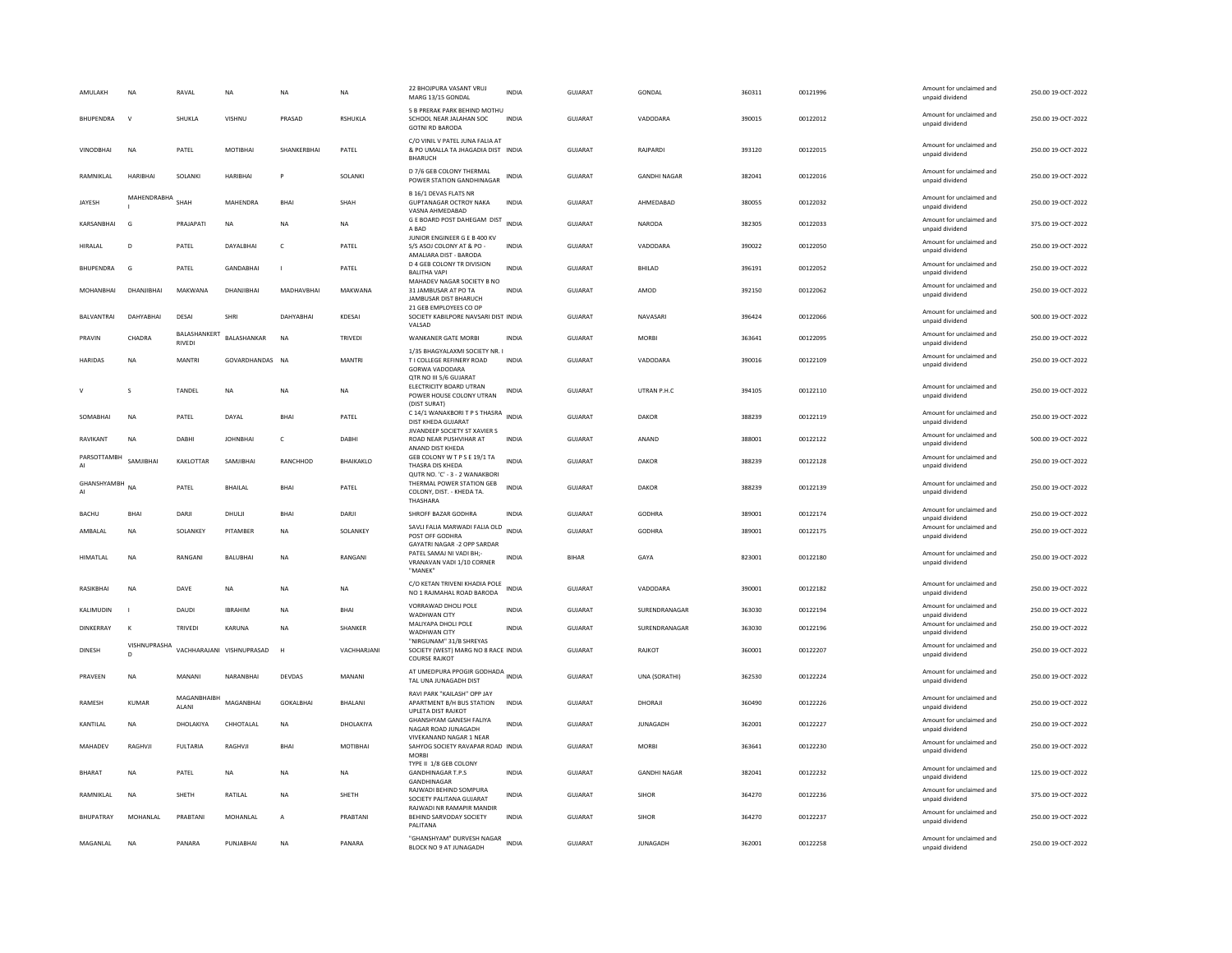| AMULAKH           | <b>NA</b>          | RAVAL                         | <b>NA</b>                 | <b>NA</b>        | <b>NA</b>      | 22 BHOJPURA VASANT VRUJ<br>MARG 13/15 GONDAL                                                        | <b>INDIA</b> | GUJARAT        | GONDAL              | 360311 | 00121996 | Amount for unclaimed and<br>unpaid dividend | 250.00 19-OCT-2022 |
|-------------------|--------------------|-------------------------------|---------------------------|------------------|----------------|-----------------------------------------------------------------------------------------------------|--------------|----------------|---------------------|--------|----------|---------------------------------------------|--------------------|
| <b>BHUPENDRA</b>  | $\mathsf{v}$       | SHUKLA                        | VISHNU                    | PRASAD           | <b>RSHUKLA</b> | 5 B PRERAK PARK BEHIND MOTHU<br>SCHOOL NEAR JALAHAN SOC<br><b>GOTNI RD BARODA</b>                   | <b>INDIA</b> | <b>GUJARAT</b> | VADODARA            | 390015 | 00122012 | Amount for unclaimed and<br>unpaid dividend | 250.00 19-OCT-2022 |
| <b>VINODBHAI</b>  | <b>NA</b>          | PATEL                         | MOTIBHAI                  | SHANKERBHAI      | PATEL          | C/O VINIL V PATEL JUNA FALIA AT<br>& PO UMALLA TA JHAGADIA DIST INDIA<br><b>BHARUCH</b>             |              | <b>GUJARAT</b> | RAJPARDI            | 393120 | 00122015 | Amount for unclaimed and<br>unpaid dividend | 250.00 19-OCT-2022 |
| RAMNIKLAL         | <b>HARIBHAI</b>    | SOLANKI                       | <b>HARIBHAI</b>           | P                | SOLANKI        | D 7/6 GEB COLONY THERMAL<br>POWER STATION GANDHINAGAR                                               | INDIA        | <b>GUJARAT</b> | <b>GANDHI NAGAR</b> | 382041 | 00122016 | Amount for unclaimed and<br>unpaid dividend | 250.00 19-OCT-2022 |
| JAYESH            | MAHENDRABHA        | <b>SHAH</b>                   | MAHENDRA                  | <b>BHAI</b>      | SHAH           | B 16/1 DEVAS FLATS NR<br><b>GUPTANAGAR OCTROY NAKA</b><br>VASNA AHMEDABAD                           | INDIA        | GUJARAT        | AHMEDABAD           | 380055 | 00122032 | Amount for unclaimed and<br>unpaid dividend | 250.00 19-OCT-2022 |
| KARSANBHAI        | G                  | PRAJAPATI                     | <b>NA</b>                 | <b>NA</b>        | <b>NA</b>      | G E BOARD POST DAHEGAM DIST<br>A BAD                                                                | <b>INDIA</b> | GUJARAT        | NARODA              | 382305 | 00122033 | Amount for unclaimed and<br>unpaid dividend | 375.00 19-OCT-2022 |
| HIRALAL           | D                  | PATEL                         | DAYALBHAI                 | $\mathsf{C}$     | PATEL          | JUNIOR ENGINEER G E B 400 KV<br>S/S ASOJ COLONY AT & PO<br>AMALIARA DIST - BARODA                   | INDIA        | GUJARAT        | VADODARA            | 390022 | 00122050 | Amount for unclaimed and<br>unpaid dividend | 250.00 19-OCT-2022 |
| <b>BHUPFNDRA</b>  | G                  | PATFI                         | GANDARHAI                 | $\blacksquare$   | PATFI          | D 4 GEB COLONY TR DIVISION<br><b>BALITHA VAPI</b>                                                   | <b>INDIA</b> | GUIARAT        | <b>BHILAD</b>       | 396191 | 00122052 | Amount for unclaimed and<br>unpaid dividend | 250.00.19-QCT-2022 |
| MOHANBHAI         | DHANJIBHAI         | MAKWANA                       | DHANJIBHAI                | MADHAVBHAI       | MAKWANA        | MAHADEV NAGAR SOCIETY B NO<br>31 JAMBUSAR AT PO TA<br>JAMBUSAR DIST BHARUCH                         | <b>INDIA</b> | GUJARAT        | AMOD                | 392150 | 00122062 | Amount for unclaimed and<br>unpaid dividend | 250.00 19-OCT-2022 |
| <b>BALVANTRAI</b> | DAHYABHAI          | DESAI                         | SHRI                      | DAHYABHAI        | KDESAI         | 21 GEB EMPLOYEES CO OP<br>SOCIETY KABILPORE NAVSARI DIST INDIA<br>VALSAD                            |              | <b>GUJARAT</b> | NAVASARI            | 396424 | 00122066 | Amount for unclaimed and<br>unpaid dividend | 500.00 19-OCT-2022 |
| PRAVIN            | CHADRA             | BALASHANKERT<br><b>RIVEDI</b> | BALASHANKAR               | <b>NA</b>        | <b>TRIVEDI</b> | <b>WANKANER GATE MORBI</b>                                                                          | <b>INDIA</b> | <b>GUJARAT</b> | <b>MORRI</b>        | 363641 | 00122095 | Amount for unclaimed and<br>unpaid dividend | 250.00 19-OCT-2022 |
| <b>HARIDAS</b>    | <b>NA</b>          | <b>MANTRI</b>                 | GOVARDHANDAS NA           |                  | <b>MANTRI</b>  | 1/35 BHAGYALAXMI SOCIETY NR.<br>T I COLLEGE REFINERY ROAD<br><b>GORWA VADODARA</b>                  | <b>INDIA</b> | <b>GUJARAT</b> | VADODARA            | 390016 | 00122109 | Amount for unclaimed and<br>unpaid dividend | 250.00 19-OCT-2022 |
|                   | s                  | TANDEL                        | NA                        | NA               | NA             | QTR NO III 5/6 GUJARAT<br>ELECTRICITY BOARD UTRAN<br>POWER HOUSE COLONY UTRAN<br>(DIST SURAT)       | INDIA        | GUJARAT        | UTRAN P.H.C         | 394105 | 00122110 | Amount for unclaimed and<br>unpaid dividend | 250.00 19-OCT-2022 |
| SOMABHAI          | <b>NA</b>          | PATEL                         | DAYAL                     | <b>BHAI</b>      | PATEL          | C 14/1 WANAKBORI T P S THASRA<br>DIST KHEDA GUJARAT                                                 | <b>INDIA</b> | <b>GUJARAT</b> | <b>DAKOR</b>        | 388239 | 00122119 | Amount for unclaimed and<br>unpaid dividend | 250.00 19-OCT-2022 |
| RAVIKANT          | <b>NA</b>          | DABHI                         | <b>JOHNBHAI</b>           | c                | DABHI          | JIVANDEEP SOCIETY ST XAVIER S<br>ROAD NEAR PUSHVIHAR AT<br>ANAND DIST KHEDA                         | <b>INDIA</b> | <b>GUJARAT</b> | ANAND               | 388001 | 00122122 | Amount for unclaimed and<br>unpaid dividend | 500.00 19-OCT-2022 |
| PARSOTTAMBH       | SAMIIRHAI          | KAKLOTTAR                     | SAMIIRHAI                 | RANCHHOD         | BHAIKAKLO      | GEB COLONY W T P S E 19/1 TA<br>THASRA DIS KHEDA                                                    | <b>INDIA</b> | <b>GUJARAT</b> | DAKOR               | 388239 | 00122128 | Amount for unclaimed and<br>unpaid dividend | 250.00 19-OCT-2022 |
| GHANSHYAMBH<br>AI | <b>NA</b>          | PATEL                         | BHAILAL                   | <b>BHAI</b>      | PATEL          | QUTR NO. 'C' - 3 - 2 WANAKBORI<br>THERMAL POWER STATION GEB<br>COLONY, DIST. - KHEDA TA<br>THASHARA | <b>INDIA</b> | GUJARAT        | DAKOR               | 388239 | 00122139 | Amount for unclaimed and<br>unpaid dividend | 250.00 19-OCT-2022 |
| <b>BACHU</b>      | <b>BHAI</b>        | DARJI                         | DHULI                     | <b>BHA</b>       | DARJI          | SHROFF BAZAR GODHRA                                                                                 | <b>INDIA</b> | <b>GUJARAT</b> | <b>GODHRA</b>       | 389001 | 00122174 | Amount for unclaimed and<br>unpaid dividend | 250.00 19-OCT-2022 |
| AMBALAL           | NA                 | SOLANKEY                      | PITAMBER                  | NA               | SOLANKEY       | SAVLI FALIA MARWADI FALIA OLD<br>POST OFF GODHRA<br>GAYATRI NAGAR -2 OPP SARDAR                     | <b>INDIA</b> | GUJARAT        | GODHRA              | 389001 | 00122175 | Amount for unclaimed and<br>unpaid dividend | 250.00 19-OCT-2022 |
| HIMATLAL          | <b>NA</b>          | RANGANI                       | <b>BALUBHAI</b>           | <b>NA</b>        | RANGANI        | PATEL SAMALNI VADI RH:<br>VRANAVAN VADI 1/10 CORNER<br>"MANEK                                       | <b>INDIA</b> | <b>BIHAR</b>   | GAYA                | 823001 | 00122180 | Amount for unclaimed and<br>unpaid dividend | 250.00 19-OCT-2022 |
| RASIKBHAI         | <b>NA</b>          | DAVE                          | <b>NA</b>                 | <b>NA</b>        | <b>NA</b>      | C/O KETAN TRIVENI KHADIA POLE<br>NO 1 RAJMAHAL ROAD BARODA                                          | <b>INDIA</b> | GUJARAT        | VADODARA            | 390001 | 00122182 | Amount for unclaimed and<br>unpaid dividend | 250.00 19-OCT-2022 |
| KALIMUDIN         | п.                 | DAUDI                         | <b>IRRAHIN</b>            | <b>NA</b>        | <b>RHAI</b>    | VORRAWAD DHOLI POLE<br>WADHWAN CITY                                                                 | <b>INDIA</b> | <b>GUJARAT</b> | SURENDRANAGAR       | 363030 | 00122194 | Amount for unclaimed and<br>unpaid dividend | 250.00 19-OCT-2022 |
| <b>DINKERRAY</b>  | к                  | <b>TRIVEDI</b>                | KARUNA                    | <b>NA</b>        | SHANKER        | MALIYAPA DHOLI POLE<br>WADHWAN CITY                                                                 | <b>INDIA</b> | GUJARAT        | SURENDRANAGAR       | 363030 | 00122196 | Amount for unclaimed and<br>unpaid dividend | 250.00 19-OCT-2022 |
| <b>DINESH</b>     | VISHNUPRASHA<br>D. |                               | VACHHARAJANI VISHNUPRASAD | H                | VACHHARJANI    | "NIRGUNAM" 31/B SHREYAS<br>SOCIETY (WEST) MARG NO 8 RACE INDIA<br><b>COURSE RAJKOT</b>              |              | GUJARAT        | RAJKOT              | 360001 | 00122207 | Amount for unclaimed and<br>unpaid dividend | 250.00 19-OCT-2022 |
| PRAVEEN           | <b>NA</b>          | MANANI                        | NARANBHAI                 | <b>DEVDAS</b>    | MANANI         | AT UMEDPURA PPOGIR GODHADA INDIA<br>TAL UNA JUNAGADH DIST                                           |              | GUJARAT        | UNA (SORATHI)       | 362530 | 00122224 | Amount for unclaimed and<br>unpaid dividend | 250.00 19-OCT-2022 |
| RAMESH            | <b>KUMAR</b>       | MAGANBHAIBH<br>ALANI          | MAGANBHAI                 | <b>GOKALBHAI</b> | <b>BHALANI</b> | RAVI PARK "KAILASH" OPP JAY<br>APARTMENT B/H BUS STATION<br><b>UPLETA DIST RAJKOT</b>               | <b>INDIA</b> | <b>GUJARAT</b> | DHORAJI             | 360490 | 00122226 | Amount for unclaimed and<br>unpaid dividend | 250.00 19-OCT-2022 |
| KANTILAL          | NA                 | DHOLAKIYA                     | CHHOTALAL                 | <b>NA</b>        | DHOLAKIYA      | <b>GHANSHYAM GANESH FALIYA</b><br>NAGAR ROAD JUNAGADH                                               | <b>INDIA</b> | <b>GUJARAT</b> | JUNAGADH            | 362001 | 00122227 | Amount for unclaimed and<br>unpaid dividend | 250.00 19-OCT-2022 |
| MAHADEV           | RAGHVJI            | <b>FULTARIA</b>               | RAGHVJI                   | <b>BHAI</b>      | MOTIBHAI       | VIVEKANAND NAGAR 1 NEAR<br>SAHYOG SOCIETY RAVAPAR ROAD INDIA<br><b>MORB</b>                         |              | <b>GUJARAT</b> | <b>MORRI</b>        | 363641 | 00122230 | Amount for unclaimed and<br>unpaid dividend | 250.00 19-OCT-2022 |
| <b>BHARAT</b>     | <b>NA</b>          | PATEL                         | <b>NA</b>                 | NA               | <b>NA</b>      | TYPE II 1/8 GEB COLONY<br><b>GANDHINAGAR T.P.S</b><br>GANDHINAGAR                                   | <b>INDIA</b> | GUJARAT        | <b>GANDHI NAGAR</b> | 382041 | 00122232 | Amount for unclaimed and<br>unpaid dividend | 125.00 19-OCT-2022 |
| RAMNIKLAL         | <b>NA</b>          | SHETH                         | RATILAL                   | NA               | SHETH          | RAJWADI BEHIND SOMPURA<br>SOCIETY PALITANA GUJARAT                                                  | <b>INDIA</b> | GUJARAT        | SIHOR               | 364270 | 00122236 | Amount for unclaimed and<br>unpaid dividend | 375.00 19-OCT-2022 |
| <b>BHUPATRAY</b>  | MOHANLAL           | PRABTANI                      | MOHANLAL                  | A                | PRABTANI       | RAJWADI NR RAMAPIR MANDIF<br>BEHIND SARVODAY SOCIETY<br>PALITANA                                    | INDIA        | GUJARAT        | <b>SIHOR</b>        | 364270 | 00122237 | Amount for unclaimed and<br>unpaid dividend | 250.00 19-OCT-2022 |
| MAGANLAL          | <b>NA</b>          | PANARA                        | PUNJABHAI                 | <b>NA</b>        | PANARA         | "GHANSHYAM" DURVESH NAGAR<br>BLOCK NO 9 AT JUNAGADH                                                 | <b>INDIA</b> | GUJARAT        | <b>JUNAGADH</b>     | 362001 | 00122258 | Amount for unclaimed and<br>unpaid dividend | 250.00 19-OCT-2022 |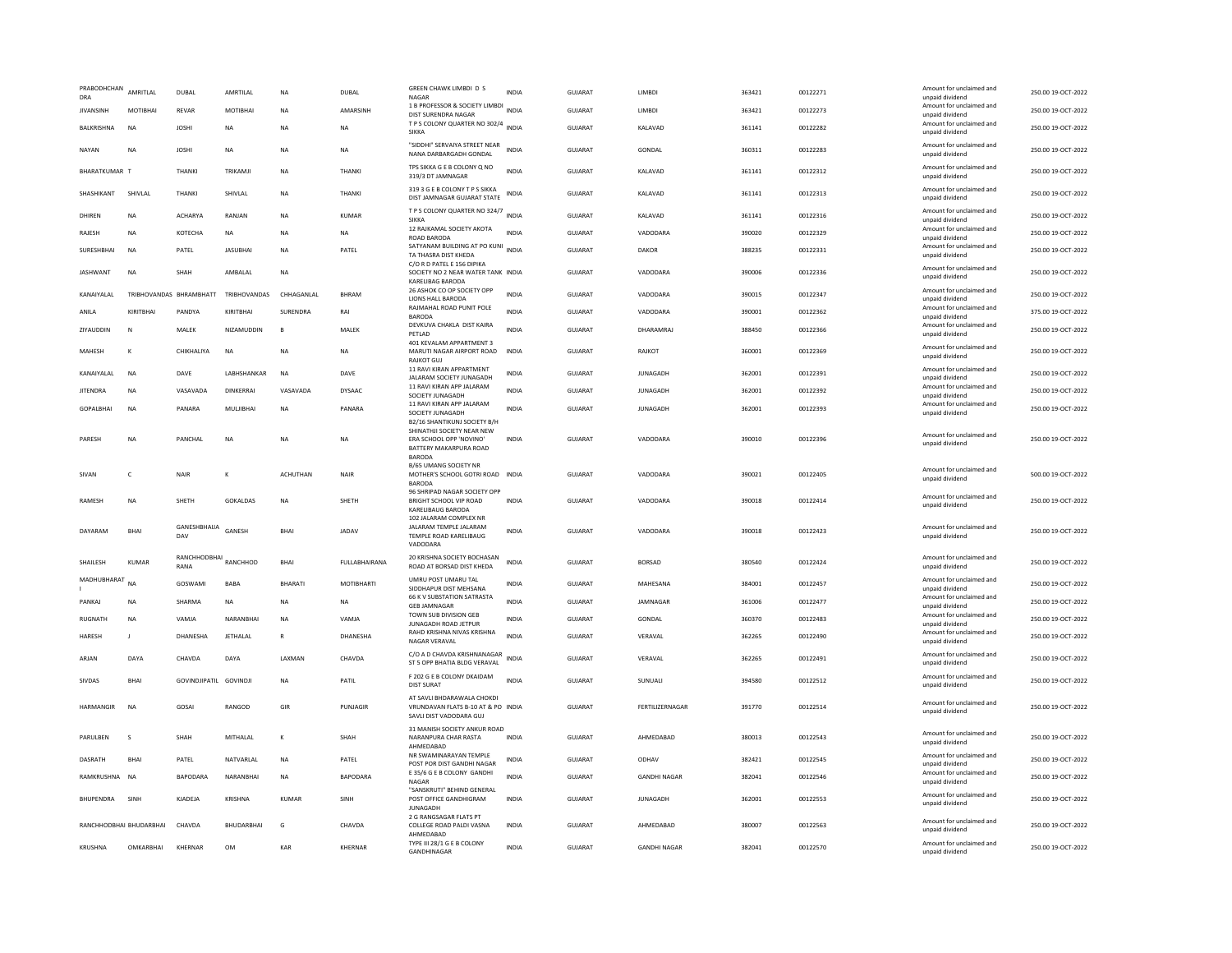| PRABODHCHAN<br>DRA      | AMRITLAL     | DUBAL                         | AMRTILAL         | <b>NA</b>       | DUBAL           | GREEN CHAWK LIMBDI D S<br>NAGAR                                                             | <b>INDIA</b> | GUJARAT        | LIMBDI              | 363421 | 00122271 | Amount for unclaimed and<br>unpaid dividend | 250.00 19-OCT-2022 |
|-------------------------|--------------|-------------------------------|------------------|-----------------|-----------------|---------------------------------------------------------------------------------------------|--------------|----------------|---------------------|--------|----------|---------------------------------------------|--------------------|
| <b>JIVANSINH</b>        | MOTIBHAI     | REVAR                         | MOTIBHAI         | <b>NA</b>       | AMARSINH        | 1 B PROFESSOR & SOCIETY LIMBDI<br>DIST SURENDRA NAGAR                                       | <b>INDIA</b> | GUJARAT        | LIMBDI              | 363421 | 00122273 | Amount for unclaimed and<br>unpaid dividend | 250.00 19-OCT-2022 |
| BALKRISHNA              | <b>NA</b>    | <b>JOSHI</b>                  | NA               | <b>NA</b>       | <b>NA</b>       | T P S COLONY QUARTER NO 302/4 INDIA<br><b>SIKKA</b>                                         |              | GUJARAT        | KALAVAD             | 361141 | 00122282 | Amount for unclaimed and<br>unpaid dividend | 250.00 19-OCT-2022 |
| NAYAN                   | <b>NA</b>    | <b>JOSHI</b>                  | <b>NA</b>        | <b>NA</b>       | <b>NA</b>       | "SIDDHI" SERVAIYA STREET NEAR<br>NANA DARBARGADH GONDAL                                     | <b>INDIA</b> | GUJARAT        | GONDAL              | 360311 | 00122283 | Amount for unclaimed and<br>unpaid dividend | 250.00 19-OCT-2022 |
| BHARATKUMAR T           |              | THANKI                        | TRIKAMI          | <b>NA</b>       | THANKI          | TPS SIKKA G E B COLONY Q NO<br>319/3 DT JAMNAGAR                                            | <b>INDIA</b> | GUJARAT        | KAI AVAD            | 361141 | 00122312 | Amount for unclaimed and<br>unpaid dividend | 250.00 19-OCT-2022 |
| SHASHIKANT              | SHIVLAL      | THANKI                        | SHIVLAL          | NA              | THANKI          | 319 3 G E B COLONY T P S SIKKA<br>DIST JAMNAGAR GUJARAT STATE                               | <b>INDIA</b> | GUJARAT        | KALAVAD             | 361141 | 00122313 | Amount for unclaimed and<br>unpaid dividend | 250.00 19-OCT-2022 |
| DHIRFN                  | <b>NA</b>    | <b>ACHARYA</b>                | RANIAN           | <b>NA</b>       | KUMAR           | T P S COLONY QUARTER NO 324/7 INDIA<br><b>SIKKA</b>                                         |              | GUIARAT        | KAI AVAD            | 361141 | 00122316 | Amount for unclaimed and<br>unpaid dividend | 250.00 19-OCT-2022 |
| RAJESH                  | <b>NA</b>    | <b>КОТЕСНА</b>                | <b>NA</b>        | <b>NA</b>       | <b>NA</b>       | 12 RAJKAMAL SOCIETY AKOTA<br>ROAD BARODA                                                    | <b>INDIA</b> | GUIARAT        | VADODARA            | 390020 | 00122329 | Amount for unclaimed and<br>unpaid dividend | 250.00 19-OCT-2022 |
| SURESHBHAI              | <b>NA</b>    | PATEL                         | <b>JASUBHAI</b>  | <b>NA</b>       | PATEL           | SATYANAM BUILDING AT PO KUNI<br>TA THASRA DIST KHEDA                                        | <b>INDIA</b> | GUJARAT        | DAKOR               | 388235 | 00122331 | Amount for unclaimed and<br>unpaid dividend | 250.00 19-OCT-2022 |
| <b>JASHWANT</b>         | <b>NA</b>    | <b>SHAH</b>                   | AMBALAL          | <b>NA</b>       |                 | C/O R D PATEL E 156 DIPIKA<br>SOCIETY NO 2 NEAR WATER TANK INDIA<br><b>KARELIBAG BARODA</b> |              | <b>GUJARAT</b> | VADODARA            | 390006 | 00122336 | Amount for unclaimed and<br>unpaid dividend | 250.00 19-OCT-2022 |
| KANAIYALAL              |              | TRIBHOVANDAS BHRAMBHATT       | TRIBHOVANDAS     | CHHAGANLAL      | BHRAM           | 26 ASHOK CO OP SOCIETY OPP<br>LIONS HALL BARODA                                             | <b>INDIA</b> | GUJARAT        | VADODARA            | 390015 | 00122347 | Amount for unclaimed and<br>unpaid dividend | 250.00 19-OCT-2022 |
| ANILA                   | KIRITBHAI    | PANDYA                        | KIRITBHAI        | SURENDRA        | RAI             | RAJMAHAL ROAD PUNIT POLE<br><b>BARODA</b>                                                   | <b>INDIA</b> | GUJARAT        | VADODARA            | 390001 | 00122362 | Amount for unclaimed and<br>unpaid dividend | 375.00 19-OCT-2022 |
| ZIYAUDDIN               | N            | MALEK                         | NIZAMUDDIN       | B               | MALEK           | DEVKUVA CHAKLA DIST KAIRA<br>PFTI AD                                                        | <b>INDIA</b> | <b>GUJARAT</b> | DHARAMRAJ           | 388450 | 00122366 | Amount for unclaimed and<br>unpaid dividend | 250.00 19-OCT-2022 |
| MAHESH                  | K            | CHIKHALIYA                    | <b>NA</b>        | NA              | <b>NA</b>       | 401 KEVALAM APPARTMENT 3<br>MARUTI NAGAR AIRPORT ROAD                                       | <b>INDIA</b> | GUJARAT        | RAJKOT              | 360001 | 00122369 | Amount for unclaimed and                    | 250.00 19-OCT-2022 |
|                         |              |                               |                  |                 |                 | <b>RAJKOT GUJ</b><br>11 RAVI KIRAN APPARTMENT                                               |              |                |                     |        |          | unpaid dividend<br>Amount for unclaimed and |                    |
| KANAIYALAL              | <b>NA</b>    | DAVE                          | LABHSHANKAR      | <b>NA</b>       | DAVE            | JALARAM SOCIETY JUNAGADH<br>11 RAVI KIRAN APP JALARAM                                       | <b>INDIA</b> | <b>GUJARAT</b> | <b>JUNAGADH</b>     | 362001 | 00122391 | unpaid dividend<br>Amount for unclaimed and | 250.00 19-OCT-2022 |
| <b>JITENDRA</b>         | <b>NA</b>    | VASAVADA                      | <b>DINKERRAI</b> | VASAVADA        | <b>DYSAAC</b>   | SOCIETY JUNAGADH<br>11 RAVI KIRAN APP JALARAM                                               | <b>INDIA</b> | <b>GUJARAT</b> | <b>JUNAGADH</b>     | 362001 | 00122392 | unpaid dividend<br>Amount for unclaimed and | 250.00 19-OCT-2022 |
| GOPALBHAI               | <b>NA</b>    | PANARA                        | MULJIBHAI        | NA              | PANARA          | SOCIETY JUNAGADH<br>B2/16 SHANTIKUNJ SOCIETY B/H                                            | <b>INDIA</b> | <b>GUJARAT</b> | <b>JUNAGADH</b>     | 362001 | 00122393 | unpaid dividend                             | 250.00 19-OCT-2022 |
| PARESH                  | <b>NA</b>    | PANCHAL                       | <b>NA</b>        | <b>NA</b>       | <b>NA</b>       | SHINATHJI SOCIETY NEAR NEW<br>ERA SCHOOL OPP 'NOVINO'<br>BATTERY MAKARPURA ROAD             | <b>INDIA</b> | <b>GUJARAT</b> | VADODARA            | 390010 | 00122396 | Amount for unclaimed and<br>unpaid dividend | 250.00 19-OCT-2022 |
|                         |              |                               |                  |                 |                 | <b>BARODA</b><br>B/65 UMANG SOCIETY NR                                                      |              |                |                     |        |          |                                             |                    |
| SIVAN                   | $\epsilon$   | <b>NAIR</b>                   | K                | <b>ACHUTHAN</b> | <b>NAIR</b>     | MOTHER'S SCHOOL GOTRI ROAD INDIA<br><b>BARODA</b>                                           |              | GUIARAT        | VADODARA            | 390021 | 00122405 | Amount for unclaimed and<br>unpaid dividend | 500.00 19-OCT-2022 |
| RAMESH                  | NA           | SHETH                         | GOKALDAS         | <b>NA</b>       | SHETH           | 96 SHRIPAD NAGAR SOCIETY OPP<br>BRIGHT SCHOOL VIP ROAD                                      | <b>INDIA</b> | <b>GUJARAT</b> | VADODARA            | 390018 | 00122414 | Amount for unclaimed and<br>unpaid dividend | 250.00 19-OCT-2022 |
|                         |              |                               |                  |                 |                 | KARELIBAUG BARODA<br>102 JALARAM COMPLEX NR                                                 |              |                |                     |        |          |                                             |                    |
| DAYARAM                 | BHAI         | GANESHBHAIJA<br>DAV           | GANESH           | BHAI            | <b>JADAV</b>    | JALARAM TEMPLE JALARAM<br>TEMPLE ROAD KARELIBAUG<br>VADODARA                                | <b>INDIA</b> | <b>GUJARAT</b> | VADODARA            | 390018 | 00122423 | Amount for unclaimed and<br>unpaid dividend | 250.00 19-OCT-2022 |
| SHAILESH                | KUMAR        | RANCHHODBHAI RANCHHOD<br>RANA |                  | BHAI            | FULLABHAIRANA   | 20 KRISHNA SOCIETY BOCHASAN<br>ROAD AT BORSAD DIST KHEDA                                    | <b>INDIA</b> | <b>GUJARAT</b> | <b>BORSAD</b>       | 380540 | 00122424 | Amount for unclaimed and<br>unpaid dividend | 250.00 19-OCT-2022 |
| MADHUBHARAT NA          |              | GOSWAMI                       | BABA             | BHARATI         | MOTIBHARTI      | UMRU POST UMARU TAL<br>SIDDHAPUR DIST MEHSANA                                               | <b>INDIA</b> | GUJARAT        | MAHESANA            | 384001 | 00122457 | Amount for unclaimed and<br>unpaid dividend | 250.00 19-OCT-2022 |
| PANKAI                  | <b>NA</b>    | SHARMA                        | NA               | <b>NA</b>       | NA              | 66 K V SUBSTATION SATRASTA<br><b>GFR IAMNAGAR</b>                                           | <b>INDIA</b> | <b>GUJARAT</b> | JAMNAGAR            | 361006 | 00122477 | Amount for unclaimed and<br>unpaid dividend | 250.00 19-OCT-2022 |
| RUGNATH                 | <b>NA</b>    | VAMIA                         | NARANRHAI        | <b>NA</b>       | VAMIA           | TOWN SUB DIVISION GEB<br>JUNAGADH ROAD JETPUR                                               | <b>INDIA</b> | GUIARAT        | GONDAL              | 360370 | 00122483 | Amount for unclaimed and<br>unpaid dividend | 250.00 19-OCT-2022 |
| <b>HARESH</b>           | $\mathbf{I}$ | DHANESHA                      | JETHALAL         | $\mathbb{R}$    | DHANESHA        | RAHD KRISHNA NIVAS KRISHNA<br><b>NAGAR VERAVAL</b>                                          | <b>INDIA</b> | GUJARAT        | VERAVAL             | 362265 | 00122490 | Amount for unclaimed and<br>unpaid dividend | 250.00 19-OCT-2022 |
| ARJAN                   | DAYA         | CHAVDA                        | DAYA             | LAXMAN          | CHAVDA          | C/O A D CHAVDA KRISHNANAGAR<br>ST 5 OPP BHATIA BLDG VERAVAL                                 | <b>INDIA</b> | <b>GUJARAT</b> | VERAVAL             | 362265 | 00122491 | Amount for unclaimed and<br>unpaid dividend | 250.00 19-OCT-2022 |
| <b>SIVDAS</b>           | <b>BHAI</b>  | GOVINDJIPATIL GOVINDJI        |                  | <b>NA</b>       | PATIL           | F 202 G E B COLONY DKAIDAM<br><b>DIST SURAT</b>                                             | <b>INDIA</b> | <b>GUJARAT</b> | SUNUALI             | 394580 | 00122512 | Amount for unclaimed and<br>unpaid dividend | 250.00 19-OCT-2022 |
| <b>HARMANGIR</b>        | <b>NA</b>    | GOSAL                         | RANGOD           | GIR             | PUNJAGIR        | AT SAVLI BHDARAWALA CHOKDI<br>VRUNDAVAN FLATS B-10 AT & PO INDIA<br>SAVLI DIST VADODARA GUJ |              | GUIARAT        | FERTILIZERNAGAR     | 391770 | 00122514 | Amount for unclaimed and<br>unpaid dividend | 250.00 19-OCT-2022 |
| PARULBEN                | $\mathbf{S}$ | SHAH                          | MITHALAL         | к               | SHAH            | 31 MANISH SOCIETY ANKUR ROAD<br>NARANPURA CHAR RASTA<br>AHMEDABAD                           | <b>INDIA</b> | GUJARAT        | AHMEDABAD           | 380013 | 00122543 | Amount for unclaimed and<br>unpaid dividend | 250.00 19-OCT-2022 |
| DASRATH                 | <b>BHA</b>   | PATEL                         | NATVARLAL        | NA              | PATEL           | NR SWAMINARAYAN TEMPLE<br>POST POR DIST GANDHI NAGAR                                        | <b>INDIA</b> | GUJARAT        | ODHAV               | 382421 | 00122545 | Amount for unclaimed and<br>unpaid dividend | 250.00 19-OCT-2022 |
| RAMKRUSHNA              | <b>NA</b>    | <b>RAPODARA</b>               | NARANRHAI        | <b>NA</b>       | <b>BAPODARA</b> | E 35/6 G E B COLONY GANDHI<br>NAGAR                                                         | <b>INDIA</b> | GUIARAT        | <b>GANDHI NAGAR</b> | 382041 | 00122546 | Amount for unclaimed and<br>unpaid dividend | 250.00.19-QCT-2022 |
| BHUPENDRA               | SINH         | KJADEJA                       | <b>KRISHNA</b>   | KUMAR           | SINH            | "SANSKRUTI" BEHIND GENERAL<br>POST OFFICE GANDHIGRAM<br><b>IUNAGADH</b>                     | <b>INDIA</b> | GUJARAT        | <b>JUNAGADH</b>     | 362001 | 00122553 | Amount for unclaimed and<br>unpaid dividend | 250.00 19-OCT-2022 |
| RANCHHODBHAI BHUDARBHAI |              | CHAVDA                        | BHUDARBHAI       | G               | CHAVDA          | 2 G RANGSAGAR FLATS PT<br>COLLEGE ROAD PALDI VASNA<br>AHMFDARAD                             | <b>INDIA</b> | GUJARAT        | AHMEDABAD           | 380007 | 00122563 | Amount for unclaimed and<br>unpaid dividend | 250.00 19-OCT-2022 |
| KRUSHNA                 | OMKARRHAI    | KHFRNAR                       | <b>OM</b>        | KAR             | KHFRNAR         | TYPE III 28/1 G E B COLONY<br>GANDHINAGAR                                                   | <b>INDIA</b> | GUIARAT        | <b>GANDHI NAGAR</b> | 382041 | 00122570 | Amount for unclaimed and<br>unpaid dividend | 250.00 19-OCT-2022 |
|                         |              |                               |                  |                 |                 |                                                                                             |              |                |                     |        |          |                                             |                    |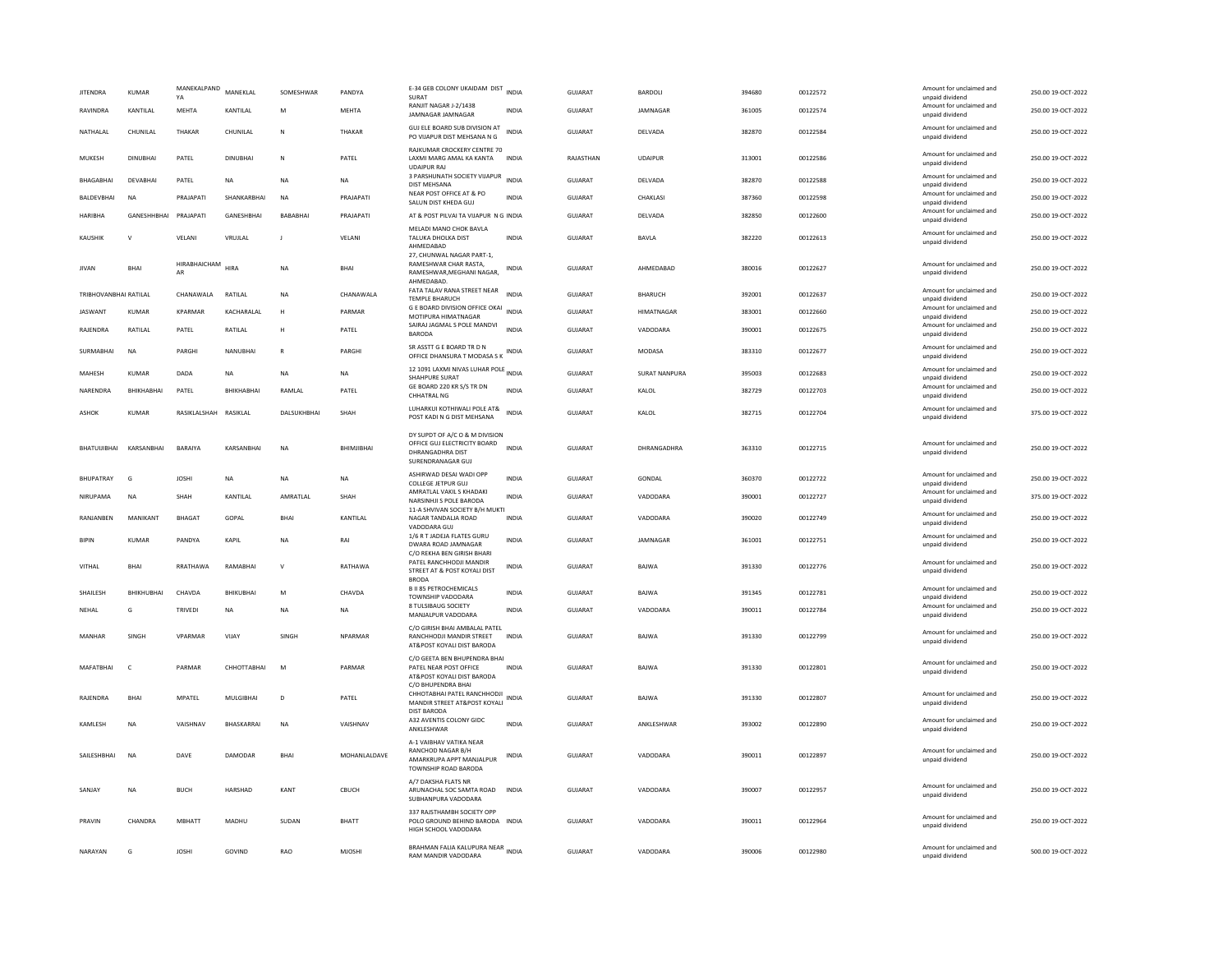| <b>JITENDRA</b>       | <b>KUMAR</b>    | MANEKALPAND<br>YA     | MANEKLAL        | SOMESHWAR    | PANDYA         | E-34 GEB COLONY UKAIDAM DIST INDIA<br>SURAT                                                                   |              | GUJARAT        | <b>BARDOLI</b>       | 394680 | 00122572 | Amount for unclaimed and<br>unpaid dividend                    | 250.00 19-OCT-2022 |
|-----------------------|-----------------|-----------------------|-----------------|--------------|----------------|---------------------------------------------------------------------------------------------------------------|--------------|----------------|----------------------|--------|----------|----------------------------------------------------------------|--------------------|
| RAVINDRA              | KANTILAL        | MEHTA                 | KANTILAL        | M            | MEHTA          | RANJIT NAGAR J-2/1438<br>JAMNAGAR JAMNAGAR                                                                    | INDIA        | GUJARAT        | JAMNAGAR             | 361005 | 00122574 | Amount for unclaimed and<br>unpaid dividend                    | 250.00 19-OCT-2022 |
| NATHALAL              | CHUNILAL        | THAKAR                | CHUNILAL        | $\mathbb{N}$ | THAKAR         | GUJ ELE BOARD SUB DIVISION AT<br>PO VIJAPUR DIST MEHSANA N G                                                  | <b>INDIA</b> | GUJARAT        | DELVADA              | 382870 | 00122584 | Amount for unclaimed and<br>unpaid dividend                    | 250.00 19-OCT-2022 |
| MUKESH                | <b>DINUBHAI</b> | PATEL                 | <b>DINUBHAI</b> | $\mathbb{N}$ | PATEL          | RAJKUMAR CROCKERY CENTRE 70<br>LAXMI MARG AMAL KA KANTA<br><b>UDAIPUR RAJ</b>                                 | <b>INDIA</b> | RAJASTHAN      | <b>UDAIPUR</b>       | 313001 | 00122586 | Amount for unclaimed and<br>unpaid dividend                    | 250.00 19-OCT-2022 |
| BHAGABHAI             | DEVABHAI        | PATEL                 | NA              | <b>NA</b>    | NA             | 3 PARSHUNATH SOCIETY VIJAPUR<br>DIST MEHSANA                                                                  | <b>INDIA</b> | GUJARAT        | DELVADA              | 382870 | 00122588 | Amount for unclaimed and<br>unnaid dividend                    | 250.00 19-OCT-2022 |
| BALDEVBHAI            | <b>NA</b>       | PRAJAPATI             | SHANKARBHAI     | <b>NA</b>    | PRAJAPATI      | NEAR POST OFFICE AT & PO<br>SALUN DIST KHEDA GUJ                                                              | <b>INDIA</b> | <b>GUJARAT</b> | CHAKLASI             | 387360 | 00122598 | Amount for unclaimed and<br>unpaid dividend                    | 250.00 19-OCT-2022 |
| HARIBHA               | GANESHHBHAI     | PRAJAPATI             | GANESHBHAI      | BABABHAI     | PRAJAPATI      | AT & POST PILVAI TA VIJAPUR N G INDIA                                                                         |              | GUJARAT        | DELVADA              | 382850 | 00122600 | Amount for unclaimed and<br>unpaid dividend                    | 250.00 19-OCT-2022 |
| <b>KAUSHIK</b>        | $\mathbf{v}$    | VELANI                | VRUJLAL         | $\mathbf{I}$ | VELANI         | MELADI MANO CHOK BAVLA<br>TALUKA DHOLKA DIST<br>AHMEDABAD                                                     | <b>INDIA</b> | <b>GUJARAT</b> | BAVLA                | 382220 | 00122613 | Amount for unclaimed and<br>unpaid dividend                    | 250.00 19-OCT-2022 |
| <b>IIVAN</b>          | <b>BHAI</b>     | HIRABHAICHAM<br>AR    | HIRA            | <b>NA</b>    | <b>RHAI</b>    | 27. CHUNWAL NAGAR PART-1.<br>RAMESHWAR CHAR RASTA<br>RAMESHWAR, MEGHANI NAGAR,<br>AHMEDABAD.                  | INDIA        | GUIARAT        | AHMFDARAD            | 380016 | 00122627 | Amount for unclaimed and<br>unpaid dividend                    | 250.00.19-OCT-2022 |
| TRIBHOVANBHAI RATILAL |                 | CHANAWALA             | RATILAL         | <b>NA</b>    | CHANAWAI A     | FATA TALAV RANA STREET NEAR<br><b>TEMPLE BHARUCH</b>                                                          | <b>INDIA</b> | GUIARAT        | <b>BHARUCH</b>       | 392001 | 00122637 | Amount for unclaimed and<br>unpaid dividend                    | 250.00 19-OCT-2022 |
| <b>JASWANT</b>        | <b>KUMAR</b>    | KPARMAR               | KACHARALAL      | H            | PARMAR         | G E BOARD DIVISION OFFICE OKAI<br>MOTIPURA HIMATNAGAR                                                         | INDIA        | GUJARAT        | HIMATNAGAR           | 383001 | 00122660 | Amount for unclaimed and<br>unpaid dividend                    | 250.00 19-OCT-2022 |
| RAJENDRA              | RATILAL         | PATEL                 | RATILAL         | н            | PATEL          | SAIRAJ JAGMAL S POLE MANDVI<br><b>BARODA</b>                                                                  | <b>INDIA</b> | GUJARAT        | VADODARA             | 390001 | 00122675 | Amount for unclaimed and<br>unpaid dividend                    | 250.00 19-OCT-2022 |
| <b>SURMARHAI</b>      | <b>NA</b>       | PARGHI                | NANURHAI        | $\mathbb{R}$ | PARGHI         | SR ASSTT G E BOARD TR D N<br>OFFICE DHANSURA T MODASA S K                                                     | INDIA        | GUIARAT        | MODASA               | 383310 | 00122677 | Amount for unclaimed and<br>unpaid dividend                    | 250.00.19-OCT-2022 |
| MAHESH                | KUMAR           | DADA                  | <b>NA</b>       | <b>NA</b>    | <b>NA</b>      | 12 1091 LAXMI NIVAS LUHAR POLE INDIA<br>SHAHPURE SURAT                                                        |              | <b>GUJARAT</b> | <b>SURAT NANPURA</b> | 395003 | 00122683 | Amount for unclaimed and<br>unnaid dividend                    | 250.00 19-OCT-2022 |
| NARENDRA              | BHIKHABHAI      | PATEL                 | BHIKHABHAI      | RAMLAL       | PATEL          | GE BOARD 220 KR S/S TR DN<br><b>CHHATRAL NG</b>                                                               | <b>INDIA</b> | GUJARAT        | KALOL                | 382729 | 00122703 | Amount for unclaimed and<br>unpaid dividend                    | 250.00 19-OCT-2022 |
| ASHOK                 | KUMAR           | RASIKLALSHAH RASIKLAL |                 | DALSUKHBHAI  | SHAH           | LUHARKUI KOTHIWALI POLE AT&<br>POST KADI N G DIST MEHSANA                                                     | INDIA        | GUJARAT        | KALOL                | 382715 | 00122704 | Amount for unclaimed and<br>unpaid dividend                    | 375.00 19-OCT-2022 |
| BHATUUIBHAI           | KARSANBHAI      | <b>BARAIYA</b>        | KARSANBHAI      | <b>NA</b>    | BHIMJIBHAI     | DY SUPDT OF A/C O & M DIVISION<br>OFFICE GUJ ELECTRICITY BOARD<br>DHRANGADHRA DIST<br>SURENDRANAGAR GUJ       | <b>INDIA</b> | <b>GUJARAT</b> | DHRANGADHRA          | 363310 | 00122715 | Amount for unclaimed and<br>unpaid dividend                    | 250.00 19-OCT-2022 |
| <b>BHUPATRAY</b>      | G               | <b>JOSHI</b>          | NA              | <b>NA</b>    | NA             | ASHIRWAD DESAI WADI OPP<br>COLLEGE JETPUR GUJ                                                                 | INDIA        | GUJARAT        | GONDAL               | 360370 | 00122722 | Amount for unclaimed and<br>unpaid dividend                    | 250.00 19-OCT-2022 |
|                       |                 |                       |                 |              |                |                                                                                                               |              |                |                      |        |          |                                                                |                    |
| NIRUPAMA              | NA              | SHAH                  | KANTILAL        | AMRATLAL     | SHAH           | AMRATLAL VAKIL S KHADAKI<br>NARSINHJI S POLE BARODA                                                           | <b>INDIA</b> | GUJARAT        | VADODARA             | 390001 | 00122727 | Amount for unclaimed and<br>unpaid dividend                    | 375.00 19-OCT-2022 |
| RANJANBEN             | MANIKANT        | <b>BHAGAT</b>         | GOPAL           | BHAI         | KANTILAL       | 11-A SHVIVAN SOCIETY B/H MUKTI<br>NAGAR TANDALJA ROAD                                                         | <b>INDIA</b> | GUJARAT        | VADODARA             | 390020 | 00122749 | Amount for unclaimed and<br>unpaid dividend                    | 250.00 19-OCT-2022 |
| <b>BIPIN</b>          | KUMAR           | PANDYA                | KAPIL           | <b>NA</b>    | RAI            | VADODARA GUJ<br>1/6 R T JADEJA FLATES GURU<br>DWARA ROAD IAMNAGAR                                             | INDIA        | <b>GUJARAT</b> | JAMNAGAR             | 361001 | 00122751 | Amount for unclaimed and<br>unpaid dividend                    | 250.00 19-OCT-2022 |
| VITHAL                | <b>BHAI</b>     | RRATHAWA              | RAMABHA         | $\mathsf{v}$ | RATHAWA        | C/O REKHA BEN GIRISH BHARI<br>PATEL RANCHHODJI MANDIR<br>STREET AT & POST KOYALI DIST                         | INDIA        | GUJARAT        | BAJWA                | 391330 | 00122776 | Amount for unclaimed and<br>unpaid dividend                    | 250.00 19-OCT-2022 |
| SHAILESH              | BHIKHUBHAI      | CHAVDA                | BHIKUBHAI       | M            | CHAVDA         | <b>BRODA</b><br><b>B II 85 PETROCHEMICALS</b>                                                                 | INDIA        | GUJARAT        | BAJWA                | 391345 | 00122781 | Amount for unclaimed and                                       | 250.00 19-OCT-2022 |
| NEHAL                 | G               | <b>TRIVEDI</b>        | <b>NA</b>       | <b>NA</b>    | <b>NA</b>      | <b>TOWNSHIP VADODARA</b><br>8 TULSIBAUG SOCIETY                                                               | <b>INDIA</b> | <b>GUJARAT</b> | VADODARA             | 390011 | 00122784 | unpaid dividend<br>Amount for unclaimed and                    | 250.00 19-OCT-2022 |
| MANHAR                | <b>SINGH</b>    | VPARMAR               | VIJAY           | SINGH        | <b>NPARMAR</b> | MANJALPUR VADODARA<br>C/O GIRISH BHAI AMBALAL PATEL<br>RANCHHODJI MANDIR STREET<br>AT&POST KOYALI DIST BARODA | <b>INDIA</b> | <b>GUJARAT</b> | BAJWA                | 391330 | 00122799 | unpaid dividend<br>Amount for unclaimed and<br>unpaid dividend | 250.00 19-OCT-2022 |
| MAFATRHAI             | $\epsilon$      | PARMAR                | СННОТТАВНАІ     | M            | PARMAR         | C/O GEETA BEN BHUPENDRA BHAI<br>PATEL NEAR POST OFFICE<br>AT&POST KOYALI DIST BARODA                          | <b>INDIA</b> | GUIARAT        | <b>BAIWA</b>         | 391330 | 00122801 | Amount for unclaimed and<br>unpaid dividend                    | 250.00.19-OCT-2022 |
| RAJENDRA              | <b>BHAI</b>     | MPATEL                | MULGIBHAI       | D            | PATEL          | C/O BHUPENDRA BHAI<br>CHHOTABHAI PATEL RANCHHODJI<br>MANDIR STREET AT&POST KOYALI                             | <b>INDIA</b> | <b>GUJARAT</b> | BAJWA                | 391330 | 00122807 | Amount for unclaimed and<br>unpaid dividend                    | 250.00 19-OCT-2022 |
| KAMLESH               | <b>NA</b>       | VAISHNAV              | BHASKARRAI      | <b>NA</b>    | VAISHNAV       | <b>DIST BARODA</b><br>A32 AVENTIS COLONY GIDC<br>ANKLESHWAR                                                   | <b>INDIA</b> | GUJARAT        | ANKLESHWAR           | 393002 | 00122890 | Amount for unclaimed and<br>unpaid dividend                    | 250.00 19-OCT-2022 |
| SAILESHBHAI           | <b>NA</b>       | DAVE                  | DAMODAR         | <b>BHAI</b>  | MOHANLALDAVE   | A-1 VAIBHAV VATIKA NEAR<br>RANCHOD NAGAR B/H<br>AMARKRUPA APPT MANJALPUR<br>TOWNSHIP ROAD BARODA              | <b>INDIA</b> | GUJARAT        | VADODARA             | 390011 | 00122897 | Amount for unclaimed and<br>unpaid dividend                    | 250.00 19-OCT-2022 |
| SANJAY                | <b>NA</b>       | <b>BUCH</b>           | HARSHAD         | KANT         | CBUCH          | A/7 DAKSHA FLATS NR<br>ARUNACHAL SOC SAMTA ROAD<br>SUBHANPURA VADODARA                                        | <b>INDIA</b> | <b>GUJARAT</b> | VADODARA             | 390007 | 00122957 | Amount for unclaimed and<br>unpaid dividend                    | 250.00 19-OCT-2022 |
| PRAVIN                | CHANDRA         | <b>MBHATT</b>         | MADHU           | SUDAN        | <b>BHATT</b>   | 337 RAJSTHAMBH SOCIETY OPP<br>POLO GROUND BEHIND BARODA INDIA<br>HIGH SCHOOL VADODARA                         |              | GUJARAT        | VADODARA             | 390011 | 00122964 | Amount for unclaimed and<br>unpaid dividend                    | 250.00 19-OCT-2022 |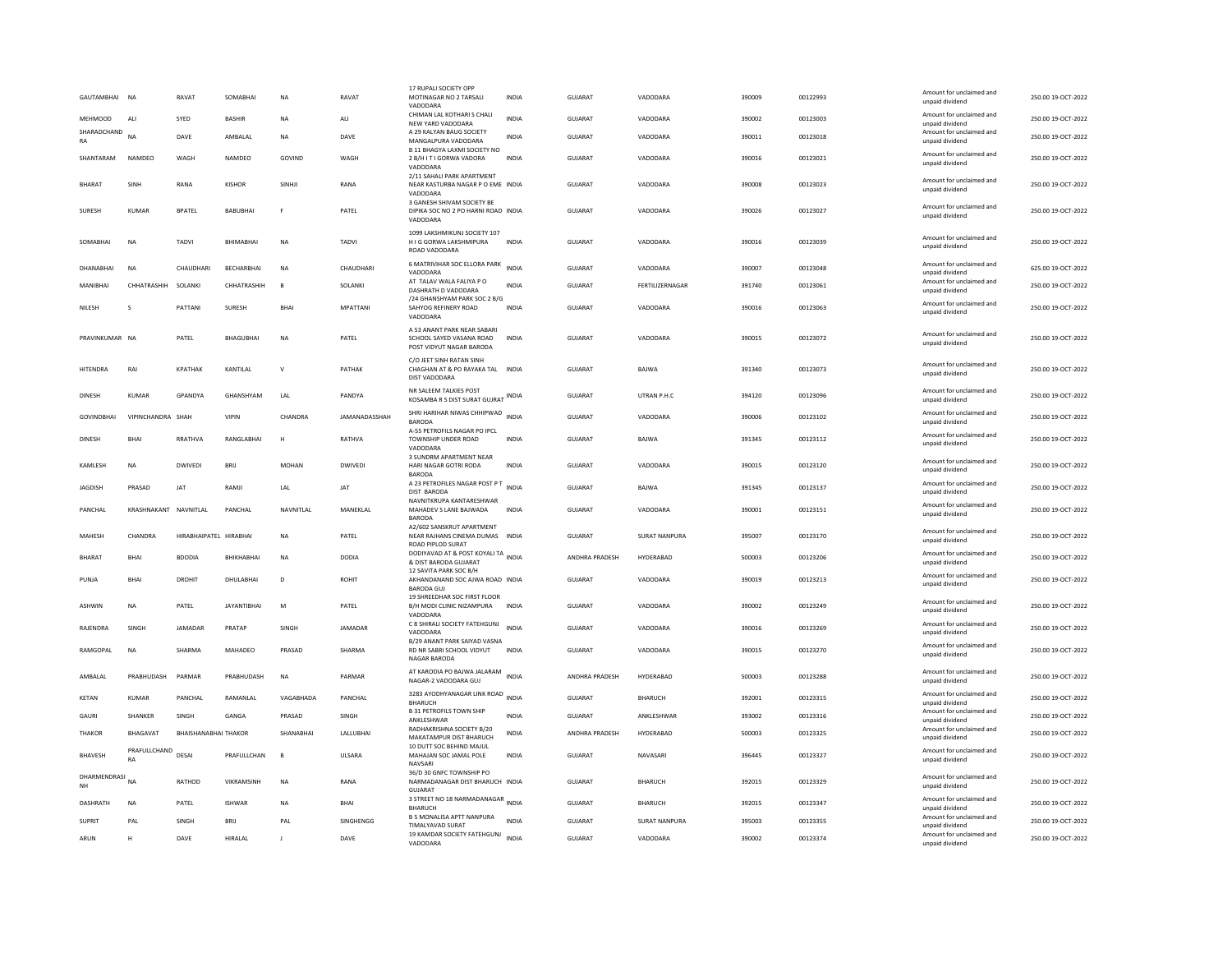|               | GAUTAMBHAI NA     |                           | RAVAT                  | SOMABHAI           | <b>NA</b>    | RAVAT           | 17 RUPALI SOCIETY OPI<br>MOTINAGAR NO 2 TARSALI<br>VADODARA                               | <b>INDIA</b> | <b>GUJARAT</b> | VADODARA             | 390009 | 00122993 | Amount for unclaimed and<br>unpaid dividend                    | 250.00 19-OCT-2022 |
|---------------|-------------------|---------------------------|------------------------|--------------------|--------------|-----------------|-------------------------------------------------------------------------------------------|--------------|----------------|----------------------|--------|----------|----------------------------------------------------------------|--------------------|
|               | <b>MEHMOOD</b>    | ALI                       | SYED                   | <b>BASHIR</b>      | NA           | ALI             | CHIMAN LAL KOTHARI S CHALI                                                                | <b>INDIA</b> | GUJARAT        | VADODARA             | 390002 | 00123003 | Amount for unclaimed and                                       | 250.00 19-OCT-2022 |
| RA            | SHARADCHAND       | NΔ                        | DAVE                   | AMBALAL            | <b>NA</b>    | DAVE            | NEW YARD VADODARA<br>A 29 KALYAN BAUG SOCIETY<br>MANGALPURA VADODARA                      | <b>INDIA</b> | GUIARAT        | VADODARA             | 390011 | 00123018 | unpaid dividend<br>Amount for unclaimed and<br>unpaid dividend | 250.00 19-OCT-2022 |
|               | SHANTARAM         | NAMDEO                    | WAGH                   | NAMDEO             | GOVIND       | WAGH            | B 11 BHAGYA LAXMI SOCIETY NO<br>2 B/H I T I GORWA VADORA<br>VADODARA                      | <b>INDIA</b> | <b>GUJARAT</b> | VADODARA             | 390016 | 00123021 | Amount for unclaimed and<br>unpaid dividend                    | 250.00 19-OCT-2022 |
|               | <b>BHARAT</b>     | SINH                      | RANA                   | KISHOR             | SINHI        | RANA            | 2/11 SAHALI PARK APARTMENT<br>NEAR KASTURBA NAGAR P O EME INDIA                           |              | GUIARAT        | VADODARA             | 390008 | 00123023 | Amount for unclaimed and<br>unpaid dividend                    | 250.00 19-OCT-2022 |
|               | SURESH            | KUMAR                     | <b>BPATEL</b>          | <b>BABUBHAI</b>    | F            | PATEL           | VADODARA<br>3 GANESH SHIVAM SOCIETY BE<br>DIPIKA SOC NO 2 PO HARNI ROAD INDIA<br>VADODARA |              | GUJARAT        | VADODARA             | 390026 | 00123027 | Amount for unclaimed and<br>unpaid dividend                    | 250.00 19-OCT-2022 |
|               | SOMABHAI          | <b>NA</b>                 | TADVI                  | BHIMABHAI          | NA           | TADVI           | 1099 LAKSHMIKUNJ SOCIETY 107<br>H I G GORWA LAKSHMIPURA<br>ROAD VADODARA                  | <b>INDIA</b> | GUJARAT        | VADODARA             | 390016 | 00123039 | Amount for unclaimed and<br>unpaid dividend                    | 250.00 19-OCT-2022 |
|               | DHANABHAI         | <b>NA</b>                 | CHAUDHARI              | BECHARBHAI         | <b>NA</b>    | CHAUDHARI       | 6 MATRIVIHAR SOC ELLORA PARK<br>VADODARA                                                  | <b>INDIA</b> | <b>GUJARAT</b> | VADODARA             | 390007 | 00123048 | Amount for unclaimed and<br>unpaid dividend                    | 625.00 19-OCT-2022 |
|               | MANIBHAI          | CHHATRASHIH               | SOLANKI                | CHHATRASHIH        | $\mathsf{B}$ | SOLANKI         | AT TALAV WALA FALIYA P O<br>DASHRATH D VADODARA                                           | <b>INDIA</b> | GUJARAT        | FERTILIZERNAGAR      | 391740 | 00123061 | Amount for unclaimed and<br>unpaid dividend                    | 250.00 19-OCT-2022 |
| NILESH        |                   | s                         | PATTANI                | <b>SURESH</b>      | <b>BHA</b>   | <b>MPATTANI</b> | /24 GHANSHYAM PARK SOC 2 B/G<br>SAHYOG REFINERY ROAD<br>VADODARA                          | <b>INDIA</b> | GUJARAT        | VADODARA             | 390016 | 00123063 | Amount for unclaimed and<br>unpaid dividend                    | 250.00 19-OCT-2022 |
|               | PRAVINKUMAR NA    |                           | PATEL                  | <b>BHAGUBHAI</b>   | $_{\sf NA}$  | PATEL           | A 53 ANANT PARK NEAR SARARI<br>SCHOOL SAYED VASANA ROAD<br>POST VIDYUT NAGAR BARODA       | INDIA        | GUJARAT        | VADODARA             | 390015 | 00123072 | Amount for unclaimed and<br>unpaid dividend                    | 250.00 19-OCT-2022 |
|               | <b>HITENDRA</b>   | RAI                       | <b>KPATHAK</b>         | KANTILAL           | $\vee$       | PATHAK          | C/O JEET SINH RATAN SINH<br>CHAGHAN AT & PO RAYAKA TAL<br>DIST VADODARA                   | <b>INDIA</b> | GUJARAT        | BAJWA                | 391340 | 00123073 | Amount for unclaimed and<br>unpaid dividend                    | 250.00 19-OCT-2022 |
| <b>DINESH</b> |                   | <b>KUMAR</b>              | GPANDYA                | GHANSHYAM          | LAL          | PANDYA          | NR SALEEM TALKIES POST<br>KOSAMBA R S DIST SURAT GUJRAT INDIA                             |              | <b>GUJARAT</b> | UTRAN P.H.C          | 394120 | 00123096 | Amount for unclaimed and<br>unpaid dividend                    | 250.00 19-OCT-2022 |
|               | <b>GOVINDBHAI</b> | VIPINCHANDRA SHAH         |                        | <b>VIPIN</b>       | CHANDRA      | JAMANADASSHAH   | SHRI HARIHAR NIWAS CHHIPWAD INDIA<br><b>BARODA</b>                                        |              | <b>GUJARAT</b> | VADODARA             | 390006 | 00123102 | Amount for unclaimed and<br>unpaid dividend                    | 250.00 19-OCT-2022 |
| <b>DINESH</b> |                   | <b>BHAI</b>               | RRATHVA                | <b>RANGLABHAL</b>  | H            | RATHVA          | A-55 PETROFILS NAGAR PO IPCL<br>TOWNSHIP UNDER ROAD<br>VADODARA                           | <b>INDIA</b> | GUIARAT        | <b>BAIWA</b>         | 391345 | 00123112 | Amount for unclaimed and<br>unpaid dividend                    | 250.00.19-OCT-2022 |
|               | KAMLESH           | <b>NA</b>                 | <b>DWIVED</b>          | BRIJ               | <b>MOHAN</b> | <b>DWIVEDI</b>  | 3 SUNDRM APARTMENT NEAR<br>HARI NAGAR GOTRI RODA<br><b>BARODA</b>                         | <b>INDIA</b> | <b>GUJARAT</b> | VADODARA             | 390015 | 00123120 | Amount for unclaimed and<br>unpaid dividend                    | 250.00 19-OCT-2022 |
|               | <b>IAGDISH</b>    | PRASAD                    | <b>IAT</b>             | RAMII              | I AI         | <b>IAT</b>      | A 23 PETROFILES NAGAR POST P T<br>DIST BARODA                                             | <b>INDIA</b> | GUIARAT        | <b>BAIWA</b>         | 391345 | 00123137 | Amount for unclaimed and<br>unpaid dividend                    | 250.00.19-QCT-2022 |
|               | PANCHAL           | KRASHNAKANT NAVNITLAL     |                        | PANCHAL            | NAVNITLAL    | MANEKLAL        | NAVNITKRUPA KANTARESHWAR<br>MAHADEV S LANE BAJWADA<br><b>BARODA</b>                       | INDIA        | GUJARAT        | VADODARA             | 390001 | 00123151 | Amount for unclaimed and<br>unpaid dividend                    | 250.00 19-OCT-2022 |
|               | <b>MAHFSH</b>     | CHANDRA                   | HIRARHAIPATEI HIRARHAI |                    | <b>NA</b>    | PATFI           | A2/602 SANSKRUT APARTMENT<br>NEAR RAJHANS CINEMA DUMAS INDIA<br>ROAD PIPLOD SURAT         |              | GUIARAT        | <b>SURAT NANPURA</b> | 395007 | 00123170 | Amount for unclaimed and<br>unpaid dividend                    | 250.00.19-OCT-2022 |
|               | <b>BHARAT</b>     | BHAI                      | <b>BDODIA</b>          | BHIKHABHAI         | NA           | <b>DODIA</b>    | DODIYAVAD AT & POST KOYALI TA INDIA<br>& DIST BARODA GUJARAT                              |              | ANDHRA PRADESH | HYDERABAD            | 500003 | 00123206 | Amount for unclaimed and<br>unpaid dividend                    | 250.00 19-OCT-2022 |
| PUNJA         |                   | <b>BHAI</b>               | DROHIT                 | DHULABHAI          | D            | <b>ROHIT</b>    | 12 SAVITA PARK SOC B/H<br>AKHANDANAND SOC AJWA ROAD INDIA<br><b>BARODA GUJ</b>            |              | GUJARAT        | VADODARA             | 390019 | 00123213 | Amount for unclaimed and<br>unpaid dividend                    | 250.00 19-OCT-2022 |
|               | ASHWIN            | NA                        | PATEL                  | <b>JAYANTIBHAI</b> | M            | PATEL           | 19 SHREEDHAR SOC FIRST FLOOR<br>B/H MODI CLINIC NIZAMPURA<br>VADODARA                     | <b>INDIA</b> | GUJARAT        | VADODARA             | 390002 | 00123249 | Amount for unclaimed and<br>unpaid dividend                    | 250.00 19-OCT-2022 |
|               | RAJENDRA          | SINGH                     | <b>JAMADAR</b>         | PRATAP             | SINGH        | <b>JAMADAR</b>  | C 8 SHIRALI SOCIETY FATEHGUNJ<br>VADODARA                                                 | <b>INDIA</b> | <b>GUJARAT</b> | VADODARA             | 390016 | 00123269 | Amount for unclaimed and<br>unpaid dividend                    | 250.00 19-OCT-2022 |
|               | RAMGOPAL          | <b>NA</b>                 | SHARMA                 | MAHADEO            | PRASAD       | SHARMA          | B/29 ANANT PARK SAIYAD VASNA<br>RD NR SABRI SCHOOL VIDYUT<br>NAGAR BARODA                 | <b>INDIA</b> | <b>GUJARAT</b> | VADODARA             | 390015 | 00123270 | Amount for unclaimed and<br>unpaid dividend                    | 250.00 19-OCT-2022 |
|               | AMBALAL           | PRABHUDASH                | PARMAR                 | PRABHUDASH         | <b>NA</b>    | PARMAR          | AT KARODIA PO BAJWA JALARAM<br>NAGAR-2 VADODARA GUJ                                       | <b>INDIA</b> | ANDHRA PRADESH | HYDERABAD            | 500003 | 00123288 | Amount for unclaimed and<br>unpaid dividend                    | 250.00 19-OCT-2022 |
| <b>KETAN</b>  |                   | <b>KUMAR</b>              | PANCHAL                | RAMANLAL           | VAGABHADA    | PANCHAL         | 3283 AYODHYANAGAR LINK ROAD INDIA<br><b>BHARUCH</b>                                       |              | <b>GUJARAT</b> | <b>BHARUCH</b>       | 392001 | 00123315 | Amount for unclaimed and<br>unpaid dividend                    | 250.00 19-OCT-2022 |
| GAURI         |                   | SHANKER                   | SINGH                  | GANGA              | PRASAD       | SINGH           | <b>B 31 PETROFILS TOWN SHIP</b><br>ANKLESHWAR                                             | INDIA        | GUJARAT        | ANKLESHWAR           | 393002 | 00123316 | Amount for unclaimed and<br>unpaid dividend                    | 250.00 19-OCT-2022 |
|               | THAKOR            | BHAGAVAT                  | BHAISHANABHAI THAKOR   |                    | SHANABHAI    | LALLUBHAI       | RADHAKRISHNA SOCIETY B/20<br>MAKATAMPUR DIST BHARUCH                                      | <b>INDIA</b> | ANDHRA PRADESH | HYDERABAD            | 500003 | 00123325 | Amount for unclaimed and<br>unpaid dividend                    | 250.00 19-OCT-2022 |
|               | <b>BHAVESH</b>    | PRAFULLCHAND<br><b>RA</b> | DESAL                  | PRAFULL CHAN       | $\mathbf{B}$ | <b>UISARA</b>   | 10 DUTT SOC BEHIND MAJUL<br>MAHAJAN SOC JAMAL POLE<br>NAVSARI                             | <b>INDIA</b> | GUIARAT        | NAVASARI             | 396445 | 00123327 | Amount for unclaimed and<br>unpaid dividend                    | 250.00 19-OCT-2022 |
| <b>NH</b>     | DHARMENDRASI NA   |                           | RATHOD                 | VIKRAMSINH         | NA           | RANA            | 36/D 30 GNFC TOWNSHIP PO<br>NARMADANAGAR DIST BHARUCH INDIA<br>GUJARAT                    |              | GUJARAT        | <b>BHARUCH</b>       | 392015 | 00123329 | Amount for unclaimed and<br>unpaid dividend                    | 250.00 19-OCT-2022 |
|               | <b>DASHRATH</b>   | <b>NA</b>                 | PATEL                  | <b>ISHWAR</b>      | <b>NA</b>    | <b>BHAI</b>     | 3 STREET NO 18 NARMADANAGAR INDIA<br><b>BHARUCH</b>                                       |              | GUJARAT        | <b>BHARUCH</b>       | 392015 | 00123347 | Amount for unclaimed and<br>unpaid dividend                    | 250.00 19-OCT-2022 |
| <b>SUPRIT</b> |                   | PAL                       | SINGH                  | BRIJ               | PAL          | SINGHENGG       | <b>B 5 MONALISA APTT NANPURA</b>                                                          | <b>INDIA</b> | GUJARAT        | <b>SURAT NANPURA</b> | 395003 | 00123355 | Amount for unclaimed and                                       | 250.00 19-OCT-2022 |
| ARUN          |                   | H                         | DAVE                   | HIRALAL            |              | DAVE            | TIMALYAVAD SURAT<br>19 KAMDAR SOCIETY FATEHGUNJ INDIA<br>VADODARA                         |              | GUJARAT        | VADODARA             | 390002 | 00123374 | unpaid dividend<br>Amount for unclaimed and                    | 250.00 19-OCT-2022 |
|               |                   |                           |                        |                    |              |                 |                                                                                           |              |                |                      |        |          | unpaid dividend                                                |                    |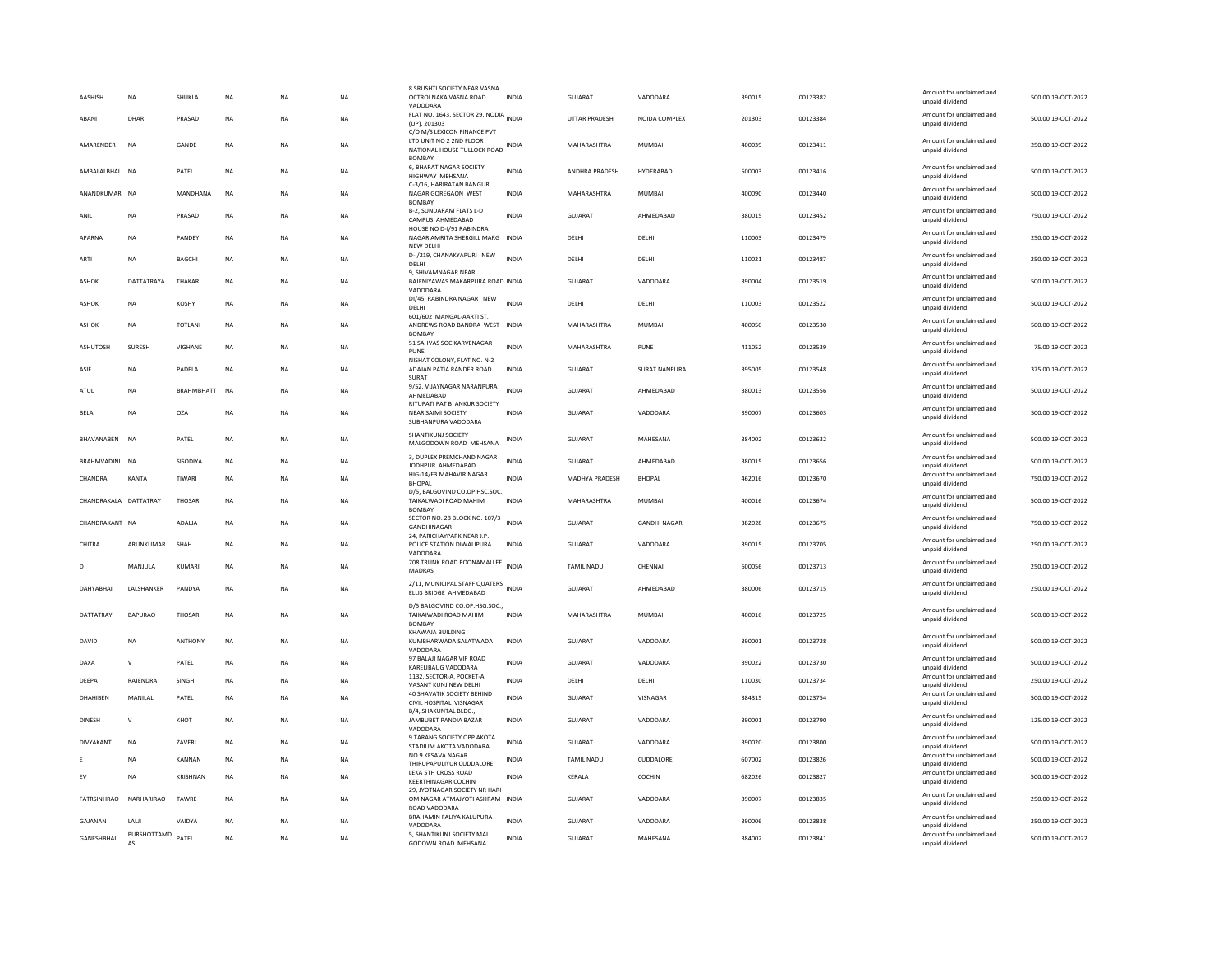| AASHISH               | <b>NA</b>         | SHUKLA            | NA          | <b>NA</b> | <b>NA</b> | 8 SRUSHTI SOCIETY NEAR VASNA<br>OCTROI NAKA VASNA ROAD<br>VADODARA                                           | <b>INDIA</b> | GUJARAT           | VADODARA             | 390015 | 00123382 | Amount for unclaimed and<br>unpaid dividend | 500.00 19-OCT-2022 |
|-----------------------|-------------------|-------------------|-------------|-----------|-----------|--------------------------------------------------------------------------------------------------------------|--------------|-------------------|----------------------|--------|----------|---------------------------------------------|--------------------|
| ARANI                 | DHAR              | PRASAD            | <b>NA</b>   | <b>NA</b> | <b>NA</b> | FLAT NO. 1643, SECTOR 29, NODIA INDIA<br>(UP). 201303                                                        |              | UTTAR PRADESH     | NOIDA COMPLEX        | 201303 | 00123384 | Amount for unclaimed and<br>unpaid dividend | 500.00 19-OCT-2022 |
| AMARENDER             | NA                | GANDE             | NA          | <b>NA</b> | NA        | C/O M/S LEXICON FINANCE PVT<br>LTD UNIT NO 2 2ND FLOOR<br>NATIONAL HOUSE TULLOCK ROAD INDIA<br><b>BOMBAY</b> |              | MAHARASHTRA       | MUMBAI               | 400039 | 00123411 | Amount for unclaimed and<br>unpaid dividend | 250.00 19-OCT-2022 |
| AMBALALBHAI NA        |                   | PATEL             | <b>NA</b>   | <b>NA</b> | <b>NA</b> | 6, BHARAT NAGAR SOCIETY<br>HIGHWAY MEHSANA                                                                   | INDIA        | ANDHRA PRADESH    | HYDERABAD            | 500003 | 00123416 | Amount for unclaimed and<br>unpaid dividend | 500.00 19-OCT-2022 |
| ANANDKUMAR NA         |                   | MANDHANA          | <b>NA</b>   | <b>NA</b> | NA        | C-3/16, HARIRATAN BANGUR<br>NAGAR GOREGAON WEST<br><b>BOMBAY</b>                                             | INDIA        | MAHARASHTRA       | MUMBAI               | 400090 | 00123440 | Amount for unclaimed and<br>unpaid dividend | 500.00 19-OCT-2022 |
| ANIL                  | <b>NA</b>         | PRASAD            | <b>NA</b>   | <b>NA</b> | <b>NA</b> | B-2, SUNDARAM FLATS L-D<br>CAMPUS AHMEDABAD                                                                  | <b>INDIA</b> | GUJARAT           | AHMEDABAD            | 380015 | 00123452 | Amount for unclaimed and<br>unpaid dividend | 750.00 19-OCT-2022 |
| APARNA                | <b>NA</b>         | PANDEY            | $_{\sf NA}$ | <b>NA</b> | <b>NA</b> | HOUSE NO D-I/91 RABINDRA<br>NAGAR AMRITA SHERGILL MARG INDIA<br><b>NEW DELHI</b>                             |              | DELHI             | DELHI                | 110003 | 00123479 | Amount for unclaimed and<br>unpaid dividend | 250.00 19-OCT-2022 |
| ARTI                  | <b>NA</b>         | BAGCHI            | NA          | NA        | <b>NA</b> | D-I/219, CHANAKYAPURI NEW<br>DELHI<br>9, SHIVAMNAGAR NEAR                                                    | <b>INDIA</b> | DELHI             | DELHI                | 110021 | 00123487 | Amount for unclaimed and<br>unpaid dividend | 250.00 19-OCT-2022 |
| ASHOK                 | DATTATRAYA        | THAKAR            | <b>NA</b>   | <b>NA</b> | NA        | BAJENIYAWAS MAKARPURA ROAD INDIA<br>VADODARA                                                                 |              | <b>GUJARAT</b>    | VADODARA             | 390004 | 00123519 | Amount for unclaimed and<br>unpaid dividend | 500.00 19-OCT-2022 |
| ASHOK                 | <b>NA</b>         | <b>KOSHY</b>      | <b>NA</b>   | <b>NA</b> | <b>NA</b> | DI/45, RABINDRA NAGAR NEW<br>DELHI<br>601/602 MANGAL-AARTI ST.                                               | <b>INDIA</b> | DELHI             | DELHI                | 110003 | 00123522 | Amount for unclaimed and<br>unpaid dividend | 500.00 19-OCT-2022 |
| ASHOK                 | <b>NA</b>         | TOTLANI           | NA          | <b>NA</b> | NA        | ANDREWS ROAD BANDRA WEST INDIA<br><b>BOMBAY</b>                                                              |              | MAHARASHTRA       | <b>MUMBAI</b>        | 400050 | 00123530 | Amount for unclaimed and<br>unpaid dividend | 500.00 19-OCT-2022 |
| ASHUTOSH              | SURESH            | VIGHANE           | <b>NA</b>   | NA        | NA        | 51 SAHVAS SOC KARVENAGAR<br>PUNE<br>NISHAT COLONY, FLAT NO. N-2                                              | <b>INDIA</b> | MAHARASHTRA       | PUNE                 | 411052 | 00123539 | Amount for unclaimed and<br>unpaid dividend | 75.00 19-OCT-2022  |
| ASIF                  | <b>NA</b>         | PADELA            | NA          | <b>NA</b> | NA        | ADAJAN PATIA RANDER ROAD<br>SURAT                                                                            | <b>INDIA</b> | GUJARAT           | <b>SURAT NANPURA</b> | 395005 | 00123548 | Amount for unclaimed and<br>unpaid dividend | 375.00 19-OCT-2022 |
| ATUL                  | <b>NA</b>         | <b>BRAHMBHATT</b> | <b>NA</b>   | <b>NA</b> | <b>NA</b> | 9/52, VIJAYNAGAR NARANPURA<br>AHMEDABAD<br>RITUPATI PAT B ANKUR SOCIETY                                      | <b>INDIA</b> | <b>GUJARAT</b>    | AHMEDABAD            | 380013 | 00123556 | Amount for unclaimed and<br>unpaid dividend | 500.00 19-OCT-2022 |
| <b>BELA</b>           | <b>NA</b>         | <b>OZA</b>        | <b>NA</b>   | <b>NA</b> | <b>NA</b> | NEAR SAIMI SOCIETY<br>SUBHANPURA VADODARA                                                                    | <b>INDIA</b> | <b>GUJARAT</b>    | VADODARA             | 390007 | 00123603 | Amount for unclaimed and<br>unpaid dividend | 500.00 19-OCT-2022 |
| BHAVANABEN NA         |                   | PATEL             | <b>NA</b>   | <b>NA</b> | NA        | SHANTIKUNJ SOCIETY<br>MALGODOWN ROAD MEHSANA                                                                 | <b>INDIA</b> | <b>GUJARAT</b>    | MAHESANA             | 384002 | 00123632 | Amount for unclaimed and<br>unpaid dividend | 500.00 19-OCT-2022 |
| BRAHMVADINI           | <b>NA</b>         | SISODIYA          | <b>NA</b>   | <b>NA</b> | <b>NA</b> | 3. DUPLEX PREMCHAND NAGAR<br>JODHPUR AHMEDABAD                                                               | <b>INDIA</b> | <b>GUJARAT</b>    | AHMEDABAD            | 380015 | 00123656 | Amount for unclaimed and<br>unpaid dividend | 500.00 19-OCT-2022 |
| CHANDRA               | <b>KANTA</b>      | TIWARI            | NA          | <b>NA</b> | NA        | HIG-14/E3 MAHAVIR NAGAR<br><b>RHOPAL</b><br>D/5, BALGOVIND CO.OP.HSC.SOC.,                                   | INDIA        | MADHYA PRADESH    | <b>BHOPAL</b>        | 462016 | 00123670 | Amount for unclaimed and<br>unpaid dividend | 750.00 19-OCT-2022 |
| CHANDRAKALA DATTATRAY |                   | THOSAR            | <b>NA</b>   | <b>NA</b> | <b>NA</b> | TAIKALWADI ROAD MAHIM<br><b>BOMBAY</b>                                                                       | <b>INDIA</b> | MAHARASHTRA       | <b>MUMBAI</b>        | 400016 | 00123674 | Amount for unclaimed and<br>unpaid dividend | 500.00 19-OCT-2022 |
| CHANDRAKANT NA        |                   | ADALJA            | NA          | <b>NA</b> | <b>NA</b> | SECTOR NO. 28 BLOCK NO. 107/3<br>GANDHINAGAR<br>24. PARICHAYPARK NEAR J.P.                                   | <b>INDIA</b> | <b>GUJARAT</b>    | <b>GANDHI NAGAR</b>  | 382028 | 00123675 | Amount for unclaimed and<br>unpaid dividend | 750.00 19-OCT-2022 |
| CHITRA                | ARUNKUMAR         | SHAH              | <b>NA</b>   | <b>NA</b> | <b>NA</b> | POLICE STATION DIWALIPURA<br>VADODARA                                                                        | INDIA        | GUJARAT           | VADODARA             | 390015 | 00123705 | Amount for unclaimed and<br>unpaid dividend | 250.00 19-OCT-2022 |
|                       | MANJULA           | KUMARI            | <b>NA</b>   | <b>NA</b> | NA        | 708 TRUNK ROAD POONAMALLEE<br>MADRAS                                                                         |              | TAMIL NADU        | CHENNAI              | 600056 | 00123713 | Amount for unclaimed and<br>unpaid dividend | 250.00 19-OCT-2022 |
| DAHYABHAI             | LALSHANKER        | PANDYA            | <b>NA</b>   | <b>NA</b> | <b>NA</b> | 2/11, MUNICIPAL STAFF QUATERS INDIA<br>ELLIS BRIDGE AHMEDABAD                                                |              | GUJARAT           | AHMEDABAD            | 380006 | 00123715 | Amount for unclaimed and<br>unpaid dividend | 250.00 19-OCT-2022 |
| DATTATRAY             | <b>BAPURAO</b>    | THOSAR            | <b>NA</b>   | <b>NA</b> | <b>NA</b> | D/5 BALGOVIND CO.OP.HSG.SOC.,<br>TAIKAIWADI ROAD MAHIM<br><b>BOMBAY</b>                                      | <b>INDIA</b> | MAHARASHTRA       | <b>MUMBAI</b>        | 400016 | 00123725 | Amount for unclaimed and<br>unpaid dividend | 500.00 19-OCT-2022 |
| DAVID                 | <b>NA</b>         | <b>ANTHONY</b>    | <b>NA</b>   | <b>NA</b> | <b>NA</b> | KHAWAJA BUILDING<br>KUMBHARWADA SALATWADA<br>VADODARA                                                        | <b>INDIA</b> | GUJARAT           | VADODARA             | 390001 | 00123728 | Amount for unclaimed and<br>unpaid dividend | 500.00 19-OCT-2022 |
| DAXA                  | $\mathsf{v}$      | PATEL             | <b>NA</b>   | <b>NA</b> | <b>NA</b> | 97 BALAJI NAGAR VIP ROAD<br>KARELIBAUG VADODARA                                                              | <b>INDIA</b> | <b>GUJARAT</b>    | VADODARA             | 390022 | 00123730 | Amount for unclaimed and<br>unpaid dividend | 500.00 19-OCT-2022 |
| DEEPA                 | RAJENDRA          | SINGH             | NA          | NA        | NA        | 1132. SECTOR-A, POCKET-A<br>VASANT KUNJ NEW DELHI                                                            | <b>INDIA</b> | DELHI             | DELHI                | 110030 | 00123734 | Amount for unclaimed and<br>unpaid dividend | 250.00 19-OCT-2022 |
| DHAHIBEN              | MANILAL           | PATEL             | <b>NA</b>   | <b>NA</b> | <b>NA</b> | 40 SHAVATIK SOCIETY BEHIND<br>CIVIL HOSPITAL VISNAGAR<br>B/4, SHAKUNTAL BLDG                                 | <b>INDIA</b> | <b>GUJARAT</b>    | VISNAGAR             | 384315 | 00123754 | Amount for unclaimed and<br>unpaid dividend | 500.00 19-OCT-2022 |
| <b>DINESH</b>         | $\mathbf{v}$      | KHOT              | <b>NA</b>   | <b>NA</b> | NA.       | JAMBUBET PANDIA BAZAR<br>VADODARA                                                                            | <b>INDIA</b> | GUIARAT           | VADODARA             | 390001 | 00123790 | Amount for unclaimed and<br>unpaid dividend | 125.00 19-OCT-2022 |
| DIVYAKANT             | NA                | ZAVERI            | NA          | <b>NA</b> | NA        | 9 TARANG SOCIETY OPP AKOTA<br>STADIUM AKOTA VADODARA                                                         | <b>INDIA</b> | GUJARAT           | VADODARA             | 390020 | 00123800 | Amount for unclaimed and<br>unpaid dividend | 500.00 19-OCT-2022 |
|                       | <b>NA</b>         | KANNAN            | <b>NA</b>   | <b>NA</b> | <b>NA</b> | NO 9 KESAVA NAGAR<br>THIRUPAPULIYUR CUDDALORE                                                                | <b>INDIA</b> | <b>TAMIL NADU</b> | CUDDALORE            | 607002 | 00123826 | Amount for unclaimed and<br>unpaid dividend | 500.00 19-OCT-2022 |
| EV                    | NA                | KRISHNAN          | <b>NA</b>   | <b>NA</b> | NA        | LEKA 5TH CROSS ROAD<br><b>KEERTHINAGAR COCHIN</b>                                                            | INDIA        | KERALA            | COCHIN               | 682026 | 00123827 | Amount for unclaimed and<br>unpaid dividend | 500.00 19-OCT-2022 |
| FATRSINHRAO           | NARHARIRAO        | <b>TAWRE</b>      | <b>NA</b>   | <b>NA</b> | <b>NA</b> | 29, JYOTNAGAR SOCIETY NR HARI<br>OM NAGAR ATMAJYOTI ASHRAM INDIA<br>ROAD VADODARA                            |              | GUJARAT           | VADODARA             | 390007 | 00123835 | Amount for unclaimed and<br>unpaid dividend | 250.00 19-OCT-2022 |
| GAJANAN               | LALI              | VAIDYA            | <b>NA</b>   | <b>NA</b> | <b>NA</b> | BRAHAMIN FALIYA KALUPURA<br>VADODARA                                                                         | <b>INDIA</b> | GUJARAT           | VADODARA             | 390006 | 00123838 | Amount for unclaimed and<br>unpaid dividend | 250.00 19-OCT-2022 |
| GANESHBHAI            | PURSHOTTAMD<br>AS | PATEL             | <b>NA</b>   | <b>NA</b> | <b>NA</b> | 5. SHANTIKUNJ SOCIETY MAL<br>GODOWN ROAD MEHSANA                                                             | <b>INDIA</b> | GUJARAT           | MAHESANA             | 384002 | 00123841 | Amount for unclaimed and<br>unpaid dividend | 500.00 19-OCT-2022 |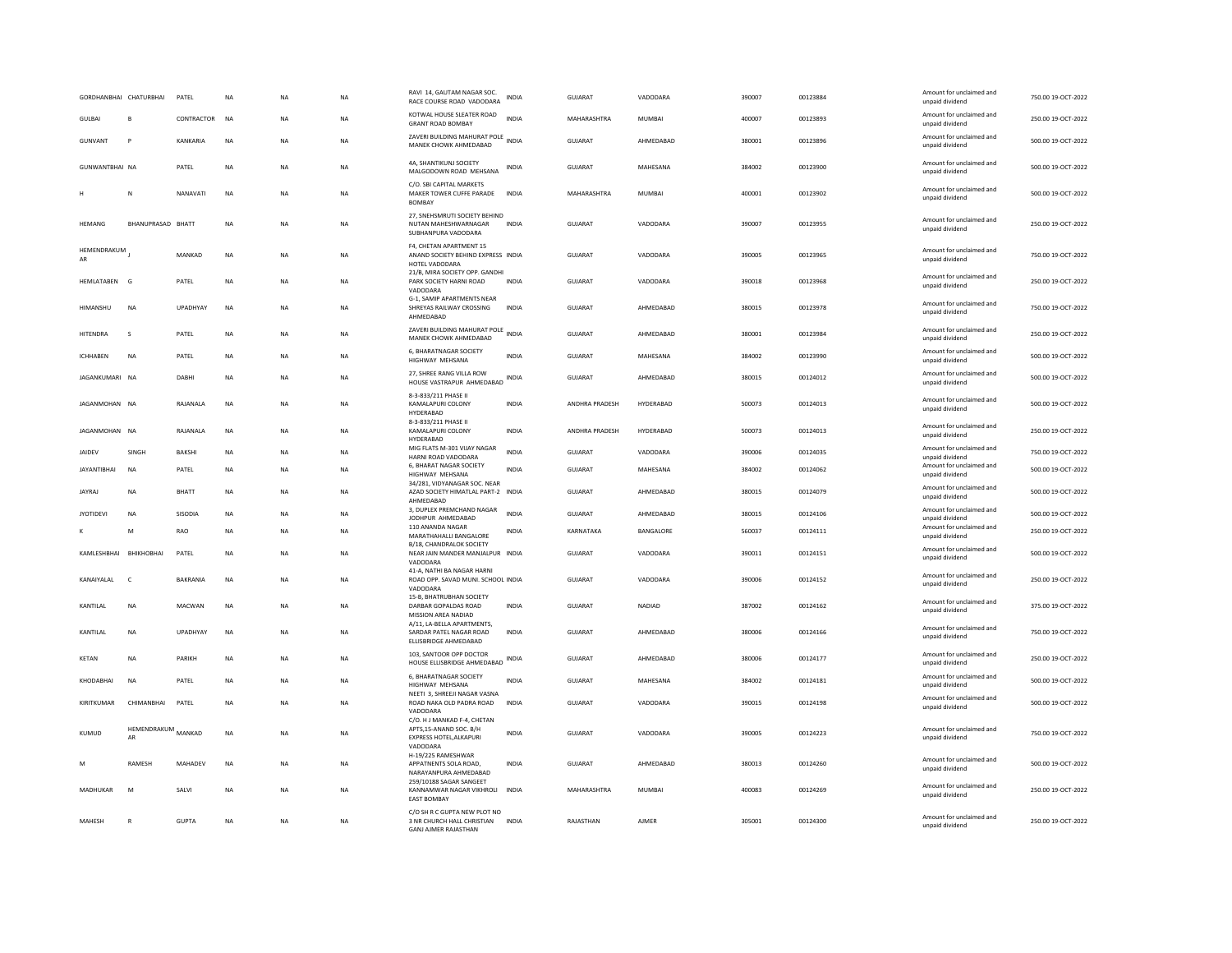| GORDHANBHAI CHATURBHAI |                   | PATEL           | <b>NA</b> | <b>NA</b> | <b>NA</b> | RAVI 14, GAUTAM NAGAR SOC.<br>RACE COURSE ROAD VADODARA                                                           | <b>INDIA</b> | GUJARAT        | VADODARA      | 390007 | 00123884 | Amount for unclaimed and<br>unpaid dividend | 750.00 19-OCT-2022 |
|------------------------|-------------------|-----------------|-----------|-----------|-----------|-------------------------------------------------------------------------------------------------------------------|--------------|----------------|---------------|--------|----------|---------------------------------------------|--------------------|
| <b>GULBAI</b>          | R                 | CONTRACTOR      | NA        | NA        | NA        | KOTWAL HOUSE SLEATER ROAD<br><b>GRANT ROAD BOMBAY</b>                                                             | <b>INDIA</b> | MAHARASHTRA    | MUMBAI        | 400007 | 00123893 | Amount for unclaimed and<br>unpaid dividend | 250.00 19-OCT-2022 |
| GUNVANT                | $\mathsf{P}$      | KANKARIA        | NA        | NA        | NA        | ZAVERI BUILDING MAHURAT POLE<br>MANEK CHOWK AHMEDABAD                                                             | <b>INDIA</b> | GUJARAT        | AHMEDABAD     | 380001 | 00123896 | Amount for unclaimed and<br>unpaid dividend | 500.00 19-OCT-2022 |
| GUNWANTBHAI NA         |                   | PATEL           | <b>NA</b> | <b>NA</b> | <b>NA</b> | 4A. SHANTIKUNJ SOCIETY<br>MALGODOWN ROAD MEHSANA                                                                  | <b>INDIA</b> | GUJARAT        | MAHESANA      | 384002 | 00123900 | Amount for unclaimed and<br>unpaid dividend | 500.00 19-OCT-2022 |
|                        | N                 | NANAVATI        | NA        | <b>NA</b> | NA        | C/O. SBI CAPITAL MARKETS<br>MAKER TOWER CUFFE PARADE<br><b>BOMBAY</b>                                             | <b>INDIA</b> | MAHARASHTRA    | <b>MUMBAI</b> | 400001 | 00123902 | Amount for unclaimed and<br>unpaid dividend | 500.00 19-OCT-2022 |
| HEMANG                 | BHANUPRASAD BHATT |                 | NA        | NA        | NA        | 27. SNEHSMRUTI SOCIETY BEHIND<br>NUTAN MAHESHWARNAGAR<br>SUBHANPURA VADODARA                                      | <b>INDIA</b> | GUJARAT        | VADODARA      | 390007 | 00123955 | Amount for unclaimed and<br>unpaid dividend | 250.00 19-OCT-2022 |
| HEMENDRAKUM<br>AR      |                   | MANKAD          | <b>NA</b> | <b>NA</b> | <b>NA</b> | F4, CHETAN APARTMENT 15<br>ANAND SOCIETY BEHIND EXPRESS INDIA<br>HOTEL VADODARA<br>21/B, MIRA SOCIETY OPP. GANDHI |              | GUJARAT        | VADODARA      | 390005 | 00123965 | Amount for unclaimed and<br>unpaid dividend | 750.00 19-OCT-2022 |
| HEMLATABEN G           |                   | PATEL           | NA        | <b>NA</b> | NA        | PARK SOCIETY HARNI ROAD<br>VADODARA                                                                               | <b>INDIA</b> | <b>GUJARAT</b> | VADODARA      | 390018 | 00123968 | Amount for unclaimed and<br>unpaid dividend | 250.00 19-OCT-2022 |
| <b>HIMANSHU</b>        | <b>NA</b>         | <b>UPADHYAY</b> | <b>NA</b> | <b>NA</b> | <b>NA</b> | G-1, SAMIP APARTMENTS NEAR<br>SHREYAS RAILWAY CROSSING<br>AHMEDABAD                                               | <b>INDIA</b> | GUIARAT        | AHMEDARAD     | 380015 | 00123978 | Amount for unclaimed and<br>unpaid dividend | 750.00 19-QCT-2022 |
| HITENDRA               | s                 | PATEL           | NA        | NA        | NA        | ZAVERI BUILDING MAHURAT POLE<br>MANEK CHOWK AHMEDABAD                                                             | <b>INDIA</b> | GUJARAT        | AHMEDABAD     | 380001 | 00123984 | Amount for unclaimed and<br>unpaid dividend | 250.00 19-OCT-2022 |
| <b>ICHHABEN</b>        | <b>NA</b>         | PATEL           | <b>NA</b> | <b>NA</b> | NA        | 6, BHARATNAGAR SOCIETY<br><b>HIGHWAY MEHSANA</b>                                                                  | <b>INDIA</b> | <b>GUJARAT</b> | MAHESANA      | 384002 | 00123990 | Amount for unclaimed and<br>unpaid dividend | 500.00 19-OCT-2022 |
| JAGANKUMARI NA         |                   | DABH            | <b>NA</b> | <b>NA</b> | <b>NA</b> | 27. SHREE RANG VILLA ROW<br>HOUSE VASTRAPUR AHMEDABAD INDIA                                                       |              | <b>GUJARAT</b> | AHMEDABAD     | 380015 | 00124012 | Amount for unclaimed and<br>unpaid dividend | 500.00 19-OCT-2022 |
| JAGANMOHAN NA          |                   | RAJANALA        | NA        | <b>NA</b> | NA        | 8-3-833/211 PHASE II<br>KAMALAPURI COLONY<br>HYDERABAD                                                            | INDIA        | ANDHRA PRADESH | HYDERABAD     | 500073 | 00124013 | Amount for unclaimed and<br>unpaid dividend | 500.00 19-OCT-2022 |
| JAGANMOHAN NA          |                   | RAJANALA        | <b>NA</b> | <b>NA</b> | <b>NA</b> | 8-3-833/211 PHASE II<br>KAMALAPURI COLONY<br>HYDERABAD                                                            | <b>INDIA</b> | ANDHRA PRADESH | HYDERABAD     | 500073 | 00124013 | Amount for unclaimed and<br>unpaid dividend | 250.00 19-OCT-2022 |
| <b>JAIDEV</b>          | SINGH             | <b>BAKSHI</b>   | <b>NA</b> | <b>NA</b> | <b>NA</b> | MIG FLATS M-301 VIJAY NAGAR<br>HARNI ROAD VADODARA                                                                | <b>INDIA</b> | GUJARAT        | VADODARA      | 390006 | 00124035 | Amount for unclaimed and<br>unpaid dividend | 750.00 19-OCT-2022 |
| <b>JAYANTIBHAI</b>     | <b>NA</b>         | PATEL           | <b>NA</b> | <b>NA</b> | <b>NA</b> | 6. BHARAT NAGAR SOCIETY<br>HIGHWAY MEHSANA                                                                        | <b>INDIA</b> | GUJARAT        | MAHESANA      | 384002 | 00124062 | Amount for unclaimed and<br>unpaid dividend | 500.00 19-OCT-2022 |
| <b>JAYRAJ</b>          | <b>NA</b>         | BHATT           | NA        | <b>NA</b> | NA        | 34/281, VIDYANAGAR SOC, NEAR<br>AZAD SOCIETY HIMATLAL PART-2 INDIA<br>AHMEDABAD                                   |              | GUJARAT        | AHMEDABAD     | 380015 | 00124079 | Amount for unclaimed and<br>unpaid dividend | 500.00 19-OCT-2022 |
| <b>JYOTIDEVI</b>       | <b>NA</b>         | SISODIA         | NA        | <b>NA</b> | NA        | 3, DUPLEX PREMCHAND NAGAR<br>JODHPUR AHMEDABAD                                                                    | <b>INDIA</b> | GUJARAT        | AHMEDABAD     | 380015 | 00124106 | Amount for unclaimed and<br>unpaid dividend | 500.00 19-OCT-2022 |
|                        | M                 | RAO             | <b>NA</b> | <b>NA</b> | <b>NA</b> | 110 ANANDA NAGAR<br>MARATHAHALLI BANGALORE                                                                        | INDIA        | KARNATAKA      | BANGALORE     | 560037 | 00124111 | Amount for unclaimed and<br>unpaid dividend | 250.00 19-OCT-2022 |
| KAMLESHBHAI BHIKHOBHAI |                   | PATEL           | <b>NA</b> | <b>NA</b> | <b>NA</b> | B/18, CHANDRALOK SOCIETY<br>NEAR JAIN MANDER MANJALPUR INDIA<br>VADODARA                                          |              | <b>GUJARAT</b> | VADODARA      | 390011 | 00124151 | Amount for unclaimed and<br>unpaid dividend | 500.00 19-OCT-2022 |
| KANAIYALAL             | $\epsilon$        | BAKRANIA        | <b>NA</b> | <b>NA</b> | NA        | 41-A, NATHI BA NAGAR HARNI<br>ROAD OPP. SAVAD MUNI. SCHOOL INDIA<br>VADODARA                                      |              | GUJARAT        | VADODARA      | 390006 | 00124152 | Amount for unclaimed and<br>unpaid dividend | 250.00 19-OCT-2022 |
| <b>KANTILAI</b>        | <b>NA</b>         | <b>MACWAN</b>   | <b>NA</b> | <b>NA</b> | <b>NA</b> | 15-B, BHATRUBHAN SOCIETY<br>DARBAR GOPALDAS ROAD<br>MISSION AREA NADIAD                                           | <b>INDIA</b> | <b>GUJARAT</b> | <b>NADIAD</b> | 387002 | 00124162 | Amount for unclaimed and<br>unpaid dividend | 375.00 19-OCT-2022 |
| KANTILAL               | NA                | UPADHYAY        | <b>NA</b> | NA        | NA        | A/11, LA-BELLA APARTMENTS,<br>SARDAR PATEL NAGAR ROAD<br>ELLISBRIDGE AHMEDABAD                                    | INDIA        | GUJARAT        | AHMEDABAD     | 380006 | 00124166 | Amount for unclaimed and<br>unpaid dividend | 750.00 19-OCT-2022 |
| KETAN                  | <b>NA</b>         | PARIKH          | <b>NA</b> | <b>NA</b> | <b>NA</b> | 103, SANTOOR OPP DOCTOR<br>HOUSE ELLISBRIDGE AHMEDABAD                                                            | INDIA        | <b>GUJARAT</b> | AHMEDABAD     | 380006 | 00124177 | Amount for unclaimed and<br>unpaid dividend | 250.00 19-OCT-2022 |
| KHODABHAI              | <b>NA</b>         | PATEL           | <b>NA</b> | <b>NA</b> | <b>NA</b> | 6. BHARATNAGAR SOCIETY<br>HIGHWAY MEHSANA<br>NEETI 3. SHREEJI NAGAR VASNA                                         | <b>INDIA</b> | <b>GUJARAT</b> | MAHESANA      | 384002 | 00124181 | Amount for unclaimed and<br>unpaid dividend | 500.00 19-OCT-2022 |
| KIRITKUMAR             | CHIMANBHAI        | PATEL           | <b>NA</b> | <b>NA</b> | <b>NA</b> | ROAD NAKA OLD PADRA ROAD<br>VADODARA                                                                              | <b>INDIA</b> | GUJARAT        | VADODARA      | 390015 | 00124198 | Amount for unclaimed and<br>unpaid dividend | 500.00 19-OCT-2022 |
| KUMUD                  | HEMENDRAKUM<br>AR | MANKAD          | <b>NA</b> | <b>NA</b> | <b>NA</b> | C/O. H J MANKAD F-4, CHETAN<br>APTS, 15-ANAND SOC. B/H<br>EXPRESS HOTEL, ALKAPURI<br>VADODARA                     | <b>INDIA</b> | <b>GUJARAT</b> | VADODARA      | 390005 | 00124223 | Amount for unclaimed and<br>unpaid dividend | 750.00 19-OCT-2022 |
| M                      | RAMESH            | MAHADEV         | NA        | NA        | <b>NA</b> | H-19/225 RAMESHWAR<br>APPATNENTS SOLA ROAD,<br>NARAYANPURA AHMEDABAD                                              | <b>INDIA</b> | GUJARAT        | AHMEDABAD     | 380013 | 00124260 | Amount for unclaimed and<br>unpaid dividend | 500.00 19-OCT-2022 |
| MADHUKAR               | M                 | SALVI           | <b>NA</b> | <b>NA</b> | <b>NA</b> | 259/10188 SAGAR SANGEET<br>KANNAMWAR NAGAR VIKHROLI INDIA<br><b>EAST BOMBAY</b>                                   |              | MAHARASHTRA    | MUMBAI        | 400083 | 00124269 | Amount for unclaimed and<br>unpaid dividend | 250.00 19-OCT-2022 |
| MAHESH                 | $\mathbb{R}$      | <b>GUPTA</b>    | <b>NA</b> | <b>NA</b> | <b>NA</b> | C/O SH R C GUPTA NEW PLOT NO<br>3 NR CHURCH HALL CHRISTIAN INDIA<br>GANJ AJMER RAJASTHAN                          |              | RAJASTHAN      | <b>AJMER</b>  | 305001 | 00124300 | Amount for unclaimed and<br>unpaid dividend | 250.00 19-OCT-2022 |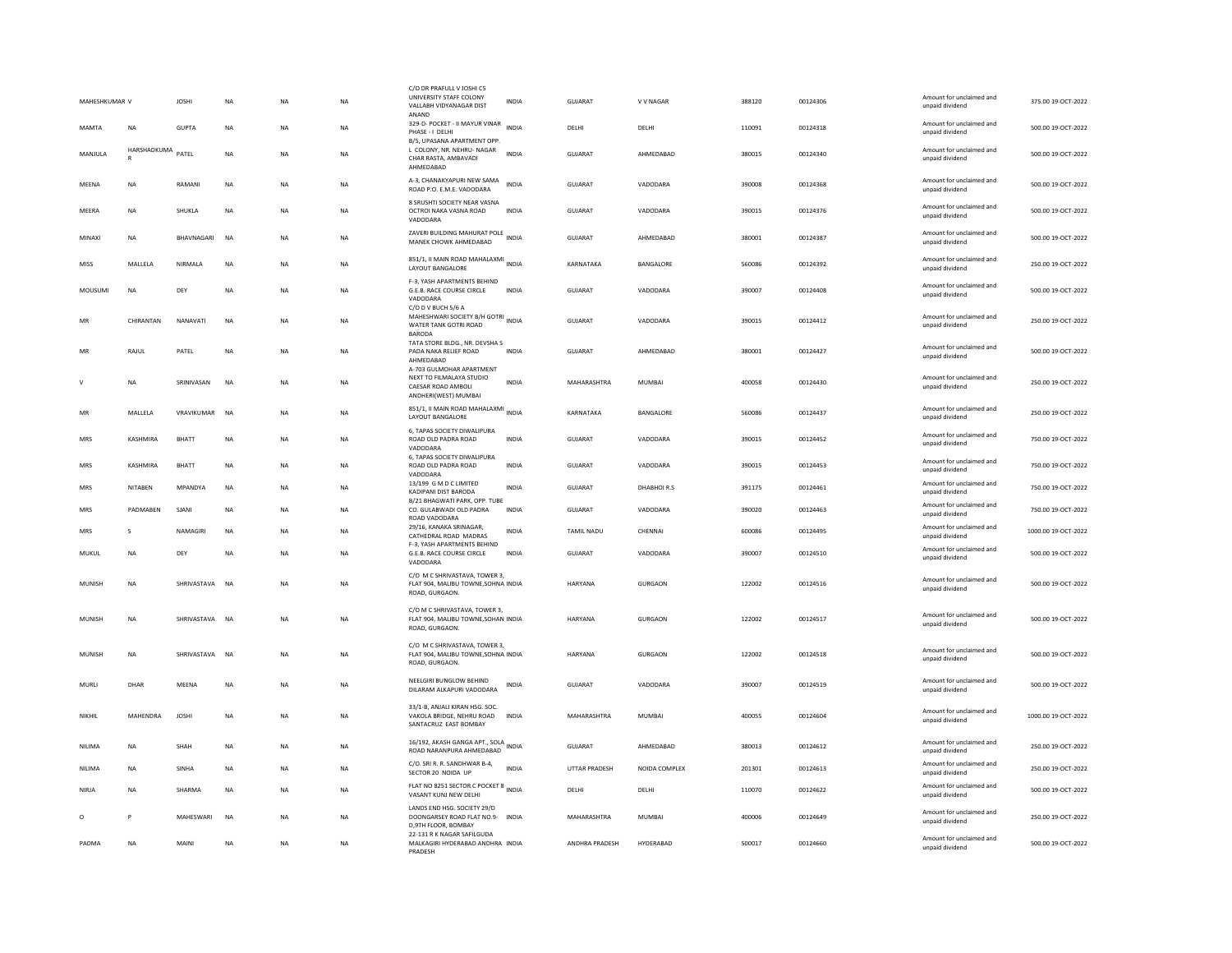| MAHESHKUMAR V |                                   | <b>JOSHI</b>   | <b>NA</b> | <b>NA</b> | <b>NA</b> | C/O DR PRAFULL V JOSHI C5<br>UNIVERSITY STAFF COLONY<br>VALLABH VIDYANAGAR DIST<br>ANAND           | <b>INDIA</b> | GUJARAT        | V V NAGAR     | 388120 | 00124306 | Amount for unclaimed and<br>unpaid dividend | 375.00 19-OCT-2022  |
|---------------|-----------------------------------|----------------|-----------|-----------|-----------|----------------------------------------------------------------------------------------------------|--------------|----------------|---------------|--------|----------|---------------------------------------------|---------------------|
| MAMTA         | <b>NA</b>                         | <b>GUPTA</b>   | <b>NA</b> | <b>NA</b> | <b>NA</b> | 329-D- POCKET - II MAYUR VINAR<br>PHASE - I DELHI                                                  | <b>INDIA</b> | DELHI          | DELHI         | 110091 | 00124318 | Amount for unclaimed and<br>unpaid dividend | 500.00 19-OCT-2022  |
| MANJULA       | HARSHADKUMA PATEL<br>$\mathbb{R}$ |                | NA        | <b>NA</b> | NA        | B/5, UPASANA APARTMENT OPP<br>L COLONY, NR. NEHRU- NAGAR<br>CHAR RASTA, AMBAVADI<br>AHMEDABAD      | <b>INDIA</b> | <b>GUJARAT</b> | AHMEDABAD     | 380015 | 00124340 | Amount for unclaimed and<br>unpaid dividend | 500.00 19-OCT-2022  |
| MEENA         | NA                                | RAMANI         | NA        | <b>NA</b> | NA        | A-3, CHANAKYAPURI NEW SAMA<br>ROAD P.O. E.M.E. VADODARA                                            | <b>INDIA</b> | <b>GUJARAT</b> | VADODARA      | 390008 | 00124368 | Amount for unclaimed and<br>unpaid dividend | 500.00 19-OCT-2022  |
| MEERA         | NA                                | SHUKLA         | NA        | NA        | NA        | 8 SRUSHTI SOCIETY NEAR VASNA<br>OCTROI NAKA VASNA ROAD<br>VADODARA                                 | <b>INDIA</b> | GUJARAT        | VADODARA      | 390015 | 00124376 | Amount for unclaimed and<br>unpaid dividend | 500.00 19-OCT-2022  |
| MINAXI        | NA                                | BHAVNAGARI     | <b>NA</b> | <b>NA</b> | NA        | ZAVERI BUILDING MAHURAT POLE INDIA<br>MANEK CHOWK AHMEDABAD                                        |              | GUJARAT        | AHMEDABAD     | 380001 | 00124387 | Amount for unclaimed and<br>unpaid dividend | 500.00 19-OCT-2022  |
| <b>MISS</b>   | MALLELA                           | NIRMALA        | <b>NA</b> | <b>NA</b> | <b>NA</b> | 851/1, II MAIN ROAD MAHALAXMI INDIA<br>LAYOUT BANGALORE                                            |              | KARNATAKA      | BANGALORE     | 560086 | 00124392 | Amount for unclaimed and<br>unpaid dividend | 250.00 19-OCT-2022  |
| MOUSUMI       | <b>NA</b>                         | DEY            | NA        | <b>NA</b> | <b>NA</b> | F-3, YASH APARTMENTS BEHIND<br>G.E.B. RACE COURSE CIRCLE<br>VADODARA                               | <b>INDIA</b> | <b>GUJARAT</b> | VADODARA      | 390007 | 00124408 | Amount for unclaimed and<br>unpaid dividend | 500.00 19-OCT-2022  |
| MR            | CHIRANTAN                         | NANAVATI       | <b>NA</b> | <b>NA</b> | <b>NA</b> | C/O D V BUCH 5/6 A<br>MAHESHWARI SOCIETY B/H GOTRI INDIA<br>WATER TANK GOTRI ROAD<br><b>BARODA</b> |              | GUJARAT        | VADODARA      | 390015 | 00124412 | Amount for unclaimed and<br>unpaid dividend | 250.00 19-OCT-2022  |
| MR            | RAJUL                             | PATEL          | NA        | <b>NA</b> | <b>NA</b> | TATA STORE BLDG., NR. DEVSHA S<br>PADA NAKA RELIEF ROAD<br>AHMEDABAD<br>A-703 GULMOHAR APARTMENT   | <b>INDIA</b> | GUJARAT        | AHMEDABAD     | 380001 | 00124427 | Amount for unclaimed and<br>unpaid dividend | 500.00 19-OCT-2022  |
| $\vee$        | <b>NA</b>                         | SRINIVASAN     | <b>NA</b> | <b>NA</b> | <b>NA</b> | NEXT TO FILMALAYA STUDIO<br>CAESAR ROAD AMBOLI<br>ANDHERI(WEST) MUMBAI                             | <b>INDIA</b> | MAHARASHTRA    | MUMBAI        | 400058 | 00124430 | Amount for unclaimed and<br>unpaid dividend | 250.00 19-OCT-2022  |
| MR            | MALLELA                           | VRAVIKUMAR     | <b>NA</b> | <b>NA</b> | <b>NA</b> | 851/1, II MAIN ROAD MAHALAXMI INDIA<br>LAYOUT BANGALORE                                            |              | KARNATAKA      | BANGALORE     | 560086 | 00124437 | Amount for unclaimed and<br>unpaid dividend | 250.00 19-OCT-2022  |
| MRS           | KASHMIRA                          | BHATT          | NA        | <b>NA</b> | <b>NA</b> | 6, TAPAS SOCIETY DIWALIPURA<br>ROAD OLD PADRA ROAD<br>VADODARA                                     | <b>INDIA</b> | GUJARAT        | VADODARA      | 390015 | 00124452 | Amount for unclaimed and<br>unpaid dividend | 750.00 19-OCT-2022  |
| MRS           | KASHMIRA                          | <b>BHATT</b>   | NA        | ΝA        | NA        | 6, TAPAS SOCIETY DIWALIPURA<br>ROAD OLD PADRA ROAD<br>VADODARA                                     | INDIA        | GUJARAT        | VADODARA      | 390015 | 00124453 | Amount for unclaimed and<br>unpaid dividend | 750.00 19-OCT-2022  |
| <b>MRS</b>    | <b>NITAREN</b>                    | MPANDYA        | <b>NA</b> | <b>NA</b> | <b>NA</b> | 13/199 G M D C LIMITED<br>KADIPANI DIST BARODA<br>B/21 BHAGWATI PARK, OPP. TUBE                    | <b>INDIA</b> | GUIARAT        | DHARHOLR S    | 391175 | 00124461 | Amount for unclaimed and<br>unpaid dividend | 750.00 19-OCT-2022  |
| MRS           | PADMABEN                          | SJANI          | NA        | NA        | NA        | CO. GULABWADI OLD PADRA<br>ROAD VADODARA                                                           | INDIA        | GUJARAT        | VADODARA      | 390020 | 00124463 | Amount for unclaimed and<br>unpaid dividend | 750.00 19-OCT-2022  |
| <b>MRS</b>    | $\mathbf{S}$                      | NAMAGIRI       | <b>NA</b> | <b>NA</b> | <b>NA</b> | 29/16, KANAKA SRINAGAR,<br>CATHEDRAL ROAD MADRAS                                                   | <b>INDIA</b> | TAMIL NADU     | CHENNAL       | 600086 | 00124495 | Amount for unclaimed and<br>unpaid dividend | 1000.00 19-OCT-2022 |
| MUKUL         | NA                                | DEY            | <b>NA</b> | ΝA        | NA        | F-3, YASH APARTMENTS BEHIND<br>G.E.B. RACE COURSE CIRCLE<br>VADODARA                               | <b>INDIA</b> | GUJARAT        | VADODARA      | 390007 | 00124510 | Amount for unclaimed and<br>unpaid dividend | 500.00 19-OCT-2022  |
| MUNISH        | NA                                | SHRIVASTAVA NA |           | NA        | NA        | C/O M C SHRIVASTAVA, TOWER 3.<br>FLAT 904, MALIBU TOWNE, SOHNA INDIA<br>ROAD, GURGAON.             |              | HARYANA        | GURGAON       | 122002 | 00124516 | Amount for unclaimed and<br>unpaid dividend | 500.00 19-OCT-2022  |
| MUNISH        | <b>NA</b>                         | SHRIVASTAVA    | <b>NA</b> | <b>NA</b> | <b>NA</b> | C/O M C SHRIVASTAVA, TOWER 3,<br>FLAT 904, MALIBU TOWNE, SOHAN INDIA<br>ROAD, GURGAON.             |              | HARYANA        | GURGAON       | 122002 | 00124517 | Amount for unclaimed and<br>unpaid dividend | 500.00 19-OCT-2022  |
| MUNISH        | NA                                | SHRIVASTAVA NA |           | NA        | NA        | C/O M C SHRIVASTAVA, TOWER 3,<br>FLAT 904, MALIBU TOWNE, SOHNA INDIA<br>ROAD, GURGAON.             |              | HARYANA        | GURGAON       | 122002 | 00124518 | Amount for unclaimed and<br>unpaid dividend | 500.00 19-OCT-2022  |
| MURLI         | DHAR                              | MEENA          | <b>NA</b> | NA        | NA        | NEELGIRI BUNGLOW BEHIND<br>DILARAM ALKAPURI VADODARA                                               | <b>INDIA</b> | GUJARAT        | VADODARA      | 390007 | 00124519 | Amount for unclaimed and<br>unpaid dividend | 500.00 19-OCT-2022  |
| NIKHIL        | MAHENDRA                          | <b>JOSHI</b>   | NA        | NΑ        | NA        | 33/1-B, ANJALI KIRAN HSG. SOC.<br>VAKOLA BRIDGE, NEHRU ROAD<br>SANTACRUZ EAST BOMBAY               | <b>INDIA</b> | MAHARASHTRA    | MUMBAI        | 400055 | 00124604 | Amount for unclaimed and<br>unpaid dividend | 1000.00 19-OCT-2022 |
| NILIMA        | NA                                | SHAH           | <b>NA</b> | NA        | NA        | 16/192, AKASH GANGA APT., SOLA<br>ROAD NARANPURA AHMEDABAD                                         | INDIA        | GUJARAT        | AHMEDABAD     | 380013 | 00124612 | Amount for unclaimed and<br>unpaid dividend | 250.00 19-OCT-2022  |
| NILIMA        | <b>NA</b>                         | SINHA          | <b>NA</b> | <b>NA</b> | <b>NA</b> | C/O. SRI R. R. SANDHWAR B-4,<br>SECTOR 20 NOIDA UP                                                 | <b>INDIA</b> | UTTAR PRADESH  | NOIDA COMPLEX | 201301 | 00124613 | Amount for unclaimed and<br>unpaid dividend | 250.00 19-OCT-2022  |
| NIRJA         | <b>NA</b>                         | SHARMA         | NA        | <b>NA</b> | <b>NA</b> | FLAT NO 8251 SECTOR C POCKET 8 INDIA<br>VASANT KUNJ NEW DELHI                                      |              | DELHI          | DELHI         | 110070 | 00124622 | Amount for unclaimed and<br>unpaid dividend | 500.00 19-OCT-2022  |
| $\circ$       | P                                 | MAHESWARI      | <b>NA</b> | <b>NA</b> | <b>NA</b> | LANDS END HSG. SOCIETY 29/D<br>DOONGARSEY ROAD FLAT NO.9- INDIA<br>D, 9TH FLOOR, BOMBAY            |              | MAHARASHTRA    | <b>MUMBAI</b> | 400006 | 00124649 | Amount for unclaimed and<br>unpaid dividend | 250.00 19-OCT-2022  |
| <b>PADMA</b>  | NA                                | MAINI          | <b>NA</b> | <b>NA</b> | <b>NA</b> | 22-131 R K NAGAR SAFILGUDA<br>MALKAGIRI HYDERABAD ANDHRA INDIA<br>PRADESH                          |              | ANDHRA PRADESH | HYDERABAD     | 500017 | 00124660 | Amount for unclaimed and<br>unpaid dividend | 500.00 19-OCT-2022  |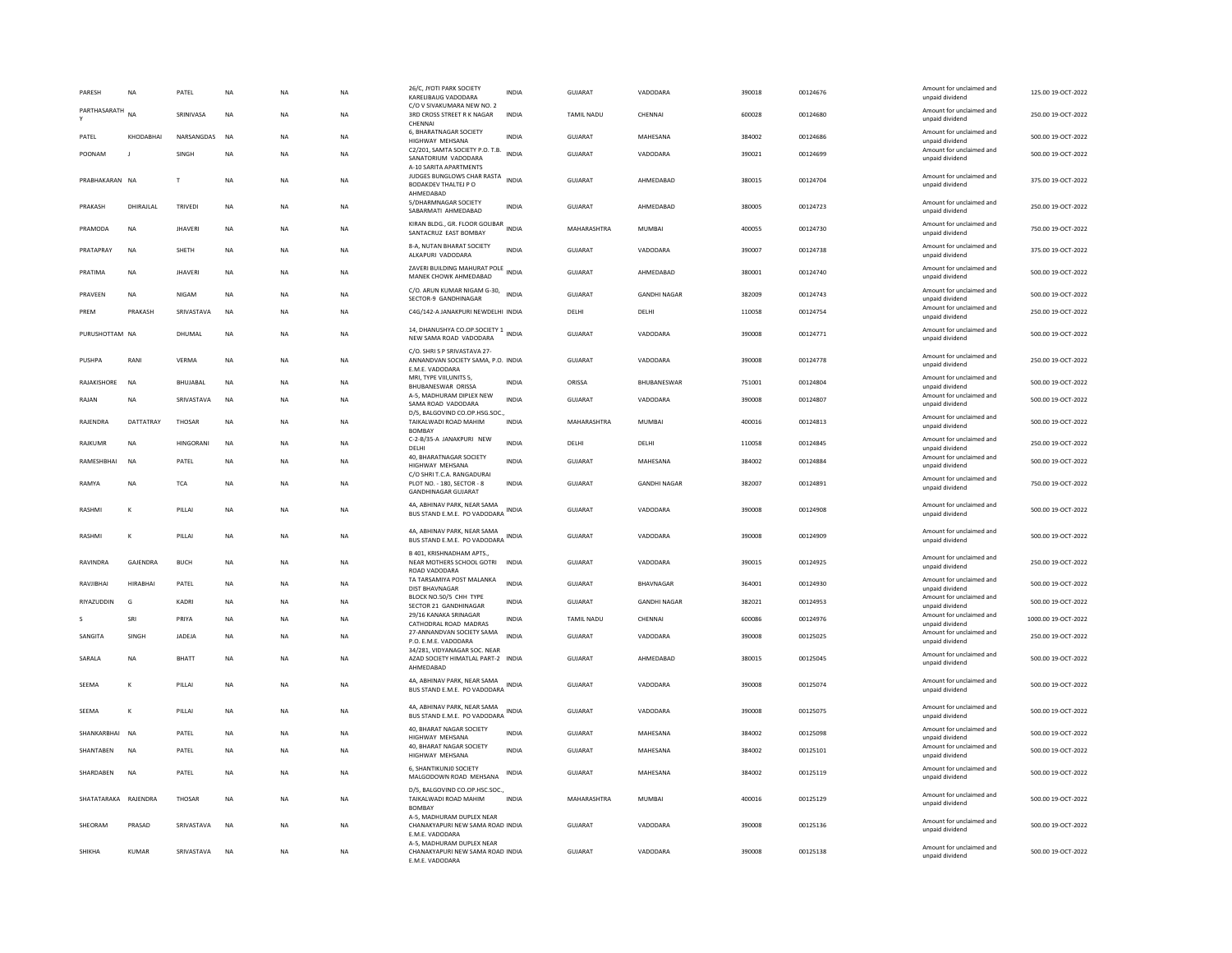| PARESH               | NA              | PATEL          | <b>NA</b>   | <b>NA</b> | <b>NA</b> | 26/C, JYOTI PARK SOCIETY<br>KARELIBAUG VADODARA                                        | <b>INDIA</b> | GUJARAT           | VADODARA            | 390018 | 00124676 | Amount for unclaimed and<br>unpaid dividend | 125.00 19-OCT-2022  |
|----------------------|-----------------|----------------|-------------|-----------|-----------|----------------------------------------------------------------------------------------|--------------|-------------------|---------------------|--------|----------|---------------------------------------------|---------------------|
| PARTHASARATH         | <b>NA</b>       | SRINIVASA      | $_{\sf NA}$ | NA        | <b>NA</b> | C/O V SIVAKUMARA NEW NO. 2<br>3RD CROSS STREET R K NAGAR                               | <b>INDIA</b> | <b>TAMIL NADU</b> | CHENNAI             | 600028 | 00124680 | Amount for unclaimed and<br>unpaid dividend | 250.00 19-OCT-2022  |
| PATEL                | KHODABHAI       | NARSANGDAS     | <b>NA</b>   | <b>NA</b> | <b>NA</b> | CHENNAI<br>6. BHARATNAGAR SOCIETY                                                      | <b>INDIA</b> | GUJARAT           | MAHESANA            | 384002 | 00124686 | Amount for unclaimed and                    | 500.00 19-OCT-2022  |
| POONAM               |                 | SINGH          | <b>NA</b>   | <b>NA</b> | <b>NA</b> | HIGHWAY MEHSANA<br>C2/201, SAMTA SOCIETY P.O. T.B. INDIA                               |              | <b>GUJARAT</b>    | VADODARA            | 390021 | 00124699 | unpaid dividend<br>Amount for unclaimed and | 500.00 19-OCT-2022  |
|                      |                 |                |             |           |           | SANATORIUM VADODARA<br>A-10 SARITA APARTMENTS                                          |              |                   |                     |        |          | unpaid dividend                             |                     |
| PRABHAKARAN NA       |                 | T              | <b>NA</b>   | <b>NA</b> | NA        | JUDGES BUNGLOWS CHAR RASTA<br>BODAKDEV THALTEJ P O<br>AHMEDABAD                        | <b>INDIA</b> | GUJARAT           | AHMEDABAD           | 380015 | 00124704 | Amount for unclaimed and<br>unpaid dividend | 375.00 19-OCT-2022  |
| PRAKASH              | DHIRAJLAL       | TRIVEDI        | NA          | <b>NA</b> | NA        | 5/DHARMNAGAR SOCIETY<br>SABARMATI AHMEDABAD                                            | <b>INDIA</b> | GUJARAT           | AHMEDABAD           | 380005 | 00124723 | Amount for unclaimed and<br>unpaid dividend | 250.00 19-OCT-2022  |
| PRAMODA              | <b>NA</b>       | <b>JHAVERI</b> | <b>NA</b>   | <b>NA</b> | <b>NA</b> | KIRAN BLDG., GR. FLOOR GOLIBAR INDIA<br>SANTACRUZ EAST BOMBAY                          |              | MAHARASHTRA       | <b>MUMBAI</b>       | 400055 | 00124730 | Amount for unclaimed and<br>unpaid dividend | 750.00 19-OCT-2022  |
| PRATAPRAY            | NA              | SHETH          | NA          | <b>NA</b> | NA        | 8-A, NUTAN BHARAT SOCIETY<br>ALKAPURI VADODARA                                         | <b>INDIA</b> | GUJARAT           | VADODARA            | 390007 | 00124738 | Amount for unclaimed and<br>unpaid dividend | 375.00 19-OCT-2022  |
| PRATIMA              | <b>NA</b>       | <b>JHAVERI</b> | NA          | <b>NA</b> | NA        | ZAVERI BUILDING MAHURAT POLE INDIA<br>MANEK CHOWK AHMEDABAD                            |              | GUJARAT           | AHMEDABAD           | 380001 | 00124740 | Amount for unclaimed and<br>unpaid dividend | 500.00 19-OCT-2022  |
| PRAVEEN              | <b>NA</b>       | NIGAM          | NA          | <b>NA</b> | NA        | C/O. ARUN KUMAR NIGAM G-30,<br>SECTOR-9 GANDHINAGAR                                    | INDIA        | <b>GUJARAT</b>    | <b>GANDHI NAGAR</b> | 382009 | 00124743 | Amount for unclaimed and<br>unpaid dividend | 500.00 19-OCT-2022  |
| PREM                 | PRAKASH         | SRIVASTAVA     | <b>NA</b>   | <b>NA</b> | <b>NA</b> | C4G/142-A JANAKPURI NEWDELHI INDIA                                                     |              | DELHI             | DELHI               | 110058 | 00124754 | Amount for unclaimed and<br>unpaid dividend | 250.00 19-OCT-2022  |
| PURUSHOTTAM NA       |                 | DHUMAI         | NA          | <b>NA</b> | NA        | 14, DHANUSHYA CO.OP.SOCIETY 1 INDIA<br>NEW SAMA ROAD VADODARA                          |              | GUJARAT           | VADODARA            | 390008 | 00124771 | Amount for unclaimed and<br>unpaid dividend | 500.00 19-OCT-2022  |
| PUSHPA               | RANI            | VERMA          | <b>NA</b>   | <b>NA</b> | <b>NA</b> | C/O. SHRI S P SRIVASTAVA 27-<br>ANNANDVAN SOCIETY SAMA, P.O. INDIA<br>E.M.E. VADODARA  |              | <b>GUJARAT</b>    | VADODARA            | 390008 | 00124778 | Amount for unclaimed and<br>unpaid dividend | 250.00 19-OCT-2022  |
| RAJAKISHORE          | <b>NA</b>       | BHUJABAL       | <b>NA</b>   | <b>NA</b> | <b>NA</b> | MRI, TYPE VIII, UNITS 5,<br>BHUBANESWAR ORISSA                                         | <b>INDIA</b> | ORISSA            | BHUBANESWAR         | 751001 | 00124804 | Amount for unclaimed and<br>unpaid dividend | 500.00 19-OCT-2022  |
| RAJAN                | NA              | SRIVASTAVA     | <b>NA</b>   | <b>NA</b> | <b>NA</b> | A-5, MADHURAM DIPLEX NEW<br>SAMA ROAD VADODARA                                         | <b>INDIA</b> | <b>GUJARAT</b>    | VADODARA            | 390008 | 00124807 | Amount for unclaimed and<br>unpaid dividend | 500.00 19-OCT-2022  |
| RAIFNDRA             | DATTATRAY       | <b>THOSAR</b>  | <b>NA</b>   | <b>NA</b> | <b>NA</b> | D/5, BALGOVIND CO.OP.HSG.SOC.,<br>TAIKALWADI ROAD MAHIM<br>BOMBAY                      | <b>INDIA</b> | MAHARASHTRA       | MUMBAI              | 400016 | 00124813 | Amount for unclaimed and<br>unpaid dividend | 500.00 19-OCT-2022  |
| RAJKUMR              | <b>NA</b>       | HINGORANI      | NA          | <b>NA</b> | NA        | C-2-B/35-A JANAKPURI NEW<br>DELHI                                                      | <b>INDIA</b> | DELHI             | DELHI               | 110058 | 00124845 | Amount for unclaimed and<br>unpaid dividend | 250.00 19-OCT-2022  |
| RAMESHBHAI           | N <sub>A</sub>  | PATEL          | NA          | NA        | NA        | 40, BHARATNAGAR SOCIETY<br>HIGHWAY MEHSANA                                             | <b>INDIA</b> | GUJARAT           | MAHESANA            | 384002 | 00124884 | Amount for unclaimed and<br>unpaid dividend | 500.00 19-OCT-2022  |
| RAMYA                | NA              | <b>TCA</b>     | <b>NA</b>   | <b>NA</b> | <b>NA</b> | C/O SHRI T.C.A. RANGADURAI<br>PLOT NO. - 180, SECTOR - 8<br><b>GANDHINAGAR GUJARAT</b> | <b>INDIA</b> | <b>GUJARAT</b>    | <b>GANDHI NAGAR</b> | 382007 | 00124891 | Amount for unclaimed and<br>unpaid dividend | 750.00 19-OCT-2022  |
| <b>RASHM</b>         | K               | PILLAI         | NA          | <b>NA</b> | <b>NA</b> | 4A, ABHINAV PARK, NEAR SAMA<br>BUS STAND E.M.E. PO VADODARA                            | <b>INDIA</b> | GUJARAT           | VADODARA            | 390008 | 00124908 | Amount for unclaimed and<br>unpaid dividend | 500.00 19-OCT-2022  |
|                      |                 |                |             |           |           | 4A, ABHINAV PARK, NEAR SAMA                                                            |              |                   |                     |        |          | Amount for unclaimed and                    |                     |
| RASHMI               | к               | PILLAI         | <b>NA</b>   | <b>NA</b> | <b>NA</b> | BUS STAND E.M.E. PO VADODARA INDIA                                                     |              | <b>GUJARAT</b>    | VADODARA            | 390008 | 00124909 | unpaid dividend                             | 500.00 19-OCT-2022  |
| RAVINDRA             | <b>GAIFNDRA</b> | <b>BUCH</b>    | NA          | <b>NA</b> | NA.       | B 401, KRISHNADHAM APTS.,<br>NEAR MOTHERS SCHOOL GOTRI<br>ROAD VADODARA                | <b>INDIA</b> | GUIARAT           | VADODARA            | 390015 | 00124925 | Amount for unclaimed and<br>unpaid dividend | 250.00.19-OCT-2022  |
| RAVJIBHAI            | <b>HIRARHA</b>  | PATEL          | $_{\sf NA}$ | <b>NA</b> | NA        | TA TARSAMIYA POST MALANKA<br><b>DIST BHAVNAGAR</b>                                     | <b>INDIA</b> | <b>GUJARAT</b>    | BHAVNAGAR           | 364001 | 00124930 | Amount for unclaimed and<br>unpaid dividend | 500.00 19-OCT-2022  |
| RIYAZUDDIN           | G               | KADRI          | <b>NA</b>   | <b>NA</b> | <b>NA</b> | BLOCK NO.50/5 CHH TYPE<br>SECTOR 21 GANDHINAGAR                                        | <b>INDIA</b> | GUIARAT           | <b>GANDHI NAGAR</b> | 382021 | 00124953 | Amount for unclaimed and<br>unpaid dividend | 500.00 19-OCT-2022  |
|                      | SRI             | PRIYA          | NA          | <b>NA</b> | <b>NA</b> | 29/16 KANAKA SRINAGAR<br>CATHODRAL ROAD MADRAS                                         | <b>INDIA</b> | TAMIL NADU        | CHENNAI             | 600086 | 00124976 | Amount for unclaimed and<br>unpaid dividend | 1000.00 19-OCT-2022 |
| SANGITA              | SINGH           | JADEJA         | NA          | <b>NA</b> | NA        | 27-ANNANDVAN SOCIETY SAMA<br>P.O. E.M.E. VADODARA                                      | <b>INDIA</b> | GUJARAT           | VADODARA            | 390008 | 00125025 | Amount for unclaimed and<br>unpaid dividend | 250.00 19-OCT-2022  |
| SARALA               | <b>NA</b>       | BHATT          | <b>NA</b>   | <b>NA</b> | <b>NA</b> | 34/281, VIDYANAGAR SOC. NEAR<br>AZAD SOCIETY HIMATLAL PART-2 INDIA<br>AHMEDABAD        |              | <b>GUJARAT</b>    | AHMEDABAD           | 380015 | 00125045 | Amount for unclaimed and<br>unpaid dividend | 500.00 19-OCT-2022  |
| <b>SFFMA</b>         | к               | PILLAI         | NA          | <b>NA</b> | NA        | 4A, ABHINAV PARK, NEAR SAMA<br>BUS STAND E.M.E. PO VADODARA                            | <b>INDIA</b> | GUIARAT           | VADODARA            | 390008 | 00125074 | Amount for unclaimed and<br>unpaid dividend | 500.00 19-OCT-2022  |
| <b>SFFMA</b>         | К               | PILLAI         | <b>NA</b>   | <b>NA</b> | <b>NA</b> | 4A, ABHINAV PARK, NEAR SAMA<br>BUS STAND E.M.E. PO VADODARA                            | <b>INDIA</b> | GUIARAT           | VADODARA            | 390008 | 00125075 | Amount for unclaimed and<br>unpaid dividend | 500.00 19-OCT-2022  |
| SHANKARBHAI          | <b>NA</b>       | PATEL          | NA          | <b>NA</b> | <b>NA</b> | 40. BHARAT NAGAR SOCIETY<br>HIGHWAY MEHSANA                                            | <b>INDIA</b> | GUJARAT           | MAHESANA            | 384002 | 00125098 | Amount for unclaimed and<br>unpaid dividend | 500.00 19-OCT-2022  |
| SHANTABEN            | <b>NA</b>       | PATEL          | $_{\sf NA}$ | NA        | NA        | 40, BHARAT NAGAR SOCIETY<br>HIGHWAY MEHSANA                                            | <b>INDIA</b> | <b>GUJARAT</b>    | MAHESANA            | 384002 | 00125101 | Amount for unclaimed and<br>unpaid dividend | 500.00 19-OCT-2022  |
| SHARDABEN            | N <sub>A</sub>  | PATEL          | <b>NA</b>   | <b>NA</b> | <b>NA</b> | 6. SHANTIKUNIO SOCIETY<br>MALGODOWN ROAD MEHSANA                                       | <b>INDIA</b> | <b>GUJARAT</b>    | MAHESANA            | 384002 | 00125119 | Amount for unclaimed and<br>unpaid dividend | 500.00 19-OCT-2022  |
| SHATATARAKA RAJENDRA |                 | <b>THOSAR</b>  | <b>NA</b>   | <b>NA</b> | <b>NA</b> | D/5, BALGOVIND CO.OP.HSC.SOC.,<br>TAIKALWADI ROAD MAHIM<br><b>BOMBAY</b>               | <b>INDIA</b> | MAHARASHTRA       | <b>MUMBAI</b>       | 400016 | 00125129 | Amount for unclaimed and<br>unpaid dividend | 500.00 19-OCT-2022  |
| SHEORAM              | PRASAD          | SRIVASTAVA     | <b>NA</b>   | <b>NA</b> | <b>NA</b> | A-5, MADHURAM DUPLEX NEAR<br>CHANAKYAPURI NEW SAMA ROAD INDIA<br>E.M.E. VADODARA       |              | <b>GUJARAT</b>    | VADODARA            | 390008 | 00125136 | Amount for unclaimed and<br>unpaid dividend | 500.00 19-OCT-2022  |
| <b>SHIKHA</b>        | KUMAR           | SRIVASTAVA     | <b>NA</b>   | <b>NA</b> | <b>NA</b> | A-5, MADHURAM DUPLEX NEAR<br>CHANAKYAPURI NEW SAMA ROAD INDIA<br>E.M.E. VADODARA       |              | GUIARAT           | VADODARA            | 390008 | 00125138 | Amount for unclaimed and<br>unpaid dividend | 500.00.19-OCT-2022  |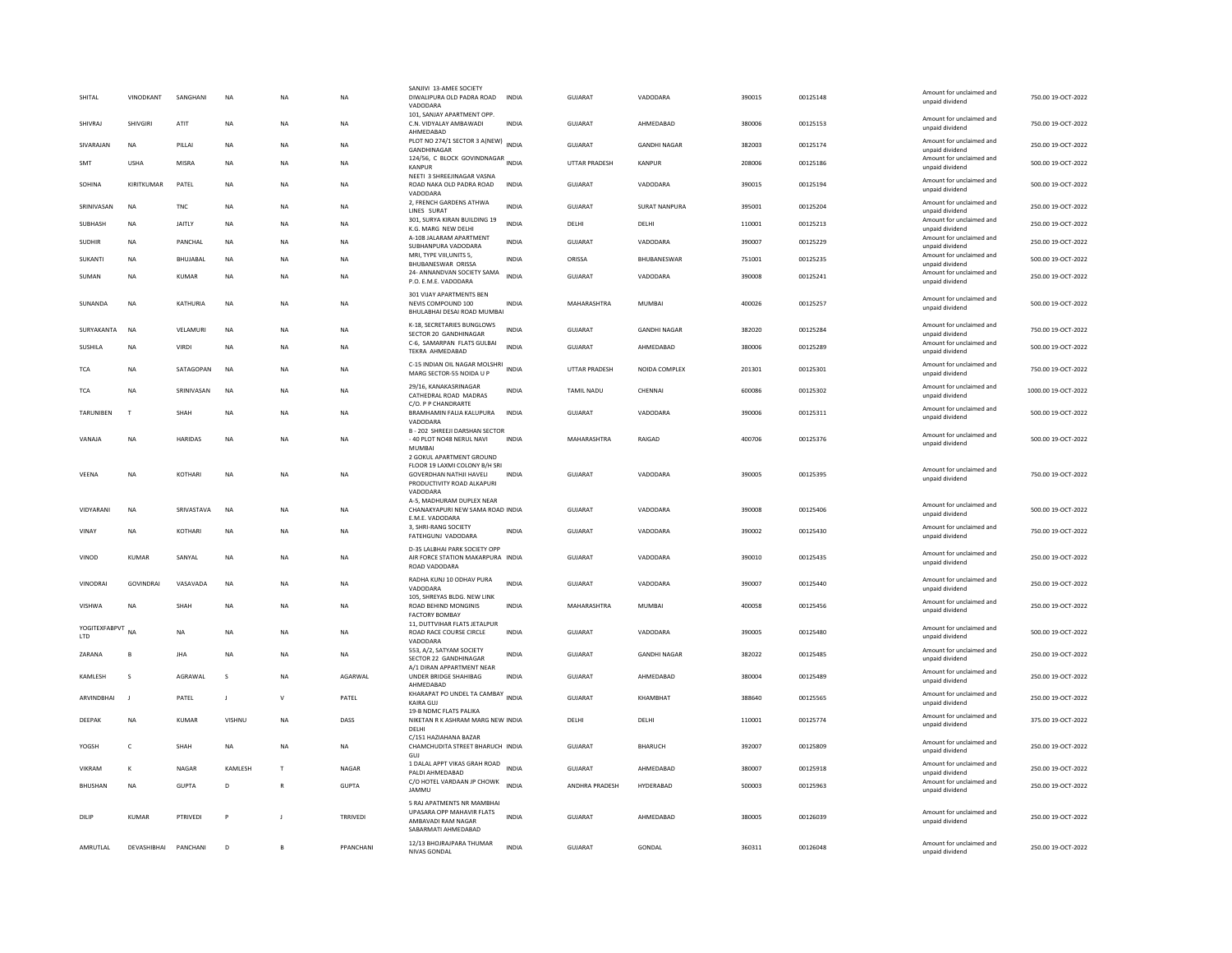| SHITAL               | VINODKANT        | SANGHANI     | <b>NA</b>   | NA             | <b>NA</b>       | SANJIVI 13-AMEE SOCIETY<br>DIWALIPURA OLD PADRA ROAD<br>VADODARA                                          | <b>INDIA</b> | GUJARAT              | VADODARA             | 390015 | 00125148 | Amount for unclaimed and<br>unpaid dividend | 750.00 19-OCT-2022  |
|----------------------|------------------|--------------|-------------|----------------|-----------------|-----------------------------------------------------------------------------------------------------------|--------------|----------------------|----------------------|--------|----------|---------------------------------------------|---------------------|
| SHIVRAJ              | SHIVGIRI         | ATIT         | NA          | NA             | <b>NA</b>       | 101. SANJAY APARTMENT OPP.<br>C.N. VIDYALAY AMBAWADI                                                      | INDIA        | GUJARAT              | AHMEDABAD            | 380006 | 00125153 | Amount for unclaimed and<br>unpaid dividend | 750.00 19-OCT-2022  |
| SIVARAJAN            | <b>NA</b>        | PILLAI       | NA          | NA             | <b>NA</b>       | AHMEDABAD<br>PLOT NO 274/1 SECTOR 3 A(NEW) INDIA<br>GANDHINAGAR                                           |              | GUJARAT              | <b>GANDHI NAGAR</b>  | 382003 | 00125174 | Amount for unclaimed and<br>unpaid dividend | 250.00 19-OCT-2022  |
| SMT                  | <b>USHA</b>      | <b>MISRA</b> | NA          | NA             | <b>NA</b>       | 124/56, C BLOCK GOVINDNAGAR INDIA<br>KANPUR                                                               |              | UTTAR PRADESH        | KANPUR               | 208006 | 00125186 | Amount for unclaimed and<br>unpaid dividend | 500.00 19-OCT-2022  |
| SOHINA               | KIRITKUMAR       | PATEL        | <b>NA</b>   | <b>NA</b>      | <b>NA</b>       | NEETI 3 SHREEJINAGAR VASNA<br>ROAD NAKA OLD PADRA ROAD<br><b>VADODAR</b>                                  | <b>INDIA</b> | <b>GUJARAT</b>       | VADODARA             | 390015 | 00125194 | Amount for unclaimed and<br>unpaid dividend | 500.00 19-OCT-2022  |
| SRINIVASAN           | <b>NA</b>        | <b>TNC</b>   | NA          | NA             | <b>NA</b>       | 2, FRENCH GARDENS ATHWA<br>LINES SURAT                                                                    | INDIA        | GUJARAT              | <b>SURAT NANPURA</b> | 395001 | 00125204 | Amount for unclaimed and<br>unpaid dividend | 250.00 19-OCT-2022  |
| SUBHASH              | <b>NA</b>        | JAITLY       | <b>NA</b>   | <b>NA</b>      | <b>NA</b>       | 301, SURYA KIRAN BUILDING 19<br>K.G. MARG NEW DELHI                                                       | <b>INDIA</b> | DELHI                | DELHI                | 110001 | 00125213 | Amount for unclaimed and<br>unpaid dividend | 250.00 19-OCT-2022  |
| <b>SUDHIR</b>        | <b>NA</b>        | PANCHAL      | <b>NA</b>   | <b>NA</b>      | <b>NA</b>       | A-108 JALARAM APARTMENT<br>SUBHANPURA VADODARA                                                            | <b>INDIA</b> | <b>GUJARAT</b>       | VADODARA             | 390007 | 00125229 | Amount for unclaimed and<br>unpaid dividend | 250.00 19-OCT-2022  |
| <b>SUKANTI</b>       | <b>NA</b>        | BHUJABAL     | <b>NA</b>   | <b>NA</b>      | <b>NA</b>       | MRI, TYPE VIII, UNITS 5,<br>BHUBANESWAR ORISSA                                                            | <b>INDIA</b> | ORISSA               | BHUBANESWAR          | 751001 | 00125235 | Amount for unclaimed and<br>unpaid dividend | 500.00 19-OCT-2022  |
| SUMAN                | <b>NA</b>        | <b>KUMAR</b> | <b>NA</b>   | <b>NA</b>      | <b>NA</b>       | 24- ANNANDVAN SOCIETY SAMA<br>P.O. E.M.E. VADODARA                                                        | <b>INDIA</b> | <b>GUJARAT</b>       | VADODARA             | 390008 | 00125241 | Amount for unclaimed and<br>unpaid dividend | 250.00 19-OCT-2022  |
| SUNANDA              | <b>NA</b>        | KATHURIA     | <b>NA</b>   | <b>NA</b>      | NA              | 301 VIJAY APARTMENTS BEN<br>NEVIS COMPOUND 100<br>BHULABHAI DESAI ROAD MUMBAI                             | <b>INDIA</b> | MAHARASHTRA          | MUMBAL               | 400026 | 00125257 | Amount for unclaimed and<br>unpaid dividend | 500.00 19-OCT-2022  |
| SURYAKANTA           | <b>NA</b>        | VELAMURI     | <b>NA</b>   | NA             | <b>NA</b>       | K-18, SECRETARIES BUNGLOWS<br>SECTOR 20 GANDHINAGAR                                                       | <b>INDIA</b> | GUJARAT              | <b>GANDHI NAGAR</b>  | 382020 | 00125284 | Amount for unclaimed and<br>unpaid dividend | 750.00 19-OCT-2022  |
| SUSHILA              | <b>NA</b>        | VIRDI        | <b>NA</b>   | <b>NA</b>      | <b>NA</b>       | C-6, SAMARPAN FLATS GULBAI<br><b>TEKRA AHMEDABAD</b>                                                      | <b>INDIA</b> | GUIARAT              | AHMFDARAD            | 380006 | 00125289 | Amount for unclaimed and<br>unpaid dividend | 500.00 19-OCT-2022  |
| <b>TCA</b>           | <b>NA</b>        | SATAGOPAN    | <b>NA</b>   | <b>NA</b>      | <b>NA</b>       | C-15 INDIAN OIL NAGAR MOLSHRI<br>MARG SECTOR-55 NOIDA U P                                                 | <b>INDIA</b> | <b>UTTAR PRADESH</b> | NOIDA COMPLEX        | 201301 | 00125301 | Amount for unclaimed and<br>unpaid dividend | 750.00 19-OCT-2022  |
| <b>TCA</b>           | <b>NA</b>        | SRINIVASAN   | <b>NA</b>   | <b>NA</b>      | <b>NA</b>       | 29/16, KANAKASRINAGAR<br>CATHEDRAL ROAD MADRAS<br>C/O. P P CHANDRARTE                                     | <b>INDIA</b> | <b>TAMIL NADU</b>    | CHENNAI              | 600086 | 00125302 | Amount for unclaimed and<br>unpaid dividend | 1000.00 19-OCT-2022 |
| <b>TARUNIBEN</b>     | $\mathsf{T}$     | SHAH         | <b>NA</b>   | <b>NA</b>      | <b>NA</b>       | BRAMHAMIN FALIA KALUPURA<br>VADODARA                                                                      | <b>INDIA</b> | <b>GUJARAT</b>       | VADODARA             | 390006 | 00125311 | Amount for unclaimed and<br>unpaid dividend | 500.00 19-OCT-2022  |
| VANAJA               | NA               | HARIDAS      | NA          | <b>NA</b>      | <b>NA</b>       | B - 202 SHREEJI DARSHAN SECTOR<br>- 40 PLOT NO48 NERUL NAVI<br>MUMBAI<br>2 GOKUL APARTMENT GROUND         | INDIA        | MAHARASHTRA          | RAIGAD               | 400706 | 00125376 | Amount for unclaimed and<br>unpaid dividend | 500.00 19-OCT-2022  |
| VEENA                | NA               | KOTHARI      | $_{\sf NA}$ | NA             | <b>NA</b>       | FLOOR 19 LAXMI COLONY B/H SRI<br><b>GOVERDHAN NATHJI HAVELI</b><br>PRODUCTIVITY ROAD ALKAPURI<br>VADODARA | <b>INDIA</b> | <b>GUJARAT</b>       | VADODARA             | 390005 | 00125395 | Amount for unclaimed and<br>unpaid dividend | 750.00 19-OCT-2022  |
| VIDYARANI            | <b>NA</b>        | SRIVASTAVA   | <b>NA</b>   | <b>NA</b>      | <b>NA</b>       | A-5, MADHURAM DUPLEX NEAR<br>CHANAKYAPURI NEW SAMA ROAD INDIA<br>E.M.E. VADODARA                          |              | <b>GUJARAT</b>       | VADODARA             | 390008 | 00125406 | Amount for unclaimed and<br>unpaid dividend | 500.00 19-OCT-2022  |
| VINAY                | <b>NA</b>        | KOTHARI      | NA          | <b>NA</b>      | <b>NA</b>       | 3. SHRI-RANG SOCIETY<br>FATEHGUNJ VADODARA                                                                | INDIA        | GUJARAT              | VADODARA             | 390002 | 00125430 | Amount for unclaimed and<br>unpaid dividend | 750.00 19-OCT-2022  |
| VINOD                | KUMAR            | SANYAL       | NA          | NA             | <b>NA</b>       | D-35 LALBHAI PARK SOCIETY OPP<br>AIR FORCE STATION MAKARPURA INDIA<br>ROAD VADODARA                       |              | GUJARAT              | VADODARA             | 390010 | 00125435 | Amount for unclaimed and<br>unpaid dividend | 250.00 19-OCT-2022  |
| VINODRAI             | <b>GOVINDRAI</b> | VASAVADA     | <b>NA</b>   | <b>NA</b>      | <b>NA</b>       | RADHA KUNJ 10 ODHAV PURA<br>VADODARA                                                                      | <b>INDIA</b> | <b>GUJARAT</b>       | VADODARA             | 390007 | 00125440 | Amount for unclaimed and<br>unpaid dividend | 250.00 19-OCT-2022  |
| VISHWA               | <b>NA</b>        | SHAH         | NA          | NA             | <b>NA</b>       | 105, SHREYAS BLDG, NEW LINK<br>ROAD BEHIND MONGINIS<br><b>FACTORY BOMBAY</b>                              | INDIA        | MAHARASHTRA          | MUMBAI               | 400058 | 00125456 | Amount for unclaimed and<br>unpaid dividend | 250.00 19-OCT-2022  |
| YOGITEXFABPVT<br>LTD | <b>NA</b>        | <b>NA</b>    | <b>NA</b>   | NA             | <b>NA</b>       | 11, DUTTVIHAR FLATS JETALPUR<br>ROAD RACE COURSE CIRCLE<br>VADODARA                                       | <b>INDIA</b> | <b>GUJARAT</b>       | VADODARA             | 390005 | 00125480 | Amount for unclaimed and<br>unpaid dividend | 500.00 19-OCT-2022  |
| 7ARANA               | <b>B</b>         | <b>IHA</b>   | <b>NA</b>   | <b>NA</b>      | <b>NA</b>       | 553, A/2, SATYAM SOCIETY<br>SECTOR 22 GANDHINAGAR                                                         | <b>INDIA</b> | GUIARAT              | <b>GANDHI NAGAR</b>  | 382022 | 00125485 | Amount for unclaimed and<br>unpaid dividend | 250.00.19-OCT-2022  |
| KAMLESH              | s                | AGRAWAL      | s           | <b>NA</b>      | AGARWAL         | A/1 DIRAN APPARTMENT NEAR<br>UNDER BRIDGE SHAHIBAG<br>AHMFDARAD                                           | <b>INDIA</b> | GUJARAT              | AHMEDABAD            | 380004 | 00125489 | Amount for unclaimed and<br>unpaid dividend | 250.00 19-OCT-2022  |
| ARVINDBHAI           | $\blacksquare$   | PATEL        | J.          | V              | PATEL           | KHARAPAT PO UNDEL TA CAMBAY<br>KAIRA GUJ                                                                  | <b>INDIA</b> | GUJARAT              | KHAMBHAT             | 388640 | 00125565 | Amount for unclaimed and<br>unpaid dividend | 250.00 19-OCT-2022  |
| DEEPAK               | <b>NA</b>        | <b>KUMAR</b> | VISHNU      | <b>NA</b>      | DASS            | 19-B NDMC FLATS PALIKA<br>NIKETAN R K ASHRAM MARG NEW INDIA<br>DELHI                                      |              | DELHI                | DELHI                | 110001 | 00125774 | Amount for unclaimed and<br>unpaid dividend | 375.00 19-OCT-2022  |
| YOGSH                | $\mathsf{C}$     | SHAH         | <b>NA</b>   | <b>NA</b>      | <b>NA</b>       | C/151 HAZIAHANA BAZAR<br>CHAMCHUDITA STREET BHARUCH INDIA<br>GUJ                                          |              | GUJARAT              | BHARUCH              | 392007 | 00125809 | Amount for unclaimed and<br>unpaid dividend | 250.00 19-OCT-2022  |
| VIKRAM               | $\kappa$         | NAGAR        | KAMLESH     | $\mathsf{T}$   | NAGAR           | 1 DALAL APPT VIKAS GRAH ROAD<br>PALDI AHMEDABAD                                                           | <b>INDIA</b> | GUJARAT              | AHMEDABAD            | 380007 | 00125918 | Amount for unclaimed and<br>unpaid dividend | 250.00 19-OCT-2022  |
| <b>BHUSHAN</b>       | <b>NA</b>        | <b>GUPTA</b> | D           | $\mathbb{R}$   | <b>GUPTA</b>    | C/O HOTEL VARDAAN JP CHOWK<br><b>JAMMU</b>                                                                | <b>INDIA</b> | ANDHRA PRADESH       | HYDERABAD            | 500003 | 00125963 | Amount for unclaimed and<br>unpaid dividend | 250.00 19-OCT-2022  |
| DILIP                | KUMAR            | PTRIVED      | P           | J.             | <b>TRRIVEDI</b> | 5 RAJ APATMENTS NR MAMBHAI<br>UPASARA OPP MAHAVIR FLATS<br>AMBAVADI RAM NAGAR<br>SABARMATI AHMEDABAD      | <b>INDIA</b> | GUJARAT              | AHMEDABAD            | 380005 | 00126039 | Amount for unclaimed and<br>unpaid dividend | 250.00 19-OCT-2022  |
| AMRUTLAL             | DEVASHIBHAI      | PANCHANI     | D           | $\overline{B}$ | PPANCHANI       | 12/13 BHOJRAJPARA THUMAR<br>NIVAS GONDAL                                                                  | <b>INDIA</b> | GUJARAT              | GONDAL               | 360311 | 00126048 | Amount for unclaimed and<br>unpaid dividend | 250.00 19-OCT-2022  |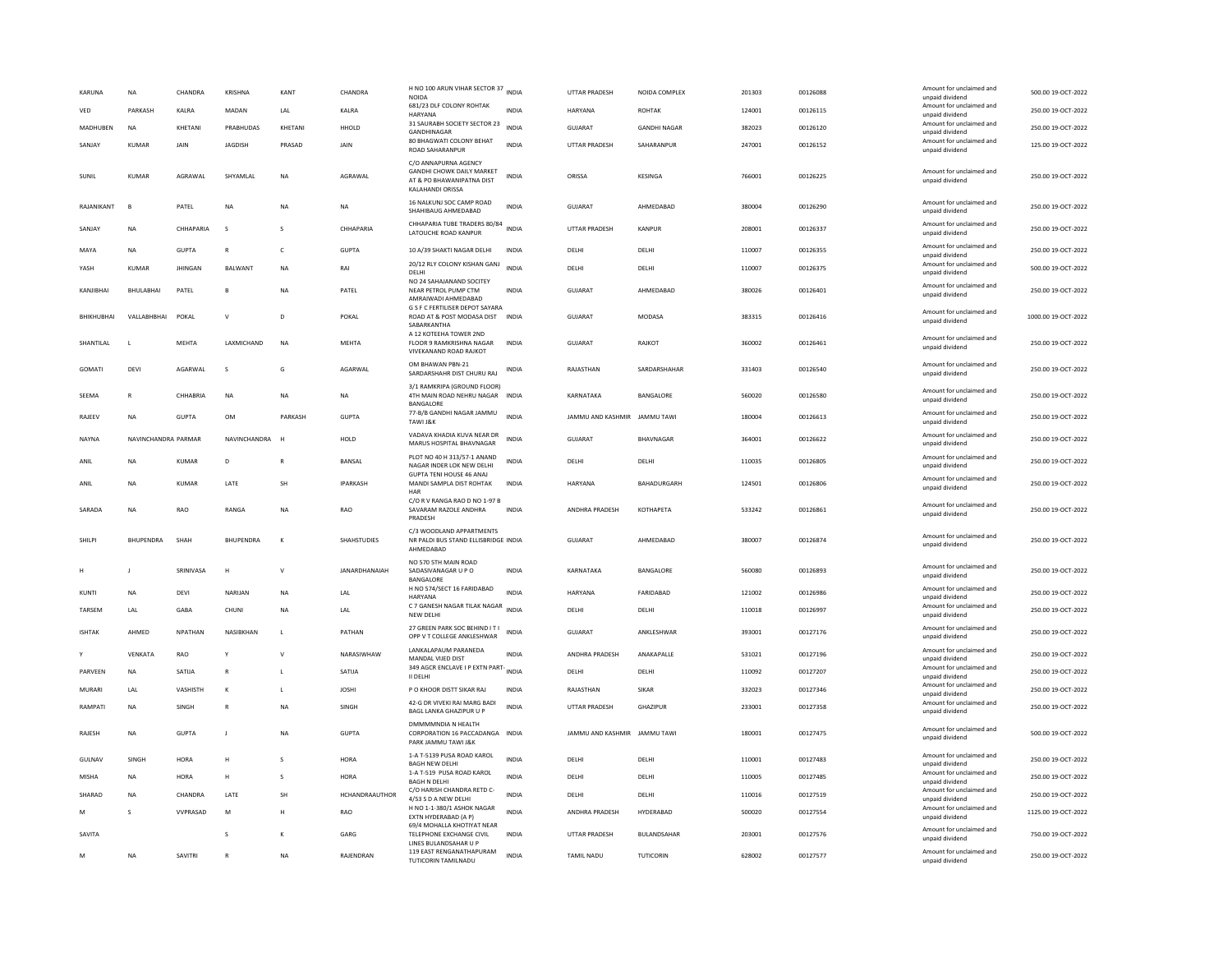| KARUNA          | <b>NA</b>           | CHANDRA         | KRISHNA          | KANT         | CHANDRA            | H NO 100 ARUN VIHAR SECTOR 37 INDIA<br>NOIDA                                                                |              | UTTAR PRADESH                | NOIDA COMPLEX       | 201303 | 00126088 | Amount for unclaimed and<br>unpaid dividend                    | 500.00 19-OCT-2022  |
|-----------------|---------------------|-----------------|------------------|--------------|--------------------|-------------------------------------------------------------------------------------------------------------|--------------|------------------------------|---------------------|--------|----------|----------------------------------------------------------------|---------------------|
| VED             | PARKASH             | KALRA           | MADAN            | LAL          | KALRA              | 681/23 DLF COLONY ROHTAK<br><b>HARYANA</b>                                                                  | <b>INDIA</b> | HARYANA                      | ROHTAK              | 124001 | 00126115 | Amount for unclaimed and<br>unpaid dividend                    | 250.00 19-OCT-2022  |
| <b>MADHUREN</b> | <b>NA</b>           | KHFTANI         | PRABHUDAS        | KHFTANI      | HHOLD              | 31 SAURABH SOCIETY SECTOR 23<br>GANDHINAGAR                                                                 | <b>INDIA</b> | GUIARAT                      | <b>GANDHI NAGAR</b> | 382023 | 00126120 | Amount for unclaimed and<br>unpaid dividend                    | 250.00 19-OCT-2022  |
| SANJAY          | KUMAR               | JAIN            | JAGDISH          | PRASAD       | JAIN               | 80 BHAGWATI COLONY BEHAT<br>ROAD SAHARANPUR                                                                 | <b>INDIA</b> | UTTAR PRADESH                | SAHARANPUR          | 247001 | 00126152 | Amount for unclaimed and<br>unpaid dividend                    | 125.00 19-OCT-2022  |
| <b>SUNIL</b>    | <b>KUMAR</b>        | AGRAWAL         | SHYAMLAI         | <b>NA</b>    | AGRAWAL            | C/O ANNAPURNA AGENCY<br><b>GANDHI CHOWK DAILY MARKET</b><br>AT & PO BHAWANIPATNA DIST<br>KALAHANDI ORISSA   | <b>INDIA</b> | ORISSA                       | KESINGA             | 766001 | 00126225 | Amount for unclaimed and<br>unpaid dividend                    | 250.00 19-OCT-2022  |
| RAJANIKANT      | B                   | PATEL           | <b>NA</b>        | NΑ           | NA                 | 16 NALKUNJ SOC CAMP ROAD<br>SHAHIBAUG AHMEDABAD                                                             | <b>INDIA</b> | <b>GUJARAT</b>               | AHMEDABAD           | 380004 | 00126290 | Amount for unclaimed and<br>unpaid dividend                    | 250.00 19-OCT-2022  |
| SANJAY          | NA                  | CHHAPARIA       | s                | s            | CHHAPARIA          | CHHAPARIA TUBE TRADERS 80/84<br>LATOUCHE ROAD KANPUR                                                        | INDIA        | <b>UTTAR PRADESH</b>         | KANPUR              | 208001 | 00126337 | Amount for unclaimed and<br>unpaid dividend                    | 250.00 19-OCT-2022  |
| MAYA            | <b>NA</b>           | <b>GUPTA</b>    | $\mathbb{R}$     | c            | <b>GUPTA</b>       | 10 A/39 SHAKTI NAGAR DELHI                                                                                  | <b>INDIA</b> | DELHI                        | DELHI               | 110007 | 00126355 | Amount for unclaimed and<br>unpaid dividend                    | 250.00 19-OCT-2022  |
| YASH            | <b>KUMAR</b>        | <b>JHINGAN</b>  | BALWANT          | <b>NA</b>    | RAI                | 20/12 RLY COLONY KISHAN GANJ<br>DELHI                                                                       | <b>INDIA</b> | DELHI                        | DELHI               | 110007 | 00126375 | Amount for unclaimed and<br>unpaid dividend                    | 500.00 19-OCT-2022  |
| KANIIRHAI       | BHULABHAI           | PATEL           | $\mathbf{B}$     | <b>NA</b>    | PATEL              | NO 24 SAHAJANAND SOCITEY<br>NEAR PETROL PUMP CTM<br>AMRAIWADI AHMEDABAD                                     | <b>INDIA</b> | GUIARAT                      | AHMEDABAD           | 380026 | 00126401 | Amount for unclaimed and<br>unpaid dividend                    | 250.00 19-OCT-2022  |
| BHIKHUBHAI      | VALLABHBHAI         | POKAL           | $\mathsf{v}$     | D            | POKAL              | <b>G S F C FERTILISER DEPOT SAYARA</b><br>ROAD AT & POST MODASA DIST INDIA<br>SABARKANTHA                   |              | GUJARAT                      | MODASA              | 383315 | 00126416 | Amount for unclaimed and<br>unpaid dividend                    | 1000.00 19-OCT-2022 |
| SHANTILAL       | L                   | MEHTA           | LAXMICHAND       | NA           | MEHTA              | A 12 KOTEEHA TOWER 2ND<br>FLOOR 9 RAMKRISHNA NAGAR<br>VIVEKANAND ROAD RAJKOT                                | INDIA        | GUJARAT                      | RAJKOT              | 360002 | 00126461 | Amount for unclaimed and<br>unpaid dividend                    | 250.00 19-OCT-2022  |
| GOMATI          | DEVI                | AGARWAL         | s                | G            | AGARWAL            | OM BHAWAN PBN-21<br>SARDARSHAHR DIST CHURU RAJ                                                              | <b>INDIA</b> | RAJASTHAN                    | SARDARSHAHAR        | 331403 | 00126540 | Amount for unclaimed and<br>unpaid dividend                    | 250.00 19-OCT-2022  |
| SEEMA           | R                   | CHHABRIA        | <b>NA</b>        | <b>NA</b>    | NA                 | 3/1 RAMKRIPA (GROUND FLOOR)<br>4TH MAIN ROAD NEHRU NAGAR<br>BANGALORE                                       | INDIA        | KARNATAKA                    | BANGALORE           | 560020 | 00126580 | Amount for unclaimed and<br>unpaid dividend                    | 250.00 19-OCT-2022  |
| RAJEEV          | NA                  | <b>GUPTA</b>    | OM               | PARKASH      | GUPTA              | 77-B/B GANDHI NAGAR JAMMU<br>TAWI J&K                                                                       | <b>INDIA</b> | JAMMU AND KASHMIR            | JAMMU TAWI          | 180004 | 00126613 | Amount for unclaimed and<br>unpaid dividend                    | 250.00 19-OCT-2022  |
| <b>NAYNA</b>    | NAVINCHANDRA PARMAR |                 | NAVINCHANDRA     |              | HOLD               | VADAVA KHADIA KUVA NEAR DR<br>MARUS HOSPITAL BHAVNAGAR                                                      | <b>INDIA</b> | <b>GUJARAT</b>               | BHAVNAGAR           | 364001 | 00126622 | Amount for unclaimed and<br>unpaid dividend                    | 250.00 19-OCT-2022  |
| ANIL            | NA                  | KUMAR           | D                |              | BANSAL             | PLOT NO 40 H 313/57-1 ANAND<br>NAGAR INDER LOK NEW DELHI<br><b>GUPTA TENI HOUSE 46 ANAJ</b>                 | <b>INDIA</b> | DELHI                        | DELHI               | 110035 | 00126805 | Amount for unclaimed and<br>unpaid dividend                    | 250.00 19-OCT-2022  |
| ANIL            | <b>NA</b>           | <b>KUMAR</b>    | LATE             | SH           | <b>IPARKASH</b>    | MANDI SAMPLA DIST ROHTAK<br>HAR                                                                             | <b>INDIA</b> | HARYANA                      | BAHADURGARH         | 124501 | 00126806 | Amount for unclaimed and<br>unpaid dividend                    | 250.00 19-OCT-2022  |
| SARADA          | <b>NA</b>           | <b>RAO</b>      | RANGA            | <b>NA</b>    | <b>RAO</b>         | C/O R V RANGA RAO D NO 1-97 B<br>SAVARAM RAZOLE ANDHRA<br>PRADESH                                           | <b>INDIA</b> | <b>ANDHRA PRADESH</b>        | <b>КОТНАРЕТА</b>    | 533242 | 00126861 | Amount for unclaimed and<br>unpaid dividend                    | 250.00 19-QCT-2022  |
|                 |                     |                 |                  |              |                    | C/3 WOODLAND APPARTMENTS                                                                                    |              |                              |                     |        |          |                                                                |                     |
| SHILPI          | <b>BHUPENDRA</b>    | SHAH            | <b>BHUPENDRA</b> | $\kappa$     | <b>SHAHSTUDIES</b> | NR PALDI BUS STAND ELLISBRIDGE INDIA<br>AHMEDABAD                                                           |              | GUJARAT                      | AHMEDABAD           | 380007 | 00126874 | Amount for unclaimed and<br>unpaid dividend                    | 250.00 19-OCT-2022  |
|                 | J                   | SRINIVASA       | H                | $\mathsf{V}$ | JANARDHANAIAH      | NO 570 5TH MAIN ROAD<br>SADASIVANAGAR U P O<br><b>BANGALORE</b>                                             | <b>INDIA</b> | KARNATAKA                    | BANGALORE           | 560080 | 00126893 | Amount for unclaimed and<br>unpaid dividend                    | 250.00 19-OCT-2022  |
| <b>KUNTI</b>    | <b>NA</b>           | DEVI            | NARIJAN          | <b>NA</b>    | LAL                | H NO 574/SECT 16 FARIDABAD                                                                                  | <b>INDIA</b> | HARYANA                      | FARIDABAD           | 121002 | 00126986 | Amount for unclaimed and<br>unpaid dividend                    | 250.00 19-OCT-2022  |
| TARSEM          | LAL                 | GABA            | CHUNI            | <b>NA</b>    | LAL                | HARYANA<br>C 7 GANESH NAGAR TILAK NAGAR<br>NEW DELHI                                                        | <b>INDIA</b> | DELHI                        | DELHI               | 110018 | 00126997 | Amount for unclaimed and<br>unpaid dividend                    | 250.00 19-OCT-2022  |
| <b>ISHTAK</b>   | AHMED               | <b>NPATHAN</b>  | NASIBKHAN        | $\mathbf{L}$ | PATHAN             | 27 GREEN PARK SOC BEHIND IT I<br>OPP V T COLLEGE ANKLESHWAR                                                 | <b>INDIA</b> | GUIARAT                      | ANKLESHWAR          | 393001 | 00127176 | Amount for unclaimed and<br>unpaid dividend                    | 250.00 19-OCT-2022  |
|                 | VENKATA             | RAO             |                  | $\mathsf{V}$ | NARASIWHAW         | LANKALAPAUM PARANEDA<br>MANDAL VIJED DIST                                                                   | <b>INDIA</b> | ANDHRA PRADESH               | ANAKAPALLE          | 531021 | 00127196 | Amount for unclaimed and                                       | 250.00 19-OCT-2022  |
| PARVEEN         | NA                  | SATIJA          | $\mathbb{R}$     |              | SATIJA             | 349 AGCR ENCLAVE I P EXTN PART-                                                                             | <b>INDIA</b> | DELHI                        | DELHI               | 110092 | 00127207 | unpaid dividend<br>Amount for unclaimed and                    | 250.00 19-OCT-2022  |
| MURARI          | I AI                | VASHISTH        | $\kappa$         | $\mathbf{L}$ | <b>IOSHI</b>       | II DELHI<br>P O KHOOR DISTT SIKAR RAI                                                                       | <b>INDIA</b> | RAIASTHAN                    | <b>SIKAR</b>        | 332023 | 00127346 | unpaid dividend<br>Amount for unclaimed and                    | 250.00.19-OCT-2022  |
| RAMPATI         | NA                  | SINGH           | $\mathsf{R}$     | <b>NA</b>    | SINGH              | 42-G DR VIVEKI RAI MARG BADI                                                                                | <b>INDIA</b> | <b>UTTAR PRADESH</b>         | GHAZIPUR            | 233001 | 00127358 | unpaid dividend<br>Amount for unclaimed and                    | 250.00 19-OCT-2022  |
| RAJESH          | NA                  | <b>GUPTA</b>    | J.               | NA           | GUPTA              | BAGL LANKA GHAZIPUR U P<br>DMMMMNDIA N HEALTH<br>CORPORATION 16 PACCADANGA INDIA<br>PARK JAMMU TAWI J&K     |              | JAMMU AND KASHMIR JAMMU TAWI |                     | 180001 | 00127475 | unpaid dividend<br>Amount for unclaimed and<br>unpaid dividend | 500.00 19-OCT-2022  |
| GULNAV          | SINGH               | HORA            | H                | $\mathbf{s}$ | HORA               | 1-A T-5139 PUSA ROAD KAROL                                                                                  | <b>INDIA</b> | DELHI                        | DELHI               | 110001 | 00127483 | Amount for unclaimed and                                       | 250.00 19-OCT-2022  |
| MISHA           | NA                  | HORA            | H                | s            | <b>HORA</b>        | <b>BAGH NEW DELHI</b><br>1-A T-519 PUSA ROAD KAROL                                                          | INDIA        | DELHI                        | DELHI               | 110005 | 00127485 | unpaid dividend<br>Amount for unclaimed and                    | 250.00 19-OCT-2022  |
| SHARAD          | <b>NA</b>           | CHANDRA         | LATE             | SH           | HCHANDRAAUTHOR     | <b>BAGH N DELHI</b><br>C/O HARISH CHANDRA RETD C-<br>4/53 S D A NEW DELHI                                   | <b>INDIA</b> | DELHI                        | DELHI               | 110016 | 00127519 | unpaid dividend<br>Amount for unclaimed and<br>unpaid dividend | 250.00 19-OCT-2022  |
| M               | s                   | <b>VVPRASAD</b> | M                | н            | RAO                | H NO 1-1-380/1 ASHOK NAGAR<br>EXTN HYDERABAD (A P)                                                          | <b>INDIA</b> | ANDHRA PRADESH               | HYDERABAD           | 500020 | 00127554 | Amount for unclaimed and<br>unpaid dividend                    | 1125.00 19-OCT-2022 |
| SAVITA          |                     |                 | s                | К            | GARG               | 69/4 MOHALLA KHOTIYAT NEAR<br>TELEPHONE EXCHANGE CIVIL<br>LINES BULANDSAHAR U P<br>119 EAST RENGANATHAPURAM | <b>INDIA</b> | UTTAR PRADESH                | BULANDSAHAR         | 203001 | 00127576 | Amount for unclaimed and<br>unpaid dividend                    | 750.00 19-OCT-2022  |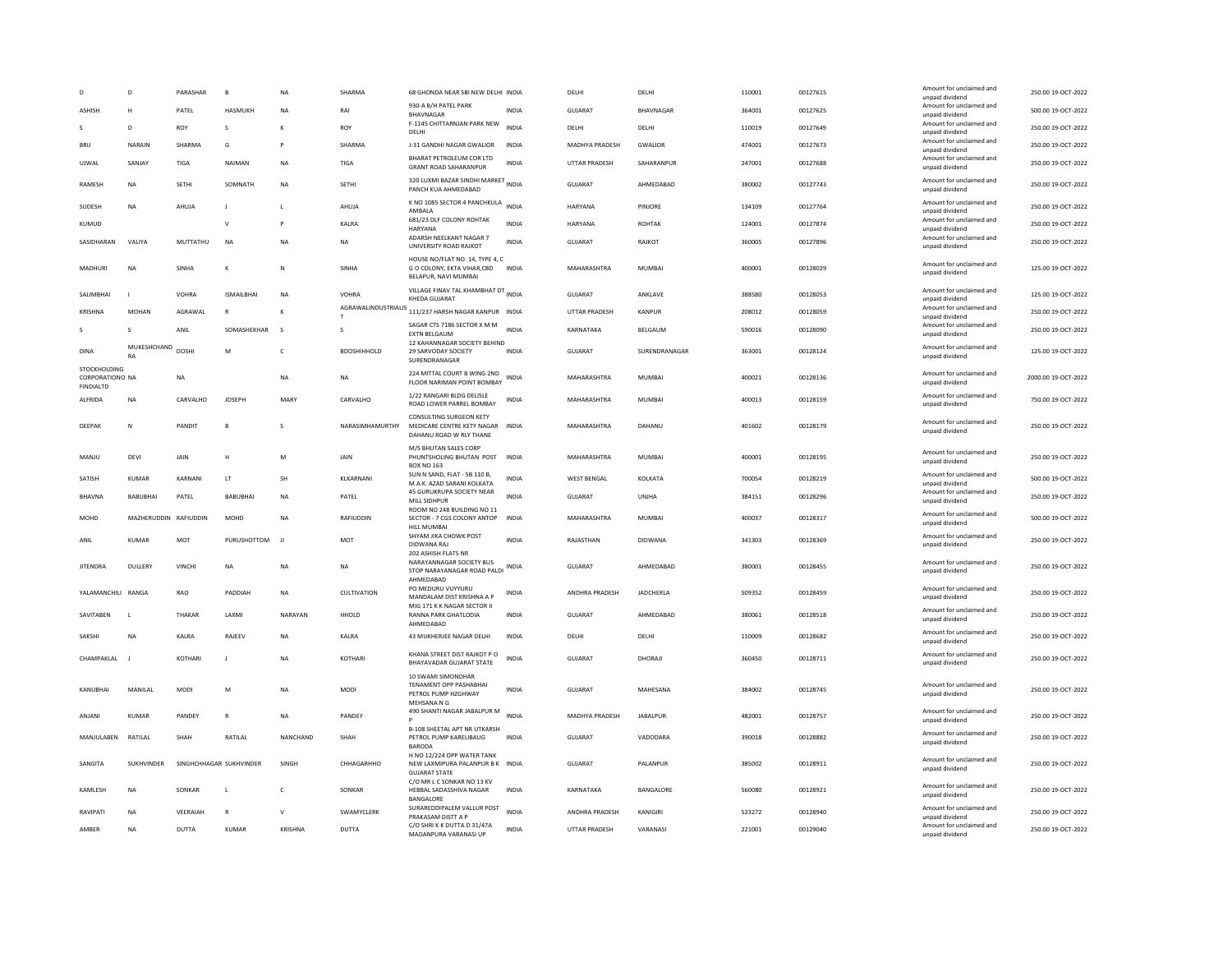|                                                     | D                     | PARASHAR     | $\mathbf{R}$            | <b>NA</b>          | SHARMA                   | 68 GHONDA NEAR SBI NEW DELHI INDIA                                                     |              | DELHI                | DELHI            | 110001 | 00127615 | Amount for unclaimed and<br>unpaid dividend | 250.00 19-OCT-2022  |
|-----------------------------------------------------|-----------------------|--------------|-------------------------|--------------------|--------------------------|----------------------------------------------------------------------------------------|--------------|----------------------|------------------|--------|----------|---------------------------------------------|---------------------|
| <b>ASHISH</b>                                       | н                     | PATEL        | <b>HASMUKH</b>          | <b>NA</b>          | RAI                      | 930-A B/H PATEL PARK<br>BHAVNAGAR                                                      | <b>INDIA</b> | GUIARAT              | <b>BHAVNAGAR</b> | 364001 | 00127625 | Amount for unclaimed and<br>unpaid dividend | 500.00 19-OCT-2022  |
|                                                     | $\mathsf{D}$          | <b>ROY</b>   | $\mathbf{S}$            | $\kappa$           | <b>ROY</b>               | F-1145 CHITTARNJAN PARK NEW<br>DELHI                                                   | <b>INDIA</b> | <b>DELHI</b>         | DELHI            | 110019 | 00127649 | Amount for unclaimed and<br>unpaid dividend | 250.00 19-OCT-2022  |
| <b>BRU</b>                                          | NARAIN                | SHARMA       | G                       | $\mathsf{P}$       | SHARMA                   | J-31 GANDHI NAGAR GWALIOR                                                              | <b>INDIA</b> | MADHYA PRADESH       | <b>GWALIOR</b>   | 474001 | 00127673 | Amount for unclaimed and<br>unpaid dividend | 250.00 19-OCT-2022  |
| UJWAL                                               | SANJAY                | <b>TIGA</b>  | NAIMAN                  | <b>NA</b>          | TIGA                     | BHARAT PETROLEUM COR LTD<br><b>GRANT ROAD SAHARANPUR</b>                               | <b>INDIA</b> | <b>UTTAR PRADESH</b> | SAHARANPUR       | 247001 | 00127688 | Amount for unclaimed and<br>unpaid dividend | 250.00 19-OCT-2022  |
| RAMESH                                              | NA                    | <b>SETHI</b> | SOMNATH                 | NA                 | SETHI                    | 320 LUXMI BAZAR SINDHI MARKET INDIA<br>PANCH KUA AHMEDABAD                             |              | GUJARAT              | AHMEDABAD        | 380002 | 00127743 | Amount for unclaimed and<br>unpaid dividend | 250.00 19-OCT-2022  |
| SUDESH                                              | <b>NA</b>             | AHUJA        | J.                      | $\mathbf{L}$       | AHUJA                    | K NO 1085 SECTOR 4 PANCHKULA<br>AMBAI A                                                | <b>INDIA</b> | <b>HARYANA</b>       | PINJORE          | 134109 | 00127764 | Amount for unclaimed and<br>unpaid dividend | 250.00 19-OCT-2022  |
| KUMUD                                               |                       |              | $\mathsf{v}$            |                    | KALRA                    | 681/23 DLF COLONY ROHTAK<br>HARYANA                                                    | <b>INDIA</b> | <b>HARYANA</b>       | <b>ROHTAK</b>    | 124001 | 00127874 | Amount for unclaimed and<br>unpaid dividend | 250.00 19-OCT-2022  |
| SASIDHARAN                                          | VALIYA                | MUTTATHU     | <b>NA</b>               | <b>NA</b>          | NA                       | ADARSH NEELKANT NAGAR 7<br><b>UNIVERSITY ROAD RAIKOT</b>                               | INDIA        | GUJARAT              | RAJKOT           | 360005 | 00127896 | Amount for unclaimed and<br>unpaid dividend | 250.00 19-OCT-2022  |
| MADHURI                                             | <b>NA</b>             | SINHA        | к                       | N                  | SINHA                    | HOUSE NO/FLAT NO. 14, TYPE 4, C<br>G O COLONY, EKTA VIHAR,CBD<br>BELAPUR, NAVI MUMBAI  | <b>INDIA</b> | MAHARASHTRA          | MUMBAI           | 400001 | 00128029 | Amount for unclaimed and<br>unpaid dividend | 125.00 19-OCT-2022  |
| SALIMBHAI                                           |                       | VOHRA        | <b>ISMAILRHAL</b>       | <b>NA</b>          | <b>VOHRA</b>             | VILLAGE FINAV TAL KHAMBHAT DT INDIA<br>KHEDA GUJARAT                                   |              | <b>GUJARAT</b>       | ANKLAVE          | 388580 | 00128053 | Amount for unclaimed and<br>unpaid dividend | 125.00 19-OCT-2022  |
| <b>KRISHNA</b>                                      | <b>MOHAN</b>          | AGRAWAL      | $\mathbb{R}$            | к                  |                          | AGRAWALINDUSTRIALIS 111/237 HARSH NAGAR KANPUR INDIA                                   |              | <b>UTTAR PRADESH</b> | KANPUR           | 208012 | 00128059 | Amount for unclaimed and<br>unnaid dividend | 250.00 19-OCT-2022  |
|                                                     | $\mathbf{S}$          | ANII         | SOMASHEKHAR             | $\mathbf{\hat{S}}$ | $\overline{\phantom{a}}$ | SAGAR CTS 7186 SECTOR X M M<br><b>EXTN BELGAUM</b>                                     | <b>INDIA</b> | KARNATAKA            | BELGAUM          | 590016 | 00128090 | Amount for unclaimed and<br>unpaid dividend | 250.00 19-OCT-2022  |
| <b>DINA</b>                                         | MUKESHCHAND<br>RA     | <b>DOSHI</b> | M                       | $\epsilon$         | <b>BDOSHIHHOLD</b>       | 12 KAHANNAGAR SOCIETY BEHIND<br>29 SARVODAY SOCIETY<br>SURENDRANAGAR                   | <b>INDIA</b> | <b>GUJARAT</b>       | SURENDRANAGAR    | 363001 | 00128124 | Amount for unclaimed and<br>unpaid dividend | 125.00 19-OCT-2022  |
| STOCKHOLDING<br>CORPORATIONO NA<br><b>FINDIALTD</b> |                       | NA           |                         | <b>NA</b>          | <b>NA</b>                | 224 MITTAL COURT B WING 2ND<br>FLOOR NARIMAN POINT BOMBAY                              | <b>INDIA</b> | MAHARASHTRA          | <b>MUMBAI</b>    | 400021 | 00128136 | Amount for unclaimed and<br>unpaid dividend | 2000.00 19-OCT-2022 |
| <b>ALFRIDA</b>                                      | <b>NA</b>             | CARVALHO     | <b>JOSEPH</b>           | <b>MARY</b>        | CARVALHO                 | 1/22 RANGARI BLDG DELISLE<br>ROAD LOWER PARREL BOMBAY                                  | <b>INDIA</b> | MAHARASHTRA          | <b>MUMBAI</b>    | 400013 | 00128159 | Amount for unclaimed and<br>unpaid dividend | 750.00 19-OCT-2022  |
| DEEPAK                                              | N                     | PANDIT       | $\mathbf{B}$            | $\mathbf{S}$       | NARASIMHAMURTHY          | CONSULTING SURGEON KETY<br>MEDICARE CENTRE KETY NAGAR<br>DAHANU ROAD W RLY THANE       | <b>INDIA</b> | MAHARASHTRA          | DAHANU           | 401602 | 00128179 | Amount for unclaimed and<br>unpaid dividend | 250.00 19-OCT-2022  |
| MANJU                                               | DEVI                  | JAIN         | Н                       | M                  | <b>JAIN</b>              | M/S BHUTAN SALES CORP<br>PHUNTSHOLING BHUTAN POST<br><b>BOX NO 163</b>                 | <b>INDIA</b> | MAHARASHTRA          | <b>MUMBAI</b>    | 400001 | 00128195 | Amount for unclaimed and<br>unpaid dividend | 250.00 19-OCT-2022  |
| SATISH                                              | <b>KUMAR</b>          | KARNANI      | LT                      | SH                 | KLKARNANI                | SUN N SAND, FLAT - 5B 110 B,<br>M.A.K. AZAD SARANI KOLKATA                             | INDIA        | <b>WEST BENGAL</b>   | KOLKATA          | 700054 | 00128219 | Amount for unclaimed and<br>unpaid dividend | 500.00 19-OCT-2022  |
| BHAVNA                                              | BABUBHAI              | PATEL        | <b>BABUBHAI</b>         | <b>NA</b>          | PATEL                    | 45 GURUKRUPA SOCIETY NEAR<br>MILL SIDHPUR                                              | <b>INDIA</b> | <b>GUJARAT</b>       | UNJHA            | 384151 | 00128296 | Amount for unclaimed and<br>unpaid dividend | 250.00 19-OCT-2022  |
| MOHD                                                | MAZHERUDDIN RAFIUDDIN |              | MOHD                    | <b>NA</b>          | RAFIUDDIN                | ROOM NO 248 BUILDING NO 11<br>SECTOR - 7 CGS COLONY ANTOP                              | <b>INDIA</b> | MAHARASHTRA          | <b>MUMBAI</b>    | 400037 | 00128317 | Amount for unclaimed and<br>unpaid dividend | 500.00 19-OCT-2022  |
| ANIL                                                | KUMAR                 | <b>MOT</b>   | PURUSHOTTOM             | JI.                | <b>MOT</b>               | <b>HILL MUMBA</b><br>SHYAM JIKA CHOWK POST<br>DIDWANA RAJ                              | <b>INDIA</b> | RAJASTHAN            | DIDWANA          | 341303 | 00128369 | Amount for unclaimed and<br>unpaid dividend | 250.00 19-OCT-2022  |
| <b>IITENDRA</b>                                     | DULLERY               | VINCHI       | <b>NA</b>               | <b>NA</b>          | <b>NA</b>                | 202 ASHISH FLATS NR<br>NARAYANNAGAR SOCIETY BUS<br>STOP NARAYANAGAR ROAD PALDI         | <b>INDIA</b> | GUIARAT              | AHMEDABAD        | 380001 | 00128455 | Amount for unclaimed and<br>unpaid dividend | 250.00 19-OCT-2022  |
|                                                     |                       | RAO          |                         |                    |                          | AHMEDABAD<br>PO MEDURU VUYYURU                                                         | <b>INDIA</b> |                      |                  |        |          | Amount for unclaimed and                    |                     |
| YALAMANCHILI RANGA                                  |                       |              | PADDIAH                 | <b>NA</b>          | CULTIVATION              | MANDALAM DIST KRISHNA A P<br>MIG 171 K K NAGAR SECTOR II                               |              | ANDHRA PRADESH       | <b>JADCHERLA</b> | 509352 | 00128459 | unpaid dividend                             | 250.00 19-OCT-2022  |
| SAVITABEN                                           | $\mathbf{L}$          | THAKAR       | LAXMI                   | NARAYAN            | HHOLD                    | RANNA PARK GHATLODIA<br>AHMEDABAD                                                      | <b>INDIA</b> | GUJARAT              | AHMEDABAD        | 380061 | 00128518 | Amount for unclaimed and<br>unpaid dividend | 250.00 19-OCT-2022  |
| SAKSHI                                              | <b>NA</b>             | KALRA        | RAJEEV                  | <b>NA</b>          | KALRA                    | 43 MUKHERJEE NAGAR DELHI                                                               | <b>INDIA</b> | DELHI                | DELHI            | 110009 | 00128682 | Amount for unclaimed and<br>unpaid dividend | 250.00 19-OCT-2022  |
| CHAMPAKLAL                                          |                       | KOTHARI      | J                       | <b>NA</b>          | KOTHARI                  | KHANA STREET DIST RAJKOT P O<br>BHAYAVADAR GUJARAT STATE                               | <b>INDIA</b> | <b>GUJARAT</b>       | DHORAJI          | 360450 | 00128711 | Amount for unclaimed and<br>unpaid dividend | 250.00 19-OCT-2022  |
| KANUBHAI                                            | MANILAL               | <b>MODI</b>  | M                       | <b>NA</b>          | <b>MODI</b>              | 10 SWAMI SIMONDHAR<br>TENAMENT OPP PASHABHAI<br>PETROL PUMP HZGHWAY<br>MFHSANA N G     | <b>INDIA</b> | <b>GUJARAT</b>       | MAHESANA         | 384002 | 00128745 | Amount for unclaimed and<br>unpaid dividend | 250.00 19-OCT-2022  |
| ANJANI                                              | <b>KUMAR</b>          | PANDEY       | $\mathsf{R}$            | NA                 | PANDEY                   | 490 SHANTI NAGAR JABALPUR M                                                            | <b>INDIA</b> | MADHYA PRADESH       | JABALPUR         | 482001 | 00128757 | Amount for unclaimed and<br>unpaid dividend | 250.00 19-OCT-2022  |
| MANJULABEN                                          | RATILAL               | SHAH         | RATILAL                 | NANCHAND           | SHAH                     | <b>B-108 SHEETAL APT NR UTKARSH</b><br>PETROL PUMP KARELIBAUG<br><b>BARODA</b>         | <b>INDIA</b> | <b>GUJARAT</b>       | VADODARA         | 390018 | 00128882 | Amount for unclaimed and<br>unpaid dividend | 250.00 19-OCT-2022  |
| SANGITA                                             | <b>SUKHVINDER</b>     |              | SINGHCHHAGAR SUKHVINDER | SINGH              | CHHAGARHHO               | H NO 12/224 OPP WATER TANK<br>NEW LAXMIPURA PALANPUR B K INDIA<br><b>GUIARAT STATE</b> |              | <b>GUJARAT</b>       | PALANPUR         | 385002 | 00128911 | Amount for unclaimed and<br>unpaid dividend | 250.00 19-OCT-2022  |
| KAMLESH                                             | <b>NA</b>             | SONKAR       | $\mathsf{L}$            | c                  | SONKAR                   | C/O MR L C SONKAR NO 13 KV<br>HEBBAL SADASSHIVA NAGAR<br>BANGALORE                     | <b>INDIA</b> | KARNATAKA            | BANGALORE        | 560080 | 00128921 | Amount for unclaimed and<br>unpaid dividend | 250.00 19-OCT-2022  |
| RAVIPATI                                            | <b>NA</b>             | VEERAIAH     | $\mathsf{R}$            | V                  | SWAMYCLERK               | SURAREDDIPALEM VALLUR POST<br>PRAKASAM DISTT A P                                       | <b>INDIA</b> | ANDHRA PRADESH       | KANIGIRI         | 523272 | 00128940 | Amount for unclaimed and<br>unpaid dividend | 250.00 19-OCT-2022  |
| AMBER                                               | NA                    | DUTTA        | KUMAR                   | KRISHNA            | DUTTA                    | C/O SHRIK K DUTTA D 31/47A<br>MADANPURA VARANASI UP                                    | INDIA        | UTTAR PRADESH        | VARANASI         | 221001 | 00129040 | Amount for unclaimed and<br>unpaid dividend | 250.00 19-OCT-2022  |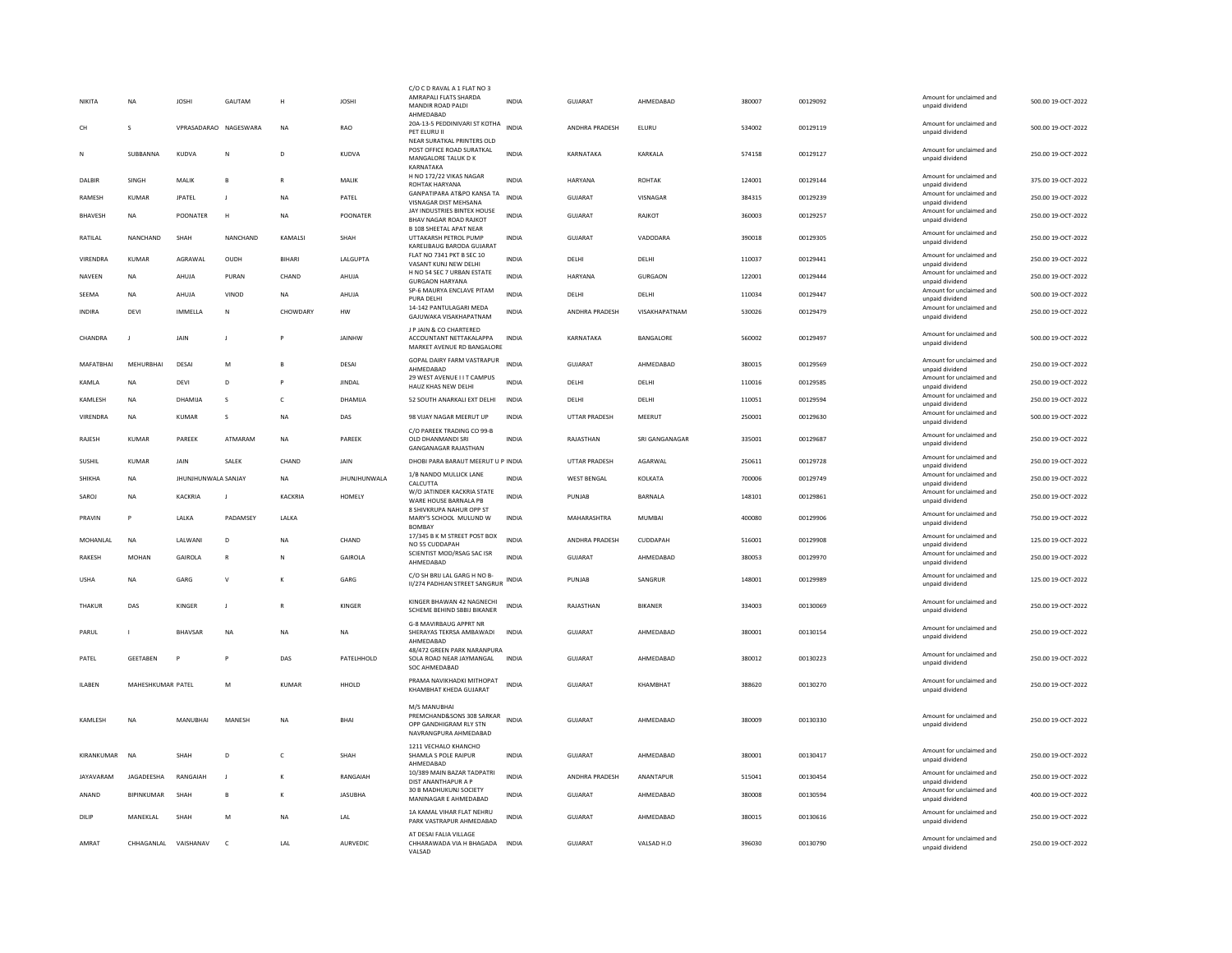| NIKITA        |                   |                       |                                                                                                            |               |                     | C/O C D RAVAL A 1 FLAT NO 3                                                                  |              |                       |                |        |          |                                             |                    |
|---------------|-------------------|-----------------------|------------------------------------------------------------------------------------------------------------|---------------|---------------------|----------------------------------------------------------------------------------------------|--------------|-----------------------|----------------|--------|----------|---------------------------------------------|--------------------|
|               | <b>NA</b>         | <b>JOSHI</b>          | GAUTAM                                                                                                     | н             | <b>JOSHI</b>        | AMRAPALI FLATS SHARDA<br>MANDIR ROAD PALDI<br>AHMFDARAD                                      | <b>INDIA</b> | GUJARAT               | AHMEDABAD      | 380007 | 00129092 | Amount for unclaimed and<br>unpaid dividend | 500.00 19-OCT-2022 |
| <b>CH</b>     | $\mathbf{S}$      | VPRASADARAO NAGESWARA |                                                                                                            | <b>NA</b>     | <b>RAO</b>          | 20A-13-5 PEDDINIVARI ST KOTHA<br>PET ELURU II                                                | <b>INDIA</b> | <b>ANDHRA PRADESH</b> | FIURU          | 534002 | 00129119 | Amount for unclaimed and<br>unpaid dividend | 500.00.19-OCT-2022 |
| N             | SUBBANNA          | KUDVA                 | ${\sf N}$                                                                                                  | D             | KUDVA               | NEAR SURATKAL PRINTERS OLD<br>POST OFFICE ROAD SURATKAL<br>MANGALORE TALUK D K               | <b>INDIA</b> | KARNATAKA             | KARKALA        | 574158 | 00129127 | Amount for unclaimed and<br>unpaid dividend | 250.00 19-OCT-2022 |
| DALBIR        | SINGH             | MALIK                 | E                                                                                                          |               | MALIK               | <b>KARNATAKA</b><br>H NO 172/22 VIKAS NAGAR                                                  | INDIA        | HARYANA               | <b>ROHTAK</b>  | 124001 | 00129144 | Amount for unclaimed and                    | 375.00 19-OCT-2022 |
| RAMESH        | <b>KUMAR</b>      | <b>JPATEL</b>         | J                                                                                                          | NA            | PATEL               | ROHTAK HARYANA<br>GANPATIPARA AT&PO KANSA TA                                                 | <b>INDIA</b> | <b>GUJARAT</b>        | VISNAGAR       | 384315 | 00129239 | unpaid dividend<br>Amount for unclaimed and | 250.00 19-OCT-2022 |
| BHAVESH       | <b>NA</b>         | POONATER              | H                                                                                                          | <b>NA</b>     | POONATER            | VISNAGAR DIST MEHSANA<br>JAY INDUSTRIES BINTEX HOUSE                                         | <b>INDIA</b> | <b>GUJARAT</b>        | RAJKOT         | 360003 | 00129257 | unpaid dividend<br>Amount for unclaimed and | 250.00 19-OCT-2022 |
|               |                   |                       |                                                                                                            |               |                     | <b>BHAV NAGAR ROAD RAJKOT</b><br><b>B 108 SHEETAL APAT NEAR</b>                              |              |                       |                |        |          | unpaid dividend<br>Amount for unclaimed and |                    |
| RATILAL       | NANCHAND          | SHAH                  | NANCHAND                                                                                                   | KAMALSI       | SHAH                | UTTAKARSH PETROL PUMP<br>KARELIBAUG BARODA GUJARAT<br>FLAT NO 7341 PKT B SEC 10              | <b>INDIA</b> | GUJARAT               | VADODARA       | 390018 | 00129305 | unpaid dividend<br>Amount for unclaimed and | 250.00 19-OCT-2022 |
| VIRENDRA      | KUMAR             | AGRAWAL               | OUDH                                                                                                       | <b>BIHARI</b> | LALGUPTA            | VASANT KUNJ NEW DELHI<br>H NO 54 SEC 7 URBAN ESTATE                                          | <b>INDIA</b> | DELHI                 | DELHI          | 110037 | 00129441 | unnaid dividend<br>Amount for unclaimed and | 250.00 19-OCT-2022 |
| NAVEEN        | <b>NA</b>         | AHUJA                 | PURAN                                                                                                      | CHAND         | AHUJA               | <b>GURGAON HARYANA</b>                                                                       | <b>INDIA</b> | <b>HARYANA</b>        | <b>GURGAON</b> | 122001 | 00129444 | unpaid dividend                             | 250.00 19-OCT-2022 |
| SEEMA         | <b>NA</b>         | AHUJA                 | VINOD                                                                                                      | <b>NA</b>     | AHUJA               | SP-6 MAURYA ENCLAVE PITAM<br>PURA DELHI                                                      | <b>INDIA</b> | DELHI                 | DELHI          | 110034 | 00129447 | Amount for unclaimed and<br>unpaid dividend | 500.00 19-OCT-2022 |
| <b>INDIRA</b> | DEVI              | IMMELLA               | N                                                                                                          | CHOWDARY      | <b>HW</b>           | 14-142 PANTULAGARI MEDA<br>GAJUWAKA VISAKHAPATNAM                                            | <b>INDIA</b> | ANDHRA PRADESH        | VISAKHAPATNAM  | 530026 | 00129479 | Amount for unclaimed and<br>unpaid dividend | 250.00 19-OCT-2022 |
| CHANDRA       | $\mathbf{I}$      | <b>JAIN</b>           | J.                                                                                                         | P             | <b>JAINHW</b>       | J P JAIN & CO CHARTERED<br>ACCOUNTANT NETTAKALAPPA<br>MARKET AVENUE RD BANGALORE             | <b>INDIA</b> | KARNATAKA             | BANGALORE      | 560002 | 00129497 | Amount for unclaimed and<br>unpaid dividend | 500.00 19-OCT-2022 |
| MAFATBHAI     | MEHURBHAI         | DESAI                 | $\mathsf{M}% _{T}=\mathsf{M}_{T}\!\left( a,b\right) ,\ \mathsf{M}_{T}=\mathsf{M}_{T}\!\left( a,b\right) ,$ |               | DESAI               | GOPAL DAIRY FARM VASTRAPUR<br>AHMEDABAD                                                      | <b>INDIA</b> | GUJARAT               | AHMEDABAD      | 380015 | 00129569 | Amount for unclaimed and<br>unpaid dividend | 250.00 19-OCT-2022 |
| KAMLA         | <b>NA</b>         | DEVI                  | D                                                                                                          | P             | <b>JINDAL</b>       | 29 WEST AVENUE I I T CAMPUS<br>HAUZ KHAS NEW DELHI                                           | <b>INDIA</b> | DELHI                 | DELHI          | 110016 | 00129585 | Amount for unclaimed and<br>unpaid dividend | 250.00 19-OCT-2022 |
| KAMLESH       | <b>NA</b>         | DHAMIIA               | $\mathbf{S}$                                                                                               | $\epsilon$    | DHAMIIA             | 52 SOUTH ANARKALI EXT DELHI                                                                  | <b>INDIA</b> | DELHI                 | DFI HI         | 110051 | 00129594 | Amount for unclaimed and<br>unpaid dividend | 250.00 19-OCT-2022 |
| VIRENDRA      | <b>NA</b>         | <b>KUMAR</b>          | $\mathbf{s}$                                                                                               | <b>NA</b>     | DAS                 | 98 VIJAY NAGAR MEERUT UP                                                                     | <b>INDIA</b> | <b>UTTAR PRADESH</b>  | MEERUT         | 250001 | 00129630 | Amount for unclaimed and<br>unpaid dividend | 500.00 19-OCT-2022 |
| RAJESH        | <b>KUMAR</b>      | PAREEK                | ATMARAM                                                                                                    | NA            | PAREEK              | C/O PAREEK TRADING CO 99-B<br>OLD DHANMANDI SRI<br><b>GANGANAGAR RAJASTHAN</b>               | <b>INDIA</b> | RAJASTHAN             | SRI GANGANAGAR | 335001 | 00129687 | Amount for unclaimed and<br>unpaid dividend | 250.00 19-OCT-2022 |
| SUSHIL        | <b>KUMAR</b>      | <b>JAIN</b>           | SALEK                                                                                                      | CHAND         | <b>JAIN</b>         | DHOBI PARA BARAUT MEERUT U P INDIA                                                           |              | <b>UTTAR PRADESH</b>  | AGARWAI        | 250611 | 00129728 | Amount for unclaimed and<br>unpaid dividend | 250.00 19-OCT-2022 |
| <b>SHIKHA</b> | <b>NA</b>         | JHUNJHUNWALA SANJAY   |                                                                                                            | <b>NA</b>     | <b>JHUNJHUNWALA</b> | 1/B NANDO MULLICK LANE<br>CALCUTTA                                                           | <b>INDIA</b> | WEST BENGAL           | KOLKATA        | 700006 | 00129749 | Amount for unclaimed and<br>unpaid dividend | 250.00 19-OCT-2022 |
|               |                   |                       |                                                                                                            |               |                     | W/O JATINDER KACKRIA STATE                                                                   |              |                       |                |        |          | Amount for unclaimed and                    |                    |
| SAROJ         | <b>NA</b>         | KACKRIA               | п                                                                                                          | KACKRIA       | HOMELY              | WARE HOUSE BARNALA PB                                                                        | <b>INDIA</b> | PUNJAB                | BARNALA        | 148101 | 00129861 | unpaid dividend                             | 250.00 19-OCT-2022 |
| PRAVIN        |                   | LALKA                 | PADAMSEY                                                                                                   | LALKA         |                     | 8 SHIVKRUPA NAHUR OPP ST<br>MARY'S SCHOOL MULUND W<br><b>BOMBAY</b>                          | <b>INDIA</b> | MAHARASHTRA           | <b>MUMBAI</b>  | 400080 | 00129906 | Amount for unclaimed and<br>unpaid dividend | 750.00 19-OCT-2022 |
| MOHANLAL      | <b>NA</b>         | LALWAN                | D                                                                                                          | <b>NA</b>     | CHAND               | 17/345 B K M STREET POST BOX<br>NO 55 CUDDAPAH                                               | <b>INDIA</b> | ANDHRA PRADESH        | CUDDAPAH       | 516001 | 00129908 | Amount for unclaimed and<br>unpaid dividend | 125.00 19-OCT-2022 |
| RAKESH        | <b>MOHAN</b>      | GAIROLA               | $\mathsf{R}$                                                                                               | N             | GAIROLA             | SCIENTIST MOD/RSAG SAC ISR<br>AHMEDABAD                                                      | <b>INDIA</b> | <b>GUJARAT</b>        | AHMEDABAD      | 380053 | 00129970 | Amount for unclaimed and<br>unpaid dividend | 250.00 19-OCT-2022 |
| <b>USHA</b>   | <b>NA</b>         | GARG                  | $\vee$                                                                                                     | К             | GARG                | C/O SH BRIJ LAL GARG H NO B-<br>II/274 PADHIAN STREET SANGRUR                                | INDIA        | PUNJAB                | SANGRUR        | 148001 | 00129989 | Amount for unclaimed and<br>unpaid dividend | 125.00 19-OCT-2022 |
| THAKUR        | DAS               | KINGER                | J                                                                                                          | $\mathbb{R}$  | KINGER              | KINGER BHAWAN 42 NAGNECHI<br>SCHEME BEHIND SBBIJ BIKANER                                     | <b>INDIA</b> | RAJASTHAN             | <b>BIKANER</b> | 334003 | 00130069 | Amount for unclaimed and<br>unpaid dividend | 250.00 19-OCT-2022 |
| PARUL         |                   | BHAVSAR               | <b>NA</b>                                                                                                  | <b>NA</b>     | <b>NA</b>           | <b>G-8 MAVIRBAUG APPRT NR</b><br>SHERAYAS TEKRSA AMBAWADI                                    | <b>INDIA</b> | GUJARAT               | AHMEDABAD      | 380001 | 00130154 | Amount for unclaimed and                    | 250.00 19-OCT-2022 |
|               |                   |                       |                                                                                                            |               |                     | AHMEDABAD                                                                                    |              |                       |                |        |          | unpaid dividend                             |                    |
| PATFI         | <b>GEFTABEN</b>   | P                     | P                                                                                                          | DAS           | PATFLHHOLD          | 48/472 GREEN PARK NARANPURA<br>SOLA ROAD NEAR JAYMANGAL<br>SOC AHMEDABAD                     | <b>INDIA</b> | GUIARAT               | AHMFDARAD      | 380012 | 00130223 | Amount for unclaimed and<br>unpaid dividend | 250.00.19-OCT-2022 |
| <b>ILABEN</b> | MAHESHKUMAR PATEL |                       | M                                                                                                          | KUMAR         | HHOLD               | PRAMA NAVIKHADKI MITHOPAT<br>KHAMBHAT KHEDA GUJARAT                                          | <b>INDIA</b> | GUJARAT               | KHAMBHAT       | 388620 | 00130270 | Amount for unclaimed and<br>unpaid dividend | 250.00 19-OCT-2022 |
| KAMLESH       | <b>NA</b>         | MANUBHAI              | MANESH                                                                                                     | <b>NA</b>     | BHAI                | M/S MANUBHAI<br>PREMCHAND&SONS 308 SARKAR<br>OPP GANDHIGRAM RLY STN<br>NAVRANGPURA AHMEDABAD | <b>INDIA</b> | <b>GUJARAT</b>        | AHMEDABAD      | 380009 | 00130330 | Amount for unclaimed and<br>unpaid dividend | 250.00 19-OCT-2022 |
| KIRANKUMAR    | <b>NA</b>         | SHAH                  | D                                                                                                          | $\epsilon$    | SHAH                | 1211 VECHALO KHANCHO<br>SHAMLA S POLE RAIPUR<br>AHMEDABAD                                    | <b>INDIA</b> | GUJARAT               | AHMEDABAD      | 380001 | 00130417 | Amount for unclaimed and<br>unpaid dividend | 250.00 19-OCT-2022 |
| JAYAVARAM     | JAGADEESHA        | RANGAIAH              | $\overline{1}$                                                                                             | к             | RANGAIAH            | 10/389 MAIN BAZAR TADPATRI<br>DIST ANANTHAPUR A P                                            | <b>INDIA</b> | ANDHRA PRADESH        | ANANTAPUR      | 515041 | 00130454 | Amount for unclaimed and<br>unpaid dividend | 250.00 19-OCT-2022 |
| ANAND         | <b>BIPINKUMAR</b> | SHAH                  | B                                                                                                          | к             | <b>IASURHA</b>      | 30 B MADHUKUNJ SOCIETY<br>MANINAGAR E AHMEDABAD                                              | <b>INDIA</b> | GUIARAT               | AHMFDARAD      | 380008 | 00130594 | Amount for unclaimed and<br>unpaid dividend | 400.00.19-OCT-2022 |
| DILIP         | MANEKLAL          | SHAH                  | M                                                                                                          | <b>NA</b>     | LAL                 | 1A KAMAL VIHAR FLAT NEHRU<br>PARK VASTRAPUR AHMEDABAD                                        | <b>INDIA</b> | GUJARAT               | AHMEDABAD      | 380015 | 00130616 | Amount for unclaimed and<br>unpaid dividend | 250.00 19-OCT-2022 |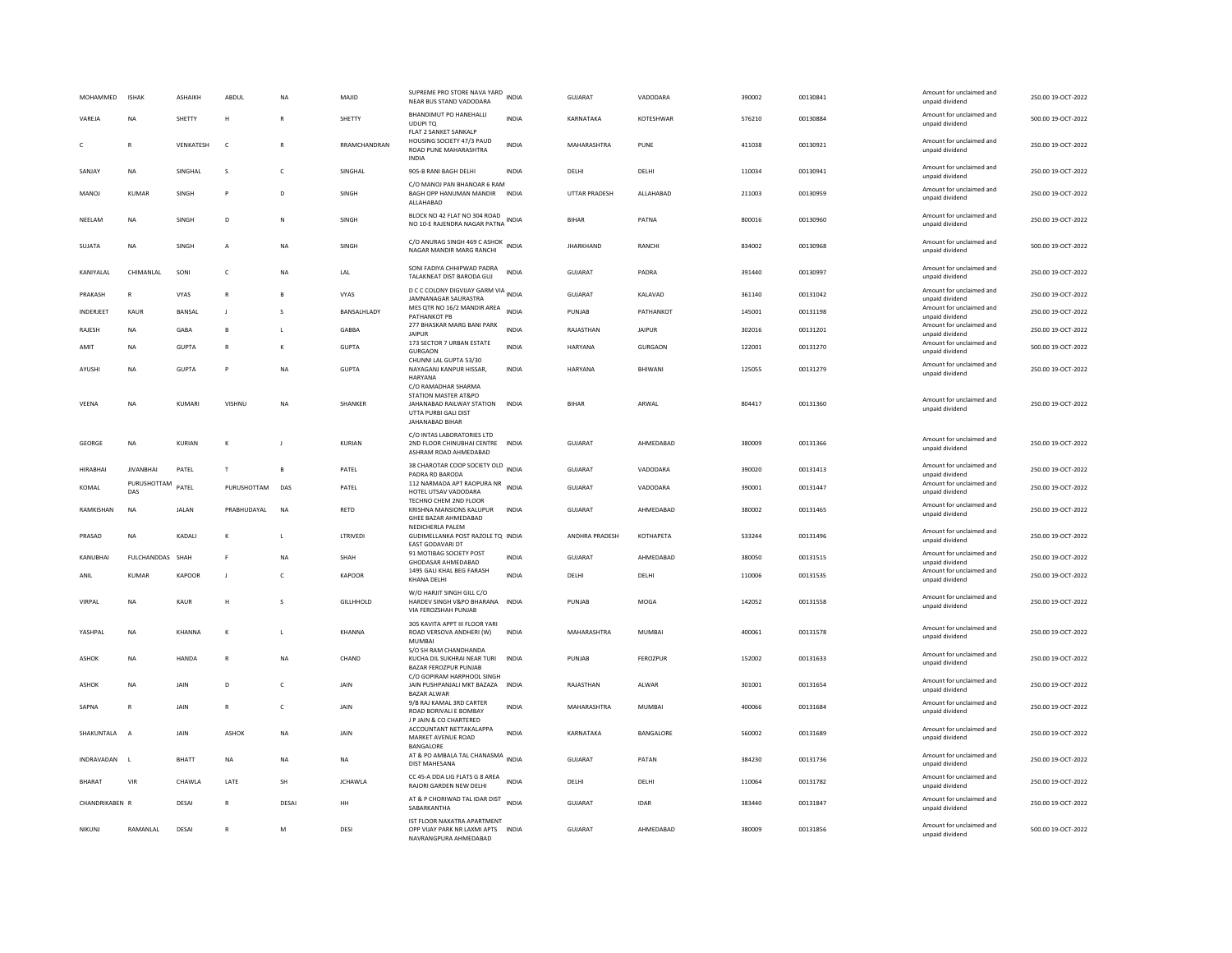| <b>MOHAMMED</b> | <b>ISHAK</b>       | <b>ASHAIKH</b> | ABDUI        | <b>NA</b>      | <b>MAIID</b>     | SUPREME PRO STORE NAVA YARD<br>NEAR BUS STAND VADODARA                                                                    | <b>INDIA</b> | GUIARAT              | VADODARA         | 390002 | 00130841 | Amount for unclaimed and<br>unpaid dividend | 250.00.19-OCT-2022 |
|-----------------|--------------------|----------------|--------------|----------------|------------------|---------------------------------------------------------------------------------------------------------------------------|--------------|----------------------|------------------|--------|----------|---------------------------------------------|--------------------|
| VAREJA          | <b>NA</b>          | SHETTY         | H            | R              | SHETTY           | BHANDIMUT PO HANEHALLI<br>UDUPI TQ                                                                                        | <b>INDIA</b> | KARNATAKA            | KOTESHWAR        | 576210 | 00130884 | Amount for unclaimed and<br>unpaid dividend | 500.00 19-OCT-2022 |
| c               | $\mathbb{R}$       | VENKATESH      | $\mathsf{C}$ | R              | RRAMCHANDRAN     | FLAT 2 SANKET SANKALP<br>HOUSING SOCIETY 47/3 PAUD<br>ROAD PUNE MAHARASHTRA<br>INDIA                                      | <b>INDIA</b> | MAHARASHTRA          | PUNE             | 411038 | 00130921 | Amount for unclaimed and<br>unpaid dividend | 250.00 19-OCT-2022 |
| SANJAY          | <b>NA</b>          | SINGHAL        | s            | $\mathsf{C}$   | SINGHAL          | 905-B RANI BAGH DELHI                                                                                                     | <b>INDIA</b> | DELHI                | DELHI            | 110034 | 00130941 | Amount for unclaimed and<br>unpaid dividend | 250.00 19-OCT-2022 |
| MANOI           | KUMAR              | <b>SINGH</b>   | P            | $\mathsf{D}$   | <b>SINGH</b>     | C/O MANOJ PAN BHANOAR 6 RAM<br>BAGH OPP HANUMAN MANDIR INDIA<br>ALLAHABAD                                                 |              | <b>UTTAR PRADESH</b> | ALLAHABAD        | 211003 | 00130959 | Amount for unclaimed and<br>unpaid dividend | 250.00.19-OCT-2022 |
| NEELAM          | NA                 | SINGH          | D            | N              | SINGH            | BLOCK NO 42 FLAT NO 304 ROAD<br>NO 10-E RAJENDRA NAGAR PATNA INDIA                                                        |              | <b>BIHAR</b>         | PATNA            | 800016 | 00130960 | Amount for unclaimed and<br>unpaid dividend | 250.00 19-OCT-2022 |
| SUJATA          | NA                 | SINGH          | $\mathbf{A}$ | ΝA             | SINGH            | C/O ANURAG SINGH 469 C ASHOK INDIA<br>NAGAR MANDIR MARG RANCHI                                                            |              | <b>JHARKHAND</b>     | RANCHI           | 834002 | 00130968 | Amount for unclaimed and<br>unpaid dividend | 500.00 19-OCT-2022 |
| KANIYAI AI      | CHIMANI AI         | SONI           | $\mathsf{C}$ | <b>NA</b>      | LAL              | SONI FADIYA CHHIPWAD PADRA<br>TALAKNEAT DIST BARODA GUJ                                                                   | <b>INDIA</b> | <b>GUJARAT</b>       | PADRA            | 391440 | 00130997 | Amount for unclaimed and<br>unpaid dividend | 250.00 19-OCT-2022 |
| PRAKASH         | $\overline{R}$     | <b>VYAS</b>    | $\mathbb{R}$ | B              | VYAS             | D C C COLONY DIGVIJAY GARM VIA<br>JAMNANAGAR SAURASTRA                                                                    |              | GUJARAT              | KALAVAD          | 361140 | 00131042 | Amount for unclaimed and<br>unpaid dividend | 250.00 19-OCT-2022 |
| INDERJEET       | KAUR               | <b>BANSAL</b>  | ΞI.          | $\mathbf{S}$   | BANSALHLADY      | MES QTR NO 16/2 MANDIR AREA<br>PATHANKOT PB                                                                               | <b>INDIA</b> | PUNJAB               | PATHANKOT        | 145001 | 00131198 | Amount for unclaimed and<br>unpaid dividend | 250.00 19-OCT-2022 |
| RAJESH          | NA                 | GABA           | B            |                | GABBA            | 277 BHASKAR MARG BANI PARK<br><b>JAIPUR</b>                                                                               | <b>INDIA</b> | RAJASTHAN            | JAIPUR           | 302016 | 00131201 | Amount for unclaimed and<br>unpaid dividend | 250.00 19-OCT-2022 |
| AMIT            | NA                 | <b>GUPTA</b>   |              | K              | <b>GUPTA</b>     | 173 SECTOR 7 URBAN ESTATE<br>GURGAON                                                                                      | <b>INDIA</b> | HARYANA              | <b>GURGAON</b>   | 122001 | 00131270 | Amount for unclaimed and<br>unpaid dividend | 500.00 19-OCT-2022 |
| AYUSHI          | NA                 | <b>GUPTA</b>   |              | NA             | <b>GUPTA</b>     | CHUNNI LAL GUPTA 53/30<br>NAYAGANJ KANPUR HISSAR,<br>HARYANA                                                              | INDIA        | HARYANA              | BHIWANI          | 125055 | 00131279 | Amount for unclaimed and<br>unpaid dividend | 250.00 19-OCT-2022 |
| VEENA           | <b>NA</b>          | KUMARI         | VISHNU       | <b>NA</b>      | <b>SHANKER</b>   | C/O RAMADHAR SHARMA<br>STATION MASTER AT&PO<br>JAHANABAD RAILWAY STATION INDIA<br>UTTA PURBI GALI DIST<br>JAHANABAD BIHAR |              | <b>BIHAR</b>         | ARWAI            | 804417 | 00131360 | Amount for unclaimed and<br>unpaid dividend | 250.00 19-OCT-2022 |
| <b>GEORGE</b>   | <b>NA</b>          | KURIAN         |              |                | KURIAN           | C/O INTAS LABORATORIES LTD<br>2ND FLOOR CHINUBHAI CENTRE INDIA<br>ASHRAM ROAD AHMEDABAD                                   |              | <b>GUJARAT</b>       | AHMEDABAD        | 380009 | 00131366 | Amount for unclaimed and<br>unpaid dividend | 250.00 19-OCT-2022 |
| <b>HIRABHAI</b> | <b>IIVANRHAI</b>   | PATEL          | T            | B              | PATEL            | 38 CHAROTAR COOP SOCIETY OLD INDIA<br>PADRA RD BARODA                                                                     |              | <b>GUJARAT</b>       | VADODARA         | 390020 | 00131413 | Amount for unclaimed and<br>unpaid dividend | 250.00 19-OCT-2022 |
| KOMAL           | PURUSHOTTAM<br>DAS | PATFI          | PURUSHOTTAM  | DAS            | PATEL            | 112 NARMADA APT RAOPURA NR<br>HOTEL UTSAV VADODARA                                                                        | <b>INDIA</b> | GUIARAT              | VADODARA         | 390001 | 00131447 | Amount for unclaimed and<br>unpaid dividend | 250.00 19-OCT-2022 |
| RAMKISHAN       | <b>NA</b>          | <b>JALAN</b>   | PRABHUDAYAL  | N <sub>A</sub> | RETD             | TECHNO CHEM 2ND FLOOR<br>KRISHNA MANSIONS KALUPUR<br>GHFF BAZAR AHMEDARAD                                                 | <b>INDIA</b> | <b>GUJARAT</b>       | AHMEDABAD        | 380002 | 00131465 | Amount for unclaimed and<br>unpaid dividend | 250.00 19-OCT-2022 |
| PRASAD          | <b>NA</b>          | KADALI         | к            |                | LTRIVEDI         | NEDICHERLA PALEM<br>GUDIMELLANKA POST RAZOLE TQ INDIA<br>EAST GODAVARI DT                                                 |              | ANDHRA PRADESH       | KOTHAPETA        | 533244 | 00131496 | Amount for unclaimed and<br>unpaid dividend | 250.00 19-OCT-2022 |
| KANUBHAI        | FULCHANDDAS        | SHAH           | F            | ΝA             | SHAH             | 91 MOTIBAG SOCIETY POST<br>GHODASAR AHMEDABAD                                                                             | INDIA        | GUJARAT              | AHMEDABAD        | 380050 | 00131515 | Amount for unclaimed and<br>unpaid dividend | 250.00 19-OCT-2022 |
| ANIL            | <b>KUMAR</b>       | KAPOOR         | J            | c              | <b>KAPOOR</b>    | 1495 GALI KHAL BEG FARASH<br>KHANA DELHI                                                                                  | <b>INDIA</b> | DELHI                | DELHI            | 110006 | 00131535 | Amount for unclaimed and<br>unpaid dividend | 250.00 19-OCT-2022 |
| VIRPAL          | <b>NA</b>          | KAUR           | H            | -S             | <b>GILLHHOLD</b> | W/O HARJIT SINGH GILL C/O<br>HARDEV SINGH V&PO BHARANA INDIA<br>VIA FEROZSHAH PUNJAB                                      |              | PUNJAB               | MOGA             | 142052 | 00131558 | Amount for unclaimed and<br>unpaid dividend | 250.00 19-OCT-2022 |
| YASHPAL         | <b>NA</b>          | KHANNA         | $\kappa$     | L              | KHANNA           | 305 KAVITA APPT III FLOOR YARI<br>ROAD VERSOVA ANDHERI (W)<br><b>MUMBA</b>                                                | <b>INDIA</b> | MAHARASHTRA          | MUMBAI           | 400061 | 00131578 | Amount for unclaimed and<br>unpaid dividend | 250.00 19-OCT-2022 |
| <b>ASHOK</b>    | <b>NA</b>          | HANDA          | $\mathsf{R}$ | ΝA             | CHAND            | S/O SH RAM CHANDHANDA<br>KUCHA DIL SUKHRAI NEAR TURI<br>BAZAR FEROZPUR PUNJAB                                             | <b>INDIA</b> | PUNJAB               | FEROZPUR         | 152002 | 00131633 | Amount for unclaimed and<br>unpaid dividend | 250.00 19-OCT-2022 |
| <b>ASHOK</b>    | <b>NA</b>          | JAIN           | D            | $\mathsf{C}$   | JAIN             | C/O GOPIRAM HARPHOOL SINGH<br>JAIN PUSHPANJALI MKT BAZAZA INDIA<br><b>BAZAR ALWAR</b>                                     |              | RAJASTHAN            | ALWAR            | 301001 | 00131654 | Amount for unclaimed and<br>unpaid dividend | 250.00 19-OCT-2022 |
| SAPNA           | R                  | JAIN           |              | $\mathsf{C}$   | JAIN             | 9/B RAJ KAMAL 3RD CARTER<br>ROAD BORIVALI E BOMBAY                                                                        | <b>INDIA</b> | MAHARASHTRA          | MUMBAI           | 400066 | 00131684 | Amount for unclaimed and<br>unpaid dividend | 250.00 19-OCT-2022 |
| SHAKUNTALA      | $\overline{A}$     | <b>JAIN</b>    | ASHOK        | <b>NA</b>      | <b>JAIN</b>      | J P JAIN & CO CHARTERED<br>ACCOUNTANT NETTAKALAPPA<br>MARKET AVENUE ROAD<br>BANGALORE                                     | <b>INDIA</b> | KARNATAKA            | <b>BANGALORE</b> | 560002 | 00131689 | Amount for unclaimed and<br>unpaid dividend | 250.00 19-QCT-2022 |
| INDRAVADAN      | $\mathbf{L}$       | BHATT          | NA           | NA             | NA               | AT & PO AMBALA TAL CHANASMA<br><b>DIST MAHESANA</b>                                                                       | <b>INDIA</b> | GUJARAT              | PATAN            | 384230 | 00131736 | Amount for unclaimed and<br>unpaid dividend | 250.00 19-OCT-2022 |
| <b>BHARAT</b>   | VIR                | CHAWI A        | LATE         | <b>SH</b>      | <b>JCHAWLA</b>   | CC 45-A DDA LIG FLATS G 8 AREA<br>RAJORI GARDEN NEW DELHI                                                                 | <b>INDIA</b> | DELHI                | DELHI            | 110064 | 00131782 | Amount for unclaimed and<br>unpaid dividend | 250.00 19-OCT-2022 |
| CHANDRIKABEN R  |                    | DESAI          |              | DESA           | HH               | AT & P CHORIWAD TAL IDAR DIST INDIA<br>SABARKANTHA                                                                        |              | <b>GUJARAT</b>       | <b>IDAR</b>      | 383440 | 00131847 | Amount for unclaimed and<br>unpaid dividend | 250.00 19-OCT-2022 |
| <b>NIKUNJ</b>   | RAMANLAL           | DESAI          |              | M              | DESI             | IST FLOOR NAXATRA APARTMENT<br>OPP VIJAY PARK NR LAXMI APTS INDIA<br>NAVRANGPURA AHMEDABAD                                |              | GUJARAT              | AHMEDABAD        | 380009 | 00131856 | Amount for unclaimed and<br>unpaid dividend | 500.00 19-OCT-2022 |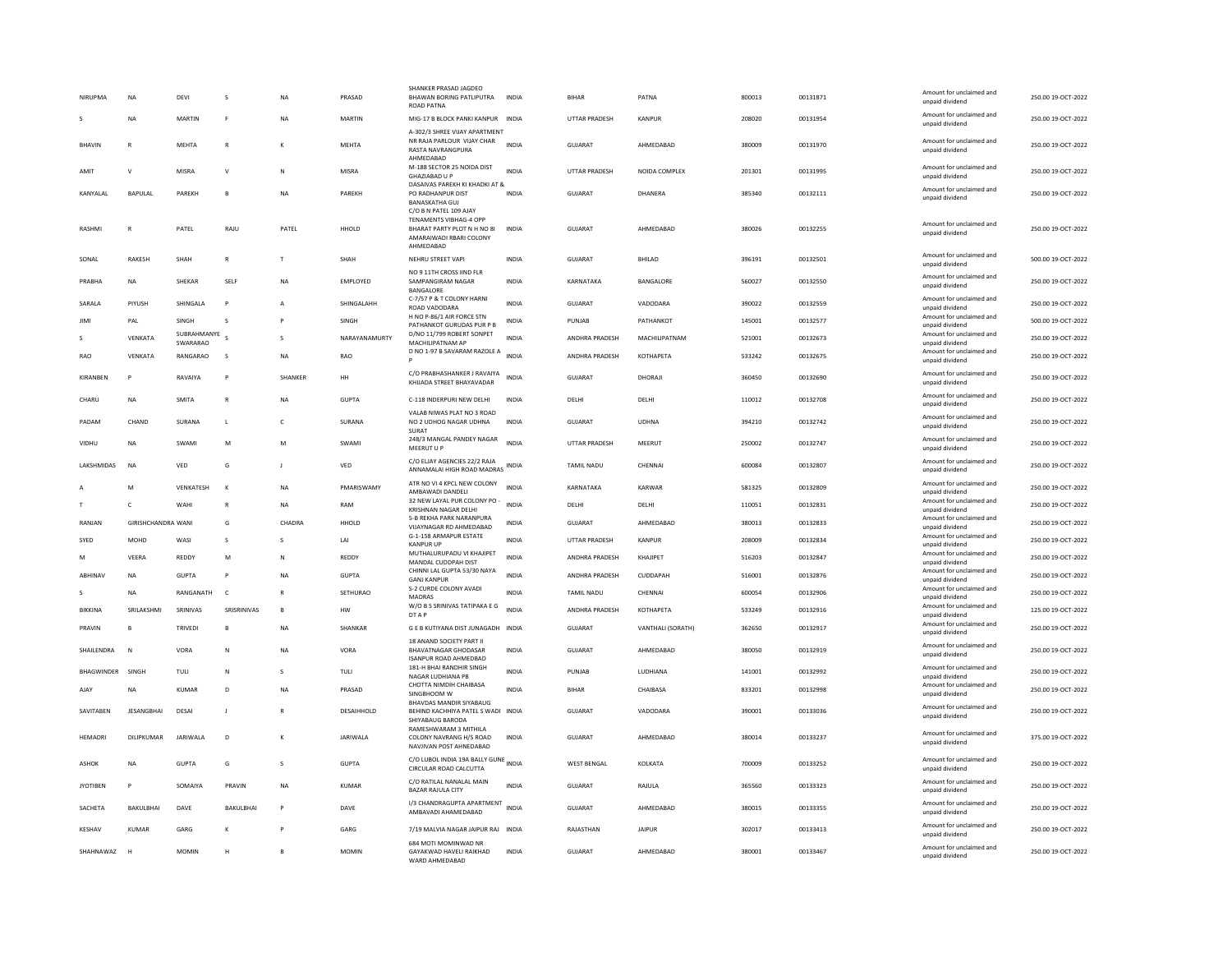| NIRUPMA            | <b>NA</b>                 | DFVI                    | s                         | <b>NA</b>              | PRASAD          | SHANKER PRASAD JAGDEC<br>BHAWAN BORING PATLIPUTRA<br><b>ROAD PATNA</b>                                                         | <b>INDIA</b>                 | <b>BIHAR</b>              | PATNA                          | 800013           | 00131871             | Amount for unclaimed and<br>unpaid dividend | 250.00.19-OCT-2022                       |
|--------------------|---------------------------|-------------------------|---------------------------|------------------------|-----------------|--------------------------------------------------------------------------------------------------------------------------------|------------------------------|---------------------------|--------------------------------|------------------|----------------------|---------------------------------------------|------------------------------------------|
|                    | <b>NA</b>                 | <b>MARTIN</b>           | F                         | <b>NA</b>              | <b>MARTIN</b>   | MIG-17 B BLOCK PANKI KANPUR INDIA                                                                                              |                              | <b>UTTAR PRADESH</b>      | KANPUR                         | 208020           | 00131954             | Amount for unclaimed and<br>unpaid dividend | 250.00 19-OCT-2022                       |
| <b>BHAVIN</b>      | R                         | MEHTA                   | $\mathsf{R}$              |                        | MEHTA           | A-302/3 SHREE VIJAY APARTMENT<br>NR RAJA PARLOUR VIJAY CHAR<br>RASTA NAVRANGPURA<br>AHMEDABAD                                  | <b>INDIA</b>                 | <b>GUJARAT</b>            | AHMEDABAD                      | 380009           | 00131970             | Amount for unclaimed and<br>unpaid dividend | 250.00 19-OCT-2022                       |
| AMIT               | V                         | MISRA                   | $\vee$                    | ${\sf N}$              | MISRA           | M-188 SECTOR 25 NOIDA DIST<br><b>GHAZIABAD U P</b>                                                                             | <b>INDIA</b>                 | UTTAR PRADESH             | NOIDA COMPLEX                  | 201301           | 00131995             | Amount for unclaimed and<br>unpaid dividend | 250.00 19-OCT-2022                       |
| KANYALAL           | BAPULAL                   | PAREKH                  | B                         | <b>NA</b>              | PAREKH          | DASAIVAS PAREKH KI KHADKI AT &<br>PO RADHANPUR DIST<br><b>BANASKATHA GUJ</b>                                                   | <b>INDIA</b>                 | <b>GUJARAT</b>            | DHANERA                        | 385340           | 00132111             | Amount for unclaimed and<br>unpaid dividend | 250.00 19-OCT-2022                       |
| RASHMI             | R                         | PATEL                   | RAJU                      | PATEL                  | HHOLD           | C/O B N PATEL 109 AJAY<br><b>TENAMENTS VIBHAG-4 OPP</b><br>BHARAT PARTY PLOT N H NO 81<br>AMARAIWADI RBARI COLONY<br>AHMEDABAD | <b>INDIA</b>                 | <b>GUJARAT</b>            | AHMEDABAD                      | 380026           | 00132255             | Amount for unclaimed and<br>unpaid dividend | 250.00 19-OCT-2022                       |
| SONAL              | RAKESH                    | SHAH                    | $\mathsf{R}$              | T                      | SHAH            | NEHRU STREET VAPI                                                                                                              | <b>INDIA</b>                 | GUJARAT                   | BHILAD                         | 396191           | 00132501             | Amount for unclaimed and<br>unpaid dividend | 500.00 19-OCT-2022                       |
| PRABHA             | NA                        | SHEKAR                  | SELF                      | <b>NA</b>              | EMPLOYED        | NO 9 11TH CROSS IIND FLR<br>SAMPANGIRAM NAGAR<br>BANGALORE                                                                     | <b>INDIA</b>                 | KARNATAKA                 | BANGALORE                      | 560027           | 00132550             | Amount for unclaimed and<br>unpaid dividend | 250.00 19-OCT-2022                       |
| SARALA             | PIYUSH                    | SHINGALA                | $\mathsf{P}$              | $\mathsf{A}$           | SHINGALAHH      | C-7/57 P & T COLONY HARNI<br>ROAD VADODARA                                                                                     | <b>INDIA</b>                 | <b>GUJARAT</b>            | VADODARA                       | 390022           | 00132559             | Amount for unclaimed and<br>unpaid dividend | 250.00 19-OCT-2022                       |
| JIMI               | PAL                       | SINGH                   | s                         |                        | SINGH           | H NO P-86/1 AIR FORCE STN<br>PATHANKOT GURUDAS PUR P B                                                                         | INDIA                        | PUNJAB                    | PATHANKOT                      | 145001           | 00132577             | Amount for unclaimed and<br>unpaid dividend | 500.00 19-OCT-2022                       |
|                    | VENKATA                   | SUBRAHMANYE<br>SWARARAO | s                         | $\mathbf{S}$           | NARAYANAMURTY   | D/NO 11/799 ROBERT SONPET<br>MACHILIPATNAM AP                                                                                  | <b>INDIA</b>                 | ANDHRA PRADESH            | MACHILIPATNAM                  | 521001           | 00132673             | Amount for unclaimed and<br>unpaid dividend | 250.00 19-OCT-2022                       |
| <b>RAO</b>         | VENKATA                   | RANGARAO                | s                         | <b>NA</b>              | RAO             | D NO 1-97 B SAVARAM RAZOLE A                                                                                                   | <b>INDIA</b>                 | ANDHRA PRADESH            | <b>КОТНАРЕТА</b>               | 533242           | 00132675             | Amount for unclaimed and<br>unpaid dividend | 250.00 19-OCT-2022                       |
| KIRANBEN           | P                         | RAVAIYA                 |                           | SHANKER                | HH              | C/O PRABHASHANKER J RAVAIYA<br>KHIJADA STREET BHAYAVADAR                                                                       | <b>INDIA</b>                 | <b>GUJARAT</b>            | DHORAJI                        | 360450           | 00132690             | Amount for unclaimed and<br>unpaid dividend | 250.00 19-OCT-2022                       |
| CHARU              | <b>NA</b>                 | <b>SMITA</b>            | $\mathsf{R}$              | <b>NA</b>              | <b>GUPTA</b>    | C-118 INDERPURI NEW DELHI                                                                                                      | <b>INDIA</b>                 | DELHI                     | DELHI                          | 110012           | 00132708             | Amount for unclaimed and<br>unpaid dividend | 250.00 19-OCT-2022                       |
| PADAM              | CHAND                     | SURANA                  | L                         | c                      | SURANA          | VALAB NIWAS PLAT NO 3 ROAD<br>NO 2 UDHOG NAGAR UDHNA<br>SURAT                                                                  | <b>INDIA</b>                 | GUJARAT                   | <b>UDHNA</b>                   | 394210           | 00132742             | Amount for unclaimed and<br>unpaid dividend | 250.00 19-OCT-2022                       |
| VIDHU              | NA                        | SWAMI                   | M                         | M                      | SWAMI           | 248/3 MANGAL PANDEY NAGAR<br>MEERUT U P                                                                                        | <b>INDIA</b>                 | UTTAR PRADESH             | MEERUT                         | 250002           | 00132747             | Amount for unclaimed and<br>unpaid dividend | 250.00 19-OCT-2022                       |
| LAKSHMIDAS         | <b>NA</b>                 | VED                     | G                         | J.                     | VED             | C/O ELJAY AGENCIES 22/2 RAJA<br>ANNAMALAI HIGH ROAD MADRAS                                                                     | <b>INDIA</b>                 | <b>TAMIL NADU</b>         | CHENNAI                        | 600084           | 00132807             | Amount for unclaimed and<br>unpaid dividend | 250.00 19-OCT-2022                       |
|                    |                           |                         |                           |                        |                 |                                                                                                                                |                              |                           |                                |                  |                      |                                             |                                          |
|                    | M                         | VENKATESH               | K                         | <b>NA</b>              | PMARISWAMY      | ATR NO VI 4 KPCL NEW COLONY                                                                                                    | <b>INDIA</b>                 | KARNATAKA                 | KARWAR                         | 581325           | 00132809             | Amount for unclaimed and                    | 250.00 19-OCT-2022                       |
|                    | c                         | WAHI                    | ${\sf R}$                 | <b>NA</b>              | RAM             | AMBAWADI DANDELI<br>32 NEW LAYAL PUR COLONY PO -                                                                               | <b>INDIA</b>                 | DELHI                     | DELHI                          | 110051           | 00132831             | unpaid dividend<br>Amount for unclaimed and | 250.00 19-OCT-2022                       |
| RANIAN             | <b>GIRISHCHANDRA WANI</b> |                         | G                         | CHADRA                 | HHOLD           | KRISHNAN NAGAR DELHI<br>5-B REKHA PARK NARANPURA                                                                               | <b>INDIA</b>                 | GUIARAT                   | AHMFDARAD                      | 380013           | 00132833             | unpaid dividend<br>Amount for unclaimed and | 250.00 19-OCT-2022                       |
| SYED               | MOHD                      | WASI                    | s                         | -S                     | LAI             | VIJAYNAGAR RD AHMEDABAD<br>G-1-158 ARMAPUR ESTATE                                                                              | INDIA                        | UTTAR PRADESH             | KANPUR                         | 208009           | 00132834             | unpaid dividend<br>Amount for unclaimed and | 250.00 19-OCT-2022                       |
| M                  | VEERA                     | REDDY                   | M                         | N                      | REDDY           | <b>KANPUR UP</b><br>MUTHALURUPADU VI KHAJIPET                                                                                  | INDIA                        | ANDHRA PRADESH            | KHAJIPET                       | 516203           | 00132847             | unpaid dividend<br>Amount for unclaimed and | 250.00 19-OCT-2022                       |
| ABHINAV            | <b>NA</b>                 | <b>GUPTA</b>            | <b>P</b>                  | <b>NA</b>              | <b>GUPTA</b>    | MANDAL CUDDPAH DIST<br>CHINNI LAL GUPTA 53/30 NAYA                                                                             | <b>INDIA</b>                 | ANDHRA PRADESH            | CUDDAPAH                       | 516001           | 00132876             | unpaid dividend<br>Amount for unclaimed and | 250.00 19-OCT-2022                       |
|                    | <b>NA</b>                 | RANGANATH               | <b>C</b>                  | $\mathbb{R}$           | SETHURAO        | <b>GANI KANPUR</b><br>S-2 CURDE COLONY AVADI                                                                                   | <b>INDIA</b>                 | <b>TAMIL NADU</b>         | CHENNAI                        | 600054           | 00132906             | unpaid dividend<br>Amount for unclaimed and | 250.00 19-OCT-2022                       |
| BIKKINA            | SRILAKSHMI                |                         | SRISRINIVAS               | $\mathsf{B}$           | <b>HW</b>       | MADRAS<br>W/O B S SRINIVAS TATIPAKA E G                                                                                        | <b>INDIA</b>                 | ANDHRA PRADESH            |                                | 533249           |                      | unpaid dividend<br>Amount for unclaimed and |                                          |
| PRAVIN             | R                         | SRINIVAS                | B                         |                        |                 | DT A P                                                                                                                         |                              |                           | <b>КОТНАРЕТА</b>               |                  | 00132916             | unpaid dividend<br>Amount for unclaimed and | 125.00 19-OCT-2022                       |
| SHAILENDRA         | $\mathbf N$               | TRIVEDI<br>VORA         | N                         | <b>NA</b><br><b>NA</b> | SHANKAR<br>VORA | G E B KUTIYANA DIST JUNAGADH INDIA<br>18 ANAND SOCIETY PART II<br><b>BHAVATNAGAR GHODASAR</b>                                  | <b>INDIA</b>                 | GUJARAT<br><b>GUJARAT</b> | VANTHALI (SORATH)<br>AHMEDABAD | 362650<br>380050 | 00132917<br>00132919 | unpaid dividend<br>Amount for unclaimed and | 250.00 19-OCT-2022<br>250.00 19-OCT-2022 |
|                    |                           |                         |                           |                        |                 | <b>ISANPUR ROAD AHMEDBAD</b><br>181-H BHAI RANDHIR SINGH                                                                       |                              |                           |                                |                  |                      | unpaid dividend<br>Amount for unclaimed and |                                          |
| BHAGWINDER<br>AIAY | SINGH<br><b>NA</b>        | TULI<br>KUMAR           | ${\sf N}$<br>$\mathsf{D}$ | s<br><b>NA</b>         | TULI<br>PRASAD  | NAGAR LUDHIANA PB<br>CHOTTA NIMDIH CHAIBASA                                                                                    | <b>INDIA</b><br><b>INDIA</b> | PUNJAB<br><b>BIHAR</b>    | LUDHIANA<br>CHAIBASA           | 141001<br>833201 | 00132992<br>00132998 | unpaid dividend<br>Amount for unclaimed and | 250.00 19-OCT-2022<br>250.00 19-OCT-2022 |
|                    |                           |                         |                           |                        |                 | SINGBHOOM W<br><b>BHAVDAS MANDIR SIYABAUG</b>                                                                                  |                              |                           |                                |                  |                      | unpaid dividend<br>Amount for unclaimed and |                                          |
| SAVITABEN          | JESANGBHAI                | DESAI                   | J                         |                        | DESAIHHOLD      | BEHIND KACHHIYA PATEL S WADI INDIA<br>SHIYABAUG BARODA                                                                         |                              | GUJARAT                   | VADODARA                       | 390001           | 00133036             | unpaid dividend                             | 250.00 19-OCT-2022                       |
| HEMADRI            | DILIPKUMAR                | JARIWALA                | $\mathsf D$               |                        | <b>JARIWALA</b> | <b>RAMESHWARAM 3 MITHILA</b><br>COLONY NAVRANG H/S ROAD<br>NAVJIVAN POST AHNEDABAD                                             | INDIA                        | GUJARAT                   | AHMEDABAD                      | 380014           | 00133237             | Amount for unclaimed and<br>unpaid dividend | 375.00 19-OCT-2022                       |
| ASHOK              | <b>NA</b>                 | <b>GUPTA</b>            | G                         | s                      | GUPTA           | C/O LUBOL INDIA 19A BALLY GUNE<br>CIRCULAR ROAD CALCUTTA                                                                       |                              | <b>WEST BENGAL</b>        | KOLKATA                        | 700009           | 00133252             | Amount for unclaimed and<br>unpaid dividend | 250.00 19-OCT-2022                       |
| <b>JYOTIBEN</b>    | P                         | SOMAIYA                 | PRAVIN                    | <b>NA</b>              | <b>KUMAR</b>    | C/O RATILAL NANALAL MAIN<br><b>BAZAR RAJULA CITY</b>                                                                           | <b>INDIA</b>                 | GUJARAT                   | RAJULA                         | 365560           | 00133323             | Amount for unclaimed and<br>unpaid dividend | 250.00 19-OCT-2022                       |
| SACHETA            | BAKULBHAI                 | DAVE                    | <b>BAKULBHAI</b>          |                        | DAVE            | I/3 CHANDRAGUPTA APARTMENT<br>AMBAVADI AHAMEDABAD                                                                              | <b>INDIA</b>                 | GUJARAT                   | AHMEDABAD                      | 380015           | 00133355             | Amount for unclaimed and<br>unpaid dividend | 250.00 19-OCT-2022                       |
| KESHAV             | KUMAR                     | GARG                    | к                         |                        | GARG            | 7/19 MALVIA NAGAR JAIPUR RAJ INDIA<br>684 MOTI MOMINWAD NR                                                                     |                              | RAJASTHAN                 | <b>JAIPUR</b>                  | 302017           | 00133413             | Amount for unclaimed and<br>unpaid dividend | 250.00 19-OCT-2022                       |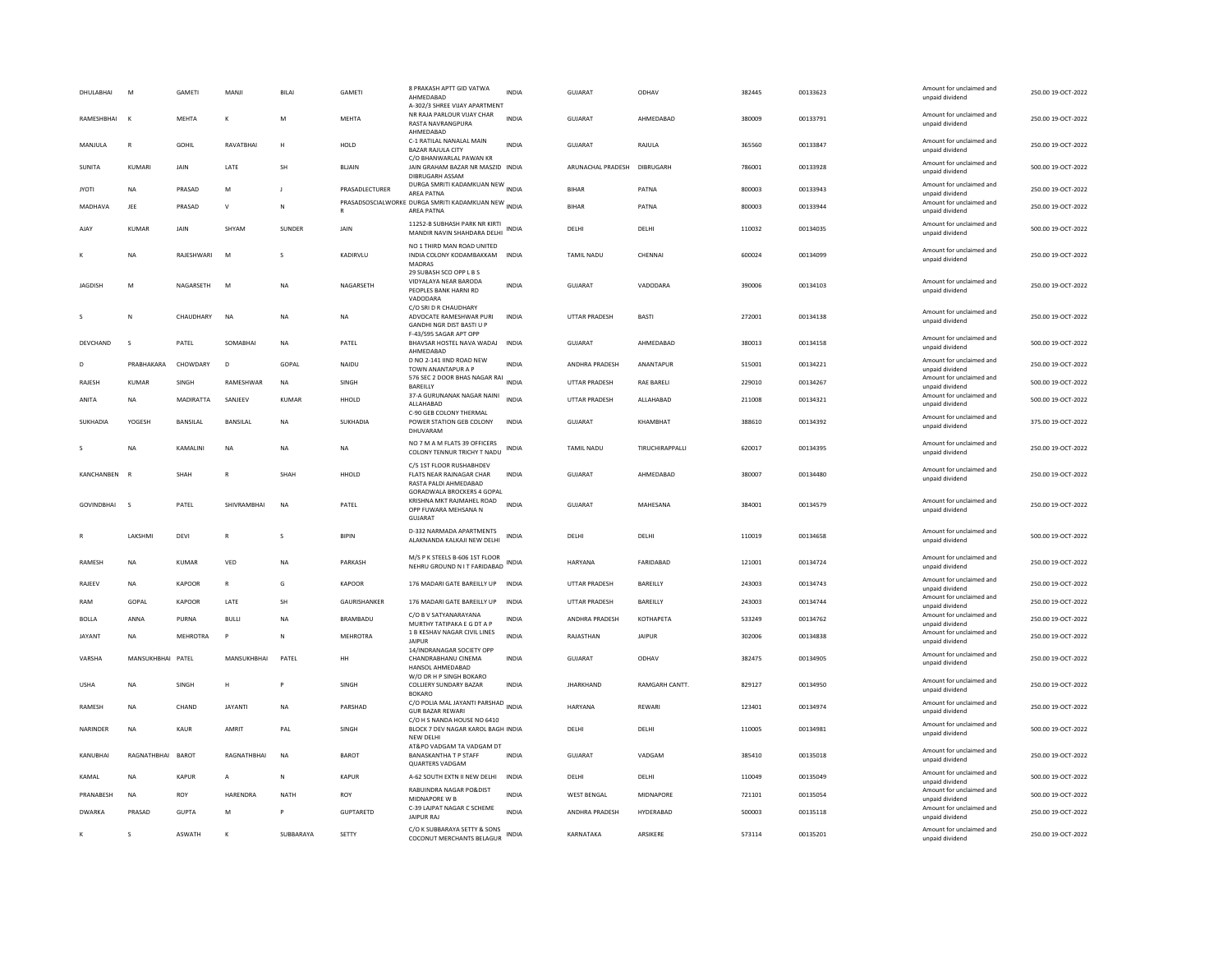| DHULABHAI         | M                 | GAMETI          | MANJI          | BILAI        | GAMETI              | 8 PRAKASH APTT GID VATWA<br>AHMEDABAD<br>A-302/3 SHREE VIJAY APARTMENT                                             | <b>INDIA</b> | GUJARAT               | ODHAV             | 382445 | 00133623 | Amount for unclaimed and<br>unpaid dividend                    | 250.00 19-OCT-2022 |
|-------------------|-------------------|-----------------|----------------|--------------|---------------------|--------------------------------------------------------------------------------------------------------------------|--------------|-----------------------|-------------------|--------|----------|----------------------------------------------------------------|--------------------|
| RAMESHBHAI        | $\mathbf{K}$      | <b>MEHTA</b>    | $\kappa$       | M            | <b>MEHTA</b>        | NR RAJA PARLOUR VIJAY CHAR<br><b>RASTA NAVRANGPURA</b><br>AHMEDABAD                                                | <b>INDIA</b> | GUIARAT               | AHMEDARAD         | 380009 | 00133791 | Amount for unclaimed and<br>unpaid dividend                    | 250.00 19-OCT-2022 |
| MANJULA           | $\mathbb{R}$      | GOHIL           | RAVATBHAI      | н            | HOLD                | C-1 RATILAL NANALAL MAIN<br><b>BAZAR RAJULA CITY</b><br>C/O BHANWARLAL PAWAN KR                                    | <b>INDIA</b> | GUJARAT               | RAJULA            | 365560 | 00133847 | Amount for unclaimed and<br>unpaid dividend                    | 250.00 19-OCT-2022 |
| <b>SUNITA</b>     | KUMARI            | JAIN            | LATE           | SH           | <b>BLIAIN</b>       | JAIN GRAHAM BAZAR NR MASZID INDIA<br>DIBRUGARH ASSAM                                                               |              | ARUNACHAL PRADESH     | DIBRUGARH         | 786001 | 00133928 | Amount for unclaimed and<br>unpaid dividend                    | 500.00 19-OCT-2022 |
| <b>JYOTI</b>      | <b>NA</b>         | PRASAD          | M              |              | PRASADLECTURER      | DURGA SMRITI KADAMKUAN NEW INDIA<br><b>AREA PATNA</b>                                                              |              | <b>BIHAR</b>          | PATNA             | 800003 | 00133943 | Amount for unclaimed and<br>unpaid dividend                    | 250.00 19-OCT-2022 |
| MADHAVA           | JEE               | PRASAD          | $\mathsf{v}$   | N            |                     | PRASADSOSCIALWORKE DURGA SMRITI KADAMKUAN NEW INDIA<br>AREA PATNA                                                  |              | <b>BIHAR</b>          | PATNA             | 800003 | 00133944 | Amount for unclaimed and<br>unpaid dividend                    | 250.00 19-OCT-2022 |
| AJAY              | KUMAR             | JAIN            | SHYAM          | SUNDER       | JAIN                | 11252-B SUBHASH PARK NR KIRTI<br>MANDIR NAVIN SHAHDARA DELHI                                                       | INDIA        | DELHI                 | DELHI             | 110032 | 00134035 | Amount for unclaimed and<br>unpaid dividend                    | 500.00 19-OCT-2022 |
|                   | <b>NA</b>         | RAJESHWARI      | M              |              | KADIRVLU            | NO 1 THIRD MAN ROAD UNITED<br>INDIA COLONY KODAMBAKKAM INDIA<br><b>MADRAS</b><br>29 SUBASH SCO OPP L B S           |              | TAMIL NADU            | CHENNAI           | 600024 | 00134099 | Amount for unclaimed and<br>unpaid dividend                    | 250.00 19-OCT-2022 |
| <b>JAGDISH</b>    | M                 | NAGARSETH       | M              | NA           | NAGARSETH           | VIDYALAYA NEAR BARODA<br>PEOPLES BANK HARNI RD<br>VADODARA                                                         | <b>INDIA</b> | GUJARAT               | VADODARA          | 390006 | 00134103 | Amount for unclaimed and<br>unpaid dividend                    | 250.00 19-OCT-2022 |
| $\mathbf{S}$      | $\mathbb N$       | CHAUDHARY       | <b>NA</b>      | <b>NA</b>    | <b>NA</b>           | C/O SRI D R CHAUDHARY<br>ADVOCATE RAMESHWAR PURI<br><b>GANDHI NGR DIST BASTI U P</b><br>F-43/595 SAGAR APT OPP     | <b>INDIA</b> | <b>UTTAR PRADESH</b>  | <b>BASTI</b>      | 272001 | 00134138 | Amount for unclaimed and<br>unpaid dividend                    | 250.00 19-OCT-2022 |
| DEVCHAND          | s                 | PATEL           | SOMABHAI       | <b>NA</b>    | PATEL               | BHAVSAR HOSTEL NAVA WADAJ INDIA<br>AHMEDABAD                                                                       |              | GUJARAT               | AHMEDABAD         | 380013 | 00134158 | Amount for unclaimed and<br>unpaid dividend                    | 500.00 19-OCT-2022 |
| D                 | PRABHAKARA        | CHOWDARY        | D <sub>1</sub> | GOPAL        | NAIDU               | D NO 2-141 IIND ROAD NEW<br>TOWN ANANTAPUR A P                                                                     | <b>INDIA</b> | ANDHRA PRADESH        | ANANTAPUR         | 515001 | 00134221 | Amount for unclaimed and<br>unpaid dividend                    | 250.00 19-OCT-2022 |
| RAJESH            | KUMAR             | SINGH           | RAMESHWAR      | NA           | SINGH               | 576 SEC 2 DOOR BHAS NAGAR RAI<br><b>BAREILLY</b>                                                                   | <b>INDIA</b> | UTTAR PRADESH         | <b>RAE BARELI</b> | 229010 | 00134267 | Amount for unclaimed and<br>unpaid dividend                    | 500.00 19-OCT-2022 |
| ANITA             | <b>NA</b>         | MADIRATTA       | SANJEEV        | <b>KUMAR</b> | HHOLD               | 37-A GURUNANAK NAGAR NAINI<br>ALLAHABAD<br>C-90 GEB COLONY THERMAL                                                 | <b>INDIA</b> | <b>UTTAR PRADESH</b>  | ALLAHABAD         | 211008 | 00134321 | Amount for unclaimed and<br>unpaid dividend                    | 500.00 19-OCT-2022 |
| SUKHADIA          | YOGESH            | BANSILAL        | BANSILAL       | ΝA           | SUKHADIA            | POWER STATION GEB COLONY<br>DHUVARAM                                                                               | <b>INDIA</b> | <b>GUJARAT</b>        | KHAMBHAT          | 388610 | 00134392 | Amount for unclaimed and<br>unpaid dividend                    | 375.00 19-OCT-2022 |
|                   | <b>NA</b>         | KAMALINI        | NA             | <b>NA</b>    | <b>NA</b>           | NO 7 M A M FLATS 39 OFFICERS<br>COLONY TENNUR TRICHY T NADU                                                        | INDIA        | <b>TAMIL NADU</b>     | TIRUCHIRAPPALLI   | 620017 | 00134395 | Amount for unclaimed and<br>unpaid dividend                    | 250.00 19-OCT-2022 |
| KANCHANREN R      |                   | <b>SHAH</b>     | $\mathbb{R}$   | SHAH         | HHOLD               | C/5 1ST FLOOR RUSHABHDEV<br>FLATS NEAR RAJNAGAR CHAR<br>RASTA PALDI AHMEDABAD<br><b>GORADWALA BROCKERS 4 GOPAL</b> | <b>INDIA</b> | GUIARAT               | AHMEDARAD         | 380007 | 00134480 | Amount for unclaimed and<br>unpaid dividend                    | 250.00 19-OCT-2022 |
| <b>GOVINDBHAI</b> | $\mathbf{S}$      | PATEL           | SHIVRAMBHAI    | <b>NA</b>    | PATEL               | KRISHNA MKT RAJMAHEL ROAD<br>OPP FUWARA MEHSANA N<br>GUIARAT                                                       | <b>INDIA</b> | <b>GUJARAT</b>        | MAHESANA          | 384001 | 00134579 | Amount for unclaimed and<br>unpaid dividend                    | 250.00 19-OCT-2022 |
|                   | LAKSHMI           | DEVI            | $\mathsf{R}$   |              | <b>BIPIN</b>        | D-332 NARMADA APARTMENTS<br>ALAKNANDA KALKAJI NEW DELHI                                                            | INDIA        | DELHI                 | DELHI             | 110019 | 00134658 | Amount for unclaimed and<br>unpaid dividend                    | 500.00 19-OCT-2022 |
| RAMESH            | <b>NA</b>         | KUMAR           | VED            | NA           | PARKASH             | M/S P K STEELS B-606 1ST FLOOR<br>NEHRU GROUND N IT FARIDABAD INDIA                                                |              | HARYANA               | FARIDABAD         | 121001 | 00134724 | Amount for unclaimed and<br>unpaid dividend                    | 250.00 19-OCT-2022 |
| RAJEEV            | NA                | KAPOOR          | $\mathsf{R}$   | G            | <b>KAPOOR</b>       | 176 MADARI GATE BAREILLY UP INDIA                                                                                  |              | <b>UTTAR PRADESH</b>  | BAREILLY          | 243003 | 00134743 | Amount for unclaimed and<br>unpaid dividend                    | 250.00 19-OCT-2022 |
| RAM               | GOPAL             | KAPOOR          | <b>I ATF</b>   | <b>SH</b>    | <b>GAURISHANKER</b> | 176 MADARI GATE BAREILLY UP                                                                                        | <b>INDIA</b> | <b>UTTAR PRADESH</b>  | <b>BAREILLY</b>   | 243003 | 00134744 | Amount for unclaimed and<br>unpaid dividend                    | 250.00 19-OCT-2022 |
| <b>BOLLA</b>      | ANNA              | PURNA           | <b>BUILD</b>   | <b>NA</b>    | <b>BRAMBADU</b>     | C/O B V SATYANARAYANA<br>MURTHY TATIPAKA E G DT A P                                                                | <b>INDIA</b> | <b>ANDHRA PRADESH</b> | KOTHAPETA         | 533249 | 00134762 | Amount for unclaimed and<br>unpaid dividend                    | 250.00 19-OCT-2022 |
| <b>JAYANT</b>     | <b>NA</b>         | <b>MEHROTRA</b> | P              | N            | <b>MEHROTRA</b>     | 1 B KESHAV NAGAR CIVIL LINES<br><b>JAIPUR</b>                                                                      | <b>INDIA</b> | RAJASTHAN             | <b>JAIPUR</b>     | 302006 | 00134838 | Amount for unclaimed and<br>unpaid dividend                    | 250.00 19-OCT-2022 |
| VARSHA            | MANSUKHBHAI PATEL |                 | MANSUKHBHAI    | PATEL        | HH                  | 14/INDRANAGAR SOCIETY OPP<br>CHANDRABHANU CINEMA<br>HANSOL AHMEDARAD                                               | <b>INDIA</b> | <b>GUJARAT</b>        | ODHAV             | 382475 | 00134905 | Amount for unclaimed and<br>unpaid dividend                    | 250.00 19-OCT-2022 |
| <b>USHA</b>       | <b>NA</b>         | SINGH           | H              |              | SINGH               | W/O DR H P SINGH BOKARO<br><b>COLLIERY SUNDARY BAZAR</b><br><b>BOKARO</b>                                          | <b>INDIA</b> | <b>JHARKHAND</b>      | RAMGARH CANTT.    | 829127 | 00134950 | Amount for unclaimed and<br>unpaid dividend                    | 250.00 19-OCT-2022 |
| RAMESH            | <b>NA</b>         | CHAND           | <b>JAYANTI</b> | <b>NA</b>    | PARSHAD             | C/O POLIA MAL JAYANTI PARSHAD INDIA<br><b>GUR BAZAR REWARI</b>                                                     |              | HARYANA               | <b>REWAR</b>      | 123401 | 00134974 | Amount for unclaimed and<br>unpaid dividend                    | 250.00 19-OCT-2022 |
| NARINDER          | <b>NA</b>         | KAUR            | AMRIT          | PAL          | SINGH               | C/O H S NANDA HOUSE NO 6410<br>BLOCK 7 DEV NAGAR KAROL BAGH INDIA<br>NEW DELHI                                     |              | DELHI                 | DELHI             | 110005 | 00134981 | Amount for unclaimed and<br>unpaid dividend                    | 500.00 19-OCT-2022 |
| KANUBHAI          | RAGNATHBHAI       | BAROT           | RAGNATHBHAI    | <b>NA</b>    | BAROT               | AT&PO VADGAM TA VADGAM DT<br><b>BANASKANTHA T P STAFF</b><br><b>QUARTERS VADGAM</b>                                | <b>INDIA</b> | GUJARAT               | VADGAM            | 385410 | 00135018 | Amount for unclaimed and<br>unpaid dividend                    | 250.00 19-OCT-2022 |
| KAMAL             | <b>NA</b>         | <b>KAPUR</b>    | А              | N            | KAPUR               | A-62 SOUTH EXTN II NEW DELHI INDIA                                                                                 |              | DELHI                 | DELHI             | 110049 | 00135049 | Amount for unclaimed and<br>unpaid dividend                    | 500.00 19-OCT-2022 |
| PRANABESH         | <b>NA</b>         | ROY             | HARENDRA       | <b>NATH</b>  | ROY                 | <b>RABUINDRA NAGAR PO&amp;DIST</b><br>MIDNAPORE W B                                                                | <b>INDIA</b> | <b>WEST BENGAL</b>    | <b>MIDNAPORE</b>  | 721101 | 00135054 | Amount for unclaimed and                                       | 500.00 19-OCT-2022 |
| <b>DWARKA</b>     | PRASAD            | GUPTA           | M              | P            | <b>GUPTARFTD</b>    | C-39 LAJPAT NAGAR C SCHEME<br><b>JAIPUR RAJ</b>                                                                    | <b>INDIA</b> | <b>ANDHRA PRADESH</b> | HYDERARAD         | 500003 | 00135118 | unpaid dividend<br>Amount for unclaimed and<br>unpaid dividend | 250.00.19-OCT-2022 |
| К                 | s                 | <b>ASWATH</b>   |                | SUBBARAYA    | SETTY               | C/O K SUBBARAYA SETTY & SONS<br>COCONUT MERCHANTS BELAGUR                                                          | <b>INDIA</b> | KARNATAKA             | <b>ARSIKERE</b>   | 573114 | 00135201 | Amount for unclaimed and<br>unpaid dividend                    | 250.00 19-OCT-2022 |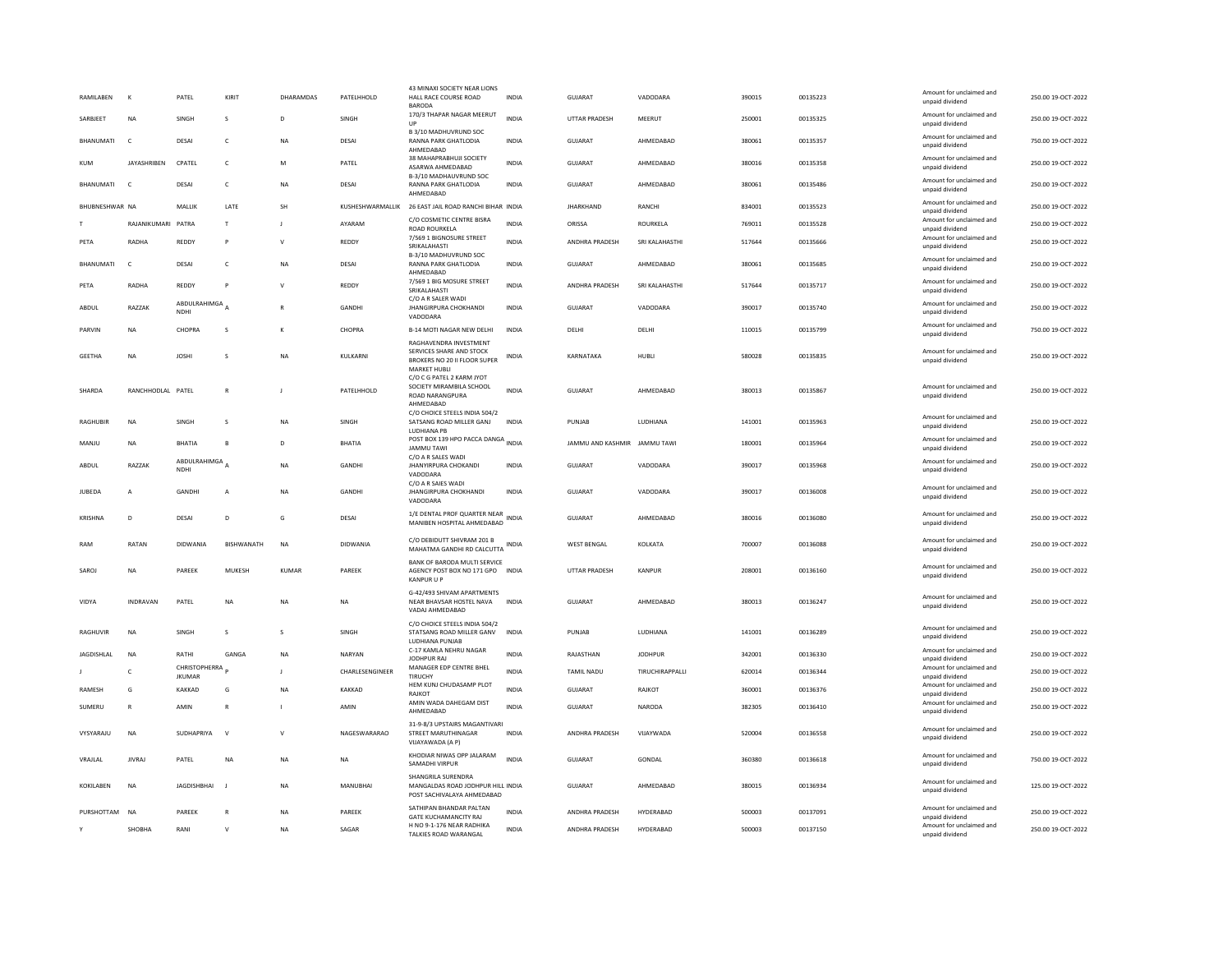| RAMILABEN         | К                  | PATEL                          | KIRIT         | DHARAMDAS    | PATELHHOLD       | 43 MINAXI SOCIETY NEAR LIONS<br>HALL RACE COURSE ROAD<br><b>BARODA</b>                       | INDIA        | GUJARAT                      | VADODARA        | 390015 | 00135223 | Amount for unclaimed and<br>unpaid dividend | 250.00 19-OCT-2022 |
|-------------------|--------------------|--------------------------------|---------------|--------------|------------------|----------------------------------------------------------------------------------------------|--------------|------------------------------|-----------------|--------|----------|---------------------------------------------|--------------------|
| SARRIFFT          | <b>NA</b>          | <b>SINGH</b>                   | $\mathcal{S}$ | D.           | <b>SINGH</b>     | 170/3 THAPAR NAGAR MEERUT<br>UP                                                              | <b>INDIA</b> | <b>UTTAR PRADESH</b>         | MFFRUT          | 250001 | 00135325 | Amount for unclaimed and<br>unpaid dividend | 250.00.19-QCT-2022 |
| BHANUMATI         | $\mathsf{C}$       | DESAI                          | $\mathsf{C}$  | NA           | DESAI            | B 3/10 MADHUVRUND SOC<br>RANNA PARK GHATLODIA<br>AHMFDARAD                                   | INDIA        | GUJARAT                      | AHMEDABAD       | 380061 | 00135357 | Amount for unclaimed and<br>unpaid dividend | 750.00 19-OCT-2022 |
| <b>KUM</b>        | <b>JAYASHRIBEN</b> | CPATEL                         | $\mathsf{C}$  | M            | PATEL            | 38 MAHAPRABHUJI SOCIETY<br>ASARWA AHMEDABAD                                                  | <b>INDIA</b> | <b>GUJARAT</b>               | AHMEDABAD       | 380016 | 00135358 | Amount for unclaimed and<br>unpaid dividend | 250.00 19-OCT-2022 |
| BHANUMATI         | $\epsilon$         | DESAI                          | c             | <b>NA</b>    | DESAI            | B-3/10 MADHAUVRUND SOC<br>RANNA PARK GHATLODIA<br>AHMEDABAD                                  | <b>INDIA</b> | GUJARAT                      | AHMEDABAD       | 380061 | 00135486 | Amount for unclaimed and<br>unpaid dividend | 250.00 19-OCT-2022 |
| BHUBNESHWAR NA    |                    | MALLIK                         | LATE          | SH           | KUSHESHWARMALLIK | 26 EAST JAIL ROAD RANCHI BIHAR INDIA                                                         |              | <b>JHARKHAND</b>             | RANCHI          | 834001 | 00135523 | Amount for unclaimed and<br>unpaid dividend | 250.00 19-OCT-2022 |
|                   | RAJANIKUMARI       | PATRA                          | $\mathsf{T}$  | J            | AYARAM           | C/O COSMETIC CENTRE BISRA<br>ROAD ROURKELA                                                   | <b>INDIA</b> | ORISSA                       | <b>ROURKELA</b> | 769011 | 00135528 | Amount for unclaimed and<br>unpaid dividend | 250.00 19-OCT-2022 |
| PETA              | RADHA              | REDDY                          | P             | $\mathsf{v}$ | REDDY            | 7/569 1 BIGNOSURE STREET<br>SRIKALAHASTI                                                     | <b>INDIA</b> | ANDHRA PRADESH               | SRI KALAHASTHI  | 517644 | 00135666 | Amount for unclaimed and<br>unpaid dividend | 250.00 19-OCT-2022 |
| BHANUMATI         | $\mathsf{C}$       | DESAI                          | c             | NA           | DESAI            | B-3/10 MADHUVRUND SOC<br>RANNA PARK GHATLODIA<br>AHMEDABAD                                   | <b>INDIA</b> | GUJARAT                      | AHMEDABAD       | 380061 | 00135685 | Amount for unclaimed and<br>unpaid dividend | 250.00 19-OCT-2022 |
| PFTA              | RADHA              | REDDY                          | P             | $\mathsf{v}$ | REDDY            | 7/569 1 BIG MOSURE STREET<br>SRIKALAHASTI<br>C/O A R SALER WADI                              | <b>INDIA</b> | <b>ANDHRA PRADESH</b>        | SRI KAI AHASTHI | 517644 | 00135717 | Amount for unclaimed and<br>unpaid dividend | 250.00 19-OCT-2022 |
| ABDUL             | RAZZAK             | ABDULRAHIMGA<br>NDHI           |               |              | GANDHI           | <b>JHANGIRPURA CHOKHANDI</b><br>VADODARA                                                     | <b>INDIA</b> | GUJARAT                      | VADODARA        | 390017 | 00135740 | Amount for unclaimed and<br>unpaid dividend | 250.00 19-OCT-2022 |
| PARVIN            | NA                 | CHOPRA                         | s             | K            | CHOPRA           | B-14 MOTI NAGAR NEW DELHI<br>RAGHAVENDRA INVESTMENT                                          | INDIA        | DELHI                        | DELHI           | 110015 | 00135799 | Amount for unclaimed and<br>unpaid dividend | 750.00 19-OCT-2022 |
| <b>GEETHA</b>     | <b>NA</b>          | <b>JOSHI</b>                   | s             | <b>NA</b>    | KULKARNI         | SERVICES SHARE AND STOCK<br>BROKERS NO 20 II FLOOR SUPER<br><b>MARKET HUBLI</b>              | <b>INDIA</b> | KARNATAKA                    | HUBLI           | 580028 | 00135835 | Amount for unclaimed and<br>unpaid dividend | 250.00 19-OCT-2022 |
| SHARDA            | RANCHHODLAL PATEL  |                                | $\mathsf{R}$  | J            | PATELHHOLD       | C/O C G PATEL 2 KARM JYOT<br>SOCIETY MIRAMBILA SCHOOL<br><b>ROAD NARANGPURA</b><br>AHMFDARAD | <b>INDIA</b> | GUJARAT                      | AHMEDABAD       | 380013 | 00135867 | Amount for unclaimed and<br>unpaid dividend | 250.00 19-OCT-2022 |
| RAGHUBIR          | <b>NA</b>          | SINGH                          | s             | <b>NA</b>    | SINGH            | C/O CHOICE STEELS INDIA 504/2<br>SATSANG ROAD MILLER GANJ<br>LUDHIANA PB                     | <b>INDIA</b> | PUNJAB                       | LUDHIANA        | 141001 | 00135963 | Amount for unclaimed and<br>unpaid dividend | 250.00 19-OCT-2022 |
| MANJU             | NA                 | BHATIA                         | B             | D            | <b>BHATIA</b>    | POST BOX 139 HPO PACCA DANGA INDIA<br><b>JAMMU TAWI</b>                                      |              | JAMMU AND KASHMIR JAMMU TAWI |                 | 180001 | 00135964 | Amount for unclaimed and<br>unpaid dividend | 250.00 19-OCT-2022 |
| ABDUL             | RAZZAK             | ABDULRAHIMGA<br><b>NDHI</b>    |               | <b>NA</b>    | GANDHI           | C/O A R SALES WADI<br><b>JHANYIRPURA CHOKANDI</b><br>VADODARA                                | <b>INDIA</b> | GUJARAT                      | VADODARA        | 390017 | 00135968 | Amount for unclaimed and<br>unpaid dividend | 250.00 19-OCT-2022 |
| JUBEDA            | A                  | GANDHI                         | A             | <b>NA</b>    | GANDHI           | C/O A R SAIES WADI<br><b>JHANGIRPURA CHOKHANDI</b><br>VADODARA                               | INDIA        | GUJARAT                      | VADODARA        | 390017 | 00136008 | Amount for unclaimed and<br>unpaid dividend | 250.00 19-OCT-2022 |
| KRISHNA           | $\overline{D}$     | DESAI                          | D.            | G            | DESAI            | 1/E DENTAL PROF QUARTER NEAR<br>MANIBEN HOSPITAL AHMEDABAD                                   | <b>INDIA</b> | GUIARAT                      | AHMEDARAD       | 380016 | 00136080 | Amount for unclaimed and<br>unpaid dividend | 250.00.19-OCT-2022 |
| RAM               | RATAN              | DIDWANIA                       | BISHWANATH    | <b>NA</b>    | DIDWANIA         | C/O DEBIDUTT SHIVRAM 201 B<br>MAHATMA GANDHI RD CALCUTTA INDIA                               |              | <b>WEST BENGAL</b>           | KOLKATA         | 700007 | 00136088 | Amount for unclaimed and<br>unpaid dividend | 250.00 19-OCT-2022 |
| SAROJ             | <b>NA</b>          | PAREEK                         | MUKESH        | KUMAR        | PAREEK           | BANK OF BARODA MULTI SERVICE<br>AGENCY POST BOX NO 171 GPO INDIA<br><b>KANPUR U P</b>        |              | UTTAR PRADESH                | KANPUR          | 208001 | 00136160 | Amount for unclaimed and<br>unpaid dividend | 250.00 19-OCT-2022 |
| VIDYA             | <b>INDRAVAN</b>    | PATEL                          | <b>NA</b>     | <b>NA</b>    | <b>NA</b>        | G-42/493 SHIVAM APARTMENTS<br>NEAR BHAVSAR HOSTEL NAVA<br>VADAJ AHMEDABAD                    | <b>INDIA</b> | GUIARAT                      | AHMFDARAD       | 380013 | 00136247 | Amount for unclaimed and<br>unpaid dividend | 250.00 19-OCT-2022 |
| RAGHUVIR          | NA                 | SINGH                          | s             | s            | SINGH            | C/O CHOICE STEELS INDIA 504/2<br>STATSANG ROAD MILLER GANV<br>LUDHIANA PUNJAB                | INDIA        | PUNJAB                       | LUDHIANA        | 141001 | 00136289 | Amount for unclaimed and<br>unnaid dividend | 250.00 19-OCT-2022 |
| <b>JAGDISHLAL</b> | <b>NA</b>          | RATHI                          | GANGA         | <b>NA</b>    | NARYAN           | C-17 KAMLA NEHRU NAGAR<br>JODHPUR RAJ                                                        | <b>INDIA</b> | RAJASTHAN                    | <b>JODHPUR</b>  | 342001 | 00136330 | Amount for unclaimed and<br>unpaid dividend | 250.00 19-OCT-2022 |
|                   | $\epsilon$         | CHRISTOPHERRA<br><b>JKUMAR</b> |               | $\mathbf{I}$ | CHARLESENGINEER  | MANAGER EDP CENTRE BHEL<br>TIRUCHY                                                           | <b>INDIA</b> | <b>TAMIL NADU</b>            | TIRUCHIRAPPALLI | 620014 | 00136344 | Amount for unclaimed and<br>unpaid dividend | 250.00 19-OCT-2022 |
| <b>RAMESH</b>     | G                  | KAKKAD                         | G             | <b>NA</b>    | KAKKAD           | HEM KUNJ CHUDASAMP PLOT<br>RAJKOT                                                            | <b>INDIA</b> | GUIARAT                      | RAIKOT          | 360001 | 00136376 | Amount for unclaimed and<br>unpaid dividend | 250.00 19-OCT-2022 |
| SUMERU            | R                  | AMIN                           | $\mathsf{R}$  | л.           | AMIN             | AMIN WADA DAHEGAM DIST<br>AHMEDABAD                                                          | <b>INDIA</b> | <b>GUJARAT</b>               | NARODA          | 382305 | 00136410 | Amount for unclaimed and<br>unpaid dividend | 250.00 19-OCT-2022 |
| VYSYARAJU         | NA                 | SUDHAPRIYA                     | $\mathbf{v}$  | $\mathsf{v}$ | NAGESWARARAO     | 31-9-8/3 UPSTAIRS MAGANTIVARI<br>STREET MARUTHINAGAR<br>VUAYAWADA (A P)                      | <b>INDIA</b> | ANDHRA PRADESH               | VIJAYWADA       | 520004 | 00136558 | Amount for unclaimed and<br>unpaid dividend | 250.00 19-OCT-2022 |
| VRAJLAL           | <b>JIVRAJ</b>      | PATEL                          | <b>NA</b>     | <b>NA</b>    | <b>NA</b>        | KHODIAR NIWAS OPP JALARAM<br>SAMADHI VIRPUR                                                  | <b>INDIA</b> | GUJARAT                      | GONDAL          | 360380 | 00136618 | Amount for unclaimed and<br>unpaid dividend | 750.00 19-OCT-2022 |
| KOKILABEN         | <b>NA</b>          | <b>JAGDISHBHAI</b>             | - 1           | <b>NA</b>    | <b>MANUBHAI</b>  | SHANGRILA SURENDRA<br>MANGALDAS ROAD JODHPUR HILL INDIA<br>POST SACHIVALAYA AHMEDABAD        |              | GUJARAT                      | AHMEDABAD       | 380015 | 00136934 | Amount for unclaimed and<br>unpaid dividend | 125.00 19-OCT-2022 |
| PURSHOTTAM NA     |                    | PAREEK                         | $\mathbb{R}$  | <b>NA</b>    | PAREEK           | SATHIPAN BHANDAR PALTAN<br>GATE KUCHAMANCITY RAJ                                             | <b>INDIA</b> | ANDHRA PRADESH               | HYDERABAD       | 500003 | 00137091 | Amount for unclaimed and<br>unpaid dividend | 250.00 19-OCT-2022 |
|                   | SHOBHA             | RANI                           | $\mathsf{V}$  | <b>NA</b>    | SAGAR            | H NO 9-1-176 NEAR RADHIKA<br>TALKIES ROAD WARANGAL                                           | INDIA        | ANDHRA PRADESH               | HYDERABAD       | 500003 | 00137150 | Amount for unclaimed and<br>unpaid dividend | 250.00 19-OCT-2022 |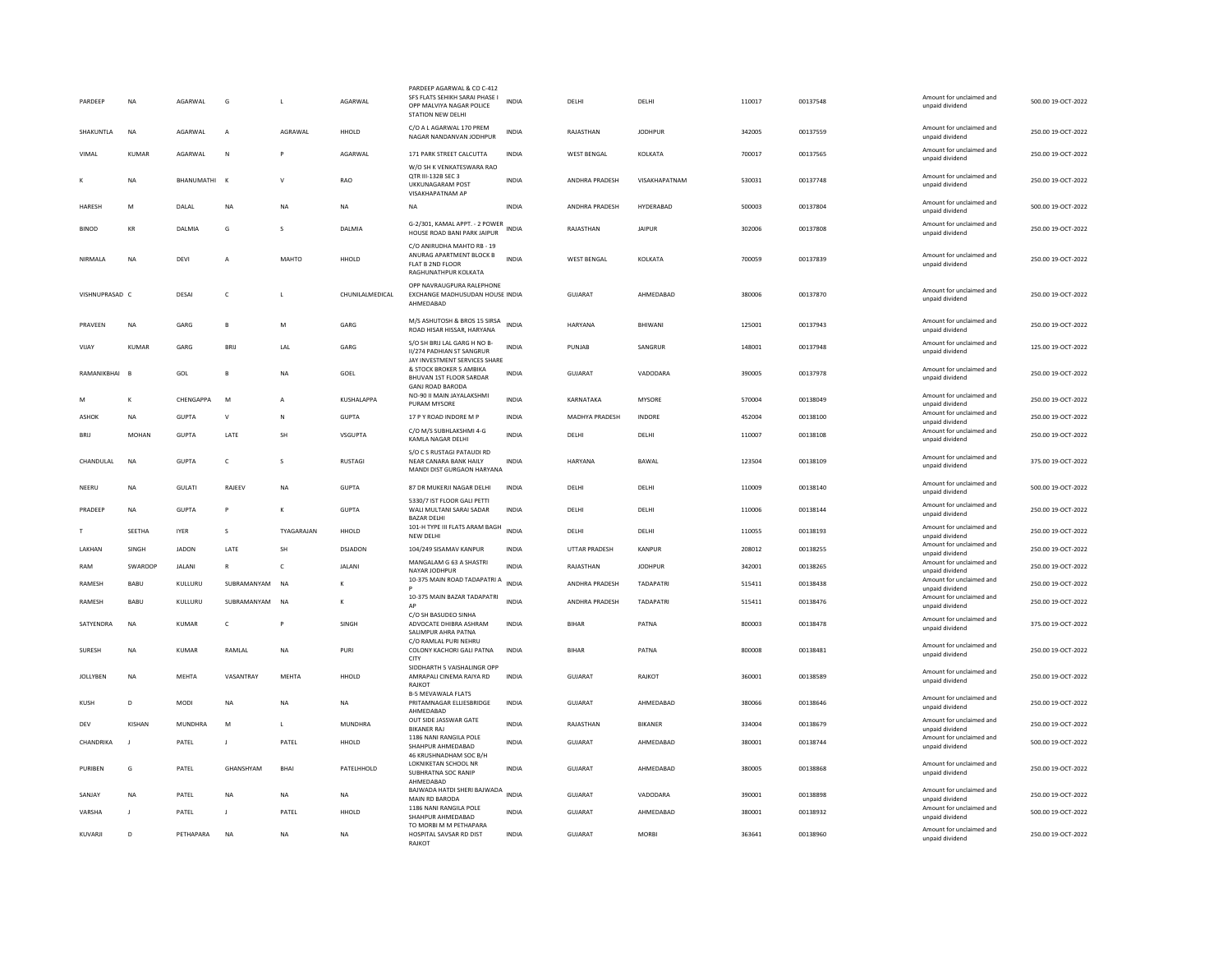| PARDEEP        | <b>NA</b>    | AGARWAI       | G                | $\mathbb{R}$   | AGARWAI         | PARDEEP AGARWAL & CO C-412<br>SFS FLATS SEHIKH SARAI PHASE I<br>OPP MALVIYA NAGAR POLICE<br>STATION NEW DELHI | <b>INDIA</b> | <b>DELHI</b>          | <b>DELHI</b>     | 110017 | 00137548 | Amount for unclaimed and<br>unpaid dividend                    | 500.00 19-OCT-2022 |
|----------------|--------------|---------------|------------------|----------------|-----------------|---------------------------------------------------------------------------------------------------------------|--------------|-----------------------|------------------|--------|----------|----------------------------------------------------------------|--------------------|
| SHAKUNTLA      | <b>NA</b>    | AGARWAI       | $\overline{A}$   | AGRAWAL        | HHOLD           | C/O A L AGARWAL 170 PREM<br>NAGAR NANDANVAN JODHPUR                                                           | <b>INDIA</b> | RAJASTHAN             | <b>JODHPUR</b>   | 342005 | 00137559 | Amount for unclaimed and<br>unpaid dividend                    | 250.00 19-OCT-2022 |
| VIMAL          | KUMAR        | AGARWAL       | N                |                | AGARWAL         | 171 PARK STREET CALCUTTA                                                                                      | INDIA        | <b>WEST BENGAL</b>    | KOLKATA          | 700017 | 00137565 | Amount for unclaimed and<br>unpaid dividend                    | 250.00 19-OCT-2022 |
|                | <b>NA</b>    | BHANUMATHI K  |                  | $\mathsf{v}$   | RAO             | W/O SH K VENKATESWARA RAO<br>OTR III-132B SEC 3<br><b>UKKUNAGARAM POST</b><br>VISAKHAPATNAM AP                | <b>INDIA</b> | ANDHRA PRADESH        | VISAKHAPATNAM    | 530031 | 00137748 | Amount for unclaimed and<br>unpaid dividend                    | 250.00 19-OCT-2022 |
| HARESH         | M            | DALAL         | <b>NA</b>        | <b>NA</b>      | <b>NA</b>       | <b>NA</b>                                                                                                     | <b>INDIA</b> | <b>ANDHRA PRADESH</b> | HYDERABAD        | 500003 | 00137804 | Amount for unclaimed and<br>unpaid dividend                    | 500.00 19-OCT-2022 |
| <b>BINOD</b>   | KR           | DALMIA        | G                | $\sim$         | DAI MIA         | G-2/301, KAMAL APPT. - 2 POWER<br>HOUSE ROAD BANI PARK JAIPUR                                                 | <b>INDIA</b> | RAJASTHAN             | <b>JAIPUR</b>    | 302006 | 00137808 | Amount for unclaimed and<br>unpaid dividend                    | 250.00 19-OCT-2022 |
| NIRMALA        | NA           | DEVI          |                  | MAHTO          | HHOLD           | C/O ANIRUDHA MAHTO RB - 19<br>ANURAG APARTMENT BLOCK B<br>FLAT B 2ND FLOOR<br>RAGHUNATHPUR KOLKATA            | <b>INDIA</b> | <b>WEST BENGAL</b>    | KOLKATA          | 700059 | 00137839 | Amount for unclaimed and<br>unpaid dividend                    | 250.00 19-OCT-2022 |
| VISHNUPRASAD C |              | DESAI         | c                |                | CHUNILALMEDICAL | OPP NAVRAUGPURA RALEPHONE<br>EXCHANGE MADHUSUDAN HOUSE INDIA<br>AHMEDABAD                                     |              | <b>GUJARAT</b>        | AHMEDABAD        | 380006 | 00137870 | Amount for unclaimed and<br>unpaid dividend                    | 250.00 19-OCT-2022 |
| PRAVEEN        | NA           | GARG          | B                | M              | GARG            | M/S ASHUTOSH & BROS 15 SIRSA<br>ROAD HISAR HISSAR, HARYANA                                                    | <b>INDIA</b> | HARYANA               | BHIWANI          | 125001 | 00137943 | Amount for unclaimed and<br>unpaid dividend                    | 250.00 19-OCT-2022 |
| VIJAY          | <b>KUMAR</b> | GARG          | BRIJ             | LAL            | GARG            | S/O SH BRIJ LAL GARG H NO B-<br>II/274 PADHIAN ST SANGRUR<br>JAY INVESTMENT SERVICES SHARE                    | <b>INDIA</b> | PUNJAB                | SANGRUR          | 148001 | 00137948 | Amount for unclaimed and<br>unpaid dividend                    | 125.00 19-OCT-2022 |
| RAMANIKBHAI    | <b>B</b>     | GOL           | $\mathbf{B}$     | NA             | GOEL            | & STOCK BROKER 5 AMBIKA<br>BHUVAN 1ST FLOOR SARDAR                                                            | <b>INDIA</b> | GUJARAT               | VADODARA         | 390005 | 00137978 | Amount for unclaimed and<br>unpaid dividend                    | 250.00 19-OCT-2022 |
|                | K            | CHENGAPPA     | M                | $\overline{A}$ | KUSHALAPPA      | <b>GANJ ROAD BARODA</b><br>NO-90 II MAIN JAYALAKSHMI<br>PURAM MYSORE                                          | INDIA        | KARNATAKA             | MYSORE           | 570004 | 00138049 | Amount for unclaimed and<br>unpaid dividend                    | 250.00 19-OCT-2022 |
| <b>ASHOK</b>   | <b>NA</b>    | <b>GUPTA</b>  | $\mathsf{v}$     | N              | <b>GUPTA</b>    | 17 P Y ROAD INDORE M P                                                                                        | <b>INDIA</b> | MADHYA PRADESH        | <b>INDORE</b>    | 452004 | 00138100 | Amount for unclaimed and<br>unpaid dividend                    | 250.00 19-OCT-2022 |
| BRIJ           | MOHAN        | <b>GUPTA</b>  | LATE             | SH             | VSGUPTA         | C/O M/S SUBHLAKSHMI 4-G<br>KAMLA NAGAR DELHI                                                                  | INDIA        | DELH                  | DELHI            | 110007 | 00138108 | Amount for unclaimed and<br>unpaid dividend                    | 250.00 19-OCT-2022 |
| CHANDULAI      | <b>NA</b>    | GUPTA         | $\epsilon$       | $\mathbf{S}$   | <b>RUSTAGL</b>  | S/O C S RUSTAGI PATAUDI RD<br>NEAR CANARA BANK HAILY<br>MANDI DIST GURGAON HARYANA                            | <b>INDIA</b> | <b>HARYANA</b>        | <b>BAWAI</b>     | 123504 | 00138109 | Amount for unclaimed and<br>unpaid dividend                    | 375.00.19-OCT-2022 |
| NEERU          | NA           | GULATI        | RAJEEV           | <b>NA</b>      | <b>GUPTA</b>    | 87 DR MUKERJI NAGAR DELHI                                                                                     | INDIA        | DELHI                 | DELHI            | 110009 | 00138140 | Amount for unclaimed and<br>unpaid dividend                    | 500.00 19-OCT-2022 |
| PRADEEP        | <b>NA</b>    | <b>GUPTA</b>  | P                | $\kappa$       | <b>GUPTA</b>    | 5330/7 IST FLOOR GALI PETTI<br>WALI MULTANI SARAI SADAR<br><b>BAZAR DELHI</b>                                 | <b>INDIA</b> | DELHI                 | DELHI            | 110006 | 00138144 | Amount for unclaimed and<br>unpaid dividend                    | 250.00 19-OCT-2022 |
| T              | SEETHA       | <b>IYER</b>   | s                | TYAGARAJAN     | HHOLD           | 101-H TYPE III FLATS ARAM BAGH<br>NEW DELH                                                                    | <b>INDIA</b> | DELHI                 | DELHI            | 110055 | 00138193 | Amount for unclaimed and<br>unpaid dividend                    | 250.00 19-OCT-2022 |
| LAKHAN         | SINGH        | <b>JADON</b>  | LATE             | SH             | DSJADON         | 104/249 SISAMAV KANPUR                                                                                        | <b>INDIA</b> | UTTAR PRADESH         | KANPUR           | 208012 | 00138255 | Amount for unclaimed and<br>unpaid dividend                    | 250.00 19-OCT-2022 |
| RAM            | SWAROOP      | <b>JALANI</b> | $\, {\bf R} \,$  | $\mathsf{C}$   | JALANI          | MANGALAM G 63 A SHASTRI<br>NAYAR JODHPUR                                                                      | <b>INDIA</b> | RAJASTHAN             | <b>JODHPUR</b>   | 342001 | 00138265 | Amount for unclaimed and<br>unpaid dividend                    | 250.00 19-OCT-2022 |
| RAMESH         | BABU         | KULLURU       | SUBRAMANYAM      | <b>NA</b>      |                 | 10-375 MAIN ROAD TADAPATRI A                                                                                  | <b>INDIA</b> | ANDHRA PRADESH        | TADAPATRI        | 515411 | 00138438 | Amount for unclaimed and<br>unpaid dividend                    | 250.00 19-OCT-2022 |
| RAMESH         | BABU         | KULLURU       | SUBRAMANYAM      | <b>NA</b>      | к               | 10-375 MAIN BAZAR TADAPATRI                                                                                   | <b>INDIA</b> | ANDHRA PRADESH        | <b>TADAPATRI</b> | 515411 | 00138476 | Amount for unclaimed and                                       | 250.00 19-OCT-2022 |
| SATYFNDRA      | <b>NA</b>    | KUMAR         | $\epsilon$       | <b>P</b>       | <b>SINGH</b>    | C/O SH BASUDEO SINHA<br>ADVOCATE DHIBRA ASHRAM                                                                | <b>INDIA</b> | <b>BIHAR</b>          | PATNA            | 800003 | 00138478 | unpaid dividend<br>Amount for unclaimed and<br>unpaid dividend | 375.00.19-OCT-2022 |
| SURESH         | NA           | KUMAR         | RAMLAL           | NA             | PURI            | SALIMPUR AHRA PATNA<br>C/O RAMLAL PURI NEHRU<br>COLONY KACHORI GALI PATNA                                     | INDIA        | <b>BIHAR</b>          | PATNA            | 800008 | 00138481 | Amount for unclaimed and<br>unpaid dividend                    | 250.00 19-OCT-2022 |
| JOLLYBEN       | NA           | MEHTA         | VASANTRAY        | MEHTA          | HHOLD           | CITY<br>SIDDHARTH 5 VAISHALINGR OPP<br>AMRAPALI CINEMA RAIYA RD                                               | INDIA        | GUJARAT               | RAJKOT           | 360001 | 00138589 | Amount for unclaimed and<br>unpaid dividend                    | 250.00 19-OCT-2022 |
| <b>KUSH</b>    | D.           | MODI          | <b>NA</b>        | <b>NA</b>      | <b>NA</b>       | RAJKOT<br><b>B-5 MEVAWALA FLATS</b><br>PRITAMNAGAR ELLIESBRIDGE                                               | <b>INDIA</b> | GUIARAT               | AHMEDABAD        | 380066 | 00138646 | Amount for unclaimed and<br>unpaid dividend                    | 250.00 19-OCT-2022 |
| DEV            | KISHAN       | MUNDHRA       | M                | L.             | MUNDHRA         | AHMEDABAD<br>OUT SIDE JASSWAR GATE                                                                            | <b>INDIA</b> | RAJASTHAN             | <b>BIKANER</b>   | 334004 | 00138679 | Amount for unclaimed and                                       | 250.00 19-OCT-2022 |
| CHANDRIKA      |              | PATEL         | $\mathbf{I}$     | PATEL          | HHOLD           | <b>BIKANER RAJ</b><br>1186 NANI RANGILA POLE                                                                  | INDIA        | GUJARAT               | AHMEDABAD        | 380001 | 00138744 | unpaid dividend<br>Amount for unclaimed and                    | 500.00 19-OCT-2022 |
|                |              |               |                  |                |                 | SHAHPUR AHMEDABAD<br>46 KRUSHNADHAM SOC B/H                                                                   |              |                       |                  |        |          | unpaid dividend                                                |                    |
| PURIREN        | G            | PATEL         | <b>GHANSHYAM</b> | <b>BHAI</b>    | PATELHHOLD      | LOKNIKETAN SCHOOL NR<br>SUBHRATNA SOC RANIP<br>AHMEDABAD                                                      | <b>INDIA</b> | GUIARAT               | AHMFDARAD        | 380005 | 00138868 | Amount for unclaimed and<br>unpaid dividend                    | 250.00 19-OCT-2022 |
| SANJAY         | NA           | PATEL         | <b>NA</b>        | <b>NA</b>      | NA              | BAJWADA HATDI SHERI BAJWADA<br>MAIN RD BARODA                                                                 | <b>INDIA</b> | GUJARAT               | VADODARA         | 390001 | 00138898 | Amount for unclaimed and<br>unpaid dividend                    | 250.00 19-OCT-2022 |
| VARSHA         | $\mathbf{I}$ | PATEL         | J.               | PATEL          | HHOLD           | 1186 NANI RANGILA POLE<br>SHAHPUR AHMEDABAD                                                                   | <b>INDIA</b> | <b>GUJARAT</b>        | AHMEDABAD        | 380001 | 00138932 | Amount for unclaimed and<br>unpaid dividend                    | 500.00 19-OCT-2022 |
| KUVARII        | D.           | PFTHAPARA     | <b>NA</b>        | <b>NA</b>      | <b>NA</b>       | TO MORBI M M PETHAPARA<br>HOSPITAL SAVSAR RD DIST<br>RAIKOT                                                   | <b>INDIA</b> | GUIARAT               | MORRI            | 363641 | 00138960 | Amount for unclaimed and<br>unpaid dividend                    | 250.00.19-OCT-2022 |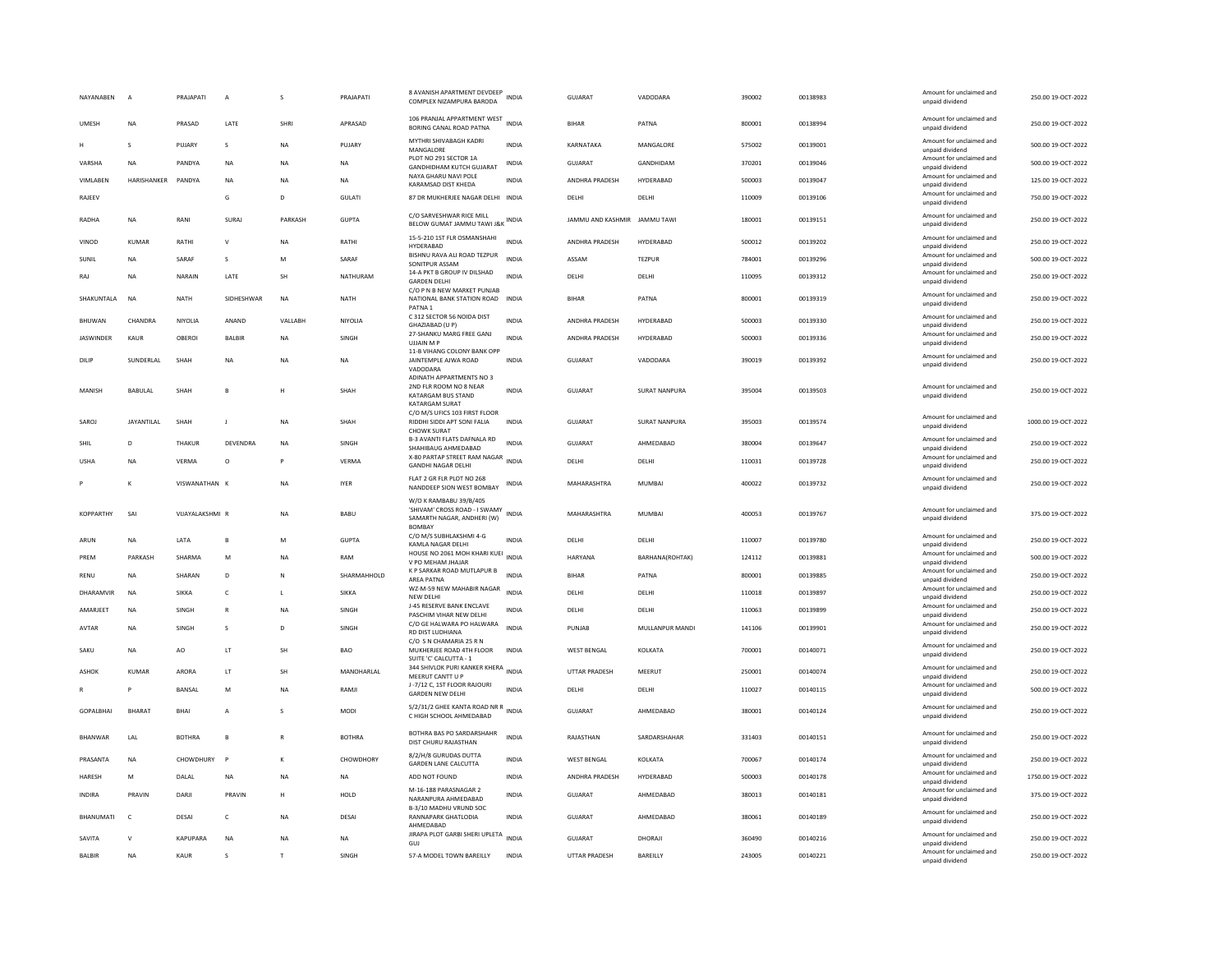| NAYANABEN        | $\overline{A}$    | PRAJAPATI       | A               | s            | PRAJAPATI          | 8 AVANISH APARTMENT DEVDEEP<br>COMPLEX NIZAMPURA BARODA               | <b>INDIA</b> | GUJARAT            | VADODARA             | 390002 | 00138983 | Amount for unclaimed and<br>unpaid dividend | 250.00 19-OCT-2022  |
|------------------|-------------------|-----------------|-----------------|--------------|--------------------|-----------------------------------------------------------------------|--------------|--------------------|----------------------|--------|----------|---------------------------------------------|---------------------|
| <b>UMESH</b>     | <b>NA</b>         | PRASAD          | LATE            | SHRI         | APRASAD            | 106 PRANJAL APPARTMENT WEST<br>BORING CANAL ROAD PATNA                | <b>INDIA</b> | <b>BIHAR</b>       | PATNA                | 800001 | 00138994 | Amount for unclaimed and<br>unpaid dividend | 250.00 19-OCT-2022  |
| н                | $\mathbf{s}$      | PUJARY          | s               | <b>NA</b>    | PUJARY             | MYTHRI SHIVABAGH KADRI<br>MANGALORE                                   | <b>INDIA</b> | KARNATAKA          | MANGALORE            | 575002 | 00139001 | Amount for unclaimed and<br>unpaid dividend | 500.00 19-OCT-2022  |
| VARSHA           | <b>NA</b>         | PANDYA          | <b>NA</b>       | <b>NA</b>    | <b>NA</b>          | PLOT NO 291 SECTOR 1A<br>GANDHIDHAM KUTCH GUJARAT                     | <b>INDIA</b> | GUJARAT            | GANDHIDAM            | 370201 | 00139046 | Amount for unclaimed and<br>unpaid dividend | 500.00 19-OCT-2022  |
| VIMLABEN         | HARISHANKER       | PANDYA          | <b>NA</b>       | <b>NA</b>    | <b>NA</b>          | NAYA GHARU NAVI POLE<br>KARAMSAD DIST KHEDA                           | <b>INDIA</b> | ANDHRA PRADESH     | HYDERABAD            | 500003 | 00139047 | Amount for unclaimed and<br>unpaid dividend | 125.00 19-OCT-2022  |
| RAJEEV           |                   |                 | G               | D            | GULATI             | 87 DR MUKHERJEE NAGAR DELHI INDIA                                     |              | DELHI              | DELHI                | 110009 | 00139106 | Amount for unclaimed and<br>unpaid dividend | 750.00 19-OCT-2022  |
| RADHA            | <b>NA</b>         | RANI            | <b>SURA</b>     | PARKASH      | <b>GUPTA</b>       | C/O SARVESHWAR RICE MILL<br>BELOW GUMAT JAMMU TAWI J&K INDIA          |              | JAMMU AND KASHMIR  | <b>JAMMU TAWI</b>    | 180001 | 00139151 | Amount for unclaimed and<br>unpaid dividend | 250.00 19-OCT-2022  |
| VINOD            | KUMAR             | RATHI           | $\vee$          | <b>NA</b>    | RATHI              | 15-5-210 1ST FLR OSMANSHAHI<br>HYDERABAD                              | <b>INDIA</b> | ANDHRA PRADESH     | HYDERABAD            | 500012 | 00139202 | Amount for unclaimed and<br>unpaid dividend | 250.00 19-OCT-2022  |
| SUNIL            | <b>NA</b>         | SARAF           | s               | M            | SARAF              | BISHNU RAVA ALI ROAD TEZPUR<br>SONITPUR ASSAM                         | <b>INDIA</b> | ASSAM              | <b>TEZPUR</b>        | 784001 | 00139296 | Amount for unclaimed and<br>unpaid dividend | 500.00 19-OCT-2022  |
| RAJ              | <b>NA</b>         | NARAIN          | LATE            | <b>SH</b>    | NATHURAM           | 14-A PKT B GROUP IV DILSHAD                                           | <b>INDIA</b> | DELHI              | DELHI                | 110095 | 00139312 | Amount for unclaimed and                    | 250.00 19-OCT-2022  |
|                  |                   |                 |                 |              |                    | <b>GARDEN DELHI</b><br>C/O P N B NEW MARKET PUNJAB                    |              |                    |                      |        |          | unpaid dividend<br>Amount for unclaimed and |                     |
| SHAKUNTALA       | <b>NA</b>         | <b>NATH</b>     | SIDHESHWAR      | <b>NA</b>    | NATH               | NATIONAL BANK STATION ROAD<br>PATNA 1                                 | <b>INDIA</b> | <b>BIHAR</b>       | PATNA                | 800001 | 00139319 | unpaid dividend                             | 250.00 19-OCT-2022  |
| BHUWAN           | CHANDRA           | NIYOLIA         | ANAND           | VALLABH      | NIYOLIA            | C 312 SECTOR 56 NOIDA DIST<br>GHAZIABAD (U P)                         | <b>INDIA</b> | ANDHRA PRADESH     | HYDERABAD            | 500003 | 00139330 | Amount for unclaimed and<br>unpaid dividend | 250.00 19-OCT-2022  |
| <b>JASWINDER</b> | KAUR              | OBEROI          | BALBIR          | <b>NA</b>    | SINGH              | 27-SHANKU MARG FREE GANJ<br><b>UJJAIN MF</b>                          | <b>INDIA</b> | ANDHRA PRADESH     | HYDERABAD            | 500003 | 00139336 | Amount for unclaimed and<br>unpaid dividend | 250.00 19-OCT-2022  |
| DILIP            | SUNDERLAL         | SHAH            | <b>NA</b>       | <b>NA</b>    | <b>NA</b>          | 11-B VIHANG COLONY BANK OPF<br>JAINTEMPLE AJWA ROAD                   | <b>INDIA</b> | GUJARAT            | VADODARA             | 390019 | 00139392 | Amount for unclaimed and                    | 250.00 19-OCT-2022  |
|                  |                   |                 |                 |              |                    | VADODARA<br>ADINATH APPARTMENTS NO 3                                  |              |                    |                      |        |          | unpaid dividend                             |                     |
| MANISH           | BABULAL           | SHAH            | B               |              | SHAH               | 2ND FLR ROOM NO 8 NEAR<br>KATARGAM BUS STAND<br><b>KATARGAM SURAT</b> | <b>INDIA</b> | <b>GUJARAT</b>     | <b>SURAT NANPURA</b> | 395004 | 00139503 | Amount for unclaimed and<br>unpaid dividend | 250.00 19-OCT-2022  |
| SAROJ            | <b>JAYANTILAL</b> | SHAH            |                 | <b>NA</b>    | SHAH               | C/O M/S UFICS 103 FIRST FLOOR<br>RIDDHI SIDDI APT SONI FALIA          | <b>INDIA</b> | <b>GUJARAT</b>     | <b>SURAT NANPURA</b> | 395003 | 00139574 | Amount for unclaimed and<br>unpaid dividend | 1000.00 19-OCT-2022 |
| SHIL             | D                 | <b>THAKUR</b>   | <b>DEVENDRA</b> | <b>NA</b>    | SINGH              | <b>CHOWK SURAT</b><br>B-3 AVANTI FLATS DAFNALA RD                     | <b>INDIA</b> | <b>GUJARAT</b>     | AHMEDABAD            | 380004 | 00139647 | Amount for unclaimed and                    | 250.00 19-OCT-2022  |
|                  |                   |                 |                 |              |                    | SHAHIBAUG AHMEDABAD<br>X-80 PARTAP STREET RAM NAGAR                   | <b>INDIA</b> |                    |                      |        |          | unpaid dividend<br>Amount for unclaimed and |                     |
| <b>USHA</b>      | <b>NA</b>         | VERMA           | $\circ$         |              | <b>VERMA</b>       | <b>GANDHI NAGAR DELHI</b>                                             |              | DELHI              | DELHI                | 110031 | 00139728 | unpaid dividend                             | 250.00 19-OCT-2022  |
|                  | K                 | VISWANATHAN K   |                 | <b>NA</b>    | <b>IYER</b>        | FLAT 2 GR FLR PLOT NO 268<br>NANDDEEP SION WEST BOMBAY                | <b>INDIA</b> | MAHARASHTRA        | MUMBAI               | 400022 | 00139732 | Amount for unclaimed and<br>unpaid dividend | 250.00 19-OCT-2022  |
|                  |                   |                 |                 |              |                    | W/O K RAMBABU 39/B/405<br>'SHIVAM' CROSS ROAD - I SWAMY               |              |                    |                      |        |          | Amount for unclaimed and                    |                     |
| <b>KOPPARTHY</b> | SAI               | VIIAYALAKSHML R |                 | <b>NA</b>    | <b>BABU</b>        | SAMARTH NAGAR, ANDHERI (W)<br><b>BOMBAY</b>                           | <b>INDIA</b> | MAHARASHTRA        | MUMBAI               | 400053 | 00139767 | unpaid dividend                             | 375.00.19-OCT-2022  |
| ARUN             | <b>NA</b>         | LATA            | $\mathbf{B}$    | M            | <b>GUPTA</b>       | C/O M/S SUBHLAKSHMI 4-G                                               | <b>INDIA</b> | DELHI              | DELHI                | 110007 | 00139780 | Amount for unclaimed and                    | 250.00 19-OCT-2022  |
| PREM             | PARKASH           | SHARMA          | M               | <b>NA</b>    | RAM                | KAMLA NAGAR DELHI<br>HOUSE NO 2061 MOH KHARI KUEI                     | <b>INDIA</b> | HARYANA            | BARHANA(ROHTAK)      | 124112 | 00139881 | unpaid dividend<br>Amount for unclaimed and | 500.00 19-OCT-2022  |
| RENU             | <b>NA</b>         | SHARAN          | D               | N            | SHARMAHHOLD        | V PO MEHAM JHAJAR<br>K P SARKAR ROAD MUTLAPUR B                       | INDIA        | <b>BIHAR</b>       | PATNA                | 800001 | 00139885 | unpaid dividend<br>Amount for unclaimed and | 250.00 19-OCT-2022  |
| DHARAMVIR        | <b>NA</b>         | SIKKA           | c               | $\mathbf{L}$ | SIKKA              | AREA PATNA<br>WZ-M-59 NEW MAHABIR NAGAR                               | <b>INDIA</b> | DELHI              | DELHI                | 110018 | 00139897 | unpaid dividend<br>Amount for unclaimed and | 250.00 19-OCT-2022  |
| AMARJEET         | <b>NA</b>         | SINGH           | $\mathbb{R}$    | <b>NA</b>    | SINGH              | NEW DELHI<br>J-45 RESERVE BANK ENCLAVE                                | <b>INDIA</b> | DELHI              | <b>DELHI</b>         | 110063 | 00139899 | unpaid dividend<br>Amount for unclaimed and | 250.00 19-OCT-2022  |
| AVTAR            | <b>NA</b>         | SINGH           | s               | D            | SINGH              | PASCHIM VIHAR NEW DELHI<br>C/O GE HALWARA PO HALWARA                  | <b>INDIA</b> | PUNJAB             | MULLANPUR MANDI      | 141106 | 00139901 | unpaid dividend<br>Amount for unclaimed and | 250.00 19-OCT-2022  |
|                  |                   |                 |                 |              |                    | RD DIST LUDHIANA<br>C/O S N CHAMARIA 25 R N                           |              |                    |                      |        |          | unpaid dividend                             |                     |
| SAKU             | <b>NA</b>         | AO              | LT              | SH           | <b>BAO</b>         | MUKHERJEE ROAD 4TH FLOOR<br>SUITE 'C' CALCUTTA - 1                    | INDIA        | <b>WEST BENGAL</b> | KOLKATA              | 700001 | 00140071 | Amount for unclaimed and<br>unpaid dividend | 250.00 19-OCT-2022  |
| ASHOK            | <b>KUMAR</b>      | <b>ARORA</b>    | LT.             | <b>SH</b>    | MANOHARLAL         | 344 SHIVLOK PURI KANKER KHERA<br>MEERUT CANTT U P                     | <b>INDIA</b> | UTTAR PRADESH      | MEERUT               | 250001 | 00140074 | Amount for unclaimed and<br>unpaid dividend | 250.00 19-OCT-2022  |
|                  | P                 | BANSAL          | M               | <b>NA</b>    | RAMJI              | J-7/12 C. 1ST FLOOR RAJOURI<br><b>GARDEN NEW DELHI</b>                | <b>INDIA</b> | DELHI              | DELHI                | 110027 | 00140115 | Amount for unclaimed and<br>unpaid dividend | 500.00 19-OCT-2022  |
| <b>GOPALBHAI</b> | BHARAT            | <b>BHAI</b>     | A               | s            | <b>MODI</b>        | S/2/31/2 GHEE KANTA ROAD NR R<br>INDIA                                |              | GUJARAT            | AHMEDABAD            | 380001 | 00140124 | Amount for unclaimed and                    | 250.00 19-OCT-2022  |
|                  |                   |                 |                 |              |                    | C HIGH SCHOOL AHMEDABAD                                               |              |                    |                      |        |          | unpaid dividend                             |                     |
| <b>BHANWAR</b>   | I AI              | <b>BOTHRA</b>   | $\mathbf{B}$    | $\mathbb{R}$ | <b>BOTHRA</b>      | BOTHRA BAS PO SARDARSHAHR<br>DIST CHURU RAJASTHAN                     | <b>INDIA</b> | RAIASTHAN          | SARDARSHAHAR         | 331403 | 00140151 | Amount for unclaimed and<br>unpaid dividend | 250.00.19-OCT-2022  |
| PRASANTA         | <b>NA</b>         | CHOWDHURY       | $\overline{P}$  |              | CHOWDHORY          | 8/2/H/8 GURUDAS DUTTA<br><b>GARDEN LANE CALCUTTA</b>                  | <b>INDIA</b> | <b>WEST BENGAL</b> | KOLKATA              | 700067 | 00140174 | Amount for unclaimed and<br>unpaid dividend | 250.00 19-OCT-2022  |
| HARESH           | M                 | DALAL           | NA              | <b>NA</b>    | NA                 | ADD NOT FOUND                                                         | <b>INDIA</b> | ANDHRA PRADESH     | HYDERABAD            | 500003 | 00140178 | Amount for unclaimed and<br>unpaid dividend | 1750.00 19-OCT-2022 |
| <b>INDIRA</b>    | PRAVIN            | DARII           | PRAVIN          | H            | HOI D              | M-16-188 PARASNAGAR 2<br>NARANPURA AHMEDABAD                          | <b>INDIA</b> | GUIARAT            | AHMEDARAD            | 380013 | 00140181 | Amount for unclaimed and<br>unpaid dividend | 375.00 19-OCT-2022  |
| <b>BHANUMATI</b> | $\mathsf{C}$      | DESAI           | $\mathsf{C}$    | <b>NA</b>    | DESAI              | B-3/10 MADHU VRUND SOC<br>RANNAPARK GHATLODIA                         | <b>INDIA</b> | <b>GUJARAT</b>     | AHMEDABAD            | 380061 | 00140189 | Amount for unclaimed and                    | 250.00 19-OCT-2022  |
|                  | $\mathsf{v}$      | <b>KAPUPARA</b> |                 |              |                    | AHMEDABAD<br>JIRAPA PLOT GARBI SHERI UPLETA                           | <b>INDIA</b> | GUJARAT            | DHORAJI              | 360490 | 00140216 | unpaid dividend<br>Amount for unclaimed and | 250.00 19-OCT-2022  |
| SAVITA           |                   |                 | <b>NA</b>       | <b>NA</b>    | <b>NA</b><br>SINGH | GUJ<br>57-A MODEL TOWN BAREILLY                                       | <b>INDIA</b> | UTTAR PRADESH      | BAREILLY             | 243005 | 00140221 | unpaid dividend<br>Amount for unclaimed and | 250.00 19-OCT-2022  |
| <b>BALBIR</b>    | <b>NA</b>         | KAUR            | s               |              |                    |                                                                       |              |                    |                      |        |          |                                             |                     |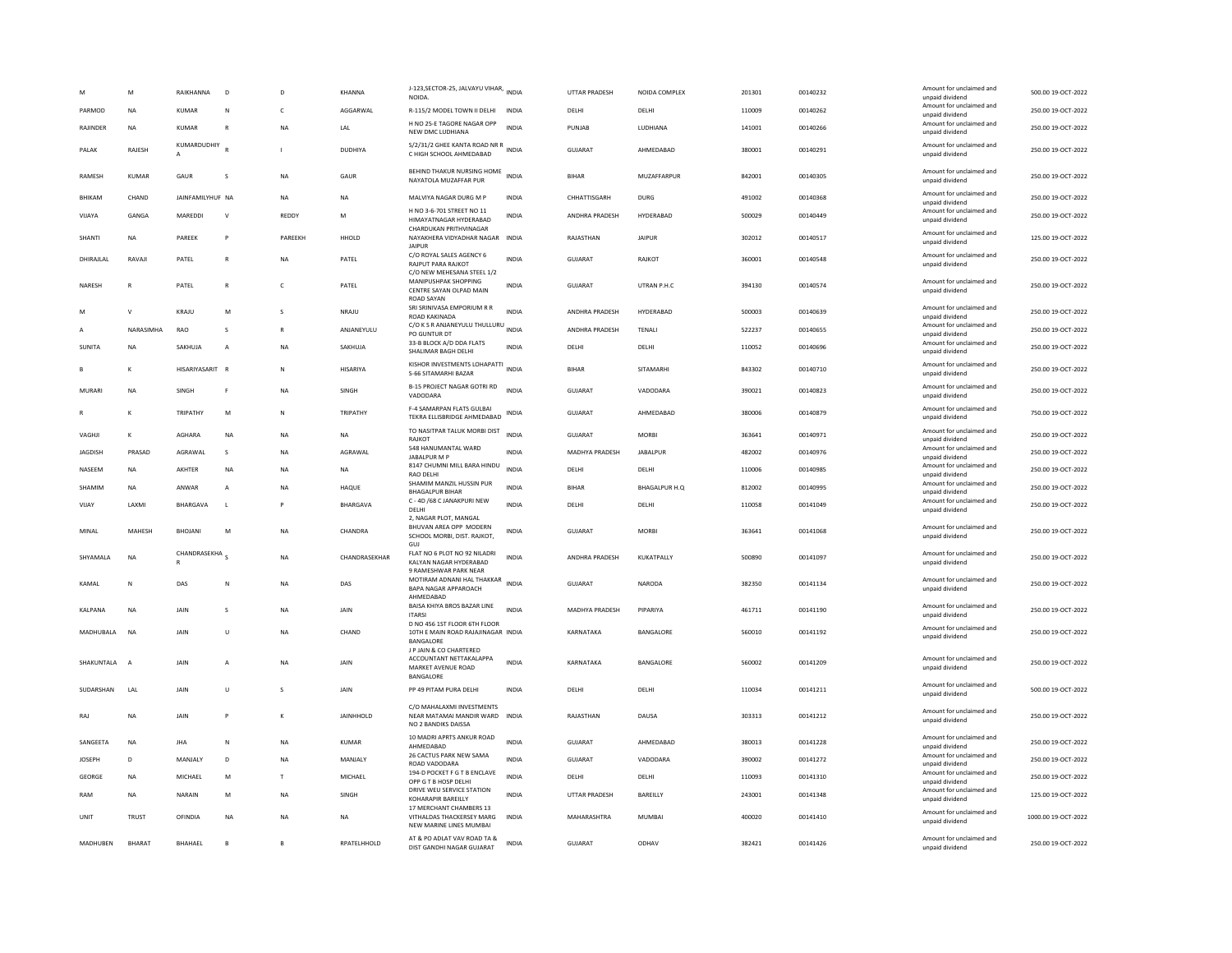|                | M              | RAIKHANNA                 | D              | D            | KHANNA           | J-123, SECTOR-25, JALVAYU VIHAR, INDIA<br><b>NOIDA</b>                              |              | UTTAR PRADESH         | NOIDA COMPLEX        | 201301 | 00140232 | Amount for unclaimed and<br>unpaid dividend | 500.00 19-OCT-2022  |
|----------------|----------------|---------------------------|----------------|--------------|------------------|-------------------------------------------------------------------------------------|--------------|-----------------------|----------------------|--------|----------|---------------------------------------------|---------------------|
| PARMOD         | <b>NA</b>      | <b>KUMAR</b>              | N              | c            | AGGARWAL         | R-115/2 MODEL TOWN II DELHI                                                         | <b>INDIA</b> | DELHI                 | DELHI                | 110009 | 00140262 | Amount for unclaimed and<br>unpaid dividend | 250.00 19-OCT-2022  |
| RAJINDER       | <b>NA</b>      | KUMAR                     | $\overline{R}$ | <b>NA</b>    | LAL              | H NO 25-E TAGORE NAGAR OPP<br>NEW DMC LUDHIANA                                      | <b>INDIA</b> | PUNJAB                | LUDHIANA             | 141001 | 00140266 | Amount for unclaimed and<br>unpaid dividend | 250.00 19-OCT-2022  |
| PAIAK          | RAIFSH         | KUMARDUDHIY               |                |              | <b>DUDHIYA</b>   | S/2/31/2 GHEE KANTA ROAD NR R<br>INDIA<br>C HIGH SCHOOL AHMEDABAD                   |              | GUIARAT               | AHMEDARAD            | 380001 | 00140291 | Amount for unclaimed and<br>unpaid dividend | 250.00.19-OCT-2022  |
| RAMESH         | <b>KUMAR</b>   | GAUR                      | s              | <b>NA</b>    | GAUR             | BEHIND THAKUR NURSING HOME<br>NAYATOLA MUZAFFAR PUR                                 | <b>INDIA</b> | <b>BIHAR</b>          | MUZAFFARPUR          | 842001 | 00140305 | Amount for unclaimed and<br>unpaid dividend | 250.00 19-OCT-2022  |
| BHIKAM         | CHAND          | JAINFAMILYHUF NA          |                | <b>NA</b>    | <b>NA</b>        | MALVIYA NAGAR DURG M P                                                              | INDIA        | CHHATTISGARH          | DURG                 | 491002 | 00140368 | Amount for unclaimed and<br>unpaid dividend | 250.00 19-OCT-2022  |
| VIJAYA         | GANGA          | MAREDDI                   | V              | REDDY        | M                | H NO 3-6-701 STREET NO 11<br>HIMAYATNAGAR HYDERABAD                                 | INDIA        | ANDHRA PRADESH        | HYDERABAD            | 500029 | 00140449 | Amount for unclaimed and<br>unpaid dividend | 250.00 19-OCT-2022  |
| SHANTI         | <b>NA</b>      | PARFFK                    | P              | PARFFKH      | HHOLD            | CHARDUKAN PRITHVINAGAR<br>NAYAKHERA VIDYADHAR NAGAR<br>JAIPUR                       | <b>INDIA</b> | RAIASTHAN             | <b>JAIPUR</b>        | 302012 | 00140517 | Amount for unclaimed and<br>unpaid dividend | 125.00.19-OCT-2022  |
| DHIRAJLAL      | RAVAJI         | PATEL                     | $\overline{R}$ | <b>NA</b>    | PATEL            | C/O ROYAL SALES AGENCY 6<br>RAJPUT PARA RAJKOT<br>C/O NEW MEHESANA STEEL 1/2        | <b>INDIA</b> | GUJARAT               | RAJKOT               | 360001 | 00140548 | Amount for unclaimed and<br>unpaid dividend | 250.00 19-OCT-2022  |
| NARESH         | R              | PATEL                     | $\mathbb{R}$   | $\mathsf{C}$ | PATEL            | MANIPUSHPAK SHOPPING<br>CENTRE SAYAN OLPAD MAIN<br><b>ROAD SAYAN</b>                | <b>INDIA</b> | GUJARAT               | UTRAN P.H.C          | 394130 | 00140574 | Amount for unclaimed and<br>unpaid dividend | 250.00 19-OCT-2022  |
| M              | $\mathbf{v}$   | KRAJU                     | M              | $\mathbf{S}$ | NRAJU            | SRI SRINIVASA EMPORIUM R R<br><b>ROAD KAKINADA</b>                                  | <b>INDIA</b> | ANDHRA PRADESH        | HYDERABAD            | 500003 | 00140639 | Amount for unclaimed and<br>unpaid dividend | 250.00 19-OCT-2022  |
| $\mathsf{A}$   | NARASIMHA      | <b>RAO</b>                | s              | $\mathbb{R}$ | ANJANEYULU       | C/O K S R ANJANEYULU THULLURU<br>PO GUNTUR DT                                       | <b>INDIA</b> | ANDHRA PRADESH        | <b>TENALI</b>        | 522237 | 00140655 | Amount for unclaimed and<br>unpaid dividend | 250.00 19-OCT-2022  |
| SUNITA         | <b>NA</b>      | SAKHUJA                   | A              | NA           | SAKHUJA          | 33-B BLOCK A/D DDA FLATS<br>SHALIMAR BAGH DELHI                                     | <b>INDIA</b> | DELHI                 | DELHI                | 110052 | 00140696 | Amount for unclaimed and<br>unpaid dividend | 250.00 19-OCT-2022  |
|                | K              | HISARIYASARIT R           |                | $\mathbb{N}$ | HISARIYA         | KISHOR INVESTMENTS LOHAPATTI INDIA<br>S-66 SITAMARHI BAZAR                          |              | BIHAR                 | SITAMARHI            | 843302 | 00140710 | Amount for unclaimed and<br>unpaid dividend | 250.00 19-OCT-2022  |
| MURARI         | <b>NA</b>      | SINGH                     | F              | <b>NA</b>    | SINGH            | <b>B-15 PROJECT NAGAR GOTRI RD</b><br>VADODARA                                      | <b>INDIA</b> | <b>GUJARAT</b>        | VADODARA             | 390021 | 00140823 | Amount for unclaimed and<br>unpaid dividend | 250.00 19-OCT-2022  |
|                | K              | TRIPATHY                  | M              | $\mathbb{N}$ | TRIPATHY         | F-4 SAMARPAN FLATS GULBAI<br>TEKRA ELLISBRIDGE AHMEDABAD                            | INDIA        | GUJARAT               | AHMEDABAD            | 380006 | 00140879 | Amount for unclaimed and<br>unpaid dividend | 750.00 19-OCT-2022  |
| VAGHJI         | K              | <b>AGHARA</b>             | <b>NA</b>      | <b>NA</b>    | <b>NA</b>        | TO NASITPAR TALUK MORBI DIST<br>RAJKOT                                              | INDIA        | GUJARAT               | <b>MORBI</b>         | 363641 | 00140971 | Amount for unclaimed and<br>unpaid dividend | 250.00 19-OCT-2022  |
| <b>JAGDISH</b> | PRASAD         | AGRAWAL                   | s              | <b>NA</b>    | AGRAWAL          | 548 HANUMANTAL WARD<br>JABALPUR M P                                                 | <b>INDIA</b> | MADHYA PRADESH        | <b>JABALPUR</b>      | 482002 | 00140976 | Amount for unclaimed and<br>unpaid dividend | 250.00 19-OCT-2022  |
| NASEEM         | <b>NA</b>      | AKHTER                    | $_{\sf NA}$    | <b>NA</b>    | NA               | 8147 CHUMNI MILL BARA HINDU<br>RAO DELHI                                            | <b>INDIA</b> | DELHI                 | DELHI                | 110006 | 00140985 | Amount for unclaimed and<br>unpaid dividend | 250.00 19-OCT-2022  |
| SHAMIM         | NA             | ANWAR                     | А              | <b>NA</b>    | HAQUE            | SHAMIM MANZIL HUSSIN PUR<br><b>BHAGALPUR BIHAR</b>                                  | INDIA        | <b>BIHAR</b>          | <b>BHAGALPUR H.Q</b> | 812002 | 00140995 | Amount for unclaimed and<br>unpaid dividend | 250.00 19-OCT-2022  |
| VIJAY          | LAXMI          | <b>BHARGAVA</b>           | L.             | P            | BHARGAVA         | C - 4D /68 C JANAKPURI NEW<br>DELHI                                                 | <b>INDIA</b> | DELHI                 | DELHI                | 110058 | 00141049 | Amount for unclaimed and<br>unpaid dividend | 250.00 19-OCT-2022  |
| MINAL          | MAHESH         | BHOJANI                   | M              | <b>NA</b>    | CHANDRA          | 2. NAGAR PLOT, MANGAL<br>BHUVAN AREA OPP MODERN<br>SCHOOL MORBI, DIST. RAJKOT,      | <b>INDIA</b> | GUJARAT               | <b>MORBI</b>         | 363641 | 00141068 | Amount for unclaimed and<br>unpaid dividend | 250.00 19-OCT-2022  |
| SHYAMALA       | NA             | CHANDRASEKHA <sub>S</sub> |                | <b>NA</b>    | CHANDRASEKHAR    | <b>GUJ</b><br>FLAT NO 6 PLOT NO 92 NILADRI<br>KALYAN NAGAR HYDERABAD                | <b>INDIA</b> | ANDHRA PRADESH        | KUKATPALLY           | 500890 | 00141097 | Amount for unclaimed and<br>unpaid dividend | 250.00 19-OCT-2022  |
| KAMAL          | N              | DAS                       | N              | <b>NA</b>    | DAS              | 9 RAMESHWAR PARK NEAR<br>MOTIRAM ADNANI HAL THAKKAR INDIA<br>BAPA NAGAR APPAROACH   |              | GUJARAT               | <b>NARODA</b>        | 382350 | 00141134 | Amount for unclaimed and<br>unpaid dividend | 250.00 19-OCT-2022  |
| <b>KALPANA</b> | <b>NA</b>      | <b>JAIN</b>               | s              | <b>NA</b>    | <b>JAIN</b>      | AHMEDABAD<br>BAISA KHIYA BROS BAZAR LINE                                            | <b>INDIA</b> | <b>MADHYA PRADESH</b> | PIPARIYA             | 461711 | 00141190 | Amount for unclaimed and                    | 250.00 19-OCT-2022  |
| MADHUBALA      | <b>NA</b>      | JAIN                      |                | <b>NA</b>    | CHAND            | <b>ITARSI</b><br>D NO 456 1ST FLOOR 6TH FLOOR<br>10TH E MAIN ROAD RAJAJINAGAR INDIA |              | KARNATAKA             | BANGALORE            | 560010 | 00141192 | unpaid dividend<br>Amount for unclaimed and | 250.00 19-OCT-2022  |
|                |                |                           | U              |              |                  | BANGALORE<br>J P JAIN & CO CHARTERED                                                |              |                       |                      |        |          | unpaid dividend                             |                     |
| SHAKUNTALA     | $\overline{A}$ | JAIN                      | A              | <b>NA</b>    | JAIN             | ACCOUNTANT NETTAKALAPPA<br>MARKET AVENUE ROAD<br>BANGALORE                          | <b>INDIA</b> | KARNATAKA             | BANGALORE            | 560002 | 00141209 | Amount for unclaimed and<br>unpaid dividend | 250.00 19-OCT-2022  |
| SUDARSHAN      | <b>IAI</b>     | <b>JAIN</b>               | $\mathbf{U}$   | $\mathbf{S}$ | <b>JAIN</b>      | PP 49 PITAM PURA DELHI                                                              | <b>INDIA</b> | <b>DELHI</b>          | <b>DELHI</b>         | 110034 | 00141211 | Amount for unclaimed and<br>unpaid dividend | 500.00 19-OCT-2022  |
| RAJ            | NA             | <b>JAIN</b>               | P              | к            | <b>JAINHHOLD</b> | C/O MAHALAXMI INVESTMENTS<br>NEAR MATAMAI MANDIR WARD<br>NO 2 BANDIKS DAISSA        | <b>INDIA</b> | RAJASTHAN             | DAUSA                | 303313 | 00141212 | Amount for unclaimed and<br>unpaid dividend | 250.00 19-OCT-2022  |
| SANGEETA       | NA             | <b>JHA</b>                | ${\sf N}$      | <b>NA</b>    | <b>KUMAR</b>     | 10 MADRI APRTS ANKUR ROAD<br>AHMEDABAD                                              | INDIA        | GUJARAT               | AHMEDABAD            | 380013 | 00141228 | Amount for unclaimed and<br>unpaid dividend | 250.00 19-OCT-2022  |
| <b>JOSEPH</b>  | D              | MANJALY                   | D              | NA           | MANJALY          | 26 CACTUS PARK NEW SAMA<br>ROAD VADODARA                                            | <b>INDIA</b> | <b>GUJARAT</b>        | VADODARA             | 390002 | 00141272 | Amount for unclaimed and<br>unpaid dividend | 250.00 19-OCT-2022  |
| <b>GEORGE</b>  | <b>NA</b>      | MICHAEL                   | M              | T            | MICHAEL          | 194-D POCKET F G T B ENCLAVE<br>OPP G T B HOSP DELHI                                | <b>INDIA</b> | DELHI                 | <b>DELHI</b>         | 110093 | 00141310 | Amount for unclaimed and<br>unpaid dividend | 250.00 19-OCT-2022  |
| RAM            | <b>NA</b>      | NARAIN                    | M              | <b>NA</b>    | SINGH            | DRIVE WEU SERVICE STATION<br>KOHARAPIR BAREILLY                                     | <b>INDIA</b> | UTTAR PRADESH         | BAREILLY             | 243001 | 00141348 | Amount for unclaimed and<br>unpaid dividend | 125.00 19-OCT-2022  |
| UNIT           | <b>TRUST</b>   | OFINDIA                   | <b>NA</b>      | <b>NA</b>    | <b>NA</b>        | 17 MERCHANT CHAMBERS 13<br>VITHALDAS THACKERSEY MARG<br>NEW MARINE LINES MUMBAI     | <b>INDIA</b> | MAHARASHTRA           | <b>MUMBAI</b>        | 400020 | 00141410 | Amount for unclaimed and<br>unpaid dividend | 1000.00 19-OCT-2022 |
| MADHUBEN       | <b>BHARAT</b>  | <b>BHAHAEL</b>            | $\overline{B}$ | <b>B</b>     | RPATELHHOLD      | AT & PO ADLAT VAV ROAD TA &<br>DIST GANDHI NAGAR GUJARAT                            | <b>INDIA</b> | GUJARAT               | ODHAV                | 382421 | 00141426 | Amount for unclaimed and<br>unpaid dividend | 250.00 19-OCT-2022  |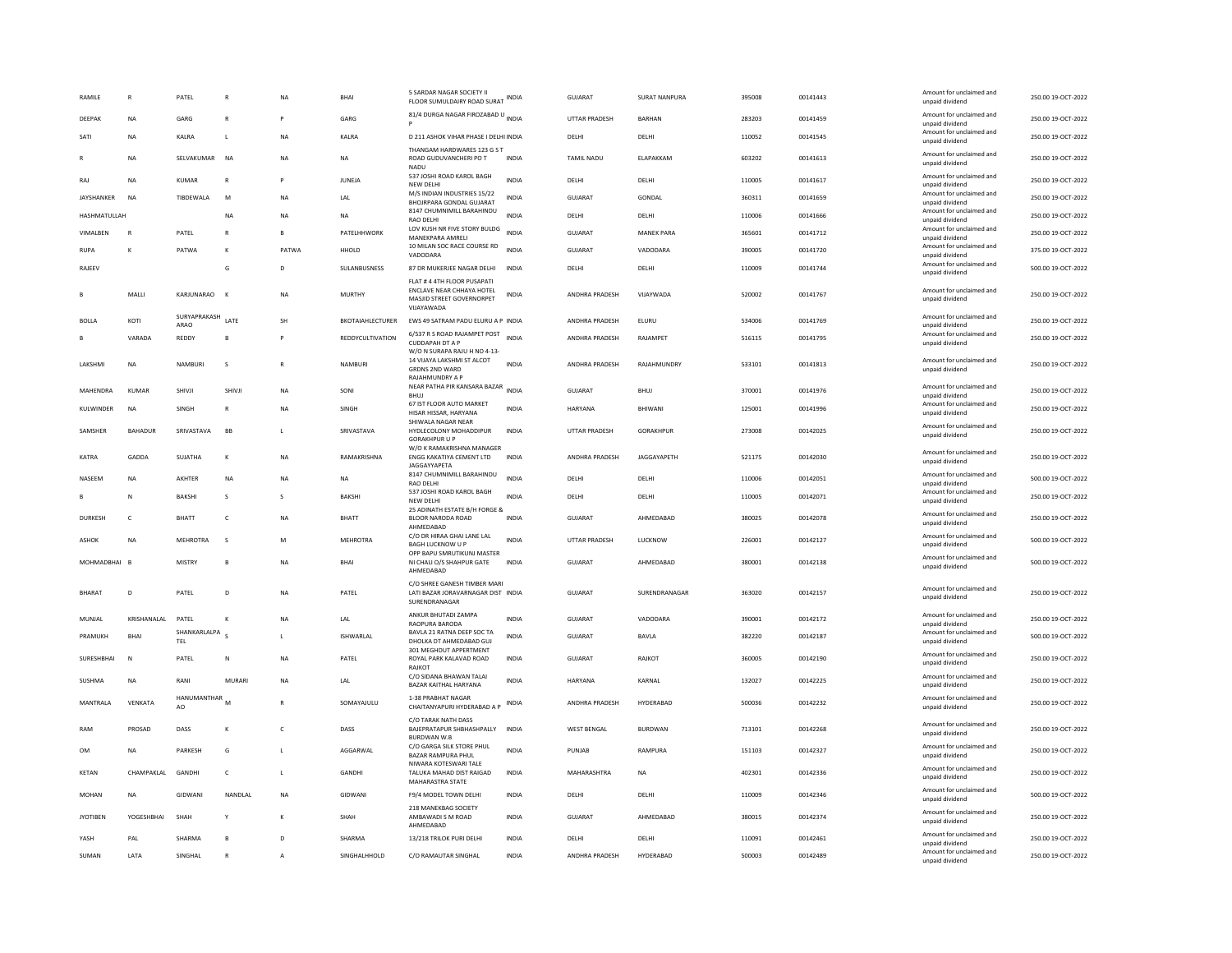| RAMILE          | R              | PATEL                            |               | <b>NA</b>      | BHA                         | 5 SARDAR NAGAR SOCIETY II<br>FLOOR SUMULDAIRY ROAD SURAT                                                      | INDIA        | <b>GUJARAT</b>       | <b>SURAT NANPURA</b> | 395008 | 00141443 | Amount for unclaimed and<br>unpaid dividend | 250.00 19-OCT-2022 |
|-----------------|----------------|----------------------------------|---------------|----------------|-----------------------------|---------------------------------------------------------------------------------------------------------------|--------------|----------------------|----------------------|--------|----------|---------------------------------------------|--------------------|
| DEEPAK          | <b>NA</b>      | GARG                             | $\mathbb{R}$  |                | GARG                        | 81/4 DURGA NAGAR FIROZABAD U INDIA                                                                            |              | <b>UTTAR PRADESH</b> | <b>BARHAN</b>        | 283203 | 00141459 | Amount for unclaimed and<br>unpaid dividend | 250.00 19-OCT-2022 |
| SATI            | <b>NA</b>      | KALRA                            | L             | <b>NA</b>      | KALRA                       | D 211 ASHOK VIHAR PHASE I DELHI INDIA                                                                         |              | DELHI                | DELHI                | 110052 | 00141545 | Amount for unclaimed and<br>unpaid dividend | 250.00 19-OCT-2022 |
|                 | NA             | SELVAKUMAR                       | <b>NA</b>     | NA             | NA                          | THANGAM HARDWARES 123 G S T<br>ROAD GUDUVANCHERI PO T<br><b>NADU</b>                                          | INDIA        | TAMIL NADU           | ELAPAKKAM            | 603202 | 00141613 | Amount for unclaimed and<br>unpaid dividend | 250.00 19-OCT-2022 |
| RAJ             | NA             | KUMAR                            | $\mathbb{R}$  |                | JUNEJA                      | 537 JOSHI ROAD KAROL BAGH<br>NEW DELH                                                                         | <b>INDIA</b> | DELHI                | DELHI                | 110005 | 00141617 | Amount for unclaimed and<br>unpaid dividend | 250.00 19-OCT-2022 |
| JAYSHANKER      | NA             | TIBDEWALA                        | M             | NA             | LAL                         | M/S INDIAN INDUSTRIES 15/22<br>BHOJRPARA GONDAL GUJARAT                                                       | INDIA        | <b>GUJARAT</b>       | GONDAL               | 360311 | 00141659 | Amount for unclaimed and<br>unpaid dividend | 250.00 19-OCT-2022 |
| HASHMATULLAH    |                |                                  | <b>NA</b>     | NA             | NA                          | 8147 CHUMNIMILL BARAHINDU<br><b>RAO DELHI</b>                                                                 | <b>INDIA</b> | DELHI                | DELHI                | 110006 | 00141666 | Amount for unclaimed and<br>unpaid dividend | 250.00 19-OCT-2022 |
| VIMALBEN        | $\mathbb{R}$   | PATEL                            | $\mathbb{R}$  | $\overline{B}$ | PATELHHWORK                 | LOV KUSH NR FIVE STORY BULDG<br>MANEKPARA AMRELI                                                              | <b>INDIA</b> | <b>GUJARAT</b>       | <b>MANEK PARA</b>    | 365601 | 00141712 | Amount for unclaimed and<br>unpaid dividend | 250.00 19-OCT-2022 |
| <b>RUPA</b>     | K              | PATWA                            | к             | PATWA          | HHOLD                       | 10 MILAN SOC RACE COURSE RD<br>VADODARA                                                                       | <b>INDIA</b> | <b>GUJARAT</b>       | VADODARA             | 390005 | 00141720 | Amount for unclaimed and<br>unpaid dividend | 375.00 19-OCT-2022 |
| RAJEEV          |                |                                  | G             | D              | SULANBUSNESS                | 87 DR MUKERJEE NAGAR DELHI                                                                                    | <b>INDIA</b> | DELHI                | DELHI                | 110009 | 00141744 | Amount for unclaimed and<br>unpaid dividend | 500.00 19-OCT-2022 |
|                 | MALLI          | KARJUNARAO                       |               | NA             | <b>MURTHY</b>               | FLAT # 4 4TH FLOOR PUSAPATI<br>ENCLAVE NEAR CHHAYA HOTEL<br>MASJID STREET GOVERNORPET<br>VUAYAWADA            | <b>INDIA</b> | ANDHRA PRADESH       | VIJAYWADA            | 520002 | 00141767 | Amount for unclaimed and<br>unpaid dividend | 250.00 19-OCT-2022 |
| <b>BOLLA</b>    | KOTI           | SURYAPRAKASH<br>ARAO             | LATE          | SH             | <b>BKOTAIAHLECTURER</b>     | EWS 49 SATRAM PADU ELURU A P INDIA                                                                            |              | ANDHRA PRADESH       | ELURU                | 534006 | 00141769 | Amount for unclaimed and<br>unpaid dividend | 250.00 19-OCT-2022 |
|                 | VARADA         | <b>REDDY</b>                     |               |                | <b>REDDYCULTIVATION</b>     | 6/537 R S ROAD RAJAMPET POST<br><b>CUDDAPAH DT A P</b>                                                        | <b>INDIA</b> | ANDHRA PRADESH       | RAJAMPET             | 516115 | 00141795 | Amount for unclaimed and<br>unpaid dividend | 250.00 19-OCT-2022 |
| LAKSHMI         | NA             | NAMBURI                          | s             | $\mathbb{R}$   | NAMBURI                     | W/O N SURAPA RAJU H NO 4-13-<br>14 VIJAYA LAKSHMI ST ALCOT<br><b>GRDNS 2ND WARD</b><br><b>RAJAHMUNDRY A P</b> | <b>INDIA</b> | ANDHRA PRADESH       | RAJAHMUNDRY          | 533101 | 00141813 | Amount for unclaimed and<br>unpaid dividend | 250.00 19-OCT-2022 |
| MAHENDRA        | KUMAR          | SHIVJI                           | SHIVJ         | NA             | SONI                        | NEAR PATHA PIR KANSARA BAZAR<br><b>BHUJ</b>                                                                   | <b>INDIA</b> | GUJARAT              | <b>BHUJ</b>          | 370001 | 00141976 | Amount for unclaimed and<br>unpaid dividend | 250.00 19-OCT-2022 |
| KULWINDER       | NA             | SINGH                            |               | NA             | SINGH                       | 67 IST FLOOR AUTO MARKET<br>HISAR HISSAR, HARYANA                                                             | INDIA        | HARYANA              | BHIWANI              | 125001 | 00141996 | Amount for unclaimed and<br>unpaid dividend | 250.00 19-OCT-2022 |
| <b>SAMSHER</b>  | <b>BAHADUR</b> | SRIVASTAVA                       | <b>BB</b>     | $\mathbf{L}$   | SRIVASTAVA                  | SHIWALA NAGAR NEAR<br>HYDLECOLONY MOHADDIPUR<br><b>GORAKHPUR U P</b>                                          | <b>INDIA</b> | <b>UTTAR PRADESH</b> | <b>GORAKHPUR</b>     | 273008 | 00142025 | Amount for unclaimed and<br>unpaid dividend | 250.00 19-OCT-2022 |
| <b>KATRA</b>    | GADDA          | SUIATHA                          | $\kappa$      | <b>NA</b>      | RAMAKRISHNA                 | W/O K RAMAKRISHNA MANAGER<br>ENGG KAKATIYA CEMENT LTD<br>JAGGAYYAPETA                                         | <b>INDIA</b> | ANDHRA PRADESH       | JAGGAYAPETH          | 521175 | 00142030 | Amount for unclaimed and<br>unpaid dividend | 250.00 19-OCT-2022 |
| NASEEM          | <b>NA</b>      | AKHTER                           | <b>NA</b>     | <b>NA</b>      | NA                          | 8147 CHUMNIMILL BARAHINDU<br>RAO DELHI                                                                        | <b>INDIA</b> | DELHI                | DELHI                | 110006 | 00142051 | Amount for unclaimed and<br>unpaid dividend | 500.00 19-OCT-2022 |
|                 | N              | BAKSHI                           | s             | s              | <b>BAKSHI</b>               | 537 JOSHI ROAD KAROL BAGH<br>NEW DELHI                                                                        | <b>INDIA</b> | DELHI                | DELHI                | 110005 | 00142071 | Amount for unclaimed and<br>unpaid dividend | 250.00 19-OCT-2022 |
| DURKESH         | c              | BHATT                            | $\mathsf{C}$  | <b>NA</b>      | <b>BHATT</b>                | 25 ADINATH ESTATE B/H FORGE &<br>BLOOR NARODA ROAD<br>AHMEDABAD                                               | INDIA        | <b>GUJARAT</b>       | AHMEDABAD            | 380025 | 00142078 | Amount for unclaimed and<br>unpaid dividend | 250.00 19-OCT-2022 |
| ASHOK           | NA             | <b>MEHROTRA</b>                  | s             | M              | <b>MEHROTRA</b>             | C/O DR HIRAA GHAI LANE LAL<br><b>BAGH LUCKNOW U P</b><br>OPP BAPU SMRUTIKUNJ MASTER                           | <b>INDIA</b> | UTTAR PRADESH        | LUCKNOW              | 226001 | 00142127 | Amount for unclaimed and<br>unpaid dividend | 500.00 19-OCT-2022 |
| MOHMADBHAI      | B              | MISTRY                           | B             | NA             | BHA                         | NI CHALI O/S SHAHPUR GATE<br>AHMEDABAD                                                                        | <b>INDIA</b> | GUJARAT              | AHMEDABAD            | 380001 | 00142138 | Amount for unclaimed and<br>unpaid dividend | 500.00 19-OCT-2022 |
| BHARAT          | D              | PATEL                            | D             | <b>NA</b>      | PATEL                       | C/O SHREE GANESH TIMBER MARI<br>LATI BAZAR JORAVARNAGAR DIST INDIA<br>SURENDRANAGAR                           |              | GUJARAT              | SURENDRANAGAR        | 363020 | 00142157 | Amount for unclaimed and<br>unpaid dividend | 250.00 19-OCT-2022 |
| MUNJAL          | KRISHANALAL    | PATEL                            |               | NA             | LAL                         | ANKUR BHUTADI ZAMPA<br>RAOPURA BARODA                                                                         | INDIA        | GUJARAT              | VADODARA             | 390001 | 00142172 | Amount for unclaimed and<br>unpaid dividend | 250.00 19-OCT-2022 |
| PRAMUKH         | <b>BHAI</b>    | SHANKARLALPA <sub>S</sub><br>TEL |               | $\mathbf{L}$   | ISHWARLAL                   | BAVLA 21 RATNA DEEP SOC TA<br>DHOLKA DT AHMEDARAD GUL                                                         | INDIA        | GUJARAT              | BAVLA                | 382220 | 00142187 | Amount for unclaimed and<br>unpaid dividend | 500.00 19-OCT-2022 |
| SURESHBHAI      | N              | PATEL                            | N             | NA             | PATEL                       | 301 MEGHDUT APPERTMENT<br>ROYAL PARK KALAVAD ROAD<br>RAJKOT                                                   | <b>INDIA</b> | GUJARAT              | RAJKOT               | 360005 | 00142190 | Amount for unclaimed and<br>unpaid dividend | 250.00 19-OCT-2022 |
| SUSHMA          | <b>NA</b>      | RANI                             | <b>MURARI</b> | <b>NA</b>      | $\ensuremath{\mathsf{LAL}}$ | C/O SIDANA BHAWAN TALAI<br>BAZAR KAITHAL HARYANA                                                              | <b>INDIA</b> | HARYANA              | KARNAL               | 132027 | 00142225 | Amount for unclaimed and<br>unpaid dividend | 250.00 19-OCT-2022 |
| MANTRALA        | VENKATA        | HANUMANTHAR<br>AO                | M             |                | SOMAYAJULU                  | 1-38 PRARHAT NAGAR<br>CHAITANYAPURI HYDERABAD A P                                                             | INDIA        | ANDHRA PRADESH       | HYDERABAD            | 500036 | 00142232 | Amount for unclaimed and<br>unpaid dividend | 250.00 19-OCT-2022 |
| RAM             | PROSAD         | DASS                             | K             | c              | DASS                        | C/O TARAK NATH DASS<br>BAJEPRATAPUR SHBHASHPALLY<br><b>BURDWAN W.B</b>                                        | <b>INDIA</b> | <b>WEST BENGAL</b>   | <b>BURDWAN</b>       | 713101 | 00142268 | Amount for unclaimed and<br>unpaid dividend | 250.00 19-OCT-2022 |
| OM              | <b>NA</b>      | PARKESH                          | G             | L.             | AGGARWAL                    | C/O GARGA SILK STORE PHUL<br><b>BAZAR RAMPURA PHUL</b><br>NIWARA KOTESWARI TALE                               | <b>INDIA</b> | PUNJAB               | <b>RAMPURA</b>       | 151103 | 00142327 | Amount for unclaimed and<br>unpaid dividend | 250.00 19-OCT-2022 |
| <b>KETAN</b>    | CHAMPAKLAL     | GANDHI                           | $\mathsf{C}$  | L.             | GANDHI                      | TALUKA MAHAD DIST RAIGAD<br>MAHARASTRA STATE                                                                  | <b>INDIA</b> | MAHARASHTRA          | <b>NA</b>            | 402301 | 00142336 | Amount for unclaimed and<br>unpaid dividend | 250.00 19-OCT-2022 |
| MOHAN           | <b>NA</b>      | GIDWANI                          | NANDI AI      | <b>NA</b>      | GIDWANI                     | F9/4 MODEL TOWN DELHI                                                                                         | <b>INDIA</b> | DFI HI               | DELHI                | 110009 | 00142346 | Amount for unclaimed and<br>unpaid dividend | 500.00 19-OCT-2022 |
| <b>JYOTIBEN</b> | YOGESHBHAI     | SHAH                             |               |                | SHAH                        | 218 MANEKBAG SOCIETY<br>AMBAWADI S M ROAD<br>AHMEDABAD                                                        | <b>INDIA</b> | <b>GUJARAT</b>       | AHMEDABAD            | 380015 | 00142374 | Amount for unclaimed and<br>unpaid dividend | 250.00 19-OCT-2022 |
| YASH            | PAL            | SHARMA                           | <b>B</b>      | D              | SHARMA                      | 13/218 TRILOK PURI DELHI                                                                                      | <b>INDIA</b> | DELHI                | DELHI                | 110091 | 00142461 | Amount for unclaimed and<br>unpaid dividend | 250.00 19-OCT-2022 |
| SUMAN           | LATA           | SINGHAL                          |               | A              | SINGHALHHOLD                | C/O RAMAUTAR SINGHAL                                                                                          | <b>INDIA</b> | ANDHRA PRADESH       | HYDERABAD            | 500003 | 00142489 | Amount for unclaimed and<br>unpaid dividend | 250.00 19-OCT-2022 |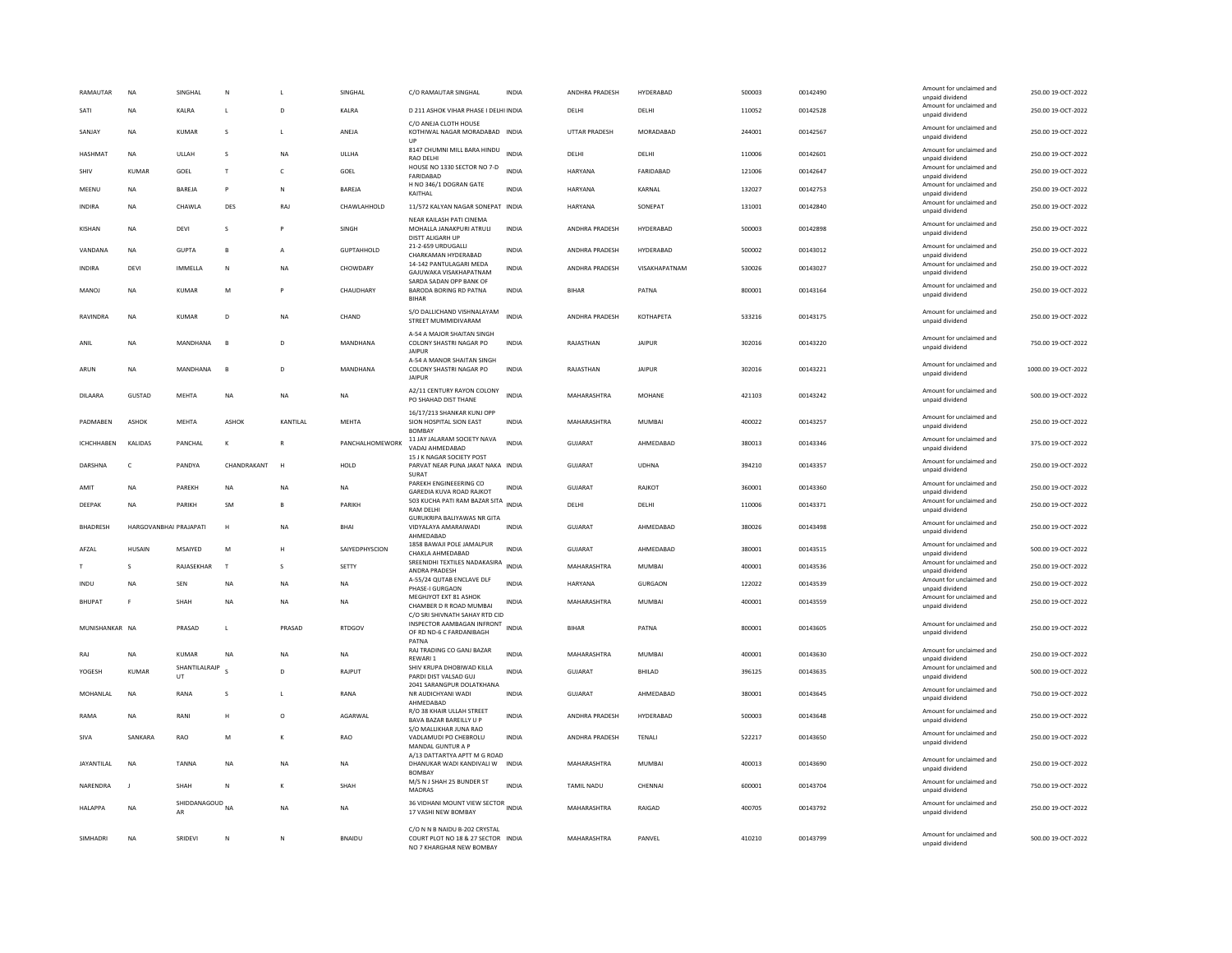| RAMAUTAR          | <b>NA</b>              | SINGHAL                          | N            |                | <b>SINGHAI</b>    | C/O RAMAUTAR SINGHAL                                                                            | <b>INDIA</b> | ANDHRA PRADESH        | HYDERABAD        | 500003 | 00142490 | Amount for unclaimed and<br>unpaid dividend                    | 250.00 19-OCT-2022  |
|-------------------|------------------------|----------------------------------|--------------|----------------|-------------------|-------------------------------------------------------------------------------------------------|--------------|-----------------------|------------------|--------|----------|----------------------------------------------------------------|---------------------|
| SATI              | <b>NA</b>              | KALRA                            | L            | D              | KALRA             | D 211 ASHOK VIHAR PHASE I DELHI INDIA                                                           |              | DELHI                 | DELHI            | 110052 | 00142528 | Amount for unclaimed and<br>unpaid dividend                    | 250.00 19-OCT-2022  |
| SANJAY            | <b>NA</b>              | <b>KUMAR</b>                     | s            |                | ANEJA             | C/O ANEJA CLOTH HOUSE<br>KOTHIWAL NAGAR MORADABAD INDIA<br>UP                                   |              | <b>UTTAR PRADESH</b>  | MORADABAD        | 244001 | 00142567 | Amount for unclaimed and<br>unpaid dividend                    | 250.00 19-OCT-2022  |
| <b>HASHMAT</b>    | <b>NA</b>              | ULLAH                            | <b>S</b>     | <b>NA</b>      | ULLHA             | 8147 CHUMNI MILL BARA HINDU<br><b>RAO DELHI</b>                                                 | <b>INDIA</b> | <b>DELHI</b>          | DELHI            | 110006 | 00142601 | Amount for unclaimed and<br>unpaid dividend                    | 250.00 19-OCT-2022  |
| SHIV              | <b>KUMAR</b>           | GOEL                             | T            | $\mathsf{C}$   | GOEL              | HOUSE NO 1330 SECTOR NO 7-D<br>FARIDABAD                                                        | <b>INDIA</b> | <b>HARYANA</b>        | FARIDABAD        | 121006 | 00142647 | Amount for unclaimed and<br>unpaid dividend                    | 250.00 19-OCT-2022  |
| MEENU             | <b>NA</b>              | BAREJA                           | p            | N              | BAREJA            | H NO 346/1 DOGRAN GATE<br>KAITHAL                                                               | INDIA        | HARYANA               | KARNAL           | 132027 | 00142753 | Amount for unclaimed and<br>unpaid dividend                    | 250.00 19-OCT-2022  |
| INDIRA            | <b>NA</b>              | CHAWLA                           | DES          | RAJ            | CHAWLAHHOLD       | 11/572 KALYAN NAGAR SONEPAT INDIA                                                               |              | <b>HARYANA</b>        | SONEPAT          | 131001 | 00142840 | Amount for unclaimed and<br>unpaid dividend                    | 250.00 19-OCT-2022  |
| KISHAN            | <b>NA</b>              | DEVI                             | s            |                | SINGH             | NEAR KAILASH PATI CINEMA<br>MOHALLA JANAKPURI ATRULI<br>DISTT ALIGARH UP                        | <b>INDIA</b> | ANDHRA PRADESH        | HYDERABAD        | 500003 | 00142898 | Amount for unclaimed and<br>unpaid dividend                    | 250.00 19-OCT-2022  |
| VANDANA           | <b>NA</b>              | <b>GUPTA</b>                     | R            | A              | <b>GUPTAHHOLD</b> | 21-2-659 URDUGALLI<br>CHARKAMAN HYDERABAD                                                       | <b>INDIA</b> | ANDHRA PRADESH        | HYDERARAD        | 500002 | 00143012 | Amount for unclaimed and<br>unpaid dividend                    | 250.00 19-OCT-2022  |
| <b>INDIRA</b>     | DEVI                   | <b>IMMELLA</b>                   | $\mathbb N$  | <b>NA</b>      | CHOWDARY          | 14-142 PANTULAGARI MEDA<br>GAJUWAKA VISAKHAPATNAM                                               | <b>INDIA</b> | ANDHRA PRADESH        | VISAKHAPATNAM    | 530026 | 00143027 | Amount for unclaimed and<br>unpaid dividend                    | 250.00 19-OCT-2022  |
| MANOJ             | ΝA                     | <b>KUMAR</b>                     | M            |                | CHAUDHARY         | SARDA SADAN OPP BANK OF<br>BARODA BORING RD PATNA<br><b>BIHAR</b>                               | <b>INDIA</b> | <b>BIHAR</b>          | PATNA            | 800001 | 00143164 | Amount for unclaimed and<br>unpaid dividend                    | 250.00 19-OCT-2022  |
| RAVINDRA          | <b>NA</b>              | <b>KUMAR</b>                     | D            | <b>NA</b>      | CHAND             | S/O DALLICHAND VISHNALAYAM<br>STREET MUMMIDIVARAM                                               | <b>INDIA</b> | ANDHRA PRADESH        | <b>КОТНАРЕТА</b> | 533216 | 00143175 | Amount for unclaimed and<br>unpaid dividend                    | 250.00 19-OCT-2022  |
| ANII              | <b>NA</b>              | MANDHANA                         | B            | D <sub>1</sub> | MANDHANA          | A-54 A MAJOR SHAITAN SINGH<br>COLONY SHASTRI NAGAR PO<br><b>JAIPUR</b>                          | <b>INDIA</b> | RAJASTHAN             | <b>JAIPUR</b>    | 302016 | 00143220 | Amount for unclaimed and<br>unpaid dividend                    | 750.00 19-OCT-2022  |
| ARUN              | <b>NA</b>              | MANDHANA                         | B            | D              | MANDHANA          | A-54 A MANOR SHAITAN SINGH<br>COLONY SHASTRI NAGAR PO<br><b>JAIPUR</b>                          | INDIA        | RAJASTHAN             | <b>JAIPUR</b>    | 302016 | 00143221 | Amount for unclaimed and<br>unpaid dividend                    | 1000.00 19-OCT-2022 |
| DILAARA           | GUSTAD                 | MEHTA                            | NA           | NA             | <b>NA</b>         | A2/11 CENTURY RAYON COLONY<br>PO SHAHAD DIST THANE                                              | <b>INDIA</b> | MAHARASHTRA           | MOHANE           | 421103 | 00143242 | Amount for unclaimed and<br>unpaid dividend                    | 500.00 19-OCT-2022  |
| PADMABEN          | <b>ASHOK</b>           | MEHTA                            | ASHOK        | KANTILAL       | <b>MEHTA</b>      | 16/17/213 SHANKAR KUNJ OPP<br>SION HOSPITAL SION EAST<br><b>BOMBA</b>                           | <b>INDIA</b> | MAHARASHTRA           | <b>MUMBAI</b>    | 400022 | 00143257 | Amount for unclaimed and<br>unpaid dividend                    | 250.00 19-OCT-2022  |
| ICHCHHABEN        | KALIDAS                | PANCHAL                          | K            |                | PANCHALHOMEWORK   | 11 JAY JALARAM SOCIETY NAVA<br>VADAJ AHMEDABAD                                                  | <b>INDIA</b> | GUJARAT               | AHMEDABAD        | 380013 | 00143346 | Amount for unclaimed and<br>unpaid dividend                    | 375.00 19-OCT-2022  |
| DARSHNA           | $\epsilon$             | PANDYA                           | CHANDRAKANT  | H              | HOLD              | 15 J K NAGAR SOCIETY POST<br>PARVAT NEAR PUNA JAKAT NAKA INDIA<br>SURAT                         |              | GUIARAT               | <b>UDHNA</b>     | 394210 | 00143357 | Amount for unclaimed and<br>unpaid dividend                    | 250.00 19-OCT-2022  |
| AMIT              | <b>NA</b>              | PAREKH                           | <b>NA</b>    | NA             | <b>NA</b>         | PAREKH ENGINEEERING CO<br>GAREDIA KUVA ROAD RAJKOT                                              | <b>INDIA</b> | GUJARAT               | RAJKOT           | 360001 | 00143360 | Amount for unclaimed and<br>unpaid dividend                    | 250.00 19-OCT-2022  |
| DEEPAK            | NA                     | PARIKH                           | SM           |                | PARIKH            | 503 KUCHA PATI RAM BAZAR SITA<br><b>RAM DELHI</b>                                               | <b>INDIA</b> | DELHI                 | DELHI            | 110006 | 00143371 | Amount for unclaimed and<br>unpaid dividend                    | 250.00 19-OCT-2022  |
| <b>BHADRESH</b>   | HARGOVANBHAI PRAJAPATI |                                  | н            | NA             | <b>BHAI</b>       | <b>GURUKRIPA BALIYAWAS NR GITA</b><br>VIDYALAYA AMARAIWADI<br>AHMEDABAD                         | <b>INDIA</b> | <b>GUJARAT</b>        | AHMEDABAD        | 380026 | 00143498 | Amount for unclaimed and<br>unpaid dividend                    | 250.00 19-OCT-2022  |
| AFZAL             | <b>HUSAIN</b>          | MSAIYED                          | M            | H              | SAIYEDPHYSCION    | 1858 BAWAJI POLE JAMALPUR<br>CHAKLA AHMEDABAD                                                   | <b>INDIA</b> | GUJARAT               | AHMEDABAD        | 380001 | 00143515 | Amount for unclaimed and<br>unpaid dividend                    | 500.00 19-OCT-2022  |
|                   |                        | RAJASEKHAR                       | $\mathbf{r}$ | s              | SETTY             | SREENIDHI TEXTILES NADAKASIRA<br>ANDRA PRADESH                                                  | <b>INDIA</b> | MAHARASHTRA           | <b>MUMBAI</b>    | 400001 | 00143536 | Amount for unclaimed and<br>unpaid dividend                    | 250.00 19-OCT-2022  |
| INDU              | NΑ                     | SEN                              | NA           | <b>NA</b>      | NA                | A-55/24 QUTAB ENCLAVE DLF<br>PHASE-I GURGAON                                                    | INDIA        | HARYANA               | <b>GURGAON</b>   | 122022 | 00143539 | Amount for unclaimed and<br>unpaid dividend                    | 250.00 19-OCT-2022  |
| <b>BHUPAT</b>     | F.                     | SHAH                             | NA           | <b>NA</b>      | NA                | MEGHJYOT EXT 81 ASHOK<br>CHAMBER D R ROAD MUMBAI                                                | <b>INDIA</b> | MAHARASHTRA           | MUMBAI           | 400001 | 00143559 | Amount for unclaimed and<br>unpaid dividend                    | 250.00 19-OCT-2022  |
| MUNISHANKAR NA    |                        | PRASAD                           | L            | PRASAD         | <b>RTDGOV</b>     | C/O SRI SHIVNATH SAHAY RTD CID<br>INSPECTOR AAMBAGAN INFRONT<br>OF RD ND-6 C FARDANIBAGH        | <b>INDIA</b> | <b>BIHAR</b>          | PATNA            | 800001 | 00143605 | Amount for unclaimed and<br>unpaid dividend                    | 250.00 19-OCT-2022  |
| RAJ               | <b>NA</b>              | <b>KUMAR</b>                     | NA           | <b>NA</b>      | <b>NA</b>         | PATNA<br>RAJ TRADING CO GANJ BAZAR                                                              | <b>INDIA</b> | MAHARASHTRA           | MUMBAI           | 400001 | 00143630 | Amount for unclaimed and                                       | 250.00 19-OCT-2022  |
| YOGESH            | <b>KUMAR</b>           | SHANTILALRAJP<br>UT              |              | D              | RAJPUT            | REWARI 1<br>SHIV KRUPA DHOBIWAD KILLA<br>PARDI DIST VALSAD GUJ                                  | <b>INDIA</b> | <b>GUJARAT</b>        | BHILAD           | 396125 | 00143635 | unpaid dividend<br>Amount for unclaimed and<br>unpaid dividend | 500.00 19-OCT-2022  |
| MOHANLAL          | <b>NA</b>              | RANA                             | s            |                | RANA              | 2041 SARANGPUR DOLATKHANA<br>NR AUDICHYANI WADI<br>AHMEDABAD                                    | INDIA        | GUJARAT               | AHMEDABAD        | 380001 | 00143645 | Amount for unclaimed and<br>unpaid dividend                    | 750.00 19-OCT-2022  |
| RAMA              | <b>NA</b>              | RANI                             | H            | $\circ$        | AGARWAI           | R/O 38 KHAIR ULLAH STREET<br>BAVA BAZAR BAREILLY U P                                            | <b>INDIA</b> | <b>ANDHRA PRADESH</b> | HYDERABAD        | 500003 | 00143648 | Amount for unclaimed and<br>unpaid dividend                    | 250.00 19-OCT-2022  |
| SIVA              | SANKARA                | <b>RAO</b>                       | M            |                | <b>RAO</b>        | S/O MALLIKHAR JUNA RAO<br>VADLAMUDI PO CHEBROLU<br>MANDAL GUNTUR A P                            | <b>INDIA</b> | <b>ANDHRA PRADESH</b> | <b>TENALI</b>    | 522217 | 00143650 | Amount for unclaimed and<br>unpaid dividend                    | 250.00 19-OCT-2022  |
| <b>JAYANTILAI</b> | <b>NA</b>              | <b>TANNA</b>                     | <b>NA</b>    | <b>NA</b>      | <b>NA</b>         | A/13 DATTARTYA APTT M G ROAD<br>DHANUKAR WADI KANDIVALI W INDIA<br><b>BOMBA</b>                 |              | <b>MAHARASHTRA</b>    | MUMBAI           | 400013 | 00143690 | Amount for unclaimed and<br>unpaid dividend                    | 250.00.19-OCT-2022  |
| NARENDRA          |                        | <b>SHAH</b>                      | N            |                | SHAH              | M/S N J SHAH 25 BUNDER ST<br>MADRAS                                                             | INDIA        | <b>TAMIL NADU</b>     | CHENNAL          | 600001 | 00143704 | Amount for unclaimed and<br>unpaid dividend                    | 750.00 19-OCT-2022  |
| <b>HALAPPA</b>    | <b>NA</b>              | SHIDDANAGOUD <sub>NA</sub><br>AR |              | <b>NA</b>      | NA                | 36 VIDHANI MOUNT VIEW SECTOR INDIA<br>17 VASHI NEW BOMBAY                                       |              | MAHARASHTRA           | RAIGAD           | 400705 | 00143792 | Amount for unclaimed and<br>unpaid dividend                    | 250.00 19-OCT-2022  |
| SIMHADRI          | <b>NA</b>              | SRIDEVI                          | N            | N              | <b>BNAIDU</b>     | C/O N N B NAIDU B-202 CRYSTAL<br>COURT PLOT NO 18 & 27 SECTOR INDIA<br>NO 7 KHARGHAR NEW BOMBAY |              | MAHARASHTRA           | PANVEL           | 410210 | 00143799 | Amount for unclaimed and<br>unpaid dividend                    | 500.00 19-OCT-2022  |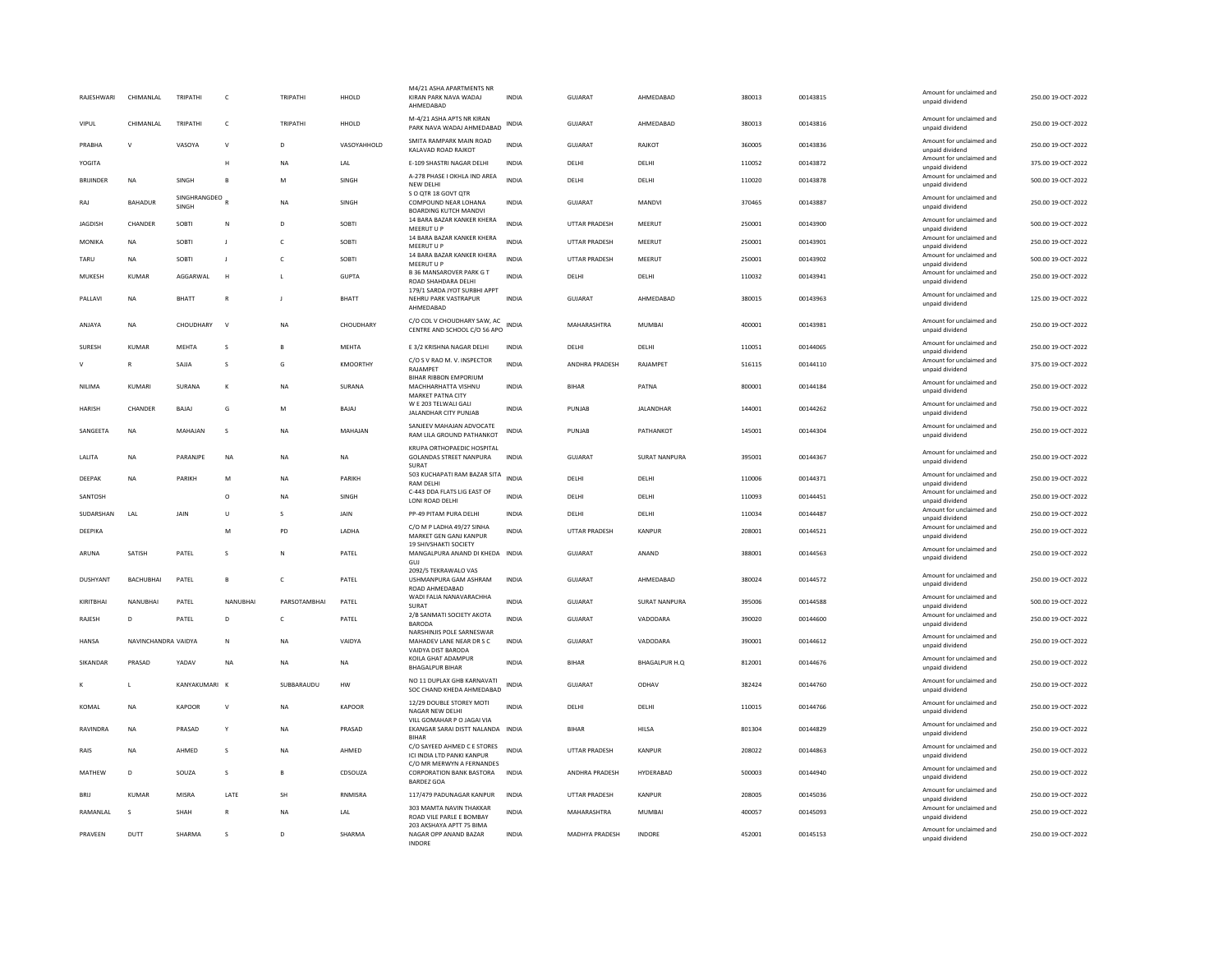| RAJESHWARI       | CHIMANLAL           | TRIPATHI              | C              | TRIPATHI     | HHOLD           | M4/21 ASHA APARTMENTS NR<br>KIRAN PARK NAVA WADAJ<br>AHMEDABAD                    | <b>INDIA</b> | GUJARAT               | AHMEDABAD            | 380013 | 00143815 | Amount for unclaimed and<br>unpaid dividend | 250.00 19-OCT-2022 |
|------------------|---------------------|-----------------------|----------------|--------------|-----------------|-----------------------------------------------------------------------------------|--------------|-----------------------|----------------------|--------|----------|---------------------------------------------|--------------------|
| VIPUL            | CHIMANI AI          | TRIPATHI              | $\epsilon$     | TRIPATHI     | HHOLD           | M-4/21 ASHA APTS NR KIRAN<br>PARK NAVA WADAJ AHMEDABAD                            | INDIA        | GUIARAT               | AHMEDABAD            | 380013 | 00143816 | Amount for unclaimed and<br>unpaid dividend | 250.00 19-OCT-2022 |
| PRABHA           | $\mathsf{v}$        | VASOYA                | V              | D            | VASOYAHHOLD     | SMITA RAMPARK MAIN ROAD<br>KALAVAD ROAD RAJKOT                                    | <b>INDIA</b> | <b>GUJARAT</b>        | RAJKOT               | 360005 | 00143836 | Amount for unclaimed and<br>unpaid dividend | 250.00 19-OCT-2022 |
| YOGITA           |                     |                       | H              | NA           | LAL             | E-109 SHASTRI NAGAR DELHI                                                         | <b>INDIA</b> | DELHI                 | DELHI                | 110052 | 00143872 | Amount for unclaimed and<br>unpaid dividend | 375.00 19-OCT-2022 |
| <b>BRIJINDER</b> | NA                  | SINGH                 | B              | M            | SINGH           | A-278 PHASE I OKHLA IND AREA<br>NEW DELHI                                         | <b>INDIA</b> | DELHI                 | DELHI                | 110020 | 00143878 | Amount for unclaimed and<br>unpaid dividend | 500.00 19-OCT-2022 |
| RAJ              | BAHADUR             | SINGHRANGDEO<br>SINGH |                | <b>NA</b>    | <b>SINGH</b>    | S O QTR 18 GOVT QTR<br>COMPOUND NEAR LOHANA<br><b>BOARDING KUTCH MANDV</b>        | <b>INDIA</b> | GUIARAT               | MANDVI               | 370465 | 00143887 | Amount for unclaimed and<br>unpaid dividend | 250.00 19-OCT-2022 |
| <b>JAGDISH</b>   | CHANDER             | SOBTI                 | N              | D            | <b>SOBTI</b>    | 14 BARA BAZAR KANKER KHERA<br>MEERUT U P                                          | <b>INDIA</b> | <b>UTTAR PRADESH</b>  | MEERUT               | 250001 | 00143900 | Amount for unclaimed and<br>unpaid dividend | 500.00 19-OCT-2022 |
| MONIKA           | <b>NA</b>           | SOBTI                 | -11            | $\mathsf{C}$ | SOBTI           | 14 BARA BAZAR KANKER KHERA<br>MEERUT U P                                          | <b>INDIA</b> | UTTAR PRADESH         | MEERUT               | 250001 | 00143901 | Amount for unclaimed and<br>unpaid dividend | 250.00 19-OCT-2022 |
| TARU             | <b>NA</b>           | SOBTI                 | $\mathbf{J}$   | $\mathsf{C}$ | SOBTI           | 14 BARA BAZAR KANKER KHERA<br>MEERUT U P                                          | <b>INDIA</b> | <b>UTTAR PRADESH</b>  | MEERUT               | 250001 | 00143902 | Amount for unclaimed and<br>unpaid dividend | 500.00 19-OCT-2022 |
| MUKESH           | <b>KUMAR</b>        | AGGARWAL              | $\overline{H}$ | L            | <b>GUPTA</b>    | <b>B 36 MANSAROVER PARK G T</b><br>ROAD SHAHDARA DELHI                            | INDIA        | DELHI                 | DELHI                | 110032 | 00143941 | Amount for unclaimed and<br>unpaid dividend | 250.00 19-OCT-2022 |
| PALLAVI          | <b>NA</b>           | <b>BHATT</b>          | $\mathbb{R}$   | $\mathbf{I}$ | <b>BHATT</b>    | 179/1 SARDA JYOT SURBHI APPT<br>NEHRU PARK VASTRAPUR<br>AHMFDARAD                 | <b>INDIA</b> | GUIARAT               | AHMFDARAD            | 380015 | 00143963 | Amount for unclaimed and<br>unpaid dividend | 125.00.19-OCT-2022 |
| ANJAYA           | <b>NA</b>           | CHOUDHARY             | $\mathbf{v}$   | NA           | CHOUDHARY       | C/O COL V CHOUDHARY SAW. AC<br>CENTRE AND SCHOOL C/O 56 APO                       | <b>INDIA</b> | MAHARASHTRA           | MUMBAI               | 400001 | 00143981 | Amount for unclaimed and<br>unpaid dividend | 250.00 19-OCT-2022 |
| SURESH           | KUMAR               | MEHTA                 | s              | B            | <b>MEHTA</b>    | E 3/2 KRISHNA NAGAR DELHI                                                         | <b>INDIA</b> | DELHI                 | DELHI                | 110051 | 00144065 | Amount for unclaimed and<br>unnaid dividend | 250.00 19-OCT-2022 |
| $\vee$           | $\mathbb{R}$        | SAIIA                 | s              | G            | <b>KMOORTHY</b> | C/O S V RAO M. V. INSPECTOR<br>RAJAMPET                                           | <b>INDIA</b> | <b>ANDHRA PRADESH</b> | RAIAMPFT             | 516115 | 00144110 | Amount for unclaimed and<br>unpaid dividend | 375.00 19-OCT-2022 |
| <b>NILIMA</b>    | KUMARI              | SURANA                | K              | <b>NA</b>    | SURANA          | BIHAR RIBBON EMPORIUM<br>MACHHARHATTA VISHNU<br>MARKET PATNA CITY                 | <b>INDIA</b> | <b>BIHAR</b>          | PATNA                | 800001 | 00144184 | Amount for unclaimed and<br>unpaid dividend | 250.00 19-OCT-2022 |
| <b>HARISH</b>    | CHANDER             | BAJAJ                 | G              | M            | BAJAJ           | W E 203 TELWALI GALI<br>JALANDHAR CITY PUNJAB                                     | <b>INDIA</b> | PUNJAB                | <b>JALANDHAR</b>     | 144001 | 00144262 | Amount for unclaimed and<br>unpaid dividend | 750.00 19-OCT-2022 |
| SANGEETA         | <b>NA</b>           | MAHAIAN               | s              | <b>NA</b>    | MAHAIAN         | SANJEEV MAHAJAN ADVOCATE<br>RAM LILA GROUND PATHANKOT                             | <b>INDIA</b> | PUNIAR                | PATHANKOT            | 145001 | 00144304 | Amount for unclaimed and<br>unpaid dividend | 250.00 19-OCT-2022 |
| LALITA           | <b>NA</b>           | PARANJPE              | NA             | NA           | <b>NA</b>       | KRUPA ORTHOPAEDIC HOSPITAL<br><b>GOLANDAS STREET NANPURA</b><br><b>SURAT</b>      | INDIA        | GUJARAT               | <b>SURAT NANPURA</b> | 395001 | 00144367 | Amount for unclaimed and<br>unpaid dividend | 250.00 19-OCT-2022 |
| DEEPAK           | <b>NA</b>           | PARIKH                | M              | <b>NA</b>    | PARIKH          | 503 KUCHAPATI RAM BAZAR SITA<br><b>RAM DELHI</b>                                  | <b>INDIA</b> | DELHI                 | DELHI                | 110006 | 00144371 | Amount for unclaimed and<br>unpaid dividend | 250.00 19-OCT-2022 |
| SANTOSH          |                     |                       | $\Omega$       | <b>NA</b>    | SINGH           | C-443 DDA FLATS LIG EAST OF<br>LONI ROAD DELHI                                    | <b>INDIA</b> | DELHI                 | DELHI                | 110093 | 00144451 | Amount for unclaimed and<br>unpaid dividend | 250.00 19-OCT-2022 |
| SUDARSHAN        | LAL                 | JAIN                  | Ù              | s            | JAIN            | PP-49 PITAM PURA DELHI                                                            | <b>INDIA</b> | DELHI                 | DELHI                | 110034 | 00144487 | Amount for unclaimed and<br>unpaid dividend | 250.00 19-OCT-2022 |
| DEEPIKA          |                     |                       | M              | PD           | LADHA           | C/O M P LADHA 49/27 SINHA<br>MARKET GEN GANJ KANPUR                               | <b>INDIA</b> | <b>UTTAR PRADESH</b>  | KANPUR               | 208001 | 00144521 | Amount for unclaimed and<br>unpaid dividend | 250.00 19-OCT-2022 |
| ARUNA            | SATISH              | PATEL                 | s              | N            | PATEL           | 19 SHIVSHAKTI SOCIETY<br>MANGALPURA ANAND DI KHEDA INDIA<br>GUI                   |              | <b>GUJARAT</b>        | ANAND                | 388001 | 00144563 | Amount for unclaimed and<br>unpaid dividend | 250.00 19-OCT-2022 |
| DUSHYANT         | BACHUBHAI           | PATEL                 | B              | $\mathsf{C}$ | PATEL           | 2092/5 TEKRAWALO VAS<br>USHMANPURA GAM ASHRAM<br>ROAD AHMEDABAD                   | <b>INDIA</b> | <b>GUJARAT</b>        | AHMEDABAD            | 380024 | 00144572 | Amount for unclaimed and<br>unpaid dividend | 250.00 19-OCT-2022 |
| KIRITBHAI        | NANUBHAI            | PATEL                 | NANUBHAI       | PARSOTAMBHAI | PATEL           | WADI FALIA NANAVARACHHA<br>SURAT                                                  | <b>INDIA</b> | GUJARAT               | <b>SURAT NANPURA</b> | 395006 | 00144588 | Amount for unclaimed and<br>unpaid dividend | 500.00 19-OCT-2022 |
| RAJESH           | D                   | PATEL                 | D              | c            | PATEL           | 2/B SANMATI SOCIETY AKOTA<br><b>BARODA</b>                                        | <b>INDIA</b> | GUJARAT               | VADODARA             | 390020 | 00144600 | Amount for unclaimed and<br>unpaid dividend | 250.00 19-OCT-2022 |
| <b>HANSA</b>     | NAVINCHANDRA VAIDYA |                       | N              | <b>NA</b>    | VAIDYA          | NARSHINJIS POLE SARNESWAR<br>MAHADEV LANE NEAR DR S C<br>VAIDYA DIST BARODA       | <b>INDIA</b> | <b>GUJARAT</b>        | VADODARA             | 390001 | 00144612 | Amount for unclaimed and<br>unpaid dividend | 250.00 19-OCT-2022 |
| SIKANDAR         | PRASAD              | YADAV                 | <b>NA</b>      | NA           | <b>NA</b>       | KOILA GHAT ADAMPUR<br><b>BHAGALPUR BIHAR</b>                                      | <b>INDIA</b> | <b>BIHAR</b>          | <b>BHAGALPUR H.Q</b> | 812001 | 00144676 | Amount for unclaimed and<br>unpaid dividend | 250.00 19-OCT-2022 |
|                  | $\mathbf{I}$        | KANYAKUMARI           | $\mathsf{K}$   | SUBBARAUDU   | ${\sf HW}$      | NO 11 DUPLAX GHB KARNAVATI<br>SOC CHAND KHEDA AHMEDABAD                           | <b>INDIA</b> | GUJARAT               | ODHAV                | 382424 | 00144760 | Amount for unclaimed and<br>unpaid dividend | 250.00 19-OCT-2022 |
| KOMAL            | <b>NA</b>           | <b>KAPOOR</b>         | $\mathsf{v}$   | <b>NA</b>    | <b>KAPOOR</b>   | 12/29 DOUBLE STOREY MOTI<br>NAGAR NEW DELHI                                       | <b>INDIA</b> | DELHI                 | DELHI                | 110015 | 00144766 | Amount for unclaimed and<br>unpaid dividend | 250.00 19-OCT-2022 |
| RAVINDRA         | <b>NA</b>           | PRASAD                | Y              | <b>NA</b>    | PRASAD          | VILL GOMAHAR P O JAGAI VIA<br>EKANGAR SARAI DISTT NALANDA INDIA<br><b>BIHAR</b>   |              | <b>BIHAR</b>          | <b>HILSA</b>         | 801304 | 00144829 | Amount for unclaimed and<br>unpaid dividend | 250.00 19-OCT-2022 |
| RAIS             | NA                  | AHMED                 | s              | NA           | AHMED           | C/O SAYEED AHMED C E STORES<br>ICI INDIA LTD PANKI KANPUR                         | <b>INDIA</b> | UTTAR PRADESH         | <b>KANPUR</b>        | 208022 | 00144863 | Amount for unclaimed and<br>unpaid dividend | 250.00 19-OCT-2022 |
| MATHEW           | D.                  | SOUZA                 | s              | $\mathbf{B}$ | CDSOUZA         | C/O MR MERWYN A FERNANDES<br><b>CORPORATION BANK BASTORA</b><br><b>BARDEZ GOA</b> | <b>INDIA</b> | ANDHRA PRADESH        | HYDERABAD            | 500003 | 00144940 | Amount for unclaimed and<br>unpaid dividend | 250.00 19-OCT-2022 |
| <b>BRIJ</b>      | <b>KUMAR</b>        | MISRA                 | LATE           | SH           | RNMISRA         | 117/479 PADUNAGAR KANPUR                                                          | <b>INDIA</b> | <b>UTTAR PRADESH</b>  | <b>KANPUR</b>        | 208005 | 00145036 | Amount for unclaimed and<br>unpaid dividend | 250.00 19-OCT-2022 |
| RAMANLAL         | s                   | SHAH                  | R              | <b>NA</b>    | LAL             | 303 MAMTA NAVIN THAKKAR<br>ROAD VILE PARLE E BOMBAY                               | <b>INDIA</b> | MAHARASHTRA           | <b>MUMBAI</b>        | 400057 | 00145093 | Amount for unclaimed and<br>unpaid dividend | 250.00 19-OCT-2022 |
| PRAVEEN          | DUTT                | SHARMA                | <b>S</b>       | D.           | SHARMA          | 203 AKSHAYA APTT 75 BIMA<br>NAGAR OPP ANAND BAZAR<br><b>INDORE</b>                | <b>INDIA</b> | MADHYA PRADESH        | <b>INDORE</b>        | 452001 | 00145153 | Amount for unclaimed and<br>unpaid dividend | 250.00 19-OCT-2022 |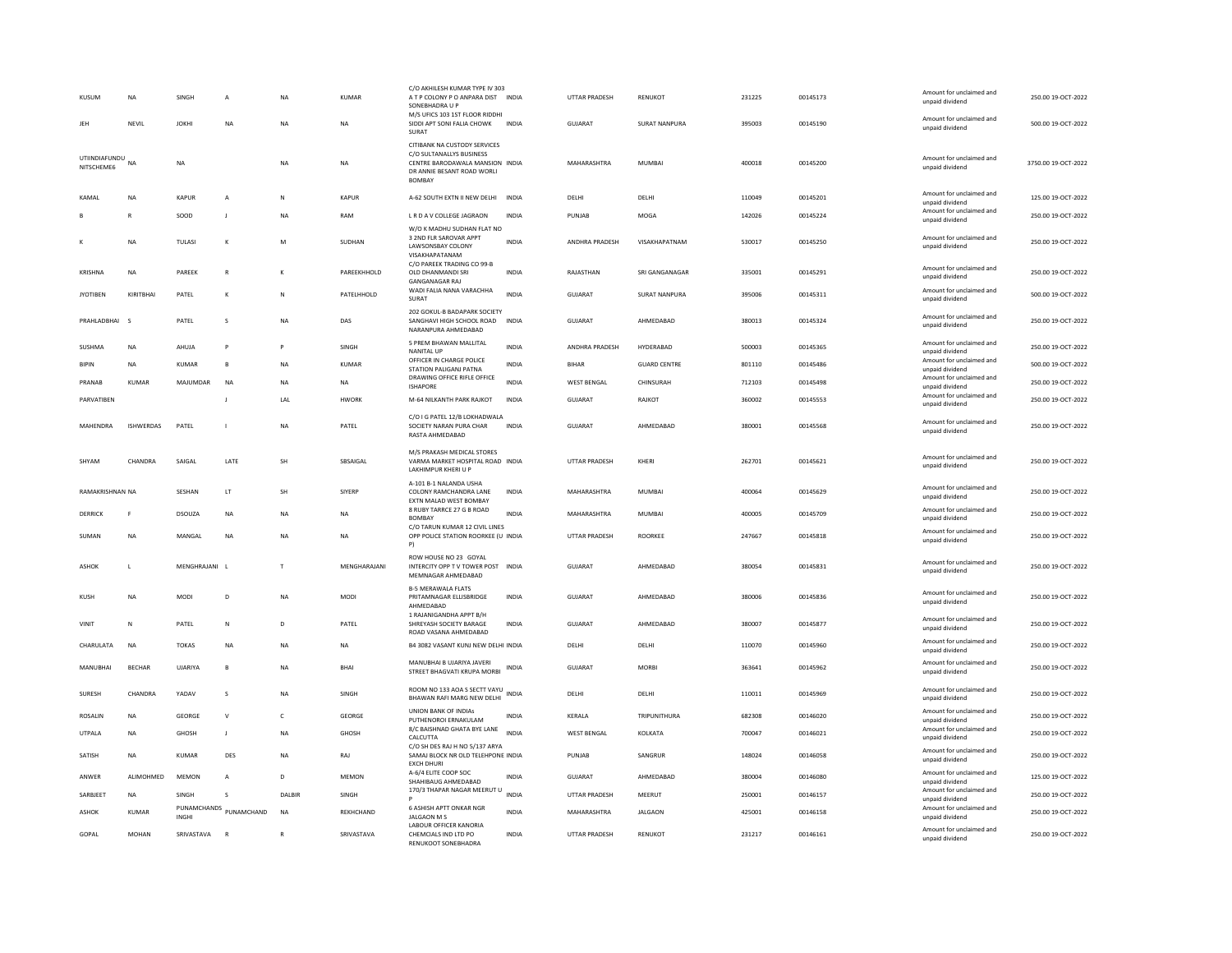|     | KUSUM                          | <b>NA</b>        | SINGH         | A                      | <b>NA</b>    | <b>KUMAR</b> | C/O AKHILESH KUMAR TYPE IV 303<br>A T P COLONY P O ANPARA DIST INDIA<br>SONEBHADRA U P<br>M/S UFICS 103 1ST FLOOR RIDDHI  |              | <b>UTTAR PRADESH</b>  | RENUKOT              | 231225 | 00145173 | Amount for unclaimed and<br>unpaid dividend<br>Amount for unclaimed and | 250.00 19-OCT-2022  |
|-----|--------------------------------|------------------|---------------|------------------------|--------------|--------------|---------------------------------------------------------------------------------------------------------------------------|--------------|-----------------------|----------------------|--------|----------|-------------------------------------------------------------------------|---------------------|
| JEH |                                | NEVIL            | <b>JOKHI</b>  | NA                     | <b>NA</b>    | NA           | SIDDI APT SONI FALIA CHOWK<br>SURAT<br>CITIBANK NA CUSTODY SERVICES                                                       | <b>INDIA</b> | GUJARAT               | SURAT NANPURA        | 395003 | 00145190 | unpaid dividend                                                         | 500.00 19-OCT-2022  |
|     | UTIINDIAFUNDU NA<br>NITSCHEME6 |                  | <b>NA</b>     |                        | <b>NA</b>    | <b>NA</b>    | C/O SULTANALLYS BUSINESS<br>CENTRE BARODAWALA MANSION INDIA<br>DR ANNIE BESANT ROAD WORLI<br><b>BOMBAY</b>                |              | MAHARASHTRA           | <b>MUMBAI</b>        | 400018 | 00145200 | Amount for unclaimed and<br>unpaid dividend                             | 3750.00 19-OCT-2022 |
|     | KAMAI                          | <b>NA</b>        | KAPUR         | A                      | N            | <b>KAPUR</b> | A-62 SOUTH EXTN II NEW DELHI                                                                                              | <b>INDIA</b> | DELHI                 | DELHI                | 110049 | 00145201 | Amount for unclaimed and<br>unpaid dividend                             | 125.00 19-OCT-2022  |
|     |                                | R                | SOOD          |                        | <b>NA</b>    | RAM          | L R D A V COLLEGE JAGRAON                                                                                                 | <b>INDIA</b> | PUNJAB                | MOGA                 | 142026 | 00145224 | Amount for unclaimed and<br>unpaid dividend                             | 250.00 19-OCT-2022  |
| к   |                                | <b>NA</b>        | <b>TULASI</b> | $\kappa$               | M            | SUDHAN       | W/O K MADHU SUDHAN FLAT NO<br>3 2ND FLR SAROVAR APPT<br>LAWSONSBAY COLONY<br>VISAKHAPATANAM<br>C/O PAREEK TRADING CO 99-B | <b>INDIA</b> | <b>ANDHRA PRADESH</b> | VISAKHAPATNAM        | 530017 | 00145250 | Amount for unclaimed and<br>unpaid dividend                             | 250.00 19-OCT-2022  |
|     | KRISHNA                        | <b>NA</b>        | PARFFK        | $\mathbb{R}$           | к            | PARFFKHHOLD  | OLD DHANMANDI SRI<br><b>GANGANAGAR RAJ</b>                                                                                | <b>INDIA</b> | RAIASTHAN             | SRI GANGANAGAR       | 335001 | 00145291 | Amount for unclaimed and<br>unpaid dividend                             | 250.00 19-OCT-2022  |
|     | <b>JYOTIBEN</b>                | KIRITBHAI        | PATEL         | к                      | N            | PATELHHOLD   | WADI FALIA NANA VARACHHA<br>SURAT                                                                                         | <b>INDIA</b> | GUJARAT               | <b>SURAT NANPURA</b> | 395006 | 00145311 | Amount for unclaimed and<br>unpaid dividend                             | 500.00 19-OCT-2022  |
|     | PRAHLADBHAI                    | $\mathbf{S}$     | PATEL         | s                      | <b>NA</b>    | DAS          | 202 GOKUL-B BADAPARK SOCIETY<br>SANGHAVI HIGH SCHOOL ROAD<br>NARANPURA AHMEDABAD                                          | <b>INDIA</b> | <b>GUJARAT</b>        | AHMEDABAD            | 380013 | 00145324 | Amount for unclaimed and<br>unpaid dividend                             | 250.00 19-OCT-2022  |
|     | SUSHMA                         | <b>NA</b>        | AHUJA         | P                      |              | SINGH        | 5 PREM BHAWAN MALLITAL<br><b>NANITAL UF</b>                                                                               | INDIA        | ANDHRA PRADESH        | HYDERABAD            | 500003 | 00145365 | Amount for unclaimed and<br>unpaid dividend                             | 250.00 19-OCT-2022  |
|     | <b>BIPIN</b>                   | NA               | KUMAR         | $\mathbf{B}$           | NA           | <b>KUMAR</b> | OFFICER IN CHARGE POLICE<br>STATION PALIGANJ PATNA                                                                        | <b>INDIA</b> | BIHAR                 | <b>GUARD CENTRE</b>  | 801110 | 00145486 | Amount for unclaimed and<br>unpaid dividend                             | 500.00 19-OCT-2022  |
|     | PRANAB                         | <b>KUMAR</b>     | MAJUMDAR      | <b>NA</b>              | <b>NA</b>    | NA           | DRAWING OFFICE RIFLE OFFICE<br><b>ISHAPORE</b>                                                                            | <b>INDIA</b> | <b>WEST BENGAL</b>    | CHINSURAH            | 712103 | 00145498 | Amount for unclaimed and<br>unpaid dividend                             | 250.00 19-OCT-2022  |
|     | PARVATIREN                     |                  |               | $\blacksquare$         | <b>IAI</b>   | <b>HWORK</b> | M-64 NILKANTH PARK RAJKOT                                                                                                 | <b>INDIA</b> | GUIARAT               | RAIKOT               | 360002 | 00145553 | Amount for unclaimed and<br>unpaid dividend                             | 250.00.19-QCT-2022  |
|     | MAHENDRA                       | <b>ISHWERDAS</b> | PATEL         | $\overline{1}$         | <b>NA</b>    | PATEL        | C/O I G PATEL 12/B LOKHADWALA<br>SOCIETY NARAN PURA CHAR<br>RASTA AHMEDABAD                                               | <b>INDIA</b> | GUJARAT               | AHMEDABAD            | 380001 | 00145568 | Amount for unclaimed and<br>unpaid dividend                             | 250.00 19-OCT-2022  |
|     | SHYAM                          | CHANDRA          | SAIGAL        | LATE                   | SH           | SBSAIGAL     | M/S PRAKASH MEDICAL STORES<br>VARMA MARKET HOSPITAL ROAD INDIA<br>LAKHIMPUR KHERI U P                                     |              | UTTAR PRADESH         | KHERI                | 262701 | 00145621 | Amount for unclaimed and<br>unpaid dividend                             | 250.00 19-OCT-2022  |
|     | <b>RAMAKRISHNAN NA</b>         |                  | SESHAN        | LT                     | SH           | SIYERP       | A-101 B-1 NALANDA USHA<br>COLONY RAMCHANDRA LANE<br>EXTN MALAD WEST BOMBAY                                                | <b>INDIA</b> | MAHARASHTRA           | <b>MUMBAI</b>        | 400064 | 00145629 | Amount for unclaimed and<br>unpaid dividend                             | 250.00 19-OCT-2022  |
|     | DERRICK                        | <b>F</b>         | DSOUZA        | <b>NA</b>              | <b>NA</b>    | <b>NA</b>    | 8 RUBY TARRCE 27 G B ROAD<br><b>BOMBAY</b>                                                                                | <b>INDIA</b> | MAHARASHTRA           | MUMBAI               | 400005 | 00145709 | Amount for unclaimed and<br>unpaid dividend                             | 250.00 19-OCT-2022  |
|     | SUMAN                          | NA               | MANGAL        | <b>NA</b>              | <b>NA</b>    | <b>NA</b>    | C/O TARUN KUMAR 12 CIVIL LINES<br>OPP POLICE STATION ROORKEE (U INDIA                                                     |              | UTTAR PRADESH         | ROORKEE              | 247667 | 00145818 | Amount for unclaimed and<br>unpaid dividend                             | 250.00 19-OCT-2022  |
|     | ASHOK                          | $\mathsf{L}$     | MENGHRAJANI L |                        |              | MENGHARAJANI | ROW HOUSE NO 23 GOYAL<br>INTERCITY OPP T V TOWER POST INDIA<br>MEMNAGAR AHMEDABAD                                         |              | GUJARAT               | AHMEDABAD            | 380054 | 00145831 | Amount for unclaimed and<br>unpaid dividend                             | 250.00 19-OCT-2022  |
|     | KUSH                           | <b>NA</b>        | MODI          | D                      | <b>NA</b>    | <b>MODI</b>  | <b>B-5 MERAWALA FLATS</b><br>PRITAMNAGAR ELLISBRIDGE<br>AHMEDABAD                                                         | <b>INDIA</b> | <b>GUJARAT</b>        | AHMEDABAD            | 380006 | 00145836 | Amount for unclaimed and<br>unpaid dividend                             | 250.00 19-OCT-2022  |
|     | VINIT                          | N                | PATEL         | $\mathsf{N}$           | D            | PATEL        | 1 RAJANIGANDHA APPT B/H<br>SHREYASH SOCIETY BARAGE<br>ROAD VASANA AHMEDABAD                                               | <b>INDIA</b> | <b>GUJARAT</b>        | AHMEDABAD            | 380007 | 00145877 | Amount for unclaimed and<br>unpaid dividend                             | 250.00 19-OCT-2022  |
|     | CHARULATA                      | <b>NA</b>        | <b>TOKAS</b>  | <b>NA</b>              | <b>NA</b>    | NA           | B4 3082 VASANT KUNJ NEW DELHI INDIA                                                                                       |              | DELHI                 | DELHI                | 110070 | 00145960 | Amount for unclaimed and<br>unpaid dividend                             | 250.00 19-OCT-2022  |
|     | MANUBHAI                       | <b>BECHAR</b>    | UJARIYA       | В                      | <b>NA</b>    | BHAI         | MANUBHAI B UJARIYA JAVERI<br>STREET BHAGVATI KRUPA MORBI                                                                  | INDIA        | GUJARAT               | <b>MORBI</b>         | 363641 | 00145962 | Amount for unclaimed and<br>unpaid dividend                             | 250.00 19-OCT-2022  |
|     | SURESH                         | CHANDRA          | YADAV         | s                      | NA           | SINGH        | ROOM NO 133 AOA S SECTT VAYU INDIA<br>BHAWAN RAFI MARG NEW DELHI                                                          |              | DELHI                 | DELHI                | 110011 | 00145969 | Amount for unclaimed and<br>unpaid dividend                             | 250.00 19-OCT-2022  |
|     | ROSALIN                        | NA               | GEORGE        | $\vee$                 | $\mathsf{C}$ | GEORGE       | <b>UNION BANK OF INDIAS</b><br>PUTHENOROI ERNAKULAM                                                                       | INDIA        | KERALA                | TRIPUNITHURA         | 682308 | 00146020 | Amount for unclaimed and<br>unpaid dividend                             | 250.00 19-OCT-2022  |
|     | UTPALA                         | NA               | GHOSH         | J                      | <b>NA</b>    | GHOSH        | 8/C BAISHNAD GHATA BYE LANE<br>CALCUTTA                                                                                   | <b>INDIA</b> | <b>WEST BENGAL</b>    | KOLKATA              | 700047 | 00146021 | Amount for unclaimed and<br>unpaid dividend                             | 250.00 19-OCT-2022  |
|     | SATISH                         | <b>NA</b>        | KUMAR         | DES                    | <b>NA</b>    | RAJ          | C/O SH DES RAJ H NO 5/137 ARYA<br>SAMAJ BLOCK NR OLD TELEHPONE INDIA<br><b>EXCH DHUR</b>                                  |              | PUNJAB                | SANGRUR              | 148024 | 00146058 | Amount for unclaimed and<br>unpaid dividend                             | 250.00 19-OCT-2022  |
|     | ANWER                          | ALIMOHMED        | <b>MEMON</b>  | A                      | D            | <b>MEMON</b> | A-6/4 ELITE COOP SOC<br>SHAHIBAUG AHMEDABAD                                                                               | <b>INDIA</b> | <b>GUJARAT</b>        | AHMEDABAD            | 380004 | 00146080 | Amount for unclaimed and<br>unpaid dividend                             | 125.00 19-OCT-2022  |
|     | SARBJEET                       | NA               | SINGH         | s                      | DALBIR       | SINGH        | 170/3 THAPAR NAGAR MEERUT U                                                                                               | <b>INDIA</b> | UTTAR PRADESH         | MEERUT               | 250001 | 00146157 | Amount for unclaimed and                                                | 250.00 19-OCT-2022  |
|     | <b>ASHOK</b>                   | <b>KUMAR</b>     | <b>INGHI</b>  | PUNAMCHANDS PUNAMCHAND | <b>NA</b>    | REKHCHAND    | 6 ASHISH APTT ONKAR NGR<br><b>JALGAON MS</b>                                                                              | <b>INDIA</b> | MAHARASHTRA           | <b>JALGAON</b>       | 425001 | 00146158 | unpaid dividend<br>Amount for unclaimed and<br>unpaid dividend          | 250.00 19-OCT-2022  |
|     | GOPAL                          | MOHAN            | SRIVASTAVA    | R                      | $\mathbb{R}$ | SRIVASTAVA   | <b>LABOUR OFFICER KANORIA</b><br>CHEMCIALS IND LTD PO                                                                     | <b>INDIA</b> | <b>UTTAR PRADESH</b>  | RENUKOT              | 231217 | 00146161 | Amount for unclaimed and                                                | 250.00 19-OCT-2022  |
|     |                                |                  |               |                        |              |              | <b>RENUKOOT SONERHADRA</b>                                                                                                |              |                       |                      |        |          | unpaid dividend                                                         |                     |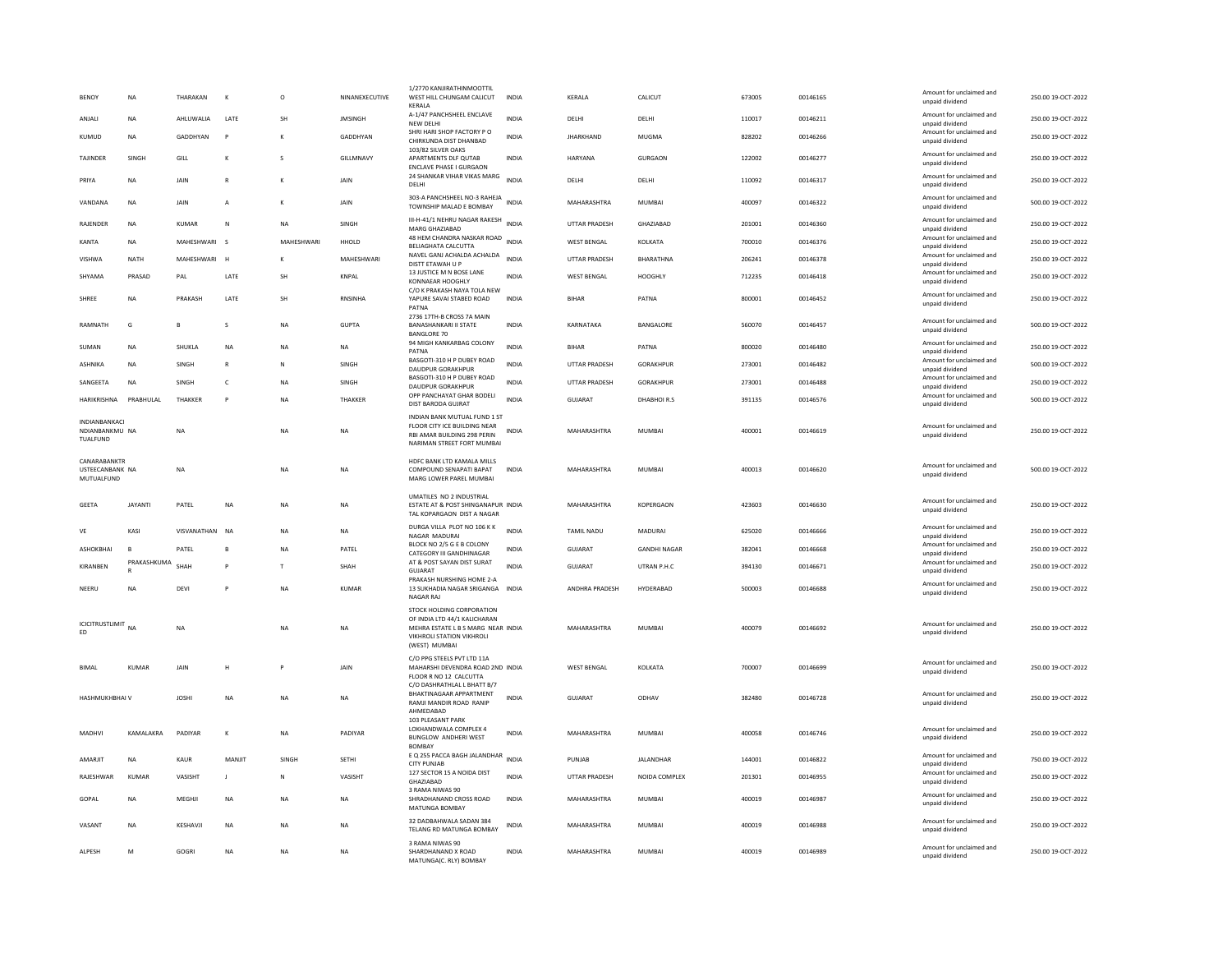| <b>BENOY</b>                                       | <b>NA</b>      | THARAKAN     |                | $\circ$           | NINANEXECUTIVE | 1/2770 KANJIRATHINMOOTTI<br>WEST HILL CHUNGAM CALICUT<br>KERALA                                                                                      | <b>INDIA</b> | KERALA               | CALICUT             | 673005 | 00146165 | Amount for unclaimed and<br>unpaid dividend | 250.00 19-OCT-2022 |
|----------------------------------------------------|----------------|--------------|----------------|-------------------|----------------|------------------------------------------------------------------------------------------------------------------------------------------------------|--------------|----------------------|---------------------|--------|----------|---------------------------------------------|--------------------|
| ANJALI                                             | <b>NA</b>      | AHLUWALIA    | LATE           | <b>SH</b>         | <b>JMSINGH</b> | A-1/47 PANCHSHEEL ENCLAVE<br>NEW DELHI                                                                                                               | <b>INDIA</b> | DELHI                | DELHI               | 110017 | 00146211 | Amount for unclaimed and<br>unpaid dividend | 250.00 19-OCT-2022 |
| KUMUD                                              | <b>NA</b>      | GADDHYAN     | P              | K                 | GADDHYAN       | SHRI HARI SHOP FACTORY P O<br>CHIRKUNDA DIST DHANBAD                                                                                                 | <b>INDIA</b> | <b>JHARKHAND</b>     | MUGMA               | 828202 | 00146266 | Amount for unclaimed and<br>unpaid dividend | 250.00 19-OCT-2022 |
| <b>TAJINDER</b>                                    | SINGH          | GILL         | $\kappa$       | $\mathbf{S}$      | GILLMNAVY      | 103/82 SILVER OAKS<br>APARTMENTS DLF OUTAB<br><b>ENCLAVE PHASE I GURGAON</b>                                                                         | <b>INDIA</b> | <b>HARYANA</b>       | GURGAON             | 122002 | 00146277 | Amount for unclaimed and<br>unpaid dividend | 250.00.19-OCT-2022 |
| PRIYA                                              | NA             | JAIN         |                | K                 | JAIN           | 24 SHANKAR VIHAR VIKAS MARG<br>DELHI                                                                                                                 | <b>INDIA</b> | DELHI                | DELHI               | 110092 | 00146317 | Amount for unclaimed and<br>unpaid dividend | 250.00 19-OCT-2022 |
| VANDANA                                            | <b>NA</b>      | JAIN         | $\overline{A}$ | K                 | JAIN           | 303-A PANCHSHEEL NO-3 RAHEJA<br>TOWNSHIP MALAD E BOMBAY                                                                                              | <b>INDIA</b> | MAHARASHTRA          | <b>MUMBAI</b>       | 400097 | 00146322 | Amount for unclaimed and<br>unpaid dividend | 500.00 19-OCT-2022 |
| RAJENDER                                           | NA             | KUMAR        | N              | <b>NA</b>         | SINGH          | III-H-41/1 NEHRU NAGAR RAKESH<br>MARG GHAZIABAD                                                                                                      | <b>INDIA</b> | UTTAR PRADESH        | GHAZIABAD           | 201001 | 00146360 | Amount for unclaimed and<br>unpaid dividend | 250.00 19-OCT-2022 |
| <b>KANTA</b>                                       | <b>NA</b>      | MAHESHWARI   | $\mathbf{S}$   | <b>MAHFSHWARI</b> | HHOLD          | 48 HEM CHANDRA NASKAR ROAD<br>BELIAGHATA CALCUTTA                                                                                                    | <b>INDIA</b> | <b>WEST BENGAL</b>   | KOLKATA             | 700010 | 00146376 | Amount for unclaimed and<br>unpaid dividend | 250.00 19-OCT-2022 |
| VISHWA                                             | <b>NATH</b>    | MAHESHWARI   | $\mathbf{H}$   | к                 | MAHESHWARI     | NAVEL GANJ ACHALDA ACHALDA<br>DISTT ETAWAH U P                                                                                                       | <b>INDIA</b> | <b>UTTAR PRADESH</b> | BHARATHNA           | 206241 | 00146378 | Amount for unclaimed and<br>unpaid dividend | 250.00 19-OCT-2022 |
| SHYAMA                                             | PRASAD         | PAL          | LATE           | <b>SH</b>         | <b>KNPAL</b>   | 13 JUSTICE M N BOSE LANE<br>KONNAEAR HOOGHLY                                                                                                         | <b>INDIA</b> | <b>WEST BENGAL</b>   | HOOGHLY             | 712235 | 00146418 | Amount for unclaimed and<br>unpaid dividend | 250.00 19-OCT-2022 |
| SHREE                                              | <b>NA</b>      | PRAKASH      | LATE           | SH                | <b>RNSINHA</b> | C/O K PRAKASH NAYA TOLA NEW<br>YAPURE SAVAI STABED ROAD<br>PATNA                                                                                     | <b>INDIA</b> | <b>BIHAR</b>         | PATNA               | 800001 | 00146452 | Amount for unclaimed and<br>unpaid dividend | 250.00 19-OCT-2022 |
| RAMNATH                                            | G              | $\mathbf{R}$ | s              | <b>NA</b>         | GUPTA          | 2736 17TH-B CROSS 7A MAIN<br><b>BANASHANKARI II STATE</b><br><b>BANGLORE 70</b>                                                                      | <b>INDIA</b> | KARNATAKA            | <b>BANGALORE</b>    | 560070 | 00146457 | Amount for unclaimed and<br>unpaid dividend | 500.00 19-OCT-2022 |
| SUMAN                                              | <b>NA</b>      | SHUKLA       | NA             | NA                | NA             | 94 MIGH KANKARBAG COLONY<br>PATNA                                                                                                                    | <b>INDIA</b> | <b>BIHAR</b>         | PATNA               | 800020 | 00146480 | Amount for unclaimed and<br>unpaid dividend | 250.00 19-OCT-2022 |
| ASHNIKA                                            | <b>NA</b>      | SINGH        | $\mathsf{R}$   | N                 | SINGH          | BASGOTI-310 H P DUBEY ROAD<br><b>DAUDPUR GORAKHPUR</b>                                                                                               | <b>INDIA</b> | <b>UTTAR PRADESH</b> | <b>GORAKHPUR</b>    | 273001 | 00146482 | Amount for unclaimed and<br>unpaid dividend | 500.00 19-OCT-2022 |
| SANGEETA                                           | <b>NA</b>      | SINGH        | $\mathsf{C}$   | <b>NA</b>         | SINGH          | BASGOTI-310 H P DUBEY ROAD<br>DAUDPUR GORAKHPUR                                                                                                      | <b>INDIA</b> | <b>UTTAR PRADESH</b> | <b>GORAKHPUR</b>    | 273001 | 00146488 | Amount for unclaimed and<br>unpaid dividend | 250.00 19-OCT-2022 |
| <b>HARIKRISHNA</b>                                 | PRABHULAL      | THAKKER      |                | <b>NA</b>         | THAKKER        | OPP PANCHAYAT GHAR BODELI<br>DIST BARODA GUJRAT                                                                                                      | <b>INDIA</b> | <b>GUJARAT</b>       | DHABHOIR.S          | 391135 | 00146576 | Amount for unclaimed and<br>unpaid dividend | 500.00 19-OCT-2022 |
| <b>INDIANRANKACI</b><br>NDIANBANKMU NA<br>TUALFUND |                | <b>NA</b>    |                | ΝA                | <b>NA</b>      | INDIAN BANK MUTUAL FUND 1 ST<br>FLOOR CITY ICE BUILDING NEAR<br><b>RBI AMAR BUILDING 298 PERIN</b>                                                   | <b>INDIA</b> | MAHARASHTRA          | <b>MUMBA</b>        | 400001 | 00146619 | Amount for unclaimed and<br>unpaid dividend | 250.00 19-OCT-2022 |
| CANARABANKTR<br>USTEECANBANK NA<br>MUTUALFUND      |                | <b>NA</b>    |                | NA                | NA             | NARIMAN STREET FORT MUMBAI<br>HDFC BANK LTD KAMALA MILLS<br>COMPOUND SENAPATI BAPAT<br>MARG LOWER PAREL MUMBAI                                       | <b>INDIA</b> | MAHARASHTRA          | MUMBAI              | 400013 | 00146620 | Amount for unclaimed and<br>unpaid dividend | 500.00 19-OCT-2022 |
| <b>GEETA</b>                                       | <b>JAYANTI</b> | PATEL        | <b>NA</b>      | <b>NA</b>         | <b>NA</b>      | UMATILES NO 2 INDUSTRIAL<br>ESTATE AT & POST SHINGANAPUR INDIA<br>TAL KOPARGAON DIST A NAGAR                                                         |              | MAHARASHTRA          | KOPERGAON           | 423603 | 00146630 | Amount for unclaimed and<br>unpaid dividend | 250.00 19-OCT-2022 |
| $\mathsf{VE}\xspace$                               | KASI           | VISVANATHAN  | <b>NA</b>      | NA                | <b>NA</b>      | DURGA VILLA PLOT NO 106 K K<br>NAGAR MADURAL                                                                                                         | <b>INDIA</b> | TAMIL NADU           | MADURAI             | 625020 | 00146666 | Amount for unclaimed and<br>unnaid dividend | 250.00 19-OCT-2022 |
| ASHOKBHAI                                          | B              | PATEL        | B              | <b>NA</b>         | PATEL          | BLOCK NO 2/5 G E B COLONY<br>CATEGORY III GANDHINAGAR                                                                                                | <b>INDIA</b> | GUJARAT              | <b>GANDHI NAGAR</b> | 382041 | 00146668 | Amount for unclaimed and<br>unpaid dividend | 250.00 19-OCT-2022 |
| KIRANBEN                                           | PRAKASHKUMA    | SHAH         |                | T                 | SHAH           | AT & POST SAYAN DIST SURAT<br><b>GUJARAT</b>                                                                                                         | <b>INDIA</b> | GUJARAT              | UTRAN P.H.C         | 394130 | 00146671 | Amount for unclaimed and<br>unpaid dividend | 250.00 19-OCT-2022 |
| NEERU                                              | <b>NA</b>      | DEVI         |                | <b>NA</b>         | <b>KUMAR</b>   | PRAKASH NURSHING HOME 2-A<br>13 SUKHADIA NAGAR SRIGANGA<br>NAGAR RAJ                                                                                 | <b>INDIA</b> | ANDHRA PRADESH       | HYDERABAD           | 500003 | 00146688 | Amount for unclaimed and<br>unpaid dividend | 250.00 19-OCT-2022 |
| <b>ICICITRUSTLIMIT</b><br>FD.                      | NΔ             | <b>NA</b>    |                | <b>NA</b>         | <b>NA</b>      | STOCK HOLDING CORPORATION<br>OF INDIA LTD 44/1 KALICHARAN<br>MEHRA ESTATE L B S MARG NEAR INDIA<br><b>VIKHROLI STATION VIKHROLI</b><br>(WEST) MUMBAI |              | MAHARASHTRA          | <b>MUMBAI</b>       | 400079 | 00146692 | Amount for unclaimed and<br>unnaid dividend | 250.00 19-OCT-2022 |
| <b>BIMAL</b>                                       | <b>KUMAR</b>   | JAIN         | Н              | P                 | JAIN           | C/O PPG STEELS PVT LTD 11A<br>MAHARSHI DEVENDRA ROAD 2ND INDIA<br>FLOOR R NO 12 CALCUTTA<br>C/O DASHRATHLAL L BHATT B/7                              |              | <b>WEST BENGAL</b>   | KOLKATA             | 700007 | 00146699 | Amount for unclaimed and<br>unpaid dividend | 250.00 19-OCT-2022 |
| HASHMUKHBHAI V                                     |                | <b>JOSHI</b> | NA             | NA                | NA             | BHAKTINAGAAR APPARTMENT<br>RAMJI MANDIR ROAD RANIP<br>AHMEDABAD                                                                                      | <b>INDIA</b> | GUJARAT              | ODHAV               | 382480 | 00146728 | Amount for unclaimed and<br>unpaid dividend | 250.00 19-OCT-2022 |
| MADHVI                                             | KAMALAKRA      | PADIYAR      | $\mathbf{K}$   | <b>NA</b>         | PADIYAR        | 103 PLEASANT PARK<br>LOKHANDWALA COMPLEX 4<br><b>BUNGLOW ANDHERI WEST</b><br><b>BOMBAY</b>                                                           | <b>INDIA</b> | MAHARASHTRA          | MUMBAI              | 400058 | 00146746 | Amount for unclaimed and<br>unpaid dividend | 250.00 19-OCT-2022 |
| AMARJIT                                            | <b>NA</b>      | KAUR         | MANJIT         | SINGH             | SETHI          | E Q 255 PACCA BAGH JALANDHAR<br><b>CITY PUNJAB</b>                                                                                                   | <b>INDIA</b> | PUNJAB               | <b>JALANDHAR</b>    | 144001 | 00146822 | Amount for unclaimed and<br>unpaid dividend | 750.00 19-OCT-2022 |
| RAJESHWAR                                          | <b>KUMAR</b>   | VASISHT      | $\mathbf{J}$   | N                 | VASISHT        | 127 SECTOR 15 A NOIDA DIST<br>GHAZIABAD                                                                                                              | <b>INDIA</b> | <b>UTTAR PRADESH</b> | NOIDA COMPLEX       | 201301 | 00146955 | Amount for unclaimed and<br>unpaid dividend | 250.00 19-OCT-2022 |
| GOPAL                                              | <b>NA</b>      | MEGHJI       | <b>NA</b>      | <b>NA</b>         | <b>NA</b>      | 3 RAMA NIWAS 90<br>SHRADHANAND CROSS ROAD<br>MATUNGA BOMBAY                                                                                          | <b>INDIA</b> | MAHARASHTRA          | <b>MUMBAI</b>       | 400019 | 00146987 | Amount for unclaimed and<br>unpaid dividend | 250.00 19-OCT-2022 |
| VASANT                                             | <b>NA</b>      | KESHAVJI     | <b>NA</b>      | <b>NA</b>         | <b>NA</b>      | 32 DADBAHWALA SADAN 384<br>TELANG RD MATUNGA BOMBAY                                                                                                  | <b>INDIA</b> | MAHARASHTRA          | <b>MUMBAI</b>       | 400019 | 00146988 | Amount for unclaimed and<br>unpaid dividend | 250.00 19-OCT-2022 |
| ALPESH                                             | M              | GOGRI        | NA             | NA                | <b>NA</b>      | 3 RAMA NIWAS 90<br>SHARDHANAND X ROAD<br>MATUNGA(C. RLY) BOMBAY                                                                                      | <b>INDIA</b> | MAHARASHTRA          | MUMBAI              | 400019 | 00146989 | Amount for unclaimed and<br>unpaid dividend | 250.00 19-OCT-2022 |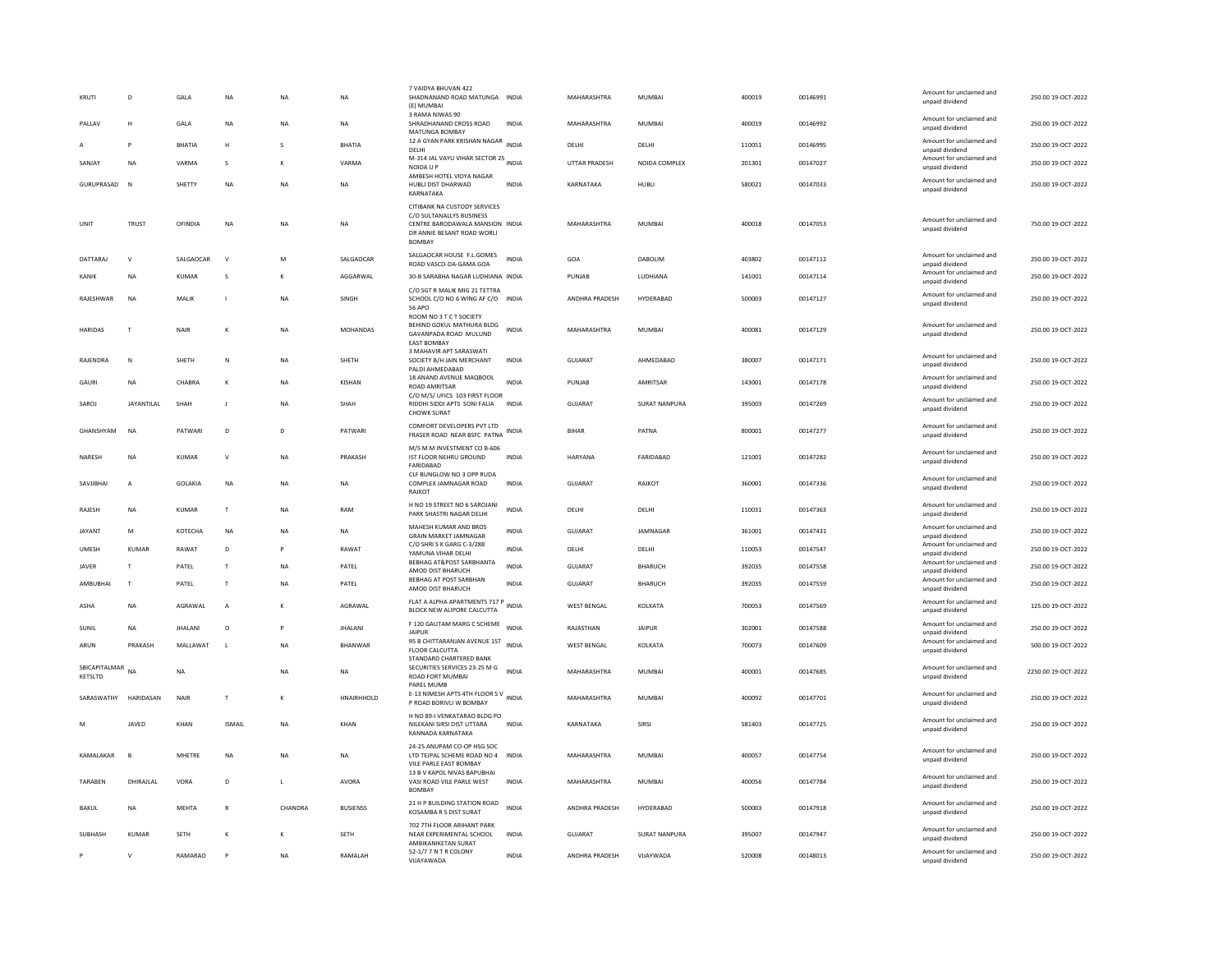| KRUTI                    | D                 | GALA           | <b>NA</b>      | NA           | <b>NA</b>       | 7 VAIDYA BHUVAN 422<br>SHADNANAND ROAD MATUNGA INDIA<br>(E) MUMBAI                                                                         |              | MAHARASHTRA          | MUMBAI         | 400019 | 00146991 | Amount for unclaimed and<br>unpaid dividend | 250.00 19-OCT-2022  |
|--------------------------|-------------------|----------------|----------------|--------------|-----------------|--------------------------------------------------------------------------------------------------------------------------------------------|--------------|----------------------|----------------|--------|----------|---------------------------------------------|---------------------|
| PAILAV                   | н                 | <b>GAIA</b>    | <b>NA</b>      | <b>NA</b>    | <b>NA</b>       | 3 RAMA NIWAS 90<br>SHRADHANAND CROSS ROAD<br>MATUNGA BOMBAY                                                                                | <b>INDIA</b> | MAHARASHTRA          | MUMBAI         | 400019 | 00146992 | Amount for unclaimed and<br>unpaid dividend | 250.00 19-QCT-2022  |
|                          | P                 | <b>BHATIA</b>  | H              | $\mathbf{S}$ | <b>BHATIA</b>   | 12 A GYAN PARK KRISHAN NAGAR<br><b>DELHI</b>                                                                                               | <b>INDIA</b> | DELHI                | DELHI          | 110051 | 00146995 | Amount for unclaimed and<br>unpaid dividend | 250.00 19-OCT-2022  |
| SANJAY                   | <b>NA</b>         | VARMA          | s              | К            | VARMA           | M-314 JAL VAYU VIHAR SECTOR 25 INDIA<br>NOIDA U P                                                                                          |              | <b>UTTAR PRADESH</b> | NOIDA COMPLEX  | 201301 | 00147027 | Amount for unclaimed and<br>unpaid dividend | 250.00 19-OCT-2022  |
| GURUPRASAD               | $\overline{N}$    | SHETTY         | <b>NA</b>      | NΑ           | NA              | AMBESH HOTEL VIDYA NAGAR<br>HUBLI DIST DHARWAD<br>KARNATAKA                                                                                | <b>INDIA</b> | KARNATAKA            | HUBLI          | 580021 | 00147033 | Amount for unclaimed and<br>unpaid dividend | 250.00 19-OCT-2022  |
| UNIT                     | <b>TRUST</b>      | OFINDIA        | NA             | NA           | NA              | CITIBANK NA CUSTODY SERVICES<br>C/O SULTANALLYS BUSINESS<br>CENTRE BARODAWALA MANSION INDIA<br>DR ANNIE BESANT ROAD WORLI<br><b>BOMBAY</b> |              | MAHARASHTRA          | MUMBAI         | 400018 | 00147053 | Amount for unclaimed and<br>unpaid dividend | 750.00 19-OCT-2022  |
| DATTARAJ                 | V                 | SALGAOCAR      | $\mathsf{v}$   | M            | SALGAOCAR       | SALGAOCAR HOUSE F.L.GOMES<br>ROAD VASCO-DA-GAMA GOA                                                                                        | <b>INDIA</b> | GOA                  | <b>DABOLIM</b> | 403802 | 00147112 | Amount for unclaimed and<br>unpaid dividend | 250.00 19-OCT-2022  |
| KANIK                    | NA                | KUMAR          | s              | K            | AGGARWAL        | 30-B SARABHA NAGAR LUDHIANA INDIA                                                                                                          |              | PUNJAB               | LUDHIANA       | 141001 | 00147114 | Amount for unclaimed and<br>unpaid dividend | 250.00 19-OCT-2022  |
| RAJESHWAR                | <b>NA</b>         | MALIK          | $\blacksquare$ | <b>NA</b>    | SINGH           | C/O SGT R MALIK MIG 21 TETTRA<br>SCHOOL C/O NO 6 WING AF C/O INDIA<br><b>56 APO</b>                                                        |              | ANDHRA PRADESH       | HYDERABAD      | 500003 | 00147127 | Amount for unclaimed and<br>unpaid dividend | 250.00 19-OCT-2022  |
| HARIDAS                  | T                 | <b>NAIR</b>    |                | ΝA           | MOHANDAS        | ROOM NO 3 T C T SOCIETY<br>BEHIND GOKUL MATHURA BLDG<br>GAVANPADA ROAD MULUND<br><b>EAST BOMBAY</b>                                        | <b>INDIA</b> | MAHARASHTRA          | MUMBAI         | 400081 | 00147129 | Amount for unclaimed and<br>unpaid dividend | 250.00 19-OCT-2022  |
| RAJENDRA                 | N                 | SHETH          | N              | NA           | SHETH           | 3 MAHAVIR APT SARASWATI<br>SOCIETY B/H JAIN MERCHANT<br>PALDI AHMEDABAD                                                                    | <b>INDIA</b> | GUJARAT              | AHMEDABAD      | 380007 | 00147171 | Amount for unclaimed and<br>unpaid dividend | 250.00 19-OCT-2022  |
| GAURI                    | NA                | CHABRA         | $\kappa$       | NA           | KISHAN          | 18 ANAND AVENUE MAQBOOL<br><b>ROAD AMRITSAR</b>                                                                                            | <b>INDIA</b> | PUNJAB               | AMRITSAR       | 143001 | 00147178 | Amount for unclaimed and<br>unpaid dividend | 250.00 19-OCT-2022  |
| SAROJ                    | <b>JAYANTILAL</b> | SHAH           | $\mathbf{J}$   | NΑ           | SHAH            | C/O M/S/ UFICS 103 FIRST FLOOR<br>RIDDHI SIDDI APTS SONI FALIA<br><b>CHOWK SURAT</b>                                                       | <b>INDIA</b> | <b>GUJARAT</b>       | SURAT NANPURA  | 395003 | 00147269 | Amount for unclaimed and<br>unpaid dividend | 250.00 19-OCT-2022  |
| GHANSHYAM                | NA                | PATWARI        | D              | D            | PATWARI         | COMFORT DEVELOPERS PVT LTD<br>FRASER ROAD NEAR BSFC PATNA                                                                                  | <b>INDIA</b> | <b>BIHAR</b>         | PATNA          | 800001 | 00147277 | Amount for unclaimed and<br>unpaid dividend | 250.00 19-OCT-2022  |
| NARESH                   | NA                | <b>KUMAR</b>   | $\vee$         | NA           | PRAKASH         | M/S M M INVESTMENT CO B-606<br>IST FLOOR NEHRU GROUND<br>FARIDABAD                                                                         | <b>INDIA</b> | HARYANA              | FARIDABAD      | 121001 | 00147282 | Amount for unclaimed and<br>unpaid dividend | 250.00 19-OCT-2022  |
| SAVJIBHAI                | A                 | GOLAKIA        | NA             | NA           | <b>NA</b>       | CLF BUNGLOW NO 3 OPP RUDA<br>COMPLEX JAMNAGAR ROAD<br>RAJKOT                                                                               | <b>INDIA</b> | GUJARAT              | RAJKOT         | 360001 | 00147336 | Amount for unclaimed and<br>unpaid dividend | 250.00 19-OCT-2022  |
| RAJESH                   | NA                | KUMAR          | $\mathsf T$    | ΝA           | RAM             | H NO 19 STREET NO 6 SAROJANI<br>PARK SHASTRI NAGAR DELHI                                                                                   | <b>INDIA</b> | DELHI                | DELHI          | 110031 | 00147363 | Amount for unclaimed and<br>unpaid dividend | 250.00 19-OCT-2022  |
| JAYANT                   | M                 | КОТЕСНА        | <b>NA</b>      | NA           | <b>NA</b>       | MAHESH KUMAR AND BROS<br><b>GRAIN MARKET JAMNAGAR</b>                                                                                      | <b>INDIA</b> | <b>GUJARAT</b>       | JAMNAGAR       | 361001 | 00147431 | Amount for unclaimed and<br>unpaid dividend | 250.00 19-OCT-2022  |
| <b>UMESH</b>             | KUMAR             | RAWAT          | D              | P            | RAWAT           | C/O SHRISK GARG C-3/288<br>YAMUNA VIHAR DELHI                                                                                              | <b>INDIA</b> | DELHI                | DELHI          | 110053 | 00147547 | Amount for unclaimed and<br>unpaid dividend | 250.00 19-OCT-2022  |
| JAVER                    | $\mathbf{r}$      | PATEL          | $\mathsf{T}$   | <b>NA</b>    | PATEL           | BEBHAG AT&POST SARBHANTA<br>AMOD DIST BHARUCH                                                                                              | <b>INDIA</b> | <b>GUJARAT</b>       | <b>BHARUCH</b> | 392035 | 00147558 | Amount for unclaimed and<br>unpaid dividend | 250.00 19-OCT-2022  |
| AMBUBHAI                 | T                 | PATEL          | $\mathsf{T}$   | <b>NA</b>    | PATEL           | BEBHAG AT POST SARBHAN<br>AMOD DIST BHARUCH                                                                                                | <b>INDIA</b> | GUJARAT              | <b>BHARUCH</b> | 392035 | 00147559 | Amount for unclaimed and<br>unpaid dividend | 250.00 19-OCT-2022  |
| ASHA                     | NA                | AGRAWAL        | A              | K            | AGRAWAL         | FLAT A ALPHA APARTMENTS 717 P<br>BLOCK NEW ALIPORE CALCUTTA                                                                                | <b>INDIA</b> | <b>WEST BENGAL</b>   | KOLKATA        | 700053 | 00147569 | Amount for unclaimed and<br>unpaid dividend | 125.00 19-OCT-2022  |
| <b>SUNIL</b>             | <b>NA</b>         | <b>JHALANI</b> | $\circ$        | p            | <b>JHALANI</b>  | F 120 GAUTAM MARG C SCHEME<br><b>JAIPUR</b>                                                                                                | <b>INDIA</b> | RAJASTHAN            | <b>JAIPUR</b>  | 302001 | 00147588 | Amount for unclaimed and<br>unpaid dividend | 250.00 19-OCT-2022  |
| ARUN                     | PRAKASH           | MALLAWAT       | $\mathbf{L}$   | <b>NA</b>    | <b>BHANWAR</b>  | 95 B CHITTARANJAN AVENUE 1ST<br>FLOOR CALCUTTA                                                                                             | <b>INDIA</b> | <b>WEST BENGAL</b>   | KOLKATA        | 700073 | 00147609 | Amount for unclaimed and<br>unpaid dividend | 500.00 19-OCT-2022  |
| SBICAPITALMAR<br>KETSLTD | <b>NA</b>         | <b>NA</b>      |                | NA           | <b>NA</b>       | STANDARD CHARTERED BANK<br>SECURITIES SERVICES 23-25 M G<br>ROAD FORT MUMBAI<br>PAREL MUMB                                                 | <b>INDIA</b> | MAHARASHTRA          | <b>MUMBAI</b>  | 400001 | 00147685 | Amount for unclaimed and<br>unpaid dividend | 2250.00 19-OCT-2022 |
| SARASWATHY               | <b>HARIDASAN</b>  | <b>NAIR</b>    | $\mathsf{T}$   | K            | HNAIRHHOLD      | E-13 NIMESH APTS 4TH FLOOR SV INDIA<br>P ROAD BORIVLI W BOMBAY                                                                             |              | MAHARASHTRA          | <b>MUMBAI</b>  | 400092 | 00147701 | Amount for unclaimed and<br>unpaid dividend | 250.00 19-OCT-2022  |
|                          | JAVED             | KHAN           | <b>ISMAIL</b>  | NA           | KHAN            | H NO 89-I VENKATARAO BLDG PO<br>NILEKANI SIRSI DIST UTTARA<br>KANNADA KARNATAKA                                                            | <b>INDIA</b> | KARNATAKA            | SIRSI          | 581403 | 00147725 | Amount for unclaimed and<br>unpaid dividend | 250.00 19-OCT-2022  |
| KAMALAKAR                | B                 | MHETRE         | <b>NA</b>      | NΑ           | NA              | 24-25 ANUPAM CO-OP HSG SOC<br>LTD TEJPAL SCHEME ROAD NO 4 INDIA<br>VILE PARLE EAST BOMBAY                                                  |              | MAHARASHTRA          | MUMBAI         | 400057 | 00147754 | Amount for unclaimed and<br>unpaid dividend | 250.00 19-OCT-2022  |
| TARABEN                  | DHIRAJLAL         | VORA           | D              | $\mathsf{L}$ | AVORA           | 13 B V KAPOL NIVAS BAPUBHAI<br>VASI ROAD VILE PARLE WEST<br><b>BOMBAY</b>                                                                  | <b>INDIA</b> | MAHARASHTRA          | MUMBAI         | 400056 | 00147784 | Amount for unclaimed and<br>unpaid dividend | 250.00 19-OCT-2022  |
| BAKUL                    | NA                | <b>MEHTA</b>   |                | CHANDRA      | <b>BUSIENSS</b> | 21 H P BUILDING STATION ROAD<br>KOSAMBA R S DIST SURAT                                                                                     | <b>INDIA</b> | ANDHRA PRADESH       | HYDERABAD      | 500003 | 00147918 | Amount for unclaimed and<br>unpaid dividend | 250.00 19-OCT-2022  |
| <b>SUBHASH</b>           | <b>KUMAR</b>      | SETH           |                |              | SETH            | 702 7TH FLOOR ARIHANT PARK<br>NEAR EXPERIMENTAL SCHOOL<br>AMBIKANIKETAN SURAT                                                              | INDIA        | <b>GUJARAT</b>       | SURAT NANPURA  | 395007 | 00147947 | Amount for unclaimed and<br>unpaid dividend | 250.00 19-OCT-2022  |
|                          | $\mathbf{v}$      | RAMARAO        |                | NA           | RAMALAH         | 52-1/7 7 N T R COLONY<br>VIJAYAWADA                                                                                                        | INDIA        | ANDHRA PRADESH       | VIJAYWADA      | 520008 | 00148013 | Amount for unclaimed and<br>unpaid dividend | 250.00 19-OCT-2022  |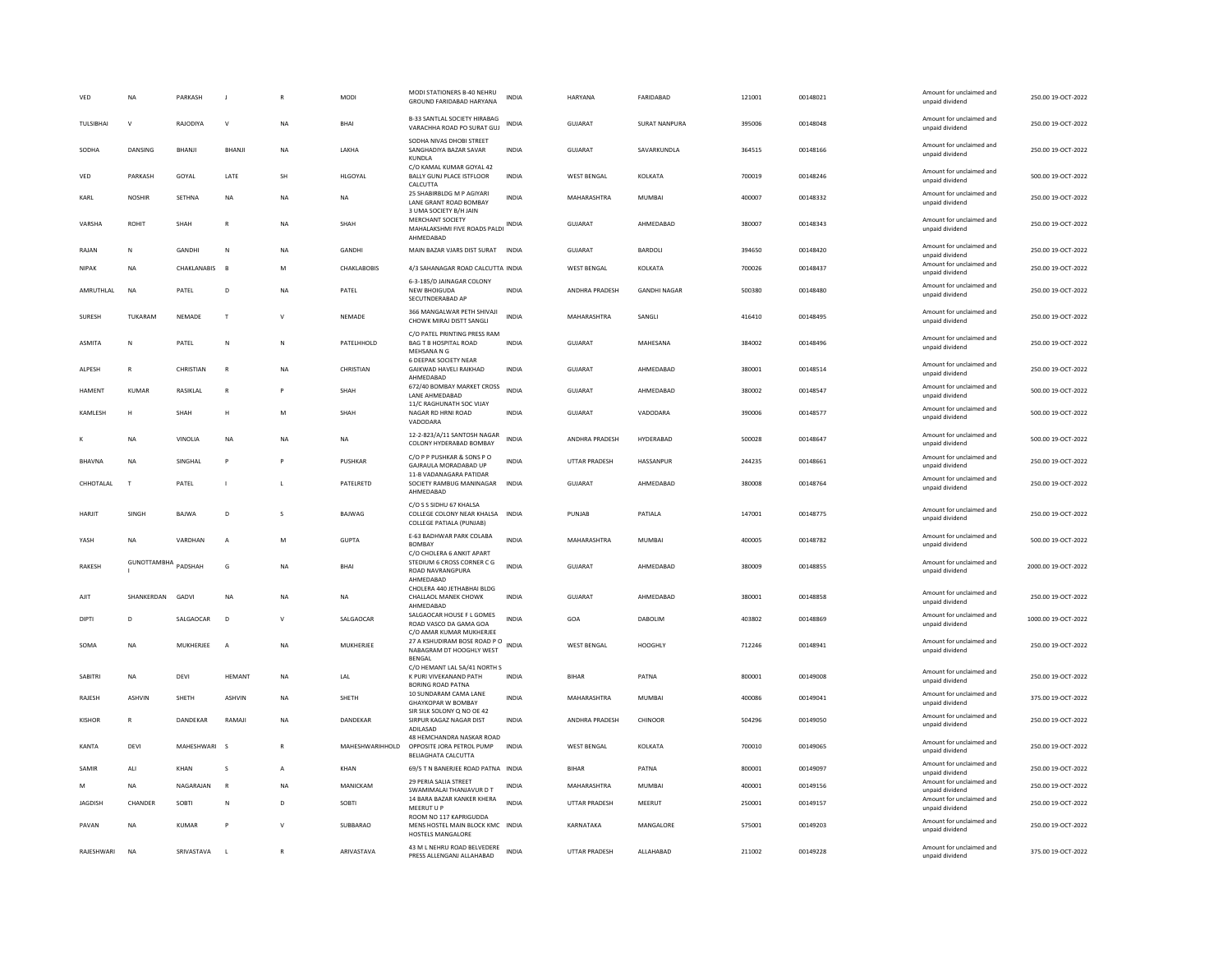| VED           | <b>NA</b>          | PARKASH       |                |              | <b>MODI</b>     | MODI STATIONERS B-40 NEHRU<br>GROUND FARIDABAD HARYANA                                         | INDIA        | HARYANA              | FARIDABAD            | 121001 | 00148021 | Amount for unclaimed and<br>unpaid dividend | 250.00 19-OCT-2022  |
|---------------|--------------------|---------------|----------------|--------------|-----------------|------------------------------------------------------------------------------------------------|--------------|----------------------|----------------------|--------|----------|---------------------------------------------|---------------------|
| TULSIBHAI     | $\mathsf{v}$       | RAJODIYA      | $\mathsf{V}$   | <b>NA</b>    | BHAI            | <b>B-33 SANTLAL SOCIETY HIRABAG</b><br>VARACHHA ROAD PO SURAT GUJ                              | <b>INDIA</b> | <b>GUJARAT</b>       | <b>SURAT NANPURA</b> | 395006 | 00148048 | Amount for unclaimed and<br>unpaid dividend | 250.00 19-OCT-2022  |
| SODHA         | <b>DANSING</b>     | <b>BHANII</b> | <b>BHANI</b>   | <b>NA</b>    | <b>I AKHA</b>   | SODHA NIVAS DHOBI STREET<br>SANGHADIYA BAZAR SAVAR<br>KUNDLA                                   | <b>INDIA</b> | GUIARAT              | SAVARKUNDLA          | 364515 | 00148166 | Amount for unclaimed and<br>unpaid dividend | 250.00.19-OCT-2022  |
| VED           | PARKASH            | GOYAL         | LATE           | SH           | HLGOYAL         | C/O KAMAL KUMAR GOYAL 42<br>BALLY GUNJ PLACE ISTFLOOR<br>CALCUTTA                              | <b>INDIA</b> | <b>WEST BENGAL</b>   | KOLKATA              | 700019 | 00148246 | Amount for unclaimed and<br>unpaid dividend | 500.00 19-OCT-2022  |
| KARL          | <b>NOSHIR</b>      | SETHNA        | NA             | <b>NA</b>    | NA              | 25 SHABIRBLDG M P AGIYARI<br>LANE GRANT ROAD BOMBAY<br>3 UMA SOCIETY B/H JAIN                  | INDIA        | MAHARASHTRA          | MUMBAI               | 400007 | 00148332 | Amount for unclaimed and<br>unpaid dividend | 250.00 19-OCT-2022  |
| VARSHA        | <b>ROHIT</b>       | SHAH          | $\overline{R}$ | <b>NA</b>    | SHAH            | <b>MERCHANT SOCIETY</b><br>MAHALAKSHMI FIVE ROADS PALDINDIA<br>AHMEDABAD                       |              | GUJARAT              | AHMEDABAD            | 380007 | 00148343 | Amount for unclaimed and<br>unpaid dividend | 250.00 19-OCT-2022  |
| RAIAN         | N                  | <b>GANDHI</b> | N              | <b>NA</b>    | <b>GANDHI</b>   | MAIN BAZAR VJARS DIST SURAT INDIA                                                              |              | GUIARAT              | BARDOLI              | 394650 | 00148420 | Amount for unclaimed and<br>unpaid dividend | 250.00 19-OCT-2022  |
| <b>NIPAK</b>  | <b>NA</b>          | CHAKLANABIS   | <b>B</b>       | M            | CHAKLABOBIS     | 4/3 SAHANAGAR ROAD CALCUTTA INDIA                                                              |              | <b>WEST BENGAL</b>   | KOLKATA              | 700026 | 00148437 | Amount for unclaimed and<br>unpaid dividend | 250.00 19-OCT-2022  |
| AMRUTHLAL     | <b>NA</b>          | PATEL         | D              | <b>NA</b>    | PATEL           | 6-3-185/D JAINAGAR COLONY<br><b>NEW BHOIGUDA</b><br>SECUTNDERABAD AF                           | <b>INDIA</b> | ANDHRA PRADESH       | <b>GANDHI NAGAR</b>  | 500380 | 00148480 | Amount for unclaimed and<br>unpaid dividend | 250.00 19-OCT-2022  |
| SURESH        | TUKARAM            | NEMADE        | $\mathsf{T}$   | $\mathsf{V}$ | NEMADE          | 366 MANGALWAR PETH SHIVAJI<br>CHOWK MIRAJ DISTT SANGLI                                         | INDIA        | MAHARASHTRA          | SANGLI               | 416410 | 00148495 | Amount for unclaimed and<br>unpaid dividend | 250.00 19-OCT-2022  |
| ASMITA        | N                  | PATEL         | ${\sf N}$      | N            | PATELHHOLD      | C/O PATEL PRINTING PRESS RAM<br>BAG T B HOSPITAL ROAD<br>MEHSANA N G                           | <b>INDIA</b> | GUJARAT              | MAHESANA             | 384002 | 00148496 | Amount for unclaimed and<br>unpaid dividend | 250.00 19-OCT-2022  |
| ALPESH        | R                  | CHRISTIAN     | $\mathbb{R}$   | <b>NA</b>    | CHRISTIAN       | <b>6 DEEPAK SOCIETY NEAR</b><br>GAIKWAD HAVELI RAIKHAD<br>AHMEDABAD                            | <b>INDIA</b> | GUJARAT              | AHMEDABAD            | 380001 | 00148514 | Amount for unclaimed and<br>unpaid dividend | 250.00 19-OCT-2022  |
| <b>HAMENT</b> | <b>KUMAR</b>       | RASIKLAL      | $\mathsf{R}$   | P            | SHAH            | 672/40 BOMBAY MARKET CROSS<br>LANE AHMEDABAD                                                   | <b>INDIA</b> | GUJARAT              | AHMEDABAD            | 380002 | 00148547 | Amount for unclaimed and<br>unpaid dividend | 500.00 19-OCT-2022  |
| KAMLESH       | H                  | SHAH          | н              | M            | SHAH            | 11/C RAGHUNATH SOC VIJAY<br>NAGAR RD HRNI ROAD<br>VADODARA                                     | <b>INDIA</b> | GUJARAT              | VADODARA             | 390006 | 00148577 | Amount for unclaimed and<br>unpaid dividend | 500.00 19-OCT-2022  |
|               | <b>NA</b>          | VINOLIA       | <b>NA</b>      | <b>NA</b>    | <b>NA</b>       | 12-2-823/A/11 SANTOSH NAGAR<br>COLONY HYDERABAD BOMBAY                                         | <b>INDIA</b> | ANDHRA PRADESH       | HYDERABAD            | 500028 | 00148647 | Amount for unclaimed and<br>unpaid dividend | 500.00 19-OCT-2022  |
| BHAVNA        | NΑ                 | SINGHAL       | P              |              | PUSHKAR         | C/O P P PUSHKAR & SONS P O<br>GAJRAULA MORADABAD UP                                            | INDIA        | UTTAR PRADESH        | HASSANPUR            | 244235 | 00148661 | Amount for unclaimed and<br>unpaid dividend | 250.00 19-OCT-2022  |
| CHHOTALAL     | $\mathbf{T}$       | PATEL         |                | $\mathbf{I}$ | PATELRETD       | 11-B VADANAGARA PATIDAR<br>SOCIETY RAMBUG MANINAGAR<br>AHMEDABAD                               | <b>INDIA</b> | <b>GUJARAT</b>       | AHMEDABAD            | 380008 | 00148764 | Amount for unclaimed and<br>unpaid dividend | 250.00 19-OCT-2022  |
| HARJIT        | SINGH              | BAJWA         | D              | $\mathbf{s}$ | BAJWAG          | C/O S S SIDHU 67 KHALSA<br>COLLEGE COLONY NEAR KHALSA INDIA<br><b>COLLEGE PATIALA (PUNJAB)</b> |              | PUNJAB               | PATIALA              | 147001 | 00148775 | Amount for unclaimed and<br>unpaid dividend | 250.00 19-OCT-2022  |
| YASH          | <b>NA</b>          | VARDHAN       | $\overline{A}$ | M            | <b>GUPTA</b>    | E-63 BADHWAR PARK COLABA<br>BOMBAY<br>C/O CHOLERA 6 ANKIT APART                                | <b>INDIA</b> | MAHARASHTRA          | <b>MUMBAI</b>        | 400005 | 00148782 | Amount for unclaimed and<br>unpaid dividend | 500.00 19-OCT-2022  |
| <b>RAKESH</b> | <b>GUNOTTAMBHA</b> | PADSHAH       | G              | <b>NA</b>    | <b>BHAI</b>     | STEDIUM 6 CROSS CORNER C G<br>ROAD NAVRANGPURA<br>AHMEDABAD                                    | <b>INDIA</b> | GUIARAT              | AHMEDARAD            | 380009 | 00148855 | Amount for unclaimed and<br>unpaid dividend | 2000.00 19-OCT-2022 |
| AIIT          | SHANKERDAN         | GADVI         | <b>NA</b>      | <b>NA</b>    | <b>NA</b>       | CHOLERA 440 JETHABHAI BLDG<br><b>CHALLAOL MANEK CHOWK</b><br>AHMEDABAD                         | <b>INDIA</b> | GUIARAT              | AHMEDARAD            | 380001 | 00148858 | Amount for unclaimed and<br>unpaid dividend | 250.00 19-OCT-2022  |
| DIPTI         | D                  | SALGAOCAR     | D              | $\mathsf{v}$ | SALGAOCAR       | SALGAOCAR HOUSE F L GOMES<br>ROAD VASCO DA GAMA GOA<br>C/O AMAR KUMAR MUKHERJEE                | <b>INDIA</b> | GOA                  | DABOLIM              | 403802 | 00148869 | Amount for unclaimed and<br>unpaid dividend | 1000.00 19-OCT-2022 |
| SOMA          | <b>NA</b>          | MUKHERJEE     | A              | <b>NA</b>    | MUKHERJEE       | 27 A KSHUDIRAM BOSE ROAD P O<br>NABAGRAM DT HOOGHLY WEST<br>BENGAL                             |              | <b>WEST BENGAL</b>   | HOOGHLY              | 712246 | 00148941 | Amount for unclaimed and<br>unpaid dividend | 250.00 19-OCT-2022  |
| SABITRI       | <b>NA</b>          | DEVI          | <b>HEMANT</b>  | <b>NA</b>    | LAL             | C/O HEMANT LAL 5A/41 NORTH S<br>K PURI VIVEKANAND PATH<br><b>BORING ROAD PATNA</b>             | INDIA        | BIHAR                | PATNA                | 800001 | 00149008 | Amount for unclaimed and<br>unpaid dividend | 250.00 19-OCT-2022  |
| RAIFSH        | <b>ASHVIN</b>      | <b>SHETH</b>  | <b>ASHVIN</b>  | <b>NA</b>    | SHFTH           | 10 SUNDARAM CAMA LANE<br><b>GHAYKOPAR W BOMBAY</b><br>SIR SILK SOLONY Q NO OE 42               | <b>INDIA</b> | MAHARASHTRA          | MUMBAI               | 400086 | 00149041 | Amount for unclaimed and<br>unpaid dividend | 375.00.19-QCT-2022  |
| KISHOR        | $\mathbb{R}$       | DANDEKAR      | RAMAJI         | NA           | DANDEKAR        | SIRPUR KAGAZ NAGAR DIST<br>ADILASAD                                                            | <b>INDIA</b> | ANDHRA PRADESH       | CHINOOR              | 504296 | 00149050 | Amount for unclaimed and<br>unpaid dividend | 250.00 19-OCT-2022  |
| KANTA         | DEVI               | MAHESHWARI    | $\sim$         |              | MAHESHWARIHHOLD | 48 HEMCHANDRA NASKAR ROAD<br>OPPOSITE JORA PETROL PUMP<br>BELIAGHATA CALCUTTA                  | INDIA        | <b>WEST BENGAL</b>   | KOLKATA              | 700010 | 00149065 | Amount for unclaimed and<br>unpaid dividend | 250.00 19-OCT-2022  |
| SAMIR         | ALI                | KHAN          | <b>s</b>       | $\mathsf{A}$ | KHAN            | 69/5 T N BANERJEE ROAD PATNA INDIA                                                             |              | <b>BIHAR</b>         | PATNA                | 800001 | 00149097 | Amount for unclaimed and<br>unpaid dividend | 250.00 19-OCT-2022  |
| M             | <b>NA</b>          | NAGARAJAN     | $\mathbb{R}$   | <b>NA</b>    | MANICKAM        | 29 PERIA SALIA STREET<br>SWAMIMALAI THANJAVUR D T                                              | <b>INDIA</b> | MAHARASHTRA          | <b>MUMBAI</b>        | 400001 | 00149156 | Amount for unclaimed and<br>unpaid dividend | 250.00 19-OCT-2022  |
| JAGDISH       | CHANDER            | <b>SOBTI</b>  | N              | D            | <b>SOBTI</b>    | 14 BARA BAZAR KANKER KHERA<br>MEERUT U P                                                       | <b>INDIA</b> | UTTAR PRADESH        | MEERUT               | 250001 | 00149157 | Amount for unclaimed and<br>unpaid dividend | 250.00 19-OCT-2022  |
| PAVAN         | <b>NA</b>          | <b>KUMAR</b>  | P              | $\mathsf{v}$ | SUBBARAO        | ROOM NO 117 KAPRIGUDDA<br>MENS HOSTEL MAIN BLOCK KMC INDIA<br>HOSTELS MANGALORE                |              | KARNATAKA            | MANGALORE            | 575001 | 00149203 | Amount for unclaimed and<br>unpaid dividend | 250.00 19-OCT-2022  |
| RAJESHWARI    | <b>NA</b>          | SRIVASTAVA    | $\mathbf{I}$   |              | ARIVASTAVA      | 43 M L NEHRU ROAD BELVEDERE<br>PRESS ALLENGANJ ALLAHABAD                                       | <b>INDIA</b> | <b>UTTAR PRADESH</b> | ALLAHABAD            | 211002 | 00149228 | Amount for unclaimed and<br>unpaid dividend | 375.00 19-OCT-2022  |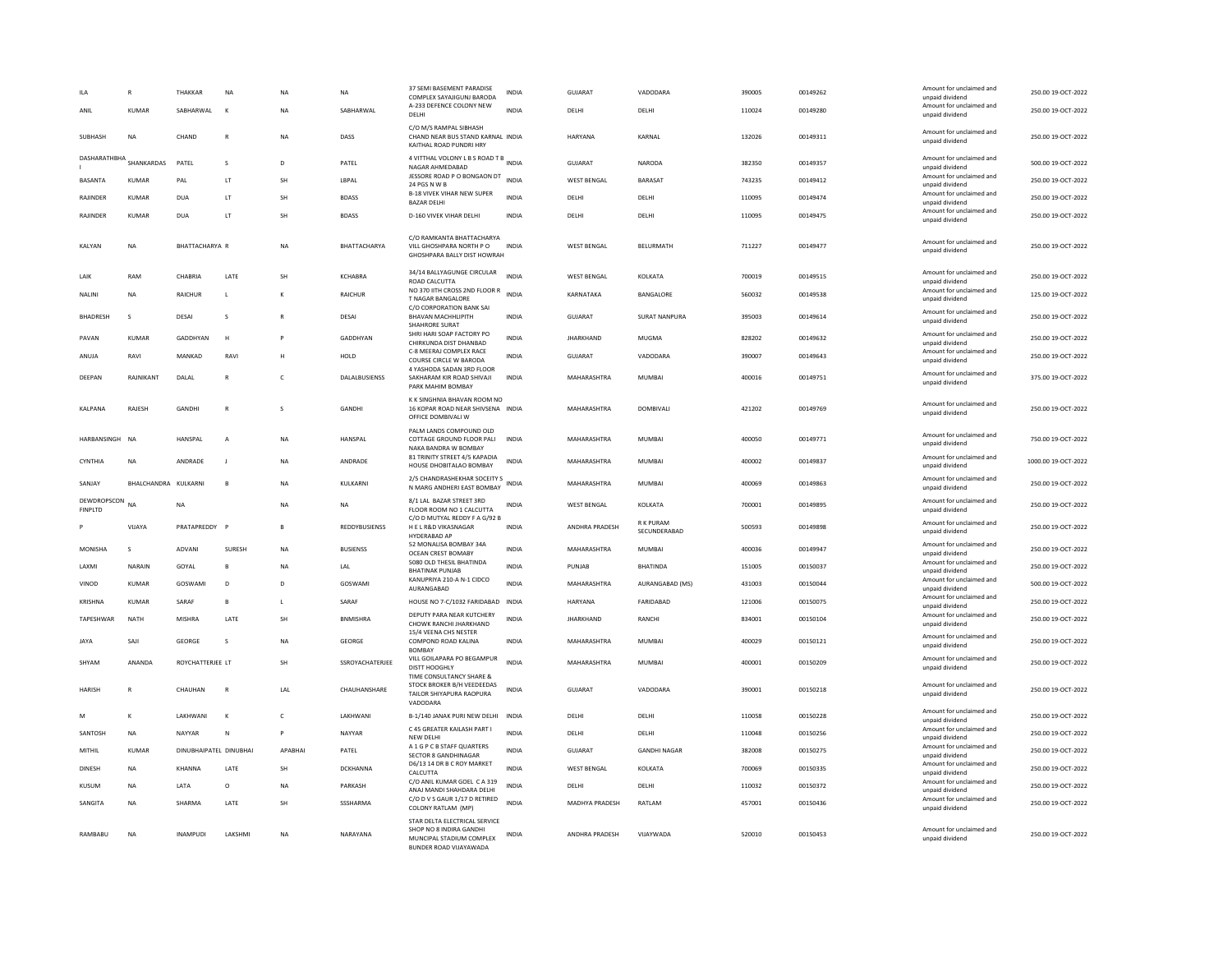| ANIL                          | <b>KUMAR</b>   | THAKKAR<br>SABHARWAL   | NA<br>$\mathbf k$ | <b>NA</b><br><b>NA</b> | <b>NA</b><br>SABHARWAL | 37 SEMI BASEMENT PARADISE<br>COMPLEX SAYAJIGUNJ BARODA<br>A-233 DEFENCE COLONY NEW<br>DELHI                    | <b>INDIA</b><br><b>INDIA</b> | GUJARAT<br>DELHI   | VADODARA<br>DELHI               | 390005<br>110024 | 00149262<br>00149280 | Amount for unclaimed and<br>unpaid dividend<br>Amount for unclaimed and<br>unpaid dividend | 250.00 19-OCT-2022<br>250.00 19-OCT-2022 |
|-------------------------------|----------------|------------------------|-------------------|------------------------|------------------------|----------------------------------------------------------------------------------------------------------------|------------------------------|--------------------|---------------------------------|------------------|----------------------|--------------------------------------------------------------------------------------------|------------------------------------------|
| SUBHASH                       | <b>NA</b>      | CHAND                  | $\mathbb{R}$      | NA                     | DASS                   | C/O M/S RAMPAL SIBHASH<br>CHAND NEAR BUS STAND KARNAL INDIA<br>KAITHAL ROAD PUNDRI HRY                         |                              | HARYANA            | KARNAL                          | 132026           | 00149311             | Amount for unclaimed and<br>unpaid dividend                                                | 250.00 19-OCT-2022                       |
| DASHARATHBHA SHANKARDAS       |                | PATEL                  | s                 | D                      | PATEL                  | 4 VITTHAL VOLONY L B S ROAD T B INDIA<br>NAGAR AHMEDABAD                                                       |                              | <b>GUJARAT</b>     | <b>NARODA</b>                   | 382350           | 00149357             | Amount for unclaimed and<br>unpaid dividend                                                | 500.00 19-OCT-2022                       |
| <b>BASANTA</b>                | <b>KUMAR</b>   | PAL                    | LT.               | SH                     | LBPAL                  | JESSORE ROAD P O BONGAON DT<br>24 PGS N W B                                                                    | <b>INDIA</b>                 | <b>WEST BENGAL</b> | BARASAT                         | 743235           | 00149412             | Amount for unclaimed and<br>unpaid dividend                                                | 250.00 19-OCT-2022                       |
| RAJINDER                      | KUMAR          | DUA                    | LT                | <b>SH</b>              | <b>BDASS</b>           | <b>B-18 VIVEK VIHAR NEW SUPER</b><br><b>BAZAR DELHI</b>                                                        | <b>INDIA</b>                 | DELHI              | DELHI                           | 110095           | 00149474             | Amount for unclaimed and<br>unpaid dividend                                                | 250.00 19-OCT-2022                       |
| RAJINDER                      | KUMAR          | DUA                    | LT                | <b>SH</b>              | <b>BDASS</b>           | D-160 VIVEK VIHAR DELHI                                                                                        | INDIA                        | DELHI              | DELHI                           | 110095           | 00149475             | Amount for unclaimed and<br>unpaid dividend                                                | 250.00 19-OCT-2022                       |
| KALYAN                        | <b>NA</b>      | BHATTACHARYA R         |                   | <b>NA</b>              | BHATTACHARYA           | C/O RAMKANTA BHATTACHARYA<br>VILL GHOSHPARA NORTH PO<br>GHOSHPARA BALLY DIST HOWRAH                            | <b>INDIA</b>                 | <b>WEST BENGAL</b> | BELURMATH                       | 711227           | 00149477             | Amount for unclaimed and<br>unpaid dividend                                                | 250.00 19-OCT-2022                       |
| LAIK                          | RAM            | CHABRIA                | LATE              | SH                     | KCHABRA                | 34/14 BALLYAGUNGE CIRCULAR<br>ROAD CALCUTTA                                                                    | <b>INDIA</b>                 | <b>WEST BENGAL</b> | KOLKATA                         | 700019           | 00149515             | Amount for unclaimed and<br>unpaid dividend                                                | 250.00 19-OCT-2022                       |
| NALINI                        | ΝA             | RAICHUR                | L                 |                        | RAICHUR                | NO 370 IITH CROSS 2ND FLOOR R<br><b>T NAGAR BANGALORE</b>                                                      | <b>INDIA</b>                 | KARNATAKA          | BANGALORE                       | 560032           | 00149538             | Amount for unclaimed and<br>unpaid dividend                                                | 125.00 19-OCT-2022                       |
| <b>BHADRESH</b>               | s              | DESAI                  | s                 | $\mathbb{R}$           | DESAI                  | C/O CORPORATION BANK SAI<br><b>BHAVAN MACHHLIPITH</b><br>SHAHRORE SURAT                                        | <b>INDIA</b>                 | <b>GUJARAT</b>     | <b>SURAT NANPURA</b>            | 395003           | 00149614             | Amount for unclaimed and<br>unpaid dividend                                                | 250.00 19-OCT-2022                       |
| PAVAN                         | <b>KUMAR</b>   | GADDHYAN               | H                 |                        | GADDHYAN               | SHRI HARI SOAP FACTORY PO<br>CHIRKUNDA DIST DHANBAD                                                            | <b>INDIA</b>                 | <b>JHARKHAND</b>   | MUGMA                           | 828202           | 00149632             | Amount for unclaimed and<br>unpaid dividend                                                | 250.00 19-OCT-2022                       |
| ANUJA                         | RAVI           | MANKAD                 | RAVI              | H                      | HOLD                   | C-8 MEERAJ COMPLEX RACE<br>COURSE CIRCLE W BARODA                                                              | <b>INDIA</b>                 | GUJARAT            | VADODARA                        | 390007           | 00149643             | Amount for unclaimed and<br>unpaid dividend                                                | 250.00 19-OCT-2022                       |
| DEEPAN                        | RAJNIKANT      | DALAL                  | $\mathbb{R}$      | $\epsilon$             | DALALBUSIENSS          | 4 YASHODA SADAN 3RD FLOOR<br>SAKHARAM KIR ROAD SHIVAJI<br>PARK MAHIM BOMBAY                                    | <b>INDIA</b>                 | MAHARASHTRA        | MUMBAI                          | 400016           | 00149751             | Amount for unclaimed and<br>unpaid dividend                                                | 375.00 19-OCT-2022                       |
| KALPANA                       | RAJESH         | <b>GANDHI</b>          | $\overline{R}$    | s                      | <b>GANDHI</b>          | K K SINGHNIA BHAVAN ROOM NO<br>16 KOPAR ROAD NEAR SHIVSENA INDIA<br>OFFICE DOMBIVALLW                          |                              | MAHARASHTRA        | DOMBIVALI                       | 421202           | 00149769             | Amount for unclaimed and<br>unpaid dividend                                                | 250.00 19-OCT-2022                       |
| HARBANSINGH                   | N <sub>A</sub> | <b>HANSPAL</b>         | $\overline{A}$    | <b>NA</b>              | HANSPAL                | PALM LANDS COMPOUND OLD<br>COTTAGE GROUND FLOOR PALI<br>NAKA BANDRA W BOMBAY                                   | <b>INDIA</b>                 | MAHARASHTRA        | <b>MUMBAI</b>                   | 400050           | 00149771             | Amount for unclaimed and<br>unpaid dividend                                                | 750.00 19-OCT-2022                       |
| CYNTHIA                       | <b>NA</b>      | ANDRADE                | <b>I</b>          | <b>NA</b>              | ANDRADE                | 81 TRINITY STREET 4/5 KAPADIA<br>HOUSE DHOBITALAO BOMBAY                                                       | <b>INDIA</b>                 | MAHARASHTRA        | MUMBAI                          | 400002           | 00149837             | Amount for unclaimed and<br>unpaid dividend                                                | 1000.00 19-OCT-2022                      |
| SANJAY                        | BHALCHANDRA    | KULKARNI               | B                 | <b>NA</b>              | KULKARNI               | 2/5 CHANDRASHEKHAR SOCEITY S<br>INDIA<br>N MARG ANDHERI EAST BOMBAY                                            |                              | MAHARASHTRA        | MUMBAI                          | 400069           | 00149863             | Amount for unclaimed and<br>unpaid dividend                                                | 250.00 19-OCT-2022                       |
| DEWDROPSCON<br><b>FINPLTD</b> | NΑ             | <b>NA</b>              |                   | <b>NA</b>              | <b>NA</b>              | 8/1 LAL BAZAR STREET 3RD<br>FLOOR ROOM NO 1 CALCUTTA                                                           | INDIA                        | <b>WEST BENGAL</b> | KOLKATA                         | 700001           | 00149895             | Amount for unclaimed and<br>unpaid dividend                                                | 250.00 19-OCT-2022                       |
|                               | VIJAYA         | PRATAPREDDY F          |                   | $\mathbf{B}$           | REDDYBUSIENSS          | C/O D MUTYAL REDDY F A G/92 B<br>HE L R&D VIKASNAGAR<br>HYDERABAD AP                                           | <b>INDIA</b>                 | ANDHRA PRADESH     | <b>RK PURAM</b><br>SECUNDERABAD | 500593           | 00149898             | Amount for unclaimed and<br>unpaid dividend                                                | 250.00 19-OCT-2022                       |
| MONISHA                       | $\mathbf{S}$   | ADVANI                 | SURESH            | NA                     | <b>BUSIENSS</b>        | 52 MONALISA BOMBAY 34A<br><b>OCEAN CREST BOMABY</b>                                                            | <b>INDIA</b>                 | MAHARASHTRA        | MUMBAI                          | 400036           | 00149947             | Amount for unclaimed and<br>unpaid dividend                                                | 250.00 19-OCT-2022                       |
| LAXMI                         | NARAIN         | GOYAL                  | $\mathbf{B}$      | <b>NA</b>              | LAL                    | 5080 OLD THESIL BHATINDA<br><b>BHATINAK PUNJAB</b>                                                             | <b>INDIA</b>                 | PUNJAB             | BHATINDA                        | 151005           | 00150037             | Amount for unclaimed and<br>unpaid dividend                                                | 250.00 19-OCT-2022                       |
| VINOD                         | <b>KUMAR</b>   | GOSWAMI                | D                 | D                      | GOSWAMI                | KANUPRIYA 210-A N-1 CIDCO<br>AURANGABAD                                                                        | <b>INDIA</b>                 | MAHARASHTRA        | AURANGABAD (MS)                 | 431003           | 00150044             | Amount for unclaimed and<br>unpaid dividend                                                | 500.00 19-OCT-2022                       |
| KRISHNA                       | KUMAR          | SARAF                  | B                 | $\mathbf{L}$           | SARAF                  | HOUSE NO 7-C/1032 FARIDABAD                                                                                    | <b>INDIA</b>                 | HARYANA            | FARIDABAD                       | 121006           | 00150075             | Amount for unclaimed and<br>unpaid dividend                                                | 250.00 19-OCT-2022                       |
| TAPESHWAR                     | <b>NATH</b>    | <b>MISHRA</b>          | LATE              | <b>SH</b>              | <b>BNMISHRA</b>        | DEPUTY PARA NEAR KUTCHERY<br>CHOWK RANCHI JHARKHAND                                                            | <b>INDIA</b>                 | <b>JHARKHAND</b>   | RANCHI                          | 834001           | 00150104             | Amount for unclaimed and<br>unpaid dividend                                                | 250.00 19-OCT-2022                       |
| <b>JAYA</b>                   | SAJI           | GEORGE                 | s                 | <b>NA</b>              | GEORGE                 | 15/4 VEENA CHS NESTER<br>COMPOND ROAD KALINA<br><b>BOMBAY</b>                                                  | <b>INDIA</b>                 | MAHARASHTRA        | <b>MUMBAI</b>                   | 400029           | 00150121             | Amount for unclaimed and<br>unpaid dividend                                                | 250.00 19-OCT-2022                       |
| SHYAM                         | ANANDA         | ROYCHATTERJEE LT       |                   | <b>SH</b>              | SSROYACHATERJEE        | VILL GOILAPARA PO BEGAMPUR<br>DISTT HOOGHLY<br>TIME CONSULTANCY SHARE &                                        | <b>INDIA</b>                 | MAHARASHTRA        | <b>MUMBAI</b>                   | 400001           | 00150209             | Amount for unclaimed and<br>unpaid dividend                                                | 250.00 19-OCT-2022                       |
| <b>HARISH</b>                 | R              | CHAUHAN                | $\mathbb{R}$      | LAL                    | CHAUHANSHARE           | STOCK BROKER B/H VEEDEEDAS<br>TAILOR SHIYAPURA RAOPURA<br>VADODARA                                             | <b>INDIA</b>                 | GUIARAT            | VADODARA                        | 390001           | 00150218             | Amount for unclaimed and<br>unpaid dividend                                                | 250.00.19-QCT-2022                       |
| M                             | к              | LAKHWANI               | K                 | $\mathsf{C}$           | LAKHWANI               | B-1/140 JANAK PURI NEW DELHI                                                                                   | <b>INDIA</b>                 | DELHI              | DELHI                           | 110058           | 00150228             | Amount for unclaimed and<br>unpaid dividend                                                | 250.00 19-OCT-2022                       |
| SANTOSH                       | <b>NA</b>      | <b>NAYYAR</b>          | $\mathbb{N}$      | <b>P</b>               | NAYYAR                 | C 45 GREATER KAILASH PART I<br>NEW DELHI                                                                       | <b>INDIA</b>                 | DELHI              | DELHI                           | 110048           | 00150256             | Amount for unclaimed and<br>unpaid dividend                                                | 250.00 19-OCT-2022                       |
| MITHIL                        | <b>KUMAR</b>   | DINUBHAIPATEL DINUBHAI |                   | APABHAI                | PATEL                  | A 1 G P C B STAFF QUARTERS<br>SECTOR 8 GANDHINAGAR                                                             | <b>INDIA</b>                 | <b>GUJARAT</b>     | <b>GANDHI NAGAR</b>             | 382008           | 00150275             | Amount for unclaimed and<br>unpaid dividend                                                | 250.00 19-OCT-2022                       |
| DINESH                        | NA             | KHANNA                 | LATE              | <b>SH</b>              | DCKHANNA               | D6/13 14 DR B C ROY MARKET<br>CALCUTTA                                                                         | <b>INDIA</b>                 | <b>WEST BENGAL</b> | KOLKATA                         | 700069           | 00150335             | Amount for unclaimed and<br>unpaid dividend                                                | 250.00 19-OCT-2022                       |
| KUSUM                         | <b>NA</b>      | LATA                   | $\circ$           | <b>NA</b>              | PARKASH                | C/O ANIL KUMAR GOEL C A 319<br>ANAJ MANDI SHAHDARA DELHI                                                       | <b>INDIA</b>                 | DELHI              | DELHI                           | 110032           | 00150372             | Amount for unclaimed and<br>unpaid dividend                                                | 250.00 19-OCT-2022                       |
| SANGITA                       | NΑ             | <b>SHARMA</b>          | LATE              | <b>SH</b>              | SSSHARMA               | C/O D V S GAUR 1/17 D RETIRED<br>COLONY RATLAM (MP)                                                            | <b>INDIA</b>                 | MADHYA PRADESH     | RATLAM                          | 457001           | 00150436             | Amount for unclaimed and<br>unpaid dividend                                                | 250.00 19-OCT-2022                       |
| RAMBABU                       | <b>NA</b>      | <b>INAMPUDI</b>        | LAKSHMI           | <b>NA</b>              | NARAYANA               | STAR DELTA ELECTRICAL SERVICE<br>SHOP NO 8 INDIRA GANDHI<br>MUNCIPAL STADIUM COMPLEX<br>BUNDER ROAD VIJAYAWADA | INDIA                        | ANDHRA PRADESH     | VIJAYWADA                       | 520010           | 00150453             | Amount for unclaimed and<br>unpaid dividend                                                | 250.00 19-OCT-2022                       |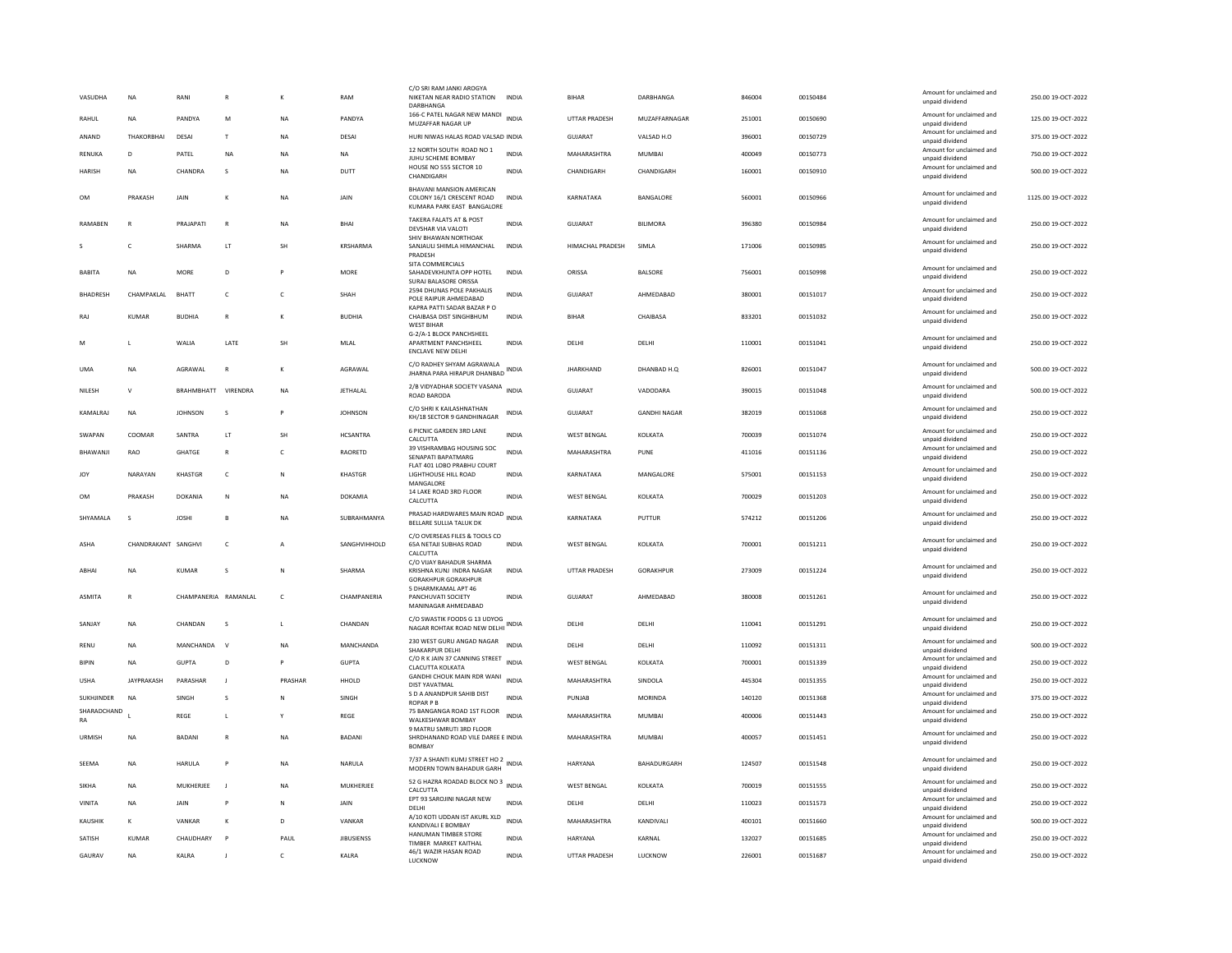| VASUDHA           | NA                  | RANI                 |                |              | RAM               | C/O SRI RAM JANKI AROGY<br>NIKETAN NEAR RADIO STATION<br>DARRHANGA                  | INDIA        | BIHAR                | DARBHANGA           | 846004 | 00150484 | Amount for unclaimed and<br>unpaid dividend | 250.00 19-OCT-2022  |
|-------------------|---------------------|----------------------|----------------|--------------|-------------------|-------------------------------------------------------------------------------------|--------------|----------------------|---------------------|--------|----------|---------------------------------------------|---------------------|
| RAHUI             | <b>NA</b>           | PANDYA               | M              | <b>NA</b>    | PANDYA            | 166-C PATEL NAGAR NEW MANDI<br>MUZAFFAR NAGAR UP                                    | <b>INDIA</b> | <b>UTTAR PRADESH</b> | MUZAFFARNAGAR       | 251001 | 00150690 | Amount for unclaimed and<br>unpaid dividend | 125.00 19-OCT-2022  |
| ANAND             | THAKORBHAI          | DESAI                | T              | NA           | DESAI             | HURI NIWAS HALAS ROAD VALSAD INDIA                                                  |              | GUJARAT              | VALSAD H.O          | 396001 | 00150729 | Amount for unclaimed and<br>unpaid dividend | 375.00 19-OCT-2022  |
| RENUKA            | D                   | PATEL                | NA             | NA           | NA                | 12 NORTH SOUTH ROAD NO 1<br>JUHU SCHEME BOMBAY                                      | <b>INDIA</b> | MAHARASHTRA          | MUMBAI              | 400049 | 00150773 | Amount for unclaimed and<br>unpaid dividend | 750.00 19-OCT-2022  |
| <b>HARISH</b>     | <b>NA</b>           | CHANDRA              | <sub>S</sub>   | <b>NA</b>    | DUTT              | HOUSE NO 555 SECTOR 10<br>CHANDIGARH                                                | <b>INDIA</b> | CHANDIGARH           | CHANDIGARH          | 160001 | 00150910 | Amount for unclaimed and<br>unpaid dividend | 500.00 19-OCT-2022  |
| OM                | PRAKASH             | <b>JAIN</b>          | K              | <b>NA</b>    | <b>JAIN</b>       | BHAVANI MANSION AMERICAN<br>COLONY 16/1 CRESCENT ROAD<br>KUMARA PARK EAST BANGALORE | <b>INDIA</b> | KARNATAKA            | BANGALORE           | 560001 | 00150966 | Amount for unclaimed and<br>unpaid dividend | 1125.00 19-OCT-2022 |
| RAMABEN           |                     | PRAJAPATI            | $\mathsf{R}$   | <b>NA</b>    | BHAI              | TAKERA FALATS AT & POST<br>DEVSHAR VIA VALOTI                                       | <b>INDIA</b> | GUJARAT              | <b>BILIMORA</b>     | 396380 | 00150984 | Amount for unclaimed and<br>unpaid dividend | 250.00 19-OCT-2022  |
|                   | c                   | SHARMA               | LT             | SH           | KRSHARMA          | SHIV BHAWAN NORTHOAK<br>SANJAULI SHIMLA HIMANCHAL<br>PRADESH                        | <b>INDIA</b> | HIMACHAL PRADESH     | SIMLA               | 171006 | 00150985 | Amount for unclaimed and<br>unpaid dividend | 250.00 19-OCT-2022  |
| <b>BABITA</b>     | <b>NA</b>           | MORE                 | D              | P            | MORE              | SITA COMMERCIALS<br>SAHADEVKHUNTA OPP HOTEL<br>SURAJ BALASORE ORISSA                | INDIA        | ORISSA               | BALSORE             | 756001 | 00150998 | Amount for unclaimed and<br>unpaid dividend | 250.00 19-OCT-2022  |
| <b>BHADRESH</b>   | CHAMPAKLAL          | BHATT                | c              | c            | SHAH              | 2594 DHUNAS POLE PAKHALIS<br>POLE RAIPUR AHMEDABAD                                  | <b>INDIA</b> | <b>GUJARAT</b>       | AHMEDABAD           | 380001 | 00151017 | Amount for unclaimed and<br>unpaid dividend | 250.00 19-OCT-2022  |
| <b>RAJ</b>        | KUMAR               | <b>BUDHIA</b>        | R              |              | <b>BUDHIA</b>     | KAPRA PATTI SADAR BAZAR P O<br>CHAIBASA DIST SINGHBHUM<br><b>WEST BIHAR</b>         | INDIA        | <b>BIHAR</b>         | CHAIBASA            | 833201 | 00151032 | Amount for unclaimed and<br>unpaid dividend | 250.00 19-OCT-2022  |
| M                 | <b>L</b>            | WALIA                | LATE           | SH           | MLAL              | G-2/A-1 BLOCK PANCHSHEEL<br>APARTMENT PANCHSHEEL<br>ENCLAVE NEW DELHI               | INDIA        | DELHI                | DELHI               | 110001 | 00151041 | Amount for unclaimed and<br>unpaid dividend | 250.00 19-OCT-2022  |
| <b>UMA</b>        | <b>NA</b>           | AGRAWAL              | $\overline{R}$ | К            | AGRAWAL           | C/O RADHEY SHYAM AGRAWALA<br>JHARNA PARA HIRAPUR DHANBAD                            | <b>INDIA</b> | <b>JHARKHAND</b>     | DHANBAD H.Q         | 826001 | 00151047 | Amount for unclaimed and<br>unpaid dividend | 500.00 19-OCT-2022  |
| <b>NILESH</b>     | $\mathsf{v}$        | RRAHMRHATT           | VIRENDRA       | <b>NA</b>    | <b>IFTHALAL</b>   | 2/B VIDYADHAR SOCIETY VASANA INDIA<br>ROAD BARODA                                   |              | GUIARAT              | VADODARA            | 390015 | 00151048 | Amount for unclaimed and<br>unpaid dividend | 500.00 19-OCT-2022  |
| KAMALRAJ          | <b>NA</b>           | <b>JOHNSON</b>       | s              | P            | <b>JOHNSON</b>    | C/O SHRI K KAILASHNATHAN<br>KH/18 SECTOR 9 GANDHINAGAR                              | <b>INDIA</b> | <b>GUJARAT</b>       | <b>GANDHI NAGAR</b> | 382019 | 00151068 | Amount for unclaimed and<br>unpaid dividend | 250.00 19-OCT-2022  |
| SWAPAN            | COOMAR              | SANTRA               | LT             | SH           | <b>HCSANTRA</b>   | 6 PICNIC GARDEN 3RD LANE<br>CALCUTTA                                                | <b>INDIA</b> | WEST BENGAL          | KOLKATA             | 700039 | 00151074 | Amount for unclaimed and<br>unpaid dividend | 250.00 19-OCT-2022  |
| BHAWANJI          | RAO                 | GHATGE               | $\overline{R}$ | c            | RAORETD           | 39 VISHRAMBAG HOUSING SOC<br><b>SENAPATI BAPATMARG</b>                              | <b>INDIA</b> | MAHARASHTRA          | PUNE                | 411016 | 00151136 | Amount for unclaimed and<br>unpaid dividend | 250.00 19-OCT-2022  |
| <b>JOY</b>        | NARAYAN             | KHASTGR              | c              | N            | <b>KHASTGR</b>    | FLAT 401 LOBO PRABHU COURT<br>LIGHTHOUSE HILL ROAD<br>MANGALORE                     | <b>INDIA</b> | KARNATAKA            | MANGALORE           | 575001 | 00151153 | Amount for unclaimed and<br>unpaid dividend | 250.00 19-OCT-2022  |
| OM                | PRAKASH             | DOKANIA              | N              | NA           | DOKAMIA           | 14 LAKE ROAD 3RD FLOOR<br>CALCUTTA                                                  | INDIA        | <b>WEST BENGAL</b>   | KOLKATA             | 700029 | 00151203 | Amount for unclaimed and<br>unpaid dividend | 250.00 19-OCT-2022  |
| SHYAMALA          | s                   | <b>JOSHI</b>         | $\overline{B}$ | NA           | SUBRAHMANYA       | PRASAD HARDWARES MAIN ROAD INDIA<br>BELLARE SULLIA TALUK DK                         |              | KARNATAKA            | PUTTUR              | 574212 | 00151206 | Amount for unclaimed and<br>unpaid dividend | 250.00 19-OCT-2022  |
| ASHA              | CHANDRAKANT SANGHVI |                      | c              | $\mathsf{A}$ | SANGHVIHHOLD      | C/O OVERSEAS FILES & TOOLS CO<br>65A NETAJI SUBHAS ROAD<br>CALCUTTA                 | INDIA        | <b>WEST BENGAL</b>   | KOLKATA             | 700001 | 00151211 | Amount for unclaimed and<br>unpaid dividend | 250.00 19-OCT-2022  |
| ARHAI             | <b>NA</b>           | KUMAR                | $\sim$         | N            | SHARMA            | C/O VUAY BAHADUR SHARMA<br>KRISHNA KUNI INDRA NAGAR<br>GORAKHPUR GORAKHPUR          | <b>INDIA</b> | <b>UTTAR PRADESH</b> | <b>GORAKHPUR</b>    | 273009 | 00151224 | Amount for unclaimed and<br>unpaid dividend | 250.00.19-OCT-2022  |
| <b>ASMITA</b>     | $\mathbb{R}$        | CHAMPANERIA RAMANIAI |                | $\epsilon$   | CHAMPANERIA       | 5 DHARMKAMAL APT 46<br>PANCHUVATI SOCIETY<br>MANINAGAR AHMEDABAD                    | <b>INDIA</b> | GUIARAT              | AHMEDARAD           | 380008 | 00151261 | Amount for unclaimed and<br>unpaid dividend | 250.00 19-OCT-2022  |
| SANJAY            | <b>NA</b>           | CHANDAN              | s              | L.           | CHANDAN           | C/O SWASTIK FOODS G 13 UDYOG<br>NAGAR ROHTAK ROAD NEW DELHI                         | <b>INDIA</b> | DELHI                | DELHI               | 110041 | 00151291 | Amount for unclaimed and<br>unpaid dividend | 250.00 19-OCT-2022  |
| RENU              | NA                  | MANCHANDA            | $\vee$         | <b>NA</b>    | MANCHANDA         | 230 WEST GURU ANGAD NAGAR<br>SHAKARPUR DELHI                                        | <b>INDIA</b> | DELHI                | DELHI               | 110092 | 00151311 | Amount for unclaimed and<br>unpaid dividend | 500.00 19-OCT-2022  |
| <b>BIPIN</b>      | <b>NA</b>           | GUPTA                | $\mathsf{D}$   | <b>P</b>     | <b>GUPTA</b>      | C/O R K JAIN 37 CANNING STREET<br>CLACUTTA KOLKATA                                  | <b>INDIA</b> | <b>WEST BENGAL</b>   | KOLKATA             | 700001 | 00151339 | Amount for unclaimed and<br>unpaid dividend | 250.00 19-OCT-2022  |
| <b>USHA</b>       | <b>JAYPRAKASH</b>   | PARASHAR             | J.             | PRASHAR      | HHOLD             | GANDHI CHOUK MAIN RDR WANI<br>DIST YAVATMAL                                         | <b>INDIA</b> | MAHARASHTRA          | SINDOLA             | 445304 | 00151355 | Amount for unclaimed and<br>unpaid dividend | 250.00 19-OCT-2022  |
| SUKHJINDER        | <b>NA</b>           | SINGH                | s              | N            | SINGH             | S D A ANANDPUR SAHIB DIST<br><b>ROPAR P B</b>                                       | <b>INDIA</b> | PUNJAB               | <b>MORINDA</b>      | 140120 | 00151368 | Amount for unclaimed and<br>unpaid dividend | 375.00 19-OCT-2022  |
| SHARADCHAND<br>RA |                     | REGE                 | L              |              | REGE              | 75 BANGANGA ROAD 1ST FLOOR<br>WALKESHWAR BOMBAY                                     | <b>INDIA</b> | MAHARASHTRA          | MUMBAI              | 400006 | 00151443 | Amount for unclaimed and<br>unpaid dividend | 250.00 19-OCT-2022  |
| URMISH            | <b>NA</b>           | <b>BADANI</b>        | $\overline{R}$ | <b>NA</b>    | <b>BADANI</b>     | 9 MATRU SMRUTI 3RD FLOOR<br>SHRDHANAND ROAD VILE DAREE E INDIA<br><b>BOMBAY</b>     |              | MAHARASHTRA          | <b>MUMBAI</b>       | 400057 | 00151451 | Amount for unclaimed and<br>unpaid dividend | 250.00 19-OCT-2022  |
| SEEMA             | <b>NA</b>           | <b>HARULA</b>        | P              | <b>NA</b>    | NARULA            | 7/37 A SHANTI KUMJ STREET HO 2<br>MODERN TOWN BAHADUR GARH                          | <b>INDIA</b> | <b>HARYANA</b>       | BAHADURGARH         | 124507 | 00151548 | Amount for unclaimed and<br>unpaid dividend | 250.00 19-OCT-2022  |
| SIKHA             | <b>NA</b>           | MUKHERJEE            | - 11           | <b>NA</b>    | MUKHERJEE         | 52 G HAZRA ROADAD BLOCK NO 3 INDIA<br>CALCUTTA                                      |              | <b>WEST BENGAL</b>   | KOLKATA             | 700019 | 00151555 | Amount for unclaimed and<br>unpaid dividend | 250.00 19-OCT-2022  |
| VINITA            | <b>NA</b>           | JAIN                 | P              | N            | JAIN              | EPT 93 SAROJINI NAGAR NEW<br>DELHI                                                  | <b>INDIA</b> | DELHI                | DELHI               | 110023 | 00151573 | Amount for unclaimed and<br>unpaid dividend | 250.00 19-OCT-2022  |
| KAUSHIK           | $\mathbf{K}$        | VANKAR               | $\mathbf k$    | D            | VANKAR            | A/10 KOTI UDDAN IST AKURL XLD<br>KANDIVALI E BOMBAY                                 | <b>INDIA</b> | MAHARASHTRA          | KANDIVALI           | 400101 | 00151660 | Amount for unclaimed and<br>unpaid dividend | 500.00 19-OCT-2022  |
| SATISH            | KUMAR               | CHAUDHARY            | P              | PAUL         | <b>JIBUSIENSS</b> | HANUMAN TIMBER STORE<br>TIMBER MARKET KAITHAI                                       | INDIA        | HARYANA              | KARNAL              | 132027 | 00151685 | Amount for unclaimed and<br>unpaid dividend | 250.00 19-OCT-2022  |
| GAURAV            | <b>NA</b>           | KALRA                |                | c            | KALRA             | 46/1 WAZIR HASAN ROAD<br>LUCKNOW                                                    | <b>INDIA</b> | <b>UTTAR PRADESH</b> | LUCKNOW             | 226001 | 00151687 | Amount for unclaimed and<br>unpaid dividend | 250.00 19-OCT-2022  |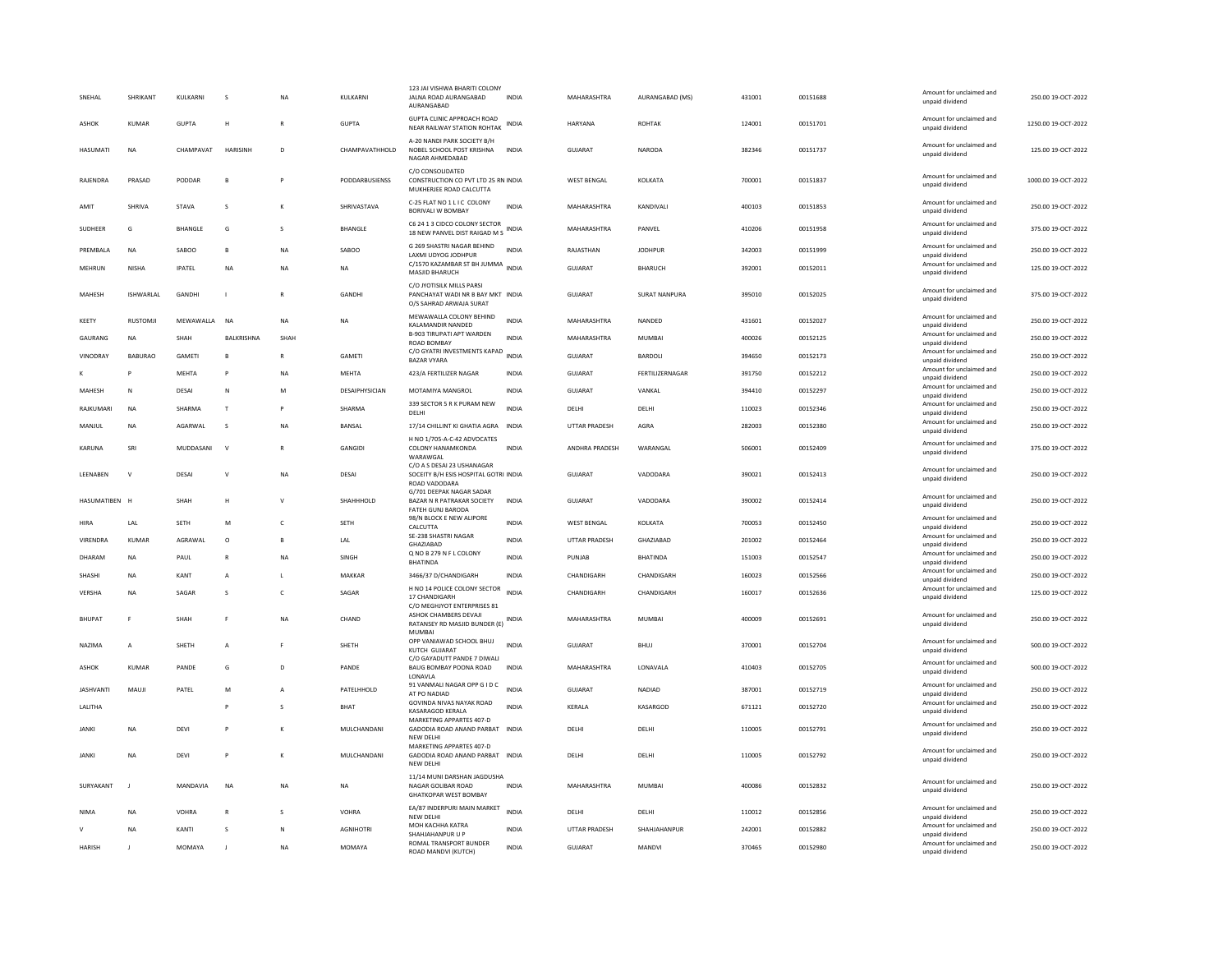| SNEHAL           | <b>SHRIKANT</b> | KULKARNI      | <b>S</b>           | <b>NA</b>    | <b>KULKARNI</b>  | 123 JAI VISHWA BHARITI COLONY<br>JALNA ROAD AURANGABAD<br>AURANGABAD                      | <b>INDIA</b> | MAHARASHTRA        | AURANGABAD (MS)        | 431001 | 00151688 | Amount for unclaimed and<br>unpaid dividend | 250.00 19-OCT-2022  |
|------------------|-----------------|---------------|--------------------|--------------|------------------|-------------------------------------------------------------------------------------------|--------------|--------------------|------------------------|--------|----------|---------------------------------------------|---------------------|
| ASHOK            | KUMAR           | <b>GUPTA</b>  | H                  | $\mathbb{R}$ | <b>GUPTA</b>     | GUPTA CLINIC APPROACH ROAD<br>NEAR RAILWAY STATION ROHTAK                                 | INDIA        | <b>HARYANA</b>     | <b>ROHTAK</b>          | 124001 | 00151701 | Amount for unclaimed and<br>unpaid dividend | 1250.00 19-OCT-2022 |
| <b>HASUMATI</b>  | NA              | CHAMPAVAT     | HARISINH           | D            | CHAMPAVATHHOLD   | A-20 NANDI PARK SOCIETY B/H<br>NOBEL SCHOOL POST KRISHNA<br>NAGAR AHMEDABAD               | INDIA        | GUJARAT            | NARODA                 | 382346 | 00151737 | Amount for unclaimed and<br>unpaid dividend | 125.00 19-OCT-2022  |
| RAJENDRA         | PRASAD          | PODDAR        | B                  |              | PODDARBUSIENSS   | C/O CONSOLIDATED<br>CONSTRUCTION CO PVT LTD 25 RN INDIA<br>MUKHERJEE ROAD CALCUTTA        |              | <b>WEST BENGAL</b> | KOLKATA                | 700001 | 00151837 | Amount for unclaimed and<br>unpaid dividend | 1000.00 19-OCT-2022 |
| AMIT             | SHRIVA          | STAVA         | s                  |              | SHRIVASTAVA      | C-25 FLAT NO 1 L I C COLONY<br>BORIVALI W BOMBAY                                          | <b>INDIA</b> | MAHARASHTRA        | KANDIVALI              | 400103 | 00151853 | Amount for unclaimed and<br>unpaid dividend | 250.00 19-OCT-2022  |
| SUDHEER          | G               | BHANGLE       | G                  | s            | BHANGLE          | C6 24 1 3 CIDCO COLONY SECTOR<br>18 NEW PANVEL DIST RAIGAD M S                            | <b>INDIA</b> | MAHARASHTRA        | PANVEL                 | 410206 | 00151958 | Amount for unclaimed and<br>unpaid dividend | 375.00 19-OCT-2022  |
| PREMBALA         | <b>NA</b>       | SABOO         | $\overline{B}$     | <b>NA</b>    | SABOO            | G 269 SHASTRI NAGAR BEHIND<br>LAXMI UDYOG JODHPUR                                         | <b>INDIA</b> | RAJASTHAN          | <b>JODHPUR</b>         | 342003 | 00151999 | Amount for unclaimed and<br>unpaid dividend | 250.00 19-OCT-2022  |
| MEHRUN           | <b>NISHA</b>    | <b>IPATEL</b> | $_{\sf NA}$        | NA           | NA               | C/1570 KAZAMBAR ST BH JUMMA<br>MASJID BHARUCH                                             | <b>INDIA</b> | <b>GUJARAT</b>     | BHARUCH                | 392001 | 00152011 | Amount for unclaimed and<br>unpaid dividend | 125.00 19-OCT-2022  |
| MAHESH           | ISHWARLAL       | GANDHI        | $\mathbf{I}$       | $\mathsf{R}$ | GANDHI           | C/O JYOTISILK MILLS PARSI<br>PANCHAYAT WADI NR B BAY MKT INDIA<br>O/S SAHRAD ARWAJA SURAT |              | GUJARAT            | SURAT NANPURA          | 395010 | 00152025 | Amount for unclaimed and<br>unpaid dividend | 375.00 19-OCT-2022  |
| KEETY            | <b>RUSTOMJI</b> | MEWAWALLA     | <b>NA</b>          | <b>NA</b>    | <b>NA</b>        | MEWAWALLA COLONY BEHIND<br>KALAMANDIR NANDED                                              | <b>INDIA</b> | MAHARASHTRA        | NANDED                 | 431601 | 00152027 | Amount for unclaimed and<br>unpaid dividend | 250.00 19-OCT-2022  |
| GAURANG          | NA              | SHAH          | BALKRISHNA         | SHAH         |                  | <b>B-903 TIRUPATI APT WARDEN</b>                                                          | <b>INDIA</b> | MAHARASHTRA        | MUMBAI                 | 400026 | 00152125 | Amount for unclaimed and                    | 250.00 19-OCT-2022  |
| VINODRAY         | <b>BABURAO</b>  | GAMETI        | B                  | $\mathbb{R}$ | GAMETI           | ROAD BOMBAY<br>C/O GYATRI INVESTMENTS KAPAD                                               | <b>INDIA</b> | <b>GUJARAT</b>     | BARDOLI                | 394650 | 00152173 | unpaid dividend<br>Amount for unclaimed and | 250.00 19-OCT-2022  |
| к                | P               | MFHTA         | P                  | <b>NA</b>    | MFHTA            | <b>BAZAR VYARA</b><br>423/A FERTILIZER NAGAR                                              | <b>INDIA</b> | GUIARAT            | <b>FFRTILIZERNAGAR</b> | 391750 | 00152212 | unpaid dividend<br>Amount for unclaimed and | 250.00.19-OCT-2022  |
|                  |                 |               |                    |              |                  |                                                                                           |              |                    |                        |        |          | unpaid dividend<br>Amount for unclaimed and |                     |
| MAHESH           | N               | DESAI         | N                  | M            | DESAIPHYSICIAN   | MOTAMIYA MANGROL                                                                          | INDIA        | GUJARAT            | VANKAL                 | 394410 | 00152297 | unpaid dividend                             | 250.00 19-OCT-2022  |
| RAJKUMARI        | <b>NA</b>       | SHARMA        | $\mathsf{T}$       |              | SHARMA           | 339 SECTOR 5 R K PURAM NEW<br>DELHI                                                       | INDIA        | DELHI              | DELHI                  | 110023 | 00152346 | Amount for unclaimed and<br>unpaid dividend | 250.00 19-OCT-2022  |
| MANJUL           | <b>NA</b>       | AGARWAL       | s                  | <b>NA</b>    | BANSAL           | 17/14 CHILLINT KI GHATIA AGRA                                                             | INDIA        | UTTAR PRADESH      | AGRA                   | 282003 | 00152380 | Amount for unclaimed and<br>unpaid dividend | 250.00 19-OCT-2022  |
| <b>KARUNA</b>    | SRI             | MUDDASANI     | $\mathsf{v}$       | $\mathbb{R}$ | GANGIDI          | H NO 1/705-A-C-42 ADVOCATES<br>COLONY HANAMKONDA<br>WARAWGAL                              | <b>INDIA</b> | ANDHRA PRADESH     | WARANGAL               | 506001 | 00152409 | Amount for unclaimed and<br>unpaid dividend | 375.00 19-OCT-2022  |
| <b>I FENAREN</b> | $\mathbf{v}$    | DESAI         | $\mathsf{V}$       | <b>NA</b>    | DESAI            | C/O A S DESAI 23 USHANAGAR<br>SOCEITY B/H ESIS HOSPITAL GOTRI INDIA<br>ROAD VADODARA      |              | GUJARAT            | VADODARA               | 390021 | 00152413 | Amount for unclaimed and<br>unpaid dividend | 250.00 19-OCT-2022  |
| HASUMATIBEN H    |                 | SHAH          | Н                  | $\mathbf{v}$ | SHAHHHOLD        | G/701 DEEPAK NAGAR SADAR<br>BAZAR N R PATRAKAR SOCIETY<br>FATEH GUNJ BARODA               | <b>INDIA</b> | <b>GUJARAT</b>     | VADODARA               | 390002 | 00152414 | Amount for unclaimed and<br>unpaid dividend | 250.00 19-OCT-2022  |
| HIRA             | LAL             | <b>SETH</b>   | M                  | c            | SETH             | 98/N BLOCK E NEW ALIPORE<br>CALCUTTA                                                      | <b>INDIA</b> | <b>WEST BENGAL</b> | KOLKATA                | 700053 | 00152450 | Amount for unclaimed and<br>unpaid dividend | 250.00 19-OCT-2022  |
| VIRENDRA         | KUMAR           | AGRAWAL       | $\circ$            |              | LAL              | SE-238 SHASTRI NAGAR<br>GHAZIABAD                                                         | <b>INDIA</b> | UTTAR PRADESH      | GHAZIABAD              | 201002 | 00152464 | Amount for unclaimed and<br>unpaid dividend | 250.00 19-OCT-2022  |
| DHARAM           | NA              | PAUL          | ${\sf R}$          | <b>NA</b>    | SINGH            | Q NO B 279 N F L COLONY                                                                   | INDIA        | PUNJAB             | <b>BHATINDA</b>        | 151003 | 00152547 | Amount for unclaimed and                    | 250.00 19-OCT-2022  |
| SHASHI           | NA              | KANT          | А                  | $\mathbf{L}$ | MAKKAR           | <b>BHATINDA</b><br>3466/37 D/CHANDIGARH                                                   | <b>INDIA</b> | CHANDIGARH         | CHANDIGARH             | 160023 | 00152566 | unpaid dividend<br>Amount for unclaimed and | 250.00 19-OCT-2022  |
|                  |                 |               |                    |              |                  | H NO 14 POLICE COLONY SECTOR                                                              |              |                    |                        |        |          | unpaid dividend<br>Amount for unclaimed and |                     |
| VERSHA           | <b>NA</b>       | SAGAR         | $\mathbf{\hat{S}}$ | $\epsilon$   | SAGAR            | 17 CHANDIGARH<br>C/O MEGHJYOT ENTERPRISES 81                                              | <b>INDIA</b> | CHANDIGARH         | CHANDIGARH             | 160017 | 00152636 | unpaid dividend                             | 125.00 19-OCT-2022  |
| <b>BHUPAT</b>    | F               | SHAH          | F                  | <b>NA</b>    | CHAND            | ASHOK CHAMBERS DEVAJI<br>RATANSEY RD MASJID BUNDER (E)<br>MUMBAI                          | INDIA        | MAHARASHTRA        | MUMBAI                 | 400009 | 00152691 | Amount for unclaimed and<br>unpaid dividend | 250.00 19-OCT-2022  |
| NAZIMA           | A               | SHETH         | A                  |              | SHETH            | OPP VANIAWAD SCHOOL BHUJ<br>KUTCH GUJARAT                                                 | <b>INDIA</b> | GUJARAT            | BHUJ                   | 370001 | 00152704 | Amount for unclaimed and<br>unpaid dividend | 500.00 19-OCT-2022  |
| <b>ASHOK</b>     | <b>KUMAR</b>    | PANDE         | G                  | D            | PANDE            | C/O GAYADUTT PANDE 7 DIWALI<br>BAUG BOMBAY POONA ROAD<br>LONAVLA                          | <b>INDIA</b> | MAHARASHTRA        | LONAVALA               | 410403 | 00152705 | Amount for unclaimed and<br>unpaid dividend | 500.00 19-OCT-2022  |
| <b>JASHVANTI</b> | MAUJI           | PATEL         | M                  |              | PATELHHOLD       | 91 VANMALI NAGAR OPP G I D C<br>AT PO NADIAD                                              | <b>INDIA</b> | <b>GUJARAT</b>     | NADIAD                 | 387001 | 00152719 | Amount for unclaimed and<br>unpaid dividend | 250.00 19-OCT-2022  |
| LALITHA          |                 |               | P                  | s            | <b>BHAT</b>      | GOVINDA NIVAS NAYAK ROAD<br>KASARAGOD KERALA                                              | <b>INDIA</b> | KERALA             | KASARGOD               | 671121 | 00152720 | Amount for unclaimed and<br>unpaid dividend | 250.00 19-OCT-2022  |
| <b>JANKI</b>     | NA              | DEVI          | P                  |              | MULCHANDANI      | MARKETING APPARTES 407-D<br>GADODIA ROAD ANAND PARBAT INDIA                               |              | DELHI              | DELHI                  | 110005 | 00152791 | Amount for unclaimed and<br>unpaid dividend | 250.00 19-OCT-2022  |
| <b>JANKI</b>     | <b>NA</b>       | DFVI          | P                  | к            | MULCHANDANI      | NEW DELHI<br>MARKETING APPARTES 407-D<br>GADODIA ROAD ANAND PARBAT INDIA<br>NEW DELH      |              | <b>DELHI</b>       | <b>DELHI</b>           | 110005 | 00152792 | Amount for unclaimed and<br>unpaid dividend | 250.00.19-OCT-2022  |
| SURYAKANT        | $\blacksquare$  | MANDAVIA      | <b>NA</b>          | <b>NA</b>    | <b>NA</b>        | 11/14 MUNI DARSHAN JAGDUSHA<br>NAGAR GOLIBAR ROAD<br><b>GHATKOPAR WEST BOMBAY</b>         | <b>INDIA</b> | MAHARASHTRA        | <b>MUMBAI</b>          | 400086 | 00152832 | Amount for unclaimed and<br>unpaid dividend | 250.00 19-OCT-2022  |
| <b>NIMA</b>      | <b>NA</b>       | VOHRA         | $\mathbb{R}$       | $\mathbf{S}$ | VOHRA            | EA/87 INDERPURI MAIN MARKET                                                               | <b>INDIA</b> | DELHI              | <b>DELHI</b>           | 110012 | 00152856 | Amount for unclaimed and                    | 250.00 19-OCT-2022  |
|                  | <b>NA</b>       | KANTI         | s                  | $\mathbb N$  | <b>AGNIHOTRI</b> | NEW DELHI<br>MOH KACHHA KATRA                                                             | <b>INDIA</b> | UTTAR PRADESH      | SHAHJAHANPUR           | 242001 | 00152882 | unpaid dividend<br>Amount for unclaimed and | 250.00 19-OCT-2022  |
| <b>HARISH</b>    |                 | MOMAYA        |                    | <b>NA</b>    | MOMAYA           | SHAHJAHANPUR U P<br>ROMAL TRANSPORT BUNDER                                                | <b>INDIA</b> | GUJARAT            | MANDVI                 | 370465 | 00152980 | unpaid dividend<br>Amount for unclaimed and | 250.00 19-OCT-2022  |
|                  |                 |               |                    |              |                  | ROAD MANDVI (KUTCH)                                                                       |              |                    |                        |        |          | unpaid dividend                             |                     |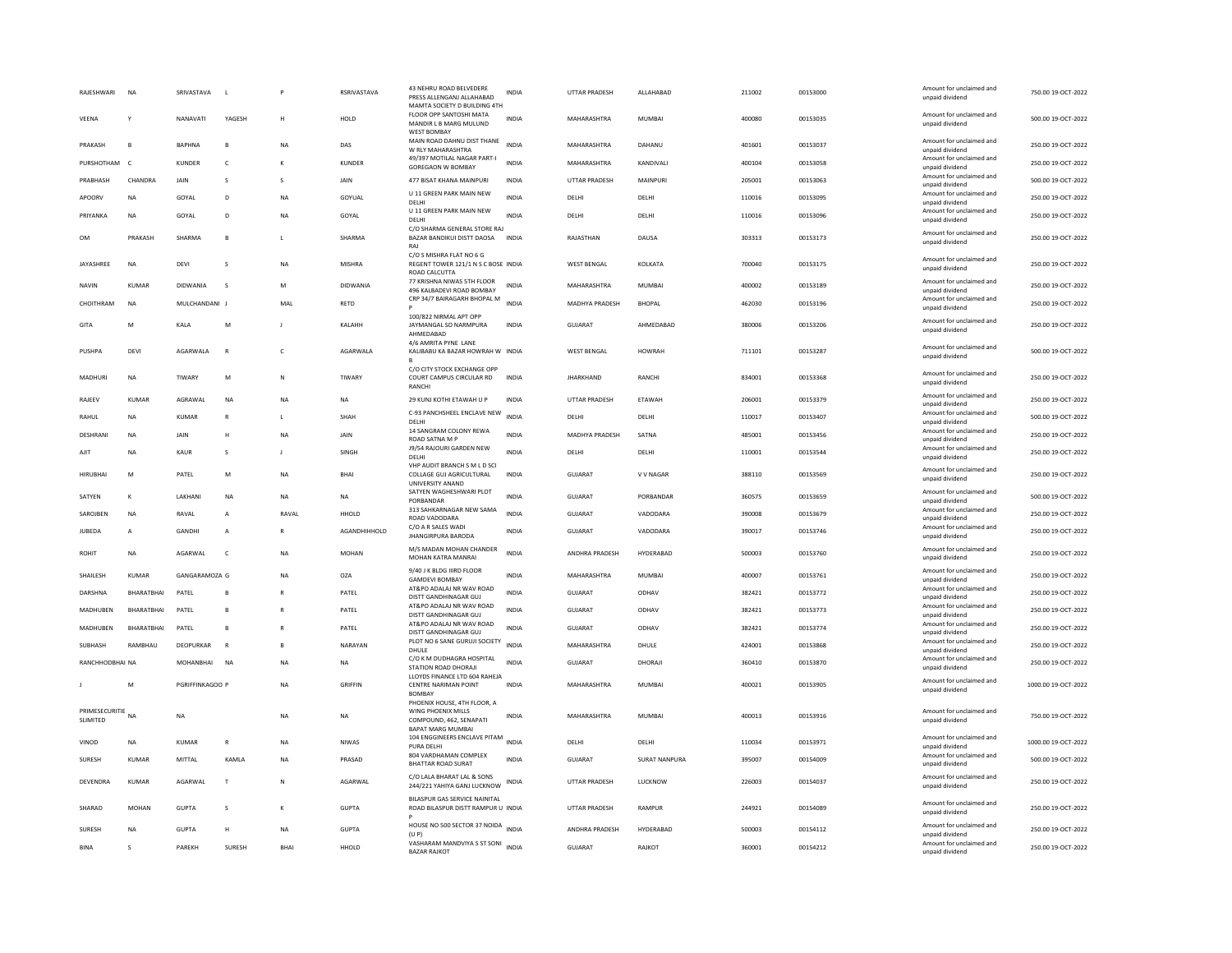| RAJESHWARI                 | <b>NA</b>         | SRIVASTAVA      |                                                                                                            |              | RSRIVASTAVA   | 43 NEHRU ROAD BELVEDERE<br>PRESS ALLENGANJ ALLAHABAD<br>MAMTA SOCIETY D BUILDING 4TH                     | INDIA        | UTTAR PRADESH         | ALLAHABAD     | 211002 | 00153000 | Amount for unclaimed and<br>unpaid dividend | 750.00 19-OCT-2022  |
|----------------------------|-------------------|-----------------|------------------------------------------------------------------------------------------------------------|--------------|---------------|----------------------------------------------------------------------------------------------------------|--------------|-----------------------|---------------|--------|----------|---------------------------------------------|---------------------|
| VEENA                      | Y                 | NANAVATI        | YAGESH                                                                                                     | н            | HOLD          | FLOOR OPP SANTOSHI MATA<br>MANDIR L B MARG MULUND<br><b>WEST BOMBAY</b>                                  | <b>INDIA</b> | MAHARASHTRA           | <b>MUMBAI</b> | 400080 | 00153035 | Amount for unclaimed and<br>unpaid dividend | 500.00 19-OCT-2022  |
| PRAKASH                    | $\overline{B}$    | <b>RAPHNA</b>   | $\mathbf{R}$                                                                                               | <b>NA</b>    | DAS           | MAIN ROAD DAHNU DIST THANE<br>W RLY MAHARASHTRA                                                          | <b>INDIA</b> | MAHARASHTRA           | DAHANU        | 401601 | 00153037 | Amount for unclaimed and<br>unpaid dividend | 250.00 19-QCT-2022  |
| PURSHOTHAM                 | $\epsilon$        | KUNDER          | $\mathsf{C}$                                                                                               | к            | <b>KUNDER</b> | 49/397 MOTILAL NAGAR PART-I<br>GOREGAON W BOMBAY                                                         | <b>INDIA</b> | MAHARASHTRA           | KANDIVALI     | 400104 | 00153058 | Amount for unclaimed and<br>unpaid dividend | 250.00 19-OCT-2022  |
| PRABHASH                   | CHANDRA           | JAIN            | s                                                                                                          | s            | JAIN          | 477 BISAT KHANA MAINPURI                                                                                 | <b>INDIA</b> | <b>UTTAR PRADESH</b>  | MAINPURI      | 205001 | 00153063 | Amount for unclaimed and<br>unpaid dividend | 500.00 19-OCT-2022  |
| APOORV                     | <b>NA</b>         | GOYAL           | D                                                                                                          | <b>NA</b>    | GOYUAL        | U 11 GREEN PARK MAIN NEW<br>DELHI                                                                        | <b>INDIA</b> | DELHI                 | DELHI         | 110016 | 00153095 | Amount for unclaimed and<br>unpaid dividend | 250.00 19-OCT-2022  |
| PRIYANKA                   | <b>NA</b>         | GOYAL           | D.                                                                                                         | <b>NA</b>    | GOYAL         | U 11 GREEN PARK MAIN NEW<br>DELHI                                                                        | <b>INDIA</b> | <b>DELHI</b>          | <b>DELHI</b>  | 110016 | 00153096 | Amount for unclaimed and<br>unpaid dividend | 250.00 19-OCT-2022  |
| OM                         | PRAKASH           | SHARMA          | B                                                                                                          | L            | SHARMA        | C/O SHARMA GENERAL STORE RAJ<br>BAZAR BANDIKUI DISTT DAOSA<br>RAI                                        | <b>INDIA</b> | RAJASTHAN             | DAUSA         | 303313 | 00153173 | Amount for unclaimed and<br>unpaid dividend | 250.00 19-OCT-2022  |
| JAYASHREE                  | <b>NA</b>         | DEVI            | s                                                                                                          | <b>NA</b>    | <b>MISHRA</b> | C/O S MISHRA FLAT NO 6 G<br>REGENT TOWER 121/1 N S C BOSE INDIA<br>ROAD CALCUTTA                         |              | <b>WEST BENGAL</b>    | KOLKATA       | 700040 | 00153175 | Amount for unclaimed and<br>unpaid dividend | 250.00 19-OCT-2022  |
| NAVIN                      | KUMAR             | DIDWANIA        | s                                                                                                          | M            | DIDWANIA      | 77 KRISHNA NIWAS 5TH FLOOR<br>496 KALBADEVI ROAD BOMBAY                                                  | INDIA        | MAHARASHTRA           | MUMBAI        | 400002 | 00153189 | Amount for unclaimed and<br>boobivib bisonu | 250.00 19-OCT-2022  |
| CHOITHRAM                  | <b>NA</b>         | MULCHANDANI J   |                                                                                                            | MAL          | <b>RETD</b>   | CRP 34/7 BAIRAGARH BHOPAL M                                                                              | <b>INDIA</b> | MADHYA PRADESH        | <b>BHOPAL</b> | 462030 | 00153196 | Amount for unclaimed and<br>unpaid dividend | 250.00 19-OCT-2022  |
| GITA                       | ${\sf M}$         | KALA            | $\mathsf{M}% _{T}=\mathsf{M}_{T}\!\left( a,b\right) ,\ \mathsf{M}_{T}=\mathsf{M}_{T}\!\left( a,b\right) ,$ | -1           | KALAHH        | 100/822 NIRMAL APT OPP<br>JAYMANGAL SO NARMPURA<br>AHMEDABAD                                             | <b>INDIA</b> | GUJARAT               | AHMEDABAD     | 380006 | 00153206 | Amount for unclaimed and<br>unpaid dividend | 250.00 19-OCT-2022  |
| PUSHPA                     | DEVI              | AGARWALA        | $\mathbb{R}$                                                                                               | c            | AGARWALA      | 4/6 AMRITA PYNE LANE<br>KALIBABU KA BAZAR HOWRAH W INDIA                                                 |              | <b>WEST BENGAL</b>    | <b>HOWRAH</b> | 711101 | 00153287 | Amount for unclaimed and<br>unpaid dividend | 500.00 19-OCT-2022  |
| MADHURI                    | <b>NA</b>         | TIWARY          | M                                                                                                          | $\mathbb N$  | TIWARY        | C/O CITY STOCK EXCHANGE OPP<br>COURT CAMPUS CIRCULAR RD<br>RANCH                                         | <b>INDIA</b> | <b>IHARKHAND</b>      | RANCHI        | 834001 | 00153368 | Amount for unclaimed and<br>unpaid dividend | 250.00 19-OCT-2022  |
| RAJEEV                     | KUMAR             | AGRAWAL         | NA                                                                                                         | <b>NA</b>    | NA            | 29 KUNJ KOTHI ETAWAH U P                                                                                 | INDIA        | <b>UTTAR PRADESH</b>  | ETAWAH        | 206001 | 00153379 | Amount for unclaimed and<br>unpaid dividend | 250.00 19-OCT-2022  |
| RAHUL                      | <b>NA</b>         | KUMAR           | $\mathbb{R}$                                                                                               | $\mathbf{I}$ | SHAH          | C-93 PANCHSHEEL ENCLAVE NEW<br><b>DELHI</b>                                                              | <b>INDIA</b> | DELHI                 | DELHI         | 110017 | 00153407 | Amount for unclaimed and<br>unpaid dividend | 500.00 19-OCT-2022  |
| <b>DESHRANI</b>            | <b>NA</b>         | <b>JAIN</b>     | Н                                                                                                          | <b>NA</b>    | JAIN          | 14 SANGRAM COLONY REWA<br>ROAD SATNA M P                                                                 | <b>INDIA</b> | MADHYA PRADESH        | SATNA         | 485001 | 00153456 | Amount for unclaimed and<br>unpaid dividend | 250.00 19-OCT-2022  |
| AJIT                       | <b>NA</b>         | <b>KAUR</b>     | s                                                                                                          | J            | SINGH         | J9/54 RAJOURI GARDEN NEW<br>DELHI                                                                        | <b>INDIA</b> | DELHI                 | DELHI         | 110001 | 00153544 | Amount for unclaimed and<br>unpaid dividend | 250.00 19-OCT-2022  |
| <b>HIRUBHAI</b>            | M                 | PATEL           | M                                                                                                          | NA           | <b>BHAI</b>   | VHP AUDIT BRANCH S M L D SCI<br>COLLAGE GUJ AGRICULTURAL<br>UNIVERSITY ANAND                             | INDIA        | <b>GUJARAT</b>        | V V NAGAR     | 388110 | 00153569 | Amount for unclaimed and<br>unpaid dividend | 250.00 19-OCT-2022  |
| SATYEN                     | $\kappa$          | LAKHANI         | <b>NA</b>                                                                                                  | <b>NA</b>    | <b>NA</b>     | SATYEN WAGHESHWARI PLOT<br>PORBANDAR                                                                     | <b>INDIA</b> | <b>GUJARAT</b>        | PORBANDAR     | 360575 | 00153659 | Amount for unclaimed and<br>unpaid dividend | 500.00 19-OCT-2022  |
| SAROJBEN                   | <b>NA</b>         | RAVAL           | A                                                                                                          | RAVAL        | HHOLD         | 313 SAHKARNAGAR NEW SAMA<br>ROAD VADODARA                                                                | <b>INDIA</b> | GUJARAT               | VADODARA      | 390008 | 00153679 | Amount for unclaimed and<br>unpaid dividend | 250.00 19-OCT-2022  |
| JUBEDA                     | A                 | GANDHI          | A                                                                                                          | ${\sf R}$    | AGANDHIHHOLD  | C/O A R SALES WADI<br><b>JHANGIRPURA BARODA</b>                                                          | <b>INDIA</b> | GUJARAT               | VADODARA      | 390017 | 00153746 | Amount for unclaimed and<br>unpaid dividend | 250.00 19-OCT-2022  |
| ROHIT                      | <b>NA</b>         | AGARWAI         | $\epsilon$                                                                                                 | <b>NA</b>    | <b>MOHAN</b>  | M/S MADAN MOHAN CHANDER                                                                                  | <b>INDIA</b> | <b>ANDHRA PRADESH</b> | HYDERABAD     | 500003 | 00153760 | Amount for unclaimed and                    | 250.00.19-OCT-2022  |
|                            |                   |                 |                                                                                                            |              |               | MOHAN KATRA MANRAI<br>9/40 J K BLDG IIIRD FLOOR                                                          |              |                       |               |        |          | unpaid dividend<br>Amount for unclaimed and |                     |
| SHAILESH                   | <b>KUMAR</b>      | GANGARAMOZA G   |                                                                                                            | NA           | OZA           | <b>GAMDEVI BOMBAY</b>                                                                                    | INDIA        | MAHARASHTRA           | MUMBAI        | 400007 | 00153761 | unpaid dividend                             | 250.00 19-OCT-2022  |
| DARSHNA                    | <b>BHARATRHAI</b> | PATEL           | $\mathbf{B}$                                                                                               | R            | PATEL         | AT&PO ADALAJ NR WAV ROAD<br>DISTT GANDHINAGAR GUJ                                                        | <b>INDIA</b> | GUJARAT               | ODHAV         | 382421 | 00153772 | Amount for unclaimed and<br>unpaid dividend | 250.00 19-OCT-2022  |
| MADHUBEN                   | BHARATBHAI        | PATEL           | B                                                                                                          | R            | PATEL         | AT&PO ADALAJ NR WAV ROAD<br>DISTT GANDHINAGAR GUJ                                                        | <b>INDIA</b> | <b>GUJARAT</b>        | ODHAV         | 382421 | 00153773 | Amount for unclaimed and<br>unpaid dividend | 250.00 19-OCT-2022  |
| MADHUBEN                   | BHARATBHAI        | PATEL           | B                                                                                                          | $\mathbb{R}$ | PATEL         | AT&PO ADALAJ NR WAV ROAD<br>DISTT GANDHINAGAR GUJ                                                        | <b>INDIA</b> | GUJARAT               | ODHAV         | 382421 | 00153774 | Amount for unclaimed and<br>unpaid dividend | 250.00 19-OCT-2022  |
| SUBHASH                    | RAMBHAU           | DEOPURKAR       | $\mathbb{R}$                                                                                               | в            | NARAYAN       | PLOT NO 6 SANE GURUJI SOCIETY<br>DHULF                                                                   | <b>INDIA</b> | MAHARASHTRA           | DHULE         | 424001 | 00153868 | Amount for unclaimed and<br>unpaid dividend | 250.00 19-OCT-2022  |
| RANCHHODBHAI NA            |                   | MOHANRHAI       | <b>NA</b>                                                                                                  | <b>NA</b>    | NA            | C/O K M DUDHAGRA HOSPITAL<br>STATION ROAD DHORAJI                                                        | <b>INDIA</b> | GUIARAT               | DHORAJI       | 360410 | 00153870 | Amount for unclaimed and<br>unpaid dividend | 250.00 19-OCT-2022  |
|                            | M                 | PGRIFFINKAGOO P |                                                                                                            | <b>NA</b>    | GRIFFIN       | LLOYDS FINANCE LTD 604 RAHEJA<br>CENTRE NARIMAN POINT<br><b>BOMBAY</b>                                   | <b>INDIA</b> | MAHARASHTRA           | <b>MUMBAI</b> | 400021 | 00153905 | Amount for unclaimed and<br>unpaid dividend | 1000.00 19-OCT-2022 |
| PRIMESECURITIE<br>SLIMITED | <b>NA</b>         | <b>NA</b>       |                                                                                                            | <b>NA</b>    | <b>NA</b>     | PHOENIX HOUSE, 4TH FLOOR, A<br>WING PHOENIX MILLS<br>COMPOUND, 462, SENAPATI<br><b>BAPAT MARG MUMBAI</b> | <b>INDIA</b> | MAHARASHTRA           | <b>MUMBAI</b> | 400013 | 00153916 | Amount for unclaimed and<br>unpaid dividend | 750.00 19-OCT-2022  |
| VINOD                      | <b>NA</b>         | <b>KUMAR</b>    | $\mathbb{R}$                                                                                               | <b>NA</b>    | <b>NIWAS</b>  | 104 ENGGINEERS ENCLAVE PITAM<br>PURA DELHI                                                               | <b>INDIA</b> | DELHI                 | DELHI         | 110034 | 00153971 | Amount for unclaimed and<br>unpaid dividend | 1000.00 19-OCT-2022 |
| SURESH                     | <b>KUMAR</b>      | MITTAL          | KAMLA                                                                                                      | NA           | PRASAD        | 804 VARDHAMAN COMPLEX<br><b>BHATTAR ROAD SURAT</b>                                                       | <b>INDIA</b> | GUJARAT               | SURAT NANPURA | 395007 | 00154009 | Amount for unclaimed and<br>unpaid dividend | 500.00 19-OCT-2022  |
| DEVENDRA                   | <b>KUMAR</b>      | AGARWAL         | $\mathsf{T}$                                                                                               | N            | AGARWAL       | C/O LALA BHARAT LAL & SONS<br>244/221 YAHIYA GANJ LUCKNOW                                                | INDIA        | <b>UTTAR PRADESH</b>  | LUCKNOW       | 226003 | 00154037 | Amount for unclaimed and<br>unpaid dividend | 250.00 19-OCT-2022  |
| SHARAD                     | <b>MOHAN</b>      | <b>GUPTA</b>    | s                                                                                                          |              | <b>GUPTA</b>  | BILASPUR GAS SERVICE NAINITAL<br>ROAD BILASPUR DISTT RAMPUR U INDIA                                      |              | UTTAR PRADESH         | RAMPUR        | 244921 | 00154089 | Amount for unclaimed and<br>unpaid dividend | 250.00 19-OCT-2022  |
| <b>SURESH</b>              | <b>NA</b>         | <b>GUPTA</b>    | H                                                                                                          | <b>NA</b>    | <b>GUPTA</b>  | HOUSE NO 500 SECTOR 37 NOIDA INDIA<br>(U P)                                                              |              | ANDHRA PRADESH        | HYDERABAD     | 500003 | 00154112 | Amount for unclaimed and<br>unpaid dividend | 250.00 19-OCT-2022  |
| <b>BINA</b>                | $\mathsf{s}$      | PAREKH          | <b>SURESH</b>                                                                                              | <b>BHA</b>   | <b>HHOLD</b>  | VASHARAM MANDVIYA S ST SONI INDIA<br><b>BAZAR RAJKOT</b>                                                 |              | GUJARAT               | <b>RAJKOT</b> | 360001 | 00154212 | Amount for unclaimed and<br>unpaid dividend | 250.00 19-OCT-2022  |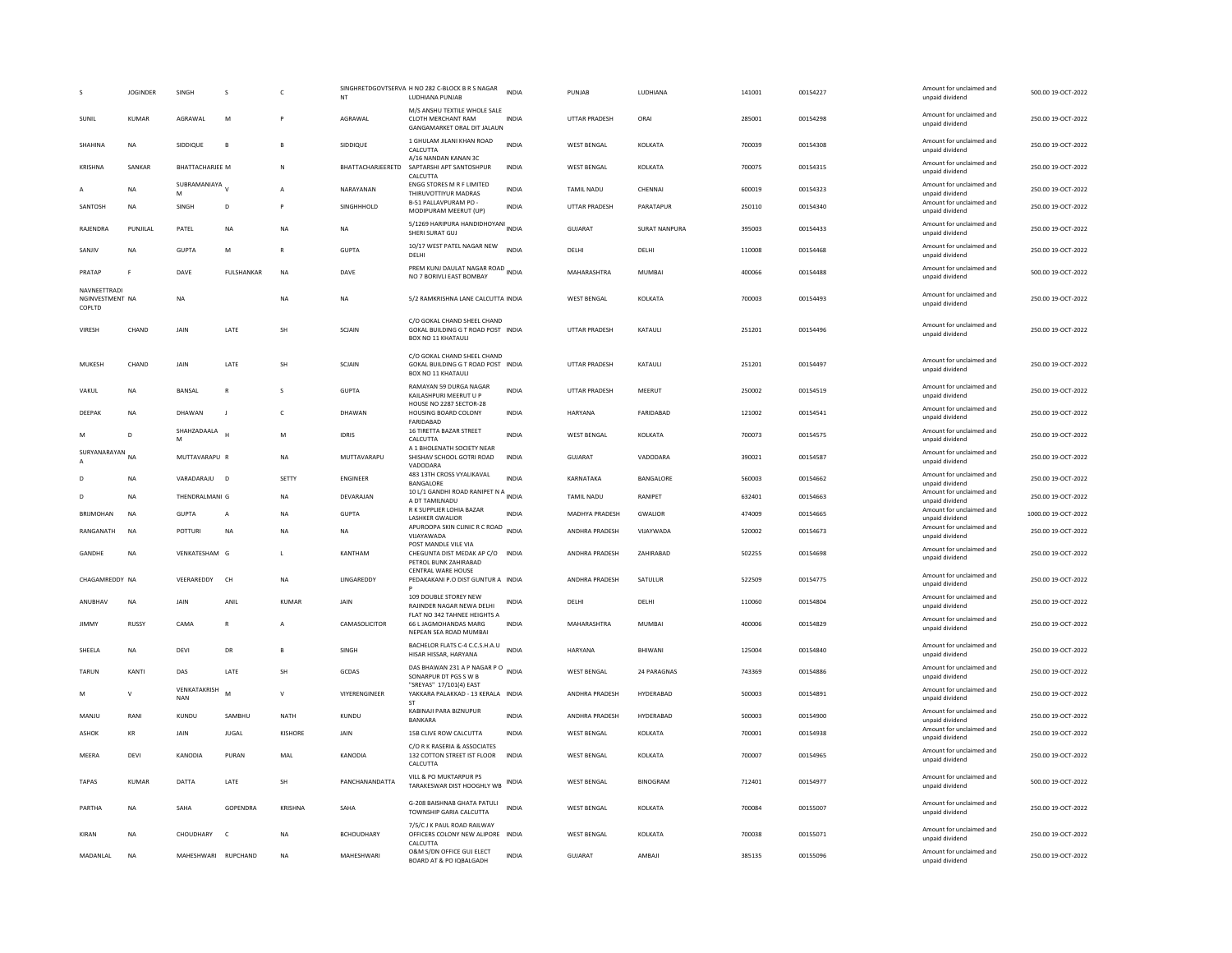|                                           | <b>JOGINDER</b> | SINGH               | s                            | $\epsilon$   | <b>NT</b>         | SINGHRETDGOVTSERVA H NO 282 C-BLOCK B R S NAGAR<br>LUDHIANA PUNJAB                             | <b>INDIA</b> | PUNJAB                | LUDHIANA             | 141001 | 00154227 | Amount for unclaimed and<br>unpaid dividend | 500.00 19-OCT-2022  |
|-------------------------------------------|-----------------|---------------------|------------------------------|--------------|-------------------|------------------------------------------------------------------------------------------------|--------------|-----------------------|----------------------|--------|----------|---------------------------------------------|---------------------|
| SUNIL                                     | <b>KUMAR</b>    | AGRAWAL             | M                            |              | AGRAWAL           | M/S ANSHU TEXTILE WHOLE SALE<br>CLOTH MERCHANT RAM<br>GANGAMARKET ORAL DIT JALAUN              | <b>INDIA</b> | UTTAR PRADESH         | ORAI                 | 285001 | 00154298 | Amount for unclaimed and<br>unpaid dividend | 250.00 19-OCT-2022  |
| SHAHINA                                   | <b>NA</b>       | SIDDIQUE            | B                            | <b>B</b>     | SIDDIQUE          | 1 GHULAM JILANI KHAN ROAD<br>CALCUTTA                                                          | <b>INDIA</b> | <b>WEST BENGAL</b>    | KOLKATA              | 700039 | 00154308 | Amount for unclaimed and<br>unpaid dividend | 250.00 19-OCT-2022  |
| KRISHNA                                   | SANKAR          | BHATTACHARJEE M     |                              | $\mathbb{N}$ | BHATTACHARJEERETD | A/16 NANDAN KANAN 3C<br>SAPTARSHI APT SANTOSHPUR<br>CALCUTTA                                   | INDIA        | <b>WEST BENGAL</b>    | KOLKATA              | 700075 | 00154315 | Amount for unclaimed and<br>unpaid dividend | 250.00 19-OCT-2022  |
|                                           | <b>NA</b>       | SUBRAMANIAYA V      |                              |              | NARAYANAN         | <b>ENGG STORES M R F LIMITED</b>                                                               | <b>INDIA</b> | TAMIL NADU            | CHENNAI              | 600019 | 00154323 | Amount for unclaimed and                    | 250.00 19-OCT-2022  |
| SANTOSH                                   | <b>NA</b>       | M<br>SINGH          | D                            | P            | SINGHHHOLD        | THIRUVOTTIYUR MADRAS<br>B-51 PALLAVPURAM PO -                                                  | INDIA        | UTTAR PRADESH         | PARATAPUR            | 250110 | 00154340 | unpaid dividend<br>Amount for unclaimed and | 250.00 19-OCT-2022  |
|                                           |                 |                     |                              |              |                   | MODIPURAM MEERUT (UP)<br>5/1269 HARIPURA HANDIDHOYANI INDIA                                    |              |                       |                      |        |          | unpaid dividend<br>Amount for unclaimed and |                     |
| RAJENDRA                                  | PUNJILAL        | PATEL               | <b>NA</b>                    | <b>NA</b>    | NA                | SHERI SURAT GUJ                                                                                |              | <b>GUJARAT</b>        | <b>SURAT NANPURA</b> | 395003 | 00154433 | unpaid dividend<br>Amount for unclaimed and | 250.00 19-OCT-2022  |
| SANJIV                                    | <b>NA</b>       | <b>GUPTA</b>        | M                            | $\mathbb{R}$ | <b>GUPTA</b>      | 10/17 WEST PATEL NAGAR NEW<br>DELHI                                                            | <b>INDIA</b> | DELHI                 | DELHI                | 110008 | 00154468 | unpaid dividend                             | 250.00 19-OCT-2022  |
| PRATAP                                    |                 | DAVE                | <b>FULSHANKAR</b>            | <b>NA</b>    | DAVE              | PREM KUNJ DAULAT NAGAR ROAD INDIA<br>NO 7 BORIVLI EAST BOMBAY                                  |              | MAHARASHTRA           | <b>MUMBAI</b>        | 400066 | 00154488 | Amount for unclaimed and<br>unpaid dividend | 500.00 19-OCT-2022  |
| NAVNEETTRADI<br>NGINVESTMENT NA<br>COPLTD |                 | <b>NA</b>           |                              | <b>NA</b>    | <b>NA</b>         | 5/2 RAMKRISHNA LANE CALCUTTA INDIA                                                             |              | <b>WEST BENGAL</b>    | KOLKATA              | 700003 | 00154493 | Amount for unclaimed and<br>unpaid dividend | 250.00 19-OCT-2022  |
| VIRESH                                    | CHAND           | JAIN                | LATE                         | SH           | SCJAIN            | C/O GOKAL CHAND SHEEL CHAND<br>GOKAL BUILDING G T ROAD POST INDIA<br><b>BOX NO 11 KHATAULI</b> |              | UTTAR PRADESH         | KATAUL               | 251201 | 00154496 | Amount for unclaimed and<br>unpaid dividend | 250.00 19-OCT-2022  |
| MUKESH                                    | CHAND           | JAIN                | LATE                         | SH           | SCJAIN            | C/O GOKAL CHAND SHEEL CHAND<br>GOKAL BUILDING G T ROAD POST INDIA<br>BOX NO 11 KHATAULI        |              | <b>UTTAR PRADESH</b>  | KATAULI              | 251201 | 00154497 | Amount for unclaimed and<br>unpaid dividend | 250.00 19-OCT-2022  |
| VAKUL                                     | <b>NA</b>       | BANSAL              | $\mathbb{R}$                 | s            | <b>GUPTA</b>      | RAMAYAN 59 DURGA NAGAR<br>KAILASHPURI MEERUT U P                                               | <b>INDIA</b> | UTTAR PRADESH         | MEERUT               | 250002 | 00154519 | Amount for unclaimed and<br>unpaid dividend | 250.00 19-OCT-2022  |
| DEEPAK                                    | <b>NA</b>       | DHAWAN              | J.                           | $\mathsf{C}$ | DHAWAN            | HOUSE NO 2287 SECTOR-28<br>HOUSING BOARD COLONY<br>FARIDABAD                                   | INDIA        | HARYANA               | FARIDABAD            | 121002 | 00154541 | Amount for unclaimed and<br>unpaid dividend | 250.00 19-OCT-2022  |
| M                                         | D               | SHAHZADAALA         |                              | M            | <b>IDRIS</b>      | 16 TIRETTA BAZAR STREET<br>CALCUTTA                                                            | <b>INDIA</b> | <b>WEST BENGAL</b>    | KOLKATA              | 700073 | 00154575 | Amount for unclaimed and<br>unpaid dividend | 250.00 19-OCT-2022  |
| SURYANARAYAN NA                           |                 | MUTTAVARAPU R       |                              | <b>NA</b>    | MUTTAVARAPU       | A 1 BHOLENATH SOCIETY NEAR<br>SHISHAV SCHOOL GOTRI ROAD<br>VADODARA                            | <b>INDIA</b> | GUIARAT               | VADODARA             | 390021 | 00154587 | Amount for unclaimed and<br>unpaid dividend | 250.00 19-OCT-2022  |
|                                           | <b>NA</b>       | VARADARAJU          | $\overline{D}$               | SETTY        | <b>ENGINEER</b>   | 483 13TH CROSS VYALIKAVAL                                                                      | INDIA        | KARNATAKA             | BANGALORE            | 560003 | 00154662 | Amount for unclaimed and                    | 250.00 19-OCT-2022  |
| n.                                        |                 |                     |                              |              |                   | BANGALORE<br>10 L/1 GANDHI ROAD RANIPET N A INDIA                                              |              |                       |                      |        |          | unpaid dividend<br>Amount for unclaimed and |                     |
|                                           | <b>NA</b>       | THENDRALMANI G      |                              | <b>NA</b>    | DEVARAJAN         | A DT TAMILNADU<br>R K SUPPLIER LOHIA BAZAR                                                     |              | TAMIL NADU            | RANIPET              | 632401 | 00154663 | unpaid dividend<br>Amount for unclaimed and | 250.00 19-OCT-2022  |
| <b>BRIJMOHAN</b>                          | <b>NA</b>       | <b>GUPTA</b>        | A                            | <b>NA</b>    | <b>GUPTA</b>      | <b>LASHKER GWALIOR</b>                                                                         | <b>INDIA</b> | <b>MADHYA PRADESH</b> | <b>GWALIOR</b>       | 474009 | 00154665 | unpaid dividend                             | 1000.00 19-OCT-2022 |
| RANGANATH                                 | <b>NA</b>       | <b>POTTURI</b>      | <b>NA</b>                    | <b>NA</b>    | <b>NA</b>         | APUROOPA SKIN CLINIC R C ROAD<br>VIJAYAWADA                                                    | <b>INDIA</b> | ANDHRA PRADESH        | VIJAYWADA            | 520002 | 00154673 | Amount for unclaimed and<br>unpaid dividend | 250.00 19-OCT-2022  |
| <b>GANDHE</b>                             | <b>NA</b>       | VENKATESHAM G       |                              | $\mathbf{L}$ | KANTHAM           | POST MANDLE VILE VIA<br>CHEGUNTA DIST MEDAK AP C/O INDIA<br>PETROL BUNK ZAHIRABAD              |              | <b>ANDHRA PRADESH</b> | <b>7AHIRARAD</b>     | 502255 | 00154698 | Amount for unclaimed and<br>unpaid dividend | 250.00.19-OCT-2022  |
| CHAGAMREDDY NA                            |                 | VEERAREDDY          | <b>CH</b>                    | <b>NA</b>    | LINGAREDDY        | <b>CENTRAL WARE HOUSE</b><br>PEDAKAKANI P.O DIST GUNTUR A INDIA                                |              | ANDHRA PRADESH        | SATULUR              | 522509 | 00154775 | Amount for unclaimed and<br>unpaid dividend | 250.00 19-OCT-2022  |
| ANUBHAV                                   | NA              | JAIN                | ANIL                         | KUMAR        | JAIN              | 109 DOUBLE STOREY NEW<br>RAJINDER NAGAR NEWA DELHI                                             | INDIA        | DELHI                 | DELHI                | 110060 | 00154804 | Amount for unclaimed and<br>unpaid dividend | 250.00 19-OCT-2022  |
| <b>JIMMY</b>                              | RUSSY           | CAMA                | $\mathbb{R}$                 | $\mathbf{A}$ | CAMASOLICITOR     | FLAT NO 342 TAHNEE HEIGHTS A<br>66 L JAGMOHANDAS MARG                                          | <b>INDIA</b> | MAHARASHTRA           | <b>MUMBAI</b>        | 400006 | 00154829 | Amount for unclaimed and<br>unpaid dividend | 250.00 19-OCT-2022  |
| SHEELA                                    | <b>NA</b>       | <b>DEVI</b>         | DR                           | <b>B</b>     | SINGH             | NEPEAN SEA ROAD MUMBAI<br>BACHELOR FLATS C-4 C.C.S.H.A.U                                       | <b>INDIA</b> | HARYANA               | BHIWANI              | 125004 | 00154840 | Amount for unclaimed and                    | 250.00 19-OCT-2022  |
|                                           |                 |                     |                              |              |                   | HISAR HISSAR, HARYANA<br>DAS BHAWAN 231 A P NAGAR P O INDIA                                    |              |                       |                      |        |          | unpaid dividend<br>Amount for unclaimed and |                     |
| TARUN                                     | KANTI           | DAS<br>VENKATAKRISH | LATE                         | SH           | <b>GCDAS</b>      | SONARPUR DT PGS S W B<br>"SREYAS" 17/101(4) EAST                                               |              | <b>WEST BENGAL</b>    | 24 PARAGNAS          | 743369 | 00154886 | unpaid dividend<br>Amount for unclaimed and | 250.00 19-OCT-2022  |
| M                                         | $\mathbf{v}$    | <b>NAN</b>          | M                            | $\mathsf{v}$ | VIYERENGINEER     | YAKKARA PALAKKAD - 13 KERALA INDIA<br><b>ST</b>                                                |              | ANDHRA PRADESH        | HYDERABAD            | 500003 | 00154891 | unpaid dividend                             | 250.00 19-OCT-2022  |
| MANJU                                     | RANI            | KUNDU               | SAMBHU                       | NATH         | KUNDU             | KABINAJI PARA BIZNUPUR<br><b>BANKARA</b>                                                       | <b>INDIA</b> | ANDHRA PRADESH        | HYDFRARAD            | 500003 | 00154900 | Amount for unclaimed and<br>unpaid dividend | 250.00 19-OCT-2022  |
| ASHOK                                     | KR              | JAIN                | <b>JUGAL</b>                 | KISHORE      | JAIN              | 15B CLIVE ROW CALCUTTA                                                                         | <b>INDIA</b> | <b>WEST BENGAL</b>    | KOLKATA              | 700001 | 00154938 | Amount for unclaimed and<br>unpaid dividend | 250.00 19-OCT-2022  |
| <b>MEERA</b>                              | DEVI            | <b>KANODIA</b>      | PURAN                        | MAL          | KANODIA           | C/O R K RASERIA & ASSOCIATES<br>132 COTTON STREET IST FLOOR<br>CALCUTTA                        | INDIA        | <b>WEST BENGAL</b>    | KOLKATA              | 700007 | 00154965 | Amount for unclaimed and<br>unpaid dividend | 250.00 19-OCT-2022  |
| TAPAS                                     | <b>KUMAR</b>    | DATTA               | $\ensuremath{\mathsf{LATE}}$ | SH           | PANCHANANDATTA    | VILL & PO MUKTARPUR PS<br>TARAKESWAR DIST HOOGHLY WB                                           |              | <b>WEST BENGAL</b>    | <b>BINOGRAM</b>      | 712401 | 00154977 | Amount for unclaimed and<br>unpaid dividend | 500.00 19-OCT-2022  |
| PARTHA                                    | <b>NA</b>       | SAHA                | GOPENDRA                     | KRISHNA      | SAHA              | G-208 BAISHNAB GHATA PATULI<br>TOWNSHIP GARIA CALCUTTA                                         | <b>INDIA</b> | <b>WEST BENGAL</b>    | KOLKATA              | 700084 | 00155007 | Amount for unclaimed and<br>unpaid dividend | 250.00 19-OCT-2022  |
| KIRAN                                     | <b>NA</b>       | CHOUDHARY           | $\mathsf{C}$                 | <b>NA</b>    | <b>BCHOUDHARY</b> | 7/5/CJ K PAUL ROAD RAILWAY<br>OFFICERS COLONY NEW ALIPORE<br>CALCUTTA                          | <b>INDIA</b> | <b>WEST BENGAL</b>    | KOLKATA              | 700038 | 00155071 | Amount for unclaimed and<br>unpaid dividend | 250.00 19-OCT-2022  |
| MADANLAL                                  | <b>NA</b>       | MAHESHWARI          | <b>RUPCHAND</b>              | <b>NA</b>    | MAHESHWARI        | O&M S/DN OFFICE GUJ ELECT<br>BOARD AT & PO IQBALGADH                                           | <b>INDIA</b> | <b>GUJARAT</b>        | AMBAJI               | 385135 | 00155096 | Amount for unclaimed and<br>unpaid dividend | 250.00 19-OCT-2022  |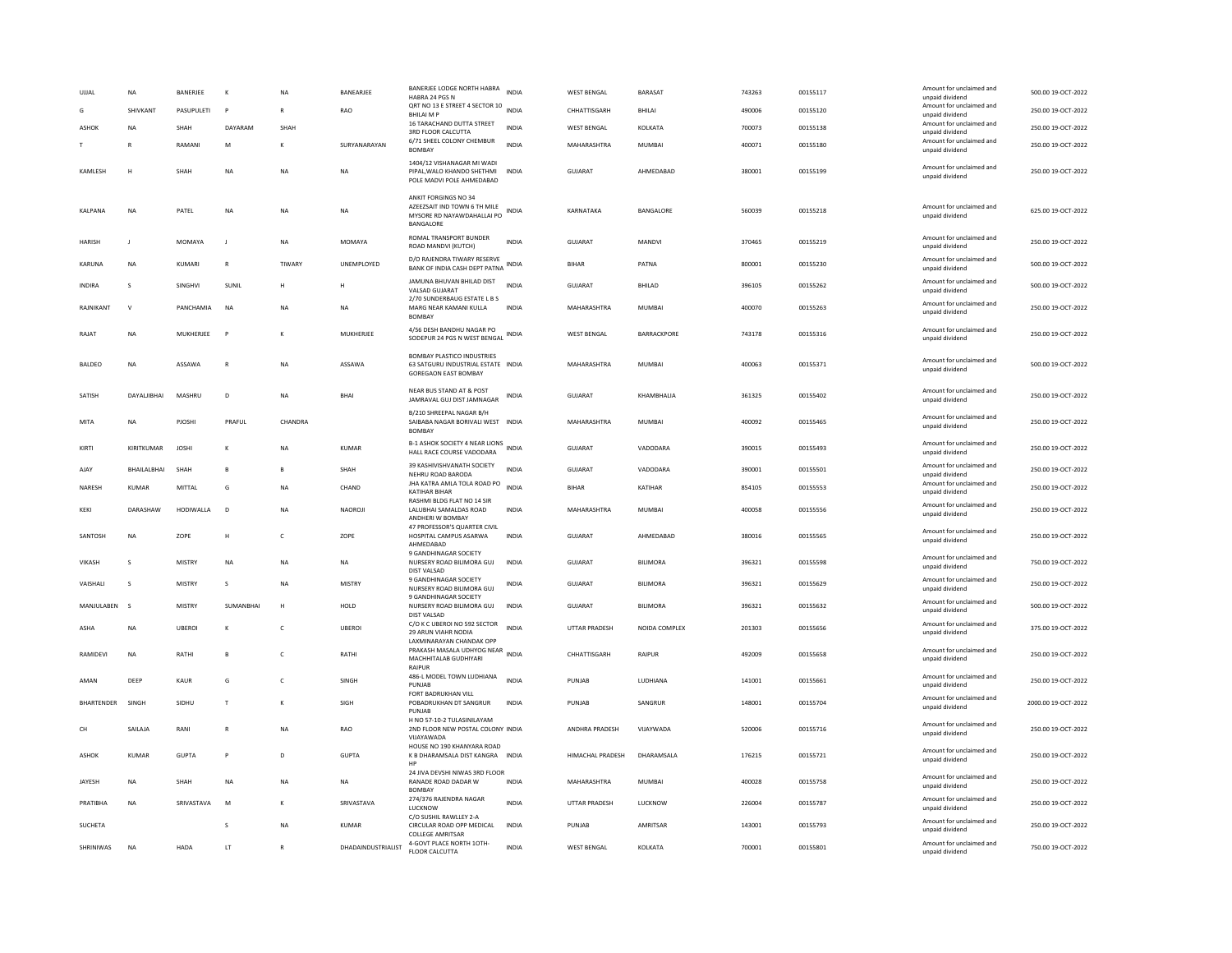| UJJAL          | NA           | BANERJEE      | К            | NA           | BANEARJEE          | BANERJEE LODGE NORTH HABRA<br>HABRA 24 PGS N<br>QRT NO 13 E STREET 4 SECTOR 10                         | <b>INDIA</b> | <b>WEST BENGAL</b> | BARASAT            | 743263 | 00155117 | Amount for unclaimed and<br>unpaid dividend<br>Amount for unclaimed and | 500.00 19-OCT-2022  |
|----------------|--------------|---------------|--------------|--------------|--------------------|--------------------------------------------------------------------------------------------------------|--------------|--------------------|--------------------|--------|----------|-------------------------------------------------------------------------|---------------------|
| G              | SHIVKANT     | PASUPULETI    | P            |              | RAO                | <b>BHILAIMP</b>                                                                                        | <b>INDIA</b> | CHHATTISGARH       | BHILAI             | 490006 | 00155120 | unpaid dividend                                                         | 250.00 19-OCT-2022  |
| <b>ASHOK</b>   | NA           | SHAH          | DAYARAM      | SHAH         |                    | 16 TARACHAND DUTTA STREET<br>3RD FLOOR CALCUTTA                                                        | <b>INDIA</b> | <b>WEST BENGAL</b> | KOLKATA            | 700073 | 00155138 | Amount for unclaimed and<br>unpaid dividend                             | 250.00 19-OCT-2022  |
|                | R            | RAMANI        | M            | $\kappa$     | SURYANARAYAN       | 6/71 SHEEL COLONY CHEMBUR<br><b>BOMBAY</b>                                                             | <b>INDIA</b> | MAHARASHTRA        | MUMBAI             | 400071 | 00155180 | Amount for unclaimed and<br>unpaid dividend                             | 250.00.19-OCT-2022  |
| KAMLESH        | H            | SHAH          | <b>NA</b>    | <b>NA</b>    | <b>NA</b>          | 1404/12 VISHANAGAR MI WADI<br>PIPAL WALO KHANDO SHETHMI<br>POLE MADVI POLE AHMEDABAD                   | <b>INDIA</b> | <b>GUJARAT</b>     | AHMEDABAD          | 380001 | 00155199 | Amount for unclaimed and<br>unpaid dividend                             | 250.00 19-OCT-2022  |
| KALPANA        | <b>NA</b>    | PATEL         | NA           | <b>NA</b>    | NA                 | ANKIT FORGINGS NO 34<br>AZEEZSAIT IND TOWN 6 TH MILE<br>MYSORE RD NAYAWDAHALLAI PO<br>BANGALORE        | INDIA        | KARNATAKA          | BANGALORE          | 560039 | 00155218 | Amount for unclaimed and<br>unpaid dividend                             | 625.00 19-OCT-2022  |
| <b>HARISH</b>  |              | MOMAYA        | J            | <b>NA</b>    | MOMAYA             | ROMAL TRANSPORT BUNDER<br>ROAD MANDVI (KUTCH)                                                          | <b>INDIA</b> | GUJARAT            | MANDVI             | 370465 | 00155219 | Amount for unclaimed and<br>unpaid dividend                             | 250.00 19-OCT-2022  |
| <b>KARUNA</b>  | <b>NA</b>    | KUMARI        | $\mathbb{R}$ | TIWARY       | UNEMPLOYED         | D/O RAJENDRA TIWARY RESERVE<br>BANK OF INDIA CASH DEPT PATNA                                           | <b>INDIA</b> | <b>BIHAR</b>       | PATNA              | 800001 | 00155230 | Amount for unclaimed and<br>unpaid dividend                             | 500.00 19-OCT-2022  |
| <b>INDIRA</b>  | s            | SINGHVI       | SUNIL        | н            |                    | JAMUNA BHUVAN BHILAD DIST<br>VALSAD GUJARAT<br>2/70 SUNDERBAUG ESTATE L B S                            | <b>INDIA</b> | GUJARAT            | BHILAD             | 396105 | 00155262 | Amount for unclaimed and<br>unpaid dividend                             | 500.00 19-OCT-2022  |
| RAJNIKANT      | $\mathbf{v}$ | PANCHAMIA     | <b>NA</b>    | <b>NA</b>    | <b>NA</b>          | MARG NEAR KAMANI KULLA<br><b>BOMBAY</b>                                                                | <b>INDIA</b> | MAHARASHTRA        | <b>MUMBAI</b>      | 400070 | 00155263 | Amount for unclaimed and<br>unpaid dividend                             | 250.00 19-OCT-2022  |
| RAIAT          | <b>NA</b>    | MUKHERJEE     | $\mathsf{P}$ | $\kappa$     | MUKHERJEE          | 4/56 DESH BANDHU NAGAR PO<br>SODEPUR 24 PGS N WEST BENGAL                                              | <b>INDIA</b> | <b>WEST BENGAL</b> | <b>BARRACKPORE</b> | 743178 | 00155316 | Amount for unclaimed and<br>unpaid dividend                             | 250.00 19-OCT-2022  |
| <b>BALDEO</b>  | <b>NA</b>    | ASSAWA        | $\mathbb{R}$ | <b>NA</b>    | ASSAWA             | <b>BOMBAY PLASTICO INDUSTRIES</b><br>63 SATGURU INDUSTRIAL ESTATE INDIA<br><b>GOREGAON EAST BOMBAY</b> |              | MAHARASHTRA        | <b>MUMBAI</b>      | 400063 | 00155371 | Amount for unclaimed and<br>unpaid dividend                             | 500.00 19-OCT-2022  |
| SATISH         | DAYALIBHAI   | MASHRU        | D            | <b>NA</b>    | <b>BHA</b>         | NEAR BUS STAND AT & POST<br>JAMRAVAL GUJ DIST JAMNAGAR                                                 | <b>INDIA</b> | GUJARAT            | KHAMBHALIA         | 361325 | 00155402 | Amount for unclaimed and<br>unpaid dividend                             | 250.00 19-OCT-2022  |
| MITA           | <b>NA</b>    | PJOSHI        | PRAFUL       | CHANDRA      |                    | B/210 SHREEPAL NAGAR B/H<br>SAIBABA NAGAR BORIVALI WEST INDIA<br><b>BOMBAY</b>                         |              | MAHARASHTRA        | <b>MUMBAI</b>      | 400092 | 00155465 | Amount for unclaimed and<br>unpaid dividend                             | 250.00 19-OCT-2022  |
| KIRTI          | KIRITKUMAR   | <b>JOSHI</b>  | $\kappa$     | <b>NA</b>    | KUMAR              | B-1 ASHOK SOCIETY 4 NEAR LIONS<br>HALL RACE COURSE VADODARA                                            | <b>INDIA</b> | GUIARAT            | VADODARA           | 390015 | 00155493 | Amount for unclaimed and<br>unpaid dividend                             | 250.00 19-OCT-2022  |
| AJAY           | BHAILALBHAI  | SHAH          | B            |              | SHAH               | 39 KASHIVISHVANATH SOCIETY<br>NEHRU ROAD BARODA                                                        | <b>INDIA</b> | GUJARAT            | VADODARA           | 390001 | 00155501 | Amount for unclaimed and<br>unpaid dividend                             | 250.00 19-OCT-2022  |
| NARESH         | KUMAR        | MITTAL        | G            | NA           | CHAND              | JHA KATRA AMLA TOLA ROAD PO<br>KATIHAR BIHAR                                                           | <b>INDIA</b> | <b>BIHAR</b>       | KATIHAR            | 854105 | 00155553 | Amount for unclaimed and<br>unpaid dividend                             | 250.00 19-OCT-2022  |
| KEKI           | DARASHAW     | HODIWALLA     | $\mathsf{D}$ | NA           | NAOROJI            | RASHMI BLDG FLAT NO 14 SIR<br>LALUBHAI SAMALDAS ROAD<br>ANDHERI W BOMBAY                               | <b>INDIA</b> | MAHARASHTRA        | MUMBAI             | 400058 | 00155556 | Amount for unclaimed and<br>unpaid dividend                             | 250.00 19-OCT-2022  |
| SANTOSH        | <b>NA</b>    | ZOPE          | H            | $\mathsf{C}$ | ZOPE               | 47 PROFESSOR'S QUARTER CIVIL<br>HOSPITAL CAMPUS ASARWA<br>AHMEDABAD                                    | <b>INDIA</b> | <b>GUJARAT</b>     | AHMEDABAD          | 380016 | 00155565 | Amount for unclaimed and<br>unpaid dividend                             | 250.00 19-OCT-2022  |
| VIKASH         | 5            | <b>MISTRY</b> | <b>NA</b>    | <b>NA</b>    | NA                 | 9 GANDHINAGAR SOCIETY<br>NURSERY ROAD BILIMORA GUJ<br><b>DIST VALSAD</b>                               | <b>INDIA</b> | GUJARAT            | <b>BILIMORA</b>    | 396321 | 00155598 | Amount for unclaimed and<br>unpaid dividend                             | 750.00 19-OCT-2022  |
| VAISHALI       | s            | MISTRY        | s            | <b>NA</b>    | MISTRY             | 9 GANDHINAGAR SOCIETY<br>NURSERY ROAD BILIMORA GUJ<br>9 GANDHINAGAR SOCIETY                            | INDIA        | GUJARAT            | <b>BILIMORA</b>    | 396321 | 00155629 | Amount for unclaimed and<br>unpaid dividend                             | 250.00 19-OCT-2022  |
| MANJULABEN     | $\mathsf{s}$ | <b>MISTRY</b> | SUMANBHAI    | H            | HOLD               | NURSERY ROAD BILIMORA GUJ<br><b>DIST VALSAD</b>                                                        | <b>INDIA</b> | GUJARAT            | <b>BILIMORA</b>    | 396321 | 00155632 | Amount for unclaimed and<br>unpaid dividend                             | 500.00 19-OCT-2022  |
| <b>ASHA</b>    | <b>NA</b>    | <b>UBEROI</b> | К            | $\mathsf{C}$ | <b>UBEROI</b>      | C/O K C UBEROI NO 592 SECTOR<br>29 ARUN VIAHR NODIA<br>LAXMINARAYAN CHANDAK OPP                        | <b>INDIA</b> | UTTAR PRADESH      | NOIDA COMPLEX      | 201303 | 00155656 | Amount for unclaimed and<br>unpaid dividend                             | 375.00 19-OCT-2022  |
| RAMIDEVI       | <b>NA</b>    | RATHI         | B            | c            | RATHI              | PRAKASH MASALA UDHYOG NEAR<br>MACHHITALAB GUDHIYARI<br>RAIPUR                                          | <b>INDIA</b> | CHHATTISGARH       | RAIPUR             | 492009 | 00155658 | Amount for unclaimed and<br>unpaid dividend                             | 250.00 19-OCT-2022  |
| AMAN           | DEEP         | <b>KAUR</b>   | G            | $\mathsf{C}$ | SINGH              | 486-L MODEL TOWN LUDHIANA<br>PUNJAB                                                                    | <b>INDIA</b> | PUNIAR             | LUDHIANA           | 141001 | 00155661 | Amount for unclaimed and<br>unpaid dividend                             | 250.00 19-OCT-2022  |
| BHARTENDER     | SINGH        | SIDHU         | $\mathsf{T}$ | К            | SIGH               | FORT BADRUKHAN VILL<br>POBADRUKHAN DT SANGRUR<br>PUNJAB                                                | INDIA        | PUNJAB             | SANGRUR            | 148001 | 00155704 | Amount for unclaimed and<br>unpaid dividend                             | 2000.00 19-OCT-2022 |
| CH             | SAILAJA      | RANI          | $\mathsf{R}$ | <b>NA</b>    | RAO                | H NO 57-10-2 TULASINILAYAM<br>2ND FLOOR NEW POSTAL COLONY INDIA<br>VUAYAWADA                           |              | ANDHRA PRADESH     | VIJAYWADA          | 520006 | 00155716 | Amount for unclaimed and<br>unpaid dividend                             | 250.00 19-OCT-2022  |
| ASHOK          | <b>KUMAR</b> | <b>GUPTA</b>  | P            | D            | <b>GUPTA</b>       | HOUSE NO 190 KHANYARA ROAD<br>K B DHARAMSALA DIST KANGRA INDIA                                         |              | HIMACHAL PRADESH   | DHARAMSALA         | 176215 | 00155721 | Amount for unclaimed and<br>unpaid dividend                             | 250.00 19-OCT-2022  |
| <b>IAYESH</b>  | <b>NA</b>    | SHAH          | <b>NA</b>    | <b>NA</b>    | <b>NA</b>          | 24 JIVA DEVSHI NIWAS 3RD FLOOR<br>RANADE ROAD DADAR W<br><b>BOMBAY</b>                                 | <b>INDIA</b> | MAHARASHTRA        | MUMBAI             | 400028 | 00155758 | Amount for unclaimed and<br>unpaid dividend                             | 250.00 19-OCT-2022  |
| PRATIBHA       | NA           | SRIVASTAVA    | M            | К            | SRIVASTAVA         | 274/376 RAJENDRA NAGAR<br>LUCKNOW                                                                      | <b>INDIA</b> | UTTAR PRADESH      | LUCKNOW            | 226004 | 00155787 | Amount for unclaimed and<br>unpaid dividend                             | 250.00 19-OCT-2022  |
| <b>SUCHETA</b> |              |               | s            | <b>NA</b>    | KUMAR              | C/O SUSHIL RAWLLEY 2-A<br>CIRCULAR ROAD OPP MEDICAL<br><b>COLLEGE AMRITSAR</b>                         | <b>INDIA</b> | PUNJAR             | AMRITSAR           | 143001 | 00155793 | Amount for unclaimed and<br>unpaid dividend                             | 250.00.19-OCT-2022  |
| SHRINIWAS      | <b>NA</b>    | HADA          | LT           | $\mathsf{R}$ | DHADAINDUSTRIALIST | 4-GOVT PLACE NORTH 10TH-<br><b>FLOOR CALCUTTA</b>                                                      | <b>INDIA</b> | <b>WEST BENGAL</b> | KOLKATA            | 700001 | 00155801 | Amount for unclaimed and<br>unpaid dividend                             | 750.00 19-OCT-2022  |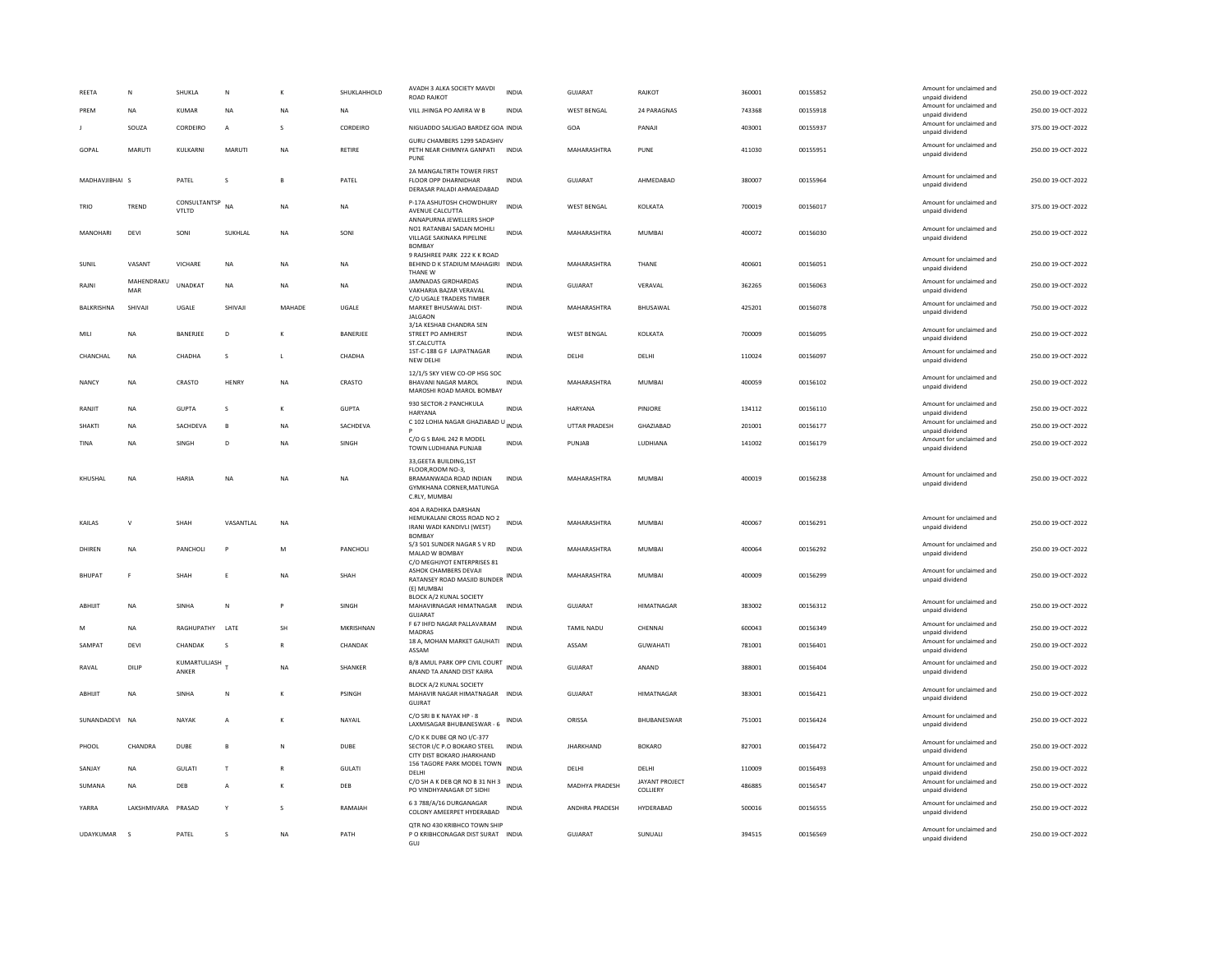| REETA          | N                  | SHUKLA                | ${\sf N}$      |              | SHUKLAHHOLD  | AVADH 3 ALKA SOCIETY MAVDI<br><b>ROAD RAJKOT</b>                                                                    | <b>INDIA</b> | GUJARAT              | RAJKOT                     | 360001 | 00155852 | Amount for unclaimed and<br>unpaid dividend | 250.00 19-OCT-2022 |
|----------------|--------------------|-----------------------|----------------|--------------|--------------|---------------------------------------------------------------------------------------------------------------------|--------------|----------------------|----------------------------|--------|----------|---------------------------------------------|--------------------|
| PREM           | NA                 | KUMAR                 | NA             | NA           | NA           | VILL JHINGA PO AMIRA W B                                                                                            | <b>INDIA</b> | <b>WEST BENGAL</b>   | 24 PARAGNAS                | 743368 | 00155918 | Amount for unclaimed and<br>unpaid dividend | 250.00 19-OCT-2022 |
|                | SOUZA              | CORDEIRO              | $\mathbf{A}$   |              | CORDEIRO     | NIGUADDO SALIGAO BARDEZ GOA INDIA                                                                                   |              | GOA                  | PANAJI                     | 403001 | 00155937 | Amount for unclaimed and<br>unpaid dividend | 375.00 19-OCT-2022 |
| GOPAL          | <b>MARUTI</b>      | KULKARNI              | MARUTI         | <b>NA</b>    | RETIRE       | GURU CHAMBERS 1299 SADASHIV<br>PETH NEAR CHIMNYA GANPATI INDIA<br>PUNE                                              |              | MAHARASHTRA          | PUNE                       | 411030 | 00155951 | Amount for unclaimed and<br>unpaid dividend | 250.00 19-OCT-2022 |
| MADHAVJIBHAI S |                    | PATEL                 | s              | $\mathbf{B}$ | PATEL        | 2A MANGALTIRTH TOWER FIRST<br>FLOOR OPP DHARNIDHAR<br>DERASAR PALADI AHMAEDABAD                                     | <b>INDIA</b> | GUJARAT              | AHMEDABAD                  | 380007 | 00155964 | Amount for unclaimed and<br>unpaid dividend | 250.00 19-OCT-2022 |
| TRIO           | TREND              | CONSULTANTSP<br>VTLTD | <b>NA</b>      | <b>NA</b>    | <b>NA</b>    | P-17A ASHUTOSH CHOWDHURY<br>AVENUE CALCUTTA<br>ANNAPURNA JEWELLERS SHOP                                             | <b>INDIA</b> | <b>WEST BENGAL</b>   | KOLKATA                    | 700019 | 00156017 | Amount for unclaimed and<br>unpaid dividend | 375.00 19-OCT-2022 |
| MANOHARI       | DEVI               | SONI                  | SUKHLAL        | NA           | SONI         | NO1 RATANBAI SADAN MOHILI<br>VILLAGE SAKINAKA PIPELINE<br><b>BOMBA</b>                                              | <b>INDIA</b> | MAHARASHTRA          | MUMBAI                     | 400072 | 00156030 | Amount for unclaimed and<br>unpaid dividend | 250.00 19-OCT-2022 |
| SUNIL          | VASANT             | <b>VICHARE</b>        | <b>NA</b>      | <b>NA</b>    | NA           | 9 RAJSHREE PARK 222 K K ROAD<br>BEHIND D K STADIUM MAHAGIRI INDIA<br>THANF W                                        |              | MAHARASHTRA          | THANE                      | 400601 | 00156051 | Amount for unclaimed and<br>unpaid dividend | 250.00 19-OCT-2022 |
| RAJNI          | MAHENDRAKU<br>MAR  | <b>UNADKAT</b>        | NA             | NA           | NA           | <b>JAMNADAS GIRDHARDAS</b><br>VAKHARIA BAZAR VERAVAL<br>C/O UGALE TRADERS TIMBER                                    | <b>INDIA</b> | GUJARAT              | VERAVAL                    | 362265 | 00156063 | Amount for unclaimed and<br>unpaid dividend | 250.00 19-OCT-2022 |
| BALKRISHNA     | SHIVAII            | UGALE                 | SHIVAII        | MAHADE       | <b>UGALE</b> | MARKET BHUSAWAL DIST-<br><b>JALGAON</b>                                                                             | <b>INDIA</b> | MAHARASHTRA          | BHUSAWAL                   | 425201 | 00156078 | Amount for unclaimed and<br>unpaid dividend | 750.00 19-OCT-2022 |
| MILI           | NA                 | BANERJEE              | D              |              | BANERJEE     | 3/1A KESHAB CHANDRA SEN<br>STREET PO AMHERST<br>ST.CALCUTTA                                                         | INDIA        | WEST BENGAL          | KOLKATA                    | 700009 | 00156095 | Amount for unclaimed and<br>unpaid dividend | 250.00 19-OCT-2022 |
| CHANCHAL       | <b>NA</b>          | CHADHA                | s              | $\mathbf{L}$ | CHADHA       | 1ST-C-188 G F LAJPATNAGAR<br>NEW DELHI                                                                              | <b>INDIA</b> | DELHI                | DELHI                      | 110024 | 00156097 | Amount for unclaimed and<br>unpaid dividend | 250.00 19-OCT-2022 |
| NANCY          | <b>NA</b>          | CRASTO                | HENRY          | NA           | CRASTO       | 12/1/5 SKY VIEW CO-OP HSG SOC<br><b>BHAVANI NAGAR MAROL</b><br>MAROSHI ROAD MAROL BOMBAY                            | <b>INDIA</b> | MAHARASHTRA          | MUMBAI                     | 400059 | 00156102 | Amount for unclaimed and<br>unpaid dividend | 250.00 19-OCT-2022 |
| RANJIT         | <b>NA</b>          | <b>GUPTA</b>          | s              | K            | <b>GUPTA</b> | 930 SECTOR-2 PANCHKULA<br>HARYANA                                                                                   | <b>INDIA</b> | HARYANA              | PINJORE                    | 134112 | 00156110 | Amount for unclaimed and<br>unpaid dividend | 250.00 19-OCT-2022 |
| SHAKTI         | NA                 | SACHDEVA              |                | NA           | SACHDEVA     | C 102 LOHIA NAGAR GHAZIABAD U INDIA                                                                                 |              | <b>UTTAR PRADESH</b> | GHAZIABAD                  | 201001 | 00156177 | Amount for unclaimed and<br>unpaid dividend | 250.00 19-OCT-2022 |
| TINA           | NA                 | SINGH                 | D              | NA           | SINGH        | C/O G S BAHL 242 R MODEL<br>TOWN LUDHIANA PUNJAB                                                                    | <b>INDIA</b> | PUNJAB               | LUDHIANA                   | 141002 | 00156179 | Amount for unclaimed and<br>unpaid dividend | 250.00 19-OCT-2022 |
| KHUSHAL        | NA                 | HARIA                 | NA             | NA           | NA           | 33, GEETA BUILDING, 1ST<br>FLOOR, ROOM NO-3.<br>BRAMANWADA ROAD INDIAN<br>GYMKHANA CORNER, MATUNGA<br>C.RLY, MUMBAI | <b>INDIA</b> | MAHARASHTRA          | MUMBAI                     | 400019 | 00156238 | Amount for unclaimed and<br>unpaid dividend | 250.00 19-OCT-2022 |
| KAILAS         | V                  | SHAH                  | VASANTLAL      | <b>NA</b>    |              | 404 A RADHIKA DARSHAN<br>HEMUKALANI CROSS ROAD NO 2<br>IRANI WADI KANDIVLI (WEST)<br><b>BOMBAY</b>                  | <b>INDIA</b> | MAHARASHTRA          | <b>MUMBAI</b>              | 400067 | 00156291 | Amount for unclaimed and<br>unpaid dividend | 250.00 19-OCT-2022 |
| DHIREN         | <b>NA</b>          | PANCHOLI              | P              | M            | PANCHOLI     | S/3 501 SUNDER NAGAR S V RD<br>MALAD W BOMBAY                                                                       | <b>INDIA</b> | MAHARASHTRA          | <b>MUMBAI</b>              | 400064 | 00156292 | Amount for unclaimed and<br>unpaid dividend | 250.00 19-OCT-2022 |
| <b>BHUPAT</b>  | F                  | SHAH                  | Ε              | NA           | SHAH         | C/O MEGHJYOT ENTERPRISES 81<br>ASHOK CHAMBERS DEVAJI<br>RATANSEY ROAD MASJID BUNDER                                 | <b>INDIA</b> | MAHARASHTRA          | <b>MUMBAI</b>              | 400009 | 00156299 | Amount for unclaimed and<br>unpaid dividend | 250.00 19-OCT-2022 |
| ABHIJIT        | NA                 | SINHA                 | ${\sf N}$      | Þ            | SINGH        | (E) MUMBA<br>BLOCK A/2 KUNAL SOCIETY<br>MAHAVIRNAGAR HIMATNAGAR<br>GUJARAT                                          | <b>INDIA</b> | GUJARAT              | <b>HIMATNAGAR</b>          | 383002 | 00156312 | Amount for unclaimed and<br>unpaid dividend | 250.00 19-OCT-2022 |
| M              | NA                 | RAGHUPATHY            | LATE           | SH           | MKRISHNAN    | F 67 IHFD NAGAR PALLAVARAM<br><b>MADRAS</b>                                                                         | <b>INDIA</b> | TAMIL NADU           | CHENNAI                    | 600043 | 00156349 | Amount for unclaimed and<br>unpaid dividend | 250.00 19-OCT-2022 |
| SAMPAT         | DEVI               | CHANDAK               | - S            | R            | CHANDAK      | 18 A, MOHAN MARKET GAUHATI<br>ASSAM                                                                                 | <b>INDIA</b> | ASSAM                | <b>GUWAHATI</b>            | 781001 | 00156401 | Amount for unclaimed and<br>unpaid dividend | 250.00 19-OCT-2022 |
| RAVAL          | DILIP              | KUMARTULJASH<br>ANKER |                | <b>NA</b>    | SHANKER      | B/8 AMUL PARK OPP CIVIL COURT<br>ANAND TA ANAND DIST KAIRA                                                          | <b>INDIA</b> | GUJARAT              | ANAND                      | 388001 | 00156404 | Amount for unclaimed and<br>unpaid dividend | 250.00 19-OCT-2022 |
| ABHIJIT        | <b>NA</b>          | SINHA                 | N              | K            | PSINGH       | BLOCK A/2 KUNAL SOCIETY<br>MAHAVIR NAGAR HIMATNAGAR INDIA<br>GUJRAT                                                 |              | <b>GUJARAT</b>       | <b>HIMATNAGAR</b>          | 383001 | 00156421 | Amount for unclaimed and<br>unpaid dividend | 250.00 19-OCT-2022 |
| SUNANDADEVI NA |                    | NAYAK                 | $\overline{A}$ | K            | NAYAIL       | C/O SRI B K NAYAK HP - 8<br>LAXMISAGAR BHUBANESWAR - 6                                                              | INDIA        | ORISSA               | BHUBANESWAR                | 751001 | 00156424 | Amount for unclaimed and<br>unpaid dividend | 250.00 19-OCT-2022 |
| PHOOL          | CHANDRA            | <b>DUBE</b>           | <b>B</b>       | N            | <b>DUBE</b>  | C/O K K DUBE QR NO I/C-377<br>SECTOR I/C P.O BOKARO STEEL<br>CITY DIST BOKARO JHARKHAND                             | <b>INDIA</b> | <b>JHARKHAND</b>     | <b>BOKARO</b>              | 827001 | 00156472 | Amount for unclaimed and<br>unpaid dividend | 250.00 19-OCT-2022 |
| SANJAY         | <b>NA</b>          | <b>GULATI</b>         | T              | $\mathsf{R}$ | GULATI       | 156 TAGORE PARK MODEL TOWN<br>DELHI                                                                                 | <b>INDIA</b> | DELHI                | DELHI                      | 110009 | 00156493 | Amount for unclaimed and<br>unpaid dividend | 250.00 19-OCT-2022 |
| SUMANA         | NA                 | DEB                   | $\overline{A}$ | к            | DEB          | C/O SHAK DEB QR NO B 31 NH 3<br>PO VINDHYANAGAR DT SIDHI                                                            | <b>INDIA</b> | MADHYA PRADESH       | JAYANT PROJECT<br>COLLIERY | 486885 | 00156547 | Amount for unclaimed and<br>unpaid dividend | 250.00 19-OCT-2022 |
| YARRA          | LAKSHMIVARA PRASAD |                       | Y              | s            | RAMAIAH      | 63788/A/16 DURGANAGAR<br>COLONY AMEERPET HYDERABAD                                                                  | INDIA        | ANDHRA PRADESH       | HYDERABAD                  | 500016 | 00156555 | Amount for unclaimed and<br>unpaid dividend | 250.00 19-OCT-2022 |
| UDAYKUMAR      | $\mathbf{S}$       | PATEL                 | s              | NA           | PATH         | QTR NO 430 KRIBHCO TOWN SHIP<br>P O KRIBHCONAGAR DIST SURAT INDIA                                                   |              | <b>GUJARAT</b>       | SUNUALI                    | 394515 | 00156569 | Amount for unclaimed and<br>unpaid dividend | 250.00 19-OCT-2022 |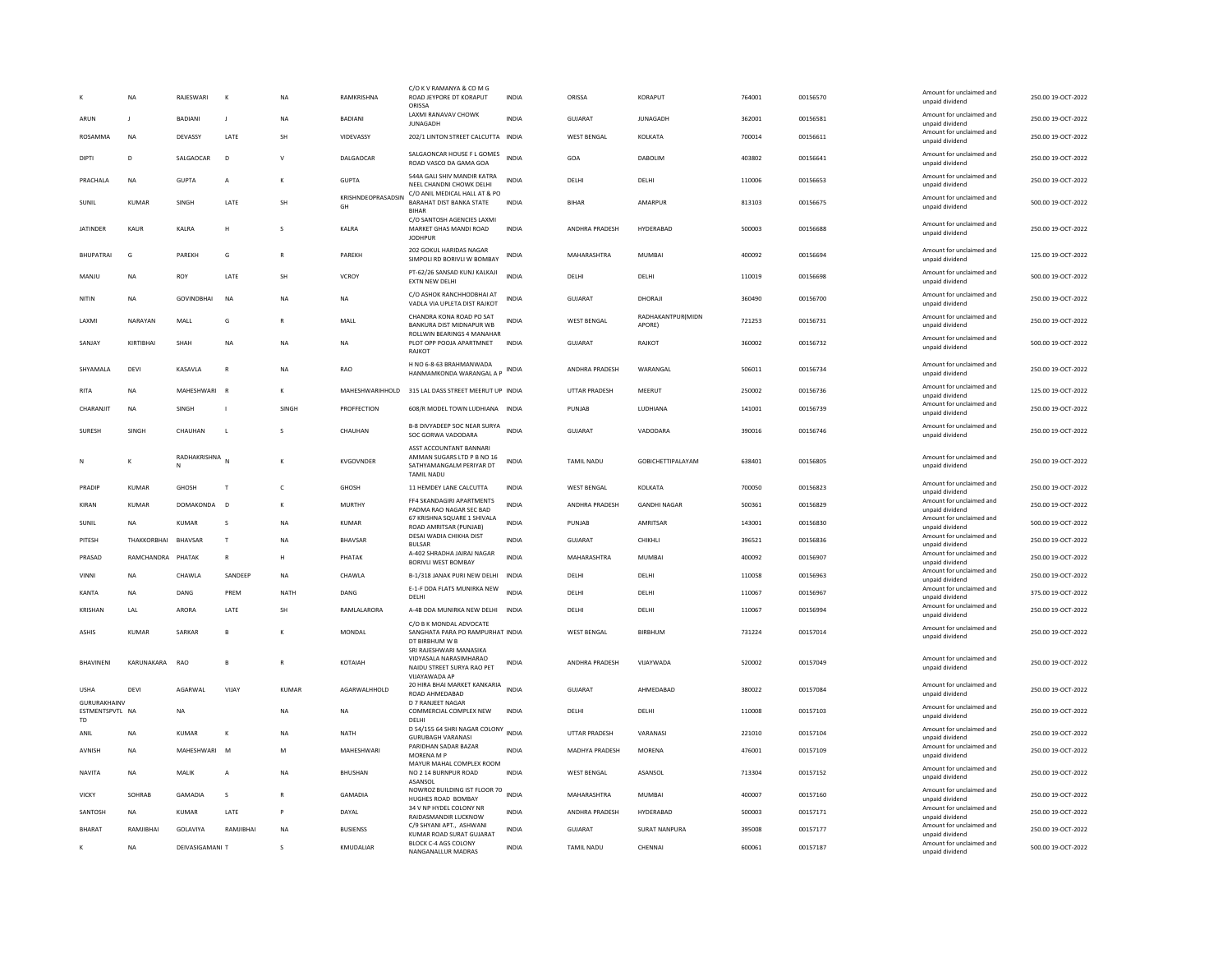|                                              | <b>NA</b>    | RAIFSWARI         | $\kappa$       | <b>NA</b>    | RAMKRISHNA               | C/O K V RAMANYA & CO M G<br>ROAD JEYPORE DT KORAPUT<br>ORISSA                                            | <b>INDIA</b> | ORISSA                | KORAPUT                     | 764001 | 00156570 | Amount for unclaimed and<br>unpaid dividend | 250.00 19-OCT-2022 |
|----------------------------------------------|--------------|-------------------|----------------|--------------|--------------------------|----------------------------------------------------------------------------------------------------------|--------------|-----------------------|-----------------------------|--------|----------|---------------------------------------------|--------------------|
| ARUN                                         |              | BADIANI           | J              | <b>NA</b>    | <b>BADIANI</b>           | <b>LAXMI RANAVAV CHOWK</b><br><b>JUNAGADH</b>                                                            | <b>INDIA</b> | GUJARAT               | <b>JUNAGADH</b>             | 362001 | 00156581 | Amount for unclaimed and<br>unpaid dividend | 250.00 19-OCT-2022 |
| ROSAMMA                                      | <b>NA</b>    | DEVASSY           | LATE           | SH           | VIDEVASSY                | 202/1 LINTON STREET CALCUTTA INDIA                                                                       |              | <b>WEST BENGAL</b>    | KOLKATA                     | 700014 | 00156611 | Amount for unclaimed and<br>unpaid dividend | 250.00 19-OCT-2022 |
| DIPTI                                        | $\mathbf{D}$ | SALGAOCAR         | D              | $\mathsf{v}$ | DALGAOCAR                | SALGAONCAR HOUSE F L GOMES<br>ROAD VASCO DA GAMA GOA                                                     | <b>INDIA</b> | GOA                   | DABOLIM                     | 403802 | 00156641 | Amount for unclaimed and<br>unpaid dividend | 250.00 19-OCT-2022 |
| PRACHALA                                     | <b>NA</b>    | <b>GUPTA</b>      | А              | к            | <b>GUPTA</b>             | 544A GALI SHIV MANDIR KATRA<br>NEEL CHANDNI CHOWK DELHI                                                  | <b>INDIA</b> | DELHI                 | DELHI                       | 110006 | 00156653 | Amount for unclaimed and<br>unpaid dividend | 250.00 19-OCT-2022 |
| SUNIL                                        | KUMAR        | SINGH             | LATE           | SH           | KRISHNDEOPRASADSIN<br>GH | C/O ANIL MEDICAL HALL AT & PO<br>BARAHAT DIST BANKA STATE<br><b>BIHAR</b>                                | <b>INDIA</b> | <b>BIHAR</b>          | AMARPUR                     | 813103 | 00156675 | Amount for unclaimed and<br>unpaid dividend | 500.00 19-OCT-2022 |
| <b>JATINDER</b>                              | <b>KAUR</b>  | KALRA             | H              | s            | KALRA                    | C/O SANTOSH AGENCIES LAXMI<br>MARKET GHAS MANDI ROAD<br><b>JODHPUR</b>                                   | <b>INDIA</b> | ANDHRA PRADESH        | HYDERABAD                   | 500003 | 00156688 | Amount for unclaimed and<br>unpaid dividend | 250.00 19-OCT-2022 |
| <b>RHUPATRAL</b>                             | G            | <b>PARFKH</b>     | G              | $\mathbb{R}$ | PARFKH                   | 202 GOKUL HARIDAS NAGAR<br>SIMPOLI RD BORIVLI W BOMBAY                                                   | <b>INDIA</b> | MAHARASHTRA           | MUMBAI                      | 400092 | 00156694 | Amount for unclaimed and<br>unpaid dividend | 125.00 19-OCT-2022 |
| MANJU                                        | NA           | ROY               | LATE           | SH           | VCROY                    | PT-62/26 SANSAD KUNJ KALKAJI<br>EXTN NEW DELHI                                                           | <b>INDIA</b> | DELHI                 | DELHI                       | 110019 | 00156698 | Amount for unclaimed and<br>unpaid dividend | 500.00 19-OCT-2022 |
| NITIN                                        | <b>NA</b>    | <b>GOVINDRHAI</b> | <b>NA</b>      | <b>NA</b>    | <b>NA</b>                | C/O ASHOK RANCHHODBHAI AT<br>VADLA VIA UPLETA DIST RAJKOT                                                | <b>INDIA</b> | GUIARAT               | DHORAJI                     | 360490 | 00156700 | Amount for unclaimed and<br>unpaid dividend | 250.00 19-OCT-2022 |
| LAXMI                                        | NARAYAN      | MALL              | G              |              | MALL                     | CHANDRA KONA ROAD PO SAT<br>BANKURA DIST MIDNAPUR WB                                                     | <b>INDIA</b> | <b>WEST BENGAL</b>    | RADHAKANTPUR(MIDN<br>APORE) | 721253 | 00156731 | Amount for unclaimed and<br>unpaid dividend | 250.00 19-OCT-2022 |
| SANJAY                                       | KIRTIBHAI    | SHAH              | <b>NA</b>      | <b>NA</b>    | NA                       | ROLLWIN BEARINGS 4 MANAHAR<br>PLOT OPP POOJA APARTMNET<br><b>RAJKOT</b>                                  | INDIA        | GUJARAT               | RAJKOT                      | 360002 | 00156732 | Amount for unclaimed and<br>unpaid dividend | 500.00 19-OCT-2022 |
| SHYAMALA                                     | DEVI         | KASAVLA           | ${\sf R}$      | <b>NA</b>    | RAO                      | H NO 6-8-63 BRAHMANWADA<br>HANMAMKONDA WARANGAL A P INDIA                                                |              | ANDHRA PRADESH        | WARANGAL                    | 506011 | 00156734 | Amount for unclaimed and<br>unpaid dividend | 250.00 19-OCT-2022 |
| RITA                                         | <b>NA</b>    | MAHESHWARI        | <b>R</b>       | к            | MAHESHWARIHHOLD          | 315 LAL DASS STREET MEERUT UP INDIA                                                                      |              | <b>UTTAR PRADESH</b>  | MEERUT                      | 250002 | 00156736 | Amount for unclaimed and<br>unpaid dividend | 125.00 19-OCT-2022 |
| CHARANJIT                                    | <b>NA</b>    | SINGH             | $\overline{1}$ | SINGH        | PROFFECTION              | 608/R MODEL TOWN LUDHIANA INDIA                                                                          |              | PUNJAB                | LUDHIANA                    | 141001 | 00156739 | Amount for unclaimed and<br>unpaid dividend | 250.00 19-OCT-2022 |
| <b>SURFSH</b>                                | <b>SINGH</b> | CHAUHAN           | $\mathbf{I}$   | $\mathbf{S}$ | CHAUHAN                  | B-8 DIVYADEEP SOC NEAR SURYA<br>SOC GORWA VADODARA                                                       | <b>INDIA</b> | GUIARAT               | VADODARA                    | 390016 | 00156746 | Amount for unclaimed and<br>unpaid dividend | 250.00 19-OCT-2022 |
| N                                            | K            | RADHAKRISHNA<br>N | N              | K            | <b>KVGOVNDER</b>         | ASST ACCOUNTANT BANNARI<br>AMMAN SUGARS LTD P B NO 16<br>SATHYAMANGALM PERIYAR DT<br><b>TAMIL NADU</b>   | <b>INDIA</b> | <b>TAMIL NADU</b>     | <b>GOBICHETTIPALAYAM</b>    | 638401 | 00156805 | Amount for unclaimed and<br>unpaid dividend | 250.00 19-OCT-2022 |
| PRADIP                                       | <b>KUMAR</b> | <b>GHOSH</b>      | $\mathsf{T}$   | $\mathsf{C}$ | <b>GHOSH</b>             | 11 HEMDEY LANE CALCUTTA                                                                                  | INDIA        | <b>WEST BENGAL</b>    | KOLKATA                     | 700050 | 00156823 | Amount for unclaimed and<br>unpaid dividend | 250.00 19-OCT-2022 |
| KIRAN                                        | KUMAR        | <b>DOMAKONDA</b>  | $\overline{D}$ | К            | <b>MURTHY</b>            | FF4 SKANDAGIRI APARTMENTS<br>PADMA RAO NAGAR SEC BAD                                                     | <b>INDIA</b> | ANDHRA PRADESH        | <b>GANDHI NAGAR</b>         | 500361 | 00156829 | Amount for unclaimed and<br>unpaid dividend | 250.00 19-OCT-2022 |
| SUNIL                                        | <b>NA</b>    | <b>KUMAR</b>      | s              | <b>NA</b>    | <b>KUMAR</b>             | 67 KRISHNA SQUARE 1 SHIVALA<br>ROAD AMRITSAR (PUNJAB)                                                    | <b>INDIA</b> | PUNJAB                | AMRITSAR                    | 143001 | 00156830 | Amount for unclaimed and<br>unpaid dividend | 500.00 19-OCT-2022 |
| PITESH                                       | THAKKORBHAI  | BHAVSAR           | $\mathsf{T}$   | <b>NA</b>    | BHAVSAR                  | DESAI WADIA CHIKHA DIST<br><b>BULSAR</b>                                                                 | <b>INDIA</b> | GUJARAT               | CHIKHLI                     | 396521 | 00156836 | Amount for unclaimed and<br>unpaid dividend | 250.00 19-OCT-2022 |
| PRASAD                                       | RAMCHANDRA   | PHATAK            | ${\sf R}$      | н            | PHATAK                   | A-402 SHRADHA JAIRAJ NAGAR<br><b>BORIVLI WEST BOMBAY</b>                                                 | <b>INDIA</b> | MAHARASHTRA           | MUMBAI                      | 400092 | 00156907 | Amount for unclaimed and<br>unpaid dividend | 250.00 19-OCT-2022 |
| VINNI                                        | NA           | CHAWLA            | SANDEEP        | <b>NA</b>    | CHAWLA                   | B-1/318 JANAK PURI NEW DELHI                                                                             | INDIA        | DELHI                 | DELHI                       | 110058 | 00156963 | Amount for unclaimed and<br>unpaid dividend | 250.00 19-OCT-2022 |
| KANTA                                        | <b>NA</b>    | DANG              | PRFM           | NATH         | DANG                     | E-1-F DDA FLATS MUNIRKA NEW<br>DELHI                                                                     | INDIA        | <b>DELHI</b>          | <b>DELHI</b>                | 110067 | 00156967 | Amount for unclaimed and<br>unpaid dividend | 375.00 19-OCT-2022 |
| KRISHAN                                      | LAL          | ARORA             | LATE           | SH           | RAMLALARORA              | A-4B DDA MUNIRKA NEW DELHI INDIA                                                                         |              | DELHI                 | DELHI                       | 110067 | 00156994 | Amount for unclaimed and<br>unpaid dividend | 250.00 19-OCT-2022 |
| <b>ASHIS</b>                                 | <b>KUMAR</b> | SARKAR            | B              |              | MONDAL                   | C/O B K MONDAL ADVOCATE<br>SANGHATA PARA PO RAMPURHAT INDIA<br>DT BIRBHUM W B<br>SRI RAJESHWARI MANASIKA |              | <b>WEST BENGAL</b>    | BIRBHUM                     | 731224 | 00157014 | Amount for unclaimed and<br>unpaid dividend | 250.00 19-OCT-2022 |
| <b><i>RHAVINENI</i></b>                      | KARUNAKARA   | <b>RAO</b>        | $\mathbf{B}$   | $\mathbb{R}$ | KOTAIAH                  | VIDYASALA NARASIMHARAO<br>NAIDU STREET SURYA RAO PET<br>VIJAYAWADA AP                                    | <b>INDIA</b> | ANDHRA PRADESH        | VIJAYWADA                   | 520002 | 00157049 | Amount for unclaimed and<br>unpaid dividend | 250.00 19-OCT-2022 |
| <b>USHA</b>                                  | DEVI         | AGARWAL           | VIJAY          | <b>KUMAR</b> | AGARWALHHOLD             | 20 HIRA BHAI MARKET KANKARIA<br>ROAD AHMEDABAD                                                           | <b>INDIA</b> | <b>GUJARAT</b>        | AHMEDABAD                   | 380022 | 00157084 | Amount for unclaimed and<br>unpaid dividend | 250.00 19-OCT-2022 |
| GURURAKHAINV<br>ESTMENTSPVTL NA<br><b>TD</b> |              | <b>NA</b>         |                | <b>NA</b>    | <b>NA</b>                | D 7 RANJEET NAGAR<br>COMMERCIAL COMPLEX NEW<br>DELHI                                                     | <b>INDIA</b> | DELHI                 | DELHI                       | 110008 | 00157103 | Amount for unclaimed and<br>unpaid dividend | 250.00 19-OCT-2022 |
| ANIL                                         | NA           | KUMAR             | к              | <b>NA</b>    | NATH                     | D 54/155 64 SHRI NAGAR COLONY INDIA<br><b>GURUBAGH VARANASI</b>                                          |              | UTTAR PRADESH         | VARANASI                    | 221010 | 00157104 | Amount for unclaimed and<br>unpaid dividend | 250.00 19-OCT-2022 |
| AVNISH                                       | NA           | MAHESHWARI M      |                | M            | MAHESHWARI               | PARIDHAN SADAR BAZAR<br>MORFNA M P                                                                       | <b>INDIA</b> | <b>MADHYA PRADESH</b> | <b>MORENA</b>               | 476001 | 00157109 | Amount for unclaimed and<br>unpaid dividend | 250.00 19-OCT-2022 |
| <b>NAVITA</b>                                | <b>NA</b>    | MALIK             | $\overline{A}$ | <b>NA</b>    | <b>BHUSHAN</b>           | MAYUR MAHAL COMPLEX ROOM<br>NO 2 14 BURNPUR ROAD<br>ASANSOL                                              | <b>INDIA</b> | <b>WEST BENGAL</b>    | ASANSOL                     | 713304 | 00157152 | Amount for unclaimed and<br>unpaid dividend | 250.00 19-OCT-2022 |
| VICKY                                        | SOHRAB       | GAMADIA           | s              | R            | <b>GAMADIA</b>           | NOWROZ BUILDING IST FLOOR 70<br>HUGHES ROAD BOMBAY                                                       | INDIA        | MAHARASHTRA           | <b>MUMBAI</b>               | 400007 | 00157160 | Amount for unclaimed and<br>unpaid dividend | 250.00 19-OCT-2022 |
| SANTOSH                                      | <b>NA</b>    | KUMAR             | <b>I ATF</b>   | P            | DAYAL                    | 34 V NP HYDEL COLONY NF<br>RAIDASMANDIR LUCKNOW                                                          | <b>INDIA</b> | ANDHRA PRADESH        | HYDERARAD                   | 500003 | 00157171 | Amount for unclaimed and<br>unpaid dividend | 250.00 19-OCT-2022 |
| <b>BHARAT</b>                                | RAMJIBHAI    | <b>GOLAVIYA</b>   | RAMJIBHAI      | <b>NA</b>    | <b>BUSIENSS</b>          | C/9 SHYANI APT., ASHWANI                                                                                 | <b>INDIA</b> | <b>GUJARAT</b>        | <b>SURAT NANPURA</b>        | 395008 | 00157177 | Amount for unclaimed and                    | 250.00 19-OCT-2022 |
| $\kappa$                                     | <b>NA</b>    | DEIVASIGAMANI T   |                |              | KMUDALIAR                | KUMAR ROAD SURAT GUJARAT<br>BLOCK C-4 AGS COLONY                                                         | <b>INDIA</b> | TAMIL NADU            | CHENNAI                     | 600061 | 00157187 | unpaid dividend<br>Amount for unclaimed and | 500.00 19-OCT-2022 |
|                                              |              |                   |                |              |                          | NANGANALLUR MADRAS                                                                                       |              |                       |                             |        |          | unpaid dividend                             |                    |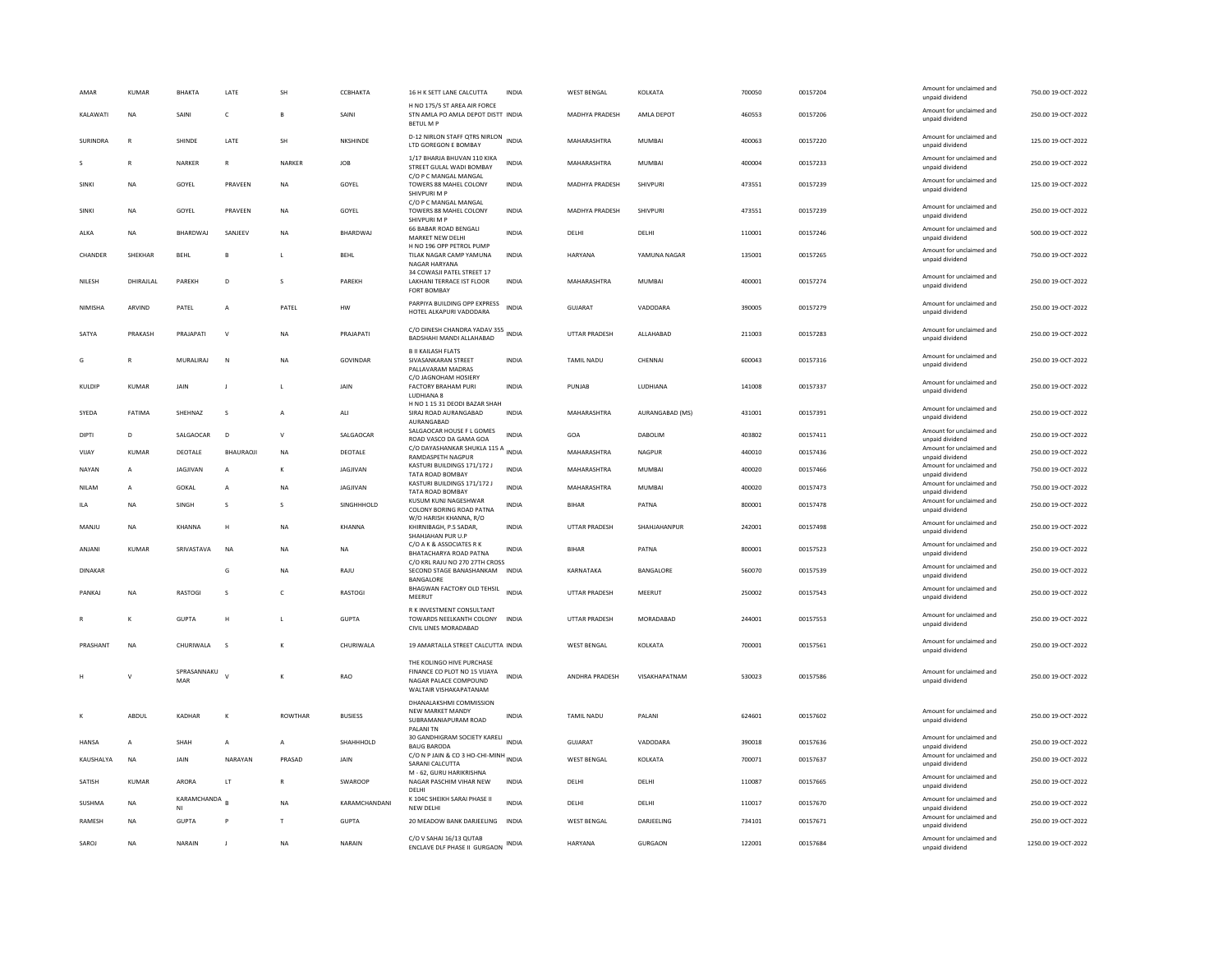| AMAR           | <b>KUMAF</b> | BHAKTA             | LATE                 | SH             | CCBHAKTA         | 16 H K SETT LANE CALCUTTA                                                                                   | <b>INDIA</b> | <b>WEST BENGAL</b>   | KOLKATA         | 700050 | 00157204 | Amount for unclaimed and<br>unpaid dividend                    | 750.00 19-OCT-2022 |
|----------------|--------------|--------------------|----------------------|----------------|------------------|-------------------------------------------------------------------------------------------------------------|--------------|----------------------|-----------------|--------|----------|----------------------------------------------------------------|--------------------|
| KALAWATI       | <b>NA</b>    | SAINI              | $\mathsf{C}$         | B              | SAINI            | H NO 175/5 ST AREA AIR FORCE<br>STN AMLA PO AMLA DEPOT DISTT INDIA<br>BETUL M P                             |              | MADHYA PRADESH       | AMLA DEPOT      | 460553 | 00157206 | Amount for unclaimed and<br>unpaid dividend                    | 250.00 19-OCT-2022 |
| SURINDRA       | $\mathbb{R}$ | SHINDE             | LATE                 | SH             | NKSHINDE         | D-12 NIRLON STAFF QTRS NIRLON INDIA<br>LTD GOREGON E BOMBAY                                                 |              | MAHARASHTRA          | <b>MUMBAI</b>   | 400063 | 00157220 | Amount for unclaimed and<br>unpaid dividend                    | 125.00 19-OCT-2022 |
|                | R            | NARKER             | $\mathsf{R}$         | NARKER         | <b>JOB</b>       | 1/17 BHARJA BHUVAN 110 KIKA<br>STREET GULAL WADI BOMBAY                                                     | <b>INDIA</b> | MAHARASHTRA          | <b>MUMBAI</b>   | 400004 | 00157233 | Amount for unclaimed and<br>unpaid dividend                    | 250.00 19-OCT-2022 |
| SINKI          | <b>NA</b>    | GOYEL              | PRAVEEN              | <b>NA</b>      | GOYEL            | C/O P C MANGAL MANGAL<br>TOWERS 88 MAHEL COLONY<br>SHIVPURI M F                                             | <b>INDIA</b> | MADHYA PRADESH       | SHIVPURI        | 473551 | 00157239 | Amount for unclaimed and<br>unpaid dividend                    | 125.00 19-OCT-2022 |
| SINKI          | NA           | GOYEL              | PRAVEEN              | <b>NA</b>      | GOYEL            | C/O P C MANGAL MANGAL<br>TOWERS 88 MAHEL COLONY<br>SHIVPURI M P                                             | <b>INDIA</b> | MADHYA PRADESH       | SHIVPURI        | 473551 | 00157239 | Amount for unclaimed and<br>unpaid dividend                    | 250.00 19-OCT-2022 |
| ALKA           | <b>NA</b>    | <b>BHARDWAI</b>    | SANIFFV              | <b>NA</b>      | <b>BHARDWAI</b>  | 66 BABAR ROAD BENGALI<br>MARKET NEW DELHI                                                                   | <b>INDIA</b> | <b>DELHI</b>         | <b>DELHI</b>    | 110001 | 00157246 | Amount for unclaimed and<br>unpaid dividend                    | 500.00.19-OCT-2022 |
| CHANDER        | SHEKHAR      | <b>BEHL</b>        |                      |                | BEHL             | H NO 196 OPP PETROL PUMP<br>TILAK NAGAR CAMP YAMUNA<br>NAGAR HARYANA                                        | <b>INDIA</b> | HARYANA              | YAMUNA NAGAR    | 135001 | 00157265 | Amount for unclaimed and<br>unpaid dividend                    | 750.00 19-OCT-2022 |
| NILESH         | DHIRAJLAL    | PAREKH             | D                    | s              | PAREKH           | 34 COWASJI PATEL STREET 17<br>LAKHANI TERRACE IST FLOOR<br><b>FORT ROMBAY</b>                               | <b>INDIA</b> | MAHARASHTRA          | MUMBAI          | 400001 | 00157274 | Amount for unclaimed and<br>unpaid dividend                    | 250.00 19-OCT-2022 |
| <b>NIMISHA</b> | ARVIND       | PATEL              | $\mathbf{A}$         | PATEL          | <b>HW</b>        | PARPIYA BUILDING OPP EXPRESS<br>HOTEL ALKAPURI VADODARA                                                     | <b>INDIA</b> | GUIARAT              | VADODARA        | 390005 | 00157279 | Amount for unclaimed and<br>unpaid dividend                    | 250.00.19-OCT-2022 |
| SATYA          | PRAKASH      | PRAJAPATI          | $\mathsf{v}$         | <b>NA</b>      | PRAJAPATI        | C/O DINESH CHANDRA YADAV 355<br>BADSHAHI MANDI ALLAHABAD                                                    |              | <b>UTTAR PRADESH</b> | ALLAHABAD       | 211003 | 00157283 | Amount for unclaimed and<br>unpaid dividend                    | 250.00 19-OCT-2022 |
| Ġ              | R            | MURALIRAJ          | N                    | <b>NA</b>      | <b>GOVINDAR</b>  | <b>B. II KAILASH FLATS</b><br>SIVASANKARAN STREET<br>PALLAVARAM MADRAS                                      | <b>INDIA</b> | TAMIL NADU           | CHENNAI         | 600043 | 00157316 | Amount for unclaimed and<br>unpaid dividend                    | 250.00 19-OCT-2022 |
| KULDIF         | KUMAR        | JAIN               | <b>I</b>             |                | JAIN             | C/O JAGNOHAM HOSIERY<br>FACTORY BRAHAM PURI<br>LUDHIANA 8                                                   | INDIA        | PUNJAB               | LUDHIANA        | 141008 | 00157337 | Amount for unclaimed and<br>unpaid dividend                    | 250.00 19-OCT-2022 |
| SYEDA          | FATIMA       | SHEHNAZ            | -S                   | $\overline{A}$ | ALI              | H NO 1 15 31 DEODI BAZAR SHAH<br>SIRAJ ROAD AURANGABAD<br>AURANGABAD                                        | <b>INDIA</b> | MAHARASHTRA          | AURANGABAD (MS) | 431001 | 00157391 | Amount for unclaimed and<br>unpaid dividend                    | 250.00 19-OCT-2022 |
| DIPTI          | D            | SALGAOCAR          | D                    | $\mathsf{v}$   | SALGAOCAR        | SALGAOCAR HOUSE F L GOMES<br>ROAD VASCO DA GAMA GOA                                                         | <b>INDIA</b> | GOA                  | DABOLIM         | 403802 | 00157411 | Amount for unclaimed and<br>unpaid dividend                    | 250.00 19-OCT-2022 |
| VIJAY          | <b>KUMAR</b> | DEOTALE            | BHAURAOJI            | <b>NA</b>      | DEOTALE          | C/O DAYASHANKAR SHUKLA 115 A<br><b>RAMDASPETH NAGPUR</b>                                                    | <b>INDIA</b> | MAHARASHTRA          | NAGPUR          | 440010 | 00157436 | Amount for unclaimed and<br>unnaid dividend                    | 250.00 19-OCT-2022 |
| NAYAN          | A            | JAGJIVAN           | А                    | к              | JAGJIVAN         | KASTURI BUILDINGS 171/172 J<br>TATA ROAD BOMBAY                                                             | <b>INDIA</b> | MAHARASHTRA          | <b>MUMBAI</b>   | 400020 | 00157466 | Amount for unclaimed and<br>unpaid dividend                    | 750.00 19-OCT-2022 |
| NII AM         | $\mathsf{A}$ | GOKAL              | $\mathbf{A}$         | NA             | <b>IAGIIVAN</b>  | KASTURI BUILDINGS 171/172 J<br>TATA ROAD BOMBAY                                                             | <b>INDIA</b> | MAHARASHTRA          | MUMBAI          | 400020 | 00157473 | Amount for unclaimed and<br>unpaid dividend                    | 750.00 19-OCT-2022 |
| <b>ILA</b>     | <b>NA</b>    | SINGH              | s                    | $\mathbf{S}$   | SINGHHHOLD       | KUSUM KUNI NAGESHWAR<br>COLONY BORING ROAD PATNA<br>W/O HARISH KHANNA, R/O                                  | <b>INDIA</b> | <b>BIHAR</b>         | PATNA           | 800001 | 00157478 | Amount for unclaimed and<br>unpaid dividend                    | 250.00 19-OCT-2022 |
| MANJU          | NA           | KHANNA             | H                    | NA             | KHANNA           | KHIRNIBAGH, P.S SADAR,<br>SHAHJAHAN PUR U.P                                                                 | INDIA        | UTTAR PRADESH        | SHAHJAHANPUR    | 242001 | 00157498 | Amount for unclaimed and<br>unpaid dividend                    | 250.00 19-OCT-2022 |
| ANJANI         | <b>KUMAR</b> | SRIVASTAVA         | <b>NA</b>            | <b>NA</b>      | <b>NA</b>        | C/O A K & ASSOCIATES R K<br>BHATACHARYA ROAD PATNA<br>C/O KRL RAJU NO 270 27TH CROSS                        | <b>INDIA</b> | <b>BIHAR</b>         | PATNA           | 800001 | 00157523 | Amount for unclaimed and<br>unpaid dividend                    | 250.00 19-OCT-2022 |
| <b>DINAKAR</b> |              |                    | G                    | NA             | RAJU             | SECOND STAGE BANASHANKAM INDIA<br>BANGALORE                                                                 |              | KARNATAKA            | BANGALORE       | 560070 | 00157539 | Amount for unclaimed and<br>unpaid dividend                    | 250.00 19-OCT-2022 |
| PANKAJ         | <b>NA</b>    | <b>RASTOG</b>      | -S                   | $\mathsf{C}$   | <b>RASTOGI</b>   | BHAGWAN FACTORY OLD TEHSIL<br>MEERUT                                                                        | <b>INDIA</b> | <b>UTTAR PRADESH</b> | MEERUT          | 250002 | 00157543 | Amount for unclaimed and<br>unpaid dividend                    | 250.00 19-OCT-2022 |
|                | K            | GUPTA              | H                    | $\mathbf{L}$   | <b>GUPTA</b>     | R K INVESTMENT CONSULTANT<br>TOWARDS NEELKANTH COLONY<br>CIVIL LINES MORADABAD                              | <b>INDIA</b> | <b>UTTAR PRADESH</b> | MORADABAD       | 244001 | 00157553 | Amount for unclaimed and<br>unpaid dividend                    | 250.00 19-OCT-2022 |
| PRASHANT       | NA           | CHURIWALA          | s                    | $\kappa$       | CHURIWALA        | 19 AMARTALLA STREET CALCUTTA INDIA                                                                          |              | <b>WEST BENGAL</b>   | KOLKATA         | 700001 | 00157561 | Amount for unclaimed and<br>unpaid dividend                    | 250.00 19-OCT-2022 |
|                | v            | SPRASANNAKU<br>MAR | $\mathbf{v}$         | к              | RAO              | THE KOLINGO HIVE PURCHASE<br>FINANCE CO PLOT NO 15 VUAYA<br>NAGAR PALACE COMPOUND<br>WALTAIR VISHAKAPATANAM | <b>INDIA</b> | ANDHRA PRADESH       | VISAKHAPATNAM   | 530023 | 00157586 | Amount for unclaimed and<br>unpaid dividend                    | 250.00 19-OCT-2022 |
|                | ABDUL        | KADHAR             | к                    | <b>ROWTHAR</b> | <b>BUSIESS</b>   | DHANALAKSHMI COMMISSION<br>NFW MARKET MANDY<br>SUBRAMANIAPURAM ROAD<br>PALANI TN                            | <b>INDIA</b> | <b>TAMIL NADU</b>    | PALANI          | 624601 | 00157602 | Amount for unclaimed and<br>unpaid dividend                    | 250.00 19-OCT-2022 |
| <b>HANSA</b>   | $\mathsf{A}$ | <b>SHAH</b>        | $\overline{A}$       | $\overline{A}$ | <b>SHAHHHOLD</b> | 30 GANDHIGRAM SOCIETY KARELI<br><b>BAUG BARODA</b>                                                          | <b>INDIA</b> | GUIARAT              | VADODARA        | 390018 | 00157636 | Amount for unclaimed and<br>unpaid dividend                    | 250.00 19-OCT-2022 |
| KAUSHALYA      | <b>NA</b>    | JAIN               | NARAYAN              | PRASAD         | JAIN             | C/O N P JAIN & CO 3 HO-CHI-MINH<br>SARANI CALCUTTA                                                          |              | <b>WEST BENGAL</b>   | KOLKATA         | 700071 | 00157637 | Amount for unclaimed and<br>unpaid dividend                    | 250.00 19-OCT-2022 |
| SATISH         | <b>KUMAR</b> | ARORA              | $\mathsf{LT}\xspace$ |                | SWAROOP          | M - 62. GURU HARIKRISHNA<br>NAGAR PASCHIM VIHAR NEW                                                         | <b>INDIA</b> | DELHI                | DELHI           | 110087 | 00157665 | Amount for unclaimed and<br>unpaid dividend                    | 250.00 19-OCT-2022 |
| <b>SUSHMA</b>  | <b>NA</b>    | KARAMCHANDA        |                      | <b>NA</b>      | KARAMCHANDANI    | DELHI<br>K 104C SHEIKH SARAI PHASE II                                                                       | <b>INDIA</b> | DELHI                | DELHI           | 110017 | 00157670 | Amount for unclaimed and                                       | 250.00 19-OCT-2022 |
|                |              |                    |                      |                |                  |                                                                                                             |              |                      |                 |        |          |                                                                |                    |
| RAMESH         | NA           | NI<br><b>GUPTA</b> |                      | $\mathsf{T}$   | <b>GUPTA</b>     | NEW DELHI<br>20 MEADOW BANK DARJEELING INDIA                                                                |              | <b>WEST BENGAL</b>   | DARJEELING      | 734101 | 00157671 | unpaid dividend<br>Amount for unclaimed and<br>unpaid dividend | 250.00 19-OCT-2022 |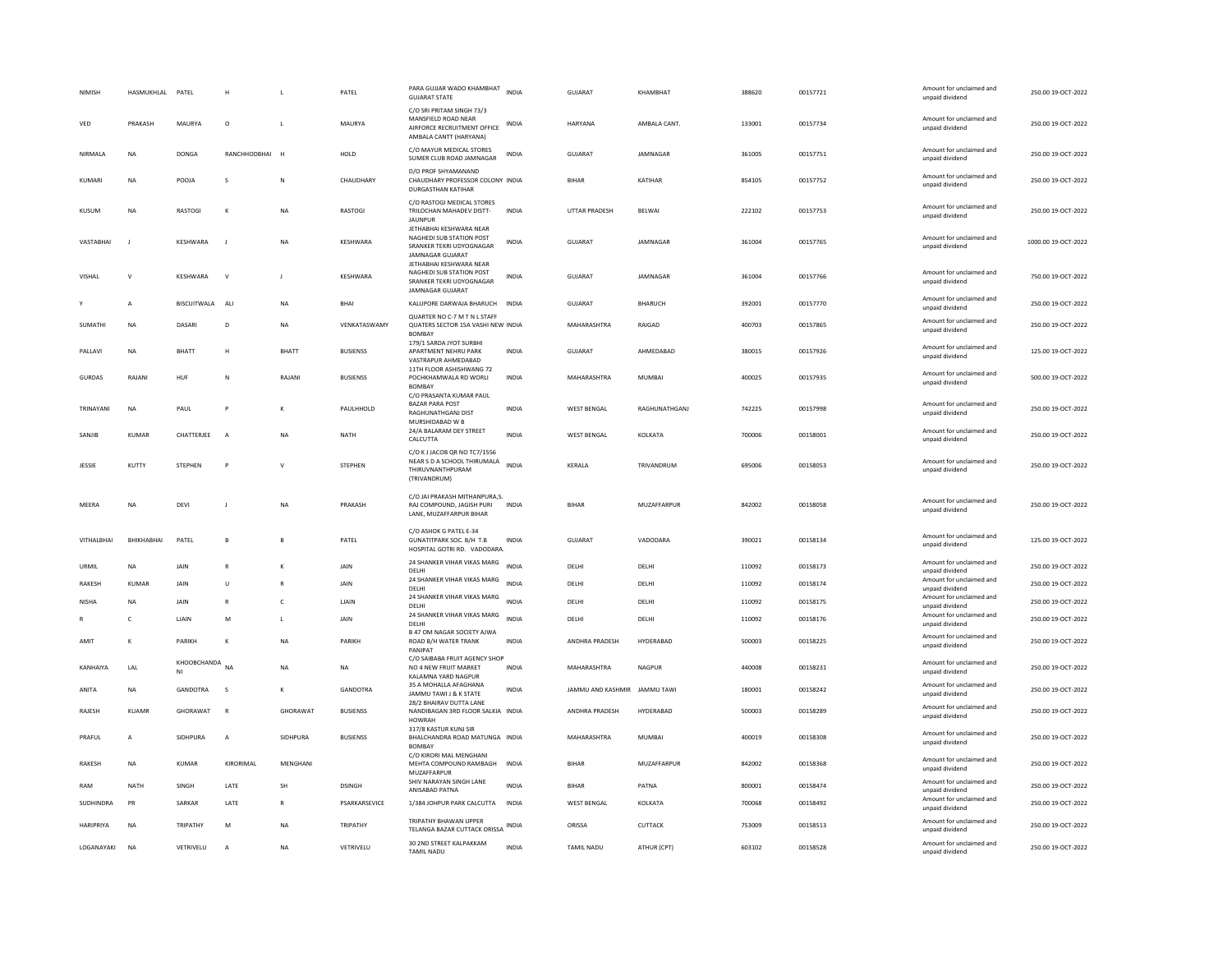| NIMISH           | HASMUKHLAL PATEL |                    |                |              | PATEL           | PARA GUJJAR WADO KHAMBHAT<br><b>GUJARAT STATE</b>                                                          | <b>INDIA</b> | <b>GUJARAT</b>               | KHAMBHAT       | 388620 | 00157721 | Amount for unclaimed and<br>unpaid dividend | 250.00 19-OCT-2022  |
|------------------|------------------|--------------------|----------------|--------------|-----------------|------------------------------------------------------------------------------------------------------------|--------------|------------------------------|----------------|--------|----------|---------------------------------------------|---------------------|
| VED              | PRAKASH          | MAURYA             | $\Omega$       | $\mathbf{I}$ | MAURYA          | C/O SRI PRITAM SINGH 73/3<br>MANSFIELD ROAD NEAR<br>AIRFORCE RECRUITMENT OFFICE<br>AMBALA CANTT (HARYANA)  | INDIA        | <b>HARYANA</b>               | AMBAI A CANT.  | 133001 | 00157734 | Amount for unclaimed and<br>unpaid dividend | 250.00 19-OCT-2022  |
| NIRMALA          | <b>NA</b>        | <b>DONGA</b>       | RANCHHODBHAI   | H            | HOLD            | C/O MAYUR MEDICAL STORES<br>SUMER CLUB ROAD JAMNAGAR                                                       | <b>INDIA</b> | GUJARAT                      | JAMNAGAR       | 361005 | 00157751 | Amount for unclaimed and<br>unpaid dividend | 250.00 19-OCT-2022  |
| KUMARI           | <b>NA</b>        | POOJA              | s              | N            | CHAUDHARY       | D/O PROF SHYAMANAND<br>CHAUDHARY PROFESSOR COLONY INDIA<br><b>DURGASTHAN KATIHAR</b>                       |              | <b>BIHAR</b>                 | KATIHAR        | 854105 | 00157752 | Amount for unclaimed and<br>unpaid dividend | 250.00 19-OCT-2022  |
| KUSUM            | <b>NA</b>        | <b>RASTOGI</b>     | К              | <b>NA</b>    | <b>RASTOGI</b>  | C/O RASTOGI MEDICAL STORES<br>TRILOCHAN MAHADEV DISTT-<br><b>JAUNPUR</b>                                   | <b>INDIA</b> | <b>UTTAR PRADESH</b>         | BELWAI         | 222102 | 00157753 | Amount for unclaimed and<br>unpaid dividend | 250.00 19-OCT-2022  |
| VASTABHAI        | $\blacksquare$   | KESHWARA           | $\mathbf{I}$   | <b>NA</b>    | KESHWARA        | JETHABHAI KESHWARA NEAR<br><b>NAGHEDI SUR STATION POST</b><br>SRANKER TEKRI UDYOGNAGAR<br>JAMNAGAR GUJARAT | <b>INDIA</b> | GUJARAT                      | JAMNAGAR       | 361004 | 00157765 | Amount for unclaimed and<br>unpaid dividend | 1000.00 19-OCT-2022 |
| VISHAL           | $\mathsf{v}$     | KESHWARA           | $\vee$         | $\mathbf{J}$ | KESHWARA        | <b>IFTHARHAI KFSHWARA NFAR</b><br>NAGHEDI SUB STATION POST<br>SRANKER TEKRI UDYOGNAGAR<br>JAMNAGAR GUJARAT | INDIA        | <b>GUJARAT</b>               | JAMNAGAR       | 361004 | 00157766 | Amount for unclaimed and<br>unpaid dividend | 750.00 19-OCT-2022  |
|                  | A                | <b>BISCUITWALA</b> | ALI            | <b>NA</b>    | BHAI            | KALUPORE DARWAJA BHARUCH                                                                                   | INDIA        | GUJARAT                      | <b>BHARUCH</b> | 392001 | 00157770 | Amount for unclaimed and<br>unpaid dividend | 250.00 19-OCT-2022  |
| SUMATHI          | NA               | DASARI             | D.             | <b>NA</b>    | VENKATASWAMY    | QUARTER NO C-7 M T N L STAFF<br>QUATERS SECTOR 15A VASHI NEW INDIA<br>BOMBAY                               |              | MAHARASHTRA                  | RAIGAD         | 400703 | 00157865 | Amount for unclaimed and<br>unpaid dividend | 250.00.19-OCT-2022  |
| PALLAVI          | <b>NA</b>        | <b>BHATT</b>       | H              | <b>BHATT</b> | <b>BUSIENSS</b> | 179/1 SARDA JYOT SURBHI<br>APARTMENT NEHRU PARK<br>VASTRAPUR AHMEDABAD                                     | <b>INDIA</b> | <b>GUJARAT</b>               | AHMFDARAD      | 380015 | 00157926 | Amount for unclaimed and<br>unpaid dividend | 125.00 19-OCT-2022  |
| <b>GURDAS</b>    | RAJANI           | HUF                | N              | RAJANI       | <b>BUSIENSS</b> | 11TH FLOOR ASHISHWANG 72<br>POCHKHAMWALA RD WORLI<br><b>BOMBAY</b>                                         | <b>INDIA</b> | MAHARASHTRA                  | <b>MUMBAI</b>  | 400025 | 00157935 | Amount for unclaimed and<br>unpaid dividend | 500.00 19-OCT-2022  |
| TRINAYANI        | NA               | PAUL               | P              | к            | PAULHHOLD       | C/O PRASANTA KUMAR PAUL<br><b>BAZAR PARA POST</b><br><b>RAGHUNATHGANJ DIST</b><br>MURSHIDABAD W B          | <b>INDIA</b> | <b>WEST BENGAL</b>           | RAGHUNATHGANI  | 742225 | 00157998 | Amount for unclaimed and<br>unpaid dividend | 250.00.19-OCT-2022  |
| SANIJR           | <b>KUMAR</b>     | CHATTERJEE         | $\overline{A}$ | <b>NA</b>    | <b>NATH</b>     | 24/A BALARAM DEY STREET<br>CALCUTTA                                                                        | <b>INDIA</b> | <b>WEST BENGAL</b>           | KOLKATA        | 700006 | 00158001 | Amount for unclaimed and<br>unpaid dividend | 250.00 19-OCT-2022  |
| JESSIE           | KUTTY            | <b>STEPHEN</b>     | P              | $\mathsf{v}$ | <b>STEPHEN</b>  | C/O K J JACOB QR NO TC7/1556<br>NEAR S D A SCHOOL THIRUMALA<br>THIRUVNANTHPURAM<br>(TRIVANDRUM)            | <b>INDIA</b> | <b>KFRAIA</b>                | TRIVANDRUM     | 695006 | 00158053 | Amount for unclaimed and<br>unpaid dividend | 250.00 19-OCT-2022  |
| MEERA            | NA               | DEVI               |                | <b>NA</b>    | PRAKASH         | C/O JAI PRAKASH MITHANPURA,S.<br>RAJ COMPOUND, JAGISH PURI<br>LANE, MUZAFFARPUR BIHAR                      | INDIA        | BIHAR                        | MUZAFFARPUR    | 842002 | 00158058 | Amount for unclaimed and<br>unpaid dividend | 250.00 19-OCT-2022  |
| VITHALBHAI       | BHIKHABHAI       | PATEL              | B              |              | PATEL           | C/O ASHOK G PATEL E-34<br><b>GUNATITPARK SOC. B/H T.B</b><br>HOSPITAL GOTRI RD. VADODARA.                  | <b>INDIA</b> | GUJARAT                      | VADODARA       | 390021 | 00158134 | Amount for unclaimed and<br>unpaid dividend | 125.00 19-OCT-2022  |
| URMIL            | <b>NA</b>        | <b>JAIN</b>        | $\mathbb{R}$   | к            | <b>JAIN</b>     | 24 SHANKER VIHAR VIKAS MARG<br>DELHI                                                                       | <b>INDIA</b> | DELHI                        | DELHI          | 110092 | 00158173 | Amount for unclaimed and<br>unpaid dividend | 250.00 19-OCT-2022  |
| <b>RAKESH</b>    | <b>KUMAR</b>     | JAIN               | U              | $\mathbb{R}$ | JAIN            | 24 SHANKER VIHAR VIKAS MARG<br>DELHI                                                                       | <b>INDIA</b> | DELHI                        | DELHI          | 110092 | 00158174 | Amount for unclaimed and<br>unpaid dividend | 250.00 19-OCT-2022  |
| <b>NISHA</b>     | <b>NA</b>        | JAIN               | $\mathbb{R}$   | $\mathsf{C}$ | <b>LIAIN</b>    | 24 SHANKER VIHAR VIKAS MARG<br>DELHI                                                                       | <b>INDIA</b> | DELHI                        | DELHI          | 110092 | 00158175 | Amount for unclaimed and<br>unpaid dividend | 250.00 19-OCT-2022  |
|                  | $\mathsf{C}$     | LIAIN              | M              | $\mathsf{L}$ | JAIN            | 24 SHANKER VIHAR VIKAS MARG<br>DELHI                                                                       | <b>INDIA</b> | DELHI                        | DELHI          | 110092 | 00158176 | Amount for unclaimed and<br>unpaid dividend | 250.00 19-OCT-2022  |
| AMIT             | к                | PARIKH             | К              | <b>NA</b>    | PARIKH          | B 47 OM NAGAR SOCIETY AJWA<br><b>ROAD B/H WATER TRANK</b><br>PANIPAT                                       | <b>INDIA</b> | ANDHRA PRADESH               | HYDERABAD      | 500003 | 00158225 | Amount for unclaimed and<br>unpaid dividend | 250.00 19-OCT-2022  |
| KANHAIYA         | <b>I</b> AI      | KHOOBCHANDA<br>NI  | <b>NA</b>      | <b>NA</b>    | <b>NA</b>       | C/O SAIBABA FRUIT AGENCY SHOP<br>NO 4 NEW FRUIT MARKET<br>KALAMNA YARD NAGPUR                              | <b>INDIA</b> | <b>MAHARASHTRA</b>           | NAGPUR         | 440008 | 00158231 | Amount for unclaimed and<br>unpaid dividend | 250.00.19-OCT-2022  |
| ANITA            | <b>NA</b>        | <b>GANDOTRA</b>    | s              |              | GANDOTRA        | 35 A MOHALLA AFAGHANA<br>JAMMU TAWI J & K STATE                                                            | <b>INDIA</b> | JAMMU AND KASHMIR JAMMU TAWI |                | 180001 | 00158242 | Amount for unclaimed and<br>unpaid dividend | 250.00 19-OCT-2022  |
| RAJESH           | <b>KUAMR</b>     | <b>GHORAWAT</b>    | $\mathsf{R}$   | GHORAWAT     | <b>BUSIENSS</b> | 28/2 BHAIRAV DUTTA LANE<br>NANDIBAGAN 3RD FLOOR SALKIA INDIA<br>HOWRAH                                     |              | ANDHRA PRADESH               | HYDERABAD      | 500003 | 00158289 | Amount for unclaimed and<br>unpaid dividend | 250.00 19-OCT-2022  |
| PRAFUL           | $\mathsf{A}$     | SIDHPURA           | $\mathbf{A}$   | SIDHPURA     | <b>BUSIENSS</b> | 317/8 KASTUR KUNJ SIR<br>BHALCHANDRA ROAD MATUNGA INDIA<br><b>BOMBA</b>                                    |              | MAHARASHTRA                  | MUMBAI         | 400019 | 00158308 | Amount for unclaimed and<br>unpaid dividend | 250.00 19-OCT-2022  |
| <b>RAKESH</b>    | NA               | KUMAR              | KIRORIMAL      | MENGHANI     |                 | C/O KIRORI MAI MENGHANI<br>MEHTA COMPOUND RAMBAGH<br>MUZAFFARPUR                                           | <b>INDIA</b> | <b>BIHAR</b>                 | MUZAFFARPUR    | 842002 | 00158368 | Amount for unclaimed and<br>unpaid dividend | 250.00 19-OCT-2022  |
| RAM              | NATH             | SINGH              | LATE           | SH           | <b>DSINGH</b>   | SHIV NARAYAN SINGH LANE<br>ANISABAD PATNA                                                                  | INDIA        | BIHAR                        | PATNA          | 800001 | 00158474 | Amount for unclaimed and<br>unpaid dividend | 250.00 19-OCT-2022  |
| SUDHINDRA        | PR               | SARKAR             | LATE           |              | PSARKARSEVICE   | 1/384 JOHPUR PARK CALCUTTA<br>TRIPATHY BHAWAN UPPER                                                        | INDIA        | <b>WEST BENGAL</b>           | KOLKATA        | 700068 | 00158492 | Amount for unclaimed and<br>unpaid dividend | 250.00 19-OCT-2022  |
| <b>HARIPRIYA</b> | <b>NA</b>        | TRIPATHY           | M              | <b>NA</b>    | TRIPATHY        | TELANGA BAZAR CUTTACK ORISSA                                                                               | INDIA        | ORISSA                       | <b>CUTTACK</b> | 753009 | 00158513 | Amount for unclaimed and<br>unpaid dividend | 250.00.19-OCT-2022  |
| LOGANAYAKI       | <b>NA</b>        | VETRIVELU          | A              | <b>NA</b>    | VETRIVELU       | 30 2ND STREET KALPAKKAM<br><b>TAMIL NADU</b>                                                               | <b>INDIA</b> | <b>TAMIL NADU</b>            | ATHUR (CPT)    | 603102 | 00158528 | Amount for unclaimed and<br>unpaid dividend | 250.00 19-OCT-2022  |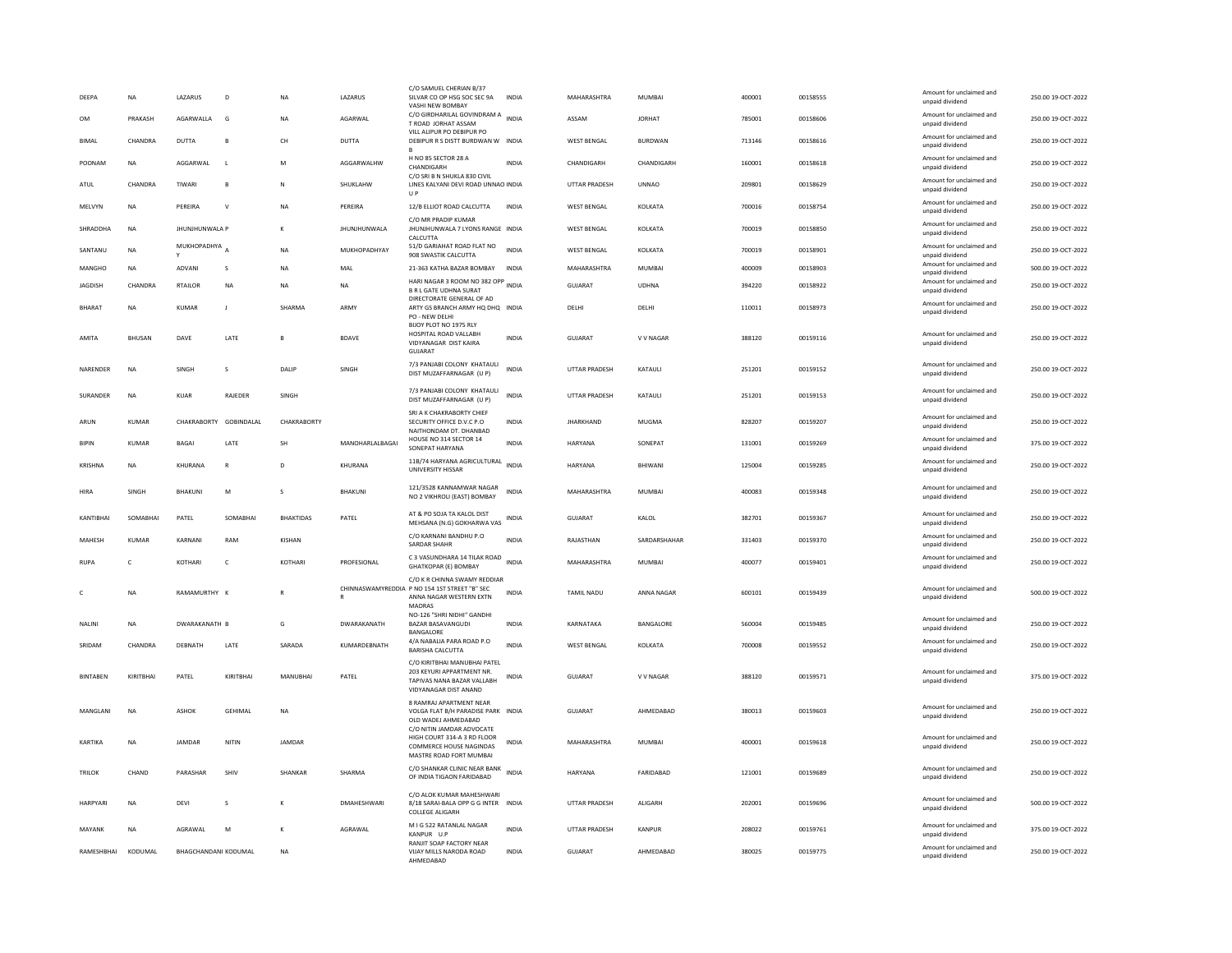| DEEPA           | <b>NA</b>    | LAZARUS                  | D              | <b>NA</b>        | LAZARUS             | C/O SAMUEL CHERIAN B/37<br>SILVAR CO OP HSG SOC SEC 9A<br>VASHI NEW BOMBAY                                         | <b>INDIA</b> | MAHARASHTRA          | <b>MUMBAI</b> | 400001 | 00158555 | Amount for unclaimed and<br>unpaid dividend | 250.00 19-OCT-2022 |
|-----------------|--------------|--------------------------|----------------|------------------|---------------------|--------------------------------------------------------------------------------------------------------------------|--------------|----------------------|---------------|--------|----------|---------------------------------------------|--------------------|
| OM              | PRAKASH      | AGARWALLA                | G              | <b>NA</b>        | AGARWAL             | C/O GIRDHARILAL GOVINDRAM A INDIA<br>T ROAD JORHAT ASSAM                                                           |              | ASSAM                | <b>JORHAT</b> | 785001 | 00158606 | Amount for unclaimed and<br>unpaid dividend | 250.00 19-OCT-2022 |
| <b>BIMAL</b>    | CHANDRA      | DUTTA                    | B              | CH               | <b>DUTTA</b>        | VILL ALIPUR PO DEBIPUR PO<br>DEBIPUR R S DISTT BURDWAN W INDIA                                                     |              | <b>WEST BENGAL</b>   | BURDWAN       | 713146 | 00158616 | Amount for unclaimed and<br>unpaid dividend | 250.00 19-OCT-2022 |
| POONAM          | NA           | AGGARWAL                 | $\mathbf{L}$   | M                | AGGARWALHW          | H NO 85 SECTOR 28 A<br>CHANDIGARH                                                                                  | <b>INDIA</b> | CHANDIGARH           | CHANDIGARH    | 160001 | 00158618 | Amount for unclaimed and<br>unpaid dividend | 250.00 19-OCT-2022 |
| ATUL            | CHANDRA      | TIWARI                   | $\mathbf{B}$   | N                | SHUKLAHW            | C/O SRI B N SHUKLA 830 CIVIL<br>LINES KALYANI DEVI ROAD UNNAO INDIA<br><b>UP</b>                                   |              | <b>UTTAR PRADESH</b> | <b>UNNAO</b>  | 209801 | 00158629 | Amount for unclaimed and<br>unpaid dividend | 250.00 19-OCT-2022 |
| MELVYN          | NA           | PEREIRA                  | $\vee$         | NA               | PEREIRA             | 12/B ELLIOT ROAD CALCUTTA                                                                                          | <b>INDIA</b> | WEST BENGAL          | KOLKATA       | 700016 | 00158754 | Amount for unclaimed and<br>unpaid dividend | 250.00 19-OCT-2022 |
| SHRADDHA        | <b>NA</b>    | <b>JHUNJHUNWALA P</b>    |                | к                | <b>JHUNJHUNWALA</b> | C/O MR PRADIP KUMAR<br>JHUNJHUNWALA 7 LYONS RANGE INDIA<br>CALCUTTA                                                |              | <b>WEST BENGAL</b>   | KOLKATA       | 700019 | 00158850 | Amount for unclaimed and<br>unpaid dividend | 250.00 19-OCT-2022 |
| SANTANU         | NA           | MUKHOPADHYA <sub>A</sub> |                | NA               | MUKHOPADHYAY        | 51/D GARIAHAT ROAD FLAT NO<br>908 SWASTIK CALCUTTA                                                                 | <b>INDIA</b> | <b>WEST BENGAL</b>   | KOLKATA       | 700019 | 00158901 | Amount for unclaimed and<br>unnaid dividend | 250.00 19-OCT-2022 |
| MANGHO          | <b>NA</b>    | ADVANI                   | s              | NA               | MAL                 | 21-363 KATHA BAZAR BOMBAY                                                                                          | <b>INDIA</b> | MAHARASHTRA          | MUMBAI        | 400009 | 00158903 | Amount for unclaimed and<br>unpaid dividend | 500.00 19-OCT-2022 |
| <b>JAGDISH</b>  | CHANDRA      | <b>RTAILOR</b>           | <b>NA</b>      | <b>NA</b>        | <b>NA</b>           | HARI NAGAR 3 ROOM NO 382 OPP INDIA<br><b>B R L GATE UDHNA SURAT</b>                                                |              | GUJARAT              | <b>UDHNA</b>  | 394220 | 00158922 | Amount for unclaimed and<br>unpaid dividend | 250.00 19-OCT-2022 |
| <b>BHARAT</b>   | NA           | KUMAR                    | $\mathsf J$    | SHARMA           | ARMY                | DIRECTORATE GENERAL OF AD<br>ARTY GS BRANCH ARMY HQ DHQ INDIA<br>PO - NEW DELHI<br>BIJOY PLOT NO 1975 RLY          |              | DELHI                | DELHI         | 110011 | 00158973 | Amount for unclaimed and<br>unpaid dividend | 250.00 19-OCT-2022 |
| AMITA           | BHUSAN       | DAVE                     | LATE           | R                | <b>BDAVE</b>        | HOSPITAL ROAD VALLABH<br>VIDYANAGAR DIST KAIRA<br>GUJARAT                                                          | <b>INDIA</b> | GUIARAT              | V V NAGAR     | 388120 | 00159116 | Amount for unclaimed and<br>unpaid dividend | 250.00 19-OCT-2022 |
| NARENDER        | <b>NA</b>    | SINGH                    | s              | DALIP            | SINGH               | 7/3 PANJABI COLONY KHATAULI<br>DIST MUZAFFARNAGAR (U P)                                                            | <b>INDIA</b> | <b>UTTAR PRADESH</b> | KATAULI       | 251201 | 00159152 | Amount for unclaimed and<br>unpaid dividend | 250.00 19-OCT-2022 |
| <b>SURANDER</b> | <b>NA</b>    | KUAR                     | <b>RAIFDER</b> | <b>SINGH</b>     |                     | 7/3 PANJABI COLONY KHATAULI<br>DIST MUZAFFARNAGAR (U P)                                                            | <b>INDIA</b> | <b>UTTAR PRADESH</b> | KATAULI       | 251201 | 00159153 | Amount for unclaimed and<br>unpaid dividend | 250.00 19-OCT-2022 |
| ARUN            | KUMAR        | CHAKRABORTY GOBINDALAL   |                | CHAKRABORTY      |                     | SRI A K CHAKRABORTY CHIEF<br>SECURITY OFFICE D.V.C P.O<br>NAITHONDAM DT. DHANBAD                                   | <b>INDIA</b> | <b>JHARKHAND</b>     | MUGMA         | 828207 | 00159207 | Amount for unclaimed and<br>unpaid dividend | 250.00 19-OCT-2022 |
| <b>BIPIN</b>    | KUMAR        | <b>BAGAI</b>             | LATE           | SH               | MANOHARLALBAGAI     | HOUSE NO 314 SECTOR 14<br>SONEPAT HARYANA                                                                          | INDIA        | HARYANA              | SONEPAT       | 131001 | 00159269 | Amount for unclaimed and<br>unpaid dividend | 375.00 19-OCT-2022 |
| <b>KRISHNA</b>  | <b>NA</b>    | KHURANA                  | $\mathsf{R}$   | D                | KHURANA             | 11B/74 HARYANA AGRICULTURAL INDIA<br>UNIVERSITY HISSAR                                                             |              | HARYANA              | BHIWANI       | 125004 | 00159285 | Amount for unclaimed and<br>unpaid dividend | 250.00 19-OCT-2022 |
| HIRA            | <b>SINGH</b> | <b>BHAKUNI</b>           | M              | $\mathbf{S}$     | <b>BHAKUNI</b>      | 121/3528 KANNAMWAR NAGAR<br>NO 2 VIKHROLI (EAST) BOMBAY                                                            | <b>INDIA</b> | MAHARASHTRA          | MUMBAL        | 400083 | 00159348 | Amount for unclaimed and<br>unpaid dividend | 250.00.19-OCT-2022 |
| KANTIBHAI       | SOMARHAI     | PATEL                    | SOMARHAI       | <b>BHAKTIDAS</b> | PATEL               | AT & PO SOJA TA KALOL DIST<br>MEHSANA (N.G) GOKHARWA VAS                                                           | <b>INDIA</b> | GUJARAT              | KALOL         | 382701 | 00159367 | Amount for unclaimed and<br>unpaid dividend | 250.00 19-OCT-2022 |
| MAHESH          | <b>KUMAR</b> | KARNANI                  | RAM            | KISHAN           |                     | C/O KARNANI BANDHU P.O<br>SARDAR SHAHR                                                                             | <b>INDIA</b> | RAJASTHAN            | SARDARSHAHAR  | 331403 | 00159370 | Amount for unclaimed and<br>unpaid dividend | 250.00 19-OCT-2022 |
| <b>RUPA</b>     | $\mathsf{C}$ | <b>KOTHARI</b>           | $\mathsf{C}$   | KOTHARI          | PROFESIONAL         | C 3 VASUNDHARA 14 TILAK ROAD<br><b>GHATKOPAR (E) BOMBAY</b>                                                        | <b>INDIA</b> | MAHARASHTRA          | MUMBAI        | 400077 | 00159401 | Amount for unclaimed and<br>unpaid dividend | 250.00 19-OCT-2022 |
| C.              | <b>NA</b>    | RAMAMURTHY K             |                | R                |                     | C/O K R CHINNA SWAMY REDDIAR<br>CHINNASWAMYREDDIA P NO 154 1ST STREET "B" SEC<br>ANNA NAGAR WESTERN EXTN<br>MADRAS | <b>INDIA</b> | TAMIL NADU           | ANNA NAGAR    | 600101 | 00159439 | Amount for unclaimed and<br>unpaid dividend | 500.00 19-OCT-2022 |
| NALINI          | <b>NA</b>    | DWARAKANATH B            |                | G                | DWARAKANATH         | NO-126 "SHRI NIDHI" GANDHI<br>BAZAR BASAVANGUDI<br><b>BANGALORE</b>                                                | INDIA        | KARNATAKA            | BANGALORE     | 560004 | 00159485 | Amount for unclaimed and<br>unpaid dividend | 250.00 19-OCT-2022 |
| SRIDAM          | CHANDRA      | DEBNATH                  | LATE           | SARADA           | KUMARDEBNATH        | 4/A NABALIA PARA ROAD P.O<br><b>BARISHA CALCUTTA</b>                                                               | <b>INDIA</b> | WEST BENGAL          | KOLKATA       | 700008 | 00159552 | Amount for unclaimed and<br>unpaid dividend | 250.00 19-OCT-2022 |
| <b>BINTABEN</b> | KIRITBHAI    | PATEL                    | KIRITBHAI      | MANUBHAI         | PATEL               | C/O KIRITBHAI MANUBHAI PATEL<br>203 KEYURI APPARTMENT NR<br>TAPIVAS NANA BAZAR VALLABH<br>VIDYANAGAR DIST ANAND    | <b>INDIA</b> | <b>GUJARAT</b>       | V V NAGAR     | 388120 | 00159571 | Amount for unclaimed and<br>unpaid dividend | 375.00 19-OCT-2022 |
| MANGLANI        | <b>NA</b>    | ASHOK                    | <b>GEHIMAL</b> | NA               |                     | 8 RAMRAJ APARTMENT NEAR<br>VOLGA FLAT B/H PARADISE PARK INDIA<br>OLD WADEJ AHMEDABAD                               |              | GUJARAT              | AHMEDABAD     | 380013 | 00159603 | Amount for unclaimed and<br>unpaid dividend | 250.00 19-OCT-2022 |
| KARTIKA         | <b>NA</b>    | <b>IAMDAR</b>            | NITIN          | JAMDAR           |                     | C/O NITIN JAMDAR ADVOCATE<br>HIGH COURT 314-A 3 RD FLOOR<br>COMMERCE HOUSE NAGINDAS<br>MASTRE ROAD FORT MUMBAI     | <b>INDIA</b> | MAHARASHTRA          | MUMBAI        | 400001 | 00159618 | Amount for unclaimed and<br>unpaid dividend | 250.00 19-OCT-2022 |
| <b>TRILOK</b>   | CHAND        | PARASHAR                 | <b>SHIV</b>    | <b>SHANKAR</b>   | SHARMA              | C/O SHANKAR CLINIC NEAR BANK<br>OF INDIA TIGAON FARIDABAD                                                          | <b>INDIA</b> | HARYANA              | FARIDARAD     | 121001 | 00159689 | Amount for unclaimed and<br>unpaid dividend | 250.00.19-OCT-2022 |
| HARPYARI        | <b>NA</b>    | DEVI                     | s              |                  | DMAHESHWARI         | C/O ALOK KUMAR MAHESHWARI<br>8/18 SARAI-BALA OPP G G INTER INDIA<br><b>COLLEGE ALIGARH</b>                         |              | UTTAR PRADESH        | ALIGARH       | 202001 | 00159696 | Amount for unclaimed and<br>unpaid dividend | 500.00 19-OCT-2022 |
| MAYANK          | <b>NA</b>    | AGRAWAL                  | M              | к                | AGRAWAL             | M I G 522 RATANLAL NAGAR                                                                                           | <b>INDIA</b> | UTTAR PRADESH        | KANPUR        | 208022 | 00159761 | Amount for unclaimed and                    | 375.00 19-OCT-2022 |
|                 |              |                          |                |                  |                     | KANPUR U.F<br>RANJIT SOAP FACTORY NEAR                                                                             |              |                      |               |        |          | unpaid dividend                             |                    |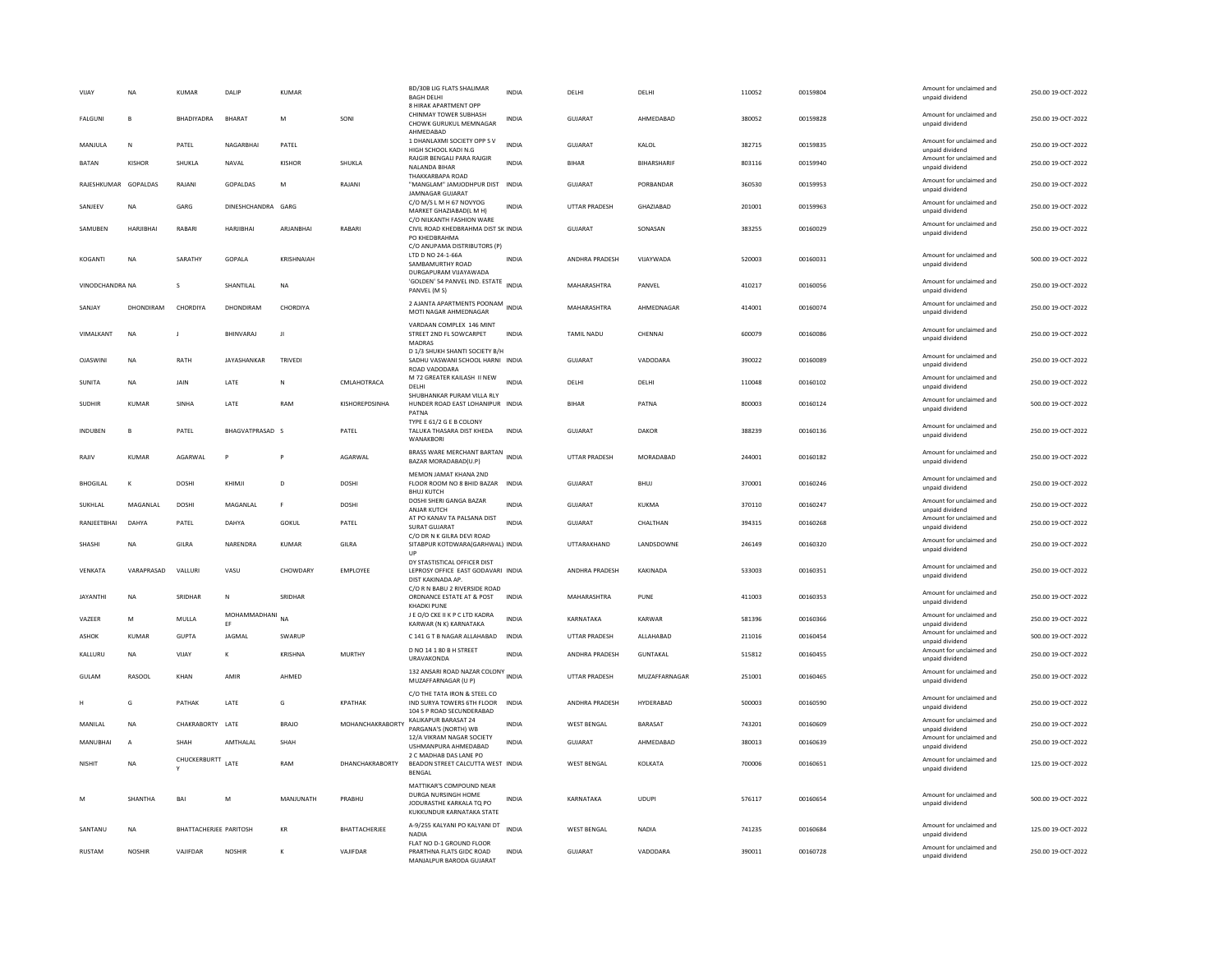| VIJAY                | <b>NA</b>      | <b>KUMAR</b>                  | DALIP                 | <b>KUMAR</b>   |                        | <b>BD/30B LIG FLATS SHALIMAR</b><br><b>BAGH DELH</b>                                                     | <b>INDIA</b> | DELHI                 | DELHI         | 110052 | 00159804 | Amount for unclaimed and<br>unpaid dividend | 250.00 19-OCT-2022 |
|----------------------|----------------|-------------------------------|-----------------------|----------------|------------------------|----------------------------------------------------------------------------------------------------------|--------------|-----------------------|---------------|--------|----------|---------------------------------------------|--------------------|
| FALGUNI              | B              | BHADIYADRA                    | BHARAT                | M              | SONI                   | 8 HIRAK APARTMENT OPP<br>CHINMAY TOWER SUBHASH<br>CHOWK GURUKUL MEMNAGAR<br>AHMEDABAD                    | <b>INDIA</b> | GUJARAT               | AHMEDABAD     | 380052 | 00159828 | Amount for unclaimed and<br>unpaid dividend | 250.00 19-OCT-2022 |
| MANJULA              | N              | PATEL                         | NAGARBHAI             | PATEL          |                        | 1 DHANLAXMI SOCIETY OPP S V<br>HIGH SCHOOL KADI N.G                                                      | <b>INDIA</b> | GUJARAT               | KALOL         | 382715 | 00159835 | Amount for unclaimed and<br>unpaid dividend | 250.00 19-OCT-2022 |
| <b>BATAN</b>         | KISHOR         | SHUKLA                        | NAVAL                 | KISHOR         | SHUKLA                 | RAJGIR BENGALI PARA RAJGIR<br>NALANDA BIHAR                                                              | INDIA        | <b>BIHAR</b>          | BIHARSHARIF   | 803116 | 00159940 | Amount for unclaimed and<br>unpaid dividend | 250.00 19-OCT-2022 |
| RAJESHKUMAR GOPALDAS |                | RAJANI                        | GOPALDAS              | M              | RAJANI                 | THAKKARBAPA ROAD<br>"MANGLAM" JAMJODHPUR DIST INDIA<br>JAMNAGAR GUJARAT                                  |              | <b>GUJARAT</b>        | PORBANDAR     | 360530 | 00159953 | Amount for unclaimed and<br>unpaid dividend | 250.00 19-OCT-2022 |
| SANJEEV              | <b>NA</b>      | GARG                          | DINESHCHANDRA GARG    |                |                        | C/O M/S L M H 67 NOVYOG<br>MARKET GHAZIABAD(L M H)                                                       | <b>INDIA</b> | <b>UTTAR PRADESH</b>  | GHAZIABAD     | 201001 | 00159963 | Amount for unclaimed and<br>unpaid dividend | 250.00 19-OCT-2022 |
| SAMUBEN              | HARJIBHAI      | RABARI                        | HARJIBHAI             | ARJANBHAI      | <b>RABAR</b>           | C/O NILKANTH FASHION WARE<br>CIVIL ROAD KHEDBRAHMA DIST SK INDIA<br>PO KHEDBRAHMA                        |              | <b>GUJARAT</b>        | SONASAN       | 383255 | 00160029 | Amount for unclaimed and<br>unpaid dividend | 250.00 19-OCT-2022 |
| KOGANTI              | NA             | SARATHY                       | GOPALA                | KRISHNAIAH     |                        | C/O ANUPAMA DISTRIBUTORS (P)<br>LTD D NO 24-1-66A<br>SAMBAMURTHY ROAD                                    | INDIA        | ANDHRA PRADESH        | VIJAYWADA     | 520003 | 00160031 | Amount for unclaimed and<br>unpaid dividend | 500.00 19-OCT-2022 |
| VINODCHANDRA NA      |                | s                             | SHANTILAL             | <b>NA</b>      |                        | DURGAPURAM VIJAYAWADA<br>'GOLDEN' 54 PANVEL IND. ESTATE<br>PANVEL (M S)                                  | <b>INDIA</b> | MAHARASHTRA           | PANVEL        | 410217 | 00160056 | Amount for unclaimed and<br>unpaid dividend | 250.00 19-OCT-2022 |
| SANIAY               | DHONDIRAM      | CHORDIYA                      | DHONDIRAM             | CHORDIYA       |                        | 2 AJANTA APARTMENTS POONAM<br>MOTI NAGAR AHMEDNAGAR                                                      | <b>INDIA</b> | MAHARASHTRA           | AHMEDNAGAR    | 414001 | 00160074 | Amount for unclaimed and<br>unpaid dividend | 250.00 19-QCT-2022 |
| <b>VIMAI KANT</b>    | <b>NA</b>      | J.                            | <b>RHINVARAI</b>      | - 11           |                        | VARDAAN COMPLEX 146 MINT<br>STREET 2ND FL SOWCARPET<br>MADRAS                                            | <b>INDIA</b> | TAMII NADU            | CHENNAL       | 600079 | 00160086 | Amount for unclaimed and<br>unpaid dividend | 250.00 19-OCT-2022 |
| <b>OJASWINI</b>      | <b>NA</b>      | RATH                          | JAYASHANKAR           | <b>TRIVEDI</b> |                        | D 1/3 SHUKH SHANTI SOCIETY B/H<br>SADHU VASWANI SCHOOL HARNI INDIA<br>ROAD VADODARA                      |              | <b>GUJARAT</b>        | VADODARA      | 390022 | 00160089 | Amount for unclaimed and<br>unpaid dividend | 250.00 19-OCT-2022 |
| SUNITA               | NA             | JAIN                          | LATE                  | N              | CMLAHOTRACA            | M 72 GREATER KAILASH II NEW<br>DELHI                                                                     | <b>INDIA</b> | DELHI                 | DELHI         | 110048 | 00160102 | Amount for unclaimed and<br>unpaid dividend | 250.00 19-OCT-2022 |
| <b>SUDHIR</b>        | <b>KUMAR</b>   | SINHA                         | LATE                  | RAM            | KISHOREPDSINHA         | SHUBHANKAR PURAM VILLA RLY<br>HUNDER ROAD EAST LOHANIPUR INDIA<br>PATNA                                  |              | BIHAR                 | PATNA         | 800003 | 00160124 | Amount for unclaimed and<br>unpaid dividend | 500.00 19-OCT-2022 |
| INDUBEN              | B              | PATEL                         | BHAGVATPRASAD S       |                | PATEL                  | TYPE E 61/2 G E B COLONY<br>TALUKA THASARA DIST KHEDA<br>WANAKBORI                                       | <b>INDIA</b> | <b>GUJARAT</b>        | <b>DAKOR</b>  | 388239 | 00160136 | Amount for unclaimed and<br>unpaid dividend | 250.00 19-OCT-2022 |
| RAJIV                | <b>KUMAR</b>   | AGARWAL                       | P                     | $\mathsf{P}$   | AGARWAL                | BRASS WARE MERCHANT BARTAN INDIA<br>BAZAR MORADABAD(U.P)                                                 |              | <b>UTTAR PRADESH</b>  | MORADABAD     | 244001 | 00160182 | Amount for unclaimed and<br>unpaid dividend | 250.00 19-OCT-2022 |
| <b>BHOGILAL</b>      | ĸ              | <b>DOSHI</b>                  | KHIMJI                | D              | <b>DOSHI</b>           | MEMON JAMAT KHANA 2ND<br>FLOOR ROOM NO 8 BHID BAZAR INDIA<br><b>BHUJ KUTCH</b>                           |              | <b>GUJARAT</b>        | BHUJ          | 370001 | 00160246 | Amount for unclaimed and<br>unpaid dividend | 250.00 19-OCT-2022 |
| SUKHLAL              | MAGANLAL       | <b>DOSHI</b>                  | MAGANLAL              | $\mathsf F$    | DOSHI                  | DOSHI SHERI GANGA BAZAR<br>ANJAR KUTCH                                                                   | INDIA        | GUJARAT               | KUKMA         | 370110 | 00160247 | Amount for unclaimed and<br>unpaid dividend | 250.00 19-OCT-2022 |
| RANJEETBHAI          | DAHYA          | PATEL                         | DAHYA                 | GOKUL          | PATEL                  | AT PO KANAV TA PALSANA DIST<br>SURAT GUJARAT                                                             | <b>INDIA</b> | <b>GUJARAT</b>        | CHALTHAN      | 394315 | 00160268 | Amount for unclaimed and<br>unpaid dividend | 250.00 19-OCT-2022 |
| SHASHI               | <b>NA</b>      | GILRA                         | NARENDRA              | <b>KUMAR</b>   | GILRA                  | C/O DR N K GILRA DEVI ROAD<br>SITABPUR KOTDWARA(GARHWAL) INDIA<br>UP                                     |              | UTTARAKHAND           | LANDSDOWNE    | 246149 | 00160320 | Amount for unclaimed and<br>unpaid dividend | 250.00 19-OCT-2022 |
| VENKATA              | VARAPRASAD     | VALLURI                       | VASU                  | CHOWDARY       | EMPLOYEE               | DY STASTISTICAL OFFICER DIST<br>LEPROSY OFFICE EAST GODAVARI INDIA<br>DIST KAKINADA AP                   |              | <b>ANDHRA PRADESH</b> | KAKINADA      | 533003 | 00160351 | Amount for unclaimed and<br>unpaid dividend | 250.00 19-OCT-2022 |
| <b>JAYANTHI</b>      | NA             | SRIDHAR                       | $\mathsf{N}$          | SRIDHAR        |                        | C/O R N BABU 2 RIVERSIDE ROAD<br>ORDNANCE ESTATE AT & POST                                               | <b>INDIA</b> | MAHARASHTRA           | PUNE          | 411003 | 00160353 | Amount for unclaimed and<br>unpaid dividend | 250.00 19-OCT-2022 |
| VAZEER               | M              | MULLA                         | MOHAMMADHANI NA<br>EF |                |                        | <b>KHADKI PUNE</b><br>J E O/O CKE II K P C LTD KADRA<br>KARWAR (N K) KARNATAKA                           | <b>INDIA</b> | KARNATAKA             | KARWAR        | 581396 | 00160366 | Amount for unclaimed and<br>unpaid dividend | 250.00 19-OCT-2022 |
| ASHOK                | <b>KUMAR</b>   | <b>GUPTA</b>                  | JAGMAL                | SWARUP         |                        | C 141 G T B NAGAR ALLAHABAD                                                                              | <b>INDIA</b> | UTTAR PRADESH         | ALLAHABAD     | 211016 | 00160454 | Amount for unclaimed and<br>unpaid dividend | 500.00 19-OCT-2022 |
| KALLURU              | NA             | VIJAY                         |                       | KRISHNA        | <b>MURTHY</b>          | D NO 14 1 80 B H STREET<br>URAVAKONDA                                                                    | <b>INDIA</b> | ANDHRA PRADESH        | GUNTAKAL      | 515812 | 00160455 | Amount for unclaimed and<br>unpaid dividend | 250.00 19-OCT-2022 |
| <b>GULAM</b>         | <b>RASOOL</b>  | KHAN                          | AMIR                  | AHMED          |                        | 132 ANSARI ROAD NAZAR COLONY INDIA<br>MUZAFFARNAGAR (U P)                                                |              | <b>UTTAR PRADESH</b>  | MUZAFFARNAGAR | 251001 | 00160465 | Amount for unclaimed and<br>unpaid dividend | 250.00 19-OCT-2022 |
|                      | G              | PATHAK                        | LATE                  | G              | <b>KPATHAK</b>         | C/O THE TATA IRON & STEEL CO.<br>IND SURYA TOWERS 6TH FLOOR<br>104 S P ROAD SECUNDERABAD                 | <b>INDIA</b> | ANDHRA PRADESH        | HYDERABAD     | 500003 | 00160590 | Amount for unclaimed and<br>unpaid dividend | 250.00 19-OCT-2022 |
| MANILAL              | <b>NA</b>      | CHAKRABORTY LATE              |                       | <b>BRAJO</b>   | MOHANCHAKRABORTY       | KALIKAPUR BARASAT 24<br>PARGANA'S (NORTH) WB                                                             | INDIA        | <b>WEST BENGAL</b>    | BARASAT       | 743201 | 00160609 | Amount for unclaimed and<br>unpaid dividend | 250.00 19-OCT-2022 |
| MANUBHAI             | $\overline{A}$ | SHAH                          | AMTHALAL              | SHAH           |                        | 12/A VIKRAM NAGAR SOCIETY<br>USHMANPURA AHMEDABAD                                                        | <b>INDIA</b> | GUIARAT               | AHMEDARAD     | 380013 | 00160639 | Amount for unclaimed and<br>unpaid dividend | 250.00 19-QCT-2022 |
| <b>NISHIT</b>        | <b>NA</b>      | CHUCKERBURTT                  | LATE                  | RAM            | <b>DHANCHAKRABORTY</b> | 2 C MADHAB DAS LANE PO<br>BEADON STREET CALCUTTA WEST INDIA<br><b>BENGAL</b>                             |              | <b>WEST BENGAL</b>    | KOLKATA       | 700006 | 00160651 | Amount for unclaimed and<br>unpaid dividend | 125.00 19-OCT-2022 |
| M                    | SHANTHA        | BAI                           | M                     | MANJUNATH      | PRABHU                 | MATTIKAR'S COMPOUND NEAR<br>DURGA NURSINGH HOME<br>JODURASTHE KARKALA TO PO<br>KUKKUNDUR KARNATAKA STATE | INDIA        | KARNATAKA             | <b>UDUPI</b>  | 576117 | 00160654 | Amount for unclaimed and<br>unpaid dividend | 500.00 19-OCT-2022 |
| SANTANU              | <b>NA</b>      | <b>BHATTACHERJEE PARITOSH</b> |                       | KR             | BHATTACHERJEE          | A-9/255 KALYANI PO KALYANI DT<br><b>NADIA</b>                                                            | <b>INDIA</b> | <b>WEST BENGAL</b>    | <b>NADIA</b>  | 741235 | 00160684 | Amount for unclaimed and<br>unpaid dividend | 125.00 19-OCT-2022 |
| <b>RUSTAM</b>        | <b>NOSHIR</b>  | VAIIFDAR                      | <b>NOSHIR</b>         | К              | VAIIFDAR               | FLAT NO D-1 GROUND FLOOR<br>PRARTHNA FLATS GIDC ROAD<br>MANJALPUR BARODA GUJARAT                         | <b>INDIA</b> | GUIARAT               | VADODARA      | 390011 | 00160728 | Amount for unclaimed and<br>unpaid dividend | 250.00 19-OCT-2022 |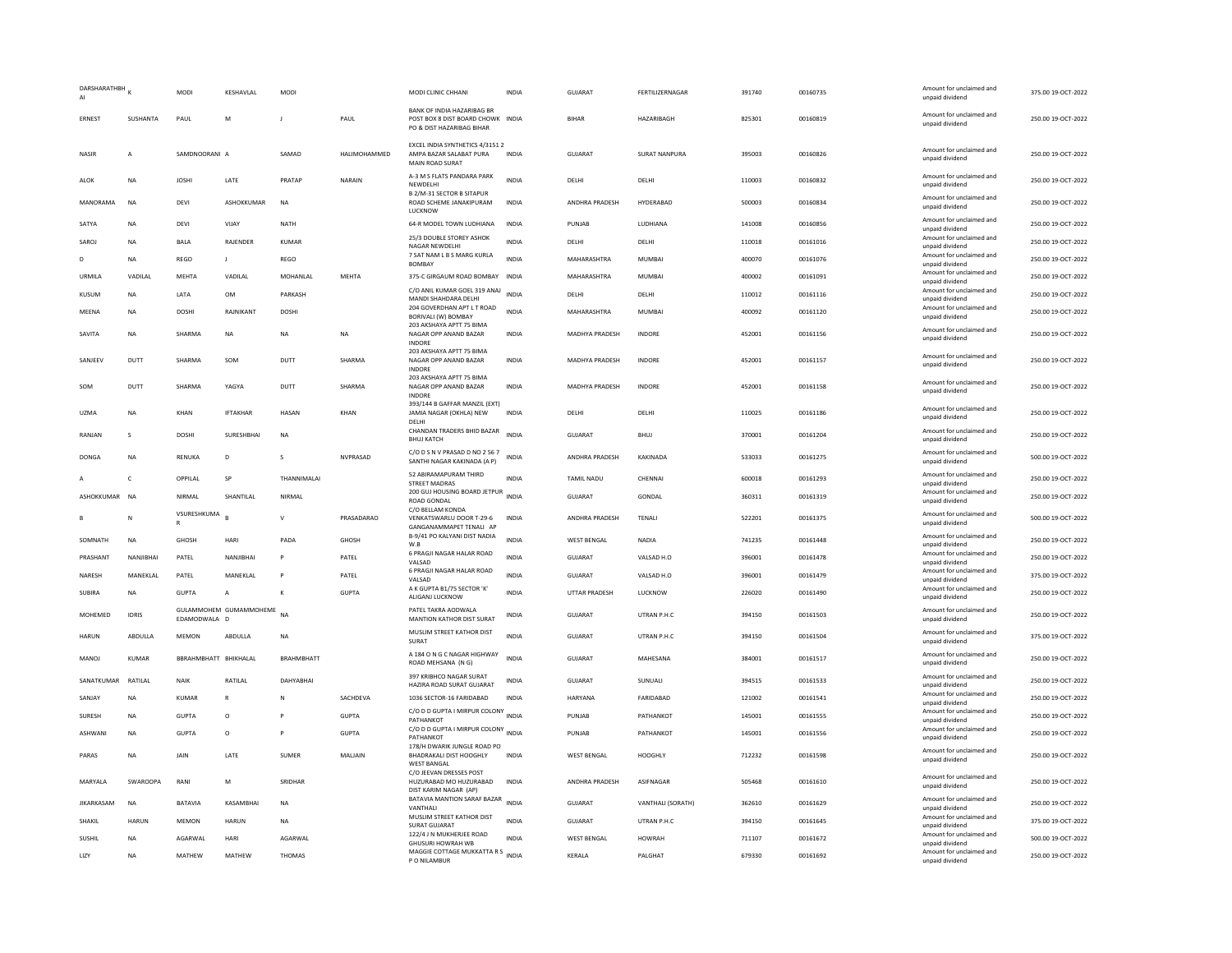| DARSHARATHBH<br>AI |                 | MODI                        | KESHAVLAL                 | MODI              |              | MODI CLINIC CHHANI                                                                                  | INDIA        | GUJARAT               | FERTILIZERNAGAR      | 391740 | 00160735 | Amount for unclaimed and<br>unpaid dividend | 375.00 19-OCT-2022 |
|--------------------|-----------------|-----------------------------|---------------------------|-------------------|--------------|-----------------------------------------------------------------------------------------------------|--------------|-----------------------|----------------------|--------|----------|---------------------------------------------|--------------------|
| ERNEST             | SUSHANTA        | PAUL                        | M                         |                   | PAUL         | <b>BANK OF INDIA HAZARIBAG BR</b><br>POST BOX 8 DIST BOARD CHOWK INDIA<br>PO & DIST HAZARIBAG BIHAR |              | <b>BIHAR</b>          | HAZARIBAGH           | 825301 | 00160819 | Amount for unclaimed and<br>unpaid dividend | 250.00 19-OCT-2022 |
| <b>NASIR</b>       | $\overline{A}$  | SAMDNOORANI A               |                           | SAMAD             | HALIMOHAMMED | EXCEL INDIA SYNTHETICS 4/3151 2<br>AMPA BAZAR SALABAT PURA<br>MAIN ROAD SURAT                       | <b>INDIA</b> | <b>GUJARAT</b>        | <b>SURAT NANPURA</b> | 395003 | 00160826 | Amount for unclaimed and<br>unpaid dividend | 250.00 19-OCT-2022 |
| <b>ALOK</b>        | <b>NA</b>       | <b>JOSHI</b>                | LATE                      | PRATAP            | NARAIN       | A-3 M S FLATS PANDARA PARK<br>NEWDELHI<br><b>B 2/M-31 SECTOR B SITAPUR</b>                          | <b>INDIA</b> | DELHI                 | DELHI                | 110003 | 00160832 | Amount for unclaimed and<br>unpaid dividend | 250.00 19-OCT-2022 |
| MANORAMA           | NA              | DEVI                        | ASHOKKUMAR                | NA                |              | ROAD SCHEME JANAKIPURAM<br>LUCKNOW                                                                  | <b>INDIA</b> | ANDHRA PRADESH        | HYDERABAD            | 500003 | 00160834 | Amount for unclaimed and<br>unpaid dividend | 250.00 19-OCT-2022 |
| SATYA              | NA              | DEVI                        | VIJAY                     | NATH              |              | 64-R MODEL TOWN LUDHIANA                                                                            | <b>INDIA</b> | PUNJAB                | LUDHIANA             | 141008 | 00160856 | Amount for unclaimed and<br>unpaid dividend | 250.00 19-OCT-2022 |
| SAROJ              | <b>NA</b>       | <b>BALA</b>                 | RAJENDER                  | KUMAR             |              | 25/3 DOUBLE STOREY ASHOK<br>NAGAR NEWDELHI                                                          | <b>INDIA</b> | DELHI                 | DELHI                | 110018 | 00161016 | Amount for unclaimed and<br>unpaid dividend | 250.00 19-OCT-2022 |
| D                  | NA              | REGO                        | $\mathbf{J}$              | REGO              |              | 7 SAT NAM L B S MARG KURLA<br>BOMBAY                                                                | <b>INDIA</b> | MAHARASHTRA           | <b>MUMBAI</b>        | 400070 | 00161076 | Amount for unclaimed and<br>unpaid dividend | 250.00 19-OCT-2022 |
| URMII A            | VADILAL         | <b>MFHTA</b>                | VADILAI                   | MOHANI AI         | <b>MFHTA</b> | 375-C GIRGAUM ROAD BOMBAY                                                                           | <b>INDIA</b> | <b>MAHARASHTRA</b>    | MUMBAL               | 400002 | 00161091 | Amount for unclaimed and<br>unpaid dividend | 250.00 19-OCT-2022 |
| <b>KUSUM</b>       | NA              | LATA                        | <b>OM</b>                 | PARKASH           |              | C/O ANIL KUMAR GOEL 319 ANAJ<br>MANDI SHAHDARA DELHI                                                | <b>INDIA</b> | DELHI                 | DELHI                | 110012 | 00161116 | Amount for unclaimed and<br>unpaid dividend | 250.00 19-OCT-2022 |
| MEENA              | NA              | DOSHI                       | RAJNIKANT                 | DOSHI             |              | 204 GOVERDHAN APT L T ROAD<br>BORIVALI (W) BOMBAY                                                   | <b>INDIA</b> | MAHARASHTRA           | MUMBAI               | 400092 | 00161120 | Amount for unclaimed and<br>unpaid dividend | 250.00 19-OCT-2022 |
| SAVITA             | NA              | SHARMA                      | <b>NA</b>                 | <b>NA</b>         | <b>NA</b>    | 203 AKSHAYA APTT 75 BIMA<br>NAGAR OPP ANAND BAZAR                                                   | <b>INDIA</b> | MADHYA PRADESH        | <b>INDORE</b>        | 452001 | 00161156 | Amount for unclaimed and<br>unpaid dividend | 250.00 19-OCT-2022 |
| SANJEEV            | DUTT            | SHARMA                      | SOM                       | DUTT              | SHARMA       | INDORE<br>203 AKSHAYA APTT 75 BIMA<br>NAGAR OPP ANAND BAZAR<br><b>INDORE</b>                        | <b>INDIA</b> | MADHYA PRADESH        | <b>INDORE</b>        | 452001 | 00161157 | Amount for unclaimed and<br>unpaid dividend | 250.00 19-OCT-2022 |
| SOM                | DUTT            | SHARMA                      | YAGYA                     | DUTT              | SHARMA       | 203 AKSHAYA APTT 75 BIMA<br>NAGAR OPP ANAND BAZAR<br>INDORE                                         | <b>INDIA</b> | <b>MADHYA PRADESH</b> | <b>INDORF</b>        | 452001 | 00161158 | Amount for unclaimed and<br>unpaid dividend | 250.00 19-OCT-2022 |
| UZMA               | <b>NA</b>       | KHAN                        | <b>IFTAKHAR</b>           | HASAN             | KHAN         | 393/144 B GAFFAR MANZIL (EXT)<br>JAMIA NAGAR (OKHLA) NEW<br>DELHI                                   | <b>INDIA</b> | <b>DELHI</b>          | DELHI                | 110025 | 00161186 | Amount for unclaimed and<br>unpaid dividend | 250.00 19-OCT-2022 |
| RANJAN             | s               | <b>DOSHI</b>                | SURESHBHAI                | <b>NA</b>         |              | CHANDAN TRADERS BHID BAZAR<br><b>BHUJ KATCH</b>                                                     | <b>INDIA</b> | <b>GUJARAT</b>        | BHUJ                 | 370001 | 00161204 | Amount for unclaimed and<br>unpaid dividend | 250.00 19-OCT-2022 |
| DONGA              | <b>NA</b>       | RENUKA                      | D                         | $\mathbf{S}$      | NVPRASAD     | C/O D S N V PRASAD D NO 2 56 7<br>SANTHI NAGAR KAKINADA (A P)                                       | <b>INDIA</b> | ANDHRA PRADESH        | KAKINADA             | 533033 | 00161275 | Amount for unclaimed and<br>unpaid dividend | 500.00 19-OCT-2022 |
|                    | $\mathsf{C}$    | OPPILAL                     | SP                        | THANNIMALA        |              | 52 ABIRAMAPURAM THIRD<br>STREET MADRAS                                                              | <b>INDIA</b> | <b>TAMIL NADU</b>     | CHENNAL              | 600018 | 00161293 | Amount for unclaimed and<br>unpaid dividend | 250.00 19-OCT-2022 |
| ASHOKKUMAR         | <b>NA</b>       | NIRMAL                      | SHANTILAI                 | <b>NIRMAI</b>     |              | 200 GUJ HOUSING BOARD JETPUR<br><b>ROAD GONDAL</b>                                                  | <b>INDIA</b> | GUIARAT               | GONDAL               | 360311 | 00161319 | Amount for unclaimed and<br>unpaid dividend | 250.00.19-QCT-2022 |
|                    | N               | VSURESHKUMA<br>$\mathbb{R}$ |                           | $\mathbf{v}$      | PRASADARAO   | C/O BELLAM KONDA<br>VENKATSWARLU DOOR T-29-6<br>GANGANAMMAPET TENALI AP                             | <b>INDIA</b> | ANDHRA PRADESH        | TENALI               | 522201 | 00161375 | Amount for unclaimed and<br>unpaid dividend | 500.00 19-OCT-2022 |
| SOMNATH            | NA              | GHOSH                       | HARI                      | PADA              | GHOSH        | B-9/41 PO KALYANI DIST NADIA<br>W.B                                                                 | INDIA        | <b>WEST BENGAL</b>    | NADIA                | 741235 | 00161448 | Amount for unclaimed and<br>unpaid dividend | 250.00 19-OCT-2022 |
| PRASHANT           | NANJIBHAI       | PATEL                       | NANJIBHAI                 | P                 | PATEL        | 6 PRAGJI NAGAR HALAR ROAD<br>VALSAD                                                                 | <b>INDIA</b> | GUJARAT               | VALSAD H.O           | 396001 | 00161478 | Amount for unclaimed and<br>unpaid dividend | 250.00 19-OCT-2022 |
| NARESH             | MANEKLAL        | PATEL                       | MANEKLAL                  |                   | PATEL        | 6 PRAGJI NAGAR HALAR ROAD<br>VALSAD                                                                 | <b>INDIA</b> | <b>GUJARAT</b>        | VALSAD H.O           | 396001 | 00161479 | Amount for unclaimed and<br>unpaid dividend | 375.00 19-OCT-2022 |
| <b>SUBIRA</b>      | <b>NA</b>       | <b>GUPTA</b>                | $\overline{A}$            | $\kappa$          | <b>GUPTA</b> | A K GUPTA B1/75 SECTOR 'K'<br>ALIGANJ LUCKNOW                                                       | <b>INDIA</b> | <b>UTTAR PRADESH</b>  | LUCKNOW              | 226020 | 00161490 | Amount for unclaimed and<br>unpaid dividend | 250.00 19-OCT-2022 |
| MOHEMED            | <b>IDRIS</b>    | EDAMODWALA D                | GULAMMOHEM GUMAMMOHEME NA |                   |              | PATEL TAKRA AODWALA<br><b>MANTION KATHOR DIST SURAT</b>                                             | <b>INDIA</b> | GUJARAT               | UTRAN P.H.C          | 394150 | 00161503 | Amount for unclaimed and<br>unpaid dividend | 250.00 19-OCT-2022 |
| HARUN              | ABDULLA         | <b>MEMON</b>                | ABDULLA                   | NA                |              | MUSLIM STREET KATHOR DIST<br>SURAT                                                                  | <b>INDIA</b> | <b>GUJARAT</b>        | UTRAN P.H.C          | 394150 | 00161504 | Amount for unclaimed and<br>unpaid dividend | 375.00 19-OCT-2022 |
| <b>MANOJ</b>       | KUMAR           | BBRAHMBHATT BHIKHALAL       |                           | <b>BRAHMBHATT</b> |              | A 184 O N G C NAGAR HIGHWAY<br>ROAD MEHSANA (N G)                                                   | <b>INDIA</b> | GUJARAT               | MAHESANA             | 384001 | 00161517 | Amount for unclaimed and<br>unpaid dividend | 250.00 19-OCT-2022 |
| SANATKUMAR         | RATILAL         | <b>NAIK</b>                 | RATILAL                   | DAHYABHAI         |              | 397 KRIBHCO NAGAR SURAT<br>HAZIRA ROAD SURAT GUJARAT                                                | <b>INDIA</b> | GUJARAT               | SUNUALI              | 394515 | 00161533 | Amount for unclaimed and<br>unpaid dividend | 250.00 19-OCT-2022 |
| SANJAY             | <b>NA</b>       | <b>KUMAR</b>                | $\mathbb{R}$              | N                 | SACHDEVA     | 1036 SECTOR-16 FARIDABAD                                                                            | <b>INDIA</b> | <b>HARYANA</b>        | FARIDABAD            | 121002 | 00161541 | Amount for unclaimed and<br>unpaid dividend | 250.00 19-OCT-2022 |
| <b>SURFSH</b>      | <b>NA</b>       | GUPTA                       | $\Omega$                  |                   | GUPTA        | C/O D D GUPTA I MIRPUR COLONY INDIA<br>PATHANKOT                                                    |              | PUNJAR                | PATHANKOT            | 145001 | 00161555 | Amount for unclaimed and<br>unpaid dividend | 250.00 19-OCT-2022 |
| ASHWANI            | <b>NA</b>       | <b>GUPTA</b>                | $\circ$                   |                   | <b>GUPTA</b> | C/O D D GUPTA I MIRPUR COLONY<br>PATHANKOT                                                          | <b>INDIA</b> | PUNJAB                | PATHANKOT            | 145001 | 00161556 | Amount for unclaimed and<br>unpaid dividend | 250.00 19-OCT-2022 |
| PARAS              | <b>NA</b>       | JAIN                        | LATE                      | SUMER             | MALJAIN      | 178/H DWARIK JUNGLE ROAD PO<br>BHADRAKALI DIST HOOGHLY<br><b>WEST BANGAL</b>                        | <b>INDIA</b> | <b>WEST BENGAL</b>    | HOOGHLY              | 712232 | 00161598 | Amount for unclaimed and<br>unpaid dividend | 250.00 19-OCT-2022 |
| MARYALA            | <b>SWAROOPA</b> | RANI                        | M                         | SRIDHAR           |              | C/O JEEVAN DRESSES POST<br>HUZURABAD MO HUZURABAD<br>DIST KARIM NAGAR (AP)                          | <b>INDIA</b> | ANDHRA PRADESH        | ASIFNAGAR            | 505468 | 00161610 | Amount for unclaimed and<br>unpaid dividend | 250.00 19-OCT-2022 |
| <b>JIKARKASAM</b>  | NA              | BATAVIA                     | KASAMBHAI                 | <b>NA</b>         |              | BATAVIA MANTION SARAF BAZAR<br>VANTHALI                                                             | INDIA        | GUJARAT               | VANTHALI (SORATH)    | 362610 | 00161629 | Amount for unclaimed and<br>unpaid dividend | 250.00 19-OCT-2022 |
| SHAKIL             | <b>HARUN</b>    | <b>MEMON</b>                | <b>HARUN</b>              | <b>NA</b>         |              | MUSLIM STREET KATHOR DIST<br>SURAT GUIARAT                                                          | <b>INDIA</b> | GUJARAT               | UTRAN P.H.C          | 394150 | 00161645 | Amount for unclaimed and<br>unpaid dividend | 375.00 19-OCT-2022 |
| SUSHIL             | <b>NA</b>       | AGARWAL                     | HARI                      | AGARWAL           |              | 122/4 J N MUKHERJEE ROAD<br>GHUSURI HOWRAH WB                                                       | <b>INDIA</b> | <b>WEST BENGAL</b>    | <b>HOWRAH</b>        | 711107 | 00161672 | Amount for unclaimed and<br>unpaid dividend | 500.00 19-OCT-2022 |
| LIZY               | <b>NA</b>       | MATHEW                      | MATHEW                    | THOMAS            |              | MAGGIE COTTAGE MUKKATTA R S<br>INDIA<br>P O NILAMBUR                                                |              | KERALA                | PALGHAT              | 679330 | 00161692 | Amount for unclaimed and<br>unpaid dividend | 250.00 19-OCT-2022 |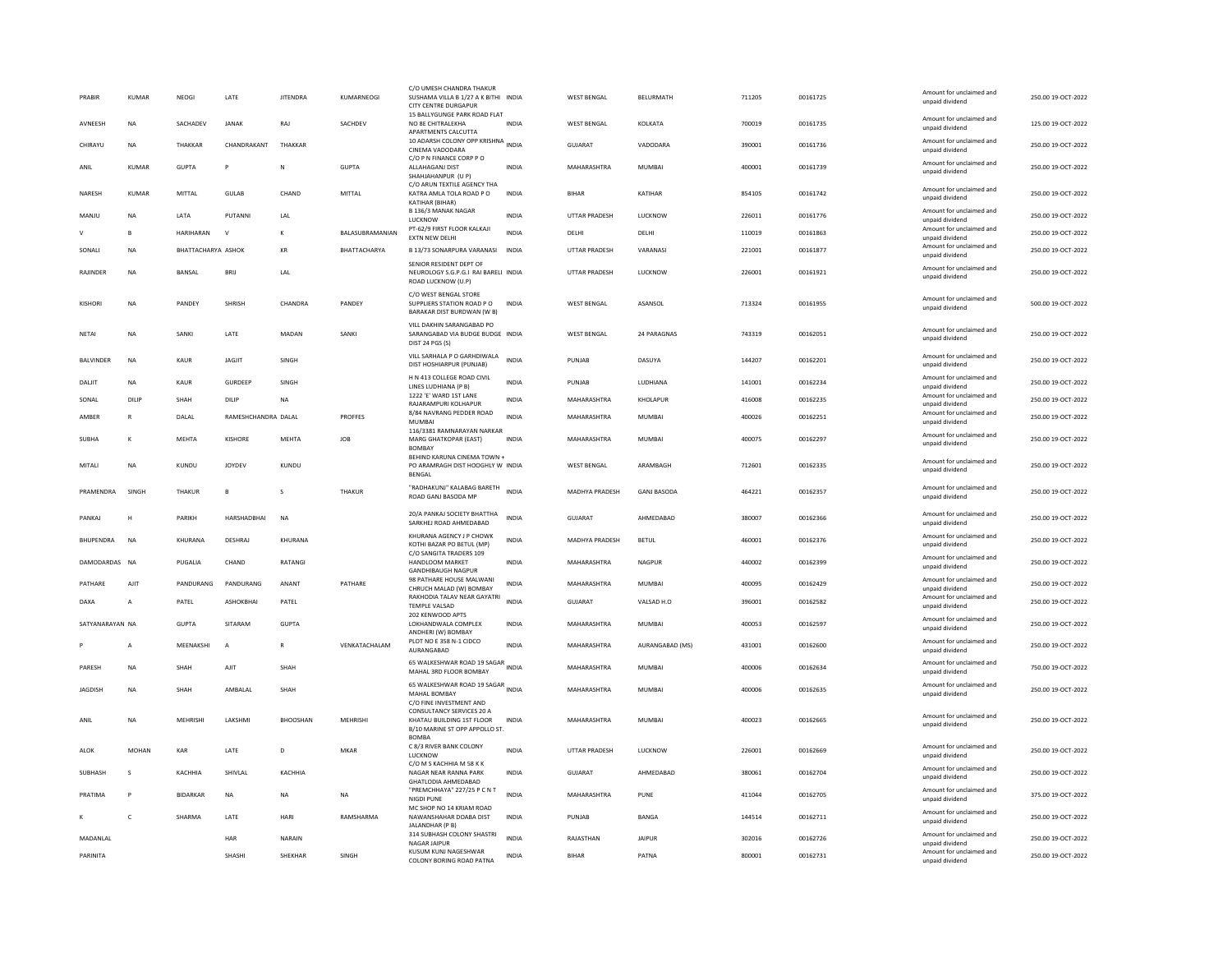| PRABIR           | KUMAR          | <b>NFOGI</b>       | <b>I ATF</b>        | <b>IITENDRA</b> | KUMARNEOGI      | C/O UMESH CHANDRA THAKUI<br>SUSHAMA VILLA B 1/27 A K BITHI INDIA<br><b>CITY CENTRE DURGAPUR</b>          |              | <b>WEST RENGAL</b>    | <b>BELURMATH</b>   | 711205 | 00161725 | Amount for unclaimed and<br>unpaid dividend                    | 250.00.19-OCT-2022 |
|------------------|----------------|--------------------|---------------------|-----------------|-----------------|----------------------------------------------------------------------------------------------------------|--------------|-----------------------|--------------------|--------|----------|----------------------------------------------------------------|--------------------|
| <b>AVNEESH</b>   | <b>NA</b>      | SACHADEV           | <b>JANAK</b>        | RAI             | <b>SACHDEV</b>  | 15 BALLYGUNGE PARK ROAD FLAT<br>NO SE CHITRAI FKHA<br>APARTMENTS CALCUTTA                                | <b>INDIA</b> | <b>WEST BENGAL</b>    | <b>KOI KATA</b>    | 700019 | 00161735 | Amount for unclaimed and<br>unpaid dividend                    | 125.00.19-OCT-2022 |
| CHIRAYU          | <b>NA</b>      | THAKKAR            | CHANDRAKANT         | THAKKAR         |                 | 10 ADARSH COLONY OPP KRISHNA INDIA<br>CINEMA VADODARA                                                    |              | <b>GUJARAT</b>        | VADODARA           | 390001 | 00161736 | Amount for unclaimed and<br>unpaid dividend                    | 250.00 19-OCT-2022 |
| ANIL             | <b>KUMAR</b>   | <b>GUPTA</b>       | P                   | $\mathsf{N}$    | <b>GUPTA</b>    | C/O P N FINANCE CORP P O<br>ALLAHAGANJ DIST<br>SHAHJAHANPUR (U P)                                        | <b>INDIA</b> | MAHARASHTRA           | <b>MUMBAI</b>      | 400001 | 00161739 | Amount for unclaimed and<br>unpaid dividend                    | 250.00 19-OCT-2022 |
| NARESH           | <b>KUMAR</b>   | MITTAL             | <b>GULAB</b>        | CHAND           | MITTAL          | C/O ARUN TEXTILE AGENCY THA<br>KATRA AMLA TOLA ROAD PO<br>KATIHAR (BIHAR)                                | <b>INDIA</b> | <b>BIHAR</b>          | KATIHAR            | 854105 | 00161742 | Amount for unclaimed and<br>unpaid dividend                    | 250.00 19-OCT-2022 |
| MANJU            | <b>NA</b>      | LATA               | <b>PUTANNI</b>      | LAL             |                 | B 136/3 MANAK NAGAR<br>LUCKNOW                                                                           | <b>INDIA</b> | UTTAR PRADESH         | LUCKNOW            | 226011 | 00161776 | Amount for unclaimed and<br>unpaid dividend                    | 250.00 19-OCT-2022 |
|                  | $\mathbf{B}$   | <b>HARIHARAN</b>   | $\mathbf v$         | $\kappa$        | BALASUBRAMANIAN | PT-62/9 FIRST FLOOR KALKAJI<br><b>EXTN NEW DELHI</b>                                                     | <b>INDIA</b> | DELHI                 | <b>DELHI</b>       | 110019 | 00161863 | Amount for unclaimed and<br>unpaid dividend                    | 250.00 19-OCT-2022 |
| SONALI           | <b>NA</b>      | BHATTACHARYA ASHOK |                     | KR              | BHATTACHARYA    | B 13/73 SONARPURA VARANASI                                                                               | <b>INDIA</b> | UTTAR PRADESH         | VARANASI           | 221001 | 00161877 | Amount for unclaimed and                                       | 250.00 19-OCT-2022 |
| <b>RAIINDER</b>  | <b>NA</b>      | BANSAL             | <b>BRII</b>         | <b>IAI</b>      |                 | SENIOR RESIDENT DEPT OF<br>NEUROLOGY S.G.P.G.I RAI BARELI INDIA<br>ROAD LUCKNOW (U.P)                    |              | <b>UTTAR PRADESH</b>  | <b>ILICKNOW</b>    | 226001 | 00161921 | unpaid dividend<br>Amount for unclaimed and<br>unpaid dividend | 250.00 19-OCT-2022 |
| <b>KISHORI</b>   | <b>NA</b>      | PANDEY             | <b>SHRISH</b>       | CHANDRA         | PANDEY          | C/O WEST BENGAL STORE<br>SUPPLIERS STATION ROAD PO<br>BARAKAR DIST BURDWAN (W B)                         | <b>INDIA</b> | <b>WEST BENGAL</b>    | ASANSOL            | 713324 | 00161955 | Amount for unclaimed and<br>unpaid dividend                    | 500.00 19-OCT-2022 |
| NETAI            | <b>NA</b>      | SANKI              | LATE                | MADAN           | SANKI           | VILL DAKHIN SARANGABAD PO<br>SARANGABAD VIA BUDGE BUDGE INDIA                                            |              | <b>WEST BENGAL</b>    | 24 PARAGNAS        | 743319 | 00162051 | Amount for unclaimed and<br>unpaid dividend                    | 250.00 19-OCT-2022 |
|                  |                |                    |                     |                 |                 | DIST 24 PGS (S)                                                                                          |              |                       |                    |        |          | Amount for unclaimed and                                       |                    |
| <b>BALVINDER</b> | <b>NA</b>      | <b>KAUR</b>        | <b>JAGJIT</b>       | SINGH           |                 | VILL SARHALA P O GARHDIWALA<br>DIST HOSHIARPUR (PUNJAB)                                                  | <b>INDIA</b> | PUNJAB                | DASUYA             | 144207 | 00162201 | unpaid dividend                                                | 250.00 19-OCT-2022 |
| DALIT            | <b>NA</b>      | KAUR               | GURDEEP             | SINGH           |                 | H N 413 COLLEGE ROAD CIVIL<br>LINES LUDHIANA (P B)                                                       | <b>INDIA</b> | PUNJAR                | <b>IUDHIANA</b>    | 141001 | 00162234 | Amount for unclaimed and<br>unpaid dividend                    | 250.00 19-OCT-2022 |
| SONAL            | DILIP          | SHAH               | DILIP               | <b>NA</b>       |                 | 1222 'E' WARD 1ST LANE<br>RAJARAMPURI KOLHAPUR                                                           | <b>INDIA</b> | MAHARASHTRA           | KHOLAPUR           | 416008 | 00162235 | Amount for unclaimed and<br>unpaid dividend                    | 250.00 19-OCT-2022 |
| AMBER            | $\mathsf{R}$   | DALAL              | RAMESHCHANDRA DALAL |                 | PROFFES         | 8/84 NAVRANG PEDDER ROAD<br><b>MUMBA</b>                                                                 | INDIA        | MAHARASHTRA           | <b>MUMBAI</b>      | 400026 | 00162251 | Amount for unclaimed and<br>unpaid dividend                    | 250.00 19-OCT-2022 |
| SURHA            | к              | MFHTA              | KISHORE             | <b>MFHTA</b>    | <b>IOB</b>      | 116/3381 RAMNARAYAN NARKAR<br><b>MARG GHATKOPAR (EAST)</b><br><b>BOMBAY</b>                              | <b>INDIA</b> | MAHARASHTRA           | MUMBAI             | 400075 | 00162297 | Amount for unclaimed and<br>unpaid dividend                    | 250.00.19-OCT-2022 |
| MITALI           | <b>NA</b>      | KUNDU              | <b>IOYDEV</b>       | KUNDU           |                 | BEHIND KARUNA CINEMA TOWN +<br>PO ARAMRAGH DIST HOOGHLY W INDIA<br>BENGAL                                |              | WEST BENGAL           | ARAMBAGH           | 712601 | 00162335 | Amount for unclaimed and<br>unpaid dividend                    | 250.00 19-OCT-2022 |
| PRAMENDRA        | SINGH          | THAKUR             | $\mathbf{R}$        | s               | THAKUR          | "RADHAKUNJ" KALABAG BARETH<br>ROAD GANJ BASODA MP                                                        | <b>INDIA</b> | <b>MADHYA PRADESH</b> | <b>GANI BASODA</b> | 464221 | 00162357 | Amount for unclaimed and<br>unpaid dividend                    | 250.00 19-OCT-2022 |
| PANKAJ           | H              | <b>PARIKH</b>      | HARSHADRHAI         | <b>NA</b>       |                 | 20/A PANKAJ SOCIETY BHATTHA<br>SARKHEJ ROAD AHMEDABAD                                                    | <b>INDIA</b> | <b>GUJARAT</b>        | AHMFDARAD          | 380007 | 00162366 | Amount for unclaimed and<br>unpaid dividend                    | 250.00 19-OCT-2022 |
| BHUPENDRA        | <b>NA</b>      | KHURANA            | DESHRAJ             | KHURANA         |                 | KHURANA AGENCY J P CHOWK<br>KOTHI BAZAR PO BETUL (MP)<br>C/O SANGITA TRADERS 109                         | <b>INDIA</b> | MADHYA PRADESH        | <b>BETUL</b>       | 460001 | 00162376 | Amount for unclaimed and<br>unpaid dividend                    | 250.00 19-OCT-2022 |
| DAMODARDAS NA    |                | PUGALIA            | CHAND               | <b>RATANGI</b>  |                 | HANDLOOM MARKET<br><b>GANDHIBAUGH NAGPUR</b>                                                             | <b>INDIA</b> | MAHARASHTRA           | NAGPUR             | 440002 | 00162399 | Amount for unclaimed and<br>unpaid dividend                    | 250.00 19-OCT-2022 |
| PATHARE          | AJIT           | PANDURANG          | PANDURANG           | ANANT           | PATHARE         | 98 PATHARE HOUSE MALWANI<br>CHRUCH MALAD (W) BOMBAY                                                      | <b>INDIA</b> | MAHARASHTRA           | MUMBAI             | 400095 | 00162429 | Amount for unclaimed and<br>unpaid dividend                    | 250.00 19-OCT-2022 |
| DAXA             | A              | PATEL              | ASHOKBHAI           | PATEL           |                 | RAKHODIA TALAV NEAR GAYATRI<br><b>TEMPLE VALSAD</b>                                                      | <b>INDIA</b> | <b>GUJARAT</b>        | VALSAD H.O         | 396001 | 00162582 | Amount for unclaimed and<br>unpaid dividend                    | 250.00 19-OCT-2022 |
| SATYANARAYAN NA  |                | <b>GUPTA</b>       | SITARAM             | <b>GUPTA</b>    |                 | 202 KENWOOD APTS<br>LOKHANDWALA COMPLEX<br>ANDHERI (W) ROMRAY                                            | <b>INDIA</b> | MAHARASHTRA           | <b>MUMBAI</b>      | 400053 | 00162597 | Amount for unclaimed and<br>unpaid dividend                    | 250.00 19-OCT-2022 |
|                  | $\overline{A}$ | MEENAKSHI          | $\overline{A}$      | $\mathbb{R}$    | VENKATACHALAM   | PLOT NO E 358 N-1 CIDCO<br>AURANGABAD                                                                    | <b>INDIA</b> | MAHARASHTRA           | AURANGABAD (MS)    | 431001 | 00162600 | Amount for unclaimed and<br>unpaid dividend                    | 250.00 19-OCT-2022 |
| PARESH           | <b>NA</b>      | SHAH               | AJIT                | SHAH            |                 | 65 WALKESHWAR ROAD 19 SAGAR INDIA<br>MAHAL 3RD FLOOR BOMBAY                                              |              | MAHARASHTRA           | MUMBAI             | 400006 | 00162634 | Amount for unclaimed and<br>unpaid dividend                    | 750.00 19-OCT-2022 |
| <b>JAGDISH</b>   | <b>NA</b>      | SHAH               | AMBALAL             | SHAH            |                 | 65 WALKESHWAR ROAD 19 SAGAR<br>MAHAL BOMBAY<br>C/O FINE INVESTMENT AND                                   | <b>INDIA</b> | MAHARASHTRA           | <b>MUMBAI</b>      | 400006 | 00162635 | Amount for unclaimed and<br>unpaid dividend                    | 250.00 19-OCT-2022 |
| ANIL             | <b>NA</b>      | MEHRISHI           | LAKSHMI             | <b>BHOOSHAN</b> | MEHRISHI        | CONSULTANCY SERVICES 20 A<br>KHATAU BUILDING 1ST FLOOR<br>B/10 MARINE ST OPP APPOLLO ST.<br><b>BOMBA</b> | <b>INDIA</b> | MAHARASHTRA           | <b>MUMBAI</b>      | 400023 | 00162665 | Amount for unclaimed and<br>unpaid dividend                    | 250.00 19-OCT-2022 |
| ALOK             | MOHAN          | KAR                | LATE                | D               | MKAR            | C 8/3 RIVER BANK COLONY<br>LUCKNOW<br>C/O M S KACHHIA M 58 K K                                           | INDIA        | UTTAR PRADESH         | LUCKNOW            | 226001 | 00162669 | Amount for unclaimed and<br>unpaid dividend                    | 250.00 19-OCT-2022 |
| SUBHASH          | $\mathbf{S}$   | KACHHIA            | SHIVLAL             | KACHHIA         |                 | NAGAR NEAR RANNA PARK<br>GHATLODIA AHMEDABAD                                                             | <b>INDIA</b> | <b>GUJARAT</b>        | AHMEDABAD          | 380061 | 00162704 | Amount for unclaimed and<br>unpaid dividend                    | 250.00 19-OCT-2022 |
|                  |                |                    |                     |                 |                 | "PREMCHHAYA" 227/25 P C N T                                                                              | <b>INDIA</b> | MAHARASHTRA           | PUNE               | 411044 | 00162705 | Amount for unclaimed and                                       | 375.00 19-OCT-2022 |
| PRATIMA          |                | <b>BIDARKAR</b>    | <b>NA</b>           | <b>NA</b>       | <b>NA</b>       | <b>NIGDI PUNE</b>                                                                                        |              |                       |                    |        |          | unpaid dividend                                                |                    |
|                  | $\mathsf{C}$   | SHARMA             | LATE                | HARI            | RAMSHARMA       | MC SHOP NO 14 KRIAM ROAD<br>NAWANSHAHAR DOABA DIST<br>JALANDHAR (P B)                                    | <b>INDIA</b> | PUNJAB                | BANGA              | 144514 | 00162711 | Amount for unclaimed and<br>unpaid dividend                    | 250.00 19-OCT-2022 |
| MADANLAL         |                |                    | HAR                 | NARAIN          |                 | 314 SUBHASH COLONY SHASTRI<br>NAGAR JAIPUR                                                               | <b>INDIA</b> | RAJASTHAN             | <b>JAIPUR</b>      | 302016 | 00162726 | Amount for unclaimed and<br>unpaid dividend                    | 250.00 19-OCT-2022 |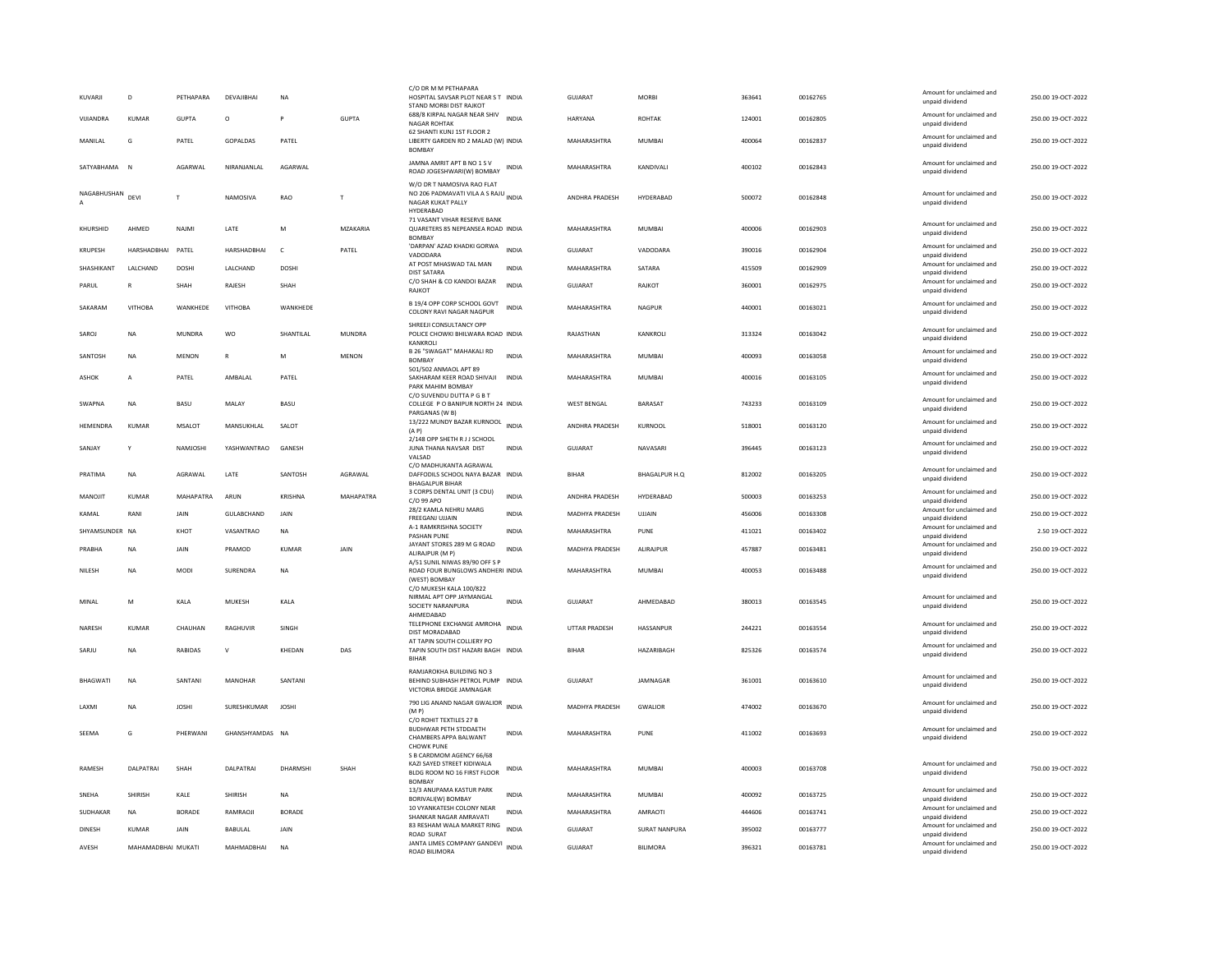| KUVARJI          | D                  | PETHAPARA      | DEVAJIBHAI         | <b>NA</b>      |               | C/O DR M M PETHAPARA<br>HOSPITAL SAVSAR PLOT NEAR S T INDIA<br>STAND MORBI DIST RAJKOT               |              | <b>GUJARAT</b>        | <b>MORBI</b>         | 363641 | 00162765 | Amount for unclaimed and<br>unpaid dividend | 250.00 19-OCT-2022 |
|------------------|--------------------|----------------|--------------------|----------------|---------------|------------------------------------------------------------------------------------------------------|--------------|-----------------------|----------------------|--------|----------|---------------------------------------------|--------------------|
| VIJIANDRA        | <b>KUMAR</b>       | <b>GUPTA</b>   | $\circ$            | <b>P</b>       | <b>GUPTA</b>  | 688/8 KIRPAL NAGAR NEAR SHIV<br><b>NAGAR ROHTAK</b>                                                  | <b>INDIA</b> | <b>HARYANA</b>        | <b>ROHTAK</b>        | 124001 | 00162805 | Amount for unclaimed and<br>unpaid dividend | 250.00 19-OCT-2022 |
| MANILAL          | G                  | PATEL          | <b>GOPALDAS</b>    | PATEL          |               | 62 SHANTI KUNJ 1ST FLOOR 2<br>LIBERTY GARDEN RD 2 MALAD (W) INDIA<br><b>BOMBAY</b>                   |              | MAHARASHTRA           | MUMBAI               | 400064 | 00162837 | Amount for unclaimed and<br>unpaid dividend | 250.00 19-OCT-2022 |
| SATYARHAMA       | N                  | <b>AGARWAI</b> | NIRANIANI AI       | AGARWAI        |               | JAMNA AMRIT APT B NO 1 S V<br>ROAD JOGESHWARI(W) BOMBAY                                              | <b>INDIA</b> | MAHARASHTRA           | <b>KANDIVALI</b>     | 400102 | 00162843 | Amount for unclaimed and<br>unpaid dividend | 250.00.19-OCT-2022 |
| NAGABHUSHAN<br>A | DEVI               | T              | NAMOSIVA           | RAO            | T             | W/O DR T NAMOSIVA RAO FLAT<br>NO 206 PADMAVATI VILA A S RAJU INDIA<br>NAGAR KUKAT PALLY<br>HYDERABAD |              | ANDHRA PRADESH        | HYDERABAD            | 500072 | 00162848 | Amount for unclaimed and<br>unpaid dividend | 250.00 19-OCT-2022 |
| KHURSHID         | AHMED              | NAJMI          | LATE               | M              | MZAKARIA      | 71 VASANT VIHAR RESERVE BANK<br>QUARETERS 85 NEPEANSEA ROAD INDIA<br><b>BOMBAY</b>                   |              | MAHARASHTRA           | MUMBAL               | 400006 | 00162903 | Amount for unclaimed and<br>unpaid dividend | 250.00 19-OCT-2022 |
| KRUPESH          | HARSHADBHAI        | PATEL          | HARSHADBHAI        | $\mathsf{C}$   | PATEL         | 'DARPAN' AZAD KHADKI GORWA<br>VADODARA                                                               | <b>INDIA</b> | GUJARAT               | VADODARA             | 390016 | 00162904 | Amount for unclaimed and<br>unpaid dividend | 250.00 19-OCT-2022 |
| SHASHIKANT       | LALCHAND           | <b>DOSHI</b>   | LALCHAND           | <b>DOSHI</b>   |               | AT POST MHASWAD TAL MAN<br><b>DIST SATARA</b>                                                        | <b>INDIA</b> | MAHARASHTRA           | SATARA               | 415509 | 00162909 | Amount for unclaimed and<br>unpaid dividend | 250.00 19-OCT-2022 |
| PARUL            | $\mathbb{R}$       | SHAH           | RAJESH             | SHAH           |               | C/O SHAH & CO KANDOI BAZAR<br><b>RAJKOT</b>                                                          | <b>INDIA</b> | <b>GUJARAT</b>        | RAJKOT               | 360001 | 00162975 | Amount for unclaimed and<br>unpaid dividend | 250.00 19-OCT-2022 |
| SAKARAM          | <b>VITHOBA</b>     | WANKHEDE       | <b>VITHOBA</b>     | WANKHEDE       |               | B 19/4 OPP CORP SCHOOL GOVT<br>COLONY RAVI NAGAR NAGPUR                                              | <b>INDIA</b> | MAHARASHTRA           | NAGPUR               | 440001 | 00163021 | Amount for unclaimed and<br>unpaid dividend | 250.00 19-OCT-2022 |
| SAROJ            | <b>NA</b>          | MUNDRA         | WO                 | SHANTILAL      | <b>MUNDRA</b> | SHREEJI CONSULTANCY OPP<br>POLICE CHOWKI BHILWARA ROAD INDIA<br>KANKROLI                             |              | RAJASTHAN             | KANKROLI             | 313324 | 00163042 | Amount for unclaimed and<br>unpaid dividend | 250.00 19-OCT-2022 |
| SANTOSH          | <b>NA</b>          | <b>MENON</b>   | $\mathbb{R}$       | M              | <b>MENON</b>  | B 26 "SWAGAT" MAHAKALI RD<br><b>BOMBAY</b>                                                           | <b>INDIA</b> | MAHARASHTRA           | MUMBAI               | 400093 | 00163058 | Amount for unclaimed and<br>unpaid dividend | 250.00 19-OCT-2022 |
| ASHOK            | А                  | PATEL          | AMBALAL            | PATEL          |               | 501/502 ANMAOL APT 89<br>SAKHARAM KEER ROAD SHIVAJI INDIA<br>PARK MAHIM BOMBAY                       |              | MAHARASHTRA           | MUMBAI               | 400016 | 00163105 | Amount for unclaimed and<br>unpaid dividend | 250.00 19-OCT-2022 |
| SWAPNA           | <b>NA</b>          | <b>BASU</b>    | MALAY              | BASU           |               | C/O SUVENDU DUTTA P G B T<br>COLLEGE P O BANIPUR NORTH 24 INDIA                                      |              | <b>WEST BENGAL</b>    | <b>BARASAT</b>       | 743233 | 00163109 | Amount for unclaimed and<br>unpaid dividend | 250.00 19-OCT-2022 |
| <b>HEMENDRA</b>  | <b>KUMAR</b>       | MSALOT         | MANSUKHLAL         | SALOT          |               | PARGANAS (W B)<br>13/222 MUNDY BAZAR KURNOOL<br>(A P)                                                | <b>INDIA</b> | ANDHRA PRADESH        | KURNOOL              | 518001 | 00163120 | Amount for unclaimed and<br>unpaid dividend | 250.00 19-OCT-2022 |
| SANJAY           | -Y                 | NAMJOSHI       | YASHWANTRAO GANESH |                |               | 2/148 OPP SHETH R J J SCHOOL<br>JUNA THANA NAVSAR DIST<br>VALSAD                                     | <b>INDIA</b> | <b>GUJARAT</b>        | NAVASARI             | 396445 | 00163123 | Amount for unclaimed and<br>unpaid dividend | 250.00 19-OCT-2022 |
| PRATIMA          | <b>NA</b>          | AGRAWAI        | <b>I ATF</b>       | SANTOSH        | AGRAWAI       | C/O MADHUKANTA AGRAWAL<br>DAFFODILS SCHOOL NAYA BAZAR INDIA<br><b>BHAGALPUR BIHAR</b>                |              | <b>RIHAR</b>          | <b>BHAGALPUR H.Q</b> | 812002 | 00163205 | Amount for unclaimed and<br>unpaid dividend | 250.00.19-OCT-2022 |
| MANOJIT          | <b>KUMAR</b>       | MAHAPATRA      | ARUN               | <b>KRISHNA</b> | MAHAPATRA     | 3 CORPS DENTAL UNIT (3 CDU)<br>C/O 99 APO                                                            | <b>INDIA</b> | ANDHRA PRADESH        | HYDERABAD            | 500003 | 00163253 | Amount for unclaimed and<br>unpaid dividend | 250.00 19-OCT-2022 |
| KAMAL            | RANI               | JAIN           | GULABCHAND         | JAIN           |               | 28/2 KAMLA NEHRU MARG<br>FREEGANJ UJJAIN                                                             | INDIA        | MADHYA PRADESH        | UJJAIN               | 456006 | 00163308 | Amount for unclaimed and                    | 250.00 19-OCT-2022 |
| SHYAMSUNDER NA   |                    | KHOT           | VASANTRAO          | <b>NA</b>      |               | A-1 RAMKRISHNA SOCIETY                                                                               | <b>INDIA</b> | MAHARASHTRA           | PUNE                 | 411021 | 00163402 | unpaid dividend<br>Amount for unclaimed and | 2.50 19-OCT-2022   |
| PRABHA           | <b>NA</b>          | JAIN           | PRAMOD             | <b>KUMAR</b>   | JAIN          | PASHAN PUNE<br>JAYANT STORES 289 M G ROAD                                                            | <b>INDIA</b> | <b>MADHYA PRADESH</b> | ALIRAJPUR            | 457887 | 00163481 | unpaid dividend<br>Amount for unclaimed and | 250.00 19-OCT-2022 |
|                  |                    |                |                    |                |               | ALIRAJPUR (M P)<br>A/51 SUNIL NIWAS 89/90 OFF S P                                                    |              |                       |                      |        |          | unpaid dividend<br>Amount for unclaimed and |                    |
| NILESH           | <b>NA</b>          | MODI           | SURENDRA           | <b>NA</b>      |               | ROAD FOUR BUNGLOWS ANDHERI INDIA<br>(WEST) BOMBAY<br>C/O MUKESH KALA 100/822                         |              | MAHARASHTRA           | <b>MUMBAI</b>        | 400053 | 00163488 | unpaid dividend                             | 250.00 19-OCT-2022 |
| MINAL            | M                  | KALA           | <b>MUKESH</b>      | KALA           |               | NIRMAL APT OPP JAYMANGAL<br>SOCIETY NARANPURA                                                        | <b>INDIA</b> | GUJARAT               | AHMEDABAD            | 380013 | 00163545 | Amount for unclaimed and<br>unpaid dividend | 250.00 19-OCT-2022 |
| NARESH           | KUMAR              | CHAUHAN        | RAGHUVIR           | SINGH          |               | AHMEDABAD<br>TELEPHONE EXCHANGE AMROHA INDIA<br>DIST MORADABAD                                       |              | UTTAR PRADESH         | HASSANPUR            | 244221 | 00163554 | Amount for unclaimed and<br>unpaid dividend | 250.00 19-OCT-2022 |
| SARJU            | <b>NA</b>          | <b>RABIDAS</b> | $\mathbf v$        | KHEDAN         | DAS           | AT TAPIN SOUTH COLLIERY PO<br>TAPIN SOUTH DIST HAZARI BAGH INDIA                                     |              | <b>BIHAR</b>          | HAZARIBAGH           | 825326 | 00163574 | Amount for unclaimed and                    | 250.00 19-OCT-2022 |
|                  |                    |                |                    |                |               | <b>BIHAR</b>                                                                                         |              |                       |                      |        |          | unpaid dividend                             |                    |
| <b>BHAGWATI</b>  | <b>NA</b>          | SANTANI        | MANOHAR            | SANTANI        |               | RAMJAROKHA BUILDING NO 3<br>BEHIND SUBHASH PETROL PUMP INDIA<br>VICTORIA BRIDGE JAMNAGAR             |              | GUIARAT               | <b>IAMNAGAR</b>      | 361001 | 00163610 | Amount for unclaimed and<br>unpaid dividend | 250.00 19-OCT-2022 |
| LAXMI            | <b>NA</b>          | <b>JOSHI</b>   | SURESHKUMAR        | <b>JOSHI</b>   |               | 790 LIG ANAND NAGAR GWALIOR INDIA<br>(MP)                                                            |              | <b>MADHYA PRADESH</b> | <b>GWALIOR</b>       | 474002 | 00163670 | Amount for unclaimed and<br>unpaid dividend | 250.00 19-OCT-2022 |
| SEEMA            | G                  | PHERWANI       | GHANSHYAMDAS NA    |                |               | C/O ROHIT TEXTILES 27 B<br><b>BUDHWAR PETH STDDAETH</b><br>CHAMBERS APPA BALWANT                     | <b>INDIA</b> | MAHARASHTRA           | PUNE                 | 411002 | 00163693 | Amount for unclaimed and<br>unpaid dividend | 250.00 19-OCT-2022 |
|                  |                    |                |                    |                |               | <b>CHOWK PUNE</b><br>S B CARDMOM AGENCY 66/68                                                        |              |                       |                      |        |          |                                             |                    |
| <b>RAMESH</b>    | <b>DAI PATRAL</b>  | SHAH           | <b>DAI PATRAI</b>  | DHARMSHI       | SHAH          | KAZI SAYED STREET KIDIWALA<br>BLDG ROOM NO 16 FIRST FLOOR<br><b>BOMBAY</b>                           | INDIA        | MAHARASHTRA           | MUMBAI               | 400003 | 00163708 | Amount for unclaimed and<br>unpaid dividend | 750.00 19-OCT-2022 |
| SNEHA            | SHIRISH            | KALE           | SHIRISH            | NA             |               | 13/3 ANUPAMA KASTUR PARK<br><b>BORIVALI(W) BOMBAY</b>                                                | <b>INDIA</b> | MAHARASHTRA           | <b>MUMBAI</b>        | 400092 | 00163725 | Amount for unclaimed and<br>unnaid dividend | 250.00 19-OCT-2022 |
| <b>SUDHAKAR</b>  | <b>NA</b>          | <b>BORADE</b>  | <b>RAMRAOII</b>    | <b>BORADE</b>  |               | 10 VYANKATESH COLONY NEAR<br>SHANKAR NAGAR AMRAVATI                                                  | <b>INDIA</b> | MAHARASHTRA           | AMRAOTI              | 444606 | 00163741 | Amount for unclaimed and<br>unpaid dividend | 250.00 19-OCT-2022 |
| <b>DINESH</b>    | <b>KUMAR</b>       | JAIN           | <b>BABULAL</b>     | JAIN           |               | 83 RESHAM WALA MARKET RING                                                                           | <b>INDIA</b> | <b>GUJARAT</b>        | <b>SURAT NANPURA</b> | 395002 | 00163777 | Amount for unclaimed and                    | 250.00 19-OCT-2022 |
| AVESH            | MAHAMADBHAI MUKATI |                | MAHMADBHAI         | <b>NA</b>      |               | ROAD SURAT<br>JANTA LIMES COMPANY GANDEVI INDIA                                                      |              | GUJARAT               | <b>BILIMORA</b>      | 396321 | 00163781 | unpaid dividend<br>Amount for unclaimed and | 250.00 19-OCT-2022 |
|                  |                    |                |                    |                |               | ROAD BILIMORA                                                                                        |              |                       |                      |        |          | unpaid dividend                             |                    |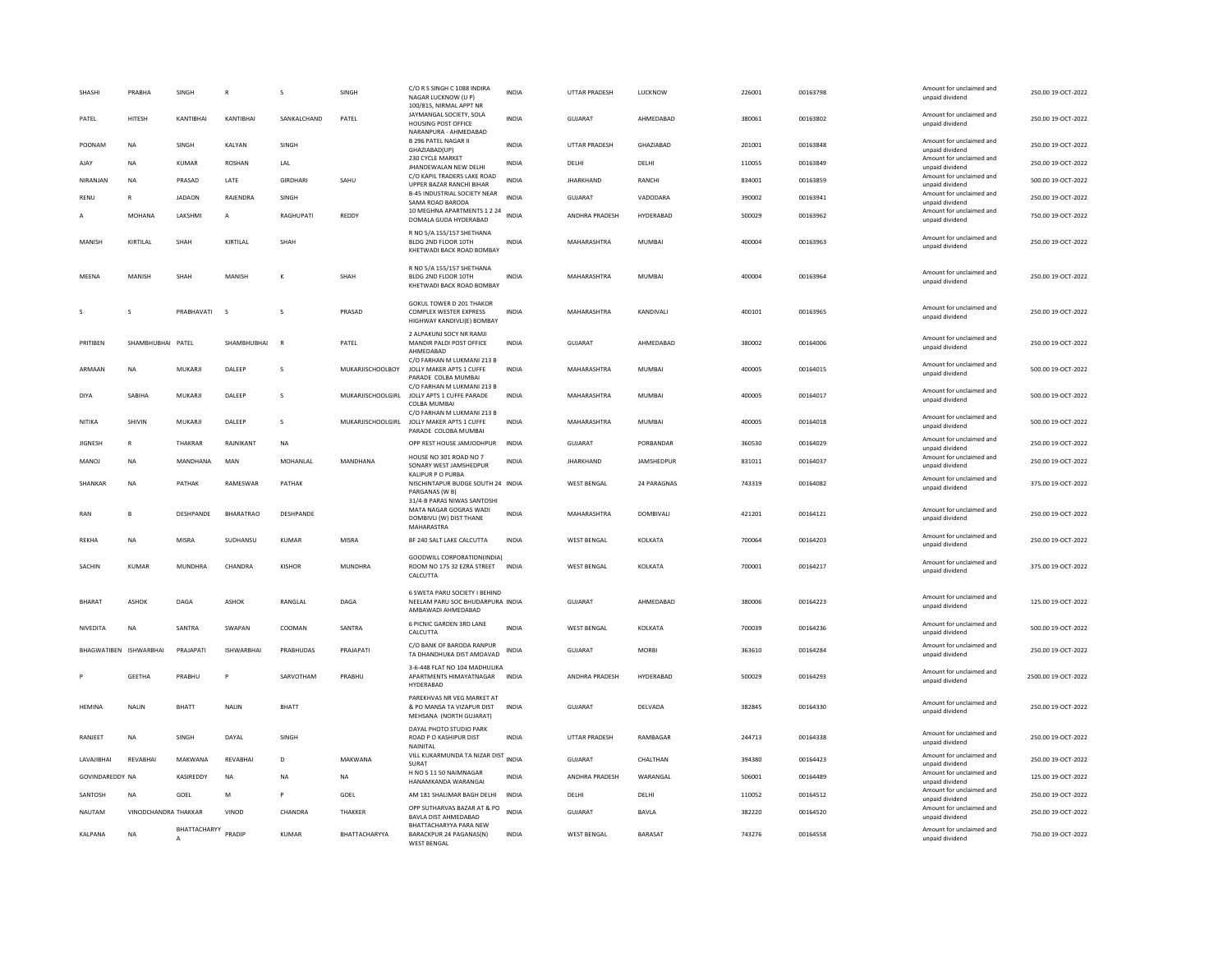| SHASHI                 | PRABHA               | SINGH         |                   | s             | SINGH                    | C/O R S SINGH C 1088 INDIRA<br>NAGAR LUCKNOW (U P)<br>100/815, NIRMAL APPT NR                               | <b>INDIA</b> | UTTAR PRADESH        | LUCKNOW          | 226001 | 00163798 | Amount for unclaimed and<br>unpaid dividend | 250.00 19-OCT-2022  |
|------------------------|----------------------|---------------|-------------------|---------------|--------------------------|-------------------------------------------------------------------------------------------------------------|--------------|----------------------|------------------|--------|----------|---------------------------------------------|---------------------|
| PATEL                  | HITESH               | KANTIBHAI     | KANTIBHAI         | SANKALCHAND   | PATEL                    | JAYMANGAL SOCIETY, SOLA<br>HOUSING POST OFFICE<br>NARANPURA - AHMEDARAD                                     | <b>INDIA</b> | GUJARAT              | AHMEDABAD        | 380061 | 00163802 | Amount for unclaimed and<br>unpaid dividend | 250.00 19-OCT-2022  |
| POONAM                 | <b>NA</b>            | <b>SINGH</b>  | KALYAN            | <b>SINGH</b>  |                          | <b>B 296 PATEL NAGAR II</b><br>GHAZIABAD(UP)                                                                | <b>INDIA</b> | <b>UTTAR PRADESH</b> | <b>GHAZIARAD</b> | 201001 | 00163848 | Amount for unclaimed and<br>unpaid dividend | 250.00.19-QCT-2022  |
| AJAY                   | <b>NA</b>            | <b>KUMAR</b>  | <b>ROSHAN</b>     | LAL           |                          | 230 CYCLE MARKET<br>JHANDEWALAN NEW DELHI                                                                   | <b>INDIA</b> | DELHI                | DELHI            | 110055 | 00163849 | Amount for unclaimed and<br>unpaid dividend | 250.00 19-OCT-2022  |
| NIRANJAN               | <b>NA</b>            | PRASAD        | LATE              | GIRDHARI      | SAHU                     | C/O KAPIL TRADERS LAKE ROAD<br>UPPER BAZAR RANCHI BIHAR                                                     | <b>INDIA</b> | <b>JHARKHAND</b>     | RANCHI           | 834001 | 00163859 | Amount for unclaimed and<br>unpaid dividend | 500.00 19-OCT-2022  |
| RENU                   |                      | <b>JADAON</b> | RAJENDRA          | SINGH         |                          | <b>B-45 INDUSTRIAL SOCIETY NEAR</b><br>SAMA ROAD BARODA                                                     | <b>INDIA</b> | GUJARAT              | VADODARA         | 390002 | 00163941 | Amount for unclaimed and<br>unpaid dividend | 250.00 19-OCT-2022  |
| Α                      | MOHANA               | LAKSHMI       | A                 | RAGHUPATI     | REDDY                    | 10 MEGHNA APARTMENTS 1 2 24<br>DOMALA GUDA HYDERABAD                                                        | <b>INDIA</b> | ANDHRA PRADESH       | HYDERABAD        | 500029 | 00163962 | Amount for unclaimed and<br>unpaid dividend | 750.00 19-OCT-2022  |
| MANISH                 | KIRTILAL             | SHAH          | KIRTILAL          | SHAH          |                          | R NO 5/A 155/157 SHETHANA<br>BLDG 2ND FLOOR 10TH<br>KHETWADI BACK ROAD BOMBAY                               | <b>INDIA</b> | MAHARASHTRA          | <b>MUMBAI</b>    | 400004 | 00163963 | Amount for unclaimed and<br>unpaid dividend | 250.00 19-OCT-2022  |
| MEENA                  | MANISH               | SHAH          | MANISH            | K             | SHAH                     | R NO 5/A 155/157 SHETHANA<br>BLDG 2ND FLOOR 10TH<br>KHETWADI BACK ROAD BOMBAY                               | <b>INDIA</b> | MAHARASHTRA          | MUMBAI           | 400004 | 00163964 | Amount for unclaimed and<br>unpaid dividend | 250.00 19-OCT-2022  |
|                        | s                    | PRABHAVATI    | <sub>S</sub>      |               | PRASAD                   | <b>GOKUL TOWER D 201 THAKOR</b><br>COMPLEX WESTER EXPRESS<br>HIGHWAY KANDIVLI(E) BOMBAY                     | <b>INDIA</b> | MAHARASHTRA          | KANDIVALI        | 400101 | 00163965 | Amount for unclaimed and<br>unpaid dividend | 250.00 19-OCT-2022  |
| PRITIBEN               | SHAMBHUBHAI PATEL    |               | SHAMBHUBHAI       | $\mathsf{R}$  | PATEL                    | 2 ALPAKUNJ SOCY NR RAMJI<br>MANDIR PALDI POST OFFICE<br>AHMEDABAD                                           | <b>INDIA</b> | GUJARAT              | AHMEDABAD        | 380002 | 00164006 | Amount for unclaimed and<br>unpaid dividend | 250.00 19-OCT-2022  |
| ARMAAN                 | NA                   | MUKARJI       | DALEER            | $\mathbf{S}$  | MUKARJISCHOOLBOY         | C/O FARHAN M LUKMANI 213 B<br>JOLLY MAKER APTS 1 CUFFE<br>PARADE COLBA MUMBAI<br>C/O FARHAN M LUKMANI 213 B | <b>INDIA</b> | MAHARASHTRA          | MUMBAI           | 400005 | 00164015 | Amount for unclaimed and<br>unpaid dividend | 500.00 19-OCT-2022  |
| DIYA                   | SARIHA               | MUKARII       | <b>DALEEP</b>     | $\mathbf{S}$  | MUKARJISCHOOLGIRI        | JOLLY APTS 1 CUFFE PARADE<br>COLBA MUMBAI                                                                   | <b>INDIA</b> | <b>MAHARASHTRA</b>   | MUMBAI           | 400005 | 00164017 | Amount for unclaimed and<br>unpaid dividend | 500.00.19-QCT-2022  |
| NITIKA                 | SHIVIN               | MUKARJI       | DALEEP            | s             | <b>MUKARJISCHOOLGIRL</b> | C/O FARHAN M LUKMANI 213 B<br>JOLLY MAKER APTS 1 CUFFE<br>PARADE COLOBA MUMBAI                              | <b>INDIA</b> | MAHARASHTRA          | <b>MUMBAI</b>    | 400005 | 00164018 | Amount for unclaimed and<br>unpaid dividend | 500.00 19-OCT-2022  |
| JIGNESH                | R                    | THAKRAR       | RAJNIKANT         | <b>NA</b>     |                          | OPP REST HOUSE JAMJODHPUR                                                                                   | <b>INDIA</b> | GUJARAT              | PORBANDAR        | 360530 | 00164029 | Amount for unclaimed and<br>unpaid dividend | 250.00 19-OCT-2022  |
| <b>MANOJ</b>           | <b>NA</b>            | MANDHANA      | MAN               | MOHANLAL      | MANDHANA                 | HOUSE NO 301 ROAD NO 7<br>SONARY WEST JAMSHEDPUR                                                            | <b>INDIA</b> | <b>JHARKHAND</b>     | JAMSHEDPUR       | 831011 | 00164037 | Amount for unclaimed and<br>unpaid dividend | 250.00 19-OCT-2022  |
| SHANKAR                | <b>NA</b>            | PATHAK        | RAMESWAR          | PATHAK        |                          | KALIPUR P O PURBA<br>NISCHINTAPUR BUDGE SOUTH 24 INDIA<br>PARGANAS (W B)                                    |              | <b>WEST BENGAL</b>   | 24 PARAGNAS      | 743319 | 00164082 | Amount for unclaimed and<br>unpaid dividend | 375.00 19-OCT-2022  |
| RAN                    | B                    | DESHPANDE     | BHARATRAO         | DESHPANDE     |                          | 31/4-B PARAS NIWAS SANTOSHI<br>MATA NAGAR GOGRAS WADI<br>DOMBIVLI (W) DIST THANE<br>MAHARASTRA              | <b>INDIA</b> | MAHARASHTRA          | DOMBIVALI        | 421201 | 00164121 | Amount for unclaimed and<br>unpaid dividend | 250.00 19-OCT-2022  |
| REKHA                  | NA                   | MISRA         | SUDHANSU          | KUMAR         | <b>MISRA</b>             | BF 240 SALT LAKE CALCUTTA                                                                                   | INDIA        | <b>WEST BENGAL</b>   | KOLKATA          | 700064 | 00164203 | Amount for unclaimed and<br>unpaid dividend | 250.00 19-OCT-2022  |
| SACHIN                 | <b>KUMAR</b>         | MUNDHRA       | CHANDRA           | <b>KISHOR</b> | <b>MUNDHRA</b>           | GOODWILL CORPORATION(INDIA)<br>ROOM NO 175 32 EZRA STREET INDIA<br>CALCUTTA                                 |              | <b>WEST BENGAL</b>   | KOLKATA          | 700001 | 00164217 | Amount for unclaimed and<br>unpaid dividend | 375.00 19-OCT-2022  |
| <b>BHARAT</b>          | <b>ASHOK</b>         | DAGA          | ASHOK             | RANGLAL       | DAGA                     | 6 SWETA PARU SOCIETY I BEHIND<br>NEELAM PARU SOC BHUDARPURA INDIA<br>AMBAWADI AHMEDABAD                     |              | <b>GUJARAT</b>       | AHMEDABAD        | 380006 | 00164223 | Amount for unclaimed and<br>unpaid dividend | 125.00 19-OCT-2022  |
| NIVEDITA               | <b>NA</b>            | SANTRA        | SWAPAN            | COOMAN        | SANTRA                   | 6 PICNIC GARDEN 3RD LANE<br>CALCUTTA                                                                        | <b>INDIA</b> | <b>WEST BENGAL</b>   | KOLKATA          | 700039 | 00164236 | Amount for unclaimed and<br>unpaid dividend | 500.00 19-OCT-2022  |
| BHAGWATIBEN ISHWARBHAI |                      | PRAJAPATI     | <b>ISHWARBHAI</b> | PRABHUDAS     | PRAJAPATI                | C/O BANK OF BARODA RANPUR<br>TA DHANDHUKA DIST AMDAVAD                                                      | <b>INDIA</b> | <b>GUJARAT</b>       | <b>MORBI</b>     | 363610 | 00164284 | Amount for unclaimed and<br>unpaid dividend | 250.00 19-OCT-2022  |
|                        | <b>GEETHA</b>        | PRABHU        |                   | SARVOTHAM     | PRABHU                   | 3-6-448 FLAT NO 104 MADHULIKA<br>APARTMENTS HIMAYATNAGAR<br>HYDERARAD                                       | <b>INDIA</b> | ANDHRA PRADESH       | HYDERABAD        | 500029 | 00164293 | Amount for unclaimed and<br>unpaid dividend | 2500.00 19-OCT-2022 |
| <b>HEMINA</b>          | <b>NALIN</b>         | <b>BHATT</b>  | <b>NALIN</b>      | BHATT         |                          | PAREKHVAS NR VEG MARKET AT<br>& PO MANSA TA VIZAPUR DIST<br>MEHSANA (NORTH GUJARAT)                         | <b>INDIA</b> | <b>GUJARAT</b>       | DELVADA          | 382845 | 00164330 | Amount for unclaimed and<br>unpaid dividend | 250.00 19-OCT-2022  |
| RANJEET                | <b>NA</b>            | SINGH         | DAYAL             | SINGH         |                          | DAYAL PHOTO STUDIO PARK<br>ROAD P O KASHIPUR DIST<br>NAINITAL                                               | <b>INDIA</b> | <b>UTTAR PRADESH</b> | RAMBAGAR         | 244713 | 00164338 | Amount for unclaimed and<br>unpaid dividend | 250.00 19-OCT-2022  |
| LAVAJIBHAI             | REVABHAI             | MAKWANA       | REVABHAI          | D             | MAKWANA                  | VILL KUKARMUNDA TA NIZAR DIST<br>SURAT                                                                      | <b>INDIA</b> | GUJARAT              | CHALTHAN         | 394380 | 00164423 | Amount for unclaimed and<br>unpaid dividend | 250.00 19-OCT-2022  |
| GOVINDAREDDY NA        |                      | KASIREDDY     | NA                | NA            | NA                       | H NO 5 11 50 NAIMNAGAR<br>HANAMKANDA WARANGAI                                                               | INDIA        | ANDHRA PRADESH       | WARANGAL         | 506001 | 00164489 | Amount for unclaimed and<br>unpaid dividend | 125.00 19-OCT-2022  |
| SANTOSH                | NA                   | GOEL          | M                 | P             | GOEL                     | AM 181 SHALIMAR BAGH DELHI                                                                                  | <b>INDIA</b> | DELHI                | DELHI            | 110052 | 00164512 | Amount for unclaimed and<br>unpaid dividend | 250.00 19-OCT-2022  |
| NAUTAM                 | VINODCHANDRA THAKKAR |               | VINOD             | CHANDRA       | <b>THAKKER</b>           | OPP SUTHARVAS BAZAR AT & PO<br><b>BAVLA DIST AHMEDABAD</b>                                                  | <b>INDIA</b> | GUIARAT              | <b>BAVIA</b>     | 382220 | 00164520 | Amount for unclaimed and<br>unpaid dividend | 250.00.19-OCT-2022  |
| KALPANA                | <b>NA</b>            | BHATTACHARYY  | PRADIP            | <b>KUMAR</b>  | BHATTACHARYYA            | BHATTACHARYYA PARA NEW<br>BARACKPUR 24 PAGANAS(N)<br><b>WEST BENGAL</b>                                     | <b>INDIA</b> | <b>WEST BENGAL</b>   | BARASAT          | 743276 | 00164558 | Amount for unclaimed and<br>unpaid dividend | 750.00 19-OCT-2022  |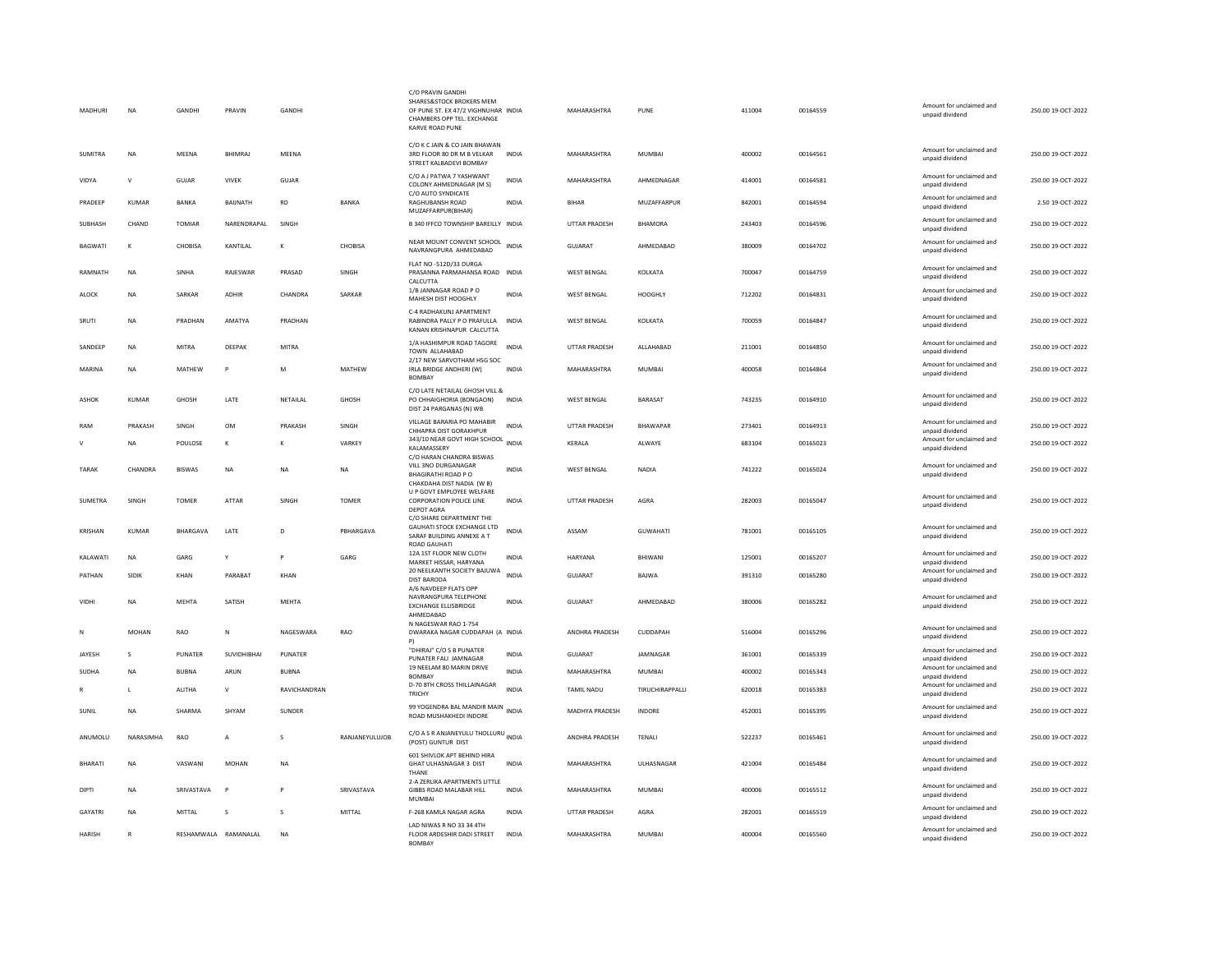| MADHURI        | <b>NA</b>    | GANDHI          | PRAVIN               | GANDHI              |                | C/O PRAVIN GANDHI<br>SHARES&STOCK BROKERS MEM<br>OF PUNE ST. EX 47/2 VIGHNUHAR INDIA<br>CHAMBERS OPP TEL. EXCHANGE<br>KARVE ROAD PUNE |              | MAHARASHTRA          | PUNE                   | 411004 | 00164559 | Amount for unclaimed and<br>unpaid dividend | 250.00 19-OCT-2022 |
|----------------|--------------|-----------------|----------------------|---------------------|----------------|---------------------------------------------------------------------------------------------------------------------------------------|--------------|----------------------|------------------------|--------|----------|---------------------------------------------|--------------------|
| <b>SUMITRA</b> | <b>NA</b>    | MEENA           | <b>BHIMRAJ</b>       | MEENA               |                | C/O K C JAIN & CO JAIN BHAWAN<br>3RD FLOOR 80 DR M B VELKAR<br>STREET KALBADEVI BOMBAY                                                | <b>INDIA</b> | MAHARASHTRA          | MUMBAI                 | 400002 | 00164561 | Amount for unclaimed and<br>unpaid dividend | 250.00 19-OCT-2022 |
| VIDYA          | $\mathsf{v}$ | GUJAR           | <b>VIVEK</b>         | GUJAR               |                | C/O A J PATWA 7 YASHWANT<br>COLONY AHMEDNAGAR (M S)                                                                                   | <b>INDIA</b> | MAHARASHTRA          | AHMEDNAGAR             | 414001 | 00164581 | Amount for unclaimed and<br>unpaid dividend | 250.00 19-OCT-2022 |
| PRADEEP        | <b>KUMAR</b> | BANKA           | <b>BAUNATH</b>       | <b>RD</b>           | <b>BANKA</b>   | C/O AUTO SYNDICATE<br>RAGHUBANSH ROAD<br>MUZAFFARPUR(BIHAR)                                                                           | <b>INDIA</b> | <b>BIHAR</b>         | MUZAFFARPUR            | 842001 | 00164594 | Amount for unclaimed and<br>unpaid dividend | 2.50 19-OCT-2022   |
| SUBHASH        | CHAND        | TOMIAR          | NARENDRAPAL          | SINGH               |                | B 340 IFFCO TOWNSHIP BAREILLY INDIA                                                                                                   |              | UTTAR PRADESH        | BHAMORA                | 243403 | 00164596 | Amount for unclaimed and<br>unpaid dividend | 250.00 19-OCT-2022 |
| <b>BAGWATI</b> | K            | <b>CHOBISA</b>  | KANTILAL             | K                   | CHORISA        | NEAR MOUNT CONVENT SCHOOL<br>NAVRANGPURA AHMEDARAD                                                                                    | <b>INDIA</b> | <b>GUJARAT</b>       | AHMEDABAD              | 380009 | 00164702 | Amount for unclaimed and<br>unpaid dividend | 250.00 19-OCT-2022 |
| RAMNATH        | <b>NA</b>    | SINHA           | RAJESWAR             | PRASAD              | SINGH          | FLAT NO -512D/33 DURGA<br>PRASANNA PARMAHANSA ROAD INDIA<br>CALCUTTA                                                                  |              | WEST BENGAL          | KOLKATA                | 700047 | 00164759 | Amount for unclaimed and<br>unpaid dividend | 250.00 19-OCT-2022 |
| ALOCK          | NA           | SARKAR          | ADHIR                | CHANDRA             | SARKAR         | 1/B JANNAGAR ROAD PO<br>MAHESH DIST HOOGHLY                                                                                           | INDIA        | <b>WEST BENGAL</b>   | <b>HOOGHLY</b>         | 712202 | 00164831 | Amount for unclaimed and<br>unpaid dividend | 250.00 19-OCT-2022 |
| SRUTI          | <b>NA</b>    | PRADHAN         | <b>AMATYA</b>        | PRADHAN             |                | C-4 RADHAKUNJ APARTMENT<br>RABINDRA PALLY P O PRAFULLA<br>KANAN KRISHNAPUR CALCUTTA                                                   | <b>INDIA</b> | <b>WEST BENGAL</b>   | KOLKATA                | 700059 | 00164847 | Amount for unclaimed and<br>unpaid dividend | 250.00 19-OCT-2022 |
| SANDEEP        | <b>NA</b>    | <b>MITRA</b>    | DEEPAK               | <b>MITRA</b>        |                | 1/A HASHIMPUR ROAD TAGORE<br>TOWN ALLAHABAD                                                                                           | <b>INDIA</b> | <b>UTTAR PRADESH</b> | ALLAHABAD              | 211001 | 00164850 | Amount for unclaimed and<br>unpaid dividend | 250.00 19-OCT-2022 |
| MARINA         | <b>NA</b>    | <b>MATHEW</b>   | P                    | M                   | <b>MATHEW</b>  | 2/17 NEW SARVOTHAM HSG SOC<br>IRLA BRIDGE ANDHERI (W)<br><b>BOMBAY</b>                                                                | <b>INDIA</b> | MAHARASHTRA          | MUMBAI                 | 400058 | 00164864 | Amount for unclaimed and<br>unpaid dividend | 250.00 19-OCT-2022 |
| ASHOK          | KUMAR        | GHOSH           | LATE                 | NETAILAL            | GHOSH          | C/O LATE NETAILAL GHOSH VILL &<br>PO CHHAIGHORIA (BONGAON)<br>DIST 24 PARGANAS (N) WB                                                 | <b>INDIA</b> | WEST BENGAL          | <b>BARASAT</b>         | 743235 | 00164910 | Amount for unclaimed and<br>unpaid dividend | 250.00 19-OCT-2022 |
| RAM            | PRAKASH      | <b>SINGH</b>    | <b>OM</b>            | PRAKASH             | <b>SINGH</b>   | VILLAGE BARARIA PO MAHABIR<br>CHHAPRA DIST GORAKHPUR                                                                                  | <b>INDIA</b> | <b>UTTAR PRADESH</b> | <b>RHAWAPAR</b>        | 273401 | 00164913 | Amount for unclaimed and<br>unpaid dividend | 250.00 19-OCT-2022 |
|                | <b>NA</b>    | POULOSE         | $\kappa$             | к                   | VARKEY         | 343/10 NEAR GOVT HIGH SCHOOL INDIA<br>KALAMASSERY<br>C/O HARAN CHANDRA BISWAS                                                         |              | KERALA               | ALWAYE                 | 683104 | 00165023 | Amount for unclaimed and<br>unpaid dividend | 250.00 19-OCT-2022 |
| TARAK          | CHANDRA      | <b>BISWAS</b>   | NA                   | NA                  | NA             | VILL 3NO DURGANAGAR<br>BHAGIRATHI ROAD P O<br>CHAKDAHA DIST NADIA (W B)                                                               | INDIA        | WEST BENGAL          | NADIA                  | 741222 | 00165024 | Amount for unclaimed and<br>unpaid dividend | 250.00 19-OCT-2022 |
| SUMETRA        | SINGH        | <b>TOMER</b>    | ATTAR                | SINGH               | <b>TOMER</b>   | U P GOVT EMPLOYEE WELFARE<br><b>CORPORATION POLICE LINE</b><br><b>DEPOT AGRA</b>                                                      | INDIA        | UTTAR PRADESH        | AGRA                   | 282003 | 00165047 | Amount for unclaimed and<br>unpaid dividend | 250.00 19-OCT-2022 |
| <b>KRISHAN</b> | KUMAR        | <b>BHARGAVA</b> | LATE                 | D                   | PBHARGAVA      | C/O SHARE DEPARTMENT THE<br><b>GAUHATI STOCK EXCHANGE LTD</b><br>SARAF BUILDING ANNEXE A T<br>ROAD GAUHATI                            | <b>INDIA</b> | ASSAM                | <b>GUWAHATI</b>        | 781001 | 00165105 | Amount for unclaimed and<br>unpaid dividend | 250.00 19-OCT-2022 |
| KALAWATI       | <b>NA</b>    | GARG            | Y                    | P                   | GARG           | 12A 1ST FLOOR NEW CLOTH<br>MARKET HISSAR, HARYANA                                                                                     | <b>INDIA</b> | <b>HARYANA</b>       | RHIWANI                | 125001 | 00165207 | Amount for unclaimed and<br>unpaid dividend | 250.00 19-OCT-2022 |
| PATHAN         | SIDIK        | KHAN            | PARABAT              | KHAN                |                | 20 NEELKANTH SOCIETY BAJUWA<br><b>DIST BARODA</b><br>A/6 NAVDEEP FLATS OPP                                                            | <b>INDIA</b> | GUJARAT              | <b>BAJWA</b>           | 391310 | 00165280 | Amount for unclaimed and<br>unpaid dividend | 250.00 19-OCT-2022 |
| VIDHI          | <b>NA</b>    | MEHTA           | SATISH               | MEHTA               |                | NAVRANGPURA TELEPHONE<br><b>EXCHANGE ELLISBRIDGE</b><br>AHMEDABAD                                                                     | <b>INDIA</b> | GUJARAT              | AHMFDARAD              | 380006 | 00165282 | Amount for unclaimed and<br>unpaid dividend | 250.00 19-OCT-2022 |
| N              | MOHAN        | RAO             | N                    | NAGESWARA           | RAO            | N NAGESWAR RAO 1-754<br>DWARAKA NAGAR CUDDAPAH (A INDIA<br>P)                                                                         |              | ANDHRA PRADESH       | CUDDAPAH               | 516004 | 00165296 | Amount for unclaimed and<br>unpaid dividend | 250.00 19-OCT-2022 |
| JAYESH         | <b>S</b>     | <b>PUNATER</b>  | SUVIDHIBHAI          | PUNATER             |                | "DHIRAJ" C/O S B PUNATER<br>PUNATER FALI JAMNAGAR                                                                                     | <b>INDIA</b> | GUJARAT              | JAMNAGAR               | 361001 | 00165339 | Amount for unclaimed and<br>unpaid dividend | 250.00 19-OCT-2022 |
| SUDHA          | <b>NA</b>    | <b>BUBNA</b>    | ARUN                 | <b>BUBNA</b>        |                | 19 NEELAM 80 MARIN DRIVE<br>BOMBAY                                                                                                    | <b>INDIA</b> | MAHARASHTRA          | <b>MUMBAI</b>          | 400002 | 00165343 | Amount for unclaimed and<br>unpaid dividend | 250.00 19-OCT-2022 |
| R              | $\mathbf{L}$ | <b>ALITHA</b>   | $\mathsf{v}$         | <b>RAVICHANDRAN</b> |                | D-70 8TH CROSS THILLAINAGAR<br><b>TRICHY</b>                                                                                          | <b>INDIA</b> | <b>TAMIL NADU</b>    | <b>TIRUCHIRAPPALLI</b> | 620018 | 00165383 | Amount for unclaimed and<br>unpaid dividend | 250.00.19-QCT-2022 |
| SUNIL          | <b>NA</b>    | SHARMA          | SHYAM                | SUNDER              |                | 99 YOGENDRA BAL MANDIR MAIN INDIA<br>ROAD MUSHAKHEDI INDORE                                                                           |              | MADHYA PRADESH       | <b>INDORE</b>          | 452001 | 00165395 | Amount for unclaimed and<br>unpaid dividend | 250.00 19-OCT-2022 |
| ANUMOLU        | NARASIMHA    | RAO             | A                    | s                   | RANJANEYULUJOB | C/O A S R ANJANEYULU THOLLURU INDIA<br>(POST) GUNTUR DIST                                                                             |              | ANDHRA PRADESH       | TENALI                 | 522237 | 00165461 | Amount for unclaimed and<br>unpaid dividend | 250.00 19-OCT-2022 |
| <b>BHARATI</b> | <b>NA</b>    | VASWANI         | MOHAN                | $_{\sf NA}$         |                | 601 SHIVLOK APT BEHIND HIRA<br>GHAT ULHASNAGAR 3 DIST<br>THANE                                                                        | INDIA        | MAHARASHTRA          | ULHASNAGAR             | 421004 | 00165484 | Amount for unclaimed and<br>unpaid dividend | 250.00 19-OCT-2022 |
| <b>DIPTI</b>   | <b>NA</b>    | SRIVASTAVA      | P                    | P                   | SRIVASTAVA     | 2-A ZERLIKA APARTMENTS LITTLE<br>GIBBS ROAD MALABAR HILL<br>MUMBA                                                                     | <b>INDIA</b> | MAHARASHTRA          | MUMBAI                 | 400006 | 00165512 | Amount for unclaimed and<br>unpaid dividend | 250.00 19-OCT-2022 |
| <b>GAYATRI</b> | <b>NA</b>    | MITTAL          | s                    | s                   | MITTAL         | F-268 KAMLA NAGAR AGRA                                                                                                                | <b>INDIA</b> | UTTAR PRADESH        | AGRA                   | 282001 | 00165519 | Amount for unclaimed and<br>unpaid dividend | 250.00 19-OCT-2022 |
| <b>HARISH</b>  | $\mathbb{R}$ |                 | RESHAMWALA RAMANALAL | <b>NA</b>           |                | LAD NIWAS R NO 33 34 4TH<br>FLOOR ARDESHIR DADI STREET<br><b>BOMBAY</b>                                                               | <b>INDIA</b> | MAHARASHTRA          | MUMBAI                 | 400004 | 00165560 | Amount for unclaimed and<br>unpaid dividend | 250.00 19-OCT-2022 |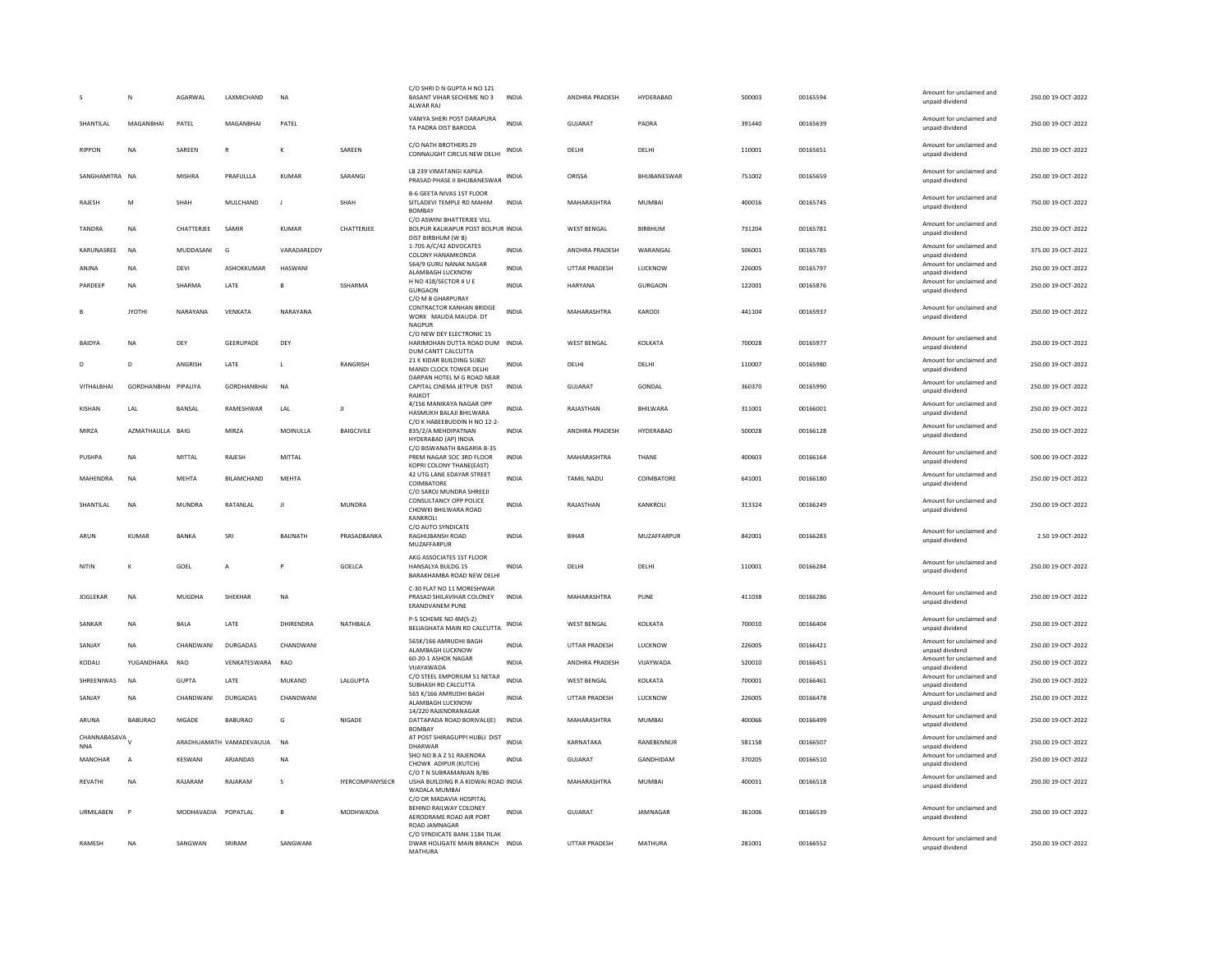|                              | N                    | AGARWAI       | <b>I AXMICHAND</b>      | <b>NA</b>    |                        | C/O SHRI D N GUPTA H NO 121<br>BASANT VIHAR SECHEME NO 3<br>ALWAR RAJ                        | <b>INDIA</b> | <b>ANDHRA PRADESH</b> | HYDERABAD      | 500003 | 00165594 | Amount for unclaimed and<br>unpaid dividend | 250.00 19-OCT-2022 |
|------------------------------|----------------------|---------------|-------------------------|--------------|------------------------|----------------------------------------------------------------------------------------------|--------------|-----------------------|----------------|--------|----------|---------------------------------------------|--------------------|
| SHANTILAL                    | MAGANRHAI            | PATEL         | MAGANRHAI               | PATEL        |                        | VANIYA SHERI POST DARAPURA<br>TA PADRA DIST BARODA                                           | <b>INDIA</b> | <b>GUJARAT</b>        | PADRA          | 391440 | 00165639 | Amount for unclaimed and<br>unpaid dividend | 250.00 19-OCT-2022 |
| <b>RIPPON</b>                | NA                   | SAREEN        | $\mathsf{R}$            |              | SAREEN                 | C/O NATH BROTHERS 29<br>CONNAUGHT CIRCUS NEW DELHI                                           | INDIA        | DELHI                 | DELHI          | 110001 | 00165651 | Amount for unclaimed and<br>unpaid dividend | 250.00 19-OCT-2022 |
| SANGHAMITRA NA               |                      | <b>MISHRA</b> | PRAFULLLA               | KUMAR        | SARANGI                | LB 239 VIMATANGI KAPILA<br>PRASAD PHASE II BHUBANESWAR                                       | INDIA        | ORISSA                | BHUBANESWAR    | 751002 | 00165659 | Amount for unclaimed and<br>unpaid dividend | 250.00 19-OCT-2022 |
| RAJESH                       | M                    | SHAH          | MULCHAND                | $\mathbf{J}$ | SHAH                   | B-6 GEETA NIVAS 1ST FLOOR<br>SITLADEVI TEMPLE RD MAHIM<br><b>BOMBAY</b>                      | <b>INDIA</b> | MAHARASHTRA           | MUMBAI         | 400016 | 00165745 | Amount for unclaimed and<br>unpaid dividend | 750.00 19-OCT-2022 |
| <b>TANDRA</b>                | <b>NA</b>            | CHATTERJEE    | SAMIR                   | KUMAR        | CHATTERJEE             | C/O ASWINI BHATTERJEE VILL<br>BOLPUR KALIKAPUR POST BOLPUR INDIA<br>DIST BIRBHUM (W B)       |              | <b>WEST BENGAL</b>    | <b>BIRBHUM</b> | 731204 | 00165781 | Amount for unclaimed and<br>unpaid dividend | 250.00 19-OCT-2022 |
| KARUNASREE                   | <b>NA</b>            | MUDDASANI     | G                       | VARADAREDDY  |                        | 1-705 A/C/42 ADVOCATES<br>COLONY HANAMKONDA                                                  | INDIA        | ANDHRA PRADESH        | WARANGAL       | 506001 | 00165785 | Amount for unclaimed and<br>unpaid dividend | 375.00 19-OCT-2022 |
| ANJNA                        | <b>NA</b>            | DEVI          | ASHOKKUMAR              | HASWANI      |                        | 564/9 GURU NANAK NAGAR<br>ALAMBAGH LUCKNOW                                                   | <b>INDIA</b> | <b>UTTAR PRADESH</b>  | LUCKNOW        | 226005 | 00165797 | Amount for unclaimed and<br>unpaid dividend | 250.00 19-OCT-2022 |
| PARDEEP                      | <b>NA</b>            | SHARMA        | LATE                    | B            | SSHARMA                | H NO 418/SECTOR 4 U E<br><b>GURGAON</b><br>C/O M B GHARPURAY                                 | <b>INDIA</b> | <b>HARYANA</b>        | <b>GURGAON</b> | 122001 | 00165876 | Amount for unclaimed and<br>unpaid dividend | 250.00 19-OCT-2022 |
|                              | <b>IYOTHI</b>        | NARAYANA      | VFNKATA                 | NARAYANA     |                        | CONTRACTOR KANHAN BRIDGE<br>WORK MAUDA MAUDA DT<br>NAGPUR                                    | <b>INDIA</b> | MAHARASHTRA           | KARODI         | 441104 | 00165937 | Amount for unclaimed and<br>unpaid dividend | 250.00 19-OCT-2022 |
| <b>BAIDYA</b>                | <b>NA</b>            | DFY           | <b>GEFRUPADE</b>        | DFY          |                        | C/O NEW DEY ELECTRONIC 15<br>HARIMOHAN DUTTA ROAD DUM INDIA<br>DUM CANTT CALCUTTA            |              | WEST BENGAL           | KOI KATA       | 700028 | 00165977 | Amount for unclaimed and<br>unpaid dividend | 250.00.19-OCT-2022 |
| D                            | D                    | ANGRISH       | LATE                    | $\mathsf{L}$ | RANGRISH               | 21 K KIDAR BUILDING SUBZI<br>MANDI CLOCK TOWER DELHI                                         | INDIA        | DELHI                 | DELHI          | 110007 | 00165980 | Amount for unclaimed and<br>unpaid dividend | 250.00 19-OCT-2022 |
| VITHALBHAI                   | GORDHANBHAI PIPALIYA |               | <b>GORDHANBHAI</b>      | <b>NA</b>    |                        | DARPAN HOTEL M G ROAD NEAR<br>CAPITAL CINEMA JETPUR DIST<br>RAJKOT                           | <b>INDIA</b> | <b>GUJARAT</b>        | GONDAL         | 360370 | 00165990 | Amount for unclaimed and<br>unpaid dividend | 250.00 19-OCT-2022 |
| <b>KISHAN</b>                | LAL                  | <b>BANSAL</b> | RAMESHWAR               | LAL          | Л                      | 4/156 MANIKAYA NAGAR OPP<br>HASMUKH BALAJI BHILWARA                                          | <b>INDIA</b> | RAJASTHAN             | BHILWARA       | 311001 | 00166001 | Amount for unclaimed and<br>unpaid dividend | 250.00 19-OCT-2022 |
| MIRZA                        | AZMATHAULLA BAIG     |               | MIRZA                   | MOINULLA     | <b>BAIGCIVILE</b>      | C/O K HABEEBUDDIN H NO 12-2-<br>835/2/A MEHDIPATNAN<br>HYDERABAD (AP) INDIA                  | <b>INDIA</b> | ANDHRA PRADESH        | HYDERABAD      | 500028 | 00166128 | Amount for unclaimed and<br>unpaid dividend | 250.00 19-OCT-2022 |
| PUSHPA                       | <b>NA</b>            | MITTAI        | <b>RAIFSH</b>           | MITTAL       |                        | C/O BISWANATH BAGARIA B-35<br>PREM NAGAR SOC 3RD FLOOR<br>KOPRI COLONY THANE(EAST)           | <b>INDIA</b> | MAHARASHTRA           | <b>THANF</b>   | 400603 | 00166164 | Amount for unclaimed and<br>unpaid dividend | 500.00 19-OCT-2022 |
| MAHENDRA                     | <b>NA</b>            | <b>MEHTA</b>  | <b>BILAMCHAND</b>       | <b>MEHTA</b> |                        | 42 UTG LANE EDAYAR STREET<br>COIMBATORE                                                      | INDIA        | <b>TAMIL NADU</b>     | COIMBATORE     | 641001 | 00166180 | Amount for unclaimed and<br>unpaid dividend | 250.00 19-OCT-2022 |
| SHANTILAL                    | NA                   | <b>MUNDRA</b> | RATANLAL                | $\mathbf{H}$ | MUNDRA                 | C/O SAROJ MUNDRA SHREEJI<br>CONSULTANCY OPP POLICE<br>CHOWKI BHILWARA ROAD                   | <b>INDIA</b> | RAJASTHAN             | KANKROLI       | 313324 | 00166249 | Amount for unclaimed and<br>unpaid dividend | 250.00 19-OCT-2022 |
| ARUN                         | <b>KUMAR</b>         | BANKA         | SRI                     | BAUNATH      | PRASADBANKA            | KANKROLI<br>C/O AUTO SYNDICATE<br>RAGHUBANSH ROAD<br>MUZAFFARPUR                             | <b>INDIA</b> | <b>BIHAR</b>          | MUZAFFARPUR    | 842001 | 00166283 | Amount for unclaimed and<br>unpaid dividend | 2.50 19-OCT-2022   |
| NITIN                        |                      | GOEL          | A                       |              | GOELCA                 | AKG ASSOCIATES 1ST FLOOR<br>HANSALYA BULDG 15<br>BARAKHAMBA ROAD NEW DELHI                   | <b>INDIA</b> | DELHI                 | DELHI          | 110001 | 00166284 | Amount for unclaimed and<br>unpaid dividend | 250.00 19-OCT-2022 |
| <b>JOGLEKAR</b>              | NA                   | MUGDHA        | SHEKHAR                 | NA           |                        | C-30 FLAT NO 11 MORESHWAR<br>PRASAD SHILAVIHAR COLONEY<br><b>ERANDVANEM PUNE</b>             | <b>INDIA</b> | MAHARASHTRA           | PUNE           | 411038 | 00166286 | Amount for unclaimed and<br>unpaid dividend | 250.00 19-OCT-2022 |
| SANKAR                       | NA                   | BALA          | LATE                    | DHIRENDRA    | NATHBALA               | P-5 SCHEME NO 4M(S-2)<br>BELIAGHATA MAIN RD CALCUTTA                                         | INDIA        | <b>WEST BENGAL</b>    | KOLKATA        | 700010 | 00166404 | Amount for unclaimed and<br>unpaid dividend | 250.00 19-OCT-2022 |
| SANJAY                       | <b>NA</b>            | CHANDWANI     | <b>DURGADAS</b>         | CHANDWANI    |                        | 565K/166 AMRUDHI BAGH<br>ALAMBAGH LUCKNOW                                                    | <b>INDIA</b> | <b>UTTAR PRADESH</b>  | LUCKNOW        | 226005 | 00166421 | Amount for unclaimed and<br>unpaid dividend | 250.00 19-OCT-2022 |
| KODALI                       | YUGANDHARA           | <b>RAO</b>    | VENKATESWARA            | RAO          |                        | 60-20-1 ASHOK NAGAR<br>VIJAYAWADA                                                            | <b>INDIA</b> | <b>ANDHRA PRADESH</b> | VIJAYWADA      | 520010 | 00166451 | Amount for unclaimed and<br>unpaid dividend | 250.00 19-OCT-2022 |
| SHREENIWAS                   | <b>NA</b>            | <b>GUPTA</b>  | LATE                    | MUKAND       | LALGUPTA               | C/O STEEL EMPORIUM 51 NETAJI<br>SUBHASH RD CALCUTTA                                          | <b>INDIA</b> | <b>WEST BENGAL</b>    | KOLKATA        | 700001 | 00166461 | Amount for unclaimed and<br>unpaid dividend | 250.00 19-OCT-2022 |
| SANJAY                       | <b>NA</b>            | CHANDWANI     | <b>DURGADAS</b>         | CHANDWANI    |                        | 565 K/166 AMRUDHI BAGH<br>ALAMBAGH LUCKNOW                                                   | INDIA        | UTTAR PRADESH         | LUCKNOW        | 226005 | 00166478 | Amount for unclaimed and<br>unpaid dividend | 250.00 19-OCT-2022 |
| ARUNA                        | <b>BABURAO</b>       | NIGADE        | BABURAO                 | G            | NIGADE                 | 14/220 RAJENDRANAGAR<br>DATTAPADA ROAD BORIVALI(E)<br><b>BOMBAY</b>                          | <b>INDIA</b> | MAHARASHTRA           | MUMBAI         | 400066 | 00166499 | Amount for unclaimed and<br>unpaid dividend | 250.00 19-OCT-2022 |
| CHANNABASAVA V<br><b>NNA</b> |                      |               | ARADHUAMATH VAMADEVAUUA | <b>NA</b>    |                        | AT POST SHIRAGUPPI HUBLI DIST<br>DHARWAR                                                     | <b>INDIA</b> | KARNATAKA             | RANEBENNUR     | 581158 | 00166507 | Amount for unclaimed and<br>unpaid dividend | 250.00 19-OCT-2022 |
| <b>MANOHAR</b>               | $\overline{A}$       | KFSWANI       | <b>ARIANDAS</b>         | <b>NA</b>    |                        | SHO NO B A Z 51 RAJENDRA<br>CHOWK ADIPUR (KUTCH)                                             | <b>INDIA</b> | GUIARAT               | GANDHIDAM      | 370205 | 00166510 | Amount for unclaimed and<br>unpaid dividend | 250.00 19-OCT-2022 |
| <b>REVATHI</b>               | <b>NA</b>            | RAJARAM       | RAJARAM                 | s            | <b>IYERCOMPANYSECR</b> | C/O T N SUBRAMANIAN 8/86<br>USHA BUILDING R A KIDWAI ROAD INDIA<br>WADAI A MUMBAL            |              | MAHARASHTRA           | <b>MUMBAI</b>  | 400031 | 00166518 | Amount for unclaimed and<br>unpaid dividend | 250.00 19-OCT-2022 |
| URMILABEN                    | P                    | MODHAVADIA    | POPATLAL                | B            | MODHWADIA              | C/O DR MADAVIA HOSPITAL<br>BEHIND RAILWAY COLONEY<br>AERODRAME ROAD AIR PORT                 | INDIA        | GUJARAT               | JAMNAGAR       | 361006 | 00166539 | Amount for unclaimed and<br>unpaid dividend | 250.00 19-OCT-2022 |
| RAMESH                       | <b>NA</b>            | SANGWAN       | SRIRAM                  | SANGWANI     |                        | ROAD JAMNAGAR<br>C/O SYNDICATE BANK 1184 TILAK<br>DWAR HOLIGATE MAIN BRANCH INDIA<br>MATHURA |              | <b>UTTAR PRADESH</b>  | MATHURA        | 281001 | 00166552 | Amount for unclaimed and<br>unpaid dividend | 250.00 19-OCT-2022 |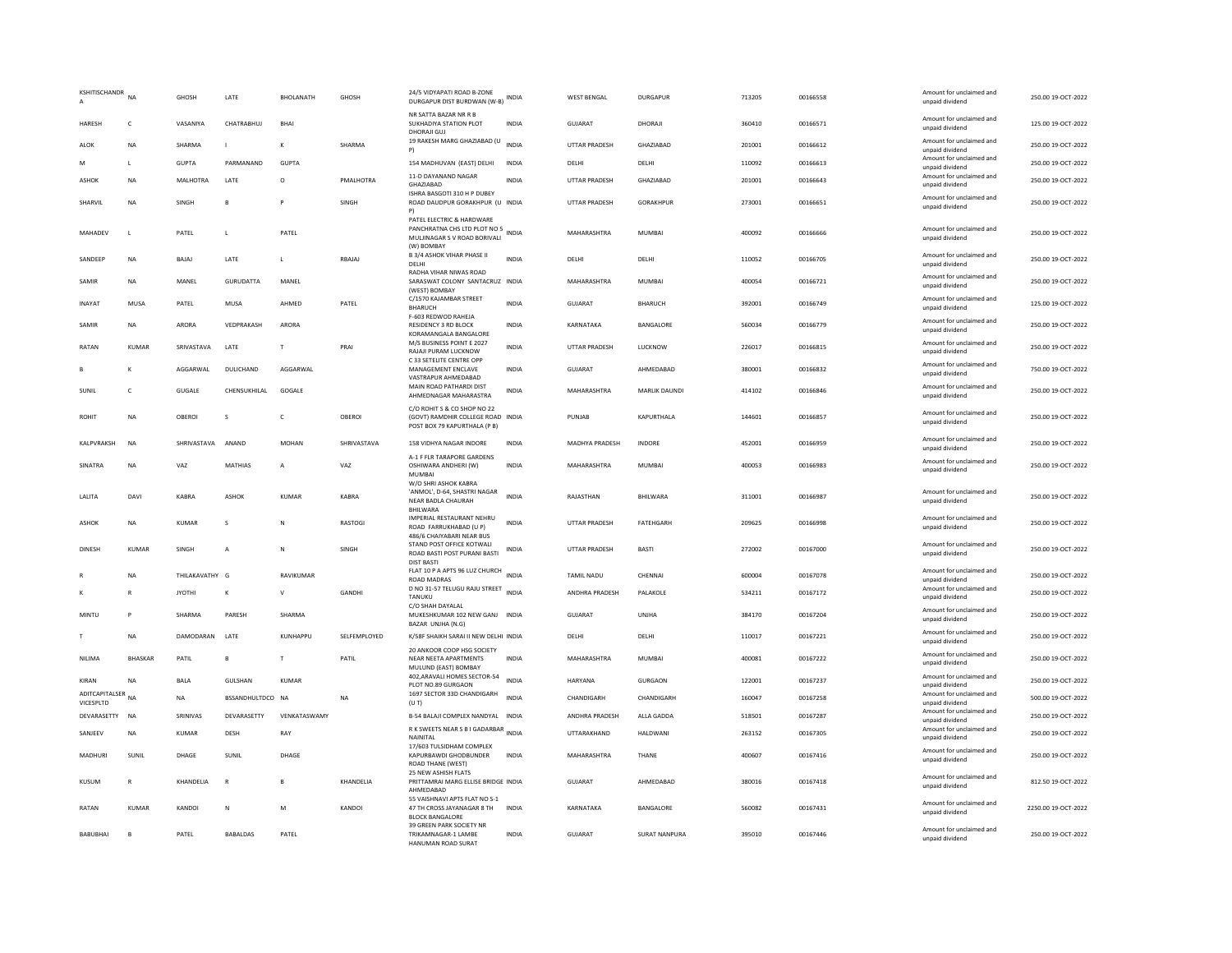| KSHITISCHANDR               | NA             | <b>GHOSH</b>  | LATE             | BHOLANATH    | <b>GHOSH</b>   | 24/5 VIDYAPATI ROAD B-ZONE<br>DURGAPUR DIST BURDWAN (W-B)                                               | <b>INDIA</b> | <b>WEST BENGAL</b>   | <b>DURGAPUR</b>      | 713205 | 00166558 | Amount for unclaimed and<br>unpaid dividend | 250.00 19-OCT-2022  |
|-----------------------------|----------------|---------------|------------------|--------------|----------------|---------------------------------------------------------------------------------------------------------|--------------|----------------------|----------------------|--------|----------|---------------------------------------------|---------------------|
| <b>HARESH</b>               | $\mathsf{C}$   | VASANIYA      | CHATRABHUI       | <b>RHAI</b>  |                | NR SATTA BAZAR NR R B<br>SUKHADIYA STATION PLOT<br>DHORAJI GUJ                                          | <b>INDIA</b> | GUIARAT              | DHORAIL              | 360410 | 00166571 | Amount for unclaimed and<br>unpaid dividend | 125.00 19-OCT-2022  |
| ALOK                        | <b>NA</b>      | SHARMA        | $\mathbf{I}$     |              | SHARMA         | 19 RAKESH MARG GHAZIABAD (U<br>P)                                                                       | <b>INDIA</b> | UTTAR PRADESH        | GHAZIABAD            | 201001 | 00166612 | Amount for unclaimed and<br>unpaid dividend | 250.00 19-OCT-2022  |
| M                           | L              | <b>GUPTA</b>  | PARMANAND        | <b>GUPTA</b> |                | 154 MADHUVAN (EAST) DELHI                                                                               | INDIA        | DELHI                | DELHI                | 110092 | 00166613 | Amount for unclaimed and<br>unpaid dividend | 250.00 19-OCT-2022  |
| <b>ASHOK</b>                | NA             | MALHOTRA      | LATE             | $\circ$      | PMALHOTRA      | 11-D DAYANAND NAGAR<br>GHAZIABAD                                                                        | <b>INDIA</b> | <b>UTTAR PRADESH</b> | GHAZIABAD            | 201001 | 00166643 | Amount for unclaimed and<br>unpaid dividend | 250.00 19-OCT-2022  |
| SHARVIL                     | <b>NA</b>      | SINGH         | B                |              | SINGH          | ISHRA BASGOTI 310 H P DUBEY<br>ROAD DAUDPUR GORAKHPUR (U INDIA<br>P)                                    |              | <b>UTTAR PRADESH</b> | <b>GORAKHPUR</b>     | 273001 | 00166651 | Amount for unclaimed and<br>unpaid dividend | 250.00 19-OCT-2022  |
| MAHADEV                     | $\mathsf L$    | PATEL         | L                | PATE         |                | PATEL ELECTRIC & HARDWARE<br>PANCHRATNA CHS LTD PLOT NO 5<br>MULJINAGAR S V ROAD BORIVALI<br>(W) BOMBAY | INDIA        | MAHARASHTRA          | MUMBAI               | 400092 | 00166666 | Amount for unclaimed and<br>unpaid dividend | 250.00 19-OCT-2022  |
| SANDEEP                     | <b>NA</b>      | BAJAJ         | LATE             | $\mathsf{L}$ | RBAJAJ         | <b>B 3/4 ASHOK VIHAR PHASE II</b><br>DELHI<br>RADHA VIHAR NIWAS ROAD                                    | INDIA        | DELHI                | DELHI                | 110052 | 00166705 | Amount for unclaimed and<br>unpaid dividend | 250.00 19-OCT-2022  |
| SAMIR                       | <b>NA</b>      | MANFI         | GURUDATTA        | MANFI        |                | SARASWAT COLONY SANTACRUZ INDIA<br>(WEST) BOMBAY                                                        |              | MAHARASHTRA          | MUMBAI               | 400054 | 00166721 | Amount for unclaimed and<br>unpaid dividend | 250.00.19-OCT-2022  |
| INAYAT                      | MUSA           | PATEL         | MUSA             | AHMED        | PATEL          | C/1570 KAJAMBAR STREET<br><b>BHARUCH</b>                                                                | <b>INDIA</b> | GUJARAT              | <b>BHARUCH</b>       | 392001 | 00166749 | Amount for unclaimed and<br>unpaid dividend | 125.00 19-OCT-2022  |
| SAMIR                       | NA             | ARORA         | VEDPRAKASH       | ARORA        |                | F-603 REDWOD RAHEJA<br>RESIDENCY 3 RD BLOCK<br>KORAMANGALA BANGALORE                                    | <b>INDIA</b> | KARNATAKA            | BANGALORE            | 560034 | 00166779 | Amount for unclaimed and<br>unpaid dividend | 250.00 19-OCT-2022  |
| RATAN                       | <b>KUMAR</b>   | SRIVASTAVA    | LATE             | T            | PRAI           | M/S BUSINESS POINT E 2027<br>RAJAJI PURAM LUCKNOW                                                       | <b>INDIA</b> | <b>UTTAR PRADESH</b> | <b>LUCKNOW</b>       | 226017 | 00166815 | Amount for unclaimed and<br>unpaid dividend | 250.00 19-OCT-2022  |
|                             | K              | AGGARWAL      | DULICHAND        | AGGARWAL     |                | C 33 SETELITE CENTRE OPP<br>MANAGEMENT ENCLAVE<br>VASTRAPUR AHMEDARAD                                   | <b>INDIA</b> | <b>GUJARAT</b>       | AHMEDABAD            | 380001 | 00166832 | Amount for unclaimed and<br>unpaid dividend | 750.00 19-OCT-2022  |
| SUNIL                       | $\mathsf{C}$   | <b>GUGALE</b> | CHENSUKHILAL     | GOGALE       |                | MAIN ROAD PATHARDI DIST<br>AHMEDNAGAR MAHARASTRA                                                        | <b>INDIA</b> | MAHARASHTRA          | MARLIK DAUNDI        | 414102 | 00166846 | Amount for unclaimed and<br>unpaid dividend | 250.00 19-OCT-2022  |
| <b>ROHIT</b>                | NA             | OBEROI        | s                | c            | OBEROI         | C/O ROHIT S & CO SHOP NO 22<br>(GOVT) RAMDHIR COLLEGE ROAD INDIA<br>POST BOX 79 KAPURTHALA (P B)        |              | PUNJAB               | KAPURTHALA           | 144601 | 00166857 | Amount for unclaimed and<br>unpaid dividend | 250.00 19-OCT-2022  |
| KALPVRAKSH                  | <b>NA</b>      | SHRIVASTAVA   | ANAND            | <b>MOHAN</b> | SHRIVASTAVA    | 158 VIDHYA NAGAR INDORE                                                                                 | <b>INDIA</b> | MADHYA PRADESH       | INDORE               | 452001 | 00166959 | Amount for unclaimed and<br>unpaid dividend | 250.00 19-OCT-2022  |
| SINATRA                     | NA             | VAZ           | MATHIAS          | А            | VAZ            | A-1 F FLR TARAPORE GARDENS<br>OSHIWARA ANDHERI (W)<br><b>MUMBAI</b>                                     | INDIA        | MAHARASHTRA          | MUMBAI               | 400053 | 00166983 | Amount for unclaimed and<br>unpaid dividend | 250.00 19-OCT-2022  |
| LALITA                      | DAVI           | KABRA         | <b>ASHOK</b>     | <b>KUMAR</b> | <b>KABRA</b>   | W/O SHRI ASHOK KABRA<br>'ANMOL', D-64, SHASTRI NAGAR<br>NEAR BADLA CHAURAH<br>BHILWARA                  | <b>INDIA</b> | RAJASTHAN            | BHILWARA             | 311001 | 00166987 | Amount for unclaimed and<br>unpaid dividend | 250.00 19-OCT-2022  |
| ASHOK                       | <b>NA</b>      | KUMAR         | s                | N            | <b>RASTOGI</b> | IMPERIAL RESTAURANT NEHRU<br>ROAD FARRUKHABAD (U P)<br>486/6 CHAIYABARI NEAR BUS                        | <b>INDIA</b> | <b>UTTAR PRADESH</b> | <b>FATEHGARH</b>     | 209625 | 00166998 | Amount for unclaimed and<br>unpaid dividend | 250.00 19-OCT-2022  |
| <b>DINESH</b>               | <b>KUMAR</b>   | SINGH         | А                | N            | SINGH          | STAND POST OFFICE KOTWALI<br>ROAD BASTI POST PURANI BASTI                                               | INDIA        | <b>UTTAR PRADESH</b> | <b>BASTI</b>         | 272002 | 00167000 | Amount for unclaimed and<br>unpaid dividend | 250.00 19-OCT-2022  |
|                             | <b>NA</b>      | THILAKAVATHY  | G                | RAVIKUMAR    |                | <b>DIST BASTI</b><br>FLAT 10 P A APTS 96 LUZ CHURCH INDIA<br><b>ROAD MADRAS</b>                         |              | <b>TAMIL NADU</b>    | CHENNAI              | 600004 | 00167078 | Amount for unclaimed and<br>unpaid dividend | 250.00 19-OCT-2022  |
|                             | R              | <b>JYOTHI</b> | к                | $\mathsf{v}$ | GANDHI         | D NO 31-57 TELUGU RAJU STREET INDIA<br>TANUKU                                                           |              | ANDHRA PRADESH       | PALAKOLE             | 534211 | 00167172 | Amount for unclaimed and<br>unpaid dividend | 250.00 19-OCT-2022  |
| MINTU                       | P              | SHARMA        | PARESH           | SHARMA       |                | C/O SHAH DAYALAL<br>MUKESHKUMAR 102 NEW GANJ INDIA<br>BAZAR UNJHA (N.G)                                 |              | GUJARAT              | <b>UNJHA</b>         | 384170 | 00167204 | Amount for unclaimed and<br>unpaid dividend | 250.00 19-OCT-2022  |
|                             | NA             | DAMODARAN     | LATE             | KUNHAPPU     | SELFEMPLOYED   | K/58F SHAIKH SARAI II NEW DELHI INDIA<br>20 ANKOOR COOP HSG SOCIETY                                     |              | DELHI                | DELHI                | 110017 | 00167221 | Amount for unclaimed and<br>unpaid dividend | 250.00 19-OCT-2022  |
| NILIMA                      | <b>BHASKAR</b> | PATIL         | B                | $\mathsf T$  | PATIL          | NEAR NEETA APARTMENTS<br>MULUND (EAST) BOMBAY                                                           | <b>INDIA</b> | MAHARASHTRA          | MUMBAI               | 400081 | 00167222 | Amount for unclaimed and<br>unpaid dividend | 250.00 19-OCT-2022  |
| KIRAN                       | <b>NA</b>      | <b>BALA</b>   | GULSHAN          | <b>KUMAR</b> |                | 402, ARAVALI HOMES SECTOR-54<br>PLOT NO.89 GURGAON                                                      | <b>INDIA</b> | HARYANA              | <b>GURGAON</b>       | 122001 | 00167237 | Amount for unclaimed and<br>unpaid dividend | 250.00 19-OCT-2022  |
| ADITCAPITALSER<br>VICESPLTD | <b>NA</b>      | <b>NA</b>     | BSSANDHULTDCO NA |              | <b>NA</b>      | 1697 SECTOR 33D CHANDIGARH<br>(UT)                                                                      | <b>INDIA</b> | CHANDIGARH           | CHANDIGARH           | 160047 | 00167258 | Amount for unclaimed and<br>unpaid dividend | 500.00 19-OCT-2022  |
| DEVARASETTY                 | <b>NA</b>      | SRINIVAS      | DEVARASETTY      | VENKATASWAMY |                | B-54 BALAJI COMPLEX NANDYAL INDIA                                                                       |              | ANDHRA PRADESH       | ALLA GADDA           | 518501 | 00167287 | Amount for unclaimed and<br>unpaid dividend | 250.00 19-OCT-2022  |
| SANJEEV                     | <b>NA</b>      | KUMAR         | DESH             | RAY          |                | R K SWEETS NEAR S B I GADARBAR INDIA<br>NAINITAL                                                        |              | UTTARAKHAND          | HALDWANI             | 263152 | 00167305 | Amount for unclaimed and<br>unpaid dividend | 250.00 19-OCT-2022  |
| MADHURI                     | SUNIL          | DHAGE         | SUNIL            | DHAGE        |                | 17/603 TULSIDHAM COMPLEX<br>KAPURBAWDI GHODBUNDER<br><b>ROAD THANE (WEST)</b>                           | INDIA        | MAHARASHTRA          | THANE                | 400607 | 00167416 | Amount for unclaimed and<br>unpaid dividend | 250.00 19-OCT-2022  |
| KUSUM                       | R              | KHANDELIA     | $\mathbb{R}$     |              | KHANDELIA      | 25 NEW ASHISH FLATS<br>PRITTAMRAI MARG ELLISE BRIDGE INDIA<br>AHMEDABAD                                 |              | GUJARAT              | AHMEDABAD            | 380016 | 00167418 | Amount for unclaimed and<br>unpaid dividend | 812.50 19-OCT-2022  |
| RATAN                       | KUMAR          | KANDOI        | $\mathsf{N}$     | M            | KANDOI         | 55 VAISHNAVI APTS FLAT NO S-1<br>47 TH CROSS JAYANAGAR 8 TH<br><b>BLOCK BANGALORE</b>                   | <b>INDIA</b> | KARNATAKA            | BANGALORE            | 560082 | 00167431 | Amount for unclaimed and<br>unpaid dividend | 2250.00 19-OCT-2022 |
| BABUBHAI                    | B              | PATEL         | <b>BABALDAS</b>  | PATEL        |                | 39 GREEN PARK SOCIETY NR<br>TRIKAMNAGAR-1 LAMBE<br>HANUMAN ROAD SURAT                                   | <b>INDIA</b> | GUJARAT              | <b>SURAT NANPURA</b> | 395010 | 00167446 | Amount for unclaimed and<br>unpaid dividend | 250.00 19-OCT-2022  |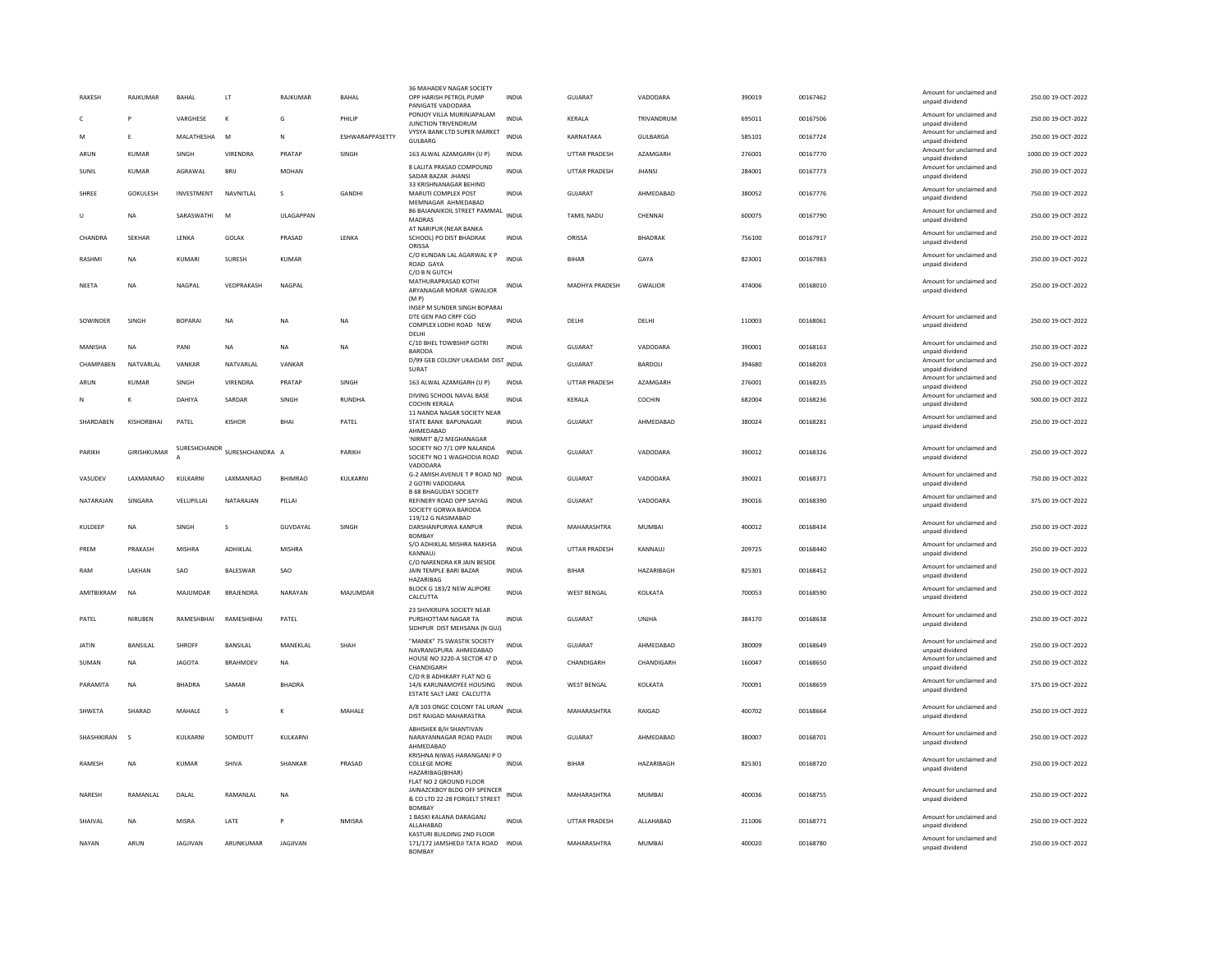| <b>RAKESH</b> | RAJKUMAR          | BAHAL             | LT.               | RAJKUMAR       | BAHAL           | 36 MAHADEV NAGAR SOCIETY<br>OPP HARISH PETROL PUMP<br>PANIGATE VADODARA                                  | <b>INDIA</b> | GUJARAT               | VADODARA          | 390019 | 00167462 | Amount for unclaimed and<br>unpaid dividend | 250.00 19-OCT-2022  |
|---------------|-------------------|-------------------|-------------------|----------------|-----------------|----------------------------------------------------------------------------------------------------------|--------------|-----------------------|-------------------|--------|----------|---------------------------------------------|---------------------|
| C.            | P                 | VARGHESE          | K                 | G              | PHILIP          | PONJOY VILLA MURINJAPALAM<br><b>JUNCTION TRIVENDRUM</b>                                                  | <b>INDIA</b> | <b>KFRAIA</b>         | TRIVANDRUM        | 695011 | 00167506 | Amount for unclaimed and<br>unpaid dividend | 250.00.19-QCT-2022  |
| M             | F.                | MALATHESHA        | M                 | N              | ESHWARAPPASETTY | VYSYA BANK LTD SUPER MARKET<br><b>GULBARG</b>                                                            | <b>INDIA</b> | KARNATAKA             | <b>GULBARGA</b>   | 585101 | 00167724 | Amount for unclaimed and<br>unpaid dividend | 250.00 19-OCT-2022  |
| ARUN          | <b>KUMAR</b>      | SINGH             | VIRENDRA          | PRATAP         | SINGH           | 163 ALWAL AZAMGARH (U P)                                                                                 | INDIA        | <b>UTTAR PRADESH</b>  | AZAMGARH          | 276001 | 00167770 | Amount for unclaimed and<br>unpaid dividend | 1000.00 19-OCT-2022 |
| SUNIL         | <b>KUMAR</b>      | AGRAWAL           | BRIJ              | <b>MOHAN</b>   |                 | 8 LALITA PRASAD COMPOUND<br>SADAR BAZAR JHANSI                                                           | <b>INDIA</b> | UTTAR PRADESH         | <b>JHANSI</b>     | 284001 | 00167773 | Amount for unclaimed and<br>unpaid dividend | 250.00 19-OCT-2022  |
| SHRFF         | GOKULESH          | <b>INVESTMENT</b> | NAVNITI AI        | $\mathbf{S}$   | <b>GANDHI</b>   | 33 KRISHNANAGAR BEHIND<br>MARUTI COMPLEX POST<br>MEMNAGAR AHMEDABAD                                      | <b>INDIA</b> | GUIARAT               | AHMEDARAD         | 380052 | 00167776 | Amount for unclaimed and<br>unpaid dividend | 750.00 19-OCT-2022  |
| $\mathbf{U}$  | <b>NA</b>         | SARASWATHI        | M                 | ULAGAPPAN      |                 | 86 BAJANAIKOIL STREET PAMMAL INDIA<br>MADRAS                                                             |              | TAMIL NADU            | CHENNAI           | 600075 | 00167790 | Amount for unclaimed and<br>unpaid dividend | 250.00 19-OCT-2022  |
| CHANDRA       | <b>SEKHAR</b>     | LENKA             | <b>GOLAK</b>      | PRASAD         | <b>I FNKA</b>   | AT NARIPUR (NEAR BANKA<br>SCHOOL) PO DIST BHADRAK<br>ORISSA                                              | <b>INDIA</b> | ORISSA                | <b>BHADRAK</b>    | 756100 | 00167917 | Amount for unclaimed and<br>unpaid dividend | 250.00 19-OCT-2022  |
| RASHMI        | <b>NA</b>         | KUMARI            | SURESH            | KUMAR          |                 | C/O KUNDAN LAL AGARWAL K P<br>ROAD GAYA                                                                  | <b>INDIA</b> | <b>BIHAR</b>          | GAYA              | 823001 | 00167983 | Amount for unclaimed and<br>unpaid dividend | 250.00 19-OCT-2022  |
| <b>NFFTA</b>  | <b>NA</b>         | <b>NAGPAI</b>     | VEDPRAKASH        | <b>NAGPAI</b>  |                 | C/O B N GUTCH<br>MATHURAPRASAD KOTHI<br>ARYANAGAR MORAR GWALIOR<br>(MP)                                  | INDIA        | <b>MADHYA PRADESH</b> | <b>GWALIOR</b>    | 474006 | 00168010 | Amount for unclaimed and<br>unpaid dividend | 250.00.19-OCT-2022  |
|               |                   |                   |                   |                |                 | INSEP M SUNDER SINGH BOPARAI                                                                             |              |                       |                   |        |          |                                             |                     |
| SOWINDER      | SINGH             | <b>BOPARA</b>     | <b>NA</b>         | <b>NA</b>      | <b>NA</b>       | DTE GEN PAO CRPE CGO<br>COMPLEX LODHI ROAD NEW<br>DELHI                                                  | <b>INDIA</b> | DELHI                 | DELHI             | 110003 | 00168061 | Amount for unclaimed and<br>unpaid dividend | 250.00 19-OCT-2022  |
| MANISHA       | <b>NA</b>         | PANI              | <b>NA</b>         | <b>NA</b>      | <b>NA</b>       | C/10 BHEL TOWBSHIP GOTRI<br><b>BARODA</b>                                                                | <b>INDIA</b> | <b>GUJARAT</b>        | VADODARA          | 390001 | 00168163 | Amount for unclaimed and<br>unpaid dividend | 250.00 19-OCT-2022  |
| CHAMPABEN     | NATVARLAL         | VANKAR            | NATVARLAL         | VANKAR         |                 | D/99 GEB COLONY UKAIDAM DIST INDIA<br>SURAT                                                              |              | GUJARAT               | BARDOLI           | 394680 | 00168203 | Amount for unclaimed and<br>unpaid dividend | 250.00 19-OCT-2022  |
| ARUN          | <b>KUMAR</b>      | SINGH             | VIRENDRA          | PRATAP         | SINGH           | 163 ALWAL AZAMGARH (U P)                                                                                 | INDIA        | UTTAR PRADESH         | AZAMGARH          | 276001 | 00168235 | Amount for unclaimed and<br>unpaid dividend | 250.00 19-OCT-2022  |
|               | К                 | DAHIYA            | SARDAR            | SINGH          | <b>RUNDHA</b>   | DIVING SCHOOL NAVAL BASE<br>COCHIN KERALA                                                                | <b>INDIA</b> | KERALA                | COCHIN            | 682004 | 00168236 | Amount for unclaimed and<br>unpaid dividend | 500.00 19-OCT-2022  |
| SHARDABEN     | KISHORBHAI        | PATEL             | <b>KISHOR</b>     | <b>BHAI</b>    | PATEL           | 11 NANDA NAGAR SOCIETY NEAR<br>STATE BANK BAPUNAGAR<br>AHMEDABAD                                         | <b>INDIA</b> | GUJARAT               | AHMEDABAD         | 380024 | 00168281 | Amount for unclaimed and<br>unpaid dividend | 250.00 19-OCT-2022  |
| PARIKH        | GIRISHKUMAR       | SURESHCHANDR      | SURESHCHANDRA A   |                | PARIKH          | 'NIRMIT' B/2 MEGHANAGAR<br>SOCIETY NO 7/1 OPP NALANDA<br>SOCIETY NO 1 WAGHODIA ROAD                      | <b>INDIA</b> | GUJARAT               | VADODARA          | 390012 | 00168326 | Amount for unclaimed and<br>unpaid dividend | 250.00 19-OCT-2022  |
| VASUDEV       | <b>I AXMANRAO</b> | KULKARNI          | <b>I AXMANRAO</b> | <b>BHIMRAO</b> | KULKARNI        | VADODARA<br>G-2 AMISH AVENUE T P ROAD NO<br>2 GOTRI VADODARA                                             | <b>INDIA</b> | GUJARAT               | VADODARA          | 390021 | 00168371 | Amount for unclaimed and<br>unpaid dividend | 750.00 19-OCT-2022  |
| NATARAJAN     | SINGARA           | VELUPILLAI        | NATARAJAN         | PILLAI         |                 | <b>B 68 BHAGUDAY SOCIETY</b><br>REFINERY ROAD OPP SAIYAG<br>SOCIETY GORWA BARODA                         | <b>INDIA</b> | <b>GUJARAT</b>        | VADODARA          | 390016 | 00168390 | Amount for unclaimed and<br>unpaid dividend | 375.00 19-OCT-2022  |
| KUI DEEP      | <b>NA</b>         | <b>SINGH</b>      | $\mathbf{S}$      | GUVDAYAL       | <b>SINGH</b>    | 119/12 G NASIMABAD<br>DARSHANPURWA KANPUR<br><b>BOMBAY</b>                                               | <b>INDIA</b> | MAHARASHTRA           | MUMBAI            | 400012 | 00168434 | Amount for unclaimed and<br>unpaid dividend | 250.00.19-OCT-2022  |
| PREM          | PRAKASH           | <b>MISHRA</b>     | ADHIKLAL          | MISHRA         |                 | S/O ADHIKLAL MISHRA NAKHSA<br>KANNAUJ                                                                    | <b>INDIA</b> | UTTAR PRADESH         | KANNAUJ           | 209725 | 00168440 | Amount for unclaimed and<br>unpaid dividend | 250.00 19-OCT-2022  |
| RAM           | <b>I AKHAN</b>    | <b>SAO</b>        | <b>BALESWAR</b>   | SAO            |                 | C/O NARENDRA KR JAIN BESIDE<br>JAIN TEMPLE BARI BAZAR<br>HAZARIBAG                                       | <b>INDIA</b> | <b>BIHAR</b>          | <b>HAZARIBAGH</b> | 825301 | 00168452 | Amount for unclaimed and<br>unpaid dividend | 250.00.19-OCT-2022  |
| AMITBIKRAM    | NA                | MAJUMDAR          | BRAJENDRA         | NARAYAN        | MAJUMDAR        | BLOCK G 183/2 NEW ALIPORE<br>CALCUTTA                                                                    | INDIA        | <b>WEST BENGAL</b>    | KOLKATA           | 700053 | 00168590 | Amount for unclaimed and<br>unpaid dividend | 250.00 19-OCT-2022  |
| PATEL         | NIRUBEN           | RAMESHBHAI        | RAMESHBHAI        | PATEL          |                 | 23 SHIVKRUPA SOCIETY NEAR<br>PURSHOTTAM NAGAR TA<br>SIDHPUR DIST MEHSANA (N GUJ)                         | <b>INDIA</b> | <b>GUJARAT</b>        | UNJHA             | 384170 | 00168638 | Amount for unclaimed and<br>unpaid dividend | 250.00 19-OCT-2022  |
| <b>JATIN</b>  | BANSILAL          | <b>SHROFF</b>     | BANSILAL          | MANEKLAL       | SHAH            | "MANEK" 75 SWASTIK SOCIETY<br>NAVRANGPURA AHMEDABAD                                                      | <b>INDIA</b> | GUJARAT               | AHMEDABAD         | 380009 | 00168649 | Amount for unclaimed and<br>unpaid dividend | 250.00 19-OCT-2022  |
| SUMAN         | <b>NA</b>         | <b>JAGOTA</b>     | BRAHMDEV          | NA             |                 | HOUSE NO 3220-A SECTOR 47 D<br>CHANDIGARH                                                                | <b>INDIA</b> | CHANDIGARH            | CHANDIGARH        | 160047 | 00168650 | Amount for unclaimed and<br>unpaid dividend | 250.00 19-OCT-2022  |
| PARAMITA      | NA                | <b>BHADRA</b>     | SAMAR             | <b>BHADRA</b>  |                 | C/O R B ADHIKARY FLAT NO G<br>14/6 KARUNAMOYEE HOUSING<br>ESTATE SALT LAKE CALCUTTA                      | INDIA        | <b>WEST BENGAL</b>    | KOLKATA           | 700091 | 00168659 | Amount for unclaimed and<br>unpaid dividend | 375.00 19-OCT-2022  |
| SHWETA        | SHARAD            | MAHALE            | s                 | К              | MAHALE          | A/8 103 ONGC COLONY TAL URAN INDIA<br>DIST RAIGAD MAHARASTRA                                             |              | MAHARASHTRA           | RAIGAD            | 400702 | 00168664 | Amount for unclaimed and<br>unpaid dividend | 250.00 19-OCT-2022  |
| SHASHIKIRAN   | $\mathbf{S}$      | KULKARNI          | SOMDUTT           | KULKARNI       |                 | ABHISHEK B/H SHANTIVAN<br>NARAYANNAGAR ROAD PALDI<br>AHMEDABAD                                           | INDIA        | GUJARAT               | AHMEDABAD         | 380007 | 00168701 | Amount for unclaimed and<br>unpaid dividend | 250.00 19-OCT-2022  |
| RAMESH        | <b>NA</b>         | <b>KUMAR</b>      | SHIVA             | SHANKAR        | PRASAD          | KRISHNA NIWAS HARANGANJ P O<br><b>COLLEGE MORE</b><br>HAZARIBAG(BIHAR)                                   | <b>INDIA</b> | <b>BIHAR</b>          | HAZARIBAGH        | 825301 | 00168720 | Amount for unclaimed and<br>unpaid dividend | 250.00 19-OCT-2022  |
| <b>NARFSH</b> | RAMANI AI         | DAI AI            | <b>RAMANIAI</b>   | <b>NA</b>      |                 | FLAT NO 2 GROUND FLOOR<br>JAINAZCKBOY BLDG OFF SPENCER<br>& CO LTD 22-28 FORGELT STREET<br><b>BOMBAY</b> | INDIA        | MAHARASHTRA           | MUMBAI            | 400036 | 00168755 | Amount for unclaimed and<br>unpaid dividend | 250.00.19-OCT-2022  |
| SHAIVAI       | <b>NA</b>         | MISRA             | LATE              | P.             | <b>NMISRA</b>   | 1 BASKI KALANA DARAGANJ<br><b>ALLAHARAD</b>                                                              | <b>INDIA</b> | <b>UTTAR PRADESH</b>  | ALLAHABAD         | 211006 | 00168771 | Amount for unclaimed and<br>unpaid dividend | 250.00 19-OCT-2022  |
| NAYAN         | ARUN              | JAGJIVAN          | ARUNKUMAR         | JAGJIVAN       |                 | KASTURI BUILDING 2ND FLOOR<br>171/172 JAMSHEDJI TATA ROAD INDIA<br><b>BOMBAY</b>                         |              | MAHARASHTRA           | <b>MUMBAI</b>     | 400020 | 00168780 | Amount for unclaimed and<br>unpaid dividend | 250.00 19-OCT-2022  |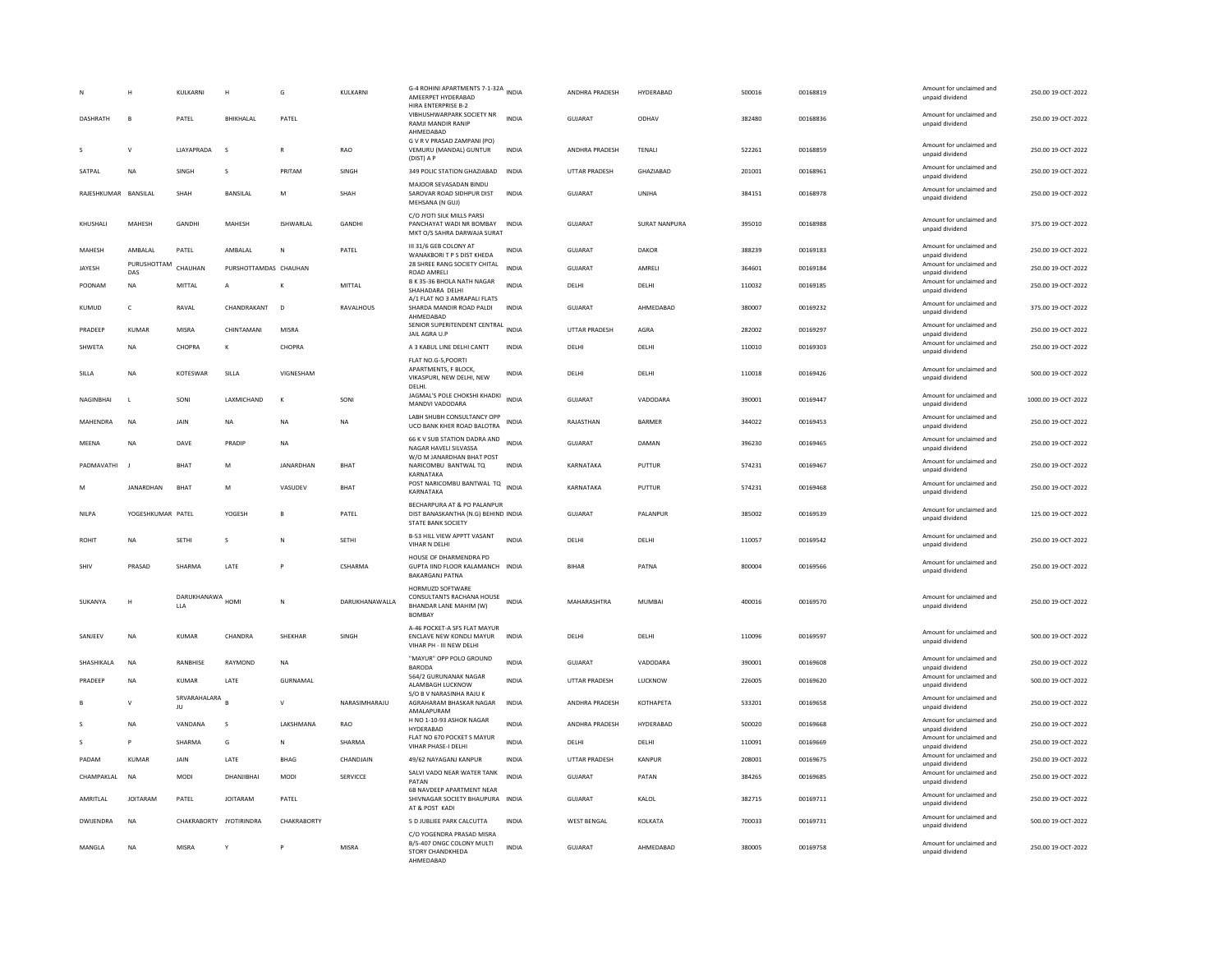| DASHRATH             | н<br>B             | KULKARNI<br>PATEL              | H<br>BHIKHALAL        | G<br>PATEL       | KULKARNI       | G-4 ROHINI APARTMENTS 7-1-32A INDIA<br>AMEERPET HYDERABAD<br>HIRA ENTERPRISE B-2<br>VIBHUSHWARPARK SOCIETY NR | <b>INDIA</b> | ANDHRA PRADESH<br><b>GUJARAT</b> | HYDERABAD<br>ODHAV   | 500016<br>382480 | 00168819<br>00168836 | Amount for unclaimed and<br>unpaid dividend<br>Amount for unclaimed and | 250.00 19-OCT-2022<br>250.00 19-OCT-2022 |
|----------------------|--------------------|--------------------------------|-----------------------|------------------|----------------|---------------------------------------------------------------------------------------------------------------|--------------|----------------------------------|----------------------|------------------|----------------------|-------------------------------------------------------------------------|------------------------------------------|
|                      |                    |                                |                       |                  |                | RAMJI MANDIR RANIP<br>AHMEDABAD                                                                               |              |                                  |                      |                  |                      | unpaid dividend                                                         |                                          |
|                      | v                  | <b>LIAYAPRADA</b>              | s                     | R                | RAO            | G V R V PRASAD ZAMPANI (PO)<br>VEMURU (MANDAL) GUNTUR<br>(DIST) A P                                           | <b>INDIA</b> | ANDHRA PRADESH                   | <b>TENALI</b>        | 522261           | 00168859             | Amount for unclaimed and<br>unpaid dividend                             | 250.00 19-OCT-2022                       |
| SATPAI               | <b>NA</b>          | <b>SINGH</b>                   | $\mathcal{S}$         | PRITAM           | SINGH          | 349 POLIC STATION GHAZIABAD                                                                                   | <b>INDIA</b> | <b>UTTAR PRADESH</b>             | <b>GHAZIARAD</b>     | 201001           | 00168961             | Amount for unclaimed and<br>unpaid dividend                             | 250.00 19-OCT-2022                       |
| RAJESHKUMAR BANSILAL |                    | <b>SHAH</b>                    | <b>BANSILAL</b>       | M                | SHAH           | MAJOOR SEVASADAN BINDU<br>SAROVAR ROAD SIDHPUR DIST<br>MEHSANA (N GUJ)                                        | <b>INDIA</b> | <b>GUJARAT</b>                   | UNJHA                | 384151           | 00168978             | Amount for unclaimed and<br>unpaid dividend                             | 250.00 19-OCT-2022                       |
| KHUSHALI             | MAHESH             | GANDHI                         | MAHESH                | ISHWARLAL        | GANDHI         | C/O JYOTI SILK MILLS PARSI<br>PANCHAYAT WADI NR BOMBAY<br>MKT O/S SAHRA DARWAJA SURAT                         | <b>INDIA</b> | GUJARAT                          | <b>SURAT NANPURA</b> | 395010           | 00168988             | Amount for unclaimed and<br>unpaid dividend                             | 375.00 19-OCT-2022                       |
| MAHESH               | AMBALAL            | PATEL                          | AMBALAL               | N                | PATEL          | III 31/6 GEB COLONY AT<br>WANAKBORI T P S DIST KHEDA                                                          | <b>INDIA</b> | <b>GUJARAT</b>                   | DAKOR                | 388239           | 00169183             | Amount for unclaimed and<br>unpaid dividend                             | 250.00 19-OCT-2022                       |
| JAYESH               | PURUSHOTTAM<br>DAS | CHAUHAN                        | PURSHOTTAMDAS CHAUHAN |                  |                | 28 SHREE RANG SOCIETY CHITAL<br><b>ROAD AMRELI</b>                                                            | <b>INDIA</b> | <b>GUJARAT</b>                   | AMRELI               | 364601           | 00169184             | Amount for unclaimed and<br>unpaid dividend                             | 250.00 19-OCT-2022                       |
| POONAM               | <b>NA</b>          | MITTAI                         | $\mathsf{A}$          | к                | MITTAI         | B K 35-36 BHOLA NATH NAGAR<br>SHAHADARA DELHI                                                                 | <b>INDIA</b> | DFI HI                           | DELHI                | 110032           | 00169185             | Amount for unclaimed and<br>unpaid dividend                             | 250.00.19-OCT-2022                       |
| KUMUD                | c                  | RAVAL                          | CHANDRAKANT           | D                | RAVALHOUS      | A/1 FLAT NO 3 AMRAPALI FLATS<br>SHARDA MANDIR ROAD PALDI<br>AHMEDABAD                                         | INDIA        | <b>GUJARAT</b>                   | AHMEDABAD            | 380007           | 00169232             | Amount for unclaimed and<br>unpaid dividend                             | 375.00 19-OCT-2022                       |
| PRADEEP              | <b>KUMAR</b>       | MISRA                          | CHINTAMANI            | MISRA            |                | SENIOR SUPERITENDENT CENTRAL INDIA<br>JAIL AGRA U.P                                                           |              | UTTAR PRADESH                    | AGRA                 | 282002           | 00169297             | Amount for unclaimed and<br>unpaid dividend                             | 250.00 19-OCT-2022                       |
| SHWETA               | NA                 | CHOPRA                         | К                     | CHOPRA           |                | A 3 KABUL LINE DELHI CANTT                                                                                    | INDIA        | DELHI                            | DELHI                | 110010           | 00169303             | Amount for unclaimed and<br>unpaid dividend                             | 250.00 19-OCT-2022                       |
| SILLA                | <b>NA</b>          | KOTESWAR                       | SILLA                 | VIGNESHAM        |                | FLAT NO.G-5, POORTI<br>APARTMENTS, F BLOCK.<br>VIKASPURI, NEW DELHI, NEW<br>DELHI.                            | <b>INDIA</b> | DELHI                            | DELHI                | 110018           | 00169426             | Amount for unclaimed and<br>unpaid dividend                             | 500.00 19-OCT-2022                       |
| NAGINBHAI            | $\mathsf{L}$       | SONI                           | LAXMICHAND            | K                | SONI           | JAGMAL'S POLE CHOKSHI KHADKI<br>MANDVI VADODARA                                                               | <b>INDIA</b> | <b>GUJARAT</b>                   | VADODARA             | 390001           | 00169447             | Amount for unclaimed and<br>unpaid dividend                             | 1000.00 19-OCT-2022                      |
| MAHENDRA             | <b>NA</b>          | <b>JAIN</b>                    | <b>NA</b>             | NA               | <b>NA</b>      | LABH SHUBH CONSULTANCY OPP<br>UCO BANK KHER ROAD BALOTRA                                                      | <b>INDIA</b> | RAJASTHAN                        | <b>BARMER</b>        | 344022           | 00169453             | Amount for unclaimed and<br>unpaid dividend                             | 250.00 19-OCT-2022                       |
| MEENA                | NA                 | DAVE                           | PRADIP                | NΑ               |                | 66 K V SUB STATION DADRA AND INDIA<br>NAGAR HAVELI SILVASSA                                                   |              | GUJARAT                          | DAMAN                | 396230           | 00169465             | Amount for unclaimed and<br>unpaid dividend                             | 250.00 19-OCT-2022                       |
| PADMAVATHI           |                    | <b>BHAT</b>                    | M                     | <b>JANARDHAN</b> | BHAT           | W/O M JANARDHAN BHAT POST<br>NARICOMBU BANTWAL TQ                                                             | <b>INDIA</b> | KARNATAKA                        | PUTTUR               | 574231           | 00169467             | Amount for unclaimed and<br>unpaid dividend                             | 250.00 19-OCT-2022                       |
| M                    | JANARDHAN          | BHAT                           | M                     | VASUDEV          | BHAT           | KARNATAKA<br>POST NARICOMBU BANTWAL TO INDIA<br>KARNATAKA                                                     |              | KARNATAKA                        | PUTTUR               | 574231           | 00169468             | Amount for unclaimed and<br>unpaid dividend                             | 250.00 19-OCT-2022                       |
| <b>NILPA</b>         | YOGESHKUMAR PATEL  |                                | YOGESH                | B                | PATEL          | BECHARPURA AT & PO PALANPUR<br>DIST BANASKANTHA (N.G) BEHIND INDIA<br>STATE BANK SOCIETY                      |              | GUJARAT                          | PALANPUR             | 385002           | 00169539             | Amount for unclaimed and<br>unpaid dividend                             | 125.00 19-OCT-2022                       |
| ROHIT                | <b>NA</b>          | <b>SETHI</b>                   | s                     | N                | <b>SETHI</b>   | B-53 HILL VIEW APPTT VASANT<br>VIHAR N DELHI                                                                  | <b>INDIA</b> | DELHI                            | DELHI                | 110057           | 00169542             | Amount for unclaimed and<br>unpaid dividend                             | 250.00 19-OCT-2022                       |
| SHIV                 | PRASAD             | SHARMA                         | LATE                  |                  | CSHARMA        | HOUSE OF DHARMENDRA PD<br>GUPTA IIND FLOOR KALAMANCH INDIA<br><b>BAKARGANJ PATNA</b>                          |              | <b>BIHAR</b>                     | PATNA                | 800004           | 00169566             | Amount for unclaimed and<br>unpaid dividend                             | 250.00 19-OCT-2022                       |
| SUKANYA              | н                  | DARUKHANAWA HOMI<br><b>LLA</b> |                       | ${\sf N}$        | DARUKHANAWALLA | HORMUZD SOFTWARE<br>CONSULTANTS RACHANA HOUSE INDIA<br><b>BHANDAR LANE MAHIM (W)</b><br><b>BOMBAY</b>         |              | MAHARASHTRA                      | <b>MUMBAI</b>        | 400016           | 00169570             | Amount for unclaimed and<br>unpaid dividend                             | 250.00 19-OCT-2022                       |
| SANJEEV              | <b>NA</b>          | <b>KUMAR</b>                   | CHANDRA               | SHEKHAR          | SINGH          | A-46 POCKET-A SFS FLAT MAYUR<br><b>ENCLAVE NEW KONDLI MAYUR</b><br>VIHAR PH - III NEW DELHI                   | <b>INDIA</b> | DELHI                            | DELHI                | 110096           | 00169597             | Amount for unclaimed and<br>unpaid dividend                             | 500.00 19-OCT-2022                       |
| SHASHIKALA           | <b>NA</b>          | RANBHISE                       | RAYMOND               | <b>NA</b>        |                | "MAYUR" OPP POLO GROUND<br><b>BARODA</b>                                                                      | <b>INDIA</b> | <b>GUJARAT</b>                   | VADODARA             | 390001           | 00169608             | Amount for unclaimed and<br>unpaid dividend                             | 250.00 19-OCT-2022                       |
| PRADEEP              | <b>NA</b>          | <b>KUMAR</b>                   | LATE                  | <b>GURNAMAL</b>  |                | 564/2 GURUNANAK NAGAR<br>ALAMBAGH LUCKNOW                                                                     | <b>INDIA</b> | UTTAR PRADESH                    | LUCKNOW              | 226005           | 00169620             | Amount for unclaimed and<br>unpaid dividend                             | 500.00 19-OCT-2022                       |
|                      | $\mathsf{v}$       | SRVARAHALARA<br>JU             |                       | $\mathsf{V}$     | NARASIMHARAJU  | S/O B V NARASINHA RAJU K<br>AGRAHARAM BHASKAR NAGAR<br>AMALAPURAM                                             | <b>INDIA</b> | ANDHRA PRADESH                   | KOTHAPETA            | 533201           | 00169658             | Amount for unclaimed and<br>unpaid dividend                             | 250.00 19-OCT-2022                       |
|                      | NA                 | VANDANA                        | s                     | LAKSHMANA        | <b>RAO</b>     | H NO 1-10-93 ASHOK NAGAR<br>HYDERABAD                                                                         | <b>INDIA</b> | ANDHRA PRADESH                   | HYDERABAD            | 500020           | 00169668             | Amount for unclaimed and<br>unpaid dividend                             | 250.00 19-OCT-2022                       |
|                      | P                  | SHARMA                         | G                     | N                | SHARMA         | FLAT NO 670 POCKET S MAYUR<br>VIHAR PHASE-I DELHI                                                             | <b>INDIA</b> | DELHI                            | DELHI                | 110091           | 00169669             | Amount for unclaimed and<br>unpaid dividend                             | 250.00 19-OCT-2022                       |
| PADAM                | <b>KUMAR</b>       | JAIN                           | LATE                  | <b>BHAG</b>      | CHANDJAIN      | 49/62 NAYAGANJ KANPUR                                                                                         | <b>INDIA</b> | UTTAR PRADESH                    | KANPUR               | 208001           | 00169675             | Amount for unclaimed and<br>unpaid dividend                             | 250.00 19-OCT-2022                       |
| CHAMPAKLAL           | NA                 | MODI                           | DHANJIBHAI            | MODI             | SERVICCE       | SALVI VADO NEAR WATER TANK<br>PATAN                                                                           | <b>INDIA</b> | <b>GUJARAT</b>                   | PATAN                | 384265           | 00169685             | Amount for unclaimed and<br>unpaid dividend                             | 250.00 19-OCT-2022                       |
| AMRITI AI            | <b>IOITARAM</b>    | PATFI                          | <b>IOITARAM</b>       | PATFI            |                | 6B NAVDEEP APARTMENT NEAR<br>SHIVNAGAR SOCIETY BHAUPURA INDIA<br>AT & POST KADI                               |              | GUIARAT                          | KALOL                | 382715           | 00169711             | Amount for unclaimed and<br>unpaid dividend                             | 250.00 19-QCT-2022                       |
| <b>DWIJENDRA</b>     | <b>NA</b>          | CHAKRABORTY JYOTIRINDRA        |                       | CHAKRABORTY      |                | 5 D JUBLIEE PARK CALCUTTA                                                                                     | <b>INDIA</b> | <b>WEST BENGAL</b>               | KOLKATA              | 700033           | 00169731             | Amount for unclaimed and<br>unpaid dividend                             | 500.00 19-OCT-2022                       |
| MANGLA               | NA                 | <b>MISRA</b>                   |                       |                  | <b>MISRA</b>   | C/O YOGENDRA PRASAD MISRA<br>B/5-407 ONGC COLONY MULTI<br>STORY CHANDKHEDA<br>AHMEDARAD                       | <b>INDIA</b> | <b>GUJARAT</b>                   | AHMEDABAD            | 380005           | 00169758             | Amount for unclaimed and<br>unpaid dividend                             | 250.00 19-OCT-2022                       |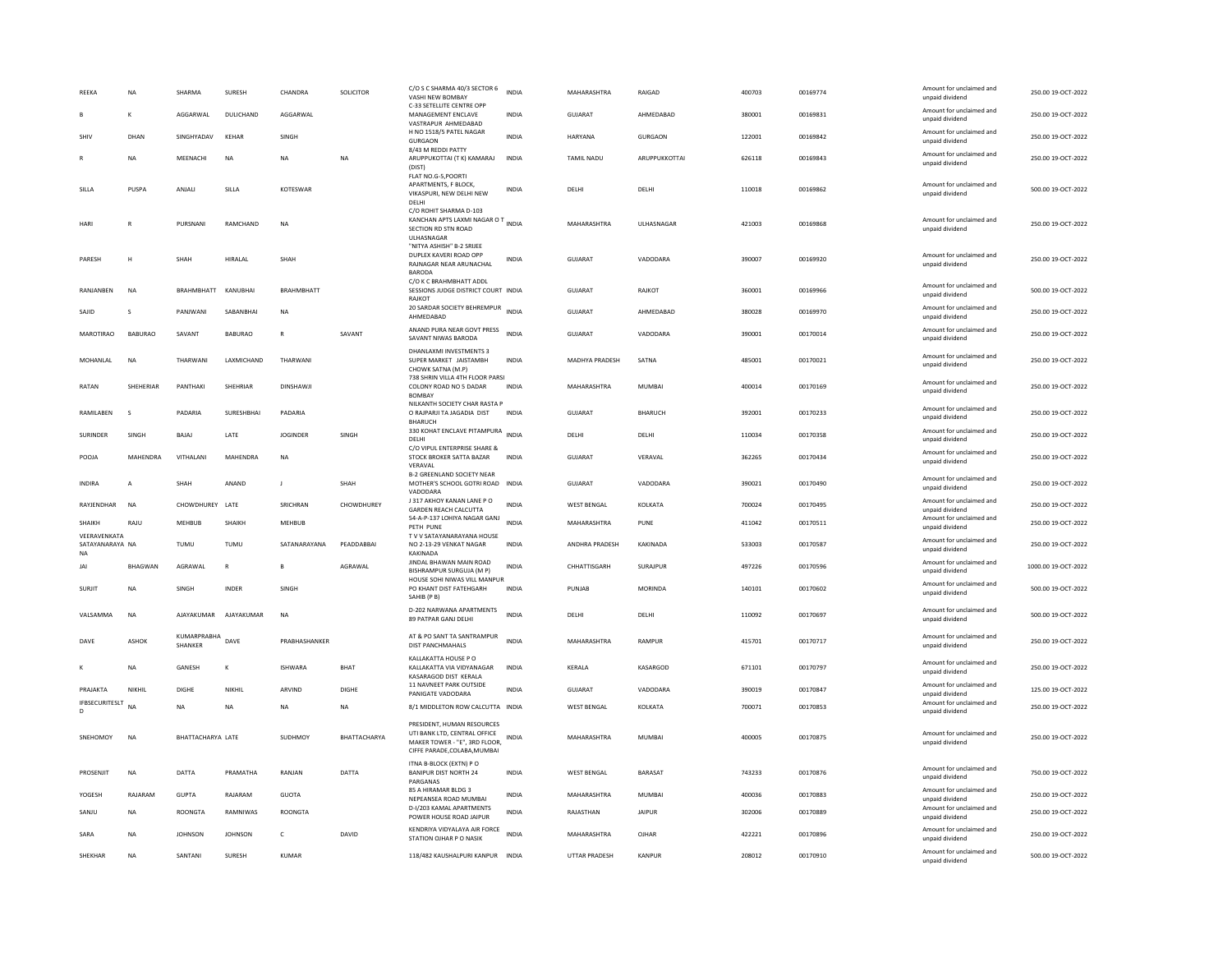| REEKA                                        | NA             | SHARMA                        | SURESH          | CHANDRA           | SOLICITOR    | C/O S C SHARMA 40/3 SECTOR 6<br>VASHI NEW BOMBAY<br>C-33 SETELLITE CENTRE OPP                                               | <b>INDIA</b> | MAHARASHTRA        | RAIGAD         | 400703 | 00169774 | Amount for unclaimed and<br>unpaid dividend | 250.00 19-OCT-2022  |
|----------------------------------------------|----------------|-------------------------------|-----------------|-------------------|--------------|-----------------------------------------------------------------------------------------------------------------------------|--------------|--------------------|----------------|--------|----------|---------------------------------------------|---------------------|
| B                                            | K              | AGGARWAI                      | DULICHAND       | AGGARWAI          |              | MANAGEMENT ENCLAVE<br>VASTRAPUR AHMEDABAD                                                                                   | <b>INDIA</b> | GUIARAT            | AHMEDARAD      | 380001 | 00169831 | Amount for unclaimed and<br>unpaid dividend | 250.00 19-OCT-2022  |
| SHIV                                         | DHAN           | SINGHYADAV                    | KEHAR           | SINGH             |              | H NO 1518/5 PATEL NAGAR<br><b>GURGAON</b>                                                                                   | <b>INDIA</b> | HARYANA            | GURGAON        | 122001 | 00169842 | Amount for unclaimed and<br>unpaid dividend | 250.00 19-OCT-2022  |
|                                              | <b>NA</b>      | MEENACHI                      | <b>NA</b>       | NΑ                | <b>NA</b>    | 8/43 M REDDI PATTY<br>ARUPPUKOTTAI (T K) KAMARAJ<br>(DIST)<br>FLAT NO.G-5, POORTI                                           | <b>INDIA</b> | <b>TAMIL NADU</b>  | ARUPPUKKOTTAI  | 626118 | 00169843 | Amount for unclaimed and<br>unpaid dividend | 250.00 19-OCT-2022  |
| SILLA                                        | PUSPA          | ANJALI                        | SILLA           | KOTESWAR          |              | APARTMENTS, F BLOCK.<br>VIKASPURI, NEW DELHI NEW<br>DELHI                                                                   | <b>INDIA</b> | DELHI              | DELHI          | 110018 | 00169862 | Amount for unclaimed and<br>unpaid dividend | 500.00 19-OCT-2022  |
| HARI                                         | R              | PURSNANI                      | RAMCHAND        | <b>NA</b>         |              | C/O ROHIT SHARMA D-103<br>KANCHAN APTS LAXMI NAGAR O T INDIA<br>SECTION RD STN ROAD<br><b>ULHASNAGAR</b>                    |              | MAHARASHTRA        | ULHASNAGAR     | 421003 | 00169868 | Amount for unclaimed and<br>unpaid dividend | 250.00 19-OCT-2022  |
| PARESH                                       | Н              | SHAH                          | HIRALAL         | SHAH              |              | "NITYA ASHISH" B-2 SRIJEE<br>DUPLEX KAVERI ROAD OPP<br>RAJNAGAR NEAR ARUNACHAL<br><b>BARODA</b>                             | INDIA        | GUJARAT            | VADODARA       | 390007 | 00169920 | Amount for unclaimed and<br>unpaid dividend | 250.00 19-OCT-2022  |
| RANIANREN                                    | <b>NA</b>      | <b>BRAHMBHATT</b>             | KANURHAI        | <b>BRAHMBHATT</b> |              | C/O K C BRAHMBHATT ADDL<br>SESSIONS JUDGE DISTRICT COURT INDIA<br>RAJKOT                                                    |              | <b>GUJARAT</b>     | RAJKOT         | 360001 | 00169966 | Amount for unclaimed and<br>unpaid dividend | 500.00 19-OCT-2022  |
| SAJID                                        | s              | PANJWANI                      | SABANBHAI       | <b>NA</b>         |              | 20 SARDAR SOCIETY BEHREMPUR<br>AHMEDABAD                                                                                    | <b>INDIA</b> | <b>GUJARAT</b>     | AHMEDABAD      | 380028 | 00169970 | Amount for unclaimed and<br>unpaid dividend | 250.00 19-OCT-2022  |
| <b>MAROTIRAO</b>                             | <b>BABURAO</b> | SAVANT                        | <b>BABURAO</b>  | $\mathbb{R}$      | SAVANT       | ANAND PURA NEAR GOVT PRESS<br>SAVANT NIWAS BARODA                                                                           | <b>INDIA</b> | GUIARAT            | VADODARA       | 390001 | 00170014 | Amount for unclaimed and<br>unpaid dividend | 250.00 19-OCT-2022  |
| MOHANI AI                                    | <b>NA</b>      | THARWANI                      | LAXMICHAND      | THARWANI          |              | DHANLAXMI INVESTMENTS 3<br>SUPER MARKET JAISTAMBH<br>CHOWK SATNA (M.P)                                                      | <b>INDIA</b> | MADHYA PRADESH     | SATNA          | 485001 | 00170021 | Amount for unclaimed and<br>unpaid dividend | 250.00 19-OCT-2022  |
| RATAN                                        | SHEHERIAR      | PANTHAKI                      | <b>SHEHRIAR</b> | DINSHAWII         |              | 738 SHRIN VILLA 4TH FLOOR PARSI<br>COLONY ROAD NO 5 DADAR<br><b>BOMBA</b>                                                   | <b>INDIA</b> | <b>MAHARASHTRA</b> | MUMBAI         | 400014 | 00170169 | Amount for unclaimed and<br>unpaid dividend | 250.00 19-OCT-2022  |
| RAMILABEN                                    | $\mathbf{s}$   | PADARIA                       | SURESHBHAI      | PADARIA           |              | NILKANTH SOCIETY CHAR RASTA P<br>O RAJPARJI TA JAGADIA DIST<br><b>BHARUCH</b>                                               | <b>INDIA</b> | <b>GUJARAT</b>     | <b>BHARUCH</b> | 392001 | 00170233 | Amount for unclaimed and<br>unpaid dividend | 250.00 19-OCT-2022  |
| SURINDER                                     | SINGH          | BAJAJ                         | LATE            | <b>JOGINDER</b>   | SINGH        | 330 KOHAT ENCLAVE PITAMPURA INDIA<br>DELHI                                                                                  |              | DELHI              | DELHI          | 110034 | 00170358 | Amount for unclaimed and<br>unpaid dividend | 250.00 19-OCT-2022  |
| POOJA                                        | MAHENDRA       | VITHALANI                     | MAHENDRA        | <b>NA</b>         |              | C/O VIPUL ENTERPRISE SHARE &<br>STOCK BROKER SATTA BAZAR<br>VERAVAL                                                         | <b>INDIA</b> | <b>GUJARAT</b>     | VERAVAL        | 362265 | 00170434 | Amount for unclaimed and<br>unpaid dividend | 250.00 19-OCT-2022  |
|                                              |                |                               |                 |                   |              |                                                                                                                             |              |                    |                |        |          |                                             |                     |
| <b>INDIRA</b>                                | $\overline{A}$ | SHAH                          | ANAND           | $\blacksquare$    | SHAH         | <b>B-2 GREENLAND SOCIETY NEAR</b><br>MOTHER'S SCHOOL GOTRI ROAD INDIA<br>VADODARA                                           |              | <b>GUJARAT</b>     | VADODARA       | 390021 | 00170490 | Amount for unclaimed and<br>unpaid dividend | 250.00 19-OCT-2022  |
| RAYJENDHAR                                   | NA             | CHOWDHUREY LATE               |                 | SRICHRAN          | CHOWDHUREY   | J 317 AKHOY KANAN LANE P O<br><b>GARDEN REACH CALCUTTA</b>                                                                  | <b>INDIA</b> | <b>WEST BENGAL</b> | KOLKATA        | 700024 | 00170495 | Amount for unclaimed and<br>unpaid dividend | 250.00 19-OCT-2022  |
| SHAIKH                                       | RAJU           | <b>MEHBUB</b>                 | SHAIKH          | <b>MEHBUB</b>     |              | 54-A-P-137 LOHIYA NAGAR GANJ<br>PETH PUNE                                                                                   | <b>INDIA</b> | MAHARASHTRA        | PUNE           | 411042 | 00170511 | Amount for unclaimed and<br>unpaid dividend | 250.00 19-OCT-2022  |
| VEERAVENKATA<br>SATAYANARAYA NA<br><b>NA</b> |                | TUMU                          | TUMU            | SATANARAYANA      | PEADDABBAI   | T V V SATAYANARAYANA HOUSE<br>NO 2-13-29 VENKAT NAGAR<br>KAKINADA                                                           | <b>INDIA</b> | ANDHRA PRADESH     | KAKINADA       | 533003 | 00170587 | Amount for unclaimed and<br>unpaid dividend | 250.00 19-OCT-2022  |
| JAI                                          | BHAGWAN        | AGRAWAL                       | $\mathbb{R}$    |                   | AGRAWAL      | JINDAL BHAWAN MAIN ROAD<br>BISHRAMPUR SURGUJA (M P)                                                                         | <b>INDIA</b> | CHHATTISGARH       | SURAJPUR       | 497226 | 00170596 | Amount for unclaimed and<br>unpaid dividend | 1000.00 19-OCT-2022 |
| <b>SURJIT</b>                                | NA             | SINGH                         | INDER           | SINGH             |              | HOUSE SOHI NIWAS VILL MANPUR<br>PO KHANT DIST FATEHGARH<br>SAHIB (PB)                                                       | INDIA        | PUNJAB             | MORINDA        | 140101 | 00170602 | Amount for unclaimed and<br>unpaid dividend | 500.00 19-OCT-2022  |
| VALSAMMA                                     | NA             | AJAYAKUMAR                    | AJAYAKUMAR      | N <sub>A</sub>    |              | D-202 NARWANA APARTMENTS<br>89 PATPAR GANJ DELHI                                                                            | <b>INDIA</b> | DELHI              | DELHI          | 110092 | 00170697 | Amount for unclaimed and<br>unpaid dividend | 500.00 19-OCT-2022  |
| DAVE                                         | ASHOK          | KUMARPRABHA<br><b>SHANKER</b> | DAVE            | PRABHASHANKER     |              | AT & PO SANT TA SANTRAMPUR<br>DIST PANCHMAHALS                                                                              | <b>INDIA</b> | MAHARASHTRA        | RAMPUR         | 415701 | 00170717 | Amount for unclaimed and<br>unpaid dividend | 250.00 19-OCT-2022  |
|                                              | NA             | GANESH                        | к               | <b>ISHWARA</b>    | BHAT         | KALLAKATTA HOUSE PO<br>KALLAKATTA VIA VIDYANAGAR<br>KASARAGOD DIST KERALA                                                   | INDIA        | KERALA             | KASARGOD       | 671101 | 00170797 | Amount for unclaimed and<br>unpaid dividend | 250.00 19-OCT-2022  |
| PRAIAKTA                                     | NIKHII         | DIGHE                         | NIKHII          | ARVIND            | DIGHE        | 11 NAVNEET PARK OUTSIDE<br>PANIGATE VADODARA                                                                                | <b>INDIA</b> | GUIARAT            | VADODARA       | 390019 | 00170847 | Amount for unclaimed and<br>unpaid dividend | 125.00.19-OCT-2022  |
| <b>IFBSECURITESLT</b><br>D                   | <b>NA</b>      | <b>NA</b>                     | <b>NA</b>       | NA                | <b>NA</b>    | 8/1 MIDDLETON ROW CALCUTTA INDIA                                                                                            |              | <b>WEST BENGAL</b> | KOLKATA        | 700071 | 00170853 | Amount for unclaimed and<br>unpaid dividend | 250.00 19-OCT-2022  |
| SNEHOMOY                                     | $_{\sf NA}$    | BHATTACHARYA LATE             |                 | SUDHMOY           | BHATTACHARYA | PRESIDENT, HUMAN RESOURCES<br>UTI BANK LTD, CENTRAL OFFICE<br>MAKER TOWER - "E", 3RD FLOOR,<br>CIFFE PARADE, COLABA, MUMBAI | <b>INDIA</b> | MAHARASHTRA        | MUMBAI         | 400005 | 00170875 | Amount for unclaimed and<br>unpaid dividend | 250.00 19-OCT-2022  |
| PROSENJIT                                    | <b>NA</b>      | <b>DATTA</b>                  | PRAMATHA        | RANJAN            | DATTA        | ITNA B-BLOCK (EXTN) PO<br><b>BANIPUR DIST NORTH 24</b><br>PARGANAS                                                          | <b>INDIA</b> | <b>WEST BENGAL</b> | BARASAT        | 743233 | 00170876 | Amount for unclaimed and<br>unpaid dividend | 750.00 19-OCT-2022  |
| YOGESH                                       | RAJARAM        | <b>GUPTA</b>                  | RAJARAM         | <b>GUOTA</b>      |              | 85 A HIRAMAR BLDG 3<br>NEPEANSEA ROAD MUMBAI                                                                                | <b>INDIA</b> | MAHARASHTRA        | MUMBAI         | 400036 | 00170883 | Amount for unclaimed and<br>unpaid dividend | 250.00 19-OCT-2022  |
| SANJU                                        | <b>NA</b>      | <b>ROONGTA</b>                | RAMNIWAS        | <b>ROONGTA</b>    |              | D-I/203 KAMAL APARTMENTS<br>POWER HOUSE ROAD JAIPUR                                                                         | <b>INDIA</b> | RAJASTHAN          | <b>JAIPUR</b>  | 302006 | 00170889 | Amount for unclaimed and<br>unpaid dividend | 250.00 19-OCT-2022  |
| SARA                                         | NA             | <b>JOHNSON</b>                | <b>JOHNSON</b>  | c                 | DAVID        | KENDRIYA VIDYALAYA AIR FORCE<br>STATION OJHAR P O NASIK                                                                     | <b>INDIA</b> | MAHARASHTRA        | OJHAR          | 422221 | 00170896 | Amount for unclaimed and<br>unpaid dividend | 250.00 19-OCT-2022  |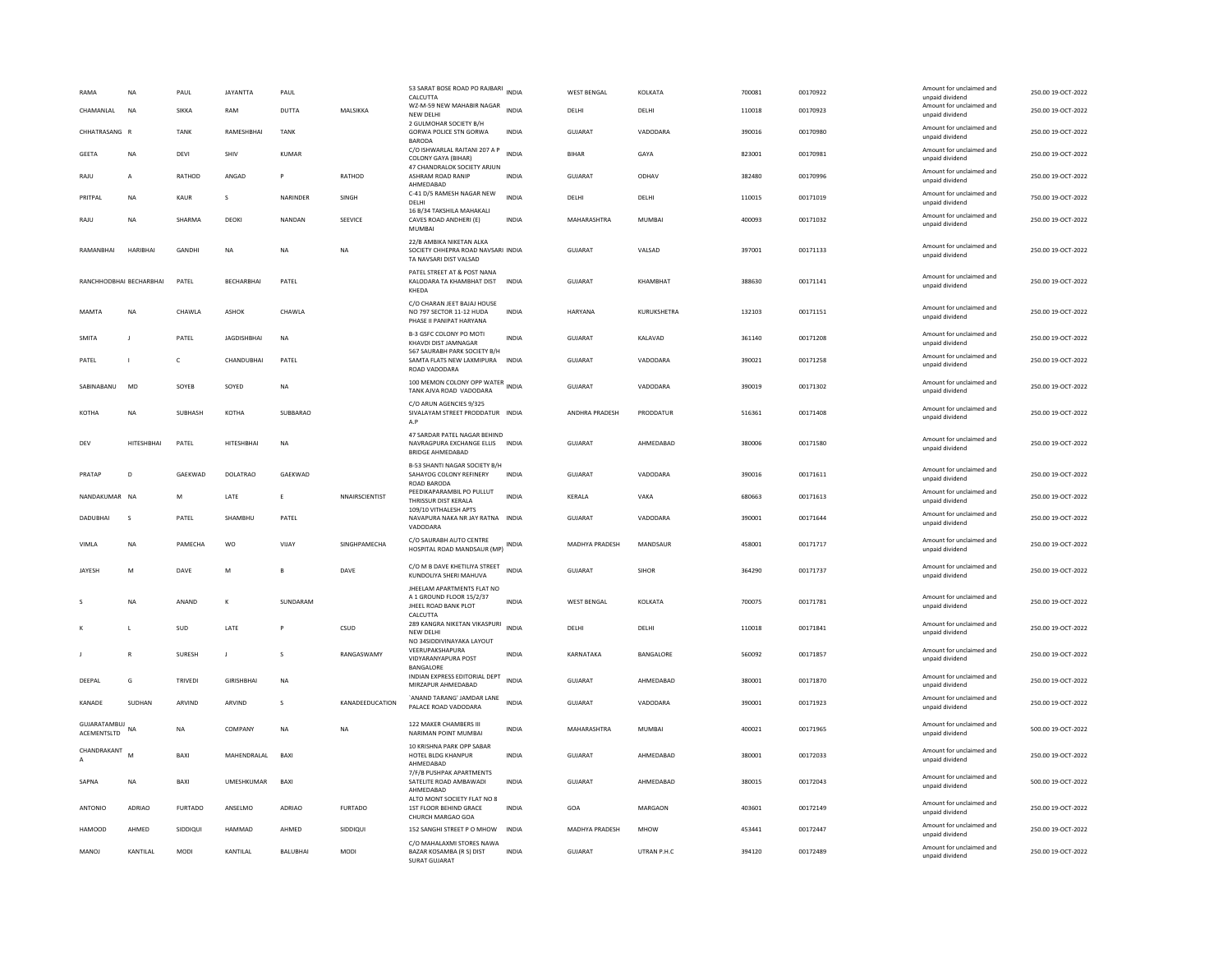| RAMA                           | NA              | PAUL           | <b>JAYANTTA</b>    | PAUL            |                        | 53 SARAT BOSE ROAD PO RAJBARI INDIA<br>CALCUTTA                                                   |              | <b>WEST BENGAL</b> | KOLKATA             | 700081 | 00170922 | Amount for unclaimed and<br>unpaid dividend | 250.00 19-OCT-2022 |
|--------------------------------|-----------------|----------------|--------------------|-----------------|------------------------|---------------------------------------------------------------------------------------------------|--------------|--------------------|---------------------|--------|----------|---------------------------------------------|--------------------|
| CHAMANI AI                     | <b>NA</b>       | <b>SIKKA</b>   | RAM                | DUTTA           | <b>MAI SIKKA</b>       | WZ-M-59 NEW MAHABIR NAGAR<br>NEW DELHI<br>2 GULMOHAR SOCIETY B/H                                  | <b>INDIA</b> | DELHI              | <b>DELHI</b>        | 110018 | 00170923 | Amount for unclaimed and<br>unpaid dividend | 250.00 19-OCT-2022 |
| CHHATRASANG R                  |                 | <b>TANK</b>    | RAMESHBHAI         | <b>TANK</b>     |                        | GORWA POLICE STN GORWA<br><b>BARODA</b>                                                           | <b>INDIA</b> | <b>GUJARAT</b>     | VADODARA            | 390016 | 00170980 | Amount for unclaimed and<br>unpaid dividend | 250.00 19-OCT-2022 |
| <b>GEETA</b>                   | <b>NA</b>       | DEVI           | SHIV               | <b>KUMAR</b>    |                        | C/O ISHWARLAL RAITANI 207 A P<br>COLONY GAYA (BIHAR)                                              | <b>INDIA</b> | <b>BIHAR</b>       | GAYA                | 823001 | 00170981 | Amount for unclaimed and<br>unpaid dividend | 250.00 19-OCT-2022 |
| RAJU                           | A               | RATHOD         | ANGAD              | P               | RATHOD                 | 47 CHANDRALOK SOCIETY ARJUN<br>ASHRAM ROAD RANIP<br>AHMEDABAD                                     | INDIA        | GUJARAT            | ODHAV               | 382480 | 00170996 | Amount for unclaimed and<br>unpaid dividend | 250.00 19-OCT-2022 |
| PRITPAL                        | NA              | KAUR           | s                  | NARINDER        | SINGH                  | C-41 D/5 RAMESH NAGAR NEW<br>DELHI                                                                | <b>INDIA</b> | DELHI              | DELHI               | 110015 | 00171019 | Amount for unclaimed and<br>unpaid dividend | 750.00 19-OCT-2022 |
| RAJU                           | <b>NA</b>       | SHARMA         | DEOKI              | NANDAN          | SEEVICE                | 16 B/34 TAKSHILA MAHAKALI<br>CAVES ROAD ANDHERI (E)<br>MUMBA                                      | <b>INDIA</b> | MAHARASHTRA        | MUMBAI              | 400093 | 00171032 | Amount for unclaimed and<br>unpaid dividend | 250.00 19-OCT-2022 |
| RAMANBHAI                      | HARIBHAI        | GANDHI         | <b>NA</b>          | <b>NA</b>       | <b>NA</b>              | 22/B AMBIKA NIKETAN ALKA<br>SOCIETY CHHEPRA ROAD NAVSARI INDIA<br>TA NAVSARI DIST VALSAD          |              | GUJARAT            | VALSAD              | 397001 | 00171133 | Amount for unclaimed and<br>unpaid dividend | 250.00 19-OCT-2022 |
| RANCHHODBHAI BECHARBHAI        |                 | PATEL          | <b>BECHARBHAI</b>  | PATEL           |                        | PATEL STREET AT & POST NANA<br>KALODARA TA KHAMBHAT DIST<br>KHEDA                                 | <b>INDIA</b> | <b>GUJARAT</b>     | KHAMBHAT            | 388630 | 00171141 | Amount for unclaimed and<br>unpaid dividend | 250.00 19-OCT-2022 |
| MAMTA                          | NA              | CHAWLA         | ASHOK              | CHAWLA          |                        | C/O CHARAN JEET BAJAJ HOUSE<br>NO 797 SECTOR 11-12 HUDA<br>PHASE II PANIPAT HARYANA               | INDIA        | HARYANA            | KURUKSHETRA         | 132103 | 00171151 | Amount for unclaimed and<br>unpaid dividend | 250.00 19-OCT-2022 |
| SMITA                          | $\mathbf{J}$    | PATEL          | <b>JAGDISHBHAI</b> | NA              |                        | B-3 GSFC COLONY PO MOTI<br>KHAVDI DIST JAMNAGAR                                                   | INDIA        | GUJARAT            | KALAVAD             | 361140 | 00171208 | Amount for unclaimed and<br>unpaid dividend | 250.00 19-OCT-2022 |
| PATEL                          | $\mathbf{L}$    | c              | CHANDUBHAI         | PATEL           |                        | 567 SAURABH PARK SOCIETY B/H<br>SAMTA FLATS NEW LAXMIPURA<br>ROAD VADODARA                        | <b>INDIA</b> | GUJARAT            | VADODARA            | 390021 | 00171258 | Amount for unclaimed and<br>unpaid dividend | 250.00 19-OCT-2022 |
| SARINARANU                     | <b>MD</b>       | SOYER          | SOYED              | NA              |                        | 100 MEMON COLONY OPP WATER<br>INDIA<br>TANK AJVA ROAD VADODARA                                    |              | GUIARAT            | VADODARA            | 390019 | 00171302 | Amount for unclaimed and<br>unpaid dividend | 250.00.19-QCT-2022 |
| KOTHA                          | <b>NA</b>       | <b>SURHASH</b> | КОТНА              | SUBBARAO        |                        | C/O ARUN AGENCIES 9/325<br>SIVALAYAM STREET PRODDATUR INDIA<br>A.P                                |              | ANDHRA PRADESH     | PRODDATUR           | 516361 | 00171408 | Amount for unclaimed and<br>unpaid dividend | 250.00 19-OCT-2022 |
| DEV                            | HITESHBHAI      | PATEL          | HITESHBHAI         | NA              |                        | 47 SARDAR PATEL NAGAR BEHIND<br>NAVRAGPURA EXCHANGE ELLIS INDIA<br><b>BRIDGE AHMEDABAD</b>        |              | GUJARAT            | AHMEDABAD           | 380006 | 00171580 | Amount for unclaimed and<br>unpaid dividend | 250.00 19-OCT-2022 |
| PRATAP                         | D               | GAEKWAD        | DOLATRAO           | GAEKWAD         |                        | B-53 SHANTI NAGAR SOCIETY B/H<br>SAHAYOG COLONY REFINERY<br><b>ROAD BARODA</b>                    | <b>INDIA</b> | GUJARAT            | VADODARA            | 390016 | 00171611 | Amount for unclaimed and<br>unpaid dividend | 250.00 19-OCT-2022 |
| NANDAKUMAR NA                  |                 | M              | <b>I ATF</b>       | F.              | NNAIRSCIENTIST         | PEEDIKAPARAMBIL PO PULLUT<br>THRISSUR DIST KERALA                                                 | <b>INDIA</b> | <b>KFRALA</b>      | VAKA                | 680663 | 00171613 | Amount for unclaimed and<br>unpaid dividend | 250.00.19-QCT-2022 |
| DADUBHAI                       | $\mathsf{s}$    | PATEL          | SHAMBHU            | PATEL           |                        | 109/10 VITHALESH APTS<br>NAVAPURA NAKA NR JAY RATNA INDIA<br>VADODARA                             |              | <b>GUJARAT</b>     | VADODARA            | 390001 | 00171644 | Amount for unclaimed and<br>unpaid dividend | 250.00 19-OCT-2022 |
| VIMLA                          | <b>NA</b>       | PAMECHA        | <b>WO</b>          | VIJAY           | SINGHPAMECHA           | C/O SAURABH AUTO CENTRE<br>HOSPITAL ROAD MANDSAUR (MP)                                            | INDIA        | MADHYA PRADESH     | MANDSAUR            | 458001 | 00171717 | Amount for unclaimed and<br>unpaid dividend | 250.00 19-OCT-2022 |
| JAYESH                         | M               | DAVE           | M                  | B               | DAVE                   | C/O M B DAVE KHETILIYA STREET<br>KUNDOLIYA SHERI MAHUVA                                           | <b>INDIA</b> | <b>GUJARAT</b>     | SIHOR               | 364290 | 00171737 | Amount for unclaimed and<br>unpaid dividend | 250.00 19-OCT-2022 |
| s                              | <b>NA</b>       | ANAND          | к                  | SUNDARAM        |                        | JHEELAM APARTMENTS FLAT NO<br>A 1 GROUND FLOOR 15/2/37<br><b>IHEEL ROAD BANK PLOT</b><br>CALCUTTA | <b>INDIA</b> | <b>WEST BENGAL</b> | KOLKATA             | 700075 | 00171781 | Amount for unclaimed and<br>unpaid dividend | 250.00 19-OCT-2022 |
|                                | $\mathbf{L}$    | SUD            | LATE               |                 | CSUD                   | 289 KANGRA NIKETAN VIKASPURI<br>NEW DELHI                                                         | <b>INDIA</b> | DELHI              | DELHI               | 110018 | 00171841 | Amount for unclaimed and<br>unpaid dividend | 250.00 19-OCT-2022 |
|                                | $\mathbb{R}$    | <b>SURESH</b>  | $\mathbf{J}$       | s               | RANGASWAMY             | NO 34SIDDIVINAYAKA LAYOUT<br>VEERUPAKSHAPURA<br>VIDYARANYAPURA POST<br>BANGALORE                  | INDIA        | KARNATAKA          | BANGALORE           | 560092 | 00171857 | Amount for unclaimed and<br>unpaid dividend | 250.00 19-OCT-2022 |
| DEEPAL                         | G               | <b>TRIVED</b>  | <b>GIRISHBHA</b>   | <b>NA</b>       |                        | INDIAN EXPRESS EDITORIAL DEPT<br>MIRZAPUR AHMEDABAD                                               | <b>INDIA</b> | <b>GUJARAT</b>     | AHMEDABAD           | 380001 | 00171870 | Amount for unclaimed and<br>unpaid dividend | 250.00 19-OCT-2022 |
| KANADE                         | SUDHAN          | ARVIND         | ARVIND             | s               | <b>KANADEEDUCATION</b> | `ANAND TARANG' JAMDAR LANE<br>PALACE ROAD VADODARA                                                | <b>INDIA</b> | GUJARAT            | VADODARA            | 390001 | 00171923 | Amount for unclaimed and<br>unpaid dividend | 250.00 19-OCT-2022 |
| GUJARATAMBUJ NA<br>ACEMENTSLTD |                 | <b>NA</b>      | COMPANY            | <b>NA</b>       | <b>NA</b>              | 122 MAKER CHAMBERS III<br>NARIMAN POINT MUMBAI                                                    | <b>INDIA</b> | MAHARASHTRA        | <b>MUMBAI</b>       | 400021 | 00171965 | Amount for unclaimed and<br>unpaid dividend | 500.00 19-OCT-2022 |
| CHANDRAKANT                    | M               | BAXI           | MAHENDRALAL        | BAX             |                        | 10 KRISHNA PARK OPP SABAR<br>HOTEL BLDG KHANPUR<br>AHMEDABAD                                      | INDIA        | <b>GUJARAT</b>     | AHMEDABAD           | 380001 | 00172033 | Amount for unclaimed and<br>unpaid dividend | 250.00 19-OCT-2022 |
| SAPNA                          | NA              | BAXI           | UMESHKUMAR         | BAXI            |                        | 7/F/B PUSHPAK APARTMENTS<br>SATELITE ROAD AMBAWADI<br>AHMEDABAD                                   | INDIA        | GUJARAT            | AHMFDARAD           | 380015 | 00172043 | Amount for unclaimed and<br>unpaid dividend | 500.00 19-OCT-2022 |
| <b>ANTONIO</b>                 | ADRIAO          | <b>FURTADO</b> | ANSELMO            | <b>ADRIAO</b>   | <b>FURTADO</b>         | ALTO MONT SOCIETY FLAT NO 8<br>1ST FLOOR BEHIND GRACE<br>CHURCH MARGAO GOA                        | <b>INDIA</b> | GOA                | MARGAON             | 403601 | 00172149 | Amount for unclaimed and<br>unpaid dividend | 250.00 19-OCT-2022 |
| <b>HAMOOD</b>                  | AHMED           | SIDDIQUI       | <b>HAMMAD</b>      | AHMED           | SIDDIQUI               | 152 SANGHI STREET P O MHOW                                                                        | <b>INDIA</b> | MADHYA PRADESH     | <b>MHOW</b>         | 453441 | 00172447 | Amount for unclaimed and<br>unpaid dividend | 250.00 19-OCT-2022 |
| MANOL                          | <b>KANTILAI</b> | MODI           | <b>KANTILAI</b>    | <b>BALURHAL</b> | MODI                   | C/O MAHALAXMI STORES NAWA<br>BAZAR KOSAMBA (R S) DIST<br>SURAT GUJARAT                            | <b>INDIA</b> | GUIARAT            | <b>UTRAN P.H.C.</b> | 394120 | 00172489 | Amount for unclaimed and<br>unpaid dividend | 250.00 19-OCT-2022 |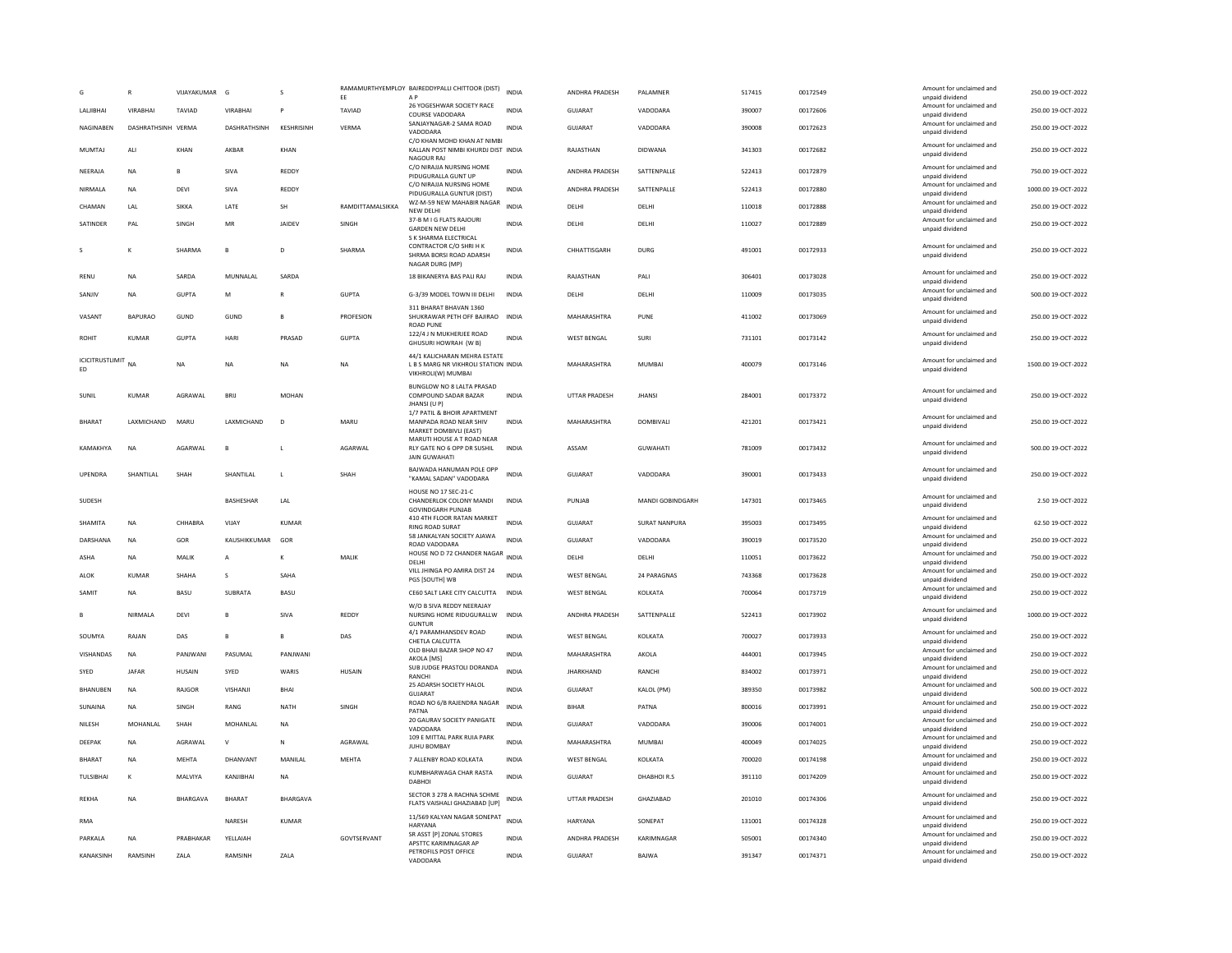|               |                           |                    | VIJAYAKUMAR     | G                   |              | FF.              | RAMAMURTHYEMPLOY BAIREDDYPALLI CHITTOOR (DIST)<br>A <sub>P</sub>                               | <b>INDIA</b> | ANDHRA PRADESH       | PALAMNER             | 517415 | 00172549 | Amount for unclaimed and<br>unpaid dividend                    | 250.00 19-OCT-2022  |
|---------------|---------------------------|--------------------|-----------------|---------------------|--------------|------------------|------------------------------------------------------------------------------------------------|--------------|----------------------|----------------------|--------|----------|----------------------------------------------------------------|---------------------|
|               | LALJIBHAI                 | <b>VIRABHAI</b>    | <b>TAVIAD</b>   | VIRABHAI            |              | TAVIAD           | 26 YOGESHWAR SOCIETY RACE<br>COURSE VADODARA                                                   | <b>INDIA</b> | <b>GUJARAT</b>       | VADODARA             | 390007 | 00172606 | Amount for unclaimed and<br>unpaid dividend                    | 250.00 19-OCT-2022  |
|               | NAGINABEN                 | DASHRATHSINH VERMA |                 | <b>DASHRATHSINH</b> | KESHRISINH   | <b>VERMA</b>     | SANJAYNAGAR-2 SAMA ROAD<br>VADODARA                                                            | <b>INDIA</b> | <b>GUJARAT</b>       | VADODARA             | 390008 | 00172623 | Amount for unclaimed and<br>unpaid dividend                    | 250.00 19-OCT-2022  |
| MUMTAI        |                           | ALI                | KHAN            | AKBAR               | KHAN         |                  | C/O KHAN MOHD KHAN AT NIMBI<br>KALLAN POST NIMBI KHURDJ DIST INDIA<br>NAGOUR RAJ               |              | RAJASTHAN            | DIDWANA              | 341303 | 00172682 | Amount for unclaimed and<br>unpaid dividend                    | 250.00 19-OCT-2022  |
| NEERAJA       |                           | <b>NA</b>          | B               | SIVA                | REDDY        |                  | C/O NIRAJJA NURSING HOME<br>PIDUGURALLA GUNT UP                                                | INDIA        | ANDHRA PRADESH       | SATTENPALLE          | 522413 | 00172879 | Amount for unclaimed and<br>unpaid dividend                    | 750.00 19-OCT-2022  |
| NIRMALA       |                           | <b>NA</b>          | DFVI            | SIVA                | REDDY        |                  | C/O NIRAJJA NURSING HOME<br>PIDUGURALLA GUNTUR (DIST)                                          | <b>INDIA</b> | ANDHRA PRADESH       | SATTENPALLE          | 522413 | 00172880 | Amount for unclaimed and<br>unpaid dividend                    | 1000.00 19-OCT-2022 |
| CHAMAN        |                           | LAL                | <b>SIKKA</b>    | LATE                | SH           | RAMDITTAMALSIKKA | WZ-M-59 NEW MAHABIR NAGAR<br>NEW DELHI                                                         | <b>INDIA</b> | DELHI                | DELHI                | 110018 | 00172888 | Amount for unclaimed and<br>unpaid dividend                    | 250.00 19-OCT-2022  |
| SATINDER      |                           | PAL                | SINGH           | MR                  | JAIDEV       | SINGH            | 37-B M I G FLATS RAJOURI<br><b>GARDEN NEW DELHI</b>                                            | <b>INDIA</b> | DELH                 | DELHI                | 110027 | 00172889 | Amount for unclaimed and<br>unpaid dividend                    | 250.00 19-OCT-2022  |
| -S            |                           | K                  | SHARMA          | $\overline{R}$      | $\mathbf{D}$ | SHARMA           | S K SHARMA ELECTRICAL<br>CONTRACTOR C/O SHRI H K<br>SHRMA BORSI ROAD ADARSH<br>NAGAR DURG (MP) | <b>INDIA</b> | CHHATTISGARH         | <b>DURG</b>          | 491001 | 00172933 | Amount for unclaimed and<br>unpaid dividend                    | 250.00 19-OCT-2022  |
| RENU          |                           | <b>NA</b>          | SARDA           | MUNNALAL            | SARDA        |                  | 18 BIKANERYA BAS PALI RAJ                                                                      | <b>INDIA</b> | RAJASTHAN            | PALI                 | 306401 | 00173028 | Amount for unclaimed and                                       | 250.00 19-OCT-2022  |
| SANJIV        |                           | NA                 | <b>GUPTA</b>    | M                   |              | <b>GUPTA</b>     | G-3/39 MODEL TOWN III DELHI                                                                    | <b>INDIA</b> | DELH                 | DELHI                | 110009 | 00173035 | unpaid dividend<br>Amount for unclaimed and                    | 500.00 19-OCT-2022  |
|               |                           |                    |                 |                     |              |                  | 311 BHARAT BHAVAN 1360                                                                         |              |                      |                      |        |          | unpaid dividend                                                |                     |
| VASANT        |                           | <b>BAPURAO</b>     | GUND            | GUND                | R            | <b>PROFESION</b> | SHUKRAWAR PETH OFF BAJIRAO INDIA<br><b>ROAD PUNE</b><br>122/4 J N MUKHERJEE ROAD               |              | MAHARASHTRA          | PUNE                 | 411002 | 00173069 | Amount for unclaimed and<br>unpaid dividend                    | 250.00.19-OCT-2022  |
| <b>ROHIT</b>  |                           | <b>KUMAR</b>       | <b>GUPTA</b>    | HAR                 | PRASAD       | <b>GUPTA</b>     | GHUSURI HOWRAH (W B)                                                                           | <b>INDIA</b> | <b>WEST BENGAL</b>   | SURI                 | 731101 | 00173142 | Amount for unclaimed and<br>unpaid dividend                    | 250.00 19-OCT-2022  |
| ED            | <b>ICICITRUSTLIMIT</b> NA |                    | NA              | NA                  | NA           | NA               | 44/1 KALICHARAN MEHRA ESTATE<br>L B S MARG NR VIKHROLI STATION INDIA<br>VIKHROLI(W) MUMBAI     |              | MAHARASHTRA          | MUMBAI               | 400079 | 00173146 | Amount for unclaimed and<br>unpaid dividend                    | 1500.00 19-OCT-2022 |
| SUNIL         |                           | <b>KUMAR</b>       | AGRAWAI         | <b>BRIJ</b>         | <b>MOHAN</b> |                  | BUNGLOW NO 8 LALTA PRASAD<br>COMPOUND SADAR BAZAR<br>JHANSI (U P)                              | INDIA        | <b>UTTAR PRADESH</b> | <b>JHANSI</b>        | 284001 | 00173372 | Amount for unclaimed and<br>unpaid dividend                    | 250.00 19-OCT-2022  |
| <b>BHARAT</b> |                           | LAXMICHAND         | MARU            | LAXMICHAND          | D            | MARU             | 1/7 PATIL & BHOIR APARTMENT<br>MANPADA ROAD NEAR SHIV<br>MARKET DOMBIVLI (EAST)                | <b>INDIA</b> | MAHARASHTRA          | DOMBIVALI            | 421201 | 00173421 | Amount for unclaimed and<br>unpaid dividend                    | 250.00 19-OCT-2022  |
|               | KAMAKHYA                  | <b>NA</b>          | AGARWAI         | B                   |              | AGARWAL          | MARUTI HOUSE A T ROAD NEAR<br>RLY GATE NO 6 OPP DR SUSHIL<br><b>JAIN GUWAHATI</b>              | <b>INDIA</b> | ASSAM                | <b>GUWAHATI</b>      | 781009 | 00173432 | Amount for unclaimed and<br>unpaid dividend                    | 500.00 19-OCT-2022  |
|               | UPENDRA                   | SHANTILAL          | SHAH            | SHANTILAL           | $\mathsf{L}$ | SHAH             | BAJWADA HANUMAN POLE OPP<br>"KAMAL SADAN" VADODARA                                             | <b>INDIA</b> | GUJARAT              | VADODARA             | 390001 | 00173433 | Amount for unclaimed and<br>unpaid dividend                    | 250.00 19-OCT-2022  |
| SUDESH        |                           |                    |                 | <b>BASHESHAR</b>    | LAL          |                  | HOUSE NO 17 SEC-21-C<br>CHANDERLOK COLONY MANDI<br><b>GOVINDGARH PUNJAB</b>                    | INDIA        | PUNJAB               | MANDI GOBINDGARH     | 147301 | 00173465 | Amount for unclaimed and<br>unpaid dividend                    | 2.50 19-OCT-2022    |
| SHAMITA       |                           | <b>NA</b>          | CHHABRA         | VIJAY               | <b>KUMAR</b> |                  | 410 4TH FLOOR RATAN MARKET<br><b>RING ROAD SURAT</b>                                           | <b>INDIA</b> | <b>GUJARAT</b>       | <b>SURAT NANPURA</b> | 395003 | 00173495 | Amount for unclaimed and<br>unpaid dividend                    | 62.50 19-OCT-2022   |
|               | DARSHANA                  | <b>NA</b>          | GOR             | KAUSHIKKUMAR        | GOR          |                  | 58 JANKALYAN SOCIETY AJAWA<br>ROAD VADODARA                                                    | <b>INDIA</b> | GUJARAT              | VADODARA             | 390019 | 00173520 | Amount for unclaimed and<br>unpaid dividend                    | 250.00 19-OCT-2022  |
| ASHA          |                           | <b>NA</b>          | MALIK           | А                   | к            | MALIK            | HOUSE NO D 72 CHANDER NAGAR INDIA<br>DELHI                                                     |              | DELHI                | DELHI                | 110051 | 00173622 | Amount for unclaimed and<br>unpaid dividend                    | 750.00 19-OCT-2022  |
| <b>ALOK</b>   |                           | KUMAR              | <b>SHAHA</b>    | $\mathbf{s}$        | SAHA         |                  | VILL JHINGA PO AMIRA DIST 24<br>PGS [SOUTH] WB                                                 | <b>INDIA</b> | <b>WEST BENGAL</b>   | 24 PARAGNAS          | 743368 | 00173628 | Amount for unclaimed and<br>unpaid dividend                    | 250.00 19-OCT-2022  |
| SAMIT         |                           | <b>NA</b>          | BASU            | SUBRATA             | <b>BASU</b>  |                  | CE60 SALT LAKE CITY CALCUTTA                                                                   | <b>INDIA</b> | <b>WEST BENGAL</b>   | KOLKATA              | 700064 | 00173719 | Amount for unclaimed and                                       | 250.00 19-OCT-2022  |
|               |                           |                    |                 |                     |              |                  | W/O B SIVA REDDY NEERAJAY                                                                      |              |                      |                      |        |          | unpaid dividend<br>Amount for unclaimed and                    |                     |
|               |                           | NIRMALA            | DEVI            | B                   | SIVA         | REDDY            | NURSING HOME RIDUGURALLW<br><b>GUNTUR</b>                                                      | <b>INDIA</b> | ANDHRA PRADESH       | SATTENPALLE          | 522413 | 00173902 | unpaid dividend                                                | 1000.00 19-OCT-2022 |
| SOUMYA        |                           | RAJAN              | DAS             | B                   | $\mathsf{B}$ | DAS              | 4/1 PARAMHANSDEV ROAD<br>CHETLA CALCUTTA                                                       | <b>INDIA</b> | <b>WEST BENGAL</b>   | KOLKATA              | 700027 | 00173933 | Amount for unclaimed and<br>unpaid dividend                    | 250.00 19-OCT-2022  |
|               | VISHANDAS                 | <b>NA</b>          | PANJWANI        | PASUMAL             | PANJWANI     |                  | OLD BHAJI BAZAR SHOP NO 47<br>AKOLA [MS]                                                       | <b>INDIA</b> | MAHARASHTRA          | AKOLA                | 444001 | 00173945 | Amount for unclaimed and<br>unpaid dividend                    | 250.00 19-OCT-2022  |
| SYED          |                           | <b>JAFAR</b>       | HUSAIN          | SYED                | WARIS        | HUSAIN           | SUB JUDGE PRASTOLI DORANDA<br>RANCHI                                                           | <b>INDIA</b> | <b>JHARKHAND</b>     | RANCHI               | 834002 | 00173971 | Amount for unclaimed and<br>unpaid dividend                    | 250.00 19-OCT-2022  |
|               | BHANUBEN                  | <b>NA</b>          | RAJGOR          | VISHANJI            | <b>BHAI</b>  |                  | 25 ADARSH SOCIETY HALOL<br>GUJARAT                                                             | <b>INDIA</b> | <b>GUJARAT</b>       | KALOL (PM)           | 389350 | 00173982 | Amount for unclaimed and<br>unpaid dividend                    | 500.00 19-OCT-2022  |
| SUNAINA       |                           | <b>NA</b>          | SINGH           | RANG                | <b>NATH</b>  | SINGH            | ROAD NO 6/B RAJENDRA NAGAR<br>PATNA                                                            | <b>INDIA</b> | <b>BIHAR</b>         | PATNA                | 800016 | 00173991 | Amount for unclaimed and<br>unpaid dividend                    | 250.00 19-OCT-2022  |
| NILESH        |                           | MOHANLAL           | SHAH            | MOHANLAL            | $_{\sf NA}$  |                  | 20 GAURAV SOCIETY PANIGATE<br>VADODARA                                                         | <b>INDIA</b> | <b>GUJARAT</b>       | VADODARA             | 390006 | 00174001 | Amount for unclaimed and<br>unpaid dividend                    | 250.00 19-OCT-2022  |
| <b>DEFPAK</b> |                           | <b>NA</b>          | AGRAWAI         | $\mathsf{v}$        | $\mathbf N$  | AGRAWAL          | 109 E MITTAL PARK RUIA PARK                                                                    | <b>INDIA</b> | MAHARASHTRA          | MUMBAL               | 400049 | 00174025 | Amount for unclaimed and                                       | 250.00.19-OCT-2022  |
| BHARAT        |                           | <b>NA</b>          | MEHTA           | DHANVANT            | MANILAL      | MEHTA            | <b>JUHU BOMBAY</b><br>7 ALLENBY ROAD KOLKATA                                                   | INDIA        | <b>WEST BENGAL</b>   | KOLKATA              | 700020 | 00174198 | unpaid dividend<br>Amount for unclaimed and                    | 250.00 19-OCT-2022  |
|               | TULSIBHAI                 | К                  | MALVIYA         | KANJIBHAI           | <b>NA</b>    |                  | KUMBHARWAGA CHAR RASTA<br><b>DABHOI</b>                                                        | <b>INDIA</b> | GUJARAT              | DHABHOIR.S           | 391110 | 00174209 | unpaid dividend<br>Amount for unclaimed and<br>unpaid dividend | 250.00 19-OCT-2022  |
| <b>REKHA</b>  |                           | <b>NA</b>          | <b>BHARGAVA</b> | <b>BHARAT</b>       | BHARGAVA     |                  | SECTOR 3 278 A RACHNA SCHME<br>FLATS VAISHALI GHAZIABAD [UP]                                   | <b>INDIA</b> | <b>UTTAR PRADESH</b> | GHAZIABAD            | 201010 | 00174306 | Amount for unclaimed and<br>unpaid dividend                    | 250.00 19-OCT-2022  |
| <b>RMA</b>    |                           |                    |                 | <b>NARESH</b>       | <b>KUMAR</b> |                  | 11/569 KALYAN NAGAR SONEPAT<br><b>HARYANA</b>                                                  | <b>INDIA</b> | <b>HARYANA</b>       | SONEPAT              | 131001 | 00174328 | Amount for unclaimed and<br>unpaid dividend                    | 250.00 19-OCT-2022  |
| PARKALA       |                           | <b>NA</b>          | PRABHAKAR       | YELLAIAH            |              | GOVTSERVANT      | SR ASST [P] ZONAL STORES<br>APSTTC KARIMNAGAR AP                                               | <b>INDIA</b> | ANDHRA PRADESH       | KARIMNAGAR           | 505001 | 00174340 | Amount for unclaimed and<br>unpaid dividend                    | 250.00 19-OCT-2022  |
|               | KANAKSINH                 | RAMSINH            | ZALA            | RAMSINH             | ZALA         |                  | PETROFILS POST OFFICE<br>VADODARA                                                              | <b>INDIA</b> | GUJARAT              | <b>BAJWA</b>         | 391347 | 00174371 | Amount for unclaimed and<br>unpaid dividend                    | 250.00 19-OCT-2022  |
|               |                           |                    |                 |                     |              |                  |                                                                                                |              |                      |                      |        |          |                                                                |                     |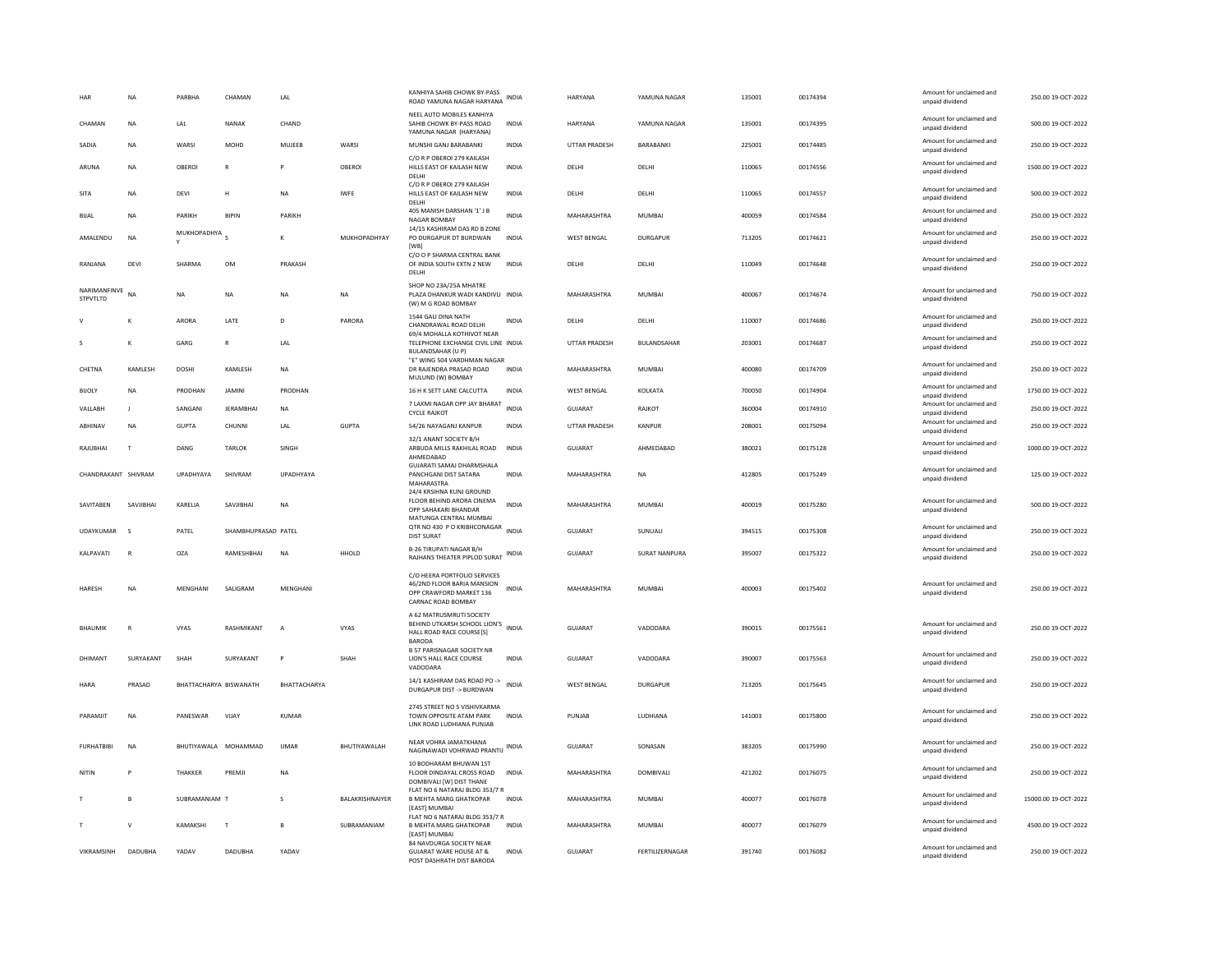| HAR                      | <b>NA</b>    | PARBHA        | CHAMAN                 | LAL          |                 | KANHIYA SAHIB CHOWK BY-PASS<br>ROAD YAMUNA NAGAR HARYANA                                                    | <b>INDIA</b> | <b>HARYANA</b>       | YAMUNA NAGAR     | 135001 | 00174394 | Amount for unclaimed and<br>unpaid dividend | 250.00 19-OCT-2022   |
|--------------------------|--------------|---------------|------------------------|--------------|-----------------|-------------------------------------------------------------------------------------------------------------|--------------|----------------------|------------------|--------|----------|---------------------------------------------|----------------------|
| CHAMAN                   | NA           | LAL           | NANAK                  | CHAND        |                 | NEEL AUTO MOBILES KANHIYA<br>SAHIB CHOWK BY-PASS ROAD<br>YAMUNA NAGAR (HARYANA)                             | <b>INDIA</b> | HARYANA              | YAMUNA NAGAR     | 135001 | 00174395 | Amount for unclaimed and<br>unpaid dividend | 500.00.19-QCT-2022   |
| SADIA                    | NA           | WARSI         | MOHD                   | MUJEEB       | WARSI           | MUNSHI GANJ BARABANKI                                                                                       | INDIA        | UTTAR PRADESH        | BARABANKI        | 225001 | 00174485 | Amount for unclaimed and<br>unpaid dividend | 250.00 19-OCT-2022   |
| ARUNA                    | <b>NA</b>    | OBEROI        | $\mathbb{R}$           | P            | OBEROI          | C/O R P OBEROI 279 KAILASH<br>HILLS EAST OF KAILASH NEW<br>DELHI                                            | <b>INDIA</b> | DELHI                | DELHI            | 110065 | 00174556 | Amount for unclaimed and<br>unpaid dividend | 1500.00 19-OCT-2022  |
| SITA                     | <b>NA</b>    | DEVI          | H                      | <b>NA</b>    | <b>IWFF</b>     | C/O R P OBEROI 279 KAILASH<br>HILLS EAST OF KAILASH NEW<br>DELHI                                            | <b>INDIA</b> | <b>DELHI</b>         | <b>DELHI</b>     | 110065 | 00174557 | Amount for unclaimed and<br>unpaid dividend | 500.00 19-OCT-2022   |
| <b>BIJAL</b>             | NA           | PARIKH        | <b>BIPIN</b>           | PARIKH       |                 | 405 MANISH DARSHAN '1' J B<br>NAGAR BOMBAY                                                                  | <b>INDIA</b> | MAHARASHTRA          | <b>MUMBAI</b>    | 400059 | 00174584 | Amount for unclaimed and<br>unpaid dividend | 250.00 19-OCT-2022   |
| AMALENDU                 | <b>NA</b>    | MUKHOPADHYA S |                        | к            | MUKHOPADHYAY    | 14/15 KASHIRAM DAS RD B ZONE<br>PO DURGAPUR DT BURDWAN<br>[WB]                                              | <b>INDIA</b> | WEST BENGAL          | <b>DURGAPUR</b>  | 713205 | 00174621 | Amount for unclaimed and<br>unpaid dividend | 250.00 19-OCT-2022   |
| RANIANA                  | DFVI         | SHARMA        | OM                     | PRAKASH      |                 | C/O O P SHARMA CENTRAL BANK<br>OF INDIA SOUTH EXTN 2 NEW<br>DELHI                                           | <b>INDIA</b> | <b>DELHI</b>         | <b>DELHI</b>     | 110049 | 00174648 | Amount for unclaimed and<br>unpaid dividend | 250.00.19-OCT-2022   |
| NARIMANFINVE<br>STPVTLTD | <b>NA</b>    | <b>NA</b>     | <b>NA</b>              | <b>NA</b>    | <b>NA</b>       | SHOP NO 23A/25A MHATRE<br>PLAZA DHANKUR WADI KANDIVLI INDIA<br>(W) M G ROAD BOMBAY                          |              | MAHARASHTRA          | <b>MUMBAI</b>    | 400067 | 00174674 | Amount for unclaimed and<br>unpaid dividend | 750.00 19-OCT-2022   |
|                          | K            | ARORA         | <b>I ATF</b>           | D.           | PARORA          | 1544 GALI DINA NATH<br>CHANDRAWAL ROAD DELHI<br>69/4 MOHALLA KOTHIVOT NEAR                                  | <b>INDIA</b> | <b>DELHI</b>         | <b>DELHI</b>     | 110007 | 00174686 | Amount for unclaimed and<br>unpaid dividend | 250.00.19-OCT-2022   |
|                          | K            | GARG          | $\mathsf{R}$           | LAL          |                 | TELEPHONE EXCHANGE CIVIL LINE INDIA<br><b>BULANDSAHAR (U P)</b>                                             |              | <b>UTTAR PRADESH</b> | BULANDSAHAR      | 203001 | 00174687 | Amount for unclaimed and<br>unpaid dividend | 250.00 19-OCT-2022   |
| CHETNA                   | KAMLESH      | DOSHI         | KAMLESH                | NA           |                 | "E" WING 504 VARDHMAN NAGAR<br>DR RAJENDRA PRASAD ROAD<br>MULUND (W) BOMBAY                                 | INDIA        | MAHARASHTRA          | MUMBAI           | 400080 | 00174709 | Amount for unclaimed and<br>unpaid dividend | 250.00 19-OCT-2022   |
| <b>BIJOLY</b>            | <b>NA</b>    | PRODHAN       | <b>JAMINI</b>          | PRODHAN      |                 | 16 H K SETT LANE CALCUTTA                                                                                   | <b>INDIA</b> | <b>WEST BENGAL</b>   | <b>KOLKATA</b>   | 700050 | 00174904 | Amount for unclaimed and<br>unpaid dividend | 1750.00 19-OCT-2022  |
| VALLABH                  | - 1          | SANGANI       | <b>JERAMBHAI</b>       | <b>NA</b>    |                 | 7 LAXMI NAGAR OPP JAY BHARAT<br><b>CYCLE RAJKOT</b>                                                         | <b>INDIA</b> | GUJARAT              | RAJKOT           | 360004 | 00174910 | Amount for unclaimed and<br>unpaid dividend | 250.00 19-OCT-2022   |
| ABHINAV                  | <b>NA</b>    | <b>GUPTA</b>  | CHUNNI                 | LAL          | GUPTA           | 54/26 NAYAGANJ KANPUR                                                                                       | <b>INDIA</b> | UTTAR PRADESH        | KANPUR           | 208001 | 00175094 | Amount for unclaimed and<br>unpaid dividend | 250.00 19-OCT-2022   |
| RAILIBHAI                | T            | DANG          | <b>TARI OK</b>         | <b>SINGH</b> |                 | 32/1 ANANT SOCIETY B/H<br>ARBUDA MILLS RAKHILAL ROAD<br>AHMEDABAD                                           | <b>INDIA</b> | GUIARAT              | AHMEDARAD        | 380021 | 00175128 | Amount for unclaimed and<br>unpaid dividend | 1000.00.19-OCT-2022  |
| CHANDRAKANT SHIVRAM      |              | UPADHYAYA     | SHIVRAM                | UPADHYAYA    |                 | <b>GUJARATI SAMAJ DHARMSHALA</b><br>PANCHGANI DIST SATARA<br>MAHARASTRA                                     | <b>INDIA</b> | MAHARASHTRA          | <b>NA</b>        | 412805 | 00175249 | Amount for unclaimed and<br>unpaid dividend | 125.00 19-OCT-2022   |
| SAVITABEN                | SAVIIRHAI    | KARELIA       | SAVIIBHAI              | <b>NA</b>    |                 | 24/4 KRSIHNA KUNJ GROUND<br>FLOOR BEHIND ARORA CINEMA<br>OPP SAHAKARI BHANDAR<br>MATUNGA CENTRAL MUMBAI     | <b>INDIA</b> | MAHARASHTRA          | MUMBAI           | 400019 | 00175280 | Amount for unclaimed and<br>unpaid dividend | 500.00 19-OCT-2022   |
| UDAYKUMAR                | $\mathbf{S}$ | PATEL         | SHAMBHUPRASAD PATEL    |              |                 | QTR NO 430 P O KRIBHCONAGAR INDIA<br><b>DIST SURAT</b>                                                      |              | GUJARAT              | SUNUALI          | 394515 | 00175308 | Amount for unclaimed and<br>unpaid dividend | 250.00 19-OCT-2022   |
| KALPAVATI                | $\mathbb{R}$ | OZA           | RAMESHBHAI             | <b>NA</b>    | HHOLD           | <b>B-26 TIRUPATI NAGAR B/H</b><br>RAJHANS THEATER PIPLOD SURAT INDIA                                        |              | GUJARAT              | SURAT NANPURA    | 395007 | 00175322 | Amount for unclaimed and<br>unpaid dividend | 250.00 19-OCT-2022   |
| <b>HARESH</b>            | <b>NA</b>    | MENGHANI      | SALIGRAM               | MENGHANI     |                 | C/O HEERA PORTFOLIO SERVICES<br>46/2ND FLOOR BARIA MANSION<br>OPP CRAWFORD MARKET 136<br>CARNAC ROAD BOMBAY | <b>INDIA</b> | MAHARASHTRA          | MUMBAI           | 400003 | 00175402 | Amount for unclaimed and<br>unpaid dividend | 250.00 19-OCT-2022   |
| BHAUMIK                  | R            | VYAS          | RASHMIKANT             |              | VYAS            | A 62 MATRUSMRUTI SOCIETY<br>BEHIND UTKARSH SCHOOL LION'S INDIA<br>HALL ROAD RACE COURSE[S]                  |              | GUJARAT              | VADODARA         | 390015 | 00175561 | Amount for unclaimed and<br>unpaid dividend | 250.00 19-OCT-2022   |
| DHIMANT                  | SURYAKANT    | SHAH          | SURYAKANT              | P            | SHAH            | <b>BARODA</b><br><b>B 57 PARISNAGAR SOCIETY NR</b><br>LION'S HALL RACE COURSE<br>VADODARA                   | INDIA        | <b>GUJARAT</b>       | VADODARA         | 390007 | 00175563 | Amount for unclaimed and<br>unpaid dividend | 250.00 19-OCT-2022   |
| <b>HARA</b>              | PRASAD       |               | BHATTACHARYA BISWANATH | BHATTACHARYA |                 | 14/1 KASHIRAM DAS ROAD PO -> INDIA<br>DURGAPUR DIST -> BURDWAN                                              |              | <b>WEST BENGAL</b>   | DURGAPUR         | 713205 | 00175645 | Amount for unclaimed and<br>unpaid dividend | 250.00 19-OCT-2022   |
| PARAMJIT                 | $_{\sf NA}$  | PANESWAR      | VIJAY                  | KUMAR        |                 | 2745 STREET NO 5 VISHIVKARMA<br>TOWN OPPOSITE ATAM PARK<br>LINK ROAD LUDHIANA PUNJAB                        | <b>INDIA</b> | PUNJAB               | LUDHIANA         | 141003 | 00175800 | Amount for unclaimed and<br>unpaid dividend | 250.00 19-OCT-2022   |
| <b>FURHATBIBI</b>        | NA           |               | BHUTIYAWALA MOHAMMAD   | <b>UMAR</b>  | BHUTIYAWALAH    | NEAR VOHRA JAMATKHANA<br>NAGINAWADI VOHRWAD PRANTIJ INDIA                                                   |              | GUJARAT              | SONASAN          | 383205 | 00175990 | Amount for unclaimed and<br>unpaid dividend | 250.00 19-OCT-2022   |
| NITIN                    | Þ            | THAKKER       | PREMJI                 | <b>NA</b>    |                 | 10 BODHARAM BHUWAN 1ST<br>FLOOR DINDAYAL CROSS ROAD<br>DOMBIVALI [W] DIST THANE                             | <b>INDIA</b> | MAHARASHTRA          | <b>DOMBIVALI</b> | 421202 | 00176075 | Amount for unclaimed and<br>unpaid dividend | 250.00 19-OCT-2022   |
|                          | B            | SUBRAMANIAM T |                        | s            | BALAKRISHNAIYER | FLAT NO 6 NATARAJ BLDG 353/7 R<br><b>B MEHTA MARG GHATKOPAR</b><br><b>[EAST] MUMBAI</b>                     | INDIA        | MAHARASHTRA          | MUMBAI           | 400077 | 00176078 | Amount for unclaimed and<br>unpaid dividend | 15000.00 19-OCT-2022 |
|                          | $\mathsf{v}$ | KAMAKSHI      | $\mathsf{T}$           |              | SUBRAMANIAM     | FLAT NO 6 NATARAJ BLDG 353/7 R<br><b>B MEHTA MARG GHATKOPAR</b><br><b>[EAST] MUMBAI</b>                     | <b>INDIA</b> | MAHARASHTRA          | <b>MUMBAI</b>    | 400077 | 00176079 | Amount for unclaimed and<br>unpaid dividend | 4500.00 19-OCT-2022  |
| VIKRAMSINH               | DADUBHA      | YADAV         | DADUBHA                | YADAV        |                 | 84 NAVDURGA SOCIETY NEAR<br><b>GUJARAT WARE HOUSE AT &amp;</b><br>POST DASHRATH DIST BARODA                 | INDIA        | GUJARAT              | FERTILIZERNAGAR  | 391740 | 00176082 | Amount for unclaimed and<br>unpaid dividend | 250.00 19-OCT-2022   |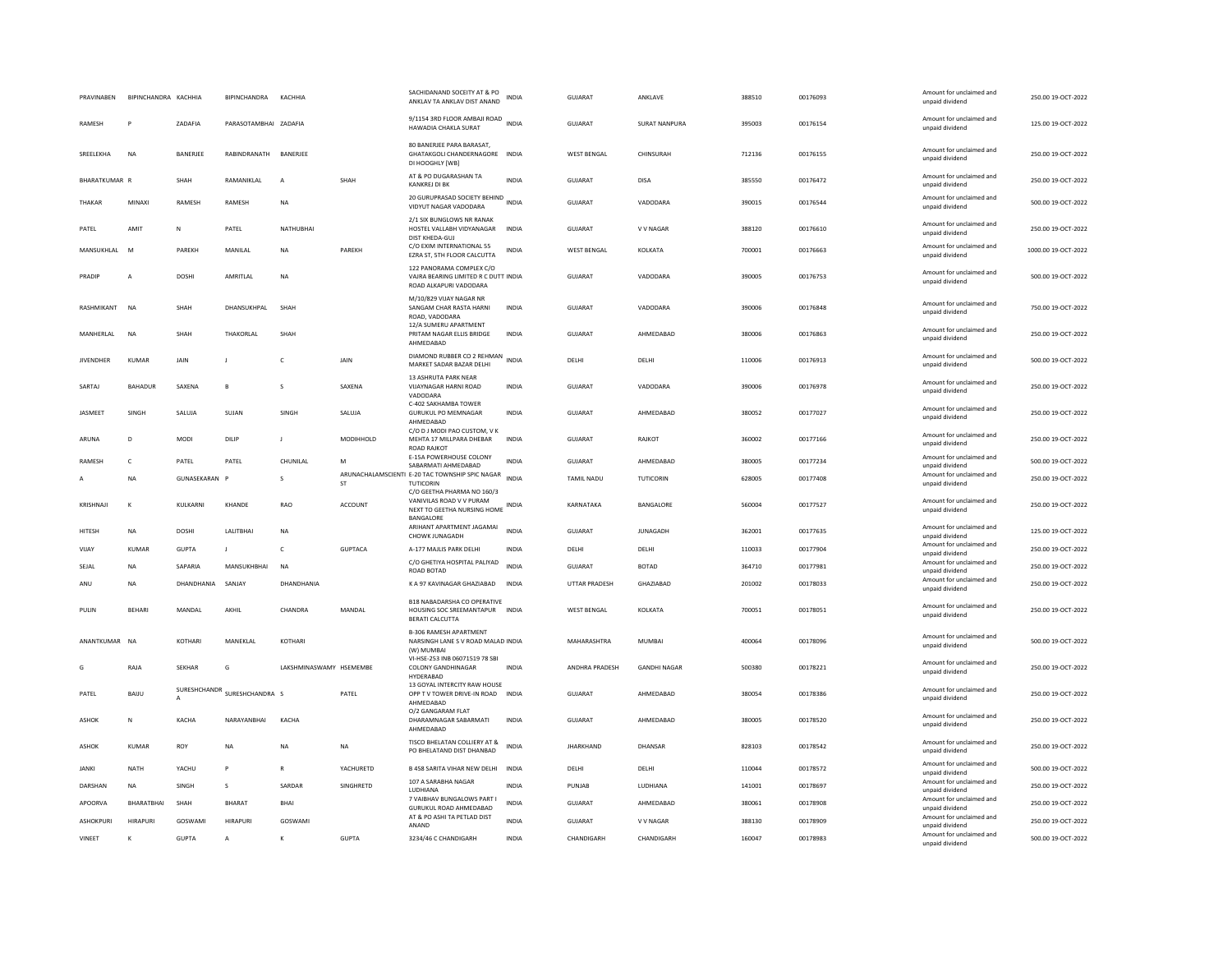| PRAVINABEN       | BIPINCHANDRA KACHHIA |               | <b>BIPINCHANDRA</b>          | KACHHIA                 |                | SACHIDANAND SOCEITY AT & PO<br>ANKLAV TA ANKLAV DIST ANAND                                 | <b>INDIA</b> | <b>GUJARAT</b>       | ANKLAVE              | 388510 | 00176093 | Amount for unclaimed and<br>unpaid dividend                    | 250.00 19-OCT-2022  |
|------------------|----------------------|---------------|------------------------------|-------------------------|----------------|--------------------------------------------------------------------------------------------|--------------|----------------------|----------------------|--------|----------|----------------------------------------------------------------|---------------------|
| RAMESH           | P                    | ZADAFIA       | PARASOTAMBHAI ZADAFIA        |                         |                | 9/1154 3RD FLOOR AMBAJI ROAD INDIA<br>HAWADIA CHAKLA SURAT                                 |              | GUJARAT              | <b>SURAT NANPURA</b> | 395003 | 00176154 | Amount for unclaimed and<br>unpaid dividend                    | 125.00 19-OCT-2022  |
| SREELEKHA        | <b>NA</b>            | BANERJEE      | RABINDRANATH                 | BANERJEE                |                | 80 BANERJEE PARA BARASAT,<br>GHATAKGOLI CHANDERNAGORE INDIA<br>DI HOOGHLY [WB]             |              | WEST BENGAL          | CHINSURAH            | 712136 | 00176155 | Amount for unclaimed and<br>unpaid dividend                    | 250.00 19-OCT-2022  |
| BHARATKUMAR R    |                      | SHAH          | RAMANIKLAL                   | $\overline{A}$          | SHAH           | AT & PO DUGARASHAN TA<br>KANKREJ DI BK                                                     | <b>INDIA</b> | <b>GUJARAT</b>       | <b>DISA</b>          | 385550 | 00176472 | Amount for unclaimed and<br>unpaid dividend                    | 250.00 19-OCT-2022  |
| THAKAR           | MINAXI               | <b>RAMESH</b> | RAMESH                       | <b>NA</b>               |                | 20 GURUPRASAD SOCIETY BEHIND<br>VIDYUT NAGAR VADODARA                                      | <b>INDIA</b> | <b>GUJARAT</b>       | VADODARA             | 390015 | 00176544 | Amount for unclaimed and<br>unpaid dividend                    | 500.00 19-OCT-2022  |
| PATEL            | AMIT                 | Ν             | PATEL                        | NATHUBHAI               |                | 2/1 SIX BUNGLOWS NR RANAK<br>HOSTEL VALLABH VIDYANAGAR<br>DIST KHEDA-GUJ                   | <b>INDIA</b> | <b>GUJARAT</b>       | V V NAGAR            | 388120 | 00176610 | Amount for unclaimed and<br>unpaid dividend                    | 250.00 19-OCT-2022  |
| MANSUKHI AI      | <b>M</b>             | PARFKH        | MANII AI                     | <b>NA</b>               | PARFKH         | C/O EXIM INTERNATIONAL 55<br>EZRA ST, 5TH FLOOR CALCUTTA                                   | <b>INDIA</b> | <b>WEST BENGAL</b>   | <b>KOI KATA</b>      | 700001 | 00176663 | Amount for unclaimed and<br>unpaid dividend                    | 1000.00.19-OCT-2022 |
| PRADIP           | $\overline{A}$       | <b>DOSHI</b>  | AMRITLAL                     | NA                      |                | 122 PANORAMA COMPLEX C/O<br>VAJRA BEARING LIMITED R C DUTT INDIA<br>ROAD ALKAPURI VADODARA |              | GUJARAT              | VADODARA             | 390005 | 00176753 | Amount for unclaimed and<br>unpaid dividend                    | 500.00 19-OCT-2022  |
| RASHMIKANT       | <b>NA</b>            | SHAH          | DHANSUKHPAL                  | SHAH                    |                | M/10/829 VIJAY NAGAR NR<br>SANGAM CHAR RASTA HARNI<br>ROAD, VADODARA                       | <b>INDIA</b> | <b>GUJARAT</b>       | VADODARA             | 390006 | 00176848 | Amount for unclaimed and<br>unpaid dividend                    | 750.00 19-OCT-2022  |
| MANHERLAL        | <b>NA</b>            | SHAH          | THAKORLAL                    | SHAH                    |                | 12/A SUMERU APARTMENT<br>PRITAM NAGAR ELLIS BRIDGE<br>AHMEDABAD                            | <b>INDIA</b> | <b>GUJARAT</b>       | AHMEDABAD            | 380006 | 00176863 | Amount for unclaimed and<br>unpaid dividend                    | 250.00 19-OCT-2022  |
| <b>JIVENDHER</b> | KUMAR                | <b>JAIN</b>   | J.                           | c                       | <b>JAIN</b>    | DIAMOND RUBBER CO 2 REHMAN<br>INDIA<br>MARKET SADAR BAZAR DELHI                            |              | DELHI                | DELHI                | 110006 | 00176913 | Amount for unclaimed and<br>unpaid dividend                    | 500.00 19-OCT-2022  |
| SARTAJ           | BAHADUR              | SAXENA        | $\overline{B}$               | s                       | SAXENA         | 13 ASHRUTA PARK NEAR<br>VIJAYNAGAR HARNI ROAD<br>VADODARA                                  | <b>INDIA</b> | <b>GUJARAT</b>       | VADODARA             | 390006 | 00176978 | Amount for unclaimed and<br>unpaid dividend                    | 250.00 19-OCT-2022  |
| JASMEET          | SINGH                | SALUJA        | SUJAN                        | SINGH                   | SALUJA         | C-402 SAKHAMBA TOWER<br><b>GURUKUL PO MEMNAGAR</b><br>AHMEDABAD                            | <b>INDIA</b> | <b>GUJARAT</b>       | AHMEDABAD            | 380052 | 00177027 | Amount for unclaimed and<br>unpaid dividend                    | 250.00 19-OCT-2022  |
| ARUNA            | D                    | MODI          | DILIP                        | $\mathbf{I}$            | MODIHHOLD      | C/O D J MODI PAO CUSTOM, V K<br>MEHTA 17 MILLPARA DHEBAR<br><b>ROAD RAJKOT</b>             | <b>INDIA</b> | GUJARAT              | RAJKOT               | 360002 | 00177166 | Amount for unclaimed and<br>unpaid dividend                    | 250.00 19-OCT-2022  |
| <b>RAMESH</b>    | $\mathsf{C}$         | PATEL         | PATEL                        | CHUNILAL                | M              | E-15A POWERHOUSE COLONY                                                                    | <b>INDIA</b> | GUIARAT              | AHMEDARAD            | 380005 | 00177234 | Amount for unclaimed and                                       | 500.00 19-OCT-2022  |
|                  |                      |               |                              |                         |                |                                                                                            |              |                      |                      |        |          |                                                                |                     |
| $\mathsf{A}$     | <b>NA</b>            | GUNASEKARAN P |                              | s                       | <b>ST</b>      | SABARMATI AHMEDABAD<br>ARUNACHALAMSCIENTI E-20 TAC TOWNSHIP SPIC NAGAR<br>TUTICORIN        | <b>INDIA</b> | <b>TAMIL NADU</b>    | <b>TUTICORIN</b>     | 628005 | 00177408 | unpaid dividend<br>Amount for unclaimed and<br>unpaid dividend | 250.00 19-OCT-2022  |
| KRISHNAJI        | $\kappa$             | KULKARNI      | KHANDE                       | <b>RAO</b>              | <b>ACCOUNT</b> | C/O GEETHA PHARMA NO 160/3<br>VANIVILAS ROAD V V PURAM<br>NEXT TO GEETHA NURSING HOME      | <b>INDIA</b> | KARNATAKA            | BANGALORE            | 560004 | 00177527 | Amount for unclaimed and<br>unpaid dividend                    | 250.00 19-OCT-2022  |
| HITESH           | <b>NA</b>            | <b>DOSHI</b>  | LALITBHA                     | <b>NA</b>               |                | BANGALORE<br>ARIHANT APARTMENT JAGAMAI<br>CHOWK JUNAGADH                                   | <b>INDIA</b> | <b>GUJARAT</b>       | <b>JUNAGADH</b>      | 362001 | 00177635 | Amount for unclaimed and<br>unpaid dividend                    | 125.00 19-OCT-2022  |
| VIJAY            | <b>KUMAR</b>         | <b>GUPTA</b>  | $\mathsf{J}$                 | c                       | <b>GUPTACA</b> | A-177 MAJLIS PARK DELHI                                                                    | INDIA        | DELHI                | DELHI                | 110033 | 00177904 | Amount for unclaimed and<br>unpaid dividend                    | 250.00 19-OCT-2022  |
| SEJAL            | ΝA                   | SAPARIA       | MANSUKHBHAI                  | <b>NA</b>               |                | C/O GHETIYA HOSPITAL PALIYAD                                                               | <b>INDIA</b> | GUJARAT              | <b>BOTAD</b>         | 364710 | 00177981 | Amount for unclaimed and                                       | 250.00 19-OCT-2022  |
| ANU              | <b>NA</b>            | DHANDHANIA    | <b>SANJAY</b>                | DHANDHANIA              |                | ROAD BOTAD<br>K A 97 KAVINAGAR GHAZIABAD                                                   | INDIA        | <b>UTTAR PRADESH</b> | GHAZIABAD            | 201002 | 00178033 | unpaid dividend<br>Amount for unclaimed and<br>unpaid dividend | 250.00 19-OCT-2022  |
| PULIN            | <b>BEHARI</b>        | MANDAL        | AKHIL                        | CHANDRA                 | MANDAL         | B18 NABADARSHA CO OPERATIVE<br>HOUSING SOC SREEMANTAPUR<br><b>BERATI CALCUTTA</b>          | <b>INDIA</b> | WEST BENGAL          | KOLKATA              | 700051 | 00178051 | Amount for unclaimed and<br>unpaid dividend                    | 250.00 19-OCT-2022  |
| ANANTKUMAR NA    |                      | KOTHARI       | MANEKLAL                     | KOTHARI                 |                | <b>B-306 RAMESH APARTMENT</b><br>NARSINGH LANE S V ROAD MALAD INDIA<br>(W) MUMBAI          |              | MAHARASHTRA          | <b>MUMBAI</b>        | 400064 | 00178096 | Amount for unclaimed and<br>unpaid dividend                    | 500.00 19-OCT-2022  |
| G                | RAJA                 | <b>SEKHAR</b> | G                            | LAKSHMINASWAMY HSEMEMBE |                | VI-HSE-253 INB 06071519 78 SBI<br><b>COLONY GANDHINAGAR</b><br>HYDERABAD                   | <b>INDIA</b> | ANDHRA PRADESH       | <b>GANDHI NAGAR</b>  | 500380 | 00178221 | Amount for unclaimed and<br>unpaid dividend                    | 250.00 19-OCT-2022  |
| PATEL            | BAIJU                | A             | SURESHCHANDR SURESHCHANDRA S |                         | PATEL          | 13 GOYAL INTERCITY RAW HOUSE<br>OPP T V TOWER DRIVE-IN ROAD<br>AHMEDABAD                   | <b>INDIA</b> | <b>GUJARAT</b>       | AHMEDABAD            | 380054 | 00178386 | Amount for unclaimed and<br>unpaid dividend                    | 250.00 19-OCT-2022  |
| ASHOK            | N                    | KACHA         | NARAYANBHAI                  | KACHA                   |                | 0/2 GANGARAM FLAT<br>DHARAMNAGAR SABARMATI<br>AHMEDABAD                                    | <b>INDIA</b> | <b>GUJARAT</b>       | AHMEDABAD            | 380005 | 00178520 | Amount for unclaimed and<br>unpaid dividend                    | 250.00 19-OCT-2022  |
| ASHOK            | KUMAR                | ROY           | NA                           | <b>NA</b>               | NA             | TISCO BHELATAN COLLIERY AT &<br>PO BHELATAND DIST DHANBAD                                  | INDIA        | <b>JHARKHAND</b>     | DHANSAR              | 828103 | 00178542 | Amount for unclaimed and<br>unpaid dividend                    | 250.00 19-OCT-2022  |
| <b>JANKI</b>     | <b>NATH</b>          | YACHU         | P                            | R                       | YACHURETD      | B 458 SARITA VIHAR NEW DELHI INDIA                                                         |              | DELHI                | DELHI                | 110044 | 00178572 | Amount for unclaimed and                                       | 500.00 19-OCT-2022  |
| DARSHAN          | <b>NA</b>            | SINGH         | s                            | SARDAR                  | SINGHRETD      | 107 A SARABHA NAGAR                                                                        | <b>INDIA</b> | PUNJAB               | LUDHIANA             | 141001 | 00178697 | unpaid dividend<br>Amount for unclaimed and                    | 250.00 19-OCT-2022  |
| APOORVA          | BHARATBHAI           | SHAH          | BHARAT                       | BHAI                    |                | LUDHIANA<br>7 VAIBHAV BUNGALOWS PART I                                                     | <b>INDIA</b> | GUJARAT              | AHMEDABAD            | 380061 | 00178908 | unpaid dividend<br>Amount for unclaimed and                    | 250.00 19-OCT-2022  |
| <b>ASHOKPURI</b> | <b>HIRAPUR</b>       | GOSWAMI       | <b>HIRAPURI</b>              | GOSWAMI                 |                | <b>GURUKUL ROAD AHMEDABAD</b><br>AT & PO ASHI TA PETLAD DIST                               | <b>INDIA</b> | <b>GUJARAT</b>       | V V NAGAR            | 388130 | 00178909 | unpaid dividend<br>Amount for unclaimed and                    | 250.00 19-OCT-2022  |
| VINEET           | K                    | <b>GUPTA</b>  | A                            |                         | <b>GUPTA</b>   | ANAND<br>3234/46 C CHANDIGARH                                                              | INDIA        | CHANDIGARH           | CHANDIGARH           | 160047 | 00178983 | unpaid dividend<br>Amount for unclaimed and<br>unpaid dividend | 500.00 19-OCT-2022  |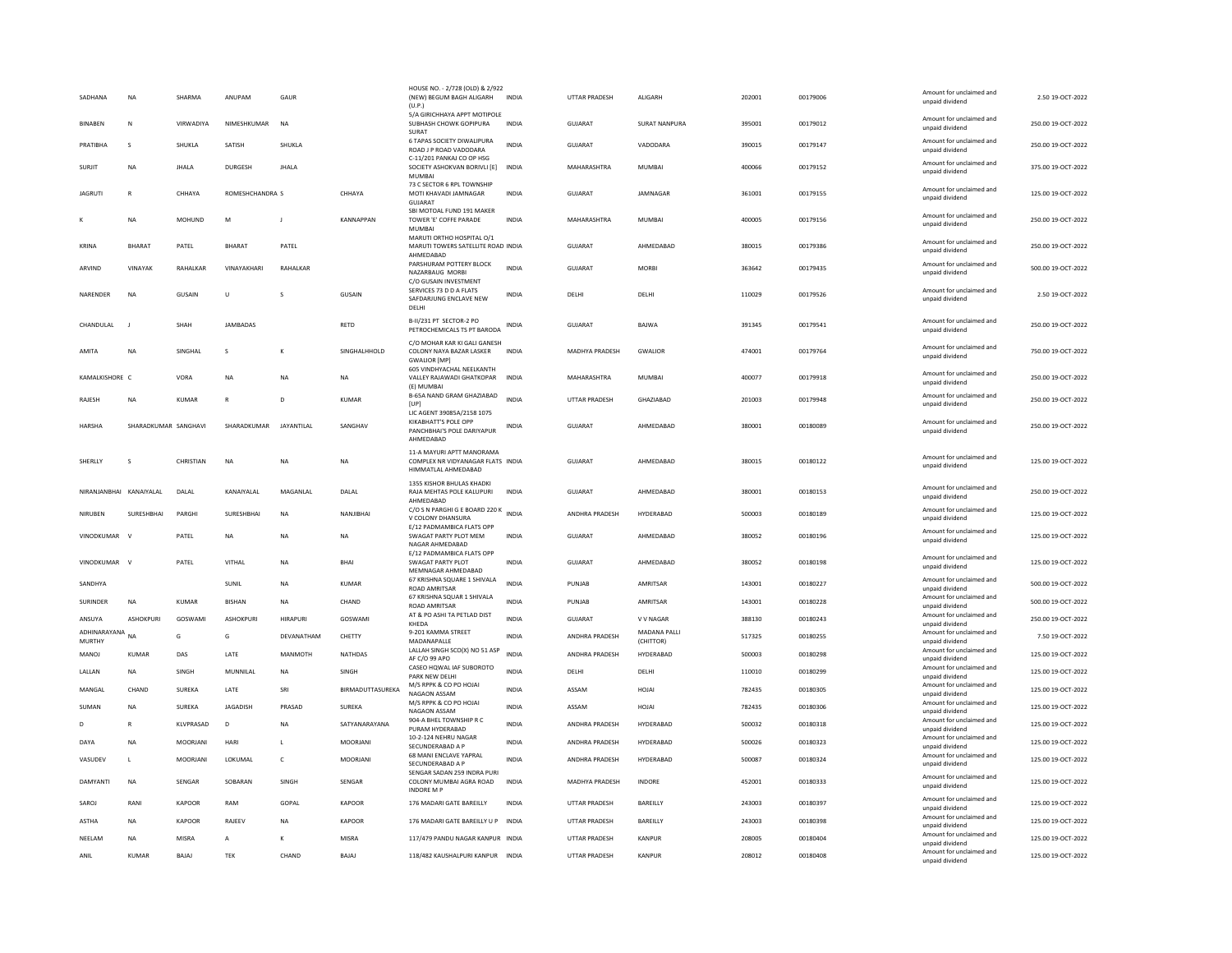| SADHANA                  | <b>NA</b>            | SHARMA         | ANUPAM           | GAUR            |                  | HOUSE NO. - 2/728 (OLD) & 2/922<br>(NEW) BEGUM BAGH ALIGARH<br>(U.P.)                 | <b>INDIA</b> | <b>UTTAR PRADESH</b>  | <b>ALIGARH</b>            | 202001 | 00179006 | Amount for unclaimed and<br>unpaid dividend | 2.50.19-OCT-2022   |
|--------------------------|----------------------|----------------|------------------|-----------------|------------------|---------------------------------------------------------------------------------------|--------------|-----------------------|---------------------------|--------|----------|---------------------------------------------|--------------------|
| <b>BINAREN</b>           | N                    | VIRWADIYA      | NIMESHKUMAR      | <b>NA</b>       |                  | 5/A GIRICHHAYA APPT MOTIPOLE<br>SUBHASH CHOWK GOPIPURA<br>SURAT                       | <b>INDIA</b> | GUIARAT               | SURAT NANPURA             | 395001 | 00179012 | Amount for unclaimed and<br>unpaid dividend | 250.00 19-QCT-2022 |
| PRATIBHA                 | s                    | SHUKLA         | SATISH           | SHUKLA          |                  | 6 TAPAS SOCIETY DIWALIPURA<br>ROAD J P ROAD VADODARA                                  | <b>INDIA</b> | GUJARAT               | VADODARA                  | 390015 | 00179147 | Amount for unclaimed and<br>unpaid dividend | 250.00 19-OCT-2022 |
| SURJIT                   | <b>NA</b>            | <b>JHALA</b>   | <b>DURGESH</b>   | <b>JHALA</b>    |                  | C-11/201 PANKAJ CO OP HSG<br>SOCIETY ASHOKVAN BORIVLI [E]<br><b>MUMBAI</b>            | <b>INDIA</b> | MAHARASHTRA           | <b>MUMBAI</b>             | 400066 | 00179152 | Amount for unclaimed and<br>unpaid dividend | 375.00 19-OCT-2022 |
| <b>JAGRUTI</b>           | $\mathbb{R}$         | CHHAYA         | ROMESHCHANDRA S  |                 | CHHAYA           | 73 C SECTOR 6 RPL TOWNSHIP<br>MOTI KHAVADI JAMNAGAR<br>GUJARAT                        | <b>INDIA</b> | <b>GUJARAT</b>        | JAMNAGAR                  | 361001 | 00179155 | Amount for unclaimed and<br>unpaid dividend | 125.00 19-OCT-2022 |
| к                        | <b>NA</b>            | MOHUND         | M                | -11             | <b>KANNAPPAN</b> | SBI MOTOAL FUND 191 MAKER<br>TOWER 'E' COFFE PARADE<br><b>MUMBAI</b>                  | <b>INDIA</b> | MAHARASHTRA           | <b>MUMBAI</b>             | 400005 | 00179156 | Amount for unclaimed and<br>unpaid dividend | 250.00 19-OCT-2022 |
| KRINA                    | <b>RHARAT</b>        | PATEL          | <b>BHARAT</b>    | PATFI           |                  | MARUTI ORTHO HOSPITAL O/1<br>MARUTI TOWERS SATELLITE ROAD INDIA<br>AHMEDABAD          |              | GUIARAT               | AHMEDARAD                 | 380015 | 00179386 | Amount for unclaimed and<br>unpaid dividend | 250.00 19-QCT-2022 |
| ARVIND                   | VINAYAK              | RAHALKAR       | VINAYAKHAR       | RAHALKAF        |                  | PARSHURAM POTTERY BLOCK<br>NAZARBAUG MORBI<br>C/O GUSAIN INVESTMENT                   | INDIA        | <b>GUJARAT</b>        | <b>MORB</b>               | 363642 | 00179435 | Amount for unclaimed and<br>unpaid dividend | 500.00 19-OCT-2022 |
| NARENDER                 | <b>NA</b>            | GUSAIN         | U                |                 | <b>GUSAIN</b>    | SERVICES 73 D D A FLATS<br>SAFDARJUNG ENCLAVE NEW<br>DELHI                            | <b>INDIA</b> | DELHI                 | DELHI                     | 110029 | 00179526 | Amount for unclaimed and<br>unpaid dividend | 2.50 19-OCT-2022   |
| CHANDULAL                | $\mathbf{I}$         | SHAH           | JAMBADAS         |                 | RETD             | B-II/231 PT SECTOR-2 PO<br>PETROCHEMICALS TS PT BARODA                                | INDIA        | GUJARAT               | BAJWA                     | 391345 | 00179541 | Amount for unclaimed and<br>unpaid dividend | 250.00 19-OCT-2022 |
| AMITA                    | <b>NA</b>            | SINGHAI        | s                |                 | SINGHALHHOLD     | C/O MOHAR KAR KI GALI GANESH<br>COLONY NAYA BAZAR LASKER<br><b>GWALIOR [MP]</b>       | <b>INDIA</b> | MADHYA PRADESH        | <b>GWALIOR</b>            | 474001 | 00179764 | Amount for unclaimed and<br>unpaid dividend | 750.00 19-OCT-2022 |
| KAMALKISHORE C           |                      | VORA           | <b>NA</b>        | <b>NA</b>       | <b>NA</b>        | 605 VINDHYACHAL NEELKANTH<br>VALLEY RAJAWADI GHATKOPAR<br>(E) MUMBAI                  | <b>INDIA</b> | MAHARASHTRA           | <b>MUMBAI</b>             | 400077 | 00179918 | Amount for unclaimed and<br>unpaid dividend | 250.00 19-OCT-2022 |
| RAJESH                   | <b>NA</b>            | <b>KUMAR</b>   | R                | D               | <b>KUMAR</b>     | B-65A NAND GRAM GHAZIABAD<br>[UP]<br>LIC AGENT 39085A/2158 1075                       | INDIA        | <b>UTTAR PRADESH</b>  | GHAZIABAD                 | 201003 | 00179948 | Amount for unclaimed and<br>unpaid dividend | 250.00 19-OCT-2022 |
| <b>HARSHA</b>            | SHARADKUMAR SANGHAVI |                | SHARADKUMAR      | JAYANTILAL      | SANGHAV          | <b>KIKABHATT'S POLE OPP</b><br>PANCHBHAI'S POLE DARIYAPUR<br>AHMFDARAD                | <b>INDIA</b> | <b>GUJARAT</b>        | AHMEDABAD                 | 380001 | 00180089 | Amount for unclaimed and<br>unpaid dividend | 250.00 19-OCT-2022 |
| SHERLLY                  | s                    | CHRISTIAN      | NA               | NA              | NA               | 11-A MAYURI APTT MANORAMA<br>COMPLEX NR VIDYANAGAR FLATS INDIA<br>HIMMATLAL AHMEDABAD |              | GUJARAT               | AHMEDABAD                 | 380015 | 00180122 | Amount for unclaimed and<br>unpaid dividend | 125.00 19-OCT-2022 |
| NIRANIANRHAI KANAIYAI AI |                      | DAI AI         | KANAIYAI AI      | MAGANI AI       | DAI AI           | 1355 KISHOR BHULAS KHADKI<br>RAJA MEHTAS POLE KALUPURI<br>AHMEDABAD                   | <b>INDIA</b> | GUIARAT               | AHMEDARAD                 | 380001 | 00180153 | Amount for unclaimed and<br>unpaid dividend | 250.00 19-OCT-2022 |
| NIRUBEN                  | <b>SURESHBHAI</b>    | PARGH          | SURESHBHAI       | <b>NA</b>       | NANJIBHAI        | C/O S N PARGHI G E BOARD 220 K<br>V COLONY DHANSURA                                   | <b>INDIA</b> | ANDHRA PRADESH        | HYDERABAD                 | 500003 | 00180189 | Amount for unclaimed and<br>unpaid dividend | 125.00 19-OCT-2022 |
| VINODKUMAR               | $\mathbf{v}$         | PATEL          | <b>NA</b>        | <b>NA</b>       | <b>NA</b>        | E/12 PADMAMBICA FLATS OPF<br>SWAGAT PARTY PLOT MEM<br>NAGAR AHMEDABAD                 | <b>INDIA</b> | <b>GUJARAT</b>        | AHMEDARAD                 | 380052 | 00180196 | Amount for unclaimed and<br>unpaid dividend | 125.00 19-OCT-2022 |
| VINODKUMAR               | $\mathbf{v}$         | PATEL          | VITHAL           | <b>NA</b>       | <b>BHA</b>       | E/12 PADMAMBICA FLATS OPP<br><b>SWAGAT PARTY PLOT</b><br>MEMNAGAR AHMEDABAD           | <b>INDIA</b> | <b>GUJARAT</b>        | AHMEDARAD                 | 380052 | 00180198 | Amount for unclaimed and<br>unpaid dividend | 125.00 19-OCT-2022 |
| SANDHYA                  |                      |                | SUNIL            | NA              | KUMAR            | 67 KRISHNA SQUARE 1 SHIVALA<br><b>ROAD AMRITSAR</b>                                   | INDIA        | PUNJAB                | AMRITSAR                  | 143001 | 00180227 | Amount for unclaimed and<br>unpaid dividend | 500.00 19-OCT-2022 |
| SURINDER                 | <b>NA</b>            | <b>KUMAR</b>   | <b>BISHAN</b>    | <b>NA</b>       | CHAND            | 67 KRISHNA SQUAR 1 SHIVALA<br><b>ROAD AMRITSAR</b>                                    | <b>INDIA</b> | PUNJAB                | AMRITSAR                  | 143001 | 00180228 | Amount for unclaimed and<br>unpaid dividend | 500.00 19-OCT-2022 |
| ANSUYA                   | <b>ASHOKPURI</b>     | GOSWAMI        | <b>ASHOKPURI</b> | <b>HIRAPURI</b> | GOSWAMI          | AT & PO ASHI TA PETLAD DIST<br>KHEDA                                                  | <b>INDIA</b> | <b>GUJARAT</b>        | V V NAGAR                 | 388130 | 00180243 | Amount for unclaimed and<br>unpaid dividend | 250.00 19-OCT-2022 |
| ADHINARAYANA<br>MURTHY   | <b>NA</b>            | G              | G                | DEVANATHAM      | CHETTY           | 9-201 KAMMA STREET<br>MADANAPALLE                                                     | <b>INDIA</b> | <b>ANDHRA PRADESH</b> | MADANA PALLI<br>(CHITTOR) | 517325 | 00180255 | Amount for unclaimed and<br>unpaid dividend | 7.50 19-OCT-2022   |
| MANOJ                    | KUMAR                | DAS            | LATE             | MANMOTH         | <b>NATHDAS</b>   | LALLAH SINGH SCO(X) NO 51 ASP<br>AF C/O 99 APO                                        | <b>INDIA</b> | ANDHRA PRADESH        | HYDERABAD                 | 500003 | 00180298 | Amount for unclaimed and<br>unpaid dividend | 125.00 19-OCT-2022 |
| LALLAN                   | <b>NA</b>            | SINGH          | MUNNILAL         | NA              | SINGH            | CASEO HQWAL IAF SUBOROTO<br>PARK NEW DELHI                                            | <b>INDIA</b> | DELHI                 | DELHI                     | 110010 | 00180299 | Amount for unclaimed and<br>unpaid dividend | 125.00 19-OCT-2022 |
| MANGAL                   | CHAND                | <b>SUREKA</b>  | LATE             | SRI             | BIRMADUTTASUREKA | M/S RPPK & CO PO HOJAI<br>NAGAON ASSAM                                                | <b>INDIA</b> | ASSAM                 | HOJAI                     | 782435 | 00180305 | Amount for unclaimed and<br>unpaid dividend | 125.00 19-OCT-2022 |
| SUMAN                    | <b>NA</b>            | <b>SUREKA</b>  | <b>JAGADISH</b>  | PRASAD          | <b>SUREKA</b>    | M/S RPPK & CO PO HOJAI<br>NAGAON ASSAM                                                | <b>INDIA</b> | ASSAM                 | HOJAI                     | 782435 | 00180306 | Amount for unclaimed and<br>unpaid dividend | 125.00 19-OCT-2022 |
| D                        | R                    | KLVPRASAD      | D                | <b>NA</b>       | SATYANARAYANA    | 904-A BHEL TOWNSHIP R C<br>PURAM HYDERABAD                                            | <b>INDIA</b> | ANDHRA PRADESH        | HYDERABAD                 | 500032 | 00180318 | Amount for unclaimed and<br>unpaid dividend | 125.00 19-OCT-2022 |
| DAYA                     | <b>NA</b>            | <b>MOORIAN</b> | HARI             | $\mathbf{L}$    | <b>MOORIANI</b>  | 10-2-124 NEHRU NAGAR<br>SECUNDERABAD A P                                              | <b>INDIA</b> | <b>ANDHRA PRADESH</b> | HYDERARAD                 | 500026 | 00180323 | Amount for unclaimed and<br>unpaid dividend | 125.00.19-QCT-2022 |
| VASUDEV                  | $\mathsf{L}$         | MOORJANI       | LOKUMAL          | $\mathsf{C}$    | MOORJANI         | 68 MANI ENCLAVE YAPRAL<br>SECUNDERABAD A P                                            | <b>INDIA</b> | ANDHRA PRADESH        | HYDERABAD                 | 500087 | 00180324 | Amount for unclaimed and<br>unpaid dividend | 125.00 19-OCT-2022 |
| DAMYANTI                 | NA                   | SENGAR         | SOBARAN          | SINGH           | SENGAR           | SENGAR SADAN 259 INDRA PURI<br>COLONY MUMBAI AGRA ROAD<br><b>INDORE M P</b>           | INDIA        | MADHYA PRADESH        | INDORE                    | 452001 | 00180333 | Amount for unclaimed and<br>unpaid dividend | 125.00 19-OCT-2022 |
| SAROJ                    | RANI                 | KAPOOR         | RAM              | GOPAL           | KAPOOR           | 176 MADARI GATE BAREILLY                                                              | <b>INDIA</b> | UTTAR PRADESH         | BAREILLY                  | 243003 | 00180397 | Amount for unclaimed and<br>unpaid dividend | 125.00 19-OCT-2022 |
| ASTHA                    | NA                   | KAPOOR         | <b>RAJEEV</b>    | <b>NA</b>       | <b>KAPOOR</b>    | 176 MADARI GATE BAREILLY U P INDIA                                                    |              | <b>UTTAR PRADESH</b>  | BAREILLY                  | 243003 | 00180398 | Amount for unclaimed and<br>unpaid dividend | 125.00 19-OCT-2022 |
| NEELAM                   | <b>NA</b>            | <b>MISRA</b>   | A                | к               | <b>MISRA</b>     | 117/479 PANDU NAGAR KANPUR INDIA                                                      |              | <b>UTTAR PRADESH</b>  | KANPUR                    | 208005 | 00180404 | Amount for unclaimed and<br>unpaid dividend | 125.00 19-OCT-2022 |
| ANIL                     | <b>KUMAR</b>         | BAJAJ          | TEK              | CHAND           | <b>BAJAJ</b>     | 118/482 KAUSHALPURI KANPUR                                                            | <b>INDIA</b> | <b>UTTAR PRADESH</b>  | KANPUR                    | 208012 | 00180408 | Amount for unclaimed and<br>unpaid dividend | 125.00 19-OCT-2022 |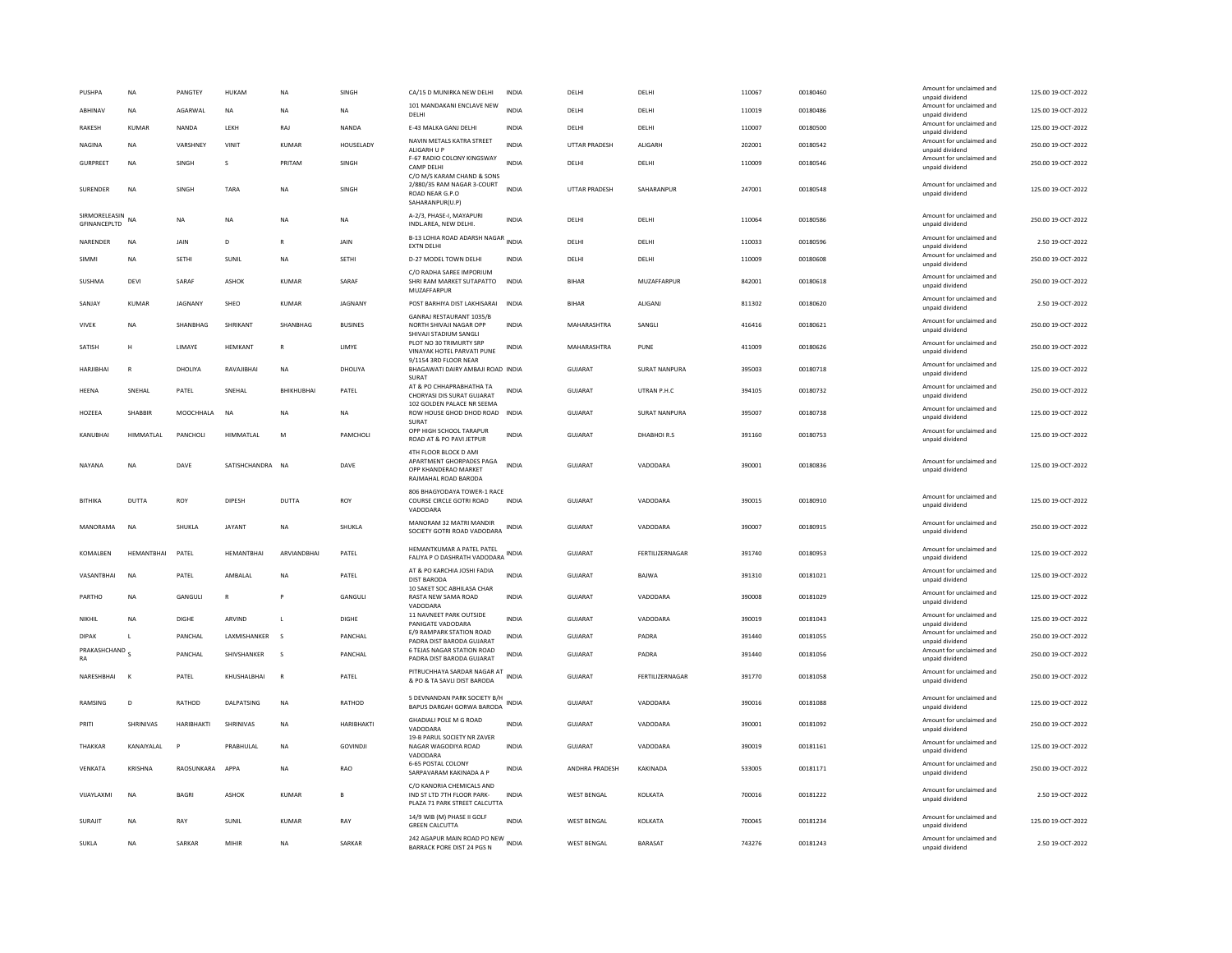| PUSHPA                          | <b>NA</b>      | <b>PANGTEY</b>  | HUKAM             | <b>NA</b>          | <b>SINGH</b>    | CA/15 D MUNIRKA NEW DELHI                                                                         | <b>INDIA</b> | DELHI                 | DELHI                | 110067 | 00180460 | Amount for unclaimed and<br>unpaid dividend | 125.00 19-OCT-2022 |
|---------------------------------|----------------|-----------------|-------------------|--------------------|-----------------|---------------------------------------------------------------------------------------------------|--------------|-----------------------|----------------------|--------|----------|---------------------------------------------|--------------------|
| ABHINAV                         | <b>NA</b>      | AGARWAL         | <b>NA</b>         | <b>NA</b>          | <b>NA</b>       | 101 MANDAKANI ENCLAVE NEW<br>DELHI                                                                | <b>INDIA</b> | DELHI                 | DELHI                | 110019 | 00180486 | Amount for unclaimed and<br>unpaid dividend | 125.00 19-OCT-2022 |
| RAKESH                          | KUMAR          | NANDA           | LEKH              | RAJ                | NANDA           | E-43 MALKA GANJ DELHI                                                                             | INDIA        | DELHI                 | DELHI                | 110007 | 00180500 | Amount for unclaimed and<br>unpaid dividend | 125.00 19-OCT-2022 |
| NAGINA                          | NA             | VARSHNEY        | VINIT             | KUMAR              | HOUSELADY       | NAVIN METALS KATRA STREET<br>ALIGARH U P                                                          | INDIA        | UTTAR PRADESH         | ALIGARH              | 202001 | 00180542 | Amount for unclaimed and<br>unpaid dividend | 250.00 19-OCT-2022 |
| <b>GURPREET</b>                 | <b>NA</b>      | SINGH           | s                 | PRITAM             | SINGH           | F-67 RADIO COLONY KINGSWAY<br><b>CAMP DELHI</b>                                                   | <b>INDIA</b> | DELH                  | DELHI                | 110009 | 00180546 | Amount for unclaimed and<br>unpaid dividend | 250.00 19-OCT-2022 |
| SURENDER                        | <b>NA</b>      | SINGH           | TARA              | <b>NA</b>          | SINGH           | C/O M/S KARAM CHAND & SONS<br>2/880/35 RAM NAGAR 3-COURT<br>ROAD NEAR G.P.O<br>SAHARANPUR(U.P)    | <b>INDIA</b> | <b>UTTAR PRADESH</b>  | SAHARANPUR           | 247001 | 00180548 | Amount for unclaimed and<br>unpaid dividend | 125.00 19-OCT-2022 |
| SIRMORELEASIN<br>GFINANCEPLTD   | <b>NA</b>      | <b>NA</b>       | <b>NA</b>         | <b>NA</b>          | <b>NA</b>       | A-2/3, PHASE-I, MAYAPURI<br>INDL.AREA, NEW DELHI.                                                 | <b>INDIA</b> | DELHI                 | DELHI                | 110064 | 00180586 | Amount for unclaimed and<br>unpaid dividend | 250.00 19-OCT-2022 |
| NARENDER                        | NA             | JAIN            | D                 | R                  | JAIN            | B-13 LOHIA ROAD ADARSH NAGAR<br><b>EXTN DELHI</b>                                                 | <b>INDIA</b> | DELHI                 | DELHI                | 110033 | 00180596 | Amount for unclaimed and<br>unpaid dividend | 2.50 19-OCT-2022   |
| <b>SIMMI</b>                    | <b>NA</b>      | <b>SFTHI</b>    | SUNIL             | <b>NA</b>          | <b>SFTHI</b>    | <b>D-27 MODEL TOWN DELHI</b>                                                                      | <b>INDIA</b> | DFI HI                | DELHI                | 110009 | 00180608 | Amount for unclaimed and<br>unpaid dividend | 250.00 19-QCT-2022 |
| SUSHMA                          | DEVI           | SARAF           | ASHOK             | KUMAR              | SARAF           | C/O RADHA SAREE IMPORIUM<br>SHRI RAM MARKET SUTAPATTO<br>MUZAFFARPUR                              | INDIA        | BIHAR                 | MUZAFFARPUR          | 842001 | 00180618 | Amount for unclaimed and<br>unpaid dividend | 250.00 19-OCT-2022 |
| SANJAY                          | KUMAR          | JAGNANY         | SHEO              | KUMAR              | <b>JAGNANY</b>  | POST BARHIYA DIST LAKHISARAI INDIA                                                                |              | <b>BIHAR</b>          | ALIGANI              | 811302 | 00180620 | Amount for unclaimed and<br>unpaid dividend | 2.50 19-OCT-2022   |
| VIVEK                           | NA             | SHANBHAG        | <b>SHRIKANT</b>   | SHANBHAG           | <b>BUSINES</b>  | GANRAJ RESTAURANT 1035/B<br>NORTH SHIVAJI NAGAR OPP<br>SHIVAJI STADIUM SANGLI                     | INDIA        | MAHARASHTRA           | SANGLI               | 416416 | 00180621 | Amount for unclaimed and<br>unpaid dividend | 250.00 19-OCT-2022 |
| SATISH                          | н              | LIMAYE          | HEMKANT           | $\mathbb{R}$       | LIMYE           | PLOT NO 30 TRIMURTY SRP<br>VINAYAK HOTEL PARVATI PUNE                                             | <b>INDIA</b> | MAHARASHTRA           | PUNE                 | 411009 | 00180626 | Amount for unclaimed and<br>unpaid dividend | 250.00 19-OCT-2022 |
| HARJIBHAI                       | R              | DHOLIYA         | RAVAJIBHAI        | <b>NA</b>          | DHOLIYA         | 9/1154 3RD FLOOR NEAR<br>BHAGAWATI DAIRY AMBAJI ROAD INDIA                                        |              | GUJARAT               | SURAT NANPURA        | 395003 | 00180718 | Amount for unclaimed and<br>unpaid dividend | 125.00 19-OCT-2022 |
| HEENA                           | SNFHAI         | PATEL           | SNEHAL            | <b>BHIKHUBHAI</b>  | PATEL           | SURAT<br>AT & PO CHHAPRABHATHA TA<br>CHORYASI DIS SURAT GUIARAT                                   | <b>INDIA</b> | <b>GUJARAT</b>        | UTRAN P.H.C          | 394105 | 00180732 | Amount for unclaimed and<br>unpaid dividend | 250.00 19-OCT-2022 |
| HOZEEA                          | SHABBIR        | MOOCHHALA       | <b>NA</b>         | <b>NA</b>          | <b>NA</b>       | 102 GOLDEN PALACE NR SEEMA<br>ROW HOUSE GHOD DHOD ROAD<br>SURAT                                   | <b>INDIA</b> | GUJARAT               | <b>SURAT NANPURA</b> | 395007 | 00180738 | Amount for unclaimed and<br>unpaid dividend | 125.00 19-OCT-2022 |
| KANUBHAI                        | HIMMATLAL      | PANCHOLI        | HIMMATLAL         | M                  | PAMCHOLI        | OPP HIGH SCHOOL TARAPUR<br>ROAD AT & PO PAVI JETPUR                                               | <b>INDIA</b> | <b>GUJARAT</b>        | DHABHOIR.S           | 391160 | 00180753 | Amount for unclaimed and<br>unpaid dividend | 125.00 19-OCT-2022 |
| NAYANA                          | <b>NA</b>      | DAVE            | SATISHCHANDRA     | <b>NA</b>          | DAVE            | 4TH FLOOR BLOCK D AMI<br>APARTMENT GHORPADES PAGA<br>OPP KHANDERAO MARKET<br>RAJMAHAL ROAD BARODA | <b>INDIA</b> | <b>GUJARAT</b>        | VADODARA             | 390001 | 00180836 | Amount for unclaimed and<br>unpaid dividend | 125.00 19-OCT-2022 |
| BITHIKA                         | <b>DUTTA</b>   | ROY             | DIPESH            | DUTTA              | ROY             | 806 BHAGYODAYA TOWER-1 RACE<br>COURSE CIRCLE GOTRI ROAD<br>VADODARA                               | <b>INDIA</b> | <b>GUJARAT</b>        | VADODARA             | 390015 | 00180910 | Amount for unclaimed and<br>unpaid dividend | 125.00 19-OCT-2022 |
| MANORAMA                        | <b>NA</b>      | SHUKLA          | JAYANT            | <b>NA</b>          | SHUKLA          | MANORAM 32 MATRI MANDIR<br>SOCIETY GOTRI ROAD VADODARA                                            | INDIA        | GUJARAT               | VADODARA             | 390007 | 00180915 | Amount for unclaimed and<br>unpaid dividend | 250.00 19-OCT-2022 |
| KOMALBEN                        | HEMANTBHAI     | PATEL           | HEMANTBHA         | ARVIANDBHA         | PATEL           | HEMANTKUMAR A PATEL PATEL<br>FALIYA P O DASHRATH VADODARA INDIA                                   |              | <b>GUJARAT</b>        | FERTILIZERNAGAR      | 391740 | 00180953 | Amount for unclaimed and<br>unpaid dividend | 125.00 19-OCT-2022 |
| VASANTRHAI                      | <b>NA</b>      | PATEL           | AMBAI AI          | <b>NA</b>          | PATEL           | AT & PO KARCHIA JOSHI FADIA<br>DIST BARODA                                                        | <b>INDIA</b> | GUIARAT               | <b>BAIWA</b>         | 391310 | 00181021 | Amount for unclaimed and<br>unpaid dividend | 125.00 19-OCT-2022 |
| PARTHO                          | <b>NA</b>      | GANGULI         | $\mathsf{R}$      |                    | GANGULI         | 10 SAKET SOC ABHILASA CHAR<br>RASTA NEW SAMA ROAD<br>VADODARA                                     | INDIA        | GUJARAT               | VADODARA             | 390008 | 00181029 | Amount for unclaimed and<br>unpaid dividend | 125.00 19-OCT-2022 |
| NIKHII                          | <b>NA</b>      | DIGHE           | ARVIND            | $\mathbf{L}$       | DIGHE           | 11 NAVNEET PARK OUTSIDE<br>PANIGATE VADODARA                                                      | <b>INDIA</b> | GUIARAT               | VADODARA             | 390019 | 00181043 | Amount for unclaimed and<br>unpaid dividend | 125.00.19-QCT-2022 |
| <b>DIPAK</b>                    | $\mathbf{L}$   | PANCHAL         | LAXMISHANKER      | $\mathbf{\hat{S}}$ | PANCHAL         | E/9 RAMPARK STATION ROAD<br>PADRA DIST BARODA GUJARAT                                             | <b>INDIA</b> | <b>GUJARAT</b>        | PADRA                | 391440 | 00181055 | Amount for unclaimed and<br>unpaid dividend | 250.00 19-OCT-2022 |
| PRAKASHCHAND <sub>S</sub><br>RA |                | PANCHAL         | SHIVSHANKER       | s                  | PANCHAL         | <b>6 TEJAS NAGAR STATION ROAD</b><br>PADRA DIST BARODA GUJARAT                                    | <b>INDIA</b> | GUJARAT               | PADRA                | 391440 | 00181056 | Amount for unclaimed and<br>unpaid dividend | 250.00 19-OCT-2022 |
| NARESHBHAI                      | $\mathbf{k}$   | PATEL           | KHUSHALBHAI       | $\mathbb{R}$       | PATEL           | PITRUCHHAYA SARDAR NAGAR AT<br>& PO & TA SAVLI DIST BARODA                                        | <b>INDIA</b> | <b>GUJARAT</b>        | FERTILIZERNAGAR      | 391770 | 00181058 | Amount for unclaimed and<br>unpaid dividend | 250.00 19-OCT-2022 |
| RAMSING                         | D              | RATHOD          | <b>DALPATSING</b> | <b>NA</b>          | RATHOD          | 5 DEVNANDAN PARK SOCIETY B/H<br>BAPUS DARGAH GORWA BARODA                                         | <b>INDIA</b> | <b>GUJARAT</b>        | VADODARA             | 390016 | 00181088 | Amount for unclaimed and<br>unpaid dividend | 125.00 19-OCT-2022 |
| PRITI                           | SHRINIVAS      | HARIBHAKTI      | SHRINIVAS         | NA                 | HARIBHAKTI      | <b>GHADIALI POLE M G ROAD</b><br>VADODARA                                                         | <b>INDIA</b> | <b>GUJARAT</b>        | VADODARA             | 390001 | 00181092 | Amount for unclaimed and<br>unpaid dividend | 250.00 19-OCT-2022 |
| THAKKAR                         | KANAIYALAL     | P               | PRABHULAL         | <b>NA</b>          | <b>GOVINDJI</b> | 19-B PARUL SOCIETY NR ZAVER<br>NAGAR WAGODIYA ROAD<br>VADODARA                                    | <b>INDIA</b> | GUJARAT               | VADODARA             | 390019 | 00181161 | Amount for unclaimed and<br>unpaid dividend | 125.00 19-OCT-2022 |
| VENKATA                         | <b>KRISHNA</b> | RAOSUNKARA APPA |                   | <b>NA</b>          | RAO             | 6-65 POSTAL COLONY<br>SARPAVARAM KAKINADA A P                                                     | <b>INDIA</b> | <b>ANDHRA PRADESH</b> | KAKINADA             | 533005 | 00181171 | Amount for unclaimed and<br>unpaid dividend | 250.00 19-OCT-2022 |
| VIJAYLAXMI                      | <b>NA</b>      | <b>BAGRI</b>    | ASHOK             | KUMAR              | B               | C/O KANORIA CHEMICALS AND<br>IND ST LTD 7TH FLOOR PARK-<br>PLAZA 71 PARK STREET CALCUTTA          | <b>INDIA</b> | <b>WEST BENGAL</b>    | KOLKATA              | 700016 | 00181222 | Amount for unclaimed and<br>unpaid dividend | 2.50 19-OCT-2022   |
| SURAJIT                         | NA             | RAY             | SUNIL             | <b>KUMAR</b>       | RAY             | 14/9 WIB (M) PHASE II GOLF<br><b>GREEN CALCUTTA</b>                                               | <b>INDIA</b> | <b>WEST BENGAL</b>    | KOLKATA              | 700045 | 00181234 | Amount for unclaimed and<br>unpaid dividend | 125.00 19-OCT-2022 |
| SUKLA                           | <b>NA</b>      | <b>SARKAR</b>   | MIHIR             | <b>NA</b>          | SARKAR          | 242 AGAPUR MAIN ROAD PO NEW INDIA<br><b>BARRACK PORE DIST 24 PGS N</b>                            |              | <b>WEST BENGAL</b>    | BARASAT              | 743276 | 00181243 | Amount for unclaimed and<br>unpaid dividend | 2.50 19-OCT-2022   |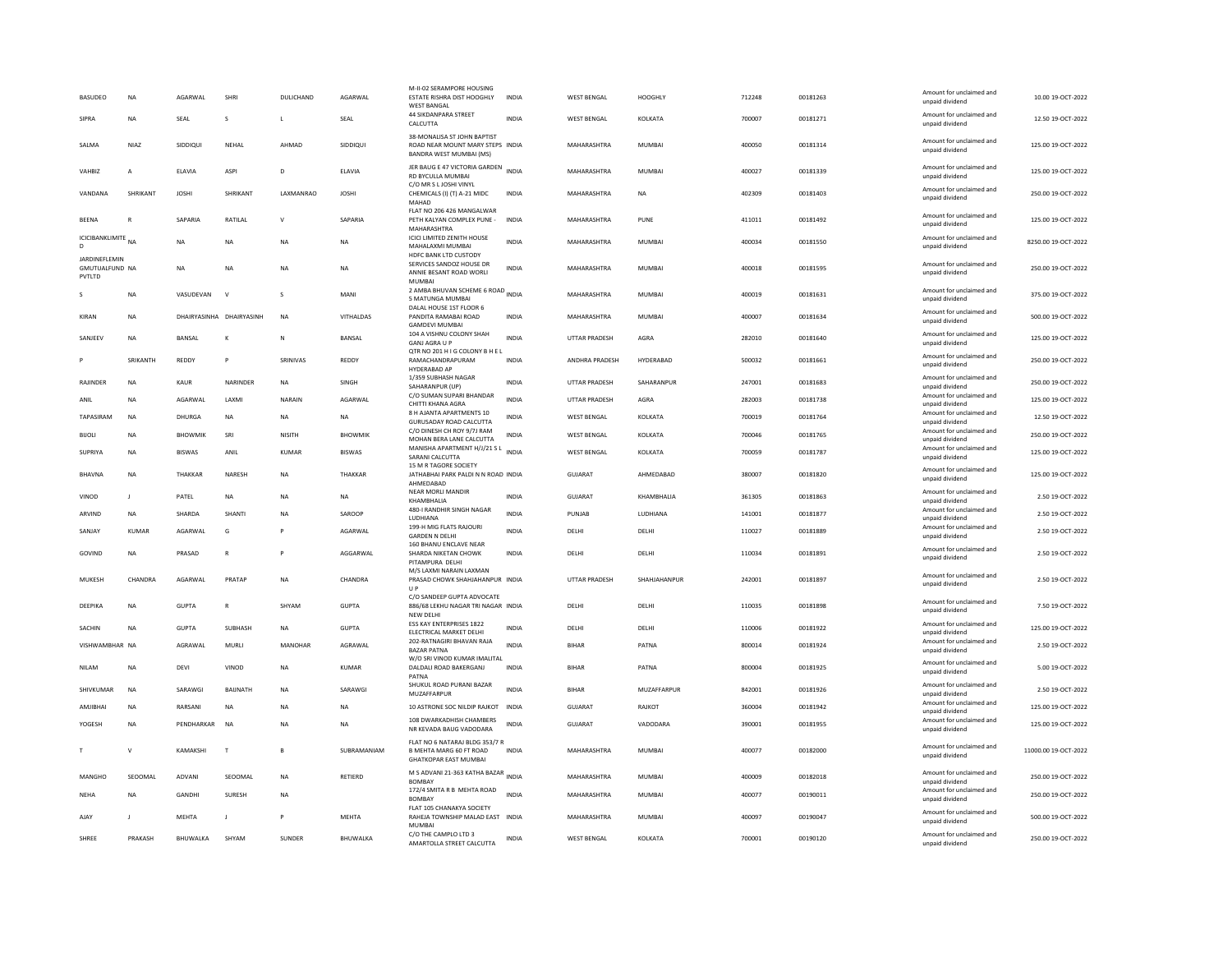| <b>BASUDEO</b>                                   | <b>NA</b>      | AGARWAL                  | SHRI           | DULICHAND    | AGARWAI        | M-II-02 SERAMPORE HOUSING<br>ESTATE RISHRA DIST HOOGHLY<br><b>WEST BANGAL</b><br><b>44 SIKDANPARA STREET</b> | <b>INDIA</b> | <b>WEST BENGAL</b>   | HOOGHLY       | 712248 | 00181263 | Amount for unclaimed and<br>unpaid dividend<br>Amount for unclaimed and | 10.00 19-OCT-2022    |
|--------------------------------------------------|----------------|--------------------------|----------------|--------------|----------------|--------------------------------------------------------------------------------------------------------------|--------------|----------------------|---------------|--------|----------|-------------------------------------------------------------------------|----------------------|
| SIPRA                                            | <b>NA</b>      | <b>SEAL</b>              | s              | L            | SEAL           | CALCUTTA                                                                                                     | <b>INDIA</b> | WEST BENGAL          | KOLKATA       | 700007 | 00181271 | unpaid dividend                                                         | 12.50 19-OCT-2022    |
| SALMA                                            | NIAZ           | SIDDIQUI                 | NEHAL          | AHMAD        | SIDDIQUI       | 38-MONALISA ST JOHN BAPTIST<br>ROAD NEAR MOUNT MARY STEPS INDIA<br>BANDRA WEST MUMBAI (MS)                   |              | MAHARASHTRA          | MUMBAI        | 400050 | 00181314 | Amount for unclaimed and<br>unpaid dividend                             | 125.00 19-OCT-2022   |
| VAHBIZ                                           | $\overline{A}$ | ELAVIA                   | <b>ASPI</b>    | D            | ELAVIA         | JER BAUG E 47 VICTORIA GARDEN INDIA<br>RD BYCULLA MUMBAI                                                     |              | MAHARASHTRA          | MUMBAI        | 400027 | 00181339 | Amount for unclaimed and<br>unnaid dividend                             | 125.00 19-OCT-2022   |
| VANDANA                                          | SHRIKANT       | <b>JOSHI</b>             | SHRIKANT       | LAXMANRAO    | <b>JOSHI</b>   | C/O MR S L JOSHI VINYL<br>CHEMICALS (I) (T) A-21 MIDC<br>MAHAD                                               | <b>INDIA</b> | MAHARASHTRA          | <b>NA</b>     | 402309 | 00181403 | Amount for unclaimed and<br>unpaid dividend                             | 250.00 19-OCT-2022   |
| <b>BEENA</b>                                     | $\mathbb{R}$   | <b>SAPARIA</b>           | <b>RATILAI</b> | $\mathsf{V}$ | SAPARIA        | FLAT NO 206 426 MANGALWAR<br>PETH KALYAN COMPLEX PUNE -<br>MAHARASHTRA                                       | <b>INDIA</b> | MAHARASHTRA          | PUNE          | 411011 | 00181492 | Amount for unclaimed and<br>unpaid dividend                             | 125.00 19-OCT-2022   |
| ICICIBANKLIMITE<br>D                             | N <sub>A</sub> | <b>NA</b>                | <b>NA</b>      | <b>NA</b>    | <b>NA</b>      | <b>ICICI LIMITED ZENITH HOUSE</b><br>MAHALAXMI MUMBAI<br><b>HDFC BANK LTD CUSTODY</b>                        | <b>INDIA</b> | MAHARASHTRA          | <b>MUMBAI</b> | 400034 | 00181550 | Amount for unclaimed and<br>unpaid dividend                             | 8250.00 19-OCT-2022  |
| JARDINEFLEMIN<br><b>GMUTUALFUND NA</b><br>PVTLTD |                | <b>NA</b>                | <b>NA</b>      | <b>NA</b>    | <b>NA</b>      | SERVICES SANDOZ HOUSE DR<br>ANNIE BESANT ROAD WORLI<br>MUMBAI                                                | <b>INDIA</b> | MAHARASHTRA          | MUMBAI        | 400018 | 00181595 | Amount for unclaimed and<br>unpaid dividend                             | 250.00 19-OCT-2022   |
|                                                  | NA             | VASUDEVAN                | $\mathbf{v}$   | s            | MANI           | 2 AMBA BHUVAN SCHEME 6 ROAD INDIA<br>5 MATUNGA MUMBAI                                                        |              | MAHARASHTRA          | MUMBAI        | 400019 | 00181631 | Amount for unclaimed and<br>unpaid dividend                             | 375.00 19-OCT-2022   |
| KIRAN                                            | <b>NA</b>      | DHAIRYASINHA DHAIRYASINH |                | <b>NA</b>    | VITHALDAS      | DALAL HOUSE 1ST FLOOR 6<br>PANDITA RAMABAI ROAD<br><b>GAMDEVI MUMBAI</b>                                     | <b>INDIA</b> | MAHARASHTRA          | MUMBAI        | 400007 | 00181634 | Amount for unclaimed and<br>unpaid dividend                             | 500.00 19-OCT-2022   |
| SANJEEV                                          | <b>NA</b>      | <b>BANSAL</b>            | $\mathbf{K}$   | N            | BANSAL         | 104 A VISHNU COLONY SHAH<br><b>GANJ AGRA U P</b><br>OTR NO 201 H I G COLONY B H E                            | <b>INDIA</b> | <b>UTTAR PRADESH</b> | AGRA          | 282010 | 00181640 | Amount for unclaimed and<br>unpaid dividend                             | 125.00 19-OCT-2022   |
|                                                  | SRIKANTH       | REDDY                    | P              | SRINIVAS     | REDDY          | RAMACHANDRAPURAM<br>HYDERABAD AP                                                                             | <b>INDIA</b> | ANDHRA PRADESH       | HYDERABAD     | 500032 | 00181661 | Amount for unclaimed and<br>unpaid dividend                             | 250.00 19-OCT-2022   |
| RAJINDER                                         | <b>NA</b>      | KAUR                     | NARINDER       | <b>NA</b>    | SINGH          | 1/359 SUBHASH NAGAR<br>SAHARANPUR (UP)                                                                       | INDIA        | UTTAR PRADESH        | SAHARANPUR    | 247001 | 00181683 | Amount for unclaimed and<br>unpaid dividend                             | 250.00 19-OCT-2022   |
| ANIL                                             | <b>NA</b>      | AGARWAL                  | LAXMI          | NARAIN       | AGARWAL        | C/O SUMAN SUPARI BHANDAR<br>CHITTI KHANA AGRA                                                                | <b>INDIA</b> | <b>UTTAR PRADESH</b> | AGRA          | 282003 | 00181738 | Amount for unclaimed and<br>unpaid dividend                             | 125.00 19-OCT-2022   |
| TAPASIRAM                                        | NA             | DHURGA                   | NA             | <b>NA</b>    | NA             | 8 H AJANTA APARTMENTS 10<br>GURUSADAY ROAD CALCUTTA                                                          | INDIA        | WEST BENGAL          | KOLKATA       | 700019 | 00181764 | Amount for unclaimed and<br>unpaid dividend                             | 12.50 19-OCT-2022    |
| <b>BIJOLI</b>                                    | <b>NA</b>      | <b>BHOWMIK</b>           | SRI            | NISITH       | <b>BHOWMIK</b> | C/O DINESH CH ROY 9/7J RAM<br>MOHAN BERA LANE CALCUTTA                                                       | INDIA        | <b>WEST BENGAL</b>   | KOLKATA       | 700046 | 00181765 | Amount for unclaimed and<br>unpaid dividend                             | 250.00 19-OCT-2022   |
| SUPRIYA                                          | NA             | <b>BISWAS</b>            | ANIL           | KUMAR        | <b>BISWAS</b>  | MANISHA APARTMENT H/J/21 S L<br>SARANI CALCUTTA                                                              | <b>INDIA</b> | <b>WEST BENGAL</b>   | KOLKATA       | 700059 | 00181787 | Amount for unclaimed and<br>unpaid dividend                             | 125.00 19-OCT-2022   |
| <b>BHAVNA</b>                                    | <b>NA</b>      | THAKKAR                  | NARESH         | <b>NA</b>    | THAKKAR        | 15 M R TAGORE SOCIETY<br>JATHABHAI PARK PALDI N N ROAD INDIA<br>AHMEDABAD                                    |              | <b>GUJARAT</b>       | AHMEDABAD     | 380007 | 00181820 | Amount for unclaimed and<br>unpaid dividend                             | 125.00 19-OCT-2022   |
| VINOD                                            | $\mathbf{J}$   | PATEL                    | <b>NA</b>      | <b>NA</b>    | <b>NA</b>      | NEAR MORLI MANDIR<br>KHAMBHALIA                                                                              | <b>INDIA</b> | GUJARAT              | KHAMBHALIA    | 361305 | 00181863 | Amount for unclaimed and<br>unpaid dividend                             | 2.50 19-OCT-2022     |
| ARVIND                                           | NA             | SHARDA                   | SHANTI         | NA           | SAROOP         | 480-I RANDHIR SINGH NAGAR<br><b>IUDHIANA</b>                                                                 | <b>INDIA</b> | PUNJAB               | LUDHIANA      | 141001 | 00181877 | Amount for unclaimed and<br>unpaid dividend                             | 2.50 19-OCT-2022     |
| SANJAY                                           | KUMAR          | AGARWAL                  | G              | P            | AGARWAL        | 199-H MIG FLATS RAJOURI<br><b>GARDEN N DELHI</b>                                                             | <b>INDIA</b> | DELHI                | DELHI         | 110027 | 00181889 | Amount for unclaimed and<br>unpaid dividend                             | 2.50 19-OCT-2022     |
| GOVIND                                           | <b>NA</b>      | PRASAD                   | $\mathbb{R}$   | P            | AGGARWAL       | 160 BHANU ENCLAVE NEAR<br>SHARDA NIKETAN CHOWK<br>PITAMPURA DELHI                                            | <b>INDIA</b> | DELHI                | DELHI         | 110034 | 00181891 | Amount for unclaimed and<br>unpaid dividend                             | 2.50 19-OCT-2022     |
| MUKESH                                           | CHANDRA        | AGARWAL                  | PRATAP         | <b>NA</b>    | CHANDRA        | M/S LAXMI NARAIN LAXMAN<br>PRASAD CHOWK SHAHJAHANPUR INDIA<br><b>UP</b>                                      |              | <b>UTTAR PRADESH</b> | SHAHJAHANPUR  | 242001 | 00181897 | Amount for unclaimed and<br>unpaid dividend                             | 2.50 19-OCT-2022     |
| DEEPIKA                                          | <b>NA</b>      | <b>GUPTA</b>             | R              | SHYAM        | GUPTA          | C/O SANDEEP GUPTA ADVOCATE<br>886/68 LEKHU NAGAR TRI NAGAR INDIA                                             |              | DELHI                | DELHI         | 110035 | 00181898 | Amount for unclaimed and<br>unpaid dividend                             | 7.50 19-OCT-2022     |
| <b>SACHIN</b>                                    | <b>NA</b>      | GUPTA                    | <b>SURHASH</b> | NA           | <b>GUPTA</b>   | NEW DELHI<br>ESS KAY ENTERPRISES 1822<br>ELECTRICAL MARKET DELHI                                             | <b>INDIA</b> | <b>DELHI</b>         | DELHI         | 110006 | 00181922 | Amount for unclaimed and<br>unpaid dividend                             | 125.00 19-OCT-2022   |
| VISHWAMBHAR NA                                   |                | AGRAWAL                  | MURLI          | MANOHAR      | AGRAWAL        | 202-RATNAGIRI BHAVAN RAJA<br><b>BAZAR PATNA</b>                                                              | <b>INDIA</b> | <b>BIHAR</b>         | PATNA         | 800014 | 00181924 | Amount for unclaimed and<br>unpaid dividend                             | 2.50 19-OCT-2022     |
| <b>NILAM</b>                                     | <b>NA</b>      | DEVI                     | VINOD          | <b>NA</b>    | <b>KUMAR</b>   | W/O SRI VINOD KUMAR IMALITA<br>DALDALI ROAD BAKERGANJ<br>PATNA                                               | <b>INDIA</b> | <b>BIHAR</b>         | PATNA         | 800004 | 00181925 | Amount for unclaimed and<br>unpaid dividend                             | 5.00 19-OCT-2022     |
| SHIVKUMAR                                        | <b>NA</b>      | SARAWGI                  | BAUNATH        | NA           | SARAWGI        | SHUKUL ROAD PURANI BAZAR<br>MUZAFFARPUR                                                                      | <b>INDIA</b> | <b>BIHAR</b>         | MUZAFFARPUR   | 842001 | 00181926 | Amount for unclaimed and<br>unpaid dividend                             | 2.50 19-OCT-2022     |
| AMIIRHAI                                         | <b>NA</b>      | RARSANI                  | <b>NA</b>      | <b>NA</b>    | <b>NA</b>      | 10 ASTRONE SOC NILDIP RAJKOT                                                                                 | INDIA        | GUIARAT              | RAJKOT        | 360004 | 00181942 | Amount for unclaimed and<br>unpaid dividend                             | 125.00 19-OCT-2022   |
| YOGESH                                           | <b>NA</b>      | PENDHARKAR               | <b>NA</b>      | <b>NA</b>    | <b>NA</b>      | 108 DWARKADHISH CHAMBERS<br>NR KEVADA BAUG VADODARA                                                          | <b>INDIA</b> | <b>GUJARAT</b>       | VADODARA      | 390001 | 00181955 | Amount for unclaimed and<br>unpaid dividend                             | 125.00 19-OCT-2022   |
|                                                  | $\mathbf{v}$   | KAMAKSHI                 | T              | B            | SUBRAMANIAM    | FLAT NO 6 NATARAJ BLDG 353/7 R<br><b>B MEHTA MARG 60 FT ROAD</b><br><b>GHATKOPAR EAST MUMBAI</b>             | INDIA        | MAHARASHTRA          | MUMBAI        | 400077 | 00182000 | Amount for unclaimed and<br>unpaid dividend                             | 11000.00 19-OCT-2022 |
| MANGHO                                           | SEOOMAL        | ADVANI                   | SEOOMAL        | <b>NA</b>    | RETIERD        | M S ADVANI 21-363 KATHA BAZAR INDIA<br><b>BOMBAY</b>                                                         |              | MAHARASHTRA          | <b>MUMBAI</b> | 400009 | 00182018 | Amount for unclaimed and<br>unpaid dividend                             | 250.00 19-OCT-2022   |
| NEHA                                             | <b>NA</b>      | GANDHI                   | SURESH         | NA           |                | 172/4 SMITA R B MEHTA ROAD<br><b>BOMBAY</b>                                                                  | <b>INDIA</b> | MAHARASHTRA          | MUMBAI        | 400077 | 00190011 | Amount for unclaimed and<br>unpaid dividend                             | 250.00 19-OCT-2022   |
| AJAY                                             | -1             | <b>MFHTA</b>             | $\blacksquare$ | P            | <b>MFHTA</b>   | FLAT 105 CHANAKYA SOCIETY<br>RAHEJA TOWNSHIP MALAD EAST INDIA<br><b>MUMBA</b>                                |              | MAHARASHTRA          | MUMBAI        | 400097 | 00190047 | Amount for unclaimed and<br>unpaid dividend                             | 500.00 19-QCT-2022   |
| SHREE                                            | PRAKASH        | BHUWALKA                 | SHYAM          | SUNDER       | BHUWALKA       | C/O THE CAMPLO LTD 3<br>AMARTOLLA STREET CALCUTTA                                                            | <b>INDIA</b> | <b>WEST BENGAL</b>   | KOLKATA       | 700001 | 00190120 | Amount for unclaimed and<br>unpaid dividend                             | 250.00 19-OCT-2022   |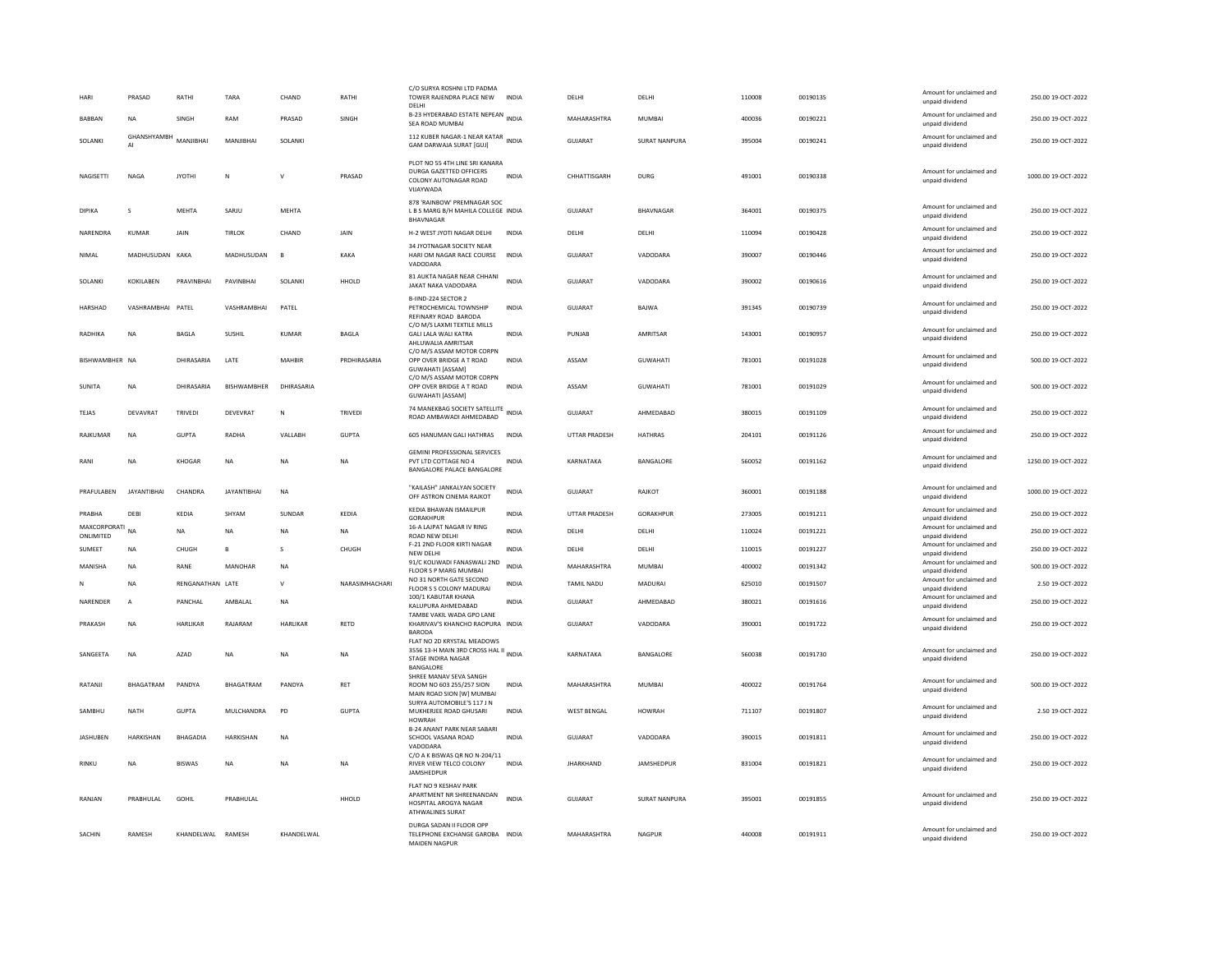| HARI                      | PRASAD             | RATHI            | TARA               | CHAND        | RATHI          | C/O SURYA ROSHNI LTD PADMA<br>TOWER RAJENDRA PLACE NEW<br>DELHI<br>B-23 HYDERABAD ESTATE NEPEAN INDIA         | <b>INDIA</b> | DELHI                | DELHI                | 110008 | 00190135 | Amount for unclaimed and<br>unpaid dividend<br>Amount for unclaimed and | 250.00 19-OCT-2022  |
|---------------------------|--------------------|------------------|--------------------|--------------|----------------|---------------------------------------------------------------------------------------------------------------|--------------|----------------------|----------------------|--------|----------|-------------------------------------------------------------------------|---------------------|
| <b>BABBAN</b>             | <b>NA</b>          | SINGH            | RAM                | PRASAD       | SINGH          | SEA ROAD MUMBAI                                                                                               |              | MAHARASHTRA          | MUMBAI               | 400036 | 00190221 | unpaid dividend                                                         | 250.00 19-OCT-2022  |
| SOLANKI                   | GHANSHYAMBH<br>AI  | MANJIBHAI        | MANJIBHAI          | SOLANKI      |                | 112 KUBER NAGAR-1 NEAR KATAR<br>INDIA<br>GAM DARWAJA SURAT [GUJ]                                              |              | <b>GUJARAT</b>       | <b>SURAT NANPURA</b> | 395004 | 00190241 | Amount for unclaimed and<br>unpaid dividend                             | 250.00 19-OCT-2022  |
| NAGISETTI                 | <b>NAGA</b>        | <b>JYOTHI</b>    | N                  | $\mathsf{v}$ | PRASAD         | PLOT NO 55 4TH LINE SRI KANARA<br>DURGA GAZETTED OFFICERS<br>COLONY AUTONAGAR ROAD<br>VIJAYWADA               | <b>INDIA</b> | CHHATTISGARH         | DURG                 | 491001 | 00190338 | Amount for unclaimed and<br>unpaid dividend                             | 1000.00 19-OCT-2022 |
| <b>DIPIKA</b>             | $\mathbf{S}$       | MEHTA            | SARJU              | MEHTA        |                | 878 'RAINBOW' PREMNAGAR SOC<br>L B S MARG B/H MAHILA COLLEGE INDIA<br><b>BHAVNAGAR</b>                        |              | <b>GUJARAT</b>       | BHAVNAGAR            | 364001 | 00190375 | Amount for unclaimed and<br>unpaid dividend                             | 250.00 19-OCT-2022  |
| NARENDRA                  | <b>KUMAR</b>       | JAIN             | <b>TIRLOK</b>      | CHAND        | JAIN           | H-2 WEST JYOTI NAGAR DELHI                                                                                    | <b>INDIA</b> | DELHI                | DELHI                | 110094 | 00190428 | Amount for unclaimed and<br>unpaid dividend                             | 250.00 19-OCT-2022  |
| NIMAL                     | MADHUSUDAN         | KAKA             | MADHUSUDAN         | $\mathbf{R}$ | KAKA           | 34 JYOTNAGAR SOCIETY NEAR<br>HARI OM NAGAR RACE COURSE<br>VADODARA                                            | <b>INDIA</b> | GUJARAT              | VADODARA             | 390007 | 00190446 | Amount for unclaimed and<br>unpaid dividend                             | 250.00 19-OCT-2022  |
| SOLANKI                   | <b>KOKILABEN</b>   | PRAVINBHAI       | PAVINBHAI          | SOLANKI      | HHOLD          | 81 AUKTA NAGAR NEAR CHHANI<br>JAKAT NAKA VADODARA                                                             | <b>INDIA</b> | GUJARAT              | VADODARA             | 390002 | 00190616 | Amount for unclaimed and<br>unpaid dividend                             | 250.00 19-OCT-2022  |
| HARSHAD                   | VASHRAMBHAI PATEL  |                  | VASHRAMBHAI        | PATEL        |                | B-IIND-224 SECTOR 2<br>PETROCHEMICAL TOWNSHIP<br>REFINARY ROAD BARODA                                         | INDIA        | <b>GUJARAT</b>       | <b>BAIWA</b>         | 391345 | 00190739 | Amount for unclaimed and<br>unpaid dividend                             | 250.00 19-OCT-2022  |
| RADHIKA                   | NA                 | BAGLA            | SUSHIL             | <b>KUMAR</b> | <b>BAGLA</b>   | C/O M/S LAXMI TEXTILE MILLS<br><b>GALI LALA WALI KATRA</b><br>AHI UWALIA AMRITSAR                             | <b>INDIA</b> | PUNJAB               | AMRITSAR             | 143001 | 00190957 | Amount for unclaimed and<br>unpaid dividend                             | 250.00 19-OCT-2022  |
| BISHWAMBHER NA            |                    | DHIRASARIA       | LATE               | MAHBIF       | PRDHIRASARIA   | C/O M/S ASSAM MOTOR CORPN<br>OPP OVER BRIDGE A T ROAD<br><b>GUWAHATI [ASSAM]</b>                              | <b>INDIA</b> | ASSAM                | <b>GUWAHATI</b>      | 781001 | 00191028 | Amount for unclaimed and<br>unpaid dividend                             | 500.00 19-OCT-2022  |
| SUNITA                    | <b>NA</b>          | DHIRASARIA       | <b>RISHWAMBHFR</b> | DHIRASARIA   |                | C/O M/S ASSAM MOTOR CORPN<br>OPP OVER BRIDGE A T ROAD<br><b>GUWAHATI [ASSAM]</b>                              | <b>INDIA</b> | ASSAM                | <b>GUWAHATI</b>      | 781001 | 00191029 | Amount for unclaimed and<br>unpaid dividend                             | 500.00 19-OCT-2022  |
| TEJAS                     | DEVAVRAT           | TRIVEDI          | DEVEVRAT           | N            | <b>TRIVEDI</b> | 74 MANEKBAG SOCIETY SATELLITE<br>ROAD AMBAWADI AHMEDABAD                                                      | <b>INDIA</b> | <b>GUJARAT</b>       | AHMEDABAD            | 380015 | 00191109 | Amount for unclaimed and<br>unpaid dividend                             | 250.00 19-OCT-2022  |
| RAIKUMAR                  | <b>NA</b>          | GUPTA            | RADHA              | VALLABH      | <b>GUPTA</b>   | 605 HANUMAN GALI HATHRAS                                                                                      | <b>INDIA</b> | <b>UTTAR PRADESH</b> | <b>HATHRAS</b>       | 204101 | 00191126 | Amount for unclaimed and<br>unpaid dividend                             | 250.00 19-OCT-2022  |
| RANI                      | NA                 | KHOGAR           | <b>NA</b>          | <b>NA</b>    | NA             | <b>GEMINI PROFESSIONAL SERVICES</b><br>PVT LTD COTTAGE NO 4<br>BANGALORE PALACE BANGALORE                     | <b>INDIA</b> | KARNATAKA            | BANGALORE            | 560052 | 00191162 | Amount for unclaimed and<br>unpaid dividend                             | 1250.00 19-OCT-2022 |
| PRAFULABEN                | <b>JAYANTIBHAI</b> | CHANDRA          | <b>JAYANTIBHAI</b> | <b>NA</b>    |                | "KAILASH" JANKALYAN SOCIETY<br>OFF ASTRON CINEMA RAJKOT                                                       | INDIA        | <b>GUJARAT</b>       | RAJKOT               | 360001 | 00191188 | Amount for unclaimed and<br>unpaid dividend                             | 1000.00 19-OCT-2022 |
| PRABHA                    | DEBI               | KEDIA            | SHYAM              | SUNDAR       | KEDIA          | KEDIA BHAWAN ISMAILPUR<br><b>GORAKHPUR</b>                                                                    | <b>INDIA</b> | <b>UTTAR PRADESH</b> | GORAKHPUR            | 273005 | 00191211 | Amount for unclaimed and<br>unpaid dividend                             | 250.00 19-OCT-2022  |
| MAXCORPORATI<br>ONLIMITED | <b>NA</b>          | <b>NA</b>        | <b>NA</b>          | <b>NA</b>    | NA             | 16-A LAJPAT NAGAR IV RING<br>ROAD NEW DELHI                                                                   | <b>INDIA</b> | DELHI                | DELHI                | 110024 | 00191221 | Amount for unclaimed and<br>unpaid dividend                             | 250.00 19-OCT-2022  |
| SUMEET                    | <b>NA</b>          | CHUGH            | R                  | $\mathbf{S}$ | CHUGH          | F-21 2ND FLOOR KIRTI NAGAR<br>NEW DELHI                                                                       | <b>INDIA</b> | DELHI                | DELHI                | 110015 | 00191227 | Amount for unclaimed and<br>unpaid dividend                             | 250.00 19-OCT-2022  |
| MANISHA                   | <b>NA</b>          | RANE             | MANOHAR            | <b>NA</b>    |                | 91/C KOLIWADI FANASWALI 2ND<br>FLOOR S P MARG MUMBAI                                                          | <b>INDIA</b> | MAHARASHTRA          | <b>MUMBAI</b>        | 400002 | 00191342 | Amount for unclaimed and<br>unpaid dividend                             | 500.00 19-OCT-2022  |
|                           | <b>NA</b>          | RENGANATHAN LATE |                    | $\mathsf{v}$ | NARASIMHACHARI | NO 31 NORTH GATE SECOND<br>FLOOR S S COLONY MADURAI                                                           | <b>INDIA</b> | <b>TAMIL NADU</b>    | MADURAI              | 625010 | 00191507 | Amount for unclaimed and<br>unpaid dividend                             | 2.50 19-OCT-2022    |
| NARENDER                  | $\overline{A}$     | PANCHAL          | AMBALAL            | <b>NA</b>    |                | 100/1 KABUTAR KHANA<br>KALUPURA AHMEDABAD                                                                     | <b>INDIA</b> | GUJARAT              | AHMEDABAD            | 380021 | 00191616 | Amount for unclaimed and<br>unpaid dividend                             | 250.00 19-OCT-2022  |
| PRAKASH                   | <b>NA</b>          | HARLIKAR         | RAJARAM            | HARLIKAR     | RETD           | TAMRE VAKIL WADA GPO LANE<br>KHARIVAV'S KHANCHO RAOPURA INDIA<br><b>BARODA</b>                                |              | GUJARAT              | VADODARA             | 390001 | 00191722 | Amount for unclaimed and<br>unpaid dividend                             | 250.00 19-OCT-2022  |
| SANGEETA                  | <b>NA</b>          | AZAD             | NA                 | NA           | NA             | FLAT NO 2D KRYSTAL MEADOWS<br>3556 13-H MAIN 3RD CROSS HAL II INDIA<br><b>STAGE INDIRA NAGAR</b><br>BANGALORE |              | KARNATAKA            | BANGALORE            | 560038 | 00191730 | Amount for unclaimed and<br>unpaid dividend                             | 250.00 19-OCT-2022  |
| RATANJI                   | BHAGATRAM          | PANDYA           | <b>BHAGATRAM</b>   | PANDYA       | RET            | SHREE MANAV SEVA SANGH<br>ROOM NO 603 255/257 SION<br>MAIN ROAD SION [W] MUMBAI                               | <b>INDIA</b> | MAHARASHTRA          | <b>MUMBAI</b>        | 400022 | 00191764 | Amount for unclaimed and<br>unpaid dividend                             | 500.00 19-OCT-2022  |
| SAMBHU                    | <b>NATH</b>        | <b>GUPTA</b>     | MULCHANDRA         | PD           | <b>GUPTA</b>   | SURYA AUTOMOBILE'S 117 J N<br>MUKHERJEE ROAD GHUSARI<br><b>HOWRAH</b>                                         | <b>INDIA</b> | <b>WEST BENGAL</b>   | <b>HOWRAH</b>        | 711107 | 00191807 | Amount for unclaimed and<br>unpaid dividend                             | 2.50 19-OCT-2022    |
| JASHUBEN                  | <b>HARKISHAN</b>   | <b>BHAGADIA</b>  | <b>HARKISHAN</b>   | <b>NA</b>    |                | <b>B-24 ANANT PARK NEAR SABAR</b><br>SCHOOL VASANA ROAD<br>VADODARA                                           | <b>INDIA</b> | GUJARAT              | VADODARA             | 390015 | 00191811 | Amount for unclaimed and<br>unpaid dividend                             | 250.00 19-OCT-2022  |
| RINKU                     | NΑ                 | <b>BISWAS</b>    | NA                 | <b>NA</b>    | NA             | C/O A K BISWAS QR NO N-204/11<br>RIVER VIEW TELCO COLONY<br>JAMSHEDPUR                                        | INDIA        | <b>JHARKHAND</b>     | JAMSHEDPUR           | 831004 | 00191821 | Amount for unclaimed and<br>unpaid dividend                             | 250.00 19-OCT-2022  |
| RANJAN                    | PRABHULAL          | GOHIL            | PRABHULAL          |              | HHOLD          | FLAT NO 9 KESHAV PARK<br>APARTMENT NR SHREENANDAN<br>HOSPITAL AROGYA NAGAR<br>ATHWALINES SURAT                | <b>INDIA</b> | <b>GUJARAT</b>       | SURAT NANPURA        | 395001 | 00191855 | Amount for unclaimed and<br>unpaid dividend                             | 250.00 19-OCT-2022  |
| SACHIN                    | <b>RAMESH</b>      | KHANDELWAL       | RAMESH             | KHANDELWAL   |                | DURGA SADAN II FLOOR OPP<br>TELEPHONE EXCHANGE GAROBA INDIA<br><b>MAIDEN NAGPLIR</b>                          |              | MAHARASHTRA          | NAGPUR               | 440008 | 00191911 | Amount for unclaimed and<br>unpaid dividend                             | 250.00 19-OCT-2022  |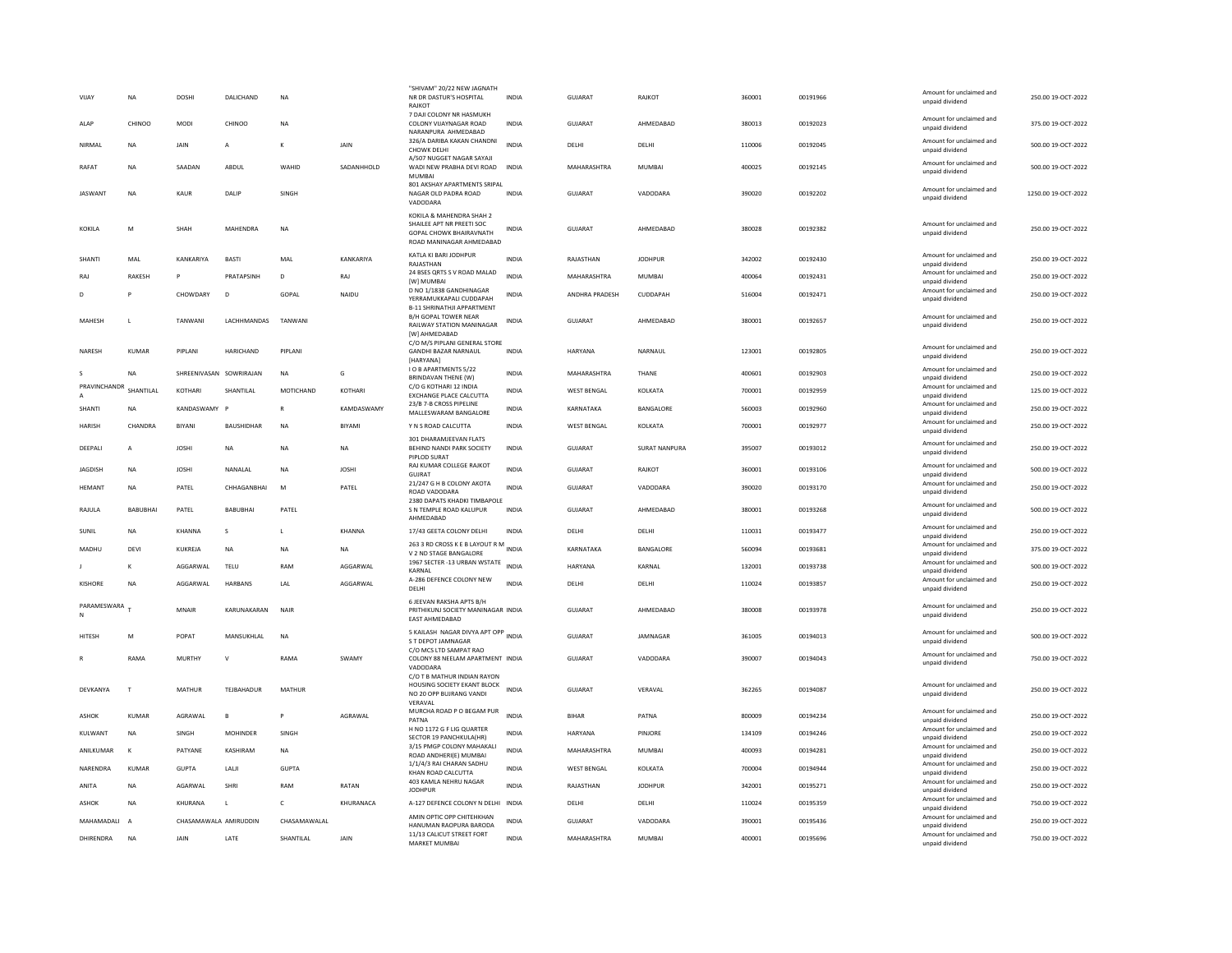| VIJAY                          | NA             | DOSHI                 | DALICHAND               | <b>NA</b>    |               | "SHIVAM" 20/22 NEW JAGNATH<br>NR DR DASTUR'S HOSPITAL<br>RAJKOT                                                     | INDIA        | GUJARAT            | RAJKOT               | 360001 | 00191966 | Amount for unclaimed and<br>unpaid dividend | 250.00 19-OCT-2022  |
|--------------------------------|----------------|-----------------------|-------------------------|--------------|---------------|---------------------------------------------------------------------------------------------------------------------|--------------|--------------------|----------------------|--------|----------|---------------------------------------------|---------------------|
| ALAP                           | CHINOO         | MODI                  | CHINOO                  | <b>NA</b>    |               | 7 DAJI COLONY NR HASMUKH<br>COLONY VIJAYNAGAR ROAD<br>NARANPURA AHMEDARAD                                           | <b>INDIA</b> | <b>GUJARAT</b>     | AHMEDABAD            | 380013 | 00192023 | Amount for unclaimed and<br>unpaid dividend | 375.00 19-OCT-2022  |
| <b>NIRMAI</b>                  | <b>NA</b>      | <b>JAIN</b>           | $\mathsf{A}$            | $\kappa$     | <b>JAIN</b>   | 326/A DARIBA KAKAN CHANDNI<br>CHOWK DELHI                                                                           | <b>INDIA</b> | <b>DELHI</b>       | <b>DELHI</b>         | 110006 | 00192045 | Amount for unclaimed and<br>unpaid dividend | 500.00 19-QCT-2022  |
| RAFAT                          | <b>NA</b>      | SAADAN                | ABDUL                   | WAHID        | SADANHHOLD    | A/507 NUGGET NAGAR SAYAJI<br>WADI NEW PRABHA DEVI ROAD INDIA<br><b>MUMBAI</b>                                       |              | MAHARASHTRA        | MUMBAI               | 400025 | 00192145 | Amount for unclaimed and<br>unpaid dividend | 500.00 19-OCT-2022  |
| <b>IASWANT</b>                 | NA             | KAUR                  | <b>DALIP</b>            | <b>SINGH</b> |               | 801 AKSHAY APARTMENTS SRIPAL<br>NAGAR OLD PADRA ROAD<br>VADODARA                                                    | <b>INDIA</b> | GUIARAT            | VADODARA             | 390020 | 00192202 | Amount for unclaimed and<br>unpaid dividend | 1250.00.19-OCT-2022 |
| KOKILA                         | M              | SHAH                  | MAHENDRA                | <b>NA</b>    |               | KOKILA & MAHENDRA SHAH 2<br>SHAILEE APT NR PREETI SOC<br><b>GOPAL CHOWK BHAIRAVNATH</b><br>ROAD MANINAGAR AHMEDABAD | <b>INDIA</b> | GUJARAT            | AHMEDABAD            | 380028 | 00192382 | Amount for unclaimed and<br>unpaid dividend | 250.00 19-OCT-2022  |
| SHANTI                         | MAL            | KANKARIYA             | <b>BASTI</b>            | MAL          | KANKARIYA     | KATLA KI BARI JODHPUR<br>RAJASTHAN                                                                                  | <b>INDIA</b> | RAJASTHAN          | <b>JODHPUR</b>       | 342002 | 00192430 | Amount for unclaimed and<br>unpaid dividend | 250.00 19-OCT-2022  |
| RAJ                            | RAKESH         |                       | PRATAPSINH              | D            | RAJ           | 24 BSES ORTS S V ROAD MALAD<br>[W] MUMBAI                                                                           | <b>INDIA</b> | MAHARASHTRA        | MUMBAI               | 400064 | 00192431 | Amount for unclaimed and<br>unpaid dividend | 250.00 19-OCT-2022  |
| D                              | P              | CHOWDARY              | D                       | GOPAL        | NAIDU         | D NO 1/1838 GANDHINAGAR<br>YERRAMUKKAPALI CUDDAPAH<br><b>B-11 SHRINATHJI APPARTMENT</b>                             | <b>INDIA</b> | ANDHRA PRADESH     | CUDDAPAH             | 516004 | 00192471 | Amount for unclaimed and<br>unpaid dividend | 250.00 19-OCT-2022  |
| MAHESH                         | $\mathbf{L}$   | TANWANI               | LACHHMANDAS             | TANWANI      |               | <b>B/H GOPAL TOWER NEAR</b><br>RAILWAY STATION MANINAGAR<br>[W] AHMEDABAD                                           | <b>INDIA</b> | <b>GUJARAT</b>     | AHMEDABAD            | 380001 | 00192657 | Amount for unclaimed and<br>unpaid dividend | 250.00 19-OCT-2022  |
| NARESH                         | <b>KUMAR</b>   | PIPLANI               | HARICHAND               | PIPLANI      |               | C/O M/S PIPLANI GENERAL STORE<br><b>GANDHI BAZAR NARNAUL</b><br>[HARYANA]                                           | <b>INDIA</b> | <b>HARYANA</b>     | NARNAUL              | 123001 | 00192805 | Amount for unclaimed and<br>unpaid dividend | 250.00 19-OCT-2022  |
| $\mathbf{s}$                   | <b>NA</b>      |                       | SHREENIVASAN SOWRIRAJAN | NA           | G             | <b>IO B APARTMENTS 5/22</b><br>BRINDAVAN THENE (W)                                                                  | INDIA        | MAHARASHTRA        | THANE                | 400601 | 00192903 | Amount for unclaimed and<br>unpaid dividend | 250.00 19-OCT-2022  |
| PRAVINCHANDR<br>$\overline{A}$ | SHANTILAL      | KOTHARI               | SHANTILAL               | MOTICHAND    | KOTHARI       | C/O G KOTHARI 12 INDIA<br><b>EXCHANGE PLACE CALCUTTA</b>                                                            | <b>INDIA</b> | <b>WEST BENGAL</b> | KOLKATA              | 700001 | 00192959 | Amount for unclaimed and<br>unpaid dividend | 125.00 19-OCT-2022  |
| SHANTI                         | <b>NA</b>      | KANDASWAMY F          |                         | $\mathbb{R}$ | KAMDASWAMY    | 23/B 7-B CROSS PIPELINE<br>MALLESWARAM BANGALORE                                                                    | <b>INDIA</b> | KARNATAKA          | BANGALORE            | 560003 | 00192960 | Amount for unclaimed and<br>unpaid dividend | 250.00 19-OCT-2022  |
| <b>HARISH</b>                  | CHANDRA        | RIYANI                | <b>BAUSHIDHAR</b>       | <b>NA</b>    | <b>BIYAMI</b> | Y N S ROAD CALCUTTA                                                                                                 | <b>INDIA</b> | <b>WEST BENGAL</b> | <b>KOI KATA</b>      | 700001 | 00192977 | Amount for unclaimed and<br>unpaid dividend | 250.00.19-OCT-2022  |
| DEEPALI                        | $\overline{A}$ | <b>JOSHI</b>          | $_{\sf NA}$             | NA           | NA            | 301 DHARAMJEEVAN FLATS<br>BEHIND NANDI PARK SOCIETY<br>PIPLOD SURAT                                                 | INDIA        | <b>GUJARAT</b>     | <b>SURAT NANPURA</b> | 395007 | 00193012 | Amount for unclaimed and<br>unpaid dividend | 250.00 19-OCT-2022  |
| <b>JAGDISH</b>                 | NA             | <b>JOSHI</b>          | NANALAL                 | NA           | <b>JOSHI</b>  | RAJ KUMAR COLLEGE RAJKOT<br>GUJRAT                                                                                  | <b>INDIA</b> | <b>GUJARAT</b>     | RAJKOT               | 360001 | 00193106 | Amount for unclaimed and<br>unpaid dividend | 500.00 19-OCT-2022  |
| <b>HEMANT</b>                  | <b>NA</b>      | PATEL                 | CHHAGANBHAI             | M            | PATEL         | 21/247 G H B COLONY AKOTA<br>ROAD VADODARA                                                                          | <b>INDIA</b> | GUJARAT            | VADODARA             | 390020 | 00193170 | Amount for unclaimed and<br>unpaid dividend | 250.00 19-OCT-2022  |
| RAJULA                         | BABUBHAI       | PATEL                 | BABUBHAI                | PATEL        |               | 2380 DAPATS KHADKI TIMBAPOLE<br>S N TEMPLE ROAD KALUPUR<br>AHMEDABAD                                                | <b>INDIA</b> | GUJARAT            | AHMEDABAD            | 380001 | 00193268 | Amount for unclaimed and<br>unpaid dividend | 500.00 19-OCT-2022  |
| SUNIL                          | NA             | KHANNA                | s                       |              | <b>KHANNA</b> | 17/43 GEETA COLONY DELHI                                                                                            | <b>INDIA</b> | DELHI              | DELHI                | 110031 | 00193477 | Amount for unclaimed and<br>unpaid dividend | 250.00 19-OCT-2022  |
| MADHU                          | DEVI           | KUKREJA               | <b>NA</b>               | NA           | NA            | 263 3 RD CROSS K E B LAYOUT R M INDIA<br>V 2 ND STAGE BANGALORE                                                     |              | KARNATAKA          | BANGALORE            | 560094 | 00193681 | Amount for unclaimed and<br>unpaid dividend | 375.00 19-OCT-2022  |
|                                | к              | AGGARWAI              | TELU                    | RAM          | AGGARWAI      | 1967 SECTER -13 URBAN WSTATE<br>KARNAL                                                                              | <b>INDIA</b> | <b>HARYANA</b>     | KARNAI               | 132001 | 00193738 | Amount for unclaimed and<br>unpaid dividend | 500.00 19-OCT-2022  |
| <b>KISHORE</b>                 | <b>NA</b>      | AGGARWAL              | HARBANS                 | LAL          | AGGARWAL      | A-286 DEFENCE COLONY NEW<br>DELHI                                                                                   | <b>INDIA</b> | DELHI              | DELHI                | 110024 | 00193857 | Amount for unclaimed and<br>unpaid dividend | 250.00 19-OCT-2022  |
| PARAMESWARA <sub>T</sub><br>N  |                | MNAIR                 | KARUNAKARAN             | NAIR         |               | 6 JEEVAN RAKSHA APTS B/H<br>PRITHIKUNJ SOCIETY MANINAGAR INDIA<br>EAST AHMEDABAD                                    |              | GUJARAT            | AHMEDABAD            | 380008 | 00193978 | Amount for unclaimed and<br>unpaid dividend | 250.00 19-OCT-2022  |
| HITESH                         | M              | POPAT                 | MANSUKHLAL              | <b>NA</b>    |               | 5 KAILASH NAGAR DIVYA APT OPP INDIA<br>S T DEPOT JAMNAGAR                                                           |              | GUJARAT            | JAMNAGAR             | 361005 | 00194013 | Amount for unclaimed and<br>unpaid dividend | 500.00 19-OCT-2022  |
|                                | RAMA           | <b>MURTHY</b>         | $\mathsf{v}$            | RAMA         | SWAMY         | C/O MCS LTD SAMPAT RAO<br>COLONY 88 NEELAM APARTMENT INDIA                                                          |              | GUJARAT            | VADODARA             | 390007 | 00194043 | Amount for unclaimed and<br>unpaid dividend | 750.00 19-OCT-2022  |
| DEVKANYA                       | T              | MATHUR                | TEJBAHADUR              | MATHUR       |               | VADODARA<br>C/O T B MATHUR INDIAN RAYON<br>HOUSING SOCIETY EKANT BLOCK<br>NO 20 OPP BUJRANG VANDI<br>VERAVAL        | <b>INDIA</b> | GUJARAT            | VFRAVAL              | 362265 | 00194087 | Amount for unclaimed and<br>unpaid dividend | 250.00 19-OCT-2022  |
| <b>ASHOK</b>                   | <b>KUMAR</b>   | AGRAWAL               | $\mathbf{B}$            | P            | AGRAWAL       | MURCHA ROAD P O BEGAM PUR<br>PATNA                                                                                  | <b>INDIA</b> | BIHAR              | PATNA                | 800009 | 00194234 | Amount for unclaimed and<br>unpaid dividend | 250.00 19-OCT-2022  |
| KULWANT                        | NA             | SINGH                 | MOHINDER                | SINGH        |               | H NO 1172 G F LIG QUARTER                                                                                           | INDIA        | HARYANA            | PINJORE              | 134109 | 00194246 | Amount for unclaimed and                    | 250.00 19-OCT-2022  |
| ANILKUMAR                      | к              | PATYANE               | KASHIRAM                | <b>NA</b>    |               | SECTOR 19 PANCHKULA(HR)<br>3/15 PMGP COLONY MAHAKALI                                                                | <b>INDIA</b> | MAHARASHTRA        | <b>MUMBAI</b>        | 400093 | 00194281 | unpaid dividend<br>Amount for unclaimed and | 250.00 19-OCT-2022  |
| NARENDRA                       | KUMAR          | GUPTA                 | LALI                    | GUPTA        |               | ROAD ANDHERI(E) MUMBAI<br>1/1/4/3 RAI CHARAN SADHU                                                                  | <b>INDIA</b> | <b>WEST BENGAL</b> | KOLKATA              | 700004 | 00194944 | unpaid dividend<br>Amount for unclaimed and | 250.00 19-OCT-2022  |
| ANITA                          | <b>NA</b>      | AGARWAL               | SHRI                    | RAM          | RATAN         | KHAN ROAD CALCUTTA<br>403 KAMLA NEHRU NAGAR                                                                         | <b>INDIA</b> | RAJASTHAN          | <b>JODHPUR</b>       | 342001 | 00195271 | unpaid dividend<br>Amount for unclaimed and | 250.00 19-OCT-2022  |
| <b>ASHOK</b>                   | <b>NA</b>      | KHURANA               | $\mathbf{L}$            | $\mathsf{C}$ | KHURANACA     | <b>JODHPUR</b><br>A-127 DEFENCE COLONY N DELHI INDIA                                                                |              | DELHI              | DELHI                | 110024 | 00195359 | unpaid dividend<br>Amount for unclaimed and | 750.00 19-OCT-2022  |
|                                |                |                       |                         |              |               | AMIN OPTIC OPP CHITEHKHAN                                                                                           |              |                    |                      |        |          | unpaid dividend<br>Amount for unclaimed and |                     |
| MAHAMADALI A                   |                | CHASAMAWALA AMIRUDDIN |                         | CHASAMAWALAL |               | HANUMAN RAOPURA BARODA<br>11/13 CALICUT STREET FORT                                                                 | <b>INDIA</b> | <b>GUJARAT</b>     | VADODARA             | 390001 | 00195436 | unpaid dividend<br>Amount for unclaimed and | 250.00 19-OCT-2022  |
| DHIRENDRA                      | <b>NA</b>      | JAIN                  | LATE                    | SHANTILAL    | JAIN          | <b>MARKET MUMBAI</b>                                                                                                | INDIA        | MAHARASHTRA        | MUMBAI               | 400001 | 00195696 | unpaid dividend                             | 750.00 19-OCT-2022  |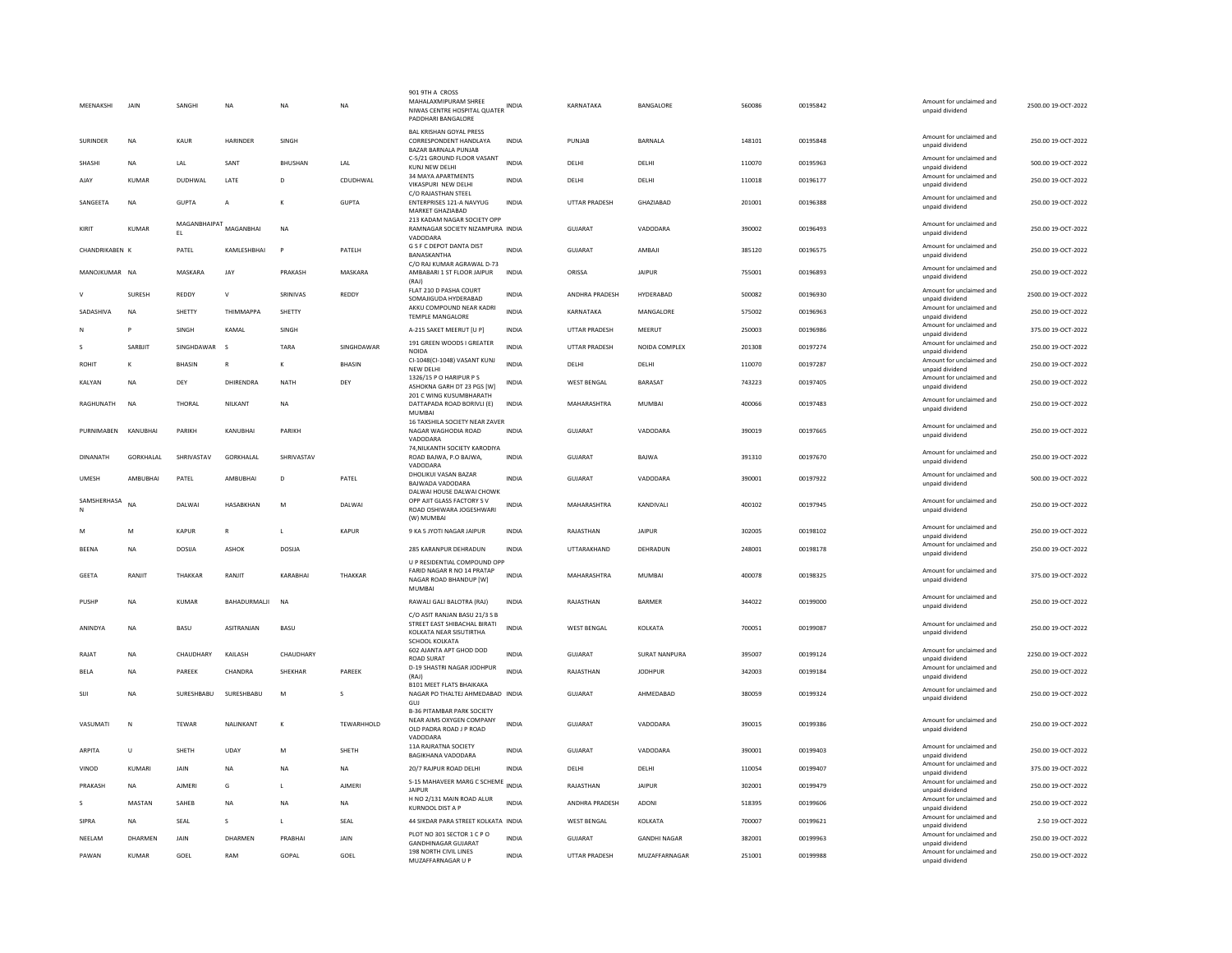| MEENAKSHI        | JAIN             | SANGHI             | <b>NA</b>        | <b>NA</b>      | NA            | 901 9TH A CROSS<br>MAHALAXMIPURAM SHREE<br>NIWAS CENTRE HOSPITAL QUATER INDIA<br>PADDHARI BANGALORE |              | KARNATAKA            | BANGALORE            | 560086 | 00195842 | Amount for unclaimed and<br>unpaid dividend | 2500.00 19-OCT-2022 |
|------------------|------------------|--------------------|------------------|----------------|---------------|-----------------------------------------------------------------------------------------------------|--------------|----------------------|----------------------|--------|----------|---------------------------------------------|---------------------|
| <b>SURINDER</b>  | <b>NA</b>        | KAUR               | <b>HARINDER</b>  | SINGH          |               | <b>BAL KRISHAN GOYAL PRESS</b><br>CORRESPONDENT HANDLAYA<br>BAZAR BARNALA PUNJAB                    | <b>INDIA</b> | PUNJAB               | <b>BARNALA</b>       | 148101 | 00195848 | Amount for unclaimed and<br>unpaid dividend | 250.00 19-OCT-2022  |
| SHASHI           | <b>NA</b>        | LAL                | SANT             | <b>BHUSHAN</b> | LAL           | C-5/21 GROUND FLOOR VASANT<br>KUNJ NEW DELHI                                                        | <b>INDIA</b> | DELHI                | DELHI                | 110070 | 00195963 | Amount for unclaimed and<br>unpaid dividend | 500.00 19-OCT-2022  |
| AJAY             | <b>KUMAR</b>     | DUDHWAL            | LATE             | D              | CDUDHWAL      | 34 MAYA APARTMENTS<br>VIKASPURI NEW DELHI                                                           | <b>INDIA</b> | DELHI                | DELHI                | 110018 | 00196177 | Amount for unclaimed and<br>unpaid dividend | 250.00 19-OCT-2022  |
| SANGEETA         | NA               | <b>GUPTA</b>       | A                | K              | <b>GUPTA</b>  | C/O RAIASTHAN STEEL<br>ENTERPRISES 121-A NAVYUG<br>MARKET GHAZIABAD                                 | <b>INDIA</b> | UTTAR PRADESH        | GHAZIABAD            | 201001 | 00196388 | Amount for unclaimed and<br>unpaid dividend | 250.00 19-OCT-2022  |
| KIRIT            | <b>KUMAR</b>     | MAGANBHAIPAT<br>EL | MAGANBHAI        | <b>NA</b>      |               | 213 KADAM NAGAR SOCIETY OPP<br>RAMNAGAR SOCIETY NIZAMPURA INDIA<br>VADODARA                         |              | GUJARAT              | VADODARA             | 390002 | 00196493 | Amount for unclaimed and<br>unpaid dividend | 250.00 19-OCT-2022  |
| CHANDRIKABEN K   |                  | PATEL              | KAMLESHBHAI      | P              | PATELH        | G S F C DEPOT DANTA DIST<br><b>BANASKANTHA</b>                                                      | <b>INDIA</b> | <b>GUJARAT</b>       | AMBAJI               | 385120 | 00196575 | Amount for unclaimed and<br>unpaid dividend | 250.00 19-OCT-2022  |
| MANOJKUMAR NA    |                  | MASKARA            | <b>JAY</b>       | PRAKASH        | MASKARA       | C/O RAJ KUMAR AGRAWAL D-73<br>AMBABARI 1 ST FLOOR JAIPUR<br>(RAJ)                                   | <b>INDIA</b> | ORISSA               | <b>JAIPUR</b>        | 755001 | 00196893 | Amount for unclaimed and<br>unpaid dividend | 250.00 19-OCT-2022  |
|                  | SURESH           | REDDY              | V                | SRINIVAS       | REDDY         | FLAT 210 D PASHA COURT<br>SOMAJIGUDA HYDERABAD                                                      | <b>INDIA</b> | ANDHRA PRADESH       | HYDERABAD            | 500082 | 00196930 | Amount for unclaimed and<br>unpaid dividend | 2500.00 19-OCT-2022 |
| SADASHIVA        | <b>NA</b>        | SHETTY             | THIMMAPPA        | SHETTY         |               | AKKU COMPOUND NEAR KADRI<br><b>TEMPLE MANGALORE</b>                                                 | <b>INDIA</b> | KARNATAKA            | MANGALORE            | 575002 | 00196963 | Amount for unclaimed and<br>unpaid dividend | 250.00 19-OCT-2022  |
| N                | P                | SINGH              | KAMAL            | SINGH          |               | A-215 SAKET MEERUT [U P]                                                                            | <b>INDIA</b> | <b>UTTAR PRADESH</b> | MEERUT               | 250003 | 00196986 | Amount for unclaimed and<br>unpaid dividend | 375.00 19-OCT-2022  |
|                  | SARBJIT          | SINGHDAWAR         | <sub>S</sub>     | TARA           | SINGHDAWAR    | 191 GREEN WOODS I GREATER<br>NOIDA                                                                  | <b>INDIA</b> | <b>UTTAR PRADESH</b> | NOIDA COMPLEX        | 201308 | 00197274 | Amount for unclaimed and<br>unpaid dividend | 250.00 19-OCT-2022  |
| <b>ROHIT</b>     |                  | BHASIN             | $\overline{R}$   | κ              | BHASIN        | CI-1048(CI-1048) VASANT KUNJ                                                                        | <b>INDIA</b> | DELHI                | DELHI                | 110070 | 00197287 | Amount for unclaimed and                    | 250.00 19-OCT-2022  |
| KALYAN           | <b>NA</b>        | DFY                | DHIRFNDRA        | <b>NATH</b>    | DFY           | <b>NEW DELHI</b><br>1326/15 P O HARIPUR P S                                                         | <b>INDIA</b> | <b>WEST BENGAL</b>   | <b>BARASAT</b>       | 743223 | 00197405 | unpaid dividend<br>Amount for unclaimed and | 250.00 19-OCT-2022  |
|                  |                  |                    |                  |                |               | ASHOKNA GARH DT 23 PGS [W]<br>201 C WING KUSUMBHARATH                                               |              |                      |                      |        |          | unpaid dividend<br>Amount for unclaimed and |                     |
| RAGHUNATH        | <b>NA</b>        | THORAL             | NILKANT          | <b>NA</b>      |               | DATTAPADA ROAD BORIVLI (E)<br>MUMBAI<br>16 TAXSHILA SOCIETY NEAR ZAVER                              | <b>INDIA</b> | MAHARASHTRA          | <b>MUMBAI</b>        | 400066 | 00197483 | unpaid dividend                             | 250.00 19-OCT-2022  |
| PURNIMABEN       | KANUBHAI         | PARIKH             | KANUBHAI         | PARIKH         |               | NAGAR WAGHODIA ROAD<br>VADODARA                                                                     | <b>INDIA</b> | <b>GUJARAT</b>       | VADODARA             | 390019 | 00197665 | Amount for unclaimed and<br>unpaid dividend | 250.00 19-OCT-2022  |
| <b>DINANATH</b>  | <b>GORKHALAI</b> | SHRIVASTAV         | GORKHALAL        | SHRIVASTAV     |               | 74, NILKANTH SOCIETY KARODIYA<br>ROAD BAJWA, P.O BAJWA,<br>VADODARA                                 | <b>INDIA</b> | <b>GUJARAT</b>       | BAJWA                | 391310 | 00197670 | Amount for unclaimed and<br>unpaid dividend | 250.00 19-OCT-2022  |
| <b>UMESH</b>     | AMRURHAI         | PATFI              | AMRURHAI         | $\mathsf{D}$   | PATEL         | DHOLIKUI VASAN BAZAR<br>BAJWADA VADODARA                                                            | <b>INDIA</b> | GUIARAT              | VADODARA             | 390001 | 00197922 | Amount for unclaimed and<br>unpaid dividend | 500.00 19-OCT-2022  |
| SAMSHERHASA<br>N | <b>NA</b>        | DAI WAI            | <b>HASARKHAN</b> | M              | DAI WAI       | DALWAI HOUSE DALWAI CHOWK<br>OPP AJIT GLASS FACTORY S V<br>ROAD OSHIWARA JOGESHWARI<br>(W) MUMBAI   | <b>INDIA</b> | MAHARASHTRA          | <b>KANDIVALI</b>     | 400102 | 00197945 | Amount for unclaimed and<br>unpaid dividend | 250.00 19-OCT-2022  |
| M                | M                | <b>KAPUR</b>       | $\mathbb{R}$     | $\mathsf{L}$   | KAPLIR        | 9 KA 5 JYOTI NAGAR JAIPUR                                                                           | <b>INDIA</b> | RAJASTHAN            | <b>JAIPUR</b>        | 302005 | 00198102 | Amount for unclaimed and<br>unpaid dividend | 250.00 19-OCT-2022  |
| <b>BEENA</b>     | <b>NA</b>        | <b>DOSIJA</b>      | ASHOK            | <b>DOSIJA</b>  |               | 285 KARANPUR DEHRADUN                                                                               | <b>INDIA</b> | UTTARAKHAND          | DEHRADUN             | 248001 | 00198178 | Amount for unclaimed and<br>unpaid dividend | 250.00 19-OCT-2022  |
|                  |                  |                    |                  |                |               | U P RESIDENTIAL COMPOUND OPP                                                                        |              |                      |                      |        |          |                                             |                     |
| <b>GEETA</b>     | RANJIT           | <b>THAKKAR</b>     | RANJIT           | KARABHAI       | THAKKAR       | FARID NAGAR R NO 14 PRATAP<br>NAGAR ROAD BHANDUP [W]<br>MUMBAI                                      | <b>INDIA</b> | MAHARASHTRA          | <b>MUMBAI</b>        | 400078 | 00198325 | Amount for unclaimed and<br>unpaid dividend | 375.00 19-OCT-2022  |
| PUSHP            | <b>NA</b>        | <b>KUMAR</b>       | BAHADURMALII     | <b>NA</b>      |               | RAWALI GALI BALOTRA (RAJ)<br>C/O ASIT RANJAN BASU 21/3 S B                                          | <b>INDIA</b> | RAJASTHAN            | <b>BARMER</b>        | 344022 | 00199000 | Amount for unclaimed and<br>unpaid dividend | 250.00 19-OCT-2022  |
| ANINDYA          | <b>NA</b>        | BASU               | ASITRANJAN       | BASU           |               | STREET EAST SHIBACHAL BIRATI<br>KOLKATA NEAR SISUTIRTHA                                             | <b>INDIA</b> | <b>WEST BENGAL</b>   | KOLKATA              | 700051 | 00199087 | Amount for unclaimed and<br>unpaid dividend | 250.00 19-OCT-2022  |
| RAIAT            | <b>NA</b>        | CHAUDHARY          | <b>KAILASH</b>   | CHAUDHARY      |               | SCHOOL KOLKATA<br>602 AJANTA APT GHOD DOD<br><b>ROAD SURAT</b>                                      | <b>INDIA</b> | GUIARAT              | <b>SURAT NANPURA</b> | 395007 | 00199124 | Amount for unclaimed and<br>unpaid dividend | 2250.00.19-OCT-2022 |
| BELA             | <b>NA</b>        | PAREEK             | CHANDRA          | SHEKHAR        | PAREEK        | D-19 SHASTRI NAGAR JODHPUR<br>(RAJ)                                                                 | <b>INDIA</b> | RAJASTHAN            | <b>JODHPUR</b>       | 342003 | 00199184 | Amount for unclaimed and<br>unpaid dividend | 250.00 19-OCT-2022  |
| SIJI             | <b>NA</b>        | SURESHBABU         | SURESHBABU       | M              |               | <b>B101 MEET FLATS BHAIKAKA</b><br>NAGAR PO THALTEJ AHMEDABAD INDIA                                 |              | GUJARAT              | AHMEDABAD            | 380059 | 00199324 | Amount for unclaimed and<br>unpaid dividend | 250.00 19-OCT-2022  |
| VASUMATI         | N                | <b>TEWAR</b>       | NALINKANT        | К              | TEWARHHOLD    | GUJ<br><b>B-36 PITAMBAR PARK SOCIETY</b><br>NEAR AIMS OXYGEN COMPANY<br>OLD PADRA ROAD J P ROAD     | <b>INDIA</b> | GUJARAT              | VADODARA             | 390015 | 00199386 | Amount for unclaimed and<br>unpaid dividend | 250.00 19-OCT-2022  |
| <b>ARPITA</b>    | $\mathbf{U}$     | SHFTH              | LIDAY            | M              | SHETH         | VADODARA<br>11A RAJRATNA SOCIETY                                                                    | <b>INDIA</b> | GUIARAT              | VADODARA             | 390001 | 00199403 | Amount for unclaimed and                    | 250.00 19-OCT-2022  |
| VINOD            | KUMARI           | JAIN               | NA               | NA             | <b>NA</b>     | <b>BAGIKHANA VADODARA</b><br>20/7 RAJPUR ROAD DELHI                                                 | INDIA        | DELHI                | DELHI                | 110054 | 00199407 | unpaid dividend<br>Amount for unclaimed and | 375.00 19-OCT-2022  |
| PRAKASH          | <b>NA</b>        | AJMERI             | G                | L              | <b>AJMERI</b> | S-15 MAHAVEER MARG C SCHEME INDIA                                                                   |              | RAJASTHAN            | JAIPUR               | 302001 | 00199479 | unpaid dividend<br>Amount for unclaimed and | 250.00 19-OCT-2022  |
|                  |                  |                    |                  |                |               | <b>JAIPUR</b><br>H NO 2/131 MAIN ROAD ALUR                                                          |              |                      |                      |        |          | unpaid dividend<br>Amount for unclaimed and |                     |
| $\mathsf{s}$     | MASTAN           | SAHEB              | <b>NA</b>        | <b>NA</b>      | <b>NA</b>     | <b>KURNOOL DIST A P</b>                                                                             | <b>INDIA</b> | ANDHRA PRADESH       | <b>ADONI</b>         | 518395 | 00199606 | unpaid dividend<br>Amount for unclaimed and | 250.00 19-OCT-2022  |
| SIPRA            | NA               | SEAL               | s                | $\mathsf{L}$   | SEAL          | 44 SIKDAR PARA STREET KOLKATA INDIA<br>PLOT NO 301 SECTOR 1 C P O                                   |              | WEST BENGAL          | KOLKATA              | 700007 | 00199621 | unpaid dividend<br>Amount for unclaimed and | 2.50 19-OCT-2022    |
| NEELAM           | DHARMEN          | JAIN               | DHARMEN          | PRABHAI        | JAIN          | <b>GANDHINAGAR GUJARAT</b>                                                                          | INDIA        | <b>GUJARAT</b>       | <b>GANDHI NAGAR</b>  | 382001 | 00199963 | unpaid dividend                             | 250.00 19-OCT-2022  |
| PAWAN            | KUMAR            | GOFI               | RAM              | GOPAL          | GOEL          | 198 NORTH CIVIL LINES<br>MUZAFFARNAGAR U P                                                          | <b>INDIA</b> | <b>UTTAR PRADESH</b> | MUZAFFARNAGAR        | 251001 | 00199988 | Amount for unclaimed and<br>unpaid dividend | 250.00 19-OCT-2022  |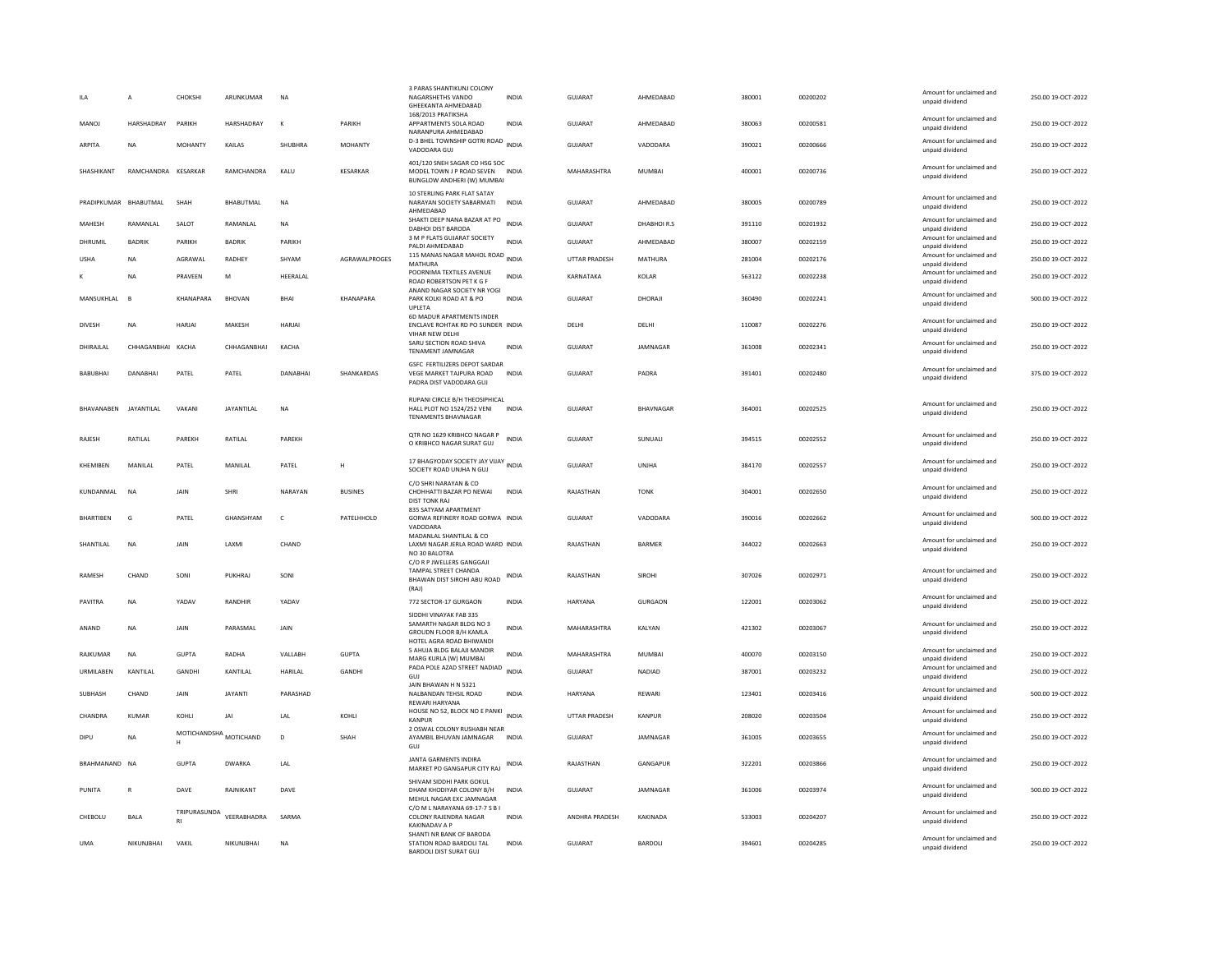|                       | А                   | CHOKSHI                     | ARUNKUMAR         | <b>NA</b>    |                      | 3 PARAS SHANTIKUNJ COLONY<br>NAGARSHETHS VANDO<br>GHEEKANTA AHMEDABAD<br>168/2013 PRATIKSHA                | <b>INDIA</b> | <b>GUJARAT</b>       | AHMEDABAD       | 380001 | 00200202 | Amount for unclaimed and<br>unpaid dividend | 250.00 19-OCT-2022 |
|-----------------------|---------------------|-----------------------------|-------------------|--------------|----------------------|------------------------------------------------------------------------------------------------------------|--------------|----------------------|-----------------|--------|----------|---------------------------------------------|--------------------|
| MANOJ                 | HARSHADRAY          | PARIKH                      | HARSHADRAY        | К            | PARIKH               | APPARTMENTS SOLA ROAD<br>NARANPURA AHMEDABAD                                                               | INDIA        | GUJARAT              | AHMEDABAD       | 380063 | 00200581 | Amount for unclaimed and<br>unpaid dividend | 250.00 19-OCT-2022 |
| ARPITA                | <b>NA</b>           | <b>MOHANTY</b>              | KAILAS            | SHUBHRA      | <b>MOHANTY</b>       | D-3 BHEL TOWNSHIP GOTRI ROAD<br>VADODARA GUJ                                                               | INDIA        | <b>GUJARAT</b>       | VADODARA        | 390021 | 00200666 | Amount for unclaimed and<br>unpaid dividend | 250.00 19-OCT-2022 |
| SHASHIKANT            | RAMCHANDRA KESARKAR |                             | RAMCHANDRA        | KALU         | <b>KESARKAR</b>      | 401/120 SNEH SAGAR CO HSG SOC<br>MODEL TOWN J P ROAD SEVEN INDIA<br>BUNGLOW ANDHERI (W) MUMBAI             |              | MAHARASHTRA          | <b>MUMBAI</b>   | 400001 | 00200736 | Amount for unclaimed and<br>unpaid dividend | 250.00 19-OCT-2022 |
| PRADIPKUMAR BHABUTMAL |                     | SHAH                        | BHABUTMAL         | <b>NA</b>    |                      | 10 STERLING PARK FLAT SATAY<br>NARAYAN SOCIETY SABARMATI<br>AHMEDABAD                                      | <b>INDIA</b> | GUJARAT              | AHMEDABAD       | 380005 | 00200789 | Amount for unclaimed and<br>unpaid dividend | 250.00 19-OCT-2022 |
| MAHESH                | RAMANLAL            | SALOT                       | RAMANLAL          | <b>NA</b>    |                      | SHAKTI DEEP NANA BAZAR AT PO<br><b>DABHOI DIST BARODA</b>                                                  | <b>INDIA</b> | <b>GUJARAT</b>       | DHABHOIR.S      | 391110 | 00201932 | Amount for unclaimed and<br>unpaid dividend | 250.00 19-OCT-2022 |
| DHRUMIL               | <b>BADRIK</b>       | PARIKH                      | <b>BADRIK</b>     | PARIKH       |                      | 3 M P FLATS GUJARAT SOCIETY<br>PALDI AHMEDABAD                                                             | <b>INDIA</b> | GUJARAT              | AHMEDABAD       | 380007 | 00202159 | Amount for unclaimed and<br>unpaid dividend | 250.00 19-OCT-2022 |
| LISHA                 | <b>NA</b>           | AGRAWAI                     | <b>RADHEY</b>     | SHYAM        | <b>AGRAWALPROGES</b> | 115 MANAS NAGAR MAHOL ROAD<br>MATHURA                                                                      | <b>INDIA</b> | <b>UTTAR PRADESH</b> | MATHURA         | 281004 | 00202176 | Amount for unclaimed and<br>unpaid dividend | 250.00 19-OCT-2022 |
|                       | <b>NA</b>           | PRAVEEN                     | M                 | HEERALAL     |                      | POORNIMA TEXTILES AVENUE<br>ROAD ROBERTSON PET K G F<br>ANAND NAGAR SOCIETY NR YOGI                        | <b>INDIA</b> | KARNATAKA            | KOLAR           | 563122 | 00202238 | Amount for unclaimed and<br>unpaid dividend | 250.00 19-OCT-2022 |
| MANSUKHLAL            | <b>R</b>            | KHANAPARA                   | <b>BHOVAN</b>     | BHAI         | <b>KHANAPARA</b>     | PARK KOLKI ROAD AT & PO<br>UPLETA                                                                          | <b>INDIA</b> | <b>GUJARAT</b>       | DHORAJI         | 360490 | 00202241 | Amount for unclaimed and<br>unpaid dividend | 500.00 19-OCT-2022 |
| <b>DIVESH</b>         | <b>NA</b>           | <b>HARJAI</b>               | MAKESH            | HARJAI       |                      | 6D MADUR APARTMENTS INDER<br>ENCLAVE ROHTAK RD PO SUNDER INDIA<br>VIHAR NEW DELHI                          |              | DELHI                | DELHI           | 110087 | 00202276 | Amount for unclaimed and<br>unpaid dividend | 250.00 19-OCT-2022 |
| DHIRAJLAL             | CHHAGANBHAI KACHA   |                             | CHHAGANBHAI       | KACHA        |                      | SARU SECTION ROAD SHIVA<br><b>TENAMENT JAMNAGAR</b>                                                        | <b>INDIA</b> | GUJARAT              | JAMNAGAR        | 361008 | 00202341 | Amount for unclaimed and<br>unpaid dividend | 250.00 19-OCT-2022 |
| <b>BABUBHAI</b>       | DANARHAI            | PATEL                       | PATEL             | DANARHAI     | SHANKARDAS           | GSFC FERTILIZERS DEPOT SARDAR<br>VEGE MARKET TAJPURA ROAD<br>PADRA DIST VADODARA GUJ                       | <b>INDIA</b> | <b>GUJARAT</b>       | PADRA           | 391401 | 00202480 | Amount for unclaimed and<br>unpaid dividend | 375.00 19-OCT-2022 |
| BHAVANABEN JAYANTILAL |                     | VAKANI                      | <b>JAYANTILAL</b> | NA           |                      | RUPANI CIRCLE B/H THEOSIPHICAL<br>HALL PLOT NO 1524/252 VENI<br><b>TENAMENTS BHAVNAGAR</b>                 | <b>INDIA</b> | GUJARAT              | BHAVNAGAR       | 364001 | 00202525 | Amount for unclaimed and<br>unpaid dividend | 250.00 19-OCT-2022 |
| RAJESH                | RATILAL             | PAREKH                      | RATILAL           | PAREKH       |                      | OTR NO 1629 KRIBHCO NAGAR P<br>O KRIBHCO NAGAR SURAT GUJ                                                   | <b>INDIA</b> | GUJARAT              | SUNUALI         | 394515 | 00202552 | Amount for unclaimed and<br>unpaid dividend | 250.00 19-OCT-2022 |
| KHEMIBEN              | MANILAL             | PATEL                       | MANILAL           | PATEL        | н                    | 17 BHAGYODAY SOCIETY JAY VIJAY INDIA<br>SOCIETY ROAD UNJHA N GUJ                                           |              | GUJARAT              | UNJHA           | 384170 | 00202557 | Amount for unclaimed and<br>unpaid dividend | 250.00 19-OCT-2022 |
| KUNDANMAL             | <b>NA</b>           | <b>JAIN</b>                 | SHRI              | NARAYAN      | <b>BUSINES</b>       | C/O SHRI NARAYAN & CO<br>CHOHHATTI BAZAR PO NEWAI<br><b>DIST TONK RAJ</b>                                  | <b>INDIA</b> | RAIASTHAN            | <b>TONK</b>     | 304001 | 00202650 | Amount for unclaimed and<br>unpaid dividend | 250.00.19-OCT-2022 |
| <b>BHARTIBEN</b>      | G                   | PATEL                       | GHANSHYAM         | $\mathsf{C}$ | PATELHHOLD           | 835 SATYAM APARTMENT<br>GORWA REFINERY ROAD GORWA INDIA<br>VADODARA                                        |              | <b>GUJARAT</b>       | VADODARA        | 390016 | 00202662 | Amount for unclaimed and<br>unpaid dividend | 500.00 19-OCT-2022 |
| SHANTILAL             | <b>NA</b>           | JAIN                        | LAXMI             | CHAND        |                      | MADANLAL SHANTILAL & CO<br>LAXMI NAGAR JERLA ROAD WARD INDIA<br>NO 30 BALOTRA<br>C/O R P JWELLERS GANGGAJI |              | RAJASTHAN            | <b>BARMER</b>   | 344022 | 00202663 | Amount for unclaimed and<br>unpaid dividend | 250.00 19-OCT-2022 |
| RAMESH                | CHAND               | SONI                        | PUKHRAJ           | SONI         |                      | TAMPAL STREET CHANDA<br>BHAWAN DIST SIROHI ABU ROAD<br>(RAJ)                                               | INDIA        | RAJASTHAN            | SIROHI          | 307026 | 00202971 | Amount for unclaimed and<br>unpaid dividend | 250.00 19-OCT-2022 |
| PAVITRA               | NA                  | <b>YADA\</b>                | RANDHIR           | YADAV        |                      | 772 SECTOR-17 GURGAON                                                                                      | INDIA        | HARYANA              | GURGAON         | 122001 | 00203062 | Amount for unclaimed and<br>unpaid dividend | 250.00 19-OCT-2022 |
| ANAND                 | <b>NA</b>           | JAIN                        | PARASMAL          | JAIN         |                      | SIDDHI VINAYAK FAB 335<br>SAMARTH NAGAR BLDG NO 3<br>GROUDN FLOOR B/H KAMLA<br>HOTEL AGRA ROAD BHIWANDI    | <b>INDIA</b> | MAHARASHTRA          | KALYAN          | 421302 | 00203067 | Amount for unclaimed and<br>unpaid dividend | 250.00 19-OCT-2022 |
| RAJKUMAR              | <b>NA</b>           | <b>GUPTA</b>                | RADHA             | VALLABH      | <b>GUPTA</b>         | 5 AHUJA BLDG BALAJI MANDIR<br>MARG KURLA (W) MUMBAI                                                        | <b>INDIA</b> | MAHARASHTRA          | <b>MUMBAI</b>   | 400070 | 00203150 | Amount for unclaimed and<br>unpaid dividend | 250.00 19-OCT-2022 |
| URMILABEN             | KANTILAL            | GANDHI                      | KANTILAL          | HARILAL      | GANDHI               | PADA POLE AZAD STREET NADIAD<br>GUJ                                                                        | INDIA        | <b>GUJARAT</b>       | NADIAD          | 387001 | 00203232 | Amount for unclaimed and<br>unpaid dividend | 250.00 19-OCT-2022 |
| SUBHASH               | CHAND               | <b>JAIN</b>                 | <b>JAYANTI</b>    | PARASHAD     |                      | JAIN BHAWAN H N 5321<br>NALBANDAN TEHSIL ROAD<br><b>REWARI HARYANA</b>                                     | INDIA        | <b>HARYANA</b>       | REWARI          | 123401 | 00203416 | Amount for unclaimed and<br>unpaid dividend | 500.00 19-OCT-2022 |
| CHANDRA               | KUMAR               | KOHLI                       | IAI               | LAL          | KOHLI                | HOUSE NO 52, BLOCK NO E PANKI<br><b>KANPUR</b>                                                             | <b>INDIA</b> | UTTAR PRADESH        | KANPUR          | 208020 | 00203504 | Amount for unclaimed and<br>unpaid dividend | 250.00 19-OCT-2022 |
| DIPLI                 | <b>NA</b>           | MOTICHANDSHA MOTICHAND<br>н |                   | $\mathsf{D}$ | SHAH                 | 2 OSWAL COLONY RUSHABH NEAR<br>AYAMBIL BHUVAN JAMNAGAR<br>GUJ                                              | <b>INDIA</b> | GUJARAT              | <b>IAMNAGAR</b> | 361005 | 00203655 | Amount for unclaimed and<br>unpaid dividend | 250.00 19-OCT-2022 |
| BRAHMANAND NA         |                     | <b>GUPTA</b>                | <b>DWARKA</b>     | LAL          |                      | <b>JANTA GARMENTS INDIRA</b><br>MARKET PO GANGAPUR CITY RAJ                                                | INDIA        | RAJASTHAN            | GANGAPUR        | 322201 | 00203866 | Amount for unclaimed and<br>unpaid dividend | 250.00 19-OCT-2022 |
| PUNITA                | $\mathsf{R}$        | DAVE                        | RAJNIKANT         | DAVE         |                      | SHIVAM SIDDHI PARK GOKUL<br>DHAM KHODIYAR COLONY B/H<br>MEHUL NAGAR EXC JAMNAGAR                           | <b>INDIA</b> | GUJARAT              | JAMNAGAR        | 361006 | 00203974 | Amount for unclaimed and<br>unpaid dividend | 500.00 19-OCT-2022 |
| CHEBOLU               | <b>BALA</b>         | TRIPURASUNDA                | VEERABHADRA       | SARMA        |                      | C/O M L NARAYANA 69-17-7 S B I<br>COLONY RAJENDRA NAGAR<br><b>KAKINADAV A P</b>                            | <b>INDIA</b> | ANDHRA PRADESH       | KAKINADA        | 533003 | 00204207 | Amount for unclaimed and<br>unpaid dividend | 250.00 19-OCT-2022 |
| <b>IJMA</b>           | NIKUNIRHAI          | VAKII                       | NIKUNIBHAI        | <b>NA</b>    |                      | SHANTI NR BANK OF BARODA<br>STATION ROAD BARDOLLTAL<br><b>BARDOLI DIST SURAT GUJ</b>                       | <b>INDIA</b> | GUIARAT              | <b>BARDOLL</b>  | 394601 | 00204285 | Amount for unclaimed and<br>unpaid dividend | 250.00.19-OCT-2022 |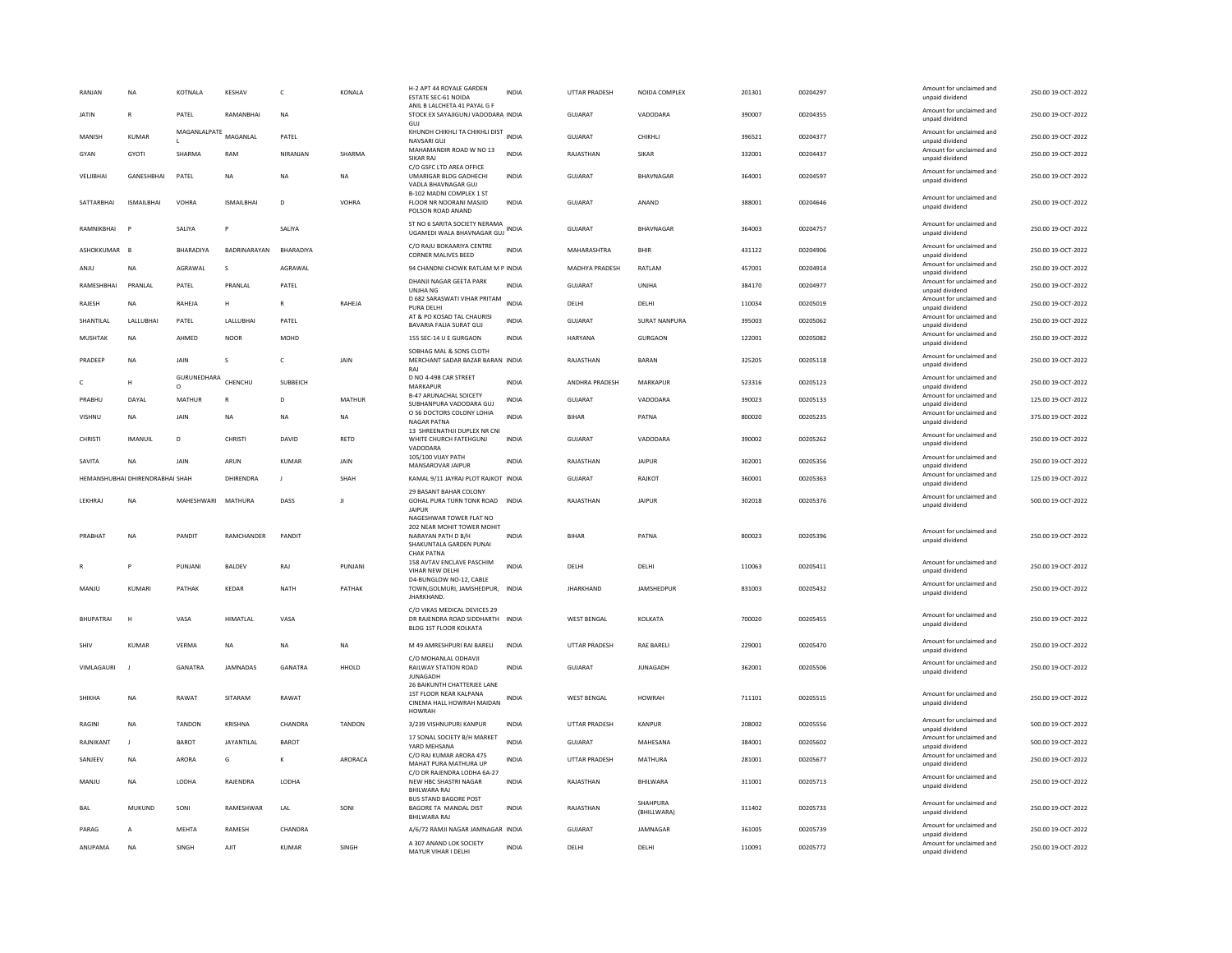| RANJAN             | NA                              | KOTNALA                | KESHAV            | c                | KONALA        | H-2 APT 44 ROYALE GARDEN<br><b>ESTATE SEC-61 NOIDA</b><br>ANIL B LALCHETA 41 PAYAL G F     | INDIA        | <b>UTTAR PRADESH</b>  | NOIDA COMPLEX        | 201301 | 00204297             | Amount for unclaimed and<br>unpaid dividend                             | 250.00 19-OCT-2022                       |
|--------------------|---------------------------------|------------------------|-------------------|------------------|---------------|--------------------------------------------------------------------------------------------|--------------|-----------------------|----------------------|--------|----------------------|-------------------------------------------------------------------------|------------------------------------------|
| <b>JATIN</b>       | R                               | PATEL                  | RAMANRHAI         | <b>NA</b>        |               | STOCK EX SAYAJIGUNJ VADODARA INDIA                                                         |              | GUIARAT               | VADODARA             | 390007 | 00204355             | Amount for unclaimed and<br>unpaid dividend                             | 250.00 19-OCT-2022                       |
| MANISH             | KUMAR                           | MAGANLALPATE MAGANLAL  |                   | PATEL            |               | KHUNDH CHIKHLI TA CHIKHLI DIST INDIA<br>NAVSARI GUJ                                        |              | GUJARAT               | CHIKHLI              | 396521 | 00204377             | Amount for unclaimed and<br>unpaid dividend                             | 250.00 19-OCT-2022                       |
| GYAN               | <b>GYOTI</b>                    | SHARMA                 | RAM               | NIRANJAN         | SHARMA        | MAHAMANDIR ROAD W NO 13<br><b>SIKAR RAI</b>                                                | <b>INDIA</b> | RAJASTHAN             | SIKAR                | 332001 | 00204437             | Amount for unclaimed and<br>unpaid dividend                             | 250.00 19-OCT-2022                       |
| VELJIBHAI          | GANESHBHAI                      | PATEL                  | <b>NA</b>         | <b>NA</b>        | <b>NA</b>     | C/O GSFC LTD AREA OFFICE<br>UMARIGAR BLDG GADHECHI<br>VADLA BHAVNAGAR GUJ                  | <b>INDIA</b> | GUJARAT               | BHAVNAGAR            | 364001 | 00204597             | Amount for unclaimed and<br>unpaid dividend                             | 250.00 19-OCT-2022                       |
| SATTARBHAI         | <b>ISMAILBHAI</b>               | VOHRA                  | <b>ISMAILBHAI</b> | D                | <b>VOHRA</b>  | B-102 MADNI COMPLEX 1 ST<br>FLOOR NR NOORANI MASJID<br>POLSON ROAD ANAND                   | <b>INDIA</b> | <b>GUJARAT</b>        | ANAND                | 388001 | 00204646             | Amount for unclaimed and<br>unpaid dividend                             | 250.00 19-OCT-2022                       |
| RAMNIKRHAI         |                                 | <b>SAI IYA</b>         | P                 | SALIYA           |               | ST NO 6 SARITA SOCIETY NERAMA<br>UGAMEDI WALA BHAVNAGAR GUJ                                | <b>INDIA</b> | GUIARAT               | <b>RHAVNAGAR</b>     | 364003 | 00204757             | Amount for unclaimed and<br>unpaid dividend                             | 250.00 19-OCT-2022                       |
| ASHOKKUMAR         | B                               | BHARADIYA              | BADRINARAYAN      | BHARADIYA        |               | C/O RAJU BOKAARIYA CENTRE<br>CORNER MALIVES BEED                                           | <b>INDIA</b> | MAHARASHTRA           | <b>BHIR</b>          | 431122 | 00204906             | Amount for unclaimed and<br>unpaid dividend                             | 250.00 19-OCT-2022                       |
| ANJU               | <b>NA</b>                       | AGRAWAL                | s                 | AGRAWAL          |               | 94 CHANDNI CHOWK RATLAM M P INDIA                                                          |              | MADHYA PRADESH        | RATLAM               | 457001 | 00204914             | Amount for unclaimed and<br>unpaid dividend                             | 250.00 19-OCT-2022                       |
| RAMESHBHAI         | PRANLAL                         | PATEL                  | PRANLAL           | PATEL            |               | DHANJI NAGAR GEETA PARK<br>UNJHA NG                                                        | <b>INDIA</b> | GUJARAT               | UNJHA                | 384170 | 00204977             | Amount for unclaimed and<br>unpaid dividend                             | 250.00 19-OCT-2022                       |
| RAJESH             | <b>NA</b>                       | RAHEJA                 | H                 | $\mathbb{R}$     | RAHEJA        | D 682 SARASWATI VIHAR PRITAM<br>PURA DELHI                                                 | <b>INDIA</b> | DELHI                 | DELHI                | 110034 | 00205019             | Amount for unclaimed and<br>unpaid dividend                             | 250.00 19-OCT-2022                       |
| SHANTILAL          | LALLUBHAI                       | PATEL                  | LALLUBHAI         | PATEL            |               | AT & PO KOSAD TAL CHAURISI<br>BAVARIA FALIA SURAT GUJ                                      | <b>INDIA</b> | <b>GUJARAT</b>        | <b>SURAT NANPURA</b> | 395003 | 00205062             | Amount for unclaimed and<br>unpaid dividend                             | 250.00 19-OCT-2022                       |
| MUSHTAK            | <b>NA</b>                       | AHMED                  | <b>NOOR</b>       | MOHD             |               | 155 SEC-14 U E GURGAON                                                                     | <b>INDIA</b> | <b>HARYANA</b>        | <b>GURGAON</b>       | 122001 | 00205082             | Amount for unclaimed and<br>unpaid dividend                             | 250.00 19-OCT-2022                       |
| PRADEEP            | <b>NA</b>                       | JAIN                   | s                 | $\mathsf{C}$     | JAIN          | SOBHAG MAL & SONS CLOTH<br>MERCHANT SADAR BAZAR BARAN INDIA<br>RAJ                         |              | RAJASTHAN             | BARAN                | 325205 | 00205118             | Amount for unclaimed and<br>unpaid dividend                             | 250.00 19-OCT-2022                       |
|                    | $\mathbf{H}$                    | GURUNEDHARA<br>$\circ$ | CHENCHU           | SUBBEICH         |               | D NO 4-498 CAR STREET<br>MARKAPUR                                                          | <b>INDIA</b> | <b>ANDHRA PRADESH</b> | MARKAPUR             | 523316 | 00205123             | Amount for unclaimed and<br>unpaid dividend                             | 250.00 19-OCT-2022                       |
| PRABHU             | DAYAL                           | MATHUR                 | $\mathsf{R}$      | D                | MATHUR        | <b>B-47 ARUNACHAL SOICETY</b><br>SUBHANPURA VADODARA GUJ                                   | INDIA        | GUJARAT               | VADODARA             | 390023 | 00205133             | Amount for unclaimed and<br>unpaid dividend                             | 125.00 19-OCT-2022                       |
| <b>VISHNU</b>      | <b>NA</b>                       | <b>JAIN</b>            | <b>NA</b>         | <b>NA</b>        | <b>NA</b>     | O 56 DOCTORS COLONY LOHIA<br><b>NAGAR PATNA</b>                                            | <b>INDIA</b> | <b>BIHAR</b>          | PATNA                | 800020 | 00205235             | Amount for unclaimed and<br>unpaid dividend                             | 375.00 19-OCT-2022                       |
| CHRISTI            | <b>IMANUIL</b>                  | D                      | CHRISTI           | <b>DAVID</b>     | RETD          | 13 SHREENATHJI DUPLEX NR CNI<br>WHITE CHURCH FATEHGUNJ<br>VADODARA                         | <b>INDIA</b> | <b>GUJARAT</b>        | VADODARA             | 390002 | 00205262             | Amount for unclaimed and<br>unpaid dividend                             | 250.00 19-OCT-2022                       |
| SAVITA             | NA                              | <b>JAIN</b>            | ARUN              | KUMAR            | <b>JAIN</b>   | 105/100 VIJAY PATH<br>MANSAROVAR JAIPUR                                                    | <b>INDIA</b> | RAJASTHAN             | <b>JAIPUR</b>        | 302001 | 00205356             | Amount for unclaimed and<br>unpaid dividend                             | 250.00 19-OCT-2022                       |
|                    |                                 |                        |                   |                  |               |                                                                                            |              |                       |                      |        |                      |                                                                         |                                          |
|                    | HEMANSHUBHAI DHIRENDRABHAI SHAH |                        | DHIRENDRA         | $\blacksquare$   | SHAH          | KAMAL 9/11 JAYRAJ PLOT RAJKOT INDIA                                                        |              | GUIARAT               | RAIKOT               | 360001 | 00205363             | Amount for unclaimed and                                                | 125.00 19-OCT-2022                       |
| LEKHRAJ            | NA                              | MAHESHWARI MATHURA     |                   | DASS             | л             | 29 BASANT BAHAR COLONY<br>GOHAL PURA TURN TONK ROAD INDIA                                  |              | RAJASTHAN             | <b>JAIPUR</b>        | 302018 | 00205376             | unpaid dividend<br>Amount for unclaimed and                             | 500.00 19-OCT-2022                       |
|                    |                                 |                        |                   |                  |               | <b>JAIPUR</b><br>NAGESHWAR TOWER FLAT NO                                                   |              |                       |                      |        |                      | unpaid dividend                                                         |                                          |
| PRABHAT            | <b>NA</b>                       | PANDIT                 | RAMCHANDER        | PANDIT           |               | 202 NEAR MOHIT TOWER MOHIT<br>NARAYAN PATH D B/H<br>SHAKUNTALA GARDEN PUNAI                | <b>INDIA</b> | <b>BIHAR</b>          | PATNA                | 800023 | 00205396             | Amount for unclaimed and<br>unpaid dividend                             | 250.00 19-OCT-2022                       |
|                    |                                 | PUNJANI                | <b>BALDEV</b>     | RAJ              | PUNJANI       | <b>CHAK PATNA</b><br>158 AVTAV ENCLAVE PASCHIM<br>VIHAR NEW DELHI                          | <b>INDIA</b> | DELHI                 | DELHI                | 110063 | 00205411             | Amount for unclaimed and<br>unpaid dividend                             | 250.00 19-OCT-2022                       |
| MANJU              | KUMARI                          | PATHAK                 | KEDAR             | NATH             | PATHAK        | D4-BUNGLOW NO-12, CABLE<br>TOWN, GOLMURI, JAMSHEDPUR, INDIA<br>JHARKHAND.                  |              | <b>JHARKHAND</b>      | JAMSHEDPUR           | 831003 | 00205432             | Amount for unclaimed and<br>unpaid dividend                             | 250.00 19-OCT-2022                       |
| <b>BHUPATRAI</b>   | н                               | VASA                   | HIMATLAL          | VASA             |               | C/O VIKAS MEDICAL DEVICES 29<br>DR RAJENDRA ROAD SIDDHARTH INDIA<br>BLDG 1ST FLOOR KOLKATA |              | <b>WEST BENGAL</b>    | KOLKATA              | 700020 | 00205455             | Amount for unclaimed and<br>unpaid dividend                             | 250.00 19-OCT-2022                       |
| SHIV               | <b>KUMAR</b>                    | VERMA                  | NA                | <b>NA</b>        | NA            | M 49 AMRESHPURI RAI BARELI                                                                 | INDIA        | UTTAR PRADESH         | <b>RAE BARELI</b>    | 229001 | 00205470             | Amount for unclaimed and                                                | 250.00 19-OCT-2022                       |
| <b>VIMI AGAURI</b> |                                 | GANATRA                | <b>IAMNADAS</b>   | <b>GANATRA</b>   | HHOLD         | C/O MOHANLAL ODHAVJI<br>RAILWAY STATION ROAD<br><b>JUNAGADH</b>                            | <b>INDIA</b> | GUIARAT               | <b>IUNAGADH</b>      | 362001 | 00205506             | unpaid dividend<br>Amount for unclaimed and<br>unpaid dividend          | 250.00 19-OCT-2022                       |
| <b>SHIKHA</b>      | <b>NA</b>                       | RAWAT                  | SITARAM           | RAWAT            |               | 26 BAIKUNTH CHATTERJEE LANE<br>1ST FLOOR NEAR KALPANA<br>CINEMA HALL HOWRAH MAIDAN         | INDIA        | <b>WEST BENGAL</b>    | <b>HOWRAH</b>        | 711101 | 00205515             | Amount for unclaimed and<br>unpaid dividend                             | 250.00 19-OCT-2022                       |
| <b>RAGINI</b>      | <b>NA</b>                       | <b>TANDON</b>          | <b>KRISHNA</b>    | CHANDRA          | <b>TANDON</b> | <b>HOWRAH</b><br>3/239 VISHNUPURI KANPUR                                                   | <b>INDIA</b> | <b>UTTAR PRADESH</b>  | KANPUR               | 208002 | 00205556             | Amount for unclaimed and                                                | 500.00 19-OCT-2022                       |
| RAJNIKANT          | $\blacksquare$                  | <b>BAROT</b>           | JAYANTILAL        | <b>BAROT</b>     |               | 17 SONAL SOCIETY B/H MARKET                                                                | <b>INDIA</b> | <b>GUJARAT</b>        | MAHESANA             | 384001 | 00205602             | unpaid dividend<br>Amount for unclaimed and                             | 500.00 19-OCT-2022                       |
| SANJEEV            | NA                              | ARORA                  | G                 | $\kappa$         | ARORACA       | YARD MEHSANA<br>C/O RAJ KUMAR ARORA 475                                                    | INDIA        | UTTAR PRADESH         | MATHURA              | 281001 | 00205677             | unpaid dividend<br>Amount for unclaimed and                             | 250.00 19-OCT-2022                       |
|                    |                                 | LODHA                  | RAJENDRA          | <b>LODHA</b>     |               | MAHAT PURA MATHURA UF<br>C/O DR RAJENDRA LODHA 6A-27                                       | <b>INDIA</b> | RAJASTHAN             |                      | 311001 | 00205713             | unpaid dividend<br>Amount for unclaimed and                             | 250.00 19-OCT-2022                       |
| MANJU              | NA                              |                        |                   |                  |               | NEW HBC SHASTRI NAGAR<br><b>BHILWARA RAJ</b><br><b>BUS STAND BAGORE POST</b>               |              |                       | BHILWARA<br>SHAHPURA |        |                      | unpaid dividend<br>Amount for unclaimed and                             |                                          |
| BAL                | MUKUND                          | SONI                   | RAMESHWAR         | LAI              | SON           | BAGORE TA MANDAL DIST<br><b>BHILWARA RAJ</b>                                               | <b>INDIA</b> | RAJASTHAN             | (BHILLWARA)          | 311402 | 00205733             | unpaid dividend                                                         | 250.00 19-OCT-2022                       |
| PARAG<br>ANUPAMA   | A                               | <b>MEHTA</b><br>SINGH  | RAMESH            | CHANDRA<br>KUMAR | SINGH         | A/6/72 RAMJI NAGAR JAMNAGAR INDIA<br>A 307 ANAND LOK SOCIETY                               |              | <b>GUJARAT</b>        | JAMNAGAR             | 361005 | 00205739<br>00205772 | Amount for unclaimed and<br>unpaid dividend<br>Amount for unclaimed and | 250.00 19-OCT-2022<br>250.00 19-OCT-2022 |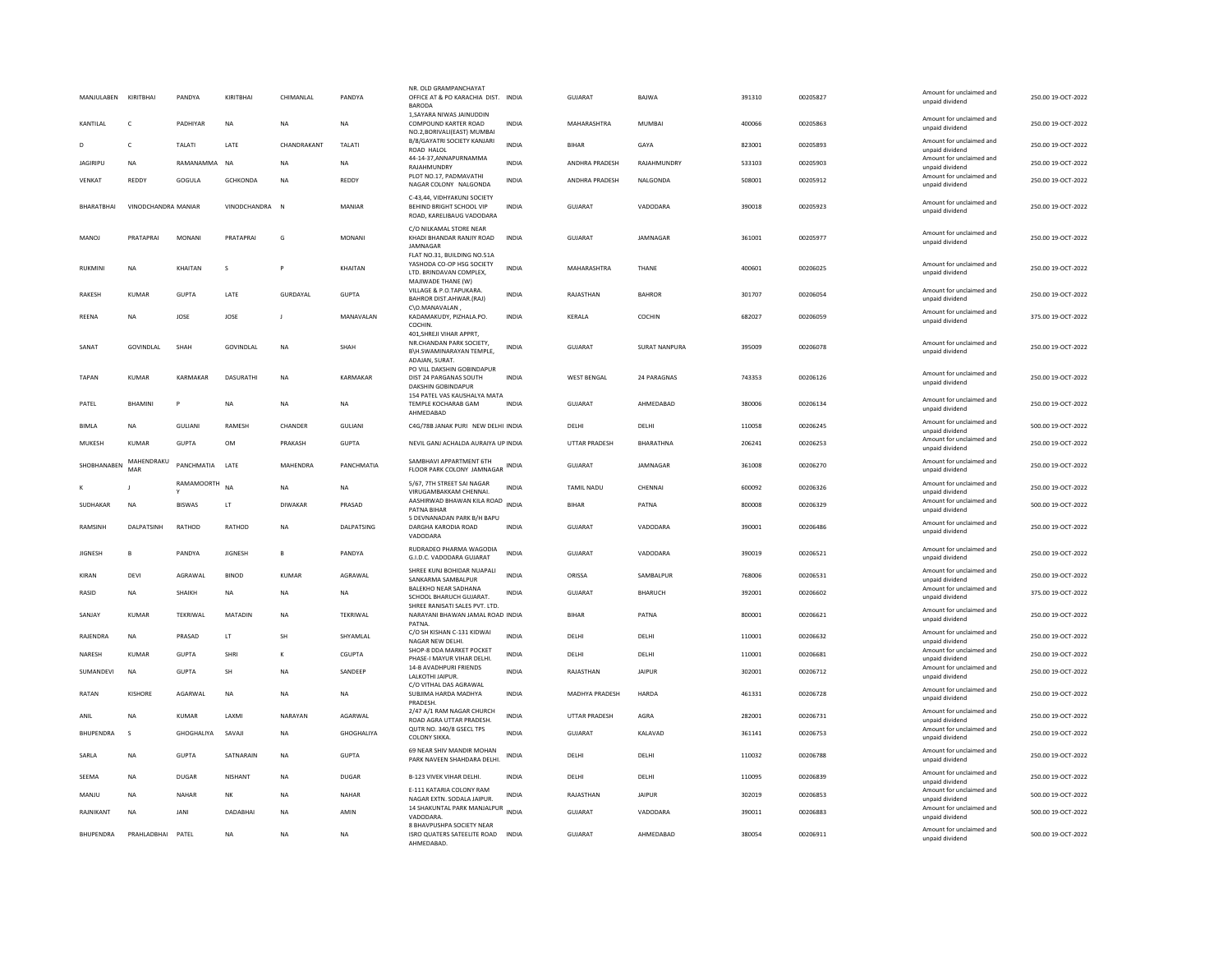| MANJULABEN KIRITBHAI |                     | PANDYA            | KIRITBHAI       | CHIMANLAL      | PANDYA        | NR. OLD GRAMPANCHAYAT<br>OFFICE AT & PO KARACHIA DIST. INDIA<br><b>BARODA</b>                      |              | <b>GUJARAT</b>       | BAJWA                  | 391310 | 00205827 | Amount for unclaimed and<br>unpaid dividend                    | 250.00 19-OCT-2022 |
|----------------------|---------------------|-------------------|-----------------|----------------|---------------|----------------------------------------------------------------------------------------------------|--------------|----------------------|------------------------|--------|----------|----------------------------------------------------------------|--------------------|
| KANTILAL             | $\mathsf{C}$        | PADHIYAR          | NA              | <b>NA</b>      | NA            | 1. SAYARA NIWAS JAINUDDIN<br>COMPOUND KARTER ROAD<br>NO.2, BORIVALI(EAST) MUMBAI                   | <b>INDIA</b> | MAHARASHTRA          | <b>MUMBAI</b>          | 400066 | 00205863 | Amount for unclaimed and<br>unpaid dividend                    | 250.00 19-OCT-2022 |
| D                    | c                   | TALATI            | LATE            | CHANDRAKANT    | TALATI        | B/8/GAYATRI SOCIETY KANJARI<br>ROAD HALOL                                                          | <b>INDIA</b> | BIHAR                | GAYA                   | 823001 | 00205893 | Amount for unclaimed and<br>unpaid dividend                    | 250.00 19-OCT-2022 |
| <b>JAGIRIPU</b>      | <b>NA</b>           | RAMANAMMA         | <b>NA</b>       | <b>NA</b>      | NA            | 44-14-37, ANNAPURNAMMA<br>RAJAHMUNDRY                                                              | <b>INDIA</b> | ANDHRA PRADESH       | RAJAHMUNDRY            | 533103 | 00205903 | Amount for unclaimed and<br>unpaid dividend                    | 250.00 19-OCT-2022 |
| VENKAT               | <b>REDDY</b>        | GOGULA            | <b>GCHKONDA</b> | <b>NA</b>      | REDDY         | PLOT NO.17, PADMAVATHI<br>NAGAR COLONY NALGONDA                                                    | INDIA        | ANDHRA PRADESH       | NALGONDA               | 508001 | 00205912 | Amount for unclaimed and<br>unpaid dividend                    | 250.00 19-OCT-2022 |
| BHARATBHAI           | VINODCHANDRA MANIAR |                   | VINODCHANDRA    | $\mathbb N$    | MANIAR        | C-43,44, VIDHYAKUNJ SOCIETY<br>BEHIND BRIGHT SCHOOL VIP<br>ROAD, KARELIBAUG VADODARA               | <b>INDIA</b> | <b>GUJARAT</b>       | VADODARA               | 390018 | 00205923 | Amount for unclaimed and<br>unpaid dividend                    | 250.00 19-OCT-2022 |
| <b>MANOI</b>         | PRATAPRAI           | <b>MONANI</b>     | PRATAPRAI       | G              | <b>MONANI</b> | C/O NILKAMAL STORE NEAR<br>KHADI BHANDAR RANJIY ROAD<br>JAMNAGAR<br>FLAT NO.31, BUILDING NO.51A    | <b>INDIA</b> | GUIARAT              | <b>IAMNAGAR</b>        | 361001 | 00205977 | Amount for unclaimed and<br>unpaid dividend                    | 250.00 19-OCT-2022 |
| <b>RUKMINI</b>       | <b>NA</b>           | KHAITAN           | s               |                | KHAITAN       | YASHODA CO-OP HSG SOCIETY<br>LTD. BRINDAVAN COMPLEX.<br>MAJIWADE THANE (W)                         | <b>INDIA</b> | MAHARASHTRA          | THANE                  | 400601 | 00206025 | Amount for unclaimed and<br>unpaid dividend                    | 250.00 19-OCT-2022 |
| <b>RAKESH</b>        | KUMAR               | <b>GUPTA</b>      | LATE            | GURDAYAL       | <b>GUPTA</b>  | VILLAGE & P.O.TAPUKARA.<br>BAHROR DIST.AHWAR.(RAJ)                                                 | <b>INDIA</b> | RAJASTHAN            | <b>BAHROR</b>          | 301707 | 00206054 | Amount for unclaimed and<br>unpaid dividend                    | 250.00 19-OCT-2022 |
| REENA                | NA                  | JOSE              | JOSE            | J              | MANAVALAN     | C\O.MANAVALAN.<br>KADAMAKUDY, PIZHALA.PO.<br>COCHIN.                                               | INDIA        | KERALA               | COCHIN                 | 682027 | 00206059 | Amount for unclaimed and<br>unpaid dividend                    | 375.00 19-OCT-2022 |
| SANAT                | GOVINDLAL           | SHAH              | GOVINDLAL       | NA             | SHAH          | 401, SHREJI VIHAR APPRT,<br>NR.CHANDAN PARK SOCIETY,<br>B\H.SWAMINARAYAN TEMPLE,<br>ADAJAN, SURAT. | INDIA        | <b>GUJARAT</b>       | <b>SURAT NANPURA</b>   | 395009 | 00206078 | Amount for unclaimed and<br>unpaid dividend                    | 250.00 19-OCT-2022 |
| <b>TAPAN</b>         | <b>KUMAR</b>        | KARMAKAR          | DASURATHI       | <b>NA</b>      | KARMAKAR      | PO VILL DAKSHIN GOBINDAPUR<br>DIST 24 PARGANAS SOUTH<br><b>DAKSHIN GOBINDAPUR</b>                  | <b>INDIA</b> | <b>WEST BENGAL</b>   | 24 PARAGNAS            | 743353 | 00206126 | Amount for unclaimed and<br>unpaid dividend                    | 250.00 19-OCT-2022 |
| PATEL                | <b>BHAMINI</b>      | P                 | <b>NA</b>       | <b>NA</b>      | <b>NA</b>     | 154 PATEL VAS KAUSHALYA MATA<br>TEMPLE KOCHARAB GAM<br>AHMEDABAD                                   | <b>INDIA</b> | <b>GUJARAT</b>       | AHMEDABAD              | 380006 | 00206134 | Amount for unclaimed and<br>unpaid dividend                    | 250.00 19-OCT-2022 |
| <b>BIMLA</b>         | NA                  | <b>GULIANI</b>    | RAMESH          | CHANDER        | GULIANI       | C4G/78B JANAK PURI NEW DELHI INDIA                                                                 |              | DELHI                | DELHI                  | 110058 | 00206245 | Amount for unclaimed and<br>unpaid dividend                    | 500.00 19-OCT-2022 |
| MUKESH               | <b>KUMAR</b>        | <b>GUPTA</b>      | <b>OM</b>       | PRAKASH        | <b>GUPTA</b>  | NEVIL GANJ ACHALDA AURAIYA UP INDIA                                                                |              | <b>UTTAR PRADESH</b> | BHARATHNA              | 206241 | 00206253 | Amount for unclaimed and<br>unpaid dividend                    | 250.00 19-OCT-2022 |
| SHORHANAREN          | MAHENDRAKU<br>MAR   | PANCHMATIA        | <b>I ATF</b>    | MAHENDRA       | PANCHMATIA    | SAMBHAVI APPARTMENT 6TH<br>FLOOR PARK COLONY JAMNAGAR                                              | <b>INDIA</b> | GUIARAT              | <b>IAMNAGAR</b>        | 361008 | 00206270 | Amount for unclaimed and<br>unpaid dividend                    | 250.00.19-QCT-2022 |
|                      |                     | <b>RAMAMOORTH</b> | <b>NA</b>       | <b>NA</b>      | NA            | 5/67, 7TH STREET SAI NAGAR<br>VIRUGAMBAKKAM CHENNAI.                                               | <b>INDIA</b> | TAMIL NADU           | CHENNAI                | 600092 | 00206326 | Amount for unclaimed and<br>unpaid dividend                    | 250.00 19-OCT-2022 |
| SUDHAKAR             | <b>NA</b>           | BISWAS            | LT              | <b>DIWAKAR</b> | PRASAD        | AASHIRWAD BHAWAN KILA ROAD<br>PATNA BIHAR                                                          | INDIA        | <b>BIHAR</b>         | PATNA                  | 800008 | 00206329 | Amount for unclaimed and<br>unpaid dividend                    | 500.00 19-OCT-2022 |
|                      |                     |                   |                 |                |               | 5 DEVNANADAN PARK B/H BAPU                                                                         |              |                      |                        |        |          |                                                                |                    |
| RAMSINH              | DALPATSINH          | RATHOD            | RATHOD          | NA             | DALPATSING    | DARGHA KARODIA ROAD<br>VADODARA                                                                    | <b>INDIA</b> | GUJARAT              | VADODARA               | 390001 | 00206486 | Amount for unclaimed and<br>unpaid dividend                    | 250.00 19-OCT-2022 |
| <b>JIGNESH</b>       | B                   | PANDYA            | <b>JIGNESH</b>  |                | PANDYA        | RUDRADEO PHARMA WAGODIA<br>G.I.D.C. VADODARA GUJARAT                                               | <b>INDIA</b> | GUJARAT              | VADODARA               | 390019 | 00206521 | Amount for unclaimed and<br>unpaid dividend                    | 250.00 19-OCT-2022 |
| KIRAN                | DEVI                | AGRAWAL           | <b>BINOD</b>    | KUMAR          | AGRAWAL       | SHREE KUNJ BOHIDAR NUAPALI<br>SANKARMA SAMBALPUR                                                   | <b>INDIA</b> | ORISSA               | SAMBALPUR              | 768006 | 00206531 | Amount for unclaimed and<br>unpaid dividend                    | 250.00 19-OCT-2022 |
| RASID                | <b>NA</b>           | <b>SHAIKH</b>     | <b>NA</b>       | <b>NA</b>      | <b>NA</b>     | <b>BALEKHO NEAR SADHANA</b><br>SCHOOL BHARUCH GUJARAT.                                             | <b>INDIA</b> | <b>GUJARAT</b>       | BHARUCH                | 392001 | 00206602 | Amount for unclaimed and<br>unpaid dividend                    | 375.00 19-OCT-2022 |
| SANJAY               | <b>KUMAR</b>        | TEKRIWAL          | MATADIN         | <b>NA</b>      | TEKRIWAL      | SHREE RANISATI SALES PVT. LTD.<br>NARAYANI BHAWAN JAMAL ROAD INDIA                                 |              | <b>BIHAR</b>         | PATNA                  | 800001 | 00206621 | Amount for unclaimed and                                       | 250.00 19-OCT-2022 |
| RAJENDRA             | NA                  | PRASAD            | LT              | SH             | SHYAMLAL      | PATNA<br>C/O SH KISHAN C-131 KIDWAI                                                                | <b>INDIA</b> | DELHI                | DELHI                  | 110001 | 00206632 | unpaid dividend<br>Amount for unclaimed and                    | 250.00 19-OCT-2022 |
| NARESH               | KUMAR               | <b>GUPTA</b>      | SHRI            | ĸ              | CGUPTA        | NAGAR NEW DELHI<br>SHOP-8 DDA MARKET POCKET                                                        | <b>INDIA</b> | DELHI                |                        | 110001 | 00206681 | unpaid dividend<br>Amount for unclaimed and                    | 250.00 19-OCT-2022 |
| SUMANDEVI            | NA                  | <b>GUPTA</b>      | SH              | <b>NA</b>      | SANDEEP       | PHASE-I MAYUR VIHAR DELHI.<br>14-B AVADHPURI FRIENDS<br><b>JAIKOTHI JAIPUR.</b>                    | INDIA        | RAJASTHAN            | DELHI<br><b>JAIPUR</b> | 302001 | 00206712 | unpaid dividend<br>Amount for unclaimed and                    | 250.00 19-OCT-2022 |
| RATAN                | <b>KISHORE</b>      | AGARWAL           | <b>NA</b>       | <b>NA</b>      | <b>NA</b>     | C/O VITHAL DAS AGRAWAL<br>SUBJIMA HARDA MADHYA                                                     | <b>INDIA</b> | MADHYA PRADESH       | <b>HARDA</b>           | 461331 | 00206728 | unpaid dividend<br>Amount for unclaimed and                    | 250.00 19-OCT-2022 |
| ANIL                 | <b>NA</b>           | <b>KUMAR</b>      | LAXM            | NARAYAN        | AGARWAL       | PRADESH<br>2/47 A/1 RAM NAGAR CHURCH                                                               | <b>INDIA</b> | <b>UTTAR PRADESH</b> | AGRA                   | 282001 | 00206731 | unpaid dividend<br>Amount for unclaimed and                    | 250.00 19-OCT-2022 |
| <b>BHUPENDRA</b>     | $\mathbf{s}$        | GHOGHALIYA        | SAVAJI          | <b>NA</b>      | GHOGHALIYA    | ROAD AGRA UTTAR PRADESH.<br>QUTR NO. 340/8 GSECL TPS<br><b>COLONY SIKKA</b>                        | INDIA        | GUJARAT              | KALAVAD                | 361141 | 00206753 | unpaid dividend<br>Amount for unclaimed and<br>unpaid dividend | 250.00 19-OCT-2022 |
| SARLA                | NA                  | <b>GUPTA</b>      | SATNARAIN       | <b>NA</b>      | <b>GUPTA</b>  | 69 NEAR SHIV MANDIR MOHAN<br>PARK NAVEEN SHAHDARA DELHI.                                           | INDIA        | DELHI                | DELHI                  | 110032 | 00206788 | Amount for unclaimed and<br>unpaid dividend                    | 250.00 19-OCT-2022 |
| SEEMA                | <b>NA</b>           | DUGAR             | NISHANT         | <b>NA</b>      | <b>DUGAR</b>  | B-123 VIVEK VIHAR DELHI.                                                                           | <b>INDIA</b> | DELHI                | DELHI                  | 110095 | 00206839 | Amount for unclaimed and                                       | 250.00 19-OCT-2022 |
| MANJU                | <b>NA</b>           | NAHAR             | <b>NK</b>       | <b>NA</b>      | NAHAR         | E-111 KATARIA COLONY RAM                                                                           | <b>INDIA</b> | RAJASTHAN            | <b>JAIPUR</b>          | 302019 | 00206853 | unpaid dividend<br>Amount for unclaimed and                    | 500.00 19-OCT-2022 |
| RAJNIKANT            | <b>NA</b>           | <b>JANI</b>       | DADABHAI        | <b>NA</b>      | AMIN          | NAGAR EXTN. SODALA JAIPUR.<br>14 SHAKUNTAL PARK MANJALPUR<br>INDIA                                 |              | <b>GUJARAT</b>       | VADODARA               | 390011 | 00206883 | unpaid dividend<br>Amount for unclaimed and                    | 500.00 19-OCT-2022 |
| <b>BHUPENDRA</b>     | PRAHLADBHAI         | PATEL             | <b>NA</b>       | <b>NA</b>      | <b>NA</b>     | VADODARA.<br>8 BHAVPUSHPA SOCIETY NEAR<br>ISRO QUATERS SATEELITE ROAD                              | <b>INDIA</b> | GUIARAT              | AHMFDARAD              | 380054 | 00206911 | unpaid dividend<br>Amount for unclaimed and                    | 500.00 19-OCT-2022 |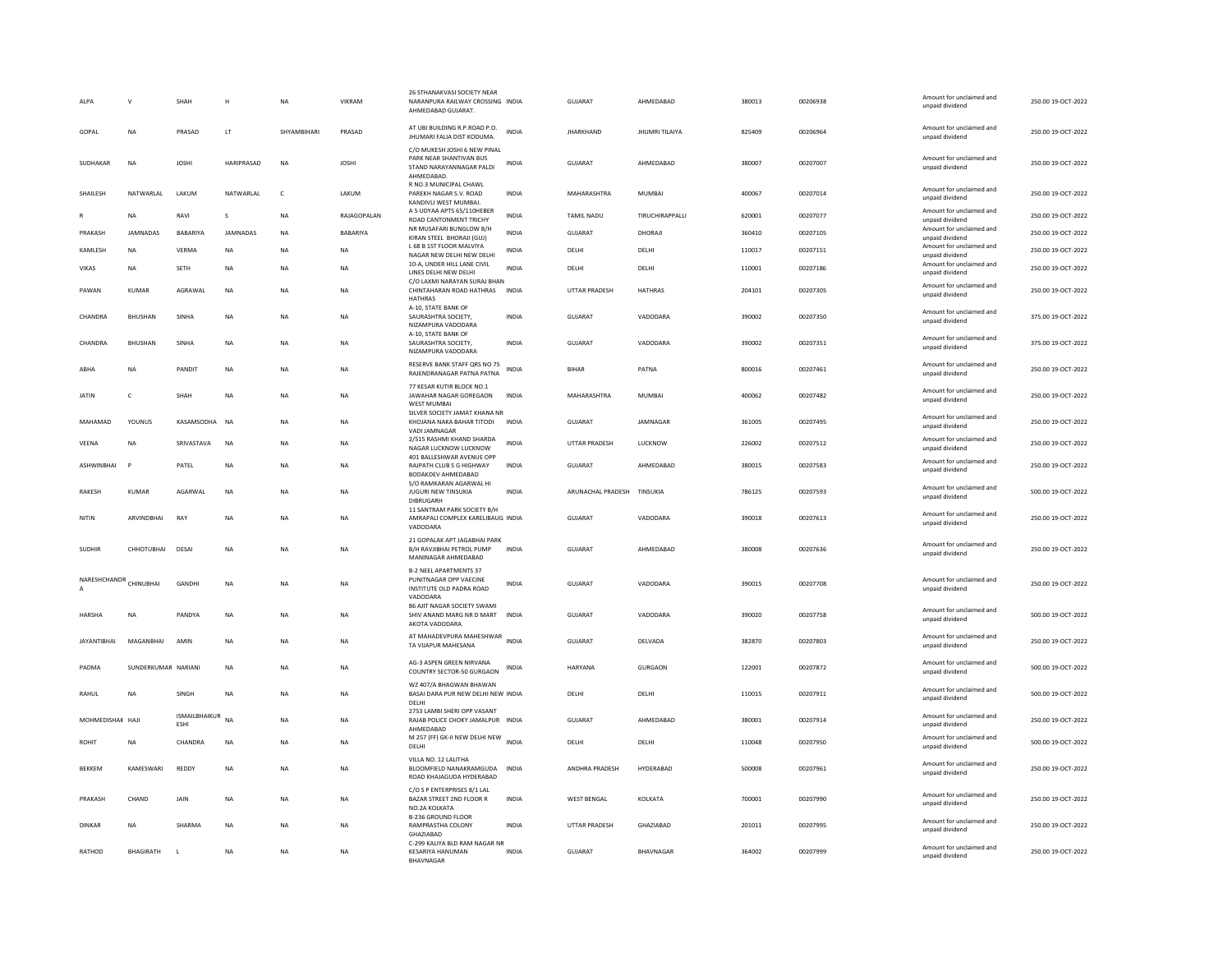| ALPA                   | $\mathsf{V}$        | SHAH                                   | H               | <b>NA</b>    | VIKRAM       | 26 STHANAKVASI SOCIETY NEAP<br>NARANPURA RAILWAY CROSSING INDIA<br>AHMEDABAD GUJARAT.            |              | <b>GUJARAT</b>       | AHMEDABAD        | 380013 | 00206938 | Amount for unclaimed and<br>unpaid dividend | 250.00 19-OCT-2022 |
|------------------------|---------------------|----------------------------------------|-----------------|--------------|--------------|--------------------------------------------------------------------------------------------------|--------------|----------------------|------------------|--------|----------|---------------------------------------------|--------------------|
| GOPAL                  | <b>NA</b>           | PRASAD                                 | LT.             | SHYAMBIHARI  | PRASAD       | AT UBI BUILDING R.P.ROAD P.O.<br>JHUMARI FALIA DIST KODUMA.                                      | <b>INDIA</b> | <b>JHARKHAND</b>     | JHUMRI TILAIYA   | 825409 | 00206964 | Amount for unclaimed and<br>unpaid dividend | 250.00 19-OCT-2022 |
| SUDHAKAR               | NA                  | <b>JOSHI</b>                           | HARIPRASAD      | <b>NA</b>    | <b>JOSHI</b> | C/O MUKESH JOSHI 6 NEW PINAL<br>PARK NEAR SHANTIVAN BUS<br>STAND NARAYANNAGAR PALDI<br>AHMEDABAD | <b>INDIA</b> | GUJARAT              | AHMEDABAD        | 380007 | 00207007 | Amount for unclaimed and<br>unpaid dividend | 250.00 19-OCT-2022 |
| SHAILESH               | NATWARLAL           | LAKUM                                  | NATWARLAL       | $\mathsf{C}$ | LAKUM        | R NO.3 MUNICIPAL CHAWL<br>PAREKH NAGAR S.V. ROAD<br>KANDIVLI WEST MUMBAI.                        | <b>INDIA</b> | MAHARASHTRA          | <b>MUMBAI</b>    | 400067 | 00207014 | Amount for unclaimed and<br>unpaid dividend | 250.00 19-OCT-2022 |
| R                      | <b>NA</b>           | RAVI                                   | -S              | <b>NA</b>    | RAJAGOPALAN  | A 5 UDYAA APTS 65/110HEBER<br>ROAD CANTONMENT TRICHY                                             | <b>INDIA</b> | <b>TAMIL NADU</b>    | TIRUCHIRAPPALLI  | 620001 | 00207077 | Amount for unclaimed and<br>unpaid dividend | 250.00 19-OCT-2022 |
| PRAKASH                | <b>JAMNADAS</b>     | BABARIYA                               | <b>JAMNADAS</b> | <b>NA</b>    | BABARIYA     | NR MUSAFARI BUNGLOW B/H<br>KIRAN STEEL BHORAJI (GUJ)                                             | <b>INDIA</b> | <b>GUJARAT</b>       | DHORAJI          | 360410 | 00207105 | Amount for unclaimed and<br>unpaid dividend | 250.00 19-OCT-2022 |
| KAMLESH                | NA                  | VERMA                                  | NA              | <b>NA</b>    | NA           | L 68 B 1ST FLOOR MALVIYA<br>NAGAR NEW DELHI NEW DELHI                                            | <b>INDIA</b> | DELHI                | DELHI            | 110017 | 00207151 | Amount for unclaimed and<br>unpaid dividend | 250.00 19-OCT-2022 |
| VIKAS                  | NA                  | SETH                                   | <b>NA</b>       | NΑ           | NA           | 10-A, UNDER HILL LANE CIVIL<br>LINES DELHI NEW DELHI                                             | <b>INDIA</b> | DELHI                | DELHI            | 110001 | 00207186 | Amount for unclaimed and<br>unpaid dividend | 250.00 19-OCT-2022 |
| PAWAN                  | <b>KUMAR</b>        | AGRAWAL                                | <b>NA</b>       | <b>NA</b>    | <b>NA</b>    | C/O LAXMI NARAYAN SURAJ BHAN<br>CHINTAHARAN ROAD HATHRAS INDIA                                   |              | UTTAR PRADESH        | <b>HATHRAS</b>   | 204101 | 00207305 | Amount for unclaimed and<br>unpaid dividend | 250.00 19-OCT-2022 |
| CHANDRA                | BHUSHAN             | SINHA                                  | NA              | <b>NA</b>    | NA           | <b>HATHRAS</b><br>A-10, STATE BANK OF<br>SAURASHTRA SOCIETY,<br>NIZAMPURA VADODARA               | <b>INDIA</b> | <b>GUJARAT</b>       | VADODARA         | 390002 | 00207350 | Amount for unclaimed and<br>unpaid dividend | 375.00 19-OCT-2022 |
| CHANDRA                | BHUSHAN             | SINHA                                  | NA              | NA           | NA           | A-10. STATE BANK OF<br>SAURASHTRA SOCIETY,<br>NIZAMPURA VADODARA                                 | <b>INDIA</b> | GUJARAT              | VADODARA         | 390002 | 00207351 | Amount for unclaimed and<br>unpaid dividend | 375.00 19-OCT-2022 |
| ABHA                   | <b>NA</b>           | PANDIT                                 | <b>NA</b>       | <b>NA</b>    | <b>NA</b>    | RESERVE BANK STAFF QRS NO 75<br>RAJENDRANAGAR PATNA PATNA                                        | <b>INDIA</b> | <b>BIHAR</b>         | PATNA            | 800016 | 00207461 | Amount for unclaimed and<br>unpaid dividend | 250.00 19-OCT-2022 |
| JATIN                  | c                   | SHAH                                   | NA              | NA           | NA           | 77 KESAR KUTIR BLOCK NO.1<br>JAWAHAR NAGAR GOREGAON<br>WEST MUMBAI                               | <b>INDIA</b> | MAHARASHTRA          | MUMBAI           | 400062 | 00207482 | Amount for unclaimed and<br>unpaid dividend | 250.00 19-OCT-2022 |
| MAHAMAD                | YOUNUS              | KASAMSODHA                             | <b>NA</b>       | <b>NA</b>    | <b>NA</b>    | SILVER SOCIETY JAMAT KHANA NR<br>KHOJANA NAKA BAHAR TITODI<br>VADI JAMNAGAR                      | <b>INDIA</b> | <b>GUJARAT</b>       | JAMNAGAR         | 361005 | 00207495 | Amount for unclaimed and<br>unpaid dividend | 250.00 19-OCT-2022 |
| VEENA                  | <b>NA</b>           | SRIVASTAVA                             | NA              | <b>NA</b>    | <b>NA</b>    | 2/515 RASHMI KHAND SHARDA<br>NAGAR LUCKNOW LUCKNOW                                               | <b>INDIA</b> | UTTAR PRADESH        | <b>LUCKNOW</b>   | 226002 | 00207512 | Amount for unclaimed and<br>unpaid dividend | 250.00 19-OCT-2022 |
| ASHWINBHAI             | P                   | PATEL                                  | <b>NA</b>       | <b>NA</b>    | <b>NA</b>    | 401 BALLESHWAR AVENUE OPP<br>RAJPATH CLUB S G HIGHWAY<br>BODAKDEV AHMEDABAD                      | <b>INDIA</b> | GUJARAT              | AHMEDABAD        | 380015 | 00207583 | Amount for unclaimed and<br>unpaid dividend | 250.00 19-OCT-2022 |
| <b>RAKESH</b>          | <b>KUMAR</b>        | AGARWAL                                | <b>NA</b>       | <b>NA</b>    | <b>NA</b>    | S/O RAMKARAN AGARWAL HI<br>JUGURI NEW TINSUKIA<br>DIBRUGARH                                      | <b>INDIA</b> | ARUNACHAL PRADESH    | TINSUKIA         | 786125 | 00207593 | Amount for unclaimed and<br>unpaid dividend | 500.00 19-OCT-2022 |
| NITIN                  | ARVINDBHAI          | RAY                                    | <b>NA</b>       | <b>NA</b>    | <b>NA</b>    | 11 SANTRAM PARK SOCIETY B/H<br>AMRAPALI COMPLEX KARELIBAUG INDIA<br>VADODARA                     |              | <b>GUJARAT</b>       | VADODARA         | 390018 | 00207613 | Amount for unclaimed and<br>unpaid dividend | 250.00 19-OCT-2022 |
| <b>SUDHIR</b>          | CHHOTURHAL          | DESA                                   | <b>NA</b>       | <b>NA</b>    | <b>NA</b>    | 21 GOPALAK APT JAGABHAI PARK<br>B/H RAVJIBHAI PETROL PUMP<br>MANINAGAR AHMEDABAD                 | <b>INDIA</b> | <b>GUJARAT</b>       | AHMEDARAD        | 380008 | 00207636 | Amount for unclaimed and<br>unpaid dividend | 250.00 19-OCT-2022 |
| NARESHCHANDR CHINUBHAI |                     | GANDHI                                 | NA              | <b>NA</b>    | <b>NA</b>    | <b>B-2 NEEL APARTMENTS 37</b><br>PUNITNAGAR OPP VAFCINE<br>INSTITUTE OLD PADRA ROAD<br>VADODARA  | <b>INDIA</b> | GUJARAT              | VADODARA         | 390015 | 00207708 | Amount for unclaimed and<br>unpaid dividend | 250.00 19-OCT-2022 |
| <b>HARSHA</b>          | NA                  | PANDYA                                 | NA              | <b>NA</b>    | <b>NA</b>    | 86 AJIT NAGAR SOCIETY SWAMI<br>SHIV ANAND MARG NR D MART<br>AKOTA VADODARA                       | <b>INDIA</b> | <b>GUJARAT</b>       | VADODARA         | 390020 | 00207758 | Amount for unclaimed and<br>unpaid dividend | 500.00 19-OCT-2022 |
| JAYANTIBHAI            | MAGANBHAI           | AMIN                                   | NA              | <b>NA</b>    | NA           | AT MAHADEVPURA MAHESHWAR<br>TA VUAPUR MAHESANA                                                   | <b>INDIA</b> | GUJARAT              | DELVADA          | 382870 | 00207803 | Amount for unclaimed and<br>unpaid dividend | 250.00 19-OCT-2022 |
| PADMA                  | SUNDERKUMAR NARIANI |                                        | <b>NA</b>       | <b>NA</b>    | <b>NA</b>    | AG-3 ASPEN GREEN NIRVANA<br>COUNTRY SECTOR-50 GURGAON                                            | INDIA        | <b>HARYANA</b>       | <b>GURGAON</b>   | 122001 | 00207872 | Amount for unclaimed and<br>unpaid dividend | 500.00 19-OCT-2022 |
| RAHUL                  | <b>NA</b>           | <b>SINGH</b>                           | <b>NA</b>       | <b>NA</b>    | <b>NA</b>    | WZ 407/A BHAGWAN BHAWAN<br>BASAI DARA PUR NEW DELHI NEW INDIA<br>DELHI                           |              | DELHI                | DELHI            | 110015 | 00207911 | Amount for unclaimed and<br>unpaid dividend | 500.00 19-OCT-2022 |
| MOHMEDISHAK HAJI       |                     | <b>ISMAILBHAIKUR</b> NA<br><b>FSHI</b> |                 | <b>NA</b>    | <b>NA</b>    | 2753 LAMBI SHERI OPP VASANT<br>RAJAB POLICE CHOKY JAMALPUR INDIA<br>AHMEDABAD                    |              | GUJARAT              | AHMEDABAD        | 380001 | 00207914 | Amount for unclaimed and<br>unpaid dividend | 250.00 19-OCT-2022 |
| <b>ROHIT</b>           | <b>NA</b>           | CHANDRA                                | <b>NA</b>       | <b>NA</b>    | <b>NA</b>    | M 257 (FF) GK-II NEW DELHI NEW<br>DELHI                                                          | <b>INDIA</b> | DELHI                | DELHI            | 110048 | 00207950 | Amount for unclaimed and<br>unpaid dividend | 500.00 19-OCT-2022 |
| <b>BEKKEM</b>          | KAMESWARI           | REDDY                                  | <b>NA</b>       | <b>NA</b>    | <b>NA</b>    | VILLA NO. 12 LALITHA<br>BLOOMFIELD NANAKRAMGUDA INDIA<br>ROAD KHAJAGUDA HYDERABAD                |              | ANDHRA PRADESH       | HYDERABAD        | 500008 | 00207961 | Amount for unclaimed and<br>unpaid dividend | 250.00 19-OCT-2022 |
| PRAKASH                | CHAND               | JAIN                                   | <b>NA</b>       | <b>NA</b>    | <b>NA</b>    | C/O S P ENTERPRISES 8/1 LAL<br>BAZAR STREET 2ND FLOOR R<br>NO.2A KOLKATA                         | <b>INDIA</b> | <b>WEST BENGAL</b>   | KOLKATA          | 700001 | 00207990 | Amount for unclaimed and<br>unpaid dividend | 250.00 19-OCT-2022 |
| DINKAR                 | <b>NA</b>           | SHARMA                                 | <b>NA</b>       | <b>NA</b>    | <b>NA</b>    | <b>B-236 GROUND FLOOR</b><br>RAMPRASTHA COLONY<br>GHAZIABAD                                      | <b>INDIA</b> | <b>UTTAR PRADESH</b> | <b>GHAZIARAD</b> | 201011 | 00207995 | Amount for unclaimed and<br>unpaid dividend | 250.00.19-OCT-2022 |
| RATHOD                 | BHAGIRATH           | L                                      | <b>NA</b>       | <b>NA</b>    | <b>NA</b>    | C-299 KALIYA BLD RAM NAGAR NR<br><b>KESARIYA HANUMAN</b><br>BHAVNAGAR                            | <b>INDIA</b> | <b>GUJARAT</b>       | BHAVNAGAR        | 364002 | 00207999 | Amount for unclaimed and<br>unpaid dividend | 250.00 19-OCT-2022 |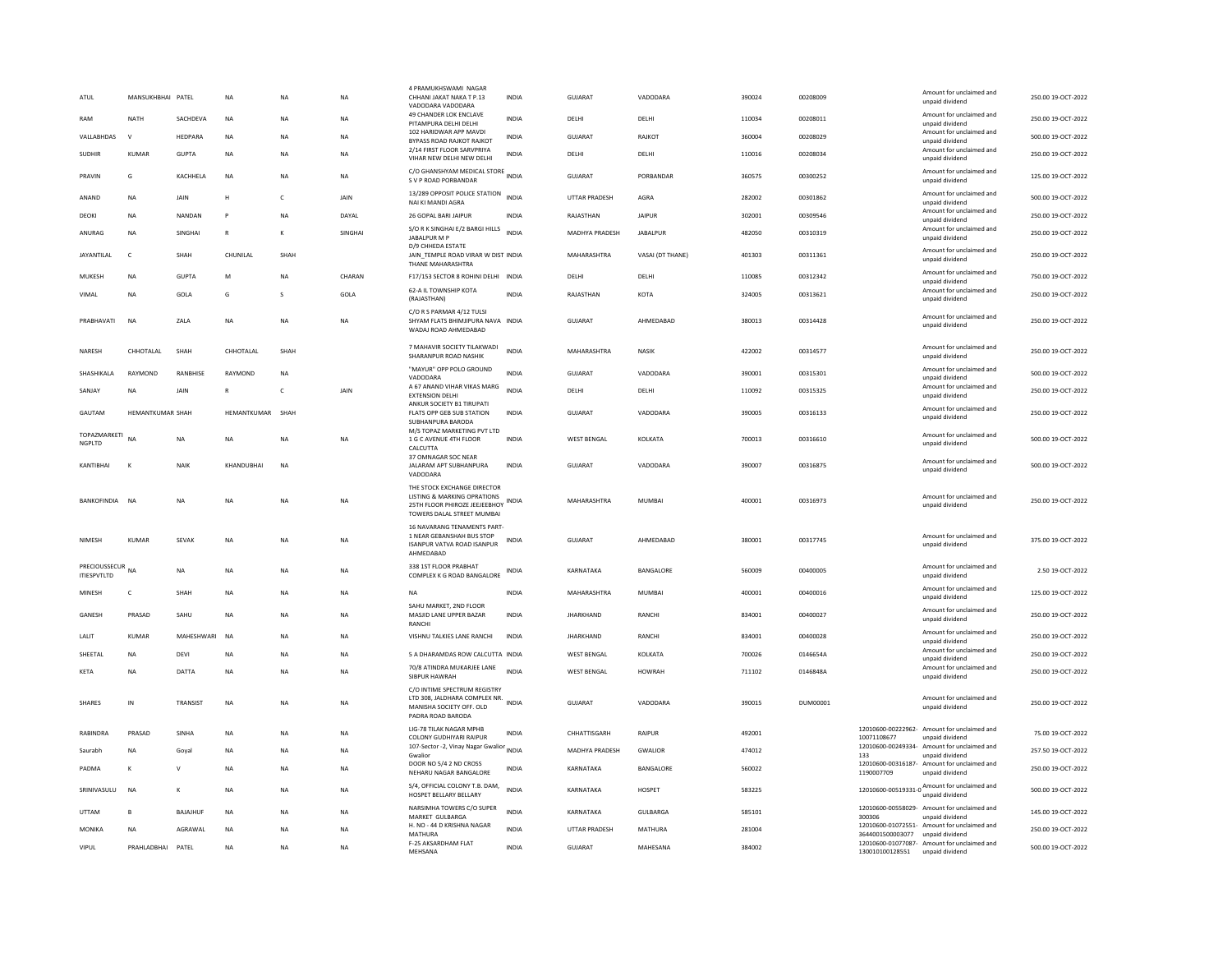| ATUL               | MANSUKHBHAI PATEL       |                 | NA           | NA           | <b>NA</b> | 4 PRAMUKHSWAMI NAGAR<br>CHHANI JAKAT NAKA T P.13<br>VADODARA VADODARA                                                     | <b>INDIA</b> | GUJARAT               | VADODARA         | 390024 | 00208009 |                  | Amount for unclaimed and<br>unpaid dividend                           | 250.00 19-OCT-2022 |
|--------------------|-------------------------|-----------------|--------------|--------------|-----------|---------------------------------------------------------------------------------------------------------------------------|--------------|-----------------------|------------------|--------|----------|------------------|-----------------------------------------------------------------------|--------------------|
| RAM                | <b>NATH</b>             | SACHDEVA        | <b>NA</b>    | <b>NA</b>    | <b>NA</b> | 49 CHANDER LOK ENCLAVE<br>PITAMPURA DELHI DELHI                                                                           | <b>INDIA</b> | DELHI                 | DELHI            | 110034 | 00208011 |                  | Amount for unclaimed and<br>unpaid dividend                           | 250.00 19-OCT-2022 |
| VALLABHDAS         | $\mathsf{v}$            | HEDPARA         | NA           | NA           | NA        | 102 HARIDWAR APP MAVDI<br>BYPASS ROAD RAJKOT RAJKOT                                                                       | <b>INDIA</b> | GUJARAT               | RAJKOT           | 360004 | 00208029 |                  | Amount for unclaimed and<br>unpaid dividend                           | 500.00 19-OCT-2022 |
| <b>SUDHIR</b>      | KUMAR                   | <b>GUPTA</b>    | <b>NA</b>    | <b>NA</b>    | <b>NA</b> | 2/14 FIRST FLOOR SARVPRIYA<br>VIHAR NEW DELHI NEW DELHI                                                                   | <b>INDIA</b> | DELHI                 | DELHI            | 110016 | 00208034 |                  | Amount for unclaimed and<br>unpaid dividend                           | 250.00 19-OCT-2022 |
| PRAVIN             | G                       | KACHHELA        | NA           | <b>NA</b>    | <b>NA</b> | C/O GHANSHYAM MEDICAL STORE INDIA<br>S V P ROAD PORBANDAR                                                                 |              | GUJARAT               | PORBANDAR        | 360575 | 00300252 |                  | Amount for unclaimed and<br>unpaid dividend                           | 125.00 19-OCT-2022 |
| ANAND              | <b>NA</b>               | JAIN            | Н            | c            | JAIN      | 13/289 OPPOSIT POLICE STATION<br>NAI KI MANDI AGRA                                                                        | <b>INDIA</b> | UTTAR PRADESH         | AGRA             | 282002 | 00301862 |                  | Amount for unclaimed and<br>unpaid dividend                           | 500.00 19-OCT-2022 |
| DEOKI              | <b>NA</b>               | NANDAN          | P            | <b>NA</b>    | DAYAL     | 26 GOPAL BARI JAIPUR                                                                                                      | <b>INDIA</b> | RAJASTHAN             | <b>JAIPUR</b>    | 302001 | 00309546 |                  | Amount for unclaimed and<br>unpaid dividend                           | 250.00 19-OCT-2022 |
| ANURAG             | <b>NA</b>               | SINGHAI         | $\mathbb{R}$ | ĸ            | SINGHAI   | S/O R K SINGHAI E/2 BARGI HILLS<br>JABALPUR M P                                                                           | <b>INDIA</b> | <b>MADHYA PRADESH</b> | <b>JABALPUR</b>  | 482050 | 00310319 |                  | Amount for unclaimed and<br>unpaid dividend                           | 250.00 19-OCT-2022 |
| <b>JAYANTILAL</b>  | c                       | SHAH            | CHUNILAL     | SHAH         |           | D/9 CHHEDA ESTATE<br>JAIN_TEMPLE ROAD VIRAR W DIST INDIA<br>THANE MAHARASHTRA                                             |              | MAHARASHTRA           | VASAI (DT THANE) | 401303 | 00311361 |                  | Amount for unclaimed and<br>unpaid dividend                           | 250.00 19-OCT-2022 |
| MUKESH             | <b>NA</b>               | <b>GUPTA</b>    | M            | <b>NA</b>    | CHARAN    | F17/153 SECTOR 8 ROHINI DELHI INDIA                                                                                       |              | DELHI                 | DELHI            | 110085 | 00312342 |                  | Amount for unclaimed and<br>unpaid dividend                           | 750.00 19-OCT-2022 |
| VIMAL              | <b>NA</b>               | GOLA            | G            | s            | GOLA      | 62-A IL TOWNSHIP KOTA<br>(RAJASTHAN)                                                                                      | <b>INDIA</b> | RAJASTHAN             | KOTA             | 324005 | 00313621 |                  | Amount for unclaimed and<br>unpaid dividend                           | 250.00 19-OCT-2022 |
| PRABHAVATI         | <b>NA</b>               | ZALA            | <b>NA</b>    | <b>NA</b>    | <b>NA</b> | C/O R S PARMAR 4/12 TULSI<br>SHYAM FLATS BHIMJIPURA NAVA INDIA<br>WADAJ ROAD AHMEDABAD                                    |              | GUJARAT               | AHMEDABAD        | 380013 | 00314428 |                  | Amount for unclaimed and<br>unpaid dividend                           | 250.00 19-OCT-2022 |
| NARESH             | CHHOTALAL               | SHAH            | CHHOTALAL    | SHAH         |           | 7 MAHAVIR SOCIETY TILAKWADI<br>SHARANPUR ROAD NASHIK                                                                      | <b>INDIA</b> | MAHARASHTRA           | <b>NASIK</b>     | 422002 | 00314577 |                  | Amount for unclaimed and<br>unpaid dividend                           | 250.00 19-OCT-2022 |
| SHASHIKALA         | RAYMOND                 | RANBHISE        | RAYMOND      | NA           |           | "MAYUR" OPP POLO GROUND<br>VADODARA                                                                                       | <b>INDIA</b> | GUJARAT               | VADODARA         | 390001 | 00315301 |                  | Amount for unclaimed and<br>unpaid dividend                           | 500.00 19-OCT-2022 |
| SANJAY             | <b>NA</b>               | JAIN            | $\mathbb{R}$ | $\mathsf{C}$ | JAIN      | A 67 ANAND VIHAR VIKAS MARG<br><b>EXTENSION DELHI</b>                                                                     | <b>INDIA</b> | DELHI                 | DELHI            | 110092 | 00315325 |                  | Amount for unclaimed and<br>unpaid dividend                           | 250.00 19-OCT-2022 |
| GAUTAM             | <b>HEMANTKUMAR SHAH</b> |                 | HEMANTKUMAR  | SHAH         |           | ANKUR SOCIETY B1 TIRUPATI<br>FLATS OPP GEB SUB STATION                                                                    | INDIA        | GUJARAT               | VADODARA         | 390005 | 00316133 |                  | Amount for unclaimed and<br>unpaid dividend                           | 250.00 19-OCT-2022 |
| TOPAZMARKETI       |                         |                 |              |              |           | SUBHANPURA BARODA<br>M/S TOPAZ MARKETING PVT LTD                                                                          |              |                       |                  |        |          |                  | Amount for unclaimed and                                              |                    |
| <b>NGPLTD</b>      | <b>NA</b>               | <b>NA</b>       | <b>NA</b>    | <b>NA</b>    | <b>NA</b> | 1 G C AVENUE 4TH FLOOR<br>CALCUTTA                                                                                        | <b>INDIA</b> | <b>WEST BENGAL</b>    | KOLKATA          | 700013 | 00316610 |                  | unpaid dividend                                                       | 500.00 19-OCT-2022 |
| KANTIRHAI          | к                       | NAIK            | KHANDUBHAI   | <b>NA</b>    |           | 37 OMNAGAR SOC NEAR<br>JALARAM APT SUBHANPURA<br>VADODARA                                                                 | <b>INDIA</b> | GUJARAT               | VADODARA         | 390007 | 00316875 |                  | Amount for unclaimed and<br>unpaid dividend                           | 500.00 19-OCT-2022 |
| BANKOFINDIA NA     |                         | <b>NA</b>       | <b>NA</b>    | <b>NA</b>    | <b>NA</b> | THE STOCK EXCHANGE DIRECTOR<br>LISTING & MARKING OPRATIONS<br>25TH FLOOR PHIROZE JEEJEEBHOY<br>TOWERS DALAL STREET MUMBAI | <b>INDIA</b> | MAHARASHTRA           | MUMBAI           | 400001 | 00316973 |                  | Amount for unclaimed and<br>unpaid dividend                           | 250.00 19-OCT-2022 |
| <b>NIMESH</b>      | KUMAR                   | SEVAK           | <b>NA</b>    | <b>NA</b>    | <b>NA</b> | 16 NAVARANG TENAMENTS PART-<br>1 NEAR GEBANSHAH BUS STOP<br><b>ISANPUR VATVA ROAD ISANPUR</b><br>AHMEDABAD                | <b>INDIA</b> | GUJARAT               | AHMFDARAD        | 380001 | 00317745 |                  | Amount for unclaimed and<br>unpaid dividend                           | 375.00 19-OCT-2022 |
| <b>ITIESPVTLTD</b> | PRECIOUSSECUR NA        | <b>NA</b>       | <b>NA</b>    | <b>NA</b>    | <b>NA</b> | 338 1ST FLOOR PRABHAT<br>COMPLEX K G ROAD BANGALORE                                                                       | <b>INDIA</b> | KARNATAKA             | BANGALORE        | 560009 | 00400005 |                  | Amount for unclaimed and<br>unpaid dividend                           | 2.50 19-OCT-2022   |
| MINESH             | $\mathsf{C}$            | SHAH            | <b>NA</b>    | <b>NA</b>    | <b>NA</b> | <b>NA</b>                                                                                                                 | INDIA        | MAHARASHTRA           | <b>MUMBAI</b>    | 400001 | 00400016 |                  | Amount for unclaimed and                                              | 125.00 19-OCT-2022 |
| GANESH             | PRASAD                  | SAHU            | <b>NA</b>    | <b>NA</b>    | <b>NA</b> | SAHU MARKET, 2ND FLOOR<br>MASJID LANE UPPER BAZAR                                                                         | <b>INDIA</b> | <b>JHARKHAND</b>      | RANCHI           | 834001 | 00400027 |                  | unpaid dividend<br>Amount for unclaimed and                           | 250.00 19-OCT-2022 |
|                    |                         |                 |              |              |           | RANCHI                                                                                                                    |              |                       |                  |        |          |                  | unpaid dividend<br>Amount for unclaimed and                           |                    |
| LALIT              | <b>KUMAR</b>            | MAHESHWARI      | <b>NA</b>    | <b>NA</b>    | <b>NA</b> | VISHNU TALKIES LANE RANCHI                                                                                                | <b>INDIA</b> | <b>JHARKHAND</b>      | RANCHI           | 834001 | 00400028 |                  | unpaid dividend<br>Amount for unclaimed and                           | 250.00 19-OCT-2022 |
| SHEETAL            | NA                      | DEVI            | <b>NA</b>    | <b>NA</b>    | NA        | 5 A DHARAMDAS ROW CALCUTTA INDIA<br>70/8 ATINDRA MUKARJEE LANE                                                            |              | <b>WEST BENGAL</b>    | KOLKATA          | 700026 | 0146654A |                  | unpaid dividend<br>Amount for unclaimed and                           | 250.00 19-OCT-2022 |
| KETA               | NA                      | DATTA           | NA           | NA           | NA        | <b>SIBPUR HAWRAH</b>                                                                                                      | <b>INDIA</b> | <b>WEST BENGAL</b>    | <b>HOWRAH</b>    | 711102 | 0146848A |                  | unpaid dividend                                                       | 250.00 19-OCT-2022 |
| <b>SHARES</b>      | IN                      | <b>TRANSIST</b> | <b>NA</b>    | <b>NA</b>    | <b>NA</b> | C/O INTIME SPECTRUM REGISTRY<br>LTD 308, JALDHARA COMPLEX NR. INDIA<br>MANISHA SOCIETY OFF. OLD<br>PADRA ROAD BARODA      |              | GUJARAT               | VADODARA         | 390015 | DUM00001 |                  | Amount for unclaimed and<br>unpaid dividend                           | 250.00 19-OCT-2022 |
| RABINDRA           | PRASAD                  | <b>SINHA</b>    | <b>NA</b>    | <b>NA</b>    | <b>NA</b> | LIG-78 TILAK NAGAR MPHB<br>COLONY GUDHIYARI RAIPUR                                                                        | <b>INDIA</b> | CHHATTISGARH          | RAIPUR           | 492001 |          | 10071108677      | 12010600-00222962- Amount for unclaimed and<br>unpaid dividend        | 75.00 19-OCT-2022  |
| Saurabh            | <b>NA</b>               | Goyal           | <b>NA</b>    | <b>NA</b>    | <b>NA</b> | 107-Sector -2, Vinay Nagar Gwalior INDIA<br>Gwalion                                                                       |              | <b>MADHYA PRADESH</b> | <b>GWALIOR</b>   | 474012 |          | 133              | 12010600-00249334- Amount for unclaimed and<br>unpaid dividend        | 257.50 19-OCT-2022 |
| PADMA              | к                       | $\vee$          | NA           | NA           | <b>NA</b> | DOOR NO 5/4 2 ND CROSS<br>NEHARU NAGAR BANGALORE                                                                          | INDIA        | KARNATAKA             | BANGALORE        | 560022 |          | 1190007709       | 12010600-00316187- Amount for unclaimed and<br>unpaid dividend        | 250.00 19-OCT-2022 |
| SRINIVASULU        | NA                      | K               | NA           | NA           | <b>NA</b> | S/4, OFFICIAL COLONY T.B. DAM,<br>HOSPET BELLARY BELLARY                                                                  | <b>INDIA</b> | KARNATAKA             | HOSPET           | 583225 |          |                  | $12010600 - 00519331 - 0$ $12010600 - 00519331 - 0$ $unpaid dividend$ | 500.00 19-OCT-2022 |
| <b>UTTAM</b>       | <b>B</b>                | BAJAJHUF        | NA           | NA           | NA        | NARSIMHA TOWERS C/O SUPER<br>MARKET GULBARGA                                                                              | <b>INDIA</b> | KARNATAKA             | GULBARGA         | 585101 |          | 300306           | 12010600-00558029- Amount for unclaimed and<br>unpaid dividend        | 145.00 19-OCT-2022 |
| MONIKA             | <b>NA</b>               | AGRAWAL         | <b>NA</b>    | <b>NA</b>    | <b>NA</b> | H. NO - 44 D KRISHNA NAGAR<br>MATHURA                                                                                     | <b>INDIA</b> | UTTAR PRADESH         | MATHURA          | 281004 |          | 3644001500003077 | 12010600-01072551- Amount for unclaimed and<br>unpaid dividend        | 250.00 19-OCT-2022 |
| <b>VIPUL</b>       | PRAHLADBHAI             | PATEL           | <b>NA</b>    | <b>NA</b>    | <b>NA</b> | F-25 AKSARDHAM FLAT<br>MEHSANA                                                                                            | <b>INDIA</b> | <b>GUJARAT</b>        | MAHESANA         | 384002 |          | 130010100128551  | 12010600-01077087- Amount for unclaimed and<br>unpaid dividend        | 500.00 19-OCT-2022 |
|                    |                         |                 |              |              |           |                                                                                                                           |              |                       |                  |        |          |                  |                                                                       |                    |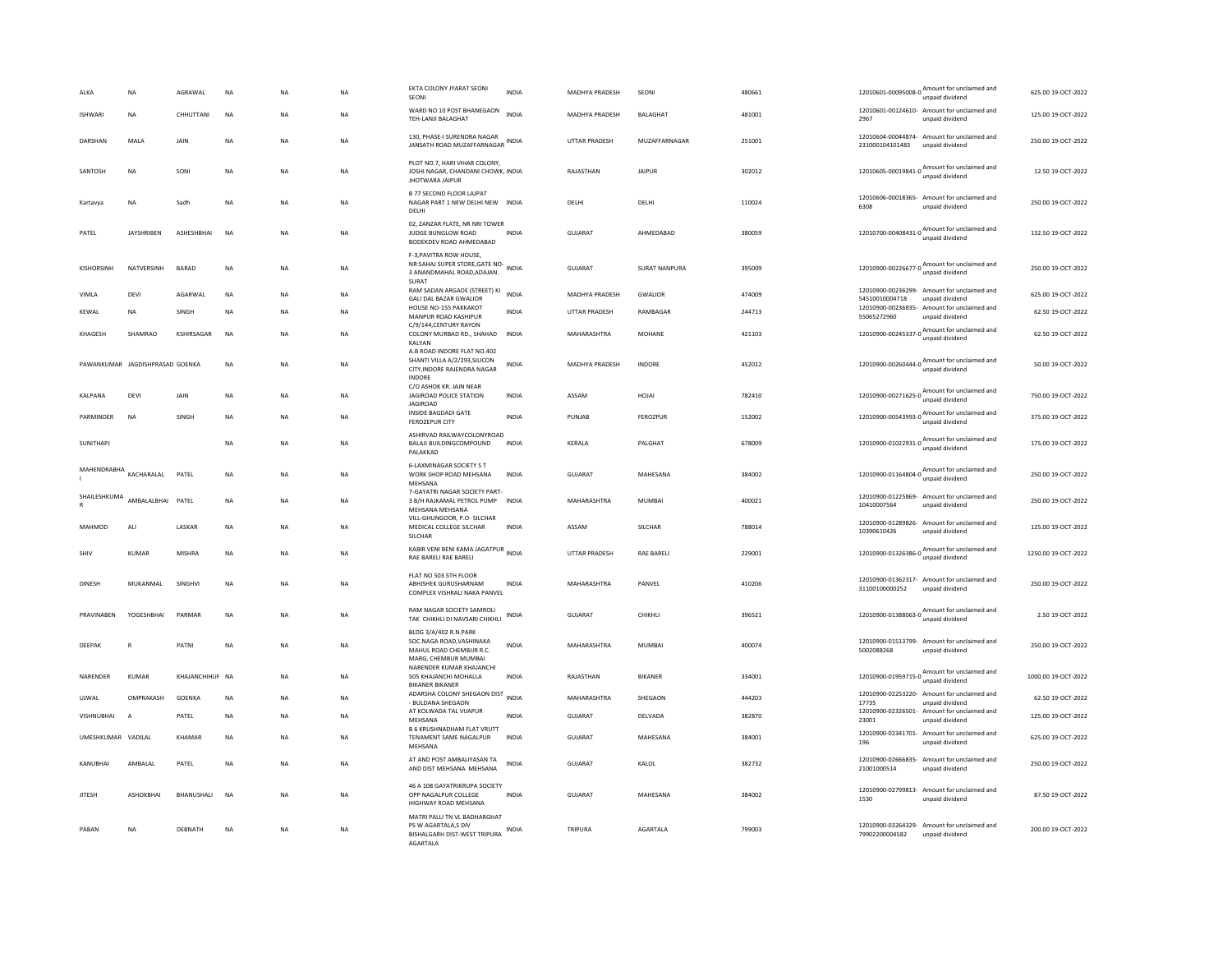| ALKA               | <b>NA</b>                       | AGRAWAL         | <b>NA</b> | <b>NA</b> | <b>NA</b> | EKTA COLONY JYARAT SEONI<br>SEONI                                                                            | <b>INDIA</b> | MADHYA PRADESH        | SEONI                | 480661 | 12010601-00095008-0 Amount for unclaimed and                   | unpaid dividend                             | 625.00 19-OCT-2022  |
|--------------------|---------------------------------|-----------------|-----------|-----------|-----------|--------------------------------------------------------------------------------------------------------------|--------------|-----------------------|----------------------|--------|----------------------------------------------------------------|---------------------------------------------|---------------------|
| <b>ISHWARI</b>     | <b>NA</b>                       | CHHUTTANI       | <b>NA</b> | NA        | <b>NA</b> | WARD NO 10 POST BHANEGAON<br>TEH-LANJI BALAGHAT                                                              | <b>INDIA</b> | MADHYA PRADESH        | BALAGHAT             | 481001 | 12010601-00124610- Amount for unclaimed and<br>2967            | unpaid dividend                             | 125.00 19-OCT-2022  |
| DARSHAN            | MALA                            | JAIN            | <b>NA</b> | <b>NA</b> | <b>NA</b> | 130. PHASE-I SURENDRA NAGAR<br>JANSATH ROAD MUZAFFARNAGAR INDIA                                              |              | <b>UTTAR PRADESH</b>  | MUZAFFARNAGAR        | 251001 | 12010604-00044874- Amount for unclaimed and<br>231000104101483 | unpaid dividend                             | 250.00 19-OCT-2022  |
| SANTOSH            | NA                              | SONI            | NA        | <b>NA</b> | NA        | PLOT NO.7, HARI VIHAR COLONY,<br>JOSHI NAGAR, CHANDANI CHOWK, INDIA<br>JHOTWARA JAIPUR                       |              | RAJASTHAN             | JAIPUR               | 302012 | 12010605-00019841-0 Amount for unclaimed and                   | unpaid dividend                             | 12.50 19-OCT-2022   |
| Kartavva           | <b>NA</b>                       | Sadh            | <b>NA</b> | <b>NA</b> | <b>NA</b> | <b>B 77 SECOND FLOOR LAJPAT</b><br>NAGAR PART 1 NEW DELHI NEW INDIA<br>DELHI                                 |              | DELHI                 | DELHI                | 110024 | 12010606-00018365- Amount for unclaimed and<br>6308            | unpaid dividend                             | 250.00 19-OCT-2022  |
| PATEL              | <b>JAYSHRIBEN</b>               | ASHESHBHAI      | <b>NA</b> | <b>NA</b> | <b>NA</b> | 02, ZANZAR FLATE, NR NRI TOWER<br>JUDGE BUNGLOW ROAD<br>BODEKDEV ROAD AHMEDABAD                              | <b>INDIA</b> | GUJARAT               | AHMEDABAD            | 380059 | 12010700-00408431-0 Amount for unclaimed and                   | unpaid dividend                             | 132.50 19-OCT-2022  |
| KISHORSINH         | NATVERSINH                      | <b>BARAD</b>    | NA        | NΑ        | NA        | F-3, PAVITRA ROW HOUSE,<br>NR:SAHAJ SUPER STORE, GATE NO-<br>3 ANANDMAHAL ROAD, ADAJAN.<br>SURAT             | INDIA        | GUJARAT               | <b>SURAT NANPURA</b> | 395009 | 12010900-00226677-0 Amount for unclaimed and                   |                                             | 250.00 19-OCT-2022  |
| VIMLA              | DEVI                            | AGARWAL         | <b>NA</b> | NA        | NA        | RAM SADAN ARGADE (STREET) KI<br><b>GALI DAL BAZAR GWALIOR</b>                                                | <b>INDIA</b> | MADHYA PRADESH        | GWALIOR              | 474009 | 12010900-00236299- Amount for unclaimed and<br>54510010004718  | unpaid dividend                             | 625.00 19-OCT-2022  |
| KEWAL              | <b>NA</b>                       | SINGH           | <b>NA</b> | <b>NA</b> | <b>NA</b> | HOUSE NO-155 PAKKAKOT<br>MANPUR ROAD KASHIPUR                                                                | <b>INDIA</b> | <b>UTTAR PRADESH</b>  | RAMBAGAR             | 244713 | 12010900-00236835- Amount for unclaimed and<br>55065272960     | unpaid dividend                             | 62.50 19-OCT-2022   |
| KHAGESH            | SHAMRAO                         | KSHIRSAGAR      | <b>NA</b> | <b>NA</b> | <b>NA</b> | C/9/144, CENTURY RAYON<br>COLONY MURBAD RD., SHAHAD INDIA<br>KALYAN                                          |              | MAHARASHTRA           | <b>MOHANE</b>        | 421103 | 12010900-00245337-0                                            | Amount for unclaimed and<br>unpaid dividend | 62.50 19-OCT-2022   |
|                    | PAWANKUMAR IAGDISHPRASAD GOENKA |                 | <b>NA</b> | <b>NA</b> | <b>NA</b> | A.B ROAD INDORE FLAT NO.402<br>SHANTI VILLA A/2/293, SILICON<br>CITY, INDORE RAJENDRA NAGAR<br><b>INDORE</b> | <b>INDIA</b> | <b>MADHYA PRADESH</b> | <b>INDORF</b>        | 452012 | 12010900-00260444-0 Amount for unclaimed and                   | unpaid dividend                             | 50.00 19-OCT-2022   |
| KAI PANA           | DFVI                            | <b>JAIN</b>     | <b>NA</b> | <b>NA</b> | <b>NA</b> | C/O ASHOK KR. JAIN NEAR<br><b>JAGIROAD POLICE STATION</b><br><b>JAGIROAD</b>                                 | <b>INDIA</b> | ASSAM                 | HOIAI                | 782410 | 12010900-00271625-0 Amount for unclaimed and                   | unpaid dividend                             | 750.00 19-OCT-2022  |
| PARMINDER          | <b>NA</b>                       | SINGH           | <b>NA</b> | <b>NA</b> | <b>NA</b> | INSIDE BAGDADI GATE<br>FEROZEPUR CITY                                                                        | <b>INDIA</b> | PUNJAB                | <b>FEROZPUR</b>      | 152002 | 12010900-00543993-0 Amount for unclaimed and                   | unpaid dividend                             | 375.00 19-OCT-2022  |
| SUNITHAPJ          |                                 |                 | <b>NA</b> | <b>NA</b> | <b>NA</b> | ASHIRVAD RAILWAYCOLONYROAD<br>BALAJI BUILDINGCOMPOUND<br>PALAKKAD                                            | <b>INDIA</b> | KERALA                | PALGHAT              | 678009 | 12010900-01022931-0 Amount for unclaimed and                   | unpaid dividend                             | 175.00 19-OCT-2022  |
| MAHENDRABHA        | KACHARALAL                      | PATEL           | <b>NA</b> | <b>NA</b> | <b>NA</b> | <b>6-LAXMINAGAR SOCIETY S T</b><br>WORK SHOP ROAD MEHSANA<br>MEHSANA                                         | <b>INDIA</b> | <b>GUJARAT</b>        | MAHESANA             | 384002 | 12010900-01164804-0 Amount for unclaimed and                   | unpaid dividend                             | 250.00 19-OCT-2022  |
| SHAILESHKUMA       | AMBAI AI BHAI                   | PATEL           | <b>NA</b> | <b>NA</b> | <b>NA</b> | 7-GAYATRI NAGAR SOCIETY PART-<br>3 B/H RAJKAMAL PETROL PUMP INDIA<br>MEHSANA MEHSANA                         |              | MAHARASHTRA           | MUMBAI               | 400021 | 12010900-01225869-<br>10410007564                              | Amount for unclaimed and<br>unpaid dividend | 250.00 19-OCT-2022  |
| MAHMOD             | ALI                             | LASKAR          | <b>NA</b> | <b>NA</b> | <b>NA</b> | VILL-GHUNGOOR, P.O- SILCHAR<br>MEDICAL COLLEGE SILCHAR<br>SILCHAR                                            | <b>INDIA</b> | ASSAM                 | <b>SILCHAR</b>       | 788014 | 12010900-01289826- Amount for unclaimed and<br>10390610426     | unpaid dividend                             | 125.00 19-OCT-2022  |
| SHIV               | <b>KUMAR</b>                    | MISHRA          | <b>NA</b> | <b>NA</b> | <b>NA</b> | KABIR VENI BENI KAMA JAGATPUR INDIA<br>RAE BARELI RAE BARELI                                                 |              | UTTAR PRADESH         | <b>RAE BARELI</b>    | 229001 | 12010900-01326386-0                                            | Amount for unclaimed and<br>unpaid dividend | 1250.00 19-OCT-2022 |
| <b>DINESH</b>      | MUKANMAL                        | SINGHVI         | NA        | <b>NA</b> | NA        | FLAT NO 503 5TH FLOOR<br>ABHISHEK GURUSHARNAM<br>COMPLEX VISHRALLNAKA PANVEL                                 | <b>INDIA</b> | MAHARASHTRA           | PANVEL               | 410206 | 12010900-01362317- Amount for unclaimed and<br>31100100000252  | unpaid dividend                             | 250.00 19-OCT-2022  |
| PRAVINABEN         | YOGESHBHAI                      | PARMAR          | NA        | <b>NA</b> | NA        | RAM NAGAR SOCIETY SAMROLI<br>TAK CHIKHLI DI NAVSARI CHIKHLI                                                  | <b>INDIA</b> | <b>GUJARAT</b>        | CHIKHLI              | 396521 | 12010900-01388063-0<br>Mount for unclaimed and                 | unpaid dividend                             | 2.50 19-OCT-2022    |
| DEEPAK             | $\mathbb{R}$                    | PATNI           | NA        | <b>NA</b> | <b>NA</b> | BLDG 3/A/402 R.N.PARK<br>SOC.NAGA ROAD.VASHINAKA<br>MAHUL ROAD CHEMBUR R.C.<br>MARG, CHEMBUR MUMBAI          | <b>INDIA</b> | MAHARASHTRA           | MUMBAI               | 400074 | 12010900-01513799- Amount for unclaimed and<br>5002088268      | unpaid dividend                             | 250.00 19-OCT-2022  |
| NARENDER           | <b>KUMAR</b>                    | KHAJANCHIHUF NA |           | <b>NA</b> | <b>NA</b> | NARENDER KUMAR KHAJANCHI<br>505 KHAJANCHI MOHALLA<br><b>BIKANER BIKANER</b>                                  | <b>INDIA</b> | RAJASTHAN             | <b>BIKANER</b>       | 334001 | 12010900-01959715-0 Amount for unclaimed and                   | unpaid dividend                             | 1000.00 19-OCT-2022 |
| UJWAL              | OMPRAKASH                       | <b>GOFNKA</b>   | <b>NA</b> | <b>NA</b> | NA        | ADARSHA COLONY SHEGAON DIST<br>- BULDANA SHEGAON                                                             | <b>INDIA</b> | MAHARASHTRA           | SHEGAON              | 444203 | 12010900-02253220-<br>17735                                    | Amount for unclaimed and<br>unpaid dividend | 62.50 19-OCT-2022   |
| <b>VISHNUBHAI</b>  | $\overline{A}$                  | PATEL           | <b>NA</b> | <b>NA</b> | <b>NA</b> | AT KOLWADA TAL VIJAPUR<br>MEHSANA                                                                            | <b>INDIA</b> | <b>GUJARAT</b>        | DELVADA              | 382870 | 12010900-02326501-<br>23001                                    | Amount for unclaimed and<br>unpaid dividend | 125.00 19-OCT-2022  |
| UMESHKUMAR VADILAL |                                 | KHAMAR          | <b>NA</b> | <b>NA</b> | NA        | B 6 KRUSHNADHAM FLAT VRUTT<br>TENAMENT SAME NAGALPUR<br>MEHSANA                                              | <b>INDIA</b> | GUJARAT               | MAHESANA             | 384001 | 12010900-02341701- Amount for unclaimed and<br>196             | unpaid dividend                             | 625.00 19-OCT-2022  |
| KANUBHAI           | AMBALAL                         | PATEL           | <b>NA</b> | <b>NA</b> | <b>NA</b> | AT AND POST AMBALIYASAN TA<br>AND DIST MEHSANA MEHSANA                                                       | <b>INDIA</b> | <b>GUJARAT</b>        | KALOL                | 382732 | 12010900-02666835- Amount for unclaimed and<br>21001000514     | unpaid dividend                             | 250.00 19-OCT-2022  |
| <b>JITESH</b>      | <b>ASHOKBHAI</b>                | BHANUSHALI      | <b>NA</b> | <b>NA</b> | <b>NA</b> | 46 A 108 GAYATRIKRUPA SOCIETY<br>OPP NAGALPUR COLLEGE<br>HIGHWAY ROAD MEHSANA                                | <b>INDIA</b> | GUJARAT               | MAHESANA             | 384002 | 12010900-02799813- Amount for unclaimed and<br>1530            | unpaid dividend                             | 87.50 19-OCT-2022   |
| PABAN              | NA                              | DEBNATH         | <b>NA</b> | <b>NA</b> | NA        | MATRI PALLI TN VL BADHARGHAT<br>PS W AGARTALA,S DIV<br>BISHALGARH DIST-WEST TRIPURA<br>AGARTALA              | INDIA        | TRIPURA               | AGARTALA             | 799003 | 12010900-03264329- Amount for unclaimed and<br>79902200004582  | unpaid dividend                             | 200.00 19-OCT-2022  |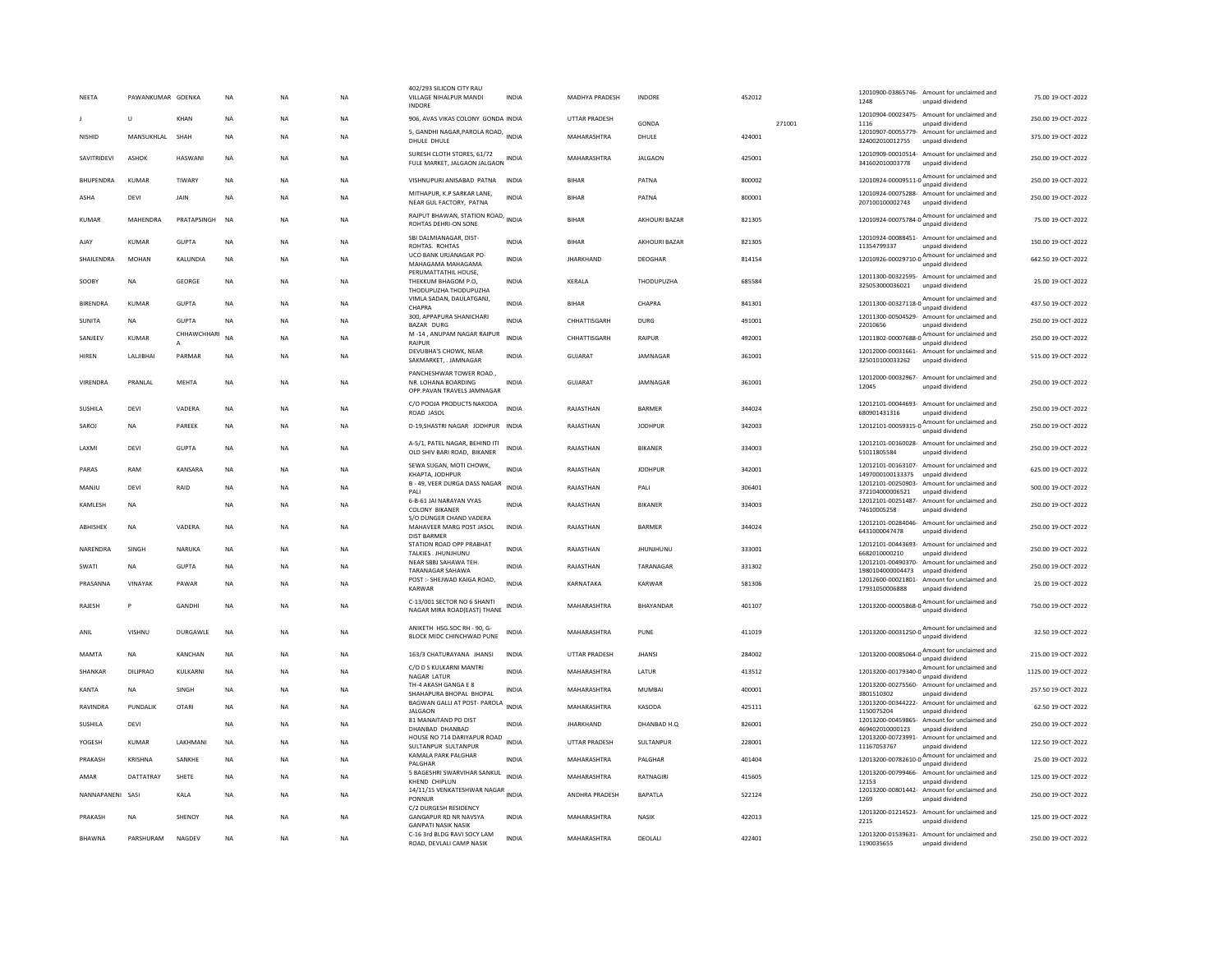| NEETA              | PAWANKUMAR GOENKA |                 | NA          | <b>NA</b> | <b>NA</b> | 402/293 SILICON CITY RAU<br>VILLAGE NIHALPUR MANDI<br><b>INDORE</b>                 | INDIA        | MADHYA PRADESH       | <b>INDORF</b>        | 452012 | 12010900-03865746- Amount for unclaimed and<br>1248<br>unpaid dividend                    | 75.00 19-OCT-2022   |
|--------------------|-------------------|-----------------|-------------|-----------|-----------|-------------------------------------------------------------------------------------|--------------|----------------------|----------------------|--------|-------------------------------------------------------------------------------------------|---------------------|
|                    | $\cup$            | KHAN            | NA          | <b>NA</b> | <b>NA</b> | 906, AVAS VIKAS COLONY GONDA INDIA                                                  |              | UTTAR PRADESH        | <b>GONDA</b>         | 271001 | 12010904-00023475- Amount for unclaimed and<br>1116<br>unpaid dividend                    | 250.00 19-OCT-2022  |
| NISHID             | MANSUKHLAL        | SHAH            | <b>NA</b>   | <b>NA</b> | <b>NA</b> | 5, GANDHI NAGAR, PAROLA ROAD, INDIA<br>DHULE DHULE                                  |              | MAHARASHTRA          | DHULE                | 424001 | 12010907-00055779- Amount for unclaimed and<br>324002010012755<br>unpaid dividend         | 375.00 19-OCT-2022  |
| SAVITRIDEVI        | ASHOK             | HASWANI         | <b>NA</b>   | <b>NA</b> | <b>NA</b> | SURESH CLOTH STORES, 61/72<br>FULE MARKET, JALGAON JALGAON INDIA                    |              | MAHARASHTRA          | <b>JALGAON</b>       | 425001 | 12010909-00010514- Amount for unclaimed and<br>341602010003778<br>unpaid dividend         | 250.00 19-OCT-2022  |
| <b>BHUPENDRA</b>   | KUMAR             | TIWARY          | <b>NA</b>   | <b>NA</b> | <b>NA</b> | VISHNUPURI ANISABAD PATNA INDIA                                                     |              | <b>BIHAR</b>         | PATNA                | 800002 | unpaid dividend                                                                           | 250.00 19-OCT-2022  |
| ASHA               | DEVI              | JAIN            | <b>NA</b>   | <b>NA</b> | <b>NA</b> | MITHAPUR. K.P SARKAR LANE<br>NEAR GUL FACTORY. PATNA                                | <b>INDIA</b> | <b>BIHAR</b>         | PATNA                | 800001 | 12010924-00075288- Amount for unclaimed and<br>207100100002743<br>unpaid dividend         | 250.00 19-OCT-2022  |
| <b>KUMAR</b>       | MAHENDRA          | PRATAPSINGH     | <b>NA</b>   | <b>NA</b> | NA        | RAJPUT BHAWAN, STATION ROAD, INDIA<br>ROHTAS DEHRI-ON SONE                          |              | <b>BIHAR</b>         | AKHOURI BAZAR        | 821305 | 12010924-00075784-0<br>unpaid dividend                                                    | 75.00 19-OCT-2022   |
| AJAY               | KUMAR             | GUPTA           | <b>NA</b>   | <b>NA</b> | <b>NA</b> | SBI DALMIANAGAR, DIST-<br>ROHTAS. ROHTAS                                            | <b>INDIA</b> | <b>BIHAR</b>         | <b>AKHOURI BAZAR</b> | 821305 | 12010924-00088451- Amount for unclaimed and<br>11354799337<br>unpaid dividend             | 150.00 19-OCT-2022  |
| <b>SHAIL FNDRA</b> | MOHAN             | <b>KALUNDIA</b> | <b>NA</b>   | <b>NA</b> | NA.       | UCO BANK URJANAGAR PO-<br>MAHAGAMA MAHAGAMA                                         | <b>INDIA</b> | <b>IHARKHAND</b>     | DEOGHAR              | 814154 | Amount for unclaimed and<br>12010926-00029710-0<br>unpaid dividend                        | 642.50.19-OCT-2022  |
| SOOBY              | NA                | GEORGE          | <b>NA</b>   | NA        | NA        | PERUMATTATHII HOUSE.<br>THEKKUM BHAGOM P.O,<br>THODUPUZHA THODUPUZHA                | INDIA        | KERALA               | THODUPUZHA           | 685584 | 12011300-00322595- Amount for unclaimed and<br>325053000036021<br>unpaid dividend         | 25.00 19-OCT-2022   |
| <b>BIRENDRA</b>    | KUMAR             | <b>GUPTA</b>    | <b>NA</b>   | <b>NA</b> | <b>NA</b> | VIMLA SADAN, DAULATGANJ,<br>CHAPRA                                                  | <b>INDIA</b> | <b>BIHAR</b>         | CHAPRA               | 841301 | 12011300-00327118-0<br>Mount for unclaimed and                                            | 437.50 19-OCT-2022  |
| SUNITA             | <b>NA</b>         | GUPTA           | <b>NA</b>   | <b>NA</b> | <b>NA</b> | 300, APPAPURA SHANICHARI<br>BAZAR DURG                                              | <b>INDIA</b> | CHHATTISGARH         | <b>DURG</b>          | 491001 | 12011300-00504529- Amount for unclaimed and<br>22010656<br>unpaid dividend                | 250.00.19-QCT-2022  |
| SANJEEV            | KUMAR             | CHHAWCHHARI     | <b>NA</b>   | <b>NA</b> | <b>NA</b> | M-14, ANUPAM NAGAR RAIPUR<br>RAIPUR                                                 | <b>INDIA</b> | CHHATTISGARH         | <b>RAIPUR</b>        | 492001 | 12011802-00007688-0 Amount for unclaimed and<br>unpaid dividend                           | 250.00 19-OCT-2022  |
| <b>HIREN</b>       | LALJIBHAI         | PARMAR          | <b>NA</b>   | <b>NA</b> | <b>NA</b> | DEVUBHA'S CHOWK, NEAR<br>SAKMARKET, . JAMNAGAR                                      | <b>INDIA</b> | GUJARAT              | JAMNAGAR             | 361001 | 12012000-00031661- Amount for unclaimed and<br>325010100033262<br>unpaid dividend         | 515.00 19-OCT-2022  |
| VIRENDRA           | PRANLAL           | <b>MEHTA</b>    | <b>NA</b>   | <b>NA</b> | <b>NA</b> | PANCHESHWAR TOWER ROAD.,<br>NR. LOHANA BOARDING<br>OPP.PAVAN TRAVELS JAMNAGAR       | <b>INDIA</b> | GUJARAT              | JAMNAGAR             | 361001 | 12012000-00032967- Amount for unclaimed and<br>12045<br>unnaid dividend                   | 250.00 19-OCT-2022  |
| SUSHILA            | DEVI              | VADERA          | NA          | NA        | NA        | C/O POOJA PRODUCTS NAKODA<br>ROAD JASOL                                             | <b>INDIA</b> | RAJASTHAN            | BARMER               | 344024 | 12012101-00044693- Amount for unclaimed and<br>680901431316<br>unpaid dividend            | 250.00 19-OCT-2022  |
| SAROJ              | NA                | PAREEK          | $_{\sf NA}$ | NA        | <b>NA</b> | D-19, SHASTRI NAGAR JODHPUR INDIA                                                   |              | RAJASTHAN            | <b>JODHPUR</b>       | 342003 | 12012101-00059315-0 $\frac{\text{Amount}}{\text{12012101-00059315-0}}$<br>unpaid dividend | 250.00 19-OCT-2022  |
| <b>I AXMI</b>      | DFVI              | GUPTA           | <b>NA</b>   | <b>NA</b> | <b>NA</b> | A-5/1, PATEL NAGAR, BEHIND ITI<br>OLD SHIV BARI ROAD. BIKANER                       | <b>INDIA</b> | RAJASTHAN            | <b>RIKANFR</b>       | 334003 | 12012101-00160028- Amount for unclaimed and<br>51011805584<br>unpaid dividend             | 250.00.19-OCT-2022  |
| PARAS              | RAM               | KANSARA         | <b>NA</b>   | <b>NA</b> | <b>NA</b> | SEWA SUGAN, MOTI CHOWK,<br>KHAPTA, JODHPUR                                          | <b>INDIA</b> | RAJASTHAN            | <b>JODHPUR</b>       | 342001 | 12012101-00163107- Amount for unclaimed and<br>1497000100133375<br>unpaid dividend        | 625.00 19-OCT-2022  |
| MANJU              | DEVI              | RAID            | $_{\sf NA}$ | NA        | <b>NA</b> | B - 49, VEER DURGA DASS NAGAR<br>PALL                                               | <b>INDIA</b> | RAJASTHAN            | PALI                 | 306401 | 12012101-00250903- Amount for unclaimed and<br>372104000006521<br>unpaid dividend         | 500.00 19-OCT-2022  |
| <b>KAMLESH</b>     | <b>NA</b>         |                 | <b>NA</b>   | <b>NA</b> | <b>NA</b> | 6-B-61 JAI NARAYAN VYAS<br><b>COLONY BIKANER</b><br>S/O DUNGER CHAND VADERA         | <b>INDIA</b> | RAJASTHAN            | <b>BIKANER</b>       | 334003 | 12012101-00251487- Amount for unclaimed and<br>74610005258<br>unpaid dividend             | 250.00 19-OCT-2022  |
| ABHISHEK           | <b>NA</b>         | VADERA          | <b>NA</b>   | <b>NA</b> | <b>NA</b> | MAHAVEER MARG POST JASOL<br><b>DIST BARMER</b>                                      | <b>INDIA</b> | RAJASTHAN            | <b>BARMER</b>        | 344024 | 12012101-00284046- Amount for unclaimed and<br>6431000047478<br>unpaid dividend           | 250.00 19-OCT-2022  |
| NARENDRA           | SINGH             | NARUKA          | <b>NA</b>   | <b>NA</b> | <b>NA</b> | STATION ROAD OPP PRABHAT<br>TALKIES, JHUNJHUNU                                      | INDIA        | RAJASTHAN            | <b>JHUNJHUNU</b>     | 333001 | 12012101-00443693- Amount for unclaimed and<br>6682010000210<br>unpaid dividend           | 250.00 19-OCT-2022  |
| SWATI              | <b>NA</b>         | <b>GUPTA</b>    | <b>NA</b>   | <b>NA</b> | <b>NA</b> | NEAR SBBI SAHAWA TEH<br>TARANAGAR SAHAWA                                            | <b>INDIA</b> | RAJASTHAN            | TARANAGAR            | 331302 | 12012101-00490370- Amount for unclaimed and<br>1980104000004473<br>unpaid dividend        | 250.00 19-OCT-2022  |
| PRASANNA           | VINAYAK           | PAWAR           | <b>NA</b>   | <b>NA</b> | <b>NA</b> | POST :- SHEJWAD KAIGA ROAD,<br><b>KARWAR</b>                                        | INDIA        | KARNATAKA            | KARWAR               | 581306 | 12012600-00021801- Amount for unclaimed and<br>17931050006888<br>unpaid dividend          | 25.00 19-OCT-2022   |
| RAJESH             | P                 | <b>GANDHI</b>   | NA          | <b>NA</b> | <b>NA</b> | C-13/001 SECTOR NO 6 SHANTI<br>NAGAR MIRA ROAD(EAST) THANE                          | <b>INDIA</b> | MAHARASHTRA          | <b>BHAYANDAR</b>     | 401107 | Amount for unclaimed and<br>12013200-00005868-0<br>unpaid dividend                        | 750.00 19-OCT-2022  |
| ANIL               | <b>VISHNU</b>     | DURGAWLE        | <b>NA</b>   | <b>NA</b> | <b>NA</b> | ANIKETH HSG.SOC RH - 90, G-<br>BLOCK MIDC CHINCHWAD PUNE                            | <b>INDIA</b> | MAHARASHTRA          | PUNE                 | 411019 | 12013200-00031250-0 Amount for unclaimed and                                              | 32.50 19-OCT-2022   |
| MAMTA              | <b>NA</b>         | <b>KANCHAN</b>  | <b>NA</b>   | <b>NA</b> | NA.       | 163/3 CHATURAYANA JHANSI                                                            | <b>INDIA</b> | <b>UTTAR PRADESH</b> | <b>IHANSI</b>        | 284002 | 12013200-00085064-0 Amount for unclaimed and<br>unpaid dividend                           | 215.00.19-OCT-2022  |
| SHANKAR            | <b>DILIPRAO</b>   | KULKARNI        | <b>NA</b>   | <b>NA</b> | <b>NA</b> | C/O D S KULKARNI MANTRI<br>NAGAR LATUR                                              | <b>INDIA</b> | MAHARASHTRA          | LATUR                | 413512 | Amount for unclaimed and<br>12013200-00179340-0<br>unpaid dividend                        | 1125.00 19-OCT-2022 |
| KANTA              | <b>NA</b>         | <b>SINGH</b>    | <b>NA</b>   | <b>NA</b> | <b>NA</b> | TH-4 AKASH GANGA E 8<br>SHAHAPURA BHOPAL BHOPAL                                     | <b>INDIA</b> | MAHARASHTRA          | MUMBAI               | 400001 | 12013200-00275560- Amount for unclaimed and<br>3801510302<br>unpaid dividend              | 257.50 19-OCT-2022  |
| RAVINDRA           | PUNDALIK          | <b>OTARI</b>    | <b>NA</b>   | <b>NA</b> | <b>NA</b> | BAGWAN GALLI AT POST- PAROLA<br><b>JALGAON</b>                                      | INDIA        | MAHARASHTRA          | KASODA               | 425111 | 12013200-00344222- Amount for unclaimed and<br>1150075204<br>unpaid dividend              | 62.50 19-OCT-2022   |
| <b>SUSHILA</b>     | DEVI              |                 | <b>NA</b>   | <b>NA</b> | <b>NA</b> | 81 MANAITAND PO DIST<br>DHANBAD DHANBAD                                             | <b>INDIA</b> | <b>JHARKHAND</b>     | DHANBAD H.Q          | 826001 | 12013200-00459865- Amount for unclaimed and<br>469402010000123<br>unpaid dividend         | 250.00 19-OCT-2022  |
| YOGESH             | KUMAR             | LAKHMANI        | <b>NA</b>   | NA        | <b>NA</b> | HOUSE NO 714 DARIYAPUR ROAD<br>SULTANPUR SULTANPUR                                  | <b>INDIA</b> | UTTAR PRADESH        | SULTANPUR            | 228001 | 12013200-00723991- Amount for unclaimed and<br>11167053767<br>unpaid dividend             | 122.50 19-OCT-2022  |
| PRAKASH            | <b>KRISHNA</b>    | SANKHE          | <b>NA</b>   | <b>NA</b> | <b>NA</b> | KAMALA PARK PALGHAR<br>PALGHAP                                                      | <b>INDIA</b> | MAHARASHTRA          | PALGHAR              | 401404 | unpaid dividend                                                                           | 25.00 19-OCT-2022   |
| AMAR               | DATTATRAY         | SHETE           | <b>NA</b>   | NA        | NA        | 5 BAGESHRI SWARVIHAR SANKUL<br>KHEND CHIPLUN                                        | <b>INDIA</b> | MAHARASHTRA          | RATNAGIRI            | 415605 | 12013200-00799466- Amount for unclaimed and<br>12153<br>unpaid dividend                   | 125.00 19-OCT-2022  |
| NANNAPANENI        | SASI              | KALA            | NA          | <b>NA</b> | <b>NA</b> | 14/11/15 VENKATESHWAR NAGAR INDIA<br>PONNUR                                         |              | ANDHRA PRADESH       | <b>BAPATLA</b>       | 522124 | 12013200-00801442- Amount for unclaimed and<br>1269<br>unpaid dividend                    | 250.00 19-OCT-2022  |
| PRAKASH            | <b>NA</b>         | <b>SHENOY</b>   | <b>NA</b>   | <b>NA</b> | <b>NA</b> | C/2 DURGESH RESIDENCY<br><b>GANGAPUR RD NR NAVSYA</b><br><b>GANPATI NASIK NASIK</b> | <b>INDIA</b> | MAHARASHTRA          | <b>NASIK</b>         | 422013 | 12013200-01214523- Amount for unclaimed and<br>2215<br>unpaid dividend                    | 125.00.19-OCT-2022  |
| <b>BHAWNA</b>      | PARSHURAM         | NAGDEV          | NA          | <b>NA</b> | NA        | C-16 3rd BLDG RAVI SOCY LAM<br>ROAD, DEVLALI CAMP NASIK                             | INDIA        | MAHARASHTRA          | DEOLALI              | 422401 | 12013200-01539631- Amount for unclaimed and<br>1190035655<br>unpaid dividend              | 250.00 19-OCT-2022  |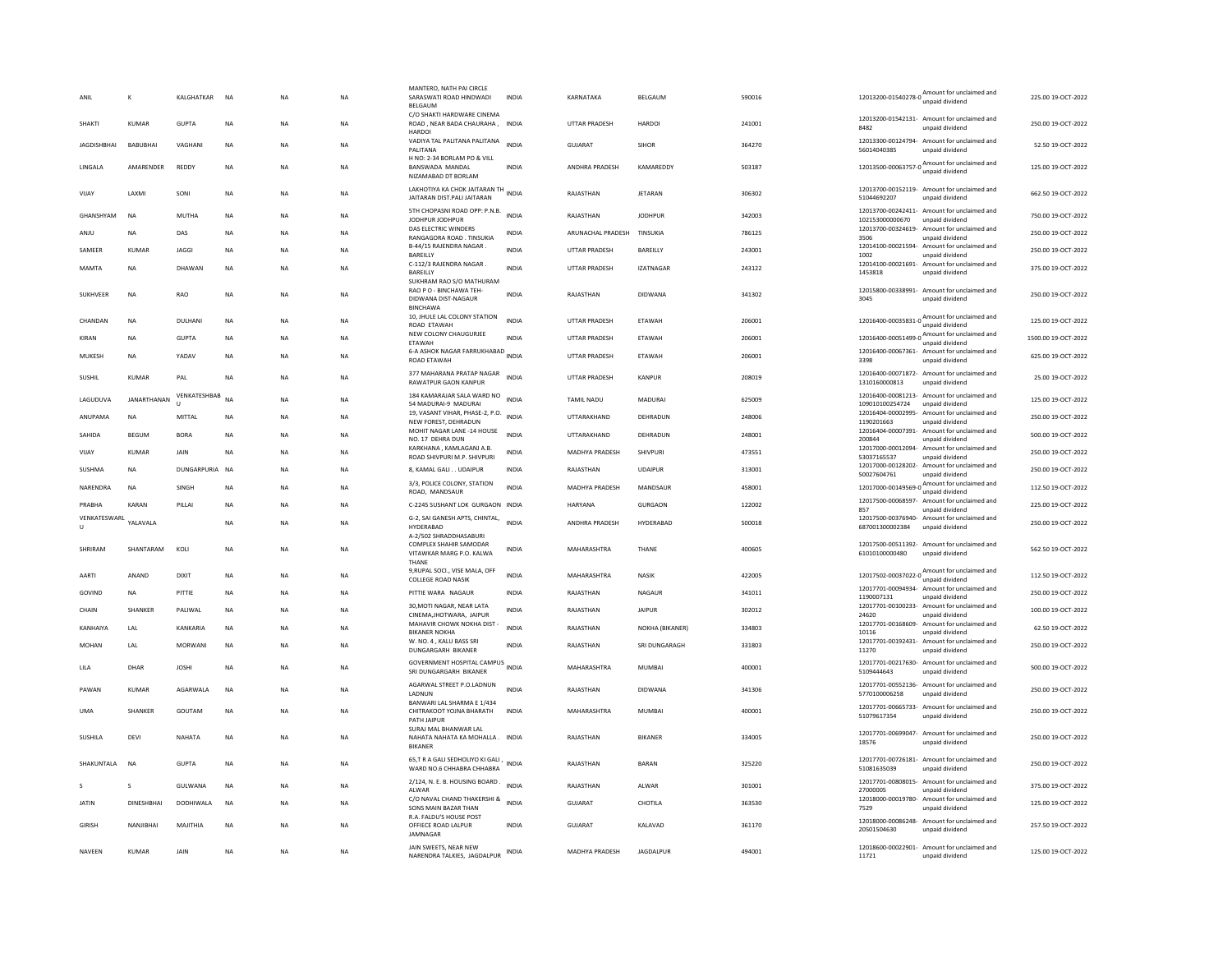| ANIL               |                   | KALGHATKAR        | <b>NA</b>   | <b>NA</b> | <b>NA</b> | MANTERO, NATH PAI CIRCLE<br>SARASWATI ROAD HINDWADI<br>BELGAUM                        | <b>INDIA</b> | KARNATAKA             | BELGAUM          | 590016 |                            | 12013200-01540278-0 Amount for unclaimed and<br>unpaid dividend                | 225.00 19-OCT-2022  |
|--------------------|-------------------|-------------------|-------------|-----------|-----------|---------------------------------------------------------------------------------------|--------------|-----------------------|------------------|--------|----------------------------|--------------------------------------------------------------------------------|---------------------|
| <b>SHAKTI</b>      | <b>KUMAR</b>      | <b>GUPTA</b>      | <b>NA</b>   | NA        | NA        | C/O SHAKTI HARDWARE CINEMA<br>ROAD, NEAR BADA CHAURAHA, INDIA<br>HARDOI               |              | <b>UTTAR PRADESH</b>  | <b>HARDOI</b>    | 241001 | 8482                       | 12013200-01542131- Amount for unclaimed and<br>unpaid dividend                 | 250.00 19-OCT-2022  |
| <b>IAGDISHRHAI</b> | <b>BABURHAL</b>   | VAGHAN            | <b>NA</b>   | <b>NA</b> | <b>NA</b> | VADIYA TAL PALITANA PALITANA<br>PALITANA                                              | <b>INDIA</b> | GUIARAT               | <b>SIHOR</b>     | 364270 | 56014040385                | 12013300-00124794- Amount for unclaimed and<br>unpaid dividend                 | 52.50.19-OCT-2022   |
| LINGALA            | AMARENDER         | <b>REDDY</b>      | <b>NA</b>   | <b>NA</b> | <b>NA</b> | H NO: 2-34 BORLAM PO & VILL<br><b>BANSWADA MANDAL</b><br>NIZAMABAD DT BORLAM          | <b>INDIA</b> | ANDHRA PRADESH        | KAMAREDDY        | 503187 |                            | $12013500 - 00063757 - 0$ $A_{\text{unpaid dividend}}$                         | 125.00 19-OCT-2022  |
| VIJAY              | LAXMI             | SONI              | NA          | NA        | NA        | LAKHOTIYA KA CHOK JAITARAN TH<br>JAITARAN DIST.PALI JAITARAN                          |              | RAJASTHAN             | JETARAN          | 306302 | 51044692207                | 12013700-00152119- Amount for unclaimed and<br>unpaid dividend                 | 662.50 19-OCT-2022  |
| GHANSHYAM          | <b>NA</b>         | MUTHA             | <b>NA</b>   | <b>NA</b> | <b>NA</b> | 5TH CHOPASNI ROAD OPP: P.N.B.<br>JODHPUR JODHPUR                                      | <b>INDIA</b> | RAIASTHAN             | <b>IODHPUR</b>   | 342003 | 102153000000670            | 12013700-00242411- Amount for unclaimed and<br>unpaid dividend                 | 750.00 19-OCT-2022  |
| ANJU               | <b>NA</b>         | DAS               | <b>NA</b>   | <b>NA</b> | <b>NA</b> | DAS ELECTRIC WINDERS<br>RANGAGORA ROAD, TINSUKIA                                      | INDIA        | ARUNACHAL PRADESH     | TINSUKIA         | 786125 | 12013700-00324619-<br>3506 | Amount for unclaimed and<br>unpaid dividend                                    | 250.00.19-OCT-2022  |
| SAMEER             | <b>KUMAR</b>      | <b>JAGGI</b>      | <b>NA</b>   | <b>NA</b> | <b>NA</b> | B-44/15 RAJENDRA NAGAR.<br>BAREILLY                                                   | <b>INDIA</b> | UTTAR PRADESH         | BAREILLY         | 243001 | 1002                       | 12014100-00021594- Amount for unclaimed and<br>unpaid dividend                 | 250.00 19-OCT-2022  |
| MAMTA              | <b>NA</b>         | DHAWAN            | <b>NA</b>   | <b>NA</b> | <b>NA</b> | C-112/3 RAJENDRA NAGAR.<br>BAREILLY                                                   | INDIA        | UTTAR PRADESH         | <b>IZATNAGAR</b> | 243122 | 1453818                    | 12014100-00021691- Amount for unclaimed and<br>unpaid dividend                 | 375.00 19-OCT-2022  |
| SUKHVEER           | <b>NA</b>         | <b>RAO</b>        | <b>NA</b>   | <b>NA</b> | <b>NA</b> | SUKHRAM RAO S/O MATHURAM<br>RAO P O - BINCHAWA TEH-<br>DIDWANA DIST-NAGAUR            | <b>INDIA</b> | RAJASTHAN             | <b>DIDWANA</b>   | 341302 | 3045                       | 12015800-00338991- Amount for unclaimed and<br>unpaid dividend                 | 250.00 19-OCT-2022  |
| CHANDAN            | <b>NA</b>         | DULHANI           | <b>NA</b>   | <b>NA</b> | NA        | <b>BINCHAWA</b><br>10, JHULE LAL COLONY STATION<br>ROAD ETAWAH                        | INDIA        | UTTAR PRADESH         | ETAWAH           | 206001 |                            | 12016400-00035831-0 $\frac{\text{Amount}}{\text{12016400}}$<br>unpaid dividend | 125.00 19-OCT-2022  |
| KIRAN              | <b>NA</b>         | <b>GUPTA</b>      | <b>NA</b>   | <b>NA</b> | <b>NA</b> | NEW COLONY CHAUGURJEE<br>ETAWAH                                                       | <b>INDIA</b> | UTTAR PRADESH         | ETAWAH           | 206001 |                            | 12016400-00051499-0 Amount for unclaimed and<br>unpaid dividend                | 1500.00 19-OCT-2022 |
| MUKESH             | <b>NA</b>         | YADAV             | <b>NA</b>   | <b>NA</b> | <b>NA</b> | 6-A ASHOK NAGAR FARRUKHABAD INDIA<br>ROAD ETAWAH                                      |              | UTTAR PRADESH         | ETAWAH           | 206001 | 3398                       | 12016400-00067361- Amount for unclaimed and<br>unpaid dividend                 | 625.00 19-OCT-2022  |
| SUSHIL             | <b>KUMAR</b>      | PAL               | <b>NA</b>   | <b>NA</b> | <b>NA</b> | 377 MAHARANA PRATAP NAGAR<br>RAWATPUR GAON KANPUR                                     | <b>INDIA</b> | UTTAR PRADESH         | KANPUR           | 208019 | 1310160000813              | 12016400-00071872- Amount for unclaimed and<br>unpaid dividend                 | 25.00 19-OCT-2022   |
| LAGUDUVA           | JANARTHANAN       | VENKATESHBAB<br>п | <b>NA</b>   | <b>NA</b> | <b>NA</b> | 184 KAMARAJAR SALA WARD NO<br>54 MADURAI-9 MADURAI                                    | <b>INDIA</b> | <b>TAMIL NADU</b>     | MADURAI          | 625009 | 109010100254724            | 12016400-00081213- Amount for unclaimed and<br>unpaid dividend                 | 125.00 19-OCT-2022  |
| ANUPAMA            | <b>NA</b>         | MITTAL            | <b>NA</b>   | <b>NA</b> | NA        | 19, VASANT VIHAR, PHASE-2, P.O.<br>NEW FOREST, DEHRADUN                               | <b>INDIA</b> | UTTARAKHAND           | DEHRADUN         | 248006 | 1190201663                 | 12016404-00002995- Amount for unclaimed and<br>unpaid dividend                 | 250.00 19-OCT-2022  |
| SAHIDA             | BEGUM             | <b>BORA</b>       | NA          | <b>NA</b> | <b>NA</b> | MOHIT NAGAR LANE -14 HOUSE<br>NO. 17 DEHRA DUN                                        | <b>INDIA</b> | UTTARAKHAND           | DEHRADUN         | 248001 | 200844                     | 12016404-00007391- Amount for unclaimed and<br>unpaid dividend                 | 500.00 19-OCT-2022  |
| VIJAY              | KUMAR             | JAIN              | NA          | <b>NA</b> | <b>NA</b> | KARKHANA, KAMLAGANJ A.B.<br>ROAD SHIVPURI M.P. SHIVPURI                               | <b>INDIA</b> | MADHYA PRADESH        | SHIVPURI         | 473551 | 53037165537                | 12017000-00012094- Amount for unclaimed and<br>unpaid dividend                 | 250.00 19-OCT-2022  |
| SUSHMA             | <b>NA</b>         | DUNGARPURIA NA    |             | <b>NA</b> | NA        | 8, KAMAL GALI UDAIPUR                                                                 | INDIA        | RAJASTHAN             | <b>UDAIPUR</b>   | 313001 | 50027604761                | 12017000-00128202- Amount for unclaimed and<br>unpaid dividend                 | 250.00 19-OCT-2022  |
| NARENDRA           | <b>NA</b>         | SINGH             | NA          | <b>NA</b> | <b>NA</b> | 3/3, POLICE COLONY, STATION<br>ROAD, MANDSAUR                                         | <b>INDIA</b> | <b>MADHYA PRADESH</b> | MANDSAUR         | 458001 |                            | 12017000-00149569-0 Amount for unclaimed and                                   | 112.50 19-OCT-2022  |
| PRABHA             | <b>KARAN</b>      | PILLAI            | <b>NA</b>   | <b>NA</b> | <b>NA</b> | C-2245 SUSHANT LOK GURGAON INDIA                                                      |              | <b>HARYANA</b>        | <b>GURGAON</b>   | 122002 | 857                        | 12017500-00068597- Amount for unclaimed and<br>unpaid dividend                 | 225.00 19-OCT-2022  |
| VENKATESWARL<br>U  | YALAVALA          |                   | <b>NA</b>   | <b>NA</b> | <b>NA</b> | G-2, SAI GANESH APTS, CHINTAL,<br>HYDERABAD                                           | <b>INDIA</b> | ANDHRA PRADESH        | HYDERABAD        | 500018 | 687001300002384            | 12017500-00376940- Amount for unclaimed and<br>unpaid dividend                 | 250.00 19-OCT-2022  |
| SHRIRAM            | SHANTARAM         | KOLI              | <b>NA</b>   | <b>NA</b> | NA        | A-2/502 SHRADDHASABURI<br>COMPLEX SHAHIR SAMODAR<br>VITAWKAR MARG P.O. KALWA<br>THANE | <b>INDIA</b> | MAHARASHTRA           | THANE            | 400605 | 61010100000480             | 12017500-00511392- Amount for unclaimed and<br>unpaid dividend                 | 562.50 19-OCT-2022  |
| AARTI              | ANAND             | <b>DIXIT</b>      | <b>NA</b>   | <b>NA</b> | <b>NA</b> | 9, RUPAL SOCI., VISE MALA, OFF<br><b>COLLEGE ROAD NASIK</b>                           | <b>INDIA</b> | MAHARASHTRA           | <b>NASIK</b>     | 422005 |                            | 12017502-00037022-0 Amount for unclaimed and<br>unpaid dividend                | 112.50 19-OCT-2022  |
| GOVIND             | <b>NA</b>         | PITTIE            | NA          | <b>NA</b> | <b>NA</b> | PITTIE WARA NAGAUR                                                                    | INDIA        | RAJASTHAN             | NAGAUR           | 341011 | 1190007131                 | 12017701-00094934- Amount for unclaimed and<br>unpaid dividend                 | 250.00 19-OCT-2022  |
| CHAIN              | SHANKER           | PALIWAL           | NA          | <b>NA</b> | NA        | 30. MOTI NAGAR, NEAR LATA<br>CINEMA, JHOTWARA, JAIPUR                                 | INDIA        | RAJASTHAN             | <b>JAIPUR</b>    | 302012 | 24620                      | 12017701-00100233- Amount for unclaimed and<br>unpaid dividend                 | 100.00 19-OCT-2022  |
| KANHAIYA           | LAL               | KANKARIA          | <b>NA</b>   | <b>NA</b> | <b>NA</b> | MAHAVIR CHOWK NOKHA DIST<br><b>BIKANER NOKHA</b>                                      | <b>INDIA</b> | RAJASTHAN             | NOKHA (BIKANER)  | 334803 | 10116                      | 12017701-00168609- Amount for unclaimed and<br>unpaid dividend                 | 62.50 19-OCT-2022   |
| <b>MOHAN</b>       | LAL               | <b>MORWANI</b>    | <b>NA</b>   | <b>NA</b> | <b>NA</b> | W. NO. 4, KALU BASS SRI<br>DUNGARGARH BIKANER                                         | <b>INDIA</b> | RAJASTHAN             | SRI DUNGARAGH    | 331803 | 11270                      | 12017701-00192431- Amount for unclaimed and<br>unpaid dividend                 | 250.00 19-OCT-2022  |
| LILA               | DHAR              | <b>JOSHI</b>      | NA          | <b>NA</b> | NA        | GOVERNMENT HOSPITAL CAMPUS INDIA<br>SRI DUNGARGARH BIKANER                            |              | MAHARASHTRA           | MUMBAI           | 400001 | 5109444643                 | 12017701-00217630- Amount for unclaimed and<br>unpaid dividend                 | 500.00 19-OCT-2022  |
| PAWAN              | KUMAR             | <b>AGARWAI A</b>  | <b>NA</b>   | <b>NA</b> | NA.       | AGARWAL STREET P.O.LADNUN<br>LADNUN                                                   | <b>INDIA</b> | RAIASTHAN             | <b>DIDWANA</b>   | 341306 | 5770100006258              | 12017701-00552136- Amount for unclaimed and<br>unpaid dividend                 | 250.00.19-OCT-2022  |
| <b>UMA</b>         | SHANKER           | GOUTAM            | $_{\sf NA}$ | NA        | NA        | BANWARI LAL SHARMA E 1/434<br>CHITRAKOOT YOJNA BHARATH<br>PATH JAIPUR                 | INDIA        | MAHARASHTRA           | <b>MUMBAI</b>    | 400001 | 51079617354                | 12017701-00665733- Amount for unclaimed and<br>unpaid dividend                 | 250.00 19-OCT-2022  |
| SUSHILA            | DEVI              | NAHATA            | NA          | <b>NA</b> | NA        | SURAJ MAL BHANWAR LAL<br>NAHATA NAHATA KA MOHALLA . INDIA<br><b>BIKANER</b>           |              | RAJASTHAN             | BIKANER          | 334005 | 18576                      | 12017701-00699047- Amount for unclaimed and<br>unpaid dividend                 | 250.00 19-OCT-2022  |
| SHAKUNTALA         | <b>NA</b>         | <b>GUPTA</b>      | <b>NA</b>   | <b>NA</b> | <b>NA</b> | 65,T R A GALI SEDHOLIYO KI GALI , INDIA<br>WARD NO.6 CHHABRA CHHABRA                  |              | RAJASTHAN             | <b>BARAN</b>     | 325220 | 51081635039                | 12017701-00726181- Amount for unclaimed and<br>unpaid dividend                 | 250.00 19-OCT-2022  |
| s                  | s                 | GULWANA           | <b>NA</b>   | <b>NA</b> | <b>NA</b> | 2/124, N. E. B. HOUSING BOARD.<br>ALWAR                                               | <b>INDIA</b> | RAJASTHAN             | AI WAR           | 301001 | 27000005                   | 12017701-00808015- Amount for unclaimed and<br>unpaid dividend                 | 375.00 19-OCT-2022  |
| <b>JATIN</b>       | <b>DINESHBHAI</b> | DODHIWALA         | <b>NA</b>   | <b>NA</b> | NA        | C/O NAVAL CHAND THAKERSHI &<br>SONS MAIN BAZAR THAN                                   | <b>INDIA</b> | GUJARAT               | CHOTILA          | 363530 | 7529                       | 12018000-00019780- Amount for unclaimed and<br>unpaid dividend                 | 125.00 19-OCT-2022  |
| GIRISH             | NANJIBHAI         | MAJITHIA          | <b>NA</b>   | <b>NA</b> | NA        | R.A. FALDU'S HOUSE POST<br>OFFIECE ROAD LALPUR<br><b>JAMNAGAR</b>                     | INDIA        | GUJARAT               | KALAVAD          | 361170 | 20501504630                | 12018000-00086248- Amount for unclaimed and<br>unnaid dividend                 | 257.50 19-OCT-2022  |
| <b>NAVEEN</b>      | <b>KUMAR</b>      | JAIN              | <b>NA</b>   | <b>NA</b> | <b>NA</b> | JAIN SWEETS, NEAR NEW<br>NARENDRA TALKIES, JAGDALPUR                                  | <b>INDIA</b> | MADHYA PRADESH        | <b>JAGDALPUR</b> | 494001 | 11721                      | 12018600-00022901- Amount for unclaimed and<br>unpaid dividend                 | 125.00 19-OCT-2022  |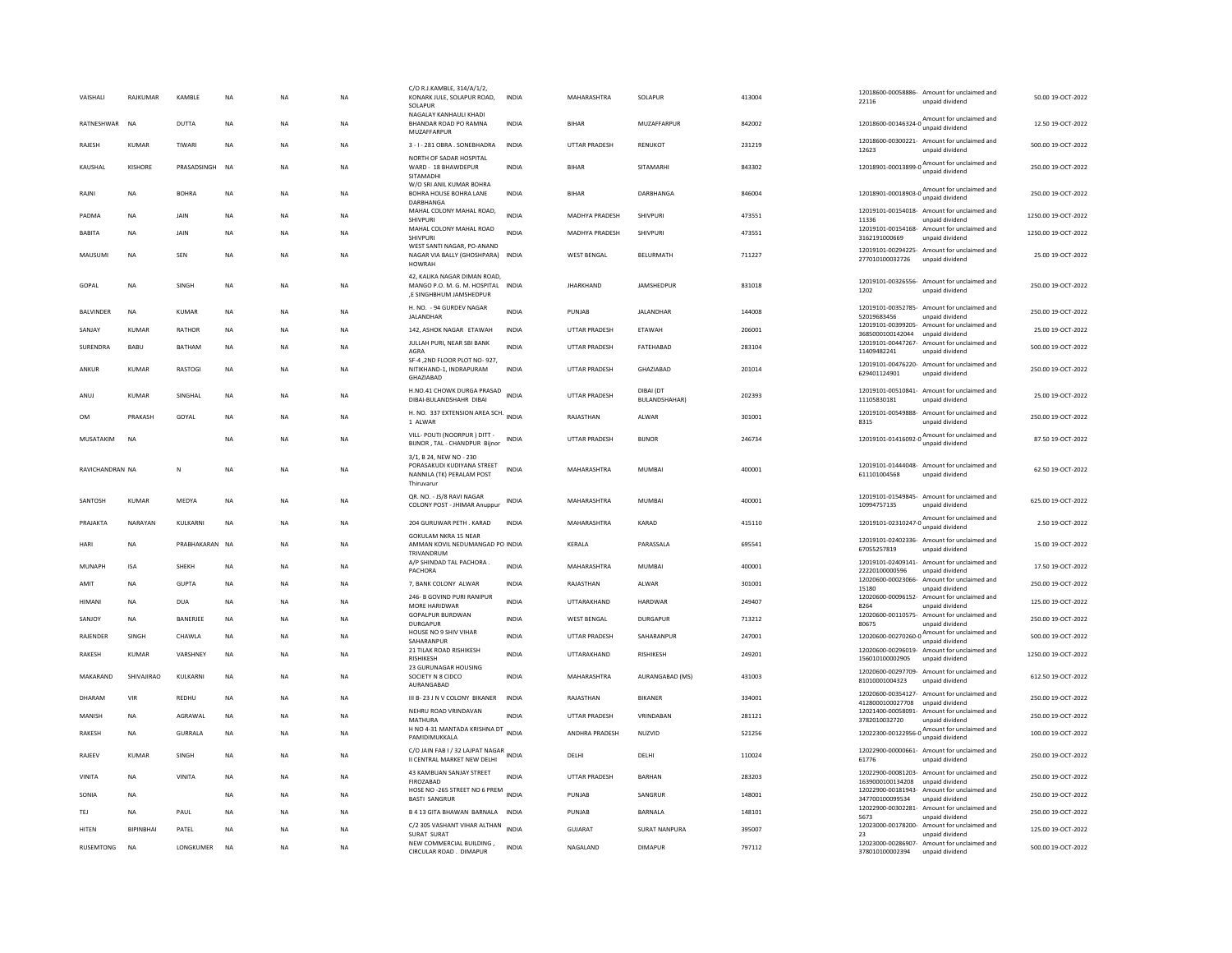| VAISHALI         | RAJKUMAR         | KAMBLE          | <b>NA</b>   | <b>NA</b> | <b>NA</b> | C/O R.J.KAMBLE, 314/A/1/2,<br>KONARK JULE, SOLAPUR ROAD,<br>SOLAPUR                              | <b>INDIA</b> | MAHARASHTRA          | SOLAPUR                           | 413004 | 12018600-00058886- Amount for unclaimed and<br>22116<br>unpaid dividend                                                | 50.00 19-OCT-2022   |
|------------------|------------------|-----------------|-------------|-----------|-----------|--------------------------------------------------------------------------------------------------|--------------|----------------------|-----------------------------------|--------|------------------------------------------------------------------------------------------------------------------------|---------------------|
| RATNESHWAR       | <b>NA</b>        | DUTTA           | <b>NA</b>   | <b>NA</b> | <b>NA</b> | NAGALAY KANHAULI KHADI<br>BHANDAR ROAD PO RAMNA<br>MUZAFFARPUR                                   | <b>INDIA</b> | <b>BIHAR</b>         | MUZAFFARPUR                       | 842002 | Amount for unclaimed and<br>12018600-00146324-0<br>unpaid dividend                                                     | 12.50 19-OCT-2022   |
| RAJESH           | KUMAR            | TIWARI          | <b>NA</b>   | <b>NA</b> | <b>NA</b> | 3 - I - 281 OBRA . SONEBHADRA                                                                    | <b>INDIA</b> | <b>UTTAR PRADESH</b> | RENUKOT                           | 231219 | 12018600-00300221- Amount for unclaimed and<br>12623<br>unnaid dividend                                                | 500.00 19-OCT-2022  |
| KAUSHAL          | KISHORE          | PRASADSINGH     | <b>NA</b>   | <b>NA</b> | <b>NA</b> | NORTH OF SADAR HOSPITAL<br>WARD - 18 BHAWDEPUR<br>SITAMADHI                                      | <b>INDIA</b> | <b>BIHAR</b>         | SITAMARHI                         | 843302 | Amount for unclaimed and<br>12018901-00013899-0 Amount                                                                 | 250.00 19-OCT-2022  |
| RAJNI            | <b>NA</b>        | <b>BOHRA</b>    | <b>NA</b>   | <b>NA</b> | <b>NA</b> | W/O SRI ANIL KUMAR BOHRA<br>BOHRA HOUSE BOHRA LANE<br>DARBHANGA                                  | <b>INDIA</b> | <b>BIHAR</b>         | DARBHANGA                         | 846004 | Amount for unclaimed and<br>12018901-00018903-0<br>unpaid dividend                                                     | 250.00 19-OCT-2022  |
| PADMA            | NA               | JAIN            | NA          | <b>NA</b> | NA        | MAHAL COLONY MAHAL ROAD,<br><b>SHIVPURI</b>                                                      | <b>INDIA</b> | MADHYA PRADESH       | SHIVPURI                          | 473551 | 12019101-00154018- Amount for unclaimed and<br>11336<br>unpaid dividend                                                | 1250.00 19-OCT-2022 |
| <b>BABITA</b>    | NA               | JAIN            | NA          | NA        | NA        | MAHAL COLONY MAHAL ROAD<br><b>SHIVPURI</b>                                                       | <b>INDIA</b> | MADHYA PRADESH       | SHIVPURI                          | 473551 | 12019101-00154168- Amount for unclaimed and<br>3162191000669<br>unpaid dividend                                        | 1250.00 19-OCT-2022 |
| MAUSUMI          | NA               | SEN             | NA          | NA        | NA        | WEST SANTI NAGAR, PO-ANAND<br>NAGAR VIA BALLY (GHOSHPARA) INDIA<br><b>HOWRAH</b>                 |              | WEST BENGAL          | BELURMATH                         | 711227 | 12019101-00294225- Amount for unclaimed and<br>277010100032726<br>unpaid dividend                                      | 25.00 19-OCT-2022   |
| GOPAL            | NA               | SINGH           | NA          | NA        | NA        | 42, KALIKA NAGAR DIMAN ROAD,<br>MANGO P.O. M. G. M. HOSPITAL INDIA<br>,E SINGHBHUM JAMSHEDPUR    |              | <b>JHARKHAND</b>     | JAMSHEDPUR                        | 831018 | 12019101-00326556- Amount for unclaimed and<br>unpaid dividend<br>1202                                                 | 250.00 19-OCT-2022  |
| <b>BALVINDER</b> | <b>NA</b>        | KUMAR           | <b>NA</b>   | <b>NA</b> | NA        | H. NO. - 94 GURDEV NAGAR<br>JALANDHAR                                                            | <b>INDIA</b> | PUNJAB               | JALANDHAR                         | 144008 | 12019101-00352785- Amount for unclaimed and<br>52019683456<br>unpaid dividend                                          | 250.00 19-OCT-2022  |
| SANJAY           | KUMAR            | RATHOR          | $_{\sf NA}$ | NA        | NA        | 142, ASHOK NAGAR ETAWAH                                                                          | INDIA        | UTTAR PRADESH        | ETAWAH                            | 206001 | 12019101-00399205- Amount for unclaimed and                                                                            | 25.00 19-OCT-2022   |
| SURENDRA         | BABU             | <b>BATHAM</b>   | <b>NA</b>   | <b>NA</b> | <b>NA</b> | JULLAH PURI, NEAR SBI BANK<br>AGRA                                                               | INDIA        | <b>UTTAR PRADESH</b> | FATEHABAD                         | 283104 | 3685000100142044 unpaid dividend<br>12019101-00447267- Amount for unclaimed and                                        | 500.00 19-OCT-2022  |
| ANKUR            | KUMAR            | <b>RASTOGI</b>  | <b>NA</b>   | <b>NA</b> | <b>NA</b> | SF-4,2ND FLOOR PLOT NO-927,<br>NITIKHAND-1, INDRAPURAM<br>GHAZIABAD                              | <b>INDIA</b> | <b>UTTAR PRADESH</b> | GHAZIABAD                         | 201014 | 11409482241<br>unpaid dividend<br>12019101-00476220- Amount for unclaimed and<br>629401124901<br>unpaid dividend       | 250.00 19-OCT-2022  |
| ANUJ             | <b>KUMAR</b>     | SINGHAL         | <b>NA</b>   | <b>NA</b> | <b>NA</b> | H.NO.41 CHOWK DURGA PRASAD<br>DIBAI-BULANDSHAHR DIBAI                                            | <b>INDIA</b> | <b>UTTAR PRADESH</b> | DIBAI (DT<br><b>BULANDSHAHAR)</b> | 202393 | 12019101-00510841- Amount for unclaimed and<br>11105830181<br>unpaid dividend                                          | 25.00 19-OCT-2022   |
| OM               | PRAKASH          | GOYAL           | $_{\sf NA}$ | NA        | <b>NA</b> | H. NO. 337 EXTENSION AREA SCH. INDIA<br>1 ALWAR                                                  |              | RAJASTHAN            | ALWAR                             | 301001 | 12019101-00549888- Amount for unclaimed and<br>8315<br>unpaid dividend                                                 | 250.00 19-OCT-2022  |
| MUSATAKIM        | <b>NA</b>        |                 | <b>NA</b>   | <b>NA</b> | <b>NA</b> | VILL- POUTI (NOORPUR) DITT -<br>BIJNOR, TAL - CHANDPUR Bijnor                                    | INDIA        | <b>UTTAR PRADESH</b> | <b>BUNOR</b>                      | 246734 | 12019101-01416092-0 Amount for unclaimed and                                                                           | 87.50 19-OCT-2022   |
| RAVICHANDRAN NA  |                  | N               | <b>NA</b>   | <b>NA</b> | <b>NA</b> | 3/1, B 24, NEW NO - 230<br>PORASAKUDI KUDIYANA STREET<br>NANNILA (TK) PERALAM POST<br>Thiruvarur | <b>INDIA</b> | MAHARASHTRA          | <b>MUMBAI</b>                     | 400001 | 12019101-01444048- Amount for unclaimed and<br>611101004568<br>unpaid dividend                                         | 62.50 19-OCT-2022   |
| SANTOSH          | KUMAR            | MFDYA           | <b>NA</b>   | <b>NA</b> | <b>NA</b> | QR. NO. - JS/8 RAVI NAGAR<br>COLONY POST - JHIMAR Anuppur                                        | <b>INDIA</b> | <b>MAHARASHTRA</b>   | MUMBAI                            | 400001 | 12019101-01549845- Amount for unclaimed and<br>10994757135<br>unpaid dividend                                          | 625.00.19-OCT-2022  |
| PRAJAKTA         | NARAYAN          | KULKARNI        | <b>NA</b>   | <b>NA</b> | <b>NA</b> | 204 GURUWAR PETH . KARAD                                                                         | <b>INDIA</b> | MAHARASHTRA          | KARAD                             | 415110 | 12019101-02310247-0 $\frac{\text{Amount for uncalaimed}}{\text{1}}$<br>unpaid dividend                                 | 2.50 19-OCT-2022    |
| HARI             | <b>NA</b>        | PRABHAKARAN NA  |             | <b>NA</b> | <b>NA</b> | <b>GOKULAM NKRA 15 NEAR</b><br>AMMAN KOVIL NEDUMANGAD PO INDIA<br>TRIVANDRUM                     |              | KERALA               | PARASSALA                         | 695541 | 12019101-02402336- Amount for unclaimed and<br>67055257819<br>unpaid dividend                                          | 15.00 19-OCT-2022   |
| MUNAPH           | <b>ISA</b>       | SHEKH           | $_{\sf NA}$ | <b>NA</b> | <b>NA</b> | A/P SHINDAD TAL PACHORA<br>PACHORA                                                               | <b>INDIA</b> | MAHARASHTRA          | MUMBAI                            | 400001 | 12019101-02409141- Amount for unclaimed and<br>22220100000596<br>unpaid dividend                                       | 17.50 19-OCT-2022   |
| AMIT             | NA               | <b>GUPTA</b>    | $_{\sf NA}$ | <b>NA</b> | NA        | 7, BANK COLONY ALWAR                                                                             | INDIA        | RAJASTHAN            | ALWAR                             | 301001 | 12020600-00023066- Amount for unclaimed and<br>15180<br>unpaid dividend                                                | 250.00 19-OCT-2022  |
| <b>HIMANI</b>    | <b>NA</b>        | DUA             | NA          | <b>NA</b> | NA        | 246- B GOVIND PURI RANIPUR<br>MORE HARIDWAR                                                      | <b>INDIA</b> | <b>UTTARAKHAND</b>   | HARDWAR                           | 249407 | 12020600-00096152- Amount for unclaimed and<br>8264<br>unpaid dividend                                                 | 125.00 19-OCT-2022  |
| SANIOY           | <b>NA</b>        | <b>BANFRIFF</b> | <b>NA</b>   | <b>NA</b> | <b>NA</b> | <b>GOPALPUR BURDWAN</b><br><b>DURGAPUR</b>                                                       | <b>INDIA</b> | <b>WEST BENGAL</b>   | DURGAPUR                          | 713212 | 12020600-00110575- Amount for unclaimed and<br>80675<br>unpaid dividend                                                | 250.00 19-OCT-2022  |
| RAJENDER         | SINGH            | CHAWLA          | <b>NA</b>   | <b>NA</b> | <b>NA</b> | HOUSE NO 9 SHIV VIHAR                                                                            | <b>INDIA</b> | <b>UTTAR PRADESH</b> | SAHARANPUR                        | 247001 | 12020600-00270260-0 Amount for unclaimed and                                                                           | 500.00 19-OCT-2022  |
| <b>RAKESH</b>    | <b>KUMAR</b>     | VARSHNEY        | <b>NA</b>   | <b>NA</b> | <b>NA</b> | SAHARANPUR<br>21 TILAK ROAD RISHIKESH                                                            | <b>INDIA</b> | UTTARAKHAND          | <b>RISHIKESH</b>                  | 249201 | unpaid dividend<br>12020600-00296019- Amount for unclaimed and                                                         | 1250.00 19-OCT-2022 |
| MAKARAND         | SHIVAJIRAO       | KULKARNI        | NA          | <b>NA</b> | <b>NA</b> | RISHIKESH<br>23 GURUNAGAR HOUSING<br>SOCIETY N 8 CIDCO<br>AURANGABAD                             | INDIA        | MAHARASHTRA          | AURANGABAD (MS)                   | 431003 | 156010100002905<br>unpaid dividend<br>12020600-00297709- Amount for unclaimed and<br>81010001004323<br>unpaid dividend | 612.50 19-OCT-2022  |
| DHARAM           | VIR              | <b>REDHU</b>    | <b>NA</b>   | <b>NA</b> | <b>NA</b> | III B-23 J N V COLONY BIKANER                                                                    | <b>INDIA</b> | RAJASTHAN            | BIKANER                           | 334001 | 12020600-00354127- Amount for unclaimed and                                                                            | 250.00 19-OCT-2022  |
| MANISH           | <b>NA</b>        | AGRAWAL         | <b>NA</b>   | <b>NA</b> | <b>NA</b> | NEHRU ROAD VRINDAVAN                                                                             | <b>INDIA</b> | <b>UTTAR PRADESH</b> | VRINDABAN                         | 281121 | 4128000100027708<br>unpaid dividend<br>12021400-00058091- Amount for unclaimed and                                     | 250.00 19-OCT-2022  |
| RAKESH           | NA               | GURRALA         | $_{\sf NA}$ | NA        | NA        | <b>MATHURA</b><br>H NO 4-31 MANTADA KRISHNA DT                                                   | <b>INDIA</b> | ANDHRA PRADESH       | NUZVID                            | 521256 | 3782010032720<br>unpaid dividend<br>$12022300-00122956-0$ $A_{\text{unpaid dividend}}$                                 | 100.00 19-OCT-2022  |
| <b>RAIFFV</b>    | KUMAR            | <b>SINGH</b>    | <b>NA</b>   | <b>NA</b> | NA.       | PAMIDIMUKKALA<br>C/O JAIN FAB I / 32 LAJPAT NAGAR<br>II CENTRAL MARKET NEW DELHI                 | <b>INDIA</b> | <b>DELHI</b>         | <b>DELHI</b>                      | 110024 | 12022900-00000661- Amount for unclaimed and<br>61776<br>unpaid dividend                                                | 250.00.19-OCT-2022  |
|                  |                  |                 |             |           |           | 43 KAMBUAN SANJAY STREET                                                                         | <b>INDIA</b> | <b>UTTAR PRADESH</b> |                                   |        | 12022900-00081203- Amount for unclaimed and                                                                            |                     |
| VINITA           | NA               | VINITA          | NA          | NA        | NA        | FIROZABAD<br>HOSE NO -265 STREET NO 6 PREM INDIA                                                 |              |                      | BARHAN                            | 283203 | 1639000100134208 unpaid dividend<br>12022900-00181943- Amount for unclaimed and                                        | 250.00 19-OCT-2022  |
| SONIA            | <b>NA</b>        |                 | <b>NA</b>   | <b>NA</b> | NA        | <b>BASTI SANGRUR</b>                                                                             |              | PUNJAB               | SANGRUR                           | 148001 | 347700100099534<br>unpaid dividend<br>12022900-00302281- Amount for unclaimed and                                      | 250.00 19-OCT-2022  |
| TEJ              | <b>NA</b>        | PAUL            | <b>NA</b>   | <b>NA</b> | <b>NA</b> | B 4 13 GITA BHAWAN BARNALA<br>C/2 305 VASHANT VIHAR ALTHAN                                       | <b>INDIA</b> | PUNJAB               | BARNALA                           | 148101 | 5673<br>unpaid dividend<br>12023000-00178200- Amount for unclaimed and                                                 | 250.00 19-OCT-2022  |
| <b>HITEN</b>     | <b>BIPINBHAI</b> | PATEL           | <b>NA</b>   | <b>NA</b> | <b>NA</b> | SURAT SURAT                                                                                      | <b>INDIA</b> | GUJARAT              | <b>SURAT NANPURA</b>              | 395007 | 23<br>unpaid dividend                                                                                                  | 125.00 19-OCT-2022  |
| RUSEMTONG        | <b>NA</b>        | LONGKUMER       | <b>NA</b>   | <b>NA</b> | <b>NA</b> | NEW COMMERCIAL BUILDING,<br>CIRCULAR ROAD. DIMAPUR                                               | <b>INDIA</b> | NAGALAND             | <b>DIMAPUR</b>                    | 797112 | 12023000-00286907- Amount for unclaimed and<br>378010100002394<br>unpaid dividend                                      | 500.00 19-OCT-2022  |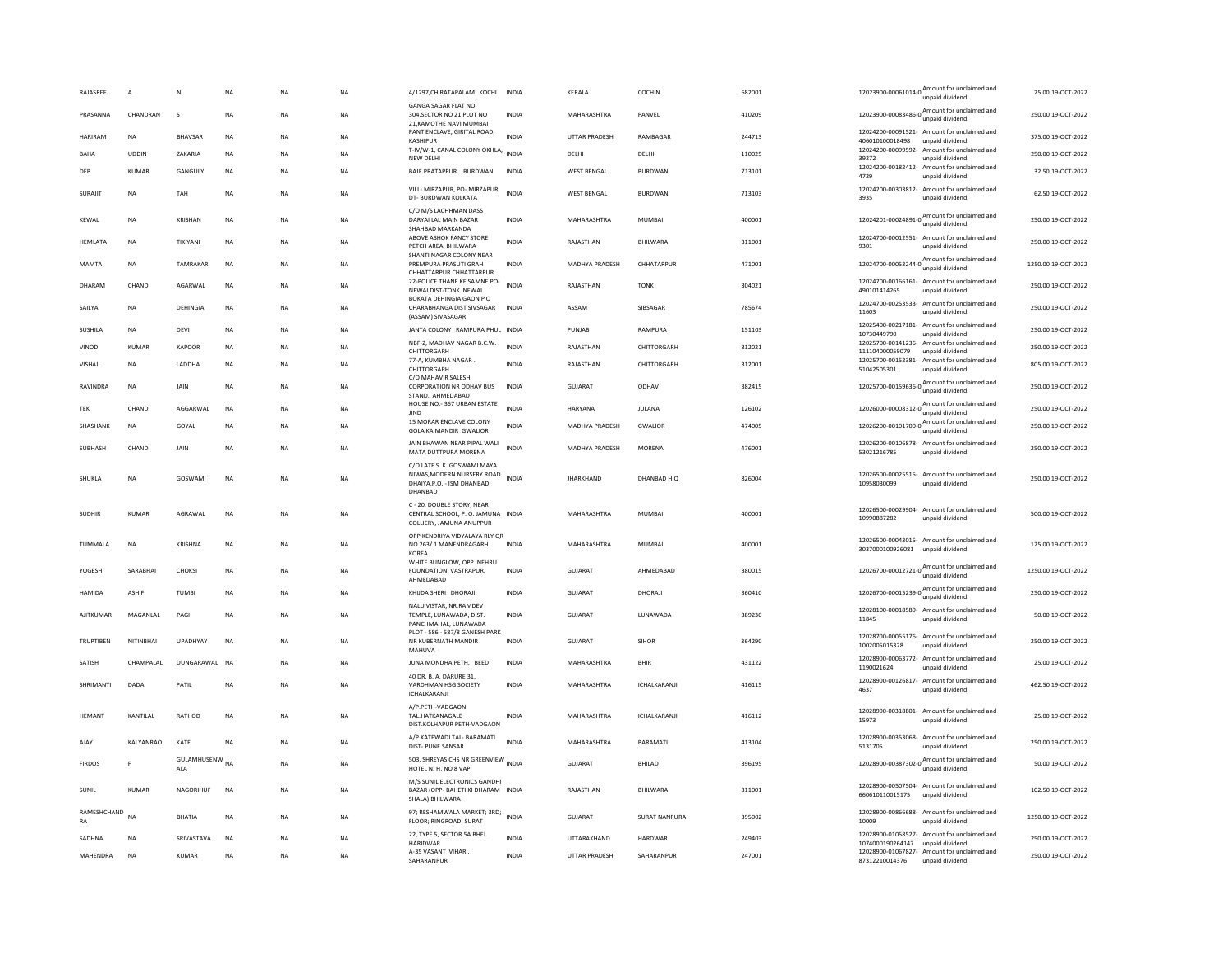| RAJASREE          | $\,$ A       | N                            | $_{\sf NA}$ | <b>NA</b> | <b>NA</b> | 4/1297, CHIRATAPALAM KOCHI                                                                          | <b>INDIA</b> | KERALA               | COCHIN          | 682001 | 12023900-00061014-0 Amount for unclaimed and<br>unpaid dividend                       | 25.00 19-OCT-2022   |
|-------------------|--------------|------------------------------|-------------|-----------|-----------|-----------------------------------------------------------------------------------------------------|--------------|----------------------|-----------------|--------|---------------------------------------------------------------------------------------|---------------------|
| PRASANNA          | CHANDRAN     | $\mathbf{\hat{S}}$           | <b>NA</b>   | <b>NA</b> | <b>NA</b> | GANGA SAGAR FLAT NO<br>304.SECTOR NO 21 PLOT NO<br>21, KAMOTHE NAVI MUMBAI                          | <b>INDIA</b> | MAHARASHTRA          | PANVEL          | 410209 | 12023900-00083486-0 Amount for unclaimed and<br>unpaid dividend                       | 250.00.19-OCT-2022  |
| HARIRAM           | <b>NA</b>    | <b>BHAVSAR</b>               | NA          | <b>NA</b> | NA        | PANT ENCLAVE, GIRITAL ROAD.<br>KASHIPUR                                                             | <b>INDIA</b> | UTTAR PRADESH        | RAMBAGAR        | 244713 | 12024200-00091521- Amount for unclaimed and<br>406010100018498<br>unpaid dividend     | 375.00 19-OCT-2022  |
| RAHA              | <b>UDDIN</b> | <b>7AKARIA</b>               | <b>NA</b>   | <b>NA</b> | <b>NA</b> | T-IV/W-1, CANAL COLONY OKHLA, INDIA<br><b>NEW DELHI</b>                                             |              | <b>DELHI</b>         | <b>DELHI</b>    | 110025 | 12024200-00099592- Amount for unclaimed and<br>39272<br>unpaid dividend               | 250.00 19-OCT-2022  |
| DEB               | KUMAR        | GANGULY                      | <b>NA</b>   | <b>NA</b> | <b>NA</b> | BAJE PRATAPPUR. BURDWAN                                                                             | <b>INDIA</b> | <b>WEST BENGAL</b>   | <b>BURDWAN</b>  | 713101 | 12024200-00182412- Amount for unclaimed and<br>4729<br>unpaid dividend                | 32.50 19-OCT-2022   |
| SURAJIT           | NA           | TAH                          | <b>NA</b>   | <b>NA</b> | <b>NA</b> | VILL- MIRZAPUR, PO- MIRZAPUR,<br>DT- BURDWAN KOLKATA                                                | <b>INDIA</b> | <b>WEST BENGAL</b>   | <b>BURDWAN</b>  | 713103 | 12024200-00303812- Amount for unclaimed and<br>3935<br>unpaid dividend                | 62.50 19-OCT-2022   |
| KEWAL             | <b>NA</b>    | KRISHAN                      | NA          | <b>NA</b> | NA        | C/O M/S LACHHMAN DASS<br>DARYAI LAL MAIN BAZAR<br>SHAHBAD MARKANDA                                  | INDIA        | MAHARASHTRA          | MUMBAI          | 400001 | 12024201-00024891-0<br>Mount for unclaimed and                                        | 250.00 19-OCT-2022  |
| HEMLATA           | <b>NA</b>    | TIKIYANI                     | <b>NA</b>   | <b>NA</b> | <b>NA</b> | AROVE ASHOK FANCY STORE<br>PETCH AREA BHILWARA                                                      | <b>INDIA</b> | RAJASTHAN            | BHILWARA        | 311001 | 12024700-00012551- Amount for unclaimed and<br>unpaid dividend<br>9301                | 250.00 19-OCT-2022  |
| MAMTA             | <b>NA</b>    | TAMRAKAR                     | <b>NA</b>   | <b>NA</b> | <b>NA</b> | SHANTI NAGAR COLONY NEAR<br>PREMPURA PRASUTI GRAH<br>CHHATTARPUR CHHATTARPUR                        | <b>INDIA</b> | MADHYA PRADESH       | CHHATARPUR      | 471001 | 12024700-00053244-0 Amount for unclaimed and<br>unpaid dividend                       | 1250.00 19-OCT-2022 |
| DHARAM            | CHAND        | AGARWAL                      | <b>NA</b>   | <b>NA</b> | <b>NA</b> | 22-POLICE THANE KE SAMNE PO-<br>NEWAI DIST-TONK NEWAI                                               | <b>INDIA</b> | RAJASTHAN            | <b>TONK</b>     | 304021 | 12024700-00166161- Amount for unclaimed and<br>490101414265<br>unpaid dividend        | 250.00 19-OCT-2022  |
| SAILYA            | <b>NA</b>    | DEHINGIA                     | <b>NA</b>   | <b>NA</b> | <b>NA</b> | <b>BOKATA DEHINGIA GAON P O</b><br>CHARABHANGA DIST SIVSAGAR<br>(ASSAM) SIVASAGAR                   | <b>INDIA</b> | ASSAM                | SIBSAGAR        | 785674 | 12024700-00253533-<br>Amount for unclaimed and<br>11603<br>unpaid dividend            | 250.00 19-OCT-2022  |
| <b>SUSHILA</b>    | NA           | DEVI                         | NA          | NA        | NA        | JANTA COLONY RAMPURA PHUL INDIA                                                                     |              | PUNJAB               | RAMPURA         | 151103 | 12025400-00217181- Amount for unclaimed and<br>10730449790<br>unpaid dividend         | 250.00 19-OCT-2022  |
| VINOD             | KUMAR        | <b>KAPOOR</b>                | <b>NA</b>   | <b>NA</b> | <b>NA</b> | NBF-2, MADHAV NAGAR B.C.W.<br>CHITTORGARH                                                           | <b>INDIA</b> | RAJASTHAN            | CHITTORGARH     | 312021 | 12025700-00141236- Amount for unclaimed and<br>111104000059079<br>unpaid dividend     | 250.00 19-OCT-2022  |
| VISHAL            | <b>NA</b>    | LADDHA                       | <b>NA</b>   | <b>NA</b> | <b>NA</b> | 77-A, KUMBHA NAGAR<br>CHITTORGARH                                                                   | <b>INDIA</b> | RAJASTHAN            | CHITTORGARH     | 312001 | 12025700-00152381-<br>Amount for unclaimed and<br>51042505301<br>unpaid dividend      | 805.00 19-OCT-2022  |
| RAVINDRA          | NA           | JAIN                         | NA          | <b>NA</b> | NA        | C/O MAHAVIR SALESH<br>CORPORATION NR ODHAV BUS<br>STAND, AHMEDABAD                                  | <b>INDIA</b> | GUJARAT              | ODHAV           | 382415 | 12025700-00159636-0<br>Mount for unclaimed and                                        | 250.00 19-OCT-2022  |
| TEK               | CHAND        | AGGARWAL                     | NA          | <b>NA</b> | NA        | HOUSE NO.- 367 URBAN ESTATE<br><b>JIND</b>                                                          | <b>INDIA</b> | HARYANA              | JULANA          | 126102 | 12026000-00008312-0 Amount for unclaimed and<br>unpaid dividend                       | 250.00 19-OCT-2022  |
| SHASHANK          | <b>NA</b>    | GOYAL                        | NA          | NA        | NA        | 15 MORAR ENCLAVE COLONY<br><b>GOLA KA MANDIR GWALIOR</b>                                            | <b>INDIA</b> | MADHYA PRADESH       | GWALIOR         | 474005 | 12026200-00101700-0 $\frac{\text{Amount for unclaimed}}{\text{m}}$<br>unpaid dividend | 250.00 19-OCT-2022  |
| SUBHASH           | CHAND        | JAIN                         | <b>NA</b>   | <b>NA</b> | <b>NA</b> | JAIN BHAWAN NEAR PIPAL WALI<br>MATA DUTTPURA MORENA                                                 | <b>INDIA</b> | MADHYA PRADESH       | MORENA          | 476001 | 12026200-00106878- Amount for unclaimed and<br>53021216785<br>unpaid dividend         | 250.00 19-OCT-2022  |
| SHUKLA            | NA           | GOSWAMI                      | NA          | NA        | NA        | C/O LATE S. K. GOSWAMI MAYA<br>NIWAS, MODERN NURSERY ROAD<br>DHAIYA, P.O. - ISM DHANBAD,<br>DHANBAD | <b>INDIA</b> | <b>JHARKHAND</b>     | DHANBAD H.Q     | 826004 | 12026500-00025515- Amount for unclaimed and<br>10958030099<br>unpaid dividend         | 250.00 19-OCT-2022  |
| SUDHIR            | <b>KUMAR</b> | AGRAWAL                      | <b>NA</b>   | <b>NA</b> | NA        | C - 20, DOUBLE STORY, NEAR<br>CENTRAL SCHOOL, P. O. JAMUNA INDIA<br>COLLIERY, JAMUNA ANUPPUR        |              | MAHARASHTRA          | MUMBAI          | 400001 | 12026500-00029904- Amount for unclaimed and<br>10990887282<br>unpaid dividend         | 500.00 19-OCT-2022  |
| <b>TUMMALA</b>    | <b>NA</b>    | <b>KRISHNA</b>               | <b>NA</b>   | <b>NA</b> | <b>NA</b> | OPP KENDRIYA VIDYALAYA RLY QR<br>NO 263/1 MANENDRAGARH<br>KOREA                                     | <b>INDIA</b> | MAHARASHTRA          | MUMBAI          | 400001 | 12026500-00043015- Amount for unclaimed and<br>3037000100926081<br>unpaid dividend    | 125.00.19-OCT-2022  |
| YOGESH            | SARABHAI     | CHOKSI                       | <b>NA</b>   | <b>NA</b> | <b>NA</b> | WHITE BUNGLOW, OPP. NEHRU<br>FOUNDATION, VASTRAPUR.<br>AHMEDABAD                                    | <b>INDIA</b> | <b>GUJARAT</b>       | AHMEDABAD       | 380015 | Amount for unclaimed and<br>12026700-00012721-0<br>unpaid dividend                    | 1250.00 19-OCT-2022 |
| HAMIDA            | <b>ASHIF</b> | <b>TUMBI</b>                 | NA          | <b>NA</b> | NA        | KHIJDA SHERI DHORAJI                                                                                | <b>INDIA</b> | GUJARAT              | DHORAJI         | 360410 | 12026700-00015239-0 $\frac{\text{Amount for unclaimed}}{\text{6}}$<br>unpaid dividend | 250.00 19-OCT-2022  |
| AJITKUMAR         | MAGANLAL     | PAGI                         | <b>NA</b>   | <b>NA</b> | <b>NA</b> | NALU VISTAR, NR.RAMDEV<br>TEMPLE, LUNAWADA, DIST.<br>PANCHMAHAL, LUNAWADA                           | <b>INDIA</b> | <b>GUJARAT</b>       | LUNAWADA        | 389230 | 12028100-00018589- Amount for unclaimed and<br>11845<br>unpaid dividend               | 50.00 19-OCT-2022   |
| <b>TRUPTIREN</b>  | NITINRHAI    | <b>UPADHYAY</b>              | <b>NA</b>   | <b>NA</b> | NA.       | PLOT - 586 - 587/8 GANESH PARK<br>NR KUBERNATH MANDIR<br>MAHUVA                                     | <b>INDIA</b> | GUIARAT              | <b>SIHOR</b>    | 364290 | 12028700-00055176- Amount for unclaimed and<br>1002005015328<br>unpaid dividend       | 250.00.19-OCT-2022  |
| SATISH            | CHAMPALAI    | DUNGARAWAL NA                |             | <b>NA</b> | <b>NA</b> | JUNA MONDHA PETH, BEED                                                                              | <b>INDIA</b> | MAHARASHTRA          | <b>BHIR</b>     | 431122 | 12028900-00063772- Amount for unclaimed and<br>1190021624<br>unpaid dividend          | 25.00 19-OCT-2022   |
| SHRIMANTI         | DADA         | PATIL                        | <b>NA</b>   | <b>NA</b> | <b>NA</b> | 40 DR. B. A. DARURE 31,<br>VARDHMAN HSG SOCIETY<br>ICHALKARANJI                                     | <b>INDIA</b> | MAHARASHTRA          | ICHALKARANJI    | 416115 | 12028900-00126817- Amount for unclaimed and<br>4637<br>unpaid dividend                | 462.50 19-OCT-2022  |
| HEMANT            | KANTILAL     | RATHOD                       | NA          | <b>NA</b> | <b>NA</b> | A/P.PETH-VADGAON<br>TAL.HATKANAGALE<br>DIST.KOLHAPUR PETH-VADGAON                                   | <b>INDIA</b> | MAHARASHTRA          | ICHALKARANJI    | 416112 | 12028900-00318801- Amount for unclaimed and<br>15973<br>unpaid dividend               | 25.00 19-OCT-2022   |
| AJAY              | KALYANRAO    | KATE                         | NA          | NA        | NA        | A/P KATEWADI TAL- BARAMATI<br>DIST- PUNE SANSAR                                                     | <b>INDIA</b> | MAHARASHTRA          | <b>BARAMATI</b> | 413104 | 12028900-00353068- Amount for unclaimed and<br>5131705<br>unpaid dividend             | 250.00 19-OCT-2022  |
| <b>FIRDOS</b>     | F.           | GULAMHUSENW NA<br><b>ALA</b> |             | <b>NA</b> | <b>NA</b> | 503, SHREYAS CHS NR GREENVIEW INDIA<br>HOTEL N. H. NO 8 VAPI                                        |              | <b>GUJARAT</b>       | BHILAD          | 396195 | 12028900-00387302-0 Amount for unclaimed and                                          | 50.00 19-OCT-2022   |
| SUNIL             | <b>KUMAR</b> | NAGORIHUF                    | <b>NA</b>   | <b>NA</b> | NA        | M/S SUNIL ELECTRONICS GANDHI<br>BAZAR (OPP- BAHETI KI DHARAM INDIA<br>SHALA) BHILWARA               |              | RAJASTHAN            | BHILWARA        | 311001 | 12028900-00507504- Amount for unclaimed and<br>660610110015175<br>unpaid dividend     | 102.50 19-OCT-2022  |
| RAMESHCHAND<br>RA | <b>NA</b>    | BHATIA                       | NA          | NA        | NA        | 97; RESHAMWALA MARKET; 3RD;<br>FLOOR; RINGROAD; SURAT                                               | <b>INDIA</b> | GUJARAT              | SURAT NANPURA   | 395002 | 12028900-00866688- Amount for unclaimed and<br>10009<br>unpaid dividend               | 1250.00 19-OCT-2022 |
| SADHNA            | NA           | SRIVASTAVA                   | <b>NA</b>   | <b>NA</b> | <b>NA</b> | 22. TYPE 5. SECTOR 5A BHEL<br>HARIDWAR                                                              | <b>INDIA</b> | UTTARAKHAND          | <b>HARDWAR</b>  | 249403 | 12028900-01058527- Amount for unclaimed and<br>1074000190264147 unpaid dividend       | 250.00 19-OCT-2022  |
| MAHENDRA          | NA           | <b>KUMAR</b>                 | NA          | <b>NA</b> | NA        | A-35 VASANT VIHAR.<br>SAHARANPUR                                                                    | INDIA        | <b>UTTAR PRADESH</b> | SAHARANPUR      | 247001 | 12028900-01067827- Amount for unclaimed and<br>87312210014376<br>unpaid dividend      | 250.00 19-OCT-2022  |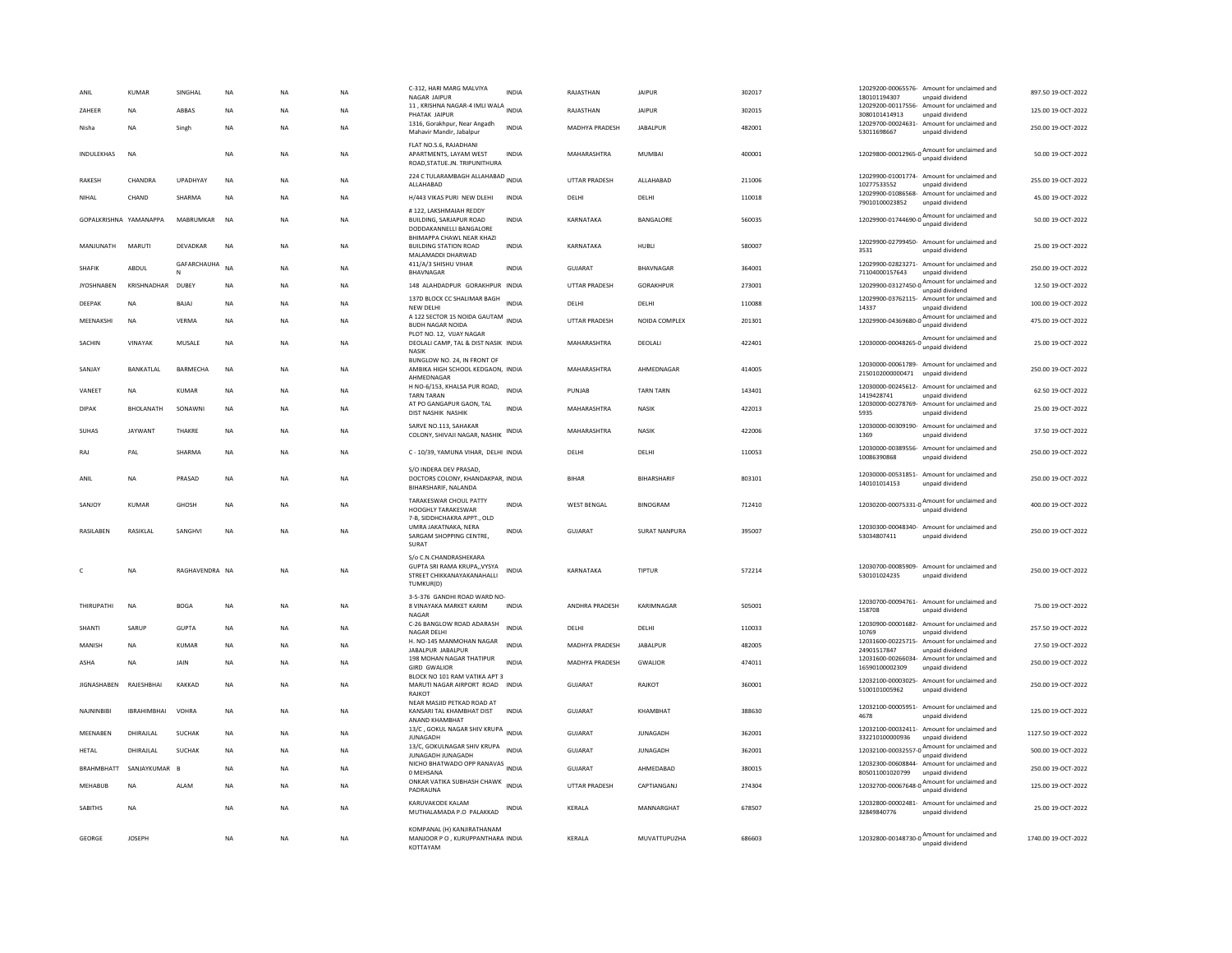| ANII                   | <b>KUMAR</b>       | SINGHAI        | NA        | <b>NA</b> |           | C-312, HARI MARG MALVIYA<br>NAGAR JAIPUR                                                | <b>INDIA</b> | RAJASTHAN             | <b>JAIPUR</b>    | 302017 | 12029200-00065576- Amount for unclaimed and<br>180101194307<br>unpaid dividend     | 897.50 19-OCT-2022  |
|------------------------|--------------------|----------------|-----------|-----------|-----------|-----------------------------------------------------------------------------------------|--------------|-----------------------|------------------|--------|------------------------------------------------------------------------------------|---------------------|
| ZAHEER                 | <b>NA</b>          | ABBAS          | <b>NA</b> | <b>NA</b> | <b>NA</b> | 11, KRISHNA NAGAR-4 IMLI WALA INDIA<br>PHATAK JAIPUR                                    |              | RAJASTHAN             | <b>JAIPUR</b>    | 302015 | 12029200-00117556- Amount for unclaimed and<br>3080101414913<br>unpaid dividend    | 125.00 19-OCT-2022  |
| Nisha                  | <b>NA</b>          | Singh          | <b>NA</b> | <b>NA</b> | <b>NA</b> | 1316, Gorakhpur, Near Angadh<br>Mahavir Mandir, Jabalpur                                | <b>INDIA</b> | <b>MADHYA PRADESH</b> | <b>JARAI PUR</b> | 482001 | 12029700-00024631- Amount for unclaimed and<br>53011698667<br>unpaid dividend      | 250.00.19-OCT-2022  |
| INDULEKHAS             | <b>NA</b>          |                | <b>NA</b> | NA        | NA        | FLAT NO.S.6, RAJADHANI<br>APARTMENTS, LAYAM WEST<br>ROAD, STATUE.JN. TRIPUNITHURA       | <b>INDIA</b> | MAHARASHTRA           | <b>MUMBAI</b>    | 400001 | 12029800-00012965-0 Amount for unclaimed and<br>unpaid dividend                    | 50.00 19-OCT-2022   |
| <b>RAKESH</b>          | CHANDRA            | UPADHYAY       | <b>NA</b> | <b>NA</b> | <b>NA</b> | 224 C TULARAMBAGH ALLAHABAD INDIA<br>ALLAHABAD                                          |              | UTTAR PRADESH         | ALLAHABAD        | 211006 | 12029900-01001774- Amount for unclaimed and<br>10277533552<br>unpaid dividend      | 255.00 19-OCT-2022  |
| NIHAL                  | CHAND              | SHARMA         | NA        | NA        | NA        | H/443 VIKAS PURI NEW DLEHI                                                              | INDIA        | DELHI                 | DELHI            | 110018 | 12029900-01086568- Amount for unclaimed and<br>79010100023852<br>unpaid dividend   | 45.00 19-OCT-2022   |
| GOPALKRISHNA YAMANAPPA |                    | MARRUMKAR      | <b>NA</b> | <b>NA</b> | <b>NA</b> | #122, LAKSHMAIAH REDDY<br>BUILDING, SARJAPUR ROAD<br>DODDAKANNELLI BANGALORE            | <b>INDIA</b> | KARNATAKA             | BANGALORE        | 560035 | 12029900-01744690-0 Amount for unclaimed and                                       | 50.00 19-OCT-2022   |
| MANJUNATH              | MARUTI             | DEVADKAR       | NA        | NA        | NA        | BHIMAPPA CHAWL NEAR KHAZI<br><b>BUILDING STATION ROAD</b><br>MALAMADDI DHARWAD          | <b>INDIA</b> | KARNATAKA             | HUBLI            | 580007 | 12029900-02799450- Amount for unclaimed and<br>3531<br>unpaid dividend             | 25.00 19-OCT-2022   |
| <b>SHAFIK</b>          | ABDUI              | GAFARCHAUHA    | <b>NA</b> | <b>NA</b> | <b>NA</b> | 411/A/3 SHISHU VIHAR<br>BHAVNAGAR                                                       | <b>INDIA</b> | GUIARAT               | <b>RHAVNAGAR</b> | 364001 | 12029900-02823271- Amount for unclaimed and<br>71104000157643<br>unpaid dividend   | 250.00.19-OCT-2022  |
| <b>JYOSHNABEN</b>      | KRISHNADHAR        | DUBEY          | <b>NA</b> | <b>NA</b> | <b>NA</b> | 148 ALAHDADPUR GORAKHPUR INDIA                                                          |              | <b>UTTAR PRADESH</b>  | GORAKHPUR        | 273001 | 12029900-03127450-0 Amount for unclaimed and<br>unpaid dividend                    | 12.50 19-OCT-2022   |
| DEEPAK                 | NA                 | BAJAJ          | NA        | NA        | NA        | 137D BLOCK CC SHALIMAR BAGH<br>NEW DELHI                                                | <b>INDIA</b> | DELHI                 | DELHI            | 110088 | 12029900-03762115- Amount for unclaimed and<br>14337<br>unpaid dividend            | 100.00 19-OCT-2022  |
| MEENAKSHI              | <b>NA</b>          | <b>VERMA</b>   | <b>NA</b> | <b>NA</b> | <b>NA</b> | A 122 SECTOR 15 NOIDA GAUTAM<br><b>BUDH NAGAR NOIDA</b>                                 | <b>INDIA</b> | <b>UTTAR PRADESH</b>  | NOIDA COMPLEX    | 201301 | 12029900-04369680-0 Amount for unclaimed and<br>unpaid dividend                    | 475.00 19-OCT-2022  |
| SACHIN                 | VINAYAK            | MUSALE         | NA        | NA        | NA        | PLOT NO. 12. VIJAY NAGAR<br>DEOLALI CAMP, TAL & DIST NASIK INDIA<br><b>NASIK</b>        |              | MAHARASHTRA           | DEOLALI          | 422401 | 12030000-00048265-0<br>unpaid dividend<br>unpaid dividend                          | 25.00 19-OCT-2022   |
| SANJAY                 | BANKATLAL          | BARMECHA       | <b>NA</b> | <b>NA</b> | <b>NA</b> | BUNGLOW NO. 24, IN FRONT OF<br>AMBIKA HIGH SCHOOL KEDGAON, INDIA<br>AHMEDNAGAR          |              | MAHARASHTRA           | AHMEDNAGAR       | 414005 | 12030000-00061789- Amount for unclaimed and<br>2150102000000471<br>unpaid dividend | 250.00 19-OCT-2022  |
| VANEET                 | NA                 | <b>KUMAR</b>   | <b>NA</b> | <b>NA</b> | <b>NA</b> | H NO-6/153, KHALSA PUR ROAD,<br><b>TARN TARAN</b>                                       | <b>INDIA</b> | PUNJAB                | <b>TARN TARN</b> | 143401 | 12030000-00245612-<br>Amount for unclaimed and<br>1419428741<br>unpaid dividend    | 62.50 19-OCT-2022   |
| <b>DIPAK</b>           | <b>BHOLANATH</b>   | SONAWNI        | <b>NA</b> | <b>NA</b> | <b>NA</b> | AT PO GANGAPUR GAON, TAL<br>DIST NASHIK NASHIK                                          | <b>INDIA</b> | MAHARASHTRA           | <b>NASIK</b>     | 422013 | 12030000-00278769-<br>Amount for unclaimed and<br>5935<br>unpaid dividend          | 25.00 19-OCT-2022   |
| <b>SUHAS</b>           | <b>JAYWANT</b>     | THAKRE         | NA        | NA        | NA        | SARVE NO.113, SAHAKAR<br>COLONY, SHIVAJI NAGAR, NASHIK                                  | INDIA        | MAHARASHTRA           | NASIK            | 422006 | 12030000-00309190- Amount for unclaimed and<br>1369<br>unpaid dividend             | 37.50 19-OCT-2022   |
| RAJ                    | PAL                | SHARMA         | <b>NA</b> | <b>NA</b> | <b>NA</b> | C - 10/39, YAMUNA VIHAR, DELHI INDIA                                                    |              | DELHI                 | DELHI            | 110053 | 12030000-00389556- Amount for unclaimed and<br>10086390868<br>unpaid dividend      | 250.00 19-OCT-2022  |
| ANIL                   | NA                 | PRASAD         | NA        | NA        | NA        | S/O INDERA DEV PRASAD.<br>DOCTORS COLONY, KHANDAKPAR, INDIA<br>BIHARSHARIF, NALANDA     |              | BIHAR                 | BIHARSHARIF      | 803101 | 12030000-00531851- Amount for unclaimed and<br>140101014153<br>unpaid dividend     | 250.00 19-OCT-2022  |
| SANJOY                 | KUMAR              | GHOSH          | NA        | <b>NA</b> | NA        | TARAKESWAR CHOUL PATTY<br>HOOGHLY TARAKESWAR                                            | INDIA        | <b>WEST BENGAL</b>    | <b>BINOGRAM</b>  | 712410 | 12030200-00075331-0<br>unpaid dividend<br>dividend                                 | 400.00 19-OCT-2022  |
| <b>RASILAREN</b>       | <b>RASIKI AI</b>   | SANGHVI        | <b>NA</b> | <b>NA</b> | NA        | 7-B, SIDDHCHAKRA APPT., OLD<br>UMRA JAKATNAKA, NERA<br>SARGAM SHOPPING CENTRE.<br>SURAT | <b>INDIA</b> | GUIARAT               | SURAT NANPURA    | 395007 | 12030300-00048340- Amount for unclaimed and<br>53034807411<br>unpaid dividend      | 250.00.19-OCT-2022  |
|                        |                    |                |           |           |           | S/o C.N.CHANDRASHEKARA                                                                  |              |                       |                  |        |                                                                                    |                     |
|                        | <b>NA</b>          | RAGHAVENDRA NA |           | <b>NA</b> | <b>NA</b> | GUPTA SRI RAMA KRUPA,, VYSYA<br>STREET CHIKKANAYAKANAHALLI<br>TUMKUR(D)                 | <b>INDIA</b> | KARNATAKA             | <b>TIPTUR</b>    | 572214 | 12030700-00085909- Amount for unclaimed and<br>530101024235<br>unpaid dividend     | 250.00 19-OCT-2022  |
| THIRUPATHI             | NA                 | <b>BOGA</b>    | NA        | NA        | <b>NA</b> | 3-5-376 GANDHI ROAD WARD NO-<br>8 VINAYAKA MARKET KARIM<br><b>NAGAR</b>                 | <b>INDIA</b> | ANDHRA PRADESH        | KARIMNAGAR       | 505001 | 12030700-00094761- Amount for unclaimed and<br>158708<br>unpaid dividend           | 75.00 19-OCT-2022   |
| SHANTI                 | SARUP              | <b>GUPTA</b>   | NA        | <b>NA</b> | NA        | C-26 BANGLOW ROAD ADARASH<br>NAGAR DELH                                                 | <b>INDIA</b> | DELHI                 | DELHI            | 110033 | 12030900-00001682- Amount for unclaimed and<br>10769<br>unpaid dividend            | 257.50 19-OCT-2022  |
| MANISH                 | <b>NA</b>          | <b>KUMAR</b>   | <b>NA</b> | <b>NA</b> | <b>NA</b> | H. NO-145 MANMOHAN NAGAR<br>JABALPUR JABALPUR                                           | <b>INDIA</b> | MADHYA PRADESH        | <b>JABALPUR</b>  | 482005 | 12031600-00225715- Amount for unclaimed and<br>24901517847<br>unpaid dividend      | 27.50 19-OCT-2022   |
| ASHA                   | NA                 | JAIN           | NA        | NA        | NA        | 198 MOHAN NAGAR THATIPUR<br><b>GIRD GWALIOR</b>                                         | <b>INDIA</b> | MADHYA PRADESH        | GWALIOR          | 474011 | 12031600-00266034- Amount for unclaimed and<br>16590100002309<br>unpaid dividend   | 250.00 19-OCT-2022  |
| <b>IIGNASHAREN</b>     | RAIFSHRHAI         | KAKKAD         | <b>NA</b> | <b>NA</b> | <b>NA</b> | BLOCK NO 101 RAM VATIKA APT 3<br>MARUTI NAGAR AIRPORT ROAD INDIA<br>RAJKOT              |              | GUIARAT               | RAIKOT           | 360001 | 12032100-00003025- Amount for unclaimed and<br>5100101005962<br>unpaid dividend    | 250.00.19-OCT-2022  |
| NAJNINBIBI             | <b>IBRAHIMBHAI</b> | VOHRA          | NA        | NA        | NA        | NEAR MASJID PETKAD ROAD AT<br>KANSARI TAL KHAMBHAT DIST<br>ANAND KHAMBHAT               | <b>INDIA</b> | <b>GUJARAT</b>        | KHAMBHAT         | 388630 | 12032100-00005951- Amount for unclaimed and<br>unpaid dividend<br>4678             | 125.00 19-OCT-2022  |
| MEENABEN               | DHIRAJLAL          | <b>SUCHAK</b>  | <b>NA</b> | <b>NA</b> | <b>NA</b> | 13/C, GOKUL NAGAR SHIV KRUPA<br>JUNAGADH                                                | <b>INDIA</b> | GUIARAT               | <b>IUNAGADH</b>  | 362001 | 12032100-00032411- Amount for unclaimed and<br>332210100000936<br>unpaid dividend  | 1127.50 19-OCT-2022 |
| HETAL                  | DHIRAJLAL          | <b>SUCHAK</b>  | <b>NA</b> | <b>NA</b> | <b>NA</b> | 13/C, GOKULNAGAR SHIV KRUPA<br>JUNAGADH JUNAGADH                                        | <b>INDIA</b> | <b>GUJARAT</b>        | <b>JUNAGADH</b>  | 362001 | 12032100-00032557-0 Amount for unclaimed and<br>unpaid dividend                    | 500.00 19-OCT-2022  |
| BRAHMBHATT             | SANJAYKUMAR        | E              | NA        | NA        | NA        | NICHO BHATWADO OPP RANAVAS INDIA<br>0 MEHSANA                                           |              | GUJARAT               | AHMEDABAD        | 380015 | 12032300-00608844- Amount for unclaimed and<br>805011001020799<br>unpaid dividend  | 250.00 19-OCT-2022  |
| MEHABUB                | <b>NA</b>          | ALAM           | <b>NA</b> | <b>NA</b> | <b>NA</b> | ONKAR VATIKA SUBHASH CHAWK INDIA<br>PADRAUNA                                            |              | <b>UTTAR PRADESH</b>  | CAPTIANGANJ      | 274304 | 12032700-00067648-0 Amount for unclaimed and<br>unpaid dividend                    | 125.00 19-OCT-2022  |
| <b>SABITHS</b>         | <b>NA</b>          |                | NA        | NA        | NA        | KARUVAKODE KALAM<br>MUTHALAMADA P.O PALAKKAD                                            | INDIA        | KERALA                | MANNARGHAT       | 678507 | 12032800-00002481- Amount for unclaimed and<br>32849840776<br>unpaid dividend      | 25.00 19-OCT-2022   |
| GEORGE                 | <b>IOSEPH</b>      |                | <b>NA</b> | <b>NA</b> | <b>NA</b> | KOMPANAL (H) KANJIRATHANAM<br>MANJOOR P O , KURUPPANTHARA INDIA<br>KOTTAYAM             |              | <b>KFRAIA</b>         | MUVATTUPUZHA     | 686603 | 12032800-00148730-0 Amount for unclaimed and                                       | 1740.00 19-OCT-2022 |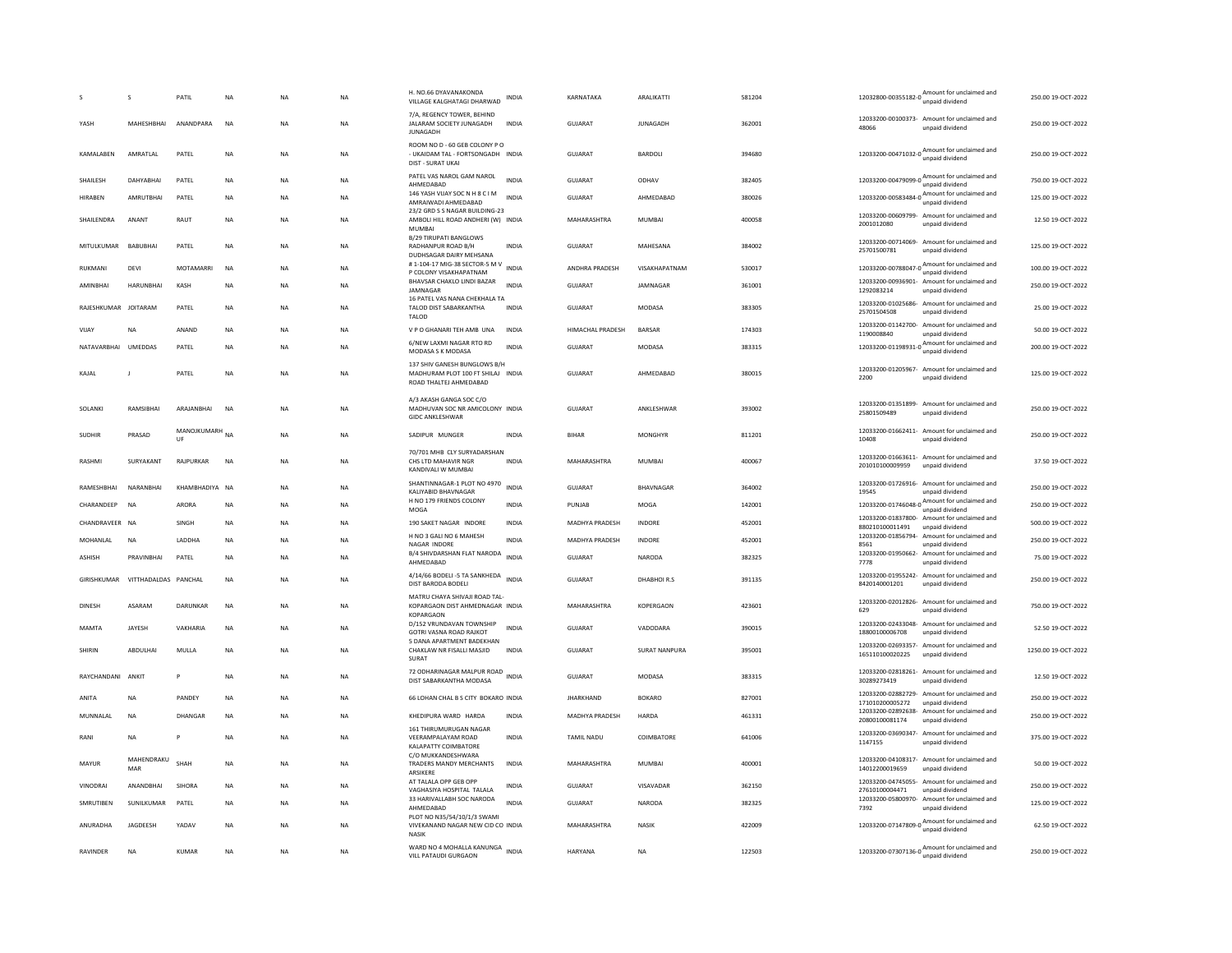|                      | s                                | PATIL                | NA        | NA        | NA        | H. NO.66 DYAVANAKONDA<br>VILLAGE KALGHATAGI DHARWAD                                         | INDIA        | KARNATAKA        | ARALIKATTI           | 581204 | 12032800-00355182-0<br>unpaid dividend<br>unpaid dividend                               | 250.00 19-OCT-2022  |
|----------------------|----------------------------------|----------------------|-----------|-----------|-----------|---------------------------------------------------------------------------------------------|--------------|------------------|----------------------|--------|-----------------------------------------------------------------------------------------|---------------------|
| YASH                 | MAHESHBHAI                       | ANANDPARA            | <b>NA</b> | NA        | NA        | 7/A. REGENCY TOWER, BEHIND<br>JALARAM SOCIETY JUNAGADH<br><b>JUNAGADH</b>                   | <b>INDIA</b> | GUJARAT          | <b>JUNAGADH</b>      | 362001 | 12033200-00100373- Amount for unclaimed and<br>48066<br>unpaid dividend                 | 250.00 19-OCT-2022  |
| KAMALABEN            | AMRATLAL                         | PATEL                | <b>NA</b> | <b>NA</b> | <b>NA</b> | ROOM NO D - 60 GEB COLONY P O<br>- UKAIDAM TAL - FORTSONGADH INDIA<br>DIST - SURAT UKAI     |              | <b>GUJARAT</b>   | BARDOLI              | 394680 | 12033200-00471032-0 Amount for unclaimed and<br>unpaid dividend                         | 250.00 19-OCT-2022  |
| SHAILESH             | DAHYABHAI                        | PATEL                | NA        | <b>NA</b> | NA        | PATEL VAS NAROL GAM NAROL<br>AHMEDABAD                                                      | <b>INDIA</b> | <b>GUJARAT</b>   | ODHAV                | 382405 | 12033200-00479099-0 Amount for unclaimed and<br>unpaid dividend                         | 750.00 19-OCT-2022  |
| <b>HIRABEN</b>       | <b>AMRUTBHAI</b>                 | PATEL                | <b>NA</b> | <b>NA</b> | <b>NA</b> | 146 YASH VIJAY SOC N H 8 C I M<br>AMRAIWADI AHMEDABAD                                       | <b>INDIA</b> | <b>GUJARAT</b>   | AHMEDABAD            | 380026 | 12033200-00583484-0 $\frac{\text{Amount}}{\cdots}$ for unclaimed and<br>unpaid dividend | 125.00 19-OCT-2022  |
| SHAILENDRA           | ANANT                            | RAUT                 | NA        | <b>NA</b> | NA        | 23/2 GRD S S NAGAR BUILDING-23<br>AMBOLI HILL ROAD ANDHERI (W) INDIA<br>MUMBAI              |              | MAHARASHTRA      | MUMBAI               | 400058 | 12033200-00609799- Amount for unclaimed and<br>2001012080<br>unpaid dividend            | 12.50 19-OCT-2022   |
| MITULKUMAR           | BABUBHAI                         | PATEL                | <b>NA</b> | <b>NA</b> | <b>NA</b> | B/29 TIRUPATI BANGLOWS<br>RADHANPUR ROAD B/H<br>DUDHSAGAR DAIRY MEHSANA                     | <b>INDIA</b> | GUJARAT          | MAHESANA             | 384002 | 12033200-00714069-<br>Amount for unclaimed and<br>25701500781<br>unpaid dividend        | 125.00 19-OCT-2022  |
| RUKMANI              | DEVI                             | MOTAMARRI            | NA        | <b>NA</b> | NA        | #1-104-17 MIG-38 SECTOR-5 M V<br>P COLONY VISAKHAPATNAM                                     | INDIA        | ANDHRA PRADESH   | VISAKHAPATNAM        | 530017 | 12033200-00788047-0<br>unpaid dividend<br>dividend                                      | 100.00 19-OCT-2022  |
| <b>AMINRHAI</b>      | <b>HARUNBHAI</b>                 | KASH                 | <b>NA</b> | <b>NA</b> | <b>NA</b> | BHAVSAR CHAKLO LINDI BAZAR<br>JAMNAGAR                                                      | <b>INDIA</b> | <b>GUJARAT</b>   | <b>IAMNAGAR</b>      | 361001 | 12033200-00936901- Amount for unclaimed and<br>1292083214<br>unpaid dividend            | 250.00 19-OCT-2022  |
| RAJESHKUMAR JOITARAM |                                  | PATEL                | <b>NA</b> | <b>NA</b> | <b>NA</b> | 16 PATEL VAS NANA CHEKHALA TA<br>TALOD DIST SABARKANTHA<br>TALOD                            | <b>INDIA</b> | GUJARAT          | MODASA               | 383305 | 12033200-01025686- Amount for unclaimed and<br>25701504508<br>unpaid dividend           | 25.00 19-OCT-2022   |
| VIJAY                | <b>NA</b>                        | ANAND                | <b>NA</b> | <b>NA</b> | NA        | V P O GHANARI TEH AMB UNA                                                                   | INDIA        | HIMACHAL PRADESH | <b>BARSAR</b>        | 174303 | 12033200-01142700- Amount for unclaimed and<br>1190008840<br>unpaid dividend            | 50.00 19-OCT-2022   |
| NATAVARBHAI          | UMEDDAS                          | PATEL                | <b>NA</b> | <b>NA</b> | <b>NA</b> | 6/NEW LAXMI NAGAR RTO RD<br>MODASA S K MODASA                                               | <b>INDIA</b> | <b>GUJARAT</b>   | MODASA               | 383315 | $12033200{\cdot}01198931{\cdot}0$ Amount for unclaimed and<br>unpaid dividend           | 200.00 19-OCT-2022  |
| KAIAI                | $\mathbf{I}$                     | PATEL                | <b>NA</b> | <b>NA</b> | <b>NA</b> | 137 SHIV GANESH BUNGLOWS B/H<br>MADHURAM PLOT 100 FT SHILAJ INDIA<br>ROAD THALTEJ AHMEDABAD |              | GUIARAT          | AHMEDARAD            | 380015 | 12033200-01205967- Amount for unclaimed and<br>2200<br>unpaid dividend                  | 125.00 19-OCT-2022  |
| SOLANKI              | RAMSIBHA                         | ARAJANBHAI           | <b>NA</b> | <b>NA</b> | NA        | A/3 AKASH GANGA SOC C/O<br>MADHUVAN SOC NR AMICOLONY INDIA<br><b>GIDC ANKLESHWAR</b>        |              | <b>GUJARAT</b>   | ANKLESHWAR           | 393002 | 12033200-01351899- Amount for unclaimed and<br>25801509489<br>unpaid dividend           | 250.00 19-OCT-2022  |
| <b>SUDHIR</b>        | PRASAD                           | MANOJKUMARH NA<br>UF |           | <b>NA</b> | <b>NA</b> | SADIPUR MUNGER                                                                              | <b>INDIA</b> | <b>BIHAR</b>     | <b>MONGHYR</b>       | 811201 | 12033200-01662411- Amount for unclaimed and<br>10408<br>unpaid dividend                 | 250.00 19-OCT-2022  |
| RASHMI               | SURYAKANT                        | RAJPURKAR            | <b>NA</b> | <b>NA</b> | <b>NA</b> | 70/701 MHB CLY SURYADARSHAN<br>CHS LTD MAHAVIR NGR<br>KANDIVALI W MUMBAI                    | <b>INDIA</b> | MAHARASHTRA      | <b>MUMBAI</b>        | 400067 | 12033200-01663611- Amount for unclaimed and<br>201010100009959<br>unpaid dividend       | 37.50 19-OCT-2022   |
| RAMESHBHAI           | NARANBHAI                        | KHAMBHADIYA NA       |           | <b>NA</b> | NA        | SHANTINNAGAR-1 PLOT NO 4970<br>KALIYABID BHAVNAGAR                                          | <b>INDIA</b> | GUJARAT          | BHAVNAGAR            | 364002 | 12033200-01726916- Amount for unclaimed and<br>19545<br>unpaid dividend                 | 250.00 19-OCT-2022  |
| CHARANDEEP           | <b>NA</b>                        | ARORA                | <b>NA</b> | <b>NA</b> | NA        | H NO 179 FRIENDS COLONY<br>MOGA                                                             | <b>INDIA</b> | PUNJAB           | MOGA                 | 142001 | 12033200-01746048-0 Amount for unclaimed and                                            | 250.00 19-OCT-2022  |
| CHANDRAVEER NA       |                                  | SINGH                | <b>NA</b> | <b>NA</b> | <b>NA</b> | 190 SAKET NAGAR INDORE                                                                      | <b>INDIA</b> | MADHYA PRADESH   | <b>INDORE</b>        | 452001 | 12033200-01837800- Amount for unclaimed and<br>880210100011491<br>unpaid dividend       | 500.00 19-OCT-2022  |
| MOHANLAL             | <b>NA</b>                        | LADDHA               | NA        | <b>NA</b> | NA        | H NO 3 GALI NO 6 MAHESH<br>NAGAR INDORE                                                     | <b>INDIA</b> | MADHYA PRADESH   | INDORE               | 452001 | 12033200-01856794- Amount for unclaimed and<br>8561<br>unpaid dividend                  | 250.00 19-OCT-2022  |
| ASHISH               | PRAVINBHAI                       | PATEL                | NA        | NA        | NA        | B/4 SHIVDARSHAN FLAT NARODA<br>AHMEDABAD                                                    | <b>INDIA</b> | GUJARAT          | NARODA               | 382325 | 12033200-01950662- Amount for unclaimed and<br>unpaid dividend<br>7778                  | 75.00 19-OCT-2022   |
|                      | GIRISHKUMAR VITTHADALDAS PANCHAL |                      | <b>NA</b> | <b>NA</b> | <b>NA</b> | 4/14/66 BODELI -5 TA SANKHEDA<br>DIST BARODA BODELI                                         | <b>INDIA</b> | GUIARAT          | DHABHOLR S           | 391135 | 12033200-01955242- Amount for unclaimed and<br>8420140001201<br>unpaid dividend         | 250.00 19-OCT-2022  |
| DINESH               | <b>ASARAM</b>                    | DARUNKAR             | NA        | <b>NA</b> | <b>NA</b> | MATRU CHAYA SHIVAJI ROAD TAL-<br>KOPARGAON DIST AHMEDNAGAR INDIA                            |              | MAHARASHTRA      | KOPERGAON            | 423601 | 12033200-02012826- Amount for unclaimed and<br>629<br>unpaid dividend                   | 750.00 19-OCT-2022  |
| <b>MAMTA</b>         | JAYESH                           | VAKHARIA             | <b>NA</b> | <b>NA</b> | <b>NA</b> | <b>KOPARGAON</b><br>D/152 VRUNDAVAN TOWNSHIP<br>GOTRI VASNA ROAD RAJKOT                     | <b>INDIA</b> | <b>GUJARAT</b>   | VADODARA             | 390015 | 12033200-02433048- Amount for unclaimed and<br>unpaid dividend<br>18800100006708        | 52.50 19-OCT-2022   |
| SHIRIN               | ABDULHAI                         | MULLA                | <b>NA</b> | <b>NA</b> | NA        | 5 DANA APARTMENT BADEKHAN<br>CHAKLAW NR FISALLI MASJID                                      | INDIA        | <b>GUJARAT</b>   | <b>SURAT NANPURA</b> | 395001 | 12033200-02693357- Amount for unclaimed and<br>165110100020225<br>unpaid dividend       | 1250.00 19-OCT-2022 |
| RAYCHANDANI ANKIT    |                                  | P                    | NA        | NA        | NA        | SURAT<br>72 ODHARINAGAR MALPUR ROAD INDIA                                                   |              | GUJARAT          | MODASA               | 383315 | 12033200-02818261- Amount for unclaimed and                                             | 12.50 19-OCT-2022   |
|                      |                                  |                      |           |           |           | DIST SABARKANTHA MODASA                                                                     |              |                  |                      |        | 30289273419<br>unpaid dividend<br>12033200-02882729- Amount for unclaimed and           |                     |
| ANITA                | <b>NA</b>                        | PANDEY               | <b>NA</b> | <b>NA</b> | <b>NA</b> | 66 LOHAN CHAL B S CITY BOKARO INDIA                                                         |              | <b>JHARKHAND</b> | <b>BOKARO</b>        | 827001 | 171010200005272<br>unpaid dividend<br>12033200-02892638- Amount for unclaimed and       | 250.00 19-OCT-2022  |
| MUNNALAL             | NA                               | DHANGAR              | <b>NA</b> | <b>NA</b> | NA        | KHEDIPURA WARD HARDA<br>161 THIRUMURUGAN NAGAR                                              | <b>INDIA</b> | MADHYA PRADESH   | HARDA                | 461331 | 20800100081174<br>unpaid dividend                                                       | 250.00 19-OCT-2022  |
| RANI                 | <b>NA</b>                        | Þ                    | <b>NA</b> | <b>NA</b> | <b>NA</b> | VEERAMPALAYAM ROAD<br>KALAPATTY COIMBATORE<br>C/O MUKKANDESHWARA                            | <b>INDIA</b> | TAMIL NADU       | COIMBATORE           | 641006 | 12033200-03690347-<br>Amount for unclaimed and<br>1147155<br>unpaid dividend            | 375.00 19-OCT-2022  |
| MAYUR                | MAHENDRAKU<br>MAR                | SHAH                 | NA        | <b>NA</b> | NA        | TRADERS MANDY MERCHANTS<br>ARSIKERE                                                         | <b>INDIA</b> | MAHARASHTRA      | MUMBAI               | 400001 | 12033200-04108317- Amount for unclaimed and<br>14012200019659<br>unpaid dividend        | 50.00 19-OCT-2022   |
| VINODRAI             | ANANDBHAI                        | SIHORA               | <b>NA</b> | <b>NA</b> | <b>NA</b> | AT TALALA OPP GEB OPP<br>VAGHASIYA HOSPITAL TALALA                                          | <b>INDIA</b> | GUJARAT          | VISAVADAR            | 362150 | 12033200-04745055- Amount for unclaimed and<br>27610100004471<br>unpaid dividend        | 250.00 19-OCT-2022  |
| SMRUTIBEN            | SUNILKUMAR                       | PATEL                | <b>NA</b> | <b>NA</b> | <b>NA</b> | 33 HARIVALLABH SOC NARODA<br>AHMEDABAD                                                      | <b>INDIA</b> | <b>GUJARAT</b>   | <b>NARODA</b>        | 382325 | 12033200-05800970- Amount for unclaimed and<br>7392<br>unpaid dividend                  | 125.00 19-OCT-2022  |
| ANURADHA             | JAGDEESH                         | YADAV                | <b>NA</b> | <b>NA</b> | <b>NA</b> | PLOT NO N35/54/10/1/3 SWAMI<br>VIVEKANAND NAGAR NEW CID CO INDIA<br>NASIK                   |              | MAHARASHTRA      | <b>NASIK</b>         | 422009 | 12033200-07147809-0 Amount for unclaimed and                                            | 62.50 19-OCT-2022   |
|                      |                                  |                      |           |           |           |                                                                                             |              |                  |                      |        |                                                                                         |                     |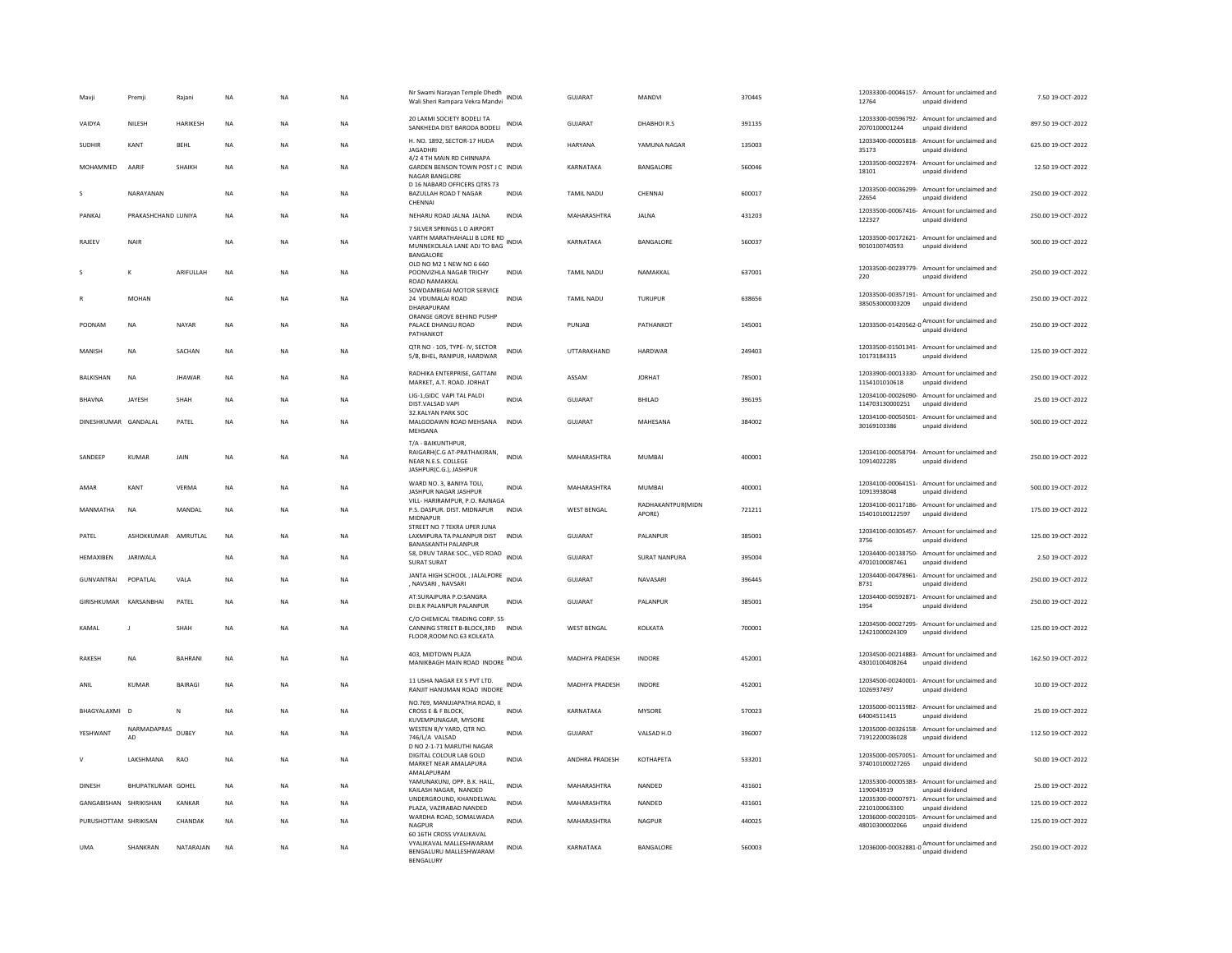| Mavji                 | Premji                   | Rajani        | NA          | <b>NA</b>   | <b>NA</b> | Nr Swami Narayan Temple Dhedh<br>Wali Sheri Rampara Vekra Mandvi                                          | INDIA        | GUJARAT            | MANDVI                      | 370445 | 12764                           | 12033300-00046157- Amount for unclaimed and<br>unpaid dividend | 7.50 19-OCT-2022   |
|-----------------------|--------------------------|---------------|-------------|-------------|-----------|-----------------------------------------------------------------------------------------------------------|--------------|--------------------|-----------------------------|--------|---------------------------------|----------------------------------------------------------------|--------------------|
| VAIDYA                | NILESH                   | HARIKESH      | <b>NA</b>   | <b>NA</b>   | NA        | 20 LAXMI SOCIETY BODELI TA<br>SANKHEDA DIST BARODA BODELI                                                 | INDIA        | GUJARAT            | DHABHOIR.S                  | 391135 | 2070100001244                   | 12033300-00596792- Amount for unclaimed and<br>unpaid dividend | 897.50 19-OCT-2022 |
| <b>SUDHIR</b>         | KANT                     | <b>RFHI</b>   | <b>NA</b>   | <b>NA</b>   | <b>NA</b> | H. NO. 1892, SECTOR-17 HUDA<br><b>JAGADHRI</b>                                                            | <b>INDIA</b> | HARYANA            | YAMUNA NAGAR                | 135003 | 35173                           | 12033400-00005818- Amount for unclaimed and<br>unpaid dividend | 625.00.19-OCT-2022 |
| MOHAMMED              | AARIF                    | SHAIKH        | <b>NA</b>   | <b>NA</b>   | <b>NA</b> | 4/2 4 TH MAIN RD CHINNAPA<br>GARDEN BENSON TOWN POST J C INDIA<br><b>NAGAR BANGLORE</b>                   |              | KARNATAKA          | BANGALORE                   | 560046 | 18101                           | 12033500-00022974- Amount for unclaimed and<br>unpaid dividend | 12.50 19-OCT-2022  |
| s                     | NARAYANAN                |               | <b>NA</b>   | <b>NA</b>   | <b>NA</b> | D 16 NABARD OFFICERS QTRS 73<br>BAZULLAH ROAD T NAGAR<br>CHENNAL                                          | <b>INDIA</b> | <b>TAMIL NADU</b>  | CHENNAI                     | 600017 | 22654                           | 12033500-00036299- Amount for unclaimed and<br>unpaid dividend | 250.00 19-OCT-2022 |
| PANKAJ                | PRAKASHCHAND LUNIYA      |               | <b>NA</b>   | <b>NA</b>   | <b>NA</b> | NEHARU ROAD JALNA JALNA                                                                                   | <b>INDIA</b> | MAHARASHTRA        | <b>JALNA</b>                | 431203 | 122327                          | 12033500-00067416- Amount for unclaimed and<br>unpaid dividend | 250.00 19-OCT-2022 |
| RAJEEV                | <b>NAIR</b>              |               | $_{\sf NA}$ | $_{\sf NA}$ | ΝA        | 7 SILVER SPRINGS L.O. AIRPORT<br>VARTH MARATHAHALLI B LORE RD<br>MUNNEKOLALA LANE ADJ TO BAG<br>BANGALORE | <b>INDIA</b> | KARNATAKA          | BANGALORE                   | 560037 | 9010100740593                   | 12033500-00172621- Amount for unclaimed and<br>unpaid dividend | 500.00 19-OCT-2022 |
| s                     | К                        | ARIFULLAH     | <b>NA</b>   | <b>NA</b>   | <b>NA</b> | OLD NO M2 1 NEW NO 6 660<br>POONVIZHLA NAGAR TRICHY<br><b>ROAD NAMAKKAL</b>                               | <b>INDIA</b> | <b>TAMIL NADU</b>  | NAMAKKAL                    | 637001 | 220                             | 12033500-00239779- Amount for unclaimed and<br>unpaid dividend | 250.00 19-OCT-2022 |
|                       | MOHAN                    |               | <b>NA</b>   | <b>NA</b>   | <b>NA</b> | SOWDAMBIGAI MOTOR SERVICE<br>24 VDUMALAI ROAD<br>DHARAPURAM                                               | <b>INDIA</b> | <b>TAMIL NADU</b>  | TURUPUR                     | 638656 | 385053000003209                 | 12033500-00357191- Amount for unclaimed and<br>unpaid dividend | 250.00 19-OCT-2022 |
| POONAM                | <b>NA</b>                | NAYAR         | NA          | NA          | NA        | ORANGE GROVE BEHIND PUSHP<br>PALACE DHANGU ROAD<br>PATHANKOT                                              | <b>INDIA</b> | PUNJAB             | <b>PATHANKOT</b>            | 145001 |                                 | 12033500-01420562-0 Amount for unclaimed and                   | 250.00 19-OCT-2022 |
| MANISH                | NA                       | SACHAN        | $_{\sf NA}$ | NA          | NA        | QTR NO - 105, TYPE- IV, SECTOR<br>5/B, BHEL, RANIPUR, HARDWAR                                             | INDIA        | UTTARAKHAND        | HARDWAR                     | 249403 | 10173184315                     | 12033500-01501341- Amount for unclaimed and<br>unnaid dividend | 125.00 19-OCT-2022 |
| <b>BALKISHAN</b>      | <b>NA</b>                | <b>JHAWAR</b> | <b>NA</b>   | <b>NA</b>   | <b>NA</b> | RADHIKA ENTERPRISE, GATTANI<br>MARKET, A.T. ROAD, JORHAT                                                  | INDIA        | ASSAM              | <b>JORHAT</b>               | 785001 | 1154101010618                   | 12033900-00013330- Amount for unclaimed and<br>unnaid dividend | 250.00 19-OCT-2022 |
| <b>BHAVNA</b>         | JAYESH                   | SHAH          | <b>NA</b>   | <b>NA</b>   | <b>NA</b> | LIG-1,GIDC VAPI TAL PALDI<br>DIST.VALSAD VAPI                                                             | <b>INDIA</b> | <b>GUJARAT</b>     | BHILAD                      | 396195 | 114703130000251                 | 12034100-00026090- Amount for unclaimed and<br>unpaid dividend | 25.00 19-OCT-2022  |
| DINESHKUMAR GANDALAL  |                          | PATEL         | <b>NA</b>   | NA          | NA        | 32.KALYAN PARK SOC<br>MALGODAWN ROAD MEHSANA<br>MEHSANA                                                   | INDIA        | <b>GUJARAT</b>     | MAHESANA                    | 384002 | 30169103386                     | 12034100-00050501- Amount for unclaimed and<br>unpaid dividend | 500.00 19-OCT-2022 |
| SANDEEP               | <b>KUMAR</b>             | JAIN          | <b>NA</b>   | <b>NA</b>   | <b>NA</b> | T/A - BAIKUNTHPUR,<br>RAIGARH(C.G AT-PRATHAKIRAN,<br>NEAR N.E.S. COLLEGE<br>JASHPUR(C.G.), JASHPUR        | <b>INDIA</b> | MAHARASHTRA        | <b>MUMBAI</b>               | 400001 | 10914022285                     | 12034100-00058794- Amount for unclaimed and<br>unpaid dividend | 250.00 19-OCT-2022 |
| AMAR                  | KANT                     | <b>VERMA</b>  | $_{\sf NA}$ | <b>NA</b>   | <b>NA</b> | WARD NO. 3. BANIYA TOLI.<br>JASHPUR NAGAR JASHPUR                                                         | <b>INDIA</b> | MAHARASHTRA        | <b>MUMBAI</b>               | 400001 | 10913938048                     | 12034100-00064151- Amount for unclaimed and<br>unpaid dividend | 500.00 19-OCT-2022 |
| MANMATHA              | <b>NA</b>                | MANDAL        | <b>NA</b>   | <b>NA</b>   | <b>NA</b> | VILL- HARIRAMPUR, P.O. RAJNAGA<br>P.S. DASPUR. DIST. MIDNAPUR<br>MIDNAPUR                                 | <b>INDIA</b> | <b>WEST BENGAL</b> | RADHAKANTPUR(MIDN<br>APORE) | 721211 | 154010100122597                 | 12034100-00117186- Amount for unclaimed and<br>unpaid dividend | 175.00 19-OCT-2022 |
| PATEL                 | <b>ASHOKKUMAR</b>        | AMRUTLAL      | <b>NA</b>   | <b>NA</b>   | <b>NA</b> | STREET NO 7 TEKRA UPER JUNA<br>LAXMIPURA TA PALANPUR DIST<br><b>BANASKANTH PALANPUR</b>                   | <b>INDIA</b> | <b>GUJARAT</b>     | <b>PALANPUR</b>             | 385001 | 3756                            | 12034100-00305457- Amount for unclaimed and<br>unpaid dividend | 125.00 19-OCT-2022 |
| HEMAXIBEN             | <b>JARIWALA</b>          |               | <b>NA</b>   | <b>NA</b>   | <b>NA</b> | 58, DRUV TARAK SOC., VED ROAD INDIA<br>SURAT SURAT                                                        |              | <b>GUJARAT</b>     | <b>SURAT NANPURA</b>        | 395004 | 47010100087461                  | 12034400-00138750- Amount for unclaimed and<br>unpaid dividend | 2.50 19-OCT-2022   |
| <b>GUNVANTRAI</b>     | POPATI AI                | VALA          | <b>NA</b>   | <b>NA</b>   | <b>NA</b> | JANTA HIGH SCHOOL, JALALPORE INDIA<br>, NAVSARI, NAVSARI                                                  |              | GUIARAT            | NAVASARI                    | 396445 | 8731                            | 12034400-00478961- Amount for unclaimed and<br>unpaid dividend | 250.00 19-OCT-2022 |
| GIRISHKUMAR           | KARSANBHAI               | PATEL         | NA          | NA          | NA        | AT:SURAJPURA P.O:SANGRA<br>DI:B.K PALANPUR PALANPUR                                                       | <b>INDIA</b> | GUJARAT            | PALANPUR                    | 385001 | 1954                            | 12034400-00592871- Amount for unclaimed and<br>unpaid dividend | 250.00 19-OCT-2022 |
| KAMAL                 |                          | SHAH          | NA          | <b>NA</b>   | NA        | C/O CHEMICAL TRADING CORP. 55<br>CANNING STREET B-BLOCK, 3RD<br>FLOOR, ROOM NO.63 KOLKATA                 | <b>INDIA</b> | <b>WEST BENGAL</b> | KOLKATA                     | 700001 | 12421000024309                  | 12034500-00027295- Amount for unclaimed and<br>unpaid dividend | 125.00 19-OCT-2022 |
| RAKESH                | <b>NA</b>                | <b>BAHRAN</b> | $_{\sf NA}$ | NA          | NA        | 403. MIDTOWN PLAZA<br>MANIKBAGH MAIN ROAD INDORE INDIA                                                    |              | MADHYA PRADESH     | INDORE                      | 452001 | 43010100408264                  | 12034500-00214883- Amount for unclaimed and<br>unpaid dividend | 162.50 19-OCT-2022 |
| ANIL                  | KUMAR                    | BAIRAGI       | NA          | NA          | NA        | 11 USHA NAGAR EX S PVT LTD.<br>RANJIT HANUMAN ROAD INDORE                                                 | <b>INDIA</b> | MADHYA PRADESH     | INDORE                      | 452001 | 1026937497                      | 12034500-00240001- Amount for unclaimed and<br>unpaid dividend | 10.00 19-OCT-2022  |
| BHAGYALAXMI           | $\overline{D}$           | N             | <b>NA</b>   | <b>NA</b>   | <b>NA</b> | NO.769, MANUJAPATHA ROAD, II<br>CROSS E & F BLOCK.                                                        | <b>INDIA</b> | KARNATAKA          | <b>MYSORE</b>               | 570023 | 64004511415                     | 12035000-00115982- Amount for unclaimed and<br>unpaid dividend | 25.00 19-OCT-2022  |
| YESHWANT              | NARMADAPRAS<br><b>AD</b> | <b>DURFY</b>  | <b>NA</b>   | <b>NA</b>   | <b>NA</b> | KUVEMPUNAGAR, MYSORE<br>WESTEN R/Y YARD, QTR NO.<br>746/L/A VALSAD<br>D NO 2-1-71 MARUTHI NAGAR           | <b>INDIA</b> | GUIARAT            | VAISAD H.O                  | 396007 | 71912200036028                  | 12035000-00326158- Amount for unclaimed and<br>unpaid dividend | 112.50 19-OCT-2022 |
| $\mathsf{v}$          | LAKSHMANA                | RAO           | <b>NA</b>   | <b>NA</b>   | <b>NA</b> | DIGITAL COLOUR LAB GOLD<br>MARKET NEAR AMALAPURA<br>AMALAPURAM                                            | <b>INDIA</b> | ANDHRA PRADESH     | KOTHAPETA                   | 533201 | 374010100027265                 | 12035000-00570051- Amount for unclaimed and<br>unpaid dividend | 50.00 19-OCT-2022  |
| DINESH                | <b>BHUPATKUMAR GOHFI</b> |               | NA          | <b>NA</b>   | NA        | YAMUNAKUNJ, OPP. B.K. HALL,<br>KAILASH NAGAR. NANDED                                                      | <b>INDIA</b> | MAHARASHTRA        | <b>NANDED</b>               | 431601 | 1190043919                      | 12035300-00005383- Amount for unclaimed and<br>unnaid dividend | 25.00.19-QCT-2022  |
|                       |                          |               |             |             |           | UNDERGROUND, KHANDELWAL                                                                                   |              | MAHARASHTRA        | NANDED                      | 431601 |                                 | 12035300-00007971- Amount for unclaimed and                    | 125.00 19-OCT-2022 |
|                       | GANGABISHAN SHRIKISHAN   | KANKAR        | <b>NA</b>   | <b>NA</b>   | <b>NA</b> |                                                                                                           | <b>INDIA</b> |                    |                             |        |                                 | unpaid dividend                                                |                    |
| PURUSHOTTAM SHRIKISAN |                          | CHANDAK       | $_{\sf NA}$ | <b>NA</b>   | <b>NA</b> | PLAZA, VAZIRABAD NANDED<br>WARDHA ROAD, SOMALWADA<br>NAGPUR<br>60 16TH CROSS VYALIKAVAL                   | <b>INDIA</b> | MAHARASHTRA        | NAGPUR                      | 440025 | 2210100063300<br>48010300002066 | 12036000-00020105- Amount for unclaimed and<br>unpaid dividend | 125.00 19-OCT-2022 |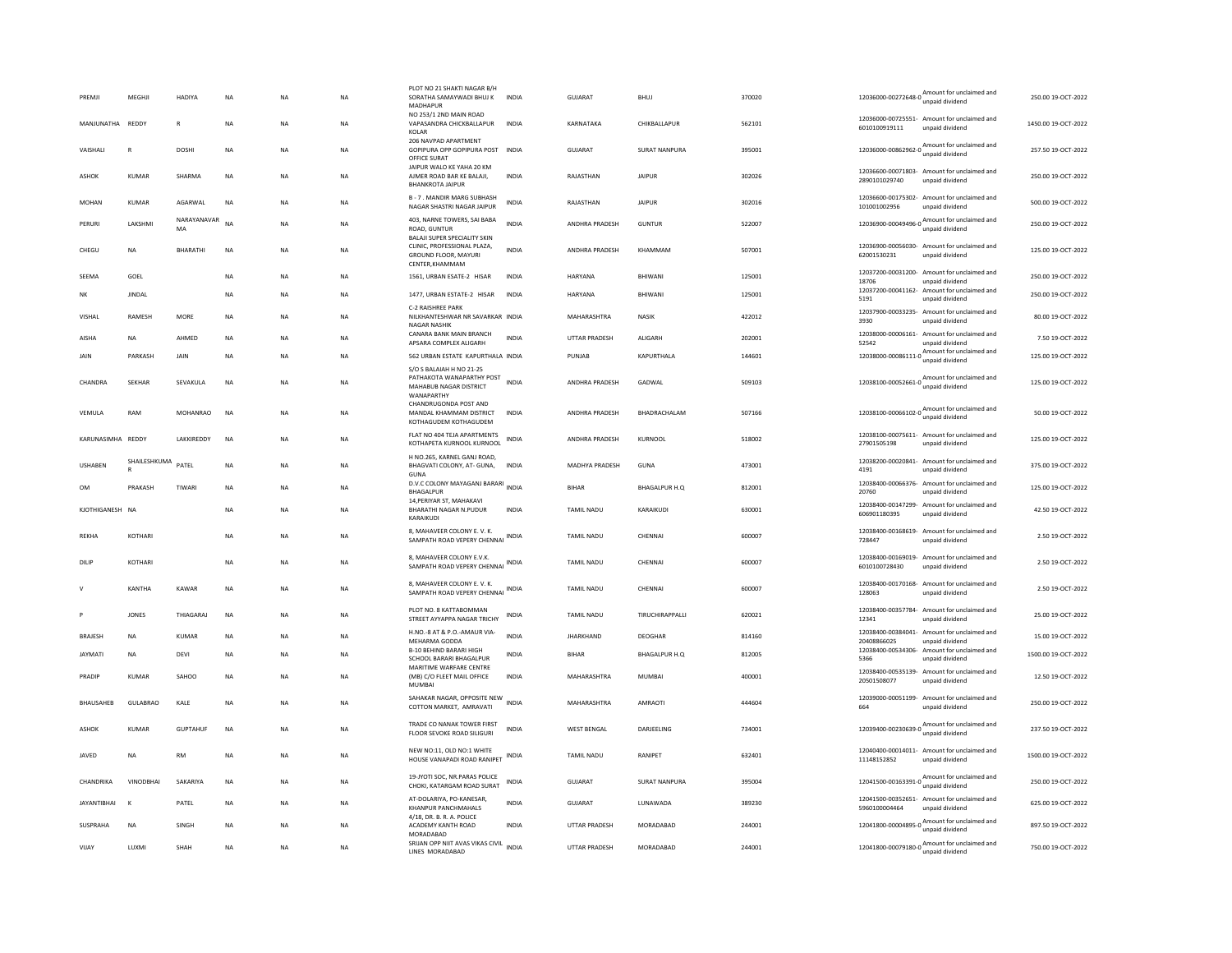| PREMJI             | MEGHJI        | <b>HADIYA</b>     | <b>NA</b> | <b>NA</b> | <b>NA</b>              | PLOT NO 21 SHAKTI NAGAR B/H<br>SORATHA SAMAYWADI BHUJ K<br>MADHAPUR               | <b>INDIA</b> | GUJARAT               | <b>BHUJ</b>          | 370020 | 12036000-00272648-0<br>unpaid dividend                                                                  | 250.00 19-OCT-2022  |
|--------------------|---------------|-------------------|-----------|-----------|------------------------|-----------------------------------------------------------------------------------|--------------|-----------------------|----------------------|--------|---------------------------------------------------------------------------------------------------------|---------------------|
| MANIUNATHA         | <b>REDDY</b>  | $\mathbb{R}$      | <b>NA</b> | <b>NA</b> | <b>NA</b>              | NO 253/1 2ND MAIN ROAD<br>VAPASANDRA CHICKBALLAPUR<br>KOLAR                       | <b>INDIA</b> | KARNATAKA             | <b>CHIKBALLAPUR</b>  | 562101 | 12036000-00725551- Amount for unclaimed and<br>6010100919111<br>unpaid dividend                         | 1450.00.19-OCT-2022 |
| VAISHALI           | $\mathbb{R}$  | <b>DOSHI</b>      | <b>NA</b> | <b>NA</b> | <b>NA</b>              | 206 NAVPAD APARTMENT<br>GOPIPURA OPP GOPIPURA POST INDIA<br>OFFICE SURAT          |              | <b>GUJARAT</b>        | <b>SURAT NANPURA</b> | 395001 | 12036000-00862962-0 Amount for unclaimed and                                                            | 257.50 19-OCT-2022  |
| <b>ASHOK</b>       | <b>KUMAR</b>  | <b>SHARMA</b>     | NA        | <b>NA</b> | NA                     | JAIPUR WALO KE YAHA 20 KM<br>AJMER ROAD BAR KE BALAJI,<br><b>BHANKROTA JAIPUR</b> | <b>INDIA</b> | RAJASTHAN             | <b>JAIPUR</b>        | 302026 | 12036600-00071803- Amount for unclaimed and<br>2890101029740<br>unpaid dividend                         | 250.00 19-OCT-2022  |
| MOHAN              | <b>KUMAR</b>  | AGARWAL           | NA        | <b>NA</b> | NA                     | <b>B-7. MANDIR MARG SUBHASH</b><br>NAGAR SHASTRI NAGAR JAIPUR                     | INDIA        | RAJASTHAN             | <b>JAIPUR</b>        | 302016 | 12036600-00175302- Amount for unclaimed and<br>101001002956<br>unpaid dividend                          | 500.00 19-OCT-2022  |
| PERURI             | LAKSHMI       | NARAYANAVAR<br>MA | <b>NA</b> | <b>NA</b> | <b>NA</b>              | 403, NARNE TOWERS, SAI BABA<br>ROAD, GUNTUR<br>BALAJI SUPER SPECIALITY SKIN       | <b>INDIA</b> | ANDHRA PRADESH        | <b>GUNTUR</b>        | 522007 | $12036900\cdot00049496\cdot0$ Amount for unclaimed and<br>unpaid dividend                               | 250.00 19-OCT-2022  |
| CHEGU              | NA            | <b>BHARATHI</b>   | NA        | NA        | NA                     | CLINIC, PROFESSIONAL PLAZA,<br><b>GROUND FLOOR, MAYURI</b><br>CENTER.KHAMMAM      | <b>INDIA</b> | <b>ANDHRA PRADESH</b> | KHAMMAM              | 507001 | 12036900-00056030- Amount for unclaimed and<br>62001530231<br>unpaid dividend                           | 125.00 19-OCT-2022  |
| SEEMA              | GOEL          |                   | NA        | <b>NA</b> | NA                     | 1561, URBAN ESATE-2 HISAR                                                         | INDIA        | HARYANA               | BHIWANI              | 125001 | 12037200-00031200- Amount for unclaimed and<br>18706<br>unnaid dividend                                 | 250.00 19-OCT-2022  |
| NK                 | <b>IINDAI</b> |                   | <b>NA</b> | <b>NA</b> | <b>NA</b>              | 1477, URBAN ESTATE-2 HISAR                                                        | <b>INDIA</b> | <b>HARYANA</b>        | BHIWANI              | 125001 | 12037200-00041162-<br>Amount for unclaimed and<br>5191<br>unpaid dividend                               | 250.00 19-OCT-2022  |
| <b>VISHAL</b>      | RAMESH        | MORE              | <b>NA</b> | <b>NA</b> |                        | C-2 RAISHREE PARK<br>NILKHANTESHWAR NR SAVARKAR INDIA                             |              | MAHARASHTRA           | NASIK                | 422012 | 12037900-00033235- Amount for unclaimed and                                                             | 80.00 19-OCT-2022   |
| AISHA              | <b>NA</b>     | AHMED             | <b>NA</b> | <b>NA</b> | <b>NA</b><br><b>NA</b> | <b>NAGAR NASHIK</b><br>CANARA BANK MAIN BRANCH                                    | <b>INDIA</b> | <b>UTTAR PRADESH</b>  | ALIGARH              | 202001 | unpaid dividend<br>3930<br>12038000-00006161- Amount for unclaimed and                                  | 7.50 19-OCT-2022    |
|                    |               |                   |           |           |                        | APSARA COMPLEX ALIGARH                                                            |              |                       |                      |        | 52542<br>unpaid dividend<br>12038000-00086111-0 Amount for unclaimed and                                |                     |
| JAIN               | PARKASH       | JAIN              | <b>NA</b> | <b>NA</b> | <b>NA</b>              | 562 URBAN ESTATE KAPURTHALA INDIA<br>S/O S BALAIAH H NO 21-25                     |              | PUNJAB                | KAPURTHALA           | 144601 | unpaid dividend                                                                                         | 125.00 19-OCT-2022  |
| CHANDRA            | <b>SEKHAR</b> | SEVAKULA          | <b>NA</b> | <b>NA</b> | <b>NA</b>              | PATHAKOTA WANAPARTHY POST<br>MAHABUB NAGAR DISTRICT<br>WANAPARTHY                 | <b>INDIA</b> | <b>ANDHRA PRADESH</b> | GADWAI               | 509103 | 12038100-00052661-0 $\frac{\text{Amount for unclaimed}}{\text{m}}$<br>unpaid dividend                   | 125.00 19-OCT-2022  |
| VEMULA             | RAM           | MOHANRAO          | <b>NA</b> | <b>NA</b> | <b>NA</b>              | CHANDRUGONDA POST AND<br>MANDAL KHAMMAM DISTRICT<br>KOTHAGUDEM KOTHAGUDEM         | <b>INDIA</b> | <b>ANDHRA PRADESH</b> | <b>BHADRACHALAM</b>  | 507166 | 12038100-00066102-0 Amount for unclaimed and<br>unpaid dividend                                         | 50.00 19-QCT-2022   |
| KARUNASIMHA REDDY  |               | LAKKIREDDY        | <b>NA</b> | <b>NA</b> | NA                     | FLAT NO 404 TEJA APARTMENTS<br>KOTHAPETA KURNOOL KURNOOL                          | <b>INDIA</b> | ANDHRA PRADESH        | KURNOOL              | 518002 | 12038100-00075611- Amount for unclaimed and<br>27901505198<br>unpaid dividend                           | 125.00 19-OCT-2022  |
| <b>USHABEN</b>     | SHAILESHKUMA  | PATEL             | NA        | <b>NA</b> | NA                     | H NO. 265, KARNEL GANI ROAD.<br>BHAGVATI COLONY, AT- GUNA,<br><b>GUNA</b>         | INDIA        | MADHYA PRADESH        | GUNA                 | 473001 | 12038200-00020841- Amount for unclaimed and<br>4191<br>unpaid dividend                                  | 375.00 19-OCT-2022  |
| OM                 | PRAKASH       | TIWARI            | <b>NA</b> | <b>NA</b> | <b>NA</b>              | D.V.C COLONY MAYAGANJ BARARI<br><b>BHAGALPUR</b><br>14. PERIYAR ST. MAHAKAVI      | <b>INDIA</b> | <b>BIHAR</b>          | BHAGALPUR H.O        | 812001 | 12038400-00066376- Amount for unclaimed and<br>20760<br>unpaid dividend                                 | 125.00 19-OCT-2022  |
| KJOTHIGANESH NA    |               |                   | <b>NA</b> | <b>NA</b> | <b>NA</b>              | <b>BHARATHI NAGAR N.PUDUR</b><br>KARAIKUDI                                        | <b>INDIA</b> | TAMIL NADU            | KARAIKUDI            | 630001 | 12038400-00147299- Amount for unclaimed and<br>606901180395<br>unpaid dividend                          | 42.50 19-OCT-2022   |
| REKHA              | KOTHARI       |                   | NA        | NA        | NA                     | 8. MAHAVEER COLONY E. V. K.<br>SAMPATH ROAD VEPERY CHENNAL INDIA                  |              | TAMIL NADU            | CHENNAI              | 600007 | 12038400-00168619- Amount for unclaimed and<br>728447<br>unpaid dividend                                | 2.50 19-OCT-2022    |
| DILIP              | KOTHARI       |                   | <b>NA</b> | <b>NA</b> | <b>NA</b>              | 8. MAHAVEER COLONY E.V.K.<br>SAMPATH ROAD VEPERY CHENNAL INDIA                    |              | <b>TAMIL NADU</b>     | CHENNAL              | 600007 | 12038400-00169019- Amount for unclaimed and<br>6010100728430<br>unpaid dividend                         | 2.50 19-OCT-2022    |
| v                  | KANTHA        | KAWAR             | <b>NA</b> | <b>NA</b> | <b>NA</b>              | 8, MAHAVEER COLONY E. V. K.<br>SAMPATH ROAD VEPERY CHENNAL INDIA                  |              | <b>TAMIL NADU</b>     | CHENNAL              | 600007 | 12038400-00170168- Amount for unclaimed and<br>128063<br>unpaid dividend                                | 2.50 19-OCT-2022    |
|                    | <b>JONES</b>  | THIAGARAJ         | <b>NA</b> | <b>NA</b> | NA                     | PLOT NO. 8 KATTABOMMAN<br>STREET AYYAPPA NAGAR TRICHY                             | INDIA        | <b>TAMIL NADU</b>     | TIRUCHIRAPPALLI      | 620021 | 12038400-00357784-<br>Amount for unclaimed and<br>12341<br>unpaid dividend                              | 25.00 19-OCT-2022   |
| <b>BRAJESH</b>     | <b>NA</b>     | <b>KUMAR</b>      | <b>NA</b> | <b>NA</b> | <b>NA</b>              | H.NO.-8 AT & P.O.-AMAUR VIA-<br>MEHARMA GODDA                                     | <b>INDIA</b> | <b>JHARKHAND</b>      | DEOGHAR              | 814160 | 12038400-00384041- Amount for unclaimed and<br>20408866025<br>unpaid dividend                           | 15.00 19-OCT-2022   |
| <b>JAYMATI</b>     | NA            | DEVI              | <b>NA</b> | <b>NA</b> | <b>NA</b>              | <b>B-10 BEHIND BARARI HIGH</b><br>SCHOOL BARARI BHAGALPUR                         | INDIA        | <b>BIHAR</b>          | BHAGALPUR H.O        | 812005 | 12038400-00534306- Amount for unclaimed and<br>5366<br>unpaid dividend                                  | 1500.00 19-OCT-2022 |
| PRADIP             | <b>KUMAR</b>  | SAHOO             | <b>NA</b> | <b>NA</b> | <b>NA</b>              | MARITIME WARFARE CENTRE<br>(MB) C/O FLEET MAIL OFFICE<br><b>MUMBAI</b>            | <b>INDIA</b> | MAHARASHTRA           | <b>MUMBAI</b>        | 400001 | 12038400-00535139-<br>Amount for unclaimed and<br>20501508077<br>unpaid dividend                        | 12.50 19-OCT-2022   |
| <b>BHAUSAHER</b>   | GUI ABRAO     | <b>KAIF</b>       | <b>NA</b> | <b>NA</b> | <b>NA</b>              | SAHAKAR NAGAR, OPPOSITE NEW<br>COTTON MARKET, AMRAVATI                            | <b>INDIA</b> | MAHARASHTRA           | AMRAOTI              | 444604 | 12039000-00051199- Amount for unclaimed and<br>664<br>unpaid dividend                                   | 250.00 19-OCT-2022  |
| <b>ASHOK</b>       | <b>KUMAR</b>  | <b>GUPTAHUR</b>   | <b>NA</b> | <b>NA</b> | <b>NA</b>              | TRADE CO NANAK TOWER FIRST<br>FLOOR SEVOKE ROAD SILIGURI                          | <b>INDIA</b> | <b>WEST BENGAL</b>    | DARJEELING           | 734001 | 12039400-00230639-0 $\frac{\text{Amount for undaimed}}{\text{6}}$<br>unpaid dividend                    | 237.50 19-OCT-2022  |
| JAVED              | <b>NA</b>     | <b>RM</b>         | <b>NA</b> | <b>NA</b> | NA                     | NEW NO:11, OLD NO:1 WHITE<br>HOUSE VANAPADI ROAD RANIPET INDIA                    |              | TAMIL NADU            | RANIPET              | 632401 | 12040400-00014011- Amount for unclaimed and<br>11148152852<br>unpaid dividend                           | 1500.00 19-OCT-2022 |
| CHANDRIKA          | VINODBHAI     | SAKARIYA          | <b>NA</b> | <b>NA</b> | <b>NA</b>              | 19-JYOTI SOC. NR.PARAS POLICE<br>CHOKI, KATARGAM ROAD SURAT                       | <b>INDIA</b> | GUJARAT               | SURAT NANPURA        | 395004 | Amount for unclaimed and<br>12041500-00163391-0 $\frac{\mu_{\text{H}}}{\mu_{\text{p}}}$ unpaid dividend | 250.00 19-OCT-2022  |
| <b>JAYANTIBHAI</b> | $\mathbf{K}$  | PATEL             | NA        | <b>NA</b> | <b>NA</b>              | AT-DOLARIYA, PO-KANESAR,<br>KHANPUR PANCHMAHALS<br>4/18, DR. B. R. A. POLICE      | <b>INDIA</b> | GUJARAT               | LUNAWADA             | 389230 | 12041500-00352651- Amount for unclaimed and<br>5960100004464<br>unpaid dividend                         | 625.00 19-OCT-2022  |
| <b>SUSPRAHA</b>    | <b>NA</b>     | SINGH             | <b>NA</b> | <b>NA</b> | <b>NA</b>              | ACADEMY KANTH ROAD<br>MORADARAD                                                   | <b>INDIA</b> | <b>UTTAR PRADESH</b>  | MORADABAD            | 244001 | 12041800-00004895-0<br>unpaid dividend<br>dividend                                                      | 897.50 19-OCT-2022  |
| VIJAY              | <b>IUXM</b>   | SHAH              | <b>NA</b> | <b>NA</b> | <b>NA</b>              | SRUAN OPP NIIT AVAS VIKAS CIVIL<br>LINES MORADABAD                                | <b>INDIA</b> | <b>UTTAR PRADESH</b>  | MORADARAD            | 244001 | 12041800-00079180-0 Amount for unclaimed and                                                            | 750.00 19-OCT-2022  |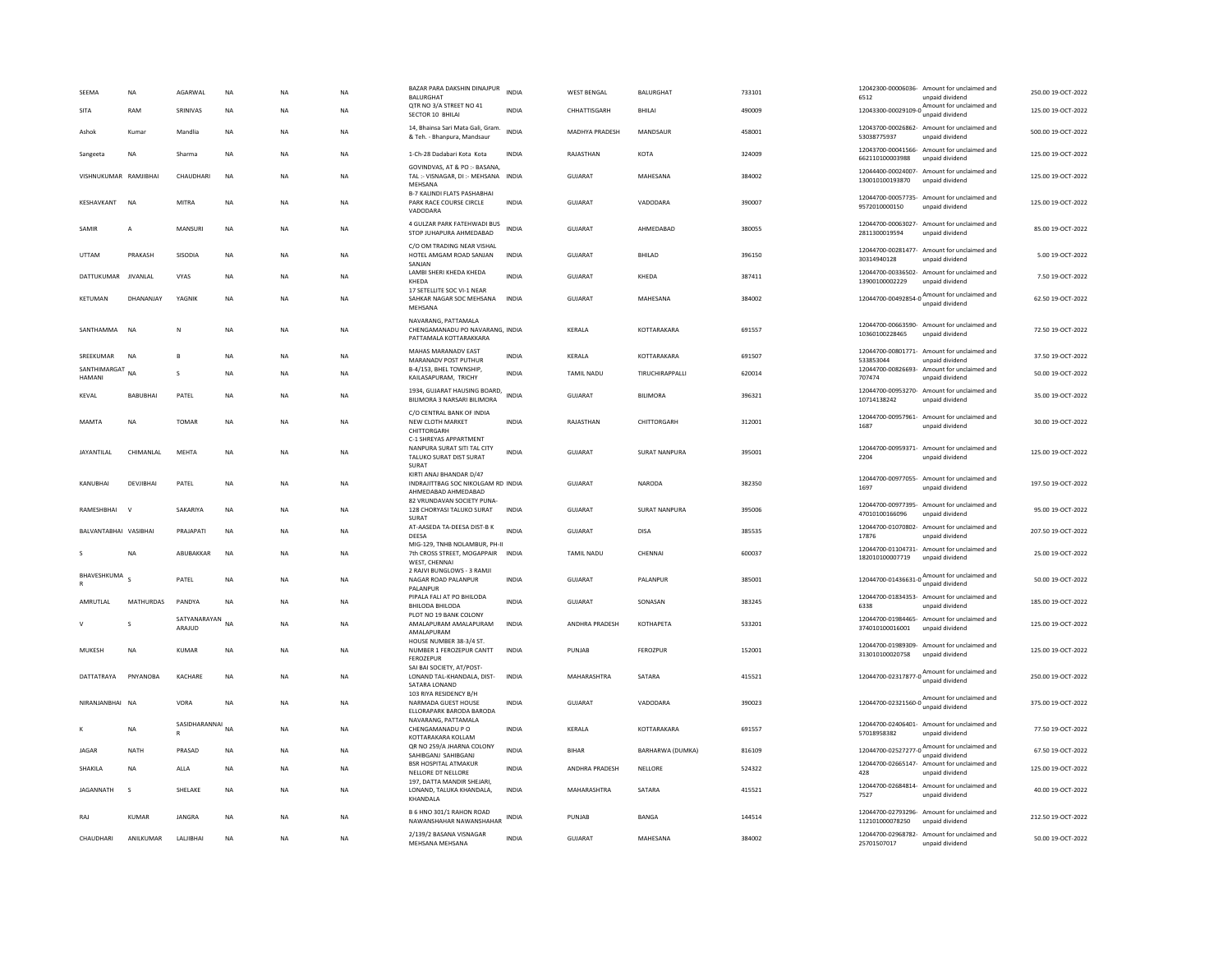| SEEMA<br><b>SITA</b>            | <b>NA</b><br>RAM | AGARWAL<br>SRINIVAS       | <b>NA</b><br>$_{\sf NA}$ | <b>NA</b><br>NA | NA<br>NA  | BAZAR PARA DAKSHIN DINAJPUR<br><b>BALURGHAT</b><br>QTR NO 3/A STREET NO 41<br>SECTOR 10 BHILAI | <b>INDIA</b><br><b>INDIA</b> | <b>WEST BENGAL</b><br>CHHATTISGARH | <b>BALURGHAT</b><br>BHILAI | 733101<br>490009 | 6512            | 12042300-00006036- Amount for unclaimed and<br>unpaid dividend<br>12043300-00029109-0 $\frac{\text{Amount for unclaimed}}{\text{6}}$<br>unpaid dividend | 250.00 19-OCT-2022<br>125.00 19-OCT-2022 |
|---------------------------------|------------------|---------------------------|--------------------------|-----------------|-----------|------------------------------------------------------------------------------------------------|------------------------------|------------------------------------|----------------------------|------------------|-----------------|---------------------------------------------------------------------------------------------------------------------------------------------------------|------------------------------------------|
| Ashok                           | Kumar            | Mandlia                   | <b>NA</b>                | <b>NA</b>       | <b>NA</b> | 14, Bhainsa Sari Mata Gali, Gram.<br>& Teh. - Bhanpura, Mandsaur                               | <b>INDIA</b>                 | <b>MADHYA PRADESH</b>              | MANDSAUR                   | 458001           | 53038775937     | 12043700-00026862- Amount for unclaimed and<br>unpaid dividend                                                                                          | 500.00 19-OCT-2022                       |
| Sangeeta                        | <b>NA</b>        | Sharma                    | <b>NA</b>                | <b>NA</b>       | <b>NA</b> | 1-Ch-28 Dadabari Kota Kota                                                                     | <b>INDIA</b>                 | RAJASTHAN                          | KOTA                       | 324009           | 662110100003988 | 12043700-00041566- Amount for unclaimed and<br>unpaid dividend                                                                                          | 125.00 19-OCT-2022                       |
| VISHNUKUMAR RAMJIBHAI           |                  | CHAUDHARI                 | <b>NA</b>                | <b>NA</b>       | <b>NA</b> | GOVINDVAS, AT & PO :- BASANA,<br>TAL: - VISNAGAR, DI: - MEHSANA INDIA<br>MEHSANA               |                              | <b>GUJARAT</b>                     | MAHESANA                   | 384002           | 130010100193870 | 12044400-00024007- Amount for unclaimed and<br>unpaid dividend                                                                                          | 125.00 19-OCT-2022                       |
| KESHAVKANT                      | NA               | MITRA                     | $_{\sf NA}$              | NA              | NA        | B-7 KALINDI FLATS PASHABHAI<br>PARK RACE COURSE CIRCLE<br>VADODARA                             | INDIA                        | GUJARAT                            | VADODARA                   | 390007           | 9572010000150   | 12044700-00057735- Amount for unclaimed and<br>unpaid dividend                                                                                          | 125.00 19-OCT-2022                       |
| SAMIR                           | $\mathsf{A}$     | MANSURI                   | $_{\sf NA}$              | <b>NA</b>       | <b>NA</b> | 4 GULZAR PARK FATEHWADI BUS<br>STOP JUHAPURA AHMEDABAD                                         | INDIA                        | GUJARAT                            | AHMEDABAD                  | 380055           | 2811300019594   | 12044700-00063027- Amount for unclaimed and<br>unpaid dividend                                                                                          | 85.00 19-OCT-2022                        |
| <b>UTTAM</b>                    | PRAKASH          | SISODIA                   | <b>NA</b>                | <b>NA</b>       | <b>NA</b> | C/O OM TRADING NEAR VISHAL<br>HOTEL AMGAM ROAD SANJAN<br>SANJAN                                | <b>INDIA</b>                 | GUIARAT                            | <b>BHILAD</b>              | 396150           | 30314940128     | 12044700-00281477- Amount for unclaimed and<br>unpaid dividend                                                                                          | 5.00.19-OCT-2022                         |
| DATTUKUMAR                      | <b>JIVANLAL</b>  | VYAS                      | $_{\sf NA}$              | NA              | <b>NA</b> | LAMBI SHERI KHEDA KHEDA<br>KHEDA<br>17 SETELLITE SOC VI-1 NEAR                                 | <b>INDIA</b>                 | GUJARAT                            | KHEDA                      | 387411           | 13900100002229  | 12044700-00336502- Amount for unclaimed and<br>unpaid dividend                                                                                          | 7.50 19-OCT-2022                         |
| KETUMAN                         | DHANANJAY        | YAGNIK                    | <b>NA</b>                | <b>NA</b>       | <b>NA</b> | SAHKAR NAGAR SOC MEHSANA<br>MEHSANA                                                            | <b>INDIA</b>                 | <b>GUJARAT</b>                     | MAHESANA                   | 384002           |                 | 12044700-00492854-0 Amount for unclaimed and<br>unpaid dividend                                                                                         | 62.50 19-OCT-2022                        |
| SANTHAMMA                       | <b>NA</b>        | N                         | <b>NA</b>                | <b>NA</b>       | <b>NA</b> | NAVARANG, PATTAMALA<br>CHENGAMANADU PO NAVARANG, INDIA<br>PATTAMALA KOTTARAKKARA               |                              | KERALA                             | KOTTARAKARA                | 691557           | 10360100228465  | 12044700-00663590- Amount for unclaimed and<br>unpaid dividend                                                                                          | 72.50 19-OCT-2022                        |
| SREEKUMAR                       | <b>NA</b>        |                           | <b>NA</b>                | <b>NA</b>       | <b>NA</b> | MAHAS MARANADV EAST<br>MARANADV POST PUTHUR                                                    | <b>INDIA</b>                 | KERALA                             | KOTTARAKARA                | 691507           | 533853044       | 12044700-00801771- Amount for unclaimed and<br>unpaid dividend                                                                                          | 37.50 19-OCT-2022                        |
| SANTHIMARGAT NA<br><b>HAMAN</b> |                  | S                         | NA                       | NA              | NA        | B-4/153, BHEL TOWNSHIP.<br>KAILASAPURAM, TRICHY                                                | INDIA                        | TAMIL NADU                         | TIRUCHIRAPPALLI            | 620014           | 707474          | 12044700-00826693- Amount for unclaimed and<br>unpaid dividend                                                                                          | 50.00 19-OCT-2022                        |
| KFVAI                           | BABUBHAI         | PATEL                     | <b>NA</b>                | <b>NA</b>       | <b>NA</b> | 1934, GUJARAT HAUSING BOARD,<br>BILIMORA 3 NARSARI BILIMORA                                    | <b>INDIA</b>                 | GUIARAT                            | <b>BILIMORA</b>            | 396321           | 10714138242     | 12044700-00953270- Amount for unclaimed and<br>unpaid dividend                                                                                          | 35.00 19-OCT-2022                        |
| MAMTA                           | NA               | TOMAR                     | $_{\sf NA}$              | <b>NA</b>       | NA        | C/O CENTRAL BANK OF INDIA<br>NEW CLOTH MARKET<br>CHITTORGARH                                   | <b>INDIA</b>                 | RAJASTHAN                          | CHITTORGARH                | 312001           | 1687            | 12044700-00957961- Amount for unclaimed and<br>unpaid dividend                                                                                          | 30.00 19-OCT-2022                        |
| JAYANTILAL                      | CHIMANLAL        | MEHTA                     | <b>NA</b>                | <b>NA</b>       | <b>NA</b> | C-1 SHREYAS APPARTMENT<br>NANPURA SURAT SITI TAL CITY<br>TALUKO SURAT DIST SURAT<br>SURAT      | INDIA                        | GUJARAT                            | <b>SURAT NANPURA</b>       | 395001           | 2204            | 12044700-00959371- Amount for unclaimed and<br>unpaid dividend                                                                                          | 125.00 19-OCT-2022                       |
| KANUBHAI                        | DEVJIBHAI        | PATEL                     | $_{\sf NA}$              | <b>NA</b>       | NA        | KIRTI ANAJ BHANDAR D/47<br>INDRAJITTBAG SOC NIKOLGAM RD INDIA<br>AHMEDABAD AHMEDABAD           |                              | <b>GUJARAT</b>                     | <b>NARODA</b>              | 382350           | 1697            | 12044700-00977055- Amount for unclaimed and<br>unpaid dividend                                                                                          | 197.50 19-OCT-2022                       |
| RAMESHBHAI                      |                  | SAKARIYA                  | <b>NA</b>                | NA              | <b>NA</b> | 82 VRUNDAVAN SOCIETY PUNA-<br>128 CHORYASI TALUKO SURAT<br>SURAT                               | <b>INDIA</b>                 | <b>GUJARAT</b>                     | <b>SURAT NANPURA</b>       | 395006           | 47010100166096  | 12044700-00977395- Amount for unclaimed and<br>unpaid dividend                                                                                          | 95.00 19-OCT-2022                        |
| BALVANTABHAI VASIBHAI           |                  | PRAJAPATI                 | $_{\sf NA}$              | NA              | NA        | AT-AASEDA TA-DEESA DIST-B K<br>DEESA                                                           | <b>INDIA</b>                 | <b>GUJARAT</b>                     | DISA                       | 385535           | 17876           | 12044700-01070802- Amount for unclaimed and<br>unpaid dividend                                                                                          | 207.50 19-OCT-2022                       |
|                                 | <b>NA</b>        | ABURAKKAR                 | <b>NA</b>                | <b>NA</b>       | <b>NA</b> | MIG-129, TNHB NOLAMBUR, PH-II<br>7th CROSS STREET, MOGAPPAIR<br>WEST, CHENNAI                  | <b>INDIA</b>                 | <b>TAMIL NADU</b>                  | CHENNAL                    | 600037           | 182010100007719 | 12044700-01104731- Amount for unclaimed and<br>unpaid dividend                                                                                          | 25.00.19-OCT-2022                        |
| BHAVESHKUMA                     | $\epsilon$       | PATEL                     | $_{\sf NA}$              | NA              | <b>NA</b> | 2 RAIVI BUNGLOWS - 3 RAMJI<br>NAGAR ROAD PALANPUR<br><b>PAI ANPUR</b>                          | <b>INDIA</b>                 | <b>GUJARAT</b>                     | PALANPUR                   | 385001           |                 | 12044700-01436631-0 Amount for unclaimed and                                                                                                            | 50.00 19-OCT-2022                        |
| AMRUTLAL                        | MATHURDAS        | PANDYA                    | $_{\sf NA}$              | <b>NA</b>       | <b>NA</b> | PIPALA FALI AT PO BHILODA<br>BHILODA BHILODA                                                   | INDIA                        | GUJARAT                            | SONASAN                    | 383245           | 6338            | 12044700-01834353- Amount for unclaimed and<br>unpaid dividend                                                                                          | 185.00 19-OCT-2022                       |
|                                 | s                | SATYANARAYAN NA<br>ARAIUD |                          | NA              | NA        | PLOT NO 19 BANK COLONY<br>AMALAPURAM AMALAPURAM<br>AMALAPURAM                                  | INDIA                        | ANDHRA PRADESH                     | <b>КОТНАРЕТА</b>           | 533201           | 374010100016001 | 12044700-01984465- Amount for unclaimed and<br>unpaid dividend                                                                                          | 125.00 19-OCT-2022                       |
| MUKESH                          | NA               | KUMAR                     | $_{\sf NA}$              | NA              | NA        | HOUSE NUMBER 38-3/4 ST.<br>NUMBER 1 FEROZEPUR CANTT<br>FEROZEPUF                               | <b>INDIA</b>                 | PUNJAB                             | FEROZPUR                   | 152001           | 313010100020758 | 12044700-01989309- Amount for unclaimed and<br>unpaid dividend                                                                                          | 125.00 19-OCT-2022                       |
| DATTATRAYA                      | PNYANORA         | <b>KACHARE</b>            | <b>NA</b>                | <b>NA</b>       | NA.       | SAI BAI SOCIETY, AT/POST-<br>LONAND TAL-KHANDALA, DIST-<br>SATARA LONAND                       | <b>INDIA</b>                 | <b>MAHARASHTRA</b>                 | SATARA                     | 415521           |                 | 12044700-02317877-0 Amount for unclaimed and<br>unpaid dividend                                                                                         | 250.00.19-OCT-2022                       |
| NIRANJANBHAI NA                 |                  | VORA                      | $_{\sf NA}$              | <b>NA</b>       | <b>NA</b> | 103 RIYA RESIDENCY B/H<br>NARMADA GUEST HOUSE<br>ELLORAPARK BARODA BARODA                      | <b>INDIA</b>                 | <b>GUJARAT</b>                     | VADODARA                   | 390023           |                 | 12044700-02321560-0 $\frac{\text{Amount for unclaimed}}{\text{6}}$<br>unpaid dividend                                                                   | 375.00 19-OCT-2022                       |
|                                 | <b>NA</b>        | SASIDHARANNAI NA          |                          | <b>NA</b>       | <b>NA</b> | NAVARANG, PATTAMALA<br>CHENGAMANADU P O<br>KOTTARAKARA KOLLAM                                  | <b>INDIA</b>                 | KERALA                             | KOTTARAKARA                | 691557           | 57018958382     | 12044700-02406401- Amount for unclaimed and<br>unpaid dividend                                                                                          | 77.50 19-OCT-2022                        |
| <b>JAGAR</b>                    | NATH             | PRASAD                    | NA                       | NA              | <b>NA</b> | QR NO 259/A JHARNA COLONY<br>SAHIBGANJ SAHIBGANJ                                               | <b>INDIA</b>                 | <b>BIHAR</b>                       | BARHARWA (DUMKA)           | 816109           |                 | 12044700-02527277-0 Amount for unclaimed and<br>unpaid dividend                                                                                         | 67.50 19-OCT-2022                        |
| SHAKILA                         | <b>NA</b>        | ALLA                      | <b>NA</b>                | <b>NA</b>       | <b>NA</b> | <b>BSR HOSPITAL ATMAKUR</b><br>NELLORE DT NELLORE                                              | <b>INDIA</b>                 | <b>ANDHRA PRADESH</b>              | NELLORE                    | 524322           | 428             | 12044700-02665147- Amount for unclaimed and<br>unpaid dividend                                                                                          | 125.00 19-OCT-2022                       |
| JAGANNATH                       | $\mathsf{s}$     | SHELAKE                   | <b>NA</b>                | <b>NA</b>       | <b>NA</b> | 197, DATTA MANDIR SHEJARI,<br>LONAND. TALUKA KHANDALA.<br>KHANDALA                             | <b>INDIA</b>                 | MAHARASHTRA                        | SATARA                     | 415521           | 7527            | 12044700-02684814- Amount for unclaimed and<br>unpaid dividend                                                                                          | 40.00 19-OCT-2022                        |
| <b>RAI</b>                      | KUMAR            | <b>IANGRA</b>             | <b>NA</b>                | <b>NA</b>       | <b>NA</b> | B 6 HNO 301/1 RAHON ROAD<br>NAWANSHAHAR NAWANSHAHAR                                            | <b>INDIA</b>                 | PUNIAR                             | <b>BANGA</b>               | 144514           | 112101000078250 | 12044700-02793296- Amount for unclaimed and<br>unpaid dividend                                                                                          | 212.50.19-OCT-2022                       |
| CHAUDHARI                       | ANILKUMAR        | LALJIBHAI                 | <b>NA</b>                | <b>NA</b>       | <b>NA</b> | 2/139/2 BASANA VISNAGAR<br>MEHSANA MEHSANA                                                     | INDIA                        | GUJARAT                            | MAHESANA                   | 384002           | 25701507017     | 12044700-02968782- Amount for unclaimed and<br>unpaid dividend                                                                                          | 50.00 19-OCT-2022                        |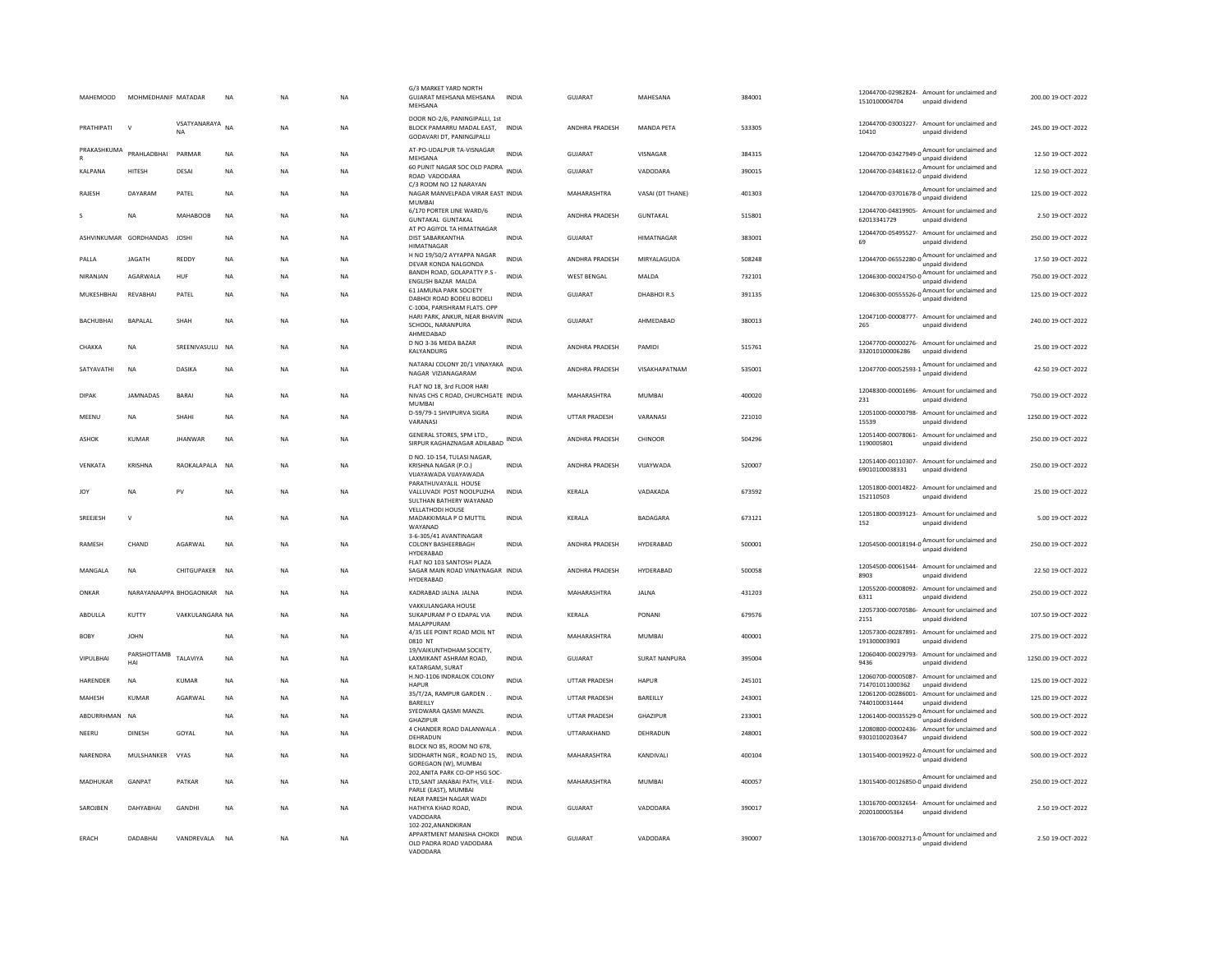| <b>MAHEMOOD</b>        | MOHMEDHANIF MATADAR |                            | <b>NA</b>   | <b>NA</b>   | <b>NA</b> | G/3 MARKET YARD NORTH<br>GUJARAT MEHSANA MEHSANA<br>MEHSANA                              | <b>INDIA</b> | <b>GUJARAT</b>        | MAHESANA         | 384001 | 1510100004704              | 12044700-02982824- Amount for unclaimed and<br>unpaid dividend  | 200.00 19-OCT-2022  |
|------------------------|---------------------|----------------------------|-------------|-------------|-----------|------------------------------------------------------------------------------------------|--------------|-----------------------|------------------|--------|----------------------------|-----------------------------------------------------------------|---------------------|
| PRATHIPATI             | $\mathbf{v}$        | VSATYANARAYA<br><b>NA</b>  | <b>NA</b>   | <b>NA</b>   | NA.       | DOOR NO-2/6, PANINGIPALLI, 1st<br>BLOCK PAMARRU MADAL FAST.<br>GODAVARI DT, PANINGJPALLI | <b>INDIA</b> | <b>ANDHRA PRADESH</b> | MANDA PFTA       | 533305 | 10410                      | 12044700-03003227- Amount for unclaimed and<br>unpaid dividend  | 245.00.19-OCT-2022  |
| PRAKASHKUMA<br>R       | PRAHLADBHAI         | PARMAR                     | <b>NA</b>   | <b>NA</b>   | NA        | AT-PO-UDALPUR TA-VISNAGAR<br>MEHSANA                                                     | <b>INDIA</b> | <b>GUJARAT</b>        | VISNAGAR         | 384315 |                            | 12044700-03427949-0 Amount for unclaimed and<br>unpaid dividend | 12.50 19-OCT-2022   |
| <b>KALPANA</b>         | HITESH              | DESAI                      | <b>NA</b>   | <b>NA</b>   | <b>NA</b> | 60 PUNIT NAGAR SOC OLD PADRA INDIA<br>ROAD VADODARA                                      |              | GUIARAT               | VADODARA         | 390015 |                            | 12044700-03481612-0 Amount for unclaimed and<br>unpaid dividend | 12.50 19-OCT-2022   |
| RAJESH                 | DAYARAM             | PATEL                      | <b>NA</b>   | NA          | NA        | C/3 ROOM NO 12 NARAYAN<br>NAGAR MANVELPADA VIRAR EAST INDIA<br>MUMBAI                    |              | MAHARASHTRA           | VASAI (DT THANE) | 401303 |                            | 12044700-03701678-0<br>unpaid dividend<br>unpaid dividend       | 125.00 19-OCT-2022  |
| s                      | <b>NA</b>           | MAHAROOR                   | <b>NA</b>   | <b>NA</b>   | <b>NA</b> | 6/170 PORTER LINE WARD/6<br><b>GUNTAKAL GUNTAKAL</b>                                     | <b>INDIA</b> | <b>ANDHRA PRADESH</b> | GUNTAKAL         | 515801 | 62013341729                | 12044700-04819905- Amount for unclaimed and<br>unpaid dividend  | 2.50 19-OCT-2022    |
| ASHVINKUMAR GORDHANDAS |                     | <b>JOSHI</b>               | <b>NA</b>   | <b>NA</b>   | <b>NA</b> | AT PO AGIYOL TA HIMATNAGAR<br>DIST SABARKANTHA<br><b>HIMATNAGAR</b>                      | <b>INDIA</b> | GUJARAT               | HIMATNAGAR       | 383001 | 69                         | 12044700-05495527- Amount for unclaimed and<br>unpaid dividend  | 250.00 19-OCT-2022  |
| PALLA                  | <b>JAGATH</b>       | REDDY                      | $_{\sf NA}$ | NA          | NA        | H NO 19/50/2 AYYAPPA NAGAR<br>DEVAR KONDA NALGONDA                                       | <b>INDIA</b> | ANDHRA PRADESH        | MIRYALAGUDA      | 508248 |                            | 12044700-06552280-0<br>unpaid dividend<br>unpaid dividend       | 17.50 19-OCT-2022   |
| NIRANJAN               | AGARWALA            | HUF                        | NA          | <b>NA</b>   | NA        | BANDH ROAD, GOLAPATTY P.S -<br>ENGLISH BAZAR MALDA                                       | <b>INDIA</b> | <b>WEST BENGAL</b>    | MALDA            | 732101 | 12046300-00024750-0        | Amount for unclaimed and<br>unpaid dividend                     | 750.00 19-OCT-2022  |
| MUKESHBHAI             | RFVARHAI            | PATEL                      | <b>NA</b>   | <b>NA</b>   | <b>NA</b> | 61 JAMUNA PARK SOCIETY<br>DABHOI ROAD BODELI BODELI<br>C-1004, PARISHRAM FLATS. OPP      | <b>INDIA</b> | GUIARAT               | DHABHOIR.S       | 391135 |                            | 12046300-00555526-0<br>Mount for unclaimed and                  | 125.00 19-OCT-2022  |
| <b>BACHUBHAI</b>       | <b>BAPALAL</b>      | SHAH                       | <b>NA</b>   | <b>NA</b>   | <b>NA</b> | HARI PARK, ANKUR, NEAR BHAVIN<br>SCHOOL, NARANPURA<br>AHMEDABAD                          | <b>INDIA</b> | <b>GUJARAT</b>        | AHMEDABAD        | 380013 | 265                        | 12047100-00008777- Amount for unclaimed and<br>unpaid dividend  | 240.00 19-OCT-2022  |
| CHAKKA                 | <b>NA</b>           | SREENIVASULU NA            |             | <b>NA</b>   | <b>NA</b> | D NO 3-36 MEDA BAZAR<br>KALYANDURG                                                       | <b>INDIA</b> | ANDHRA PRADESH        | PAMIDI           | 515761 | 332010100006286            | 12047700-00000276- Amount for unclaimed and<br>unpaid dividend  | 25.00 19-OCT-2022   |
| SATYAVATHI             | <b>NA</b>           | DASIKA                     | <b>NA</b>   | <b>NA</b>   | <b>NA</b> | NATARAJ COLONY 20/1 VINAYAKA INDIA<br>NAGAR VIZIANAGARAM                                 |              | ANDHRA PRADESH        | VISAKHAPATNAM    | 535001 | 12047700-00052593-1        | Amount for unclaimed and<br>unpaid dividend                     | 42.50 19-OCT-2022   |
| <b>DIPAK</b>           | <b>JAMNADAS</b>     | <b>BARAI</b>               | NA          | NA          | NA        | FLAT NO 18, 3rd FLOOR HARI<br>NIVAS CHS C ROAD, CHURCHGATE INDIA<br><b>MUMBAI</b>        |              | MAHARASHTRA           | <b>MUMBAI</b>    | 400020 | 231                        | 12048300-00001696- Amount for unclaimed and<br>unnaid dividend  | 750.00 19-OCT-2022  |
| MEENU                  | <b>NA</b>           | <b>SHAHI</b>               | <b>NA</b>   | <b>NA</b>   | <b>NA</b> | D-59/79-1 SHVIPURVA SIGRA<br>VARANASI                                                    | <b>INDIA</b> | <b>UTTAR PRADESH</b>  | VARANASI         | 221010 | 15539                      | 12051000-00000798- Amount for unclaimed and<br>unpaid dividend  | 1250.00 19-OCT-2022 |
| ASHOK                  | KUMAR               | <b>JHANWAR</b>             | <b>NA</b>   | <b>NA</b>   | NA        | GENERAL STORES, SPM LTD.,<br>SIRPUR KAGHAZNAGAR ADILABAD INDIA                           |              | ANDHRA PRADESH        | CHINOOR          | 504296 | 1190005801                 | 12051400-00078061- Amount for unclaimed and<br>unpaid dividend  | 250.00 19-OCT-2022  |
| VENKATA                | KRISHNA             | RAOKALAPALA                | <b>NA</b>   | <b>NA</b>   | NA        | D NO. 10-154, TULASI NAGAR,<br>KRISHNA NAGAR (P.O.)<br>VIIAYAWADA VIIAYAWADA             | <b>INDIA</b> | <b>ANDHRA PRADESH</b> | VIJAYWADA        | 520007 | 69010100038331             | 12051400-00110307- Amount for unclaimed and<br>unpaid dividend  | 250.00 19-OCT-2022  |
| <b>JOY</b>             | <b>NA</b>           | PV                         | <b>NA</b>   | <b>NA</b>   | <b>NA</b> | PARATHUVAYALIL HOUSE<br>VALLUVADI POST NOOLPUZHA<br>SULTHAN BATHERY WAYANAD              | <b>INDIA</b> | KERALA                | VADAKADA         | 673592 | 152110503                  | 12051800-00014822- Amount for unclaimed and<br>unpaid dividend  | 25.00 19-OCT-2022   |
| SREEJESH               | $\mathbf{v}$        |                            | <b>NA</b>   | <b>NA</b>   | <b>NA</b> | <b>VELLATHODI HOUSE</b><br>MADAKKIMALA P O MUTTIL<br>WAYANAD                             | <b>INDIA</b> | KERALA                | BADAGARA         | 673121 | 152                        | 12051800-00039123- Amount for unclaimed and<br>unnaid dividend  | 5.00 19-OCT-2022    |
| RAMESH                 | CHAND               | AGARWAL                    | $_{\sf NA}$ | <b>NA</b>   | <b>NA</b> | 3-6-305/41 AVANTINAGAR<br>COLONY BASHEERBAGH<br><b>HYDERARAD</b>                         | <b>INDIA</b> | <b>ANDHRA PRADESH</b> | HYDERABAD        | 500001 |                            | unpaid dividend                                                 | 250.00 19-OCT-2022  |
| MANGALA                | <b>NA</b>           | CHITGUPAKER NA             |             | <b>NA</b>   | <b>NA</b> | FLAT NO 103 SANTOSH PLAZA<br>SAGAR MAIN ROAD VINAYNAGAR INDIA<br>HYDERABAD               |              | ANDHRA PRADESH        | HYDERABAD        | 500058 | 8903                       | 12054500-00061544- Amount for unclaimed and<br>unpaid dividend  | 22.50 19-OCT-2022   |
| ONKAR                  |                     | NARAYANAAPPA BHOGAONKAR NA |             | <b>NA</b>   | <b>NA</b> | KADRABAD JALNA JALNA                                                                     | <b>INDIA</b> | MAHARASHTRA           | <b>JALNA</b>     | 431203 | 12055200-00008092-<br>6311 | Amount for unclaimed and<br>unpaid dividend                     | 250.00 19-OCT-2022  |
| ABDULLA                | KUTTY               | VAKKULANGARA NA            |             | <b>NA</b>   | <b>NA</b> | VAKKULANGARA HOUSE<br>SUKAPURAM P O EDAPAL VIA<br>MALAPPURAM                             | <b>INDIA</b> | KERALA                | PONANI           | 679576 | 2151                       | 12057300-00070586- Amount for unclaimed and<br>unpaid dividend  | 107.50 19-OCT-2022  |
| <b>BOBY</b>            | <b>JOHN</b>         |                            | $_{\sf NA}$ | NA          | NA        | 4/35 LEE POINT ROAD MOIL NT<br>0810 NT                                                   | <b>INDIA</b> | MAHARASHTRA           | MUMBAI           | 400001 | 191300003903               | 12057300-00287891- Amount for unclaimed and<br>unpaid dividend  | 275.00 19-OCT-2022  |
| <b>VIPULBHAL</b>       | PARSHOTTAMB<br>HAI  | TAI AVIYA                  | <b>NA</b>   | <b>NA</b>   | <b>NA</b> | 19/VAIKUNTHDHAM SOCIETY,<br>LAXMIKANT ASHRAM ROAD,<br>KATARGAM, SURAT                    | <b>INDIA</b> | GUIARAT               | SURAT NANPURA    | 395004 | 9436                       | 12060400-00029793- Amount for unclaimed and<br>unpaid dividend  | 1250.00 19-OCT-2022 |
| HARENDER               | <b>NA</b>           | <b>KUMAR</b>               | $_{\sf NA}$ | <b>NA</b>   | <b>NA</b> | H.NO-1106 INDRALOK COLONY<br><b>HAPUR</b>                                                | <b>INDIA</b> | UTTAR PRADESH         | <b>HAPUR</b>     | 245101 | 714701011000362            | 12060700-00005087- Amount for unclaimed and<br>unpaid dividend  | 125.00 19-OCT-2022  |
| MAHESH                 | KUMAR               | AGARWAL                    | $_{\sf NA}$ | <b>NA</b>   | NA        | 35/T/2A, RAMPUR GARDEN<br><b>BARFILLY</b>                                                | <b>INDIA</b> | UTTAR PRADESH         | BAREILLY         | 243001 | 7440100031444              | 12061200-00286001- Amount for unclaimed and<br>unpaid dividend  | 125.00 19-OCT-2022  |
| ABDURRHMAN             | <b>NA</b>           |                            | <b>NA</b>   | $_{\sf NA}$ | <b>NA</b> | SYEDWARA QASMI MANZIL<br><b>GHAZIPUR</b>                                                 | <b>INDIA</b> | UTTAR PRADESH         | GHAZIPUR         | 233001 |                            | 12061400-00035529-0<br>Mount for unclaimed and                  | 500.00 19-OCT-2022  |
| NEERU                  | <b>DINESH</b>       | GOYAL                      | <b>NA</b>   | <b>NA</b>   | <b>NA</b> | 4 CHANDER ROAD DALANWALA<br>DEHRADUN                                                     | <b>INDIA</b> | <b>UTTARAKHAND</b>    | DEHRADUN         | 248001 | 93010100203647             | 12080800-00002436- Amount for unclaimed and<br>unpaid dividend  | 500.00 19-OCT-2022  |
| NARENDRA               | MULSHANKER          | VYAS                       | NA          | <b>NA</b>   | NA        | BLOCK NO 85, ROOM NO 678,<br>SIDDHARTH NGR., ROAD NO 15, INDIA<br>GOREGAON (W), MUMBAI   |              | MAHARASHTRA           | KANDIVALI        | 400104 |                            | 13015400-00019922-0 Amount for unclaimed and<br>unpaid dividend | 500.00 19-OCT-2022  |
| MADHUKAR               | GANPAT              | PATKAR                     | <b>NA</b>   | <b>NA</b>   | <b>NA</b> | 202, ANITA PARK CO-OP HSG SOC-<br>LTD, SANT JANABAI PATH, VILE-<br>PARLE (EAST), MUMBA   | <b>INDIA</b> | MAHARASHTRA           | MUMBAI           | 400057 |                            | 13015400-00126850-0 Amount for unclaimed and                    | 250.00.19-OCT-2022  |
| SAROJBEN               | DAHYABHAI           | GANDHI                     | <b>NA</b>   | <b>NA</b>   | <b>NA</b> | NEAR PARESH NAGAR WADI<br>HATHIYA KHAD ROAD,<br>VADODARA                                 | <b>INDIA</b> | GUJARAT               | VADODARA         | 390017 | 2020100005364              | 13016700-00032654- Amount for unclaimed and<br>unpaid dividend  | 2.50 19-OCT-2022    |
| <b>FRACH</b>           | DADARHAI            | VANDREVALA                 | <b>NA</b>   | <b>NA</b>   | <b>NA</b> | 102-202.ANANDKIRAN<br>APPARTMENT MANISHA CHOKDI<br>OLD PADRA ROAD VADODARA<br>VADODARA   | <b>INDIA</b> | GUIARAT               | VADODARA         | 390007 |                            | 13016700-00032713-0 Amount for unclaimed and<br>unpaid dividend | 2.50.19-OCT-2022    |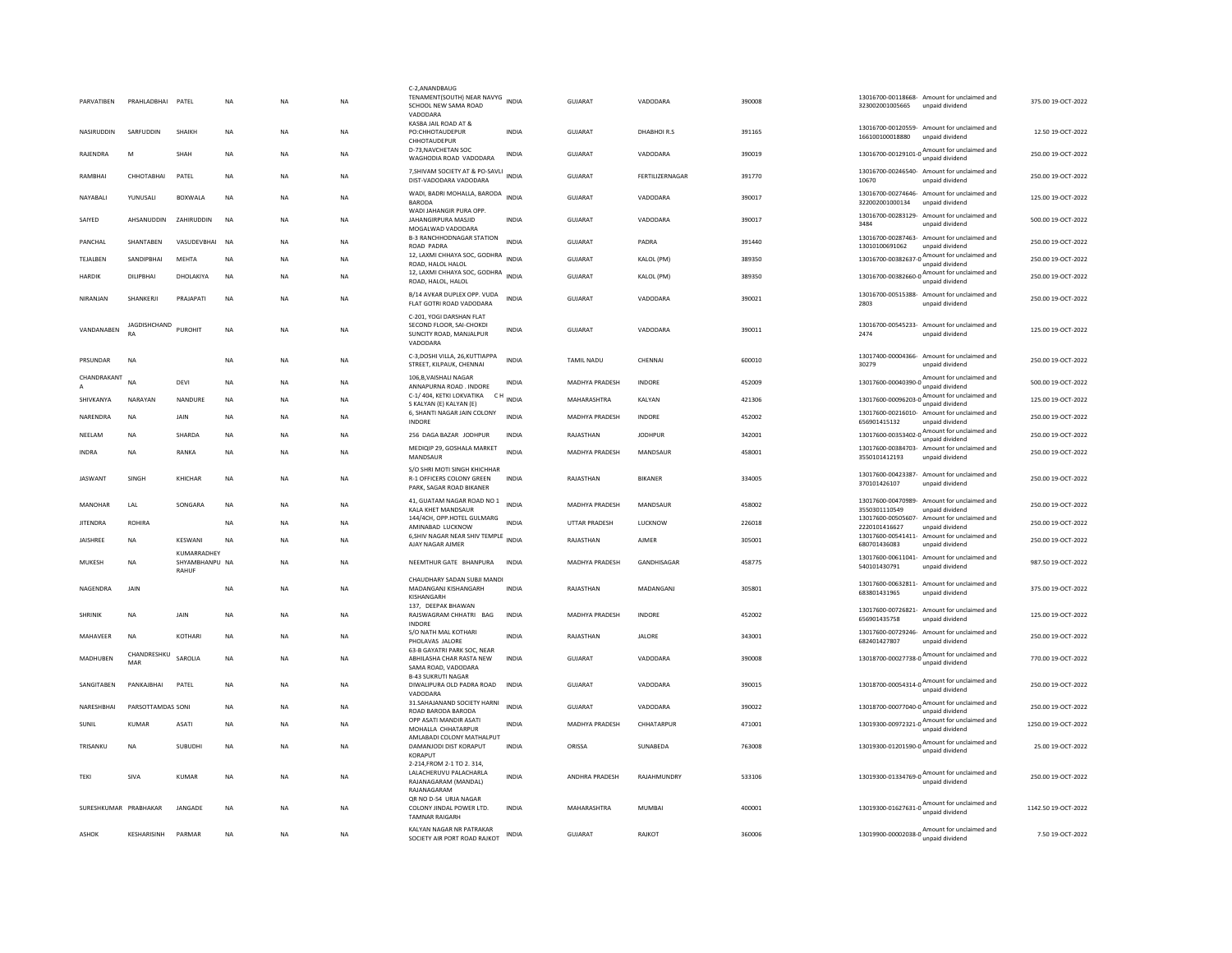| PARVATIBEN            | PRAHLADBHAI PATEL         |                               | <b>NA</b> | <b>NA</b> | <b>NA</b> | C-2,ANANDBAUG<br>TENAMENT(SOUTH) NEAR NAVYG INDIA<br>SCHOOL NEW SAMA ROAD<br>VADODARA       |              | <b>GUJARAT</b>        | VADODARA        | 390008 | 323002001005665                     | 13016700-00118668- Amount for unclaimed and<br>unpaid dividend              | 375.00 19-OCT-2022  |
|-----------------------|---------------------------|-------------------------------|-----------|-----------|-----------|---------------------------------------------------------------------------------------------|--------------|-----------------------|-----------------|--------|-------------------------------------|-----------------------------------------------------------------------------|---------------------|
| NASIRUDDIN            | SARFUDDIN                 | SHAIKH                        | <b>NA</b> | <b>NA</b> | <b>NA</b> | KASBA JAIL ROAD AT &<br>PO:CHHOTAUDEPUR<br>CHHOTAUDEPUR                                     | <b>INDIA</b> | GUJARAT               | DHABHOIR.S      | 391165 | 166100100018880                     | 13016700-00120559- Amount for unclaimed and<br>unpaid dividend              | 12.50 19-OCT-2022   |
| RAJENDRA              | M                         | <b>SHAH</b>                   | <b>NA</b> | <b>NA</b> | <b>NA</b> | D-73.NAVCHETAN SOC<br>WAGHODIA ROAD VADODARA                                                | INDIA        | <b>GUJARAT</b>        | VADODARA        | 390019 |                                     | 13016700-00129101-0 Amount for unclaimed and<br>unpaid dividend             | 250.00 19-OCT-2022  |
| RAMBHAI               | СННОТАВНАІ                | PATEL                         | NA        | <b>NA</b> | NA        | 7, SHIVAM SOCIETY AT & PO-SAVLI INDIA<br>DIST-VADODARA VADODARA                             |              | GUJARAT               | FERTILIZERNAGAR | 391770 | 10670                               | 13016700-00246540- Amount for unclaimed and<br>unnaid dividend              | 250.00 19-OCT-2022  |
| NAYABALI              | YUNUSALI                  | <b>BOXWALA</b>                | <b>NA</b> | <b>NA</b> | <b>NA</b> | WADI, BADRI MOHALLA, BARODA<br><b>BARODA</b>                                                | <b>INDIA</b> | <b>GUJARAT</b>        | VADODARA        | 390017 | 322002001000134                     | 13016700-00274646- Amount for unclaimed and<br>unpaid dividend              | 125.00 19-OCT-2022  |
| SAIYED                | AHSANUDDIN                | ZAHIRUDDIN                    | <b>NA</b> | <b>NA</b> | <b>NA</b> | WADI JAHANGIR PURA OPP<br>JAHANGIRPURA MASJID<br>MOGALWAD VADODARA                          | INDIA        | GUJARAT               | VADODARA        | 390017 | 3484                                | 13016700-00283129- Amount for unclaimed and<br>unpaid dividend              | 500.00 19-OCT-2022  |
| PANCHAL               | SHANTABEN                 | VASUDEVBHAI                   | <b>NA</b> | <b>NA</b> | NA        | <b>B-3 RANCHHODNAGAR STATION</b><br>ROAD PADRA                                              | <b>INDIA</b> | GUJARAT               | PADRA           | 391440 | 13010100691062                      | 13016700-00287463- Amount for unclaimed and<br>unpaid dividend              | 250.00 19-OCT-2022  |
| TEJALBEN              | SANDIPBHAI                | MEHTA                         | <b>NA</b> | <b>NA</b> | NA        | 12, LAXMI CHHAYA SOC, GODHRA<br>ROAD, HALOL HALOL                                           | <b>INDIA</b> | GUJARAT               | KALOL (PM)      | 389350 | 13016700-00382637-0                 | Amount for unclaimed and<br>unpaid dividend                                 | 250.00 19-OCT-2022  |
| HARDIK                | DILIPBHAI                 | DHOLAKIYA                     | NA        | <b>NA</b> | NA        | 12, LAXMI CHHAYA SOC, GODHRA<br>ROAD, HALOL, HALOL                                          | <b>INDIA</b> | GUJARAT               | KALOL (PM)      | 389350 | 13016700-00382660-0                 | Amount for unclaimed and<br>unpaid dividend                                 | 250.00 19-OCT-2022  |
| NIRANJAN              | SHANKERJI                 | PRAJAPATI                     | <b>NA</b> | <b>NA</b> | <b>NA</b> | B/14 AVKAR DUPLEX OPP. VUDA<br>FLAT GOTRI ROAD VADODARA                                     | <b>INDIA</b> | <b>GUJARAT</b>        | VADODARA        | 390021 | 2803                                | 13016700-00515388- Amount for unclaimed and<br>unpaid dividend              | 250.00 19-OCT-2022  |
| VANDANABEN            | JAGDISHCHAND<br><b>RA</b> | PUROHIT                       | <b>NA</b> | <b>NA</b> | <b>NA</b> | C-201, YOGI DARSHAN FLAT<br>SECOND FLOOR, SAI-CHOKDI<br>SUNCITY ROAD, MANJALPUR<br>VADODARA | <b>INDIA</b> | <b>GUJARAT</b>        | VADODARA        | 390011 | 2474                                | 13016700-00545233- Amount for unclaimed and<br>unpaid dividend              | 125.00 19-OCT-2022  |
| PRSUNDAR              | NA                        |                               | <b>NA</b> | <b>NA</b> | <b>NA</b> | C-3, DOSHI VILLA, 26, KUTTIAPPA<br>STREET, KILPAUK, CHENNAI                                 | <b>INDIA</b> | TAMIL NADU            | CHENNAI         | 600010 | 30279                               | 13017400-00004366- Amount for unclaimed and<br>unpaid dividend              | 250.00 19-OCT-2022  |
| CHANDRAKANT           | NA                        | <b>DEVI</b>                   | <b>NA</b> | <b>NA</b> | <b>NA</b> | 106.B.VAISHALI NAGAR<br>ANNAPURNA ROAD . INDORE                                             | <b>INDIA</b> | MADHYA PRADESH        | INDORE          | 452009 |                                     | 13017600-00040390-0 Amount for unclaimed and<br>unpaid dividend             | 500.00 19-OCT-2022  |
| SHIVKANYA             | NARAYAN                   | NANDURE                       | <b>NA</b> | <b>NA</b> | <b>NA</b> | C-1/404, KETKI LOKVATIKA CH<br>S KALYAN (E) KALYAN (E)                                      | <b>INDIA</b> | MAHARASHTRA           | KALYAN          | 421306 |                                     | 13017600-00096203-0 Amount for unclaimed and<br>unpaid dividend             | 125.00 19-OCT-2022  |
| NARENDRA              | NA                        | JAIN                          | <b>NA</b> | <b>NA</b> | NA        | 6, SHANTI NAGAR JAIN COLONY<br><b>INDORE</b>                                                | <b>INDIA</b> | MADHYA PRADESH        | INDORE          | 452002 | 656901415132                        | 13017600-00216010- Amount for unclaimed and<br>unpaid dividend              | 250.00 19-OCT-2022  |
| NEELAM                | NA                        | SHARDA                        | NA        | <b>NA</b> | <b>NA</b> | 256 DAGA BAZAR JODHPUR                                                                      | INDIA        | RAJASTHAN             | <b>JODHPUR</b>  | 342001 |                                     | 13017600-00353402-0 <sup>A</sup> mount for unclaimed and<br>unpaid dividend | 250.00 19-OCT-2022  |
| <b>INDRA</b>          | <b>NA</b>                 | <b>RANKA</b>                  | <b>NA</b> | <b>NA</b> | <b>NA</b> | MEDIOIP 29, GOSHALA MARKET<br>MANDSAUR                                                      | <b>INDIA</b> | MADHYA PRADESH        | MANDSAUR        | 458001 | 3550101412193                       | 13017600-00384703- Amount for unclaimed and<br>unpaid dividend              | 250.00 19-OCT-2022  |
| <b>JASWANT</b>        | SINGH                     | KHICHAR                       | <b>NA</b> | <b>NA</b> | NA        | S/O SHRI MOTI SINGH KHICHHAR<br>R-1 OFFICERS COLONY GREEN<br>PARK, SAGAR ROAD BIKANER       | <b>INDIA</b> | RAJASTHAN             | <b>BIKANER</b>  | 334005 | 370101426107                        | 13017600-00423387- Amount for unclaimed and<br>unpaid dividend              | 250.00 19-OCT-2022  |
| MANOHAR               | LAL                       | SONGARA                       | <b>NA</b> | <b>NA</b> | <b>NA</b> | 41, GUATAM NAGAR ROAD NO 1<br>KALA KHET MANDSAUR                                            | <b>INDIA</b> | <b>MADHYA PRADESH</b> | MANDSAUR        | 458002 | 13017600-00470989-<br>3550301110549 | Amount for unclaimed and<br>unpaid dividend                                 | 250.00 19-OCT-2022  |
| <b>JITENDRA</b>       | ROHIRA                    |                               | <b>NA</b> | NΑ        | NA        | 144/4CH, OPP.HOTEL GULMARG<br>AMINABAD LUCKNOW                                              | INDIA        | UTTAR PRADESH         | LUCKNOW         | 226018 | 13017600-00505607-<br>2220101416627 | Amount for unclaimed and<br>unpaid dividend                                 | 250.00 19-OCT-2022  |
| <b>JAISHREE</b>       | NA                        | KESWANI                       | NA        | <b>NA</b> | NA        | 6, SHIV NAGAR NEAR SHIV TEMPLE INDIA<br>AJAY NAGAR AJMER                                    |              | RAJASTHAN             | AJMER           | 305001 | 680701436083                        | 13017600-00541411- Amount for unclaimed and<br>unpaid dividend              | 250.00 19-OCT-2022  |
| MUKESH                | <b>NA</b>                 | KUMARRADHEY<br>SHYAMBHANPU NA |           | <b>NA</b> | <b>NA</b> | NEEMTHUR GATE BHANPURA                                                                      | INDIA        | <b>MADHYA PRADESH</b> | GANDHISAGAR     | 458775 | 540101430791                        | 13017600-00611041- Amount for unclaimed and<br>unpaid dividend              | 987.50 19-OCT-2022  |
| NAGENDRA              | <b>JAIN</b>               | RAHUR                         | <b>NA</b> | <b>NA</b> | <b>NA</b> | CHAUDHARY SADAN SUBJI MANDI<br>MADANGANJ KISHANGARH                                         | <b>INDIA</b> | RAJASTHAN             | MADANGANJ       | 305801 | 683801431965                        | 13017600-00632811- Amount for unclaimed and<br>unpaid dividend              | 375.00 19-OCT-2022  |
| <b>SHRINIK</b>        | <b>NA</b>                 | JAIN                          | <b>NA</b> | <b>NA</b> | <b>NA</b> | KISHANGARH<br>137. DEEPAK BHAWAN<br>RAJSWAGRAM CHHATRI BAG                                  | <b>INDIA</b> | <b>MADHYA PRADESH</b> | INDORE          | 452002 |                                     | 13017600-00726821- Amount for unclaimed and                                 | 125.00 19-OCT-2022  |
|                       |                           |                               |           |           |           | INDORE<br>S/O NATH MAL KOTHARI                                                              |              |                       |                 |        | 656901435758                        | unpaid dividend<br>13017600-00729246- Amount for unclaimed and              |                     |
| MAHAVEER              | <b>NA</b>                 | KOTHARI                       | <b>NA</b> | <b>NA</b> | <b>NA</b> | PHOLAVAS JALORE<br>63-B GAYATRI PARK SOC, NEAR                                              | <b>INDIA</b> | RAJASTHAN             | <b>JALORE</b>   | 343001 | 682401427807                        | unpaid dividend                                                             | 250.00 19-OCT-2022  |
| MADHUBEN              | CHANDRESHKU<br>MAR        | SAROLIA                       | <b>NA</b> | <b>NA</b> | <b>NA</b> | ABHILASHA CHAR RASTA NEW<br>SAMA ROAD, VADODARA                                             | <b>INDIA</b> | <b>GUJARAT</b>        | VADODARA        | 390008 | 13018700-00027738-0                 | Amount for unclaimed and<br>unpaid dividend                                 | 770.00 19-OCT-2022  |
| SANGITABEN            | PANKAJBHAI                | PATEL                         | <b>NA</b> | <b>NA</b> | <b>NA</b> | <b>B-43 SUKRUTI NAGAR</b><br>DIWALIPURA OLD PADRA ROAD<br>VADODARA                          | <b>INDIA</b> | <b>GUJARAT</b>        | VADODARA        | 390015 |                                     | 13018700-00054314-0 Amount for unclaimed and<br>unpaid dividend             | 250.00 19-OCT-2022  |
| NARESHBHAI            | PARSOTTAMDAS SONI         |                               | <b>NA</b> | <b>NA</b> | NA        | 31. SAHAJANAND SOCIETY HARNI<br>ROAD BARODA BARODA                                          | <b>INDIA</b> | GUJARAT               | VADODARA        | 390022 | 13018700-00077040-0                 | Amount for unclaimed and<br>unpaid dividend                                 | 250.00 19-OCT-2022  |
| SUNIL                 | <b>KUMAR</b>              | <b>ASATI</b>                  | <b>NA</b> | <b>NA</b> | <b>NA</b> | OPP ASATI MANDIR ASATI<br>MOHALLA CHHATARPUR                                                | <b>INDIA</b> | <b>MADHYA PRADESH</b> | CHHATARPUR      | 471001 | 13019300-00972321-0                 | Amount for unclaimed and<br>unpaid dividend                                 | 1250.00 19-OCT-2022 |
| TRISANKU              | <b>NA</b>                 | SUBUDHI                       | <b>NA</b> | <b>NA</b> | <b>NA</b> | AMLABADI COLONY MATHALPUT<br>DAMANJODI DIST KORAPUT<br>KORAPUT                              | <b>INDIA</b> | ORISSA                | SUNABEDA        | 763008 |                                     | Amount for unclaimed and<br>13019300-01201590-0                             | 25.00 19-OCT-2022   |
| TEKI                  | SIVA                      | KUMAR                         | <b>NA</b> | <b>NA</b> | <b>NA</b> | 2-214.FROM 2-1 TO 2, 314.<br>LALACHERUVU PALACHARLA<br>RAJANAGARAM (MANDAL)<br>RAJANAGARAM  | <b>INDIA</b> | <b>ANDHRA PRADESH</b> | RAJAHMUNDRY     | 533106 |                                     | 13019300-01334769-0 Amount for unclaimed and<br>unpaid dividend             | 250.00 19-OCT-2022  |
| SURESHKUMAR PRABHAKAR |                           | JANGADE                       | <b>NA</b> | <b>NA</b> | <b>NA</b> | OR NO D-54 URJA NAGAR<br>COLONY JINDAL POWER LTD.<br><b>TAMNAR RAIGARH</b>                  | INDIA        | MAHARASHTRA           | MUMBAI          | 400001 |                                     | 13019300-01627631-0 Amount for unclaimed and                                | 1142.50 19-OCT-2022 |
| ASHOK                 | <b>KESHARISINH</b>        | PARMAR                        | <b>NA</b> | <b>NA</b> | <b>NA</b> | KALYAN NAGAR NR PATRAKAR<br>SOCIETY AIR PORT ROAD RAJKOT                                    | INDIA        | <b>GUJARAT</b>        | RAJKOT          | 360006 |                                     | $13019900 - 00002038 - 0$ $A_{\text{unpaid dividend}}$                      | 7.50 19-OCT-2022    |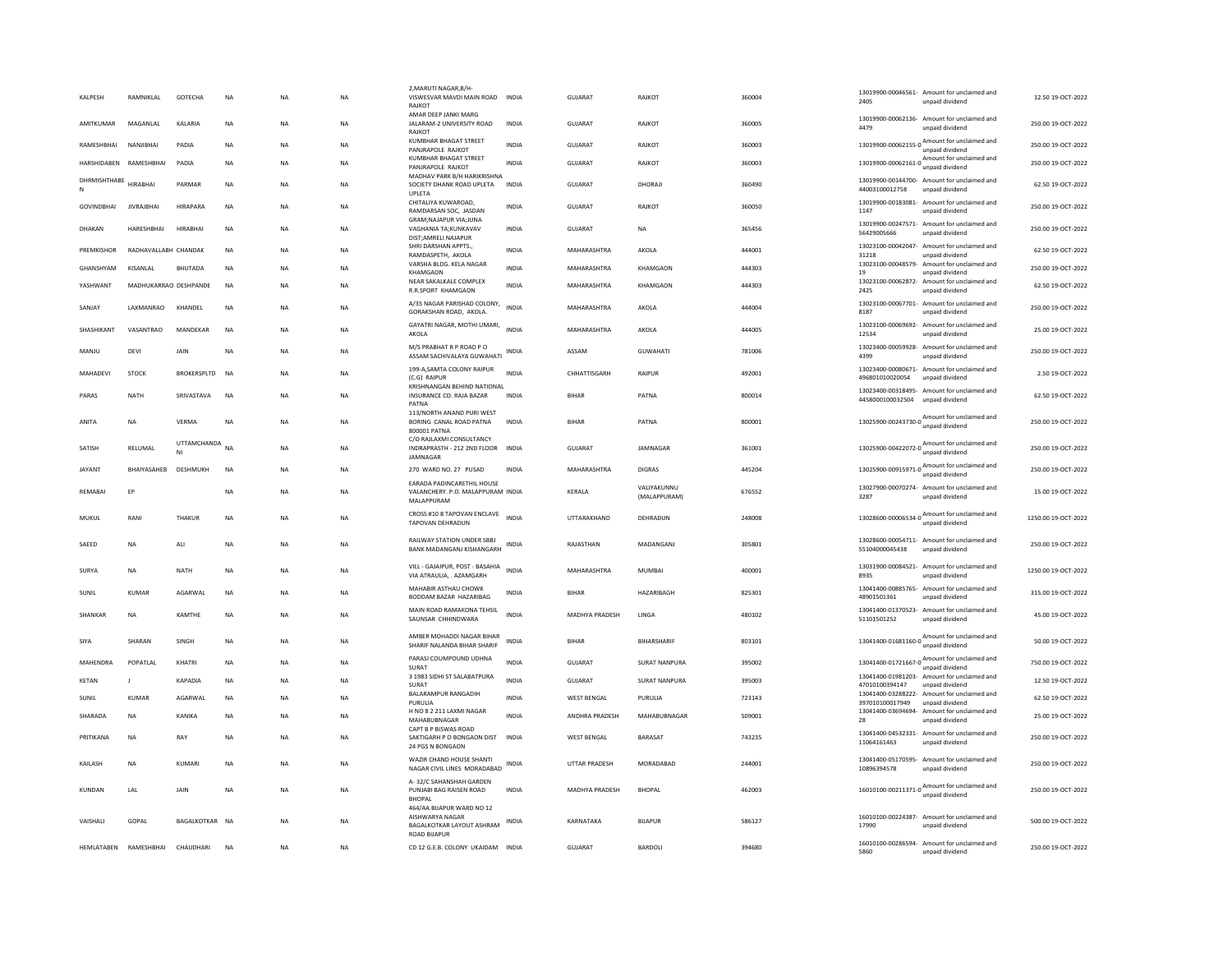| KALPESH                | RAMNIKLAL             | GOTECHA          | <b>NA</b> | <b>NA</b> | <b>NA</b> | 2, MARUTI NAGAR, B/H<br>VISWESVAR MAVDI MAIN ROAD INDIA<br>RAIKOT                               |              | <b>GUJARAT</b>     | <b>RAJKOT</b>               | 360004 | 2405                                                              | 13019900-00046561- Amount for unclaimed and<br>unpaid dividend                                          | 12.50 19-OCT-2022   |
|------------------------|-----------------------|------------------|-----------|-----------|-----------|-------------------------------------------------------------------------------------------------|--------------|--------------------|-----------------------------|--------|-------------------------------------------------------------------|---------------------------------------------------------------------------------------------------------|---------------------|
| <b>AMITKUMAR</b>       | MAGANLAL              | KALARIA          | <b>NA</b> | <b>NA</b> | <b>NA</b> | AMAR DEEP JANKI MARG<br>JALARAM-2 UNIVERSITY ROAD                                               | <b>INDIA</b> | GUJARAT            | RAJKOT                      | 360005 | 4479                                                              | 13019900-00062136- Amount for unclaimed and<br>unpaid dividend                                          | 250.00 19-OCT-2022  |
| RAMESHBHAI             | NANJIRHAI             | PADIA            | <b>NA</b> | <b>NA</b> | <b>NA</b> | RAJKOT<br><b>KUMBHAR BHAGAT STREET</b><br>PANJRAPOLE RAJKOT                                     | <b>INDIA</b> | GUJARAT            | RAJKOT                      | 360003 |                                                                   | 13019900-00062155-0 Amount for unclaimed and<br>unpaid dividend                                         | 250.00 19-OCT-2022  |
| HARSHIDABEN RAMESHBHAI |                       | PADIA            | <b>NA</b> | NA        | <b>NA</b> | KUMBHAR BHAGAT STREET<br>PANJRAPOLE RAJKOT                                                      | <b>INDIA</b> | <b>GUJARAT</b>     | RAJKOT                      | 360003 |                                                                   | 13019900-00062161-0 Amount for unclaimed and<br>unpaid dividend                                         | 250.00 19-OCT-2022  |
| DHRMISHTHABE<br>N      | <b>HIRABHA</b>        | PARMAR           | <b>NA</b> | <b>NA</b> | <b>NA</b> | MADHAV PARK B/H HARIKRISHNA<br>SOCIETY DHANK ROAD UPLETA<br>UPLETA                              | <b>INDIA</b> | <b>GUJARAT</b>     | DHORAJI                     | 360490 | 44003100012758                                                    | 13019900-00144700- Amount for unclaimed and<br>unpaid dividend                                          | 62.50 19-OCT-2022   |
| <b>GOVINDBHAI</b>      | <b>JIVRAJBHAI</b>     | HIRAPARA         | <b>NA</b> | <b>NA</b> | <b>NA</b> | CHITALIYA KUWAROAD,<br>RAMDARSAN SOC. JASDAN                                                    | <b>INDIA</b> | <b>GUJARAT</b>     | <b>RAJKOT</b>               | 360050 | 13019900-00183081-<br>1147                                        | Amount for unclaimed and<br>unpaid dividend                                                             | 250.00 19-OCT-2022  |
| DHAKAN                 | HARESHBHAI            | <b>HIRABHAI</b>  | <b>NA</b> | <b>NA</b> | <b>NA</b> | GRAM; NAJAPUR VIA; JUNA<br>VAGHANIA TA:KUNKAVAV<br>DIST:AMRELI NAJAPUR                          | <b>INDIA</b> | <b>GUJARAT</b>     | <b>NA</b>                   | 365456 | 56429005666                                                       | 13019900-00247571- Amount for unclaimed and<br>unpaid dividend                                          | 250.00 19-OCT-2022  |
| PREMKISHOR             | RADHAVALLABH CHANDAK  |                  | <b>NA</b> | <b>NA</b> | <b>NA</b> | SHRI DARSHAN APPTS.,<br>RAMDASPETH, AKOLA                                                       | <b>INDIA</b> | MAHARASHTRA        | AKOLA                       | 444001 | 13023100-00042047-<br>31218                                       | Amount for unclaimed and<br>unpaid dividend                                                             | 62.50 19-OCT-2022   |
| GHANSHYAM              | KISANLAL              | BHUTADA          | <b>NA</b> | NA        | <b>NA</b> | VARSHA BLDG. KELA NAGAR<br><b>KHAMGAON</b>                                                      | <b>INDIA</b> | MAHARASHTRA        | KHAMGAON                    | 444303 | 13023100-00048579<br>19                                           | Amount for unclaimed and<br>unpaid dividend                                                             | 250.00 19-OCT-2022  |
| YASHWANT               | MADHUKARRAO DESHPANDE |                  | NA        | NA        | NA        | NEAR SAKALKALE COMPLEX<br>R.R.SPORT KHAMGAON                                                    | INDIA        | MAHARASHTRA        | KHAMGAON                    | 444303 | 2425                                                              | 13023100-00062872- Amount for unclaimed and<br>unpaid dividend                                          | 62.50 19-OCT-2022   |
| SANJAY                 | LAXMANRAO             | KHANDEL          | NA        | <b>NA</b> | <b>NA</b> | A/35 NAGAR PARISHAD COLONY,<br>GORAKSHAN ROAD, AKOLA.                                           | <b>INDIA</b> | MAHARASHTRA        | AKOLA                       | 444004 | 8187                                                              | 13023100-00067701- Amount for unclaimed and<br>unpaid dividend                                          | 250.00 19-OCT-2022  |
| SHASHIKANT             | VASANTRAO             | MANDEKAR         | <b>NA</b> | NA        | NA        | GAYATRI NAGAR, MOTHI UMARI,<br>AKOLA                                                            | <b>INDIA</b> | MAHARASHTRA        | AKOLA                       | 444005 | 12534                                                             | 13023100-00069692- Amount for unclaimed and<br>unpaid dividend                                          | 25.00 19-OCT-2022   |
| MANJU                  | DEVI                  | JAIN             | NA        | NA        | NA        | M/S PRABHAT R P ROAD P O<br>ASSAM SACHIVALAYA GUWAHATI                                          | <b>INDIA</b> | ASSAM              | <b>GUWAHATI</b>             | 781006 | 4399                                                              | 13023400-00059928- Amount for unclaimed and<br>unpaid dividend                                          | 250.00 19-OCT-2022  |
| MAHADEVI               | STOCK                 | BROKERSPLTD      | <b>NA</b> | NA        | NA        | 199-A, SAMTA COLONY RAIPUR<br>(C.G) RAIPUF                                                      | <b>INDIA</b> | CHHATTISGARH       | RAIPUR                      | 492001 | 496801010020054                                                   | 13023400-00080671- Amount for unclaimed and<br>unpaid dividend                                          | 2.50 19-OCT-2022    |
| PARAS                  | NATH                  | SRIVASTAVA       | <b>NA</b> | <b>NA</b> | <b>NA</b> | KRISHNANGAN BEHIND NATIONAL<br>INSURANCE CO. RAJA BAZAR<br>PATNA                                | <b>INDIA</b> | <b>BIHAR</b>       | PATNA                       | 800014 | 4458000100032504                                                  | 13023400-00318495- Amount for unclaimed and<br>unpaid dividend                                          | 62.50 19-OCT-2022   |
| ANITA                  | NA                    | VERMA            | <b>NA</b> | NA        | <b>NA</b> | 113/NORTH ANAND PURI WEST<br>BORING CANAL ROAD PATNA<br>800001 PATNA                            | INDIA        | <b>BIHAR</b>       | PATNA                       | 800001 |                                                                   | 13025900-00243730-0 Amount for unclaimed and                                                            | 250.00 19-OCT-2022  |
| SATISH                 | RELUMAL               | UTTAMCHANDA<br>N | <b>NA</b> | <b>NA</b> | <b>NA</b> | C/O RAJLAXMI CONSULTANCY<br>INDRAPRASTH - 212 2ND FLOOR<br>JAMNAGAR                             | <b>INDIA</b> | <b>GUJARAT</b>     | JAMNAGAR                    | 361001 |                                                                   | 13025900-00422072-0 $\frac{\text{Amount for unclaimed}}{\text{13025900-00422072-0}}$<br>unpaid dividend | 250.00 19-OCT-2022  |
| <b>JAYANT</b>          | BHAIYASAHEB           | DESHMUKH         | <b>NA</b> | <b>NA</b> | <b>NA</b> | 270 WARD NO. 27 PUSAD                                                                           | <b>INDIA</b> | MAHARASHTRA        | <b>DIGRAS</b>               | 445204 | 13025900-00915971-0 $\frac{m_{\text{1}}}{\text{unpaid dividend}}$ | Amount for unclaimed and                                                                                | 250.00 19-OCT-2022  |
| REMABAI                | EP                    |                  | NA        | NA        | NA        | EARADA PADINCARETHIL HOUSE<br>VALANCHERY. P.O. MALAPPURAM INDIA<br>MALAPPURAM                   |              | KERALA             | VALIYAKUNNU<br>(MALAPPURAM) | 676552 | 3287                                                              | 13027900-00070274- Amount for unclaimed and<br>unpaid dividend                                          | 15.00 19-OCT-2022   |
| MUKUL                  | RANI                  | <b>THAKUR</b>    | <b>NA</b> | <b>NA</b> | <b>NA</b> | CROSS #10 8 TAPOVAN ENCLAVE<br>TAPOVAN DEHRADUN                                                 | <b>INDIA</b> | UTTARAKHAND        | DEHRADUN                    | 248008 |                                                                   | 13028600-00006534-0 $\frac{\text{Amount}}{\text{0}}$ for unclaimed and<br>unpaid dividend               | 1250.00 19-OCT-2022 |
| SAEED                  | <b>NA</b>             | ALI              | <b>NA</b> | <b>NA</b> | <b>NA</b> | RAILWAY STATION UNDER SBBJ<br>BANK MADANGANJ KISHANGARH                                         | <b>INDIA</b> | RAJASTHAN          | MADANGANJ                   | 305801 | 55104000045438                                                    | 13028600-00054711- Amount for unclaimed and<br>unpaid dividend                                          | 250.00 19-OCT-2022  |
| SURYA                  | NA                    | NATH             | <b>NA</b> | NA        | <b>NA</b> | VILL - GAJAIPUR, POST - BASAHIA<br>VIA ATRAULIA, . AZAMGARH                                     | <b>INDIA</b> | MAHARASHTRA        | MUMBAI                      | 400001 | 8935                                                              | 13031900-00084521- Amount for unclaimed and<br>unpaid dividend                                          | 1250.00 19-OCT-2022 |
| SUNIL                  | <b>KUMAR</b>          | AGARWAL          | <b>NA</b> | <b>NA</b> | <b>NA</b> | MAHABIR ASTHAU CHOWK<br>BODDAM BAZAR HAZARIBAG                                                  | <b>INDIA</b> | <b>BIHAR</b>       | HAZARIBAGH                  | 825301 | 48901501361                                                       | 13041400-00885765- Amount for unclaimed and<br>unpaid dividend                                          | 315.00 19-OCT-2022  |
| SHANKAR                | NA                    | KAMTHE           | NA        | NA        | <b>NA</b> | MAIN ROAD RAMAKONA TEHSIL<br>SAUNSAR CHHINDWARA                                                 | <b>INDIA</b> | MADHYA PRADESH     | LINGA                       | 480102 | 51101501252                                                       | 13041400-01370523- Amount for unclaimed and<br>unpaid dividend                                          | 45.00 19-OCT-2022   |
| SIYA                   | SHARAN                | SINGH            | <b>NA</b> | <b>NA</b> | <b>NA</b> | AMBER MOHADDI NAGAR BIHAR<br>SHARIF NALANDA BIHAR SHARIF                                        | <b>INDIA</b> | <b>BIHAR</b>       | <b>BIHARSHARIF</b>          | 803101 |                                                                   | 13041400-01681160-0 Amount for unclaimed and<br>unpaid dividend                                         | 50.00 19-OCT-2022   |
| MAHFNDRA               | POPATI AI             | KHATRI           | <b>NA</b> | NA        | NA        | PARASI COUMPOUND UDHNA<br>SURAT                                                                 | <b>INDIA</b> | GUIARAT            | <b>SURAT NANPURA</b>        | 395002 |                                                                   | 13041400-01721667-0 Amount for unclaimed and                                                            | 750.00 19-OCT-2022  |
| <b>KETAN</b>           | $\mathbf{I}$          | KAPADIA          | <b>NA</b> | NA        | <b>NA</b> | 3 1983 SIDHI ST SALABATPURA<br>SURAT                                                            | <b>INDIA</b> | GUIARAT            | <b>SURAT NANPURA</b>        | 395003 | 47010100394147                                                    | 13041400-01981203- Amount for unclaimed and<br>unpaid dividend                                          | 12.50 19-OCT-2022   |
| SUNIL                  | <b>KUMAR</b>          | AGARWAL          | <b>NA</b> | <b>NA</b> | <b>NA</b> | BALARAMPUR RANGADIH                                                                             | <b>INDIA</b> | <b>WEST BENGAL</b> | PURULIA                     | 723143 |                                                                   | 13041400-03288222- Amount for unclaimed and                                                             | 62.50 19-OCT-2022   |
| SHARADA                | <b>NA</b>             | KANIKA           | <b>NA</b> | <b>NA</b> | <b>NA</b> | PURULIA<br>H NO 8 2 211 LAXMI NAGAR<br>MAHABUBNAGAR                                             | <b>INDIA</b> | ANDHRA PRADESH     | MAHABUBNAGAR                | 509001 | 397010100017949<br>28                                             | unpaid dividend<br>13041400-03694694- Amount for unclaimed and<br>unpaid dividend                       | 25.00 19-OCT-2022   |
| PRITIKANA              | NA                    | RAY              | <b>NA</b> | <b>NA</b> | <b>NA</b> | CAPT B P BISWAS ROAD<br>SAKTIGARH P O BONGAON DIST<br>24 PGS N BONGAON                          | <b>INDIA</b> | <b>WEST RENGAL</b> | <b>BARASAT</b>              | 743235 | 11064161463                                                       | 13041400-04532331- Amount for unclaimed and<br>unpaid dividend                                          | 250.00 19-OCT-2022  |
| KAILASH                | NA                    | <b>KUMAR</b>     | <b>NA</b> | NA        | <b>NA</b> | WAZIR CHAND HOUSE SHANTI<br>NAGAR CIVIL LINES MORADABAD                                         | INDIA        | UTTAR PRADESH      | MORADABAD                   | 244001 | 10896394578                                                       | 13041400-05170595- Amount for unclaimed and<br>unnaid dividend                                          | 250.00 19-OCT-2022  |
| KUNDAN                 | LAL                   | JAIN             | <b>NA</b> | <b>NA</b> | <b>NA</b> | A-32/C SAHANSHAH GARDEN<br>PUNJABI BAG RAISEN ROAD<br><b>RHOPAL</b>                             | <b>INDIA</b> | MADHYA PRADESH     | <b>BHOPAL</b>               | 462003 |                                                                   | 16010100-00211371-0 Amount for unclaimed and                                                            | 250.00 19-OCT-2022  |
| VAISHAL                | GOPAL                 | BAGALKOTKAR      | NA        | NA        | <b>NA</b> | 464/AA BIJAPUR WARD NO 12<br>AISHWARYA NAGAR<br>BAGALKOTKAR LAYOUT ASHRAM<br><b>ROAD BUAPUR</b> | INDIA        | KARNATAKA          | <b>BIJAPUR</b>              | 586127 | 17990                                                             | 16010100-00224387- Amount for unclaimed and<br>unpaid dividend                                          | 500.00 19-OCT-2022  |
| HEMLATABEN             | RAMESHBHAI            | CHAUDHARI        | <b>NA</b> | <b>NA</b> | <b>NA</b> | CD 12 G.E.B. COLONY UKAIDAM                                                                     | <b>INDIA</b> | GUJARAT            | <b>BARDOLI</b>              | 394680 | 5860                                                              | 16010100-00286594- Amount for unclaimed and<br>unpaid dividend                                          | 250.00 19-OCT-2022  |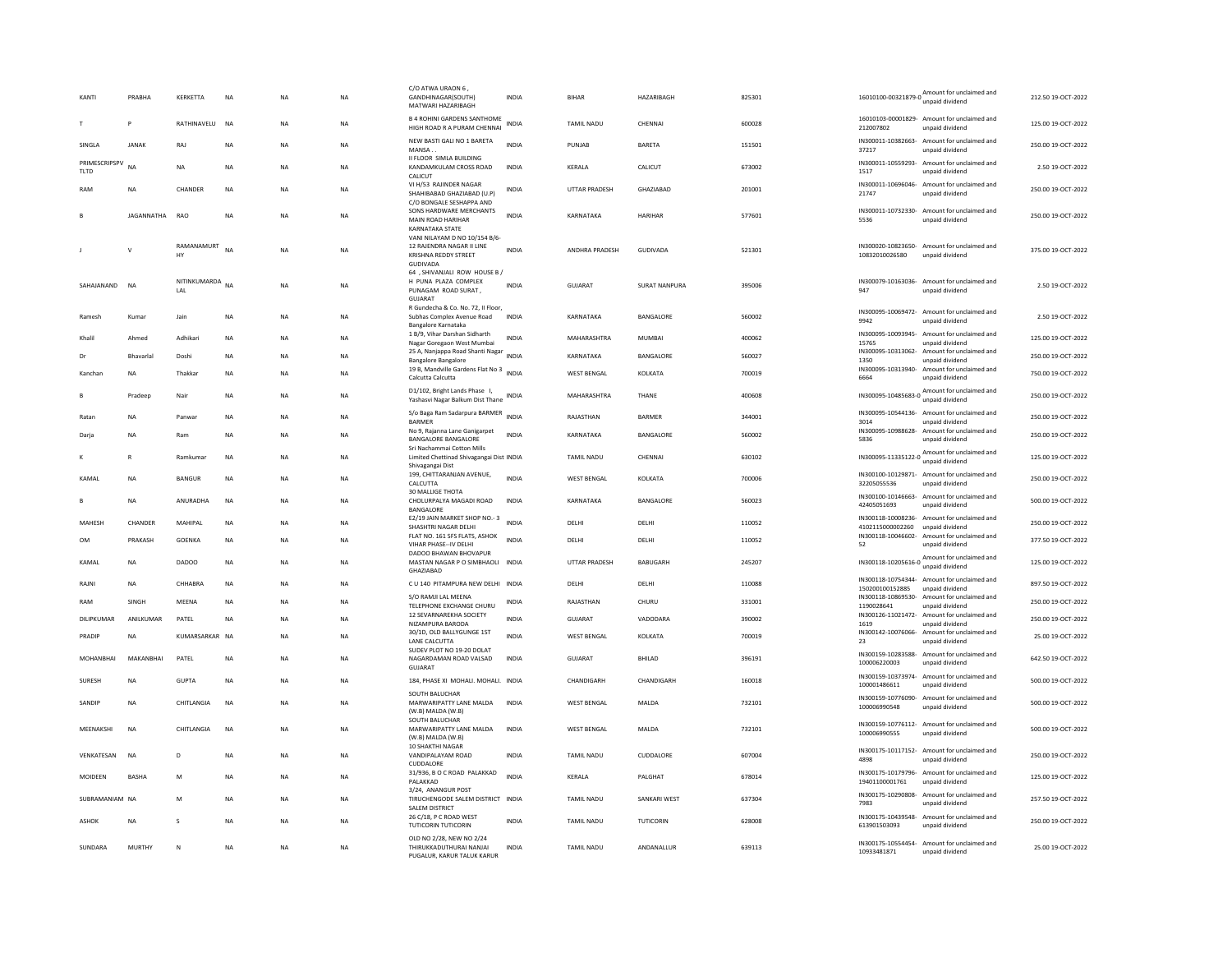| KANTI                 | PRABHA            | KERKETTA            | <b>NA</b> | <b>NA</b> | <b>NA</b> | C/O ATWA URAON 6,<br>GANDHINAGAR(SOUTH)<br>MATWARI HAZARIBAGH                                         | <b>INDIA</b> | <b>BIHAR</b>         | <b>HAZARIBAGH</b>    | 825301 | 16010100-00321879-0<br>unpaid dividend                                                                                            | 212.50.19-OCT-2022 |
|-----------------------|-------------------|---------------------|-----------|-----------|-----------|-------------------------------------------------------------------------------------------------------|--------------|----------------------|----------------------|--------|-----------------------------------------------------------------------------------------------------------------------------------|--------------------|
|                       | P                 | RATHINAVELU         | <b>NA</b> | <b>NA</b> | NA        | <b>B 4 ROHINI GARDENS SANTHOME</b><br>HIGH ROAD R A PURAM CHENNAI                                     | INDIA        | <b>TAMIL NADU</b>    | CHENNAI              | 600028 | 16010103-00001829- Amount for unclaimed and<br>212007802<br>unpaid dividend                                                       | 125.00 19-OCT-2022 |
| SINGLA                | <b>JANAK</b>      | RAJ                 | <b>NA</b> | <b>NA</b> | <b>NA</b> | NEW BASTI GALI NO 1 BARETA<br>MANSA.                                                                  | <b>INDIA</b> | PUNJAB               | BARETA               | 151501 | IN300011-10382663-<br>Amount for unclaimed and<br>unpaid dividend<br>37217                                                        | 250.00 19-OCT-2022 |
| PRIMESCRIPSPV<br>TLTD | <b>NA</b>         | <b>NA</b>           | <b>NA</b> | <b>NA</b> | <b>NA</b> | II FLOOR SIMLA BUILDING<br>KANDAMKULAM CROSS ROAD<br>CALICUT                                          | <b>INDIA</b> | KERALA               | CALICUT              | 673002 | IN300011-10559293- Amount for unclaimed and<br>unpaid dividend<br>1517                                                            | 2.50 19-OCT-2022   |
| RAM                   | NA                | CHANDER             | NA        | <b>NA</b> | NA        | VI H/53 RAJINDER NAGAR<br>SHAHIBABAD GHAZIABAD (U.P)<br>C/O BONGALE SESHAPPA AND                      | INDIA        | UTTAR PRADESH        | GHAZIABAD            | 201001 | IN300011-10696046- Amount for unclaimed and<br>21747<br>unpaid dividend                                                           | 250.00 19-OCT-2022 |
|                       | <b>JAGANNATHA</b> | RAO                 | <b>NA</b> | <b>NA</b> | NA        | SONS HARDWARE MERCHANTS<br>MAIN ROAD HARIHAR<br><b>KARNATAKA STATE</b>                                | <b>INDIA</b> | KARNATAKA            | <b>HARIHAR</b>       | 577601 | IN300011-10732330- Amount for unclaimed and<br>5536<br>unpaid dividend                                                            | 250.00 19-OCT-2022 |
|                       | $\vee$            | RAMANAMURT<br>HY    | <b>NA</b> | <b>NA</b> | NA        | VANI NILAYAM D NO 10/154 B/6-<br>12 RAJENDRA NAGAR II LINE<br><b>KRISHNA REDDY STREET</b><br>GUDIVADA | <b>INDIA</b> | ANDHRA PRADESH       | GUDIVADA             | 521301 | IN300020-10823650- Amount for unclaimed and<br>10832010026580<br>unpaid dividend                                                  | 375.00 19-OCT-2022 |
| SAHAJANAND            | <b>NA</b>         | NITINKUMARDA<br>LAL | <b>NA</b> | <b>NA</b> | <b>NA</b> | 64 , SHIVANJALI ROW HOUSE B /<br>H PUNA PLAZA COMPLEX<br>PUNAGAM ROAD SURAT,<br><b>GUJARAT</b>        | <b>INDIA</b> | <b>GUJARAT</b>       | <b>SURAT NANPURA</b> | 395006 | IN300079-10163036- Amount for unclaimed and<br>947<br>unpaid dividend                                                             | 2.50 19-OCT-2022   |
| Ramesh                | Kumar             | Jain                | <b>NA</b> | <b>NA</b> | <b>NA</b> | R Gundecha & Co. No. 72, Il Floor,<br>Subhas Complex Avenue Road                                      | <b>INDIA</b> | KARNATAKA            | BANGALORE            | 560002 | IN300095-10069472- Amount for unclaimed and<br>9942<br>unpaid dividend                                                            | 2.50 19-OCT-2022   |
| Khalil                | Ahmed             | Adhikari            | NA        | <b>NA</b> | NA        | Bangalore Karnataka<br>1 B/9, Vihar Darshan Sidharth<br>Nagar Goregaon West Mumbai                    | <b>INDIA</b> | MAHARASHTRA          | <b>MUMBAI</b>        | 400062 | IN300095-10093945- Amount for unclaimed and<br>15765<br>unpaid dividend                                                           | 125.00 19-OCT-2022 |
| Dr                    | Bhavarla          | Doshi               | <b>NA</b> | <b>NA</b> | <b>NA</b> | 25 A, Nanjappa Road Shanti Nagar<br>INDIA<br>Bangalore Bangalore                                      |              | KARNATAKA            | BANGALORE            | 560027 | IN300095-10313062-<br>Amount for unclaimed and<br>1350<br>unpaid dividend                                                         | 250.00 19-OCT-2022 |
| Kanchan               | NA                | Thakkar             | NA        | <b>NA</b> | NA        | 19 B, Mandville Gardens Flat No 3 INDIA<br>Calcutta Calcutta                                          |              | WEST BENGAL          | KOLKATA              | 700019 | IN300095-10313940- Amount for unclaimed and<br>6664<br>unpaid dividend                                                            | 750.00 19-OCT-2022 |
|                       | Pradeep           | Nair                | <b>NA</b> | <b>NA</b> | NA        | D1/102, Bright Lands Phase I,<br>Yashasvi Nagar Balkum Dist Thane                                     | INDIA        | MAHARASHTRA          | THANE                | 400608 | IN300095-10485683-0 Amount for unclaimed and                                                                                      | 250.00 19-OCT-2022 |
| Ratan                 | <b>NA</b>         | Panwar              | <b>NA</b> | <b>NA</b> | NA        | S/o Baga Ram Sadarpura BARMER INDIA<br><b>BARMER</b>                                                  |              | RAJASTHAN            | <b>BARMER</b>        | 344001 | IN300095-10544136- Amount for unclaimed and<br>3014<br>unpaid dividend                                                            | 250.00 19-OCT-2022 |
| Darja                 | NA                | Ram                 | NA        | <b>NA</b> | NA        | No 9, Rajanna Lane Ganigarpet<br><b>BANGALORE BANGALORE</b>                                           | <b>INDIA</b> | KARNATAKA            | BANGALORE            | 560002 | IN300095-10988628-<br>Amount for unclaimed and<br>5836<br>unpaid dividend                                                         | 250.00 19-OCT-2022 |
| к                     | R                 | Ramkumar            | <b>NA</b> | <b>NA</b> | NA.       | Sri Nachammai Cotton Mills<br>Limited Chettinad Shivagangai Dist INDIA<br>Shivagangai Dist            |              | <b>TAMIL NADU</b>    | CHENNAL              | 630102 | IN300095-11335122-0 Amount for unclaimed and<br>unpaid dividend                                                                   | 125.00.19-OCT-2022 |
| KAMAL                 | <b>NA</b>         | <b>BANGUR</b>       | <b>NA</b> | <b>NA</b> | <b>NA</b> | 199, CHITTARANJAN AVENUE,<br>CALCUTTA<br><b>30 MALLIGE THOTA</b>                                      | <b>INDIA</b> | <b>WEST BENGAL</b>   | KOLKATA              | 700006 | IN300100-10129871- Amount for unclaimed and<br>32205055536<br>unpaid dividend                                                     | 250.00 19-OCT-2022 |
| $\mathbf{B}$          | <b>NA</b>         | ANURADHA            | <b>NA</b> | <b>NA</b> | <b>NA</b> | CHOLURPALYA MAGADI ROAD<br>BANGALORE                                                                  | <b>INDIA</b> | KARNATAKA            | BANGALORE            | 560023 | IN300100-10146663- Amount for unclaimed and<br>42405051693<br>unpaid dividend                                                     | 500.00 19-OCT-2022 |
| MAHESH                | CHANDER           | MAHIPAL             | NA        | <b>NA</b> | NA        | E2/19 JAIN MARKET SHOP NO.- 3<br>SHASHTRI NAGAR DELHI<br>FLAT NO. 161 SFS FLATS, ASHOK                | <b>INDIA</b> | DELHI                | DELHI                | 110052 | IN300118-10008236- Amount for unclaimed and<br>4102115000002260<br>unpaid dividend<br>IN300118-10046602- Amount for unclaimed and | 250.00 19-OCT-2022 |
| OM                    | PRAKASH           | GOENKA              | NA        | <b>NA</b> | NA        | <b>VIHAR PHASE-IV DELHI</b><br>DADOO BHAWAN BHOVAPUR                                                  | <b>INDIA</b> | DELHI                | DELHI                | 110052 | 52<br>unpaid dividend                                                                                                             | 377.50 19-OCT-2022 |
| KAMAL                 | <b>NA</b>         | <b>DADOO</b>        | <b>NA</b> | <b>NA</b> | <b>NA</b> | MASTAN NAGAR P O SIMBHAOLI INDIA<br>GHAZIABAD                                                         |              | <b>UTTAR PRADESH</b> | <b>BABUGARH</b>      | 245207 | IN300118-10205616-0 Amount for unclaimed and<br>unpaid dividend                                                                   | 125.00 19-OCT-2022 |
| RAJNI                 | <b>NA</b>         | CHHABRA             | <b>NA</b> | <b>NA</b> | NA        | C U 140 PITAMPURA NEW DELHI INDIA                                                                     |              | DELHI                | DELHI                | 110088 | IN300118-10754344- Amount for unclaimed and<br>150200100152885<br>unpaid dividend                                                 | 897.50 19-OCT-2022 |
| RAM                   | SINGH             | MEENA               | <b>NA</b> | <b>NA</b> | <b>NA</b> | S/O RAMJI LAL MEENA<br>TELEPHONE EXCHANGE CHURU                                                       | <b>INDIA</b> | RAJASTHAN            | CHURU                | 331001 | IN300118-10869530-<br>Amount for unclaimed and<br>1190028641<br>unpaid dividend                                                   | 250.00 19-OCT-2022 |
| DILIPKUMAR            | ANILKUMAR         | PATEL               | <b>NA</b> | <b>NA</b> | NA        | 12 SEVARNAREKHA SOCIETY<br>NIZAMPURA BARODA                                                           | <b>INDIA</b> | GUJARAT              | VADODARA             | 390002 | IN300126-11021472- Amount for unclaimed and<br>1619<br>unpaid dividend                                                            | 250.00 19-OCT-2022 |
| PRADIP                | <b>NA</b>         | KUMARSARKAR NA      |           | <b>NA</b> | NA        | 30/1D, OLD BALLYGUNGE 1ST<br>LANE CALCUTTA                                                            | INDIA        | <b>WEST BENGAL</b>   | KOLKATA              | 700019 | IN300142-10076066- Amount for unclaimed and<br>unpaid dividend<br>23                                                              | 25.00 19-OCT-2022  |
| MOHANRHAI             | MAKANRHAI         | PATEL               | <b>NA</b> | <b>NA</b> | <b>NA</b> | SUDEV PLOT NO 19-20 DOLAT<br>NAGARDAMAN ROAD VALSAD<br><b>GUJARAT</b>                                 | <b>INDIA</b> | GUIARAT              | <b>BHILAD</b>        | 396191 | IN300159-10283588- Amount for unclaimed and<br>100006220003<br>unpaid dividend                                                    | 642.50 19-OCT-2022 |
| <b>SURESH</b>         | <b>NA</b>         | <b>GUPTA</b>        | <b>NA</b> | <b>NA</b> | NA        | 184, PHASE XI MOHALI. MOHALI. INDIA                                                                   |              | CHANDIGARH           | CHANDIGARH           | 160018 | IN300159-10373974- Amount for unclaimed and<br>100001486611<br>unpaid dividend                                                    | 500.00 19-OCT-2022 |
| SANDIP                | <b>NA</b>         | CHITLANGIA          | <b>NA</b> | <b>NA</b> | NA        | SOUTH BALUCHAR<br>MARWARIPATTY LANE MALDA<br>(W.B) MALDA (W.B)                                        | <b>INDIA</b> | <b>WEST BENGAL</b>   | MALDA                | 732101 | IN300159-10776090- Amount for unclaimed and<br>100006990548<br>unpaid dividend                                                    | 500.00 19-OCT-2022 |
| MEENAKSHI             | <b>NA</b>         | CHITLANGIA          | <b>NA</b> | <b>NA</b> | <b>NA</b> | SOUTH BALUCHAR<br>MARWARIPATTY LANE MALDA<br>(W.B) MALDA (W.B)                                        | <b>INDIA</b> | <b>WEST BENGAL</b>   | MALDA                | 732101 | IN300159-10776112- Amount for unclaimed and<br>100006990555<br>unpaid dividend                                                    | 500.00 19-OCT-2022 |
| VENKATESAN            | NA                | D                   | NA        | <b>NA</b> | NA        | <b>10 SHAKTHI NAGAR</b><br>VANDIPALAYAM ROAD<br>CUDDALORE                                             | INDIA        | TAMIL NADU           | CUDDALORE            | 607004 | IN300175-10117152- Amount for unclaimed and<br>4898<br>unnaid dividend                                                            | 250.00 19-OCT-2022 |
| MOIDEEN               | <b>BASHA</b>      | M                   | <b>NA</b> | <b>NA</b> | <b>NA</b> | 31/936, B O C ROAD PALAKKAD<br>PALAKKAD<br>3/24. ANANGUR POST                                         | <b>INDIA</b> | KERALA               | PALGHAT              | 678014 | IN300175-10179796- Amount for unclaimed and<br>19401100001761<br>unpaid dividend                                                  | 125.00 19-OCT-2022 |
| SUBRAMANIAM NA        |                   | M                   | NA        | <b>NA</b> | NA        | TIRUCHENGODE SALEM DISTRICT INDIA<br><b>SALEM DISTRICT</b>                                            |              | TAMIL NADU           | SANKARI WEST         | 637304 | IN300175-10290808- Amount for unclaimed and<br>7983<br>unpaid dividend                                                            | 257.50 19-OCT-2022 |
| ASHOK                 | NA                | s                   | NA        | <b>NA</b> | NA        | 26 C/18, P C ROAD WEST<br><b>TUTICORIN TUTICORIN</b>                                                  | INDIA        | TAMIL NADU           | TUTICORIN            | 628008 | IN300175-10439548- Amount for unclaimed and<br>613901503093<br>unpaid dividend                                                    | 250.00 19-OCT-2022 |
| SUNDARA               | MURTHY            | $\mathsf{N}$        | <b>NA</b> | <b>NA</b> | <b>NA</b> | OLD NO 2/28, NEW NO 2/24<br>THIRUKKADUTHURAI NANJAI<br>PUGALUR, KARUR TALUK KARUR                     | <b>INDIA</b> | <b>TAMIL NADU</b>    | ANDANALLUR           | 639113 | IN300175-10554454- Amount for unclaimed and<br>10933481871<br>unpaid dividend                                                     | 25.00 19-OCT-2022  |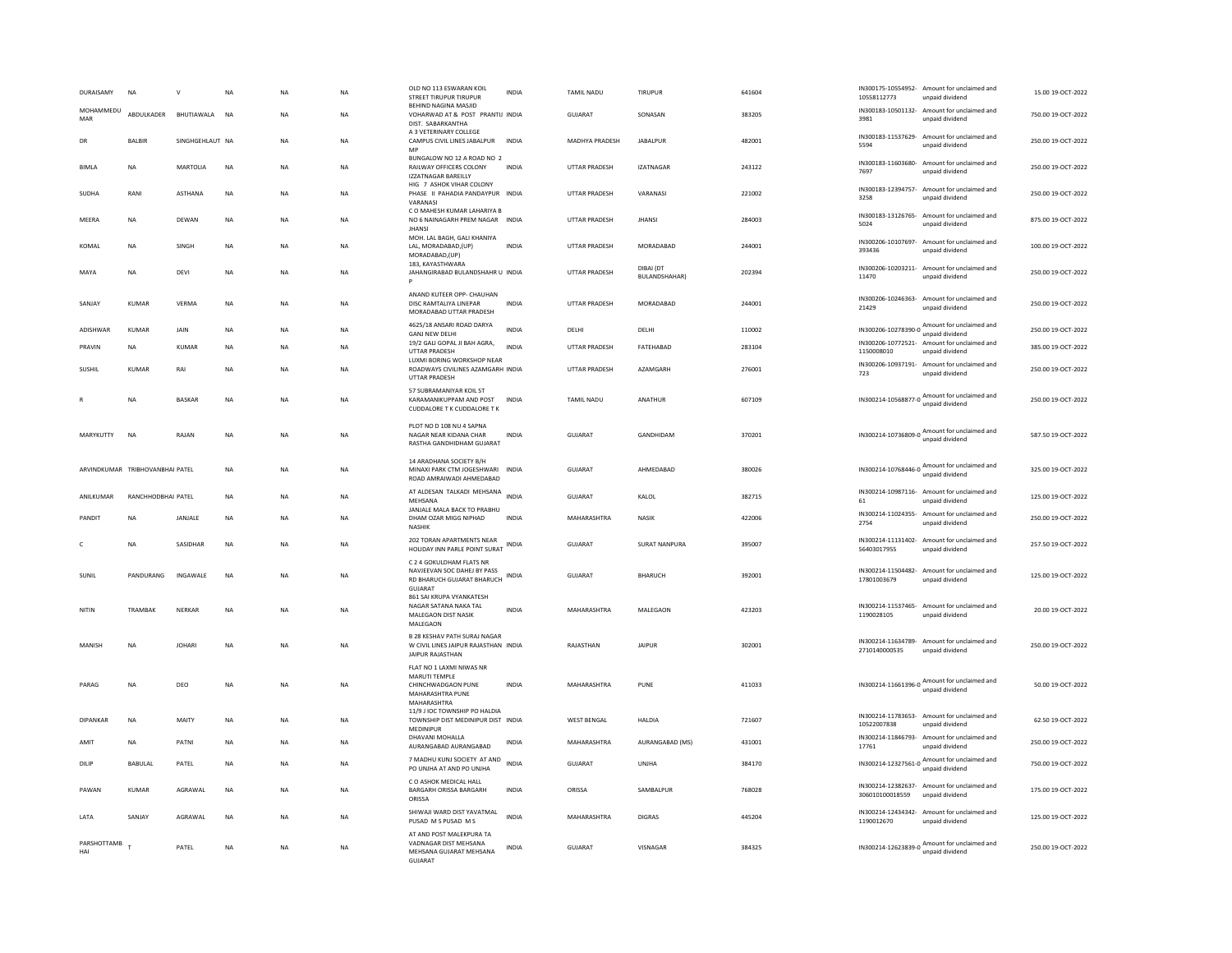| DURAISAMY          | <b>NA</b>                       |                 | <b>NA</b> | <b>NA</b> | <b>NA</b> | OLD NO 113 ESWARAN KOIL<br>STREET TIRUPUR TIRUPUR                                                       | <b>INDIA</b> | TAMII NADU           | TIRUPUR                           | 641604 | IN300175-10554952-<br>10558112773 | Amount for unclaimed and<br>unpaid dividend                     | 15.00.19-OCT-2022  |
|--------------------|---------------------------------|-----------------|-----------|-----------|-----------|---------------------------------------------------------------------------------------------------------|--------------|----------------------|-----------------------------------|--------|-----------------------------------|-----------------------------------------------------------------|--------------------|
| MOHAMMEDU<br>MAR   | ABDULKADER                      | BHUTIAWALA      | <b>NA</b> | NA        | NA        | <b>BEHIND NAGINA MASIID</b><br>VOHARWAD AT & POST PRANTIJ INDIA<br>DIST. SABARKANTHA                    |              | GUJARAT              | SONASAN                           | 383205 | IN300183-10501132-<br>3981        | Amount for unclaimed and<br>unpaid dividend                     | 750.00 19-OCT-2022 |
| DR                 | <b>BALBIR</b>                   | SINGHGEHLAUT NA |           | <b>NA</b> | <b>NA</b> | A 3 VETERINARY COLLEGE<br>CAMPUS CIVIL LINES JABALPUR<br>MP                                             | <b>INDIA</b> | MADHYA PRADESH       | <b>JABALPUR</b>                   | 482001 | 5594                              | IN300183-11537629- Amount for unclaimed and<br>unpaid dividend  | 250.00 19-OCT-2022 |
| <b>BIMLA</b>       | NA                              | MARTOLIA        | NA        | <b>NA</b> | NA        | BUNGALOW NO 12 A ROAD NO 2<br>RAILWAY OFFICERS COLONY<br><b>IZZATNAGAR BAREILLY</b>                     | <b>INDIA</b> | UTTAR PRADESH        | <b>IZATNAGAR</b>                  | 243122 | 7697                              | IN300183-11603680- Amount for unclaimed and<br>unpaid dividend  | 250.00 19-OCT-2022 |
| SUDHA              | RANI                            | ASTHANA         | NA        | NA        | NA        | HIG 7 ASHOK VIHAR COLONY<br>PHASE II PAHADIA PANDAYPUR INDIA<br>VARANASI                                |              | UTTAR PRADESH        | VARANASI                          | 221002 | 3258                              | IN300183-12394757- Amount for unclaimed and<br>unpaid dividend  | 250.00 19-OCT-2022 |
| MEERA              | <b>NA</b>                       | DEWAN           | <b>NA</b> | <b>NA</b> | <b>NA</b> | C O MAHESH KUMAR LAHARIYA B<br>NO 6 NAINAGARH PREM NAGAR INDIA<br><b>JHANSI</b>                         |              | UTTAR PRADESH        | <b>JHANSI</b>                     | 284003 | 5024                              | IN300183-13126765- Amount for unclaimed and<br>unpaid dividend  | 875.00 19-OCT-2022 |
| KOMAL              | <b>NA</b>                       | SINGH           | <b>NA</b> | <b>NA</b> | <b>NA</b> | MOH. LAL BAGH, GALI KHANIYA<br>LAL. MORADABAD.(UP)<br>MORADABAD,(UP)                                    | <b>INDIA</b> | UTTAR PRADESH        | MORADABAD                         | 244001 | 393436                            | IN300206-10107697- Amount for unclaimed and<br>unpaid dividend  | 100.00 19-OCT-2022 |
| MAYA               | <b>NA</b>                       | DEVI            | <b>NA</b> | <b>NA</b> | <b>NA</b> | 183, KAYASTHWARA<br>JAHANGIRABAD BULANDSHAHR U INDIA                                                    |              | <b>UTTAR PRADESH</b> | DIBAI (DT<br><b>BULANDSHAHAR)</b> | 202394 | 11470                             | IN300206-10203211- Amount for unclaimed and<br>unpaid dividend  | 250.00 19-OCT-2022 |
| SANJAY             | <b>KUMAR</b>                    | VERMA           | <b>NA</b> | <b>NA</b> | <b>NA</b> | ANAND KUTEER OPP- CHAUHAN<br>DISC RAMTALIYA LINEPAR<br>MORADABAD UTTAR PRADESH                          | <b>INDIA</b> | UTTAR PRADESH        | MORADABAD                         | 244001 | 21429                             | IN300206-10246363- Amount for unclaimed and<br>unpaid dividend  | 250.00 19-OCT-2022 |
| <b>ADISHWAR</b>    | KUMAR                           | JAIN            | <b>NA</b> | <b>NA</b> | <b>NA</b> | 4625/18 ANSARI ROAD DARYA<br><b>GANJ NEW DELHI</b>                                                      | <b>INDIA</b> | DELHI                | DELHI                             | 110002 |                                   | IN300206-10278390-0 Amount for unclaimed and<br>unpaid dividend | 250.00 19-OCT-2022 |
| PRAVIN             | <b>NA</b>                       | <b>KUMAR</b>    | <b>NA</b> | <b>NA</b> | <b>NA</b> | 19/2 GALI GOPAL JI BAH AGRA,<br>UTTAR PRADESH                                                           | <b>INDIA</b> | <b>UTTAR PRADESH</b> | FATEHABAD                         | 283104 | IN300206-10772521-<br>1150008010  | Amount for unclaimed and<br>unpaid dividend                     | 385.00 19-OCT-2022 |
| SUSHIL             | KUMAR                           | RAI             | <b>NA</b> | <b>NA</b> | <b>NA</b> | LUXMI BORING WORKSHOP NEAR<br>ROADWAYS CIVILINES AZAMGARH INDIA<br>UTTAR PRADESH                        |              | <b>UTTAR PRADESH</b> | <b>AZAMGARH</b>                   | 276001 | IN300206-10937191-<br>723         | Amount for unclaimed and<br>unpaid dividend                     | 250.00 19-OCT-2022 |
|                    | NA                              | <b>BASKAR</b>   | <b>NA</b> | NA        | NA        | 57 SUBRAMANIYAR KOIL ST<br>KARAMANIKUPPAM AND POST<br>CUDDALORE T K CUDDALORE T K                       | <b>INDIA</b> | TAMIL NADU           | ANATHUR                           | 607109 |                                   | IN300214-10568877-0 Amount for unclaimed and<br>unpaid dividend | 250.00 19-OCT-2022 |
| MARYKUTTY          | <b>NA</b>                       | RAJAN           | <b>NA</b> | <b>NA</b> | <b>NA</b> | PLOT NO D 108 NU 4 SAPNA<br>NAGAR NEAR KIDANA CHAR<br>RASTHA GANDHIDHAM GUJARAT                         | <b>INDIA</b> | GUJARAT              | GANDHIDAM                         | 370201 |                                   | IN300214-10736809-0 Amount for unclaimed and<br>unpaid dividend | 587.50 19-OCT-2022 |
|                    | ARVINDKUMAR TRIBHOVANBHAI PATEL |                 | <b>NA</b> | <b>NA</b> | <b>NA</b> | 14 ARADHANA SOCIETY B/H<br>MINAXI PARK CTM JOGESHWARI INDIA<br>ROAD AMRAIWADI AHMEDABAD                 |              | GUJARAT              | AHMEDABAD                         | 380026 | IN300214-10768446-0               | Amount for unclaimed and<br>unpaid dividend                     | 325.00 19-OCT-2022 |
| ANILKUMAR          | RANCHHODBHAI PATEL              |                 | <b>NA</b> | <b>NA</b> | <b>NA</b> | AT ALDESAN TALKADI MEHSANA<br>MEHSANA                                                                   | <b>INDIA</b> | GUJARAT              | KALOL                             | 382715 | 61                                | IN300214-10987116- Amount for unclaimed and<br>unpaid dividend  | 125.00 19-OCT-2022 |
| PANDIT             | <b>NA</b>                       | JANJALE         | <b>NA</b> | <b>NA</b> | <b>NA</b> | JANJALE MALA BACK TO PRABHU<br>DHAM OZAR MIGG NIPHAD<br><b>NASHIK</b>                                   | <b>INDIA</b> | MAHARASHTRA          | <b>NASIK</b>                      | 422006 | 2754                              | IN300214-11024355- Amount for unclaimed and<br>unnaid dividend  | 250.00 19-OCT-2022 |
| c                  | NA                              | SASIDHAR        | <b>NA</b> | NΑ        | NA        | 202 TORAN APARTMENTS NEAR<br>HOLIDAY INN PARLE POINT SURAT INDIA                                        |              | GUJARAT              | <b>SURAT NANPURA</b>              | 395007 | 56403017955                       | IN300214-11131402- Amount for unclaimed and<br>unpaid dividend  | 257.50 19-OCT-2022 |
| <b>SUNIL</b>       | PANDURANG                       | INGAWALE        | <b>NA</b> | <b>NA</b> | <b>NA</b> | C 2 4 GOKULDHAM FLATS NR<br>NAVJEEVAN SOC DAHEJ BY PASS<br>RD BHARUCH GUJARAT BHARUCH<br><b>GUJARAT</b> | <b>INDIA</b> | GUJARAT              | <b>BHARUCH</b>                    | 392001 | 17801003679                       | IN300214-11504482- Amount for unclaimed and<br>unpaid dividend  | 125.00 19-OCT-2022 |
| NITIN              | TRAMBAK                         | NERKAR          | NA        | <b>NA</b> | <b>NA</b> | 861 SAI KRUPA VYANKATESH<br>NAGAR SATANA NAKA TAL<br>MALEGAON DIST NASIK<br>MALEGAON                    | <b>INDIA</b> | MAHARASHTRA          | MALEGAON                          | 423203 | 1190028105                        | IN300214-11537465- Amount for unclaimed and<br>unpaid dividend  | 20.00 19-OCT-2022  |
| MANISH             | <b>NA</b>                       | <b>IOHARI</b>   | <b>NA</b> | <b>NA</b> | <b>NA</b> | <b>B 28 KESHAV PATH SURAJ NAGAR</b><br>W CIVIL LINES JAIPUR RAJASTHAN INDIA<br>JAIPUR RAJASTHAN         |              | RAIASTHAN            | <b>JAIPUR</b>                     | 302001 | 2710140000535                     | IN300214-11634789- Amount for unclaimed and<br>unpaid dividend  | 250.00.19-QCT-2022 |
| PARAG              | NA                              | DEO             | <b>NA</b> | NA        | NA        | FLAT NO 1 LAXMI NIWAS NR<br>MARUTI TEMPLE<br>CHINCHWADGAON PUNE<br>MAHARASHTRA PUNE<br>MAHARASHTRA      | <b>INDIA</b> | MAHARASHTRA          | PUNE                              | 411033 |                                   | IN300214-11661396-0 Amount for unclaimed and<br>unnaid dividend | 50.00 19-OCT-2022  |
| <b>DIPANKAR</b>    | NA                              | MAITY           | NA        | NA        | NA        | 11/9 J IOC TOWNSHIP PO HALDIA<br>TOWNSHIP DIST MEDINIPUR DIST INDIA<br>MEDINIPUR                        |              | WEST BENGAL          | HALDIA                            | 721607 | 10522007838                       | IN300214-11783653- Amount for unclaimed and<br>unpaid dividend  | 62.50 19-OCT-2022  |
| AMIT               | <b>NA</b>                       | PATNI           | <b>NA</b> | <b>NA</b> | <b>NA</b> | DHAVANI MOHALLA<br>AURANGABAD AURANGABAD                                                                | <b>INDIA</b> | MAHARASHTRA          | AURANGABAD (MS)                   | 431001 | 17761                             | IN300214-11846793- Amount for unclaimed and<br>unpaid dividend  | 250.00 19-OCT-2022 |
| DILIP              | BABULAL                         | PATEL           | NA        | <b>NA</b> | <b>NA</b> | 7 MADHU KUNJ SOCIETY AT AND<br>PO UNJHA AT AND PO UNJHA                                                 | <b>INDIA</b> | GUJARAT              | <b>UNJHA</b>                      | 384170 |                                   | IN300214-12327561-0 Amount for unclaimed and<br>unpaid dividend | 750.00 19-OCT-2022 |
| PAWAN              | KUMAR                           | AGRAWAL         | <b>NA</b> | <b>NA</b> | NA        | C O ASHOK MEDICAL HALL<br>BARGARH ORISSA BARGARH<br>ORISSA                                              | <b>INDIA</b> | ORISSA               | SAMBALPUR                         | 768028 | 306010100018559                   | IN300214-12382637- Amount for unclaimed and<br>unpaid dividend  | 175.00 19-OCT-2022 |
| LATA               | SANJAY                          | AGRAWAL         | <b>NA</b> | <b>NA</b> | <b>NA</b> | SHIWAJI WARD DIST YAVATMAL<br>PUSAD M S PUSAD M S                                                       | INDIA        | MAHARASHTRA          | <b>DIGRAS</b>                     | 445204 | IN300214-12434342-<br>1190012670  | Amount for unclaimed and<br>unpaid dividend                     | 125.00 19-OCT-2022 |
| PARSHOTTAMB<br>HAI |                                 | PATEL           | <b>NA</b> | NA        | NA        | AT AND POST MALEKPURA TA<br>VADNAGAR DIST MEHSANA<br>MEHSANA GUJARAT MEHSANA<br>GUJARAT                 | <b>INDIA</b> | GUJARAT              | VISNAGAR                          | 384325 |                                   | IN300214-12623839-0 Amount for unclaimed and<br>unpaid dividend | 250.00 19-OCT-2022 |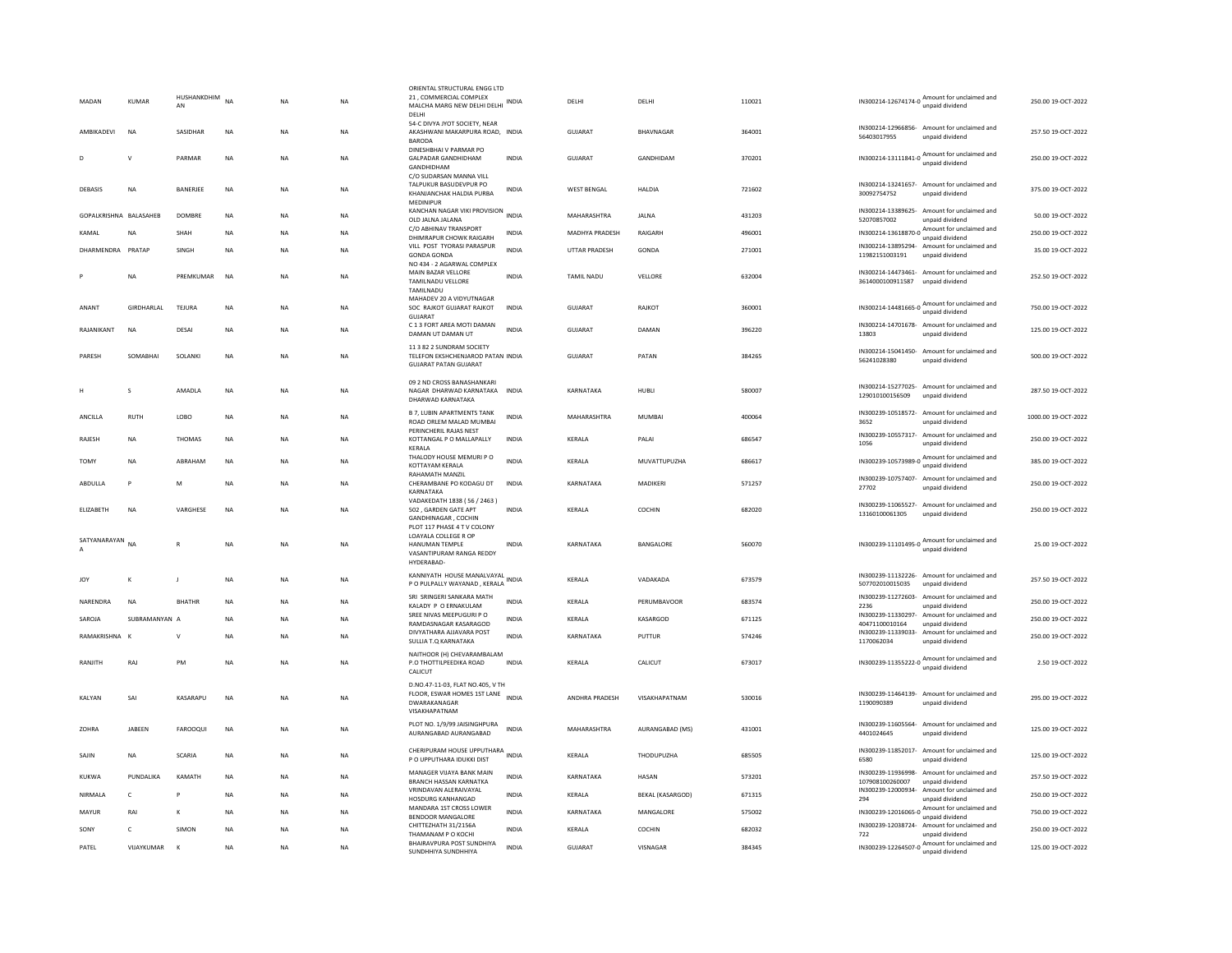| MADAN                  | <b>KUMAR</b>             | HUSHANKDHIM<br>AN    | <b>NA</b>              | NA              | <b>NA</b>       | ORIENTAL STRUCTURAL ENGG LTD<br>21, COMMERCIAL COMPLEX<br>MALCHA MARG NEW DELHI DELHI<br>DELHI            | <b>INDIA</b>                 | DELHI              | DELHI                   | 110021           |                                                                            | IN300214-12674174-0 Amount for unclaimed and<br>unpaid dividend                                                                   | 250.00 19-OCT-2022                       |
|------------------------|--------------------------|----------------------|------------------------|-----------------|-----------------|-----------------------------------------------------------------------------------------------------------|------------------------------|--------------------|-------------------------|------------------|----------------------------------------------------------------------------|-----------------------------------------------------------------------------------------------------------------------------------|------------------------------------------|
| AMBIKADEVI             | <b>NA</b>                | SASIDHAR             | <b>NA</b>              | NA              | <b>NA</b>       | 54-C DIVYA JYOT SOCIETY, NEAR<br>AKASHWANI MAKARPURA ROAD, INDIA<br><b>BARODA</b>                         |                              | GUJARAT            | BHAVNAGAR               | 364001           | 56403017955                                                                | IN300214-12966856- Amount for unclaimed and<br>unpaid dividend                                                                    | 257.50 19-OCT-2022                       |
| Ð                      | $\mathbf{v}$             | PARMAR               | <b>NA</b>              | <b>NA</b>       | <b>NA</b>       | DINESHBHAI V PARMAR PO<br><b>GALPADAR GANDHIDHAM</b><br>GANDHIDHAM<br>C/O SUDARSAN MANNA VILL             | <b>INDIA</b>                 | GUJARAT            | GANDHIDAM               | 370201           | $\n  \, \text{IN} \, 300214 - 13111841 - 0 \\   \, \text{unpaid dividend}$ | Amount for unclaimed and                                                                                                          | 250.00 19-OCT-2022                       |
| DEBASIS                | <b>NA</b>                | BANERJEE             | <b>NA</b>              | <b>NA</b>       | <b>NA</b>       | TAI PUKUR BASUDEVPUR PO<br>KHANJANCHAK HALDIA PURBA<br>MEDINIPUR                                          | <b>INDIA</b>                 | <b>WEST BENGAL</b> | <b>HALDIA</b>           | 721602           | 30092754752                                                                | IN300214-13241657- Amount for unclaimed and<br>unpaid dividend                                                                    | 375.00 19-OCT-2022                       |
| GOPALKRISHNA BALASAHEB |                          | DOMBRE               | <b>NA</b>              | NA              | <b>NA</b>       | KANCHAN NAGAR VIKI PROVISION<br>OLD JALNA JALANA                                                          | <b>INDIA</b>                 | MAHARASHTRA        | <b>JALNA</b>            | 431203           | 52070857002                                                                | IN300214-13389625- Amount for unclaimed and<br>unpaid dividend                                                                    | 50.00 19-OCT-2022                        |
| KAMAL                  | <b>NA</b>                | SHAH                 | <b>NA</b>              | NA              | <b>NA</b>       | C/O ABHINAV TRANSPORT<br>DHIMRAPUR CHOWK RAIGARH                                                          | <b>INDIA</b>                 | MADHYA PRADESH     | RAIGARH                 | 496001           | IN300214-13618870-0                                                        | Amount for unclaimed and<br>unpaid dividend                                                                                       | 250.00 19-OCT-2022                       |
| DHARMENDRA PRATAP      |                          | SINGH                | <b>NA</b>              | <b>NA</b>       | NA              | VILL POST TYORASI PARASPUR<br><b>GONDA GONDA</b><br>NO 434 - 2 AGARWAL COMPLEX                            | <b>INDIA</b>                 | UTTAR PRADESH      | GONDA                   | 271001           | 11982151003191                                                             | IN300214-13895294- Amount for unclaimed and<br>unpaid dividend                                                                    | 35.00 19-OCT-2022                        |
|                        | <b>NA</b>                | PREMKUMAR            | <b>NA</b>              | <b>NA</b>       | <b>NA</b>       | MAIN BAZAR VELLORE<br>TAMILNADU VELLORE<br>TAMILNADU                                                      | <b>INDIA</b>                 | TAMIL NADU         | VELLORE                 | 632004           | 3614000100911587                                                           | IN300214-14473461- Amount for unclaimed and<br>unpaid dividend                                                                    | 252.50 19-OCT-2022                       |
| ANANT                  | <b>GIRDHARLAL</b>        | TEJURA               | <b>NA</b>              | <b>NA</b>       | <b>NA</b>       | MAHADEV 20 A VIDYUTNAGAR<br>SOC RAJKOT GUJARAT RAJKOT<br><b>GUJARAT</b>                                   | <b>INDIA</b>                 | <b>GUJARAT</b>     | RAJKOT                  | 360001           | IN300214-14481665-0                                                        | Amount for unclaimed and<br>unpaid dividend                                                                                       | 750.00 19-OCT-2022                       |
| RAJANIKANT             | <b>NA</b>                | DESAI                | <b>NA</b>              | NA              | <b>NA</b>       | C 1 3 FORT AREA MOTI DAMAN<br>DAMAN UT DAMAN UT                                                           | <b>INDIA</b>                 | <b>GUJARAT</b>     | DAMAN                   | 396220           | 13803                                                                      | IN300214-14701678- Amount for unclaimed and<br>unpaid dividend                                                                    | 125.00 19-OCT-2022                       |
| PARESH                 | SOMABHAI                 | SOLANKI              | NA                     | NΑ              | NA              | 11 3 82 2 SUNDRAM SOCIETY<br>TELEFON EKSHCHENJAROD PATAN INDIA<br><b>GUJARAT PATAN GUJARAT</b>            |                              | GUJARAT            | PATAN                   | 384265           | 56241028380                                                                | IN300214-15041450- Amount for unclaimed and<br>unpaid dividend                                                                    | 500.00 19-OCT-2022                       |
| H                      | s                        | AMADI A              | <b>NA</b>              | <b>NA</b>       | <b>NA</b>       | 09 2 ND CROSS BANASHANKARI<br>NAGAR DHARWAD KARNATAKA INDIA<br>DHARWAD KARNATAKA                          |                              | KARNATAKA          | HUBIL                   | 580007           | 129010100156509                                                            | IN300214-15277025- Amount for unclaimed and<br>unpaid dividend                                                                    | 287.50 19-OCT-2022                       |
| ANCILLA                | RUTH                     | LOBO                 | NA                     | NA              | <b>NA</b>       | <b>B 7, LUBIN APARTMENTS TANK</b><br>ROAD ORLEM MALAD MUMBAI<br>PERINCHERIL RAJAS NEST                    | <b>INDIA</b>                 | MAHARASHTRA        | <b>MUMBAI</b>           | 400064           | 3652                                                                       | IN300239-10518572- Amount for unclaimed and<br>unpaid dividend                                                                    | 1000.00 19-OCT-2022                      |
| RAJESH                 | <b>NA</b>                | <b>THOMAS</b>        | <b>NA</b>              | <b>NA</b>       | <b>NA</b>       | KOTTANGAL P O MALLAPALLY<br>KERALA                                                                        | <b>INDIA</b>                 | KERALA             | PALAI                   | 686547           | IN300239-10557317-<br>1056                                                 | Amount for unclaimed and<br>unpaid dividend                                                                                       | 250.00 19-OCT-2022                       |
| TOMY                   | <b>NA</b>                | ABRAHAM              | <b>NA</b>              | NA              | <b>NA</b>       | THALODY HOUSE MEMURI P O<br>KOTTAYAM KERALA                                                               | <b>INDIA</b>                 | KERALA             | MUVATTUPUZHA            | 686617           |                                                                            | IN300239-10573989-0 Amount for unclaimed and<br>unpaid dividend                                                                   | 385.00 19-OCT-2022                       |
| ABDULLA                | P                        | M                    | <b>NA</b>              | <b>NA</b>       | <b>NA</b>       | <b>RAHAMATH MANZIL</b><br>CHERAMBANE PO KODAGU DT<br>KARNATAKA                                            | <b>INDIA</b>                 | KARNATAKA          | MADIKERI                | 571257           | 27702                                                                      | IN300239-10757407- Amount for unclaimed and<br>unpaid dividend                                                                    | 250.00 19-OCT-2022                       |
| ELIZABETH              | <b>NA</b>                | VARGHESE             | <b>NA</b>              | NΑ              | <b>NA</b>       | VADAKEDATH 1838 (56 / 2463)<br>502, GARDEN GATE APT<br>GANDHINAGAR, COCHIN<br>PLOT 117 PHASE 4 T V COLONY | <b>INDIA</b>                 | KERALA             | COCHIN                  | 682020           | 13160100061305                                                             | IN300239-11065527- Amount for unclaimed and<br>unpaid dividend                                                                    | 250.00 19-OCT-2022                       |
| SATYANARAYAN           | <b>NA</b>                | $\mathbb{R}$         | <b>NA</b>              | <b>NA</b>       | <b>NA</b>       | LOAYALA COLLEGE R OP<br>HANUMAN TEMPLE<br>VASANTIPURAM RANGA REDDY<br>HYDERABAD-                          | <b>INDIA</b>                 | KARNATAKA          | <b>BANGALORE</b>        | 560070           |                                                                            | IN300239-11101495-0 Amount for unclaimed and                                                                                      | 25.00.19-OCT-2022                        |
| <b>JOY</b>             | $\mathsf{K}$             | J                    | <b>NA</b>              | ΝA              | NA              | KANNIYATH HOUSE MANALVAYAL<br>P O PULPALLY WAYANAD, KERALA                                                |                              | KERALA             | VADAKADA                | 673579           | 507702010015035                                                            | IN300239-11132226- Amount for unclaimed and<br>unpaid dividend                                                                    | 257.50 19-OCT-2022                       |
| NARFNDRA               | <b>NA</b>                | <b>BHATHR</b>        | <b>NA</b>              | <b>NA</b>       | <b>NA</b>       | SRI SRINGERI SANKARA MATH<br>KALADY P O ERNAKULAM                                                         | <b>INDIA</b>                 | <b>KFRAIA</b>      | PERUMBAVOOR             | 683574           | IN300239-11272603-<br>2236                                                 | Amount for unclaimed and<br>unpaid dividend                                                                                       | 250.00.19-OCT-2022                       |
| SAROJA                 | SUBRAMANYAN A            |                      | <b>NA</b>              | N <sub>A</sub>  | <b>NA</b>       | SREE NIVAS MEEPUGURI P O<br>RAMDASNAGAR KASARAGOD                                                         | <b>INDIA</b>                 | KERALA             | KASARGOD                | 671125           | IN300239-11330297-<br>40471100010164                                       | Amount for unclaimed and<br>unpaid dividend                                                                                       | 250.00 19-OCT-2022                       |
| RAMAKRISHNA K          |                          | V                    | <b>NA</b>              | <b>NA</b>       | <b>NA</b>       | DIVYATHARA AJJAVARA POST                                                                                  | <b>INDIA</b>                 | KARNATAKA          | PUTTUR                  | 574246           |                                                                            | IN300239-11339033- Amount for unclaimed and                                                                                       | 250.00 19-OCT-2022                       |
| RANJITH                | RAJ                      | PM                   | <b>NA</b>              | <b>NA</b>       | <b>NA</b>       | SULLIA T.Q KARNATAKA<br>NAITHOOR (H) CHEVARAMBALAM<br>P.O THOTTILPEEDIKA ROAD<br>CALICUT                  | <b>INDIA</b>                 | KERALA             | CALICUT                 | 673017           | 1170062034                                                                 | unpaid dividend<br>IN300239-11355222-0 Amount for unclaimed and<br>unpaid dividend                                                | 2.50 19-OCT-2022                         |
| KALYAN                 | SAI                      | KASARAPU             | NA                     | NA              | NA              | D.NO.47-11-03, FLAT NO.405, V TH<br>FLOOR, ESWAR HOMES 1ST LANE<br>DWARAKANAGAR<br>VISAKHAPATNAM          | <b>INDIA</b>                 | ANDHRA PRADESH     | VISAKHAPATNAM           | 530016           | 1190090389                                                                 | IN300239-11464139- Amount for unclaimed and<br>unpaid dividend                                                                    | 295.00 19-OCT-2022                       |
| ZOHRA                  | JABEEN                   | FAROOQUI             | NA                     | ΝA              | NA              | PLOT NO. 1/9/99 JAISINGHPURA<br>AURANGABAD AURANGABAD                                                     | <b>INDIA</b>                 | MAHARASHTRA        | AURANGABAD (MS)         | 431001           | 4401024645                                                                 | IN300239-11605564- Amount for unclaimed and<br>unpaid dividend                                                                    | 125.00 19-OCT-2022                       |
| SAJIN                  | <b>NA</b>                | <b>SCARIA</b>        | <b>NA</b>              | <b>NA</b>       | <b>NA</b>       | CHERIPURAM HOUSE UPPUTHARA<br>P O UPPUTHARA IDUKKI DIST                                                   |                              | KERALA             | THODUPUZHA              | 685505           | 6580                                                                       | IN300239-11852017- Amount for unclaimed and<br>unpaid dividend                                                                    | 125.00 19-OCT-2022                       |
| KUKWA                  | PUNDALIKA                | KAMATH               | <b>NA</b>              | N <sub>A</sub>  | NA              | MANAGER VIJAYA BANK MAIN<br>BRANCH HASSAN KARNATKA                                                        | <b>INDIA</b>                 | KARNATAKA          | HASAN                   | 573201           | 107908100260007                                                            | IN300239-11936998- Amount for unclaimed and<br>unpaid dividend                                                                    | 257.50 19-OCT-2022                       |
| NIRMAI A               | $\mathsf{C}$             | P                    | <b>NA</b>              | <b>NA</b>       | <b>NA</b>       | VRINDAVAN ALERAIVAYAL                                                                                     | <b>INDIA</b>                 | KERALA             | <b>BEKAL (KASARGOD)</b> | 671315           | IN300239-12000934-                                                         | Amount for unclaimed and                                                                                                          | 250.00 19-OCT-2022                       |
| MAYUR                  | RAI                      | к                    | <b>NA</b>              | <b>NA</b>       | <b>NA</b>       | HOSDURG KANHANGAD<br>MANDARA 1ST CROSS LOWER                                                              | <b>INDIA</b>                 | KARNATAKA          | MANGALORE               | 575002           | 294                                                                        | unpaid dividend<br>IN300239-12016065-0 Amount for unclaimed and                                                                   | 750.00 19-OCT-2022                       |
|                        |                          |                      |                        |                 |                 |                                                                                                           |                              |                    |                         |                  |                                                                            |                                                                                                                                   |                                          |
|                        |                          |                      |                        |                 |                 | BENDOOR MANGALORE                                                                                         |                              |                    |                         |                  |                                                                            | unpaid dividend                                                                                                                   |                                          |
| SONY<br>PATEL          | $\epsilon$<br>VIJAYKUMAR | SIMON<br>$\mathbf k$ | <b>NA</b><br><b>NA</b> | NΑ<br><b>NA</b> | NA<br><b>NA</b> | CHITTEZHATH 31/2156A<br>THAMANAM P O KOCHI<br>BHAIRAVPURA POST SUNDHIYA                                   | <b>INDIA</b><br><b>INDIA</b> | KERALA<br>GUJARAT  | COCHIN<br>VISNAGAR      | 682032<br>384345 | 722                                                                        | IN300239-12038724- Amount for unclaimed and<br>unpaid dividend<br>IN300239-12264507-0 Amount for unclaimed and<br>unpaid dividend | 250.00 19-OCT-2022<br>125.00 19-OCT-2022 |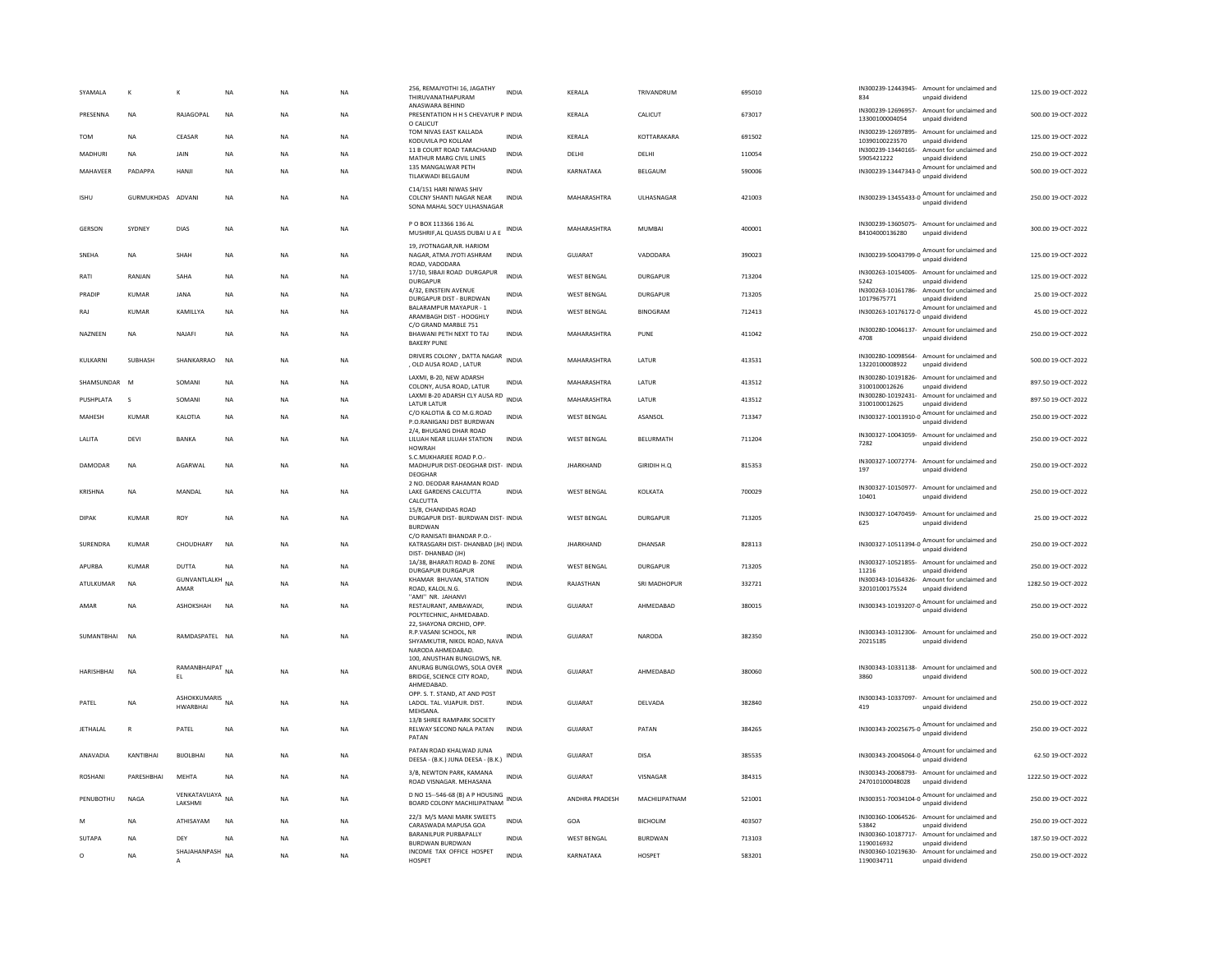|         | SYAMALA           | к                 | к                                   | NA        | <b>NA</b> | <b>NA</b> | 256, REMAJYOTHI 16, JAGATHY<br>THIRUVANATHAPURAM                                                                           | <b>INDIA</b> | KERALA             | TRIVANDRUM          | 695010 | IN300239-12443945-<br>834            | Amount for unclaimed and<br>unpaid dividend                     | 125.00 19-OCT-2022  |
|---------|-------------------|-------------------|-------------------------------------|-----------|-----------|-----------|----------------------------------------------------------------------------------------------------------------------------|--------------|--------------------|---------------------|--------|--------------------------------------|-----------------------------------------------------------------|---------------------|
|         | PRESENNA          | NA                | RAJAGOPAL                           | <b>NA</b> | NA        | <b>NA</b> | ANASWARA BEHIND<br>PRESENTATION H H S CHEVAYUR P INDIA<br>O CALICUT                                                        |              | KERALA             | CALICUT             | 673017 | 13300100004054                       | IN300239-12696957- Amount for unclaimed and<br>unpaid dividend  | 500.00 19-OCT-2022  |
|         | TOM               | NA                | CEASAR                              | NA        | <b>NA</b> | <b>NA</b> | TOM NIVAS EAST KALLADA<br>KODUVILA PO KOLLAM                                                                               | <b>INDIA</b> | KERALA             | KOTTARAKARA         | 691502 | IN300239-12697895-<br>10390100223570 | Amount for unclaimed and<br>unpaid dividend                     | 125.00 19-OCT-2022  |
|         | MADHURI           | NA                | JAIN                                | NA        | NA        | <b>NA</b> | 11 B COURT ROAD TARACHAND<br>MATHUR MARG CIVIL LINES                                                                       | <b>INDIA</b> | DELHI              | DELHI               | 110054 | IN300239-13440165-<br>5905421222     | Amount for unclaimed and<br>unpaid dividend                     | 250.00 19-OCT-2022  |
|         | MAHAVEER          | PADAPPA           | HANJI                               | <b>NA</b> | <b>NA</b> | <b>NA</b> | 135 MANGALWAR PETH<br>TILAKWADI BELGAUM                                                                                    | <b>INDIA</b> | KARNATAKA          | BELGAUM             | 590006 |                                      | IN300239-13447343-0 Amount for unclaimed and<br>unpaid dividend | 500.00 19-OCT-2022  |
|         | <b>ISHU</b>       | GURMUKHDAS ADVANI |                                     | <b>NA</b> | <b>NA</b> | NA        | C14/151 HARI NIWAS SHIV<br>COLCNY SHANTI NAGAR NEAR<br>SONA MAHAL SOCY ULHASNAGAR                                          | <b>INDIA</b> | MAHARASHTRA        | ULHASNAGAR          | 421003 |                                      | IN300239-13455433-0 Amount for unclaimed and<br>unpaid dividend | 250.00 19-OCT-2022  |
|         | <b>GERSON</b>     | <b>SYDNEY</b>     | <b>DIAS</b>                         | <b>NA</b> | <b>NA</b> | <b>NA</b> | P O BOX 113366 136 AL<br>MUSHRIF.AL QUASIS DUBAI U A E                                                                     | <b>INDIA</b> | MAHARASHTRA        | MUMBAI              | 400001 | 84104000136280                       | IN300239-13605075- Amount for unclaimed and<br>unpaid dividend  | 300.00.19-OCT-2022  |
|         | SNEHA             | <b>NA</b>         | <b>SHAH</b>                         | <b>NA</b> | <b>NA</b> | <b>NA</b> | 19, JYOTNAGAR, NR. HARIOM<br>NAGAR, ATMA JYOTI ASHRAM<br>ROAD, VADODARA                                                    | <b>INDIA</b> | GUIARAT            | VADODARA            | 390023 |                                      | IN300239-50043799-0 Amount for unclaimed and<br>unpaid dividend | 125.00 19-OCT-2022  |
|         | RATI              | RANJAN            | SAHA                                | <b>NA</b> | <b>NA</b> | <b>NA</b> | 17/10, SIBAJI ROAD DURGAPUR<br><b>DURGAPUR</b>                                                                             | <b>INDIA</b> | <b>WEST BENGAL</b> | <b>DURGAPUR</b>     | 713204 | 5242                                 | IN300263-10154005- Amount for unclaimed and<br>unpaid dividend  | 125.00 19-OCT-2022  |
|         | PRADIP            | <b>KUMAR</b>      | <b>JANA</b>                         | <b>NA</b> | <b>NA</b> | <b>NA</b> | 4/32, EINSTEIN AVENUE<br>DURGAPUR DIST - BURDWAN                                                                           | <b>INDIA</b> | <b>WEST BENGAL</b> | DURGAPUR            | 713205 | IN300263-10161786-<br>10179675771    | Amount for unclaimed and<br>unpaid dividend                     | 25.00 19-OCT-2022   |
|         | RAJ               | <b>KUMAR</b>      | KAMILLYA                            | <b>NA</b> | <b>NA</b> | <b>NA</b> | BALARAMPUR MAYAPUR - 1<br>ARAMBAGH DIST - HOOGHLY                                                                          | <b>INDIA</b> | <b>WEST BENGAL</b> | <b>BINOGRAM</b>     | 712413 |                                      | IN300263-10176172-0 Amount for unclaimed and<br>unpaid dividend | 45.00 19-OCT-2022   |
|         | NAZNEEN           | NA                | NAJAFI                              | <b>NA</b> | <b>NA</b> | <b>NA</b> | C/O GRAND MARBLE 751<br>BHAWANI PETH NEXT TO TAJ<br><b>BAKERY PUNE</b>                                                     | INDIA        | MAHARASHTRA        | PUNE                | 411042 | 4708                                 | IN300280-10046137- Amount for unclaimed and<br>unpaid dividend  | 250.00 19-OCT-2022  |
|         | KULKARNI          | SUBHASH           | SHANKARRAO                          | <b>NA</b> | <b>NA</b> | NA        | DRIVERS COLONY, DATTA NAGAR                                                                                                | <b>INDIA</b> | MAHARASHTRA        | LATUR               | 413531 |                                      | IN300280-10098564- Amount for unclaimed and                     | 500.00 19-OCT-2022  |
|         | SHAMSUNDAR        | M                 | SOMANI                              | <b>NA</b> | <b>NA</b> | <b>NA</b> | , OLD AUSA ROAD, LATUR<br>LAXMI, B-20, NEW ADARSH                                                                          | <b>INDIA</b> | MAHARASHTRA        | LATUR               | 413512 | 13220100008922                       | unpaid dividend<br>IN300280-10191826- Amount for unclaimed and  | 897.50 19-OCT-2022  |
|         | PUSHPLATA         | s                 | SOMANI                              | NA        | NA        | <b>NA</b> | COLONY, AUSA ROAD, LATUR<br>LAXMI B-20 ADARSH CLY AUSA RD                                                                  | <b>INDIA</b> | MAHARASHTRA        | LATUR               | 413512 | 3100100012626                        | unpaid dividend<br>IN300280-10192431- Amount for unclaimed and  | 897.50 19-OCT-2022  |
|         |                   |                   |                                     |           |           |           | LATUR LATUR<br>C/O KALOTIA & CO M.G.ROAD                                                                                   |              |                    |                     |        | 3100100012625                        | unpaid dividend<br>IN300327-10013910-0 Amount for unclaimed and |                     |
|         | MAHESH            | <b>KUMAR</b>      | KALOTIA                             | <b>NA</b> | <b>NA</b> | <b>NA</b> | P.O.RANIGANJ DIST BURDWAN<br>2/4, BHUGANG DHAR ROAD                                                                        | <b>INDIA</b> | <b>WEST BENGAL</b> | ASANSOL             | 713347 |                                      | unpaid dividend                                                 | 250.00 19-OCT-2022  |
|         | LALITA            | DEVI              | <b>BANKA</b>                        | <b>NA</b> | <b>NA</b> | <b>NA</b> | LILUAH NEAR LILUAH STATION<br>HOWRAH                                                                                       | <b>INDIA</b> | <b>WEST BENGAL</b> | <b>BELURMATH</b>    | 711204 | 7282                                 | IN300327-10043059- Amount for unclaimed and<br>unpaid dividend  | 250.00 19-OCT-2022  |
|         | DAMODAR           | NA                | AGARWAL                             | NA        | <b>NA</b> | NA        | S.C.MUKHARJEE ROAD P.O.-<br>MADHUPUR DIST-DEOGHAR DIST- INDIA<br>DEOGHAR                                                   |              | <b>JHARKHAND</b>   | GIRIDIH H.Q         | 815353 | 197                                  | IN300327-10072774- Amount for unclaimed and<br>unpaid dividend  | 250.00 19-OCT-2022  |
|         | KRISHNA           | <b>NA</b>         | MANDAL                              | <b>NA</b> | <b>NA</b> | <b>NA</b> | 2 NO. DEODAR RAHAMAN ROAD<br>LAKE GARDENS CALCUTTA<br>CALCUTTA                                                             | <b>INDIA</b> | <b>WEST BENGAL</b> | KOLKATA             | 700029 | IN300327-10150977-<br>10401          | Amount for unclaimed and<br>unpaid dividend                     | 250.00 19-OCT-2022  |
|         | <b>DIPAK</b>      | <b>KUMAR</b>      | ROY                                 | <b>NA</b> | <b>NA</b> | <b>NA</b> | 15/8, CHANDIDAS ROAD<br>DURGAPUR DIST- BURDWAN DIST- INDIA<br><b>BURDWAN</b>                                               |              | <b>WEST BENGAL</b> | <b>DURGAPUR</b>     | 713205 | 625                                  | IN300327-10470459- Amount for unclaimed and<br>unpaid dividend  | 25.00 19-OCT-2022   |
|         | <b>SURFNDRA</b>   | KUMAR             | CHOUDHARY                           | <b>NA</b> | <b>NA</b> | <b>NA</b> | C/O RANISATI BHANDAR P.O.-<br>KATRASGARH DIST- DHANBAD (JH) INDIA                                                          |              | <b>IHARKHAND</b>   | DHANSAR             | 828113 | IN300327-10511394-0                  | Amount for unclaimed and<br>unpaid dividend                     | 250.00 19-OCT-2022  |
|         |                   |                   |                                     |           |           |           | DIST-DHANBAD (JH)<br>1A/38, BHARATI ROAD B-ZONE                                                                            | <b>INDIA</b> |                    |                     |        |                                      | IN300327-10521855- Amount for unclaimed and                     |                     |
|         | APURBA            | KUMAR             | DUTTA<br><b>GUNVANTLALKH</b> NA     | NA        | NA        | NA        | <b>DURGAPUR DURGAPUR</b><br>KHAMAR BHUVAN, STATION                                                                         |              | WEST BENGAL        | <b>DURGAPUR</b>     | 713205 | 11216<br>IN300343-10164326-          | unpaid dividend<br>Amount for unclaimed and                     | 250.00 19-OCT-2022  |
|         | ATULKUMAR         | <b>NA</b>         | AMAR                                |           | <b>NA</b> | <b>NA</b> | ROAD, KALOL,N.G.<br>"AMI" NR. JAHANVI                                                                                      | <b>INDIA</b> | RAIASTHAN          | <b>SRI MADHOPUR</b> | 332721 | 32010100175524                       | unpaid dividend                                                 | 1282.50.19-OCT-2022 |
|         | AMAR              | <b>NA</b>         | ASHOKSHAH                           | <b>NA</b> | <b>NA</b> | <b>NA</b> | RESTAURANT, AMBAWADI,<br>POLYTECHNIC, AHMEDABAD.                                                                           | <b>INDIA</b> | <b>GUJARAT</b>     | AHMEDABAD           | 380015 |                                      | IN300343-10193207-0 Amount for unclaimed and<br>unpaid dividend | 250.00 19-OCT-2022  |
|         | SUMANTBHAI NA     |                   | RAMDASPATEL NA                      |           | <b>NA</b> | NA        | 22, SHAYONA ORCHID, OPP.<br>R.P.VASANI SCHOOL, NR<br>SHYAMKUTIR, NIKOL ROAD, NAVA INDIA                                    |              | <b>GUJARAT</b>     | <b>NARODA</b>       | 382350 | IN300343-10312306-<br>20215185       | Amount for unclaimed and<br>unpaid dividend                     | 250.00 19-OCT-2022  |
|         | <b>HARISHBHAI</b> | <b>NA</b>         | RAMANBHAIPAT<br>EL                  | <b>NA</b> | <b>NA</b> | <b>NA</b> | NARODA AHMEDABAD.<br>100, ANUSTHAN BUNGLOWS, NR.<br>ANURAG BUNGLOWS, SOLA OVER<br>BRIDGE, SCIENCE CITY ROAD,<br>AHMEDABAD. | <b>INDIA</b> | GUJARAT            | AHMEDABAD           | 380060 | 3860                                 | IN300343-10331138- Amount for unclaimed and<br>unpaid dividend  | 500.00 19-OCT-2022  |
|         | PATEL             | NA                | ASHOKKUMARIS NA<br><b>HWARBHAI</b>  |           | NA        | <b>NA</b> | OPP. S. T. STAND. AT AND POST<br>LADOL. TAL. VIJAPUR. DIST.<br>MEHSANA.                                                    | <b>INDIA</b> | GUJARAT            | DELVADA             | 382840 | 419                                  | IN300343-10337097- Amount for unclaimed and<br>unpaid dividend  | 250.00 19-OCT-2022  |
|         | <b>JETHALAL</b>   | ${\sf R}$         | PATEL                               | <b>NA</b> | <b>NA</b> | <b>NA</b> | 13/B SHREE RAMPARK SOCIETY<br>RELWAY SECOND NALA PATAN<br>PATAN                                                            | <b>INDIA</b> | GUJARAT            | PATAN               | 384265 |                                      | IN300343-20025675-0 Amount for unclaimed and<br>unpaid dividend | 250.00 19-OCT-2022  |
|         | ANAVADIA          | KANTIBHAI         | BUOLBHAI                            | NA        | <b>NA</b> | <b>NA</b> | PATAN ROAD KHALWAD JUNA<br>DEESA - (B.K.) JUNA DEESA - (B.K.)                                                              | <b>INDIA</b> | GUJARAT            | DISA                | 385535 |                                      | IN300343-20045064-0 Amount for unclaimed and<br>unpaid dividend | 62.50 19-OCT-2022   |
|         | <b>ROSHANI</b>    | PARFSHRHAI        | MFHTA                               | <b>NA</b> | <b>NA</b> | <b>NA</b> | 3/B, NEWTON PARK, KAMANA<br>ROAD VISNAGAR. MEHASANA                                                                        | <b>INDIA</b> | GUIARAT            | VISNAGAR            | 384315 | 247010100048028                      | IN300343-20068793- Amount for unclaimed and<br>unpaid dividend  | 1222.50 19-OCT-2022 |
|         | PENUBOTHU         | <b>NAGA</b>       | VENKATAVIJAYA NA<br><b>I AKSHMI</b> |           | <b>NA</b> | <b>NA</b> | D NO 15--546-68 (B) A P HOUSING<br>BOARD COLONY MACHILIPATNAM                                                              |              | ANDHRA PRADESH     | MACHILIPATNAM       | 521001 |                                      | IN300351-70034104-0 Amount for unclaimed and                    | 250.00 19-OCT-2022  |
|         |                   | NA                | ATHISAYAM                           | <b>NA</b> | NA        | NA        | 22/3 M/S MANI MARK SWEETS<br>CARASWADA MAPUSA GOA                                                                          | <b>INDIA</b> | GOA                | BICHOLIM            | 403507 | 53842                                | IN300360-10064526- Amount for unclaimed and                     | 250.00 19-OCT-2022  |
|         | <b>SUTAPA</b>     | NA                | DEY                                 | NA        | NA        | <b>NA</b> | BARANILPUR PURBAPALLY                                                                                                      | <b>INDIA</b> | <b>WEST BENGAL</b> | BURDWAN             | 713103 | IN300360-10187717-                   | unpaid dividend<br>Amount for unclaimed and                     | 187.50 19-OCT-2022  |
| $\circ$ |                   | <b>NA</b>         | SHAJAHANPASH NA                     |           | <b>NA</b> | <b>NA</b> | <b>BURDWAN BURDWAN</b><br>INCOME TAX OFFICE HOSPET                                                                         | <b>INDIA</b> | KARNATAKA          | HOSPET              | 583201 | 1190016932<br>IN300360-10219630-     | unpaid dividend<br>Amount for unclaimed and                     | 250.00 19-OCT-2022  |
|         |                   |                   |                                     |           |           |           | HOSPET                                                                                                                     |              |                    |                     |        | 1190034711                           | unpaid dividend                                                 |                     |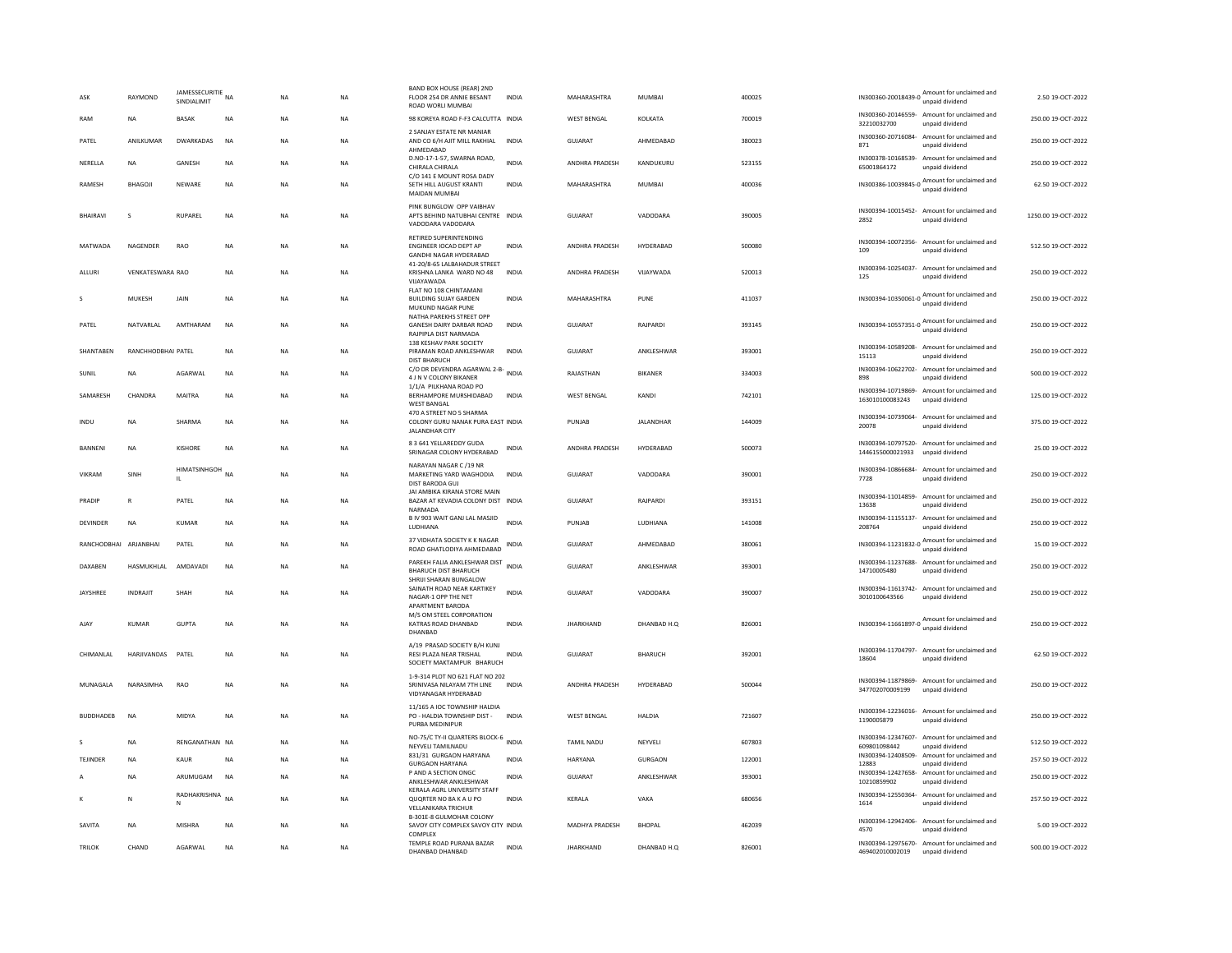| ASK                   | RAYMOND            | JAMESSECURITIE<br>NA<br>SINDIALIMIT |             | <b>NA</b> | <b>NA</b> | BAND BOX HOUSE (REAR) 2ND<br>FLOOR 254 DR ANNIE BESANT<br>ROAD WORLI MUMBAI                                | INDIA        | MAHARASHTRA           | MUMBAI           | 400025 |                                   | IN300360-20018439-0 Amount for unclaimed and                    | 2.50 19-OCT-2022    |
|-----------------------|--------------------|-------------------------------------|-------------|-----------|-----------|------------------------------------------------------------------------------------------------------------|--------------|-----------------------|------------------|--------|-----------------------------------|-----------------------------------------------------------------|---------------------|
| RAM                   | <b>NA</b>          | <b>BASAK</b>                        | <b>NA</b>   | <b>NA</b> | <b>NA</b> | 98 KOREYA ROAD F-F3 CALCUTTA INDIA                                                                         |              | <b>WEST BENGAL</b>    | KOLKATA          | 700019 | 32210032700                       | IN300360-20146559- Amount for unclaimed and<br>unpaid dividend  | 250.00 19-OCT-2022  |
| PATEL                 | ANILKUMAR          | <b>DWARKADAS</b>                    | <b>NA</b>   | <b>NA</b> | <b>NA</b> | 2 SANJAY ESTATE NR MANIAR<br>AND CO 6/H AJIT MILL RAKHIAL<br>AHMEDABAD                                     | <b>INDIA</b> | GUJARAT               | AHMEDABAD        | 380023 | 871                               | IN300360-20716084- Amount for unclaimed and<br>unpaid dividend  | 250.00 19-OCT-2022  |
| NERELLA               | <b>NA</b>          | GANESH                              | <b>NA</b>   | <b>NA</b> | <b>NA</b> | D.NO-17-1-57, SWARNA ROAD,<br>CHIRALA CHIRALA                                                              | <b>INDIA</b> | ANDHRA PRADESH        | KANDUKURU        | 523155 | IN300378-10168539-<br>65001864172 | Amount for unclaimed and<br>unpaid dividend                     | 250.00 19-OCT-2022  |
| <b>RAMESH</b>         | BHAGOJI            | NEWARE                              | <b>NA</b>   | <b>NA</b> | <b>NA</b> | C/O 141 E MOUNT ROSA DADY<br>SETH HILL AUGUST KRANTI<br>MAIDAN MUMBAI                                      | <b>INDIA</b> | MAHARASHTRA           | MUMBAI           | 400036 | IN300386-10039845-0               | Amount for unclaimed and<br>unpaid dividend                     | 62.50 19-OCT-2022   |
| <b>BHAIRAVI</b>       | s                  | <b>RUPAREL</b>                      | <b>NA</b>   | <b>NA</b> | <b>NA</b> | PINK BUNGLOW OPP VAIBHAV<br>APTS BEHIND NATUBHAI CENTRE INDIA<br>VADODARA VADODARA                         |              | <b>GUJARAT</b>        | VADODARA         | 390005 | 2852                              | IN300394-10015452- Amount for unclaimed and<br>unpaid dividend  | 1250.00 19-OCT-2022 |
| MATWADA               | NAGENDER           | <b>RAO</b>                          | <b>NA</b>   | <b>NA</b> | <b>NA</b> | RETIRED SUPERINTENDING<br>ENGINEER IOCAD DEPT AP<br>GANDHI NAGAR HYDERABAD<br>41-20/8-65 LALBAHADUR STREET | <b>INDIA</b> | ANDHRA PRADESH        | HYDERABAD        | 500080 | 109                               | IN300394-10072356- Amount for unclaimed and<br>unpaid dividend  | 512.50 19-OCT-2022  |
| ALLURI                | VENKATESWARA RAO   |                                     | <b>NA</b>   | <b>NA</b> | <b>NA</b> | KRISHNA LANKA WARD NO 48<br>VUAYAWADA                                                                      | <b>INDIA</b> | ANDHRA PRADESH        | VIJAYWADA        | 520013 | 125                               | IN300394-10254037- Amount for unclaimed and<br>unpaid dividend  | 250.00 19-OCT-2022  |
| s                     | MUKESH             | JAIN                                | NA          | NA        | NA        | FLAT NO 108 CHINTAMANI<br><b>BUILDING SUJAY GARDEN</b><br>MUKUND NAGAR PUNE                                | INDIA        | MAHARASHTRA           | PUNE             | 411037 |                                   | IN300394-10350061-0 Amount for unclaimed and<br>unpaid dividend | 250.00 19-OCT-2022  |
| PATEL                 | NATVARLAL          | AMTHARAM                            | NA          | NA        | <b>NA</b> | NATHA PAREKHS STREET OPP<br>GANESH DAIRY DARBAR ROAD<br>RAJPIPLA DIST NARMADA<br>138 KESHAV PARK SOCIETY   | <b>INDIA</b> | GUJARAT               | RAJPARDI         | 393145 |                                   | IN300394-10557351-0 Amount for unclaimed and<br>unpaid dividend | 250.00 19-OCT-2022  |
| SHANTABEN             | RANCHHODBHAI PATEL |                                     | <b>NA</b>   | <b>NA</b> | <b>NA</b> | PIRAMAN ROAD ANKLESHWAR<br><b>DIST BHARUCH</b>                                                             | <b>INDIA</b> | GUJARAT               | ANKLESHWAR       | 393001 | 15113                             | IN300394-10589208- Amount for unclaimed and<br>unpaid dividend  | 250.00 19-OCT-2022  |
| SUNIL                 | <b>NA</b>          | AGARWAL                             | $_{\sf NA}$ | NA        | NA        | C/O DR DEVENDRA AGARWAL 2-B-<br>INDIA<br>4 J N V COLONY BIKANER                                            |              | RAJASTHAN             | BIKANER          | 334003 | 898                               | IN300394-10622702- Amount for unclaimed and<br>unpaid dividend  | 500.00 19-OCT-2022  |
| SAMARESH              | CHANDRA            | <b>MAITRA</b>                       | <b>NA</b>   | <b>NA</b> | <b>NA</b> | 1/1/A PILKHANA ROAD PO<br>BERHAMPORE MURSHIDABAD<br><b>WEST BANGAL</b>                                     | <b>INDIA</b> | <b>WEST BENGAL</b>    | KANDI            | 742101 | 163010100083243                   | IN300394-10719869- Amount for unclaimed and<br>unpaid dividend  | 125.00 19-OCT-2022  |
| INDU                  | <b>NA</b>          | SHARMA                              | <b>NA</b>   | <b>NA</b> | <b>NA</b> | 470 A STREET NO 5 SHARMA<br>COLONY GURU NANAK PURA EAST INDIA<br><b>JALANDHAR CITY</b>                     |              | PUNJAR                | <b>JALANDHAR</b> | 144009 | 20078                             | IN300394-10739064- Amount for unclaimed and<br>unpaid dividend  | 375.00 19-OCT-2022  |
| <b>BANNENI</b>        | <b>NA</b>          | <b>KISHORE</b>                      | <b>NA</b>   | <b>NA</b> | NA        | 8 3 641 YELLAREDDY GUDA<br>SRINAGAR COLONY HYDERABAD                                                       | INDIA        | ANDHRA PRADESH        | HYDERABAD        | 500073 | 1446155000021933 unpaid dividend  | IN300394-10797520- Amount for unclaimed and                     | 25.00 19-OCT-2022   |
| <b>VIKRAM</b>         | SINH               | HIMATSINHGOH <sub>NA</sub><br>IL.   |             | <b>NA</b> | <b>NA</b> | NARAYAN NAGAR C /19 NR<br>MARKETING YARD WAGHODIA<br>DIST BARODA GUJ                                       | <b>INDIA</b> | <b>GUJARAT</b>        | VADODARA         | 390001 | 7728                              | IN300394-10866684- Amount for unclaimed and<br>unpaid dividend  | 250.00 19-OCT-2022  |
| PRADIP                | $\mathbb{R}$       | PATEL                               | NA          | NA        | NA        | JAI AMBIKA KIRANA STORE MAIN<br>BAZAR AT KEVADIA COLONY DIST INDIA<br>NARMADA                              |              | GUJARAT               | RAJPARDI         | 393151 | IN300394-11014859-<br>13638       | Amount for unclaimed and<br>unpaid dividend                     | 250.00 19-OCT-2022  |
| DEVINDER              | NA                 | <b>KUMAR</b>                        | $_{\sf NA}$ | NA        | NA        | B IV 903 WAIT GANJ LAL MASJID<br>LUDHIANA                                                                  | <b>INDIA</b> | PUNJAB                | LUDHIANA         | 141008 | IN300394-11155137-<br>208764      | Amount for unclaimed and<br>unpaid dividend                     | 250.00 19-OCT-2022  |
| RANCHODBHAI ARJANBHAI |                    | PATEL                               | <b>NA</b>   | <b>NA</b> | <b>NA</b> | 37 VIDHATA SOCIETY K K NAGAR<br>ROAD GHATLODIYA AHMEDABAD                                                  | INDIA        | GUJARAT               | AHMEDABAD        | 380061 | IN300394-11231832-0               | Amount for unclaimed and<br>unpaid dividend                     | 15.00 19-OCT-2022   |
| DAXABEN               | HASMUKHLAL         | AMDAVADI                            | $_{\sf NA}$ | <b>NA</b> | NA        | PAREKH FALIA ANKLESHWAR DIST INDIA<br><b>BHARUCH DIST BHARUCH</b><br>SHRIJI SHARAN BUNGALOW                |              | GUJARAT               | ANKLESHWAR       | 393001 | 14710005480                       | IN300394-11237688- Amount for unclaimed and<br>unpaid dividend  | 250.00 19-OCT-2022  |
| JAYSHREE              | <b>INDRAJIT</b>    | SHAH                                | <b>NA</b>   | <b>NA</b> | <b>NA</b> | SAINATH ROAD NEAR KARTIKEY<br>NAGAR-1 OPP THE NET<br>APARTMENT BARODA                                      | INDIA        | <b>GUJARAT</b>        | VADODARA         | 390007 | 3010100643566                     | IN300394-11613742- Amount for unclaimed and<br>unpaid dividend  | 250.00 19-OCT-2022  |
| AJA)                  | <b>KUMAR</b>       | <b>GUPTA</b>                        | <b>NA</b>   | <b>NA</b> | <b>NA</b> | M/S OM STEEL CORPORATION<br>KATRAS ROAD DHANBAD<br>DHANBAD                                                 | <b>INDIA</b> | <b>JHARKHAND</b>      | DHANBAD H.O.     | 826001 |                                   | IN300394-11661897-0 Amount for unclaimed and                    | 250.00 19-OCT-2022  |
| CHIMANLAL             | HARJIVANDAS        | PATEL                               | <b>NA</b>   | <b>NA</b> | NA        | A/19 PRASAD SOCIETY B/H KUNJ<br>RESI PLAZA NEAR TRISHAL<br>SOCIETY MAKTAMPUR BHARUCH                       | <b>INDIA</b> | <b>GUJARAT</b>        | BHARUCH          | 392001 | 18604                             | IN300394-11704797- Amount for unclaimed and<br>unpaid dividend  | 62.50 19-OCT-2022   |
| MUNAGALA              | NARASIMHA          | RAO                                 | NA          | NA        | NA        | 1-9-314 PLOT NO 621 FLAT NO 202<br>SRINIVASA NILAYAM 7TH LINE<br>VIDYANAGAR HYDERABAD                      | <b>INDIA</b> | ANDHRA PRADESH        | HYDERABAD        | 500044 | 347702070009199                   | IN300394-11879869- Amount for unclaimed and<br>unpaid dividend  | 250.00 19-OCT-2022  |
| <b>BUDDHADEB</b>      | <b>NA</b>          | MIDYA                               | NA          | NA        | NA        | 11/165 A IOC TOWNSHIP HALDIA<br>PO - HALDIA TOWNSHIP DIST -<br>PURBA MEDINIPUR                             | <b>INDIA</b> | <b>WEST BENGAL</b>    | HALDIA           | 721607 | 1190005879                        | IN300394-12236016- Amount for unclaimed and<br>unpaid dividend  | 250.00 19-OCT-2022  |
|                       | <b>NA</b>          | RENGANATHAN NA                      |             | <b>NA</b> | <b>NA</b> | NO-75/C TY-II QUARTERS BLOCK-6 INDIA<br>NEYVELI TAMILNADU                                                  |              | TAMIL NADU            | NEYVELI          | 607803 | 609801098442                      | IN300394-12347607- Amount for unclaimed and<br>unpaid dividend  | 512.50 19-OCT-2022  |
| TEJINDER              | <b>NA</b>          | KAUR                                | NA          | NA        | NA        | 831/31 GURGAON HARYANA<br><b>GURGAON HARYANA</b>                                                           | <b>INDIA</b> | <b>HARYANA</b>        | GURGAON          | 122001 | IN300394-12408509-<br>12883       | Amount for unclaimed and<br>unpaid dividend                     | 257.50 19-OCT-2022  |
|                       | <b>NA</b>          | ARUMUGAM                            | <b>NA</b>   | <b>NA</b> | <b>NA</b> | P AND A SECTION ONGC<br>ANKLESHWAR ANKLESHWAR                                                              | <b>INDIA</b> | GUJARAT               | ANKLESHWAR       | 393001 | 10210859902                       | IN300394-12427658- Amount for unclaimed and<br>unpaid dividend  | 250.00 19-OCT-2022  |
|                       | N                  | RADHAKRISHNA<br>N                   | <b>NA</b>   | NA        | NA        | KERALA AGRL UNIVERSITY STAFF<br>QUORTER NO 8A K A U PO<br><b>VELLANIKARA TRICHUR</b>                       | INDIA        | KERALA                | VAKA             | 680656 | 1614                              | IN300394-12550364- Amount for unclaimed and<br>unpaid dividend  | 257.50 19-OCT-2022  |
| SAVITA                | <b>NA</b>          | <b>MISHRA</b>                       | <b>NA</b>   | <b>NA</b> | <b>NA</b> | B-301E-8 GULMOHAR COLONY<br>SAVOY CITY COMPLEX SAVOY CITY INDIA<br>COMPLEX                                 |              | <b>MADHYA PRADESH</b> | <b>BHOPAL</b>    | 462039 | 4570                              | IN300394-12942406- Amount for unclaimed and<br>unpaid dividend  | 5.00 19-OCT-2022    |
| <b>TRILOK</b>         | CHAND              | AGARWAL                             | $_{\sf NA}$ | NA        | NA        | TEMPLE ROAD PURANA BAZAR<br>DHANBAD DHANBAD                                                                | <b>INDIA</b> | <b>IHARKHAND</b>      | DHANBAD H.O.     | 826001 | 469402010002019                   | IN300394-12975670- Amount for unclaimed and<br>unpaid dividend  | 500.00 19-OCT-2022  |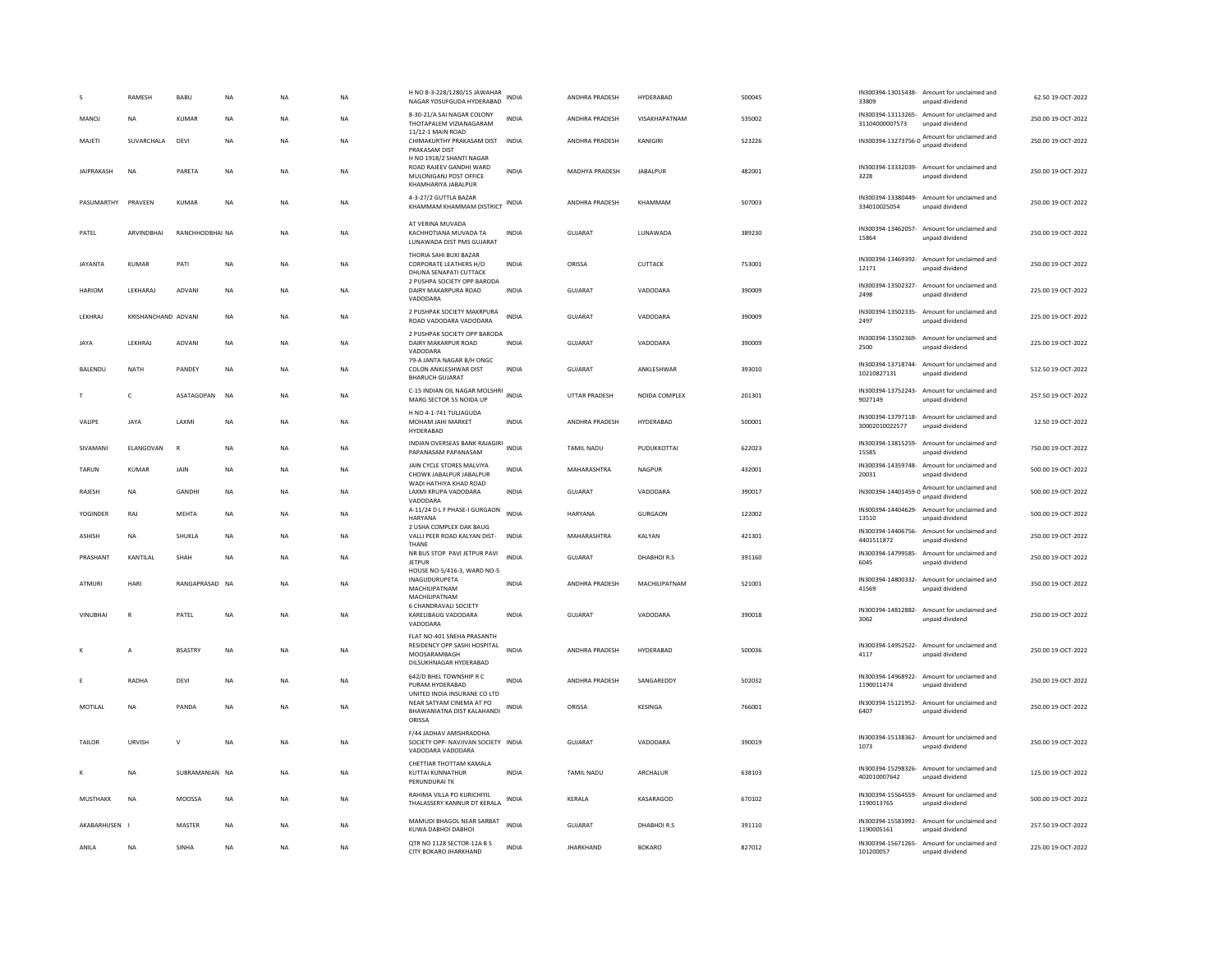|                    | RAMESH              | BABU            | <b>NA</b> | <b>NA</b>      | <b>NA</b> | H NO 8-3-228/1280/15 JAWAHAR<br>NAGAR YOSUFGUDA HYDERABAD                                            | <b>INDIA</b> | ANDHRA PRADESH        | HYDERABAD       | 500045 | 33809                       | IN300394-13015438- Amount for unclaimed and<br>unpaid dividend  | 62.50 19-OCT-2022  |
|--------------------|---------------------|-----------------|-----------|----------------|-----------|------------------------------------------------------------------------------------------------------|--------------|-----------------------|-----------------|--------|-----------------------------|-----------------------------------------------------------------|--------------------|
| MANOJ              | <b>NA</b>           | KUMAR           | <b>NA</b> | <b>NA</b>      | <b>NA</b> | 8-30-21/A SAI NAGAR COLONY<br>THOTAPALEM VIZIANAGARAM<br>11/12-1 MAIN ROAD                           | <b>INDIA</b> | ANDHRA PRADESH        | VISAKHAPATNAM   | 535002 | 31104000007573              | IN300394-13113265- Amount for unclaimed and<br>unpaid dividend  | 250.00 19-OCT-2022 |
| MAJETI             | SUVARCHALA          | DEVI            | <b>NA</b> | <b>NA</b>      | <b>NA</b> | CHIMAKURTHY PRAKASAM DIST INDIA<br>PRAKASAM DIST                                                     |              | ANDHRA PRADESH        | KANIGIRI        | 523226 |                             | IN300394-13273756-0 Amount for unclaimed and<br>unpaid dividend | 250.00 19-OCT-2022 |
| JAIPRAKASH         | <b>NA</b>           | PARETA          | <b>NA</b> | NA             | NA        | H NO 1918/2 SHANTI NAGAR<br>ROAD RAJEEV GANDHI WARD<br>MULONIGANJ POST OFFICE<br>KHAMHARIYA JABALPUR | <b>INDIA</b> | MADHYA PRADESH        | <b>JABALPUR</b> | 482001 | 3228                        | IN300394-13332039- Amount for unclaimed and<br>unpaid dividend  | 250.00 19-OCT-2022 |
| PASUMARTHY PRAVEEN |                     | KUMAR           | <b>NA</b> | <b>NA</b>      | <b>NA</b> | 4-3-27/2 GUTTLA BAZAR<br>KHAMMAM KHAMMAM DISTRICT                                                    | <b>INDIA</b> | ANDHRA PRADESH        | KHAMMAM         | 507003 | 334010025054                | IN300394-13380449- Amount for unclaimed and<br>unpaid dividend  | 250.00 19-OCT-2022 |
| PATEL              | ARVINDBHAI          | RANCHHODBHAI NA |           | NA             | <b>NA</b> | AT VERINA MUVADA<br>KACHHOTIANA MUVADA TA<br>LUNAWADA DIST PMS GUJARAT                               | <b>INDIA</b> | GUJARAT               | LUNAWADA        | 389230 | 15864                       | IN300394-13462057- Amount for unclaimed and<br>unpaid dividend  | 250.00 19-OCT-2022 |
| <b>JAYANTA</b>     | <b>KUMAR</b>        | PATI            | <b>NA</b> | N <sub>A</sub> | <b>NA</b> | THORIA SAHI BUXI BAZAR<br>CORPORATE LEATHERS H/O<br>DHUNA SENAPATI CUTTACK                           | <b>INDIA</b> | ORISSA                | CUTTACK         | 753001 | 12171                       | IN300394-13469392- Amount for unclaimed and<br>unpaid dividend  | 250.00 19-OCT-2022 |
| HARIOM             | LEKHARAJ            | ADVANI          | NA        | <b>NA</b>      | <b>NA</b> | 2 PUSHPA SOCIETY OPP BARODA<br>DAIRY MAKARPURA ROAD<br>VADODARA                                      | INDIA        | GUJARAT               | VADODARA        | 390009 | 2498                        | IN300394-13502327- Amount for unclaimed and<br>unpaid dividend  | 225.00 19-OCT-2022 |
| LEKHRAJ            | KRISHANCHAND ADVANI |                 | NA        | <b>NA</b>      | NA        | 2 PUSHPAK SOCIETY MAKRPURA<br>ROAD VADODARA VADODARA                                                 | <b>INDIA</b> | <b>GUJARAT</b>        | VADODARA        | 390009 | IN300394-13502335-<br>2497  | Amount for unclaimed and<br>unpaid dividend                     | 225.00 19-OCT-2022 |
| JAYA               | LEKHRAJ             | ADVANI          | NA        | <b>NA</b>      | NA        | 2 PUSHPAK SOCIETY OPP BARODA<br>DAIRY MAKARPUR ROAD<br>VADODARA                                      | INDIA        | GUJARAT               | VADODARA        | 390009 | IN300394-13502369-<br>2500  | Amount for unclaimed and<br>unnaid dividend                     | 225.00 19-OCT-2022 |
| BALENDU            | NATH                | PANDEY          | <b>NA</b> | <b>NA</b>      | <b>NA</b> | 79-A JANTA NAGAR B/H ONGC<br>COLON ANKLESHWAR DIST<br><b>BHARUCH GUIARAT</b>                         | <b>INDIA</b> | <b>GUJARAT</b>        | ANKLESHWAR      | 393010 | 10210827131                 | IN300394-13718744- Amount for unclaimed and<br>unpaid dividend  | 512.50 19-OCT-2022 |
| T                  | $\mathsf{C}$        | ASATAGOPAN      | <b>NA</b> | <b>NA</b>      | <b>NA</b> | C-15 INDIAN OIL NAGAR MOLSHRI<br>MARG SECTOR 55 NOIDA UP                                             | <b>INDIA</b> | <b>UTTAR PRADESH</b>  | NOIDA COMPLEX   | 201301 | 9027149                     | IN300394-13752243- Amount for unclaimed and<br>unpaid dividend  | 257.50 19-OCT-2022 |
| VALIPE             | <b>JAYA</b>         | <b>JAXMI</b>    | <b>NA</b> | <b>NA</b>      | <b>NA</b> | H NO 4-1-741 TULIAGUDA<br>MOHAM JAHI MARKET<br>HYDERABAD                                             | <b>INDIA</b> | <b>ANDHRA PRADESH</b> | HYDERABAD       | 500001 | 30002010022577              | IN300394-13797118- Amount for unclaimed and<br>unpaid dividend  | 12.50.19-OCT-2022  |
| SIVAMANI           | ELANGOVAN           | $\mathbb{R}$    | NA        | <b>NA</b>      | NA        | INDIAN OVERSEAS BANK RAJAGIRI<br>PAPANASAM PAPANASAM                                                 | <b>INDIA</b> | TAMIL NADU            | PUDUKKOTTAI     | 622023 | 15585                       | IN300394-13815259- Amount for unclaimed and<br>unpaid dividend  | 750.00 19-OCT-2022 |
| <b>TARUN</b>       | <b>KUMAR</b>        | JAIN            | <b>NA</b> | <b>NA</b>      | <b>NA</b> | JAIN CYCLE STORES MALVIYA<br>CHOWK JABALPUR JABALPUR<br>WADI HATHIYA KHAD ROAD                       | <b>INDIA</b> | MAHARASHTRA           | NAGPUR          | 432001 | 20031                       | IN300394-14359748- Amount for unclaimed and<br>unpaid dividend  | 500.00 19-OCT-2022 |
| RAJESH             | NA                  | GANDHI          | NA        | <b>NA</b>      | NA        | LAXMI KRUPA VADODARA<br>VADODARA                                                                     | INDIA        | <b>GUJARAT</b>        | VADODARA        | 390017 |                             | IN300394-14401459-0 Amount for unclaimed and<br>unpaid dividend | 500.00 19-OCT-2022 |
| <b>YOGINDER</b>    | RAJ                 | <b>MEHTA</b>    | <b>NA</b> | <b>NA</b>      | <b>NA</b> | A-11/24 D L F PHASE-I GURGAON<br>HARYANA                                                             | <b>INDIA</b> | HARYANA               | <b>GURGAON</b>  | 122002 | 13510                       | IN300394-14404629- Amount for unclaimed and<br>unpaid dividend  | 500.00 19-OCT-2022 |
| ASHISH             | NA                  | SHUKLA          | NA        | NΑ             | NA        | 2 USHA COMPLEX OAK BAUG<br>VALLI PEER ROAD KALYAN DIST-<br>THANE                                     | INDIA        | MAHARASHTRA           | KALYAN          | 421301 | 4401511872                  | IN300394-14406756- Amount for unclaimed and<br>unpaid dividend  | 250.00 19-OCT-2022 |
| PRASHANT           | KANTILAL            | SHAH            | <b>NA</b> | <b>NA</b>      | <b>NA</b> | NR BUS STOP PAVI JETPUR PAVI<br><b>JETPUR</b>                                                        | <b>INDIA</b> | <b>GUJARAT</b>        | DHABHOIR.S      | 391160 | 6045                        | IN300394-14799585- Amount for unclaimed and<br>unpaid dividend  | 250.00 19-OCT-2022 |
| <b>ATMURI</b>      | HARI                | RANGAPRASAD NA  |           | <b>NA</b>      | <b>NA</b> | HOUSE NO-5/416-3, WARD NO-5<br>INAGUDURUPETA<br>MACHILIPATNAM<br>MACHILIPATNAM                       | <b>INDIA</b> | ANDHRA PRADESH        | MACHILIPATNAM   | 521001 | IN300394-14800332-<br>41569 | Amount for unclaimed and<br>unpaid dividend                     | 350.00 19-OCT-2022 |
| VINUBHAI           | $\mathbb{R}$        | PATFI           | <b>NA</b> | <b>NA</b>      | <b>NA</b> | 6 CHANDRAVALI SOCIETY<br>KARELIBAUG VADODARA<br>VADODARA                                             | <b>INDIA</b> | GUIARAT               | VADODARA        | 390018 | IN300394-14812882-<br>3062  | Amount for unclaimed and<br>unpaid dividend                     | 250.00 19-OCT-2022 |
|                    | А                   | <b>BSASTRY</b>  | NA        | <b>NA</b>      | NA        | FLAT NO-401 SNEHA PRASANTH<br>RESIDENCY OPP SASHI HOSPITAL<br>MOOSARAMBAGH<br>DILSUKHNAGAR HYDERABAD | <b>INDIA</b> | ANDHRA PRADESH        | HYDERABAD       | 500036 | 4117                        | IN300394-14952522- Amount for unclaimed and<br>unpaid dividend  | 250.00 19-OCT-2022 |
| Ε                  | RADHA               | DEVI            | NA        | <b>NA</b>      | <b>NA</b> | 642/D BHEL TOWNSHIP R C<br>PURAM HYDERABAD<br>UNITED INDIA INSURANE CO LTD                           | <b>INDIA</b> | ANDHRA PRADESH        | SANGAREDDY      | 502032 | 1190011474                  | IN300394-14968922- Amount for unclaimed and<br>unpaid dividend  | 250.00 19-OCT-2022 |
| MOTILAL            | <b>NA</b>           | PANDA           | <b>NA</b> | <b>NA</b>      | <b>NA</b> | NEAR SATYAM CINEMA AT PO<br>BHAWANIATNA DIST KALAHANDI<br>ORISSA                                     | <b>INDIA</b> | ORISSA                | KESINGA         | 766001 | 6407                        | IN300394-15121952- Amount for unclaimed and<br>unpaid dividend  | 250.00 19-OCT-2022 |
| TAILOR             | <b>URVISH</b>       | $\vee$          | <b>NA</b> | N <sub>A</sub> | <b>NA</b> | F/44 JADHAV AMISHRADDHA<br>SOCIETY OPP- NAVJIVAN SOCIETY INDIA<br>VADODARA VADODARA                  |              | <b>GUJARAT</b>        | VADODARA        | 390019 | 1073                        | IN300394-15138362- Amount for unclaimed and<br>unpaid dividend  | 250.00 19-OCT-2022 |
|                    | <b>NA</b>           | SUBRAMANIAN NA  |           | NA             | <b>NA</b> | CHETTIAR THOTTAM KAMALA<br>KUTTAI KUNNATHUR<br>PERUNDURAI TK                                         | <b>INDIA</b> | TAMIL NADU            | ARCHALUR        | 638103 | 402010007642                | IN300394-15298326- Amount for unclaimed and<br>unpaid dividend  | 125.00 19-OCT-2022 |
| MUSTHAKK           | NA                  | MOOSSA          | NA        | <b>NA</b>      | NA        | RAHIMA VILLA PO KURICHIYIL<br>THALASSERY KANNUR DT KERALA                                            | INDIA        | KERALA                | KASARAGOD       | 670102 | 1190013765                  | IN300394-15564559- Amount for unclaimed and<br>unpaid dividend  | 500.00 19-OCT-2022 |
| AKABARHUSEN I      |                     | MASTER          | <b>NA</b> | <b>NA</b>      | <b>NA</b> | MAMUDI BHAGOL NEAR SARBAT<br>KUWA DABHOI DABHOI                                                      | <b>INDIA</b> | <b>GUJARAT</b>        | DHABHOIR.S      | 391110 | 1190005161                  | IN300394-15583992- Amount for unclaimed and<br>unpaid dividend  | 257.50 19-OCT-2022 |
| ANILA              | NA                  | SINHA           | <b>NA</b> | NA             | <b>NA</b> | QTR NO 1128 SECTOR-12A B S<br>CITY BOKARO JHARKHAND                                                  | <b>INDIA</b> | <b>IHARKHAND</b>      | <b>BOKARO</b>   | 827012 | 101200057                   | IN300394-15671265- Amount for unclaimed and<br>unpaid dividend  | 225.00 19-OCT-2022 |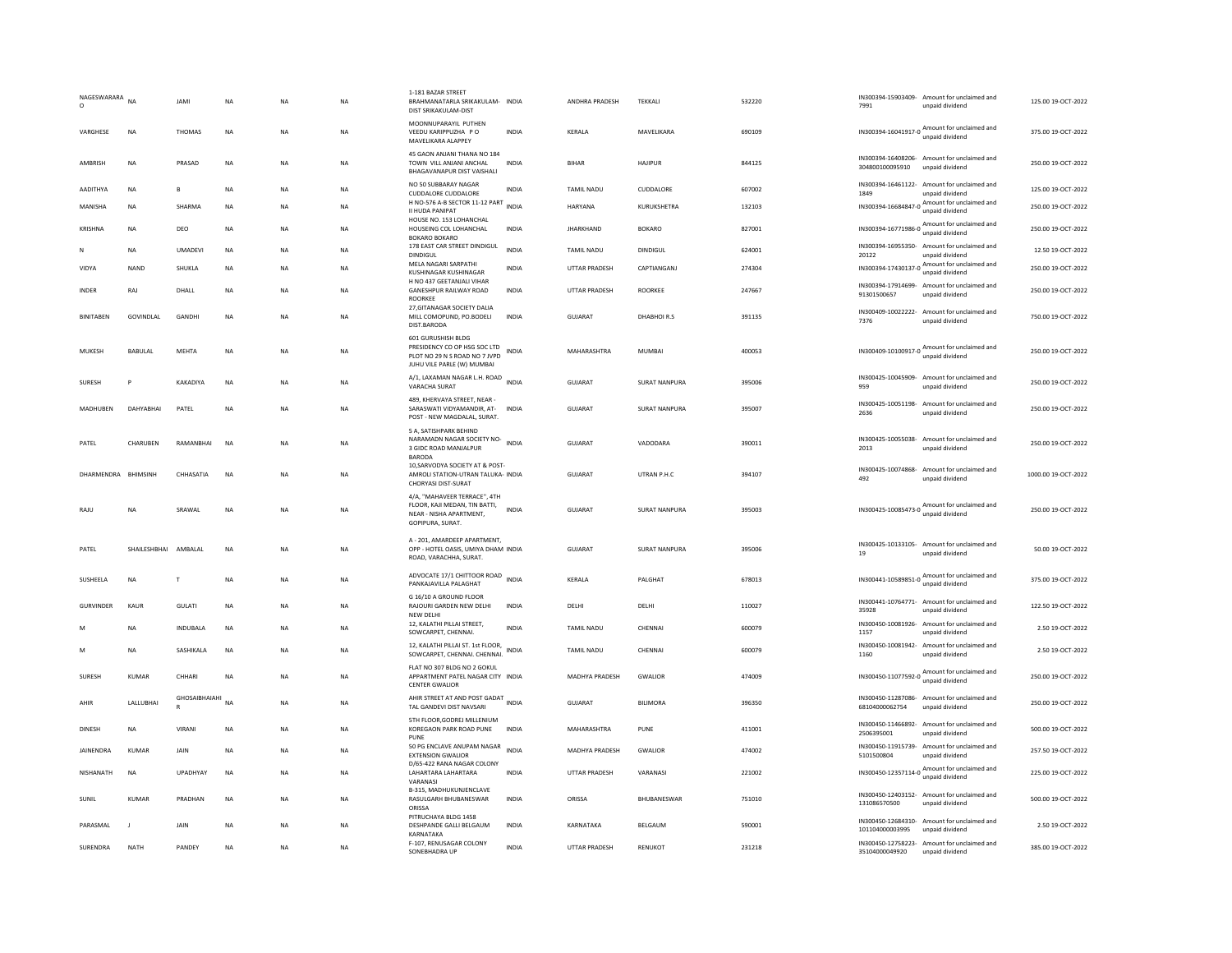| NAGESWARARA<br>$\circ$ | <b>NA</b>            | <b>JAMI</b>      | <b>NA</b> | <b>NA</b>      | <b>NA</b> | 1-181 BAZAR STREET<br>BRAHMANATARLA SRIKAKULAM- INDIA<br>DIST SRIKAKULAM-DIST                                |              | ANDHRA PRADESH       | <b>TEKKALI</b>       | 532220 | 7991                                  | IN300394-15903409- Amount for unclaimed and<br>unpaid dividend  | 125.00 19-OCT-2022  |
|------------------------|----------------------|------------------|-----------|----------------|-----------|--------------------------------------------------------------------------------------------------------------|--------------|----------------------|----------------------|--------|---------------------------------------|-----------------------------------------------------------------|---------------------|
| VARGHESE               | <b>NA</b>            | THOMAS           | <b>NA</b> | <b>NA</b>      | <b>NA</b> | MOONNUPARAYIL PUTHEN<br>VEEDU KARIPPUZHA PO<br>MAVELIKARA ALAPPEY                                            | <b>INDIA</b> | <b>KFRAIA</b>        | MAVFIIKARA           | 690109 |                                       | IN300394-16041917-0 Amount for unclaimed and<br>unpaid dividend | 375.00.19-QCT-2022  |
| AMBRISH                | <b>NA</b>            | PRASAD           | <b>NA</b> | <b>NA</b>      | <b>NA</b> | 45 GAON ANJANI THANA NO 184<br>TOWN VILL ANJANI ANCHAL<br>BHAGAVANAPUR DIST VAISHALI                         | <b>INDIA</b> | <b>BIHAR</b>         | <b>HAJIPUR</b>       | 844125 | IN300394-16408206-<br>304800100095910 | Amount for unclaimed and<br>unpaid dividend                     | 250.00 19-OCT-2022  |
| AADITHYA               | NA                   | В                | <b>NA</b> | <b>NA</b>      | <b>NA</b> | NO 50 SUBBARAY NAGAR<br>CUDDALORE CUDDALORE                                                                  | <b>INDIA</b> | TAMIL NADU           | CUDDALORE            | 607002 | 1849                                  | IN300394-16461122- Amount for unclaimed and<br>hnebivib bisnnu  | 125.00 19-OCT-2022  |
| MANISHA                | <b>NA</b>            | <b>SHARMA</b>    | <b>NA</b> | NΑ             | <b>NA</b> | H NO-576 A-B SECTOR 11-12 PART<br>II HUDA PANIPAT                                                            | <b>INDIA</b> | HARYANA              | KURUKSHETRA          | 132103 |                                       | IN300394-16684847-0 Amount for unclaimed and<br>unpaid dividend | 250.00 19-OCT-2022  |
| KRISHNA                | NA                   | DEO              | NA        | ΝA             | NA        | HOUSE NO. 153 LOHANCHAL<br>HOUSEING COL LOHANCHAL<br><b>BOKARO BOKARO</b>                                    | INDIA        | <b>JHARKHAND</b>     | <b>BOKARO</b>        | 827001 |                                       | unpaid dividend                                                 | 250.00 19-OCT-2022  |
| N                      | NA                   | <b>UMADEVI</b>   | NA        | NA             | NA        | 178 EAST CAR STREET DINDIGUL<br><b>DINDIGUL</b>                                                              | <b>INDIA</b> | TAMIL NADU           | DINDIGUL             | 624001 | 20122                                 | IN300394-16955350- Amount for unclaimed and<br>unpaid dividend  | 12.50 19-OCT-2022   |
| VIDYA                  | <b>NAND</b>          | SHUKLA           | <b>NA</b> | <b>NA</b>      | NA        | MELA NAGARI SARPATHI<br>KUSHINAGAR KUSHINAGAR                                                                | <b>INDIA</b> | UTTAR PRADESH        | CAPTIANGANJ          | 274304 | IN300394-17430137-0                   | Amount for unclaimed and<br>unpaid dividend                     | 250.00 19-OCT-2022  |
| INDER                  | RAJ                  | DHALL            | NA        | ΝA             | NA        | H NO 437 GEETANJALI VIHAR<br>GANESHPUR RAILWAY ROAD                                                          | INDIA        | UTTAR PRADESH        | ROORKEE              | 247667 | 91301500657                           | IN300394-17914699- Amount for unclaimed and<br>unpaid dividend  | 250.00 19-OCT-2022  |
| <b>BINITAREN</b>       | GOVINDLAL            | GANDHI           | <b>NA</b> | NΑ             | <b>NA</b> | <b>ROORKEE</b><br>27, GITANAGAR SOCIETY DALIA<br>MILL COMOPUND, PO.BODELI<br>DIST.BARODA                     | <b>INDIA</b> | <b>GUJARAT</b>       | DHABHOIR.S           | 391135 | 7376                                  | IN300409-10022222- Amount for unclaimed and<br>unpaid dividend  | 750.00 19-OCT-2022  |
|                        |                      |                  |           |                |           | 601 GURUSHISH BLDG<br>PRESIDENCY CO OP HSG SOC LTD                                                           |              |                      |                      |        |                                       |                                                                 |                     |
| MUKESH                 | BABULAL              | <b>MEHTA</b>     | <b>NA</b> | <b>NA</b>      | <b>NA</b> | PLOT NO 29 N S ROAD NO 7 JVPD<br>JUHU VILE PARLE (W) MUMBAI                                                  | <b>INDIA</b> | MAHARASHTRA          | MUMBAI               | 400053 |                                       | IN300409-10100917-0 Amount for unclaimed and<br>unpaid dividend | 250.00 19-OCT-2022  |
| SURESH                 | P                    | KAKADIYA         | NA        | ΝA             | NA        | A/1, LAXAMAN NAGAR L.H. ROAD INDIA<br>VARACHA SURAT                                                          |              | GUJARAT              | <b>SURAT NANPURA</b> | 395006 | 959                                   | IN300425-10045909- Amount for unclaimed and<br>unpaid dividend  | 250.00 19-OCT-2022  |
| MADHUBEN               | DAHYABHAI            | PATEL            | <b>NA</b> | <b>NA</b>      | <b>NA</b> | 489, KHERVAYA STREET, NEAR -<br>SARASWATI VIDYAMANDIR, AT-<br>POST - NEW MAGDALAL, SURAT.                    | <b>INDIA</b> | <b>GUJARAT</b>       | SURAT NANPURA        | 395007 | IN300425-10051198-<br>2636            | Amount for unclaimed and<br>unpaid dividend                     | 250.00 19-OCT-2022  |
| PATEL                  | CHARUBEN             | RAMANBHAI        | <b>NA</b> | ΝA             | NA        | 5 A, SATISHPARK BEHIND<br>NARAMADN NAGAR SOCIETY NO-<br>INDIA<br>3 GIDC ROAD MANJALPUR<br><b>BARODA</b>      |              | <b>GUJARAT</b>       | VADODARA             | 390011 | 2013                                  | IN300425-10055038- Amount for unclaimed and<br>unpaid dividend  | 250.00 19-OCT-2022  |
| DHARMENDRA BHIMSINH    |                      | CHHASATIA        | NA        | ΝA             | <b>NA</b> | 10, SARVODYA SOCIETY AT & POST-<br>AMROLI STATION-UTRAN TALUKA- INDIA<br>CHORYASI DIST-SURAT                 |              | GUJARAT              | UTRAN P.H.C          | 394107 | 492                                   | IN300425-10074868- Amount for unclaimed and<br>unpaid dividend  | 1000.00 19-OCT-2022 |
| RAJU                   | NA                   | SRAWAL           | NA        | NA             | NA        | 4/A, "MAHAVEER TERRACE", 4TH<br>FLOOR, KAJI MEDAN, TIN BATTI,<br>NEAR - NISHA APARTMENT,<br>GOPIPURA, SURAT. | <b>INDIA</b> | GUJARAT              | <b>SURAT NANPURA</b> | 395003 |                                       | IN300425-10085473-0 Amount for unclaimed and<br>unpaid dividend | 250.00 19-OCT-2022  |
| PATEL                  | SHAILESHBHAI AMBALAL |                  | <b>NA</b> | <b>NA</b>      | <b>NA</b> | A - 201. AMARDEEP APARTMENT.<br>OPP - HOTEL OASIS, UMIYA DHAM INDIA<br>ROAD, VARACHHA, SURAT.                |              | <b>GUJARAT</b>       | SURAT NANPURA        | 395006 | 19                                    | IN300425-10133105- Amount for unclaimed and<br>unpaid dividend  | 50.00 19-OCT-2022   |
| <b>SUSHEELA</b>        | <b>NA</b>            | T                | <b>NA</b> | <b>NA</b>      | <b>NA</b> | ADVOCATE 17/1 CHITTOOR ROAD<br>PANKAJAVILLA PALAGHAT                                                         | <b>INDIA</b> | <b>KFRAIA</b>        | PALGHAT              | 678013 | IN300441-10589851-0                   | Amount for unclaimed and<br>unpaid dividend                     | 375.00.19-QCT-2022  |
| <b>GURVINDER</b>       | KAUR                 | GULATI           | NA        | NA             | NA        | G 16/10 A GROUND FLOOR<br>RAJOURI GARDEN NEW DELHI<br>NEW DELHI                                              | INDIA        | DELHI                | DELHI                | 110027 | 35928                                 | IN300441-10764771- Amount for unclaimed and<br>unpaid dividend  | 122.50 19-OCT-2022  |
| M                      | <b>NA</b>            | <b>INDUBALA</b>  | NA        | NA             | <b>NA</b> | 12, KALATHI PILLAI STREET,<br>SOWCARPET, CHENNAI.                                                            | <b>INDIA</b> | TAMIL NADU           | CHENNAI              | 600079 | IN300450-10081926-<br>1157            | Amount for unclaimed and<br>unpaid dividend                     | 2.50 19-OCT-2022    |
| M                      | NA                   | SASHIKALA        | NA        | NΑ             | NA        | 12, KALATHI PILLAI ST. 1st FLOOR,<br>SOWCARPET, CHENNAI, CHENNAI,                                            | <b>INDIA</b> | TAMIL NADU           | CHENNAI              | 600079 | IN300450-10081942-<br>1160            | Amount for unclaimed and<br>unpaid dividend                     | 2.50 19-OCT-2022    |
| SURESH                 | KUMAR                | CHHARI           | <b>NA</b> | NA             | NA        | FLAT NO 307 BLDG NO 2 GOKUL<br>APPARTMENT PATEL NAGAR CITY INDIA<br><b>CENTER GWALIOR</b>                    |              | MADHYA PRADESH       | GWALIOR              | 474009 |                                       | IN300450-11077592-0 Amount for unclaimed and<br>unpaid dividend | 250.00 19-OCT-2022  |
| AHIR                   | LALLUBHAI            | GHOSAIBHAIAHI NA |           | <b>NA</b>      | <b>NA</b> | AHIR STREET AT AND POST GADAT INDIA<br>TAL GANDEVI DIST NAVSARI                                              |              | <b>GUJARAT</b>       | <b>BILIMORA</b>      | 396350 | 68104000062754                        | IN300450-11287086- Amount for unclaimed and<br>unpaid dividend  | 250.00 19-OCT-2022  |
| DINESH                 | NA                   | VIRANI           | <b>NA</b> | <b>NA</b>      | NA        | 5TH FLOOR, GODREJ MILLENIUM<br>KOREGAON PARK ROAD PUNE<br>PUNE                                               | <b>INDIA</b> | MAHARASHTRA          | PUNE                 | 411001 | 2506395001                            | IN300450-11466892- Amount for unclaimed and<br>unpaid dividend  | 500.00 19-OCT-2022  |
| JAINENDRA              | <b>KUMAR</b>         | JAIN             | <b>NA</b> | <b>NA</b>      | <b>NA</b> | 50 PG ENCLAVE ANUPAM NAGAR<br><b>EXTENSION GWALIOR</b>                                                       | <b>INDIA</b> | MADHYA PRADESH       | <b>GWALIOR</b>       | 474002 | IN300450-11915739-<br>5101500804      | Amount for unclaimed and<br>unpaid dividend                     | 257.50 19-OCT-2022  |
| NISHANATH              | <b>NA</b>            | UPADHYAY         | <b>NA</b> | N <sub>A</sub> | <b>NA</b> | D/65-422 RANA NAGAR COLONY<br>LAHARTARA LAHARTARA<br>VARANASI                                                | <b>INDIA</b> | <b>UTTAR PRADESH</b> | VARANASI             | 221002 |                                       | IN300450-12357114-0 Amount for unclaimed and<br>unpaid dividend | 225.00 19-OCT-2022  |
| <b>SUNIL</b>           | <b>KUMAR</b>         | PRADHAN          | <b>NA</b> | N <sub>A</sub> | <b>NA</b> | B-315, MADHUKUNJENCLAVE<br>RASULGARH BHUBANESWAR<br>ORISSA                                                   | <b>INDIA</b> | ORISSA               | BHUBANESWAR          | 751010 | 131086570500                          | IN300450-12403152- Amount for unclaimed and<br>unpaid dividend  | 500.00 19-OCT-2022  |
| PARASMAI               | $\blacksquare$       | <b>JAIN</b>      | <b>NA</b> | <b>NA</b>      | <b>NA</b> | PITRUCHAYA BLDG 1458<br>DESHPANDE GALLI BELGAUM<br>KARNATAKA                                                 | <b>INDIA</b> | KARNATAKA            | BELGAUM              | 590001 | 101104000003995                       | IN300450-12684310- Amount for unclaimed and<br>unpaid dividend  | 2.50.19-OCT-2022    |
| SURENDRA               | NATH                 | PANDEY           | <b>NA</b> | NA             | <b>NA</b> | F-107, RENUSAGAR COLONY<br>SONEBHADRA UP                                                                     | <b>INDIA</b> | UTTAR PRADESH        | RENUKOT              | 231218 | 35104000049920                        | IN300450-12758223- Amount for unclaimed and<br>unpaid dividend  | 385.00 19-OCT-2022  |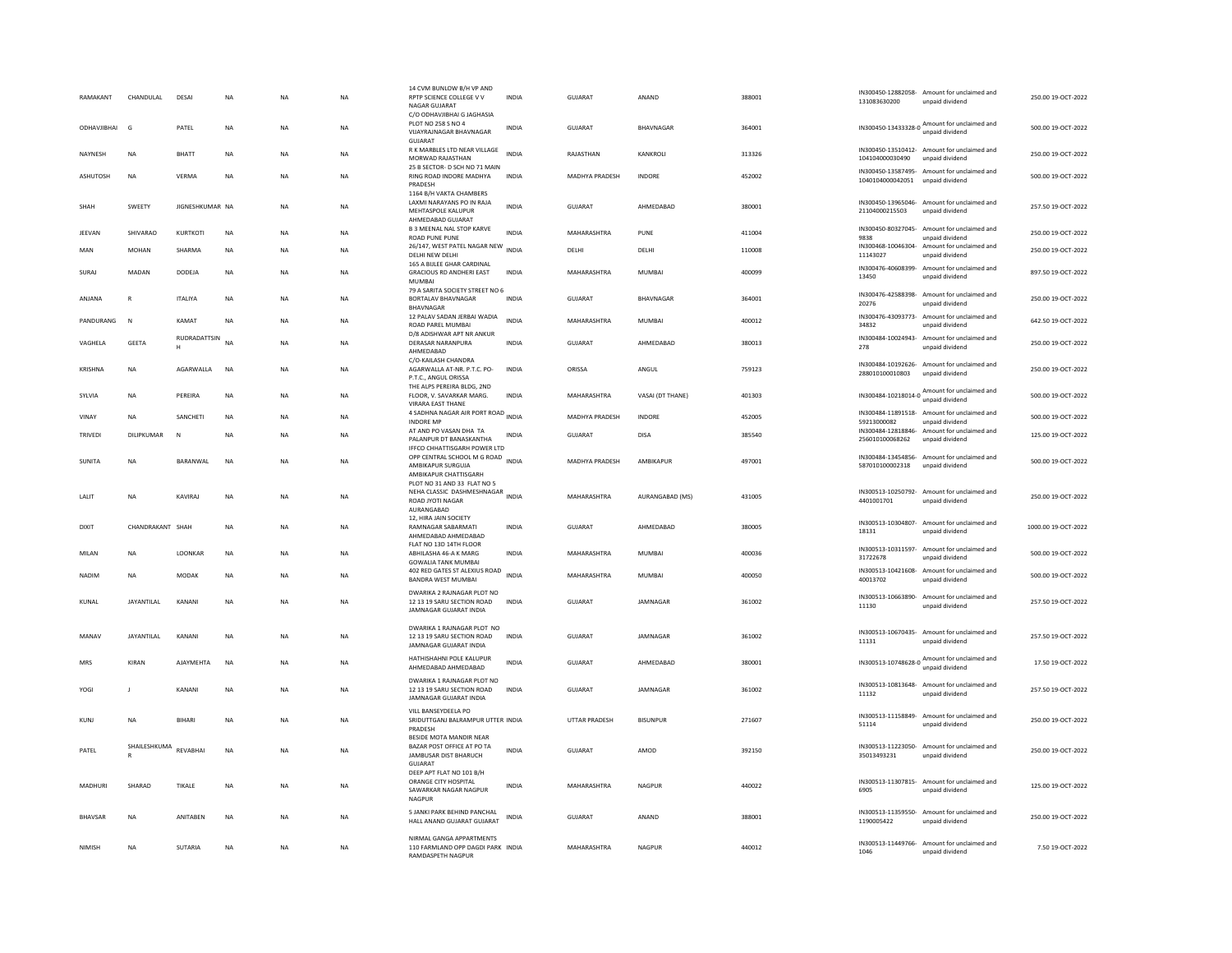| RAMAKANT           | CHANDULAL         | DESAI           | <b>NA</b> | NA             | <b>NA</b> | 14 CVM BUNLOW B/H VP AND<br>RPTP SCIENCE COLLEGE V V<br>NAGAR GUIARAT                             | <b>INDIA</b> | <b>GUJARAT</b>        | ANAND            | 388001 | 131083630200                          | IN300450-12882058- Amount for unclaimed and<br>unpaid dividend  | 250.00 19-OCT-2022  |
|--------------------|-------------------|-----------------|-----------|----------------|-----------|---------------------------------------------------------------------------------------------------|--------------|-----------------------|------------------|--------|---------------------------------------|-----------------------------------------------------------------|---------------------|
| <b>ODHAVJIBHAI</b> | G                 | PATEL           | <b>NA</b> | NA             | <b>NA</b> | C/O ODHAVJIBHAI G JAGHASIA<br>PLOT NO 258 S NO 4<br>VIJAYRAJNAGAR BHAVNAGAR                       | INDIA        | GUJARAT               | BHAVNAGAR        | 364001 |                                       | IN300450-13433328-0 Amount for unclaimed and<br>unpaid dividend | 500.00 19-OCT-2022  |
| NAYNESH            | NA                | BHATT           | <b>NA</b> | NΑ             | NA        | <b>GUJARAT</b><br>R K MARBLES LTD NEAR VILLAGE<br>MORWAD RAJASTHAN                                | <b>INDIA</b> | RAJASTHAN             | KANKROLI         | 313326 | 104104000030490                       | IN300450-13510412- Amount for unclaimed and<br>unpaid dividend  | 250.00 19-OCT-2022  |
| <b>ASHUTOSH</b>    | <b>NA</b>         | VFRMA           | <b>NA</b> | <b>NA</b>      | <b>NA</b> | 25 B SECTOR- D SCH NO 71 MAIN<br>RING ROAD INDORE MADHYA<br>PRADESH                               | <b>INDIA</b> | <b>MADHYA PRADESH</b> | <b>INDORF</b>    | 452002 | 1040104000042051                      | IN300450-13587495- Amount for unclaimed and<br>unpaid dividend  | 500.00 19-OCT-2022  |
| SHAH               | SWEETY            | JIGNESHKUMAR NA |           | <b>NA</b>      | <b>NA</b> | 1164 B/H VAKTA CHAMBERS<br>LAXMI NARAYANS PO IN RAJA<br>MEHTASPOLE KALUPUR<br>AHMEDARAD GUIARAT   | <b>INDIA</b> | GUJARAT               | AHMEDABAD        | 380001 | 21104000215503                        | IN300450-13965046- Amount for unclaimed and<br>unpaid dividend  | 257.50 19-OCT-2022  |
| JEEVAN             | SHIVARAO          | KURTKOTI        | <b>NA</b> | <b>NA</b>      | <b>NA</b> | <b>B 3 MEENAL NAL STOP KARVE</b><br><b>ROAD PUNE PUNE</b>                                         | <b>INDIA</b> | MAHARASHTRA           | PUNE             | 411004 | IN300450-80327045-<br>9838            | Amount for unclaimed and<br>unpaid dividend                     | 250.00 19-OCT-2022  |
| MAN                | <b>MOHAN</b>      | SHARMA          | <b>NA</b> | <b>NA</b>      | <b>NA</b> | 26/147, WEST PATEL NAGAR NEW<br>DELHI NEW DELHI                                                   | <b>INDIA</b> | DELHI                 | DELHI            | 110008 | IN300468-10046304-<br>11143027        | Amount for unclaimed and<br>unpaid dividend                     | 250.00 19-OCT-2022  |
| SURAJ              | MADAN             | DODEJA          | NA        | NA             | <b>NA</b> | 165 A BULEE GHAR CARDINAL<br><b>GRACIOUS RD ANDHERI EAST</b><br>MUMBAI                            | <b>INDIA</b> | MAHARASHTRA           | MUMBAI           | 400099 | 13450                                 | IN300476-40608399- Amount for unclaimed and<br>unpaid dividend  | 897.50 19-OCT-2022  |
| ANJANA             | $\mathsf{R}$      | <b>ITALIYA</b>  | <b>NA</b> | NΑ             | NA        | 79 A SARITA SOCIETY STREET NO 6<br><b>BORTALAV BHAVNAGAR</b><br><b>BHAVNAGAR</b>                  | INDIA        | GUJARAT               | BHAVNAGAR        | 364001 | IN300476-42588398-<br>20276           | Amount for unclaimed and<br>unpaid dividend                     | 250.00 19-OCT-2022  |
| PANDURANG          | N                 | KAMAT           | <b>NA</b> | NA             | <b>NA</b> | 12 PALAV SADAN JERBAI WADIA<br>ROAD PAREL MUMBAI                                                  | <b>INDIA</b> | MAHARASHTRA           | MUMBAI           | 400012 | IN300476-43093773-<br>34832           | Amount for unclaimed and<br>unpaid dividend                     | 642.50.19-OCT-2022  |
| VAGHELA            | <b>GEETA</b>      | RUDRADATTSIN    | <b>NA</b> | <b>NA</b>      | <b>NA</b> | D/8 ADISHWAR APT NR ANKUR<br><b>DERASAR NARANPURA</b><br>AHMFDARAD                                | <b>INDIA</b> | <b>GUJARAT</b>        | AHMEDABAD        | 380013 | IN300484-10024943-<br>278             | Amount for unclaimed and<br>unpaid dividend                     | 250.00 19-OCT-2022  |
| <b>KRISHNA</b>     | <b>NA</b>         | AGARWALLA       | <b>NA</b> | <b>NA</b>      | <b>NA</b> | C/O-KAILASH CHANDRA<br>AGARWALLA AT-NR, P.T.C. PO-<br>P.T.C., ANGUL ORISSA                        | <b>INDIA</b> | ORISSA                | ANGUL            | 759123 | 288010100010803                       | IN300484-10192626- Amount for unclaimed and<br>unpaid dividend  | 250.00 19-OCT-2022  |
| SYLVIA             | <b>NA</b>         | PEREIRA         | <b>NA</b> | <b>NA</b>      | <b>NA</b> | THE ALPS PEREIRA BLDG, 2ND<br>FLOOR, V. SAVARKAR MARG.<br>VIRARA EAST THANE                       | <b>INDIA</b> | MAHARASHTRA           | VASAI (DT THANE) | 401303 | IN300484-10218014-0                   | Amount for unclaimed and<br>unpaid dividend                     | 500.00 19-OCT-2022  |
| VINAY              | NA                | SANCHETI        | <b>NA</b> | NA             | <b>NA</b> | 4 SADHNA NAGAR AIR PORT ROAD INDIA<br><b>INDORE MP</b>                                            |              | MADHYA PRADESH        | INDORE           | 452005 | 59213000082                           | IN300484-11891518- Amount for unclaimed and<br>unpaid dividend  | 500.00 19-OCT-2022  |
| TRIVED             | <b>DILIPKUMAR</b> | N               | <b>NA</b> | <b>NA</b>      | <b>NA</b> | AT AND PO VASAN DHA TA<br>PALANPUR DT BANASKANTHA<br>IFFCO CHHATTISGARH POWER LTD                 | <b>INDIA</b> | GUIARAT               | DISA             | 385540 | IN300484-12818846-<br>256010100068262 | Amount for unclaimed and<br>unpaid dividend                     | 125.00 19-OCT-2022  |
| SUNITA             | NA                | BARANWAL        | NA        | NA             | NA        | OPP CENTRAL SCHOOL M G ROAD<br>AMBIKAPUR SURGUJA<br>AMBIKAPUR CHATTISGARI-                        | <b>INDIA</b> | MADHYA PRADESH        | AMBIKAPUR        | 497001 | 587010100002318                       | IN300484-13454856- Amount for unclaimed and<br>unpaid dividend  | 500.00 19-OCT-2022  |
| LALIT              | <b>NA</b>         | <b>KAVIRAI</b>  | <b>NA</b> | <b>NA</b>      | <b>NA</b> | PLOT NO 31 AND 33 FLAT NO 5<br>NEHA CLASSIC DASHMESHNAGAR INDIA<br>ROAD JYOTI NAGAR<br>AURANGABAD |              | <b>MAHARASHTRA</b>    | AURANGABAD (MS)  | 431005 | IN300513-10250792-<br>4401001701      | Amount for unclaimed and<br>unpaid dividend                     | 250.00 19-OCT-2022  |
| <b>DIXIT</b>       | CHANDRAKANT SHAH  |                 | <b>NA</b> | <b>NA</b>      | <b>NA</b> | 12, HIRA JAIN SOCIETY<br>RAMNAGAR SABARMATI<br>AHMEDABAD AHMEDABAD                                | <b>INDIA</b> | <b>GUJARAT</b>        | AHMEDABAD        | 380005 | 18131                                 | IN300513-10304807- Amount for unclaimed and<br>unpaid dividend  | 1000.00 19-OCT-2022 |
| MILAN              | <b>NA</b>         | LOONKAR         | <b>NA</b> | NA             | <b>NA</b> | FLAT NO 13D 14TH FLOOR<br>ABHILASHA 46-A K MARG<br><b>GOWALIA TANK MUMBAI</b>                     | <b>INDIA</b> | MAHARASHTRA           | MUMBAI           | 400036 | IN300513-10311597-<br>31722678        | Amount for unclaimed and<br>unpaid dividend                     | 500.00 19-OCT-2022  |
| NADIN              | NA                | MODAK           | <b>NA</b> | NΑ             | NA        | 402 RED GATES ST ALEXIUS ROAD<br>BANDRA WEST MUMBAI                                               | <b>INDIA</b> | MAHARASHTRA           | MUMBAI           | 400050 | IN300513-10421608-<br>40013702        | Amount for unclaimed and<br>unpaid dividend                     | 500.00 19-OCT-2022  |
| KUNAL              | <b>JAYANTILAL</b> | KANANI          | <b>NA</b> | N <sub>A</sub> | NA        | DWARIKA 2 RAJNAGAR PLOT NO<br>12 13 19 SARU SECTION ROAD<br><b>IAMNAGAR GUIARAT INDIA</b>         | <b>INDIA</b> | <b>GUJARAT</b>        | JAMNAGAR         | 361002 | 11130                                 | IN300513-10663890- Amount for unclaimed and<br>unpaid dividend  | 257.50 19-OCT-2022  |
| MANAV              | <b>JAYANTILAL</b> | KANANI          | <b>NA</b> | NA             | <b>NA</b> | DWARIKA 1 RAJNAGAR PLOT NO<br>12 13 19 SARU SECTION ROAD<br>JAMNAGAR GUJARAT INDIA                | <b>INDIA</b> | <b>GUJARAT</b>        | JAMNAGAR         | 361002 | 11131                                 | IN300513-10670435- Amount for unclaimed and<br>unnaid dividend  | 257.50 19-OCT-2022  |
| MRS                | KIRAN             | AJAYMEHTA       | NA        | NA             | NA        | HATHISHAHNI POLE KALUPUR<br>AHMEDABAD AHMEDABAD                                                   | <b>INDIA</b> | GUJARAT               | AHMEDABAD        | 380001 |                                       | IN300513-10748628-0 Amount for unclaimed and<br>unpaid dividend | 17.50 19-OCT-2022   |
| YOGI               | J                 | KANANI          | NA        | ΝA             | NA        | DWARIKA 1 RAJNAGAR PLOT NO<br>12 13 19 SARU SECTION ROAD<br>JAMNAGAR GUJARAT INDIA                | INDIA        | GUJARAT               | JAMNAGAR         | 361002 | 11132                                 | IN300513-10813648- Amount for unclaimed and<br>unpaid dividend  | 257.50 19-OCT-2022  |
| KUNJ               | NA                | BIHARI          | <b>NA</b> | NA             | NA        | VILL BANSEYDEELA PO<br>SRIDUTTGANJ BALRAMPUR UTTER INDIA<br>PRADESH                               |              | UTTAR PRADESH         | <b>BISUNPUR</b>  | 271607 | 51114                                 | IN300513-11158849- Amount for unclaimed and<br>unpaid dividend  | 250.00 19-OCT-2022  |
| PATEL              | SHAILESHKUMA      | REVABHAI        | NA        | NA             | NA        | BESIDE MOTA MANDIR NEAR<br>BAZAR POST OFFICE AT PO TA<br>JAMBUSAR DIST BHARUCH<br><b>GUJARAT</b>  | INDIA        | GUJARAT               | AMOD             | 392150 | 35013493231                           | IN300513-11223050- Amount for unclaimed and<br>unpaid dividend  | 250.00 19-OCT-2022  |
| MADHURI            | SHARAD            | TIKALE          | <b>NA</b> | <b>NA</b>      | <b>NA</b> | DEEP APT ELAT NO 101 B/H<br>ORANGE CITY HOSPITAL<br>SAWARKAR NAGAR NAGPUR<br>NAGPUF               | <b>INDIA</b> | MAHARASHTRA           | <b>NAGPUR</b>    | 440022 | 6905                                  | IN300513-11307815- Amount for unclaimed and<br>unpaid dividend  | 125.00 19-OCT-2022  |
| <b>BHAVSAR</b>     | <b>NA</b>         | ANITABEN        | <b>NA</b> | <b>NA</b>      | <b>NA</b> | 5 JANKI PARK BEHIND PANCHAL<br>HALL ANAND GUJARAT GUJARAT                                         | <b>INDIA</b> | <b>GUJARAT</b>        | ANAND            | 388001 | IN300513-11359550-<br>1190005422      | Amount for unclaimed and<br>unpaid dividend                     | 250.00 19-OCT-2022  |
| NIMISH             | NA                | SUTARIA         | <b>NA</b> | ΝA             | <b>NA</b> | NIRMAL GANGA APPARTMENTS<br>110 FARMLAND OPP DAGDI PARK INDIA<br><b>RAMDASPETH NAGPUR</b>         |              | MAHARASHTRA           | NAGPUR           | 440012 | 1046                                  | IN300513-11449766- Amount for unclaimed and<br>unpaid dividend  | 7.50 19-OCT-2022    |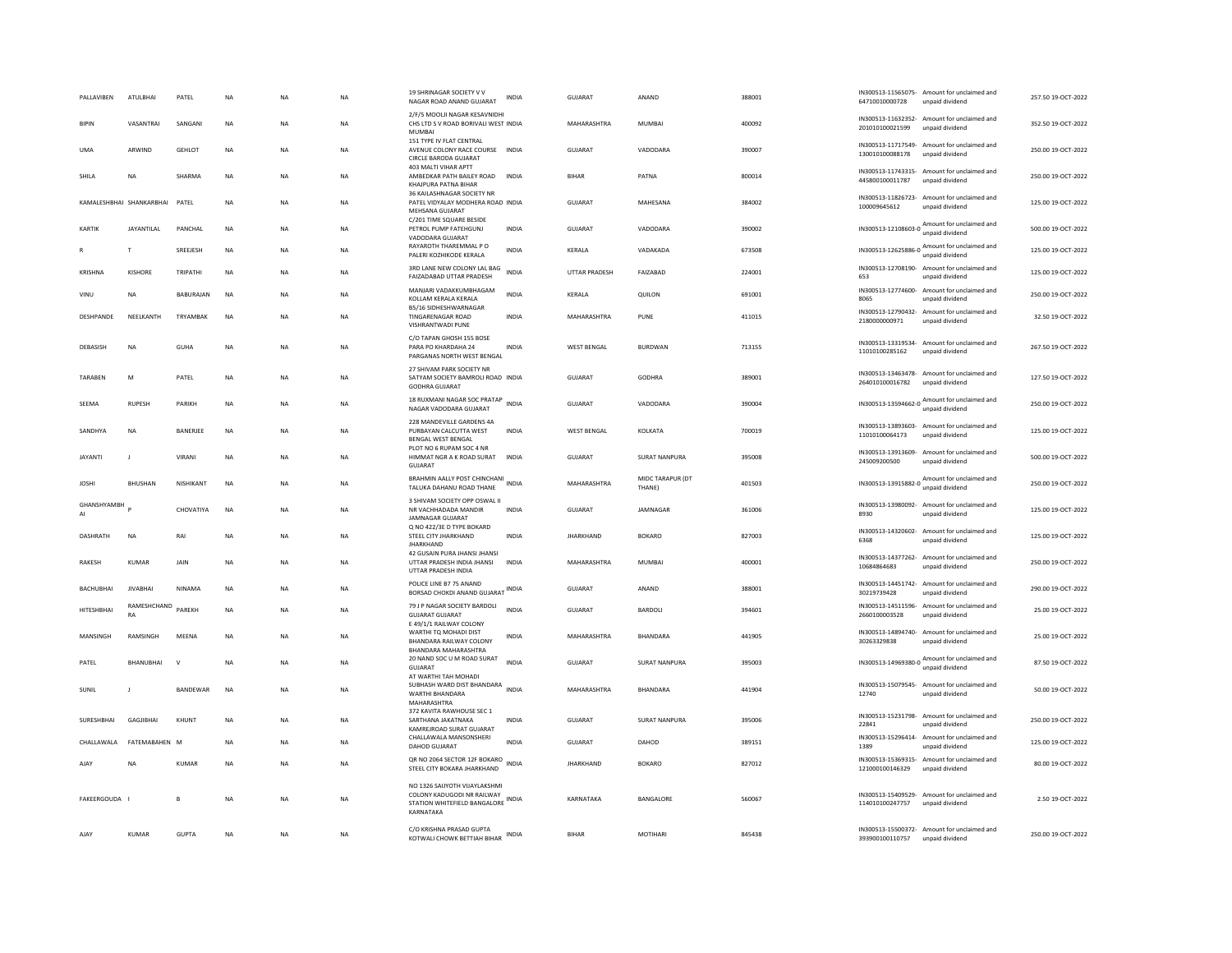| PALLAVIBEN        | ATULBHAI                 | PATEL            | <b>NA</b>   | <b>NA</b> | <b>NA</b> | 19 SHRINAGAR SOCIETY V V<br>NAGAR ROAD ANAND GUJARAT                                                           | <b>INDIA</b> | GUIARAT            | ANAND                      | 388001 | 64710010000728             | IN300513-11565075- Amount for unclaimed and<br>unpaid dividend  | 257.50.19-OCT-2022 |
|-------------------|--------------------------|------------------|-------------|-----------|-----------|----------------------------------------------------------------------------------------------------------------|--------------|--------------------|----------------------------|--------|----------------------------|-----------------------------------------------------------------|--------------------|
| <b>BIPIN</b>      | VASANTRAI                | SANGANI          | $_{\sf NA}$ | <b>NA</b> | NA        | 2/F/5 MOOLI NAGAR KESAVNIDHI<br>CHS LTD S V ROAD BORIVALI WEST INDIA<br>MUMBAI                                 |              | MAHARASHTRA        | MUMBAI                     | 400092 | 201010100021599            | IN300513-11632352- Amount for unclaimed and<br>unpaid dividend  | 352.50 19-OCT-2022 |
| <b>UMA</b>        | ARWIND                   | <b>GEHLOT</b>    | <b>NA</b>   | <b>NA</b> | <b>NA</b> | 151 TYPE IV FLAT CENTRAL<br>AVENUE COLONY RACE COURSE INDIA<br>CIRCLE BARODA GUJARAT                           |              | GUJARAT            | VADODARA                   | 390007 | 130010100088178            | IN300513-11717549- Amount for unclaimed and<br>unpaid dividend  | 250.00 19-OCT-2022 |
| SHILA             | <b>NA</b>                | SHARMA           | NA          | <b>NA</b> | NA        | 403 MALTI VIHAR APTT<br>AMBEDKAR PATH BAILEY ROAD<br>KHAJPURA PATNA BIHAR                                      | <b>INDIA</b> | <b>BIHAR</b>       | PATNA                      | 800014 | 445800100011787            | IN300513-11743315- Amount for unclaimed and<br>unpaid dividend  | 250.00 19-OCT-2022 |
|                   | KAMALESHBHAI SHANKARBHAI | PATEL            | <b>NA</b>   | <b>NA</b> | NA        | 36 KAILASHNAGAR SOCIETY NR<br>PATEL VIDYALAY MODHERA ROAD INDIA<br>MEHSANA GUJARAT                             |              | <b>GUJARAT</b>     | MAHESANA                   | 384002 | 100009645612               | IN300513-11826723- Amount for unclaimed and<br>unpaid dividend  | 125.00 19-OCT-2022 |
| KARTIK            | <b>JAYANTILAI</b>        | PANCHAL          | <b>NA</b>   | <b>NA</b> | <b>NA</b> | C/201 TIME SQUARE BESIDE<br>PETROL PUMP FATEHGUNJ<br>VADODARA GUJARAT                                          | <b>INDIA</b> | GUIARAT            | VADODARA                   | 390002 | IN300513-12108603-0        | Amount for unclaimed and<br>unpaid dividend                     | 500.00 19-QCT-2022 |
|                   | T                        | SREEJESH         | <b>NA</b>   | <b>NA</b> | <b>NA</b> | RAYAROTH THAREMMAL P O<br>PALERI KOZHIKODE KERALA                                                              | <b>INDIA</b> | KERALA             | VADAKADA                   | 673508 | IN300513-12625886-0 Amount | Amount for unclaimed and                                        | 125.00 19-OCT-2022 |
| KRISHNA           | KISHORE                  | TRIPATHI         | $_{\sf NA}$ | <b>NA</b> | NA        | 3RD LANE NEW COLONY LAL BAG<br>FAIZADABAD UTTAR PRADESH                                                        | <b>INDIA</b> | UTTAR PRADESH      | FAIZABAD                   | 224001 | 653                        | IN300513-12708190- Amount for unclaimed and<br>unpaid dividend  | 125.00 19-OCT-2022 |
| VINU              | <b>NA</b>                | <b>BABURAIAN</b> | <b>NA</b>   | <b>NA</b> | <b>NA</b> | MANJARI VADAKKUMBHAGAM<br>KOLLAM KERALA KERALA<br>B5/16 SIDHESHWARNAGAR                                        | <b>INDIA</b> | KERALA             | <b>OUILON</b>              | 691001 | 8065                       | IN300513-12774600- Amount for unclaimed and<br>unpaid dividend  | 250.00 19-OCT-2022 |
| DESHPANDE         | NEELKANTH                | TRYAMBAK         | <b>NA</b>   | <b>NA</b> | <b>NA</b> | <b>TINGARENAGAR ROAD</b><br>VISHRANTWADI PUNE                                                                  | <b>INDIA</b> | MAHARASHTRA        | PUNE                       | 411015 | 2180000000971              | IN300513-12790432- Amount for unclaimed and<br>unpaid dividend  | 32.50 19-OCT-2022  |
| <b>DEBASISH</b>   | <b>NA</b>                | <b>GUHA</b>      | <b>NA</b>   | <b>NA</b> | <b>NA</b> | C/O TAPAN GHOSH 155 BOSE<br>PARA PO KHARDAHA 24<br>PARGANAS NORTH WEST BENGAL                                  | <b>INDIA</b> | <b>WEST BENGAL</b> | <b>BURDWAN</b>             | 713155 | 11010100285162             | IN300513-13319534- Amount for unclaimed and<br>unpaid dividend  | 267.50 19-OCT-2022 |
| TARAREN           | M                        | PATEL            | <b>NA</b>   | <b>NA</b> | NA        | 27 SHIVAM PARK SOCIETY NR<br>SATYAM SOCIETY BAMROLI ROAD INDIA<br><b>GODHRA GUJARAT</b>                        |              | GUIARAT            | GODHRA                     | 389001 | 264010100016782            | IN300513-13463478- Amount for unclaimed and<br>unpaid dividend  | 127.50 19-OCT-2022 |
| SEEMA             | <b>RUPESH</b>            | PARIKH           | <b>NA</b>   | <b>NA</b> | <b>NA</b> | 18 RUXMANI NAGAR SOC PRATAP<br>NAGAR VADODARA GUJARAT                                                          | <b>INDIA</b> | GUJARAT            | VADODARA                   | 390004 |                            | IN300513-13594662-0 Amount for unclaimed and                    | 250.00 19-OCT-2022 |
| SANDHYA           | <b>NA</b>                | BANERJEE         | <b>NA</b>   | <b>NA</b> | <b>NA</b> | 228 MANDEVILLE GARDENS 4A<br>PURBAYAN CALCUTTA WEST<br>BENGAL WEST BENGAL                                      | <b>INDIA</b> | <b>WEST BENGAL</b> | KOLKATA                    | 700019 | 11010100064173             | IN300513-13893603- Amount for unclaimed and<br>unpaid dividend  | 125.00 19-OCT-2022 |
| <b>JAYANTI</b>    | $\mathbf{J}$             | VIRANI           | NA          | <b>NA</b> | NA        | PLOT NO 6 RUPAM SOC 4 NR<br>HIMMAT NGR A K ROAD SURAT<br><b>GUJARAT</b>                                        | <b>INDIA</b> | <b>GUJARAT</b>     | SURAT NANPURA              | 395008 | 245009200500               | IN300513-13913609- Amount for unclaimed and<br>unpaid dividend  | 500.00 19-OCT-2022 |
|                   |                          |                  |             |           |           |                                                                                                                |              |                    |                            |        |                            |                                                                 |                    |
| <b>JOSHI</b>      | BHUSHAN                  | NISHIKANT        | <b>NA</b>   | <b>NA</b> | NA        | BRAHMIN AALLY POST CHINCHANI<br>TALUKA DAHANU ROAD THANE                                                       | <b>INDIA</b> | MAHARASHTRA        | MIDC TARAPUR (DT<br>THANE) | 401503 |                            | IN300513-13915882-0 Amount for unclaimed and<br>unpaid dividend | 250.00 19-OCT-2022 |
| GHANSHYAMBH<br>AI |                          | CHOVATIYA        | <b>NA</b>   | <b>NA</b> | <b>NA</b> | 3 SHIVAM SOCIETY OPP OSWAL II<br>NR VACHHADADA MANDIR<br>JAMNAGAR GUJARAT                                      | <b>INDIA</b> | GUIARAT            | <b>IAMNAGAR</b>            | 361006 | 8930                       | IN300513-13980092- Amount for unclaimed and<br>unpaid dividend  | 125.00.19-OCT-2022 |
| DASHRATH          | NA                       | RAI              | $_{\sf NA}$ | <b>NA</b> | NA        | Q NO 422/3E D TYPE BOKARD<br>STEEL CITY JHARKHAND<br><b>JHARKHAND</b>                                          | <b>INDIA</b> | <b>JHARKHAND</b>   | <b>BOKARO</b>              | 827003 | 6368                       | IN300513-14320602- Amount for unclaimed and<br>unpaid dividend  | 125.00 19-OCT-2022 |
| <b>RAKESH</b>     | <b>KUMAR</b>             | <b>JAIN</b>      | <b>NA</b>   | <b>NA</b> | <b>NA</b> | 42 GUSAIN PURA JHANSI JHANSI<br>UTTAR PRADESH INDIA JHANSI<br>UTTAR PRADESH INDIA                              | <b>INDIA</b> | MAHARASHTRA        | MUMBAI                     | 400001 | 10684864683                | IN300513-14377262- Amount for unclaimed and<br>unpaid dividend  | 250.00 19-OCT-2022 |
| BACHUBHAI         | <b>JIVABHAI</b>          | NINAMA           | NA          | <b>NA</b> | NA        | POLICE LINE B7 75 ANAND<br>BORSAD CHOKDI ANAND GUJARAT INDIA                                                   |              | GUJARAT            | ANAND                      | 388001 | 30219739428                | IN300513-14451742- Amount for unclaimed and<br>unpaid dividend  | 290.00 19-OCT-2022 |
| HITESHRHAI        | RAMESHCHAND<br>RA        | PAREKH           | <b>NA</b>   | <b>NA</b> | <b>NA</b> | 79 J P NAGAR SOCIETY BARDOLI<br><b>GUJARAT GUJARAT</b>                                                         | <b>INDIA</b> | GUIARAT            | BARDOLI                    | 394601 | 2660100003528              | IN300513-14511596- Amount for unclaimed and<br>unpaid dividend  | 25.00 19-OCT-2022  |
| MANSINGH          | RAMSINGH                 | MEENA            | $_{\sf NA}$ | <b>NA</b> | NA        | E 49/1/1 RAILWAY COLONY<br>WARTHI TO MOHADI DIST<br>BHANDARA RAILWAY COLONY                                    | INDIA        | MAHARASHTRA        | BHANDARA                   | 441905 | 30263329838                | IN300513-14894740- Amount for unclaimed and<br>unpaid dividend  | 25.00 19-OCT-2022  |
| PATEL             | <b>BHANUBHAI</b>         | $\vee$           | <b>NA</b>   | <b>NA</b> | <b>NA</b> | BHANDARA MAHARASHTRA<br>20 NAND SOC U M ROAD SURAT<br>GUJARAT                                                  | <b>INDIA</b> | <b>GUJARAT</b>     | SURAT NANPURA              | 395003 |                            | IN300513-14969380-0 Amount for unclaimed and<br>unpaid dividend | 87.50 19-OCT-2022  |
| SUNIL             |                          | BANDEWAR         | NA          | <b>NA</b> | NA        | AT WARTHI TAH MOHADI<br>SUBHASH WARD DIST BHANDARA INDIA<br>WARTHI BHANDARA<br>MAHARASHTRA                     |              | MAHARASHTRA        | BHANDARA                   | 441904 | 12740                      | IN300513-15079545- Amount for unclaimed and<br>unpaid dividend  | 50.00 19-OCT-2022  |
| SURESHBHAI        | GAGJIBHAI                | KHUNT            | NA          | <b>NA</b> | NA        | 372 KAVITA RAWHOUSE SEC 1<br>SARTHANA JAKATNAKA<br>KAMREJROAD SURAT GUJARAT                                    | INDIA        | GUJARAT            | SURAT NANPURA              | 395006 | 22841                      | IN300513-15231798- Amount for unclaimed and<br>unpaid dividend  | 250.00 19-OCT-2022 |
| CHALLAWALA        | FATEMARAHEN M            |                  | NA          | <b>NA</b> | NA        | CHALLAWALA MANSONSHERI<br>DAHOD GUJARAT                                                                        | <b>INDIA</b> | GUIARAT            | DAHOD                      | 389151 | 1389                       | IN300513-15296414- Amount for unclaimed and<br>unpaid dividend  | 125.00 19-OCT-2022 |
| AIAY              | <b>NA</b>                | KUMAR            | <b>NA</b>   | <b>NA</b> | <b>NA</b> | QR NO 2064 SECTOR 12F BOKARO<br>STEEL CITY BOKARA JHARKHAND                                                    | <b>INDIA</b> | <b>IHARKHAND</b>   | <b>BOKARO</b>              | 827012 | 121000100146329            | IN300513-15369315- Amount for unclaimed and<br>unpaid dividend  | 80.00.19-OCT-2022  |
| FAKEERGOUDA I     |                          | B                | <b>NA</b>   | <b>NA</b> | <b>NA</b> | NO 1326 SAIJYOTH VIJAYLAKSHMI<br>COLONY KADUGODI NR RAILWAY<br>STATION WHITEFIELD BANGALORE INDIA<br>KARNATAKA |              | KARNATAKA          | BANGALORE                  | 560067 | 114010100247757            | IN300513-15409529- Amount for unclaimed and<br>unpaid dividend  | 2.50 19-OCT-2022   |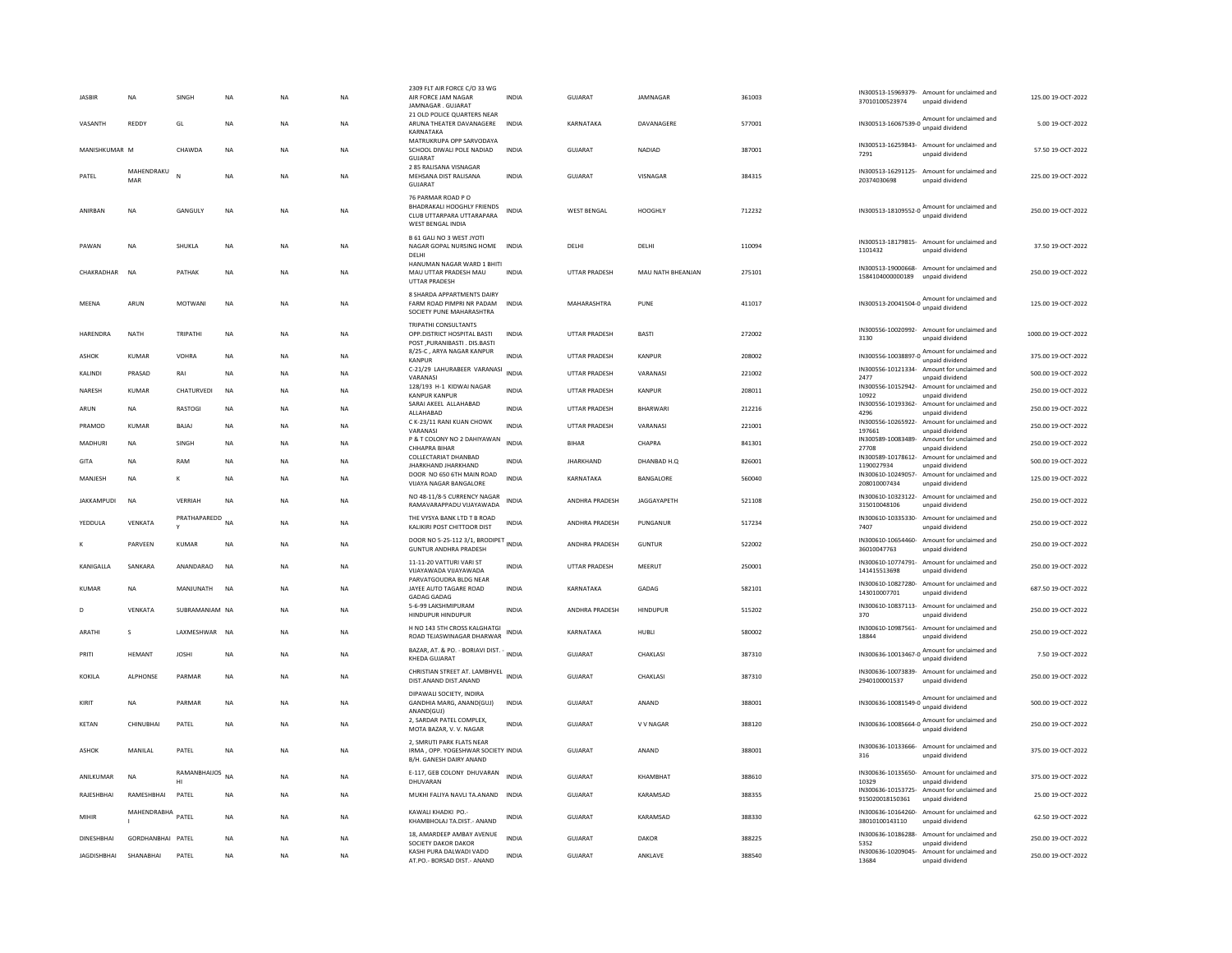| <b>JASBIR</b>      | <b>NA</b>         | SINGH           | <b>NA</b> | <b>NA</b> | <b>NA</b> | 2309 FLT AIR FORCE C/O 33 WG<br>AIR FORCE JAM NAGAR<br>JAMNAGAR, GUJARAT                          | <b>INDIA</b> | GUJARAT              | JAMNAGAR          | 361003 | IN300513-15969379- Amount for unclaimed and<br>37010100523974<br>unpaid dividend                                                  | 125.00 19-OCT-2022  |
|--------------------|-------------------|-----------------|-----------|-----------|-----------|---------------------------------------------------------------------------------------------------|--------------|----------------------|-------------------|--------|-----------------------------------------------------------------------------------------------------------------------------------|---------------------|
| VASANTH            | REDDY             | GL              | <b>NA</b> | <b>NA</b> | <b>NA</b> | 21 OLD POLICE QUARTERS NEAR<br>ARUNA THEATER DAVANAGERE<br>KARNATAKA                              | <b>INDIA</b> | KARNATAKA            | DAVANAGERE        | 577001 | IN300513-16067539-0 Amount for unclaimed and<br>unpaid dividend                                                                   | 5.00 19-OCT-2022    |
| MANISHKUMAR M      |                   | CHAWDA          | <b>NA</b> | <b>NA</b> | <b>NA</b> | MATRUKRUPA OPP SARVODAYA<br>SCHOOL DIWALI POLE NADIAD<br>GUJARAT                                  | <b>INDIA</b> | <b>GUJARAT</b>       | <b>NADIAD</b>     | 387001 | IN300513-16259843- Amount for unclaimed and<br>7291<br>unpaid dividend                                                            | 57.50 19-OCT-2022   |
| PATEL              | MAHENDRAKU<br>MAR |                 | <b>NA</b> | <b>NA</b> | <b>NA</b> | 2 85 RALISANA VISNAGAR<br>MEHSANA DIST RALISANA<br>GUJARAT                                        | <b>INDIA</b> | <b>GUJARAT</b>       | VISNAGAR          | 384315 | IN300513-16291125- Amount for unclaimed and<br>20374030698<br>unpaid dividend                                                     | 225.00 19-OCT-2022  |
| ANIRBAN            | NA                | GANGULY         | NA        | NA        | NA        | 76 PARMAR ROAD PO<br>BHADRAKALI HOOGHLY FRIENDS<br>CLUB UTTARPARA UTTARAPARA<br>WEST BENGAL INDIA | <b>INDIA</b> | <b>WEST BENGAL</b>   | <b>HOOGHLY</b>    | 712232 | Amount for unclaimed and<br>IN300513-18109552-0<br>unpaid dividend                                                                | 250.00 19-OCT-2022  |
| PAWAN              | <b>NA</b>         | SHUKLA          | NA        | <b>NA</b> | <b>NA</b> | B 61 GALI NO 3 WEST JYOTI<br>NAGAR GOPAL NURSING HOME<br>DELHI                                    | <b>INDIA</b> | DELHI                | DELHI             | 110094 | IN300513-18179815- Amount for unclaimed and<br>1101432<br>unpaid dividend                                                         | 37.50 19-OCT-2022   |
| CHAKRADHAR         | <b>NA</b>         | PATHAK          | <b>NA</b> | <b>NA</b> | <b>NA</b> | HANUMAN NAGAR WARD 1 BHITI<br>MAU UTTAR PRADESH MAU<br>UTTAR PRADESH                              | <b>INDIA</b> | <b>UTTAR PRADESH</b> | MAU NATH BHEANJAN | 275101 | IN300513-19000668- Amount for unclaimed and<br>1584104000000189<br>unpaid dividend                                                | 250.00 19-OCT-2022  |
| MEENA              | ARUN              | <b>MOTWANI</b>  | NA        | NA        | NA        | 8 SHARDA APPARTMENTS DAIRY<br>FARM ROAD PIMPRI NR PADAM<br>SOCIETY PUNE MAHARASHTRA               | <b>INDIA</b> | MAHARASHTRA          | PUNE              | 411017 | IN300513-20041504-0<br>Manuscript Contract Inc. 2014<br>unpaid dividend                                                           | 125.00 19-OCT-2022  |
| HARENDRA           | <b>NATH</b>       | TRIPATHI        | <b>NA</b> | <b>NA</b> | <b>NA</b> | TRIPATHI CONSULTANTS<br>OPP.DISTRICT HOSPITAL BASTI<br>POST .PURANIBASTI . DIS.BASTI              | <b>INDIA</b> | <b>UTTAR PRADESH</b> | <b>BASTI</b>      | 272002 | IN300556-10020992- Amount for unclaimed and<br>3130<br>unpaid dividend                                                            | 1000.00 19-OCT-2022 |
| <b>ASHOK</b>       | <b>KUMAR</b>      | VOHRA           | <b>NA</b> | <b>NA</b> | <b>NA</b> | 8/25-C, ARYA NAGAR KANPUR<br>KANPUR                                                               | INDIA        | <b>UTTAR PRADESH</b> | KANPUR            | 208002 | IN300556-10038897-0 Amount for unclaimed and<br>unpaid dividend                                                                   | 375.00 19-OCT-2022  |
| KALINDI            | PRASAD            | RAI             | <b>NA</b> | NA        | NA        | C-21/29 LAHURABEER VARANASI<br>VARANASI                                                           | INDIA        | UTTAR PRADESH        | VARANASI          | 221002 | IN300556-10121334- Amount for unclaimed and<br>2477<br>unpaid dividend                                                            | 500.00 19-OCT-2022  |
| NARESH             | <b>KUMAR</b>      | CHATURVEDI      | <b>NA</b> | NA        | NA        | 128/193 H-1 KIDWAI NAGAR                                                                          | <b>INDIA</b> | UTTAR PRADESH        | <b>KANPUR</b>     | 208011 | IN300556-10152942-<br>Amount for unclaimed and                                                                                    | 250.00 19-OCT-2022  |
| ARUN               | NA                | RASTOGI         | <b>NA</b> | <b>NA</b> | <b>NA</b> | <b>KANPUR KANPUR</b><br>SARAI AKEEL ALLAHABAD                                                     | <b>INDIA</b> | <b>UTTAR PRADESH</b> | BHARWARI          | 212216 | 10922<br>unpaid dividend<br>IN300556-10193362-<br>Amount for unclaimed and                                                        | 250.00 19-OCT-2022  |
| PRAMOD             | <b>KUMAR</b>      | BAJAJ           | NA        | NA        | NA        | ALLAHABAD<br>C K-23/11 RANI KUAN CHOWK                                                            | <b>INDIA</b> | UTTAR PRADESH        | VARANASI          | 221001 | 4296<br>unpaid dividend<br>IN300556-10265922-<br>Amount for unclaimed and                                                         | 250.00 19-OCT-2022  |
|                    |                   |                 |           |           |           | VARANASI<br>P & T COLONY NO 2 DAHIYAWAN                                                           | <b>INDIA</b> | <b>BIHAR</b>         |                   |        | 197661<br>unpaid dividend<br>IN300589-10083489-<br>Amount for unclaimed and                                                       |                     |
| MADHURI            | NA                | SINGH           | NA        | NA        | NA        | CHHAPRA BIHAR<br>COLLECTARIAT DHANBAD                                                             |              |                      | CHAPRA            | 841301 | 27708<br>unpaid dividend<br>IN300589-10178612- Amount for unclaimed and                                                           | 250.00 19-OCT-2022  |
| GITA               | <b>NA</b>         | RAM             | <b>NA</b> | <b>NA</b> | <b>NA</b> | JHARKHAND JHARKHAND                                                                               | <b>INDIA</b> | <b>JHARKHAND</b>     | DHANBAD H.O.      | 826001 | 1190027934<br>unpaid dividend                                                                                                     | 500.00 19-OCT-2022  |
| MANJESH            | <b>NA</b>         | К               | <b>NA</b> | <b>NA</b> | NA        | DOOR NO 650 6TH MAIN ROAD<br><b>VUAYA NAGAR BANGALORE</b>                                         | <b>INDIA</b> | KARNATAKA            | BANGALORE         | 560040 | IN300610-10249057-<br>Amount for unclaimed and<br>208010007434<br>unpaid dividend                                                 | 125.00 19-OCT-2022  |
| <b>IAKKAMPUDI</b>  | <b>NA</b>         | VERRIAH         | <b>NA</b> | NA        | NA        | NO 48-11/8-5 CURRENCY NAGAR<br>RAMAVARAPPADU VIJAYAWADA                                           | INDIA        | ANDHRA PRADESH       | JAGGAYAPETH       | 521108 | IN300610-10323122-<br>Amount for unclaimed and<br>315010048106<br>unpaid dividend                                                 | 250.00 19-OCT-2022  |
| YEDDULA            | VENKATA           | PRATHAPAREDD NA |           | NA        | NA        | THE VYSYA BANK LTD T B ROAD<br>KALIKIRI POST CHITTOOR DIST                                        | <b>INDIA</b> | ANDHRA PRADESH       | PUNGANUR          | 517234 | IN300610-10335330- Amount for unclaimed and<br>7407<br>unpaid dividend                                                            | 250.00 19-OCT-2022  |
| K                  | PARVEEN           | <b>KUMAR</b>    | <b>NA</b> | NA        | NA        | DOOR NO 5-25-112 3/1, BRODIPET<br><b>GUNTUR ANDHRA PRADESH</b>                                    | <b>INDIA</b> | ANDHRA PRADESH       | <b>GUNTUR</b>     | 522002 | IN300610-10654460- Amount for unclaimed and<br>36010047763<br>unpaid dividend                                                     | 250.00 19-OCT-2022  |
| KANIGALLA          | SANKARA           | ANANDARAO       | <b>NA</b> | NA        | NA        | 11-11-20 VATTURI VARI ST<br>VIJAYAWADA VIJAYAWADA                                                 | <b>INDIA</b> | <b>UTTAR PRADESH</b> | MEERUT            | 250001 | IN300610-10774791- Amount for unclaimed and<br>141415513698<br>unpaid dividend                                                    | 250.00 19-OCT-2022  |
| KUMAR              | <b>NA</b>         | MANIUNATH       | <b>NA</b> | <b>NA</b> | NA        | PARVATGOUDRA BLDG NEAR<br>JAYEE AUTO TAGARE ROAD<br><b>GADAG GADAG</b>                            | <b>INDIA</b> | KARNATAKA            | GADAG             | 582101 | IN300610-10827280- Amount for unclaimed and<br>143010007701<br>unpaid dividend                                                    | 687.50 19-OCT-2022  |
| D                  | VENKATA           | SUBRAMANIAM NA  |           | <b>NA</b> | NA        | 5-6-99 LAKSHMIPURAM<br>HINDUPUR HINDUPUR                                                          | <b>INDIA</b> | ANDHRA PRADESH       | HINDUPUR          | 515202 | IN300610-10837113- Amount for unclaimed and<br>370<br>unpaid dividend                                                             | 250.00 19-OCT-2022  |
| <b>ARATHI</b>      | s                 | LAXMESHWAR      | <b>NA</b> | <b>NA</b> | <b>NA</b> | H NO 143 5TH CROSS KALGHATGI<br>ROAD TEJASWINAGAR DHARWAR                                         | <b>INDIA</b> | KARNATAKA            | HUBLI             | 580002 | IN300610-10987561-<br>Amount for unclaimed and<br>18844<br>unpaid dividend                                                        | 250.00 19-OCT-2022  |
| PRITI              | <b>HFMANT</b>     | <b>IOSHI</b>    | <b>NA</b> | <b>NA</b> | <b>NA</b> | BAZAR, AT. & PO. - BORIAVI DIST. - INDIA<br>KHEDA GUJARAT                                         |              | GUIARAT              | <b>CHAKI ASI</b>  | 387310 | IN300636-10013467-0 Amount for unclaimed and<br>unpaid dividend                                                                   | 7.50 19-OCT-2022    |
| KOKILA             | <b>ALPHONSE</b>   | PARMAR          | <b>NA</b> | <b>NA</b> | <b>NA</b> | CHRISTIAN STREET AT. LAMBHVEL INDIA<br>DIST.ANAND DIST.ANAND                                      |              | <b>GUJARAT</b>       | CHAKLASI          | 387310 | IN300636-10073839- Amount for unclaimed and<br>2940100001537<br>unpaid dividend                                                   | 250.00 19-OCT-2022  |
| KIRIT              | <b>NA</b>         | PARMAR          | <b>NA</b> | <b>NA</b> | <b>NA</b> | DIPAWALI SOCIETY, INDIRA<br>GANDHIA MARG, ANAND(GUJ)<br>ANAND(GUJ)                                | <b>INDIA</b> | <b>GUJARAT</b>       | ANAND             | 388001 | IN300636-10081549-0 Amount for unclaimed and<br>unpaid dividend                                                                   | 500.00 19-OCT-2022  |
| KFTAN              | CHINUBHAI         | PATEL           | <b>NA</b> | <b>NA</b> | <b>NA</b> | 2, SARDAR PATEL COMPLEX,<br>MOTA BAZAR, V. V. NAGAR                                               | <b>INDIA</b> | GUIARAT              | V V NAGAR         | 388120 | IN300636-10085664-0 Amount for unclaimed and<br>unpaid dividend                                                                   | 250.00 19-OCT-2022  |
| <b>ASHOK</b>       | MANILAL           | PATEL           | <b>NA</b> | NA        | NA        | 2. SMRUTI PARK FLATS NEAR<br>IRMA, OPP. YOGESHWAR SOCIETY INDIA<br>B/H. GANESH DAIRY ANAND        |              | <b>GUJARAT</b>       | ANAND             | 388001 | IN300636-10133666- Amount for unclaimed and<br>316<br>unpaid dividend                                                             | 375.00 19-OCT-2022  |
| ANILKUMAR          | <b>NA</b>         | RAMANBHAIJOS NA |           | NA        | NA        | E-117, GEB COLONY DHUVARAN                                                                        | <b>INDIA</b> | <b>GUJARAT</b>       | KHAMBHAT          | 388610 | IN300636-10135650- Amount for unclaimed and                                                                                       | 375.00 19-OCT-2022  |
| RAJESHBHAI         | RAMESHBHAI        | н<br>PATEL      | <b>NA</b> | NA        | <b>NA</b> | DHUVARAN<br>MUKHI FALIYA NAVLI TA, ANAND INDIA                                                    |              | GUJARAT              | KARAMSAD          | 388355 | 10329<br>unpaid dividend<br>IN300636-10153725- Amount for unclaimed and                                                           | 25.00 19-OCT-2022   |
|                    |                   |                 |           |           |           |                                                                                                   |              |                      |                   |        | 915020018150361<br>unpaid dividend                                                                                                |                     |
| MIHIR              | MAHENDRABHA       | PATEL           | <b>NA</b> | NA        | NA        | KAWALI KHADKI PO.<br>KHAMBHOLAJ TA.DIST.- ANAND<br>18, AMARDEEP AMBAY AVENUE                      | <b>INDIA</b> | GUJARAT              | KARAMSAD          | 388330 | IN300636-10164260- Amount for unclaimed and<br>38010100143110<br>unpaid dividend<br>IN300636-10186288<br>Amount for unclaimed and | 62.50 19-OCT-2022   |
| DINESHBHAI         | GORDHANBHAI PATEL |                 | <b>NA</b> | <b>NA</b> | NA        | SOCIETY DAKOR DAKOR                                                                               | <b>INDIA</b> | GUJARAT              | DAKOR             | 388225 | 5352<br>unpaid dividend                                                                                                           | 250.00 19-OCT-2022  |
| <b>JAGDISHBHAI</b> | SHANABHAI         | PATEL           | NA        | NA        | NA        | KASHI PURA DALWADI VADO<br>AT.PO.- BORSAD DIST.- ANAND                                            | <b>INDIA</b> | GUJARAT              | ANKLAVE           | 388540 | IN300636-10209045- Amount for unclaimed and<br>13684<br>unpaid dividend                                                           | 250.00 19-OCT-2022  |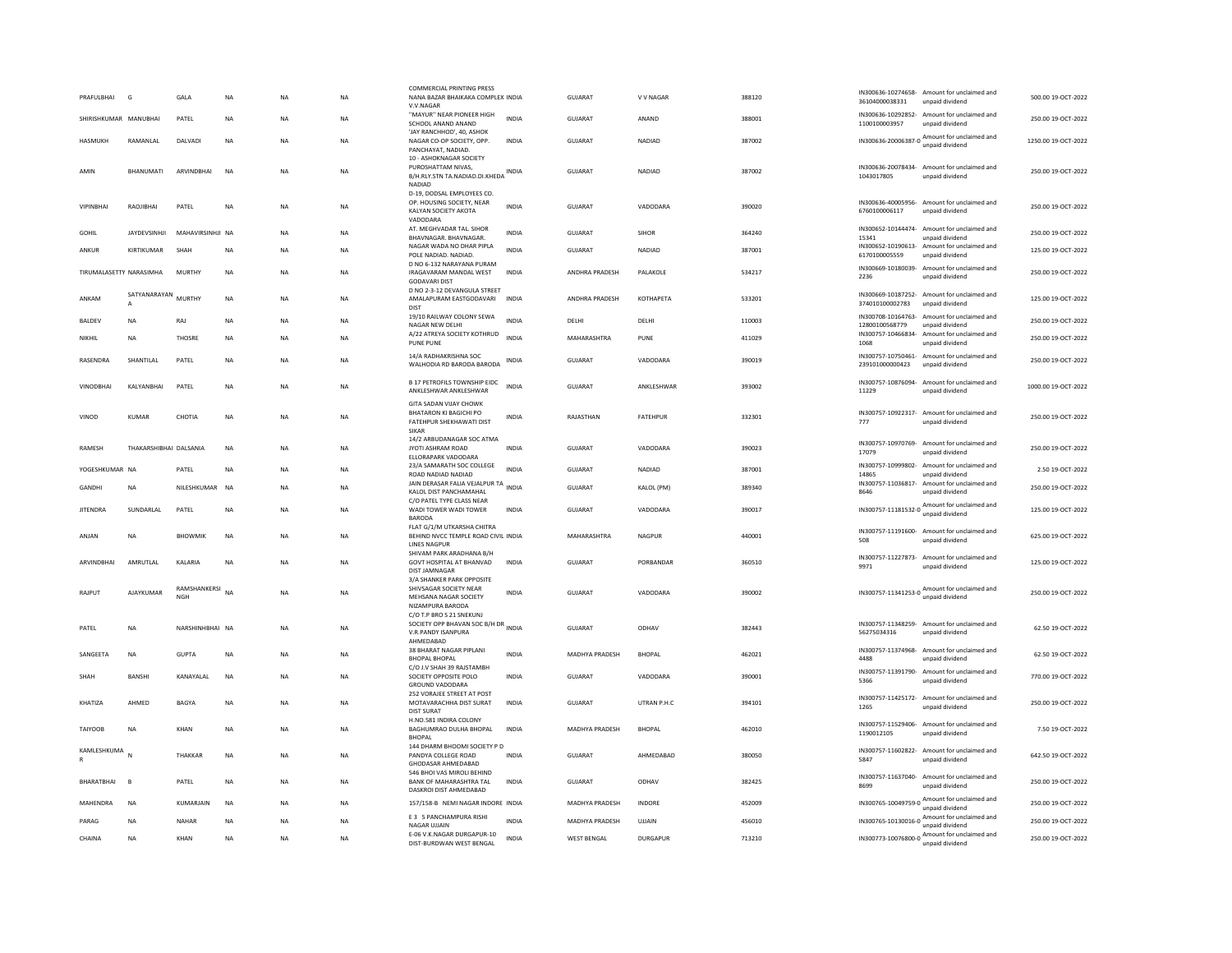| PRAFULBHAI<br>G                     | GALA                       | NA          | <b>NA</b> | NA        | <b>COMMERCIAL PRINTING PRESS</b><br>NANA BAZAR BHAIKAKA COMPLEX INDIA<br>V.V.NAGAR                               |              | GUJARAT               | V V NAGAR       | 388120 | 36104000038331              | IN300636-10274658- Amount for unclaimed and<br>unpaid dividend  | 500.00 19-OCT-2022  |
|-------------------------------------|----------------------------|-------------|-----------|-----------|------------------------------------------------------------------------------------------------------------------|--------------|-----------------------|-----------------|--------|-----------------------------|-----------------------------------------------------------------|---------------------|
| SHIRISHKUMAR MANUBHAI               | PATEL                      | <b>NA</b>   | <b>NA</b> | <b>NA</b> | "MAYUR" NEAR PIONEER HIGH<br>SCHOOL ANAND ANAND                                                                  | <b>INDIA</b> | <b>GUJARAT</b>        | ANAND           | 388001 | 1100100003957               | IN300636-10292852- Amount for unclaimed and<br>unpaid dividend  | 250.00 19-OCT-2022  |
| <b>HASMUKH</b><br>RAMANLAL          | DALVADI                    | $_{\sf NA}$ | <b>NA</b> | NA        | 'JAY RANCHHOD', 40, ASHOK<br>NAGAR CO-OP SOCIETY, OPP.<br>PANCHAYAT, NADIAD,                                     | <b>INDIA</b> | <b>GUJARAT</b>        | NADIAD          | 387002 | IN300636-20006387-0         | Amount for unclaimed and<br>unpaid dividend                     | 1250.00 19-OCT-2022 |
| AMIN<br><b>BHANUMATI</b>            | <b>ARVINDBHAI</b>          | <b>NA</b>   | <b>NA</b> | <b>NA</b> | 10 - ASHOKNAGAR SOCIETY<br>PUROSHATTAM NIVAS,<br>B/H.RLY.STN TA.NADIAD.DI.KHEDA<br><b>NADIAD</b>                 | INDIA        | GUJARAT               | NADIAD          | 387002 | 1043017805                  | IN300636-20078434- Amount for unclaimed and<br>unpaid dividend  | 250.00 19-OCT-2022  |
| <b>VIPINBHAI</b><br>RAOJIBHAI       | PATEL                      | <b>NA</b>   | <b>NA</b> | NA        | D-19, DODSAL EMPLOYEES CO.<br>OP. HOUSING SOCIETY, NEAR<br>KALYAN SOCIETY AKOTA<br>VADODARA                      | <b>INDIA</b> | <b>GUJARAT</b>        | VADODARA        | 390020 | 6760100006117               | IN300636-40005956- Amount for unclaimed and<br>unpaid dividend  | 250.00 19-OCT-2022  |
| <b>JAYDEVSINHJI</b><br><b>GOHIL</b> | MAHAVIRSINHJI NA           |             | <b>NA</b> | <b>NA</b> | AT. MEGHVADAR TAL. SIHOR<br>BHAVNAGAR. BHAVNAGAR                                                                 | <b>INDIA</b> | GUJARAT               | <b>SIHOR</b>    | 364240 | 15341                       | IN300652-10144474- Amount for unclaimed and<br>unpaid dividend  | 250.00 19-OCT-2022  |
| KIRTIKUMAR<br>ANKUR                 | SHAH                       | NA          | <b>NA</b> | NA        | NAGAR WADA NO DHAR PIPLA<br>POLE NADIAD. NADIAD.                                                                 | <b>INDIA</b> | GUJARAT               | <b>NADIAD</b>   | 387001 | 6170100005559               | IN300652-10190613- Amount for unclaimed and<br>unpaid dividend  | 125.00 19-OCT-2022  |
| TIRUMALASETTY NARASIMHA             | <b>MURTHY</b>              | NA          | <b>NA</b> | NA        | D NO 6-132 NARAYANA PURAM<br>IRAGAVARAM MANDAL WEST<br><b>GODAVARI DIST</b><br>D NO 2-3-12 DEVANGULA STREET      | INDIA        | ANDHRA PRADESH        | PALAKOLE        | 534217 | 2236                        | IN300669-10180039- Amount for unclaimed and<br>unpaid dividend  | 250.00 19-OCT-2022  |
| SATYANARAYAN<br>ANKAM               | <b>MURTHY</b>              | <b>NA</b>   | <b>NA</b> | <b>NA</b> | AMALAPURAM EASTGODAVARI<br><b>DIST</b>                                                                           | <b>INDIA</b> | ANDHRA PRADESH        | КОТНАРЕТА       | 533201 | 374010100002783             | IN300669-10187252- Amount for unclaimed and<br>unpaid dividend  | 125.00 19-OCT-2022  |
| BALDEV<br><b>NA</b>                 | RAJ                        | NA          | <b>NA</b> | NA        | 19/10 RAILWAY COLONY SEWA<br>NAGAR NEW DELHI                                                                     | <b>INDIA</b> | DELHI                 | DELHI           | 110003 | 12800100568779              | IN300708-10164763- Amount for unclaimed and<br>unpaid dividend  | 250.00 19-OCT-2022  |
| NIKHIL<br><b>NA</b>                 | THOSRE                     | <b>NA</b>   | <b>NA</b> | <b>NA</b> | A/22 ATREYA SOCIETY KOTHRUD<br><b>PUNE PUNE</b>                                                                  | <b>INDIA</b> | MAHARASHTRA           | PUNE            | 411029 | IN300757-10466834-<br>1068  | Amount for unclaimed and<br>unpaid dividend                     | 250.00 19-OCT-2022  |
| RASENDRA<br>SHANTILAL               | PATEL                      | <b>NA</b>   | <b>NA</b> | <b>NA</b> | 14/A RADHAKRISHNA SOC<br>WALHODIA RD BARODA BARODA                                                               | <b>INDIA</b> | GUJARAT               | VADODARA        | 390019 | 239101000000423             | IN300757-10750461- Amount for unclaimed and<br>unpaid dividend  | 250.00 19-OCT-2022  |
| <b>VINODBHAI</b><br>KALYANBHAI      | PATEL                      | <b>NA</b>   | <b>NA</b> | NA        | B 17 PETROFILS TOWNSHIP EIDC<br>ANKLESHWAR ANKLESHWAR                                                            | <b>INDIA</b> | GUJARAT               | ANKLESHWAR      | 393002 | 11229                       | IN300757-10876094- Amount for unclaimed and<br>unpaid dividend  | 1000.00 19-OCT-2022 |
| VINOD<br>KUMAR                      | CHOTIA                     | <b>NA</b>   | <b>NA</b> | <b>NA</b> | <b>GITA SADAN VIIAY CHOWK</b><br>BHATARON KI BAGICHI PO<br><b>FATEHPUR SHEKHAWATI DIST</b><br><b>SIKAR</b>       | INDIA        | RAIASTHAN             | <b>FATFHPUR</b> | 332301 | 777                         | IN300757-10922317- Amount for unclaimed and<br>unpaid dividend  | 250.00 19-OCT-2022  |
| RAMESH                              | THAKARSHIBHAI DALSANIA     | <b>NA</b>   | <b>NA</b> | NA        | 14/2 ARBUDANAGAR SOC ATMA<br>JYOTI ASHRAM ROAD<br>ELLORAPARK VADODARA                                            | <b>INDIA</b> | GUJARAT               | VADODARA        | 390023 | 17079                       | IN300757-10970769- Amount for unclaimed and<br>unpaid dividend  | 250.00 19-OCT-2022  |
| YOGESHKUMAR NA                      | PATEL                      | <b>NA</b>   | <b>NA</b> | <b>NA</b> | 23/A SAMARATH SOC COLLEGE<br>ROAD NADIAD NADIAD                                                                  | <b>INDIA</b> | <b>GUJARAT</b>        | NADIAD          | 387001 | IN300757-10999802-<br>14865 | Amount for unclaimed and<br>unpaid dividend                     | 2.50 19-OCT-2022    |
| GANDHI<br><b>NA</b>                 | NILESHKUMAR                | <b>NA</b>   | <b>NA</b> | <b>NA</b> | JAIN DERASAR FALIA VEJALPUR TA<br>KALOL DIST PANCHAMAHAL                                                         |              | GUJARAT               | KALOL (PM)      | 389340 | 8646                        | IN300757-11036817- Amount for unclaimed and<br>unpaid dividend  | 250.00 19-OCT-2022  |
| <b>JITENDRA</b><br>SUNDARLAL        | PATEL                      | <b>NA</b>   | <b>NA</b> | <b>NA</b> | C/O PATEL TYPE CLASS NEAR<br>WADI TOWER WADI TOWER<br><b>BARODA</b>                                              | <b>INDIA</b> | GUJARAT               | VADODARA        | 390017 |                             | IN300757-11181532-0 Amount for unclaimed and<br>unpaid dividend | 125.00 19-OCT-2022  |
| <b>NA</b><br>ANJAN                  | <b>BHOWMIK</b>             | <b>NA</b>   | <b>NA</b> | <b>NA</b> | FLAT G/1/M UTKARSHA CHITRA<br>BEHIND NVCC TEMPLE ROAD CIVIL INDIA<br><b>LINES NAGPUF</b>                         |              | MAHARASHTRA           | NAGPUR          | 440001 | 508                         | IN300757-11191600- Amount for unclaimed and<br>unpaid dividend  | 625.00 19-OCT-2022  |
| AMRUTLAL<br><b>ARVINDBHAI</b>       | <b>KAI ARIA</b>            | <b>NA</b>   | <b>NA</b> | NA        | SHIVAM PARK ARADHANA B/H<br>GOVT HOSPITAL AT BHANVAD<br><b>DIST JAMNAGAR</b><br><b>3/A SHANKER PARK OPPOSITE</b> | <b>INDIA</b> | <b>GUJARAT</b>        | PORRANDAR       | 360510 | 9971                        | IN300757-11227873- Amount for unclaimed and<br>unpaid dividend  | 125.00 19-OCT-2022  |
| AIAYKUMAR<br>RAIPUT                 | RAMSHANKERSI<br><b>NGH</b> | <b>NA</b>   | <b>NA</b> | <b>NA</b> | SHIVSAGAR SOCIETY NEAR<br>MEHSANA NAGAR SOCIETY<br>NIZAMPURA BARODA                                              | <b>INDIA</b> | GUIARAT               | VADODARA        | 390002 |                             | IN300757-11341253-0 Amount for unclaimed and<br>unpaid dividend | 250.00 19-OCT-2022  |
| PATEL<br><b>NA</b>                  | NARSHINHBHAI NA            |             | <b>NA</b> | <b>NA</b> | C/O T.P BRO S 21 SNEKUNJ<br>SOCIETY OPP BHAVAN SOC B/H DR INDIA<br>V.R.PANDY ISANPURA<br>AHMFDARAD               |              | GUJARAT               | ODHAV           | 382443 | 56275034316                 | IN300757-11348259- Amount for unclaimed and<br>unpaid dividend  | 62.50 19-OCT-2022   |
| SANGEETA<br><b>NA</b>               | GUPTA                      | <b>NA</b>   | <b>NA</b> | <b>NA</b> | 38 BHARAT NAGAR PIPLANI<br><b>BHOPAL BHOPAL</b>                                                                  | <b>INDIA</b> | <b>MADHYA PRADESH</b> | <b>BHOPAL</b>   | 462021 | 4488                        | IN300757-11374968- Amount for unclaimed and<br>unpaid dividend  | 62.50 19-OCT-2022   |
| <b>BANSHI</b><br>SHAH               | KANAYALAL                  | <b>NA</b>   | <b>NA</b> | <b>NA</b> | C/O J.V SHAH 39 RAJSTAMBH<br>SOCIETY OPPOSITE POLO<br>GROUND VADODARA                                            | <b>INDIA</b> | GUJARAT               | VADODARA        | 390001 | 5366                        | IN300757-11391790- Amount for unclaimed and<br>unpaid dividend  | 770.00 19-OCT-2022  |
| AHMFD<br>KHATIZA                    | <b>BAGYA</b>               | <b>NA</b>   | <b>NA</b> | <b>NA</b> | 252 VORAJEE STREET AT POST<br>MOTAVARACHHA DIST SURAT<br><b>DIST SURAT</b>                                       | <b>INDIA</b> | GUIARAT               | UTRAN P.H.C     | 394101 | 1265                        | IN300757-11425172- Amount for unclaimed and<br>unpaid dividend  | 250.00 19-OCT-2022  |
| <b>TAIYOOB</b><br>NA                | KHAN                       | NA          | <b>NA</b> | NA        | H.NO.581 INDIRA COLONY<br>BAGHUMRAO DULHA BHOPAL<br><b>BHOPAL</b>                                                | <b>INDIA</b> | MADHYA PRADESH        | <b>BHOPAL</b>   | 462010 | 1190012105                  | IN300757-11529406- Amount for unclaimed and<br>unpaid dividend  | 7.50 19-OCT-2022    |
| KAMLESHKUMA<br>N                    | THAKKAR                    | <b>NA</b>   | <b>NA</b> | <b>NA</b> | 144 DHARM BHOOMI SOCIETY P D<br>PANDYA COLLEGE ROAD<br>GHODASAR AHMEDABAD                                        | INDIA        | <b>GUJARAT</b>        | AHMEDABAD       | 380050 | 5847                        | IN300757-11602822- Amount for unclaimed and<br>unpaid dividend  | 642.50 19-OCT-2022  |
| BHARATBHAI<br><b>B</b>              | PATEL                      | <b>NA</b>   | <b>NA</b> | NA        | 546 BHOI VAS MIROLI BEHIND<br>BANK OF MAHARASHTRA TAL<br>DASKROI DIST AHMEDABAD                                  | INDIA        | GUJARAT               | ODHAV           | 382425 | 8699                        | IN300757-11637040- Amount for unclaimed and<br>unpaid dividend  | 250.00 19-OCT-2022  |
| MAHENDRA<br><b>NA</b>               | KUMARJAIN                  | <b>NA</b>   | <b>NA</b> | <b>NA</b> | 157/158-B NEMI NAGAR INDORE INDIA                                                                                |              | MADHYA PRADESH        | INDORE          | 452009 |                             | IN300765-10049759-0 Amount for unclaimed and<br>unpaid dividend | 250.00 19-OCT-2022  |
| PARAG<br><b>NA</b>                  | <b>NAHAR</b>               | <b>NA</b>   | <b>NA</b> | NA        | <b>F3 5 PANCHAMPURA RISHI</b><br><b>NAGAR UJJAIN</b>                                                             | <b>INDIA</b> | MADHYA PRADESH        | <b>UJJAIN</b>   | 456010 |                             | IN300765-10130016-0 Amount for unclaimed and<br>unpaid dividend | 250.00 19-OCT-2022  |
| CHAINA<br>NA                        | KHAN                       | <b>NA</b>   | <b>NA</b> | <b>NA</b> | E-06 V.K.NAGAR DURGAPUR-10<br>DIST-BURDWAN WEST BENGAL                                                           | INDIA        | <b>WEST BENGAL</b>    | DURGAPUR        | 713210 |                             | IN300773-10076800-0 Amount for unclaimed and<br>unpaid dividend | 250.00 19-OCT-2022  |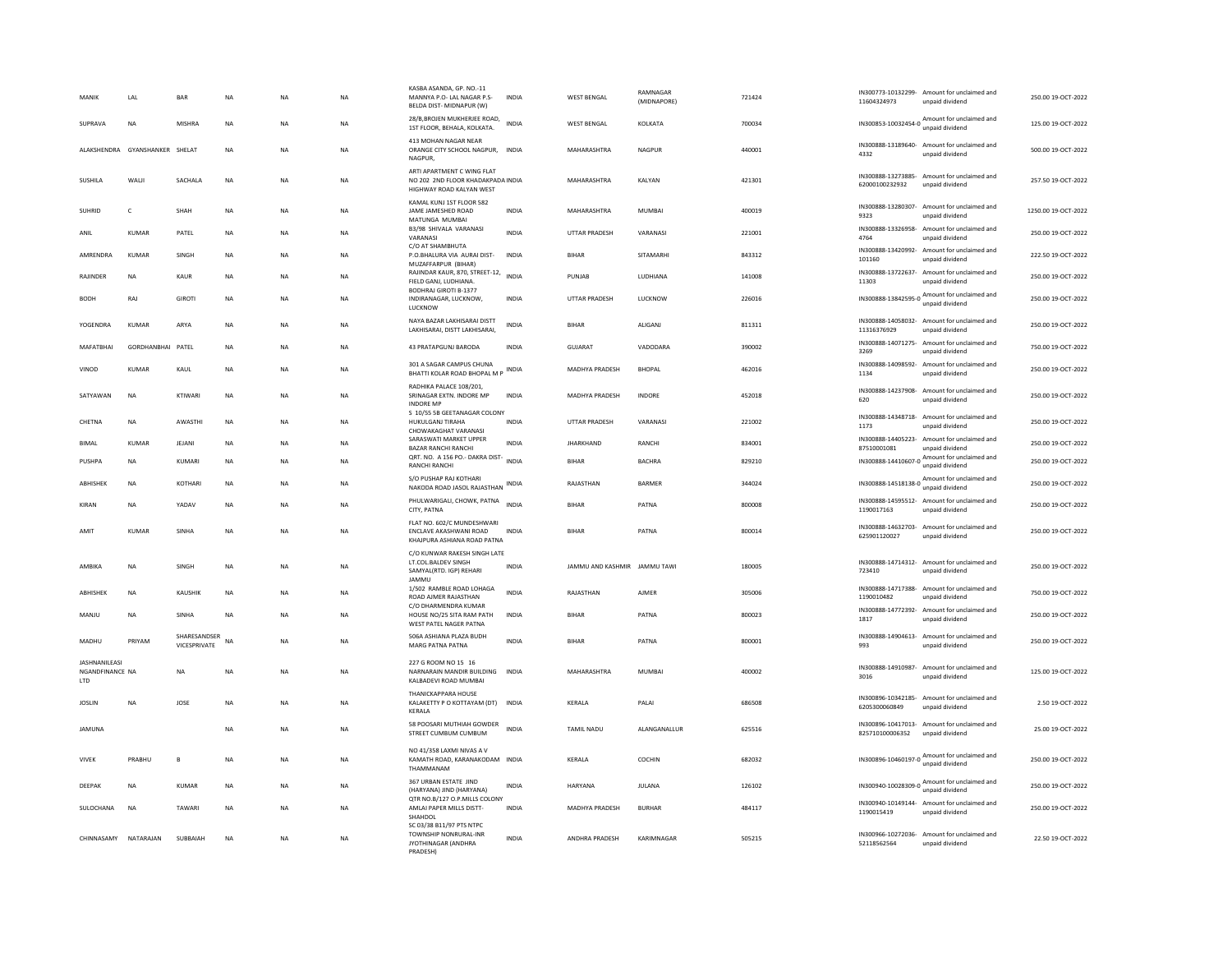| MANIK                                   | LAL                            | BAR                          | <b>NA</b> | NA             | <b>NA</b> | KASBA ASANDA, GP. NO.-11<br>MANNYA P.O- LAL NAGAR P.S-<br>BELDA DIST- MIDNAPUR (W)          | <b>INDIA</b> | <b>WEST BENGAL</b>           | RAMNAGAR<br>(MIDNAPORE) | 721424 | 11604324973                          | IN300773-10132299- Amount for unclaimed and<br>unpaid dividend  | 250.00 19-OCT-2022  |
|-----------------------------------------|--------------------------------|------------------------------|-----------|----------------|-----------|---------------------------------------------------------------------------------------------|--------------|------------------------------|-------------------------|--------|--------------------------------------|-----------------------------------------------------------------|---------------------|
| SUPRAVA                                 | <b>NA</b>                      | <b>MISHRA</b>                | <b>NA</b> | NA             | <b>NA</b> | 28/B, BROJEN MUKHERJEE ROAD,<br>1ST FLOOR, BEHALA, KOLKATA.                                 | <b>INDIA</b> | <b>WEST BENGAL</b>           | KOLKATA                 | 700034 |                                      | IN300853-10032454-0 Amount for unclaimed and<br>unpaid dividend | 125.00 19-OCT-2022  |
|                                         | ALAKSHENDRA GYANSHANKER SHELAT |                              | <b>NA</b> | NΑ             | <b>NA</b> | 413 MOHAN NAGAR NEAR<br>ORANGE CITY SCHOOL NAGPUR, INDIA<br><b>NAGPUR</b>                   |              | MAHARASHTRA                  | <b>NAGPUR</b>           | 440001 | IN300888-13189640-<br>4332           | Amount for unclaimed and<br>unpaid dividend                     | 500.00 19-OCT-2022  |
| SUSHILA                                 | WALI                           | SACHALA                      | <b>NA</b> | <b>NA</b>      | <b>NA</b> | ARTI APARTMENT C WING FLAT<br>NO 202 2ND FLOOR KHADAKPADA INDIA<br>HIGHWAY ROAD KALYAN WEST |              | MAHARASHTRA                  | KALYAN                  | 421301 | IN300888-13273885-<br>62000100232932 | Amount for unclaimed and<br>unpaid dividend                     | 257.50 19-OCT-2022  |
| <b>SUHRID</b>                           | c                              | SHAH                         | <b>NA</b> | NΑ             | <b>NA</b> | KAMAL KUNJ 1ST FLOOR 582<br>JAME JAMESHED ROAD<br>MATUNGA MUMBAI                            | <b>INDIA</b> | MAHARASHTRA                  | MUMBAI                  | 400019 | IN300888-13280307-<br>9323           | Amount for unclaimed and<br>unpaid dividend                     | 1250.00 19-OCT-2022 |
| ANIL                                    | <b>KUMAR</b>                   | PATEL                        | <b>NA</b> | NA             | <b>NA</b> | B3/98 SHIVALA VARANASI<br>VARANASI<br>C/O AT SHAMBHUTA                                      | <b>INDIA</b> | UTTAR PRADESH                | VARANASI                | 221001 | IN300888-13326958-<br>4764           | Amount for unclaimed and<br>unpaid dividend                     | 250.00 19-OCT-2022  |
| AMRENDRA                                | KUMAR                          | SINGH                        | <b>NA</b> | <b>NA</b>      | <b>NA</b> | P.O.BHALURA VIA AURAI DIST-<br>MUZAFFARPUR (BIHAR)                                          | <b>INDIA</b> | <b>BIHAR</b>                 | SITAMARHI               | 843312 | IN300888-13420992-<br>101160         | Amount for unclaimed and<br>unpaid dividend                     | 222.50 19-OCT-2022  |
| RAJINDER                                | <b>NA</b>                      | KAUR                         | <b>NA</b> | N <sub>A</sub> | <b>NA</b> | RAJINDAR KAUR, 870, STREET-12,<br>FIELD GANJ, LUDHIANA.<br><b>BODHRAJ GIROTI B-1377</b>     | <b>INDIA</b> | PUNJAB                       | LUDHIANA                | 141008 | 11303                                | IN300888-13722637- Amount for unclaimed and<br>unpaid dividend  | 250.00 19-OCT-2022  |
| <b>BODH</b>                             | RAI                            | <b>GIROTI</b>                | <b>NA</b> | <b>NA</b>      | <b>NA</b> | INDIRANAGAR, LUCKNOW,<br>LUCKNOW                                                            | <b>INDIA</b> | <b>UTTAR PRADESH</b>         | <b>ILICKNOW</b>         | 226016 |                                      | IN300888-13842595-0 Amount for unclaimed and<br>unpaid dividend | 250.00 19-QCT-2022  |
| YOGENDRA                                | KUMAR                          | ARYA                         | <b>NA</b> | ΝA             | NA        | NAYA BAZAR LAKHISARAI DISTT<br>LAKHISARAI, DISTT LAKHISARAI,                                | <b>INDIA</b> | BIHAR                        | ALIGANJ                 | 811311 | 11316376929                          | IN300888-14058032- Amount for unclaimed and<br>unpaid dividend  | 250.00 19-OCT-2022  |
| MAFATBHAI                               | <b>GORDHANBHAI</b>             | PATEL                        | <b>NA</b> | <b>NA</b>      | <b>NA</b> | 43 PRATAPGUNJ BARODA                                                                        | <b>INDIA</b> | <b>GUJARAT</b>               | VADODARA                | 390002 | IN300888-14071275-<br>3269           | Amount for unclaimed and<br>unpaid dividend                     | 750.00 19-OCT-2022  |
| VINOD                                   | KUMAR                          | KAUL                         | <b>NA</b> | NΑ             | NA        | 301 A SAGAR CAMPUS CHUNA<br>BHATTI KOLAR ROAD BHOPAL M P                                    | <b>INDIA</b> | MADHYA PRADESH               | <b>BHOPAL</b>           | 462016 | 1134                                 | IN300888-14098592- Amount for unclaimed and<br>unpaid dividend  | 250.00 19-OCT-2022  |
| SATYAWAN                                | <b>NA</b>                      | KTIWARI                      | NA        | N <sub>A</sub> | NA        | RADHIKA PALACE 108/201,<br>SRINAGAR EXTN. INDORE MP<br><b>INDORF MP</b>                     | <b>INDIA</b> | MADHYA PRADESH               | INDORE                  | 452018 | 620                                  | IN300888-14237908- Amount for unclaimed and<br>unpaid dividend  | 250.00 19-OCT-2022  |
| CHETNA                                  | <b>NA</b>                      | AWASTHI                      | <b>NA</b> | <b>NA</b>      | <b>NA</b> | S 10/55 5B GEETANAGAR COLONY<br>HUKULGANJ TIRAHA<br>CHOWAKAGHAT VARANASI                    | <b>INDIA</b> | UTTAR PRADESH                | VARANASI                | 221002 | 1173                                 | IN300888-14348718- Amount for unclaimed and<br>unpaid dividend  | 250.00 19-OCT-2022  |
| <b>BIMAL</b>                            | <b>KUMAR</b>                   | JEJANI                       | <b>NA</b> | NA             | NA        | SARASWATI MARKET UPPER<br><b>BAZAR RANCHI RANCHI</b>                                        | <b>INDIA</b> | <b>JHARKHAND</b>             | RANCHI                  | 834001 | IN300888-14405223-<br>87510001081    | Amount for unclaimed and<br>unpaid dividend                     | 250.00 19-OCT-2022  |
| PUSHPA                                  | NA                             | KUMARI                       | NA        | N <sub>A</sub> | NA        | QRT. NO. A 156 PO.- DAKRA DIST-<br><b>RANCHI RANCHI</b>                                     | <b>INDIA</b> | <b>BIHAR</b>                 | <b>BACHRA</b>           | 829210 |                                      | IN300888-14410607-0 Amount for unclaimed and                    | 250.00 19-OCT-2022  |
| ABHISHEK                                | NA                             | KOTHARI                      | NA        | NA             | NA        | S/O PUSHAP RAJ KOTHARI<br>NAKODA ROAD JASOL RAJASTHAN                                       | <b>INDIA</b> | RAJASTHAN                    | BARMER                  | 344024 |                                      | IN300888-14518138-0 Amount for unclaimed and<br>unpaid dividend | 250.00 19-OCT-2022  |
| KIRAN                                   | NA                             | YADAV                        | <b>NA</b> | NA             | NA        | PHULWARIGALI, CHOWK, PATNA<br>CITY, PATNA                                                   | <b>INDIA</b> | <b>BIHAR</b>                 | PATNA                   | 800008 | 1190017163                           | IN300888-14595512- Amount for unclaimed and<br>unpaid dividend  | 250.00 19-OCT-2022  |
| AMIT                                    | <b>KUMAR</b>                   | SINHA                        | <b>NA</b> | NA             | <b>NA</b> | FLAT NO. 602/C MUNDESHWARI<br>ENCLAVE AKASHWANI ROAD<br>KHAJPURA ASHIANA ROAD PATNA         | <b>INDIA</b> | <b>BIHAR</b>                 | PATNA                   | 800014 | 625901120027                         | IN300888-14632703- Amount for unclaimed and<br>unpaid dividend  | 250.00 19-OCT-2022  |
| AMBIKA                                  | NA                             | SINGH                        | <b>NA</b> | NΑ             | NA        | C/O KUNWAR RAKESH SINGH LATE<br>LT.COL.BALDEV SINGH<br>SAMYAL(RTD. IGP) REHARI<br>JAMMU     | <b>INDIA</b> | JAMMU AND KASHMIR JAMMU TAWI |                         | 180005 | 723410                               | IN300888-14714312- Amount for unclaimed and<br>unpaid dividend  | 250.00 19-OCT-2022  |
| ABHISHEK                                | NA                             | KAUSHIK                      | <b>NA</b> | NΑ             | NA        | 1/502 RAMBLE ROAD LOHAGA<br>ROAD AIMER RAJASTHAN                                            | INDIA        | RAJASTHAN                    | AJMER                   | 305006 | IN300888-14717388-<br>1190010482     | Amount for unclaimed and<br>unpaid dividend                     | 750.00 19-OCT-2022  |
| MANJU                                   | <b>NA</b>                      | <b>SINHA</b>                 | <b>NA</b> | NA             | <b>NA</b> | C/O DHARMENDRA KUMAR<br>HOUSE NO/25 SITA RAM PATH<br>WEST PATEL NAGER PATNA                 | <b>INDIA</b> | <b>BIHAR</b>                 | PATNA                   | 800023 | 1817                                 | IN300888-14772392- Amount for unclaimed and<br>unpaid dividend  | 250.00 19-OCT-2022  |
| MADHU                                   | PRIYAM                         | SHARESANDSER<br>VICESPRIVATE | NA        | NA             | <b>NA</b> | 506A ASHIANA PLAZA BUDH<br>MARG PATNA PATNA                                                 | <b>INDIA</b> | <b>BIHAR</b>                 | PATNA                   | 800001 | 993                                  | IN300888-14904613- Amount for unclaimed and<br>unpaid dividend  | 250.00 19-OCT-2022  |
| JASHNANILEASI<br>NGANDFINANCE NA<br>LTD |                                | <b>NA</b>                    | <b>NA</b> | NΑ             | NA        | 227 G ROOM NO 15 16<br>NARNARAIN MANDIR BUILDING INDIA<br>KALBADEVI ROAD MUMBAI             |              | MAHARASHTRA                  | MUMBAI                  | 400002 | IN300888-14910987-<br>3016           | Amount for unclaimed and<br>unpaid dividend                     | 125.00 19-OCT-2022  |
| <b>JOSLIN</b>                           | <b>NA</b>                      | JOSE                         | <b>NA</b> | NΑ             | <b>NA</b> | THANICKAPPARA HOUSE<br>KALAKETTY P O KOTTAYAM (DT)<br>KERALA                                | <b>INDIA</b> | KERALA                       | PALAI                   | 686508 | 6205300060849                        | IN300896-10342185- Amount for unclaimed and<br>unpaid dividend  | 2.50 19-OCT-2022    |
| <b>JAMUNA</b>                           |                                |                              | <b>NA</b> | ΝA             | NA        | 58 POOSARI MUTHIAH GOWDER<br>STREET CUMBUM CUMBUM                                           | <b>INDIA</b> | TAMIL NADU                   | ALANGANALLUR            | 625516 | 825710100006352                      | IN300896-10417013- Amount for unclaimed and<br>unpaid dividend  | 25.00 19-OCT-2022   |
| <b>VIVEK</b>                            | PRABHU                         | B                            | <b>NA</b> | NΑ             | NA        | NO 41/358 LAXMI NIVAS A V<br>KAMATH ROAD, KARANAKODAM INDIA<br>THAMMANAM                    |              | KERALA                       | COCHIN                  | 682032 |                                      | IN300896-10460197-0 Amount for unclaimed and<br>unpaid dividend | 250.00 19-OCT-2022  |
| DEEPAK                                  | <b>NA</b>                      | <b>KUMAR</b>                 | <b>NA</b> | N <sub>A</sub> | <b>NA</b> | 367 URBAN ESTATE JIND<br>(HARYANA) JIND (HARYANA)                                           | <b>INDIA</b> | HARYANA                      | JULANA                  | 126102 |                                      | IN300940-10028309-0 Amount for unclaimed and<br>unpaid dividend | 250.00 19-OCT-2022  |
| SULOCHANA                               | NA                             | TAWARI                       | <b>NA</b> | NΑ             | NA        | OTR NO.B/127 O.P.MILLS COLONY<br>AMLAI PAPER MILLS DISTT-<br>SHAHDOL                        | <b>INDIA</b> | MADHYA PRADESH               | <b>BURHAR</b>           | 484117 | IN300940-10149144-<br>1190015419     | Amount for unclaimed and<br>unpaid dividend                     | 250.00 19-OCT-2022  |
| CHINNASAMY NATARAIAN                    |                                | SUBBAIAH                     | <b>NA</b> | NA             | <b>NA</b> | SC 03/38 B11/97 PTS NTPC<br>TOWNSHIP NONRURAL-INR<br>JYOTHINAGAR (ANDHRA<br>PRADESH)        | <b>INDIA</b> | <b>ANDHRA PRADESH</b>        | KARIMNAGAR              | 505215 | 52118562564                          | IN300966-10272036- Amount for unclaimed and<br>unpaid dividend  | 22.50 19-OCT-2022   |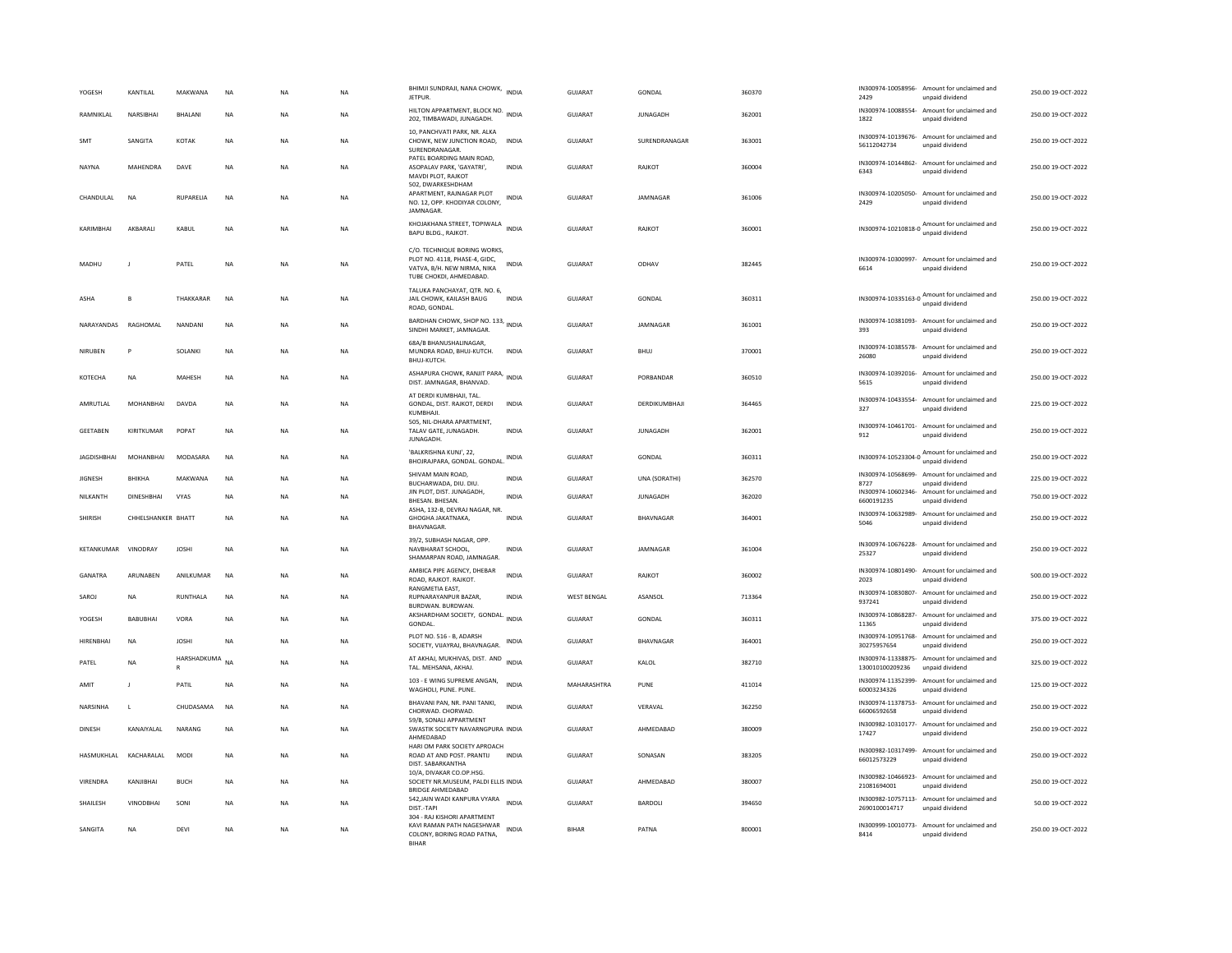| YOGESH             | KANTILAL           | MAKWANA             | NA        | <b>NA</b> | NA        | BHIMJI SUNDRAJI, NANA CHOWK, INDIA<br>JETPUR.                                                                           |              | GUJARAT            | GONDAL           | 360370 | 2429                              | IN300974-10058956- Amount for unclaimed and<br>unpaid dividend  | 250.00 19-OCT-2022 |
|--------------------|--------------------|---------------------|-----------|-----------|-----------|-------------------------------------------------------------------------------------------------------------------------|--------------|--------------------|------------------|--------|-----------------------------------|-----------------------------------------------------------------|--------------------|
| RAMNIKLAL          | NARSIBHAI          | BHALANI             | NA        | NA        | <b>NA</b> | HILTON APPARTMENT, BLOCK NO.<br>202, TIMBAWADI, JUNAGADH.                                                               | <b>INDIA</b> | GUJARAT            | JUNAGADH         | 362001 | 1822                              | IN300974-10088554- Amount for unclaimed and<br>unpaid dividend  | 250.00 19-OCT-2022 |
| SMT                | SANGITA            | KOTAK               | <b>NA</b> | <b>NA</b> | <b>NA</b> | 10, PANCHVATI PARK, NR. ALKA<br>CHOWK, NEW JUNCTION ROAD,<br>SURENDRANAGAR                                              | <b>INDIA</b> | GUJARAT            | SURENDRANAGAR    | 363001 | 56112042734                       | IN300974-10139676- Amount for unclaimed and<br>unpaid dividend  | 250.00 19-OCT-2022 |
| NAYNA              | <b>MAHENDRA</b>    | DAVE                | <b>NA</b> | <b>NA</b> | <b>NA</b> | PATEL BOARDING MAIN ROAD,<br>ASOPALAV PARK, 'GAYATRI',<br>MAVDI PLOT, RAJKOT                                            | <b>INDIA</b> | <b>GUJARAT</b>     | RAJKOT           | 360004 | 6343                              | IN300974-10144862- Amount for unclaimed and<br>unpaid dividend  | 250.00 19-OCT-2022 |
| CHANDULAL          | NA                 | RUPARELIA           | NA        | NA        | NA        | 502, DWARKESHDHAM<br>APARTMENT, RAJNAGAR PLOT<br>NO. 12, OPP. KHODIYAR COLONY,<br><b>IAMNAGAR</b>                       | <b>INDIA</b> | GUJARAT            | JAMNAGAR         | 361006 | IN300974-10205050-<br>2429        | Amount for unclaimed and<br>unpaid dividend                     | 250.00 19-OCT-2022 |
| KARIMBHAI          | AKBARALI           | KABUL               | <b>NA</b> | <b>NA</b> | <b>NA</b> | KHOJAKHANA STREET, TOPIWALA<br>BAPU BLDG., RAJKOT.                                                                      | <b>INDIA</b> | GUJARAT            | RAJKOT           | 360001 |                                   | IN300974-10210818-0<br>unpaid dividend                          | 250.00 19-OCT-2022 |
| MADHU              |                    | PATEL               | NA        | NA        | NA        | C/O. TECHNIQUE BORING WORKS,<br>PLOT NO. 4118. PHASE-4. GIDC.<br>VATVA, B/H. NEW NIRMA, NIKA<br>TUBE CHOKDI, AHMEDABAD. | INDIA        | GUJARAT            | ODHAV            | 382445 | 6614                              | IN300974-10300997- Amount for unclaimed and<br>unpaid dividend  | 250.00 19-OCT-2022 |
| ASHA               | B                  | THAKKARAR           | <b>NA</b> | <b>NA</b> | <b>NA</b> | TALUKA PANCHAYAT, QTR. NO. 6,<br>JAIL CHOWK, KAILASH BAUG<br>ROAD, GONDAL                                               | <b>INDIA</b> | GUIARAT            | GONDAL           | 360311 |                                   | IN300974-10335163-0 Amount for unclaimed and<br>unpaid dividend | 250.00 19-OCT-2022 |
| NARAYANDAS         | RAGHOMAL           | NANDANI             | <b>NA</b> | <b>NA</b> | NA        | BARDHAN CHOWK, SHOP NO. 133, INDIA<br>SINDHI MARKET, JAMNAGAR                                                           |              | GUJARAT            | JAMNAGAR         | 361001 | 393                               | IN300974-10381093- Amount for unclaimed and<br>unpaid dividend  | 250.00 19-OCT-2022 |
| NIRUBEN            |                    | <b>SOLANK</b>       | <b>NA</b> | <b>NA</b> | <b>NA</b> | 68A/B BHANUSHALINAGAR,<br>MUNDRA ROAD, BHUJ-KUTCH.<br>BHUJ-KUTCH.                                                       | <b>INDIA</b> | <b>GUJARAT</b>     | <b>BHUJ</b>      | 370001 | 26080                             | IN300974-10385578- Amount for unclaimed and<br>unpaid dividend  | 250.00 19-OCT-2022 |
| KOTECHA            | <b>NA</b>          | <b>MAHESE</b>       | <b>NA</b> | <b>NA</b> | <b>NA</b> | ASHAPURA CHOWK, RANJIT PARA, INDIA<br>DIST. JAMNAGAR, BHANVAD                                                           |              | GUIARAT            | PORRANDAR        | 360510 | IN300974-10392016-<br>5615        | Amount for unclaimed and<br>unpaid dividend                     | 250.00 19-OCT-2022 |
| AMRUTLAL           | MOHANBHAI          | DAVDA               | NA        | <b>NA</b> | NA        | AT DERDI KUMBHAJI, TAL.<br>GONDAL, DIST. RAJKOT, DERDI<br>KUMBHAJI.                                                     | <b>INDIA</b> | GUJARAT            | DERDIKUMBHAJI    | 364465 | IN300974-10433554-<br>327         | Amount for unclaimed and<br>unpaid dividend                     | 225.00 19-OCT-2022 |
| <b>GEETABEN</b>    | KIRITKUMAR         | POPAT               | <b>NA</b> | NA        | NA        | 505, NIL-DHARA APARTMENT,<br>TALAV GATE, JUNAGADH.<br><b>IUNAGADH</b>                                                   | INDIA        | <b>GUJARAT</b>     | <b>JUNAGADH</b>  | 362001 | 912                               | IN300974-10461701- Amount for unclaimed and<br>unpaid dividend  | 250.00 19-OCT-2022 |
| <b>JAGDISHBHAI</b> | MOHANBHAI          | MODASARA            | <b>NA</b> | <b>NA</b> | <b>NA</b> | 'BALKRISHNA KUNJ', 22,<br>BHOJRAJPARA, GONDAL. GONDAL.                                                                  | <b>INDIA</b> | <b>GUJARAT</b>     | <b>GONDAL</b>    | 360311 |                                   | IN300974-10523304-0 Amount for unclaimed and<br>unpaid dividend | 250.00 19-OCT-2022 |
| <b>JIGNESH</b>     | BHIKHA             | MAKWANA             | <b>NA</b> | <b>NA</b> | <b>NA</b> | SHIVAM MAIN ROAD,<br>BUCHARWADA, DIU, DIU,                                                                              | <b>INDIA</b> | GUJARAT            | UNA (SORATHI)    | 362570 | 8727                              | IN300974-10568699- Amount for unclaimed and<br>unpaid dividend  | 225.00 19-OCT-2022 |
| NILKANTH           | DINESHBHAI         | VYAS                | NA        | <b>NA</b> | NA        | JIN PLOT, DIST. JUNAGADH,<br>BHESAN, BHESAN,                                                                            | <b>INDIA</b> | GUJARAT            | JUNAGADH         | 362020 | IN300974-10602346-<br>6600191235  | Amount for unclaimed and<br>unpaid dividend                     | 750.00 19-OCT-2022 |
| SHIRISH            | CHHELSHANKER BHATT |                     | <b>NA</b> | <b>NA</b> | <b>NA</b> | ASHA, 132-B, DEVRAJ NAGAR, NR<br>GHOGHA JAKATNAKA.<br>BHAVNAGAR                                                         | <b>INDIA</b> | GUJARAT            | <b>BHAVNAGAR</b> | 364001 | IN300974-10632989-<br>5046        | Amount for unclaimed and<br>unpaid dividend                     | 250.00 19-OCT-2022 |
| KETANKUMAR         | VINODRAY           | <b>JOSHI</b>        | <b>NA</b> | <b>NA</b> | <b>NA</b> | 39/2, SUBHASH NAGAR, OPP.<br>NAVBHARAT SCHOOL.<br>SHAMARPAN ROAD, JAMNAGAR.                                             | <b>INDIA</b> | <b>GUJARAT</b>     | JAMNAGAR         | 361004 | 25327                             | IN300974-10676228- Amount for unclaimed and<br>unpaid dividend  | 250.00 19-OCT-2022 |
| GANATRA            | ARUNABEN           | ANILKUMAR           | <b>NA</b> | <b>NA</b> | <b>NA</b> | AMBICA PIPE AGENCY, DHEBAR<br>ROAD, RAJKOT, RAJKOT,<br>RANGMETIA EAST,                                                  | <b>INDIA</b> | <b>GUJARAT</b>     | RAIKOT           | 360002 | 2023                              | IN300974-10801490- Amount for unclaimed and<br>unpaid dividend  | 500.00 19-OCT-2022 |
| SAROJ              | <b>NA</b>          | RUNTHALA            | <b>NA</b> | <b>NA</b> | <b>NA</b> | RUPNARAYANPUR BAZAR,<br>BURDWAN, BURDWAN                                                                                | <b>INDIA</b> | <b>WEST BENGAL</b> | ASANSOL          | 713364 | 937241                            | IN300974-10830807- Amount for unclaimed and<br>unpaid dividend  | 250.00 19-OCT-2022 |
| YOGESH             | <b>BABUBHAI</b>    | VORA                | <b>NA</b> | <b>NA</b> | NA        | AKSHARDHAM SOCIETY, GONDAL.<br>GONDAL.                                                                                  | <b>INDIA</b> | <b>GUJARAT</b>     | GONDAL           | 360311 | IN300974-10868287-<br>11365       | Amount for unclaimed and<br>unpaid dividend                     | 375.00 19-OCT-2022 |
| HIRENBHAI          | <b>NA</b>          | <b>JOSHI</b>        | <b>NA</b> | <b>NA</b> | <b>NA</b> | PLOT NO. 516 - B. ADARSH<br>SOCIETY, VIJAYRAJ, BHAVNAGAR.                                                               | <b>INDIA</b> | GUJARAT            | <b>BHAVNAGAR</b> | 364001 | 30275957654                       | IN300974-10951768- Amount for unclaimed and<br>unpaid dividend  | 250.00 19-OCT-2022 |
| PATEL              | <b>NA</b>          | HARSHADKUMA NA<br>R |           | <b>NA</b> | <b>NA</b> | AT AKHAJ, MUKHIVAS, DIST. AND<br>TAL, MEHSANA, AKHAJ,                                                                   | <b>INDIA</b> | <b>GUJARAT</b>     | KALOL            | 382710 | 130010100209236                   | IN300974-11338875- Amount for unclaimed and<br>unpaid dividend  | 325.00 19-OCT-2022 |
| AMIT               | $\mathbf{I}$       | PATIL               | <b>NA</b> | <b>NA</b> | <b>NA</b> | 103 - E WING SUPREME ANGAN,<br>WAGHOLI, PUNE, PUNE,                                                                     | <b>INDIA</b> | MAHARASHTRA        | PUNE             | 411014 | IN300974-11352399-<br>60003234326 | Amount for unclaimed and<br>unpaid dividend                     | 125.00 19-OCT-2022 |
| NARSINHA           | $\mathsf{L}$       | CHUDASAMA           | <b>NA</b> | <b>NA</b> | <b>NA</b> | BHAVANI PAN, NR. PANI TANKI,<br>CHORWAD, CHORWAD,                                                                       | <b>INDIA</b> | <b>GUJARAT</b>     | VERAVAL          | 362250 | IN300974-11378753-<br>66006592658 | Amount for unclaimed and<br>unpaid dividend                     | 250.00 19-OCT-2022 |
| <b>DINESH</b>      | KANAIYAI AI        | NARANG              | <b>NA</b> | <b>NA</b> | <b>NA</b> | 59/B, SONALI APPARTMENT<br>SWASTIK SOCIETY NAVARNGPURA INDIA<br>AHMEDABAD                                               |              | GUIARAT            | AHMEDARAD        | 380009 | 17427                             | IN300982-10310177- Amount for unclaimed and<br>unpaid dividend  | 250.00 19-QCT-2022 |
| HASMUKHLAL         | KACHARALAL         | <b>MODI</b>         | <b>NA</b> | <b>NA</b> | <b>NA</b> | HARI OM PARK SOCIETY APROACH<br>ROAD AT AND POST. PRANTIJ<br>DIST, SABARKANTHA                                          | <b>INDIA</b> | <b>GUJARAT</b>     | SONASAN          | 383205 | 66012573229                       | IN300982-10317499- Amount for unclaimed and<br>unpaid dividend  | 250.00 19-OCT-2022 |
| VIRENDRA           | KANJIBHAI          | <b>BUCH</b>         | <b>NA</b> | NA        | <b>NA</b> | 10/A, DIVAKAR CO.OP.HSG.<br>SOCIETY NR.MUSEUM, PALDI ELLIS INDIA<br><b>BRIDGE AHMEDABAD</b>                             |              | GUJARAT            | AHMEDABAD        | 380007 | 21081694001                       | IN300982-10466923- Amount for unclaimed and<br>unpaid dividend  | 250.00 19-OCT-2022 |
| SHAILESH           | <b>VINODBHAI</b>   | SONI                | <b>NA</b> | <b>NA</b> | <b>NA</b> | 542, JAIN WADI KANPURA VYARA<br>DIST-TAPI                                                                               | <b>INDIA</b> | <b>GUJARAT</b>     | BARDOLI          | 394650 | 2690100014717                     | IN300982-10757113- Amount for unclaimed and<br>unpaid dividend  | 50.00 19-OCT-2022  |
| SANGITA            | NA                 | DEVI                | NA        | NA        | NA        | 304 - RAJ KISHORI APARTMENT<br>KAVI RAMAN PATH NAGESHWAR<br>COLONY, BORING ROAD PATNA,<br><b>BIHAR</b>                  | <b>INDIA</b> | <b>BIHAR</b>       | PATNA            | 800001 | 8414                              | IN300999-10010773- Amount for unclaimed and<br>unpaid dividend  | 250.00 19-OCT-2022 |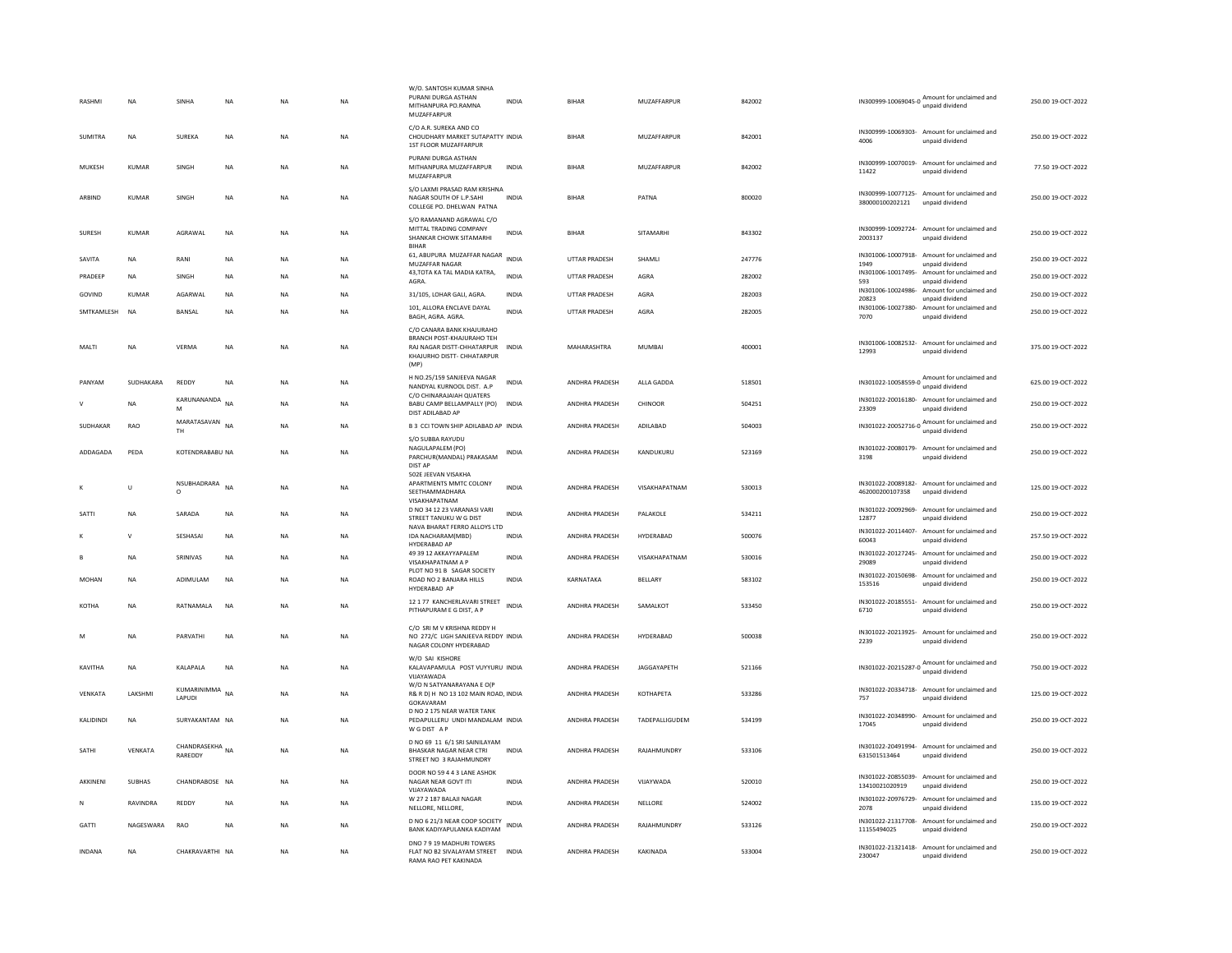| <b>RASHM</b>     | <b>NA</b>    | SINHA                      | NA          | NA        | NA        | W/O. SANTOSH KUMAR SINHA<br>PURANI DURGA ASTHAN<br>MITHANPURA PO.RAMNA<br>MUZAFFARPUR                                             | <b>INDIA</b> | <b>BIHAR</b>          | MUZAFFARPUR           | 842002 |                              | IN300999-10069045-0 Amount for unclaimed and<br>unpaid dividend | 250.00 19-OCT-2022 |
|------------------|--------------|----------------------------|-------------|-----------|-----------|-----------------------------------------------------------------------------------------------------------------------------------|--------------|-----------------------|-----------------------|--------|------------------------------|-----------------------------------------------------------------|--------------------|
| <b>SUMITRA</b>   | <b>NA</b>    | SUREKA                     | <b>NA</b>   | <b>NA</b> | <b>NA</b> | C/O A.R. SUREKA AND CO<br>CHOUDHARY MARKET SUTAPATTY INDIA<br>1ST FLOOR MUZAFFARPUR                                               |              | <b>BIHAR</b>          | MUZAFFARPUR           | 842001 | 4006                         | IN300999-10069303- Amount for unclaimed and<br>unpaid dividend  | 250.00 19-OCT-2022 |
| MUKESH           | KUMAR        | SINGH                      | NA          | <b>NA</b> | NA        | PURANI DURGA ASTHAN<br>MITHANPURA MUZAFFARPUR<br>MUZAFFARPUR                                                                      | <b>INDIA</b> | <b>BIHAR</b>          | MUZAFFARPUR           | 842002 | 11422                        | IN300999-10070019- Amount for unclaimed and<br>unpaid dividend  | 77.50 19-OCT-2022  |
| ARBIND           | KUMAR        | SINGH                      | NA          | <b>NA</b> | NA        | S/O LAXMI PRASAD RAM KRISHNA<br>NAGAR SOUTH OF L.P.SAHI<br>COLLEGE PO. DHELWAN PATNA                                              | <b>INDIA</b> | <b>BIHAR</b>          | PATNA                 | 800020 | 380000100202121              | IN300999-10077125- Amount for unclaimed and<br>unpaid dividend  | 250.00 19-OCT-2022 |
| <b>SURFSH</b>    | KUMAR        | AGRAWAI                    | <b>NA</b>   | <b>NA</b> | <b>NA</b> | S/O RAMANAND AGRAWAL C/O<br>MITTAL TRADING COMPANY<br>SHANKAR CHOWK SITAMARHI<br><b>BIHAR</b>                                     | <b>INDIA</b> | <b>BIHAR</b>          | SITAMARHI             | 843302 | 2003137                      | IN300999-10092724- Amount for unclaimed and<br>unpaid dividend  | 250.00 19-OCT-2022 |
| SAVITA           | <b>NA</b>    | RANI                       | <b>NA</b>   | <b>NA</b> | <b>NA</b> | 61, ABUPURA MUZAFFAR NAGAR<br>MUZAFFAR NAGAR                                                                                      | <b>INDIA</b> | <b>UTTAR PRADESH</b>  | <b>SHAMLI</b>         | 247776 | IN301006-10007918-<br>1949   | Amount for unclaimed and<br>unpaid dividend                     | 250.00 19-OCT-2022 |
| PRADEEP          | <b>NA</b>    | SINGH                      | <b>NA</b>   | <b>NA</b> | <b>NA</b> | 43, TOTA KA TAL MADIA KATRA,<br>AGRA                                                                                              | INDIA        | <b>UTTAR PRADESH</b>  | AGRA                  | 282002 | 593                          | IN301006-10017495- Amount for unclaimed and<br>unpaid dividend  | 250.00 19-OCT-2022 |
| GOVIND           | <b>KUMAR</b> | AGARWAL                    | <b>NA</b>   | <b>NA</b> | NA        | 31/105, LOHAR GALI, AGRA.                                                                                                         | <b>INDIA</b> | UTTAR PRADESH         | AGRA                  | 282003 | IN301006-10024986-<br>20823  | Amount for unclaimed and<br>unpaid dividend                     | 250.00 19-OCT-2022 |
| SMTKAMLESH       | <b>NA</b>    | BANSAL                     | $_{\sf NA}$ | <b>NA</b> | NA        | 101, ALLORA ENCLAVE DAYAL<br>BAGH, AGRA. AGRA.                                                                                    | <b>INDIA</b> | UTTAR PRADESH         | AGRA                  | 282005 | 7070                         | IN301006-10027380- Amount for unclaimed and<br>unpaid dividend  | 250.00 19-OCT-2022 |
| MALTI            | NA           | VERMA                      | NA          | NA        | NA        | C/O CANARA BANK KHAILIRAHO<br>BRANCH POST-KHAJURAHO TEH<br>RAJ NAGAR DISTT-CHHATARPUR INDIA<br>KHAJURHO DISTT- CHHATARPUR<br>(MP) |              | MAHARASHTRA           | MUMBAI                | 400001 | 12993                        | IN301006-10082532- Amount for unclaimed and<br>unpaid dividend  | 375.00 19-OCT-2022 |
| PANYAM           | SUDHAKARA    | REDDY                      | <b>NA</b>   | NA        | NA        | H NO.25/159 SANJEEVA NAGAR<br>NANDYAL KURNOOL DIST. A.P                                                                           | <b>INDIA</b> | ANDHRA PRADESH        | ALLA GADDA            | 518501 |                              | IN301022-10058559-0 Amount for unclaimed and<br>unpaid dividend | 625.00 19-OCT-2022 |
|                  | NA           | KARUNANANDA<br>M           | <b>NA</b>   | NA        | NA        | C/O CHINARAJAIAH QUATERS<br>BABU CAMP BELLAMPALLY (PO)<br>DIST ADILABAD AP                                                        | <b>INDIA</b> | ANDHRA PRADESH        | CHINOOR               | 504251 | 23309                        | IN301022-20016180- Amount for unclaimed and<br>unpaid dividend  | 250.00 19-OCT-2022 |
| SUDHAKAR         | <b>RAO</b>   | MARATASAVAN NA<br>TH.      |             | <b>NA</b> | <b>NA</b> | B 3 CCI TOWN SHIP ADILABAD AP INDIA                                                                                               |              | <b>ANDHRA PRADESH</b> | ADII ARAD             | 504003 |                              | IN301022-20052716-0 Amount for unclaimed and<br>unpaid dividend | 250.00.19-OCT-2022 |
| ADDAGADA         | PEDA         | KOTENDRABABU NA            |             | <b>NA</b> | NA        | S/O SUBBA RAYUDU<br>NAGULAPALEM (PO)<br>PARCHUR(MANDAL) PRAKASAM<br>DIST AP                                                       | INDIA        | ANDHRA PRADESH        | KANDUKURU             | 523169 | 3198                         | IN301022-20080179- Amount for unclaimed and<br>unpaid dividend  | 250.00 19-OCT-2022 |
|                  | Ù            | NSUBHADRARA<br>$\circ$     | <b>NA</b>   | <b>NA</b> | <b>NA</b> | 502E JEEVAN VISAKHA<br>APARTMENTS MMTC COLONY<br>SEETHAMMADHARA<br>VISAKHAPATNAM                                                  | <b>INDIA</b> | ANDHRA PRADESH        | VISAKHAPATNAM         | 530013 | 462000200107358              | IN301022-20089182- Amount for unclaimed and<br>unpaid dividend  | 125.00 19-OCT-2022 |
| SATTI            | <b>NA</b>    | SARADA                     | <b>NA</b>   | <b>NA</b> | <b>NA</b> | D NO 34 12 23 VARANASI VARI<br>STREET TANUKU W G DIST                                                                             | <b>INDIA</b> | ANDHRA PRADESH        | PALAKOLE              | 534211 | 12877                        | IN301022-20092969- Amount for unclaimed and<br>unpaid dividend  | 250.00 19-OCT-2022 |
|                  | $\mathsf{V}$ | SESHASAI                   | NA          | <b>NA</b> | NA        | NAVA BHARAT FERRO ALLOYS LTD<br>IDA NACHARAM(MBD)<br>HYDERABAD AP                                                                 | INDIA        | ANDHRA PRADESH        | HYDERABAD             | 500076 | 60043                        | IN301022-20114407- Amount for unclaimed and<br>unpaid dividend  | 257.50 19-OCT-2022 |
|                  | NA           | SRINIVAS                   | NA          | <b>NA</b> | NA        | 49 39 12 AKKAYYAPALEM<br>VISAKHAPATNAM A P                                                                                        | INDIA        | ANDHRA PRADESH        | VISAKHAPATNAM         | 530016 | 29089                        | IN301022-20127245- Amount for unclaimed and<br>unpaid dividend  | 250.00 19-OCT-2022 |
| MOHAN            | NA           | ADIMULAM                   | NA          | NA        | NA        | PLOT NO 91 B SAGAR SOCIETY<br>ROAD NO 2 BANJARA HILLS<br>HYDERABAD AF                                                             | <b>INDIA</b> | KARNATAKA             | BELLARY               | 583102 | IN301022-20150698-<br>153516 | Amount for unclaimed and<br>unpaid dividend                     | 250.00 19-OCT-2022 |
| KOTHA            | NA           | RATNAMALA                  | <b>NA</b>   | <b>NA</b> | <b>NA</b> | 12 1 77 KANCHERLAVARI STREET<br>PITHAPURAM E G DIST, A P                                                                          | <b>INDIA</b> | ANDHRA PRADESH        | SAMALKOT              | 533450 | IN301022-20185551-<br>6710   | Amount for unclaimed and<br>unpaid dividend                     | 250.00 19-OCT-2022 |
| M                | <b>NA</b>    | PARVATHI                   | <b>NA</b>   | <b>NA</b> | <b>NA</b> | C/O SRI M V KRISHNA REDDY H<br>NO 272/C LIGH SANJEEVA REDDY INDIA<br>NAGAR COLONY HYDERABAD                                       |              | ANDHRA PRADESH        | HYDERABAD             | 500038 | 2239                         | IN301022-20213925- Amount for unclaimed and<br>unpaid dividend  | 250.00 19-OCT-2022 |
| KAVITHA          | <b>NA</b>    | KALAPALA                   | <b>NA</b>   | <b>NA</b> | <b>NA</b> | W/O SAI KISHORE<br>KALAVAPAMULA POST VUYYURU INDIA<br>VIJAYAWADA                                                                  |              | ANDHRA PRADESH        | JAGGAYAPETH           | 521166 | IN301022-20215287-0          | Amount for unclaimed and<br>unpaid dividend                     | 750.00 19-OCT-2022 |
| VENKATA          | LAKSHMI      | KUMARINIMMA NA<br>LAPUDI   |             | <b>NA</b> | <b>NA</b> | W/O N SATYANARAYANA E O(P<br>R& R D) H NO 13 102 MAIN ROAD, INDIA<br>GOKAVARAM                                                    |              | ANDHRA PRADESH        | KOTHAPETA             | 533286 | 757                          | IN301022-20334718- Amount for unclaimed and<br>unpaid dividend  | 125.00 19-OCT-2022 |
| <b>KALIDINDI</b> | <b>NA</b>    | SURYAKANTAM NA             |             | <b>NA</b> | NA.       | D NO 2 175 NEAR WATER TANK<br>PEDAPULLERU UNDI MANDALAM INDIA<br>W G DIST A P                                                     |              | <b>ANDHRA PRADESH</b> | <b>TADEPALLIGUDEM</b> | 534199 | 17045                        | IN301022-20348990- Amount for unclaimed and<br>unpaid dividend  | 250.00.19-OCT-2022 |
| SATHI            | VENKATA      | CHANDRASEKHA NA<br>RAREDDY |             | <b>NA</b> | <b>NA</b> | D NO 69 11 6/1 SRI SAINILAYAM<br>BHASKAR NAGAR NEAR CTRI<br>STREET NO 3 RAJAHMUNDRY                                               | <b>INDIA</b> | ANDHRA PRADESH        | RAJAHMUNDRY           | 533106 | 631501513464                 | IN301022-20491994- Amount for unclaimed and<br>unpaid dividend  | 250.00 19-OCT-2022 |
| AKKINEN          | SUBHAS       | CHANDRABOSE NA             |             | <b>NA</b> | <b>NA</b> | DOOR NO 59 4 4 3 LANE ASHOK<br>NAGAR NEAR GOVT ITI<br>VUAYAWADA                                                                   | <b>INDIA</b> | ANDHRA PRADESH        | VIJAYWADA             | 520010 | 13410021020919               | IN301022-20855039- Amount for unclaimed and<br>unpaid dividend  | 250.00 19-OCT-2022 |
| N                | RAVINDRA     | REDDY                      | <b>NA</b>   | <b>NA</b> | <b>NA</b> | W 27 2 187 BALAJI NAGAR<br>NELLORE, NELLORE,                                                                                      | <b>INDIA</b> | ANDHRA PRADESH        | NELLORE               | 524002 | 2078                         | IN301022-20976729- Amount for unclaimed and<br>unpaid dividend  | 135.00.19-OCT-2022 |
| <b>GATTI</b>     | NAGESWARA    | RAO                        | <b>NA</b>   | <b>NA</b> | <b>NA</b> | D NO 6 21/3 NEAR COOP SOCIETY<br>BANK KADIYAPULANKA KADIYAM                                                                       | <b>INDIA</b> | ANDHRA PRADESH        | <b>RAJAHMUNDRY</b>    | 533126 | 11155494025                  | IN301022-21317708- Amount for unclaimed and<br>unpaid dividend  | 250.00 19-OCT-2022 |
| INDANA           | NA           | CHAKRAVARTHI NA            |             | <b>NA</b> | NA        | DNO 7 9 19 MADHURI TOWERS<br>FLAT NO B2 SIVALAYAM STREET INDIA<br>RAMA RAO PFT KAKINADA                                           |              | ANDHRA PRADESH        | KAKINADA              | 533004 | 230047                       | IN301022-21321418- Amount for unclaimed and<br>unpaid dividend  | 250.00 19-OCT-2022 |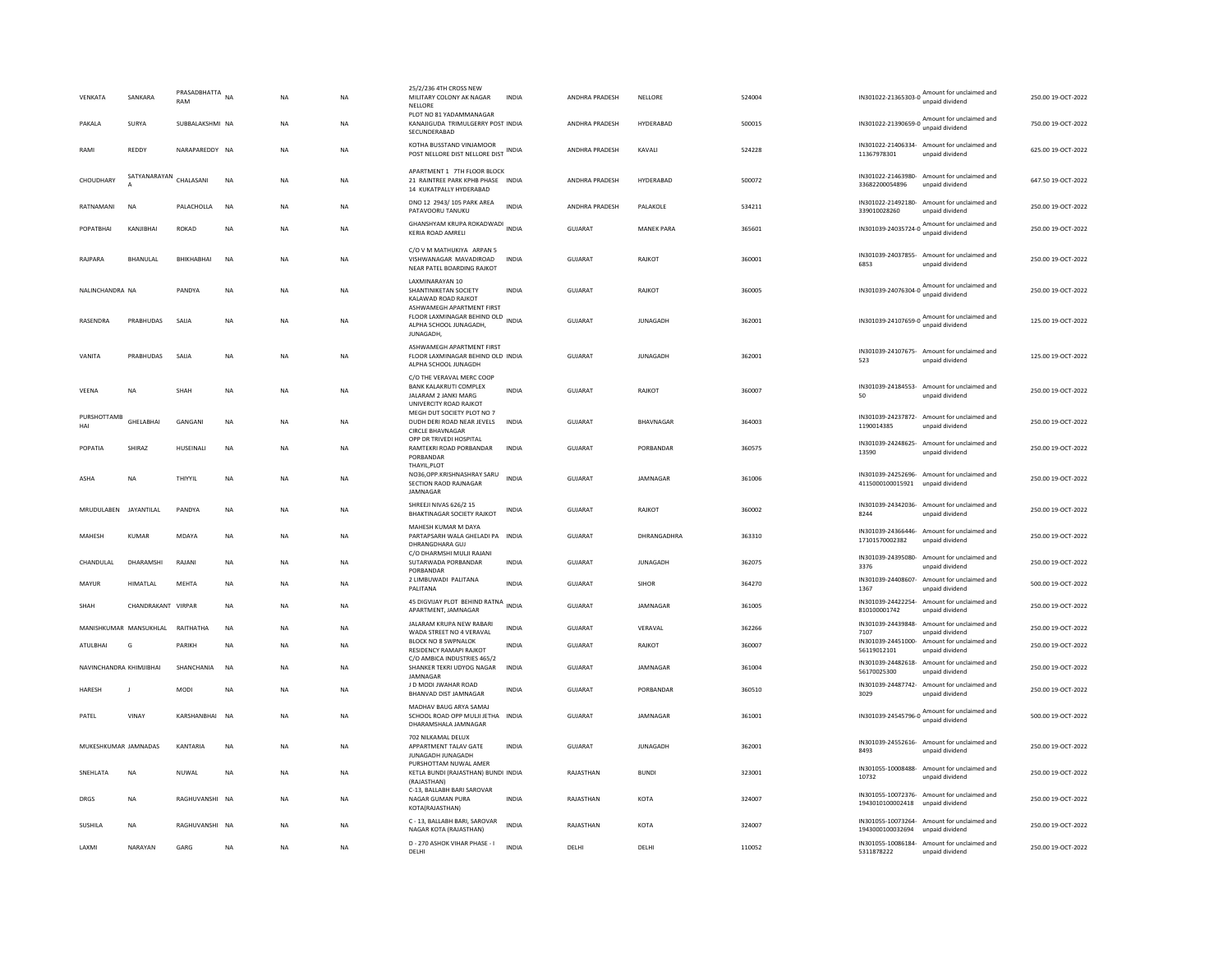| VENKATA                 | SANKARA                | PRASADBHATTA NA<br>RAM |           | NA             | <b>NA</b> | 25/2/236 4TH CROSS NEW<br>MILITARY COLONY AK NAGAR<br>NELLORE<br>PLOT NO 81 YADAMMANAGAR                     | <b>INDIA</b> | ANDHRA PRADESH | NELLORE           | 524004 |                             | IN301022-21365303-0 Amount for unclaimed and<br>IN301022-21390659-0 Amount for unclaimed and | 250.00 19-OCT-2022 |
|-------------------------|------------------------|------------------------|-----------|----------------|-----------|--------------------------------------------------------------------------------------------------------------|--------------|----------------|-------------------|--------|-----------------------------|----------------------------------------------------------------------------------------------|--------------------|
| PAKALA                  | SURYA                  | SUBBALAKSHMI NA        |           | NΑ             | NA        | KANAJIGUDA TRIMULGERRY POST INDIA<br>SECUNDERABAD                                                            |              | ANDHRA PRADESH | HYDERABAD         | 500015 |                             |                                                                                              | 750.00 19-OCT-2022 |
| RAMI                    | REDDY                  | NARAPAREDDY NA         |           | ΝA             | NA        | KOTHA BUSSTAND VINJAMOOR<br>POST NELLORE DIST NELLORE DIST INDIA                                             |              | ANDHRA PRADESH | KAVALI            | 524228 | 11367978301                 | IN301022-21406334- Amount for unclaimed and<br>unpaid dividend                               | 625.00 19-OCT-2022 |
| CHOUDHARY               | SATYANARAYAN CHALASANI |                        | <b>NA</b> | ΝA             | NA        | APARTMENT 1 7TH FLOOR BLOCK<br>21 RAINTREE PARK KPHB PHASE INDIA<br>14 KUKATPALLY HYDERABAD                  |              | ANDHRA PRADESH | HYDERABAD         | 500072 | 33682200054896              | IN301022-21463980- Amount for unclaimed and<br>unpaid dividend                               | 647.50 19-OCT-2022 |
| RATNAMANI               | <b>NA</b>              | PALACHOLLA             | <b>NA</b> | <b>NA</b>      | <b>NA</b> | DNO 12 2943/105 PARK AREA<br>PATAVOORU TANUKU                                                                | INDIA        | ANDHRA PRADESH | PALAKOLE          | 534211 | 339010028260                | IN301022-21492180- Amount for unclaimed and<br>unpaid dividend                               | 250.00 19-OCT-2022 |
| POPATRHAI               | KANIIRHAI              | ROKAD                  | <b>NA</b> | NA             | <b>NA</b> | GHANSHYAM KRUPA ROKADWADI<br><b>KERIA ROAD AMRELI</b>                                                        | <b>INDIA</b> | GUIARAT        | <b>MANFK PARA</b> | 365601 |                             | IN301039-24035724-0 Amount for unclaimed and<br>unpaid dividend                              | 250.00 19-OCT-2022 |
| RAIPARA                 | <b>BHANULAI</b>        | <b>BHIKHABHAI</b>      | <b>NA</b> | <b>NA</b>      | <b>NA</b> | C/O V M MATHUKIYA ARPAN 5<br>VISHWANAGAR MAVADIROAD<br>NEAR PATEL BOARDING RAJKOT                            | <b>INDIA</b> | GUIARAT        | RAIKOT            | 360001 | 6853                        | IN301039-24037855- Amount for unclaimed and<br>unpaid dividend                               | 250.00 19-OCT-2022 |
| NALINCHANDRA NA         |                        | PANDYA                 | <b>NA</b> | <b>NA</b>      | <b>NA</b> | LAXMINARAYAN 10<br>SHANTINIKETAN SOCIETY<br>KALAWAD ROAD RAJKOT                                              | <b>INDIA</b> | GUJARAT        | RAJKOT            | 360005 |                             | IN301039-24076304-0 Amount for unclaimed and<br>unpaid dividend                              | 250.00 19-OCT-2022 |
| RASENDRA                | PRABHUDAS              | SAIJA                  | <b>NA</b> | <b>NA</b>      | <b>NA</b> | ASHWAMEGH APARTMENT FIRST<br>FLOOR LAXMINAGAR BEHIND OLD<br>ALPHA SCHOOL JUNAGADH,<br><b>JUNAGADH</b>        | <b>INDIA</b> | GUJARAT        | <b>JUNAGADH</b>   | 362001 |                             | IN301039-24107659-0 Amount for unclaimed and<br>unpaid dividend                              | 125.00 19-OCT-2022 |
| VANITA                  | PRABHUDAS              | SAIJA                  | NA        | ΝA             | NA        | ASHWAMEGH APARTMENT FIRST<br>FLOOR LAXMINAGAR BEHIND OLD INDIA<br>ALPHA SCHOOL JUNAGDH                       |              | GUJARAT        | <b>JUNAGADH</b>   | 362001 | 523                         | IN301039-24107675- Amount for unclaimed and<br>unpaid dividend                               | 125.00 19-OCT-2022 |
| VEENA                   | <b>NA</b>              | SHAH                   | <b>NA</b> | <b>NA</b>      | <b>NA</b> | C/O THE VERAVAL MERC COOP<br><b>BANK KALAKRUTI COMPLEX</b><br>JALARAM 2 JANKI MARG<br>UNIVERCITY ROAD RAJKOT | <b>INDIA</b> | <b>GUJARAT</b> | RAJKOT            | 360007 | 50                          | IN301039-24184553- Amount for unclaimed and<br>unpaid dividend                               | 250.00 19-OCT-2022 |
| PURSHOTTAMB<br>HAI      | GHELABHAI              | GANGANI                | <b>NA</b> | <b>NA</b>      | <b>NA</b> | MEGH DUT SOCIETY PLOT NO 7<br>DUDH DERI ROAD NEAR JEVELS<br><b>CIRCLE BHAVNAGAR</b>                          | <b>INDIA</b> | <b>GUJARAT</b> | <b>BHAVNAGAR</b>  | 364003 | 1190014385                  | IN301039-24237872- Amount for unclaimed and<br>unpaid dividend                               | 250.00 19-OCT-2022 |
| POPATIA                 | SHIRA7                 | HUSEINALI              | <b>NA</b> | <b>NA</b>      | <b>NA</b> | OPP DR TRIVEDI HOSPITAL<br>RAMTEKRI ROAD PORBANDAR<br>PORBANDAR<br>THAYIL.PLOT                               | <b>INDIA</b> | GUIARAT        | PORRANDAR         | 360575 | IN301039-24248625-<br>13590 | Amount for unclaimed and<br>unpaid dividend                                                  | 250.00 19-OCT-2022 |
| ASHA                    | <b>NA</b>              | THIYYII                | <b>NA</b> | <b>NA</b>      | <b>NA</b> | NO36, OPP. KRISHNASHRAY SARU<br>SECTION RAOD RAJNAGAR<br><b>IAMNAGAR</b>                                     | <b>INDIA</b> | GUIARAT        | <b>IAMNAGAR</b>   | 361006 | 4115000100015921            | IN301039-24252696- Amount for unclaimed and<br>unpaid dividend                               | 250.00 19-OCT-2022 |
| MRUDULABEN JAYANTILAL   |                        | PANDYA                 | NA        | NA             | <b>NA</b> | SHREEJI NIVAS 626/2 15<br>BHAKTINAGAR SOCIETY RAJKOT                                                         | <b>INDIA</b> | GUJARAT        | RAJKOT            | 360002 | 8244                        | IN301039-24342036- Amount for unclaimed and<br>unpaid dividend                               | 250.00 19-OCT-2022 |
| MAHESH                  | KUMAR                  | MDAYA                  | <b>NA</b> | <b>NA</b>      | <b>NA</b> | MAHESH KUMAR M DAYA<br>PARTAPSARH WALA GHELADI PA INDIA<br>DHRANGDHARA GUJ                                   |              | GUJARAT        | DHRANGADHRA       | 363310 | 17101570002382              | IN301039-24366446- Amount for unclaimed and<br>unpaid dividend                               | 250.00 19-OCT-2022 |
| CHANDULAL               | DHARAMSH               | RAJANI                 | NA        | ΝA             | NA        | C/O DHARMSHI MULJI RAJANI<br>SUTARWADA PORBANDAR<br>PORBANDAR                                                | <b>INDIA</b> | GUJARAT        | <b>JUNAGADH</b>   | 362075 | IN301039-24395080-<br>3376  | Amount for unclaimed and<br>unpaid dividend                                                  | 250.00 19-OCT-2022 |
| MAYUR                   | HIMATLAL               | MEHTA                  | NA        | ΝA             | NA        | 2 LIMBUWADI PALITANA<br>PALITANA                                                                             | <b>INDIA</b> | GUJARAT        | SIHOR             | 364270 | 1367                        | IN301039-24408607- Amount for unclaimed and<br>unpaid dividend                               | 500.00 19-OCT-2022 |
| SHAH                    | CHANDRAKANT VIRPAR     |                        | <b>NA</b> | <b>NA</b>      | <b>NA</b> | 45 DIGVIJAY PLOT BEHIND RATNA INDIA<br>APARTMENT, JAMNAGAR                                                   |              | GUJARAT        | JAMNAGAR          | 361005 | 810100001742                | IN301039-24422254- Amount for unclaimed and<br>unpaid dividend                               | 250.00 19-OCT-2022 |
|                         | MANISHKUMAR MANSUKHLAL | RAITHATHA              | <b>NA</b> | NA             | <b>NA</b> | JALARAM KRUPA NEW RABARI<br>WADA STREET NO 4 VERAVAL                                                         | <b>INDIA</b> | <b>GUJARAT</b> | VERAVAL           | 362266 | IN301039-24439848-<br>7107  | Amount for unclaimed and<br>unpaid dividend                                                  | 250.00 19-OCT-2022 |
| ATULBHAI                | G                      | PARIKH                 | NA        | ΝA             | NA        | <b>BLOCK NO 8 SWPNALOK</b><br>RESIDENCY RAMAPI RAJKOT<br>C/O AMBICA INDUSTRIES 465/2                         | <b>INDIA</b> | GUJARAT        | RAJKOT            | 360007 | 56119012101                 | IN301039-24451000- Amount for unclaimed and<br>unpaid dividend                               | 250.00 19-OCT-2022 |
| NAVINCHANDRA KHIMIIRHAI |                        | SHANCHANIA             | <b>NA</b> | <b>NA</b>      | <b>NA</b> | SHANKER TEKRI UDYOG NAGAR<br>JAMNAGAR                                                                        | <b>INDIA</b> | GUIARAT        | <b>IAMNAGAR</b>   | 361004 | 56170025300                 | IN301039-24482618- Amount for unclaimed and<br>unpaid dividend                               | 250.00.19-OCT-2022 |
| <b>HARESH</b>           | $\mathbf{J}$           | MODI                   | <b>NA</b> | NA             | <b>NA</b> | J D MODI JWAHAR ROAD<br><b>BHANVAD DIST JAMNAGAR</b>                                                         | <b>INDIA</b> | <b>GUJARAT</b> | PORBANDAR         | 360510 | 3029                        | IN301039-24487742- Amount for unclaimed and<br>unpaid dividend                               | 250.00 19-OCT-2022 |
| PATEL                   | VINAY                  | KARSHANBHAI            | <b>NA</b> | NA             | NA        | MADHAV BAUG ARYA SAMAJ<br>SCHOOL ROAD OPP MULJI JETHA INDIA<br>DHARAMSHALA JAMNAGAR                          |              | GUJARAT        | JAMNAGAR          | 361001 |                             | IN301039-24545796-0 Amount for unclaimed and<br>unpaid dividend                              | 500.00 19-OCT-2022 |
| MUKESHKUMAR JAMNADAS    |                        | KANTARIA               | NA        | N <sub>A</sub> | NA        | 702 NILKAMAL DELUX<br>APPARTMENT TALAV GATE<br>JUNAGADH JUNAGADH                                             | INDIA        | GUJARAT        | <b>JUNAGADH</b>   | 362001 | 8493                        | IN301039-24552616- Amount for unclaimed and<br>unpaid dividend                               | 250.00 19-OCT-2022 |
| SNEHLATA                | <b>NA</b>              | NUWAL                  | <b>NA</b> | <b>NA</b>      | <b>NA</b> | PURSHOTTAM NUWAL AMER<br>KETLA BUNDI (RAJASTHAN) BUNDI INDIA<br>(RAJASTHAN)<br>C-13, BALLABH BARI SAROVAR    |              | RAJASTHAN      | <b>BUNDI</b>      | 323001 | IN301055-10008488-<br>10732 | Amount for unclaimed and<br>unpaid dividend                                                  | 250.00 19-OCT-2022 |
| <b>DRGS</b>             | <b>NA</b>              | RAGHUVANSHI NA         |           | <b>NA</b>      | <b>NA</b> | NAGAR GUMAN PURA<br>KOTA(RAJASTHAN)                                                                          | <b>INDIA</b> | RAJASTHAN      | KOTA              | 324007 | 1943010100002418            | IN301055-10072376- Amount for unclaimed and<br>unpaid dividend                               | 250.00 19-OCT-2022 |
| <b>SUSHILA</b>          | <b>NA</b>              | RAGHUVANSHI NA         |           | NΑ             | <b>NA</b> | C - 13, BALLABH BARI, SAROVAR<br>NAGAR KOTA (RAJASTHAN)                                                      | <b>INDIA</b> | RAJASTHAN      | KOTA              | 324007 | 1943000100032694            | IN301055-10073264- Amount for unclaimed and<br>unpaid dividend                               | 250.00 19-OCT-2022 |
| LAXMI                   | NARAYAN                | GARG                   | <b>NA</b> | <b>NA</b>      | <b>NA</b> | D - 270 ASHOK VIHAR PHASE - I<br>DELHI                                                                       | <b>INDIA</b> | DELHI          | DELHI             | 110052 | 5311878222                  | IN301055-10086184- Amount for unclaimed and<br>unpaid dividend                               | 250.00 19-OCT-2022 |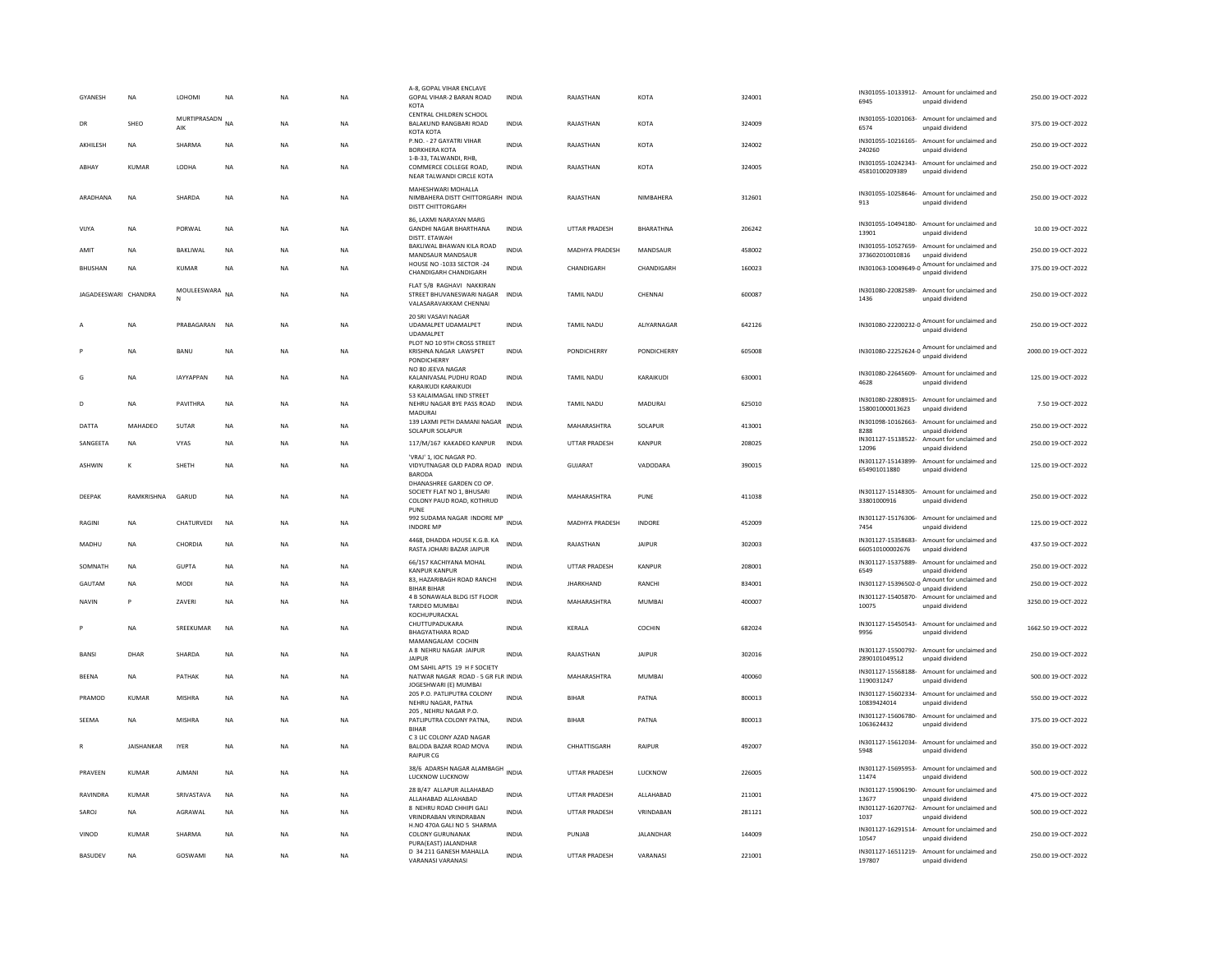| <b>GYANESH</b>       | <b>NA</b>         | <b>LOHOMI</b>          | <b>NA</b>   | <b>NA</b> | <b>NA</b> | A-8, GOPAL VIHAR ENCLAVE<br>GOPAL VIHAR-2 BARAN ROAD<br>KOTA                                | <b>INDIA</b> | RAIASTHAN             | KOTA             | 324001 | 6945                              | IN301055-10133912- Amount for unclaimed and<br>unpaid dividend  | 250.00.19-OCT-2022  |
|----------------------|-------------------|------------------------|-------------|-----------|-----------|---------------------------------------------------------------------------------------------|--------------|-----------------------|------------------|--------|-----------------------------------|-----------------------------------------------------------------|---------------------|
| DR                   | <b>SHEO</b>       | MURTIPRASADN NA<br>AIK |             | <b>NA</b> | <b>NA</b> | CENTRAL CHILDREN SCHOOL<br>BALAKUND RANGBARI ROAD<br><b>КОТА КОТА</b>                       | <b>INDIA</b> | RAIASTHAN             | KOTA             | 324009 | 6574                              | IN301055-10201063- Amount for unclaimed and<br>unpaid dividend  | 375.00.19-QCT-2022  |
| AKHILESH             | NA                | SHARMA                 | $_{\sf NA}$ | NA        | NA        | P.NO. - 27 GAYATRI VIHAR<br><b>BORKHERA KOTA</b>                                            | <b>INDIA</b> | RAJASTHAN             | KOTA             | 324002 | 240260                            | IN301055-10216165- Amount for unclaimed and<br>unpaid dividend  | 250.00 19-OCT-2022  |
| ABHAY                | <b>KUMAR</b>      | LODHA                  | <b>NA</b>   | <b>NA</b> | <b>NA</b> | 1-B-33, TALWANDI, RHB<br>COMMERCE COLLEGE ROAD.<br>NEAR TALWANDI CIRCLE KOTA                | <b>INDIA</b> | RAJASTHAN             | KOTA             | 324005 | 45810100209389                    | IN301055-10242343- Amount for unclaimed and<br>unpaid dividend  | 250.00 19-OCT-2022  |
| ARADHANA             | NA                | SHARDA                 | $_{\sf NA}$ | NA        | NA        | MAHESHWARI MOHALLA<br>NIMBAHERA DISTT CHITTORGARH INDIA<br>DISTT CHITTORGARH                |              | RAJASTHAN             | NIMBAHERA        | 312601 | 913                               | IN301055-10258646- Amount for unclaimed and<br>unpaid dividend  | 250.00 19-OCT-2022  |
| VIJYA                | NA                | PORWAL                 | $_{\sf NA}$ | <b>NA</b> | ΝA        | 86. LAXMI NARAYAN MARG<br><b>GANDHI NAGAR BHARTHANA</b><br>DISTT. ETAWAH                    | <b>INDIA</b> | <b>UTTAR PRADESH</b>  | <b>BHARATHNA</b> | 206242 | 13901                             | IN301055-10494180- Amount for unclaimed and<br>unnaid dividend  | 10.00 19-OCT-2022   |
| AMIT                 | <b>NA</b>         | BAKLIWAL               | <b>NA</b>   | <b>NA</b> | <b>NA</b> | <b>BAKLIWAL BHAWAN KILA ROAD</b><br>MANDSAUR MANDSAUR                                       | INDIA        | MADHYA PRADESH        | MANDSAUR         | 458002 | 373602010010816                   | IN301055-10527659- Amount for unclaimed and<br>unpaid dividend  | 250.00 19-OCT-2022  |
| <b>BHUSHAN</b>       | <b>NA</b>         | <b>KUMAR</b>           | <b>NA</b>   | <b>NA</b> | NA        | HOUSE NO -1033 SECTOR -24<br>CHANDIGARH CHANDIGARH                                          | INDIA        | CHANDIGARH            | CHANDIGARH       | 160023 | IN301063-10049649-0               | Amount for unclaimed and<br>unpaid dividend                     | 375.00 19-OCT-2022  |
| JAGADEESWARI CHANDRA |                   | MOULEESWARA<br>N       | <b>NA</b>   | <b>NA</b> | <b>NA</b> | FLAT 5/B RAGHAVI NAKKIRAN<br>STREET BHUVANESWARI NAGAR INDIA<br>VALASARAVAKKAM CHENNAI      |              | <b>TAMIL NADU</b>     | CHENNAI          | 600087 | 1436                              | IN301080-22082589- Amount for unclaimed and<br>unpaid dividend  | 250.00 19-OCT-2022  |
|                      | <b>NA</b>         | PRABAGARAN             | NA          | NA        | NA        | 20 SRI VASAVI NAGAR<br>UDAMALPET UDAMALPET<br><b>UDAMALPET</b>                              | INDIA        | TAMIL NADU            | ALIYARNAGAR      | 642126 |                                   | IN301080-22200232-0 Amount for unclaimed and                    | 250.00 19-OCT-2022  |
|                      | <b>NA</b>         | BANU                   | NA          | <b>NA</b> | NA        | PLOT NO 10 9TH CROSS STREET<br>KRISHNA NAGAR LAWSPET<br><b>PONDICHERRY</b>                  | INDIA        | PONDICHERRY           | PONDICHERRY      | 605008 |                                   | IN301080-22252624-0 Amount for unclaimed and                    | 2000.00 19-OCT-2022 |
| G                    | <b>NA</b>         | IAYYAPPAN              | <b>NA</b>   | <b>NA</b> | <b>NA</b> | NO 80 JEEVA NAGAR<br>KALANIVASAL PUDHU ROAD<br>KARAIKUDI KARAIKUDI                          | <b>INDIA</b> | <b>TAMIL NADU</b>     | KARAIKUDI        | 630001 | 4628                              | IN301080-22645609- Amount for unclaimed and<br>unpaid dividend  | 125.00 19-OCT-2022  |
|                      | <b>NA</b>         | PAVITHRA               | <b>NA</b>   | <b>NA</b> | <b>NA</b> | 53 KALAIMAGAL IIND STREET<br>NEHRU NAGAR BYE PASS ROAD<br>MADURAI                           | <b>INDIA</b> | TAMIL NADU            | MADURAI          | 625010 | 158001000013623                   | IN301080-22808915- Amount for unclaimed and<br>unpaid dividend  | 7.50 19-OCT-2022    |
| DATTA                | MAHADEO           | <b>SUTAR</b>           | <b>NA</b>   | <b>NA</b> | <b>NA</b> | 139 LAXMI PETH DAMANI NAGAR INDIA<br>SOLAPUR SOLAPUR                                        |              | MAHARASHTRA           | SOLAPUR          | 413001 | IN301098-10162663-<br>8288        | Amount for unclaimed and<br>unpaid dividend                     | 250.00 19-OCT-2022  |
| SANGEETA             | <b>NA</b>         | <b>VYAS</b>            | <b>NA</b>   | <b>NA</b> | <b>NA</b> | 117/M/167 KAKADEO KANPUR                                                                    | <b>INDIA</b> | UTTAR PRADESH         | KANPUR           | 208025 | 12096                             | IN301127-15138522- Amount for unclaimed and<br>unpaid dividend  | 250.00 19-OCT-2022  |
| <b>ASHWIN</b>        | $\kappa$          | <b>SHETH</b>           | <b>NA</b>   | <b>NA</b> | <b>NA</b> | 'VRAJ' 1, IOC NAGAR PO.<br>VIDYUTNAGAR OLD PADRA ROAD INDIA<br><b>BARODA</b>                |              | GUIARAT               | VADODARA         | 390015 | 654901011880                      | IN301127-15143899- Amount for unclaimed and<br>unpaid dividend  | 125.00.19-OCT-2022  |
| DEEPAK               | RAMKRISHNA        | GARUD                  | <b>NA</b>   | <b>NA</b> | <b>NA</b> | DHANASHREE GARDEN CO OP.<br>SOCIETY FLAT NO 1. BHUSARI<br>COLONY PAUD ROAD, KOTHRUD<br>PUNE | <b>INDIA</b> | MAHARASHTRA           | PUNE             | 411038 | 33801000916                       | IN301127-15148305- Amount for unclaimed and<br>unpaid dividend  | 250.00 19-OCT-2022  |
| <b>RAGINI</b>        | <b>NA</b>         | CHATURVEDI             | <b>NA</b>   | <b>NA</b> | <b>NA</b> | 992 SUDAMA NAGAR INDORE MP<br><b>INDORE MP</b>                                              | INDIA        | <b>MADHYA PRADESH</b> | INDORE           | 452009 | 7454                              | IN301127-15176306- Amount for unclaimed and<br>unpaid dividend  | 125.00 19-OCT-2022  |
| MADHU                | <b>NA</b>         | CHORDIA                | NA          | <b>NA</b> | NA        | 4468, DHADDA HOUSE K.G.B. KA<br>RASTA JOHARI BAZAR JAIPUR                                   | INDIA        | RAJASTHAN             | <b>JAIPUR</b>    | 302003 | 660510100002676                   | IN301127-15358683- Amount for unclaimed and<br>unnaid dividend  | 437.50 19-OCT-2022  |
| SOMNATH              | NA                | <b>GUPTA</b>           | <b>NA</b>   | <b>NA</b> | NA        | 66/157 KACHIYANA MOHAL<br><b>KANPUR KANPUR</b>                                              | INDIA        | UTTAR PRADESH         | KANPUR           | 208001 | IN301127-15375889-<br>6549        | Amount for unclaimed and<br>unpaid dividend                     | 250.00 19-OCT-2022  |
| GAUTAM               | <b>NA</b>         | MODI                   | NA          | <b>NA</b> | NA        | 83. HAZARIBAGH ROAD RANCHI<br><b>BIHAR BIHAR</b>                                            | INDIA        | <b>JHARKHAND</b>      | RANCHI           | 834001 |                                   | IN301127-15396502-0 Amount for unclaimed and<br>unpaid dividend | 250.00 19-OCT-2022  |
| <b>NAVIN</b>         | P                 | <b>7AVERI</b>          | <b>NA</b>   | <b>NA</b> | <b>NA</b> | 4 B SONAWALA BLDG IST FLOOR<br>TARDEO MUMBAI<br>KOCHUPURACKAL                               | <b>INDIA</b> | MAHARASHTRA           | MUMBAI           | 400007 | 10075                             | IN301127-15405870- Amount for unclaimed and<br>unpaid dividend  | 3250.00 19-OCT-2022 |
|                      | <b>NA</b>         | SREEKUMAR              | <b>NA</b>   | <b>NA</b> | <b>NA</b> | CHUTTUPADUKARA<br><b>BHAGYATHARA ROAD</b><br>MAMANGALAM COCHIN                              | INDIA        | KERALA                | COCHIN           | 682024 | 9956                              | IN301127-15450543- Amount for unclaimed and<br>unnaid dividend  | 1662.50 19-OCT-2022 |
| BANSI                | DHAR              | SHARDA                 | <b>NA</b>   | <b>NA</b> | NA        | A 8 NEHRU NAGAR JAIPUR<br><b>JAIPUR</b>                                                     | INDIA        | RAJASTHAN             | <b>JAIPUR</b>    | 302016 | 2890101049512                     | IN301127-15500792- Amount for unclaimed and<br>unnaid dividend  | 250.00 19-OCT-2022  |
| <b>BEENA</b>         | <b>NA</b>         | PATHAK                 | <b>NA</b>   | <b>NA</b> | NA        | OM SAHIL APTS 19 H F SOCIETY<br>NATWAR NAGAR ROAD - 5 GR FLR INDIA<br>JOGESHWARI (E) MUMBA  |              | MAHARASHTRA           | MUMBAI           | 400060 | IN301127-15568188-<br>1190031247  | Amount for unclaimed and<br>unpaid dividend                     | 500.00 19-OCT-2022  |
| PRAMOD               | KUMAR             | MISHRA                 | NA          | <b>NA</b> | NA        | 205 P.O. PATLIPUTRA COLONY<br>NEHRU NAGAR, PATNA                                            | INDIA        | <b>BIHAR</b>          | PATNA            | 800013 | IN301127-15602334-<br>10839424014 | Amount for unclaimed and<br>unpaid dividend                     | 550.00 19-OCT-2022  |
| SEEMA                | <b>NA</b>         | <b>MISHRA</b>          | <b>NA</b>   | <b>NA</b> | <b>NA</b> | 205, NEHRU NAGAR P.O.<br>PATLIPUTRA COLONY PATNA.<br><b>BIHAR</b>                           | <b>INDIA</b> | <b>BIHAR</b>          | PATNA            | 800013 | IN301127-15606780-<br>1063624432  | Amount for unclaimed and<br>unpaid dividend                     | 375.00 19-OCT-2022  |
|                      | <b>JAISHANKAR</b> | <b>IYER</b>            | <b>NA</b>   | <b>NA</b> | <b>NA</b> | C 3 LIC COLONY AZAD NAGAR<br>BALODA BAZAR ROAD MOVA<br><b>RAIPUR CG</b>                     | <b>INDIA</b> | CHHATTISGARH          | RAIPUR           | 492007 | 5948                              | IN301127-15612034- Amount for unclaimed and<br>unpaid dividend  | 350.00 19-OCT-2022  |
| PRAVEEN              | <b>KUMAR</b>      | AJMANI                 | <b>NA</b>   | <b>NA</b> | <b>NA</b> | 38/6 ADARSH NAGAR ALAMBAGH<br>LUCKNOW LUCKNOW                                               | <b>INDIA</b> | <b>UTTAR PRADESH</b>  | <b>LUCKNOW</b>   | 226005 | 11474                             | IN301127-15695953- Amount for unclaimed and<br>unpaid dividend  | 500.00 19-OCT-2022  |
| RAVINDRA             | KUMAR             | SRIVASTAVA             | <b>NA</b>   | <b>NA</b> | <b>NA</b> | 28 B/47 ALLAPUR ALLAHABAD<br>ALLAHABAD ALLAHABAD                                            | <b>INDIA</b> | UTTAR PRADESH         | ALLAHABAD        | 211001 | IN301127-15906190-<br>13677       | Amount for unclaimed and<br>unpaid dividend                     | 475.00 19-OCT-2022  |
| SAROJ                | <b>NA</b>         | AGRAWAL                | <b>NA</b>   | <b>NA</b> | <b>NA</b> | 8 NEHRU ROAD CHHIPI GALI<br>VRINDRABAN VRINDRABAN<br>H.NO 470A GALI NO 5 SHARMA             | <b>INDIA</b> | UTTAR PRADESH         | VRINDABAN        | 281121 | IN301127-16207762-<br>1037        | Amount for unclaimed and<br>unpaid dividend                     | 500.00 19-OCT-2022  |
| VINOD                | <b>KUMAR</b>      | SHARMA                 | NA          | <b>NA</b> | NA        | COLONY GURUNANAK<br>PURA(EAST) JALANDHAR                                                    | <b>INDIA</b> | PUNJAB                | <b>JALANDHAR</b> | 144009 | 10547                             | IN301127-16291514- Amount for unclaimed and<br>unpaid dividend  | 250.00 19-OCT-2022  |
| BASUDEV              | <b>NA</b>         | GOSWAMI                | <b>NA</b>   | <b>NA</b> | <b>NA</b> | D 34 211 GANESH MAHALLA<br>VARANASI VARANASI                                                | <b>INDIA</b> | UTTAR PRADESH         | VARANASI         | 221001 | 197807                            | IN301127-16511219- Amount for unclaimed and<br>unpaid dividend  | 250.00 19-OCT-2022  |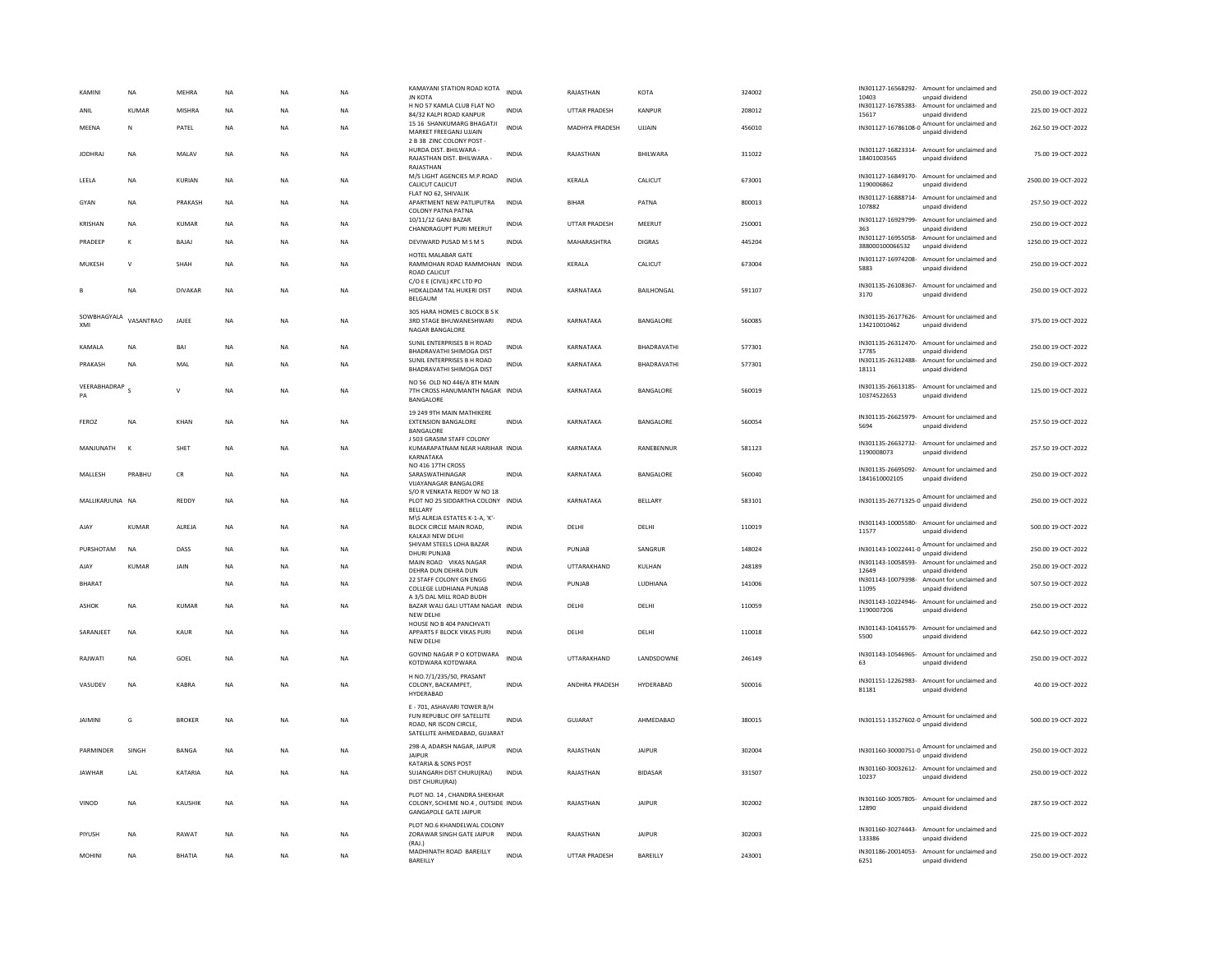| KAMIN                        | <b>NA</b>    | MEHRA          | NA          | <b>NA</b>   | NA        | KAMAYANI STATION ROAD KOTA<br><b>JN KOTA</b>                                                                        | <b>INDIA</b> | RAJASTHAN            | KOTA            | 324002 | 10403                            | IN301127-16568292- Amount for unclaimed and<br>unpaid dividend  | 250.00 19-OCT-2022  |
|------------------------------|--------------|----------------|-------------|-------------|-----------|---------------------------------------------------------------------------------------------------------------------|--------------|----------------------|-----------------|--------|----------------------------------|-----------------------------------------------------------------|---------------------|
| ANIL                         | <b>KUMAR</b> | <b>MISHRA</b>  | <b>NA</b>   | <b>NA</b>   | <b>NA</b> | H NO 57 KAMLA CLUB FLAT NO<br>84/32 KALPI ROAD KANPUR                                                               | <b>INDIA</b> | <b>UTTAR PRADESH</b> | KANPUR          | 208012 | 15617                            | IN301127-16785383- Amount for unclaimed and<br>unpaid dividend  | 225.00 19-OCT-2022  |
| MEENA                        | N            | PATEL          | <b>NA</b>   | <b>NA</b>   | <b>NA</b> | 15 16 SHANKUMARG BHAGATJI<br>MARKET FREEGANJ UJJAIN<br>2 B 38 ZINC COLONY POST                                      | <b>INDIA</b> | MADHYA PRADESH       | UJJAIN          | 456010 |                                  | IN301127-16786108-0 Amount for unclaimed and<br>unpaid dividend | 262.50 19-OCT-2022  |
| <b>JODHRAJ</b>               | <b>NA</b>    | MALAV          | <b>NA</b>   | <b>NA</b>   | <b>NA</b> | HURDA DIST. BHILWARA -<br>RAJASTHAN DIST. BHILWARA -                                                                | <b>INDIA</b> | RAJASTHAN            | BHILWARA        | 311022 | 18401003565                      | IN301127-16823314- Amount for unclaimed and<br>unpaid dividend  | 75.00 19-OCT-2022   |
| LEELA                        | <b>NA</b>    | <b>KURIAN</b>  | <b>NA</b>   | <b>NA</b>   | <b>NA</b> | RAJASTHAN<br>M/S LIGHT AGENCIES M.P.ROAD<br>CALICUT CALICUT                                                         | <b>INDIA</b> | KERALA               | CALICUT         | 673001 | IN301127-16849170-<br>1190006862 | Amount for unclaimed and<br>unpaid dividend                     | 2500.00 19-OCT-2022 |
| GYAN                         | ΝA           | PRAKASH        | NA          | <b>NA</b>   | NA        | FLAT NO 62, SHIVALIK<br>APARTMENT NEW PATLIPUTRA<br>COLONY PATNA PATNA                                              | <b>INDIA</b> | <b>BIHAR</b>         | PATNA           | 800013 | 107882                           | IN301127-16888714- Amount for unclaimed and<br>unpaid dividend  | 257.50 19-OCT-2022  |
| KRISHAN                      | <b>NA</b>    | <b>KUMAR</b>   | $_{\sf NA}$ | <b>NA</b>   | <b>NA</b> | 10/11/12 GANJ BAZAR<br>CHANDRAGUPT PURI MEERUT                                                                      | INDIA        | UTTAR PRADESH        | MEERUT          | 250001 | 363                              | IN301127-16929799- Amount for unclaimed and<br>unpaid dividend  | 250.00 19-OCT-2022  |
| PRADEEP                      | Κ            | BAJAJ          | NA          | <b>NA</b>   | NA        | DEVIWARD PUSAD M S M S                                                                                              | INDIA        | MAHARASHTRA          | <b>DIGRAS</b>   | 445204 | 388000100066532                  | IN301127-16955058- Amount for unclaimed and<br>unpaid dividend  | 1250.00 19-OCT-2022 |
| MUKESH                       | $\vee$       | SHAH           | NA          | <b>NA</b>   | NA        | HOTEL MALABAR GATE<br>RAMMOHAN ROAD RAMMOHAN INDIA<br><b>ROAD CALICUT</b>                                           |              | KERALA               | CALICUT         | 673004 | IN301127-16974208-<br>5883       | Amount for unclaimed and<br>unpaid dividend                     | 250.00 19-OCT-2022  |
|                              | NA           | <b>DIVAKAR</b> | NA          | NA          | NA        | C/O E E (CIVIL) KPC LTD PO<br>HIDKALDAM TAL HUKERI DIST<br>BELGAUM                                                  | <b>INDIA</b> | KARNATAKA            | BAILHONGAL      | 591107 | 3170                             | IN301135-26108367- Amount for unclaimed and<br>unpaid dividend  | 250.00 19-OCT-2022  |
| SOWBHAGYALA VASANTRAO<br>XMI |              | JAJEE          | <b>NA</b>   | <b>NA</b>   | <b>NA</b> | 305 HARA HOMES C BLOCK B S K<br>3RD STAGE BHUWANESHWARI<br>NAGAR BANGALORE                                          | <b>INDIA</b> | KARNATAKA            | BANGALORE       | 560085 | 134210010462                     | IN301135-26177626- Amount for unclaimed and<br>unpaid dividend  | 375.00 19-OCT-2022  |
| KAMALA                       | <b>NA</b>    | BAI            | <b>NA</b>   | <b>NA</b>   | <b>NA</b> | SUNIL ENTERPRISES B H ROAD<br>BHADRAVATHI SHIMOGA DIST                                                              | <b>INDIA</b> | KARNATAKA            | BHADRAVATHI     | 577301 | 17785                            | IN301135-26312470- Amount for unclaimed and<br>unpaid dividend  | 250.00 19-OCT-2022  |
| PRAKASH                      | <b>NA</b>    | MAL            | NA          | NA          | NA        | SUNIL ENTERPRISES B H ROAD<br>BHADRAVATHI SHIMOGA DIST                                                              | INDIA        | KARNATAKA            | BHADRAVATHI     | 577301 | IN301135-26312488-<br>18111      | Amount for unclaimed and<br>unpaid dividend                     | 250.00 19-OCT-2022  |
| VEERABHADRAP<br>PA           |              | $\vee$         | <b>NA</b>   | <b>NA</b>   | NA        | NO 56 OLD NO 446/A 8TH MAIN<br>7TH CROSS HANUMANTH NAGAR INDIA<br>BANGALORE                                         |              | KARNATAKA            | BANGALORE       | 560019 | 10374522653                      | IN301135-26613185- Amount for unclaimed and<br>unpaid dividend  | 125.00 19-OCT-2022  |
| FEROZ                        | <b>NA</b>    | KHAN           | <b>NA</b>   | <b>NA</b>   | <b>NA</b> | 19 249 9TH MAIN MATHIKERE<br><b>EXTENSION BANGALORE</b><br>BANGALORE                                                | <b>INDIA</b> | KARNATAKA            | BANGALORE       | 560054 | IN301135-26625979-<br>5694       | Amount for unclaimed and<br>unpaid dividend                     | 257.50 19-OCT-2022  |
| MANJUNATH                    | $\mathbf{K}$ | SHET           | NA          | <b>NA</b>   | NA        | J 503 GRASIM STAFF COLONY<br>KUMARAPATNAM NEAR HARIHAR INDIA<br>KARNATAKA                                           |              | KARNATAKA            | RANEBENNUR      | 581123 | IN301135-26632732-<br>1190008073 | Amount for unclaimed and<br>unpaid dividend                     | 257.50 19-OCT-2022  |
| MALLESH                      | PRABHU       | CR             | <b>NA</b>   | <b>NA</b>   | NA        | NO 416 17TH CROSS<br>SARASWATHINAGAR<br><b>VIJAYANAGAR BANGALORE</b>                                                | <b>INDIA</b> | KARNATAKA            | BANGALORE       | 560040 | 1841610002105                    | IN301135-26695092- Amount for unclaimed and<br>unpaid dividend  | 250.00 19-OCT-2022  |
| MALLIKARJUNA NA              |              | REDDY          | NA          | <b>NA</b>   | NA        | S/O R VENKATA REDDY W NO 18<br>PLOT NO 25 SIDDARTHA COLONY INDIA<br><b>BELLARY</b>                                  |              | KARNATAKA            | BELLARY         | 583101 |                                  | IN301135-26771325-0 Amount for unclaimed and<br>unpaid dividend | 250.00 19-OCT-2022  |
| AJAY                         | <b>KUMAR</b> | ALREJA         | NA          | <b>NA</b>   | NA        | M\S ALREJA ESTATES K-1-A, 'K'-<br>BLOCK CIRCLE MAIN ROAD,<br>KALKAJI NEW DELHI                                      | <b>INDIA</b> | DELHI                | DELHI           | 110019 | 11577                            | IN301143-10005580- Amount for unclaimed and<br>unpaid dividend  | 500.00 19-OCT-2022  |
| PURSHOTAM                    | <b>NA</b>    | DASS           | NA          | NA          | NA        | SHIVAM STEELS LOHA BAZAR<br><b>DHURI PUNJAB</b>                                                                     | INDIA        | PUNJAB               | SANGRUR         | 148024 | IN301143-10022441-0              | Amount for unclaimed and<br>unpaid dividend                     | 250.00 19-OCT-2022  |
| AJAY                         | KUMAR        | JAIN           | NA          | <b>NA</b>   | NA        | MAIN ROAD VIKAS NAGAR<br>DEHRA DUN DEHRA DUN                                                                        | INDIA        | UTTARAKHAND          | KULHAN          | 248189 | 12649                            | IN301143-10058593- Amount for unclaimed and<br>unpaid dividend  | 250.00 19-OCT-2022  |
| <b>BHARAT</b>                |              |                | <b>NA</b>   | <b>NA</b>   | <b>NA</b> | 22 STAFF COLONY GN ENGG<br>COLLEGE LUDHIANA PUNJAB                                                                  | <b>INDIA</b> | PUNIAR               | <b>IUDHIANA</b> | 141006 | 11095                            | IN301143-10079398- Amount for unclaimed and<br>unpaid dividend  | 507.50 19-OCT-2022  |
| <b>ASHOK</b>                 | <b>NA</b>    | <b>KUMAR</b>   | <b>NA</b>   | <b>NA</b>   | <b>NA</b> | A 3/5 DAL MILL ROAD BUDH<br>BAZAR WALI GALI UTTAM NAGAR INDIA<br><b>NEW DELHI</b>                                   |              | DELHI                | DELHI           | 110059 | 1190007206                       | IN301143-10224946- Amount for unclaimed and<br>unpaid dividend  | 250.00 19-OCT-2022  |
| SARANJEET                    | <b>NA</b>    | <b>KAUR</b>    | NA          | <b>NA</b>   | <b>NA</b> | HOUSE NO B 404 PANCHVATI<br>APPARTS F BLOCK VIKAS PURI<br>NEW DELHI                                                 | <b>INDIA</b> | DELHI                | DELHI           | 110018 | 5500                             | IN301143-10416579- Amount for unclaimed and<br>unpaid dividend  | 642.50 19-OCT-2022  |
| RAJWATI                      | <b>NA</b>    | GOEL           | NA          | <b>NA</b>   | <b>NA</b> | GOVIND NAGAR P O KOTDWARA<br>KOTDWARA KOTDWARA                                                                      | <b>INDIA</b> | UTTARAKHAND          | LANDSDOWNE      | 246149 | 63                               | IN301143-10546965- Amount for unclaimed and<br>unpaid dividend  | 250.00 19-OCT-2022  |
| VASUDEV                      | NA           | KABRA          | NA          | NA          | NA        | H NO.7/1/235/50, PRASANT<br>COLONY, BACKAMPET,<br>HYDERABAD                                                         | <b>INDIA</b> | ANDHRA PRADESH       | HYDERABAD       | 500016 | 81181                            | IN301151-12262983- Amount for unclaimed and<br>unpaid dividend  | 40.00 19-OCT-2022   |
| <b>JAIMINI</b>               | G            | <b>BROKER</b>  | <b>NA</b>   | <b>NA</b>   | <b>NA</b> | E - 701, ASHAVARI TOWER B/H<br>FUN REPUBLIC OFF SATELLITE<br>ROAD. NR ISCON CIRCLE.<br>SATELLITE AHMEDABAD, GUJARAT | <b>INDIA</b> | GUIARAT              | AHMFDARAD       | 380015 |                                  | IN301151-13527602-0 Amount for unclaimed and<br>unpaid dividend | 500.00 19-OCT-2022  |
| PARMINDER                    | SINGH        | <b>BANGA</b>   | <b>NA</b>   | <b>NA</b>   | <b>NA</b> | 298-A, ADARSH NAGAR, JAIPUR<br><b>JAIPUR</b><br>KATARIA & SONS POST                                                 | <b>INDIA</b> | RAJASTHAN            | <b>JAIPUR</b>   | 302004 |                                  | IN301160-30000751-0 Amount for unclaimed and<br>unpaid dividend | 250.00 19-OCT-2022  |
| <b>JAWHAR</b>                | LAL          | KATARIA        | $_{\sf NA}$ | $_{\sf NA}$ | NA        | SUJANGARH DIST CHURU(RAJ)<br>DIST CHURU(RAJ)                                                                        | <b>INDIA</b> | RAJASTHAN            | <b>BIDASAR</b>  | 331507 | 10237                            | IN301160-30032612- Amount for unclaimed and<br>unpaid dividend  | 250.00 19-OCT-2022  |
| VINOD                        | <b>NA</b>    | KAUSHIK        | <b>NA</b>   | <b>NA</b>   | <b>NA</b> | PLOT NO. 14, CHANDRA SHEKHAR<br>COLONY, SCHEME NO.4 , OUTSIDE INDIA<br><b>GANGAPOLE GATE JAIPUR</b>                 |              | RAJASTHAN            | <b>JAIPUR</b>   | 302002 | 12890                            | IN301160-30057805- Amount for unclaimed and<br>unpaid dividend  | 287.50 19-OCT-2022  |
| PIYUSH                       | NA           | RAWAT          | NA          | <b>NA</b>   | NA        | PLOT NO.6 KHANDELWAL COLONY<br>ZORAWAR SINGH GATE JAIPUR<br>(RAI)                                                   | <b>INDIA</b> | RAJASTHAN            | <b>JAIPUR</b>   | 302003 | 133386                           | IN301160-30274443- Amount for unclaimed and<br>unpaid dividend  | 225.00 19-OCT-2022  |
| <b>MOHINI</b>                | <b>NA</b>    | <b>BHATIA</b>  | <b>NA</b>   | <b>NA</b>   | <b>NA</b> | MADHINATH ROAD BAREILLY<br>BAREILLY                                                                                 | <b>INDIA</b> | <b>UTTAR PRADESH</b> | BAREILLY        | 243001 | 6251                             | IN301186-20014053- Amount for unclaimed and<br>unpaid dividend  | 250.00 19-OCT-2022  |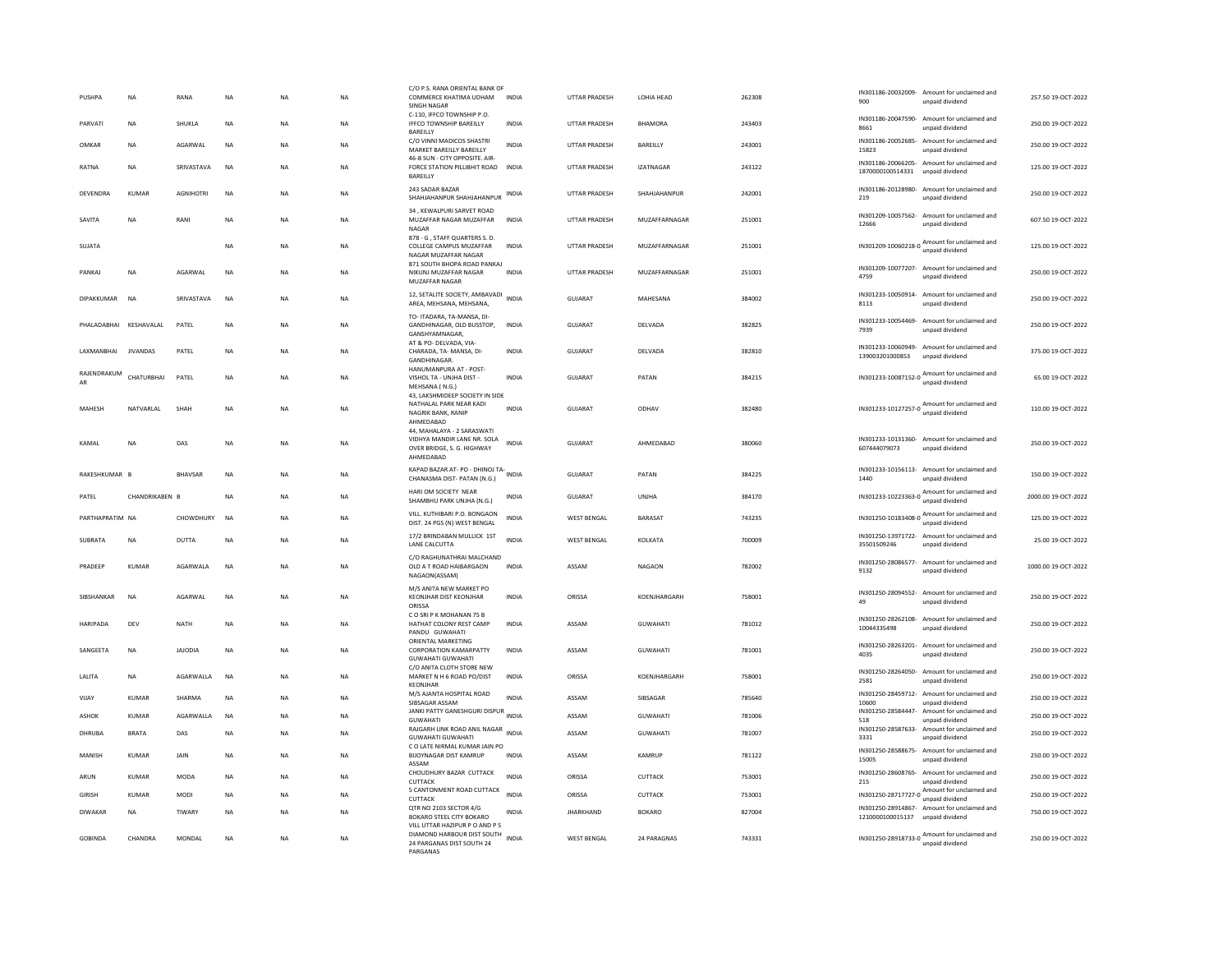| PUSHPA                 | NA              | RANA           | NA        | NA        | <b>NA</b> | C/O P.S. RANA ORIENTAL BANK OF<br>COMMERCE KHATIMA UDHAM<br><b>SINGH NAGAR</b>                                 | INDIA        | UTTAR PRADESH        | LOHIA HEAD           | 262308 | 900                         | IN301186-20032009- Amount for unclaimed and<br>unpaid dividend  | 257.50 19-OCT-2022  |
|------------------------|-----------------|----------------|-----------|-----------|-----------|----------------------------------------------------------------------------------------------------------------|--------------|----------------------|----------------------|--------|-----------------------------|-----------------------------------------------------------------|---------------------|
| PARVATI                | <b>NA</b>       | SHUKLA         | <b>NA</b> | <b>NA</b> | <b>NA</b> | C-110, IFFCO TOWNSHIP P.O.<br><b>IFFCO TOWNSHIP BAREILLY</b><br>BAREILLY                                       | <b>INDIA</b> | <b>UTTAR PRADESH</b> | <b>BHAMORA</b>       | 243403 | 8661                        | IN301186-20047590- Amount for unclaimed and<br>unpaid dividend  | 250.00 19-OCT-2022  |
| OMKAR                  | <b>NA</b>       | AGARWAL        | <b>NA</b> | <b>NA</b> | <b>NA</b> | C/O VINNI MADICOS SHASTRI<br>MARKET BAREILLY BAREILLY                                                          | <b>INDIA</b> | <b>UTTAR PRADESH</b> | BAREILLY             | 243001 | IN301186-20052685-<br>15823 | Amount for unclaimed and<br>unpaid dividend                     | 250.00 19-OCT-2022  |
| RATNA                  | <b>NA</b>       | SRIVASTAVA     | <b>NA</b> | <b>NA</b> | <b>NA</b> | 46-B SUN - CITY OPPOSITE, AIR-<br>FORCE STATION PILLIBHIT ROAD<br>BAREILLY                                     | <b>INDIA</b> | <b>UTTAR PRADESH</b> | <b>IZATNAGAR</b>     | 243122 | 1870000100514331            | IN301186-20066205- Amount for unclaimed and<br>unpaid dividend  | 125.00 19-OCT-2022  |
| DEVENDRA               | <b>KUMAR</b>    | AGNIHOTRI      | <b>NA</b> | NA        | NA        | 243 SADAR BAZAR<br>SHAHJAHANPUR SHAHJAHANPUR                                                                   | <b>INDIA</b> | UTTAR PRADESH        | SHAHJAHANPUR         | 242001 | 219                         | IN301186-20128980- Amount for unclaimed and<br>unpaid dividend  | 250.00 19-OCT-2022  |
| SAVITA                 | <b>NA</b>       | RANI           | <b>NA</b> | <b>NA</b> | <b>NA</b> | 34, KEWALPURI SARVET ROAD<br>MUZAFFAR NAGAR MUZAFFAR<br>NAGAR                                                  | <b>INDIA</b> | <b>UTTAR PRADESH</b> | MUZAFFARNAGAR        | 251001 | 12666                       | IN301209-10057562- Amount for unclaimed and<br>unpaid dividend  | 607.50 19-OCT-2022  |
| SUIATA                 |                 |                | <b>NA</b> | <b>NA</b> | <b>NA</b> | 878 - G, STAFF QUARTERS S.D.<br>COLLEGE CAMPUS MUZAFFAR<br>NAGAR MUZAFFAR NAGAR<br>871 SOUTH BHOPA ROAD PANKAJ | <b>INDIA</b> | <b>UTTAR PRADESH</b> | <b>MUZAFFARNAGAR</b> | 251001 |                             | IN301209-10060218-0 Amount for unclaimed and<br>unpaid dividend | 125.00 19-OCT-2022  |
| PANKAI                 | <b>NA</b>       | AGARWAL        | <b>NA</b> | <b>NA</b> | <b>NA</b> | NIKUNJ MUZAFFAR NAGAR<br>MUZAFFAR NAGAR                                                                        | <b>INDIA</b> | <b>UTTAR PRADESH</b> | MUZAFFARNAGAR        | 251001 | 4759                        | IN301209-10077207- Amount for unclaimed and<br>unpaid dividend  | 250.00 19-OCT-2022  |
| DIPAKKUMAR             | <b>NA</b>       | SRIVASTAVA     | NA        | NA        | NA        | 12, SETALITE SOCIETY, AMBAVADI INDIA<br>AREA, MEHSANA, MEHSANA,                                                |              | GUJARAT              | MAHESANA             | 384002 | 8113                        | IN301233-10050914- Amount for unclaimed and<br>unpaid dividend  | 250.00 19-OCT-2022  |
| PHALADABHAI KESHAVALAL |                 | PATEL          | <b>NA</b> | <b>NA</b> | <b>NA</b> | TO- ITADARA, TA-MANSA, DI-<br>GANDHINAGAR, OLD BUSSTOP.<br>GANSHYAMNAGAR                                       | <b>INDIA</b> | GUJARAT              | DELVADA              | 382825 | IN301233-10054469-<br>7939  | Amount for unclaimed and<br>unpaid dividend                     | 250.00 19-OCT-2022  |
| <b>I AXMANRHAI</b>     | <b>IIVANDAS</b> | PATEL          | <b>NA</b> | <b>NA</b> | <b>NA</b> | AT & PO- DELVADA, VIA-<br>CHARADA, TA- MANSA, DI-<br>GANDHINAGAR                                               | <b>INDIA</b> | GUIARAT              | DELVADA              | 382810 | 139003201000853             | IN301233-10060949- Amount for unclaimed and<br>unpaid dividend  | 375.00.19-QCT-2022  |
| RAJENDRAKUM<br>AR      | CHATURBHAI      | PATEL          | <b>NA</b> | NA        | NA        | HANUMANPURA AT - POST-<br>VISHOL TA - UNJHA DIST -<br>MEHSANA (N.G.)                                           | <b>INDIA</b> | GUJARAT              | PATAN                | 384215 |                             | IN301233-10087152-0 Amount for unclaimed and                    | 65.00 19-OCT-2022   |
| MAHESH                 | NATVARLAL       | SHAH           | <b>NA</b> | <b>NA</b> | <b>NA</b> | 43. LAKSHMIDEEP SOCIETY IN SIDE<br>NATHALAL PARK NEAR KADI<br>NAGRIK BANK, RANIP<br>AHMEDABAD                  | <b>INDIA</b> | <b>GUJARAT</b>       | ODHAV                | 382480 |                             | IN301233-10127257-0 Amount for unclaimed and<br>unpaid dividend | 110.00 19-OCT-2022  |
| KAMAI                  | <b>NA</b>       | DAS            | <b>NA</b> | <b>NA</b> | <b>NA</b> | 44. MAHALAYA - 2 SARASWATI<br>VIDHYA MANDIR LANE NR. SOLA<br>OVER BRIDGE, S. G. HIGHWAY<br>AHMEDARAD           | <b>INDIA</b> | <b>GUJARAT</b>       | AHMEDABAD            | 380060 | 607444079073                | IN301233-10131360- Amount for unclaimed and<br>unpaid dividend  | 250.00 19-OCT-2022  |
| RAKESHKUMAR B          |                 | <b>BHAVSAR</b> | <b>NA</b> | <b>NA</b> | <b>NA</b> | KAPAD BAZAR AT- PO - DHINOJ TA-<br>CHANASMA DIST- PATAN (N.G.)                                                 |              | GUJARAT              | PATAN                | 384225 | 1440                        | IN301233-10156113- Amount for unclaimed and<br>unpaid dividend  | 150.00 19-OCT-2022  |
| PATEL                  | CHANDRIKABEN B  |                | <b>NA</b> | <b>NA</b> | NA        | HARI OM SOCIETY NEAR<br>SHAMBHU PARK UNJHA (N.G.)                                                              | INDIA        | <b>GUJARAT</b>       | UNJHA                | 384170 |                             | IN301233-10223363-0 Amount for unclaimed and                    | 2000.00 19-OCT-2022 |
| PARTHAPRATIM NA        |                 | CHOWDHURY      | <b>NA</b> | <b>NA</b> | <b>NA</b> | VILL, KUTHIBARI P.O. BONGAON<br>DIST. 24 PGS (N) WEST BENGAL                                                   | INDIA        | <b>WEST BENGAL</b>   | BARASAT              | 743235 |                             | IN301250-10183408-0 Amount for unclaimed and<br>unpaid dividend | 125.00 19-OCT-2022  |
| SUBRATA                | <b>NA</b>       | <b>DUTTA</b>   | <b>NA</b> | <b>NA</b> | <b>NA</b> | 17/2 BRINDABAN MULLICK 1ST<br>LANE CALCUTTA                                                                    | <b>INDIA</b> | WEST BENGAL          | KOLKATA              | 700009 | 35501509246                 | IN301250-13971722- Amount for unclaimed and<br>unpaid dividend  | 25.00 19-OCT-2022   |
| PRADEEP                | <b>KUMAR</b>    | AGARWALA       | <b>NA</b> | NA        | NA        | C/O RAGHUNATHRAI MALCHAND<br>OLD A T ROAD HAIBARGAON<br>NAGAON(ASSAM)                                          | <b>INDIA</b> | ASSAM                | <b>NAGAON</b>        | 782002 | 9132                        | IN301250-28086577- Amount for unclaimed and<br>unpaid dividend  | 1000.00 19-OCT-2022 |
| SIBSHANKAR             | <b>NA</b>       | AGARWAL        | <b>NA</b> | <b>NA</b> | <b>NA</b> | M/S ANITA NEW MARKET PO<br>KEONJHAR DIST KEONJHAR<br>ORISSA                                                    | <b>INDIA</b> | ORISSA               | KOENJHARGARH         | 758001 | 49                          | IN301250-28094552- Amount for unclaimed and<br>unpaid dividend  | 250.00 19-OCT-2022  |
| HARIPADA               | DEV             | <b>NATH</b>    | NA        | NA        | NA        | COSRIPK MOHANAN 75 B<br>HATHAT COLONY REST CAMP<br>PANDU GUWAHATI                                              | INDIA        | ASSAM                | GUWAHATI             | 781012 | 10044335498                 | IN301250-28262108- Amount for unclaimed and<br>unpaid dividend  | 250.00 19-OCT-2022  |
| SANGEETA               | NA              | <b>JAJODIA</b> | <b>NA</b> | NA        | NA        | ORIENTAL MARKETING<br><b>CORPORATION KAMARPATTY</b><br>GUWAHATI GUWAHATI                                       | <b>INDIA</b> | ASSAM                | GUWAHATI             | 781001 | 4035                        | IN301250-28263201- Amount for unclaimed and<br>unpaid dividend  | 250.00 19-OCT-2022  |
| LALITA                 | <b>NA</b>       | AGARWALLA      | <b>NA</b> | <b>NA</b> | <b>NA</b> | C/O ANITA CLOTH STORE NEW<br>MARKET N H 6 ROAD PO/DIST<br>KEONJHAR                                             | <b>INDIA</b> | ORISSA               | KOENJHARGARH         | 758001 | IN301250-28264050-<br>2581  | Amount for unclaimed and<br>unpaid dividend                     | 250.00 19-OCT-2022  |
| VIJAY                  | <b>KUMAR</b>    | SHARMA         | NA        | <b>NA</b> | NA        | M/S AJANTA HOSPITAL ROAD<br>SIBSAGAR ASSAM                                                                     | INDIA        | ASSAM                | SIBSAGAR             | 785640 | IN301250-28459712-<br>10600 | Amount for unclaimed and<br>unpaid dividend                     | 250.00 19-OCT-2022  |
| <b>ASHOK</b>           | <b>KUMAR</b>    | AGARWALLA      | <b>NA</b> | <b>NA</b> | <b>NA</b> | JANKI PATTY GANESHGURI DISPUR<br><b>GUWAHATI</b>                                                               | <b>INDIA</b> | ASSAM                | <b>GUWAHATI</b>      | 781006 | IN301250-28584447-<br>518   | Amount for unclaimed and<br>unpaid dividend                     | 250.00 19-OCT-2022  |
| DHRUBA                 | <b>BRATA</b>    | DAS            | <b>NA</b> | <b>NA</b> | NA        | RAJGARH LINK ROAD ANIL NAGAR<br><b>GUWAHATI GUWAHATI</b>                                                       | <b>INDIA</b> | ASSAM                | <b>GUWAHATI</b>      | 781007 | 3331                        | IN301250-28587633- Amount for unclaimed and<br>unpaid dividend  | 250.00 19-OCT-2022  |
| MANISH                 | <b>KUMAR</b>    | JAIN           | <b>NA</b> | <b>NA</b> | NA        | C O LATE NIRMAL KUMAR JAIN PO<br><b>BIJOYNAGAR DIST KAMRUP</b><br>ASSAM                                        | <b>INDIA</b> | ASSAM                | KAMRUP               | 781122 | 15005                       | IN301250-28588675- Amount for unclaimed and<br>unpaid dividend  | 250.00 19-OCT-2022  |
| ARUN                   | <b>KUMAR</b>    | <b>MODA</b>    | <b>NA</b> | <b>NA</b> | <b>NA</b> | CHOUDHURY BAZAR CUTTACK<br>CUTTACK                                                                             | <b>INDIA</b> | ORISSA               | CUTTACK              | 753001 | IN301250-28608765-<br>215   | Amount for unclaimed and<br>unpaid dividend                     | 250.00 19-OCT-2022  |
| <b>GIRISH</b>          | <b>KUMAR</b>    | MODI           | NA        | NA        | NA        | 5 CANTONMENT ROAD CUTTACK<br>CUTTACK                                                                           | <b>INDIA</b> | ORISSA               | CUTTACK              | 753001 |                             | IN301250-28717727-0 Amount for unclaimed and<br>unpaid dividend | 250.00 19-OCT-2022  |
| <b>DIWAKAR</b>         | <b>NA</b>       | TIWARY         | <b>NA</b> | <b>NA</b> | <b>NA</b> | OTR NO 2103 SECTOR 4/G<br>BOKARO STEEL CITY BOKARO                                                             | <b>INDIA</b> | <b>JHARKHAND</b>     | <b>BOKARO</b>        | 827004 | 1210000100015137            | IN301250-28914867- Amount for unclaimed and<br>unpaid dividend  | 750.00 19-OCT-2022  |
| <b>GOBINDA</b>         | CHANDRA         | MONDAL         | <b>NA</b> | NA        | NA        | VILL UTTAR HAZIPUR P O AND P S<br>DIAMOND HARBOUR DIST SOUTH<br>24 PARGANAS DIST SOUTH 24<br>PARGANAS          | <b>INDIA</b> | <b>WEST BENGAL</b>   | 24 PARAGNAS          | 743331 |                             | IN301250-28918733-0 Amount for unclaimed and<br>unpaid dividend | 250.00 19-OCT-2022  |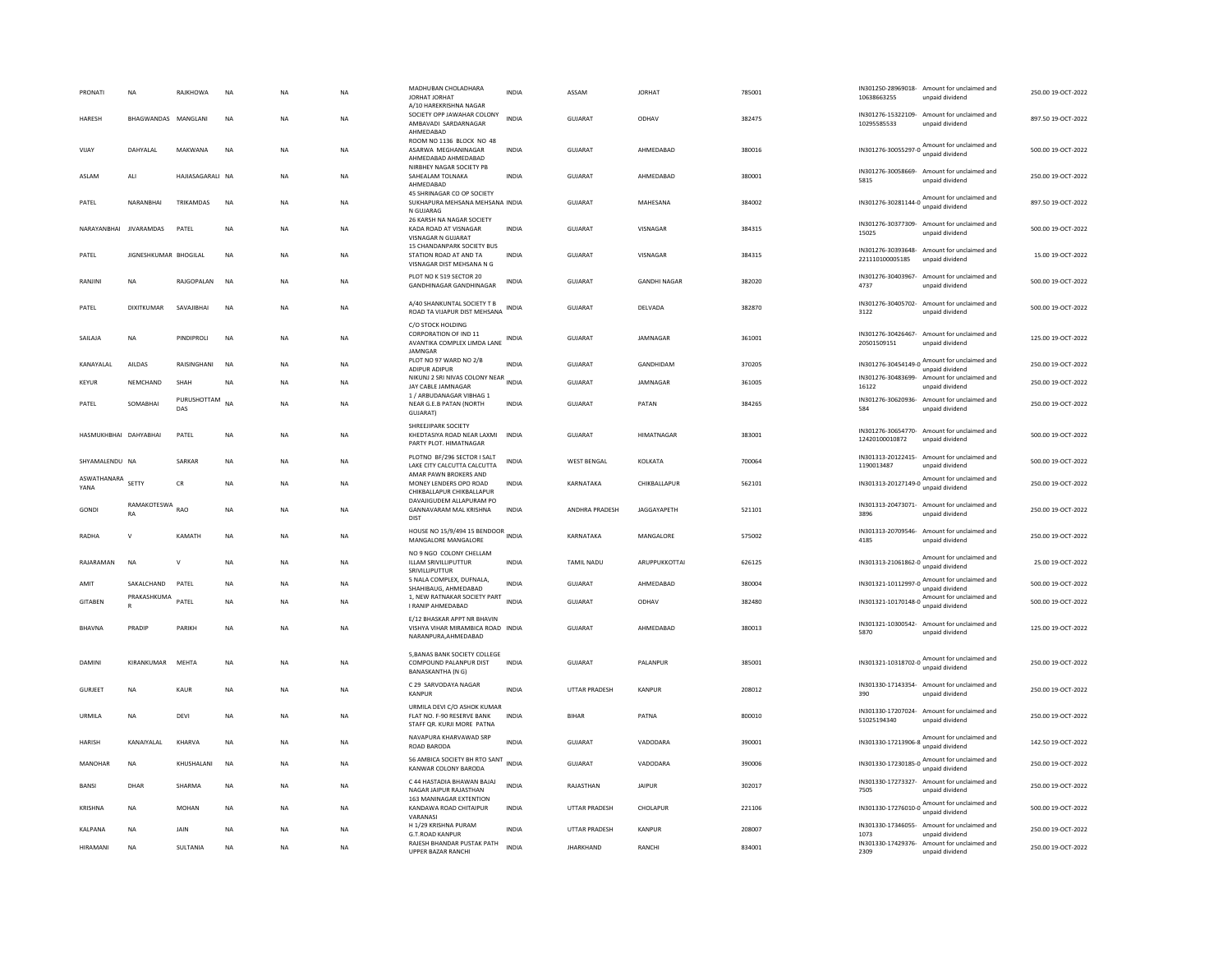| PRONATI                   | <b>NA</b>                | RAJKHOWA           | <b>NA</b> | <b>NA</b> | <b>NA</b> | MADHUBAN CHOLADHARA<br>JORHAT JORHAT<br>A/10 HAREKRISHNA NAGAR                              | <b>INDIA</b> | ASSAM                | <b>JORHAT</b>       | 785001 | 10638663255                | IN301250-28969018- Amount for unclaimed and<br>unpaid dividend  | 250.00 19-OCT-2022 |
|---------------------------|--------------------------|--------------------|-----------|-----------|-----------|---------------------------------------------------------------------------------------------|--------------|----------------------|---------------------|--------|----------------------------|-----------------------------------------------------------------|--------------------|
| <b>HARESH</b>             | BHAGWANDAS MANGLANI      |                    | <b>NA</b> | <b>NA</b> | <b>NA</b> | SOCIETY OPP JAWAHAR COLONY<br>AMBAVADI SARDARNAGAR<br>AHMEDABAD                             | <b>INDIA</b> | GUIARAT              | ODHAV               | 382475 | 10295585533                | IN301276-15322109- Amount for unclaimed and<br>unpaid dividend  | 897.50 19-OCT-2022 |
| VIIAY                     | DAHYALAL                 | MAKWANA            | <b>NA</b> | <b>NA</b> | <b>NA</b> | ROOM NO 1136 BLOCK NO 48<br>ASARWA MEGHANINAGAR<br>AHMEDABAD AHMEDABAD                      | <b>INDIA</b> | GUIARAT              | AHMEDARAD           | 380016 | IN301276-30055297-0        | Amount for unclaimed and<br>unpaid dividend                     | 500.00.19-QCT-2022 |
| ASLAM                     | ALI                      | HAJIASAGARALI NA   |           | <b>NA</b> | <b>NA</b> | NIRBHEY NAGAR SOCIETY PB<br>SAHEALAM TOLNAKA<br>AHMEDABAD                                   | <b>INDIA</b> | <b>GUJARAT</b>       | AHMEDABAD           | 380001 | 5815                       | IN301276-30058669- Amount for unclaimed and<br>unpaid dividend  | 250.00 19-OCT-2022 |
| PATEL                     | NARANBHAI                | TRIKAMDAS          | <b>NA</b> | <b>NA</b> | <b>NA</b> | 45 SHRINAGAR CO OP SOCIETY<br>SUKHAPURA MEHSANA MEHSANA INDIA<br>N GUJARAG                  |              | <b>GUJARAT</b>       | MAHESANA            | 384002 | IN301276-30281144-0        | Amount for unclaimed and<br>unpaid dividend                     | 897.50 19-OCT-2022 |
|                           | NARAYANBHAI JIVARAMDAS   | PATEL              | NA        | NA        | NA        | 26 KARSH NA NAGAR SOCIETY<br>KADA ROAD AT VISNAGAR<br><b>VISNAGAR N GUJARAT</b>             | INDIA        | GUJARAT              | VISNAGAR            | 384315 | 15025                      | IN301276-30377309- Amount for unclaimed and<br>unpaid dividend  | 500.00 19-OCT-2022 |
| PATEL                     | JIGNESHKUMAR BHOGILAL    |                    | <b>NA</b> | <b>NA</b> | <b>NA</b> | 15 CHANDANPARK SOCIETY BUS<br>STATION ROAD AT AND TA<br>VISNAGAR DIST MEHSANA N G           | <b>INDIA</b> | <b>GUJARAT</b>       | VISNAGAR            | 384315 | 221110100005185            | IN301276-30393648- Amount for unclaimed and<br>unpaid dividend  | 15.00 19-OCT-2022  |
| RANJINI                   | NA                       | RAJGOPALAN         | <b>NA</b> | NA        | NA        | PLOT NO K 519 SECTOR 20<br><b>GANDHINAGAR GANDHINAGAR</b>                                   | <b>INDIA</b> | GUJARAT              | <b>GANDHI NAGAR</b> | 382020 | IN301276-30403967-<br>4737 | Amount for unclaimed and<br>unpaid dividend                     | 500.00 19-OCT-2022 |
| PATFI                     | DIXITKUMAR               | SAVAIIRHAI         | <b>NA</b> | <b>NA</b> | <b>NA</b> | A/40 SHANKUNTAL SOCIETY T B<br>ROAD TA VIJAPUR DIST MEHSANA                                 | <b>INDIA</b> | GUIARAT              | DEI VADA            | 382870 | 3122                       | IN301276-30405702- Amount for unclaimed and<br>unpaid dividend  | 500.00 19-OCT-2022 |
| SAILAJA                   | <b>NA</b>                | PINDIPROLI         | <b>NA</b> | <b>NA</b> | <b>NA</b> | C/O STOCK HOLDING<br>CORPORATION OF IND 11<br>AVANTIKA COMPLEX LIMDA LANE<br><b>IAMNGAR</b> | <b>INDIA</b> | GUJARAT              | JAMNAGAR            | 361001 | 20501509151                | IN301276-30426467- Amount for unclaimed and<br>unpaid dividend  | 125.00 19-OCT-2022 |
| KANAYALAL                 | AILDAS                   | RAISINGHANI        | <b>NA</b> | <b>NA</b> | <b>NA</b> | PLOT NO 97 WARD NO 2/B<br>ADIPUR ADIPUR                                                     | <b>INDIA</b> | <b>GUJARAT</b>       | GANDHIDAM           | 370205 |                            | IN301276-30454149-0 Amount for unclaimed and<br>unpaid dividend | 250.00 19-OCT-2022 |
| <b>KEYUR</b>              | NEMCHAND                 | SHAH               | <b>NA</b> | <b>NA</b> | NA        | NIKUNJ 2 SRI NIVAS COLONY NEAR INDIA<br>JAY CABLE JAMNAGAR                                  |              | GUJARAT              | JAMNAGAR            | 361005 | 16122                      | IN301276-30483699- Amount for unclaimed and<br>unpaid dividend  | 250.00 19-OCT-2022 |
| PATEL                     | SOMABHAI                 | PURUSHOTTAM<br>DAS | <b>NA</b> | <b>NA</b> | <b>NA</b> | 1 / ARBUDANAGAR VIBHAG 1<br>NEAR G.E.B PATAN (NORTH<br>GUJARAT)                             | <b>INDIA</b> | <b>GUJARAT</b>       | PATAN               | 384265 | 584                        | IN301276-30620936- Amount for unclaimed and<br>unpaid dividend  | 250.00 19-OCT-2022 |
| HASMUKHRHAI DAHYARHAI     |                          | PATFI              | <b>NA</b> | <b>NA</b> | <b>NA</b> | SHREEJIPARK SOCIETY<br>KHEDTASIYA ROAD NEAR LAXMI INDIA<br>PARTY PLOT. HIMATNAGAR           |              | GUIARAT              | <b>HIMATNAGAR</b>   | 383001 | 12420100010872             | IN301276-30654770- Amount for unclaimed and<br>unpaid dividend  | 500.00.19-QCT-2022 |
| SHYAMALENDU NA            |                          | SARKAR             | NA        | NA        | NA        | PLOTNO BF/296 SECTOR I SALT<br>LAKE CITY CALCUTTA CALCUTTA<br>AMAR PAWN BROKERS AND         | INDIA        | <b>WEST BENGAL</b>   | KOLKATA             | 700064 | 1190013487                 | IN301313-20122415- Amount for unclaimed and<br>unpaid dividend  | 500.00 19-OCT-2022 |
| ASWATHANARA SETTY<br>YANA |                          | ${\sf CR}$         | NA        | <b>NA</b> | NA        | MONEY LENDERS OPO ROAD<br>CHIKBALLAPUR CHIKBALLAPUR                                         | <b>INDIA</b> | KARNATAKA            | CHIKBALLAPUR        | 562101 |                            | IN301313-20127149-0 Amount for unclaimed and<br>unpaid dividend | 250.00 19-OCT-2022 |
| GONDI                     | RAMAKOTESWA<br><b>RA</b> | <b>RAO</b>         | <b>NA</b> | <b>NA</b> | <b>NA</b> | DAVAIIGUDEM ALLAPURAM PO<br><b>GANNAVARAM MAL KRISHNA</b><br>DIST                           | <b>INDIA</b> | ANDHRA PRADESH       | JAGGAYAPETH         | 521101 | 3896                       | IN301313-20473071- Amount for unclaimed and<br>unpaid dividend  | 250.00 19-OCT-2022 |
| <b>RADHA</b>              | V                        | KAMATH             | <b>NA</b> | NA        | NA        | HOUSE NO 15/9/494 15 BENDOOR INDIA<br>MANGALORE MANGALORE                                   |              | KARNATAKA            | MANGALORE           | 575002 | 4185                       | IN301313-20709546- Amount for unclaimed and<br>unpaid dividend  | 250.00 19-OCT-2022 |
| RAJARAMAN                 | <b>NA</b>                | $\vee$             | <b>NA</b> | NA        | NA        | NO 9 NGO COLONY CHELLAM<br>ILLAM SRIVILLIPUTTUR<br>SRIVILLIPUTTUR                           | INDIA        | TAMIL NADU           | ARUPPUKKOTTAI       | 626125 |                            | IN301313-21061862-0 Amount for unclaimed and                    | 25.00 19-OCT-2022  |
| AMIT                      | SAKALCHAND               | PATEL              | NA        | NA        | NA        | 5 NALA COMPLEX, DUFNALA,<br>SHAHIBAUG, AHMEDABAD                                            | <b>INDIA</b> | GUJARAT              | AHMEDABAD           | 380004 | IN301321-10112997-0        | Amount for unclaimed and<br>unpaid dividend                     | 500.00 19-OCT-2022 |
| GITABEN                   | PRAKASHKUMA<br>R         | PATEL              | <b>NA</b> | NA        | NA        | 1, NEW RATNAKAR SOCIETY PART<br>I RANIP AHMEDABAD                                           | <b>INDIA</b> | GUJARAT              | ODHAV               | 382480 |                            | IN301321-10170148-0 Amount for unclaimed and<br>unpaid dividend | 500.00 19-OCT-2022 |
| <b>BHAVNA</b>             | PRADIP                   | PARIKH             | <b>NA</b> | <b>NA</b> | NA        | E/12 BHASKAR APPT NR BHAVIN<br>VISHYA VIHAR MIRAMBICA ROAD INDIA<br>NARANPURA, AHMEDABAD    |              | <b>GUJARAT</b>       | AHMEDABAD           | 380013 | 5870                       | IN301321-10300542- Amount for unclaimed and<br>unpaid dividend  | 125.00 19-OCT-2022 |
| DAMINI                    | KIRANKUMAR               | MEHTA              | <b>NA</b> | <b>NA</b> | <b>NA</b> | 5, BANAS BANK SOCIETY COLLEGE<br>COMPOUND PALANPUR DIST<br>BANASKANTHA (N G)                | <b>INDIA</b> | GUIARAT              | <b>PALANPUR</b>     | 385001 |                            | IN301321-10318702-0 Amount for unclaimed and<br>unpaid dividend | 250.00 19-OCT-2022 |
| GURJEET                   | NA                       | KAUR               | <b>NA</b> | <b>NA</b> | NA        | C 29 SARVODAYA NAGAR<br>KANPUR                                                              | INDIA        | UTTAR PRADESH        | KANPUR              | 208012 | 390                        | IN301330-17143354- Amount for unclaimed and<br>unpaid dividend  | 250.00 19-OCT-2022 |
| URMILA                    | <b>NA</b>                | DEVI               | <b>NA</b> | <b>NA</b> | <b>NA</b> | URMILA DEVI C/O ASHOK KUMAR<br>FLAT NO. F-90 RESERVE BANK<br>STAFF QR. KURJI MORE PATNA     | <b>INDIA</b> | <b>BIHAR</b>         | PATNA               | 800010 | 51025194340                | IN301330-17207024- Amount for unclaimed and<br>unpaid dividend  | 250.00 19-OCT-2022 |
| <b>HARISH</b>             | KANAIYALAL               | KHARVA             | NA        | <b>NA</b> | <b>NA</b> | NAVAPURA KHARVAWAD SRP<br>ROAD BARODA                                                       | INDIA        | GUJARAT              | VADODARA            | 390001 | IN301330-17213906-8        | Amount for unclaimed and<br>unpaid dividend                     | 142.50 19-OCT-2022 |
| MANOHAR                   | NA                       | KHUSHALANI         | NA        | NA        | NA        | 56 AMBICA SOCIETY BH RTO SANT<br>KANWAR COLONY BARODA                                       | <b>INDIA</b> | GUJARAT              | VADODARA            | 390006 |                            | IN301330-17230185-0 Amount for unclaimed and                    | 250.00 19-OCT-2022 |
| <b>BANSI</b>              | DHAR                     | SHARMA             | NA        | NA        | NA        | C 44 HASTADIA BHAWAN BAJAJ<br>NAGAR JAIPUR RAJASTHAN                                        | <b>INDIA</b> | RAJASTHAN            | <b>JAIPUR</b>       | 302017 | 7505                       | IN301330-17273327- Amount for unclaimed and<br>unpaid dividend  | 250.00 19-OCT-2022 |
| KRISHNA                   | NA                       | MOHAN              | <b>NA</b> | <b>NA</b> | NA        | 163 MANINAGAR EXTENTION<br>KANDAWA ROAD CHITAIPUR<br>VARANAS                                | <b>INDIA</b> | UTTAR PRADESH        | CHOLAPUR            | 221106 |                            | IN301330-17276010-0 Amount for unclaimed and                    | 500.00 19-OCT-2022 |
| KALPANA                   | <b>NA</b>                | JAIN               | <b>NA</b> | <b>NA</b> | <b>NA</b> | H 1/29 KRISHNA PURAM<br><b>G.T.ROAD KANPUR</b>                                              | <b>INDIA</b> | <b>UTTAR PRADESH</b> | <b>KANPUR</b>       | 208007 | IN301330-17346055-<br>1073 | Amount for unclaimed and<br>unpaid dividend                     | 250.00 19-OCT-2022 |
| <b>HIRAMANI</b>           | NA                       | SULTANIA           | <b>NA</b> | NA        | NA        | RAJESH BHANDAR PUSTAK PATH<br>UPPER BAZAR RANCHI                                            | <b>INDIA</b> | <b>JHARKHAND</b>     | RANCHI              | 834001 | 2309                       | IN301330-17429376- Amount for unclaimed and<br>unpaid dividend  | 250.00 19-OCT-2022 |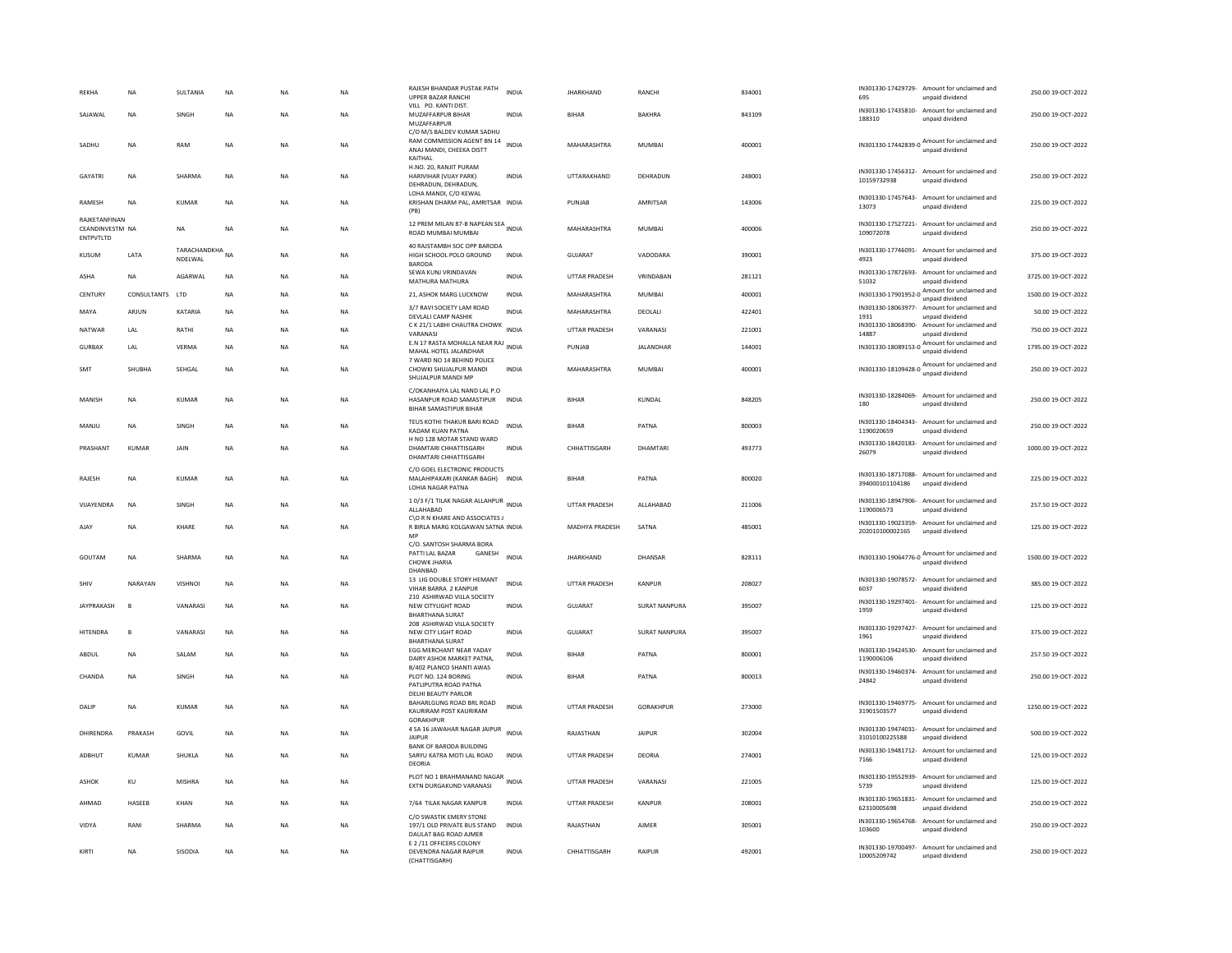| <b>REKHA</b>                                  | <b>NA</b>    | SULTANIA                   | <b>NA</b>   | <b>NA</b>   | <b>NA</b> | RAJESH BHANDAR PUSTAK PATH<br>UPPER BAZAR RANCHI<br>VILL PO. KANTI DIST.                      | <b>INDIA</b> | <b>JHARKHAND</b>      | RANCHI               | 834001 | 695                               | IN301330-17429729- Amount for unclaimed and<br>unpaid dividend  | 250.00 19-OCT-2022  |
|-----------------------------------------------|--------------|----------------------------|-------------|-------------|-----------|-----------------------------------------------------------------------------------------------|--------------|-----------------------|----------------------|--------|-----------------------------------|-----------------------------------------------------------------|---------------------|
| SAJAWAL                                       | <b>NA</b>    | SINGH                      | NA          | <b>NA</b>   | <b>NA</b> | MUZAFFARPUR BIHAR<br>MUZAFFARPUR<br>C/O M/S BALDEV KUMAR SADHU                                | <b>INDIA</b> | <b>BIHAR</b>          | <b>BAKHRA</b>        | 843109 | 188310                            | IN301330-17435810- Amount for unclaimed and<br>unpaid dividend  | 250.00 19-OCT-2022  |
| SADHU                                         | <b>NA</b>    | RAM                        | <b>NA</b>   | <b>NA</b>   | NA        | RAM COMMISSION AGENT BN 14<br>ANAJ MANDI, CHEEKA DISTT<br>KAITHAI                             | <b>INDIA</b> | MAHARASHTRA           | <b>MUMBAI</b>        | 400001 |                                   | IN301330-17442839-0 Amount for unclaimed and<br>unpaid dividend | 250.00 19-OCT-2022  |
| GAYATRI                                       | NA           | SHARMA                     | NA          | NA          | NA        | H.NO. 20, RANJIT PURAM<br>HARIVIHAR (VIJAY PARK)<br>DEHRADUN, DEHRADUN,                       | INDIA        | UTTARAKHAND           | DEHRADUN             | 248001 | 10159732938                       | IN301330-17456312- Amount for unclaimed and<br>unpaid dividend  | 250.00 19-OCT-2022  |
| <b>RAMESH</b>                                 | <b>NA</b>    | <b>KUMAR</b>               | <b>NA</b>   | <b>NA</b>   | <b>NA</b> | LOHA MANDI, C/O KEWAL<br>KRISHAN DHARM PAL, AMRITSAR INDIA<br>(PB)                            |              | PUNJAB                | AMRITSAR             | 143006 | 13073                             | IN301330-17457643- Amount for unclaimed and<br>unpaid dividend  | 225.00 19-OCT-2022  |
| RAJKETANFINAN<br>CEANDINVESTM NA<br>ENTPVTLTD |              | <b>NA</b>                  | <b>NA</b>   | <b>NA</b>   | <b>NA</b> | 12 PREM MILAN 87-B NAPEAN SEA<br>ROAD MUMBAI MUMBAI                                           |              | MAHARASHTRA           | <b>MUMBAI</b>        | 400006 | 109072078                         | IN301330-17527221- Amount for unclaimed and<br>unpaid dividend  | 250.00 19-OCT-2022  |
| KUSUM                                         | LATA         | TARACHANDKHA NA<br>NDELWAL |             | <b>NA</b>   | <b>NA</b> | 40 RAJSTAMBH SOC OPP BARODA<br>HIGH SCHOOL POLO GROUND<br><b>BARODA</b>                       | <b>INDIA</b> | GUJARAT               | VADODARA             | 390001 | 4923                              | IN301330-17746091- Amount for unclaimed and<br>unpaid dividend  | 375.00 19-OCT-2022  |
| ASHA                                          | NA           | AGARWAL                    | $_{\sf NA}$ | $_{\sf NA}$ | NA        | SEWA KUNJ VRINDAVAN<br>MATHURA MATHURA                                                        | <b>INDIA</b> | UTTAR PRADESH         | VRINDABAN            | 281121 | 51032                             | IN301330-17872693- Amount for unclaimed and<br>unpaid dividend  | 3725.00 19-OCT-2022 |
| CENTURY                                       | CONSULTANTS  | <b>ITD</b>                 | <b>NA</b>   | <b>NA</b>   | <b>NA</b> | 21, ASHOK MARG LUCKNOW                                                                        | <b>INDIA</b> | MAHARASHTRA           | MUMBAI               | 400001 | IN301330-17901952-0               | Amount for unclaimed and<br>unpaid dividend                     | 1500.00 19-OCT-2022 |
| MAYA                                          | ARJUN        | KATARIA                    | NA          | NA          | NA        | 3/7 RAVI SOCIETY LAM ROAD<br>DEVLALI CAMP NASHIK                                              | INDIA        | MAHARASHTRA           | DEOLALI              | 422401 | 1931                              | IN301330-18063977- Amount for unclaimed and<br>unpaid dividend  | 50.00 19-OCT-2022   |
| NATWAR                                        | LAL          | RATHI                      | NA          | NA          | NA        | C K 21/1 LABHI CHAUTRA CHOWK INDIA<br>VARANASI                                                |              | UTTAR PRADESH         | VARANASI             | 221001 | 14887                             | IN301330-18068390- Amount for unclaimed and<br>unpaid dividend  | 750.00 19-OCT-2022  |
| GURBAX                                        | LAL          | VFRMA                      | <b>NA</b>   | <b>NA</b>   | <b>NA</b> | E.N 17 RASTA MOHALLA NEAR RAJ INDIA<br>MAHAL HOTEL JALANDHAR                                  |              | PUNIAR                | JALANDHAR            | 144001 |                                   | IN301330-18089153-0 Amount for unclaimed and<br>unpaid dividend | 1795.00 19-OCT-2022 |
| SMT                                           | SHUBHA       | SEHGAL                     | <b>NA</b>   | <b>NA</b>   | <b>NA</b> | 7 WARD NO 14 BEHIND POLICE<br>CHOWKI SHUJALPUR MANDI<br>SHUJALPUR MANDI MP                    | <b>INDIA</b> | MAHARASHTRA           | <b>MUMBAI</b>        | 400001 |                                   | IN301330-18109428-0 Amount for unclaimed and<br>unpaid dividend | 250.00 19-OCT-2022  |
| MANISH                                        | <b>NA</b>    | <b>KUMAR</b>               | NA          | <b>NA</b>   | <b>NA</b> | C/OKANHAIYA LAL NAND LAL P.O.<br>HASANPUR ROAD SAMASTIPUR<br><b>BIHAR SAMASTIPUR BIHAR</b>    | <b>INDIA</b> | <b>BIHAR</b>          | KUNDAL               | 848205 | 180                               | IN301330-18284069- Amount for unclaimed and<br>unpaid dividend  | 250.00 19-OCT-2022  |
| MANJU                                         | <b>NA</b>    | SINGH                      | NA          | <b>NA</b>   | NA        | TEUS KOTHI THAKUR BARI ROAD<br>KADAM KUAN PATNA                                               | <b>INDIA</b> | RIHAR                 | PATNA                | 800003 | 1190020659                        | IN301330-18404343- Amount for unclaimed and<br>unpaid dividend  | 250.00 19-OCT-2022  |
| PRASHANT                                      | KUMAR        | JAIN                       | <b>NA</b>   | <b>NA</b>   | <b>NA</b> | H NO 128 MOTAR STAND WARD<br>DHAMTARI CHHATTISGARH<br>DHAMTARI CHHATTISGARH                   | <b>INDIA</b> | CHHATTISGARH          | DHAMTARI             | 493773 | 26079                             | IN301330-18420183- Amount for unclaimed and<br>unpaid dividend  | 1000.00 19-OCT-2022 |
| RAJESH                                        | <b>NA</b>    | KUMAR                      | <b>NA</b>   | <b>NA</b>   | <b>NA</b> | C/O GOEL ELECTRONIC PRODUCTS<br>MALAHIPAKARI (KANKAR BAGH)<br>LOHIA NAGAR PATNA               | <b>INDIA</b> | BIHAR                 | PATNA                | 800020 | 394000101104186                   | IN301330-18717088- Amount for unclaimed and<br>unpaid dividend  | 225.00 19-OCT-2022  |
| VIJAYENDRA                                    | <b>NA</b>    | SINGH                      | <b>NA</b>   | <b>NA</b>   | <b>NA</b> | 10/3 F/1 TILAK NAGAR ALLAHPUR INDIA<br>ALLAHABAD<br>C\O R N KHARE AND ASSOCIATES J            |              | UTTAR PRADESH         | ALLAHABAD            | 211006 | 1190006573                        | IN301330-18947906- Amount for unclaimed and<br>unpaid dividend  | 257.50 19-OCT-2022  |
| AIAY                                          | <b>NA</b>    | KHARF                      | <b>NA</b>   | <b>NA</b>   | <b>NA</b> | R BIRLA MARG KOLGAWAN SATNA INDIA<br>MP                                                       |              | <b>MADHYA PRADESH</b> | SATNA                | 485001 | 202010100002165                   | IN301330-19023359- Amount for unclaimed and<br>unpaid dividend  | 125.00 19-OCT-2022  |
| GOUTAM                                        | <b>NA</b>    | SHARMA                     | <b>NA</b>   | <b>NA</b>   | <b>NA</b> | C/O. SANTOSH SHARMA BORA<br>PATTI LAL BAZAR<br>GANESH<br>CHOWK JHARIA<br>DHANBAD              | <b>INDIA</b> | <b>JHARKHAND</b>      | DHANSAR              | 828111 |                                   | IN301330-19064776-0 Amount for unclaimed and<br>unpaid dividend | 1500.00 19-OCT-2022 |
| SHIV                                          | NARAYAN      | <b>VISHNOI</b>             | <b>NA</b>   | NA          | <b>NA</b> | 13 LIG DOUBLE STORY HEMANT<br>VIHAR BARRA 2 KANPUF<br>210 ASHIRWAD VILLA SOCIETY              | <b>INDIA</b> | <b>UTTAR PRADESH</b>  | KANPUR               | 208027 | 6037                              | IN301330-19078572- Amount for unclaimed and<br>unpaid dividend  | 385.00 19-OCT-2022  |
| <b>IAYPRAKASH</b>                             | $\mathbf{B}$ | VANARASI                   | <b>NA</b>   | <b>NA</b>   | <b>NA</b> | NEW CITYLIGHT ROAD<br><b>BHARTHANA SURAT</b>                                                  | <b>INDIA</b> | GUJARAT               | SURAT NANPURA        | 395007 | 1959                              | IN301330-19297401- Amount for unclaimed and<br>unpaid dividend  | 125.00 19-OCT-2022  |
| HITENDRA                                      | B            | VANARASI                   | NA          | <b>NA</b>   | <b>NA</b> | 208 ASHIRWAD VILLA SOCIETY<br>NEW CITY LIGHT ROAD<br><b>BHARTHANA SURAT</b>                   | <b>INDIA</b> | GUJARAT               | <b>SURAT NANPURA</b> | 395007 | 1961                              | IN301330-19297427- Amount for unclaimed and<br>unpaid dividend  | 375.00 19-OCT-2022  |
| ABDUL                                         | NA           | SALAM                      | $_{\sf NA}$ | NA          | NA        | EGG MERCHANT NEAR YADAY<br>DAIRY ASHOK MARKET PATNA,                                          | <b>INDIA</b> | BIHAF                 | PATNA                | 800001 | 1190006106                        | IN301330-19424530- Amount for unclaimed and<br>unpaid dividend  | 257.50 19-OCT-2022  |
| CHANDA                                        | <b>NA</b>    | SINGH                      | <b>NA</b>   | <b>NA</b>   | <b>NA</b> | B/402 PLANCO SHANTI AWAS<br>PLOT NO. 124 BORING<br>PATLIPUTRA ROAD PATNA                      | <b>INDIA</b> | <b>BIHAR</b>          | PATNA                | 800013 | IN301330-19460374-<br>24842       | Amount for unclaimed and<br>unpaid dividend                     | 250.00 19-OCT-2022  |
| DALIP                                         | NA           | KUMAR                      | NA          | <b>NA</b>   | NA        | <b>DELHI BEAUTY PARLOR</b><br>BAHARLGUNG ROAD BRL ROAD<br>KAURIRAM POST KAURIRAM<br>GORAKHPUI | <b>INDIA</b> | UTTAR PRADESH         | GORAKHPUR            | 273000 | 31901503577                       | IN301330-19469775- Amount for unclaimed and<br>unpaid dividend  | 1250.00 19-OCT-2022 |
| DHIRENDRA                                     | PRAKASH      | GOVIL                      | <b>NA</b>   | <b>NA</b>   | <b>NA</b> | 4 SA 16 JAWAHAR NAGAR JAIPUR<br>JAIPUR                                                        | <b>INDIA</b> | RAJASTHAN             | <b>JAIPUR</b>        | 302004 | 31010100225588                    | IN301330-19474031- Amount for unclaimed and<br>unpaid dividend  | 500.00 19-OCT-2022  |
| ADBHUT                                        | <b>KUMAR</b> | SHUKLA                     | NA          | <b>NA</b>   | NA        | <b>BANK OF BARODA BUILDING</b><br>SARYU KATRA MOTI LAL ROAD<br>DEORIA                         | INDIA        | UTTAR PRADESH         | DEORIA               | 274001 | 7166                              | IN301330-19481712- Amount for unclaimed and<br>unpaid dividend  | 125.00 19-OCT-2022  |
| ASHOK                                         | KU           | <b>MISHRA</b>              | $_{\sf NA}$ | NA          | <b>NA</b> | PLOT NO 1 BRAHMANAND NAGAR<br>EXTN DURGAKUND VARANASI                                         | <b>INDIA</b> | <b>UTTAR PRADESH</b>  | VARANASI             | 221005 | IN301330-19552939-<br>5739        | Amount for unclaimed and<br>unpaid dividend                     | 125.00 19-OCT-2022  |
| AHMAD                                         | HASEEB       | KHAN                       | <b>NA</b>   | <b>NA</b>   | <b>NA</b> | 7/64 TILAK NAGAR KANPUR                                                                       | <b>INDIA</b> | <b>UTTAR PRADESH</b>  | KANPUR               | 208001 | IN301330-19651831-<br>62310005698 | Amount for unclaimed and<br>unpaid dividend                     | 250.00 19-OCT-2022  |
| VIDYA                                         | RANI         | SHARMA                     | <b>NA</b>   | <b>NA</b>   | NA.       | C/O SWASTIK EMERY STONE<br>197/1 OLD PRIVATE BUS STAND<br>DAULAT BAG ROAD AJMER               | <b>INDIA</b> | RAIASTHAN             | AIMFR                | 305001 | IN301330-19654768-<br>103600      | Amount for unclaimed and<br>unpaid dividend                     | 250.00.19-OCT-2022  |
| KIRTI                                         | <b>NA</b>    | SISODIA                    | <b>NA</b>   | <b>NA</b>   | <b>NA</b> | E 2 /11 OFFICERS COLONY<br>DEVENDRA NAGAR RAIPUR<br>(CHATTISGARH)                             | <b>INDIA</b> | CHHATTISGARH          | RAIPUR               | 492001 | 10005209742                       | IN301330-19700497- Amount for unclaimed and<br>unpaid dividend  | 250.00.19-OCT-2022  |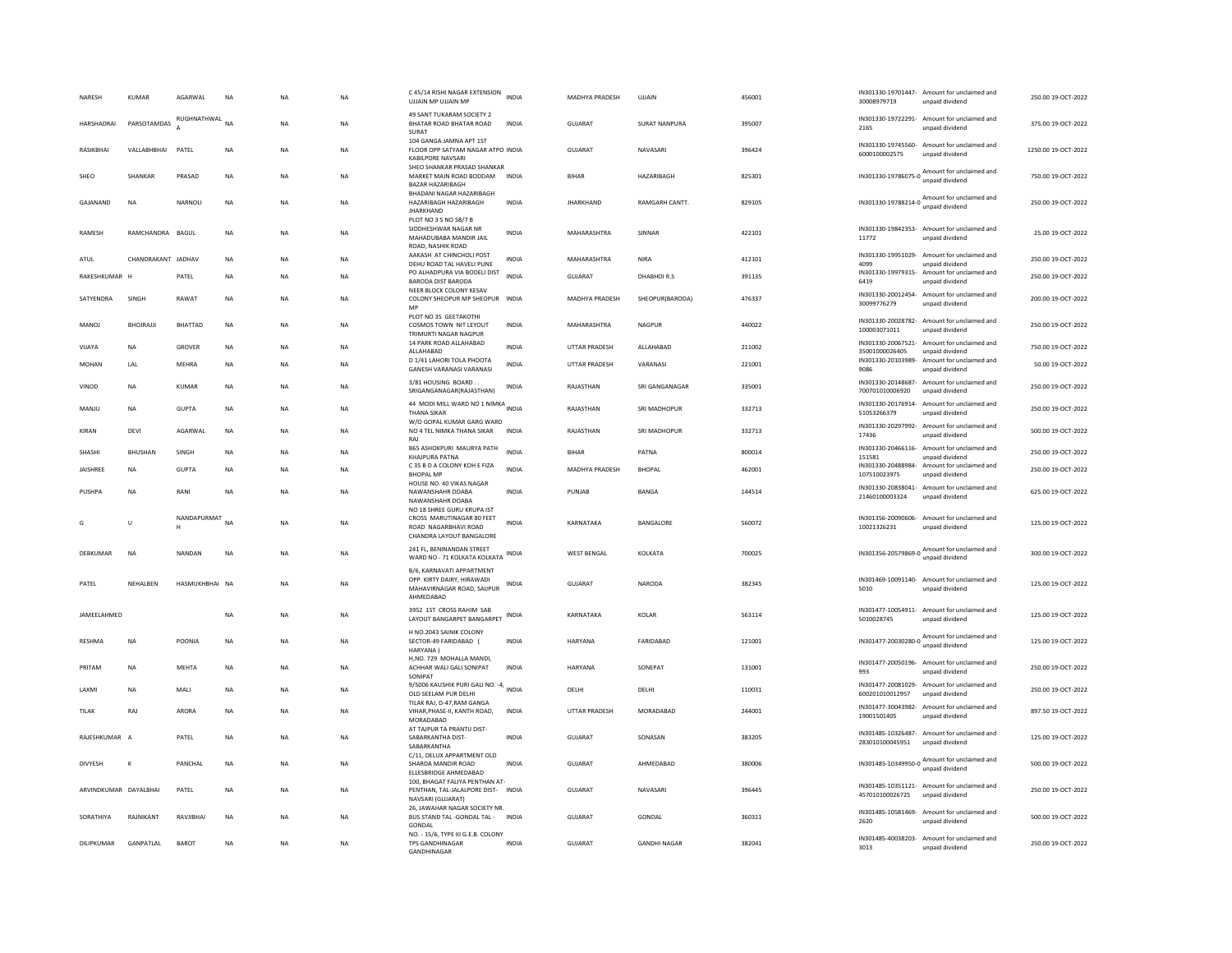| NARESH                | <b>KUMAR</b>       | AGARWAL        | <b>NA</b>   | <b>NA</b> | <b>NA</b> | C 45/14 RISHI NAGAR EXTENSION<br>UJJAIN MP UJJAIN MP                                                        | <b>INDIA</b> | MADHYA PRADESH     | UJJAIN               | 456001 | 30008979719                           | IN301330-19701447- Amount for unclaimed and<br>unpaid dividend  | 250.00 19-OCT-2022  |
|-----------------------|--------------------|----------------|-------------|-----------|-----------|-------------------------------------------------------------------------------------------------------------|--------------|--------------------|----------------------|--------|---------------------------------------|-----------------------------------------------------------------|---------------------|
| HARSHADRAI            | PARSOTAMDAS        | RUGHNATHWAL    | <b>NA</b>   | <b>NA</b> | NA.       | 49 SANT TUKARAM SOCIETY 2<br>BHATAR ROAD BHATAR ROAD<br>SURAT                                               | <b>INDIA</b> | GUIARAT            | <b>SURAT NANPURA</b> | 395007 | 2165                                  | IN301330-19722291- Amount for unclaimed and<br>unpaid dividend  | 375.00.19-OCT-2022  |
| RASIKBHAI             | VALLABHBHAI        | PATEL          | NA          | <b>NA</b> | <b>NA</b> | 104 GANGA JAMNA APT 1ST<br>FLOOR OPP SATYAM NAGAR ATPO INDIA<br><b>KABILPORE NAVSARI</b>                    |              | GUJARAT            | NAVASARI             | 396424 | 6000100002575                         | IN301330-19745560- Amount for unclaimed and<br>unpaid dividend  | 1250.00 19-OCT-2022 |
| SHEO                  | SHANKAR            | PRASAD         | <b>NA</b>   | <b>NA</b> | <b>NA</b> | SHEO SHANKAR PRASAD SHANKAR<br>MARKET MAIN ROAD BODDAM<br><b>BAZAR HAZARIBAGH</b>                           | <b>INDIA</b> | <b>BIHAR</b>       | HAZARIBAGH           | 825301 | IN301330-19786075-0                   | Amount for unclaimed and<br>unpaid dividend                     | 750.00 19-OCT-2022  |
| GAJANAND              | <b>NA</b>          | NARNOLI        | <b>NA</b>   | <b>NA</b> | NA        | BHADANI NAGAR HAZARIBAGH<br>HAZARIBAGH HAZARIBAGH<br><b>JHARKHAND</b>                                       | <b>INDIA</b> | <b>JHARKHAND</b>   | RAMGARH CANTT.       | 829105 |                                       | IN301330-19788214-0 Amount for unclaimed and<br>unpaid dividend | 250.00 19-OCT-2022  |
| RAMESH                | RAMCHANDRA BAGUI   |                | <b>NA</b>   | <b>NA</b> | <b>NA</b> | PLOT NO 3 S NO 58/7 B<br>SIDDHESHWAR NAGAR NR<br>MAHADUBABA MANDIR JAIL<br>ROAD, NASHIK ROAD                | <b>INDIA</b> | MAHARASHTRA        | SINNAR               | 422101 | 11772                                 | IN301330-19842353- Amount for unclaimed and<br>unpaid dividend  | 25.00 19-OCT-2022   |
| ATUL                  | CHANDRAKANT JADHAV |                | <b>NA</b>   | <b>NA</b> | <b>NA</b> | AAKASH AT CHINCHOLI POST<br>DEHU ROAD TAL HAVELI PUNE                                                       | INDIA        | MAHARASHTRA        | <b>NIRA</b>          | 412101 | IN301330-19951029-<br>4099            | Amount for unclaimed and<br>unpaid dividend                     | 250.00 19-OCT-2022  |
| RAKESHKUMAR H         |                    | PATEL          | <b>NA</b>   | <b>NA</b> | <b>NA</b> | PO ALHADPURA VIA BODELI DIST<br><b>BARODA DIST BARODA</b>                                                   | <b>INDIA</b> | <b>GUJARAT</b>     | <b>DHABHOIR.S</b>    | 391135 | 6419                                  | IN301330-19979315- Amount for unclaimed and<br>unpaid dividend  | 250.00 19-OCT-2022  |
| SATYENDRA             | SINGH              | RAWAT          | $_{\sf NA}$ | NA        | NA        | NEER BLOCK COLONY KESAV<br>COLONY SHEOPUR MP SHEOPUR INDIA<br>MP                                            |              | MADHYA PRADESH     | SHEOPUR(BARODA)      | 476337 | 30099776279                           | IN301330-20012454- Amount for unclaimed and<br>unpaid dividend  | 200.00 19-OCT-2022  |
| <b>MANOJ</b>          | BHOJRAJJI          | <b>BHATTAD</b> | <b>NA</b>   | <b>NA</b> | <b>NA</b> | PLOT NO 35 GEETAKOTHI<br>COSMOS TOWN NIT LEYOUT<br>TRIMURTI NAGAR NAGPUR                                    | <b>INDIA</b> | MAHARASHTRA        | NAGPUR               | 440022 | 100003071011                          | IN301330-20028782- Amount for unclaimed and<br>unpaid dividend  | 250.00 19-OCT-2022  |
| VIJAYA                | <b>NA</b>          | GROVER         | NA          | <b>NA</b> | <b>NA</b> | 14 PARK ROAD ALLAHABAD<br>ALLAHABAD                                                                         | <b>INDIA</b> | UTTAR PRADESH      | ALLAHABAD            | 211002 | 35001000026405                        | IN301330-20067521- Amount for unclaimed and<br>unpaid dividend  | 750.00 19-OCT-2022  |
| <b>MOHAN</b>          | LAL                | MEHRA          | <b>NA</b>   | <b>NA</b> | <b>NA</b> | D 1/41 LAHORI TOLA PHOOTA<br>GANESH VARANASI VARANASI                                                       | <b>INDIA</b> | UTTAR PRADESH      | VARANASI             | 221001 | IN301330-20103989-<br>9086            | Amount for unclaimed and<br>unpaid dividend                     | 50.00 19-OCT-2022   |
| VINOD                 | <b>NA</b>          | <b>KUMAR</b>   | <b>NA</b>   | <b>NA</b> | <b>NA</b> | 3/81 HOUSING BOARD.<br>SRIGANGANAGAR(RAJASTHAN)                                                             | INDIA        | RAJASTHAN          | SRI GANGANAGAR       | 335001 | 700701010006920                       | IN301330-20148687- Amount for unclaimed and<br>unpaid dividend  | 250.00 19-OCT-2022  |
| MANJU                 | <b>NA</b>          | <b>GUPTA</b>   | NA          | <b>NA</b> | NA        | 44 MODI MILL WARD NO 1 NIMKA INDIA<br><b>THANA SIKAR</b>                                                    |              | RAJASTHAN          | SRI MADHOPUR         | 332713 | 51053266379                           | IN301330-20176914- Amount for unclaimed and<br>unpaid dividend  | 250.00 19-OCT-2022  |
| KIRAN                 | DEVI               | AGARWAL        | <b>NA</b>   | <b>NA</b> | <b>NA</b> | W/O GOPAL KUMAR GARG WARD<br>NO 4 TEL NIMKA THANA SIKAR<br>RAJ                                              | <b>INDIA</b> | RAJASTHAN          | <b>SRI MADHOPUR</b>  | 332713 | 17436                                 | IN301330-20297992- Amount for unclaimed and<br>unpaid dividend  | 500.00 19-OCT-2022  |
| SHASHI                | <b>BHUSHAN</b>     | SINGH          | <b>NA</b>   | <b>NA</b> | <b>NA</b> | <b>B65 ASHOKPURI MAURYA PATH</b><br>KHAJPURA PATNA                                                          | INDIA        | <b>BIHAR</b>       | PATNA                | 800014 | 151581                                | IN301330-20466116- Amount for unclaimed and<br>unpaid dividend  | 250.00 19-OCT-2022  |
| JAISHREE              | NA                 | <b>GUPTA</b>   | NA          | NA        | NA        | C 35 B D A COLONY KOH E FIZA<br><b>RHOPAL MP</b>                                                            | <b>INDIA</b> | MADHYA PRADESH     | <b>BHOPAL</b>        | 462001 | IN301330-20488984-<br>107510023975    | Amount for unclaimed and<br>unnaid dividend                     | 250.00 19-OCT-2022  |
| PUSHPA                | <b>NA</b>          | RANI           | <b>NA</b>   | <b>NA</b> | <b>NA</b> | HOUSE NO. 40 VIKAS NAGAR<br>NAWANSHAHR DOABA<br>NAWANSHAHR DOABA                                            | <b>INDIA</b> | PUNJAB             | <b>BANGA</b>         | 144514 | 21460100003324                        | IN301330-20838041- Amount for unclaimed and<br>unpaid dividend  | 625.00 19-OCT-2022  |
| G                     | U                  | NANDAPURMAT    | <b>NA</b>   | <b>NA</b> | <b>NA</b> | NO 18 SHREE GURU KRUPA IST<br>CROSS MARUTINAGAR 80 FEET<br>ROAD NAGARBHAVI ROAD<br>CHANDRA LAYOUT BANGALORE | <b>INDIA</b> | KARNATAKA          | BANGALORE            | 560072 | 10021326231                           | IN301356-20090606- Amount for unclaimed and<br>unpaid dividend  | 125.00 19-OCT-2022  |
| DEBKUMAR              | <b>NA</b>          | NANDAN         | <b>NA</b>   | <b>NA</b> | <b>NA</b> | 241 FL, BENINANDAN STREET<br>WARD NO - 71 KOLKATA KOLKATA                                                   | <b>INDIA</b> | <b>WEST BENGAL</b> | <b>KOI KATA</b>      | 700025 | IN301356-20579869-0                   | Amount for unclaimed and<br>unpaid dividend                     | 300.00.19-OCT-2022  |
| PATEL                 | NEHALBEN           | HASMUKHBHAI NA |             | <b>NA</b> | <b>NA</b> | B/6, KARNAVATI APPARTMENT<br>OPP. KIRTY DAIRY, HIRAWADI<br>MAHAVIRNAGAR ROAD, SAIJPUR<br>AHMEDABAD          | <b>INDIA</b> | GUJARAT            | <b>NARODA</b>        | 382345 | 5010                                  | IN301469-10091140- Amount for unclaimed and<br>unpaid dividend  | 125.00 19-OCT-2022  |
| JAMEELAHMED           |                    |                | <b>NA</b>   | <b>NA</b> | <b>NA</b> | 3952 1ST CROSS RAHIM SAB<br>LAYOUT BANGARPET BANGARPET                                                      |              | KARNATAKA          | KOLAR                | 563114 | 5010028745                            | IN301477-10054911- Amount for unclaimed and<br>unpaid dividend  | 125.00 19-OCT-2022  |
| <b>RESHMA</b>         | <b>NA</b>          | POONIA         | <b>NA</b>   | <b>NA</b> | <b>NA</b> | H NO.2043 SAINIK COLONY<br>SECTOR-49 FARIDABAD (<br><b>HARYANA</b>                                          | <b>INDIA</b> | <b>HARYANA</b>     | FARIDABAD            | 121001 |                                       |                                                                 | 125.00 19-OCT-2022  |
| PRITAM                | NA                 | MEHTA          | NA          | <b>NA</b> | NA        | H,NO. 729 MOHALLA MANDI<br>ACHHAR WALI GALI SONIPAT<br>SONIPAT                                              | <b>INDIA</b> | HARYANA            | SONEPAT              | 131001 | 993                                   | IN301477-20050196- Amount for unclaimed and<br>unpaid dividend  | 250.00 19-OCT-2022  |
| LAXMI                 | <b>NA</b>          | MALI           | <b>NA</b>   | <b>NA</b> | <b>NA</b> | 9/5006 KAUSHIK PURI GALI NO. -4, INDIA<br>OLD SEELAM PUR DELHI                                              |              | DELHI              | DELHI                | 110031 | IN301477-20081029-<br>600201010012957 | Amount for unclaimed and<br>unpaid dividend                     | 250.00 19-OCT-2022  |
| TILAK                 | RAJ                | ARORA          | <b>NA</b>   | <b>NA</b> | <b>NA</b> | TILAK RAJ, D-47, RAM GANGA<br>VIHAR, PHASE-II, KANTH ROAD,<br>MORADARAD                                     | <b>INDIA</b> | UTTAR PRADESH      | MORADABAD            | 244001 | 19001501405                           | IN301477-30043982- Amount for unclaimed and<br>unpaid dividend  | 897.50 19-OCT-2022  |
| RAJESHKUMAR A         |                    | PATEL          | <b>NA</b>   | <b>NA</b> | <b>NA</b> | AT TAJPUR TA PRANTIJ DIST-<br>SABARKANTHA DIST-<br>SABARKANTHA                                              | INDIA        | GUJARAT            | SONASAN              | 383205 | 283010100045951                       | IN301485-10326487- Amount for unclaimed and<br>unpaid dividend  | 125.00 19-OCT-2022  |
| <b>DIVYESH</b>        | К                  | PANCHAL        | NA          | <b>NA</b> | NA        | C/11. DELUX APPARTMENT OLD<br>SHARDA MANDIR ROAD<br>ELLESBRIDGE AHMEDABAD                                   | <b>INDIA</b> | <b>GUJARAT</b>     | AHMEDABAD            | 380006 |                                       | IN301485-10349950-0 Amount for unclaimed and                    | 500.00 19-OCT-2022  |
| ARVINDKUMAR DAYALBHAI |                    | PATEL          | <b>NA</b>   | <b>NA</b> | <b>NA</b> | 100, BHAGAT FALIYA PENTHAN AT-<br>PENTHAN, TAL-JALALPORE DIST- INDIA<br>NAVSARI (GUJARAT)                   |              | <b>GUJARAT</b>     | NAVASARI             | 396445 | 457010100026725                       | IN301485-10351121- Amount for unclaimed and<br>unpaid dividend  | 250.00 19-OCT-2022  |
| SORATHIYA             | RAJNIKANT          | RAVJIBHAI      | <b>NA</b>   | <b>NA</b> | <b>NA</b> | 26, JAWAHAR NAGAR SOCIETY NR.<br>BUS STAND TAL -GONDAL TAL - INDIA<br>GONDAL                                |              | <b>GUJARAT</b>     | GONDAL               | 360311 | 2620                                  | IN301485-10581469- Amount for unclaimed and<br>unpaid dividend  | 500.00 19-OCT-2022  |
| DILIPKUMAR            | <b>GANPATI AI</b>  | <b>BAROT</b>   | <b>NA</b>   | <b>NA</b> | <b>NA</b> | NO. - 15/6, TYPE III G.E.B. COLONY<br><b>TPS GANDHINAGAR</b><br><b>GANDHINAGAR</b>                          | <b>INDIA</b> | GUIARAT            | <b>GANDHI NAGAR</b>  | 382041 | 3013                                  | IN301485-40038203- Amount for unclaimed and<br>unpaid dividend  | 250.00.19-OCT-2022  |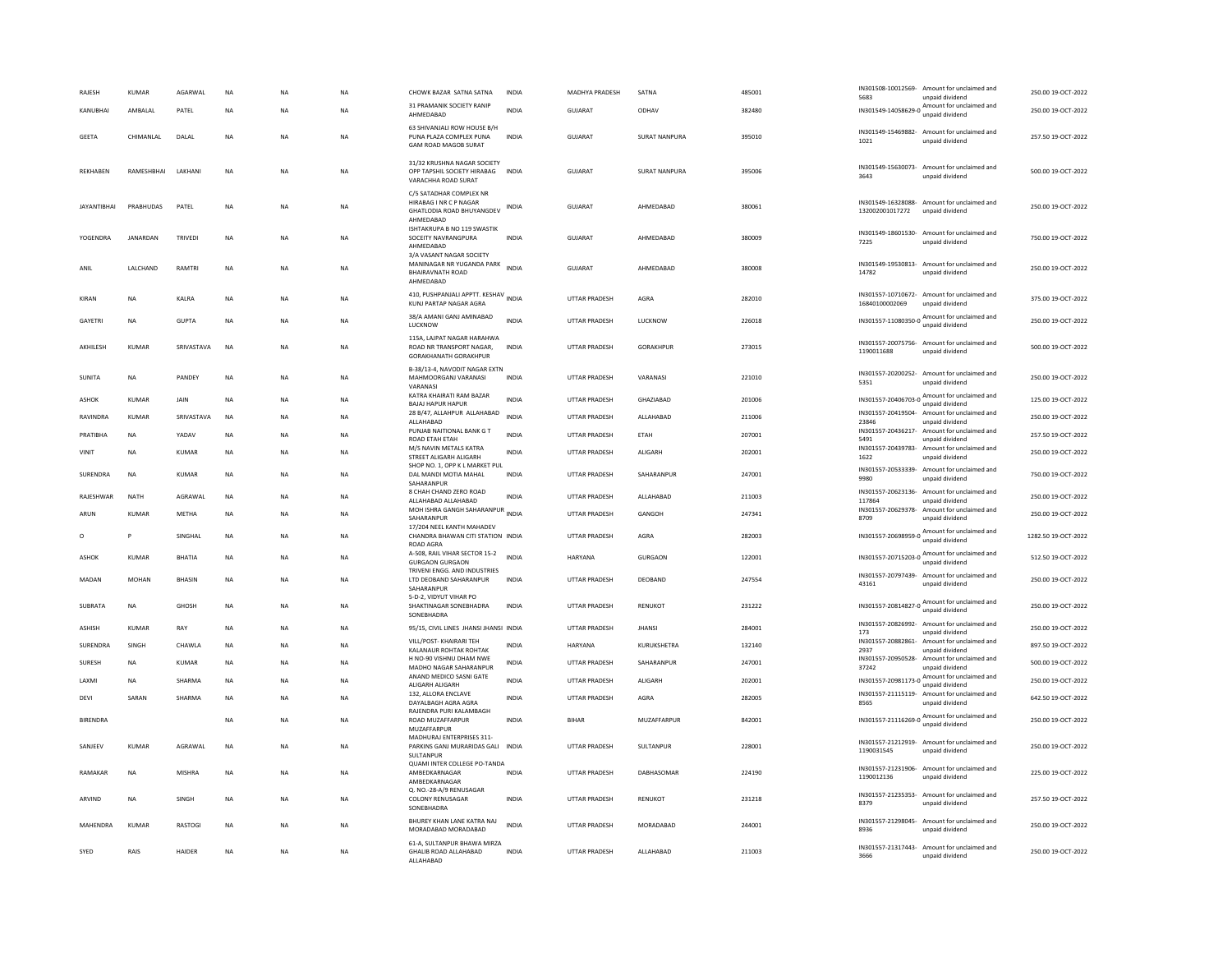| RAJESH             | <b>KUMAR</b> | AGARWAL        | NA        | <b>NA</b> | NA        | CHOWK BAZAR SATNA SATNA                                                                      | <b>INDIA</b> | MADHYA PRADESH       | SATNA                | 485001 | 5683                                  | IN301508-10012569- Amount for unclaimed and<br>unpaid dividend                    | 250.00 19-OCT-2022  |
|--------------------|--------------|----------------|-----------|-----------|-----------|----------------------------------------------------------------------------------------------|--------------|----------------------|----------------------|--------|---------------------------------------|-----------------------------------------------------------------------------------|---------------------|
| KANUBHAI           | AMBAI AI     | PATEL          | <b>NA</b> | <b>NA</b> | <b>NA</b> | 31 PRAMANIK SOCIETY RANIP<br>AHMEDABAD                                                       | <b>INDIA</b> | GUJARAT              | ODHAV                | 382480 |                                       | IN301549-14058629-0 Amount for unclaimed and<br>unpaid dividend                   | 250.00 19-OCT-2022  |
| <b>GEETA</b>       | CHIMANLAL    | DALAL          | <b>NA</b> | <b>NA</b> | <b>NA</b> | 63 SHIVANJALI ROW HOUSE B/H<br>PUNA PLAZA COMPLEX PUNA<br><b>GAM ROAD MAGOB SURAT</b>        | <b>INDIA</b> | <b>GUJARAT</b>       | <b>SURAT NANPURA</b> | 395010 | 1021                                  | IN301549-15469882- Amount for unclaimed and<br>unpaid dividend                    | 257.50 19-OCT-2022  |
| <b>REKHABEN</b>    | RAMESHBHAI   | LAKHAN         | <b>NA</b> | <b>NA</b> | <b>NA</b> | 31/32 KRUSHNA NAGAR SOCIETY<br>OPP TAPSHIL SOCIETY HIRABAG<br>VARACHHA ROAD SURAT            | <b>INDIA</b> | <b>GUJARAT</b>       | <b>SURAT NANPURA</b> | 395006 | 3643                                  | IN301549-15630073- Amount for unclaimed and<br>unpaid dividend                    | 500.00 19-OCT-2022  |
| <b>IAYANTIBHAI</b> | PRABHUDAS    | PATFI          | <b>NA</b> | <b>NA</b> | <b>NA</b> | C/5 SATADHAR COMPLEX NR<br>HIRABAG I NR C P NAGAR<br>GHATLODIA ROAD BHUYANGDEV<br>AHMFDARAD  | INDIA        | GUIARAT              | AHMEDARAD            | 380061 | IN301549-16328088-<br>132002001017272 | Amount for unclaimed and<br>unpaid dividend                                       | 250.00 19-OCT-2022  |
| YOGENDRA           | JANARDAN     | <b>TRIVEDI</b> | <b>NA</b> | <b>NA</b> | <b>NA</b> | ISHTAKRUPA B NO 119 SWASTIK<br>SOCEITY NAVRANGPURA<br>AHMEDABAD                              | <b>INDIA</b> | GUJARAT              | AHMEDABAD            | 380009 | 7225                                  | IN301549-18601530- Amount for unclaimed and<br>unpaid dividend                    | 750.00 19-OCT-2022  |
| ANIL               | LALCHAND     | RAMTRI         | NA        | <b>NA</b> | NA        | 3/A VASANT NAGAR SOCIET<br>MANINAGAR NR YUGANDA PARK<br><b>BHAIRAVNATH ROAD</b><br>AHMEDABAD | <b>INDIA</b> | GUJARAT              | AHMEDABAD            | 380008 | 14782                                 | IN301549-19530813- Amount for unclaimed and<br>unpaid dividend                    | 250.00 19-OCT-2022  |
| KIRAN              | <b>NA</b>    | KALRA          | <b>NA</b> | <b>NA</b> | <b>NA</b> | 410, PUSHPANJALI APPTT. KESHAV INDIA<br>KUNJ PARTAP NAGAR AGRA                               |              | <b>UTTAR PRADESH</b> | AGRA                 | 282010 | 16840100002069                        | IN301557-10710672- Amount for unclaimed and<br>unpaid dividend                    | 375.00 19-OCT-2022  |
| GAYETRI            | <b>NA</b>    | <b>GUPTA</b>   | <b>NA</b> | <b>NA</b> | <b>NA</b> | 38/A AMANI GANJ AMINABAD<br>LUCKNOW                                                          | INDIA        | UTTAR PRADESH        | LUCKNOW              | 226018 |                                       | IN301557-11080350-0 Amount for unclaimed and<br>unpaid dividend                   | 250.00 19-OCT-2022  |
| AKHILESH           | <b>KUMAR</b> | SRIVASTAVA     | <b>NA</b> | <b>NA</b> | <b>NA</b> | 115A, LAJPAT NAGAR HARAHWA<br>ROAD NR TRANSPORT NAGAR,<br><b>GORAKHANATH GORAKHPUR</b>       | <b>INDIA</b> | <b>UTTAR PRADESH</b> | GORAKHPUR            | 273015 | 1190011688                            | IN301557-20075756- Amount for unclaimed and<br>unpaid dividend                    | 500.00 19-OCT-2022  |
| SUNITA             | <b>NA</b>    | PANDEY         | <b>NA</b> | <b>NA</b> | NA        | B-38/13-4, NAVODIT NAGAR EXTN<br>MAHMOORGANJ VARANASI<br>VARANASI                            | <b>INDIA</b> | UTTAR PRADESH        | VARANASI             | 221010 | 5351                                  | IN301557-20200252- Amount for unclaimed and<br>unpaid dividend                    | 250.00 19-OCT-2022  |
| <b>ASHOK</b>       | <b>KUMAR</b> | JAIN           | <b>NA</b> | <b>NA</b> | <b>NA</b> | KATRA KHAIRATI RAM BAZAR<br><b>BAJAJ HAPUR HAPUR</b>                                         | <b>INDIA</b> | <b>UTTAR PRADESH</b> | GHAZIABAD            | 201006 |                                       | IN301557-20406703-0 Amount for unclaimed and<br>unpaid dividend                   | 125.00 19-OCT-2022  |
| RAVINDRA           | <b>KUMAR</b> | SRIVASTAVA     | <b>NA</b> | <b>NA</b> | NA        | 28 B/47, ALLAHPUR ALLAHABAD<br>ALLAHABAD                                                     | <b>INDIA</b> | <b>UTTAR PRADESH</b> | ALLAHABAD            | 211006 | 23846                                 | IN301557-20419504- Amount for unclaimed and<br>unpaid dividend                    | 250.00 19-OCT-2022  |
| PRATIBHA           | NA           | YADAV          | NA        | <b>NA</b> | NA        | PUNJAB NAITIONAL BANK G T<br>ROAD ETAH ETAH                                                  | <b>INDIA</b> | UTTAR PRADESH        | ETAH                 | 207001 | 5491                                  | IN301557-20436217- Amount for unclaimed and<br>unpaid dividend                    | 257.50 19-OCT-2022  |
| VINIT              | NA           | KUMAR          | <b>NA</b> | <b>NA</b> | NA        | M/S NAVIN METALS KATRA<br>STREET ALIGARH ALIGARH                                             | INDIA        | UTTAR PRADESH        | <b>ALIGARH</b>       | 202001 | IN301557-20439783-<br>1622            | Amount for unclaimed and<br>unpaid dividend                                       | 250.00 19-OCT-2022  |
| SURENDRA           | <b>NA</b>    | <b>KUMAR</b>   | <b>NA</b> | <b>NA</b> | <b>NA</b> | SHOP NO. 1, OPP K L MARKET PUL<br>DAL MANDI MOTIA MAHAL<br>SAHARANPUR                        | <b>INDIA</b> | <b>UTTAR PRADESH</b> | SAHARANPUR           | 247001 | IN301557-20533339-<br>9980            | Amount for unclaimed and<br>unpaid dividend                                       | 750.00 19-OCT-2022  |
| RAJESHWAR          | <b>NATH</b>  | AGRAWAI        | <b>NA</b> | <b>NA</b> | <b>NA</b> | 8 CHAH CHAND ZERO ROAD<br>ALLAHABAD ALLAHABAD                                                | <b>INDIA</b> | <b>UTTAR PRADESH</b> | <b>ALLAHARAD</b>     | 211003 | IN301557-20623136-<br>117864          | Amount for unclaimed and<br>unpaid dividend                                       | 250.00 19-OCT-2022  |
| ARUN               | KUMAR        | METHA          | <b>NA</b> | <b>NA</b> | NA        | MOH ISHRA GANGH SAHARANPUR<br>SAHARANPUR                                                     | <b>INDIA</b> | UTTAR PRADESH        | GANGOH               | 247341 | 8709                                  | IN301557-20629378- Amount for unclaimed and<br>unpaid dividend                    | 250.00 19-OCT-2022  |
| $\circ$            | P            | SINGHAI        | <b>NA</b> | <b>NA</b> | <b>NA</b> | 17/204 NEEL KANTH MAHADEV<br>CHANDRA BHAWAN CITI STATION INDIA<br>ROAD AGRA                  |              | <b>UTTAR PRADESH</b> | AGRA                 | 282003 |                                       | IN301557-20698959-0 Amount for unclaimed and<br>unpaid dividend                   | 1282.50 19-OCT-2022 |
| <b>ASHOK</b>       | KUMAR        | BHATIA         | NA        | <b>NA</b> | NA        | A-508, RAIL VIHAR SECTOR 15-2<br><b>GURGAON GURGAON</b>                                      | <b>INDIA</b> | HARYANA              | GURGAON              | 122001 |                                       | IN301557-20715203-0 Amount for unclaimed and<br>unpaid dividend                   | 512.50 19-OCT-2022  |
| MADAN              | <b>MOHAN</b> | <b>BHASIN</b>  | <b>NA</b> | <b>NA</b> | <b>NA</b> | TRIVENI ENGG. AND INDUSTRIES<br>LTD DEOBAND SAHARANPUR<br>SAHARANPUR                         | <b>INDIA</b> | <b>UTTAR PRADESH</b> | DEOBAND              | 247554 | 43161                                 | IN301557-20797439- Amount for unclaimed and<br>unpaid dividend                    | 250.00 19-OCT-2022  |
| SUBRATA            | <b>NA</b>    | <b>GHOSH</b>   | <b>NA</b> | <b>NA</b> | <b>NA</b> | 5-D-2, VIDYUT VIHAR PO<br>SHAKTINAGAR SONFRHADRA                                             | <b>INDIA</b> | <b>UTTAR PRADESH</b> | RENUKOT              | 231222 | IN301557-20814827-0                   | Amount for unclaimed and<br>unpaid dividend                                       | 250.00 19-OCT-2022  |
| <b>ASHISH</b>      | <b>KUMAR</b> | RAY            | <b>NA</b> | <b>NA</b> | <b>NA</b> | SONEBHADRA<br>95/15, CIVIL LINES JHANSI JHANSI INDIA                                         |              | <b>UTTAR PRADESH</b> | <b>JHANSI</b>        | 284001 | IN301557-20826992-                    | Amount for unclaimed and                                                          | 250.00 19-OCT-2022  |
| SURENDRA           | SINGH        | CHAWLA         | <b>NA</b> | <b>NA</b> | <b>NA</b> | VILL/POST- KHAIRARI TEH                                                                      | <b>INDIA</b> | <b>HARYANA</b>       | KURUKSHETRA          | 132140 | 173<br>IN301557-20882861              | unpaid dividend<br>Amount for unclaimed and                                       | 897.50 19-OCT-2022  |
| SURESH             | NA           | KUMAR          | NA        | <b>NA</b> | NA        | KALANAUR ROHTAK ROHTAK<br>H NO-90 VISHNU DHAM NWE                                            | INDIA        | UTTAR PRADESH        | SAHARANPUR           | 247001 | 2937                                  | unpaid dividend<br>IN301557-20950528- Amount for unclaimed and                    | 500.00 19-OCT-2022  |
| LAXMI              | <b>NA</b>    | SHARMA         | <b>NA</b> | <b>NA</b> | <b>NA</b> | MADHO NAGAR SAHARANPUR<br>ANAND MEDICO SASNI GATE                                            | <b>INDIA</b> | <b>UTTAR PRADESH</b> | <b>ALIGARH</b>       | 202001 | 37242                                 | unpaid dividend<br>IN301557-20981173-0 Amount for unclaimed and                   | 250.00 19-OCT-2022  |
| DEVI               | SARAN        | SHARMA         | <b>NA</b> | <b>NA</b> | NA        | ALIGARH ALIGARH<br>132, ALLORA ENCLAVE<br>DAYALBAGH AGRA AGRA                                | <b>INDIA</b> | <b>UTTAR PRADESH</b> | AGRA                 | 282005 | 8565                                  | unpaid dividend<br>IN301557-21115119- Amount for unclaimed and<br>unpaid dividend | 642.50 19-OCT-2022  |
| <b>BIRENDRA</b>    |              |                | <b>NA</b> | <b>NA</b> | <b>NA</b> | RAJENDRA PURI KALAMBAGH<br>ROAD MUZAFFARPUR                                                  | <b>INDIA</b> | <b>BIHAR</b>         | MUZAFFARPUR          | 842001 |                                       | IN301557-21116269-0 Amount for unclaimed and<br>unpaid dividend                   | 250.00 19-OCT-2022  |
| SANJEEV            | <b>KUMAR</b> | AGRAWAL        | <b>NA</b> | <b>NA</b> | <b>NA</b> | MUZAFFARPUR<br>MADHURAJ ENTERPRISES 311-<br>PARKINS GANJ MURARIDAS GALI INDIA                |              | <b>UTTAR PRADESH</b> | SULTANPUR            | 228001 | 1190031545                            | IN301557-21212919- Amount for unclaimed and<br>unpaid dividend                    | 250.00 19-OCT-2022  |
| RAMAKAR            | <b>NA</b>    | <b>MISHRA</b>  | <b>NA</b> | <b>NA</b> | <b>NA</b> | SULTANPUR<br>QUAMI INTER COLLEGE PO-TANDA<br>AMBEDKARNAGAR                                   | <b>INDIA</b> | <b>UTTAR PRADESH</b> | DABHASOMAR           | 224190 |                                       | IN301557-21231906- Amount for unclaimed and                                       | 225.00 19-OCT-2022  |
| ARVIND             | <b>NA</b>    | SINGH          | <b>NA</b> | <b>NA</b> | <b>NA</b> | AMBEDKARNAGAR<br>Q. NO.-28-A/9 RENUSAGAR<br><b>COLONY RENUSAGAR</b>                          | <b>INDIA</b> | UTTAR PRADESH        | RENUKOT              | 231218 | 1190012136                            | unpaid dividend<br>IN301557-21235353- Amount for unclaimed and                    | 257.50 19-OCT-2022  |
|                    |              |                |           |           |           | SONEBHADRA                                                                                   |              |                      |                      |        | 8379                                  | unpaid dividend                                                                   |                     |
| MAHFNDRA           | KUMAR        | <b>RASTOGI</b> | <b>NA</b> | <b>NA</b> | <b>NA</b> | BHUREY KHAN LANE KATRA NAJ<br>MORADABAD MORADABAD                                            | <b>INDIA</b> | <b>UTTAR PRADESH</b> | MORADARAD            | 244001 | 8936                                  | IN301557-21298045- Amount for unclaimed and<br>unpaid dividend                    | 250.00.19-OCT-2022  |
| SYED               | RAIS         | <b>HAIDER</b>  | <b>NA</b> | <b>NA</b> | <b>NA</b> | 61-A, SULTANPUR BHAWA MIRZA<br><b>GHALIB ROAD ALLAHABAD</b><br>ALLAHABAD                     | <b>INDIA</b> | <b>UTTAR PRADESH</b> | ALLAHARAD            | 211003 | 3666                                  | IN301557-21317443- Amount for unclaimed and<br>unpaid dividend                    | 250.00 19-OCT-2022  |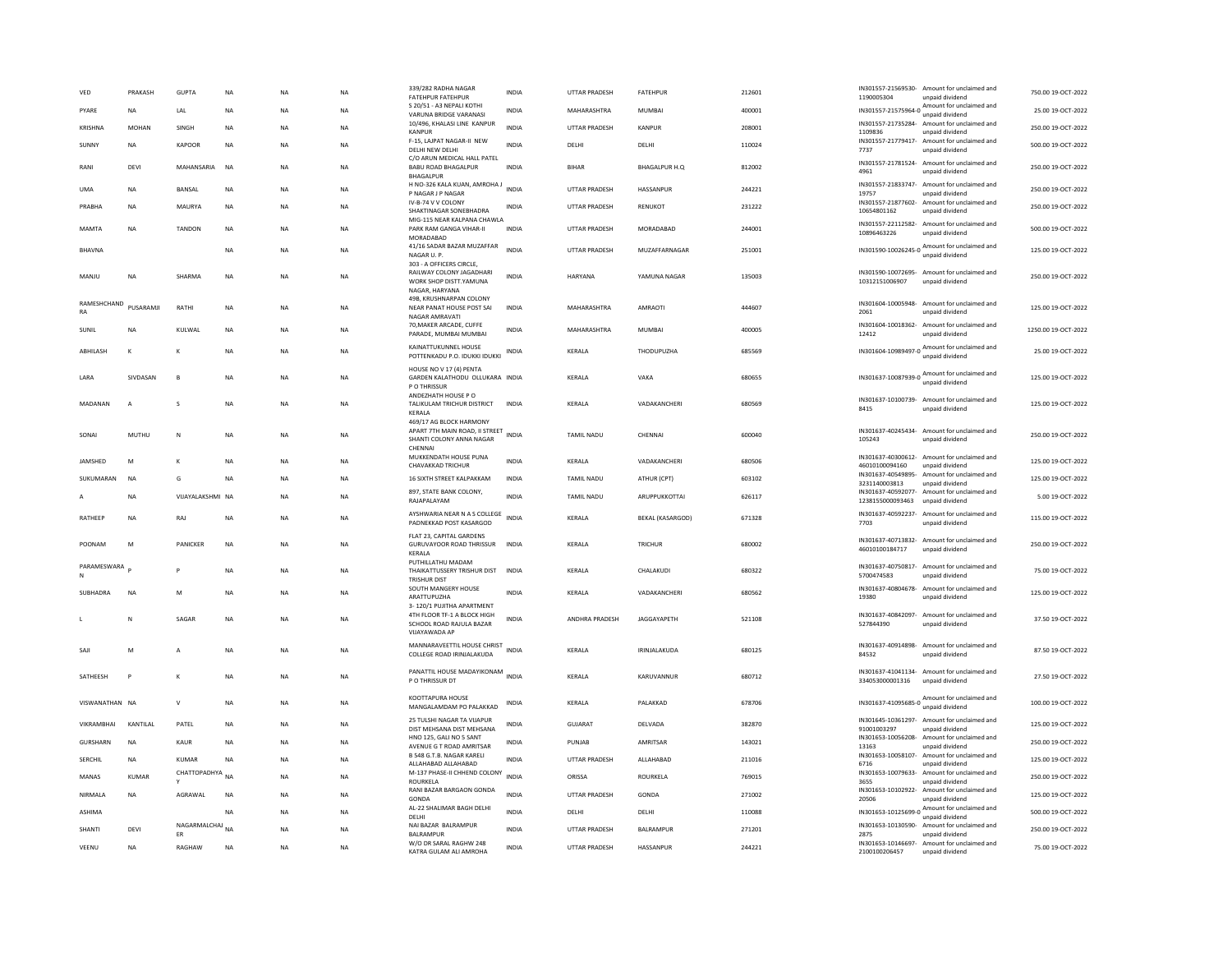| VED               | PRAKASH        | <b>GUPTA</b>                    | NA          | <b>NA</b> | NA        | 339/282 RADHA NAGAR<br><b>FATEHPUR FATEHPUR</b>                                                             | INDIA        | UTTAR PRADESH         | <b>FATEHPUR</b>         | 212601 | IN301557-21569530-<br>1190005304       | Amount for unclaimed and<br>unpaid dividend                                                 | 750.00 19-OCT-2022  |
|-------------------|----------------|---------------------------------|-------------|-----------|-----------|-------------------------------------------------------------------------------------------------------------|--------------|-----------------------|-------------------------|--------|----------------------------------------|---------------------------------------------------------------------------------------------|---------------------|
| PYARE             | <b>NA</b>      | <b>IAI</b>                      | <b>NA</b>   | <b>NA</b> | <b>NA</b> | S 20/51 - A3 NEPALI KOTHI<br>VARUNA BRIDGE VARANASI                                                         | <b>INDIA</b> | MAHARASHTRA           | MUMBAI                  | 400001 |                                        | IN301557-21575964-0 Amount for unclaimed and<br>unpaid dividend                             | 25.00 19-OCT-2022   |
| KRISHNA           | <b>MOHAN</b>   | SINGH                           | <b>NA</b>   | <b>NA</b> | <b>NA</b> | 10/496, KHALASI LINE KANPUR<br><b>KANPUR</b>                                                                | <b>INDIA</b> | UTTAR PRADESH         | KANPUR                  | 208001 | IN301557-21735284-<br>1109836          | Amount for unclaimed and<br>unpaid dividend                                                 | 250.00 19-OCT-2022  |
| SUNNY             | <b>NA</b>      | <b>KAPOOR</b>                   | <b>NA</b>   | <b>NA</b> | NA        | F-15, LAJPAT NAGAR-II NEW<br>DELHI NEW DELHI                                                                | <b>INDIA</b> | DELHI                 | DELHI                   | 110024 | 7737                                   | IN301557-21779417- Amount for unclaimed and<br>unpaid dividend                              | 500.00 19-OCT-2022  |
| RANI              | DEVI           | MAHANSARIA                      | <b>NA</b>   | <b>NA</b> | <b>NA</b> | C/O ARUN MEDICAL HALL PATEL<br><b>BABU ROAD BHAGALPUR</b><br><b>BHAGALPUF</b>                               | <b>INDIA</b> | <b>BIHAR</b>          | <b>BHAGALPUR H.Q</b>    | 812002 | IN301557-21781524-<br>4961             | Amount for unclaimed and<br>unpaid dividend                                                 | 250.00 19-OCT-2022  |
| <b>UMA</b>        | <b>NA</b>      | <b>BANSAL</b>                   | <b>NA</b>   | <b>NA</b> | <b>NA</b> | H NO-326 KALA KUAN, AMROHA J<br>P NAGAR J P NAGAR                                                           | INDIA        | UTTAR PRADESH         | HASSANPUR               | 244221 | IN301557-21833747-<br>19757            | Amount for unclaimed and<br>unpaid dividend                                                 | 250.00 19-OCT-2022  |
| PRABHA            | <b>NA</b>      | <b>MAURYA</b>                   | $_{\sf NA}$ | <b>NA</b> | NA        | IV-B-74 V V COLONY<br>SHAKTINAGAR SONEBHADRA                                                                | INDIA        | UTTAR PRADESH         | RENUKOT                 | 231222 | IN301557-21877602-<br>10654801162      | Amount for unclaimed and<br>unpaid dividend                                                 | 250.00 19-OCT-2022  |
| MAMTA             | <b>NA</b>      | <b>TANDON</b>                   | <b>NA</b>   | <b>NA</b> | <b>NA</b> | MIG-115 NEAR KALPANA CHAWLA<br>PARK RAM GANGA VIHAR-II<br>MORADARAD                                         | <b>INDIA</b> | <b>UTTAR PRADESH</b>  | MORADABAD               | 244001 | IN301557-22112582-<br>10896463226      | Amount for unclaimed and<br>unpaid dividend                                                 | 500.00 19-OCT-2022  |
| <b>BHAVNA</b>     |                |                                 | NA          | <b>NA</b> | NA        | 41/16 SADAR BAZAR MUZAFFAR<br>NAGAR U. P.                                                                   | INDIA        | UTTAR PRADESH         | MUZAFFARNAGAR           | 251001 |                                        | IN301590-10026245-0 Amount for unclaimed and                                                | 125.00 19-OCT-2022  |
| MANJU             | <b>NA</b>      | <b>SHARMA</b>                   | NA          | <b>NA</b> | NA        | 303 - A OFFICERS CIRCLE,<br>RAILWAY COLONY JAGADHARI<br>WORK SHOP DISTT.YAMUNA<br>NAGAR, HARYANA            | <b>INDIA</b> | HARYANA               | YAMUNA NAGAR            | 135003 | 10312151006907                         | IN301590-10072695- Amount for unclaimed and<br>unpaid dividend                              | 250.00 19-OCT-2022  |
| RAMESHCHAND<br>RA | PUSARAMJI      | RATHI                           | <b>NA</b>   | <b>NA</b> | NA        | 49B. KRUSHNARPAN COLONY<br>NEAR PANAT HOUSE POST SAI<br>NAGAR AMRAVATI                                      | <b>INDIA</b> | MAHARASHTRA           | AMRAOTI                 | 444607 | 2061                                   | IN301604-10005948- Amount for unclaimed and<br>unpaid dividend                              | 125.00 19-OCT-2022  |
| SUNIL             | <b>NA</b>      | KULWAL                          | <b>NA</b>   | <b>NA</b> | <b>NA</b> | 70, MAKER ARCADE, CUFFE<br>PARADE, MUMBAI MUMBAI                                                            | <b>INDIA</b> | MAHARASHTRA           | <b>MUMBAI</b>           | 400005 | IN301604-10018362-<br>12412            | Amount for unclaimed and<br>unpaid dividend                                                 | 1250.00 19-OCT-2022 |
| <b>ABHILASH</b>   | K              | K                               | <b>NA</b>   | <b>NA</b> | <b>NA</b> | KAINATTUKUNNEL HOUSE<br>POTTENKADU P.O. IDUKKI IDUKKI                                                       | INDIA        | KERALA                | THODUPUZHA              | 685569 |                                        | IN301604-10989497-0 Amount for unclaimed and                                                | 25.00 19-OCT-2022   |
| LARA              | SIVDASAN       | B                               | NA          | <b>NA</b> | NA        | HOUSE NO V 17 (4) PENTA<br>GARDEN KALATHODU OLLUKARA INDIA<br>P O THRISSUR                                  |              | KERALA                | VAKA                    | 680655 |                                        | IN301637-10087939-0 Amount for unclaimed and<br>unpaid dividend                             | 125.00 19-OCT-2022  |
| MADANAN           | $\overline{A}$ | <sub>S</sub>                    | <b>NA</b>   | <b>NA</b> | <b>NA</b> | ANDEZHATH HOUSE PO<br>TALIKULAM TRICHUR DISTRICT<br>KERALA                                                  | <b>INDIA</b> | KERALA                | VADAKANCHERI            | 680569 | IN301637-10100739-<br>8415             | Amount for unclaimed and<br>unpaid dividend                                                 | 125.00 19-OCT-2022  |
| SONAI             | MUTHU          | N                               | NA          | <b>NA</b> | NA        | 469/17 AG BLOCK HARMONY<br>APART 7TH MAIN ROAD, II STREET<br>SHANTI COLONY ANNA NAGAR<br>CHENNAI            | <b>INDIA</b> | <b>TAMIL NADU</b>     | CHENNAL                 | 600040 | 105243                                 | IN301637-40245434- Amount for unclaimed and<br>unpaid dividend                              | 250.00 19-OCT-2022  |
| <b>IAMSHED</b>    | M              | к                               | <b>NA</b>   | <b>NA</b> | <b>NA</b> | MUKKENDATH HOUSE PUNA<br>CHAVAKKAD TRICHUR                                                                  | <b>INDIA</b> | <b>KFRAIA</b>         | VADAKANCHERI            | 680506 | 46010100094160                         | IN301637-40300612- Amount for unclaimed and<br>unpaid dividend                              | 125.00.19-OCT-2022  |
| SUKUMARAN         | <b>NA</b>      | G                               | <b>NA</b>   | <b>NA</b> | <b>NA</b> | 16 SIXTH STREET KALPAKKAM                                                                                   | <b>INDIA</b> | <b>TAMIL NADU</b>     | ATHUR (CPT)             | 603102 | IN301637-40549895-<br>3231140003813    | Amount for unclaimed and<br>unpaid dividend                                                 | 125.00 19-OCT-2022  |
|                   | <b>NA</b>      | VIJAYALAKSHMI NA                |             | <b>NA</b> | NA        | 897, STATE BANK COLONY,<br>RAIAPAI AYAM                                                                     | <b>INDIA</b> | <b>TAMIL NADU</b>     | ARUPPUKKOTTAI           | 626117 | IN301637-40592077-<br>1238155000093463 | Amount for unclaimed and<br>unpaid dividend                                                 | 5.00 19-OCT-2022    |
| RATHEEP           | <b>NA</b>      | RAJ                             | <b>NA</b>   | <b>NA</b> | <b>NA</b> | AYSHWARIA NEAR N A S COLLEGE<br>PADNEKKAD POST KASARGOD                                                     | <b>INDIA</b> | KERALA                | <b>BEKAL (KASARGOD)</b> | 671328 | 7703                                   | IN301637-40592237- Amount for unclaimed and<br>unpaid dividend                              | 115.00 19-OCT-2022  |
| POONAM            | M              | PANICKER                        | NA          | <b>NA</b> | NA        | FLAT 23. CAPITAL GARDENS<br><b>GURUVAYOOR ROAD THRISSUR</b><br>KERALA                                       | <b>INDIA</b> | KERALA                | TRICHUR                 | 680002 | 46010100184717                         | IN301637-40713832- Amount for unclaimed and<br>unpaid dividend                              | 250.00 19-OCT-2022  |
| PARAMESWARA<br>N  |                |                                 | <b>NA</b>   | <b>NA</b> | NA        | PUTHILLATHU MADAM<br>THAIKATTUSSERY TRISHUR DIST<br><b>TRISHUR DIST</b>                                     | <b>INDIA</b> | KERALA                | CHALAKUDI               | 680322 | 5700474583                             | IN301637-40750817- Amount for unclaimed and<br>unpaid dividend                              | 75.00 19-OCT-2022   |
| SUBHADRA          | <b>NA</b>      | M                               | <b>NA</b>   | <b>NA</b> | <b>NA</b> | SOUTH MANGERY HOUSE<br>ARATTUPUZHA                                                                          | <b>INDIA</b> | KERALA                | VADAKANCHERI            | 680562 | IN301637-40804678-<br>19380            | Amount for unclaimed and<br>unpaid dividend                                                 | 125.00 19-OCT-2022  |
|                   | N              | SAGAR                           | <b>NA</b>   | <b>NA</b> | <b>NA</b> | 3-120/1 PUJITHA APARTMENT<br>4TH FLOOR TF-1 A BLOCK HIGH<br>SCHOOL ROAD RAJULA BAZAR<br><b>VUAYAWADA AP</b> | <b>INDIA</b> | <b>ANDHRA PRADESH</b> | <b>IAGGAYAPETH</b>      | 521108 | IN301637-40842097-<br>527844390        | Amount for unclaimed and<br>unpaid dividend                                                 | 37.50.19-OCT-2022   |
| SAII              | M              | A                               | <b>NA</b>   | <b>NA</b> | NA        | MANNARAVEETTIL HOUSE CHRIST<br>COLLEGE ROAD IRINJALAKUDA                                                    | <b>INDIA</b> | <b>KFRAIA</b>         | IRINIAI AKUDA           | 680125 | IN301637-40914898-<br>84532            | Amount for unclaimed and<br>unpaid dividend                                                 | 87.50.19-OCT-2022   |
| SATHEESH          | P              | К                               | <b>NA</b>   | <b>NA</b> | NA        | PANATTIL HOUSE MADAYIKONAM<br>P O THRISSUR DT                                                               | <b>INDIA</b> | KERALA                | KARUVANNUR              | 680712 | 334053000001316                        | IN301637-41041134- Amount for unclaimed and<br>unpaid dividend                              | 27.50 19-OCT-2022   |
| VISWANATHAN NA    |                | $\vee$                          | NA          | <b>NA</b> | NA        | KOOTTAPURA HOUSE<br>MANGALAMDAM PO PALAKKAD                                                                 | INDIA        | KERALA                | PALAKKAD                | 678706 |                                        | IN301637-41095685-0 Amount for unclaimed and<br>unpaid dividend                             | 100.00 19-OCT-2022  |
| VIKRAMBHAI        | KANTILAL       | PATEL                           | <b>NA</b>   | <b>NA</b> | <b>NA</b> | 25 TULSHI NAGAR TA VIIAPUR<br>DIST MEHSANA DIST MEHSANA                                                     | <b>INDIA</b> | <b>GUJARAT</b>        | DELVADA                 | 382870 | IN301645-10361297-<br>91001003297      | Amount for unclaimed and<br>unpaid dividend                                                 | 125.00 19-OCT-2022  |
| GURSHARN          | <b>NA</b>      | KAUR                            | NA          | <b>NA</b> | NA        | HNO 125, GALI NO 5 SANT<br>AVENUE G T ROAD AMRITSAR                                                         | <b>INDIA</b> | PUNJAB                | AMRITSAR                | 143021 | IN301653-10056208-<br>13163            | Amount for unclaimed and<br>unpaid dividend                                                 | 250.00 19-OCT-2022  |
| SERCHIL           | NA             | KUMAR                           | NA          | <b>NA</b> | NA        | B 548 G.T.B. NAGAR KARELI<br>ALLAHABAD ALLAHABAD                                                            | <b>INDIA</b> | UTTAR PRADESH         | ALLAHABAD               | 211016 | IN301653-10058107-<br>6716             | Amount for unclaimed and<br>unpaid dividend                                                 | 125.00 19-OCT-2022  |
| MANAS             | KUMAR          | CHATTOPADHYA NA                 |             | <b>NA</b> | NA        | M-137 PHASE-II CHHEND COLONY<br><b>ROURKELA</b>                                                             | <b>INDIA</b> | ORISSA                | ROURKELA                | 769015 | IN301653-10079633-<br>3655             | Amount for unclaimed and<br>unpaid dividend                                                 | 250.00 19-OCT-2022  |
| NIRMAI A          | <b>NA</b>      | AGRAWAI                         | <b>NA</b>   | <b>NA</b> | <b>NA</b> | RANI BAZAR BARGAON GONDA<br>GONDA                                                                           | <b>INDIA</b> | <b>UTTAR PRADESH</b>  | GONDA                   | 271002 | IN301653-10102922-<br>20506            | Amount for unclaimed and<br>unpaid dividend                                                 | 125.00.19-OCT-2022  |
| ASHIMA            |                |                                 |             |           |           |                                                                                                             |              |                       |                         |        |                                        |                                                                                             |                     |
|                   |                |                                 | <b>NA</b>   | <b>NA</b> | <b>NA</b> | AL-22 SHALIMAR BAGH DELHI                                                                                   | <b>INDIA</b> | DELHI                 | DELHI                   | 110088 |                                        |                                                                                             | 500.00 19-OCT-2022  |
| SHANTI            | DEVI           |                                 |             | <b>NA</b> | <b>NA</b> | DELHI<br>NAI BAZAR BALRAMPUR                                                                                | <b>INDIA</b> | <b>UTTAR PRADESH</b>  | BALRAMPUR               | 271201 | IN301653-10130590-                     | IN301653-10125699-0 Amount for unclaimed and<br>unpaid dividend<br>Amount for unclaimed and | 250.00 19-OCT-2022  |
| VEENU             | <b>NA</b>      | NAGARMALCHAJ NA<br>ER<br>RAGHAW | NA          | <b>NA</b> | NA        | BALRAMPUR<br>W/O DR SARAL RAGHW 248<br>KATRA GULAM ALI AMROHA                                               | <b>INDIA</b> | <b>UTTAR PRADESH</b>  | HASSANPUR               | 244221 | 2875<br>2100100206457                  | unpaid dividend<br>IN301653-10146697- Amount for unclaimed and<br>unpaid dividend           | 75.00 19-OCT-2022   |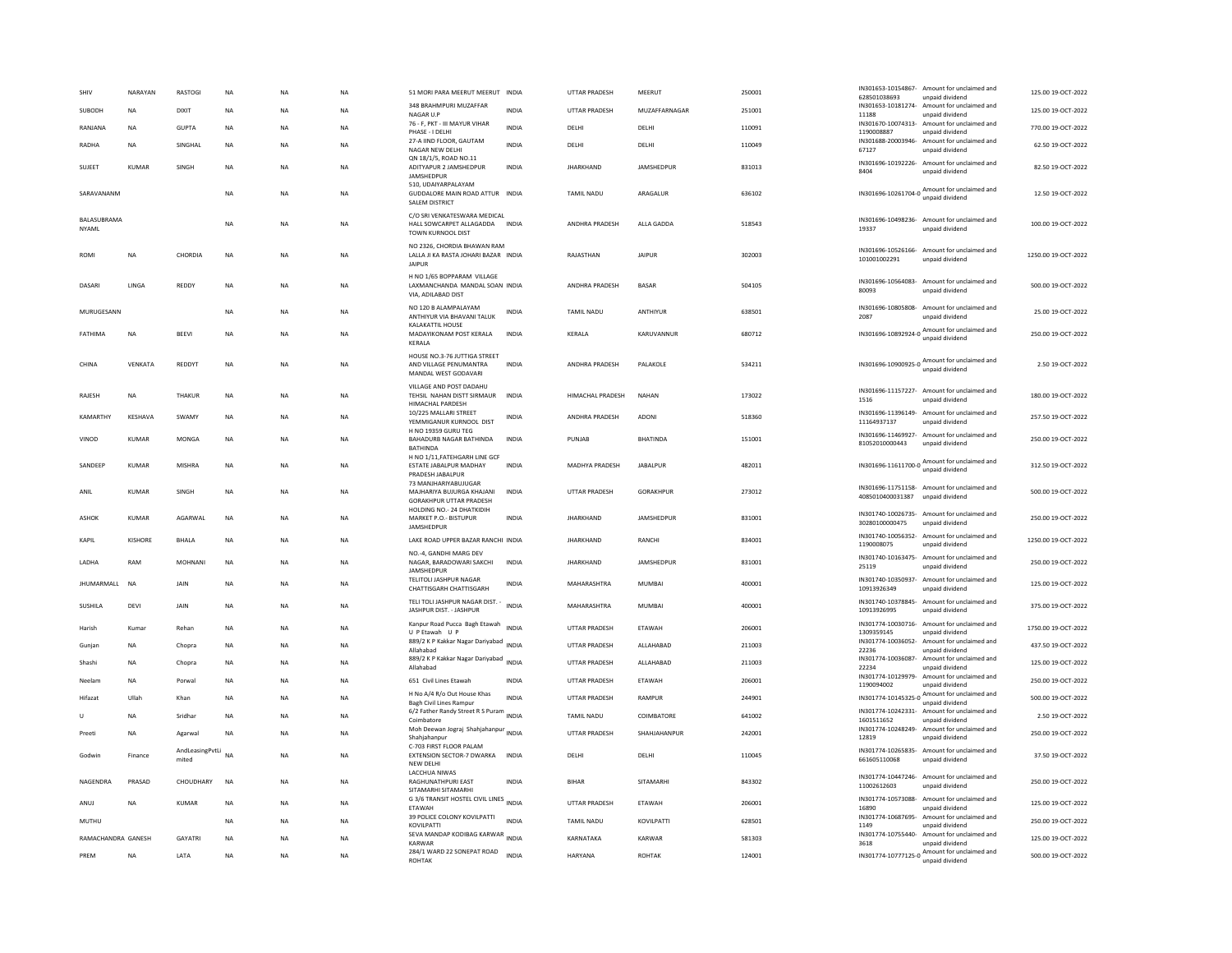| SHIV                        | NARAYAN        | RASTOGI         | <b>NA</b>   | NA          | NA          | 51 MORI PARA MEERUT MEERUT INDIA                                                    |              | UTTAR PRADESH         | MEERUT           | 250001 | IN301653-10154867-<br>Amount for unclaimed and<br>628501038693<br>unpaid dividend                        | 125.00 19-OCT-2022  |
|-----------------------------|----------------|-----------------|-------------|-------------|-------------|-------------------------------------------------------------------------------------|--------------|-----------------------|------------------|--------|----------------------------------------------------------------------------------------------------------|---------------------|
| SUBODH                      | NA             | DIXIT           | NA          | NA          | NA          | 348 BRAHMPURI MUZAFFAR<br>NAGAR U.P                                                 | INDIA        | UTTAR PRADESH         | MUZAFFARNAGAR    | 251001 | IN301653-10181274- Amount for unclaimed and<br>11188                                                     | 125.00 19-OCT-2022  |
| RANJANA                     | <b>NA</b>      | <b>GUPTA</b>    | <b>NA</b>   | <b>NA</b>   | NA          | 76 - F, PKT - III MAYUR VIHAR                                                       | <b>INDIA</b> | DELHI                 | DELHI            | 110091 | unpaid dividend<br>IN301670-10074313- Amount for unclaimed and                                           | 770.00 19-OCT-2022  |
| <b>RADHA</b>                | <b>NA</b>      | SINGHAL         | <b>NA</b>   | <b>NA</b>   | <b>NA</b>   | PHASE - I DELHI<br>27-A IIND FLOOR, GAUTAM                                          | <b>INDIA</b> | DELHI                 | DELHI            | 110049 | 1190008887<br>unpaid dividend<br>IN301688-20003946-<br>Amount for unclaimed and                          | 62.50 19-OCT-2022   |
|                             |                |                 |             |             |             | NAGAR NEW DELHI<br>ON 18/1/5, ROAD NO.11                                            |              |                       |                  |        | 67127<br>unpaid dividend<br>IN301696-10192226- Amount for unclaimed and                                  |                     |
| SUJEET                      | <b>KUMAR</b>   | SINGH           | NA          | NA          | NA          | ADITYAPUR 2 JAMSHEDPUR<br>JAMSHEDPUR                                                | <b>INDIA</b> | <b>JHARKHAND</b>      | JAMSHEDPUR       | 831013 | 8404<br>unpaid dividend                                                                                  | 82.50 19-OCT-2022   |
| SARAVANANM                  |                |                 | NA          | NA          | NA          | 510. UDAIYARPALAYAM<br>GUDDALORE MAIN ROAD ATTUR INDIA<br><b>SALEM DISTRICT</b>     |              | TAMIL NADU            | ARAGALUR         | 636102 | IN301696-10261704-0 Amount for unclaimed and                                                             | 12.50 19-OCT-2022   |
| BALASUBRAMA<br><b>NYAML</b> |                |                 | <b>NA</b>   | <b>NA</b>   | <b>NA</b>   | C/O SRI VENKATESWARA MEDICAL<br>HALL SOWCARPET ALLAGADDA INDIA<br>TOWN KURNOOL DIST |              | <b>ANDHRA PRADESH</b> | ALLA GADDA       | 518543 | IN301696-10498236- Amount for unclaimed and<br>19337<br>unpaid dividend                                  | 100.00 19-OCT-2022  |
| <b>ROMI</b>                 | <b>NA</b>      | CHORDIA         | <b>NA</b>   | <b>NA</b>   | <b>NA</b>   | NO 2326, CHORDIA BHAWAN RAM<br>LALLA JI KA RASTA JOHARI BAZAR INDIA<br>JAIPUR       |              | RAJASTHAN             | <b>JAIPUR</b>    | 302003 | IN301696-10526166- Amount for unclaimed and<br>101001002291<br>unpaid dividend                           | 1250.00 19-OCT-2022 |
| DASARI                      | LINGA          | REDDY           | <b>NA</b>   | NA          | NA          | H NO 1/65 BOPPARAM VILLAGE<br>LAXMANCHANDA MANDAL SOAN INDIA<br>VIA, ADILABAD DIST  |              | ANDHRA PRADESH        | BASAR            | 504105 | IN301696-10564083- Amount for unclaimed and<br>80093<br>unpaid dividend                                  | 500.00 19-OCT-2022  |
| MURUGESANN                  |                |                 | <b>NA</b>   | <b>NA</b>   | <b>NA</b>   | NO 120 B ALAMPALAYAM<br>ANTHIYUR VIA BHAVANI TALUK                                  | <b>INDIA</b> | <b>TAMIL NADU</b>     | ANTHIYUR         | 638501 | IN301696-10805808-<br>Amount for unclaimed and<br>2087<br>unpaid dividend                                | 25.00 19-OCT-2022   |
| FATHIMA                     | NA             | BEEVI           | $_{\sf NA}$ | $_{\sf NA}$ | $_{\sf NA}$ | KALAKATTIL HOUSE<br>MADAYIKONAM POST KERALA<br>KERALA                               | <b>INDIA</b> | KERALA                | KARUVANNUR       | 680712 | IN301696-10892924-0 Amount for unclaimed and                                                             | 250.00 19-OCT-2022  |
| CHINA                       | VENKATA        | REDDYT          | <b>NA</b>   | <b>NA</b>   | <b>NA</b>   | HOUSE NO.3-76 JUTTIGA STREET<br>AND VILLAGE PENUMANTRA<br>MANDAL WEST GODAVARI      | <b>INDIA</b> | ANDHRA PRADESH        | PALAKOLE         | 534211 | IN301696-10900925-0 Amount for unclaimed and<br>unpaid dividend                                          | 2.50 19-OCT-2022    |
| RAJESH                      | NA             | THAKUR          | <b>NA</b>   | NA          | <b>NA</b>   | VILLAGE AND POST DADAHU<br>TEHSIL NAHAN DISTT SIRMAUR<br><b>HIMACHAL PARDESH</b>    | <b>INDIA</b> | HIMACHAL PRADESH      | <b>NAHAN</b>     | 173022 | IN301696-11157227- Amount for unclaimed and<br>unpaid dividend<br>1516                                   | 180.00 19-OCT-2022  |
| KAMARTHY                    | KESHAVA        | <b>SWAMY</b>    | <b>NA</b>   | <b>NA</b>   | <b>NA</b>   | 10/225 MALLARI STREET<br>YEMMIGANUR KURNOOL DIST                                    | <b>INDIA</b> | ANDHRA PRADESH        | ADONI            | 518360 | IN301696-11396149- Amount for unclaimed and<br>11164937137<br>unpaid dividend                            | 257.50 19-OCT-2022  |
| VINOD                       | <b>KUMAR</b>   | <b>MONGA</b>    | <b>NA</b>   | <b>NA</b>   | <b>NA</b>   | H NO 19359 GURU TEG<br>BAHADURB NAGAR BATHINDA<br><b>BATHINDA</b>                   | <b>INDIA</b> | PUNJAB                | <b>BHATINDA</b>  | 151001 | IN301696-11469927- Amount for unclaimed and<br>81052010000443<br>unpaid dividend                         | 250.00 19-OCT-2022  |
| SANDEEP                     | <b>KUMAR</b>   | MISHRA          | NA          | <b>NA</b>   | <b>NA</b>   | H NO 1/11, FATEHGARH LINE GCF<br>ESTATE JABALPUR MADHAY<br>PRADESH JABALPUR         | <b>INDIA</b> | MADHYA PRADESH        | <b>JABALPUR</b>  | 482011 | IN301696-11611700-0 Amount for unclaimed and<br>unpaid dividend                                          | 312.50 19-OCT-2022  |
| ANIL                        | <b>KUMAR</b>   | SINGH           | NA          | <b>NA</b>   | NA          | 73 MANJHARIYABUJUGAR<br>MAJHARIYA BUJURGA KHAJANI<br><b>GORAKHPUR UTTAR PRADESH</b> | <b>INDIA</b> | UTTAR PRADESH         | <b>GORAKHPUR</b> | 273012 | IN301696-11751158- Amount for unclaimed and<br>4085010400031387<br>unpaid dividend                       | 500.00 19-OCT-2022  |
| ASHOK                       | KUMAR          | AGARWAL         | NA          | NA          | NA          | HOLDING NO.- 24 DHATKIDIH<br>MARKET P.O.- BISTUPUR<br>JAMSHEDPUR                    | <b>INDIA</b> | <b>JHARKHAND</b>      | JAMSHEDPUR       | 831001 | IN301740-10026735- Amount for unclaimed and<br>30280100000475<br>unpaid dividend                         | 250.00 19-OCT-2022  |
| KAPIL                       | <b>KISHORE</b> | <b>BHALA</b>    | NA          | <b>NA</b>   | NA          | LAKE ROAD UPPER BAZAR RANCHI INDIA                                                  |              | <b>JHARKHAND</b>      | RANCHI           | 834001 | IN301740-10056352- Amount for unclaimed and<br>1190008075<br>unpaid dividend                             | 1250.00 19-OCT-2022 |
| LADHA                       | RAM            | MOHNANI         | NA          | NA          | NA          | NO.-4, GANDHI MARG DEV<br>NAGAR, BARADOWARI SAKCHI<br>JAMSHEDPUR                    | <b>INDIA</b> | <b>JHARKHAND</b>      | JAMSHEDPUR       | 831001 | IN301740-10163475- Amount for unclaimed and<br>25119<br>unpaid dividend                                  | 250.00 19-OCT-2022  |
| <b>IHUMARMALL</b>           | <b>NA</b>      | <b>JAIN</b>     | NA          | <b>NA</b>   | NA          | TELITOLI JASHPUR NAGAR<br>CHATTISGARH CHATTISGARH                                   | <b>INDIA</b> | MAHARASHTRA           | MUMBAI           | 400001 | IN301740-10350937-<br>Amount for unclaimed and<br>10913926349<br>unpaid dividend                         | 125.00.19-OCT-2022  |
| SUSHILA                     | DEVI           | JAIN            | NA          | <b>NA</b>   | NA          | TELI TOLI JASHPUR NAGAR DIST. -<br>JASHPUR DIST. - JASHPUR                          | <b>INDIA</b> | MAHARASHTRA           | MUMBAI           | 400001 | IN301740-10378845- Amount for unclaimed and<br>10913926995<br>unpaid dividend                            | 375.00 19-OCT-2022  |
| Harish                      | Kumar          | Rehan           | NA          | NA          | NA          | Kanpur Road Pucca Bagh Etawah<br>U P Etawah U P                                     | <b>INDIA</b> | UTTAR PRADESH         | ETAWAH           | 206001 | IN301774-10030716- Amount for unclaimed and<br>1309359145<br>unpaid dividend                             | 1750.00 19-OCT-2022 |
| Gunjar                      | NA             | Chopra          | NA          | <b>NA</b>   | NA          | 889/2 K P Kakkar Nagar Dariyabad INDIA<br>Allahabad                                 |              | UTTAR PRADESH         | ALLAHABAD        | 211003 | IN301774-10036052- Amount for unclaimed and<br>22236<br>unpaid dividend                                  | 437.50 19-OCT-2022  |
| Shashi                      | <b>NA</b>      | Chopra          | <b>NA</b>   | <b>NA</b>   | <b>NA</b>   | 889/2 K P Kakkar Nagar Dariyabad INDIA<br>Allahabad                                 |              | <b>UTTAR PRADESH</b>  | ALLAHABAD        | 211003 | IN301774-10036087-<br>Amount for unclaimed and<br>22234<br>unpaid dividend                               | 125.00 19-OCT-2022  |
| Neelam                      | <b>NA</b>      | Porwal          | <b>NA</b>   | <b>NA</b>   | <b>NA</b>   | 651 Civil Lines Etawah                                                              | <b>INDIA</b> | <b>UTTAR PRADESH</b>  | <b>FTAWAH</b>    | 206001 | IN301774-10129979-<br>Amount for unclaimed and<br>1190094002<br>unpaid dividend                          | 250.00 19-OCT-2022  |
| Hifazat                     | Ullah          | Khan            | <b>NA</b>   | <b>NA</b>   | <b>NA</b>   | H No A/4 R/o Out House Khas<br><b>Bagh Civil Lines Rampur</b>                       | <b>INDIA</b> | <b>UTTAR PRADESH</b>  | RAMPUR           | 244901 | Amount for unclaimed and<br>IN301774-10145325-0<br>unpaid dividend                                       | 500.00 19-OCT-2022  |
| U                           | NA             | Sridhar         | NA          | <b>NA</b>   | NA          | 6/2 Father Randy Street R S Puram<br>INDIA                                          |              | TAMIL NADU            | COIMBATORE       | 641002 | IN301774-10242331- Amount for unclaimed and                                                              | 2.50 19-OCT-2022    |
| Preeti                      | <b>NA</b>      | Agarwal         | <b>NA</b>   | <b>NA</b>   | <b>NA</b>   | Coimbatore<br>Moh Deewan Jograj Shahjahanpur<br>INDIA<br>Shahiahanpur               |              | <b>UTTAR PRADESH</b>  | SHAHJAHANPUR     | 242001 | 1601511652<br>unpaid dividend<br>IN301774-10248249- Amount for unclaimed and<br>12819<br>unpaid dividend | 250.00 19-OCT-2022  |
|                             |                | AndLeasingPvtLi |             |             |             | C-703 FIRST FLOOR PALAM                                                             |              |                       |                  |        | IN301774-10265835- Amount for unclaimed and                                                              |                     |
| Godwin                      | Finance        | mited           | <b>NA</b>   | <b>NA</b>   | <b>NA</b>   | EXTENSION SECTOR-7 DWARKA INDIA<br>NEW DELHI<br>LACCHUA NIWAS                       |              | DELHI                 | DELHI            | 110045 | 661605110068<br>unpaid dividend                                                                          | 37.50 19-OCT-2022   |
| NAGENDRA                    | PRASAD         | CHOUDHARY       | <b>NA</b>   | NA          | <b>NA</b>   | RAGHUNATHPURI EAST<br>SITAMARHI SITAMARHI                                           | <b>INDIA</b> | <b>BIHAR</b>          | SITAMARHI        | 843302 | IN301774-10447246- Amount for unclaimed and<br>11002612603<br>unpaid dividend                            | 250.00 19-OCT-2022  |
| ANUJ                        | <b>NA</b>      | KUMAR           | <b>NA</b>   | <b>NA</b>   | <b>NA</b>   | G 3/6 TRANSIT HOSTEL CIVIL LINES INDIA<br>ETAWAH                                    |              | <b>UTTAR PRADESH</b>  | <b>FTAWAH</b>    | 206001 | IN301774-10573088-<br>Amount for unclaimed and<br>16890<br>unpaid dividend                               | 125.00 19-OCT-2022  |
| MUTHU                       |                |                 | NA          | NA          | NA          | 39 POLICE COLONY KOVILPATTI<br>KOVILPATTI                                           | <b>INDIA</b> | TAMIL NADU            | KOVILPATTI       | 628501 | IN301774-10687695- Amount for unclaimed and<br>1149<br>unpaid dividend                                   | 250.00 19-OCT-2022  |
| RAMACHANDRA GANESH          |                | GAYATRI         | <b>NA</b>   | <b>NA</b>   | NA          | SEVA MANDAP KODIBAG KARWAR INDIA<br>KARWAR                                          |              | KARNATAKA             | KARWAR           | 581303 | IN301774-10755440- Amount for unclaimed and<br>3618<br>unpaid dividend                                   | 125.00 19-OCT-2022  |
| PREM                        | <b>NA</b>      | LATA            | <b>NA</b>   | <b>NA</b>   | <b>NA</b>   | 284/1 WARD 22 SONEPAT ROAD<br><b>ROHTAK</b>                                         | <b>INDIA</b> | HARYANA               | <b>ROHTAK</b>    | 124001 | IN301774-10777125-0 Amount for unclaimed and<br>unpaid dividend                                          | 500.00 19-OCT-2022  |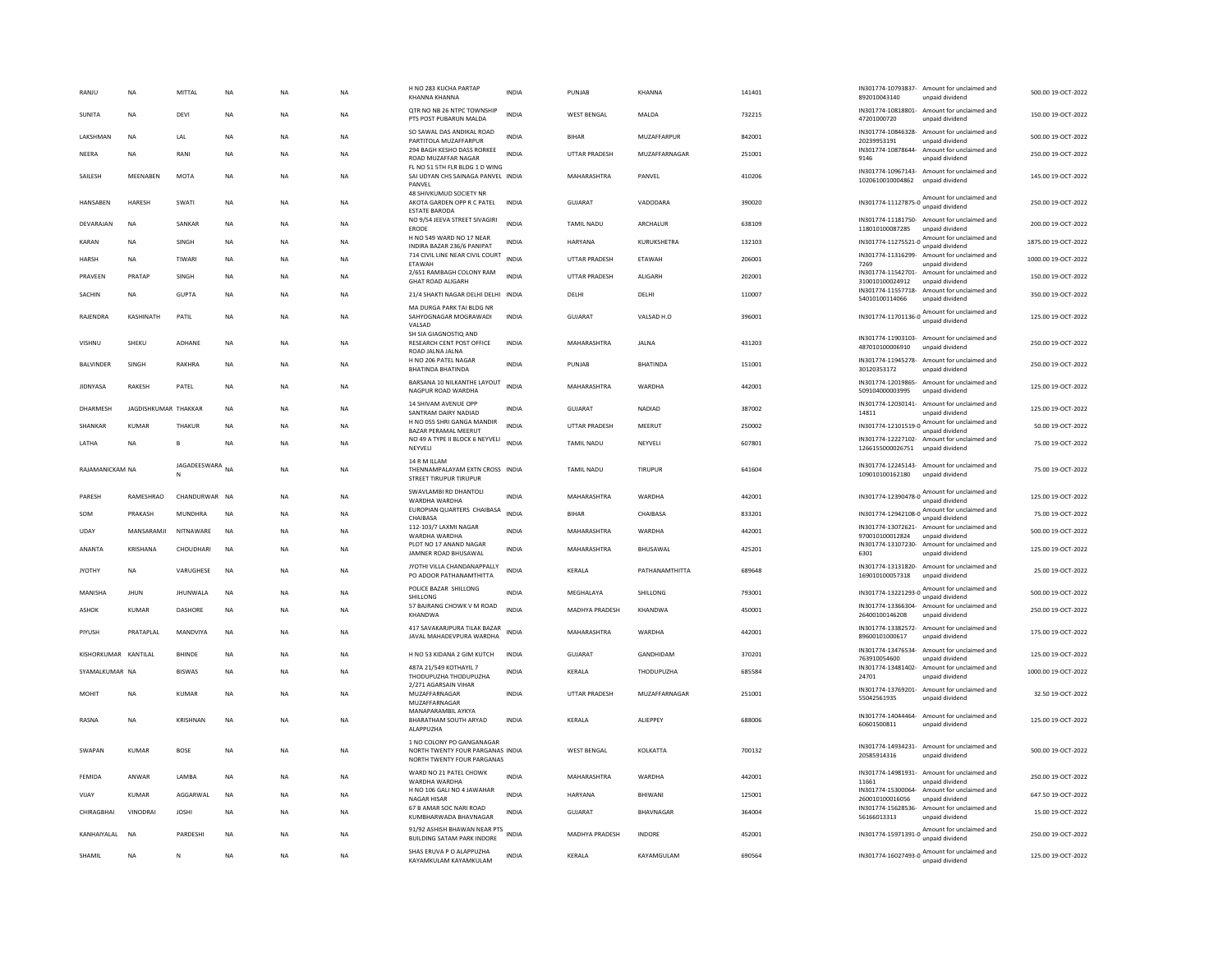| RANJU                | <b>NA</b>            | MITTAL            | NA        | NA        | NA        | H NO 283 KUCHA PARTAP<br>KHANNA KHANNA                                                      | <b>INDIA</b> | PUNJAB                | KHANNA             | 141401 | IN301774-10793837-<br>Amount for unclaimed and<br>892010043140<br>unpaid dividend    | 500.00 19-OCT-2022  |
|----------------------|----------------------|-------------------|-----------|-----------|-----------|---------------------------------------------------------------------------------------------|--------------|-----------------------|--------------------|--------|--------------------------------------------------------------------------------------|---------------------|
| SUNITA               | NA                   | DEVI              | NA        | NA        | <b>NA</b> | OTR NO NB 26 NTPC TOWNSHIP<br>PTS POST PUBARUN MALDA                                        | <b>INDIA</b> | WEST BENGAL           | MALDA              | 732215 | IN301774-10818801-<br>Amount for unclaimed and<br>47201000720<br>unpaid dividend     | 150.00 19-OCT-2022  |
| LAKSHMAN             | <b>NA</b>            | LAL               | <b>NA</b> | <b>NA</b> | <b>NA</b> | SO SAWAL DAS ANDIKAL ROAD<br>PARTITOLA MUZAFFARPUR                                          | <b>INDIA</b> | <b>BIHAR</b>          | MUZAFFARPUR        | 842001 | IN301774-10846328-<br>Amount for unclaimed and<br>20239953191<br>unpaid dividend     | 500.00 19-OCT-2022  |
| NEERA                | <b>NA</b>            | RANI              | <b>NA</b> | <b>NA</b> | <b>NA</b> | 294 BAGH KESHO DASS RORKEE<br>ROAD MUZAFFAR NAGAR                                           | <b>INDIA</b> | <b>UTTAR PRADESH</b>  | MUZAFFARNAGAR      | 251001 | IN301774-10878644-<br>Amount for unclaimed and<br>9146<br>unpaid dividend            | 250.00 19-OCT-2022  |
| SAILESH              | MEENABEN             | MOTA              | <b>NA</b> | <b>NA</b> | <b>NA</b> | FL NO 51 5TH FLR BLDG 1 D WING<br>SAI UDYAN CHS SAINAGA PANVEL INDIA<br>PANVEL              |              | MAHARASHTRA           | PANVEL             | 410206 | IN301774-10967143- Amount for unclaimed and<br>1020610010004862<br>unpaid dividend   | 145.00 19-OCT-2022  |
| HANSABEN             | HARESH               | SWATI             | <b>NA</b> | <b>NA</b> | <b>NA</b> | 48 SHIVKUMUD SOCIETY NR<br>AKOTA GARDEN OPP R C PATEL<br><b>ESTATE BARODA</b>               | <b>INDIA</b> | GUJARAT               | VADODARA           | 390020 | IN301774-11127875-0 Amount for unclaimed and                                         | 250.00 19-OCT-2022  |
| DEVARAJAN            | <b>NA</b>            | SANKAR            | NA        | NA        | NA        | NO 9/54 JEEVA STREET SIVAGIRI<br>ERODE                                                      | <b>INDIA</b> | TAMIL NADU            | ARCHALUR           | 638109 | IN301774-11181750- Amount for unclaimed and<br>118010100087285<br>unpaid dividend    | 200.00 19-OCT-2022  |
| <b>KARAN</b>         | <b>NA</b>            | SINGH             | NA        | <b>NA</b> | <b>NA</b> | H NO 549 WARD NO 17 NEAR<br>INDIRA BAZAR 236/6 PANIPAT                                      | <b>INDIA</b> | <b>HARYANA</b>        | KURUKSHETRA        | 132103 | Amount for unclaimed and<br>IN301774-11275521-0<br>unpaid dividend                   | 1875.00 19-OCT-2022 |
| <b>HARSH</b>         | <b>NA</b>            | TIWARI            | <b>NA</b> | <b>NA</b> | <b>NA</b> | 714 CIVIL LINE NEAR CIVIL COURT<br>ETAWAH                                                   | <b>INDIA</b> | <b>UTTAR PRADESH</b>  | <b>FTAWAH</b>      | 206001 | IN301774-11316299-<br>Amount for unclaimed and<br>7269<br>unpaid dividend            | 1000.00 19-OCT-2022 |
| PRAVEEN              | PRATAP               | SINGH             | NA        | NA        | NA        | 2/651 RAMBAGH COLONY RAM<br><b>GHAT ROAD ALIGARH</b>                                        | <b>INDIA</b> | UTTAR PRADESH         | ALIGARH            | 202001 | IN301774-11542701- Amount for unclaimed and<br>310010100024912<br>unpaid dividend    | 150.00 19-OCT-2022  |
| SACHIN               | <b>NA</b>            | <b>GUPTA</b>      | NA        | NA        | <b>NA</b> | 21/4 SHAKTI NAGAR DELHI DELHI INDIA                                                         |              | DELHI                 | DELHI              | 110007 | IN301774-11557718- Amount for unclaimed and<br>54010100114066<br>unpaid dividend     | 350.00 19-OCT-2022  |
| RAJENDRA             | KASHINATH            | PATIL             | <b>NA</b> | <b>NA</b> | <b>NA</b> | MA DURGA PARK TAI BLDG NR<br>SAHYOGNAGAR MOGRAWADI<br>VALSAD                                | <b>INDIA</b> | <b>GUJARAT</b>        | VALSAD H.O         | 396001 | Amount for unclaimed and                                                             | 125.00 19-OCT-2022  |
| <b>VISHNU</b>        | SHEKU                | ADHANE            | <b>NA</b> | <b>NA</b> | <b>NA</b> | SH SIA GIAGNOSTIQ AND<br>RESEARCH CENT POST OFFICE<br>ROAD JALNA JALNA                      | <b>INDIA</b> | MAHARASHTRA           | JALNA              | 431203 | IN301774-11903103- Amount for unclaimed and<br>487010100006910<br>unpaid dividend    | 250.00 19-OCT-2022  |
| <b>BALVINDER</b>     | SINGH                | RAKHRA            | NA        | NA        | <b>NA</b> | H NO 206 PATEL NAGAR<br><b>BHATINDA BHATINDA</b>                                            | <b>INDIA</b> | PUNJAB                | <b>BHATINDA</b>    | 151001 | IN301774-11945278-<br>Amount for unclaimed and<br>30120353172<br>unpaid dividend     | 250.00 19-OCT-2022  |
| <b>JIDNYASA</b>      | <b>RAKESH</b>        | PATEL             | <b>NA</b> | NA        | <b>NA</b> | BARSANA 10 NILKANTHE LAYOUT<br>NAGPUR ROAD WARDHA                                           | <b>INDIA</b> | MAHARASHTRA           | WARDHA             | 442001 | IN301774-12019865-<br>Amount for unclaimed and<br>509104000003995<br>unpaid dividend | 125.00 19-OCT-2022  |
| DHARMESH             | JAGDISHKUMAR THAKKAR |                   | <b>NA</b> | <b>NA</b> | <b>NA</b> | 14 SHIVAM AVENUE OPP<br>SANTRAM DAIRY NADIAD                                                | <b>INDIA</b> | GUJARAT               | <b>NADIAD</b>      | 387002 | IN301774-12030141-<br>Amount for unclaimed and<br>14811<br>unpaid dividend           | 125.00 19-OCT-2022  |
| SHANKAR              | <b>KUMAF</b>         | THAKUR            | <b>NA</b> | <b>NA</b> | <b>NA</b> | H NO 055 SHRI GANGA MANDIR<br>BAZAR PERAMAL MEERUT                                          | <b>INDIA</b> | <b>UTTAR PRADESH</b>  | MEERUT             | 250002 | IN301774-12101519-0 Amount for unclaimed and<br>unpaid dividend                      | 50.00 19-OCT-2022   |
| LATHA                | NA                   | B                 | <b>NA</b> | NA        | <b>NA</b> | NO 49 A TYPE II BLOCK 6 NEYVELI<br>NEYVELI                                                  | <b>INDIA</b> | TAMIL NADU            | NEYVELI            | 607801 | IN301774-12227102- Amount for unclaimed and<br>1266155000026751<br>unpaid dividend   | 75.00 19-OCT-2022   |
| RAJAMANICKAM NA      |                      | JAGADEESWARA<br>N | <b>NA</b> | <b>NA</b> | <b>NA</b> | 14 R M ILLAM<br>THENNAMPALAYAM EXTN CROSS INDIA<br>STREET TIRUPUR TIRUPUR                   |              | <b>TAMIL NADU</b>     | <b>TIRUPUR</b>     | 641604 | IN301774-12245143- Amount for unclaimed and<br>109010100162180<br>unpaid dividend    | 75.00 19-OCT-2022   |
| PARESH               | RAMESHRAO            | CHANDURWAR NA     |           | NA        | <b>NA</b> | SWAVLAMBI RD DHANTOLI<br>WARDHA WARDHA                                                      | <b>INDIA</b> | MAHARASHTRA           | WARDHA             | 442001 | IN301774-12390478-0 Amount for unclaimed and<br>unpaid dividend                      | 125.00 19-OCT-2022  |
| SOM                  | PRAKASH              | <b>MUNDHRA</b>    | NA        | <b>NA</b> | <b>NA</b> | EUROPIAN QUARTERS CHAIBASA<br>CHAIBASA                                                      | <b>INDIA</b> | <b>BIHAR</b>          | CHAIBASA           | 833201 | Amount for unclaimed and<br>IN301774-12942108-0<br>unpaid dividend                   | 75.00 19-OCT-2022   |
| UDAY                 | MANSARAMII           | NITNAWARF         | <b>NA</b> | <b>NA</b> | <b>NA</b> | 112-103/7 LAXMI NAGAR<br>WARDHA WARDHA                                                      | <b>INDIA</b> | MAHARASHTRA           | <b>WARDHA</b>      | 442001 | IN301774-13072621- Amount for unclaimed and<br>970010100012824<br>unpaid dividend    | 500.00 19-OCT-2022  |
| ANANTA               | KRISHANA             | CHOUDHARI         | NA        | NA        | <b>NA</b> | PLOT NO 17 ANAND NAGAR<br>JAMNER ROAD BHUSAWAL                                              | INDIA        | MAHARASHTRA           | BHUSAWAL           | 425201 | IN301774-13107230- Amount for unclaimed and<br>6301<br>unpaid dividend               | 125.00 19-OCT-2022  |
| <b>JYOTHY</b>        | <b>NA</b>            | VARUGHESE         | NA        | NA        | <b>NA</b> | JYOTHI VILLA CHANDANAPPALLY<br>PO ADOOR PATHANAMTHITTA                                      | INDIA        | KERALA                | PATHANAMTHITTA     | 689648 | IN301774-13131820- Amount for unclaimed and<br>169010100057318<br>unpaid dividend    | 25.00 19-OCT-2022   |
| MANISHA              | JHUN                 | <b>JHUNWALA</b>   | NA        | <b>NA</b> | NA        | POLICE BAZAR SHILLONG<br>SHILLONG                                                           | INDIA        | MEGHALAYA             | SHILLONG           | 793001 | IN301774-13221293-0 Amount for unclaimed and<br>unpaid dividend                      | 500.00 19-OCT-2022  |
| ASHOK                | KUMAR                | <b>DASHORE</b>    | <b>NA</b> | <b>NA</b> | <b>NA</b> | 57 BAJRANG CHOWK V M ROAD<br>KHANDWA                                                        | <b>INDIA</b> | <b>MADHYA PRADESH</b> | KHANDWA            | 450001 | IN301774-13366304- Amount for unclaimed and<br>26400100146208<br>unpaid dividend     | 250.00 19-OCT-2022  |
| PIYUSH               | PRATAPLAL            | MANDVIYA          | <b>NA</b> | <b>NA</b> | <b>NA</b> | 417 SAVAKARJPURA TILAK BAZAR<br>JAVAL MAHADEVPURA WARDHA                                    | <b>INDIA</b> | MAHARASHTRA           | <b>WARDHA</b>      | 442001 | IN301774-13382572- Amount for unclaimed and<br>89600101000617<br>unpaid dividend     | 175.00 19-OCT-2022  |
| KISHORKUMAR KANTILAL |                      | BHINDE            | <b>NA</b> | <b>NA</b> | <b>NA</b> | H NO 53 KIDANA 2 GIM KUTCH                                                                  | INDIA        | GUJARAT               | GANDHIDAM          | 370201 | IN301774-13476534-<br>Amount for unclaimed and<br>763910054600<br>unpaid dividend    | 125.00 19-OCT-2022  |
| SYAMALKUMAR NA       |                      | <b>BISWAS</b>     | <b>NA</b> | <b>NA</b> | <b>NA</b> | 487A 21/549 KOTHAYIL 7<br>THODUPUZHA THODUPUZHA                                             | <b>INDIA</b> | KERALA                | THODUPUZHA         | 685584 | IN301774-13481402-<br>Amount for unclaimed and<br>24701<br>unpaid dividend           | 1000.00 19-OCT-2022 |
| <b>MOHIT</b>         | <b>NA</b>            | KUMAR             | <b>NA</b> | <b>NA</b> | <b>NA</b> | 2/271 AGARSAIN VIHAR<br>MUZAFFARNAGAR<br>MUZAFFARNAGAR                                      | <b>INDIA</b> | <b>UTTAR PRADESH</b>  | MUZAFFARNAGAR      | 251001 | IN301774-13769201-<br>Amount for unclaimed and<br>55042561935<br>unpaid dividend     | 32.50 19-OCT-2022   |
| RASNA                | <b>NA</b>            | <b>KRISHNAN</b>   | <b>NA</b> | <b>NA</b> | <b>NA</b> | MANAPARAMBIL AYKYA<br>BHARATHAM SOUTH ARYAD<br>ALAPPUZHA                                    | <b>INDIA</b> | KERALA                | <b>AI IFPPFY</b>   | 688006 | IN301774-14044464-<br>Amount for unclaimed and<br>60601500811<br>unpaid dividend     | 125.00 19-OCT-2022  |
| SWAPAN               | <b>KUMAR</b>         | <b>BOSE</b>       | <b>NA</b> | <b>NA</b> | <b>NA</b> | 1 NO COLONY PO GANGANAGAR<br>NORTH TWENTY FOUR PARGANAS INDIA<br>NORTH TWENTY FOUR PARGANAS |              | <b>WEST BENGAL</b>    | KOLKATTA           | 700132 | IN301774-14934231- Amount for unclaimed and<br>20585914316<br>unpaid dividend        | 500.00 19-OCT-2022  |
| FFMIDA               | ANWAR                | <b>I AMRA</b>     | <b>NA</b> | <b>NA</b> | <b>NA</b> | WARD NO 21 PATEL CHOWK<br>WARDHA WARDHA                                                     | <b>INDIA</b> | MAHARASHTRA           | <b>WARDHA</b>      | 442001 | IN301774-14981931-<br>Amount for unclaimed and<br>11661<br>unpaid dividend           | 250.00 19-OCT-2022  |
| VIJAY                | <b>KUMAR</b>         | AGGARWAL          | <b>NA</b> | NA        | NA        | H NO 106 GALI NO 4 JAWAHAR<br><b>NAGAR HISAF</b>                                            | <b>INDIA</b> | HARYANA               | BHIWANI            | 125001 | IN301774-15300064-<br>Amount for unclaimed and<br>260010100016056<br>unpaid dividend | 647.50 19-OCT-2022  |
| CHIRAGBHAI           | VINODRAI             | <b>JOSHI</b>      | NA        | NA        | NA        | 67 B AMAR SOC NARI ROAD<br>KUMBHARWADA BHAVNAGAR                                            | INDIA        | GUJARAT               | BHAVNAGAR          | 364004 | IN301774-15628536- Amount for unclaimed and<br>56166013313<br>unpaid dividend        | 15.00 19-OCT-2022   |
| KANHAIYALAL          | <b>NA</b>            | PARDESHI          | <b>NA</b> | <b>NA</b> | <b>NA</b> | 91/92 ASHISH BHAWAN NEAR PTS<br>BUILDING SATAM PARK INDORE                                  | <b>INDIA</b> | MADHYA PRADESH        | <b>INDORE</b>      | 452001 | IN301774-15971391-0 Amount for unclaimed and                                         | 250.00 19-OCT-2022  |
| SHAMIL               | <b>NA</b>            | N                 | <b>NA</b> | <b>NA</b> | <b>NA</b> | SHAS ERUVA P O ALAPPUZHA<br>KAYAMKULAM KAYAMKULAM                                           | <b>INDIA</b> | <b>KFRAIA</b>         | <b>KAYAMGUI AM</b> | 690564 | IN301774-16027493-0 Amount for unclaimed and                                         | 125.00 19-OCT-2022  |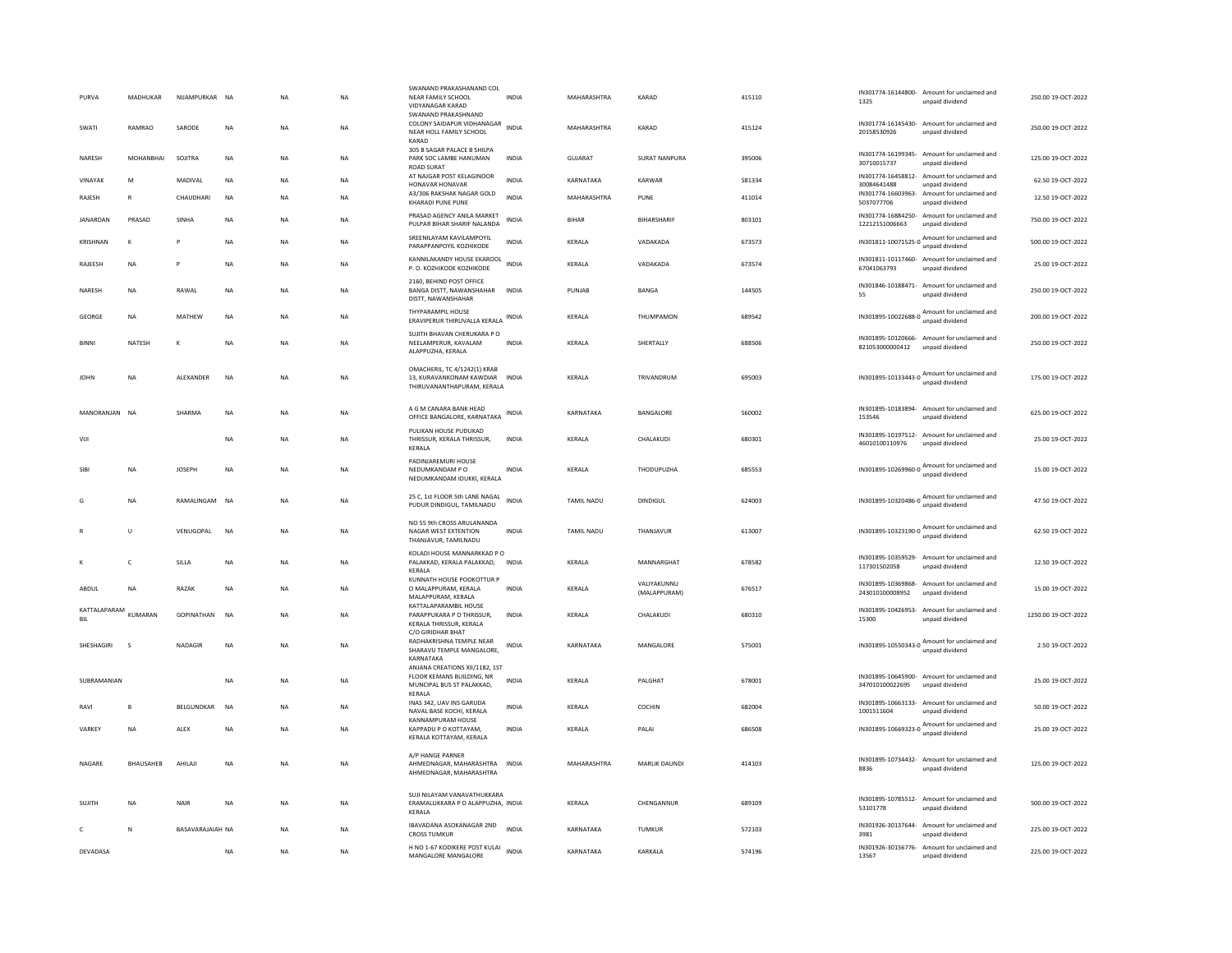| PURVA               | MADHUKAR         | NIJAMPURKAR NA    |             | <b>NA</b> | NA          | SWANAND PRAKASHANAND COL<br>NEAR FAMILY SCHOOL<br><b>VIDYANAGAR KARAD</b>                         | <b>INDIA</b> | MAHARASHTRA       | KARAD                       | 415110 | 1325                       | IN301774-16144800- Amount for unclaimed and<br>unpaid dividend                                                                                                                                                                                                    | 250.00 19-OCT-2022  |
|---------------------|------------------|-------------------|-------------|-----------|-------------|---------------------------------------------------------------------------------------------------|--------------|-------------------|-----------------------------|--------|----------------------------|-------------------------------------------------------------------------------------------------------------------------------------------------------------------------------------------------------------------------------------------------------------------|---------------------|
| SWATI               | RAMRAO           | SARODE            | NA          | NA        | NA          | SWANAND PRAKASHNAND<br>COLONY SAIDAPUR VIDHANAGAR<br>NEAR HOLL FAMILY SCHOOL<br>KARAD             | <b>INDIA</b> | MAHARASHTRA       | KARAD                       | 415124 | 20158530926                | IN301774-16145430- Amount for unclaimed and<br>unpaid dividend                                                                                                                                                                                                    | 250.00 19-OCT-2022  |
| NARESH              | MOHANBHAI        | SOJITRA           | NA          | <b>NA</b> | NA          | 305 B SAGAR PALACE B SHILPA<br>PARK SOC LAMBE HANUMAN<br><b>ROAD SURAT</b>                        | <b>INDIA</b> | GUJARAT           | SURAT NANPURA               | 395006 | 30710015737                | IN301774-16199345- Amount for unclaimed and<br>unpaid dividend                                                                                                                                                                                                    | 125.00 19-OCT-2022  |
| VINAYAK             | M                | MADIVAL           | <b>NA</b>   | <b>NA</b> | NA          | AT NAJGAR POST KELAGINOOR<br>HONAVAR HONAVAR                                                      | <b>INDIA</b> | KARNATAKA         | KARWAR                      | 581334 | 30084641488                | IN301774-16458812- Amount for unclaimed and<br>unpaid dividend                                                                                                                                                                                                    | 62.50 19-OCT-2022   |
| RAJESH              | $\mathsf{R}$     | CHAUDHARI         | NA          | <b>NA</b> | NA          | A3/306 RAKSHAK NAGAR GOLD<br>KHARADI PUNE PUNE                                                    | INDIA        | MAHARASHTRA       | PUNE                        | 411014 | 5037077706                 | IN301774-16603963- Amount for unclaimed and<br>unpaid dividend                                                                                                                                                                                                    | 12.50 19-OCT-2022   |
| JANARDAN            | PRASAD           | SINHA             | <b>NA</b>   | <b>NA</b> | <b>NA</b>   | PRASAD AGENCY ANILA MARKET<br>PULPAR BIHAR SHARIF NALANDA                                         | <b>INDIA</b> | <b>BIHAR</b>      | BIHARSHARIF                 | 803101 | 12212151006663             | IN301774-16884250- Amount for unclaimed and<br>unpaid dividend                                                                                                                                                                                                    | 750.00 19-OCT-2022  |
| KRISHNAN            | K                | P                 | NA          | NA        | NA          | SREENILAYAM KAVILAMPOYIL<br>PARAPPANPOYIL KOZHIKODE                                               | INDIA        | KERALA            | VADAKADA                    | 673573 |                            | IN301811-10071525-0 Amount for unclaimed and<br>unpaid dividend                                                                                                                                                                                                   | 500.00 19-OCT-2022  |
| RAJEESH             | NA               |                   | NA          | NA        | NA          | KANNILAKANDY HOUSE EKAROOL<br>P.O. KOZHIKODE KOZHIKODE                                            | <b>INDIA</b> | KERALA            | VADAKADA                    | 673574 | 67041063793                | IN301811-10117460- Amount for unclaimed and<br>unpaid dividend                                                                                                                                                                                                    | 25.00 19-OCT-2022   |
| NARESH              | <b>NA</b>        | RAWAL             | <b>NA</b>   | <b>NA</b> | <b>NA</b>   | 2160, BEHIND POST OFFICE<br><b>BANGA DISTT, NAWANSHAHAR</b><br>DISTT, NAWANSHAHAR                 | <b>INDIA</b> | PUNJAB            | BANGA                       | 144505 | 55                         | IN301846-10188471- Amount for unclaimed and<br>unpaid dividend                                                                                                                                                                                                    | 250.00 19-OCT-2022  |
| GEORGE              | <b>NA</b>        | <b>MATHFW</b>     | <b>NA</b>   | <b>NA</b> | <b>NA</b>   | THYPARAMPIL HOUSE<br>ERAVIPERUR THIRUVALLA KERALA                                                 | INDIA        | KERALA            | THUMPAMON                   | 689542 |                            | unpaid dividend                                                                                                                                                                                                                                                   | 200.00 19-OCT-2022  |
| <b>BINNI</b>        | NATESH           | к                 | <b>NA</b>   | NA        | $_{\sf NA}$ | SUJITH BHAVAN CHERUKARA P O<br>NEELAMPERUR, KAVALAM<br>ALAPPUZHA, KERALA                          | <b>INDIA</b> | KERALA            | SHERTALLY                   | 688506 | 821053000000412            | IN301895-10120666- Amount for unclaimed and<br>unpaid dividend                                                                                                                                                                                                    | 250.00 19-OCT-2022  |
| <b>JOHN</b>         | NA               | ALEXANDER         | <b>NA</b>   | <b>NA</b> | NA          | OMACHERIL, TC 4/1242(1) KRAB<br>13, KURAVANKONAM KAWDIAR INDIA<br>THIRUVANANTHAPURAM, KERALA      |              | KERALA            | TRIVANDRUM                  | 695003 |                            | IN301895-10133443-0 Amount for unclaimed and<br>unpaid dividend                                                                                                                                                                                                   | 175.00 19-OCT-2022  |
| MANORANJAN NA       |                  | SHARMA            | <b>NA</b>   | <b>NA</b> | <b>NA</b>   | A G M CANARA BANK HEAD<br>OFFICE BANGALORE, KARNATAKA                                             | <b>INDIA</b> | KARNATAKA         | BANGALORE                   | 560002 | 153546                     | IN301895-10183894- Amount for unclaimed and<br>unpaid dividend                                                                                                                                                                                                    | 625.00 19-OCT-2022  |
| VIJI                |                  |                   | <b>NA</b>   | <b>NA</b> | <b>NA</b>   | PULIKAN HOUSE PUDUKAD<br>THRISSUR, KERALA THRISSUR,<br>KERALA                                     | <b>INDIA</b> | KERALA            | CHALAKUDI                   | 680301 | 46010100110976             | IN301895-10197512- Amount for unclaimed and<br>unpaid dividend                                                                                                                                                                                                    | 25.00 19-OCT-2022   |
| SIBI                | <b>NA</b>        | <b>JOSEPH</b>     | <b>NA</b>   | <b>NA</b> | <b>NA</b>   | PADINJAREMURI HOUSE<br>NEDUMKANDAM P O<br>NEDUMKANDAM IDUKKI, KERALA                              | <b>INDIA</b> | KERALA            | THODUPUZHA                  | 685553 |                            | IN301895-10269960-0<br>Manual Contract Property<br>Manual Contract Property<br>Manual Contract Property<br>Manual Contract Property<br>Manual Contract Property<br>Manual Contract Property<br>Manual Contract Property<br>Manual Contract Pro<br>unpaid dividend | 15.00 19-OCT-2022   |
| G                   | <b>NA</b>        | RAMALINGAM        | <b>NA</b>   | <b>NA</b> | <b>NA</b>   | 25 C, 1st FLOOR 5th LANE NAGAL<br>PUDUR DINDIGUL, TAMILNADU                                       | <b>INDIA</b> | <b>TAMIL NADU</b> | <b>DINDIGUL</b>             | 624003 |                            | IN301895-10320486-0 Amount for unclaimed and<br>unpaid dividend                                                                                                                                                                                                   | 47.50 19-OCT-2022   |
|                     | Ù                | VENUGOPAL         | NA          | NA        | NA          | NO 55 9th CROSS ARULANANDA<br>NAGAR WEST EXTENTION<br>THANJAVUR, TAMILNADU                        | <b>INDIA</b> | TAMIL NADU        | THANJAVUR                   | 613007 |                            | IN301895-10323190-0 Amount for unclaimed and<br>unpaid dividend                                                                                                                                                                                                   | 62.50 19-OCT-2022   |
|                     | c                | SILLA             | NA          | <b>NA</b> | NA          | KOLADI HOUSE MANNARKKAD P O<br>PALAKKAD, KERALA PALAKKAD,<br><b>KFRAIA</b>                        | <b>INDIA</b> | KERALA            | MANNARGHAT                  | 678582 | 117301502058               | IN301895-10359529- Amount for unclaimed and<br>unpaid dividend                                                                                                                                                                                                    | 12.50 19-OCT-2022   |
| ABDUL               | NA               | RAZAK             | NA          | <b>NA</b> | NA          | KUNNATH HOUSE POOKOTTUR P<br>O MALAPPURAM, KERALA<br>MALAPPURAM, KERALA                           | INDIA        | KERALA            | VALIYAKUNNU<br>(MALAPPURAM) | 676517 | 243010100008952            | IN301895-10369868- Amount for unclaimed and<br>unpaid dividend                                                                                                                                                                                                    | 15.00 19-OCT-2022   |
| KATTALAPARAM<br>BIL | KUMARAN          | <b>GOPINATHAN</b> | <b>NA</b>   | <b>NA</b> | <b>NA</b>   | KATTALAPARAMBIL HOUSE<br>PARAPPUKARA P O THRISSUR.<br>KERALA THRISSUR, KERALA                     | <b>INDIA</b> | KERALA            | CHALAKUDI                   | 680310 | 15300                      | IN301895-10426953- Amount for unclaimed and<br>unpaid dividend                                                                                                                                                                                                    | 1250.00 19-OCT-2022 |
| SHESHAGIRI          | $\mathbf{s}$     | NADAGIF           | NA          | NA        | NA          | C/O GIRIDHAR BHAT<br>RADHAKRISHNA TEMPLE NEAR<br>SHARAVU TEMPLE MANGALORE,<br>KARNATAKA           | INDIA        | KARNATAKA         | MANGALORE                   | 575001 |                            | IN301895-10550343-0 Amount for unclaimed and<br>unpaid dividend                                                                                                                                                                                                   | 2.50 19-OCT-2022    |
| SUBRAMANIAN         |                  |                   | NA          | <b>NA</b> | NA          | ANJANA CREATIONS XII/1182.1ST<br>FLOOR KEMANS BUILDING, NR<br>MUNCIPAL BUS ST PALAKKAD,<br>KERALA | <b>INDIA</b> | KERALA            | PALGHAT                     | 678001 | 347010100022695            | IN301895-10645900- Amount for unclaimed and<br>unpaid dividend                                                                                                                                                                                                    | 25.00 19-OCT-2022   |
| RAVI                | B                | BELGUNDKAR        | <b>NA</b>   | <b>NA</b> | NA          | INAS 342, UAV INS GARUDA<br>NAVAL BASE KOCHI, KERALA                                              | <b>INDIA</b> | KERALA            | COCHIN                      | 682004 | 1001511604                 | IN301895-10663133- Amount for unclaimed and<br>unpaid dividend                                                                                                                                                                                                    | 50.00 19-OCT-2022   |
| VARKEY              | <b>NA</b>        | ALEX              | <b>NA</b>   | <b>NA</b> | NA          | KANNAMPURAM HOUSE<br>KAPPADU P O KOTTAYAM,<br>KERALA KOTTAYAM, KERALA                             | <b>INDIA</b> | KERALA            | PALAI                       | 686508 |                            | IN301895-10669323-0 Amount for unclaimed and<br>unpaid dividend                                                                                                                                                                                                   | 25.00 19-OCT-2022   |
| NAGARE              | <b>BHAUSAHEB</b> | AHILAJI           | <b>NA</b>   | NA        | $_{\sf NA}$ | A/P HANGE PARNER<br>AHMEDNAGAR, MAHARASHTRA INDIA<br>AHMEDNAGAR, MAHARASHTRA                      |              | MAHARASHTRA       | MARLIK DAUNDI               | 414103 | IN301895-10734432-<br>8836 | Amount for unclaimed and<br>unpaid dividend                                                                                                                                                                                                                       | 125.00 19-OCT-2022  |
| SUJITH              | NA               | NAIR              | $_{\sf NA}$ | <b>NA</b> | <b>NA</b>   | SUJI NILAYAM VANAVATHUKKARA<br>ERAMALLIKKARA P O ALAPPUZHA, INDIA<br>KERALA                       |              | KERALA            | CHENGANNUR                  | 689109 | 53101778                   | IN301895-10785512- Amount for unclaimed and<br>unpaid dividend                                                                                                                                                                                                    | 500.00 19-OCT-2022  |
| c                   | N                | BASAVARAJAIAH NA  |             | <b>NA</b> | NA          | IBAVADANA ASOKANAGAR 2ND<br><b>CROSS TUMKUR</b>                                                   | <b>INDIA</b> | KARNATAKA         | TUMKUR                      | 572103 | 3981                       | IN301926-30137644- Amount for unclaimed and<br>unpaid dividend                                                                                                                                                                                                    | 225.00 19-OCT-2022  |
| DEVADASA            |                  |                   | <b>NA</b>   | <b>NA</b> | <b>NA</b>   | H NO 1-67 KODIKERE POST KULAI<br>MANGALORE MANGALORE                                              | <b>INDIA</b> | KARNATAKA         | KARKALA                     | 574196 | 13567                      | IN301926-30156776- Amount for unclaimed and<br>unpaid dividend                                                                                                                                                                                                    | 225.00 19-OCT-2022  |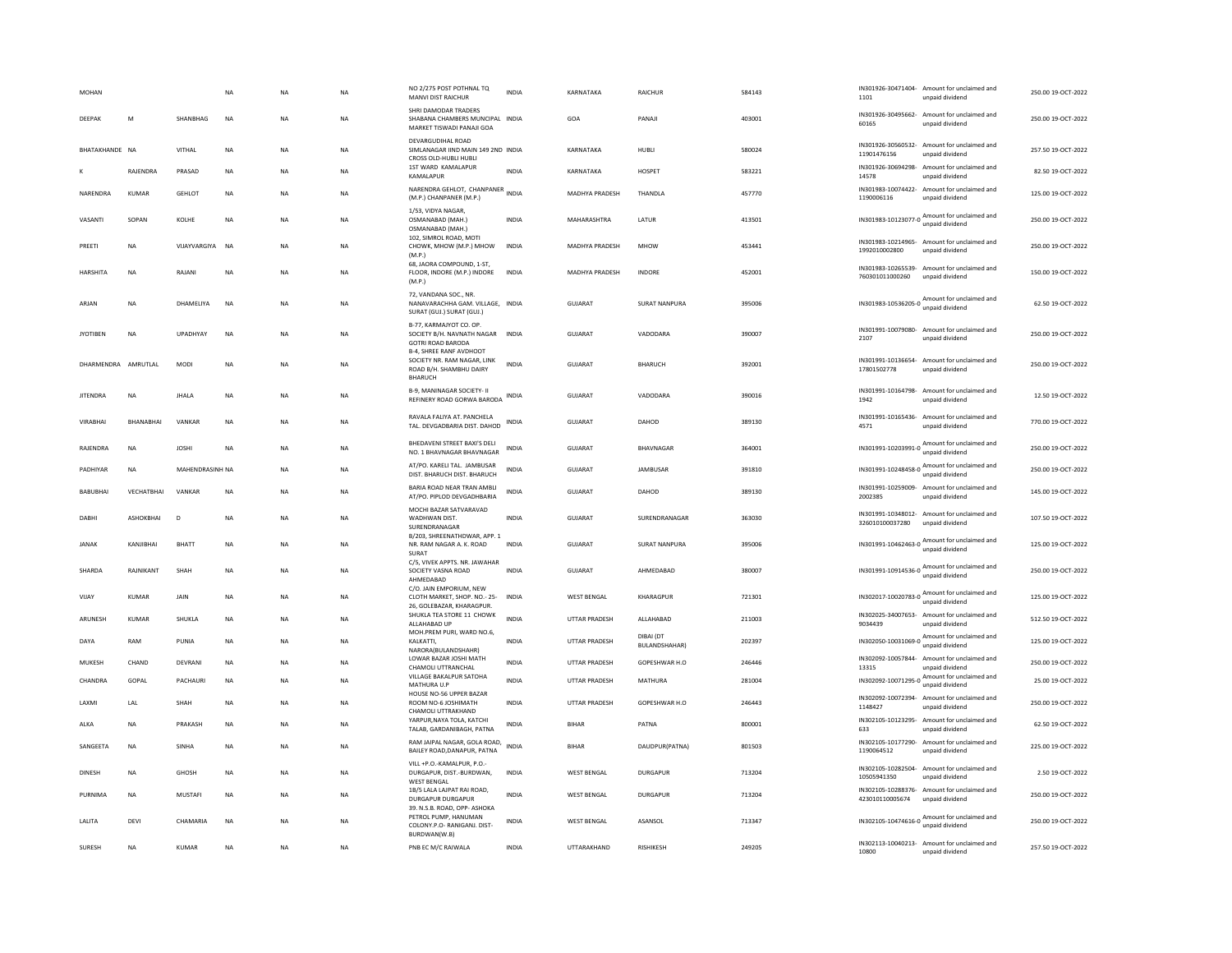| <b>MOHAN</b>          |                  |                 | <b>NA</b>   | <b>NA</b> | <b>NA</b> | NO 2/275 POST POTHNAL TQ<br>MANVI DIST RAICHUR                                                                      | <b>INDIA</b> | KARNATAKA             | <b>RAICHUR</b>             | 584143 | IN301926-30471404- Amount for unclaimed and<br>1101<br>unpaid dividend            | 250.00 19-OCT-2022 |
|-----------------------|------------------|-----------------|-------------|-----------|-----------|---------------------------------------------------------------------------------------------------------------------|--------------|-----------------------|----------------------------|--------|-----------------------------------------------------------------------------------|--------------------|
| DEEPAK                | M                | SHANRHAG        | <b>NA</b>   | <b>NA</b> | <b>NA</b> | SHRI DAMODAR TRADERS<br>SHABANA CHAMBERS MUNCIPAL INDIA<br>MARKET TISWADI PANAJI GOA                                |              | GOA                   | PANAIL                     | 403001 | IN301926-30495662- Amount for unclaimed and<br>60165<br>unpaid dividend           | 250.00.19-OCT-2022 |
| <b>RHATAKHANDE NA</b> |                  | VITHAI          | <b>NA</b>   | <b>NA</b> | <b>NA</b> | DEVARGUDIHAL ROAD<br>SIMLANAGAR IIND MAIN 149 2ND INDIA<br>CROSS OLD-HUBLI HUBLI                                    |              | KARNATAKA             | HUBLI                      | 580024 | IN301926-30560532- Amount for unclaimed and<br>11901476156<br>unpaid dividend     | 257.50.19-OCT-2022 |
|                       | RAJENDRA         | PRASAD          | NA          | NA        | NA        | 1ST WARD KAMALAPUR<br>KAMALAPUR                                                                                     | <b>INDIA</b> | KARNATAKA             | HOSPET                     | 583221 | IN301926-30694298- Amount for unclaimed and<br>14578<br>unpaid dividend           | 82.50 19-OCT-2022  |
| NARENDRA              | <b>KUMAR</b>     | <b>GEHLOT</b>   | <b>NA</b>   | <b>NA</b> | <b>NA</b> | NARENDRA GEHLOT, CHANPANER INDIA<br>(M.P.) CHANPANER (M.P.)                                                         |              | <b>MADHYA PRADESH</b> | THANDLA                    | 457770 | IN301983-10074422-<br>Amount for unclaimed and<br>1190006116<br>unpaid dividend   | 125.00 19-OCT-2022 |
| VASANTI               | SOPAN            | KOI HF          | <b>NA</b>   | <b>NA</b> | <b>NA</b> | 1/53, VIDYA NAGAR,<br>OSMANABAD (MAH.)<br>OSMANABAD (MAH.)                                                          | <b>INDIA</b> | MAHARASHTRA           | <b>I ATUR</b>              | 413501 | IN301983-10123077-0 Amount for unclaimed and<br>unpaid dividend                   | 250.00 19-OCT-2022 |
| PREETI                | NA               | VIJAYVARGIYA    | NA          | NA        | NA        | 102. SIMROL ROAD, MOTI<br>CHOWK, MHOW (M.P.) MHOW<br>(M.P.)                                                         | <b>INDIA</b> | MADHYA PRADESH        | <b>MHOW</b>                | 453441 | IN301983-10214965- Amount for unclaimed and<br>1992010002800<br>unpaid dividend   | 250.00 19-OCT-2022 |
| HARSHITA              | NA               | RAJANI          | NA          | NA        | NA        | 68. JAORA COMPOUND, 1-ST.<br>FLOOR, INDORE (M.P.) INDORE<br>(M.P.)                                                  | INDIA        | MADHYA PRADESH        | INDORE                     | 452001 | IN301983-10265539- Amount for unclaimed and<br>760301011000260<br>unpaid dividend | 150.00 19-OCT-2022 |
| ARJAN                 | NA               | DHAMELIYA       | <b>NA</b>   | <b>NA</b> | NA        | 72. VANDANA SOC., NR.<br>NANAVARACHHA GAM. VILLAGE, INDIA<br>SURAT (GUJ.) SURAT (GUJ.)                              |              | <b>GUJARAT</b>        | <b>SURAT NANPURA</b>       | 395006 | IN301983-10536205-0<br>Manual for unclaimed and<br>unpaid dividend                | 62.50 19-OCT-2022  |
| <b>JYOTIBEN</b>       | NA               | UPADHYAY        | <b>NA</b>   | NA        | NA        | B-77, KARMAJYOT CO, OP.<br>SOCIETY B/H. NAVNATH NAGAR<br><b>GOTRI ROAD BARODA</b><br><b>B-4, SHREE RANF AVDHOOT</b> | <b>INDIA</b> | <b>GUJARAT</b>        | VADODARA                   | 390007 | IN301991-10079080-<br>Amount for unclaimed and<br>2107<br>unpaid dividend         | 250.00 19-OCT-2022 |
| DHARMENDRA AMRUTI AI  |                  | MODI            | <b>NA</b>   | <b>NA</b> | <b>NA</b> | SOCIETY NR. RAM NAGAR, LINK<br>ROAD B/H, SHAMBHU DAIRY<br><b>BHARUCH</b>                                            | <b>INDIA</b> | GUIARAT               | <b>BHARUCH</b>             | 392001 | IN301991-10136654-<br>Amount for unclaimed and<br>17801502778<br>unpaid dividend  | 250.00.19-OCT-2022 |
| <b>IITENDRA</b>       | <b>NA</b>        | <b>IHAIA</b>    | <b>NA</b>   | <b>NA</b> | <b>NA</b> | B-9, MANINAGAR SOCIETY- II<br>REFINERY ROAD GORWA BARODA                                                            | INDIA        | GUIARAT               | VADODARA                   | 390016 | IN301991-10164798- Amount for unclaimed and<br>1942<br>unpaid dividend            | 12.50.19-OCT-2022  |
| <b>VIRARHAI</b>       | <b>RHANARHAI</b> | VANKAR          | <b>NA</b>   | <b>NA</b> | <b>NA</b> | RAVALA FALIYA AT. PANCHELA<br>TAL. DEVGADBARIA DIST. DAHOD                                                          | <b>INDIA</b> | GUIARAT               | DAHOD                      | 389130 | IN301991-10165436-<br>Amount for unclaimed and<br>4571<br>unpaid dividend         | 770.00 19-OCT-2022 |
| RAJENDRA              | <b>NA</b>        | <b>JOSHI</b>    | <b>NA</b>   | <b>NA</b> | <b>NA</b> | BHEDAVENI STREET BAXI'S DELI<br>NO. 1 BHAVNAGAR BHAVNAGAR                                                           | <b>INDIA</b> | <b>GUJARAT</b>        | <b>BHAVNAGAR</b>           | 364001 | IN301991-10203991-0 Amount for unclaimed and                                      | 250.00 19-OCT-2022 |
| PADHIYAR              | <b>NA</b>        | MAHENDRASINH NA |             | <b>NA</b> | <b>NA</b> | AT/PO. KARELI TAL. JAMBUSAR<br>DIST. BHARUCH DIST. BHARUCH                                                          | <b>INDIA</b> | GUJARAT               | JAMBUSAR                   | 391810 | Amount for unclaimed and<br>IN301991-10248458-0<br>unpaid dividend                | 250.00 19-OCT-2022 |
| BABUBHAI              | VECHATBHAI       | VANKAR          | NA          | NA        | <b>NA</b> | BARIA ROAD NEAR TRAN AMBLI<br>AT/PO, PIPLOD DEVGADHBARIA                                                            | <b>INDIA</b> | <b>GUJARAT</b>        | DAHOD                      | 389130 | IN301991-10259009- Amount for unclaimed and<br>2002385<br>unnaid dividend         | 145.00 19-OCT-2022 |
| DABHI                 | ASHOKBHAI        | D               | NA          | <b>NA</b> | <b>NA</b> | MOCHI BAZAR SATVARAVAD<br>WADHWAN DIST.<br>SURENDRANAGAR                                                            | <b>INDIA</b> | GUJARAT               | SURENDRANAGAR              | 363030 | IN301991-10348012- Amount for unclaimed and<br>326010100037280<br>unpaid dividend | 107.50 19-OCT-2022 |
| <b>JANAK</b>          | KANJIBHAI        | BHATT           | NA          | <b>NA</b> | NA        | B/203, SHREENATHDWAR, APP. 1<br>NR. RAM NAGAR A. K. ROAD<br>SURAT                                                   | INDIA        | GUJARAT               | <b>SURAT NANPURA</b>       | 395006 | IN301991-10462463-0 Amount for unclaimed and<br>unpaid dividend                   | 125.00 19-OCT-2022 |
| SHARDA                | RAJNIKANT        | SHAH            | <b>NA</b>   | <b>NA</b> | <b>NA</b> | C/5, VIVEK APPTS. NR. JAWAHAR<br>SOCIETY VASNA ROAD<br>AHMEDABAD                                                    | <b>INDIA</b> | GUJARAT               | AHMEDABAD                  | 380007 | Amount for unclaimed and<br>IN301991-10914536-0<br>unpaid dividend                | 250.00 19-OCT-2022 |
| VIJAY                 | KUMAR            | <b>JAIN</b>     | <b>NA</b>   | <b>NA</b> | <b>NA</b> | C/O. JAIN EMPORIUM, NEW<br>CLOTH MARKET, SHOP. NO.- 25-<br>26, GOLEBAZAR, KHARAGPUR.                                | <b>INDIA</b> | <b>WEST BENGAL</b>    | KHARAGPUR                  | 721301 | IN302017-10020783-0 Amount for unclaimed and<br>unpaid dividend                   | 125.00.19-OCT-2022 |
| ARUNESH               | <b>KUMAR</b>     | SHUKLA          | NA          | <b>NA</b> | NA        | SHUKLA TEA STORE 11 CHOWK<br>ALLAHABAD UP                                                                           | <b>INDIA</b> | UTTAR PRADESH         | ALLAHABAD                  | 211003 | IN302025-34007653-<br>Amount for unclaimed and<br>9034439<br>unpaid dividend      | 512.50 19-OCT-2022 |
| DAYA                  | RAM              | PUNIA           | <b>NA</b>   | <b>NA</b> | <b>NA</b> | MOH.PREM PURI, WARD NO.6,<br>KALKATTI.<br>NARORA(BULANDSHAHR)                                                       | <b>INDIA</b> | <b>UTTAR PRADESH</b>  | DIBAI (DT<br>BULANDSHAHAR) | 202397 | Amount for unclaimed and<br>IN302050-10031069-0<br>unpaid dividend                | 125.00 19-OCT-2022 |
| MUKESH                | CHAND            | DEVRANI         | <b>NA</b>   | <b>NA</b> | <b>NA</b> | LOWAR BAZAR JOSHI MATH<br>CHAMOLI UTTRANCHAL                                                                        | <b>INDIA</b> | UTTAR PRADESH         | GOPESHWAR H.O              | 246446 | IN302092-10057844-<br>Amount for unclaimed and<br>13315<br>unpaid dividend        | 250.00 19-OCT-2022 |
| CHANDRA               | GOPAL            | PACHAURI        | $_{\sf NA}$ | NA        | NA        | VILLAGE BAKALPUR SATOHA<br>MATHURA U.P                                                                              | <b>INDIA</b> | <b>UTTAR PRADESH</b>  | MATHURA                    | 281004 | IN302092-10071295-0<br>Amount for unclaimed and                                   | 25.00 19-OCT-2022  |
| LAXMI                 | LAL              | SHAH            | NA          | <b>NA</b> | NA        | HOUSE NO-56 UPPER BAZAR<br>ROOM NO-6 JOSHIMATH<br>CHAMOLI UTTRAKHAND                                                | <b>INDIA</b> | UTTAR PRADESH         | GOPESHWAR H.O              | 246443 | IN302092-10072394-<br>Amount for unclaimed and<br>1148427<br>unpaid dividend      | 250.00 19-OCT-2022 |
| ALKA                  | NA               | PRAKASH         | NA          | NA        | NA        | YARPUR, NAYA TOLA, KATCHI<br>TALAB, GARDANIBAGH, PATNA                                                              | <b>INDIA</b> | <b>BIHAR</b>          | PATNA                      | 800001 | IN302105-10123295-<br>Amount for unclaimed and<br>unpaid dividend<br>633          | 62.50 19-OCT-2022  |
| SANGEETA              | <b>NA</b>        | SINHA           | <b>NA</b>   | <b>NA</b> | <b>NA</b> | RAM JAIPAL NAGAR, GOLA ROAD,<br>BAILEY ROAD, DANAPUR, PATNA                                                         | <b>INDIA</b> | <b>BIHAR</b>          | DAUDPUR(PATNA)             | 801503 | IN302105-10177290- Amount for unclaimed and<br>1190064512<br>unpaid dividend      | 225.00 19-OCT-2022 |
| <b>DINESH</b>         | NA               | GHOSH           | <b>NA</b>   | <b>NA</b> | <b>NA</b> | VILL +P.O.-KAMALPUR, P.O.-<br>DURGAPUR, DIST.-BURDWAN,<br><b>WEST BENGAL</b>                                        | <b>INDIA</b> | <b>WEST BENGAL</b>    | <b>DURGAPUR</b>            | 713204 | IN302105-10282504- Amount for unclaimed and<br>10505941350<br>unpaid dividend     | 2.50 19-OCT-2022   |
| PURNIMA               | $_{\sf NA}$      | <b>MUSTAFI</b>  | $_{\sf NA}$ | NA        | NA        | 1B/5 LALA LAJPAT RAI ROAD,<br><b>DURGAPUR DURGAPUR</b>                                                              | <b>INDIA</b> | <b>WEST BENGAL</b>    | <b>DURGAPUR</b>            | 713204 | IN302105-10288376- Amount for unclaimed and<br>423010110005674<br>unpaid dividend | 250.00 19-OCT-2022 |
| LALITA                | DEVI             | CHAMARIA        | NA          | NA        | NA        | 39. N.S.B. ROAD, OPP- ASHOKA<br>PETROL PUMP, HANUMAN<br>COLONY.P.O- RANIGANJ. DIST-<br>BURDWAN(W.B)                 | <b>INDIA</b> | <b>WEST BENGAL</b>    | ASANSOL                    | 713347 | IN302105-10474616-0 Amount for unclaimed and<br>unpaid dividend                   | 250.00 19-OCT-2022 |
| <b>SURESH</b>         | <b>NA</b>        | <b>KUMAR</b>    | <b>NA</b>   | <b>NA</b> | <b>NA</b> | PNB EC M/C RAIWALA                                                                                                  | <b>INDIA</b> | UTTARAKHAND           | <b>RISHIKESH</b>           | 249205 | IN302113-10040213- Amount for unclaimed and<br>10800<br>unpaid dividend           | 257.50 19-OCT-2022 |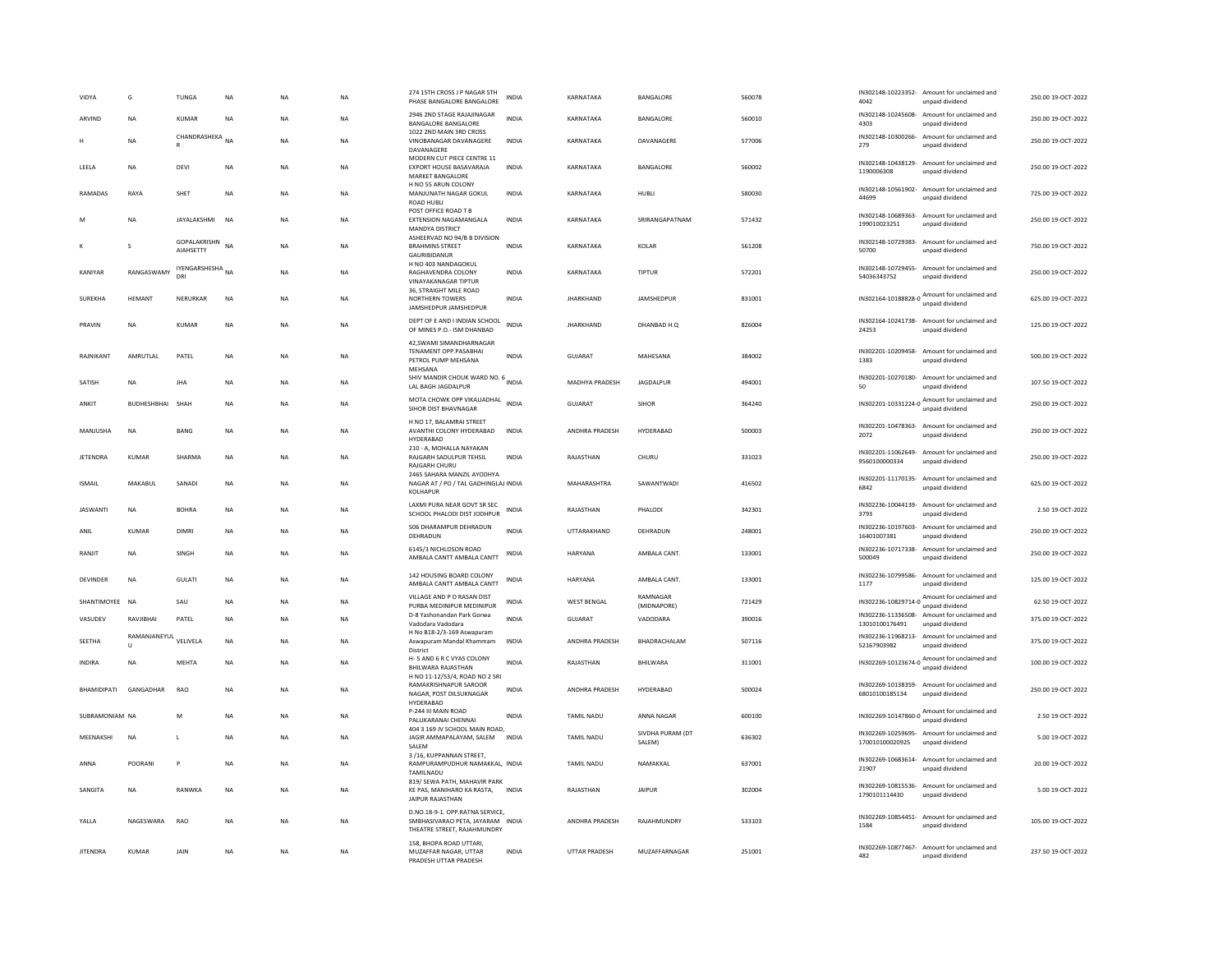| VIDYA              | G                            | TUNGA                            | NA        | <b>NA</b> | <b>NA</b> | 274 15TH CROSS J P NAGAR 5TH<br>PHASE BANGALORE BANGALORE                                              | <b>INDIA</b> | KARNATAKA          | BANGALORE                  | 560078 | 4042                              | IN302148-10223352- Amount for unclaimed and<br>unpaid dividend  | 250.00 19-OCT-2022 |
|--------------------|------------------------------|----------------------------------|-----------|-----------|-----------|--------------------------------------------------------------------------------------------------------|--------------|--------------------|----------------------------|--------|-----------------------------------|-----------------------------------------------------------------|--------------------|
| ARVIND             | <b>NA</b>                    | KUMAR                            | <b>NA</b> | <b>NA</b> | NA.       | 2946 2ND STAGE RAJAJINAGAR<br>BANGALORE BANGALORE                                                      | <b>INDIA</b> | KARNATAKA          | <b>BANGALORE</b>           | 560010 | 4303                              | IN302148-10245608- Amount for unclaimed and<br>unpaid dividend  | 250.00.19-QCT-2022 |
|                    | <b>NA</b>                    | CHANDRASHEKA NA<br>R             |           | <b>NA</b> | <b>NA</b> | 1022 2ND MAIN 3RD CROSS<br>VINOBANAGAR DAVANAGERE<br>DAVANAGERE                                        | <b>INDIA</b> | KARNATAKA          | DAVANAGERE                 | 577006 | 279                               | IN302148-10300266- Amount for unclaimed and<br>unpaid dividend  | 250.00 19-OCT-2022 |
| LEELA              | NA                           | DEVI                             | NA        | NA        | NA        | MODERN CUT PIECE CENTRE 11<br>EXPORT HOUSE BASAVARAJA<br><b>MARKET BANGALORE</b>                       | INDIA        | KARNATAKA          | BANGALORE                  | 560002 | 1190006308                        | IN302148-10438129- Amount for unclaimed and<br>unpaid dividend  | 250.00 19-OCT-2022 |
| RAMADAS            | RAYA                         | SHET                             | <b>NA</b> | <b>NA</b> | <b>NA</b> | H NO 55 ARUN COLONY<br>MANJUNATH NAGAR GOKUL<br><b>ROAD HUBLI</b>                                      | <b>INDIA</b> | KARNATAKA          | HUBLI                      | 580030 | 44699                             | IN302148-10561902- Amount for unclaimed and<br>unpaid dividend  | 725.00 19-OCT-2022 |
| M                  | <b>NA</b>                    | JAYALAKSHMI                      | <b>NA</b> | <b>NA</b> | <b>NA</b> | POST OFFICE ROAD T B<br><b>EXTENSION NAGAMANGALA</b><br>MANDYA DISTRICT                                | <b>INDIA</b> | KARNATAKA          | SRIRANGAPATNAM             | 571432 | 199010023251                      | IN302148-10689363- Amount for unclaimed and<br>unpaid dividend  | 250.00 19-OCT-2022 |
|                    | $\mathbf{S}$                 | GOPALAKRISHN<br><b>AIAHSETTY</b> | <b>NA</b> | <b>NA</b> | <b>NA</b> | ASHEERVAD NO 94/B B DIVISION<br><b>BRAHMINS STREET</b><br>GAURIBIDANUR                                 | <b>INDIA</b> | KARNATAKA          | KOLAR                      | 561208 | IN302148-10729383-<br>50700       | Amount for unclaimed and<br>unpaid dividend                     | 750.00 19-OCT-2022 |
| KANIYAR            | RANGASWAMY                   | IYENGARSHESHA NA<br>DRI          |           | <b>NA</b> | NA        | H NO 403 NANDAGOKUL<br>RAGHAVENDRA COLONY<br><b>VINAYAKANAGAR TIPTUR</b>                               | INDIA        | KARNATAKA          | TIPTUR                     | 572201 | 54036343752                       | IN302148-10729455- Amount for unclaimed and<br>unnaid dividend  | 250.00 19-OCT-2022 |
| SUREKHA            | <b>HEMANT</b>                | NERURKAR                         | NA        | NA        | NA        | 36. STRAIGHT MILE ROAD<br>NORTHERN TOWERS<br>JAMSHEDPUR JAMSHEDPUR                                     | <b>INDIA</b> | <b>JHARKHAND</b>   | JAMSHEDPUR                 | 831001 |                                   | IN302164-10188828-0 Amount for unclaimed and<br>unpaid dividend | 625.00 19-OCT-2022 |
| PRAVIN             | <b>NA</b>                    | <b>KUMAR</b>                     | NA        | <b>NA</b> | NA        | DEPT OF E AND I INDIAN SCHOOL<br>OF MINES P.O.- ISM DHANBAD                                            | <b>INDIA</b> | <b>JHARKHAND</b>   | DHANBAD H.O.               | 826004 | 24253                             | IN302164-10241738- Amount for unclaimed and<br>unpaid dividend  | 125.00 19-OCT-2022 |
| RAJNIKANT          | AMRUTLAL                     | PATEL                            | NA        | NA        | NA        | 42, SWAMI SIMANDHARNAGAR<br><b>TENAMENT OPP.PASABHAI</b><br>PETROL PUMP MEHSANA<br>MEHSANA             | INDIA        | GUJARAT            | MAHESANA                   | 384002 | 1383                              | IN302201-10209458- Amount for unclaimed and<br>unpaid dividend  | 500.00 19-OCT-2022 |
| SATISH             | <b>NA</b>                    | <b>JHA</b>                       | <b>NA</b> | <b>NA</b> | <b>NA</b> | SHIV MANDIR CHOUK WARD NO. 6 INDIA<br>LAL BAGH JAGDALPUR                                               |              | MADHYA PRADESH     | JAGDALPUR                  | 494001 | 50                                | IN302201-10270180- Amount for unclaimed and<br>unpaid dividend  | 107.50 19-OCT-2022 |
| ANKIT              | <b>BUDHESHBHAL</b>           | SHAH                             | <b>NA</b> | <b>NA</b> | <b>NA</b> | MOTA CHOWK OPP VIKALIADHAL INDIA<br>SIHOR DIST BHAVNAGAR                                               |              | GUIARAT            | <b>SIHOR</b>               | 364240 | IN302201-10331224-0               | Amount for unclaimed and<br>unpaid dividend                     | 250.00 19-OCT-2022 |
| MANJUSHA           | <b>NA</b>                    | <b>BANG</b>                      | <b>NA</b> | <b>NA</b> | <b>NA</b> | H NO 17, BALAMRAI STREET<br>AVANTHI COLONY HYDERABAD<br>HYDERABAD                                      | <b>INDIA</b> | ANDHRA PRADESH     | HYDERABAD                  | 500003 | 2072                              | IN302201-10478363- Amount for unclaimed and<br>unpaid dividend  | 250.00 19-OCT-2022 |
| <b>JETENDRA</b>    | <b>KUMAR</b>                 | <b>SHARMA</b>                    | NA        | NA        | NA        | 210 - A, MOHALLA NAYAKAN<br>RAJGARH SADULPUR TEHSIL<br><b>RAJGARH CHURL</b>                            | <b>INDIA</b> | RAJASTHAN          | CHURU                      | 331023 | 9560100000334                     | IN302201-11062649- Amount for unclaimed and<br>unpaid dividend  | 250.00 19-OCT-2022 |
| <b>ISMAIL</b>      | MAKABUL                      | SANADI                           | NA        | <b>NA</b> | NA        | 2465 SAHARA MANZIL AYODHYA<br>NAGAR AT / PO / TAL GADHINGLAJ INDIA<br>KOLHAPUR                         |              | MAHARASHTRA        | SAWANTWADI                 | 416502 | 6842                              | IN302201-11170135- Amount for unclaimed and<br>unpaid dividend  | 625.00 19-OCT-2022 |
| <b>JASWANTI</b>    | <b>NA</b>                    | <b>BOHRA</b>                     | <b>NA</b> | <b>NA</b> | <b>NA</b> | LAXMI PURA NEAR GOVT SR SEC<br>SCHOOL PHALODI DIST JODHPUR                                             | <b>INDIA</b> | RAJASTHAN          | PHALODI                    | 342301 | 3793                              | IN302236-10044139- Amount for unclaimed and<br>unpaid dividend  | 2.50 19-OCT-2022   |
| ANIL               | KUMAR                        | <b>DIMRI</b>                     | <b>NA</b> | <b>NA</b> | <b>NA</b> | 506 DHARAMPUR DEHRADUN<br>DEHRADUN                                                                     | <b>INDIA</b> | UTTARAKHAND        | DEHRADUN                   | 248001 | IN302236-10197603-<br>16401007381 | Amount for unclaimed and<br>unpaid dividend                     | 250.00 19-OCT-2022 |
| RANJIT             | <b>NA</b>                    | SINGH                            | NA        | NA        | NA        | 6145/3 NICHLOSON ROAD<br>AMBALA CANTT AMBALA CANTT                                                     | INDIA        | HARYANA            | AMBALA CANT.               | 133001 | 500049                            | IN302236-10717338- Amount for unclaimed and<br>unpaid dividend  | 250.00 19-OCT-2022 |
| <b>DEVINDER</b>    | <b>NA</b>                    | <b>GULATI</b>                    | <b>NA</b> | <b>NA</b> | <b>NA</b> | 142 HOUSING BOARD COLONY<br>AMBALA CANTT AMBALA CANTT                                                  | <b>INDIA</b> | HARYANA            | AMBALA CANT.               | 133001 | 1177                              | IN302236-10799586- Amount for unclaimed and<br>unpaid dividend  | 125.00 19-OCT-2022 |
| SHANTIMOYEE NA     |                              | SAU                              | <b>NA</b> | <b>NA</b> | <b>NA</b> | VILLAGE AND P O RASAN DIST<br>PURBA MEDINIPUR MEDINIPUR                                                | <b>INDIA</b> | <b>WEST BENGAL</b> | RAMNAGAR<br>(MIDNAPORE)    | 721429 |                                   | IN302236-10829714-0 Amount for unclaimed and<br>unpaid dividend | 62.50 19-OCT-2022  |
| VASUDEV            | RAVJIBHAI                    | PATEL                            | <b>NA</b> | <b>NA</b> | <b>NA</b> | D-8 Yashonandan Park Gorwa<br>Vadodara Vadodara                                                        | <b>INDIA</b> | <b>GUJARAT</b>     | VADODARA                   | 390016 | 13010100176491                    | IN302236-11336508- Amount for unclaimed and<br>unpaid dividend  | 375.00 19-OCT-2022 |
| SEETHA             | RAMANJANEYUL<br>$\mathbf{u}$ | VELIVELA                         | NA        | NA        | NA        | H No B18-2/3-169 Aswapuram<br>Aswapuram Mandal Khammam<br>District                                     | <b>INDIA</b> | ANDHRA PRADESH     | BHADRACHALAM               | 507116 | 52167903982                       | IN302236-11968213- Amount for unclaimed and<br>unpaid dividend  | 375.00 19-OCT-2022 |
| <b>INDIRA</b>      | <b>NA</b>                    | MEHTA                            | <b>NA</b> | <b>NA</b> | <b>NA</b> | H-5 AND 6 R C VYAS COLONY<br>BHILWARA RAJASTHAN                                                        | INDIA        | RAJASTHAN          | BHILWARA                   | 311001 |                                   | IN302269-10123674-0 Amount for unclaimed and<br>unpaid dividend | 100.00 19-OCT-2022 |
| <b>BHAMIDIPATI</b> | GANGADHAR                    | <b>RAO</b>                       | <b>NA</b> | <b>NA</b> | <b>NA</b> | H NO 11-12/53/4, ROAD NO 2 SRI<br>RAMAKRISHNAPUR SAROOR<br>NAGAR, POST DILSUKNAGAR<br><b>HYDERARAD</b> | <b>INDIA</b> | ANDHRA PRADESH     | HYDERABAD                  | 500024 | 68010100185134                    | IN302269-10138359- Amount for unclaimed and<br>unpaid dividend  | 250.00 19-OCT-2022 |
| SUBRAMONIAM NA     |                              | M                                | NA        | <b>NA</b> | NA        | P-244 III MAIN ROAD<br>PALLIKARANAI CHENNAI                                                            | <b>INDIA</b> | <b>TAMIL NADU</b>  | ANNA NAGAR                 | 600100 |                                   | IN302269-10147860-0 Amount for unclaimed and                    | 2.50 19-OCT-2022   |
| MEENAKSHI          | <b>NA</b>                    | L                                | <b>NA</b> | <b>NA</b> | <b>NA</b> | 404 3 169 JV SCHOOL MAIN ROAD<br>JAGIR AMMAPALAYAM, SALEM<br>SALEM                                     | <b>INDIA</b> | <b>TAMIL NADU</b>  | SIVDHA PURAM (DT<br>SALEM) | 636302 | 170010100020925                   | IN302269-10259695- Amount for unclaimed and<br>unpaid dividend  | 5.00 19-OCT-2022   |
| ANNA               | POORANI                      | P                                | <b>NA</b> | <b>NA</b> | <b>NA</b> | 3/16, KUPPANNAN STREET,<br>RAMPURAMPUDHUR NAMAKKAL, INDIA<br>TAMILNADU                                 |              | <b>TAMIL NADU</b>  | NAMAKKAL                   | 637001 | IN302269-10683614-<br>21907       | Amount for unclaimed and<br>unpaid dividend                     | 20.00 19-OCT-2022  |
| SANGITA            | <b>NA</b>                    | RANWKA                           | <b>NA</b> | <b>NA</b> | <b>NA</b> | 819/ SEWA PATH, MAHAVIR PARK<br>KE PAS, MANIHARO KA RASTA,<br>JAIPUR RAJASTHAN                         | <b>INDIA</b> | RAIASTHAN          | <b>JAIPUR</b>              | 302004 | 1790101114430                     | IN302269-10815536- Amount for unclaimed and<br>unpaid dividend  | 5.00.19-OCT-2022   |
| YALLA              | NAGESWARA                    | RAO                              | NA        | <b>NA</b> | NA        | D.NO.18-9-1. OPP.RATNA SERVICE,<br>SMBHASIVARAO PETA, JAYARAM INDIA<br>THEATRE STREET, RAJAHMUNDRY     |              | ANDHRA PRADESH     | RAJAHMUNDRY                | 533103 | 1584                              | IN302269-10854451- Amount for unclaimed and<br>unpaid dividend  | 105.00 19-OCT-2022 |
| <b>JITENDRA</b>    | KUMAR                        | JAIN                             | NA        | <b>NA</b> | NA        | 158, BHOPA ROAD UTTARI,<br>MUZAFFAR NAGAR, UTTAR<br>PRADESH UTTAR PRADESH                              | INDIA        | UTTAR PRADESH      | MUZAFFARNAGAR              | 251001 | 482                               | IN302269-10877467- Amount for unclaimed and<br>unpaid dividend  | 237.50 19-OCT-2022 |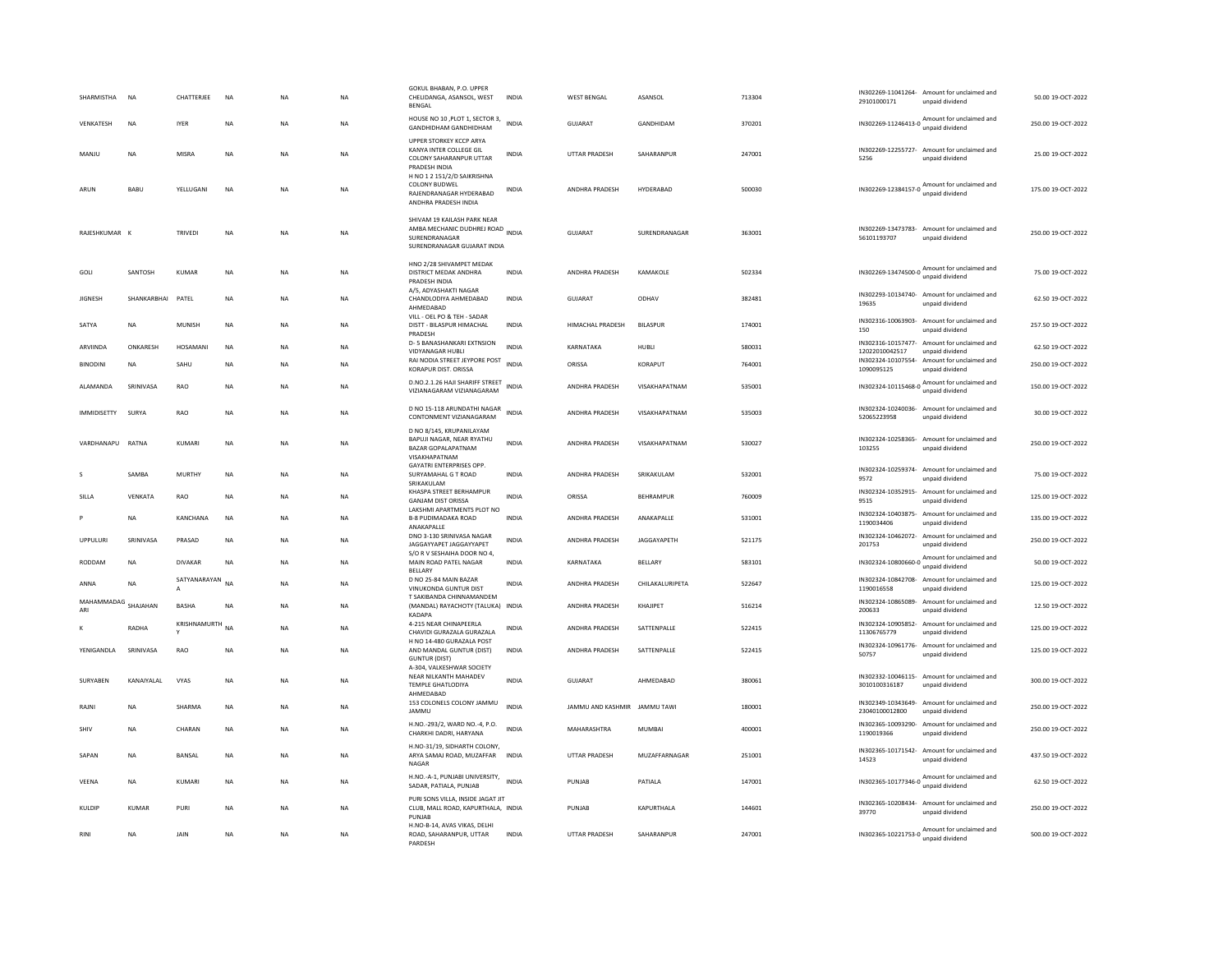| SHARMISTHA         | <b>NA</b>    | CHATTERJEE      | <b>NA</b> | N <sub>A</sub> | <b>NA</b> | GOKUL BHABAN, P.O. UPPER<br>CHELIDANGA, ASANSOL, WEST<br>BENGAL                                                    | <b>INDIA</b> | <b>WEST BENGAL</b>                  | ASANSOL         | 713304 | 29101000171                          | IN302269-11041264- Amount for unclaimed and<br>unpaid dividend                    | 50.00 19-OCT-2022  |
|--------------------|--------------|-----------------|-----------|----------------|-----------|--------------------------------------------------------------------------------------------------------------------|--------------|-------------------------------------|-----------------|--------|--------------------------------------|-----------------------------------------------------------------------------------|--------------------|
| VENKATESH          | NA           | <b>IYER</b>     | <b>NA</b> | NΑ             | NA        | HOUSE NO 10, PLOT 1, SECTOR 3,<br><b>GANDHIDHAM GANDHIDHAM</b>                                                     | <b>INDIA</b> | GUJARAT                             | GANDHIDAM       | 370201 |                                      | IN302269-11246413-0 Amount for unclaimed and                                      | 250.00 19-OCT-2022 |
| MANJU              | NA           | MISRA           | <b>NA</b> | NA             | NA        | UPPER STORKEY KCCP ARYA<br>KANYA INTER COLLEGE GIL<br><b>COLONY SAHARANPUR UTTAR</b><br>PRADESH INDIA              | <b>INDIA</b> | UTTAR PRADESH                       | SAHARANPUR      | 247001 | 5256                                 | IN302269-12255727- Amount for unclaimed and<br>unpaid dividend                    | 25.00 19-OCT-2022  |
| ARUN               | BABU         | YELLUGANI       | NA        | <b>NA</b>      | NA        | H NO 1 2 151/2/D SAIKRISHNA<br>COLONY BUDWEL<br>RAIFNDRANAGAR HYDFRARAD<br>ANDHRA PRADESH INDIA                    | <b>INDIA</b> | ANDHRA PRADESH                      | HYDERABAD       | 500030 |                                      | IN302269-12384157-0 Amount for unclaimed and<br>unpaid dividend                   | 175.00 19-OCT-2022 |
| RAJESHKUMAR        |              | TRIVEDI         | <b>NA</b> | <b>NA</b>      | <b>NA</b> | SHIVAM 19 KAILASH PARK NEAR<br>AMBA MECHANIC DUDHREJ ROAD<br>INDIA<br>SURENDRANAGAR<br>SURENDRANAGAR GUJARAT INDIA |              | GUJARAT                             | SURENDRANAGAR   | 363001 | 56101193707                          | IN302269-13473783- Amount for unclaimed and<br>unpaid dividend                    | 250.00 19-OCT-2022 |
| GOLI               | SANTOSH      | KUMAR           | <b>NA</b> | <b>NA</b>      | <b>NA</b> | HNO 2/28 SHIVAMPET MEDAK<br>DISTRICT MEDAK ANDHRA<br>PRADESH INDIA                                                 | <b>INDIA</b> | <b>ANDHRA PRADESH</b>               | <b>KAMAKOLE</b> | 502334 |                                      | IN302269-13474500-0 Amount for unclaimed and<br>unpaid dividend                   | 75.00 19-OCT-2022  |
| <b>JIGNESH</b>     | SHANKARBHAI  | PATEL           | NA        | <b>NA</b>      | NA        | A/5, ADYASHAKTI NAGAR<br>CHANDLODIYA AHMEDABAD<br>AHMFDARAD                                                        | <b>INDIA</b> | GUJARAT                             | ODHAV           | 382481 | 19635                                | IN302293-10134740- Amount for unclaimed and<br>unpaid dividend                    | 62.50 19-OCT-2022  |
| SATYA              | <b>NA</b>    | MUNISH          | <b>NA</b> | <b>NA</b>      | <b>NA</b> | VILL - OEL PO & TEH - SADAR<br>DISTT - BILASPUR HIMACHAL<br>PRADESH                                                | <b>INDIA</b> | HIMACHAL PRADESH                    | <b>BILASPUR</b> | 174001 | 150                                  | IN302316-10063903- Amount for unclaimed and<br>unpaid dividend                    | 257.50 19-OCT-2022 |
| ARVIINDA           | ONKARESH     | HOSAMANI        | NA        | NA             | NA        | <b>D-5 BANASHANKARI EXTNSION</b><br>VIDYANAGAR HUBLI                                                               | <b>INDIA</b> | KARNATAKA                           | HUBLI           | 580031 | 12022010042517                       | IN302316-10157477- Amount for unclaimed and<br>unpaid dividend                    | 62.50 19-OCT-2022  |
| <b>BINODINI</b>    | <b>NA</b>    | SAHU            | <b>NA</b> | <b>NA</b>      | <b>NA</b> | RAI NODIA STREET JEYPORE POST<br>KORAPUR DIST. ORISSA                                                              | <b>INDIA</b> | ORISSA                              | KORAPUT         | 764001 | 1090095125                           | IN302324-10107554- Amount for unclaimed and<br>unpaid dividend                    | 250.00 19-OCT-2022 |
| <b>AI AMANDA</b>   | SRINIVASA    | <b>RAO</b>      | <b>NA</b> | <b>NA</b>      | <b>NA</b> | D.NO.2.1.26 HAJI SHARIFF STREET<br>VIZIANAGARAM VIZIANAGARAM                                                       | <b>INDIA</b> | <b>ANDHRA PRADESH</b>               | VISAKHAPATNAM   | 535001 |                                      | IN302324-10115468-0 Amount for unclaimed and<br>unpaid dividend                   | 150.00 19-OCT-2022 |
| <b>IMMIDISETTY</b> | SURYA        | RAO             | NA        | NA             | NA        | D NO 15-118 ARUNDATHI NAGAR<br>CONTONMENT VIZIANAGARAM                                                             | <b>INDIA</b> | ANDHRA PRADESH                      | VISAKHAPATNAM   | 535003 | 52065223958                          | IN302324-10240036- Amount for unclaimed and<br>unpaid dividend                    | 30.00 19-OCT-2022  |
| VARDHANAPU RATNA   |              | KUMARI          | <b>NA</b> | <b>NA</b>      | <b>NA</b> | D NO 8/145, KRUPANILAYAM<br>BAPUJI NAGAR, NEAR RYATHU<br><b>BAZAR GOPALAPATNAM</b><br>VISAKHAPATNAM                | <b>INDIA</b> | ANDHRA PRADESH                      | VISAKHAPATNAM   | 530027 | 103255                               | IN302324-10258365- Amount for unclaimed and<br>unpaid dividend                    | 250.00 19-OCT-2022 |
|                    | SAMBA        | <b>MURTHY</b>   | NA        | NA             | NA        | <b>GAYATRI ENTERPRISES OPP</b><br>SURYAMAHAL G T ROAD<br>SRIKAKULAM                                                | <b>INDIA</b> | ANDHRA PRADESH                      | SRIKAKULAM      | 532001 | 9572                                 | IN302324-10259374- Amount for unclaimed and<br>unpaid dividend                    | 75.00 19-OCT-2022  |
| SILLA              | VENKATA      | RAO             | NA        | <b>NA</b>      | <b>NA</b> | KHASPA STREET BERHAMPUR<br><b>GANJAM DIST ORISSA</b><br>LAKSHMI APARTMENTS PLOT NO                                 | <b>INDIA</b> | ORISSA                              | BEHRAMPUR       | 760009 | 9515                                 | IN302324-10352915- Amount for unclaimed and<br>unpaid dividend                    | 125.00 19-OCT-2022 |
|                    | NA           | KANCHANA        | NA        | <b>NA</b>      | <b>NA</b> | <b>B-8 PUDIMADAKA ROAD</b><br>ANAKAPALLE                                                                           | <b>INDIA</b> | ANDHRA PRADESH                      | ANAKAPALLE      | 531001 | IN302324-10403875-<br>1190034406     | Amount for unclaimed and<br>unpaid dividend                                       | 135.00 19-OCT-2022 |
|                    |              |                 |           |                | NA        | DNO 3-130 SRINIVASA NAGAR                                                                                          | <b>INDIA</b> | ANDHRA PRADESH                      |                 |        | IN302324-10462072-                   | Amount for unclaimed and                                                          | 250.00 19-OCT-2022 |
| <b>UPPULUR</b>     | SRINIVASA    | PRASAD          | NA        | <b>NA</b>      |           | JAGGAYYAPET JAGGAYYAPET                                                                                            |              |                                     | JAGGAYAPETH     | 521175 | 201753                               | unpaid dividend                                                                   |                    |
| RODDAM             | <b>NA</b>    | <b>DIVAKAR</b>  | <b>NA</b> | <b>NA</b>      | <b>NA</b> | S/O R V SESHAIHA DOOR NO 4,<br>MAIN ROAD PATEL NAGAR                                                               | <b>INDIA</b> | KARNATAKA                           | BELLARY         | 583101 | IN302324-10800660-0                  | Amount for unclaimed and                                                          | 50.00 19-OCT-2022  |
| ANNA               | <b>NA</b>    | SATYANARAYAN NA |           | NA             | <b>NA</b> | <b>BELLARY</b><br>D NO 25-84 MAIN BAZAR<br>VINUKONDA GUNTUR DIST                                                   | <b>INDIA</b> | <b>ANDHRA PRADESH</b>               | CHILAKALURIPETA | 522647 | 1190016558                           | unpaid dividend<br>IN302324-10842708- Amount for unclaimed and<br>unpaid dividend | 125.00 19-OCT-2022 |
| MAHAMMADAG<br>ARI  | SHAJAHAN     | <b>BASHA</b>    | NA        | NA             | NA        | T SAKIBANDA CHINNAMANDEM<br>(MANDAL) RAYACHOTY (TALUKA) INDIA                                                      |              | <b>ANDHRA PRADESH</b>               | KHAJIPET        | 516214 | IN302324-10865089<br>200633          | Amount for unclaimed and                                                          | 12.50 19-OCT-2022  |
|                    | RADHA        | KRISHNAMURTH NA |           | NA             | <b>NA</b> | KADAPA<br>4-215 NEAR CHINAPEERLA<br>CHAVIDI GURAZALA GURAZALA                                                      | <b>INDIA</b> | ANDHRA PRADESH                      | SATTENPALLE     | 522415 | IN302324-10905852-<br>11306765779    | unpaid dividend<br>Amount for unclaimed and<br>unpaid dividend                    | 125.00 19-OCT-2022 |
| YENIGANDLA         | SRINIVASA    | <b>RAO</b>      | <b>NA</b> | N <sub>A</sub> | <b>NA</b> | H NO 14-480 GURAZALA POST<br>AND MANDAL GUNTUR (DIST)<br><b>GUNTUR (DIST)</b>                                      | <b>INDIA</b> | ANDHRA PRADESH                      | SATTENPALLE     | 522415 | 50757                                | IN302324-10961776- Amount for unclaimed and<br>unpaid dividend                    | 125.00 19-OCT-2022 |
| SURYABEN           | KANAIYALAL   | VYAS            | NA        | NA             | NA        | A-304, VALKESHWAR SOCIETY<br>NEAR NILKANTH MAHADEV<br>TEMPLE GHATLODIYA                                            | <b>INDIA</b> | GUJARAT                             | AHMEDABAD       | 380061 | 3010100316187                        | IN302332-10046115- Amount for unclaimed and<br>unpaid dividend                    | 300.00 19-OCT-2022 |
| RAINI              | <b>NA</b>    | SHARMA          | <b>NA</b> | <b>NA</b>      | <b>NA</b> | AHMEDABAD<br>153 COLONELS COLONY JAMMU<br>JAMMU                                                                    | <b>INDIA</b> | <b>IAMMU AND KASHMIR IAMMU TAWI</b> |                 | 180001 | IN302349-10343649-<br>23040100012800 | Amount for unclaimed and<br>unpaid dividend                                       | 250.00.19-OCT-2022 |
| SHIV               | <b>NA</b>    | CHARAN          | NA        | <b>NA</b>      | <b>NA</b> | H.NO.-293/2, WARD NO.-4, P.O.<br>CHARKHI DADRI, HARYANA                                                            | INDIA        | MAHARASHTRA                         | <b>MUMBAI</b>   | 400001 | 1190019366                           | IN302365-10093290- Amount for unclaimed and<br>unpaid dividend                    | 250.00 19-OCT-2022 |
| SAPAN              | <b>NA</b>    | <b>BANSAL</b>   | <b>NA</b> | <b>NA</b>      | <b>NA</b> | H.NO-31/19, SIDHARTH COLONY,<br>ARYA SAMAJ ROAD, MUZAFFAR<br><b>NAGAR</b>                                          | <b>INDIA</b> | <b>UTTAR PRADESH</b>                | MUZAFFARNAGAR   | 251001 | 14523                                | IN302365-10171542- Amount for unclaimed and<br>unpaid dividend                    | 437.50 19-OCT-2022 |
| VEENA              | NA           | KUMARI          | <b>NA</b> | NΑ             | NA        | H.NO.-A-1, PUNJABI UNIVERSITY, INDIA<br>SADAR, PATIALA, PUNJAB                                                     |              | PUNJAB                              | PATIALA         | 147001 | IN302365-10177346-0                  | Amount for unclaimed and<br>unpaid dividend                                       | 62.50 19-OCT-2022  |
| KULDIP             | <b>KUMAR</b> | PURI            | <b>NA</b> | N <sub>A</sub> | NA        | PURI SONS VILLA, INSIDE JAGAT JIT<br>CLUB, MALL ROAD, KAPURTHALA, INDIA<br>PUNJAB<br>H.NO-B-14, AVAS VIKAS, DELHI  |              | PUNJAB                              | KAPURTHALA      | 144601 | 39770                                | IN302365-10208434- Amount for unclaimed and<br>unpaid dividend                    | 250.00 19-OCT-2022 |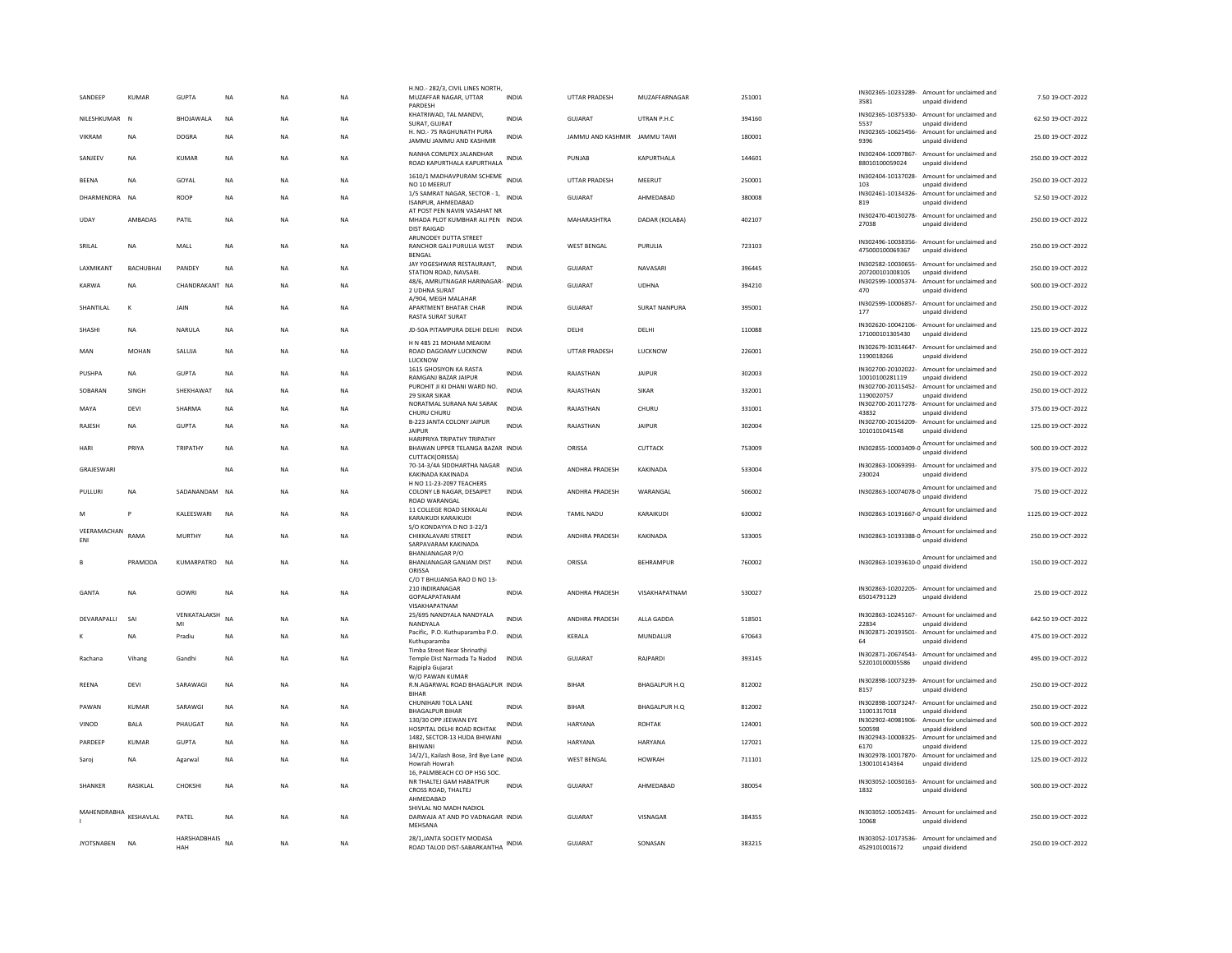| SANDEEP            | <b>KUMAR</b> | <b>GUPTA</b>        | <b>NA</b> | <b>NA</b>   | <b>NA</b> | H.NO.- 282/3, CIVIL LINES NORTH<br>MUZAFFAR NAGAR, UTTAR<br>PARDESH                       | <b>INDIA</b> | <b>UTTAR PRADESH</b>         | MUZAFFARNAGAR        | 251001 | 3581                                | IN302365-10233289- Amount for unclaimed and<br>unpaid dividend  | 7.50 19-OCT-2022    |
|--------------------|--------------|---------------------|-----------|-------------|-----------|-------------------------------------------------------------------------------------------|--------------|------------------------------|----------------------|--------|-------------------------------------|-----------------------------------------------------------------|---------------------|
| NILESHKUMAR        | N            | <b>BHOIAWAIA</b>    | <b>NA</b> | <b>NA</b>   | <b>NA</b> | KHATRIWAD, TAL MANDVI,<br>SURAT, GUJRAT                                                   | <b>INDIA</b> | GUIARAT                      | <b>UTRAN P.H.C.</b>  | 394160 | 5537                                | IN302365-10375330- Amount for unclaimed and<br>unpaid dividend  | 62.50 19-OCT-2022   |
| <b>VIKRAM</b>      | <b>NA</b>    | <b>DOGRA</b>        | <b>NA</b> | <b>NA</b>   | <b>NA</b> | H. NO.- 75 RAGHUNATH PURA<br>JAMMU JAMMU AND KASHMIR                                      | <b>INDIA</b> | JAMMU AND KASHMIR JAMMU TAWI |                      | 180001 | IN302365-10625456-<br>9396          | Amount for unclaimed and<br>unpaid dividend                     | 25.00 19-OCT-2022   |
| SANJEEV            | <b>NA</b>    | <b>KUMAR</b>        | <b>NA</b> | <b>NA</b>   | <b>NA</b> | NANHA COMLPEX JALANDHAR<br>ROAD KAPURTHALA KAPURTHALA                                     | <b>INDIA</b> | PUNJAB                       | KAPURTHALA           | 144601 | 88010100059024                      | IN302404-10097867- Amount for unclaimed and<br>unpaid dividend  | 250.00 19-OCT-2022  |
| <b>BEENA</b>       | <b>NA</b>    | GOYAL               | <b>NA</b> | <b>NA</b>   | <b>NA</b> | 1610/1 MADHAVPURAM SCHEME INDIA<br>NO 10 MEERUT                                           |              | <b>UTTAR PRADESH</b>         | MEERUT               | 250001 | IN302404-10137028-<br>103           | Amount for unclaimed and<br>unpaid dividend                     | 250.00 19-OCT-2022  |
| DHARMENDRA         | <b>NA</b>    | <b>ROOF</b>         | <b>NA</b> | <b>NA</b>   | <b>NA</b> | 1/5 SAMRAT NAGAR, SECTOR - 1,<br>ISANPUR, AHMEDABAD                                       | <b>INDIA</b> | GUJARAT                      | AHMEDABAD            | 380008 | IN302461-10134326-<br>819           | Amount for unclaimed and<br>unpaid dividend                     | 52.50 19-OCT-2022   |
| UDAY               | AMBADAS      | PATIL               | NA        | NA          | <b>NA</b> | AT POST PEN NAVIN VASAHAT NR<br>MHADA PLOT KUMBHAR ALI PEN INDIA<br><b>DIST RAIGAD</b>    |              | MAHARASHTRA                  | DADAR (KOLABA)       | 402107 | 27038                               | IN302470-40130278- Amount for unclaimed and<br>unpaid dividend  | 250.00 19-OCT-2022  |
| SRILAL             | <b>NA</b>    | MALL                | NA        | NA          | <b>NA</b> | ARUNODEY DUTTA STREET<br>RANCHOR GALI PURULIA WEST<br><b>RENGAL</b>                       | <b>INDIA</b> | <b>WEST BENGAL</b>           | PURULIA              | 723103 | 475000100069367                     | IN302496-10038356- Amount for unclaimed and<br>unpaid dividend  | 250.00 19-OCT-2022  |
| LAXMIKANT          | BACHUBHAI    | PANDEY              | NA        | $_{\sf NA}$ | <b>NA</b> | JAY YOGESHWAR RESTAURANT,<br>STATION ROAD, NAVSARI,                                       | <b>INDIA</b> | <b>GUJARAT</b>               | NAVASARI             | 396445 | 207200101008105                     | IN302582-10030655- Amount for unclaimed and<br>unpaid dividend  | 250.00 19-OCT-2022  |
| KARWA              | <b>NA</b>    | CHANDRAKANT NA      |           | <b>NA</b>   | <b>NA</b> | 48/6, AMRUTNAGAR HARINAGAR-<br>2 UDHNA SURAT                                              | <b>INDIA</b> | GUJARAT                      | <b>UDHNA</b>         | 394210 | 470                                 | IN302599-10005374- Amount for unclaimed and<br>unpaid dividend  | 500.00 19-OCT-2022  |
| SHANTILAL          | $\kappa$     | JAIN                | <b>NA</b> | <b>NA</b>   | <b>NA</b> | A/904, MEGH MALAHAR<br>APARTMENT BHATAR CHAR<br>RASTA SURAT SURAT                         | <b>INDIA</b> | GUJARAT                      | <b>SURAT NANPURA</b> | 395001 | 177                                 | IN302599-10006857- Amount for unclaimed and<br>unpaid dividend  | 250.00 19-OCT-2022  |
| SHASHI             | NA           | NARULA              | NA        | NA          | <b>NA</b> | JD-50A PITAMPURA DELHI DELHI                                                              | <b>INDIA</b> | DELHI                        | DELHI                | 110088 | 171000101305430                     | IN302620-10042106- Amount for unclaimed and<br>unpaid dividend  | 125.00 19-OCT-2022  |
| MAN                | <b>MOHAN</b> | SALUJA              | <b>NA</b> | <b>NA</b>   | <b>NA</b> | H N 485 21 MOHAM MEAKIM<br>ROAD DAGOAMY LUCKNOW<br>LUCKNOW                                | <b>INDIA</b> | <b>UTTAR PRADESH</b>         | LUCKNOW              | 226001 | IN302679-30314647-<br>1190018266    | Amount for unclaimed and<br>unpaid dividend                     | 250.00 19-OCT-2022  |
| PUSHPA             | <b>NA</b>    | <b>GUPTA</b>        | NA        | NA          | <b>NA</b> | 1615 GHOSIYON KA RASTA<br>RAMGANJ BAZAR JAIPUR                                            | <b>INDIA</b> | RAJASTHAN                    | <b>JAIPUR</b>        | 302003 | 10010100281119                      | IN302700-20102022- Amount for unclaimed and<br>unpaid dividend  | 250.00 19-OCT-2022  |
| SOBARAN            | <b>SINGH</b> | SHEKHAWAT           | <b>NA</b> | <b>NA</b>   | <b>NA</b> | PUROHIT JI KI DHANI WARD NO.<br><b>29 SIKAR SIKAR</b>                                     | <b>INDIA</b> | RAJASTHAN                    | <b>SIKAR</b>         | 332001 | IN302700-20115452-<br>1190020757    | Amount for unclaimed and<br>unpaid dividend                     | 250.00 19-OCT-2022  |
| MAYA               | DEVI         | SHARMA              | <b>NA</b> | <b>NA</b>   | <b>NA</b> | NORATMAL SURANA NAI SARAK<br>CHURU CHURU                                                  | <b>INDIA</b> | RAJASTHAN                    | CHURU                | 331001 | IN302700-20117278-<br>43832         | Amount for unclaimed and<br>unpaid dividend                     | 375.00 19-OCT-2022  |
| RAJESH             | <b>NA</b>    | <b>GUPTA</b>        | <b>NA</b> | <b>NA</b>   | <b>NA</b> | B-223 JANTA COLONY JAIPUR<br><b>JAIPUR</b>                                                | <b>INDIA</b> | RAJASTHAN                    | JAIPUR               | 302004 | IN302700-20156209-<br>1010101041548 | Amount for unclaimed and<br>unpaid dividend                     | 125.00 19-OCT-2022  |
| HARI               | PRIYA        | TRIPATHY            | NA        | NA          | <b>NA</b> | <b>HARIPRIYA TRIPATHY TRIPATHY</b><br>BHAWAN UPPER TELANGA BAZAR INDIA<br>CUTTACK(ORISSA) |              | ORISSA                       | CUTTACK              | 753009 |                                     | IN302855-10003409-0 Amount for unclaimed and<br>unpaid dividend | 500.00 19-OCT-2022  |
| GRAJESWARI         |              |                     | <b>NA</b> | <b>NA</b>   | <b>NA</b> | 70-14-3/4A SIDDHARTHA NAGAR<br>KAKINADA KAKINADA                                          | <b>INDIA</b> | <b>ANDHRA PRADESH</b>        | KAKINADA             | 533004 | 230024                              | IN302863-10069393- Amount for unclaimed and<br>unpaid dividend  | 375.00 19-OCT-2022  |
| PULLURI            | <b>NA</b>    | SADANANDAM          | <b>NA</b> | <b>NA</b>   | <b>NA</b> | H NO 11-23-2097 TEACHERS<br>COLONY LB NAGAR, DESAIPET<br>ROAD WARANGAL                    | <b>INDIA</b> | ANDHRA PRADESH               | WARANGAL             | 506002 |                                     | IN302863-10074078-0 Amount for unclaimed and<br>unpaid dividend | 75.00 19-OCT-2022   |
| M                  | P            | KALEESWARI          | <b>NA</b> | NA          | <b>NA</b> | 11 COLLEGE ROAD SEKKALAI<br>KARAIKUDI KARAIKUDI                                           | <b>INDIA</b> | <b>TAMIL NADU</b>            | KARAIKUDI            | 630002 |                                     | IN302863-10191667-0 Amount for unclaimed and                    | 1125.00 19-OCT-2022 |
| VEERAMACHAN<br>ENI | RAMA         | <b>MURTHY</b>       | <b>NA</b> | <b>NA</b>   | <b>NA</b> | S/O KONDAYYA D NO 3-22/3<br>CHIKKALAVARI STREET<br>SARPAVARAM KAKINADA                    | <b>INDIA</b> | ANDHRA PRADESH               | KAKINADA             | 533005 | IN302863-10193388-0                 | Amount for unclaimed and<br>unpaid dividend                     | 250.00 19-OCT-2022  |
| R                  | PRAMODA      | KUMARPATRO NA       |           | <b>NA</b>   | <b>NA</b> | <b>BHANJANAGAR P/O</b><br>BHANJANAGAR GANJAM DIST<br>ORISSA                               | <b>INDIA</b> | ORISSA                       | <b>REHRAMPUR</b>     | 760002 | IN302863-10193610-0                 | Amount for unclaimed and<br>unpaid dividend                     | 150.00 19-OCT-2022  |
| GANTA              | <b>NA</b>    | GOWRI               | <b>NA</b> | <b>NA</b>   | <b>NA</b> | C/O T BHUJANGA RAO D NO 13-<br>210 INDIRANAGAR<br>GOPALAPATANAM<br>VISAKHAPATNAM          | <b>INDIA</b> | ANDHRA PRADESH               | VISAKHAPATNAM        | 530027 | 65014791129                         | IN302863-10202205- Amount for unclaimed and<br>unpaid dividend  | 25.00 19-OCT-2022   |
| DEVARAPALLI        | SAI          | VENKATALAKSH<br>MI  | <b>NA</b> | <b>NA</b>   | <b>NA</b> | 25/695 NANDYALA NANDYALA<br>NANDYALA                                                      | <b>INDIA</b> | ANDHRA PRADESH               | ALLA GADDA           | 518501 | IN302863-10245167-<br>22834         | Amount for unclaimed and<br>unpaid dividend                     | 642.50 19-OCT-2022  |
|                    | <b>NA</b>    | Pradiu              | <b>NA</b> | <b>NA</b>   | <b>NA</b> | Pacific, P.O. Kuthuparamba P.O.<br>Kuthuparamba                                           | <b>INDIA</b> | KERALA                       | MUNDALUR             | 670643 | IN302871-20193501-<br>64            | Amount for unclaimed and<br>unpaid dividend                     | 475.00 19-OCT-2022  |
| Rachana            | Vihane       | Gandh               | <b>NA</b> | <b>NA</b>   | <b>NA</b> | Timba Street Near Shrinathji<br>Temple Dist Narmada Ta Nadod<br>Rajpipla Gujarat          | <b>INDIA</b> | <b>GUJARAT</b>               | RAJPARDI             | 393145 | 522010100005586                     | IN302871-20674543- Amount for unclaimed and<br>unpaid dividend  | 495.00 19-OCT-2022  |
| <b>REENA</b>       | DEVI         | SARAWAGI            | <b>NA</b> | <b>NA</b>   | <b>NA</b> | W/O PAWAN KUMAR<br>R.N.AGARWAL ROAD BHAGALPUR INDIA<br><b>BIHAR</b>                       |              | <b>BIHAR</b>                 | BHAGALPUR H.Q        | 812002 | 8157                                | IN302898-10073239- Amount for unclaimed and<br>unpaid dividend  | 250.00 19-OCT-2022  |
| PAWAN              | <b>KUMAR</b> | SARAWGI             | <b>NA</b> | <b>NA</b>   | <b>NA</b> | CHUNIHARI TOLA LANE<br><b>BHAGALPUR BIHAR</b>                                             | <b>INDIA</b> | <b>BIHAR</b>                 | BHAGALPUR H.Q        | 812002 | 11001317018                         | IN302898-10073247- Amount for unclaimed and<br>unpaid dividend  | 250.00 19-OCT-2022  |
| VINOD              | BALA         | PHAUGAT             | NA        | NA          | NA        | 130/30 OPP JEEWAN EYE<br>HOSPITAL DELHI ROAD ROHTAK                                       | INDIA        | HARYANA                      | <b>ROHTAK</b>        | 124001 | IN302902-40981906-<br>500598        | Amount for unclaimed and<br>unpaid dividend                     | 500.00 19-OCT-2022  |
| PARDEEP            | KUMAR        | <b>GUPTA</b>        | <b>NA</b> | <b>NA</b>   | <b>NA</b> | 1482, SECTOR-13 HUDA BHIWANI<br><b>RHIWAN</b>                                             | <b>INDIA</b> | HARYANA                      | HARYANA              | 127021 | IN302943-10008325-<br>6170          | Amount for unclaimed and<br>unnaid dividend                     | 125.00 19-OCT-2022  |
| Saroj              | <b>NA</b>    | Agarwal             | <b>NA</b> | <b>NA</b>   | <b>NA</b> | 14/2/1, Kailash Bose, 3rd Bye Lane INDIA<br>Howrah Howrah                                 |              | <b>WEST BENGAL</b>           | <b>HOWRAH</b>        | 711101 | IN302978-10017870-<br>1300101414364 | Amount for unclaimed and<br>unpaid dividend                     | 125.00.19-OCT-2022  |
| SHANKER            | RASIKLAL     | CHOKSHI             | NA        | NA          | <b>NA</b> | 16, PALMBEACH CO OP HSG SOC.<br>NR THALTEJ GAM HABATPUR<br>CROSS ROAD, THALTEJ            | <b>INDIA</b> | <b>GUJARAT</b>               | AHMEDABAD            | 380054 | 1832                                | IN303052-10030163- Amount for unclaimed and<br>unpaid dividend  | 500.00 19-OCT-2022  |
| MAHENDRABHA        | KESHAVLAL    | PATEL               | <b>NA</b> | <b>NA</b>   | <b>NA</b> | AHMEDABAD<br>SHIVLAL NO MADH NADIOL<br>DARWAJA AT AND PO VADNAGAR INDIA<br>MEHSANA        |              | <b>GUJARAT</b>               | VISNAGAR             | 384355 | 10068                               | IN303052-10052435- Amount for unclaimed and<br>unpaid dividend  | 250.00 19-OCT-2022  |
| <b>JYOTSNABEN</b>  | <b>NA</b>    | HARSHADBHAIS<br>HAH | <b>NA</b> | <b>NA</b>   | <b>NA</b> | 28/1, JANTA SOCIETY MODASA<br>ROAD TALOD DIST-SABARKANTHA INDIA                           |              | GUJARAT                      | SONASAN              | 383215 | 4529101001672                       | IN303052-10173536- Amount for unclaimed and<br>unpaid dividend  | 250.00 19-OCT-2022  |